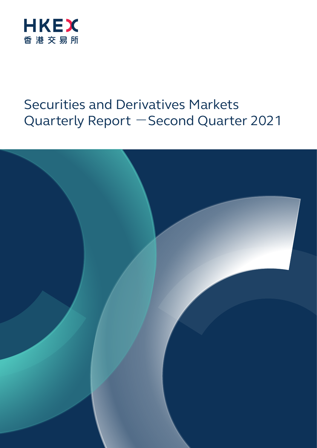

# Securities and Derivatives Markets Quarterly Report - Second Quarter 2021

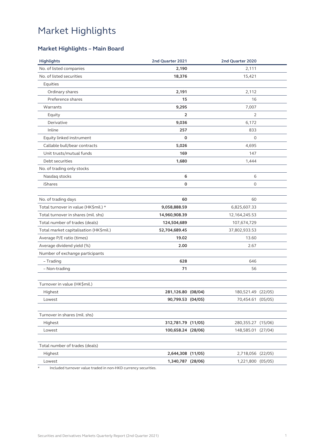### **Market Highlights – Main Board**

| <b>Highlights</b>                      | 2nd Quarter 2021   | 2nd Quarter 2020   |  |
|----------------------------------------|--------------------|--------------------|--|
| No. of listed companies                | 2,190              | 2,111              |  |
| No. of listed securities               | 18,376             | 15,421             |  |
| Equities                               |                    |                    |  |
| Ordinary shares                        | 2,191              | 2,112              |  |
| Preference shares                      | 15                 | 16                 |  |
| Warrants                               | 9,295              | 7,007              |  |
| Equity                                 | 2                  | $\overline{2}$     |  |
| Derivative                             | 9,036              | 6,172              |  |
| Inline                                 | 257                | 833                |  |
| Equity linked instrument               | $\mathbf 0$        | $\circ$            |  |
| Callable bull/bear contracts           | 5,026              | 4,695              |  |
| Unit trusts/mutual funds               | 169                | 147                |  |
| Debt securities                        | 1,680              | 1,444              |  |
| No. of trading only stocks             |                    |                    |  |
| Nasdaq stocks                          | 6                  | 6                  |  |
| iShares                                | $\mathbf 0$        | $\circ$            |  |
|                                        | 60                 | 60                 |  |
| No. of trading days                    |                    |                    |  |
| Total turnover in value (HK\$mil.) *   | 9,058,888.59       | 6,825,607.33       |  |
| Total turnover in shares (mil. shs)    | 14,960,908.39      | 12, 164, 245. 53   |  |
| Total number of trades (deals)         | 124,504,689        | 107,674,729        |  |
| Total market capitalisation (HK\$mil.) | 52,704,689.45      | 37,802,933.53      |  |
| Average P/E ratio (times)              | 19.02              | 13.60              |  |
| Average dividend yield (%)             | 2.00               | 2.67               |  |
| Number of exchange participants        |                    |                    |  |
| - Trading                              | 628                | 646                |  |
| - Non-trading                          | 71                 | 56                 |  |
| Turnover in value (HK\$mil.)           |                    |                    |  |
| Highest                                | 281,126.80 (08/04) | 180,521.49 (22/05) |  |
| Lowest                                 | 90,799.53 (04/05)  | 70,454.61 (05/05)  |  |
| Turnover in shares (mil. shs)          |                    |                    |  |
| Highest                                | 312,781.79 (11/05) | 280,355.27 (15/06) |  |
|                                        |                    |                    |  |
| Lowest                                 | 100,658.24 (28/06) | 148,585.01 (27/04) |  |
| Total number of trades (deals)         |                    |                    |  |
| Highest                                | 2,644,308 (11/05)  | 2,718,056 (22/05)  |  |
| Lowest                                 | 1,340,787 (28/06)  | 1,221,800 (05/05)  |  |
|                                        |                    |                    |  |

\* Included turnover value traded in non-HKD currency securities.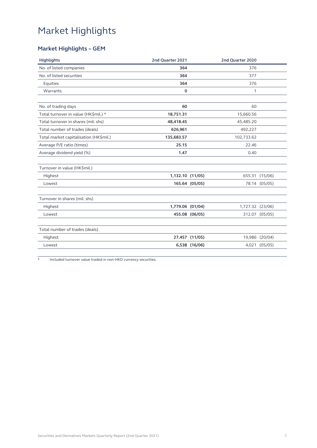### **Market Highlights – GEM**

| <b>Highlights</b>                      | 2nd Quarter 2021 |                | 2nd Quarter 2020 |                |
|----------------------------------------|------------------|----------------|------------------|----------------|
| No. of listed companies                | 364              |                | 376              |                |
| No. of listed securities               | 364              |                | 377              |                |
| Equities                               | 364              |                | 376              |                |
| Warrants                               | $\Omega$         |                | 1                |                |
| No. of trading days                    | 60               |                | 60               |                |
| Total turnover in value (HK\$mil.) *   | 18,751.31        |                | 15,660.56        |                |
| Total turnover in shares (mil. shs)    | 48,418.45        |                | 45,485.20        |                |
| Total number of trades (deals)         | 626,961          |                | 492,227          |                |
| Total market capitalisation (HK\$mil.) | 135,683.57       |                | 102,733.62       |                |
| Average P/E ratio (times)              | 25.15            |                | 22.46            |                |
| Average dividend yield (%)             | 1.47             |                | 0.40             |                |
| Turnover in value (HK\$mil.)           |                  |                |                  |                |
| Highest                                | 1,132.10 (11/05) |                |                  | 655.31 (15/06) |
| Lowest                                 |                  | 165.64 (05/05) |                  | 78.14 (05/05)  |
| Turnover in shares (mil. shs)          |                  |                |                  |                |
| Highest                                | 1,779.06 (01/04) |                | 1,727.32 (23/06) |                |
| Lowest                                 |                  | 455.08 (06/05) |                  | 312.07 (05/05) |
| Total number of trades (deals)         |                  |                |                  |                |
| Highest                                |                  | 27,457 (11/05) |                  | 19,986 (20/04) |
| Lowest                                 |                  | 6,538 (16/06)  |                  | 4,021 (05/05)  |

\* Included turnover value traded in non-HKD currency securities.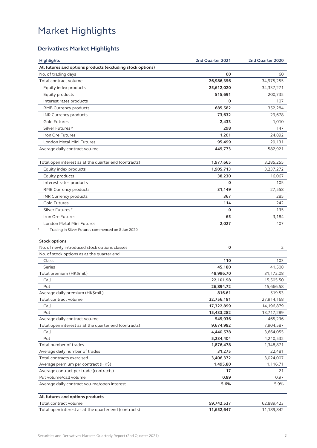### **Derivatives Market Highlights**

| <b>Highlights</b>                                          | 2nd Quarter 2021 | 2nd Quarter 2020 |
|------------------------------------------------------------|------------------|------------------|
| All futures and options products (excluding stock options) |                  |                  |
| No. of trading days                                        | 60               | 60               |
| Total contract volume                                      | 26,986,356       | 34,975,255       |
| Equity index products                                      | 25,612,020       | 34,337,271       |
| Equity products                                            | 515,691          | 200,735          |
| Interest rates products                                    | O                | 107              |
| RMB Currency products                                      | 685,582          | 352,284          |
| INR Currency products                                      | 73,632           | 29,678           |
| <b>Gold Futures</b>                                        | 2,433            | 1,010            |
| Silver Futures <sup>#</sup>                                | 298              | 147              |
| Iron Ore Futures                                           | 1,201            | 24,892           |
| London Metal Mini Futures                                  | 95,499           | 29,131           |
| Average daily contract volume                              | 449,773          | 582,921          |
|                                                            |                  |                  |
| Total open interest as at the quarter end (contracts)      | 1,977,665        | 3,285,255        |
| Equity index products                                      | 1,905,713        | 3,237,272        |
| Equity products                                            | 38,230           | 16,067           |
| Interest rates products                                    | 0                | 105              |
| RMB Currency products                                      | 31,149           | 27,558           |
|                                                            |                  |                  |
| <b>INR Currency products</b>                               | 367              | 285              |
| <b>Gold Futures</b>                                        | 114              | 242              |
| Silver Futures <sup>#</sup>                                | 0                | 135              |
| Iron Ore Futures                                           | 65               | 3,184            |
| London Metal Mini Futures                                  | 2,027            | 407              |
| Trading in Silver Futures commenced on 8 Jun 2020          |                  |                  |
| <b>Stock options</b>                                       |                  |                  |
| No. of newly introduced stock options classes              | 0                | 2                |
| No. of stock options as at the quarter end                 |                  |                  |
| Class                                                      | 110              | 103              |
| Series                                                     | 45,180           | 41,508           |
| Total premium (HK\$mil.)                                   | 48,996.70        | 31,172.08        |
| Call                                                       | 22,101.98        | 15,505.50        |
| Put                                                        | 26,894.72        | 15,666.58        |
| Average daily premium (HK\$mil.)                           | 816.61           | 519.53           |
| Total contract volume                                      | 32,756,181       | 27,914,168       |
| Call                                                       | 17,322,899       | 14,196,879       |
| Put                                                        | 15,433,282       | 13,717,289       |
| Average daily contract volume                              | 545,936          | 465,236          |
| Total open interest as at the quarter end (contracts)      | 9,674,982        | 7,904,587        |
| Call                                                       | 4,440,578        | 3,664,055        |
| Put                                                        | 5,234,404        | 4,240,532        |
| Total number of trades                                     | 1,876,478        | 1,348,871        |
| Average daily number of trades                             | 31,275           | 22,481           |
| Total contracts exercised                                  | 3,406,372        | 3,024,007        |
| Average premium per contract (HK\$)                        | 1,495.80         | 1,116.71         |
| Average contract per trade (contracts)                     | 17               | 21               |
| Put volume/call volume                                     | 0.89             | 0.97             |
| Average daily contract volume/open interest                | 5.6%             | 5.9%             |
|                                                            |                  |                  |
| All futures and options products                           |                  |                  |
| Total contract volume                                      | 59,742,537       | 62,889,423       |
| Total open interest as at the quarter end (contracts)      | 11,652,647       | 11,189,842       |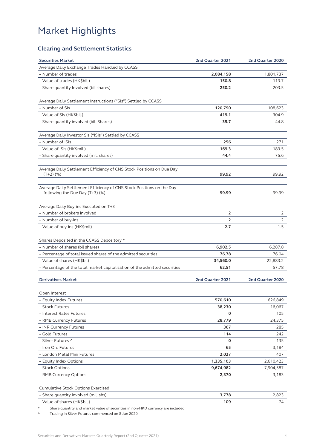### **Clearing and Settlement Statistics**

| <b>Securities Market</b>                                                             | 2nd Quarter 2021 | 2nd Quarter 2020 |
|--------------------------------------------------------------------------------------|------------------|------------------|
| Average Daily Exchange Trades Handled by CCASS                                       |                  |                  |
| - Number of trades                                                                   | 2,084,158        | 1,801,737        |
| - Value of trades (HK\$bil.)                                                         | 150.8            | 113.7            |
| - Share quantity Involved (bil shares)                                               | 250.2            | 203.5            |
|                                                                                      |                  |                  |
| Average Daily Settlement Instructions ("SIs") Settled by CCASS                       |                  |                  |
| - Number of SIs                                                                      | 120,790          | 108,623          |
| - Value of SIs (HK\$bil.)                                                            | 419.1            | 304.9            |
| - Share quantity involved (bil. Shares)                                              | 39.7             | 44.8             |
|                                                                                      |                  |                  |
| Average Daily Investor SIs ("ISIs") Settled by CCASS                                 |                  |                  |
| - Number of ISIs                                                                     | 256              | 271              |
| - Value of ISIs (HK\$mil.)                                                           | 169.3            | 183.5            |
| - Share quantity involved (mil. shares)                                              | 44.4             | 75.6             |
|                                                                                      |                  |                  |
| Average Daily Settlement Efficiency of CNS Stock Positions on Due Day<br>$(T+2)$ (%) | 99.92            | 99.92            |
|                                                                                      |                  |                  |
| Average Daily Settlement Efficiency of CNS Stock Positions on the Day                |                  |                  |
| following the Due Day (T+3) (%)                                                      | 99.99            | 99.99            |
|                                                                                      |                  |                  |
| Average Daily Buy-ins Executed on T+3                                                |                  |                  |
| - Number of brokers involved                                                         | $\overline{2}$   | 2                |
| - Number of buy-ins                                                                  | 2                | 2                |
| - Value of buy-ins (HK\$mil)                                                         | 2.7              | 1.5              |
|                                                                                      |                  |                  |
| Shares Deposited in the CCASS Depository *                                           |                  |                  |
| - Number of shares (bil shares)                                                      | 6,902.5          | 6,287.8          |
| - Percentage of total issued shares of the admitted securities                       | 76.78            | 76.04            |
| - Value of shares (HK\$bil)                                                          | 34,560.0         | 22,883.2         |
| - Percentage of the total market capitalisation of the admitted securities           | 62.51            | 57.78            |
|                                                                                      |                  |                  |
| <b>Derivatives Market</b>                                                            | 2nd Quarter 2021 | 2nd Quarter 2020 |
|                                                                                      |                  |                  |
| Open Interest                                                                        |                  |                  |
| - Equity Index Futures                                                               | 570,610          | 626,849          |
| - Stock Futures                                                                      | 38,230           | 16,067           |
| - Interest Rates Futures                                                             | 0                | 105              |
| - RMB Currency Futures                                                               | 28,779           | 24,375           |
| - INR Currency Futures                                                               | 367              | 285              |
| - Gold Futures                                                                       | 114              | 242              |
| - Silver Futures ^                                                                   | 0                | 135              |
| - Iron Ore Futures                                                                   | 65               | 3,184            |
| - London Metal Mini Futures                                                          | 2,027            | 407              |
| - Equity Index Options                                                               | 1,335,103        | 2,610,423        |
| - Stock Options                                                                      | 9,674,982        | 7,904,587        |
| - RMB Currency Options                                                               | 2,370            | 3,183            |
|                                                                                      |                  |                  |
| <b>Cumulative Stock Options Exercised</b>                                            |                  |                  |
| - Share quantity involved (mil. shs)<br>- Value of shares (HK\$bil.)                 | 3,778<br>109     | 2,823<br>74      |
| Share quantity and market value of securities in non-HKD currency are included       |                  |                  |

^ Trading in Silver Futures commenced on 8 Jun 2020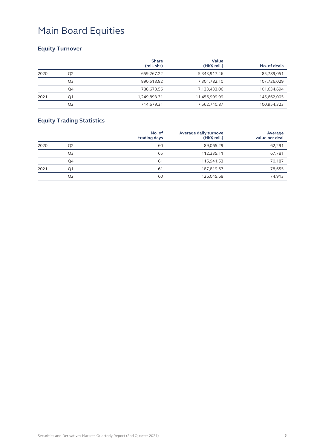### **Equity Turnover**

|      |                | <b>Share</b><br>(mil. shs) | Value<br>$(HK\$ mil.) | No. of deals |
|------|----------------|----------------------------|-----------------------|--------------|
| 2020 | Q <sub>2</sub> | 659,267.22                 | 5,343,917.46          | 85,789,051   |
|      | Q3             | 890,513.82                 | 7,301,782.10          | 107,726,029  |
|      | Q4             | 788,673.56                 | 7,133,433.06          | 101,634,694  |
| 2021 | Q1             | 1,249,893.31               | 11,456,999.99         | 145,662,005  |
|      | Q <sub>2</sub> | 714,679.31                 | 7,562,740.87          | 100,954,323  |

### **Equity Trading Statistics**

|      |                | No. of<br>trading days | Average daily turnove<br>$(HK\$ mil.) | Average<br>value per deal |
|------|----------------|------------------------|---------------------------------------|---------------------------|
| 2020 | Q <sub>2</sub> | 60                     | 89,065.29                             | 62,291                    |
|      | Q3             | 65                     | 112,335.11                            | 67,781                    |
|      | Q4             | 61                     | 116,941.53                            | 70,187                    |
| 2021 | Q1             | 61                     | 187,819.67                            | 78,655                    |
|      | Q <sub>2</sub> | 60                     | 126,045.68                            | 74,913                    |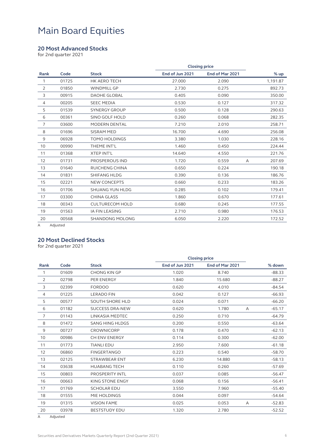#### **20 Most Advanced Stocks**

for 2nd quarter 2021

|                |       |                        | <b>Closing price</b> |                 |   |          |
|----------------|-------|------------------------|----------------------|-----------------|---|----------|
| Rank           | Code  | <b>Stock</b>           | End of Jun 2021      | End of Mar 2021 |   | % up     |
| 1              | 01725 | <b>HK AERO TECH</b>    | 27.000               | 2.090           |   | 1,191.87 |
| $\overline{2}$ | 01850 | <b>WINDMILL GP</b>     | 2.730                | 0.275           |   | 892.73   |
| 3              | 00915 | <b>DAOHE GLOBAL</b>    | 0.405                | 0.090           |   | 350.00   |
| $\overline{4}$ | 00205 | <b>SEEC MEDIA</b>      | 0.530                | 0.127           |   | 317.32   |
| 5              | 01539 | <b>SYNERGY GROUP</b>   | 0.500                | 0.128           |   | 290.63   |
| 6              | 00361 | <b>SINO GOLF HOLD</b>  | 0.260                | 0.068           |   | 282.35   |
| $\overline{7}$ | 03600 | <b>MODERN DENTAL</b>   | 7.210                | 2.010           |   | 258.71   |
| 8              | 01696 | <b>SISRAM MED</b>      | 16.700               | 4.690           |   | 256.08   |
| 9              | 06928 | <b>TOMO HOLDINGS</b>   | 3.380                | 1.030           |   | 228.16   |
| 10             | 00990 | THEME INT'L            | 1.460                | 0.450           |   | 224.44   |
| 11             | 01368 | <b>XTEP INT'L</b>      | 14.640               | 4.550           |   | 221.76   |
| 12             | 01731 | <b>PROSPEROUS IND</b>  | 1.720                | 0.559           | A | 207.69   |
| 13             | 01640 | RUICHENG CHINA         | 0.650                | 0.224           |   | 190.18   |
| 14             | 01831 | <b>SHIFANG HLDG</b>    | 0.390                | 0.136           |   | 186.76   |
| 15             | 02221 | <b>NEW CONCEPTS</b>    | 0.660                | 0.233           |   | 183.26   |
| 16             | 01706 | <b>SHUANG YUN HLDG</b> | 0.285                | 0.102           |   | 179.41   |
| 17             | 03300 | <b>CHINA GLASS</b>     | 1.860                | 0.670           |   | 177.61   |
| 18             | 00343 | <b>CULTURECOM HOLD</b> | 0.680                | 0.245           |   | 177.55   |
| 19             | 01563 | <b>IA FIN LEASING</b>  | 2.710                | 0.980           |   | 176.53   |
| 20             | 00568 | SHANDONG MOLONG        | 6.050                | 2.220           |   | 172.52   |
|                |       |                        |                      |                 |   |          |

A Adjusted

#### **20 Most Declined Stocks**

for 2nd quarter 2021

|       |                        | <b>Closing price</b> |                 |   |          |
|-------|------------------------|----------------------|-----------------|---|----------|
| Code  | <b>Stock</b>           | End of Jun 2021      | End of Mar 2021 |   | % down   |
| 01609 | <b>CHONG KIN GP</b>    | 1.020                | 8.740           |   | $-88.33$ |
| 02798 | PER ENERGY             | 1.840                | 15.680          |   | $-88.27$ |
| 02399 | <b>FORDOO</b>          | 0.620                | 4.010           |   | $-84.54$ |
| 01225 | <b>LERADO FIN</b>      | 0.042                | 0.127           |   | $-66.93$ |
| 00577 | <b>SOUTH SHORE HLD</b> | 0.024                | 0.071           |   | $-66.20$ |
| 01182 | <b>SUCCESS DRA-NEW</b> | 0.620                | 1.780           | Α | $-65.17$ |
| 01143 | LINKASIA MEDTEC        | 0.250                | 0.710           |   | $-64.79$ |
| 01472 | <b>SANG HING HLDGS</b> | 0.200                | 0.550           |   | $-63.64$ |
| 00727 | <b>CROWNICORP</b>      | 0.178                | 0.470           |   | $-62.13$ |
| 00986 | CH ENV ENERGY          | 0.114                | 0.300           |   | $-62.00$ |
| 01773 | <b>TIANLI EDU</b>      | 2.950                | 7.600           |   | $-61.18$ |
| 06860 | <b>FINGERTANGO</b>     | 0.223                | 0.540           |   | $-58.70$ |
| 02125 | <b>STRAWBEAR ENT</b>   | 6.230                | 14.880          |   | $-58.13$ |
| 03638 | <b>HUABANG TECH</b>    | 0.110                | 0.260           |   | $-57.69$ |
| 00803 | <b>PROSPERITY INTL</b> | 0.037                | 0.085           |   | $-56.47$ |
| 00663 | <b>KING STONE ENGY</b> | 0.068                | 0.156           |   | $-56.41$ |
| 01769 | <b>SCHOLAR EDU</b>     | 3.550                | 7.960           |   | $-55.40$ |
| 01555 | MIE HOLDINGS           | 0.044                | 0.097           |   | $-54.64$ |
| 01315 | <b>VISION FAME</b>     | 0.025                | 0.053           | A | $-52.83$ |
| 03978 | <b>BESTSTUDY EDU</b>   | 1.320                | 2.780           |   | $-52.52$ |
|       |                        |                      |                 |   |          |

A Adjusted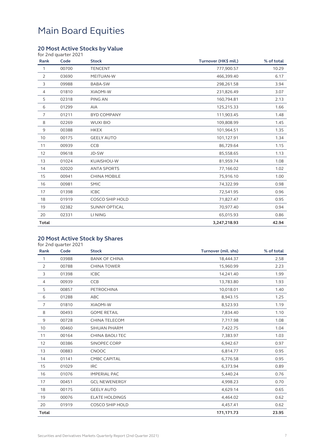#### **20 Most Active Stocks by Value**

| Rank           | for 2nd quarter 2021<br>Code | <b>Stock</b>           | Turnover (HK\$ mil.) | % of total |
|----------------|------------------------------|------------------------|----------------------|------------|
| $\mathbf{1}$   | 00700                        | <b>TENCENT</b>         | 777,900.57           | 10.29      |
| 2              | 03690                        | MEITUAN-W              | 466,399.40           | 6.17       |
| 3              | 09988                        | BABA-SW                | 298,261.58           | 3.94       |
| $\overline{4}$ | 01810                        | <b>XIAOMI-W</b>        | 231,826.49           | 3.07       |
| 5              | 02318                        | PING AN                | 160,794.81           | 2.13       |
| 6              | 01299                        | AIA                    | 125,215.33           | 1.66       |
| $\overline{7}$ | 01211                        | <b>BYD COMPANY</b>     | 111,903.45           | 1.48       |
| 8              | 02269                        | <b>WUXI BIO</b>        | 109,808.99           | 1.45       |
| 9              | 00388                        | <b>HKEX</b>            | 101,964.51           | 1.35       |
| 10             | 00175                        | <b>GEELY AUTO</b>      | 101,127.91           | 1.34       |
| 11             | 00939                        | <b>CCB</b>             | 86,729.64            | 1.15       |
| 12             | 09618                        | JD-SW                  | 85,558.65            | 1.13       |
| 13             | 01024                        | KUAISHOU-W             | 81,959.74            | 1.08       |
| 14             | 02020                        | <b>ANTA SPORTS</b>     | 77,166.02            | 1.02       |
| 15             | 00941                        | <b>CHINA MOBILE</b>    | 75,916.10            | 1.00       |
| 16             | 00981                        | <b>SMIC</b>            | 74,322.99            | 0.98       |
| 17             | 01398                        | <b>ICBC</b>            | 72,541.95            | 0.96       |
| 18             | 01919                        | <b>COSCO SHIP HOLD</b> | 71,827.47            | 0.95       |
| 19             | 02382                        | <b>SUNNY OPTICAL</b>   | 70,977.40            | 0.94       |
| 20             | 02331                        | LI NING                | 65,015.93            | 0.86       |
| <b>Total</b>   |                              |                        | 3,247,218.93         | 42.94      |

### **20 Most Active Stock by Shares**

|                | for 2nd quarter 2021 |                        |                     |            |
|----------------|----------------------|------------------------|---------------------|------------|
| Rank           | Code                 | <b>Stock</b>           | Turnover (mil. shs) | % of total |
| $\mathbf{1}$   | 03988                | <b>BANK OF CHINA</b>   | 18,444.37           | 2.58       |
| $\overline{2}$ | 00788                | <b>CHINA TOWER</b>     | 15,960.99           | 2.23       |
| 3              | 01398                | <b>ICBC</b>            | 14,241.40           | 1.99       |
| $\overline{4}$ | 00939                | <b>CCB</b>             | 13,783.80           | 1.93       |
| 5              | 00857                | PETROCHINA             | 10,018.01           | 1.40       |
| 6              | 01288                | ABC                    | 8,943.15            | 1.25       |
| $\overline{7}$ | 01810                | <b>XIAOMI-W</b>        | 8,523.93            | 1.19       |
| 8              | 00493                | <b>GOME RETAIL</b>     | 7,834.40            | 1.10       |
| 9              | 00728                | <b>CHINA TELECOM</b>   | 7,717.98            | 1.08       |
| 10             | 00460                | SIHUAN PHARM           | 7,422.75            | 1.04       |
| 11             | 00164                | <b>CHINA BAOLI TEC</b> | 7,383.97            | 1.03       |
| 12             | 00386                | SINOPEC CORP           | 6,942.67            | 0.97       |
| 13             | 00883                | CNOOC                  | 6,814.77            | 0.95       |
| 14             | 01141                | <b>CMBC CAPITAL</b>    | 6,776.58            | 0.95       |
| 15             | 01029                | <b>IRC</b>             | 6,373.94            | 0.89       |
| 16             | 01076                | <b>IMPERIAL PAC</b>    | 5,440.24            | 0.76       |
| 17             | 00451                | <b>GCL NEWENERGY</b>   | 4,998.23            | 0.70       |
| 18             | 00175                | <b>GEELY AUTO</b>      | 4,629.14            | 0.65       |
| 19             | 00076                | <b>ELATE HOLDINGS</b>  | 4,464.02            | 0.62       |
| 20             | 01919                | <b>COSCO SHIP HOLD</b> | 4,457.41            | 0.62       |
| <b>Total</b>   |                      |                        | 171,171.73          | 23.95      |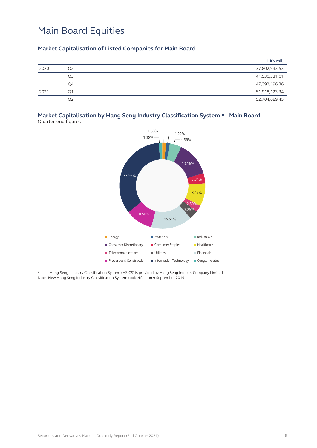#### **Market Capitalisation of Listed Companies for Main Board**

|      |                | HK\$ mil.     |
|------|----------------|---------------|
| 2020 | Q <sub>2</sub> | 37,802,933.53 |
|      | Q <sub>3</sub> | 41,530,331.01 |
|      | Q4             | 47,392,196.36 |
| 2021 | O1             | 51,918,123.34 |
|      | Q <sub>2</sub> | 52,704,689.45 |

### **Market Capitalisation by Hang Seng Industry Classification System \* - Main Board**

Quarter-end figures



Hang Seng Industry Classification System (HSICS) is provided by Hang Seng Indexes Company Limited. Note: New Hang Seng Industry Classification System took effect on 9 September 2019.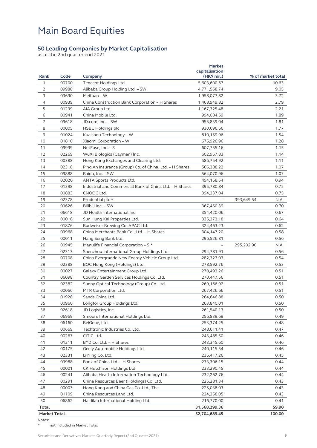#### **50 Leading Companies by Market Capitalisation**

as at the 2nd quarter end 2021

| Rank           | Code  | Company                                                 | <b>Market</b><br>capitalisation<br>$(HK\$ mil.) |            | % of market total |
|----------------|-------|---------------------------------------------------------|-------------------------------------------------|------------|-------------------|
| 1              | 00700 | Tencent Holdings Ltd.                                   | 5,603,600.67                                    |            | 10.63             |
| $\overline{2}$ | 09988 | Alibaba Group Holding Ltd. - SW                         | 4,771,568.74                                    |            | 9.05              |
| 3              | 03690 | Meituan - W                                             | 1,958,077.82                                    |            | 3.72              |
| 4              | 00939 | China Construction Bank Corporation - H Shares          | 1,468,949.82                                    |            | 2.79              |
| 5              | 01299 | AIA Group Ltd.                                          | 1, 167, 325. 48                                 |            | 2.21              |
| 6              | 00941 | China Mobile Ltd.                                       | 994,084.69                                      |            | 1.89              |
| 7              | 09618 | JD.com, Inc. – SW                                       | 955,839.04                                      |            | 1.81              |
| 8              | 00005 | HSBC Holdings plc                                       | 930,696.66                                      |            | 1.77              |
| 9              | 01024 | Kuaishou Technology – W                                 | 810,159.96                                      |            | 1.54              |
| 10             | 01810 | Xiaomi Corporation - W                                  | 676,926.96                                      |            | 1.28              |
| 11             | 09999 | NetEase, Inc. - S                                       | 607,755.16                                      |            | 1.15              |
| 12             | 02269 | WuXi Biologics (Cayman) Inc.                            | 602,967.83                                      |            | 1.14              |
| 13             | 00388 | Hong Kong Exchanges and Clearing Ltd.                   | 586,754.92                                      |            | 1.11              |
| 14             | 02318 | Ping An Insurance (Group) Co. of China, Ltd. - H Shares | 566,388.22                                      |            | 1.07              |
| 15             | 09888 | Baidu, Inc. - SW                                        | 564,070.96                                      |            | 1.07              |
| 16             | 02020 | ANTA Sports Products Ltd.                               | 494,168.54                                      |            | 0.94              |
| 17             | 01398 | Industrial and Commercial Bank of China Ltd. - H Shares | 395,780.84                                      |            | 0.75              |
| 18             | 00883 | CNOOC Ltd.                                              | 394,237.04                                      |            | 0.75              |
| 19             | 02378 | Prudential plc *                                        |                                                 | 393,649.54 | N.A.              |
| 20             | 09626 | Bilibili Inc. - SW                                      | 367,450.39                                      |            | 0.70              |
| 21             | 06618 | JD Health International Inc.                            | 354,420.06                                      |            | 0.67              |
| 22             | 00016 | Sun Hung Kai Properties Ltd.                            | 335,273.18                                      |            | 0.64              |
| 23             | 01876 | Budweiser Brewing Co. APAC Ltd.                         | 324,463.23                                      |            | 0.62              |
| 24             | 03968 | China Merchants Bank Co., Ltd. - H Shares               | 304,147.20                                      |            | 0.58              |
| 25             | 00011 | Hang Seng Bank Ltd.                                     | 296,526.81                                      |            | 0.56              |
| 26             | 00945 | Manulife Financial Corporation - S *                    |                                                 | 295,202.90 | N.A.              |
| 27             | 02313 | Shenzhou International Group Holdings Ltd.              | 294,781.91                                      |            | 0.56              |
| 28             | 00708 | China Evergrande New Energy Vehicle Group Ltd.          | 282,323.03                                      |            | 0.54              |
| 29             | 02388 | BOC Hong Kong (Holdings) Ltd.                           | 278,592.76                                      |            | 0.53              |
| 30             | 00027 | Galaxy Entertainment Group Ltd.                         | 270,493.26                                      |            | 0.51              |
| 31             | 06098 | Country Garden Services Holdings Co. Ltd.               | 270,447.56                                      |            | 0.51              |
| 32             | 02382 | Sunny Optical Technology (Group) Co. Ltd.               | 269,166.92                                      |            | 0.51              |
| 33             | 00066 | MTR Corporation Ltd.                                    | 267,426.66                                      |            | 0.51              |
| 34             | 01928 | Sands China Ltd.                                        | 264,646.88                                      |            | 0.50              |
| 35             | 00960 | Longfor Group Holdings Ltd.                             | 263,840.01                                      |            | 0.50              |
| 36             | 02618 | JD Logistics, Inc.                                      | 261,540.13                                      |            | 0.50              |
| 37             | 06969 | Smoore International Holdings Ltd.                      | 256,839.69                                      |            | 0.49              |
| 38             | 06160 | BeiGene, Ltd.                                           | 253,374.25                                      |            | 0.48              |
| 39             | 00669 | Techtronic Industries Co. Ltd.                          | 248,611.41                                      |            | 0.47              |
| 40             | 00267 | CITIC Ltd.                                              | 243,485.50                                      |            | 0.46              |
| 41             | 01211 | BYD Co. Ltd. - H Shares                                 | 243,345.60                                      |            | 0.46              |
| 42             | 00175 | Geely Automobile Holdings Ltd.                          | 240,115.54                                      |            | 0.46              |
| 43             | 02331 | Li Ning Co. Ltd.                                        | 236,417.26                                      |            | 0.45              |
| 44             | 03988 | Bank of China Ltd. - H Shares                           | 233,306.15                                      |            | 0.44              |
| 45             | 00001 | CK Hutchison Holdings Ltd.                              | 233,290.45                                      |            | 0.44              |
| 46             | 00241 | Alibaba Health Information Technology Ltd.              | 232,262.76                                      |            | 0.44              |
| 47             | 00291 | China Resources Beer (Holdings) Co. Ltd.                | 226,281.34                                      |            | 0.43              |
| 48             | 00003 | Hong Kong and China Gas Co. Ltd., The                   | 225,038.03                                      |            | 0.43              |
| 49             | 01109 | China Resources Land Ltd.                               | 224,268.05                                      |            | 0.43              |
| 50             | 06862 | Haidilao International Holding Ltd.                     | 216,770.00                                      |            | 0.41              |
| <b>Total</b>   |       |                                                         | 31,568,299.36                                   |            | 59.90             |
| Market Total   |       |                                                         | 52,704,689.45                                   |            | 100.00            |
|                |       |                                                         |                                                 |            |                   |

Notes:

\* not included in Market Total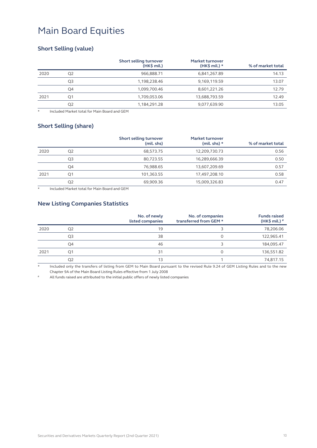#### **Short Selling (value)**

|      |                | Short selling turnover<br>$(HK\$ mil.) | <b>Market turnover</b><br>$(HK\$ mil.) * | % of market total |
|------|----------------|----------------------------------------|------------------------------------------|-------------------|
| 2020 | Q <sub>2</sub> | 966,888.71                             | 6,841,267.89                             | 14.13             |
|      | Q3             | 1,198,238.46                           | 9,169,119.59                             | 13.07             |
|      | Q4             | 1,099,700.46                           | 8,601,221.26                             | 12.79             |
| 2021 | Ο1             | 1.709.053.06                           | 13.688.793.59                            | 12.49             |
|      | Q2             | 1,184,291.28                           | 9,077,639.90                             | 13.05             |

\* Included Market total for Main Board and GEM

#### **Short Selling (share)**

|      |    | Short selling turnover<br>(mil. shs) | <b>Market turnover</b><br>(mil. shs) $*$ | % of market total |
|------|----|--------------------------------------|------------------------------------------|-------------------|
| 2020 | Q2 | 68,573.75                            | 12,209,730.73                            | 0.56              |
|      | Q3 | 80,723.55                            | 16,289,666.39                            | 0.50              |
|      | Q4 | 76,988.65                            | 13,607,209.69                            | 0.57              |
| 2021 | Ο1 | 101,363.55                           | 17,497,208.10                            | 0.58              |
|      | Q2 | 69,909.36                            | 15,009,326.83                            | 0.47              |

Included Market total for Main Board and GEM

#### **New Listing Companies Statistics**

|      |    | No. of newly<br>listed companies | No. of companies<br>transferred from GEM * | <b>Funds raised</b><br>$(HK\$ mil.) $#$ |
|------|----|----------------------------------|--------------------------------------------|-----------------------------------------|
| 2020 | Q2 | 19                               |                                            | 78,206.06                               |
|      | Q3 | 38                               |                                            | 122,965.41                              |
|      | Q4 | 46                               |                                            | 184,095.47                              |
| 2021 | Ο1 | 31                               |                                            | 136,551.82                              |
|      | Q2 | 13                               |                                            | 74,817.15                               |

Included only the transfers of listing from GEM to Main Board pursuant to the revised Rule 9.24 of GEM Listing Rules and to the new Chapter 9A of the Main Board Listing Rules effective from 1 July 2008

All funds raised are attributed to the initial public offers of newly listed companies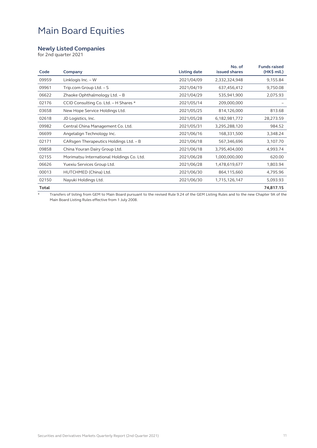#### **Newly Listed Companies**

for 2nd quarter 2021

| Code  | Company                                   | <b>Listing date</b> | No. of<br>issued shares | <b>Funds raised</b><br>$(HK\$ mil.) |
|-------|-------------------------------------------|---------------------|-------------------------|-------------------------------------|
| 09959 | Linklogis Inc. - W                        | 2021/04/09          | 2,332,324,948           | 9,155.84                            |
| 09961 | Trip.com Group Ltd. - S                   | 2021/04/19          | 637,456,412             | 9,750.08                            |
| 06622 | Zhaoke Ophthalmology Ltd. - B             | 2021/04/29          | 535,941,900             | 2,075.93                            |
| 02176 | CCID Consulting Co. Ltd. - H Shares *     | 2021/05/14          | 209,000,000             |                                     |
| 03658 | New Hope Service Holdings Ltd.            | 2021/05/25          | 814,126,000             | 813.68                              |
| 02618 | JD Logistics, Inc.                        | 2021/05/28          | 6,182,981,772           | 28,273.59                           |
| 09982 | Central China Management Co. Ltd.         | 2021/05/31          | 3,295,288,120           | 984.52                              |
| 06699 | Angelalign Technology Inc.                | 2021/06/16          | 168,331,500             | 3,348.24                            |
| 02171 | CARsgen Therapeutics Holdings Ltd. - B    | 2021/06/18          | 567,346,696             | 3,107.70                            |
| 09858 | China Youran Dairy Group Ltd.             | 2021/06/18          | 3,795,404,000           | 4,993.74                            |
| 02155 | Morimatsu International Holdings Co. Ltd. | 2021/06/28          | 1,000,000,000           | 620.00                              |
| 06626 | Yuexiu Services Group Ltd.                | 2021/06/28          | 1,478,619,677           | 1,803.94                            |
| 00013 | HUTCHMED (China) Ltd.                     | 2021/06/30          | 864,115,660             | 4,795.96                            |
| 02150 | Nayuki Holdings Ltd.                      | 2021/06/30          | 1,715,126,147           | 5,093.93                            |
| Total |                                           |                     |                         | 74,817.15                           |

\* Transfers of listing from GEM to Main Board pursuant to the revised Rule 9.24 of the GEM Listing Rules and to the new Chapter 9A of the Main Board Listing Rules effective from 1 July 2008.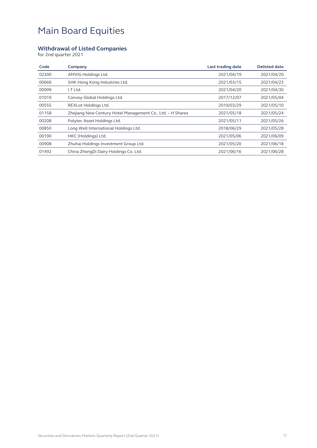#### **Withdrawal of Listed Companies**

for 2nd quarter 2021

| Code  | Company                                                    | Last trading date | <b>Delisted date</b> |
|-------|------------------------------------------------------------|-------------------|----------------------|
| 02300 | AMVIG Holdings Ltd.                                        | 2021/04/19        | 2021/04/20           |
| 00666 | SHK Hong Kong Industries Ltd.                              | 2021/03/15        | 2021/04/23           |
| 00999 | I.T Ltd.                                                   | 2021/04/20        | 2021/04/30           |
| 01019 | Convoy Global Holdings Ltd.                                | 2017/12/07        | 2021/05/04           |
| 00555 | REXLot Holdings Ltd.                                       | 2019/03/29        | 2021/05/10           |
| 01158 | Zhejiang New Century Hotel Management Co., Ltd. - H Shares | 2021/05/18        | 2021/05/24           |
| 00208 | Polytec Asset Holdings Ltd.                                | 2021/05/11        | 2021/05/26           |
| 00850 | Long Well International Holdings Ltd.                      | 2018/06/29        | 2021/05/28           |
| 00190 | HKC (Holdings) Ltd.                                        | 2021/05/06        | 2021/06/09           |
| 00908 | Zhuhai Holdings Investment Group Ltd.                      | 2021/05/20        | 2021/06/18           |
| 01492 | China ZhongDi Dairy Holdings Co. Ltd.                      | 2021/06/16        | 2021/06/28           |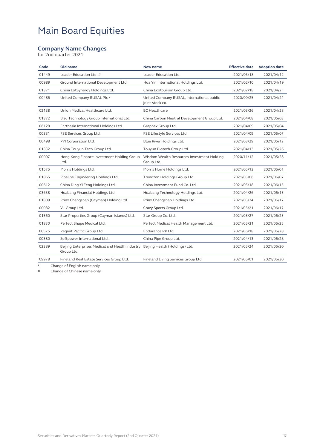#### **Company Name Changes**

for 2nd quarter 2021

| Code  | Old name                                                                                     | New name                                                      | <b>Effective date</b> | <b>Adoption date</b> |
|-------|----------------------------------------------------------------------------------------------|---------------------------------------------------------------|-----------------------|----------------------|
| 01449 | Leader Education Ltd. #                                                                      | Leader Education Ltd.                                         | 2021/03/18            | 2021/04/12           |
| 00989 | Ground International Development Ltd.                                                        | Hua Yin International Holdings Ltd.                           | 2021/02/10            | 2021/04/19           |
| 01371 | China LotSynergy Holdings Ltd.                                                               | China Ecotourism Group Ltd.                                   | 2021/02/18            | 2021/04/21           |
| 00486 | United Company RUSAL Plc *                                                                   | United Company RUSAL, international public<br>joint-stock co. | 2020/09/25            | 2021/04/21           |
| 02138 | Union Medical Healthcare Ltd.                                                                | <b>EC</b> Healthcare                                          | 2021/03/26            | 2021/04/28           |
| 01372 | Bisu Technology Group International Ltd.                                                     | China Carbon Neutral Development Group Ltd.                   | 2021/04/08            | 2021/05/03           |
| 06128 | Earthasia International Holdings Ltd.                                                        | Graphex Group Ltd.                                            | 2021/04/09            | 2021/05/04           |
| 00331 | FSE Services Group Ltd.                                                                      | FSE Lifestyle Services Ltd.                                   | 2021/04/09            | 2021/05/07           |
| 00498 | PYI Corporation Ltd.                                                                         | Blue River Holdings Ltd.                                      | 2021/03/29            | 2021/05/12           |
| 01332 | China Touyun Tech Group Ltd.                                                                 | Touyun Biotech Group Ltd.                                     | 2021/04/13            | 2021/05/26           |
| 00007 | Hong Kong Finance Investment Holding Group<br>Ltd.                                           | Wisdom Wealth Resources Investment Holding<br>Group Ltd.      | 2020/11/12            | 2021/05/28           |
| 01575 | Morris Holdings Ltd.                                                                         | Morris Home Holdings Ltd.                                     | 2021/05/13            | 2021/06/01           |
| 01865 | Pipeline Engineering Holdings Ltd.                                                           | Trendzon Holdings Group Ltd.                                  | 2021/05/06            | 2021/06/07           |
| 00612 | China Ding Yi Feng Holdings Ltd.                                                             | China Investment Fund Co. Ltd.                                | 2021/05/18            | 2021/06/15           |
| 03638 | Huabang Financial Holdings Ltd.                                                              | Huabang Technology Holdings Ltd.                              | 2021/04/26            | 2021/06/15           |
| 01809 | Prinx Chengshan (Cayman) Holding Ltd.                                                        | Prinx Chengshan Holdings Ltd.                                 | 2021/05/24            | 2021/06/17           |
| 00082 | V1 Group Ltd.                                                                                | Crazy Sports Group Ltd.                                       | 2021/05/21            | 2021/06/17           |
| 01560 | Star Properties Group (Cayman Islands) Ltd.                                                  | Star Group Co. Ltd.                                           | 2021/05/27            | 2021/06/23           |
| 01830 | Perfect Shape Medical Ltd.                                                                   | Perfect Medical Health Management Ltd.                        | 2021/05/31            | 2021/06/25           |
| 00575 | Regent Pacific Group Ltd.                                                                    | Endurance RP Ltd.                                             | 2021/06/18            | 2021/06/28           |
| 00380 | Softpower International Ltd.                                                                 | China Pipe Group Ltd.                                         | 2021/04/13            | 2021/06/28           |
| 02389 | Beijing Enterprises Medical and Health Industry Beijing Health (Holdings) Ltd.<br>Group Ltd. |                                                               | 2021/05/24            | 2021/06/30           |
| 09978 | Fineland Real Estate Services Group Ltd.                                                     | Fineland Living Services Group Ltd.                           | 2021/06/01            | 2021/06/30           |
|       |                                                                                              |                                                               |                       |                      |

\* Change of English name only<br>
# Change of Chinese name only

Change of Chinese name only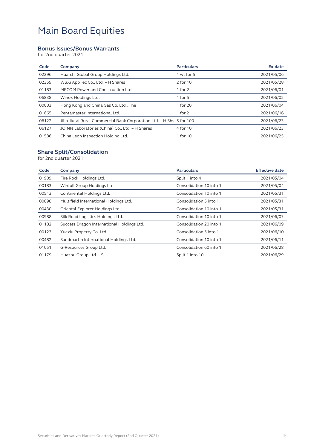#### **Bonus Issues/Bonus Warrants**

for 2nd quarter 2021

| Code  | Company                                                               | <b>Particulars</b> | Ex-date    |
|-------|-----------------------------------------------------------------------|--------------------|------------|
| 02296 | Huarchi Global Group Holdings Ltd.                                    | 1 wt for 5         | 2021/05/06 |
| 02359 | WuXi AppTec Co., Ltd. - H Shares                                      | 2 for 10           | 2021/05/28 |
| 01183 | MECOM Power and Construction Ltd.                                     | 1 for $2$          | 2021/06/01 |
| 06838 | Winox Holdings Ltd.                                                   | 1 for $5$          | 2021/06/02 |
| 00003 | Hong Kong and China Gas Co. Ltd., The                                 | 1 for 20           | 2021/06/04 |
| 01665 | Pentamaster International Ltd.                                        | 1 for 2            | 2021/06/16 |
| 06122 | Jilin Jiutai Rural Commercial Bank Corporation Ltd. - H Shs 5 for 100 |                    | 2021/06/23 |
| 06127 | JOINN Laboratories (China) Co., Ltd. - H Shares                       | 4 for 10           | 2021/06/23 |
| 01586 | China Leon Inspection Holding Ltd.                                    | 1 for 10           | 2021/06/25 |

#### **Share Split/Consolidation**

for 2nd quarter 2021

| Company                                    | <b>Particulars</b>      | <b>Effective date</b> |
|--------------------------------------------|-------------------------|-----------------------|
| Fire Rock Holdings Ltd.                    | Split 1 into 4          | 2021/05/04            |
| Winfull Group Holdings Ltd.                | Consolidation 10 into 1 | 2021/05/04            |
| Continental Holdings Ltd.                  | Consolidation 10 into 1 | 2021/05/31            |
| Multifield International Holdings Ltd.     | Consolidation 5 into 1  | 2021/05/31            |
| Oriental Explorer Holdings Ltd.            | Consolidation 10 into 1 | 2021/05/31            |
| Silk Road Logistics Holdings Ltd.          | Consolidation 10 into 1 | 2021/06/07            |
| Success Dragon International Holdings Ltd. | Consolidation 20 into 1 | 2021/06/09            |
| Yuexiu Property Co. Ltd.                   | Consolidation 5 into 1  | 2021/06/10            |
| Sandmartin International Holdings Ltd.     | Consolidation 10 into 1 | 2021/06/11            |
| G-Resources Group Ltd.                     | Consolidation 60 into 1 | 2021/06/28            |
| Huazhu Group Ltd. - S                      | Split 1 into 10         | 2021/06/29            |
|                                            |                         |                       |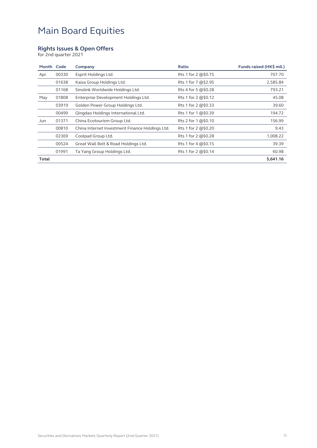#### **Rights Issues & Open Offers**

for 2nd quarter 2021

| Month Code |       | Company                                         | Ratio                     | Funds raised (HK\$ mil.) |
|------------|-------|-------------------------------------------------|---------------------------|--------------------------|
| Apr        | 00330 | Esprit Holdings Ltd.                            | Rts 1 for 2 @\$0.75       | 707.70                   |
|            | 01638 | Kaisa Group Holdings Ltd.                       | Rts 1 for 7 @\$2.95       | 2,585.84                 |
|            | 01168 | Sinolink Worldwide Holdings Ltd.                | Rts 4 for 5 @\$0.28       | 793.21                   |
| May        | 01808 | Enterprise Development Holdings Ltd.            | Rts 1 for 2 @\$0.12       | 45.08                    |
|            | 03919 | Golden Power Group Holdings Ltd.                | Rts 1 for 2 @\$0.33       | 39.60                    |
|            | 00499 | Qingdao Holdings International Ltd.             | Rts 1 for 1 @\$0.39       | 194.72                   |
| Jun        | 01371 | China Ecotourism Group Ltd.                     | Rts 2 for $1 \times 0.10$ | 156.99                   |
|            | 00810 | China Internet Investment Finance Holdings Ltd. | Rts 1 for 2 @\$0.20       | 9.43                     |
|            | 02369 | Coolpad Group Ltd.                              | Rts 1 for 2 @\$0.28       | 1,008.22                 |
|            | 00524 | Great Wall Belt & Road Holdings Ltd.            | Rts 1 for 4 @\$0.15       | 39.39                    |
|            | 01991 | Ta Yang Group Holdings Ltd.                     | Rts 1 for 2 @\$0.14       | 60.98                    |
| Total      |       |                                                 |                           | 5,641.16                 |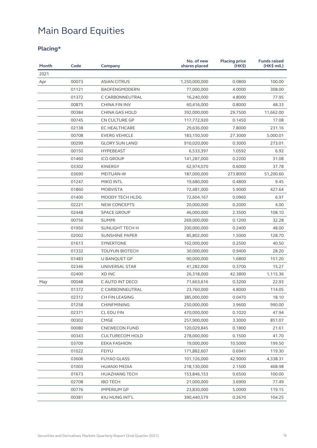### **Placing\***

| Month | Code  | Company                | No. of new<br>shares placed | <b>Placing price</b><br>(HK\$) | <b>Funds raised</b><br>(HK\$ mil.) |
|-------|-------|------------------------|-----------------------------|--------------------------------|------------------------------------|
| 2021  |       |                        |                             |                                |                                    |
| Apr   | 00073 | <b>ASIAN CITRUS</b>    | 1,250,000,000               | 0.0800                         | 100.00                             |
|       | 01121 | <b>BAOFENGMODERN</b>   | 77,000,000                  | 4.0000                         | 308.00                             |
|       | 01372 | C CARBONNEUTRAL        | 16,240,000                  | 4.8000                         | 77.95                              |
|       | 00875 | CHINA FIN INV          | 60,416,000                  | 0.8000                         | 48.33                              |
|       | 00384 | CHINA GAS HOLD         | 392,000,000                 | 29.7500                        | 11,662.00                          |
|       | 00745 | CN CULTURE GP          | 117,772,920                 | 0.1450                         | 17.08                              |
|       | 02138 | <b>EC HEALTHCARE</b>   | 29,636,000                  | 7.8000                         | 231.16                             |
|       | 00708 | <b>EVERG VEHICLE</b>   | 183,150,500                 | 27.3000                        | 5,000.01                           |
|       | 00299 | <b>GLORY SUN LAND</b>  | 910,020,000                 | 0.3000                         | 273.01                             |
|       | 00150 | <b>HYPEBEAST</b>       | 6,533,397                   | 1.0592                         | 6.92                               |
|       | 01460 | <b>ICO GROUP</b>       | 141,287,000                 | 0.2200                         | 31.08                              |
|       | 03302 | <b>KINERGY</b>         | 62,974,070                  | 0.6000                         | 37.78                              |
|       | 03690 | MEITUAN-W              | 187,000,000                 | 273.8000                       | 51,200.60                          |
|       | 01247 | MIKO INTL              | 19,680,000                  | 0.4800                         | 9.45                               |
|       | 01860 | <b>MOBVISTA</b>        | 72,481,000                  | 5.9000                         | 427.64                             |
|       | 01400 | MOODY TECH HLDG        | 72,604,167                  | 0.0960                         | 6.97                               |
|       | 02221 | <b>NEW CONCEPTS</b>    | 20,000,000                  | 0.2000                         | 4.00                               |
|       | 02448 | <b>SPACE GROUP</b>     | 46,000,000                  | 2.3500                         | 108.10                             |
|       | 00756 | <b>SUMMI</b>           | 269,000,000                 | 0.1200                         | 32.28                              |
|       | 01950 | SUNLIGHT TECH H        | 200,000,000                 | 0.2400                         | 48.00                              |
|       | 02002 | <b>SUNSHINE PAPER</b>  | 85,802,000                  | 1.5000                         | 128.70                             |
|       | 01613 | SYNERTONE              | 162,000,000                 | 0.2500                         | 40.50                              |
|       | 01332 | <b>TOUYUN BIOTECH</b>  | 30,000,000                  | 0.9400                         | 28.20                              |
|       | 01483 | U BANQUET GP           | 90,000,000                  | 1.6800                         | 151.20                             |
|       | 02346 | UNIVERSAL STAR         | 41,282,000                  | 0.3700                         | 15.27                              |
|       | 02400 | <b>XD INC</b>          | 26,318,000                  | 42.3800                        | 1,115.36                           |
| May   | 00048 | C AUTO INT DECO        | 71,663,616                  | 0.3200                         | 22.93                              |
|       | 01372 | C CARBONNEUTRAL        | 23,760,000                  | 4.8000                         | 114.05                             |
|       | 02312 | CH FIN LEASING         | 385,000,000                 | 0.0470                         | 18.10                              |
|       | 01258 | <b>CHINFMINING</b>     | 250,000,000                 | 3.9600                         | 990.00                             |
|       | 02371 | CL EDU FIN             | 470,000,000                 | 0.1020                         | 47.94                              |
|       | 00302 | <b>CMGE</b>            | 257,900,000                 | 3.3000                         | 851.07                             |
|       | 00080 | <b>CNEWECON FUND</b>   | 120,029,845                 | 0.1800                         | 21.61                              |
|       | 00343 | <b>CULTURECOM HOLD</b> | 278,000,000                 | 0.1500                         | 41.70                              |
|       | 03709 | EEKA FASHION           | 19,000,000                  | 10.5000                        | 199.50                             |
|       | 01022 | <b>FEIYU</b>           | 171,882,607                 | 0.6941                         | 119.30                             |
|       | 03606 | <b>FUYAO GLASS</b>     | 101,126,000                 | 42.9000                        | 4,338.31                           |
|       | 01003 | HUANXI MEDIA           | 218,130,000                 | 2.1500                         | 468.98                             |
|       | 01673 | <b>HUAZHANG TECH</b>   | 153,846,153                 | 0.6500                         | 100.00                             |
|       | 02708 | <b>IBO TECH</b>        | 21,000,000                  | 3.6900                         | 77.49                              |
|       | 00776 | <b>IMPERIUM GP</b>     | 23,830,000                  | 5.0000                         | 119.15                             |
|       | 00381 | KIU HUNG INT'L         | 390,440,579                 | 0.2670                         | 104.25                             |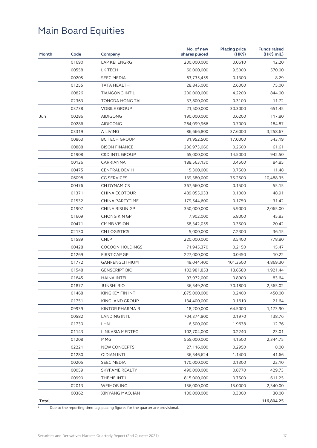| Month        | Code  | Company                   | No. of new<br>shares placed | <b>Placing price</b><br>(HK <sub>5</sub> ) | <b>Funds raised</b><br>(HK\$ mil.) |
|--------------|-------|---------------------------|-----------------------------|--------------------------------------------|------------------------------------|
|              | 01690 | LAP KEI ENGRG             | 200,000,000                 | 0.0610                                     | 12.20                              |
|              | 00558 | LK TECH                   | 60,000,000                  | 9.5000                                     | 570.00                             |
|              | 00205 | <b>SEEC MEDIA</b>         | 63,735,455                  | 0.1300                                     | 8.29                               |
|              | 01255 | TATA HEALTH               | 28,845,000                  | 2.6000                                     | 75.00                              |
|              | 00826 | TIANGONG INT'L            | 200,000,000                 | 4.2200                                     | 844.00                             |
|              | 02363 | TONGDA HONG TAI           | 37,800,000                  | 0.3100                                     | 11.72                              |
|              | 03738 | <b>VOBILE GROUP</b>       | 21,500,000                  | 30.3000                                    | 651.45                             |
| Jun          | 00286 | <b>AIDIGONG</b>           | 190,000,000                 | 0.6200                                     | 117.80                             |
|              | 00286 | <b>AIDIGONG</b>           | 264,099,966                 | 0.7000                                     | 184.87                             |
|              | 03319 | A-LIVING                  | 86,666,800                  | 37.6000                                    | 3,258.67                           |
|              | 00863 | <b>BC TECH GROUP</b>      | 31,952,500                  | 17.0000                                    | 543.19                             |
|              | 00888 | <b>BISON FINANCE</b>      | 236,973,066                 | 0.2600                                     | 61.61                              |
|              | 01908 | <b>C&amp;D INTL GROUP</b> | 65,000,000                  | 14.5000                                    | 942.50                             |
|              | 00126 | CARRIANNA                 | 188,563,130                 | 0.4500                                     | 84.85                              |
|              | 00475 | <b>CENTRAL DEV H</b>      | 15,300,000                  | 0.7500                                     | 11.48                              |
|              | 06098 | <b>CG SERVICES</b>        | 139,380,000                 | 75.2500                                    | 10,488.35                          |
|              | 00476 | <b>CH DYNAMICS</b>        | 367,660,000                 | 0.1500                                     | 55.15                              |
|              | 01371 | CHINA ECOTOUR             | 489,055,933                 | 0.1000                                     | 48.91                              |
|              | 01532 | CHINA PARTYTIME           | 179,544,600                 | 0.1750                                     | 31.42                              |
|              | 01907 | <b>CHINA RISUN GP</b>     | 350,000,000                 | 5.9000                                     | 2,065.00                           |
|              | 01609 | CHONG KIN GP              | 7,902,000                   | 5.8000                                     | 45.83                              |
|              | 00471 | <b>CMMB VISION</b>        | 58,342,055                  | 0.3500                                     | 20.42                              |
|              | 02130 | <b>CN LOGISTICS</b>       | 5,000,000                   | 7.2300                                     | 36.15                              |
|              | 01589 | <b>CNLP</b>               | 220,000,000                 | 3.5400                                     | 778.80                             |
|              | 00428 | <b>COCOON HOLDINGS</b>    | 71,945,370                  | 0.2150                                     | 15.47                              |
|              | 01269 | <b>FIRST CAP GP</b>       | 227,000,000                 | 0.0450                                     | 10.22                              |
|              | 01772 | GANFENGLITHIUM            | 48,044,400                  | 101.3500                                   | 4,869.30                           |
|              | 01548 | <b>GENSCRIPT BIO</b>      | 102,981,853                 | 18.6580                                    | 1,921.44                           |
|              | 01645 | <b>HAINA INTEL</b>        | 93,972,000                  | 0.8900                                     | 83.64                              |
|              | 01877 | <b>JUNSHI BIO</b>         | 36,549,200                  | 70.1800                                    | 2,565.02                           |
|              | 01468 | KINGKEY FIN INT           | 1,875,000,000               | 0.2400                                     | 450.00                             |
|              | 01751 | KINGLAND GROUP            | 134,400,000                 | 0.1610                                     | 21.64                              |
|              | 09939 | KINTOR PHARMA-B           | 18,200,000                  | 64.5000                                    | 1,173.90                           |
|              | 00582 | <b>LANDING INTL</b>       | 704,374,800                 | 0.1970                                     | 138.76                             |
|              | 01730 | LHN                       | 6,500,000                   | 1.9638                                     | 12.76                              |
|              | 01143 | LINKASIA MEDTEC           | 102,704,000                 | 0.2240                                     | 23.01                              |
|              | 01208 | <b>MMG</b>                | 565,000,000                 | 4.1500                                     | 2,344.75                           |
|              | 02221 | <b>NEW CONCEPTS</b>       | 27,116,000                  | 0.2950                                     | 8.00                               |
|              | 01280 | <b>QIDIAN INTL</b>        | 36,546,624                  | 1.1400                                     | 41.66                              |
|              | 00205 | <b>SEEC MEDIA</b>         | 170,000,000                 | 0.1300                                     | 22.10                              |
|              | 00059 | <b>SKYFAME REALTY</b>     | 490,000,000                 | 0.8770                                     | 429.73                             |
|              | 00990 | THEME INT'L               | 815,000,000                 | 0.7500                                     | 611.25                             |
|              | 02013 | WEIMOB INC                | 156,000,000                 | 15.0000                                    | 2,340.00                           |
|              | 00362 | XINYANG MAOJIAN           | 100,000,000                 | 0.3000                                     | 30.00                              |
| <b>Total</b> |       |                           |                             |                                            | 116,804.25                         |

\* Due to the reporting time-lag, placing figures for the quarter are provisional.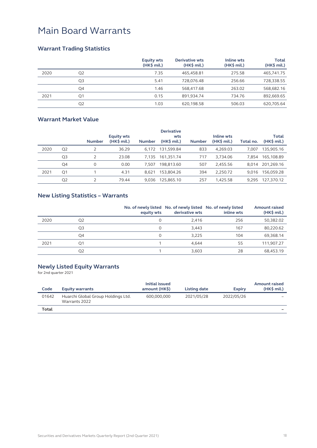#### **Warrant Trading Statistics**

|      |                | <b>Equity wts</b><br>$(HK\$ mil.) | <b>Derivative wts</b><br>$(HK\$ mil.) | Inline wts<br>$(HK\$ mil.) | <b>Total</b><br>$(HK\$ mil.) |
|------|----------------|-----------------------------------|---------------------------------------|----------------------------|------------------------------|
| 2020 | Q <sub>2</sub> | 7.35                              | 465,458.81                            | 275.58                     | 465,741.75                   |
|      | Q <sub>3</sub> | 5.41                              | 728.076.48                            | 256.66                     | 728,338.55                   |
|      | Q4             | 1.46                              | 568.417.68                            | 263.02                     | 568,682.16                   |
| 2021 | Q1             | 0.15                              | 891,934.74                            | 734.76                     | 892,669.65                   |
|      | Q <sub>2</sub> | 1.03                              | 620,198.58                            | 506.03                     | 620,705.64                   |

#### **Warrant Market Value**

|      |                |               |                   |               | <b>Derivative</b> |               |              |           |              |
|------|----------------|---------------|-------------------|---------------|-------------------|---------------|--------------|-----------|--------------|
|      |                |               | <b>Equity wts</b> |               | wts               |               | Inline wts   |           | <b>Total</b> |
|      |                | <b>Number</b> | $(HK\$ mil.)      | <b>Number</b> | $(HK\$ mil.)      | <b>Number</b> | $(HK\$ mil.) | Total no. | $(HK\$ mil.) |
| 2020 | Q <sub>2</sub> |               | 36.29             | 6.172         | 131.599.84        | 833           | 4.269.03     | 7.007     | 135.905.16   |
|      | Q <sub>3</sub> |               | 23.08             | 7.135         | 161.351.74        | 717           | 3,734.06     | 7.854     | 165,108.89   |
|      | Q4             | $\Omega$      | 0.00              | 7.507         | 198.813.60        | 507           | 2.455.56     | 8.014     | 201.269.16   |
| 2021 | Q <sub>1</sub> |               | 4.31              | 8.621         | 153,804.26        | 394           | 2.250.72     | 9.016     | 156.059.28   |
|      | Q <sub>2</sub> |               | 79.44             | 9.036         | 125.865.10        | 257           | 1,425.58     | 9.295     | 127,370.12   |

#### **New Listing Statistics – Warrants**

|      |                | equity wts | No. of newly listed No. of newly listed No. of newly listed<br>derivative wts | inline wts | <b>Amount raised</b><br>$(HK\$ mil.) |
|------|----------------|------------|-------------------------------------------------------------------------------|------------|--------------------------------------|
| 2020 | Q <sub>2</sub> | 0          | 2,416                                                                         | 256        | 50,382.02                            |
|      | Q <sub>3</sub> | 0          | 3,443                                                                         | 167        | 80,220.62                            |
|      | Q4             | 0          | 3,225                                                                         | 104        | 69,368.14                            |
| 2021 | O <sub>1</sub> |            | 4.644                                                                         | 55         | 111,907.27                           |
|      | Q <sub>2</sub> |            | 3,603                                                                         | 28         | 68,453.19                            |

#### **Newly Listed Equity Warrants**

for 2nd quarter 2021

| Code  | <b>Equity warrants</b>                              | Initial issued<br>amount (HK\$) | Listing date | <b>Expiry</b> | <b>Amount raised</b><br>$(HK\$ mil.) |
|-------|-----------------------------------------------------|---------------------------------|--------------|---------------|--------------------------------------|
| 01642 | Huarchi Global Group Holdings Ltd.<br>Warrants 2022 | 600.000.000                     | 2021/05/28   | 2022/05/26    | $\overline{\phantom{0}}$             |
| Total |                                                     |                                 |              |               |                                      |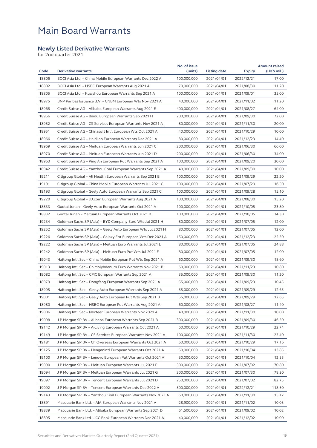#### **Newly Listed Derivative Warrants**

for 2nd quarter 2021

| Code  | <b>Derivative warrants</b>                                   | No. of issue<br>(units) | <b>Listing date</b> | <b>Expiry</b> | <b>Amount raised</b><br>(HK\$ mil.) |
|-------|--------------------------------------------------------------|-------------------------|---------------------|---------------|-------------------------------------|
| 18806 | BOCI Asia Ltd. - China Mobile European Warrants Dec 2022 A   | 100,000,000             | 2021/04/01          | 2022/12/21    | 17.00                               |
| 18802 | BOCI Asia Ltd. - HSBC European Warrants Aug 2021 A           | 70,000,000              | 2021/04/01          | 2021/08/30    | 11.20                               |
| 18805 | BOCI Asia Ltd. - Kuaishou European Warrants Sep 2021 A       | 100,000,000             |                     |               | 35.00                               |
|       |                                                              |                         | 2021/04/01          | 2021/09/01    |                                     |
| 18975 | BNP Paribas Issuance B.V. - CNBM European Wts Nov 2021 A     | 40,000,000              | 2021/04/01          | 2021/11/02    | 11.20                               |
| 18968 | Credit Suisse AG - Alibaba European Warrants Aug 2021 E      | 400,000,000             | 2021/04/01          | 2021/08/27    | 64.00                               |
| 18956 | Credit Suisse AG – Baidu European Warrants Sep 2021 H        | 200,000,000             | 2021/04/01          | 2021/09/30    | 72.00                               |
| 18952 | Credit Suisse AG - CS Services European Warrants Nov 2021 A  | 80,000,000              | 2021/04/01          | 2021/11/30    | 20.00                               |
| 18951 | Credit Suisse AG - Chinasoft Int'l European Wts Oct 2021 A   | 40,000,000              | 2021/04/01          | 2021/10/29    | 10.00                               |
| 18966 | Credit Suisse AG - Haidilao European Warrants Dec 2021 A     | 80,000,000              | 2021/04/01          | 2021/12/23    | 14.40                               |
| 18969 | Credit Suisse AG - Meituan European Warrants Jun 2021 C      | 200,000,000             | 2021/04/01          | 2021/06/30    | 66.00                               |
| 18970 | Credit Suisse AG – Meituan European Warrants Jun 2021 D      | 200,000,000             | 2021/04/01          | 2021/06/30    | 34.00                               |
| 18963 | Credit Suisse AG – Ping An European Put Warrants Sep 2021 A  | 100,000,000             | 2021/04/01          | 2021/09/20    | 30.00                               |
| 18942 | Credit Suisse AG - Yanzhou Coal European Warrants Sep 2021 A | 40,000,000              | 2021/04/01          | 2021/09/30    | 10.00                               |
| 19211 | Citigroup Global – Ali Health European Warrants Sep 2021 B   | 100,000,000             | 2021/04/01          | 2021/09/29    | 22.20                               |
| 19191 | Citigroup Global – China Mobile European Warrants Jul 2021 C | 100,000,000             | 2021/04/01          | 2021/07/29    | 16.50                               |
| 19193 | Citigroup Global – Geely Auto European Warrants Sep 2021 C   | 100,000,000             | 2021/04/01          | 2021/09/28    | 15.10                               |
| 19220 | Citigroup Global - JD.com European Warrants Aug 2021 A       | 100,000,000             | 2021/04/01          | 2021/08/30    | 15.20                               |
| 18833 | Guotai Junan - Geely Auto European Warrants Oct 2021 A       | 100,000,000             | 2021/04/01          | 2021/10/05    | 23.80                               |
| 18832 | Guotai Junan – Meituan European Warrants Oct 2021 B          | 100,000,000             | 2021/04/01          | 2021/10/05    | 34.30                               |
| 19234 | Goldman Sachs SP (Asia) - BYD Company Euro Wts Jul 2021 H    | 80,000,000              | 2021/04/01          | 2021/07/05    | 12.00                               |
| 19252 | Goldman Sachs SP (Asia) – Geely Auto European Wts Jul 2021 H | 80,000,000              | 2021/04/01          | 2021/07/05    | 12.00                               |
| 19226 | Goldman Sachs SP (Asia) - Galaxy Ent European Wts Dec 2021 A | 150,000,000             | 2021/04/01          | 2021/12/23    | 22.50                               |
| 19222 | Goldman Sachs SP (Asia) - Meituan Euro Warrants Jul 2021 L   | 80,000,000              | 2021/04/01          | 2021/07/05    | 24.88                               |
| 19242 | Goldman Sachs SP (Asia) - Meituan Euro Put Wts Jul 2021 E    | 80,000,000              | 2021/04/01          | 2021/07/05    | 12.00                               |
| 19043 | Haitong Int'l Sec - China Mobile European Put Wts Sep 2021 A | 60,000,000              | 2021/04/01          | 2021/09/30    | 18.60                               |
| 19013 | Haitong Int'l Sec - Ch Molybdenum Euro Warrants Nov 2021 B   | 60,000,000              | 2021/04/01          | 2021/11/23    | 10.80                               |
| 19082 | Haitong Int'l Sec - CPIC European Warrants Sep 2021 A        | 35,000,000              | 2021/04/01          | 2021/09/30    | 11.20                               |
| 18979 | Haitong Int'l Sec - Dongfeng European Warrants Sep 2021 A    | 55,000,000              | 2021/04/01          | 2021/09/23    | 10.45                               |
| 18995 | Haitong Int'l Sec - Geely Auto European Warrants Sep 2021 A  | 55,000,000              | 2021/04/01          | 2021/09/29    | 12.65                               |
| 19001 | Haitong Int'l Sec – Geely Auto European Put Wts Sep 2021 B   | 55,000,000              | 2021/04/01          | 2021/09/29    | 12.65                               |
| 18980 | Haitong Int'l Sec - HSBC European Put Warrants Aug 2021 A    | 60,000,000              | 2021/04/01          | 2021/08/27    | 11.40                               |
| 19006 | Haitong Int'l Sec – Nexteer European Warrants Nov 2021 A     | 40,000,000              | 2021/04/01          | 2021/11/30    | 10.00                               |
| 19098 | J P Morgan SP BV - Alibaba European Warrants Sep 2021 B      | 300,000,000             | 2021/04/01          | 2021/09/30    | 46.50                               |
| 19142 | J P Morgan SP BV – A-Living European Warrants Oct 2021 A     | 60,000,000              | 2021/04/01          | 2021/10/29    | 22.74                               |
| 19149 | J P Morgan SP BV – CS Services European Warrants Nov 2021 A  | 100,000,000             | 2021/04/01          | 2021/11/30    | 25.40                               |
| 19181 | J P Morgan SP BV – Ch Overseas European Warrants Oct 2021 A  | 60,000,000              | 2021/04/01          | 2021/10/29    | 17.16                               |
| 19125 | J P Morgan SP BV – Henganintl European Warrants Oct 2021 A   | 50,000,000              | 2021/04/01          | 2021/10/04    | 13.85                               |
| 19100 | J P Morgan SP BV - Lenovo European Put Warrants Oct 2021 A   | 50,000,000              | 2021/04/01          | 2021/10/04    | 12.55                               |
| 19090 | J P Morgan SP BV – Meituan European Warrants Jul 2021 F      | 300,000,000             | 2021/04/01          | 2021/07/02    | 70.80                               |
| 19094 | J P Morgan SP BV - Meituan European Warrants Jul 2021 G      | 300,000,000             | 2021/04/01          | 2021/07/30    | 78.30                               |
| 19097 | J P Morgan SP BV – Tencent European Warrants Jul 2021 D      | 250,000,000             | 2021/04/01          | 2021/07/02    | 82.75                               |
| 19092 | J P Morgan SP BV - Tencent European Warrants Dec 2022 A      | 500,000,000             | 2021/04/01          | 2022/12/21    | 118.50                              |
| 19143 | J P Morgan SP BV – Yanzhou Coal European Warrants Nov 2021 A | 60,000,000              | 2021/04/01          | 2021/11/30    | 15.12                               |
| 18891 | Macquarie Bank Ltd. - AIA European Warrants Nov 2021 A       | 28,900,000              | 2021/04/01          | 2021/11/02    | 10.03                               |
| 18839 | Macquarie Bank Ltd. - Alibaba European Warrants Sep 2021 D   | 61,500,000              | 2021/04/01          | 2021/09/02    | 10.02                               |
| 18895 | Macquarie Bank Ltd. - CC Bank European Warrants Dec 2021 A   | 40,000,000              | 2021/04/01          | 2021/12/02    | 10.00                               |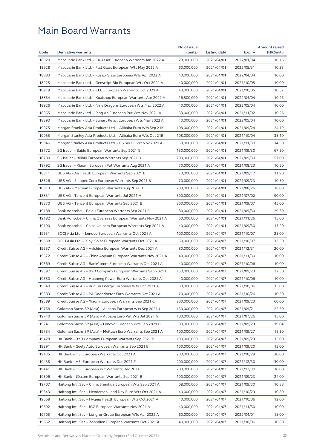| Code  | <b>Derivative warrants</b>                                                                                              | No.of issue              |                          |                          | <b>Amount raised</b> |
|-------|-------------------------------------------------------------------------------------------------------------------------|--------------------------|--------------------------|--------------------------|----------------------|
|       |                                                                                                                         | (units)                  | Listing date             | <b>Expiry</b>            | (HK\$mil.)           |
| 18920 | Macquarie Bank Ltd. - CK Asset European Warrants Jan 2022 A                                                             | 28,000,000               | 2021/04/01               | 2022/01/04               | 10.16                |
| 18928 | Macquarie Bank Ltd. – Flat Glass European Wts May 2022 A                                                                | 60,000,000               | 2021/04/01               | 2022/05/31               | 10.38                |
| 18883 | Macquarie Bank Ltd. – Fuyao Glass European Wts Apr 2022 A                                                               | 40,000,000               | 2021/04/01               | 2022/04/04               | 10.00                |
| 18925 | Macquarie Bank Ltd. – Genscript Bio European Wts Oct 2021 A                                                             | 40,000,000               | 2021/04/01               | 2021/10/05               | 10.00                |
| 18919 | Macquarie Bank Ltd. - KECL European Warrants Oct 2021 A                                                                 | 40,000,000               | 2021/04/01               | 2021/10/05               | 10.52                |
| 18854 | Macquarie Bank Ltd. – Kuaishou European Warrants Apr 2022 A                                                             | 16,500,000               | 2021/04/01               | 2022/04/04               | 10.26                |
| 18926 | Macquarie Bank Ltd. - Nine Dragons European Wts May 2022 A                                                              | 40,000,000               | 2021/04/01               | 2022/05/04               | 10.00                |
| 18855 | Macquarie Bank Ltd. – Ping An European Put Wts Nov 2021 A                                                               | 33,000,000               | 2021/04/01               | 2021/11/02               | 10.26                |
| 18893 | Macquarie Bank Ltd. - Sunart Retail European Wts May 2022 A                                                             | 40,000,000               | 2021/04/01               | 2022/05/04               | 10.00                |
| 19075 | Morgan Stanley Asia Products Ltd. - Alibaba Euro Wts Sep 21K                                                            | 108,000,000              | 2021/04/01               | 2021/09/24               | 24.19                |
| 19055 | Morgan Stanley Asia Products Ltd. - Alibaba Euro Wts Oct 21B                                                            | 108,000,000              | 2021/04/01               | 2021/10/04               | 35.10                |
| 19046 | Morgan Stanley Asia Products Ltd. - CS Ser Eu Wt Nov 2021 A                                                             | 58,000,000               | 2021/04/01               | 2021/11/30               | 14.50                |
| 18772 | SG Issuer - Baidu European Warrants Sep 2021 G                                                                          | 150,000,000              | 2021/04/01               | 2021/09/30               | 67.50                |
| 18780 | SG Issuer - Bilibili European Warrants Sep 2021 D                                                                       | 200,000,000              | 2021/04/01               | 2021/09/30               | 57.00                |
| 18792 | SG Issuer – Xiaomi European Put Warrants Aug 2021 A                                                                     | 70,000,000               | 2021/04/01               | 2021/08/23               | 10.50                |
| 18811 | UBS AG - Ali Health European Warrants Sep 2021 B                                                                        | 70,000,000               | 2021/04/01               | 2021/09/17               | 11.90                |
| 18826 | UBS AG – Sinopec Corp European Warrants Sep 2021 B                                                                      | 70,000,000               | 2021/04/01               | 2021/09/23               | 10.50                |
| 18813 | UBS AG – Meituan European Warrants Aug 2021 B                                                                           | 200,000,000              | 2021/04/01               | 2021/08/26               | 38.00                |
| 18831 | UBS AG - Tencent European Warrants Jul 2021 H                                                                           | 300,000,000              | 2021/04/01               | 2021/07/02               | 90.00                |
| 18830 | UBS AG – Tencent European Warrants Sep 2021 B                                                                           | 300,000,000              | 2021/04/01               | 2021/09/07               | 45.00                |
| 19188 | Bank Vontobel - Baidu European Warrants Sep 2021 E                                                                      | 80,000,000               | 2021/04/01               | 2021/09/30               | 29.60                |
| 19182 | Bank Vontobel – China Overseas European Warrants Nov 2021 A                                                             | 60,000,000               | 2021/04/01               | 2021/11/26               | 15.00                |
| 19190 | Bank Vontobel – China Unicom European Warrants Sep 2021 A                                                               | 40,000,000               | 2021/04/01               | 2021/09/30               | 13.20                |
| 19631 | BOCI Asia Ltd. – Lenovo European Warrants Oct 2021 A                                                                    | 100,000,000              | 2021/04/07               | 2021/10/07               | 25.00                |
| 19638 | BOCI Asia Ltd. – Xinyi Solar European Warrants Oct 2021 A                                                               | 50,000,000               | 2021/04/07               | 2021/10/07               | 13.50                |
| 19557 | Credit Suisse AG - Avichina European Warrants Dec 2021 A                                                                | 80,000,000               | 2021/04/07               | 2021/12/31               | 20.00                |
| 19572 | Credit Suisse AG - China Aoyuan European Warrants Nov 2021 A                                                            | 40,000,000               | 2021/04/07               | 2021/11/30               | 10.00                |
| 19569 | Credit Suisse AG - BankComm European Warrants Oct 2021 A                                                                | 40,000,000               | 2021/04/07               | 2021/10/06               | 10.00                |
| 19597 | Credit Suisse AG – BYD Company European Warrants Sep 2021 B                                                             | 150,000,000              | 2021/04/07               | 2021/09/23               | 22.50                |
| 19550 | Credit Suisse AG - Huaneng Power Euro Warrants Oct 2021 A                                                               | 40,000,000               | 2021/04/07               | 2021/10/06               | 10.00                |
| 19540 | Credit Suisse AG - Kunlun Energy European Wts Oct 2021 A                                                                | 60,000,000               | 2021/04/07               | 2021/10/06               | 15.00                |
| 19583 | Credit Suisse AG - PA Gooddoctor Euro Warrants Oct 2021 A                                                               | 70,000,000               | 2021/04/07               | 2021/10/26               | 10.50                |
| 19589 | Credit Suisse AG - Xiaomi European Warrants Sep 2021 C                                                                  | 200,000,000              | 2021/04/07               | 2021/09/23               | 60.00                |
| 19758 | Goldman Sachs SP (Asia) - Alibaba European Wts Sep 2021 J                                                               | 150,000,000              | 2021/04/07               | 2021/09/21               | 22.50                |
| 19740 | Goldman Sachs SP (Asia) - Alibaba Euro Put Wts Jul 2021 A                                                               | 100,000,000              | 2021/04/07               | 2021/07/26               | 15.00                |
| 19741 | Goldman Sachs SP (Asia) - Lenovo European Wts Sep 2021 B                                                                | 80,000,000               | 2021/04/07               | 2021/09/23               | 19.04                |
| 19754 | Goldman Sachs SP (Asia) - Meituan Euro Warrants Sep 2021 A                                                              | 100,000,000              | 2021/04/07               | 2021/09/27               | 18.30                |
| 19428 | HK Bank – BYD Company European Warrants Sep 2021 B                                                                      | 100,000,000              | 2021/04/07               | 2021/09/23               | 15.00                |
| 19391 | HK Bank - Geely Auto European Warrants Sep 2021 B                                                                       | 100,000,000              | 2021/04/07               | 2021/09/20               | 15.00                |
| 19435 | HK Bank - HSI European Warrants Oct 2021 A                                                                              | 200,000,000              | 2021/04/07               | 2021/10/28               | 30.00                |
| 19438 | HK Bank - HSI European Warrants Dec 2021 F                                                                              | 200,000,000              | 2021/04/07               | 2021/12/30               | 30.00                |
| 19441 | HK Bank - HSI European Put Warrants Dec 2021 C                                                                          | 200,000,000              | 2021/04/07               | 2021/12/30               | 30.00                |
| 19396 | HK Bank - JD.com European Warrants Sep 2021 B                                                                           | 100,000,000              | 2021/04/07               | 2021/09/23               | 24.00                |
| 19707 |                                                                                                                         | 68,000,000               | 2021/04/07               |                          | 10.88                |
| 19643 | Haitong Int'l Sec – China Shenhua European Wts Sep 2021 A<br>Haitong Int'l Sec - Henderson Land Dev Euro Wts Oct 2021 A | 40,000,000               | 2021/04/07               | 2021/09/30<br>2021/10/29 | 10.80                |
| 19668 |                                                                                                                         | 40,000,000               |                          |                          | 12.00                |
| 19692 | Haitong Int'l Sec - Hygeia Health European Wts Oct 2021 A                                                               |                          | 2021/04/07               | 2021/10/06               |                      |
| 19705 | Haitong Int'l Sec - IGG European Warrants Nov 2021 A                                                                    | 40,000,000<br>60,000,000 | 2021/04/07<br>2021/04/07 | 2021/11/30<br>2022/04/01 | 10.00<br>15.00       |
|       | Haitong Int'l Sec – Longfor Group European Wts Apr 2022 A                                                               |                          |                          |                          |                      |
| 19652 | Haitong Int'l Sec – Zoomlion European Warrants Oct 2021 A                                                               | 40,000,000               | 2021/04/07               | 2021/10/06               | 10.80                |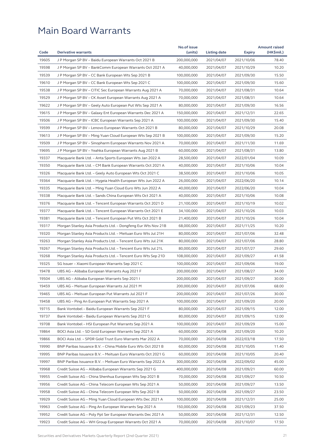|       |                                                              | No.of issue |              |               | <b>Amount raised</b> |
|-------|--------------------------------------------------------------|-------------|--------------|---------------|----------------------|
| Code  | <b>Derivative warrants</b>                                   | (units)     | Listing date | <b>Expiry</b> | (HK\$mil.)           |
| 19605 | J P Morgan SP BV - Baidu European Warrants Oct 2021 B        | 200,000,000 | 2021/04/07   | 2021/10/06    | 78.40                |
| 19598 | J P Morgan SP BV - BankComm European Warrants Oct 2021 A     | 40,000,000  | 2021/04/07   | 2021/10/29    | 10.20                |
| 19539 | J P Morgan SP BV – CC Bank European Wts Sep 2021 B           | 100,000,000 | 2021/04/07   | 2021/09/30    | 15.50                |
| 19610 | J P Morgan SP BV - CC Bank European Wts Sep 2021 C           | 100,000,000 | 2021/04/07   | 2021/09/30    | 15.60                |
| 19538 | J P Morgan SP BV – CITIC Sec European Warrants Aug 2021 A    | 70,000,000  | 2021/04/07   | 2021/08/31    | 10.64                |
| 19529 | J P Morgan SP BV - CK Asset European Warrants Aug 2021 A     | 70,000,000  | 2021/04/07   | 2021/08/31    | 10.64                |
| 19622 | J P Morgan SP BV - Geely Auto European Put Wts Sep 2021 A    | 80,000,000  | 2021/04/07   | 2021/09/30    | 16.56                |
| 19615 | J P Morgan SP BV – Galaxy Ent European Warrants Dec 2021 A   | 150,000,000 | 2021/04/07   | 2021/12/31    | 22.65                |
| 19506 | J P Morgan SP BV – ICBC European Warrants Sep 2021 A         | 100,000,000 | 2021/04/07   | 2021/09/30    | 15.40                |
| 19599 | J P Morgan SP BV - Lenovo European Warrants Oct 2021 B       | 80,000,000  | 2021/04/07   | 2021/10/29    | 20.08                |
| 19613 | J P Morgan SP BV – Ming Yuan Cloud European Wts Sep 2021 B   | 100,000,000 | 2021/04/07   | 2021/09/30    | 15.20                |
| 19509 | J P Morgan SP BV - Sinopharm European Warrants Nov 2021 A    | 70,000,000  | 2021/04/07   | 2021/11/30    | 11.69                |
| 19695 | J P Morgan SP BV – Yeahka European Warrants Aug 2021 B       | 60,000,000  | 2021/04/07   | 2021/08/31    | 13.80                |
| 19337 | Macquarie Bank Ltd. – Anta Sports European Wts Jan 2022 A    | 28,500,000  | 2021/04/07   | 2022/01/04    | 10.09                |
| 19350 | Macquarie Bank Ltd. - CM Bank European Warrants Oct 2021 A   | 40,000,000  | 2021/04/07   | 2021/10/06    | 10.04                |
| 19326 | Macquarie Bank Ltd. - Geely Auto European Wts Oct 2021 C     | 38,500,000  | 2021/04/07   | 2021/10/06    | 10.05                |
| 19364 | Macquarie Bank Ltd. - Hygeia Health European Wts Jun 2022 A  | 26,000,000  | 2021/04/07   | 2022/06/20    | 10.14                |
| 19335 | Macquarie Bank Ltd. – Ming Yuan Cloud Euro Wts Jun 2022 A    | 40,000,000  | 2021/04/07   | 2022/06/20    | 10.04                |
| 19338 | Macquarie Bank Ltd. – Sands China European Wts Oct 2021 A    | 40,000,000  | 2021/04/07   | 2021/10/06    | 10.08                |
| 19376 | Macquarie Bank Ltd. - Tencent European Warrants Oct 2021 D   | 21,100,000  | 2021/04/07   | 2021/10/19    | 10.02                |
| 19377 | Macquarie Bank Ltd. - Tencent European Warrants Oct 2021 E   | 34,100,000  | 2021/04/07   | 2021/10/26    | 10.03                |
| 19381 | Macquarie Bank Ltd. – Tencent European Put Wts Oct 2021 B    | 21,400,000  | 2021/04/07   | 2021/10/26    | 10.04                |
| 19317 | Morgan Stanley Asia Products Ltd. - Dongfeng Eur Wts Nov 21B | 68,000,000  | 2021/04/07   | 2021/11/25    | 10.20                |
| 19320 | Morgan Stanley Asia Products Ltd. - Meituan Euro Wts Jul 21H | 80,000,000  | 2021/04/07   | 2021/07/06    | 32.48                |
| 19263 | Morgan Stanley Asia Products Ltd. - Tencent Euro Wts Jul 21K | 80,000,000  | 2021/04/07   | 2021/07/06    | 28.80                |
| 19267 | Morgan Stanley Asia Products Ltd. - Tencent Euro Wts Jul 21L | 80,000,000  | 2021/04/07   | 2021/07/27    | 29.60                |
| 19268 | Morgan Stanley Asia Products Ltd. – Tencent Euro Wts Sep 21D | 108,000,000 | 2021/04/07   | 2021/09/27    | 41.58                |
| 19325 | SG Issuer - Xiaomi European Warrants Sep 2021 C              | 100,000,000 | 2021/04/07   | 2021/09/06    | 19.00                |
| 19478 | UBS AG - Alibaba European Warrants Aug 2021 F                | 200,000,000 | 2021/04/07   | 2021/08/27    | 34.00                |
| 19504 | UBS AG – Alibaba European Warrants Sep 2021 I                | 200,000,000 | 2021/04/07   | 2021/09/27    | 30.00                |
| 19459 | UBS AG - Meituan European Warrants Jul 2021 M                | 200,000,000 | 2021/04/07   | 2021/07/06    | 68.00                |
| 19465 | UBS AG - Meituan European Put Warrants Jul 2021 F            | 200,000,000 | 2021/04/07   | 2021/07/26    | 30.00                |
| 19458 | UBS AG - Ping An European Put Warrants Sep 2021 A            | 100,000,000 | 2021/04/07   | 2021/09/20    | 20.00                |
| 19715 | Bank Vontobel - Baidu European Warrants Sep 2021 F           | 80,000,000  | 2021/04/07   | 2021/09/15    | 12.00                |
| 19737 | Bank Vontobel - Baidu European Warrants Sep 2021 G           | 80,000,000  | 2021/04/07   | 2021/09/15    | 12.00                |
| 19708 | Bank Vontobel – HSI European Put Warrants Sep 2021 A         | 100,000,000 | 2021/04/07   | 2021/09/29    | 15.00                |
| 19864 | BOCI Asia Ltd. - SD Gold European Warrants Sep 2021 A        | 60,000,000  | 2021/04/08   | 2021/09/20    | 10.20                |
| 19866 | BOCI Asia Ltd. - SPDR Gold Trust Euro Warrants Mar 2022 A    | 70,000,000  | 2021/04/08   | 2022/03/18    | 17.50                |
| 19990 | BNP Paribas Issuance B.V. – China Mobile Euro Wts Oct 2021 B | 60,000,000  | 2021/04/08   | 2021/10/05    | 11.40                |
| 19995 |                                                              |             |              |               |                      |
|       | BNP Paribas Issuance B.V. - Meituan Euro Warrants Oct 2021 G | 60,000,000  | 2021/04/08   | 2021/10/05    | 20.40                |
| 19997 | BNP Paribas Issuance B.V. - Meituan Euro Warrants Sep 2022 A | 300,000,000 | 2021/04/08   | 2022/09/02    | 45.00                |
| 19968 | Credit Suisse AG - Alibaba European Warrants Sep 2021 G      | 400,000,000 | 2021/04/08   | 2021/09/21    | 60.00                |
| 19955 | Credit Suisse AG - China Shenhua European Wts Sep 2021 B     | 70,000,000  | 2021/04/08   | 2021/09/27    | 10.50                |
| 19956 | Credit Suisse AG - China Telecom European Wts Sep 2021 A     | 50,000,000  | 2021/04/08   | 2021/09/27    | 13.50                |
| 19958 | Credit Suisse AG - China Telecom European Wts Sep 2021 B     | 50,000,000  | 2021/04/08   | 2021/09/27    | 23.50                |
| 19929 | Credit Suisse AG - Ming Yuan Cloud European Wts Dec 2021 A   | 100,000,000 | 2021/04/08   | 2021/12/31    | 25.00                |
| 19963 | Credit Suisse AG - Ping An European Warrants Sep 2021 A      | 150,000,000 | 2021/04/08   | 2021/09/23    | 37.50                |
| 19952 | Credit Suisse AG - Poly Ppt Ser European Warrants Dec 2021 A | 50,000,000  | 2021/04/08   | 2021/12/31    | 12.50                |
| 19923 | Credit Suisse AG - WH Group European Warrants Oct 2021 A     | 70,000,000  | 2021/04/08   | 2021/10/07    | 17.50                |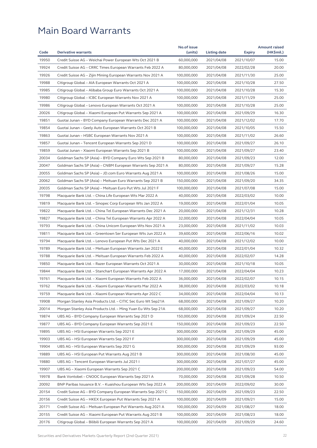| 19950<br>60,000,000<br>15.00<br>Credit Suisse AG - Weichai Power European Wts Oct 2021 B<br>2021/04/08<br>2021/10/07<br>19924<br>80,000,000<br>2021/04/08<br>20.00<br>Credit Suisse AG – CRRC Times European Warrants Feb 2022 A<br>2022/02/28<br>19926<br>Credit Suisse AG - Zijin Mining European Warrants Nov 2021 A<br>100,000,000<br>2021/04/08<br>2021/11/30<br>25.00<br>19988<br>27.50<br>Citigroup Global - AIA European Warrants Oct 2021 A<br>100,000,000<br>2021/04/08<br>2021/10/28<br>19985<br>Citigroup Global - Alibaba Group Euro Warrants Oct 2021 A<br>100,000,000<br>2021/04/08<br>2021/10/28<br>15.30<br>19980<br>25.00<br>2021/04/08<br>Citigroup Global – ICBC European Warrants Nov 2021 A<br>100,000,000<br>2021/11/29<br>19986<br>Citigroup Global - Lenovo European Warrants Oct 2021 A<br>100,000,000<br>2021/04/08<br>2021/10/28<br>25.00<br>20026<br>Citigroup Global - Xiaomi European Put Warrants Sep 2021 A<br>100,000,000<br>2021/04/08<br>2021/09/29<br>16.30<br>19851<br>17.70<br>Guotai Junan – BYD Company European Warrants Dec 2021 A<br>100,000,000<br>2021/04/08<br>2021/12/02<br>19854<br>100,000,000<br>2021/04/08<br>15.50<br>Guotai Junan – Geely Auto European Warrants Oct 2021 B<br>2021/10/05<br>19863<br>100,000,000<br>2021/04/08<br>26.60<br>Guotai Junan – HSBC European Warrants Nov 2021 A<br>2021/11/02<br>19857<br>26.10<br>Guotai Junan - Tencent European Warrants Sep 2021 D<br>100,000,000<br>2021/04/08<br>2021/09/27<br>19859<br>23.40<br>Guotai Junan – Xiaomi European Warrants Sep 2021 B<br>100,000,000<br>2021/04/08<br>2021/09/27<br>20034<br>Goldman Sachs SP (Asia) - BYD Company Euro Wts Sep 2021 B<br>80,000,000<br>2021/04/08<br>2021/09/23<br>12.00<br>20047<br>Goldman Sachs SP (Asia) – CNBM European Warrants Sep 2021 A<br>80,000,000<br>2021/04/08<br>2021/09/27<br>15.28<br>20055<br>Goldman Sachs SP (Asia) - JD.com Euro Warrants Aug 2021 A<br>100,000,000<br>2021/04/08<br>2021/08/26<br>15.00<br>20062<br>34.35<br>Goldman Sachs SP (Asia) - Meituan Euro Warrants Sep 2021 B<br>150,000,000<br>2021/04/08<br>2021/09/20<br>20035<br>100,000,000<br>15.00<br>Goldman Sachs SP (Asia) – Meituan Euro Put Wts Jul 2021 F<br>2021/04/08<br>2021/07/08<br>19798<br>10.00<br>Macquarie Bank Ltd. – China Life European Wts Mar 2022 A<br>40,000,000<br>2021/04/08<br>2022/03/02<br>19819<br>Macquarie Bank Ltd. - Sinopec Corp European Wts Jan 2022 A<br>19,000,000<br>2021/04/08<br>10.05<br>2022/01/04<br>19822<br>20,000,000<br>2021/04/08<br>10.28<br>Macquarie Bank Ltd. – China Tel European Warrants Dec 2021 A<br>2021/12/31<br>19827<br>32,000,000<br>2021/04/08<br>2022/04/04<br>10.05<br>Macquarie Bank Ltd. - China Tel European Warrants Apr 2022 A<br>19793<br>Macquarie Bank Ltd. - China Unicom European Wts Nov 2021 A<br>23,000,000<br>2021/04/08<br>2021/11/02<br>10.03<br>19811<br>10.02<br>Macquarie Bank Ltd. - Greentown Ser European Wts Jun 2022 A<br>39,600,000<br>2021/04/08<br>2022/06/16<br>19794<br>Macquarie Bank Ltd. - Lenovo European Put Wts Dec 2021 A<br>40,000,000<br>2021/04/08<br>2021/12/02<br>10.00<br>19789<br>40,000,000<br>2021/04/08<br>10.32<br>Macquarie Bank Ltd. – Meituan European Warrants Jan 2022 E<br>2022/01/04<br>19788<br>Macquarie Bank Ltd. - Meituan European Warrants Feb 2022 A<br>40,000,000<br>2021/04/08<br>2022/02/07<br>14.28<br>19850<br>Macquarie Bank Ltd. - Razer European Warrants Oct 2021 A<br>30,000,000<br>2021/04/08<br>2021/10/18<br>10.05<br>19844<br>17,000,000<br>2021/04/08<br>2022/04/04<br>10.23<br>Macquarie Bank Ltd. - Stanchart European Warrants Apr 2022 A<br>19761<br>36,000,000<br>2021/04/08<br>2022/02/07<br>10.15<br>Macquarie Bank Ltd. - Xiaomi European Warrants Feb 2022 A<br>19762<br>38,000,000<br>10.18<br>Macquarie Bank Ltd. – Xiaomi European Warrants Mar 2022 A<br>2021/04/08<br>2022/03/02<br>19759<br>Macquarie Bank Ltd. - Xiaomi European Warrants Apr 2022 C<br>34,000,000<br>2021/04/08<br>2022/04/04<br>10.13<br>19908<br>10.20<br>Morgan Stanley Asia Products Ltd. - CITIC Sec Euro Wt Sep21A<br>68,000,000<br>2021/04/08<br>2021/09/27<br>20014<br>68,000,000<br>2021/04/08<br>10.20<br>Morgan Stanley Asia Products Ltd. - Ming Yuan Eu Wts Sep 21A<br>2021/09/27<br>19874<br>150,000,000<br>22.50<br>UBS AG – BYD Company European Warrants Sep 2021 D<br>2021/04/08<br>2021/09/24<br>19877<br>UBS AG - BYD Company European Warrants Sep 2021 E<br>150,000,000<br>2021/04/08<br>2021/09/23<br>22.50<br>19895<br>300,000,000<br>2021/04/08<br>45.00<br>UBS AG - HSI European Warrants Sep 2021 E<br>2021/09/29<br>19903<br>UBS AG - HSI European Warrants Sep 2021 F<br>300,000,000<br>2021/04/08<br>2021/09/29<br>45.00<br>19904<br>UBS AG - HSI European Warrants Sep 2021 G<br>300,000,000<br>2021/04/08<br>93.00<br>2021/09/29<br>19889<br>UBS AG - HSI European Put Warrants Aug 2021 B<br>300,000,000<br>45.00<br>2021/04/08<br>2021/08/30<br>19880<br>300,000,000<br>2021/04/08<br>2021/07/27<br>45.00<br>UBS AG – Tencent European Warrants Jul 2021 I<br>19907<br>UBS AG - Xiaomi European Warrants Sep 2021 C<br>200,000,000<br>2021/04/08<br>2021/09/23<br>54.00<br>19978<br>Bank Vontobel - CNOOC European Warrants Sep 2021 A<br>70,000,000<br>2021/04/08<br>2021/09/28<br>10.50<br>20092<br>30.00<br>BNP Paribas Issuance B.V. – Kuaishou European Wts Sep 2022 A<br>200,000,000<br>2021/04/09<br>2022/09/02<br>20154<br>Credit Suisse AG - BYD Company European Warrants Sep 2021 C<br>150,000,000<br>2021/04/09<br>2021/09/23<br>22.50<br>20156<br>100,000,000<br>15.00<br>Credit Suisse AG – HKEX European Put Warrants Sep 2021 A<br>2021/04/09<br>2021/09/21<br>20171<br>Credit Suisse AG - Meituan European Put Warrants Aug 2021 A<br>100,000,000<br>2021/04/09<br>2021/08/27<br>18.00<br>20155<br>Credit Suisse AG - Xiaomi European Put Warrants Aug 2021 B<br>100,000,000<br>2021/04/09<br>2021/08/23<br>18.00<br>20176<br>100,000,000<br>2021/09/29<br>Citigroup Global – Bilibili European Warrants Sep 2021 A<br>2021/04/09<br>24.60 | Code | <b>Derivative warrants</b> | No.of issue |              |               | <b>Amount raised</b> |
|-----------------------------------------------------------------------------------------------------------------------------------------------------------------------------------------------------------------------------------------------------------------------------------------------------------------------------------------------------------------------------------------------------------------------------------------------------------------------------------------------------------------------------------------------------------------------------------------------------------------------------------------------------------------------------------------------------------------------------------------------------------------------------------------------------------------------------------------------------------------------------------------------------------------------------------------------------------------------------------------------------------------------------------------------------------------------------------------------------------------------------------------------------------------------------------------------------------------------------------------------------------------------------------------------------------------------------------------------------------------------------------------------------------------------------------------------------------------------------------------------------------------------------------------------------------------------------------------------------------------------------------------------------------------------------------------------------------------------------------------------------------------------------------------------------------------------------------------------------------------------------------------------------------------------------------------------------------------------------------------------------------------------------------------------------------------------------------------------------------------------------------------------------------------------------------------------------------------------------------------------------------------------------------------------------------------------------------------------------------------------------------------------------------------------------------------------------------------------------------------------------------------------------------------------------------------------------------------------------------------------------------------------------------------------------------------------------------------------------------------------------------------------------------------------------------------------------------------------------------------------------------------------------------------------------------------------------------------------------------------------------------------------------------------------------------------------------------------------------------------------------------------------------------------------------------------------------------------------------------------------------------------------------------------------------------------------------------------------------------------------------------------------------------------------------------------------------------------------------------------------------------------------------------------------------------------------------------------------------------------------------------------------------------------------------------------------------------------------------------------------------------------------------------------------------------------------------------------------------------------------------------------------------------------------------------------------------------------------------------------------------------------------------------------------------------------------------------------------------------------------------------------------------------------------------------------------------------------------------------------------------------------------------------------------------------------------------------------------------------------------------------------------------------------------------------------------------------------------------------------------------------------------------------------------------------------------------------------------------------------------------------------------------------------------------------------------------------------------------------------------------------------------------------------------------------------------------------------------------------------------------------------------------------------------------------------------------------------------------------------------------------------------------------------------------------------------------------------------------------------------------------------------------------------------------------------------------------------------------------------------------------------------------------------------------------------------------------------------------------------------------------------------------------------------------------------------------------------------------------------------------------------------------------------------------------------------------------------------------------------------------------------------------------------------------------------------------------------------------------------------------------------------------------------------------------------------------------------------------------------------------------------------------------------------------------------------------------------------------------------------------------------------------------------------------------------------------|------|----------------------------|-------------|--------------|---------------|----------------------|
|                                                                                                                                                                                                                                                                                                                                                                                                                                                                                                                                                                                                                                                                                                                                                                                                                                                                                                                                                                                                                                                                                                                                                                                                                                                                                                                                                                                                                                                                                                                                                                                                                                                                                                                                                                                                                                                                                                                                                                                                                                                                                                                                                                                                                                                                                                                                                                                                                                                                                                                                                                                                                                                                                                                                                                                                                                                                                                                                                                                                                                                                                                                                                                                                                                                                                                                                                                                                                                                                                                                                                                                                                                                                                                                                                                                                                                                                                                                                                                                                                                                                                                                                                                                                                                                                                                                                                                                                                                                                                                                                                                                                                                                                                                                                                                                                                                                                                                                                                                                                                                                                                                                                                                                                                                                                                                                                                                                                                                                                                                                                                                                                                                                                                                                                                                                                                                                                                                                                                                                                                                                                             |      |                            | (units)     | Listing date | <b>Expiry</b> | (HK\$mil.)           |
|                                                                                                                                                                                                                                                                                                                                                                                                                                                                                                                                                                                                                                                                                                                                                                                                                                                                                                                                                                                                                                                                                                                                                                                                                                                                                                                                                                                                                                                                                                                                                                                                                                                                                                                                                                                                                                                                                                                                                                                                                                                                                                                                                                                                                                                                                                                                                                                                                                                                                                                                                                                                                                                                                                                                                                                                                                                                                                                                                                                                                                                                                                                                                                                                                                                                                                                                                                                                                                                                                                                                                                                                                                                                                                                                                                                                                                                                                                                                                                                                                                                                                                                                                                                                                                                                                                                                                                                                                                                                                                                                                                                                                                                                                                                                                                                                                                                                                                                                                                                                                                                                                                                                                                                                                                                                                                                                                                                                                                                                                                                                                                                                                                                                                                                                                                                                                                                                                                                                                                                                                                                                             |      |                            |             |              |               |                      |
|                                                                                                                                                                                                                                                                                                                                                                                                                                                                                                                                                                                                                                                                                                                                                                                                                                                                                                                                                                                                                                                                                                                                                                                                                                                                                                                                                                                                                                                                                                                                                                                                                                                                                                                                                                                                                                                                                                                                                                                                                                                                                                                                                                                                                                                                                                                                                                                                                                                                                                                                                                                                                                                                                                                                                                                                                                                                                                                                                                                                                                                                                                                                                                                                                                                                                                                                                                                                                                                                                                                                                                                                                                                                                                                                                                                                                                                                                                                                                                                                                                                                                                                                                                                                                                                                                                                                                                                                                                                                                                                                                                                                                                                                                                                                                                                                                                                                                                                                                                                                                                                                                                                                                                                                                                                                                                                                                                                                                                                                                                                                                                                                                                                                                                                                                                                                                                                                                                                                                                                                                                                                             |      |                            |             |              |               |                      |
|                                                                                                                                                                                                                                                                                                                                                                                                                                                                                                                                                                                                                                                                                                                                                                                                                                                                                                                                                                                                                                                                                                                                                                                                                                                                                                                                                                                                                                                                                                                                                                                                                                                                                                                                                                                                                                                                                                                                                                                                                                                                                                                                                                                                                                                                                                                                                                                                                                                                                                                                                                                                                                                                                                                                                                                                                                                                                                                                                                                                                                                                                                                                                                                                                                                                                                                                                                                                                                                                                                                                                                                                                                                                                                                                                                                                                                                                                                                                                                                                                                                                                                                                                                                                                                                                                                                                                                                                                                                                                                                                                                                                                                                                                                                                                                                                                                                                                                                                                                                                                                                                                                                                                                                                                                                                                                                                                                                                                                                                                                                                                                                                                                                                                                                                                                                                                                                                                                                                                                                                                                                                             |      |                            |             |              |               |                      |
|                                                                                                                                                                                                                                                                                                                                                                                                                                                                                                                                                                                                                                                                                                                                                                                                                                                                                                                                                                                                                                                                                                                                                                                                                                                                                                                                                                                                                                                                                                                                                                                                                                                                                                                                                                                                                                                                                                                                                                                                                                                                                                                                                                                                                                                                                                                                                                                                                                                                                                                                                                                                                                                                                                                                                                                                                                                                                                                                                                                                                                                                                                                                                                                                                                                                                                                                                                                                                                                                                                                                                                                                                                                                                                                                                                                                                                                                                                                                                                                                                                                                                                                                                                                                                                                                                                                                                                                                                                                                                                                                                                                                                                                                                                                                                                                                                                                                                                                                                                                                                                                                                                                                                                                                                                                                                                                                                                                                                                                                                                                                                                                                                                                                                                                                                                                                                                                                                                                                                                                                                                                                             |      |                            |             |              |               |                      |
|                                                                                                                                                                                                                                                                                                                                                                                                                                                                                                                                                                                                                                                                                                                                                                                                                                                                                                                                                                                                                                                                                                                                                                                                                                                                                                                                                                                                                                                                                                                                                                                                                                                                                                                                                                                                                                                                                                                                                                                                                                                                                                                                                                                                                                                                                                                                                                                                                                                                                                                                                                                                                                                                                                                                                                                                                                                                                                                                                                                                                                                                                                                                                                                                                                                                                                                                                                                                                                                                                                                                                                                                                                                                                                                                                                                                                                                                                                                                                                                                                                                                                                                                                                                                                                                                                                                                                                                                                                                                                                                                                                                                                                                                                                                                                                                                                                                                                                                                                                                                                                                                                                                                                                                                                                                                                                                                                                                                                                                                                                                                                                                                                                                                                                                                                                                                                                                                                                                                                                                                                                                                             |      |                            |             |              |               |                      |
|                                                                                                                                                                                                                                                                                                                                                                                                                                                                                                                                                                                                                                                                                                                                                                                                                                                                                                                                                                                                                                                                                                                                                                                                                                                                                                                                                                                                                                                                                                                                                                                                                                                                                                                                                                                                                                                                                                                                                                                                                                                                                                                                                                                                                                                                                                                                                                                                                                                                                                                                                                                                                                                                                                                                                                                                                                                                                                                                                                                                                                                                                                                                                                                                                                                                                                                                                                                                                                                                                                                                                                                                                                                                                                                                                                                                                                                                                                                                                                                                                                                                                                                                                                                                                                                                                                                                                                                                                                                                                                                                                                                                                                                                                                                                                                                                                                                                                                                                                                                                                                                                                                                                                                                                                                                                                                                                                                                                                                                                                                                                                                                                                                                                                                                                                                                                                                                                                                                                                                                                                                                                             |      |                            |             |              |               |                      |
|                                                                                                                                                                                                                                                                                                                                                                                                                                                                                                                                                                                                                                                                                                                                                                                                                                                                                                                                                                                                                                                                                                                                                                                                                                                                                                                                                                                                                                                                                                                                                                                                                                                                                                                                                                                                                                                                                                                                                                                                                                                                                                                                                                                                                                                                                                                                                                                                                                                                                                                                                                                                                                                                                                                                                                                                                                                                                                                                                                                                                                                                                                                                                                                                                                                                                                                                                                                                                                                                                                                                                                                                                                                                                                                                                                                                                                                                                                                                                                                                                                                                                                                                                                                                                                                                                                                                                                                                                                                                                                                                                                                                                                                                                                                                                                                                                                                                                                                                                                                                                                                                                                                                                                                                                                                                                                                                                                                                                                                                                                                                                                                                                                                                                                                                                                                                                                                                                                                                                                                                                                                                             |      |                            |             |              |               |                      |
|                                                                                                                                                                                                                                                                                                                                                                                                                                                                                                                                                                                                                                                                                                                                                                                                                                                                                                                                                                                                                                                                                                                                                                                                                                                                                                                                                                                                                                                                                                                                                                                                                                                                                                                                                                                                                                                                                                                                                                                                                                                                                                                                                                                                                                                                                                                                                                                                                                                                                                                                                                                                                                                                                                                                                                                                                                                                                                                                                                                                                                                                                                                                                                                                                                                                                                                                                                                                                                                                                                                                                                                                                                                                                                                                                                                                                                                                                                                                                                                                                                                                                                                                                                                                                                                                                                                                                                                                                                                                                                                                                                                                                                                                                                                                                                                                                                                                                                                                                                                                                                                                                                                                                                                                                                                                                                                                                                                                                                                                                                                                                                                                                                                                                                                                                                                                                                                                                                                                                                                                                                                                             |      |                            |             |              |               |                      |
|                                                                                                                                                                                                                                                                                                                                                                                                                                                                                                                                                                                                                                                                                                                                                                                                                                                                                                                                                                                                                                                                                                                                                                                                                                                                                                                                                                                                                                                                                                                                                                                                                                                                                                                                                                                                                                                                                                                                                                                                                                                                                                                                                                                                                                                                                                                                                                                                                                                                                                                                                                                                                                                                                                                                                                                                                                                                                                                                                                                                                                                                                                                                                                                                                                                                                                                                                                                                                                                                                                                                                                                                                                                                                                                                                                                                                                                                                                                                                                                                                                                                                                                                                                                                                                                                                                                                                                                                                                                                                                                                                                                                                                                                                                                                                                                                                                                                                                                                                                                                                                                                                                                                                                                                                                                                                                                                                                                                                                                                                                                                                                                                                                                                                                                                                                                                                                                                                                                                                                                                                                                                             |      |                            |             |              |               |                      |
|                                                                                                                                                                                                                                                                                                                                                                                                                                                                                                                                                                                                                                                                                                                                                                                                                                                                                                                                                                                                                                                                                                                                                                                                                                                                                                                                                                                                                                                                                                                                                                                                                                                                                                                                                                                                                                                                                                                                                                                                                                                                                                                                                                                                                                                                                                                                                                                                                                                                                                                                                                                                                                                                                                                                                                                                                                                                                                                                                                                                                                                                                                                                                                                                                                                                                                                                                                                                                                                                                                                                                                                                                                                                                                                                                                                                                                                                                                                                                                                                                                                                                                                                                                                                                                                                                                                                                                                                                                                                                                                                                                                                                                                                                                                                                                                                                                                                                                                                                                                                                                                                                                                                                                                                                                                                                                                                                                                                                                                                                                                                                                                                                                                                                                                                                                                                                                                                                                                                                                                                                                                                             |      |                            |             |              |               |                      |
|                                                                                                                                                                                                                                                                                                                                                                                                                                                                                                                                                                                                                                                                                                                                                                                                                                                                                                                                                                                                                                                                                                                                                                                                                                                                                                                                                                                                                                                                                                                                                                                                                                                                                                                                                                                                                                                                                                                                                                                                                                                                                                                                                                                                                                                                                                                                                                                                                                                                                                                                                                                                                                                                                                                                                                                                                                                                                                                                                                                                                                                                                                                                                                                                                                                                                                                                                                                                                                                                                                                                                                                                                                                                                                                                                                                                                                                                                                                                                                                                                                                                                                                                                                                                                                                                                                                                                                                                                                                                                                                                                                                                                                                                                                                                                                                                                                                                                                                                                                                                                                                                                                                                                                                                                                                                                                                                                                                                                                                                                                                                                                                                                                                                                                                                                                                                                                                                                                                                                                                                                                                                             |      |                            |             |              |               |                      |
|                                                                                                                                                                                                                                                                                                                                                                                                                                                                                                                                                                                                                                                                                                                                                                                                                                                                                                                                                                                                                                                                                                                                                                                                                                                                                                                                                                                                                                                                                                                                                                                                                                                                                                                                                                                                                                                                                                                                                                                                                                                                                                                                                                                                                                                                                                                                                                                                                                                                                                                                                                                                                                                                                                                                                                                                                                                                                                                                                                                                                                                                                                                                                                                                                                                                                                                                                                                                                                                                                                                                                                                                                                                                                                                                                                                                                                                                                                                                                                                                                                                                                                                                                                                                                                                                                                                                                                                                                                                                                                                                                                                                                                                                                                                                                                                                                                                                                                                                                                                                                                                                                                                                                                                                                                                                                                                                                                                                                                                                                                                                                                                                                                                                                                                                                                                                                                                                                                                                                                                                                                                                             |      |                            |             |              |               |                      |
|                                                                                                                                                                                                                                                                                                                                                                                                                                                                                                                                                                                                                                                                                                                                                                                                                                                                                                                                                                                                                                                                                                                                                                                                                                                                                                                                                                                                                                                                                                                                                                                                                                                                                                                                                                                                                                                                                                                                                                                                                                                                                                                                                                                                                                                                                                                                                                                                                                                                                                                                                                                                                                                                                                                                                                                                                                                                                                                                                                                                                                                                                                                                                                                                                                                                                                                                                                                                                                                                                                                                                                                                                                                                                                                                                                                                                                                                                                                                                                                                                                                                                                                                                                                                                                                                                                                                                                                                                                                                                                                                                                                                                                                                                                                                                                                                                                                                                                                                                                                                                                                                                                                                                                                                                                                                                                                                                                                                                                                                                                                                                                                                                                                                                                                                                                                                                                                                                                                                                                                                                                                                             |      |                            |             |              |               |                      |
|                                                                                                                                                                                                                                                                                                                                                                                                                                                                                                                                                                                                                                                                                                                                                                                                                                                                                                                                                                                                                                                                                                                                                                                                                                                                                                                                                                                                                                                                                                                                                                                                                                                                                                                                                                                                                                                                                                                                                                                                                                                                                                                                                                                                                                                                                                                                                                                                                                                                                                                                                                                                                                                                                                                                                                                                                                                                                                                                                                                                                                                                                                                                                                                                                                                                                                                                                                                                                                                                                                                                                                                                                                                                                                                                                                                                                                                                                                                                                                                                                                                                                                                                                                                                                                                                                                                                                                                                                                                                                                                                                                                                                                                                                                                                                                                                                                                                                                                                                                                                                                                                                                                                                                                                                                                                                                                                                                                                                                                                                                                                                                                                                                                                                                                                                                                                                                                                                                                                                                                                                                                                             |      |                            |             |              |               |                      |
|                                                                                                                                                                                                                                                                                                                                                                                                                                                                                                                                                                                                                                                                                                                                                                                                                                                                                                                                                                                                                                                                                                                                                                                                                                                                                                                                                                                                                                                                                                                                                                                                                                                                                                                                                                                                                                                                                                                                                                                                                                                                                                                                                                                                                                                                                                                                                                                                                                                                                                                                                                                                                                                                                                                                                                                                                                                                                                                                                                                                                                                                                                                                                                                                                                                                                                                                                                                                                                                                                                                                                                                                                                                                                                                                                                                                                                                                                                                                                                                                                                                                                                                                                                                                                                                                                                                                                                                                                                                                                                                                                                                                                                                                                                                                                                                                                                                                                                                                                                                                                                                                                                                                                                                                                                                                                                                                                                                                                                                                                                                                                                                                                                                                                                                                                                                                                                                                                                                                                                                                                                                                             |      |                            |             |              |               |                      |
|                                                                                                                                                                                                                                                                                                                                                                                                                                                                                                                                                                                                                                                                                                                                                                                                                                                                                                                                                                                                                                                                                                                                                                                                                                                                                                                                                                                                                                                                                                                                                                                                                                                                                                                                                                                                                                                                                                                                                                                                                                                                                                                                                                                                                                                                                                                                                                                                                                                                                                                                                                                                                                                                                                                                                                                                                                                                                                                                                                                                                                                                                                                                                                                                                                                                                                                                                                                                                                                                                                                                                                                                                                                                                                                                                                                                                                                                                                                                                                                                                                                                                                                                                                                                                                                                                                                                                                                                                                                                                                                                                                                                                                                                                                                                                                                                                                                                                                                                                                                                                                                                                                                                                                                                                                                                                                                                                                                                                                                                                                                                                                                                                                                                                                                                                                                                                                                                                                                                                                                                                                                                             |      |                            |             |              |               |                      |
|                                                                                                                                                                                                                                                                                                                                                                                                                                                                                                                                                                                                                                                                                                                                                                                                                                                                                                                                                                                                                                                                                                                                                                                                                                                                                                                                                                                                                                                                                                                                                                                                                                                                                                                                                                                                                                                                                                                                                                                                                                                                                                                                                                                                                                                                                                                                                                                                                                                                                                                                                                                                                                                                                                                                                                                                                                                                                                                                                                                                                                                                                                                                                                                                                                                                                                                                                                                                                                                                                                                                                                                                                                                                                                                                                                                                                                                                                                                                                                                                                                                                                                                                                                                                                                                                                                                                                                                                                                                                                                                                                                                                                                                                                                                                                                                                                                                                                                                                                                                                                                                                                                                                                                                                                                                                                                                                                                                                                                                                                                                                                                                                                                                                                                                                                                                                                                                                                                                                                                                                                                                                             |      |                            |             |              |               |                      |
|                                                                                                                                                                                                                                                                                                                                                                                                                                                                                                                                                                                                                                                                                                                                                                                                                                                                                                                                                                                                                                                                                                                                                                                                                                                                                                                                                                                                                                                                                                                                                                                                                                                                                                                                                                                                                                                                                                                                                                                                                                                                                                                                                                                                                                                                                                                                                                                                                                                                                                                                                                                                                                                                                                                                                                                                                                                                                                                                                                                                                                                                                                                                                                                                                                                                                                                                                                                                                                                                                                                                                                                                                                                                                                                                                                                                                                                                                                                                                                                                                                                                                                                                                                                                                                                                                                                                                                                                                                                                                                                                                                                                                                                                                                                                                                                                                                                                                                                                                                                                                                                                                                                                                                                                                                                                                                                                                                                                                                                                                                                                                                                                                                                                                                                                                                                                                                                                                                                                                                                                                                                                             |      |                            |             |              |               |                      |
|                                                                                                                                                                                                                                                                                                                                                                                                                                                                                                                                                                                                                                                                                                                                                                                                                                                                                                                                                                                                                                                                                                                                                                                                                                                                                                                                                                                                                                                                                                                                                                                                                                                                                                                                                                                                                                                                                                                                                                                                                                                                                                                                                                                                                                                                                                                                                                                                                                                                                                                                                                                                                                                                                                                                                                                                                                                                                                                                                                                                                                                                                                                                                                                                                                                                                                                                                                                                                                                                                                                                                                                                                                                                                                                                                                                                                                                                                                                                                                                                                                                                                                                                                                                                                                                                                                                                                                                                                                                                                                                                                                                                                                                                                                                                                                                                                                                                                                                                                                                                                                                                                                                                                                                                                                                                                                                                                                                                                                                                                                                                                                                                                                                                                                                                                                                                                                                                                                                                                                                                                                                                             |      |                            |             |              |               |                      |
|                                                                                                                                                                                                                                                                                                                                                                                                                                                                                                                                                                                                                                                                                                                                                                                                                                                                                                                                                                                                                                                                                                                                                                                                                                                                                                                                                                                                                                                                                                                                                                                                                                                                                                                                                                                                                                                                                                                                                                                                                                                                                                                                                                                                                                                                                                                                                                                                                                                                                                                                                                                                                                                                                                                                                                                                                                                                                                                                                                                                                                                                                                                                                                                                                                                                                                                                                                                                                                                                                                                                                                                                                                                                                                                                                                                                                                                                                                                                                                                                                                                                                                                                                                                                                                                                                                                                                                                                                                                                                                                                                                                                                                                                                                                                                                                                                                                                                                                                                                                                                                                                                                                                                                                                                                                                                                                                                                                                                                                                                                                                                                                                                                                                                                                                                                                                                                                                                                                                                                                                                                                                             |      |                            |             |              |               |                      |
|                                                                                                                                                                                                                                                                                                                                                                                                                                                                                                                                                                                                                                                                                                                                                                                                                                                                                                                                                                                                                                                                                                                                                                                                                                                                                                                                                                                                                                                                                                                                                                                                                                                                                                                                                                                                                                                                                                                                                                                                                                                                                                                                                                                                                                                                                                                                                                                                                                                                                                                                                                                                                                                                                                                                                                                                                                                                                                                                                                                                                                                                                                                                                                                                                                                                                                                                                                                                                                                                                                                                                                                                                                                                                                                                                                                                                                                                                                                                                                                                                                                                                                                                                                                                                                                                                                                                                                                                                                                                                                                                                                                                                                                                                                                                                                                                                                                                                                                                                                                                                                                                                                                                                                                                                                                                                                                                                                                                                                                                                                                                                                                                                                                                                                                                                                                                                                                                                                                                                                                                                                                                             |      |                            |             |              |               |                      |
|                                                                                                                                                                                                                                                                                                                                                                                                                                                                                                                                                                                                                                                                                                                                                                                                                                                                                                                                                                                                                                                                                                                                                                                                                                                                                                                                                                                                                                                                                                                                                                                                                                                                                                                                                                                                                                                                                                                                                                                                                                                                                                                                                                                                                                                                                                                                                                                                                                                                                                                                                                                                                                                                                                                                                                                                                                                                                                                                                                                                                                                                                                                                                                                                                                                                                                                                                                                                                                                                                                                                                                                                                                                                                                                                                                                                                                                                                                                                                                                                                                                                                                                                                                                                                                                                                                                                                                                                                                                                                                                                                                                                                                                                                                                                                                                                                                                                                                                                                                                                                                                                                                                                                                                                                                                                                                                                                                                                                                                                                                                                                                                                                                                                                                                                                                                                                                                                                                                                                                                                                                                                             |      |                            |             |              |               |                      |
|                                                                                                                                                                                                                                                                                                                                                                                                                                                                                                                                                                                                                                                                                                                                                                                                                                                                                                                                                                                                                                                                                                                                                                                                                                                                                                                                                                                                                                                                                                                                                                                                                                                                                                                                                                                                                                                                                                                                                                                                                                                                                                                                                                                                                                                                                                                                                                                                                                                                                                                                                                                                                                                                                                                                                                                                                                                                                                                                                                                                                                                                                                                                                                                                                                                                                                                                                                                                                                                                                                                                                                                                                                                                                                                                                                                                                                                                                                                                                                                                                                                                                                                                                                                                                                                                                                                                                                                                                                                                                                                                                                                                                                                                                                                                                                                                                                                                                                                                                                                                                                                                                                                                                                                                                                                                                                                                                                                                                                                                                                                                                                                                                                                                                                                                                                                                                                                                                                                                                                                                                                                                             |      |                            |             |              |               |                      |
|                                                                                                                                                                                                                                                                                                                                                                                                                                                                                                                                                                                                                                                                                                                                                                                                                                                                                                                                                                                                                                                                                                                                                                                                                                                                                                                                                                                                                                                                                                                                                                                                                                                                                                                                                                                                                                                                                                                                                                                                                                                                                                                                                                                                                                                                                                                                                                                                                                                                                                                                                                                                                                                                                                                                                                                                                                                                                                                                                                                                                                                                                                                                                                                                                                                                                                                                                                                                                                                                                                                                                                                                                                                                                                                                                                                                                                                                                                                                                                                                                                                                                                                                                                                                                                                                                                                                                                                                                                                                                                                                                                                                                                                                                                                                                                                                                                                                                                                                                                                                                                                                                                                                                                                                                                                                                                                                                                                                                                                                                                                                                                                                                                                                                                                                                                                                                                                                                                                                                                                                                                                                             |      |                            |             |              |               |                      |
|                                                                                                                                                                                                                                                                                                                                                                                                                                                                                                                                                                                                                                                                                                                                                                                                                                                                                                                                                                                                                                                                                                                                                                                                                                                                                                                                                                                                                                                                                                                                                                                                                                                                                                                                                                                                                                                                                                                                                                                                                                                                                                                                                                                                                                                                                                                                                                                                                                                                                                                                                                                                                                                                                                                                                                                                                                                                                                                                                                                                                                                                                                                                                                                                                                                                                                                                                                                                                                                                                                                                                                                                                                                                                                                                                                                                                                                                                                                                                                                                                                                                                                                                                                                                                                                                                                                                                                                                                                                                                                                                                                                                                                                                                                                                                                                                                                                                                                                                                                                                                                                                                                                                                                                                                                                                                                                                                                                                                                                                                                                                                                                                                                                                                                                                                                                                                                                                                                                                                                                                                                                                             |      |                            |             |              |               |                      |
|                                                                                                                                                                                                                                                                                                                                                                                                                                                                                                                                                                                                                                                                                                                                                                                                                                                                                                                                                                                                                                                                                                                                                                                                                                                                                                                                                                                                                                                                                                                                                                                                                                                                                                                                                                                                                                                                                                                                                                                                                                                                                                                                                                                                                                                                                                                                                                                                                                                                                                                                                                                                                                                                                                                                                                                                                                                                                                                                                                                                                                                                                                                                                                                                                                                                                                                                                                                                                                                                                                                                                                                                                                                                                                                                                                                                                                                                                                                                                                                                                                                                                                                                                                                                                                                                                                                                                                                                                                                                                                                                                                                                                                                                                                                                                                                                                                                                                                                                                                                                                                                                                                                                                                                                                                                                                                                                                                                                                                                                                                                                                                                                                                                                                                                                                                                                                                                                                                                                                                                                                                                                             |      |                            |             |              |               |                      |
|                                                                                                                                                                                                                                                                                                                                                                                                                                                                                                                                                                                                                                                                                                                                                                                                                                                                                                                                                                                                                                                                                                                                                                                                                                                                                                                                                                                                                                                                                                                                                                                                                                                                                                                                                                                                                                                                                                                                                                                                                                                                                                                                                                                                                                                                                                                                                                                                                                                                                                                                                                                                                                                                                                                                                                                                                                                                                                                                                                                                                                                                                                                                                                                                                                                                                                                                                                                                                                                                                                                                                                                                                                                                                                                                                                                                                                                                                                                                                                                                                                                                                                                                                                                                                                                                                                                                                                                                                                                                                                                                                                                                                                                                                                                                                                                                                                                                                                                                                                                                                                                                                                                                                                                                                                                                                                                                                                                                                                                                                                                                                                                                                                                                                                                                                                                                                                                                                                                                                                                                                                                                             |      |                            |             |              |               |                      |
|                                                                                                                                                                                                                                                                                                                                                                                                                                                                                                                                                                                                                                                                                                                                                                                                                                                                                                                                                                                                                                                                                                                                                                                                                                                                                                                                                                                                                                                                                                                                                                                                                                                                                                                                                                                                                                                                                                                                                                                                                                                                                                                                                                                                                                                                                                                                                                                                                                                                                                                                                                                                                                                                                                                                                                                                                                                                                                                                                                                                                                                                                                                                                                                                                                                                                                                                                                                                                                                                                                                                                                                                                                                                                                                                                                                                                                                                                                                                                                                                                                                                                                                                                                                                                                                                                                                                                                                                                                                                                                                                                                                                                                                                                                                                                                                                                                                                                                                                                                                                                                                                                                                                                                                                                                                                                                                                                                                                                                                                                                                                                                                                                                                                                                                                                                                                                                                                                                                                                                                                                                                                             |      |                            |             |              |               |                      |
|                                                                                                                                                                                                                                                                                                                                                                                                                                                                                                                                                                                                                                                                                                                                                                                                                                                                                                                                                                                                                                                                                                                                                                                                                                                                                                                                                                                                                                                                                                                                                                                                                                                                                                                                                                                                                                                                                                                                                                                                                                                                                                                                                                                                                                                                                                                                                                                                                                                                                                                                                                                                                                                                                                                                                                                                                                                                                                                                                                                                                                                                                                                                                                                                                                                                                                                                                                                                                                                                                                                                                                                                                                                                                                                                                                                                                                                                                                                                                                                                                                                                                                                                                                                                                                                                                                                                                                                                                                                                                                                                                                                                                                                                                                                                                                                                                                                                                                                                                                                                                                                                                                                                                                                                                                                                                                                                                                                                                                                                                                                                                                                                                                                                                                                                                                                                                                                                                                                                                                                                                                                                             |      |                            |             |              |               |                      |
|                                                                                                                                                                                                                                                                                                                                                                                                                                                                                                                                                                                                                                                                                                                                                                                                                                                                                                                                                                                                                                                                                                                                                                                                                                                                                                                                                                                                                                                                                                                                                                                                                                                                                                                                                                                                                                                                                                                                                                                                                                                                                                                                                                                                                                                                                                                                                                                                                                                                                                                                                                                                                                                                                                                                                                                                                                                                                                                                                                                                                                                                                                                                                                                                                                                                                                                                                                                                                                                                                                                                                                                                                                                                                                                                                                                                                                                                                                                                                                                                                                                                                                                                                                                                                                                                                                                                                                                                                                                                                                                                                                                                                                                                                                                                                                                                                                                                                                                                                                                                                                                                                                                                                                                                                                                                                                                                                                                                                                                                                                                                                                                                                                                                                                                                                                                                                                                                                                                                                                                                                                                                             |      |                            |             |              |               |                      |
|                                                                                                                                                                                                                                                                                                                                                                                                                                                                                                                                                                                                                                                                                                                                                                                                                                                                                                                                                                                                                                                                                                                                                                                                                                                                                                                                                                                                                                                                                                                                                                                                                                                                                                                                                                                                                                                                                                                                                                                                                                                                                                                                                                                                                                                                                                                                                                                                                                                                                                                                                                                                                                                                                                                                                                                                                                                                                                                                                                                                                                                                                                                                                                                                                                                                                                                                                                                                                                                                                                                                                                                                                                                                                                                                                                                                                                                                                                                                                                                                                                                                                                                                                                                                                                                                                                                                                                                                                                                                                                                                                                                                                                                                                                                                                                                                                                                                                                                                                                                                                                                                                                                                                                                                                                                                                                                                                                                                                                                                                                                                                                                                                                                                                                                                                                                                                                                                                                                                                                                                                                                                             |      |                            |             |              |               |                      |
|                                                                                                                                                                                                                                                                                                                                                                                                                                                                                                                                                                                                                                                                                                                                                                                                                                                                                                                                                                                                                                                                                                                                                                                                                                                                                                                                                                                                                                                                                                                                                                                                                                                                                                                                                                                                                                                                                                                                                                                                                                                                                                                                                                                                                                                                                                                                                                                                                                                                                                                                                                                                                                                                                                                                                                                                                                                                                                                                                                                                                                                                                                                                                                                                                                                                                                                                                                                                                                                                                                                                                                                                                                                                                                                                                                                                                                                                                                                                                                                                                                                                                                                                                                                                                                                                                                                                                                                                                                                                                                                                                                                                                                                                                                                                                                                                                                                                                                                                                                                                                                                                                                                                                                                                                                                                                                                                                                                                                                                                                                                                                                                                                                                                                                                                                                                                                                                                                                                                                                                                                                                                             |      |                            |             |              |               |                      |
|                                                                                                                                                                                                                                                                                                                                                                                                                                                                                                                                                                                                                                                                                                                                                                                                                                                                                                                                                                                                                                                                                                                                                                                                                                                                                                                                                                                                                                                                                                                                                                                                                                                                                                                                                                                                                                                                                                                                                                                                                                                                                                                                                                                                                                                                                                                                                                                                                                                                                                                                                                                                                                                                                                                                                                                                                                                                                                                                                                                                                                                                                                                                                                                                                                                                                                                                                                                                                                                                                                                                                                                                                                                                                                                                                                                                                                                                                                                                                                                                                                                                                                                                                                                                                                                                                                                                                                                                                                                                                                                                                                                                                                                                                                                                                                                                                                                                                                                                                                                                                                                                                                                                                                                                                                                                                                                                                                                                                                                                                                                                                                                                                                                                                                                                                                                                                                                                                                                                                                                                                                                                             |      |                            |             |              |               |                      |
|                                                                                                                                                                                                                                                                                                                                                                                                                                                                                                                                                                                                                                                                                                                                                                                                                                                                                                                                                                                                                                                                                                                                                                                                                                                                                                                                                                                                                                                                                                                                                                                                                                                                                                                                                                                                                                                                                                                                                                                                                                                                                                                                                                                                                                                                                                                                                                                                                                                                                                                                                                                                                                                                                                                                                                                                                                                                                                                                                                                                                                                                                                                                                                                                                                                                                                                                                                                                                                                                                                                                                                                                                                                                                                                                                                                                                                                                                                                                                                                                                                                                                                                                                                                                                                                                                                                                                                                                                                                                                                                                                                                                                                                                                                                                                                                                                                                                                                                                                                                                                                                                                                                                                                                                                                                                                                                                                                                                                                                                                                                                                                                                                                                                                                                                                                                                                                                                                                                                                                                                                                                                             |      |                            |             |              |               |                      |
|                                                                                                                                                                                                                                                                                                                                                                                                                                                                                                                                                                                                                                                                                                                                                                                                                                                                                                                                                                                                                                                                                                                                                                                                                                                                                                                                                                                                                                                                                                                                                                                                                                                                                                                                                                                                                                                                                                                                                                                                                                                                                                                                                                                                                                                                                                                                                                                                                                                                                                                                                                                                                                                                                                                                                                                                                                                                                                                                                                                                                                                                                                                                                                                                                                                                                                                                                                                                                                                                                                                                                                                                                                                                                                                                                                                                                                                                                                                                                                                                                                                                                                                                                                                                                                                                                                                                                                                                                                                                                                                                                                                                                                                                                                                                                                                                                                                                                                                                                                                                                                                                                                                                                                                                                                                                                                                                                                                                                                                                                                                                                                                                                                                                                                                                                                                                                                                                                                                                                                                                                                                                             |      |                            |             |              |               |                      |
|                                                                                                                                                                                                                                                                                                                                                                                                                                                                                                                                                                                                                                                                                                                                                                                                                                                                                                                                                                                                                                                                                                                                                                                                                                                                                                                                                                                                                                                                                                                                                                                                                                                                                                                                                                                                                                                                                                                                                                                                                                                                                                                                                                                                                                                                                                                                                                                                                                                                                                                                                                                                                                                                                                                                                                                                                                                                                                                                                                                                                                                                                                                                                                                                                                                                                                                                                                                                                                                                                                                                                                                                                                                                                                                                                                                                                                                                                                                                                                                                                                                                                                                                                                                                                                                                                                                                                                                                                                                                                                                                                                                                                                                                                                                                                                                                                                                                                                                                                                                                                                                                                                                                                                                                                                                                                                                                                                                                                                                                                                                                                                                                                                                                                                                                                                                                                                                                                                                                                                                                                                                                             |      |                            |             |              |               |                      |
|                                                                                                                                                                                                                                                                                                                                                                                                                                                                                                                                                                                                                                                                                                                                                                                                                                                                                                                                                                                                                                                                                                                                                                                                                                                                                                                                                                                                                                                                                                                                                                                                                                                                                                                                                                                                                                                                                                                                                                                                                                                                                                                                                                                                                                                                                                                                                                                                                                                                                                                                                                                                                                                                                                                                                                                                                                                                                                                                                                                                                                                                                                                                                                                                                                                                                                                                                                                                                                                                                                                                                                                                                                                                                                                                                                                                                                                                                                                                                                                                                                                                                                                                                                                                                                                                                                                                                                                                                                                                                                                                                                                                                                                                                                                                                                                                                                                                                                                                                                                                                                                                                                                                                                                                                                                                                                                                                                                                                                                                                                                                                                                                                                                                                                                                                                                                                                                                                                                                                                                                                                                                             |      |                            |             |              |               |                      |
|                                                                                                                                                                                                                                                                                                                                                                                                                                                                                                                                                                                                                                                                                                                                                                                                                                                                                                                                                                                                                                                                                                                                                                                                                                                                                                                                                                                                                                                                                                                                                                                                                                                                                                                                                                                                                                                                                                                                                                                                                                                                                                                                                                                                                                                                                                                                                                                                                                                                                                                                                                                                                                                                                                                                                                                                                                                                                                                                                                                                                                                                                                                                                                                                                                                                                                                                                                                                                                                                                                                                                                                                                                                                                                                                                                                                                                                                                                                                                                                                                                                                                                                                                                                                                                                                                                                                                                                                                                                                                                                                                                                                                                                                                                                                                                                                                                                                                                                                                                                                                                                                                                                                                                                                                                                                                                                                                                                                                                                                                                                                                                                                                                                                                                                                                                                                                                                                                                                                                                                                                                                                             |      |                            |             |              |               |                      |
|                                                                                                                                                                                                                                                                                                                                                                                                                                                                                                                                                                                                                                                                                                                                                                                                                                                                                                                                                                                                                                                                                                                                                                                                                                                                                                                                                                                                                                                                                                                                                                                                                                                                                                                                                                                                                                                                                                                                                                                                                                                                                                                                                                                                                                                                                                                                                                                                                                                                                                                                                                                                                                                                                                                                                                                                                                                                                                                                                                                                                                                                                                                                                                                                                                                                                                                                                                                                                                                                                                                                                                                                                                                                                                                                                                                                                                                                                                                                                                                                                                                                                                                                                                                                                                                                                                                                                                                                                                                                                                                                                                                                                                                                                                                                                                                                                                                                                                                                                                                                                                                                                                                                                                                                                                                                                                                                                                                                                                                                                                                                                                                                                                                                                                                                                                                                                                                                                                                                                                                                                                                                             |      |                            |             |              |               |                      |
|                                                                                                                                                                                                                                                                                                                                                                                                                                                                                                                                                                                                                                                                                                                                                                                                                                                                                                                                                                                                                                                                                                                                                                                                                                                                                                                                                                                                                                                                                                                                                                                                                                                                                                                                                                                                                                                                                                                                                                                                                                                                                                                                                                                                                                                                                                                                                                                                                                                                                                                                                                                                                                                                                                                                                                                                                                                                                                                                                                                                                                                                                                                                                                                                                                                                                                                                                                                                                                                                                                                                                                                                                                                                                                                                                                                                                                                                                                                                                                                                                                                                                                                                                                                                                                                                                                                                                                                                                                                                                                                                                                                                                                                                                                                                                                                                                                                                                                                                                                                                                                                                                                                                                                                                                                                                                                                                                                                                                                                                                                                                                                                                                                                                                                                                                                                                                                                                                                                                                                                                                                                                             |      |                            |             |              |               |                      |
|                                                                                                                                                                                                                                                                                                                                                                                                                                                                                                                                                                                                                                                                                                                                                                                                                                                                                                                                                                                                                                                                                                                                                                                                                                                                                                                                                                                                                                                                                                                                                                                                                                                                                                                                                                                                                                                                                                                                                                                                                                                                                                                                                                                                                                                                                                                                                                                                                                                                                                                                                                                                                                                                                                                                                                                                                                                                                                                                                                                                                                                                                                                                                                                                                                                                                                                                                                                                                                                                                                                                                                                                                                                                                                                                                                                                                                                                                                                                                                                                                                                                                                                                                                                                                                                                                                                                                                                                                                                                                                                                                                                                                                                                                                                                                                                                                                                                                                                                                                                                                                                                                                                                                                                                                                                                                                                                                                                                                                                                                                                                                                                                                                                                                                                                                                                                                                                                                                                                                                                                                                                                             |      |                            |             |              |               |                      |
|                                                                                                                                                                                                                                                                                                                                                                                                                                                                                                                                                                                                                                                                                                                                                                                                                                                                                                                                                                                                                                                                                                                                                                                                                                                                                                                                                                                                                                                                                                                                                                                                                                                                                                                                                                                                                                                                                                                                                                                                                                                                                                                                                                                                                                                                                                                                                                                                                                                                                                                                                                                                                                                                                                                                                                                                                                                                                                                                                                                                                                                                                                                                                                                                                                                                                                                                                                                                                                                                                                                                                                                                                                                                                                                                                                                                                                                                                                                                                                                                                                                                                                                                                                                                                                                                                                                                                                                                                                                                                                                                                                                                                                                                                                                                                                                                                                                                                                                                                                                                                                                                                                                                                                                                                                                                                                                                                                                                                                                                                                                                                                                                                                                                                                                                                                                                                                                                                                                                                                                                                                                                             |      |                            |             |              |               |                      |
|                                                                                                                                                                                                                                                                                                                                                                                                                                                                                                                                                                                                                                                                                                                                                                                                                                                                                                                                                                                                                                                                                                                                                                                                                                                                                                                                                                                                                                                                                                                                                                                                                                                                                                                                                                                                                                                                                                                                                                                                                                                                                                                                                                                                                                                                                                                                                                                                                                                                                                                                                                                                                                                                                                                                                                                                                                                                                                                                                                                                                                                                                                                                                                                                                                                                                                                                                                                                                                                                                                                                                                                                                                                                                                                                                                                                                                                                                                                                                                                                                                                                                                                                                                                                                                                                                                                                                                                                                                                                                                                                                                                                                                                                                                                                                                                                                                                                                                                                                                                                                                                                                                                                                                                                                                                                                                                                                                                                                                                                                                                                                                                                                                                                                                                                                                                                                                                                                                                                                                                                                                                                             |      |                            |             |              |               |                      |
|                                                                                                                                                                                                                                                                                                                                                                                                                                                                                                                                                                                                                                                                                                                                                                                                                                                                                                                                                                                                                                                                                                                                                                                                                                                                                                                                                                                                                                                                                                                                                                                                                                                                                                                                                                                                                                                                                                                                                                                                                                                                                                                                                                                                                                                                                                                                                                                                                                                                                                                                                                                                                                                                                                                                                                                                                                                                                                                                                                                                                                                                                                                                                                                                                                                                                                                                                                                                                                                                                                                                                                                                                                                                                                                                                                                                                                                                                                                                                                                                                                                                                                                                                                                                                                                                                                                                                                                                                                                                                                                                                                                                                                                                                                                                                                                                                                                                                                                                                                                                                                                                                                                                                                                                                                                                                                                                                                                                                                                                                                                                                                                                                                                                                                                                                                                                                                                                                                                                                                                                                                                                             |      |                            |             |              |               |                      |
|                                                                                                                                                                                                                                                                                                                                                                                                                                                                                                                                                                                                                                                                                                                                                                                                                                                                                                                                                                                                                                                                                                                                                                                                                                                                                                                                                                                                                                                                                                                                                                                                                                                                                                                                                                                                                                                                                                                                                                                                                                                                                                                                                                                                                                                                                                                                                                                                                                                                                                                                                                                                                                                                                                                                                                                                                                                                                                                                                                                                                                                                                                                                                                                                                                                                                                                                                                                                                                                                                                                                                                                                                                                                                                                                                                                                                                                                                                                                                                                                                                                                                                                                                                                                                                                                                                                                                                                                                                                                                                                                                                                                                                                                                                                                                                                                                                                                                                                                                                                                                                                                                                                                                                                                                                                                                                                                                                                                                                                                                                                                                                                                                                                                                                                                                                                                                                                                                                                                                                                                                                                                             |      |                            |             |              |               |                      |
|                                                                                                                                                                                                                                                                                                                                                                                                                                                                                                                                                                                                                                                                                                                                                                                                                                                                                                                                                                                                                                                                                                                                                                                                                                                                                                                                                                                                                                                                                                                                                                                                                                                                                                                                                                                                                                                                                                                                                                                                                                                                                                                                                                                                                                                                                                                                                                                                                                                                                                                                                                                                                                                                                                                                                                                                                                                                                                                                                                                                                                                                                                                                                                                                                                                                                                                                                                                                                                                                                                                                                                                                                                                                                                                                                                                                                                                                                                                                                                                                                                                                                                                                                                                                                                                                                                                                                                                                                                                                                                                                                                                                                                                                                                                                                                                                                                                                                                                                                                                                                                                                                                                                                                                                                                                                                                                                                                                                                                                                                                                                                                                                                                                                                                                                                                                                                                                                                                                                                                                                                                                                             |      |                            |             |              |               |                      |
|                                                                                                                                                                                                                                                                                                                                                                                                                                                                                                                                                                                                                                                                                                                                                                                                                                                                                                                                                                                                                                                                                                                                                                                                                                                                                                                                                                                                                                                                                                                                                                                                                                                                                                                                                                                                                                                                                                                                                                                                                                                                                                                                                                                                                                                                                                                                                                                                                                                                                                                                                                                                                                                                                                                                                                                                                                                                                                                                                                                                                                                                                                                                                                                                                                                                                                                                                                                                                                                                                                                                                                                                                                                                                                                                                                                                                                                                                                                                                                                                                                                                                                                                                                                                                                                                                                                                                                                                                                                                                                                                                                                                                                                                                                                                                                                                                                                                                                                                                                                                                                                                                                                                                                                                                                                                                                                                                                                                                                                                                                                                                                                                                                                                                                                                                                                                                                                                                                                                                                                                                                                                             |      |                            |             |              |               |                      |
|                                                                                                                                                                                                                                                                                                                                                                                                                                                                                                                                                                                                                                                                                                                                                                                                                                                                                                                                                                                                                                                                                                                                                                                                                                                                                                                                                                                                                                                                                                                                                                                                                                                                                                                                                                                                                                                                                                                                                                                                                                                                                                                                                                                                                                                                                                                                                                                                                                                                                                                                                                                                                                                                                                                                                                                                                                                                                                                                                                                                                                                                                                                                                                                                                                                                                                                                                                                                                                                                                                                                                                                                                                                                                                                                                                                                                                                                                                                                                                                                                                                                                                                                                                                                                                                                                                                                                                                                                                                                                                                                                                                                                                                                                                                                                                                                                                                                                                                                                                                                                                                                                                                                                                                                                                                                                                                                                                                                                                                                                                                                                                                                                                                                                                                                                                                                                                                                                                                                                                                                                                                                             |      |                            |             |              |               |                      |
|                                                                                                                                                                                                                                                                                                                                                                                                                                                                                                                                                                                                                                                                                                                                                                                                                                                                                                                                                                                                                                                                                                                                                                                                                                                                                                                                                                                                                                                                                                                                                                                                                                                                                                                                                                                                                                                                                                                                                                                                                                                                                                                                                                                                                                                                                                                                                                                                                                                                                                                                                                                                                                                                                                                                                                                                                                                                                                                                                                                                                                                                                                                                                                                                                                                                                                                                                                                                                                                                                                                                                                                                                                                                                                                                                                                                                                                                                                                                                                                                                                                                                                                                                                                                                                                                                                                                                                                                                                                                                                                                                                                                                                                                                                                                                                                                                                                                                                                                                                                                                                                                                                                                                                                                                                                                                                                                                                                                                                                                                                                                                                                                                                                                                                                                                                                                                                                                                                                                                                                                                                                                             |      |                            |             |              |               |                      |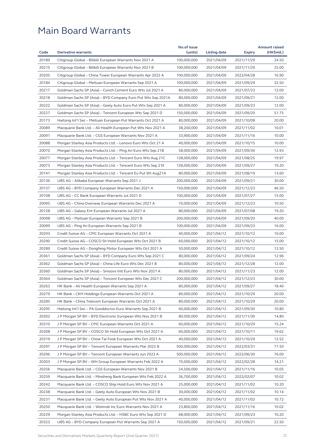|                |                                                              | No.of issue              |                          |                          | <b>Amount raised</b> |
|----------------|--------------------------------------------------------------|--------------------------|--------------------------|--------------------------|----------------------|
| Code           | <b>Derivative warrants</b>                                   | (units)                  | Listing date             | <b>Expiry</b>            | (HK\$mil.)           |
| 20189          | Citigroup Global - Bilibili European Warrants Nov 2021 A     | 100,000,000              | 2021/04/09               | 2021/11/29               | 24.50                |
| 20215          | Citigroup Global - Bilibili European Warrants Nov 2021 B     | 100,000,000              | 2021/04/09               | 2021/11/29               | 25.00                |
| 20205          | Citigroup Global - China Tower European Warrants Apr 2022 A  | 100,000,000              | 2021/04/09               | 2022/04/28               | 16.90                |
| 20184          | Citigroup Global – Meituan European Warrants Sep 2021 A      | 100,000,000              | 2021/04/09               | 2021/09/29               | 32.50                |
| 20217          | Goldman Sachs SP (Asia) - Conch Cement Euro Wts Jul 2021 A   | 80,000,000               | 2021/04/09               | 2021/07/23               | 12.00                |
| 20218          | Goldman Sachs SP (Asia) – BYD Company Euro Put Wts Sep 2021A | 80,000,000               | 2021/04/09               | 2021/09/21               | 12.00                |
| 20222          | Goldman Sachs SP (Asia) - Geely Auto Euro Put Wts Sep 2021 A | 80,000,000               | 2021/04/09               | 2021/09/23               | 12.00                |
| 20227          | Goldman Sachs SP (Asia) – Tencent European Wts Sep 2021 D    | 150,000,000              | 2021/04/09               | 2021/09/20               | 51.75                |
| 20173          | Haitong Int'l Sec - Meituan European Put Warrants Oct 2021 A | 80,000,000               | 2021/04/09               | 2021/10/08               | 20.00                |
| 20089          | Macquarie Bank Ltd. - Ali Health European Put Wts Nov 2021 A | 38,200,000               | 2021/04/09               | 2021/11/02               | 10.01                |
| 20091          | Macquarie Bank Ltd. - CGS European Warrants Nov 2021 A       | 33,900,000               | 2021/04/09               | 2021/11/16               | 10.00                |
| 20088          | Morgan Stanley Asia Products Ltd. - Lenovo Euro Wts Oct 21 A | 40,000,000               | 2021/04/09               | 2021/10/15               | 10.00                |
| 20070          | Morgan Stanley Asia Products Ltd. – Ping An Euro Wts Sep 21B | 58,000,000               | 2021/04/09               | 2021/09/30               | 12.93                |
| 20077          | Morgan Stanley Asia Products Ltd. - Tencent Euro Wts Aug 21C | 128,000,000              | 2021/04/09               | 2021/08/25               | 19.97                |
| 20073          | Morgan Stanley Asia Products Ltd. - Tencent Euro Wts Sep 21E | 128,000,000              | 2021/04/09               | 2021/09/27               | 19.20                |
| 20141          | Morgan Stanley Asia Products Ltd. - Tencent Eu Put Wt Aug21A | 80,000,000               | 2021/04/09               | 2021/08/19               | 13.60                |
| 20136          | UBS AG - Alibaba European Warrants Sep 2021 J                | 200,000,000              | 2021/04/09               | 2021/09/21               | 30.00                |
| 20137          | UBS AG - BYD Company European Warrants Dec 2021 A            | 150,000,000              | 2021/04/09               | 2021/12/23               | 46.50                |
| 20108          | UBS AG - CC Bank European Warrants Jul 2021 D                | 100,000,000              | 2021/04/09               | 2021/07/27               | 15.00                |
| 20095          | UBS AG – China Overseas European Warrants Dec 2021 A         | 70,000,000               | 2021/04/09               | 2021/12/23               | 10.50                |
| 20128          | UBS AG - Galaxy Ent European Warrants Jul 2021 A             | 80,000,000               | 2021/04/09               | 2021/07/08               | 19.20                |
| 20098          | UBS AG – Meituan European Warrants Sep 2021 B                | 200,000,000              | 2021/04/09               | 2021/09/20               | 40.00                |
| 20099          | UBS AG - Ping An European Warrants Sep 2021 B                | 100,000,000              | 2021/04/09               | 2021/09/23               | 16.00                |
| 20293          | Credit Suisse AG – CPIC European Warrants Oct 2021 A         | 40,000,000               | 2021/04/12               | 2021/10/12               | 10.00                |
| 20290          | Credit Suisse AG - COSCO Sh Hold European Wts Oct 2021 B     | 60,000,000               | 2021/04/12               | 2021/10/12               | 15.00                |
| 20289          | Credit Suisse AG – Dongfeng Motor European Wts Oct 2021 A    | 50,000,000               | 2021/04/12               | 2021/10/12               | 12.50                |
| 20361          | Goldman Sachs SP (Asia) - BYD Company Euro Wts Sep 2021 C    | 80,000,000               | 2021/04/12               | 2021/09/24               | 12.96                |
| 20362          | Goldman Sachs SP (Asia) - China Life Euro Wts Dec 2021 B     | 80,000,000               | 2021/04/12               | 2021/12/28               | 12.00                |
| 20360          | Goldman Sachs SP (Asia) - Smoore Intl Euro Wts Nov 2021 A    | 80,000,000               | 2021/04/12               | 2021/11/23               | 12.00                |
| 20364          | Goldman Sachs SP (Asia) – Tencent European Wts Dec 2021 C    | 200,000,000              | 2021/04/12               | 2021/12/23               | 30.00                |
| 20263          | HK Bank - Ali Health European Warrants Sep 2021 A            | 80,000,000               | 2021/04/12               | 2021/09/27               | 18.40                |
| 20279          | HK Bank - CKH Holdings European Warrants Oct 2021 A          | 80,000,000               | 2021/04/12               | 2021/10/29               | 20.00                |
| 20285          | HK Bank - China Telecom European Warrants Oct 2021 A         | 80,000,000               | 2021/04/12               | 2021/10/29               | 20.00                |
| 20295          | Haitong Int'l Sec - PA Gooddoctor Euro Warrants Sep 2021 B   | 60,000,000               | 2021/04/12               | 2021/09/30               | 10.80                |
| 20302          | J P Morgan SP BV – BYD Electronic European Wts Nov 2021 B    | 80,000,000               | 2021/04/12               | 2021/11/30               | 14.80                |
| 20310          | J P Morgan SP BV - CPIC European Warrants Oct 2021 A         | 60,000,000               | 2021/04/12               | 2021/10/29               | 15.24                |
| 20308          | J P Morgan SP BV – COSCO Sh Hold European Wts Oct 2021 A     | 60,000,000               | 2021/04/12               | 2021/10/11               | 19.62                |
| 20319          | J P Morgan SP BV – Chow Tai Fook European Wts Oct 2021 A     | 40,000,000               | 2021/04/12               | 2021/10/29               | 12.52                |
| 20297          | J P Morgan SP BV - Tencent European Warrants Mar 2022 B      | 500,000,000              | 2021/04/12               | 2022/03/31               | 77.50                |
| 20296          | J P Morgan SP BV - Tencent European Warrants Jun 2022 A      | 500,000,000              | 2021/04/12               | 2022/06/30               | 76.00                |
| 20303          | J P Morgan SP BV - WH Group European Warrants Feb 2022 A     | 70,000,000               | 2021/04/12               | 2022/02/28               | 14.21                |
| 20256          | Macquarie Bank Ltd. - CGS European Warrants Nov 2021 B       | 24,500,000               | 2021/04/12               | 2021/11/16               | 10.05                |
| 20259          | Macquarie Bank Ltd. - Minsheng Bank European Wts Feb 2022 A  | 36,700,000               | 2021/04/12               | 2022/02/07               | 10.02                |
| 20242          | Macquarie Bank Ltd. - COSCO Ship Hold Euro Wts Nov 2021 A    | 25,000,000               | 2021/04/12               | 2021/11/02               | 10.20                |
| 20238          | Macquarie Bank Ltd. - Geely Auto European Wts Nov 2021 B     | 30,000,000               | 2021/04/12               | 2021/11/02               | 10.14                |
| 20231          | Macquarie Bank Ltd. - Geely Auto European Put Wts Nov 2021 A | 40,000,000               |                          |                          | 10.72                |
|                | Macquarie Bank Ltd. - Weimob Inc Euro Warrants Nov 2021 A    |                          | 2021/04/12               | 2021/11/02               |                      |
| 20250<br>20229 |                                                              | 23,800,000<br>68,000,000 | 2021/04/12<br>2021/04/12 | 2021/11/16<br>2021/09/23 | 10.02<br>10.20       |
|                | Morgan Stanley Asia Products Ltd. - HSBC Euro Wts Sep 2021 D |                          |                          |                          |                      |
| 20323          | UBS AG – BYD Company European Put Warrants Sep 2021 A        | 150,000,000              | 2021/04/12               | 2021/09/21               | 22.50                |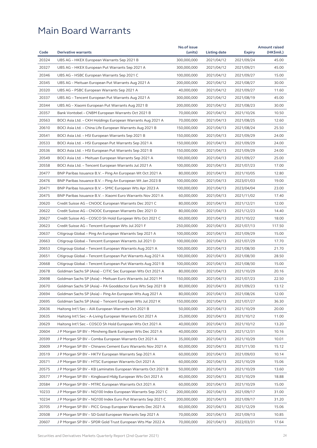|                |                                                              | No.of issue              |                          |               | <b>Amount raised</b> |
|----------------|--------------------------------------------------------------|--------------------------|--------------------------|---------------|----------------------|
| Code           | <b>Derivative warrants</b>                                   | (units)                  | Listing date             | <b>Expiry</b> | (HK\$mil.)           |
| 20324          | UBS AG - HKEX European Warrants Sep 2021 B                   | 300,000,000              | 2021/04/12               | 2021/09/24    | 45.00                |
| 20327          | UBS AG – HKEX European Put Warrants Sep 2021 A               | 300,000,000              | 2021/04/12               | 2021/09/21    | 45.00                |
| 20346          | UBS AG - HSBC European Warrants Sep 2021 C                   | 100,000,000              | 2021/04/12               | 2021/09/27    | 15.00                |
| 20345          | UBS AG - Meituan European Put Warrants Aug 2021 A            | 200,000,000              | 2021/04/12               | 2021/08/27    | 30.00                |
| 20320          | UBS AG – PSBC European Warrants Sep 2021 A                   | 40,000,000               | 2021/04/12               | 2021/09/27    | 11.60                |
| 20337          | UBS AG - Tencent European Put Warrants Aug 2021 A            | 300,000,000              | 2021/04/12               | 2021/08/19    | 45.00                |
| 20344          | UBS AG - Xiaomi European Put Warrants Aug 2021 B             | 200,000,000              | 2021/04/12               | 2021/08/23    | 30.00                |
| 20357          | Bank Vontobel - CNBM European Warrants Oct 2021 B            | 70,000,000               | 2021/04/12               | 2021/10/26    | 10.50                |
| 20563          | BOCI Asia Ltd. – CKH Holdings European Warrants Aug 2021 A   | 70,000,000               | 2021/04/13               | 2021/08/25    | 12.60                |
| 20610          | BOCI Asia Ltd. - China Life European Warrants Aug 2021 B     | 150,000,000              | 2021/04/13               | 2021/08/24    | 25.50                |
| 20541          | BOCI Asia Ltd. – HSI European Warrants Sep 2021 B            | 150,000,000              | 2021/04/13               | 2021/09/29    | 24.00                |
| 20533          | BOCI Asia Ltd. - HSI European Put Warrants Sep 2021 A        | 150,000,000              | 2021/04/13               | 2021/09/29    | 24.00                |
| 20536          | BOCI Asia Ltd. - HSI European Put Warrants Sep 2021 B        | 150,000,000              | 2021/04/13               | 2021/09/29    | 24.00                |
| 20549          | BOCI Asia Ltd. – Meituan European Warrants Sep 2021 A        | 100,000,000              | 2021/04/13               | 2021/09/27    | 25.00                |
| 20558          | BOCI Asia Ltd. - Tencent European Warrants Jul 2021 A        | 100,000,000              | 2021/04/13               | 2021/07/23    | 17.00                |
| 20477          | BNP Paribas Issuance B.V. - Ping An European Wt Oct 2021 A   | 80,000,000               | 2021/04/13               | 2021/10/05    | 12.80                |
| 20476          | BNP Paribas Issuance B.V. - Ping An European Wt Jan 2023 B   | 100,000,000              | 2021/04/13               | 2023/01/03    | 19.00                |
| 20471          | BNP Paribas Issuance B.V. – SMIC European Wts Apr 2023 A     | 100,000,000              | 2021/04/13               | 2023/04/04    | 23.00                |
| 20475          | BNP Paribas Issuance B.V. - Xiaomi Euro Warrants Nov 2021 A  | 60,000,000               | 2021/04/13               | 2021/11/02    | 17.40                |
| 20620          | Credit Suisse AG – CNOOC European Warrants Dec 2021 C        | 80,000,000               | 2021/04/13               | 2021/12/21    | 12.00                |
| 20622          | Credit Suisse AG - CNOOC European Warrants Dec 2021 D        | 80,000,000               | 2021/04/13               | 2021/12/23    | 14.40                |
| 20627          | Credit Suisse AG – COSCO Sh Hold European Wts Oct 2021 C     | 60,000,000               | 2021/04/13               | 2021/10/22    | 18.00                |
| 20623          | Credit Suisse AG – Tencent European Wts Jul 2021 F           | 250,000,000              | 2021/04/13               | 2021/07/13    | 117.50               |
| 20637          | Citigroup Global - Ping An European Warrants Sep 2021 A      | 100,000,000              | 2021/04/13               | 2021/09/29    | 15.00                |
| 20663          | Citigroup Global – Tencent European Warrants Jul 2021 D      | 100,000,000              | 2021/04/13               | 2021/07/29    | 17.70                |
| 20653          | Citigroup Global - Tencent European Warrants Aug 2021 A      | 100,000,000              | 2021/04/13               | 2021/08/30    | 21.70                |
| 20651          | Citigroup Global - Tencent European Put Warrants Aug 2021 A  | 100,000,000              | 2021/04/13               | 2021/08/30    | 28.50                |
| 20668          | Citigroup Global - Tencent European Put Warrants Aug 2021 B  | 100,000,000              | 2021/04/13               | 2021/08/30    | 15.00                |
| 20678          | Goldman Sachs SP (Asia) – CITIC Sec European Wts Oct 2021 A  | 80,000,000               | 2021/04/13               | 2021/10/29    | 20.16                |
| 20698          | Goldman Sachs SP (Asia) - Meituan Euro Warrants Jul 2021 M   | 150,000,000              | 2021/04/13               | 2021/07/23    | 22.50                |
| 20670          | Goldman Sachs SP (Asia) - PA Gooddoctor Euro Wts Sep 2021 B  | 80,000,000               | 2021/04/13               | 2021/09/23    | 13.12                |
| 20694          | Goldman Sachs SP (Asia) - Ping An European Wts Aug 2021 A    | 80,000,000               | 2021/04/13               | 2021/08/26    | 12.00                |
| 20695          | Goldman Sachs SP (Asia) – Tencent European Wts Jul 2021 K    | 150,000,000              | 2021/04/13               | 2021/07/27    | 36.30                |
| 20636          | Haitong Int'l Sec - AIA European Warrants Oct 2021 B         | 50,000,000               | 2021/04/13               | 2021/10/29    | 20.00                |
| 20635          | Haitong Int'l Sec - A-Living European Warrants Oct 2021 A    | 25,000,000               | 2021/04/13               | 2021/10/12    | 11.00                |
| 20629          | Haitong Int'l Sec – COSCO Sh Hold European Wts Oct 2021 A    | 40,000,000               | 2021/04/13               | 2021/10/12    | 13.20                |
| 20604          | J P Morgan SP BV - Minsheng Bank European Wts Dec 2021 A     | 40,000,000               | 2021/04/13               | 2021/12/31    | 10.16                |
| 20599          | J P Morgan SP BV – Comba European Warrants Oct 2021 A        | 35,000,000               | 2021/04/13               | 2021/10/29    | 10.01                |
| 20609          | J P Morgan SP BV - Chinares Cement Euro Warrants Nov 2021 A  | 60,000,000               | 2021/04/13               | 2021/11/30    | 15.12                |
| 20519          | J P Morgan SP BV – HKTV European Warrants Sep 2021 A         | 60,000,000               | 2021/04/13               | 2021/09/03    | 10.14                |
| 20571          | J P Morgan SP BV - HTSC European Warrants Oct 2021 A         | 60,000,000               | 2021/04/13               | 2021/10/29    | 15.06                |
|                |                                                              |                          |                          |               |                      |
| 20575<br>20577 | J P Morgan SP BV - KB Laminates European Warrants Oct 2021 B | 50,000,000<br>40,000,000 | 2021/04/13<br>2021/04/13 | 2021/10/29    | 13.60<br>18.88       |
|                | J P Morgan SP BV – Kingboard Hldg European Wts Oct 2021 A    |                          |                          | 2021/10/29    |                      |
| 20584          | J P Morgan SP BV - MTRC European Warrants Oct 2021 A         | 60,000,000               | 2021/04/13               | 2021/10/29    | 15.00                |
| 10233          | J P Morgan SP BV – NQ100 Index European Warrants Sep 2021 C  | 200,000,000              | 2021/04/13               | 2021/09/17    | 31.00                |
| 10234          | J P Morgan SP BV - NQ100 Index Euro Put Warrants Sep 2021 C  | 200,000,000              | 2021/04/13               | 2021/09/17    | 31.20                |
| 20705          | J P Morgan SP BV - PICC Group European Warrants Dec 2021 A   | 60,000,000               | 2021/04/13               | 2021/12/29    | 15.06                |
| 20508          | J P Morgan SP BV - SD Gold European Warrants Sep 2021 A      | 70,000,000               | 2021/04/13               | 2021/09/13    | 10.85                |
| 20607          | J P Morgan SP BV – SPDR Gold Trust European Wts Mar 2022 A   | 70,000,000               | 2021/04/13               | 2022/03/31    | 17.64                |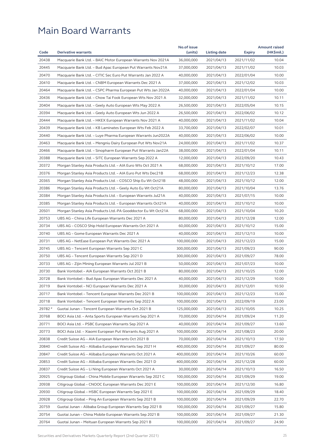|         |                                                              | No.of issue |              |               | <b>Amount raised</b> |
|---------|--------------------------------------------------------------|-------------|--------------|---------------|----------------------|
| Code    | <b>Derivative warrants</b>                                   | (units)     | Listing date | <b>Expiry</b> | (HK\$mil.)           |
| 20438   | Macquarie Bank Ltd. - BAIC Motor European Warrants Nov 2021A | 36,000,000  | 2021/04/13   | 2021/11/02    | 10.04                |
| 20445   | Macquarie Bank Ltd. - Bud Apac European Put Warrants Nov21A  | 37,000,000  | 2021/04/13   | 2021/11/02    | 10.03                |
| 20470   | Macquarie Bank Ltd. - CITIC Sec Euro Put Warrants Jan 2022 A | 40,000,000  | 2021/04/13   | 2022/01/04    | 10.00                |
| 20410   | Macquarie Bank Ltd. – CNBM European Warrants Dec 2021 A      | 37,000,000  | 2021/04/13   | 2021/12/02    | 10.03                |
| 20464   | Macquarie Bank Ltd. – CSPC Pharma European Put Wts Jan 2022A | 40,000,000  | 2021/04/13   | 2022/01/04    | 10.00                |
| 20436   | Macquarie Bank Ltd. - Chow Tai Fook European Wts Nov 2021 A  | 32,000,000  | 2021/04/13   | 2021/11/02    | 10.11                |
| 20404   | Macquarie Bank Ltd. – Geely Auto European Wts May 2022 A     | 26,500,000  | 2021/04/13   | 2022/05/04    | 10.15                |
| 20394   | Macquarie Bank Ltd. - Geely Auto European Wts Jun 2022 A     | 26,500,000  | 2021/04/13   | 2022/06/02    | 10.12                |
| 20444   | Macquarie Bank Ltd. - HKEX European Warrants Nov 2021 A      | 40,000,000  | 2021/04/13   | 2021/11/02    | 10.04                |
| 20439   | Macquarie Bank Ltd. - KB Laminates European Wts Feb 2022 A   | 33,700,000  | 2021/04/13   | 2022/02/07    | 10.01                |
| 20440   | Macquarie Bank Ltd. – Luye Pharma European Warrants Jun2022A | 40,000,000  | 2021/04/13   | 2022/06/02    | 10.00                |
| 20463   | Macquarie Bank Ltd. - Mengniu Dairy European Put Wts Nov21A  | 24,000,000  | 2021/04/13   | 2021/11/02    | 10.37                |
| 20466   | Macquarie Bank Ltd. - Sinopharm European Put Warrants Jan22A | 38,000,000  | 2021/04/13   | 2022/01/04    | 10.11                |
| 20388   | Macquarie Bank Ltd. – SITC European Warrants Sep 2022 A      | 12,000,000  | 2021/04/13   | 2022/09/20    | 10.43                |
| 20372   | Morgan Stanley Asia Products Ltd. - AIA Euro Wts Oct 2021 A  | 68,000,000  | 2021/04/13   | 2021/10/12    | 17.00                |
| 20376   | Morgan Stanley Asia Products Ltd. - AIA Euro Put Wts Dec21B  | 68,000,000  | 2021/04/13   | 2021/12/23    | 12.38                |
| 20365   | Morgan Stanley Asia Products Ltd. - COSCO Ship Eu Wt Oct21B  | 48,000,000  | 2021/04/13   | 2021/10/12    | 12.00                |
| 20386   | Morgan Stanley Asia Products Ltd. - Geely Auto Eu Wt Oct21A  | 80,000,000  | 2021/04/13   | 2021/10/04    | 13.76                |
| 20384   | Morgan Stanley Asia Products Ltd. - European Warrants Jul21A | 40,000,000  | 2021/04/13   | 2021/07/15    | 10.00                |
| 20385   | Morgan Stanley Asia Products Ltd. - European Warrants Oct21A | 40,000,000  | 2021/04/13   | 2021/10/12    | 10.00                |
| 20501   | Morgan Stanley Asia Products Ltd.-PA Gooddoctor Eu Wt Oct21A | 68,000,000  | 2021/04/13   | 2021/10/04    | 10.20                |
| 20753   | UBS AG - China Life European Warrants Dec 2021 A             | 80,000,000  | 2021/04/13   | 2021/12/28    | 12.00                |
| 20734   | UBS AG – COSCO Ship Hold European Warrants Oct 2021 A        | 60,000,000  | 2021/04/13   | 2021/10/12    | 15.00                |
| 20740   | UBS AG – Gome European Warrants Dec 2021 A                   | 40,000,000  | 2021/04/13   | 2021/12/13    | 10.00                |
| 20731   | UBS AG – NetEase European Put Warrants Dec 2021 A            | 100,000,000 | 2021/04/13   | 2021/12/23    | 15.00                |
| 20745   | UBS AG - Tencent European Warrants Sep 2021 C                | 300,000,000 | 2021/04/13   | 2021/09/23    | 90.00                |
| 20750   | UBS AG – Tencent European Warrants Sep 2021 D                | 300,000,000 | 2021/04/13   | 2021/09/27    | 78.00                |
| 20733   | UBS AG - Zijin Mining European Warrants Jul 2021 B           | 50,000,000  | 2021/04/13   | 2021/07/23    | 10.00                |
| 20730   | Bank Vontobel - AIA European Warrants Oct 2021 B             | 80,000,000  | 2021/04/13   | 2021/10/25    | 12.00                |
| 20728   | Bank Vontobel – Bud Apac European Warrants Dec 2021 A        | 40,000,000  | 2021/04/13   | 2021/12/29    | 10.00                |
| 20719   | Bank Vontobel - NCI European Warrants Dec 2021 A             | 30,000,000  | 2021/04/13   | 2021/12/01    | 10.50                |
| 20717   | Bank Vontobel - Tencent European Warrants Dec 2021 B         | 100,000,000 | 2021/04/13   | 2021/12/23    | 15.00                |
| 20718   | Bank Vontobel - Tencent European Warrants Sep 2022 A         | 100,000,000 | 2021/04/13   | 2022/09/19    | 23.00                |
| 29782 # | Guotai Junan - Tencent European Warrants Oct 2021 B          | 125,000,000 | 2021/04/13   | 2021/10/05    | 10.25                |
| 20768   | BOCI Asia Ltd. - Anta Sports European Warrants Sep 2021 A    | 70,000,000  | 2021/04/14   | 2021/09/24    | 11.20                |
| 20771   | BOCI Asia Ltd. - PSBC European Warrants Sep 2021 A           | 40,000,000  | 2021/04/14   | 2021/09/27    | 13.60                |
| 20773   | BOCI Asia Ltd. - Xiaomi European Put Warrants Aug 2021 A     | 100,000,000 | 2021/04/14   | 2021/08/23    | 20.00                |
| 20838   | Credit Suisse AG - AIA European Warrants Oct 2021 B          | 70,000,000  | 2021/04/14   | 2021/10/13    | 17.50                |
| 20840   | Credit Suisse AG - Alibaba European Warrants Sep 2021 H      | 400,000,000 | 2021/04/14   | 2021/09/27    | 80.00                |
| 20847   | Credit Suisse AG - Alibaba European Warrants Oct 2021 A      | 400,000,000 | 2021/04/14   | 2021/10/26    | 60.00                |
| 20853   | Credit Suisse AG - Alibaba European Warrants Dec 2021 D      | 400,000,000 | 2021/04/14   | 2021/12/28    | 60.00                |
| 20837   | Credit Suisse AG - Li Ning European Warrants Oct 2021 A      | 30,000,000  | 2021/04/14   | 2021/10/13    | 16.50                |
| 20925   | Citigroup Global - China Mobile European Warrants Sep 2021 C | 100,000,000 | 2021/04/14   | 2021/09/29    | 19.00                |
| 20938   | Citigroup Global - CNOOC European Warrants Dec 2021 E        | 100,000,000 | 2021/04/14   | 2021/12/30    | 16.80                |
| 20930   | Citigroup Global - HSBC European Warrants Sep 2021 E         | 100,000,000 | 2021/04/14   | 2021/09/29    | 18.40                |
| 20928   | Citigroup Global - Ping An European Warrants Sep 2021 B      | 100,000,000 | 2021/04/14   | 2021/09/29    | 22.70                |
| 20759   | Guotai Junan - Alibaba Group European Warrants Sep 2021 B    | 100,000,000 | 2021/04/14   | 2021/09/27    | 15.80                |
| 20754   | Guotai Junan - China Mobile European Warrants Sep 2021 B     | 100,000,000 | 2021/04/14   | 2021/09/27    | 21.30                |
| 20764   | Guotai Junan - Meituan European Warrants Sep 2021 B          | 100,000,000 | 2021/04/14   | 2021/09/27    | 24.90                |
|         |                                                              |             |              |               |                      |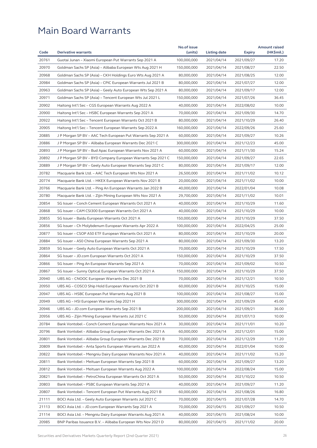| Code<br><b>Derivative warrants</b><br>(units)<br>(HK\$mil.)<br>Listing date<br><b>Expiry</b><br>20761<br>Guotai Junan - Xiaomi European Put Warrants Sep 2021 A<br>100,000,000<br>2021/04/14<br>2021/09/27<br>17.20<br>20970<br>2021/04/14<br>Goldman Sachs SP (Asia) – Alibaba European Wts Aug 2021 H<br>150,000,000<br>2021/08/27<br>22.50<br>20968<br>12.00<br>Goldman Sachs SP (Asia) - CKH Holdings Euro Wts Aug 2021 A<br>80,000,000<br>2021/04/14<br>2021/08/25<br>20984<br>Goldman Sachs SP (Asia) - CPIC European Warrants Jul 2021 B<br>80,000,000<br>2021/04/14<br>2021/07/27<br>12.00<br>20963<br>Goldman Sachs SP (Asia) – Geely Auto European Wts Sep 2021 A<br>80,000,000<br>2021/04/14<br>2021/09/17<br>12.00<br>20971<br>Goldman Sachs SP (Asia) - Tencent European Wts Jul 2021 L<br>150,000,000<br>2021/04/14<br>2021/07/26<br>36.45<br>20902<br>Haitong Int'l Sec - CGS European Warrants Aug 2022 A<br>40,000,000<br>2021/04/14<br>2022/08/02<br>10.00<br>20900<br>Haitong Int'l Sec - HSBC European Warrants Sep 2021 A<br>70,000,000<br>2021/09/30<br>14.70<br>2021/04/14<br>20922<br>26.40<br>Haitong Int'l Sec - Tencent European Warrants Oct 2021 B<br>80,000,000<br>2021/04/14<br>2021/10/29<br>20905<br>Haitong Int'l Sec - Tencent European Warrants Sep 2022 A<br>160,000,000<br>2021/04/14<br>25.60<br>2022/09/26<br>20885<br>J P Morgan SP BV - AAC Tech European Put Warrants Sep 2021 A<br>10.26<br>60,000,000<br>2021/04/14<br>2021/09/27<br>20886<br>J P Morgan SP BV - Alibaba European Warrants Dec 2021 C<br>300,000,000<br>2021/04/14<br>2021/12/23<br>45.00<br>20893<br>15.24<br>J P Morgan SP BV – Bud Apac European Warrants Nov 2021 A<br>60,000,000<br>2021/04/14<br>2021/11/30<br>20892<br>22.65<br>J P Morgan SP BV – BYD Company European Warrants Sep 2021 C<br>150,000,000<br>2021/04/14<br>2021/09/27<br>20889<br>12.00<br>J P Morgan SP BV - Geely Auto European Warrants Sep 2021 C<br>80,000,000<br>2021/04/14<br>2021/09/17<br>20782<br>10.12<br>Macquarie Bank Ltd. - AAC Tech European Wts Nov 2021 A<br>26,500,000<br>2021/04/14<br>2021/11/02<br>20774<br>10.00<br>Macquarie Bank Ltd. - HKEX European Warrants Nov 2021 B<br>20,000,000<br>2021/04/14<br>2021/11/02<br>20766<br>10.08<br>40,000,000<br>2021/04/14<br>Macquarie Bank Ltd. – Ping An European Warrants Jan 2022 B<br>2022/01/04<br>20780<br>29,700,000<br>2021/11/02<br>10.01<br>Macquarie Bank Ltd. - Zijin Mining European Wts Nov 2021 A<br>2021/04/14<br>20854<br>11.60<br>SG Issuer – Conch Cement European Warrants Oct 2021 A<br>40,000,000<br>2021/04/14<br>2021/10/29<br>20868<br>SG Issuer - CAM CSI300 European Warrants Oct 2021 A<br>40,000,000<br>2021/04/14<br>2021/10/29<br>10.00<br>20855<br>SG Issuer - Baidu European Warrants Oct 2021 A<br>37.50<br>150,000,000<br>2021/04/14<br>2021/10/29<br>20856<br>25.00<br>SG Issuer - Ch Molybdenum European Warrants Apr 2022 A<br>100,000,000<br>2021/04/14<br>2022/04/25<br>20877<br>20.00<br>SG Issuer – CSOP A50 ETF European Warrants Oct 2021 A<br>80,000,000<br>2021/04/14<br>2021/10/29<br>20884<br>13.20<br>SG Issuer - A50 China European Warrants Sep 2021 A<br>80,000,000<br>2021/04/14<br>2021/09/30<br>20859<br>SG Issuer - Geely Auto European Warrants Oct 2021 A<br>70,000,000<br>2021/04/14<br>2021/10/29<br>17.50<br>20864<br>SG Issuer - JD.com European Warrants Oct 2021 A<br>150,000,000<br>37.50<br>2021/04/14<br>2021/10/29<br>20866<br>70,000,000<br>2021/04/14<br>2021/09/02<br>10.50<br>SG Issuer – Ping An European Warrants Sep 2021 A<br>37.50<br>20867<br>150,000,000<br>SG Issuer - Sunny Optical European Warrants Oct 2021 A<br>2021/04/14<br>2021/10/29<br>20940<br>UBS AG - CNOOC European Warrants Dec 2021 B<br>70,000,000<br>2021/04/14<br>2021/12/21<br>10.50<br>20950<br>UBS AG - COSCO Ship Hold European Warrants Oct 2021 B<br>15.00<br>60,000,000<br>2021/04/14<br>2021/10/25<br>20947<br>UBS AG - HSBC European Put Warrants Aug 2021 B<br>100,000,000<br>2021/04/14<br>2021/08/27<br>15.00<br>20949<br>300,000,000<br>2021/04/14<br>2021/09/29<br>45.00<br>UBS AG - HSI European Warrants Sep 2021 H<br>20946<br>UBS AG - JD.com European Warrants Sep 2021 B<br>200,000,000<br>36.00<br>2021/04/14<br>2021/09/21<br>20956<br>UBS AG - Zijin Mining European Warrants Jul 2021 C<br>50,000,000<br>2021/04/14<br>2021/07/13<br>10.00<br>20784<br>Bank Vontobel - Conch Cement European Warrants Nov 2021 A<br>30,000,000<br>2021/04/14<br>2021/11/01<br>10.20<br>20796<br>15.00<br>Bank Vontobel - Alibaba Group European Warrants Dec 2021 A<br>60,000,000<br>2021/04/14<br>2021/12/01<br>20801<br>Bank Vontobel - Alibaba Group European Warrants Dec 2021 B<br>70,000,000<br>2021/04/14<br>11.20<br>2021/12/29<br>20809<br>Bank Vontobel - Anta Sports European Warrants Jan 2022 A<br>40,000,000<br>2021/04/14<br>2022/01/04<br>10.00<br>20822<br>Bank Vontobel - Mengniu Dairy European Warrants Nov 2021 A<br>40,000,000<br>15.20<br>2021/04/14<br>2021/11/02<br>20811<br>Bank Vontobel - Meituan European Warrants Sep 2021 B<br>60,000,000<br>2021/04/14<br>2021/09/27<br>13.20<br>20812<br>15.00<br>Bank Vontobel - Meituan European Warrants Aug 2022 A<br>100,000,000<br>2021/04/14<br>2022/08/24<br>20821<br>Bank Vontobel - PetroChina European Warrants Oct 2021 A<br>50,000,000<br>2021/04/14<br>2021/10/22<br>10.50<br>20803<br>Bank Vontobel - PSBC European Warrants Sep 2021 A<br>40,000,000<br>2021/04/14<br>2021/09/27<br>11.20<br>20807<br>Bank Vontobel - Tencent European Put Warrants Aug 2021 B<br>60,000,000<br>16.80<br>2021/04/14<br>2021/08/26<br>21111<br>BOCI Asia Ltd. - Geely Auto European Warrants Jul 2021 C<br>70,000,000<br>2021/04/15<br>2021/07/28<br>14.70<br>21113<br>BOCI Asia Ltd. - JD.com European Warrants Sep 2021 A<br>70,000,000<br>2021/04/15<br>2021/09/27<br>10.50<br>21114<br>BOCI Asia Ltd. - Mengniu Dairy European Warrants Aug 2021 A<br>40,000,000<br>2021/04/15<br>2021/08/24<br>10.00<br>20985<br>BNP Paribas Issuance B.V. - Alibaba European Wts Nov 2021 D<br>80,000,000<br>2021/04/15<br>2021/11/02<br>20.00 |  | No.of issue |  | <b>Amount raised</b> |
|------------------------------------------------------------------------------------------------------------------------------------------------------------------------------------------------------------------------------------------------------------------------------------------------------------------------------------------------------------------------------------------------------------------------------------------------------------------------------------------------------------------------------------------------------------------------------------------------------------------------------------------------------------------------------------------------------------------------------------------------------------------------------------------------------------------------------------------------------------------------------------------------------------------------------------------------------------------------------------------------------------------------------------------------------------------------------------------------------------------------------------------------------------------------------------------------------------------------------------------------------------------------------------------------------------------------------------------------------------------------------------------------------------------------------------------------------------------------------------------------------------------------------------------------------------------------------------------------------------------------------------------------------------------------------------------------------------------------------------------------------------------------------------------------------------------------------------------------------------------------------------------------------------------------------------------------------------------------------------------------------------------------------------------------------------------------------------------------------------------------------------------------------------------------------------------------------------------------------------------------------------------------------------------------------------------------------------------------------------------------------------------------------------------------------------------------------------------------------------------------------------------------------------------------------------------------------------------------------------------------------------------------------------------------------------------------------------------------------------------------------------------------------------------------------------------------------------------------------------------------------------------------------------------------------------------------------------------------------------------------------------------------------------------------------------------------------------------------------------------------------------------------------------------------------------------------------------------------------------------------------------------------------------------------------------------------------------------------------------------------------------------------------------------------------------------------------------------------------------------------------------------------------------------------------------------------------------------------------------------------------------------------------------------------------------------------------------------------------------------------------------------------------------------------------------------------------------------------------------------------------------------------------------------------------------------------------------------------------------------------------------------------------------------------------------------------------------------------------------------------------------------------------------------------------------------------------------------------------------------------------------------------------------------------------------------------------------------------------------------------------------------------------------------------------------------------------------------------------------------------------------------------------------------------------------------------------------------------------------------------------------------------------------------------------------------------------------------------------------------------------------------------------------------------------------------------------------------------------------------------------------------------------------------------------------------------------------------------------------------------------------------------------------------------------------------------------------------------------------------------------------------------------------------------------------------------------------------------------------------------------------------------------------------------------------------------------------------------------------------------------------------------------------------------------------------------------------------------------------------------------------------------------------------------------------------------------------------------------------------------------------------------------------------------------------------------------------------------------------------------------------------------------------------------------------------------------------------------------------------------------------------------------------------------------------------------------------------------------------------------------------------------------------------------------------------------------------------------------------------------|--|-------------|--|----------------------|
|                                                                                                                                                                                                                                                                                                                                                                                                                                                                                                                                                                                                                                                                                                                                                                                                                                                                                                                                                                                                                                                                                                                                                                                                                                                                                                                                                                                                                                                                                                                                                                                                                                                                                                                                                                                                                                                                                                                                                                                                                                                                                                                                                                                                                                                                                                                                                                                                                                                                                                                                                                                                                                                                                                                                                                                                                                                                                                                                                                                                                                                                                                                                                                                                                                                                                                                                                                                                                                                                                                                                                                                                                                                                                                                                                                                                                                                                                                                                                                                                                                                                                                                                                                                                                                                                                                                                                                                                                                                                                                                                                                                                                                                                                                                                                                                                                                                                                                                                                                                                                                                                                                                                                                                                                                                                                                                                                                                                                                                                                                                                                                                                                                                                                                                                                                                                                                                                                                                                                                                                                                                                                                                        |  |             |  |                      |
|                                                                                                                                                                                                                                                                                                                                                                                                                                                                                                                                                                                                                                                                                                                                                                                                                                                                                                                                                                                                                                                                                                                                                                                                                                                                                                                                                                                                                                                                                                                                                                                                                                                                                                                                                                                                                                                                                                                                                                                                                                                                                                                                                                                                                                                                                                                                                                                                                                                                                                                                                                                                                                                                                                                                                                                                                                                                                                                                                                                                                                                                                                                                                                                                                                                                                                                                                                                                                                                                                                                                                                                                                                                                                                                                                                                                                                                                                                                                                                                                                                                                                                                                                                                                                                                                                                                                                                                                                                                                                                                                                                                                                                                                                                                                                                                                                                                                                                                                                                                                                                                                                                                                                                                                                                                                                                                                                                                                                                                                                                                                                                                                                                                                                                                                                                                                                                                                                                                                                                                                                                                                                                                        |  |             |  |                      |
|                                                                                                                                                                                                                                                                                                                                                                                                                                                                                                                                                                                                                                                                                                                                                                                                                                                                                                                                                                                                                                                                                                                                                                                                                                                                                                                                                                                                                                                                                                                                                                                                                                                                                                                                                                                                                                                                                                                                                                                                                                                                                                                                                                                                                                                                                                                                                                                                                                                                                                                                                                                                                                                                                                                                                                                                                                                                                                                                                                                                                                                                                                                                                                                                                                                                                                                                                                                                                                                                                                                                                                                                                                                                                                                                                                                                                                                                                                                                                                                                                                                                                                                                                                                                                                                                                                                                                                                                                                                                                                                                                                                                                                                                                                                                                                                                                                                                                                                                                                                                                                                                                                                                                                                                                                                                                                                                                                                                                                                                                                                                                                                                                                                                                                                                                                                                                                                                                                                                                                                                                                                                                                                        |  |             |  |                      |
|                                                                                                                                                                                                                                                                                                                                                                                                                                                                                                                                                                                                                                                                                                                                                                                                                                                                                                                                                                                                                                                                                                                                                                                                                                                                                                                                                                                                                                                                                                                                                                                                                                                                                                                                                                                                                                                                                                                                                                                                                                                                                                                                                                                                                                                                                                                                                                                                                                                                                                                                                                                                                                                                                                                                                                                                                                                                                                                                                                                                                                                                                                                                                                                                                                                                                                                                                                                                                                                                                                                                                                                                                                                                                                                                                                                                                                                                                                                                                                                                                                                                                                                                                                                                                                                                                                                                                                                                                                                                                                                                                                                                                                                                                                                                                                                                                                                                                                                                                                                                                                                                                                                                                                                                                                                                                                                                                                                                                                                                                                                                                                                                                                                                                                                                                                                                                                                                                                                                                                                                                                                                                                                        |  |             |  |                      |
|                                                                                                                                                                                                                                                                                                                                                                                                                                                                                                                                                                                                                                                                                                                                                                                                                                                                                                                                                                                                                                                                                                                                                                                                                                                                                                                                                                                                                                                                                                                                                                                                                                                                                                                                                                                                                                                                                                                                                                                                                                                                                                                                                                                                                                                                                                                                                                                                                                                                                                                                                                                                                                                                                                                                                                                                                                                                                                                                                                                                                                                                                                                                                                                                                                                                                                                                                                                                                                                                                                                                                                                                                                                                                                                                                                                                                                                                                                                                                                                                                                                                                                                                                                                                                                                                                                                                                                                                                                                                                                                                                                                                                                                                                                                                                                                                                                                                                                                                                                                                                                                                                                                                                                                                                                                                                                                                                                                                                                                                                                                                                                                                                                                                                                                                                                                                                                                                                                                                                                                                                                                                                                                        |  |             |  |                      |
|                                                                                                                                                                                                                                                                                                                                                                                                                                                                                                                                                                                                                                                                                                                                                                                                                                                                                                                                                                                                                                                                                                                                                                                                                                                                                                                                                                                                                                                                                                                                                                                                                                                                                                                                                                                                                                                                                                                                                                                                                                                                                                                                                                                                                                                                                                                                                                                                                                                                                                                                                                                                                                                                                                                                                                                                                                                                                                                                                                                                                                                                                                                                                                                                                                                                                                                                                                                                                                                                                                                                                                                                                                                                                                                                                                                                                                                                                                                                                                                                                                                                                                                                                                                                                                                                                                                                                                                                                                                                                                                                                                                                                                                                                                                                                                                                                                                                                                                                                                                                                                                                                                                                                                                                                                                                                                                                                                                                                                                                                                                                                                                                                                                                                                                                                                                                                                                                                                                                                                                                                                                                                                                        |  |             |  |                      |
|                                                                                                                                                                                                                                                                                                                                                                                                                                                                                                                                                                                                                                                                                                                                                                                                                                                                                                                                                                                                                                                                                                                                                                                                                                                                                                                                                                                                                                                                                                                                                                                                                                                                                                                                                                                                                                                                                                                                                                                                                                                                                                                                                                                                                                                                                                                                                                                                                                                                                                                                                                                                                                                                                                                                                                                                                                                                                                                                                                                                                                                                                                                                                                                                                                                                                                                                                                                                                                                                                                                                                                                                                                                                                                                                                                                                                                                                                                                                                                                                                                                                                                                                                                                                                                                                                                                                                                                                                                                                                                                                                                                                                                                                                                                                                                                                                                                                                                                                                                                                                                                                                                                                                                                                                                                                                                                                                                                                                                                                                                                                                                                                                                                                                                                                                                                                                                                                                                                                                                                                                                                                                                                        |  |             |  |                      |
|                                                                                                                                                                                                                                                                                                                                                                                                                                                                                                                                                                                                                                                                                                                                                                                                                                                                                                                                                                                                                                                                                                                                                                                                                                                                                                                                                                                                                                                                                                                                                                                                                                                                                                                                                                                                                                                                                                                                                                                                                                                                                                                                                                                                                                                                                                                                                                                                                                                                                                                                                                                                                                                                                                                                                                                                                                                                                                                                                                                                                                                                                                                                                                                                                                                                                                                                                                                                                                                                                                                                                                                                                                                                                                                                                                                                                                                                                                                                                                                                                                                                                                                                                                                                                                                                                                                                                                                                                                                                                                                                                                                                                                                                                                                                                                                                                                                                                                                                                                                                                                                                                                                                                                                                                                                                                                                                                                                                                                                                                                                                                                                                                                                                                                                                                                                                                                                                                                                                                                                                                                                                                                                        |  |             |  |                      |
|                                                                                                                                                                                                                                                                                                                                                                                                                                                                                                                                                                                                                                                                                                                                                                                                                                                                                                                                                                                                                                                                                                                                                                                                                                                                                                                                                                                                                                                                                                                                                                                                                                                                                                                                                                                                                                                                                                                                                                                                                                                                                                                                                                                                                                                                                                                                                                                                                                                                                                                                                                                                                                                                                                                                                                                                                                                                                                                                                                                                                                                                                                                                                                                                                                                                                                                                                                                                                                                                                                                                                                                                                                                                                                                                                                                                                                                                                                                                                                                                                                                                                                                                                                                                                                                                                                                                                                                                                                                                                                                                                                                                                                                                                                                                                                                                                                                                                                                                                                                                                                                                                                                                                                                                                                                                                                                                                                                                                                                                                                                                                                                                                                                                                                                                                                                                                                                                                                                                                                                                                                                                                                                        |  |             |  |                      |
|                                                                                                                                                                                                                                                                                                                                                                                                                                                                                                                                                                                                                                                                                                                                                                                                                                                                                                                                                                                                                                                                                                                                                                                                                                                                                                                                                                                                                                                                                                                                                                                                                                                                                                                                                                                                                                                                                                                                                                                                                                                                                                                                                                                                                                                                                                                                                                                                                                                                                                                                                                                                                                                                                                                                                                                                                                                                                                                                                                                                                                                                                                                                                                                                                                                                                                                                                                                                                                                                                                                                                                                                                                                                                                                                                                                                                                                                                                                                                                                                                                                                                                                                                                                                                                                                                                                                                                                                                                                                                                                                                                                                                                                                                                                                                                                                                                                                                                                                                                                                                                                                                                                                                                                                                                                                                                                                                                                                                                                                                                                                                                                                                                                                                                                                                                                                                                                                                                                                                                                                                                                                                                                        |  |             |  |                      |
|                                                                                                                                                                                                                                                                                                                                                                                                                                                                                                                                                                                                                                                                                                                                                                                                                                                                                                                                                                                                                                                                                                                                                                                                                                                                                                                                                                                                                                                                                                                                                                                                                                                                                                                                                                                                                                                                                                                                                                                                                                                                                                                                                                                                                                                                                                                                                                                                                                                                                                                                                                                                                                                                                                                                                                                                                                                                                                                                                                                                                                                                                                                                                                                                                                                                                                                                                                                                                                                                                                                                                                                                                                                                                                                                                                                                                                                                                                                                                                                                                                                                                                                                                                                                                                                                                                                                                                                                                                                                                                                                                                                                                                                                                                                                                                                                                                                                                                                                                                                                                                                                                                                                                                                                                                                                                                                                                                                                                                                                                                                                                                                                                                                                                                                                                                                                                                                                                                                                                                                                                                                                                                                        |  |             |  |                      |
|                                                                                                                                                                                                                                                                                                                                                                                                                                                                                                                                                                                                                                                                                                                                                                                                                                                                                                                                                                                                                                                                                                                                                                                                                                                                                                                                                                                                                                                                                                                                                                                                                                                                                                                                                                                                                                                                                                                                                                                                                                                                                                                                                                                                                                                                                                                                                                                                                                                                                                                                                                                                                                                                                                                                                                                                                                                                                                                                                                                                                                                                                                                                                                                                                                                                                                                                                                                                                                                                                                                                                                                                                                                                                                                                                                                                                                                                                                                                                                                                                                                                                                                                                                                                                                                                                                                                                                                                                                                                                                                                                                                                                                                                                                                                                                                                                                                                                                                                                                                                                                                                                                                                                                                                                                                                                                                                                                                                                                                                                                                                                                                                                                                                                                                                                                                                                                                                                                                                                                                                                                                                                                                        |  |             |  |                      |
|                                                                                                                                                                                                                                                                                                                                                                                                                                                                                                                                                                                                                                                                                                                                                                                                                                                                                                                                                                                                                                                                                                                                                                                                                                                                                                                                                                                                                                                                                                                                                                                                                                                                                                                                                                                                                                                                                                                                                                                                                                                                                                                                                                                                                                                                                                                                                                                                                                                                                                                                                                                                                                                                                                                                                                                                                                                                                                                                                                                                                                                                                                                                                                                                                                                                                                                                                                                                                                                                                                                                                                                                                                                                                                                                                                                                                                                                                                                                                                                                                                                                                                                                                                                                                                                                                                                                                                                                                                                                                                                                                                                                                                                                                                                                                                                                                                                                                                                                                                                                                                                                                                                                                                                                                                                                                                                                                                                                                                                                                                                                                                                                                                                                                                                                                                                                                                                                                                                                                                                                                                                                                                                        |  |             |  |                      |
|                                                                                                                                                                                                                                                                                                                                                                                                                                                                                                                                                                                                                                                                                                                                                                                                                                                                                                                                                                                                                                                                                                                                                                                                                                                                                                                                                                                                                                                                                                                                                                                                                                                                                                                                                                                                                                                                                                                                                                                                                                                                                                                                                                                                                                                                                                                                                                                                                                                                                                                                                                                                                                                                                                                                                                                                                                                                                                                                                                                                                                                                                                                                                                                                                                                                                                                                                                                                                                                                                                                                                                                                                                                                                                                                                                                                                                                                                                                                                                                                                                                                                                                                                                                                                                                                                                                                                                                                                                                                                                                                                                                                                                                                                                                                                                                                                                                                                                                                                                                                                                                                                                                                                                                                                                                                                                                                                                                                                                                                                                                                                                                                                                                                                                                                                                                                                                                                                                                                                                                                                                                                                                                        |  |             |  |                      |
|                                                                                                                                                                                                                                                                                                                                                                                                                                                                                                                                                                                                                                                                                                                                                                                                                                                                                                                                                                                                                                                                                                                                                                                                                                                                                                                                                                                                                                                                                                                                                                                                                                                                                                                                                                                                                                                                                                                                                                                                                                                                                                                                                                                                                                                                                                                                                                                                                                                                                                                                                                                                                                                                                                                                                                                                                                                                                                                                                                                                                                                                                                                                                                                                                                                                                                                                                                                                                                                                                                                                                                                                                                                                                                                                                                                                                                                                                                                                                                                                                                                                                                                                                                                                                                                                                                                                                                                                                                                                                                                                                                                                                                                                                                                                                                                                                                                                                                                                                                                                                                                                                                                                                                                                                                                                                                                                                                                                                                                                                                                                                                                                                                                                                                                                                                                                                                                                                                                                                                                                                                                                                                                        |  |             |  |                      |
|                                                                                                                                                                                                                                                                                                                                                                                                                                                                                                                                                                                                                                                                                                                                                                                                                                                                                                                                                                                                                                                                                                                                                                                                                                                                                                                                                                                                                                                                                                                                                                                                                                                                                                                                                                                                                                                                                                                                                                                                                                                                                                                                                                                                                                                                                                                                                                                                                                                                                                                                                                                                                                                                                                                                                                                                                                                                                                                                                                                                                                                                                                                                                                                                                                                                                                                                                                                                                                                                                                                                                                                                                                                                                                                                                                                                                                                                                                                                                                                                                                                                                                                                                                                                                                                                                                                                                                                                                                                                                                                                                                                                                                                                                                                                                                                                                                                                                                                                                                                                                                                                                                                                                                                                                                                                                                                                                                                                                                                                                                                                                                                                                                                                                                                                                                                                                                                                                                                                                                                                                                                                                                                        |  |             |  |                      |
|                                                                                                                                                                                                                                                                                                                                                                                                                                                                                                                                                                                                                                                                                                                                                                                                                                                                                                                                                                                                                                                                                                                                                                                                                                                                                                                                                                                                                                                                                                                                                                                                                                                                                                                                                                                                                                                                                                                                                                                                                                                                                                                                                                                                                                                                                                                                                                                                                                                                                                                                                                                                                                                                                                                                                                                                                                                                                                                                                                                                                                                                                                                                                                                                                                                                                                                                                                                                                                                                                                                                                                                                                                                                                                                                                                                                                                                                                                                                                                                                                                                                                                                                                                                                                                                                                                                                                                                                                                                                                                                                                                                                                                                                                                                                                                                                                                                                                                                                                                                                                                                                                                                                                                                                                                                                                                                                                                                                                                                                                                                                                                                                                                                                                                                                                                                                                                                                                                                                                                                                                                                                                                                        |  |             |  |                      |
|                                                                                                                                                                                                                                                                                                                                                                                                                                                                                                                                                                                                                                                                                                                                                                                                                                                                                                                                                                                                                                                                                                                                                                                                                                                                                                                                                                                                                                                                                                                                                                                                                                                                                                                                                                                                                                                                                                                                                                                                                                                                                                                                                                                                                                                                                                                                                                                                                                                                                                                                                                                                                                                                                                                                                                                                                                                                                                                                                                                                                                                                                                                                                                                                                                                                                                                                                                                                                                                                                                                                                                                                                                                                                                                                                                                                                                                                                                                                                                                                                                                                                                                                                                                                                                                                                                                                                                                                                                                                                                                                                                                                                                                                                                                                                                                                                                                                                                                                                                                                                                                                                                                                                                                                                                                                                                                                                                                                                                                                                                                                                                                                                                                                                                                                                                                                                                                                                                                                                                                                                                                                                                                        |  |             |  |                      |
|                                                                                                                                                                                                                                                                                                                                                                                                                                                                                                                                                                                                                                                                                                                                                                                                                                                                                                                                                                                                                                                                                                                                                                                                                                                                                                                                                                                                                                                                                                                                                                                                                                                                                                                                                                                                                                                                                                                                                                                                                                                                                                                                                                                                                                                                                                                                                                                                                                                                                                                                                                                                                                                                                                                                                                                                                                                                                                                                                                                                                                                                                                                                                                                                                                                                                                                                                                                                                                                                                                                                                                                                                                                                                                                                                                                                                                                                                                                                                                                                                                                                                                                                                                                                                                                                                                                                                                                                                                                                                                                                                                                                                                                                                                                                                                                                                                                                                                                                                                                                                                                                                                                                                                                                                                                                                                                                                                                                                                                                                                                                                                                                                                                                                                                                                                                                                                                                                                                                                                                                                                                                                                                        |  |             |  |                      |
|                                                                                                                                                                                                                                                                                                                                                                                                                                                                                                                                                                                                                                                                                                                                                                                                                                                                                                                                                                                                                                                                                                                                                                                                                                                                                                                                                                                                                                                                                                                                                                                                                                                                                                                                                                                                                                                                                                                                                                                                                                                                                                                                                                                                                                                                                                                                                                                                                                                                                                                                                                                                                                                                                                                                                                                                                                                                                                                                                                                                                                                                                                                                                                                                                                                                                                                                                                                                                                                                                                                                                                                                                                                                                                                                                                                                                                                                                                                                                                                                                                                                                                                                                                                                                                                                                                                                                                                                                                                                                                                                                                                                                                                                                                                                                                                                                                                                                                                                                                                                                                                                                                                                                                                                                                                                                                                                                                                                                                                                                                                                                                                                                                                                                                                                                                                                                                                                                                                                                                                                                                                                                                                        |  |             |  |                      |
|                                                                                                                                                                                                                                                                                                                                                                                                                                                                                                                                                                                                                                                                                                                                                                                                                                                                                                                                                                                                                                                                                                                                                                                                                                                                                                                                                                                                                                                                                                                                                                                                                                                                                                                                                                                                                                                                                                                                                                                                                                                                                                                                                                                                                                                                                                                                                                                                                                                                                                                                                                                                                                                                                                                                                                                                                                                                                                                                                                                                                                                                                                                                                                                                                                                                                                                                                                                                                                                                                                                                                                                                                                                                                                                                                                                                                                                                                                                                                                                                                                                                                                                                                                                                                                                                                                                                                                                                                                                                                                                                                                                                                                                                                                                                                                                                                                                                                                                                                                                                                                                                                                                                                                                                                                                                                                                                                                                                                                                                                                                                                                                                                                                                                                                                                                                                                                                                                                                                                                                                                                                                                                                        |  |             |  |                      |
|                                                                                                                                                                                                                                                                                                                                                                                                                                                                                                                                                                                                                                                                                                                                                                                                                                                                                                                                                                                                                                                                                                                                                                                                                                                                                                                                                                                                                                                                                                                                                                                                                                                                                                                                                                                                                                                                                                                                                                                                                                                                                                                                                                                                                                                                                                                                                                                                                                                                                                                                                                                                                                                                                                                                                                                                                                                                                                                                                                                                                                                                                                                                                                                                                                                                                                                                                                                                                                                                                                                                                                                                                                                                                                                                                                                                                                                                                                                                                                                                                                                                                                                                                                                                                                                                                                                                                                                                                                                                                                                                                                                                                                                                                                                                                                                                                                                                                                                                                                                                                                                                                                                                                                                                                                                                                                                                                                                                                                                                                                                                                                                                                                                                                                                                                                                                                                                                                                                                                                                                                                                                                                                        |  |             |  |                      |
|                                                                                                                                                                                                                                                                                                                                                                                                                                                                                                                                                                                                                                                                                                                                                                                                                                                                                                                                                                                                                                                                                                                                                                                                                                                                                                                                                                                                                                                                                                                                                                                                                                                                                                                                                                                                                                                                                                                                                                                                                                                                                                                                                                                                                                                                                                                                                                                                                                                                                                                                                                                                                                                                                                                                                                                                                                                                                                                                                                                                                                                                                                                                                                                                                                                                                                                                                                                                                                                                                                                                                                                                                                                                                                                                                                                                                                                                                                                                                                                                                                                                                                                                                                                                                                                                                                                                                                                                                                                                                                                                                                                                                                                                                                                                                                                                                                                                                                                                                                                                                                                                                                                                                                                                                                                                                                                                                                                                                                                                                                                                                                                                                                                                                                                                                                                                                                                                                                                                                                                                                                                                                                                        |  |             |  |                      |
|                                                                                                                                                                                                                                                                                                                                                                                                                                                                                                                                                                                                                                                                                                                                                                                                                                                                                                                                                                                                                                                                                                                                                                                                                                                                                                                                                                                                                                                                                                                                                                                                                                                                                                                                                                                                                                                                                                                                                                                                                                                                                                                                                                                                                                                                                                                                                                                                                                                                                                                                                                                                                                                                                                                                                                                                                                                                                                                                                                                                                                                                                                                                                                                                                                                                                                                                                                                                                                                                                                                                                                                                                                                                                                                                                                                                                                                                                                                                                                                                                                                                                                                                                                                                                                                                                                                                                                                                                                                                                                                                                                                                                                                                                                                                                                                                                                                                                                                                                                                                                                                                                                                                                                                                                                                                                                                                                                                                                                                                                                                                                                                                                                                                                                                                                                                                                                                                                                                                                                                                                                                                                                                        |  |             |  |                      |
|                                                                                                                                                                                                                                                                                                                                                                                                                                                                                                                                                                                                                                                                                                                                                                                                                                                                                                                                                                                                                                                                                                                                                                                                                                                                                                                                                                                                                                                                                                                                                                                                                                                                                                                                                                                                                                                                                                                                                                                                                                                                                                                                                                                                                                                                                                                                                                                                                                                                                                                                                                                                                                                                                                                                                                                                                                                                                                                                                                                                                                                                                                                                                                                                                                                                                                                                                                                                                                                                                                                                                                                                                                                                                                                                                                                                                                                                                                                                                                                                                                                                                                                                                                                                                                                                                                                                                                                                                                                                                                                                                                                                                                                                                                                                                                                                                                                                                                                                                                                                                                                                                                                                                                                                                                                                                                                                                                                                                                                                                                                                                                                                                                                                                                                                                                                                                                                                                                                                                                                                                                                                                                                        |  |             |  |                      |
|                                                                                                                                                                                                                                                                                                                                                                                                                                                                                                                                                                                                                                                                                                                                                                                                                                                                                                                                                                                                                                                                                                                                                                                                                                                                                                                                                                                                                                                                                                                                                                                                                                                                                                                                                                                                                                                                                                                                                                                                                                                                                                                                                                                                                                                                                                                                                                                                                                                                                                                                                                                                                                                                                                                                                                                                                                                                                                                                                                                                                                                                                                                                                                                                                                                                                                                                                                                                                                                                                                                                                                                                                                                                                                                                                                                                                                                                                                                                                                                                                                                                                                                                                                                                                                                                                                                                                                                                                                                                                                                                                                                                                                                                                                                                                                                                                                                                                                                                                                                                                                                                                                                                                                                                                                                                                                                                                                                                                                                                                                                                                                                                                                                                                                                                                                                                                                                                                                                                                                                                                                                                                                                        |  |             |  |                      |
|                                                                                                                                                                                                                                                                                                                                                                                                                                                                                                                                                                                                                                                                                                                                                                                                                                                                                                                                                                                                                                                                                                                                                                                                                                                                                                                                                                                                                                                                                                                                                                                                                                                                                                                                                                                                                                                                                                                                                                                                                                                                                                                                                                                                                                                                                                                                                                                                                                                                                                                                                                                                                                                                                                                                                                                                                                                                                                                                                                                                                                                                                                                                                                                                                                                                                                                                                                                                                                                                                                                                                                                                                                                                                                                                                                                                                                                                                                                                                                                                                                                                                                                                                                                                                                                                                                                                                                                                                                                                                                                                                                                                                                                                                                                                                                                                                                                                                                                                                                                                                                                                                                                                                                                                                                                                                                                                                                                                                                                                                                                                                                                                                                                                                                                                                                                                                                                                                                                                                                                                                                                                                                                        |  |             |  |                      |
|                                                                                                                                                                                                                                                                                                                                                                                                                                                                                                                                                                                                                                                                                                                                                                                                                                                                                                                                                                                                                                                                                                                                                                                                                                                                                                                                                                                                                                                                                                                                                                                                                                                                                                                                                                                                                                                                                                                                                                                                                                                                                                                                                                                                                                                                                                                                                                                                                                                                                                                                                                                                                                                                                                                                                                                                                                                                                                                                                                                                                                                                                                                                                                                                                                                                                                                                                                                                                                                                                                                                                                                                                                                                                                                                                                                                                                                                                                                                                                                                                                                                                                                                                                                                                                                                                                                                                                                                                                                                                                                                                                                                                                                                                                                                                                                                                                                                                                                                                                                                                                                                                                                                                                                                                                                                                                                                                                                                                                                                                                                                                                                                                                                                                                                                                                                                                                                                                                                                                                                                                                                                                                                        |  |             |  |                      |
|                                                                                                                                                                                                                                                                                                                                                                                                                                                                                                                                                                                                                                                                                                                                                                                                                                                                                                                                                                                                                                                                                                                                                                                                                                                                                                                                                                                                                                                                                                                                                                                                                                                                                                                                                                                                                                                                                                                                                                                                                                                                                                                                                                                                                                                                                                                                                                                                                                                                                                                                                                                                                                                                                                                                                                                                                                                                                                                                                                                                                                                                                                                                                                                                                                                                                                                                                                                                                                                                                                                                                                                                                                                                                                                                                                                                                                                                                                                                                                                                                                                                                                                                                                                                                                                                                                                                                                                                                                                                                                                                                                                                                                                                                                                                                                                                                                                                                                                                                                                                                                                                                                                                                                                                                                                                                                                                                                                                                                                                                                                                                                                                                                                                                                                                                                                                                                                                                                                                                                                                                                                                                                                        |  |             |  |                      |
|                                                                                                                                                                                                                                                                                                                                                                                                                                                                                                                                                                                                                                                                                                                                                                                                                                                                                                                                                                                                                                                                                                                                                                                                                                                                                                                                                                                                                                                                                                                                                                                                                                                                                                                                                                                                                                                                                                                                                                                                                                                                                                                                                                                                                                                                                                                                                                                                                                                                                                                                                                                                                                                                                                                                                                                                                                                                                                                                                                                                                                                                                                                                                                                                                                                                                                                                                                                                                                                                                                                                                                                                                                                                                                                                                                                                                                                                                                                                                                                                                                                                                                                                                                                                                                                                                                                                                                                                                                                                                                                                                                                                                                                                                                                                                                                                                                                                                                                                                                                                                                                                                                                                                                                                                                                                                                                                                                                                                                                                                                                                                                                                                                                                                                                                                                                                                                                                                                                                                                                                                                                                                                                        |  |             |  |                      |
|                                                                                                                                                                                                                                                                                                                                                                                                                                                                                                                                                                                                                                                                                                                                                                                                                                                                                                                                                                                                                                                                                                                                                                                                                                                                                                                                                                                                                                                                                                                                                                                                                                                                                                                                                                                                                                                                                                                                                                                                                                                                                                                                                                                                                                                                                                                                                                                                                                                                                                                                                                                                                                                                                                                                                                                                                                                                                                                                                                                                                                                                                                                                                                                                                                                                                                                                                                                                                                                                                                                                                                                                                                                                                                                                                                                                                                                                                                                                                                                                                                                                                                                                                                                                                                                                                                                                                                                                                                                                                                                                                                                                                                                                                                                                                                                                                                                                                                                                                                                                                                                                                                                                                                                                                                                                                                                                                                                                                                                                                                                                                                                                                                                                                                                                                                                                                                                                                                                                                                                                                                                                                                                        |  |             |  |                      |
|                                                                                                                                                                                                                                                                                                                                                                                                                                                                                                                                                                                                                                                                                                                                                                                                                                                                                                                                                                                                                                                                                                                                                                                                                                                                                                                                                                                                                                                                                                                                                                                                                                                                                                                                                                                                                                                                                                                                                                                                                                                                                                                                                                                                                                                                                                                                                                                                                                                                                                                                                                                                                                                                                                                                                                                                                                                                                                                                                                                                                                                                                                                                                                                                                                                                                                                                                                                                                                                                                                                                                                                                                                                                                                                                                                                                                                                                                                                                                                                                                                                                                                                                                                                                                                                                                                                                                                                                                                                                                                                                                                                                                                                                                                                                                                                                                                                                                                                                                                                                                                                                                                                                                                                                                                                                                                                                                                                                                                                                                                                                                                                                                                                                                                                                                                                                                                                                                                                                                                                                                                                                                                                        |  |             |  |                      |
|                                                                                                                                                                                                                                                                                                                                                                                                                                                                                                                                                                                                                                                                                                                                                                                                                                                                                                                                                                                                                                                                                                                                                                                                                                                                                                                                                                                                                                                                                                                                                                                                                                                                                                                                                                                                                                                                                                                                                                                                                                                                                                                                                                                                                                                                                                                                                                                                                                                                                                                                                                                                                                                                                                                                                                                                                                                                                                                                                                                                                                                                                                                                                                                                                                                                                                                                                                                                                                                                                                                                                                                                                                                                                                                                                                                                                                                                                                                                                                                                                                                                                                                                                                                                                                                                                                                                                                                                                                                                                                                                                                                                                                                                                                                                                                                                                                                                                                                                                                                                                                                                                                                                                                                                                                                                                                                                                                                                                                                                                                                                                                                                                                                                                                                                                                                                                                                                                                                                                                                                                                                                                                                        |  |             |  |                      |
|                                                                                                                                                                                                                                                                                                                                                                                                                                                                                                                                                                                                                                                                                                                                                                                                                                                                                                                                                                                                                                                                                                                                                                                                                                                                                                                                                                                                                                                                                                                                                                                                                                                                                                                                                                                                                                                                                                                                                                                                                                                                                                                                                                                                                                                                                                                                                                                                                                                                                                                                                                                                                                                                                                                                                                                                                                                                                                                                                                                                                                                                                                                                                                                                                                                                                                                                                                                                                                                                                                                                                                                                                                                                                                                                                                                                                                                                                                                                                                                                                                                                                                                                                                                                                                                                                                                                                                                                                                                                                                                                                                                                                                                                                                                                                                                                                                                                                                                                                                                                                                                                                                                                                                                                                                                                                                                                                                                                                                                                                                                                                                                                                                                                                                                                                                                                                                                                                                                                                                                                                                                                                                                        |  |             |  |                      |
|                                                                                                                                                                                                                                                                                                                                                                                                                                                                                                                                                                                                                                                                                                                                                                                                                                                                                                                                                                                                                                                                                                                                                                                                                                                                                                                                                                                                                                                                                                                                                                                                                                                                                                                                                                                                                                                                                                                                                                                                                                                                                                                                                                                                                                                                                                                                                                                                                                                                                                                                                                                                                                                                                                                                                                                                                                                                                                                                                                                                                                                                                                                                                                                                                                                                                                                                                                                                                                                                                                                                                                                                                                                                                                                                                                                                                                                                                                                                                                                                                                                                                                                                                                                                                                                                                                                                                                                                                                                                                                                                                                                                                                                                                                                                                                                                                                                                                                                                                                                                                                                                                                                                                                                                                                                                                                                                                                                                                                                                                                                                                                                                                                                                                                                                                                                                                                                                                                                                                                                                                                                                                                                        |  |             |  |                      |
|                                                                                                                                                                                                                                                                                                                                                                                                                                                                                                                                                                                                                                                                                                                                                                                                                                                                                                                                                                                                                                                                                                                                                                                                                                                                                                                                                                                                                                                                                                                                                                                                                                                                                                                                                                                                                                                                                                                                                                                                                                                                                                                                                                                                                                                                                                                                                                                                                                                                                                                                                                                                                                                                                                                                                                                                                                                                                                                                                                                                                                                                                                                                                                                                                                                                                                                                                                                                                                                                                                                                                                                                                                                                                                                                                                                                                                                                                                                                                                                                                                                                                                                                                                                                                                                                                                                                                                                                                                                                                                                                                                                                                                                                                                                                                                                                                                                                                                                                                                                                                                                                                                                                                                                                                                                                                                                                                                                                                                                                                                                                                                                                                                                                                                                                                                                                                                                                                                                                                                                                                                                                                                                        |  |             |  |                      |
|                                                                                                                                                                                                                                                                                                                                                                                                                                                                                                                                                                                                                                                                                                                                                                                                                                                                                                                                                                                                                                                                                                                                                                                                                                                                                                                                                                                                                                                                                                                                                                                                                                                                                                                                                                                                                                                                                                                                                                                                                                                                                                                                                                                                                                                                                                                                                                                                                                                                                                                                                                                                                                                                                                                                                                                                                                                                                                                                                                                                                                                                                                                                                                                                                                                                                                                                                                                                                                                                                                                                                                                                                                                                                                                                                                                                                                                                                                                                                                                                                                                                                                                                                                                                                                                                                                                                                                                                                                                                                                                                                                                                                                                                                                                                                                                                                                                                                                                                                                                                                                                                                                                                                                                                                                                                                                                                                                                                                                                                                                                                                                                                                                                                                                                                                                                                                                                                                                                                                                                                                                                                                                                        |  |             |  |                      |
|                                                                                                                                                                                                                                                                                                                                                                                                                                                                                                                                                                                                                                                                                                                                                                                                                                                                                                                                                                                                                                                                                                                                                                                                                                                                                                                                                                                                                                                                                                                                                                                                                                                                                                                                                                                                                                                                                                                                                                                                                                                                                                                                                                                                                                                                                                                                                                                                                                                                                                                                                                                                                                                                                                                                                                                                                                                                                                                                                                                                                                                                                                                                                                                                                                                                                                                                                                                                                                                                                                                                                                                                                                                                                                                                                                                                                                                                                                                                                                                                                                                                                                                                                                                                                                                                                                                                                                                                                                                                                                                                                                                                                                                                                                                                                                                                                                                                                                                                                                                                                                                                                                                                                                                                                                                                                                                                                                                                                                                                                                                                                                                                                                                                                                                                                                                                                                                                                                                                                                                                                                                                                                                        |  |             |  |                      |
|                                                                                                                                                                                                                                                                                                                                                                                                                                                                                                                                                                                                                                                                                                                                                                                                                                                                                                                                                                                                                                                                                                                                                                                                                                                                                                                                                                                                                                                                                                                                                                                                                                                                                                                                                                                                                                                                                                                                                                                                                                                                                                                                                                                                                                                                                                                                                                                                                                                                                                                                                                                                                                                                                                                                                                                                                                                                                                                                                                                                                                                                                                                                                                                                                                                                                                                                                                                                                                                                                                                                                                                                                                                                                                                                                                                                                                                                                                                                                                                                                                                                                                                                                                                                                                                                                                                                                                                                                                                                                                                                                                                                                                                                                                                                                                                                                                                                                                                                                                                                                                                                                                                                                                                                                                                                                                                                                                                                                                                                                                                                                                                                                                                                                                                                                                                                                                                                                                                                                                                                                                                                                                                        |  |             |  |                      |
|                                                                                                                                                                                                                                                                                                                                                                                                                                                                                                                                                                                                                                                                                                                                                                                                                                                                                                                                                                                                                                                                                                                                                                                                                                                                                                                                                                                                                                                                                                                                                                                                                                                                                                                                                                                                                                                                                                                                                                                                                                                                                                                                                                                                                                                                                                                                                                                                                                                                                                                                                                                                                                                                                                                                                                                                                                                                                                                                                                                                                                                                                                                                                                                                                                                                                                                                                                                                                                                                                                                                                                                                                                                                                                                                                                                                                                                                                                                                                                                                                                                                                                                                                                                                                                                                                                                                                                                                                                                                                                                                                                                                                                                                                                                                                                                                                                                                                                                                                                                                                                                                                                                                                                                                                                                                                                                                                                                                                                                                                                                                                                                                                                                                                                                                                                                                                                                                                                                                                                                                                                                                                                                        |  |             |  |                      |
|                                                                                                                                                                                                                                                                                                                                                                                                                                                                                                                                                                                                                                                                                                                                                                                                                                                                                                                                                                                                                                                                                                                                                                                                                                                                                                                                                                                                                                                                                                                                                                                                                                                                                                                                                                                                                                                                                                                                                                                                                                                                                                                                                                                                                                                                                                                                                                                                                                                                                                                                                                                                                                                                                                                                                                                                                                                                                                                                                                                                                                                                                                                                                                                                                                                                                                                                                                                                                                                                                                                                                                                                                                                                                                                                                                                                                                                                                                                                                                                                                                                                                                                                                                                                                                                                                                                                                                                                                                                                                                                                                                                                                                                                                                                                                                                                                                                                                                                                                                                                                                                                                                                                                                                                                                                                                                                                                                                                                                                                                                                                                                                                                                                                                                                                                                                                                                                                                                                                                                                                                                                                                                                        |  |             |  |                      |
|                                                                                                                                                                                                                                                                                                                                                                                                                                                                                                                                                                                                                                                                                                                                                                                                                                                                                                                                                                                                                                                                                                                                                                                                                                                                                                                                                                                                                                                                                                                                                                                                                                                                                                                                                                                                                                                                                                                                                                                                                                                                                                                                                                                                                                                                                                                                                                                                                                                                                                                                                                                                                                                                                                                                                                                                                                                                                                                                                                                                                                                                                                                                                                                                                                                                                                                                                                                                                                                                                                                                                                                                                                                                                                                                                                                                                                                                                                                                                                                                                                                                                                                                                                                                                                                                                                                                                                                                                                                                                                                                                                                                                                                                                                                                                                                                                                                                                                                                                                                                                                                                                                                                                                                                                                                                                                                                                                                                                                                                                                                                                                                                                                                                                                                                                                                                                                                                                                                                                                                                                                                                                                                        |  |             |  |                      |
|                                                                                                                                                                                                                                                                                                                                                                                                                                                                                                                                                                                                                                                                                                                                                                                                                                                                                                                                                                                                                                                                                                                                                                                                                                                                                                                                                                                                                                                                                                                                                                                                                                                                                                                                                                                                                                                                                                                                                                                                                                                                                                                                                                                                                                                                                                                                                                                                                                                                                                                                                                                                                                                                                                                                                                                                                                                                                                                                                                                                                                                                                                                                                                                                                                                                                                                                                                                                                                                                                                                                                                                                                                                                                                                                                                                                                                                                                                                                                                                                                                                                                                                                                                                                                                                                                                                                                                                                                                                                                                                                                                                                                                                                                                                                                                                                                                                                                                                                                                                                                                                                                                                                                                                                                                                                                                                                                                                                                                                                                                                                                                                                                                                                                                                                                                                                                                                                                                                                                                                                                                                                                                                        |  |             |  |                      |
|                                                                                                                                                                                                                                                                                                                                                                                                                                                                                                                                                                                                                                                                                                                                                                                                                                                                                                                                                                                                                                                                                                                                                                                                                                                                                                                                                                                                                                                                                                                                                                                                                                                                                                                                                                                                                                                                                                                                                                                                                                                                                                                                                                                                                                                                                                                                                                                                                                                                                                                                                                                                                                                                                                                                                                                                                                                                                                                                                                                                                                                                                                                                                                                                                                                                                                                                                                                                                                                                                                                                                                                                                                                                                                                                                                                                                                                                                                                                                                                                                                                                                                                                                                                                                                                                                                                                                                                                                                                                                                                                                                                                                                                                                                                                                                                                                                                                                                                                                                                                                                                                                                                                                                                                                                                                                                                                                                                                                                                                                                                                                                                                                                                                                                                                                                                                                                                                                                                                                                                                                                                                                                                        |  |             |  |                      |
|                                                                                                                                                                                                                                                                                                                                                                                                                                                                                                                                                                                                                                                                                                                                                                                                                                                                                                                                                                                                                                                                                                                                                                                                                                                                                                                                                                                                                                                                                                                                                                                                                                                                                                                                                                                                                                                                                                                                                                                                                                                                                                                                                                                                                                                                                                                                                                                                                                                                                                                                                                                                                                                                                                                                                                                                                                                                                                                                                                                                                                                                                                                                                                                                                                                                                                                                                                                                                                                                                                                                                                                                                                                                                                                                                                                                                                                                                                                                                                                                                                                                                                                                                                                                                                                                                                                                                                                                                                                                                                                                                                                                                                                                                                                                                                                                                                                                                                                                                                                                                                                                                                                                                                                                                                                                                                                                                                                                                                                                                                                                                                                                                                                                                                                                                                                                                                                                                                                                                                                                                                                                                                                        |  |             |  |                      |
|                                                                                                                                                                                                                                                                                                                                                                                                                                                                                                                                                                                                                                                                                                                                                                                                                                                                                                                                                                                                                                                                                                                                                                                                                                                                                                                                                                                                                                                                                                                                                                                                                                                                                                                                                                                                                                                                                                                                                                                                                                                                                                                                                                                                                                                                                                                                                                                                                                                                                                                                                                                                                                                                                                                                                                                                                                                                                                                                                                                                                                                                                                                                                                                                                                                                                                                                                                                                                                                                                                                                                                                                                                                                                                                                                                                                                                                                                                                                                                                                                                                                                                                                                                                                                                                                                                                                                                                                                                                                                                                                                                                                                                                                                                                                                                                                                                                                                                                                                                                                                                                                                                                                                                                                                                                                                                                                                                                                                                                                                                                                                                                                                                                                                                                                                                                                                                                                                                                                                                                                                                                                                                                        |  |             |  |                      |
|                                                                                                                                                                                                                                                                                                                                                                                                                                                                                                                                                                                                                                                                                                                                                                                                                                                                                                                                                                                                                                                                                                                                                                                                                                                                                                                                                                                                                                                                                                                                                                                                                                                                                                                                                                                                                                                                                                                                                                                                                                                                                                                                                                                                                                                                                                                                                                                                                                                                                                                                                                                                                                                                                                                                                                                                                                                                                                                                                                                                                                                                                                                                                                                                                                                                                                                                                                                                                                                                                                                                                                                                                                                                                                                                                                                                                                                                                                                                                                                                                                                                                                                                                                                                                                                                                                                                                                                                                                                                                                                                                                                                                                                                                                                                                                                                                                                                                                                                                                                                                                                                                                                                                                                                                                                                                                                                                                                                                                                                                                                                                                                                                                                                                                                                                                                                                                                                                                                                                                                                                                                                                                                        |  |             |  |                      |
|                                                                                                                                                                                                                                                                                                                                                                                                                                                                                                                                                                                                                                                                                                                                                                                                                                                                                                                                                                                                                                                                                                                                                                                                                                                                                                                                                                                                                                                                                                                                                                                                                                                                                                                                                                                                                                                                                                                                                                                                                                                                                                                                                                                                                                                                                                                                                                                                                                                                                                                                                                                                                                                                                                                                                                                                                                                                                                                                                                                                                                                                                                                                                                                                                                                                                                                                                                                                                                                                                                                                                                                                                                                                                                                                                                                                                                                                                                                                                                                                                                                                                                                                                                                                                                                                                                                                                                                                                                                                                                                                                                                                                                                                                                                                                                                                                                                                                                                                                                                                                                                                                                                                                                                                                                                                                                                                                                                                                                                                                                                                                                                                                                                                                                                                                                                                                                                                                                                                                                                                                                                                                                                        |  |             |  |                      |
|                                                                                                                                                                                                                                                                                                                                                                                                                                                                                                                                                                                                                                                                                                                                                                                                                                                                                                                                                                                                                                                                                                                                                                                                                                                                                                                                                                                                                                                                                                                                                                                                                                                                                                                                                                                                                                                                                                                                                                                                                                                                                                                                                                                                                                                                                                                                                                                                                                                                                                                                                                                                                                                                                                                                                                                                                                                                                                                                                                                                                                                                                                                                                                                                                                                                                                                                                                                                                                                                                                                                                                                                                                                                                                                                                                                                                                                                                                                                                                                                                                                                                                                                                                                                                                                                                                                                                                                                                                                                                                                                                                                                                                                                                                                                                                                                                                                                                                                                                                                                                                                                                                                                                                                                                                                                                                                                                                                                                                                                                                                                                                                                                                                                                                                                                                                                                                                                                                                                                                                                                                                                                                                        |  |             |  |                      |
|                                                                                                                                                                                                                                                                                                                                                                                                                                                                                                                                                                                                                                                                                                                                                                                                                                                                                                                                                                                                                                                                                                                                                                                                                                                                                                                                                                                                                                                                                                                                                                                                                                                                                                                                                                                                                                                                                                                                                                                                                                                                                                                                                                                                                                                                                                                                                                                                                                                                                                                                                                                                                                                                                                                                                                                                                                                                                                                                                                                                                                                                                                                                                                                                                                                                                                                                                                                                                                                                                                                                                                                                                                                                                                                                                                                                                                                                                                                                                                                                                                                                                                                                                                                                                                                                                                                                                                                                                                                                                                                                                                                                                                                                                                                                                                                                                                                                                                                                                                                                                                                                                                                                                                                                                                                                                                                                                                                                                                                                                                                                                                                                                                                                                                                                                                                                                                                                                                                                                                                                                                                                                                                        |  |             |  |                      |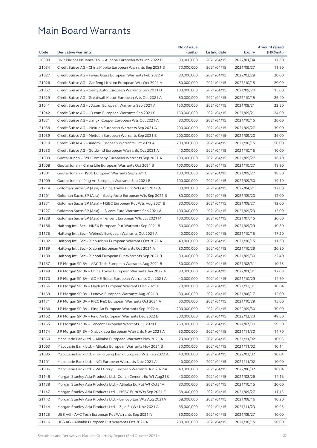|       |                                                                                                                              | No.of issue              |                          |                          | <b>Amount raised</b> |
|-------|------------------------------------------------------------------------------------------------------------------------------|--------------------------|--------------------------|--------------------------|----------------------|
| Code  | <b>Derivative warrants</b>                                                                                                   | (units)                  | Listing date             | <b>Expiry</b>            | (HK\$mil.)           |
| 20990 | BNP Paribas Issuance B.V. - Alibaba European Wts Jan 2022 D                                                                  | 80,000,000               | 2021/04/15               | 2022/01/04               | 17.60                |
| 21034 | Credit Suisse AG - China Mobile European Warrants Sep 2021 B                                                                 | 70,000,000               | 2021/04/15               | 2021/09/27               | 11.90                |
| 21027 | Credit Suisse AG - Fuyao Glass European Warrants Feb 2022 A                                                                  | 80,000,000               | 2021/04/15               | 2022/02/28               | 20.00                |
| 21026 | Credit Suisse AG – Ganfeng Lithium European Wts Oct 2021 A                                                                   | 80,000,000               | 2021/04/15               | 2021/10/15               | 20.00                |
| 21057 | Credit Suisse AG - Geely Auto European Warrants Sep 2021 D                                                                   | 100,000,000              | 2021/04/15               | 2021/09/20               | 15.00                |
| 21029 | Credit Suisse AG - Greatwall Motor European Wts Oct 2021 A                                                                   | 80,000,000               | 2021/04/15               | 2021/10/15               | 26.40                |
| 21041 | Credit Suisse AG - JD.com European Warrants Sep 2021 A                                                                       | 150,000,000              | 2021/04/15               | 2021/09/21               | 22.50                |
| 21042 | Credit Suisse AG - JD.com European Warrants Sep 2021 B                                                                       | 150,000,000              | 2021/04/15               | 2021/09/21               | 24.00                |
| 21031 | Credit Suisse AG – Jiangxi Copper European Wts Oct 2021 A                                                                    | 80,000,000               | 2021/04/15               | 2021/10/15               | 20.00                |
| 21038 | Credit Suisse AG – Meituan European Warrants Sep 2021 A                                                                      | 200,000,000              | 2021/04/15               | 2021/09/27               | 30.00                |
| 21039 | Credit Suisse AG – Meituan European Warrants Sep 2021 B                                                                      | 200,000,000              | 2021/04/15               | 2021/09/20               | 36.00                |
| 21010 | Credit Suisse AG - Xiaomi European Warrants Oct 2021 A                                                                       | 200,000,000              | 2021/04/15               | 2021/10/15               | 50.00                |
| 21030 | Credit Suisse AG – Goldwind European Warrants Oct 2021 A                                                                     | 40,000,000               | 2021/04/15               | 2021/10/15               | 10.00                |
| 21003 | Guotai Junan - BYD Company European Warrants Sep 2021 A                                                                      | 100,000,000              | 2021/04/15               | 2021/09/27               | 16.70                |
| 21008 | Guotai Junan – China Life European Warrants Oct 2021 B                                                                       | 100,000,000              | 2021/04/15               | 2021/10/27               | 18.90                |
| 21001 | Guotai Junan - HSBC European Warrants Sep 2021 C                                                                             | 100,000,000              | 2021/04/15               | 2021/09/27               | 18.80                |
| 21009 | Guotai Junan - Ping An European Warrants Sep 2021 B                                                                          | 100,000,000              | 2021/04/15               | 2021/09/30               | 19.10                |
| 21214 | Goldman Sachs SP (Asia) - China Tower Euro Wts Apr 2022 A                                                                    | 80,000,000               | 2021/04/15               | 2022/04/21               | 12.00                |
| 21201 | Goldman Sachs SP (Asia) - Geely Auto European Wts Sep 2021 B                                                                 | 80,000,000               | 2021/04/15               | 2021/09/20               | 12.00                |
| 21231 | Goldman Sachs SP (Asia) – HSBC European Put Wts Aug 2021 B                                                                   | 80,000,000               | 2021/04/15               | 2021/08/27               | 12.00                |
| 21227 | Goldman Sachs SP (Asia) – JD.com Euro Warrants Sep 2021 A                                                                    | 100,000,000              | 2021/04/15               | 2021/09/23               | 15.00                |
| 21228 | Goldman Sachs SP (Asia) – Tencent European Wts Jul 2021 M                                                                    | 100,000,000              | 2021/04/15               | 2021/07/15               | 30.60                |
| 21186 | Haitong Int'l Sec - HKEX European Put Warrants Sep 2021 B                                                                    | 60,000,000               | 2021/04/15               | 2021/09/29               | 10.80                |
| 21175 | Haitong Int'l Sec – Weimob European Warrants Oct 2021 A                                                                      | 40,000,000               | 2021/04/15               | 2021/10/15               | 17.20                |
| 21182 | Haitong Int'l Sec - Xiabuxiabu European Warrants Oct 2021 A                                                                  | 40,000,000               | 2021/04/15               | 2021/10/15               | 11.60                |
| 21189 | Haitong Int'l Sec - Xiaomi European Warrants Oct 2021 A                                                                      | 80,000,000               | 2021/04/15               | 2021/10/29               | 20.80                |
| 21188 | Haitong Int'l Sec - Xiaomi European Put Warrants Sep 2021 B                                                                  | 80,000,000               | 2021/04/15               | 2021/09/30               | 22.40                |
| 21157 | J P Morgan SP BV - AAC Tech European Warrants Aug 2021 B                                                                     | 50,000,000               | 2021/04/15               | 2021/08/31               | 10.75                |
| 21148 | J P Morgan SP BV – China Tower European Warrants Jan 2022 A                                                                  | 80,000,000               | 2021/04/15               | 2022/01/31               | 12.08                |
| 21170 | J P Morgan SP BV - GOME Retail European Warrants Oct 2021 A                                                                  | 40,000,000               | 2021/04/15               | 2021/10/29               | 14.60                |
| 21156 | J P Morgan SP BV - Haidilao European Warrants Dec 2021 B                                                                     | 70,000,000               | 2021/04/15               | 2021/12/31               | 10.64                |
| 21169 | J P Morgan SP BV - Lenovo European Warrants Aug 2021 B                                                                       | 80,000,000               | 2021/04/15               | 2021/08/17               | 12.00                |
| 21171 | J P Morgan SP BV – PICC P&C European Warrants Oct 2021 A                                                                     | 60,000,000               | 2021/04/15               | 2021/10/29               | 15.00                |
| 21166 | J P Morgan SP BV - Ping An European Warrants Sep 2022 A                                                                      | 200,000,000              | 2021/04/15               | 2022/09/30               | 39.00                |
| 21162 | J P Morgan SP BV – Ping An European Warrants Dec 2022 B                                                                      | 300,000,000              | 2021/04/15               | 2022/12/23               | 49.80                |
| 21155 | J P Morgan SP BV - Tencent European Warrants Jul 2021 E                                                                      | 250,000,000              | 2021/04/15               | 2021/07/30               | 59.50                |
| 21174 | J P Morgan SP BV - Xiabuxiabu European Warrants Nov 2021 A                                                                   | 50,000,000               | 2021/04/15               | 2021/11/30               | 14.70                |
| 21060 | Macquarie Bank Ltd. – Alibaba European Warrants Nov 2021 A                                                                   | 23,000,000               | 2021/04/15               | 2021/11/02               | 10.05                |
| 21063 | Macquarie Bank Ltd. – Alibaba European Warrants Nov 2021 B                                                                   | 30,000,000               | 2021/04/15               | 2021/11/02               | 10.14                |
| 21085 | Macquarie Bank Ltd. – Hang Seng Bank European Wts Feb 2022 A                                                                 | 40,000,000               | 2021/04/15               | 2022/02/07               | 10.04                |
| 21101 | Macquarie Bank Ltd. – NCI European Warrants Nov 2021 A                                                                       | 40,000,000               | 2021/04/15               | 2021/11/02               | 10.00                |
| 21086 | Macquarie Bank Ltd. - WH Group European Warrants Jun 2022 A                                                                  | 40,000,000               | 2021/04/15               | 2022/06/02               | 10.04                |
| 21146 | Morgan Stanley Asia Products Ltd. -Conch Cement Eu Wt Aug21B                                                                 | 40,000,000               | 2021/04/15               | 2021/08/26               | 14.16                |
| 21138 |                                                                                                                              |                          |                          |                          | 20.00                |
| 21147 | Morgan Stanley Asia Products Ltd. - Alibaba Eu Put Wt Oct21A<br>Morgan Stanley Asia Products Ltd. - HSBC Euro Wts Sep 2021 E | 80,000,000<br>68,000,000 | 2021/04/15<br>2021/04/15 | 2021/10/15<br>2021/09/27 | 11.15                |
| 21142 |                                                                                                                              | 68,000,000               |                          |                          | 10.20                |
| 21144 | Morgan Stanley Asia Products Ltd. - Lenovo Eur Wts Aug 2021A<br>Morgan Stanley Asia Products Ltd. - Zijin Eu Wt Nov 2021 A   | 68,000,000               | 2021/04/15<br>2021/04/15 | 2021/08/16<br>2021/11/23 | 10.95                |
| 21125 | UBS AG - AAC Tech European Put Warrants Sep 2021 A                                                                           | 50,000,000               | 2021/04/15               | 2021/09/27               | 10.00                |
| 21116 |                                                                                                                              | 200,000,000              |                          |                          | 50.00                |
|       | UBS AG – Alibaba European Put Warrants Oct 2021 A                                                                            |                          | 2021/04/15               | 2021/10/15               |                      |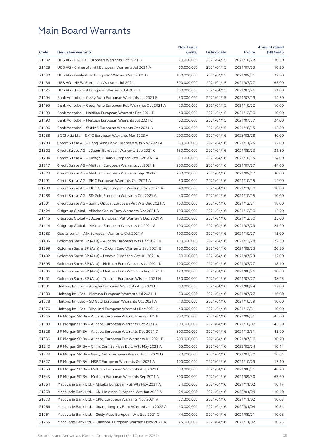|       |                                                              | No.of issue |              |               | <b>Amount raised</b> |
|-------|--------------------------------------------------------------|-------------|--------------|---------------|----------------------|
| Code  | <b>Derivative warrants</b>                                   | (units)     | Listing date | <b>Expiry</b> | (HK\$mil.)           |
| 21132 | UBS AG - CNOOC European Warrants Oct 2021 B                  | 70,000,000  | 2021/04/15   | 2021/10/22    | 10.50                |
| 21128 | UBS AG - Chinasoft Int'l European Warrants Jul 2021 A        | 60,000,000  | 2021/04/15   | 2021/07/23    | 10.20                |
| 21130 | UBS AG – Geely Auto European Warrants Sep 2021 D             | 150,000,000 | 2021/04/15   | 2021/09/21    | 22.50                |
| 21136 | UBS AG - HKEX European Warrants Jul 2021 L                   | 300,000,000 | 2021/04/15   | 2021/07/27    | 63.00                |
| 21126 | UBS AG - Tencent European Warrants Jul 2021 J                | 300,000,000 | 2021/04/15   | 2021/07/26    | 51.00                |
| 21194 | Bank Vontobel - Geely Auto European Warrants Jul 2021 B      | 50,000,000  | 2021/04/15   | 2021/07/19    | 14.50                |
| 21195 | Bank Vontobel - Geely Auto European Put Warrants Oct 2021 A  | 50,000,000  | 2021/04/15   | 2021/10/22    | 10.00                |
| 21199 | Bank Vontobel - Haidilao European Warrants Dec 2021 B        | 40,000,000  | 2021/04/15   | 2021/12/30    | 10.00                |
| 21193 | Bank Vontobel – Meituan European Warrants Jul 2021 C         | 60,000,000  | 2021/04/15   | 2021/07/27    | 24.00                |
| 21196 | Bank Vontobel - SUNAC European Warrants Oct 2021 A           | 40,000,000  | 2021/04/15   | 2021/10/15    | 12.80                |
| 21258 | BOCI Asia Ltd. – SMIC European Warrants Mar 2023 A           | 200,000,000 | 2021/04/16   | 2023/03/28    | 40.00                |
| 21299 | Credit Suisse AG - Hang Seng Bank European Wts Nov 2021 A    | 80,000,000  | 2021/04/16   | 2021/11/25    | 12.00                |
| 21302 | Credit Suisse AG - JD.com European Warrants Sep 2021 C       | 150,000,000 | 2021/04/16   | 2021/09/23    | 31.50                |
| 21294 | Credit Suisse AG – Mengniu Dairy European Wts Oct 2021 A     | 50,000,000  | 2021/04/16   | 2021/10/15    | 14.00                |
| 21317 | Credit Suisse AG - Meituan European Warrants Jul 2021 H      | 200,000,000 | 2021/04/16   | 2021/07/27    | 44.00                |
| 21323 | Credit Suisse AG - Meituan European Warrants Sep 2021 C      | 200,000,000 | 2021/04/16   | 2021/09/17    | 30.00                |
| 21291 | Credit Suisse AG - PICC European Warrants Oct 2021 A         | 50,000,000  | 2021/04/16   | 2021/10/15    | 14.00                |
| 21290 | Credit Suisse AG - PICC Group European Warrants Nov 2021 A   | 40,000,000  | 2021/04/16   | 2021/11/30    | 10.00                |
| 21288 | Credit Suisse AG - SD Gold European Warrants Oct 2021 A      | 40,000,000  | 2021/04/16   | 2021/10/15    | 10.00                |
| 21301 | Credit Suisse AG - Sunny Optical European Put Wts Dec 2021 A | 100,000,000 | 2021/04/16   | 2021/12/21    | 18.00                |
| 21424 | Citigroup Global - Alibaba Group Euro Warrants Dec 2021 A    | 100,000,000 | 2021/04/16   | 2021/12/30    | 15.70                |
| 21415 | Citigroup Global - JD.com European Put Warrants Dec 2021 A   | 100,000,000 | 2021/04/16   | 2021/12/30    | 25.00                |
| 21414 | Citigroup Global – Meituan European Warrants Jul 2021 G      | 100,000,000 | 2021/04/16   | 2021/07/29    | 21.90                |
| 21283 | Guotai Junan - AIA European Warrants Oct 2021 A              | 100,000,000 | 2021/04/16   | 2021/10/27    | 15.00                |
| 21405 | Goldman Sachs SP (Asia) – Alibaba European Wts Dec 2021 D    | 150,000,000 | 2021/04/16   | 2021/12/28    | 22.50                |
| 21399 | Goldman Sachs SP (Asia) - JD.com Euro Warrants Sep 2021 B    | 100,000,000 | 2021/04/16   | 2021/09/23    | 20.30                |
| 21402 | Goldman Sachs SP (Asia) - Lenovo European Wts Jul 2021 A     | 80,000,000  | 2021/04/16   | 2021/07/23    | 12.00                |
| 21395 | Goldman Sachs SP (Asia) - Meituan Euro Warrants Jul 2021 N   | 100,000,000 | 2021/04/16   | 2021/07/27    | 18.10                |
| 21396 | Goldman Sachs SP (Asia) – Meituan Euro Warrants Aug 2021 B   | 120,000,000 | 2021/04/16   | 2021/08/26    | 18.00                |
| 21401 | Goldman Sachs SP (Asia) - Tencent European Wts Jul 2021 N    | 150,000,000 | 2021/04/16   | 2021/07/27    | 38.25                |
| 21391 | Haitong Int'l Sec – Alibaba European Warrants Aug 2021 B     | 80,000,000  | 2021/04/16   | 2021/08/24    | 12.00                |
| 21380 | Haitong Int'l Sec - Meituan European Warrants Jul 2021 H     | 80,000,000  | 2021/04/16   | 2021/07/27    | 16.00                |
| 21378 | Haitong Int'l Sec – SD Gold European Warrants Oct 2021 A     | 40,000,000  | 2021/04/16   | 2021/10/29    | 10.00                |
| 21376 | Haitong Int'l Sec – Yihai Intl European Warrants Dec 2021 A  | 40,000,000  | 2021/04/16   | 2021/12/31    | 10.00                |
| 21345 | J P Morgan SP BV - Alibaba European Warrants Aug 2021 B      | 300,000,000 | 2021/04/16   | 2021/08/31    | 45.60                |
| 21389 | J P Morgan SP BV - Alibaba European Warrants Oct 2021 A      | 300,000,000 | 2021/04/16   | 2021/10/07    | 45.30                |
| 21328 | J P Morgan SP BV - Alibaba European Warrants Dec 2021 D      | 300,000,000 | 2021/04/16   | 2021/12/31    | 45.90                |
| 21336 | J P Morgan SP BV - Alibaba European Put Warrants Jul 2021 B  | 200,000,000 | 2021/04/16   | 2021/07/16    | 30.20                |
| 21340 | J P Morgan SP BV - China Com Services Euro Wts May 2022 A    | 65,000,000  | 2021/04/16   | 2022/05/24    | 10.14                |
| 21334 | J P Morgan SP BV - Geely Auto European Warrants Jul 2021 D   | 80,000,000  | 2021/04/16   | 2021/07/30    | 16.64                |
| 21327 | J P Morgan SP BV - HSBC European Warrants Oct 2021 A         | 100,000,000 | 2021/04/16   | 2021/10/29    | 15.10                |
| 21353 | J P Morgan SP BV - Meituan European Warrants Aug 2021 C      | 300,000,000 | 2021/04/16   | 2021/08/31    | 46.20                |
| 21343 | J P Morgan SP BV - Meituan European Warrants Sep 2021 A      | 300,000,000 | 2021/04/16   | 2021/09/30    | 63.60                |
| 21264 | Macquarie Bank Ltd. - Alibaba European Put Wts Nov 2021 A    | 34,000,000  | 2021/04/16   | 2021/11/02    | 10.17                |
| 21268 | Macquarie Bank Ltd. - CKI Holdings European Wts Jan 2022 A   | 24,000,000  | 2021/04/16   | 2022/01/04    | 10.10                |
| 21270 | Macquarie Bank Ltd. - CPIC European Warrants Nov 2021 A      | 37,300,000  | 2021/04/16   | 2021/11/02    | 10.03                |
| 21266 | Macquarie Bank Ltd. - Guangdong Inv Euro Warrants Jan 2022 A | 40,000,000  | 2021/04/16   | 2022/01/04    | 10.84                |
| 21261 | Macquarie Bank Ltd. - Geely Auto European Wts Sep 2021 C     | 44,000,000  | 2021/04/16   | 2021/09/21    | 10.08                |
| 21265 | Macquarie Bank Ltd. - Kuaishou European Warrants Nov 2021 A  | 25,000,000  | 2021/04/16   | 2021/11/02    | 10.25                |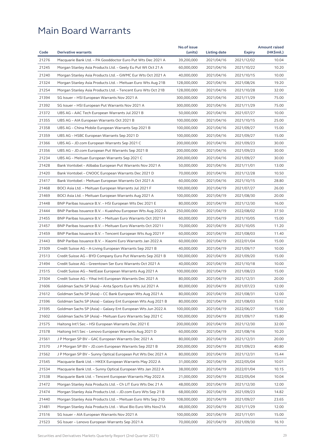| 21276<br>10.04<br>Macquarie Bank Ltd. - PA Gooddoctor Euro Put Wts Dec 2021 A<br>39,200,000<br>2021/04/16<br>2021/12/02<br>21245<br>Morgan Stanley Asia Products Ltd. - Geely Eu Put Wt Oct 21 A<br>60,000,000<br>2021/04/16<br>10.20<br>2021/10/22<br>21240<br>Morgan Stanley Asia Products Ltd. - GWMC Eur Wts Oct 2021 A<br>40,000,000<br>2021/04/16<br>2021/10/15<br>10.00<br>21324<br>19.20<br>Morgan Stanley Asia Products Ltd. - Meituan Euro Wts Aug 21B<br>128,000,000<br>2021/04/16<br>2021/08/26<br>21254<br>Morgan Stanley Asia Products Ltd. - Tencent Euro Wts Oct 21B<br>128,000,000<br>2021/10/28<br>32.00<br>2021/04/16<br>21394<br>75.00<br>SG Issuer - HSI European Warrants Nov 2021 A<br>2021/04/16<br>300,000,000<br>2021/11/29<br>21392<br>SG Issuer - HSI European Put Warrants Nov 2021 A<br>300,000,000<br>2021/04/16<br>2021/11/29<br>75.00<br>21372<br>UBS AG - AAC Tech European Warrants Jul 2021 B<br>50,000,000<br>2021/07/27<br>10.00<br>2021/04/16<br>21355<br>25.00<br>UBS AG - AIA European Warrants Oct 2021 B<br>100,000,000<br>2021/04/16<br>2021/10/15<br>21358<br>100,000,000<br>15.00<br>UBS AG – China Mobile European Warrants Sep 2021 B<br>2021/04/16<br>2021/09/27<br>21359<br>100,000,000<br>15.00<br>UBS AG – HSBC European Warrants Sep 2021 D<br>2021/04/16<br>2021/09/27<br>30.00<br>21366<br>UBS AG - JD.com European Warrants Sep 2021 C<br>200,000,000<br>2021/04/16<br>2021/09/23<br>21356<br>30.00<br>UBS AG – JD.com European Put Warrants Sep 2021 B<br>200,000,000<br>2021/04/16<br>2021/09/23<br>21234<br>UBS AG - Meituan European Warrants Sep 2021 C<br>200,000,000<br>2021/09/27<br>30.00<br>2021/04/16<br>21428<br>Bank Vontobel - Alibaba European Put Warrants Nov 2021 A<br>13.00<br>50,000,000<br>2021/04/16<br>2021/11/01<br>21420<br>Bank Vontobel - CNOOC European Warrants Dec 2021 D<br>70,000,000<br>2021/04/16<br>2021/12/28<br>10.50<br>21417<br>28.80<br>60,000,000<br>2021/04/16<br>Bank Vontobel – Meituan European Warrants Oct 2021 A<br>2021/10/15<br>21468<br>100,000,000<br>26.00<br>BOCI Asia Ltd. – Meituan European Warrants Jul 2021 F<br>2021/04/19<br>2021/07/27<br>21469<br>100,000,000<br>2021/08/30<br>20.00<br>BOCI Asia Ltd. – Meituan European Warrants Aug 2021 A<br>2021/04/19<br>21448<br>BNP Paribas Issuance B.V. - HSI European Wts Dec 2021 E<br>16.00<br>80,000,000<br>2021/04/19<br>2021/12/30<br>21444<br>BNP Paribas Issuance B.V. - Kuaishou European Wts Aug 2022 A<br>250,000,000<br>2021/04/19<br>37.50<br>2022/08/02<br>21455<br>BNP Paribas Issuance B.V. - Meituan Euro Warrants Oct 2021 H<br>60,000,000<br>2021/04/19<br>2021/10/05<br>15.00<br>21457<br>BNP Paribas Issuance B.V. - Meituan Euro Warrants Oct 2021 I<br>70,000,000<br>2021/04/19<br>2021/10/05<br>11.20<br>21459<br>11.40<br>BNP Paribas Issuance B.V. – Tencent European Wts Aug 2021 F<br>60,000,000<br>2021/04/19<br>2021/08/03<br>21443<br>BNP Paribas Issuance B.V. - Xiaomi Euro Warrants Jan 2022 A<br>60,000,000<br>2021/04/19<br>2022/01/04<br>15.00<br>21509<br>10.00<br>Credit Suisse AG – A-Living European Warrants Sep 2021 B<br>40,000,000<br>2021/04/19<br>2021/09/17<br>21513<br>Credit Suisse AG - BYD Company Euro Put Warrants Sep 2021 B<br>100,000,000<br>2021/04/19<br>2021/09/20<br>15.00<br>21494<br>Credit Suisse AG - Greentown Ser Euro Warrants Oct 2021 A<br>40,000,000<br>2021/04/19<br>2021/10/18<br>10.00<br>21515<br>100,000,000<br>15.00<br>Credit Suisse AG – NetEase European Warrants Aug 2021 A<br>2021/04/19<br>2021/08/23<br>21504<br>80,000,000<br>2021/04/19<br>2021/12/31<br>20.00<br>Credit Suisse AG – Yihai Intl European Warrants Dec 2021 A<br>21606<br>Goldman Sachs SP (Asia) - Anta Sports Euro Wts Jul 2021 A<br>80,000,000<br>12.00<br>2021/04/19<br>2021/07/23<br>21612<br>Goldman Sachs SP (Asia) - CC Bank European Wts Aug 2021 A<br>80,000,000<br>2021/04/19<br>2021/08/31<br>12.00<br>21596<br>15.92<br>Goldman Sachs SP (Asia) – Galaxy Ent European Wts Aug 2021 B<br>80,000,000<br>2021/04/19<br>2021/08/03<br>21595<br>Goldman Sachs SP (Asia) - Galaxy Ent European Wts Jun 2022 A<br>100,000,000<br>2021/04/19<br>15.00<br>2022/06/27<br>21602<br>Goldman Sachs SP (Asia) – Meituan Euro Warrants Sep 2021 C<br>100,000,000<br>2021/04/19<br>2021/09/17<br>15.80<br>21575<br>Haitong Int'l Sec - HSI European Warrants Dec 2021 E<br>200,000,000<br>2021/04/19<br>2021/12/30<br>32.00<br>21578<br>60,000,000<br>2021/04/19<br>10.20<br>Haitong Int'l Sec - Lenovo European Warrants Aug 2021 D<br>2021/08/16<br>21561<br>80,000,000<br>J P Morgan SP BV – GAC European Warrants Dec 2021 A<br>2021/04/19<br>2021/12/31<br>20.00<br>21570<br>J P Morgan SP BV - JD.com European Warrants Sep 2021 B<br>200,000,000<br>40.80<br>2021/04/19<br>2021/09/23<br>21562<br>J P Morgan SP BV - Sunny Optical European Put Wts Dec 2021 A<br>80,000,000<br>15.44<br>2021/04/19<br>2021/12/31<br>21545<br>Macquarie Bank Ltd. - HKEX European Warrants May 2022 A<br>31,000,000<br>2021/04/19<br>2022/05/04<br>10.01<br>21534<br>Macquarie Bank Ltd. - Sunny Optical European Wts Jan 2022 A<br>38,000,000<br>2021/04/19<br>2022/01/04<br>10.15<br>21538<br>Macquarie Bank Ltd. - Tencent European Warrants May 2022 A<br>21,000,000<br>2021/04/19<br>2022/05/04<br>10.04<br>21472<br>12.00<br>Morgan Stanley Asia Products Ltd. – Ch LIT Euro Wts Dec 21 A<br>48,000,000<br>2021/04/19<br>2021/12/30<br>21474<br>Morgan Stanley Asia Products Ltd. - JD.com Euro Wts Sep 21 B<br>68,000,000<br>2021/04/19<br>14.82<br>2021/09/23<br>21440<br>108,000,000<br>Morgan Stanley Asia Products Ltd. – Meituan Euro Wts Sep 21D<br>2021/04/19<br>2021/09/27<br>23.65<br>21481<br>Morgan Stanley Asia Products Ltd. - Wuxi Bio Euro Wts Nov21A<br>48,000,000<br>2021/04/19<br>2021/11/29<br>12.00<br>21516<br>SG Issuer - AIA European Warrants Nov 2021 A<br>100,000,000<br>2021/04/19<br>2021/11/01<br>15.00<br>21523<br>70,000,000<br>2021/09/30<br>16.10<br>SG Issuer - Lenovo European Warrants Sep 2021 A<br>2021/04/19 |      |                            | No.of issue |              |               | <b>Amount raised</b> |
|----------------------------------------------------------------------------------------------------------------------------------------------------------------------------------------------------------------------------------------------------------------------------------------------------------------------------------------------------------------------------------------------------------------------------------------------------------------------------------------------------------------------------------------------------------------------------------------------------------------------------------------------------------------------------------------------------------------------------------------------------------------------------------------------------------------------------------------------------------------------------------------------------------------------------------------------------------------------------------------------------------------------------------------------------------------------------------------------------------------------------------------------------------------------------------------------------------------------------------------------------------------------------------------------------------------------------------------------------------------------------------------------------------------------------------------------------------------------------------------------------------------------------------------------------------------------------------------------------------------------------------------------------------------------------------------------------------------------------------------------------------------------------------------------------------------------------------------------------------------------------------------------------------------------------------------------------------------------------------------------------------------------------------------------------------------------------------------------------------------------------------------------------------------------------------------------------------------------------------------------------------------------------------------------------------------------------------------------------------------------------------------------------------------------------------------------------------------------------------------------------------------------------------------------------------------------------------------------------------------------------------------------------------------------------------------------------------------------------------------------------------------------------------------------------------------------------------------------------------------------------------------------------------------------------------------------------------------------------------------------------------------------------------------------------------------------------------------------------------------------------------------------------------------------------------------------------------------------------------------------------------------------------------------------------------------------------------------------------------------------------------------------------------------------------------------------------------------------------------------------------------------------------------------------------------------------------------------------------------------------------------------------------------------------------------------------------------------------------------------------------------------------------------------------------------------------------------------------------------------------------------------------------------------------------------------------------------------------------------------------------------------------------------------------------------------------------------------------------------------------------------------------------------------------------------------------------------------------------------------------------------------------------------------------------------------------------------------------------------------------------------------------------------------------------------------------------------------------------------------------------------------------------------------------------------------------------------------------------------------------------------------------------------------------------------------------------------------------------------------------------------------------------------------------------------------------------------------------------------------------------------------------------------------------------------------------------------------------------------------------------------------------------------------------------------------------------------------------------------------------------------------------------------------------------------------------------------------------------------------------------------------------------------------------------------------------------------------------------------------------------------------------------------------------------------------------------------------------------------------------------------------------------------------------------------------------------------------------------------------------------------------------------------------------------------------------------------------------------------------------------------------------------------------------------------------------------------------------------------------------------------------------------------------------------------------------------------------------------------------------------------------------------------------------------------------------|------|----------------------------|-------------|--------------|---------------|----------------------|
|                                                                                                                                                                                                                                                                                                                                                                                                                                                                                                                                                                                                                                                                                                                                                                                                                                                                                                                                                                                                                                                                                                                                                                                                                                                                                                                                                                                                                                                                                                                                                                                                                                                                                                                                                                                                                                                                                                                                                                                                                                                                                                                                                                                                                                                                                                                                                                                                                                                                                                                                                                                                                                                                                                                                                                                                                                                                                                                                                                                                                                                                                                                                                                                                                                                                                                                                                                                                                                                                                                                                                                                                                                                                                                                                                                                                                                                                                                                                                                                                                                                                                                                                                                                                                                                                                                                                                                                                                                                                                                                                                                                                                                                                                                                                                                                                                                                                                                                                                                                                                                                                                                                                                                                                                                                                                                                                                                                                                                                                                                                                                                                                                                                                                                                                                                                                                                                                                                                                                                                                                                                                      | Code | <b>Derivative warrants</b> | (units)     | Listing date | <b>Expiry</b> | (HK\$mil.)           |
|                                                                                                                                                                                                                                                                                                                                                                                                                                                                                                                                                                                                                                                                                                                                                                                                                                                                                                                                                                                                                                                                                                                                                                                                                                                                                                                                                                                                                                                                                                                                                                                                                                                                                                                                                                                                                                                                                                                                                                                                                                                                                                                                                                                                                                                                                                                                                                                                                                                                                                                                                                                                                                                                                                                                                                                                                                                                                                                                                                                                                                                                                                                                                                                                                                                                                                                                                                                                                                                                                                                                                                                                                                                                                                                                                                                                                                                                                                                                                                                                                                                                                                                                                                                                                                                                                                                                                                                                                                                                                                                                                                                                                                                                                                                                                                                                                                                                                                                                                                                                                                                                                                                                                                                                                                                                                                                                                                                                                                                                                                                                                                                                                                                                                                                                                                                                                                                                                                                                                                                                                                                                      |      |                            |             |              |               |                      |
|                                                                                                                                                                                                                                                                                                                                                                                                                                                                                                                                                                                                                                                                                                                                                                                                                                                                                                                                                                                                                                                                                                                                                                                                                                                                                                                                                                                                                                                                                                                                                                                                                                                                                                                                                                                                                                                                                                                                                                                                                                                                                                                                                                                                                                                                                                                                                                                                                                                                                                                                                                                                                                                                                                                                                                                                                                                                                                                                                                                                                                                                                                                                                                                                                                                                                                                                                                                                                                                                                                                                                                                                                                                                                                                                                                                                                                                                                                                                                                                                                                                                                                                                                                                                                                                                                                                                                                                                                                                                                                                                                                                                                                                                                                                                                                                                                                                                                                                                                                                                                                                                                                                                                                                                                                                                                                                                                                                                                                                                                                                                                                                                                                                                                                                                                                                                                                                                                                                                                                                                                                                                      |      |                            |             |              |               |                      |
|                                                                                                                                                                                                                                                                                                                                                                                                                                                                                                                                                                                                                                                                                                                                                                                                                                                                                                                                                                                                                                                                                                                                                                                                                                                                                                                                                                                                                                                                                                                                                                                                                                                                                                                                                                                                                                                                                                                                                                                                                                                                                                                                                                                                                                                                                                                                                                                                                                                                                                                                                                                                                                                                                                                                                                                                                                                                                                                                                                                                                                                                                                                                                                                                                                                                                                                                                                                                                                                                                                                                                                                                                                                                                                                                                                                                                                                                                                                                                                                                                                                                                                                                                                                                                                                                                                                                                                                                                                                                                                                                                                                                                                                                                                                                                                                                                                                                                                                                                                                                                                                                                                                                                                                                                                                                                                                                                                                                                                                                                                                                                                                                                                                                                                                                                                                                                                                                                                                                                                                                                                                                      |      |                            |             |              |               |                      |
|                                                                                                                                                                                                                                                                                                                                                                                                                                                                                                                                                                                                                                                                                                                                                                                                                                                                                                                                                                                                                                                                                                                                                                                                                                                                                                                                                                                                                                                                                                                                                                                                                                                                                                                                                                                                                                                                                                                                                                                                                                                                                                                                                                                                                                                                                                                                                                                                                                                                                                                                                                                                                                                                                                                                                                                                                                                                                                                                                                                                                                                                                                                                                                                                                                                                                                                                                                                                                                                                                                                                                                                                                                                                                                                                                                                                                                                                                                                                                                                                                                                                                                                                                                                                                                                                                                                                                                                                                                                                                                                                                                                                                                                                                                                                                                                                                                                                                                                                                                                                                                                                                                                                                                                                                                                                                                                                                                                                                                                                                                                                                                                                                                                                                                                                                                                                                                                                                                                                                                                                                                                                      |      |                            |             |              |               |                      |
|                                                                                                                                                                                                                                                                                                                                                                                                                                                                                                                                                                                                                                                                                                                                                                                                                                                                                                                                                                                                                                                                                                                                                                                                                                                                                                                                                                                                                                                                                                                                                                                                                                                                                                                                                                                                                                                                                                                                                                                                                                                                                                                                                                                                                                                                                                                                                                                                                                                                                                                                                                                                                                                                                                                                                                                                                                                                                                                                                                                                                                                                                                                                                                                                                                                                                                                                                                                                                                                                                                                                                                                                                                                                                                                                                                                                                                                                                                                                                                                                                                                                                                                                                                                                                                                                                                                                                                                                                                                                                                                                                                                                                                                                                                                                                                                                                                                                                                                                                                                                                                                                                                                                                                                                                                                                                                                                                                                                                                                                                                                                                                                                                                                                                                                                                                                                                                                                                                                                                                                                                                                                      |      |                            |             |              |               |                      |
|                                                                                                                                                                                                                                                                                                                                                                                                                                                                                                                                                                                                                                                                                                                                                                                                                                                                                                                                                                                                                                                                                                                                                                                                                                                                                                                                                                                                                                                                                                                                                                                                                                                                                                                                                                                                                                                                                                                                                                                                                                                                                                                                                                                                                                                                                                                                                                                                                                                                                                                                                                                                                                                                                                                                                                                                                                                                                                                                                                                                                                                                                                                                                                                                                                                                                                                                                                                                                                                                                                                                                                                                                                                                                                                                                                                                                                                                                                                                                                                                                                                                                                                                                                                                                                                                                                                                                                                                                                                                                                                                                                                                                                                                                                                                                                                                                                                                                                                                                                                                                                                                                                                                                                                                                                                                                                                                                                                                                                                                                                                                                                                                                                                                                                                                                                                                                                                                                                                                                                                                                                                                      |      |                            |             |              |               |                      |
|                                                                                                                                                                                                                                                                                                                                                                                                                                                                                                                                                                                                                                                                                                                                                                                                                                                                                                                                                                                                                                                                                                                                                                                                                                                                                                                                                                                                                                                                                                                                                                                                                                                                                                                                                                                                                                                                                                                                                                                                                                                                                                                                                                                                                                                                                                                                                                                                                                                                                                                                                                                                                                                                                                                                                                                                                                                                                                                                                                                                                                                                                                                                                                                                                                                                                                                                                                                                                                                                                                                                                                                                                                                                                                                                                                                                                                                                                                                                                                                                                                                                                                                                                                                                                                                                                                                                                                                                                                                                                                                                                                                                                                                                                                                                                                                                                                                                                                                                                                                                                                                                                                                                                                                                                                                                                                                                                                                                                                                                                                                                                                                                                                                                                                                                                                                                                                                                                                                                                                                                                                                                      |      |                            |             |              |               |                      |
|                                                                                                                                                                                                                                                                                                                                                                                                                                                                                                                                                                                                                                                                                                                                                                                                                                                                                                                                                                                                                                                                                                                                                                                                                                                                                                                                                                                                                                                                                                                                                                                                                                                                                                                                                                                                                                                                                                                                                                                                                                                                                                                                                                                                                                                                                                                                                                                                                                                                                                                                                                                                                                                                                                                                                                                                                                                                                                                                                                                                                                                                                                                                                                                                                                                                                                                                                                                                                                                                                                                                                                                                                                                                                                                                                                                                                                                                                                                                                                                                                                                                                                                                                                                                                                                                                                                                                                                                                                                                                                                                                                                                                                                                                                                                                                                                                                                                                                                                                                                                                                                                                                                                                                                                                                                                                                                                                                                                                                                                                                                                                                                                                                                                                                                                                                                                                                                                                                                                                                                                                                                                      |      |                            |             |              |               |                      |
|                                                                                                                                                                                                                                                                                                                                                                                                                                                                                                                                                                                                                                                                                                                                                                                                                                                                                                                                                                                                                                                                                                                                                                                                                                                                                                                                                                                                                                                                                                                                                                                                                                                                                                                                                                                                                                                                                                                                                                                                                                                                                                                                                                                                                                                                                                                                                                                                                                                                                                                                                                                                                                                                                                                                                                                                                                                                                                                                                                                                                                                                                                                                                                                                                                                                                                                                                                                                                                                                                                                                                                                                                                                                                                                                                                                                                                                                                                                                                                                                                                                                                                                                                                                                                                                                                                                                                                                                                                                                                                                                                                                                                                                                                                                                                                                                                                                                                                                                                                                                                                                                                                                                                                                                                                                                                                                                                                                                                                                                                                                                                                                                                                                                                                                                                                                                                                                                                                                                                                                                                                                                      |      |                            |             |              |               |                      |
|                                                                                                                                                                                                                                                                                                                                                                                                                                                                                                                                                                                                                                                                                                                                                                                                                                                                                                                                                                                                                                                                                                                                                                                                                                                                                                                                                                                                                                                                                                                                                                                                                                                                                                                                                                                                                                                                                                                                                                                                                                                                                                                                                                                                                                                                                                                                                                                                                                                                                                                                                                                                                                                                                                                                                                                                                                                                                                                                                                                                                                                                                                                                                                                                                                                                                                                                                                                                                                                                                                                                                                                                                                                                                                                                                                                                                                                                                                                                                                                                                                                                                                                                                                                                                                                                                                                                                                                                                                                                                                                                                                                                                                                                                                                                                                                                                                                                                                                                                                                                                                                                                                                                                                                                                                                                                                                                                                                                                                                                                                                                                                                                                                                                                                                                                                                                                                                                                                                                                                                                                                                                      |      |                            |             |              |               |                      |
|                                                                                                                                                                                                                                                                                                                                                                                                                                                                                                                                                                                                                                                                                                                                                                                                                                                                                                                                                                                                                                                                                                                                                                                                                                                                                                                                                                                                                                                                                                                                                                                                                                                                                                                                                                                                                                                                                                                                                                                                                                                                                                                                                                                                                                                                                                                                                                                                                                                                                                                                                                                                                                                                                                                                                                                                                                                                                                                                                                                                                                                                                                                                                                                                                                                                                                                                                                                                                                                                                                                                                                                                                                                                                                                                                                                                                                                                                                                                                                                                                                                                                                                                                                                                                                                                                                                                                                                                                                                                                                                                                                                                                                                                                                                                                                                                                                                                                                                                                                                                                                                                                                                                                                                                                                                                                                                                                                                                                                                                                                                                                                                                                                                                                                                                                                                                                                                                                                                                                                                                                                                                      |      |                            |             |              |               |                      |
|                                                                                                                                                                                                                                                                                                                                                                                                                                                                                                                                                                                                                                                                                                                                                                                                                                                                                                                                                                                                                                                                                                                                                                                                                                                                                                                                                                                                                                                                                                                                                                                                                                                                                                                                                                                                                                                                                                                                                                                                                                                                                                                                                                                                                                                                                                                                                                                                                                                                                                                                                                                                                                                                                                                                                                                                                                                                                                                                                                                                                                                                                                                                                                                                                                                                                                                                                                                                                                                                                                                                                                                                                                                                                                                                                                                                                                                                                                                                                                                                                                                                                                                                                                                                                                                                                                                                                                                                                                                                                                                                                                                                                                                                                                                                                                                                                                                                                                                                                                                                                                                                                                                                                                                                                                                                                                                                                                                                                                                                                                                                                                                                                                                                                                                                                                                                                                                                                                                                                                                                                                                                      |      |                            |             |              |               |                      |
|                                                                                                                                                                                                                                                                                                                                                                                                                                                                                                                                                                                                                                                                                                                                                                                                                                                                                                                                                                                                                                                                                                                                                                                                                                                                                                                                                                                                                                                                                                                                                                                                                                                                                                                                                                                                                                                                                                                                                                                                                                                                                                                                                                                                                                                                                                                                                                                                                                                                                                                                                                                                                                                                                                                                                                                                                                                                                                                                                                                                                                                                                                                                                                                                                                                                                                                                                                                                                                                                                                                                                                                                                                                                                                                                                                                                                                                                                                                                                                                                                                                                                                                                                                                                                                                                                                                                                                                                                                                                                                                                                                                                                                                                                                                                                                                                                                                                                                                                                                                                                                                                                                                                                                                                                                                                                                                                                                                                                                                                                                                                                                                                                                                                                                                                                                                                                                                                                                                                                                                                                                                                      |      |                            |             |              |               |                      |
|                                                                                                                                                                                                                                                                                                                                                                                                                                                                                                                                                                                                                                                                                                                                                                                                                                                                                                                                                                                                                                                                                                                                                                                                                                                                                                                                                                                                                                                                                                                                                                                                                                                                                                                                                                                                                                                                                                                                                                                                                                                                                                                                                                                                                                                                                                                                                                                                                                                                                                                                                                                                                                                                                                                                                                                                                                                                                                                                                                                                                                                                                                                                                                                                                                                                                                                                                                                                                                                                                                                                                                                                                                                                                                                                                                                                                                                                                                                                                                                                                                                                                                                                                                                                                                                                                                                                                                                                                                                                                                                                                                                                                                                                                                                                                                                                                                                                                                                                                                                                                                                                                                                                                                                                                                                                                                                                                                                                                                                                                                                                                                                                                                                                                                                                                                                                                                                                                                                                                                                                                                                                      |      |                            |             |              |               |                      |
|                                                                                                                                                                                                                                                                                                                                                                                                                                                                                                                                                                                                                                                                                                                                                                                                                                                                                                                                                                                                                                                                                                                                                                                                                                                                                                                                                                                                                                                                                                                                                                                                                                                                                                                                                                                                                                                                                                                                                                                                                                                                                                                                                                                                                                                                                                                                                                                                                                                                                                                                                                                                                                                                                                                                                                                                                                                                                                                                                                                                                                                                                                                                                                                                                                                                                                                                                                                                                                                                                                                                                                                                                                                                                                                                                                                                                                                                                                                                                                                                                                                                                                                                                                                                                                                                                                                                                                                                                                                                                                                                                                                                                                                                                                                                                                                                                                                                                                                                                                                                                                                                                                                                                                                                                                                                                                                                                                                                                                                                                                                                                                                                                                                                                                                                                                                                                                                                                                                                                                                                                                                                      |      |                            |             |              |               |                      |
|                                                                                                                                                                                                                                                                                                                                                                                                                                                                                                                                                                                                                                                                                                                                                                                                                                                                                                                                                                                                                                                                                                                                                                                                                                                                                                                                                                                                                                                                                                                                                                                                                                                                                                                                                                                                                                                                                                                                                                                                                                                                                                                                                                                                                                                                                                                                                                                                                                                                                                                                                                                                                                                                                                                                                                                                                                                                                                                                                                                                                                                                                                                                                                                                                                                                                                                                                                                                                                                                                                                                                                                                                                                                                                                                                                                                                                                                                                                                                                                                                                                                                                                                                                                                                                                                                                                                                                                                                                                                                                                                                                                                                                                                                                                                                                                                                                                                                                                                                                                                                                                                                                                                                                                                                                                                                                                                                                                                                                                                                                                                                                                                                                                                                                                                                                                                                                                                                                                                                                                                                                                                      |      |                            |             |              |               |                      |
|                                                                                                                                                                                                                                                                                                                                                                                                                                                                                                                                                                                                                                                                                                                                                                                                                                                                                                                                                                                                                                                                                                                                                                                                                                                                                                                                                                                                                                                                                                                                                                                                                                                                                                                                                                                                                                                                                                                                                                                                                                                                                                                                                                                                                                                                                                                                                                                                                                                                                                                                                                                                                                                                                                                                                                                                                                                                                                                                                                                                                                                                                                                                                                                                                                                                                                                                                                                                                                                                                                                                                                                                                                                                                                                                                                                                                                                                                                                                                                                                                                                                                                                                                                                                                                                                                                                                                                                                                                                                                                                                                                                                                                                                                                                                                                                                                                                                                                                                                                                                                                                                                                                                                                                                                                                                                                                                                                                                                                                                                                                                                                                                                                                                                                                                                                                                                                                                                                                                                                                                                                                                      |      |                            |             |              |               |                      |
|                                                                                                                                                                                                                                                                                                                                                                                                                                                                                                                                                                                                                                                                                                                                                                                                                                                                                                                                                                                                                                                                                                                                                                                                                                                                                                                                                                                                                                                                                                                                                                                                                                                                                                                                                                                                                                                                                                                                                                                                                                                                                                                                                                                                                                                                                                                                                                                                                                                                                                                                                                                                                                                                                                                                                                                                                                                                                                                                                                                                                                                                                                                                                                                                                                                                                                                                                                                                                                                                                                                                                                                                                                                                                                                                                                                                                                                                                                                                                                                                                                                                                                                                                                                                                                                                                                                                                                                                                                                                                                                                                                                                                                                                                                                                                                                                                                                                                                                                                                                                                                                                                                                                                                                                                                                                                                                                                                                                                                                                                                                                                                                                                                                                                                                                                                                                                                                                                                                                                                                                                                                                      |      |                            |             |              |               |                      |
|                                                                                                                                                                                                                                                                                                                                                                                                                                                                                                                                                                                                                                                                                                                                                                                                                                                                                                                                                                                                                                                                                                                                                                                                                                                                                                                                                                                                                                                                                                                                                                                                                                                                                                                                                                                                                                                                                                                                                                                                                                                                                                                                                                                                                                                                                                                                                                                                                                                                                                                                                                                                                                                                                                                                                                                                                                                                                                                                                                                                                                                                                                                                                                                                                                                                                                                                                                                                                                                                                                                                                                                                                                                                                                                                                                                                                                                                                                                                                                                                                                                                                                                                                                                                                                                                                                                                                                                                                                                                                                                                                                                                                                                                                                                                                                                                                                                                                                                                                                                                                                                                                                                                                                                                                                                                                                                                                                                                                                                                                                                                                                                                                                                                                                                                                                                                                                                                                                                                                                                                                                                                      |      |                            |             |              |               |                      |
|                                                                                                                                                                                                                                                                                                                                                                                                                                                                                                                                                                                                                                                                                                                                                                                                                                                                                                                                                                                                                                                                                                                                                                                                                                                                                                                                                                                                                                                                                                                                                                                                                                                                                                                                                                                                                                                                                                                                                                                                                                                                                                                                                                                                                                                                                                                                                                                                                                                                                                                                                                                                                                                                                                                                                                                                                                                                                                                                                                                                                                                                                                                                                                                                                                                                                                                                                                                                                                                                                                                                                                                                                                                                                                                                                                                                                                                                                                                                                                                                                                                                                                                                                                                                                                                                                                                                                                                                                                                                                                                                                                                                                                                                                                                                                                                                                                                                                                                                                                                                                                                                                                                                                                                                                                                                                                                                                                                                                                                                                                                                                                                                                                                                                                                                                                                                                                                                                                                                                                                                                                                                      |      |                            |             |              |               |                      |
|                                                                                                                                                                                                                                                                                                                                                                                                                                                                                                                                                                                                                                                                                                                                                                                                                                                                                                                                                                                                                                                                                                                                                                                                                                                                                                                                                                                                                                                                                                                                                                                                                                                                                                                                                                                                                                                                                                                                                                                                                                                                                                                                                                                                                                                                                                                                                                                                                                                                                                                                                                                                                                                                                                                                                                                                                                                                                                                                                                                                                                                                                                                                                                                                                                                                                                                                                                                                                                                                                                                                                                                                                                                                                                                                                                                                                                                                                                                                                                                                                                                                                                                                                                                                                                                                                                                                                                                                                                                                                                                                                                                                                                                                                                                                                                                                                                                                                                                                                                                                                                                                                                                                                                                                                                                                                                                                                                                                                                                                                                                                                                                                                                                                                                                                                                                                                                                                                                                                                                                                                                                                      |      |                            |             |              |               |                      |
|                                                                                                                                                                                                                                                                                                                                                                                                                                                                                                                                                                                                                                                                                                                                                                                                                                                                                                                                                                                                                                                                                                                                                                                                                                                                                                                                                                                                                                                                                                                                                                                                                                                                                                                                                                                                                                                                                                                                                                                                                                                                                                                                                                                                                                                                                                                                                                                                                                                                                                                                                                                                                                                                                                                                                                                                                                                                                                                                                                                                                                                                                                                                                                                                                                                                                                                                                                                                                                                                                                                                                                                                                                                                                                                                                                                                                                                                                                                                                                                                                                                                                                                                                                                                                                                                                                                                                                                                                                                                                                                                                                                                                                                                                                                                                                                                                                                                                                                                                                                                                                                                                                                                                                                                                                                                                                                                                                                                                                                                                                                                                                                                                                                                                                                                                                                                                                                                                                                                                                                                                                                                      |      |                            |             |              |               |                      |
|                                                                                                                                                                                                                                                                                                                                                                                                                                                                                                                                                                                                                                                                                                                                                                                                                                                                                                                                                                                                                                                                                                                                                                                                                                                                                                                                                                                                                                                                                                                                                                                                                                                                                                                                                                                                                                                                                                                                                                                                                                                                                                                                                                                                                                                                                                                                                                                                                                                                                                                                                                                                                                                                                                                                                                                                                                                                                                                                                                                                                                                                                                                                                                                                                                                                                                                                                                                                                                                                                                                                                                                                                                                                                                                                                                                                                                                                                                                                                                                                                                                                                                                                                                                                                                                                                                                                                                                                                                                                                                                                                                                                                                                                                                                                                                                                                                                                                                                                                                                                                                                                                                                                                                                                                                                                                                                                                                                                                                                                                                                                                                                                                                                                                                                                                                                                                                                                                                                                                                                                                                                                      |      |                            |             |              |               |                      |
|                                                                                                                                                                                                                                                                                                                                                                                                                                                                                                                                                                                                                                                                                                                                                                                                                                                                                                                                                                                                                                                                                                                                                                                                                                                                                                                                                                                                                                                                                                                                                                                                                                                                                                                                                                                                                                                                                                                                                                                                                                                                                                                                                                                                                                                                                                                                                                                                                                                                                                                                                                                                                                                                                                                                                                                                                                                                                                                                                                                                                                                                                                                                                                                                                                                                                                                                                                                                                                                                                                                                                                                                                                                                                                                                                                                                                                                                                                                                                                                                                                                                                                                                                                                                                                                                                                                                                                                                                                                                                                                                                                                                                                                                                                                                                                                                                                                                                                                                                                                                                                                                                                                                                                                                                                                                                                                                                                                                                                                                                                                                                                                                                                                                                                                                                                                                                                                                                                                                                                                                                                                                      |      |                            |             |              |               |                      |
|                                                                                                                                                                                                                                                                                                                                                                                                                                                                                                                                                                                                                                                                                                                                                                                                                                                                                                                                                                                                                                                                                                                                                                                                                                                                                                                                                                                                                                                                                                                                                                                                                                                                                                                                                                                                                                                                                                                                                                                                                                                                                                                                                                                                                                                                                                                                                                                                                                                                                                                                                                                                                                                                                                                                                                                                                                                                                                                                                                                                                                                                                                                                                                                                                                                                                                                                                                                                                                                                                                                                                                                                                                                                                                                                                                                                                                                                                                                                                                                                                                                                                                                                                                                                                                                                                                                                                                                                                                                                                                                                                                                                                                                                                                                                                                                                                                                                                                                                                                                                                                                                                                                                                                                                                                                                                                                                                                                                                                                                                                                                                                                                                                                                                                                                                                                                                                                                                                                                                                                                                                                                      |      |                            |             |              |               |                      |
|                                                                                                                                                                                                                                                                                                                                                                                                                                                                                                                                                                                                                                                                                                                                                                                                                                                                                                                                                                                                                                                                                                                                                                                                                                                                                                                                                                                                                                                                                                                                                                                                                                                                                                                                                                                                                                                                                                                                                                                                                                                                                                                                                                                                                                                                                                                                                                                                                                                                                                                                                                                                                                                                                                                                                                                                                                                                                                                                                                                                                                                                                                                                                                                                                                                                                                                                                                                                                                                                                                                                                                                                                                                                                                                                                                                                                                                                                                                                                                                                                                                                                                                                                                                                                                                                                                                                                                                                                                                                                                                                                                                                                                                                                                                                                                                                                                                                                                                                                                                                                                                                                                                                                                                                                                                                                                                                                                                                                                                                                                                                                                                                                                                                                                                                                                                                                                                                                                                                                                                                                                                                      |      |                            |             |              |               |                      |
|                                                                                                                                                                                                                                                                                                                                                                                                                                                                                                                                                                                                                                                                                                                                                                                                                                                                                                                                                                                                                                                                                                                                                                                                                                                                                                                                                                                                                                                                                                                                                                                                                                                                                                                                                                                                                                                                                                                                                                                                                                                                                                                                                                                                                                                                                                                                                                                                                                                                                                                                                                                                                                                                                                                                                                                                                                                                                                                                                                                                                                                                                                                                                                                                                                                                                                                                                                                                                                                                                                                                                                                                                                                                                                                                                                                                                                                                                                                                                                                                                                                                                                                                                                                                                                                                                                                                                                                                                                                                                                                                                                                                                                                                                                                                                                                                                                                                                                                                                                                                                                                                                                                                                                                                                                                                                                                                                                                                                                                                                                                                                                                                                                                                                                                                                                                                                                                                                                                                                                                                                                                                      |      |                            |             |              |               |                      |
|                                                                                                                                                                                                                                                                                                                                                                                                                                                                                                                                                                                                                                                                                                                                                                                                                                                                                                                                                                                                                                                                                                                                                                                                                                                                                                                                                                                                                                                                                                                                                                                                                                                                                                                                                                                                                                                                                                                                                                                                                                                                                                                                                                                                                                                                                                                                                                                                                                                                                                                                                                                                                                                                                                                                                                                                                                                                                                                                                                                                                                                                                                                                                                                                                                                                                                                                                                                                                                                                                                                                                                                                                                                                                                                                                                                                                                                                                                                                                                                                                                                                                                                                                                                                                                                                                                                                                                                                                                                                                                                                                                                                                                                                                                                                                                                                                                                                                                                                                                                                                                                                                                                                                                                                                                                                                                                                                                                                                                                                                                                                                                                                                                                                                                                                                                                                                                                                                                                                                                                                                                                                      |      |                            |             |              |               |                      |
|                                                                                                                                                                                                                                                                                                                                                                                                                                                                                                                                                                                                                                                                                                                                                                                                                                                                                                                                                                                                                                                                                                                                                                                                                                                                                                                                                                                                                                                                                                                                                                                                                                                                                                                                                                                                                                                                                                                                                                                                                                                                                                                                                                                                                                                                                                                                                                                                                                                                                                                                                                                                                                                                                                                                                                                                                                                                                                                                                                                                                                                                                                                                                                                                                                                                                                                                                                                                                                                                                                                                                                                                                                                                                                                                                                                                                                                                                                                                                                                                                                                                                                                                                                                                                                                                                                                                                                                                                                                                                                                                                                                                                                                                                                                                                                                                                                                                                                                                                                                                                                                                                                                                                                                                                                                                                                                                                                                                                                                                                                                                                                                                                                                                                                                                                                                                                                                                                                                                                                                                                                                                      |      |                            |             |              |               |                      |
|                                                                                                                                                                                                                                                                                                                                                                                                                                                                                                                                                                                                                                                                                                                                                                                                                                                                                                                                                                                                                                                                                                                                                                                                                                                                                                                                                                                                                                                                                                                                                                                                                                                                                                                                                                                                                                                                                                                                                                                                                                                                                                                                                                                                                                                                                                                                                                                                                                                                                                                                                                                                                                                                                                                                                                                                                                                                                                                                                                                                                                                                                                                                                                                                                                                                                                                                                                                                                                                                                                                                                                                                                                                                                                                                                                                                                                                                                                                                                                                                                                                                                                                                                                                                                                                                                                                                                                                                                                                                                                                                                                                                                                                                                                                                                                                                                                                                                                                                                                                                                                                                                                                                                                                                                                                                                                                                                                                                                                                                                                                                                                                                                                                                                                                                                                                                                                                                                                                                                                                                                                                                      |      |                            |             |              |               |                      |
|                                                                                                                                                                                                                                                                                                                                                                                                                                                                                                                                                                                                                                                                                                                                                                                                                                                                                                                                                                                                                                                                                                                                                                                                                                                                                                                                                                                                                                                                                                                                                                                                                                                                                                                                                                                                                                                                                                                                                                                                                                                                                                                                                                                                                                                                                                                                                                                                                                                                                                                                                                                                                                                                                                                                                                                                                                                                                                                                                                                                                                                                                                                                                                                                                                                                                                                                                                                                                                                                                                                                                                                                                                                                                                                                                                                                                                                                                                                                                                                                                                                                                                                                                                                                                                                                                                                                                                                                                                                                                                                                                                                                                                                                                                                                                                                                                                                                                                                                                                                                                                                                                                                                                                                                                                                                                                                                                                                                                                                                                                                                                                                                                                                                                                                                                                                                                                                                                                                                                                                                                                                                      |      |                            |             |              |               |                      |
|                                                                                                                                                                                                                                                                                                                                                                                                                                                                                                                                                                                                                                                                                                                                                                                                                                                                                                                                                                                                                                                                                                                                                                                                                                                                                                                                                                                                                                                                                                                                                                                                                                                                                                                                                                                                                                                                                                                                                                                                                                                                                                                                                                                                                                                                                                                                                                                                                                                                                                                                                                                                                                                                                                                                                                                                                                                                                                                                                                                                                                                                                                                                                                                                                                                                                                                                                                                                                                                                                                                                                                                                                                                                                                                                                                                                                                                                                                                                                                                                                                                                                                                                                                                                                                                                                                                                                                                                                                                                                                                                                                                                                                                                                                                                                                                                                                                                                                                                                                                                                                                                                                                                                                                                                                                                                                                                                                                                                                                                                                                                                                                                                                                                                                                                                                                                                                                                                                                                                                                                                                                                      |      |                            |             |              |               |                      |
|                                                                                                                                                                                                                                                                                                                                                                                                                                                                                                                                                                                                                                                                                                                                                                                                                                                                                                                                                                                                                                                                                                                                                                                                                                                                                                                                                                                                                                                                                                                                                                                                                                                                                                                                                                                                                                                                                                                                                                                                                                                                                                                                                                                                                                                                                                                                                                                                                                                                                                                                                                                                                                                                                                                                                                                                                                                                                                                                                                                                                                                                                                                                                                                                                                                                                                                                                                                                                                                                                                                                                                                                                                                                                                                                                                                                                                                                                                                                                                                                                                                                                                                                                                                                                                                                                                                                                                                                                                                                                                                                                                                                                                                                                                                                                                                                                                                                                                                                                                                                                                                                                                                                                                                                                                                                                                                                                                                                                                                                                                                                                                                                                                                                                                                                                                                                                                                                                                                                                                                                                                                                      |      |                            |             |              |               |                      |
|                                                                                                                                                                                                                                                                                                                                                                                                                                                                                                                                                                                                                                                                                                                                                                                                                                                                                                                                                                                                                                                                                                                                                                                                                                                                                                                                                                                                                                                                                                                                                                                                                                                                                                                                                                                                                                                                                                                                                                                                                                                                                                                                                                                                                                                                                                                                                                                                                                                                                                                                                                                                                                                                                                                                                                                                                                                                                                                                                                                                                                                                                                                                                                                                                                                                                                                                                                                                                                                                                                                                                                                                                                                                                                                                                                                                                                                                                                                                                                                                                                                                                                                                                                                                                                                                                                                                                                                                                                                                                                                                                                                                                                                                                                                                                                                                                                                                                                                                                                                                                                                                                                                                                                                                                                                                                                                                                                                                                                                                                                                                                                                                                                                                                                                                                                                                                                                                                                                                                                                                                                                                      |      |                            |             |              |               |                      |
|                                                                                                                                                                                                                                                                                                                                                                                                                                                                                                                                                                                                                                                                                                                                                                                                                                                                                                                                                                                                                                                                                                                                                                                                                                                                                                                                                                                                                                                                                                                                                                                                                                                                                                                                                                                                                                                                                                                                                                                                                                                                                                                                                                                                                                                                                                                                                                                                                                                                                                                                                                                                                                                                                                                                                                                                                                                                                                                                                                                                                                                                                                                                                                                                                                                                                                                                                                                                                                                                                                                                                                                                                                                                                                                                                                                                                                                                                                                                                                                                                                                                                                                                                                                                                                                                                                                                                                                                                                                                                                                                                                                                                                                                                                                                                                                                                                                                                                                                                                                                                                                                                                                                                                                                                                                                                                                                                                                                                                                                                                                                                                                                                                                                                                                                                                                                                                                                                                                                                                                                                                                                      |      |                            |             |              |               |                      |
|                                                                                                                                                                                                                                                                                                                                                                                                                                                                                                                                                                                                                                                                                                                                                                                                                                                                                                                                                                                                                                                                                                                                                                                                                                                                                                                                                                                                                                                                                                                                                                                                                                                                                                                                                                                                                                                                                                                                                                                                                                                                                                                                                                                                                                                                                                                                                                                                                                                                                                                                                                                                                                                                                                                                                                                                                                                                                                                                                                                                                                                                                                                                                                                                                                                                                                                                                                                                                                                                                                                                                                                                                                                                                                                                                                                                                                                                                                                                                                                                                                                                                                                                                                                                                                                                                                                                                                                                                                                                                                                                                                                                                                                                                                                                                                                                                                                                                                                                                                                                                                                                                                                                                                                                                                                                                                                                                                                                                                                                                                                                                                                                                                                                                                                                                                                                                                                                                                                                                                                                                                                                      |      |                            |             |              |               |                      |
|                                                                                                                                                                                                                                                                                                                                                                                                                                                                                                                                                                                                                                                                                                                                                                                                                                                                                                                                                                                                                                                                                                                                                                                                                                                                                                                                                                                                                                                                                                                                                                                                                                                                                                                                                                                                                                                                                                                                                                                                                                                                                                                                                                                                                                                                                                                                                                                                                                                                                                                                                                                                                                                                                                                                                                                                                                                                                                                                                                                                                                                                                                                                                                                                                                                                                                                                                                                                                                                                                                                                                                                                                                                                                                                                                                                                                                                                                                                                                                                                                                                                                                                                                                                                                                                                                                                                                                                                                                                                                                                                                                                                                                                                                                                                                                                                                                                                                                                                                                                                                                                                                                                                                                                                                                                                                                                                                                                                                                                                                                                                                                                                                                                                                                                                                                                                                                                                                                                                                                                                                                                                      |      |                            |             |              |               |                      |
|                                                                                                                                                                                                                                                                                                                                                                                                                                                                                                                                                                                                                                                                                                                                                                                                                                                                                                                                                                                                                                                                                                                                                                                                                                                                                                                                                                                                                                                                                                                                                                                                                                                                                                                                                                                                                                                                                                                                                                                                                                                                                                                                                                                                                                                                                                                                                                                                                                                                                                                                                                                                                                                                                                                                                                                                                                                                                                                                                                                                                                                                                                                                                                                                                                                                                                                                                                                                                                                                                                                                                                                                                                                                                                                                                                                                                                                                                                                                                                                                                                                                                                                                                                                                                                                                                                                                                                                                                                                                                                                                                                                                                                                                                                                                                                                                                                                                                                                                                                                                                                                                                                                                                                                                                                                                                                                                                                                                                                                                                                                                                                                                                                                                                                                                                                                                                                                                                                                                                                                                                                                                      |      |                            |             |              |               |                      |
|                                                                                                                                                                                                                                                                                                                                                                                                                                                                                                                                                                                                                                                                                                                                                                                                                                                                                                                                                                                                                                                                                                                                                                                                                                                                                                                                                                                                                                                                                                                                                                                                                                                                                                                                                                                                                                                                                                                                                                                                                                                                                                                                                                                                                                                                                                                                                                                                                                                                                                                                                                                                                                                                                                                                                                                                                                                                                                                                                                                                                                                                                                                                                                                                                                                                                                                                                                                                                                                                                                                                                                                                                                                                                                                                                                                                                                                                                                                                                                                                                                                                                                                                                                                                                                                                                                                                                                                                                                                                                                                                                                                                                                                                                                                                                                                                                                                                                                                                                                                                                                                                                                                                                                                                                                                                                                                                                                                                                                                                                                                                                                                                                                                                                                                                                                                                                                                                                                                                                                                                                                                                      |      |                            |             |              |               |                      |
|                                                                                                                                                                                                                                                                                                                                                                                                                                                                                                                                                                                                                                                                                                                                                                                                                                                                                                                                                                                                                                                                                                                                                                                                                                                                                                                                                                                                                                                                                                                                                                                                                                                                                                                                                                                                                                                                                                                                                                                                                                                                                                                                                                                                                                                                                                                                                                                                                                                                                                                                                                                                                                                                                                                                                                                                                                                                                                                                                                                                                                                                                                                                                                                                                                                                                                                                                                                                                                                                                                                                                                                                                                                                                                                                                                                                                                                                                                                                                                                                                                                                                                                                                                                                                                                                                                                                                                                                                                                                                                                                                                                                                                                                                                                                                                                                                                                                                                                                                                                                                                                                                                                                                                                                                                                                                                                                                                                                                                                                                                                                                                                                                                                                                                                                                                                                                                                                                                                                                                                                                                                                      |      |                            |             |              |               |                      |
|                                                                                                                                                                                                                                                                                                                                                                                                                                                                                                                                                                                                                                                                                                                                                                                                                                                                                                                                                                                                                                                                                                                                                                                                                                                                                                                                                                                                                                                                                                                                                                                                                                                                                                                                                                                                                                                                                                                                                                                                                                                                                                                                                                                                                                                                                                                                                                                                                                                                                                                                                                                                                                                                                                                                                                                                                                                                                                                                                                                                                                                                                                                                                                                                                                                                                                                                                                                                                                                                                                                                                                                                                                                                                                                                                                                                                                                                                                                                                                                                                                                                                                                                                                                                                                                                                                                                                                                                                                                                                                                                                                                                                                                                                                                                                                                                                                                                                                                                                                                                                                                                                                                                                                                                                                                                                                                                                                                                                                                                                                                                                                                                                                                                                                                                                                                                                                                                                                                                                                                                                                                                      |      |                            |             |              |               |                      |
|                                                                                                                                                                                                                                                                                                                                                                                                                                                                                                                                                                                                                                                                                                                                                                                                                                                                                                                                                                                                                                                                                                                                                                                                                                                                                                                                                                                                                                                                                                                                                                                                                                                                                                                                                                                                                                                                                                                                                                                                                                                                                                                                                                                                                                                                                                                                                                                                                                                                                                                                                                                                                                                                                                                                                                                                                                                                                                                                                                                                                                                                                                                                                                                                                                                                                                                                                                                                                                                                                                                                                                                                                                                                                                                                                                                                                                                                                                                                                                                                                                                                                                                                                                                                                                                                                                                                                                                                                                                                                                                                                                                                                                                                                                                                                                                                                                                                                                                                                                                                                                                                                                                                                                                                                                                                                                                                                                                                                                                                                                                                                                                                                                                                                                                                                                                                                                                                                                                                                                                                                                                                      |      |                            |             |              |               |                      |
|                                                                                                                                                                                                                                                                                                                                                                                                                                                                                                                                                                                                                                                                                                                                                                                                                                                                                                                                                                                                                                                                                                                                                                                                                                                                                                                                                                                                                                                                                                                                                                                                                                                                                                                                                                                                                                                                                                                                                                                                                                                                                                                                                                                                                                                                                                                                                                                                                                                                                                                                                                                                                                                                                                                                                                                                                                                                                                                                                                                                                                                                                                                                                                                                                                                                                                                                                                                                                                                                                                                                                                                                                                                                                                                                                                                                                                                                                                                                                                                                                                                                                                                                                                                                                                                                                                                                                                                                                                                                                                                                                                                                                                                                                                                                                                                                                                                                                                                                                                                                                                                                                                                                                                                                                                                                                                                                                                                                                                                                                                                                                                                                                                                                                                                                                                                                                                                                                                                                                                                                                                                                      |      |                            |             |              |               |                      |
|                                                                                                                                                                                                                                                                                                                                                                                                                                                                                                                                                                                                                                                                                                                                                                                                                                                                                                                                                                                                                                                                                                                                                                                                                                                                                                                                                                                                                                                                                                                                                                                                                                                                                                                                                                                                                                                                                                                                                                                                                                                                                                                                                                                                                                                                                                                                                                                                                                                                                                                                                                                                                                                                                                                                                                                                                                                                                                                                                                                                                                                                                                                                                                                                                                                                                                                                                                                                                                                                                                                                                                                                                                                                                                                                                                                                                                                                                                                                                                                                                                                                                                                                                                                                                                                                                                                                                                                                                                                                                                                                                                                                                                                                                                                                                                                                                                                                                                                                                                                                                                                                                                                                                                                                                                                                                                                                                                                                                                                                                                                                                                                                                                                                                                                                                                                                                                                                                                                                                                                                                                                                      |      |                            |             |              |               |                      |
|                                                                                                                                                                                                                                                                                                                                                                                                                                                                                                                                                                                                                                                                                                                                                                                                                                                                                                                                                                                                                                                                                                                                                                                                                                                                                                                                                                                                                                                                                                                                                                                                                                                                                                                                                                                                                                                                                                                                                                                                                                                                                                                                                                                                                                                                                                                                                                                                                                                                                                                                                                                                                                                                                                                                                                                                                                                                                                                                                                                                                                                                                                                                                                                                                                                                                                                                                                                                                                                                                                                                                                                                                                                                                                                                                                                                                                                                                                                                                                                                                                                                                                                                                                                                                                                                                                                                                                                                                                                                                                                                                                                                                                                                                                                                                                                                                                                                                                                                                                                                                                                                                                                                                                                                                                                                                                                                                                                                                                                                                                                                                                                                                                                                                                                                                                                                                                                                                                                                                                                                                                                                      |      |                            |             |              |               |                      |
|                                                                                                                                                                                                                                                                                                                                                                                                                                                                                                                                                                                                                                                                                                                                                                                                                                                                                                                                                                                                                                                                                                                                                                                                                                                                                                                                                                                                                                                                                                                                                                                                                                                                                                                                                                                                                                                                                                                                                                                                                                                                                                                                                                                                                                                                                                                                                                                                                                                                                                                                                                                                                                                                                                                                                                                                                                                                                                                                                                                                                                                                                                                                                                                                                                                                                                                                                                                                                                                                                                                                                                                                                                                                                                                                                                                                                                                                                                                                                                                                                                                                                                                                                                                                                                                                                                                                                                                                                                                                                                                                                                                                                                                                                                                                                                                                                                                                                                                                                                                                                                                                                                                                                                                                                                                                                                                                                                                                                                                                                                                                                                                                                                                                                                                                                                                                                                                                                                                                                                                                                                                                      |      |                            |             |              |               |                      |
|                                                                                                                                                                                                                                                                                                                                                                                                                                                                                                                                                                                                                                                                                                                                                                                                                                                                                                                                                                                                                                                                                                                                                                                                                                                                                                                                                                                                                                                                                                                                                                                                                                                                                                                                                                                                                                                                                                                                                                                                                                                                                                                                                                                                                                                                                                                                                                                                                                                                                                                                                                                                                                                                                                                                                                                                                                                                                                                                                                                                                                                                                                                                                                                                                                                                                                                                                                                                                                                                                                                                                                                                                                                                                                                                                                                                                                                                                                                                                                                                                                                                                                                                                                                                                                                                                                                                                                                                                                                                                                                                                                                                                                                                                                                                                                                                                                                                                                                                                                                                                                                                                                                                                                                                                                                                                                                                                                                                                                                                                                                                                                                                                                                                                                                                                                                                                                                                                                                                                                                                                                                                      |      |                            |             |              |               |                      |
|                                                                                                                                                                                                                                                                                                                                                                                                                                                                                                                                                                                                                                                                                                                                                                                                                                                                                                                                                                                                                                                                                                                                                                                                                                                                                                                                                                                                                                                                                                                                                                                                                                                                                                                                                                                                                                                                                                                                                                                                                                                                                                                                                                                                                                                                                                                                                                                                                                                                                                                                                                                                                                                                                                                                                                                                                                                                                                                                                                                                                                                                                                                                                                                                                                                                                                                                                                                                                                                                                                                                                                                                                                                                                                                                                                                                                                                                                                                                                                                                                                                                                                                                                                                                                                                                                                                                                                                                                                                                                                                                                                                                                                                                                                                                                                                                                                                                                                                                                                                                                                                                                                                                                                                                                                                                                                                                                                                                                                                                                                                                                                                                                                                                                                                                                                                                                                                                                                                                                                                                                                                                      |      |                            |             |              |               |                      |
|                                                                                                                                                                                                                                                                                                                                                                                                                                                                                                                                                                                                                                                                                                                                                                                                                                                                                                                                                                                                                                                                                                                                                                                                                                                                                                                                                                                                                                                                                                                                                                                                                                                                                                                                                                                                                                                                                                                                                                                                                                                                                                                                                                                                                                                                                                                                                                                                                                                                                                                                                                                                                                                                                                                                                                                                                                                                                                                                                                                                                                                                                                                                                                                                                                                                                                                                                                                                                                                                                                                                                                                                                                                                                                                                                                                                                                                                                                                                                                                                                                                                                                                                                                                                                                                                                                                                                                                                                                                                                                                                                                                                                                                                                                                                                                                                                                                                                                                                                                                                                                                                                                                                                                                                                                                                                                                                                                                                                                                                                                                                                                                                                                                                                                                                                                                                                                                                                                                                                                                                                                                                      |      |                            |             |              |               |                      |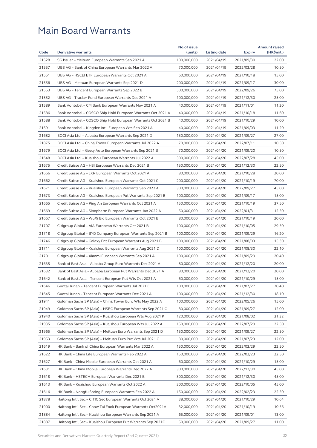|       |                                                              | No.of issue |              |               | <b>Amount raised</b> |
|-------|--------------------------------------------------------------|-------------|--------------|---------------|----------------------|
| Code  | <b>Derivative warrants</b>                                   | (units)     | Listing date | <b>Expiry</b> | (HK\$mil.)           |
| 21528 | SG Issuer - Meituan European Warrants Sep 2021 A             | 100,000,000 | 2021/04/19   | 2021/09/30    | 22.00                |
| 21557 | UBS AG - Bank of China European Warrants Mar 2022 A          | 70,000,000  | 2021/04/19   | 2022/03/28    | 10.50                |
| 21551 | UBS AG - HSCEI ETF European Warrants Oct 2021 A              | 60,000,000  | 2021/04/19   | 2021/10/18    | 15.00                |
| 21556 | UBS AG - Meituan European Warrants Sep 2021 D                | 200,000,000 | 2021/04/19   | 2021/09/17    | 30.00                |
| 21553 | UBS AG - Tencent European Warrants Sep 2022 B                | 500,000,000 | 2021/04/19   | 2022/09/26    | 75.00                |
| 21552 | UBS AG - Tracker Fund European Warrants Dec 2021 A           | 100,000,000 | 2021/04/19   | 2021/12/30    | 25.00                |
| 21589 | Bank Vontobel - CM Bank European Warrants Nov 2021 A         | 40,000,000  | 2021/04/19   | 2021/11/01    | 11.20                |
| 21586 | Bank Vontobel - COSCO Ship Hold European Warrants Oct 2021 A | 40,000,000  | 2021/04/19   | 2021/10/18    | 11.60                |
| 21588 | Bank Vontobel – COSCO Ship Hold European Warrants Oct 2021 B | 40,000,000  | 2021/04/19   | 2021/10/29    | 10.00                |
| 21591 | Bank Vontobel – Kingdee Int'l European Wts Sep 2021 A        | 40,000,000  | 2021/04/19   | 2021/09/03    | 11.20                |
| 21682 | BOCI Asia Ltd. – Alibaba European Warrants Sep 2021 D        | 150,000,000 | 2021/04/20   | 2021/09/27    | 27.00                |
| 21875 | BOCI Asia Ltd. - China Tower European Warrants Jul 2022 A    | 70,000,000  | 2021/04/20   | 2022/07/11    | 10.50                |
| 21679 | BOCI Asia Ltd. - Geely Auto European Warrants Sep 2021 B     | 70,000,000  | 2021/04/20   | 2021/09/20    | 10.50                |
| 21648 | BOCI Asia Ltd. - Kuaishou European Warrants Jul 2022 A       | 300,000,000 | 2021/04/20   | 2022/07/28    | 45.00                |
| 21675 | Credit Suisse AG - HSI European Warrants Dec 2021 B          | 150,000,000 | 2021/04/20   | 2021/12/30    | 22.50                |
| 21666 | Credit Suisse AG - JXR European Warrants Oct 2021 A          | 80,000,000  | 2021/04/20   | 2021/10/28    | 20.00                |
| 21662 | Credit Suisse AG - Kuaishou European Warrants Oct 2021 C     | 200,000,000 | 2021/04/20   | 2021/10/19    | 70.00                |
| 21671 | Credit Suisse AG – Kuaishou European Warrants Sep 2022 A     | 300,000,000 | 2021/04/20   | 2022/09/27    | 45.00                |
| 21673 | Credit Suisse AG – Kuaishou European Put Warrants Sep 2021 B | 100,000,000 | 2021/04/20   | 2021/09/17    | 15.00                |
| 21665 | Credit Suisse AG - Ping An European Warrants Oct 2021 A      | 150,000,000 | 2021/04/20   | 2021/10/19    | 37.50                |
| 21669 | Credit Suisse AG – Sinopharm European Warrants Jan 2022 A    | 50,000,000  | 2021/04/20   | 2022/01/31    | 12.50                |
| 21667 | Credit Suisse AG – WuXi Bio European Warrants Oct 2021 B     | 80,000,000  | 2021/04/20   | 2021/10/19    | 20.00                |
| 21707 | Citigroup Global - AIA European Warrants Oct 2021 B          | 100,000,000 | 2021/04/20   | 2021/10/05    | 29.50                |
| 21718 | Citigroup Global – BYD Company European Warrants Sep 2021 B  | 100,000,000 | 2021/04/20   | 2021/09/29    | 16.20                |
| 21746 | Citigroup Global - Galaxy Ent European Warrants Aug 2021 B   | 100,000,000 | 2021/04/20   | 2021/08/03    | 15.30                |
| 21711 | Citigroup Global - Kuaishou European Warrants Aug 2021 D     | 100,000,000 | 2021/04/20   | 2021/08/30    | 22.10                |
| 21701 | Citigroup Global - Xiaomi European Warrants Sep 2021 A       | 100,000,000 | 2021/04/20   | 2021/09/29    | 20.40                |
| 21635 | Bank of East Asia - Alibaba Group Euro Warrants Dec 2021 A   | 80,000,000  | 2021/04/20   | 2021/12/20    | 20.00                |
| 21632 | Bank of East Asia - Alibaba European Put Warrants Dec 2021 A | 80,000,000  | 2021/04/20   | 2021/12/20    | 20.00                |
| 21642 | Bank of East Asia – Tencent European Put Wts Oct 2021 A      | 60,000,000  | 2021/04/20   | 2021/10/29    | 15.00                |
| 21646 | Guotai Junan - Tencent European Warrants Jul 2021 C          | 100,000,000 | 2021/04/20   | 2021/07/27    | 20.40                |
| 21645 | Guotai Junan - Tencent European Warrants Dec 2021 A          | 100,000,000 | 2021/04/20   | 2021/12/30    | 18.10                |
| 21941 | Goldman Sachs SP (Asia) – China Tower Euro Wts May 2022 A    | 100,000,000 | 2021/04/20   | 2022/05/26    | 15.00                |
| 21949 | Goldman Sachs SP (Asia) - HSBC European Warrants Sep 2021 C  | 80,000,000  | 2021/04/20   | 2021/09/27    | 12.00                |
| 21940 | Goldman Sachs SP (Asia) - Kuaishou European Wts Aug 2021 K   | 120,000,000 | 2021/04/20   |               |                      |
| 21935 |                                                              | 150,000,000 | 2021/04/20   | 2021/08/02    | 31.32<br>22.50       |
|       | Goldman Sachs SP (Asia) - Kuaishou European Wts Jul 2022 A   | 150,000,000 |              | 2022/07/29    | 22.50                |
| 21965 | Goldman Sachs SP (Asia) - Meituan Euro Warrants Sep 2021 D   |             | 2021/04/20   | 2021/09/27    |                      |
| 21953 | Goldman Sachs SP (Asia) – Meituan Euro Put Wts Jul 2021 G    | 80,000,000  | 2021/04/20   | 2021/07/23    | 12.00                |
| 21619 | HK Bank - Bank of China European Warrants Mar 2022 A         | 150,000,000 | 2021/04/20   | 2022/03/29    | 22.50                |
| 21622 | HK Bank - China Life European Warrants Feb 2022 A            | 150,000,000 | 2021/04/20   | 2022/02/23    | 22.50                |
| 21627 | HK Bank - China Mobile European Warrants Oct 2021 A          | 60,000,000  | 2021/04/20   | 2021/10/29    | 15.00                |
| 21631 | HK Bank - China Mobile European Warrants Dec 2022 A          | 300,000,000 | 2021/04/20   | 2022/12/30    | 45.00                |
| 21618 | HK Bank - HSTECH European Warrants Dec 2021 B                | 300,000,000 | 2021/04/20   | 2021/12/30    | 45.00                |
| 21613 | HK Bank - Kuaishou European Warrants Oct 2022 A              | 300,000,000 | 2021/04/20   | 2022/10/05    | 45.00                |
| 21616 | HK Bank - Nongfu Spring European Warrants Feb 2022 A         | 150,000,000 | 2021/04/20   | 2022/02/23    | 22.50                |
| 21878 | Haitong Int'l Sec - CITIC Sec European Warrants Oct 2021 A   | 38,000,000  | 2021/04/20   | 2021/10/29    | 10.64                |
| 21900 | Haitong Int'l Sec - Chow Tai Fook European Warrants Oct2021A | 32,000,000  | 2021/04/20   | 2021/10/19    | 10.56                |
| 21884 | Haitong Int'l Sec - Kuaishou European Warrants Sep 2021 A    | 65,000,000  | 2021/04/20   | 2021/09/01    | 13.00                |
| 21887 | Haitong Int'l Sec - Kuaishou European Put Warrants Sep 2021C | 50,000,000  | 2021/04/20   | 2021/09/27    | 11.00                |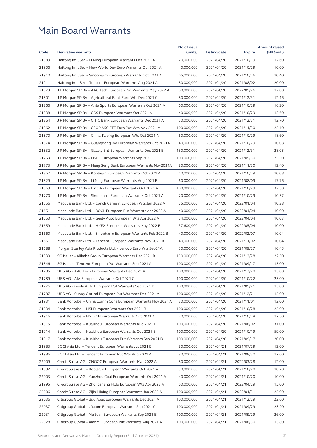|       |                                                              | No.of issue |              |               | <b>Amount raised</b> |
|-------|--------------------------------------------------------------|-------------|--------------|---------------|----------------------|
| Code  | <b>Derivative warrants</b>                                   | (units)     | Listing date | <b>Expiry</b> | (HK\$mil.)           |
| 21889 | Haitong Int'l Sec - Li Ning European Warrants Oct 2021 A     | 20,000,000  | 2021/04/20   | 2021/10/19    | 12.60                |
| 21906 | Haitong Int'l Sec – New World Dev Euro Warrants Oct 2021 A   | 40,000,000  | 2021/04/20   | 2021/10/29    | 10.00                |
| 21910 | Haitong Int'l Sec – Sinopharm European Warrants Oct 2021 A   | 65,000,000  | 2021/04/20   | 2021/10/26    | 10.40                |
| 21911 | Haitong Int'l Sec – Tencent European Warrants Aug 2021 A     | 80,000,000  | 2021/04/20   | 2021/08/02    | 20.00                |
| 21873 | J P Morgan SP BV – AAC Tech European Put Warrants May 2022 A | 80,000,000  | 2021/04/20   | 2022/05/26    | 12.00                |
| 21801 | J P Morgan SP BV - Agricultural Bank Euro Wts Dec 2021 C     | 80,000,000  | 2021/04/20   | 2021/12/31    | 12.16                |
| 21866 | J P Morgan SP BV - Anta Sports European Warrants Oct 2021 A  | 60,000,000  | 2021/04/20   | 2021/10/29    | 16.20                |
| 21838 | J P Morgan SP BV – CGS European Warrants Oct 2021 A          | 40,000,000  | 2021/04/20   | 2021/10/29    | 13.60                |
| 21864 | J P Morgan SP BV – CITIC Bank European Warrants Dec 2021 A   | 50,000,000  | 2021/04/20   | 2021/12/31    | 12.70                |
| 21862 | J P Morgan SP BV - CSOP A50 ETF Euro Put Wts Nov 2021 A      | 100,000,000 | 2021/04/20   | 2021/11/30    | 25.10                |
| 21870 | J P Morgan SP BV – China Taiping European Wts Oct 2021 A     | 60,000,000  | 2021/04/20   | 2021/10/29    | 18.60                |
| 21874 | J P Morgan SP BV - Guangdong Inv European Warrants Oct 2021A | 40,000,000  | 2021/04/20   | 2021/10/29    | 10.08                |
| 21832 | J P Morgan SP BV – Galaxy Ent European Warrants Dec 2021 B   | 150,000,000 | 2021/04/20   | 2021/12/31    | 28.05                |
| 21753 | J P Morgan SP BV – HSBC European Warrants Sep 2021 C         | 100,000,000 | 2021/04/20   | 2021/09/30    | 25.30                |
| 21773 | J P Morgan SP BV – Hang Seng Bank European Warrants Nov2021A | 80,000,000  | 2021/04/20   | 2021/11/30    | 12.40                |
| 21867 | J P Morgan SP BV - Koolearn European Warrants Oct 2021 A     | 40,000,000  | 2021/04/20   | 2021/10/29    | 10.08                |
| 21829 | J P Morgan SP BV - Li Ning European Warrants Aug 2021 B      | 60,000,000  | 2021/04/20   | 2021/08/09    | 17.76                |
| 21869 | J P Morgan SP BV - Ping An European Warrants Oct 2021 A      | 100,000,000 | 2021/04/20   | 2021/10/29    | 32.30                |
| 21770 | J P Morgan SP BV – Sinopharm European Warrants Oct 2021 A    | 70,000,000  | 2021/04/20   | 2021/10/29    | 10.57                |
| 21656 | Macquarie Bank Ltd. – Conch Cement European Wts Jan 2022 A   | 25,000,000  | 2021/04/20   | 2022/01/04    | 10.28                |
| 21651 | Macquarie Bank Ltd. - BOCL European Put Warrants Apr 2022 A  | 40,000,000  | 2021/04/20   | 2022/04/04    | 10.00                |
| 21653 | Macquarie Bank Ltd. - Geely Auto European Wts Apr 2022 A     | 24,000,000  | 2021/04/20   | 2022/04/04    | 10.03                |
| 21659 | Macquarie Bank Ltd. - HKEX European Warrants May 2022 B      | 37,600,000  | 2021/04/20   | 2022/05/04    | 10.00                |
| 21660 | Macquarie Bank Ltd. - Sinopharm European Warrants Feb 2022 B | 40,000,000  | 2021/04/20   | 2022/02/07    | 10.04                |
| 21661 | Macquarie Bank Ltd. - Tencent European Warrants Nov 2021 B   | 40,000,000  | 2021/04/20   | 2021/11/02    | 10.04                |
| 21688 | Morgan Stanley Asia Products Ltd. - Lenovo Euro Wts Sep21A   | 50,000,000  | 2021/04/20   | 2021/09/27    | 10.45                |
| 21839 | SG Issuer - Alibaba Group European Warrants Dec 2021 B       | 150,000,000 | 2021/04/20   | 2021/12/28    | 22.50                |
| 21846 |                                                              | 100,000,000 | 2021/04/20   |               | 15.00                |
|       | SG Issuer - Tencent European Put Warrants Sep 2021 A         | 100,000,000 |              | 2021/09/17    |                      |
| 21785 | UBS AG - AAC Tech European Warrants Dec 2021 A               |             | 2021/04/20   | 2021/12/28    | 15.00                |
| 21789 | UBS AG – AIA European Warrants Oct 2021 C                    | 100,000,000 | 2021/04/20   | 2021/10/22    | 25.00                |
| 21776 | UBS AG - Geely Auto European Put Warrants Sep 2021 B         | 100,000,000 | 2021/04/20   | 2021/09/21    | 15.00                |
| 21787 | UBS AG - Sunny Optical European Put Warrants Dec 2021 A      | 100,000,000 | 2021/04/20   | 2021/12/21    | 15.00                |
| 21931 | Bank Vontobel - China Comm Cons European Warrants Nov 2021 A | 30,000,000  | 2021/04/20   | 2021/11/01    | 12.00                |
| 21934 | Bank Vontobel - HSI European Warrants Oct 2021 B             | 100,000,000 | 2021/04/20   | 2021/10/28    | 25.00                |
| 21916 | Bank Vontobel - HSTECH European Warrants Oct 2021 A          | 70,000,000  | 2021/04/20   | 2021/10/28    | 17.50                |
| 21915 | Bank Vontobel - Kuaishou European Warrants Aug 2021 F        | 100,000,000 | 2021/04/20   | 2021/08/02    | 31.00                |
| 21914 | Bank Vontobel - Kuaishou European Warrants Oct 2021 B        | 100,000,000 | 2021/04/20   | 2021/10/19    | 59.00                |
| 21917 | Bank Vontobel - Kuaishou European Put Warrants Sep 2021 B    | 100,000,000 | 2021/04/20   | 2021/09/17    | 20.00                |
| 21983 | BOCI Asia Ltd. - Tencent European Warrants Jul 2021 B        | 80,000,000  | 2021/04/21   | 2021/07/29    | 12.00                |
| 21986 | BOCI Asia Ltd. - Tencent European Put Wts Aug 2021 A         | 80,000,000  | 2021/04/21   | 2021/08/30    | 17.60                |
| 22009 | Credit Suisse AG - CNOOC European Warrants Mar 2022 A        | 80,000,000  | 2021/04/21   | 2022/03/28    | 12.00                |
| 21992 | Credit Suisse AG - Koolearn European Warrants Oct 2021 A     | 30,000,000  | 2021/04/21   | 2021/10/20    | 10.20                |
| 22003 | Credit Suisse AG - Yanzhou Coal European Warrants Oct 2021 A | 40,000,000  | 2021/04/21   | 2021/10/20    | 10.00                |
| 21995 | Credit Suisse AG - Zhongsheng Hldg European Wts Apr 2022 A   | 60,000,000  | 2021/04/21   | 2022/04/29    | 15.00                |
| 22006 | Credit Suisse AG - Zijin Mining European Warrants Jan 2022 A | 100,000,000 | 2021/04/21   | 2022/01/31    | 25.00                |
| 22036 | Citigroup Global - Bud Apac European Warrants Dec 2021 A     | 100,000,000 | 2021/04/21   | 2021/12/29    | 22.60                |
| 22037 | Citigroup Global - JD.com European Warrants Sep 2021 C       | 100,000,000 | 2021/04/21   | 2021/09/29    | 23.20                |
| 22031 | Citigroup Global - Meituan European Warrants Sep 2021 B      | 100,000,000 | 2021/04/21   | 2021/09/29    | 26.00                |
| 22028 | Citigroup Global - Xiaomi European Put Warrants Aug 2021 A   | 100,000,000 | 2021/04/21   | 2021/08/30    | 15.80                |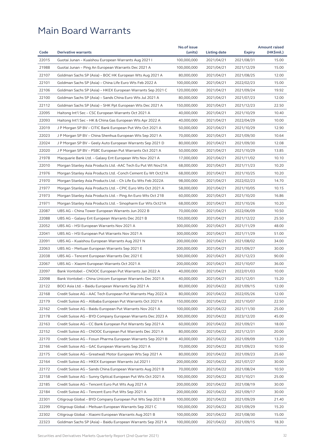|       |                                                               | No.of issue |              |               | <b>Amount raised</b> |
|-------|---------------------------------------------------------------|-------------|--------------|---------------|----------------------|
| Code  | <b>Derivative warrants</b>                                    | (units)     | Listing date | <b>Expiry</b> | (HK\$mil.)           |
| 22015 | Guotai Junan - Kuaishou European Warrants Aug 2021            | 100,000,000 | 2021/04/21   | 2021/08/31    | 15.00                |
| 21988 | Guotai Junan - Ping An European Warrants Dec 2021 A           | 100,000,000 | 2021/04/21   | 2021/12/29    | 15.00                |
| 22107 | Goldman Sachs SP (Asia) – BOC HK European Wts Aug 2021 A      | 80,000,000  | 2021/04/21   | 2021/08/25    | 12.00                |
| 22101 | Goldman Sachs SP (Asia) – China Life Euro Wts Feb 2022 A      | 100,000,000 | 2021/04/21   | 2022/02/23    | 15.00                |
| 22106 | Goldman Sachs SP (Asia) – HKEX European Warrants Sep 2021 C   | 120,000,000 | 2021/04/21   | 2021/09/24    | 19.92                |
| 22100 | Goldman Sachs SP (Asia) - Sands China Euro Wts Jul 2021 A     | 80,000,000  | 2021/04/21   | 2021/07/23    | 12.00                |
| 22112 | Goldman Sachs SP (Asia) - SHK Ppt European Wts Dec 2021 A     | 150,000,000 | 2021/04/21   | 2021/12/23    | 22.50                |
| 22095 | Haitong Int'l Sec - CSC European Warrants Oct 2021 A          | 40,000,000  | 2021/04/21   | 2021/10/29    | 10.40                |
| 22093 | Haitong Int'l Sec - HK & China Gas European Wts Apr 2022 A    | 40,000,000  | 2021/04/21   | 2022/04/29    | 10.00                |
| 22019 | J P Morgan SP BV - CITIC Bank European Put Wts Oct 2021 A     | 50,000,000  | 2021/04/21   | 2021/10/29    | 12.90                |
| 22023 | J P Morgan SP BV – China Shenhua European Wts Sep 2021 A      | 70,000,000  | 2021/04/21   | 2021/09/30    | 10.64                |
| 22024 | J P Morgan SP BV - Geely Auto European Warrants Sep 2021 D    | 80,000,000  | 2021/04/21   | 2021/09/30    | 12.08                |
| 22020 | J P Morgan SP BV - PSBC European Put Warrants Oct 2021 A      | 50,000,000  | 2021/04/21   | 2021/10/29    | 13.85                |
| 21978 | Macquarie Bank Ltd. - Galaxy Ent European Wts Nov 2021 A      | 17,000,000  | 2021/04/21   | 2021/11/02    | 10.10                |
| 22010 | Morgan Stanley Asia Products Ltd. - AAC Tech Eu Put Wt Nov21A | 68,000,000  | 2021/04/21   | 2021/11/23    | 10.20                |
| 21976 | Morgan Stanley Asia Products Ltd. -Conch Cement Eu Wt Oct21A  | 68,000,000  | 2021/04/21   | 2021/10/25    | 10.20                |
| 21970 | Morgan Stanley Asia Products Ltd. - Ch Life Eu Wts Feb 2022A  | 98,000,000  | 2021/04/21   | 2022/02/23    | 14.70                |
| 21977 | Morgan Stanley Asia Products Ltd. – CPIC Euro Wts Oct 2021 A  | 58,000,000  | 2021/04/21   | 2021/10/05    | 10.15                |
| 21973 | Morgan Stanley Asia Products Ltd. – Ping An Euro Wts Oct 21B  | 60,000,000  | 2021/04/21   | 2021/10/20    | 16.86                |
| 21971 | Morgan Stanley Asia Products Ltd. – Sinopharm Eur Wts Oct21A  | 68,000,000  | 2021/04/21   | 2021/10/26    | 10.20                |
| 22087 | UBS AG - China Tower European Warrants Jun 2022 B             | 70,000,000  | 2021/04/21   | 2022/06/09    | 10.50                |
| 22088 | UBS AG - Galaxy Ent European Warrants Dec 2021 B              | 150,000,000 | 2021/04/21   | 2021/12/22    | 25.50                |
| 22052 | UBS AG - HSI European Warrants Nov 2021 A                     | 300,000,000 | 2021/04/21   | 2021/11/29    | 48.00                |
| 22041 | UBS AG - HSI European Put Warrants Nov 2021 A                 | 300,000,000 | 2021/04/21   | 2021/11/29    | 51.00                |
| 22091 | UBS AG – Kuaishou European Warrants Aug 2021 N                | 200,000,000 | 2021/04/21   | 2021/08/02    | 34.00                |
| 22063 | UBS AG - Meituan European Warrants Sep 2021 E                 | 200,000,000 | 2021/04/21   | 2021/09/27    | 30.00                |
| 22038 | UBS AG - Tencent European Warrants Dec 2021 E                 | 500,000,000 | 2021/04/21   | 2021/12/23    | 90.00                |
| 22067 | UBS AG – Xiaomi European Warrants Oct 2021 A                  | 200,000,000 | 2021/04/21   | 2021/10/07    | 36.00                |
| 22097 | Bank Vontobel – CNOOC European Put Warrants Jan 2022 A        | 40,000,000  | 2021/04/21   | 2022/01/03    | 10.00                |
| 22098 | Bank Vontobel – China Unicom European Warrants Dec 2021 A     | 40,000,000  | 2021/04/21   | 2021/12/01    | 15.20                |
| 22122 | BOCI Asia Ltd. – Baidu European Warrants Sep 2021 A           | 80,000,000  | 2021/04/22   | 2021/09/15    | 12.00                |
| 22168 | Credit Suisse AG - AAC Tech European Put Warrants May 2022 A  | 80,000,000  | 2021/04/22   | 2022/05/26    | 12.00                |
| 22179 | Credit Suisse AG - Alibaba European Put Warrants Oct 2021 A   | 150,000,000 | 2021/04/22   | 2021/10/07    | 22.50                |
| 22162 | Credit Suisse AG - Baidu European Put Warrants Nov 2021 A     | 100,000,000 | 2021/04/22   | 2021/11/30    | 25.00                |
| 22178 | Credit Suisse AG - BYD Company European Warrants Dec 2023 A   | 300,000,000 | 2021/04/22   | 2023/12/20    | 45.00                |
| 22163 | Credit Suisse AG - CC Bank European Put Warrants Sep 2021 A   | 60,000,000  | 2021/04/22   | 2021/09/21    | 18.00                |
| 22152 | Credit Suisse AG - CNOOC European Put Warrants Dec 2021 A     | 80,000,000  | 2021/04/22   | 2021/12/31    | 20.00                |
| 22170 | Credit Suisse AG – Fosun Pharma European Warrants Sep 2021 B  | 40,000,000  | 2021/04/22   | 2021/09/09    | 13.20                |
| 22166 | Credit Suisse AG - GAC European Warrants Sep 2021 A           | 70,000,000  | 2021/04/22   | 2021/09/23    | 10.50                |
| 22175 | Credit Suisse AG - Greatwall Motor European Wts Sep 2021 A    | 80,000,000  | 2021/04/22   | 2021/09/23    | 25.60                |
| 22164 | Credit Suisse AG - HKEX European Warrants Jul 2021 I          | 200,000,000 | 2021/04/22   | 2021/07/27    | 30.00                |
| 22172 | Credit Suisse AG - Sands China European Warrants Aug 2021 B   | 70,000,000  | 2021/04/22   | 2021/08/24    | 10.50                |
| 22158 | Credit Suisse AG - Sunny Optical European Put Wts Oct 2021 A  | 100,000,000 | 2021/04/22   | 2021/10/21    | 25.00                |
| 22185 | Credit Suisse AG - Tencent Euro Put Wts Aug 2021 A            | 200,000,000 | 2021/04/22   | 2021/08/19    | 30.00                |
| 22184 | Credit Suisse AG - Tencent Euro Put Wts Sep 2021 A            | 200,000,000 | 2021/04/22   | 2021/09/17    | 30.00                |
| 22301 | Citigroup Global - BYD Company European Put Wts Sep 2021 B    | 100,000,000 | 2021/04/22   | 2021/09/29    | 21.40                |
| 22299 | Citigroup Global - Meituan European Warrants Sep 2021 C       | 100,000,000 | 2021/04/22   | 2021/09/29    | 15.20                |
| 22302 | Citigroup Global - Xiaomi European Warrants Aug 2021 B        | 100,000,000 | 2021/04/22   | 2021/08/30    | 15.00                |
| 22323 | Goldman Sachs SP (Asia) - Baidu European Warrants Sep 2021 A  | 100,000,000 | 2021/04/22   | 2021/09/15    | 18.30                |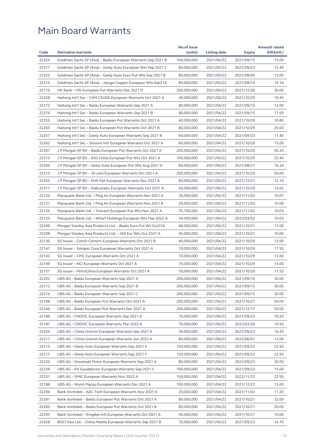|                |                                                              | No.of issue              |                          |                          | <b>Amount raised</b> |
|----------------|--------------------------------------------------------------|--------------------------|--------------------------|--------------------------|----------------------|
| Code           | <b>Derivative warrants</b>                                   | (units)                  | Listing date             | <b>Expiry</b>            | (HK\$mil.)           |
| 22324          | Goldman Sachs SP (Asia) - Baidu European Warrants Sep 2021 B | 100,000,000              | 2021/04/22               | 2021/09/15               | 15.00                |
| 22317          | Goldman Sachs SP (Asia) – Geely Auto European Wts Sep 2021 C | 80,000,000               | 2021/04/22               | 2021/09/23               | 12.40                |
| 22322          | Goldman Sachs SP (Asia) - Geely Auto Euro Put Wts Sep 2021 B | 80,000,000               | 2021/04/22               | 2021/09/06               | 12.00                |
| 22316          | Goldman Sachs SP (Asia) – Jiangxi Copper European Wts Sep21A | 80,000,000               | 2021/04/22               | 2021/09/14               | 14.16                |
| 22116          | HK Bank – HSI European Put Warrants Dec 2021 D               | 200,000,000              | 2021/04/22               | 2021/12/30               | 30.00                |
| 22258          | Haitong Int'l Sec – CAM CSI300 European Warrants Oct 2021 A  | 40,000,000               | 2021/04/22               | 2021/10/29               | 10.40                |
| 22272          | Haitong Int'l Sec - Baidu European Warrants Sep 2021 A       | 80,000,000               | 2021/04/22               | 2021/09/15               | 12.00                |
| 22276          | Haitong Int'l Sec – Baidu European Warrants Sep 2021 B       | 80,000,000               | 2021/04/22               | 2021/09/15               | 17.60                |
| 22255          | Haitong Int'l Sec - Baidu European Put Warrants Oct 2021 A   | 40,000,000               | 2021/04/22               | 2021/10/29               | 10.80                |
| 22265          | Haitong Int'l Sec - Baidu European Put Warrants Oct 2021 B   | 80,000,000               | 2021/04/22               | 2021/10/29               | 20.00                |
| 22257          | Haitong Int'l Sec – Geely Auto European Warrants Sep 2021 B  | 60,000,000               | 2021/04/22               | 2021/09/23               | 11.40                |
| 22262          | Haitong Int'l Sec - Smoore Intl European Warrants Oct 2021 A | 60,000,000               | 2021/04/22               | 2021/10/29               | 15.00                |
| 22307          | J P Morgan SP BV – Baidu European Put Warrants Oct 2021 A    | 200,000,000              | 2021/04/22               | 2021/10/29               | 50.20                |
| 22315          | J P Morgan SP BV – A50 China European Put Wts Oct 2021 A     | 100,000,000              | 2021/04/22               | 2021/10/29               | 25.40                |
| 22306          | J P Morgan SP BV – Geely Auto European Put Wts Aug 2021 A    | 80,000,000               | 2021/04/22               | 2021/08/31               | 16.24                |
| 22312          | J P Morgan SP BV - JD.com European Warrants Oct 2021 A       | 200,000,000              | 2021/04/22               | 2021/10/29               | 50.60                |
| 22305          | J P Morgan SP BV - SHK Ppt European Warrants Dec 2021 A      | 80,000,000               | 2021/04/22               | 2021/12/31               | 12.16                |
| 22311          | J P Morgan SP BV – Xiabuxiabu European Warrants Oct 2021 A   | 50,000,000               | 2021/04/22               | 2021/10/29               | 12.65                |
| 22120          | Macquarie Bank Ltd. - Ping An European Warrants Nov 2021 A   | 26,000,000               | 2021/04/22               | 2021/11/02               | 10.01                |
| 22121          | Macquarie Bank Ltd. – Ping An European Warrants Nov 2021 B   | 29,000,000               | 2021/04/22               | 2021/11/02               | 10.06                |
| 22126          | Macquarie Bank Ltd. - Tencent European Put Wts Nov 2021 A    | 35,700,000               | 2021/04/22               | 2021/11/02               | 10.03                |
| 22125          | Macquarie Bank Ltd. - Wharf Holdings European Wts Mar 2022 A | 34,000,000               | 2021/04/22               | 2022/03/02               | 10.03                |
| 22296          | Morgan Stanley Asia Products Ltd. - Baidu Euro Put Wt Oct21A | 68,000,000               | 2021/04/22               | 2021/10/21               | 17.00                |
| 22298          | Morgan Stanley Asia Products Ltd. - JXR Eur Wts Oct 2021 A   | 40,000,000               | 2021/04/22               | 2021/10/21               | 10.00                |
| 22130          | SG Issuer - Conch Cement European Warrants Oct 2021 B        | 40,000,000               | 2021/04/22               | 2021/10/29               | 12.00                |
| 22147          | SG Issuer – Sinopec Corp European Warrants Oct 2021 A        | 70,000,000               | 2021/04/22               | 2021/10/29               | 17.50                |
| 22143          | SG Issuer - CPIC European Warrants Oct 2021 A                | 70,000,000               | 2021/04/22               | 2021/10/29               | 12.60                |
| 22149          | SG Issuer - NCI European Warrants Oct 2021 A                 | 70,000,000               | 2021/04/22               | 2021/10/29               | 14.00                |
| 22151          | SG Issuer - PetroChina European Warrants Oct 2021 A          | 70,000,000               | 2021/04/22               | 2021/10/29               | 11.55                |
| 22202          | UBS AG - Baidu European Warrants Sep 2021 A                  | 200,000,000              | 2021/04/22               | 2021/09/16               | 30.00                |
| 22212          | UBS AG - Baidu European Warrants Sep 2021 B                  | 200,000,000              | 2021/04/22               | 2021/09/15               | 30.00                |
| 22214          | UBS AG - Baidu European Warrants Sep 2021 C                  | 200,000,000              | 2021/04/22               | 2021/09/15               | 30.00                |
| 22198          | UBS AG - Baidu European Put Warrants Oct 2021 A              | 200,000,000              | 2021/04/22               | 2021/10/21               | 50.00                |
| 22246          | UBS AG - Baidu European Put Warrants Dec 2021 A              | 200,000,000              | 2021/04/22               | 2021/12/17               | 50.00                |
| 22186          | UBS AG – CNOOC European Warrants Sep 2021 A                  | 70,000,000               | 2021/04/22               | 2021/09/23               | 10.50                |
| 22187          | UBS AG - CNOOC European Warrants Mar 2022 A                  | 70,000,000               | 2021/04/22               | 2022/03/28               | 10.50                |
| 22204          | UBS AG - China Unicom European Warrants Sep 2021 A           | 30,000,000               | 2021/04/22               | 2021/09/23               | 10.20                |
| 22211          | UBS AG – China Unicom European Warrants Jun 2022 A           | 80,000,000               | 2021/04/22               | 2022/06/07               | 12.00                |
| 22215          | UBS AG - Geely Auto European Warrants Sep 2021 E             | 150,000,000              | 2021/04/22               | 2021/09/23               | 22.50                |
| 22217          | UBS AG - Geely Auto European Warrants Sep 2021 F             | 150,000,000              | 2021/04/22               | 2021/09/23               | 22.50                |
| 22220          | UBS AG - Greatwall Motor European Warrants Sep 2021 A        | 80,000,000               | 2021/04/22               | 2021/09/23               | 20.00                |
| 22229          | UBS AG - PA Gooddoctor European Warrants Sep 2021 C          | 100,000,000              | 2021/04/22               | 2021/09/23               | 15.00                |
| 22231          | UBS AG - SMIC European Warrants Nov 2022 A                   | 150,000,000              | 2021/04/22               | 2022/11/23               | 22.50                |
| 22188          | UBS AG - Wynn Macau European Warrants Dec 2021 A             | 100,000,000              | 2021/04/22               | 2021/12/23               | 15.00                |
| 22294          | Bank Vontobel - AAC Tech European Warrants Nov 2021 A        | 20,000,000               | 2021/04/22               | 2021/11/02               | 11.20                |
|                | Bank Vontobel - Baidu European Put Warrants Oct 2021 A       |                          | 2021/04/22               |                          |                      |
| 22281          |                                                              | 80,000,000               |                          | 2021/10/21               | 32.00                |
| 22283<br>22295 | Bank Vontobel - Baidu European Put Warrants Oct 2021 B       | 80,000,000<br>40,000,000 | 2021/04/22<br>2021/04/22 | 2021/10/21<br>2021/10/21 | 20.00<br>10.00       |
|                | Bank Vontobel - Kingdee Intl European Warrants Oct 2021 A    |                          |                          |                          |                      |
| 22428          | BOCI Asia Ltd. - China Mobile European Warrants Sep 2021 B   | 70,000,000               | 2021/04/23               | 2021/09/23               | 14.70                |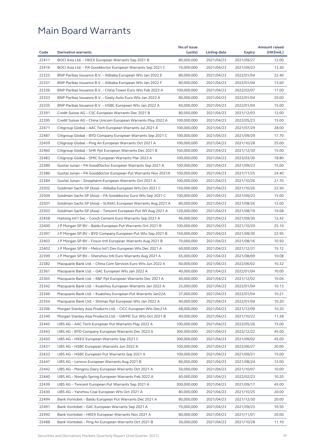|       |                                                              | No.of issue |              |               | <b>Amount raised</b> |
|-------|--------------------------------------------------------------|-------------|--------------|---------------|----------------------|
| Code  | <b>Derivative warrants</b>                                   | (units)     | Listing date | <b>Expiry</b> | (HK\$mil.)           |
| 22411 | BOCI Asia Ltd. - HKEX European Warrants Sep 2021 B           | 80,000,000  | 2021/04/23   | 2021/09/27    | 12.00                |
| 22416 | BOCI Asia Ltd. - PA Gooddoctor European Warrants Sep 2021 C  | 70,000,000  | 2021/04/23   | 2021/09/23    | 13.30                |
| 22325 | BNP Paribas Issuance B.V. – Alibaba European Wts Jan 2022 E  | 80,000,000  | 2021/04/23   | 2022/01/04    | 22.40                |
| 22337 | BNP Paribas Issuance B.V. - Alibaba European Wts Jan 2022 F  | 80,000,000  | 2021/04/23   | 2022/01/04    | 13.60                |
| 22336 | BNP Paribas Issuance B.V. – China Tower Euro Wts Feb 2022 A  | 100,000,000 | 2021/04/23   | 2022/02/07    | 17.00                |
| 22333 | BNP Paribas Issuance B.V. - Geely Auto Euro Wts Jan 2022 A   | 80,000,000  | 2021/04/23   | 2022/01/04    | 20.00                |
| 22335 | BNP Paribas Issuance B.V. - HSBC European Wts Jan 2022 A     | 60,000,000  | 2021/04/23   | 2022/01/04    | 15.00                |
| 22391 | Credit Suisse AG - CSC European Warrants Dec 2021 B          | 80,000,000  | 2021/04/23   | 2021/12/03    | 12.00                |
| 22395 | Credit Suisse AG – China Unicom European Warrants May 2022 A | 100,000,000 | 2021/04/23   | 2022/05/23    | 15.00                |
| 22471 | Citigroup Global - AAC Tech European Warrants Jul 2021 A     | 100,000,000 | 2021/04/23   | 2021/07/29    | 28.00                |
| 22487 | Citigroup Global – BYD Company European Warrants Sep 2021 C  | 100,000,000 | 2021/04/23   | 2021/09/29    | 17.70                |
| 22459 | Citigroup Global - Ping An European Warrants Oct 2021 A      | 100,000,000 | 2021/04/23   | 2021/10/28    | 25.00                |
| 22460 | Citigroup Global – SHK Ppt European Warrants Dec 2021 B      | 100,000,000 | 2021/04/23   | 2021/12/30    | 15.00                |
| 22483 | Citigroup Global – SMIC European Warrants Mar 2023 A         | 100,000,000 | 2021/04/23   | 2023/03/30    | 18.80                |
| 22389 | Guotai Junan - PA GoodDoctor European Warrants Sep 2021 A    | 100,000,000 | 2021/04/23   | 2021/09/23    | 15.00                |
| 22386 | Guotai Junan – PA Gooddoctor European Put Warrants Nov 2021A | 100,000,000 | 2021/04/23   | 2021/11/25    | 24.40                |
| 22384 | Guotai Junan - Sinopharm European Warrants Oct 2021 A        | 100,000,000 | 2021/04/23   | 2021/10/26    | 21.70                |
| 22502 | Goldman Sachs SP (Asia) – Alibaba European Wts Oct 2021 C    | 150,000,000 | 2021/04/23   | 2021/10/26    | 22.50                |
| 22504 | Goldman Sachs SP (Asia) - PA Gooddoctor Euro Wts Sep 2021 C  | 100,000,000 | 2021/04/23   | 2021/09/23    | 15.00                |
| 22501 | Goldman Sachs SP (Asia) – SUNAC European Warrants Aug 2021 A | 80,000,000  | 2021/04/23   | 2021/08/26    | 12.00                |
| 22503 | Goldman Sachs SP (Asia) - Tencent European Put Wt Aug 2021 A | 120,000,000 | 2021/04/23   | 2021/08/19    | 19.68                |
| 22458 | Haitong Int'l Sec – Conch Cement Euro Warrants Sep 2021 A    | 46,000,000  | 2021/04/23   | 2021/09/30    | 12.42                |
| 22400 | J P Morgan SP BV – Baidu European Put Warrants Oct 2021 B    | 100,000,000 | 2021/04/23   | 2021/10/29    | 25.10                |
| 22397 | J P Morgan SP BV – BYD Company European Put Wts Sep 2021 B   | 150,000,000 | 2021/04/23   | 2021/09/30    | 22.95                |
| 22403 | J P Morgan SP BV – Fosun Intl European Warrants Aug 2021 B   | 70,000,000  | 2021/04/23   | 2021/08/16    | 10.50                |
| 22402 | J P Morgan SP BV - Melco Int'l Dev European Wts Dec 2021 A   | 60,000,000  | 2021/04/23   | 2021/12/31    | 15.12                |
| 22399 | J P Morgan SP BV - Shenzhou Intl Euro Warrants Aug 2021 A    | 65,000,000  | 2021/04/23   | 2021/08/09    | 10.08                |
| 22382 | Macquarie Bank Ltd. - China Com Services Euro Wts Jun 2022 A | 60,000,000  | 2021/04/23   | 2022/06/02    | 10.32                |
| 22361 | Macquarie Bank Ltd. – GAC European Wts Jan 2022 A            | 40,000,000  | 2021/04/23   | 2022/01/04    | 10.00                |
| 22365 | Macquarie Bank Ltd. - R&F Ppt European Warrants Dec 2021 A   | 40,000,000  | 2021/04/23   | 2021/12/02    | 10.04                |
| 22342 | Macquarie Bank Ltd. – Kuaishou European Warrants Jan 2022 A  | 25,000,000  | 2021/04/23   | 2022/01/04    | 10.13                |
| 22346 | Macquarie Bank Ltd. - Kuaishou European Put Warrants Jan22A  | 37,000,000  | 2021/04/23   | 2022/01/04    | 10.21                |
| 22354 | Macquarie Bank Ltd. - Shimao Ppt European Wts Jan 2022 A     | 40,000,000  | 2021/04/23   | 2022/01/04    | 10.20                |
| 22396 | Morgan Stanley Asia Products Ltd. - CICC European Wts Dec21A | 68,000,000  | 2021/04/23   | 2021/12/09    | 10.20                |
| 22340 | Morgan Stanley Asia Products Ltd. - GWMC Eur Wts Oct 2021 B  | 40,000,000  | 2021/04/23   | 2021/10/22    | 11.28                |
| 22445 | UBS AG - AAC Tech European Put Warrants May 2022 A           | 100,000,000 | 2021/04/23   | 2022/05/26    | 15.00                |
| 22443 | UBS AG - BYD Company European Warrants Dec 2023 A            | 300,000,000 | 2021/04/23   | 2023/12/22    | 45.00                |
| 22450 | UBS AG – HKEX European Warrants Sep 2021 C                   | 300,000,000 | 2021/04/23   | 2021/09/02    | 45.00                |
| 22431 | UBS AG - HSBC European Warrants Jun 2022 A                   | 100,000,000 | 2021/04/23   | 2022/06/27    | 20.00                |
| 22433 | UBS AG - HSBC European Put Warrants Sep 2021 A               | 100,000,000 | 2021/04/23   | 2021/09/21    | 15.00                |
| 22447 | UBS AG - Lenovo European Warrants Aug 2021 B                 | 80,000,000  |              |               | 12.00                |
|       |                                                              |             | 2021/04/23   | 2021/08/24    | 10.00                |
| 22442 | UBS AG - Mengniu Dairy European Warrants Oct 2021 A          | 50,000,000  | 2021/04/23   | 2021/10/07    |                      |
| 22440 | UBS AG - Nongfu Spring European Warrants Feb 2022 A          | 60,000,000  | 2021/04/23   | 2022/02/23    | 10.20                |
| 22439 | UBS AG - Tencent European Put Warrants Sep 2021 A            | 300,000,000 | 2021/04/23   | 2021/09/17    | 45.00                |
| 22430 | UBS AG - Yanzhou Coal European Wts Oct 2021 A                | 80,000,000  | 2021/04/23   | 2021/10/25    | 20.00                |
| 22494 | Bank Vontobel - Baidu European Put Warrants Dec 2021 A       | 80,000,000  | 2021/04/23   | 2021/12/30    | 20.00                |
| 22491 | Bank Vontobel - GAC European Warrants Sep 2021 A             | 70,000,000  | 2021/04/23   | 2021/09/23    | 10.50                |
| 22492 | Bank Vontobel - HKEX European Warrants Nov 2021 A            | 80,000,000  | 2021/04/23   | 2021/11/01    | 20.00                |
| 22488 | Bank Vontobel – Ping An European Warrants Oct 2021 B         | 30,000,000  | 2021/04/23   | 2021/10/28    | 11.10                |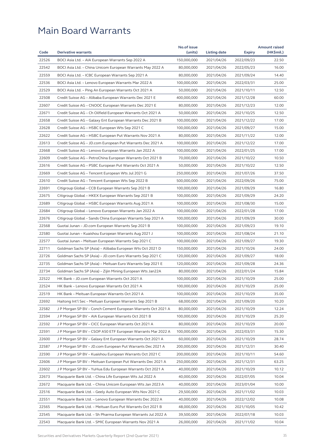|       |                                                              | No.of issue |              |               | <b>Amount raised</b> |
|-------|--------------------------------------------------------------|-------------|--------------|---------------|----------------------|
| Code  | <b>Derivative warrants</b>                                   | (units)     | Listing date | <b>Expiry</b> | (HK\$mil.)           |
| 22526 | BOCI Asia Ltd. - AIA European Warrants Sep 2022 A            | 150,000,000 | 2021/04/26   | 2022/09/23    | 22.50                |
| 22542 | BOCI Asia Ltd. - China Unicom European Warrants May 2022 A   | 80,000,000  | 2021/04/26   | 2022/05/23    | 16.00                |
| 22559 | BOCI Asia Ltd. - ICBC European Warrants Sep 2021 A           | 80,000,000  | 2021/04/26   | 2021/09/24    | 14.40                |
| 22536 | BOCI Asia Ltd. - Lenovo European Warrants Mar 2022 A         | 100,000,000 | 2021/04/26   | 2022/03/31    | 25.00                |
| 22529 | BOCI Asia Ltd. - Ping An European Warrants Oct 2021 A        | 50,000,000  | 2021/04/26   | 2021/10/11    | 12.50                |
| 22508 | Credit Suisse AG - Alibaba European Warrants Dec 2021 E      | 400,000,000 | 2021/04/26   | 2021/12/28    | 60.00                |
| 22607 | Credit Suisse AG - CNOOC European Warrants Dec 2021 E        | 80,000,000  | 2021/04/26   | 2021/12/23    | 12.00                |
| 22671 | Credit Suisse AG - Ch Oilfield European Warrants Oct 2021 A  | 50,000,000  | 2021/04/26   | 2021/10/25    | 12.50                |
| 22658 | Credit Suisse AG - Galaxy Ent European Warrants Dec 2021 B   | 100,000,000 | 2021/04/26   | 2021/12/22    | 17.00                |
| 22628 | Credit Suisse AG - HSBC European Wts Sep 2021 C              | 100,000,000 | 2021/04/26   | 2021/09/27    | 15.00                |
| 22622 | Credit Suisse AG - HSBC European Put Warrants Nov 2021 A     | 80,000,000  | 2021/04/26   | 2021/11/22    | 12.00                |
| 22613 | Credit Suisse AG - JD.com European Put Warrants Dec 2021 A   | 100,000,000 | 2021/04/26   | 2021/12/22    | 17.00                |
| 22668 | Credit Suisse AG - Lenovo European Warrants Jan 2022 A       | 100,000,000 | 2021/04/26   | 2022/01/25    | 17.00                |
| 22609 | Credit Suisse AG - PetroChina European Warrants Oct 2021 B   | 70,000,000  | 2021/04/26   | 2021/10/22    | 10.50                |
| 22616 | Credit Suisse AG - PSBC European Put Warrants Oct 2021 A     | 50,000,000  | 2021/04/26   | 2021/10/22    | 12.50                |
| 22669 | Credit Suisse AG - Tencent European Wts Jul 2021 G           | 250,000,000 | 2021/04/26   | 2021/07/26    | 37.50                |
| 22610 | Credit Suisse AG - Tencent European Wts Sep 2022 B           | 500,000,000 | 2021/04/26   | 2022/09/26    | 75.00                |
| 22691 | Citigroup Global - CCB European Warrants Sep 2021 B          | 100,000,000 | 2021/04/26   | 2021/09/29    | 16.80                |
| 22675 | Citigroup Global – HKEX European Warrants Sep 2021 B         | 100,000,000 | 2021/04/26   | 2021/09/29    | 24.20                |
| 22689 | Citigroup Global - HSBC European Warrants Aug 2021 A         | 100,000,000 | 2021/04/26   | 2021/08/30    | 15.00                |
| 22684 | Citigroup Global - Lenovo European Warrants Jan 2022 A       | 100,000,000 | 2021/04/26   | 2022/01/28    | 17.00                |
| 22676 | Citigroup Global - Sands China European Warrants Sep 2021 A  | 100,000,000 | 2021/04/26   | 2021/09/29    | 30.00                |
| 22568 | Guotai Junan - JD.com European Warrants Sep 2021 B           | 100,000,000 | 2021/04/26   | 2021/09/23    | 19.10                |
| 22580 | Guotai Junan – Kuaishou European Warrants Aug 2021 J         | 100,000,000 | 2021/04/26   | 2021/08/24    | 21.10                |
| 22577 | Guotai Junan - Meituan European Warrants Sep 2021 C          | 100,000,000 | 2021/04/26   | 2021/09/27    | 19.30                |
| 22711 | Goldman Sachs SP (Asia) - Alibaba European Wts Oct 2021 D    | 150,000,000 | 2021/04/26   | 2021/10/26    | 24.00                |
| 22726 | Goldman Sachs SP (Asia) - JD.com Euro Warrants Sep 2021 C    | 120,000,000 | 2021/04/26   | 2021/09/27    | 18.00                |
| 22735 | Goldman Sachs SP (Asia) - Meituan Euro Warrants Sep 2021 E   | 120,000,000 | 2021/04/26   | 2021/09/28    | 24.36                |
| 22734 | Goldman Sachs SP (Asia) – Zijin Mining European Wts Jan22A   | 80,000,000  | 2021/04/26   | 2022/01/24    | 15.84                |
| 22522 | HK Bank - JD.com European Warrants Oct 2021 A                | 100,000,000 | 2021/04/26   | 2021/10/29    | 25.00                |
| 22524 | HK Bank - Lenovo European Warrants Oct 2021 A                | 100,000,000 | 2021/04/26   | 2021/10/29    | 25.00                |
| 22519 | HK Bank - Meituan European Warrants Oct 2021 A               | 100,000,000 | 2021/04/26   | 2021/10/29    | 35.00                |
| 22692 | Haitong Int'l Sec – Meituan European Warrants Sep 2021 B     | 68,000,000  | 2021/04/26   | 2021/09/20    | 10.20                |
| 22582 | J P Morgan SP BV - Conch Cement European Warrants Oct 2021 A | 80,000,000  | 2021/04/26   | 2021/10/29    | 12.24                |
| 22594 | J P Morgan SP BV – AIA European Warrants Oct 2021 B          | 100,000,000 | 2021/04/26   | 2021/10/29    | 25.20                |
| 22592 | J P Morgan SP BV - CICC European Warrants Oct 2021 A         | 80,000,000  | 2021/04/26   | 2021/10/29    | 20.00                |
| 22591 | J P Morgan SP BV - CSOP A50 ETF European Warrants Mar 2022 A | 100,000,000 | 2021/04/26   | 2022/03/31    | 15.30                |
| 22600 | J P Morgan SP BV – Galaxy Ent European Warrants Oct 2021 A   | 60,000,000  | 2021/04/26   | 2021/10/29    | 28.74                |
| 22587 | J P Morgan SP BV - JD.com European Put Warrants Dec 2021 A   | 200,000,000 | 2021/04/26   | 2021/12/31    | 30.40                |
| 22590 | J P Morgan SP BV - Kuaishou European Warrants Oct 2021 C     | 200,000,000 | 2021/04/26   | 2021/10/11    | 54.60                |
| 22606 | J P Morgan SP BV - Meituan European Put Warrants Dec 2021 A  | 250,000,000 | 2021/04/26   | 2021/12/31    | 63.25                |
| 22602 | J P Morgan SP BV - YuHua Edu European Warrants Oct 2021 A    | 40,000,000  | 2021/04/26   | 2021/10/29    | 10.12                |
| 22673 | Macquarie Bank Ltd. - China Life European Wts Jul 2022 A     | 40,000,000  | 2021/04/26   | 2022/07/05    | 10.04                |
| 22672 | Macquarie Bank Ltd. - China Unicom European Wts Jan 2023 A   | 40,000,000  | 2021/04/26   | 2023/01/04    | 10.00                |
| 22516 | Macquarie Bank Ltd. - Geely Auto European Wts Nov 2021 C     | 29,500,000  | 2021/04/26   | 2021/11/02    | 10.03                |
| 22551 | Macquarie Bank Ltd. - Lenovo European Warrants Dec 2022 A    | 40,000,000  | 2021/04/26   | 2022/12/02    | 10.08                |
| 22565 | Macquarie Bank Ltd. - Meituan Euro Put Warrants Oct 2021 B   | 48,000,000  | 2021/04/26   | 2021/10/05    | 10.42                |
| 22545 | Macquarie Bank Ltd. - Sh Pharma European Warrants Jul 2022 A | 39,500,000  | 2021/04/26   | 2022/07/18    | 10.03                |
| 22543 | Macquarie Bank Ltd. - SMIC European Warrants Nov 2021 A      | 26,000,000  | 2021/04/26   | 2021/11/02    | 10.04                |
|       |                                                              |             |              |               |                      |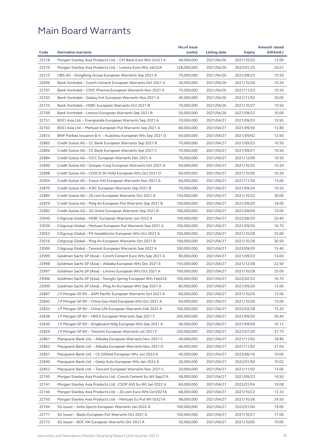|       |                                                               | No.of issue |              |               | <b>Amount raised</b> |
|-------|---------------------------------------------------------------|-------------|--------------|---------------|----------------------|
| Code  | <b>Derivative warrants</b>                                    | (units)     | Listing date | <b>Expiry</b> | (HK\$mil.)           |
| 22518 | Morgan Stanley Asia Products Ltd. - CM Bank Euro Wts Oct21 A  | 48,000,000  | 2021/04/26   | 2021/10/25    | 12.00                |
| 22510 | Morgan Stanley Asia Products Ltd. - Lenovo Euro Wts Jan22A    | 128,000,000 | 2021/04/26   | 2022/01/25    | 20.61                |
| 22515 | UBS AG - Dongfeng Group European Warrants Sep 2021 A          | 70,000,000  | 2021/04/26   | 2021/09/23    | 10.50                |
| 22696 | Bank Vontobel – Conch Cement European Warrants Oct 2021 A     | 30,000,000  | 2021/04/26   | 2021/10/28    | 10.20                |
| 22707 | Bank Vontobel – CSPC Pharma European Warrants Nov 2021 A      | 70,000,000  | 2021/04/26   | 2021/11/23    | 10.50                |
| 22703 | Bank Vontobel - Galaxy Ent European Warrants Nov 2021 A       | 40,000,000  | 2021/04/26   | 2021/11/02    | 20.00                |
| 22710 | Bank Vontobel - HSBC European Warrants Oct 2021 B             | 70,000,000  | 2021/04/26   | 2021/10/27    | 10.50                |
| 22709 | Bank Vontobel - Lenovo European Warrants Sep 2021 B           | 50,000,000  | 2021/04/26   | 2021/09/23    | 10.00                |
| 22751 | BOCI Asia Ltd. – Evergrande European Warrants Sep 2021 A      | 70,000,000  | 2021/04/27   | 2021/09/23    | 10.50                |
| 22763 | BOCI Asia Ltd. – Meituan European Put Warrants Sep 2021 A     | 80,000,000  | 2021/04/27   | 2021/09/30    | 12.80                |
| 22813 | BNP Paribas Issuance B.V. – Kuaishou European Wts Sep 2021 D  | 60,000,000  | 2021/04/27   | 2021/09/02    | 12.60                |
| 22865 | Credit Suisse AG - CC Bank European Warrants Sep 2021 B       | 70,000,000  | 2021/04/27   | 2021/09/23    | 10.50                |
| 22866 | Credit Suisse AG – CC Bank European Warrants Sep 2021 C       | 70,000,000  | 2021/04/27   | 2021/09/21    | 10.50                |
| 22884 | Credit Suisse AG - CICC European Warrants Dec 2021 A          | 70,000,000  | 2021/04/27   | 2021/12/09    | 10.50                |
| 22890 | Credit Suisse AG – Sinopec Corp European Warrants Oct 2021 A  | 60,000,000  | 2021/04/27   | 2021/10/22    | 10.20                |
| 22898 | Credit Suisse AG - COSCO Sh Hold European Wts Oct 2021 D      | 60,000,000  | 2021/04/27   | 2021/10/05    | 10.20                |
| 22904 | Credit Suisse AG - Fosun Intl European Warrants Nov 2021 A    | 60,000,000  | 2021/04/27   | 2021/11/30    | 15.00                |
| 22870 | Credit Suisse AG – ICBC European Warrants Sep 2021 B          | 70,000,000  | 2021/04/27   | 2021/09/24    | 10.50                |
| 22894 | Credit Suisse AG – JD.com European Warrants Oct 2021 A        | 150,000,000 | 2021/04/27   | 2021/10/22    | 30.00                |
| 22879 | Credit Suisse AG – Ping An European Put Warrants Sep 2021 B   | 100,000,000 | 2021/04/27   | 2021/09/20    | 18.00                |
| 22882 | Credit Suisse AG – ZA Onine European Warrants Sep 2021 B      | 100,000,000 | 2021/04/27   | 2021/09/09    | 15.00                |
| 23040 | Citigroup Global – HSBC European Warrants Jun 2022 A          | 100,000,000 | 2021/04/27   | 2022/06/29    | 20.40                |
| 23036 | Citigroup Global - Meituan European Put Warrants Sep 2021 A   | 100,000,000 | 2021/04/27   | 2021/09/30    | 16.70                |
| 23053 | Citigroup Global – PA Gooddoctor European Wts Oct 2021 A      | 100,000,000 | 2021/04/27   | 2021/10/28    | 25.00                |
| 23016 | Citigroup Global - Ping An European Warrants Oct 2021 B       | 100,000,000 | 2021/04/27   | 2021/10/28    | 30.50                |
| 23009 | Citigroup Global - Tencent European Warrants Sep 2022 A       | 100,000,000 | 2021/04/27   | 2022/09/29    | 15.40                |
| 22999 | Goldman Sachs SP (Asia) - Conch Cement Euro Wts Sep 2021 A    | 80,000,000  | 2021/04/27   | 2021/09/23    | 14.00                |
| 22998 | Goldman Sachs SP (Asia) – Alibaba European Wts Dec 2021 E     | 150,000,000 | 2021/04/27   | 2021/12/28    | 22.50                |
| 22997 | Goldman Sachs SP (Asia) – Lenovo European Wts Oct 2021 A      | 100,000,000 | 2021/04/27   | 2021/10/28    | 25.00                |
| 23006 | Goldman Sachs SP (Asia) – Nongfu Spring European Wts Feb22A   | 100,000,000 | 2021/04/27   | 2022/02/23    | 16.70                |
| 23000 | Goldman Sachs SP (Asia) - Ping An European Wts Sep 2021 A     | 80,000,000  | 2021/04/27   | 2021/09/20    | 12.00                |
| 22847 | J P Morgan SP BV - ASM Pacific European Warrants Oct 2021 A   | 60,000,000  | 2021/04/27   | 2021/10/29    | 15.06                |
| 22842 | J P Morgan SP BV - China Gas Hold European Wts Oct 2021 A     | 60,000,000  | 2021/04/27   | 2021/10/29    | 15.06                |
| 22833 | J P Morgan SP BV - China Life European Warrants Feb 2022 A    | 100,000,000 | 2021/04/27   | 2022/02/28    | 15.20                |
| 22838 | J P Morgan SP BV – HKEX European Warrants Sep 2021 C          | 200,000,000 | 2021/04/27   | 2021/09/30    | 30.40                |
| 22830 | J P Morgan SP BV - Kingboard Hldg European Wts Sep 2021 A     | 40,000,000  | 2021/04/27   | 2021/09/09    | 10.12                |
|       |                                                               | 250,000,000 | 2021/04/27   |               |                      |
| 22829 | J P Morgan SP BV - Tencent European Warrants Jul 2021 F       |             |              | 2021/07/30    | 37.75                |
| 22861 | Macquarie Bank Ltd. – Alibaba European Warrants Nov 2021 C    | 40,000,000  | 2021/04/27   | 2021/11/02    | 18.80                |
| 22862 | Macquarie Bank Ltd. – Alibaba European Warrants Nov 2021 D    | 40,000,000  | 2021/04/27   | 2021/11/02    | 37.04                |
| 22851 | Macquarie Bank Ltd. - Ch Oilfield European Wts Jun 2023 A     | 40,000,000  | 2021/04/27   | 2023/06/16    | 10.00                |
| 22849 | Macquarie Bank Ltd. - Geely Auto European Wts Jan 2022 A      | 30,000,000  | 2021/04/27   | 2022/01/04    | 10.02                |
| 22852 | Macquarie Bank Ltd. - Tencent European Warrants Nov 2021 C    | 20,000,000  | 2021/04/27   | 2021/11/02    | 13.06                |
| 22745 | Morgan Stanley Asia Products Ltd. - Conch Cement Eu Wt Sep21A | 58,000,000  | 2021/04/27   | 2021/09/23    | 10.50                |
| 22741 | Morgan Stanley Asia Products Ltd. -CSOP A50 Eu Wt Jan 2022 A  | 60,000,000  | 2021/04/27   | 2022/01/04    | 10.08                |
| 22746 | Morgan Stanley Asia Products Ltd. - JD.com Euro Wts Oct2021A  | 68,000,000  | 2021/04/27   | 2021/10/22    | 13.33                |
| 22750 | Morgan Stanley Asia Products Ltd. – Meituan Eu Put Wt Oct21A  | 98,000,000  | 2021/04/27   | 2021/10/26    | 24.50                |
| 22764 | SG Issuer - Anta Sports European Warrants Jan 2022 A          | 100,000,000 | 2021/04/27   | 2022/01/04    | 19.00                |
| 22771 | SG Issuer - Baidu European Put Warrants Oct 2021 A            | 100,000,000 | 2021/04/27   | 2021/10/21    | 17.00                |
| 22773 | SG Issuer – BOC HK European Warrants Oct 2021 A               | 50,000,000  | 2021/04/27   | 2021/10/05    | 10.00                |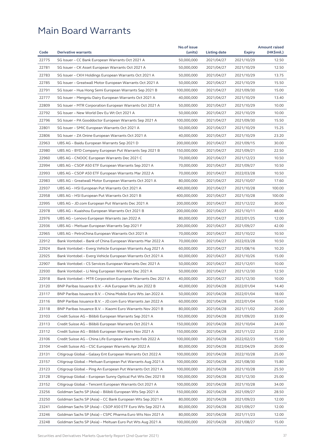|       |                                                              | No.of issue |              |               | <b>Amount raised</b> |
|-------|--------------------------------------------------------------|-------------|--------------|---------------|----------------------|
| Code  | <b>Derivative warrants</b>                                   | (units)     | Listing date | <b>Expiry</b> | (HK\$mil.)           |
| 22775 | SG Issuer - CC Bank European Warrants Oct 2021 A             | 50,000,000  | 2021/04/27   | 2021/10/29    | 12.50                |
| 22781 | SG Issuer - CK Asset European Warrants Oct 2021 A            | 50,000,000  | 2021/04/27   | 2021/10/29    | 12.50                |
| 22783 | SG Issuer - CKH Holdings European Warrants Oct 2021 A        | 50,000,000  | 2021/04/27   | 2021/10/29    | 13.75                |
| 22785 | SG Issuer - Greatwall Motor European Warrants Oct 2021 A     | 50,000,000  | 2021/04/27   | 2021/10/29    | 15.50                |
| 22791 | SG Issuer - Hua Hong Semi European Warrants Sep 2021 B       | 100,000,000 | 2021/04/27   | 2021/09/30    | 15.00                |
| 22777 | SG Issuer - Mengniu Dairy European Warrants Oct 2021 A       | 40,000,000  | 2021/04/27   | 2021/10/29    | 13.40                |
| 22809 | SG Issuer - MTR Corporation European Warrants Oct 2021 A     | 50,000,000  | 2021/04/27   | 2021/10/29    | 10.00                |
| 22792 | SG Issuer - New World Dev Eu Wt Oct 2021 A                   | 50,000,000  | 2021/04/27   | 2021/10/29    | 10.00                |
| 22796 | SG Issuer – PA Gooddoctor European Warrants Sep 2021 A       | 100,000,000 | 2021/04/27   | 2021/09/30    | 15.50                |
| 22801 | SG Issuer – SMIC European Warrants Oct 2021 A                | 50,000,000  | 2021/04/27   | 2021/10/29    | 15.25                |
| 22806 | SG Issuer – ZA Onine European Warrants Oct 2021 A            | 40,000,000  | 2021/04/27   | 2021/10/29    | 23.20                |
| 22963 | UBS AG - Baidu European Warrants Sep 2021 D                  | 200,000,000 | 2021/04/27   | 2021/09/15    | 30.00                |
| 22980 | UBS AG – BYD Company European Put Warrants Sep 2021 B        | 150,000,000 | 2021/04/27   | 2021/09/21    | 22.50                |
| 22960 | UBS AG - CNOOC European Warrants Dec 2021 C                  | 70,000,000  | 2021/04/27   | 2021/12/23    | 10.50                |
| 22994 | UBS AG - CSOP A50 ETF European Warrants Sep 2021 A           | 70,000,000  | 2021/04/27   | 2021/09/27    | 10.50                |
| 22993 | UBS AG - CSOP A50 ETF European Warrants Mar 2022 A           | 70,000,000  | 2021/04/27   | 2022/03/28    | 10.50                |
| 22983 | UBS AG - Greatwall Motor European Warrants Oct 2021 A        | 80,000,000  | 2021/04/27   | 2021/10/07    | 17.60                |
| 22937 | UBS AG - HSI European Put Warrants Oct 2021 A                | 400,000,000 | 2021/04/27   | 2021/10/28    | 100.00               |
| 22958 | UBS AG - HSI European Put Warrants Oct 2021 B                | 400,000,000 | 2021/04/27   | 2021/10/28    | 100.00               |
| 22995 | UBS AG - JD.com European Put Warrants Dec 2021 A             | 200,000,000 | 2021/04/27   | 2021/12/22    | 30.00                |
| 22978 | UBS AG - Kuaishou European Warrants Oct 2021 B               | 200,000,000 | 2021/04/27   | 2021/10/11    | 48.00                |
| 22976 | UBS AG - Lenovo European Warrants Jan 2022 A                 | 80,000,000  | 2021/04/27   | 2022/01/25    | 12.00                |
| 22936 | UBS AG - Meituan European Warrants Sep 2021 F                | 200,000,000 | 2021/04/27   | 2021/09/27    | 42.00                |
| 22965 | UBS AG – PetroChina European Warrants Oct 2021 A             | 70,000,000  | 2021/04/27   | 2021/10/22    | 10.50                |
| 22912 | Bank Vontobel - Bank of China European Warrants Mar 2022 A   | 70,000,000  | 2021/04/27   | 2022/03/28    | 10.50                |
| 22924 | Bank Vontobel – Everg Vehicle European Warrants Aug 2021 A   | 60,000,000  | 2021/04/27   | 2021/08/16    | 10.20                |
| 22925 | Bank Vontobel - Everg Vehicle European Warrants Oct 2021 A   | 60,000,000  | 2021/04/27   | 2021/10/26    | 15.00                |
| 22907 | Bank Vontobel - CS Services European Warrants Dec 2021 A     | 50,000,000  | 2021/04/27   | 2021/12/01    | 10.00                |
| 22930 | Bank Vontobel – Li Ning European Warrants Dec 2021 A         | 50,000,000  | 2021/04/27   | 2021/12/30    | 12.50                |
| 22918 | Bank Vontobel – MTR Corporation European Warrants Dec 2021 A | 40,000,000  | 2021/04/27   | 2021/12/30    | 10.00                |
| 23120 | BNP Paribas Issuance B.V. - AIA European Wts Jan 2022 B      | 40,000,000  | 2021/04/28   | 2022/01/04    | 14.40                |
| 23117 | BNP Paribas Issuance B.V. - China Mobile Euro Wts Jan 2022 A | 50,000,000  | 2021/04/28   | 2022/01/04    | 18.00                |
| 23116 | BNP Paribas Issuance B.V. - JD.com Euro Warrants Jan 2022 A  | 60,000,000  | 2021/04/28   | 2022/01/04    | 15.60                |
| 23118 | BNP Paribas Issuance B.V. - Xiaomi Euro Warrants Nov 2021 B  | 80,000,000  | 2021/04/28   | 2021/11/02    | 20.00                |
| 23103 | Credit Suisse AG – Bilibili European Warrants Sep 2021 A     | 150,000,000 | 2021/04/28   | 2021/09/20    | 33.00                |
| 23113 | Credit Suisse AG - Bilibili European Warrants Oct 2021 A     | 150,000,000 | 2021/04/28   | 2021/10/04    | 24.00                |
| 23112 | Credit Suisse AG - Bilibili European Warrants Nov 2021 A     | 150,000,000 | 2021/04/28   | 2021/11/22    | 22.50                |
| 23106 | Credit Suisse AG – China Life European Warrants Feb 2022 A   | 100,000,000 | 2021/04/28   | 2022/02/23    | 15.00                |
| 23104 | Credit Suisse AG - CSC European Warrants Apr 2022 A          | 80,000,000  | 2021/04/28   | 2022/04/29    | 20.00                |
| 23131 | Citigroup Global - Galaxy Ent European Warrants Oct 2022 A   | 100,000,000 | 2021/04/28   | 2022/10/28    | 25.00                |
| 23157 | Citigroup Global - Meituan European Put Warrants Aug 2021 A  | 100,000,000 | 2021/04/28   | 2021/08/30    | 15.80                |
| 23123 | Citigroup Global - Ping An European Put Warrants Oct 2021 A  | 100,000,000 | 2021/04/28   | 2021/10/28    | 25.50                |
| 23128 | Citigroup Global - European Sunny Optical Put Wts Dec 2021 B | 100,000,000 | 2021/04/28   | 2021/12/30    | 25.00                |
| 23152 | Citigroup Global – Tencent European Warrants Oct 2021 A      | 100,000,000 | 2021/04/28   | 2021/10/28    | 34.00                |
| 23256 | Goldman Sachs SP (Asia) - Bilibili European Wts Sep 2021 A   | 150,000,000 | 2021/04/28   | 2021/09/27    | 28.50                |
| 23250 | Goldman Sachs SP (Asia) - CC Bank European Wts Sep 2021 A    | 80,000,000  | 2021/04/28   | 2021/09/23    | 12.00                |
| 23241 | Goldman Sachs SP (Asia) - CSOP A50 ETF Euro Wts Sep 2021 A   | 80,000,000  | 2021/04/28   | 2021/09/27    | 12.00                |
| 23246 | Goldman Sachs SP (Asia) - CSPC Pharma Euro Wts Nov 2021 A    | 80,000,000  | 2021/04/28   | 2021/11/23    | 12.00                |
| 23248 | Goldman Sachs SP (Asia) - Meituan Euro Put Wts Aug 2021 A    | 100,000,000 | 2021/04/28   | 2021/08/27    | 15.00                |
|       |                                                              |             |              |               |                      |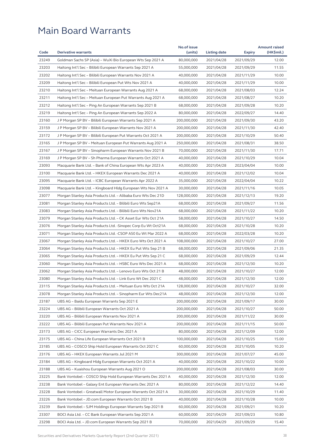|       |                                                              | No.of issue |              |               | <b>Amount raised</b> |
|-------|--------------------------------------------------------------|-------------|--------------|---------------|----------------------|
| Code  | <b>Derivative warrants</b>                                   | (units)     | Listing date | <b>Expiry</b> | (HK\$mil.)           |
| 23249 | Goldman Sachs SP (Asia) - WuXi Bio European Wts Sep 2021 A   | 80,000,000  | 2021/04/28   | 2021/09/29    | 12.00                |
| 23203 | Haitong Int'l Sec – Bilibili European Warrants Sep 2021 A    | 55,000,000  | 2021/04/28   | 2021/09/29    | 11.55                |
| 23202 | Haitong Int'l Sec – Bilibili European Warrants Nov 2021 A    | 40,000,000  | 2021/04/28   | 2021/11/29    | 10.00                |
| 23209 | Haitong Int'l Sec - Bilibili European Put Wts Nov 2021 A     | 40,000,000  | 2021/04/28   | 2021/11/29    | 10.00                |
| 23210 | Haitong Int'l Sec – Meituan European Warrants Aug 2021 A     | 68,000,000  | 2021/04/28   | 2021/08/03    | 12.24                |
| 23211 | Haitong Int'l Sec – Meituan European Put Warrants Aug 2021 A | 68,000,000  | 2021/04/28   | 2021/08/27    | 10.20                |
| 23212 | Haitong Int'l Sec - Ping An European Warrants Sep 2021 B     | 68,000,000  | 2021/04/28   | 2021/09/28    | 10.20                |
| 23219 | Haitong Int'l Sec – Ping An European Warrants Sep 2022 A     | 80,000,000  | 2021/04/28   | 2022/09/27    | 14.40                |
| 23160 | J P Morgan SP BV – Bilibili European Warrants Sep 2021 A     | 200,000,000 | 2021/04/28   | 2021/09/30    | 43.20                |
| 23159 | J P Morgan SP BV - Bilibili European Warrants Nov 2021 A     | 200,000,000 | 2021/04/28   | 2021/11/30    | 42.40                |
| 23172 | J P Morgan SP BV – Bilibili European Put Warrants Oct 2021 A | 200,000,000 | 2021/04/28   | 2021/10/29    | 50.40                |
| 23165 | J P Morgan SP BV - Meituan European Put Warrants Aug 2021 A  | 250,000,000 | 2021/04/28   | 2021/08/31    | 38.50                |
| 23167 | J P Morgan SP BV – Sinopharm European Warrants Nov 2021 B    | 70,000,000  | 2021/04/28   | 2021/11/30    | 17.71                |
| 23169 | J P Morgan SP BV – Sh Pharma European Warrants Oct 2021 A    | 40,000,000  | 2021/04/28   | 2021/10/29    | 10.04                |
| 23093 | Macquarie Bank Ltd. - Bank of China European Wts Apr 2023 A  | 40,000,000  | 2021/04/28   | 2023/04/04    | 10.00                |
| 23100 | Macquarie Bank Ltd. - HKEX European Warrants Dec 2021 A      | 40,000,000  | 2021/04/28   | 2021/12/02    | 10.04                |
| 23095 | Macquarie Bank Ltd. - ICBC European Warrants Apr 2022 A      | 35,000,000  | 2021/04/28   | 2022/04/04    | 10.22                |
| 23098 | Macquarie Bank Ltd. - Kingboard Hldg European Wts Nov 2021 A | 30,000,000  | 2021/04/28   | 2021/11/16    | 10.05                |
| 23077 | Morgan Stanley Asia Products Ltd. - Alibaba Euro Wts Dec 21D | 128,000,000 | 2021/04/28   | 2021/12/13    | 19.20                |
| 23081 | Morgan Stanley Asia Products Ltd. - Bilibili Euro Wts Sep21A | 68,000,000  | 2021/04/28   | 2021/09/27    | 11.56                |
| 23083 | Morgan Stanley Asia Products Ltd. - Bilibili Euro Wts Nov21A | 68,000,000  | 2021/04/28   | 2021/11/22    | 10.20                |
| 23079 | Morgan Stanley Asia Products Ltd. – CK Asset Eur Wts Oct 21A | 58,000,000  | 2021/04/28   | 2021/10/27    | 14.50                |
| 23076 | Morgan Stanley Asia Products Ltd. -Sinopec Corp Eu Wt Oct21A | 68,000,000  | 2021/04/28   | 2021/10/28    | 10.20                |
| 23071 | Morgan Stanley Asia Products Ltd. -CSOP A50 Eu Wt Mar 2022 A | 68,000,000  | 2021/04/28   | 2022/03/28    | 10.20                |
| 23067 | Morgan Stanley Asia Products Ltd. - HKEX Euro Wts Oct 2021 A | 108,000,000 | 2021/04/28   | 2021/10/27    | 27.00                |
| 23064 | Morgan Stanley Asia Products Ltd. – HKEX Eu Put Wts Sep 21 B | 68,000,000  | 2021/04/28   | 2021/09/06    | 21.35                |
| 23065 | Morgan Stanley Asia Products Ltd. – HKEX Eu Put Wts Sep 21 C | 68,000,000  | 2021/04/28   | 2021/09/29    | 12.44                |
| 23060 | Morgan Stanley Asia Products Ltd. - HSBC Euro Wts Dec 2021 A | 68,000,000  | 2021/04/28   | 2021/12/30    | 10.20                |
| 23062 |                                                              |             |              |               | 12.00                |
|       | Morgan Stanley Asia Products Ltd. - Lenovo Euro Wts Oct 21 B | 48,000,000  | 2021/04/28   | 2021/10/27    |                      |
| 23080 | Morgan Stanley Asia Products Ltd. - Link Euro Wt Dec 2021 C  | 48,000,000  | 2021/04/28   | 2021/12/30    | 12.00                |
| 23115 | Morgan Stanley Asia Products Ltd. - Meituan Euro Wts Oct 21A | 128,000,000 | 2021/04/28   | 2021/10/27    | 32.00                |
| 23078 | Morgan Stanley Asia Products Ltd. - Sinopharm Eur Wts Dec21A | 48,000,000  | 2021/04/28   | 2021/12/30    | 12.00                |
| 23187 | UBS AG - Baidu European Warrants Sep 2021 E                  | 200,000,000 | 2021/04/28   | 2021/09/17    | 30.00                |
| 23224 | UBS AG - Bilibili European Warrants Oct 2021 A               | 200,000,000 | 2021/04/28   | 2021/10/27    | 50.00                |
| 23220 | UBS AG - Bilibili European Warrants Nov 2021 A               | 200,000,000 | 2021/04/28   | 2021/11/22    | 30.00                |
| 23222 | UBS AG - Bilibili European Put Warrants Nov 2021 A           | 200,000,000 | 2021/04/28   | 2021/11/15    | 50.00                |
| 23173 | UBS AG - CICC European Warrants Dec 2021 A                   | 80,000,000  | 2021/04/28   | 2021/12/09    | 12.00                |
| 23175 | UBS AG - China Life European Warrants Oct 2021 B             | 100,000,000 | 2021/04/28   | 2021/10/25    | 15.00                |
| 23185 | UBS AG - COSCO Ship Hold European Warrants Oct 2021 C        | 60,000,000  | 2021/04/28   | 2021/10/05    | 10.20                |
| 23176 | UBS AG - HKEX European Warrants Jul 2021 M                   | 300,000,000 | 2021/04/28   | 2021/07/27    | 45.00                |
| 23184 | UBS AG - Kingboard Hldg European Warrants Oct 2021 A         | 40,000,000  | 2021/04/28   | 2021/10/22    | 10.00                |
| 23188 | UBS AG - Kuaishou European Warrants Aug 2021 O               | 200,000,000 | 2021/04/28   | 2021/08/03    | 30.00                |
| 23225 | Bank Vontobel - COSCO Ship Hold European Warrants Dec 2021 A | 40,000,000  | 2021/04/28   | 2021/12/30    | 12.00                |
| 23238 | Bank Vontobel - Galaxy Ent European Warrants Dec 2021 A      | 80,000,000  | 2021/04/28   | 2021/12/22    | 14.40                |
| 23228 | Bank Vontobel - Greatwall Motor European Warrants Oct 2021 A | 30,000,000  | 2021/04/28   | 2021/10/29    | 11.40                |
| 23226 | Bank Vontobel - JD.com European Warrants Oct 2021 B          | 40,000,000  | 2021/04/28   | 2021/10/28    | 10.00                |
| 23239 | Bank Vontobel - SJM Holdings European Warrants Sep 2021 B    | 60,000,000  | 2021/04/28   | 2021/09/21    | 10.20                |
| 23307 | BOCI Asia Ltd. - CC Bank European Warrants Sep 2021 A        | 60,000,000  | 2021/04/29   | 2021/09/23    | 10.80                |
| 23298 | BOCI Asia Ltd. - JD.com European Warrants Sep 2021 B         | 70,000,000  | 2021/04/29   | 2021/09/29    | 15.40                |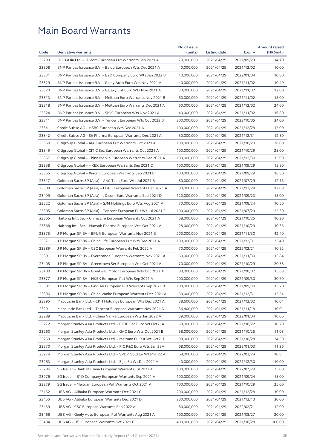|       |                                                              | No.of issue |              |               | <b>Amount raised</b> |
|-------|--------------------------------------------------------------|-------------|--------------|---------------|----------------------|
| Code  | <b>Derivative warrants</b>                                   | (units)     | Listing date | <b>Expiry</b> | (HK\$mil.)           |
| 23299 | BOCI Asia Ltd. - JD.com European Put Warrants Sep 2021 A     | 70,000,000  | 2021/04/29   | 2021/09/23    | 14.70                |
| 23308 | BNP Paribas Issuance B.V. – Baidu European Wts Dec 2021 A    | 40,000,000  | 2021/04/29   | 2021/12/02    | 10.00                |
| 23331 | BNP Paribas Issuance B.V. - BYD Company Euro Wts Jan 2022 B  | 40,000,000  | 2021/04/29   | 2022/01/04    | 10.80                |
| 23329 | BNP Paribas Issuance B.V. - Geely Auto Euro Wts Nov 2021 A   | 40,000,000  | 2021/04/29   | 2021/11/02    | 10.40                |
| 23320 | BNP Paribas Issuance B.V. - Galaxy Ent Euro Wts Nov 2021 A   | 30,000,000  | 2021/04/29   | 2021/11/02    | 12.00                |
| 23313 | BNP Paribas Issuance B.V. - Meituan Euro Warrants Nov 2021 B | 60,000,000  | 2021/04/29   | 2021/11/02    | 18.00                |
| 23318 | BNP Paribas Issuance B.V. - Meituan Euro Warrants Dec 2021 A | 60,000,000  | 2021/04/29   | 2021/12/02    | 24.60                |
| 23324 | BNP Paribas Issuance B.V. - SMIC European Wts Nov 2021 A     | 40,000,000  | 2021/04/29   | 2021/11/02    | 16.80                |
| 23311 | BNP Paribas Issuance B.V. – Tencent European Wts Oct 2022 B  | 200,000,000 | 2021/04/29   | 2022/10/05    | 34.00                |
| 23341 | Credit Suisse AG – HSBC European Wts Dec 2021 A              | 100,000,000 | 2021/04/29   | 2021/12/28    | 15.00                |
| 23342 | Credit Suisse AG – Sh Pharma European Warrants Dec 2021 A    | 50,000,000  | 2021/04/29   | 2021/12/31    | 12.50                |
| 23350 | Citigroup Global - AIA European Put Warrants Oct 2021 A      | 100,000,000 | 2021/04/29   | 2021/10/29    | 28.00                |
| 23349 | Citigroup Global – CITIC Sec European Warrants Oct 2021 A    | 100,000,000 | 2021/04/29   | 2021/10/29    | 25.00                |
| 23357 | Citigroup Global - China Mobile European Warrants Dec 2021 A | 100,000,000 | 2021/04/29   | 2021/12/30    | 15.90                |
| 23358 | Citigroup Global - HKEX European Warrants Sep 2021 C         | 100,000,000 | 2021/04/29   | 2021/09/29    | 15.80                |
| 23355 | Citigroup Global - Xiaomi European Warrants Sep 2021 B       | 100,000,000 | 2021/04/29   | 2021/09/29    | 16.80                |
| 23517 | Goldman Sachs SP (Asia) - AAC Tech Euro Wts Jul 2021 B       | 80,000,000  | 2021/04/29   | 2021/07/29    | 12.16                |
| 23508 | Goldman Sachs SP (Asia) – HSBC European Warrants Dec 2021 A  | 80,000,000  | 2021/04/29   | 2021/12/28    | 12.08                |
| 23499 | Goldman Sachs SP (Asia) – JD.com Euro Warrants Sep 2021 D    | 120,000,000 | 2021/04/29   | 2021/09/23    | 18.00                |
| 23522 | Goldman Sachs SP (Asia) – SJM Holdings Euro Wts Aug 2021 A   | 70,000,000  | 2021/04/29   | 2021/08/24    | 10.50                |
| 23505 | Goldman Sachs SP (Asia) - Tencent European Put Wt Jul 2021 F | 100,000,000 | 2021/04/29   | 2021/07/29    | 22.30                |
| 23365 | Haitong Int'l Sec - China Life European Warrants Oct 2021 A  | 68,000,000  | 2021/04/29   | 2021/10/25    | 10.20                |
| 23368 | Haitong Int'l Sec - Hansoh Pharma European Wts Oct 2021 A    | 28,000,000  | 2021/04/29   | 2021/10/29    | 10.36                |
| 23375 | J P Morgan SP BV – Bilibili European Warrants Nov 2021 B     | 200,000,000 | 2021/04/29   | 2021/11/30    | 42.40                |
| 23371 | J P Morgan SP BV - China Life European Put Wts Dec 2021 A    | 100,000,000 | 2021/04/29   | 2021/12/31    | 25.40                |
| 23389 | J P Morgan SP BV - CSC European Warrants Feb 2022 A          | 70,000,000  | 2021/04/29   | 2022/02/21    | 10.92                |
| 23391 | J P Morgan SP BV - Evergrande European Warrants Nov 2021 A   | 60,000,000  | 2021/04/29   | 2021/11/30    | 15.84                |
| 23405 | JP Morgan SP BV - Greentown Ser European Wts Oct 2021 A      | 70,000,000  | 2021/04/29   | 2021/10/29    | 20.58                |
| 23400 | J P Morgan SP BV – Greatwall Motor European Wts Oct 2021 A   | 80,000,000  | 2021/04/29   | 2021/10/07    | 15.68                |
| 23377 | J P Morgan SP BV – HKEX European Put Wts Sep 2021 A          | 200,000,000 | 2021/04/29   | 2021/09/30    | 30.60                |
| 23387 | J P Morgan SP BV - Ping An European Put Warrants Sep 2021 B  | 100,000,000 | 2021/04/29   | 2021/09/30    | 15.20                |
| 23396 | J P Morgan SP BV - China Vanke European Warrants Dec 2021 A  | 60,000,000  | 2021/04/29   | 2021/12/31    | 15.54                |
| 23295 | Macquarie Bank Ltd. – CKH Holdings European Wts Dec 2021 A   | 38,600,000  | 2021/04/29   | 2021/12/02    | 10.04                |
| 23291 | Macquarie Bank Ltd. - Tencent European Warrants Nov 2021 D   | 36,400,000  | 2021/04/29   | 2021/11/18    | 10.01                |
| 23289 | Macquarie Bank Ltd. – China Vanke European Wts Jan 2022 A    | 39,000,000  | 2021/04/29   | 2022/01/04    | 10.06                |
| 23272 | Morgan Stanley Asia Products Ltd. - CITIC Sec Euro Wt Oct21A | 68,000,000  | 2021/04/29   | 2021/10/22    | 10.20                |
| 23260 | Morgan Stanley Asia Products Ltd. - GAC Euro Wts Oct 2021 B  | 58,000,000  | 2021/04/29   | 2021/10/25    | 11.08                |
| 23259 | Morgan Stanley Asia Products Ltd. - Meituan Eu Put Wt Oct21B | 98,000,000  | 2021/04/29   | 2021/10/28    | 24.50                |
| 23270 | Morgan Stanley Asia Products Ltd. - PIC P&C Euro Wts Jan 23A | 68,000,000  | 2021/04/29   | 2023/01/03    | 11.36                |
| 23274 | Morgan Stanley Asia Products Ltd. – SPDR Gold Eu Wt Mar 22 A | 68,000,000  | 2021/04/29   | 2022/03/24    | 10.81                |
| 23263 | Morgan Stanley Asia Products Ltd. - Zijin Eu Wt Dec 2021 A   | 40,000,000  | 2021/04/29   | 2021/12/30    | 10.00                |
| 23286 | SG Issuer - Bank of China European Warrants Jul 2022 A       | 100,000,000 | 2021/04/29   | 2022/07/29    | 25.00                |
| 23276 | SG Issuer - BYD Company European Warrants Sep 2021 A         | 100,000,000 | 2021/04/29   | 2021/09/24    | 15.00                |
| 23279 | SG Issuer - Meituan European Put Warrants Oct 2021 A         | 100,000,000 | 2021/04/29   | 2021/10/29    | 25.00                |
| 23452 | UBS AG - Alibaba European Warrants Dec 2021 C                | 200,000,000 | 2021/04/29   | 2021/12/28    | 30.00                |
| 23455 | UBS AG – Alibaba European Warrants Dec 2021 D                | 200,000,000 | 2021/04/29   | 2021/12/13    | 30.00                |
| 23439 | UBS AG - CSC European Warrants Feb 2022 A                    | 80,000,000  | 2021/04/29   | 2022/02/21    | 12.00                |
| 23466 | UBS AG - Geely Auto European Put Warrants Aug 2021 A         | 100,000,000 | 2021/04/29   | 2021/08/27    | 20.00                |
| 23484 | UBS AG – HSI European Warrants Oct 2021 C                    | 400,000,000 | 2021/04/29   | 2021/10/28    | 100.00               |
|       |                                                              |             |              |               |                      |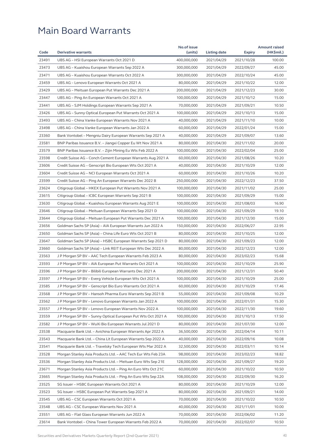|       |                                                              | No.of issue |              |                          | <b>Amount raised</b> |
|-------|--------------------------------------------------------------|-------------|--------------|--------------------------|----------------------|
| Code  | <b>Derivative warrants</b>                                   | (units)     | Listing date | <b>Expiry</b>            | (HK\$mil.)           |
| 23491 | UBS AG - HSI European Warrants Oct 2021 D                    | 400,000,000 | 2021/04/29   | 2021/10/28               | 100.00               |
| 23473 | UBS AG - Kuaishou European Warrants Sep 2022 A               | 300,000,000 | 2021/04/29   | 2022/09/27               | 45.00                |
| 23471 | UBS AG - Kuaishou European Warrants Oct 2022 A               | 300,000,000 | 2021/04/29   | 2022/10/24               | 45.00                |
| 23459 | UBS AG - Lenovo European Warrants Oct 2021 A                 | 80,000,000  | 2021/04/29   | 2021/10/22               | 12.00                |
| 23429 | UBS AG – Meituan European Put Warrants Dec 2021 A            | 200,000,000 | 2021/04/29   | 2021/12/23               | 30.00                |
| 23447 | UBS AG - Ping An European Warrants Oct 2021 A                | 100,000,000 | 2021/04/29   | 2021/10/12               | 15.00                |
| 23441 | UBS AG - SJM Holdings European Warrants Sep 2021 A           | 70,000,000  | 2021/04/29   | 2021/09/21               | 10.50                |
| 23426 | UBS AG - Sunny Optical European Put Warrants Oct 2021 A      | 100,000,000 | 2021/04/29   | 2021/10/13               | 15.00                |
| 23493 | UBS AG – China Vanke European Warrants Nov 2021 A            | 40,000,000  | 2021/04/29   | 2021/11/10               | 10.00                |
| 23498 | UBS AG - China Vanke European Warrants Jan 2022 A            | 60,000,000  | 2021/04/29   | 2022/01/24               | 15.00                |
| 23360 | Bank Vontobel – Mengniu Dairy European Warrants Sep 2021 A   | 40,000,000  | 2021/04/29   | 2021/09/07               | 13.60                |
| 23581 | BNP Paribas Issuance B.V. - Jiangxi Copper Eu Wt Nov 2021 A  | 80,000,000  | 2021/04/30   | 2021/11/02               | 20.00                |
| 23579 | BNP Paribas Issuance B.V. – Zijin Mining Eu Wts Feb 2022 A   | 100,000,000 | 2021/04/30   | 2022/02/04               | 25.00                |
| 23598 | Credit Suisse AG - Conch Cement European Warrants Aug 2021 A | 60,000,000  | 2021/04/30   | 2021/08/26               | 10.20                |
| 23606 | Credit Suisse AG - Genscript Bio European Wts Oct 2021 A     | 40,000,000  | 2021/04/30   | 2021/10/29               | 12.00                |
| 23604 | Credit Suisse AG - NCI European Warrants Oct 2021 A          | 60,000,000  | 2021/04/30   | 2021/10/26               | 10.20                |
| 23599 | Credit Suisse AG - Ping An European Warrants Dec 2022 B      | 250,000,000 | 2021/04/30   | 2022/12/23               | 37.50                |
| 23624 | Citigroup Global – HKEX European Put Warrants Nov 2021 A     | 100,000,000 | 2021/04/30   | 2021/11/02               | 25.00                |
| 23615 | Citigroup Global - ICBC European Warrants Sep 2021 B         | 100,000,000 | 2021/04/30   | 2021/09/29               | 15.00                |
| 23630 | Citigroup Global - Kuaishou European Warrants Aug 2021 E     | 100,000,000 | 2021/04/30   | 2021/08/03               | 16.90                |
| 23646 | Citigroup Global - Meituan European Warrants Sep 2021 D      | 100,000,000 | 2021/04/30   | 2021/09/29               | 19.10                |
| 23644 | Citigroup Global - Meituan European Put Warrants Dec 2021 A  | 100,000,000 | 2021/04/30   | 2021/12/30               | 15.00                |
| 23656 | Goldman Sachs SP (Asia) – AIA European Warrants Jun 2022 A   | 150,000,000 | 2021/04/30   | 2022/06/27               | 22.95                |
| 23650 | Goldman Sachs SP (Asia) – China Life Euro Wts Oct 2021 B     | 80,000,000  | 2021/04/30   | 2021/10/25               | 12.00                |
| 23647 | Goldman Sachs SP (Asia) – HSBC European Warrants Sep 2021 D  | 80,000,000  | 2021/04/30   | 2021/09/23               | 12.00                |
| 23660 | Goldman Sachs SP (Asia) - Link REIT European Wts Dec 2022 A  | 80,000,000  | 2021/04/30   | 2022/12/23               | 12.00                |
| 23563 | J P Morgan SP BV - AAC Tech European Warrants Feb 2023 A     | 80,000,000  | 2021/04/30   | 2023/02/23               | 15.68                |
| 23593 | J P Morgan SP BV - AIA European Put Warrants Oct 2021 A      | 100,000,000 | 2021/04/30   | 2021/10/29               | 25.90                |
| 23596 | J P Morgan SP BV - Bilibili European Warrants Dec 2021 A     | 200,000,000 | 2021/04/30   | 2021/12/31               | 50.40                |
| 23597 | J P Morgan SP BV - Everg Vehicle European Wts Oct 2021 A     | 100,000,000 | 2021/04/30   | 2021/10/29               | 25.00                |
| 23585 | J P Morgan SP BV - Genscript Bio Euro Warrants Oct 2021 A    | 60,000,000  | 2021/04/30   | 2021/10/29               | 17.46                |
| 23568 | J P Morgan SP BV - Hansoh Pharma Euro Warrants Sep 2021 B    | 55,000,000  | 2021/04/30   | 2021/09/08               | 10.29                |
| 23562 | J P Morgan SP BV - Lenovo European Warrants Jan 2022 A       | 100,000,000 | 2021/04/30   | 2022/01/31               | 15.30                |
| 23557 | J P Morgan SP BV - Lenovo European Warrants Nov 2022 A       | 100,000,000 | 2021/04/30   | 2022/11/30               | 19.60                |
| 23559 | J P Morgan SP BV - Sunny Optical European Put Wts Oct 2021 A | 100,000,000 | 2021/04/30   | 2021/10/13               | 17.50                |
| 23582 | J P Morgan SP BV - WuXi Bio European Warrants Jul 2021 D     | 80,000,000  | 2021/04/30   | 2021/07/30               | 12.00                |
| 23538 | Macquarie Bank Ltd. - Avichina European Warrants Apr 2022 A  | 36,500,000  | 2021/04/30   | 2022/04/14               | 10.11                |
| 23543 | Macquarie Bank Ltd. – China Lit European Warrants Sep 2022 A | 40,000,000  | 2021/04/30   | 2022/09/16               | 10.08                |
| 23541 | Macquarie Bank Ltd. - Travelsky Tech European Wts Mar 2022 A | 32,500,000  | 2021/04/30   | 2022/03/11               | 10.14                |
| 23528 | Morgan Stanley Asia Products Ltd. - AAC Tech Eur Wts Feb 23A | 98,000,000  | 2021/04/30   | 2023/02/23               | 18.82                |
| 23536 | Morgan Stanley Asia Products Ltd. - Meituan Euro Wts Sep 21E | 128,000,000 | 2021/04/30   | 2021/09/27               | 19.20                |
| 23671 | Morgan Stanley Asia Products Ltd. - Ping An Euro Wts Oct 21C | 60,000,000  | 2021/04/30   | 2021/10/22               | 10.50                |
| 23665 | Morgan Stanley Asia Products Ltd. - Ping An Euro Wts Sep 22A | 108,000,000 | 2021/04/30   | 2022/09/30               | 16.20                |
| 23525 | SG Issuer - HSBC European Warrants Oct 2021 A                | 80,000,000  | 2021/04/30   | 2021/10/29               | 12.00                |
| 23523 | SG Issuer – HSBC European Put Warrants Sep 2021 A            | 80,000,000  | 2021/04/30   | 2021/09/21               | 14.00                |
| 23545 | UBS AG - CSC European Warrants Oct 2021 A                    | 70,000,000  | 2021/04/30   |                          | 10.50                |
| 23548 | UBS AG - CSC European Warrants Nov 2021 A                    | 40,000,000  | 2021/04/30   | 2021/10/22<br>2021/11/01 | 10.00                |
| 23551 | UBS AG - Flat Glass European Warrants Jun 2022 A             | 70,000,000  | 2021/04/30   | 2022/06/02               | 11.20                |
| 23614 | Bank Vontobel - China Tower European Warrants Feb 2022 A     | 70,000,000  | 2021/04/30   | 2022/02/07               | 10.50                |
|       |                                                              |             |              |                          |                      |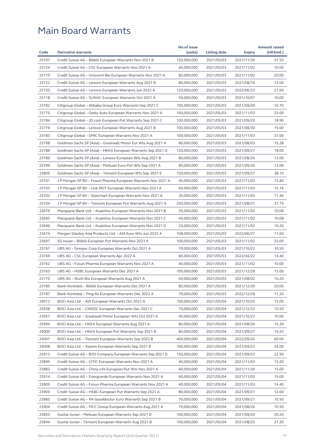|       |                                                              | No.of issue |              |               | <b>Amount raised</b> |
|-------|--------------------------------------------------------------|-------------|--------------|---------------|----------------------|
| Code  | <b>Derivative warrants</b>                                   | (units)     | Listing date | <b>Expiry</b> | (HK\$mil.)           |
| 23707 | Credit Suisse AG - Bilibili European Warrants Nov 2021 B     | 150,000,000 | 2021/05/03   | 2021/11/30    | 37.50                |
| 23724 | Credit Suisse AG - CSC European Warrants Nov 2021 A          | 40,000,000  | 2021/05/03   | 2021/11/02    | 10.00                |
| 23719 | Credit Suisse AG – Innovent Bio European Warrants Nov 2021 A | 80,000,000  | 2021/05/03   | 2021/11/02    | 20.00                |
| 23722 | Credit Suisse AG - Lenovo European Warrants Aug 2021 B       | 80,000,000  | 2021/05/03   | 2021/08/16    | 12.00                |
| 23720 | Credit Suisse AG – Lenovo European Warrants Jun 2022 A       | 120,000,000 | 2021/05/03   | 2022/06/23    | 21.60                |
| 23718 | Credit Suisse AG - SUNAC European Warrants Oct 2021 A        | 50,000,000  | 2021/05/03   | 2021/10/07    | 10.00                |
| 23782 | Citigroup Global - Alibaba Group Euro Warrants Sep 2021 C    | 100,000,000 | 2021/05/03   | 2021/09/29    | 16.70                |
| 23775 | Citigroup Global - Geely Auto European Warrants Nov 2021 A   | 100,000,000 | 2021/05/03   | 2021/11/03    | 25.00                |
| 23784 | Citigroup Global - JD.com European Put Warrants Sep 2021 C   | 100,000,000 | 2021/05/03   | 2021/09/29    | 18.90                |
| 23776 | Citigroup Global - Lenovo European Warrants Aug 2021 B       | 100,000,000 | 2021/05/03   | 2021/08/30    | 15.00                |
| 23783 | Citigroup Global – SMIC European Warrants Nov 2021 A         | 100,000,000 | 2021/05/03   | 2021/11/03    | 37.00                |
| 23798 | Goldman Sachs SP (Asia) - Greatwall Motor Eur Wts Aug 2021 A | 80,000,000  | 2021/05/03   | 2021/08/03    | 15.28                |
| 23788 | Goldman Sachs SP (Asia) – HKEX European Warrants Sep 2021 D  | 120,000,000 | 2021/05/03   | 2021/09/27    | 18.00                |
| 23789 | Goldman Sachs SP (Asia) - Lenovo European Wts Aug 2021 B     | 80,000,000  | 2021/05/03   | 2021/08/26    | 12.00                |
| 23799 | Goldman Sachs SP (Asia) - Meituan Euro Put Wts Sep 2021 A    | 80,000,000  | 2021/05/03   | 2021/09/30    | 12.00                |
| 23805 | Goldman Sachs SP (Asia) – Tencent European Wts Sep 2021 E    | 150,000,000 | 2021/05/03   | 2021/09/27    | 38.10                |
| 23701 | J P Morgan SP BV - Fosun Pharma European Warrants Nov 2021 A | 40,000,000  | 2021/05/03   | 2021/11/03    | 15.80                |
| 23703 | J P Morgan SP BV – Link REIT European Warrants Nov 2021 A    | 60,000,000  | 2021/05/03   | 2021/11/03    | 15.18                |
| 23702 | J P Morgan SP BV - Stanchart European Warrants Nov 2021 A    | 30,000,000  | 2021/05/03   | 2021/11/03    | 11.46                |
| 23704 | J P Morgan SP BV - Tencent European Put Warrants Aug 2021 A  | 250,000,000 | 2021/05/03   | 2021/08/31    | 37.75                |
| 23679 | Macquarie Bank Ltd. - Kuaishou European Warrants Nov 2021 B  | 35,000,000  | 2021/05/03   | 2021/11/02    | 10.08                |
| 23695 | Macquarie Bank Ltd. - Kuaishou European Warrants Nov 2021 C  | 40,000,000  | 2021/05/03   | 2021/11/02    | 10.08                |
| 23696 | Macquarie Bank Ltd. – Kuaishou European Warrants Nov 2021 D  | 33,000,000  | 2021/05/03   | 2021/11/02    | 10.26                |
| 23674 | Morgan Stanley Asia Products Ltd. - AIA Euro Wts Jun 2022 A  | 108,000,000 | 2021/05/03   | 2022/06/27    | 17.60                |
| 23697 | SG Issuer - Bilibili European Put Warrants Nov 2021 A        | 100,000,000 | 2021/05/03   | 2021/11/02    | 25.00                |
| 23767 | UBS AG - Sinopec Corp European Warrants Oct 2021 A           | 70,000,000  | 2021/05/03   | 2021/10/22    | 10.50                |
| 23769 |                                                              | 80,000,000  | 2021/05/03   |               | 14.40                |
|       | UBS AG – CSC European Warrants Apr 2022 A                    |             |              | 2022/04/22    |                      |
| 23762 | UBS AG - Fosun Pharma European Warrants Nov 2021 A           | 40,000,000  | 2021/05/03   | 2021/11/02    | 10.00                |
| 23763 | UBS AG - HSBC European Warrants Dec 2021 A                   | 100,000,000 | 2021/05/03   | 2021/12/28    | 15.00                |
| 23770 | UBS AG – WuXi Bio European Warrants Aug 2021 A               | 60,000,000  | 2021/05/03   | 2021/08/02    | 10.20                |
| 23785 | Bank Vontobel – Bilibili European Warrants Dec 2021 A        | 80,000,000  | 2021/05/03   | 2021/12/30    | 20.00                |
| 23787 | Bank Vontobel - Ping An European Warrants Dec 2022 A         | 70,000,000  | 2021/05/03   | 2022/12/28    | 11.20                |
| 24013 | BOCI Asia Ltd. - AIA European Warrants Oct 2021 A            | 100,000,000 | 2021/05/04   | 2021/10/25    | 15.00                |
| 23938 | BOCI Asia Ltd. - CNOOC European Warrants Dec 2021 C          | 70,000,000  | 2021/05/04   | 2021/12/23    | 10.50                |
| 23957 | BOCI Asia Ltd. - Greatwall Motor European Wts Oct 2021 A     | 40,000,000  | 2021/05/04   | 2021/10/22    | 10.00                |
| 23994 | BOCI Asia Ltd. - HKEX European Warrants Aug 2021 A           | 80,000,000  | 2021/05/04   | 2021/08/30    | 15.20                |
| 24000 | BOCI Asia Ltd. - HKEX European Put Warrants Sep 2021 B       | 80,000,000  | 2021/05/04   | 2021/09/27    | 19.20                |
| 24007 | BOCI Asia Ltd. – Tencent European Warrants Sep 2022 B        | 400,000,000 | 2021/05/04   | 2022/09/26    | 60.00                |
| 24008 | BOCI Asia Ltd. - Xiaomi European Warrants Sep 2021 B         | 100,000,000 | 2021/05/04   | 2021/09/23    | 24.00                |
| 23913 | Credit Suisse AG - BYD Company European Warrants Sep 2021 D  | 150,000,000 | 2021/05/04   | 2021/09/23    | 22.50                |
| 23899 | Credit Suisse AG - CITIC European Warrants Nov 2021 A        | 40,000,000  | 2021/05/04   | 2021/11/03    | 13.20                |
| 23883 | Credit Suisse AG - China Life European Put Wts Nov 2021 A    | 60,000,000  | 2021/05/04   | 2021/11/30    | 15.00                |
| 23914 | Credit Suisse AG - Evergrande European Warrants Nov 2021 A   | 60,000,000  | 2021/05/04   | 2021/11/03    | 15.00                |
| 23905 | Credit Suisse AG - Fosun Pharma European Warrants Nov 2021 A | 40,000,000  | 2021/05/04   | 2021/11/03    | 14.40                |
| 23909 | Credit Suisse AG - HSBC European Put Warrants Sep 2021 A     | 80,000,000  | 2021/05/04   | 2021/09/21    | 12.00                |
| 23885 | Credit Suisse AG - PA Gooddoctor Euro Warrants Sep 2021 B    | 70,000,000  | 2021/05/04   | 2021/09/21    | 10.50                |
| 23904 | Credit Suisse AG - PICC Group European Warrants Aug 2021 A   | 70,000,000  | 2021/05/04   | 2021/08/26    | 10.50                |
| 23855 | Guotai Junan - Meituan European Warrants Sep 2021 D          | 100,000,000 | 2021/05/04   | 2021/09/20    | 20.20                |
| 23844 | Guotai Junan - Tencent European Warrants Aug 2021 B          | 100,000,000 | 2021/05/04   | 2021/08/25    | 21.20                |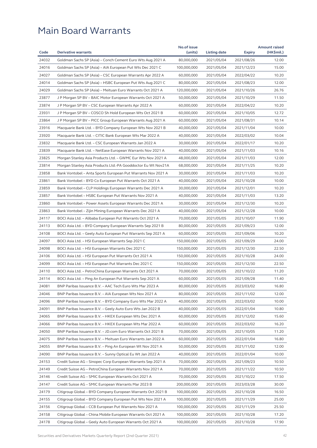|       |                                                              | No.of issue |              |               | <b>Amount raised</b> |
|-------|--------------------------------------------------------------|-------------|--------------|---------------|----------------------|
| Code  | <b>Derivative warrants</b>                                   | (units)     | Listing date | <b>Expiry</b> | (HK\$mil.)           |
| 24032 | Goldman Sachs SP (Asia) - Conch Cement Euro Wts Aug 2021 A   | 80,000,000  | 2021/05/04   | 2021/08/26    | 12.00                |
| 24016 | Goldman Sachs SP (Asia) – AIA European Put Wts Dec 2021 C    | 100,000,000 | 2021/05/04   | 2021/12/23    | 15.00                |
| 24027 | Goldman Sachs SP (Asia) - CSC European Warrants Apr 2022 A   | 60,000,000  | 2021/05/04   | 2022/04/22    | 10.20                |
| 24014 | Goldman Sachs SP (Asia) - HSBC European Put Wts Aug 2021 C   | 80,000,000  | 2021/05/04   | 2021/08/23    | 12.00                |
| 24029 | Goldman Sachs SP (Asia) - Meituan Euro Warrants Oct 2021 A   | 120,000,000 | 2021/05/04   | 2021/10/26    | 26.76                |
| 23877 | J P Morgan SP BV – BAIC Motor European Warrants Oct 2021 A   | 50,000,000  | 2021/05/04   | 2021/10/29    | 11.50                |
| 23874 | J P Morgan SP BV - CSC European Warrants Apr 2022 A          | 60,000,000  | 2021/05/04   | 2022/04/22    | 10.20                |
| 23931 | J P Morgan SP BV - COSCO Sh Hold European Wts Oct 2021 B     | 60,000,000  | 2021/05/04   | 2021/10/05    | 12.72                |
| 23864 | J P Morgan SP BV – PICC Group European Warrants Aug 2021 A   | 60,000,000  | 2021/05/04   | 2021/08/31    | 10.14                |
| 23916 | Macquarie Bank Ltd. - BYD Company European Wts Nov 2021 B    | 40,000,000  | 2021/05/04   | 2021/11/04    | 10.00                |
| 23920 | Macquarie Bank Ltd. – CITIC Bank European Wts Mar 2022 A     | 40,000,000  | 2021/05/04   | 2022/03/02    | 10.04                |
| 23832 | Macquarie Bank Ltd. - CSC European Warrants Jan 2022 A       | 30,000,000  | 2021/05/04   | 2022/01/17    | 10.20                |
| 23839 | Macquarie Bank Ltd. – NetEase European Warrants Nov 2021 A   | 40,000,000  | 2021/05/04   | 2021/11/03    | 10.16                |
| 23825 | Morgan Stanley Asia Products Ltd. - GWMC Eur Wts Nov 2021 A  | 48,000,000  | 2021/05/04   | 2021/11/03    | 12.00                |
| 23814 | Morgan Stanley Asia Products Ltd.-PA Gooddoctor Eu Wt Nov21A | 68,000,000  | 2021/05/04   | 2021/11/25    | 10.20                |
| 23858 | Bank Vontobel – Anta Sports European Put Warrants Nov 2021 A | 30,000,000  | 2021/05/04   | 2021/11/03    | 10.20                |
| 23861 | Bank Vontobel - BYD Co European Put Warrants Oct 2021 A      | 40,000,000  | 2021/05/04   | 2021/10/28    | 10.00                |
| 23859 | Bank Vontobel – CLP Holdings European Warrants Dec 2021 A    | 30,000,000  | 2021/05/04   | 2021/12/01    | 10.20                |
| 23857 | Bank Vontobel - HSBC European Put Warrants Nov 2021 A        | 40,000,000  | 2021/05/04   | 2021/11/03    | 13.20                |
| 23860 | Bank Vontobel – Power Assets European Warrants Dec 2021 A    | 30,000,000  | 2021/05/04   | 2021/12/30    | 10.20                |
| 23863 | Bank Vontobel - Zijin Mining European Warrants Dec 2021 A    | 40,000,000  | 2021/05/04   | 2021/12/28    | 10.00                |
| 24117 | BOCI Asia Ltd. – Alibaba European Put Warrants Oct 2021 A    | 70,000,000  | 2021/05/05   | 2021/10/07    | 11.90                |
| 24113 | BOCI Asia Ltd. – BYD Company European Warrants Sep 2021 B    | 80,000,000  | 2021/05/05   | 2021/09/23    | 12.00                |
| 24108 | BOCI Asia Ltd. – Geely Auto European Put Warrants Sep 2021 A | 60,000,000  | 2021/05/05   | 2021/09/06    | 10.20                |
| 24097 | BOCI Asia Ltd. - HSI European Warrants Sep 2021 C            | 150,000,000 | 2021/05/05   | 2021/09/29    | 24.00                |
| 24098 | BOCI Asia Ltd. – HSI European Warrants Dec 2021 C            | 150,000,000 | 2021/05/05   | 2021/12/30    | 22.50                |
| 24106 | BOCI Asia Ltd. – HSI European Put Warrants Oct 2021 A        | 150,000,000 | 2021/05/05   | 2021/10/28    | 24.00                |
| 24099 | BOCI Asia Ltd. - HSI European Put Warrants Dec 2021 C        | 150,000,000 | 2021/05/05   | 2021/12/30    | 22.50                |
| 24110 | BOCI Asia Ltd. - PetroChina European Warrants Oct 2021 A     | 70,000,000  | 2021/05/05   | 2021/10/22    | 11.20                |
| 24114 | BOCI Asia Ltd. – Ping An European Put Warrants Sep 2021 A    | 60,000,000  | 2021/05/05   | 2021/09/28    | 11.40                |
| 24081 | BNP Paribas Issuance B.V. – AAC Tech Euro Wts Mar 2023 A     | 80,000,000  | 2021/05/05   | 2023/03/02    | 16.80                |
| 24046 | BNP Paribas Issuance B.V. - AIA European Wts Nov 2021 A      | 80,000,000  | 2021/05/05   | 2021/11/02    | 12.00                |
| 24096 | BNP Paribas Issuance B.V. - BYD Company Euro Wts Mar 2022 A  | 40,000,000  | 2021/05/05   | 2022/03/02    | 10.00                |
| 24091 | BNP Paribas Issuance B.V. - Geely Auto Euro Wts Jan 2022 B   | 40,000,000  | 2021/05/05   | 2022/01/04    | 10.80                |
| 24065 | BNP Paribas Issuance B.V. - HKEX European Wts Dec 2021 A     | 60,000,000  | 2021/05/05   | 2021/12/02    | 15.60                |
| 24066 | BNP Paribas Issuance B.V. - HKEX European Wts Mar 2022 A     | 60,000,000  | 2021/05/05   | 2022/03/02    | 16.20                |
| 24050 | BNP Paribas Issuance B.V. - JD.com Euro Warrants Oct 2021 B  | 70,000,000  | 2021/05/05   | 2021/10/05    | 11.20                |
| 24075 | BNP Paribas Issuance B.V. - Meituan Euro Warrants Jan 2022 A | 60,000,000  | 2021/05/05   | 2022/01/04    | 16.80                |
| 24055 | BNP Paribas Issuance B.V. – Ping An European Wt Nov 2021 A   | 50,000,000  | 2021/05/05   | 2021/11/02    | 12.00                |
| 24090 | BNP Paribas Issuance B.V. - Sunny Optical Eu Wt Jan 2022 A   | 40,000,000  | 2021/05/05   | 2022/01/04    | 10.00                |
| 24153 | Credit Suisse AG - Sinopec Corp European Warrants Sep 2021 A | 70,000,000  | 2021/05/05   | 2021/09/23    | 10.50                |
| 24149 | Credit Suisse AG - PetroChina European Warrants Nov 2021 A   | 70,000,000  | 2021/05/05   | 2021/11/22    | 10.50                |
| 24146 | Credit Suisse AG - SMIC European Warrants Oct 2021 A         | 70,000,000  | 2021/05/05   | 2021/10/22    | 17.50                |
| 24147 | Credit Suisse AG – SMIC European Warrants Mar 2023 B         | 200,000,000 | 2021/05/05   | 2023/03/28    | 30.00                |
| 24179 | Citigroup Global - BYD Company European Warrants Oct 2021 B  | 100,000,000 | 2021/05/05   | 2021/10/28    | 16.50                |
| 24155 | Citigroup Global - BYD Company European Put Wts Nov 2021 A   | 100,000,000 | 2021/05/05   | 2021/11/29    | 25.00                |
| 24156 | Citigroup Global - CCB European Put Warrants Nov 2021 A      | 100,000,000 | 2021/05/05   | 2021/11/29    | 25.50                |
| 24158 | Citigroup Global - China Mobile European Warrants Oct 2021 A | 100,000,000 | 2021/05/05   | 2021/10/28    | 17.20                |
| 24178 | Citigroup Global – Geely Auto European Warrants Oct 2021 A   | 100,000,000 | 2021/05/05   | 2021/10/28    | 17.90                |
|       |                                                              |             |              |               |                      |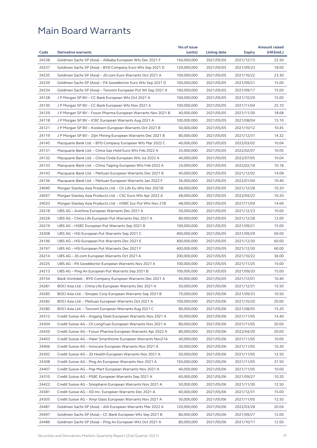|       |                                                              | No.of issue |              |               | <b>Amount raised</b> |
|-------|--------------------------------------------------------------|-------------|--------------|---------------|----------------------|
| Code  | <b>Derivative warrants</b>                                   | (units)     | Listing date | <b>Expiry</b> | (HK\$mil.)           |
| 24238 | Goldman Sachs SP (Asia) - Alibaba European Wts Dec 2021 F    | 150,000,000 | 2021/05/05   | 2021/12/13    | 22.50                |
| 24237 | Goldman Sachs SP (Asia) - BYD Company Euro Wts Sep 2021 D    | 120,000,000 | 2021/05/05   | 2021/09/23    | 18.00                |
| 24235 | Goldman Sachs SP (Asia) - JD.com Euro Warrants Oct 2021 A    | 100,000,000 | 2021/05/05   | 2021/10/22    | 23.30                |
| 24239 | Goldman Sachs SP (Asia) – PA Gooddoctor Euro Wts Sep 2021 D  | 100,000,000 | 2021/05/05   | 2021/09/21    | 15.00                |
| 24234 | Goldman Sachs SP (Asia) - Tencent European Put Wt Sep 2021 A | 100,000,000 | 2021/05/05   | 2021/09/17    | 15.00                |
| 24128 | J P Morgan SP BV – CC Bank European Wts Oct 2021 A           | 100,000,000 | 2021/05/05   | 2021/10/29    | 15.00                |
| 24130 | J P Morgan SP BV - CC Bank European Wts Nov 2021 A           | 100,000,000 | 2021/05/05   | 2021/11/04    | 25.10                |
| 24129 | J P Morgan SP BV - Fosun Pharma European Warrants Nov 2021 B | 40,000,000  | 2021/05/05   | 2021/11/30    | 18.68                |
| 24118 | J P Morgan SP BV – ICBC European Warrants Aug 2021 A         | 100,000,000 | 2021/05/05   | 2021/08/04    | 15.10                |
| 24121 | J P Morgan SP BV – Koolearn European Warrants Oct 2021 B     | 50,000,000  | 2021/05/05   | 2021/10/12    | 10.45                |
| 24119 | J P Morgan SP BV – Zijin Mining European Warrants Dec 2021 B | 80,000,000  | 2021/05/05   | 2021/12/31    | 14.32                |
| 24145 | Macquarie Bank Ltd. - BYD Company European Wts Mar 2022 C    | 40,000,000  | 2021/05/05   | 2022/03/02    | 10.04                |
| 24131 | Macquarie Bank Ltd. – China Gas Hold Euro Wts Feb 2022 A     | 35,000,000  | 2021/05/05   | 2022/02/07    | 10.05                |
| 24132 | Macquarie Bank Ltd. – China Cinda European Wts Jul 2022 A    | 40,000,000  | 2021/05/05   | 2022/07/05    | 10.04                |
| 24133 | Macquarie Bank Ltd. – China Taiping European Wts Feb 2022 A  | 24,000,000  | 2021/05/05   | 2022/02/18    | 10.18                |
| 24143 | Macquarie Bank Ltd. – Meituan European Warrants Dec 2021 B   | 40,000,000  | 2021/05/05   | 2021/12/02    | 14.08                |
| 24136 | Macquarie Bank Ltd. - Meituan European Warrants Jan 2022 F   | 36,000,000  | 2021/05/05   | 2022/01/04    | 10.40                |
| 24040 | Morgan Stanley Asia Products Ltd. – Ch Life Eu Wts Dec 2021B | 68,000,000  | 2021/05/05   | 2021/12/28    | 10.20                |
| 24037 | Morgan Stanley Asia Products Ltd. – CSC Euro Wts Apr 2022 A  | 68,000,000  | 2021/05/05   | 2022/04/22    | 10.20                |
| 24033 | Morgan Stanley Asia Products Ltd. – HSBC Eur Put Wts Nov 21B | 48,000,000  | 2021/05/05   | 2021/11/04    | 14.69                |
| 24218 | UBS AG – Avichina European Warrants Dec 2021 A               | 50,000,000  | 2021/05/05   | 2021/12/23    | 10.00                |
| 24228 | UBS AG - China Life European Put Warrants Dec 2021 A         | 80,000,000  | 2021/05/05   | 2021/12/28    | 12.00                |
| 24219 | UBS AG - HSBC European Put Warrants Sep 2021 B               | 100,000,000 | 2021/05/05   | 2021/09/21    | 15.00                |
| 24208 | UBS AG - HSI European Put Warrants Sep 2021 C                | 400,000,000 | 2021/05/05   | 2021/09/29    | 60.00                |
| 24196 | UBS AG - HSI European Put Warrants Dec 2021 E                | 400,000,000 | 2021/05/05   | 2021/12/30    | 60.00                |
| 24197 | UBS AG - HSI European Put Warrants Dec 2021 F                | 400,000,000 | 2021/05/05   | 2021/12/30    | 60.00                |
| 24214 | UBS AG - JD.com European Warrants Oct 2021 A                 | 200,000,000 | 2021/05/05   | 2021/10/22    | 36.00                |
| 24225 | UBS AG - PA Gooddoctor European Warrants Nov 2021 A          | 100,000,000 | 2021/05/05   | 2021/11/25    | 15.00                |
|       |                                                              |             |              |               | 15.00                |
| 24213 | UBS AG – Ping An European Put Warrants Sep 2021 B            | 100,000,000 | 2021/05/05   | 2021/09/20    |                      |
| 24154 | Bank Vontobel - BYD Company European Warrants Dec 2021 A     | 40,000,000  | 2021/05/05   | 2021/12/01    | 10.40                |
| 24281 | BOCI Asia Ltd. - China Life European Warrants Dec 2021 A     | 50,000,000  | 2021/05/06   | 2021/12/31    | 15.50                |
| 24285 | BOCI Asia Ltd. - Sinopec Corp European Warrants Sep 2021 B   | 70,000,000  | 2021/05/06   | 2021/09/23    | 10.50                |
| 24282 | BOCI Asia Ltd. - Meituan European Warrants Oct 2021 A        | 100,000,000 | 2021/05/06   | 2021/10/20    | 20.00                |
| 24280 | BOCI Asia Ltd. - Tencent European Warrants Aug 2021 C        | 80,000,000  | 2021/05/06   | 2021/08/05    | 15.20                |
| 24312 | Credit Suisse AG - Angang Steel European Warrants Nov 2021 A | 30,000,000  | 2021/05/06   | 2021/11/05    | 14.40                |
| 24304 | Credit Suisse AG - Ch LongYuan European Warrants Nov 2021 A  | 80,000,000  | 2021/05/06   | 2021/11/05    | 20.00                |
| 24420 | Credit Suisse AG - Fosun Pharma European Warrants Apr 2022 A | 80,000,000  | 2021/05/06   | 2022/04/29    | 20.00                |
| 24403 | Credit Suisse AG - Haier Smarthome European Warrants Nov21A  | 40,000,000  | 2021/05/06   | 2021/11/05    | 10.00                |
| 24406 | Credit Suisse AG - Innocare European Warrants Nov 2021 A     | 30,000,000  | 2021/05/06   | 2021/11/05    | 10.20                |
| 24392 | Credit Suisse AG - JD Health European Warrants Nov 2021 A    | 50,000,000  | 2021/05/06   | 2021/11/05    | 12.50                |
| 24308 | Credit Suisse AG - Ping An European Warrants Nov 2021 A      | 150,000,000 | 2021/05/06   | 2021/11/05    | 37.50                |
| 24407 | Credit Suisse AG - Pop Mart European Warrants Nov 2021 A     | 40,000,000  | 2021/05/06   | 2021/11/05    | 10.00                |
| 24310 | Credit Suisse AG - PSBC European Warrants Sep 2021 A         | 60,000,000  | 2021/05/06   | 2021/09/27    | 10.20                |
| 24422 | Credit Suisse AG – Sinopharm European Warrants Nov 2021 A    | 50,000,000  | 2021/05/06   | 2021/11/30    | 12.50                |
| 24381 | Credit Suisse AG - XD Inc. European Warrants Dec 2021 A      | 60,000,000  | 2021/05/06   | 2021/12/31    | 15.00                |
| 24305 | Credit Suisse AG - Xinyi Glass European Warrants Nov 2021 A  | 50,000,000  | 2021/05/06   | 2021/11/05    | 12.50                |
| 24487 | Goldman Sachs SP (Asia) - AIA European Warrants Mar 2022 A   | 120,000,000 | 2021/05/06   | 2022/03/28    | 20.04                |
| 24497 | Goldman Sachs SP (Asia) - CC Bank European Wts Sep 2021 B    | 80,000,000  | 2021/05/06   | 2021/09/27    | 12.00                |
| 24486 | Goldman Sachs SP (Asia) – Ping An European Wts Oct 2021 A    | 80,000,000  | 2021/05/06   | 2021/10/11    | 12.00                |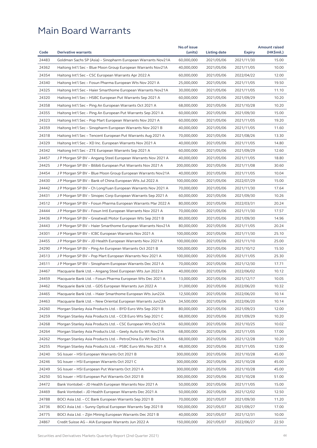|       |                                                              | No.of issue |              |               | <b>Amount raised</b> |
|-------|--------------------------------------------------------------|-------------|--------------|---------------|----------------------|
| Code  | <b>Derivative warrants</b>                                   | (units)     | Listing date | <b>Expiry</b> | (HK\$mil.)           |
| 24483 | Goldman Sachs SP (Asia) - Sinopharm European Warrants Nov21A | 60,000,000  | 2021/05/06   | 2021/11/30    | 15.00                |
| 24362 | Haitong Int'l Sec – Blue Moon Group European Warrants Nov21A | 40,000,000  | 2021/05/06   | 2021/11/05    | 10.00                |
| 24354 | Haitong Int'l Sec - CSC European Warrants Apr 2022 A         | 60,000,000  | 2021/05/06   | 2022/04/22    | 12.00                |
| 24340 | Haitong Int'l Sec - Fosun Pharma European Wts Nov 2021 A     | 25,000,000  | 2021/05/06   | 2021/11/05    | 19.50                |
| 24325 | Haitong Int'l Sec – Haier Smarthome European Warrants Nov21A | 30,000,000  | 2021/05/06   | 2021/11/05    | 11.10                |
| 24320 | Haitong Int'l Sec – HSBC European Put Warrants Sep 2021 A    | 60,000,000  | 2021/05/06   | 2021/09/29    | 10.20                |
| 24358 | Haitong Int'l Sec - Ping An European Warrants Oct 2021 A     | 68,000,000  | 2021/05/06   | 2021/10/28    | 10.20                |
| 24355 | Haitong Int'l Sec – Ping An European Put Warrants Sep 2021 A | 60,000,000  | 2021/05/06   | 2021/09/30    | 15.00                |
| 24323 | Haitong Int'l Sec – Pop Mart European Warrants Nov 2021 A    | 60,000,000  | 2021/05/06   | 2021/11/05    | 19.20                |
| 24359 | Haitong Int'l Sec – Sinopharm European Warrants Nov 2021 B   | 40,000,000  | 2021/05/06   | 2021/11/05    | 11.60                |
| 24318 | Haitong Int'l Sec – Tencent European Put Warrants Aug 2021 A | 70,000,000  | 2021/05/06   | 2021/08/26    | 13.30                |
| 24329 | Haitong Int'l Sec - XD Inc. European Warrants Nov 2021 A     | 40,000,000  | 2021/05/06   | 2021/11/05    | 14.80                |
| 24342 | Haitong Int'l Sec – ZTE European Warrants Sep 2021 A         | 60,000,000  | 2021/05/06   | 2021/09/29    | 12.60                |
| 24457 | J P Morgan SP BV - Angang Steel European Warrants Nov 2021 A | 40,000,000  | 2021/05/06   | 2021/11/05    | 18.80                |
| 24425 | J P Morgan SP BV – Bilibili European Put Warrants Nov 2021 A | 200,000,000 | 2021/05/06   | 2021/11/08    | 30.60                |
| 24454 | J P Morgan SP BV – Blue Moon Group European Warrants Nov21A  | 40,000,000  | 2021/05/06   | 2021/11/05    | 10.04                |
| 24430 | J P Morgan SP BV – Bank of China European Wts Jul 2022 A     | 100,000,000 | 2021/05/06   | 2022/07/29    | 15.00                |
| 24442 | J P Morgan SP BV – Ch LongYuan European Warrants Nov 2021 A  | 70,000,000  | 2021/05/06   | 2021/11/30    | 17.64                |
| 24431 | J P Morgan SP BV – Sinopec Corp European Warrants Sep 2021 A | 60,000,000  | 2021/05/06   | 2021/09/30    | 10.26                |
| 24512 | J P Morgan SP BV – Fosun Pharma European Warrants Mar 2022 A | 80,000,000  | 2021/05/06   | 2022/03/31    | 20.24                |
| 24444 | J P Morgan SP BV - Fosun Intl European Warrants Nov 2021 A   | 70,000,000  | 2021/05/06   | 2021/11/30    | 17.57                |
| 24436 | J P Morgan SP BV - Greatwall Motor European Wts Sep 2021 B   | 80,000,000  | 2021/05/06   | 2021/09/30    | 14.96                |
| 24443 | J P Morgan SP BV – Haier Smarthome European Warrants Nov21A  | 80,000,000  | 2021/05/06   | 2021/11/05    | 20.24                |
| 24301 | J P Morgan SP BV – ICBC European Warrants Nov 2021 A         | 100,000,000 | 2021/05/06   | 2021/11/30    | 25.10                |
| 24455 | J P Morgan SP BV - JD Health European Warrants Nov 2021 A    | 100,000,000 | 2021/05/06   | 2021/11/10    | 25.00                |
| 24290 | J P Morgan SP BV – Ping An European Warrants Oct 2021 B      | 100,000,000 | 2021/05/06   | 2021/10/12    | 15.50                |
| 24513 | J P Morgan SP BV – Pop Mart European Warrants Nov 2021 A     | 100,000,000 | 2021/05/06   | 2021/11/05    | 25.30                |
| 24511 | J P Morgan SP BV – Sinopharm European Warrants Dec 2021 A    | 70,000,000  | 2021/05/06   | 2021/12/30    | 17.71                |
| 24467 | Macquarie Bank Ltd. – Angang Steel European Wts Jun 2022 A   | 40,000,000  | 2021/05/06   | 2022/06/02    | 10.12                |
| 24459 | Macquarie Bank Ltd. - Fosun Pharma European Wts Dec 2021 A   | 13,000,000  | 2021/05/06   | 2021/12/17    | 10.05                |
| 24462 | Macquarie Bank Ltd. - GDS European Warrants Jun 2022 A       | 31,000,000  | 2021/05/06   | 2022/06/20    | 10.32                |
| 24465 | Macquarie Bank Ltd. - Haier Smarthome European Wts Jun22A    | 12,500,000  | 2021/05/06   | 2022/06/20    | 10.14                |
| 24463 | Macquarie Bank Ltd. - New Oriental European Warrants Jun22A  |             | 2021/05/06   |               | 10.14                |
|       |                                                              | 34,500,000  |              | 2022/06/20    |                      |
| 24260 | Morgan Stanley Asia Products Ltd. - BYD Euro Wts Sep 2021 B  | 80,000,000  | 2021/05/06   | 2021/09/23    | 12.00                |
| 24259 | Morgan Stanley Asia Products Ltd. - CCB Euro Wts Sep 2021 C  | 68,000,000  | 2021/05/06   | 2021/09/29    | 10.20                |
| 24268 | Morgan Stanley Asia Products Ltd. - CSC European Wts Oct21A  | 60,000,000  | 2021/05/06   | 2021/10/25    | 10.02                |
| 24264 | Morgan Stanley Asia Products Ltd. - Geely Auto Eu Wt Nov21A  | 68,000,000  | 2021/05/06   | 2021/11/05    | 17.00                |
| 24262 | Morgan Stanley Asia Products Ltd. - PetroChina Eu Wt Dec21A  | 68,000,000  | 2021/05/06   | 2021/12/28    | 10.20                |
| 24255 | Morgan Stanley Asia Products Ltd. - PSBC Euro Wts Nov 2021 A | 48,000,000  | 2021/05/06   | 2021/11/05    | 12.00                |
| 24240 | SG Issuer - HSI European Warrants Oct 2021 B                 | 300,000,000 | 2021/05/06   | 2021/10/28    | 45.00                |
| 24246 | SG Issuer - HSI European Warrants Oct 2021 C                 | 300,000,000 | 2021/05/06   | 2021/10/28    | 45.00                |
| 24249 | SG Issuer - HSI European Put Warrants Oct 2021 A             | 300,000,000 | 2021/05/06   | 2021/10/28    | 45.00                |
| 24250 | SG Issuer - HSI European Put Warrants Oct 2021 B             | 300,000,000 | 2021/05/06   | 2021/10/28    | 51.00                |
| 24472 | Bank Vontobel - JD Health European Warrants Nov 2021 A       | 50,000,000  | 2021/05/06   | 2021/11/05    | 15.00                |
| 24469 | Bank Vontobel - JD Health European Warrants Dec 2021 A       | 50,000,000  | 2021/05/06   | 2021/12/02    | 12.50                |
| 24788 | BOCI Asia Ltd. - CC Bank European Warrants Sep 2021 B        | 70,000,000  | 2021/05/07   | 2021/09/30    | 11.20                |
| 24736 | BOCI Asia Ltd. - Sunny Optical European Warrants Sep 2021 B  | 100,000,000 | 2021/05/07   | 2021/09/27    | 17.00                |
| 24775 | BOCI Asia Ltd. - Zijin Mining European Warrants Dec 2021 B   | 40,000,000  | 2021/05/07   | 2021/12/31    | 10.00                |
| 24867 | Credit Suisse AG - AIA European Warrants Jun 2022 A          | 150,000,000 | 2021/05/07   | 2022/06/27    | 22.50                |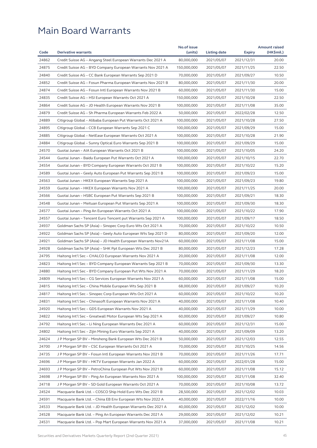|       |                                                              | No.of issue |              |               | <b>Amount raised</b> |
|-------|--------------------------------------------------------------|-------------|--------------|---------------|----------------------|
| Code  | <b>Derivative warrants</b>                                   | (units)     | Listing date | <b>Expiry</b> | (HK\$mil.)           |
| 24862 | Credit Suisse AG - Angang Steel European Warrants Dec 2021 A | 80,000,000  | 2021/05/07   | 2021/12/31    | 20.00                |
| 24875 | Credit Suisse AG - BYD Company European Warrants Nov 2021 A  | 150,000,000 | 2021/05/07   | 2021/11/25    | 22.50                |
| 24840 | Credit Suisse AG - CC Bank European Warrants Sep 2021 D      | 70,000,000  | 2021/05/07   | 2021/09/27    | 10.50                |
| 24852 | Credit Suisse AG - Fosun Pharma European Warrants Nov 2021 B | 80,000,000  | 2021/05/07   | 2021/11/30    | 20.00                |
| 24874 | Credit Suisse AG – Fosun Intl European Warrants Nov 2021 B   | 60,000,000  | 2021/05/07   | 2021/11/30    | 15.00                |
| 24835 | Credit Suisse AG - HSI European Warrants Oct 2021 A          | 150,000,000 | 2021/05/07   | 2021/10/28    | 22.50                |
| 24864 | Credit Suisse AG - JD Health European Warrants Nov 2021 B    | 100,000,000 | 2021/05/07   | 2021/11/08    | 35.00                |
| 24879 | Credit Suisse AG - Sh Pharma European Warrants Feb 2022 A    | 50,000,000  | 2021/05/07   | 2022/02/28    | 12.50                |
| 24889 | Citigroup Global - Alibaba European Put Warrants Oct 2021 A  | 100,000,000 | 2021/05/07   | 2021/10/28    | 27.50                |
| 24895 | Citigroup Global - CCB European Warrants Sep 2021 C          | 100,000,000 | 2021/05/07   | 2021/09/29    | 15.00                |
| 24885 | Citigroup Global - NetEase European Warrants Oct 2021 A      | 100,000,000 | 2021/05/07   | 2021/10/28    | 21.90                |
| 24884 | Citigroup Global - Sunny Optical Euro Warrants Sep 2021 B    | 100,000,000 | 2021/05/07   | 2021/09/29    | 15.00                |
| 24570 | Guotai Junan – AIA European Warrants Oct 2021 B              | 100,000,000 | 2021/05/07   | 2021/10/05    | 24.20                |
| 24544 | Guotai Junan – Baidu European Put Warrants Oct 2021 A        | 100,000,000 | 2021/05/07   | 2021/10/15    | 22.70                |
| 24554 | Guotai Junan - BYD Company European Warrants Oct 2021 B      | 100,000,000 | 2021/05/07   | 2021/10/22    | 15.20                |
| 24589 | Guotai Junan - Geely Auto European Put Warrants Sep 2021 B   | 100,000,000 | 2021/05/07   | 2021/09/23    | 15.00                |
| 24563 | Guotai Junan - HKEX European Warrants Sep 2021 A             | 100,000,000 | 2021/05/07   | 2021/09/23    | 19.80                |
| 24559 | Guotai Junan – HKEX European Warrants Nov 2021 A             | 100,000,000 | 2021/05/07   | 2021/11/25    | 20.00                |
| 24566 | Guotai Junan – HSBC European Put Warrants Sep 2021 B         | 100,000,000 | 2021/05/07   | 2021/09/21    | 18.30                |
| 24548 | Guotai Junan - Meituan European Put Warrants Sep 2021 A      | 100,000,000 | 2021/05/07   | 2021/09/30    | 18.30                |
| 24577 | Guotai Junan - Ping An European Warrants Oct 2021 A          | 100,000,000 | 2021/05/07   | 2021/10/22    | 17.90                |
| 24557 | Guotai Junan - Tencent Euro Tencent put Warrants Sep 2021 A  | 100,000,000 | 2021/05/07   | 2021/09/17    | 18.50                |
| 24937 | Goldman Sachs SP (Asia) – Sinopec Corp Euro Wts Oct 2021 A   | 70,000,000  | 2021/05/07   | 2021/10/22    | 10.50                |
| 24922 | Goldman Sachs SP (Asia) – Geely Auto European Wts Sep 2021 D | 80,000,000  | 2021/05/07   | 2021/09/20    | 12.00                |
| 24921 | Goldman Sachs SP (Asia) – JD Health European Warrants Nov21A | 60,000,000  | 2021/05/07   | 2021/11/08    | 15.00                |
| 24928 | Goldman Sachs SP (Asia) - SHK Ppt European Wts Dec 2021 B    | 80,000,000  | 2021/05/07   | 2021/12/23    | 17.28                |
| 24795 | Haitong Int'l Sec - CHALCO European Warrants Nov 2021 A      | 20,000,000  | 2021/05/07   | 2021/11/08    | 12.00                |
| 24823 | Haitong Int'l Sec – BYD Company European Warrants Sep 2021 B | 70,000,000  | 2021/05/07   | 2021/09/30    | 13.30                |
| 24880 | Haitong Int'l Sec - BYD Company European Put Wts Nov 2021 A  | 70,000,000  | 2021/05/07   | 2021/11/29    | 18.20                |
| 24809 |                                                              | 60,000,000  | 2021/05/07   | 2021/11/08    | 15.00                |
|       | Haitong Int'l Sec – CG Services European Warrants Nov 2021 A |             |              |               |                      |
| 24815 | Haitong Int'l Sec – China Mobile European Wts Sep 2021 B     | 68,000,000  | 2021/05/07   | 2021/09/27    | 10.20                |
| 24817 | Haitong Int'l Sec - Sinopec Corp European Wts Oct 2021 A     | 60,000,000  | 2021/05/07   | 2021/10/22    | 10.20                |
| 24831 | Haitong Int'l Sec - Chinasoft European Warrants Nov 2021 A   | 40,000,000  | 2021/05/07   | 2021/11/08    | 10.40                |
| 24920 | Haitong Int'l Sec - GDS European Warrants Nov 2021 A         | 40,000,000  | 2021/05/07   | 2021/11/29    | 10.00                |
| 24822 | Haitong Int'l Sec - Greatwall Motor European Wts Sep 2021 A  | 60,000,000  | 2021/05/07   | 2021/09/27    | 10.80                |
| 24792 | Haitong Int'l Sec - Li Ning European Warrants Dec 2021 A     | 60,000,000  | 2021/05/07   | 2021/12/31    | 15.00                |
| 24802 | Haitong Int'l Sec - Zijin Mining Euro Warrants Sep 2021 A    | 40,000,000  | 2021/05/07   | 2021/09/09    | 13.20                |
| 24624 | J P Morgan SP BV - Minsheng Bank European Wts Dec 2021 B     | 50,000,000  | 2021/05/07   | 2021/12/03    | 12.55                |
| 24700 | J P Morgan SP BV - CSC European Warrants Oct 2021 A          | 70,000,000  | 2021/05/07   | 2021/10/25    | 14.56                |
| 24735 | J P Morgan SP BV - Fosun Intl European Warrants Nov 2021 B   | 70,000,000  | 2021/05/07   | 2021/11/26    | 17.71                |
| 24696 | J P Morgan SP BV - HKTV European Warrants Jan 2022 A         | 60,000,000  | 2021/05/07   | 2022/01/28    | 15.00                |
| 24693 | J P Morgan SP BV - PetroChina European Put Wts Nov 2021 B    | 60,000,000  | 2021/05/07   | 2021/11/08    | 15.12                |
| 24698 | J P Morgan SP BV - Ping An European Warrants Nov 2021 A      | 100,000,000 | 2021/05/07   | 2021/11/08    | 32.40                |
| 24718 | J P Morgan SP BV - SD Gold European Warrants Oct 2021 A      | 70,000,000  | 2021/05/07   | 2021/10/08    | 13.72                |
| 24524 | Macquarie Bank Ltd. - COSCO Ship Hold Euro Wts Dec 2021 B    | 28,500,000  | 2021/05/07   | 2021/12/02    | 10.03                |
| 24591 | Macquarie Bank Ltd. - China EB Env European Wts Nov 2022 A   | 40,000,000  | 2021/05/07   | 2022/11/16    | 10.00                |
| 24533 | Macquarie Bank Ltd. - JD Health European Warrants Dec 2021 A | 40,000,000  | 2021/05/07   | 2021/12/02    | 10.00                |
| 24528 | Macquarie Bank Ltd. - Ping An European Warrants Dec 2021 A   | 29,000,000  | 2021/05/07   | 2021/12/02    | 10.21                |
| 24531 | Macquarie Bank Ltd. - Pop Mart European Warrants Nov 2021 A  | 37,000,000  | 2021/05/07   | 2021/11/08    | 10.21                |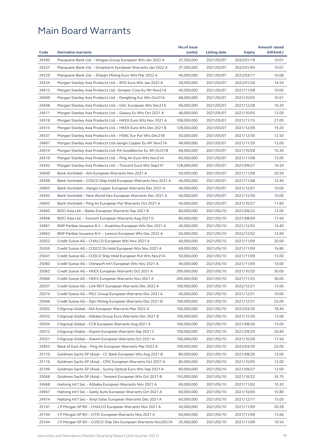|       |                                                              | No.of issue |              |               | <b>Amount raised</b> |
|-------|--------------------------------------------------------------|-------------|--------------|---------------|----------------------|
| Code  | <b>Derivative warrants</b>                                   | (units)     | Listing date | <b>Expiry</b> | (HK\$mil.)           |
| 24590 | Macquarie Bank Ltd. - Weigao Group European Wts Jan 2022 A   | 37,500,000  | 2021/05/07   | 2022/01/18    | 10.01                |
| 24527 | Macquarie Bank Ltd. – Sinopharm European Warrants Jan 2022 A | 37,200,000  | 2021/05/07   | 2022/01/04    | 10.01                |
| 24529 | Macquarie Bank Ltd. – Zhaojin Mining Euro Wts Mar 2022 A     | 40,000,000  | 2021/05/07   | 2022/03/11    | 10.08                |
| 24534 | Morgan Stanley Asia Products Ltd. - BYD Euro Wts Jan 2022 A  | 58,000,000  | 2021/05/07   | 2022/01/28    | 14.50                |
| 24613 | Morgan Stanley Asia Products Ltd. -Sinopec Corp Eu Wt Nov21A | 40,000,000  | 2021/05/07   | 2021/11/08    | 10.00                |
| 24609 | Morgan Stanley Asia Products Ltd. – Dongfeng Eur Wts Oct21A  | 68,000,000  | 2021/05/07   | 2021/10/05    | 10.61                |
| 24608 | Morgan Stanley Asia Products Ltd. - GAC European Wts Dec21A  | 68,000,000  | 2021/05/07   | 2021/12/28    | 10.20                |
| 24611 | Morgan Stanley Asia Products Ltd. - Galaxy Eu Wts Oct 2021 A | 48,000,000  | 2021/05/07   | 2021/10/05    | 12.00                |
| 24518 | Morgan Stanley Asia Products Ltd. – HKEX Euro Wts Nov 2021 A | 108,000,000 | 2021/05/07   | 2021/11/15    | 27.00                |
| 24515 | Morgan Stanley Asia Products Ltd. – HKEX Euro Wts Dec 2021 B | 128,000,000 | 2021/05/07   | 2021/12/09    | 19.20                |
| 24537 | Morgan Stanley Asia Products Ltd. - HSBC Eur Put Wts Dec21B  | 50,000,000  | 2021/05/07   | 2021/12/30    | 12.50                |
| 24607 | Morgan Stanley Asia Products Ltd-Jiangxi Copper Eu Wt Nov21A | 48,000,000  | 2021/05/07   | 2021/11/29    | 12.00                |
| 24614 | Morgan Stanley Asia Products Ltd.-PA Gooddoctor Eu Wt Oct21B | 68,000,000  | 2021/05/07   | 2021/10/28    | 10.20                |
| 24519 | Morgan Stanley Asia Products Ltd. – Ping An Euro Wts Nov21A  | 60,000,000  | 2021/05/07   | 2021/11/08    | 15.00                |
| 24542 | Morgan Stanley Asia Products Ltd. - Tencent Euro Wts Sep21F  | 128,000,000 | 2021/05/07   | 2021/09/27    | 19.20                |
| 24600 | Bank Vontobel - AIA European Warrants Nov 2021 A             | 50,000,000  | 2021/05/07   | 2021/11/08    | 20.50                |
| 24598 | Bank Vontobel – COSCO Ship Hold European Warrants Nov 2021 A | 40,000,000  | 2021/05/07   | 2021/11/08    | 12.40                |
| 24603 | Bank Vontobel - Jiangxi Copper European Warrants Dec 2021 A  | 40,000,000  | 2021/05/07   | 2021/12/01    | 10.00                |
| 24593 | Bank Vontobel - New World Dev European Warrants Dec 2021 A   | 40,000,000  | 2021/05/07   | 2021/12/30    | 10.00                |
| 24602 | Bank Vontobel – Ping An European Put Warrants Oct 2021 A     | 40,000,000  | 2021/05/07   | 2021/10/27    | 11.60                |
| 24960 | BOCI Asia Ltd. – Baidu European Warrants Sep 2021 B          | 80,000,000  | 2021/05/10   | 2021/09/23    | 12.00                |
| 24958 | BOCI Asia Ltd. – Tencent European Warrants Aug 2021 D        | 80,000,000  | 2021/05/10   | 2021/08/09    | 17.60                |
| 24961 | BNP Paribas Issuance B.V. - Kuaishou European Wts Dec 2021 A | 40,000,000  | 2021/05/10   | 2021/12/02    | 14.40                |
| 24963 | BNP Paribas Issuance B.V. – Lenovo European Wts Dec 2022 A   | 60,000,000  | 2021/05/10   | 2022/12/02    | 12.60                |
| 25052 | Credit Suisse AG – CHALCO European Wts Nov 2021 A            | 40,000,000  | 2021/05/10   | 2021/11/09    | 20.00                |
| 25039 | Credit Suisse AG – COSCO Sh Hold European Wts Nov 2021 A     | 60,000,000  | 2021/05/10   | 2021/11/09    | 16.80                |
| 25041 | Credit Suisse AG - COSCO Ship Hold European Put Wts Nov21A   | 50,000,000  | 2021/05/10   | 2021/11/09    | 13.00                |
| 25060 | Credit Suisse AG – Chinasoft Int'l European Wts Nov 2021 A   | 40,000,000  | 2021/05/10   | 2021/11/09    | 10.00                |
| 25062 | Credit Suisse AG – HKEX European Warrants Oct 2021 A         | 200,000,000 | 2021/05/10   | 2021/10/20    | 30.00                |
| 25066 | Credit Suisse AG – HKEX European Warrants Nov 2021 A         | 200,000,000 | 2021/05/10   | 2021/11/25    | 30.00                |
| 25037 | Credit Suisse AG – Link REIT European Warrants Dec 2022 A    | 100,000,000 | 2021/05/10   | 2022/12/21    | 15.00                |
|       |                                                              |             |              |               |                      |
| 25074 | Credit Suisse AG - PICC Group European Warrants Dec 2021 A   | 40,000,000  | 2021/05/10   | 2021/12/31    | 10.00                |
| 25046 | Credit Suisse AG - Zijin Mining European Warrants Dec 2021 B | 100,000,000 | 2021/05/10   | 2021/12/31    | 25.00                |
| 25002 | Citigroup Global - AIA European Warrants Mar 2022 A          | 100,000,000 | 2021/05/10   | 2022/03/30    | 18.40                |
| 25032 | Citigroup Global – Alibaba Group Euro Warrants Dec 2021 B    | 100,000,000 | 2021/05/10   | 2021/12/30    | 15.00                |
| 25034 | Citigroup Global - CCB European Warrants Aug 2021 A          | 100,000,000 | 2021/05/10   | 2021/08/30    | 15.00                |
| 25012 | Citigroup Global - Xiaomi European Warrants Sep 2021 C       | 100,000,000 | 2021/05/10   | 2021/09/29    | 20.40                |
| 25021 | Citigroup Global – Xiaomi European Warrants Oct 2021 A       | 100,000,000 | 2021/05/10   | 2021/10/28    | 17.60                |
| 24953 | Bank of East Asia - Ping An European Warrants Mar 2023 A     | 100,000,000 | 2021/05/10   | 2023/03/30    | 25.00                |
| 25110 | Goldman Sachs SP (Asia) - CC Bank European Wts Aug 2021 B    | 80,000,000  | 2021/05/10   | 2021/08/26    | 12.00                |
| 25116 | Goldman Sachs SP (Asia) - CPIC European Warrants Oct 2021 A  | 80,000,000  | 2021/05/10   | 2021/10/05    | 12.00                |
| 25109 | Goldman Sachs SP (Asia) - Sunny Optical Euro Wts Sep 2021 A  | 80,000,000  | 2021/05/10   | 2021/09/27    | 12.00                |
| 25068 | Goldman Sachs SP (Asia) - Tencent European Wts Oct 2021 B    | 150,000,000 | 2021/05/10   | 2021/10/22    | 35.70                |
| 24968 | Haitong Int'l Sec – Alibaba European Warrants Nov 2021 A     | 60,000,000  | 2021/05/10   | 2021/11/02    | 10.20                |
| 24967 | Haitong Int'l Sec - Geely Auto European Warrants Oct 2021 A  | 60,000,000  | 2021/05/10   | 2021/10/05    | 10.80                |
| 24974 | Haitong Int'l Sec – Xinyi Solar European Warrants Dec 2021 A | 60,000,000  | 2021/05/10   | 2021/12/17    | 15.00                |
| 25141 | J P Morgan SP BV - CHALCO European Warrants Nov 2021 A       | 40,000,000  | 2021/05/10   | 2021/11/09    | 20.28                |
| 25194 | J P Morgan SP BV - CITIC European Warrants Nov 2021 A        | 60,000,000  | 2021/05/10   | 2021/11/09    | 15.66                |
| 25164 | J P Morgan SP BV – COSCO Ship Dev European Warrants Nov2021A | 35,000,000  | 2021/05/10   | 2021/11/09    | 10.54                |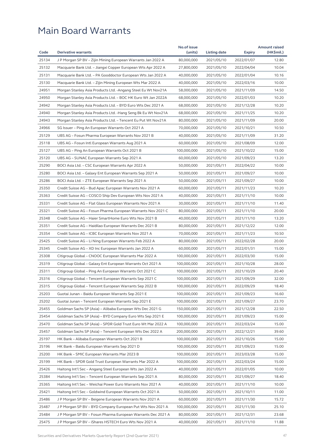|       |                                                              | No.of issue                |              |               | <b>Amount raised</b> |
|-------|--------------------------------------------------------------|----------------------------|--------------|---------------|----------------------|
| Code  | <b>Derivative warrants</b>                                   | (units)                    | Listing date | <b>Expiry</b> | (HK\$mil.)           |
| 25134 | J P Morgan SP BV - Zijin Mining European Warrants Jan 2022 A | 80,000,000                 | 2021/05/10   | 2022/01/07    | 12.80                |
| 25132 | Macquarie Bank Ltd. - Jiangxi Copper European Wts Apr 2022 A | 27,800,000                 | 2021/05/10   | 2022/04/04    | 10.04                |
| 25131 | Macquarie Bank Ltd. – PA Gooddoctor European Wts Jan 2022 A  | 40,000,000                 | 2021/05/10   | 2022/01/04    | 10.16                |
| 25130 | Macquarie Bank Ltd. – Zijin Mining European Wts Mar 2022 A   | 40,000,000                 | 2021/05/10   | 2022/03/16    | 10.00                |
| 24951 | Morgan Stanley Asia Products Ltd. -Angang Steel Eu Wt Nov21A | 58,000,000                 | 2021/05/10   | 2021/11/09    | 14.50                |
| 24950 | Morgan Stanley Asia Products Ltd. - BOC HK Euro Wt Jan 2022A | 68,000,000                 | 2021/05/10   | 2022/01/03    | 10.20                |
| 24942 | Morgan Stanley Asia Products Ltd. - BYD Euro Wts Dec 2021 A  | 68,000,000                 | 2021/05/10   | 2021/12/28    | 10.20                |
| 24940 | Morgan Stanley Asia Products Ltd. -Hang Seng Bk Eu Wt Nov21A | 68,000,000                 | 2021/05/10   | 2021/11/25    | 10.20                |
| 24943 | Morgan Stanley Asia Products Ltd. - Tencent Eu Put Wt Nov21A | 80,000,000                 | 2021/05/10   | 2021/11/09    | 20.00                |
| 24966 | SG Issuer – Ping An European Warrants Oct 2021 A             | 70,000,000                 | 2021/05/10   | 2021/10/21    | 10.50                |
| 25129 | UBS AG - Fosun Pharma European Warrants Nov 2021 B           | 40,000,000                 | 2021/05/10   | 2021/11/09    | 31.20                |
| 25118 | UBS AG - Fosun Intl European Warrants Aug 2021 A             | 60,000,000                 | 2021/05/10   | 2021/08/09    | 12.00                |
| 25127 | UBS AG – Ping An European Warrants Oct 2021 B                | 100,000,000                | 2021/05/10   | 2021/10/22    | 15.00                |
| 25120 | UBS AG – SUNAC European Warrants Sep 2021 A                  | 60,000,000                 | 2021/05/10   | 2021/09/23    | 13.20                |
| 25290 | BOCI Asia Ltd. – CSC European Warrants Apr 2022 A            | 50,000,000                 | 2021/05/11   | 2022/04/22    | 10.00                |
| 25280 | BOCI Asia Ltd. - Galaxy Ent European Warrants Sep 2021 A     | 50,000,000                 | 2021/05/11   | 2021/09/27    | 10.00                |
| 25286 | BOCI Asia Ltd. - ZTE European Warrants Sep 2021 A            | 50,000,000                 | 2021/05/11   | 2021/09/27    | 10.00                |
| 25350 | Credit Suisse AG – Bud Apac European Warrants Nov 2021 A     | 60,000,000                 | 2021/05/11   | 2021/11/23    | 10.20                |
| 25363 | Credit Suisse AG - COSCO Ship Dev European Wts Nov 2021 A    | 40,000,000                 | 2021/05/11   | 2021/11/10    | 10.00                |
| 25331 | Credit Suisse AG – Flat Glass European Warrants Nov 2021 A   | 30,000,000                 | 2021/05/11   | 2021/11/10    | 11.40                |
| 25321 | Credit Suisse AG - Fosun Pharma European Warrants Nov 2021 C | 80,000,000                 | 2021/05/11   | 2021/11/10    | 20.00                |
| 25348 | Credit Suisse AG - Haier SmartHome Euro Wts Nov 2021 B       | 40,000,000                 | 2021/05/11   | 2021/11/10    | 13.20                |
| 25351 | Credit Suisse AG - Haidilao European Warrants Dec 2021 B     | 80,000,000                 | 2021/05/11   | 2021/12/22    | 12.00                |
| 25354 | Credit Suisse AG – ICBC European Warrants Nov 2021 A         | 70,000,000                 | 2021/05/11   | 2021/11/23    | 10.50                |
| 25425 | Credit Suisse AG – Li Ning European Warrants Feb 2022 A      | 80,000,000                 | 2021/05/11   | 2022/02/28    | 20.00                |
| 25345 | Credit Suisse AG - XD Inc European Warrants Jan 2022 A       | 60,000,000                 | 2021/05/11   | 2022/01/31    | 15.00                |
| 25308 | Citigroup Global – CNOOC European Warrants Mar 2022 A        | 100,000,000                | 2021/05/11   | 2022/03/30    | 15.00                |
| 25319 | Citigroup Global – Galaxy Ent European Warrants Oct 2021 A   | 100,000,000                | 2021/05/11   | 2021/10/28    | 28.00                |
| 25311 | Citigroup Global – Ping An European Warrants Oct 2021 C      | 100,000,000                | 2021/05/11   | 2021/10/29    | 20.40                |
| 25316 | Citigroup Global – Tencent European Warrants Sep 2021 C      | 100,000,000                | 2021/05/11   | 2021/09/29    | 32.00                |
| 25315 | Citigroup Global - Tencent European Warrants Sep 2022 B      |                            |              |               | 18.40                |
|       |                                                              | 100,000,000<br>100,000,000 | 2021/05/11   | 2022/09/29    |                      |
| 25203 | Guotai Junan - Baidu European Warrants Sep 2021 E            |                            | 2021/05/11   | 2021/09/23    | 16.60                |
| 25202 | Guotai Junan - Tencent European Warrants Sep 2021 E          | 100,000,000                | 2021/05/11   | 2021/09/27    | 23.70                |
| 25455 | Goldman Sachs SP (Asia) - Alibaba European Wts Dec 2021 G    | 150,000,000                | 2021/05/11   | 2021/12/28    | 22.50                |
| 25454 | Goldman Sachs SP (Asia) - BYD Company Euro Wts Sep 2021 E    | 100,000,000                | 2021/05/11   | 2021/09/23    | 15.00                |
| 25470 | Goldman Sachs SP (Asia) - SPDR Gold Trust Euro Wt Mar 2022 A | 100,000,000                | 2021/05/11   | 2022/03/24    | 15.00                |
| 25457 | Goldman Sachs SP (Asia) - Tencent European Wts Dec 2022 A    | 200,000,000                | 2021/05/11   | 2022/12/21    | 39.60                |
| 25197 | HK Bank – Alibaba European Warrants Oct 2021 B               | 100,000,000                | 2021/05/11   | 2021/10/26    | 15.00                |
| 25196 | HK Bank - Baidu European Warrants Sep 2021 D                 | 100,000,000                | 2021/05/11   | 2021/09/23    | 15.00                |
| 25200 | HK Bank - SMIC European Warrants Mar 2023 B                  | 100,000,000                | 2021/05/11   | 2023/03/28    | 15.00                |
| 25199 | HK Bank - SPDR Gold Trust European Warrants Mar 2022 A       | 100,000,000                | 2021/05/11   | 2022/03/24    | 15.00                |
| 25426 | Haitong Int'l Sec - Angang Steel European Wts Jan 2022 A     | 40,000,000                 | 2021/05/11   | 2022/01/05    | 10.00                |
| 25384 | Haitong Int'l Sec - Tencent European Warrants Sep 2021 A     | 80,000,000                 | 2021/05/11   | 2021/09/27    | 18.40                |
| 25365 | Haitong Int'l Sec - Weichai Power Euro Warrants Nov 2021 A   | 40,000,000                 | 2021/05/11   | 2021/11/10    | 10.00                |
| 25421 | Haitong Int'l Sec - Goldwind European Warrants Oct 2021 A    | 50,000,000                 | 2021/05/11   | 2021/10/11    | 11.00                |
| 25486 | J P Morgan SP BV - Beigene European Warrants Nov 2021 A      | 60,000,000                 | 2021/05/11   | 2021/11/30    | 15.72                |
| 25487 | J P Morgan SP BV - BYD Company European Put Wts Nov 2021 A   | 100,000,000                | 2021/05/11   | 2021/11/30    | 25.10                |
| 25484 | J P Morgan SP BV - Fosun Pharma European Warrants Dec 2021 A | 80,000,000                 | 2021/05/11   | 2021/12/31    | 23.68                |
| 25475 | J P Morgan SP BV - iShares HSTECH Euro Wts Nov 2021 A        | 40,000,000                 | 2021/05/11   | 2021/11/10    | 11.88                |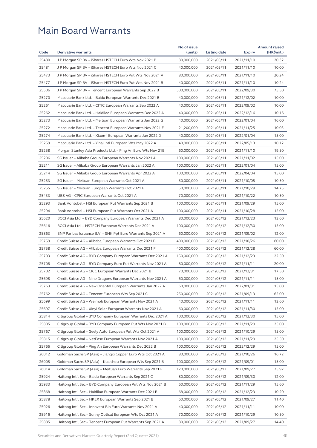|       |                                                              | No.of issue |              |               | <b>Amount raised</b> |
|-------|--------------------------------------------------------------|-------------|--------------|---------------|----------------------|
| Code  | <b>Derivative warrants</b>                                   | (units)     | Listing date | <b>Expiry</b> | (HK\$mil.)           |
| 25480 | J P Morgan SP BV - iShares HSTECH Euro Wts Nov 2021 B        | 80,000,000  | 2021/05/11   | 2021/11/10    | 20.32                |
| 25481 | J P Morgan SP BV - iShares HSTECH Euro Wts Nov 2021 C        | 40,000,000  | 2021/05/11   | 2021/11/10    | 10.00                |
| 25473 | J P Morgan SP BV – iShares HSTECH Euro Put Wts Nov 2021 A    | 80,000,000  | 2021/05/11   | 2021/11/10    | 20.24                |
| 25477 | J P Morgan SP BV - iShares HSTECH Euro Put Wts Nov 2021 B    | 40,000,000  | 2021/05/11   | 2021/11/10    | 10.24                |
| 25506 | J P Morgan SP BV – Tencent European Warrants Sep 2022 B      | 500,000,000 | 2021/05/11   | 2022/09/30    | 75.50                |
| 25270 | Macquarie Bank Ltd. - Baidu European Warrants Dec 2021 B     | 40,000,000  | 2021/05/11   | 2021/12/02    | 10.00                |
| 25261 | Macquarie Bank Ltd. - CITIC European Warrants Sep 2022 A     | 40,000,000  | 2021/05/11   | 2022/09/02    | 10.00                |
| 25262 | Macquarie Bank Ltd. - Haidilao European Warrants Dec 2022 A  | 40,000,000  | 2021/05/11   | 2022/12/16    | 10.16                |
| 25273 | Macquarie Bank Ltd. - Meituan European Warrants Jan 2022 G   | 40,000,000  | 2021/05/11   | 2022/01/04    | 16.00                |
| 25272 | Macquarie Bank Ltd. - Tencent European Warrants Nov 2021 E   | 21,200,000  | 2021/05/11   | 2021/11/25    | 10.03                |
| 25274 | Macquarie Bank Ltd. - Xiaomi European Warrants Jan 2022 D    | 40,000,000  | 2021/05/11   | 2022/01/04    | 15.00                |
| 25259 | Macquarie Bank Ltd. - Yihai Intl European Wts May 2022 A     | 40,000,000  | 2021/05/11   | 2022/05/13    | 10.12                |
| 25258 | Morgan Stanley Asia Products Ltd. – Ping An Euro Wts Nov 21B | 60,000,000  | 2021/05/11   | 2021/11/10    | 19.50                |
| 25206 | SG Issuer - Alibaba Group European Warrants Nov 2021 A       | 100,000,000 | 2021/05/11   | 2021/11/02    | 15.00                |
| 25211 | SG Issuer - Alibaba Group European Warrants Jan 2022 A       | 100,000,000 | 2021/05/11   | 2022/01/04    | 15.00                |
| 25214 | SG Issuer - Alibaba Group European Warrants Apr 2022 A       | 100,000,000 | 2021/05/11   | 2022/04/04    | 15.00                |
| 25253 | SG Issuer - Meituan European Warrants Oct 2021 A             | 50,000,000  | 2021/05/11   | 2021/10/05    | 10.50                |
| 25255 | SG Issuer – Meituan European Warrants Oct 2021 B             | 50,000,000  | 2021/05/11   | 2021/10/29    | 14.75                |
| 25433 | UBS AG - CPIC European Warrants Oct 2021 A                   | 70,000,000  | 2021/05/11   | 2021/10/22    | 10.50                |
| 25293 | Bank Vontobel – HSI European Put Warrants Sep 2021 B         | 100,000,000 | 2021/05/11   | 2021/09/29    | 15.00                |
| 25294 | Bank Vontobel - HSI European Put Warrants Oct 2021 A         | 100,000,000 | 2021/05/11   | 2021/10/28    | 15.00                |
| 25620 | BOCI Asia Ltd. - BYD Company European Warrants Dec 2021 A    | 80,000,000  | 2021/05/12   | 2021/12/23    | 13.60                |
| 25616 | BOCI Asia Ltd. - HSTECH European Warrants Dec 2021 A         | 100,000,000 | 2021/05/12   | 2021/12/30    | 15.00                |
| 25863 | BNP Paribas Issuance B.V. – SHK Ppt Euro Warrants Sep 2021 A | 60,000,000  | 2021/05/12   | 2021/09/02    | 12.00                |
| 25759 | Credit Suisse AG - Alibaba European Warrants Oct 2021 B      | 400,000,000 | 2021/05/12   | 2021/10/26    | 60.00                |
| 25758 | Credit Suisse AG - Alibaba European Warrants Dec 2021 F      | 400,000,000 | 2021/05/12   | 2021/12/28    | 60.00                |
| 25703 | Credit Suisse AG – BYD Company European Warrants Dec 2021 A  | 150,000,000 | 2021/05/12   | 2021/12/23    | 22.50                |
| 25708 | Credit Suisse AG - BYD Company Euro Put Warrants Nov 2021 A  | 80,000,000  | 2021/05/12   | 2021/11/11    | 20.00                |
| 25702 | Credit Suisse AG – CICC European Warrants Dec 2021 B         | 70,000,000  | 2021/05/12   | 2021/12/31    | 17.50                |
| 25698 | Credit Suisse AG - Nine Dragons European Warrants Nov 2021 A | 60,000,000  | 2021/05/12   | 2021/11/11    | 15.00                |
| 25763 | Credit Suisse AG - New Oriental European Warrants Jan 2022 A | 60,000,000  | 2021/05/12   | 2022/01/31    | 15.00                |
| 25762 | Credit Suisse AG - Tencent European Wts Sep 2021 C           | 250,000,000 | 2021/05/12   | 2021/09/13    | 65.00                |
| 25699 | Credit Suisse AG - Weimob European Warrants Nov 2021 A       | 40,000,000  | 2021/05/12   | 2021/11/11    | 13.60                |
| 25697 | Credit Suisse AG - Xinyi Solar European Warrants Nov 2021 A  | 60,000,000  | 2021/05/12   | 2021/11/30    | 15.00                |
| 25814 | Citigroup Global - BYD Company European Warrants Dec 2021 A  | 100,000,000 | 2021/05/12   | 2021/12/30    | 15.00                |
| 25805 | Citigroup Global - BYD Company European Put Wts Nov 2021 B   | 100,000,000 | 2021/05/12   | 2021/11/29    | 25.00                |
| 25767 | Citigroup Global - Geely Auto European Put Wts Oct 2021 A    | 100,000,000 | 2021/05/12   | 2021/10/29    | 15.00                |
| 25815 | Citigroup Global – NetEase European Warrants Nov 2021 A      | 100,000,000 | 2021/05/12   | 2021/11/29    | 25.50                |
| 25766 |                                                              | 100,000,000 |              |               | 15.00                |
|       | Citigroup Global - Ping An European Warrants Dec 2022 B      |             | 2021/05/12   | 2022/12/29    | 16.72                |
| 26012 | Goldman Sachs SP (Asia) - Jiangxi Copper Euro Wts Oct 2021 A | 80,000,000  | 2021/05/12   | 2021/10/26    |                      |
| 26005 | Goldman Sachs SP (Asia) - Kuaishou European Wts Sep 2021 B   | 100,000,000 | 2021/05/12   | 2021/09/01    | 15.00                |
| 26014 | Goldman Sachs SP (Asia) - Meituan Euro Warrants Sep 2021 F   | 120,000,000 | 2021/05/12   | 2021/09/27    | 25.92                |
| 25924 | Haitong Int'l Sec - Baidu European Warrants Sep 2021 C       | 80,000,000  | 2021/05/12   | 2021/09/30    | 12.00                |
| 25933 | Haitong Int'l Sec - BYD Company European Put Wts Nov 2021 B  | 60,000,000  | 2021/05/12   | 2021/11/29    | 15.60                |
| 25868 | Haitong Int'l Sec - Haidilao European Warrants Dec 2021 B    | 68,000,000  | 2021/05/12   | 2021/12/23    | 10.20                |
| 25878 | Haitong Int'l Sec - HKEX European Warrants Sep 2021 B        | 60,000,000  | 2021/05/12   | 2021/09/27    | 11.40                |
| 25926 | Haitong Int'l Sec - Innovent Bio Euro Warrants Nov 2021 A    | 40,000,000  | 2021/05/12   | 2021/11/11    | 10.00                |
| 25916 | Haitong Int'l Sec - Sunny Optical European Wts Oct 2021 A    | 70,000,000  | 2021/05/12   | 2021/10/29    | 10.50                |
| 25885 | Haitong Int'l Sec - Tencent European Put Warrants Sep 2021 A | 80,000,000  | 2021/05/12   | 2021/09/27    | 14.40                |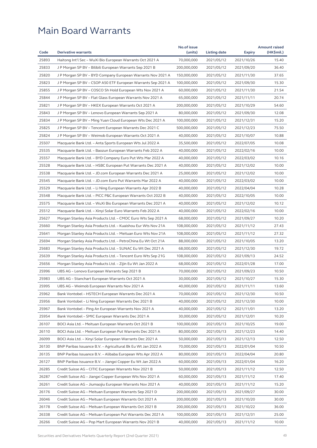|       |                                                              | No.of issue |              |               | <b>Amount raised</b> |
|-------|--------------------------------------------------------------|-------------|--------------|---------------|----------------------|
| Code  | <b>Derivative warrants</b>                                   | (units)     | Listing date | <b>Expiry</b> | (HK\$mil.)           |
| 25893 | Haitong Int'l Sec - WuXi Bio European Warrants Oct 2021 A    | 70,000,000  | 2021/05/12   | 2021/10/26    | 15.40                |
| 25833 | J P Morgan SP BV – Bilibili European Warrants Sep 2021 B     | 200,000,000 | 2021/05/12   | 2021/09/20    | 36.40                |
| 25820 | J P Morgan SP BV - BYD Company European Warrants Nov 2021 A  | 150,000,000 | 2021/05/12   | 2021/11/30    | 37.65                |
| 25823 | J P Morgan SP BV – CSOP A50 ETF European Warrants Sep 2021 A | 100,000,000 | 2021/05/12   | 2021/09/30    | 15.30                |
| 25855 | J P Morgan SP BV – COSCO Sh Hold European Wts Nov 2021 A     | 60,000,000  | 2021/05/12   | 2021/11/30    | 21.54                |
| 25844 | J P Morgan SP BV – Flat Glass European Warrants Nov 2021 A   | 65,000,000  | 2021/05/12   | 2021/11/11    | 20.74                |
| 25821 | J P Morgan SP BV - HKEX European Warrants Oct 2021 A         | 200,000,000 | 2021/05/12   | 2021/10/29    | 54.60                |
| 25843 | J P Morgan SP BV - Lenovo European Warrants Sep 2021 A       | 80,000,000  | 2021/05/12   | 2021/09/30    | 12.08                |
| 25834 | J P Morgan SP BV – Ming Yuan Cloud European Wts Dec 2021 A   | 100,000,000 | 2021/05/12   | 2021/12/31    | 15.20                |
| 25825 | J P Morgan SP BV – Tencent European Warrants Dec 2021 C      | 500,000,000 | 2021/05/12   | 2021/12/23    | 75.50                |
| 25824 | J P Morgan SP BV – Weimob European Warrants Oct 2021 A       | 40,000,000  | 2021/05/12   | 2021/10/07    | 10.88                |
| 25507 | Macquarie Bank Ltd. - Anta Sports European Wts Jul 2022 A    | 35,500,000  | 2021/05/12   | 2022/07/05    | 10.08                |
| 25535 | Macquarie Bank Ltd. – Baozun European Warrants Feb 2022 A    | 40,000,000  | 2021/05/12   | 2022/02/16    | 10.00                |
| 25557 | Macquarie Bank Ltd. - BYD Company Euro Put Wts Mar 2022 A    | 40,000,000  | 2021/05/12   | 2022/03/02    | 10.16                |
| 25528 | Macquarie Bank Ltd. - HSBC European Put Warrants Dec 2021 A  | 40,000,000  | 2021/05/12   | 2021/12/02    | 10.00                |
| 25538 | Macquarie Bank Ltd. - JD.com European Warrants Dec 2021 A    | 25,000,000  | 2021/05/12   | 2021/12/02    | 10.00                |
| 25545 | Macquarie Bank Ltd. - JD.com Euro Put Warrants Mar 2022 A    | 40,000,000  | 2021/05/12   | 2022/03/02    | 10.00                |
| 25529 | Macquarie Bank Ltd. – Li Ning European Warrants Apr 2022 B   | 40,000,000  | 2021/05/12   | 2022/04/04    | 10.28                |
| 25548 | Macquarie Bank Ltd. – PICC P&C European Warrants Oct 2022 B  | 40,000,000  | 2021/05/12   | 2022/10/05    | 10.00                |
| 25575 | Macquarie Bank Ltd. – WuXi Bio European Warrants Dec 2021 A  | 40,000,000  | 2021/05/12   | 2021/12/02    | 10.12                |
| 25512 | Macquarie Bank Ltd. - Xinyi Solar Euro Warrants Feb 2022 A   | 40,000,000  | 2021/05/12   | 2022/02/16    | 10.00                |
| 25627 | Morgan Stanley Asia Products Ltd. – CMOC Euro Wts Sep 2021 A | 68,000,000  | 2021/05/12   | 2021/09/27    | 10.20                |
| 25660 | Morgan Stanley Asia Products Ltd. – Kuaishou Eur Wts Nov 21A | 108,000,000 | 2021/05/12   | 2021/11/12    | 27.43                |
| 25641 | Morgan Stanley Asia Products Ltd. – Meituan Euro Wts Nov 21A | 108,000,000 | 2021/05/12   | 2021/11/12    | 27.32                |
| 25694 | Morgan Stanley Asia Products Ltd. - PetroChina Eu Wt Oct 21A | 88,000,000  | 2021/05/12   | 2021/10/05    | 13.20                |
| 25683 | Morgan Stanley Asia Products Ltd. - SUNAC Eu Wt Dec 2021 A   | 68,000,000  | 2021/05/12   | 2021/12/30    | 19.72                |
| 25639 | Morgan Stanley Asia Products Ltd. – Tencent Euro Wts Sep 21G | 108,000,000 | 2021/05/12   | 2021/09/13    | 24.52                |
| 25656 | Morgan Stanley Asia Products Ltd. - Zijin Eu Wt Jan 2022 A   | 68,000,000  | 2021/05/12   | 2022/01/28    | 17.00                |
| 25996 | UBS AG – Lenovo European Warrants Sep 2021 B                 | 70,000,000  | 2021/05/12   | 2021/09/23    | 10.50                |
| 25983 | UBS AG – Stanchart European Warrants Oct 2021 A              | 30,000,000  | 2021/05/12   | 2021/10/27    | 15.30                |
| 25995 | UBS AG – Weimob European Warrants Nov 2021 A                 | 40,000,000  | 2021/05/12   | 2021/11/11    | 13.60                |
| 25962 | Bank Vontobel - HSTECH European Warrants Dec 2021 A          | 70,000,000  | 2021/05/12   | 2021/12/30    | 10.50                |
| 25956 | Bank Vontobel – Li Ning European Warrants Dec 2021 B         | 40,000,000  | 2021/05/12   | 2021/12/30    | 10.00                |
| 25967 | Bank Vontobel - Ping An European Warrants Nov 2021 A         | 40,000,000  | 2021/05/12   | 2021/11/01    | 13.20                |
| 25954 | Bank Vontobel - SMIC European Warrants Dec 2021 A            | 30,000,000  | 2021/05/12   | 2021/12/01    | 10.20                |
| 26107 | BOCI Asia Ltd. - Meituan European Warrants Oct 2021 B        | 100,000,000 | 2021/05/13   | 2021/10/25    | 19.00                |
| 26110 | BOCI Asia Ltd. - Meituan European Put Warrants Dec 2021 A    | 80,000,000  | 2021/05/13   | 2021/12/23    | 14.40                |
| 26099 | BOCI Asia Ltd. - Xinyi Solar European Warrants Dec 2021 A    | 50,000,000  | 2021/05/13   | 2021/12/13    | 12.50                |
| 26130 | BNP Paribas Issuance B.V. - Agricultural Bk Eu Wt Jan 2022 A | 70,000,000  | 2021/05/13   | 2022/01/04    | 10.50                |
| 26135 |                                                              | 80,000,000  | 2021/05/13   | 2022/04/04    | 20.80                |
|       | BNP Paribas Issuance B.V. - Alibaba European Wts Apr 2022 A  |             |              |               |                      |
| 26127 | BNP Paribas Issuance B.V. - Jiangxi Copper Eu Wt Jan 2022 A  | 60,000,000  | 2021/05/13   | 2022/01/04    | 16.20                |
| 26285 | Credit Suisse AG - CITIC European Warrants Nov 2021 B        | 50,000,000  | 2021/05/13   | 2021/11/12    | 12.50                |
| 26287 | Credit Suisse AG - Jiangxi Copper European Wts Nov 2021 A    | 60,000,000  | 2021/05/13   | 2021/11/12    | 17.40                |
| 26261 | Credit Suisse AG - Jiumaojiu European Warrants Nov 2021 A    | 40,000,000  | 2021/05/13   | 2021/11/12    | 15.20                |
| 26176 | Credit Suisse AG - Meituan European Warrants Sep 2021 D      | 200,000,000 | 2021/05/13   | 2021/09/27    | 30.00                |
| 26046 | Credit Suisse AG - Meituan European Warrants Oct 2021 A      | 200,000,000 | 2021/05/13   | 2021/10/20    | 30.00                |
| 26178 | Credit Suisse AG - Meituan European Warrants Oct 2021 B      | 200,000,000 | 2021/05/13   | 2021/10/22    | 36.00                |
| 26338 | Credit Suisse AG - Meituan European Put Warrants Dec 2021 A  | 100,000,000 | 2021/05/13   | 2021/12/31    | 25.00                |
| 26266 | Credit Suisse AG – Pop Mart European Warrants Nov 2021 B     | 40,000,000  | 2021/05/13   | 2021/11/12    | 10.00                |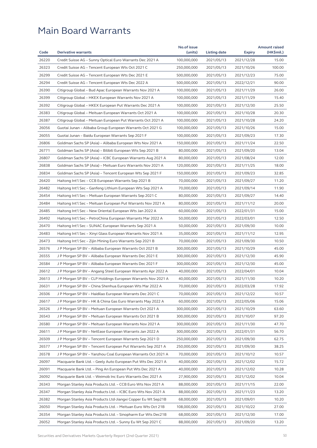|       |                                                              | No.of issue |              |               | <b>Amount raised</b> |
|-------|--------------------------------------------------------------|-------------|--------------|---------------|----------------------|
| Code  | <b>Derivative warrants</b>                                   | (units)     | Listing date | <b>Expiry</b> | (HK\$mil.)           |
| 26220 | Credit Suisse AG - Sunny Optical Euro Warrants Dec 2021 A    | 100,000,000 | 2021/05/13   | 2021/12/28    | 15.00                |
| 26323 | Credit Suisse AG - Tencent European Wts Oct 2021 C           | 250,000,000 | 2021/05/13   | 2021/10/26    | 100.00               |
| 26299 | Credit Suisse AG - Tencent European Wts Dec 2021 E           | 500,000,000 | 2021/05/13   | 2021/12/23    | 75.00                |
| 26294 | Credit Suisse AG – Tencent European Wts Dec 2022 A           | 500,000,000 | 2021/05/13   | 2022/12/21    | 90.00                |
| 26390 | Citigroup Global – Bud Apac European Warrants Nov 2021 A     | 100,000,000 | 2021/05/13   | 2021/11/29    | 26.00                |
| 26399 | Citigroup Global - HKEX European Warrants Nov 2021 A         | 100,000,000 | 2021/05/13   | 2021/11/29    | 15.40                |
| 26392 | Citigroup Global - HKEX European Put Warrants Dec 2021 A     | 100,000,000 | 2021/05/13   | 2021/12/30    | 25.50                |
| 26383 | Citigroup Global – Meituan European Warrants Oct 2021 A      | 100,000,000 | 2021/05/13   | 2021/10/28    | 20.30                |
| 26387 | Citigroup Global – Meituan European Put Warrants Oct 2021 A  | 100,000,000 | 2021/05/13   | 2021/10/28    | 24.20                |
| 26056 | Guotai Junan – Alibaba Group European Warrants Oct 2021 G    | 100,000,000 | 2021/05/13   | 2021/10/26    | 15.00                |
| 26055 | Guotai Junan – Baidu European Warrants Sep 2021 F            | 100,000,000 | 2021/05/13   | 2021/09/23    | 17.30                |
| 26806 | Goldman Sachs SP (Asia) - Alibaba European Wts Nov 2021 A    | 150,000,000 | 2021/05/13   | 2021/11/24    | 22.50                |
| 26771 | Goldman Sachs SP (Asia) – Bilibili European Wts Sep 2021 B   | 80,000,000  | 2021/05/13   | 2021/09/20    | 13.04                |
| 26807 | Goldman Sachs SP (Asia) - ICBC European Warrants Aug 2021 A  | 80,000,000  | 2021/05/13   | 2021/08/24    | 12.00                |
| 26838 | Goldman Sachs SP (Asia) – Meituan Euro Warrants Nov 2021 A   | 120,000,000 | 2021/05/13   | 2021/11/25    | 18.00                |
| 26834 | Goldman Sachs SP (Asia) - Tencent European Wts Sep 2021 F    | 150,000,000 | 2021/05/13   | 2021/09/23    | 32.85                |
| 26420 | Haitong Int'l Sec - CCB European Warrants Sep 2021 B         | 70,000,000  | 2021/05/13   | 2021/09/27    | 11.20                |
| 26482 | Haitong Int'l Sec – Ganfeng Lithium European Wts Sep 2021 A  | 70,000,000  | 2021/05/13   | 2021/09/14    | 11.90                |
| 26454 | Haitong Int'l Sec – Meituan European Warrants Sep 2021 C     | 80,000,000  | 2021/05/13   | 2021/09/27    | 14.40                |
| 26484 | Haitong Int'l Sec – Meituan European Put Warrants Nov 2021 A | 80,000,000  | 2021/05/13   | 2021/11/12    | 20.00                |
| 26485 | Haitong Int'l Sec – New Oriental European Wts Jan 2022 A     | 60,000,000  | 2021/05/13   | 2022/01/31    | 15.00                |
| 26492 | Haitong Int'l Sec – PetroChina European Warrants Mar 2022 A  | 50,000,000  | 2021/05/13   | 2022/03/01    | 12.50                |
| 26470 | Haitong Int'l Sec - SUNAC European Warrants Sep 2021 A       | 50,000,000  | 2021/05/13   | 2021/09/30    | 10.00                |
| 26483 | Haitong Int'l Sec – Xinyi Glass European Warrants Nov 2021 A | 35,000,000  | 2021/05/13   | 2021/11/12    | 12.95                |
| 26473 | Haitong Int'l Sec - Zijin Mining Euro Warrants Sep 2021 B    | 70,000,000  | 2021/05/13   | 2021/09/30    | 10.50                |
| 26576 | J P Morgan SP BV - Alibaba European Warrants Oct 2021 B      | 300,000,000 | 2021/05/13   | 2021/10/29    | 45.00                |
| 26555 | J P Morgan SP BV - Alibaba European Warrants Dec 2021 E      | 300,000,000 | 2021/05/13   | 2021/12/30    | 45.90                |
| 26584 | J P Morgan SP BV - Alibaba European Warrants Dec 2021 F      | 300,000,000 | 2021/05/13   | 2021/12/30    | 45.00                |
| 26612 | J P Morgan SP BV – Angang Steel European Warrants Apr 2022 A | 40,000,000  | 2021/05/13   | 2022/04/01    | 10.04                |
| 26613 | J P Morgan SP BV - CLP Holdings European Warrants Nov 2021 A | 40,000,000  | 2021/05/13   | 2021/11/30    | 10.20                |
| 26631 |                                                              | 70,000,000  |              |               | 17.92                |
|       | J P Morgan SP BV – China Shenhua European Wts Mar 2022 A     |             | 2021/05/13   | 2022/03/28    |                      |
| 26506 | J P Morgan SP BV - Haidilao European Warrants Dec 2021 C     | 70,000,000  | 2021/05/13   | 2021/12/22    | 10.57                |
| 26617 | J P Morgan SP BV – HK & China Gas Euro Warrants May 2022 A   | 60,000,000  | 2021/05/13   | 2022/05/06    | 15.06                |
| 26526 | J P Morgan SP BV - Meituan European Warrants Oct 2021 A      | 300,000,000 | 2021/05/13   | 2021/10/29    | 63.60                |
| 26543 | J P Morgan SP BV - Meituan European Warrants Oct 2021 B      | 300,000,000 | 2021/05/13   | 2021/10/07    | 97.20                |
| 26580 | J P Morgan SP BV - Meituan European Warrants Nov 2021 A      | 300,000,000 | 2021/05/13   | 2021/11/30    | 47.70                |
| 26611 | J P Morgan SP BV – NetEase European Warrants Jan 2022 A      | 300,000,000 | 2021/05/13   | 2022/01/31    | 56.70                |
| 26509 | J P Morgan SP BV – Tencent European Warrants Sep 2021 D      | 250,000,000 | 2021/05/13   | 2021/09/30    | 62.75                |
| 26577 | J P Morgan SP BV - Tencent European Put Warrants Sep 2021 A  | 250,000,000 | 2021/05/13   | 2021/09/30    | 38.25                |
| 26578 | J P Morgan SP BV - Yanzhou Coal European Warrants Oct 2021 A | 70,000,000  | 2021/05/13   | 2021/10/12    | 10.57                |
| 26097 | Macquarie Bank Ltd. - Geely Auto European Put Wts Dec 2021 A | 40,000,000  | 2021/05/13   | 2021/12/02    | 15.72                |
| 26091 | Macquarie Bank Ltd. - Ping An European Put Wts Dec 2021 A    | 40,000,000  | 2021/05/13   | 2021/12/02    | 10.28                |
| 26092 | Macquarie Bank Ltd. – Weimob Inc Euro Warrants Dec 2021 A    | 27,900,000  | 2021/05/13   | 2021/12/02    | 10.04                |
| 26343 | Morgan Stanley Asia Products Ltd. - CCB Euro Wts Nov 2021 A  | 88,000,000  | 2021/05/13   | 2021/11/15    | 22.00                |
| 26347 | Morgan Stanley Asia Products Ltd. - ICBC Euro Wts Nov 2021 A | 88,000,000  | 2021/05/13   | 2021/11/23    | 13.20                |
| 26382 | Morgan Stanley Asia Products Ltd-Jiangxi Copper Eu Wt Sep21B | 68,000,000  | 2021/05/13   | 2021/09/01    | 10.20                |
| 26050 | Morgan Stanley Asia Products Ltd. - Meituan Euro Wts Oct 21B | 108,000,000 | 2021/05/13   | 2021/10/22    | 27.00                |
| 26354 | Morgan Stanley Asia Products Ltd. – Sinopharm Eur Wts Dec21B | 68,000,000  | 2021/05/13   | 2021/12/30    | 17.00                |
| 26052 | Morgan Stanley Asia Products Ltd. – Sunny Eu Wt Sep 2021 C   | 88,000,000  | 2021/05/13   | 2021/09/20    | 13.20                |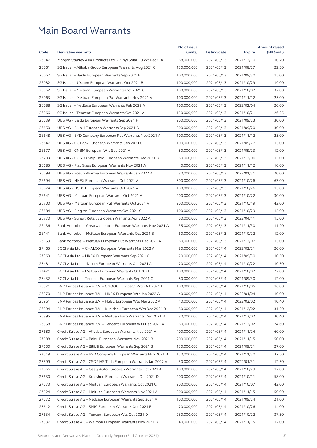|       |                                                              | No.of issue |              |               | <b>Amount raised</b> |
|-------|--------------------------------------------------------------|-------------|--------------|---------------|----------------------|
| Code  | <b>Derivative warrants</b>                                   | (units)     | Listing date | <b>Expiry</b> | (HK\$mil.)           |
| 26047 | Morgan Stanley Asia Products Ltd. - Xinyi Solar Eu Wt Dec21A | 68,000,000  | 2021/05/13   | 2021/12/10    | 10.20                |
| 26061 | SG Issuer - Alibaba Group European Warrants Aug 2021 C       | 150,000,000 | 2021/05/13   | 2021/08/27    | 22.50                |
| 26067 | SG Issuer - Baidu European Warrants Sep 2021 H               | 100,000,000 | 2021/05/13   | 2021/09/30    | 15.00                |
| 26082 | SG Issuer - JD.com European Warrants Oct 2021 B              | 100,000,000 | 2021/05/13   | 2021/10/29    | 19.00                |
| 26062 | SG Issuer – Meituan European Warrants Oct 2021 C             | 100,000,000 | 2021/05/13   | 2021/10/07    | 32.00                |
| 26063 | SG Issuer - Meituan European Put Warrants Nov 2021 A         | 100,000,000 | 2021/05/13   | 2021/11/12    | 25.00                |
| 26088 | SG Issuer - NetEase European Warrants Feb 2022 A             | 100,000,000 | 2021/05/13   | 2022/02/04    | 20.00                |
| 26066 | SG Issuer - Tencent European Warrants Oct 2021 A             | 150,000,000 | 2021/05/13   | 2021/10/21    | 26.25                |
| 26639 | UBS AG - Baidu European Warrants Sep 2021 F                  | 200,000,000 | 2021/05/13   | 2021/09/23    | 30.00                |
| 26650 | UBS AG - Bilibili European Warrants Sep 2021 A               | 200,000,000 | 2021/05/13   | 2021/09/20    | 30.00                |
| 26648 | UBS AG - BYD Company European Put Warrants Nov 2021 A        | 100,000,000 | 2021/05/13   | 2021/11/12    | 25.00                |
| 26647 | UBS AG - CC Bank European Warrants Sep 2021 C                | 100,000,000 | 2021/05/13   | 2021/09/27    | 15.00                |
| 26677 | UBS AG - CNBM European Wts Sep 2021 A                        | 80,000,000  | 2021/05/13   | 2021/09/23    | 12.00                |
| 26703 | UBS AG - COSCO Ship Hold European Warrants Dec 2021 B        | 60,000,000  | 2021/05/13   | 2021/12/06    | 15.00                |
| 26685 | UBS AG - Flat Glass European Warrants Nov 2021 A             | 40,000,000  | 2021/05/13   | 2021/11/12    | 10.00                |
| 26698 | UBS AG - Fosun Pharma European Warrants Jan 2022 A           | 80,000,000  | 2021/05/13   | 2022/01/31    | 20.00                |
| 26694 | UBS AG - HKEX European Warrants Oct 2021 A                   | 300,000,000 | 2021/05/13   | 2021/10/26    | 63.00                |
| 26674 | UBS AG - HSBC European Warrants Oct 2021 A                   | 100,000,000 | 2021/05/13   | 2021/10/26    | 15.00                |
| 26641 | UBS AG - Meituan European Warrants Oct 2021 A                | 200,000,000 | 2021/05/13   | 2021/10/22    | 30.00                |
| 26700 | UBS AG - Meituan European Put Warrants Oct 2021 A            | 200,000,000 | 2021/05/13   | 2021/10/19    | 42.00                |
| 26684 | UBS AG - Ping An European Warrants Oct 2021 C                | 100,000,000 | 2021/05/13   | 2021/10/29    | 15.00                |
| 26770 | UBS AG - Sunart Retail European Warrants Apr 2022 A          | 60,000,000  | 2021/05/13   | 2022/04/11    | 15.00                |
| 26136 | Bank Vontobel - Greatwall Motor European Warrants Nov 2021 A | 35,000,000  | 2021/05/13   | 2021/11/30    | 11.20                |
| 26141 | Bank Vontobel – Meituan European Warrants Oct 2021 B         | 60,000,000  | 2021/05/13   | 2021/10/22    | 12.00                |
| 26159 | Bank Vontobel - Meituan European Put Warrants Dec 2021 A     | 60,000,000  | 2021/05/13   | 2021/12/07    | 15.00                |
| 27465 | BOCI Asia Ltd. - CHALCO European Warrants Mar 2022 A         | 80,000,000  | 2021/05/14   | 2022/03/21    | 20.00                |
| 27369 | BOCI Asia Ltd. - HKEX European Warrants Sep 2021 C           | 70,000,000  | 2021/05/14   | 2021/09/30    | 10.50                |
| 27481 | BOCI Asia Ltd. - JD.com European Warrants Oct 2021 A         | 70,000,000  | 2021/05/14   | 2021/10/22    | 10.50                |
| 27471 |                                                              | 100,000,000 |              | 2021/10/07    | 22.00                |
|       | BOCI Asia Ltd. – Meituan European Warrants Oct 2021 C        |             | 2021/05/14   |               |                      |
| 27432 | BOCI Asia Ltd. – Tencent European Warrants Sep 2021 C        | 80,000,000  | 2021/05/14   | 2021/09/30    | 12.00                |
| 26971 | BNP Paribas Issuance B.V. - CNOOC European Wts Oct 2021 B    | 100,000,000 | 2021/05/14   | 2021/10/05    | 16.00                |
| 26970 | BNP Paribas Issuance B.V. - HKEX European Wts Jan 2022 A     | 40,000,000  | 2021/05/14   | 2022/01/04    | 10.00                |
| 26961 | BNP Paribas Issuance B.V. - HSBC European Wts Mar 2022 A     | 40,000,000  | 2021/05/14   | 2022/03/02    | 10.40                |
| 26894 | BNP Paribas Issuance B.V. – Kuaishou European Wts Dec 2021 B | 80,000,000  | 2021/05/14   | 2021/12/02    | 31.20                |
| 26895 | BNP Paribas Issuance B.V. - Meituan Euro Warrants Dec 2021 B | 80,000,000  | 2021/05/14   | 2021/12/02    | 30.40                |
| 26958 | BNP Paribas Issuance B.V. - Tencent European Wts Dec 2021 A  | 60,000,000  | 2021/05/14   | 2021/12/02    | 24.60                |
| 27680 | Credit Suisse AG - Alibaba European Warrants Nov 2021 A      | 400,000,000 | 2021/05/14   | 2021/11/24    | 60.00                |
| 27588 | Credit Suisse AG - Baidu European Warrants Nov 2021 B        | 200,000,000 | 2021/05/14   | 2021/11/15    | 50.00                |
| 27600 | Credit Suisse AG - Bilibili European Warrants Sep 2021 B     | 150,000,000 | 2021/05/14   | 2021/09/21    | 27.00                |
| 27519 | Credit Suisse AG - BYD Company European Warrants Nov 2021 B  | 150,000,000 | 2021/05/14   | 2021/11/30    | 37.50                |
| 27599 | Credit Suisse AG - CSOP HS Tech European Warrants Jan 2022 A | 50,000,000  | 2021/05/14   | 2022/01/31    | 12.50                |
| 27666 | Credit Suisse AG - Geely Auto European Warrants Oct 2021 A   | 100,000,000 | 2021/05/14   | 2021/10/29    | 17.00                |
| 27630 | Credit Suisse AG - Kuaishou European Warrants Oct 2021 D     | 200,000,000 | 2021/05/14   | 2021/10/11    | 58.00                |
| 27673 | Credit Suisse AG - Meituan European Warrants Oct 2021 C      | 200,000,000 | 2021/05/14   | 2021/10/07    | 42.00                |
| 27524 | Credit Suisse AG - Meituan European Warrants Nov 2021 A      | 200,000,000 | 2021/05/14   | 2021/11/15    | 50.00                |
| 27672 | Credit Suisse AG - NetEase European Warrants Sep 2021 A      | 100,000,000 | 2021/05/14   | 2021/09/24    | 21.00                |
| 27612 | Credit Suisse AG - SMIC European Warrants Oct 2021 B         | 70,000,000  | 2021/05/14   | 2021/10/26    | 14.00                |
| 27634 | Credit Suisse AG - Tencent European Wts Oct 2021 D           | 250,000,000 | 2021/05/14   | 2021/10/22    | 37.50                |
| 27537 | Credit Suisse AG - Weimob European Warrants Nov 2021 B       | 40,000,000  | 2021/05/14   | 2021/11/15    | 12.00                |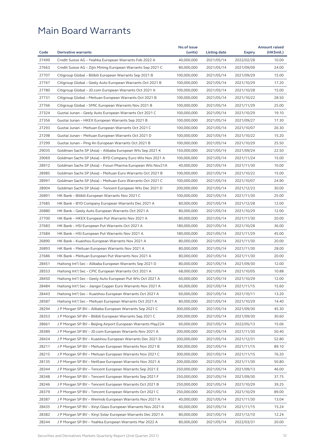|       |                                                              | No.of issue              |                          |                          | <b>Amount raised</b> |
|-------|--------------------------------------------------------------|--------------------------|--------------------------|--------------------------|----------------------|
| Code  | <b>Derivative warrants</b>                                   | (units)                  | Listing date             | <b>Expiry</b>            | (HK\$mil.)           |
| 27499 | Credit Suisse AG - Yeahka European Warrants Feb 2022 A       | 40,000,000               | 2021/05/14               | 2022/02/28               | 10.00                |
| 27663 | Credit Suisse AG – Zijin Mining European Warrants Sep 2021 C | 80,000,000               | 2021/05/14               | 2021/09/09               | 24.00                |
| 27707 | Citigroup Global - Bilibili European Warrants Sep 2021 B     | 100,000,000              | 2021/05/14               | 2021/09/29               | 15.00                |
| 27767 | Citigroup Global - Geely Auto European Warrants Oct 2021 B   | 100,000,000              | 2021/05/14               | 2021/10/29               | 17.20                |
| 27780 | Citigroup Global - JD.com European Warrants Oct 2021 A       | 100,000,000              | 2021/05/14               | 2021/10/28               | 15.00                |
| 27731 | Citigroup Global - Meituan European Warrants Oct 2021 B      | 100,000,000              | 2021/05/14               | 2021/10/22               | 28.50                |
| 27766 | Citigroup Global - SMIC European Warrants Nov 2021 B         | 100,000,000              | 2021/05/14               | 2021/11/29               | 25.00                |
| 27324 | Guotai Junan - Geely Auto European Warrants Oct 2021 C       | 100,000,000              | 2021/05/14               | 2021/10/29               | 19.10                |
| 27356 | Guotai Junan – HKEX European Warrants Sep 2021 B             | 100,000,000              | 2021/05/14               | 2021/09/27               | 17.30                |
| 27293 | Guotai Junan - Meituan European Warrants Oct 2021 C          | 100,000,000              | 2021/05/14               | 2021/10/07               | 26.30                |
| 27298 | Guotai Junan - Meituan European Warrants Oct 2021 D          | 100,000,000              | 2021/05/14               | 2021/10/22               | 15.20                |
| 27299 | Guotai Junan - Ping An European Warrants Oct 2021 B          | 100,000,000              | 2021/05/14               | 2021/10/29               | 25.50                |
| 29035 | Goldman Sachs SP (Asia) – Alibaba European Wts Sep 2021 K    | 150,000,000              | 2021/05/14               | 2021/09/24               | 22.50                |
| 29069 | Goldman Sachs SP (Asia) - BYD Company Euro Wts Nov 2021 A    | 100,000,000              | 2021/05/14               | 2021/11/24               | 15.00                |
| 28912 | Goldman Sachs SP (Asia) - Fosun Pharma European Wts Nov21A   | 40,000,000               | 2021/05/14               | 2021/11/30               | 10.00                |
| 28985 | Goldman Sachs SP (Asia) - Meituan Euro Warrants Oct 2021 B   | 100,000,000              | 2021/05/14               | 2021/10/22               | 15.00                |
| 28991 | Goldman Sachs SP (Asia) - Meituan Euro Warrants Oct 2021 C   | 100,000,000              | 2021/05/14               | 2021/10/07               | 24.90                |
| 28904 | Goldman Sachs SP (Asia) – Tencent European Wts Dec 2021 D    | 200,000,000              | 2021/05/14               | 2021/12/23               | 30.00                |
| 26891 | HK Bank – Bilibili European Warrants Nov 2021 C              | 100,000,000              | 2021/05/14               | 2021/11/30               | 25.00                |
| 27685 | HK Bank - BYD Company European Warrants Dec 2021 A           | 80,000,000               | 2021/05/14               | 2021/12/28               | 12.00                |
| 26880 | HK Bank - Geely Auto European Warrants Oct 2021 A            | 80,000,000               | 2021/05/14               | 2021/10/29               | 12.00                |
| 27700 | HK Bank - HKEX European Put Warrants Nov 2021 A              | 80,000,000               | 2021/05/14               | 2021/11/30               | 20.00                |
| 27683 | HK Bank - HSI European Put Warrants Oct 2021 A               | 180,000,000              | 2021/05/14               | 2021/10/28               | 36.00                |
| 27684 | HK Bank - HSI European Put Warrants Nov 2021 A               | 180,000,000              | 2021/05/14               | 2021/11/29               | 45.00                |
| 26890 | HK Bank - Kuaishou European Warrants Nov 2021 A              | 80,000,000               | 2021/05/14               | 2021/11/30               | 20.00                |
| 26893 | HK Bank - Meituan European Warrants Nov 2021 A               | 80,000,000               | 2021/05/14               | 2021/11/30               | 28.00                |
| 27686 | HK Bank - Meituan European Put Warrants Nov 2021 A           | 80,000,000               | 2021/05/14               | 2021/11/30               | 20.00                |
| 28451 | Haitong Int'l Sec - Alibaba European Warrants Sep 2021 D     | 80,000,000               | 2021/05/14               | 2021/09/30               | 12.00                |
| 28553 | Haitong Int'l Sec – CPIC European Warrants Oct 2021 A        | 68,000,000               | 2021/05/14               | 2021/10/05               | 10.88                |
| 28450 | Haitong Int'l Sec - Geely Auto European Put Wts Oct 2021 A   | 60,000,000               | 2021/05/14               | 2021/10/29               | 12.00                |
| 28484 | Haitong Int'l Sec – Jiangxi Copper Euro Warrants Nov 2021 A  | 60,000,000               | 2021/05/14               | 2021/11/15               | 15.60                |
| 28443 | Haitong Int'l Sec - Kuaishou European Warrants Oct 2021 A    | 60,000,000               | 2021/05/14               | 2021/10/11               | 13.20                |
| 28587 | Haitong Int'l Sec – Meituan European Warrants Oct 2021 A     | 80,000,000               | 2021/05/14               | 2021/10/29               | 14.40                |
| 28294 | J P Morgan SP BV - Alibaba European Warrants Sep 2021 C      | 300,000,000              | 2021/05/14               | 2021/09/30               | 45.30                |
| 28353 | J P Morgan SP BV – Bilibili European Warrants Sep 2021 C     | 200,000,000              | 2021/05/14               | 2021/09/30               | 30.60                |
| 28661 | J P Morgan SP BV - Beijing Airport European Warrants May22A  | 60,000,000               | 2021/05/14               | 2022/05/13               | 15.06                |
| 28389 | J P Morgan SP BV – JD.com European Warrants Nov 2021 A       | 200,000,000              | 2021/05/14               | 2021/11/30               | 50.40                |
| 28424 | J P Morgan SP BV - Kuaishou European Warrants Dec 2021 D     | 200,000,000              | 2021/05/14               | 2021/12/31               | 52.80                |
| 28211 | J P Morgan SP BV – Meituan European Warrants Nov 2021 B      | 300,000,000              | 2021/05/14               | 2021/11/15               | 89.10                |
| 28215 | J P Morgan SP BV - Meituan European Warrants Nov 2021 C      | 300,000,000              | 2021/05/14               | 2021/11/15               | 76.20                |
| 28135 | J P Morgan SP BV - NetEase European Warrants Nov 2021 A      | 200,000,000              | 2021/05/14               | 2021/11/30               | 50.80                |
| 28344 | J P Morgan SP BV - Tencent European Warrants Sep 2021 E      | 250,000,000              | 2021/05/14               | 2021/09/13               | 46.00                |
| 28348 | J P Morgan SP BV - Tencent European Warrants Sep 2021 F      | 250,000,000              | 2021/05/14               | 2021/09/30               | 37.75                |
| 28246 | J P Morgan SP BV – Tencent European Warrants Oct 2021 B      | 250,000,000              | 2021/05/14               | 2021/10/29               | 39.25                |
| 28379 | J P Morgan SP BV - Tencent European Warrants Oct 2021 C      | 250,000,000              | 2021/05/14               | 2021/10/29               | 89.00                |
| 28387 |                                                              |                          |                          |                          |                      |
| 28435 | J P Morgan SP BV – Weimob European Warrants Nov 2021 A       | 40,000,000<br>60,000,000 | 2021/05/14               | 2021/11/30               | 13.04<br>15.24       |
| 28382 | J P Morgan SP BV - Xinyi Glass European Warrants Nov 2021 A  | 80,000,000               | 2021/05/14<br>2021/05/14 | 2021/11/15<br>2021/12/10 | 12.24                |
|       | J P Morgan SP BV – Xinyi Solar European Warrants Dec 2021 A  |                          |                          |                          |                      |
| 28244 | J P Morgan SP BV – Yeahka European Warrants Mar 2022 A       | 80,000,000               | 2021/05/14               | 2022/03/31               | 20.00                |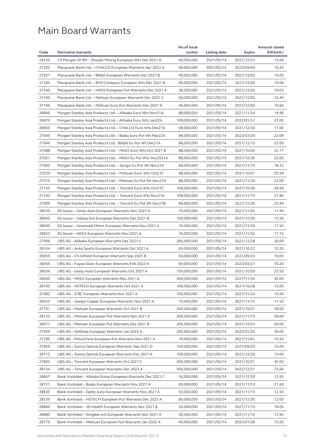|       |                                                               | No.of issue |              |               | <b>Amount raised</b> |
|-------|---------------------------------------------------------------|-------------|--------------|---------------|----------------------|
| Code  | <b>Derivative warrants</b>                                    | (units)     | Listing date | <b>Expiry</b> | (HK\$mil.)           |
| 28236 | J P Morgan SP BV - Zhaojin Mining European Wts Dec 2021 A     | 60,000,000  | 2021/05/14   | 2021/12/31    | 15.66                |
| 27202 | Macquarie Bank Ltd. – CHALCO European Warrants Apr 2022 A     | 40,000,000  | 2021/05/14   | 2022/04/04    | 10.20                |
| 27207 | Macquarie Bank Ltd. - Bilibili European Warrants Dec 2021 B   | 40,000,000  | 2021/05/14   | 2021/12/02    | 10.00                |
| 27285 | Macquarie Bank Ltd. – BYD Company European Wts Dec 2021 B     | 40,000,000  | 2021/05/14   | 2021/12/02    | 10.08                |
| 27246 | Macquarie Bank Ltd. – HKEX European Put Warrants Dec 2021 A   | 38,300,000  | 2021/05/14   | 2021/12/02    | 10.03                |
| 27199 | Macquarie Bank Ltd. - Meituan European Warrants Dec 2021 C    | 60,000,000  | 2021/05/14   | 2021/12/02    | 23.40                |
| 27196 | Macquarie Bank Ltd. - Meituan Euro Put Warrants Dec 2021 A    | 40,000,000  | 2021/05/14   | 2021/12/02    | 10.60                |
| 26846 | Morgan Stanley Asia Products Ltd. – Alibaba Euro Wts Nov21A   | 88,000,000  | 2021/05/14   | 2021/11/24    | 14.96                |
| 26879 | Morgan Stanley Asia Products Ltd. – Alibaba Euro Wts Jan22A   | 108,000,000 | 2021/05/14   | 2022/01/31    | 27.00                |
| 26850 | Morgan Stanley Asia Products Ltd. - CHALCO Euro Wts Dec21A    | 68,000,000  | 2021/05/14   | 2021/12/30    | 17.00                |
| 27049 | Morgan Stanley Asia Products Ltd. – Baidu Euro Put Wt Mar22A  | 88,000,000  | 2021/05/14   | 2022/03/30    | 22.09                |
| 27046 | Morgan Stanley Asia Products Ltd. - Bilibili Eu Put Wt Dec21A | 88,000,000  | 2021/05/14   | 2021/12/15    | 22.09                |
| 27088 | Morgan Stanley Asia Products Ltd. – HKEX Euro Wts Oct 2021 B  | 88,000,000  | 2021/05/14   | 2021/10/26    | 25.17                |
| 27051 | Morgan Stanley Asia Products Ltd. – HKEX Eu Put Wts Dec2021A  | 88,000,000  | 2021/05/14   | 2021/12/30    | 22.00                |
| 27092 | Morgan Stanley Asia Products Ltd. – Jiangxi Eu Put Wt Nov21A  | 68,000,000  | 2021/05/14   | 2021/11/15    | 18.22                |
| 27039 | Morgan Stanley Asia Products Ltd. – Meituan Euro Wts Oct21C   | 88,000,000  | 2021/05/14   | 2021/10/07    | 20.59                |
| 27015 | Morgan Stanley Asia Products Ltd. - Meituan Eu Put Wt Nov21A  | 88,000,000  | 2021/05/14   | 2021/11/30    | 22.09                |
| 27145 | Morgan Stanley Asia Products Ltd. - Tencent Euro Wts Oct21C   | 108,000,000 | 2021/05/14   | 2021/10/26    | 38.99                |
| 27193 | Morgan Stanley Asia Products Ltd. - Tencent Euro Wts Nov21A   | 108,000,000 | 2021/05/14   | 2021/11/15    | 27.86                |
| 27099 | Morgan Stanley Asia Products Ltd. – Tencent Eu Put Wt Dec21B  | 88,000,000  | 2021/05/14   | 2021/12/30    | 22.44                |
| 28639 | SG Issuer - Geely Auto European Warrants Nov 2021 A           | 70,000,000  | 2021/05/14   | 2021/11/05    | 11.90                |
| 28602 | SG Issuer - Galaxy Ent European Warrants Dec 2021 B           | 100,000,000 | 2021/05/14   | 2021/12/30    | 15.50                |
| 28649 | SG Issuer - Greatwall Motor European Warrants Nov 2021 A      | 70,000,000  | 2021/05/14   | 2021/11/29    | 17.50                |
| 28653 | SG Issuer - HKEX European Warrants Nov 2021 A                 | 70,000,000  | 2021/05/14   | 2021/11/02    | 17.15                |
| 27906 | UBS AG - Alibaba European Warrants Dec 2021 E                 | 200,000,000 | 2021/05/14   | 2021/12/28    | 30.00                |
| 28104 | UBS AG - Anta Sports European Warrants Oct 2021 A             | 60,000,000  | 2021/05/14   | 2021/10/22    | 10.20                |
| 28055 | UBS AG – Ch Oilfield European Warrants Sep 2021 B             | 50,000,000  | 2021/05/14   | 2021/09/23    | 10.00                |
| 28056 | UBS AG – Fuyao Glass European Warrants Feb 2022 A             | 60,000,000  | 2021/05/14   | 2022/02/21    | 10.20                |
| 28026 | UBS AG - Geely Auto European Warrants Oct 2021 A              | 150,000,000 | 2021/05/14   | 2021/10/29    | 22.50                |
| 28000 | UBS AG - HKEX European Warrants Nov 2021 A                    | 300,000,000 | 2021/05/14   | 2021/11/25    | 45.00                |
| 28100 | UBS AG - HSTECH European Warrants Oct 2021 A                  | 100,000,000 | 2021/05/14   | 2021/10/28    | 15.00                |
| 27982 | UBS AG - ICBC European Warrants Nov 2021 A                    | 100,000,000 | 2021/05/14   | 2021/11/23    | 15.00                |
| 28032 | UBS AG - Jiangxi Copper European Warrants Nov 2021 A          | 70,000,000  | 2021/05/14   | 2021/11/15    | 17.50                |
| 27791 |                                                               | 200,000,000 |              |               |                      |
|       | UBS AG – Meituan European Warrants Oct 2021 B                 |             | 2021/05/14   | 2021/10/07    | 38.00                |
| 28133 | UBS AG - Meituan European Put Warrants Nov 2021 A             | 200,000,000 | 2021/05/14   | 2021/11/15    | 50.00                |
| 28071 | UBS AG - Meituan European Put Warrants Dec 2021 B             | 200,000,000 | 2021/05/14   | 2021/12/31    | 50.00                |
| 27959 | UBS AG - NetEase European Warrants Jan 2022 A                 | 200,000,000 | 2021/05/14   | 2022/01/25    | 30.00                |
| 27796 | UBS AG – PetroChina European Put Warrants Nov 2021 A          | 70,000,000  | 2021/05/14   | 2021/11/01    | 10.50                |
| 27859 | UBS AG - Sunny Optical European Warrants Sep 2021 D           | 100,000,000 | 2021/05/14   | 2021/09/20    | 15.00                |
| 28112 | UBS AG - Sunny Optical European Warrants Dec 2021 A           | 100,000,000 | 2021/05/14   | 2021/12/28    | 15.00                |
| 27805 | UBS AG - Tencent European Warrants Oct 2021 C                 | 300,000,000 | 2021/05/14   | 2021/10/21    | 45.00                |
| 28134 | UBS AG - Tencent European Warrants Dec 2022 A                 | 500,000,000 | 2021/05/14   | 2022/12/21    | 75.00                |
| 28667 | Bank Vontobel - Alibaba Group European Warrants Dec 2021 C    | 50,000,000  | 2021/05/14   | 2021/12/29    | 12.50                |
| 28721 | Bank Vontobel - Baidu European Warrants Nov 2021 A            | 80,000,000  | 2021/05/14   | 2021/11/15    | 21.60                |
| 28835 | Bank Vontobel - Geely Auto European Warrants Nov 2021 A       | 50,000,000  | 2021/05/14   | 2021/11/15    | 12.50                |
| 28739 | Bank Vontobel - HSTECH European Put Warrants Dec 2021 A       | 80,000,000  | 2021/05/14   | 2021/12/30    | 12.00                |
| 28840 | Bank Vontobel - JD Health European Warrants Nov 2021 B        | 50,000,000  | 2021/05/14   | 2021/11/15    | 18.00                |
| 28880 | Bank Vontobel - Kingdee Intl European Warrants Nov 2021 A     | 30,000,000  | 2021/05/14   | 2021/11/15    | 12.90                |
| 28779 | Bank Vontobel - Meituan European Put Warrants Jan 2022 A      | 60,000,000  | 2021/05/14   | 2022/01/28    | 15.00                |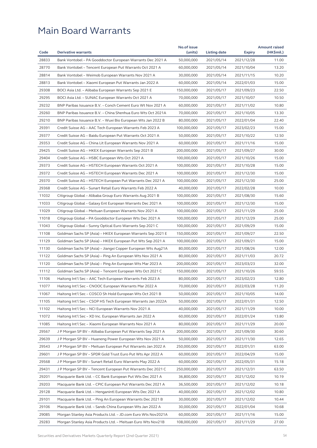|       |                                                              | No.of issue |              |               | <b>Amount raised</b> |
|-------|--------------------------------------------------------------|-------------|--------------|---------------|----------------------|
| Code  | <b>Derivative warrants</b>                                   | (units)     | Listing date | <b>Expiry</b> | (HK\$mil.)           |
| 28833 | Bank Vontobel - PA Gooddoctor European Warrants Dec 2021 A   | 50,000,000  | 2021/05/14   | 2021/12/28    | 11.00                |
| 28770 | Bank Vontobel - Tencent European Put Warrants Oct 2021 A     | 60,000,000  | 2021/05/14   | 2021/10/04    | 13.20                |
| 28814 | Bank Vontobel - Weimob European Warrants Nov 2021 A          | 30,000,000  | 2021/05/14   | 2021/11/15    | 10.20                |
| 28813 | Bank Vontobel - Xiaomi European Put Warrants Jan 2022 A      | 60,000,000  | 2021/05/14   | 2022/01/03    | 15.00                |
| 29308 | BOCI Asia Ltd. – Alibaba European Warrants Sep 2021 E        | 150,000,000 | 2021/05/17   | 2021/09/23    | 22.50                |
| 29295 | BOCI Asia Ltd. - SUNAC European Warrants Oct 2021 A          | 70,000,000  | 2021/05/17   | 2021/10/07    | 10.50                |
| 29232 | BNP Paribas Issuance B.V. - Conch Cement Euro Wt Nov 2021 A  | 60,000,000  | 2021/05/17   | 2021/11/02    | 10.80                |
| 29260 | BNP Paribas Issuance B.V. - China Shenhua Euro Wts Oct 2021A | 70,000,000  | 2021/05/17   | 2021/10/05    | 13.30                |
| 29210 | BNP Paribas Issuance B.V. - Wuxi Bio European Wts Jan 2022 B | 80,000,000  | 2021/05/17   | 2022/01/04    | 22.40                |
| 29391 | Credit Suisse AG - AAC Tech European Warrants Feb 2023 A     | 100,000,000 | 2021/05/17   | 2023/02/23    | 15.00                |
| 29377 | Credit Suisse AG - Baidu European Put Warrants Oct 2021 A    | 50,000,000  | 2021/05/17   | 2021/10/22    | 12.50                |
| 29353 | Credit Suisse AG - China Lit European Warrants Nov 2021 A    | 60,000,000  | 2021/05/17   | 2021/11/16    | 15.00                |
| 29425 | Credit Suisse AG - HKEX European Warrants Sep 2021 B         | 200,000,000 | 2021/05/17   | 2021/09/27    | 30.00                |
| 29404 | Credit Suisse AG – HSBC European Wts Oct 2021 A              | 100,000,000 | 2021/05/17   | 2021/10/26    | 15.00                |
| 29373 | Credit Suisse AG - HSTECH European Warrants Oct 2021 A       | 100,000,000 | 2021/05/17   | 2021/10/28    | 15.00                |
| 29372 | Credit Suisse AG - HSTECH European Warrants Dec 2021 A       | 100,000,000 | 2021/05/17   | 2021/12/30    | 15.00                |
| 29370 | Credit Suisse AG - HSTECH European Put Warrants Dec 2021 A   | 100,000,000 | 2021/05/17   | 2021/12/30    | 25.00                |
| 29368 | Credit Suisse AG - Sunart Retail Euro Warrants Feb 2022 A    | 40,000,000  | 2021/05/17   | 2022/02/28    | 10.00                |
| 11032 | Citigroup Global - Alibaba Group Euro Warrants Aug 2021 B    | 100,000,000 | 2021/05/17   | 2021/08/30    | 15.60                |
| 11033 | Citigroup Global – Galaxy Ent European Warrants Dec 2021 A   | 100,000,000 | 2021/05/17   | 2021/12/30    | 15.00                |
| 11029 | Citigroup Global - Meituan European Warrants Nov 2021 A      | 100,000,000 | 2021/05/17   | 2021/11/29    | 25.00                |
| 11018 | Citigroup Global - PA Gooddoctor European Wts Dec 2021 A     | 100,000,000 | 2021/05/17   | 2021/12/29    | 25.00                |
| 11043 | Citigroup Global – Sunny Optical Euro Warrants Sep 2021 C    | 100,000,000 | 2021/05/17   | 2021/09/29    | 15.00                |
| 11108 | Goldman Sachs SP (Asia) – HKEX European Warrants Sep 2021 E  | 150,000,000 | 2021/05/17   | 2021/09/27    | 22.50                |
| 11129 | Goldman Sachs SP (Asia) – HKEX European Put Wts Sep 2021 A   | 100,000,000 | 2021/05/17   | 2021/09/21    | 15.00                |
| 11130 | Goldman Sachs SP (Asia) - Jiangxi Copper European Wts Aug21A | 80,000,000  | 2021/05/17   | 2021/08/26    | 12.00                |
| 11122 | Goldman Sachs SP (Asia) - Ping An European Wts Nov 2021 A    | 80,000,000  | 2021/05/17   | 2021/11/03    | 20.72                |
| 11120 | Goldman Sachs SP (Asia) - Ping An European Wts Mar 2023 A    | 200,000,000 | 2021/05/17   | 2023/03/23    | 32.00                |
| 11112 | Goldman Sachs SP (Asia) - Tencent European Wts Oct 2021 C    | 150,000,000 | 2021/05/17   | 2021/10/26    | 59.55                |
| 11106 | Haitong Int'l Sec - AAC Tech European Warrants Feb 2023 A    | 80,000,000  | 2021/05/17   | 2023/02/23    | 12.80                |
| 11077 | Haitong Int'l Sec - CNOOC European Warrants Mar 2022 A       | 70,000,000  | 2021/05/17   | 2022/03/28    | 11.20                |
| 11067 | Haitong Int'l Sec - COSCO Sh Hold European Wts Oct 2021 B    | 50,000,000  | 2021/05/17   | 2021/10/05    | 14.00                |
| 11105 | Haitong Int'l Sec - CSOP HS Tech European Warrants Jan 2022A | 50,000,000  | 2021/05/17   | 2022/01/31    | 12.50                |
| 11102 | Haitong Int'l Sec – NCI European Warrants Nov 2021 A         | 40,000,000  | 2021/05/17   | 2021/11/29    | 10.00                |
| 11072 | Haitong Int'l Sec - XD Inc. European Warrants Jan 2022 A     | 60,000,000  | 2021/05/17   | 2022/01/24    | 13.80                |
| 11085 | Haitong Int'l Sec - Xiaomi European Warrants Nov 2021 A      | 80,000,000  | 2021/05/17   | 2021/11/29    | 20.00                |
| 29567 | J P Morgan SP BV - Alibaba European Put Warrants Sep 2021 A  | 200,000,000 | 2021/05/17   | 2021/09/30    | 30.60                |
| 29639 | J P Morgan SP BV – Huaneng Power European Wts Nov 2021 A     | 50,000,000  | 2021/05/17   | 2021/11/30    | 12.65                |
| 29543 | J P Morgan SP BV - Meituan European Put Warrants Jan 2022 A  | 250,000,000 | 2021/05/17   | 2022/01/31    | 63.00                |
| 29601 | J P Morgan SP BV - SPDR Gold Trust Euro Put Wts Apr 2022 A   | 60,000,000  | 2021/05/17   | 2022/04/29    | 15.00                |
|       |                                                              |             |              |               |                      |
| 29568 | J P Morgan SP BV - Sunart Retail Euro Warrants May 2022 A    | 60,000,000  | 2021/05/17   | 2022/05/31    | 15.18                |
| 29431 | J P Morgan SP BV - Tencent European Put Warrants Dec 2021 C  | 250,000,000 | 2021/05/17   | 2021/12/31    | 63.50                |
| 29201 | Macquarie Bank Ltd. – CC Bank European Put Wts Dec 2021 A    | 36,800,000  | 2021/05/17   | 2021/12/02    | 10.19                |
| 29203 | Macquarie Bank Ltd. - CPIC European Put Warrants Dec 2021 A  | 36,500,000  | 2021/05/17   | 2021/12/02    | 10.18                |
| 29128 | Macquarie Bank Ltd. - Henganintl European Wts Dec 2021 A     | 40,000,000  | 2021/05/17   | 2021/12/02    | 10.80                |
| 29101 | Macquarie Bank Ltd. - Ping An European Warrants Dec 2021 B   | 30,000,000  | 2021/05/17   | 2021/12/02    | 10.44                |
| 29106 | Macquarie Bank Ltd. - Sands China European Wts Jan 2022 A    | 30,000,000  | 2021/05/17   | 2022/01/04    | 10.68                |
| 29085 | Morgan Stanley Asia Products Ltd. - JD.com Euro Wts Nov2021A | 60,000,000  | 2021/05/17   | 2021/11/16    | 15.00                |
| 29283 | Morgan Stanley Asia Products Ltd. - Meituan Euro Wts Nov21B  | 108,000,000 | 2021/05/17   | 2021/11/29    | 27.00                |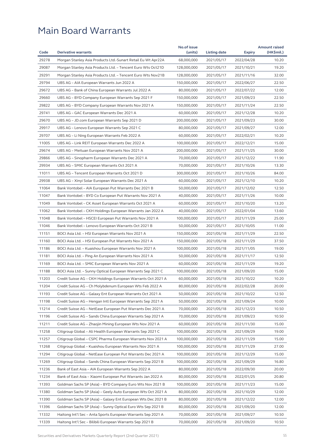|       |                                                              | No.of issue |              |               | <b>Amount raised</b> |
|-------|--------------------------------------------------------------|-------------|--------------|---------------|----------------------|
| Code  | <b>Derivative warrants</b>                                   | (units)     | Listing date | <b>Expiry</b> | (HK\$mil.)           |
| 29278 | Morgan Stanley Asia Products Ltd.-Sunart Retail Eu Wt Apr22A | 68,000,000  | 2021/05/17   | 2022/04/28    | 10.20                |
| 29087 | Morgan Stanley Asia Products Ltd. - Tencent Euro Wts Oct21D  | 128,000,000 | 2021/05/17   | 2021/10/21    | 19.20                |
| 29291 | Morgan Stanley Asia Products Ltd. - Tencent Euro Wts Nov21B  | 128,000,000 | 2021/05/17   | 2021/11/16    | 32.00                |
| 29794 | UBS AG - AIA European Warrants Jun 2022 A                    | 150,000,000 | 2021/05/17   | 2022/06/27    | 22.50                |
| 29672 | UBS AG - Bank of China European Warrants Jul 2022 A          | 80,000,000  | 2021/05/17   | 2022/07/22    | 12.00                |
| 29660 | UBS AG - BYD Company European Warrants Sep 2021 F            | 150,000,000 | 2021/05/17   | 2021/09/23    | 22.50                |
| 29822 | UBS AG - BYD Company European Warrants Nov 2021 A            | 150,000,000 | 2021/05/17   | 2021/11/24    | 22.50                |
| 29741 | UBS AG - GAC European Warrants Dec 2021 A                    | 60,000,000  | 2021/05/17   | 2021/12/28    | 10.20                |
| 29670 | UBS AG - JD.com European Warrants Sep 2021 D                 | 200,000,000 | 2021/05/17   | 2021/09/23    | 30.00                |
| 29917 | UBS AG - Lenovo European Warrants Sep 2021 C                 | 80,000,000  | 2021/05/17   | 2021/09/27    | 12.00                |
| 29707 | UBS AG - Li Ning European Warrants Feb 2022 A                | 60,000,000  | 2021/05/17   | 2022/02/21    | 10.20                |
| 11005 | UBS AG - Link REIT European Warrants Dec 2022 A              | 100,000,000 | 2021/05/17   | 2022/12/21    | 15.00                |
| 29674 | UBS AG - Meituan European Warrants Nov 2021 A                | 200,000,000 | 2021/05/17   | 2021/11/25    | 30.00                |
| 29866 | UBS AG - Sinopharm European Warrants Dec 2021 A              | 70,000,000  | 2021/05/17   | 2021/12/22    | 11.90                |
| 29934 | UBS AG - SMIC European Warrants Oct 2021 A                   | 70,000,000  | 2021/05/17   | 2021/10/26    | 13.30                |
| 11011 | UBS AG – Tencent European Warrants Oct 2021 D                | 300,000,000 | 2021/05/17   | 2021/10/26    | 84.00                |
| 29938 | UBS AG - Xinyi Solar European Warrants Dec 2021 A            | 60,000,000  | 2021/05/17   | 2021/12/10    | 10.20                |
| 11064 | Bank Vontobel - AIA European Put Warrants Dec 2021 B         | 50,000,000  | 2021/05/17   | 2021/12/02    | 12.50                |
| 11047 | Bank Vontobel - BYD Co European Put Warrants Nov 2021 A      | 40,000,000  | 2021/05/17   | 2021/11/26    | 10.00                |
| 11049 | Bank Vontobel – CK Asset European Warrants Oct 2021 A        | 60,000,000  | 2021/05/17   | 2021/10/20    | 13.20                |
| 11062 | Bank Vontobel - CKH Holdings European Warrants Jan 2022 A    | 40,000,000  | 2021/05/17   | 2022/01/04    | 13.60                |
| 11048 | Bank Vontobel - HSCEI European Put Warrants Nov 2021 A       | 100,000,000 | 2021/05/17   | 2021/11/29    | 25.00                |
| 11046 | Bank Vontobel - Lenovo European Warrants Oct 2021 B          | 50,000,000  | 2021/05/17   | 2021/10/05    | 11.00                |
| 11151 | BOCI Asia Ltd. - HSI European Warrants Nov 2021 A            | 150,000,000 | 2021/05/18   | 2021/11/29    | 22.50                |
| 11160 | BOCI Asia Ltd. - HSI European Put Warrants Nov 2021 A        | 150,000,000 | 2021/05/18   | 2021/11/29    | 37.50                |
| 11186 | BOCI Asia Ltd. - Kuaishou European Warrants Nov 2021 A       | 100,000,000 | 2021/05/18   | 2021/11/05    | 19.00                |
| 11181 | BOCI Asia Ltd. - Ping An European Warrants Nov 2021 A        | 50,000,000  | 2021/05/18   | 2021/11/17    | 12.50                |
| 11169 | BOCI Asia Ltd. - SMIC European Warrants Nov 2021 A           | 60,000,000  | 2021/05/18   | 2021/11/29    | 19.20                |
| 11188 | BOCI Asia Ltd. - Sunny Optical European Warrants Sep 2021 C  | 100,000,000 | 2021/05/18   | 2021/09/20    | 15.00                |
| 11203 | Credit Suisse AG - CKH Holdings European Warrants Oct 2021 A | 60,000,000  | 2021/05/18   | 2021/10/22    | 10.20                |
| 11204 | Credit Suisse AG - Ch Molybdenum European Wts Feb 2022 A     | 80,000,000  | 2021/05/18   | 2022/02/28    | 20.00                |
| 11193 | Credit Suisse AG - Galaxy Ent European Warrants Oct 2021 A   | 50,000,000  | 2021/05/18   | 2021/10/22    | 12.50                |
| 11198 | Credit Suisse AG - Hengan Intl European Warrants Sep 2021 A  | 50,000,000  | 2021/05/18   | 2021/09/24    | 10.00                |
| 11214 | Credit Suisse AG - NetEase European Put Warrants Dec 2021 A  | 70,000,000  | 2021/05/18   | 2021/12/23    | 10.50                |
| 11196 | Credit Suisse AG - Sands China European Warrants Sep 2021 A  | 70,000,000  | 2021/05/18   | 2021/09/23    | 10.50                |
| 11211 | Credit Suisse AG - Zhaojin Mining European Wts Nov 2021 A    | 60,000,000  | 2021/05/18   | 2021/11/30    | 15.00                |
| 11258 | Citigroup Global - Ali Health European Warrants Sep 2021 C   | 100,000,000 | 2021/05/18   | 2021/09/29    | 19.00                |
| 11257 | Citigroup Global - CSPC Pharma European Warrants Nov 2021 A  | 100,000,000 | 2021/05/18   | 2021/11/29    | 15.00                |
| 11268 | Citigroup Global - Kuaishou European Warrants Nov 2021 A     | 100,000,000 | 2021/05/18   | 2021/11/29    | 27.00                |
| 11294 | Citigroup Global - NetEase European Put Warrants Dec 2021 A  | 100,000,000 | 2021/05/18   | 2021/12/29    | 15.00                |
| 11269 | Citigroup Global - Sands China European Warrants Sep 2021 B  | 100,000,000 | 2021/05/18   | 2021/09/29    | 16.80                |
| 11236 | Bank of East Asia - AIA European Warrants Sep 2022 A         | 80,000,000  | 2021/05/18   | 2022/09/30    | 20.00                |
| 11234 | Bank of East Asia - Xiaomi European Put Warrants Jan 2022 A  | 80,000,000  | 2021/05/18   | 2022/01/25    | 20.80                |
| 11393 | Goldman Sachs SP (Asia) - BYD Company Euro Wts Nov 2021 B    | 100,000,000 | 2021/05/18   | 2021/11/23    | 15.00                |
| 11380 | Goldman Sachs SP (Asia) - Geely Auto European Wts Oct 2021 A | 80,000,000  | 2021/05/18   | 2021/10/29    | 12.00                |
| 11390 | Goldman Sachs SP (Asia) - Galaxy Ent European Wts Dec 2021 B | 80,000,000  | 2021/05/18   | 2021/12/22    | 12.00                |
| 11396 | Goldman Sachs SP (Asia) - Sunny Optical Euro Wts Sep 2021 B  | 80,000,000  | 2021/05/18   | 2021/09/20    | 12.00                |
| 11332 | Haitong Int'l Sec - Anta Sports European Warrants Sep 2021 A | 70,000,000  | 2021/05/18   | 2021/09/27    | 10.50                |
| 11339 | Haitong Int'l Sec - Bilibili European Warrants Sep 2021 B    | 70,000,000  | 2021/05/18   | 2021/09/20    | 10.50                |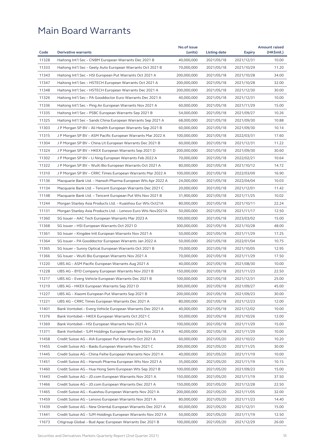|       |                                                              | No.of issue |              |               | <b>Amount raised</b> |
|-------|--------------------------------------------------------------|-------------|--------------|---------------|----------------------|
| Code  | <b>Derivative warrants</b>                                   | (units)     | Listing date | <b>Expiry</b> | (HK\$mil.)           |
| 11328 | Haitong Int'l Sec - CNBM European Warrants Dec 2021 B        | 40,000,000  | 2021/05/18   | 2021/12/31    | 10.00                |
| 11333 | Haitong Int'l Sec – Geely Auto European Warrants Oct 2021 B  | 70,000,000  | 2021/05/18   | 2021/10/29    | 11.20                |
| 11343 | Haitong Int'l Sec - HSI European Put Warrants Oct 2021 A     | 200,000,000 | 2021/05/18   | 2021/10/28    | 34.00                |
| 11347 | Haitong Int'l Sec – HSTECH European Warrants Oct 2021 A      | 200,000,000 | 2021/05/18   | 2021/10/28    | 32.00                |
| 11348 | Haitong Int'l Sec – HSTECH European Warrants Dec 2021 A      | 200,000,000 | 2021/05/18   | 2021/12/30    | 30.00                |
| 11326 | Haitong Int'l Sec - PA Gooddoctor Euro Warrants Dec 2021 A   | 40,000,000  | 2021/05/18   | 2021/12/31    | 10.00                |
| 11336 | Haitong Int'l Sec - Ping An European Warrants Nov 2021 A     | 60,000,000  | 2021/05/18   | 2021/11/29    | 15.00                |
| 11335 | Haitong Int'l Sec - PSBC European Warrants Sep 2021 B        | 54,000,000  | 2021/05/18   | 2021/09/27    | 10.26                |
| 11325 | Haitong Int'l Sec – Sands China European Warrants Sep 2021 A | 68,000,000  | 2021/05/18   | 2021/09/30    | 10.88                |
| 11303 | J P Morgan SP BV - Ali Health European Warrants Sep 2021 B   | 60,000,000  | 2021/05/18   | 2021/09/30    | 10.14                |
| 11315 | J P Morgan SP BV - ASM Pacific European Warrants Mar 2022 A  | 100,000,000 | 2021/05/18   | 2022/03/31    | 17.60                |
| 11304 | J P Morgan SP BV - China Lit European Warrants Dec 2021 B    | 60,000,000  | 2021/05/18   | 2021/12/31    | 11.22                |
| 11324 | J P Morgan SP BV - HKEX European Warrants Sep 2021 D         | 200,000,000 | 2021/05/18   | 2021/09/30    | 30.60                |
| 11302 | J P Morgan SP BV - Li Ning European Warrants Feb 2022 A      | 70,000,000  | 2021/05/18   | 2022/02/21    | 10.64                |
| 11322 | J P Morgan SP BV - WuXi Bio European Warrants Oct 2021 A     | 80,000,000  | 2021/05/18   | 2021/10/12    | 14.72                |
| 11310 | J P Morgan SP BV - CRRC Times European Warrants Mar 2022 A   | 100,000,000 | 2021/05/18   | 2022/03/09    | 16.90                |
| 11136 | Macquarie Bank Ltd. - Hansoh Pharma European Wts Apr 2022 A  | 24,000,000  | 2021/05/18   | 2022/04/04    | 10.03                |
| 11134 | Macquarie Bank Ltd. - Tencent European Warrants Dec 2021 C   | 20,000,000  | 2021/05/18   | 2021/12/01    | 11.42                |
| 11148 | Macquarie Bank Ltd. - Tencent European Put Wts Nov 2021 B    | 31,900,000  | 2021/05/18   | 2021/11/25    | 10.02                |
| 11244 | Morgan Stanley Asia Products Ltd. - Kuaishou Eur Wts Oct21A  | 80,000,000  | 2021/05/18   | 2021/10/11    | 22.24                |
| 11131 | Morgan Stanley Asia Products Ltd. - Lenovo Euro Wts Nov2021A | 50,000,000  | 2021/05/18   | 2021/11/17    | 12.50                |
| 11360 | SG Issuer – AAC Tech European Warrants Mar 2023 A            | 100,000,000 | 2021/05/18   | 2023/03/02    | 15.00                |
| 11368 | SG Issuer – HSI European Warrants Oct 2021 D                 | 300,000,000 | 2021/05/18   | 2021/10/28    | 48.00                |
| 11361 | SG Issuer – Kingdee Intl European Warrants Nov 2021 A        | 50,000,000  | 2021/05/18   | 2021/11/29    | 17.25                |
| 11364 | SG Issuer – PA Gooddoctor European Warrants Jan 2022 A       | 50,000,000  | 2021/05/18   | 2022/01/04    | 10.75                |
| 11365 | SG Issuer - Sunny Optical European Warrants Oct 2021 B       | 70,000,000  | 2021/05/18   | 2021/10/05    | 12.95                |
| 11366 | SG Issuer - WuXi Bio European Warrants Nov 2021 A            | 70,000,000  | 2021/05/18   | 2021/11/29    | 17.50                |
| 11220 | UBS AG – ASM Pacific European Warrants Aug 2021 A            | 40,000,000  | 2021/05/18   | 2021/08/30    | 10.00                |
| 11228 | UBS AG - BYD Company European Warrants Nov 2021 B            | 150,000,000 | 2021/05/18   | 2021/11/23    | 22.50                |
| 11217 | UBS AG - Everg Vehicle European Warrants Dec 2021 B          | 100,000,000 | 2021/05/18   | 2021/12/31    | 25.00                |
| 11219 | UBS AG - HKEX European Warrants Sep 2021 D                   | 300,000,000 | 2021/05/18   | 2021/09/27    | 45.00                |
| 11227 | UBS AG - Xiaomi European Put Warrants Sep 2021 B             | 200,000,000 | 2021/05/18   | 2021/09/23    | 30.00                |
| 11221 | UBS AG - CRRC Times European Warrants Dec 2021 A             | 80,000,000  | 2021/05/18   | 2021/12/23    | 12.00                |
| 11401 | Bank Vontobel - Everg Vehicle European Warrants Dec 2021 A   | 40,000,000  | 2021/05/18   | 2021/12/02    | 10.00                |
| 11376 | Bank Vontobel - HKEX European Warrants Oct 2021 C            | 50,000,000  | 2021/05/18   | 2021/10/26    | 12.00                |
| 11369 | Bank Vontobel - HSI European Warrants Nov 2021 A             | 100,000,000 | 2021/05/18   | 2021/11/29    | 15.00                |
| 11371 | Bank Vontobel - SJM Holdings European Warrants Nov 2021 A    | 40,000,000  | 2021/05/18   | 2021/11/29    | 10.00                |
| 11458 | Credit Suisse AG – AIA European Put Warrants Oct 2021 A      | 60,000,000  | 2021/05/20   | 2021/10/22    | 10.20                |
| 11455 | Credit Suisse AG - Baidu European Warrants Nov 2021 C        | 200,000,000 | 2021/05/20   | 2021/11/25    | 30.00                |
| 11445 | Credit Suisse AG - China Feihe European Warrants Nov 2021 A  | 40,000,000  | 2021/05/20   | 2021/11/19    | 10.00                |
| 11451 | Credit Suisse AG - Hansoh Pharma European Wts Nov 2021 A     | 35,000,000  | 2021/05/20   | 2021/11/19    | 10.15                |
| 11460 | Credit Suisse AG - Hua Hong Semi European Wts Sep 2021 B     | 100,000,000 | 2021/05/20   | 2021/09/23    | 15.00                |
| 11443 | Credit Suisse AG - JD.com European Warrants Nov 2021 A       | 150,000,000 | 2021/05/20   | 2021/11/19    | 37.50                |
| 11466 | Credit Suisse AG - JD.com European Warrants Dec 2021 A       | 150,000,000 | 2021/05/20   | 2021/12/28    | 22.50                |
| 11465 | Credit Suisse AG - Kuaishou European Warrants Nov 2021 A     | 200,000,000 | 2021/05/20   | 2021/11/05    | 32.00                |
| 11459 | Credit Suisse AG - Lenovo European Warrants Nov 2021 A       | 80,000,000  | 2021/05/20   | 2021/11/23    | 14.40                |
| 11439 | Credit Suisse AG - New Oriental European Warrants Dec 2021 A | 60,000,000  | 2021/05/20   | 2021/12/31    | 15.00                |
| 11441 | Credit Suisse AG - SJM Holdings European Warrants Nov 2021 A | 50,000,000  | 2021/05/20   | 2021/11/19    | 12.50                |
| 11673 | Citigroup Global - Bud Apac European Warrants Dec 2021 B     | 100,000,000 | 2021/05/20   | 2021/12/29    | 26.00                |
|       |                                                              |             |              |               |                      |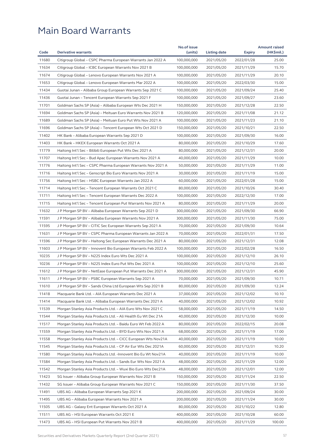|       |                                                               | No.of issue |              |               | <b>Amount raised</b> |
|-------|---------------------------------------------------------------|-------------|--------------|---------------|----------------------|
| Code  | <b>Derivative warrants</b>                                    | (units)     | Listing date | <b>Expiry</b> | (HK\$mil.)           |
| 11680 | Citigroup Global - CSPC Pharma European Warrants Jan 2022 A   | 100,000,000 | 2021/05/20   | 2022/01/28    | 25.00                |
| 11634 | Citigroup Global – ICBC European Warrants Nov 2021 B          | 100,000,000 | 2021/05/20   | 2021/11/29    | 15.70                |
| 11674 | Citigroup Global - Lenovo European Warrants Nov 2021 A        | 100,000,000 | 2021/05/20   | 2021/11/29    | 20.10                |
| 11653 | Citigroup Global – Lenovo European Warrants Mar 2022 A        | 100,000,000 | 2021/05/20   | 2022/03/30    | 15.00                |
| 11434 | Guotai Junan - Alibaba Group European Warrants Sep 2021 C     | 100,000,000 | 2021/05/20   | 2021/09/24    | 25.40                |
| 11436 | Guotai Junan – Tencent European Warrants Sep 2021 F           | 100,000,000 | 2021/05/20   | 2021/09/27    | 23.60                |
| 11701 | Goldman Sachs SP (Asia) - Alibaba European Wts Dec 2021 H     | 150,000,000 | 2021/05/20   | 2021/12/28    | 22.50                |
| 11694 | Goldman Sachs SP (Asia) - Meituan Euro Warrants Nov 2021 B    | 120,000,000 | 2021/05/20   | 2021/11/08    | 21.12                |
| 11689 | Goldman Sachs SP (Asia) – Meituan Euro Put Wts Nov 2021 A     | 100,000,000 | 2021/05/20   | 2021/11/23    | 21.10                |
| 11696 | Goldman Sachs SP (Asia) – Tencent European Wts Oct 2021 D     | 150,000,000 | 2021/05/20   | 2021/10/21    | 22.50                |
| 11402 | HK Bank - Alibaba European Warrants Sep 2021 D                | 100,000,000 | 2021/05/20   | 2021/09/30    | 16.00                |
| 11403 | HK Bank - HKEX European Warrants Oct 2021 A                   | 80,000,000  | 2021/05/20   | 2021/10/29    | 17.60                |
| 11779 | Haitong Int'l Sec – Bilibili European Put Wts Dec 2021 A      | 80,000,000  | 2021/05/20   | 2021/12/31    | 20.00                |
| 11707 | Haitong Int'l Sec - Bud Apac European Warrants Nov 2021 A     | 40,000,000  | 2021/05/20   | 2021/11/29    | 10.00                |
| 11776 | Haitong Int'l Sec - CSPC Pharma European Warrants Nov 2021 A  | 50,000,000  | 2021/05/20   | 2021/11/29    | 11.00                |
| 11716 | Haitong Int'l Sec - Genscript Bio Euro Warrants Nov 2021 A    | 30,000,000  | 2021/05/20   | 2021/11/19    | 15.00                |
| 11756 | Haitong Int'l Sec – HSBC European Warrants Jan 2022 A         | 60,000,000  | 2021/05/20   | 2022/01/28    | 15.00                |
| 11714 | Haitong Int'l Sec - Tencent European Warrants Oct 2021 C      | 80,000,000  | 2021/05/20   | 2021/10/26    | 30.40                |
| 11711 | Haitong Int'l Sec – Tencent European Warrants Dec 2022 A      | 100,000,000 | 2021/05/20   | 2022/12/30    | 17.00                |
| 11715 | Haitong Int'l Sec – Tencent European Put Warrants Nov 2021 A  | 80,000,000  | 2021/05/20   | 2021/11/29    | 20.00                |
| 11632 | J P Morgan SP BV - Alibaba European Warrants Sep 2021 D       | 300,000,000 | 2021/05/20   | 2021/09/30    | 66.90                |
| 11591 | J P Morgan SP BV - Alibaba European Warrants Nov 2021 A       | 300,000,000 | 2021/05/20   | 2021/11/30    | 75.00                |
| 11595 | J P Morgan SP BV - CITIC Sec European Warrants Sep 2021 A     | 70,000,000  | 2021/05/20   | 2021/09/30    | 10.64                |
| 11631 | J P Morgan SP BV – CSPC Pharma European Warrants Jan 2022 A   | 70,000,000  | 2021/05/20   | 2022/01/31    | 17.50                |
| 11596 | J P Morgan SP BV - Haitong Sec European Warrants Dec 2021 A   | 80,000,000  | 2021/05/20   | 2021/12/31    | 12.08                |
| 11603 | J P Morgan SP BV - Innovent Bio European Warrants Feb 2022 A  | 100,000,000 | 2021/05/20   | 2022/02/28    | 16.50                |
| 10235 | J P Morgan SP BV - N225 Index Euro Wts Dec 2021 A             | 100,000,000 | 2021/05/20   | 2021/12/10    | 26.10                |
| 10236 | J P Morgan SP BV - N225 Index Euro Put Wts Dec 2021 A         | 100,000,000 | 2021/05/20   | 2021/12/10    | 25.60                |
| 11612 | J P Morgan SP BV - NetEase European Put Warrants Dec 2021 A   | 300,000,000 | 2021/05/20   | 2021/12/31    | 45.90                |
| 11611 | J P Morgan SP BV - PSBC European Warrants Sep 2021 A          | 70,000,000  | 2021/05/20   | 2021/09/30    | 10.71                |
| 11610 | J P Morgan SP BV - Sands China Ltd European Wts Sep 2021 B    | 80,000,000  | 2021/05/20   | 2021/09/30    | 12.24                |
| 11418 | Macquarie Bank Ltd. - AIA European Warrants Dec 2021 A        | 37,000,000  | 2021/05/20   | 2021/12/02    | 10.10                |
| 11414 | Macquarie Bank Ltd. - Alibaba European Warrants Dec 2021 A    | 40,000,000  | 2021/05/20   | 2021/12/02    | 10.92                |
| 11539 | Morgan Stanley Asia Products Ltd. - AIA Euro Wts Nov 2021 C   | 58,000,000  | 2021/05/20   | 2021/11/19    | 14.50                |
| 11544 | Morgan Stanley Asia Products Ltd. - Ali Health Eu Wt Dec 21A  | 40,000,000  | 2021/05/20   | 2021/12/30    | 10.00                |
| 11517 | Morgan Stanley Asia Products Ltd. - Baidu Euro Wt Feb 2022 A  | 80,000,000  | 2021/05/20   | 2022/02/15    | 20.08                |
| 11559 | Morgan Stanley Asia Products Ltd. - BYD Euro Wts Nov 2021 A   | 68,000,000  | 2021/05/20   | 2021/11/19    | 17.00                |
| 11558 | Morgan Stanley Asia Products Ltd. - CICC European Wts Nov21A  | 40,000,000  | 2021/05/20   | 2021/11/19    | 10.00                |
| 11545 | Morgan Stanley Asia Products Ltd. - CP Air Eur Wts Dec 2021A  | 60,000,000  | 2021/05/20   |               | 10.20                |
|       |                                                               |             |              | 2021/12/31    |                      |
| 11580 | Morgan Stanley Asia Products Ltd. - Innovent Bio Eu Wt Nov21A | 40,000,000  | 2021/05/20   | 2021/11/19    | 10.00                |
| 11584 | Morgan Stanley Asia Products Ltd. - Sands Eur Wts Nov 2021 A  | 48,000,000  | 2021/05/20   | 2021/11/29    | 12.00                |
| 11542 | Morgan Stanley Asia Products Ltd. - Wuxi Bio Euro Wts Dec21A  | 48,000,000  | 2021/05/20   | 2021/12/01    | 12.00                |
| 11423 | SG Issuer - Alibaba Group European Warrants Nov 2021 B        | 150,000,000 | 2021/05/20   | 2021/11/24    | 22.50                |
| 11432 | SG Issuer - Alibaba Group European Warrants Nov 2021 C        | 150,000,000 | 2021/05/20   | 2021/11/30    | 37.50                |
| 11491 | UBS AG - Alibaba European Warrants Sep 2021 K                 | 200,000,000 | 2021/05/20   | 2021/09/24    | 30.00                |
| 11495 | UBS AG - Alibaba European Warrants Nov 2021 A                 | 200,000,000 | 2021/05/20   | 2021/11/24    | 30.00                |
| 11505 | UBS AG - Galaxy Ent European Warrants Oct 2021 A              | 80,000,000  | 2021/05/20   | 2021/10/22    | 12.80                |
| 11511 | UBS AG - HSI European Warrants Oct 2021 E                     | 400,000,000 | 2021/05/20   | 2021/10/28    | 60.00                |
| 11473 | UBS AG - HSI European Put Warrants Nov 2021 B                 | 400,000,000 | 2021/05/20   | 2021/11/29    | 100.00               |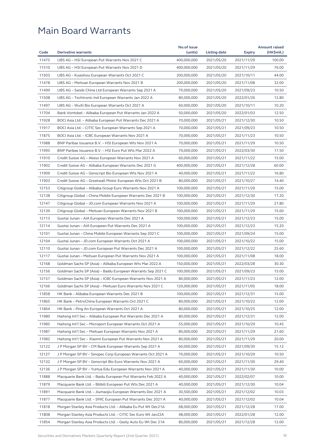|       |                                                              | No.of issue |              |               | <b>Amount raised</b> |
|-------|--------------------------------------------------------------|-------------|--------------|---------------|----------------------|
| Code  | <b>Derivative warrants</b>                                   | (units)     | Listing date | <b>Expiry</b> | (HK\$mil.)           |
| 11475 | UBS AG - HSI European Put Warrants Nov 2021 C                | 400,000,000 | 2021/05/20   | 2021/11/29    | 100.00               |
| 11510 | UBS AG - HSI European Put Warrants Nov 2021 D                | 400,000,000 | 2021/05/20   | 2021/11/29    | 76.00                |
| 11503 | UBS AG - Kuaishou European Warrants Oct 2021 C               | 200,000,000 | 2021/05/20   | 2021/10/11    | 44.00                |
| 11478 | UBS AG - Meituan European Warrants Nov 2021 B                | 200,000,000 | 2021/05/20   | 2021/11/08    | 32.00                |
| 11499 | UBS AG - Sands China Ltd European Warrants Sep 2021 A        | 70,000,000  | 2021/05/20   | 2021/09/23    | 10.50                |
| 11508 | UBS AG - Techtronic Ind European Warrants Jan 2022 A         | 80,000,000  | 2021/05/20   | 2022/01/26    | 12.80                |
| 11497 | UBS AG - WuXi Bio European Warrants Oct 2021 A               | 60,000,000  | 2021/05/20   | 2021/10/11    | 10.20                |
| 11704 | Bank Vontobel - Alibaba European Put Warrants Jan 2022 A     | 50,000,000  | 2021/05/20   | 2022/01/03    | 12.50                |
| 11928 | BOCI Asia Ltd. - Alibaba European Put Warrants Dec 2021 A    | 70,000,000  | 2021/05/21   | 2021/12/30    | 10.50                |
| 11917 | BOCI Asia Ltd. - CITIC Sec European Warrants Sep 2021 A      | 70,000,000  | 2021/05/21   | 2021/09/23    | 10.50                |
| 11875 | BOCI Asia Ltd. - ICBC European Warrants Nov 2021 A           | 70,000,000  | 2021/05/21   | 2021/11/23    | 10.50                |
| 11988 | BNP Paribas Issuance B.V. - HSI European Wts Nov 2021 A      | 70,000,000  | 2021/05/21   | 2021/11/29    | 10.50                |
| 11995 | BNP Paribas Issuance B.V. - HSI Euro Put Wts Mar 2022 A      | 70,000,000  | 2021/05/21   | 2022/03/30    | 17.50                |
| 11910 | Credit Suisse AG - Akeso European Warrants Nov 2021 A        | 60,000,000  | 2021/05/21   | 2021/11/22    | 15.00                |
| 11902 | Credit Suisse AG - Alibaba European Warrants Dec 2021 G      | 400,000,000 | 2021/05/21   | 2021/12/28    | 60.00                |
| 11909 | Credit Suisse AG – Genscript Bio European Wts Nov 2021 A     | 40,000,000  | 2021/05/21   | 2021/11/22    | 16.80                |
| 11903 | Credit Suisse AG - Greatwall Motor European Wts Oct 2021 B   | 80,000,000  | 2021/05/21   | 2021/10/27    | 14.40                |
| 12153 | Citigroup Global - Alibaba Group Euro Warrants Nov 2021 A    | 100,000,000 | 2021/05/21   | 2021/11/29    | 15.00                |
| 12138 | Citigroup Global - China Mobile European Warrants Dec 2021 B | 100,000,000 | 2021/05/21   | 2021/12/30    | 17.20                |
| 12147 | Citigroup Global - JD.com European Warrants Nov 2021 A       | 100,000,000 | 2021/05/21   | 2021/11/29    | 21.80                |
| 12139 | Citigroup Global - Meituan European Warrants Nov 2021 B      | 100,000,000 | 2021/05/21   | 2021/11/29    | 15.60                |
| 12113 | Guotai Junan - AIA European Warrants Dec 2021 A              | 100,000,000 | 2021/05/21   | 2021/12/23    | 15.00                |
| 12114 | Guotai Junan - AIA European Put Warrants Dec 2021 A          | 100,000,000 | 2021/05/21   | 2021/12/23    | 15.20                |
| 12101 | Guotai Junan – China Mobile European Warrants Sep 2021 C     | 100,000,000 | 2021/05/21   | 2021/09/24    | 15.00                |
| 12104 | Guotai Junan - JD.com European Warrants Oct 2021 A           | 100,000,000 | 2021/05/21   | 2021/10/22    | 15.00                |
| 12110 | Guotai Junan - JD.com European Put Warrants Dec 2021 A       | 100,000,000 | 2021/05/21   | 2021/12/22    | 25.60                |
| 12117 | Guotai Junan - Meituan European Put Warrants Nov 2021 A      | 100,000,000 | 2021/05/21   | 2021/11/08    | 18.00                |
| 12168 | Goldman Sachs SP (Asia) - Alibaba European Wts Mar 2022 A    | 150,000,000 | 2021/05/21   | 2022/03/28    | 30.30                |
| 12156 | Goldman Sachs SP (Asia) - Baidu European Warrants Sep 2021 C | 100,000,000 | 2021/05/21   | 2021/09/23    | 15.00                |
| 12157 | Goldman Sachs SP (Asia) - ICBC European Warrants Nov 2021 A  | 80,000,000  | 2021/05/21   | 2021/11/23    | 12.00                |
| 12166 | Goldman Sachs SP (Asia) - Meituan Euro Warrants Nov 2021 C   | 120,000,000 | 2021/05/21   | 2021/11/05    | 18.00                |
| 11858 | HK Bank - Alibaba European Warrants Dec 2021 B               | 100,000,000 | 2021/05/21   | 2021/12/31    | 15.00                |
| 11865 | HK Bank – PetroChina European Warrants Oct 2021 C            | 80,000,000  | 2021/05/21   | 2021/10/22    | 12.00                |
| 11864 | HK Bank – Ping An European Warrants Oct 2021 A               | 80,000,000  | 2021/05/21   | 2021/10/25    | 12.00                |
| 11980 | Haitong Int'l Sec - Alibaba European Put Warrants Dec 2021 A | 80,000,000  | 2021/05/21   | 2021/12/31    | 12.00                |
| 11985 | Haitong Int'l Sec - Microport European Warrants Oct 2021 A   | 55,000,000  | 2021/05/21   | 2021/10/29    | 10.45                |
| 11987 | Haitong Int'l Sec - Meituan European Warrants Nov 2021 A     | 80,000,000  | 2021/05/21   | 2021/11/29    | 21.60                |
| 11982 | Haitong Int'l Sec - Xiaomi European Put Warrants Nov 2021 A  | 80,000,000  | 2021/05/21   | 2021/11/29    | 20.00                |
| 12122 | J P Morgan SP BV - CM Bank European Warrants Sep 2021 A      | 60,000,000  | 2021/05/21   | 2021/09/30    | 15.12                |
| 12127 | J P Morgan SP BV - Sinopec Corp European Warrants Oct 2021 A | 70,000,000  | 2021/05/21   | 2021/10/29    | 10.50                |
| 12132 | J P Morgan SP BV - Genscript Bio Euro Warrants Nov 2021 A    | 60,000,000  | 2021/05/21   | 2021/11/30    | 29.40                |
| 12136 | J P Morgan SP BV - YuHua Edu European Warrants Nov 2021 A    | 40,000,000  | 2021/05/21   | 2021/11/30    | 10.00                |
| 11888 | Macquarie Bank Ltd. - Baidu European Put Warrants Feb 2022 A | 40,000,000  | 2021/05/21   | 2022/02/07    | 10.00                |
| 11879 | Macquarie Bank Ltd. - Bilibili European Put Wts Dec 2021 A   | 40,000,000  | 2021/05/21   | 2021/12/30    | 10.04                |
| 11891 | Macquarie Bank Ltd. - Jiumaojiu European Warrants Dec 2021 A | 30,500,000  | 2021/05/21   | 2021/12/02    | 10.03                |
| 11877 | Macquarie Bank Ltd. - SMIC European Put Warrants Dec 2021 A  | 40,000,000  | 2021/05/21   | 2021/12/02    | 10.04                |
| 11818 | Morgan Stanley Asia Products Ltd. - Alibaba Eu Put Wt Dec21A | 68,000,000  | 2021/05/21   | 2021/12/28    | 17.00                |
| 11808 | Morgan Stanley Asia Products Ltd. - CITIC Sec Euro Wt Jan22A | 48,000,000  | 2021/05/21   | 2022/01/28    | 12.00                |
| 11854 | Morgan Stanley Asia Products Ltd. - Geely Auto Eu Wt Dec 21A | 80,000,000  | 2021/05/21   | 2021/12/28    | 12.00                |
|       |                                                              |             |              |               |                      |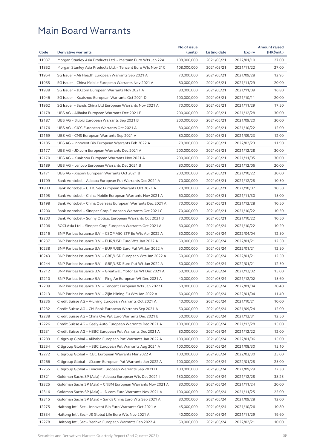|       | <b>Derivative warrants</b>                                   | No.of issue |              |               | <b>Amount raised</b><br>(HK\$mil.) |
|-------|--------------------------------------------------------------|-------------|--------------|---------------|------------------------------------|
| Code  |                                                              | (units)     | Listing date | <b>Expiry</b> |                                    |
| 11937 | Morgan Stanley Asia Products Ltd. - Meituan Euro Wts Jan 22A | 108,000,000 | 2021/05/21   | 2022/01/10    | 27.00                              |
| 11852 | Morgan Stanley Asia Products Ltd. - Tencent Euro Wts Nov 21C | 108,000,000 | 2021/05/21   | 2021/11/22    | 27.00                              |
| 11954 | SG Issuer - Ali Health European Warrants Sep 2021 A          | 70,000,000  | 2021/05/21   | 2021/09/28    | 12.95                              |
| 11955 | SG Issuer - China Mobile European Warrants Nov 2021 A        | 80,000,000  | 2021/05/21   | 2021/11/29    | 20.00                              |
| 11938 | SG Issuer - JD.com European Warrants Nov 2021 A              | 80,000,000  | 2021/05/21   | 2021/11/09    | 16.80                              |
| 11946 | SG Issuer - Kuaishou European Warrants Oct 2021 D            | 100.000.000 | 2021/05/21   | 2021/10/11    | 20.00                              |
| 11962 | SG Issuer - Sands China Ltd European Warrants Nov 2021 A     | 70,000,000  | 2021/05/21   | 2021/11/29    | 17.50                              |
| 12178 | UBS AG - Alibaba European Warrants Dec 2021 F                | 200,000,000 | 2021/05/21   | 2021/12/28    | 30.00                              |
| 12187 | UBS AG – Bilibili European Warrants Sep 2021 B               | 200,000,000 | 2021/05/21   | 2021/09/20    | 30.00                              |
| 12176 | UBS AG - CICC European Warrants Oct 2021 A                   | 80,000,000  | 2021/05/21   | 2021/10/22    | 12.00                              |
| 12169 | UBS AG – CMS European Warrants Sep 2021 A                    | 80,000,000  | 2021/05/21   | 2021/09/23    | 12.00                              |
| 12185 | UBS AG - Innovent Bio European Warrants Feb 2022 A           | 70,000,000  | 2021/05/21   | 2022/02/23    | 11.90                              |
| 12177 | UBS AG - JD.com European Warrants Dec 2021 A                 | 200,000,000 | 2021/05/21   | 2021/12/28    | 30.00                              |
| 12170 | UBS AG - Kuaishou European Warrants Nov 2021 A               | 200,000,000 | 2021/05/21   | 2021/11/05    | 30.00                              |
| 12189 | UBS AG – Lenovo European Warrants Dec 2021 B                 | 80,000,000  | 2021/05/21   | 2021/12/06    | 20.00                              |
| 12171 | UBS AG - Xiaomi European Warrants Oct 2021 B                 | 200,000,000 | 2021/05/21   | 2021/10/22    | 30.00                              |
| 11799 | Bank Vontobel - Alibaba European Put Warrants Dec 2021 A     | 70,000,000  | 2021/05/21   | 2021/12/28    | 10.50                              |
| 11803 | Bank Vontobel - CITIC Sec European Warrants Oct 2021 A       | 70,000,000  | 2021/05/21   | 2021/10/07    | 10.50                              |
| 12195 | Bank Vontobel - China Mobile European Warrants Nov 2021 A    | 60,000,000  | 2021/05/21   | 2021/11/30    | 15.00                              |
| 12198 | Bank Vontobel - China Overseas European Warrants Dec 2021 A  | 70,000,000  | 2021/05/21   | 2021/12/28    | 10.50                              |
| 12200 | Bank Vontobel - Sinopec Corp European Warrants Oct 2021 C    | 70,000,000  | 2021/05/21   | 2021/10/22    | 10.50                              |
| 12203 | Bank Vontobel - Sunny Optical European Warrants Oct 2021 B   | 70,000,000  | 2021/05/21   | 2021/10/22    | 10.50                              |
| 12206 | BOCI Asia Ltd. - Sinopec Corp European Warrants Oct 2021 A   | 60,000,000  | 2021/05/24   | 2021/10/22    | 10.20                              |
| 12216 | BNP Paribas Issuance B.V. - CSOP A50 ETF Eu Wts Apr 2022 A   | 50,000,000  | 2021/05/24   | 2022/04/04    | 12.50                              |
| 10237 | BNP Paribas Issuance B.V. – EUR/USD Euro Wts Jan 2022 A      | 50,000,000  | 2021/05/24   | 2022/01/21    | 12.50                              |
| 10238 | BNP Paribas Issuance B.V. - EUR/USD Euro Put Wt Jan 2022 A   | 50,000,000  | 2021/05/24   | 2022/01/21    | 12.50                              |
| 10243 | BNP Paribas Issuance B.V. - GBP/USD European Wts Jan 2022 A  | 50,000,000  | 2021/05/24   | 2022/01/21    | 12.50                              |
| 10244 | BNP Paribas Issuance B.V. - GBP/USD Euro Put Wt Jan 2022 A   | 50,000,000  | 2021/05/24   | 2022/01/21    | 12.50                              |
| 12212 | BNP Paribas Issuance B.V. - Greatwall Motor Eu Wt Dec 2021 A | 60,000,000  | 2021/05/24   | 2021/12/02    | 15.00                              |
| 12210 | BNP Paribas Issuance B.V. - Ping An European Wt Dec 2021 A   | 40,000,000  | 2021/05/24   | 2021/12/02    | 15.60                              |
| 12209 | BNP Paribas Issuance B.V. – Tencent European Wts Jan 2022 E  | 60,000,000  | 2021/05/24   | 2022/01/04    | 20.40                              |
| 12213 | BNP Paribas Issuance B.V. – Zijin Mining Eu Wts Jan 2022 A   | 60,000,000  | 2021/05/24   | 2022/01/04    | 11.40                              |
| 12236 | Credit Suisse AG – A-Living European Warrants Oct 2021 A     | 40,000,000  | 2021/05/24   | 2021/10/21    | 10.00                              |
| 12232 | Credit Suisse AG - CM Bank European Warrants Sep 2021 A      | 50,000,000  | 2021/05/24   | 2021/09/24    | 12.00                              |
| 12238 | Credit Suisse AG – China Ovs Ppt Euro Warrants Dec 2021 B    | 50,000,000  | 2021/05/24   | 2021/12/31    | 12.50                              |
| 12226 | Credit Suisse AG - Geely Auto European Warrants Dec 2021 A   | 100,000,000 | 2021/05/24   | 2021/12/28    | 15.00                              |
| 12231 | Credit Suisse AG - HSBC European Put Warrants Dec 2021 A     | 80,000,000  | 2021/05/24   | 2021/12/22    | 12.00                              |
| 12289 | Citigroup Global - Alibaba European Put Warrants Jan 2022 A  | 100,000,000 | 2021/05/24   | 2022/01/06    | 15.00                              |
| 12254 | Citigroup Global - HSBC European Put Warrants Aug 2021 A     | 100,000,000 | 2021/05/24   | 2021/08/30    | 15.10                              |
| 12272 | Citigroup Global - ICBC European Warrants Mar 2022 A         | 100,000,000 | 2021/05/24   | 2022/03/30    | 25.00                              |
| 12266 | Citigroup Global - JD.com European Put Warrants Jan 2022 A   | 100,000,000 | 2021/05/24   | 2022/01/28    | 25.00                              |
| 12255 | Citigroup Global – Tencent European Warrants Sep 2021 D      | 100,000,000 | 2021/05/24   | 2021/09/29    | 22.30                              |
| 12321 | Goldman Sachs SP (Asia) - Alibaba European Wts Dec 2021 I    | 150,000,000 | 2021/05/24   | 2021/12/28    | 38.25                              |
| 12325 | Goldman Sachs SP (Asia) – CNBM European Warrants Nov 2021 A  | 80,000,000  | 2021/05/24   | 2021/11/24    | 20.00                              |
| 12316 | Goldman Sachs SP (Asia) - JD.com Euro Warrants Nov 2021 A    | 100,000,000 | 2021/05/24   | 2021/11/25    | 25.00                              |
| 12315 | Goldman Sachs SP (Asia) - Sands China Euro Wts Sep 2021 A    | 80,000,000  | 2021/05/24   | 2021/09/28    | 12.00                              |
| 12275 | Haitong Int'l Sec - Innovent Bio Euro Warrants Oct 2021 A    | 45,000,000  | 2021/05/24   | 2021/10/26    | 10.80                              |
| 12334 | Haitong Int'l Sec – JS Global Life Euro Wts Nov 2021 A       | 40,000,000  | 2021/05/24   | 2021/11/29    | 19.60                              |
| 12278 | Haitong Int'l Sec – Yeahka European Warrants Feb 2022 A      | 50,000,000  | 2021/05/24   | 2022/02/21    | 10.00                              |
|       |                                                              |             |              |               |                                    |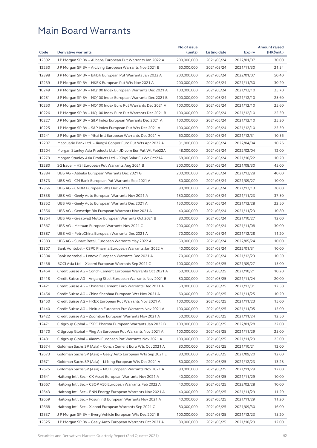|       |                                                              | No.of issue |              |               | <b>Amount raised</b> |
|-------|--------------------------------------------------------------|-------------|--------------|---------------|----------------------|
| Code  | <b>Derivative warrants</b>                                   | (units)     | Listing date | <b>Expiry</b> | (HK\$mil.)           |
| 12392 | J P Morgan SP BV - Alibaba European Put Warrants Jan 2022 A  | 200,000,000 | 2021/05/24   | 2022/01/07    | 30.00                |
| 12250 | J P Morgan SP BV – A-Living European Warrants Nov 2021 B     | 60,000,000  | 2021/05/24   | 2021/11/30    | 21.54                |
| 12398 | J P Morgan SP BV – Bilibili European Put Warrants Jan 2022 A | 200,000,000 | 2021/05/24   | 2022/01/07    | 50.40                |
| 12239 | J P Morgan SP BV - HKEX European Put Wts Nov 2021 A          | 200,000,000 | 2021/05/24   | 2021/11/30    | 30.20                |
| 10249 | J P Morgan SP BV – NQ100 Index European Warrants Dec 2021 A  | 100,000,000 | 2021/05/24   | 2021/12/10    | 25.70                |
| 10251 | J P Morgan SP BV - NQ100 Index European Warrants Dec 2021 B  | 100,000,000 | 2021/05/24   | 2021/12/10    | 25.60                |
| 10250 | J P Morgan SP BV - NQ100 Index Euro Put Warrants Dec 2021 A  | 100,000,000 | 2021/05/24   | 2021/12/10    | 25.60                |
| 10226 | J P Morgan SP BV - NQ100 Index Euro Put Warrants Dec 2021 B  | 100,000,000 | 2021/05/24   | 2021/12/10    | 25.30                |
| 10227 | J P Morgan SP BV - S&P Index European Warrants Dec 2021 A    | 100,000,000 | 2021/05/24   | 2021/12/10    | 25.30                |
| 10225 | J P Morgan SP BV - S&P Index European Put Wts Dec 2021 A     | 100,000,000 | 2021/05/24   | 2021/12/10    | 25.30                |
| 12241 | J P Morgan SP BV – Yihai Intl European Warrants Dec 2021 A   | 60,000,000  | 2021/05/24   | 2021/12/31    | 10.56                |
| 12207 | Macquarie Bank Ltd. - Jiangxi Copper Euro Put Wts Apr 2022 A | 31,000,000  | 2021/05/24   | 2022/04/04    | 10.26                |
| 12204 | Morgan Stanley Asia Products Ltd. - JD.com Eur Put Wt Feb22A | 48,000,000  | 2021/05/24   | 2022/02/04    | 12.00                |
| 12279 | Morgan Stanley Asia Products Ltd. - Xinyi Solar Eu Wt Oct21A | 68,000,000  | 2021/05/24   | 2021/10/22    | 10.20                |
| 12280 | SG Issuer - HSI European Put Warrants Aug 2021 B             | 300,000,000 | 2021/05/24   | 2021/08/30    | 45.00                |
| 12384 | UBS AG - Alibaba European Warrants Dec 2021 G                | 200,000,000 | 2021/05/24   | 2021/12/28    | 40.00                |
| 12373 | UBS AG - CM Bank European Put Warrants Sep 2021 A            | 50,000,000  | 2021/05/24   | 2021/09/27    | 10.00                |
| 12366 | UBS AG – CNBM European Wts Dec 2021 C                        | 80,000,000  | 2021/05/24   | 2021/12/13    | 20.00                |
| 12335 | UBS AG - Geely Auto European Warrants Nov 2021 A             | 150,000,000 | 2021/05/24   | 2021/11/23    | 37.50                |
| 12352 | UBS AG – Geely Auto European Warrants Dec 2021 A             | 150,000,000 | 2021/05/24   | 2021/12/28    | 22.50                |
| 12356 | UBS AG - Genscript Bio European Warrants Nov 2021 A          | 40,000,000  | 2021/05/24   | 2021/11/23    | 10.80                |
| 12364 | UBS AG - Greatwall Motor European Warrants Oct 2021 B        | 80,000,000  | 2021/05/24   | 2021/10/27    | 12.00                |
| 12367 | UBS AG – Meituan European Warrants Nov 2021 C                | 200,000,000 | 2021/05/24   | 2021/11/08    | 30.00                |
| 12387 | UBS AG – PetroChina European Warrants Dec 2021 A             | 70,000,000  | 2021/05/24   | 2021/12/28    | 11.20                |
| 12383 | UBS AG - Sunart Retail European Warrants May 2022 A          | 50,000,000  | 2021/05/24   | 2022/05/24    | 10.00                |
| 12307 | Bank Vontobel - CSPC Pharma European Warrants Jan 2022 A     | 40,000,000  | 2021/05/24   | 2022/01/31    | 10.00                |
| 12304 | Bank Vontobel - Lenovo European Warrants Dec 2021 A          | 70,000,000  | 2021/05/24   | 2021/12/23    | 10.50                |
| 12436 | BOCI Asia Ltd. - Xiaomi European Warrants Sep 2021 C         | 100,000,000 | 2021/05/25   | 2021/09/27    | 15.00                |
| 12464 | Credit Suisse AG – Conch Cement European Warrants Oct 2021 A | 60,000,000  | 2021/05/25   | 2021/10/21    | 10.20                |
| 12418 | Credit Suisse AG - Angang Steel European Warrants Nov 2021 B | 80,000,000  | 2021/05/25   | 2021/11/24    | 20.00                |
| 12421 |                                                              |             |              | 2021/12/31    | 12.50                |
|       | Credit Suisse AG - Chinares Cement Euro Warrants Dec 2021 A  | 50,000,000  | 2021/05/25   |               |                      |
| 12454 | Credit Suisse AG - China Shenhua European Wts Nov 2021 A     | 60,000,000  | 2021/05/25   | 2021/11/25    | 10.20                |
| 12450 | Credit Suisse AG – HKEX European Put Warrants Nov 2021 A     | 100,000,000 | 2021/05/25   | 2021/11/23    | 15.00                |
| 12440 | Credit Suisse AG – Meituan European Put Warrants Nov 2021 A  | 100,000,000 | 2021/05/25   | 2021/11/05    | 15.00                |
| 12422 | Credit Suisse AG - Zoomlion European Warrants Nov 2021 A     | 50,000,000  | 2021/05/25   | 2021/11/24    | 12.50                |
| 12471 | Citigroup Global - CSPC Pharma European Warrants Jan 2022 B  | 100,000,000 | 2021/05/25   | 2022/01/28    | 22.00                |
| 12470 | Citigroup Global – Ping An European Put Warrants Nov 2021 A  | 100,000,000 | 2021/05/25   | 2021/11/29    | 25.00                |
| 12481 | Citigroup Global - Xiaomi European Put Warrants Nov 2021 A   | 100,000,000 | 2021/05/25   | 2021/11/29    | 25.00                |
| 12674 | Goldman Sachs SP (Asia) - Conch Cement Euro Wts Oct 2021 A   | 80,000,000  | 2021/05/25   | 2021/10/21    | 12.00                |
| 12673 | Goldman Sachs SP (Asia) – Geely Auto European Wts Sep 2021 E | 80,000,000  | 2021/05/25   | 2021/09/20    | 12.00                |
| 12671 | Goldman Sachs SP (Asia) - Li Ning European Wts Dec 2021 A    | 80,000,000  | 2021/05/25   | 2021/12/23    | 13.28                |
| 12675 | Goldman Sachs SP (Asia) - NCI European Warrants Nov 2021 A   | 80,000,000  | 2021/05/25   | 2021/11/29    | 12.00                |
| 12641 | Haitong Int'l Sec - CK Asset European Warrants Nov 2021 A    | 40,000,000  | 2021/05/25   | 2021/11/29    | 10.00                |
| 12667 | Haitong Int'l Sec - CSOP A50 European Warrants Feb 2022 A    | 40,000,000  | 2021/05/25   | 2022/02/28    | 10.00                |
| 12643 | Haitong Int'l Sec - ENN Energy European Warrants Nov 2021 A  | 40,000,000  | 2021/05/25   | 2021/11/29    | 11.20                |
| 12659 | Haitong Int'l Sec - Fosun Intl European Warrants Nov 2021 A  | 40,000,000  | 2021/05/25   | 2021/11/29    | 11.20                |
| 12668 | Haitong Int'l Sec - Xiaomi European Warrants Sep 2021 C      | 80,000,000  | 2021/05/25   | 2021/09/30    | 16.00                |
| 12537 | J P Morgan SP BV - Everg Vehicle European Wts Dec 2021 B     | 100,000,000 | 2021/05/25   | 2021/12/23    | 15.20                |
| 12525 | J P Morgan SP BV - Geely Auto European Warrants Oct 2021 A   | 80,000,000  | 2021/05/25   | 2021/10/29    | 12.00                |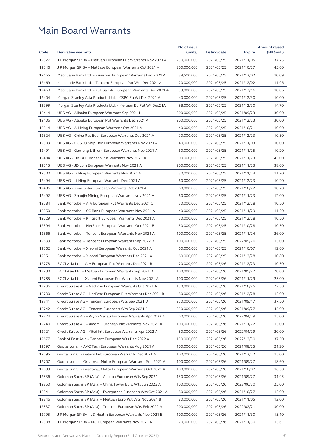| 12527<br>37.75<br>J P Morgan SP BV - Meituan European Put Warrants Nov 2021 A<br>250,000,000<br>2021/05/25<br>2021/11/05<br>12546<br>2021/05/25<br>45.60<br>J P Morgan SP BV – NetEase European Warrants Oct 2021 A<br>300,000,000<br>2021/10/27<br>12465<br>Macquarie Bank Ltd. - Kuaishou European Warrants Dec 2021 A<br>38,500,000<br>2021/05/25<br>2021/12/02<br>10.09<br>12469<br>11.96<br>Macquarie Bank Ltd. – Tencent European Put Wts Dec 2021 A<br>20,000,000<br>2021/05/25<br>2021/12/02<br>12468<br>Macquarie Bank Ltd. - YuHua Edu European Warrants Dec 2021 A<br>39,000,000<br>2021/05/25<br>2021/12/16<br>10.06<br>12404<br>10.00<br>Morgan Stanley Asia Products Ltd. - CSPC Eu Wt Dec 2021 A<br>40,000,000<br>2021/05/25<br>2021/12/30<br>12399<br>Morgan Stanley Asia Products Ltd. - Meituan Eu Put Wt Dec21A<br>98,000,000<br>2021/05/25<br>2021/12/30<br>14.70<br>12414<br>200,000,000<br>2021/05/25<br>2021/09/23<br>30.00<br>UBS AG – Alibaba European Warrants Sep 2021 L<br>12406<br>30.00<br>UBS AG – Alibaba European Put Warrants Dec 2021 A<br>200,000,000<br>2021/05/25<br>2021/12/23<br>12514<br>40,000,000<br>10.00<br>UBS AG – A-Living European Warrants Oct 2021 A<br>2021/05/25<br>2021/10/21<br>12524<br>70,000,000<br>2021/05/25<br>10.50<br>UBS AG – China Res Beer European Warrants Dec 2021 A<br>2021/12/23<br>12503<br>10.00<br>UBS AG - COSCO Ship Dev European Warrants Nov 2021 A<br>40,000,000<br>2021/05/25<br>2021/11/03<br>12491<br>10.20<br>UBS AG - Ganfeng Lithium European Warrants Nov 2021 A<br>60,000,000<br>2021/05/25<br>2021/11/25<br>12484<br>UBS AG - HKEX European Put Warrants Nov 2021 A<br>300,000,000<br>2021/05/25<br>45.00<br>2021/11/23<br>12515<br>38.00<br>UBS AG – JD.com European Warrants Nov 2021 A<br>200,000,000<br>2021/05/25<br>2021/11/23<br>12500<br>30,000,000<br>2021/05/25<br>11.70<br>UBS AG – Li Ning European Warrants Nov 2021 A<br>2021/11/24<br>12494<br>10.20<br>60,000,000<br>2021/05/25<br>2021/12/23<br>UBS AG - Li Ning European Warrants Dec 2021 A<br>12486<br>10.20<br>UBS AG - Xinyi Solar European Warrants Oct 2021 A<br>60,000,000<br>2021/05/25<br>2021/10/22<br>12492<br>12.00<br>UBS AG - Zhaojin Mining European Warrants Nov 2021 A<br>60,000,000<br>2021/05/25<br>2021/11/23<br>12584<br>70,000,000<br>10.50<br>Bank Vontobel – AIA European Put Warrants Dec 2021 C<br>2021/05/25<br>2021/12/28<br>12550<br>40,000,000<br>2021/05/25<br>11.20<br>Bank Vontobel – CC Bank European Warrants Nov 2021 A<br>2021/11/29<br>12629<br>70,000,000<br>2021/05/25<br>10.50<br>Bank Vontobel – Kingsoft European Warrants Dec 2021 A<br>2021/12/28<br>12594<br>Bank Vontobel – NetEase European Warrants Oct 2021 B<br>50,000,000<br>2021/05/25<br>10.50<br>2021/10/28<br>12566<br>26.00<br>Bank Vontobel – Tencent European Warrants Nov 2021 A<br>100,000,000<br>2021/05/25<br>2021/11/24<br>12639<br>Bank Vontobel - Tencent European Warrants Sep 2022 B<br>100,000,000<br>2021/05/25<br>2022/09/26<br>15.00<br>12562<br>Bank Vontobel - Xiaomi European Warrants Oct 2021 A<br>60,000,000<br>12.60<br>2021/05/25<br>2021/10/07<br>12551<br>Bank Vontobel - Xiaomi European Warrants Dec 2021 A<br>60,000,000<br>2021/05/25<br>10.80<br>2021/12/28<br>12778<br>BOCI Asia Ltd. - AIA European Put Warrants Dec 2021 B<br>70,000,000<br>2021/05/26<br>2021/12/23<br>10.50<br>12790<br>100,000,000<br>20.00<br>BOCI Asia Ltd. – Meituan European Warrants Sep 2021 B<br>2021/05/26<br>2021/09/27<br>25.00<br>12785<br>100,000,000<br>2021/05/26<br>2021/11/29<br>BOCI Asia Ltd. – Xiaomi European Put Warrants Nov 2021 A<br>22.50<br>12736<br>150,000,000<br>Credit Suisse AG – NetEase European Warrants Oct 2021 A<br>2021/05/26<br>2021/10/25<br>12730<br>Credit Suisse AG - NetEase European Put Warrants Dec 2021 B<br>80,000,000<br>2021/05/26<br>2021/12/28<br>12.00<br>12741<br>37.50<br>Credit Suisse AG – Tencent European Wts Sep 2021 D<br>250,000,000<br>2021/05/26<br>2021/09/17<br>12742<br>Credit Suisse AG - Tencent European Wts Sep 2021 E<br>250,000,000<br>2021/05/26<br>2021/09/27<br>45.00<br>12724<br>Credit Suisse AG - Wynn Macau European Warrants Apr 2022 A<br>60,000,000<br>2021/05/26<br>15.00<br>2022/04/29<br>12740<br>Credit Suisse AG - Xiaomi European Put Warrants Nov 2021 A<br>100,000,000<br>2021/05/26<br>2021/11/22<br>15.00<br>12721<br>Credit Suisse AG - Yihai Intl European Warrants Apr 2022 A<br>80,000,000<br>2021/05/26<br>2022/04/29<br>20.00<br>12677<br>150,000,000<br>37.50<br>Bank of East Asia – Tencent European Wts Dec 2022 A<br>2021/05/26<br>2022/12/30<br>12697<br>Guotai Junan - AAC Tech European Warrants Aug 2021 A<br>100,000,000<br>2021/05/26<br>2021/08/25<br>21.20<br>12695<br>Guotai Junan - Galaxy Ent European Warrants Dec 2021 A<br>100,000,000<br>15.00<br>2021/05/26<br>2021/12/22<br>12707<br>Guotai Junan - Greatwall Motor European Warrants Sep 2021 A<br>100,000,000<br>2021/05/26<br>2021/09/27<br>18.60<br>12699<br>16.30<br>Guotai Junan - Greatwall Motor European Warrants Oct 2021 A<br>100,000,000<br>2021/05/26<br>2021/10/07<br>12836<br>Goldman Sachs SP (Asia) - Alibaba European Wts Sep 2021 L<br>150,000,000<br>2021/05/26<br>2021/09/27<br>31.95<br>12850<br>Goldman Sachs SP (Asia) - China Tower Euro Wts Jun 2023 A<br>100,000,000<br>25.00<br>2021/05/26<br>2023/06/30<br>12841<br>Goldman Sachs SP (Asia) - Evergrande European Wts Oct 2021 A<br>80,000,000<br>2021/05/26<br>2021/10/27<br>12.00<br>12846<br>Goldman Sachs SP (Asia) - Meituan Euro Put Wts Nov 2021 B<br>80,000,000<br>12.00<br>2021/05/26<br>2021/11/05<br>12837<br>Goldman Sachs SP (Asia) - Tencent European Wts Feb 2022 A<br>200,000,000<br>2021/05/26<br>2022/02/21<br>30.00<br>12795<br>J P Morgan SP BV - JD Health European Warrants Nov 2021 B<br>100,000,000<br>2021/05/26<br>2021/11/30<br>15.10<br>12808<br>70,000,000<br>15.61 |      | <b>Derivative warrants</b>                          | No.of issue |              |               | <b>Amount raised</b> |
|-------------------------------------------------------------------------------------------------------------------------------------------------------------------------------------------------------------------------------------------------------------------------------------------------------------------------------------------------------------------------------------------------------------------------------------------------------------------------------------------------------------------------------------------------------------------------------------------------------------------------------------------------------------------------------------------------------------------------------------------------------------------------------------------------------------------------------------------------------------------------------------------------------------------------------------------------------------------------------------------------------------------------------------------------------------------------------------------------------------------------------------------------------------------------------------------------------------------------------------------------------------------------------------------------------------------------------------------------------------------------------------------------------------------------------------------------------------------------------------------------------------------------------------------------------------------------------------------------------------------------------------------------------------------------------------------------------------------------------------------------------------------------------------------------------------------------------------------------------------------------------------------------------------------------------------------------------------------------------------------------------------------------------------------------------------------------------------------------------------------------------------------------------------------------------------------------------------------------------------------------------------------------------------------------------------------------------------------------------------------------------------------------------------------------------------------------------------------------------------------------------------------------------------------------------------------------------------------------------------------------------------------------------------------------------------------------------------------------------------------------------------------------------------------------------------------------------------------------------------------------------------------------------------------------------------------------------------------------------------------------------------------------------------------------------------------------------------------------------------------------------------------------------------------------------------------------------------------------------------------------------------------------------------------------------------------------------------------------------------------------------------------------------------------------------------------------------------------------------------------------------------------------------------------------------------------------------------------------------------------------------------------------------------------------------------------------------------------------------------------------------------------------------------------------------------------------------------------------------------------------------------------------------------------------------------------------------------------------------------------------------------------------------------------------------------------------------------------------------------------------------------------------------------------------------------------------------------------------------------------------------------------------------------------------------------------------------------------------------------------------------------------------------------------------------------------------------------------------------------------------------------------------------------------------------------------------------------------------------------------------------------------------------------------------------------------------------------------------------------------------------------------------------------------------------------------------------------------------------------------------------------------------------------------------------------------------------------------------------------------------------------------------------------------------------------------------------------------------------------------------------------------------------------------------------------------------------------------------------------------------------------------------------------------------------------------------------------------------------------------------------------------------------------------------------------------------------------------------------------------------------------------------------------------------------------------------------------------------------------------------------------------------------------------------------------------------------------------------------------------------------------------------------------------------------------------------------------------------------------------------------------------------------------------------------|------|-----------------------------------------------------|-------------|--------------|---------------|----------------------|
|                                                                                                                                                                                                                                                                                                                                                                                                                                                                                                                                                                                                                                                                                                                                                                                                                                                                                                                                                                                                                                                                                                                                                                                                                                                                                                                                                                                                                                                                                                                                                                                                                                                                                                                                                                                                                                                                                                                                                                                                                                                                                                                                                                                                                                                                                                                                                                                                                                                                                                                                                                                                                                                                                                                                                                                                                                                                                                                                                                                                                                                                                                                                                                                                                                                                                                                                                                                                                                                                                                                                                                                                                                                                                                                                                                                                                                                                                                                                                                                                                                                                                                                                                                                                                                                                                                                                                                                                                                                                                                                                                                                                                                                                                                                                                                                                                                                                                                                                                                                                                                                                                                                                                                                                                                                                                                                                                                                                                                                                                                                                                                                                                                                                                                                                                                                                                                                                                                                               | Code |                                                     | (units)     | Listing date | <b>Expiry</b> | (HK\$mil.)           |
|                                                                                                                                                                                                                                                                                                                                                                                                                                                                                                                                                                                                                                                                                                                                                                                                                                                                                                                                                                                                                                                                                                                                                                                                                                                                                                                                                                                                                                                                                                                                                                                                                                                                                                                                                                                                                                                                                                                                                                                                                                                                                                                                                                                                                                                                                                                                                                                                                                                                                                                                                                                                                                                                                                                                                                                                                                                                                                                                                                                                                                                                                                                                                                                                                                                                                                                                                                                                                                                                                                                                                                                                                                                                                                                                                                                                                                                                                                                                                                                                                                                                                                                                                                                                                                                                                                                                                                                                                                                                                                                                                                                                                                                                                                                                                                                                                                                                                                                                                                                                                                                                                                                                                                                                                                                                                                                                                                                                                                                                                                                                                                                                                                                                                                                                                                                                                                                                                                                               |      |                                                     |             |              |               |                      |
|                                                                                                                                                                                                                                                                                                                                                                                                                                                                                                                                                                                                                                                                                                                                                                                                                                                                                                                                                                                                                                                                                                                                                                                                                                                                                                                                                                                                                                                                                                                                                                                                                                                                                                                                                                                                                                                                                                                                                                                                                                                                                                                                                                                                                                                                                                                                                                                                                                                                                                                                                                                                                                                                                                                                                                                                                                                                                                                                                                                                                                                                                                                                                                                                                                                                                                                                                                                                                                                                                                                                                                                                                                                                                                                                                                                                                                                                                                                                                                                                                                                                                                                                                                                                                                                                                                                                                                                                                                                                                                                                                                                                                                                                                                                                                                                                                                                                                                                                                                                                                                                                                                                                                                                                                                                                                                                                                                                                                                                                                                                                                                                                                                                                                                                                                                                                                                                                                                                               |      |                                                     |             |              |               |                      |
|                                                                                                                                                                                                                                                                                                                                                                                                                                                                                                                                                                                                                                                                                                                                                                                                                                                                                                                                                                                                                                                                                                                                                                                                                                                                                                                                                                                                                                                                                                                                                                                                                                                                                                                                                                                                                                                                                                                                                                                                                                                                                                                                                                                                                                                                                                                                                                                                                                                                                                                                                                                                                                                                                                                                                                                                                                                                                                                                                                                                                                                                                                                                                                                                                                                                                                                                                                                                                                                                                                                                                                                                                                                                                                                                                                                                                                                                                                                                                                                                                                                                                                                                                                                                                                                                                                                                                                                                                                                                                                                                                                                                                                                                                                                                                                                                                                                                                                                                                                                                                                                                                                                                                                                                                                                                                                                                                                                                                                                                                                                                                                                                                                                                                                                                                                                                                                                                                                                               |      |                                                     |             |              |               |                      |
|                                                                                                                                                                                                                                                                                                                                                                                                                                                                                                                                                                                                                                                                                                                                                                                                                                                                                                                                                                                                                                                                                                                                                                                                                                                                                                                                                                                                                                                                                                                                                                                                                                                                                                                                                                                                                                                                                                                                                                                                                                                                                                                                                                                                                                                                                                                                                                                                                                                                                                                                                                                                                                                                                                                                                                                                                                                                                                                                                                                                                                                                                                                                                                                                                                                                                                                                                                                                                                                                                                                                                                                                                                                                                                                                                                                                                                                                                                                                                                                                                                                                                                                                                                                                                                                                                                                                                                                                                                                                                                                                                                                                                                                                                                                                                                                                                                                                                                                                                                                                                                                                                                                                                                                                                                                                                                                                                                                                                                                                                                                                                                                                                                                                                                                                                                                                                                                                                                                               |      |                                                     |             |              |               |                      |
|                                                                                                                                                                                                                                                                                                                                                                                                                                                                                                                                                                                                                                                                                                                                                                                                                                                                                                                                                                                                                                                                                                                                                                                                                                                                                                                                                                                                                                                                                                                                                                                                                                                                                                                                                                                                                                                                                                                                                                                                                                                                                                                                                                                                                                                                                                                                                                                                                                                                                                                                                                                                                                                                                                                                                                                                                                                                                                                                                                                                                                                                                                                                                                                                                                                                                                                                                                                                                                                                                                                                                                                                                                                                                                                                                                                                                                                                                                                                                                                                                                                                                                                                                                                                                                                                                                                                                                                                                                                                                                                                                                                                                                                                                                                                                                                                                                                                                                                                                                                                                                                                                                                                                                                                                                                                                                                                                                                                                                                                                                                                                                                                                                                                                                                                                                                                                                                                                                                               |      |                                                     |             |              |               |                      |
|                                                                                                                                                                                                                                                                                                                                                                                                                                                                                                                                                                                                                                                                                                                                                                                                                                                                                                                                                                                                                                                                                                                                                                                                                                                                                                                                                                                                                                                                                                                                                                                                                                                                                                                                                                                                                                                                                                                                                                                                                                                                                                                                                                                                                                                                                                                                                                                                                                                                                                                                                                                                                                                                                                                                                                                                                                                                                                                                                                                                                                                                                                                                                                                                                                                                                                                                                                                                                                                                                                                                                                                                                                                                                                                                                                                                                                                                                                                                                                                                                                                                                                                                                                                                                                                                                                                                                                                                                                                                                                                                                                                                                                                                                                                                                                                                                                                                                                                                                                                                                                                                                                                                                                                                                                                                                                                                                                                                                                                                                                                                                                                                                                                                                                                                                                                                                                                                                                                               |      |                                                     |             |              |               |                      |
|                                                                                                                                                                                                                                                                                                                                                                                                                                                                                                                                                                                                                                                                                                                                                                                                                                                                                                                                                                                                                                                                                                                                                                                                                                                                                                                                                                                                                                                                                                                                                                                                                                                                                                                                                                                                                                                                                                                                                                                                                                                                                                                                                                                                                                                                                                                                                                                                                                                                                                                                                                                                                                                                                                                                                                                                                                                                                                                                                                                                                                                                                                                                                                                                                                                                                                                                                                                                                                                                                                                                                                                                                                                                                                                                                                                                                                                                                                                                                                                                                                                                                                                                                                                                                                                                                                                                                                                                                                                                                                                                                                                                                                                                                                                                                                                                                                                                                                                                                                                                                                                                                                                                                                                                                                                                                                                                                                                                                                                                                                                                                                                                                                                                                                                                                                                                                                                                                                                               |      |                                                     |             |              |               |                      |
|                                                                                                                                                                                                                                                                                                                                                                                                                                                                                                                                                                                                                                                                                                                                                                                                                                                                                                                                                                                                                                                                                                                                                                                                                                                                                                                                                                                                                                                                                                                                                                                                                                                                                                                                                                                                                                                                                                                                                                                                                                                                                                                                                                                                                                                                                                                                                                                                                                                                                                                                                                                                                                                                                                                                                                                                                                                                                                                                                                                                                                                                                                                                                                                                                                                                                                                                                                                                                                                                                                                                                                                                                                                                                                                                                                                                                                                                                                                                                                                                                                                                                                                                                                                                                                                                                                                                                                                                                                                                                                                                                                                                                                                                                                                                                                                                                                                                                                                                                                                                                                                                                                                                                                                                                                                                                                                                                                                                                                                                                                                                                                                                                                                                                                                                                                                                                                                                                                                               |      |                                                     |             |              |               |                      |
|                                                                                                                                                                                                                                                                                                                                                                                                                                                                                                                                                                                                                                                                                                                                                                                                                                                                                                                                                                                                                                                                                                                                                                                                                                                                                                                                                                                                                                                                                                                                                                                                                                                                                                                                                                                                                                                                                                                                                                                                                                                                                                                                                                                                                                                                                                                                                                                                                                                                                                                                                                                                                                                                                                                                                                                                                                                                                                                                                                                                                                                                                                                                                                                                                                                                                                                                                                                                                                                                                                                                                                                                                                                                                                                                                                                                                                                                                                                                                                                                                                                                                                                                                                                                                                                                                                                                                                                                                                                                                                                                                                                                                                                                                                                                                                                                                                                                                                                                                                                                                                                                                                                                                                                                                                                                                                                                                                                                                                                                                                                                                                                                                                                                                                                                                                                                                                                                                                                               |      |                                                     |             |              |               |                      |
|                                                                                                                                                                                                                                                                                                                                                                                                                                                                                                                                                                                                                                                                                                                                                                                                                                                                                                                                                                                                                                                                                                                                                                                                                                                                                                                                                                                                                                                                                                                                                                                                                                                                                                                                                                                                                                                                                                                                                                                                                                                                                                                                                                                                                                                                                                                                                                                                                                                                                                                                                                                                                                                                                                                                                                                                                                                                                                                                                                                                                                                                                                                                                                                                                                                                                                                                                                                                                                                                                                                                                                                                                                                                                                                                                                                                                                                                                                                                                                                                                                                                                                                                                                                                                                                                                                                                                                                                                                                                                                                                                                                                                                                                                                                                                                                                                                                                                                                                                                                                                                                                                                                                                                                                                                                                                                                                                                                                                                                                                                                                                                                                                                                                                                                                                                                                                                                                                                                               |      |                                                     |             |              |               |                      |
|                                                                                                                                                                                                                                                                                                                                                                                                                                                                                                                                                                                                                                                                                                                                                                                                                                                                                                                                                                                                                                                                                                                                                                                                                                                                                                                                                                                                                                                                                                                                                                                                                                                                                                                                                                                                                                                                                                                                                                                                                                                                                                                                                                                                                                                                                                                                                                                                                                                                                                                                                                                                                                                                                                                                                                                                                                                                                                                                                                                                                                                                                                                                                                                                                                                                                                                                                                                                                                                                                                                                                                                                                                                                                                                                                                                                                                                                                                                                                                                                                                                                                                                                                                                                                                                                                                                                                                                                                                                                                                                                                                                                                                                                                                                                                                                                                                                                                                                                                                                                                                                                                                                                                                                                                                                                                                                                                                                                                                                                                                                                                                                                                                                                                                                                                                                                                                                                                                                               |      |                                                     |             |              |               |                      |
|                                                                                                                                                                                                                                                                                                                                                                                                                                                                                                                                                                                                                                                                                                                                                                                                                                                                                                                                                                                                                                                                                                                                                                                                                                                                                                                                                                                                                                                                                                                                                                                                                                                                                                                                                                                                                                                                                                                                                                                                                                                                                                                                                                                                                                                                                                                                                                                                                                                                                                                                                                                                                                                                                                                                                                                                                                                                                                                                                                                                                                                                                                                                                                                                                                                                                                                                                                                                                                                                                                                                                                                                                                                                                                                                                                                                                                                                                                                                                                                                                                                                                                                                                                                                                                                                                                                                                                                                                                                                                                                                                                                                                                                                                                                                                                                                                                                                                                                                                                                                                                                                                                                                                                                                                                                                                                                                                                                                                                                                                                                                                                                                                                                                                                                                                                                                                                                                                                                               |      |                                                     |             |              |               |                      |
|                                                                                                                                                                                                                                                                                                                                                                                                                                                                                                                                                                                                                                                                                                                                                                                                                                                                                                                                                                                                                                                                                                                                                                                                                                                                                                                                                                                                                                                                                                                                                                                                                                                                                                                                                                                                                                                                                                                                                                                                                                                                                                                                                                                                                                                                                                                                                                                                                                                                                                                                                                                                                                                                                                                                                                                                                                                                                                                                                                                                                                                                                                                                                                                                                                                                                                                                                                                                                                                                                                                                                                                                                                                                                                                                                                                                                                                                                                                                                                                                                                                                                                                                                                                                                                                                                                                                                                                                                                                                                                                                                                                                                                                                                                                                                                                                                                                                                                                                                                                                                                                                                                                                                                                                                                                                                                                                                                                                                                                                                                                                                                                                                                                                                                                                                                                                                                                                                                                               |      |                                                     |             |              |               |                      |
|                                                                                                                                                                                                                                                                                                                                                                                                                                                                                                                                                                                                                                                                                                                                                                                                                                                                                                                                                                                                                                                                                                                                                                                                                                                                                                                                                                                                                                                                                                                                                                                                                                                                                                                                                                                                                                                                                                                                                                                                                                                                                                                                                                                                                                                                                                                                                                                                                                                                                                                                                                                                                                                                                                                                                                                                                                                                                                                                                                                                                                                                                                                                                                                                                                                                                                                                                                                                                                                                                                                                                                                                                                                                                                                                                                                                                                                                                                                                                                                                                                                                                                                                                                                                                                                                                                                                                                                                                                                                                                                                                                                                                                                                                                                                                                                                                                                                                                                                                                                                                                                                                                                                                                                                                                                                                                                                                                                                                                                                                                                                                                                                                                                                                                                                                                                                                                                                                                                               |      |                                                     |             |              |               |                      |
|                                                                                                                                                                                                                                                                                                                                                                                                                                                                                                                                                                                                                                                                                                                                                                                                                                                                                                                                                                                                                                                                                                                                                                                                                                                                                                                                                                                                                                                                                                                                                                                                                                                                                                                                                                                                                                                                                                                                                                                                                                                                                                                                                                                                                                                                                                                                                                                                                                                                                                                                                                                                                                                                                                                                                                                                                                                                                                                                                                                                                                                                                                                                                                                                                                                                                                                                                                                                                                                                                                                                                                                                                                                                                                                                                                                                                                                                                                                                                                                                                                                                                                                                                                                                                                                                                                                                                                                                                                                                                                                                                                                                                                                                                                                                                                                                                                                                                                                                                                                                                                                                                                                                                                                                                                                                                                                                                                                                                                                                                                                                                                                                                                                                                                                                                                                                                                                                                                                               |      |                                                     |             |              |               |                      |
|                                                                                                                                                                                                                                                                                                                                                                                                                                                                                                                                                                                                                                                                                                                                                                                                                                                                                                                                                                                                                                                                                                                                                                                                                                                                                                                                                                                                                                                                                                                                                                                                                                                                                                                                                                                                                                                                                                                                                                                                                                                                                                                                                                                                                                                                                                                                                                                                                                                                                                                                                                                                                                                                                                                                                                                                                                                                                                                                                                                                                                                                                                                                                                                                                                                                                                                                                                                                                                                                                                                                                                                                                                                                                                                                                                                                                                                                                                                                                                                                                                                                                                                                                                                                                                                                                                                                                                                                                                                                                                                                                                                                                                                                                                                                                                                                                                                                                                                                                                                                                                                                                                                                                                                                                                                                                                                                                                                                                                                                                                                                                                                                                                                                                                                                                                                                                                                                                                                               |      |                                                     |             |              |               |                      |
|                                                                                                                                                                                                                                                                                                                                                                                                                                                                                                                                                                                                                                                                                                                                                                                                                                                                                                                                                                                                                                                                                                                                                                                                                                                                                                                                                                                                                                                                                                                                                                                                                                                                                                                                                                                                                                                                                                                                                                                                                                                                                                                                                                                                                                                                                                                                                                                                                                                                                                                                                                                                                                                                                                                                                                                                                                                                                                                                                                                                                                                                                                                                                                                                                                                                                                                                                                                                                                                                                                                                                                                                                                                                                                                                                                                                                                                                                                                                                                                                                                                                                                                                                                                                                                                                                                                                                                                                                                                                                                                                                                                                                                                                                                                                                                                                                                                                                                                                                                                                                                                                                                                                                                                                                                                                                                                                                                                                                                                                                                                                                                                                                                                                                                                                                                                                                                                                                                                               |      |                                                     |             |              |               |                      |
|                                                                                                                                                                                                                                                                                                                                                                                                                                                                                                                                                                                                                                                                                                                                                                                                                                                                                                                                                                                                                                                                                                                                                                                                                                                                                                                                                                                                                                                                                                                                                                                                                                                                                                                                                                                                                                                                                                                                                                                                                                                                                                                                                                                                                                                                                                                                                                                                                                                                                                                                                                                                                                                                                                                                                                                                                                                                                                                                                                                                                                                                                                                                                                                                                                                                                                                                                                                                                                                                                                                                                                                                                                                                                                                                                                                                                                                                                                                                                                                                                                                                                                                                                                                                                                                                                                                                                                                                                                                                                                                                                                                                                                                                                                                                                                                                                                                                                                                                                                                                                                                                                                                                                                                                                                                                                                                                                                                                                                                                                                                                                                                                                                                                                                                                                                                                                                                                                                                               |      |                                                     |             |              |               |                      |
|                                                                                                                                                                                                                                                                                                                                                                                                                                                                                                                                                                                                                                                                                                                                                                                                                                                                                                                                                                                                                                                                                                                                                                                                                                                                                                                                                                                                                                                                                                                                                                                                                                                                                                                                                                                                                                                                                                                                                                                                                                                                                                                                                                                                                                                                                                                                                                                                                                                                                                                                                                                                                                                                                                                                                                                                                                                                                                                                                                                                                                                                                                                                                                                                                                                                                                                                                                                                                                                                                                                                                                                                                                                                                                                                                                                                                                                                                                                                                                                                                                                                                                                                                                                                                                                                                                                                                                                                                                                                                                                                                                                                                                                                                                                                                                                                                                                                                                                                                                                                                                                                                                                                                                                                                                                                                                                                                                                                                                                                                                                                                                                                                                                                                                                                                                                                                                                                                                                               |      |                                                     |             |              |               |                      |
|                                                                                                                                                                                                                                                                                                                                                                                                                                                                                                                                                                                                                                                                                                                                                                                                                                                                                                                                                                                                                                                                                                                                                                                                                                                                                                                                                                                                                                                                                                                                                                                                                                                                                                                                                                                                                                                                                                                                                                                                                                                                                                                                                                                                                                                                                                                                                                                                                                                                                                                                                                                                                                                                                                                                                                                                                                                                                                                                                                                                                                                                                                                                                                                                                                                                                                                                                                                                                                                                                                                                                                                                                                                                                                                                                                                                                                                                                                                                                                                                                                                                                                                                                                                                                                                                                                                                                                                                                                                                                                                                                                                                                                                                                                                                                                                                                                                                                                                                                                                                                                                                                                                                                                                                                                                                                                                                                                                                                                                                                                                                                                                                                                                                                                                                                                                                                                                                                                                               |      |                                                     |             |              |               |                      |
|                                                                                                                                                                                                                                                                                                                                                                                                                                                                                                                                                                                                                                                                                                                                                                                                                                                                                                                                                                                                                                                                                                                                                                                                                                                                                                                                                                                                                                                                                                                                                                                                                                                                                                                                                                                                                                                                                                                                                                                                                                                                                                                                                                                                                                                                                                                                                                                                                                                                                                                                                                                                                                                                                                                                                                                                                                                                                                                                                                                                                                                                                                                                                                                                                                                                                                                                                                                                                                                                                                                                                                                                                                                                                                                                                                                                                                                                                                                                                                                                                                                                                                                                                                                                                                                                                                                                                                                                                                                                                                                                                                                                                                                                                                                                                                                                                                                                                                                                                                                                                                                                                                                                                                                                                                                                                                                                                                                                                                                                                                                                                                                                                                                                                                                                                                                                                                                                                                                               |      |                                                     |             |              |               |                      |
|                                                                                                                                                                                                                                                                                                                                                                                                                                                                                                                                                                                                                                                                                                                                                                                                                                                                                                                                                                                                                                                                                                                                                                                                                                                                                                                                                                                                                                                                                                                                                                                                                                                                                                                                                                                                                                                                                                                                                                                                                                                                                                                                                                                                                                                                                                                                                                                                                                                                                                                                                                                                                                                                                                                                                                                                                                                                                                                                                                                                                                                                                                                                                                                                                                                                                                                                                                                                                                                                                                                                                                                                                                                                                                                                                                                                                                                                                                                                                                                                                                                                                                                                                                                                                                                                                                                                                                                                                                                                                                                                                                                                                                                                                                                                                                                                                                                                                                                                                                                                                                                                                                                                                                                                                                                                                                                                                                                                                                                                                                                                                                                                                                                                                                                                                                                                                                                                                                                               |      |                                                     |             |              |               |                      |
|                                                                                                                                                                                                                                                                                                                                                                                                                                                                                                                                                                                                                                                                                                                                                                                                                                                                                                                                                                                                                                                                                                                                                                                                                                                                                                                                                                                                                                                                                                                                                                                                                                                                                                                                                                                                                                                                                                                                                                                                                                                                                                                                                                                                                                                                                                                                                                                                                                                                                                                                                                                                                                                                                                                                                                                                                                                                                                                                                                                                                                                                                                                                                                                                                                                                                                                                                                                                                                                                                                                                                                                                                                                                                                                                                                                                                                                                                                                                                                                                                                                                                                                                                                                                                                                                                                                                                                                                                                                                                                                                                                                                                                                                                                                                                                                                                                                                                                                                                                                                                                                                                                                                                                                                                                                                                                                                                                                                                                                                                                                                                                                                                                                                                                                                                                                                                                                                                                                               |      |                                                     |             |              |               |                      |
|                                                                                                                                                                                                                                                                                                                                                                                                                                                                                                                                                                                                                                                                                                                                                                                                                                                                                                                                                                                                                                                                                                                                                                                                                                                                                                                                                                                                                                                                                                                                                                                                                                                                                                                                                                                                                                                                                                                                                                                                                                                                                                                                                                                                                                                                                                                                                                                                                                                                                                                                                                                                                                                                                                                                                                                                                                                                                                                                                                                                                                                                                                                                                                                                                                                                                                                                                                                                                                                                                                                                                                                                                                                                                                                                                                                                                                                                                                                                                                                                                                                                                                                                                                                                                                                                                                                                                                                                                                                                                                                                                                                                                                                                                                                                                                                                                                                                                                                                                                                                                                                                                                                                                                                                                                                                                                                                                                                                                                                                                                                                                                                                                                                                                                                                                                                                                                                                                                                               |      |                                                     |             |              |               |                      |
|                                                                                                                                                                                                                                                                                                                                                                                                                                                                                                                                                                                                                                                                                                                                                                                                                                                                                                                                                                                                                                                                                                                                                                                                                                                                                                                                                                                                                                                                                                                                                                                                                                                                                                                                                                                                                                                                                                                                                                                                                                                                                                                                                                                                                                                                                                                                                                                                                                                                                                                                                                                                                                                                                                                                                                                                                                                                                                                                                                                                                                                                                                                                                                                                                                                                                                                                                                                                                                                                                                                                                                                                                                                                                                                                                                                                                                                                                                                                                                                                                                                                                                                                                                                                                                                                                                                                                                                                                                                                                                                                                                                                                                                                                                                                                                                                                                                                                                                                                                                                                                                                                                                                                                                                                                                                                                                                                                                                                                                                                                                                                                                                                                                                                                                                                                                                                                                                                                                               |      |                                                     |             |              |               |                      |
|                                                                                                                                                                                                                                                                                                                                                                                                                                                                                                                                                                                                                                                                                                                                                                                                                                                                                                                                                                                                                                                                                                                                                                                                                                                                                                                                                                                                                                                                                                                                                                                                                                                                                                                                                                                                                                                                                                                                                                                                                                                                                                                                                                                                                                                                                                                                                                                                                                                                                                                                                                                                                                                                                                                                                                                                                                                                                                                                                                                                                                                                                                                                                                                                                                                                                                                                                                                                                                                                                                                                                                                                                                                                                                                                                                                                                                                                                                                                                                                                                                                                                                                                                                                                                                                                                                                                                                                                                                                                                                                                                                                                                                                                                                                                                                                                                                                                                                                                                                                                                                                                                                                                                                                                                                                                                                                                                                                                                                                                                                                                                                                                                                                                                                                                                                                                                                                                                                                               |      |                                                     |             |              |               |                      |
|                                                                                                                                                                                                                                                                                                                                                                                                                                                                                                                                                                                                                                                                                                                                                                                                                                                                                                                                                                                                                                                                                                                                                                                                                                                                                                                                                                                                                                                                                                                                                                                                                                                                                                                                                                                                                                                                                                                                                                                                                                                                                                                                                                                                                                                                                                                                                                                                                                                                                                                                                                                                                                                                                                                                                                                                                                                                                                                                                                                                                                                                                                                                                                                                                                                                                                                                                                                                                                                                                                                                                                                                                                                                                                                                                                                                                                                                                                                                                                                                                                                                                                                                                                                                                                                                                                                                                                                                                                                                                                                                                                                                                                                                                                                                                                                                                                                                                                                                                                                                                                                                                                                                                                                                                                                                                                                                                                                                                                                                                                                                                                                                                                                                                                                                                                                                                                                                                                                               |      |                                                     |             |              |               |                      |
|                                                                                                                                                                                                                                                                                                                                                                                                                                                                                                                                                                                                                                                                                                                                                                                                                                                                                                                                                                                                                                                                                                                                                                                                                                                                                                                                                                                                                                                                                                                                                                                                                                                                                                                                                                                                                                                                                                                                                                                                                                                                                                                                                                                                                                                                                                                                                                                                                                                                                                                                                                                                                                                                                                                                                                                                                                                                                                                                                                                                                                                                                                                                                                                                                                                                                                                                                                                                                                                                                                                                                                                                                                                                                                                                                                                                                                                                                                                                                                                                                                                                                                                                                                                                                                                                                                                                                                                                                                                                                                                                                                                                                                                                                                                                                                                                                                                                                                                                                                                                                                                                                                                                                                                                                                                                                                                                                                                                                                                                                                                                                                                                                                                                                                                                                                                                                                                                                                                               |      |                                                     |             |              |               |                      |
|                                                                                                                                                                                                                                                                                                                                                                                                                                                                                                                                                                                                                                                                                                                                                                                                                                                                                                                                                                                                                                                                                                                                                                                                                                                                                                                                                                                                                                                                                                                                                                                                                                                                                                                                                                                                                                                                                                                                                                                                                                                                                                                                                                                                                                                                                                                                                                                                                                                                                                                                                                                                                                                                                                                                                                                                                                                                                                                                                                                                                                                                                                                                                                                                                                                                                                                                                                                                                                                                                                                                                                                                                                                                                                                                                                                                                                                                                                                                                                                                                                                                                                                                                                                                                                                                                                                                                                                                                                                                                                                                                                                                                                                                                                                                                                                                                                                                                                                                                                                                                                                                                                                                                                                                                                                                                                                                                                                                                                                                                                                                                                                                                                                                                                                                                                                                                                                                                                                               |      |                                                     |             |              |               |                      |
|                                                                                                                                                                                                                                                                                                                                                                                                                                                                                                                                                                                                                                                                                                                                                                                                                                                                                                                                                                                                                                                                                                                                                                                                                                                                                                                                                                                                                                                                                                                                                                                                                                                                                                                                                                                                                                                                                                                                                                                                                                                                                                                                                                                                                                                                                                                                                                                                                                                                                                                                                                                                                                                                                                                                                                                                                                                                                                                                                                                                                                                                                                                                                                                                                                                                                                                                                                                                                                                                                                                                                                                                                                                                                                                                                                                                                                                                                                                                                                                                                                                                                                                                                                                                                                                                                                                                                                                                                                                                                                                                                                                                                                                                                                                                                                                                                                                                                                                                                                                                                                                                                                                                                                                                                                                                                                                                                                                                                                                                                                                                                                                                                                                                                                                                                                                                                                                                                                                               |      |                                                     |             |              |               |                      |
|                                                                                                                                                                                                                                                                                                                                                                                                                                                                                                                                                                                                                                                                                                                                                                                                                                                                                                                                                                                                                                                                                                                                                                                                                                                                                                                                                                                                                                                                                                                                                                                                                                                                                                                                                                                                                                                                                                                                                                                                                                                                                                                                                                                                                                                                                                                                                                                                                                                                                                                                                                                                                                                                                                                                                                                                                                                                                                                                                                                                                                                                                                                                                                                                                                                                                                                                                                                                                                                                                                                                                                                                                                                                                                                                                                                                                                                                                                                                                                                                                                                                                                                                                                                                                                                                                                                                                                                                                                                                                                                                                                                                                                                                                                                                                                                                                                                                                                                                                                                                                                                                                                                                                                                                                                                                                                                                                                                                                                                                                                                                                                                                                                                                                                                                                                                                                                                                                                                               |      |                                                     |             |              |               |                      |
|                                                                                                                                                                                                                                                                                                                                                                                                                                                                                                                                                                                                                                                                                                                                                                                                                                                                                                                                                                                                                                                                                                                                                                                                                                                                                                                                                                                                                                                                                                                                                                                                                                                                                                                                                                                                                                                                                                                                                                                                                                                                                                                                                                                                                                                                                                                                                                                                                                                                                                                                                                                                                                                                                                                                                                                                                                                                                                                                                                                                                                                                                                                                                                                                                                                                                                                                                                                                                                                                                                                                                                                                                                                                                                                                                                                                                                                                                                                                                                                                                                                                                                                                                                                                                                                                                                                                                                                                                                                                                                                                                                                                                                                                                                                                                                                                                                                                                                                                                                                                                                                                                                                                                                                                                                                                                                                                                                                                                                                                                                                                                                                                                                                                                                                                                                                                                                                                                                                               |      |                                                     |             |              |               |                      |
|                                                                                                                                                                                                                                                                                                                                                                                                                                                                                                                                                                                                                                                                                                                                                                                                                                                                                                                                                                                                                                                                                                                                                                                                                                                                                                                                                                                                                                                                                                                                                                                                                                                                                                                                                                                                                                                                                                                                                                                                                                                                                                                                                                                                                                                                                                                                                                                                                                                                                                                                                                                                                                                                                                                                                                                                                                                                                                                                                                                                                                                                                                                                                                                                                                                                                                                                                                                                                                                                                                                                                                                                                                                                                                                                                                                                                                                                                                                                                                                                                                                                                                                                                                                                                                                                                                                                                                                                                                                                                                                                                                                                                                                                                                                                                                                                                                                                                                                                                                                                                                                                                                                                                                                                                                                                                                                                                                                                                                                                                                                                                                                                                                                                                                                                                                                                                                                                                                                               |      |                                                     |             |              |               |                      |
|                                                                                                                                                                                                                                                                                                                                                                                                                                                                                                                                                                                                                                                                                                                                                                                                                                                                                                                                                                                                                                                                                                                                                                                                                                                                                                                                                                                                                                                                                                                                                                                                                                                                                                                                                                                                                                                                                                                                                                                                                                                                                                                                                                                                                                                                                                                                                                                                                                                                                                                                                                                                                                                                                                                                                                                                                                                                                                                                                                                                                                                                                                                                                                                                                                                                                                                                                                                                                                                                                                                                                                                                                                                                                                                                                                                                                                                                                                                                                                                                                                                                                                                                                                                                                                                                                                                                                                                                                                                                                                                                                                                                                                                                                                                                                                                                                                                                                                                                                                                                                                                                                                                                                                                                                                                                                                                                                                                                                                                                                                                                                                                                                                                                                                                                                                                                                                                                                                                               |      |                                                     |             |              |               |                      |
|                                                                                                                                                                                                                                                                                                                                                                                                                                                                                                                                                                                                                                                                                                                                                                                                                                                                                                                                                                                                                                                                                                                                                                                                                                                                                                                                                                                                                                                                                                                                                                                                                                                                                                                                                                                                                                                                                                                                                                                                                                                                                                                                                                                                                                                                                                                                                                                                                                                                                                                                                                                                                                                                                                                                                                                                                                                                                                                                                                                                                                                                                                                                                                                                                                                                                                                                                                                                                                                                                                                                                                                                                                                                                                                                                                                                                                                                                                                                                                                                                                                                                                                                                                                                                                                                                                                                                                                                                                                                                                                                                                                                                                                                                                                                                                                                                                                                                                                                                                                                                                                                                                                                                                                                                                                                                                                                                                                                                                                                                                                                                                                                                                                                                                                                                                                                                                                                                                                               |      |                                                     |             |              |               |                      |
|                                                                                                                                                                                                                                                                                                                                                                                                                                                                                                                                                                                                                                                                                                                                                                                                                                                                                                                                                                                                                                                                                                                                                                                                                                                                                                                                                                                                                                                                                                                                                                                                                                                                                                                                                                                                                                                                                                                                                                                                                                                                                                                                                                                                                                                                                                                                                                                                                                                                                                                                                                                                                                                                                                                                                                                                                                                                                                                                                                                                                                                                                                                                                                                                                                                                                                                                                                                                                                                                                                                                                                                                                                                                                                                                                                                                                                                                                                                                                                                                                                                                                                                                                                                                                                                                                                                                                                                                                                                                                                                                                                                                                                                                                                                                                                                                                                                                                                                                                                                                                                                                                                                                                                                                                                                                                                                                                                                                                                                                                                                                                                                                                                                                                                                                                                                                                                                                                                                               |      |                                                     |             |              |               |                      |
|                                                                                                                                                                                                                                                                                                                                                                                                                                                                                                                                                                                                                                                                                                                                                                                                                                                                                                                                                                                                                                                                                                                                                                                                                                                                                                                                                                                                                                                                                                                                                                                                                                                                                                                                                                                                                                                                                                                                                                                                                                                                                                                                                                                                                                                                                                                                                                                                                                                                                                                                                                                                                                                                                                                                                                                                                                                                                                                                                                                                                                                                                                                                                                                                                                                                                                                                                                                                                                                                                                                                                                                                                                                                                                                                                                                                                                                                                                                                                                                                                                                                                                                                                                                                                                                                                                                                                                                                                                                                                                                                                                                                                                                                                                                                                                                                                                                                                                                                                                                                                                                                                                                                                                                                                                                                                                                                                                                                                                                                                                                                                                                                                                                                                                                                                                                                                                                                                                                               |      |                                                     |             |              |               |                      |
|                                                                                                                                                                                                                                                                                                                                                                                                                                                                                                                                                                                                                                                                                                                                                                                                                                                                                                                                                                                                                                                                                                                                                                                                                                                                                                                                                                                                                                                                                                                                                                                                                                                                                                                                                                                                                                                                                                                                                                                                                                                                                                                                                                                                                                                                                                                                                                                                                                                                                                                                                                                                                                                                                                                                                                                                                                                                                                                                                                                                                                                                                                                                                                                                                                                                                                                                                                                                                                                                                                                                                                                                                                                                                                                                                                                                                                                                                                                                                                                                                                                                                                                                                                                                                                                                                                                                                                                                                                                                                                                                                                                                                                                                                                                                                                                                                                                                                                                                                                                                                                                                                                                                                                                                                                                                                                                                                                                                                                                                                                                                                                                                                                                                                                                                                                                                                                                                                                                               |      |                                                     |             |              |               |                      |
|                                                                                                                                                                                                                                                                                                                                                                                                                                                                                                                                                                                                                                                                                                                                                                                                                                                                                                                                                                                                                                                                                                                                                                                                                                                                                                                                                                                                                                                                                                                                                                                                                                                                                                                                                                                                                                                                                                                                                                                                                                                                                                                                                                                                                                                                                                                                                                                                                                                                                                                                                                                                                                                                                                                                                                                                                                                                                                                                                                                                                                                                                                                                                                                                                                                                                                                                                                                                                                                                                                                                                                                                                                                                                                                                                                                                                                                                                                                                                                                                                                                                                                                                                                                                                                                                                                                                                                                                                                                                                                                                                                                                                                                                                                                                                                                                                                                                                                                                                                                                                                                                                                                                                                                                                                                                                                                                                                                                                                                                                                                                                                                                                                                                                                                                                                                                                                                                                                                               |      |                                                     |             |              |               |                      |
|                                                                                                                                                                                                                                                                                                                                                                                                                                                                                                                                                                                                                                                                                                                                                                                                                                                                                                                                                                                                                                                                                                                                                                                                                                                                                                                                                                                                                                                                                                                                                                                                                                                                                                                                                                                                                                                                                                                                                                                                                                                                                                                                                                                                                                                                                                                                                                                                                                                                                                                                                                                                                                                                                                                                                                                                                                                                                                                                                                                                                                                                                                                                                                                                                                                                                                                                                                                                                                                                                                                                                                                                                                                                                                                                                                                                                                                                                                                                                                                                                                                                                                                                                                                                                                                                                                                                                                                                                                                                                                                                                                                                                                                                                                                                                                                                                                                                                                                                                                                                                                                                                                                                                                                                                                                                                                                                                                                                                                                                                                                                                                                                                                                                                                                                                                                                                                                                                                                               |      |                                                     |             |              |               |                      |
|                                                                                                                                                                                                                                                                                                                                                                                                                                                                                                                                                                                                                                                                                                                                                                                                                                                                                                                                                                                                                                                                                                                                                                                                                                                                                                                                                                                                                                                                                                                                                                                                                                                                                                                                                                                                                                                                                                                                                                                                                                                                                                                                                                                                                                                                                                                                                                                                                                                                                                                                                                                                                                                                                                                                                                                                                                                                                                                                                                                                                                                                                                                                                                                                                                                                                                                                                                                                                                                                                                                                                                                                                                                                                                                                                                                                                                                                                                                                                                                                                                                                                                                                                                                                                                                                                                                                                                                                                                                                                                                                                                                                                                                                                                                                                                                                                                                                                                                                                                                                                                                                                                                                                                                                                                                                                                                                                                                                                                                                                                                                                                                                                                                                                                                                                                                                                                                                                                                               |      |                                                     |             |              |               |                      |
|                                                                                                                                                                                                                                                                                                                                                                                                                                                                                                                                                                                                                                                                                                                                                                                                                                                                                                                                                                                                                                                                                                                                                                                                                                                                                                                                                                                                                                                                                                                                                                                                                                                                                                                                                                                                                                                                                                                                                                                                                                                                                                                                                                                                                                                                                                                                                                                                                                                                                                                                                                                                                                                                                                                                                                                                                                                                                                                                                                                                                                                                                                                                                                                                                                                                                                                                                                                                                                                                                                                                                                                                                                                                                                                                                                                                                                                                                                                                                                                                                                                                                                                                                                                                                                                                                                                                                                                                                                                                                                                                                                                                                                                                                                                                                                                                                                                                                                                                                                                                                                                                                                                                                                                                                                                                                                                                                                                                                                                                                                                                                                                                                                                                                                                                                                                                                                                                                                                               |      |                                                     |             |              |               |                      |
|                                                                                                                                                                                                                                                                                                                                                                                                                                                                                                                                                                                                                                                                                                                                                                                                                                                                                                                                                                                                                                                                                                                                                                                                                                                                                                                                                                                                                                                                                                                                                                                                                                                                                                                                                                                                                                                                                                                                                                                                                                                                                                                                                                                                                                                                                                                                                                                                                                                                                                                                                                                                                                                                                                                                                                                                                                                                                                                                                                                                                                                                                                                                                                                                                                                                                                                                                                                                                                                                                                                                                                                                                                                                                                                                                                                                                                                                                                                                                                                                                                                                                                                                                                                                                                                                                                                                                                                                                                                                                                                                                                                                                                                                                                                                                                                                                                                                                                                                                                                                                                                                                                                                                                                                                                                                                                                                                                                                                                                                                                                                                                                                                                                                                                                                                                                                                                                                                                                               |      |                                                     |             |              |               |                      |
|                                                                                                                                                                                                                                                                                                                                                                                                                                                                                                                                                                                                                                                                                                                                                                                                                                                                                                                                                                                                                                                                                                                                                                                                                                                                                                                                                                                                                                                                                                                                                                                                                                                                                                                                                                                                                                                                                                                                                                                                                                                                                                                                                                                                                                                                                                                                                                                                                                                                                                                                                                                                                                                                                                                                                                                                                                                                                                                                                                                                                                                                                                                                                                                                                                                                                                                                                                                                                                                                                                                                                                                                                                                                                                                                                                                                                                                                                                                                                                                                                                                                                                                                                                                                                                                                                                                                                                                                                                                                                                                                                                                                                                                                                                                                                                                                                                                                                                                                                                                                                                                                                                                                                                                                                                                                                                                                                                                                                                                                                                                                                                                                                                                                                                                                                                                                                                                                                                                               |      |                                                     |             |              |               |                      |
|                                                                                                                                                                                                                                                                                                                                                                                                                                                                                                                                                                                                                                                                                                                                                                                                                                                                                                                                                                                                                                                                                                                                                                                                                                                                                                                                                                                                                                                                                                                                                                                                                                                                                                                                                                                                                                                                                                                                                                                                                                                                                                                                                                                                                                                                                                                                                                                                                                                                                                                                                                                                                                                                                                                                                                                                                                                                                                                                                                                                                                                                                                                                                                                                                                                                                                                                                                                                                                                                                                                                                                                                                                                                                                                                                                                                                                                                                                                                                                                                                                                                                                                                                                                                                                                                                                                                                                                                                                                                                                                                                                                                                                                                                                                                                                                                                                                                                                                                                                                                                                                                                                                                                                                                                                                                                                                                                                                                                                                                                                                                                                                                                                                                                                                                                                                                                                                                                                                               |      |                                                     |             |              |               |                      |
|                                                                                                                                                                                                                                                                                                                                                                                                                                                                                                                                                                                                                                                                                                                                                                                                                                                                                                                                                                                                                                                                                                                                                                                                                                                                                                                                                                                                                                                                                                                                                                                                                                                                                                                                                                                                                                                                                                                                                                                                                                                                                                                                                                                                                                                                                                                                                                                                                                                                                                                                                                                                                                                                                                                                                                                                                                                                                                                                                                                                                                                                                                                                                                                                                                                                                                                                                                                                                                                                                                                                                                                                                                                                                                                                                                                                                                                                                                                                                                                                                                                                                                                                                                                                                                                                                                                                                                                                                                                                                                                                                                                                                                                                                                                                                                                                                                                                                                                                                                                                                                                                                                                                                                                                                                                                                                                                                                                                                                                                                                                                                                                                                                                                                                                                                                                                                                                                                                                               |      |                                                     |             |              |               |                      |
|                                                                                                                                                                                                                                                                                                                                                                                                                                                                                                                                                                                                                                                                                                                                                                                                                                                                                                                                                                                                                                                                                                                                                                                                                                                                                                                                                                                                                                                                                                                                                                                                                                                                                                                                                                                                                                                                                                                                                                                                                                                                                                                                                                                                                                                                                                                                                                                                                                                                                                                                                                                                                                                                                                                                                                                                                                                                                                                                                                                                                                                                                                                                                                                                                                                                                                                                                                                                                                                                                                                                                                                                                                                                                                                                                                                                                                                                                                                                                                                                                                                                                                                                                                                                                                                                                                                                                                                                                                                                                                                                                                                                                                                                                                                                                                                                                                                                                                                                                                                                                                                                                                                                                                                                                                                                                                                                                                                                                                                                                                                                                                                                                                                                                                                                                                                                                                                                                                                               |      |                                                     |             |              |               |                      |
|                                                                                                                                                                                                                                                                                                                                                                                                                                                                                                                                                                                                                                                                                                                                                                                                                                                                                                                                                                                                                                                                                                                                                                                                                                                                                                                                                                                                                                                                                                                                                                                                                                                                                                                                                                                                                                                                                                                                                                                                                                                                                                                                                                                                                                                                                                                                                                                                                                                                                                                                                                                                                                                                                                                                                                                                                                                                                                                                                                                                                                                                                                                                                                                                                                                                                                                                                                                                                                                                                                                                                                                                                                                                                                                                                                                                                                                                                                                                                                                                                                                                                                                                                                                                                                                                                                                                                                                                                                                                                                                                                                                                                                                                                                                                                                                                                                                                                                                                                                                                                                                                                                                                                                                                                                                                                                                                                                                                                                                                                                                                                                                                                                                                                                                                                                                                                                                                                                                               |      |                                                     |             |              |               |                      |
|                                                                                                                                                                                                                                                                                                                                                                                                                                                                                                                                                                                                                                                                                                                                                                                                                                                                                                                                                                                                                                                                                                                                                                                                                                                                                                                                                                                                                                                                                                                                                                                                                                                                                                                                                                                                                                                                                                                                                                                                                                                                                                                                                                                                                                                                                                                                                                                                                                                                                                                                                                                                                                                                                                                                                                                                                                                                                                                                                                                                                                                                                                                                                                                                                                                                                                                                                                                                                                                                                                                                                                                                                                                                                                                                                                                                                                                                                                                                                                                                                                                                                                                                                                                                                                                                                                                                                                                                                                                                                                                                                                                                                                                                                                                                                                                                                                                                                                                                                                                                                                                                                                                                                                                                                                                                                                                                                                                                                                                                                                                                                                                                                                                                                                                                                                                                                                                                                                                               |      | J P Morgan SP BV - NCI European Warrants Nov 2021 A |             | 2021/05/26   | 2021/11/30    |                      |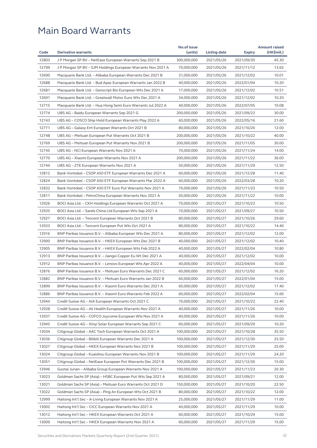|       |                                                              | No.of issue |              |               | <b>Amount raised</b> |
|-------|--------------------------------------------------------------|-------------|--------------|---------------|----------------------|
| Code  | <b>Derivative warrants</b>                                   | (units)     | Listing date | <b>Expiry</b> | (HK\$mil.)           |
| 12803 | J P Morgan SP BV - NetEase European Warrants Sep 2021 B      | 300,000,000 | 2021/05/26   | 2021/09/30    | 45.30                |
| 12799 | J P Morgan SP BV - SJM Holdings European Warrants Nov 2021 A | 70,000,000  | 2021/05/26   | 2021/11/12    | 13.65                |
| 12690 | Macquarie Bank Ltd. - Alibaba European Warrants Dec 2021 B   | 31,000,000  | 2021/05/26   | 2021/12/02    | 10.01                |
| 12688 | Macquarie Bank Ltd. - Bud Apac European Warrants Jan 2022 B  | 40,000,000  | 2021/05/26   | 2022/01/04    | 10.20                |
| 12681 | Macquarie Bank Ltd. - Genscript Bio European Wts Dec 2021 A  | 17,000,000  | 2021/05/26   | 2021/12/02    | 10.51                |
| 12691 | Macquarie Bank Ltd. - Greatwall Motor Euro Wts Dec 2021 A    | 34,000,000  | 2021/05/26   | 2021/12/02    | 10.20                |
| 12715 | Macquarie Bank Ltd. - Hua Hong Semi Euro Warrants Jul 2022 A | 40,000,000  | 2021/05/26   | 2022/07/05    | 10.08                |
| 12774 | UBS AG - Baidu European Warrants Sep 2021 G                  | 200,000,000 | 2021/05/26   | 2021/09/23    | 30.00                |
| 12743 | UBS AG – COSCO Ship Hold European Warrants May 2022 A        | 60,000,000  | 2021/05/26   | 2022/05/16    | 21.60                |
| 12771 | UBS AG - Galaxy Ent European Warrants Oct 2021 B             | 80,000,000  | 2021/05/26   | 2021/10/26    | 12.00                |
| 12748 | UBS AG – Meituan European Put Warrants Oct 2021 B            | 200,000,000 | 2021/05/26   | 2021/10/22    | 40.00                |
| 12769 | UBS AG - Meituan European Put Warrants Nov 2021 B            | 200,000,000 | 2021/05/26   | 2021/11/05    | 30.00                |
| 12745 | UBS AG – NCI European Warrants Nov 2021 A                    | 70,000,000  | 2021/05/26   | 2021/11/24    | 14.00                |
| 12770 | UBS AG - Xiaomi European Warrants Nov 2021 A                 | 200,000,000 | 2021/05/26   | 2021/11/22    | 36.00                |
| 12744 | UBS AG – ZTE European Warrants Nov 2021 A                    | 50,000,000  | 2021/05/26   | 2021/11/29    | 12.50                |
| 12812 | Bank Vontobel - CSOP A50 ETF European Warrants Dec 2021 A    | 60,000,000  | 2021/05/26   | 2021/12/28    | 11.40                |
| 12824 | Bank Vontobel - CSOP A50 ETF European Warrants Mar 2022 A    | 60,000,000  | 2021/05/26   | 2022/03/28    | 10.20                |
| 12832 | Bank Vontobel - CSOP A50 ETF Euro Put Warrants Nov 2021 A    | 70,000,000  | 2021/05/26   | 2021/11/23    | 10.50                |
| 12811 | Bank Vontobel - PetroChina European Warrants Nov 2021 A      | 50,000,000  | 2021/05/26   | 2021/11/22    | 10.00                |
| 12926 | BOCI Asia Ltd. – CKH Holdings European Warrants Oct 2021 A   | 70,000,000  | 2021/05/27   | 2021/10/22    | 10.50                |
| 12935 | BOCI Asia Ltd. – Sands China Ltd European Wts Sep 2021 A     | 70,000,000  | 2021/05/27   | 2021/09/27    | 10.50                |
| 12927 | BOCI Asia Ltd. – Tencent European Warrants Oct 2021 B        | 80,000,000  | 2021/05/27   | 2021/10/26    | 29.60                |
| 12933 | BOCI Asia Ltd. – Tencent European Put Wts Oct 2021 A         | 80,000,000  | 2021/05/27   | 2021/10/22    | 14.40                |
| 12916 | BNP Paribas Issuance B.V. - Alibaba European Wts Dec 2021 A  | 80,000,000  | 2021/05/27   | 2021/12/02    | 12.00                |
| 12900 | BNP Paribas Issuance B.V. – HKEX European Wts Dec 2021 B     | 40,000,000  | 2021/05/27   | 2021/12/02    | 10.40                |
| 12905 | BNP Paribas Issuance B.V. - HKEX European Wts Feb 2022 A     | 40,000,000  | 2021/05/27   | 2022/02/04    | 10.80                |
| 12913 | BNP Paribas Issuance B.V. - Jiangxi Copper Eu Wt Dec 2021 A  | 40,000,000  | 2021/05/27   | 2021/12/02    | 10.00                |
| 12912 | BNP Paribas Issuance B.V. - Lenovo European Wts Apr 2022 A   | 40,000,000  | 2021/05/27   | 2022/04/04    | 10.00                |
| 12876 | BNP Paribas Issuance B.V. - Meituan Euro Warrants Dec 2021 C | 60,000,000  | 2021/05/27   | 2021/12/02    | 16.20                |
| 12882 | BNP Paribas Issuance B.V. - Meituan Euro Warrants Jan 2022 B | 60,000,000  | 2021/05/27   | 2022/01/04    | 15.00                |
| 12899 | BNP Paribas Issuance B.V. – Xiaomi Euro Warrants Dec 2021 A  | 60,000,000  | 2021/05/27   | 2021/12/02    | 17.40                |
| 12886 | BNP Paribas Issuance B.V. - Xiaomi Euro Warrants Feb 2022 A  | 60,000,000  | 2021/05/27   | 2022/02/04    | 15.60                |
| 12944 | Credit Suisse AG - AIA European Warrants Oct 2021 C          | 70,000,000  | 2021/05/27   | 2021/10/22    | 22.40                |
| 12938 | Credit Suisse AG - Ali Health European Warrants Nov 2021 A   | 40,000,000  | 2021/05/27   | 2021/11/26    | 10.00                |
| 12937 | Credit Suisse AG - COFCO Joycome European Wts Nov 2021 A     | 40,000,000  | 2021/05/27   | 2021/11/26    | 10.00                |
| 12945 | Credit Suisse AG - Xinyi Solar European Warrants Sep 2021 C  | 60,000,000  | 2021/05/27   | 2021/09/29    | 10.20                |
| 13034 | Citigroup Global - AAC Tech European Warrants Oct 2021 A     | 100,000,000 | 2021/05/27   | 2021/10/28    | 35.50                |
| 13036 | Citigroup Global – Bilibili European Warrants Dec 2021 A     | 100,000,000 | 2021/05/27   | 2021/12/30    | 25.50                |
| 13027 | Citigroup Global - HKEX European Warrants Nov 2021 B         | 100,000,000 | 2021/05/27   | 2021/11/29    | 25.00                |
| 13024 | Citigroup Global - Kuaishou European Warrants Nov 2021 B     | 100,000,000 | 2021/05/27   | 2021/11/29    | 24.20                |
| 13051 | Citigroup Global - NetEase European Put Warrants Dec 2021 B  | 100,000,000 | 2021/05/27   | 2021/12/30    | 15.00                |
| 12946 | Guotai Junan - Alibaba Group European Warrants Nov 2021 A    | 100,000,000 | 2021/05/27   | 2021/11/23    | 20.30                |
| 13023 | Goldman Sachs SP (Asia) - HSBC European Put Wts Sep 2021 A   | 80,000,000  | 2021/05/27   | 2021/09/21    | 12.00                |
| 13021 | Goldman Sachs SP (Asia) – Meituan Euro Warrants Oct 2021 D   | 150,000,000 | 2021/05/27   | 2021/10/20    | 22.50                |
| 13022 | Goldman Sachs SP (Asia) - Ping An European Wts Oct 2021 B    | 80,000,000  | 2021/05/27   | 2021/10/22    | 12.00                |
| 12999 | Haitong Int'l Sec – A-Living European Warrants Nov 2021 A    | 25,000,000  | 2021/05/27   | 2021/11/29    | 11.00                |
| 13002 | Haitong Int'l Sec - CICC European Warrants Nov 2021 A        | 40,000,000  | 2021/05/27   | 2021/11/29    | 10.00                |
| 13012 | Haitong Int'l Sec – HKEX European Warrants Oct 2021 A        | 60,000,000  | 2021/05/27   | 2021/10/29    | 15.00                |
| 13009 | Haitong Int'l Sec - HKEX European Warrants Nov 2021 A        | 60,000,000  | 2021/05/27   | 2021/11/29    | 15.00                |
|       |                                                              |             |              |               |                      |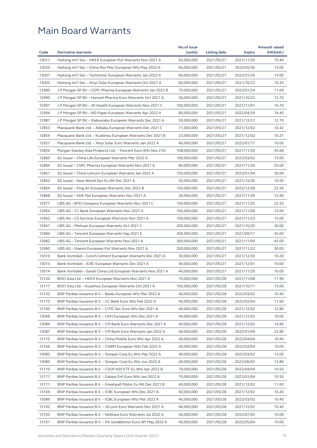| Code  | <b>Derivative warrants</b>                                                                                              | No.of issue<br>(units)   | Listing date             |                          | <b>Amount raised</b><br>(HK\$mil.) |
|-------|-------------------------------------------------------------------------------------------------------------------------|--------------------------|--------------------------|--------------------------|------------------------------------|
| 13011 |                                                                                                                         |                          |                          | <b>Expiry</b>            | 10.40                              |
| 13020 | Haitong Int'l Sec – HKEX European Put Warrants Nov 2021 A<br>Haitong Int'l Sec – China Res Mixc European Wts May 2022 A | 65,000,000<br>60,000,000 | 2021/05/27<br>2021/05/27 | 2021/11/30<br>2022/05/30 | 15.00                              |
| 13007 | Haitong Int'l Sec – Techtronic European Warrants Jan 2022 A                                                             | 60,000,000               | 2021/05/27               | 2022/01/26               | 12.00                              |
| 13005 | Haitong Int'l Sec – Xinyi Solar European Warrants Oct 2021 A                                                            | 60,000,000               | 2021/05/27               | 2021/10/22               | 10.20                              |
| 12989 | J P Morgan SP BV - CSPC Pharma European Warrants Jan 2022 B                                                             | 70,000,000               | 2021/05/27               | 2022/01/24               | 11.69                              |
| 12990 | J P Morgan SP BV - Hansoh Pharma Euro Warrants Oct 2021 A                                                               | 50,000,000               | 2021/05/27               | 2021/10/22               | 12.70                              |
| 12997 | J P Morgan SP BV - JD Health European Warrants Nov 2021 C                                                               | 100,000,000              | 2021/05/27               | 2021/11/01               | 16.70                              |
| 12994 | J P Morgan SP BV - ND Paper European Warrants Apr 2022 A                                                                | 80,000,000               | 2021/05/27               | 2022/04/29               | 14.40                              |
| 12987 | J P Morgan SP BV – Xiabuxiabu European Warrants Dec 2021 A                                                              | 50,000,000               | 2021/05/27               | 2021/12/31               | 12.70                              |
| 12853 | Macquarie Bank Ltd. - Alibaba European Warrants Dec 2021 C                                                              | 11,000,000               | 2021/05/27               | 2021/12/02               | 10.42                              |
| 12854 | Macquarie Bank Ltd. – Kuaishou European Warrants Dec 2021 B                                                             | 23,000,000               | 2021/05/27               | 2021/12/02               | 10.21                              |
| 12921 | Macquarie Bank Ltd. - Xinyi Solar Euro Warrants Jan 2022 A                                                              | 40,000,000               | 2021/05/27               | 2022/01/17               | 10.00                              |
| 12856 | Morgan Stanley Asia Products Ltd. - Tencent Euro Wts Nov 21D                                                            | 108,000,000              | 2021/05/27               | 2021/11/26               | 45.68                              |
| 12860 |                                                                                                                         |                          |                          |                          |                                    |
|       | SG Issuer - China Life European Warrants Mar 2022 A                                                                     | 100,000,000              | 2021/05/27               | 2022/03/02               | 15.00                              |
| 12869 | SG Issuer - CSPC Pharma European Warrants Nov 2021 A                                                                    | 80,000,000               | 2021/05/27               | 2021/11/26               | 20.00                              |
| 12861 | SG Issuer - China Unicom European Warrants Jan 2023 A                                                                   | 150,000,000              | 2021/05/27               | 2023/01/04               | 30.00                              |
| 12863 | SG Issuer - New World Dev Eu Wt Dec 2021 A                                                                              | 50,000,000               | 2021/05/27               | 2021/12/30               | 10.50                              |
| 12864 | SG Issuer – Ping An European Warrants Dec 2022 B                                                                        | 150,000,000              | 2021/05/27               | 2022/12/28               | 22.50                              |
| 12868 | SG Issuer – SHK Ppt European Warrants Nov 2021 A                                                                        | 30,000,000               | 2021/05/27               | 2021/11/29               | 15.90                              |
| 12977 | UBS AG – BYD Company European Warrants Nov 2021 C                                                                       | 150,000,000              | 2021/05/27               | 2021/11/25               | 22.50                              |
| 12954 | UBS AG – CC Bank European Warrants Nov 2021 A                                                                           | 100,000,000              | 2021/05/27               | 2021/11/08               | 15.00                              |
| 12962 | UBS AG – CS Services European Warrants Nov 2021 A                                                                       | 100,000,000              | 2021/05/27               | 2021/11/23               | 15.00                              |
| 12961 | UBS AG - Meituan European Warrants Oct 2021 C                                                                           | 200,000,000              | 2021/05/27               | 2021/10/20               | 30.00                              |
| 12984 | UBS AG – Tencent European Warrants Sep 2021 E                                                                           | 300,000,000              | 2021/05/27               | 2021/09/17               | 45.00                              |
| 12982 | UBS AG - Tencent European Warrants Nov 2021 A                                                                           | 300,000,000              | 2021/05/27               | 2021/11/09               | 45.00                              |
| 12960 | UBS AG - Xiaomi European Put Warrants Nov 2021 A                                                                        | 200,000,000              | 2021/05/27               | 2021/11/22               | 30.00                              |
| 13016 | Bank Vontobel – Conch Cement European Warrants Dec 2021 A                                                               | 30,000,000               | 2021/05/27               | 2021/12/30               | 10.20                              |
| 13013 | Bank Vontobel – ICBC European Warrants Dec 2021 A                                                                       | 40,000,000               | 2021/05/27               | 2021/12/01               | 10.00                              |
| 13014 | Bank Vontobel – Sands China Ltd European Warrants Nov 2021 A                                                            | 40,000,000               | 2021/05/27               | 2021/11/29               | 10.00                              |
| 13120 | BOCI Asia Ltd. – HKEX European Warrants Nov 2021 A                                                                      | 70,000,000               | 2021/05/28               | 2021/11/08               | 11.90                              |
| 13117 | BOCI Asia Ltd. - Kuaishou European Warrants Oct 2021 A                                                                  | 100,000,000              | 2021/05/28               | 2021/10/11               | 15.00                              |
| 13132 | BNP Paribas Issuance B.V. - Baidu European Wts Mar 2022 A                                                               | 40,000,000               | 2021/05/28               | 2022/03/02               | 10.40                              |
| 13170 | BNP Paribas Issuance B.V. - CC Bank Euro Wts Feb 2022 A                                                                 | 40,000,000               | 2021/05/28               | 2022/02/04               | 11.60                              |
| 13160 | BNP Paribas Issuance B.V. - CITIC Sec Euro Wts Dec 2021 A                                                               | 40,000,000               | 2021/05/28               | 2021/12/02               | 12.80                              |
| 13068 | BNP Paribas Issuance B.V. - CKH European Wts Dec 2021 A                                                                 | 40,000,000               | 2021/05/28               | 2021/12/02               | 10.00                              |
| 13084 | BNP Paribas Issuance B.V. - CM Bank Euro Warrants Dec 2021 A                                                            | 40,000,000               | 2021/05/28               | 2021/12/02               | 14.80                              |
| 13087 | BNP Paribas Issuance B.V. - CM Bank Euro Warrants Jan 2022 A                                                            | 40,000,000               | 2021/05/28               | 2022/01/04               | 22.80                              |
| 13175 | BNP Paribas Issuance B.V. – China Mobile Euro Wts Apr 2022 A                                                            | 40,000,000               | 2021/05/28               | 2022/04/04               | 10.40                              |
| 13166 | BNP Paribas Issuance B.V. - CNBM European Wts Feb 2022 A                                                                | 40,000,000               | 2021/05/28               | 2022/02/04               | 10.00                              |
| 13083 | BNP Paribas Issuance B.V. – Sinopec Corp Eu Wts Mar 2022 A                                                              | 40,000,000               | 2021/05/28               | 2022/03/02               | 12.00                              |
| 13080 | BNP Paribas Issuance B.V. - Sinopec Corp Eu Wts Jun 2022 A                                                              | 40,000,000               | 2021/05/28               | 2022/06/02               | 12.80                              |
| 13110 | BNP Paribas Issuance B.V. - CSOP A50 ETF Eu Wts Apr 2022 B                                                              | 70,000,000               | 2021/05/28               | 2022/04/04               | 10.50                              |
| 13177 | BNP Paribas Issuance B.V. - Galaxy Ent Euro Wts Jan 2022 A                                                              | 70,000,000               | 2021/05/28               | 2022/01/04               | 10.50                              |
| 13171 | BNP Paribas Issuance B.V. - Greatwall Motor Eu Wt Dec 2021 B                                                            | 40,000,000               | 2021/05/28               | 2021/12/02               | 11.60                              |
| 13104 | BNP Paribas Issuance B.V. - ICBC European Wts Dec 2021 A                                                                | 60,000,000               | 2021/05/28               | 2021/12/02               | 10.20                              |
| 13089 | BNP Paribas Issuance B.V. - ICBC European Wts Mar 2022 A                                                                | 40,000,000               | 2021/05/28               | 2022/03/02               | 10.40                              |
| 13102 | BNP Paribas Issuance B.V. - JD.com Euro Warrants Dec 2021 A                                                             | 40,000,000               | 2021/05/28               | 2021/12/02               | 10.40                              |
| 13103 | BNP Paribas Issuance B.V. - NetEase Euro Warrants Jul 2022 A                                                            | 40,000,000               | 2021/05/28               | 2022/07/05               | 10.00                              |
| 13161 | BNP Paribas Issuance B.V. - PA Gooddoctor Euro Wt May 2022 A                                                            | 40,000,000               | 2021/05/28               | 2022/05/04               | 10.00                              |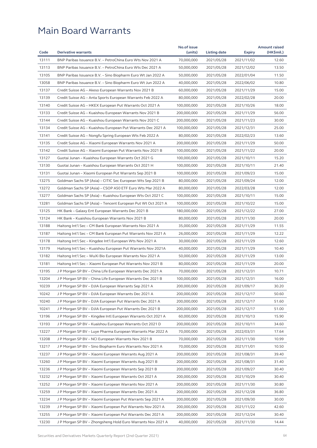| Code           | <b>Derivative warrants</b>                                                                                                 | No.of issue<br>(units)   | Listing date             |                          | <b>Amount raised</b><br>(HK\$mil.) |
|----------------|----------------------------------------------------------------------------------------------------------------------------|--------------------------|--------------------------|--------------------------|------------------------------------|
|                |                                                                                                                            |                          |                          | <b>Expiry</b>            | 12.60                              |
| 13111<br>13113 | BNP Paribas Issuance B.V. - PetroChina Euro Wts Nov 2021 A                                                                 | 70,000,000               | 2021/05/28               | 2021/11/02               | 13.50                              |
| 13105          | BNP Paribas Issuance B.V. – PetroChina Euro Wts Dec 2021 A<br>BNP Paribas Issuance B.V. - Sino Biopharm Euro Wt Jan 2022 A | 50,000,000<br>50,000,000 | 2021/05/28<br>2021/05/28 | 2021/12/02<br>2022/01/04 | 11.50                              |
| 13058          |                                                                                                                            |                          |                          | 2022/06/02               | 10.80                              |
|                | BNP Paribas Issuance B.V. – Sino Biopharm Euro Wt Jun 2022 A                                                               | 40,000,000               | 2021/05/28               |                          |                                    |
| 13137<br>13139 | Credit Suisse AG - Akeso European Warrants Nov 2021 B                                                                      | 60,000,000               | 2021/05/28               | 2021/11/29               | 15.00                              |
|                | Credit Suisse AG – Anta Sports European Warrants Feb 2022 A                                                                | 80,000,000               | 2021/05/28               | 2022/02/28               | 20.00                              |
| 13140          | Credit Suisse AG - HKEX European Put Warrants Oct 2021 A                                                                   | 100,000,000              | 2021/05/28               | 2021/10/26               | 18.00                              |
| 13133          | Credit Suisse AG - Kuaishou European Warrants Nov 2021 B                                                                   | 200,000,000              | 2021/05/28               | 2021/11/29               | 56.00                              |
| 13144          | Credit Suisse AG - Kuaishou European Warrants Nov 2021 C                                                                   | 200,000,000              | 2021/05/28               | 2021/11/23               | 30.00                              |
| 13134          | Credit Suisse AG – Kuaishou European Put Warrants Dec 2021 A                                                               | 100,000,000              | 2021/05/28               | 2021/12/31               | 25.00                              |
| 13141          | Credit Suisse AG – Nongfu Spring European Wts Feb 2022 A                                                                   | 80,000,000               | 2021/05/28               | 2022/02/23               | 13.60                              |
| 13135          | Credit Suisse AG - Xiaomi European Warrants Nov 2021 A                                                                     | 200,000,000              | 2021/05/28               | 2021/11/29               | 50.00                              |
| 13142          | Credit Suisse AG – Xiaomi European Put Warrants Nov 2021 B                                                                 | 100,000,000              | 2021/05/28               | 2021/11/22               | 20.00                              |
| 13127          | Guotai Junan - Kuaishou European Warrants Oct 2021 G                                                                       | 100,000,000              | 2021/05/28               | 2021/10/11               | 15.20                              |
| 13130          | Guotai Junan - Kuaishou European Warrants Oct 2021 H                                                                       | 100,000,000              | 2021/05/28               | 2021/10/11               | 21.40                              |
| 13131          | Guotai Junan - Xiaomi European Put Warrants Sep 2021 B                                                                     | 100,000,000              | 2021/05/28               | 2021/09/23               | 15.00                              |
| 13275          | Goldman Sachs SP (Asia) – CITIC Sec European Wts Sep 2021 B                                                                | 80,000,000               | 2021/05/28               | 2021/09/24               | 12.00                              |
| 13272          | Goldman Sachs SP (Asia) - CSOP A50 ETF Euro Wts Mar 2022 A                                                                 | 80,000,000               | 2021/05/28               | 2022/03/28               | 12.00                              |
| 13277          | Goldman Sachs SP (Asia) - Kuaishou European Wts Oct 2021 C                                                                 | 100,000,000              | 2021/05/28               | 2021/10/11               | 15.00                              |
| 13281          | Goldman Sachs SP (Asia) - Tencent European Put Wt Oct 2021 A                                                               | 100,000,000              | 2021/05/28               | 2021/10/22               | 15.00                              |
| 13125          | HK Bank - Galaxy Ent European Warrants Dec 2021 B                                                                          | 180,000,000              | 2021/05/28               | 2021/12/22               | 27.00                              |
| 13124          | HK Bank - Kuaishou European Warrants Nov 2021 B                                                                            | 80,000,000               | 2021/05/28               | 2021/11/30               | 20.00                              |
| 13188          | Haitong Int'l Sec - CM Bank European Warrants Nov 2021 A                                                                   | 35,000,000               | 2021/05/28               | 2021/11/29               | 11.55                              |
| 13187          | Haitong Int'l Sec - CM Bank European Put Warrants Nov 2021 A                                                               | 26,000,000               | 2021/05/28               | 2021/11/29               | 12.22                              |
| 13178          | Haitong Int'l Sec - Kingdee Int'l European Wts Nov 2021 A                                                                  | 30,000,000               | 2021/05/28               | 2021/11/29               | 12.60                              |
| 13179          | Haitong Int'l Sec - Kuaishou European Put Warrants Nov 2021A                                                               | 40,000,000               | 2021/05/28               | 2021/11/29               | 10.40                              |
| 13182          | Haitong Int'l Sec – WuXi Bio European Warrants Nov 2021 A                                                                  | 50,000,000               | 2021/05/28               | 2021/11/29               | 13.00                              |
| 13181          | Haitong Int'l Sec - Xiaomi European Put Warrants Nov 2021 B                                                                | 80,000,000               | 2021/05/28               | 2021/11/29               | 20.00                              |
| 13195          | J P Morgan SP BV – China Life European Warrants Dec 2021 A                                                                 | 70,000,000               | 2021/05/28               | 2021/12/31               | 10.71                              |
| 13204          | J P Morgan SP BV - China Life European Warrants Dec 2021 B                                                                 | 100,000,000              | 2021/05/28               | 2021/12/31               | 16.00                              |
| 10239          | J P Morgan SP BV - DJIA European Warrants Sep 2021 A                                                                       | 200,000,000              | 2021/05/28               | 2021/09/17               | 30.20                              |
| 10242          | J P Morgan SP BV - DJIA European Warrants Dec 2021 A                                                                       | 200,000,000              | 2021/05/28               | 2021/12/17               | 50.60                              |
| 10240          | J P Morgan SP BV – DJIA European Put Warrants Dec 2021 A                                                                   | 200,000,000              | 2021/05/28               | 2021/12/17               | 51.60                              |
| 10241          | J P Morgan SP BV – DJIA European Put Warrants Dec 2021 B                                                                   | 200,000,000              | 2021/05/28               | 2021/12/17               | 51.00                              |
| 13196          | J P Morgan SP BV – Kingdee Intl European Warrants Oct 2021 A                                                               | 60,000,000               | 2021/05/28               | 2021/10/13               | 15.90                              |
| 13193          | J P Morgan SP BV - Kuaishou European Warrants Oct 2021 D                                                                   | 200,000,000              | 2021/05/28               | 2021/10/11               | 34.60                              |
| 13227          | J P Morgan SP BV – Luye Pharma European Warrants Mar 2022 A                                                                | 70,000,000               | 2021/05/28               | 2022/03/31               | 17.64                              |
| 13208          | J P Morgan SP BV – NCI European Warrants Nov 2021 B                                                                        | 70,000,000               | 2021/05/28               | 2021/11/30               | 10.99                              |
| 13217          | J P Morgan SP BV – Sino Biopharm Euro Warrants Nov 2021 A                                                                  | 70,000,000               | 2021/05/28               | 2021/11/01               | 10.50                              |
|                |                                                                                                                            |                          |                          |                          |                                    |
| 13237          | J P Morgan SP BV - Xiaomi European Warrants Aug 2021 A                                                                     | 200,000,000              | 2021/05/28               | 2021/08/31               | 39.40                              |
| 13260          | J P Morgan SP BV - Xiaomi European Warrants Aug 2021 B                                                                     | 200,000,000              | 2021/05/28               | 2021/08/31               | 31.40                              |
| 13236          | J P Morgan SP BV - Xiaomi European Warrants Sep 2021 B                                                                     | 200,000,000              | 2021/05/28               | 2021/09/27               | 30.40                              |
| 13232          | J P Morgan SP BV - Xiaomi European Warrants Oct 2021 A                                                                     | 200,000,000              | 2021/05/28               | 2021/10/29               | 30.40                              |
| 13252          | J P Morgan SP BV – Xiaomi European Warrants Nov 2021 A                                                                     | 200,000,000              | 2021/05/28               | 2021/11/30               | 30.80                              |
| 13259          | J P Morgan SP BV - Xiaomi European Warrants Dec 2021 A                                                                     | 200,000,000              | 2021/05/28               | 2021/12/28               | 36.80                              |
| 13234          | J P Morgan SP BV - Xiaomi European Put Warrants Sep 2021 A                                                                 | 200,000,000              | 2021/05/28               | 2021/09/30               | 30.00                              |
| 13239          | J P Morgan SP BV - Xiaomi European Put Warrants Nov 2021 A                                                                 | 200,000,000              | 2021/05/28               | 2021/11/22               | 42.60                              |
| 13255          | J P Morgan SP BV - Xiaomi European Put Warrants Dec 2021 A                                                                 | 200,000,000              | 2021/05/28               | 2021/12/24               | 30.40                              |
| 13230          | J P Morgan SP BV – Zhongsheng Hold Euro Warrants Nov 2021 A                                                                | 40,000,000               | 2021/05/28               | 2021/11/30               | 14.44                              |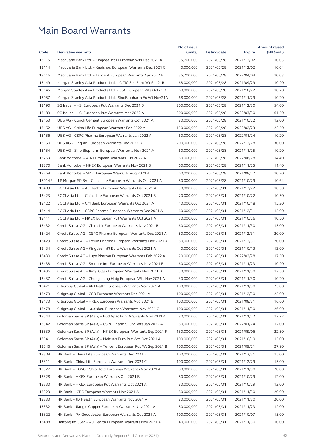|                      |                                                              | No.of issue |              |                          | <b>Amount raised</b> |
|----------------------|--------------------------------------------------------------|-------------|--------------|--------------------------|----------------------|
| Code                 | <b>Derivative warrants</b>                                   | (units)     | Listing date | <b>Expiry</b>            | (HK\$mil.)           |
| 13115                | Macquarie Bank Ltd. - Kingdee Int'l European Wts Dec 2021 A  | 35,700,000  | 2021/05/28   | 2021/12/02               | 10.03                |
| 13114                | Macquarie Bank Ltd. - Kuaishou European Warrants Dec 2021 C  | 40,000,000  | 2021/05/28   | 2021/12/02               | 10.04                |
| 13116                | Macquarie Bank Ltd. - Tencent European Warrants Apr 2022 B   | 35,700,000  | 2021/05/28   | 2022/04/04               | 10.03                |
| 13149                | Morgan Stanley Asia Products Ltd. - CITIC Sec Euro Wt Sep21B | 68,000,000  | 2021/05/28   | 2021/09/29               | 10.20                |
| 13145                | Morgan Stanley Asia Products Ltd. - CSC European Wts Oct21 B | 68,000,000  | 2021/05/28   | 2021/10/22               | 10.20                |
| 13057                | Morgan Stanley Asia Products Ltd. -SinoBiopharm Eu Wt Nov21A | 68,000,000  | 2021/05/28   | 2021/11/29               | 10.20                |
| 13190                | SG Issuer - HSI European Put Warrants Dec 2021 D             | 300,000,000 | 2021/05/28   | 2021/12/30               | 54.00                |
| 13189                | SG Issuer – HSI European Put Warrants Mar 2022 A             | 300,000,000 | 2021/05/28   | 2022/03/30               | 61.50                |
| 13153                | UBS AG - Conch Cement European Warrants Oct 2021 A           | 80,000,000  | 2021/05/28   | 2021/10/22               | 12.00                |
| 13152                | UBS AG - China Life European Warrants Feb 2022 A             | 150,000,000 | 2021/05/28   | 2022/02/23               | 22.50                |
| 13156                | UBS AG – CSPC Pharma European Warrants Jan 2022 A            | 60,000,000  | 2021/05/28   | 2022/01/24               | 10.20                |
| 13150                | UBS AG - Ping An European Warrants Dec 2022 B                | 200,000,000 | 2021/05/28   | 2022/12/28               | 30.00                |
| 13154                | UBS AG - Sino Biopharm European Warrants Nov 2021 A          | 60,000,000  | 2021/05/28   | 2021/11/25               | 10.20                |
| 13263                | Bank Vontobel - AIA European Warrants Jun 2022 A             | 80,000,000  | 2021/05/28   | 2022/06/28               | 14.40                |
| 13270                | Bank Vontobel - HKEX European Warrants Nov 2021 B            | 60,000,000  | 2021/05/28   | 2021/11/25               | 11.40                |
| 13268                | Bank Vontobel - SMIC European Warrants Aug 2021 A            | 60,000,000  | 2021/05/28   | 2021/08/27               | 10.20                |
| $17014$ <sup>#</sup> | J P Morgan SP BV - China Life European Warrants Oct 2021 A   | 80,000,000  | 2021/05/28   | 2021/10/29               | 10.64                |
| 13409                | BOCI Asia Ltd. - Ali Health European Warrants Dec 2021 A     | 50,000,000  | 2021/05/31   | 2021/12/22               | 10.50                |
| 13423                | BOCI Asia Ltd. - China Life European Warrants Oct 2021 B     | 70,000,000  | 2021/05/31   | 2021/10/22               | 10.50                |
| 13422                | BOCI Asia Ltd. - CM Bank European Warrants Oct 2021 A        | 40,000,000  | 2021/05/31   | 2021/10/18               | 15.20                |
| 13414                | BOCI Asia Ltd. - CSPC Pharma European Warrants Dec 2021 A    | 60,000,000  | 2021/05/31   | 2021/12/31               | 15.00                |
| 13411                | BOCI Asia Ltd. - HKEX European Put Warrants Oct 2021 A       | 70,000,000  | 2021/05/31   | 2021/10/26               | 10.50                |
| 13432                | Credit Suisse AG - China Lit European Warrants Nov 2021 B    | 60,000,000  | 2021/05/31   | 2021/11/30               | 15.00                |
| 13424                | Credit Suisse AG – CSPC Pharma European Warrants Dec 2021 A  | 80,000,000  | 2021/05/31   | 2021/12/31               | 20.00                |
| 13429                | Credit Suisse AG - Fosun Pharma European Warrants Dec 2021 A | 80,000,000  | 2021/05/31   | 2021/12/31               | 20.00                |
| 13434                | Credit Suisse AG – Kingdee Int'l Euro Warrants Oct 2021 A    | 40,000,000  | 2021/05/31   | 2021/10/13               | 12.00                |
| 13430                | Credit Suisse AG - Luye Pharma European Warrants Feb 2022 A  | 70,000,000  | 2021/05/31   | 2022/02/28               | 17.50                |
| 13438                | Credit Suisse AG – Smoore Intl European Warrants Nov 2021 B  | 60,000,000  | 2021/05/31   | 2021/11/23               | 10.20                |
| 13436                | Credit Suisse AG - Xinyi Glass European Warrants Nov 2021 B  | 50,000,000  | 2021/05/31   | 2021/11/30               | 12.50                |
| 13437                | Credit Suisse AG – Zhongsheng Hldg European Wts Nov 2021 A   | 30,000,000  | 2021/05/31   | 2021/11/30               | 10.20                |
| 13471                | Citigroup Global - Ali Health European Warrants Nov 2021 A   | 100,000,000 | 2021/05/31   | 2021/11/30               | 25.00                |
| 13479                | Citigroup Global - CCB European Warrants Dec 2021 A          | 100,000,000 | 2021/05/31   | 2021/12/30               | 25.00                |
| 13473                | Citigroup Global - HKEX European Warrants Aug 2021 B         | 100,000,000 | 2021/05/31   | 2021/08/31               | 16.60                |
| 13478                | Citigroup Global - Kuaishou European Warrants Nov 2021 C     | 100,000,000 | 2021/05/31   | 2021/11/30               | 26.00                |
| 13544                | Goldman Sachs SP (Asia) - Bud Apac Euro Warrants Nov 2021 A  | 80,000,000  | 2021/05/31   | 2021/11/22               | 12.72                |
| 13542                | Goldman Sachs SP (Asia) - CSPC Pharma Euro Wts Jan 2022 A    | 80,000,000  | 2021/05/31   | 2022/01/24               | 12.00                |
| 13539                | Goldman Sachs SP (Asia) – HKEX European Warrants Sep 2021 F  | 150,000,000 | 2021/05/31   | 2021/09/06               | 22.50                |
| 13541                | Goldman Sachs SP (Asia) – Meituan Euro Put Wts Oct 2021 A    | 100,000,000 | 2021/05/31   | 2021/10/19               | 15.00                |
| 13546                | Goldman Sachs SP (Asia) - Tencent European Put Wt Sep 2021 B | 100,000,000 | 2021/05/31   | 2021/09/21               | 27.90                |
| 13308                | HK Bank - China Life European Warrants Dec 2021 B            | 100,000,000 | 2021/05/31   | 2021/12/31               | 15.00                |
| 13311                | HK Bank - China Life European Warrants Dec 2021 C            | 100,000,000 | 2021/05/31   | 2021/12/29               | 15.00                |
| 13327                | HK Bank - COSCO Ship Hold European Warrants Nov 2021 A       | 80,000,000  | 2021/05/31   |                          | 20.00                |
| 13328                | HK Bank - HKEX European Warrants Oct 2021 B                  | 80,000,000  | 2021/05/31   | 2021/11/30<br>2021/10/29 | 12.00                |
|                      |                                                              |             |              |                          |                      |
| 13330                | HK Bank - HKEX European Put Warrants Oct 2021 A              | 80,000,000  | 2021/05/31   | 2021/10/29               | 12.00                |
| 13323                | HK Bank - ICBC European Warrants Nov 2021 A                  | 80,000,000  | 2021/05/31   | 2021/11/30               | 20.00                |
| 13333                | HK Bank - JD Health European Warrants Nov 2021 A             | 80,000,000  | 2021/05/31   | 2021/11/30               | 20.00                |
| 13332                | HK Bank - Jiangxi Copper European Warrants Nov 2021 A        | 80,000,000  | 2021/05/31   | 2021/11/23               | 12.00                |
| 13322                | HK Bank - PA Gooddoctor European Warrants Oct 2021 A         | 100,000,000 | 2021/05/31   | 2021/10/07               | 15.00                |
| 13488                | Haitong Int'l Sec - Ali Health European Warrants Nov 2021 A  | 40,000,000  | 2021/05/31   | 2021/11/30               | 10.00                |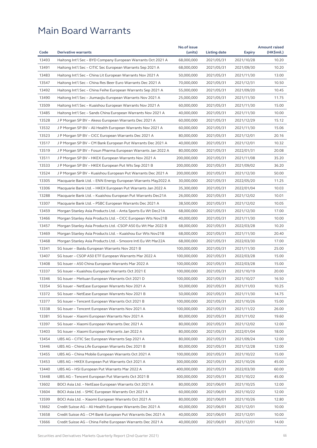| Code  |                                                               | No.of issue |              |               | <b>Amount raised</b> |
|-------|---------------------------------------------------------------|-------------|--------------|---------------|----------------------|
|       | Derivative warrants                                           | (units)     | Listing date | <b>Expiry</b> | (HK\$mil.)           |
| 13493 | Haitong Int'l Sec - BYD Company European Warrants Oct 2021 A  | 68,000,000  | 2021/05/31   | 2021/10/28    | 10.20                |
| 13491 | Haitong Int'l Sec - CITIC Sec European Warrants Sep 2021 A    | 68,000,000  | 2021/05/31   | 2021/09/30    | 10.20                |
| 13483 | Haitong Int'l Sec - China Lit European Warrants Nov 2021 A    | 50,000,000  | 2021/05/31   | 2021/11/30    | 13.00                |
| 13547 | Haitong Int'l Sec – China Res Beer Euro Warrants Dec 2021 A   | 70,000,000  | 2021/05/31   | 2021/12/31    | 10.50                |
| 13492 | Haitong Int'l Sec – China Feihe European Warrants Sep 2021 A  | 55,000,000  | 2021/05/31   | 2021/09/20    | 10.45                |
| 13490 | Haitong Int'l Sec – Jiumaojiu European Warrants Nov 2021 A    | 25,000,000  | 2021/05/31   | 2021/11/30    | 11.75                |
| 13509 | Haitong Int'l Sec - Kuaishou European Warrants Nov 2021 A     | 60,000,000  | 2021/05/31   | 2021/11/30    | 15.00                |
| 13485 | Haitong Int'l Sec - Sands China European Warrants Nov 2021 A  | 40,000,000  | 2021/05/31   | 2021/11/30    | 10.00                |
| 13528 | J P Morgan SP BV – Akeso European Warrants Dec 2021 A         | 60,000,000  | 2021/05/31   | 2021/12/29    | 15.12                |
| 13532 | J P Morgan SP BV - Ali Health European Warrants Nov 2021 A    | 60,000,000  | 2021/05/31   | 2021/11/30    | 15.06                |
| 13523 | J P Morgan SP BV – CICC European Warrants Dec 2021 A          | 80,000,000  | 2021/05/31   | 2021/12/01    | 20.16                |
| 13517 | J P Morgan SP BV - CM Bank European Put Warrants Dec 2021 A   | 40,000,000  | 2021/05/31   | 2021/12/01    | 10.32                |
| 13519 | J P Morgan SP BV – Fosun Pharma European Warrants Jan 2022 A  | 80,000,000  | 2021/05/31   | 2022/01/31    | 20.08                |
| 13511 | J P Morgan SP BV - HKEX European Warrants Nov 2021 A          | 200,000,000 | 2021/05/31   | 2021/11/08    | 35.20                |
| 13533 | J P Morgan SP BV – HKEX European Put Wts Sep 2021 B           | 200,000,000 | 2021/05/31   | 2021/09/02    | 36.20                |
| 13524 | J P Morgan SP BV - Kuaishou European Put Warrants Dec 2021 A  | 200,000,000 | 2021/05/31   | 2021/12/30    | 50.00                |
| 13305 | Macquarie Bank Ltd. - ENN Energy European Warrants May2022 A  | 30,000,000  | 2021/05/31   | 2022/05/20    | 11.25                |
| 13306 | Macquarie Bank Ltd. - HKEX European Put Warrants Jan 2022 A   | 35,300,000  | 2021/05/31   | 2022/01/04    | 10.03                |
| 13288 | Macquarie Bank Ltd. – Kuaishou European Put Warrants Dec21A   | 26,000,000  | 2021/05/31   | 2021/12/02    | 10.01                |
| 13307 | Macquarie Bank Ltd. – PSBC European Warrants Dec 2021 A       | 38,500,000  | 2021/05/31   | 2021/12/02    | 10.05                |
| 13459 | Morgan Stanley Asia Products Ltd. - Anta Sports Eu Wt Dec21A  | 68,000,000  | 2021/05/31   | 2021/12/30    | 17.00                |
| 13466 | Morgan Stanley Asia Products Ltd. - CICC European Wts Nov21B  | 40,000,000  | 2021/05/31   | 2021/11/30    | 10.00                |
| 13457 | Morgan Stanley Asia Products Ltd. - CSOP A50 Eu Wt Mar 2022 B | 68,000,000  | 2021/05/31   | 2022/03/28    | 10.20                |
| 13469 | Morgan Stanley Asia Products Ltd. - Kuaishou Eur Wts Nov21B   | 68,000,000  | 2021/05/31   | 2021/11/30    | 20.40                |
| 13468 | Morgan Stanley Asia Products Ltd. - Smoore Intl Eu Wt Mar22A  | 68,000,000  | 2021/05/31   | 2022/03/30    | 17.00                |
| 13341 | SG Issuer - Baidu European Warrants Nov 2021 B                | 100,000,000 | 2021/05/31   | 2021/11/30    | 25.00                |
| 13407 | SG Issuer - CSOP A50 ETF European Warrants Mar 2022 A         | 100,000,000 | 2021/05/31   | 2022/03/28    | 15.00                |
| 13408 | SG Issuer - A50 China European Warrants Mar 2022 A            | 100,000,000 | 2021/05/31   | 2022/03/28    | 15.00                |
| 13337 | SG Issuer - Kuaishou European Warrants Oct 2021 E             | 100,000,000 | 2021/05/31   | 2021/10/19    | 20.00                |
| 13346 | SG Issuer - Meituan European Warrants Oct 2021 D              | 100,000,000 | 2021/05/31   | 2021/10/27    | 16.50                |
| 13354 | SG Issuer - NetEase European Warrants Nov 2021 A              | 50,000,000  | 2021/05/31   | 2021/11/03    | 10.25                |
| 13372 | SG Issuer - NetEase European Warrants Nov 2021 B              | 50,000,000  | 2021/05/31   | 2021/11/30    | 14.75                |
| 13377 | SG Issuer – Tencent European Warrants Oct 2021 B              | 100,000,000 | 2021/05/31   | 2021/10/26    | 15.00                |
| 13338 | SG Issuer - Tencent European Warrants Nov 2021 A              | 100,000,000 | 2021/05/31   | 2021/11/22    | 26.00                |
| 13381 | SG Issuer - Xiaomi European Warrants Nov 2021 A               | 80,000,000  | 2021/05/31   | 2021/11/02    | 19.60                |
| 13397 | SG Issuer - Xiaomi European Warrants Dec 2021 A               | 80,000,000  | 2021/05/31   | 2021/12/02    | 12.00                |
| 13403 | SG Issuer - Xiaomi European Warrants Jan 2022 A               | 80,000,000  | 2021/05/31   | 2022/01/04    | 18.00                |
| 13454 | UBS AG - CITIC Sec European Warrants Sep 2021 A               | 80,000,000  | 2021/05/31   | 2021/09/24    | 12.00                |
| 13446 | UBS AG - China Life European Warrants Dec 2021 B              | 80,000,000  | 2021/05/31   | 2021/12/28    | 12.00                |
| 13455 | UBS AG - China Mobile European Warrants Oct 2021 A            | 100,000,000 | 2021/05/31   | 2021/10/22    | 15.00                |
| 13453 | UBS AG - HKEX European Put Warrants Oct 2021 A                | 300,000,000 | 2021/05/31   | 2021/10/26    | 45.00                |
| 13440 | UBS AG - HSI European Put Warrants Mar 2022 A                 | 400,000,000 | 2021/05/31   | 2022/03/30    | 60.00                |
| 13448 | UBS AG - Tencent European Put Warrants Oct 2021 B             | 300,000,000 | 2021/05/31   | 2021/10/22    | 45.00                |
| 13602 | BOCI Asia Ltd. – NetEase European Warrants Oct 2021 A         | 80,000,000  | 2021/06/01   | 2021/10/25    | 12.00                |
| 13604 | BOCI Asia Ltd. - SMIC European Warrants Oct 2021 A            | 60,000,000  | 2021/06/01   | 2021/10/22    | 12.00                |
| 13599 | BOCI Asia Ltd. - Xiaomi European Warrants Oct 2021 A          | 80,000,000  | 2021/06/01   | 2021/10/26    | 12.80                |
| 13662 | Credit Suisse AG - Ali Health European Warrants Dec 2021 A    | 40,000,000  | 2021/06/01   | 2021/12/01    | 10.00                |
| 13658 | Credit Suisse AG - CM Bank European Put Warrants Dec 2021 A   | 40,000,000  | 2021/06/01   | 2021/12/01    | 10.00                |
| 13666 | Credit Suisse AG – China Feihe European Warrants Dec 2021 A   | 40,000,000  | 2021/06/01   | 2021/12/01    | 14.00                |
|       |                                                               |             |              |               |                      |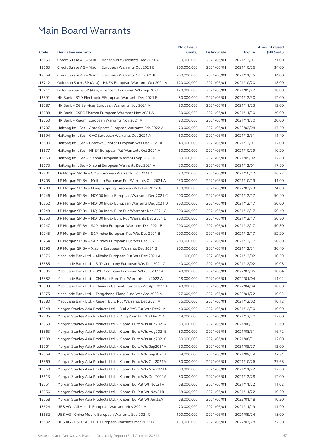|       |                                                                                                                              | No.of issue |              |                          | <b>Amount raised</b> |
|-------|------------------------------------------------------------------------------------------------------------------------------|-------------|--------------|--------------------------|----------------------|
| Code  | <b>Derivative warrants</b>                                                                                                   | (units)     | Listing date | <b>Expiry</b>            | (HK\$mil.)           |
| 13656 | Credit Suisse AG - SMIC European Put Warrants Dec 2021 A                                                                     | 50,000,000  | 2021/06/01   | 2021/12/01               | 21.00                |
| 13663 | Credit Suisse AG - Xiaomi European Warrants Oct 2021 B                                                                       | 200,000,000 | 2021/06/01   | 2021/10/26               | 34.00                |
| 13668 | Credit Suisse AG - Xiaomi European Warrants Nov 2021 B                                                                       | 200,000,000 | 2021/06/01   | 2021/11/25               | 34.00                |
| 13712 | Goldman Sachs SP (Asia) – HKEX European Warrants Oct 2021 A                                                                  | 120,000,000 | 2021/06/01   | 2021/10/20               | 18.00                |
| 13711 | Goldman Sachs SP (Asia) - Tencent European Wts Sep 2021 G                                                                    | 120,000,000 | 2021/06/01   | 2021/09/27               | 18.00                |
| 13591 | HK Bank - BYD Electronic EEuropean Warrants Dec 2021 B                                                                       | 80,000,000  | 2021/06/01   | 2021/12/30               | 12.00                |
| 13587 | HK Bank - CG Services European Warrants Nov 2021 A                                                                           | 80,000,000  | 2021/06/01   | 2021/11/23               | 12.00                |
| 13588 | HK Bank - CSPC Pharma European Warrants Nov 2021 A                                                                           | 80,000,000  | 2021/06/01   | 2021/11/30               | 20.00                |
| 13653 | HK Bank - Xiaomi European Warrants Nov 2021 A                                                                                | 80,000,000  | 2021/06/01   | 2021/11/30               | 20.00                |
| 13707 | Haitong Int'l Sec – Anta Sports European Warrants Feb 2022 A                                                                 | 70,000,000  | 2021/06/01   | 2022/02/04               | 17.50                |
| 13694 | Haitong Int'l Sec – GAC European Warrants Dec 2021 A                                                                         | 60,000,000  | 2021/06/01   | 2021/12/31               | 11.40                |
| 13690 | Haitong Int'l Sec - Greatwall Motor European Wts Dec 2021 A                                                                  | 40,000,000  | 2021/06/01   | 2021/12/01               | 12.00                |
| 13677 | Haitong Int'l Sec - HKEX European Put Warrants Oct 2021 A                                                                    | 60,000,000  | 2021/06/01   | 2021/10/29               | 10.20                |
| 13669 | Haitong Int'l Sec - Xiaomi European Warrants Sep 2021 D                                                                      | 80,000,000  | 2021/06/01   | 2021/09/02               | 12.80                |
| 13673 | Haitong Int'l Sec – Xiaomi European Warrants Dec 2021 A                                                                      | 70,000,000  | 2021/06/01   | 2021/12/01               | 17.50                |
| 13701 | J P Morgan SP BV - CMS European Warrants Oct 2021 A                                                                          | 80,000,000  | 2021/06/01   | 2021/10/12               | 16.72                |
| 13705 | J P Morgan SP BV - Meituan European Put Warrants Oct 2021 A                                                                  | 250,000,000 | 2021/06/01   | 2021/10/19               | 41.00                |
| 13700 | J P Morgan SP BV – Nongfu Spring European Wts Feb 2022 A                                                                     | 150,000,000 | 2021/06/01   | 2022/02/23               | 24.00                |
| 10246 | J P Morgan SP BV - NQ100 Index European Warrants Dec 2021 C                                                                  | 200,000,000 | 2021/06/01   | 2021/12/17               | 50.40                |
| 10252 | J P Morgan SP BV – NQ100 Index European Warrants Dec 2021 D                                                                  | 200,000,000 | 2021/06/01   | 2021/12/17               | 50.00                |
| 10248 | J P Morgan SP BV - NQ100 Index Euro Put Warrants Dec 2021 C                                                                  | 200,000,000 | 2021/06/01   | 2021/12/17               | 50.40                |
| 10253 | J P Morgan SP BV – NQ100 Index Euro Put Warrants Dec 2021 D                                                                  | 200,000,000 | 2021/06/01   | 2021/12/17               | 50.80                |
| 10247 | J P Morgan SP BV - S&P Index European Warrants Dec 2021 B                                                                    | 200,000,000 | 2021/06/01   | 2021/12/17               | 50.80                |
| 10245 | J P Morgan SP BV – S&P Index European Put Wts Dec 2021 B                                                                     | 200,000,000 | 2021/06/01   | 2021/12/17               | 52.20                |
| 10254 | J P Morgan SP BV - S&P Index European Put Wts Dec 2021 C                                                                     | 200,000,000 | 2021/06/01   | 2021/12/17               | 50.80                |
| 13696 | J P Morgan SP BV - Xiaomi European Warrants Dec 2021 B                                                                       | 200,000,000 | 2021/06/01   | 2021/12/31               | 30.40                |
| 13576 | Macquarie Bank Ltd. - Alibaba European Put Wts Dec 2021 A                                                                    | 11,000,000  | 2021/06/01   | 2021/12/02               | 10.59                |
| 13585 | Macquarie Bank Ltd. - BYD Company European Wts Dec 2021 C                                                                    | 40,000,000  | 2021/06/01   | 2021/12/02               | 10.08                |
| 13586 | Macquarie Bank Ltd. - BYD Company European Wts Jul 2022 A                                                                    | 40,000,000  | 2021/06/01   | 2022/07/05               | 10.04                |
| 13582 | Macquarie Bank Ltd. - CM Bank Euro Put Warrants Jan 2022 A                                                                   | 18,000,000  | 2021/06/01   | 2022/01/04               | 11.02                |
| 13583 | Macquarie Bank Ltd. - Chinares Cement European Wt Apr 2022 A                                                                 | 40,000,000  | 2021/06/01   | 2022/04/04               | 10.08                |
| 13575 | Macquarie Bank Ltd. - Tongcheng-Elong Euro Wts Apr 2022 A                                                                    | 27,000,000  | 2021/06/01   | 2022/04/22               | 10.02                |
| 13580 | Macquarie Bank Ltd. – Xiaomi Euro Put Warrants Dec 2021 A                                                                    | 36,000,000  | 2021/06/01   | 2021/12/02               | 10.12                |
| 13548 | Morgan Stanley Asia Products Ltd. - Bud APAC Eur Wts Dec21A                                                                  | 40,000,000  | 2021/06/01   | 2021/12/30               | 10.00                |
| 13605 | Morgan Stanley Asia Products Ltd. - Ming Yuan Eu Wts Dec21A                                                                  | 48,000,000  | 2021/06/01   | 2021/12/30               | 12.00                |
| 13559 | Morgan Stanley Asia Products Ltd. - Xiaomi Euro Wts Aug2021A                                                                 | 80,000,000  | 2021/06/01   | 2021/08/31               | 13.60                |
| 13563 | Morgan Stanley Asia Products Ltd. - Xiaomi Euro Wts Aug2021B                                                                 | 80,000,000  | 2021/06/01   | 2021/08/31               | 16.72                |
| 13608 | Morgan Stanley Asia Products Ltd. - Xiaomi Euro Wts Aug2021C                                                                 | 80,000,000  | 2021/06/01   | 2021/08/31               | 12.00                |
| 13561 | Morgan Stanley Asia Products Ltd. - Xiaomi Euro Wts Sep2021A                                                                 | 80,000,000  | 2021/06/01   | 2021/09/27               | 12.00                |
| 13568 | Morgan Stanley Asia Products Ltd. - Xiaomi Euro Wts Sep2021B                                                                 | 68,000,000  | 2021/06/01   | 2021/09/29               | 27.34                |
| 13569 | Morgan Stanley Asia Products Ltd. - Xiaomi Euro Wts Oct2021A                                                                 | 80,000,000  | 2021/06/01   | 2021/10/26               | 27.68                |
| 13560 |                                                                                                                              | 80,000,000  | 2021/06/01   |                          | 17.60                |
| 13613 | Morgan Stanley Asia Products Ltd. - Xiaomi Euro Wts Nov2021A<br>Morgan Stanley Asia Products Ltd. - Xiaomi Euro Wts Dec2021A | 80,000,000  | 2021/06/01   | 2021/11/22<br>2021/12/28 | 12.00                |
|       |                                                                                                                              |             |              |                          |                      |
| 13551 | Morgan Stanley Asia Products Ltd. - Xiaomi Eu Put Wt Nov21A                                                                  | 68,000,000  | 2021/06/01   | 2021/11/22               | 11.02                |
| 13556 | Morgan Stanley Asia Products Ltd. - Xiaomi Eu Put Wt Nov21B                                                                  | 68,000,000  | 2021/06/01   | 2021/11/22               | 10.20                |
| 13558 | Morgan Stanley Asia Products Ltd. - Xiaomi Eu Put Wt Jan22A                                                                  | 68,000,000  | 2021/06/01   | 2022/01/18               | 10.20                |
| 13624 | UBS AG - Ali Health European Warrants Nov 2021 A                                                                             | 70,000,000  | 2021/06/01   | 2021/11/19               | 11.90                |
| 13652 | UBS AG - China Mobile European Warrants Sep 2021 C                                                                           | 100,000,000 | 2021/06/01   | 2021/09/24               | 15.00                |
| 13632 | UBS AG – CSOP A50 ETF European Warrants Mar 2022 B                                                                           | 150,000,000 | 2021/06/01   | 2022/03/28               | 22.50                |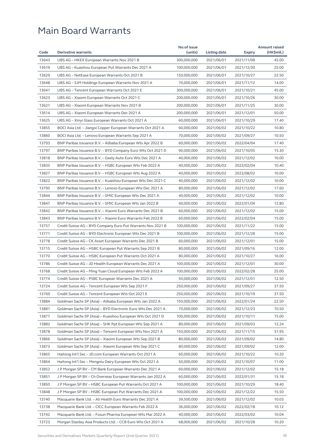|       |                                                              | No.of issue |              |               | <b>Amount raised</b> |
|-------|--------------------------------------------------------------|-------------|--------------|---------------|----------------------|
| Code  | <b>Derivative warrants</b>                                   | (units)     | Listing date | <b>Expiry</b> | (HK\$mil.)           |
| 13643 | UBS AG - HKEX European Warrants Nov 2021 B                   | 300,000,000 | 2021/06/01   | 2021/11/08    | 45.00                |
| 13619 | UBS AG - Kuaishou European Put Warrants Dec 2021 A           | 100,000,000 | 2021/06/01   | 2021/12/30    | 25.00                |
| 13629 | UBS AG – NetEase European Warrants Oct 2021 B                | 150,000,000 | 2021/06/01   | 2021/10/27    | 22.50                |
| 13648 | UBS AG - SJM Holdings European Warrants Nov 2021 A           | 70,000,000  | 2021/06/01   | 2021/11/12    | 14.00                |
| 13641 | UBS AG – Tencent European Warrants Oct 2021 E                | 300,000,000 | 2021/06/01   | 2021/10/21    | 45.00                |
| 13623 | UBS AG - Xiaomi European Warrants Oct 2021 C                 | 200,000,000 | 2021/06/01   | 2021/10/26    | 30.00                |
| 13621 | UBS AG - Xiaomi European Warrants Nov 2021 B                 | 200,000,000 | 2021/06/01   | 2021/11/25    | 30.00                |
| 13614 | UBS AG - Xiaomi European Warrants Dec 2021 A                 | 200,000,000 | 2021/06/01   | 2021/12/01    | 50.00                |
| 13625 | UBS AG - Xinyi Glass European Warrants Oct 2021 A            | 60,000,000  | 2021/06/01   | 2021/10/29    | 17.40                |
| 13855 | BOCI Asia Ltd. - Jiangxi Copper European Warrants Oct 2021 A | 60,000,000  | 2021/06/02   | 2021/10/22    | 10.80                |
| 13860 | BOCI Asia Ltd. - Lenovo European Warrants Sep 2021 A         | 70,000,000  | 2021/06/02   | 2021/09/27    | 10.50                |
| 13793 | BNP Paribas Issuance B.V. - Alibaba European Wts Apr 2022 B  | 60,000,000  | 2021/06/02   | 2022/04/04    | 17.40                |
| 13797 | BNP Paribas Issuance B.V. - BYD Company Euro Wts Oct 2021 D  | 90,000,000  | 2021/06/02   | 2021/10/05    | 15.30                |
| 13818 | BNP Paribas Issuance B.V. – Geely Auto Euro Wts Dec 2021 A   | 40,000,000  | 2021/06/02   | 2021/12/02    | 10.00                |
| 13835 | BNP Paribas Issuance B.V. - HSBC European Wts Feb 2022 A     | 40,000,000  | 2021/06/02   | 2022/02/04    | 10.40                |
| 13827 | BNP Paribas Issuance B.V. – HSBC European Wts Aug 2022 A     | 40,000,000  | 2021/06/02   | 2022/08/02    | 10.00                |
| 13822 | BNP Paribas Issuance B.V. - Kuaishou European Wts Dec 2021 C | 40,000,000  | 2021/06/02   | 2021/12/02    | 10.00                |
| 13795 | BNP Paribas Issuance B.V. - Lenovo European Wts Dec 2021 A   | 80,000,000  | 2021/06/02   | 2021/12/02    | 17.60                |
| 13844 | BNP Paribas Issuance B.V. - SMIC European Wts Dec 2021 A     | 40,000,000  | 2021/06/02   | 2021/12/02    | 10.00                |
| 13847 | BNP Paribas Issuance B.V. - SMIC European Wts Jan 2022 B     | 40,000,000  | 2021/06/02   | 2022/01/04    | 12.80                |
| 13842 | BNP Paribas Issuance B.V. - Xiaomi Euro Warrants Dec 2021 B  | 60,000,000  | 2021/06/02   | 2021/12/02    | 15.00                |
| 13843 | BNP Paribas Issuance B.V. - Xiaomi Euro Warrants Feb 2022 B  | 60,000,000  | 2021/06/02   | 2022/02/04    | 15.00                |
| 13757 | Credit Suisse AG – BYD Company Euro Put Warrants Nov 2021 B  | 100,000,000 | 2021/06/02   | 2021/11/22    | 15.00                |
| 13771 | Credit Suisse AG – BYD Electronic European Wts Dec 2021 B    | 100,000,000 | 2021/06/02   | 2021/12/28    | 15.00                |
| 13778 | Credit Suisse AG – CK Asset European Warrants Dec 2021 B     | 60,000,000  | 2021/06/02   | 2021/12/01    | 15.00                |
| 13715 | Credit Suisse AG - HSBC European Put Warrants Sep 2021 B     | 80,000,000  | 2021/06/02   | 2021/09/16    | 12.00                |
| 13770 | Credit Suisse AG - HSBC European Put Warrants Oct 2021 A     | 80,000,000  | 2021/06/02   | 2021/10/27    | 16.00                |
| 13786 | Credit Suisse AG - JD Health European Warrants Dec 2021 A    | 100,000,000 | 2021/06/02   | 2021/12/01    | 30.00                |
| 13768 | Credit Suisse AG – Ming Yuan Cloud European Wts Feb 2022 A   | 100,000,000 | 2021/06/02   | 2022/02/28    | 25.00                |
| 13774 | Credit Suisse AG - PSBC European Warrants Dec 2021 A         | 50,000,000  | 2021/06/02   | 2021/12/01    | 12.50                |
| 13724 | Credit Suisse AG – Tencent European Wts Sep 2021 F           | 250,000,000 | 2021/06/02   | 2021/09/27    | 37.50                |
| 13769 | Credit Suisse AG - Tencent European Wts Oct 2021 E           | 250,000,000 | 2021/06/02   | 2021/10/19    | 37.50                |
| 13884 | Goldman Sachs SP (Asia) - Alibaba European Wts Jan 2022 A    | 150,000,000 | 2021/06/02   | 2022/01/24    | 22.50                |
| 13881 | Goldman Sachs SP (Asia) - BYD Electronic Euro Wts Dec 2021 A | 70,000,000  | 2021/06/02   | 2021/12/23    | 10.50                |
| 13877 | Goldman Sachs SP (Asia) - Kuaishou European Wts Oct 2021 D   | 100,000,000 | 2021/06/02   | 2021/10/11    | 15.00                |
| 13882 | Goldman Sachs SP (Asia) - SHK Ppt European Wts Sep 2021 A    | 80,000,000  | 2021/06/02   | 2021/09/03    | 12.24                |
| 13878 | Goldman Sachs SP (Asia) - Tencent European Wts Nov 2021 A    | 150,000,000 | 2021/06/02   | 2021/11/15    | 31.95                |
| 13866 | Goldman Sachs SP (Asia) – Xiaomi European Wts Sep 2021 B     | 80,000,000  | 2021/06/02   | 2021/09/02    | 14.80                |
| 13873 | Goldman Sachs SP (Asia) - Xiaomi European Wts Sep 2021 C     | 80,000,000  | 2021/06/02   | 2021/09/02    | 12.00                |
| 13865 | Haitong Int'l Sec - JD.com European Warrants Oct 2021 A      | 60,000,000  | 2021/06/02   | 2021/10/22    | 10.20                |
| 13864 | Haitong Int'l Sec - Mengniu Dairy European Wts Oct 2021 A    | 50,000,000  | 2021/06/02   | 2021/10/07    | 11.00                |
| 13852 | J P Morgan SP BV - CM Bank European Warrants Dec 2021 A      | 60,000,000  | 2021/06/02   | 2021/12/02    | 15.18                |
| 13851 | J P Morgan SP BV - Ch Overseas European Warrants Jan 2022 A  | 60,000,000  | 2021/06/02   | 2022/01/31    | 15.18                |
| 13850 | J P Morgan SP BV - HSBC European Put Warrants Oct 2021 A     | 100,000,000 | 2021/06/02   | 2021/10/29    | 18.40                |
| 13848 | J P Morgan SP BV - HSBC European Put Warrants Dec 2021 A     | 100,000,000 | 2021/06/02   | 2021/12/22    | 15.50                |
| 13740 | Macquarie Bank Ltd. - Ali Health Euro Warrants Dec 2021 A    | 39,500,000  | 2021/06/02   | 2021/12/02    | 10.03                |
| 13738 | Macquarie Bank Ltd. - CICC European Warrants Feb 2022 A      | 36,000,000  | 2021/06/02   | 2022/02/18    | 10.12                |
| 13742 | Macquarie Bank Ltd. - Fosun Pharma European Wts Mar 2022 A   | 40,000,000  | 2021/06/02   | 2022/03/02    | 10.04                |
| 13723 | Morgan Stanley Asia Products Ltd. - CCB Euro Wts Oct 2021 A  | 68,000,000  | 2021/06/02   | 2021/10/28    | 10.20                |
|       |                                                              |             |              |               |                      |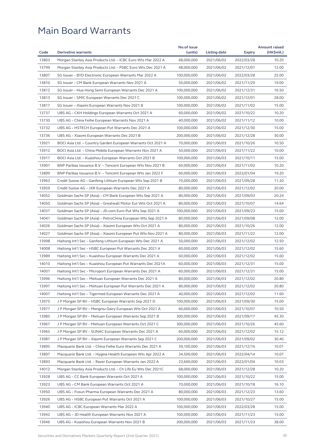|       | <b>Derivative warrants</b>                                   | No.of issue | Listing date             |               | <b>Amount raised</b> |
|-------|--------------------------------------------------------------|-------------|--------------------------|---------------|----------------------|
| Code  |                                                              | (units)     |                          | <b>Expiry</b> | (HK\$mil.)           |
| 13803 | Morgan Stanley Asia Products Ltd. - ICBC Euro Wts Mar 2022 A | 68,000,000  | 2021/06/02               | 2022/03/28    | 10.20                |
| 13799 | Morgan Stanley Asia Products Ltd. - PSBC Euro Wts Dec 2021 A | 48,000,000  | 2021/06/02               | 2021/12/01    | 12.00                |
| 13807 | SG Issuer - BYD Electronic European Warrants Mar 2022 A      | 100,000,000 | 2021/06/02               | 2022/03/28    | 25.00                |
| 13810 | SG Issuer – CM Bank European Warrants Nov 2021 A             | 50,000,000  | 2021/06/02               | 2021/11/29    | 19.00                |
| 13812 | SG Issuer - Hua Hong Semi European Warrants Dec 2021 A       | 100,000,000 | 2021/06/02               | 2021/12/31    | 16.50                |
| 13813 | SG Issuer – SMIC European Warrants Dec 2021 C                | 100,000,000 | 2021/06/02               | 2021/12/01    | 28.00                |
| 13817 | SG Issuer - Xiaomi European Warrants Nov 2021 B              | 100,000,000 | 2021/06/02               | 2021/11/02    | 15.00                |
| 13737 | UBS AG - CKH Holdings European Warrants Oct 2021 A           | 60,000,000  | 2021/06/02               | 2021/10/22    | 10.20                |
| 13730 | UBS AG – China Feihe European Warrants Nov 2021 A            | 40,000,000  | 2021/06/02               | 2021/11/12    | 10.00                |
| 13732 | UBS AG – HSTECH European Put Warrants Dec 2021 A             | 100,000,000 | 2021/06/02               | 2021/12/30    | 15.00                |
| 13736 | UBS AG – Xiaomi European Warrants Dec 2021 B                 | 200,000,000 | 2021/06/02               | 2021/12/28    | 30.00                |
| 13921 | BOCI Asia Ltd. - Country Garden European Warrants Oct 2021 A | 70,000,000  | 2021/06/03               | 2021/10/26    | 10.50                |
| 13912 | BOCI Asia Ltd. – China Mobile European Warrants Nov 2021 A   | 50,000,000  | 2021/06/03               | 2021/11/22    | 10.00                |
| 13917 | BOCI Asia Ltd. - Kuaishou European Warrants Oct 2021 B       | 100,000,000 | 2021/06/03               | 2021/10/11    | 15.00                |
| 13901 | BNP Paribas Issuance B.V. – Tencent European Wts Nov 2021 B  | 60,000,000  | 2021/06/03               | 2021/11/02    | 10.20                |
| 13899 | BNP Paribas Issuance B.V. - Tencent European Wts Jan 2022 F  | 60,000,000  | 2021/06/03               | 2022/01/04    | 19.20                |
| 13963 | Credit Suisse AG – Ganfeng Lithium European Wts Sep 2021 B   | 70,000,000  | 2021/06/03               | 2021/09/28    | 11.20                |
| 13959 | Credit Suisse AG - JXR European Warrants Dec 2021 A          | 80,000,000  | 2021/06/03               | 2021/12/02    | 20.00                |
| 14052 | Goldman Sachs SP (Asia) – CM Bank European Wts Sep 2021 A    | 80,000,000  | 2021/06/03               | 2021/09/03    | 20.24                |
| 14050 | Goldman Sachs SP (Asia) – Greatwall Motor Eur Wts Oct 2021 A | 80,000,000  | 2021/06/03               | 2021/10/07    | 14.64                |
| 14037 | Goldman Sachs SP (Asia) - JD.com Euro Put Wts Sep 2021 A     | 100,000,000 | 2021/06/03               | 2021/09/23    | 15.00                |
| 14041 | Goldman Sachs SP (Asia) – PetroChina European Wts Sep 2021 A | 80,000,000  | 2021/06/03               | 2021/09/08    | 12.00                |
| 14026 | Goldman Sachs SP (Asia) - Xiaomi European Wts Oct 2021 A     | 80,000,000  | 2021/06/03               | 2021/10/26    | 12.00                |
| 14027 | Goldman Sachs SP (Asia) – Xiaomi European Put Wts Nov 2021 A | 80,000,000  | 2021/06/03               | 2021/11/22    | 12.00                |
| 13998 | Haitong Int'l Sec - Ganfeng Lithium European Wts Dec 2021 A  | 50,000,000  | 2021/06/03               | 2021/12/02    | 12.50                |
| 14008 | Haitong Int'l Sec – HSBC European Put Warrants Dec 2021 A    | 60,000,000  | 2021/06/03               | 2021/12/02    | 15.60                |
| 13989 | Haitong Int'l Sec - Kuaishou European Warrants Dec 2021 A    | 60,000,000  | 2021/06/03               | 2021/12/02    | 15.60                |
| 14010 | Haitong Int'l Sec - Kuaishou European Put Warrants Dec 2021A | 60,000,000  | 2021/06/03               | 2021/12/31    | 15.00                |
| 14001 | Haitong Int'l Sec – Microport European Warrants Dec 2021 A   | 60,000,000  | 2021/06/03               | 2021/12/31    | 15.00                |
| 13996 | Haitong Int'l Sec – Meituan European Warrants Dec 2021 A     | 80,000,000  | 2021/06/03               | 2021/12/02    | 20.80                |
| 13997 | Haitong Int'l Sec - Meituan European Put Warrants Dec 2021 A | 80,000,000  | 2021/06/03               | 2021/12/02    | 20.80                |
| 14007 | Haitong Int'l Sec - Tigermed European Warrants Dec 2021 A    | 40,000,000  | 2021/06/03               | 2021/12/02    | 11.60                |
| 13975 | J P Morgan SP BV – HSBC European Warrants Sep 2021 D         | 100,000,000 | 2021/06/03               | 2021/09/30    | 15.00                |
| 13977 | J P Morgan SP BV - Mengniu Dairy European Wts Oct 2021 A     | 60,000,000  | 2021/06/03               | 2021/10/07    | 10.50                |
| 13985 | J P Morgan SP BV – Meituan European Warrants Sep 2021 B      | 300,000,000 | 2021/06/03               | 2021/09/17    | 45.30                |
| 13967 | J P Morgan SP BV - Meituan European Warrants Oct 2021 C      | 300,000,000 | 2021/06/03               | 2021/10/26    | 45.60                |
| 13965 | J P Morgan SP BV – SUNAC European Warrants Dec 2021 A        | 60,000,000  | 2021/06/03               | 2021/12/02    | 15.12                |
| 13987 | J P Morgan SP BV - Xiaomi European Warrants Sep 2021 C       | 200,000,000 | 2021/06/03               | 2021/09/02    | 30.40                |
| 13895 | Macquarie Bank Ltd. - China Feihe Euro Warrants Dec 2021 A   | 39,100,000  | 2021/06/03               | 2021/12/16    | 10.01                |
| 13897 | Macquarie Bank Ltd. - Hygeia Health European Wts Apr 2022 A  | 34,500,000  | 2021/06/03               | 2022/04/14    | 10.07                |
| 13893 | Macquarie Bank Ltd. - Razer European Warrants Jan 2022 A     | 23,600,000  | 2021/06/03               | 2022/01/04    | 10.03                |
| 14012 | Morgan Stanley Asia Products Ltd. - Ch Life Eu Wts Dec 2021C | 68,000,000  | 2021/06/03               | 2021/12/28    | 10.20                |
| 13928 | UBS AG – CC Bank European Warrants Oct 2021 A                | 100,000,000 | 2021/06/03               | 2021/10/22    | 15.00                |
| 13923 |                                                              | 70,000,000  |                          |               | 16.10                |
| 13950 | UBS AG – CM Bank European Warrants Oct 2021 A                | 80,000,000  | 2021/06/03<br>2021/06/03 | 2021/10/18    | 13.60                |
|       | UBS AG - Fosun Pharma European Warrants Dec 2021 A           |             |                          | 2021/12/23    |                      |
| 13926 | UBS AG – HSBC European Put Warrants Oct 2021 A               | 100,000,000 | 2021/06/03               | 2021/10/27    | 15.00                |
| 13940 | UBS AG - ICBC European Warrants Mar 2022 A                   | 100,000,000 | 2021/06/03               | 2022/03/28    | 15.00                |
| 13942 | UBS AG - JD Health European Warrants Nov 2021 A              | 100,000,000 | 2021/06/03               | 2021/11/23    | 15.00                |
| 13946 | UBS AG – Kuaishou European Warrants Nov 2021 B               | 200,000,000 | 2021/06/03               | 2021/11/23    | 38.00                |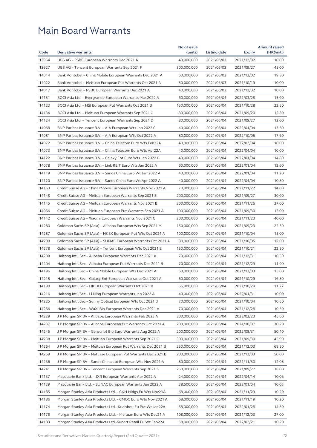|       |                                                               | No.of issue |              |               | <b>Amount raised</b> |
|-------|---------------------------------------------------------------|-------------|--------------|---------------|----------------------|
| Code  | <b>Derivative warrants</b>                                    | (units)     | Listing date | <b>Expiry</b> | (HK\$mil.)           |
| 13954 | UBS AG - PSBC European Warrants Dec 2021 A                    | 40,000,000  | 2021/06/03   | 2021/12/02    | 10.00                |
| 13927 | UBS AG – Tencent European Warrants Sep 2021 F                 | 300,000,000 | 2021/06/03   | 2021/09/27    | 45.00                |
| 14014 | Bank Vontobel - China Mobile European Warrants Dec 2021 A     | 60,000,000  | 2021/06/03   | 2021/12/02    | 19.80                |
| 14022 | Bank Vontobel - Meituan European Put Warrants Oct 2021 A      | 50,000,000  | 2021/06/03   | 2021/10/19    | 10.00                |
| 14017 | Bank Vontobel – PSBC European Warrants Dec 2021 A             | 40,000,000  | 2021/06/03   | 2021/12/02    | 10.00                |
| 14131 | BOCI Asia Ltd. - Evergrande European Warrants Mar 2022 A      | 60,000,000  | 2021/06/04   | 2022/03/28    | 15.00                |
| 14123 | BOCI Asia Ltd. – HSI European Put Warrants Oct 2021 B         | 150,000,000 | 2021/06/04   | 2021/10/28    | 22.50                |
| 14134 | BOCI Asia Ltd. - Meituan European Warrants Sep 2021 C         | 80,000,000  | 2021/06/04   | 2021/09/20    | 12.80                |
| 14124 | BOCI Asia Ltd. – Tencent European Warrants Sep 2021 D         | 80,000,000  | 2021/06/04   | 2021/09/27    | 12.00                |
| 14068 | BNP Paribas Issuance B.V. - AIA European Wts Jan 2022 C       | 40,000,000  | 2021/06/04   | 2022/01/04    | 13.60                |
| 14081 | BNP Paribas Issuance B.V. – AIA European Wts Oct 2022 A       | 80,000,000  | 2021/06/04   | 2022/10/05    | 17.60                |
| 14072 | BNP Paribas Issuance B.V. - China Telecom Euro Wts Feb22A     | 40,000,000  | 2021/06/04   | 2022/02/04    | 10.00                |
| 14073 | BNP Paribas Issuance B.V. - China Telecom Euro Wts Apr22A     | 40,000,000  | 2021/06/04   | 2022/04/04    | 10.00                |
| 14122 | BNP Paribas Issuance B.V. – Galaxy Ent Euro Wts Jan 2022 B    | 40,000,000  | 2021/06/04   | 2022/01/04    | 14.80                |
| 14078 | BNP Paribas Issuance B.V. - Link REIT Euro Wts Jan 2022 A     | 60,000,000  | 2021/06/04   | 2022/01/04    | 12.60                |
| 14119 | BNP Paribas Issuance B.V. – Sands China Euro Wt Jan 2022 A    | 40,000,000  | 2021/06/04   | 2022/01/04    | 11.20                |
| 14120 | BNP Paribas Issuance B.V. – Sands China Euro Wt Apr 2022 A    | 40,000,000  | 2021/06/04   | 2022/04/04    | 10.80                |
| 14153 | Credit Suisse AG - China Mobile European Warrants Nov 2021 A  | 70,000,000  | 2021/06/04   | 2021/11/22    | 14.00                |
| 14148 | Credit Suisse AG - Meituan European Warrants Sep 2021 E       | 200,000,000 | 2021/06/04   | 2021/09/27    | 30.00                |
| 14145 | Credit Suisse AG - Meituan European Warrants Nov 2021 B       | 200,000,000 | 2021/06/04   | 2021/11/26    | 37.00                |
| 14066 | Credit Suisse AG - Meituan European Put Warrants Sep 2021 A   | 100,000,000 | 2021/06/04   | 2021/09/30    | 15.00                |
| 14142 | Credit Suisse AG - Xiaomi European Warrants Nov 2021 C        | 200,000,000 | 2021/06/04   | 2021/11/23    | 40.00                |
| 14280 | Goldman Sachs SP (Asia) – Alibaba European Wts Sep 2021 M     | 150,000,000 | 2021/06/04   | 2021/09/23    | 22.50                |
| 14287 | Goldman Sachs SP (Asia) - HKEX European Put Wts Oct 2021 A    | 100,000,000 | 2021/06/04   | 2021/10/04    | 15.00                |
| 14290 | Goldman Sachs SP (Asia) – SUNAC European Warrants Oct 2021 A  | 80,000,000  | 2021/06/04   | 2021/10/05    | 12.00                |
| 14278 | Goldman Sachs SP (Asia) - Tencent European Wts Oct 2021 E     | 150,000,000 | 2021/06/04   | 2021/10/21    | 22.50                |
| 14208 | Haitong Int'l Sec - Alibaba European Warrants Dec 2021 A      | 70,000,000  | 2021/06/04   | 2021/12/31    | 10.50                |
| 14204 | Haitong Int'l Sec - Alibaba European Put Warrants Dec 2021 B  | 70,000,000  | 2021/06/04   | 2021/12/29    | 11.90                |
| 14196 | Haitong Int'l Sec – China Mobile European Wts Dec 2021 A      | 60,000,000  | 2021/06/04   | 2021/12/03    | 15.00                |
| 14215 | Haitong Int'l Sec - Galaxy Ent European Warrants Oct 2021 A   | 60,000,000  | 2021/06/04   | 2021/10/29    | 16.80                |
| 14190 | Haitong Int'l Sec – HKEX European Warrants Oct 2021 B         | 66,000,000  | 2021/06/04   | 2021/10/29    | 11.22                |
| 14216 | Haitong Int'l Sec - Li Ning European Warrants Jan 2022 A      | 40,000,000  | 2021/06/04   | 2022/01/31    | 10.00                |
| 14225 | Haitong Int'l Sec – Sunny Optical European Wts Oct 2021 B     | 70,000,000  | 2021/06/04   | 2021/10/04    | 10.50                |
| 14266 | Haitong Int'l Sec – WuXi Bio European Warrants Dec 2021 A     | 70,000,000  | 2021/06/04   | 2021/12/28    | 10.50                |
| 14229 | J P Morgan SP BV - Alibaba European Warrants Feb 2023 A       | 300,000,000 | 2021/06/04   | 2023/02/23    | 45.60                |
| 14237 | J P Morgan SP BV - Alibaba European Put Warrants Oct 2021 A   | 200,000,000 | 2021/06/04   | 2021/10/07    | 30.20                |
| 14245 | J P Morgan SP BV - Genscript Bio Euro Warrants Aug 2022 A     | 200,000,000 | 2021/06/04   | 2022/08/31    | 50.40                |
| 14238 | J P Morgan SP BV - Meituan European Warrants Sep 2021 C       | 300,000,000 | 2021/06/04   | 2021/09/30    | 45.90                |
| 14264 | J P Morgan SP BV - Meituan European Put Warrants Dec 2021 B   | 250,000,000 | 2021/06/04   | 2021/12/03    | 69.50                |
|       |                                                               |             |              |               |                      |
| 14259 | J P Morgan SP BV - NetEase European Put Warrants Dec 2021 B   | 200,000,000 | 2021/06/04   | 2021/12/03    | 50.00                |
| 14236 | J P Morgan SP BV - Sands China Ltd European Wts Nov 2021 A    | 80,000,000  | 2021/06/04   | 2021/11/30    | 12.08                |
| 14241 | J P Morgan SP BV - Tencent European Warrants Sep 2021 G       | 250,000,000 | 2021/06/04   | 2021/09/27    | 38.00                |
| 14137 | Macquarie Bank Ltd. - JXR European Warrants Apr 2022 A        | 24,000,000  | 2021/06/04   | 2022/04/14    | 10.06                |
| 14139 | Macquarie Bank Ltd. – SUNAC European Warrants Jan 2022 A      | 38,500,000  | 2021/06/04   | 2022/01/04    | 10.05                |
| 14185 | Morgan Stanley Asia Products Ltd. - CKH Hldgs Eu Wts Nov21A   | 68,000,000  | 2021/06/04   | 2021/11/29    | 10.20                |
| 14186 | Morgan Stanley Asia Products Ltd. - CMOC Euro Wts Nov 2021 A  | 68,000,000  | 2021/06/04   | 2021/11/19    | 10.20                |
| 14174 | Morgan Stanley Asia Products Ltd. - Kuaishou Eu Put Wt Jan22A | 58,000,000  | 2021/06/04   | 2022/01/28    | 14.50                |
| 14175 | Morgan Stanley Asia Products Ltd. - Meituan Euro Wts Dec21 A  | 108,000,000 | 2021/06/04   | 2021/12/03    | 27.00                |
| 14183 | Morgan Stanley Asia Products Ltd.-Sunart Retail Eu Wt Feb22A  | 68,000,000  | 2021/06/04   | 2022/02/21    | 10.20                |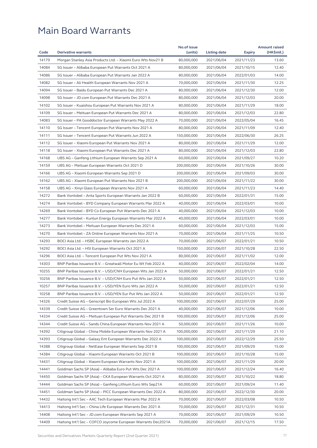|       |                                                              | No.of issue |              |               | <b>Amount raised</b> |
|-------|--------------------------------------------------------------|-------------|--------------|---------------|----------------------|
| Code  | <b>Derivative warrants</b>                                   | (units)     | Listing date | <b>Expiry</b> | (HK\$mil.)           |
| 14179 | Morgan Stanley Asia Products Ltd. - Xiaomi Euro Wts Nov21 B  | 80,000,000  | 2021/06/04   | 2021/11/23    | 13.60                |
| 14084 | SG Issuer - Alibaba European Put Warrants Oct 2021 A         | 80,000,000  | 2021/06/04   | 2021/10/15    | 12.40                |
| 14086 | SG Issuer - Alibaba European Put Warrants Jan 2022 A         | 80,000,000  | 2021/06/04   | 2022/01/03    | 14.00                |
| 14082 | SG Issuer - Ali Health European Warrants Nov 2021 A          | 70,000,000  | 2021/06/04   | 2021/11/30    | 12.25                |
| 14094 | SG Issuer - Baidu European Put Warrants Dec 2021 A           | 80,000,000  | 2021/06/04   | 2021/12/30    | 12.00                |
| 14098 | SG Issuer - JD.com European Put Warrants Dec 2021 A          | 80,000,000  | 2021/06/04   | 2021/12/03    | 20.00                |
| 14102 | SG Issuer - Kuaishou European Put Warrants Nov 2021 A        | 80,000,000  | 2021/06/04   | 2021/11/29    | 18.00                |
| 14109 | SG Issuer - Meituan European Put Warrants Dec 2021 A         | 80,000,000  | 2021/06/04   | 2021/12/03    | 22.80                |
| 14083 | SG Issuer - PA Gooddoctor European Warrants May 2022 A       | 70,000,000  | 2021/06/04   | 2022/05/04    | 16.45                |
| 14110 | SG Issuer - Tencent European Put Warrants Nov 2021 A         | 80,000,000  | 2021/06/04   | 2021/11/09    | 12.40                |
| 14111 | SG Issuer - Tencent European Put Warrants Jun 2022 A         | 150,000,000 | 2021/06/04   | 2022/06/30    | 26.25                |
| 14112 | SG Issuer - Xiaomi European Put Warrants Nov 2021 A          | 80,000,000  | 2021/06/04   | 2021/11/29    | 12.00                |
| 14118 | SG Issuer - Xiaomi European Put Warrants Dec 2021 A          | 80,000,000  | 2021/06/04   | 2021/12/03    | 22.80                |
| 14168 | UBS AG - Ganfeng Lithium European Warrants Sep 2021 A        | 60,000,000  | 2021/06/04   | 2021/09/27    | 10.20                |
| 14159 | UBS AG - Meituan European Warrants Oct 2021 D                | 200,000,000 | 2021/06/04   | 2021/10/26    | 30.00                |
| 14166 | UBS AG – Xiaomi European Warrants Sep 2021 D                 | 200,000,000 | 2021/06/04   | 2021/09/03    | 30.00                |
| 14162 | UBS AG - Xiaomi European Put Warrants Nov 2021 B             | 200,000,000 | 2021/06/04   | 2021/11/22    | 30.00                |
| 14158 | UBS AG - Xinyi Glass European Warrants Nov 2021 A            | 60,000,000  | 2021/06/04   | 2021/11/23    | 14.40                |
| 14272 | Bank Vontobel - Anta Sports European Warrants Jan 2022 B     | 60,000,000  | 2021/06/04   | 2022/01/31    | 15.00                |
| 14274 | Bank Vontobel – BYD Company European Warrants Mar 2022 A     | 40,000,000  | 2021/06/04   | 2022/03/01    | 10.00                |
| 14269 | Bank Vontobel - BYD Co European Put Warrants Dec 2021 A      | 40,000,000  | 2021/06/04   | 2021/12/03    | 10.00                |
| 14277 | Bank Vontobel - Kunlun Energy European Warrants Mar 2022 A   | 40,000,000  | 2021/06/04   | 2022/03/01    | 10.00                |
| 14273 | Bank Vontobel - Meituan European Warrants Dec 2021 A         | 60,000,000  | 2021/06/04   | 2021/12/03    | 15.00                |
| 14270 | Bank Vontobel - ZA Online European Warrants Nov 2021 A       | 70,000,000  | 2021/06/04   | 2021/11/25    | 10.50                |
| 14293 | BOCI Asia Ltd. - HSBC European Warrants Jan 2022 A           | 70,000,000  | 2021/06/07   | 2022/01/21    | 10.50                |
| 14292 | BOCI Asia Ltd. - HSI European Warrants Oct 2021 A            | 150,000,000 | 2021/06/07   | 2021/10/28    | 22.50                |
| 14296 | BOCI Asia Ltd. - Tencent European Put Wts Nov 2021 A         | 80,000,000  | 2021/06/07   | 2021/11/02    | 12.00                |
| 14303 | BNP Paribas Issuance B.V. - Greatwall Motor Eu Wt Feb 2022 A | 40,000,000  | 2021/06/07   | 2022/02/04    | 14.00                |
| 10255 | BNP Paribas Issuance B.V. - USD/CNH European Wts Jan 2022 A  | 50,000,000  | 2021/06/07   | 2022/01/21    | 12.50                |
| 10256 | BNP Paribas Issuance B.V. - USD/CNH Euro Put Wts Jan 2022 A  | 50,000,000  | 2021/06/07   | 2022/01/21    | 12.50                |
| 10257 | BNP Paribas Issuance B.V. - USD/YEN Euro Wts Jan 2022 A      | 50,000,000  | 2021/06/07   | 2022/01/21    | 12.50                |
| 10258 | BNP Paribas Issuance B.V. - USD/YEN Eur Put Wts Jan 2022 A   | 50,000,000  | 2021/06/07   | 2022/01/21    | 12.50                |
| 14326 | Credit Suisse AG – Genscript Bio European Wts Jul 2022 A     | 100,000,000 | 2021/06/07   | 2022/07/29    | 25.00                |
| 14339 | Credit Suisse AG - Greentown Ser Euro Warrants Dec 2021 A    | 40,000,000  | 2021/06/07   | 2021/12/06    | 10.00                |
| 14334 | Credit Suisse AG - Meituan European Put Warrants Dec 2021 B  | 100,000,000 | 2021/06/07   | 2021/12/06    | 25.00                |
| 14344 | Credit Suisse AG - Sands China European Warrants Nov 2021 A  | 50,000,000  | 2021/06/07   | 2021/11/26    | 10.00                |
| 14392 | Citigroup Global - China Mobile European Warrants Nov 2021 A | 100,000,000 | 2021/06/07   | 2021/11/29    | 21.10                |
| 14393 | Citigroup Global – Galaxy Ent European Warrants Dec 2022 A   | 100,000,000 | 2021/06/07   | 2022/12/29    | 25.50                |
| 14388 | Citigroup Global - NetEase European Warrants Sep 2021 B      | 100,000,000 |              |               | 15.00                |
|       |                                                              |             | 2021/06/07   | 2021/09/29    |                      |
| 14384 | Citigroup Global - Xiaomi European Warrants Oct 2021 B       | 100,000,000 | 2021/06/07   | 2021/10/28    | 15.00                |
| 14431 | Citigroup Global - Xiaomi European Warrants Nov 2021 A       | 100,000,000 | 2021/06/07   | 2021/11/29    | 20.00                |
| 14441 | Goldman Sachs SP (Asia) - Alibaba Euro Put Wts Dec 2021 A    | 100,000,000 | 2021/06/07   | 2021/12/24    | 16.40                |
| 14450 | Goldman Sachs SP (Asia) - CKA European Warrants Oct 2021 A   | 80,000,000  | 2021/06/07   | 2021/10/22    | 18.80                |
| 14444 | Goldman Sachs SP (Asia) - Ganfeng Lithium Euro Wts Sep21A    | 60,000,000  | 2021/06/07   | 2021/09/24    | 11.40                |
| 14451 | Goldman Sachs SP (Asia) - PICC European Warrants Dec 2022 A  | 80,000,000  | 2021/06/07   | 2022/12/30    | 20.00                |
| 14432 | Haitong Int'l Sec - AAC Tech European Warrants Mar 2022 A    | 70,000,000  | 2021/06/07   | 2022/03/08    | 10.50                |
| 14413 | Haitong Int'l Sec - China Life European Warrants Dec 2021 A  | 70,000,000  | 2021/06/07   | 2021/12/31    | 10.50                |
| 14408 | Haitong Int'l Sec - JD.com European Warrants Sep 2021 A      | 70,000,000  | 2021/06/07   | 2021/09/29    | 10.50                |
| 14409 | Haitong Int'l Sec - COFCO Joycome European Warrants Dec2021A | 70,000,000  | 2021/06/07   | 2021/12/15    | 17.50                |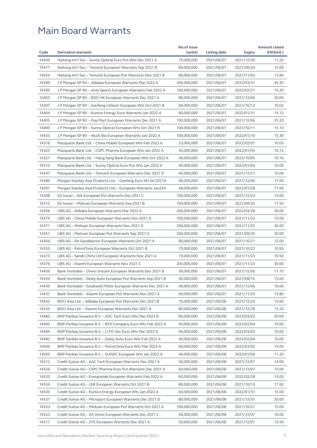|       |                                                              | No.of issue |                          |               | <b>Amount raised</b> |
|-------|--------------------------------------------------------------|-------------|--------------------------|---------------|----------------------|
| Code  | <b>Derivative warrants</b>                                   | (units)     | Listing date             | <b>Expiry</b> | (HK\$mil.)           |
| 14430 | Haitong Int'l Sec - Sunny Optical Euro Put Wts Dec 2021 A    | 70,000,000  | 2021/06/07               | 2021/12/30    | 11.20                |
| 14417 | Haitong Int'l Sec – Tencent European Warrants Sep 2021 B     | 80,000,000  | 2021/06/07               | 2021/09/29    | 12.00                |
| 14424 | Haitong Int'l Sec - Tencent European Put Warrants Nov 2021 B | 80,000,000  | 2021/06/07               | 2021/11/02    | 12.80                |
| 14399 | J P Morgan SP BV – Alibaba European Warrants Mar 2022 A      | 300,000,000 | 2021/06/07               | 2022/03/31    | 45.30                |
| 14395 | J P Morgan SP BV – Anta Sports European Warrants Feb 2022 A  | 100,000,000 | 2021/06/07               | 2022/02/21    | 15.20                |
| 14403 | J P Morgan SP BV - BOC HK European Warrants Dec 2021 A       | 80,000,000  | 2021/06/07               | 2021/12/06    | 20.00                |
| 14397 | J P Morgan SP BV - Ganfeng Lithium European Wts Oct 2021 B   | 60,000,000  | 2021/06/07               | 2021/10/12    | 10.02                |
| 14404 | J P Morgan SP BV - Kunlun Energy Euro Warrants Jan 2022 A    | 60,000,000  | 2021/06/07               | 2022/01/31    | 15.12                |
| 14405 | J P Morgan SP BV – Pop Mart European Warrants Dec 2021 A     | 100,000,000 | 2021/06/07               | 2021/12/06    | 25.20                |
| 14400 | J P Morgan SP BV - Sunny Optical European Wts Oct 2021 B     | 100,000,000 | 2021/06/07               | 2021/10/11    | 15.10                |
| 14433 | J P Morgan SP BV - WuXi Bio European Warrants Jan 2022 A     | 100,000,000 | 2021/06/07               | 2022/01/10    | 15.30                |
| 14316 | Macquarie Bank Ltd. - China Mobile European Wts Feb 2022 A   | 23,000,000  | 2021/06/07               | 2022/02/07    | 10.03                |
| 14325 | Macquarie Bank Ltd. - CSPC Pharma European Wts Jan 2022 A    | 40,000,000  | 2021/06/07               | 2022/01/04    | 10.12                |
| 14321 | Macquarie Bank Ltd. - Hang Seng Bank European Wts Oct 2022 A | 40,000,000  | 2021/06/07               | 2022/10/05    | 10.16                |
| 14314 | Macquarie Bank Ltd. - Sunny Optical Euro Put Wts Jan 2022 A  | 40,000,000  | 2021/06/07               | 2022/01/04    | 10.00                |
| 14347 | Macquarie Bank Ltd. - Tencent European Warrants Dec 2021 D   | 40,000,000  | 2021/06/07               | 2021/12/21    | 10.04                |
| 14380 | Morgan Stanley Asia Products Ltd. - Ganfeng Euro Wt De 2021A | 68,000,000  | 2021/06/07               | 2021/12/06    | 17.00                |
| 14291 | Morgan Stanley Asia Products Ltd. - European Warrants Jan22A | 68,000,000  | 2021/06/07               | 2022/01/28    | 17.00                |
| 14308 | SG Issuer - AIA European Put Warrants Dec 2021 C             | 100,000,000 | 2021/06/07               | 2021/12/23    | 15.00                |
| 14312 | SG Issuer – Meituan European Warrants Sep 2021 B             | 100,000,000 | 2021/06/07               | 2021/09/20    | 17.50                |
| 14356 | UBS AG - Alibaba European Warrants Mar 2022 A                | 200,000,000 | 2021/06/07               | 2022/03/28    | 30.00                |
| 14379 | UBS AG – China Mobile European Warrants Nov 2021 A           | 100,000,000 | 2021/06/07               | 2021/11/22    | 15.00                |
| 14371 | UBS AG - Meituan European Warrants Nov 2021 D                | 200,000,000 | 2021/06/07               | 2021/11/25    | 30.00                |
| 14357 | UBS AG – Meituan European Put Warrants Sep 2021 A            | 200,000,000 | 2021/06/07               | 2021/09/30    | 30.00                |
| 14364 | UBS AG – PA Gooddoctor European Warrants Oct 2021 A          | 80,000,000  | 2021/06/07               | 2021/10/21    | 12.00                |
| 14355 | UBS AG - PetroChina European Warrants Oct 2021 B             | 70,000,000  | 2021/06/07               | 2021/10/22    | 10.50                |
| 14373 | UBS AG - Sands China Ltd European Warrants Nov 2021 A        | 70,000,000  |                          | 2021/11/23    | 10.50                |
| 14376 | UBS AG - Xiaomi European Warrants Nov 2021 C                 | 200,000,000 | 2021/06/07<br>2021/06/07 |               | 30.00                |
|       |                                                              |             |                          | 2021/11/23    |                      |
| 14439 | Bank Vontobel - China Unicom European Warrants Dec 2021 B    | 30,000,000  | 2021/06/07               | 2021/12/06    | 11.70                |
| 14434 | Bank Vontobel - Geely Auto European Put Warrants Sep 2021 B  | 60,000,000  | 2021/06/07               | 2021/09/15    | 15.60                |
| 14436 | Bank Vontobel - Greatwall Motor European Warrants Dec 2021 A | 40,000,000  | 2021/06/07               | 2021/12/06    | 10.00                |
| 14437 | Bank Vontobel - Xiaomi European Put Warrants Nov 2021 A      | 60,000,000  | 2021/06/07               | 2021/11/25    | 13.80                |
| 14543 | BOCI Asia Ltd. - Alibaba European Put Warrants Dec 2021 B    | 70,000,000  | 2021/06/08               | 2021/12/24    | 12.60                |
| 14535 | BOCI Asia Ltd. - Xiaomi European Warrants Dec 2021 A         | 80,000,000  | 2021/06/08               | 2021/12/28    | 15.20                |
| 14482 | BNP Paribas Issuance B.V. - AAC Tech Euro Wts Mar 2023 B     | 80,000,000  | 2021/06/08               | 2023/03/02    | 20.00                |
| 14493 | BNP Paribas Issuance B.V. - BYD Company Euro Wts Feb 2022 A  | 40,000,000  | 2021/06/08               | 2022/02/04    | 10.00                |
| 14494 | BNP Paribas Issuance B.V. - CITIC Sec Euro Wts Mar 2022 A    | 40,000,000  | 2021/06/08               | 2022/03/02    | 10.00                |
| 14483 | BNP Paribas Issuance B.V. - Geely Auto Euro Wts Feb 2022 A   | 40,000,000  | 2021/06/08               | 2022/02/04    | 10.00                |
| 14506 | BNP Paribas Issuance B.V. - PetroChina Euro Wts Mar 2022 A   | 60,000,000  | 2021/06/08               | 2022/03/02    | 15.00                |
| 14505 | BNP Paribas Issuance B.V. - SUNAC European Wts Jan 2022 A    | 40,000,000  | 2021/06/08               | 2022/01/04    | 11.20                |
| 14512 | Credit Suisse AG - AAC Tech European Warrants Dec 2021 A     | 50,000,000  | 2021/06/08               | 2021/12/07    | 14.00                |
| 14526 | Credit Suisse AG - CSPC Pharma Euro Put Warrants Dec 2021 A  | 60,000,000  | 2021/06/08               | 2021/12/07    | 15.00                |
| 14520 | Credit Suisse AG - Evergrande European Warrants Feb 2022 A   | 60,000,000  | 2021/06/08               | 2022/02/28    | 15.00                |
| 14534 | Credit Suisse AG - JXR European Warrants Oct 2021 B          | 80,000,000  | 2021/06/08               | 2021/10/13    | 17.60                |
| 14530 | Credit Suisse AG - Kunlun Energy European Wts Jan 2022 A     | 60,000,000  | 2021/06/08               | 2022/01/31    | 15.00                |
| 14531 | Credit Suisse AG - Microport European Warrants Dec 2021 D    | 80,000,000  | 2021/06/08               | 2021/12/31    | 20.00                |
| 14533 | Credit Suisse AG - Meituan European Put Warrants Oct 2021 A  | 100,000,000 | 2021/06/08               | 2021/10/21    | 15.00                |
| 14523 | Credit Suisse AG - ZA Onine European Warrants Dec 2021 C     | 40,000,000  | 2021/06/08               | 2021/12/07    | 16.00                |
| 14517 | Credit Suisse AG - ZTE European Warrants Dec 2021 A          | 50,000,000  | 2021/06/08               | 2021/12/07    | 12.50                |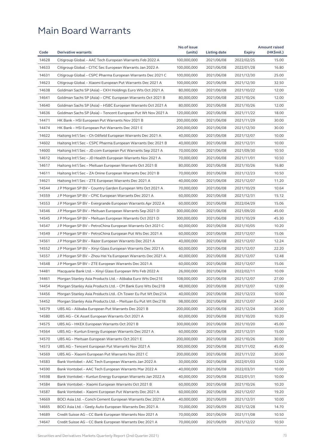|       |                                                               | No.of issue |              |                          | <b>Amount raised</b> |
|-------|---------------------------------------------------------------|-------------|--------------|--------------------------|----------------------|
| Code  | <b>Derivative warrants</b>                                    | (units)     | Listing date | <b>Expiry</b>            | (HK\$mil.)           |
| 14628 | Citigroup Global - AAC Tech European Warrants Feb 2022 A      | 100,000,000 | 2021/06/08   | 2022/02/25               | 15.00                |
| 14633 | Citigroup Global – CITIC Sec European Warrants Jan 2022 A     | 100,000,000 | 2021/06/08   | 2022/01/28               | 16.80                |
| 14631 | Citigroup Global – CSPC Pharma European Warrants Dec 2021 C   | 100,000,000 | 2021/06/08   | 2021/12/30               | 25.00                |
| 14623 | Citigroup Global – Xiaomi European Put Warrants Dec 2021 A    | 100,000,000 | 2021/06/08   | 2021/12/30               | 32.50                |
| 14638 | Goldman Sachs SP (Asia) – CKH Holdings Euro Wts Oct 2021 A    | 80,000,000  | 2021/06/08   | 2021/10/22               | 12.00                |
| 14641 | Goldman Sachs SP (Asia) - CPIC European Warrants Oct 2021 B   | 80,000,000  | 2021/06/08   | 2021/10/26               | 12.00                |
| 14640 | Goldman Sachs SP (Asia) – HSBC European Warrants Oct 2021 A   | 80,000,000  | 2021/06/08   | 2021/10/26               | 12.00                |
| 14636 | Goldman Sachs SP (Asia) – Tencent European Put Wt Nov 2021 A  | 120,000,000 | 2021/06/08   | 2021/11/22               | 18.00                |
| 14471 | HK Bank - HSI European Put Warrants Nov 2021 B                | 200,000,000 | 2021/06/08   | 2021/11/29               | 30.00                |
| 14474 | HK Bank - HSI European Put Warrants Dec 2021 E                | 200,000,000 | 2021/06/08   | 2021/12/30               | 30.00                |
| 14622 | Haitong Int'l Sec – Ch Oilfield European Warrants Dec 2021 A  | 40,000,000  | 2021/06/08   | 2021/12/07               | 10.00                |
| 14602 | Haitong Int'l Sec - CSPC Pharma European Warrants Dec 2021 B  | 40,000,000  | 2021/06/08   | 2021/12/31               | 10.00                |
| 14600 | Haitong Int'l Sec - JD.com European Put Warrants Sep 2021 A   | 70,000,000  | 2021/06/08   | 2021/09/30               | 10.50                |
| 14612 | Haitong Int'l Sec - JD Health European Warrants Nov 2021 A    | 70,000,000  | 2021/06/08   | 2021/11/01               | 10.50                |
| 14617 | Haitong Int'l Sec - Meituan European Warrants Oct 2021 B      | 80,000,000  | 2021/06/08   | 2021/10/26               | 16.80                |
| 14611 | Haitong Int'l Sec – ZA Onine European Warrants Dec 2021 B     | 70,000,000  | 2021/06/08   | 2021/12/23               | 10.50                |
| 14621 | Haitong Int'l Sec - ZTE European Warrants Dec 2021 A          | 40,000,000  | 2021/06/08   | 2021/12/07               | 11.20                |
| 14544 | J P Morgan SP BV - Country Garden European Wts Oct 2021 A     | 70,000,000  | 2021/06/08   | 2021/10/29               | 10.64                |
| 14559 | J P Morgan SP BV – CPIC European Warrants Dec 2021 A          | 60,000,000  | 2021/06/08   | 2021/12/31               | 15.12                |
| 14553 | J P Morgan SP BV – Evergrande European Warrants Apr 2022 A    | 60,000,000  | 2021/06/08   | 2022/04/29               | 15.06                |
| 14546 | J P Morgan SP BV - Meituan European Warrants Sep 2021 D       | 300,000,000 | 2021/06/08   | 2021/09/20               | 45.00                |
| 14545 | J P Morgan SP BV – Meituan European Warrants Oct 2021 D       | 300,000,000 | 2021/06/08   | 2021/10/29               | 45.30                |
| 14547 | J P Morgan SP BV – PetroChina European Warrants Oct 2021 C    | 60,000,000  | 2021/06/08   | 2021/10/05               | 10.20                |
| 14549 | J P Morgan SP BV – PetroChina European Put Wts Dec 2021 A     | 60,000,000  | 2021/06/08   | 2021/12/07               | 15.06                |
| 14561 | J P Morgan SP BV – Razer European Warrants Dec 2021 A         | 40,000,000  | 2021/06/08   | 2021/12/07               | 12.24                |
| 14552 | J P Morgan SP BV - Xinyi Glass European Warrants Dec 2021 A   | 60,000,000  | 2021/06/08   | 2021/12/07               | 22.20                |
| 14557 | J P Morgan SP BV – Zhou Hei Ya European Warrants Dec 2021 A   | 40,000,000  | 2021/06/08   | 2021/12/07               | 12.48                |
| 14548 | J P Morgan SP BV - ZTE European Warrants Dec 2021 A           | 60,000,000  | 2021/06/08   | 2021/12/07               | 15.06                |
| 14481 | Macquarie Bank Ltd. - Xinyi Glass European Wts Feb 2022 A     | 26,000,000  | 2021/06/08   | 2022/02/11               | 10.09                |
| 14461 | Morgan Stanley Asia Products Ltd. - Alibaba Euro Wts Dec21E   | 108,000,000 | 2021/06/08   | 2021/12/07               | 27.00                |
| 14454 | Morgan Stanley Asia Products Ltd. - CM Bank Euro Wts Dec21B   | 48,000,000  | 2021/06/08   | 2021/12/07               | 12.00                |
| 14456 | Morgan Stanley Asia Products Ltd. - Ch Tower Eu Put Wt Dec21A | 40,000,000  | 2021/06/08   | 2021/12/23               | 10.00                |
| 14452 | Morgan Stanley Asia Products Ltd. - Meituan Eu Put Wt Dec21B  | 98,000,000  | 2021/06/08   | 2021/12/07               | 24.50                |
| 14579 | UBS AG – Alibaba European Put Warrants Dec 2021 B             | 200,000,000 | 2021/06/08   |                          | 30.00                |
| 14580 | UBS AG - CK Asset European Warrants Oct 2021 A                | 60,000,000  | 2021/06/08   | 2021/12/24<br>2021/10/20 | 10.20                |
|       |                                                               |             |              |                          |                      |
| 14575 | UBS AG - HKEX European Warrants Oct 2021 B                    | 300,000,000 | 2021/06/08   | 2021/10/20               | 45.00                |
| 14564 | UBS AG - Kunlun Energy European Warrants Dec 2021 A           | 60,000,000  | 2021/06/08   | 2021/12/31               | 15.00                |
| 14570 | UBS AG – Meituan European Warrants Oct 2021 E                 | 200,000,000 | 2021/06/08   | 2021/10/26               | 30.00                |
| 14573 | UBS AG - Tencent European Put Warrants Nov 2021 A             | 300,000,000 | 2021/06/08   | 2021/11/02               | 45.00                |
| 14569 | UBS AG - Xiaomi European Put Warrants Nov 2021 C              | 200,000,000 | 2021/06/08   | 2021/11/22               | 30.00                |
| 14583 | Bank Vontobel - AAC Tech European Warrants Jan 2022 A         | 30,000,000  | 2021/06/08   | 2022/01/03               | 12.00                |
| 14590 | Bank Vontobel - AAC Tech European Warrants Mar 2022 A         | 40,000,000  | 2021/06/08   | 2022/03/31               | 10.00                |
| 14598 | Bank Vontobel - Kunlun Energy European Warrants Jan 2022 A    | 40,000,000  | 2021/06/08   | 2022/01/31               | 10.00                |
| 14584 | Bank Vontobel - Xiaomi European Warrants Oct 2021 B           | 60,000,000  | 2021/06/08   | 2021/10/26               | 10.20                |
| 14587 | Bank Vontobel - Xiaomi European Put Warrants Dec 2021 A       | 60,000,000  | 2021/06/08   | 2021/12/07               | 19.20                |
| 14669 | BOCI Asia Ltd. - Conch Cement European Warrants Dec 2021 A    | 40,000,000  | 2021/06/09   | 2021/12/31               | 10.00                |
| 14665 | BOCI Asia Ltd. - Geely Auto European Warrants Dec 2021 A      | 70,000,000  | 2021/06/09   | 2021/12/28               | 14.70                |
| 14689 | Credit Suisse AG - CC Bank European Warrants Nov 2021 A       | 70,000,000  | 2021/06/09   | 2021/11/08               | 10.50                |
| 14647 | Credit Suisse AG - CC Bank European Warrants Dec 2021 A       | 70,000,000  | 2021/06/09   | 2021/12/22               | 10.50                |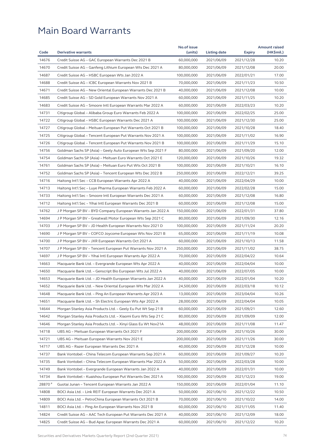|         |                                                              | No.of issue |              |               | <b>Amount raised</b> |
|---------|--------------------------------------------------------------|-------------|--------------|---------------|----------------------|
| Code    | <b>Derivative warrants</b>                                   | (units)     | Listing date | <b>Expiry</b> | (HK\$mil.)           |
| 14676   | Credit Suisse AG - GAC European Warrants Dec 2021 B          | 60,000,000  | 2021/06/09   | 2021/12/28    | 10.20                |
| 14670   | Credit Suisse AG - Ganfeng Lithium European Wts Dec 2021 A   | 80,000,000  | 2021/06/09   | 2021/12/08    | 20.00                |
| 14687   | Credit Suisse AG – HSBC European Wts Jan 2022 A              | 100,000,000 | 2021/06/09   | 2022/01/21    | 17.00                |
| 14688   | Credit Suisse AG - ICBC European Warrants Nov 2021 B         | 70,000,000  | 2021/06/09   | 2021/11/23    | 10.50                |
| 14671   | Credit Suisse AG – New Oriental European Warrants Dec 2021 B | 40,000,000  | 2021/06/09   | 2021/12/08    | 10.00                |
| 14685   | Credit Suisse AG - SD Gold European Warrants Nov 2021 A      | 60,000,000  | 2021/06/09   | 2021/11/25    | 10.20                |
| 14683   | Credit Suisse AG - Smoore Intl European Warrants Mar 2022 A  | 60,000,000  | 2021/06/09   | 2022/03/23    | 10.20                |
| 14731   | Citigroup Global - Alibaba Group Euro Warrants Feb 2022 A    | 100,000,000 | 2021/06/09   | 2022/02/25    | 25.00                |
| 14722   | Citigroup Global - HSBC European Warrants Dec 2021 A         | 100,000,000 | 2021/06/09   | 2021/12/30    | 25.00                |
| 14727   | Citigroup Global - Meituan European Put Warrants Oct 2021 B  | 100,000,000 | 2021/06/09   | 2021/10/28    | 18.40                |
| 14725   | Citigroup Global – Tencent European Put Warrants Nov 2021 A  | 100,000,000 | 2021/06/09   | 2021/11/02    | 16.90                |
| 14726   | Citigroup Global - Tencent European Put Warrants Nov 2021 B  | 100,000,000 | 2021/06/09   | 2021/11/29    | 15.10                |
| 14756   | Goldman Sachs SP (Asia) – Geely Auto European Wts Sep 2021 F | 80,000,000  | 2021/06/09   | 2021/09/20    | 12.00                |
| 14754   | Goldman Sachs SP (Asia) – Meituan Euro Warrants Oct 2021 E   | 120,000,000 | 2021/06/09   | 2021/10/26    | 19.32                |
| 14761   | Goldman Sachs SP (Asia) - Meituan Euro Put Wts Oct 2021 B    | 100,000,000 | 2021/06/09   | 2021/10/21    | 16.10                |
| 14752   | Goldman Sachs SP (Asia) – Tencent European Wts Dec 2022 B    | 250,000,000 | 2021/06/09   | 2022/12/21    | 39.25                |
| 14716   | Haitong Int'l Sec - CCB European Warrants Apr 2022 A         | 40,000,000  | 2021/06/09   | 2022/04/29    | 10.00                |
| 14713   | Haitong Int'l Sec - Luye Pharma European Warrants Feb 2022 A | 60,000,000  | 2021/06/09   | 2022/02/28    | 15.00                |
| 14733   | Haitong Int'l Sec - Smoore Intl European Warrants Dec 2021 A | 60,000,000  | 2021/06/09   | 2021/12/08    | 16.80                |
| 14712   | Haitong Int'l Sec - Yihai Intl European Warrants Dec 2021 B  | 60,000,000  | 2021/06/09   | 2021/12/08    | 15.00                |
| 14762   | J P Morgan SP BV - BYD Company European Warrants Jan 2022 A  | 150,000,000 | 2021/06/09   | 2022/01/31    | 37.80                |
| 14694   | J P Morgan SP BV - Greatwall Motor European Wts Sep 2021 C   | 80,000,000  | 2021/06/09   | 2021/09/30    | 12.16                |
| 14703   | J P Morgan SP BV - JD Health European Warrants Nov 2021 D    | 100,000,000 | 2021/06/09   | 2021/11/24    | 20.20                |
| 14690   | J P Morgan SP BV – COFCO Joycome European Wts Nov 2021 B     | 65,000,000  | 2021/06/09   | 2021/11/19    | 10.08                |
| 14700   | J P Morgan SP BV - JXR European Warrants Oct 2021 A          | 60,000,000  | 2021/06/09   | 2021/10/13    | 11.58                |
| 14707   | J P Morgan SP BV - Tencent European Put Warrants Nov 2021 A  | 250,000,000 | 2021/06/09   | 2021/11/02    | 38.75                |
| 14697   | J P Morgan SP BV - Yihai Intl European Warrants Apr 2022 A   | 70,000,000  | 2021/06/09   | 2022/04/22    | 10.64                |
| 14663   |                                                              | 40,000,000  | 2021/06/09   | 2022/04/04    | 10.00                |
|         | Macquarie Bank Ltd. - Evergrande European Wts Apr 2022 A     |             |              |               |                      |
| 14650   | Macquarie Bank Ltd. - Genscript Bio European Wts Jul 2022 A  | 40,000,000  | 2021/06/09   | 2022/07/05    | 10.00                |
| 14653   | Macquarie Bank Ltd. - JD Health European Warrants Jan 2022 A | 40,000,000  | 2021/06/09   | 2022/01/04    | 10.20                |
| 14652   | Macquarie Bank Ltd. - New Oriental European Wts Mar 2022 A   | 24,500,000  | 2021/06/09   | 2022/03/18    | 10.12                |
| 14648   | Macquarie Bank Ltd. - Ping An European Warrants Apr 2023 A   | 13,000,000  | 2021/06/09   | 2023/04/04    | 10.26                |
| 14651   | Macquarie Bank Ltd. - Sh Electric European Wts Apr 2022 A    | 28,000,000  | 2021/06/09   | 2022/04/04    | 10.05                |
| 14644   | Morgan Stanley Asia Products Ltd. - Geely Eu Put Wt Sep 21 B | 60,000,000  | 2021/06/09   | 2021/09/21    | 12.60                |
| 14642   | Morgan Stanley Asia Products Ltd. - Xiaomi Euro Wts Sep 21 C | 80,000,000  | 2021/06/09   | 2021/09/09    | 12.00                |
| 14646   | Morgan Stanley Asia Products Ltd. - Xinyi Glass Eu Wt Nov21A | 48,000,000  | 2021/06/09   | 2021/11/08    | 11.47                |
| 14718   | UBS AG - Meituan European Warrants Oct 2021 F                | 200,000,000 | 2021/06/09   | 2021/10/26    | 30.00                |
| 14721   | UBS AG - Meituan European Warrants Nov 2021 E                | 200,000,000 | 2021/06/09   | 2021/11/26    | 30.00                |
| 14717   | UBS AG - Razer European Warrants Dec 2021 A                  | 40,000,000  | 2021/06/09   | 2021/12/28    | 10.00                |
| 14737   | Bank Vontobel - China Telecom European Warrants Sep 2021 A   | 60,000,000  | 2021/06/09   | 2021/09/27    | 10.20                |
| 14735   | Bank Vontobel - China Telecom European Warrants Mar 2022 A   | 50,000,000  | 2021/06/09   | 2022/03/28    | 10.00                |
| 14749   | Bank Vontobel - Evergrande European Warrants Jan 2022 A      | 40,000,000  | 2021/06/09   | 2022/01/31    | 10.00                |
| 14734   | Bank Vontobel - Kuaishou European Put Warrants Dec 2021 A    | 100,000,000 | 2021/06/09   | 2021/12/23    | 19.00                |
| 28870 # | Guotai Junan - Tencent European Warrants Jan 2022 A          | 150,000,000 | 2021/06/09   | 2022/01/04    | 11.10                |
| 14808   | BOCI Asia Ltd. - Link REIT European Warrants Dec 2021 A      | 50,000,000  | 2021/06/10   | 2021/12/22    | 10.50                |
| 14809   | BOCI Asia Ltd. - PetroChina European Warrants Oct 2021 B     | 70,000,000  | 2021/06/10   | 2021/10/22    | 14.00                |
| 14811   | BOCI Asia Ltd. - Ping An European Warrants Nov 2021 B        | 60,000,000  | 2021/06/10   | 2021/11/05    | 11.40                |
| 14824   | Credit Suisse AG - AAC Tech European Put Warrants Dec 2021 A | 40,000,000  | 2021/06/10   | 2021/12/09    | 18.00                |
| 14825   | Credit Suisse AG - Bud Apac European Warrants Dec 2021 A     | 60,000,000  | 2021/06/10   | 2021/12/22    | 10.20                |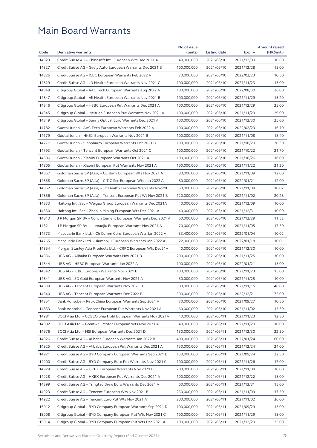|       |                                                              | No.of issue |              |               | <b>Amount raised</b> |
|-------|--------------------------------------------------------------|-------------|--------------|---------------|----------------------|
| Code  | <b>Derivative warrants</b>                                   | (units)     | Listing date | <b>Expiry</b> | (HK\$mil.)           |
| 14823 | Credit Suisse AG - Chinasoft Int'l European Wts Dec 2021 A   | 40,000,000  | 2021/06/10   | 2021/12/09    | 10.80                |
| 14827 | Credit Suisse AG – Geely Auto European Warrants Dec 2021 B   | 100,000,000 | 2021/06/10   | 2021/12/28    | 15.00                |
| 14826 | Credit Suisse AG – ICBC European Warrants Feb 2022 A         | 70,000,000  | 2021/06/10   | 2022/02/23    | 10.50                |
| 14829 | Credit Suisse AG - JD Health European Warrants Nov 2021 C    | 100,000,000 | 2021/06/10   | 2021/11/23    | 15.00                |
| 14848 | Citigroup Global - AAC Tech European Warrants Aug 2022 A     | 100,000,000 | 2021/06/10   | 2022/08/30    | 26.00                |
| 14847 | Citigroup Global - Ali Health European Warrants Nov 2021 B   | 100,000,000 | 2021/06/10   | 2021/11/29    | 15.20                |
| 14846 | Citigroup Global - HSBC European Put Warrants Dec 2021 A     | 100,000,000 | 2021/06/10   | 2021/12/29    | 25.00                |
| 14845 | Citigroup Global – Meituan European Put Warrants Nov 2021 A  | 100,000,000 | 2021/06/10   | 2021/11/29    | 29.00                |
| 14849 | Citigroup Global – Sunny Optical Euro Warrants Dec 2021 A    | 100,000,000 | 2021/06/10   | 2021/12/30    | 25.00                |
| 14782 | Guotai Junan - AAC Tech European Warrants Feb 2022 A         | 100,000,000 | 2021/06/10   | 2022/02/23    | 16.70                |
| 14779 | Guotai Junan – HKEX European Warrants Nov 2021 B             | 100,000,000 | 2021/06/10   | 2021/11/08    | 18.40                |
| 14777 | Guotai Junan - Sinopharm European Warrants Oct 2021 B        | 100,000,000 | 2021/06/10   | 2021/10/29    | 20.30                |
| 14793 | Guotai Junan - Tencent European Warrants Oct 2021 C          | 100,000,000 | 2021/06/10   | 2021/10/22    | 21.70                |
| 14806 | Guotai Junan – Xiaomi European Warrants Oct 2021 A           | 100,000,000 | 2021/06/10   | 2021/10/26    | 16.00                |
| 14805 | Guotai Junan - Xiaomi European Put Warrants Nov 2021 A       | 100,000,000 | 2021/06/10   | 2021/11/22    | 21.20                |
| 14857 | Goldman Sachs SP (Asia) - CC Bank European Wts Nov 2021 A    | 80,000,000  | 2021/06/10   | 2021/11/08    | 12.00                |
| 14858 | Goldman Sachs SP (Asia) - CITIC Sec European Wts Jan 2022 A  | 80,000,000  | 2021/06/10   | 2022/01/21    | 12.00                |
| 14862 | Goldman Sachs SP (Asia) – JD Health European Warrants Nov21B | 60,000,000  | 2021/06/10   | 2021/11/08    | 10.02                |
| 14856 | Goldman Sachs SP (Asia) - Tencent European Put Wt Nov 2021 B | 120,000,000 | 2021/06/10   | 2021/11/02    | 20.28                |
| 14833 | Haitong Int'l Sec – Weigao Group European Warrants Dec 2021A | 40,000,000  | 2021/06/10   | 2021/12/09    | 10.00                |
| 14830 | Haitong Int'l Sec - Zhaojin Mining European Wts Dec 2021 A   | 40,000,000  | 2021/06/10   | 2021/12/31    | 10.00                |
| 14813 | J P Morgan SP BV – Conch Cement European Warrants Dec 2021 A | 60,000,000  | 2021/06/10   | 2021/12/29    | 11.52                |
| 14821 | J P Morgan SP BV – Jiumaojiu European Warrants Nov 2021 A    | 70,000,000  | 2021/06/10   | 2021/11/05    | 17.50                |
| 14773 | Macquarie Bank Ltd. – Ch Comm Cons European Wts Jan 2022 A   | 33,400,000  | 2021/06/10   | 2022/01/04    | 10.02                |
| 14765 | Macquarie Bank Ltd. - Jiumaojiu European Warrants Jan 2022 A | 22,000,000  | 2021/06/10   | 2022/01/18    | 10.01                |
| 14854 | Morgan Stanley Asia Products Ltd. - CRRC European Wts Dec21A | 40,000,000  | 2021/06/10   | 2021/12/30    | 10.00                |
| 14836 | UBS AG - Alibaba European Warrants Nov 2021 B                | 200,000,000 | 2021/06/10   | 2021/11/25    | 30.00                |
| 14844 | UBS AG – HSBC European Warrants Jan 2022 A                   | 100,000,000 | 2021/06/10   | 2022/01/21    | 15.00                |
| 14842 | UBS AG – ICBC European Warrants Nov 2021 B                   | 100,000,000 | 2021/06/10   | 2021/11/23    | 15.00                |
|       |                                                              |             | 2021/06/10   |               |                      |
| 14841 | UBS AG - SD Gold European Warrants Nov 2021 A                | 50,000,000  |              | 2021/11/25    | 10.00                |
| 14839 | UBS AG – Tencent European Warrants Nov 2021 B                | 300,000,000 | 2021/06/10   | 2021/11/15    | 48.00                |
| 14840 | UBS AG - Tencent European Warrants Dec 2022 B                | 500,000,000 | 2021/06/10   | 2022/12/21    | 75.00                |
| 14851 | Bank Vontobel – PetroChina European Warrants Sep 2021 A      | 70,000,000  | 2021/06/10   | 2021/09/27    | 10.50                |
| 14853 | Bank Vontobel - Tencent European Put Warrants Nov 2021 A     | 60,000,000  | 2021/06/10   | 2021/11/02    | 15.60                |
| 14981 | BOCI Asia Ltd. - COSCO Ship Hold European Warrants Nov 2021A | 40,000,000  | 2021/06/11   | 2021/11/23    | 12.80                |
| 14982 | BOCI Asia Ltd. – Greatwall Motor European Wts Nov 2021 A     | 40,000,000  | 2021/06/11   | 2021/11/29    | 10.00                |
| 14976 | BOCI Asia Ltd. - HSI European Warrants Dec 2021 D            | 150,000,000 | 2021/06/11   | 2021/12/30    | 22.50                |
| 14926 | Credit Suisse AG - Alibaba European Warrants Jan 2022 B      | 400,000,000 | 2021/06/11   | 2022/01/24    | 60.00                |
| 14925 | Credit Suisse AG - Alibaba European Put Warrants Dec 2021 A  | 150,000,000 | 2021/06/11   | 2021/12/24    | 24.00                |
| 14921 | Credit Suisse AG - BYD Company European Warrants Sep 2021 E  | 150,000,000 | 2021/06/11   | 2021/09/24    | 22.50                |
| 14900 | Credit Suisse AG - BYD Company Euro Put Warrants Nov 2021 C  | 100,000,000 | 2021/06/11   | 2021/11/26    | 17.00                |
| 14929 | Credit Suisse AG - HKEX European Warrants Nov 2021 B         | 200,000,000 | 2021/06/11   | 2021/11/08    | 30.00                |
| 14928 | Credit Suisse AG - HKEX European Put Warrants Dec 2021 A     | 100,000,000 | 2021/06/11   | 2021/12/22    | 15.00                |
| 14899 | Credit Suisse AG - Tsingtao Brew Euro Warrants Dec 2021 A    | 60,000,000  | 2021/06/11   | 2021/12/31    | 15.00                |
| 14923 | Credit Suisse AG - Tencent European Wts Nov 2021 B           | 250,000,000 | 2021/06/11   | 2021/11/09    | 37.50                |
| 14922 | Credit Suisse AG - Tencent Euro Put Wts Nov 2021 A           | 200,000,000 | 2021/06/11   | 2021/11/02    | 36.00                |
| 15012 | Citigroup Global - BYD Company European Warrants Sep 2021 D  | 100,000,000 | 2021/06/11   | 2021/09/29    | 15.00                |
| 15008 | Citigroup Global - BYD Company European Put Wts Nov 2021 C   | 100,000,000 | 2021/06/11   | 2021/11/29    | 15.00                |
| 15014 | Citigroup Global – BYD Company European Put Wts Dec 2021 A   | 100,000,000 | 2021/06/11   | 2021/12/29    | 25.00                |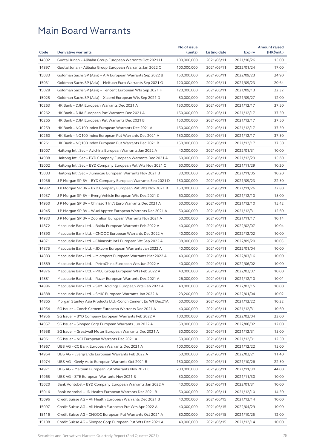| Code  |                                                                                                                   | No.of issue |                          |               | <b>Amount raised</b> |
|-------|-------------------------------------------------------------------------------------------------------------------|-------------|--------------------------|---------------|----------------------|
|       | <b>Derivative warrants</b>                                                                                        | (units)     | Listing date             | <b>Expiry</b> | (HK\$mil.)           |
| 14892 | Guotai Junan - Alibaba Group European Warrants Oct 2021 H                                                         | 100,000,000 | 2021/06/11               | 2021/10/26    | 15.00                |
| 14897 | Guotai Junan - Alibaba Group European Warrants Jan 2022 C                                                         | 100,000,000 | 2021/06/11               | 2022/01/24    | 17.00                |
| 15033 | Goldman Sachs SP (Asia) – AIA European Warrants Sep 2022 B                                                        | 150,000,000 | 2021/06/11               | 2022/09/23    | 24.90                |
| 15031 | Goldman Sachs SP (Asia) – Meituan Euro Warrants Sep 2021 G                                                        | 120,000,000 | 2021/06/11               | 2021/09/23    | 20.64                |
| 15028 | Goldman Sachs SP (Asia) - Tencent European Wts Sep 2021 H                                                         | 120,000,000 | 2021/06/11               | 2021/09/13    | 22.32                |
| 15025 | Goldman Sachs SP (Asia) - Xiaomi European Wts Sep 2021 D                                                          | 80,000,000  | 2021/06/11               | 2021/09/27    | 12.00                |
| 10263 | HK Bank - DJIA European Warrants Dec 2021 A                                                                       | 150,000,000 | 2021/06/11               | 2021/12/17    | 37.50                |
| 10262 | HK Bank - DJIA European Put Warrants Dec 2021 A                                                                   | 150,000,000 | 2021/06/11               | 2021/12/17    | 37.50                |
| 10265 | HK Bank - DJIA European Put Warrants Dec 2021 B                                                                   | 150,000,000 | 2021/06/11               | 2021/12/17    | 37.50                |
| 10259 | HK Bank - NQ100 Index European Warrants Dec 2021 A                                                                | 150,000,000 | 2021/06/11               | 2021/12/17    | 37.50                |
| 10260 | HK Bank - NQ100 Index European Put Warrants Dec 2021 A                                                            | 150,000,000 | 2021/06/11               | 2021/12/17    | 37.50                |
| 10261 | HK Bank - NQ100 Index European Put Warrants Dec 2021 B                                                            | 150,000,000 | 2021/06/11               | 2021/12/17    | 37.50                |
| 15007 | Haitong Int'l Sec – Avichina European Warrants Jan 2022 A                                                         | 40,000,000  | 2021/06/11               | 2022/01/31    | 10.00                |
| 14988 | Haitong Int'l Sec - BYD Company European Warrants Dec 2021 A                                                      | 60,000,000  | 2021/06/11               | 2021/12/29    | 15.60                |
| 15002 | Haitong Int'l Sec – BYD Company European Put Wts Nov 2021 C                                                       | 60,000,000  | 2021/06/11               | 2021/11/29    | 10.20                |
| 15003 | Haitong Int'l Sec - Jiumaojiu European Warrants Nov 2021 B                                                        | 30,000,000  | 2021/06/11               | 2021/11/05    | 10.20                |
| 14936 | J P Morgan SP BV - BYD Company European Warrants Sep 2021 D                                                       | 150,000,000 | 2021/06/11               | 2021/09/23    | 22.50                |
| 14932 | J P Morgan SP BV - BYD Company European Put Wts Nov 2021 B                                                        | 150,000,000 | 2021/06/11               | 2021/11/26    | 22.80                |
| 14937 | J P Morgan SP BV – Everg Vehicle European Wts Dec 2021 C                                                          | 60,000,000  | 2021/06/11               | 2021/12/10    | 15.00                |
| 14950 | J P Morgan SP BV - Chinasoft Int'l Euro Warrants Dec 2021 A                                                       | 60,000,000  | 2021/06/11               | 2021/12/10    | 15.42                |
| 14945 | J P Morgan SP BV – Wuxi Apptec European Warrants Dec 2021 A                                                       | 50,000,000  | 2021/06/11               | 2021/12/31    | 12.60                |
| 14933 | J P Morgan SP BV - Zoomlion European Warrants Nov 2021 A                                                          | 60,000,000  | 2021/06/11               | 2021/11/17    | 10.14                |
| 14872 | Macquarie Bank Ltd. - Baidu European Warrants Feb 2022 A                                                          | 40,000,000  | 2021/06/11               | 2022/02/07    | 10.04                |
| 14890 | Macquarie Bank Ltd. - CNOOC European Warrants Dec 2022 A                                                          | 40,000,000  | 2021/06/11               | 2022/12/02    | 10.00                |
| 14871 | Macquarie Bank Ltd. - Chinasoft Int'l European Wt Sep 2022 A                                                      | 38,000,000  | 2021/06/11               | 2022/09/20    | 10.03                |
| 14875 | Macquarie Bank Ltd. - JD.com European Warrants Jan 2022 A                                                         | 40,000,000  | 2021/06/11               | 2022/01/04    | 10.00                |
| 14883 | Macquarie Bank Ltd. - Microport European Warrants Mar 2022 A                                                      | 40,000,000  | 2021/06/11               | 2022/03/16    | 10.00                |
| 14889 | Macquarie Bank Ltd. - PetroChina European Wts Jun 2022 A                                                          | 40,000,000  | 2021/06/11               | 2022/06/02    | 10.00                |
| 14876 | Macquarie Bank Ltd. - PICC Group European Wts Feb 2022 A                                                          | 40,000,000  | 2021/06/11               | 2022/02/07    | 10.00                |
| 14881 | Macquarie Bank Ltd. - Razer European Warrants Dec 2021 A                                                          | 26,000,000  | 2021/06/11               | 2021/12/10    | 10.01                |
| 14886 | Macquarie Bank Ltd. - SJM Holdings European Wts Feb 2022 A                                                        | 40,000,000  | 2021/06/11               | 2022/02/15    | 10.00                |
| 14888 | Macquarie Bank Ltd. - SMIC European Warrants Jan 2022 A                                                           | 23,200,000  | 2021/06/11               | 2022/01/04    | 10.02                |
| 14865 | Morgan Stanley Asia Products Ltd. - Conch Cement Eu Wt Dec21A                                                     | 60,000,000  | 2021/06/11               | 2021/12/22    | 10.32                |
| 14954 | SG Issuer - Conch Cement European Warrants Dec 2021 A                                                             | 40,000,000  | 2021/06/11               | 2021/12/31    | 10.60                |
| 14956 |                                                                                                                   | 100,000,000 | 2021/06/11               |               | 23.00                |
| 14957 | SG Issuer - BYD Company European Warrants Feb 2022 A                                                              | 50,000,000  |                          | 2022/02/04    |                      |
|       | SG Issuer - Sinopec Corp European Warrants Jun 2022 A<br>SG Issuer - Greatwall Motor European Warrants Dec 2021 A |             | 2021/06/11<br>2021/06/11 | 2022/06/02    | 12.00                |
| 14958 |                                                                                                                   | 50,000,000  |                          | 2021/12/31    | 15.00                |
| 14961 | SG Issuer – NCI European Warrants Dec 2021 A                                                                      | 50,000,000  | 2021/06/11               | 2021/12/31    | 12.50                |
| 14967 | UBS AG - CC Bank European Warrants Dec 2021 A                                                                     | 100,000,000 | 2021/06/11               | 2021/12/22    | 15.00                |
| 14964 | UBS AG - Evergrande European Warrants Feb 2022 A                                                                  | 60,000,000  | 2021/06/11               | 2022/02/21    | 11.40                |
| 14974 | UBS AG - Geely Auto European Warrants Oct 2021 B                                                                  | 150,000,000 | 2021/06/11               | 2021/10/26    | 22.50                |
| 14971 | UBS AG - Meituan European Put Warrants Nov 2021 C                                                                 | 200,000,000 | 2021/06/11               | 2021/11/30    | 44.00                |
| 14965 | UBS AG - ZTE European Warrants Nov 2021 B                                                                         | 50,000,000  | 2021/06/11               | 2021/11/30    | 10.00                |
| 15020 | Bank Vontobel - BYD Company European Warrants Jan 2022 A                                                          | 40,000,000  | 2021/06/11               | 2022/01/31    | 10.00                |
| 15016 | Bank Vontobel - JD Health European Warrants Dec 2021 B                                                            | 50,000,000  | 2021/06/11               | 2021/12/10    | 14.50                |
| 15096 | Credit Suisse AG - Ali Health European Warrants Dec 2021 B                                                        | 40,000,000  | 2021/06/15               | 2021/12/14    | 10.00                |
| 15097 | Credit Suisse AG - Ali Health European Put Wts Apr 2022 A                                                         | 40,000,000  | 2021/06/15               | 2022/04/29    | 10.00                |
| 15116 | Credit Suisse AG - CNOOC European Put Warrants Oct 2021 A                                                         | 80,000,000  | 2021/06/15               | 2021/10/25    | 12.00                |
| 15108 | Credit Suisse AG - Sinopec Corp European Put Wts Dec 2021 A                                                       | 40,000,000  | 2021/06/15               | 2021/12/14    | 10.00                |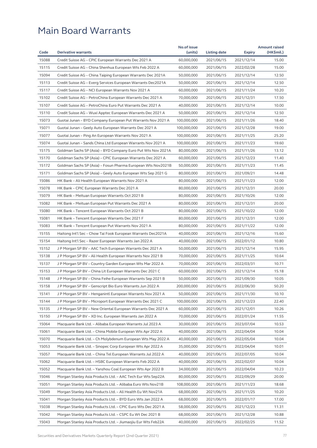| 15088<br>Credit Suisse AG - CPIC European Warrants Dec 2021 A<br>60,000,000<br>2021/06/15<br>2021/12/14<br>15.00<br>15115<br>60,000,000<br>2021/06/15<br>Credit Suisse AG – China Shenhua European Wts Feb 2022 A<br>2022/02/28<br>15.00<br>15094<br>12.50<br>Credit Suisse AG – China Taiping European Warrants Dec 2021A<br>50,000,000<br>2021/06/15<br>2021/12/14<br>15113<br>Credit Suisse AG - Everg Services European Warrants Dec2021A<br>50,000,000<br>2021/12/14<br>12.50<br>2021/06/15<br>15117<br>10.20<br>Credit Suisse AG - NCI European Warrants Nov 2021 A<br>60,000,000<br>2021/06/15<br>2021/11/24<br>15102<br>Credit Suisse AG - PetroChina European Warrants Dec 2021 A<br>70,000,000<br>2021/06/15<br>2021/12/31<br>17.50<br>15107<br>Credit Suisse AG - PetroChina Euro Put Warrants Dec 2021 A<br>40,000,000<br>2021/06/15<br>2021/12/14<br>10.00<br>15110<br>Credit Suisse AG - Wuxi Apptec European Warrants Dec 2021 A<br>50,000,000<br>2021/12/14<br>12.50<br>2021/06/15<br>15073<br>18.40<br>Guotai Junan – BYD Company European Put Warrants Nov 2021 A<br>100,000,000<br>2021/06/15<br>2021/11/26<br>15071<br>Guotai Junan - Geely Auto European Warrants Dec 2021 A<br>100,000,000<br>19.00<br>2021/06/15<br>2021/12/28<br>15077<br>Guotai Junan - Ping An European Warrants Nov 2021 A<br>100,000,000<br>25.20<br>2021/06/15<br>2021/11/25<br>15074<br>Guotai Junan - Sands China Ltd European Warrants Nov 2021 A<br>100,000,000<br>2021/06/15<br>2021/11/23<br>19.60<br>15175<br>13.12<br>Goldman Sachs SP (Asia) – BYD Company Euro Put Wts Nov 2021A<br>80,000,000<br>2021/06/15<br>2021/11/26<br>15170<br>11.40<br>Goldman Sachs SP (Asia) – CPIC European Warrants Dec 2021 A<br>60,000,000<br>2021/06/15<br>2021/12/23<br>15172<br>Goldman Sachs SP (Asia) - Fosun Pharma European Wts Nov2021B<br>50,000,000<br>11.45<br>2021/06/15<br>2021/11/23<br>15171<br>Goldman Sachs SP (Asia) - Geely Auto European Wts Sep 2021 G<br>80,000,000<br>2021/06/15<br>2021/09/21<br>14.48<br>15086<br>12.00<br>HK Bank - Ali Health European Warrants Nov 2021 A<br>80,000,000<br>2021/06/15<br>2021/11/23<br>20.00<br>15078<br>HK Bank - CPIC European Warrants Dec 2021 A<br>80,000,000<br>2021/06/15<br>2021/12/31<br>15079<br>HK Bank - Meituan European Warrants Oct 2021 B<br>80,000,000<br>2021/10/26<br>12.00<br>2021/06/15<br>15082<br>HK Bank - Meituan European Put Warrants Dec 2021 A<br>20.00<br>80,000,000<br>2021/06/15<br>2021/12/31<br>15080<br>HK Bank - Tencent European Warrants Oct 2021 B<br>80,000,000<br>12.00<br>2021/06/15<br>2021/10/22<br>15081<br>80,000,000<br>12.00<br>HK Bank – Tencent European Warrants Dec 2021 F<br>2021/06/15<br>2021/12/31<br>15083<br>12.00<br>HK Bank - Tencent European Put Warrants Nov 2021 A<br>80,000,000<br>2021/06/15<br>2021/11/22<br>15155<br>15.60<br>Haitong Int'l Sec – Chow Tai Fook European Warrants Dec2021A<br>40,000,000<br>2021/06/15<br>2021/12/16<br>15154<br>10.80<br>Haitong Int'l Sec – Razer European Warrants Jan 2022 A<br>40,000,000<br>2021/06/15<br>2022/01/12<br>15152<br>15.95<br>J P Morgan SP BV - AAC Tech European Warrants Dec 2021 A<br>50,000,000<br>2021/06/15<br>2021/12/14<br>15138<br>J P Morgan SP BV - Ali Health European Warrants Nov 2021 B<br>70,000,000<br>10.64<br>2021/06/15<br>2021/11/25<br>15137<br>70,000,000<br>2021/06/15<br>2022/03/31<br>10.71<br>J P Morgan SP BV - Country Garden European Wts Mar 2022 A<br>15153<br>J P Morgan SP BV - China Lit European Warrants Dec 2021 C<br>60,000,000<br>15.18<br>2021/06/15<br>2021/12/14<br>15148<br>J P Morgan SP BV - China Feihe European Warrants Sep 2021 B<br>50,000,000<br>2021/06/15<br>2021/09/30<br>10.05<br>15158<br>50.20<br>J P Morgan SP BV – Genscript Bio Euro Warrants Jun 2022 A<br>200,000,000<br>2021/06/15<br>2022/06/30<br>15141<br>J P Morgan SP BV - Henganintl European Warrants Nov 2021 A<br>50,000,000<br>2021/06/15<br>2021/11/30<br>10.10<br>15144<br>J P Morgan SP BV - Microport European Warrants Dec 2021 C<br>100,000,000<br>22.40<br>2021/06/15<br>2021/12/23<br>15135<br>10.26<br>J P Morgan SP BV – New Oriental European Warrants Dec 2021 A<br>60,000,000<br>2021/06/15<br>2021/12/01<br>15150<br>J P Morgan SP BV - XD Inc. European Warrants Jan 2022 A<br>70,000,000<br>2021/06/15<br>11.55<br>2022/01/24<br>15064<br>Macquarie Bank Ltd. - Alibaba European Warrants Jul 2023 A<br>30,000,000<br>2021/06/15<br>2023/07/04<br>10.53<br>10.04<br>15061<br>Macquarie Bank Ltd. - China Mobile European Wts Apr 2022 A<br>40,000,000<br>2021/06/15<br>2022/04/04<br>15070<br>40,000,000<br>10.04<br>Macquarie Bank Ltd. - Ch Molybdenum European Wts May 2022 A<br>2021/06/15<br>2022/05/04<br>15053<br>Macquarie Bank Ltd. - Sinopec Corp European Wts Apr 2022 A<br>35,000,000<br>2022/04/04<br>10.01<br>2021/06/15<br>15057<br>Macquarie Bank Ltd. - China Tel European Warrants Jul 2022 A<br>10.04<br>40,000,000<br>2021/06/15<br>2022/07/05<br>15062<br>Macquarie Bank Ltd. - HSBC European Warrants Feb 2022 A<br>40,000,000<br>2021/06/15<br>2022/02/07<br>10.04<br>15052<br>Macquarie Bank Ltd. - Yanzhou Coal European Wts Apr 2022 B<br>34,000,000<br>2021/06/15<br>2022/04/04<br>10.23<br>15046<br>80,000,000<br>2021/06/15<br>2022/09/29<br>20.00<br>Morgan Stanley Asia Products Ltd. - AAC Tech Eur Wts Sep22A<br>15051<br>108,000,000<br>18.68<br>Morgan Stanley Asia Products Ltd. - Alibaba Euro Wts Nov21B<br>2021/06/15<br>2021/11/23<br>15049<br>10.20<br>Morgan Stanley Asia Products Ltd. – Ali Health Eu Wt Nov21A<br>68,000,000<br>2021/06/15<br>2021/11/25<br>15041<br>Morgan Stanley Asia Products Ltd. - BYD Euro Wts Jan 2022 A<br>68,000,000<br>2021/06/15<br>17.00<br>2022/01/17<br>15038<br>Morgan Stanley Asia Products Ltd. - CPIC Euro Wts Dec 2021 A<br>58,000,000<br>2021/06/15<br>2021/12/23<br>11.31<br>15042<br>Morgan Stanley Asia Products Ltd. - CSPC Eu Wt Dec 2021 B<br>68,000,000<br>2021/06/15<br>2021/12/28<br>10.88<br>15043<br>40,000,000<br>11.52<br>Morgan Stanley Asia Products Ltd. - Jiumaojiu Eur Wts Feb22A<br>2021/06/15<br>2022/02/25 |      |                            | No.of issue |              |               | <b>Amount raised</b> |
|--------------------------------------------------------------------------------------------------------------------------------------------------------------------------------------------------------------------------------------------------------------------------------------------------------------------------------------------------------------------------------------------------------------------------------------------------------------------------------------------------------------------------------------------------------------------------------------------------------------------------------------------------------------------------------------------------------------------------------------------------------------------------------------------------------------------------------------------------------------------------------------------------------------------------------------------------------------------------------------------------------------------------------------------------------------------------------------------------------------------------------------------------------------------------------------------------------------------------------------------------------------------------------------------------------------------------------------------------------------------------------------------------------------------------------------------------------------------------------------------------------------------------------------------------------------------------------------------------------------------------------------------------------------------------------------------------------------------------------------------------------------------------------------------------------------------------------------------------------------------------------------------------------------------------------------------------------------------------------------------------------------------------------------------------------------------------------------------------------------------------------------------------------------------------------------------------------------------------------------------------------------------------------------------------------------------------------------------------------------------------------------------------------------------------------------------------------------------------------------------------------------------------------------------------------------------------------------------------------------------------------------------------------------------------------------------------------------------------------------------------------------------------------------------------------------------------------------------------------------------------------------------------------------------------------------------------------------------------------------------------------------------------------------------------------------------------------------------------------------------------------------------------------------------------------------------------------------------------------------------------------------------------------------------------------------------------------------------------------------------------------------------------------------------------------------------------------------------------------------------------------------------------------------------------------------------------------------------------------------------------------------------------------------------------------------------------------------------------------------------------------------------------------------------------------------------------------------------------------------------------------------------------------------------------------------------------------------------------------------------------------------------------------------------------------------------------------------------------------------------------------------------------------------------------------------------------------------------------------------------------------------------------------------------------------------------------------------------------------------------------------------------------------------------------------------------------------------------------------------------------------------------------------------------------------------------------------------------------------------------------------------------------------------------------------------------------------------------------------------------------------------------------------------------------------------------------------------------------------------------------------------------------------------------------------------------------------------------------------------------------------------------------------------------------------------------------------------------------------------------------------------------------------------------------------------------------------------------------------------------------------------------------------------------------------------------------------------------------------------------------------------------------------------------------------------------------------------------------------------------------------------------------------------------------------------------------------------------------------------------------------------------------------------------------------------------------------------------------------------------------------------------------------------------------------------------------------------------------------------------------------------------------------------------------------------------------------------------------------------------------------------------------------------------------------------------------------------------------------------------------------------|------|----------------------------|-------------|--------------|---------------|----------------------|
|                                                                                                                                                                                                                                                                                                                                                                                                                                                                                                                                                                                                                                                                                                                                                                                                                                                                                                                                                                                                                                                                                                                                                                                                                                                                                                                                                                                                                                                                                                                                                                                                                                                                                                                                                                                                                                                                                                                                                                                                                                                                                                                                                                                                                                                                                                                                                                                                                                                                                                                                                                                                                                                                                                                                                                                                                                                                                                                                                                                                                                                                                                                                                                                                                                                                                                                                                                                                                                                                                                                                                                                                                                                                                                                                                                                                                                                                                                                                                                                                                                                                                                                                                                                                                                                                                                                                                                                                                                                                                                                                                                                                                                                                                                                                                                                                                                                                                                                                                                                                                                                                                                                                                                                                                                                                                                                                                                                                                                                                                                                                                                                                                                                                                                                                                                                                                                                                                                                                                                                                                                                                                                                                      | Code | <b>Derivative warrants</b> | (units)     | Listing date | <b>Expiry</b> | (HK\$mil.)           |
|                                                                                                                                                                                                                                                                                                                                                                                                                                                                                                                                                                                                                                                                                                                                                                                                                                                                                                                                                                                                                                                                                                                                                                                                                                                                                                                                                                                                                                                                                                                                                                                                                                                                                                                                                                                                                                                                                                                                                                                                                                                                                                                                                                                                                                                                                                                                                                                                                                                                                                                                                                                                                                                                                                                                                                                                                                                                                                                                                                                                                                                                                                                                                                                                                                                                                                                                                                                                                                                                                                                                                                                                                                                                                                                                                                                                                                                                                                                                                                                                                                                                                                                                                                                                                                                                                                                                                                                                                                                                                                                                                                                                                                                                                                                                                                                                                                                                                                                                                                                                                                                                                                                                                                                                                                                                                                                                                                                                                                                                                                                                                                                                                                                                                                                                                                                                                                                                                                                                                                                                                                                                                                                                      |      |                            |             |              |               |                      |
|                                                                                                                                                                                                                                                                                                                                                                                                                                                                                                                                                                                                                                                                                                                                                                                                                                                                                                                                                                                                                                                                                                                                                                                                                                                                                                                                                                                                                                                                                                                                                                                                                                                                                                                                                                                                                                                                                                                                                                                                                                                                                                                                                                                                                                                                                                                                                                                                                                                                                                                                                                                                                                                                                                                                                                                                                                                                                                                                                                                                                                                                                                                                                                                                                                                                                                                                                                                                                                                                                                                                                                                                                                                                                                                                                                                                                                                                                                                                                                                                                                                                                                                                                                                                                                                                                                                                                                                                                                                                                                                                                                                                                                                                                                                                                                                                                                                                                                                                                                                                                                                                                                                                                                                                                                                                                                                                                                                                                                                                                                                                                                                                                                                                                                                                                                                                                                                                                                                                                                                                                                                                                                                                      |      |                            |             |              |               |                      |
|                                                                                                                                                                                                                                                                                                                                                                                                                                                                                                                                                                                                                                                                                                                                                                                                                                                                                                                                                                                                                                                                                                                                                                                                                                                                                                                                                                                                                                                                                                                                                                                                                                                                                                                                                                                                                                                                                                                                                                                                                                                                                                                                                                                                                                                                                                                                                                                                                                                                                                                                                                                                                                                                                                                                                                                                                                                                                                                                                                                                                                                                                                                                                                                                                                                                                                                                                                                                                                                                                                                                                                                                                                                                                                                                                                                                                                                                                                                                                                                                                                                                                                                                                                                                                                                                                                                                                                                                                                                                                                                                                                                                                                                                                                                                                                                                                                                                                                                                                                                                                                                                                                                                                                                                                                                                                                                                                                                                                                                                                                                                                                                                                                                                                                                                                                                                                                                                                                                                                                                                                                                                                                                                      |      |                            |             |              |               |                      |
|                                                                                                                                                                                                                                                                                                                                                                                                                                                                                                                                                                                                                                                                                                                                                                                                                                                                                                                                                                                                                                                                                                                                                                                                                                                                                                                                                                                                                                                                                                                                                                                                                                                                                                                                                                                                                                                                                                                                                                                                                                                                                                                                                                                                                                                                                                                                                                                                                                                                                                                                                                                                                                                                                                                                                                                                                                                                                                                                                                                                                                                                                                                                                                                                                                                                                                                                                                                                                                                                                                                                                                                                                                                                                                                                                                                                                                                                                                                                                                                                                                                                                                                                                                                                                                                                                                                                                                                                                                                                                                                                                                                                                                                                                                                                                                                                                                                                                                                                                                                                                                                                                                                                                                                                                                                                                                                                                                                                                                                                                                                                                                                                                                                                                                                                                                                                                                                                                                                                                                                                                                                                                                                                      |      |                            |             |              |               |                      |
|                                                                                                                                                                                                                                                                                                                                                                                                                                                                                                                                                                                                                                                                                                                                                                                                                                                                                                                                                                                                                                                                                                                                                                                                                                                                                                                                                                                                                                                                                                                                                                                                                                                                                                                                                                                                                                                                                                                                                                                                                                                                                                                                                                                                                                                                                                                                                                                                                                                                                                                                                                                                                                                                                                                                                                                                                                                                                                                                                                                                                                                                                                                                                                                                                                                                                                                                                                                                                                                                                                                                                                                                                                                                                                                                                                                                                                                                                                                                                                                                                                                                                                                                                                                                                                                                                                                                                                                                                                                                                                                                                                                                                                                                                                                                                                                                                                                                                                                                                                                                                                                                                                                                                                                                                                                                                                                                                                                                                                                                                                                                                                                                                                                                                                                                                                                                                                                                                                                                                                                                                                                                                                                                      |      |                            |             |              |               |                      |
|                                                                                                                                                                                                                                                                                                                                                                                                                                                                                                                                                                                                                                                                                                                                                                                                                                                                                                                                                                                                                                                                                                                                                                                                                                                                                                                                                                                                                                                                                                                                                                                                                                                                                                                                                                                                                                                                                                                                                                                                                                                                                                                                                                                                                                                                                                                                                                                                                                                                                                                                                                                                                                                                                                                                                                                                                                                                                                                                                                                                                                                                                                                                                                                                                                                                                                                                                                                                                                                                                                                                                                                                                                                                                                                                                                                                                                                                                                                                                                                                                                                                                                                                                                                                                                                                                                                                                                                                                                                                                                                                                                                                                                                                                                                                                                                                                                                                                                                                                                                                                                                                                                                                                                                                                                                                                                                                                                                                                                                                                                                                                                                                                                                                                                                                                                                                                                                                                                                                                                                                                                                                                                                                      |      |                            |             |              |               |                      |
|                                                                                                                                                                                                                                                                                                                                                                                                                                                                                                                                                                                                                                                                                                                                                                                                                                                                                                                                                                                                                                                                                                                                                                                                                                                                                                                                                                                                                                                                                                                                                                                                                                                                                                                                                                                                                                                                                                                                                                                                                                                                                                                                                                                                                                                                                                                                                                                                                                                                                                                                                                                                                                                                                                                                                                                                                                                                                                                                                                                                                                                                                                                                                                                                                                                                                                                                                                                                                                                                                                                                                                                                                                                                                                                                                                                                                                                                                                                                                                                                                                                                                                                                                                                                                                                                                                                                                                                                                                                                                                                                                                                                                                                                                                                                                                                                                                                                                                                                                                                                                                                                                                                                                                                                                                                                                                                                                                                                                                                                                                                                                                                                                                                                                                                                                                                                                                                                                                                                                                                                                                                                                                                                      |      |                            |             |              |               |                      |
|                                                                                                                                                                                                                                                                                                                                                                                                                                                                                                                                                                                                                                                                                                                                                                                                                                                                                                                                                                                                                                                                                                                                                                                                                                                                                                                                                                                                                                                                                                                                                                                                                                                                                                                                                                                                                                                                                                                                                                                                                                                                                                                                                                                                                                                                                                                                                                                                                                                                                                                                                                                                                                                                                                                                                                                                                                                                                                                                                                                                                                                                                                                                                                                                                                                                                                                                                                                                                                                                                                                                                                                                                                                                                                                                                                                                                                                                                                                                                                                                                                                                                                                                                                                                                                                                                                                                                                                                                                                                                                                                                                                                                                                                                                                                                                                                                                                                                                                                                                                                                                                                                                                                                                                                                                                                                                                                                                                                                                                                                                                                                                                                                                                                                                                                                                                                                                                                                                                                                                                                                                                                                                                                      |      |                            |             |              |               |                      |
|                                                                                                                                                                                                                                                                                                                                                                                                                                                                                                                                                                                                                                                                                                                                                                                                                                                                                                                                                                                                                                                                                                                                                                                                                                                                                                                                                                                                                                                                                                                                                                                                                                                                                                                                                                                                                                                                                                                                                                                                                                                                                                                                                                                                                                                                                                                                                                                                                                                                                                                                                                                                                                                                                                                                                                                                                                                                                                                                                                                                                                                                                                                                                                                                                                                                                                                                                                                                                                                                                                                                                                                                                                                                                                                                                                                                                                                                                                                                                                                                                                                                                                                                                                                                                                                                                                                                                                                                                                                                                                                                                                                                                                                                                                                                                                                                                                                                                                                                                                                                                                                                                                                                                                                                                                                                                                                                                                                                                                                                                                                                                                                                                                                                                                                                                                                                                                                                                                                                                                                                                                                                                                                                      |      |                            |             |              |               |                      |
|                                                                                                                                                                                                                                                                                                                                                                                                                                                                                                                                                                                                                                                                                                                                                                                                                                                                                                                                                                                                                                                                                                                                                                                                                                                                                                                                                                                                                                                                                                                                                                                                                                                                                                                                                                                                                                                                                                                                                                                                                                                                                                                                                                                                                                                                                                                                                                                                                                                                                                                                                                                                                                                                                                                                                                                                                                                                                                                                                                                                                                                                                                                                                                                                                                                                                                                                                                                                                                                                                                                                                                                                                                                                                                                                                                                                                                                                                                                                                                                                                                                                                                                                                                                                                                                                                                                                                                                                                                                                                                                                                                                                                                                                                                                                                                                                                                                                                                                                                                                                                                                                                                                                                                                                                                                                                                                                                                                                                                                                                                                                                                                                                                                                                                                                                                                                                                                                                                                                                                                                                                                                                                                                      |      |                            |             |              |               |                      |
|                                                                                                                                                                                                                                                                                                                                                                                                                                                                                                                                                                                                                                                                                                                                                                                                                                                                                                                                                                                                                                                                                                                                                                                                                                                                                                                                                                                                                                                                                                                                                                                                                                                                                                                                                                                                                                                                                                                                                                                                                                                                                                                                                                                                                                                                                                                                                                                                                                                                                                                                                                                                                                                                                                                                                                                                                                                                                                                                                                                                                                                                                                                                                                                                                                                                                                                                                                                                                                                                                                                                                                                                                                                                                                                                                                                                                                                                                                                                                                                                                                                                                                                                                                                                                                                                                                                                                                                                                                                                                                                                                                                                                                                                                                                                                                                                                                                                                                                                                                                                                                                                                                                                                                                                                                                                                                                                                                                                                                                                                                                                                                                                                                                                                                                                                                                                                                                                                                                                                                                                                                                                                                                                      |      |                            |             |              |               |                      |
|                                                                                                                                                                                                                                                                                                                                                                                                                                                                                                                                                                                                                                                                                                                                                                                                                                                                                                                                                                                                                                                                                                                                                                                                                                                                                                                                                                                                                                                                                                                                                                                                                                                                                                                                                                                                                                                                                                                                                                                                                                                                                                                                                                                                                                                                                                                                                                                                                                                                                                                                                                                                                                                                                                                                                                                                                                                                                                                                                                                                                                                                                                                                                                                                                                                                                                                                                                                                                                                                                                                                                                                                                                                                                                                                                                                                                                                                                                                                                                                                                                                                                                                                                                                                                                                                                                                                                                                                                                                                                                                                                                                                                                                                                                                                                                                                                                                                                                                                                                                                                                                                                                                                                                                                                                                                                                                                                                                                                                                                                                                                                                                                                                                                                                                                                                                                                                                                                                                                                                                                                                                                                                                                      |      |                            |             |              |               |                      |
|                                                                                                                                                                                                                                                                                                                                                                                                                                                                                                                                                                                                                                                                                                                                                                                                                                                                                                                                                                                                                                                                                                                                                                                                                                                                                                                                                                                                                                                                                                                                                                                                                                                                                                                                                                                                                                                                                                                                                                                                                                                                                                                                                                                                                                                                                                                                                                                                                                                                                                                                                                                                                                                                                                                                                                                                                                                                                                                                                                                                                                                                                                                                                                                                                                                                                                                                                                                                                                                                                                                                                                                                                                                                                                                                                                                                                                                                                                                                                                                                                                                                                                                                                                                                                                                                                                                                                                                                                                                                                                                                                                                                                                                                                                                                                                                                                                                                                                                                                                                                                                                                                                                                                                                                                                                                                                                                                                                                                                                                                                                                                                                                                                                                                                                                                                                                                                                                                                                                                                                                                                                                                                                                      |      |                            |             |              |               |                      |
|                                                                                                                                                                                                                                                                                                                                                                                                                                                                                                                                                                                                                                                                                                                                                                                                                                                                                                                                                                                                                                                                                                                                                                                                                                                                                                                                                                                                                                                                                                                                                                                                                                                                                                                                                                                                                                                                                                                                                                                                                                                                                                                                                                                                                                                                                                                                                                                                                                                                                                                                                                                                                                                                                                                                                                                                                                                                                                                                                                                                                                                                                                                                                                                                                                                                                                                                                                                                                                                                                                                                                                                                                                                                                                                                                                                                                                                                                                                                                                                                                                                                                                                                                                                                                                                                                                                                                                                                                                                                                                                                                                                                                                                                                                                                                                                                                                                                                                                                                                                                                                                                                                                                                                                                                                                                                                                                                                                                                                                                                                                                                                                                                                                                                                                                                                                                                                                                                                                                                                                                                                                                                                                                      |      |                            |             |              |               |                      |
|                                                                                                                                                                                                                                                                                                                                                                                                                                                                                                                                                                                                                                                                                                                                                                                                                                                                                                                                                                                                                                                                                                                                                                                                                                                                                                                                                                                                                                                                                                                                                                                                                                                                                                                                                                                                                                                                                                                                                                                                                                                                                                                                                                                                                                                                                                                                                                                                                                                                                                                                                                                                                                                                                                                                                                                                                                                                                                                                                                                                                                                                                                                                                                                                                                                                                                                                                                                                                                                                                                                                                                                                                                                                                                                                                                                                                                                                                                                                                                                                                                                                                                                                                                                                                                                                                                                                                                                                                                                                                                                                                                                                                                                                                                                                                                                                                                                                                                                                                                                                                                                                                                                                                                                                                                                                                                                                                                                                                                                                                                                                                                                                                                                                                                                                                                                                                                                                                                                                                                                                                                                                                                                                      |      |                            |             |              |               |                      |
|                                                                                                                                                                                                                                                                                                                                                                                                                                                                                                                                                                                                                                                                                                                                                                                                                                                                                                                                                                                                                                                                                                                                                                                                                                                                                                                                                                                                                                                                                                                                                                                                                                                                                                                                                                                                                                                                                                                                                                                                                                                                                                                                                                                                                                                                                                                                                                                                                                                                                                                                                                                                                                                                                                                                                                                                                                                                                                                                                                                                                                                                                                                                                                                                                                                                                                                                                                                                                                                                                                                                                                                                                                                                                                                                                                                                                                                                                                                                                                                                                                                                                                                                                                                                                                                                                                                                                                                                                                                                                                                                                                                                                                                                                                                                                                                                                                                                                                                                                                                                                                                                                                                                                                                                                                                                                                                                                                                                                                                                                                                                                                                                                                                                                                                                                                                                                                                                                                                                                                                                                                                                                                                                      |      |                            |             |              |               |                      |
|                                                                                                                                                                                                                                                                                                                                                                                                                                                                                                                                                                                                                                                                                                                                                                                                                                                                                                                                                                                                                                                                                                                                                                                                                                                                                                                                                                                                                                                                                                                                                                                                                                                                                                                                                                                                                                                                                                                                                                                                                                                                                                                                                                                                                                                                                                                                                                                                                                                                                                                                                                                                                                                                                                                                                                                                                                                                                                                                                                                                                                                                                                                                                                                                                                                                                                                                                                                                                                                                                                                                                                                                                                                                                                                                                                                                                                                                                                                                                                                                                                                                                                                                                                                                                                                                                                                                                                                                                                                                                                                                                                                                                                                                                                                                                                                                                                                                                                                                                                                                                                                                                                                                                                                                                                                                                                                                                                                                                                                                                                                                                                                                                                                                                                                                                                                                                                                                                                                                                                                                                                                                                                                                      |      |                            |             |              |               |                      |
|                                                                                                                                                                                                                                                                                                                                                                                                                                                                                                                                                                                                                                                                                                                                                                                                                                                                                                                                                                                                                                                                                                                                                                                                                                                                                                                                                                                                                                                                                                                                                                                                                                                                                                                                                                                                                                                                                                                                                                                                                                                                                                                                                                                                                                                                                                                                                                                                                                                                                                                                                                                                                                                                                                                                                                                                                                                                                                                                                                                                                                                                                                                                                                                                                                                                                                                                                                                                                                                                                                                                                                                                                                                                                                                                                                                                                                                                                                                                                                                                                                                                                                                                                                                                                                                                                                                                                                                                                                                                                                                                                                                                                                                                                                                                                                                                                                                                                                                                                                                                                                                                                                                                                                                                                                                                                                                                                                                                                                                                                                                                                                                                                                                                                                                                                                                                                                                                                                                                                                                                                                                                                                                                      |      |                            |             |              |               |                      |
|                                                                                                                                                                                                                                                                                                                                                                                                                                                                                                                                                                                                                                                                                                                                                                                                                                                                                                                                                                                                                                                                                                                                                                                                                                                                                                                                                                                                                                                                                                                                                                                                                                                                                                                                                                                                                                                                                                                                                                                                                                                                                                                                                                                                                                                                                                                                                                                                                                                                                                                                                                                                                                                                                                                                                                                                                                                                                                                                                                                                                                                                                                                                                                                                                                                                                                                                                                                                                                                                                                                                                                                                                                                                                                                                                                                                                                                                                                                                                                                                                                                                                                                                                                                                                                                                                                                                                                                                                                                                                                                                                                                                                                                                                                                                                                                                                                                                                                                                                                                                                                                                                                                                                                                                                                                                                                                                                                                                                                                                                                                                                                                                                                                                                                                                                                                                                                                                                                                                                                                                                                                                                                                                      |      |                            |             |              |               |                      |
|                                                                                                                                                                                                                                                                                                                                                                                                                                                                                                                                                                                                                                                                                                                                                                                                                                                                                                                                                                                                                                                                                                                                                                                                                                                                                                                                                                                                                                                                                                                                                                                                                                                                                                                                                                                                                                                                                                                                                                                                                                                                                                                                                                                                                                                                                                                                                                                                                                                                                                                                                                                                                                                                                                                                                                                                                                                                                                                                                                                                                                                                                                                                                                                                                                                                                                                                                                                                                                                                                                                                                                                                                                                                                                                                                                                                                                                                                                                                                                                                                                                                                                                                                                                                                                                                                                                                                                                                                                                                                                                                                                                                                                                                                                                                                                                                                                                                                                                                                                                                                                                                                                                                                                                                                                                                                                                                                                                                                                                                                                                                                                                                                                                                                                                                                                                                                                                                                                                                                                                                                                                                                                                                      |      |                            |             |              |               |                      |
|                                                                                                                                                                                                                                                                                                                                                                                                                                                                                                                                                                                                                                                                                                                                                                                                                                                                                                                                                                                                                                                                                                                                                                                                                                                                                                                                                                                                                                                                                                                                                                                                                                                                                                                                                                                                                                                                                                                                                                                                                                                                                                                                                                                                                                                                                                                                                                                                                                                                                                                                                                                                                                                                                                                                                                                                                                                                                                                                                                                                                                                                                                                                                                                                                                                                                                                                                                                                                                                                                                                                                                                                                                                                                                                                                                                                                                                                                                                                                                                                                                                                                                                                                                                                                                                                                                                                                                                                                                                                                                                                                                                                                                                                                                                                                                                                                                                                                                                                                                                                                                                                                                                                                                                                                                                                                                                                                                                                                                                                                                                                                                                                                                                                                                                                                                                                                                                                                                                                                                                                                                                                                                                                      |      |                            |             |              |               |                      |
|                                                                                                                                                                                                                                                                                                                                                                                                                                                                                                                                                                                                                                                                                                                                                                                                                                                                                                                                                                                                                                                                                                                                                                                                                                                                                                                                                                                                                                                                                                                                                                                                                                                                                                                                                                                                                                                                                                                                                                                                                                                                                                                                                                                                                                                                                                                                                                                                                                                                                                                                                                                                                                                                                                                                                                                                                                                                                                                                                                                                                                                                                                                                                                                                                                                                                                                                                                                                                                                                                                                                                                                                                                                                                                                                                                                                                                                                                                                                                                                                                                                                                                                                                                                                                                                                                                                                                                                                                                                                                                                                                                                                                                                                                                                                                                                                                                                                                                                                                                                                                                                                                                                                                                                                                                                                                                                                                                                                                                                                                                                                                                                                                                                                                                                                                                                                                                                                                                                                                                                                                                                                                                                                      |      |                            |             |              |               |                      |
|                                                                                                                                                                                                                                                                                                                                                                                                                                                                                                                                                                                                                                                                                                                                                                                                                                                                                                                                                                                                                                                                                                                                                                                                                                                                                                                                                                                                                                                                                                                                                                                                                                                                                                                                                                                                                                                                                                                                                                                                                                                                                                                                                                                                                                                                                                                                                                                                                                                                                                                                                                                                                                                                                                                                                                                                                                                                                                                                                                                                                                                                                                                                                                                                                                                                                                                                                                                                                                                                                                                                                                                                                                                                                                                                                                                                                                                                                                                                                                                                                                                                                                                                                                                                                                                                                                                                                                                                                                                                                                                                                                                                                                                                                                                                                                                                                                                                                                                                                                                                                                                                                                                                                                                                                                                                                                                                                                                                                                                                                                                                                                                                                                                                                                                                                                                                                                                                                                                                                                                                                                                                                                                                      |      |                            |             |              |               |                      |
|                                                                                                                                                                                                                                                                                                                                                                                                                                                                                                                                                                                                                                                                                                                                                                                                                                                                                                                                                                                                                                                                                                                                                                                                                                                                                                                                                                                                                                                                                                                                                                                                                                                                                                                                                                                                                                                                                                                                                                                                                                                                                                                                                                                                                                                                                                                                                                                                                                                                                                                                                                                                                                                                                                                                                                                                                                                                                                                                                                                                                                                                                                                                                                                                                                                                                                                                                                                                                                                                                                                                                                                                                                                                                                                                                                                                                                                                                                                                                                                                                                                                                                                                                                                                                                                                                                                                                                                                                                                                                                                                                                                                                                                                                                                                                                                                                                                                                                                                                                                                                                                                                                                                                                                                                                                                                                                                                                                                                                                                                                                                                                                                                                                                                                                                                                                                                                                                                                                                                                                                                                                                                                                                      |      |                            |             |              |               |                      |
|                                                                                                                                                                                                                                                                                                                                                                                                                                                                                                                                                                                                                                                                                                                                                                                                                                                                                                                                                                                                                                                                                                                                                                                                                                                                                                                                                                                                                                                                                                                                                                                                                                                                                                                                                                                                                                                                                                                                                                                                                                                                                                                                                                                                                                                                                                                                                                                                                                                                                                                                                                                                                                                                                                                                                                                                                                                                                                                                                                                                                                                                                                                                                                                                                                                                                                                                                                                                                                                                                                                                                                                                                                                                                                                                                                                                                                                                                                                                                                                                                                                                                                                                                                                                                                                                                                                                                                                                                                                                                                                                                                                                                                                                                                                                                                                                                                                                                                                                                                                                                                                                                                                                                                                                                                                                                                                                                                                                                                                                                                                                                                                                                                                                                                                                                                                                                                                                                                                                                                                                                                                                                                                                      |      |                            |             |              |               |                      |
|                                                                                                                                                                                                                                                                                                                                                                                                                                                                                                                                                                                                                                                                                                                                                                                                                                                                                                                                                                                                                                                                                                                                                                                                                                                                                                                                                                                                                                                                                                                                                                                                                                                                                                                                                                                                                                                                                                                                                                                                                                                                                                                                                                                                                                                                                                                                                                                                                                                                                                                                                                                                                                                                                                                                                                                                                                                                                                                                                                                                                                                                                                                                                                                                                                                                                                                                                                                                                                                                                                                                                                                                                                                                                                                                                                                                                                                                                                                                                                                                                                                                                                                                                                                                                                                                                                                                                                                                                                                                                                                                                                                                                                                                                                                                                                                                                                                                                                                                                                                                                                                                                                                                                                                                                                                                                                                                                                                                                                                                                                                                                                                                                                                                                                                                                                                                                                                                                                                                                                                                                                                                                                                                      |      |                            |             |              |               |                      |
|                                                                                                                                                                                                                                                                                                                                                                                                                                                                                                                                                                                                                                                                                                                                                                                                                                                                                                                                                                                                                                                                                                                                                                                                                                                                                                                                                                                                                                                                                                                                                                                                                                                                                                                                                                                                                                                                                                                                                                                                                                                                                                                                                                                                                                                                                                                                                                                                                                                                                                                                                                                                                                                                                                                                                                                                                                                                                                                                                                                                                                                                                                                                                                                                                                                                                                                                                                                                                                                                                                                                                                                                                                                                                                                                                                                                                                                                                                                                                                                                                                                                                                                                                                                                                                                                                                                                                                                                                                                                                                                                                                                                                                                                                                                                                                                                                                                                                                                                                                                                                                                                                                                                                                                                                                                                                                                                                                                                                                                                                                                                                                                                                                                                                                                                                                                                                                                                                                                                                                                                                                                                                                                                      |      |                            |             |              |               |                      |
|                                                                                                                                                                                                                                                                                                                                                                                                                                                                                                                                                                                                                                                                                                                                                                                                                                                                                                                                                                                                                                                                                                                                                                                                                                                                                                                                                                                                                                                                                                                                                                                                                                                                                                                                                                                                                                                                                                                                                                                                                                                                                                                                                                                                                                                                                                                                                                                                                                                                                                                                                                                                                                                                                                                                                                                                                                                                                                                                                                                                                                                                                                                                                                                                                                                                                                                                                                                                                                                                                                                                                                                                                                                                                                                                                                                                                                                                                                                                                                                                                                                                                                                                                                                                                                                                                                                                                                                                                                                                                                                                                                                                                                                                                                                                                                                                                                                                                                                                                                                                                                                                                                                                                                                                                                                                                                                                                                                                                                                                                                                                                                                                                                                                                                                                                                                                                                                                                                                                                                                                                                                                                                                                      |      |                            |             |              |               |                      |
|                                                                                                                                                                                                                                                                                                                                                                                                                                                                                                                                                                                                                                                                                                                                                                                                                                                                                                                                                                                                                                                                                                                                                                                                                                                                                                                                                                                                                                                                                                                                                                                                                                                                                                                                                                                                                                                                                                                                                                                                                                                                                                                                                                                                                                                                                                                                                                                                                                                                                                                                                                                                                                                                                                                                                                                                                                                                                                                                                                                                                                                                                                                                                                                                                                                                                                                                                                                                                                                                                                                                                                                                                                                                                                                                                                                                                                                                                                                                                                                                                                                                                                                                                                                                                                                                                                                                                                                                                                                                                                                                                                                                                                                                                                                                                                                                                                                                                                                                                                                                                                                                                                                                                                                                                                                                                                                                                                                                                                                                                                                                                                                                                                                                                                                                                                                                                                                                                                                                                                                                                                                                                                                                      |      |                            |             |              |               |                      |
|                                                                                                                                                                                                                                                                                                                                                                                                                                                                                                                                                                                                                                                                                                                                                                                                                                                                                                                                                                                                                                                                                                                                                                                                                                                                                                                                                                                                                                                                                                                                                                                                                                                                                                                                                                                                                                                                                                                                                                                                                                                                                                                                                                                                                                                                                                                                                                                                                                                                                                                                                                                                                                                                                                                                                                                                                                                                                                                                                                                                                                                                                                                                                                                                                                                                                                                                                                                                                                                                                                                                                                                                                                                                                                                                                                                                                                                                                                                                                                                                                                                                                                                                                                                                                                                                                                                                                                                                                                                                                                                                                                                                                                                                                                                                                                                                                                                                                                                                                                                                                                                                                                                                                                                                                                                                                                                                                                                                                                                                                                                                                                                                                                                                                                                                                                                                                                                                                                                                                                                                                                                                                                                                      |      |                            |             |              |               |                      |
|                                                                                                                                                                                                                                                                                                                                                                                                                                                                                                                                                                                                                                                                                                                                                                                                                                                                                                                                                                                                                                                                                                                                                                                                                                                                                                                                                                                                                                                                                                                                                                                                                                                                                                                                                                                                                                                                                                                                                                                                                                                                                                                                                                                                                                                                                                                                                                                                                                                                                                                                                                                                                                                                                                                                                                                                                                                                                                                                                                                                                                                                                                                                                                                                                                                                                                                                                                                                                                                                                                                                                                                                                                                                                                                                                                                                                                                                                                                                                                                                                                                                                                                                                                                                                                                                                                                                                                                                                                                                                                                                                                                                                                                                                                                                                                                                                                                                                                                                                                                                                                                                                                                                                                                                                                                                                                                                                                                                                                                                                                                                                                                                                                                                                                                                                                                                                                                                                                                                                                                                                                                                                                                                      |      |                            |             |              |               |                      |
|                                                                                                                                                                                                                                                                                                                                                                                                                                                                                                                                                                                                                                                                                                                                                                                                                                                                                                                                                                                                                                                                                                                                                                                                                                                                                                                                                                                                                                                                                                                                                                                                                                                                                                                                                                                                                                                                                                                                                                                                                                                                                                                                                                                                                                                                                                                                                                                                                                                                                                                                                                                                                                                                                                                                                                                                                                                                                                                                                                                                                                                                                                                                                                                                                                                                                                                                                                                                                                                                                                                                                                                                                                                                                                                                                                                                                                                                                                                                                                                                                                                                                                                                                                                                                                                                                                                                                                                                                                                                                                                                                                                                                                                                                                                                                                                                                                                                                                                                                                                                                                                                                                                                                                                                                                                                                                                                                                                                                                                                                                                                                                                                                                                                                                                                                                                                                                                                                                                                                                                                                                                                                                                                      |      |                            |             |              |               |                      |
|                                                                                                                                                                                                                                                                                                                                                                                                                                                                                                                                                                                                                                                                                                                                                                                                                                                                                                                                                                                                                                                                                                                                                                                                                                                                                                                                                                                                                                                                                                                                                                                                                                                                                                                                                                                                                                                                                                                                                                                                                                                                                                                                                                                                                                                                                                                                                                                                                                                                                                                                                                                                                                                                                                                                                                                                                                                                                                                                                                                                                                                                                                                                                                                                                                                                                                                                                                                                                                                                                                                                                                                                                                                                                                                                                                                                                                                                                                                                                                                                                                                                                                                                                                                                                                                                                                                                                                                                                                                                                                                                                                                                                                                                                                                                                                                                                                                                                                                                                                                                                                                                                                                                                                                                                                                                                                                                                                                                                                                                                                                                                                                                                                                                                                                                                                                                                                                                                                                                                                                                                                                                                                                                      |      |                            |             |              |               |                      |
|                                                                                                                                                                                                                                                                                                                                                                                                                                                                                                                                                                                                                                                                                                                                                                                                                                                                                                                                                                                                                                                                                                                                                                                                                                                                                                                                                                                                                                                                                                                                                                                                                                                                                                                                                                                                                                                                                                                                                                                                                                                                                                                                                                                                                                                                                                                                                                                                                                                                                                                                                                                                                                                                                                                                                                                                                                                                                                                                                                                                                                                                                                                                                                                                                                                                                                                                                                                                                                                                                                                                                                                                                                                                                                                                                                                                                                                                                                                                                                                                                                                                                                                                                                                                                                                                                                                                                                                                                                                                                                                                                                                                                                                                                                                                                                                                                                                                                                                                                                                                                                                                                                                                                                                                                                                                                                                                                                                                                                                                                                                                                                                                                                                                                                                                                                                                                                                                                                                                                                                                                                                                                                                                      |      |                            |             |              |               |                      |
|                                                                                                                                                                                                                                                                                                                                                                                                                                                                                                                                                                                                                                                                                                                                                                                                                                                                                                                                                                                                                                                                                                                                                                                                                                                                                                                                                                                                                                                                                                                                                                                                                                                                                                                                                                                                                                                                                                                                                                                                                                                                                                                                                                                                                                                                                                                                                                                                                                                                                                                                                                                                                                                                                                                                                                                                                                                                                                                                                                                                                                                                                                                                                                                                                                                                                                                                                                                                                                                                                                                                                                                                                                                                                                                                                                                                                                                                                                                                                                                                                                                                                                                                                                                                                                                                                                                                                                                                                                                                                                                                                                                                                                                                                                                                                                                                                                                                                                                                                                                                                                                                                                                                                                                                                                                                                                                                                                                                                                                                                                                                                                                                                                                                                                                                                                                                                                                                                                                                                                                                                                                                                                                                      |      |                            |             |              |               |                      |
|                                                                                                                                                                                                                                                                                                                                                                                                                                                                                                                                                                                                                                                                                                                                                                                                                                                                                                                                                                                                                                                                                                                                                                                                                                                                                                                                                                                                                                                                                                                                                                                                                                                                                                                                                                                                                                                                                                                                                                                                                                                                                                                                                                                                                                                                                                                                                                                                                                                                                                                                                                                                                                                                                                                                                                                                                                                                                                                                                                                                                                                                                                                                                                                                                                                                                                                                                                                                                                                                                                                                                                                                                                                                                                                                                                                                                                                                                                                                                                                                                                                                                                                                                                                                                                                                                                                                                                                                                                                                                                                                                                                                                                                                                                                                                                                                                                                                                                                                                                                                                                                                                                                                                                                                                                                                                                                                                                                                                                                                                                                                                                                                                                                                                                                                                                                                                                                                                                                                                                                                                                                                                                                                      |      |                            |             |              |               |                      |
|                                                                                                                                                                                                                                                                                                                                                                                                                                                                                                                                                                                                                                                                                                                                                                                                                                                                                                                                                                                                                                                                                                                                                                                                                                                                                                                                                                                                                                                                                                                                                                                                                                                                                                                                                                                                                                                                                                                                                                                                                                                                                                                                                                                                                                                                                                                                                                                                                                                                                                                                                                                                                                                                                                                                                                                                                                                                                                                                                                                                                                                                                                                                                                                                                                                                                                                                                                                                                                                                                                                                                                                                                                                                                                                                                                                                                                                                                                                                                                                                                                                                                                                                                                                                                                                                                                                                                                                                                                                                                                                                                                                                                                                                                                                                                                                                                                                                                                                                                                                                                                                                                                                                                                                                                                                                                                                                                                                                                                                                                                                                                                                                                                                                                                                                                                                                                                                                                                                                                                                                                                                                                                                                      |      |                            |             |              |               |                      |
|                                                                                                                                                                                                                                                                                                                                                                                                                                                                                                                                                                                                                                                                                                                                                                                                                                                                                                                                                                                                                                                                                                                                                                                                                                                                                                                                                                                                                                                                                                                                                                                                                                                                                                                                                                                                                                                                                                                                                                                                                                                                                                                                                                                                                                                                                                                                                                                                                                                                                                                                                                                                                                                                                                                                                                                                                                                                                                                                                                                                                                                                                                                                                                                                                                                                                                                                                                                                                                                                                                                                                                                                                                                                                                                                                                                                                                                                                                                                                                                                                                                                                                                                                                                                                                                                                                                                                                                                                                                                                                                                                                                                                                                                                                                                                                                                                                                                                                                                                                                                                                                                                                                                                                                                                                                                                                                                                                                                                                                                                                                                                                                                                                                                                                                                                                                                                                                                                                                                                                                                                                                                                                                                      |      |                            |             |              |               |                      |
|                                                                                                                                                                                                                                                                                                                                                                                                                                                                                                                                                                                                                                                                                                                                                                                                                                                                                                                                                                                                                                                                                                                                                                                                                                                                                                                                                                                                                                                                                                                                                                                                                                                                                                                                                                                                                                                                                                                                                                                                                                                                                                                                                                                                                                                                                                                                                                                                                                                                                                                                                                                                                                                                                                                                                                                                                                                                                                                                                                                                                                                                                                                                                                                                                                                                                                                                                                                                                                                                                                                                                                                                                                                                                                                                                                                                                                                                                                                                                                                                                                                                                                                                                                                                                                                                                                                                                                                                                                                                                                                                                                                                                                                                                                                                                                                                                                                                                                                                                                                                                                                                                                                                                                                                                                                                                                                                                                                                                                                                                                                                                                                                                                                                                                                                                                                                                                                                                                                                                                                                                                                                                                                                      |      |                            |             |              |               |                      |
|                                                                                                                                                                                                                                                                                                                                                                                                                                                                                                                                                                                                                                                                                                                                                                                                                                                                                                                                                                                                                                                                                                                                                                                                                                                                                                                                                                                                                                                                                                                                                                                                                                                                                                                                                                                                                                                                                                                                                                                                                                                                                                                                                                                                                                                                                                                                                                                                                                                                                                                                                                                                                                                                                                                                                                                                                                                                                                                                                                                                                                                                                                                                                                                                                                                                                                                                                                                                                                                                                                                                                                                                                                                                                                                                                                                                                                                                                                                                                                                                                                                                                                                                                                                                                                                                                                                                                                                                                                                                                                                                                                                                                                                                                                                                                                                                                                                                                                                                                                                                                                                                                                                                                                                                                                                                                                                                                                                                                                                                                                                                                                                                                                                                                                                                                                                                                                                                                                                                                                                                                                                                                                                                      |      |                            |             |              |               |                      |
|                                                                                                                                                                                                                                                                                                                                                                                                                                                                                                                                                                                                                                                                                                                                                                                                                                                                                                                                                                                                                                                                                                                                                                                                                                                                                                                                                                                                                                                                                                                                                                                                                                                                                                                                                                                                                                                                                                                                                                                                                                                                                                                                                                                                                                                                                                                                                                                                                                                                                                                                                                                                                                                                                                                                                                                                                                                                                                                                                                                                                                                                                                                                                                                                                                                                                                                                                                                                                                                                                                                                                                                                                                                                                                                                                                                                                                                                                                                                                                                                                                                                                                                                                                                                                                                                                                                                                                                                                                                                                                                                                                                                                                                                                                                                                                                                                                                                                                                                                                                                                                                                                                                                                                                                                                                                                                                                                                                                                                                                                                                                                                                                                                                                                                                                                                                                                                                                                                                                                                                                                                                                                                                                      |      |                            |             |              |               |                      |
|                                                                                                                                                                                                                                                                                                                                                                                                                                                                                                                                                                                                                                                                                                                                                                                                                                                                                                                                                                                                                                                                                                                                                                                                                                                                                                                                                                                                                                                                                                                                                                                                                                                                                                                                                                                                                                                                                                                                                                                                                                                                                                                                                                                                                                                                                                                                                                                                                                                                                                                                                                                                                                                                                                                                                                                                                                                                                                                                                                                                                                                                                                                                                                                                                                                                                                                                                                                                                                                                                                                                                                                                                                                                                                                                                                                                                                                                                                                                                                                                                                                                                                                                                                                                                                                                                                                                                                                                                                                                                                                                                                                                                                                                                                                                                                                                                                                                                                                                                                                                                                                                                                                                                                                                                                                                                                                                                                                                                                                                                                                                                                                                                                                                                                                                                                                                                                                                                                                                                                                                                                                                                                                                      |      |                            |             |              |               |                      |
|                                                                                                                                                                                                                                                                                                                                                                                                                                                                                                                                                                                                                                                                                                                                                                                                                                                                                                                                                                                                                                                                                                                                                                                                                                                                                                                                                                                                                                                                                                                                                                                                                                                                                                                                                                                                                                                                                                                                                                                                                                                                                                                                                                                                                                                                                                                                                                                                                                                                                                                                                                                                                                                                                                                                                                                                                                                                                                                                                                                                                                                                                                                                                                                                                                                                                                                                                                                                                                                                                                                                                                                                                                                                                                                                                                                                                                                                                                                                                                                                                                                                                                                                                                                                                                                                                                                                                                                                                                                                                                                                                                                                                                                                                                                                                                                                                                                                                                                                                                                                                                                                                                                                                                                                                                                                                                                                                                                                                                                                                                                                                                                                                                                                                                                                                                                                                                                                                                                                                                                                                                                                                                                                      |      |                            |             |              |               |                      |
|                                                                                                                                                                                                                                                                                                                                                                                                                                                                                                                                                                                                                                                                                                                                                                                                                                                                                                                                                                                                                                                                                                                                                                                                                                                                                                                                                                                                                                                                                                                                                                                                                                                                                                                                                                                                                                                                                                                                                                                                                                                                                                                                                                                                                                                                                                                                                                                                                                                                                                                                                                                                                                                                                                                                                                                                                                                                                                                                                                                                                                                                                                                                                                                                                                                                                                                                                                                                                                                                                                                                                                                                                                                                                                                                                                                                                                                                                                                                                                                                                                                                                                                                                                                                                                                                                                                                                                                                                                                                                                                                                                                                                                                                                                                                                                                                                                                                                                                                                                                                                                                                                                                                                                                                                                                                                                                                                                                                                                                                                                                                                                                                                                                                                                                                                                                                                                                                                                                                                                                                                                                                                                                                      |      |                            |             |              |               |                      |
|                                                                                                                                                                                                                                                                                                                                                                                                                                                                                                                                                                                                                                                                                                                                                                                                                                                                                                                                                                                                                                                                                                                                                                                                                                                                                                                                                                                                                                                                                                                                                                                                                                                                                                                                                                                                                                                                                                                                                                                                                                                                                                                                                                                                                                                                                                                                                                                                                                                                                                                                                                                                                                                                                                                                                                                                                                                                                                                                                                                                                                                                                                                                                                                                                                                                                                                                                                                                                                                                                                                                                                                                                                                                                                                                                                                                                                                                                                                                                                                                                                                                                                                                                                                                                                                                                                                                                                                                                                                                                                                                                                                                                                                                                                                                                                                                                                                                                                                                                                                                                                                                                                                                                                                                                                                                                                                                                                                                                                                                                                                                                                                                                                                                                                                                                                                                                                                                                                                                                                                                                                                                                                                                      |      |                            |             |              |               |                      |
|                                                                                                                                                                                                                                                                                                                                                                                                                                                                                                                                                                                                                                                                                                                                                                                                                                                                                                                                                                                                                                                                                                                                                                                                                                                                                                                                                                                                                                                                                                                                                                                                                                                                                                                                                                                                                                                                                                                                                                                                                                                                                                                                                                                                                                                                                                                                                                                                                                                                                                                                                                                                                                                                                                                                                                                                                                                                                                                                                                                                                                                                                                                                                                                                                                                                                                                                                                                                                                                                                                                                                                                                                                                                                                                                                                                                                                                                                                                                                                                                                                                                                                                                                                                                                                                                                                                                                                                                                                                                                                                                                                                                                                                                                                                                                                                                                                                                                                                                                                                                                                                                                                                                                                                                                                                                                                                                                                                                                                                                                                                                                                                                                                                                                                                                                                                                                                                                                                                                                                                                                                                                                                                                      |      |                            |             |              |               |                      |
|                                                                                                                                                                                                                                                                                                                                                                                                                                                                                                                                                                                                                                                                                                                                                                                                                                                                                                                                                                                                                                                                                                                                                                                                                                                                                                                                                                                                                                                                                                                                                                                                                                                                                                                                                                                                                                                                                                                                                                                                                                                                                                                                                                                                                                                                                                                                                                                                                                                                                                                                                                                                                                                                                                                                                                                                                                                                                                                                                                                                                                                                                                                                                                                                                                                                                                                                                                                                                                                                                                                                                                                                                                                                                                                                                                                                                                                                                                                                                                                                                                                                                                                                                                                                                                                                                                                                                                                                                                                                                                                                                                                                                                                                                                                                                                                                                                                                                                                                                                                                                                                                                                                                                                                                                                                                                                                                                                                                                                                                                                                                                                                                                                                                                                                                                                                                                                                                                                                                                                                                                                                                                                                                      |      |                            |             |              |               |                      |
|                                                                                                                                                                                                                                                                                                                                                                                                                                                                                                                                                                                                                                                                                                                                                                                                                                                                                                                                                                                                                                                                                                                                                                                                                                                                                                                                                                                                                                                                                                                                                                                                                                                                                                                                                                                                                                                                                                                                                                                                                                                                                                                                                                                                                                                                                                                                                                                                                                                                                                                                                                                                                                                                                                                                                                                                                                                                                                                                                                                                                                                                                                                                                                                                                                                                                                                                                                                                                                                                                                                                                                                                                                                                                                                                                                                                                                                                                                                                                                                                                                                                                                                                                                                                                                                                                                                                                                                                                                                                                                                                                                                                                                                                                                                                                                                                                                                                                                                                                                                                                                                                                                                                                                                                                                                                                                                                                                                                                                                                                                                                                                                                                                                                                                                                                                                                                                                                                                                                                                                                                                                                                                                                      |      |                            |             |              |               |                      |
|                                                                                                                                                                                                                                                                                                                                                                                                                                                                                                                                                                                                                                                                                                                                                                                                                                                                                                                                                                                                                                                                                                                                                                                                                                                                                                                                                                                                                                                                                                                                                                                                                                                                                                                                                                                                                                                                                                                                                                                                                                                                                                                                                                                                                                                                                                                                                                                                                                                                                                                                                                                                                                                                                                                                                                                                                                                                                                                                                                                                                                                                                                                                                                                                                                                                                                                                                                                                                                                                                                                                                                                                                                                                                                                                                                                                                                                                                                                                                                                                                                                                                                                                                                                                                                                                                                                                                                                                                                                                                                                                                                                                                                                                                                                                                                                                                                                                                                                                                                                                                                                                                                                                                                                                                                                                                                                                                                                                                                                                                                                                                                                                                                                                                                                                                                                                                                                                                                                                                                                                                                                                                                                                      |      |                            |             |              |               |                      |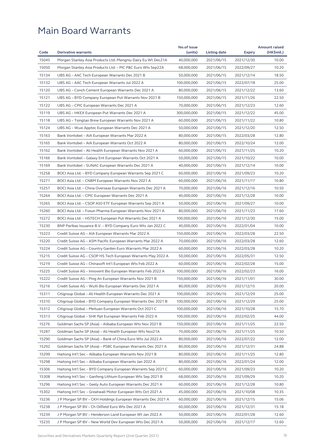|       |                                                              | No.of issue |              |                          | <b>Amount raised</b> |
|-------|--------------------------------------------------------------|-------------|--------------|--------------------------|----------------------|
| Code  | <b>Derivative warrants</b>                                   | (units)     | Listing date | <b>Expiry</b>            | (HK\$mil.)           |
| 15045 | Morgan Stanley Asia Products Ltd.-Mengniu Dairy Eu Wt Dec21A | 40,000,000  | 2021/06/15   | 2021/12/30               | 10.00                |
| 15050 | Morgan Stanley Asia Products Ltd. - PIC P&C Euro Wts Sep22A  | 68,000,000  | 2021/06/15   | 2022/09/27               | 10.20                |
| 15134 | UBS AG - AAC Tech European Warrants Dec 2021 B               | 50,000,000  | 2021/06/15   | 2021/12/14               | 18.50                |
| 15132 | UBS AG - AAC Tech European Warrants Jul 2022 A               | 100,000,000 | 2021/06/15   | 2022/07/18               | 25.00                |
| 15120 | UBS AG – Conch Cement European Warrants Dec 2021 A           | 80,000,000  | 2021/06/15   | 2021/12/22               | 13.60                |
| 15121 | UBS AG - BYD Company European Put Warrants Nov 2021 B        | 150,000,000 | 2021/06/15   | 2021/11/26               | 22.50                |
| 15122 | UBS AG - CPIC European Warrants Dec 2021 A                   | 70,000,000  | 2021/06/15   | 2021/12/23               | 12.60                |
| 15119 | UBS AG - HKEX European Put Warrants Dec 2021 A               | 300,000,000 | 2021/06/15   | 2021/12/22               | 45.00                |
| 15118 | UBS AG – Tsingtao Brew European Warrants Nov 2021 A          | 60,000,000  | 2021/06/15   | 2021/11/22               | 10.80                |
| 15124 | UBS AG - Wuxi Apptec European Warrants Dec 2021 A            | 50,000,000  | 2021/06/15   | 2021/12/20               | 12.50                |
| 15163 | Bank Vontobel - AIA European Warrants Mar 2022 A             | 80,000,000  | 2021/06/15   | 2022/03/28               | 12.80                |
| 15165 | Bank Vontobel - AIA European Warrants Oct 2022 A             | 80,000,000  | 2021/06/15   | 2022/10/24               | 12.00                |
| 15162 | Bank Vontobel - Ali Health European Warrants Nov 2021 A      | 60,000,000  | 2021/06/15   | 2021/11/25               | 10.20                |
| 15166 | Bank Vontobel - Galaxy Ent European Warrants Oct 2021 A      | 50,000,000  | 2021/06/15   | 2021/10/22               | 10.00                |
| 15169 | Bank Vontobel - SUNAC European Warrants Dec 2021 A           | 40,000,000  | 2021/06/15   | 2021/12/14               | 10.00                |
| 15258 | BOCI Asia Ltd. - BYD Company European Warrants Sep 2021 C    | 60,000,000  | 2021/06/16   | 2021/09/23               | 10.20                |
| 15271 | BOCI Asia Ltd. - CNBM European Warrants Nov 2021 A           | 60,000,000  | 2021/06/16   | 2021/11/17               | 10.80                |
| 15257 | BOCI Asia Ltd. - China Overseas European Warrants Dec 2021 A | 70,000,000  | 2021/06/16   | 2021/12/16               | 10.50                |
| 15264 | BOCI Asia Ltd. - CPIC European Warrants Dec 2021 A           | 40,000,000  | 2021/06/16   | 2021/12/28               | 10.00                |
| 15265 | BOCI Asia Ltd. - CSOP A50 ETF European Warrants Sep 2021 A   | 50,000,000  | 2021/06/16   | 2021/09/27               | 10.00                |
| 15260 | BOCI Asia Ltd. - Fosun Pharma European Warrants Nov 2021 A   | 80,000,000  | 2021/06/16   | 2021/11/23               | 17.60                |
| 15272 | BOCI Asia Ltd. - HSTECH European Put Warrants Dec 2021 A     | 100,000,000 | 2021/06/16   | 2021/12/30               | 15.00                |
| 15230 | BNP Paribas Issuance B.V. – BYD Company Euro Wts Jan 2022 C  | 40,000,000  | 2021/06/16   | 2022/01/04               | 10.00                |
| 15223 | Credit Suisse AG - AIA European Warrants Mar 2022 A          | 150,000,000 | 2021/06/16   | 2022/03/28               | 22.50                |
| 15220 | Credit Suisse AG - ASM Pacific European Warrants Mar 2022 A  | 70,000,000  | 2021/06/16   | 2022/03/28               | 12.60                |
| 15224 | Credit Suisse AG - Country Garden Euro Warrants Mar 2022 A   | 60,000,000  | 2021/06/16   | 2022/03/28               | 10.20                |
| 15215 | Credit Suisse AG - CSOP HS Tech European Warrants May 2022 A | 50,000,000  | 2021/06/16   | 2022/05/31               | 12.50                |
| 15219 | Credit Suisse AG - Chinasoft Int'l European Wts Feb 2022 A   | 60,000,000  | 2021/06/16   | 2022/02/28               | 15.00                |
| 15225 | Credit Suisse AG - Innovent Bio European Warrants Feb 2022 A | 100,000,000 | 2021/06/16   | 2022/02/23               | 16.00                |
| 15222 | Credit Suisse AG - Ping An European Warrants Nov 2021 B      | 150,000,000 | 2021/06/16   | 2021/11/01               | 30.00                |
| 15216 | Credit Suisse AG – WuXi Bio European Warrants Dec 2021 A     | 80,000,000  | 2021/06/16   | 2021/12/15               | 20.00                |
| 15311 | Citigroup Global - Ali Health European Warrants Dec 2021 A   | 100,000,000 | 2021/06/16   | 2021/12/29               | 25.00                |
| 15310 | Citigroup Global - BYD Company European Warrants Dec 2021 B  | 100,000,000 | 2021/06/16   | 2021/12/29               | 25.00                |
| 15312 | Citigroup Global - Meituan European Warrants Oct 2021 C      | 100,000,000 | 2021/06/16   | 2021/10/28               | 15.70                |
| 15313 | Citigroup Global - SHK Ppt European Warrants Feb 2022 A      | 100,000,000 | 2021/06/16   | 2022/02/25               | 44.00                |
| 15276 | Goldman Sachs SP (Asia) - Alibaba European Wts Nov 2021 B    | 150,000,000 | 2021/06/16   | 2021/11/25               | 22.50                |
| 15287 | Goldman Sachs SP (Asia) - Ali Health European Wts Nov21A     | 70,000,000  | 2021/06/16   | 2021/11/25               | 10.50                |
| 15290 | Goldman Sachs SP (Asia) – Bank of China Euro Wts Jul 2022 A  | 80,000,000  | 2021/06/16   | 2022/07/22               | 12.00                |
| 15292 | Goldman Sachs SP (Asia) - PSBC European Warrants Dec 2021 A  | 80,000,000  | 2021/06/16   | 2021/12/31               | 24.88                |
| 15299 | Haitong Int'l Sec - Alibaba European Warrants Nov 2021 B     | 80,000,000  | 2021/06/16   | 2021/11/25               | 12.80                |
| 15298 | Haitong Int'l Sec - Alibaba European Warrants Jan 2022 A     | 80,000,000  | 2021/06/16   | 2022/01/24               | 12.00                |
| 15306 | Haitong Int'l Sec - BYD Company European Warrants Sep 2021 C | 60,000,000  | 2021/06/16   | 2021/09/23               | 10.20                |
| 15308 | Haitong Int'l Sec - Ganfeng Lithium European Wts Sep 2021 B  | 68,000,000  | 2021/06/16   | 2021/09/29               | 10.20                |
| 15296 | Haitong Int'l Sec - Geely Auto European Warrants Dec 2021 A  | 60,000,000  | 2021/06/16   | 2021/12/28               | 10.80                |
| 15302 | Haitong Int'l Sec - Greatwall Motor European Wts Oct 2021 A  | 45,000,000  | 2021/06/16   | 2021/10/08               | 10.35                |
| 15236 | J P Morgan SP BV - CKH Holdings European Warrants Dec 2021 A | 60,000,000  | 2021/06/16   |                          | 15.06                |
| 15238 | J P Morgan SP BV - Ch Oilfield Euro Wts Dec 2021 A           | 60,000,000  | 2021/06/16   | 2021/12/15               | 15.18                |
| 15239 | J P Morgan SP BV - Henderson Land European Wt Jan 2022 A     | 50,000,000  | 2021/06/16   | 2021/12/31<br>2022/01/28 | 12.60                |
| 15235 | J P Morgan SP BV - New World Dev European Wts Dec 2021 A     | 50,000,000  | 2021/06/16   | 2021/12/17               | 12.60                |
|       |                                                              |             |              |                          |                      |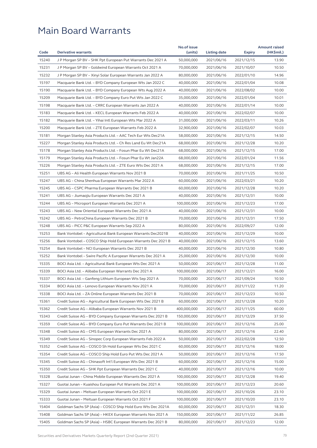|       |                                                              | No.of issue |              |               | <b>Amount raised</b> |
|-------|--------------------------------------------------------------|-------------|--------------|---------------|----------------------|
| Code  | <b>Derivative warrants</b>                                   | (units)     | Listing date | <b>Expiry</b> | (HK\$mil.)           |
| 15240 | J P Morgan SP BV - SHK Ppt European Put Warrants Dec 2021 A  | 50,000,000  | 2021/06/16   | 2021/12/15    | 13.90                |
| 15231 | J P Morgan SP BV – Goldwind European Warrants Oct 2021 A     | 70,000,000  | 2021/06/16   | 2021/10/07    | 10.50                |
| 15232 | J P Morgan SP BV - Xinyi Solar European Warrants Jan 2022 A  | 80,000,000  | 2021/06/16   | 2022/01/10    | 14.96                |
| 15197 | Macquarie Bank Ltd. - BYD Company European Wts Jan 2022 C    | 40,000,000  | 2021/06/16   | 2022/01/04    | 10.08                |
| 15190 | Macquarie Bank Ltd. - BYD Company European Wts Aug 2022 A    | 40,000,000  | 2021/06/16   | 2022/08/02    | 10.00                |
| 15209 | Macquarie Bank Ltd. - BYD Company Euro Put Wts Jan 2022 C    | 35,000,000  | 2021/06/16   | 2022/01/04    | 10.01                |
| 15198 | Macquarie Bank Ltd. - CRRC European Warrants Jan 2022 A      | 40,000,000  | 2021/06/16   | 2022/01/14    | 10.00                |
| 15183 | Macquarie Bank Ltd. - KECL European Warrants Feb 2022 A      | 40,000,000  | 2021/06/16   | 2022/02/07    | 10.00                |
| 15182 | Macquarie Bank Ltd. - Yihai Intl European Wts Mar 2022 A     | 31,000,000  | 2021/06/16   | 2022/03/11    | 10.26                |
| 15200 | Macquarie Bank Ltd. - ZTE European Warrants Feb 2022 A       | 32,900,000  | 2021/06/16   | 2022/02/07    | 10.03                |
| 15181 | Morgan Stanley Asia Products Ltd. - AAC Tech Eur Wts Dec21A  | 58,000,000  | 2021/06/16   | 2021/12/15    | 14.50                |
| 15227 | Morgan Stanley Asia Products Ltd. - Ch Res Land Eu Wt Dec21A | 68,000,000  | 2021/06/16   | 2021/12/28    | 10.20                |
| 15178 | Morgan Stanley Asia Products Ltd. - Fosun Phar Eu Wt Dec21A  | 68,000,000  | 2021/06/16   | 2021/12/15    | 17.00                |
| 15179 | Morgan Stanley Asia Products Ltd. - Fosun Phar Eu Wt Jan22A  | 68,000,000  | 2021/06/16   | 2022/01/24    | 11.56                |
| 15226 | Morgan Stanley Asia Products Ltd. - ZTE Euro Wts Dec 2021 A  | 68,000,000  | 2021/06/16   | 2021/12/15    | 17.00                |
| 15251 | UBS AG - Ali Health European Warrants Nov 2021 B             | 70,000,000  | 2021/06/16   | 2021/11/25    | 10.50                |
| 15247 | UBS AG - China Shenhua European Warrants Mar 2022 A          | 60,000,000  | 2021/06/16   | 2022/03/21    | 10.20                |
| 15245 | UBS AG - CSPC Pharma European Warrants Dec 2021 B            | 60,000,000  | 2021/06/16   | 2021/12/28    | 10.20                |
| 15241 | UBS AG - Jiumaojiu European Warrants Dec 2021 A              | 40,000,000  | 2021/06/16   | 2021/12/31    | 10.00                |
| 15244 | UBS AG – Microport European Warrants Dec 2021 A              | 100,000,000 | 2021/06/16   | 2021/12/23    | 17.00                |
| 15243 | UBS AG - New Oriental European Warrants Dec 2021 A           | 40,000,000  | 2021/06/16   | 2021/12/31    | 10.00                |
| 15242 | UBS AG - PetroChina European Warrants Dec 2021 B             | 70,000,000  | 2021/06/16   | 2021/12/31    | 17.50                |
| 15248 | UBS AG - PICC P&C European Warrants Sep 2022 A               | 80,000,000  | 2021/06/16   | 2022/09/27    | 12.00                |
| 15253 | Bank Vontobel - Agricultural Bank European Warrants Dec2021B | 40,000,000  | 2021/06/16   | 2021/12/29    | 10.00                |
| 15256 | Bank Vontobel - COSCO Ship Hold European Warrants Dec 2021 B | 40,000,000  | 2021/06/16   | 2021/12/15    | 13.60                |
| 15254 | Bank Vontobel - NCI European Warrants Dec 2021 B             | 40,000,000  | 2021/06/16   | 2021/12/30    | 10.80                |
| 15252 | Bank Vontobel – Swire Pacific A European Warrants Dec 2021 A | 25,000,000  | 2021/06/16   | 2021/12/30    | 10.00                |
| 15335 | BOCI Asia Ltd. - Agricultural Bank European Wts Dec 2021 A   | 50,000,000  | 2021/06/17   | 2021/12/28    | 11.00                |
| 15339 | BOCI Asia Ltd. – Alibaba European Warrants Dec 2021 A        | 100,000,000 | 2021/06/17   | 2021/12/21    | 16.00                |
| 15337 | BOCI Asia Ltd. – Ganfeng Lithium European Wts Sep 2021 A     | 70,000,000  | 2021/06/17   | 2021/09/24    | 10.50                |
| 15334 | BOCI Asia Ltd. - Lenovo European Warrants Nov 2021 A         | 70,000,000  | 2021/06/17   | 2021/11/22    | 11.20                |
| 15338 | BOCI Asia Ltd. - ZA Online European Warrants Dec 2021 B      | 70,000,000  | 2021/06/17   | 2021/12/23    | 10.50                |
| 15361 | Credit Suisse AG – Agricultural Bank European Wts Dec 2021 B | 60,000,000  | 2021/06/17   | 2021/12/28    | 10.20                |
| 15362 | Credit Suisse AG - Alibaba European Warrants Nov 2021 B      | 400,000,000 | 2021/06/17   | 2021/11/25    | 60.00                |
| 15343 | Credit Suisse AG - BYD Company European Warrants Dec 2021 B  | 150,000,000 | 2021/06/17   | 2021/12/29    | 37.50                |
| 15359 | Credit Suisse AG - BYD Company Euro Put Warrants Dec 2021 B  | 100,000,000 | 2021/06/17   | 2021/12/16    | 25.00                |
| 15348 | Credit Suisse AG - CMS European Warrants Dec 2021 A          | 80,000,000  | 2021/06/17   | 2021/12/16    | 22.40                |
| 15349 | Credit Suisse AG - Sinopec Corp European Warrants Feb 2022 A | 50,000,000  | 2021/06/17   | 2022/02/28    | 12.50                |
| 15352 | Credit Suisse AG - COSCO Sh Hold European Wts Dec 2021 C     | 60,000,000  | 2021/06/17   | 2021/12/16    | 18.00                |
| 15354 | Credit Suisse AG - COSCO Ship Hold Euro Put Wts Dec 2021 A   | 50,000,000  | 2021/06/17   | 2021/12/16    | 17.50                |
| 15345 | Credit Suisse AG - Chinasoft Int'l European Wts Dec 2021 B   | 60,000,000  | 2021/06/17   | 2021/12/16    | 15.00                |
| 15350 | Credit Suisse AG - SHK Ppt European Warrants Dec 2021 C      | 40,000,000  | 2021/06/17   | 2021/12/16    | 10.00                |
| 15328 | Guotai Junan - China Mobile European Warrants Dec 2021 A     | 100,000,000 | 2021/06/17   | 2021/12/28    | 19.40                |
| 15327 | Guotai Junan - Kuaishou European Put Warrants Dec 2021 A     | 100,000,000 | 2021/06/17   | 2021/12/23    | 20.60                |
| 15329 | Guotai Junan - Meituan European Warrants Oct 2021 E          | 100,000,000 | 2021/06/17   | 2021/10/26    | 23.10                |
| 15333 | Guotai Junan - Meituan European Warrants Oct 2021 F          | 100,000,000 | 2021/06/17   | 2021/10/20    | 23.10                |
| 15404 | Goldman Sachs SP (Asia) - COSCO Ship Hold Euro Wts Dec 2021A | 60,000,000  | 2021/06/17   | 2021/12/31    | 18.30                |
| 15408 | Goldman Sachs SP (Asia) - HKEX European Warrants Nov 2021 A  | 150,000,000 | 2021/06/17   | 2021/11/22    | 26.85                |
| 15405 | Goldman Sachs SP (Asia) - HSBC European Warrants Dec 2021 B  | 80,000,000  | 2021/06/17   | 2021/12/23    | 12.00                |
|       |                                                              |             |              |               |                      |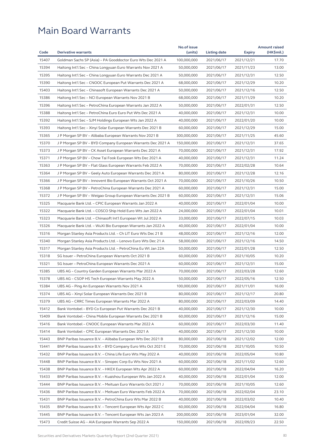| 15407<br>Goldman Sachs SP (Asia) - PA Gooddoctor Euro Wts Dec 2021 A<br>100,000,000<br>2021/06/17<br>2021/12/21<br>17.70<br>15394<br>Haitong Int'l Sec – China Longyuan Euro Warrants Nov 2021 A<br>50,000,000<br>2021/06/17<br>2021/11/23<br>13.00<br>15395<br>Haitong Int'l Sec - China Longyuan Euro Warrants Dec 2021 A<br>50,000,000<br>2021/12/31<br>12.50<br>2021/06/17<br>15390<br>10.20<br>Haitong Int'l Sec - CNOOC European Put Warrants Dec 2021 A<br>68,000,000<br>2021/06/17<br>2021/12/29<br>15403<br>50,000,000<br>12.50<br>Haitong Int'l Sec – Chinasoft European Warrants Dec 2021 A<br>2021/06/17<br>2021/12/16<br>15386<br>10.20<br>Haitong Int'l Sec - NCI European Warrants Nov 2021 B<br>68,000,000<br>2021/06/17<br>2021/11/29<br>15396<br>Haitong Int'l Sec - PetroChina European Warrants Jan 2022 A<br>50,000,000<br>2021/06/17<br>2022/01/31<br>12.50<br>15388<br>40,000,000<br>10.00<br>Haitong Int'l Sec – PetroChina Euro Euro Put Wts Dec 2021 A<br>2021/06/17<br>2021/12/31<br>15392<br>10.00<br>Haitong Int'l Sec – SJM Holdings European Wts Jan 2022 A<br>40,000,000<br>2021/06/17<br>2022/01/20<br>15393<br>15.00<br>Haitong Int'l Sec - Xinyi Solar European Warrants Dec 2021 B<br>60,000,000<br>2021/06/17<br>2021/12/29<br>15365<br>45.60<br>J P Morgan SP BV – Alibaba European Warrants Nov 2021 B<br>300,000,000<br>2021/06/17<br>2021/11/25<br>15370<br>J P Morgan SP BV - BYD Company European Warrants Dec 2021 A<br>150,000,000<br>2021/06/17<br>2021/12/31<br>37.65<br>15373<br>17.92<br>J P Morgan SP BV – CK Asset European Warrants Dec 2021 A<br>70,000,000<br>2021/06/17<br>2021/12/31<br>15371<br>J P Morgan SP BV - Chow Tai Fook European Wts Dec 2021 A<br>40,000,000<br>11.24<br>2021/06/17<br>2021/12/31<br>15363<br>10.64<br>J P Morgan SP BV – Flat Glass European Warrants Feb 2022 A<br>70,000,000<br>2021/06/17<br>2022/02/28<br>15364<br>J P Morgan SP BV - Geely Auto European Warrants Dec 2021 A<br>80,000,000<br>12.16<br>2021/06/17<br>2021/12/28<br>15366<br>10.50<br>J P Morgan SP BV - Innovent Bio European Warrants Oct 2021 A<br>70,000,000<br>2021/06/17<br>2021/10/26<br>15368<br>15.00<br>J P Morgan SP BV – PetroChina European Warrants Dec 2021 A<br>60,000,000<br>2021/06/17<br>2021/12/31<br>15372<br>15.06<br>J P Morgan SP BV - Weigao Group European Warrants Dec 2021 B<br>60,000,000<br>2021/06/17<br>2021/12/31<br>15325<br>10.00<br>Macquarie Bank Ltd. - CPIC European Warrants Jan 2022 A<br>40,000,000<br>2021/06/17<br>2022/01/04<br>15322<br>24,000,000<br>10.01<br>Macquarie Bank Ltd. – COSCO Ship Hold Euro Wts Jan 2022 A<br>2021/06/17<br>2022/01/04<br>15323<br>33,000,000<br>10.03<br>Macquarie Bank Ltd. - Chinasoft Int'l European Wt Jul 2022 A<br>2021/06/17<br>2022/07/15<br>15326<br>Macquarie Bank Ltd. - WuXi Bio European Warrants Jan 2022 A<br>40,000,000<br>2022/01/04<br>10.00<br>2021/06/17<br>15316<br>Morgan Stanley Asia Products Ltd. - Ch LIT Euro Wts Dec 21 B<br>48,000,000<br>2021/06/17<br>2021/12/16<br>12.00<br>15340<br>Morgan Stanley Asia Products Ltd. - Lenovo Euro Wts Dec 21 A<br>58,000,000<br>2021/12/16<br>14.50<br>2021/06/17<br>15317<br>12.50<br>Morgan Stanley Asia Products Ltd. - PetroChina Eu Wt Jan 22A<br>50,000,000<br>2021/06/17<br>2022/01/28<br>15318<br>SG Issuer - PetroChina European Warrants Oct 2021 B<br>60,000,000<br>2021/10/05<br>10.20<br>2021/06/17<br>15321<br>60,000,000<br>15.00<br>SG Issuer – PetroChina European Warrants Dec 2021 A<br>2021/06/17<br>2021/12/31<br>15385<br>70,000,000<br>12.60<br>UBS AG - Country Garden European Warrants Mar 2022 A<br>2021/06/17<br>2022/03/28<br>15378<br>50,000,000<br>2022/05/16<br>12.50<br>UBS AG – CSOP HS Tech European Warrants May 2022 A<br>2021/06/17<br>16.00<br>15384<br>UBS AG - Ping An European Warrants Nov 2021 A<br>100,000,000<br>2021/11/01<br>2021/06/17<br>15374<br>UBS AG - Xinyi Solar European Warrants Dec 2021 B<br>80,000,000<br>2021/06/17<br>2021/12/17<br>20.80<br>15379<br>80,000,000<br>14.40<br>UBS AG – CRRC Times European Warrants Mar 2022 A<br>2021/06/17<br>2022/03/09<br>15412<br>Bank Vontobel - BYD Co European Put Warrants Dec 2021 B<br>40,000,000<br>2021/06/17<br>2021/12/30<br>10.00<br>15409<br>Bank Vontobel - China Mobile European Warrants Dec 2021 B<br>60,000,000<br>2021/06/17<br>15.00<br>2021/12/16<br>15416<br>Bank Vontobel - CNOOC European Warrants Mar 2022 A<br>60,000,000<br>2021/06/17<br>2022/03/30<br>11.40<br>15414<br>Bank Vontobel - CPIC European Warrants Dec 2021 A<br>40,000,000<br>2021/06/17<br>10.00<br>2021/12/30<br>15443<br>80,000,000<br>2021/12/02<br>BNP Paribas Issuance B.V. - Alibaba European Wts Dec 2021 B<br>2021/06/18<br>12.00<br>15441<br>BNP Paribas Issuance B.V. - BYD Company Euro Wts Oct 2021 E<br>70,000,000<br>2021/06/18<br>2021/10/05<br>10.50<br>15432<br>BNP Paribas Issuance B.V. - China Life Euro Wts May 2022 A<br>40,000,000<br>10.80<br>2021/06/18<br>2022/05/04<br>15448<br>BNP Paribas Issuance B.V. - Sinopec Corp Eu Wts Nov 2021 A<br>60,000,000<br>2021/06/18<br>2021/11/02<br>12.60<br>15438<br>BNP Paribas Issuance B.V. - HKEX European Wts Apr 2022 A<br>60,000,000<br>2021/06/18<br>2022/04/04<br>16.20<br>15433<br>BNP Paribas Issuance B.V. - Kuaishou European Wts Jan 2022 A<br>40,000,000<br>2021/06/18<br>2022/01/04<br>12.00<br>15444<br>70,000,000<br>12.60<br>BNP Paribas Issuance B.V. - Meituan Euro Warrants Oct 2021 J<br>2021/06/18<br>2021/10/05<br>15436<br>BNP Paribas Issuance B.V. - Meituan Euro Warrants Feb 2022 A<br>70,000,000<br>2021/06/18<br>2022/02/04<br>23.10<br>15431<br>BNP Paribas Issuance B.V. - PetroChina Euro Wts Mar 2022 B<br>40,000,000<br>2021/06/18<br>10.40<br>2022/03/02<br>15435<br>BNP Paribas Issuance B.V. - Tencent European Wts Apr 2022 C<br>60,000,000<br>2021/06/18<br>2022/04/04<br>16.80<br>32.00<br>15445<br>BNP Paribas Issuance B.V. - Tencent European Wts Jan 2023 A<br>200,000,000<br>2021/06/18<br>2023/01/04<br>15473<br>150,000,000<br>2022/09/23<br>22.50<br>Credit Suisse AG - AIA European Warrants Sep 2022 A<br>2021/06/18 |      |                            | No.of issue |              |               | <b>Amount raised</b> |
|------------------------------------------------------------------------------------------------------------------------------------------------------------------------------------------------------------------------------------------------------------------------------------------------------------------------------------------------------------------------------------------------------------------------------------------------------------------------------------------------------------------------------------------------------------------------------------------------------------------------------------------------------------------------------------------------------------------------------------------------------------------------------------------------------------------------------------------------------------------------------------------------------------------------------------------------------------------------------------------------------------------------------------------------------------------------------------------------------------------------------------------------------------------------------------------------------------------------------------------------------------------------------------------------------------------------------------------------------------------------------------------------------------------------------------------------------------------------------------------------------------------------------------------------------------------------------------------------------------------------------------------------------------------------------------------------------------------------------------------------------------------------------------------------------------------------------------------------------------------------------------------------------------------------------------------------------------------------------------------------------------------------------------------------------------------------------------------------------------------------------------------------------------------------------------------------------------------------------------------------------------------------------------------------------------------------------------------------------------------------------------------------------------------------------------------------------------------------------------------------------------------------------------------------------------------------------------------------------------------------------------------------------------------------------------------------------------------------------------------------------------------------------------------------------------------------------------------------------------------------------------------------------------------------------------------------------------------------------------------------------------------------------------------------------------------------------------------------------------------------------------------------------------------------------------------------------------------------------------------------------------------------------------------------------------------------------------------------------------------------------------------------------------------------------------------------------------------------------------------------------------------------------------------------------------------------------------------------------------------------------------------------------------------------------------------------------------------------------------------------------------------------------------------------------------------------------------------------------------------------------------------------------------------------------------------------------------------------------------------------------------------------------------------------------------------------------------------------------------------------------------------------------------------------------------------------------------------------------------------------------------------------------------------------------------------------------------------------------------------------------------------------------------------------------------------------------------------------------------------------------------------------------------------------------------------------------------------------------------------------------------------------------------------------------------------------------------------------------------------------------------------------------------------------------------------------------------------------------------------------------------------------------------------------------------------------------------------------------------------------------------------------------------------------------------------------------------------------------------------------------------------------------------------------------------------------------------------------------------------------------------------------------------------------------------------------------------------------------------------------------------------------------------------------------------------------------------------------------------------------------------------------------------------------------------------------------------------------------------------------------------------------------------------------------------------------------------------------------------------------------------------------------------------------------------------------------------------------------------------------------------------------------------------------------------------------------------------------------------------------------------------------------------------------------------------------------------------------------------------------------------------------|------|----------------------------|-------------|--------------|---------------|----------------------|
|                                                                                                                                                                                                                                                                                                                                                                                                                                                                                                                                                                                                                                                                                                                                                                                                                                                                                                                                                                                                                                                                                                                                                                                                                                                                                                                                                                                                                                                                                                                                                                                                                                                                                                                                                                                                                                                                                                                                                                                                                                                                                                                                                                                                                                                                                                                                                                                                                                                                                                                                                                                                                                                                                                                                                                                                                                                                                                                                                                                                                                                                                                                                                                                                                                                                                                                                                                                                                                                                                                                                                                                                                                                                                                                                                                                                                                                                                                                                                                                                                                                                                                                                                                                                                                                                                                                                                                                                                                                                                                                                                                                                                                                                                                                                                                                                                                                                                                                                                                                                                                                                                                                                                                                                                                                                                                                                                                                                                                                                                                                                                                                                                                                                                                                                                                                                                                                                                                                                                                                                                                                                                                                                                | Code | <b>Derivative warrants</b> | (units)     | Listing date | <b>Expiry</b> | (HK\$mil.)           |
|                                                                                                                                                                                                                                                                                                                                                                                                                                                                                                                                                                                                                                                                                                                                                                                                                                                                                                                                                                                                                                                                                                                                                                                                                                                                                                                                                                                                                                                                                                                                                                                                                                                                                                                                                                                                                                                                                                                                                                                                                                                                                                                                                                                                                                                                                                                                                                                                                                                                                                                                                                                                                                                                                                                                                                                                                                                                                                                                                                                                                                                                                                                                                                                                                                                                                                                                                                                                                                                                                                                                                                                                                                                                                                                                                                                                                                                                                                                                                                                                                                                                                                                                                                                                                                                                                                                                                                                                                                                                                                                                                                                                                                                                                                                                                                                                                                                                                                                                                                                                                                                                                                                                                                                                                                                                                                                                                                                                                                                                                                                                                                                                                                                                                                                                                                                                                                                                                                                                                                                                                                                                                                                                                |      |                            |             |              |               |                      |
|                                                                                                                                                                                                                                                                                                                                                                                                                                                                                                                                                                                                                                                                                                                                                                                                                                                                                                                                                                                                                                                                                                                                                                                                                                                                                                                                                                                                                                                                                                                                                                                                                                                                                                                                                                                                                                                                                                                                                                                                                                                                                                                                                                                                                                                                                                                                                                                                                                                                                                                                                                                                                                                                                                                                                                                                                                                                                                                                                                                                                                                                                                                                                                                                                                                                                                                                                                                                                                                                                                                                                                                                                                                                                                                                                                                                                                                                                                                                                                                                                                                                                                                                                                                                                                                                                                                                                                                                                                                                                                                                                                                                                                                                                                                                                                                                                                                                                                                                                                                                                                                                                                                                                                                                                                                                                                                                                                                                                                                                                                                                                                                                                                                                                                                                                                                                                                                                                                                                                                                                                                                                                                                                                |      |                            |             |              |               |                      |
|                                                                                                                                                                                                                                                                                                                                                                                                                                                                                                                                                                                                                                                                                                                                                                                                                                                                                                                                                                                                                                                                                                                                                                                                                                                                                                                                                                                                                                                                                                                                                                                                                                                                                                                                                                                                                                                                                                                                                                                                                                                                                                                                                                                                                                                                                                                                                                                                                                                                                                                                                                                                                                                                                                                                                                                                                                                                                                                                                                                                                                                                                                                                                                                                                                                                                                                                                                                                                                                                                                                                                                                                                                                                                                                                                                                                                                                                                                                                                                                                                                                                                                                                                                                                                                                                                                                                                                                                                                                                                                                                                                                                                                                                                                                                                                                                                                                                                                                                                                                                                                                                                                                                                                                                                                                                                                                                                                                                                                                                                                                                                                                                                                                                                                                                                                                                                                                                                                                                                                                                                                                                                                                                                |      |                            |             |              |               |                      |
|                                                                                                                                                                                                                                                                                                                                                                                                                                                                                                                                                                                                                                                                                                                                                                                                                                                                                                                                                                                                                                                                                                                                                                                                                                                                                                                                                                                                                                                                                                                                                                                                                                                                                                                                                                                                                                                                                                                                                                                                                                                                                                                                                                                                                                                                                                                                                                                                                                                                                                                                                                                                                                                                                                                                                                                                                                                                                                                                                                                                                                                                                                                                                                                                                                                                                                                                                                                                                                                                                                                                                                                                                                                                                                                                                                                                                                                                                                                                                                                                                                                                                                                                                                                                                                                                                                                                                                                                                                                                                                                                                                                                                                                                                                                                                                                                                                                                                                                                                                                                                                                                                                                                                                                                                                                                                                                                                                                                                                                                                                                                                                                                                                                                                                                                                                                                                                                                                                                                                                                                                                                                                                                                                |      |                            |             |              |               |                      |
|                                                                                                                                                                                                                                                                                                                                                                                                                                                                                                                                                                                                                                                                                                                                                                                                                                                                                                                                                                                                                                                                                                                                                                                                                                                                                                                                                                                                                                                                                                                                                                                                                                                                                                                                                                                                                                                                                                                                                                                                                                                                                                                                                                                                                                                                                                                                                                                                                                                                                                                                                                                                                                                                                                                                                                                                                                                                                                                                                                                                                                                                                                                                                                                                                                                                                                                                                                                                                                                                                                                                                                                                                                                                                                                                                                                                                                                                                                                                                                                                                                                                                                                                                                                                                                                                                                                                                                                                                                                                                                                                                                                                                                                                                                                                                                                                                                                                                                                                                                                                                                                                                                                                                                                                                                                                                                                                                                                                                                                                                                                                                                                                                                                                                                                                                                                                                                                                                                                                                                                                                                                                                                                                                |      |                            |             |              |               |                      |
|                                                                                                                                                                                                                                                                                                                                                                                                                                                                                                                                                                                                                                                                                                                                                                                                                                                                                                                                                                                                                                                                                                                                                                                                                                                                                                                                                                                                                                                                                                                                                                                                                                                                                                                                                                                                                                                                                                                                                                                                                                                                                                                                                                                                                                                                                                                                                                                                                                                                                                                                                                                                                                                                                                                                                                                                                                                                                                                                                                                                                                                                                                                                                                                                                                                                                                                                                                                                                                                                                                                                                                                                                                                                                                                                                                                                                                                                                                                                                                                                                                                                                                                                                                                                                                                                                                                                                                                                                                                                                                                                                                                                                                                                                                                                                                                                                                                                                                                                                                                                                                                                                                                                                                                                                                                                                                                                                                                                                                                                                                                                                                                                                                                                                                                                                                                                                                                                                                                                                                                                                                                                                                                                                |      |                            |             |              |               |                      |
|                                                                                                                                                                                                                                                                                                                                                                                                                                                                                                                                                                                                                                                                                                                                                                                                                                                                                                                                                                                                                                                                                                                                                                                                                                                                                                                                                                                                                                                                                                                                                                                                                                                                                                                                                                                                                                                                                                                                                                                                                                                                                                                                                                                                                                                                                                                                                                                                                                                                                                                                                                                                                                                                                                                                                                                                                                                                                                                                                                                                                                                                                                                                                                                                                                                                                                                                                                                                                                                                                                                                                                                                                                                                                                                                                                                                                                                                                                                                                                                                                                                                                                                                                                                                                                                                                                                                                                                                                                                                                                                                                                                                                                                                                                                                                                                                                                                                                                                                                                                                                                                                                                                                                                                                                                                                                                                                                                                                                                                                                                                                                                                                                                                                                                                                                                                                                                                                                                                                                                                                                                                                                                                                                |      |                            |             |              |               |                      |
|                                                                                                                                                                                                                                                                                                                                                                                                                                                                                                                                                                                                                                                                                                                                                                                                                                                                                                                                                                                                                                                                                                                                                                                                                                                                                                                                                                                                                                                                                                                                                                                                                                                                                                                                                                                                                                                                                                                                                                                                                                                                                                                                                                                                                                                                                                                                                                                                                                                                                                                                                                                                                                                                                                                                                                                                                                                                                                                                                                                                                                                                                                                                                                                                                                                                                                                                                                                                                                                                                                                                                                                                                                                                                                                                                                                                                                                                                                                                                                                                                                                                                                                                                                                                                                                                                                                                                                                                                                                                                                                                                                                                                                                                                                                                                                                                                                                                                                                                                                                                                                                                                                                                                                                                                                                                                                                                                                                                                                                                                                                                                                                                                                                                                                                                                                                                                                                                                                                                                                                                                                                                                                                                                |      |                            |             |              |               |                      |
|                                                                                                                                                                                                                                                                                                                                                                                                                                                                                                                                                                                                                                                                                                                                                                                                                                                                                                                                                                                                                                                                                                                                                                                                                                                                                                                                                                                                                                                                                                                                                                                                                                                                                                                                                                                                                                                                                                                                                                                                                                                                                                                                                                                                                                                                                                                                                                                                                                                                                                                                                                                                                                                                                                                                                                                                                                                                                                                                                                                                                                                                                                                                                                                                                                                                                                                                                                                                                                                                                                                                                                                                                                                                                                                                                                                                                                                                                                                                                                                                                                                                                                                                                                                                                                                                                                                                                                                                                                                                                                                                                                                                                                                                                                                                                                                                                                                                                                                                                                                                                                                                                                                                                                                                                                                                                                                                                                                                                                                                                                                                                                                                                                                                                                                                                                                                                                                                                                                                                                                                                                                                                                                                                |      |                            |             |              |               |                      |
|                                                                                                                                                                                                                                                                                                                                                                                                                                                                                                                                                                                                                                                                                                                                                                                                                                                                                                                                                                                                                                                                                                                                                                                                                                                                                                                                                                                                                                                                                                                                                                                                                                                                                                                                                                                                                                                                                                                                                                                                                                                                                                                                                                                                                                                                                                                                                                                                                                                                                                                                                                                                                                                                                                                                                                                                                                                                                                                                                                                                                                                                                                                                                                                                                                                                                                                                                                                                                                                                                                                                                                                                                                                                                                                                                                                                                                                                                                                                                                                                                                                                                                                                                                                                                                                                                                                                                                                                                                                                                                                                                                                                                                                                                                                                                                                                                                                                                                                                                                                                                                                                                                                                                                                                                                                                                                                                                                                                                                                                                                                                                                                                                                                                                                                                                                                                                                                                                                                                                                                                                                                                                                                                                |      |                            |             |              |               |                      |
|                                                                                                                                                                                                                                                                                                                                                                                                                                                                                                                                                                                                                                                                                                                                                                                                                                                                                                                                                                                                                                                                                                                                                                                                                                                                                                                                                                                                                                                                                                                                                                                                                                                                                                                                                                                                                                                                                                                                                                                                                                                                                                                                                                                                                                                                                                                                                                                                                                                                                                                                                                                                                                                                                                                                                                                                                                                                                                                                                                                                                                                                                                                                                                                                                                                                                                                                                                                                                                                                                                                                                                                                                                                                                                                                                                                                                                                                                                                                                                                                                                                                                                                                                                                                                                                                                                                                                                                                                                                                                                                                                                                                                                                                                                                                                                                                                                                                                                                                                                                                                                                                                                                                                                                                                                                                                                                                                                                                                                                                                                                                                                                                                                                                                                                                                                                                                                                                                                                                                                                                                                                                                                                                                |      |                            |             |              |               |                      |
|                                                                                                                                                                                                                                                                                                                                                                                                                                                                                                                                                                                                                                                                                                                                                                                                                                                                                                                                                                                                                                                                                                                                                                                                                                                                                                                                                                                                                                                                                                                                                                                                                                                                                                                                                                                                                                                                                                                                                                                                                                                                                                                                                                                                                                                                                                                                                                                                                                                                                                                                                                                                                                                                                                                                                                                                                                                                                                                                                                                                                                                                                                                                                                                                                                                                                                                                                                                                                                                                                                                                                                                                                                                                                                                                                                                                                                                                                                                                                                                                                                                                                                                                                                                                                                                                                                                                                                                                                                                                                                                                                                                                                                                                                                                                                                                                                                                                                                                                                                                                                                                                                                                                                                                                                                                                                                                                                                                                                                                                                                                                                                                                                                                                                                                                                                                                                                                                                                                                                                                                                                                                                                                                                |      |                            |             |              |               |                      |
|                                                                                                                                                                                                                                                                                                                                                                                                                                                                                                                                                                                                                                                                                                                                                                                                                                                                                                                                                                                                                                                                                                                                                                                                                                                                                                                                                                                                                                                                                                                                                                                                                                                                                                                                                                                                                                                                                                                                                                                                                                                                                                                                                                                                                                                                                                                                                                                                                                                                                                                                                                                                                                                                                                                                                                                                                                                                                                                                                                                                                                                                                                                                                                                                                                                                                                                                                                                                                                                                                                                                                                                                                                                                                                                                                                                                                                                                                                                                                                                                                                                                                                                                                                                                                                                                                                                                                                                                                                                                                                                                                                                                                                                                                                                                                                                                                                                                                                                                                                                                                                                                                                                                                                                                                                                                                                                                                                                                                                                                                                                                                                                                                                                                                                                                                                                                                                                                                                                                                                                                                                                                                                                                                |      |                            |             |              |               |                      |
|                                                                                                                                                                                                                                                                                                                                                                                                                                                                                                                                                                                                                                                                                                                                                                                                                                                                                                                                                                                                                                                                                                                                                                                                                                                                                                                                                                                                                                                                                                                                                                                                                                                                                                                                                                                                                                                                                                                                                                                                                                                                                                                                                                                                                                                                                                                                                                                                                                                                                                                                                                                                                                                                                                                                                                                                                                                                                                                                                                                                                                                                                                                                                                                                                                                                                                                                                                                                                                                                                                                                                                                                                                                                                                                                                                                                                                                                                                                                                                                                                                                                                                                                                                                                                                                                                                                                                                                                                                                                                                                                                                                                                                                                                                                                                                                                                                                                                                                                                                                                                                                                                                                                                                                                                                                                                                                                                                                                                                                                                                                                                                                                                                                                                                                                                                                                                                                                                                                                                                                                                                                                                                                                                |      |                            |             |              |               |                      |
|                                                                                                                                                                                                                                                                                                                                                                                                                                                                                                                                                                                                                                                                                                                                                                                                                                                                                                                                                                                                                                                                                                                                                                                                                                                                                                                                                                                                                                                                                                                                                                                                                                                                                                                                                                                                                                                                                                                                                                                                                                                                                                                                                                                                                                                                                                                                                                                                                                                                                                                                                                                                                                                                                                                                                                                                                                                                                                                                                                                                                                                                                                                                                                                                                                                                                                                                                                                                                                                                                                                                                                                                                                                                                                                                                                                                                                                                                                                                                                                                                                                                                                                                                                                                                                                                                                                                                                                                                                                                                                                                                                                                                                                                                                                                                                                                                                                                                                                                                                                                                                                                                                                                                                                                                                                                                                                                                                                                                                                                                                                                                                                                                                                                                                                                                                                                                                                                                                                                                                                                                                                                                                                                                |      |                            |             |              |               |                      |
|                                                                                                                                                                                                                                                                                                                                                                                                                                                                                                                                                                                                                                                                                                                                                                                                                                                                                                                                                                                                                                                                                                                                                                                                                                                                                                                                                                                                                                                                                                                                                                                                                                                                                                                                                                                                                                                                                                                                                                                                                                                                                                                                                                                                                                                                                                                                                                                                                                                                                                                                                                                                                                                                                                                                                                                                                                                                                                                                                                                                                                                                                                                                                                                                                                                                                                                                                                                                                                                                                                                                                                                                                                                                                                                                                                                                                                                                                                                                                                                                                                                                                                                                                                                                                                                                                                                                                                                                                                                                                                                                                                                                                                                                                                                                                                                                                                                                                                                                                                                                                                                                                                                                                                                                                                                                                                                                                                                                                                                                                                                                                                                                                                                                                                                                                                                                                                                                                                                                                                                                                                                                                                                                                |      |                            |             |              |               |                      |
|                                                                                                                                                                                                                                                                                                                                                                                                                                                                                                                                                                                                                                                                                                                                                                                                                                                                                                                                                                                                                                                                                                                                                                                                                                                                                                                                                                                                                                                                                                                                                                                                                                                                                                                                                                                                                                                                                                                                                                                                                                                                                                                                                                                                                                                                                                                                                                                                                                                                                                                                                                                                                                                                                                                                                                                                                                                                                                                                                                                                                                                                                                                                                                                                                                                                                                                                                                                                                                                                                                                                                                                                                                                                                                                                                                                                                                                                                                                                                                                                                                                                                                                                                                                                                                                                                                                                                                                                                                                                                                                                                                                                                                                                                                                                                                                                                                                                                                                                                                                                                                                                                                                                                                                                                                                                                                                                                                                                                                                                                                                                                                                                                                                                                                                                                                                                                                                                                                                                                                                                                                                                                                                                                |      |                            |             |              |               |                      |
|                                                                                                                                                                                                                                                                                                                                                                                                                                                                                                                                                                                                                                                                                                                                                                                                                                                                                                                                                                                                                                                                                                                                                                                                                                                                                                                                                                                                                                                                                                                                                                                                                                                                                                                                                                                                                                                                                                                                                                                                                                                                                                                                                                                                                                                                                                                                                                                                                                                                                                                                                                                                                                                                                                                                                                                                                                                                                                                                                                                                                                                                                                                                                                                                                                                                                                                                                                                                                                                                                                                                                                                                                                                                                                                                                                                                                                                                                                                                                                                                                                                                                                                                                                                                                                                                                                                                                                                                                                                                                                                                                                                                                                                                                                                                                                                                                                                                                                                                                                                                                                                                                                                                                                                                                                                                                                                                                                                                                                                                                                                                                                                                                                                                                                                                                                                                                                                                                                                                                                                                                                                                                                                                                |      |                            |             |              |               |                      |
|                                                                                                                                                                                                                                                                                                                                                                                                                                                                                                                                                                                                                                                                                                                                                                                                                                                                                                                                                                                                                                                                                                                                                                                                                                                                                                                                                                                                                                                                                                                                                                                                                                                                                                                                                                                                                                                                                                                                                                                                                                                                                                                                                                                                                                                                                                                                                                                                                                                                                                                                                                                                                                                                                                                                                                                                                                                                                                                                                                                                                                                                                                                                                                                                                                                                                                                                                                                                                                                                                                                                                                                                                                                                                                                                                                                                                                                                                                                                                                                                                                                                                                                                                                                                                                                                                                                                                                                                                                                                                                                                                                                                                                                                                                                                                                                                                                                                                                                                                                                                                                                                                                                                                                                                                                                                                                                                                                                                                                                                                                                                                                                                                                                                                                                                                                                                                                                                                                                                                                                                                                                                                                                                                |      |                            |             |              |               |                      |
|                                                                                                                                                                                                                                                                                                                                                                                                                                                                                                                                                                                                                                                                                                                                                                                                                                                                                                                                                                                                                                                                                                                                                                                                                                                                                                                                                                                                                                                                                                                                                                                                                                                                                                                                                                                                                                                                                                                                                                                                                                                                                                                                                                                                                                                                                                                                                                                                                                                                                                                                                                                                                                                                                                                                                                                                                                                                                                                                                                                                                                                                                                                                                                                                                                                                                                                                                                                                                                                                                                                                                                                                                                                                                                                                                                                                                                                                                                                                                                                                                                                                                                                                                                                                                                                                                                                                                                                                                                                                                                                                                                                                                                                                                                                                                                                                                                                                                                                                                                                                                                                                                                                                                                                                                                                                                                                                                                                                                                                                                                                                                                                                                                                                                                                                                                                                                                                                                                                                                                                                                                                                                                                                                |      |                            |             |              |               |                      |
|                                                                                                                                                                                                                                                                                                                                                                                                                                                                                                                                                                                                                                                                                                                                                                                                                                                                                                                                                                                                                                                                                                                                                                                                                                                                                                                                                                                                                                                                                                                                                                                                                                                                                                                                                                                                                                                                                                                                                                                                                                                                                                                                                                                                                                                                                                                                                                                                                                                                                                                                                                                                                                                                                                                                                                                                                                                                                                                                                                                                                                                                                                                                                                                                                                                                                                                                                                                                                                                                                                                                                                                                                                                                                                                                                                                                                                                                                                                                                                                                                                                                                                                                                                                                                                                                                                                                                                                                                                                                                                                                                                                                                                                                                                                                                                                                                                                                                                                                                                                                                                                                                                                                                                                                                                                                                                                                                                                                                                                                                                                                                                                                                                                                                                                                                                                                                                                                                                                                                                                                                                                                                                                                                |      |                            |             |              |               |                      |
|                                                                                                                                                                                                                                                                                                                                                                                                                                                                                                                                                                                                                                                                                                                                                                                                                                                                                                                                                                                                                                                                                                                                                                                                                                                                                                                                                                                                                                                                                                                                                                                                                                                                                                                                                                                                                                                                                                                                                                                                                                                                                                                                                                                                                                                                                                                                                                                                                                                                                                                                                                                                                                                                                                                                                                                                                                                                                                                                                                                                                                                                                                                                                                                                                                                                                                                                                                                                                                                                                                                                                                                                                                                                                                                                                                                                                                                                                                                                                                                                                                                                                                                                                                                                                                                                                                                                                                                                                                                                                                                                                                                                                                                                                                                                                                                                                                                                                                                                                                                                                                                                                                                                                                                                                                                                                                                                                                                                                                                                                                                                                                                                                                                                                                                                                                                                                                                                                                                                                                                                                                                                                                                                                |      |                            |             |              |               |                      |
|                                                                                                                                                                                                                                                                                                                                                                                                                                                                                                                                                                                                                                                                                                                                                                                                                                                                                                                                                                                                                                                                                                                                                                                                                                                                                                                                                                                                                                                                                                                                                                                                                                                                                                                                                                                                                                                                                                                                                                                                                                                                                                                                                                                                                                                                                                                                                                                                                                                                                                                                                                                                                                                                                                                                                                                                                                                                                                                                                                                                                                                                                                                                                                                                                                                                                                                                                                                                                                                                                                                                                                                                                                                                                                                                                                                                                                                                                                                                                                                                                                                                                                                                                                                                                                                                                                                                                                                                                                                                                                                                                                                                                                                                                                                                                                                                                                                                                                                                                                                                                                                                                                                                                                                                                                                                                                                                                                                                                                                                                                                                                                                                                                                                                                                                                                                                                                                                                                                                                                                                                                                                                                                                                |      |                            |             |              |               |                      |
|                                                                                                                                                                                                                                                                                                                                                                                                                                                                                                                                                                                                                                                                                                                                                                                                                                                                                                                                                                                                                                                                                                                                                                                                                                                                                                                                                                                                                                                                                                                                                                                                                                                                                                                                                                                                                                                                                                                                                                                                                                                                                                                                                                                                                                                                                                                                                                                                                                                                                                                                                                                                                                                                                                                                                                                                                                                                                                                                                                                                                                                                                                                                                                                                                                                                                                                                                                                                                                                                                                                                                                                                                                                                                                                                                                                                                                                                                                                                                                                                                                                                                                                                                                                                                                                                                                                                                                                                                                                                                                                                                                                                                                                                                                                                                                                                                                                                                                                                                                                                                                                                                                                                                                                                                                                                                                                                                                                                                                                                                                                                                                                                                                                                                                                                                                                                                                                                                                                                                                                                                                                                                                                                                |      |                            |             |              |               |                      |
|                                                                                                                                                                                                                                                                                                                                                                                                                                                                                                                                                                                                                                                                                                                                                                                                                                                                                                                                                                                                                                                                                                                                                                                                                                                                                                                                                                                                                                                                                                                                                                                                                                                                                                                                                                                                                                                                                                                                                                                                                                                                                                                                                                                                                                                                                                                                                                                                                                                                                                                                                                                                                                                                                                                                                                                                                                                                                                                                                                                                                                                                                                                                                                                                                                                                                                                                                                                                                                                                                                                                                                                                                                                                                                                                                                                                                                                                                                                                                                                                                                                                                                                                                                                                                                                                                                                                                                                                                                                                                                                                                                                                                                                                                                                                                                                                                                                                                                                                                                                                                                                                                                                                                                                                                                                                                                                                                                                                                                                                                                                                                                                                                                                                                                                                                                                                                                                                                                                                                                                                                                                                                                                                                |      |                            |             |              |               |                      |
|                                                                                                                                                                                                                                                                                                                                                                                                                                                                                                                                                                                                                                                                                                                                                                                                                                                                                                                                                                                                                                                                                                                                                                                                                                                                                                                                                                                                                                                                                                                                                                                                                                                                                                                                                                                                                                                                                                                                                                                                                                                                                                                                                                                                                                                                                                                                                                                                                                                                                                                                                                                                                                                                                                                                                                                                                                                                                                                                                                                                                                                                                                                                                                                                                                                                                                                                                                                                                                                                                                                                                                                                                                                                                                                                                                                                                                                                                                                                                                                                                                                                                                                                                                                                                                                                                                                                                                                                                                                                                                                                                                                                                                                                                                                                                                                                                                                                                                                                                                                                                                                                                                                                                                                                                                                                                                                                                                                                                                                                                                                                                                                                                                                                                                                                                                                                                                                                                                                                                                                                                                                                                                                                                |      |                            |             |              |               |                      |
|                                                                                                                                                                                                                                                                                                                                                                                                                                                                                                                                                                                                                                                                                                                                                                                                                                                                                                                                                                                                                                                                                                                                                                                                                                                                                                                                                                                                                                                                                                                                                                                                                                                                                                                                                                                                                                                                                                                                                                                                                                                                                                                                                                                                                                                                                                                                                                                                                                                                                                                                                                                                                                                                                                                                                                                                                                                                                                                                                                                                                                                                                                                                                                                                                                                                                                                                                                                                                                                                                                                                                                                                                                                                                                                                                                                                                                                                                                                                                                                                                                                                                                                                                                                                                                                                                                                                                                                                                                                                                                                                                                                                                                                                                                                                                                                                                                                                                                                                                                                                                                                                                                                                                                                                                                                                                                                                                                                                                                                                                                                                                                                                                                                                                                                                                                                                                                                                                                                                                                                                                                                                                                                                                |      |                            |             |              |               |                      |
|                                                                                                                                                                                                                                                                                                                                                                                                                                                                                                                                                                                                                                                                                                                                                                                                                                                                                                                                                                                                                                                                                                                                                                                                                                                                                                                                                                                                                                                                                                                                                                                                                                                                                                                                                                                                                                                                                                                                                                                                                                                                                                                                                                                                                                                                                                                                                                                                                                                                                                                                                                                                                                                                                                                                                                                                                                                                                                                                                                                                                                                                                                                                                                                                                                                                                                                                                                                                                                                                                                                                                                                                                                                                                                                                                                                                                                                                                                                                                                                                                                                                                                                                                                                                                                                                                                                                                                                                                                                                                                                                                                                                                                                                                                                                                                                                                                                                                                                                                                                                                                                                                                                                                                                                                                                                                                                                                                                                                                                                                                                                                                                                                                                                                                                                                                                                                                                                                                                                                                                                                                                                                                                                                |      |                            |             |              |               |                      |
|                                                                                                                                                                                                                                                                                                                                                                                                                                                                                                                                                                                                                                                                                                                                                                                                                                                                                                                                                                                                                                                                                                                                                                                                                                                                                                                                                                                                                                                                                                                                                                                                                                                                                                                                                                                                                                                                                                                                                                                                                                                                                                                                                                                                                                                                                                                                                                                                                                                                                                                                                                                                                                                                                                                                                                                                                                                                                                                                                                                                                                                                                                                                                                                                                                                                                                                                                                                                                                                                                                                                                                                                                                                                                                                                                                                                                                                                                                                                                                                                                                                                                                                                                                                                                                                                                                                                                                                                                                                                                                                                                                                                                                                                                                                                                                                                                                                                                                                                                                                                                                                                                                                                                                                                                                                                                                                                                                                                                                                                                                                                                                                                                                                                                                                                                                                                                                                                                                                                                                                                                                                                                                                                                |      |                            |             |              |               |                      |
|                                                                                                                                                                                                                                                                                                                                                                                                                                                                                                                                                                                                                                                                                                                                                                                                                                                                                                                                                                                                                                                                                                                                                                                                                                                                                                                                                                                                                                                                                                                                                                                                                                                                                                                                                                                                                                                                                                                                                                                                                                                                                                                                                                                                                                                                                                                                                                                                                                                                                                                                                                                                                                                                                                                                                                                                                                                                                                                                                                                                                                                                                                                                                                                                                                                                                                                                                                                                                                                                                                                                                                                                                                                                                                                                                                                                                                                                                                                                                                                                                                                                                                                                                                                                                                                                                                                                                                                                                                                                                                                                                                                                                                                                                                                                                                                                                                                                                                                                                                                                                                                                                                                                                                                                                                                                                                                                                                                                                                                                                                                                                                                                                                                                                                                                                                                                                                                                                                                                                                                                                                                                                                                                                |      |                            |             |              |               |                      |
|                                                                                                                                                                                                                                                                                                                                                                                                                                                                                                                                                                                                                                                                                                                                                                                                                                                                                                                                                                                                                                                                                                                                                                                                                                                                                                                                                                                                                                                                                                                                                                                                                                                                                                                                                                                                                                                                                                                                                                                                                                                                                                                                                                                                                                                                                                                                                                                                                                                                                                                                                                                                                                                                                                                                                                                                                                                                                                                                                                                                                                                                                                                                                                                                                                                                                                                                                                                                                                                                                                                                                                                                                                                                                                                                                                                                                                                                                                                                                                                                                                                                                                                                                                                                                                                                                                                                                                                                                                                                                                                                                                                                                                                                                                                                                                                                                                                                                                                                                                                                                                                                                                                                                                                                                                                                                                                                                                                                                                                                                                                                                                                                                                                                                                                                                                                                                                                                                                                                                                                                                                                                                                                                                |      |                            |             |              |               |                      |
|                                                                                                                                                                                                                                                                                                                                                                                                                                                                                                                                                                                                                                                                                                                                                                                                                                                                                                                                                                                                                                                                                                                                                                                                                                                                                                                                                                                                                                                                                                                                                                                                                                                                                                                                                                                                                                                                                                                                                                                                                                                                                                                                                                                                                                                                                                                                                                                                                                                                                                                                                                                                                                                                                                                                                                                                                                                                                                                                                                                                                                                                                                                                                                                                                                                                                                                                                                                                                                                                                                                                                                                                                                                                                                                                                                                                                                                                                                                                                                                                                                                                                                                                                                                                                                                                                                                                                                                                                                                                                                                                                                                                                                                                                                                                                                                                                                                                                                                                                                                                                                                                                                                                                                                                                                                                                                                                                                                                                                                                                                                                                                                                                                                                                                                                                                                                                                                                                                                                                                                                                                                                                                                                                |      |                            |             |              |               |                      |
|                                                                                                                                                                                                                                                                                                                                                                                                                                                                                                                                                                                                                                                                                                                                                                                                                                                                                                                                                                                                                                                                                                                                                                                                                                                                                                                                                                                                                                                                                                                                                                                                                                                                                                                                                                                                                                                                                                                                                                                                                                                                                                                                                                                                                                                                                                                                                                                                                                                                                                                                                                                                                                                                                                                                                                                                                                                                                                                                                                                                                                                                                                                                                                                                                                                                                                                                                                                                                                                                                                                                                                                                                                                                                                                                                                                                                                                                                                                                                                                                                                                                                                                                                                                                                                                                                                                                                                                                                                                                                                                                                                                                                                                                                                                                                                                                                                                                                                                                                                                                                                                                                                                                                                                                                                                                                                                                                                                                                                                                                                                                                                                                                                                                                                                                                                                                                                                                                                                                                                                                                                                                                                                                                |      |                            |             |              |               |                      |
|                                                                                                                                                                                                                                                                                                                                                                                                                                                                                                                                                                                                                                                                                                                                                                                                                                                                                                                                                                                                                                                                                                                                                                                                                                                                                                                                                                                                                                                                                                                                                                                                                                                                                                                                                                                                                                                                                                                                                                                                                                                                                                                                                                                                                                                                                                                                                                                                                                                                                                                                                                                                                                                                                                                                                                                                                                                                                                                                                                                                                                                                                                                                                                                                                                                                                                                                                                                                                                                                                                                                                                                                                                                                                                                                                                                                                                                                                                                                                                                                                                                                                                                                                                                                                                                                                                                                                                                                                                                                                                                                                                                                                                                                                                                                                                                                                                                                                                                                                                                                                                                                                                                                                                                                                                                                                                                                                                                                                                                                                                                                                                                                                                                                                                                                                                                                                                                                                                                                                                                                                                                                                                                                                |      |                            |             |              |               |                      |
|                                                                                                                                                                                                                                                                                                                                                                                                                                                                                                                                                                                                                                                                                                                                                                                                                                                                                                                                                                                                                                                                                                                                                                                                                                                                                                                                                                                                                                                                                                                                                                                                                                                                                                                                                                                                                                                                                                                                                                                                                                                                                                                                                                                                                                                                                                                                                                                                                                                                                                                                                                                                                                                                                                                                                                                                                                                                                                                                                                                                                                                                                                                                                                                                                                                                                                                                                                                                                                                                                                                                                                                                                                                                                                                                                                                                                                                                                                                                                                                                                                                                                                                                                                                                                                                                                                                                                                                                                                                                                                                                                                                                                                                                                                                                                                                                                                                                                                                                                                                                                                                                                                                                                                                                                                                                                                                                                                                                                                                                                                                                                                                                                                                                                                                                                                                                                                                                                                                                                                                                                                                                                                                                                |      |                            |             |              |               |                      |
|                                                                                                                                                                                                                                                                                                                                                                                                                                                                                                                                                                                                                                                                                                                                                                                                                                                                                                                                                                                                                                                                                                                                                                                                                                                                                                                                                                                                                                                                                                                                                                                                                                                                                                                                                                                                                                                                                                                                                                                                                                                                                                                                                                                                                                                                                                                                                                                                                                                                                                                                                                                                                                                                                                                                                                                                                                                                                                                                                                                                                                                                                                                                                                                                                                                                                                                                                                                                                                                                                                                                                                                                                                                                                                                                                                                                                                                                                                                                                                                                                                                                                                                                                                                                                                                                                                                                                                                                                                                                                                                                                                                                                                                                                                                                                                                                                                                                                                                                                                                                                                                                                                                                                                                                                                                                                                                                                                                                                                                                                                                                                                                                                                                                                                                                                                                                                                                                                                                                                                                                                                                                                                                                                |      |                            |             |              |               |                      |
|                                                                                                                                                                                                                                                                                                                                                                                                                                                                                                                                                                                                                                                                                                                                                                                                                                                                                                                                                                                                                                                                                                                                                                                                                                                                                                                                                                                                                                                                                                                                                                                                                                                                                                                                                                                                                                                                                                                                                                                                                                                                                                                                                                                                                                                                                                                                                                                                                                                                                                                                                                                                                                                                                                                                                                                                                                                                                                                                                                                                                                                                                                                                                                                                                                                                                                                                                                                                                                                                                                                                                                                                                                                                                                                                                                                                                                                                                                                                                                                                                                                                                                                                                                                                                                                                                                                                                                                                                                                                                                                                                                                                                                                                                                                                                                                                                                                                                                                                                                                                                                                                                                                                                                                                                                                                                                                                                                                                                                                                                                                                                                                                                                                                                                                                                                                                                                                                                                                                                                                                                                                                                                                                                |      |                            |             |              |               |                      |
|                                                                                                                                                                                                                                                                                                                                                                                                                                                                                                                                                                                                                                                                                                                                                                                                                                                                                                                                                                                                                                                                                                                                                                                                                                                                                                                                                                                                                                                                                                                                                                                                                                                                                                                                                                                                                                                                                                                                                                                                                                                                                                                                                                                                                                                                                                                                                                                                                                                                                                                                                                                                                                                                                                                                                                                                                                                                                                                                                                                                                                                                                                                                                                                                                                                                                                                                                                                                                                                                                                                                                                                                                                                                                                                                                                                                                                                                                                                                                                                                                                                                                                                                                                                                                                                                                                                                                                                                                                                                                                                                                                                                                                                                                                                                                                                                                                                                                                                                                                                                                                                                                                                                                                                                                                                                                                                                                                                                                                                                                                                                                                                                                                                                                                                                                                                                                                                                                                                                                                                                                                                                                                                                                |      |                            |             |              |               |                      |
|                                                                                                                                                                                                                                                                                                                                                                                                                                                                                                                                                                                                                                                                                                                                                                                                                                                                                                                                                                                                                                                                                                                                                                                                                                                                                                                                                                                                                                                                                                                                                                                                                                                                                                                                                                                                                                                                                                                                                                                                                                                                                                                                                                                                                                                                                                                                                                                                                                                                                                                                                                                                                                                                                                                                                                                                                                                                                                                                                                                                                                                                                                                                                                                                                                                                                                                                                                                                                                                                                                                                                                                                                                                                                                                                                                                                                                                                                                                                                                                                                                                                                                                                                                                                                                                                                                                                                                                                                                                                                                                                                                                                                                                                                                                                                                                                                                                                                                                                                                                                                                                                                                                                                                                                                                                                                                                                                                                                                                                                                                                                                                                                                                                                                                                                                                                                                                                                                                                                                                                                                                                                                                                                                |      |                            |             |              |               |                      |
|                                                                                                                                                                                                                                                                                                                                                                                                                                                                                                                                                                                                                                                                                                                                                                                                                                                                                                                                                                                                                                                                                                                                                                                                                                                                                                                                                                                                                                                                                                                                                                                                                                                                                                                                                                                                                                                                                                                                                                                                                                                                                                                                                                                                                                                                                                                                                                                                                                                                                                                                                                                                                                                                                                                                                                                                                                                                                                                                                                                                                                                                                                                                                                                                                                                                                                                                                                                                                                                                                                                                                                                                                                                                                                                                                                                                                                                                                                                                                                                                                                                                                                                                                                                                                                                                                                                                                                                                                                                                                                                                                                                                                                                                                                                                                                                                                                                                                                                                                                                                                                                                                                                                                                                                                                                                                                                                                                                                                                                                                                                                                                                                                                                                                                                                                                                                                                                                                                                                                                                                                                                                                                                                                |      |                            |             |              |               |                      |
|                                                                                                                                                                                                                                                                                                                                                                                                                                                                                                                                                                                                                                                                                                                                                                                                                                                                                                                                                                                                                                                                                                                                                                                                                                                                                                                                                                                                                                                                                                                                                                                                                                                                                                                                                                                                                                                                                                                                                                                                                                                                                                                                                                                                                                                                                                                                                                                                                                                                                                                                                                                                                                                                                                                                                                                                                                                                                                                                                                                                                                                                                                                                                                                                                                                                                                                                                                                                                                                                                                                                                                                                                                                                                                                                                                                                                                                                                                                                                                                                                                                                                                                                                                                                                                                                                                                                                                                                                                                                                                                                                                                                                                                                                                                                                                                                                                                                                                                                                                                                                                                                                                                                                                                                                                                                                                                                                                                                                                                                                                                                                                                                                                                                                                                                                                                                                                                                                                                                                                                                                                                                                                                                                |      |                            |             |              |               |                      |
|                                                                                                                                                                                                                                                                                                                                                                                                                                                                                                                                                                                                                                                                                                                                                                                                                                                                                                                                                                                                                                                                                                                                                                                                                                                                                                                                                                                                                                                                                                                                                                                                                                                                                                                                                                                                                                                                                                                                                                                                                                                                                                                                                                                                                                                                                                                                                                                                                                                                                                                                                                                                                                                                                                                                                                                                                                                                                                                                                                                                                                                                                                                                                                                                                                                                                                                                                                                                                                                                                                                                                                                                                                                                                                                                                                                                                                                                                                                                                                                                                                                                                                                                                                                                                                                                                                                                                                                                                                                                                                                                                                                                                                                                                                                                                                                                                                                                                                                                                                                                                                                                                                                                                                                                                                                                                                                                                                                                                                                                                                                                                                                                                                                                                                                                                                                                                                                                                                                                                                                                                                                                                                                                                |      |                            |             |              |               |                      |
|                                                                                                                                                                                                                                                                                                                                                                                                                                                                                                                                                                                                                                                                                                                                                                                                                                                                                                                                                                                                                                                                                                                                                                                                                                                                                                                                                                                                                                                                                                                                                                                                                                                                                                                                                                                                                                                                                                                                                                                                                                                                                                                                                                                                                                                                                                                                                                                                                                                                                                                                                                                                                                                                                                                                                                                                                                                                                                                                                                                                                                                                                                                                                                                                                                                                                                                                                                                                                                                                                                                                                                                                                                                                                                                                                                                                                                                                                                                                                                                                                                                                                                                                                                                                                                                                                                                                                                                                                                                                                                                                                                                                                                                                                                                                                                                                                                                                                                                                                                                                                                                                                                                                                                                                                                                                                                                                                                                                                                                                                                                                                                                                                                                                                                                                                                                                                                                                                                                                                                                                                                                                                                                                                |      |                            |             |              |               |                      |
|                                                                                                                                                                                                                                                                                                                                                                                                                                                                                                                                                                                                                                                                                                                                                                                                                                                                                                                                                                                                                                                                                                                                                                                                                                                                                                                                                                                                                                                                                                                                                                                                                                                                                                                                                                                                                                                                                                                                                                                                                                                                                                                                                                                                                                                                                                                                                                                                                                                                                                                                                                                                                                                                                                                                                                                                                                                                                                                                                                                                                                                                                                                                                                                                                                                                                                                                                                                                                                                                                                                                                                                                                                                                                                                                                                                                                                                                                                                                                                                                                                                                                                                                                                                                                                                                                                                                                                                                                                                                                                                                                                                                                                                                                                                                                                                                                                                                                                                                                                                                                                                                                                                                                                                                                                                                                                                                                                                                                                                                                                                                                                                                                                                                                                                                                                                                                                                                                                                                                                                                                                                                                                                                                |      |                            |             |              |               |                      |
|                                                                                                                                                                                                                                                                                                                                                                                                                                                                                                                                                                                                                                                                                                                                                                                                                                                                                                                                                                                                                                                                                                                                                                                                                                                                                                                                                                                                                                                                                                                                                                                                                                                                                                                                                                                                                                                                                                                                                                                                                                                                                                                                                                                                                                                                                                                                                                                                                                                                                                                                                                                                                                                                                                                                                                                                                                                                                                                                                                                                                                                                                                                                                                                                                                                                                                                                                                                                                                                                                                                                                                                                                                                                                                                                                                                                                                                                                                                                                                                                                                                                                                                                                                                                                                                                                                                                                                                                                                                                                                                                                                                                                                                                                                                                                                                                                                                                                                                                                                                                                                                                                                                                                                                                                                                                                                                                                                                                                                                                                                                                                                                                                                                                                                                                                                                                                                                                                                                                                                                                                                                                                                                                                |      |                            |             |              |               |                      |
|                                                                                                                                                                                                                                                                                                                                                                                                                                                                                                                                                                                                                                                                                                                                                                                                                                                                                                                                                                                                                                                                                                                                                                                                                                                                                                                                                                                                                                                                                                                                                                                                                                                                                                                                                                                                                                                                                                                                                                                                                                                                                                                                                                                                                                                                                                                                                                                                                                                                                                                                                                                                                                                                                                                                                                                                                                                                                                                                                                                                                                                                                                                                                                                                                                                                                                                                                                                                                                                                                                                                                                                                                                                                                                                                                                                                                                                                                                                                                                                                                                                                                                                                                                                                                                                                                                                                                                                                                                                                                                                                                                                                                                                                                                                                                                                                                                                                                                                                                                                                                                                                                                                                                                                                                                                                                                                                                                                                                                                                                                                                                                                                                                                                                                                                                                                                                                                                                                                                                                                                                                                                                                                                                |      |                            |             |              |               |                      |
|                                                                                                                                                                                                                                                                                                                                                                                                                                                                                                                                                                                                                                                                                                                                                                                                                                                                                                                                                                                                                                                                                                                                                                                                                                                                                                                                                                                                                                                                                                                                                                                                                                                                                                                                                                                                                                                                                                                                                                                                                                                                                                                                                                                                                                                                                                                                                                                                                                                                                                                                                                                                                                                                                                                                                                                                                                                                                                                                                                                                                                                                                                                                                                                                                                                                                                                                                                                                                                                                                                                                                                                                                                                                                                                                                                                                                                                                                                                                                                                                                                                                                                                                                                                                                                                                                                                                                                                                                                                                                                                                                                                                                                                                                                                                                                                                                                                                                                                                                                                                                                                                                                                                                                                                                                                                                                                                                                                                                                                                                                                                                                                                                                                                                                                                                                                                                                                                                                                                                                                                                                                                                                                                                |      |                            |             |              |               |                      |
|                                                                                                                                                                                                                                                                                                                                                                                                                                                                                                                                                                                                                                                                                                                                                                                                                                                                                                                                                                                                                                                                                                                                                                                                                                                                                                                                                                                                                                                                                                                                                                                                                                                                                                                                                                                                                                                                                                                                                                                                                                                                                                                                                                                                                                                                                                                                                                                                                                                                                                                                                                                                                                                                                                                                                                                                                                                                                                                                                                                                                                                                                                                                                                                                                                                                                                                                                                                                                                                                                                                                                                                                                                                                                                                                                                                                                                                                                                                                                                                                                                                                                                                                                                                                                                                                                                                                                                                                                                                                                                                                                                                                                                                                                                                                                                                                                                                                                                                                                                                                                                                                                                                                                                                                                                                                                                                                                                                                                                                                                                                                                                                                                                                                                                                                                                                                                                                                                                                                                                                                                                                                                                                                                |      |                            |             |              |               |                      |
|                                                                                                                                                                                                                                                                                                                                                                                                                                                                                                                                                                                                                                                                                                                                                                                                                                                                                                                                                                                                                                                                                                                                                                                                                                                                                                                                                                                                                                                                                                                                                                                                                                                                                                                                                                                                                                                                                                                                                                                                                                                                                                                                                                                                                                                                                                                                                                                                                                                                                                                                                                                                                                                                                                                                                                                                                                                                                                                                                                                                                                                                                                                                                                                                                                                                                                                                                                                                                                                                                                                                                                                                                                                                                                                                                                                                                                                                                                                                                                                                                                                                                                                                                                                                                                                                                                                                                                                                                                                                                                                                                                                                                                                                                                                                                                                                                                                                                                                                                                                                                                                                                                                                                                                                                                                                                                                                                                                                                                                                                                                                                                                                                                                                                                                                                                                                                                                                                                                                                                                                                                                                                                                                                |      |                            |             |              |               |                      |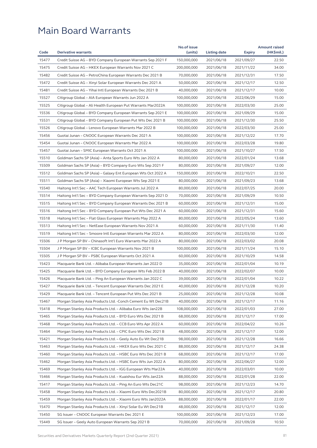|       |                                                               | No.of issue |              |               | <b>Amount raised</b> |
|-------|---------------------------------------------------------------|-------------|--------------|---------------|----------------------|
| Code  | <b>Derivative warrants</b>                                    | (units)     | Listing date | <b>Expiry</b> | (HK\$mil.)           |
| 15477 | Credit Suisse AG - BYD Company European Warrants Sep 2021 F   | 150,000,000 | 2021/06/18   | 2021/09/27    | 22.50                |
| 15475 | Credit Suisse AG - HKEX European Warrants Nov 2021 C          | 200,000,000 | 2021/06/18   | 2021/11/22    | 34.00                |
| 15482 | Credit Suisse AG - PetroChina European Warrants Dec 2021 B    | 70,000,000  | 2021/06/18   | 2021/12/31    | 17.50                |
| 15472 | Credit Suisse AG - Xinyi Solar European Warrants Dec 2021 A   | 50,000,000  | 2021/06/18   | 2021/12/17    | 12.50                |
| 15481 | Credit Suisse AG - Yihai Intl European Warrants Dec 2021 B    | 40,000,000  | 2021/06/18   | 2021/12/17    | 10.00                |
| 15527 | Citigroup Global – AIA European Warrants Jun 2022 A           | 100,000,000 | 2021/06/18   | 2022/06/29    | 15.00                |
| 15525 | Citigroup Global - Ali Health European Put Warrants Mar2022A  | 100,000,000 | 2021/06/18   | 2022/03/30    | 25.00                |
| 15536 | Citigroup Global – BYD Company European Warrants Sep 2021 E   | 100,000,000 | 2021/06/18   | 2021/09/29    | 15.00                |
| 15531 | Citigroup Global – BYD Company European Put Wts Dec 2021 B    | 100,000,000 | 2021/06/18   | 2021/12/30    | 25.50                |
| 15526 | Citigroup Global – Lenovo European Warrants Mar 2022 B        | 100,000,000 | 2021/06/18   | 2022/03/30    | 25.00                |
| 15456 | Guotai Junan – CNOOC European Warrants Dec 2021 A             | 100,000,000 | 2021/06/18   | 2021/12/22    | 17.70                |
| 15454 | Guotai Junan - CNOOC European Warrants Mar 2022 A             | 100,000,000 | 2021/06/18   | 2022/03/28    | 19.80                |
| 15457 | Guotai Junan – SMIC European Warrants Oct 2021 A              | 100,000,000 | 2021/06/18   | 2021/10/27    | 17.50                |
| 15510 | Goldman Sachs SP (Asia) – Anta Sports Euro Wts Jan 2022 A     | 80,000,000  | 2021/06/18   | 2022/01/24    | 13.68                |
| 15509 | Goldman Sachs SP (Asia) - BYD Company Euro Wts Sep 2021 F     | 80,000,000  | 2021/06/18   | 2021/09/27    | 12.00                |
| 15512 | Goldman Sachs SP (Asia) - Galaxy Ent European Wts Oct 2022 A  | 150,000,000 | 2021/06/18   | 2022/10/21    | 22.50                |
| 15511 | Goldman Sachs SP (Asia) - Xiaomi European Wts Sep 2021 E      | 80,000,000  | 2021/06/18   | 2021/09/23    | 13.68                |
| 15540 | Haitong Int'l Sec - AAC Tech European Warrants Jul 2022 A     | 80,000,000  | 2021/06/18   | 2022/07/25    | 20.00                |
| 15514 | Haitong Int'l Sec - BYD Company European Warrants Sep 2021 D  | 70,000,000  | 2021/06/18   | 2021/09/29    | 10.50                |
| 15515 | Haitong Int'l Sec – BYD Company European Warrants Dec 2021 B  | 60,000,000  | 2021/06/18   | 2021/12/31    | 15.00                |
| 15516 | Haitong Int'l Sec - BYD Company European Put Wts Dec 2021 A   | 60,000,000  | 2021/06/18   | 2021/12/31    | 15.60                |
| 15518 | Haitong Int'l Sec - Flat Glass European Warrants May 2022 A   | 80,000,000  | 2021/06/18   | 2022/05/24    | 13.60                |
| 15513 | Haitong Int'l Sec - NetEase European Warrants Nov 2021 A      | 60,000,000  | 2021/06/18   | 2021/11/30    | 11.40                |
| 15519 | Haitong Int'l Sec – Smoore Intl European Warrants Mar 2022 A  | 80,000,000  | 2021/06/18   | 2022/03/30    | 12.00                |
| 15506 | J P Morgan SP BV - Chinasoft Int'l Euro Warrants Mar 2022 A   | 80,000,000  | 2021/06/18   | 2022/03/02    | 20.08                |
| 15504 | J P Morgan SP BV - ICBC European Warrants Nov 2021 B          | 100,000,000 | 2021/06/18   | 2021/11/24    | 15.10                |
| 15505 | J P Morgan SP BV - PSBC European Warrants Oct 2021 A          | 60,000,000  | 2021/06/18   | 2021/10/29    | 14.58                |
| 15423 | Macquarie Bank Ltd. – Alibaba European Warrants Jan 2022 D    | 35,000,000  | 2021/06/18   | 2022/01/04    | 10.19                |
| 15425 |                                                               | 40,000,000  |              | 2022/02/07    | 10.00                |
|       | Macquarie Bank Ltd. - BYD Company European Wts Feb 2022 B     |             | 2021/06/18   | 2022/01/04    |                      |
| 15426 | Macquarie Bank Ltd. - Ping An European Warrants Jan 2022 C    | 39,000,000  | 2021/06/18   |               | 10.22                |
| 15427 | Macquarie Bank Ltd. - Tencent European Warrants Dec 2021 E    | 40,000,000  | 2021/06/18   | 2021/12/28    | 10.20                |
| 15429 | Macquarie Bank Ltd. - Tencent European Put Wts Dec 2021 B     | 25,000,000  | 2021/06/18   | 2021/12/28    | 10.08                |
| 15467 | Morgan Stanley Asia Products Ltd. - Conch Cement Eu Wt Dec21B | 40,000,000  | 2021/06/18   | 2021/12/17    | 11.16                |
| 15418 | Morgan Stanley Asia Products Ltd. - Alibaba Euro Wts Jan22B   | 108,000,000 | 2021/06/18   | 2022/01/03    | 27.00                |
| 15465 | Morgan Stanley Asia Products Ltd. - BYD Euro Wts Dec 2021 B   | 68,000,000  | 2021/06/18   | 2021/12/17    | 17.00                |
| 15468 | Morgan Stanley Asia Products Ltd. - CCB Euro Wts Apr 2022 A   | 60,000,000  | 2021/06/18   | 2022/04/22    | 10.26                |
| 15464 | Morgan Stanley Asia Products Ltd. - CPIC Euro Wts Dec 2021 B  | 48,000,000  | 2021/06/18   | 2021/12/17    | 12.00                |
| 15421 | Morgan Stanley Asia Products Ltd. - Geely Auto Eu Wt Dec21B   | 98,000,000  | 2021/06/18   | 2021/12/28    | 16.66                |
| 15463 | Morgan Stanley Asia Products Ltd. - HKEX Euro Wts Dec 2021 C  | 88,000,000  | 2021/06/18   | 2021/12/17    | 24.38                |
| 15460 | Morgan Stanley Asia Products Ltd. - HSBC Euro Wts Dec 2021 B  | 68,000,000  | 2021/06/18   | 2021/12/17    | 17.00                |
| 15462 | Morgan Stanley Asia Products Ltd. - HSBC Euro Wts Jun 2022 A  | 80,000,000  | 2021/06/18   | 2022/06/27    | 12.00                |
| 15469 | Morgan Stanley Asia Products Ltd. - IGG European Wts Mar22A   | 40,000,000  | 2021/06/18   | 2022/03/01    | 10.00                |
| 15466 | Morgan Stanley Asia Products Ltd. - Kuaishou Eur Wts Jan22A   | 88,000,000  | 2021/06/18   | 2022/01/28    | 22.00                |
| 15417 | Morgan Stanley Asia Products Ltd. - Ping An Euro Wts Dec21C   | 98,000,000  | 2021/06/18   | 2021/12/23    | 14.70                |
| 15458 | Morgan Stanley Asia Products Ltd. - Xiaomi Euro Wts Dec2021B  | 80,000,000  | 2021/06/18   | 2021/12/17    | 20.80                |
| 15459 | Morgan Stanley Asia Products Ltd. - Xiaomi Euro Wts Jan2022A  | 88,000,000  | 2021/06/18   | 2022/01/17    | 22.00                |
| 15470 | Morgan Stanley Asia Products Ltd. - Xinyi Solar Eu Wt Dec21B  | 48,000,000  | 2021/06/18   | 2021/12/17    | 12.00                |
| 15450 | SG Issuer - CNOOC European Warrants Dec 2021 E                | 100,000,000 | 2021/06/18   | 2021/12/23    | 17.00                |
| 15449 | SG Issuer - Geely Auto European Warrants Sep 2021 B           | 70,000,000  | 2021/06/18   | 2021/09/28    | 10.50                |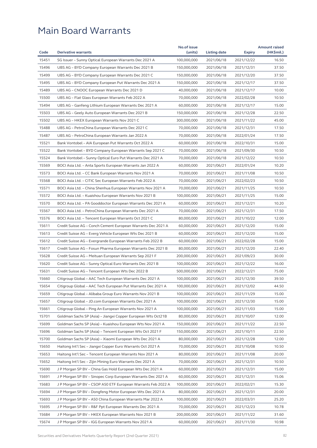|       |                                                              | No.of issue |              |                          | <b>Amount raised</b> |
|-------|--------------------------------------------------------------|-------------|--------------|--------------------------|----------------------|
| Code  | <b>Derivative warrants</b>                                   | (units)     | Listing date | <b>Expiry</b>            | (HK\$mil.)           |
| 15451 | SG Issuer - Sunny Optical European Warrants Dec 2021 A       | 100,000,000 | 2021/06/18   | 2021/12/22               | 16.50                |
| 15496 | UBS AG - BYD Company European Warrants Dec 2021 B            | 150,000,000 | 2021/06/18   | 2021/12/31               | 37.50                |
| 15499 | UBS AG – BYD Company European Warrants Dec 2021 C            | 150,000,000 | 2021/06/18   | 2021/12/20               | 37.50                |
| 15495 | UBS AG - BYD Company European Put Warrants Dec 2021 A        | 150,000,000 | 2021/06/18   | 2021/12/17               | 37.50                |
| 15489 | UBS AG – CNOOC European Warrants Dec 2021 D                  | 40,000,000  | 2021/06/18   | 2021/12/17               | 10.00                |
| 15500 | UBS AG - Flat Glass European Warrants Feb 2022 A             | 70,000,000  | 2021/06/18   | 2022/02/28               | 10.50                |
| 15494 | UBS AG - Ganfeng Lithium European Warrants Dec 2021 A        | 60,000,000  | 2021/06/18   | 2021/12/17               | 15.00                |
| 15503 | UBS AG - Geely Auto European Warrants Dec 2021 B             | 150,000,000 | 2021/06/18   | 2021/12/28               | 22.50                |
| 15502 | UBS AG – HKEX European Warrants Nov 2021 C                   | 300,000,000 | 2021/06/18   | 2021/11/22               | 45.00                |
| 15488 | UBS AG - PetroChina European Warrants Dec 2021 C             | 70,000,000  | 2021/06/18   | 2021/12/31               | 17.50                |
| 15487 | UBS AG – PetroChina European Warrants Jan 2022 A             | 70,000,000  | 2021/06/18   | 2022/01/24               | 17.50                |
| 15521 | Bank Vontobel - AIA European Put Warrants Oct 2022 A         | 60,000,000  | 2021/06/18   | 2022/10/31               | 15.00                |
| 15522 | Bank Vontobel - BYD Company European Warrants Sep 2021 C     | 70,000,000  | 2021/06/18   | 2021/09/30               | 10.50                |
| 15524 | Bank Vontobel – Sunny Optical Euro Put Warrants Dec 2021 A   | 70,000,000  | 2021/06/18   | 2021/12/22               | 10.50                |
| 15569 | BOCI Asia Ltd. - Anta Sports European Warrants Jan 2022 A    | 60,000,000  | 2021/06/21   | 2022/01/24               | 10.20                |
| 15573 | BOCI Asia Ltd. - CC Bank European Warrants Nov 2021 A        | 70,000,000  | 2021/06/21   | 2021/11/08               | 10.50                |
| 15568 | BOCI Asia Ltd. – CITIC Sec European Warrants Feb 2022 A      | 70,000,000  | 2021/06/21   | 2022/02/23               | 10.50                |
| 15571 | BOCI Asia Ltd. – China Shenhua European Warrants Nov 2021 A  | 70,000,000  | 2021/06/21   | 2021/11/25               | 10.50                |
| 15572 | BOCI Asia Ltd. - Kuaishou European Warrants Nov 2021 B       | 100,000,000 | 2021/06/21   | 2021/11/25               | 15.00                |
| 15570 | BOCI Asia Ltd. - PA Gooddoctor European Warrants Dec 2021 A  | 60,000,000  | 2021/06/21   | 2021/12/21               | 10.20                |
| 15567 | BOCI Asia Ltd. - PetroChina European Warrants Dec 2021 A     | 70,000,000  | 2021/06/21   | 2021/12/31               | 17.50                |
| 15576 | BOCI Asia Ltd. – Tencent European Warrants Oct 2021 C        | 80,000,000  | 2021/06/21   | 2021/10/22               | 12.00                |
| 15611 | Credit Suisse AG – Conch Cement European Warrants Dec 2021 A | 60,000,000  | 2021/06/21   | 2021/12/20               | 15.00                |
| 15613 | Credit Suisse AG - Everg Vehicle European Wts Dec 2021 B     | 60,000,000  | 2021/06/21   | 2021/12/20               | 15.00                |
| 15612 | Credit Suisse AG - Evergrande European Warrants Feb 2022 B   | 60,000,000  | 2021/06/21   | 2022/02/28               | 15.00                |
| 15617 | Credit Suisse AG - Fosun Pharma European Warrants Dec 2021 B | 80,000,000  | 2021/06/21   | 2021/12/20               | 22.40                |
| 15628 | Credit Suisse AG - Meituan European Warrants Sep 2021 F      | 200,000,000 | 2021/06/21   | 2021/09/23               | 30.00                |
| 15620 |                                                              | 100,000,000 | 2021/06/21   |                          | 16.00                |
|       | Credit Suisse AG - Sunny Optical Euro Warrants Dec 2021 B    | 500,000,000 |              | 2021/12/22<br>2022/12/21 | 75.00                |
| 15631 | Credit Suisse AG - Tencent European Wts Dec 2022 B           |             | 2021/06/21   |                          |                      |
| 15660 | Citigroup Global – AAC Tech European Warrants Dec 2021 A     | 100,000,000 | 2021/06/21   | 2021/12/30               | 39.50                |
| 15654 | Citigroup Global - AAC Tech European Put Warrants Dec 2021 A | 100,000,000 | 2021/06/21   | 2021/12/02               | 44.50                |
| 15659 | Citigroup Global - Alibaba Group Euro Warrants Nov 2021 B    | 100,000,000 | 2021/06/21   | 2021/11/29               | 15.00                |
| 15657 | Citigroup Global – JD.com European Warrants Dec 2021 A       | 100,000,000 | 2021/06/21   | 2021/12/30               | 15.00                |
| 15661 | Citigroup Global – Ping An European Warrants Nov 2021 A      | 100,000,000 | 2021/06/21   | 2021/11/03               | 15.00                |
| 15701 | Goldman Sachs SP (Asia) - Jiangxi Copper European Wts Oct21B | 80,000,000  | 2021/06/21   | 2021/10/07               | 12.00                |
| 15699 | Goldman Sachs SP (Asia) - Kuaishou European Wts Nov 2021 A   | 150,000,000 | 2021/06/21   | 2021/11/22               | 22.50                |
| 15696 | Goldman Sachs SP (Asia) - Tencent European Wts Oct 2021 F    | 150,000,000 | 2021/06/21   | 2021/10/11               | 22.50                |
| 15700 | Goldman Sachs SP (Asia) – Xiaomi European Wts Dec 2021 A     | 80,000,000  | 2021/06/21   | 2021/12/28               | 12.00                |
| 15650 | Haitong Int'l Sec - Jiangxi Copper Euro Warrants Oct 2021 A  | 70,000,000  | 2021/06/21   | 2021/10/08               | 10.50                |
| 15653 | Haitong Int'l Sec - Tencent European Warrants Nov 2021 A     | 80,000,000  | 2021/06/21   | 2021/11/08               | 20.00                |
| 15652 | Haitong Int'l Sec - Zijin Mining Euro Warrants Dec 2021 A    | 70,000,000  | 2021/06/21   | 2021/12/31               | 10.50                |
| 15690 | J P Morgan SP BV - China Gas Hold European Wts Dec 2021 A    | 60,000,000  | 2021/06/21   | 2021/12/31               | 15.00                |
| 15691 | J P Morgan SP BV - Sinopec Corp European Warrants Dec 2021 A | 60,000,000  | 2021/06/21   | 2021/12/31               | 15.06                |
| 15683 | J P Morgan SP BV - CSOP A50 ETF European Warrants Feb 2022 A | 100,000,000 | 2021/06/21   | 2022/02/21               | 15.30                |
| 15694 | J P Morgan SP BV - Dongfeng Motor European Wts Dec 2021 A    | 80,000,000  | 2021/06/21   | 2021/12/31               | 20.00                |
| 15693 | J P Morgan SP BV - A50 China European Warrants Mar 2022 A    | 100,000,000 | 2021/06/21   | 2022/03/31               | 25.20                |
| 15695 | J P Morgan SP BV - R&F Ppt European Warrants Dec 2021 A      | 70,000,000  | 2021/06/21   | 2021/12/23               | 10.78                |
| 15684 | J P Morgan SP BV - HKEX European Warrants Nov 2021 B         | 200,000,000 | 2021/06/21   | 2021/11/22               | 31.60                |
| 15674 | J P Morgan SP BV - IGG European Warrants Nov 2021 A          | 60,000,000  | 2021/06/21   | 2021/11/30               | 10.98                |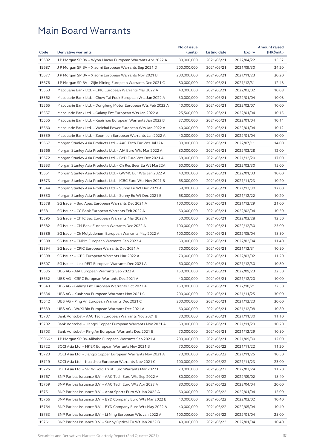|        |                                                              | No.of issue |              |               | <b>Amount raised</b> |
|--------|--------------------------------------------------------------|-------------|--------------|---------------|----------------------|
| Code   | <b>Derivative warrants</b>                                   | (units)     | Listing date | <b>Expiry</b> | (HK\$mil.)           |
| 15682  | J P Morgan SP BV - Wynn Macau European Warrants Apr 2022 A   | 80,000,000  | 2021/06/21   | 2022/04/22    | 15.52                |
| 15687  | J P Morgan SP BV - Xiaomi European Warrants Sep 2021 D       | 200,000,000 | 2021/06/21   | 2021/09/30    | 34.20                |
| 15677  | J P Morgan SP BV - Xiaomi European Warrants Nov 2021 B       | 200,000,000 | 2021/06/21   | 2021/11/23    | 30.20                |
| 15678  | J P Morgan SP BV – Zijin Mining European Warrants Dec 2021 C | 80,000,000  | 2021/06/21   | 2021/12/31    | 12.48                |
| 15563  | Macquarie Bank Ltd. - CPIC European Warrants Mar 2022 A      | 40,000,000  | 2021/06/21   | 2022/03/02    | 10.08                |
| 15562  | Macquarie Bank Ltd. – Chow Tai Fook European Wts Jan 2022 A  | 30,000,000  | 2021/06/21   | 2022/01/04    | 10.08                |
| 15565  | Macquarie Bank Ltd. - Dongfeng Motor European Wts Feb 2022 A | 40,000,000  | 2021/06/21   | 2022/02/07    | 10.00                |
| 15557  | Macquarie Bank Ltd. - Galaxy Ent European Wts Jan 2022 A     | 25,500,000  | 2021/06/21   | 2022/01/04    | 10.15                |
| 15555  | Macquarie Bank Ltd. – Kuaishou European Warrants Jan 2022 B  | 37,000,000  | 2021/06/21   | 2022/01/04    | 10.14                |
| 15560  | Macquarie Bank Ltd. – Weichai Power European Wts Jan 2022 A  | 40,000,000  | 2021/06/21   | 2022/01/04    | 10.12                |
| 15559  | Macquarie Bank Ltd. - Zoomlion European Warrants Jan 2022 A  | 40,000,000  | 2021/06/21   | 2022/01/04    | 10.00                |
| 15667  | Morgan Stanley Asia Products Ltd. - AAC Tech Eur Wts Jul22A  | 80,000,000  | 2021/06/21   | 2022/07/11    | 14.00                |
| 15666  | Morgan Stanley Asia Products Ltd. - AIA Euro Wts Mar 2022 A  | 80,000,000  | 2021/06/21   | 2022/03/28    | 12.00                |
| 15672  | Morgan Stanley Asia Products Ltd. - BYD Euro Wts Dec 2021 A  | 68,000,000  | 2021/06/21   | 2021/12/20    | 17.00                |
| 15553  | Morgan Stanley Asia Products Ltd. – Ch Res Beer Eu Wt Mar22A | 60,000,000  | 2021/06/21   | 2022/03/30    | 15.00                |
| 15551  | Morgan Stanley Asia Products Ltd. - GWMC Eur Wts Jan 2022 A  | 40,000,000  | 2021/06/21   | 2022/01/03    | 10.00                |
| 15673  | Morgan Stanley Asia Products Ltd. - ICBC Euro Wts Nov 2021 B | 68,000,000  | 2021/06/21   | 2021/11/23    | 10.20                |
| 15544  | Morgan Stanley Asia Products Ltd. – Sunny Eu Wt Dec 2021 A   | 68,000,000  | 2021/06/21   | 2021/12/30    | 17.00                |
| 15550  | Morgan Stanley Asia Products Ltd. – Sunny Eu Wt Dec 2021 B   | 68,000,000  | 2021/06/21   | 2021/12/22    | 10.20                |
| 15578  | SG Issuer - Bud Apac European Warrants Dec 2021 A            | 100,000,000 | 2021/06/21   | 2021/12/29    | 21.00                |
| 15581  | SG Issuer - CC Bank European Warrants Feb 2022 A             | 60,000,000  | 2021/06/21   | 2022/02/04    | 10.50                |
| 15595  | SG Issuer – CITIC Sec European Warrants Mar 2022 A           | 50,000,000  | 2021/06/21   | 2022/03/28    | 12.50                |
| 15582  | SG Issuer - CM Bank European Warrants Dec 2022 A             | 100,000,000 | 2021/06/21   | 2022/12/30    | 25.00                |
| 15586  | SG Issuer – Ch Molybdenum European Warrants May 2022 A       | 100,000,000 | 2021/06/21   | 2022/05/04    | 18.50                |
| 15588  | SG Issuer - CNBM European Warrants Feb 2022 A                | 60,000,000  | 2021/06/21   | 2022/02/04    | 11.40                |
| 15594  | SG Issuer - CPIC European Warrants Dec 2021 A                | 70,000,000  | 2021/06/21   | 2021/12/31    | 10.50                |
| 15598  | SG Issuer - ICBC European Warrants Mar 2022 A                | 70,000,000  | 2021/06/21   | 2022/03/02    | 11.20                |
| 15607  | SG Issuer - Link REIT European Warrants Dec 2021 A           | 60,000,000  | 2021/06/21   | 2021/12/30    | 10.80                |
| 15635  | UBS AG - AIA European Warrants Sep 2022 A                    | 150,000,000 | 2021/06/21   | 2022/09/23    | 22.50                |
| 15632  | UBS AG – CRRC European Warrants Dec 2021 A                   | 40,000,000  | 2021/06/21   | 2021/12/20    | 10.00                |
| 15643  | UBS AG - Galaxy Ent European Warrants Oct 2022 A             | 150,000,000 | 2021/06/21   | 2022/10/21    | 22.50                |
| 15634  | UBS AG - Kuaishou European Warrants Nov 2021 C               | 200,000,000 | 2021/06/21   | 2021/11/25    | 30.00                |
| 15642  | UBS AG – Ping An European Warrants Dec 2021 C                | 200,000,000 | 2021/06/21   | 2021/12/23    | 30.00                |
| 15639  | UBS AG - WuXi Bio European Warrants Dec 2021 A               | 60,000,000  | 2021/06/21   | 2021/12/08    | 10.80                |
| 15707  | Bank Vontobel - AAC Tech European Warrants Nov 2021 B        | 30,000,000  | 2021/06/21   | 2021/11/30    | 11.10                |
| 15702  | Bank Vontobel - Jiangxi Copper European Warrants Nov 2021 A  | 60,000,000  | 2021/06/21   | 2021/11/29    | 10.20                |
| 15703  | Bank Vontobel - Ping An European Warrants Dec 2021 B         | 70,000,000  | 2021/06/21   | 2021/12/29    | 10.50                |
| 29066# | J P Morgan SP BV-Alibaba European Warrants Sep 2021 A        | 200,000,000 | 2021/06/21   | 2021/09/30    | 12.00                |
| 15722  | BOCI Asia Ltd. - HKEX European Warrants Nov 2021 B           | 70,000,000  | 2021/06/22   | 2021/11/22    | 11.20                |
| 15723  | BOCI Asia Ltd. - Jiangxi Copper European Warrants Nov 2021 A | 70,000,000  | 2021/06/22   | 2021/11/25    | 10.50                |
| 15719  | BOCI Asia Ltd. - Kuaishou European Warrants Nov 2021 C       | 100,000,000 | 2021/06/22   | 2021/11/23    | 23.00                |
| 15725  | BOCI Asia Ltd. - SPDR Gold Trust Euro Warrants Mar 2022 B    | 70,000,000  | 2021/06/22   | 2022/03/24    | 11.20                |
| 15767  | BNP Paribas Issuance B.V. - AAC Tech Euro Wts Sep 2022 A     | 80,000,000  | 2021/06/22   | 2022/09/02    | 18.40                |
| 15759  | BNP Paribas Issuance B.V. - AAC Tech Euro Wts Apr 2023 A     | 80,000,000  | 2021/06/22   | 2023/04/04    | 20.00                |
| 15751  | BNP Paribas Issuance B.V. - Anta Sports Euro Wt Jan 2022 A   | 60,000,000  | 2021/06/22   | 2022/01/04    | 15.00                |
| 15766  | BNP Paribas Issuance B.V. – BYD Company Euro Wts Mar 2022 B  | 40,000,000  | 2021/06/22   | 2022/03/02    | 10.40                |
| 15764  | BNP Paribas Issuance B.V. - BYD Company Euro Wts May 2022 A  | 40,000,000  | 2021/06/22   | 2022/05/04    | 10.40                |
| 15753  | BNP Paribas Issuance B.V. - Li Ning European Wts Jan 2022 A  | 100,000,000 | 2021/06/22   | 2022/01/04    | 25.00                |
| 15761  | BNP Paribas Issuance B.V. - Sunny Optical Eu Wt Jan 2022 B   | 40,000,000  | 2021/06/22   | 2022/01/04    | 10.40                |
|        |                                                              |             |              |               |                      |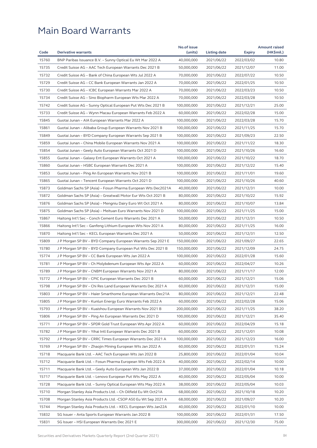|       |                                                              | No.of issue |              |               | <b>Amount raised</b> |
|-------|--------------------------------------------------------------|-------------|--------------|---------------|----------------------|
| Code  | <b>Derivative warrants</b>                                   | (units)     | Listing date | <b>Expiry</b> | (HK\$mil.)           |
| 15760 | BNP Paribas Issuance B.V. – Sunny Optical Eu Wt Mar 2022 A   | 40,000,000  | 2021/06/22   | 2022/03/02    | 10.80                |
| 15735 | Credit Suisse AG - AAC Tech European Warrants Dec 2021 B     | 50,000,000  | 2021/06/22   | 2021/12/07    | 11.00                |
| 15732 | Credit Suisse AG - Bank of China European Wts Jul 2022 A     | 70,000,000  | 2021/06/22   | 2022/07/22    | 10.50                |
| 15729 | Credit Suisse AG - CC Bank European Warrants Jan 2022 A      | 70,000,000  | 2021/06/22   | 2022/01/25    | 10.50                |
| 15730 | Credit Suisse AG - ICBC European Warrants Mar 2022 A         | 70,000,000  | 2021/06/22   | 2022/03/23    | 10.50                |
| 15734 | Credit Suisse AG - Sino Biopharm European Wts Mar 2022 A     | 70,000,000  | 2021/06/22   | 2022/03/28    | 10.50                |
| 15742 | Credit Suisse AG - Sunny Optical European Put Wts Dec 2021 B | 100,000,000 | 2021/06/22   | 2021/12/21    | 25.00                |
| 15733 | Credit Suisse AG - Wynn Macau European Warrants Feb 2022 A   | 60,000,000  | 2021/06/22   | 2022/02/28    | 15.00                |
| 15845 | Guotai Junan - AIA European Warrants Mar 2022 A              | 100,000,000 | 2021/06/22   | 2022/03/28    | 15.70                |
| 15861 | Guotai Junan – Alibaba Group European Warrants Nov 2021 B    | 100,000,000 | 2021/06/22   | 2021/11/25    | 15.70                |
| 15849 | Guotai Junan – BYD Company European Warrants Sep 2021 B      | 100,000,000 | 2021/06/22   | 2021/09/23    | 22.50                |
| 15859 | Guotai Junan - China Mobile European Warrants Nov 2021 A     | 100,000,000 | 2021/06/22   | 2021/11/22    | 18.30                |
| 15854 | Guotai Junan - Geely Auto European Warrants Oct 2021 D       | 100,000,000 | 2021/06/22   | 2021/10/26    | 16.60                |
| 15855 | Guotai Junan - Galaxy Ent European Warrants Oct 2021 A       | 100,000,000 | 2021/06/22   | 2021/10/22    | 18.70                |
| 15860 | Guotai Junan – HSBC European Warrants Dec 2021 A             | 100,000,000 | 2021/06/22   | 2021/12/22    | 15.40                |
| 15853 | Guotai Junan – Ping An European Warrants Nov 2021 B          | 100,000,000 | 2021/06/22   | 2021/11/01    | 19.60                |
| 15865 | Guotai Junan - Tencent European Warrants Oct 2021 D          | 100,000,000 | 2021/06/22   | 2021/10/26    | 40.60                |
| 15873 | Goldman Sachs SP (Asia) - Fosun Pharma European Wts Dec2021A | 40,000,000  | 2021/06/22   | 2021/12/31    | 10.00                |
| 15872 | Goldman Sachs SP (Asia) – Greatwall Motor Eur Wts Oct 2021 B | 80,000,000  | 2021/06/22   | 2021/10/22    | 15.92                |
| 15876 | Goldman Sachs SP (Asia) – Mengniu Dairy Euro Wt Oct 2021 A   | 80,000,000  | 2021/06/22   | 2021/10/07    | 13.84                |
| 15875 | Goldman Sachs SP (Asia) - Meituan Euro Warrants Nov 2021 D   | 100,000,000 | 2021/06/22   | 2021/11/25    | 15.00                |
| 15867 | Haitong Int'l Sec – Conch Cement Euro Warrants Dec 2021 A    | 50,000,000  | 2021/06/22   | 2021/12/31    | 10.50                |
| 15866 | Haitong Int'l Sec - Ganfeng Lithium European Wts Nov 2021 A  | 80,000,000  | 2021/06/22   | 2021/11/25    | 16.00                |
| 15870 | Haitong Int'l Sec – KECL European Warrants Dec 2021 A        | 50,000,000  | 2021/06/22   | 2021/12/31    | 12.50                |
| 15809 | J P Morgan SP BV - BYD Company European Warrants Sep 2021 E  | 150,000,000 | 2021/06/22   | 2021/09/27    | 22.65                |
| 15780 | J P Morgan SP BV - BYD Company European Put Wts Dec 2021 B   | 150,000,000 | 2021/06/22   | 2021/12/09    | 24.75                |
| 15774 | J P Morgan SP BV - CC Bank European Wts Jan 2022 A           | 100,000,000 | 2021/06/22   | 2022/01/28    | 15.60                |
| 15781 | J P Morgan SP BV – Ch Molybdenum European Wts Apr 2022 A     | 60,000,000  | 2021/06/22   | 2022/04/27    | 10.26                |
| 15789 | J P Morgan SP BV – CNBM European Warrants Nov 2021 A         | 80,000,000  | 2021/06/22   | 2021/11/17    | 12.00                |
| 15772 | J P Morgan SP BV - CPIC European Warrants Dec 2021 B         | 60,000,000  | 2021/06/22   | 2021/12/21    | 15.06                |
| 15798 | J P Morgan SP BV – Chi Res Land European Warrants Dec 2021 A | 60,000,000  | 2021/06/22   | 2021/12/31    | 15.00                |
| 15803 | J P Morgan SP BV - Haier Smarthome European Warrants Dec21A  | 80,000,000  | 2021/06/22   | 2021/12/21    | 22.48                |
| 15805 | J P Morgan SP BV – Kunlun Energy Euro Warrants Feb 2022 A    | 60,000,000  | 2021/06/22   | 2022/02/28    | 15.06                |
| 15793 | J P Morgan SP BV - Kuaishou European Warrants Nov 2021 B     | 200,000,000 | 2021/06/22   | 2021/11/25    | 38.20                |
| 15806 | J P Morgan SP BV – Ping An European Warrants Dec 2021 D      | 100,000,000 | 2021/06/22   | 2021/12/21    | 35.40                |
| 15771 | J P Morgan SP BV - SPDR Gold Trust European Wts Apr 2022 A   | 60,000,000  | 2021/06/22   | 2022/04/29    | 15.18                |
| 15782 | J P Morgan SP BV - Yihai Intl European Warrants Dec 2021 B   | 60,000,000  | 2021/06/22   | 2021/12/01    | 10.08                |
| 15792 | J P Morgan SP BV – CRRC Times European Warrants Dec 2021 A   | 100,000,000 | 2021/06/22   | 2021/12/23    | 16.00                |
| 15769 | J P Morgan SP BV – Zhaojin Mining European Wts Jan 2022 A    | 60,000,000  | 2021/06/22   | 2022/01/31    | 15.24                |
| 15718 | Macquarie Bank Ltd. - AAC Tech European Wts Jan 2022 B       | 25,800,000  | 2021/06/22   | 2022/01/04    | 10.04                |
| 15712 | Macquarie Bank Ltd. - Fosun Pharma European Wts Feb 2022 A   | 40,000,000  | 2021/06/22   | 2022/02/14    | 10.00                |
| 15711 | Macquarie Bank Ltd. - Geely Auto European Wts Jan 2022 B     | 37,000,000  | 2021/06/22   | 2022/01/04    | 10.18                |
| 15717 | Macquarie Bank Ltd. - Lenovo European Put Wts May 2022 A     | 40,000,000  | 2021/06/22   | 2022/05/04    | 10.00                |
|       |                                                              |             |              |               |                      |
| 15728 | Macquarie Bank Ltd. – Sunny Optical European Wts May 2022 A  | 38,000,000  | 2021/06/22   | 2022/05/04    | 10.03                |
| 15710 | Morgan Stanley Asia Products Ltd. - Ch Oilfield Eu Wt Oct21A | 68,000,000  | 2021/06/22   | 2021/10/18    | 10.20                |
| 15708 | Morgan Stanley Asia Products Ltd. -CSOP A50 Eu Wt Sep 2021 A | 68,000,000  | 2021/06/22   | 2021/09/27    | 10.20                |
| 15744 | Morgan Stanley Asia Products Ltd. - KECL European Wts Jan22A | 40,000,000  | 2021/06/22   | 2022/01/10    | 10.00                |
| 15832 | SG Issuer - Anta Sports European Warrants Jan 2022 B         | 100,000,000 | 2021/06/22   | 2022/01/31    | 17.50                |
| 15831 | SG Issuer - HSI European Warrants Dec 2021 E                 | 300,000,000 | 2021/06/22   | 2021/12/30    | 75.00                |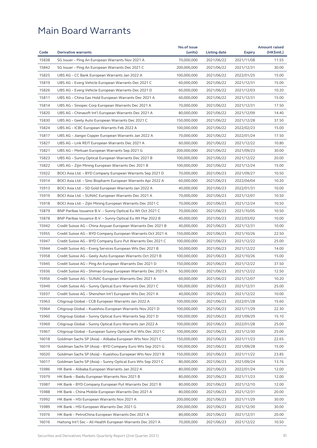| Code<br><b>Derivative warrants</b><br>(units)<br>Listing date<br><b>Expiry</b><br>15838<br>70,000,000<br>SG Issuer - Ping An European Warrants Nov 2021 A<br>2021/06/22<br>2021/11/08<br>15842<br>SG Issuer - Ping An European Warrants Dec 2021 C<br>200,000,000<br>2021/06/22<br>2021/12/31<br>15825<br>UBS AG - CC Bank European Warrants Jan 2022 A<br>100,000,000<br>2021/06/22<br>2022/01/25<br>15819<br>UBS AG – Everg Vehicle European Warrants Dec 2021 C<br>60,000,000<br>2021/06/22<br>2021/12/31<br>15826<br>UBS AG - Everg Vehicle European Warrants Dec 2021 D<br>60,000,000<br>2021/06/22<br>2021/12/03<br>15811<br>UBS AG – China Gas Hold European Warrants Dec 2021 A<br>60,000,000<br>2021/06/22<br>2021/12/31<br>15814<br>UBS AG - Sinopec Corp European Warrants Dec 2021 A<br>70,000,000<br>2021/06/22<br>2021/12/31<br>15820<br>UBS AG - Chinasoft Int'l European Warrants Dec 2021 A<br>80,000,000<br>2021/06/22<br>2021/12/09<br>15830<br>UBS AG – Geely Auto European Warrants Dec 2021 C<br>150,000,000<br>2021/06/22<br>2021/12/28<br>15824<br>UBS AG - ICBC European Warrants Feb 2022 A<br>100,000,000<br>2021/06/22<br>2022/02/23<br>15817<br>70,000,000<br>2021/06/22<br>UBS AG – Jiangxi Copper European Warrants Jan 2022 A<br>2022/01/24<br>15827<br>UBS AG - Link REIT European Warrants Dec 2021 A<br>60,000,000<br>2021/06/22<br>2021/12/22<br>15821<br>UBS AG – Meituan European Warrants Sep 2021 G<br>200,000,000<br>2021/06/22<br>2021/09/23<br>15823<br>UBS AG - Sunny Optical European Warrants Dec 2021 B<br>100,000,000<br>2021/06/22<br>2021/12/22<br>15822<br>UBS AG - Zijin Mining European Warrants Dec 2021 B<br>100,000,000<br>2021/06/22<br>2021/12/24<br>15922<br>BOCI Asia Ltd. - BYD Company European Warrants Sep 2021 D<br>70,000,000<br>2021/06/23<br>2021/09/27<br>15914<br>BOCI Asia Ltd. - Sino Biopharm European Warrants Apr 2022 A<br>60,000,000<br>2021/06/23<br>2022/04/04<br>15913<br>40,000,000<br>BOCI Asia Ltd. – SD Gold European Warrants Jan 2022 A<br>2021/06/23<br>2022/01/31<br>15919<br>70,000,000<br>BOCI Asia Ltd. – SUNAC European Warrants Dec 2021 A<br>2021/06/23<br>2021/12/07<br>15918<br>BOCI Asia Ltd. – Zijin Mining European Warrants Dec 2021 C<br>70,000,000<br>2021/06/23<br>2021/12/24<br>15879<br>BNP Paribas Issuance B.V. - Sunny Optical Eu Wt Oct 2021 C<br>70,000,000<br>2021/06/23<br>2021/10/05<br>15878<br>BNP Paribas Issuance B.V. - Sunny Optical Eu Wt Mar 2022 B<br>40,000,000<br>2021/06/23<br>2022/03/02<br>15942<br>Credit Suisse AG - China Aoyuan European Warrants Dec 2021 B<br>40,000,000<br>2021/06/23<br>2021/12/31<br>15955<br>Credit Suisse AG – BYD Company European Warrants Oct 2021 A<br>150,000,000<br>2021/06/23<br>2021/10/26<br>15947<br>Credit Suisse AG - BYD Company Euro Put Warrants Dec 2021 C<br>100,000,000<br>2021/06/23<br>2021/12/22<br>15944<br>Credit Suisse AG - Everg Services European Wts Dec 2021 B<br>50,000,000<br>2021/06/23<br>2021/12/22<br>15958<br>Credit Suisse AG - Geely Auto European Warrants Oct 2021 B<br>100,000,000<br>2021/06/23<br>2021/10/26 | (HK\$mil.)<br>11.55<br>30.00<br>15.00<br>15.00<br>10.20 |
|-------------------------------------------------------------------------------------------------------------------------------------------------------------------------------------------------------------------------------------------------------------------------------------------------------------------------------------------------------------------------------------------------------------------------------------------------------------------------------------------------------------------------------------------------------------------------------------------------------------------------------------------------------------------------------------------------------------------------------------------------------------------------------------------------------------------------------------------------------------------------------------------------------------------------------------------------------------------------------------------------------------------------------------------------------------------------------------------------------------------------------------------------------------------------------------------------------------------------------------------------------------------------------------------------------------------------------------------------------------------------------------------------------------------------------------------------------------------------------------------------------------------------------------------------------------------------------------------------------------------------------------------------------------------------------------------------------------------------------------------------------------------------------------------------------------------------------------------------------------------------------------------------------------------------------------------------------------------------------------------------------------------------------------------------------------------------------------------------------------------------------------------------------------------------------------------------------------------------------------------------------------------------------------------------------------------------------------------------------------------------------------------------------------------------------------------------------------------------------------------------------------------------------------------------------------------------------------------------------------------------------------------------------------------------------------------------------------------------------------------------------------------------------------------------------------------------------------------------------------------------------------------------------------------------------------------------------------------------------------------------------------------------------------------------------------------------------------------------------------------|---------------------------------------------------------|
|                                                                                                                                                                                                                                                                                                                                                                                                                                                                                                                                                                                                                                                                                                                                                                                                                                                                                                                                                                                                                                                                                                                                                                                                                                                                                                                                                                                                                                                                                                                                                                                                                                                                                                                                                                                                                                                                                                                                                                                                                                                                                                                                                                                                                                                                                                                                                                                                                                                                                                                                                                                                                                                                                                                                                                                                                                                                                                                                                                                                                                                                                                                   |                                                         |
|                                                                                                                                                                                                                                                                                                                                                                                                                                                                                                                                                                                                                                                                                                                                                                                                                                                                                                                                                                                                                                                                                                                                                                                                                                                                                                                                                                                                                                                                                                                                                                                                                                                                                                                                                                                                                                                                                                                                                                                                                                                                                                                                                                                                                                                                                                                                                                                                                                                                                                                                                                                                                                                                                                                                                                                                                                                                                                                                                                                                                                                                                                                   |                                                         |
|                                                                                                                                                                                                                                                                                                                                                                                                                                                                                                                                                                                                                                                                                                                                                                                                                                                                                                                                                                                                                                                                                                                                                                                                                                                                                                                                                                                                                                                                                                                                                                                                                                                                                                                                                                                                                                                                                                                                                                                                                                                                                                                                                                                                                                                                                                                                                                                                                                                                                                                                                                                                                                                                                                                                                                                                                                                                                                                                                                                                                                                                                                                   |                                                         |
|                                                                                                                                                                                                                                                                                                                                                                                                                                                                                                                                                                                                                                                                                                                                                                                                                                                                                                                                                                                                                                                                                                                                                                                                                                                                                                                                                                                                                                                                                                                                                                                                                                                                                                                                                                                                                                                                                                                                                                                                                                                                                                                                                                                                                                                                                                                                                                                                                                                                                                                                                                                                                                                                                                                                                                                                                                                                                                                                                                                                                                                                                                                   |                                                         |
|                                                                                                                                                                                                                                                                                                                                                                                                                                                                                                                                                                                                                                                                                                                                                                                                                                                                                                                                                                                                                                                                                                                                                                                                                                                                                                                                                                                                                                                                                                                                                                                                                                                                                                                                                                                                                                                                                                                                                                                                                                                                                                                                                                                                                                                                                                                                                                                                                                                                                                                                                                                                                                                                                                                                                                                                                                                                                                                                                                                                                                                                                                                   |                                                         |
|                                                                                                                                                                                                                                                                                                                                                                                                                                                                                                                                                                                                                                                                                                                                                                                                                                                                                                                                                                                                                                                                                                                                                                                                                                                                                                                                                                                                                                                                                                                                                                                                                                                                                                                                                                                                                                                                                                                                                                                                                                                                                                                                                                                                                                                                                                                                                                                                                                                                                                                                                                                                                                                                                                                                                                                                                                                                                                                                                                                                                                                                                                                   |                                                         |
|                                                                                                                                                                                                                                                                                                                                                                                                                                                                                                                                                                                                                                                                                                                                                                                                                                                                                                                                                                                                                                                                                                                                                                                                                                                                                                                                                                                                                                                                                                                                                                                                                                                                                                                                                                                                                                                                                                                                                                                                                                                                                                                                                                                                                                                                                                                                                                                                                                                                                                                                                                                                                                                                                                                                                                                                                                                                                                                                                                                                                                                                                                                   | 15.00                                                   |
|                                                                                                                                                                                                                                                                                                                                                                                                                                                                                                                                                                                                                                                                                                                                                                                                                                                                                                                                                                                                                                                                                                                                                                                                                                                                                                                                                                                                                                                                                                                                                                                                                                                                                                                                                                                                                                                                                                                                                                                                                                                                                                                                                                                                                                                                                                                                                                                                                                                                                                                                                                                                                                                                                                                                                                                                                                                                                                                                                                                                                                                                                                                   | 17.50                                                   |
|                                                                                                                                                                                                                                                                                                                                                                                                                                                                                                                                                                                                                                                                                                                                                                                                                                                                                                                                                                                                                                                                                                                                                                                                                                                                                                                                                                                                                                                                                                                                                                                                                                                                                                                                                                                                                                                                                                                                                                                                                                                                                                                                                                                                                                                                                                                                                                                                                                                                                                                                                                                                                                                                                                                                                                                                                                                                                                                                                                                                                                                                                                                   | 14.40                                                   |
|                                                                                                                                                                                                                                                                                                                                                                                                                                                                                                                                                                                                                                                                                                                                                                                                                                                                                                                                                                                                                                                                                                                                                                                                                                                                                                                                                                                                                                                                                                                                                                                                                                                                                                                                                                                                                                                                                                                                                                                                                                                                                                                                                                                                                                                                                                                                                                                                                                                                                                                                                                                                                                                                                                                                                                                                                                                                                                                                                                                                                                                                                                                   | 37.50                                                   |
|                                                                                                                                                                                                                                                                                                                                                                                                                                                                                                                                                                                                                                                                                                                                                                                                                                                                                                                                                                                                                                                                                                                                                                                                                                                                                                                                                                                                                                                                                                                                                                                                                                                                                                                                                                                                                                                                                                                                                                                                                                                                                                                                                                                                                                                                                                                                                                                                                                                                                                                                                                                                                                                                                                                                                                                                                                                                                                                                                                                                                                                                                                                   | 15.00                                                   |
|                                                                                                                                                                                                                                                                                                                                                                                                                                                                                                                                                                                                                                                                                                                                                                                                                                                                                                                                                                                                                                                                                                                                                                                                                                                                                                                                                                                                                                                                                                                                                                                                                                                                                                                                                                                                                                                                                                                                                                                                                                                                                                                                                                                                                                                                                                                                                                                                                                                                                                                                                                                                                                                                                                                                                                                                                                                                                                                                                                                                                                                                                                                   | 17.50                                                   |
|                                                                                                                                                                                                                                                                                                                                                                                                                                                                                                                                                                                                                                                                                                                                                                                                                                                                                                                                                                                                                                                                                                                                                                                                                                                                                                                                                                                                                                                                                                                                                                                                                                                                                                                                                                                                                                                                                                                                                                                                                                                                                                                                                                                                                                                                                                                                                                                                                                                                                                                                                                                                                                                                                                                                                                                                                                                                                                                                                                                                                                                                                                                   | 10.80                                                   |
|                                                                                                                                                                                                                                                                                                                                                                                                                                                                                                                                                                                                                                                                                                                                                                                                                                                                                                                                                                                                                                                                                                                                                                                                                                                                                                                                                                                                                                                                                                                                                                                                                                                                                                                                                                                                                                                                                                                                                                                                                                                                                                                                                                                                                                                                                                                                                                                                                                                                                                                                                                                                                                                                                                                                                                                                                                                                                                                                                                                                                                                                                                                   | 30.00                                                   |
|                                                                                                                                                                                                                                                                                                                                                                                                                                                                                                                                                                                                                                                                                                                                                                                                                                                                                                                                                                                                                                                                                                                                                                                                                                                                                                                                                                                                                                                                                                                                                                                                                                                                                                                                                                                                                                                                                                                                                                                                                                                                                                                                                                                                                                                                                                                                                                                                                                                                                                                                                                                                                                                                                                                                                                                                                                                                                                                                                                                                                                                                                                                   | 20.00                                                   |
|                                                                                                                                                                                                                                                                                                                                                                                                                                                                                                                                                                                                                                                                                                                                                                                                                                                                                                                                                                                                                                                                                                                                                                                                                                                                                                                                                                                                                                                                                                                                                                                                                                                                                                                                                                                                                                                                                                                                                                                                                                                                                                                                                                                                                                                                                                                                                                                                                                                                                                                                                                                                                                                                                                                                                                                                                                                                                                                                                                                                                                                                                                                   | 15.00                                                   |
|                                                                                                                                                                                                                                                                                                                                                                                                                                                                                                                                                                                                                                                                                                                                                                                                                                                                                                                                                                                                                                                                                                                                                                                                                                                                                                                                                                                                                                                                                                                                                                                                                                                                                                                                                                                                                                                                                                                                                                                                                                                                                                                                                                                                                                                                                                                                                                                                                                                                                                                                                                                                                                                                                                                                                                                                                                                                                                                                                                                                                                                                                                                   | 10.50                                                   |
|                                                                                                                                                                                                                                                                                                                                                                                                                                                                                                                                                                                                                                                                                                                                                                                                                                                                                                                                                                                                                                                                                                                                                                                                                                                                                                                                                                                                                                                                                                                                                                                                                                                                                                                                                                                                                                                                                                                                                                                                                                                                                                                                                                                                                                                                                                                                                                                                                                                                                                                                                                                                                                                                                                                                                                                                                                                                                                                                                                                                                                                                                                                   | 10.20                                                   |
|                                                                                                                                                                                                                                                                                                                                                                                                                                                                                                                                                                                                                                                                                                                                                                                                                                                                                                                                                                                                                                                                                                                                                                                                                                                                                                                                                                                                                                                                                                                                                                                                                                                                                                                                                                                                                                                                                                                                                                                                                                                                                                                                                                                                                                                                                                                                                                                                                                                                                                                                                                                                                                                                                                                                                                                                                                                                                                                                                                                                                                                                                                                   | 10.00                                                   |
|                                                                                                                                                                                                                                                                                                                                                                                                                                                                                                                                                                                                                                                                                                                                                                                                                                                                                                                                                                                                                                                                                                                                                                                                                                                                                                                                                                                                                                                                                                                                                                                                                                                                                                                                                                                                                                                                                                                                                                                                                                                                                                                                                                                                                                                                                                                                                                                                                                                                                                                                                                                                                                                                                                                                                                                                                                                                                                                                                                                                                                                                                                                   | 10.50                                                   |
|                                                                                                                                                                                                                                                                                                                                                                                                                                                                                                                                                                                                                                                                                                                                                                                                                                                                                                                                                                                                                                                                                                                                                                                                                                                                                                                                                                                                                                                                                                                                                                                                                                                                                                                                                                                                                                                                                                                                                                                                                                                                                                                                                                                                                                                                                                                                                                                                                                                                                                                                                                                                                                                                                                                                                                                                                                                                                                                                                                                                                                                                                                                   | 10.50                                                   |
|                                                                                                                                                                                                                                                                                                                                                                                                                                                                                                                                                                                                                                                                                                                                                                                                                                                                                                                                                                                                                                                                                                                                                                                                                                                                                                                                                                                                                                                                                                                                                                                                                                                                                                                                                                                                                                                                                                                                                                                                                                                                                                                                                                                                                                                                                                                                                                                                                                                                                                                                                                                                                                                                                                                                                                                                                                                                                                                                                                                                                                                                                                                   | 10.50                                                   |
|                                                                                                                                                                                                                                                                                                                                                                                                                                                                                                                                                                                                                                                                                                                                                                                                                                                                                                                                                                                                                                                                                                                                                                                                                                                                                                                                                                                                                                                                                                                                                                                                                                                                                                                                                                                                                                                                                                                                                                                                                                                                                                                                                                                                                                                                                                                                                                                                                                                                                                                                                                                                                                                                                                                                                                                                                                                                                                                                                                                                                                                                                                                   | 10.00                                                   |
|                                                                                                                                                                                                                                                                                                                                                                                                                                                                                                                                                                                                                                                                                                                                                                                                                                                                                                                                                                                                                                                                                                                                                                                                                                                                                                                                                                                                                                                                                                                                                                                                                                                                                                                                                                                                                                                                                                                                                                                                                                                                                                                                                                                                                                                                                                                                                                                                                                                                                                                                                                                                                                                                                                                                                                                                                                                                                                                                                                                                                                                                                                                   | 10.00                                                   |
|                                                                                                                                                                                                                                                                                                                                                                                                                                                                                                                                                                                                                                                                                                                                                                                                                                                                                                                                                                                                                                                                                                                                                                                                                                                                                                                                                                                                                                                                                                                                                                                                                                                                                                                                                                                                                                                                                                                                                                                                                                                                                                                                                                                                                                                                                                                                                                                                                                                                                                                                                                                                                                                                                                                                                                                                                                                                                                                                                                                                                                                                                                                   | 22.50                                                   |
|                                                                                                                                                                                                                                                                                                                                                                                                                                                                                                                                                                                                                                                                                                                                                                                                                                                                                                                                                                                                                                                                                                                                                                                                                                                                                                                                                                                                                                                                                                                                                                                                                                                                                                                                                                                                                                                                                                                                                                                                                                                                                                                                                                                                                                                                                                                                                                                                                                                                                                                                                                                                                                                                                                                                                                                                                                                                                                                                                                                                                                                                                                                   | 25.00                                                   |
|                                                                                                                                                                                                                                                                                                                                                                                                                                                                                                                                                                                                                                                                                                                                                                                                                                                                                                                                                                                                                                                                                                                                                                                                                                                                                                                                                                                                                                                                                                                                                                                                                                                                                                                                                                                                                                                                                                                                                                                                                                                                                                                                                                                                                                                                                                                                                                                                                                                                                                                                                                                                                                                                                                                                                                                                                                                                                                                                                                                                                                                                                                                   | 14.00                                                   |
|                                                                                                                                                                                                                                                                                                                                                                                                                                                                                                                                                                                                                                                                                                                                                                                                                                                                                                                                                                                                                                                                                                                                                                                                                                                                                                                                                                                                                                                                                                                                                                                                                                                                                                                                                                                                                                                                                                                                                                                                                                                                                                                                                                                                                                                                                                                                                                                                                                                                                                                                                                                                                                                                                                                                                                                                                                                                                                                                                                                                                                                                                                                   | 15.00                                                   |
| 15945<br>Credit Suisse AG - Ping An European Warrants Dec 2021 D<br>150,000,000<br>2021/06/23<br>2021/12/22                                                                                                                                                                                                                                                                                                                                                                                                                                                                                                                                                                                                                                                                                                                                                                                                                                                                                                                                                                                                                                                                                                                                                                                                                                                                                                                                                                                                                                                                                                                                                                                                                                                                                                                                                                                                                                                                                                                                                                                                                                                                                                                                                                                                                                                                                                                                                                                                                                                                                                                                                                                                                                                                                                                                                                                                                                                                                                                                                                                                       | 37.50                                                   |
| 15936<br>Credit Suisse AG - Shimao Group European Warrants Dec 2021 A<br>50,000,000<br>2021/06/23<br>2021/12/22                                                                                                                                                                                                                                                                                                                                                                                                                                                                                                                                                                                                                                                                                                                                                                                                                                                                                                                                                                                                                                                                                                                                                                                                                                                                                                                                                                                                                                                                                                                                                                                                                                                                                                                                                                                                                                                                                                                                                                                                                                                                                                                                                                                                                                                                                                                                                                                                                                                                                                                                                                                                                                                                                                                                                                                                                                                                                                                                                                                                   | 12.50                                                   |
| 15956<br>60,000,000<br>2021/06/23<br>2021/12/07<br>Credit Suisse AG – SUNAC European Warrants Dec 2021 A                                                                                                                                                                                                                                                                                                                                                                                                                                                                                                                                                                                                                                                                                                                                                                                                                                                                                                                                                                                                                                                                                                                                                                                                                                                                                                                                                                                                                                                                                                                                                                                                                                                                                                                                                                                                                                                                                                                                                                                                                                                                                                                                                                                                                                                                                                                                                                                                                                                                                                                                                                                                                                                                                                                                                                                                                                                                                                                                                                                                          | 10.20                                                   |
| 15949<br>Credit Suisse AG - Sunny Optical Euro Warrants Dec 2021 C<br>100,000,000<br>2021/06/23<br>2021/12/31                                                                                                                                                                                                                                                                                                                                                                                                                                                                                                                                                                                                                                                                                                                                                                                                                                                                                                                                                                                                                                                                                                                                                                                                                                                                                                                                                                                                                                                                                                                                                                                                                                                                                                                                                                                                                                                                                                                                                                                                                                                                                                                                                                                                                                                                                                                                                                                                                                                                                                                                                                                                                                                                                                                                                                                                                                                                                                                                                                                                     | 25.00                                                   |
| 15937<br>Credit Suisse AG - Shenzhen Int'l European Wts Dec 2021 A<br>40,000,000<br>2021/06/23<br>2021/12/22                                                                                                                                                                                                                                                                                                                                                                                                                                                                                                                                                                                                                                                                                                                                                                                                                                                                                                                                                                                                                                                                                                                                                                                                                                                                                                                                                                                                                                                                                                                                                                                                                                                                                                                                                                                                                                                                                                                                                                                                                                                                                                                                                                                                                                                                                                                                                                                                                                                                                                                                                                                                                                                                                                                                                                                                                                                                                                                                                                                                      | 10.00                                                   |
| 15963<br>100,000,000<br>Citigroup Global – CCB European Warrants Jan 2022 A<br>2021/06/23<br>2022/01/28                                                                                                                                                                                                                                                                                                                                                                                                                                                                                                                                                                                                                                                                                                                                                                                                                                                                                                                                                                                                                                                                                                                                                                                                                                                                                                                                                                                                                                                                                                                                                                                                                                                                                                                                                                                                                                                                                                                                                                                                                                                                                                                                                                                                                                                                                                                                                                                                                                                                                                                                                                                                                                                                                                                                                                                                                                                                                                                                                                                                           | 15.60                                                   |
| 15964<br>Citigroup Global - Kuaishou European Warrants Nov 2021 D<br>100,000,000<br>2021/06/23<br>2021/11/29                                                                                                                                                                                                                                                                                                                                                                                                                                                                                                                                                                                                                                                                                                                                                                                                                                                                                                                                                                                                                                                                                                                                                                                                                                                                                                                                                                                                                                                                                                                                                                                                                                                                                                                                                                                                                                                                                                                                                                                                                                                                                                                                                                                                                                                                                                                                                                                                                                                                                                                                                                                                                                                                                                                                                                                                                                                                                                                                                                                                      | 22.30                                                   |
| 15960<br>Citigroup Global - Sunny Optical Euro Warrants Sep 2021 D<br>100,000,000<br>2021/06/23<br>2021/09/29                                                                                                                                                                                                                                                                                                                                                                                                                                                                                                                                                                                                                                                                                                                                                                                                                                                                                                                                                                                                                                                                                                                                                                                                                                                                                                                                                                                                                                                                                                                                                                                                                                                                                                                                                                                                                                                                                                                                                                                                                                                                                                                                                                                                                                                                                                                                                                                                                                                                                                                                                                                                                                                                                                                                                                                                                                                                                                                                                                                                     | 15.10                                                   |
| 15969<br>Citigroup Global - Sunny Optical Euro Warrants Jan 2022 A<br>100,000,000<br>2021/06/23<br>2022/01/28                                                                                                                                                                                                                                                                                                                                                                                                                                                                                                                                                                                                                                                                                                                                                                                                                                                                                                                                                                                                                                                                                                                                                                                                                                                                                                                                                                                                                                                                                                                                                                                                                                                                                                                                                                                                                                                                                                                                                                                                                                                                                                                                                                                                                                                                                                                                                                                                                                                                                                                                                                                                                                                                                                                                                                                                                                                                                                                                                                                                     | 25.00                                                   |
| 15967<br>Citigroup Global - European Sunny Optical Put Wts Dec 2021 C<br>100,000,000<br>2021/06/23<br>2021/12/30                                                                                                                                                                                                                                                                                                                                                                                                                                                                                                                                                                                                                                                                                                                                                                                                                                                                                                                                                                                                                                                                                                                                                                                                                                                                                                                                                                                                                                                                                                                                                                                                                                                                                                                                                                                                                                                                                                                                                                                                                                                                                                                                                                                                                                                                                                                                                                                                                                                                                                                                                                                                                                                                                                                                                                                                                                                                                                                                                                                                  | 25.00                                                   |
| 16018<br>Goldman Sachs SP (Asia) – Alibaba European Wts Nov 2021 C<br>150,000,000<br>2021/06/23<br>2021/11/23                                                                                                                                                                                                                                                                                                                                                                                                                                                                                                                                                                                                                                                                                                                                                                                                                                                                                                                                                                                                                                                                                                                                                                                                                                                                                                                                                                                                                                                                                                                                                                                                                                                                                                                                                                                                                                                                                                                                                                                                                                                                                                                                                                                                                                                                                                                                                                                                                                                                                                                                                                                                                                                                                                                                                                                                                                                                                                                                                                                                     | 22.65                                                   |
| 16019<br>Goldman Sachs SP (Asia) - BYD Company Euro Wts Sep 2021 G<br>100,000,000<br>2021/06/23<br>2021/09/28                                                                                                                                                                                                                                                                                                                                                                                                                                                                                                                                                                                                                                                                                                                                                                                                                                                                                                                                                                                                                                                                                                                                                                                                                                                                                                                                                                                                                                                                                                                                                                                                                                                                                                                                                                                                                                                                                                                                                                                                                                                                                                                                                                                                                                                                                                                                                                                                                                                                                                                                                                                                                                                                                                                                                                                                                                                                                                                                                                                                     | 15.00                                                   |
| 16020<br>Goldman Sachs SP (Asia) - Kuaishou European Wts Nov 2021 B<br>150,000,000<br>2021/06/23<br>2021/11/22                                                                                                                                                                                                                                                                                                                                                                                                                                                                                                                                                                                                                                                                                                                                                                                                                                                                                                                                                                                                                                                                                                                                                                                                                                                                                                                                                                                                                                                                                                                                                                                                                                                                                                                                                                                                                                                                                                                                                                                                                                                                                                                                                                                                                                                                                                                                                                                                                                                                                                                                                                                                                                                                                                                                                                                                                                                                                                                                                                                                    | 23.85                                                   |
| 16017<br>Goldman Sachs SP (Asia) - Sunny Optical Euro Wts Sep 2021 C<br>80,000,000<br>2021/06/23<br>2021/09/24                                                                                                                                                                                                                                                                                                                                                                                                                                                                                                                                                                                                                                                                                                                                                                                                                                                                                                                                                                                                                                                                                                                                                                                                                                                                                                                                                                                                                                                                                                                                                                                                                                                                                                                                                                                                                                                                                                                                                                                                                                                                                                                                                                                                                                                                                                                                                                                                                                                                                                                                                                                                                                                                                                                                                                                                                                                                                                                                                                                                    | 13.76                                                   |
| 15986<br>HK Bank - Alibaba European Warrants Jan 2022 A<br>80,000,000<br>2021/06/23<br>2022/01/24                                                                                                                                                                                                                                                                                                                                                                                                                                                                                                                                                                                                                                                                                                                                                                                                                                                                                                                                                                                                                                                                                                                                                                                                                                                                                                                                                                                                                                                                                                                                                                                                                                                                                                                                                                                                                                                                                                                                                                                                                                                                                                                                                                                                                                                                                                                                                                                                                                                                                                                                                                                                                                                                                                                                                                                                                                                                                                                                                                                                                 | 12.00                                                   |
| 15979<br>HK Bank - Baidu European Warrants Nov 2021 B<br>80,000,000<br>2021/06/23<br>2021/11/23                                                                                                                                                                                                                                                                                                                                                                                                                                                                                                                                                                                                                                                                                                                                                                                                                                                                                                                                                                                                                                                                                                                                                                                                                                                                                                                                                                                                                                                                                                                                                                                                                                                                                                                                                                                                                                                                                                                                                                                                                                                                                                                                                                                                                                                                                                                                                                                                                                                                                                                                                                                                                                                                                                                                                                                                                                                                                                                                                                                                                   | 12.00                                                   |
| 15987<br>HK Bank - BYD Company European Put Warrants Dec 2021 B<br>80,000,000<br>2021/06/23<br>2021/12/10                                                                                                                                                                                                                                                                                                                                                                                                                                                                                                                                                                                                                                                                                                                                                                                                                                                                                                                                                                                                                                                                                                                                                                                                                                                                                                                                                                                                                                                                                                                                                                                                                                                                                                                                                                                                                                                                                                                                                                                                                                                                                                                                                                                                                                                                                                                                                                                                                                                                                                                                                                                                                                                                                                                                                                                                                                                                                                                                                                                                         | 12.00                                                   |
| 15988<br>HK Bank - China Mobile European Warrants Dec 2021 A<br>80,000,000<br>2021/06/23<br>2021/12/31                                                                                                                                                                                                                                                                                                                                                                                                                                                                                                                                                                                                                                                                                                                                                                                                                                                                                                                                                                                                                                                                                                                                                                                                                                                                                                                                                                                                                                                                                                                                                                                                                                                                                                                                                                                                                                                                                                                                                                                                                                                                                                                                                                                                                                                                                                                                                                                                                                                                                                                                                                                                                                                                                                                                                                                                                                                                                                                                                                                                            | 20.00                                                   |
| 15992<br>200,000,000<br>HK Bank - HSI European Warrants Nov 2021 A<br>2021/06/23<br>2021/11/29                                                                                                                                                                                                                                                                                                                                                                                                                                                                                                                                                                                                                                                                                                                                                                                                                                                                                                                                                                                                                                                                                                                                                                                                                                                                                                                                                                                                                                                                                                                                                                                                                                                                                                                                                                                                                                                                                                                                                                                                                                                                                                                                                                                                                                                                                                                                                                                                                                                                                                                                                                                                                                                                                                                                                                                                                                                                                                                                                                                                                    | 30.00                                                   |
| 15989<br>HK Bank - HSI European Warrants Dec 2021 G<br>200,000,000<br>2021/06/23<br>2021/12/30                                                                                                                                                                                                                                                                                                                                                                                                                                                                                                                                                                                                                                                                                                                                                                                                                                                                                                                                                                                                                                                                                                                                                                                                                                                                                                                                                                                                                                                                                                                                                                                                                                                                                                                                                                                                                                                                                                                                                                                                                                                                                                                                                                                                                                                                                                                                                                                                                                                                                                                                                                                                                                                                                                                                                                                                                                                                                                                                                                                                                    | 30.00                                                   |
| 15976<br>HK Bank - PetroChina European Warrants Dec 2021 A<br>80,000,000<br>2021/06/23<br>2021/12/31                                                                                                                                                                                                                                                                                                                                                                                                                                                                                                                                                                                                                                                                                                                                                                                                                                                                                                                                                                                                                                                                                                                                                                                                                                                                                                                                                                                                                                                                                                                                                                                                                                                                                                                                                                                                                                                                                                                                                                                                                                                                                                                                                                                                                                                                                                                                                                                                                                                                                                                                                                                                                                                                                                                                                                                                                                                                                                                                                                                                              | 20.00                                                   |
| 16016<br>70,000,000<br>Haitong Int'l Sec – Ali Health European Warrants Dec 2021 A<br>2021/06/23<br>2021/12/22                                                                                                                                                                                                                                                                                                                                                                                                                                                                                                                                                                                                                                                                                                                                                                                                                                                                                                                                                                                                                                                                                                                                                                                                                                                                                                                                                                                                                                                                                                                                                                                                                                                                                                                                                                                                                                                                                                                                                                                                                                                                                                                                                                                                                                                                                                                                                                                                                                                                                                                                                                                                                                                                                                                                                                                                                                                                                                                                                                                                    | 10.50                                                   |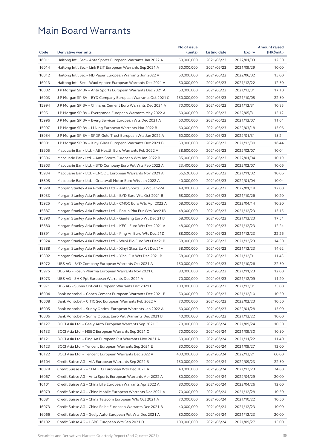|       |                                                              | No.of issue |              |               | <b>Amount raised</b> |
|-------|--------------------------------------------------------------|-------------|--------------|---------------|----------------------|
| Code  | <b>Derivative warrants</b>                                   | (units)     | Listing date | <b>Expiry</b> | (HK\$mil.)           |
| 16011 | Haitong Int'l Sec - Anta Sports European Warrants Jan 2022 A | 50,000,000  | 2021/06/23   | 2022/01/03    | 12.50                |
| 16014 | Haitong Int'l Sec – Link REIT European Warrants Sep 2021 A   | 50,000,000  | 2021/06/23   | 2021/09/29    | 10.00                |
| 16012 | Haitong Int'l Sec – ND Paper European Warrants Jun 2022 A    | 60,000,000  | 2021/06/23   | 2022/06/02    | 15.00                |
| 16013 | Haitong Int'l Sec – Wuxi Apptec European Warrants Dec 2021 A | 50,000,000  | 2021/06/23   | 2021/12/22    | 12.50                |
| 16002 | J P Morgan SP BV – Anta Sports European Warrants Dec 2021 A  | 60,000,000  | 2021/06/23   | 2021/12/31    | 17.10                |
| 16003 | J P Morgan SP BV - BYD Company European Warrants Oct 2021 C  | 150,000,000 | 2021/06/23   | 2021/10/05    | 22.50                |
| 15994 | J P Morgan SP BV - Chinares Cement Euro Warrants Dec 2021 A  | 70,000,000  | 2021/06/23   | 2021/12/31    | 10.85                |
| 15951 | J P Morgan SP BV - Evergrande European Warrants May 2022 A   | 60,000,000  | 2021/06/23   | 2022/05/31    | 15.12                |
| 15996 | J P Morgan SP BV – Everg Services European Wts Dec 2021 A    | 60,000,000  | 2021/06/23   | 2021/12/07    | 11.64                |
| 15997 | J P Morgan SP BV - Li Ning European Warrants Mar 2022 B      | 60,000,000  | 2021/06/23   | 2022/03/18    | 15.06                |
| 15954 | J P Morgan SP BV - SPDR Gold Trust European Wts Jan 2022 A   | 60,000,000  | 2021/06/23   | 2022/01/31    | 15.24                |
| 16001 | J P Morgan SP BV - Xinyi Glass European Warrants Dec 2021 B  | 60,000,000  | 2021/06/23   | 2021/12/30    | 16.44                |
| 15905 | Macquarie Bank Ltd. - Ali Health Euro Warrants Feb 2022 A    | 38,600,000  | 2021/06/23   | 2022/02/07    | 10.04                |
| 15896 | Macquarie Bank Ltd. – Anta Sports European Wts Jan 2022 B    | 35,000,000  | 2021/06/23   | 2022/01/04    | 10.19                |
| 15903 | Macquarie Bank Ltd. - BYD Company Euro Put Wts Feb 2022 A    | 23,400,000  | 2021/06/23   | 2022/02/07    | 10.06                |
| 15934 | Macquarie Bank Ltd. - CNOOC European Warrants Nov 2021 A     | 66,620,000  | 2021/06/23   | 2021/11/02    | 10.06                |
| 15895 | Macquarie Bank Ltd. – Greatwall Motor Euro Wts Jan 2022 A    | 40,000,000  | 2021/06/23   | 2022/01/04    | 10.04                |
| 15928 | Morgan Stanley Asia Products Ltd. – Anta Sports Eu Wt Jan22A | 48,000,000  | 2021/06/23   | 2022/01/18    | 12.00                |
| 15933 | Morgan Stanley Asia Products Ltd. - BYD Euro Wts Oct 2021 B  | 68,000,000  | 2021/06/23   | 2021/10/26    | 10.20                |
| 15925 |                                                              |             |              |               | 10.20                |
|       | Morgan Stanley Asia Products Ltd. - CMOC Euro Wts Apr 2022 A | 68,000,000  | 2021/06/23   | 2022/04/14    |                      |
| 15887 | Morgan Stanley Asia Products Ltd. - Fosun Pha Eur Wts Dec21B | 48,000,000  | 2021/06/23   | 2021/12/23    | 13.15                |
| 15890 | Morgan Stanley Asia Products Ltd. - Ganfeng Euro Wt Dec 21 B | 68,000,000  | 2021/06/23   | 2021/12/23    | 17.54                |
| 15880 | Morgan Stanley Asia Products Ltd. – KECL Euro Wts Dec 2021 A | 48,000,000  | 2021/06/23   | 2021/12/23    | 12.24                |
| 15891 | Morgan Stanley Asia Products Ltd. - Ping An Euro Wts Dec 21D | 88,000,000  | 2021/06/23   | 2021/12/23    | 22.26                |
| 15924 | Morgan Stanley Asia Products Ltd. - Wuxi Bio Euro Wts Dec21B | 58,000,000  | 2021/06/23   | 2021/12/23    | 14.50                |
| 15888 | Morgan Stanley Asia Products Ltd. - Xinyi Glass Eu Wt Dec21A | 58,000,000  | 2021/06/23   | 2021/12/23    | 14.62                |
| 15892 | Morgan Stanley Asia Products Ltd. – Yihai Eur Wts Dec 2021 B | 58,000,000  | 2021/06/23   | 2021/12/01    | 11.43                |
| 15972 | UBS AG - BYD Company European Warrants Oct 2021 A            | 150,000,000 | 2021/06/23   | 2021/10/26    | 22.50                |
| 15975 | UBS AG - Fosun Pharma European Warrants Nov 2021 C           | 80,000,000  | 2021/06/23   | 2021/11/23    | 12.00                |
| 15973 | UBS AG - SHK Ppt European Warrants Dec 2021 A                | 70,000,000  | 2021/06/23   | 2021/12/09    | 11.20                |
| 15971 | UBS AG - Sunny Optical European Warrants Dec 2021 C          | 100,000,000 | 2021/06/23   | 2021/12/31    | 25.00                |
| 16004 | Bank Vontobel - Conch Cement European Warrants Dec 2021 B    | 50,000,000  | 2021/06/23   | 2021/12/10    | 10.50                |
| 16008 | Bank Vontobel - CITIC Sec European Warrants Feb 2022 A       | 70,000,000  | 2021/06/23   | 2022/02/23    | 10.50                |
| 16005 | Bank Vontobel – Sunny Optical European Warrants Jan 2022 A   | 60,000,000  | 2021/06/23   | 2022/01/28    | 15.00                |
| 16006 | Bank Vontobel - Sunny Optical Euro Put Warrants Dec 2021 B   | 40,000,000  | 2021/06/23   | 2021/12/22    | 10.00                |
| 16127 | BOCI Asia Ltd. – Geely Auto European Warrants Sep 2021 C     | 70,000,000  | 2021/06/24   | 2021/09/24    | 10.50                |
| 16133 | BOCI Asia Ltd. - HSBC European Warrants Sep 2021 C           | 70,000,000  | 2021/06/24   | 2021/09/30    | 10.50                |
| 16121 | BOCI Asia Ltd. – Ping An European Put Warrants Nov 2021 A    | 60,000,000  | 2021/06/24   | 2021/11/22    | 11.40                |
| 16123 | BOCI Asia Ltd. - Tencent European Warrants Sep 2021 E        | 80,000,000  | 2021/06/24   | 2021/09/27    | 12.00                |
| 16122 | BOCI Asia Ltd. - Tencent European Warrants Dec 2022 A        | 400,000,000 | 2021/06/24   | 2022/12/21    | 60.00                |
| 16104 | Credit Suisse AG - AIA European Warrants Sep 2022 B          | 150,000,000 | 2021/06/24   | 2022/09/23    | 22.50                |
| 16078 | Credit Suisse AG - CHALCO European Wts Dec 2021 A            | 40,000,000  | 2021/06/24   | 2021/12/23    | 24.80                |
| 16067 | Credit Suisse AG - Anta Sports European Warrants Apr 2022 A  | 80,000,000  | 2021/06/24   | 2022/04/29    | 20.00                |
| 16101 | Credit Suisse AG - China Life European Warrants Apr 2022 A   | 80,000,000  | 2021/06/24   | 2022/04/26    | 12.00                |
| 16079 | Credit Suisse AG - China Mobile European Warrants Dec 2021 A | 70,000,000  | 2021/06/24   | 2021/12/28    | 10.50                |
| 16081 | Credit Suisse AG - China Telecom European Wts Oct 2021 A     | 70,000,000  | 2021/06/24   | 2021/10/22    | 10.50                |
| 16073 | Credit Suisse AG - China Feihe European Warrants Dec 2021 B  | 40,000,000  | 2021/06/24   | 2021/12/23    | 10.00                |
| 16066 | Credit Suisse AG - Geely Auto European Put Wts Dec 2021 A    | 80,000,000  | 2021/06/24   | 2021/12/23    | 20.00                |
| 16102 |                                                              | 100,000,000 |              |               | 15.00                |
|       | Credit Suisse AG – HSBC European Wts Sep 2021 D              |             | 2021/06/24   | 2021/09/27    |                      |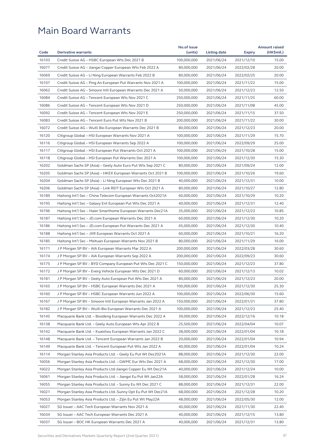| 16103<br>Credit Suisse AG - HSBC European Wts Dec 2021 B<br>100,000,000<br>2021/06/24<br>2021/12/10<br>15.00<br>16077<br>80,000,000<br>Credit Suisse AG – Jiangxi Copper European Wts Feb 2022 A<br>2021/06/24<br>2022/02/28<br>20.00<br>16069<br>Credit Suisse AG - Li Ning European Warrants Feb 2022 B<br>80,000,000<br>2021/06/24<br>2022/02/25<br>20.00<br>16107<br>15.00<br>Credit Suisse AG – Ping An European Put Warrants Nov 2021 A<br>100,000,000<br>2021/06/24<br>2021/11/22<br>16062<br>Credit Suisse AG - Smoore Intl European Warrants Dec 2021 A<br>50,000,000<br>12.50<br>2021/06/24<br>2021/12/23<br>16084<br>60.00<br>Credit Suisse AG – Tencent European Wts Nov 2021 C<br>250,000,000<br>2021/06/24<br>2021/11/25<br>16086<br>Credit Suisse AG - Tencent European Wts Nov 2021 D<br>250,000,000<br>2021/06/24<br>2021/11/08<br>45.00<br>16092<br>Credit Suisse AG - Tencent European Wts Nov 2021 E<br>250,000,000<br>37.50<br>2021/06/24<br>2021/11/15<br>16083<br>Credit Suisse AG - Tencent Euro Put Wts Nov 2021 B<br>30.00<br>200,000,000<br>2021/06/24<br>2021/11/22<br>16072<br>20.00<br>Credit Suisse AG – WuXi Bio European Warrants Dec 2021 B<br>80,000,000<br>2021/06/24<br>2021/12/23<br>16120<br>15.70<br>Citigroup Global - HSI European Warrants Nov 2021 A<br>100,000,000<br>2021/06/24<br>2021/11/29<br>25.00<br>16116<br>Citigroup Global - HSI European Warrants Sep 2022 A<br>100,000,000<br>2021/06/24<br>2022/09/29<br>16117<br>Citigroup Global - HSI European Put Warrants Oct 2021 A<br>100,000,000<br>2021/06/24<br>2021/10/28<br>15.00<br>16118<br>100,000,000<br>2021/12/30<br>15.30<br>Citigroup Global - HSI European Put Warrants Dec 2021 A<br>2021/06/24<br>16202<br>12.00<br>Goldman Sachs SP (Asia) – Geely Auto Euro Put Wts Sep 2021 C<br>80,000,000<br>2021/06/24<br>2021/09/24<br>16205<br>100,000,000<br>2021/10/26<br>19.60<br>Goldman Sachs SP (Asia) - HKEX European Warrants Oct 2021 B<br>2021/06/24<br>16204<br>10.00<br>Goldman Sachs SP (Asia) – Li Ning European Wts Dec 2021 B<br>40,000,000<br>2021/06/24<br>2021/12/31<br>16206<br>12.80<br>Goldman Sachs SP (Asia) – Link REIT European Wts Oct 2021 A<br>80,000,000<br>2021/06/24<br>2021/10/27<br>16189<br>10.20<br>Haitong Int'l Sec - China Telecom European Warrants Oct2021A<br>60,000,000<br>2021/06/24<br>2021/10/29<br>16195<br>Haitong Int'l Sec - Galaxy Ent European Put Wts Dec 2021 A<br>12.40<br>40,000,000<br>2021/06/24<br>2021/12/31<br>16196<br>Haitong Int'l Sec - Haier Smarthome European Warrants Dec21A<br>35,000,000<br>10.85<br>2021/06/24<br>2021/12/23<br>16187<br>60,000,000<br>2021/06/24<br>10.20<br>Haitong Int'l Sec - JD.com European Warrants Dec 2021 A<br>2021/12/30<br>16186<br>Haitong Int'l Sec - JD.com European Put Warrants Dec 2021 A<br>65,000,000<br>2021/06/24<br>10.40<br>2021/12/30<br>16188<br>Haitong Int'l Sec – JXR European Warrants Oct 2021 A<br>60,000,000<br>2021/06/24<br>2021/10/21<br>16.20<br>16185<br>Haitong Int'l Sec - Meituan European Warrants Nov 2021 B<br>80,000,000<br>2021/11/29<br>16.00<br>2021/06/24<br>16171<br>J P Morgan SP BV - AIA European Warrants Mar 2022 A<br>200,000,000<br>30.60<br>2021/06/24<br>2022/03/28<br>16174<br>J P Morgan SP BV - AIA European Warrants Sep 2022 A<br>200,000,000<br>2021/06/24<br>2022/09/23<br>30.60<br>16175<br>150,000,000<br>37.80<br>J P Morgan SP BV - BYD Company European Put Wts Dec 2021 C<br>2021/06/24<br>2021/12/23<br>16172<br>60,000,000<br>10.02<br>J P Morgan SP BV - Everg Vehicle European Wts Dec 2021 D<br>2021/06/24<br>2021/12/13<br>16181<br>J P Morgan SP BV - Geely Auto European Put Wts Dec 2021 A<br>80,000,000<br>2021/12/23<br>20.00<br>2021/06/24<br>16165<br>25.30<br>J P Morgan SP BV – HSBC European Warrants Dec 2021 A<br>100,000,000<br>2021/06/24<br>2021/12/30<br>16160<br>J P Morgan SP BV - HSBC European Warrants Jun 2022 A<br>100,000,000<br>2021/06/24<br>2022/06/30<br>15.60<br>16167<br>37.80<br>J P Morgan SP BV – Smoore Intl European Warrants Jan 2022 A<br>150,000,000<br>2021/06/24<br>2022/01/31<br>16182<br>J P Morgan SP BV - WuXi Bio European Warrants Dec 2021 A<br>100,000,000<br>2021/12/23<br>25.40<br>2021/06/24<br>16145<br>Macquarie Bank Ltd. – Bosideng European Warrants Dec 2022 A<br>39,000,000<br>2021/06/24<br>2022/12/16<br>10.18<br>16138<br>Macquarie Bank Ltd. - Geely Auto European Wts Apr 2022 B<br>25,500,000<br>2021/06/24<br>2022/04/04<br>10.07<br>16142<br>Macquarie Bank Ltd. - Kuaishou European Warrants Jan 2022 C<br>38,000,000<br>2022/01/04<br>10.18<br>2021/06/24<br>16148<br>Macquarie Bank Ltd. – Tencent European Warrants Jan 2022 B<br>20,000,000<br>2021/06/24<br>2022/01/04<br>10.94<br>16149<br>40,000,000<br>2022/01/04<br>10.24<br>Macquarie Bank Ltd. – Tencent European Put Wts Jan 2022 A<br>2021/06/24<br>16114<br>22.00<br>Morgan Stanley Asia Products Ltd. - Geely Eu Put Wt Dec2021A<br>88,000,000<br>2021/06/24<br>2021/12/30<br>16056<br>Morgan Stanley Asia Products Ltd. - GWMC Eur Wts Dec 2021 A<br>68,000,000<br>2021/06/24<br>17.00<br>2021/12/30<br>16022<br>Morgan Stanley Asia Products Ltd-Jiangxi Copper Eu Wt Dec21A<br>40,000,000<br>2021/06/24<br>10.00<br>2021/12/24<br>16061<br>Morgan Stanley Asia Products Ltd. - Jiangxi Eu Put Wt Jan22A<br>58,000,000<br>2021/06/24<br>2022/01/28<br>16.24<br>16055<br>22.00<br>Morgan Stanley Asia Products Ltd. – Sunny Eu Wt Dec 2021 C<br>88,000,000<br>2021/06/24<br>2021/12/31<br>16021<br>Morgan Stanley Asia Products Ltd.-Sunny Opt Eu Put Wt Dec21A<br>68,000,000<br>2021/06/24<br>10.20<br>2021/12/28<br>16053<br>Morgan Stanley Asia Products Ltd. - Zijin Eu Put Wt May22A<br>48,000,000<br>2021/06/24<br>2022/05/30<br>12.00<br>16027<br>SG Issuer - AAC Tech European Warrants Nov 2021 A<br>40,000,000<br>2021/06/24<br>2021/11/30<br>22.40<br>16034<br>SG Issuer - AAC Tech European Warrants Dec 2021 A<br>40,000,000<br>2021/06/24<br>2021/12/15<br>13.80<br>16037<br>40,000,000<br>13.80<br>SG Issuer – BOC HK European Warrants Dec 2021 A<br>2021/06/24<br>2021/12/31 |      |                            | No.of issue |              |               | <b>Amount raised</b> |
|-----------------------------------------------------------------------------------------------------------------------------------------------------------------------------------------------------------------------------------------------------------------------------------------------------------------------------------------------------------------------------------------------------------------------------------------------------------------------------------------------------------------------------------------------------------------------------------------------------------------------------------------------------------------------------------------------------------------------------------------------------------------------------------------------------------------------------------------------------------------------------------------------------------------------------------------------------------------------------------------------------------------------------------------------------------------------------------------------------------------------------------------------------------------------------------------------------------------------------------------------------------------------------------------------------------------------------------------------------------------------------------------------------------------------------------------------------------------------------------------------------------------------------------------------------------------------------------------------------------------------------------------------------------------------------------------------------------------------------------------------------------------------------------------------------------------------------------------------------------------------------------------------------------------------------------------------------------------------------------------------------------------------------------------------------------------------------------------------------------------------------------------------------------------------------------------------------------------------------------------------------------------------------------------------------------------------------------------------------------------------------------------------------------------------------------------------------------------------------------------------------------------------------------------------------------------------------------------------------------------------------------------------------------------------------------------------------------------------------------------------------------------------------------------------------------------------------------------------------------------------------------------------------------------------------------------------------------------------------------------------------------------------------------------------------------------------------------------------------------------------------------------------------------------------------------------------------------------------------------------------------------------------------------------------------------------------------------------------------------------------------------------------------------------------------------------------------------------------------------------------------------------------------------------------------------------------------------------------------------------------------------------------------------------------------------------------------------------------------------------------------------------------------------------------------------------------------------------------------------------------------------------------------------------------------------------------------------------------------------------------------------------------------------------------------------------------------------------------------------------------------------------------------------------------------------------------------------------------------------------------------------------------------------------------------------------------------------------------------------------------------------------------------------------------------------------------------------------------------------------------------------------------------------------------------------------------------------------------------------------------------------------------------------------------------------------------------------------------------------------------------------------------------------------------------------------------------------------------------------------------------------------------------------------------------------------------------------------------------------------------------------------------------------------------------------------------------------------------------------------------------------------------------------------------------------------------------------------------------------------------------------------------------------------------------------------------------------------------------------------------------------------------------------------------------------------------------------------------------------------------------------------------------------------------------------------------------------------------------------------------------------------------------------------------------------------------------------------------------------------------------------------------------------------------------------------------------------------------------------------------------------------------------------------------------------------------------------------------------------------------------------------------------------------------------------------------------------------------------------------|------|----------------------------|-------------|--------------|---------------|----------------------|
|                                                                                                                                                                                                                                                                                                                                                                                                                                                                                                                                                                                                                                                                                                                                                                                                                                                                                                                                                                                                                                                                                                                                                                                                                                                                                                                                                                                                                                                                                                                                                                                                                                                                                                                                                                                                                                                                                                                                                                                                                                                                                                                                                                                                                                                                                                                                                                                                                                                                                                                                                                                                                                                                                                                                                                                                                                                                                                                                                                                                                                                                                                                                                                                                                                                                                                                                                                                                                                                                                                                                                                                                                                                                                                                                                                                                                                                                                                                                                                                                                                                                                                                                                                                                                                                                                                                                                                                                                                                                                                                                                                                                                                                                                                                                                                                                                                                                                                                                                                                                                                                                                                                                                                                                                                                                                                                                                                                                                                                                                                                                                                                                                                                                                                                                                                                                                                                                                                                                                                                                                                                                                                                 | Code | <b>Derivative warrants</b> | (units)     | Listing date | <b>Expiry</b> | (HK\$mil.)           |
|                                                                                                                                                                                                                                                                                                                                                                                                                                                                                                                                                                                                                                                                                                                                                                                                                                                                                                                                                                                                                                                                                                                                                                                                                                                                                                                                                                                                                                                                                                                                                                                                                                                                                                                                                                                                                                                                                                                                                                                                                                                                                                                                                                                                                                                                                                                                                                                                                                                                                                                                                                                                                                                                                                                                                                                                                                                                                                                                                                                                                                                                                                                                                                                                                                                                                                                                                                                                                                                                                                                                                                                                                                                                                                                                                                                                                                                                                                                                                                                                                                                                                                                                                                                                                                                                                                                                                                                                                                                                                                                                                                                                                                                                                                                                                                                                                                                                                                                                                                                                                                                                                                                                                                                                                                                                                                                                                                                                                                                                                                                                                                                                                                                                                                                                                                                                                                                                                                                                                                                                                                                                                                                 |      |                            |             |              |               |                      |
|                                                                                                                                                                                                                                                                                                                                                                                                                                                                                                                                                                                                                                                                                                                                                                                                                                                                                                                                                                                                                                                                                                                                                                                                                                                                                                                                                                                                                                                                                                                                                                                                                                                                                                                                                                                                                                                                                                                                                                                                                                                                                                                                                                                                                                                                                                                                                                                                                                                                                                                                                                                                                                                                                                                                                                                                                                                                                                                                                                                                                                                                                                                                                                                                                                                                                                                                                                                                                                                                                                                                                                                                                                                                                                                                                                                                                                                                                                                                                                                                                                                                                                                                                                                                                                                                                                                                                                                                                                                                                                                                                                                                                                                                                                                                                                                                                                                                                                                                                                                                                                                                                                                                                                                                                                                                                                                                                                                                                                                                                                                                                                                                                                                                                                                                                                                                                                                                                                                                                                                                                                                                                                                 |      |                            |             |              |               |                      |
|                                                                                                                                                                                                                                                                                                                                                                                                                                                                                                                                                                                                                                                                                                                                                                                                                                                                                                                                                                                                                                                                                                                                                                                                                                                                                                                                                                                                                                                                                                                                                                                                                                                                                                                                                                                                                                                                                                                                                                                                                                                                                                                                                                                                                                                                                                                                                                                                                                                                                                                                                                                                                                                                                                                                                                                                                                                                                                                                                                                                                                                                                                                                                                                                                                                                                                                                                                                                                                                                                                                                                                                                                                                                                                                                                                                                                                                                                                                                                                                                                                                                                                                                                                                                                                                                                                                                                                                                                                                                                                                                                                                                                                                                                                                                                                                                                                                                                                                                                                                                                                                                                                                                                                                                                                                                                                                                                                                                                                                                                                                                                                                                                                                                                                                                                                                                                                                                                                                                                                                                                                                                                                                 |      |                            |             |              |               |                      |
|                                                                                                                                                                                                                                                                                                                                                                                                                                                                                                                                                                                                                                                                                                                                                                                                                                                                                                                                                                                                                                                                                                                                                                                                                                                                                                                                                                                                                                                                                                                                                                                                                                                                                                                                                                                                                                                                                                                                                                                                                                                                                                                                                                                                                                                                                                                                                                                                                                                                                                                                                                                                                                                                                                                                                                                                                                                                                                                                                                                                                                                                                                                                                                                                                                                                                                                                                                                                                                                                                                                                                                                                                                                                                                                                                                                                                                                                                                                                                                                                                                                                                                                                                                                                                                                                                                                                                                                                                                                                                                                                                                                                                                                                                                                                                                                                                                                                                                                                                                                                                                                                                                                                                                                                                                                                                                                                                                                                                                                                                                                                                                                                                                                                                                                                                                                                                                                                                                                                                                                                                                                                                                                 |      |                            |             |              |               |                      |
|                                                                                                                                                                                                                                                                                                                                                                                                                                                                                                                                                                                                                                                                                                                                                                                                                                                                                                                                                                                                                                                                                                                                                                                                                                                                                                                                                                                                                                                                                                                                                                                                                                                                                                                                                                                                                                                                                                                                                                                                                                                                                                                                                                                                                                                                                                                                                                                                                                                                                                                                                                                                                                                                                                                                                                                                                                                                                                                                                                                                                                                                                                                                                                                                                                                                                                                                                                                                                                                                                                                                                                                                                                                                                                                                                                                                                                                                                                                                                                                                                                                                                                                                                                                                                                                                                                                                                                                                                                                                                                                                                                                                                                                                                                                                                                                                                                                                                                                                                                                                                                                                                                                                                                                                                                                                                                                                                                                                                                                                                                                                                                                                                                                                                                                                                                                                                                                                                                                                                                                                                                                                                                                 |      |                            |             |              |               |                      |
|                                                                                                                                                                                                                                                                                                                                                                                                                                                                                                                                                                                                                                                                                                                                                                                                                                                                                                                                                                                                                                                                                                                                                                                                                                                                                                                                                                                                                                                                                                                                                                                                                                                                                                                                                                                                                                                                                                                                                                                                                                                                                                                                                                                                                                                                                                                                                                                                                                                                                                                                                                                                                                                                                                                                                                                                                                                                                                                                                                                                                                                                                                                                                                                                                                                                                                                                                                                                                                                                                                                                                                                                                                                                                                                                                                                                                                                                                                                                                                                                                                                                                                                                                                                                                                                                                                                                                                                                                                                                                                                                                                                                                                                                                                                                                                                                                                                                                                                                                                                                                                                                                                                                                                                                                                                                                                                                                                                                                                                                                                                                                                                                                                                                                                                                                                                                                                                                                                                                                                                                                                                                                                                 |      |                            |             |              |               |                      |
|                                                                                                                                                                                                                                                                                                                                                                                                                                                                                                                                                                                                                                                                                                                                                                                                                                                                                                                                                                                                                                                                                                                                                                                                                                                                                                                                                                                                                                                                                                                                                                                                                                                                                                                                                                                                                                                                                                                                                                                                                                                                                                                                                                                                                                                                                                                                                                                                                                                                                                                                                                                                                                                                                                                                                                                                                                                                                                                                                                                                                                                                                                                                                                                                                                                                                                                                                                                                                                                                                                                                                                                                                                                                                                                                                                                                                                                                                                                                                                                                                                                                                                                                                                                                                                                                                                                                                                                                                                                                                                                                                                                                                                                                                                                                                                                                                                                                                                                                                                                                                                                                                                                                                                                                                                                                                                                                                                                                                                                                                                                                                                                                                                                                                                                                                                                                                                                                                                                                                                                                                                                                                                                 |      |                            |             |              |               |                      |
|                                                                                                                                                                                                                                                                                                                                                                                                                                                                                                                                                                                                                                                                                                                                                                                                                                                                                                                                                                                                                                                                                                                                                                                                                                                                                                                                                                                                                                                                                                                                                                                                                                                                                                                                                                                                                                                                                                                                                                                                                                                                                                                                                                                                                                                                                                                                                                                                                                                                                                                                                                                                                                                                                                                                                                                                                                                                                                                                                                                                                                                                                                                                                                                                                                                                                                                                                                                                                                                                                                                                                                                                                                                                                                                                                                                                                                                                                                                                                                                                                                                                                                                                                                                                                                                                                                                                                                                                                                                                                                                                                                                                                                                                                                                                                                                                                                                                                                                                                                                                                                                                                                                                                                                                                                                                                                                                                                                                                                                                                                                                                                                                                                                                                                                                                                                                                                                                                                                                                                                                                                                                                                                 |      |                            |             |              |               |                      |
|                                                                                                                                                                                                                                                                                                                                                                                                                                                                                                                                                                                                                                                                                                                                                                                                                                                                                                                                                                                                                                                                                                                                                                                                                                                                                                                                                                                                                                                                                                                                                                                                                                                                                                                                                                                                                                                                                                                                                                                                                                                                                                                                                                                                                                                                                                                                                                                                                                                                                                                                                                                                                                                                                                                                                                                                                                                                                                                                                                                                                                                                                                                                                                                                                                                                                                                                                                                                                                                                                                                                                                                                                                                                                                                                                                                                                                                                                                                                                                                                                                                                                                                                                                                                                                                                                                                                                                                                                                                                                                                                                                                                                                                                                                                                                                                                                                                                                                                                                                                                                                                                                                                                                                                                                                                                                                                                                                                                                                                                                                                                                                                                                                                                                                                                                                                                                                                                                                                                                                                                                                                                                                                 |      |                            |             |              |               |                      |
|                                                                                                                                                                                                                                                                                                                                                                                                                                                                                                                                                                                                                                                                                                                                                                                                                                                                                                                                                                                                                                                                                                                                                                                                                                                                                                                                                                                                                                                                                                                                                                                                                                                                                                                                                                                                                                                                                                                                                                                                                                                                                                                                                                                                                                                                                                                                                                                                                                                                                                                                                                                                                                                                                                                                                                                                                                                                                                                                                                                                                                                                                                                                                                                                                                                                                                                                                                                                                                                                                                                                                                                                                                                                                                                                                                                                                                                                                                                                                                                                                                                                                                                                                                                                                                                                                                                                                                                                                                                                                                                                                                                                                                                                                                                                                                                                                                                                                                                                                                                                                                                                                                                                                                                                                                                                                                                                                                                                                                                                                                                                                                                                                                                                                                                                                                                                                                                                                                                                                                                                                                                                                                                 |      |                            |             |              |               |                      |
|                                                                                                                                                                                                                                                                                                                                                                                                                                                                                                                                                                                                                                                                                                                                                                                                                                                                                                                                                                                                                                                                                                                                                                                                                                                                                                                                                                                                                                                                                                                                                                                                                                                                                                                                                                                                                                                                                                                                                                                                                                                                                                                                                                                                                                                                                                                                                                                                                                                                                                                                                                                                                                                                                                                                                                                                                                                                                                                                                                                                                                                                                                                                                                                                                                                                                                                                                                                                                                                                                                                                                                                                                                                                                                                                                                                                                                                                                                                                                                                                                                                                                                                                                                                                                                                                                                                                                                                                                                                                                                                                                                                                                                                                                                                                                                                                                                                                                                                                                                                                                                                                                                                                                                                                                                                                                                                                                                                                                                                                                                                                                                                                                                                                                                                                                                                                                                                                                                                                                                                                                                                                                                                 |      |                            |             |              |               |                      |
|                                                                                                                                                                                                                                                                                                                                                                                                                                                                                                                                                                                                                                                                                                                                                                                                                                                                                                                                                                                                                                                                                                                                                                                                                                                                                                                                                                                                                                                                                                                                                                                                                                                                                                                                                                                                                                                                                                                                                                                                                                                                                                                                                                                                                                                                                                                                                                                                                                                                                                                                                                                                                                                                                                                                                                                                                                                                                                                                                                                                                                                                                                                                                                                                                                                                                                                                                                                                                                                                                                                                                                                                                                                                                                                                                                                                                                                                                                                                                                                                                                                                                                                                                                                                                                                                                                                                                                                                                                                                                                                                                                                                                                                                                                                                                                                                                                                                                                                                                                                                                                                                                                                                                                                                                                                                                                                                                                                                                                                                                                                                                                                                                                                                                                                                                                                                                                                                                                                                                                                                                                                                                                                 |      |                            |             |              |               |                      |
|                                                                                                                                                                                                                                                                                                                                                                                                                                                                                                                                                                                                                                                                                                                                                                                                                                                                                                                                                                                                                                                                                                                                                                                                                                                                                                                                                                                                                                                                                                                                                                                                                                                                                                                                                                                                                                                                                                                                                                                                                                                                                                                                                                                                                                                                                                                                                                                                                                                                                                                                                                                                                                                                                                                                                                                                                                                                                                                                                                                                                                                                                                                                                                                                                                                                                                                                                                                                                                                                                                                                                                                                                                                                                                                                                                                                                                                                                                                                                                                                                                                                                                                                                                                                                                                                                                                                                                                                                                                                                                                                                                                                                                                                                                                                                                                                                                                                                                                                                                                                                                                                                                                                                                                                                                                                                                                                                                                                                                                                                                                                                                                                                                                                                                                                                                                                                                                                                                                                                                                                                                                                                                                 |      |                            |             |              |               |                      |
|                                                                                                                                                                                                                                                                                                                                                                                                                                                                                                                                                                                                                                                                                                                                                                                                                                                                                                                                                                                                                                                                                                                                                                                                                                                                                                                                                                                                                                                                                                                                                                                                                                                                                                                                                                                                                                                                                                                                                                                                                                                                                                                                                                                                                                                                                                                                                                                                                                                                                                                                                                                                                                                                                                                                                                                                                                                                                                                                                                                                                                                                                                                                                                                                                                                                                                                                                                                                                                                                                                                                                                                                                                                                                                                                                                                                                                                                                                                                                                                                                                                                                                                                                                                                                                                                                                                                                                                                                                                                                                                                                                                                                                                                                                                                                                                                                                                                                                                                                                                                                                                                                                                                                                                                                                                                                                                                                                                                                                                                                                                                                                                                                                                                                                                                                                                                                                                                                                                                                                                                                                                                                                                 |      |                            |             |              |               |                      |
|                                                                                                                                                                                                                                                                                                                                                                                                                                                                                                                                                                                                                                                                                                                                                                                                                                                                                                                                                                                                                                                                                                                                                                                                                                                                                                                                                                                                                                                                                                                                                                                                                                                                                                                                                                                                                                                                                                                                                                                                                                                                                                                                                                                                                                                                                                                                                                                                                                                                                                                                                                                                                                                                                                                                                                                                                                                                                                                                                                                                                                                                                                                                                                                                                                                                                                                                                                                                                                                                                                                                                                                                                                                                                                                                                                                                                                                                                                                                                                                                                                                                                                                                                                                                                                                                                                                                                                                                                                                                                                                                                                                                                                                                                                                                                                                                                                                                                                                                                                                                                                                                                                                                                                                                                                                                                                                                                                                                                                                                                                                                                                                                                                                                                                                                                                                                                                                                                                                                                                                                                                                                                                                 |      |                            |             |              |               |                      |
|                                                                                                                                                                                                                                                                                                                                                                                                                                                                                                                                                                                                                                                                                                                                                                                                                                                                                                                                                                                                                                                                                                                                                                                                                                                                                                                                                                                                                                                                                                                                                                                                                                                                                                                                                                                                                                                                                                                                                                                                                                                                                                                                                                                                                                                                                                                                                                                                                                                                                                                                                                                                                                                                                                                                                                                                                                                                                                                                                                                                                                                                                                                                                                                                                                                                                                                                                                                                                                                                                                                                                                                                                                                                                                                                                                                                                                                                                                                                                                                                                                                                                                                                                                                                                                                                                                                                                                                                                                                                                                                                                                                                                                                                                                                                                                                                                                                                                                                                                                                                                                                                                                                                                                                                                                                                                                                                                                                                                                                                                                                                                                                                                                                                                                                                                                                                                                                                                                                                                                                                                                                                                                                 |      |                            |             |              |               |                      |
|                                                                                                                                                                                                                                                                                                                                                                                                                                                                                                                                                                                                                                                                                                                                                                                                                                                                                                                                                                                                                                                                                                                                                                                                                                                                                                                                                                                                                                                                                                                                                                                                                                                                                                                                                                                                                                                                                                                                                                                                                                                                                                                                                                                                                                                                                                                                                                                                                                                                                                                                                                                                                                                                                                                                                                                                                                                                                                                                                                                                                                                                                                                                                                                                                                                                                                                                                                                                                                                                                                                                                                                                                                                                                                                                                                                                                                                                                                                                                                                                                                                                                                                                                                                                                                                                                                                                                                                                                                                                                                                                                                                                                                                                                                                                                                                                                                                                                                                                                                                                                                                                                                                                                                                                                                                                                                                                                                                                                                                                                                                                                                                                                                                                                                                                                                                                                                                                                                                                                                                                                                                                                                                 |      |                            |             |              |               |                      |
|                                                                                                                                                                                                                                                                                                                                                                                                                                                                                                                                                                                                                                                                                                                                                                                                                                                                                                                                                                                                                                                                                                                                                                                                                                                                                                                                                                                                                                                                                                                                                                                                                                                                                                                                                                                                                                                                                                                                                                                                                                                                                                                                                                                                                                                                                                                                                                                                                                                                                                                                                                                                                                                                                                                                                                                                                                                                                                                                                                                                                                                                                                                                                                                                                                                                                                                                                                                                                                                                                                                                                                                                                                                                                                                                                                                                                                                                                                                                                                                                                                                                                                                                                                                                                                                                                                                                                                                                                                                                                                                                                                                                                                                                                                                                                                                                                                                                                                                                                                                                                                                                                                                                                                                                                                                                                                                                                                                                                                                                                                                                                                                                                                                                                                                                                                                                                                                                                                                                                                                                                                                                                                                 |      |                            |             |              |               |                      |
|                                                                                                                                                                                                                                                                                                                                                                                                                                                                                                                                                                                                                                                                                                                                                                                                                                                                                                                                                                                                                                                                                                                                                                                                                                                                                                                                                                                                                                                                                                                                                                                                                                                                                                                                                                                                                                                                                                                                                                                                                                                                                                                                                                                                                                                                                                                                                                                                                                                                                                                                                                                                                                                                                                                                                                                                                                                                                                                                                                                                                                                                                                                                                                                                                                                                                                                                                                                                                                                                                                                                                                                                                                                                                                                                                                                                                                                                                                                                                                                                                                                                                                                                                                                                                                                                                                                                                                                                                                                                                                                                                                                                                                                                                                                                                                                                                                                                                                                                                                                                                                                                                                                                                                                                                                                                                                                                                                                                                                                                                                                                                                                                                                                                                                                                                                                                                                                                                                                                                                                                                                                                                                                 |      |                            |             |              |               |                      |
|                                                                                                                                                                                                                                                                                                                                                                                                                                                                                                                                                                                                                                                                                                                                                                                                                                                                                                                                                                                                                                                                                                                                                                                                                                                                                                                                                                                                                                                                                                                                                                                                                                                                                                                                                                                                                                                                                                                                                                                                                                                                                                                                                                                                                                                                                                                                                                                                                                                                                                                                                                                                                                                                                                                                                                                                                                                                                                                                                                                                                                                                                                                                                                                                                                                                                                                                                                                                                                                                                                                                                                                                                                                                                                                                                                                                                                                                                                                                                                                                                                                                                                                                                                                                                                                                                                                                                                                                                                                                                                                                                                                                                                                                                                                                                                                                                                                                                                                                                                                                                                                                                                                                                                                                                                                                                                                                                                                                                                                                                                                                                                                                                                                                                                                                                                                                                                                                                                                                                                                                                                                                                                                 |      |                            |             |              |               |                      |
|                                                                                                                                                                                                                                                                                                                                                                                                                                                                                                                                                                                                                                                                                                                                                                                                                                                                                                                                                                                                                                                                                                                                                                                                                                                                                                                                                                                                                                                                                                                                                                                                                                                                                                                                                                                                                                                                                                                                                                                                                                                                                                                                                                                                                                                                                                                                                                                                                                                                                                                                                                                                                                                                                                                                                                                                                                                                                                                                                                                                                                                                                                                                                                                                                                                                                                                                                                                                                                                                                                                                                                                                                                                                                                                                                                                                                                                                                                                                                                                                                                                                                                                                                                                                                                                                                                                                                                                                                                                                                                                                                                                                                                                                                                                                                                                                                                                                                                                                                                                                                                                                                                                                                                                                                                                                                                                                                                                                                                                                                                                                                                                                                                                                                                                                                                                                                                                                                                                                                                                                                                                                                                                 |      |                            |             |              |               |                      |
|                                                                                                                                                                                                                                                                                                                                                                                                                                                                                                                                                                                                                                                                                                                                                                                                                                                                                                                                                                                                                                                                                                                                                                                                                                                                                                                                                                                                                                                                                                                                                                                                                                                                                                                                                                                                                                                                                                                                                                                                                                                                                                                                                                                                                                                                                                                                                                                                                                                                                                                                                                                                                                                                                                                                                                                                                                                                                                                                                                                                                                                                                                                                                                                                                                                                                                                                                                                                                                                                                                                                                                                                                                                                                                                                                                                                                                                                                                                                                                                                                                                                                                                                                                                                                                                                                                                                                                                                                                                                                                                                                                                                                                                                                                                                                                                                                                                                                                                                                                                                                                                                                                                                                                                                                                                                                                                                                                                                                                                                                                                                                                                                                                                                                                                                                                                                                                                                                                                                                                                                                                                                                                                 |      |                            |             |              |               |                      |
|                                                                                                                                                                                                                                                                                                                                                                                                                                                                                                                                                                                                                                                                                                                                                                                                                                                                                                                                                                                                                                                                                                                                                                                                                                                                                                                                                                                                                                                                                                                                                                                                                                                                                                                                                                                                                                                                                                                                                                                                                                                                                                                                                                                                                                                                                                                                                                                                                                                                                                                                                                                                                                                                                                                                                                                                                                                                                                                                                                                                                                                                                                                                                                                                                                                                                                                                                                                                                                                                                                                                                                                                                                                                                                                                                                                                                                                                                                                                                                                                                                                                                                                                                                                                                                                                                                                                                                                                                                                                                                                                                                                                                                                                                                                                                                                                                                                                                                                                                                                                                                                                                                                                                                                                                                                                                                                                                                                                                                                                                                                                                                                                                                                                                                                                                                                                                                                                                                                                                                                                                                                                                                                 |      |                            |             |              |               |                      |
|                                                                                                                                                                                                                                                                                                                                                                                                                                                                                                                                                                                                                                                                                                                                                                                                                                                                                                                                                                                                                                                                                                                                                                                                                                                                                                                                                                                                                                                                                                                                                                                                                                                                                                                                                                                                                                                                                                                                                                                                                                                                                                                                                                                                                                                                                                                                                                                                                                                                                                                                                                                                                                                                                                                                                                                                                                                                                                                                                                                                                                                                                                                                                                                                                                                                                                                                                                                                                                                                                                                                                                                                                                                                                                                                                                                                                                                                                                                                                                                                                                                                                                                                                                                                                                                                                                                                                                                                                                                                                                                                                                                                                                                                                                                                                                                                                                                                                                                                                                                                                                                                                                                                                                                                                                                                                                                                                                                                                                                                                                                                                                                                                                                                                                                                                                                                                                                                                                                                                                                                                                                                                                                 |      |                            |             |              |               |                      |
|                                                                                                                                                                                                                                                                                                                                                                                                                                                                                                                                                                                                                                                                                                                                                                                                                                                                                                                                                                                                                                                                                                                                                                                                                                                                                                                                                                                                                                                                                                                                                                                                                                                                                                                                                                                                                                                                                                                                                                                                                                                                                                                                                                                                                                                                                                                                                                                                                                                                                                                                                                                                                                                                                                                                                                                                                                                                                                                                                                                                                                                                                                                                                                                                                                                                                                                                                                                                                                                                                                                                                                                                                                                                                                                                                                                                                                                                                                                                                                                                                                                                                                                                                                                                                                                                                                                                                                                                                                                                                                                                                                                                                                                                                                                                                                                                                                                                                                                                                                                                                                                                                                                                                                                                                                                                                                                                                                                                                                                                                                                                                                                                                                                                                                                                                                                                                                                                                                                                                                                                                                                                                                                 |      |                            |             |              |               |                      |
|                                                                                                                                                                                                                                                                                                                                                                                                                                                                                                                                                                                                                                                                                                                                                                                                                                                                                                                                                                                                                                                                                                                                                                                                                                                                                                                                                                                                                                                                                                                                                                                                                                                                                                                                                                                                                                                                                                                                                                                                                                                                                                                                                                                                                                                                                                                                                                                                                                                                                                                                                                                                                                                                                                                                                                                                                                                                                                                                                                                                                                                                                                                                                                                                                                                                                                                                                                                                                                                                                                                                                                                                                                                                                                                                                                                                                                                                                                                                                                                                                                                                                                                                                                                                                                                                                                                                                                                                                                                                                                                                                                                                                                                                                                                                                                                                                                                                                                                                                                                                                                                                                                                                                                                                                                                                                                                                                                                                                                                                                                                                                                                                                                                                                                                                                                                                                                                                                                                                                                                                                                                                                                                 |      |                            |             |              |               |                      |
|                                                                                                                                                                                                                                                                                                                                                                                                                                                                                                                                                                                                                                                                                                                                                                                                                                                                                                                                                                                                                                                                                                                                                                                                                                                                                                                                                                                                                                                                                                                                                                                                                                                                                                                                                                                                                                                                                                                                                                                                                                                                                                                                                                                                                                                                                                                                                                                                                                                                                                                                                                                                                                                                                                                                                                                                                                                                                                                                                                                                                                                                                                                                                                                                                                                                                                                                                                                                                                                                                                                                                                                                                                                                                                                                                                                                                                                                                                                                                                                                                                                                                                                                                                                                                                                                                                                                                                                                                                                                                                                                                                                                                                                                                                                                                                                                                                                                                                                                                                                                                                                                                                                                                                                                                                                                                                                                                                                                                                                                                                                                                                                                                                                                                                                                                                                                                                                                                                                                                                                                                                                                                                                 |      |                            |             |              |               |                      |
|                                                                                                                                                                                                                                                                                                                                                                                                                                                                                                                                                                                                                                                                                                                                                                                                                                                                                                                                                                                                                                                                                                                                                                                                                                                                                                                                                                                                                                                                                                                                                                                                                                                                                                                                                                                                                                                                                                                                                                                                                                                                                                                                                                                                                                                                                                                                                                                                                                                                                                                                                                                                                                                                                                                                                                                                                                                                                                                                                                                                                                                                                                                                                                                                                                                                                                                                                                                                                                                                                                                                                                                                                                                                                                                                                                                                                                                                                                                                                                                                                                                                                                                                                                                                                                                                                                                                                                                                                                                                                                                                                                                                                                                                                                                                                                                                                                                                                                                                                                                                                                                                                                                                                                                                                                                                                                                                                                                                                                                                                                                                                                                                                                                                                                                                                                                                                                                                                                                                                                                                                                                                                                                 |      |                            |             |              |               |                      |
|                                                                                                                                                                                                                                                                                                                                                                                                                                                                                                                                                                                                                                                                                                                                                                                                                                                                                                                                                                                                                                                                                                                                                                                                                                                                                                                                                                                                                                                                                                                                                                                                                                                                                                                                                                                                                                                                                                                                                                                                                                                                                                                                                                                                                                                                                                                                                                                                                                                                                                                                                                                                                                                                                                                                                                                                                                                                                                                                                                                                                                                                                                                                                                                                                                                                                                                                                                                                                                                                                                                                                                                                                                                                                                                                                                                                                                                                                                                                                                                                                                                                                                                                                                                                                                                                                                                                                                                                                                                                                                                                                                                                                                                                                                                                                                                                                                                                                                                                                                                                                                                                                                                                                                                                                                                                                                                                                                                                                                                                                                                                                                                                                                                                                                                                                                                                                                                                                                                                                                                                                                                                                                                 |      |                            |             |              |               |                      |
|                                                                                                                                                                                                                                                                                                                                                                                                                                                                                                                                                                                                                                                                                                                                                                                                                                                                                                                                                                                                                                                                                                                                                                                                                                                                                                                                                                                                                                                                                                                                                                                                                                                                                                                                                                                                                                                                                                                                                                                                                                                                                                                                                                                                                                                                                                                                                                                                                                                                                                                                                                                                                                                                                                                                                                                                                                                                                                                                                                                                                                                                                                                                                                                                                                                                                                                                                                                                                                                                                                                                                                                                                                                                                                                                                                                                                                                                                                                                                                                                                                                                                                                                                                                                                                                                                                                                                                                                                                                                                                                                                                                                                                                                                                                                                                                                                                                                                                                                                                                                                                                                                                                                                                                                                                                                                                                                                                                                                                                                                                                                                                                                                                                                                                                                                                                                                                                                                                                                                                                                                                                                                                                 |      |                            |             |              |               |                      |
|                                                                                                                                                                                                                                                                                                                                                                                                                                                                                                                                                                                                                                                                                                                                                                                                                                                                                                                                                                                                                                                                                                                                                                                                                                                                                                                                                                                                                                                                                                                                                                                                                                                                                                                                                                                                                                                                                                                                                                                                                                                                                                                                                                                                                                                                                                                                                                                                                                                                                                                                                                                                                                                                                                                                                                                                                                                                                                                                                                                                                                                                                                                                                                                                                                                                                                                                                                                                                                                                                                                                                                                                                                                                                                                                                                                                                                                                                                                                                                                                                                                                                                                                                                                                                                                                                                                                                                                                                                                                                                                                                                                                                                                                                                                                                                                                                                                                                                                                                                                                                                                                                                                                                                                                                                                                                                                                                                                                                                                                                                                                                                                                                                                                                                                                                                                                                                                                                                                                                                                                                                                                                                                 |      |                            |             |              |               |                      |
|                                                                                                                                                                                                                                                                                                                                                                                                                                                                                                                                                                                                                                                                                                                                                                                                                                                                                                                                                                                                                                                                                                                                                                                                                                                                                                                                                                                                                                                                                                                                                                                                                                                                                                                                                                                                                                                                                                                                                                                                                                                                                                                                                                                                                                                                                                                                                                                                                                                                                                                                                                                                                                                                                                                                                                                                                                                                                                                                                                                                                                                                                                                                                                                                                                                                                                                                                                                                                                                                                                                                                                                                                                                                                                                                                                                                                                                                                                                                                                                                                                                                                                                                                                                                                                                                                                                                                                                                                                                                                                                                                                                                                                                                                                                                                                                                                                                                                                                                                                                                                                                                                                                                                                                                                                                                                                                                                                                                                                                                                                                                                                                                                                                                                                                                                                                                                                                                                                                                                                                                                                                                                                                 |      |                            |             |              |               |                      |
|                                                                                                                                                                                                                                                                                                                                                                                                                                                                                                                                                                                                                                                                                                                                                                                                                                                                                                                                                                                                                                                                                                                                                                                                                                                                                                                                                                                                                                                                                                                                                                                                                                                                                                                                                                                                                                                                                                                                                                                                                                                                                                                                                                                                                                                                                                                                                                                                                                                                                                                                                                                                                                                                                                                                                                                                                                                                                                                                                                                                                                                                                                                                                                                                                                                                                                                                                                                                                                                                                                                                                                                                                                                                                                                                                                                                                                                                                                                                                                                                                                                                                                                                                                                                                                                                                                                                                                                                                                                                                                                                                                                                                                                                                                                                                                                                                                                                                                                                                                                                                                                                                                                                                                                                                                                                                                                                                                                                                                                                                                                                                                                                                                                                                                                                                                                                                                                                                                                                                                                                                                                                                                                 |      |                            |             |              |               |                      |
|                                                                                                                                                                                                                                                                                                                                                                                                                                                                                                                                                                                                                                                                                                                                                                                                                                                                                                                                                                                                                                                                                                                                                                                                                                                                                                                                                                                                                                                                                                                                                                                                                                                                                                                                                                                                                                                                                                                                                                                                                                                                                                                                                                                                                                                                                                                                                                                                                                                                                                                                                                                                                                                                                                                                                                                                                                                                                                                                                                                                                                                                                                                                                                                                                                                                                                                                                                                                                                                                                                                                                                                                                                                                                                                                                                                                                                                                                                                                                                                                                                                                                                                                                                                                                                                                                                                                                                                                                                                                                                                                                                                                                                                                                                                                                                                                                                                                                                                                                                                                                                                                                                                                                                                                                                                                                                                                                                                                                                                                                                                                                                                                                                                                                                                                                                                                                                                                                                                                                                                                                                                                                                                 |      |                            |             |              |               |                      |
|                                                                                                                                                                                                                                                                                                                                                                                                                                                                                                                                                                                                                                                                                                                                                                                                                                                                                                                                                                                                                                                                                                                                                                                                                                                                                                                                                                                                                                                                                                                                                                                                                                                                                                                                                                                                                                                                                                                                                                                                                                                                                                                                                                                                                                                                                                                                                                                                                                                                                                                                                                                                                                                                                                                                                                                                                                                                                                                                                                                                                                                                                                                                                                                                                                                                                                                                                                                                                                                                                                                                                                                                                                                                                                                                                                                                                                                                                                                                                                                                                                                                                                                                                                                                                                                                                                                                                                                                                                                                                                                                                                                                                                                                                                                                                                                                                                                                                                                                                                                                                                                                                                                                                                                                                                                                                                                                                                                                                                                                                                                                                                                                                                                                                                                                                                                                                                                                                                                                                                                                                                                                                                                 |      |                            |             |              |               |                      |
|                                                                                                                                                                                                                                                                                                                                                                                                                                                                                                                                                                                                                                                                                                                                                                                                                                                                                                                                                                                                                                                                                                                                                                                                                                                                                                                                                                                                                                                                                                                                                                                                                                                                                                                                                                                                                                                                                                                                                                                                                                                                                                                                                                                                                                                                                                                                                                                                                                                                                                                                                                                                                                                                                                                                                                                                                                                                                                                                                                                                                                                                                                                                                                                                                                                                                                                                                                                                                                                                                                                                                                                                                                                                                                                                                                                                                                                                                                                                                                                                                                                                                                                                                                                                                                                                                                                                                                                                                                                                                                                                                                                                                                                                                                                                                                                                                                                                                                                                                                                                                                                                                                                                                                                                                                                                                                                                                                                                                                                                                                                                                                                                                                                                                                                                                                                                                                                                                                                                                                                                                                                                                                                 |      |                            |             |              |               |                      |
|                                                                                                                                                                                                                                                                                                                                                                                                                                                                                                                                                                                                                                                                                                                                                                                                                                                                                                                                                                                                                                                                                                                                                                                                                                                                                                                                                                                                                                                                                                                                                                                                                                                                                                                                                                                                                                                                                                                                                                                                                                                                                                                                                                                                                                                                                                                                                                                                                                                                                                                                                                                                                                                                                                                                                                                                                                                                                                                                                                                                                                                                                                                                                                                                                                                                                                                                                                                                                                                                                                                                                                                                                                                                                                                                                                                                                                                                                                                                                                                                                                                                                                                                                                                                                                                                                                                                                                                                                                                                                                                                                                                                                                                                                                                                                                                                                                                                                                                                                                                                                                                                                                                                                                                                                                                                                                                                                                                                                                                                                                                                                                                                                                                                                                                                                                                                                                                                                                                                                                                                                                                                                                                 |      |                            |             |              |               |                      |
|                                                                                                                                                                                                                                                                                                                                                                                                                                                                                                                                                                                                                                                                                                                                                                                                                                                                                                                                                                                                                                                                                                                                                                                                                                                                                                                                                                                                                                                                                                                                                                                                                                                                                                                                                                                                                                                                                                                                                                                                                                                                                                                                                                                                                                                                                                                                                                                                                                                                                                                                                                                                                                                                                                                                                                                                                                                                                                                                                                                                                                                                                                                                                                                                                                                                                                                                                                                                                                                                                                                                                                                                                                                                                                                                                                                                                                                                                                                                                                                                                                                                                                                                                                                                                                                                                                                                                                                                                                                                                                                                                                                                                                                                                                                                                                                                                                                                                                                                                                                                                                                                                                                                                                                                                                                                                                                                                                                                                                                                                                                                                                                                                                                                                                                                                                                                                                                                                                                                                                                                                                                                                                                 |      |                            |             |              |               |                      |
|                                                                                                                                                                                                                                                                                                                                                                                                                                                                                                                                                                                                                                                                                                                                                                                                                                                                                                                                                                                                                                                                                                                                                                                                                                                                                                                                                                                                                                                                                                                                                                                                                                                                                                                                                                                                                                                                                                                                                                                                                                                                                                                                                                                                                                                                                                                                                                                                                                                                                                                                                                                                                                                                                                                                                                                                                                                                                                                                                                                                                                                                                                                                                                                                                                                                                                                                                                                                                                                                                                                                                                                                                                                                                                                                                                                                                                                                                                                                                                                                                                                                                                                                                                                                                                                                                                                                                                                                                                                                                                                                                                                                                                                                                                                                                                                                                                                                                                                                                                                                                                                                                                                                                                                                                                                                                                                                                                                                                                                                                                                                                                                                                                                                                                                                                                                                                                                                                                                                                                                                                                                                                                                 |      |                            |             |              |               |                      |
|                                                                                                                                                                                                                                                                                                                                                                                                                                                                                                                                                                                                                                                                                                                                                                                                                                                                                                                                                                                                                                                                                                                                                                                                                                                                                                                                                                                                                                                                                                                                                                                                                                                                                                                                                                                                                                                                                                                                                                                                                                                                                                                                                                                                                                                                                                                                                                                                                                                                                                                                                                                                                                                                                                                                                                                                                                                                                                                                                                                                                                                                                                                                                                                                                                                                                                                                                                                                                                                                                                                                                                                                                                                                                                                                                                                                                                                                                                                                                                                                                                                                                                                                                                                                                                                                                                                                                                                                                                                                                                                                                                                                                                                                                                                                                                                                                                                                                                                                                                                                                                                                                                                                                                                                                                                                                                                                                                                                                                                                                                                                                                                                                                                                                                                                                                                                                                                                                                                                                                                                                                                                                                                 |      |                            |             |              |               |                      |
|                                                                                                                                                                                                                                                                                                                                                                                                                                                                                                                                                                                                                                                                                                                                                                                                                                                                                                                                                                                                                                                                                                                                                                                                                                                                                                                                                                                                                                                                                                                                                                                                                                                                                                                                                                                                                                                                                                                                                                                                                                                                                                                                                                                                                                                                                                                                                                                                                                                                                                                                                                                                                                                                                                                                                                                                                                                                                                                                                                                                                                                                                                                                                                                                                                                                                                                                                                                                                                                                                                                                                                                                                                                                                                                                                                                                                                                                                                                                                                                                                                                                                                                                                                                                                                                                                                                                                                                                                                                                                                                                                                                                                                                                                                                                                                                                                                                                                                                                                                                                                                                                                                                                                                                                                                                                                                                                                                                                                                                                                                                                                                                                                                                                                                                                                                                                                                                                                                                                                                                                                                                                                                                 |      |                            |             |              |               |                      |
|                                                                                                                                                                                                                                                                                                                                                                                                                                                                                                                                                                                                                                                                                                                                                                                                                                                                                                                                                                                                                                                                                                                                                                                                                                                                                                                                                                                                                                                                                                                                                                                                                                                                                                                                                                                                                                                                                                                                                                                                                                                                                                                                                                                                                                                                                                                                                                                                                                                                                                                                                                                                                                                                                                                                                                                                                                                                                                                                                                                                                                                                                                                                                                                                                                                                                                                                                                                                                                                                                                                                                                                                                                                                                                                                                                                                                                                                                                                                                                                                                                                                                                                                                                                                                                                                                                                                                                                                                                                                                                                                                                                                                                                                                                                                                                                                                                                                                                                                                                                                                                                                                                                                                                                                                                                                                                                                                                                                                                                                                                                                                                                                                                                                                                                                                                                                                                                                                                                                                                                                                                                                                                                 |      |                            |             |              |               |                      |
|                                                                                                                                                                                                                                                                                                                                                                                                                                                                                                                                                                                                                                                                                                                                                                                                                                                                                                                                                                                                                                                                                                                                                                                                                                                                                                                                                                                                                                                                                                                                                                                                                                                                                                                                                                                                                                                                                                                                                                                                                                                                                                                                                                                                                                                                                                                                                                                                                                                                                                                                                                                                                                                                                                                                                                                                                                                                                                                                                                                                                                                                                                                                                                                                                                                                                                                                                                                                                                                                                                                                                                                                                                                                                                                                                                                                                                                                                                                                                                                                                                                                                                                                                                                                                                                                                                                                                                                                                                                                                                                                                                                                                                                                                                                                                                                                                                                                                                                                                                                                                                                                                                                                                                                                                                                                                                                                                                                                                                                                                                                                                                                                                                                                                                                                                                                                                                                                                                                                                                                                                                                                                                                 |      |                            |             |              |               |                      |
|                                                                                                                                                                                                                                                                                                                                                                                                                                                                                                                                                                                                                                                                                                                                                                                                                                                                                                                                                                                                                                                                                                                                                                                                                                                                                                                                                                                                                                                                                                                                                                                                                                                                                                                                                                                                                                                                                                                                                                                                                                                                                                                                                                                                                                                                                                                                                                                                                                                                                                                                                                                                                                                                                                                                                                                                                                                                                                                                                                                                                                                                                                                                                                                                                                                                                                                                                                                                                                                                                                                                                                                                                                                                                                                                                                                                                                                                                                                                                                                                                                                                                                                                                                                                                                                                                                                                                                                                                                                                                                                                                                                                                                                                                                                                                                                                                                                                                                                                                                                                                                                                                                                                                                                                                                                                                                                                                                                                                                                                                                                                                                                                                                                                                                                                                                                                                                                                                                                                                                                                                                                                                                                 |      |                            |             |              |               |                      |
|                                                                                                                                                                                                                                                                                                                                                                                                                                                                                                                                                                                                                                                                                                                                                                                                                                                                                                                                                                                                                                                                                                                                                                                                                                                                                                                                                                                                                                                                                                                                                                                                                                                                                                                                                                                                                                                                                                                                                                                                                                                                                                                                                                                                                                                                                                                                                                                                                                                                                                                                                                                                                                                                                                                                                                                                                                                                                                                                                                                                                                                                                                                                                                                                                                                                                                                                                                                                                                                                                                                                                                                                                                                                                                                                                                                                                                                                                                                                                                                                                                                                                                                                                                                                                                                                                                                                                                                                                                                                                                                                                                                                                                                                                                                                                                                                                                                                                                                                                                                                                                                                                                                                                                                                                                                                                                                                                                                                                                                                                                                                                                                                                                                                                                                                                                                                                                                                                                                                                                                                                                                                                                                 |      |                            |             |              |               |                      |
|                                                                                                                                                                                                                                                                                                                                                                                                                                                                                                                                                                                                                                                                                                                                                                                                                                                                                                                                                                                                                                                                                                                                                                                                                                                                                                                                                                                                                                                                                                                                                                                                                                                                                                                                                                                                                                                                                                                                                                                                                                                                                                                                                                                                                                                                                                                                                                                                                                                                                                                                                                                                                                                                                                                                                                                                                                                                                                                                                                                                                                                                                                                                                                                                                                                                                                                                                                                                                                                                                                                                                                                                                                                                                                                                                                                                                                                                                                                                                                                                                                                                                                                                                                                                                                                                                                                                                                                                                                                                                                                                                                                                                                                                                                                                                                                                                                                                                                                                                                                                                                                                                                                                                                                                                                                                                                                                                                                                                                                                                                                                                                                                                                                                                                                                                                                                                                                                                                                                                                                                                                                                                                                 |      |                            |             |              |               |                      |
|                                                                                                                                                                                                                                                                                                                                                                                                                                                                                                                                                                                                                                                                                                                                                                                                                                                                                                                                                                                                                                                                                                                                                                                                                                                                                                                                                                                                                                                                                                                                                                                                                                                                                                                                                                                                                                                                                                                                                                                                                                                                                                                                                                                                                                                                                                                                                                                                                                                                                                                                                                                                                                                                                                                                                                                                                                                                                                                                                                                                                                                                                                                                                                                                                                                                                                                                                                                                                                                                                                                                                                                                                                                                                                                                                                                                                                                                                                                                                                                                                                                                                                                                                                                                                                                                                                                                                                                                                                                                                                                                                                                                                                                                                                                                                                                                                                                                                                                                                                                                                                                                                                                                                                                                                                                                                                                                                                                                                                                                                                                                                                                                                                                                                                                                                                                                                                                                                                                                                                                                                                                                                                                 |      |                            |             |              |               |                      |
|                                                                                                                                                                                                                                                                                                                                                                                                                                                                                                                                                                                                                                                                                                                                                                                                                                                                                                                                                                                                                                                                                                                                                                                                                                                                                                                                                                                                                                                                                                                                                                                                                                                                                                                                                                                                                                                                                                                                                                                                                                                                                                                                                                                                                                                                                                                                                                                                                                                                                                                                                                                                                                                                                                                                                                                                                                                                                                                                                                                                                                                                                                                                                                                                                                                                                                                                                                                                                                                                                                                                                                                                                                                                                                                                                                                                                                                                                                                                                                                                                                                                                                                                                                                                                                                                                                                                                                                                                                                                                                                                                                                                                                                                                                                                                                                                                                                                                                                                                                                                                                                                                                                                                                                                                                                                                                                                                                                                                                                                                                                                                                                                                                                                                                                                                                                                                                                                                                                                                                                                                                                                                                                 |      |                            |             |              |               |                      |
|                                                                                                                                                                                                                                                                                                                                                                                                                                                                                                                                                                                                                                                                                                                                                                                                                                                                                                                                                                                                                                                                                                                                                                                                                                                                                                                                                                                                                                                                                                                                                                                                                                                                                                                                                                                                                                                                                                                                                                                                                                                                                                                                                                                                                                                                                                                                                                                                                                                                                                                                                                                                                                                                                                                                                                                                                                                                                                                                                                                                                                                                                                                                                                                                                                                                                                                                                                                                                                                                                                                                                                                                                                                                                                                                                                                                                                                                                                                                                                                                                                                                                                                                                                                                                                                                                                                                                                                                                                                                                                                                                                                                                                                                                                                                                                                                                                                                                                                                                                                                                                                                                                                                                                                                                                                                                                                                                                                                                                                                                                                                                                                                                                                                                                                                                                                                                                                                                                                                                                                                                                                                                                                 |      |                            |             |              |               |                      |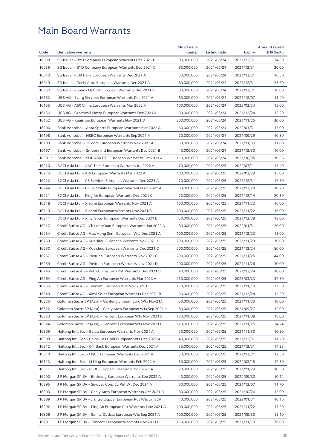|         |                                                              | No.of issue |              |               | <b>Amount raised</b> |
|---------|--------------------------------------------------------------|-------------|--------------|---------------|----------------------|
| Code    | <b>Derivative warrants</b>                                   | (units)     | Listing date | <b>Expiry</b> | (HK\$mil.)           |
| 16038   | SG Issuer - BYD Company European Warrants Dec 2021 B         | 80,000,000  | 2021/06/24   | 2021/12/31    | 24.80                |
| 16039   | SG Issuer - BYD Company European Warrants Dec 2021 C         | 80,000,000  | 2021/06/24   | 2021/12/31    | 20.00                |
| 16040   | SG Issuer - CM Bank European Warrants Dec 2021 A             | 50,000,000  | 2021/06/24   | 2021/12/31    | 16.50                |
| 16049   | SG Issuer - Geely Auto European Warrants Dec 2021 A          | 80,000,000  | 2021/06/24   | 2021/12/31    | 23.60                |
| 16052   | SG Issuer - Sunny Optical European Warrants Dec 2021 B       | 80,000,000  | 2021/06/24   | 2021/12/31    | 20.00                |
| 16153   | UBS AG – Everg Services European Warrants Dec 2021 A         | 60,000,000  | 2021/06/24   | 2021/12/07    | 11.40                |
| 16155   | UBS AG - A50 China European Warrants Mar 2022 A              | 100,000,000 | 2021/06/24   | 2022/03/24    | 15.00                |
| 16156   | UBS AG - Greatwall Motor European Warrants Dec 2021 A        | 80,000,000  | 2021/06/24   | 2021/12/24    | 15.20                |
| 16152   | UBS AG - Kuaishou European Warrants Nov 2021 D               | 200,000,000 | 2021/06/24   | 2021/11/25    | 30.00                |
| 16200   | Bank Vontobel – Anta Sports European Warrants Mar 2022 A     | 60,000,000  | 2021/06/24   | 2022/03/31    | 15.00                |
| 16198   | Bank Vontobel – HSBC European Warrants Sep 2021 A            | 70,000,000  | 2021/06/24   | 2021/09/29    | 10.50                |
| 16199   | Bank Vontobel - JD.com European Warrants Nov 2021 A          | 50,000,000  | 2021/06/24   | 2021/11/30    | 11.00                |
| 16197   | Bank Vontobel – Smoore Intl European Warrants Dec 2021 B     | 40,000,000  | 2021/06/24   | 2021/12/30    | 10.00                |
| 18301 # | Bank Vontobel-CSOP A50 ETF European Warrants Oct 2021 A      | 110,000,000 | 2021/06/24   | 2021/10/05    | 10.56                |
| 16220   | BOCI Asia Ltd. - AAC Tech European Warrants Jul 2022 A       | 70,000,000  | 2021/06/25   | 2022/07/11    | 15.40                |
| 16214   | BOCI Asia Ltd. - AIA European Warrants Mar 2022 A            | 100,000,000 | 2021/06/25   | 2022/03/28    | 15.00                |
| 16223   | BOCI Asia Ltd. - CS Services European Warrants Dec 2021 A    | 70,000,000  | 2021/06/25   | 2021/12/31    | 17.50                |
| 16244   | BOCI Asia Ltd. – China Mobile European Warrants Dec 2021 A   | 60,000,000  | 2021/06/25   | 2021/12/28    | 10.20                |
| 16221   | BOCI Asia Ltd. - Ping An European Warrants Dec 2021 C        | 70,000,000  | 2021/06/25   | 2021/12/14    | 20.30                |
| 16218   | BOCI Asia Ltd. - Xiaomi European Warrants Nov 2021 A         | 100,000,000 | 2021/06/25   | 2021/11/22    | 16.00                |
| 16219   | BOCI Asia Ltd. - Xiaomi European Warrants Nov 2021 B         | 100,000,000 | 2021/06/25   | 2021/11/22    | 16.00                |
| 16211   | BOCI Asia Ltd. – Xinyi Solar European Warrants Dec 2021 B    | 50,000,000  | 2021/06/25   | 2021/12/28    | 13.00                |
| 16247   | Credit Suisse AG - Ch LongYuan European Warrants Jan 2022 A  | 80,000,000  | 2021/06/25   | 2022/01/31    | 20.00                |
| 16254   | Credit Suisse AG – Hua Hong Semi European Wts Dec 2021 A     | 100,000,000 | 2021/06/25   | 2021/12/23    | 15.00                |
| 16253   | Credit Suisse AG - Kuaishou European Warrants Nov 2021 D     | 200,000,000 | 2021/06/25   | 2021/11/23    | 30.00                |
| 16250   | Credit Suisse AG - Kuaishou European Warrants Dec 2021 C     | 200,000,000 | 2021/06/25   | 2021/12/24    | 50.00                |
| 16257   | Credit Suisse AG - Meituan European Warrants Nov 2021 C      | 200,000,000 | 2021/06/25   | 2021/11/25    | 44.00                |
| 16259   | Credit Suisse AG - Meituan European Warrants Nov 2021 D      | 200,000,000 | 2021/06/25   | 2021/11/26    | 30.00                |
| 16245   | Credit Suisse AG - PetroChina Euro Put Warrants Dec 2021 B   | 40,000,000  | 2021/06/25   | 2021/12/24    | 10.00                |
| 16264   | Credit Suisse AG - Ping An European Warrants Mar 2023 A      | 250,000,000 | 2021/06/25   | 2023/03/23    | 37.50                |
| 16255   | Credit Suisse AG – Tencent European Wts Nov 2021 F           | 250,000,000 | 2021/06/25   | 2021/11/19    | 72.50                |
| 16249   | Credit Suisse AG - Xinyi Solar European Warrants Dec 2021 B  | 50,000,000  | 2021/06/25   | 2021/12/24    | 12.50                |
| 16325   | Goldman Sachs SP (Asia) - Ganfeng Lithium Euro Wts Nov21A    | 50,000,000  | 2021/06/25   | 2021/11/25    | 10.00                |
| 16322   | Goldman Sachs SP (Asia) - Geely Auto European Wts Sep 2021 H | 80,000,000  | 2021/06/25   | 2021/09/27    | 12.00                |
| 16323   | Goldman Sachs SP (Asia) – Tencent European Wts Nov 2021 B    | 120,000,000 | 2021/06/25   | 2021/11/08    | 18.00                |
| 16324   | Goldman Sachs SP (Asia) - Tencent European Wts Nov 2021 C    | 120,000,000 | 2021/06/25   | 2021/11/25    | 24.24                |
| 16309   | Haitong Int'l Sec - Baidu European Warrants Nov 2021 A       | 70,000,000  | 2021/06/25   | 2021/11/30    | 10.50                |
| 16308   | Haitong Int'l Sec - China Gas Hold European Wts Dec 2021 A   | 40,000,000  | 2021/06/25   | 2021/12/31    | 11.20                |
| 16312   | Haitong Int'l Sec – CM Bank European Warrants Dec 2021 A     | 35,000,000  | 2021/06/25   | 2021/12/31    | 14.35                |
| 16310   | Haitong Int'l Sec – HSBC European Warrants Dec 2021 A        | 50,000,000  | 2021/06/25   | 2021/12/31    | 12.50                |
| 16313   | Haitong Int'l Sec - Li Ning European Warrants Feb 2022 A     | 50,000,000  | 2021/06/25   | 2022/02/15    | 12.50                |
| 16311   | Haitong Int'l Sec - PSBC European Warrants Nov 2021 A        | 70,000,000  | 2021/06/25   | 2021/11/29    | 10.50                |
| 16290   | J P Morgan SP BV - Bosideng European Warrants Sep 2022 A     | 40,000,000  | 2021/06/25   | 2022/09/30    | 10.12                |
| 16295   | J P Morgan SP BV – Sinopec Corp Eu Put Wt Dec 2021 A         | 60,000,000  | 2021/06/25   | 2021/12/07    | 11.70                |
| 16303   | J P Morgan SP BV - Geely Auto European Warrants Oct 2021 B   | 80,000,000  | 2021/06/25   | 2021/10/26    | 12.00                |
| 16289   | J P Morgan SP BV - Jiangxi Copper European Put Wts Jan22A    | 40,000,000  | 2021/06/25   | 2022/01/31    | 10.16                |
| 16292   | J P Morgan SP BV - Ping An European Put Warrants Nov 2021 A  | 100,000,000 | 2021/06/25   | 2021/11/22    | 15.20                |
| 16306   | J P Morgan SP BV - Sunny Optical European Wts Sep 2021 A     | 100,000,000 | 2021/06/25   | 2021/09/30    | 15.10                |
| 16291   | J P Morgan SP BV - Tencent European Warrants Nov 2021 B      | 250,000,000 | 2021/06/25   | 2021/11/19    | 76.00                |
|         |                                                              |             |              |               |                      |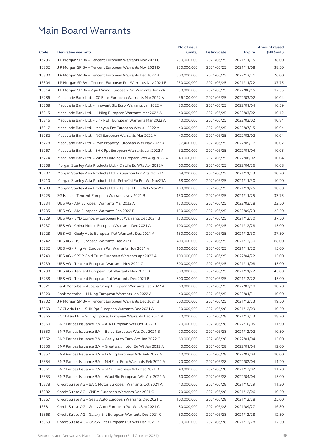|           |                                                               | No.of issue |              |               | <b>Amount raised</b> |
|-----------|---------------------------------------------------------------|-------------|--------------|---------------|----------------------|
| Code      | <b>Derivative warrants</b>                                    | (units)     | Listing date | <b>Expiry</b> | (HK\$mil.)           |
| 16296     | J P Morgan SP BV - Tencent European Warrants Nov 2021 C       | 250,000,000 | 2021/06/25   | 2021/11/15    | 38.00                |
| 16302     | J P Morgan SP BV - Tencent European Warrants Nov 2021 D       | 250,000,000 | 2021/06/25   | 2021/11/08    | 38.50                |
| 16300     | J P Morgan SP BV – Tencent European Warrants Dec 2022 B       | 500,000,000 | 2021/06/25   | 2022/12/21    | 76.00                |
| 16304     | J P Morgan SP BV - Tencent European Put Warrants Nov 2021 B   | 250,000,000 | 2021/06/25   | 2021/11/22    | 37.75                |
| 16314     | J P Morgan SP BV – Zijin Mining European Put Warrants Jun22A  | 50,000,000  | 2021/06/25   | 2022/06/15    | 12.55                |
| 16286     | Macquarie Bank Ltd. - CC Bank European Warrants Mar 2022 A    | 36,100,000  | 2021/06/25   | 2022/03/02    | 10.04                |
| 16268     | Macquarie Bank Ltd. - Innovent Bio Euro Warrants Jan 2022 A   | 30,000,000  | 2021/06/25   | 2022/01/04    | 10.59                |
| 16315     | Macquarie Bank Ltd. - Li Ning European Warrants Mar 2022 A    | 40,000,000  | 2021/06/25   | 2022/03/02    | 10.12                |
| 16316     | Macquarie Bank Ltd. – Link REIT European Warrants Mar 2022 A  | 40,000,000  | 2021/06/25   | 2022/03/02    | 10.84                |
| 16317     | Macquarie Bank Ltd. - Maoyan Ent European Wts Jul 2022 A      | 40,000,000  | 2021/06/25   | 2022/07/15    | 10.04                |
| 16282     | Macquarie Bank Ltd. – NCI European Warrants Mar 2022 A        | 40,000,000  | 2021/06/25   | 2022/03/02    | 10.04                |
| 16278     | Macquarie Bank Ltd. - Poly Property European Wts May 2022 A   | 37,400,000  | 2021/06/25   | 2022/05/17    | 10.02                |
| 16267     | Macquarie Bank Ltd. - SHK Ppt European Warrants Jan 2022 A    | 32,000,000  | 2021/06/25   | 2022/01/04    | 10.05                |
| 16274     | Macquarie Bank Ltd. - Wharf Holdings European Wts Aug 2022 A  | 40,000,000  | 2021/06/25   | 2022/08/02    | 10.04                |
| 16208     | Morgan Stanley Asia Products Ltd. - Ch Life Eu Wts Apr 2022A  | 60,000,000  | 2021/06/25   | 2022/04/26    | 10.08                |
| 16207     | Morgan Stanley Asia Products Ltd. - Kuaishou Eur Wts Nov21C   | 68,000,000  | 2021/06/25   | 2021/11/23    | 10.20                |
| 16210     | Morgan Stanley Asia Products Ltd. - PetroChi Eu Put Wt Nov21A | 68,000,000  | 2021/06/25   | 2021/11/30    | 10.20                |
| 16209     | Morgan Stanley Asia Products Ltd. – Tencent Euro Wts Nov21E   | 108,000,000 | 2021/06/25   | 2021/11/25    | 18.68                |
| 16225     | SG Issuer – Tencent European Warrants Nov 2021 B              | 150,000,000 | 2021/06/25   | 2021/11/25    | 33.75                |
| 16234     | UBS AG - AIA European Warrants Mar 2022 A                     | 150,000,000 | 2021/06/25   | 2022/03/28    | 22.50                |
| 16235     | UBS AG - AIA European Warrants Sep 2022 B                     | 150,000,000 | 2021/06/25   | 2022/09/23    | 22.50                |
| 16229     | UBS AG - BYD Company European Put Warrants Dec 2021 B         | 150,000,000 | 2021/06/25   | 2021/12/30    | 37.50                |
| 16237     | UBS AG – China Mobile European Warrants Dec 2021 A            | 100,000,000 | 2021/06/25   | 2021/12/28    | 15.00                |
| 16228     | UBS AG – Geely Auto European Put Warrants Dec 2021 A          | 150,000,000 | 2021/06/25   | 2021/12/30    | 37.50                |
| 16242     | UBS AG – HSI European Warrants Dec 2021 I                     | 400,000,000 | 2021/06/25   | 2021/12/30    | 68.00                |
| 16232     | UBS AG - Ping An European Put Warrants Nov 2021 A             | 100,000,000 | 2021/06/25   | 2021/11/22    | 15.00                |
| 16240     | UBS AG – SPDR Gold Trust European Warrants Apr 2022 A         | 100,000,000 | 2021/06/25   | 2022/04/22    | 15.00                |
| 16239     | UBS AG - Tencent European Warrants Nov 2021 C                 | 300,000,000 | 2021/06/25   | 2021/11/08    | 45.00                |
| 16230     | UBS AG – Tencent European Put Warrants Nov 2021 B             | 300,000,000 | 2021/06/25   | 2021/11/22    | 45.00                |
| 16238     | UBS AG – Tencent European Put Warrants Dec 2021 B             | 300,000,000 | 2021/06/25   | 2021/12/22    | 45.00                |
| 16321     | Bank Vontobel - Alibaba Group European Warrants Feb 2022 A    | 60,000,000  | 2021/06/25   | 2022/02/18    | 10.20                |
| 16320     | Bank Vontobel – Li Ning European Warrants Jan 2022 A          | 40,000,000  | 2021/06/25   | 2022/01/31    | 10.00                |
| $12702$ # | J P Morgan SP BV - Tencent European Warrants Dec 2021 B       | 500,000,000 | 2021/06/25   | 2021/12/23    | 19.50                |
| 16363     | BOCI Asia Ltd. - SHK Ppt European Warrants Dec 2021 A         | 50,000,000  | 2021/06/28   | 2021/12/09    | 10.50                |
| 16365     | BOCI Asia Ltd. - Sunny Optical European Warrants Dec 2021 A   | 70,000,000  | 2021/06/28   | 2021/12/23    | 18.20                |
| 16360     | BNP Paribas Issuance B.V. - AIA European Wts Oct 2022 B       | 70,000,000  | 2021/06/28   | 2022/10/05    | 11.90                |
| 16350     | BNP Paribas Issuance B.V. - Baidu European Wts Dec 2021 B     | 70,000,000  | 2021/06/28   | 2021/12/02    | 10.50                |
| 16352     | BNP Paribas Issuance B.V. - Geely Auto Euro Wts Jan 2022 C    | 60,000,000  | 2021/06/28   | 2022/01/04    | 15.00                |
| 16356     | BNP Paribas Issuance B.V. - Greatwall Motor Eu Wt Jan 2022 A  | 40,000,000  | 2021/06/28   | 2022/01/04    | 12.00                |
| 16357     | BNP Paribas Issuance B.V. – Li Ning European Wts Feb 2022 A   | 40,000,000  | 2021/06/28   | 2022/02/04    | 10.00                |
| 16354     | BNP Paribas Issuance B.V. - NetEase Euro Warrants Feb 2022 A  | 70,000,000  | 2021/06/28   | 2022/02/04    | 11.20                |
| 16361     | BNP Paribas Issuance B.V. - SMIC European Wts Dec 2021 B      | 40,000,000  | 2021/06/28   | 2021/12/02    | 11.20                |
| 16353     | BNP Paribas Issuance B.V. – Wuxi Bio European Wts Apr 2022 A  | 60,000,000  | 2021/06/28   | 2022/04/04    | 15.00                |
| 16378     | Credit Suisse AG - BAIC Motor European Warrants Oct 2021 A    | 40,000,000  | 2021/06/28   | 2021/10/29    | 11.20                |
| 16382     | Credit Suisse AG - CNBM European Warrants Dec 2021 C          | 70,000,000  | 2021/06/28   | 2021/12/06    | 10.50                |
| 16367     | Credit Suisse AG - Geely Auto European Warrants Dec 2021 C    | 100,000,000 | 2021/06/28   | 2021/12/28    | 25.00                |
| 16381     | Credit Suisse AG - Geely Auto European Put Wts Sep 2021 C     | 80,000,000  | 2021/06/28   | 2021/09/27    | 16.80                |
| 16368     | Credit Suisse AG - Galaxy Ent European Warrants Dec 2021 C    | 50,000,000  | 2021/06/28   | 2021/12/28    | 12.50                |
| 16369     | Credit Suisse AG – Galaxy Ent European Put Wts Dec 2021 B     | 50,000,000  | 2021/06/28   | 2021/12/28    | 12.50                |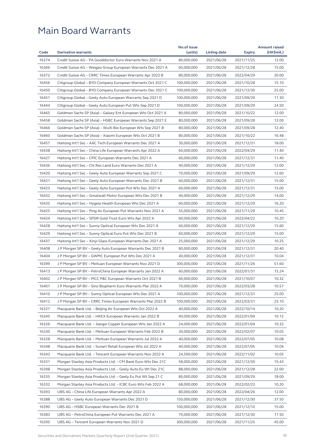|       |                                                              | No.of issue |              |               | <b>Amount raised</b> |
|-------|--------------------------------------------------------------|-------------|--------------|---------------|----------------------|
| Code  | <b>Derivative warrants</b>                                   | (units)     | Listing date | <b>Expiry</b> | (HK\$mil.)           |
| 16374 | Credit Suisse AG - PA Gooddoctor Euro Warrants Nov 2021 A    | 80,000,000  | 2021/06/28   | 2021/11/25    | 12.00                |
| 16366 | Credit Suisse AG – Weigao Group European Warrants Dec 2021 A | 60,000,000  | 2021/06/28   | 2021/12/28    | 15.00                |
| 16372 | Credit Suisse AG - CRRC Times European Warrants Apr 2022 B   | 80,000,000  | 2021/06/28   | 2022/04/29    | 20.00                |
| 16456 | Citigroup Global – BYD Company European Warrants Oct 2021 C  | 100,000,000 | 2021/06/28   | 2021/10/28    | 15.10                |
| 16450 | Citigroup Global - BYD Company European Warrants Dec 2021 C  | 100,000,000 | 2021/06/28   | 2021/12/30    | 25.00                |
| 16451 | Citigroup Global – Geely Auto European Warrants Sep 2021 D   | 100,000,000 | 2021/06/28   | 2021/09/29    | 17.30                |
| 16444 | Citigroup Global - Geely Auto European Put Wts Sep 2021 D    | 100,000,000 | 2021/06/28   | 2021/09/29    | 24.50                |
| 16465 | Goldman Sachs SP (Asia) – Galaxy Ent European Wts Oct 2021 A | 80,000,000  | 2021/06/28   | 2021/10/22    | 12.00                |
| 16458 | Goldman Sachs SP (Asia) – HSBC European Warrants Sep 2021 E  | 80,000,000  | 2021/06/28   | 2021/09/28    | 12.00                |
| 16466 | Goldman Sachs SP (Asia) - WuXi Bio European Wts Sep 2021 B   | 80,000,000  | 2021/06/28   | 2021/09/28    | 12.40                |
| 16460 | Goldman Sachs SP (Asia) – Xiaomi European Wts Oct 2021 B     | 80,000,000  | 2021/06/28   | 2021/10/22    | 16.48                |
| 16457 | Haitong Int'l Sec - AAC Tech European Warrants Dec 2021 A    | 30,000,000  | 2021/06/28   | 2021/12/31    | 18.00                |
| 16438 | Haitong Int'l Sec – China Life European Warrants Apr 2022 A  | 60,000,000  | 2021/06/28   | 2022/04/29    | 11.40                |
| 16427 | Haitong Int'l Sec - CPIC European Warrants Dec 2021 A        | 60,000,000  | 2021/06/28   | 2021/12/31    | 11.40                |
| 16436 | Haitong Int'l Sec – Chi Res Land Euro Warrants Dec 2021 A    | 40,000,000  | 2021/06/28   | 2021/12/29    | 12.00                |
| 16420 | Haitong Int'l Sec - Geely Auto European Warrants Sep 2021 C  | 70,000,000  | 2021/06/28   | 2021/09/29    | 12.60                |
| 16421 | Haitong Int'l Sec – Geely Auto European Warrants Dec 2021 B  | 60,000,000  | 2021/06/28   | 2021/12/31    | 15.00                |
| 16423 | Haitong Int'l Sec – Geely Auto European Put Wts Dec 2021 A   | 60,000,000  | 2021/06/28   | 2021/12/31    | 15.00                |
| 16432 | Haitong Int'l Sec – Greatwall Motor European Wts Dec 2021 B  | 40,000,000  | 2021/06/28   | 2021/12/29    | 14.00                |
| 16435 | Haitong Int'l Sec – Hygeia Health European Wts Dec 2021 A    | 60,000,000  | 2021/06/28   | 2021/12/29    | 16.20                |
| 16425 | Haitong Int'l Sec - Ping An European Put Warrants Nov 2021 A | 55,000,000  | 2021/06/28   | 2021/11/29    | 10.45                |
| 16424 | Haitong Int'l Sec – SPDR Gold Trust Euro Wts Apr 2022 A      | 60,000,000  | 2021/06/28   | 2022/04/22    | 10.20                |
| 16428 | Haitong Int'l Sec – Sunny Optical European Wts Dec 2021 A    | 60,000,000  | 2021/06/28   | 2021/12/29    | 15.60                |
| 16429 | Haitong Int'l Sec – Sunny Optical Euro Put Wts Dec 2021 B    | 60,000,000  | 2021/06/28   | 2021/12/29    | 15.00                |
| 16437 | Haitong Int'l Sec - Xinyi Glass European Warrants Dec 2021 A | 25,000,000  | 2021/06/28   | 2021/12/29    | 10.25                |
| 16408 | J P Morgan SP BV - Geely Auto European Warrants Dec 2021 B   | 80,000,000  | 2021/06/28   | 2021/12/31    | 20.40                |
| 16404 | J P Morgan SP BV – GWMC European Put Wts Dec 2021 A          | 40,000,000  | 2021/06/28   | 2021/12/31    | 10.04                |
| 16399 | J P Morgan SP BV – Meituan European Warrants Nov 2021 D      | 300,000,000 | 2021/06/28   | 2021/11/26    | 51.60                |
| 16413 | J P Morgan SP BV – PetroChina European Warrants Jan 2022 A   | 60,000,000  | 2021/06/28   | 2022/01/31    | 15.24                |
| 16402 | J P Morgan SP BV - PICC P&C European Warrants Oct 2021 B     | 60,000,000  | 2021/06/28   | 2021/10/07    | 10.32                |
| 16401 | J P Morgan SP BV – Sino Biopharm Euro Warrants Mar 2022 A    | 70,000,000  | 2021/06/28   | 2022/03/28    | 10.57                |
| 16410 | J P Morgan SP BV - Sunny Optical European Wts Dec 2021 A     | 100,000,000 | 2021/06/28   | 2021/12/31    | 25.00                |
| 16412 | J P Morgan SP BV – CRRC Times European Warrants Mar 2022 B   | 100,000,000 | 2021/06/28   | 2022/03/31    | 25.10                |
| 16327 | Macquarie Bank Ltd. - Beijing Air European Wts Oct 2022 A    | 40,000,000  | 2021/06/28   | 2022/10/14    | 10.20                |
| 16345 | Macquarie Bank Ltd. - HKEX European Warrants Jan 2022 B      | 40,000,000  | 2021/06/28   | 2022/01/04    | 10.12                |
| 16326 | Macquarie Bank Ltd. - Jiangxi Copper European Wts Jan 2022 A | 24,000,000  | 2021/06/28   | 2022/01/04    | 10.32                |
| 16330 | Macquarie Bank Ltd. - Meituan European Warrants Feb 2022 B   | 30,000,000  | 2021/06/28   | 2022/02/07    | 10.05                |
| 16328 | Macquarie Bank Ltd. - Meituan European Warrants Jul 2022 A   | 40,000,000  | 2021/06/28   | 2022/07/05    | 10.08                |
| 16348 | Macquarie Bank Ltd. - Sunart Retail European Wts Jul 2022 A  | 40,000,000  | 2021/06/28   | 2022/07/05    | 10.04                |
| 16343 | Macquarie Bank Ltd. - Tencent European Warrants Nov 2022 A   | 24,500,000  | 2021/06/28   | 2022/11/02    | 10.05                |
| 16331 | Morgan Stanley Asia Products Ltd. - CM Bank Euro Wts Dec 21C | 58,000,000  | 2021/06/28   | 2021/12/30    | 15.43                |
| 16398 | Morgan Stanley Asia Products Ltd. - Geely Auto Eu Wt Dec 21C | 88,000,000  | 2021/06/28   | 2021/12/28    | 22.00                |
| 16335 | Morgan Stanley Asia Products Ltd. - Geely Eu Put Wt Sep 21 C | 80,000,000  | 2021/06/28   | 2021/09/29    | 18.00                |
| 16332 | Morgan Stanley Asia Products Ltd. - ICBC Euro Wts Feb 2022 A | 68,000,000  | 2021/06/28   | 2022/02/23    | 10.20                |
| 16393 | UBS AG - China Life European Warrants Apr 2022 A             | 80,000,000  | 2021/06/28   | 2022/04/26    | 12.00                |
| 16388 | UBS AG - Geely Auto European Warrants Dec 2021 D             | 150,000,000 | 2021/06/28   | 2021/12/30    | 37.50                |
| 16390 | UBS AG - HSBC European Warrants Dec 2021 B                   | 100,000,000 | 2021/06/28   | 2021/12/10    | 15.00                |
| 16383 | UBS AG - PetroChina European Put Warrants Dec 2021 A         | 70,000,000  | 2021/06/28   | 2021/12/30    | 17.50                |
| 16395 | UBS AG – Tencent European Warrants Nov 2021 D                | 300,000,000 | 2021/06/28   | 2021/11/25    | 45.00                |
|       |                                                              |             |              |               |                      |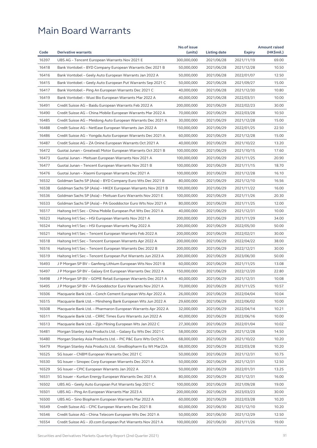|       |                                                                | No.of issue |              |                          | <b>Amount raised</b> |
|-------|----------------------------------------------------------------|-------------|--------------|--------------------------|----------------------|
| Code  | <b>Derivative warrants</b>                                     | (units)     | Listing date | <b>Expiry</b>            | (HK\$mil.)           |
| 16397 | UBS AG - Tencent European Warrants Nov 2021 E                  | 300,000,000 | 2021/06/28   | 2021/11/19               | 69.00                |
| 16418 | Bank Vontobel – BYD Company European Warrants Dec 2021 B       | 50,000,000  | 2021/06/28   | 2021/12/28               | 10.50                |
| 16416 | Bank Vontobel - Geely Auto European Warrants Jan 2022 A        | 50,000,000  | 2021/06/28   | 2022/01/07               | 12.50                |
| 16415 | Bank Vontobel - Geely Auto European Put Warrants Sep 2021 C    | 50,000,000  | 2021/06/28   | 2021/09/27               | 15.00                |
| 16417 | Bank Vontobel - Ping An European Warrants Dec 2021 C           | 40,000,000  | 2021/06/28   | 2021/12/30               | 10.80                |
| 16419 | Bank Vontobel - Wuxi Bio European Warrants Mar 2022 A          | 40,000,000  | 2021/06/28   | 2022/03/31               | 10.00                |
| 16491 | Credit Suisse AG - Baidu European Warrants Feb 2022 A          | 200,000,000 | 2021/06/29   | 2022/02/23               | 30.00                |
| 16490 | Credit Suisse AG - China Mobile European Warrants Mar 2022 A   | 70,000,000  | 2021/06/29   | 2022/03/28               | 10.50                |
| 16485 | Credit Suisse AG – Meidong Auto European Warrants Dec 2021 A   | 30,000,000  | 2021/06/29   | 2021/12/28               | 15.00                |
| 16488 | Credit Suisse AG – NetEase European Warrants Jan 2022 A        | 150,000,000 | 2021/06/29   | 2022/01/25               | 22.50                |
| 16486 | Credit Suisse AG – Yongda Auto European Warrants Dec 2021 A    | 60,000,000  | 2021/06/29   | 2021/12/28               | 15.00                |
| 16487 | Credit Suisse AG - ZA Onine European Warrants Oct 2021 A       | 40,000,000  | 2021/06/29   | 2021/10/22               | 13.20                |
| 16472 | Guotai Junan - Greatwall Motor European Warrants Oct 2021 B    | 100,000,000 | 2021/06/29   | 2021/10/15               | 17.60                |
| 16473 | Guotai Junan - Meituan European Warrants Nov 2021 A            | 100,000,000 | 2021/06/29   | 2021/11/25               | 20.90                |
| 16477 | Guotai Junan – Tencent European Warrants Nov 2021 B            | 100,000,000 | 2021/06/29   | 2021/11/15               | 18.70                |
| 16476 | Guotai Junan - Xiaomi European Warrants Dec 2021 A             | 100,000,000 | 2021/06/29   | 2021/12/28               | 16.10                |
| 16532 | Goldman Sachs SP (Asia) - BYD Company Euro Wts Dec 2021 B      | 80,000,000  | 2021/06/29   | 2021/12/10               | 16.56                |
| 16538 | Goldman Sachs SP (Asia) – HKEX European Warrants Nov 2021 B    | 100,000,000 | 2021/06/29   | 2021/11/22               | 16.00                |
| 16536 | Goldman Sachs SP (Asia) - Meituan Euro Warrants Nov 2021 E     | 100,000,000 | 2021/06/29   | 2021/11/26               | 20.30                |
| 16533 | Goldman Sachs SP (Asia) - PA Gooddoctor Euro Wts Nov 2021 A    | 80,000,000  | 2021/06/29   | 2021/11/25               | 12.00                |
| 16517 | Haitong Int'l Sec – China Mobile European Put Wts Dec 2021 A   | 40,000,000  | 2021/06/29   | 2021/12/31               | 10.00                |
| 16523 | Haitong Int'l Sec - HSI European Warrants Nov 2021 A           | 200,000,000 | 2021/06/29   | 2021/11/29               | 34.00                |
| 16524 | Haitong Int'l Sec - HSI European Warrants May 2022 A           | 200,000,000 | 2021/06/29   | 2022/05/30               | 50.00                |
| 16521 | Haitong Int'l Sec – Tencent European Warrants Feb 2022 A       | 200,000,000 | 2021/06/29   | 2022/02/21               | 30.00                |
| 16518 | Haitong Int'l Sec - Tencent European Warrants Apr 2022 A       | 200,000,000 | 2021/06/29   | 2022/04/22               | 38.00                |
| 16516 | Haitong Int'l Sec - Tencent European Warrants Dec 2022 B       | 200,000,000 | 2021/06/29   | 2022/12/21               | 30.00                |
| 16519 | Haitong Int'l Sec - Tencent European Put Warrants Jun 2023 A   | 200,000,000 | 2021/06/29   | 2023/06/30               | 50.00                |
| 16493 | J P Morgan SP BV – Ganfeng Lithium European Wts Nov 2021 B     | 60,000,000  | 2021/06/29   | 2021/11/25               | 13.08                |
| 16497 | J P Morgan SP BV - Galaxy Ent European Warrants Dec 2022 A     | 150,000,000 | 2021/06/29   | 2022/12/20               | 22.80                |
| 16498 | J P Morgan SP BV - GOME Retail European Warrants Dec 2021 A    | 40,000,000  | 2021/06/29   | 2021/12/31               | 10.08                |
| 16495 | J P Morgan SP BV - PA Gooddoctor Euro Warrants Nov 2021 A      | 70,000,000  | 2021/06/29   | 2021/11/25               | 10.57                |
| 16506 | Macquarie Bank Ltd. - Conch Cement European Wts Apr 2022 A     | 26,000,000  | 2021/06/29   | 2022/04/04               | 10.04                |
| 16515 | Macquarie Bank Ltd. - Minsheng Bank European Wts Jun 2022 A    | 29,600,000  | 2021/06/29   | 2022/06/02               | 10.00                |
| 16508 | Macquarie Bank Ltd. - Pharmaron European Warrants Apr 2022 A   | 32,000,000  | 2021/06/29   | 2022/04/14               | 10.21                |
| 16511 | Macquarie Bank Ltd. - CRRC Times Euro Warrants Jun 2022 A      | 40,000,000  | 2021/06/29   | 2022/06/16               | 10.00                |
| 16513 | Macquarie Bank Ltd. - Zijin Mining European Wts Jan 2022 C     | 27,300,000  | 2021/06/29   | 2022/01/04               | 10.02                |
| 16481 | Morgan Stanley Asia Products Ltd. - Galaxy Eu Wts Dec 2021 C   | 58,000,000  | 2021/06/29   | 2021/12/28               | 14.50                |
| 16480 | Morgan Stanley Asia Products Ltd. - PIC P&C Euro Wts Oct21A    | 68,000,000  | 2021/06/29   | 2021/10/22               | 10.20                |
| 16479 | Morgan Stanley Asia Products Ltd. - Sino Biopharm Eu Wt Mar22A | 68,000,000  | 2021/06/29   | 2022/03/28               | 10.20                |
| 16525 | SG Issuer - CNBM European Warrants Dec 2021 C                  | 50,000,000  | 2021/06/29   | 2021/12/31               | 10.75                |
| 16530 | SG Issuer - Sinopec Corp European Warrants Dec 2021 A          | 50,000,000  | 2021/06/29   | 2021/12/31               | 12.50                |
| 16529 | SG Issuer - CPIC European Warrants Jan 2022 A                  | 50,000,000  | 2021/06/29   |                          | 13.25                |
| 16531 | SG Issuer - Kunlun Energy European Warrants Dec 2021 A         | 80,000,000  | 2021/06/29   | 2022/01/31<br>2021/12/31 | 16.00                |
|       |                                                                |             |              |                          |                      |
| 16502 | UBS AG – Geely Auto European Put Warrants Sep 2021 C           | 100,000,000 | 2021/06/29   | 2021/09/28               | 19.00                |
| 16501 | UBS AG - Ping An European Warrants Mar 2023 A                  | 200,000,000 | 2021/06/29   | 2023/03/23               | 30.00                |
| 16500 | UBS AG - Sino Biopharm European Warrants Mar 2022 A            | 60,000,000  | 2021/06/29   | 2022/03/28               | 10.20                |
| 16549 | Credit Suisse AG - CPIC European Warrants Dec 2021 B           | 60,000,000  | 2021/06/30   | 2021/12/10               | 10.20                |
| 16546 | Credit Suisse AG – China Telecom European Wts Dec 2021 A       | 50,000,000  | 2021/06/30   | 2021/12/29               | 12.50                |
| 16554 | Credit Suisse AG - JD.com European Put Warrants Nov 2021 A     | 100,000,000 | 2021/06/30   | 2021/11/26               | 19.00                |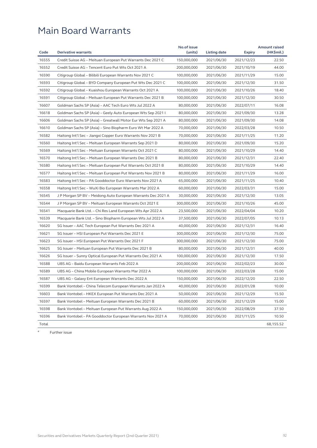| Code  | <b>Derivative warrants</b>                                   | No.of issue<br>(units) | <b>Listing date</b> | <b>Expiry</b> | <b>Amount raised</b><br>(HK\$mil.) |
|-------|--------------------------------------------------------------|------------------------|---------------------|---------------|------------------------------------|
| 16555 | Credit Suisse AG - Meituan European Put Warrants Dec 2021 C  | 150,000,000            | 2021/06/30          | 2021/12/23    | 22.50                              |
| 16552 | Credit Suisse AG - Tencent Euro Put Wts Oct 2021 A           | 200,000,000            | 2021/06/30          | 2021/10/19    | 44.00                              |
| 16590 | Citigroup Global - Bilibili European Warrants Nov 2021 C     | 100,000,000            | 2021/06/30          | 2021/11/29    | 15.00                              |
| 16593 | Citigroup Global - BYD Company European Put Wts Dec 2021 C   | 100,000,000            | 2021/06/30          | 2021/12/30    | 31.50                              |
| 16592 | Citigroup Global – Kuaishou European Warrants Oct 2021 A     | 100,000,000            | 2021/06/30          | 2021/10/26    | 18.40                              |
| 16591 | Citigroup Global - Meituan European Put Warrants Dec 2021 B  | 100,000,000            | 2021/06/30          | 2021/12/30    | 30.50                              |
| 16607 | Goldman Sachs SP (Asia) - AAC Tech Euro Wts Jul 2022 A       | 80,000,000             | 2021/06/30          | 2022/07/11    | 16.08                              |
| 16618 | Goldman Sachs SP (Asia) – Geely Auto European Wts Sep 2021 I | 80,000,000             | 2021/06/30          | 2021/09/30    | 13.28                              |
| 16606 | Goldman Sachs SP (Asia) – Greatwall Motor Eur Wts Sep 2021 A | 80,000,000             | 2021/06/30          | 2021/09/30    | 14.08                              |
| 16610 | Goldman Sachs SP (Asia) – Sino Biopharm Euro Wt Mar 2022 A   | 70,000,000             | 2021/06/30          | 2022/03/28    | 10.50                              |
| 16582 | Haitong Int'l Sec - Jiangxi Copper Euro Warrants Nov 2021 B  | 70,000,000             | 2021/06/30          | 2021/11/25    | 11.20                              |
| 16560 | Haitong Int'l Sec - Meituan European Warrants Sep 2021 D     | 80,000,000             | 2021/06/30          | 2021/09/30    | 15.20                              |
| 16569 | Haitong Int'l Sec - Meituan European Warrants Oct 2021 C     | 80,000,000             | 2021/06/30          | 2021/10/29    | 14.40                              |
| 16570 | Haitong Int'l Sec – Meituan European Warrants Dec 2021 B     | 80,000,000             | 2021/06/30          | 2021/12/31    | 22.40                              |
| 16580 | Haitong Int'l Sec - Meituan European Put Warrants Oct 2021 B | 80,000,000             | 2021/06/30          | 2021/10/29    | 14.40                              |
| 16577 | Haitong Int'l Sec - Meituan European Put Warrants Nov 2021 B | 80,000,000             | 2021/06/30          | 2021/11/29    | 16.00                              |
| 16583 | Haitong Int'l Sec - PA Gooddoctor Euro Warrants Nov 2021 A   | 65,000,000             | 2021/06/30          | 2021/11/25    | 10.40                              |
| 16558 | Haitong Int'l Sec – WuXi Bio European Warrants Mar 2022 A    | 60,000,000             | 2021/06/30          | 2022/03/31    | 15.00                              |
| 16545 | J P Morgan SP BV – Meidong Auto European Warrants Dec 2021 A | 30,000,000             | 2021/06/30          | 2021/12/30    | 13.05                              |
| 16544 | J P Morgan SP BV - Meituan European Warrants Oct 2021 E      | 300,000,000            | 2021/06/30          | 2021/10/26    | 45.00                              |
| 16541 | Macquarie Bank Ltd. - Chi Res Land European Wts Apr 2022 A   | 23,500,000             | 2021/06/30          | 2022/04/04    | 10.20                              |
| 16539 | Macquarie Bank Ltd. - Sino Biopharm European Wts Jul 2022 A  | 37,500,000             | 2021/06/30          | 2022/07/05    | 10.13                              |
| 16620 | SG Issuer - AAC Tech European Put Warrants Dec 2021 A        | 40,000,000             | 2021/06/30          | 2021/12/31    | 16.40                              |
| 16621 | SG Issuer - HSI European Put Warrants Dec 2021 E             | 300,000,000            | 2021/06/30          | 2021/12/30    | 75.00                              |
| 16623 | SG Issuer - HSI European Put Warrants Dec 2021 F             | 300,000,000            | 2021/06/30          | 2021/12/30    | 75.00                              |
| 16625 | SG Issuer - Meituan European Put Warrants Dec 2021 B         | 80,000,000             | 2021/06/30          | 2021/12/31    | 40.00                              |
| 16626 | SG Issuer - Sunny Optical European Put Warrants Dec 2021 A   | 100,000,000            | 2021/06/30          | 2021/12/30    | 17.50                              |
| 16588 | UBS AG - Baidu European Warrants Feb 2022 A                  | 200,000,000            | 2021/06/30          | 2022/02/23    | 30.00                              |
| 16589 | UBS AG - China Mobile European Warrants Mar 2022 A           | 100,000,000            | 2021/06/30          | 2022/03/28    | 15.00                              |
| 16587 | UBS AG - Galaxy Ent European Warrants Dec 2022 A             | 150,000,000            | 2021/06/30          | 2022/12/20    | 22.50                              |
| 16599 | Bank Vontobel - China Telecom European Warrants Jan 2022 A   | 40,000,000             | 2021/06/30          | 2022/01/28    | 10.00                              |
| 16603 | Bank Vontobel - HKEX European Put Warrants Dec 2021 A        | 50,000,000             | 2021/06/30          | 2021/12/29    | 15.50                              |
| 16597 | Bank Vontobel - Meituan European Warrants Dec 2021 B         | 60,000,000             | 2021/06/30          | 2021/12/29    | 15.00                              |
| 16598 | Bank Vontobel - Meituan European Put Warrants Aug 2022 A     | 150,000,000            | 2021/06/30          | 2022/08/29    | 37.50                              |
| 16596 | Bank Vontobel - PA Gooddoctor European Warrants Nov 2021 A   | 70,000,000             | 2021/06/30          | 2021/11/25    | 10.50                              |
| Total |                                                              |                        |                     |               | 68,155.52                          |

# Further issue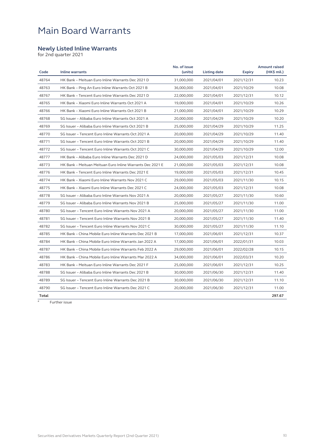#### **Newly Listed Inline Warrants**

for 2nd quarter 2021

| Code  | <b>Inline warrants</b>                                    | No. of issue<br>(units) | <b>Listing date</b> | <b>Expiry</b> | <b>Amount raised</b><br>(HK\$ mil.) |
|-------|-----------------------------------------------------------|-------------------------|---------------------|---------------|-------------------------------------|
| 48764 | HK Bank - Meituan Euro Inline Warrants Dec 2021 D         | 31,000,000              | 2021/04/01          | 2021/12/31    | 10.23                               |
| 48763 | HK Bank - Ping An Euro Inline Warrants Oct 2021 B         | 36.000.000              | 2021/04/01          | 2021/10/29    | 10.08                               |
| 48767 | HK Bank - Tencent Euro Inline Warrants Dec 2021 D         | 22,000,000              | 2021/04/01          | 2021/12/31    | 10.12                               |
| 48765 | HK Bank - Xiaomi Euro Inline Warrants Oct 2021 A          | 19,000,000              | 2021/04/01          | 2021/10/29    | 10.26                               |
| 48766 | HK Bank - Xiaomi Euro Inline Warrants Oct 2021 B          | 21,000,000              | 2021/04/01          | 2021/10/29    | 10.29                               |
| 48768 | SG Issuer - Alibaba Euro Inline Warrants Oct 2021 A       | 20,000,000              | 2021/04/29          | 2021/10/29    | 10.20                               |
| 48769 | SG Issuer - Alibaba Euro Inline Warrants Oct 2021 B       | 25,000,000              | 2021/04/29          | 2021/10/29    | 11.25                               |
| 48770 | SG Issuer - Tencent Euro Inline Warrants Oct 2021 A       | 20,000,000              | 2021/04/29          | 2021/10/29    | 11.40                               |
| 48771 | SG Issuer - Tencent Euro Inline Warrants Oct 2021 B       | 20,000,000              | 2021/04/29          | 2021/10/29    | 11.40                               |
| 48772 | SG Issuer - Tencent Euro Inline Warrants Oct 2021 C       | 30,000,000              | 2021/04/29          | 2021/10/29    | 12.00                               |
| 48777 | HK Bank - Alibaba Euro Inline Warrants Dec 2021 D         | 24,000,000              | 2021/05/03          | 2021/12/31    | 10.08                               |
| 48773 | HK Bank - Meituan Meituan Euro Inline Warrants Dec 2021 E | 21,000,000              | 2021/05/03          | 2021/12/31    | 10.08                               |
| 48776 | HK Bank - Tencent Euro Inline Warrants Dec 2021 E         | 19,000,000              | 2021/05/03          | 2021/12/31    | 10.45                               |
| 48774 | HK Bank - Xiaomi Euro Inline Warrants Nov 2021 C          | 29,000,000              | 2021/05/03          | 2021/11/30    | 10.15                               |
| 48775 | HK Bank - Xiaomi Euro Inline Warrants Dec 2021 C          | 24,000,000              | 2021/05/03          | 2021/12/31    | 10.08                               |
| 48778 | SG Issuer - Alibaba Euro Inline Warrants Nov 2021 A       | 20,000,000              | 2021/05/27          | 2021/11/30    | 10.60                               |
| 48779 | SG Issuer - Alibaba Euro Inline Warrants Nov 2021 B       | 25,000,000              | 2021/05/27          | 2021/11/30    | 11.00                               |
| 48780 | SG Issuer - Tencent Euro Inline Warrants Nov 2021 A       | 20,000,000              | 2021/05/27          | 2021/11/30    | 11.00                               |
| 48781 | SG Issuer - Tencent Euro Inline Warrants Nov 2021 B       | 20,000,000              | 2021/05/27          | 2021/11/30    | 11.40                               |
| 48782 | SG Issuer - Tencent Euro Inline Warrants Nov 2021 C       | 30,000,000              | 2021/05/27          | 2021/11/30    | 11.10                               |
| 48785 | HK Bank - China Mobile Euro Inline Warrants Dec 2021 B    | 17,000,000              | 2021/06/01          | 2021/12/31    | 10.37                               |
| 48784 | HK Bank - China Mobile Euro Inline Warrants Jan 2022 A    | 17,000,000              | 2021/06/01          | 2022/01/31    | 10.03                               |
| 48787 | HK Bank - China Mobile Euro Inline Warrants Feb 2022 A    | 29,000,000              | 2021/06/01          | 2022/02/28    | 10.15                               |
| 48786 | HK Bank - China Mobile Euro Inline Warrants Mar 2022 A    | 34,000,000              | 2021/06/01          | 2022/03/31    | 10.20                               |
| 48783 | HK Bank - Meituan Euro Inline Warrants Dec 2021 F         | 25,000,000              | 2021/06/01          | 2021/12/31    | 10.25                               |
| 48788 | SG Issuer - Alibaba Euro Inline Warrants Dec 2021 B       | 30,000,000              | 2021/06/30          | 2021/12/31    | 11.40                               |
| 48789 | SG Issuer – Tencent Euro Inline Warrants Dec 2021 B       | 30,000,000              | 2021/06/30          | 2021/12/31    | 11.10                               |
| 48790 | SG Issuer - Tencent Euro Inline Warrants Dec 2021 C       | 20,000,000              | 2021/06/30          | 2021/12/31    | 11.00                               |
| Total |                                                           |                         |                     |               | 297.67                              |

 $\frac{1}{4}$  Further issue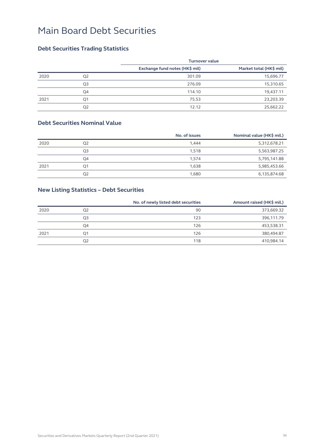### **Debt Securities Trading Statistics**

|      |                | <b>Turnover value</b>          |                         |
|------|----------------|--------------------------------|-------------------------|
|      |                | Exchange fund notes (HK\$ mil) | Market total (HK\$ mil) |
| 2020 | Q <sub>2</sub> | 301.09                         | 15,696.77               |
|      | Q <sub>3</sub> | 276.09                         | 15,310.65               |
|      | Q4             | 114.10                         | 19,437.11               |
| 2021 | Q <sub>1</sub> | 75.53                          | 23,203.39               |
|      | Q <sub>2</sub> | 12.12                          | 25,662.22               |

#### **Debt Securities Nominal Value**

|      |    | No. of issues | Nominal value (HK\$ mil.) |
|------|----|---------------|---------------------------|
| 2020 | O2 | 1.444         | 5,312,678.21              |
|      | Q3 | 1.518         | 5,563,987.25              |
|      | Q4 | 1,574         | 5,795,141.88              |
| 2021 | Ο1 | 1,638         | 5,985,453.66              |
|      | Q2 | 1,680         | 6,135,874.68              |

### **New Listing Statistics – Debt Securities**

|      |    | No. of newly listed debt securities | Amount raised (HK\$ mil.) |
|------|----|-------------------------------------|---------------------------|
| 2020 | O2 | 90                                  | 373,669.32                |
|      | Q3 | 123                                 | 396,111.79                |
|      | O4 | 126                                 | 453,538.31                |
| 2021 | Q1 | 126                                 | 380,494.87                |
|      | Q2 | 118                                 | 410,984.14                |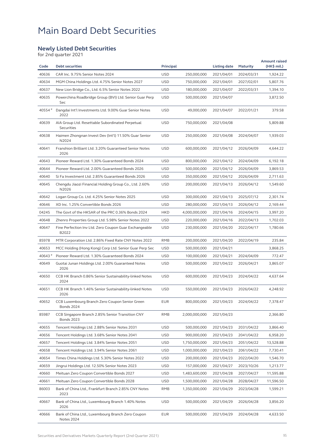#### **Newly Listed Debt Securities**

for 2nd quarter 2021

| Code    | <b>Debt securities</b>                                                | Principal  |               | <b>Listing date</b> | <b>Maturity</b> | <b>Amount raised</b><br>(HK\$ mil.) |
|---------|-----------------------------------------------------------------------|------------|---------------|---------------------|-----------------|-------------------------------------|
| 40636   | CAR Inc. 9.75% Senior Notes 2024                                      | <b>USD</b> | 250,000,000   | 2021/04/01          | 2024/03/31      | 1,924.22                            |
| 40634   | MGM China Holdings Ltd. 4.75% Senior Notes 2027                       | <b>USD</b> | 750,000,000   | 2021/04/01          | 2027/02/01      | 5,807.76                            |
| 40637   | New Lion Bridge Co., Ltd. 6.5% Senior Notes 2022                      | <b>USD</b> | 180,000,000   | 2021/04/07          | 2022/03/31      | 1,394.10                            |
| 40635   | Powerchina Roadbridge Group (BVI) Ltd. Senior Guar Perp<br>Sec        | <b>USD</b> | 500,000,000   | 2021/04/07          |                 | 3,872.50                            |
| 40554 # | Dangdai Int'l Investments Ltd. 9.00% Guar Senior Notes<br>2022        | <b>USD</b> | 49,000,000    | 2021/04/07          | 2022/01/21      | 379.58                              |
| 40639   | AIA Group Ltd. Resettable Subordinated Perpetual<br>Securities        | <b>USD</b> | 750,000,000   | 2021/04/08          |                 | 5,809.88                            |
| 40638   | Haimen Zhongnan Invest Dev (Int'l) 11.50% Guar Senior<br>N2024        | <b>USD</b> | 250,000,000   | 2021/04/08          | 2024/04/07      | 1,939.03                            |
| 40641   | Franshion Brilliant Ltd. 3.20% Guaranteed Senior Notes<br>2026        | <b>USD</b> | 600,000,000   | 2021/04/12          | 2026/04/09      | 4,644.22                            |
| 40643   | Pioneer Reward Ltd. 1.30% Guaranteed Bonds 2024                       | <b>USD</b> | 800,000,000   | 2021/04/12          | 2024/04/09      | 6,192.18                            |
| 40644   | Pioneer Reward Ltd. 2.00% Guaranteed Bonds 2026                       | <b>USD</b> | 500,000,000   | 2021/04/12          | 2026/04/09      | 3,869.53                            |
| 40640   | Si Fa Investment Ltd. 2.85% Guaranteed Bonds 2026                     | <b>USD</b> | 350,000,000   | 2021/04/12          | 2026/04/09      | 2,711.63                            |
| 40645   | Chengdu Jiaozi Financial Holding Group Co., Ltd. 2.60%<br>N2026       | <b>USD</b> | 200,000,000   | 2021/04/13          | 2026/04/12      | 1,549.60                            |
| 40642   | Logan Group Co. Ltd. 4.25% Senior Notes 2025                          | <b>USD</b> | 300,000,000   | 2021/04/13          | 2025/07/12      | 2,301.74                            |
| 40646   | XD Inc. 1.25% Convertible Bonds 2026                                  | <b>USD</b> | 280,000,000   | 2021/04/13          | 2026/04/12      | 2,169.44                            |
| 04245   | The Govt of the HKSAR of the PRC 0.36% Bonds 2024                     | <b>HKD</b> | 4,000,000,000 | 2021/04/16          | 2024/04/15      | 3,997.20                            |
| 40648   | Zhenro Properties Group Ltd. 5.98% Senior Notes 2022                  | <b>USD</b> | 220,000,000   | 2021/04/16          | 2022/04/13      | 1,702.03                            |
| 40647   | Fine Perfection Inv Ltd. Zero Coupon Guar Exchangeable<br>B2022       | <b>USD</b> | 230,000,000   | 2021/04/20          | 2022/04/17      | 1,780.66                            |
| 85978   | MTR Corporation Ltd. 2.86% Fixed Rate CNY Notes 2022                  | <b>RMB</b> | 200,000,000   | 2021/04/20          | 2022/04/19      | 235.84                              |
| 40653   | MCC Holding (Hong Kong) Corp Ltd. Senior Guar Perp Sec                | <b>USD</b> | 500,000,000   | 2021/04/21          |                 | 3,868.25                            |
| 40643#  | Pioneer Reward Ltd. 1.30% Guaranteed Bonds 2024                       | <b>USD</b> | 100,000,000   | 2021/04/21          | 2024/04/09      | 772.47                              |
| 40649   | Guotai Junan Holdings Ltd. 2.00% Guaranteed Notes<br>2026             | <b>USD</b> | 500,000,000   | 2021/04/22          | 2026/04/21      | 3,865.07                            |
| 40650   | CCB HK Branch 0.86% Senior Sustainability-linked Notes<br>2024        | <b>USD</b> | 600,000,000   | 2021/04/23          | 2024/04/22      | 4,637.64                            |
| 40651   | CCB HK Branch 1.46% Senior Sustainability-linked Notes<br>2026        | <b>USD</b> | 550,000,000   | 2021/04/23          | 2026/04/22      | 4,248.92                            |
| 40652   | CCB Luxembourg Branch Zero Coupon Senior Green<br><b>Bonds 2024</b>   | <b>EUR</b> | 800,000,000   | 2021/04/23          | 2024/04/22      | 7,378.47                            |
| 85987   | CCB Singapore Branch 2.85% Senior Transition CNY<br><b>Bonds 2023</b> | RMB        | 2,000,000,000 | 2021/04/23          |                 | 2,366.80                            |
| 40655   | Tencent Holdings Ltd. 2.88% Senior Notes 2031                         | <b>USD</b> | 500,000,000   | 2021/04/23          | 2031/04/22      | 3,866.40                            |
| 40656   | Tencent Holdings Ltd. 3.68% Senior Notes 2041                         | <b>USD</b> | 900,000,000   | 2021/04/23          | 2041/04/22      | 6,958.20                            |
| 40657   | Tencent Holdings Ltd. 3.84% Senior Notes 2051                         | <b>USD</b> | 1,750,000,000 | 2021/04/23          | 2051/04/22      | 13,528.88                           |
| 40658   | Tencent Holdings Ltd. 3.94% Senior Notes 2061                         | <b>USD</b> | 1,000,000,000 | 2021/04/23          | 2061/04/22      | 7,730.41                            |
| 40654   | Times China Holdings Ltd. 5.30% Senior Notes 2022                     | <b>USD</b> | 200,000,000   | 2021/04/23          | 2022/04/20      | 1,546.70                            |
| 40659   | Jingrui Holdings Ltd. 12.50% Senior Notes 2023                        | <b>USD</b> | 157,000,000   | 2021/04/27          | 2023/10/26      | 1,213.77                            |
| 40660   | Meituan Zero Coupon Convertible Bonds 2027                            | USD        | 1,483,600,000 | 2021/04/28          | 2027/04/27      | 11,595.88                           |
| 40661   | Meituan Zero Coupon Convertible Bonds 2028                            | <b>USD</b> | 1,500,000,000 | 2021/04/28          | 2028/04/27      | 11,596.50                           |
| 86003   | Bank of China Ltd., Frankfurt Branch 2.85% CNY Notes<br>2023          | RMB        | 1,350,000,000 | 2021/04/29          | 2023/04/28      | 1,599.21                            |
| 40667   | Bank of China Ltd., Luxembourg Branch 1.40% Notes<br>2026             | <b>USD</b> | 500,000,000   | 2021/04/29          | 2026/04/28      | 3,856.20                            |
| 40666   | Bank of China Ltd., Luxembourg Branch Zero Coupon<br>Notes 2024       | EUR        | 500,000,000   | 2021/04/29          | 2024/04/28      | 4,633.50                            |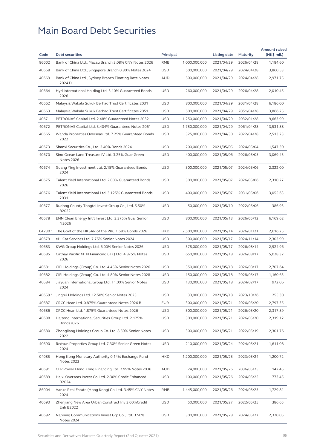| Code    | <b>Debt securities</b>                                                 | Principal  |               | <b>Listing date</b> | <b>Maturity</b> | <b>Amount raised</b><br>(HK\$ mil.) |
|---------|------------------------------------------------------------------------|------------|---------------|---------------------|-----------------|-------------------------------------|
| 86002   | Bank of China Ltd., Macau Branch 3.08% CNY Notes 2026                  | <b>RMB</b> | 1,000,000,000 | 2021/04/29          | 2026/04/28      | 1,184.60                            |
| 40668   | Bank of China Ltd., Singapore Branch 0.80% Notes 2024                  | <b>USD</b> | 500,000,000   | 2021/04/29          | 2024/04/28      | 3,860.53                            |
| 40669   | Bank of China Ltd., Sydney Branch Floating Rate Notes<br>2024 D        | <b>AUD</b> | 500,000,000   | 2021/04/29          | 2024/04/28      | 2,971.75                            |
| 40664   | Hyd International Holding Ltd. 3.10% Guaranteed Bonds<br>2026          | <b>USD</b> | 260,000,000   | 2021/04/29          | 2026/04/28      | 2,010.45                            |
| 40662   | Malaysia Wakala Sukuk Berhad Trust Certificates 2031                   | <b>USD</b> | 800,000,000   | 2021/04/29          | 2031/04/28      | 6,186.00                            |
| 40663   | Malaysia Wakala Sukuk Berhad Trust Certificates 2051                   | <b>USD</b> | 500,000,000   | 2021/04/29          | 2051/04/28      | 3,866.25                            |
| 40671   | PETRONAS Capital Ltd. 2.48% Guaranteed Notes 2032                      | <b>USD</b> | 1,250,000,000 | 2021/04/29          | 2032/01/28      | 9,663.99                            |
| 40672   | PETRONAS Capital Ltd. 3.404% Guaranteed Notes 2061                     | <b>USD</b> | 1,750,000,000 | 2021/04/29          | 2061/04/28      | 13,531.88                           |
| 40665   | Wanda Properties Overseas Ltd. 7.25% Guaranteed Bonds<br>2022          | <b>USD</b> | 325,000,000   | 2021/04/30          | 2022/04/28      | 2,513.23                            |
| 40673   | Shanxi Securities Co., Ltd. 3.40% Bonds 2024                           | <b>USD</b> | 200,000,000   | 2021/05/05          | 2024/05/04      | 1,547.30                            |
| 40670   | Sino-Ocean Land Treasure IV Ltd. 3.25% Guar Green<br><b>Notes 2026</b> | <b>USD</b> | 400,000,000   | 2021/05/06          | 2026/05/05      | 3,069.43                            |
| 40674   | Guang Ying Investment Ltd. 2.15% Guaranteed Bonds<br>2024              | <b>USD</b> | 300,000,000   | 2021/05/07          | 2024/05/06      | 2,322.00                            |
| 40675   | Talent Yield International Ltd. 2.00% Guaranteed Bonds<br>2026         | <b>USD</b> | 300,000,000   | 2021/05/07          | 2026/05/06      | 2,310.27                            |
| 40676   | Talent Yield International Ltd. 3.125% Guaranteed Bonds<br>2031        | <b>USD</b> | 400,000,000   | 2021/05/07          | 2031/05/06      | 3,055.63                            |
| 40677   | Rudong County Tongtai Invest Group Co., Ltd. 5.50%<br>B2022            | <b>USD</b> | 50,000,000    | 2021/05/10          | 2022/05/06      | 386.93                              |
| 40678   | ENN Clean Energy Int'l Invest Ltd. 3.375% Guar Senior<br>N2026         | <b>USD</b> | 800,000,000   | 2021/05/13          | 2026/05/12      | 6,169.62                            |
| 04230 # | The Govt of the HKSAR of the PRC 1.68% Bonds 2026                      | <b>HKD</b> | 2,500,000,000 | 2021/05/14          | 2026/01/21      | 2,616.25                            |
| 40679   | eHi Car Services Ltd. 7.75% Senior Notes 2024                          | <b>USD</b> | 300,000,000   | 2021/05/17          | 2024/11/14      | 2,303.99                            |
| 40683   | KWG Group Holdings Ltd. 6.00% Senior Notes 2026                        | <b>USD</b> | 378,000,000   | 2021/05/17          | 2026/08/14      | 2,924.96                            |
| 40685   | Cathay Pacific MTN Financing (HK) Ltd. 4.875% Notes<br>2026            | <b>USD</b> | 650,000,000   | 2021/05/18          | 2026/08/17      | 5,028.32                            |
| 40681   | CIFI Holdings (Group) Co. Ltd. 4.45% Senior Notes 2026                 | <b>USD</b> | 350,000,000   | 2021/05/18          | 2026/08/17      | 2,707.64                            |
| 40682   | CIFI Holdings (Group) Co. Ltd. 4.80% Senior Notes 2028                 | <b>USD</b> | 150,000,000   | 2021/05/18          | 2028/05/17      | 1,160.63                            |
| 40684   | Jiayuan International Group Ltd. 11.00% Senior Notes<br>2024           | <b>USD</b> | 130,000,000   | 2021/05/18          | 2024/02/17      | 972.06                              |
| 40659 # | Jingrui Holdings Ltd. 12.50% Senior Notes 2023                         | <b>USD</b> | 33,000,000    | 2021/05/18          | 2023/10/26      | 255.30                              |
| 40687   | CRCC Hean Ltd. 0.875% Guaranteed Notes 2026 B                          | <b>EUR</b> | 300,000,000   | 2021/05/21          | 2026/05/20      | 2,797.35                            |
| 40686   | CRCC Hean Ltd. 1.875% Guaranteed Notes 2026                            | <b>USD</b> | 300,000,000   | 2021/05/21          | 2026/05/20      | 2,317.89                            |
| 40688   | Haitong International Securities Group Ltd. 2.125%<br>Bonds2026        | <b>USD</b> | 300,000,000   | 2021/05/21          | 2026/05/20      | 2,319.12                            |
| 40680   | Zhongliang Holdings Group Co. Ltd. 8.50% Senior Notes<br>2022          | <b>USD</b> | 300,000,000   | 2021/05/21          | 2022/05/19      | 2,301.76                            |
| 40690   | Redsun Properties Group Ltd. 7.30% Senior Green Notes<br>2024          | <b>USD</b> | 210,000,000   | 2021/05/24          | 2024/05/21      | 1,611.08                            |
| 04085   | Hong Kong Monetary Authority 0.14% Exchange Fund<br><b>Notes 2023</b>  | <b>HKD</b> | 1,200,000,000 | 2021/05/25          | 2023/05/24      | 1,200.72                            |
| 40691   | CLP Power Hong Kong Financing Ltd. 2.99% Notes 2036                    | <b>AUD</b> | 24,000,000    | 2021/05/26          | 2036/05/25      | 142.45                              |
| 40689   | Haixi Overseas Invest Co. Ltd. 2.30% Credit Enhanced<br>B2024          | <b>USD</b> | 100,000,000   | 2021/05/26          | 2024/05/25      | 773.45                              |
| 86004   | Vanke Real Estate (Hong Kong) Co. Ltd. 3.45% CNY Notes<br>2024         | <b>RMB</b> | 1,445,000,000 | 2021/05/26          | 2024/05/25      | 1,729.81                            |
| 40693   | Zhenjiang New Area Urban Construct Inv 3.00%Credit<br>Enh B2022        | <b>USD</b> | 50,000,000    | 2021/05/27          | 2022/05/25      | 386.65                              |
| 40692   | Nanning Communications Invest Grp Co., Ltd. 3.50%<br>Notes 2024        | <b>USD</b> | 300,000,000   | 2021/05/28          | 2024/05/27      | 2,320.05                            |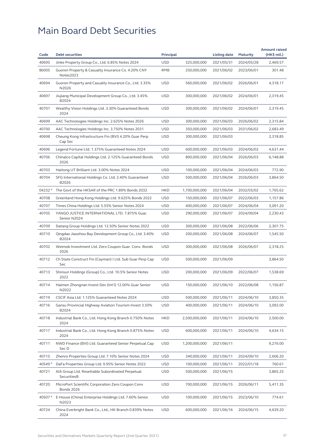| Code    | <b>Debt securities</b>                                                 | Principal  |               | <b>Listing date</b> | <b>Maturity</b> | <b>Amount raised</b><br>$(HK\$ mil.) |
|---------|------------------------------------------------------------------------|------------|---------------|---------------------|-----------------|--------------------------------------|
| 40695   | Jinke Property Group Co., Ltd. 6.85% Notes 2024                        | <b>USD</b> | 325,000,000   | 2021/05/31          | 2024/05/28      | 2,469.57                             |
| 86005   | Guoren Property & Casualty Insurance Co. 4.20% CNY<br>Notes2023        | RMB        | 250,000,000   | 2021/06/02          | 2023/06/01      | 301.48                               |
| 40694   | Guoren Property and Casualty Insurance Co., Ltd. 3.35%<br>N2026        | <b>USD</b> | 560,000,000   | 2021/06/02          | 2026/06/01      | 4,318.17                             |
| 40697   | Jiujiang Municipal Development Group Co., Ltd. 3.45%<br>B2024          | <b>USD</b> | 300,000,000   | 2021/06/02          | 2024/06/01      | 2,319.45                             |
| 40701   | Wealthy Vision Holdings Ltd. 3.30% Guaranteed Bonds<br>2024            | <b>USD</b> | 300,000,000   | 2021/06/02          | 2024/06/01      | 2,319.45                             |
| 40699   | AAC Technologies Holdings Inc. 2.625% Notes 2026                       | <b>USD</b> | 300,000,000   | 2021/06/03          | 2026/06/02      | 2,315.84                             |
| 40700   | AAC Technologies Holdings Inc. 3.750% Notes 2031                       | <b>USD</b> | 350,000,000   | 2021/06/03          | 2031/06/02      | 2,683.49                             |
| 40698   | Cheung Kong Infrastructure Fin (BVI) 4.20% Guar Perp<br>Cap Sec        | <b>USD</b> | 300,000,000   | 2021/06/03          |                 | 2,318.85                             |
| 40696   | Legend Fortune Ltd. 1.375% Guaranteed Notes 2024                       | <b>USD</b> | 600,000,000   | 2021/06/03          | 2024/06/02      | 4,631.44                             |
| 40706   | Chinalco Capital Holdings Ltd. 2.125% Guaranteed Bonds<br>2026         | <b>USD</b> | 800,000,000   | 2021/06/04          | 2026/06/03      | 6,148.88                             |
| 40703   | Haitong UT Brilliant Ltd. 3.00% Notes 2024                             | <b>USD</b> | 100,000,000   | 2021/06/04          | 2024/06/03      | 772.90                               |
| 40704   | SFG International Holdings Co. Ltd. 2.40% Guaranteed<br>B2026          | <b>USD</b> | 500,000,000   | 2021/06/04          | 2026/06/03      | 3,864.50                             |
| 04232 # | The Govt of the HKSAR of the PRC 1.89% Bonds 2032                      | <b>HKD</b> | 1,700,000,000 | 2021/06/04          | 2032/03/02      | 1,765.62                             |
| 40708   | Greenland Hong Kong Holdings Ltd. 9.625% Bonds 2022                    | <b>USD</b> | 150,000,000   | 2021/06/07          | 2022/06/03      | 1,157.86                             |
| 40707   | Times China Holdings Ltd. 5.55% Senior Notes 2024                      | <b>USD</b> | 400,000,000   | 2021/06/07          | 2024/06/04      | 3,091.20                             |
| 40705   | YANGO JUSTICE INTERNATIONAL LTD. 7.875% Guar.<br>Senior N2024          | <b>USD</b> | 290,000,000   | 2021/06/07          | 2024/09/04      | 2,230.43                             |
| 40709   | Datang Group Holdings Ltd. 12.50% Senior Notes 2022                    | <b>USD</b> | 300,000,000   | 2021/06/08          | 2022/06/06      | 2,307.75                             |
| 40710   | Qingdao Jiaozhou Bay Development Group Co., Ltd. 3.40%<br>B2024        | <b>USD</b> | 200,000,000   | 2021/06/08          | 2024/06/07      | 1,545.50                             |
| 40702   | Weimob Investment Ltd. Zero Coupon Guar. Conv. Bonds<br>2026           | <b>USD</b> | 300,000,000   | 2021/06/08          | 2026/06/07      | 2,318.25                             |
| 40712   | Ch State Construct Fin (Cayman) I Ltd. Sub Guar Perp Cap<br>Sec        | <b>USD</b> | 500,000,000   | 2021/06/09          |                 | 3,864.50                             |
| 40713   | Shinsun Holdings (Group) Co., Ltd. 10.5% Senior Notes<br>2022          | <b>USD</b> | 200,000,000   | 2021/06/09          | 2022/06/07      | 1,538.69                             |
| 40714   | Haimen Zhongnan Invest Dev (Int'l) 12.00% Guar Senior<br>N2022         | <b>USD</b> | 150,000,000   | 2021/06/10          | 2022/06/08      | 1,156.87                             |
| 40719   | CSCIF Asia Ltd. 1.125% Guaranteed Notes 2024                           | <b>USD</b> | 500,000,000   | 2021/06/11          | 2024/06/10      | 3,850.35                             |
| 40716   | Gansu Provincial Highway Aviation Tourism Invest 3.50%<br>B2024        | <b>USD</b> | 400,000,000   | 2021/06/11          | 2024/06/10      | 3,092.00                             |
| 40718   | Industrial Bank Co., Ltd. Hong Kong Branch 0.750% Notes<br>2024        | <b>HKD</b> | 2,500,000,000 | 2021/06/11          | 2024/06/10      | 2,500.00                             |
| 40717   | Industrial Bank Co., Ltd. Hong Kong Branch 0.875% Notes<br>2024        | <b>USD</b> | 600,000,000   | 2021/06/11          | 2024/06/10      | 4,634.15                             |
| 40711   | NWD Finance (BVI) Ltd. Guaranteed Senior Perpetual Cap<br>Sec D        | <b>USD</b> | 1,200,000,000 | 2021/06/11          |                 | 9,276.00                             |
| 40715   | Zhenro Properties Group Ltd. 7.10% Senior Notes 2024                   | <b>USD</b> | 340,000,000   | 2021/06/11          | 2024/09/10      | 2,606.20                             |
| 40549 # | DaFa Properties Group Ltd. 9.95% Senior Notes 2022                     | <b>USD</b> | 100,000,000   | 2021/06/11          | 2022/01/18      | 760.61                               |
| 40721   | AIA Group Ltd. Resettable Subordinated Perpetual<br>SecuritiesB        | <b>USD</b> | 500,000,000   | 2021/06/15          |                 | 3,865.25                             |
| 40720   | MicroPort Scientific Corporation Zero Coupon Conv<br><b>Bonds 2026</b> | <b>USD</b> | 700,000,000   | 2021/06/15          | 2026/06/11      | 5,411.35                             |
| 40507 # | E-House (China) Enterprise Holdings Ltd. 7.60% Senior<br>N2023         | <b>USD</b> | 100,000,000   | 2021/06/15          | 2023/06/10      | 774.61                               |
| 40724   | China Everbright Bank Co., Ltd., HK Branch 0.839% Notes<br>2024        | <b>USD</b> | 600,000,000   | 2021/06/16          | 2024/06/15      | 4,639.20                             |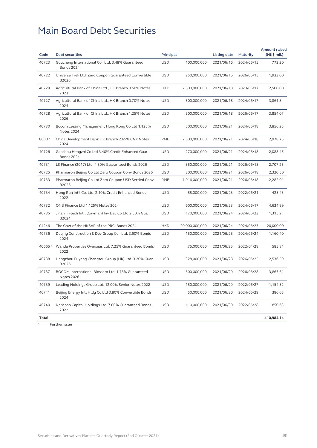| 40723<br>Goucheng International Co., Ltd. 3.48% Guaranteed<br><b>USD</b><br>100,000,000<br>2021/06/16<br>773.20<br>2024/06/15<br><b>Bonds 2024</b><br>40722<br><b>USD</b><br>250,000,000<br>Universe Trek Ltd. Zero Coupon Guaranteed Convertible<br>2021/06/16<br>2026/06/15<br>1,933.00<br>B2026<br>40729<br>Agricultural Bank of China Ltd., HK Branch 0.50% Notes<br><b>HKD</b><br>2,500,000,000<br>2021/06/18<br>2,500.00<br>2023/06/17<br>2023<br>40727<br>Agricultural Bank of China Ltd., HK Branch 0.70% Notes<br><b>USD</b><br>500,000,000<br>3,861.84<br>2021/06/18<br>2024/06/17<br>2024<br>40728<br>Agricultural Bank of China Ltd., HK Branch 1.25% Notes<br><b>USD</b><br>500,000,000<br>2021/06/18<br>2026/06/17<br>3,854.07<br>2026<br>40730<br><b>USD</b><br>Bocom Leasing Management Hong Kong Co Ltd 1.125%<br>500,000,000<br>2021/06/21<br>2024/06/18<br>3,856.25<br><b>Notes 2024</b><br>86007<br>China Development Bank HK Branch 2.65% CNY Notes<br><b>RMB</b><br>2,500,000,000<br>2021/06/21<br>2,978.75<br>2024/06/18<br>2024<br>40726<br><b>USD</b><br>Ganzhou Hengzhi Co Ltd 3.40% Credit Enhanced Guar<br>270,000,000<br>2021/06/21<br>2,088.45<br>2024/06/18<br><b>Bonds 2024</b><br>40731<br>LS Finance (2017) Ltd. 4.80% Guaranteed Bonds 2026<br><b>USD</b><br>350,000,000<br>2021/06/21<br>2026/06/18<br>2,707.25<br>40725<br><b>USD</b><br>Pharmaron Beijing Co Ltd Zero Coupon Conv Bonds 2026<br>300,000,000<br>2021/06/21<br>2026/06/18<br>2,320.50<br>40733<br>Pharmaron Beijing Co Ltd Zero Coupon USD Settled Conv<br><b>RMB</b><br>1,916,000,000<br>2021/06/21<br>2,282.91<br>2026/06/18<br>B2026<br>40734<br>Hong Run Int'l Co. Ltd. 2.10% Credit Enhanced Bonds<br><b>USD</b><br>55,000,000<br>2021/06/23<br>2022/06/21<br>425.43<br>2022<br><b>USD</b><br>40732<br>QNB Finance Ltd 1.125% Notes 2024<br>600,000,000<br>2021/06/23<br>4,634.99<br>2024/06/17<br>40735<br><b>USD</b><br>Jinan Hi-tech Int'l (Cayman) Inv Dev Co Ltd 2.50% Guar<br>170,000,000<br>2021/06/24<br>2024/06/23<br>1,315.21<br>B2024<br>04246<br>The Govt of the HKSAR of the PRC iBonds 2024<br><b>HKD</b><br>20,000,000,000<br>2021/06/24<br>2024/06/23<br>20,000.00<br>40736<br><b>USD</b><br>Deging Construction & Dev Group Co., Ltd. 3.60% Bonds<br>150,000,000<br>2021/06/25<br>2024/06/24<br>1,160.40<br>2024<br>40665 #<br>Wanda Properties Overseas Ltd. 7.25% Guaranteed Bonds<br><b>USD</b><br>75,000,000<br>2021/06/25<br>2022/04/28<br>585.81<br>2022<br>40738<br><b>USD</b><br>Hangzhou Fuyang Chengtou Group (HK) Ltd. 3.20% Guar.<br>328,000,000<br>2021/06/28<br>2026/06/25<br>2,536.59<br>B2026<br>40737<br>BOCOM International Blossom Ltd. 1.75% Guaranteed<br><b>USD</b><br>500,000,000<br>2021/06/29<br>3,863.61<br>2026/06/28<br><b>Notes 2026</b><br>40739<br>Leading Holdings Group Ltd. 12.00% Senior Notes 2022<br><b>USD</b><br>150,000,000<br>2021/06/29<br>1,154.52<br>2022/06/27<br>40741<br>Beijing Energy Intl Hldg Co Ltd 3.80% Convertible Bonds<br><b>USD</b><br>50,000,000<br>386.65<br>2021/06/30<br>2024/06/29<br>2024<br>40740<br><b>USD</b><br>850.63<br>Nanshan Capital Holdings Ltd. 7.00% Guaranteed Bonds<br>110,000,000<br>2021/06/30<br>2022/06/28<br>2022<br>410,984.14<br>Total | Code | <b>Debt securities</b> | <b>Principal</b> | <b>Listing date</b> | <b>Maturity</b> | <b>Amount raised</b><br>(HK\$ mil.) |
|--------------------------------------------------------------------------------------------------------------------------------------------------------------------------------------------------------------------------------------------------------------------------------------------------------------------------------------------------------------------------------------------------------------------------------------------------------------------------------------------------------------------------------------------------------------------------------------------------------------------------------------------------------------------------------------------------------------------------------------------------------------------------------------------------------------------------------------------------------------------------------------------------------------------------------------------------------------------------------------------------------------------------------------------------------------------------------------------------------------------------------------------------------------------------------------------------------------------------------------------------------------------------------------------------------------------------------------------------------------------------------------------------------------------------------------------------------------------------------------------------------------------------------------------------------------------------------------------------------------------------------------------------------------------------------------------------------------------------------------------------------------------------------------------------------------------------------------------------------------------------------------------------------------------------------------------------------------------------------------------------------------------------------------------------------------------------------------------------------------------------------------------------------------------------------------------------------------------------------------------------------------------------------------------------------------------------------------------------------------------------------------------------------------------------------------------------------------------------------------------------------------------------------------------------------------------------------------------------------------------------------------------------------------------------------------------------------------------------------------------------------------------------------------------------------------------------------------------------------------------------------------------------------------------------------------------------------------------------------------------------------------------------------------------------------------------------------------------------------------------------------------------------------------------------------------------------------------------------------------------------------|------|------------------------|------------------|---------------------|-----------------|-------------------------------------|
|                                                                                                                                                                                                                                                                                                                                                                                                                                                                                                                                                                                                                                                                                                                                                                                                                                                                                                                                                                                                                                                                                                                                                                                                                                                                                                                                                                                                                                                                                                                                                                                                                                                                                                                                                                                                                                                                                                                                                                                                                                                                                                                                                                                                                                                                                                                                                                                                                                                                                                                                                                                                                                                                                                                                                                                                                                                                                                                                                                                                                                                                                                                                                                                                                                                        |      |                        |                  |                     |                 |                                     |
|                                                                                                                                                                                                                                                                                                                                                                                                                                                                                                                                                                                                                                                                                                                                                                                                                                                                                                                                                                                                                                                                                                                                                                                                                                                                                                                                                                                                                                                                                                                                                                                                                                                                                                                                                                                                                                                                                                                                                                                                                                                                                                                                                                                                                                                                                                                                                                                                                                                                                                                                                                                                                                                                                                                                                                                                                                                                                                                                                                                                                                                                                                                                                                                                                                                        |      |                        |                  |                     |                 |                                     |
|                                                                                                                                                                                                                                                                                                                                                                                                                                                                                                                                                                                                                                                                                                                                                                                                                                                                                                                                                                                                                                                                                                                                                                                                                                                                                                                                                                                                                                                                                                                                                                                                                                                                                                                                                                                                                                                                                                                                                                                                                                                                                                                                                                                                                                                                                                                                                                                                                                                                                                                                                                                                                                                                                                                                                                                                                                                                                                                                                                                                                                                                                                                                                                                                                                                        |      |                        |                  |                     |                 |                                     |
|                                                                                                                                                                                                                                                                                                                                                                                                                                                                                                                                                                                                                                                                                                                                                                                                                                                                                                                                                                                                                                                                                                                                                                                                                                                                                                                                                                                                                                                                                                                                                                                                                                                                                                                                                                                                                                                                                                                                                                                                                                                                                                                                                                                                                                                                                                                                                                                                                                                                                                                                                                                                                                                                                                                                                                                                                                                                                                                                                                                                                                                                                                                                                                                                                                                        |      |                        |                  |                     |                 |                                     |
|                                                                                                                                                                                                                                                                                                                                                                                                                                                                                                                                                                                                                                                                                                                                                                                                                                                                                                                                                                                                                                                                                                                                                                                                                                                                                                                                                                                                                                                                                                                                                                                                                                                                                                                                                                                                                                                                                                                                                                                                                                                                                                                                                                                                                                                                                                                                                                                                                                                                                                                                                                                                                                                                                                                                                                                                                                                                                                                                                                                                                                                                                                                                                                                                                                                        |      |                        |                  |                     |                 |                                     |
|                                                                                                                                                                                                                                                                                                                                                                                                                                                                                                                                                                                                                                                                                                                                                                                                                                                                                                                                                                                                                                                                                                                                                                                                                                                                                                                                                                                                                                                                                                                                                                                                                                                                                                                                                                                                                                                                                                                                                                                                                                                                                                                                                                                                                                                                                                                                                                                                                                                                                                                                                                                                                                                                                                                                                                                                                                                                                                                                                                                                                                                                                                                                                                                                                                                        |      |                        |                  |                     |                 |                                     |
|                                                                                                                                                                                                                                                                                                                                                                                                                                                                                                                                                                                                                                                                                                                                                                                                                                                                                                                                                                                                                                                                                                                                                                                                                                                                                                                                                                                                                                                                                                                                                                                                                                                                                                                                                                                                                                                                                                                                                                                                                                                                                                                                                                                                                                                                                                                                                                                                                                                                                                                                                                                                                                                                                                                                                                                                                                                                                                                                                                                                                                                                                                                                                                                                                                                        |      |                        |                  |                     |                 |                                     |
|                                                                                                                                                                                                                                                                                                                                                                                                                                                                                                                                                                                                                                                                                                                                                                                                                                                                                                                                                                                                                                                                                                                                                                                                                                                                                                                                                                                                                                                                                                                                                                                                                                                                                                                                                                                                                                                                                                                                                                                                                                                                                                                                                                                                                                                                                                                                                                                                                                                                                                                                                                                                                                                                                                                                                                                                                                                                                                                                                                                                                                                                                                                                                                                                                                                        |      |                        |                  |                     |                 |                                     |
|                                                                                                                                                                                                                                                                                                                                                                                                                                                                                                                                                                                                                                                                                                                                                                                                                                                                                                                                                                                                                                                                                                                                                                                                                                                                                                                                                                                                                                                                                                                                                                                                                                                                                                                                                                                                                                                                                                                                                                                                                                                                                                                                                                                                                                                                                                                                                                                                                                                                                                                                                                                                                                                                                                                                                                                                                                                                                                                                                                                                                                                                                                                                                                                                                                                        |      |                        |                  |                     |                 |                                     |
|                                                                                                                                                                                                                                                                                                                                                                                                                                                                                                                                                                                                                                                                                                                                                                                                                                                                                                                                                                                                                                                                                                                                                                                                                                                                                                                                                                                                                                                                                                                                                                                                                                                                                                                                                                                                                                                                                                                                                                                                                                                                                                                                                                                                                                                                                                                                                                                                                                                                                                                                                                                                                                                                                                                                                                                                                                                                                                                                                                                                                                                                                                                                                                                                                                                        |      |                        |                  |                     |                 |                                     |
|                                                                                                                                                                                                                                                                                                                                                                                                                                                                                                                                                                                                                                                                                                                                                                                                                                                                                                                                                                                                                                                                                                                                                                                                                                                                                                                                                                                                                                                                                                                                                                                                                                                                                                                                                                                                                                                                                                                                                                                                                                                                                                                                                                                                                                                                                                                                                                                                                                                                                                                                                                                                                                                                                                                                                                                                                                                                                                                                                                                                                                                                                                                                                                                                                                                        |      |                        |                  |                     |                 |                                     |
|                                                                                                                                                                                                                                                                                                                                                                                                                                                                                                                                                                                                                                                                                                                                                                                                                                                                                                                                                                                                                                                                                                                                                                                                                                                                                                                                                                                                                                                                                                                                                                                                                                                                                                                                                                                                                                                                                                                                                                                                                                                                                                                                                                                                                                                                                                                                                                                                                                                                                                                                                                                                                                                                                                                                                                                                                                                                                                                                                                                                                                                                                                                                                                                                                                                        |      |                        |                  |                     |                 |                                     |
|                                                                                                                                                                                                                                                                                                                                                                                                                                                                                                                                                                                                                                                                                                                                                                                                                                                                                                                                                                                                                                                                                                                                                                                                                                                                                                                                                                                                                                                                                                                                                                                                                                                                                                                                                                                                                                                                                                                                                                                                                                                                                                                                                                                                                                                                                                                                                                                                                                                                                                                                                                                                                                                                                                                                                                                                                                                                                                                                                                                                                                                                                                                                                                                                                                                        |      |                        |                  |                     |                 |                                     |
|                                                                                                                                                                                                                                                                                                                                                                                                                                                                                                                                                                                                                                                                                                                                                                                                                                                                                                                                                                                                                                                                                                                                                                                                                                                                                                                                                                                                                                                                                                                                                                                                                                                                                                                                                                                                                                                                                                                                                                                                                                                                                                                                                                                                                                                                                                                                                                                                                                                                                                                                                                                                                                                                                                                                                                                                                                                                                                                                                                                                                                                                                                                                                                                                                                                        |      |                        |                  |                     |                 |                                     |
|                                                                                                                                                                                                                                                                                                                                                                                                                                                                                                                                                                                                                                                                                                                                                                                                                                                                                                                                                                                                                                                                                                                                                                                                                                                                                                                                                                                                                                                                                                                                                                                                                                                                                                                                                                                                                                                                                                                                                                                                                                                                                                                                                                                                                                                                                                                                                                                                                                                                                                                                                                                                                                                                                                                                                                                                                                                                                                                                                                                                                                                                                                                                                                                                                                                        |      |                        |                  |                     |                 |                                     |
|                                                                                                                                                                                                                                                                                                                                                                                                                                                                                                                                                                                                                                                                                                                                                                                                                                                                                                                                                                                                                                                                                                                                                                                                                                                                                                                                                                                                                                                                                                                                                                                                                                                                                                                                                                                                                                                                                                                                                                                                                                                                                                                                                                                                                                                                                                                                                                                                                                                                                                                                                                                                                                                                                                                                                                                                                                                                                                                                                                                                                                                                                                                                                                                                                                                        |      |                        |                  |                     |                 |                                     |
|                                                                                                                                                                                                                                                                                                                                                                                                                                                                                                                                                                                                                                                                                                                                                                                                                                                                                                                                                                                                                                                                                                                                                                                                                                                                                                                                                                                                                                                                                                                                                                                                                                                                                                                                                                                                                                                                                                                                                                                                                                                                                                                                                                                                                                                                                                                                                                                                                                                                                                                                                                                                                                                                                                                                                                                                                                                                                                                                                                                                                                                                                                                                                                                                                                                        |      |                        |                  |                     |                 |                                     |
|                                                                                                                                                                                                                                                                                                                                                                                                                                                                                                                                                                                                                                                                                                                                                                                                                                                                                                                                                                                                                                                                                                                                                                                                                                                                                                                                                                                                                                                                                                                                                                                                                                                                                                                                                                                                                                                                                                                                                                                                                                                                                                                                                                                                                                                                                                                                                                                                                                                                                                                                                                                                                                                                                                                                                                                                                                                                                                                                                                                                                                                                                                                                                                                                                                                        |      |                        |                  |                     |                 |                                     |
|                                                                                                                                                                                                                                                                                                                                                                                                                                                                                                                                                                                                                                                                                                                                                                                                                                                                                                                                                                                                                                                                                                                                                                                                                                                                                                                                                                                                                                                                                                                                                                                                                                                                                                                                                                                                                                                                                                                                                                                                                                                                                                                                                                                                                                                                                                                                                                                                                                                                                                                                                                                                                                                                                                                                                                                                                                                                                                                                                                                                                                                                                                                                                                                                                                                        |      |                        |                  |                     |                 |                                     |
|                                                                                                                                                                                                                                                                                                                                                                                                                                                                                                                                                                                                                                                                                                                                                                                                                                                                                                                                                                                                                                                                                                                                                                                                                                                                                                                                                                                                                                                                                                                                                                                                                                                                                                                                                                                                                                                                                                                                                                                                                                                                                                                                                                                                                                                                                                                                                                                                                                                                                                                                                                                                                                                                                                                                                                                                                                                                                                                                                                                                                                                                                                                                                                                                                                                        |      |                        |                  |                     |                 |                                     |
|                                                                                                                                                                                                                                                                                                                                                                                                                                                                                                                                                                                                                                                                                                                                                                                                                                                                                                                                                                                                                                                                                                                                                                                                                                                                                                                                                                                                                                                                                                                                                                                                                                                                                                                                                                                                                                                                                                                                                                                                                                                                                                                                                                                                                                                                                                                                                                                                                                                                                                                                                                                                                                                                                                                                                                                                                                                                                                                                                                                                                                                                                                                                                                                                                                                        |      |                        |                  |                     |                 |                                     |
|                                                                                                                                                                                                                                                                                                                                                                                                                                                                                                                                                                                                                                                                                                                                                                                                                                                                                                                                                                                                                                                                                                                                                                                                                                                                                                                                                                                                                                                                                                                                                                                                                                                                                                                                                                                                                                                                                                                                                                                                                                                                                                                                                                                                                                                                                                                                                                                                                                                                                                                                                                                                                                                                                                                                                                                                                                                                                                                                                                                                                                                                                                                                                                                                                                                        |      |                        |                  |                     |                 |                                     |
|                                                                                                                                                                                                                                                                                                                                                                                                                                                                                                                                                                                                                                                                                                                                                                                                                                                                                                                                                                                                                                                                                                                                                                                                                                                                                                                                                                                                                                                                                                                                                                                                                                                                                                                                                                                                                                                                                                                                                                                                                                                                                                                                                                                                                                                                                                                                                                                                                                                                                                                                                                                                                                                                                                                                                                                                                                                                                                                                                                                                                                                                                                                                                                                                                                                        |      |                        |                  |                     |                 |                                     |

 $\overline{p}$  Further issue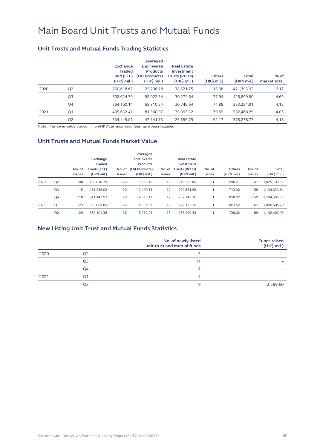### Main Board Unit Trusts and Mutual Funds

### **Unit Trusts and Mutual Funds Trading Statistics**

|      |                | <b>Exchange</b><br><b>Traded</b><br>Fund (ETF)<br>$(HK\$ mil.) | Leveraged<br>and Inverse<br><b>Products</b><br>(L&I Products)<br>$(HK$$ mil.) | <b>Real Estate</b><br>Investment<br><b>Trusts (REITs)</b><br>$(HK$$ mil.) | <b>Others</b><br>(HK\$ mil.) | <b>Total</b><br>$(HK\$ mil.) | $%$ of<br>market total |
|------|----------------|----------------------------------------------------------------|-------------------------------------------------------------------------------|---------------------------------------------------------------------------|------------------------------|------------------------------|------------------------|
| 2020 | Q <sub>2</sub> | 260.618.62                                                     | 122.238.18                                                                    | 38,521.75                                                                 | 15.38                        | 421.393.92                   | 6.17                   |
|      | Q3             | 302.624.79                                                     | 95.922.54                                                                     | 30.274.64                                                                 | 77.94                        | 428.899.90                   | 4.69                   |
|      | Q4             | 264.160.14                                                     | 58.310.24                                                                     | 30.749.64                                                                 | 71.88                        | 353.291.91                   | 4.12                   |
| 2021 | Q1             | 435.632.41                                                     | 81.360.97                                                                     | 35,395.32                                                                 | 79.59                        | 552,468.29                   | 4.05                   |
|      | Q <sub>2</sub> | 304,449.07                                                     | 47.141.73                                                                     | 26.556.79                                                                 | 91.17                        | 378.238.77                   | 4.18                   |

Note: Turnover value traded in non-HKD currency securities have been included

#### **Unit Trusts and Mutual Funds Market Value**

|      |                | No. of<br><b>issues</b> | <b>Exchange</b><br><b>Traded</b><br>Funds (ETF)<br>$(HK$$ mil.) | <b>issues</b> | Leveraged<br>and Inverse<br><b>Products</b><br>No. of (L&I Products)<br>$(HK$$ mil.) | No. of<br>issues | <b>Real Estate</b><br>Investment<br><b>Trusts (REITs)</b><br>$(HK$$ mil.) | No. of<br><b>issues</b> | <b>Others</b><br>(HK\$ mil.) | No. of<br>issues | <b>Total</b><br>(HK\$ mil.) |
|------|----------------|-------------------------|-----------------------------------------------------------------|---------------|--------------------------------------------------------------------------------------|------------------|---------------------------------------------------------------------------|-------------------------|------------------------------|------------------|-----------------------------|
| 2020 | Q <sub>2</sub> | 108                     | 798.018.79                                                      | 26            | 9.966.12                                                                             | 12               | 216.522.80                                                                |                         | 596.21                       | 147              | 1,025,103.93                |
|      | Q <sub>3</sub> | 115                     | 911.238.02                                                      | 30            | 12.400.13                                                                            | 12               | 209.681.58                                                                |                         | 713.92                       | 158              | 1,134,033.64                |
|      | Q <sub>4</sub> | 118                     | 941.143.97                                                      | 28            | 14.618.17                                                                            | 12               | 237.745.36                                                                |                         | 858.02                       | 159              | 1,194,365.51                |
| 2021 | Q <sub>1</sub> | 123                     | 839.088.05                                                      | 26            | 14.531.97                                                                            | 12               | 242.122.26                                                                |                         | 863.52                       | 162              | 1.096.605.79                |
|      | Q <sub>2</sub> | 129                     | 859.104.36                                                      | 26            | 15.287.21                                                                            | 13               | 257.290.34                                                                |                         | 726.02                       | 169              | 1,132,407.93                |

### **New Listing Unit Trust and Mutual Funds Statistics**

|      |    | No. of newly listed<br>unit trust and mutual funds | <b>Funds raised</b><br>$(HK\$ mil.) |
|------|----|----------------------------------------------------|-------------------------------------|
| 2020 | O2 |                                                    | -                                   |
|      | Q3 | 11                                                 |                                     |
|      | Q4 |                                                    | -                                   |
| 2021 | Q1 |                                                    |                                     |
|      | O2 | 9                                                  | 2,589.60                            |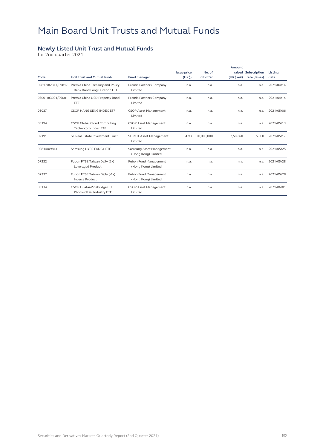## Main Board Unit Trusts and Mutual Funds

#### **Newly Listed Unit Trust and Mutual Funds**

for 2nd quarter 2021

|                   |                                                                 |                                                 |                    |             | Amount     |                     |            |
|-------------------|-----------------------------------------------------------------|-------------------------------------------------|--------------------|-------------|------------|---------------------|------------|
|                   |                                                                 |                                                 | <b>Issue price</b> | No. of      |            | raised Subscription | Listing    |
| Code              | <b>Unit trust and Mutual funds</b>                              | <b>Fund manager</b>                             | (HK <sub>5</sub> ) | unit offer  | (HK\$ mil) | rate (times)        | date       |
| 02817/82817/09817 | Premia China Treasury and Policy<br>Bank Bond Long Duration ETF | Premia Partners Company<br>Limited              | n.a.               | n.a.        | n.a.       | n.a.                | 2021/04/14 |
| 03001/83001/09001 | Premia China USD Property Bond<br>ETF                           | Premia Partners Company<br>Limited              | n.a.               | n.a.        | n.a.       | n.a.                | 2021/04/14 |
| 03037             | CSOP HANG SENG INDEX ETF                                        | <b>CSOP Asset Management</b><br>Limited         | n.a.               | n.a.        | n.a.       | n.a.                | 2021/05/06 |
| 03194             | CSOP Global Cloud Computing<br><b>Technology Index ETF</b>      | <b>CSOP Asset Management</b><br>Limited         | n.a.               | n.a.        | n.a.       | n.a.                | 2021/05/13 |
| 02191             | SF Real Estate Investment Trust                                 | SF REIT Asset Management<br>Limited             | 4.98               | 520,000,000 | 2,589.60   | 5.000               | 2021/05/17 |
| 02814/09814       | Samsung NYSE FANG+ ETF                                          | Samsung Asset Management<br>(Hong Kong) Limited | n.a.               | n.a.        | n.a.       | n.a.                | 2021/05/25 |
| 07232             | Fubon FTSE Taiwan Daily (2x)<br>Leveraged Product               | Fubon Fund Management<br>(Hong Kong) Limited    | n.a.               | n.a.        | n.a.       | n.a.                | 2021/05/28 |
| 07332             | Fubon FTSE Taiwan Daily (-1x)<br><b>Inverse Product</b>         | Fubon Fund Management<br>(Hong Kong) Limited    | n.a.               | n.a.        | n.a.       | n.a.                | 2021/05/28 |
| 03134             | CSOP Huatai-PineBridge CSI<br>Photovoltaic Industry ETF         | CSOP Asset Management<br>Limited                | n.a.               | n.a.        | n.a.       | n.a.                | 2021/06/01 |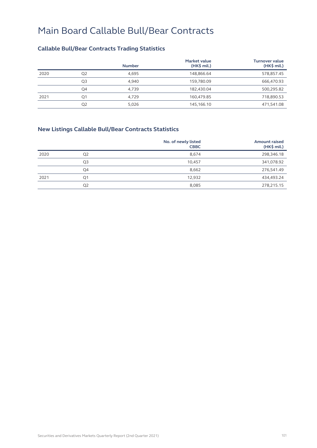### **Callable Bull/Bear Contracts Trading Statistics**

|      |                | <b>Number</b> | <b>Market value</b><br>$(HK\$ mil.) | <b>Turnover value</b><br>$(HK\$ mil.) |
|------|----------------|---------------|-------------------------------------|---------------------------------------|
| 2020 | Q <sub>2</sub> | 4.695         | 148,866.64                          | 578,857.45                            |
|      | Q3             | 4.940         | 159,780.09                          | 666,470.93                            |
|      | Q4             | 4.739         | 182,430.04                          | 500,295.82                            |
| 2021 | Q1             | 4,729         | 160,479.85                          | 718,890.53                            |
|      | Q <sub>2</sub> | 5,026         | 145,166.10                          | 471,541.08                            |

### **New Listings Callable Bull/Bear Contracts Statistics**

| <b>CBBC</b> | <b>Amount raised</b><br>(HK\$ mil.) |
|-------------|-------------------------------------|
| 8,674       | 298,346.18                          |
| 10,457      | 341,078.92                          |
| 8,662       | 276,541.49                          |
| 12.932      | 434,493.24                          |
| 8,085       | 278,215.15                          |
|             | No. of newly listed                 |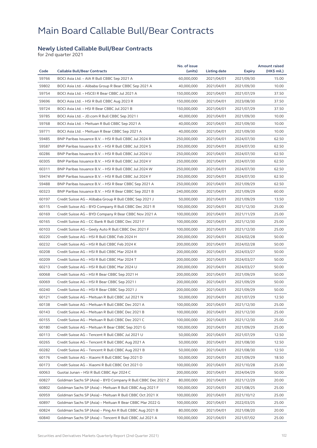#### **Newly Listed Callable Bull/Bear Contracts**

for 2nd quarter 2021

| 59766<br>BOCI Asia Ltd. - AIA R Bull CBBC Sep 2021 A<br>60,000,000<br>2021/04/01<br>2021/09/30<br>15.00<br>59802<br>BOCI Asia Ltd. - Alibaba Group R Bear CBBC Sep 2021 A<br>40,000,000<br>2021/04/01<br>2021/09/30<br>10.00<br>59754<br>BOCI Asia Ltd. - HSCEI R Bear CBBC Jul 2021 A<br>150,000,000<br>2021/04/01<br>2021/07/29<br>37.50<br>59696<br>BOCI Asia Ltd. - HSI R Bull CBBC Aug 2023 R<br>150,000,000<br>2021/04/01<br>2023/08/30<br>37.50<br>59724<br>BOCI Asia Ltd. - HSI R Bear CBBC Jul 2021 B<br>150,000,000<br>2021/04/01<br>2021/07/29<br>37.50<br>59785<br>BOCI Asia Ltd. - JD.com R Bull CBBC Sep 2021 I<br>40,000,000<br>2021/04/01<br>2021/09/30<br>10.00<br>59768<br>10.00<br>BOCI Asia Ltd. - Meituan R Bull CBBC Sep 2021 A<br>40,000,000<br>2021/04/01<br>2021/09/30<br>59771<br>BOCI Asia Ltd. - Meituan R Bear CBBC Sep 2021 A<br>40,000,000<br>2021/04/01<br>2021/09/30<br>10.00<br>59485<br>BNP Paribas Issuance B.V. - HSI R Bull CBBC Jul 2024 R<br>62.50<br>250,000,000<br>2021/04/01<br>2024/07/30<br>59587<br>62.50<br>BNP Paribas Issuance B.V. - HSI R Bull CBBC Jul 2024 S<br>250,000,000<br>2024/07/30<br>2021/04/01<br>60286<br>BNP Paribas Issuance B.V. - HSI R Bull CBBC Jul 2024 U<br>250,000,000<br>2021/04/01<br>2024/07/30<br>62.50<br>60305<br>62.50<br>BNP Paribas Issuance B.V. - HSI R Bull CBBC Jul 2024 V<br>250,000,000<br>2021/04/01<br>2024/07/30<br>60311<br>BNP Paribas Issuance B.V. - HSI R Bull CBBC Jul 2024 W<br>250,000,000<br>2021/04/01<br>2024/07/30<br>62.50<br>59474<br>62.50<br>BNP Paribas Issuance B.V. - HSI R Bull CBBC Jul 2024 Y<br>250,000,000<br>2021/04/01<br>2024/07/30<br>59488<br>BNP Paribas Issuance B.V. - HSI R Bear CBBC Sep 2021 A<br>62.50<br>250,000,000<br>2021/04/01<br>2021/09/29<br>60323<br>BNP Paribas Issuance B.V. - HSI R Bear CBBC Sep 2021 B<br>240,000,000<br>2021/04/01<br>60.00<br>2021/09/29<br>60197<br>Credit Suisse AG - Alibaba Group R Bull CBBC Sep 2021 J<br>50,000,000<br>2021/04/01<br>2021/09/29<br>13.50<br>60115<br>25.00<br>Credit Suisse AG - BYD Company R Bull CBBC Dec 2021 R<br>100,000,000<br>2021/04/01<br>2021/12/30<br>60169<br>Credit Suisse AG - BYD Company R Bear CBBC Nov 2021 A<br>100,000,000<br>2021/04/01<br>2021/11/29<br>25.00<br>60165<br>Credit Suisse AG - CC Bank R Bull CBBC Dec 2021 F<br>100,000,000<br>2021/04/01<br>2021/12/30<br>25.00<br>60103<br>Credit Suisse AG - Geely Auto R Bull CBBC Dec 2021 F<br>100,000,000<br>25.00<br>2021/04/01<br>2021/12/30<br>60220<br>Credit Suisse AG - HSI R Bull CBBC Feb 2024 H<br>200,000,000<br>2021/04/01<br>2024/02/28<br>50.00<br>60232<br>50.00<br>Credit Suisse AG - HSI R Bull CBBC Feb 2024 K<br>200,000,000<br>2021/04/01<br>2024/02/28<br>60208<br>Credit Suisse AG - HSI R Bull CBBC Mar 2024 R<br>200,000,000<br>2021/04/01<br>2024/03/27<br>50.00<br>60209<br>Credit Suisse AG - HSI R Bull CBBC Mar 2024 T<br>200,000,000<br>2021/04/01<br>2024/03/27<br>50.00<br>60213<br>Credit Suisse AG - HSI R Bull CBBC Mar 2024 U<br>200,000,000<br>50.00<br>2021/04/01<br>2024/03/27<br>60068<br>Credit Suisse AG - HSI R Bear CBBC Sep 2021 H<br>200,000,000<br>2021/04/01<br>50.00<br>2021/09/29<br>60069<br>Credit Suisse AG - HSI R Bear CBBC Sep 2021 I<br>200,000,000<br>2021/04/01<br>2021/09/29<br>50.00<br>50.00<br>60240<br>Credit Suisse AG - HSI R Bear CBBC Sep 2021 J<br>200,000,000<br>2021/04/01<br>2021/09/29<br>12.50<br>60121<br>Credit Suisse AG - Meituan R Bull CBBC Jul 2021 N<br>50,000,000<br>2021/04/01<br>2021/07/29<br>25.00<br>60138<br>100,000,000<br>Credit Suisse AG – Meituan R Bull CBBC Dec 2021 A<br>2021/04/01<br>2021/12/30<br>25.00<br>60143<br>Credit Suisse AG - Meituan R Bull CBBC Dec 2021 B<br>100,000,000<br>2021/04/01<br>2021/12/30<br>60155<br>Credit Suisse AG - Meituan R Bull CBBC Dec 2021 C<br>100,000,000<br>2021/04/01<br>2021/12/30<br>25.00<br>60180<br>25.00<br>Credit Suisse AG - Meituan R Bear CBBC Sep 2021 G<br>100,000,000<br>2021/04/01<br>2021/09/29<br>60113<br>Credit Suisse AG - Tencent R Bull CBBC Jul 2021 U<br>50,000,000<br>2021/04/01<br>12.50<br>2021/07/29<br>60265<br>Credit Suisse AG - Tencent R Bull CBBC Aug 2021 A<br>50,000,000<br>2021/04/01<br>2021/08/30<br>12.50<br>60282<br>12.50<br>Credit Suisse AG - Tencent R Bull CBBC Aug 2021 B<br>50,000,000<br>2021/04/01<br>2021/08/30<br>60176<br>Credit Suisse AG - Xiaomi R Bull CBBC Sep 2021 D<br>50,000,000<br>2021/04/01<br>2021/09/29<br>18.50<br>60173<br>Credit Suisse AG - Xiaomi R Bull CBBC Oct 2021 O<br>100,000,000<br>2021/04/01<br>2021/10/28<br>25.00<br>60063<br>Guotai Junan - HSI R Bull CBBC Apr 2024 C<br>200,000,000<br>2021/04/01<br>2024/04/29<br>50.00<br>60827<br>Goldman Sachs SP (Asia) - BYD Company R Bull CBBC Dec 2021 Z<br>80,000,000<br>2021/04/01<br>20.00<br>2021/12/29<br>60802<br>Goldman Sachs SP (Asia) - Meituan R Bull CBBC Aug 2021 F<br>100,000,000<br>2021/04/01<br>2021/08/25<br>25.00<br>60959<br>Goldman Sachs SP (Asia) - Meituan R Bull CBBC Oct 2021 X<br>100,000,000<br>2021/04/01<br>25.00<br>2021/10/12<br>60897<br>Goldman Sachs SP (Asia) - Meituan R Bear CBBC Mar 2022 G<br>100,000,000<br>2021/04/01<br>2022/03/25<br>25.00<br>60824<br>Goldman Sachs SP (Asia) - Ping An R Bull CBBC Aug 2021 B<br>80,000,000<br>2021/04/01<br>2021/08/20<br>20.00<br>60840<br>Goldman Sachs SP (Asia) - Tencent R Bull CBBC Jul 2021 A<br>100,000,000<br>2021/04/01<br>2021/07/02<br>25.00 | Code | <b>Callable Bull/Bear Contracts</b> | No. of issue<br>(units) | <b>Listing date</b> | <b>Expiry</b> | <b>Amount raised</b><br>(HK\$ mil.) |
|---------------------------------------------------------------------------------------------------------------------------------------------------------------------------------------------------------------------------------------------------------------------------------------------------------------------------------------------------------------------------------------------------------------------------------------------------------------------------------------------------------------------------------------------------------------------------------------------------------------------------------------------------------------------------------------------------------------------------------------------------------------------------------------------------------------------------------------------------------------------------------------------------------------------------------------------------------------------------------------------------------------------------------------------------------------------------------------------------------------------------------------------------------------------------------------------------------------------------------------------------------------------------------------------------------------------------------------------------------------------------------------------------------------------------------------------------------------------------------------------------------------------------------------------------------------------------------------------------------------------------------------------------------------------------------------------------------------------------------------------------------------------------------------------------------------------------------------------------------------------------------------------------------------------------------------------------------------------------------------------------------------------------------------------------------------------------------------------------------------------------------------------------------------------------------------------------------------------------------------------------------------------------------------------------------------------------------------------------------------------------------------------------------------------------------------------------------------------------------------------------------------------------------------------------------------------------------------------------------------------------------------------------------------------------------------------------------------------------------------------------------------------------------------------------------------------------------------------------------------------------------------------------------------------------------------------------------------------------------------------------------------------------------------------------------------------------------------------------------------------------------------------------------------------------------------------------------------------------------------------------------------------------------------------------------------------------------------------------------------------------------------------------------------------------------------------------------------------------------------------------------------------------------------------------------------------------------------------------------------------------------------------------------------------------------------------------------------------------------------------------------------------------------------------------------------------------------------------------------------------------------------------------------------------------------------------------------------------------------------------------------------------------------------------------------------------------------------------------------------------------------------------------------------------------------------------------------------------------------------------------------------------------------------------------------------------------------------------------------------------------------------------------------------------------------------------------------------------------------------------------------------------------------------------------------------------------------------------------------------------------------------------------------------------------------------------------------------------------------------------------------------------------------------------------------------------------------------------------------------------------------------------------------------------------------------------------------------------------------------------------------------------------------------------------------------------------------------------------------------------------------------------------------------------------------------------------------------------------------------------------------------------------------------------------------------------------------------------------------------------------------------------------------------------------------------------------------------------------------|------|-------------------------------------|-------------------------|---------------------|---------------|-------------------------------------|
|                                                                                                                                                                                                                                                                                                                                                                                                                                                                                                                                                                                                                                                                                                                                                                                                                                                                                                                                                                                                                                                                                                                                                                                                                                                                                                                                                                                                                                                                                                                                                                                                                                                                                                                                                                                                                                                                                                                                                                                                                                                                                                                                                                                                                                                                                                                                                                                                                                                                                                                                                                                                                                                                                                                                                                                                                                                                                                                                                                                                                                                                                                                                                                                                                                                                                                                                                                                                                                                                                                                                                                                                                                                                                                                                                                                                                                                                                                                                                                                                                                                                                                                                                                                                                                                                                                                                                                                                                                                                                                                                                                                                                                                                                                                                                                                                                                                                                                                                                                                                                                                                                                                                                                                                                                                                                                                                                                                                                                                                                 |      |                                     |                         |                     |               |                                     |
|                                                                                                                                                                                                                                                                                                                                                                                                                                                                                                                                                                                                                                                                                                                                                                                                                                                                                                                                                                                                                                                                                                                                                                                                                                                                                                                                                                                                                                                                                                                                                                                                                                                                                                                                                                                                                                                                                                                                                                                                                                                                                                                                                                                                                                                                                                                                                                                                                                                                                                                                                                                                                                                                                                                                                                                                                                                                                                                                                                                                                                                                                                                                                                                                                                                                                                                                                                                                                                                                                                                                                                                                                                                                                                                                                                                                                                                                                                                                                                                                                                                                                                                                                                                                                                                                                                                                                                                                                                                                                                                                                                                                                                                                                                                                                                                                                                                                                                                                                                                                                                                                                                                                                                                                                                                                                                                                                                                                                                                                                 |      |                                     |                         |                     |               |                                     |
|                                                                                                                                                                                                                                                                                                                                                                                                                                                                                                                                                                                                                                                                                                                                                                                                                                                                                                                                                                                                                                                                                                                                                                                                                                                                                                                                                                                                                                                                                                                                                                                                                                                                                                                                                                                                                                                                                                                                                                                                                                                                                                                                                                                                                                                                                                                                                                                                                                                                                                                                                                                                                                                                                                                                                                                                                                                                                                                                                                                                                                                                                                                                                                                                                                                                                                                                                                                                                                                                                                                                                                                                                                                                                                                                                                                                                                                                                                                                                                                                                                                                                                                                                                                                                                                                                                                                                                                                                                                                                                                                                                                                                                                                                                                                                                                                                                                                                                                                                                                                                                                                                                                                                                                                                                                                                                                                                                                                                                                                                 |      |                                     |                         |                     |               |                                     |
|                                                                                                                                                                                                                                                                                                                                                                                                                                                                                                                                                                                                                                                                                                                                                                                                                                                                                                                                                                                                                                                                                                                                                                                                                                                                                                                                                                                                                                                                                                                                                                                                                                                                                                                                                                                                                                                                                                                                                                                                                                                                                                                                                                                                                                                                                                                                                                                                                                                                                                                                                                                                                                                                                                                                                                                                                                                                                                                                                                                                                                                                                                                                                                                                                                                                                                                                                                                                                                                                                                                                                                                                                                                                                                                                                                                                                                                                                                                                                                                                                                                                                                                                                                                                                                                                                                                                                                                                                                                                                                                                                                                                                                                                                                                                                                                                                                                                                                                                                                                                                                                                                                                                                                                                                                                                                                                                                                                                                                                                                 |      |                                     |                         |                     |               |                                     |
|                                                                                                                                                                                                                                                                                                                                                                                                                                                                                                                                                                                                                                                                                                                                                                                                                                                                                                                                                                                                                                                                                                                                                                                                                                                                                                                                                                                                                                                                                                                                                                                                                                                                                                                                                                                                                                                                                                                                                                                                                                                                                                                                                                                                                                                                                                                                                                                                                                                                                                                                                                                                                                                                                                                                                                                                                                                                                                                                                                                                                                                                                                                                                                                                                                                                                                                                                                                                                                                                                                                                                                                                                                                                                                                                                                                                                                                                                                                                                                                                                                                                                                                                                                                                                                                                                                                                                                                                                                                                                                                                                                                                                                                                                                                                                                                                                                                                                                                                                                                                                                                                                                                                                                                                                                                                                                                                                                                                                                                                                 |      |                                     |                         |                     |               |                                     |
|                                                                                                                                                                                                                                                                                                                                                                                                                                                                                                                                                                                                                                                                                                                                                                                                                                                                                                                                                                                                                                                                                                                                                                                                                                                                                                                                                                                                                                                                                                                                                                                                                                                                                                                                                                                                                                                                                                                                                                                                                                                                                                                                                                                                                                                                                                                                                                                                                                                                                                                                                                                                                                                                                                                                                                                                                                                                                                                                                                                                                                                                                                                                                                                                                                                                                                                                                                                                                                                                                                                                                                                                                                                                                                                                                                                                                                                                                                                                                                                                                                                                                                                                                                                                                                                                                                                                                                                                                                                                                                                                                                                                                                                                                                                                                                                                                                                                                                                                                                                                                                                                                                                                                                                                                                                                                                                                                                                                                                                                                 |      |                                     |                         |                     |               |                                     |
|                                                                                                                                                                                                                                                                                                                                                                                                                                                                                                                                                                                                                                                                                                                                                                                                                                                                                                                                                                                                                                                                                                                                                                                                                                                                                                                                                                                                                                                                                                                                                                                                                                                                                                                                                                                                                                                                                                                                                                                                                                                                                                                                                                                                                                                                                                                                                                                                                                                                                                                                                                                                                                                                                                                                                                                                                                                                                                                                                                                                                                                                                                                                                                                                                                                                                                                                                                                                                                                                                                                                                                                                                                                                                                                                                                                                                                                                                                                                                                                                                                                                                                                                                                                                                                                                                                                                                                                                                                                                                                                                                                                                                                                                                                                                                                                                                                                                                                                                                                                                                                                                                                                                                                                                                                                                                                                                                                                                                                                                                 |      |                                     |                         |                     |               |                                     |
|                                                                                                                                                                                                                                                                                                                                                                                                                                                                                                                                                                                                                                                                                                                                                                                                                                                                                                                                                                                                                                                                                                                                                                                                                                                                                                                                                                                                                                                                                                                                                                                                                                                                                                                                                                                                                                                                                                                                                                                                                                                                                                                                                                                                                                                                                                                                                                                                                                                                                                                                                                                                                                                                                                                                                                                                                                                                                                                                                                                                                                                                                                                                                                                                                                                                                                                                                                                                                                                                                                                                                                                                                                                                                                                                                                                                                                                                                                                                                                                                                                                                                                                                                                                                                                                                                                                                                                                                                                                                                                                                                                                                                                                                                                                                                                                                                                                                                                                                                                                                                                                                                                                                                                                                                                                                                                                                                                                                                                                                                 |      |                                     |                         |                     |               |                                     |
|                                                                                                                                                                                                                                                                                                                                                                                                                                                                                                                                                                                                                                                                                                                                                                                                                                                                                                                                                                                                                                                                                                                                                                                                                                                                                                                                                                                                                                                                                                                                                                                                                                                                                                                                                                                                                                                                                                                                                                                                                                                                                                                                                                                                                                                                                                                                                                                                                                                                                                                                                                                                                                                                                                                                                                                                                                                                                                                                                                                                                                                                                                                                                                                                                                                                                                                                                                                                                                                                                                                                                                                                                                                                                                                                                                                                                                                                                                                                                                                                                                                                                                                                                                                                                                                                                                                                                                                                                                                                                                                                                                                                                                                                                                                                                                                                                                                                                                                                                                                                                                                                                                                                                                                                                                                                                                                                                                                                                                                                                 |      |                                     |                         |                     |               |                                     |
|                                                                                                                                                                                                                                                                                                                                                                                                                                                                                                                                                                                                                                                                                                                                                                                                                                                                                                                                                                                                                                                                                                                                                                                                                                                                                                                                                                                                                                                                                                                                                                                                                                                                                                                                                                                                                                                                                                                                                                                                                                                                                                                                                                                                                                                                                                                                                                                                                                                                                                                                                                                                                                                                                                                                                                                                                                                                                                                                                                                                                                                                                                                                                                                                                                                                                                                                                                                                                                                                                                                                                                                                                                                                                                                                                                                                                                                                                                                                                                                                                                                                                                                                                                                                                                                                                                                                                                                                                                                                                                                                                                                                                                                                                                                                                                                                                                                                                                                                                                                                                                                                                                                                                                                                                                                                                                                                                                                                                                                                                 |      |                                     |                         |                     |               |                                     |
|                                                                                                                                                                                                                                                                                                                                                                                                                                                                                                                                                                                                                                                                                                                                                                                                                                                                                                                                                                                                                                                                                                                                                                                                                                                                                                                                                                                                                                                                                                                                                                                                                                                                                                                                                                                                                                                                                                                                                                                                                                                                                                                                                                                                                                                                                                                                                                                                                                                                                                                                                                                                                                                                                                                                                                                                                                                                                                                                                                                                                                                                                                                                                                                                                                                                                                                                                                                                                                                                                                                                                                                                                                                                                                                                                                                                                                                                                                                                                                                                                                                                                                                                                                                                                                                                                                                                                                                                                                                                                                                                                                                                                                                                                                                                                                                                                                                                                                                                                                                                                                                                                                                                                                                                                                                                                                                                                                                                                                                                                 |      |                                     |                         |                     |               |                                     |
|                                                                                                                                                                                                                                                                                                                                                                                                                                                                                                                                                                                                                                                                                                                                                                                                                                                                                                                                                                                                                                                                                                                                                                                                                                                                                                                                                                                                                                                                                                                                                                                                                                                                                                                                                                                                                                                                                                                                                                                                                                                                                                                                                                                                                                                                                                                                                                                                                                                                                                                                                                                                                                                                                                                                                                                                                                                                                                                                                                                                                                                                                                                                                                                                                                                                                                                                                                                                                                                                                                                                                                                                                                                                                                                                                                                                                                                                                                                                                                                                                                                                                                                                                                                                                                                                                                                                                                                                                                                                                                                                                                                                                                                                                                                                                                                                                                                                                                                                                                                                                                                                                                                                                                                                                                                                                                                                                                                                                                                                                 |      |                                     |                         |                     |               |                                     |
|                                                                                                                                                                                                                                                                                                                                                                                                                                                                                                                                                                                                                                                                                                                                                                                                                                                                                                                                                                                                                                                                                                                                                                                                                                                                                                                                                                                                                                                                                                                                                                                                                                                                                                                                                                                                                                                                                                                                                                                                                                                                                                                                                                                                                                                                                                                                                                                                                                                                                                                                                                                                                                                                                                                                                                                                                                                                                                                                                                                                                                                                                                                                                                                                                                                                                                                                                                                                                                                                                                                                                                                                                                                                                                                                                                                                                                                                                                                                                                                                                                                                                                                                                                                                                                                                                                                                                                                                                                                                                                                                                                                                                                                                                                                                                                                                                                                                                                                                                                                                                                                                                                                                                                                                                                                                                                                                                                                                                                                                                 |      |                                     |                         |                     |               |                                     |
|                                                                                                                                                                                                                                                                                                                                                                                                                                                                                                                                                                                                                                                                                                                                                                                                                                                                                                                                                                                                                                                                                                                                                                                                                                                                                                                                                                                                                                                                                                                                                                                                                                                                                                                                                                                                                                                                                                                                                                                                                                                                                                                                                                                                                                                                                                                                                                                                                                                                                                                                                                                                                                                                                                                                                                                                                                                                                                                                                                                                                                                                                                                                                                                                                                                                                                                                                                                                                                                                                                                                                                                                                                                                                                                                                                                                                                                                                                                                                                                                                                                                                                                                                                                                                                                                                                                                                                                                                                                                                                                                                                                                                                                                                                                                                                                                                                                                                                                                                                                                                                                                                                                                                                                                                                                                                                                                                                                                                                                                                 |      |                                     |                         |                     |               |                                     |
|                                                                                                                                                                                                                                                                                                                                                                                                                                                                                                                                                                                                                                                                                                                                                                                                                                                                                                                                                                                                                                                                                                                                                                                                                                                                                                                                                                                                                                                                                                                                                                                                                                                                                                                                                                                                                                                                                                                                                                                                                                                                                                                                                                                                                                                                                                                                                                                                                                                                                                                                                                                                                                                                                                                                                                                                                                                                                                                                                                                                                                                                                                                                                                                                                                                                                                                                                                                                                                                                                                                                                                                                                                                                                                                                                                                                                                                                                                                                                                                                                                                                                                                                                                                                                                                                                                                                                                                                                                                                                                                                                                                                                                                                                                                                                                                                                                                                                                                                                                                                                                                                                                                                                                                                                                                                                                                                                                                                                                                                                 |      |                                     |                         |                     |               |                                     |
|                                                                                                                                                                                                                                                                                                                                                                                                                                                                                                                                                                                                                                                                                                                                                                                                                                                                                                                                                                                                                                                                                                                                                                                                                                                                                                                                                                                                                                                                                                                                                                                                                                                                                                                                                                                                                                                                                                                                                                                                                                                                                                                                                                                                                                                                                                                                                                                                                                                                                                                                                                                                                                                                                                                                                                                                                                                                                                                                                                                                                                                                                                                                                                                                                                                                                                                                                                                                                                                                                                                                                                                                                                                                                                                                                                                                                                                                                                                                                                                                                                                                                                                                                                                                                                                                                                                                                                                                                                                                                                                                                                                                                                                                                                                                                                                                                                                                                                                                                                                                                                                                                                                                                                                                                                                                                                                                                                                                                                                                                 |      |                                     |                         |                     |               |                                     |
|                                                                                                                                                                                                                                                                                                                                                                                                                                                                                                                                                                                                                                                                                                                                                                                                                                                                                                                                                                                                                                                                                                                                                                                                                                                                                                                                                                                                                                                                                                                                                                                                                                                                                                                                                                                                                                                                                                                                                                                                                                                                                                                                                                                                                                                                                                                                                                                                                                                                                                                                                                                                                                                                                                                                                                                                                                                                                                                                                                                                                                                                                                                                                                                                                                                                                                                                                                                                                                                                                                                                                                                                                                                                                                                                                                                                                                                                                                                                                                                                                                                                                                                                                                                                                                                                                                                                                                                                                                                                                                                                                                                                                                                                                                                                                                                                                                                                                                                                                                                                                                                                                                                                                                                                                                                                                                                                                                                                                                                                                 |      |                                     |                         |                     |               |                                     |
|                                                                                                                                                                                                                                                                                                                                                                                                                                                                                                                                                                                                                                                                                                                                                                                                                                                                                                                                                                                                                                                                                                                                                                                                                                                                                                                                                                                                                                                                                                                                                                                                                                                                                                                                                                                                                                                                                                                                                                                                                                                                                                                                                                                                                                                                                                                                                                                                                                                                                                                                                                                                                                                                                                                                                                                                                                                                                                                                                                                                                                                                                                                                                                                                                                                                                                                                                                                                                                                                                                                                                                                                                                                                                                                                                                                                                                                                                                                                                                                                                                                                                                                                                                                                                                                                                                                                                                                                                                                                                                                                                                                                                                                                                                                                                                                                                                                                                                                                                                                                                                                                                                                                                                                                                                                                                                                                                                                                                                                                                 |      |                                     |                         |                     |               |                                     |
|                                                                                                                                                                                                                                                                                                                                                                                                                                                                                                                                                                                                                                                                                                                                                                                                                                                                                                                                                                                                                                                                                                                                                                                                                                                                                                                                                                                                                                                                                                                                                                                                                                                                                                                                                                                                                                                                                                                                                                                                                                                                                                                                                                                                                                                                                                                                                                                                                                                                                                                                                                                                                                                                                                                                                                                                                                                                                                                                                                                                                                                                                                                                                                                                                                                                                                                                                                                                                                                                                                                                                                                                                                                                                                                                                                                                                                                                                                                                                                                                                                                                                                                                                                                                                                                                                                                                                                                                                                                                                                                                                                                                                                                                                                                                                                                                                                                                                                                                                                                                                                                                                                                                                                                                                                                                                                                                                                                                                                                                                 |      |                                     |                         |                     |               |                                     |
|                                                                                                                                                                                                                                                                                                                                                                                                                                                                                                                                                                                                                                                                                                                                                                                                                                                                                                                                                                                                                                                                                                                                                                                                                                                                                                                                                                                                                                                                                                                                                                                                                                                                                                                                                                                                                                                                                                                                                                                                                                                                                                                                                                                                                                                                                                                                                                                                                                                                                                                                                                                                                                                                                                                                                                                                                                                                                                                                                                                                                                                                                                                                                                                                                                                                                                                                                                                                                                                                                                                                                                                                                                                                                                                                                                                                                                                                                                                                                                                                                                                                                                                                                                                                                                                                                                                                                                                                                                                                                                                                                                                                                                                                                                                                                                                                                                                                                                                                                                                                                                                                                                                                                                                                                                                                                                                                                                                                                                                                                 |      |                                     |                         |                     |               |                                     |
|                                                                                                                                                                                                                                                                                                                                                                                                                                                                                                                                                                                                                                                                                                                                                                                                                                                                                                                                                                                                                                                                                                                                                                                                                                                                                                                                                                                                                                                                                                                                                                                                                                                                                                                                                                                                                                                                                                                                                                                                                                                                                                                                                                                                                                                                                                                                                                                                                                                                                                                                                                                                                                                                                                                                                                                                                                                                                                                                                                                                                                                                                                                                                                                                                                                                                                                                                                                                                                                                                                                                                                                                                                                                                                                                                                                                                                                                                                                                                                                                                                                                                                                                                                                                                                                                                                                                                                                                                                                                                                                                                                                                                                                                                                                                                                                                                                                                                                                                                                                                                                                                                                                                                                                                                                                                                                                                                                                                                                                                                 |      |                                     |                         |                     |               |                                     |
|                                                                                                                                                                                                                                                                                                                                                                                                                                                                                                                                                                                                                                                                                                                                                                                                                                                                                                                                                                                                                                                                                                                                                                                                                                                                                                                                                                                                                                                                                                                                                                                                                                                                                                                                                                                                                                                                                                                                                                                                                                                                                                                                                                                                                                                                                                                                                                                                                                                                                                                                                                                                                                                                                                                                                                                                                                                                                                                                                                                                                                                                                                                                                                                                                                                                                                                                                                                                                                                                                                                                                                                                                                                                                                                                                                                                                                                                                                                                                                                                                                                                                                                                                                                                                                                                                                                                                                                                                                                                                                                                                                                                                                                                                                                                                                                                                                                                                                                                                                                                                                                                                                                                                                                                                                                                                                                                                                                                                                                                                 |      |                                     |                         |                     |               |                                     |
|                                                                                                                                                                                                                                                                                                                                                                                                                                                                                                                                                                                                                                                                                                                                                                                                                                                                                                                                                                                                                                                                                                                                                                                                                                                                                                                                                                                                                                                                                                                                                                                                                                                                                                                                                                                                                                                                                                                                                                                                                                                                                                                                                                                                                                                                                                                                                                                                                                                                                                                                                                                                                                                                                                                                                                                                                                                                                                                                                                                                                                                                                                                                                                                                                                                                                                                                                                                                                                                                                                                                                                                                                                                                                                                                                                                                                                                                                                                                                                                                                                                                                                                                                                                                                                                                                                                                                                                                                                                                                                                                                                                                                                                                                                                                                                                                                                                                                                                                                                                                                                                                                                                                                                                                                                                                                                                                                                                                                                                                                 |      |                                     |                         |                     |               |                                     |
|                                                                                                                                                                                                                                                                                                                                                                                                                                                                                                                                                                                                                                                                                                                                                                                                                                                                                                                                                                                                                                                                                                                                                                                                                                                                                                                                                                                                                                                                                                                                                                                                                                                                                                                                                                                                                                                                                                                                                                                                                                                                                                                                                                                                                                                                                                                                                                                                                                                                                                                                                                                                                                                                                                                                                                                                                                                                                                                                                                                                                                                                                                                                                                                                                                                                                                                                                                                                                                                                                                                                                                                                                                                                                                                                                                                                                                                                                                                                                                                                                                                                                                                                                                                                                                                                                                                                                                                                                                                                                                                                                                                                                                                                                                                                                                                                                                                                                                                                                                                                                                                                                                                                                                                                                                                                                                                                                                                                                                                                                 |      |                                     |                         |                     |               |                                     |
|                                                                                                                                                                                                                                                                                                                                                                                                                                                                                                                                                                                                                                                                                                                                                                                                                                                                                                                                                                                                                                                                                                                                                                                                                                                                                                                                                                                                                                                                                                                                                                                                                                                                                                                                                                                                                                                                                                                                                                                                                                                                                                                                                                                                                                                                                                                                                                                                                                                                                                                                                                                                                                                                                                                                                                                                                                                                                                                                                                                                                                                                                                                                                                                                                                                                                                                                                                                                                                                                                                                                                                                                                                                                                                                                                                                                                                                                                                                                                                                                                                                                                                                                                                                                                                                                                                                                                                                                                                                                                                                                                                                                                                                                                                                                                                                                                                                                                                                                                                                                                                                                                                                                                                                                                                                                                                                                                                                                                                                                                 |      |                                     |                         |                     |               |                                     |
|                                                                                                                                                                                                                                                                                                                                                                                                                                                                                                                                                                                                                                                                                                                                                                                                                                                                                                                                                                                                                                                                                                                                                                                                                                                                                                                                                                                                                                                                                                                                                                                                                                                                                                                                                                                                                                                                                                                                                                                                                                                                                                                                                                                                                                                                                                                                                                                                                                                                                                                                                                                                                                                                                                                                                                                                                                                                                                                                                                                                                                                                                                                                                                                                                                                                                                                                                                                                                                                                                                                                                                                                                                                                                                                                                                                                                                                                                                                                                                                                                                                                                                                                                                                                                                                                                                                                                                                                                                                                                                                                                                                                                                                                                                                                                                                                                                                                                                                                                                                                                                                                                                                                                                                                                                                                                                                                                                                                                                                                                 |      |                                     |                         |                     |               |                                     |
|                                                                                                                                                                                                                                                                                                                                                                                                                                                                                                                                                                                                                                                                                                                                                                                                                                                                                                                                                                                                                                                                                                                                                                                                                                                                                                                                                                                                                                                                                                                                                                                                                                                                                                                                                                                                                                                                                                                                                                                                                                                                                                                                                                                                                                                                                                                                                                                                                                                                                                                                                                                                                                                                                                                                                                                                                                                                                                                                                                                                                                                                                                                                                                                                                                                                                                                                                                                                                                                                                                                                                                                                                                                                                                                                                                                                                                                                                                                                                                                                                                                                                                                                                                                                                                                                                                                                                                                                                                                                                                                                                                                                                                                                                                                                                                                                                                                                                                                                                                                                                                                                                                                                                                                                                                                                                                                                                                                                                                                                                 |      |                                     |                         |                     |               |                                     |
|                                                                                                                                                                                                                                                                                                                                                                                                                                                                                                                                                                                                                                                                                                                                                                                                                                                                                                                                                                                                                                                                                                                                                                                                                                                                                                                                                                                                                                                                                                                                                                                                                                                                                                                                                                                                                                                                                                                                                                                                                                                                                                                                                                                                                                                                                                                                                                                                                                                                                                                                                                                                                                                                                                                                                                                                                                                                                                                                                                                                                                                                                                                                                                                                                                                                                                                                                                                                                                                                                                                                                                                                                                                                                                                                                                                                                                                                                                                                                                                                                                                                                                                                                                                                                                                                                                                                                                                                                                                                                                                                                                                                                                                                                                                                                                                                                                                                                                                                                                                                                                                                                                                                                                                                                                                                                                                                                                                                                                                                                 |      |                                     |                         |                     |               |                                     |
|                                                                                                                                                                                                                                                                                                                                                                                                                                                                                                                                                                                                                                                                                                                                                                                                                                                                                                                                                                                                                                                                                                                                                                                                                                                                                                                                                                                                                                                                                                                                                                                                                                                                                                                                                                                                                                                                                                                                                                                                                                                                                                                                                                                                                                                                                                                                                                                                                                                                                                                                                                                                                                                                                                                                                                                                                                                                                                                                                                                                                                                                                                                                                                                                                                                                                                                                                                                                                                                                                                                                                                                                                                                                                                                                                                                                                                                                                                                                                                                                                                                                                                                                                                                                                                                                                                                                                                                                                                                                                                                                                                                                                                                                                                                                                                                                                                                                                                                                                                                                                                                                                                                                                                                                                                                                                                                                                                                                                                                                                 |      |                                     |                         |                     |               |                                     |
|                                                                                                                                                                                                                                                                                                                                                                                                                                                                                                                                                                                                                                                                                                                                                                                                                                                                                                                                                                                                                                                                                                                                                                                                                                                                                                                                                                                                                                                                                                                                                                                                                                                                                                                                                                                                                                                                                                                                                                                                                                                                                                                                                                                                                                                                                                                                                                                                                                                                                                                                                                                                                                                                                                                                                                                                                                                                                                                                                                                                                                                                                                                                                                                                                                                                                                                                                                                                                                                                                                                                                                                                                                                                                                                                                                                                                                                                                                                                                                                                                                                                                                                                                                                                                                                                                                                                                                                                                                                                                                                                                                                                                                                                                                                                                                                                                                                                                                                                                                                                                                                                                                                                                                                                                                                                                                                                                                                                                                                                                 |      |                                     |                         |                     |               |                                     |
|                                                                                                                                                                                                                                                                                                                                                                                                                                                                                                                                                                                                                                                                                                                                                                                                                                                                                                                                                                                                                                                                                                                                                                                                                                                                                                                                                                                                                                                                                                                                                                                                                                                                                                                                                                                                                                                                                                                                                                                                                                                                                                                                                                                                                                                                                                                                                                                                                                                                                                                                                                                                                                                                                                                                                                                                                                                                                                                                                                                                                                                                                                                                                                                                                                                                                                                                                                                                                                                                                                                                                                                                                                                                                                                                                                                                                                                                                                                                                                                                                                                                                                                                                                                                                                                                                                                                                                                                                                                                                                                                                                                                                                                                                                                                                                                                                                                                                                                                                                                                                                                                                                                                                                                                                                                                                                                                                                                                                                                                                 |      |                                     |                         |                     |               |                                     |
|                                                                                                                                                                                                                                                                                                                                                                                                                                                                                                                                                                                                                                                                                                                                                                                                                                                                                                                                                                                                                                                                                                                                                                                                                                                                                                                                                                                                                                                                                                                                                                                                                                                                                                                                                                                                                                                                                                                                                                                                                                                                                                                                                                                                                                                                                                                                                                                                                                                                                                                                                                                                                                                                                                                                                                                                                                                                                                                                                                                                                                                                                                                                                                                                                                                                                                                                                                                                                                                                                                                                                                                                                                                                                                                                                                                                                                                                                                                                                                                                                                                                                                                                                                                                                                                                                                                                                                                                                                                                                                                                                                                                                                                                                                                                                                                                                                                                                                                                                                                                                                                                                                                                                                                                                                                                                                                                                                                                                                                                                 |      |                                     |                         |                     |               |                                     |
|                                                                                                                                                                                                                                                                                                                                                                                                                                                                                                                                                                                                                                                                                                                                                                                                                                                                                                                                                                                                                                                                                                                                                                                                                                                                                                                                                                                                                                                                                                                                                                                                                                                                                                                                                                                                                                                                                                                                                                                                                                                                                                                                                                                                                                                                                                                                                                                                                                                                                                                                                                                                                                                                                                                                                                                                                                                                                                                                                                                                                                                                                                                                                                                                                                                                                                                                                                                                                                                                                                                                                                                                                                                                                                                                                                                                                                                                                                                                                                                                                                                                                                                                                                                                                                                                                                                                                                                                                                                                                                                                                                                                                                                                                                                                                                                                                                                                                                                                                                                                                                                                                                                                                                                                                                                                                                                                                                                                                                                                                 |      |                                     |                         |                     |               |                                     |
|                                                                                                                                                                                                                                                                                                                                                                                                                                                                                                                                                                                                                                                                                                                                                                                                                                                                                                                                                                                                                                                                                                                                                                                                                                                                                                                                                                                                                                                                                                                                                                                                                                                                                                                                                                                                                                                                                                                                                                                                                                                                                                                                                                                                                                                                                                                                                                                                                                                                                                                                                                                                                                                                                                                                                                                                                                                                                                                                                                                                                                                                                                                                                                                                                                                                                                                                                                                                                                                                                                                                                                                                                                                                                                                                                                                                                                                                                                                                                                                                                                                                                                                                                                                                                                                                                                                                                                                                                                                                                                                                                                                                                                                                                                                                                                                                                                                                                                                                                                                                                                                                                                                                                                                                                                                                                                                                                                                                                                                                                 |      |                                     |                         |                     |               |                                     |
|                                                                                                                                                                                                                                                                                                                                                                                                                                                                                                                                                                                                                                                                                                                                                                                                                                                                                                                                                                                                                                                                                                                                                                                                                                                                                                                                                                                                                                                                                                                                                                                                                                                                                                                                                                                                                                                                                                                                                                                                                                                                                                                                                                                                                                                                                                                                                                                                                                                                                                                                                                                                                                                                                                                                                                                                                                                                                                                                                                                                                                                                                                                                                                                                                                                                                                                                                                                                                                                                                                                                                                                                                                                                                                                                                                                                                                                                                                                                                                                                                                                                                                                                                                                                                                                                                                                                                                                                                                                                                                                                                                                                                                                                                                                                                                                                                                                                                                                                                                                                                                                                                                                                                                                                                                                                                                                                                                                                                                                                                 |      |                                     |                         |                     |               |                                     |
|                                                                                                                                                                                                                                                                                                                                                                                                                                                                                                                                                                                                                                                                                                                                                                                                                                                                                                                                                                                                                                                                                                                                                                                                                                                                                                                                                                                                                                                                                                                                                                                                                                                                                                                                                                                                                                                                                                                                                                                                                                                                                                                                                                                                                                                                                                                                                                                                                                                                                                                                                                                                                                                                                                                                                                                                                                                                                                                                                                                                                                                                                                                                                                                                                                                                                                                                                                                                                                                                                                                                                                                                                                                                                                                                                                                                                                                                                                                                                                                                                                                                                                                                                                                                                                                                                                                                                                                                                                                                                                                                                                                                                                                                                                                                                                                                                                                                                                                                                                                                                                                                                                                                                                                                                                                                                                                                                                                                                                                                                 |      |                                     |                         |                     |               |                                     |
|                                                                                                                                                                                                                                                                                                                                                                                                                                                                                                                                                                                                                                                                                                                                                                                                                                                                                                                                                                                                                                                                                                                                                                                                                                                                                                                                                                                                                                                                                                                                                                                                                                                                                                                                                                                                                                                                                                                                                                                                                                                                                                                                                                                                                                                                                                                                                                                                                                                                                                                                                                                                                                                                                                                                                                                                                                                                                                                                                                                                                                                                                                                                                                                                                                                                                                                                                                                                                                                                                                                                                                                                                                                                                                                                                                                                                                                                                                                                                                                                                                                                                                                                                                                                                                                                                                                                                                                                                                                                                                                                                                                                                                                                                                                                                                                                                                                                                                                                                                                                                                                                                                                                                                                                                                                                                                                                                                                                                                                                                 |      |                                     |                         |                     |               |                                     |
|                                                                                                                                                                                                                                                                                                                                                                                                                                                                                                                                                                                                                                                                                                                                                                                                                                                                                                                                                                                                                                                                                                                                                                                                                                                                                                                                                                                                                                                                                                                                                                                                                                                                                                                                                                                                                                                                                                                                                                                                                                                                                                                                                                                                                                                                                                                                                                                                                                                                                                                                                                                                                                                                                                                                                                                                                                                                                                                                                                                                                                                                                                                                                                                                                                                                                                                                                                                                                                                                                                                                                                                                                                                                                                                                                                                                                                                                                                                                                                                                                                                                                                                                                                                                                                                                                                                                                                                                                                                                                                                                                                                                                                                                                                                                                                                                                                                                                                                                                                                                                                                                                                                                                                                                                                                                                                                                                                                                                                                                                 |      |                                     |                         |                     |               |                                     |
|                                                                                                                                                                                                                                                                                                                                                                                                                                                                                                                                                                                                                                                                                                                                                                                                                                                                                                                                                                                                                                                                                                                                                                                                                                                                                                                                                                                                                                                                                                                                                                                                                                                                                                                                                                                                                                                                                                                                                                                                                                                                                                                                                                                                                                                                                                                                                                                                                                                                                                                                                                                                                                                                                                                                                                                                                                                                                                                                                                                                                                                                                                                                                                                                                                                                                                                                                                                                                                                                                                                                                                                                                                                                                                                                                                                                                                                                                                                                                                                                                                                                                                                                                                                                                                                                                                                                                                                                                                                                                                                                                                                                                                                                                                                                                                                                                                                                                                                                                                                                                                                                                                                                                                                                                                                                                                                                                                                                                                                                                 |      |                                     |                         |                     |               |                                     |
|                                                                                                                                                                                                                                                                                                                                                                                                                                                                                                                                                                                                                                                                                                                                                                                                                                                                                                                                                                                                                                                                                                                                                                                                                                                                                                                                                                                                                                                                                                                                                                                                                                                                                                                                                                                                                                                                                                                                                                                                                                                                                                                                                                                                                                                                                                                                                                                                                                                                                                                                                                                                                                                                                                                                                                                                                                                                                                                                                                                                                                                                                                                                                                                                                                                                                                                                                                                                                                                                                                                                                                                                                                                                                                                                                                                                                                                                                                                                                                                                                                                                                                                                                                                                                                                                                                                                                                                                                                                                                                                                                                                                                                                                                                                                                                                                                                                                                                                                                                                                                                                                                                                                                                                                                                                                                                                                                                                                                                                                                 |      |                                     |                         |                     |               |                                     |
|                                                                                                                                                                                                                                                                                                                                                                                                                                                                                                                                                                                                                                                                                                                                                                                                                                                                                                                                                                                                                                                                                                                                                                                                                                                                                                                                                                                                                                                                                                                                                                                                                                                                                                                                                                                                                                                                                                                                                                                                                                                                                                                                                                                                                                                                                                                                                                                                                                                                                                                                                                                                                                                                                                                                                                                                                                                                                                                                                                                                                                                                                                                                                                                                                                                                                                                                                                                                                                                                                                                                                                                                                                                                                                                                                                                                                                                                                                                                                                                                                                                                                                                                                                                                                                                                                                                                                                                                                                                                                                                                                                                                                                                                                                                                                                                                                                                                                                                                                                                                                                                                                                                                                                                                                                                                                                                                                                                                                                                                                 |      |                                     |                         |                     |               |                                     |
|                                                                                                                                                                                                                                                                                                                                                                                                                                                                                                                                                                                                                                                                                                                                                                                                                                                                                                                                                                                                                                                                                                                                                                                                                                                                                                                                                                                                                                                                                                                                                                                                                                                                                                                                                                                                                                                                                                                                                                                                                                                                                                                                                                                                                                                                                                                                                                                                                                                                                                                                                                                                                                                                                                                                                                                                                                                                                                                                                                                                                                                                                                                                                                                                                                                                                                                                                                                                                                                                                                                                                                                                                                                                                                                                                                                                                                                                                                                                                                                                                                                                                                                                                                                                                                                                                                                                                                                                                                                                                                                                                                                                                                                                                                                                                                                                                                                                                                                                                                                                                                                                                                                                                                                                                                                                                                                                                                                                                                                                                 |      |                                     |                         |                     |               |                                     |
|                                                                                                                                                                                                                                                                                                                                                                                                                                                                                                                                                                                                                                                                                                                                                                                                                                                                                                                                                                                                                                                                                                                                                                                                                                                                                                                                                                                                                                                                                                                                                                                                                                                                                                                                                                                                                                                                                                                                                                                                                                                                                                                                                                                                                                                                                                                                                                                                                                                                                                                                                                                                                                                                                                                                                                                                                                                                                                                                                                                                                                                                                                                                                                                                                                                                                                                                                                                                                                                                                                                                                                                                                                                                                                                                                                                                                                                                                                                                                                                                                                                                                                                                                                                                                                                                                                                                                                                                                                                                                                                                                                                                                                                                                                                                                                                                                                                                                                                                                                                                                                                                                                                                                                                                                                                                                                                                                                                                                                                                                 |      |                                     |                         |                     |               |                                     |
|                                                                                                                                                                                                                                                                                                                                                                                                                                                                                                                                                                                                                                                                                                                                                                                                                                                                                                                                                                                                                                                                                                                                                                                                                                                                                                                                                                                                                                                                                                                                                                                                                                                                                                                                                                                                                                                                                                                                                                                                                                                                                                                                                                                                                                                                                                                                                                                                                                                                                                                                                                                                                                                                                                                                                                                                                                                                                                                                                                                                                                                                                                                                                                                                                                                                                                                                                                                                                                                                                                                                                                                                                                                                                                                                                                                                                                                                                                                                                                                                                                                                                                                                                                                                                                                                                                                                                                                                                                                                                                                                                                                                                                                                                                                                                                                                                                                                                                                                                                                                                                                                                                                                                                                                                                                                                                                                                                                                                                                                                 |      |                                     |                         |                     |               |                                     |
|                                                                                                                                                                                                                                                                                                                                                                                                                                                                                                                                                                                                                                                                                                                                                                                                                                                                                                                                                                                                                                                                                                                                                                                                                                                                                                                                                                                                                                                                                                                                                                                                                                                                                                                                                                                                                                                                                                                                                                                                                                                                                                                                                                                                                                                                                                                                                                                                                                                                                                                                                                                                                                                                                                                                                                                                                                                                                                                                                                                                                                                                                                                                                                                                                                                                                                                                                                                                                                                                                                                                                                                                                                                                                                                                                                                                                                                                                                                                                                                                                                                                                                                                                                                                                                                                                                                                                                                                                                                                                                                                                                                                                                                                                                                                                                                                                                                                                                                                                                                                                                                                                                                                                                                                                                                                                                                                                                                                                                                                                 |      |                                     |                         |                     |               |                                     |
|                                                                                                                                                                                                                                                                                                                                                                                                                                                                                                                                                                                                                                                                                                                                                                                                                                                                                                                                                                                                                                                                                                                                                                                                                                                                                                                                                                                                                                                                                                                                                                                                                                                                                                                                                                                                                                                                                                                                                                                                                                                                                                                                                                                                                                                                                                                                                                                                                                                                                                                                                                                                                                                                                                                                                                                                                                                                                                                                                                                                                                                                                                                                                                                                                                                                                                                                                                                                                                                                                                                                                                                                                                                                                                                                                                                                                                                                                                                                                                                                                                                                                                                                                                                                                                                                                                                                                                                                                                                                                                                                                                                                                                                                                                                                                                                                                                                                                                                                                                                                                                                                                                                                                                                                                                                                                                                                                                                                                                                                                 |      |                                     |                         |                     |               |                                     |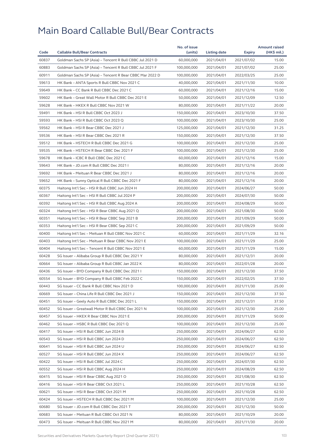| 60837<br>Goldman Sachs SP (Asia) - Tencent R Bull CBBC Jul 2021 D<br>60,000,000<br>2021/04/01<br>2021/07/02<br>15.00<br>60883<br>Goldman Sachs SP (Asia) - Tencent R Bull CBBC Jul 2021 F<br>100,000,000<br>2021/04/01<br>25.00<br>2021/07/02<br>60911<br>Goldman Sachs SP (Asia) - Tencent R Bear CBBC Mar 2022 D<br>100,000,000<br>25.00<br>2021/04/01<br>2022/03/25<br>59613<br>HK Bank - ANTA Sports R Bull CBBC Nov 2021 C<br>40,000,000<br>2021/04/01<br>2021/11/30<br>10.00<br>59649<br>HK Bank - CC Bank R Bull CBBC Dec 2021 C<br>60,000,000<br>2021/04/01<br>2021/12/16<br>15.00<br>59602<br>12.50<br>HK Bank - Great Wall Motor R Bull CBBC Dec 2021 E<br>50,000,000<br>2021/04/01<br>2021/12/09<br>59628<br>HK Bank - HKEX R Bull CBBC Nov 2021 W<br>80,000,000<br>2021/04/01<br>2021/11/22<br>20.00<br>59491<br>HK Bank - HSI R Bull CBBC Oct 2023 J<br>150,000,000<br>2021/04/01<br>2023/10/30<br>37.50<br>59593<br>HK Bank - HSI R Bull CBBC Oct 2023 Q<br>100,000,000<br>2023/10/30<br>25.00<br>2021/04/01<br>59562<br>HK Bank - HSI R Bear CBBC Dec 2021 J<br>125,000,000<br>2021/04/01<br>2021/12/30<br>31.25<br>59536<br>HK Bank - HSI R Bear CBBC Dec 2021 R<br>150,000,000<br>2021/04/01<br>37.50<br>2021/12/30<br>59512<br>HK Bank - HSTECH R Bull CBBC Dec 2021 G<br>100,000,000<br>2021/04/01<br>2021/12/30<br>25.00<br>59535<br>HK Bank - HSTECH R Bear CBBC Dec 2021 F<br>100,000,000<br>2021/04/01<br>25.00<br>2021/12/30<br>59678<br>HK Bank - ICBC R Bull CBBC Dec 2021 C<br>60,000,000<br>15.00<br>2021/04/01<br>2021/12/16<br>59643<br>HK Bank - JD.com R Bull CBBC Dec 2021 I<br>80,000,000<br>2021/04/01<br>2021/12/16<br>20.00<br>59692<br>HK Bank - Meituan R Bear CBBC Dec 2021 J<br>80,000,000<br>2021/04/01<br>20.00<br>2021/12/16<br>59652<br>20.00<br>HK Bank - Sunny Optical R Bull CBBC Dec 2021 F<br>80,000,000<br>2021/04/01<br>2021/12/16<br>60375<br>Haitong Int'l Sec - HSI R Bull CBBC Jun 2024 H<br>200,000,000<br>50.00<br>2021/04/01<br>2024/06/27<br>60367<br>Haitong Int'l Sec - HSI R Bull CBBC Jul 2024 P<br>200,000,000<br>2024/07/30<br>50.00<br>2021/04/01<br>60392<br>Haitong Int'l Sec - HSI R Bull CBBC Aug 2024 A<br>200,000,000<br>2024/08/29<br>50.00<br>2021/04/01<br>60324<br>Haitong Int'l Sec - HSI R Bear CBBC Aug 2021 Q<br>200,000,000<br>2021/04/01<br>2021/08/30<br>50.00<br>60351<br>Haitong Int'l Sec - HSI R Bear CBBC Sep 2021 B<br>200,000,000<br>2021/04/01<br>2021/09/29<br>50.00<br>60353<br>Haitong Int'l Sec - HSI R Bear CBBC Sep 2021 C<br>200,000,000<br>50.00<br>2021/04/01<br>2021/09/29<br>60400<br>Haitong Int'l Sec - Meituan R Bull CBBC Nov 2021 C<br>60,000,000<br>32.16<br>2021/04/01<br>2021/11/29<br>60403<br>Haitong Int'l Sec - Meituan R Bear CBBC Nov 2021 E<br>100,000,000<br>2021/04/01<br>25.00<br>2021/11/29<br>60404<br>Haitong Int'l Sec - Tencent R Bull CBBC Nov 2021 E<br>60,000,000<br>2021/04/01<br>2021/11/29<br>15.00<br>60428<br>SG Issuer - Alibaba Group R Bull CBBC Dec 2021 Y<br>80,000,000<br>2021/04/01<br>20.00<br>2021/12/31<br>60664<br>SG Issuer - Alibaba Group R Bull CBBC Jan 2022 K<br>80,000,000<br>2021/04/01<br>2022/01/28<br>20.00<br>60436<br>SG Issuer - BYD Company R Bull CBBC Dec 2021 I<br>150,000,000<br>2021/12/30<br>37.50<br>2021/04/01<br>60554<br>SG Issuer - BYD Company R Bull CBBC Feb 2022 C<br>150,000,000<br>2021/04/01<br>2022/02/25<br>37.50<br>60443<br>SG Issuer - CC Bank R Bull CBBC Nov 2021 D<br>100,000,000<br>25.00<br>2021/04/01<br>2021/11/30<br>60669<br>SG Issuer - China Life R Bull CBBC Dec 2021 J<br>150,000,000<br>2021/04/01<br>2021/12/30<br>37.50<br>60451<br>SG Issuer - Geely Auto R Bull CBBC Dec 2021 L<br>150,000,000<br>2021/04/01<br>2021/12/31<br>37.50<br>60452<br>SG Issuer - Greatwall Motor R Bull CBBC Dec 2021 N<br>100,000,000<br>25.00<br>2021/04/01<br>2021/12/30<br>60457<br>SG Issuer - HKEX R Bear CBBC Nov 2021 E<br>200,000,000<br>2021/04/01<br>2021/11/29<br>50.00<br>60462<br>SG Issuer - HSBC R Bull CBBC Dec 2021 Q<br>100,000,000<br>2021/04/01<br>2021/12/30<br>25.00<br>60417<br>SG Issuer - HSI R Bull CBBC Jun 2024 B<br>250,000,000<br>62.50<br>2021/04/01<br>2024/06/27<br>60543<br>SG Issuer - HSI R Bull CBBC Jun 2024 D<br>250,000,000<br>2021/04/01<br>2024/06/27<br>62.50<br>60641<br>SG Issuer - HSI R Bull CBBC Jun 2024 U<br>250,000,000<br>2021/04/01<br>2024/06/27<br>62.50<br>60527<br>SG Issuer - HSI R Bull CBBC Jun 2024 X<br>250,000,000<br>2021/04/01<br>62.50<br>2024/06/27<br>60422<br>SG Issuer - HSI R Bull CBBC Jul 2024 C<br>250,000,000<br>2021/04/01<br>2024/07/30<br>62.50<br>60552<br>SG Issuer - HSI R Bull CBBC Aug 2024 H<br>250,000,000<br>2021/04/01<br>2024/08/29<br>62.50<br>60415<br>SG Issuer - HSI R Bear CBBC Aug 2021 O<br>250,000,000<br>2021/04/01<br>2021/08/30<br>62.50<br>60416<br>SG Issuer - HSI R Bear CBBC Oct 2021 L<br>250,000,000<br>2021/04/01<br>2021/10/28<br>62.50<br>60621<br>SG Issuer - HSI R Bear CBBC Oct 2021 M<br>250,000,000<br>2021/04/01<br>62.50<br>2021/10/28<br>60424<br>SG Issuer - HSTECH R Bull CBBC Dec 2021 M<br>100,000,000<br>2021/04/01<br>2021/12/30<br>25.00<br>60680<br>SG Issuer - JD.com R Bull CBBC Dec 2021 T<br>200,000,000<br>2021/04/01<br>2021/12/30<br>50.00<br>60683<br>SG Issuer - Meituan R Bull CBBC Oct 2021 N<br>80,000,000<br>2021/04/01<br>2021/10/29<br>20.00<br>60473<br>SG Issuer - Meituan R Bull CBBC Nov 2021 M<br>80,000,000<br>2021/04/01<br>2021/11/30<br>20.00 |      |                                     | No. of issue |              |        | <b>Amount raised</b> |
|----------------------------------------------------------------------------------------------------------------------------------------------------------------------------------------------------------------------------------------------------------------------------------------------------------------------------------------------------------------------------------------------------------------------------------------------------------------------------------------------------------------------------------------------------------------------------------------------------------------------------------------------------------------------------------------------------------------------------------------------------------------------------------------------------------------------------------------------------------------------------------------------------------------------------------------------------------------------------------------------------------------------------------------------------------------------------------------------------------------------------------------------------------------------------------------------------------------------------------------------------------------------------------------------------------------------------------------------------------------------------------------------------------------------------------------------------------------------------------------------------------------------------------------------------------------------------------------------------------------------------------------------------------------------------------------------------------------------------------------------------------------------------------------------------------------------------------------------------------------------------------------------------------------------------------------------------------------------------------------------------------------------------------------------------------------------------------------------------------------------------------------------------------------------------------------------------------------------------------------------------------------------------------------------------------------------------------------------------------------------------------------------------------------------------------------------------------------------------------------------------------------------------------------------------------------------------------------------------------------------------------------------------------------------------------------------------------------------------------------------------------------------------------------------------------------------------------------------------------------------------------------------------------------------------------------------------------------------------------------------------------------------------------------------------------------------------------------------------------------------------------------------------------------------------------------------------------------------------------------------------------------------------------------------------------------------------------------------------------------------------------------------------------------------------------------------------------------------------------------------------------------------------------------------------------------------------------------------------------------------------------------------------------------------------------------------------------------------------------------------------------------------------------------------------------------------------------------------------------------------------------------------------------------------------------------------------------------------------------------------------------------------------------------------------------------------------------------------------------------------------------------------------------------------------------------------------------------------------------------------------------------------------------------------------------------------------------------------------------------------------------------------------------------------------------------------------------------------------------------------------------------------------------------------------------------------------------------------------------------------------------------------------------------------------------------------------------------------------------------------------------------------------------------------------------------------------------------------------------------------------------------------------------------------------------------------------------------------------------------------------------------------------------------------------------------------------------------------------------------------------------------------------------------------------------------------------------------------------------------------------------------------------------------------------------------------------------------------------------------------------------------------------------------------------------------------------------------------------------------|------|-------------------------------------|--------------|--------------|--------|----------------------|
|                                                                                                                                                                                                                                                                                                                                                                                                                                                                                                                                                                                                                                                                                                                                                                                                                                                                                                                                                                                                                                                                                                                                                                                                                                                                                                                                                                                                                                                                                                                                                                                                                                                                                                                                                                                                                                                                                                                                                                                                                                                                                                                                                                                                                                                                                                                                                                                                                                                                                                                                                                                                                                                                                                                                                                                                                                                                                                                                                                                                                                                                                                                                                                                                                                                                                                                                                                                                                                                                                                                                                                                                                                                                                                                                                                                                                                                                                                                                                                                                                                                                                                                                                                                                                                                                                                                                                                                                                                                                                                                                                                                                                                                                                                                                                                                                                                                                                                                                                                                                                                                                                                                                                                                                                                                                                                                                                                                                                                                                                        | Code | <b>Callable Bull/Bear Contracts</b> | (units)      | Listing date | Expiry | (HK\$ mil.)          |
|                                                                                                                                                                                                                                                                                                                                                                                                                                                                                                                                                                                                                                                                                                                                                                                                                                                                                                                                                                                                                                                                                                                                                                                                                                                                                                                                                                                                                                                                                                                                                                                                                                                                                                                                                                                                                                                                                                                                                                                                                                                                                                                                                                                                                                                                                                                                                                                                                                                                                                                                                                                                                                                                                                                                                                                                                                                                                                                                                                                                                                                                                                                                                                                                                                                                                                                                                                                                                                                                                                                                                                                                                                                                                                                                                                                                                                                                                                                                                                                                                                                                                                                                                                                                                                                                                                                                                                                                                                                                                                                                                                                                                                                                                                                                                                                                                                                                                                                                                                                                                                                                                                                                                                                                                                                                                                                                                                                                                                                                                        |      |                                     |              |              |        |                      |
|                                                                                                                                                                                                                                                                                                                                                                                                                                                                                                                                                                                                                                                                                                                                                                                                                                                                                                                                                                                                                                                                                                                                                                                                                                                                                                                                                                                                                                                                                                                                                                                                                                                                                                                                                                                                                                                                                                                                                                                                                                                                                                                                                                                                                                                                                                                                                                                                                                                                                                                                                                                                                                                                                                                                                                                                                                                                                                                                                                                                                                                                                                                                                                                                                                                                                                                                                                                                                                                                                                                                                                                                                                                                                                                                                                                                                                                                                                                                                                                                                                                                                                                                                                                                                                                                                                                                                                                                                                                                                                                                                                                                                                                                                                                                                                                                                                                                                                                                                                                                                                                                                                                                                                                                                                                                                                                                                                                                                                                                                        |      |                                     |              |              |        |                      |
|                                                                                                                                                                                                                                                                                                                                                                                                                                                                                                                                                                                                                                                                                                                                                                                                                                                                                                                                                                                                                                                                                                                                                                                                                                                                                                                                                                                                                                                                                                                                                                                                                                                                                                                                                                                                                                                                                                                                                                                                                                                                                                                                                                                                                                                                                                                                                                                                                                                                                                                                                                                                                                                                                                                                                                                                                                                                                                                                                                                                                                                                                                                                                                                                                                                                                                                                                                                                                                                                                                                                                                                                                                                                                                                                                                                                                                                                                                                                                                                                                                                                                                                                                                                                                                                                                                                                                                                                                                                                                                                                                                                                                                                                                                                                                                                                                                                                                                                                                                                                                                                                                                                                                                                                                                                                                                                                                                                                                                                                                        |      |                                     |              |              |        |                      |
|                                                                                                                                                                                                                                                                                                                                                                                                                                                                                                                                                                                                                                                                                                                                                                                                                                                                                                                                                                                                                                                                                                                                                                                                                                                                                                                                                                                                                                                                                                                                                                                                                                                                                                                                                                                                                                                                                                                                                                                                                                                                                                                                                                                                                                                                                                                                                                                                                                                                                                                                                                                                                                                                                                                                                                                                                                                                                                                                                                                                                                                                                                                                                                                                                                                                                                                                                                                                                                                                                                                                                                                                                                                                                                                                                                                                                                                                                                                                                                                                                                                                                                                                                                                                                                                                                                                                                                                                                                                                                                                                                                                                                                                                                                                                                                                                                                                                                                                                                                                                                                                                                                                                                                                                                                                                                                                                                                                                                                                                                        |      |                                     |              |              |        |                      |
|                                                                                                                                                                                                                                                                                                                                                                                                                                                                                                                                                                                                                                                                                                                                                                                                                                                                                                                                                                                                                                                                                                                                                                                                                                                                                                                                                                                                                                                                                                                                                                                                                                                                                                                                                                                                                                                                                                                                                                                                                                                                                                                                                                                                                                                                                                                                                                                                                                                                                                                                                                                                                                                                                                                                                                                                                                                                                                                                                                                                                                                                                                                                                                                                                                                                                                                                                                                                                                                                                                                                                                                                                                                                                                                                                                                                                                                                                                                                                                                                                                                                                                                                                                                                                                                                                                                                                                                                                                                                                                                                                                                                                                                                                                                                                                                                                                                                                                                                                                                                                                                                                                                                                                                                                                                                                                                                                                                                                                                                                        |      |                                     |              |              |        |                      |
|                                                                                                                                                                                                                                                                                                                                                                                                                                                                                                                                                                                                                                                                                                                                                                                                                                                                                                                                                                                                                                                                                                                                                                                                                                                                                                                                                                                                                                                                                                                                                                                                                                                                                                                                                                                                                                                                                                                                                                                                                                                                                                                                                                                                                                                                                                                                                                                                                                                                                                                                                                                                                                                                                                                                                                                                                                                                                                                                                                                                                                                                                                                                                                                                                                                                                                                                                                                                                                                                                                                                                                                                                                                                                                                                                                                                                                                                                                                                                                                                                                                                                                                                                                                                                                                                                                                                                                                                                                                                                                                                                                                                                                                                                                                                                                                                                                                                                                                                                                                                                                                                                                                                                                                                                                                                                                                                                                                                                                                                                        |      |                                     |              |              |        |                      |
|                                                                                                                                                                                                                                                                                                                                                                                                                                                                                                                                                                                                                                                                                                                                                                                                                                                                                                                                                                                                                                                                                                                                                                                                                                                                                                                                                                                                                                                                                                                                                                                                                                                                                                                                                                                                                                                                                                                                                                                                                                                                                                                                                                                                                                                                                                                                                                                                                                                                                                                                                                                                                                                                                                                                                                                                                                                                                                                                                                                                                                                                                                                                                                                                                                                                                                                                                                                                                                                                                                                                                                                                                                                                                                                                                                                                                                                                                                                                                                                                                                                                                                                                                                                                                                                                                                                                                                                                                                                                                                                                                                                                                                                                                                                                                                                                                                                                                                                                                                                                                                                                                                                                                                                                                                                                                                                                                                                                                                                                                        |      |                                     |              |              |        |                      |
|                                                                                                                                                                                                                                                                                                                                                                                                                                                                                                                                                                                                                                                                                                                                                                                                                                                                                                                                                                                                                                                                                                                                                                                                                                                                                                                                                                                                                                                                                                                                                                                                                                                                                                                                                                                                                                                                                                                                                                                                                                                                                                                                                                                                                                                                                                                                                                                                                                                                                                                                                                                                                                                                                                                                                                                                                                                                                                                                                                                                                                                                                                                                                                                                                                                                                                                                                                                                                                                                                                                                                                                                                                                                                                                                                                                                                                                                                                                                                                                                                                                                                                                                                                                                                                                                                                                                                                                                                                                                                                                                                                                                                                                                                                                                                                                                                                                                                                                                                                                                                                                                                                                                                                                                                                                                                                                                                                                                                                                                                        |      |                                     |              |              |        |                      |
|                                                                                                                                                                                                                                                                                                                                                                                                                                                                                                                                                                                                                                                                                                                                                                                                                                                                                                                                                                                                                                                                                                                                                                                                                                                                                                                                                                                                                                                                                                                                                                                                                                                                                                                                                                                                                                                                                                                                                                                                                                                                                                                                                                                                                                                                                                                                                                                                                                                                                                                                                                                                                                                                                                                                                                                                                                                                                                                                                                                                                                                                                                                                                                                                                                                                                                                                                                                                                                                                                                                                                                                                                                                                                                                                                                                                                                                                                                                                                                                                                                                                                                                                                                                                                                                                                                                                                                                                                                                                                                                                                                                                                                                                                                                                                                                                                                                                                                                                                                                                                                                                                                                                                                                                                                                                                                                                                                                                                                                                                        |      |                                     |              |              |        |                      |
|                                                                                                                                                                                                                                                                                                                                                                                                                                                                                                                                                                                                                                                                                                                                                                                                                                                                                                                                                                                                                                                                                                                                                                                                                                                                                                                                                                                                                                                                                                                                                                                                                                                                                                                                                                                                                                                                                                                                                                                                                                                                                                                                                                                                                                                                                                                                                                                                                                                                                                                                                                                                                                                                                                                                                                                                                                                                                                                                                                                                                                                                                                                                                                                                                                                                                                                                                                                                                                                                                                                                                                                                                                                                                                                                                                                                                                                                                                                                                                                                                                                                                                                                                                                                                                                                                                                                                                                                                                                                                                                                                                                                                                                                                                                                                                                                                                                                                                                                                                                                                                                                                                                                                                                                                                                                                                                                                                                                                                                                                        |      |                                     |              |              |        |                      |
|                                                                                                                                                                                                                                                                                                                                                                                                                                                                                                                                                                                                                                                                                                                                                                                                                                                                                                                                                                                                                                                                                                                                                                                                                                                                                                                                                                                                                                                                                                                                                                                                                                                                                                                                                                                                                                                                                                                                                                                                                                                                                                                                                                                                                                                                                                                                                                                                                                                                                                                                                                                                                                                                                                                                                                                                                                                                                                                                                                                                                                                                                                                                                                                                                                                                                                                                                                                                                                                                                                                                                                                                                                                                                                                                                                                                                                                                                                                                                                                                                                                                                                                                                                                                                                                                                                                                                                                                                                                                                                                                                                                                                                                                                                                                                                                                                                                                                                                                                                                                                                                                                                                                                                                                                                                                                                                                                                                                                                                                                        |      |                                     |              |              |        |                      |
|                                                                                                                                                                                                                                                                                                                                                                                                                                                                                                                                                                                                                                                                                                                                                                                                                                                                                                                                                                                                                                                                                                                                                                                                                                                                                                                                                                                                                                                                                                                                                                                                                                                                                                                                                                                                                                                                                                                                                                                                                                                                                                                                                                                                                                                                                                                                                                                                                                                                                                                                                                                                                                                                                                                                                                                                                                                                                                                                                                                                                                                                                                                                                                                                                                                                                                                                                                                                                                                                                                                                                                                                                                                                                                                                                                                                                                                                                                                                                                                                                                                                                                                                                                                                                                                                                                                                                                                                                                                                                                                                                                                                                                                                                                                                                                                                                                                                                                                                                                                                                                                                                                                                                                                                                                                                                                                                                                                                                                                                                        |      |                                     |              |              |        |                      |
|                                                                                                                                                                                                                                                                                                                                                                                                                                                                                                                                                                                                                                                                                                                                                                                                                                                                                                                                                                                                                                                                                                                                                                                                                                                                                                                                                                                                                                                                                                                                                                                                                                                                                                                                                                                                                                                                                                                                                                                                                                                                                                                                                                                                                                                                                                                                                                                                                                                                                                                                                                                                                                                                                                                                                                                                                                                                                                                                                                                                                                                                                                                                                                                                                                                                                                                                                                                                                                                                                                                                                                                                                                                                                                                                                                                                                                                                                                                                                                                                                                                                                                                                                                                                                                                                                                                                                                                                                                                                                                                                                                                                                                                                                                                                                                                                                                                                                                                                                                                                                                                                                                                                                                                                                                                                                                                                                                                                                                                                                        |      |                                     |              |              |        |                      |
|                                                                                                                                                                                                                                                                                                                                                                                                                                                                                                                                                                                                                                                                                                                                                                                                                                                                                                                                                                                                                                                                                                                                                                                                                                                                                                                                                                                                                                                                                                                                                                                                                                                                                                                                                                                                                                                                                                                                                                                                                                                                                                                                                                                                                                                                                                                                                                                                                                                                                                                                                                                                                                                                                                                                                                                                                                                                                                                                                                                                                                                                                                                                                                                                                                                                                                                                                                                                                                                                                                                                                                                                                                                                                                                                                                                                                                                                                                                                                                                                                                                                                                                                                                                                                                                                                                                                                                                                                                                                                                                                                                                                                                                                                                                                                                                                                                                                                                                                                                                                                                                                                                                                                                                                                                                                                                                                                                                                                                                                                        |      |                                     |              |              |        |                      |
|                                                                                                                                                                                                                                                                                                                                                                                                                                                                                                                                                                                                                                                                                                                                                                                                                                                                                                                                                                                                                                                                                                                                                                                                                                                                                                                                                                                                                                                                                                                                                                                                                                                                                                                                                                                                                                                                                                                                                                                                                                                                                                                                                                                                                                                                                                                                                                                                                                                                                                                                                                                                                                                                                                                                                                                                                                                                                                                                                                                                                                                                                                                                                                                                                                                                                                                                                                                                                                                                                                                                                                                                                                                                                                                                                                                                                                                                                                                                                                                                                                                                                                                                                                                                                                                                                                                                                                                                                                                                                                                                                                                                                                                                                                                                                                                                                                                                                                                                                                                                                                                                                                                                                                                                                                                                                                                                                                                                                                                                                        |      |                                     |              |              |        |                      |
|                                                                                                                                                                                                                                                                                                                                                                                                                                                                                                                                                                                                                                                                                                                                                                                                                                                                                                                                                                                                                                                                                                                                                                                                                                                                                                                                                                                                                                                                                                                                                                                                                                                                                                                                                                                                                                                                                                                                                                                                                                                                                                                                                                                                                                                                                                                                                                                                                                                                                                                                                                                                                                                                                                                                                                                                                                                                                                                                                                                                                                                                                                                                                                                                                                                                                                                                                                                                                                                                                                                                                                                                                                                                                                                                                                                                                                                                                                                                                                                                                                                                                                                                                                                                                                                                                                                                                                                                                                                                                                                                                                                                                                                                                                                                                                                                                                                                                                                                                                                                                                                                                                                                                                                                                                                                                                                                                                                                                                                                                        |      |                                     |              |              |        |                      |
|                                                                                                                                                                                                                                                                                                                                                                                                                                                                                                                                                                                                                                                                                                                                                                                                                                                                                                                                                                                                                                                                                                                                                                                                                                                                                                                                                                                                                                                                                                                                                                                                                                                                                                                                                                                                                                                                                                                                                                                                                                                                                                                                                                                                                                                                                                                                                                                                                                                                                                                                                                                                                                                                                                                                                                                                                                                                                                                                                                                                                                                                                                                                                                                                                                                                                                                                                                                                                                                                                                                                                                                                                                                                                                                                                                                                                                                                                                                                                                                                                                                                                                                                                                                                                                                                                                                                                                                                                                                                                                                                                                                                                                                                                                                                                                                                                                                                                                                                                                                                                                                                                                                                                                                                                                                                                                                                                                                                                                                                                        |      |                                     |              |              |        |                      |
|                                                                                                                                                                                                                                                                                                                                                                                                                                                                                                                                                                                                                                                                                                                                                                                                                                                                                                                                                                                                                                                                                                                                                                                                                                                                                                                                                                                                                                                                                                                                                                                                                                                                                                                                                                                                                                                                                                                                                                                                                                                                                                                                                                                                                                                                                                                                                                                                                                                                                                                                                                                                                                                                                                                                                                                                                                                                                                                                                                                                                                                                                                                                                                                                                                                                                                                                                                                                                                                                                                                                                                                                                                                                                                                                                                                                                                                                                                                                                                                                                                                                                                                                                                                                                                                                                                                                                                                                                                                                                                                                                                                                                                                                                                                                                                                                                                                                                                                                                                                                                                                                                                                                                                                                                                                                                                                                                                                                                                                                                        |      |                                     |              |              |        |                      |
|                                                                                                                                                                                                                                                                                                                                                                                                                                                                                                                                                                                                                                                                                                                                                                                                                                                                                                                                                                                                                                                                                                                                                                                                                                                                                                                                                                                                                                                                                                                                                                                                                                                                                                                                                                                                                                                                                                                                                                                                                                                                                                                                                                                                                                                                                                                                                                                                                                                                                                                                                                                                                                                                                                                                                                                                                                                                                                                                                                                                                                                                                                                                                                                                                                                                                                                                                                                                                                                                                                                                                                                                                                                                                                                                                                                                                                                                                                                                                                                                                                                                                                                                                                                                                                                                                                                                                                                                                                                                                                                                                                                                                                                                                                                                                                                                                                                                                                                                                                                                                                                                                                                                                                                                                                                                                                                                                                                                                                                                                        |      |                                     |              |              |        |                      |
|                                                                                                                                                                                                                                                                                                                                                                                                                                                                                                                                                                                                                                                                                                                                                                                                                                                                                                                                                                                                                                                                                                                                                                                                                                                                                                                                                                                                                                                                                                                                                                                                                                                                                                                                                                                                                                                                                                                                                                                                                                                                                                                                                                                                                                                                                                                                                                                                                                                                                                                                                                                                                                                                                                                                                                                                                                                                                                                                                                                                                                                                                                                                                                                                                                                                                                                                                                                                                                                                                                                                                                                                                                                                                                                                                                                                                                                                                                                                                                                                                                                                                                                                                                                                                                                                                                                                                                                                                                                                                                                                                                                                                                                                                                                                                                                                                                                                                                                                                                                                                                                                                                                                                                                                                                                                                                                                                                                                                                                                                        |      |                                     |              |              |        |                      |
|                                                                                                                                                                                                                                                                                                                                                                                                                                                                                                                                                                                                                                                                                                                                                                                                                                                                                                                                                                                                                                                                                                                                                                                                                                                                                                                                                                                                                                                                                                                                                                                                                                                                                                                                                                                                                                                                                                                                                                                                                                                                                                                                                                                                                                                                                                                                                                                                                                                                                                                                                                                                                                                                                                                                                                                                                                                                                                                                                                                                                                                                                                                                                                                                                                                                                                                                                                                                                                                                                                                                                                                                                                                                                                                                                                                                                                                                                                                                                                                                                                                                                                                                                                                                                                                                                                                                                                                                                                                                                                                                                                                                                                                                                                                                                                                                                                                                                                                                                                                                                                                                                                                                                                                                                                                                                                                                                                                                                                                                                        |      |                                     |              |              |        |                      |
|                                                                                                                                                                                                                                                                                                                                                                                                                                                                                                                                                                                                                                                                                                                                                                                                                                                                                                                                                                                                                                                                                                                                                                                                                                                                                                                                                                                                                                                                                                                                                                                                                                                                                                                                                                                                                                                                                                                                                                                                                                                                                                                                                                                                                                                                                                                                                                                                                                                                                                                                                                                                                                                                                                                                                                                                                                                                                                                                                                                                                                                                                                                                                                                                                                                                                                                                                                                                                                                                                                                                                                                                                                                                                                                                                                                                                                                                                                                                                                                                                                                                                                                                                                                                                                                                                                                                                                                                                                                                                                                                                                                                                                                                                                                                                                                                                                                                                                                                                                                                                                                                                                                                                                                                                                                                                                                                                                                                                                                                                        |      |                                     |              |              |        |                      |
|                                                                                                                                                                                                                                                                                                                                                                                                                                                                                                                                                                                                                                                                                                                                                                                                                                                                                                                                                                                                                                                                                                                                                                                                                                                                                                                                                                                                                                                                                                                                                                                                                                                                                                                                                                                                                                                                                                                                                                                                                                                                                                                                                                                                                                                                                                                                                                                                                                                                                                                                                                                                                                                                                                                                                                                                                                                                                                                                                                                                                                                                                                                                                                                                                                                                                                                                                                                                                                                                                                                                                                                                                                                                                                                                                                                                                                                                                                                                                                                                                                                                                                                                                                                                                                                                                                                                                                                                                                                                                                                                                                                                                                                                                                                                                                                                                                                                                                                                                                                                                                                                                                                                                                                                                                                                                                                                                                                                                                                                                        |      |                                     |              |              |        |                      |
|                                                                                                                                                                                                                                                                                                                                                                                                                                                                                                                                                                                                                                                                                                                                                                                                                                                                                                                                                                                                                                                                                                                                                                                                                                                                                                                                                                                                                                                                                                                                                                                                                                                                                                                                                                                                                                                                                                                                                                                                                                                                                                                                                                                                                                                                                                                                                                                                                                                                                                                                                                                                                                                                                                                                                                                                                                                                                                                                                                                                                                                                                                                                                                                                                                                                                                                                                                                                                                                                                                                                                                                                                                                                                                                                                                                                                                                                                                                                                                                                                                                                                                                                                                                                                                                                                                                                                                                                                                                                                                                                                                                                                                                                                                                                                                                                                                                                                                                                                                                                                                                                                                                                                                                                                                                                                                                                                                                                                                                                                        |      |                                     |              |              |        |                      |
|                                                                                                                                                                                                                                                                                                                                                                                                                                                                                                                                                                                                                                                                                                                                                                                                                                                                                                                                                                                                                                                                                                                                                                                                                                                                                                                                                                                                                                                                                                                                                                                                                                                                                                                                                                                                                                                                                                                                                                                                                                                                                                                                                                                                                                                                                                                                                                                                                                                                                                                                                                                                                                                                                                                                                                                                                                                                                                                                                                                                                                                                                                                                                                                                                                                                                                                                                                                                                                                                                                                                                                                                                                                                                                                                                                                                                                                                                                                                                                                                                                                                                                                                                                                                                                                                                                                                                                                                                                                                                                                                                                                                                                                                                                                                                                                                                                                                                                                                                                                                                                                                                                                                                                                                                                                                                                                                                                                                                                                                                        |      |                                     |              |              |        |                      |
|                                                                                                                                                                                                                                                                                                                                                                                                                                                                                                                                                                                                                                                                                                                                                                                                                                                                                                                                                                                                                                                                                                                                                                                                                                                                                                                                                                                                                                                                                                                                                                                                                                                                                                                                                                                                                                                                                                                                                                                                                                                                                                                                                                                                                                                                                                                                                                                                                                                                                                                                                                                                                                                                                                                                                                                                                                                                                                                                                                                                                                                                                                                                                                                                                                                                                                                                                                                                                                                                                                                                                                                                                                                                                                                                                                                                                                                                                                                                                                                                                                                                                                                                                                                                                                                                                                                                                                                                                                                                                                                                                                                                                                                                                                                                                                                                                                                                                                                                                                                                                                                                                                                                                                                                                                                                                                                                                                                                                                                                                        |      |                                     |              |              |        |                      |
|                                                                                                                                                                                                                                                                                                                                                                                                                                                                                                                                                                                                                                                                                                                                                                                                                                                                                                                                                                                                                                                                                                                                                                                                                                                                                                                                                                                                                                                                                                                                                                                                                                                                                                                                                                                                                                                                                                                                                                                                                                                                                                                                                                                                                                                                                                                                                                                                                                                                                                                                                                                                                                                                                                                                                                                                                                                                                                                                                                                                                                                                                                                                                                                                                                                                                                                                                                                                                                                                                                                                                                                                                                                                                                                                                                                                                                                                                                                                                                                                                                                                                                                                                                                                                                                                                                                                                                                                                                                                                                                                                                                                                                                                                                                                                                                                                                                                                                                                                                                                                                                                                                                                                                                                                                                                                                                                                                                                                                                                                        |      |                                     |              |              |        |                      |
|                                                                                                                                                                                                                                                                                                                                                                                                                                                                                                                                                                                                                                                                                                                                                                                                                                                                                                                                                                                                                                                                                                                                                                                                                                                                                                                                                                                                                                                                                                                                                                                                                                                                                                                                                                                                                                                                                                                                                                                                                                                                                                                                                                                                                                                                                                                                                                                                                                                                                                                                                                                                                                                                                                                                                                                                                                                                                                                                                                                                                                                                                                                                                                                                                                                                                                                                                                                                                                                                                                                                                                                                                                                                                                                                                                                                                                                                                                                                                                                                                                                                                                                                                                                                                                                                                                                                                                                                                                                                                                                                                                                                                                                                                                                                                                                                                                                                                                                                                                                                                                                                                                                                                                                                                                                                                                                                                                                                                                                                                        |      |                                     |              |              |        |                      |
|                                                                                                                                                                                                                                                                                                                                                                                                                                                                                                                                                                                                                                                                                                                                                                                                                                                                                                                                                                                                                                                                                                                                                                                                                                                                                                                                                                                                                                                                                                                                                                                                                                                                                                                                                                                                                                                                                                                                                                                                                                                                                                                                                                                                                                                                                                                                                                                                                                                                                                                                                                                                                                                                                                                                                                                                                                                                                                                                                                                                                                                                                                                                                                                                                                                                                                                                                                                                                                                                                                                                                                                                                                                                                                                                                                                                                                                                                                                                                                                                                                                                                                                                                                                                                                                                                                                                                                                                                                                                                                                                                                                                                                                                                                                                                                                                                                                                                                                                                                                                                                                                                                                                                                                                                                                                                                                                                                                                                                                                                        |      |                                     |              |              |        |                      |
|                                                                                                                                                                                                                                                                                                                                                                                                                                                                                                                                                                                                                                                                                                                                                                                                                                                                                                                                                                                                                                                                                                                                                                                                                                                                                                                                                                                                                                                                                                                                                                                                                                                                                                                                                                                                                                                                                                                                                                                                                                                                                                                                                                                                                                                                                                                                                                                                                                                                                                                                                                                                                                                                                                                                                                                                                                                                                                                                                                                                                                                                                                                                                                                                                                                                                                                                                                                                                                                                                                                                                                                                                                                                                                                                                                                                                                                                                                                                                                                                                                                                                                                                                                                                                                                                                                                                                                                                                                                                                                                                                                                                                                                                                                                                                                                                                                                                                                                                                                                                                                                                                                                                                                                                                                                                                                                                                                                                                                                                                        |      |                                     |              |              |        |                      |
|                                                                                                                                                                                                                                                                                                                                                                                                                                                                                                                                                                                                                                                                                                                                                                                                                                                                                                                                                                                                                                                                                                                                                                                                                                                                                                                                                                                                                                                                                                                                                                                                                                                                                                                                                                                                                                                                                                                                                                                                                                                                                                                                                                                                                                                                                                                                                                                                                                                                                                                                                                                                                                                                                                                                                                                                                                                                                                                                                                                                                                                                                                                                                                                                                                                                                                                                                                                                                                                                                                                                                                                                                                                                                                                                                                                                                                                                                                                                                                                                                                                                                                                                                                                                                                                                                                                                                                                                                                                                                                                                                                                                                                                                                                                                                                                                                                                                                                                                                                                                                                                                                                                                                                                                                                                                                                                                                                                                                                                                                        |      |                                     |              |              |        |                      |
|                                                                                                                                                                                                                                                                                                                                                                                                                                                                                                                                                                                                                                                                                                                                                                                                                                                                                                                                                                                                                                                                                                                                                                                                                                                                                                                                                                                                                                                                                                                                                                                                                                                                                                                                                                                                                                                                                                                                                                                                                                                                                                                                                                                                                                                                                                                                                                                                                                                                                                                                                                                                                                                                                                                                                                                                                                                                                                                                                                                                                                                                                                                                                                                                                                                                                                                                                                                                                                                                                                                                                                                                                                                                                                                                                                                                                                                                                                                                                                                                                                                                                                                                                                                                                                                                                                                                                                                                                                                                                                                                                                                                                                                                                                                                                                                                                                                                                                                                                                                                                                                                                                                                                                                                                                                                                                                                                                                                                                                                                        |      |                                     |              |              |        |                      |
|                                                                                                                                                                                                                                                                                                                                                                                                                                                                                                                                                                                                                                                                                                                                                                                                                                                                                                                                                                                                                                                                                                                                                                                                                                                                                                                                                                                                                                                                                                                                                                                                                                                                                                                                                                                                                                                                                                                                                                                                                                                                                                                                                                                                                                                                                                                                                                                                                                                                                                                                                                                                                                                                                                                                                                                                                                                                                                                                                                                                                                                                                                                                                                                                                                                                                                                                                                                                                                                                                                                                                                                                                                                                                                                                                                                                                                                                                                                                                                                                                                                                                                                                                                                                                                                                                                                                                                                                                                                                                                                                                                                                                                                                                                                                                                                                                                                                                                                                                                                                                                                                                                                                                                                                                                                                                                                                                                                                                                                                                        |      |                                     |              |              |        |                      |
|                                                                                                                                                                                                                                                                                                                                                                                                                                                                                                                                                                                                                                                                                                                                                                                                                                                                                                                                                                                                                                                                                                                                                                                                                                                                                                                                                                                                                                                                                                                                                                                                                                                                                                                                                                                                                                                                                                                                                                                                                                                                                                                                                                                                                                                                                                                                                                                                                                                                                                                                                                                                                                                                                                                                                                                                                                                                                                                                                                                                                                                                                                                                                                                                                                                                                                                                                                                                                                                                                                                                                                                                                                                                                                                                                                                                                                                                                                                                                                                                                                                                                                                                                                                                                                                                                                                                                                                                                                                                                                                                                                                                                                                                                                                                                                                                                                                                                                                                                                                                                                                                                                                                                                                                                                                                                                                                                                                                                                                                                        |      |                                     |              |              |        |                      |
|                                                                                                                                                                                                                                                                                                                                                                                                                                                                                                                                                                                                                                                                                                                                                                                                                                                                                                                                                                                                                                                                                                                                                                                                                                                                                                                                                                                                                                                                                                                                                                                                                                                                                                                                                                                                                                                                                                                                                                                                                                                                                                                                                                                                                                                                                                                                                                                                                                                                                                                                                                                                                                                                                                                                                                                                                                                                                                                                                                                                                                                                                                                                                                                                                                                                                                                                                                                                                                                                                                                                                                                                                                                                                                                                                                                                                                                                                                                                                                                                                                                                                                                                                                                                                                                                                                                                                                                                                                                                                                                                                                                                                                                                                                                                                                                                                                                                                                                                                                                                                                                                                                                                                                                                                                                                                                                                                                                                                                                                                        |      |                                     |              |              |        |                      |
|                                                                                                                                                                                                                                                                                                                                                                                                                                                                                                                                                                                                                                                                                                                                                                                                                                                                                                                                                                                                                                                                                                                                                                                                                                                                                                                                                                                                                                                                                                                                                                                                                                                                                                                                                                                                                                                                                                                                                                                                                                                                                                                                                                                                                                                                                                                                                                                                                                                                                                                                                                                                                                                                                                                                                                                                                                                                                                                                                                                                                                                                                                                                                                                                                                                                                                                                                                                                                                                                                                                                                                                                                                                                                                                                                                                                                                                                                                                                                                                                                                                                                                                                                                                                                                                                                                                                                                                                                                                                                                                                                                                                                                                                                                                                                                                                                                                                                                                                                                                                                                                                                                                                                                                                                                                                                                                                                                                                                                                                                        |      |                                     |              |              |        |                      |
|                                                                                                                                                                                                                                                                                                                                                                                                                                                                                                                                                                                                                                                                                                                                                                                                                                                                                                                                                                                                                                                                                                                                                                                                                                                                                                                                                                                                                                                                                                                                                                                                                                                                                                                                                                                                                                                                                                                                                                                                                                                                                                                                                                                                                                                                                                                                                                                                                                                                                                                                                                                                                                                                                                                                                                                                                                                                                                                                                                                                                                                                                                                                                                                                                                                                                                                                                                                                                                                                                                                                                                                                                                                                                                                                                                                                                                                                                                                                                                                                                                                                                                                                                                                                                                                                                                                                                                                                                                                                                                                                                                                                                                                                                                                                                                                                                                                                                                                                                                                                                                                                                                                                                                                                                                                                                                                                                                                                                                                                                        |      |                                     |              |              |        |                      |
|                                                                                                                                                                                                                                                                                                                                                                                                                                                                                                                                                                                                                                                                                                                                                                                                                                                                                                                                                                                                                                                                                                                                                                                                                                                                                                                                                                                                                                                                                                                                                                                                                                                                                                                                                                                                                                                                                                                                                                                                                                                                                                                                                                                                                                                                                                                                                                                                                                                                                                                                                                                                                                                                                                                                                                                                                                                                                                                                                                                                                                                                                                                                                                                                                                                                                                                                                                                                                                                                                                                                                                                                                                                                                                                                                                                                                                                                                                                                                                                                                                                                                                                                                                                                                                                                                                                                                                                                                                                                                                                                                                                                                                                                                                                                                                                                                                                                                                                                                                                                                                                                                                                                                                                                                                                                                                                                                                                                                                                                                        |      |                                     |              |              |        |                      |
|                                                                                                                                                                                                                                                                                                                                                                                                                                                                                                                                                                                                                                                                                                                                                                                                                                                                                                                                                                                                                                                                                                                                                                                                                                                                                                                                                                                                                                                                                                                                                                                                                                                                                                                                                                                                                                                                                                                                                                                                                                                                                                                                                                                                                                                                                                                                                                                                                                                                                                                                                                                                                                                                                                                                                                                                                                                                                                                                                                                                                                                                                                                                                                                                                                                                                                                                                                                                                                                                                                                                                                                                                                                                                                                                                                                                                                                                                                                                                                                                                                                                                                                                                                                                                                                                                                                                                                                                                                                                                                                                                                                                                                                                                                                                                                                                                                                                                                                                                                                                                                                                                                                                                                                                                                                                                                                                                                                                                                                                                        |      |                                     |              |              |        |                      |
|                                                                                                                                                                                                                                                                                                                                                                                                                                                                                                                                                                                                                                                                                                                                                                                                                                                                                                                                                                                                                                                                                                                                                                                                                                                                                                                                                                                                                                                                                                                                                                                                                                                                                                                                                                                                                                                                                                                                                                                                                                                                                                                                                                                                                                                                                                                                                                                                                                                                                                                                                                                                                                                                                                                                                                                                                                                                                                                                                                                                                                                                                                                                                                                                                                                                                                                                                                                                                                                                                                                                                                                                                                                                                                                                                                                                                                                                                                                                                                                                                                                                                                                                                                                                                                                                                                                                                                                                                                                                                                                                                                                                                                                                                                                                                                                                                                                                                                                                                                                                                                                                                                                                                                                                                                                                                                                                                                                                                                                                                        |      |                                     |              |              |        |                      |
|                                                                                                                                                                                                                                                                                                                                                                                                                                                                                                                                                                                                                                                                                                                                                                                                                                                                                                                                                                                                                                                                                                                                                                                                                                                                                                                                                                                                                                                                                                                                                                                                                                                                                                                                                                                                                                                                                                                                                                                                                                                                                                                                                                                                                                                                                                                                                                                                                                                                                                                                                                                                                                                                                                                                                                                                                                                                                                                                                                                                                                                                                                                                                                                                                                                                                                                                                                                                                                                                                                                                                                                                                                                                                                                                                                                                                                                                                                                                                                                                                                                                                                                                                                                                                                                                                                                                                                                                                                                                                                                                                                                                                                                                                                                                                                                                                                                                                                                                                                                                                                                                                                                                                                                                                                                                                                                                                                                                                                                                                        |      |                                     |              |              |        |                      |
|                                                                                                                                                                                                                                                                                                                                                                                                                                                                                                                                                                                                                                                                                                                                                                                                                                                                                                                                                                                                                                                                                                                                                                                                                                                                                                                                                                                                                                                                                                                                                                                                                                                                                                                                                                                                                                                                                                                                                                                                                                                                                                                                                                                                                                                                                                                                                                                                                                                                                                                                                                                                                                                                                                                                                                                                                                                                                                                                                                                                                                                                                                                                                                                                                                                                                                                                                                                                                                                                                                                                                                                                                                                                                                                                                                                                                                                                                                                                                                                                                                                                                                                                                                                                                                                                                                                                                                                                                                                                                                                                                                                                                                                                                                                                                                                                                                                                                                                                                                                                                                                                                                                                                                                                                                                                                                                                                                                                                                                                                        |      |                                     |              |              |        |                      |
|                                                                                                                                                                                                                                                                                                                                                                                                                                                                                                                                                                                                                                                                                                                                                                                                                                                                                                                                                                                                                                                                                                                                                                                                                                                                                                                                                                                                                                                                                                                                                                                                                                                                                                                                                                                                                                                                                                                                                                                                                                                                                                                                                                                                                                                                                                                                                                                                                                                                                                                                                                                                                                                                                                                                                                                                                                                                                                                                                                                                                                                                                                                                                                                                                                                                                                                                                                                                                                                                                                                                                                                                                                                                                                                                                                                                                                                                                                                                                                                                                                                                                                                                                                                                                                                                                                                                                                                                                                                                                                                                                                                                                                                                                                                                                                                                                                                                                                                                                                                                                                                                                                                                                                                                                                                                                                                                                                                                                                                                                        |      |                                     |              |              |        |                      |
|                                                                                                                                                                                                                                                                                                                                                                                                                                                                                                                                                                                                                                                                                                                                                                                                                                                                                                                                                                                                                                                                                                                                                                                                                                                                                                                                                                                                                                                                                                                                                                                                                                                                                                                                                                                                                                                                                                                                                                                                                                                                                                                                                                                                                                                                                                                                                                                                                                                                                                                                                                                                                                                                                                                                                                                                                                                                                                                                                                                                                                                                                                                                                                                                                                                                                                                                                                                                                                                                                                                                                                                                                                                                                                                                                                                                                                                                                                                                                                                                                                                                                                                                                                                                                                                                                                                                                                                                                                                                                                                                                                                                                                                                                                                                                                                                                                                                                                                                                                                                                                                                                                                                                                                                                                                                                                                                                                                                                                                                                        |      |                                     |              |              |        |                      |
|                                                                                                                                                                                                                                                                                                                                                                                                                                                                                                                                                                                                                                                                                                                                                                                                                                                                                                                                                                                                                                                                                                                                                                                                                                                                                                                                                                                                                                                                                                                                                                                                                                                                                                                                                                                                                                                                                                                                                                                                                                                                                                                                                                                                                                                                                                                                                                                                                                                                                                                                                                                                                                                                                                                                                                                                                                                                                                                                                                                                                                                                                                                                                                                                                                                                                                                                                                                                                                                                                                                                                                                                                                                                                                                                                                                                                                                                                                                                                                                                                                                                                                                                                                                                                                                                                                                                                                                                                                                                                                                                                                                                                                                                                                                                                                                                                                                                                                                                                                                                                                                                                                                                                                                                                                                                                                                                                                                                                                                                                        |      |                                     |              |              |        |                      |
|                                                                                                                                                                                                                                                                                                                                                                                                                                                                                                                                                                                                                                                                                                                                                                                                                                                                                                                                                                                                                                                                                                                                                                                                                                                                                                                                                                                                                                                                                                                                                                                                                                                                                                                                                                                                                                                                                                                                                                                                                                                                                                                                                                                                                                                                                                                                                                                                                                                                                                                                                                                                                                                                                                                                                                                                                                                                                                                                                                                                                                                                                                                                                                                                                                                                                                                                                                                                                                                                                                                                                                                                                                                                                                                                                                                                                                                                                                                                                                                                                                                                                                                                                                                                                                                                                                                                                                                                                                                                                                                                                                                                                                                                                                                                                                                                                                                                                                                                                                                                                                                                                                                                                                                                                                                                                                                                                                                                                                                                                        |      |                                     |              |              |        |                      |
|                                                                                                                                                                                                                                                                                                                                                                                                                                                                                                                                                                                                                                                                                                                                                                                                                                                                                                                                                                                                                                                                                                                                                                                                                                                                                                                                                                                                                                                                                                                                                                                                                                                                                                                                                                                                                                                                                                                                                                                                                                                                                                                                                                                                                                                                                                                                                                                                                                                                                                                                                                                                                                                                                                                                                                                                                                                                                                                                                                                                                                                                                                                                                                                                                                                                                                                                                                                                                                                                                                                                                                                                                                                                                                                                                                                                                                                                                                                                                                                                                                                                                                                                                                                                                                                                                                                                                                                                                                                                                                                                                                                                                                                                                                                                                                                                                                                                                                                                                                                                                                                                                                                                                                                                                                                                                                                                                                                                                                                                                        |      |                                     |              |              |        |                      |
|                                                                                                                                                                                                                                                                                                                                                                                                                                                                                                                                                                                                                                                                                                                                                                                                                                                                                                                                                                                                                                                                                                                                                                                                                                                                                                                                                                                                                                                                                                                                                                                                                                                                                                                                                                                                                                                                                                                                                                                                                                                                                                                                                                                                                                                                                                                                                                                                                                                                                                                                                                                                                                                                                                                                                                                                                                                                                                                                                                                                                                                                                                                                                                                                                                                                                                                                                                                                                                                                                                                                                                                                                                                                                                                                                                                                                                                                                                                                                                                                                                                                                                                                                                                                                                                                                                                                                                                                                                                                                                                                                                                                                                                                                                                                                                                                                                                                                                                                                                                                                                                                                                                                                                                                                                                                                                                                                                                                                                                                                        |      |                                     |              |              |        |                      |
|                                                                                                                                                                                                                                                                                                                                                                                                                                                                                                                                                                                                                                                                                                                                                                                                                                                                                                                                                                                                                                                                                                                                                                                                                                                                                                                                                                                                                                                                                                                                                                                                                                                                                                                                                                                                                                                                                                                                                                                                                                                                                                                                                                                                                                                                                                                                                                                                                                                                                                                                                                                                                                                                                                                                                                                                                                                                                                                                                                                                                                                                                                                                                                                                                                                                                                                                                                                                                                                                                                                                                                                                                                                                                                                                                                                                                                                                                                                                                                                                                                                                                                                                                                                                                                                                                                                                                                                                                                                                                                                                                                                                                                                                                                                                                                                                                                                                                                                                                                                                                                                                                                                                                                                                                                                                                                                                                                                                                                                                                        |      |                                     |              |              |        |                      |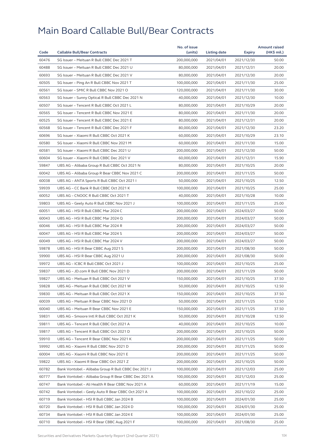| Code  |                                                      | No. of issue |              |            | <b>Amount raised</b><br>(HK\$ mil.) |
|-------|------------------------------------------------------|--------------|--------------|------------|-------------------------------------|
|       | <b>Callable Bull/Bear Contracts</b>                  | (units)      | Listing date | Expiry     |                                     |
| 60476 | SG Issuer - Meituan R Bull CBBC Dec 2021 T           | 200,000,000  | 2021/04/01   | 2021/12/30 | 50.00                               |
| 60488 | SG Issuer - Meituan R Bull CBBC Dec 2021 U           | 80,000,000   | 2021/04/01   | 2021/12/31 | 20.00                               |
| 60693 | SG Issuer - Meituan R Bull CBBC Dec 2021 V           | 80,000,000   | 2021/04/01   | 2021/12/30 | 20.00                               |
| 60505 | SG Issuer - Ping An R Bull CBBC Nov 2021 T           | 100,000,000  | 2021/04/01   | 2021/11/30 | 25.00                               |
| 60561 | SG Issuer - SMIC R Bull CBBC Nov 2021 O              | 120,000,000  | 2021/04/01   | 2021/11/30 | 30.00                               |
| 60563 | SG Issuer - Sunny Optical R Bull CBBC Dec 2021 N     | 40,000,000   | 2021/04/01   | 2021/12/30 | 10.00                               |
| 60507 | SG Issuer - Tencent R Bull CBBC Oct 2021 L           | 80,000,000   | 2021/04/01   | 2021/10/29 | 20.00                               |
| 60565 | SG Issuer - Tencent R Bull CBBC Nov 2021 E           | 80,000,000   | 2021/04/01   | 2021/11/30 | 20.00                               |
| 60525 | SG Issuer - Tencent R Bull CBBC Dec 2021 E           | 80,000,000   | 2021/04/01   | 2021/12/31 | 20.00                               |
| 60568 | SG Issuer - Tencent R Bull CBBC Dec 2021 F           | 80,000,000   | 2021/04/01   | 2021/12/30 | 23.20                               |
| 60696 | SG Issuer - Xiaomi R Bull CBBC Oct 2021 K            | 60,000,000   | 2021/04/01   | 2021/10/29 | 23.10                               |
| 60580 | SG Issuer - Xiaomi R Bull CBBC Nov 2021 M            | 60,000,000   | 2021/04/01   | 2021/11/30 | 15.00                               |
| 60581 | SG Issuer - Xiaomi R Bull CBBC Dec 2021 U            | 200,000,000  | 2021/04/01   | 2021/12/30 | 50.00                               |
| 60604 | SG Issuer - Xiaomi R Bull CBBC Dec 2021 V            | 60,000,000   | 2021/04/01   | 2021/12/31 | 15.90                               |
| 59847 | UBS AG - Alibaba Group R Bull CBBC Oct 2021 N        | 80,000,000   | 2021/04/01   | 2021/10/25 | 20.00                               |
| 60042 | UBS AG - Alibaba Group R Bear CBBC Nov 2021 C        | 200,000,000  | 2021/04/01   | 2021/11/25 | 50.00                               |
| 60038 | UBS AG - ANTA Sports R Bull CBBC Oct 2021 I          | 50,000,000   | 2021/04/01   | 2021/10/25 | 12.50                               |
| 59939 | UBS AG - CC Bank R Bull CBBC Oct 2021 K              | 100,000,000  | 2021/04/01   | 2021/10/25 | 25.00                               |
| 60052 | UBS AG - CNOOC R Bull CBBC Oct 2021 T                | 40,000,000   | 2021/04/01   | 2021/10/28 | 10.00                               |
| 59803 | UBS AG - Geely Auto R Bull CBBC Nov 2021 J           | 100,000,000  | 2021/04/01   | 2021/11/25 | 25.00                               |
| 60051 | UBS AG - HSI R Bull CBBC Mar 2024 C                  | 200,000,000  | 2021/04/01   | 2024/03/27 | 50.00                               |
| 60043 | UBS AG - HSI R Bull CBBC Mar 2024 Q                  | 200,000,000  | 2021/04/01   | 2024/03/27 | 50.00                               |
| 60046 | UBS AG - HSI R Bull CBBC Mar 2024 R                  | 200,000,000  | 2021/04/01   | 2024/03/27 | 50.00                               |
| 60047 | UBS AG - HSI R Bull CBBC Mar 2024 S                  | 200,000,000  | 2021/04/01   | 2024/03/27 | 50.00                               |
| 60049 | UBS AG - HSI R Bull CBBC Mar 2024 V                  | 200,000,000  | 2021/04/01   | 2024/03/27 | 50.00                               |
| 59878 | UBS AG - HSI R Bear CBBC Aug 2021 S                  | 200,000,000  | 2021/04/01   | 2021/08/30 | 50.00                               |
| 59900 | UBS AG - HSI R Bear CBBC Aug 2021 U                  | 200,000,000  | 2021/04/01   | 2021/08/30 | 50.00                               |
| 59972 | UBS AG - ICBC R Bull CBBC Oct 2021 J                 | 100,000,000  | 2021/04/01   | 2021/10/25 | 25.00                               |
| 59837 | UBS AG - JD.com R Bull CBBC Nov 2021 D               | 200,000,000  | 2021/04/01   | 2021/11/29 | 50.00                               |
| 59827 | UBS AG - Meituan R Bull CBBC Oct 2021 V              | 150,000,000  | 2021/04/01   | 2021/10/25 | 37.50                               |
| 59828 | UBS AG - Meituan R Bull CBBC Oct 2021 W              | 50,000,000   | 2021/04/01   | 2021/10/25 | 12.50                               |
| 59830 | UBS AG - Meituan R Bull CBBC Oct 2021 X              | 150,000,000  | 2021/04/01   | 2021/10/25 | 37.50                               |
| 60039 | UBS AG - Meituan R Bear CBBC Nov 2021 D              | 50,000,000   | 2021/04/01   | 2021/11/25 | 12.50                               |
| 60040 | UBS AG - Meituan R Bear CBBC Nov 2021 E              | 150,000,000  | 2021/04/01   | 2021/11/25 | 37.50                               |
| 59831 | UBS AG - Smoore Intl R Bull CBBC Oct 2021 K          | 50,000,000   | 2021/04/01   | 2021/10/28 | 12.50                               |
| 59811 | UBS AG - Tencent R Bull CBBC Oct 2021 A              | 40,000,000   | 2021/04/01   | 2021/10/25 | 10.00                               |
| 59817 | UBS AG - Tencent R Bull CBBC Oct 2021 D              | 200,000,000  | 2021/04/01   | 2021/10/25 | 50.00                               |
| 59910 | UBS AG - Tencent R Bear CBBC Nov 2021 K              | 200,000,000  | 2021/04/01   | 2021/11/25 | 50.00                               |
| 59992 | UBS AG - Xiaomi R Bull CBBC Nov 2021 D               | 200,000,000  | 2021/04/01   | 2021/11/25 | 50.00                               |
| 60004 | UBS AG - Xiaomi R Bull CBBC Nov 2021 E               | 200,000,000  | 2021/04/01   | 2021/11/25 | 50.00                               |
| 59822 | UBS AG - Xiaomi R Bear CBBC Oct 2021 Z               | 200,000,000  | 2021/04/01   | 2021/10/25 | 50.00                               |
| 60782 | Bank Vontobel - Alibaba Group R Bull CBBC Dec 2021 J | 100,000,000  | 2021/04/01   | 2021/12/03 | 25.00                               |
| 60777 | Bank Vontobel - Alibaba Group R Bear CBBC Dec 2021 A | 100,000,000  | 2021/04/01   | 2021/12/03 | 25.00                               |
| 60747 | Bank Vontobel - Ali Health R Bear CBBC Nov 2021 A    | 60,000,000   | 2021/04/01   | 2021/11/19 | 15.00                               |
| 60742 | Bank Vontobel - Geely Auto R Bear CBBC Oct 2021 A    | 100,000,000  | 2021/04/01   | 2021/10/22 | 25.00                               |
| 60719 | Bank Vontobel - HSI R Bull CBBC Jan 2024 B           | 100,000,000  | 2021/04/01   | 2024/01/30 | 25.00                               |
| 60720 | Bank Vontobel - HSI R Bull CBBC Jan 2024 D           | 100,000,000  | 2021/04/01   | 2024/01/30 | 25.00                               |
| 60734 | Bank Vontobel - HSI R Bull CBBC Jan 2024 E           | 100,000,000  | 2021/04/01   | 2024/01/30 | 25.00                               |
|       |                                                      |              |              |            |                                     |
| 60710 | Bank Vontobel - HSI R Bear CBBC Aug 2021 F           | 100,000,000  | 2021/04/01   | 2021/08/30 | 25.00                               |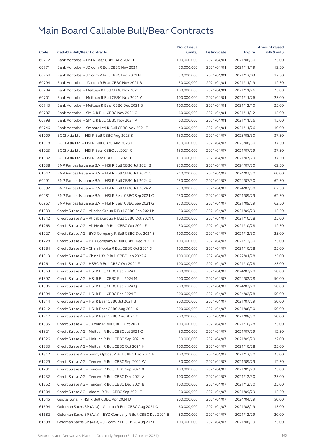|       |                                                              | No. of issue             |              |               | <b>Amount raised</b> |
|-------|--------------------------------------------------------------|--------------------------|--------------|---------------|----------------------|
| Code  | <b>Callable Bull/Bear Contracts</b>                          | (units)                  | Listing date | <b>Expiry</b> | (HK\$ mil.)          |
| 60712 | Bank Vontobel - HSI R Bear CBBC Aug 2021 I                   | 100,000,000              | 2021/04/01   | 2021/08/30    | 25.00                |
| 60771 | Bank Vontobel - JD.com R Bull CBBC Nov 2021 I                | 50,000,000               | 2021/04/01   | 2021/11/19    | 12.50                |
| 60764 | Bank Vontobel - JD.com R Bull CBBC Dec 2021 H                | 50,000,000               | 2021/04/01   | 2021/12/03    | 12.50                |
| 60794 | Bank Vontobel - JD.com R Bear CBBC Nov 2021 B                | 50,000,000               | 2021/04/01   | 2021/11/19    | 12.50                |
| 60704 | Bank Vontobel - Meituan R Bull CBBC Nov 2021 C               | 100,000,000              | 2021/04/01   | 2021/11/26    | 25.00                |
| 60701 | Bank Vontobel - Meituan R Bull CBBC Nov 2021 Y               | 100,000,000              | 2021/04/01   | 2021/11/26    | 25.00                |
| 60743 | Bank Vontobel - Meituan R Bear CBBC Dec 2021 B               | 100,000,000              | 2021/04/01   | 2021/12/10    | 25.00                |
| 60787 | Bank Vontobel - SMIC R Bull CBBC Nov 2021 O                  | 60,000,000               | 2021/04/01   | 2021/11/12    | 15.00                |
| 60798 | Bank Vontobel - SMIC R Bull CBBC Nov 2021 P                  | 60,000,000               | 2021/04/01   | 2021/11/26    | 15.00                |
| 60746 | Bank Vontobel - Smoore Intl R Bull CBBC Nov 2021 E           | 40,000,000               | 2021/04/01   | 2021/11/26    | 10.00                |
| 61009 | BOCI Asia Ltd. - HSI R Bull CBBC Aug 2023 S                  | 150,000,000              | 2021/04/07   | 2023/08/30    | 37.50                |
| 61018 | BOCI Asia Ltd. - HSI R Bull CBBC Aug 2023 T                  | 150,000,000              | 2021/04/07   | 2023/08/30    | 37.50                |
| 61023 | BOCI Asia Ltd. - HSI R Bear CBBC Jul 2021 C                  | 150,000,000              | 2021/04/07   | 2021/07/29    | 37.50                |
| 61032 | BOCI Asia Ltd. - HSI R Bear CBBC Jul 2021 D                  | 150,000,000              | 2021/04/07   | 2021/07/29    | 37.50                |
| 61038 | BNP Paribas Issuance B.V. - HSI R Bull CBBC Jul 2024 B       | 250,000,000              | 2021/04/07   | 2024/07/30    | 62.50                |
| 61042 | BNP Paribas Issuance B.V. - HSI R Bull CBBC Jul 2024 C       | 240,000,000              | 2021/04/07   | 2024/07/30    | 60.00                |
| 60991 | BNP Paribas Issuance B.V. - HSI R Bull CBBC Jul 2024 X       | 250,000,000              | 2021/04/07   | 2024/07/30    | 62.50                |
| 60992 | BNP Paribas Issuance B.V. - HSI R Bull CBBC Jul 2024 Z       | 250,000,000              | 2021/04/07   | 2024/07/30    | 62.50                |
| 60981 | BNP Paribas Issuance B.V. - HSI R Bear CBBC Sep 2021 C       | 250,000,000              | 2021/04/07   | 2021/09/29    | 62.50                |
| 60967 | BNP Paribas Issuance B.V. - HSI R Bear CBBC Sep 2021 G       | 250,000,000              | 2021/04/07   | 2021/09/29    | 62.50                |
| 61339 | Credit Suisse AG - Alibaba Group R Bull CBBC Sep 2021 K      | 50,000,000               | 2021/04/07   | 2021/09/29    | 12.50                |
| 61342 | Credit Suisse AG - Alibaba Group R Bull CBBC Oct 2021 C      | 100,000,000              | 2021/04/07   | 2021/10/28    | 25.00                |
| 61268 | Credit Suisse AG - Ali Health R Bull CBBC Oct 2021 E         | 50,000,000               | 2021/04/07   | 2021/10/28    | 12.50                |
| 61227 | Credit Suisse AG - BYD Company R Bull CBBC Dec 2021 S        | 100,000,000              | 2021/04/07   | 2021/12/30    | 25.00                |
| 61228 | Credit Suisse AG - BYD Company R Bull CBBC Dec 2021 T        | 100,000,000              | 2021/04/07   | 2021/12/30    | 25.00                |
| 61284 | Credit Suisse AG - China Mobile R Bull CBBC Oct 2021 S       | 100,000,000              | 2021/04/07   | 2021/10/28    | 25.00                |
| 61313 | Credit Suisse AG - China Life R Bull CBBC Jan 2022 A         | 100,000,000              | 2021/04/07   | 2022/01/28    | 25.00                |
| 61261 | Credit Suisse AG - HSBC R Bull CBBC Oct 2021 F               | 100,000,000              | 2021/04/07   | 2021/10/28    | 25.00                |
| 61363 | Credit Suisse AG - HSI R Bull CBBC Feb 2024 L                | 200,000,000              | 2021/04/07   | 2024/02/28    | 50.00                |
| 61397 | Credit Suisse AG - HSI R Bull CBBC Feb 2024 M                | 200,000,000              | 2021/04/07   | 2024/02/28    | 50.00                |
| 61386 | Credit Suisse AG - HSI R Bull CBBC Feb 2024 Q                | 200,000,000              | 2021/04/07   | 2024/02/28    | 50.00                |
| 61394 | Credit Suisse AG - HSI R Bull CBBC Feb 2024 T                | 200,000,000              | 2021/04/07   | 2024/02/28    | 50.00                |
| 61214 | Credit Suisse AG – HSI R Bear CBBC Jul 2021 B                | 200,000,000              | 2021/04/07   | 2021/07/29    | 50.00                |
| 61212 | Credit Suisse AG - HSI R Bear CBBC Aug 2021 X                | 200,000,000              | 2021/04/07   | 2021/08/30    | 50.00                |
| 61217 | Credit Suisse AG - HSI R Bear CBBC Aug 2021 Y                | 200,000,000              | 2021/04/07   | 2021/08/30    | 50.00                |
| 61335 | Credit Suisse AG - JD.com R Bull CBBC Oct 2021 H             | 100,000,000              |              |               |                      |
|       | Credit Suisse AG - Meituan R Bull CBBC Jul 2021 O            |                          | 2021/04/07   | 2021/10/28    | 25.00                |
| 61321 |                                                              | 50,000,000<br>50,000,000 | 2021/04/07   | 2021/07/29    | 12.50                |
| 61326 | Credit Suisse AG - Meituan R Bull CBBC Sep 2021 V            |                          | 2021/04/07   | 2021/09/29    | 22.00                |
| 61333 | Credit Suisse AG - Meituan R Bull CBBC Oct 2021 H            | 100,000,000              | 2021/04/07   | 2021/10/28    | 25.00                |
| 61312 | Credit Suisse AG - Sunny Optical R Bull CBBC Dec 2021 B      | 100,000,000              | 2021/04/07   | 2021/12/30    | 25.00                |
| 61229 | Credit Suisse AG - Tencent R Bull CBBC Sep 2021 W            | 50,000,000               | 2021/04/07   | 2021/09/29    | 12.50                |
| 61231 | Credit Suisse AG - Tencent R Bull CBBC Sep 2021 X            | 100,000,000              | 2021/04/07   | 2021/09/29    | 25.00                |
| 61232 | Credit Suisse AG - Tencent R Bull CBBC Dec 2021 A            | 100,000,000              | 2021/04/07   | 2021/12/30    | 25.00                |
| 61252 | Credit Suisse AG – Tencent R Bull CBBC Dec 2021 B            | 100,000,000              | 2021/04/07   | 2021/12/30    | 25.00                |
| 61304 | Credit Suisse AG - Xiaomi R Bull CBBC Sep 2021 E             | 50,000,000               | 2021/04/07   | 2021/09/29    | 12.50                |
| 61045 | Guotai Junan - HSI R Bull CBBC Apr 2024 D                    | 200,000,000              | 2021/04/07   | 2024/04/29    | 50.00                |
| 61694 | Goldman Sachs SP (Asia) - Alibaba R Bull CBBC Aug 2021 Q     | 60,000,000               | 2021/04/07   | 2021/08/19    | 15.00                |
| 61682 | Goldman Sachs SP (Asia) - BYD Company R Bull CBBC Dec 2021 B | 80,000,000               | 2021/04/07   | 2021/12/29    | 20.00                |
| 61698 | Goldman Sachs SP (Asia) - JD.com R Bull CBBC Aug 2021 R      | 100,000,000              | 2021/04/07   | 2021/08/19    | 25.00                |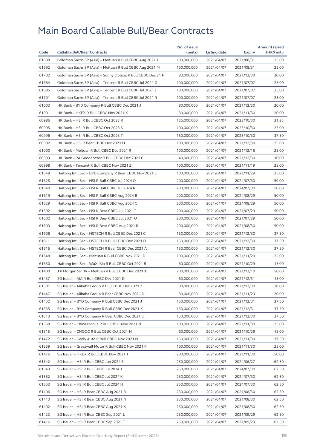| 61688<br>100,000,000<br>2021/04/07<br>2021/08/31<br>25.00<br>Goldman Sachs SP (Asia) - Meituan R Bull CBBC Aug 2021 J<br>61692<br>Goldman Sachs SP (Asia) - Meituan R Bull CBBC Aug 2021 M<br>100,000,000<br>2021/04/07<br>2021/08/31<br>25.00<br>61702<br>Goldman Sachs SP (Asia) - Sunny Optical R Bull CBBC Dec 21 F<br>80,000,000<br>2021/04/07<br>2021/12/30<br>20.00<br>61684<br>Goldman Sachs SP (Asia) - Tencent R Bull CBBC Jul 2021 G<br>25.00<br>100,000,000<br>2021/04/07<br>2021/07/07<br>61685<br>Goldman Sachs SP (Asia) - Tencent R Bull CBBC Jul 2021 J<br>100,000,000<br>2021/04/07<br>2021/07/07<br>25.00<br>61701<br>25.00<br>Goldman Sachs SP (Asia) - Tencent R Bull CBBC Jul 2021 R<br>100,000,000<br>2021/04/07<br>2021/07/07<br>61003<br>HK Bank - BYD Company R Bull CBBC Dec 2021 J<br>80,000,000<br>2021/04/07<br>2021/12/30<br>20.00<br>61001<br>HK Bank - HKEX R Bull CBBC Nov 2021 X<br>80,000,000<br>2021/04/07<br>2021/11/30<br>20.00<br>60986<br>HK Bank - HSI R Bull CBBC Oct 2023 R<br>125,000,000<br>31.25<br>2021/04/07<br>2023/10/30<br>60995<br>HK Bank - HSI R Bull CBBC Oct 2023 S<br>100,000,000<br>2021/04/07<br>25.00<br>2023/10/30<br>60996<br>HK Bank - HSI R Bull CBBC Oct 2023 T<br>150,000,000<br>2021/04/07<br>2023/10/30<br>37.50<br>60982<br>25.00<br>HK Bank - HSI R Bear CBBC Dec 2021 U<br>100,000,000<br>2021/04/07<br>2021/12/30<br>61000<br>HK Bank - Meituan R Bull CBBC Dec 2021 R<br>100,000,000<br>25.00<br>2021/04/07<br>2021/12/16<br>60993<br>HK Bank - PA Gooddoctor R Bull CBBC Dec 2021 C<br>40,000,000<br>2021/04/07<br>2021/12/30<br>10.00<br>60998<br>HK Bank - Tencent R Bull CBBC Nov 2021 Z<br>100,000,000<br>25.00<br>2021/04/07<br>2021/11/19<br>61649<br>Haitong Int'l Sec - BYD Company R Bear CBBC Nov 2021 C<br>100,000,000<br>2021/04/07<br>2021/11/29<br>25.00<br>61625<br>50.00<br>Haitong Int'l Sec - HSI R Bull CBBC Jul 2024 Q<br>200,000,000<br>2021/04/07<br>2024/07/30<br>61640<br>Haitong Int'l Sec - HSI R Bull CBBC Jul 2024 R<br>200,000,000<br>2021/04/07<br>50.00<br>2024/07/30<br>61619<br>Haitong Int'l Sec - HSI R Bull CBBC Aug 2024 B<br>200,000,000<br>2024/08/29<br>50.00<br>2021/04/07<br>61629<br>Haitong Int'l Sec - HSI R Bull CBBC Aug 2024 C<br>200,000,000<br>2021/04/07<br>2024/08/29<br>50.00<br>61592<br>Haitong Int'l Sec - HSI R Bear CBBC Jul 2021 T<br>200,000,000<br>2021/04/07<br>2021/07/29<br>50.00<br>61602<br>Haitong Int'l Sec - HSI R Bear CBBC Jul 2021 U<br>200,000,000<br>2021/04/07<br>2021/07/29<br>50.00<br>61603<br>Haitong Int'l Sec - HSI R Bear CBBC Aug 2021 R<br>200,000,000<br>2021/04/07<br>2021/08/30<br>50.00<br>61606<br>Haitong Int'l Sec - HSTECH R Bull CBBC Dec 2021 C<br>37.50<br>150,000,000<br>2021/04/07<br>2021/12/30<br>61611<br>Haitong Int'l Sec - HSTECH R Bull CBBC Dec 2021 D<br>150,000,000<br>2021/04/07<br>2021/12/30<br>37.50<br>61615<br>Haitong Int'l Sec - HSTECH R Bear CBBC Dec 2021 A<br>150,000,000<br>2021/04/07<br>2021/12/30<br>37.50<br>61648<br>Haitong Int'l Sec - Meituan R Bull CBBC Nov 2021 D<br>100,000,000<br>2021/04/07<br>2021/11/29<br>25.00<br>61650<br>Haitong Int'l Sec - WuXi Bio R Bull CBBC Oct 2021 B<br>60,000,000<br>2021/04/07<br>2021/10/29<br>15.00<br>61400<br>J P Morgan SP BV - Meituan R Bull CBBC Dec 2021 A<br>200,000,000<br>2021/04/07<br>50.00<br>2021/12/10<br>61437<br>SG Issuer - AIA R Bull CBBC Dec 2021 D<br>60,000,000<br>2021/04/07<br>2021/12/31<br>15.00<br>61501<br>SG Issuer - Alibaba Group R Bull CBBC Dec 2021 Z<br>80,000,000<br>2021/04/07<br>2021/12/30<br>20.00<br>SG Issuer - Alibaba Group R Bear CBBC Nov 2021 D<br>80,000,000<br>61447<br>2021/04/07<br>2021/11/29<br>20.00<br>61452<br>SG Issuer - BYD Company R Bull CBBC Dec 2021 J<br>150,000,000<br>2021/04/07<br>2021/12/31<br>37.50<br>61555<br>SG Issuer - BYD Company R Bull CBBC Dec 2021 K<br>150,000,000<br>2021/04/07<br>2021/12/31<br>37.50<br>61513<br>SG Issuer - BYD Company R Bear CBBC Dec 2021 C<br>150,000,000<br>2021/04/07<br>2021/12/30<br>37.50<br>61558<br>SG Issuer - China Mobile R Bull CBBC Nov 2021 N<br>100,000,000<br>2021/04/07<br>2021/11/30<br>25.00<br>15.00<br>61515<br>SG Issuer - CNOOC R Bull CBBC Oct 2021 H<br>60,000,000<br>2021/04/07<br>2021/10/29<br>61472<br>SG Issuer - Geely Auto R Bull CBBC Nov 2021 N<br>150,000,000<br>2021/04/07<br>2021/11/30<br>37.50<br>61559<br>SG Issuer - Greatwall Motor R Bull CBBC Nov 2021 F<br>100,000,000<br>2021/04/07<br>2021/11/30<br>25.00<br>61476<br>SG Issuer - HKEX R Bull CBBC Nov 2021 T<br>200,000,000<br>2021/04/07<br>2021/11/30<br>50.00<br>61542<br>SG Issuer - HSI R Bull CBBC Jun 2024 E<br>250,000,000<br>2021/04/07<br>2024/06/27<br>62.50<br>61543<br>SG Issuer - HSI R Bull CBBC Jul 2024 J<br>250,000,000<br>2021/04/07<br>2024/07/30<br>62.50<br>61552<br>SG Issuer - HSI R Bull CBBC Jul 2024 K<br>250,000,000<br>2021/04/07<br>2024/07/30<br>62.50<br>61553<br>SG Issuer - HSI R Bull CBBC Jul 2024 N<br>250,000,000<br>2021/04/07<br>2024/07/30<br>62.50<br>61406<br>SG Issuer - HSI R Bear CBBC Aug 2021 B<br>250,000,000<br>2021/04/07<br>2021/08/30<br>62.50<br>61413<br>SG Issuer - HSI R Bear CBBC Aug 2021 N<br>250,000,000<br>2021/04/07<br>2021/08/30<br>62.50<br>61402<br>SG Issuer - HSI R Bear CBBC Aug 2021 X<br>250,000,000<br>2021/04/07<br>2021/08/30<br>62.50<br>61423<br>SG Issuer - HSI R Bear CBBC Sep 2021 L<br>250,000,000<br>2021/04/07<br>2021/09/29<br>62.50<br>61416<br>SG Issuer - HSI R Bear CBBC Sep 2021 T<br>250,000,000<br>2021/04/07<br>2021/09/29<br>62.50 |      |                                     | No. of issue |              |        | <b>Amount raised</b> |
|---------------------------------------------------------------------------------------------------------------------------------------------------------------------------------------------------------------------------------------------------------------------------------------------------------------------------------------------------------------------------------------------------------------------------------------------------------------------------------------------------------------------------------------------------------------------------------------------------------------------------------------------------------------------------------------------------------------------------------------------------------------------------------------------------------------------------------------------------------------------------------------------------------------------------------------------------------------------------------------------------------------------------------------------------------------------------------------------------------------------------------------------------------------------------------------------------------------------------------------------------------------------------------------------------------------------------------------------------------------------------------------------------------------------------------------------------------------------------------------------------------------------------------------------------------------------------------------------------------------------------------------------------------------------------------------------------------------------------------------------------------------------------------------------------------------------------------------------------------------------------------------------------------------------------------------------------------------------------------------------------------------------------------------------------------------------------------------------------------------------------------------------------------------------------------------------------------------------------------------------------------------------------------------------------------------------------------------------------------------------------------------------------------------------------------------------------------------------------------------------------------------------------------------------------------------------------------------------------------------------------------------------------------------------------------------------------------------------------------------------------------------------------------------------------------------------------------------------------------------------------------------------------------------------------------------------------------------------------------------------------------------------------------------------------------------------------------------------------------------------------------------------------------------------------------------------------------------------------------------------------------------------------------------------------------------------------------------------------------------------------------------------------------------------------------------------------------------------------------------------------------------------------------------------------------------------------------------------------------------------------------------------------------------------------------------------------------------------------------------------------------------------------------------------------------------------------------------------------------------------------------------------------------------------------------------------------------------------------------------------------------------------------------------------------------------------------------------------------------------------------------------------------------------------------------------------------------------------------------------------------------------------------------------------------------------------------------------------------------------------------------------------------------------------------------------------------------------------------------------------------------------------------------------------------------------------------------------------------------------------------------------------------------------------------------------------------------------------------------------------------------------------------------------------------------------------------------------------------------------------------------------------------------------------------------------------------------------------------------------------------------------------------------------------------------------------------------------------------------------------------------------------------------------------------------------------------------------------------------------------------------------------------------------------------------------------------------------------------------------------------------------------------------------------------------------------------------------------------------------------------------------------------------------------------------------------------------------------|------|-------------------------------------|--------------|--------------|--------|----------------------|
|                                                                                                                                                                                                                                                                                                                                                                                                                                                                                                                                                                                                                                                                                                                                                                                                                                                                                                                                                                                                                                                                                                                                                                                                                                                                                                                                                                                                                                                                                                                                                                                                                                                                                                                                                                                                                                                                                                                                                                                                                                                                                                                                                                                                                                                                                                                                                                                                                                                                                                                                                                                                                                                                                                                                                                                                                                                                                                                                                                                                                                                                                                                                                                                                                                                                                                                                                                                                                                                                                                                                                                                                                                                                                                                                                                                                                                                                                                                                                                                                                                                                                                                                                                                                                                                                                                                                                                                                                                                                                                                                                                                                                                                                                                                                                                                                                                                                                                                                                                                                                                                                                                                                                                                                                                                                                                                                                                                                                                                                                                                                                                                             | Code | <b>Callable Bull/Bear Contracts</b> | (units)      | Listing date | Expiry | (HK\$ mil.)          |
|                                                                                                                                                                                                                                                                                                                                                                                                                                                                                                                                                                                                                                                                                                                                                                                                                                                                                                                                                                                                                                                                                                                                                                                                                                                                                                                                                                                                                                                                                                                                                                                                                                                                                                                                                                                                                                                                                                                                                                                                                                                                                                                                                                                                                                                                                                                                                                                                                                                                                                                                                                                                                                                                                                                                                                                                                                                                                                                                                                                                                                                                                                                                                                                                                                                                                                                                                                                                                                                                                                                                                                                                                                                                                                                                                                                                                                                                                                                                                                                                                                                                                                                                                                                                                                                                                                                                                                                                                                                                                                                                                                                                                                                                                                                                                                                                                                                                                                                                                                                                                                                                                                                                                                                                                                                                                                                                                                                                                                                                                                                                                                                             |      |                                     |              |              |        |                      |
|                                                                                                                                                                                                                                                                                                                                                                                                                                                                                                                                                                                                                                                                                                                                                                                                                                                                                                                                                                                                                                                                                                                                                                                                                                                                                                                                                                                                                                                                                                                                                                                                                                                                                                                                                                                                                                                                                                                                                                                                                                                                                                                                                                                                                                                                                                                                                                                                                                                                                                                                                                                                                                                                                                                                                                                                                                                                                                                                                                                                                                                                                                                                                                                                                                                                                                                                                                                                                                                                                                                                                                                                                                                                                                                                                                                                                                                                                                                                                                                                                                                                                                                                                                                                                                                                                                                                                                                                                                                                                                                                                                                                                                                                                                                                                                                                                                                                                                                                                                                                                                                                                                                                                                                                                                                                                                                                                                                                                                                                                                                                                                                             |      |                                     |              |              |        |                      |
|                                                                                                                                                                                                                                                                                                                                                                                                                                                                                                                                                                                                                                                                                                                                                                                                                                                                                                                                                                                                                                                                                                                                                                                                                                                                                                                                                                                                                                                                                                                                                                                                                                                                                                                                                                                                                                                                                                                                                                                                                                                                                                                                                                                                                                                                                                                                                                                                                                                                                                                                                                                                                                                                                                                                                                                                                                                                                                                                                                                                                                                                                                                                                                                                                                                                                                                                                                                                                                                                                                                                                                                                                                                                                                                                                                                                                                                                                                                                                                                                                                                                                                                                                                                                                                                                                                                                                                                                                                                                                                                                                                                                                                                                                                                                                                                                                                                                                                                                                                                                                                                                                                                                                                                                                                                                                                                                                                                                                                                                                                                                                                                             |      |                                     |              |              |        |                      |
|                                                                                                                                                                                                                                                                                                                                                                                                                                                                                                                                                                                                                                                                                                                                                                                                                                                                                                                                                                                                                                                                                                                                                                                                                                                                                                                                                                                                                                                                                                                                                                                                                                                                                                                                                                                                                                                                                                                                                                                                                                                                                                                                                                                                                                                                                                                                                                                                                                                                                                                                                                                                                                                                                                                                                                                                                                                                                                                                                                                                                                                                                                                                                                                                                                                                                                                                                                                                                                                                                                                                                                                                                                                                                                                                                                                                                                                                                                                                                                                                                                                                                                                                                                                                                                                                                                                                                                                                                                                                                                                                                                                                                                                                                                                                                                                                                                                                                                                                                                                                                                                                                                                                                                                                                                                                                                                                                                                                                                                                                                                                                                                             |      |                                     |              |              |        |                      |
|                                                                                                                                                                                                                                                                                                                                                                                                                                                                                                                                                                                                                                                                                                                                                                                                                                                                                                                                                                                                                                                                                                                                                                                                                                                                                                                                                                                                                                                                                                                                                                                                                                                                                                                                                                                                                                                                                                                                                                                                                                                                                                                                                                                                                                                                                                                                                                                                                                                                                                                                                                                                                                                                                                                                                                                                                                                                                                                                                                                                                                                                                                                                                                                                                                                                                                                                                                                                                                                                                                                                                                                                                                                                                                                                                                                                                                                                                                                                                                                                                                                                                                                                                                                                                                                                                                                                                                                                                                                                                                                                                                                                                                                                                                                                                                                                                                                                                                                                                                                                                                                                                                                                                                                                                                                                                                                                                                                                                                                                                                                                                                                             |      |                                     |              |              |        |                      |
|                                                                                                                                                                                                                                                                                                                                                                                                                                                                                                                                                                                                                                                                                                                                                                                                                                                                                                                                                                                                                                                                                                                                                                                                                                                                                                                                                                                                                                                                                                                                                                                                                                                                                                                                                                                                                                                                                                                                                                                                                                                                                                                                                                                                                                                                                                                                                                                                                                                                                                                                                                                                                                                                                                                                                                                                                                                                                                                                                                                                                                                                                                                                                                                                                                                                                                                                                                                                                                                                                                                                                                                                                                                                                                                                                                                                                                                                                                                                                                                                                                                                                                                                                                                                                                                                                                                                                                                                                                                                                                                                                                                                                                                                                                                                                                                                                                                                                                                                                                                                                                                                                                                                                                                                                                                                                                                                                                                                                                                                                                                                                                                             |      |                                     |              |              |        |                      |
|                                                                                                                                                                                                                                                                                                                                                                                                                                                                                                                                                                                                                                                                                                                                                                                                                                                                                                                                                                                                                                                                                                                                                                                                                                                                                                                                                                                                                                                                                                                                                                                                                                                                                                                                                                                                                                                                                                                                                                                                                                                                                                                                                                                                                                                                                                                                                                                                                                                                                                                                                                                                                                                                                                                                                                                                                                                                                                                                                                                                                                                                                                                                                                                                                                                                                                                                                                                                                                                                                                                                                                                                                                                                                                                                                                                                                                                                                                                                                                                                                                                                                                                                                                                                                                                                                                                                                                                                                                                                                                                                                                                                                                                                                                                                                                                                                                                                                                                                                                                                                                                                                                                                                                                                                                                                                                                                                                                                                                                                                                                                                                                             |      |                                     |              |              |        |                      |
|                                                                                                                                                                                                                                                                                                                                                                                                                                                                                                                                                                                                                                                                                                                                                                                                                                                                                                                                                                                                                                                                                                                                                                                                                                                                                                                                                                                                                                                                                                                                                                                                                                                                                                                                                                                                                                                                                                                                                                                                                                                                                                                                                                                                                                                                                                                                                                                                                                                                                                                                                                                                                                                                                                                                                                                                                                                                                                                                                                                                                                                                                                                                                                                                                                                                                                                                                                                                                                                                                                                                                                                                                                                                                                                                                                                                                                                                                                                                                                                                                                                                                                                                                                                                                                                                                                                                                                                                                                                                                                                                                                                                                                                                                                                                                                                                                                                                                                                                                                                                                                                                                                                                                                                                                                                                                                                                                                                                                                                                                                                                                                                             |      |                                     |              |              |        |                      |
|                                                                                                                                                                                                                                                                                                                                                                                                                                                                                                                                                                                                                                                                                                                                                                                                                                                                                                                                                                                                                                                                                                                                                                                                                                                                                                                                                                                                                                                                                                                                                                                                                                                                                                                                                                                                                                                                                                                                                                                                                                                                                                                                                                                                                                                                                                                                                                                                                                                                                                                                                                                                                                                                                                                                                                                                                                                                                                                                                                                                                                                                                                                                                                                                                                                                                                                                                                                                                                                                                                                                                                                                                                                                                                                                                                                                                                                                                                                                                                                                                                                                                                                                                                                                                                                                                                                                                                                                                                                                                                                                                                                                                                                                                                                                                                                                                                                                                                                                                                                                                                                                                                                                                                                                                                                                                                                                                                                                                                                                                                                                                                                             |      |                                     |              |              |        |                      |
|                                                                                                                                                                                                                                                                                                                                                                                                                                                                                                                                                                                                                                                                                                                                                                                                                                                                                                                                                                                                                                                                                                                                                                                                                                                                                                                                                                                                                                                                                                                                                                                                                                                                                                                                                                                                                                                                                                                                                                                                                                                                                                                                                                                                                                                                                                                                                                                                                                                                                                                                                                                                                                                                                                                                                                                                                                                                                                                                                                                                                                                                                                                                                                                                                                                                                                                                                                                                                                                                                                                                                                                                                                                                                                                                                                                                                                                                                                                                                                                                                                                                                                                                                                                                                                                                                                                                                                                                                                                                                                                                                                                                                                                                                                                                                                                                                                                                                                                                                                                                                                                                                                                                                                                                                                                                                                                                                                                                                                                                                                                                                                                             |      |                                     |              |              |        |                      |
|                                                                                                                                                                                                                                                                                                                                                                                                                                                                                                                                                                                                                                                                                                                                                                                                                                                                                                                                                                                                                                                                                                                                                                                                                                                                                                                                                                                                                                                                                                                                                                                                                                                                                                                                                                                                                                                                                                                                                                                                                                                                                                                                                                                                                                                                                                                                                                                                                                                                                                                                                                                                                                                                                                                                                                                                                                                                                                                                                                                                                                                                                                                                                                                                                                                                                                                                                                                                                                                                                                                                                                                                                                                                                                                                                                                                                                                                                                                                                                                                                                                                                                                                                                                                                                                                                                                                                                                                                                                                                                                                                                                                                                                                                                                                                                                                                                                                                                                                                                                                                                                                                                                                                                                                                                                                                                                                                                                                                                                                                                                                                                                             |      |                                     |              |              |        |                      |
|                                                                                                                                                                                                                                                                                                                                                                                                                                                                                                                                                                                                                                                                                                                                                                                                                                                                                                                                                                                                                                                                                                                                                                                                                                                                                                                                                                                                                                                                                                                                                                                                                                                                                                                                                                                                                                                                                                                                                                                                                                                                                                                                                                                                                                                                                                                                                                                                                                                                                                                                                                                                                                                                                                                                                                                                                                                                                                                                                                                                                                                                                                                                                                                                                                                                                                                                                                                                                                                                                                                                                                                                                                                                                                                                                                                                                                                                                                                                                                                                                                                                                                                                                                                                                                                                                                                                                                                                                                                                                                                                                                                                                                                                                                                                                                                                                                                                                                                                                                                                                                                                                                                                                                                                                                                                                                                                                                                                                                                                                                                                                                                             |      |                                     |              |              |        |                      |
|                                                                                                                                                                                                                                                                                                                                                                                                                                                                                                                                                                                                                                                                                                                                                                                                                                                                                                                                                                                                                                                                                                                                                                                                                                                                                                                                                                                                                                                                                                                                                                                                                                                                                                                                                                                                                                                                                                                                                                                                                                                                                                                                                                                                                                                                                                                                                                                                                                                                                                                                                                                                                                                                                                                                                                                                                                                                                                                                                                                                                                                                                                                                                                                                                                                                                                                                                                                                                                                                                                                                                                                                                                                                                                                                                                                                                                                                                                                                                                                                                                                                                                                                                                                                                                                                                                                                                                                                                                                                                                                                                                                                                                                                                                                                                                                                                                                                                                                                                                                                                                                                                                                                                                                                                                                                                                                                                                                                                                                                                                                                                                                             |      |                                     |              |              |        |                      |
|                                                                                                                                                                                                                                                                                                                                                                                                                                                                                                                                                                                                                                                                                                                                                                                                                                                                                                                                                                                                                                                                                                                                                                                                                                                                                                                                                                                                                                                                                                                                                                                                                                                                                                                                                                                                                                                                                                                                                                                                                                                                                                                                                                                                                                                                                                                                                                                                                                                                                                                                                                                                                                                                                                                                                                                                                                                                                                                                                                                                                                                                                                                                                                                                                                                                                                                                                                                                                                                                                                                                                                                                                                                                                                                                                                                                                                                                                                                                                                                                                                                                                                                                                                                                                                                                                                                                                                                                                                                                                                                                                                                                                                                                                                                                                                                                                                                                                                                                                                                                                                                                                                                                                                                                                                                                                                                                                                                                                                                                                                                                                                                             |      |                                     |              |              |        |                      |
|                                                                                                                                                                                                                                                                                                                                                                                                                                                                                                                                                                                                                                                                                                                                                                                                                                                                                                                                                                                                                                                                                                                                                                                                                                                                                                                                                                                                                                                                                                                                                                                                                                                                                                                                                                                                                                                                                                                                                                                                                                                                                                                                                                                                                                                                                                                                                                                                                                                                                                                                                                                                                                                                                                                                                                                                                                                                                                                                                                                                                                                                                                                                                                                                                                                                                                                                                                                                                                                                                                                                                                                                                                                                                                                                                                                                                                                                                                                                                                                                                                                                                                                                                                                                                                                                                                                                                                                                                                                                                                                                                                                                                                                                                                                                                                                                                                                                                                                                                                                                                                                                                                                                                                                                                                                                                                                                                                                                                                                                                                                                                                                             |      |                                     |              |              |        |                      |
|                                                                                                                                                                                                                                                                                                                                                                                                                                                                                                                                                                                                                                                                                                                                                                                                                                                                                                                                                                                                                                                                                                                                                                                                                                                                                                                                                                                                                                                                                                                                                                                                                                                                                                                                                                                                                                                                                                                                                                                                                                                                                                                                                                                                                                                                                                                                                                                                                                                                                                                                                                                                                                                                                                                                                                                                                                                                                                                                                                                                                                                                                                                                                                                                                                                                                                                                                                                                                                                                                                                                                                                                                                                                                                                                                                                                                                                                                                                                                                                                                                                                                                                                                                                                                                                                                                                                                                                                                                                                                                                                                                                                                                                                                                                                                                                                                                                                                                                                                                                                                                                                                                                                                                                                                                                                                                                                                                                                                                                                                                                                                                                             |      |                                     |              |              |        |                      |
|                                                                                                                                                                                                                                                                                                                                                                                                                                                                                                                                                                                                                                                                                                                                                                                                                                                                                                                                                                                                                                                                                                                                                                                                                                                                                                                                                                                                                                                                                                                                                                                                                                                                                                                                                                                                                                                                                                                                                                                                                                                                                                                                                                                                                                                                                                                                                                                                                                                                                                                                                                                                                                                                                                                                                                                                                                                                                                                                                                                                                                                                                                                                                                                                                                                                                                                                                                                                                                                                                                                                                                                                                                                                                                                                                                                                                                                                                                                                                                                                                                                                                                                                                                                                                                                                                                                                                                                                                                                                                                                                                                                                                                                                                                                                                                                                                                                                                                                                                                                                                                                                                                                                                                                                                                                                                                                                                                                                                                                                                                                                                                                             |      |                                     |              |              |        |                      |
|                                                                                                                                                                                                                                                                                                                                                                                                                                                                                                                                                                                                                                                                                                                                                                                                                                                                                                                                                                                                                                                                                                                                                                                                                                                                                                                                                                                                                                                                                                                                                                                                                                                                                                                                                                                                                                                                                                                                                                                                                                                                                                                                                                                                                                                                                                                                                                                                                                                                                                                                                                                                                                                                                                                                                                                                                                                                                                                                                                                                                                                                                                                                                                                                                                                                                                                                                                                                                                                                                                                                                                                                                                                                                                                                                                                                                                                                                                                                                                                                                                                                                                                                                                                                                                                                                                                                                                                                                                                                                                                                                                                                                                                                                                                                                                                                                                                                                                                                                                                                                                                                                                                                                                                                                                                                                                                                                                                                                                                                                                                                                                                             |      |                                     |              |              |        |                      |
|                                                                                                                                                                                                                                                                                                                                                                                                                                                                                                                                                                                                                                                                                                                                                                                                                                                                                                                                                                                                                                                                                                                                                                                                                                                                                                                                                                                                                                                                                                                                                                                                                                                                                                                                                                                                                                                                                                                                                                                                                                                                                                                                                                                                                                                                                                                                                                                                                                                                                                                                                                                                                                                                                                                                                                                                                                                                                                                                                                                                                                                                                                                                                                                                                                                                                                                                                                                                                                                                                                                                                                                                                                                                                                                                                                                                                                                                                                                                                                                                                                                                                                                                                                                                                                                                                                                                                                                                                                                                                                                                                                                                                                                                                                                                                                                                                                                                                                                                                                                                                                                                                                                                                                                                                                                                                                                                                                                                                                                                                                                                                                                             |      |                                     |              |              |        |                      |
|                                                                                                                                                                                                                                                                                                                                                                                                                                                                                                                                                                                                                                                                                                                                                                                                                                                                                                                                                                                                                                                                                                                                                                                                                                                                                                                                                                                                                                                                                                                                                                                                                                                                                                                                                                                                                                                                                                                                                                                                                                                                                                                                                                                                                                                                                                                                                                                                                                                                                                                                                                                                                                                                                                                                                                                                                                                                                                                                                                                                                                                                                                                                                                                                                                                                                                                                                                                                                                                                                                                                                                                                                                                                                                                                                                                                                                                                                                                                                                                                                                                                                                                                                                                                                                                                                                                                                                                                                                                                                                                                                                                                                                                                                                                                                                                                                                                                                                                                                                                                                                                                                                                                                                                                                                                                                                                                                                                                                                                                                                                                                                                             |      |                                     |              |              |        |                      |
|                                                                                                                                                                                                                                                                                                                                                                                                                                                                                                                                                                                                                                                                                                                                                                                                                                                                                                                                                                                                                                                                                                                                                                                                                                                                                                                                                                                                                                                                                                                                                                                                                                                                                                                                                                                                                                                                                                                                                                                                                                                                                                                                                                                                                                                                                                                                                                                                                                                                                                                                                                                                                                                                                                                                                                                                                                                                                                                                                                                                                                                                                                                                                                                                                                                                                                                                                                                                                                                                                                                                                                                                                                                                                                                                                                                                                                                                                                                                                                                                                                                                                                                                                                                                                                                                                                                                                                                                                                                                                                                                                                                                                                                                                                                                                                                                                                                                                                                                                                                                                                                                                                                                                                                                                                                                                                                                                                                                                                                                                                                                                                                             |      |                                     |              |              |        |                      |
|                                                                                                                                                                                                                                                                                                                                                                                                                                                                                                                                                                                                                                                                                                                                                                                                                                                                                                                                                                                                                                                                                                                                                                                                                                                                                                                                                                                                                                                                                                                                                                                                                                                                                                                                                                                                                                                                                                                                                                                                                                                                                                                                                                                                                                                                                                                                                                                                                                                                                                                                                                                                                                                                                                                                                                                                                                                                                                                                                                                                                                                                                                                                                                                                                                                                                                                                                                                                                                                                                                                                                                                                                                                                                                                                                                                                                                                                                                                                                                                                                                                                                                                                                                                                                                                                                                                                                                                                                                                                                                                                                                                                                                                                                                                                                                                                                                                                                                                                                                                                                                                                                                                                                                                                                                                                                                                                                                                                                                                                                                                                                                                             |      |                                     |              |              |        |                      |
|                                                                                                                                                                                                                                                                                                                                                                                                                                                                                                                                                                                                                                                                                                                                                                                                                                                                                                                                                                                                                                                                                                                                                                                                                                                                                                                                                                                                                                                                                                                                                                                                                                                                                                                                                                                                                                                                                                                                                                                                                                                                                                                                                                                                                                                                                                                                                                                                                                                                                                                                                                                                                                                                                                                                                                                                                                                                                                                                                                                                                                                                                                                                                                                                                                                                                                                                                                                                                                                                                                                                                                                                                                                                                                                                                                                                                                                                                                                                                                                                                                                                                                                                                                                                                                                                                                                                                                                                                                                                                                                                                                                                                                                                                                                                                                                                                                                                                                                                                                                                                                                                                                                                                                                                                                                                                                                                                                                                                                                                                                                                                                                             |      |                                     |              |              |        |                      |
|                                                                                                                                                                                                                                                                                                                                                                                                                                                                                                                                                                                                                                                                                                                                                                                                                                                                                                                                                                                                                                                                                                                                                                                                                                                                                                                                                                                                                                                                                                                                                                                                                                                                                                                                                                                                                                                                                                                                                                                                                                                                                                                                                                                                                                                                                                                                                                                                                                                                                                                                                                                                                                                                                                                                                                                                                                                                                                                                                                                                                                                                                                                                                                                                                                                                                                                                                                                                                                                                                                                                                                                                                                                                                                                                                                                                                                                                                                                                                                                                                                                                                                                                                                                                                                                                                                                                                                                                                                                                                                                                                                                                                                                                                                                                                                                                                                                                                                                                                                                                                                                                                                                                                                                                                                                                                                                                                                                                                                                                                                                                                                                             |      |                                     |              |              |        |                      |
|                                                                                                                                                                                                                                                                                                                                                                                                                                                                                                                                                                                                                                                                                                                                                                                                                                                                                                                                                                                                                                                                                                                                                                                                                                                                                                                                                                                                                                                                                                                                                                                                                                                                                                                                                                                                                                                                                                                                                                                                                                                                                                                                                                                                                                                                                                                                                                                                                                                                                                                                                                                                                                                                                                                                                                                                                                                                                                                                                                                                                                                                                                                                                                                                                                                                                                                                                                                                                                                                                                                                                                                                                                                                                                                                                                                                                                                                                                                                                                                                                                                                                                                                                                                                                                                                                                                                                                                                                                                                                                                                                                                                                                                                                                                                                                                                                                                                                                                                                                                                                                                                                                                                                                                                                                                                                                                                                                                                                                                                                                                                                                                             |      |                                     |              |              |        |                      |
|                                                                                                                                                                                                                                                                                                                                                                                                                                                                                                                                                                                                                                                                                                                                                                                                                                                                                                                                                                                                                                                                                                                                                                                                                                                                                                                                                                                                                                                                                                                                                                                                                                                                                                                                                                                                                                                                                                                                                                                                                                                                                                                                                                                                                                                                                                                                                                                                                                                                                                                                                                                                                                                                                                                                                                                                                                                                                                                                                                                                                                                                                                                                                                                                                                                                                                                                                                                                                                                                                                                                                                                                                                                                                                                                                                                                                                                                                                                                                                                                                                                                                                                                                                                                                                                                                                                                                                                                                                                                                                                                                                                                                                                                                                                                                                                                                                                                                                                                                                                                                                                                                                                                                                                                                                                                                                                                                                                                                                                                                                                                                                                             |      |                                     |              |              |        |                      |
|                                                                                                                                                                                                                                                                                                                                                                                                                                                                                                                                                                                                                                                                                                                                                                                                                                                                                                                                                                                                                                                                                                                                                                                                                                                                                                                                                                                                                                                                                                                                                                                                                                                                                                                                                                                                                                                                                                                                                                                                                                                                                                                                                                                                                                                                                                                                                                                                                                                                                                                                                                                                                                                                                                                                                                                                                                                                                                                                                                                                                                                                                                                                                                                                                                                                                                                                                                                                                                                                                                                                                                                                                                                                                                                                                                                                                                                                                                                                                                                                                                                                                                                                                                                                                                                                                                                                                                                                                                                                                                                                                                                                                                                                                                                                                                                                                                                                                                                                                                                                                                                                                                                                                                                                                                                                                                                                                                                                                                                                                                                                                                                             |      |                                     |              |              |        |                      |
|                                                                                                                                                                                                                                                                                                                                                                                                                                                                                                                                                                                                                                                                                                                                                                                                                                                                                                                                                                                                                                                                                                                                                                                                                                                                                                                                                                                                                                                                                                                                                                                                                                                                                                                                                                                                                                                                                                                                                                                                                                                                                                                                                                                                                                                                                                                                                                                                                                                                                                                                                                                                                                                                                                                                                                                                                                                                                                                                                                                                                                                                                                                                                                                                                                                                                                                                                                                                                                                                                                                                                                                                                                                                                                                                                                                                                                                                                                                                                                                                                                                                                                                                                                                                                                                                                                                                                                                                                                                                                                                                                                                                                                                                                                                                                                                                                                                                                                                                                                                                                                                                                                                                                                                                                                                                                                                                                                                                                                                                                                                                                                                             |      |                                     |              |              |        |                      |
|                                                                                                                                                                                                                                                                                                                                                                                                                                                                                                                                                                                                                                                                                                                                                                                                                                                                                                                                                                                                                                                                                                                                                                                                                                                                                                                                                                                                                                                                                                                                                                                                                                                                                                                                                                                                                                                                                                                                                                                                                                                                                                                                                                                                                                                                                                                                                                                                                                                                                                                                                                                                                                                                                                                                                                                                                                                                                                                                                                                                                                                                                                                                                                                                                                                                                                                                                                                                                                                                                                                                                                                                                                                                                                                                                                                                                                                                                                                                                                                                                                                                                                                                                                                                                                                                                                                                                                                                                                                                                                                                                                                                                                                                                                                                                                                                                                                                                                                                                                                                                                                                                                                                                                                                                                                                                                                                                                                                                                                                                                                                                                                             |      |                                     |              |              |        |                      |
|                                                                                                                                                                                                                                                                                                                                                                                                                                                                                                                                                                                                                                                                                                                                                                                                                                                                                                                                                                                                                                                                                                                                                                                                                                                                                                                                                                                                                                                                                                                                                                                                                                                                                                                                                                                                                                                                                                                                                                                                                                                                                                                                                                                                                                                                                                                                                                                                                                                                                                                                                                                                                                                                                                                                                                                                                                                                                                                                                                                                                                                                                                                                                                                                                                                                                                                                                                                                                                                                                                                                                                                                                                                                                                                                                                                                                                                                                                                                                                                                                                                                                                                                                                                                                                                                                                                                                                                                                                                                                                                                                                                                                                                                                                                                                                                                                                                                                                                                                                                                                                                                                                                                                                                                                                                                                                                                                                                                                                                                                                                                                                                             |      |                                     |              |              |        |                      |
|                                                                                                                                                                                                                                                                                                                                                                                                                                                                                                                                                                                                                                                                                                                                                                                                                                                                                                                                                                                                                                                                                                                                                                                                                                                                                                                                                                                                                                                                                                                                                                                                                                                                                                                                                                                                                                                                                                                                                                                                                                                                                                                                                                                                                                                                                                                                                                                                                                                                                                                                                                                                                                                                                                                                                                                                                                                                                                                                                                                                                                                                                                                                                                                                                                                                                                                                                                                                                                                                                                                                                                                                                                                                                                                                                                                                                                                                                                                                                                                                                                                                                                                                                                                                                                                                                                                                                                                                                                                                                                                                                                                                                                                                                                                                                                                                                                                                                                                                                                                                                                                                                                                                                                                                                                                                                                                                                                                                                                                                                                                                                                                             |      |                                     |              |              |        |                      |
|                                                                                                                                                                                                                                                                                                                                                                                                                                                                                                                                                                                                                                                                                                                                                                                                                                                                                                                                                                                                                                                                                                                                                                                                                                                                                                                                                                                                                                                                                                                                                                                                                                                                                                                                                                                                                                                                                                                                                                                                                                                                                                                                                                                                                                                                                                                                                                                                                                                                                                                                                                                                                                                                                                                                                                                                                                                                                                                                                                                                                                                                                                                                                                                                                                                                                                                                                                                                                                                                                                                                                                                                                                                                                                                                                                                                                                                                                                                                                                                                                                                                                                                                                                                                                                                                                                                                                                                                                                                                                                                                                                                                                                                                                                                                                                                                                                                                                                                                                                                                                                                                                                                                                                                                                                                                                                                                                                                                                                                                                                                                                                                             |      |                                     |              |              |        |                      |
|                                                                                                                                                                                                                                                                                                                                                                                                                                                                                                                                                                                                                                                                                                                                                                                                                                                                                                                                                                                                                                                                                                                                                                                                                                                                                                                                                                                                                                                                                                                                                                                                                                                                                                                                                                                                                                                                                                                                                                                                                                                                                                                                                                                                                                                                                                                                                                                                                                                                                                                                                                                                                                                                                                                                                                                                                                                                                                                                                                                                                                                                                                                                                                                                                                                                                                                                                                                                                                                                                                                                                                                                                                                                                                                                                                                                                                                                                                                                                                                                                                                                                                                                                                                                                                                                                                                                                                                                                                                                                                                                                                                                                                                                                                                                                                                                                                                                                                                                                                                                                                                                                                                                                                                                                                                                                                                                                                                                                                                                                                                                                                                             |      |                                     |              |              |        |                      |
|                                                                                                                                                                                                                                                                                                                                                                                                                                                                                                                                                                                                                                                                                                                                                                                                                                                                                                                                                                                                                                                                                                                                                                                                                                                                                                                                                                                                                                                                                                                                                                                                                                                                                                                                                                                                                                                                                                                                                                                                                                                                                                                                                                                                                                                                                                                                                                                                                                                                                                                                                                                                                                                                                                                                                                                                                                                                                                                                                                                                                                                                                                                                                                                                                                                                                                                                                                                                                                                                                                                                                                                                                                                                                                                                                                                                                                                                                                                                                                                                                                                                                                                                                                                                                                                                                                                                                                                                                                                                                                                                                                                                                                                                                                                                                                                                                                                                                                                                                                                                                                                                                                                                                                                                                                                                                                                                                                                                                                                                                                                                                                                             |      |                                     |              |              |        |                      |
|                                                                                                                                                                                                                                                                                                                                                                                                                                                                                                                                                                                                                                                                                                                                                                                                                                                                                                                                                                                                                                                                                                                                                                                                                                                                                                                                                                                                                                                                                                                                                                                                                                                                                                                                                                                                                                                                                                                                                                                                                                                                                                                                                                                                                                                                                                                                                                                                                                                                                                                                                                                                                                                                                                                                                                                                                                                                                                                                                                                                                                                                                                                                                                                                                                                                                                                                                                                                                                                                                                                                                                                                                                                                                                                                                                                                                                                                                                                                                                                                                                                                                                                                                                                                                                                                                                                                                                                                                                                                                                                                                                                                                                                                                                                                                                                                                                                                                                                                                                                                                                                                                                                                                                                                                                                                                                                                                                                                                                                                                                                                                                                             |      |                                     |              |              |        |                      |
|                                                                                                                                                                                                                                                                                                                                                                                                                                                                                                                                                                                                                                                                                                                                                                                                                                                                                                                                                                                                                                                                                                                                                                                                                                                                                                                                                                                                                                                                                                                                                                                                                                                                                                                                                                                                                                                                                                                                                                                                                                                                                                                                                                                                                                                                                                                                                                                                                                                                                                                                                                                                                                                                                                                                                                                                                                                                                                                                                                                                                                                                                                                                                                                                                                                                                                                                                                                                                                                                                                                                                                                                                                                                                                                                                                                                                                                                                                                                                                                                                                                                                                                                                                                                                                                                                                                                                                                                                                                                                                                                                                                                                                                                                                                                                                                                                                                                                                                                                                                                                                                                                                                                                                                                                                                                                                                                                                                                                                                                                                                                                                                             |      |                                     |              |              |        |                      |
|                                                                                                                                                                                                                                                                                                                                                                                                                                                                                                                                                                                                                                                                                                                                                                                                                                                                                                                                                                                                                                                                                                                                                                                                                                                                                                                                                                                                                                                                                                                                                                                                                                                                                                                                                                                                                                                                                                                                                                                                                                                                                                                                                                                                                                                                                                                                                                                                                                                                                                                                                                                                                                                                                                                                                                                                                                                                                                                                                                                                                                                                                                                                                                                                                                                                                                                                                                                                                                                                                                                                                                                                                                                                                                                                                                                                                                                                                                                                                                                                                                                                                                                                                                                                                                                                                                                                                                                                                                                                                                                                                                                                                                                                                                                                                                                                                                                                                                                                                                                                                                                                                                                                                                                                                                                                                                                                                                                                                                                                                                                                                                                             |      |                                     |              |              |        |                      |
|                                                                                                                                                                                                                                                                                                                                                                                                                                                                                                                                                                                                                                                                                                                                                                                                                                                                                                                                                                                                                                                                                                                                                                                                                                                                                                                                                                                                                                                                                                                                                                                                                                                                                                                                                                                                                                                                                                                                                                                                                                                                                                                                                                                                                                                                                                                                                                                                                                                                                                                                                                                                                                                                                                                                                                                                                                                                                                                                                                                                                                                                                                                                                                                                                                                                                                                                                                                                                                                                                                                                                                                                                                                                                                                                                                                                                                                                                                                                                                                                                                                                                                                                                                                                                                                                                                                                                                                                                                                                                                                                                                                                                                                                                                                                                                                                                                                                                                                                                                                                                                                                                                                                                                                                                                                                                                                                                                                                                                                                                                                                                                                             |      |                                     |              |              |        |                      |
|                                                                                                                                                                                                                                                                                                                                                                                                                                                                                                                                                                                                                                                                                                                                                                                                                                                                                                                                                                                                                                                                                                                                                                                                                                                                                                                                                                                                                                                                                                                                                                                                                                                                                                                                                                                                                                                                                                                                                                                                                                                                                                                                                                                                                                                                                                                                                                                                                                                                                                                                                                                                                                                                                                                                                                                                                                                                                                                                                                                                                                                                                                                                                                                                                                                                                                                                                                                                                                                                                                                                                                                                                                                                                                                                                                                                                                                                                                                                                                                                                                                                                                                                                                                                                                                                                                                                                                                                                                                                                                                                                                                                                                                                                                                                                                                                                                                                                                                                                                                                                                                                                                                                                                                                                                                                                                                                                                                                                                                                                                                                                                                             |      |                                     |              |              |        |                      |
|                                                                                                                                                                                                                                                                                                                                                                                                                                                                                                                                                                                                                                                                                                                                                                                                                                                                                                                                                                                                                                                                                                                                                                                                                                                                                                                                                                                                                                                                                                                                                                                                                                                                                                                                                                                                                                                                                                                                                                                                                                                                                                                                                                                                                                                                                                                                                                                                                                                                                                                                                                                                                                                                                                                                                                                                                                                                                                                                                                                                                                                                                                                                                                                                                                                                                                                                                                                                                                                                                                                                                                                                                                                                                                                                                                                                                                                                                                                                                                                                                                                                                                                                                                                                                                                                                                                                                                                                                                                                                                                                                                                                                                                                                                                                                                                                                                                                                                                                                                                                                                                                                                                                                                                                                                                                                                                                                                                                                                                                                                                                                                                             |      |                                     |              |              |        |                      |
|                                                                                                                                                                                                                                                                                                                                                                                                                                                                                                                                                                                                                                                                                                                                                                                                                                                                                                                                                                                                                                                                                                                                                                                                                                                                                                                                                                                                                                                                                                                                                                                                                                                                                                                                                                                                                                                                                                                                                                                                                                                                                                                                                                                                                                                                                                                                                                                                                                                                                                                                                                                                                                                                                                                                                                                                                                                                                                                                                                                                                                                                                                                                                                                                                                                                                                                                                                                                                                                                                                                                                                                                                                                                                                                                                                                                                                                                                                                                                                                                                                                                                                                                                                                                                                                                                                                                                                                                                                                                                                                                                                                                                                                                                                                                                                                                                                                                                                                                                                                                                                                                                                                                                                                                                                                                                                                                                                                                                                                                                                                                                                                             |      |                                     |              |              |        |                      |
|                                                                                                                                                                                                                                                                                                                                                                                                                                                                                                                                                                                                                                                                                                                                                                                                                                                                                                                                                                                                                                                                                                                                                                                                                                                                                                                                                                                                                                                                                                                                                                                                                                                                                                                                                                                                                                                                                                                                                                                                                                                                                                                                                                                                                                                                                                                                                                                                                                                                                                                                                                                                                                                                                                                                                                                                                                                                                                                                                                                                                                                                                                                                                                                                                                                                                                                                                                                                                                                                                                                                                                                                                                                                                                                                                                                                                                                                                                                                                                                                                                                                                                                                                                                                                                                                                                                                                                                                                                                                                                                                                                                                                                                                                                                                                                                                                                                                                                                                                                                                                                                                                                                                                                                                                                                                                                                                                                                                                                                                                                                                                                                             |      |                                     |              |              |        |                      |
|                                                                                                                                                                                                                                                                                                                                                                                                                                                                                                                                                                                                                                                                                                                                                                                                                                                                                                                                                                                                                                                                                                                                                                                                                                                                                                                                                                                                                                                                                                                                                                                                                                                                                                                                                                                                                                                                                                                                                                                                                                                                                                                                                                                                                                                                                                                                                                                                                                                                                                                                                                                                                                                                                                                                                                                                                                                                                                                                                                                                                                                                                                                                                                                                                                                                                                                                                                                                                                                                                                                                                                                                                                                                                                                                                                                                                                                                                                                                                                                                                                                                                                                                                                                                                                                                                                                                                                                                                                                                                                                                                                                                                                                                                                                                                                                                                                                                                                                                                                                                                                                                                                                                                                                                                                                                                                                                                                                                                                                                                                                                                                                             |      |                                     |              |              |        |                      |
|                                                                                                                                                                                                                                                                                                                                                                                                                                                                                                                                                                                                                                                                                                                                                                                                                                                                                                                                                                                                                                                                                                                                                                                                                                                                                                                                                                                                                                                                                                                                                                                                                                                                                                                                                                                                                                                                                                                                                                                                                                                                                                                                                                                                                                                                                                                                                                                                                                                                                                                                                                                                                                                                                                                                                                                                                                                                                                                                                                                                                                                                                                                                                                                                                                                                                                                                                                                                                                                                                                                                                                                                                                                                                                                                                                                                                                                                                                                                                                                                                                                                                                                                                                                                                                                                                                                                                                                                                                                                                                                                                                                                                                                                                                                                                                                                                                                                                                                                                                                                                                                                                                                                                                                                                                                                                                                                                                                                                                                                                                                                                                                             |      |                                     |              |              |        |                      |
|                                                                                                                                                                                                                                                                                                                                                                                                                                                                                                                                                                                                                                                                                                                                                                                                                                                                                                                                                                                                                                                                                                                                                                                                                                                                                                                                                                                                                                                                                                                                                                                                                                                                                                                                                                                                                                                                                                                                                                                                                                                                                                                                                                                                                                                                                                                                                                                                                                                                                                                                                                                                                                                                                                                                                                                                                                                                                                                                                                                                                                                                                                                                                                                                                                                                                                                                                                                                                                                                                                                                                                                                                                                                                                                                                                                                                                                                                                                                                                                                                                                                                                                                                                                                                                                                                                                                                                                                                                                                                                                                                                                                                                                                                                                                                                                                                                                                                                                                                                                                                                                                                                                                                                                                                                                                                                                                                                                                                                                                                                                                                                                             |      |                                     |              |              |        |                      |
|                                                                                                                                                                                                                                                                                                                                                                                                                                                                                                                                                                                                                                                                                                                                                                                                                                                                                                                                                                                                                                                                                                                                                                                                                                                                                                                                                                                                                                                                                                                                                                                                                                                                                                                                                                                                                                                                                                                                                                                                                                                                                                                                                                                                                                                                                                                                                                                                                                                                                                                                                                                                                                                                                                                                                                                                                                                                                                                                                                                                                                                                                                                                                                                                                                                                                                                                                                                                                                                                                                                                                                                                                                                                                                                                                                                                                                                                                                                                                                                                                                                                                                                                                                                                                                                                                                                                                                                                                                                                                                                                                                                                                                                                                                                                                                                                                                                                                                                                                                                                                                                                                                                                                                                                                                                                                                                                                                                                                                                                                                                                                                                             |      |                                     |              |              |        |                      |
|                                                                                                                                                                                                                                                                                                                                                                                                                                                                                                                                                                                                                                                                                                                                                                                                                                                                                                                                                                                                                                                                                                                                                                                                                                                                                                                                                                                                                                                                                                                                                                                                                                                                                                                                                                                                                                                                                                                                                                                                                                                                                                                                                                                                                                                                                                                                                                                                                                                                                                                                                                                                                                                                                                                                                                                                                                                                                                                                                                                                                                                                                                                                                                                                                                                                                                                                                                                                                                                                                                                                                                                                                                                                                                                                                                                                                                                                                                                                                                                                                                                                                                                                                                                                                                                                                                                                                                                                                                                                                                                                                                                                                                                                                                                                                                                                                                                                                                                                                                                                                                                                                                                                                                                                                                                                                                                                                                                                                                                                                                                                                                                             |      |                                     |              |              |        |                      |
|                                                                                                                                                                                                                                                                                                                                                                                                                                                                                                                                                                                                                                                                                                                                                                                                                                                                                                                                                                                                                                                                                                                                                                                                                                                                                                                                                                                                                                                                                                                                                                                                                                                                                                                                                                                                                                                                                                                                                                                                                                                                                                                                                                                                                                                                                                                                                                                                                                                                                                                                                                                                                                                                                                                                                                                                                                                                                                                                                                                                                                                                                                                                                                                                                                                                                                                                                                                                                                                                                                                                                                                                                                                                                                                                                                                                                                                                                                                                                                                                                                                                                                                                                                                                                                                                                                                                                                                                                                                                                                                                                                                                                                                                                                                                                                                                                                                                                                                                                                                                                                                                                                                                                                                                                                                                                                                                                                                                                                                                                                                                                                                             |      |                                     |              |              |        |                      |
|                                                                                                                                                                                                                                                                                                                                                                                                                                                                                                                                                                                                                                                                                                                                                                                                                                                                                                                                                                                                                                                                                                                                                                                                                                                                                                                                                                                                                                                                                                                                                                                                                                                                                                                                                                                                                                                                                                                                                                                                                                                                                                                                                                                                                                                                                                                                                                                                                                                                                                                                                                                                                                                                                                                                                                                                                                                                                                                                                                                                                                                                                                                                                                                                                                                                                                                                                                                                                                                                                                                                                                                                                                                                                                                                                                                                                                                                                                                                                                                                                                                                                                                                                                                                                                                                                                                                                                                                                                                                                                                                                                                                                                                                                                                                                                                                                                                                                                                                                                                                                                                                                                                                                                                                                                                                                                                                                                                                                                                                                                                                                                                             |      |                                     |              |              |        |                      |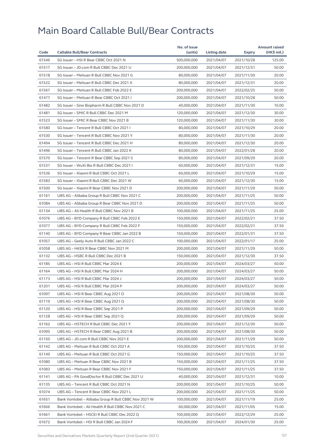| Code  |                                                      | No. of issue |              |            | <b>Amount raised</b><br>(HK\$ mil.) |
|-------|------------------------------------------------------|--------------|--------------|------------|-------------------------------------|
|       | <b>Callable Bull/Bear Contracts</b>                  | (units)      | Listing date | Expiry     |                                     |
| 61546 | SG Issuer - HSI R Bear CBBC Oct 2021 N               | 500,000,000  | 2021/04/07   | 2021/10/28 | 125.00                              |
| 61517 | SG Issuer - JD.com R Bull CBBC Dec 2021 U            | 200,000,000  | 2021/04/07   | 2021/12/31 | 50.00                               |
| 61518 | SG Issuer - Meituan R Bull CBBC Nov 2021 G           | 80,000,000   | 2021/04/07   | 2021/11/30 | 20.00                               |
| 61522 | SG Issuer - Meituan R Bull CBBC Dec 2021 X           | 80,000,000   | 2021/04/07   | 2021/12/31 | 20.00                               |
| 61567 | SG Issuer - Meituan R Bull CBBC Feb 2022 E           | 200,000,000  | 2021/04/07   | 2022/02/25 | 50.00                               |
| 61477 | SG Issuer - Meituan R Bear CBBC Oct 2021 I           | 200,000,000  | 2021/04/07   | 2021/10/28 | 50.00                               |
| 61482 | SG Issuer - Sino Biopharm R Bull CBBC Nov 2021 D     | 40,000,000   | 2021/04/07   | 2021/11/30 | 10.00                               |
| 61481 | SG Issuer - SMIC R Bull CBBC Dec 2021 M              | 120,000,000  | 2021/04/07   | 2021/12/30 | 30.00                               |
| 61523 | SG Issuer - SMIC R Bear CBBC Nov 2021 B              | 120,000,000  | 2021/04/07   | 2021/11/30 | 30.00                               |
| 61580 | SG Issuer - Tencent R Bull CBBC Oct 2021 I           | 80,000,000   | 2021/04/07   | 2021/10/29 | 20.00                               |
| 61530 | SG Issuer - Tencent R Bull CBBC Nov 2021 Y           | 80,000,000   | 2021/04/07   | 2021/11/30 | 20.00                               |
| 61494 | SG Issuer - Tencent R Bull CBBC Dec 2021 H           | 80,000,000   | 2021/04/07   | 2021/12/30 | 20.00                               |
| 61496 | SG Issuer - Tencent R Bull CBBC Jan 2022 K           | 80,000,000   | 2021/04/07   | 2022/01/28 | 20.00                               |
| 61570 | SG Issuer - Tencent R Bear CBBC Sep 2021 S           | 80,000,000   | 2021/04/07   | 2021/09/29 | 20.00                               |
| 61531 | SG Issuer - WuXi Bio R Bull CBBC Dec 2021 I          | 60,000,000   | 2021/04/07   | 2021/12/31 | 15.00                               |
| 61536 | SG Issuer - Xiaomi R Bull CBBC Oct 2021 L            | 60,000,000   | 2021/04/07   | 2021/10/29 | 15.00                               |
| 61583 | SG Issuer - Xiaomi R Bull CBBC Dec 2021 W            | 60,000,000   | 2021/04/07   | 2021/12/30 | 15.00                               |
| 61500 | SG Issuer - Xiaomi R Bear CBBC Nov 2021 D            | 200,000,000  | 2021/04/07   | 2021/11/29 | 50.00                               |
| 61161 | UBS AG - Alibaba Group R Bull CBBC Nov 2021 C        | 200,000,000  | 2021/04/07   | 2021/11/25 | 50.00                               |
| 61084 | UBS AG - Alibaba Group R Bear CBBC Nov 2021 D        | 200,000,000  | 2021/04/07   | 2021/11/25 | 50.00                               |
| 61134 | UBS AG - Ali Health R Bull CBBC Nov 2021 B           | 100,000,000  | 2021/04/07   | 2021/11/25 | 25.00                               |
| 61076 | UBS AG - BYD Company R Bull CBBC Feb 2022 E          | 150,000,000  | 2021/04/07   | 2022/02/21 | 37.50                               |
| 61077 | UBS AG - BYD Company R Bull CBBC Feb 2022 F          | 150,000,000  | 2021/04/07   | 2022/02/21 | 37.50                               |
| 61140 | UBS AG – BYD Company R Bear CBBC Jan 2022 B          | 150,000,000  | 2021/04/07   | 2022/01/31 | 37.50                               |
| 61057 | UBS AG - Geely Auto R Bull CBBC Jan 2022 C           | 100,000,000  | 2021/04/07   | 2022/01/17 | 25.00                               |
| 61058 | UBS AG - HKEX R Bear CBBC Nov 2021 M                 | 200,000,000  | 2021/04/07   | 2021/11/29 | 50.00                               |
| 61132 | UBS AG - HSBC R Bull CBBC Dec 2021 B                 | 150,000,000  | 2021/04/07   | 2021/12/30 | 37.50                               |
| 61185 | UBS AG - HSI R Bull CBBC Mar 2024 E                  | 200,000,000  | 2021/04/07   | 2024/03/27 | 50.00                               |
| 61164 | UBS AG - HSI R Bull CBBC Mar 2024 H                  | 200,000,000  | 2021/04/07   | 2024/03/27 | 50.00                               |
| 61173 | UBS AG - HSI R Bull CBBC Mar 2024 J                  | 200,000,000  | 2021/04/07   | 2024/03/27 | 50.00                               |
| 61201 | UBS AG - HSI R Bull CBBC Mar 2024 P                  | 200,000,000  | 2021/04/07   | 2024/03/27 | 50.00                               |
| 61097 | UBS AG - HSI R Bear CBBC Aug 2021 O                  | 200,000,000  | 2021/04/07   | 2021/08/30 | 50.00                               |
| 61119 | UBS AG - HSI R Bear CBBC Aug 2021 Q                  | 200,000,000  | 2021/04/07   | 2021/08/30 | 50.00                               |
| 61120 | UBS AG - HSI R Bear CBBC Sep 2021 P                  | 200,000,000  | 2021/04/07   | 2021/09/29 | 50.00                               |
| 61128 | UBS AG - HSI R Bear CBBC Sep 2021 Q                  | 200,000,000  | 2021/04/07   | 2021/09/29 | 50.00                               |
| 61162 | UBS AG - HSTECH R Bull CBBC Dec 2021 Y               | 200,000,000  | 2021/04/07   | 2021/12/30 | 50.00                               |
| 61095 | UBS AG – HSTECH R Bear CBBC Aug 2021 B               | 200,000,000  | 2021/04/07   | 2021/08/30 | 50.00                               |
| 61150 | UBS AG - JD.com R Bull CBBC Nov 2021 E               | 200,000,000  | 2021/04/07   | 2021/11/29 | 50.00                               |
| 61142 | UBS AG - Meituan R Bull CBBC Oct 2021 A              | 150,000,000  | 2021/04/07   | 2021/10/25 | 37.50                               |
| 61149 | UBS AG - Meituan R Bull CBBC Oct 2021 G              | 150,000,000  | 2021/04/07   | 2021/10/25 | 37.50                               |
|       |                                                      |              |              |            |                                     |
| 61080 | UBS AG - Meituan R Bear CBBC Nov 2021 B              | 150,000,000  | 2021/04/07   | 2021/11/25 | 37.50                               |
| 61083 | UBS AG - Meituan R Bear CBBC Nov 2021 F              | 150,000,000  | 2021/04/07   | 2021/11/25 | 37.50                               |
| 61141 | UBS AG - PA GoodDoctor R Bull CBBC Dec 2021 U        | 40,000,000   | 2021/04/07   | 2021/12/31 | 10.00                               |
| 61135 | UBS AG - Tencent R Bull CBBC Oct 2021 N              | 200,000,000  | 2021/04/07   | 2021/10/25 | 50.00                               |
| 61074 | UBS AG - Tencent R Bear CBBC Nov 2021 L              | 200,000,000  | 2021/04/07   | 2021/11/25 | 50.00                               |
| 61651 | Bank Vontobel - Alibaba Group R Bull CBBC Nov 2021 W | 100,000,000  | 2021/04/07   | 2021/11/19 | 25.00                               |
| 61666 | Bank Vontobel - Ali Health R Bull CBBC Nov 2021 C    | 60,000,000   | 2021/04/07   | 2021/11/05 | 15.00                               |
| 61661 | Bank Vontobel - HSCEI R Bull CBBC Dec 2022 Q         | 100,000,000  | 2021/04/07   | 2022/12/29 | 25.00                               |
| 61672 | Bank Vontobel – HSI R Bull CBBC Jan 2024 F           | 100,000,000  | 2021/04/07   | 2024/01/30 | 25.00                               |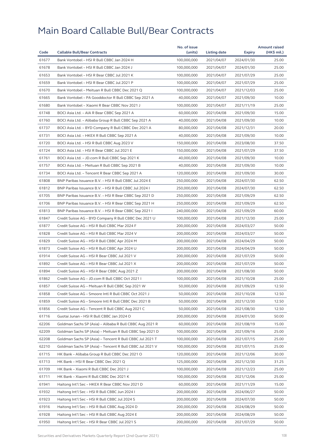|       |                                                          | No. of issue |              |               | <b>Amount raised</b> |
|-------|----------------------------------------------------------|--------------|--------------|---------------|----------------------|
| Code  | <b>Callable Bull/Bear Contracts</b>                      | (units)      | Listing date | <b>Expiry</b> | (HK\$ mil.)          |
| 61677 | Bank Vontobel - HSI R Bull CBBC Jan 2024 H               | 100,000,000  | 2021/04/07   | 2024/01/30    | 25.00                |
| 61678 | Bank Vontobel - HSI R Bull CBBC Jan 2024 J               | 100,000,000  | 2021/04/07   | 2024/01/30    | 25.00                |
| 61653 | Bank Vontobel - HSI R Bear CBBC Jul 2021 K               | 100,000,000  | 2021/04/07   | 2021/07/29    | 25.00                |
| 61659 | Bank Vontobel - HSI R Bear CBBC Jul 2021 P               | 100,000,000  | 2021/04/07   | 2021/07/29    | 25.00                |
| 61670 | Bank Vontobel - Meituan R Bull CBBC Dec 2021 Q           | 100,000,000  | 2021/04/07   | 2021/12/03    | 25.00                |
| 61665 | Bank Vontobel - PA Gooddoctor R Bull CBBC Sep 2021 A     | 40,000,000   | 2021/04/07   | 2021/09/30    | 10.00                |
| 61680 | Bank Vontobel - Xiaomi R Bear CBBC Nov 2021 J            | 100,000,000  | 2021/04/07   | 2021/11/19    | 25.00                |
| 61748 | BOCI Asia Ltd. - AIA R Bear CBBC Sep 2021 A              | 60,000,000   | 2021/04/08   | 2021/09/30    | 15.00                |
| 61760 | BOCI Asia Ltd. - Alibaba Group R Bull CBBC Sep 2021 A    | 40,000,000   | 2021/04/08   | 2021/09/30    | 10.00                |
| 61737 | BOCI Asia Ltd. - BYD Company R Bull CBBC Dec 2021 A      | 80,000,000   | 2021/04/08   | 2021/12/31    | 20.00                |
| 61731 | BOCI Asia Ltd. - HKEX R Bull CBBC Sep 2021 A             | 40,000,000   | 2021/04/08   | 2021/09/30    | 10.00                |
| 61720 | BOCI Asia Ltd. - HSI R Bull CBBC Aug 2023 V              | 150,000,000  | 2021/04/08   | 2023/08/30    | 37.50                |
| 61724 | BOCI Asia Ltd. - HSI R Bear CBBC Jul 2021 E              | 150,000,000  | 2021/04/08   | 2021/07/29    | 37.50                |
| 61761 | BOCI Asia Ltd. - JD.com R Bull CBBC Sep 2021 K           | 40,000,000   | 2021/04/08   | 2021/09/30    | 10.00                |
| 61757 | BOCI Asia Ltd. - Meituan R Bull CBBC Sep 2021 B          | 40,000,000   | 2021/04/08   | 2021/09/30    | 10.00                |
| 61734 | BOCI Asia Ltd. - Tencent R Bear CBBC Sep 2021 A          | 120,000,000  | 2021/04/08   | 2021/09/30    | 30.00                |
| 61808 | BNP Paribas Issuance B.V. - HSI R Bull CBBC Jul 2024 E   | 250,000,000  | 2021/04/08   | 2024/07/30    | 62.50                |
| 61812 | BNP Paribas Issuance B.V. - HSI R Bull CBBC Jul 2024 I   | 250,000,000  | 2021/04/08   | 2024/07/30    | 62.50                |
| 61705 | BNP Paribas Issuance B.V. - HSI R Bear CBBC Sep 2021 D   | 250,000,000  | 2021/04/08   | 2021/09/29    | 62.50                |
| 61706 | BNP Paribas Issuance B.V. - HSI R Bear CBBC Sep 2021 H   | 250,000,000  | 2021/04/08   | 2021/09/29    | 62.50                |
| 61813 | BNP Paribas Issuance B.V. - HSI R Bear CBBC Sep 2021 I   | 240,000,000  | 2021/04/08   | 2021/09/29    | 60.00                |
| 61847 | Credit Suisse AG - BYD Company R Bull CBBC Dec 2021 U    | 100,000,000  | 2021/04/08   | 2021/12/30    | 25.00                |
| 61877 | Credit Suisse AG - HSI R Bull CBBC Mar 2024 F            | 200,000,000  | 2021/04/08   | 2024/03/27    | 50.00                |
| 61828 | Credit Suisse AG - HSI R Bull CBBC Mar 2024 V            | 200,000,000  | 2021/04/08   | 2024/03/27    | 50.00                |
| 61829 | Credit Suisse AG - HSI R Bull CBBC Apr 2024 M            | 200,000,000  | 2021/04/08   | 2024/04/29    | 50.00                |
| 61873 | Credit Suisse AG - HSI R Bull CBBC Apr 2024 U            | 200,000,000  | 2021/04/08   | 2024/04/29    | 50.00                |
| 61914 | Credit Suisse AG - HSI R Bear CBBC Jul 2021 V            | 200,000,000  | 2021/04/08   | 2021/07/29    | 50.00                |
| 61892 | Credit Suisse AG - HSI R Bear CBBC Jul 2021 X            | 200,000,000  | 2021/04/08   | 2021/07/29    | 50.00                |
| 61894 | Credit Suisse AG - HSI R Bear CBBC Aug 2021 Z            | 200,000,000  | 2021/04/08   | 2021/08/30    | 50.00                |
| 61862 | Credit Suisse AG - JD.com R Bull CBBC Oct 2021 I         | 100,000,000  | 2021/04/08   | 2021/10/28    | 25.00                |
|       |                                                          |              |              |               |                      |
| 61857 | Credit Suisse AG – Meituan R Bull CBBC Sep 2021 W        | 50,000,000   | 2021/04/08   | 2021/09/29    | 12.50                |
| 61858 | Credit Suisse AG - Smoore Intl R Bull CBBC Oct 2021 J    | 50,000,000   | 2021/04/08   | 2021/10/28    | 12.50                |
| 61859 | Credit Suisse AG - Smoore Intl R Bull CBBC Dec 2021 B    | 50,000,000   | 2021/04/08   | 2021/12/30    | 12.50                |
| 61856 | Credit Suisse AG - Tencent R Bull CBBC Aug 2021 C        | 50,000,000   | 2021/04/08   | 2021/08/30    | 12.50                |
| 61716 | Guotai Junan - HSI R Bull CBBC Jan 2024 O                | 200,000,000  | 2021/04/08   | 2024/01/30    | 50.00                |
| 62206 | Goldman Sachs SP (Asia) - Alibaba R Bull CBBC Aug 2021 R | 60,000,000   | 2021/04/08   | 2021/08/19    | 15.00                |
| 62209 | Goldman Sachs SP (Asia) - Meituan R Bull CBBC Sep 2021 D | 100,000,000  | 2021/04/08   | 2021/09/16    | 25.00                |
| 62208 | Goldman Sachs SP (Asia) - Tencent R Bull CBBC Jul 2021 T | 100,000,000  | 2021/04/08   | 2021/07/15    | 25.00                |
| 62210 | Goldman Sachs SP (Asia) - Tencent R Bull CBBC Jul 2021 V | 100,000,000  | 2021/04/08   | 2021/07/15    | 25.00                |
| 61715 | HK Bank - Alibaba Group R Bull CBBC Dec 2021 O           | 120,000,000  | 2021/04/08   | 2021/12/06    | 30.00                |
| 61713 | HK Bank - HSI R Bear CBBC Dec 2021 Q                     | 125,000,000  | 2021/04/08   | 2021/12/30    | 31.25                |
| 61709 | HK Bank - Xiaomi R Bull CBBC Dec 2021 J                  | 100,000,000  | 2021/04/08   | 2021/12/23    | 25.00                |
| 61711 | HK Bank - Xiaomi R Bull CBBC Dec 2021 K                  | 100,000,000  | 2021/04/08   | 2021/12/06    | 25.00                |
| 61941 | Haitong Int'l Sec - HKEX R Bear CBBC Nov 2021 D          | 60,000,000   | 2021/04/08   | 2021/11/29    | 15.00                |
| 61932 | Haitong Int'l Sec - HSI R Bull CBBC Jun 2024 I           | 200,000,000  | 2021/04/08   | 2024/06/27    | 50.00                |
| 61923 | Haitong Int'l Sec - HSI R Bull CBBC Jul 2024 S           | 200,000,000  | 2021/04/08   | 2024/07/30    | 50.00                |
| 61916 | Haitong Int'l Sec - HSI R Bull CBBC Aug 2024 D           | 200,000,000  | 2021/04/08   | 2024/08/29    | 50.00                |
| 61928 | Haitong Int'l Sec - HSI R Bull CBBC Aug 2024 E           | 200,000,000  | 2021/04/08   | 2024/08/29    | 50.00                |
| 61950 | Haitong Int'l Sec - HSI R Bear CBBC Jul 2021 S           | 200,000,000  | 2021/04/08   | 2021/07/29    | 50.00                |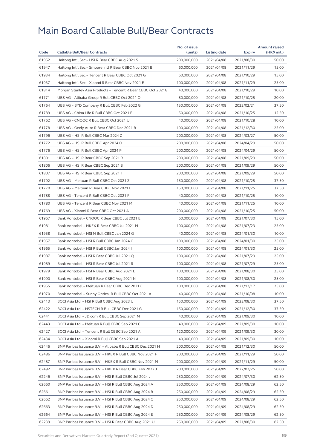|       |                                                              | No. of issue |                          |                          | <b>Amount raised</b> |
|-------|--------------------------------------------------------------|--------------|--------------------------|--------------------------|----------------------|
| Code  | <b>Callable Bull/Bear Contracts</b>                          | (units)      | <b>Listing date</b>      | <b>Expiry</b>            | (HK\$ mil.)          |
| 61952 | Haitong Int'l Sec - HSI R Bear CBBC Aug 2021 S               | 200,000,000  | 2021/04/08               | 2021/08/30               | 50.00                |
| 61947 | Haitong Int'l Sec - Smoore Intl R Bear CBBC Nov 2021 B       | 60,000,000   | 2021/04/08               | 2021/11/29               | 15.00                |
| 61934 | Haitong Int'l Sec - Tencent R Bear CBBC Oct 2021 G           | 60,000,000   | 2021/04/08               | 2021/10/29               | 15.00                |
| 61937 | Haitong Int'l Sec - Xiaomi R Bear CBBC Nov 2021 E            | 100,000,000  | 2021/04/08               | 2021/11/29               | 25.00                |
| 61814 | Morgan Stanley Asia Products - Tencent R Bear CBBC Oct 2021G | 40,000,000   | 2021/04/08               | 2021/10/29               | 10.00                |
| 61771 | UBS AG - Alibaba Group R Bull CBBC Oct 2021 O                | 80,000,000   | 2021/04/08               | 2021/10/25               | 20.00                |
| 61764 | UBS AG - BYD Company R Bull CBBC Feb 2022 G                  | 150,000,000  | 2021/04/08               | 2022/02/21               | 37.50                |
| 61789 | UBS AG - China Life R Bull CBBC Oct 2021 E                   | 50,000,000   | 2021/04/08               | 2021/10/25               | 12.50                |
| 61762 | UBS AG - CNOOC R Bull CBBC Oct 2021 U                        | 40,000,000   | 2021/04/08               | 2021/10/28               | 10.00                |
| 61778 | UBS AG - Geely Auto R Bear CBBC Dec 2021 B                   | 100,000,000  | 2021/04/08               | 2021/12/30               | 25.00                |
| 61796 | UBS AG - HSI R Bull CBBC Mar 2024 Z                          | 200,000,000  | 2021/04/08               | 2024/03/27               | 50.00                |
| 61772 | UBS AG - HSI R Bull CBBC Apr 2024 O                          | 200,000,000  | 2021/04/08               | 2024/04/29               | 50.00                |
| 61776 | UBS AG - HSI R Bull CBBC Apr 2024 P                          | 200,000,000  | 2021/04/08               | 2024/04/29               | 50.00                |
| 61801 | UBS AG - HSI R Bear CBBC Sep 2021 R                          | 200,000,000  | 2021/04/08               | 2021/09/29               | 50.00                |
| 61806 | UBS AG - HSI R Bear CBBC Sep 2021 S                          | 200,000,000  | 2021/04/08               | 2021/09/29               | 50.00                |
| 61807 | UBS AG - HSI R Bear CBBC Sep 2021 T                          | 200,000,000  | 2021/04/08               | 2021/09/29               | 50.00                |
| 61792 | UBS AG - Meituan R Bull CBBC Oct 2021 Z                      | 150,000,000  | 2021/04/08               | 2021/10/25               | 37.50                |
| 61770 | UBS AG - Meituan R Bear CBBC Nov 2021 L                      | 150,000,000  | 2021/04/08               | 2021/11/25               | 37.50                |
| 61788 | UBS AG - Tencent R Bull CBBC Oct 2021 F                      | 40,000,000   | 2021/04/08               | 2021/10/25               | 10.00                |
| 61780 | UBS AG - Tencent R Bear CBBC Nov 2021 M                      | 40,000,000   | 2021/04/08               | 2021/11/25               | 10.00                |
| 61769 | UBS AG - Xiaomi R Bear CBBC Oct 2021 A                       | 200,000,000  | 2021/04/08               | 2021/10/25               | 50.00                |
| 61967 | Bank Vontobel - CNOOC R Bear CBBC Jul 2021 E                 | 60,000,000   | 2021/04/08               | 2021/07/30               | 15.00                |
| 61981 | Bank Vontobel - HKEX R Bear CBBC Jul 2021 M                  | 100,000,000  | 2021/04/08               | 2021/07/23               | 25.00                |
| 61958 | Bank Vontobel - HSI N Bull CBBC Jan 2024 G                   | 40,000,000   | 2021/04/08               | 2024/01/30               | 10.00                |
| 61957 | Bank Vontobel - HSI R Bull CBBC Jan 2024 C                   | 100,000,000  | 2021/04/08               | 2024/01/30               | 25.00                |
| 61965 | Bank Vontobel - HSI R Bull CBBC Jan 2024 I                   | 100,000,000  | 2021/04/08               | 2024/01/30               | 25.00                |
| 61987 | Bank Vontobel - HSI R Bear CBBC Jul 2021 Q                   | 100,000,000  | 2021/04/08               | 2021/07/29               | 25.00                |
| 61989 | Bank Vontobel - HSI R Bear CBBC Jul 2021 R                   | 100,000,000  | 2021/04/08               | 2021/07/29               | 25.00                |
| 61979 | Bank Vontobel - HSI R Bear CBBC Aug 2021 L                   | 100,000,000  | 2021/04/08               | 2021/08/30               | 25.00                |
| 61990 | Bank Vontobel - HSI R Bear CBBC Aug 2021 N                   | 100,000,000  | 2021/04/08               | 2021/08/30               | 25.00                |
| 61955 | Bank Vontobel – Meituan R Bear CBBC Dec 2021 C               | 100,000,000  | 2021/04/08               | 2021/12/17               | 25.00                |
| 61970 | Bank Vontobel - Sunny Optical R Bull CBBC Oct 2021 A         | 40,000,000   | 2021/04/08               | 2021/10/08               | 10.00                |
| 62413 | BOCI Asia Ltd. – HSI R Bull CBBC Aug 2023 U                  | 150,000,000  | 2021/04/09               | 2023/08/30               | 37.50                |
| 62422 | BOCI Asia Ltd. – HSTECH R Bull CBBC Dec 2021 G               | 150,000,000  | 2021/04/09               | 2021/12/30               | 37.50                |
| 62441 | BOCI Asia Ltd. - JD.com R Bull CBBC Sep 2021 M               | 40,000,000   | 2021/04/09               | 2021/09/30               | 10.00                |
| 62443 | BOCI Asia Ltd. - Meituan R Bull CBBC Sep 2021 C              | 40,000,000   | 2021/04/09               | 2021/09/30               | 10.00                |
| 62427 | BOCI Asia Ltd. - Tencent R Bull CBBC Sep 2021 A              | 120,000,000  |                          |                          | 30.00                |
| 62434 | BOCI Asia Ltd. - Xiaomi R Bull CBBC Sep 2021 A               | 40,000,000   | 2021/04/09<br>2021/04/09 | 2021/09/30<br>2021/09/30 | 10.00                |
|       |                                                              |              |                          |                          |                      |
| 62446 | BNP Paribas Issuance B.V. - Alibaba R Bull CBBC Dec 2021 H   | 200,000,000  | 2021/04/09               | 2021/12/30               | 50.00                |
| 62486 | BNP Paribas Issuance B.V. - HKEX R Bull CBBC Nov 2021 F      | 200,000,000  | 2021/04/09               | 2021/11/29               | 50.00                |
| 62487 | BNP Paribas Issuance B.V. - HKEX R Bull CBBC Nov 2021 M      | 200,000,000  | 2021/04/09               | 2021/11/29               | 50.00                |
| 62492 | BNP Paribas Issuance B.V. - HKEX R Bear CBBC Feb 2022 J      | 200,000,000  | 2021/04/09               | 2022/02/25               | 50.00                |
| 62246 | BNP Paribas Issuance B.V. - HSI R Bull CBBC Jul 2024 J       | 250,000,000  | 2021/04/09               | 2024/07/30               | 62.50                |
| 62660 | BNP Paribas Issuance B.V. - HSI R Bull CBBC Aug 2024 A       | 250,000,000  | 2021/04/09               | 2024/08/29               | 62.50                |
| 62661 | BNP Paribas Issuance B.V. - HSI R Bull CBBC Aug 2024 B       | 250,000,000  | 2021/04/09               | 2024/08/29               | 62.50                |
| 62662 | BNP Paribas Issuance B.V. - HSI R Bull CBBC Aug 2024 C       | 250,000,000  | 2021/04/09               | 2024/08/29               | 62.50                |
| 62663 | BNP Paribas Issuance B.V. - HSI R Bull CBBC Aug 2024 D       | 250,000,000  | 2021/04/09               | 2024/08/29               | 62.50                |
| 62664 | BNP Paribas Issuance B.V. - HSI R Bull CBBC Aug 2024 E       | 250,000,000  | 2021/04/09               | 2024/08/29               | 62.50                |
| 62239 | BNP Paribas Issuance B.V. - HSI R Bear CBBC Aug 2021 U       | 250,000,000  | 2021/04/09               | 2021/08/30               | 62.50                |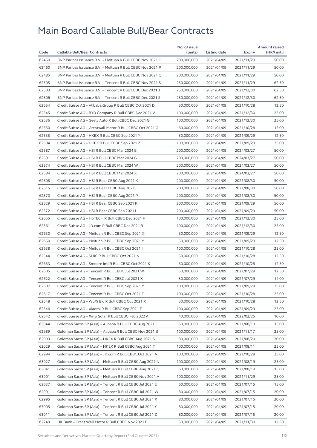|       |                                                            | No. of issue |              |            | <b>Amount raised</b> |
|-------|------------------------------------------------------------|--------------|--------------|------------|----------------------|
| Code  | <b>Callable Bull/Bear Contracts</b>                        | (units)      | Listing date | Expiry     | (HK\$ mil.)          |
| 62450 | BNP Paribas Issuance B.V. - Meituan R Bull CBBC Nov 2021 O | 200,000,000  | 2021/04/09   | 2021/11/29 | 50.00                |
| 62460 | BNP Paribas Issuance B.V. - Meituan R Bull CBBC Nov 2021 P | 200,000,000  | 2021/04/09   | 2021/11/29 | 50.00                |
| 62485 | BNP Paribas Issuance B.V. - Meituan R Bull CBBC Nov 2021 Q | 200,000,000  | 2021/04/09   | 2021/11/29 | 50.00                |
| 62505 | BNP Paribas Issuance B.V. - Tencent R Bull CBBC Nov 2021 S | 250,000,000  | 2021/04/09   | 2021/11/29 | 62.50                |
| 62503 | BNP Paribas Issuance B.V. - Tencent R Bull CBBC Dec 2021 J | 250,000,000  | 2021/04/09   | 2021/12/30 | 62.50                |
| 62506 | BNP Paribas Issuance B.V. - Tencent R Bull CBBC Dec 2021 S | 250,000,000  | 2021/04/09   | 2021/12/30 | 62.50                |
| 62654 | Credit Suisse AG - Alibaba Group R Bull CBBC Oct 2021 D    | 50,000,000   | 2021/04/09   | 2021/10/28 | 12.50                |
| 62545 | Credit Suisse AG - BYD Company R Bull CBBC Dec 2021 V      | 100,000,000  | 2021/04/09   | 2021/12/30 | 25.00                |
| 62536 | Credit Suisse AG - Geely Auto R Bull CBBC Dec 2021 G       | 100,000,000  | 2021/04/09   | 2021/12/30 | 25.00                |
| 62550 | Credit Suisse AG - Greatwall Motor R Bull CBBC Oct 2021 G  | 60,000,000   | 2021/04/09   | 2021/10/28 | 15.00                |
| 62535 | Credit Suisse AG - HKEX R Bull CBBC Sep 2021 Y             | 50,000,000   | 2021/04/09   | 2021/09/29 | 12.50                |
| 62594 | Credit Suisse AG - HKEX R Bull CBBC Sep 2021 Z             | 100,000,000  | 2021/04/09   | 2021/09/29 | 25.00                |
| 62587 | Credit Suisse AG - HSI R Bull CBBC Mar 2024 B              | 200,000,000  | 2021/04/09   | 2024/03/27 | 50.00                |
| 62591 | Credit Suisse AG - HSI R Bull CBBC Mar 2024 G              | 200,000,000  | 2021/04/09   | 2024/03/27 | 50.00                |
| 62574 | Credit Suisse AG - HSI R Bull CBBC Mar 2024 W              | 200,000,000  | 2021/04/09   | 2024/03/27 | 50.00                |
| 62584 | Credit Suisse AG - HSI R Bull CBBC Mar 2024 X              | 200,000,000  | 2021/04/09   | 2024/03/27 | 50.00                |
| 62508 | Credit Suisse AG - HSI R Bear CBBC Aug 2021 K              | 200,000,000  | 2021/04/09   | 2021/08/30 | 50.00                |
| 62515 | Credit Suisse AG - HSI R Bear CBBC Aug 2021 L              | 200,000,000  | 2021/04/09   | 2021/08/30 | 50.00                |
| 62570 | Credit Suisse AG - HSI R Bear CBBC Aug 2021 P              | 200,000,000  | 2021/04/09   | 2021/08/30 | 50.00                |
| 62529 | Credit Suisse AG - HSI R Bear CBBC Sep 2021 K              | 200,000,000  | 2021/04/09   | 2021/09/29 | 50.00                |
| 62572 | Credit Suisse AG - HSI R Bear CBBC Sep 2021 L              | 200,000,000  | 2021/04/09   | 2021/09/29 | 50.00                |
| 62655 | Credit Suisse AG - HSTECH R Bull CBBC Dec 2021 F           | 100,000,000  | 2021/04/09   | 2021/12/30 | 25.00                |
| 62561 | Credit Suisse AG - JD.com R Bull CBBC Dec 2021 B           | 100,000,000  | 2021/04/09   | 2021/12/30 | 25.00                |
| 62630 | Credit Suisse AG - Meituan R Bull CBBC Sep 2021 X          | 50,000,000   | 2021/04/09   | 2021/09/29 | 12.50                |
| 62650 | Credit Suisse AG - Meituan R Bull CBBC Sep 2021 Y          | 50,000,000   | 2021/04/09   | 2021/09/29 | 12.50                |
| 62638 | Credit Suisse AG - Meituan R Bull CBBC Oct 2021            | 100,000,000  | 2021/04/09   | 2021/10/28 | 25.00                |
| 62544 | Credit Suisse AG - SMIC R Bull CBBC Oct 2021 N             | 50,000,000   | 2021/04/09   | 2021/10/28 | 12.50                |
| 62653 | Credit Suisse AG - Smoore Intl R Bull CBBC Oct 2021 K      | 50,000,000   | 2021/04/09   | 2021/10/28 | 12.50                |
| 62605 | Credit Suisse AG - Tencent R Bull CBBC Jul 2021 W          | 50,000,000   | 2021/04/09   | 2021/07/29 | 12.50                |
| 62622 | Credit Suisse AG - Tencent R Bull CBBC Jul 2021 X          | 50,000,000   | 2021/04/09   | 2021/07/29 | 14.00                |
| 62607 | Credit Suisse AG - Tencent R Bull CBBC Sep 2021 Y          | 100,000,000  | 2021/04/09   | 2021/09/29 | 25.00                |
| 62617 | Credit Suisse AG - Tencent R Bull CBBC Oct 2021 F          | 100,000,000  | 2021/04/09   | 2021/10/28 | 25.00                |
| 62548 | Credit Suisse AG – WuXi Bio R Bull CBBC Oct 2021 R         | 50,000,000   | 2021/04/09   | 2021/10/28 | 12.50                |
| 62546 | Credit Suisse AG - Xiaomi R Bull CBBC Sep 2021 F           | 100,000,000  | 2021/04/09   | 2021/09/29 | 25.00                |
| 62542 | Credit Suisse AG - Xinyi Solar R Bull CBBC Feb 2022 A      | 40,000,000   | 2021/04/09   | 2022/02/25 | 10.00                |
| 63044 | Goldman Sachs SP (Asia) - Alibaba R Bull CBBC Aug 2021 C   | 60,000,000   | 2021/04/09   | 2021/08/19 | 15.00                |
| 62989 | Goldman Sachs SP (Asia) - Alibaba R Bull CBBC Nov 2021 B   | 100,000,000  | 2021/04/09   | 2021/11/17 | 25.00                |
| 62993 | Goldman Sachs SP (Asia) – HKEX R Bull CBBC Aug 2021 S      | 80,000,000   | 2021/04/09   | 2021/08/20 | 20.00                |
| 63029 | Goldman Sachs SP (Asia) - HKEX R Bull CBBC Aug 2021 T      | 100,000,000  | 2021/04/09   | 2021/08/11 | 25.00                |
| 62994 | Goldman Sachs SP (Asia) - JD.com R Bull CBBC Oct 2021 A    | 100,000,000  | 2021/04/09   | 2021/10/28 | 25.00                |
| 63027 | Goldman Sachs SP (Asia) - Meituan R Bull CBBC Aug 2021 N   | 100,000,000  | 2021/04/09   | 2021/08/19 | 25.00                |
| 63041 | Goldman Sachs SP (Asia) - Meituan R Bull CBBC Aug 2021 Q   | 60,000,000   | 2021/04/09   | 2021/08/19 | 15.00                |
| 63001 | Goldman Sachs SP (Asia) - Meituan R Bull CBBC Nov 2021 A   | 100,000,000  | 2021/04/09   | 2021/11/29 | 25.00                |
| 63037 | Goldman Sachs SP (Asia) - Tencent R Bull CBBC Jul 2021 E   | 60,000,000   | 2021/04/09   | 2021/07/15 | 15.00                |
| 62991 | Goldman Sachs SP (Asia) - Tencent R Bull CBBC Jul 2021 W   | 80,000,000   | 2021/04/09   | 2021/07/15 | 20.00                |
| 62995 | Goldman Sachs SP (Asia) - Tencent R Bull CBBC Jul 2021 X   | 80,000,000   | 2021/04/09   | 2021/07/15 | 20.00                |
| 63005 | Goldman Sachs SP (Asia) - Tencent R Bull CBBC Jul 2021 Y   | 80,000,000   | 2021/04/09   | 2021/07/15 | 20.00                |
| 63011 | Goldman Sachs SP (Asia) - Tencent R Bull CBBC Jul 2021 Z   | 80,000,000   | 2021/04/09   | 2021/07/15 | 20.00                |
|       |                                                            |              |              |            |                      |
| 62249 | HK Bank - Great Wall Motor R Bull CBBC Nov 2021 E          | 50,000,000   | 2021/04/09   | 2021/11/30 | 12.50                |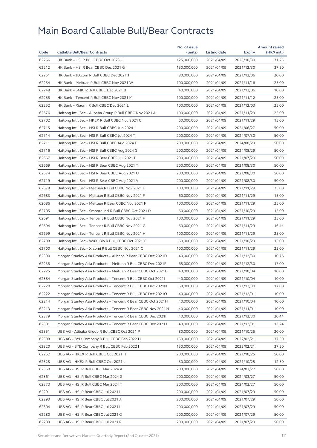| 62256<br>HK Bank - HSI R Bull CBBC Oct 2023 U<br>31.25<br>125,000,000<br>2021/04/09<br>2023/10/30<br>62212<br>HK Bank - HSI R Bear CBBC Dec 2021 G<br>150,000,000<br>2021/04/09<br>37.50<br>2021/12/30<br>62251<br>HK Bank - JD.com R Bull CBBC Dec 2021 J<br>80,000,000<br>2021/04/09<br>2021/12/06<br>20.00<br>62254<br>HK Bank - Meituan R Bull CBBC Nov 2021 W<br>100,000,000<br>25.00<br>2021/04/09<br>2021/11/16<br>62248<br>HK Bank - SMIC R Bull CBBC Dec 2021 B<br>40,000,000<br>2021/04/09<br>2021/12/06<br>10.00<br>62255<br>25.00<br>HK Bank - Tencent R Bull CBBC Nov 2021 M<br>100.000.000<br>2021/04/09<br>2021/11/12<br>62252<br>HK Bank - Xiaomi R Bull CBBC Dec 2021 L<br>100,000,000<br>2021/04/09<br>2021/12/03<br>25.00<br>62676<br>Haitong Int'l Sec - Alibaba Group R Bull CBBC Nov 2021 A<br>100,000,000<br>2021/04/09<br>2021/11/29<br>25.00<br>62702<br>Haitong Int'l Sec - HKEX R Bull CBBC Nov 2021 C<br>15.00<br>60,000,000<br>2021/04/09<br>2021/11/29<br>62715<br>Haitong Int'l Sec - HSI R Bull CBBC Jun 2024 J<br>200,000,000<br>2021/04/09<br>50.00<br>2024/06/27<br>62714<br>Haitong Int'l Sec - HSI R Bull CBBC Jul 2024 T<br>200,000,000<br>2021/04/09<br>2024/07/30<br>50.00<br>62711<br>Haitong Int'l Sec - HSI R Bull CBBC Aug 2024 F<br>200,000,000<br>2021/04/09<br>2024/08/29<br>50.00<br>62716<br>Haitong Int'l Sec - HSI R Bull CBBC Aug 2024 G<br>50.00<br>200,000,000<br>2021/04/09<br>2024/08/29<br>62667<br>Haitong Int'l Sec - HSI R Bear CBBC Jul 2021 B<br>200,000,000<br>2021/04/09<br>2021/07/29<br>50.00<br>62669<br>Haitong Int'l Sec - HSI R Bear CBBC Aug 2021 T<br>50.00<br>200,000,000<br>2021/04/09<br>2021/08/30<br>62674<br>Haitong Int'l Sec - HSI R Bear CBBC Aug 2021 U<br>200,000,000<br>2021/04/09<br>2021/08/30<br>50.00<br>62719<br>50.00<br>Haitong Int'l Sec - HSI R Bear CBBC Aug 2021 V<br>200,000,000<br>2021/04/09<br>2021/08/30<br>62678<br>Haitong Int'l Sec - Meituan R Bull CBBC Nov 2021 E<br>25.00<br>100,000,000<br>2021/04/09<br>2021/11/29<br>62683<br>Haitong Int'l Sec - Meituan R Bull CBBC Nov 2021 F<br>60,000,000<br>2021/11/29<br>15.00<br>2021/04/09<br>62686<br>Haitong Int'l Sec - Meituan R Bear CBBC Nov 2021 F<br>100,000,000<br>2021/04/09<br>25.00<br>2021/11/29<br>62705<br>Haitong Int'l Sec - Smoore Intl R Bull CBBC Oct 2021 D<br>60,000,000<br>2021/04/09<br>15.00<br>2021/10/29<br>62691<br>Haitong Int'l Sec - Tencent R Bull CBBC Nov 2021 F<br>100,000,000<br>2021/04/09<br>25.00<br>2021/11/29<br>62694<br>Haitong Int'l Sec - Tencent R Bull CBBC Nov 2021 G<br>60,000,000<br>2021/04/09<br>2021/11/29<br>16.44<br>62699<br>25.00<br>Haitong Int'l Sec - Tencent R Bull CBBC Nov 2021 H<br>100,000,000<br>2021/04/09<br>2021/11/29<br>62708<br>Haitong Int'l Sec - WuXi Bio R Bull CBBC Oct 2021 C<br>60,000,000<br>2021/04/09<br>2021/10/29<br>15.00<br>62700<br>100,000,000<br>2021/04/09<br>2021/11/29<br>25.00<br>Haitong Int'l Sec – Xiaomi R Bull CBBC Nov 2021 C<br>62390<br>Morgan Stanley Asia Products - Alibaba R Bear CBBC Dec 2021D<br>40,000,000<br>2021/04/09<br>2021/12/30<br>10.76<br>62238<br>Morgan Stanley Asia Products - Meituan R Bull CBBC Dec 2021F<br>68,000,000<br>2021/04/09<br>2021/12/30<br>17.00<br>62225<br>40,000,000<br>10.00<br>Morgan Stanley Asia Products – Meituan R Bear CBBC Oct 2021D<br>2021/04/09<br>2021/10/04<br>62384<br>40,000,000<br>2021/04/09<br>2021/10/04<br>10.00<br>Morgan Stanley Asia Products - Tencent R Bull CBBC Oct 20211<br>17.00<br>62220<br>Morgan Stanley Asia Products - Tencent R Bull CBBC Dec 2021N<br>68,000,000<br>2021/04/09<br>2021/12/30<br>62222<br>Morgan Stanley Asia Products - Tencent R Bull CBBC Dec 20210<br>40,000,000<br>2021/04/09<br>2021/12/01<br>10.00<br>62214<br>40,000,000<br>2021/04/09<br>2021/10/04<br>10.00<br>Morgan Stanley Asia Products – Tencent R Bear CBBC Oct 2021H<br>62213<br>Morgan Stanley Asia Products - Tencent R Bear CBBC Nov 2021M<br>40,000,000<br>2021/04/09<br>2021/11/01<br>10.00<br>62379<br>Morgan Stanley Asia Products - Tencent R Bear CBBC Dec 20211<br>40,000,000<br>2021/04/09<br>20.44<br>2021/12/30<br>62381<br>Morgan Stanley Asia Products - Tencent R Bear CBBC Dec 2021J<br>40,000,000<br>2021/04/09<br>2021/12/01<br>13.24<br>62351<br>UBS AG - Alibaba Group R Bull CBBC Oct 2021 P<br>80,000,000<br>2021/04/09<br>2021/10/25<br>20.00<br>62308<br>150,000,000<br>2022/02/21<br>37.50<br>UBS AG – BYD Company R Bull CBBC Feb 2022 H<br>2021/04/09<br>62320<br>UBS AG - BYD Company R Bull CBBC Feb 2022 I<br>150,000,000<br>2021/04/09<br>2022/02/21<br>37.50<br>62257<br>UBS AG - HKEX R Bull CBBC Oct 2021 H<br>200,000,000<br>2021/04/09<br>2021/10/25<br>50.00<br>62325<br>UBS AG - HKEX R Bull CBBC Oct 2021 L<br>50,000,000<br>2021/04/09<br>2021/10/25<br>12.50<br>62360<br>UBS AG - HSI R Bull CBBC Mar 2024 A<br>200,000,000<br>2021/04/09<br>2024/03/27<br>50.00<br>62361<br>UBS AG - HSI R Bull CBBC Mar 2024 G<br>200,000,000<br>2021/04/09<br>2024/03/27<br>50.00<br>62373<br>200,000,000<br>2021/04/09<br>50.00<br>UBS AG – HSI R Bull CBBC Mar 2024 T<br>2024/03/27<br>62291<br>UBS AG - HSI R Bear CBBC Jul 2021 I<br>200,000,000<br>2021/04/09<br>2021/07/29<br>50.00<br>62293<br>UBS AG - HSI R Bear CBBC Jul 2021 J<br>200,000,000<br>2021/04/09<br>50.00<br>2021/07/29<br>62304<br>UBS AG - HSI R Bear CBBC Jul 2021 L<br>200,000,000<br>2021/04/09<br>2021/07/29<br>50.00<br>50.00<br>62280<br>UBS AG - HSI R Bear CBBC Jul 2021 Q<br>200,000,000<br>2021/04/09<br>2021/07/29 |       |                                     | No. of issue |              |            | <b>Amount raised</b> |
|-----------------------------------------------------------------------------------------------------------------------------------------------------------------------------------------------------------------------------------------------------------------------------------------------------------------------------------------------------------------------------------------------------------------------------------------------------------------------------------------------------------------------------------------------------------------------------------------------------------------------------------------------------------------------------------------------------------------------------------------------------------------------------------------------------------------------------------------------------------------------------------------------------------------------------------------------------------------------------------------------------------------------------------------------------------------------------------------------------------------------------------------------------------------------------------------------------------------------------------------------------------------------------------------------------------------------------------------------------------------------------------------------------------------------------------------------------------------------------------------------------------------------------------------------------------------------------------------------------------------------------------------------------------------------------------------------------------------------------------------------------------------------------------------------------------------------------------------------------------------------------------------------------------------------------------------------------------------------------------------------------------------------------------------------------------------------------------------------------------------------------------------------------------------------------------------------------------------------------------------------------------------------------------------------------------------------------------------------------------------------------------------------------------------------------------------------------------------------------------------------------------------------------------------------------------------------------------------------------------------------------------------------------------------------------------------------------------------------------------------------------------------------------------------------------------------------------------------------------------------------------------------------------------------------------------------------------------------------------------------------------------------------------------------------------------------------------------------------------------------------------------------------------------------------------------------------------------------------------------------------------------------------------------------------------------------------------------------------------------------------------------------------------------------------------------------------------------------------------------------------------------------------------------------------------------------------------------------------------------------------------------------------------------------------------------------------------------------------------------------------------------------------------------------------------------------------------------------------------------------------------------------------------------------------------------------------------------------------------------------------------------------------------------------------------------------------------------------------------------------------------------------------------------------------------------------------------------------------------------------------------------------------------------------------------------------------------------------------------------------------------------------------------------------------------------------------------------------------------------------------------------------------------------------------------------------------------------------------------------------------------------------------------------------------------------------------------------------------------------------------------------------------------------------------------------------------------------------------------------------------------------------------------------------------------------------------------------------------------------------------------------------------------------------------------------------------------------------------------------------------------------------------------------------------------------------------------------------------------------------------------------------------------------------------------------------------------------------------------------------------------------------------------------------------------------------------------------------------------------------------------------------------------------------------------------|-------|-------------------------------------|--------------|--------------|------------|----------------------|
|                                                                                                                                                                                                                                                                                                                                                                                                                                                                                                                                                                                                                                                                                                                                                                                                                                                                                                                                                                                                                                                                                                                                                                                                                                                                                                                                                                                                                                                                                                                                                                                                                                                                                                                                                                                                                                                                                                                                                                                                                                                                                                                                                                                                                                                                                                                                                                                                                                                                                                                                                                                                                                                                                                                                                                                                                                                                                                                                                                                                                                                                                                                                                                                                                                                                                                                                                                                                                                                                                                                                                                                                                                                                                                                                                                                                                                                                                                                                                                                                                                                                                                                                                                                                                                                                                                                                                                                                                                                                                                                                                                                                                                                                                                                                                                                                                                                                                                                                                                                                                                                                                                                                                                                                                                                                                                                                                                                                                                                                                                                                                           | Code  | <b>Callable Bull/Bear Contracts</b> | (units)      | Listing date | Expiry     | (HK\$ mil.)          |
|                                                                                                                                                                                                                                                                                                                                                                                                                                                                                                                                                                                                                                                                                                                                                                                                                                                                                                                                                                                                                                                                                                                                                                                                                                                                                                                                                                                                                                                                                                                                                                                                                                                                                                                                                                                                                                                                                                                                                                                                                                                                                                                                                                                                                                                                                                                                                                                                                                                                                                                                                                                                                                                                                                                                                                                                                                                                                                                                                                                                                                                                                                                                                                                                                                                                                                                                                                                                                                                                                                                                                                                                                                                                                                                                                                                                                                                                                                                                                                                                                                                                                                                                                                                                                                                                                                                                                                                                                                                                                                                                                                                                                                                                                                                                                                                                                                                                                                                                                                                                                                                                                                                                                                                                                                                                                                                                                                                                                                                                                                                                                           |       |                                     |              |              |            |                      |
|                                                                                                                                                                                                                                                                                                                                                                                                                                                                                                                                                                                                                                                                                                                                                                                                                                                                                                                                                                                                                                                                                                                                                                                                                                                                                                                                                                                                                                                                                                                                                                                                                                                                                                                                                                                                                                                                                                                                                                                                                                                                                                                                                                                                                                                                                                                                                                                                                                                                                                                                                                                                                                                                                                                                                                                                                                                                                                                                                                                                                                                                                                                                                                                                                                                                                                                                                                                                                                                                                                                                                                                                                                                                                                                                                                                                                                                                                                                                                                                                                                                                                                                                                                                                                                                                                                                                                                                                                                                                                                                                                                                                                                                                                                                                                                                                                                                                                                                                                                                                                                                                                                                                                                                                                                                                                                                                                                                                                                                                                                                                                           |       |                                     |              |              |            |                      |
|                                                                                                                                                                                                                                                                                                                                                                                                                                                                                                                                                                                                                                                                                                                                                                                                                                                                                                                                                                                                                                                                                                                                                                                                                                                                                                                                                                                                                                                                                                                                                                                                                                                                                                                                                                                                                                                                                                                                                                                                                                                                                                                                                                                                                                                                                                                                                                                                                                                                                                                                                                                                                                                                                                                                                                                                                                                                                                                                                                                                                                                                                                                                                                                                                                                                                                                                                                                                                                                                                                                                                                                                                                                                                                                                                                                                                                                                                                                                                                                                                                                                                                                                                                                                                                                                                                                                                                                                                                                                                                                                                                                                                                                                                                                                                                                                                                                                                                                                                                                                                                                                                                                                                                                                                                                                                                                                                                                                                                                                                                                                                           |       |                                     |              |              |            |                      |
|                                                                                                                                                                                                                                                                                                                                                                                                                                                                                                                                                                                                                                                                                                                                                                                                                                                                                                                                                                                                                                                                                                                                                                                                                                                                                                                                                                                                                                                                                                                                                                                                                                                                                                                                                                                                                                                                                                                                                                                                                                                                                                                                                                                                                                                                                                                                                                                                                                                                                                                                                                                                                                                                                                                                                                                                                                                                                                                                                                                                                                                                                                                                                                                                                                                                                                                                                                                                                                                                                                                                                                                                                                                                                                                                                                                                                                                                                                                                                                                                                                                                                                                                                                                                                                                                                                                                                                                                                                                                                                                                                                                                                                                                                                                                                                                                                                                                                                                                                                                                                                                                                                                                                                                                                                                                                                                                                                                                                                                                                                                                                           |       |                                     |              |              |            |                      |
|                                                                                                                                                                                                                                                                                                                                                                                                                                                                                                                                                                                                                                                                                                                                                                                                                                                                                                                                                                                                                                                                                                                                                                                                                                                                                                                                                                                                                                                                                                                                                                                                                                                                                                                                                                                                                                                                                                                                                                                                                                                                                                                                                                                                                                                                                                                                                                                                                                                                                                                                                                                                                                                                                                                                                                                                                                                                                                                                                                                                                                                                                                                                                                                                                                                                                                                                                                                                                                                                                                                                                                                                                                                                                                                                                                                                                                                                                                                                                                                                                                                                                                                                                                                                                                                                                                                                                                                                                                                                                                                                                                                                                                                                                                                                                                                                                                                                                                                                                                                                                                                                                                                                                                                                                                                                                                                                                                                                                                                                                                                                                           |       |                                     |              |              |            |                      |
|                                                                                                                                                                                                                                                                                                                                                                                                                                                                                                                                                                                                                                                                                                                                                                                                                                                                                                                                                                                                                                                                                                                                                                                                                                                                                                                                                                                                                                                                                                                                                                                                                                                                                                                                                                                                                                                                                                                                                                                                                                                                                                                                                                                                                                                                                                                                                                                                                                                                                                                                                                                                                                                                                                                                                                                                                                                                                                                                                                                                                                                                                                                                                                                                                                                                                                                                                                                                                                                                                                                                                                                                                                                                                                                                                                                                                                                                                                                                                                                                                                                                                                                                                                                                                                                                                                                                                                                                                                                                                                                                                                                                                                                                                                                                                                                                                                                                                                                                                                                                                                                                                                                                                                                                                                                                                                                                                                                                                                                                                                                                                           |       |                                     |              |              |            |                      |
|                                                                                                                                                                                                                                                                                                                                                                                                                                                                                                                                                                                                                                                                                                                                                                                                                                                                                                                                                                                                                                                                                                                                                                                                                                                                                                                                                                                                                                                                                                                                                                                                                                                                                                                                                                                                                                                                                                                                                                                                                                                                                                                                                                                                                                                                                                                                                                                                                                                                                                                                                                                                                                                                                                                                                                                                                                                                                                                                                                                                                                                                                                                                                                                                                                                                                                                                                                                                                                                                                                                                                                                                                                                                                                                                                                                                                                                                                                                                                                                                                                                                                                                                                                                                                                                                                                                                                                                                                                                                                                                                                                                                                                                                                                                                                                                                                                                                                                                                                                                                                                                                                                                                                                                                                                                                                                                                                                                                                                                                                                                                                           |       |                                     |              |              |            |                      |
|                                                                                                                                                                                                                                                                                                                                                                                                                                                                                                                                                                                                                                                                                                                                                                                                                                                                                                                                                                                                                                                                                                                                                                                                                                                                                                                                                                                                                                                                                                                                                                                                                                                                                                                                                                                                                                                                                                                                                                                                                                                                                                                                                                                                                                                                                                                                                                                                                                                                                                                                                                                                                                                                                                                                                                                                                                                                                                                                                                                                                                                                                                                                                                                                                                                                                                                                                                                                                                                                                                                                                                                                                                                                                                                                                                                                                                                                                                                                                                                                                                                                                                                                                                                                                                                                                                                                                                                                                                                                                                                                                                                                                                                                                                                                                                                                                                                                                                                                                                                                                                                                                                                                                                                                                                                                                                                                                                                                                                                                                                                                                           |       |                                     |              |              |            |                      |
|                                                                                                                                                                                                                                                                                                                                                                                                                                                                                                                                                                                                                                                                                                                                                                                                                                                                                                                                                                                                                                                                                                                                                                                                                                                                                                                                                                                                                                                                                                                                                                                                                                                                                                                                                                                                                                                                                                                                                                                                                                                                                                                                                                                                                                                                                                                                                                                                                                                                                                                                                                                                                                                                                                                                                                                                                                                                                                                                                                                                                                                                                                                                                                                                                                                                                                                                                                                                                                                                                                                                                                                                                                                                                                                                                                                                                                                                                                                                                                                                                                                                                                                                                                                                                                                                                                                                                                                                                                                                                                                                                                                                                                                                                                                                                                                                                                                                                                                                                                                                                                                                                                                                                                                                                                                                                                                                                                                                                                                                                                                                                           |       |                                     |              |              |            |                      |
|                                                                                                                                                                                                                                                                                                                                                                                                                                                                                                                                                                                                                                                                                                                                                                                                                                                                                                                                                                                                                                                                                                                                                                                                                                                                                                                                                                                                                                                                                                                                                                                                                                                                                                                                                                                                                                                                                                                                                                                                                                                                                                                                                                                                                                                                                                                                                                                                                                                                                                                                                                                                                                                                                                                                                                                                                                                                                                                                                                                                                                                                                                                                                                                                                                                                                                                                                                                                                                                                                                                                                                                                                                                                                                                                                                                                                                                                                                                                                                                                                                                                                                                                                                                                                                                                                                                                                                                                                                                                                                                                                                                                                                                                                                                                                                                                                                                                                                                                                                                                                                                                                                                                                                                                                                                                                                                                                                                                                                                                                                                                                           |       |                                     |              |              |            |                      |
|                                                                                                                                                                                                                                                                                                                                                                                                                                                                                                                                                                                                                                                                                                                                                                                                                                                                                                                                                                                                                                                                                                                                                                                                                                                                                                                                                                                                                                                                                                                                                                                                                                                                                                                                                                                                                                                                                                                                                                                                                                                                                                                                                                                                                                                                                                                                                                                                                                                                                                                                                                                                                                                                                                                                                                                                                                                                                                                                                                                                                                                                                                                                                                                                                                                                                                                                                                                                                                                                                                                                                                                                                                                                                                                                                                                                                                                                                                                                                                                                                                                                                                                                                                                                                                                                                                                                                                                                                                                                                                                                                                                                                                                                                                                                                                                                                                                                                                                                                                                                                                                                                                                                                                                                                                                                                                                                                                                                                                                                                                                                                           |       |                                     |              |              |            |                      |
|                                                                                                                                                                                                                                                                                                                                                                                                                                                                                                                                                                                                                                                                                                                                                                                                                                                                                                                                                                                                                                                                                                                                                                                                                                                                                                                                                                                                                                                                                                                                                                                                                                                                                                                                                                                                                                                                                                                                                                                                                                                                                                                                                                                                                                                                                                                                                                                                                                                                                                                                                                                                                                                                                                                                                                                                                                                                                                                                                                                                                                                                                                                                                                                                                                                                                                                                                                                                                                                                                                                                                                                                                                                                                                                                                                                                                                                                                                                                                                                                                                                                                                                                                                                                                                                                                                                                                                                                                                                                                                                                                                                                                                                                                                                                                                                                                                                                                                                                                                                                                                                                                                                                                                                                                                                                                                                                                                                                                                                                                                                                                           |       |                                     |              |              |            |                      |
|                                                                                                                                                                                                                                                                                                                                                                                                                                                                                                                                                                                                                                                                                                                                                                                                                                                                                                                                                                                                                                                                                                                                                                                                                                                                                                                                                                                                                                                                                                                                                                                                                                                                                                                                                                                                                                                                                                                                                                                                                                                                                                                                                                                                                                                                                                                                                                                                                                                                                                                                                                                                                                                                                                                                                                                                                                                                                                                                                                                                                                                                                                                                                                                                                                                                                                                                                                                                                                                                                                                                                                                                                                                                                                                                                                                                                                                                                                                                                                                                                                                                                                                                                                                                                                                                                                                                                                                                                                                                                                                                                                                                                                                                                                                                                                                                                                                                                                                                                                                                                                                                                                                                                                                                                                                                                                                                                                                                                                                                                                                                                           |       |                                     |              |              |            |                      |
|                                                                                                                                                                                                                                                                                                                                                                                                                                                                                                                                                                                                                                                                                                                                                                                                                                                                                                                                                                                                                                                                                                                                                                                                                                                                                                                                                                                                                                                                                                                                                                                                                                                                                                                                                                                                                                                                                                                                                                                                                                                                                                                                                                                                                                                                                                                                                                                                                                                                                                                                                                                                                                                                                                                                                                                                                                                                                                                                                                                                                                                                                                                                                                                                                                                                                                                                                                                                                                                                                                                                                                                                                                                                                                                                                                                                                                                                                                                                                                                                                                                                                                                                                                                                                                                                                                                                                                                                                                                                                                                                                                                                                                                                                                                                                                                                                                                                                                                                                                                                                                                                                                                                                                                                                                                                                                                                                                                                                                                                                                                                                           |       |                                     |              |              |            |                      |
|                                                                                                                                                                                                                                                                                                                                                                                                                                                                                                                                                                                                                                                                                                                                                                                                                                                                                                                                                                                                                                                                                                                                                                                                                                                                                                                                                                                                                                                                                                                                                                                                                                                                                                                                                                                                                                                                                                                                                                                                                                                                                                                                                                                                                                                                                                                                                                                                                                                                                                                                                                                                                                                                                                                                                                                                                                                                                                                                                                                                                                                                                                                                                                                                                                                                                                                                                                                                                                                                                                                                                                                                                                                                                                                                                                                                                                                                                                                                                                                                                                                                                                                                                                                                                                                                                                                                                                                                                                                                                                                                                                                                                                                                                                                                                                                                                                                                                                                                                                                                                                                                                                                                                                                                                                                                                                                                                                                                                                                                                                                                                           |       |                                     |              |              |            |                      |
|                                                                                                                                                                                                                                                                                                                                                                                                                                                                                                                                                                                                                                                                                                                                                                                                                                                                                                                                                                                                                                                                                                                                                                                                                                                                                                                                                                                                                                                                                                                                                                                                                                                                                                                                                                                                                                                                                                                                                                                                                                                                                                                                                                                                                                                                                                                                                                                                                                                                                                                                                                                                                                                                                                                                                                                                                                                                                                                                                                                                                                                                                                                                                                                                                                                                                                                                                                                                                                                                                                                                                                                                                                                                                                                                                                                                                                                                                                                                                                                                                                                                                                                                                                                                                                                                                                                                                                                                                                                                                                                                                                                                                                                                                                                                                                                                                                                                                                                                                                                                                                                                                                                                                                                                                                                                                                                                                                                                                                                                                                                                                           |       |                                     |              |              |            |                      |
|                                                                                                                                                                                                                                                                                                                                                                                                                                                                                                                                                                                                                                                                                                                                                                                                                                                                                                                                                                                                                                                                                                                                                                                                                                                                                                                                                                                                                                                                                                                                                                                                                                                                                                                                                                                                                                                                                                                                                                                                                                                                                                                                                                                                                                                                                                                                                                                                                                                                                                                                                                                                                                                                                                                                                                                                                                                                                                                                                                                                                                                                                                                                                                                                                                                                                                                                                                                                                                                                                                                                                                                                                                                                                                                                                                                                                                                                                                                                                                                                                                                                                                                                                                                                                                                                                                                                                                                                                                                                                                                                                                                                                                                                                                                                                                                                                                                                                                                                                                                                                                                                                                                                                                                                                                                                                                                                                                                                                                                                                                                                                           |       |                                     |              |              |            |                      |
|                                                                                                                                                                                                                                                                                                                                                                                                                                                                                                                                                                                                                                                                                                                                                                                                                                                                                                                                                                                                                                                                                                                                                                                                                                                                                                                                                                                                                                                                                                                                                                                                                                                                                                                                                                                                                                                                                                                                                                                                                                                                                                                                                                                                                                                                                                                                                                                                                                                                                                                                                                                                                                                                                                                                                                                                                                                                                                                                                                                                                                                                                                                                                                                                                                                                                                                                                                                                                                                                                                                                                                                                                                                                                                                                                                                                                                                                                                                                                                                                                                                                                                                                                                                                                                                                                                                                                                                                                                                                                                                                                                                                                                                                                                                                                                                                                                                                                                                                                                                                                                                                                                                                                                                                                                                                                                                                                                                                                                                                                                                                                           |       |                                     |              |              |            |                      |
|                                                                                                                                                                                                                                                                                                                                                                                                                                                                                                                                                                                                                                                                                                                                                                                                                                                                                                                                                                                                                                                                                                                                                                                                                                                                                                                                                                                                                                                                                                                                                                                                                                                                                                                                                                                                                                                                                                                                                                                                                                                                                                                                                                                                                                                                                                                                                                                                                                                                                                                                                                                                                                                                                                                                                                                                                                                                                                                                                                                                                                                                                                                                                                                                                                                                                                                                                                                                                                                                                                                                                                                                                                                                                                                                                                                                                                                                                                                                                                                                                                                                                                                                                                                                                                                                                                                                                                                                                                                                                                                                                                                                                                                                                                                                                                                                                                                                                                                                                                                                                                                                                                                                                                                                                                                                                                                                                                                                                                                                                                                                                           |       |                                     |              |              |            |                      |
|                                                                                                                                                                                                                                                                                                                                                                                                                                                                                                                                                                                                                                                                                                                                                                                                                                                                                                                                                                                                                                                                                                                                                                                                                                                                                                                                                                                                                                                                                                                                                                                                                                                                                                                                                                                                                                                                                                                                                                                                                                                                                                                                                                                                                                                                                                                                                                                                                                                                                                                                                                                                                                                                                                                                                                                                                                                                                                                                                                                                                                                                                                                                                                                                                                                                                                                                                                                                                                                                                                                                                                                                                                                                                                                                                                                                                                                                                                                                                                                                                                                                                                                                                                                                                                                                                                                                                                                                                                                                                                                                                                                                                                                                                                                                                                                                                                                                                                                                                                                                                                                                                                                                                                                                                                                                                                                                                                                                                                                                                                                                                           |       |                                     |              |              |            |                      |
|                                                                                                                                                                                                                                                                                                                                                                                                                                                                                                                                                                                                                                                                                                                                                                                                                                                                                                                                                                                                                                                                                                                                                                                                                                                                                                                                                                                                                                                                                                                                                                                                                                                                                                                                                                                                                                                                                                                                                                                                                                                                                                                                                                                                                                                                                                                                                                                                                                                                                                                                                                                                                                                                                                                                                                                                                                                                                                                                                                                                                                                                                                                                                                                                                                                                                                                                                                                                                                                                                                                                                                                                                                                                                                                                                                                                                                                                                                                                                                                                                                                                                                                                                                                                                                                                                                                                                                                                                                                                                                                                                                                                                                                                                                                                                                                                                                                                                                                                                                                                                                                                                                                                                                                                                                                                                                                                                                                                                                                                                                                                                           |       |                                     |              |              |            |                      |
|                                                                                                                                                                                                                                                                                                                                                                                                                                                                                                                                                                                                                                                                                                                                                                                                                                                                                                                                                                                                                                                                                                                                                                                                                                                                                                                                                                                                                                                                                                                                                                                                                                                                                                                                                                                                                                                                                                                                                                                                                                                                                                                                                                                                                                                                                                                                                                                                                                                                                                                                                                                                                                                                                                                                                                                                                                                                                                                                                                                                                                                                                                                                                                                                                                                                                                                                                                                                                                                                                                                                                                                                                                                                                                                                                                                                                                                                                                                                                                                                                                                                                                                                                                                                                                                                                                                                                                                                                                                                                                                                                                                                                                                                                                                                                                                                                                                                                                                                                                                                                                                                                                                                                                                                                                                                                                                                                                                                                                                                                                                                                           |       |                                     |              |              |            |                      |
|                                                                                                                                                                                                                                                                                                                                                                                                                                                                                                                                                                                                                                                                                                                                                                                                                                                                                                                                                                                                                                                                                                                                                                                                                                                                                                                                                                                                                                                                                                                                                                                                                                                                                                                                                                                                                                                                                                                                                                                                                                                                                                                                                                                                                                                                                                                                                                                                                                                                                                                                                                                                                                                                                                                                                                                                                                                                                                                                                                                                                                                                                                                                                                                                                                                                                                                                                                                                                                                                                                                                                                                                                                                                                                                                                                                                                                                                                                                                                                                                                                                                                                                                                                                                                                                                                                                                                                                                                                                                                                                                                                                                                                                                                                                                                                                                                                                                                                                                                                                                                                                                                                                                                                                                                                                                                                                                                                                                                                                                                                                                                           |       |                                     |              |              |            |                      |
|                                                                                                                                                                                                                                                                                                                                                                                                                                                                                                                                                                                                                                                                                                                                                                                                                                                                                                                                                                                                                                                                                                                                                                                                                                                                                                                                                                                                                                                                                                                                                                                                                                                                                                                                                                                                                                                                                                                                                                                                                                                                                                                                                                                                                                                                                                                                                                                                                                                                                                                                                                                                                                                                                                                                                                                                                                                                                                                                                                                                                                                                                                                                                                                                                                                                                                                                                                                                                                                                                                                                                                                                                                                                                                                                                                                                                                                                                                                                                                                                                                                                                                                                                                                                                                                                                                                                                                                                                                                                                                                                                                                                                                                                                                                                                                                                                                                                                                                                                                                                                                                                                                                                                                                                                                                                                                                                                                                                                                                                                                                                                           |       |                                     |              |              |            |                      |
|                                                                                                                                                                                                                                                                                                                                                                                                                                                                                                                                                                                                                                                                                                                                                                                                                                                                                                                                                                                                                                                                                                                                                                                                                                                                                                                                                                                                                                                                                                                                                                                                                                                                                                                                                                                                                                                                                                                                                                                                                                                                                                                                                                                                                                                                                                                                                                                                                                                                                                                                                                                                                                                                                                                                                                                                                                                                                                                                                                                                                                                                                                                                                                                                                                                                                                                                                                                                                                                                                                                                                                                                                                                                                                                                                                                                                                                                                                                                                                                                                                                                                                                                                                                                                                                                                                                                                                                                                                                                                                                                                                                                                                                                                                                                                                                                                                                                                                                                                                                                                                                                                                                                                                                                                                                                                                                                                                                                                                                                                                                                                           |       |                                     |              |              |            |                      |
|                                                                                                                                                                                                                                                                                                                                                                                                                                                                                                                                                                                                                                                                                                                                                                                                                                                                                                                                                                                                                                                                                                                                                                                                                                                                                                                                                                                                                                                                                                                                                                                                                                                                                                                                                                                                                                                                                                                                                                                                                                                                                                                                                                                                                                                                                                                                                                                                                                                                                                                                                                                                                                                                                                                                                                                                                                                                                                                                                                                                                                                                                                                                                                                                                                                                                                                                                                                                                                                                                                                                                                                                                                                                                                                                                                                                                                                                                                                                                                                                                                                                                                                                                                                                                                                                                                                                                                                                                                                                                                                                                                                                                                                                                                                                                                                                                                                                                                                                                                                                                                                                                                                                                                                                                                                                                                                                                                                                                                                                                                                                                           |       |                                     |              |              |            |                      |
|                                                                                                                                                                                                                                                                                                                                                                                                                                                                                                                                                                                                                                                                                                                                                                                                                                                                                                                                                                                                                                                                                                                                                                                                                                                                                                                                                                                                                                                                                                                                                                                                                                                                                                                                                                                                                                                                                                                                                                                                                                                                                                                                                                                                                                                                                                                                                                                                                                                                                                                                                                                                                                                                                                                                                                                                                                                                                                                                                                                                                                                                                                                                                                                                                                                                                                                                                                                                                                                                                                                                                                                                                                                                                                                                                                                                                                                                                                                                                                                                                                                                                                                                                                                                                                                                                                                                                                                                                                                                                                                                                                                                                                                                                                                                                                                                                                                                                                                                                                                                                                                                                                                                                                                                                                                                                                                                                                                                                                                                                                                                                           |       |                                     |              |              |            |                      |
|                                                                                                                                                                                                                                                                                                                                                                                                                                                                                                                                                                                                                                                                                                                                                                                                                                                                                                                                                                                                                                                                                                                                                                                                                                                                                                                                                                                                                                                                                                                                                                                                                                                                                                                                                                                                                                                                                                                                                                                                                                                                                                                                                                                                                                                                                                                                                                                                                                                                                                                                                                                                                                                                                                                                                                                                                                                                                                                                                                                                                                                                                                                                                                                                                                                                                                                                                                                                                                                                                                                                                                                                                                                                                                                                                                                                                                                                                                                                                                                                                                                                                                                                                                                                                                                                                                                                                                                                                                                                                                                                                                                                                                                                                                                                                                                                                                                                                                                                                                                                                                                                                                                                                                                                                                                                                                                                                                                                                                                                                                                                                           |       |                                     |              |              |            |                      |
|                                                                                                                                                                                                                                                                                                                                                                                                                                                                                                                                                                                                                                                                                                                                                                                                                                                                                                                                                                                                                                                                                                                                                                                                                                                                                                                                                                                                                                                                                                                                                                                                                                                                                                                                                                                                                                                                                                                                                                                                                                                                                                                                                                                                                                                                                                                                                                                                                                                                                                                                                                                                                                                                                                                                                                                                                                                                                                                                                                                                                                                                                                                                                                                                                                                                                                                                                                                                                                                                                                                                                                                                                                                                                                                                                                                                                                                                                                                                                                                                                                                                                                                                                                                                                                                                                                                                                                                                                                                                                                                                                                                                                                                                                                                                                                                                                                                                                                                                                                                                                                                                                                                                                                                                                                                                                                                                                                                                                                                                                                                                                           |       |                                     |              |              |            |                      |
|                                                                                                                                                                                                                                                                                                                                                                                                                                                                                                                                                                                                                                                                                                                                                                                                                                                                                                                                                                                                                                                                                                                                                                                                                                                                                                                                                                                                                                                                                                                                                                                                                                                                                                                                                                                                                                                                                                                                                                                                                                                                                                                                                                                                                                                                                                                                                                                                                                                                                                                                                                                                                                                                                                                                                                                                                                                                                                                                                                                                                                                                                                                                                                                                                                                                                                                                                                                                                                                                                                                                                                                                                                                                                                                                                                                                                                                                                                                                                                                                                                                                                                                                                                                                                                                                                                                                                                                                                                                                                                                                                                                                                                                                                                                                                                                                                                                                                                                                                                                                                                                                                                                                                                                                                                                                                                                                                                                                                                                                                                                                                           |       |                                     |              |              |            |                      |
|                                                                                                                                                                                                                                                                                                                                                                                                                                                                                                                                                                                                                                                                                                                                                                                                                                                                                                                                                                                                                                                                                                                                                                                                                                                                                                                                                                                                                                                                                                                                                                                                                                                                                                                                                                                                                                                                                                                                                                                                                                                                                                                                                                                                                                                                                                                                                                                                                                                                                                                                                                                                                                                                                                                                                                                                                                                                                                                                                                                                                                                                                                                                                                                                                                                                                                                                                                                                                                                                                                                                                                                                                                                                                                                                                                                                                                                                                                                                                                                                                                                                                                                                                                                                                                                                                                                                                                                                                                                                                                                                                                                                                                                                                                                                                                                                                                                                                                                                                                                                                                                                                                                                                                                                                                                                                                                                                                                                                                                                                                                                                           |       |                                     |              |              |            |                      |
|                                                                                                                                                                                                                                                                                                                                                                                                                                                                                                                                                                                                                                                                                                                                                                                                                                                                                                                                                                                                                                                                                                                                                                                                                                                                                                                                                                                                                                                                                                                                                                                                                                                                                                                                                                                                                                                                                                                                                                                                                                                                                                                                                                                                                                                                                                                                                                                                                                                                                                                                                                                                                                                                                                                                                                                                                                                                                                                                                                                                                                                                                                                                                                                                                                                                                                                                                                                                                                                                                                                                                                                                                                                                                                                                                                                                                                                                                                                                                                                                                                                                                                                                                                                                                                                                                                                                                                                                                                                                                                                                                                                                                                                                                                                                                                                                                                                                                                                                                                                                                                                                                                                                                                                                                                                                                                                                                                                                                                                                                                                                                           |       |                                     |              |              |            |                      |
|                                                                                                                                                                                                                                                                                                                                                                                                                                                                                                                                                                                                                                                                                                                                                                                                                                                                                                                                                                                                                                                                                                                                                                                                                                                                                                                                                                                                                                                                                                                                                                                                                                                                                                                                                                                                                                                                                                                                                                                                                                                                                                                                                                                                                                                                                                                                                                                                                                                                                                                                                                                                                                                                                                                                                                                                                                                                                                                                                                                                                                                                                                                                                                                                                                                                                                                                                                                                                                                                                                                                                                                                                                                                                                                                                                                                                                                                                                                                                                                                                                                                                                                                                                                                                                                                                                                                                                                                                                                                                                                                                                                                                                                                                                                                                                                                                                                                                                                                                                                                                                                                                                                                                                                                                                                                                                                                                                                                                                                                                                                                                           |       |                                     |              |              |            |                      |
|                                                                                                                                                                                                                                                                                                                                                                                                                                                                                                                                                                                                                                                                                                                                                                                                                                                                                                                                                                                                                                                                                                                                                                                                                                                                                                                                                                                                                                                                                                                                                                                                                                                                                                                                                                                                                                                                                                                                                                                                                                                                                                                                                                                                                                                                                                                                                                                                                                                                                                                                                                                                                                                                                                                                                                                                                                                                                                                                                                                                                                                                                                                                                                                                                                                                                                                                                                                                                                                                                                                                                                                                                                                                                                                                                                                                                                                                                                                                                                                                                                                                                                                                                                                                                                                                                                                                                                                                                                                                                                                                                                                                                                                                                                                                                                                                                                                                                                                                                                                                                                                                                                                                                                                                                                                                                                                                                                                                                                                                                                                                                           |       |                                     |              |              |            |                      |
|                                                                                                                                                                                                                                                                                                                                                                                                                                                                                                                                                                                                                                                                                                                                                                                                                                                                                                                                                                                                                                                                                                                                                                                                                                                                                                                                                                                                                                                                                                                                                                                                                                                                                                                                                                                                                                                                                                                                                                                                                                                                                                                                                                                                                                                                                                                                                                                                                                                                                                                                                                                                                                                                                                                                                                                                                                                                                                                                                                                                                                                                                                                                                                                                                                                                                                                                                                                                                                                                                                                                                                                                                                                                                                                                                                                                                                                                                                                                                                                                                                                                                                                                                                                                                                                                                                                                                                                                                                                                                                                                                                                                                                                                                                                                                                                                                                                                                                                                                                                                                                                                                                                                                                                                                                                                                                                                                                                                                                                                                                                                                           |       |                                     |              |              |            |                      |
|                                                                                                                                                                                                                                                                                                                                                                                                                                                                                                                                                                                                                                                                                                                                                                                                                                                                                                                                                                                                                                                                                                                                                                                                                                                                                                                                                                                                                                                                                                                                                                                                                                                                                                                                                                                                                                                                                                                                                                                                                                                                                                                                                                                                                                                                                                                                                                                                                                                                                                                                                                                                                                                                                                                                                                                                                                                                                                                                                                                                                                                                                                                                                                                                                                                                                                                                                                                                                                                                                                                                                                                                                                                                                                                                                                                                                                                                                                                                                                                                                                                                                                                                                                                                                                                                                                                                                                                                                                                                                                                                                                                                                                                                                                                                                                                                                                                                                                                                                                                                                                                                                                                                                                                                                                                                                                                                                                                                                                                                                                                                                           |       |                                     |              |              |            |                      |
|                                                                                                                                                                                                                                                                                                                                                                                                                                                                                                                                                                                                                                                                                                                                                                                                                                                                                                                                                                                                                                                                                                                                                                                                                                                                                                                                                                                                                                                                                                                                                                                                                                                                                                                                                                                                                                                                                                                                                                                                                                                                                                                                                                                                                                                                                                                                                                                                                                                                                                                                                                                                                                                                                                                                                                                                                                                                                                                                                                                                                                                                                                                                                                                                                                                                                                                                                                                                                                                                                                                                                                                                                                                                                                                                                                                                                                                                                                                                                                                                                                                                                                                                                                                                                                                                                                                                                                                                                                                                                                                                                                                                                                                                                                                                                                                                                                                                                                                                                                                                                                                                                                                                                                                                                                                                                                                                                                                                                                                                                                                                                           |       |                                     |              |              |            |                      |
|                                                                                                                                                                                                                                                                                                                                                                                                                                                                                                                                                                                                                                                                                                                                                                                                                                                                                                                                                                                                                                                                                                                                                                                                                                                                                                                                                                                                                                                                                                                                                                                                                                                                                                                                                                                                                                                                                                                                                                                                                                                                                                                                                                                                                                                                                                                                                                                                                                                                                                                                                                                                                                                                                                                                                                                                                                                                                                                                                                                                                                                                                                                                                                                                                                                                                                                                                                                                                                                                                                                                                                                                                                                                                                                                                                                                                                                                                                                                                                                                                                                                                                                                                                                                                                                                                                                                                                                                                                                                                                                                                                                                                                                                                                                                                                                                                                                                                                                                                                                                                                                                                                                                                                                                                                                                                                                                                                                                                                                                                                                                                           |       |                                     |              |              |            |                      |
|                                                                                                                                                                                                                                                                                                                                                                                                                                                                                                                                                                                                                                                                                                                                                                                                                                                                                                                                                                                                                                                                                                                                                                                                                                                                                                                                                                                                                                                                                                                                                                                                                                                                                                                                                                                                                                                                                                                                                                                                                                                                                                                                                                                                                                                                                                                                                                                                                                                                                                                                                                                                                                                                                                                                                                                                                                                                                                                                                                                                                                                                                                                                                                                                                                                                                                                                                                                                                                                                                                                                                                                                                                                                                                                                                                                                                                                                                                                                                                                                                                                                                                                                                                                                                                                                                                                                                                                                                                                                                                                                                                                                                                                                                                                                                                                                                                                                                                                                                                                                                                                                                                                                                                                                                                                                                                                                                                                                                                                                                                                                                           |       |                                     |              |              |            |                      |
|                                                                                                                                                                                                                                                                                                                                                                                                                                                                                                                                                                                                                                                                                                                                                                                                                                                                                                                                                                                                                                                                                                                                                                                                                                                                                                                                                                                                                                                                                                                                                                                                                                                                                                                                                                                                                                                                                                                                                                                                                                                                                                                                                                                                                                                                                                                                                                                                                                                                                                                                                                                                                                                                                                                                                                                                                                                                                                                                                                                                                                                                                                                                                                                                                                                                                                                                                                                                                                                                                                                                                                                                                                                                                                                                                                                                                                                                                                                                                                                                                                                                                                                                                                                                                                                                                                                                                                                                                                                                                                                                                                                                                                                                                                                                                                                                                                                                                                                                                                                                                                                                                                                                                                                                                                                                                                                                                                                                                                                                                                                                                           |       |                                     |              |              |            |                      |
|                                                                                                                                                                                                                                                                                                                                                                                                                                                                                                                                                                                                                                                                                                                                                                                                                                                                                                                                                                                                                                                                                                                                                                                                                                                                                                                                                                                                                                                                                                                                                                                                                                                                                                                                                                                                                                                                                                                                                                                                                                                                                                                                                                                                                                                                                                                                                                                                                                                                                                                                                                                                                                                                                                                                                                                                                                                                                                                                                                                                                                                                                                                                                                                                                                                                                                                                                                                                                                                                                                                                                                                                                                                                                                                                                                                                                                                                                                                                                                                                                                                                                                                                                                                                                                                                                                                                                                                                                                                                                                                                                                                                                                                                                                                                                                                                                                                                                                                                                                                                                                                                                                                                                                                                                                                                                                                                                                                                                                                                                                                                                           |       |                                     |              |              |            |                      |
|                                                                                                                                                                                                                                                                                                                                                                                                                                                                                                                                                                                                                                                                                                                                                                                                                                                                                                                                                                                                                                                                                                                                                                                                                                                                                                                                                                                                                                                                                                                                                                                                                                                                                                                                                                                                                                                                                                                                                                                                                                                                                                                                                                                                                                                                                                                                                                                                                                                                                                                                                                                                                                                                                                                                                                                                                                                                                                                                                                                                                                                                                                                                                                                                                                                                                                                                                                                                                                                                                                                                                                                                                                                                                                                                                                                                                                                                                                                                                                                                                                                                                                                                                                                                                                                                                                                                                                                                                                                                                                                                                                                                                                                                                                                                                                                                                                                                                                                                                                                                                                                                                                                                                                                                                                                                                                                                                                                                                                                                                                                                                           |       |                                     |              |              |            |                      |
|                                                                                                                                                                                                                                                                                                                                                                                                                                                                                                                                                                                                                                                                                                                                                                                                                                                                                                                                                                                                                                                                                                                                                                                                                                                                                                                                                                                                                                                                                                                                                                                                                                                                                                                                                                                                                                                                                                                                                                                                                                                                                                                                                                                                                                                                                                                                                                                                                                                                                                                                                                                                                                                                                                                                                                                                                                                                                                                                                                                                                                                                                                                                                                                                                                                                                                                                                                                                                                                                                                                                                                                                                                                                                                                                                                                                                                                                                                                                                                                                                                                                                                                                                                                                                                                                                                                                                                                                                                                                                                                                                                                                                                                                                                                                                                                                                                                                                                                                                                                                                                                                                                                                                                                                                                                                                                                                                                                                                                                                                                                                                           |       |                                     |              |              |            |                      |
|                                                                                                                                                                                                                                                                                                                                                                                                                                                                                                                                                                                                                                                                                                                                                                                                                                                                                                                                                                                                                                                                                                                                                                                                                                                                                                                                                                                                                                                                                                                                                                                                                                                                                                                                                                                                                                                                                                                                                                                                                                                                                                                                                                                                                                                                                                                                                                                                                                                                                                                                                                                                                                                                                                                                                                                                                                                                                                                                                                                                                                                                                                                                                                                                                                                                                                                                                                                                                                                                                                                                                                                                                                                                                                                                                                                                                                                                                                                                                                                                                                                                                                                                                                                                                                                                                                                                                                                                                                                                                                                                                                                                                                                                                                                                                                                                                                                                                                                                                                                                                                                                                                                                                                                                                                                                                                                                                                                                                                                                                                                                                           |       |                                     |              |              |            |                      |
|                                                                                                                                                                                                                                                                                                                                                                                                                                                                                                                                                                                                                                                                                                                                                                                                                                                                                                                                                                                                                                                                                                                                                                                                                                                                                                                                                                                                                                                                                                                                                                                                                                                                                                                                                                                                                                                                                                                                                                                                                                                                                                                                                                                                                                                                                                                                                                                                                                                                                                                                                                                                                                                                                                                                                                                                                                                                                                                                                                                                                                                                                                                                                                                                                                                                                                                                                                                                                                                                                                                                                                                                                                                                                                                                                                                                                                                                                                                                                                                                                                                                                                                                                                                                                                                                                                                                                                                                                                                                                                                                                                                                                                                                                                                                                                                                                                                                                                                                                                                                                                                                                                                                                                                                                                                                                                                                                                                                                                                                                                                                                           |       |                                     |              |              |            |                      |
|                                                                                                                                                                                                                                                                                                                                                                                                                                                                                                                                                                                                                                                                                                                                                                                                                                                                                                                                                                                                                                                                                                                                                                                                                                                                                                                                                                                                                                                                                                                                                                                                                                                                                                                                                                                                                                                                                                                                                                                                                                                                                                                                                                                                                                                                                                                                                                                                                                                                                                                                                                                                                                                                                                                                                                                                                                                                                                                                                                                                                                                                                                                                                                                                                                                                                                                                                                                                                                                                                                                                                                                                                                                                                                                                                                                                                                                                                                                                                                                                                                                                                                                                                                                                                                                                                                                                                                                                                                                                                                                                                                                                                                                                                                                                                                                                                                                                                                                                                                                                                                                                                                                                                                                                                                                                                                                                                                                                                                                                                                                                                           |       |                                     |              |              |            |                      |
|                                                                                                                                                                                                                                                                                                                                                                                                                                                                                                                                                                                                                                                                                                                                                                                                                                                                                                                                                                                                                                                                                                                                                                                                                                                                                                                                                                                                                                                                                                                                                                                                                                                                                                                                                                                                                                                                                                                                                                                                                                                                                                                                                                                                                                                                                                                                                                                                                                                                                                                                                                                                                                                                                                                                                                                                                                                                                                                                                                                                                                                                                                                                                                                                                                                                                                                                                                                                                                                                                                                                                                                                                                                                                                                                                                                                                                                                                                                                                                                                                                                                                                                                                                                                                                                                                                                                                                                                                                                                                                                                                                                                                                                                                                                                                                                                                                                                                                                                                                                                                                                                                                                                                                                                                                                                                                                                                                                                                                                                                                                                                           |       |                                     |              |              |            |                      |
|                                                                                                                                                                                                                                                                                                                                                                                                                                                                                                                                                                                                                                                                                                                                                                                                                                                                                                                                                                                                                                                                                                                                                                                                                                                                                                                                                                                                                                                                                                                                                                                                                                                                                                                                                                                                                                                                                                                                                                                                                                                                                                                                                                                                                                                                                                                                                                                                                                                                                                                                                                                                                                                                                                                                                                                                                                                                                                                                                                                                                                                                                                                                                                                                                                                                                                                                                                                                                                                                                                                                                                                                                                                                                                                                                                                                                                                                                                                                                                                                                                                                                                                                                                                                                                                                                                                                                                                                                                                                                                                                                                                                                                                                                                                                                                                                                                                                                                                                                                                                                                                                                                                                                                                                                                                                                                                                                                                                                                                                                                                                                           |       |                                     |              |              |            |                      |
|                                                                                                                                                                                                                                                                                                                                                                                                                                                                                                                                                                                                                                                                                                                                                                                                                                                                                                                                                                                                                                                                                                                                                                                                                                                                                                                                                                                                                                                                                                                                                                                                                                                                                                                                                                                                                                                                                                                                                                                                                                                                                                                                                                                                                                                                                                                                                                                                                                                                                                                                                                                                                                                                                                                                                                                                                                                                                                                                                                                                                                                                                                                                                                                                                                                                                                                                                                                                                                                                                                                                                                                                                                                                                                                                                                                                                                                                                                                                                                                                                                                                                                                                                                                                                                                                                                                                                                                                                                                                                                                                                                                                                                                                                                                                                                                                                                                                                                                                                                                                                                                                                                                                                                                                                                                                                                                                                                                                                                                                                                                                                           | 62289 | UBS AG – HSI R Bear CBBC Jul 2021 R | 200,000,000  | 2021/04/09   | 2021/07/29 | 50.00                |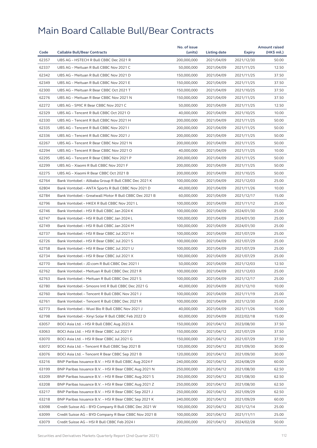|       |                                                        | No. of issue |                     |               | <b>Amount raised</b> |
|-------|--------------------------------------------------------|--------------|---------------------|---------------|----------------------|
| Code  | <b>Callable Bull/Bear Contracts</b>                    | (units)      | <b>Listing date</b> | <b>Expiry</b> | (HK\$ mil.)          |
| 62357 | UBS AG - HSTECH R Bull CBBC Dec 2021 R                 | 200,000,000  | 2021/04/09          | 2021/12/30    | 50.00                |
| 62337 | UBS AG - Meituan R Bull CBBC Nov 2021 C                | 50,000,000   | 2021/04/09          | 2021/11/25    | 12.50                |
| 62342 | UBS AG - Meituan R Bull CBBC Nov 2021 D                | 150,000,000  | 2021/04/09          | 2021/11/25    | 37.50                |
| 62349 | UBS AG - Meituan R Bull CBBC Nov 2021 E                | 150,000,000  | 2021/04/09          | 2021/11/25    | 37.50                |
| 62300 | UBS AG - Meituan R Bear CBBC Oct 2021 T                | 150,000,000  | 2021/04/09          | 2021/10/25    | 37.50                |
| 62276 | UBS AG - Meituan R Bear CBBC Nov 2021 N                | 150,000,000  | 2021/04/09          | 2021/11/25    | 37.50                |
| 62272 | UBS AG - SMIC R Bear CBBC Nov 2021 C                   | 50.000.000   | 2021/04/09          | 2021/11/25    | 12.50                |
| 62329 | UBS AG - Tencent R Bull CBBC Oct 2021 O                | 40,000,000   | 2021/04/09          | 2021/10/25    | 10.00                |
| 62330 | UBS AG - Tencent R Bull CBBC Nov 2021 H                | 200,000,000  | 2021/04/09          | 2021/11/25    | 50.00                |
| 62335 | UBS AG - Tencent R Bull CBBC Nov 2021 I                | 200,000,000  | 2021/04/09          | 2021/11/25    | 50.00                |
| 62336 | UBS AG - Tencent R Bull CBBC Nov 2021 J                | 200,000,000  | 2021/04/09          | 2021/11/25    | 50.00                |
| 62267 | UBS AG - Tencent R Bear CBBC Nov 2021 N                | 200,000,000  | 2021/04/09          | 2021/11/25    | 50.00                |
| 62294 | UBS AG - Tencent R Bear CBBC Nov 2021 O                | 40,000,000   | 2021/04/09          | 2021/11/25    | 10.00                |
| 62295 | UBS AG - Tencent R Bear CBBC Nov 2021 P                | 200,000,000  | 2021/04/09          | 2021/11/25    | 50.00                |
| 62299 | UBS AG - Xiaomi R Bull CBBC Nov 2021 F                 | 200,000,000  | 2021/04/09          | 2021/11/25    | 50.00                |
| 62275 | UBS AG - Xiaomi R Bear CBBC Oct 2021 B                 | 200,000,000  | 2021/04/09          | 2021/10/25    | 50.00                |
| 62764 | Bank Vontobel - Alibaba Group R Bull CBBC Dec 2021 K   | 100,000,000  | 2021/04/09          | 2021/12/03    | 25.00                |
| 62804 | Bank Vontobel - ANTA Sports R Bull CBBC Nov 2021 D     | 40,000,000   | 2021/04/09          | 2021/11/26    | 10.00                |
| 62784 | Bank Vontobel - Greatwall Motor R Bull CBBC Dec 2021 B | 60,000,000   | 2021/04/09          | 2021/12/17    | 15.00                |
| 62796 | Bank Vontobel - HKEX R Bull CBBC Nov 2021 L            | 100,000,000  | 2021/04/09          | 2021/11/12    | 25.00                |
| 62746 | Bank Vontobel - HSI R Bull CBBC Jan 2024 K             | 100,000,000  | 2021/04/09          | 2024/01/30    | 25.00                |
| 62747 | Bank Vontobel - HSI R Bull CBBC Jan 2024 L             | 100,000,000  | 2021/04/09          | 2024/01/30    | 25.00                |
| 62749 | Bank Vontobel - HSI R Bull CBBC Jan 2024 M             | 100,000,000  | 2021/04/09          | 2024/01/30    | 25.00                |
| 62737 | Bank Vontobel - HSI R Bear CBBC Jul 2021 H             | 100,000,000  | 2021/04/09          | 2021/07/29    | 25.00                |
| 62726 | Bank Vontobel - HSI R Bear CBBC Jul 2021 S             | 100,000,000  | 2021/04/09          | 2021/07/29    | 25.00                |
| 62758 | Bank Vontobel - HSI R Bear CBBC Jul 2021 U             | 100,000,000  | 2021/04/09          | 2021/07/29    | 25.00                |
| 62734 | Bank Vontobel - HSI R Bear CBBC Jul 2021 X             | 100,000,000  | 2021/04/09          | 2021/07/29    | 25.00                |
| 62770 | Bank Vontobel - JD.com R Bull CBBC Dec 2021 I          | 50,000,000   | 2021/04/09          | 2021/12/03    | 12.50                |
| 62762 | Bank Vontobel - Meituan R Bull CBBC Dec 2021 R         | 100,000,000  | 2021/04/09          | 2021/12/03    | 25.00                |
| 62763 | Bank Vontobel - Meituan R Bull CBBC Dec 2021 S         | 100,000,000  | 2021/04/09          | 2021/12/17    | 25.00                |
| 62780 | Bank Vontobel - Smoore Intl R Bull CBBC Dec 2021 G     | 40,000,000   | 2021/04/09          | 2021/12/10    | 10.00                |
| 62760 | Bank Vontobel - Tencent R Bull CBBC Nov 2021 J         | 100,000,000  | 2021/04/09          | 2021/11/19    | 25.00                |
| 62761 |                                                        | 100,000,000  | 2021/04/09          |               | 25.00                |
|       | Bank Vontobel - Tencent R Bull CBBC Dec 2021 R         |              |                     | 2021/12/30    |                      |
| 62773 | Bank Vontobel - Wuxi Bio R Bull CBBC Nov 2021 J        | 40,000,000   | 2021/04/09          | 2021/11/26    | 10.00                |
| 62798 | Bank Vontobel - Xinyi Solar R Bull CBBC Feb 2022 D     | 60,000,000   | 2021/04/09          | 2022/02/18    | 15.00                |
| 63057 | BOCI Asia Ltd. - HSI R Bull CBBC Aug 2023 A            | 150,000,000  | 2021/04/12          | 2023/08/30    | 37.50                |
| 63063 | BOCI Asia Ltd. - HSI R Bear CBBC Jul 2021 F            | 150,000,000  | 2021/04/12          | 2021/07/29    | 37.50                |
| 63070 | BOCI Asia Ltd. - HSI R Bear CBBC Jul 2021 G            | 150,000,000  | 2021/04/12          | 2021/07/29    | 37.50                |
| 63072 | BOCI Asia Ltd. - Tencent R Bull CBBC Sep 2021 B        | 120,000,000  | 2021/04/12          | 2021/09/30    | 30.00                |
| 63076 | BOCI Asia Ltd. - Tencent R Bear CBBC Sep 2021 B        | 120,000,000  | 2021/04/12          | 2021/09/30    | 30.00                |
| 63216 | BNP Paribas Issuance B.V. - HSI R Bull CBBC Aug 2024 F | 240,000,000  | 2021/04/12          | 2024/08/29    | 60.00                |
| 63199 | BNP Paribas Issuance B.V. - HSI R Bear CBBC Aug 2021 N | 250,000,000  | 2021/04/12          | 2021/08/30    | 62.50                |
| 63209 | BNP Paribas Issuance B.V. - HSI R Bear CBBC Aug 2021 S | 250,000,000  | 2021/04/12          | 2021/08/30    | 62.50                |
| 63208 | BNP Paribas Issuance B.V. - HSI R Bear CBBC Aug 2021 Z | 250,000,000  | 2021/04/12          | 2021/08/30    | 62.50                |
| 63217 | BNP Paribas Issuance B.V. - HSI R Bear CBBC Sep 2021 J | 250,000,000  | 2021/04/12          | 2021/09/29    | 62.50                |
| 63218 | BNP Paribas Issuance B.V. - HSI R Bear CBBC Sep 2021 K | 240,000,000  | 2021/04/12          | 2021/09/29    | 60.00                |
| 63098 | Credit Suisse AG - BYD Company R Bull CBBC Dec 2021 W  | 100,000,000  | 2021/04/12          | 2021/12/14    | 25.00                |
| 63099 | Credit Suisse AG - BYD Company R Bear CBBC Nov 2021 B  | 100,000,000  | 2021/04/12          | 2021/11/11    | 25.00                |
| 63079 | Credit Suisse AG - HSI R Bull CBBC Feb 2024 I          | 200,000,000  | 2021/04/12          | 2024/02/28    | 50.00                |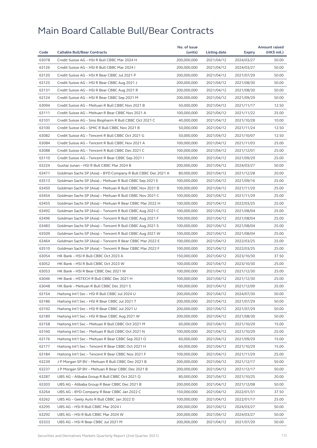|       |                                                              | No. of issue               |              |            | <b>Amount raised</b> |
|-------|--------------------------------------------------------------|----------------------------|--------------|------------|----------------------|
| Code  | <b>Callable Bull/Bear Contracts</b>                          | (units)                    | Listing date | Expiry     | (HK\$ mil.)          |
| 63078 | Credit Suisse AG - HSI R Bull CBBC Mar 2024 H                | 200,000,000                | 2021/04/12   | 2024/03/27 | 50.00                |
| 63126 | Credit Suisse AG - HSI R Bull CBBC Mar 2024 I                | 200,000,000                | 2021/04/12   | 2024/03/27 | 50.00                |
| 63120 | Credit Suisse AG - HSI R Bear CBBC Jul 2021 P                | 200,000,000                | 2021/04/12   | 2021/07/29 | 50.00                |
| 63125 | Credit Suisse AG - HSI R Bear CBBC Aug 2021 J                | 200,000,000                | 2021/04/12   | 2021/08/30 | 50.00                |
| 63131 | Credit Suisse AG - HSI R Bear CBBC Aug 2021 R                | 200,000,000                | 2021/04/12   | 2021/08/30 | 50.00                |
| 63124 | Credit Suisse AG - HSI R Bear CBBC Sep 2021 M                | 200,000,000                | 2021/04/12   | 2021/09/29 | 50.00                |
| 63094 | Credit Suisse AG - Meituan R Bull CBBC Nov 2021 B            | 50,000,000                 | 2021/04/12   | 2021/11/17 | 12.50                |
| 63111 | Credit Suisse AG - Meituan R Bear CBBC Nov 2021 A            | 100,000,000                | 2021/04/12   | 2021/11/22 | 25.00                |
| 63101 | Credit Suisse AG - Sino Biopharm R Bull CBBC Oct 2021 C      | 40,000,000                 | 2021/04/12   | 2021/10/28 | 10.00                |
| 63100 | Credit Suisse AG - SMIC R Bull CBBC Nov 2021 B               | 50,000,000                 | 2021/04/12   | 2021/11/24 | 12.50                |
| 63082 | Credit Suisse AG - Tencent R Bull CBBC Oct 2021 G            | 50,000,000                 | 2021/04/12   | 2021/10/07 | 12.50                |
| 63084 | Credit Suisse AG - Tencent R Bull CBBC Nov 2021 A            | 100,000,000                | 2021/04/12   | 2021/11/03 | 25.00                |
| 63088 | Credit Suisse AG - Tencent R Bull CBBC Dec 2021 C            | 100,000,000                | 2021/04/12   | 2021/12/01 | 25.00                |
| 63110 | Credit Suisse AG - Tencent R Bear CBBC Sep 2021 I            | 100,000,000                | 2021/04/12   | 2021/09/29 | 25.00                |
| 63224 | Guotai Junan - HSI R Bull CBBC Mar 2024 B                    | 200,000,000                | 2021/04/12   | 2024/03/27 | 50.00                |
| 63471 | Goldman Sachs SP (Asia) - BYD Company R Bull CBBC Dec 2021 A | 80,000,000                 | 2021/04/12   | 2021/12/28 | 20.00                |
| 63513 | Goldman Sachs SP (Asia) - Meituan R Bull CBBC Sep 2021 E     | 100,000,000                | 2021/04/12   | 2021/09/16 | 25.00                |
| 63450 | Goldman Sachs SP (Asia) - Meituan R Bull CBBC Nov 2021 B     | 100,000,000                | 2021/04/12   | 2021/11/29 | 25.00                |
| 63454 | Goldman Sachs SP (Asia) - Meituan R Bull CBBC Nov 2021 C     | 100,000,000                | 2021/04/12   | 2021/11/29 | 25.00                |
| 63455 | Goldman Sachs SP (Asia) - Meituan R Bear CBBC Mar 2022 H     | 100,000,000                | 2021/04/12   | 2022/03/25 | 25.00                |
| 63492 | Goldman Sachs SP (Asia) - Tencent R Bull CBBC Aug 2021 C     | 100,000,000                | 2021/04/12   | 2021/08/04 | 25.00                |
| 63496 | Goldman Sachs SP (Asia) - Tencent R Bull CBBC Aug 2021 F     | 100,000,000                | 2021/04/12   | 2021/08/04 | 25.00                |
| 63483 | Goldman Sachs SP (Asia) - Tencent R Bull CBBC Aug 2021 S     | 100,000,000                | 2021/04/12   | 2021/08/04 | 25.00                |
| 63509 | Goldman Sachs SP (Asia) - Tencent R Bull CBBC Aug 2021 W     | 100,000,000                | 2021/04/12   | 2021/08/04 | 25.00                |
| 63464 | Goldman Sachs SP (Asia) - Tencent R Bear CBBC Mar 2022 E     | 100,000,000                | 2021/04/12   | 2022/03/25 | 25.00                |
| 63510 | Goldman Sachs SP (Asia) - Tencent R Bear CBBC Mar 2022 F     | 100,000,000                | 2021/04/12   | 2022/03/25 | 25.00                |
|       |                                                              |                            |              |            |                      |
| 63054 | HK Bank - HSI R Bull CBBC Oct 2023 A                         | 150,000,000<br>100,000,000 | 2021/04/12   | 2023/10/30 | 37.50                |
| 63052 | HK Bank - HSI R Bull CBBC Oct 2023 W                         |                            | 2021/04/12   | 2023/10/30 | 25.00                |
| 63053 | HK Bank - HSI R Bear CBBC Dec 2021 W                         | 100,000,000                | 2021/04/12   | 2021/12/30 | 25.00                |
| 63046 | HK Bank - HSTECH R Bull CBBC Dec 2021 H                      | 100,000,000                | 2021/04/12   | 2021/12/30 | 25.00                |
| 63048 | HK Bank – Meituan R Bull CBBC Dec 2021 S                     | 100,000,000                | 2021/04/12   | 2021/12/09 | 25.00                |
| 63154 | Haitong Int'l Sec - HSI R Bull CBBC Jul 2024 U               | 200,000,000                | 2021/04/12   | 2024/07/30 | 50.00                |
| 63186 | Haitong Int'l Sec – HSI R Bear CBBC Jul 2021 T               | 200,000,000                | 2021/04/12   | 2021/07/29 | 50.00                |
| 63192 | Haitong Int'l Sec - HSI R Bear CBBC Jul 2021 U               | 200,000,000                | 2021/04/12   | 2021/07/29 | 50.00                |
| 63189 | Haitong Int'l Sec - HSI R Bear CBBC Aug 2021 W               | 200,000,000                | 2021/04/12   | 2021/08/30 | 50.00                |
| 63158 | Haitong Int'l Sec - Meituan R Bull CBBC Oct 2021 M           | 60,000,000                 | 2021/04/12   | 2021/10/29 | 15.00                |
| 63160 | Haitong Int'l Sec – Meituan R Bull CBBC Oct 2021 N           | 100,000,000                | 2021/04/12   | 2021/10/29 | 25.00                |
| 63176 | Haitong Int'l Sec – Meituan R Bear CBBC Sep 2021 O           | 60,000,000                 | 2021/04/12   | 2021/09/29 | 15.00                |
| 63177 | Haitong Int'l Sec - Tencent R Bear CBBC Oct 2021 H           | 60,000,000                 | 2021/04/12   | 2021/10/29 | 15.00                |
| 63184 | Haitong Int'l Sec – Tencent R Bear CBBC Nov 2021 F           | 100,000,000                | 2021/04/12   | 2021/11/29 | 25.00                |
| 63239 | J P Morgan SP BV - Meituan R Bull CBBC Dec 2021 B            | 200,000,000                | 2021/04/12   | 2021/12/17 | 50.00                |
| 63237 | J P Morgan SP BV - Meituan R Bear CBBC Dec 2021 B            | 200,000,000                | 2021/04/12   | 2021/12/17 | 50.00                |
| 63287 | UBS AG - Alibaba Group R Bull CBBC Oct 2021 Q                | 80,000,000                 | 2021/04/12   | 2021/10/25 | 20.00                |
| 63303 | UBS AG – Alibaba Group R Bear CBBC Dec 2021 B                | 200,000,000                | 2021/04/12   | 2021/12/08 | 50.00                |
| 63264 | UBS AG - BYD Company R Bear CBBC Jan 2022 C                  | 150,000,000                | 2021/04/12   | 2022/01/31 | 37.50                |
| 63262 | UBS AG - Geely Auto R Bull CBBC Jan 2022 D                   | 100,000,000                | 2021/04/12   | 2022/01/17 | 25.00                |
| 63295 | UBS AG - HSI R Bull CBBC Mar 2024 I                          | 200,000,000                | 2021/04/12   | 2024/03/27 | 50.00                |
| 63292 | UBS AG - HSI R Bull CBBC Mar 2024 W                          | 200,000,000                | 2021/04/12   | 2024/03/27 | 50.00                |
| 63333 | UBS AG – HSI R Bear CBBC Jul 2021 M                          | 200,000,000                | 2021/04/12   | 2021/07/29 | 50.00                |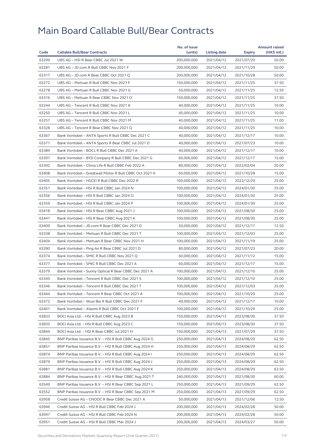|       |                                                        | No. of issue |              |               | <b>Amount raised</b> |
|-------|--------------------------------------------------------|--------------|--------------|---------------|----------------------|
| Code  | <b>Callable Bull/Bear Contracts</b>                    | (units)      | Listing date | <b>Expiry</b> | (HK\$ mil.)          |
| 63299 | UBS AG - HSI R Bear CBBC Jul 2021 W                    | 200,000,000  | 2021/04/12   | 2021/07/29    | 50.00                |
| 63281 | UBS AG - JD.com R Bull CBBC Nov 2021 F                 | 200,000,000  | 2021/04/12   | 2021/11/29    | 50.00                |
| 63317 | UBS AG - JD.com R Bear CBBC Oct 2021 Q                 | 200,000,000  | 2021/04/12   | 2021/10/28    | 50.00                |
| 63272 | UBS AG - Meituan R Bull CBBC Nov 2021 F                | 150,000,000  | 2021/04/12   | 2021/11/25    | 37.50                |
| 63278 | UBS AG - Meituan R Bull CBBC Nov 2021 G                | 50,000,000   | 2021/04/12   | 2021/11/25    | 12.50                |
| 63316 | UBS AG - Meituan R Bear CBBC Nov 2021 O                | 150,000,000  | 2021/04/12   | 2021/11/25    | 37.50                |
| 63244 | UBS AG - Tencent R Bull CBBC Nov 2021 K                | 40,000,000   | 2021/04/12   | 2021/11/25    | 10.00                |
| 63250 | UBS AG - Tencent R Bull CBBC Nov 2021 L                | 40,000,000   | 2021/04/12   | 2021/11/25    | 10.00                |
| 63257 | UBS AG - Tencent R Bull CBBC Nov 2021 M                | 40,000,000   | 2021/04/12   | 2021/11/25    | 11.00                |
| 63328 | UBS AG - Tencent R Bear CBBC Nov 2021 Q                | 40,000,000   | 2021/04/12   | 2021/11/25    | 10.00                |
| 63367 | Bank Vontobel - ANTA Sports R Bull CBBC Dec 2021 C     | 40,000,000   | 2021/04/12   | 2021/12/17    | 10.00                |
| 63371 | Bank Vontobel - ANTA Sports R Bear CBBC Jul 2021 D     | 40,000,000   | 2021/04/12   | 2021/07/23    | 10.00                |
| 63389 | Bank Vontobel - BOCL R Bull CBBC Dec 2021 A            | 40,000,000   | 2021/04/12   | 2021/12/17    | 10.00                |
| 63397 | Bank Vontobel - BYD Company R Bull CBBC Dec 2021 G     | 60,000,000   | 2021/04/12   | 2021/12/17    | 15.00                |
| 63392 | Bank Vontobel - China Life R Bull CBBC Feb 2022 A      | 80,000,000   | 2021/04/12   | 2022/02/04    | 20.00                |
| 63408 | Bank Vontobel - Greatwall Motor R Bull CBBC Oct 2021 A | 60,000,000   | 2021/04/12   | 2021/10/28    | 15.00                |
| 63405 | Bank Vontobel - HSCEI R Bull CBBC Dec 2022 R           | 100,000,000  | 2021/04/12   | 2022/12/29    | 25.00                |
| 63351 | Bank Vontobel - HSI R Bull CBBC Jan 2024 N             | 100,000,000  | 2021/04/12   | 2024/01/30    | 25.00                |
| 63356 | Bank Vontobel - HSI R Bull CBBC Jan 2024 O             | 100,000,000  | 2021/04/12   | 2024/01/30    | 25.00                |
| 63359 | Bank Vontobel - HSI R Bull CBBC Jan 2024 P             | 100,000,000  | 2021/04/12   | 2024/01/30    | 25.00                |
| 63418 | Bank Vontobel - HSI R Bear CBBC Aug 2021 J             | 100,000,000  | 2021/04/12   | 2021/08/30    | 25.00                |
| 63441 | Bank Vontobel - HSI R Bear CBBC Aug 2021 K             | 100,000,000  | 2021/04/12   | 2021/08/30    | 25.00                |
| 63400 | Bank Vontobel - JD.com R Bear CBBC Dec 2021 D          | 50,000,000   | 2021/04/12   | 2021/12/17    | 12.50                |
| 63338 | Bank Vontobel - Meituan R Bull CBBC Dec 2021 T         | 100,000,000  | 2021/04/12   | 2021/12/03    | 25.00                |
| 63404 | Bank Vontobel - Meituan R Bear CBBC Nov 2021 H         | 100,000,000  | 2021/04/12   | 2021/11/19    | 25.00                |
| 63390 | Bank Vontobel - Ping An R Bear CBBC Jul 2021 D         | 80,000,000   | 2021/04/12   | 2021/07/23    | 20.00                |
| 63374 | Bank Vontobel - SMIC R Bull CBBC Nov 2021 Q            | 60,000,000   | 2021/04/12   | 2021/11/12    | 15.00                |
| 63377 | Bank Vontobel - SMIC R Bull CBBC Dec 2021 A            | 60,000,000   | 2021/04/12   | 2021/12/17    | 15.00                |
| 63379 | Bank Vontobel - Sunny Optical R Bear CBBC Dec 2021 A   | 100,000,000  | 2021/04/12   | 2021/12/10    | 25.00                |
| 63345 | Bank Vontobel - Tencent R Bull CBBC Dec 2021 S         | 100,000,000  | 2021/04/12   | 2021/12/10    | 25.00                |
| 63346 | Bank Vontobel - Tencent R Bull CBBC Dec 2021 T         | 100,000,000  | 2021/04/12   | 2021/12/03    | 25.00                |
| 63444 | Bank Vontobel - Tencent R Bear CBBC Oct 2021 A         | 100,000,000  | 2021/04/12   | 2021/10/29    | 25.00                |
| 63372 | Bank Vontobel - Wuxi Bio R Bull CBBC Dec 2021 F        | 40,000,000   | 2021/04/12   | 2021/12/17    | 10.00                |
| 63401 | Bank Vontobel - Xiaomi R Bull CBBC Oct 2021 F          | 100,000,000  | 2021/04/12   | 2021/10/29    | 25.00                |
| 63833 | BOCI Asia Ltd. - HSI R Bull CBBC Aug 2023 B            | 150,000,000  | 2021/04/13   | 2023/08/30    | 37.50                |
| 63835 | BOCI Asia Ltd. - HSI R Bull CBBC Aug 2023 C            | 150,000,000  | 2021/04/13   | 2023/08/30    | 37.50                |
| 63844 | BOCI Asia Ltd. - HSI R Bear CBBC Jul 2021 H            | 150,000,000  | 2021/04/13   | 2021/07/29    | 37.50                |
| 63845 | BNP Paribas Issuance B.V. - HSI R Bull CBBC Aug 2024 G | 250,000,000  | 2021/04/13   | 2024/08/29    | 62.50                |
| 63851 | BNP Paribas Issuance B.V. - HSI R Bull CBBC Aug 2024 H | 250,000,000  | 2021/04/13   | 2024/08/29    | 62.50                |
| 63874 | BNP Paribas Issuance B.V. - HSI R Bull CBBC Aug 2024 I | 250,000,000  | 2021/04/13   | 2024/08/29    | 62.50                |
| 63879 | BNP Paribas Issuance B.V. - HSI R Bull CBBC Aug 2024 J | 250,000,000  | 2021/04/13   | 2024/08/29    | 62.50                |
| 63881 | BNP Paribas Issuance B.V. - HSI R Bull CBBC Aug 2024 K | 250,000,000  | 2021/04/13   | 2024/08/29    | 62.50                |
| 63884 | BNP Paribas Issuance B.V. - HSI R Bear CBBC Aug 2021 T | 240,000,000  | 2021/04/13   | 2021/08/30    | 60.00                |
| 63549 | BNP Paribas Issuance B.V. - HSI R Bear CBBC Sep 2021 L | 250,000,000  | 2021/04/13   | 2021/09/29    | 62.50                |
| 63552 | BNP Paribas Issuance B.V. - HSI R Bear CBBC Sep 2021 M | 250,000,000  | 2021/04/13   | 2021/09/29    | 62.50                |
| 63958 | Credit Suisse AG - CNOOC R Bear CBBC Dec 2021 A        | 50,000,000   | 2021/04/13   | 2021/12/06    | 12.50                |
| 63946 | Credit Suisse AG - HSI R Bull CBBC Feb 2024 J          | 200,000,000  | 2021/04/13   | 2024/02/28    | 50.00                |
| 63947 | Credit Suisse AG - HSI R Bull CBBC Feb 2024 N          | 200,000,000  | 2021/04/13   | 2024/02/28    | 50.00                |
| 63951 | Credit Suisse AG - HSI R Bull CBBC Mar 2024 J          | 200,000,000  | 2021/04/13   | 2024/03/27    | 50.00                |
|       |                                                        |              |              |               |                      |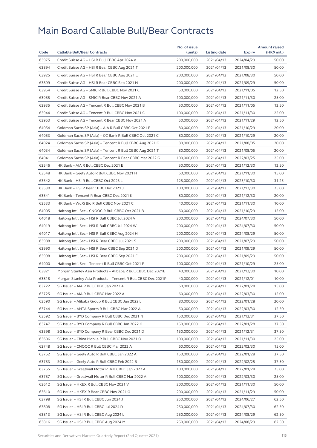|       |                                                              | No. of issue |              |               | <b>Amount raised</b> |
|-------|--------------------------------------------------------------|--------------|--------------|---------------|----------------------|
| Code  | <b>Callable Bull/Bear Contracts</b>                          | (units)      | Listing date | <b>Expiry</b> | (HK\$ mil.)          |
| 63975 | Credit Suisse AG - HSI R Bull CBBC Apr 2024 V                | 200,000,000  | 2021/04/13   | 2024/04/29    | 50.00                |
| 63894 | Credit Suisse AG - HSI R Bear CBBC Aug 2021 T                | 200,000,000  | 2021/04/13   | 2021/08/30    | 50.00                |
| 63925 | Credit Suisse AG - HSI R Bear CBBC Aug 2021 U                | 200,000,000  | 2021/04/13   | 2021/08/30    | 50.00                |
| 63899 | Credit Suisse AG - HSI R Bear CBBC Sep 2021 N                | 200,000,000  | 2021/04/13   | 2021/09/29    | 50.00                |
| 63954 | Credit Suisse AG - SMIC R Bull CBBC Nov 2021 C               | 50,000,000   | 2021/04/13   | 2021/11/05    | 12.50                |
| 63955 | Credit Suisse AG - SMIC R Bear CBBC Nov 2021 A               | 100,000,000  | 2021/04/13   | 2021/11/30    | 25.00                |
| 63935 | Credit Suisse AG - Tencent R Bull CBBC Nov 2021 B            | 50,000,000   | 2021/04/13   | 2021/11/05    | 12.50                |
| 63944 | Credit Suisse AG - Tencent R Bull CBBC Nov 2021 C            | 100,000,000  | 2021/04/13   | 2021/11/30    | 25.00                |
| 63953 | Credit Suisse AG - Tencent R Bear CBBC Nov 2021 A            | 50,000,000   | 2021/04/13   | 2021/11/29    | 12.50                |
| 64054 | Goldman Sachs SP (Asia) - AIA R Bull CBBC Oct 2021 F         | 80,000,000   | 2021/04/13   | 2021/10/29    | 20.00                |
| 64053 | Goldman Sachs SP (Asia) - CC Bank R Bull CBBC Oct 2021 C     | 80,000,000   | 2021/04/13   | 2021/10/29    | 20.00                |
| 64024 | Goldman Sachs SP (Asia) - Tencent R Bull CBBC Aug 2021 G     | 80,000,000   | 2021/04/13   | 2021/08/05    | 20.00                |
| 64034 | Goldman Sachs SP (Asia) - Tencent R Bull CBBC Aug 2021 T     | 80,000,000   | 2021/04/13   | 2021/08/05    | 20.00                |
| 64041 | Goldman Sachs SP (Asia) - Tencent R Bear CBBC Mar 2022 G     | 100,000,000  | 2021/04/13   | 2022/03/25    | 25.00                |
| 63546 | HK Bank - AIA R Bull CBBC Dec 2021 E                         | 50,000,000   | 2021/04/13   | 2021/12/30    | 12.50                |
| 63548 | HK Bank - Geely Auto R Bull CBBC Nov 2021 H                  | 60,000,000   | 2021/04/13   | 2021/11/30    | 15.00                |
| 63542 | HK Bank - HSI R Bull CBBC Oct 2023 L                         | 125,000,000  | 2021/04/13   | 2023/10/30    | 31.25                |
| 63530 | HK Bank - HSI R Bear CBBC Dec 2021 J                         | 100,000,000  | 2021/04/13   | 2021/12/30    | 25.00                |
| 63541 | HK Bank - Tencent R Bear CBBC Dec 2021 K                     | 80,000,000   | 2021/04/13   | 2021/12/30    | 20.00                |
| 63533 | HK Bank - WuXi Bio R Bull CBBC Nov 2021 C                    | 40,000,000   | 2021/04/13   | 2021/11/30    | 10.00                |
| 64005 | Haitong Int'l Sec - CNOOC R Bull CBBC Oct 2021 B             | 60,000,000   | 2021/04/13   | 2021/10/29    | 15.00                |
| 64018 | Haitong Int'l Sec - HSI R Bull CBBC Jul 2024 V               | 200,000,000  | 2021/04/13   | 2024/07/30    | 50.00                |
| 64019 | Haitong Int'l Sec - HSI R Bull CBBC Jul 2024 W               | 200,000,000  | 2021/04/13   | 2024/07/30    | 50.00                |
| 64017 | Haitong Int'l Sec - HSI R Bull CBBC Aug 2024 H               | 200,000,000  | 2021/04/13   | 2024/08/29    | 50.00                |
| 63988 | Haitong Int'l Sec - HSI R Bear CBBC Jul 2021 S               | 200,000,000  | 2021/04/13   | 2021/07/29    | 50.00                |
| 63990 | Haitong Int'l Sec - HSI R Bear CBBC Sep 2021 D               | 200,000,000  | 2021/04/13   | 2021/09/29    | 50.00                |
| 63998 | Haitong Int'l Sec - HSI R Bear CBBC Sep 2021 E               | 200,000,000  | 2021/04/13   | 2021/09/29    | 50.00                |
| 64000 | Haitong Int'l Sec - Tencent R Bull CBBC Oct 2021 F           | 100,000,000  | 2021/04/13   | 2021/10/29    | 25.00                |
| 63821 | Morgan Stanley Asia Products - Alibaba R Bull CBBC Dec 2021E | 40,000,000   | 2021/04/13   | 2021/12/30    | 10.00                |
| 63818 | Morgan Stanley Asia Products - Tencent R Bull CBBC Dec 2021P | 40,000,000   | 2021/04/13   | 2021/12/01    | 10.00                |
|       |                                                              |              |              |               |                      |
| 63722 | SG Issuer - AIA R Bull CBBC Jan 2022 A                       | 60,000,000   | 2021/04/13   | 2022/01/28    | 15.00                |
| 63725 | SG Issuer - AIA R Bull CBBC Mar 2022 A                       | 60,000,000   | 2021/04/13   | 2022/03/30    | 15.00                |
| 63590 | SG Issuer - Alibaba Group R Bull CBBC Jan 2022 L             | 80,000,000   | 2021/04/13   | 2022/01/28    | 20.00                |
| 63744 | SG Issuer - ANTA Sports R Bull CBBC Mar 2022 A               | 50,000,000   | 2021/04/13   | 2022/03/30    | 12.50                |
| 63592 | SG Issuer - BYD Company R Bull CBBC Dec 2021 N               | 150,000,000  | 2021/04/13   | 2021/12/31    | 37.50                |
| 63747 | SG Issuer - BYD Company R Bull CBBC Jan 2022 K               | 150,000,000  | 2021/04/13   | 2022/01/28    | 37.50                |
| 63598 | SG Issuer - BYD Company R Bear CBBC Dec 2021 D               | 150,000,000  | 2021/04/13   | 2021/12/31    | 37.50                |
| 63606 | SG Issuer - China Mobile R Bull CBBC Nov 2021 O              | 100,000,000  | 2021/04/13   | 2021/11/30    | 25.00                |
| 63748 | SG Issuer - CNOOC R Bull CBBC Mar 2022 A                     | 60,000,000   | 2021/04/13   | 2022/03/30    | 15.00                |
| 63752 | SG Issuer - Geely Auto R Bull CBBC Jan 2022 A                | 150,000,000  | 2021/04/13   | 2022/01/28    | 37.50                |
| 63753 | SG Issuer - Geely Auto R Bull CBBC Feb 2022 B                | 150,000,000  | 2021/04/13   | 2022/02/25    | 37.50                |
| 63755 | SG Issuer - Greatwall Motor R Bull CBBC Jan 2022 A           | 100,000,000  | 2021/04/13   | 2022/01/28    | 25.00                |
| 63757 | SG Issuer - Greatwall Motor R Bull CBBC Mar 2022 A           | 100,000,000  | 2021/04/13   | 2022/03/30    | 25.00                |
| 63612 | SG Issuer - HKEX R Bull CBBC Nov 2021 V                      | 200,000,000  | 2021/04/13   | 2021/11/30    | 50.00                |
| 63610 | SG Issuer - HKEX R Bear CBBC Nov 2021 G                      | 200,000,000  | 2021/04/13   | 2021/11/29    | 50.00                |
| 63798 | SG Issuer - HSI R Bull CBBC Jun 2024 J                       | 250,000,000  | 2021/04/13   | 2024/06/27    | 62.50                |
| 63808 | SG Issuer - HSI R Bull CBBC Jul 2024 D                       | 250,000,000  | 2021/04/13   | 2024/07/30    | 62.50                |
| 63813 | SG Issuer - HSI R Bull CBBC Aug 2024 L                       | 250,000,000  | 2021/04/13   | 2024/08/29    | 62.50                |
| 63816 | SG Issuer - HSI R Bull CBBC Aug 2024 M                       | 250,000,000  | 2021/04/13   | 2024/08/29    | 62.50                |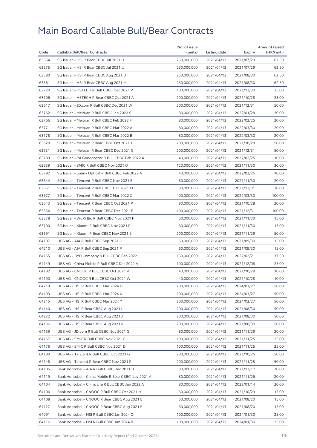|       |                                                     | No. of issue |              |            | <b>Amount raised</b> |
|-------|-----------------------------------------------------|--------------|--------------|------------|----------------------|
| Code  | <b>Callable Bull/Bear Contracts</b>                 | (units)      | Listing date | Expiry     | (HK\$ mil.)          |
| 63554 | SG Issuer - HSI R Bear CBBC Jul 2021 D              | 250,000,000  | 2021/04/13   | 2021/07/29 | 62.50                |
| 63575 | SG Issuer - HSI R Bear CBBC Jul 2021 U              | 250,000,000  | 2021/04/13   | 2021/07/29 | 62.50                |
| 63580 | SG Issuer - HSI R Bear CBBC Aug 2021 B              | 250,000,000  | 2021/04/13   | 2021/08/30 | 62.50                |
| 63581 | SG Issuer - HSI R Bear CBBC Aug 2021 M              | 250,000,000  | 2021/04/13   | 2021/08/30 | 62.50                |
| 63720 | SG Issuer - HSTECH R Bull CBBC Dec 2021 P           | 100,000,000  | 2021/04/13   | 2021/12/30 | 25.00                |
| 63706 | SG Issuer - HSTECH R Bear CBBC Oct 2021 A           | 100,000,000  | 2021/04/13   | 2021/10/28 | 25.00                |
| 63617 | SG Issuer - JD.com R Bull CBBC Dec 2021 W           | 200,000,000  | 2021/04/13   | 2021/12/31 | 50.00                |
| 63762 | SG Issuer - Meituan R Bull CBBC Jan 2022 S          | 80,000,000   | 2021/04/13   | 2022/01/28 | 20.00                |
| 63766 | SG Issuer - Meituan R Bull CBBC Feb 2022 F          | 80,000,000   | 2021/04/13   | 2022/02/25 | 20.00                |
| 63771 | SG Issuer - Meituan R Bull CBBC Mar 2022 A          | 80,000,000   | 2021/04/13   | 2022/03/30 | 20.00                |
| 63778 | SG Issuer - Meituan R Bull CBBC Mar 2022 B          | 80,000,000   | 2021/04/13   | 2022/03/30 | 20.00                |
| 63620 | SG Issuer - Meituan R Bear CBBC Oct 2021 J          | 200,000,000  | 2021/04/13   | 2021/10/28 | 50.00                |
| 63631 | SG Issuer - Meituan R Bear CBBC Dec 2021 G          | 200,000,000  | 2021/04/13   | 2021/12/31 | 50.00                |
| 63789 | SG Issuer - PA Gooddoctor R Bull CBBC Feb 2022 A    | 40,000,000   | 2021/04/13   | 2022/02/25 | 10.00                |
| 63639 | SG Issuer - SMIC R Bull CBBC Nov 2021 Q             | 120,000,000  | 2021/04/13   | 2021/11/30 | 30.00                |
| 63792 | SG Issuer - Sunny Optical R Bull CBBC Feb 2022 A    | 40,000,000   | 2021/04/13   | 2022/02/25 | 10.00                |
| 63644 | SG Issuer - Tencent R Bull CBBC Nov 2021 B          | 80,000,000   | 2021/04/13   | 2021/11/30 | 20.00                |
| 63651 | SG Issuer - Tencent R Bull CBBC Dec 2021 M          | 80,000,000   | 2021/04/13   | 2021/12/31 | 20.00                |
| 63677 | SG Issuer - Tencent R Bull CBBC Mar 2022 C          | 400,000,000  | 2021/04/13   | 2022/03/30 | 100.00               |
| 63643 | SG Issuer - Tencent R Bear CBBC Oct 2021 P          | 80,000,000   | 2021/04/13   | 2021/10/28 | 20.00                |
| 63654 | SG Issuer - Tencent R Bear CBBC Dec 2021 F          | 400,000,000  | 2021/04/13   | 2021/12/31 | 100.00               |
| 63678 | SG Issuer - WuXi Bio R Bull CBBC Nov 2021 F         | 60,000,000   | 2021/04/13   | 2021/11/30 | 15.00                |
| 63700 | SG Issuer - Xiaomi R Bull CBBC Nov 2021 P           | 60,000,000   | 2021/04/13   | 2021/11/30 | 15.00                |
| 63691 | SG Issuer - Xiaomi R Bear CBBC Nov 2021 E           | 200,000,000  | 2021/04/13   | 2021/11/29 | 50.00                |
| 64197 | UBS AG - AIA R Bull CBBC Sep 2021 O                 | 60,000,000   | 2021/04/13   | 2021/09/30 | 15.00                |
| 64210 | UBS AG - AIA R Bull CBBC Sep 2021 P                 | 60,000,000   | 2021/04/13   | 2021/09/30 | 15.00                |
| 64155 | UBS AG - BYD Company R Bull CBBC Feb 2022 J         | 150,000,000  | 2021/04/13   | 2022/02/21 | 37.50                |
| 64149 | UBS AG - China Mobile R Bull CBBC Dec 2021 A        | 100,000,000  | 2021/04/13   | 2021/12/08 | 25.00                |
| 64182 | UBS AG - CNOOC R Bull CBBC Oct 2021 V               | 40,000,000   | 2021/04/13   | 2021/10/28 | 10.00                |
| 64190 | UBS AG - CNOOC R Bull CBBC Oct 2021 W               | 40,000,000   | 2021/04/13   | 2021/10/28 | 10.00                |
| 64219 | UBS AG - HSI R Bull CBBC Mar 2024 H                 | 200,000,000  | 2021/04/13   | 2024/03/27 | 50.00                |
| 64193 | UBS AG - HSI R Bull CBBC Mar 2024 K                 | 200,000,000  | 2021/04/13   | 2024/03/27 | 50.00                |
| 64215 | UBS AG - HSI R Bull CBBC Mar 2024 Y                 | 200,000,000  | 2021/04/13   | 2024/03/27 | 50.00                |
| 64140 | UBS AG - HSI R Bear CBBC Aug 2021 I                 | 200,000,000  | 2021/04/13   | 2021/08/30 | 50.00                |
| 64222 | UBS AG - HSI R Bear CBBC Aug 2021 J                 | 200,000,000  | 2021/04/13   | 2021/08/30 | 50.00                |
| 64136 | UBS AG - HSI R Bear CBBC Aug 2021 R                 | 200,000,000  | 2021/04/13   | 2021/08/30 | 50.00                |
| 64159 | UBS AG - JD.com R Bull CBBC Nov 2021 G              | 80,000,000   | 2021/04/13   | 2021/11/29 | 20.00                |
| 64167 | UBS AG - SMIC R Bull CBBC Nov 2021 C                | 100,000,000  | 2021/04/13   | 2021/11/25 | 25.00                |
| 64176 | UBS AG - SMIC R Bull CBBC Nov 2021 D                | 100,000,000  | 2021/04/13   | 2021/11/25 | 25.00                |
| 64180 | UBS AG - Tencent R Bull CBBC Oct 2021 G             | 200,000,000  | 2021/04/13   | 2021/10/25 | 50.00                |
| 64148 | UBS AG - Tencent R Bear CBBC Nov 2021 R             | 200,000,000  | 2021/04/13   | 2021/11/25 | 50.00                |
| 64105 | Bank Vontobel - AIA R Bull CBBC Dec 2021 B          | 80,000,000   | 2021/04/13   | 2021/12/17 | 20.00                |
| 64119 | Bank Vontobel - China Mobile R Bear CBBC Nov 2021 A | 80,000,000   | 2021/04/13   | 2021/11/26 | 20.00                |
| 64104 | Bank Vontobel - China Life R Bull CBBC Jan 2022 A   | 80,000,000   | 2021/04/13   | 2022/01/14 | 20.00                |
| 64106 | Bank Vontobel - CNOOC R Bull CBBC Oct 2021 H        | 60,000,000   | 2021/04/13   | 2021/10/29 | 15.00                |
| 64108 | Bank Vontobel - CNOOC R Bear CBBC Aug 2021 E        | 60,000,000   | 2021/04/13   | 2021/08/20 | 15.00                |
| 64127 | Bank Vontobel - CNOOC R Bear CBBC Aug 2021 F        | 60,000,000   | 2021/04/13   | 2021/08/20 | 15.00                |
| 64091 | Bank Vontobel - HSI R Bull CBBC Jan 2024 Q          | 100,000,000  | 2021/04/13   | 2024/01/30 | 25.00                |
| 64116 | Bank Vontobel - HSI R Bull CBBC Jan 2024 R          | 100,000,000  | 2021/04/13   | 2024/01/30 | 25.00                |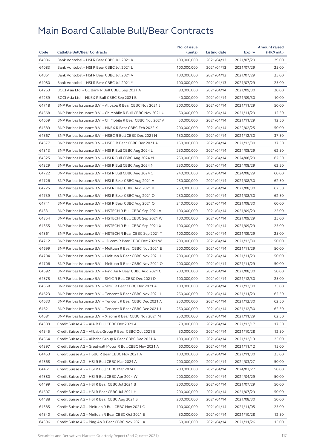|       |                                                              | No. of issue |              |            | <b>Amount raised</b> |
|-------|--------------------------------------------------------------|--------------|--------------|------------|----------------------|
| Code  | <b>Callable Bull/Bear Contracts</b>                          | (units)      | Listing date | Expiry     | $(HK$$ mil.)         |
| 64086 | Bank Vontobel - HSI R Bear CBBC Jul 2021 K                   | 100,000,000  | 2021/04/13   | 2021/07/29 | 29.00                |
| 64083 | Bank Vontobel - HSI R Bear CBBC Jul 2021 L                   | 100,000,000  | 2021/04/13   | 2021/07/29 | 25.00                |
| 64061 | Bank Vontobel - HSI R Bear CBBC Jul 2021 V                   | 100,000,000  | 2021/04/13   | 2021/07/29 | 25.00                |
| 64080 | Bank Vontobel - HSI R Bear CBBC Jul 2021 Y                   | 100,000,000  | 2021/04/13   | 2021/07/29 | 25.00                |
| 64263 | BOCI Asia Ltd. - CC Bank R Bull CBBC Sep 2021 A              | 80,000,000   | 2021/04/14   | 2021/09/30 | 20.00                |
| 64259 | BOCI Asia Ltd. - HKEX R Bull CBBC Sep 2021 B                 | 40,000,000   | 2021/04/14   | 2021/09/30 | 10.00                |
| 64718 | BNP Paribas Issuance B.V. - Alibaba R Bear CBBC Nov 2021 J   | 200,000,000  | 2021/04/14   | 2021/11/29 | 50.00                |
| 64568 | BNP Paribas Issuance B.V. - Ch Mobile R Bull CBBC Nov 2021 U | 50,000,000   | 2021/04/14   | 2021/11/29 | 12.50                |
| 64659 | BNP Paribas Issuance B.V. - Ch Mobile R Bear CBBC Nov 2021A  | 50,000,000   | 2021/04/14   | 2021/11/29 | 12.50                |
| 64589 | BNP Paribas Issuance B.V. - HKEX R Bear CBBC Feb 2022 K      | 200,000,000  | 2021/04/14   | 2022/02/25 | 50.00                |
| 64567 | BNP Paribas Issuance B.V. - HSBC R Bull CBBC Dec 2021 H      | 150,000,000  | 2021/04/14   | 2021/12/30 | 37.50                |
| 64577 | BNP Paribas Issuance B.V. - HSBC R Bear CBBC Dec 2021 A      | 150,000,000  | 2021/04/14   | 2021/12/30 | 37.50                |
| 64313 | BNP Paribas Issuance B.V. - HSI R Bull CBBC Aug 2024 L       | 250,000,000  | 2021/04/14   | 2024/08/29 | 62.50                |
| 64325 | BNP Paribas Issuance B.V. - HSI R Bull CBBC Aug 2024 M       | 250,000,000  | 2021/04/14   | 2024/08/29 | 62.50                |
| 64329 | BNP Paribas Issuance B.V. - HSI R Bull CBBC Aug 2024 N       | 250,000,000  | 2021/04/14   | 2024/08/29 | 62.50                |
| 64722 | BNP Paribas Issuance B.V. - HSI R Bull CBBC Aug 2024 O       | 240,000,000  | 2021/04/14   | 2024/08/29 | 60.00                |
| 64726 | BNP Paribas Issuance B.V. - HSI R Bear CBBC Aug 2021 A       | 250,000,000  | 2021/04/14   | 2021/08/30 | 62.50                |
| 64725 | BNP Paribas Issuance B.V. - HSI R Bear CBBC Aug 2021 B       | 250,000,000  | 2021/04/14   | 2021/08/30 | 62.50                |
| 64739 | BNP Paribas Issuance B.V. - HSI R Bear CBBC Aug 2021 O       | 250,000,000  | 2021/04/14   | 2021/08/30 | 62.50                |
| 64741 | BNP Paribas Issuance B.V. - HSI R Bear CBBC Aug 2021 Q       | 240,000,000  | 2021/04/14   | 2021/08/30 | 60.00                |
| 64331 | BNP Paribas Issuance B.V. - HSTECH R Bull CBBC Sep 2021 V    | 100,000,000  | 2021/04/14   | 2021/09/29 | 25.00                |
| 64354 | BNP Paribas Issuance B.V. - HSTECH R Bull CBBC Sep 2021 W    | 100,000,000  | 2021/04/14   | 2021/09/29 | 25.00                |
| 64355 | BNP Paribas Issuance B.V. - HSTECH R Bull CBBC Sep 2021 X    | 100,000,000  | 2021/04/14   | 2021/09/29 | 25.00                |
| 64361 | BNP Paribas Issuance B.V. - HSTECH R Bear CBBC Sep 2021 T    | 100,000,000  | 2021/04/14   | 2021/09/29 | 25.00                |
| 64712 | BNP Paribas Issuance B.V. - JD.com R Bear CBBC Dec 2021 W    | 200,000,000  | 2021/04/14   | 2021/12/30 | 50.00                |
| 64699 | BNP Paribas Issuance B.V. - Meituan R Bear CBBC Nov 2021 E   | 200,000,000  | 2021/04/14   | 2021/11/29 | 50.00                |
| 64704 | BNP Paribas Issuance B.V. - Meituan R Bear CBBC Nov 2021 L   | 200,000,000  | 2021/04/14   | 2021/11/29 | 50.00                |
| 64706 | BNP Paribas Issuance B.V. - Meituan R Bear CBBC Nov 2021 O   | 200,000,000  | 2021/04/14   | 2021/11/29 | 50.00                |
| 64692 | BNP Paribas Issuance B.V. - Ping An R Bear CBBC Aug 2021 C   | 200,000,000  | 2021/04/14   | 2021/08/30 | 50.00                |
| 64575 | BNP Paribas Issuance B.V. - SMIC R Bull CBBC Dec 2021 D      | 100,000,000  | 2021/04/14   | 2021/12/30 | 25.00                |
| 64668 | BNP Paribas Issuance B.V. - SMIC R Bear CBBC Dec 2021 A      | 100,000,000  | 2021/04/14   | 2021/12/30 | 25.00                |
| 64623 | BNP Paribas Issuance B.V. - Tencent R Bear CBBC Nov 2021 I   | 250,000,000  | 2021/04/14   | 2021/11/29 | 62.50                |
| 64633 | BNP Paribas Issuance B.V. - Tencent R Bear CBBC Dec 2021 A   | 250,000,000  | 2021/04/14   | 2021/12/30 | 62.50                |
| 64621 | BNP Paribas Issuance B.V. - Tencent R Bear CBBC Dec 2021 J   | 250,000,000  | 2021/04/14   | 2021/12/30 | 62.50                |
| 64681 | BNP Paribas Issuance B.V. - Xiaomi R Bear CBBC Nov 2021 M    | 250,000,000  | 2021/04/14   | 2021/11/29 | 62.50                |
| 64389 | Credit Suisse AG - AIA R Bull CBBC Dec 2021 A                | 70,000,000   | 2021/04/14   | 2021/12/17 | 17.50                |
| 64545 | Credit Suisse AG - Alibaba Group R Bear CBBC Oct 2021 B      | 50,000,000   | 2021/04/14   | 2021/10/28 | 12.50                |
| 64564 | Credit Suisse AG - Alibaba Group R Bear CBBC Dec 2021 A      | 100,000,000  | 2021/04/14   | 2021/12/13 | 25.00                |
| 64397 | Credit Suisse AG - Greatwall Motor R Bull CBBC Nov 2021 A    | 60,000,000   | 2021/04/14   | 2021/11/12 | 15.00                |
| 64453 | Credit Suisse AG - HSBC R Bear CBBC Nov 2021 A               | 100,000,000  | 2021/04/14   | 2021/11/30 | 25.00                |
| 64368 | Credit Suisse AG - HSI R Bull CBBC Mar 2024 A                | 200,000,000  | 2021/04/14   | 2024/03/27 | 50.00                |
| 64461 | Credit Suisse AG - HSI R Bull CBBC Mar 2024 E                | 200,000,000  | 2021/04/14   | 2024/03/27 | 50.00                |
| 64380 | Credit Suisse AG - HSI R Bull CBBC Apr 2024 W                | 200,000,000  | 2021/04/14   | 2024/04/29 | 50.00                |
| 64499 | Credit Suisse AG - HSI R Bear CBBC Jul 2021 B                | 200,000,000  | 2021/04/14   | 2021/07/29 | 50.00                |
| 64507 | Credit Suisse AG - HSI R Bear CBBC Jul 2021 H                | 200,000,000  | 2021/04/14   | 2021/07/29 | 50.00                |
| 64488 | Credit Suisse AG - HSI R Bear CBBC Aug 2021 S                | 200,000,000  | 2021/04/14   | 2021/08/30 | 50.00                |
| 64385 | Credit Suisse AG - Meituan R Bull CBBC Nov 2021 C            | 100,000,000  | 2021/04/14   | 2021/11/05 | 25.00                |
| 64540 | Credit Suisse AG - Meituan R Bear CBBC Oct 2021 E            | 50,000,000   | 2021/04/14   | 2021/10/28 | 12.50                |
| 64396 | Credit Suisse AG - Ping An R Bear CBBC Nov 2021 A            | 60,000,000   | 2021/04/14   | 2021/11/26 | 15.00                |
|       |                                                              |              |              |            |                      |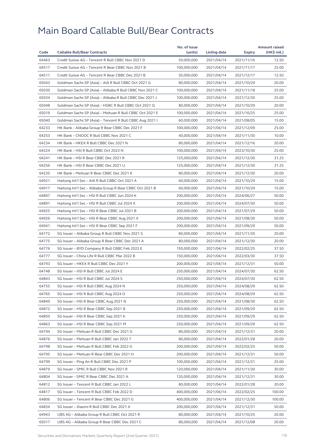|       |                                                          | No. of issue |                     |                          | <b>Amount raised</b> |
|-------|----------------------------------------------------------|--------------|---------------------|--------------------------|----------------------|
| Code  | <b>Callable Bull/Bear Contracts</b>                      | (units)      | <b>Listing date</b> | Expiry                   | (HK\$ mil.)          |
| 64463 | Credit Suisse AG - Tencent R Bull CBBC Nov 2021 D        | 50,000,000   | 2021/04/14          | 2021/11/16               | 12.50                |
| 64517 | Credit Suisse AG - Tencent R Bear CBBC Nov 2021 B        | 100,000,000  | 2021/04/14          | 2021/11/17               | 25.00                |
| 64511 | Credit Suisse AG - Tencent R Bear CBBC Dec 2021 B        | 50,000,000   | 2021/04/14          | 2021/12/17               | 12.50                |
| 65043 | Goldman Sachs SP (Asia) - AIA R Bull CBBC Oct 2021 G     | 80,000,000   | 2021/04/14          | 2021/10/29               | 20.00                |
| 65030 | Goldman Sachs SP (Asia) - Alibaba R Bull CBBC Nov 2021 C | 100,000,000  | 2021/04/14          | 2021/11/18               | 25.00                |
| 65034 | Goldman Sachs SP (Asia) - Alibaba R Bull CBBC Dec 2021 J | 100.000.000  | 2021/04/14          | 2021/12/30               | 25.00                |
| 65048 | Goldman Sachs SP (Asia) - HSBC R Bull CBBC Oct 2021 Q    | 80,000,000   | 2021/04/14          | 2021/10/29               | 20.00                |
| 65019 | Goldman Sachs SP (Asia) - Meituan R Bull CBBC Oct 2021 E | 100,000,000  | 2021/04/14          | 2021/10/25               | 25.00                |
| 65040 | Goldman Sachs SP (Asia) - Tencent R Bull CBBC Aug 2021 I | 60,000,000   | 2021/04/14          | 2021/08/05               | 15.00                |
| 64233 | HK Bank - Alibaba Group R Bear CBBC Dec 2021 F           | 100,000,000  | 2021/04/14          | 2021/12/09               | 25.00                |
| 64253 | HK Bank - CNOOC R Bull CBBC Nov 2021 C                   | 40,000,000   | 2021/04/14          | 2021/11/30               | 10.00                |
| 64234 | HK Bank - HKEX R Bull CBBC Dec 2021 N                    | 80,000,000   | 2021/04/14          | 2021/12/16               | 20.00                |
| 64224 | HK Bank - HSI R Bull CBBC Oct 2023 N                     | 100,000,000  | 2021/04/14          | 2023/10/30               | 25.00                |
| 64241 | HK Bank - HSI R Bear CBBC Dec 2021 R                     | 125,000,000  | 2021/04/14          | 2021/12/30               | 31.25                |
| 64256 | HK Bank - HSI R Bear CBBC Dec 2021 U                     | 125,000,000  | 2021/04/14          | 2021/12/30               | 31.25                |
| 64235 | HK Bank - Meituan R Bear CBBC Dec 2021 K                 | 80,000,000   | 2021/04/14          | 2021/12/30               | 20.00                |
| 64921 | Haitong Int'l Sec - AIA R Bull CBBC Oct 2021 A           | 60,000,000   | 2021/04/14          | 2021/10/29               | 15.00                |
| 64917 | Haitong Int'l Sec - Alibaba Group R Bear CBBC Oct 2021 B | 60,000,000   | 2021/04/14          | 2021/10/29               | 15.00                |
| 64897 | Haitong Int'l Sec - HSI R Bull CBBC Jun 2024 K           | 200,000,000  | 2021/04/14          | 2024/06/27               | 50.00                |
| 64891 | Haitong Int'l Sec - HSI R Bull CBBC Jul 2024 X           | 200,000,000  | 2021/04/14          | 2024/07/30               | 50.00                |
| 64925 | Haitong Int'l Sec - HSI R Bear CBBC Jul 2021 B           | 200,000,000  | 2021/04/14          | 2021/07/29               | 50.00                |
| 64926 | Haitong Int'l Sec - HSI R Bear CBBC Aug 2021 X           | 200,000,000  | 2021/04/14          | 2021/08/30               | 50.00                |
| 64941 | Haitong Int'l Sec - HSI R Bear CBBC Sep 2021 F           | 200,000,000  | 2021/04/14          | 2021/09/29               | 50.00                |
| 64772 | SG Issuer - Alibaba Group R Bull CBBC Nov 2021 S         | 80,000,000   | 2021/04/14          | 2021/11/30               | 20.00                |
| 64775 | SG Issuer - Alibaba Group R Bear CBBC Dec 2021 A         | 80,000,000   | 2021/04/14          | 2021/12/30               | 20.00                |
| 64776 | SG Issuer - BYD Company R Bull CBBC Feb 2022 E           | 150,000,000  | 2021/04/14          | 2022/02/25               | 37.50                |
| 64777 | SG Issuer - China Life R Bull CBBC Mar 2022 B            | 150,000,000  | 2021/04/14          | 2022/03/30               | 37.50                |
| 64793 | SG Issuer - HKEX R Bull CBBC Dec 2021 Y                  | 200,000,000  | 2021/04/14          | 2021/12/31               | 50.00                |
| 64748 | SG Issuer - HSI R Bull CBBC Jul 2024 E                   | 250,000,000  | 2021/04/14          | 2024/07/30               | 62.50                |
| 64843 | SG Issuer - HSI R Bull CBBC Jul 2024 S                   | 250,000,000  | 2021/04/14          | 2024/07/30               | 62.50                |
| 64755 | SG Issuer - HSI R Bull CBBC Aug 2024 N                   | 250,000,000  | 2021/04/14          | 2024/08/29               | 62.50                |
| 64765 | SG Issuer - HSI R Bull CBBC Aug 2024 O                   | 250,000,000  | 2021/04/14          | 2024/08/29               | 62.50                |
| 64849 | SG Issuer - HSI R Bear CBBC Aug 2021 N                   | 250,000,000  | 2021/04/14          | 2021/08/30               | 62.50                |
| 64872 | SG Issuer - HSI R Bear CBBC Sep 2021 B                   | 250,000,000  | 2021/04/14          | 2021/09/29               | 62.50                |
| 64850 | SG Issuer - HSI R Bear CBBC Sep 2021 K                   | 250,000,000  | 2021/04/14          | 2021/09/29               | 62.50                |
| 64863 | SG Issuer - HSI R Bear CBBC Sep 2021 M                   | 250,000,000  | 2021/04/14          | 2021/09/29               | 62.50                |
| 64794 | SG Issuer - Meituan R Bull CBBC Dec 2021 G               | 80,000,000   | 2021/04/14          | 2021/12/31               | 20.00                |
| 64876 | SG Issuer - Meituan R Bull CBBC Jan 2022 T               | 80,000,000   | 2021/04/14          | 2022/01/28               | 20.00                |
| 64798 | SG Issuer - Meituan R Bull CBBC Feb 2022 G               | 200,000,000  | 2021/04/14          | 2022/02/25               | 50.00                |
| 64795 | SG Issuer - Meituan R Bear CBBC Dec 2021 H               | 200,000,000  | 2021/04/14          | 2021/12/31               | 50.00                |
| 64799 | SG Issuer - Ping An R Bull CBBC Dec 2021 P               | 100,000,000  | 2021/04/14          | 2021/12/31               | 25.00                |
| 64879 | SG Issuer - SMIC R Bull CBBC Nov 2021 R                  | 120,000,000  | 2021/04/14          | 2021/11/30               | 30.00                |
| 64804 | SG Issuer - SMIC R Bear CBBC Dec 2021 A                  | 120,000,000  | 2021/04/14          | 2021/12/31               | 30.00                |
| 64812 | SG Issuer – Tencent R Bull CBBC Jan 2022 L               | 80,000,000   | 2021/04/14          | 2022/01/28               | 20.00                |
| 64817 | SG Issuer - Tencent R Bull CBBC Feb 2022 D               | 400,000,000  | 2021/04/14          |                          | 100.00               |
| 64806 | SG Issuer - Tencent R Bear CBBC Dec 2021 G               | 400,000,000  | 2021/04/14          | 2022/02/25               | 100.00               |
| 64834 | SG Issuer - Xiaomi R Bull CBBC Dec 2021 X                | 200,000,000  | 2021/04/14          | 2021/12/30               | 50.00                |
| 64943 | UBS AG - Alibaba Group R Bull CBBC Oct 2021 R            | 80,000,000   | 2021/04/14          | 2021/12/31<br>2021/10/25 | 20.00                |
|       |                                                          |              |                     |                          |                      |
| 65017 | UBS AG - Alibaba Group R Bear CBBC Dec 2021 C            | 80,000,000   | 2021/04/14          | 2021/12/08               | 20.00                |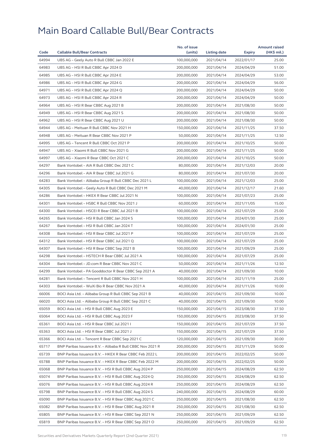|       |                                                            | No. of issue |              |            | <b>Amount raised</b> |
|-------|------------------------------------------------------------|--------------|--------------|------------|----------------------|
| Code  | <b>Callable Bull/Bear Contracts</b>                        | (units)      | Listing date | Expiry     | (HK\$ mil.)          |
| 64994 | UBS AG - Geely Auto R Bull CBBC Jan 2022 E                 | 100,000,000  | 2021/04/14   | 2022/01/17 | 25.00                |
| 64983 | UBS AG – HSI R Bull CBBC Apr 2024 D                        | 200,000,000  | 2021/04/14   | 2024/04/29 | 51.00                |
| 64985 | UBS AG - HSI R Bull CBBC Apr 2024 E                        | 200,000,000  | 2021/04/14   | 2024/04/29 | 53.00                |
| 64986 | UBS AG – HSI R Bull CBBC Apr 2024 G                        | 200,000,000  | 2021/04/14   | 2024/04/29 | 56.00                |
| 64971 | UBS AG - HSI R Bull CBBC Apr 2024 Q                        | 200,000,000  | 2021/04/14   | 2024/04/29 | 50.00                |
| 64973 | UBS AG - HSI R Bull CBBC Apr 2024 R                        | 200,000,000  | 2021/04/14   | 2024/04/29 | 50.00                |
| 64964 | UBS AG - HSI R Bear CBBC Aug 2021 B                        | 200,000,000  | 2021/04/14   | 2021/08/30 | 50.00                |
| 64949 | UBS AG - HSI R Bear CBBC Aug 2021 S                        | 200,000,000  | 2021/04/14   | 2021/08/30 | 50.00                |
| 64962 | UBS AG - HSI R Bear CBBC Aug 2021 U                        | 200,000,000  | 2021/04/14   | 2021/08/30 | 50.00                |
| 64944 | UBS AG - Meituan R Bull CBBC Nov 2021 H                    | 150,000,000  | 2021/04/14   | 2021/11/25 | 37.50                |
| 64948 | UBS AG - Meituan R Bear CBBC Nov 2021 P                    | 50,000,000   | 2021/04/14   | 2021/11/25 | 12.50                |
| 64995 | UBS AG - Tencent R Bull CBBC Oct 2021 P                    | 200,000,000  | 2021/04/14   | 2021/10/25 | 50.00                |
| 64947 | UBS AG - Xiaomi R Bull CBBC Nov 2021 G                     | 200,000,000  | 2021/04/14   | 2021/11/25 | 50.00                |
| 64997 | UBS AG - Xiaomi R Bear CBBC Oct 2021 C                     | 200,000,000  | 2021/04/14   | 2021/10/25 | 50.00                |
| 64297 | Bank Vontobel - AIA R Bull CBBC Dec 2021 C                 | 80,000,000   | 2021/04/14   | 2021/12/03 | 20.00                |
| 64296 | Bank Vontobel - AIA R Bear CBBC Jul 2021 G                 | 80,000,000   | 2021/04/14   | 2021/07/30 | 20.00                |
| 64283 | Bank Vontobel - Alibaba Group R Bull CBBC Dec 2021 L       | 100,000,000  | 2021/04/14   | 2021/12/03 | 25.00                |
| 64305 | Bank Vontobel - Geely Auto R Bull CBBC Dec 2021 M          | 40,000,000   | 2021/04/14   | 2021/12/17 | 21.60                |
| 64286 | Bank Vontobel - HKEX R Bear CBBC Jul 2021 N                | 100,000,000  | 2021/04/14   | 2021/07/23 | 25.00                |
| 64301 | Bank Vontobel - HSBC R Bull CBBC Nov 2021 J                | 60,000,000   | 2021/04/14   | 2021/11/05 | 15.00                |
| 64300 | Bank Vontobel - HSCEI R Bear CBBC Jul 2021 B               | 100,000,000  | 2021/04/14   | 2021/07/29 | 25.00                |
| 64265 | Bank Vontobel - HSI R Bull CBBC Jan 2024 S                 | 100,000,000  | 2021/04/14   | 2024/01/30 | 25.00                |
| 64267 | Bank Vontobel - HSI R Bull CBBC Jan 2024 T                 | 100,000,000  | 2021/04/14   | 2024/01/30 | 25.00                |
| 64308 | Bank Vontobel - HSI R Bear CBBC Jul 2021 P                 | 100,000,000  | 2021/04/14   | 2021/07/29 | 25.00                |
| 64312 | Bank Vontobel - HSI R Bear CBBC Jul 2021 Q                 | 100,000,000  | 2021/04/14   | 2021/07/29 | 25.00                |
| 64307 | Bank Vontobel - HSI R Bear CBBC Sep 2021 B                 | 100,000,000  | 2021/04/14   | 2021/09/29 | 25.00                |
| 64298 | Bank Vontobel - HSTECH R Bear CBBC Jul 2021 A              | 100,000,000  | 2021/04/14   | 2021/07/29 | 25.00                |
| 64304 | Bank Vontobel - JD.com R Bear CBBC Nov 2021 C              | 50,000,000   | 2021/04/14   | 2021/11/26 | 12.50                |
| 64299 | Bank Vontobel - PA Gooddoctor R Bear CBBC Sep 2021 A       | 40,000,000   | 2021/04/14   | 2021/09/30 | 10.00                |
| 64281 | Bank Vontobel - Tencent R Bull CBBC Nov 2021 H             | 100,000,000  | 2021/04/14   | 2021/11/19 | 25.00                |
| 64303 | Bank Vontobel - WuXi Bio R Bear CBBC Nov 2021 A            | 40,000,000   | 2021/04/14   | 2021/11/26 | 10.00                |
| 66006 | BOCI Asia Ltd. - Alibaba Group R Bull CBBC Sep 2021 B      | 40,000,000   | 2021/04/15   | 2021/09/30 | 10.00                |
| 66020 | BOCI Asia Ltd. – Alibaba Group R Bull CBBC Sep 2021 C      | 40,000,000   | 2021/04/15   | 2021/09/30 | 10.00                |
| 65059 | BOCI Asia Ltd. - HSI R Bull CBBC Aug 2023 E                | 150,000,000  | 2021/04/15   | 2023/08/30 | 37.50                |
| 65064 | BOCI Asia Ltd. - HSI R Bull CBBC Aug 2023 F                | 150,000,000  | 2021/04/15   | 2023/08/30 | 37.50                |
| 65361 | BOCI Asia Ltd. - HSI R Bear CBBC Jul 2021 I                | 150,000,000  | 2021/04/15   | 2021/07/29 | 37.50                |
| 65363 | BOCI Asia Ltd. - HSI R Bear CBBC Jul 2021 J                | 150,000,000  | 2021/04/15   | 2021/07/29 | 37.50                |
| 65366 | BOCI Asia Ltd. – Tencent R Bear CBBC Sep 2021 C            | 120,000,000  | 2021/04/15   | 2021/09/30 | 30.00                |
| 65717 | BNP Paribas Issuance B.V. - Alibaba R Bull CBBC Nov 2021 R | 200,000,000  | 2021/04/15   | 2021/11/29 | 50.00                |
| 65739 | BNP Paribas Issuance B.V. - HKEX R Bear CBBC Feb 2022 L    | 200,000,000  | 2021/04/15   | 2022/02/25 | 50.00                |
| 65788 | BNP Paribas Issuance B.V. - HKEX R Bear CBBC Feb 2022 M    | 200,000,000  | 2021/04/15   | 2022/02/25 | 50.00                |
| 65068 | BNP Paribas Issuance B.V. - HSI R Bull CBBC Aug 2024 P     | 250,000,000  | 2021/04/15   | 2024/08/29 | 62.50                |
| 65074 | BNP Paribas Issuance B.V. - HSI R Bull CBBC Aug 2024 Q     | 250,000,000  | 2021/04/15   | 2024/08/29 | 62.50                |
| 65076 | BNP Paribas Issuance B.V. – HSI R Bull CBBC Aug 2024 R     | 250,000,000  | 2021/04/15   | 2024/08/29 | 62.50                |
| 65798 | BNP Paribas Issuance B.V. - HSI R Bull CBBC Aug 2024 S     | 240,000,000  | 2021/04/15   | 2024/08/29 | 60.00                |
| 65090 | BNP Paribas Issuance B.V. - HSI R Bear CBBC Aug 2021 C     | 250,000,000  | 2021/04/15   | 2021/08/30 | 62.50                |
| 65082 | BNP Paribas Issuance B.V. - HSI R Bear CBBC Aug 2021 R     | 250,000,000  | 2021/04/15   | 2021/08/30 | 62.50                |
| 65805 | BNP Paribas Issuance B.V. - HSI R Bear CBBC Sep 2021 N     | 250,000,000  | 2021/04/15   | 2021/09/29 | 62.50                |
| 65819 | BNP Paribas Issuance B.V. – HSI R Bear CBBC Sep 2021 O     | 250,000,000  | 2021/04/15   | 2021/09/29 | 62.50                |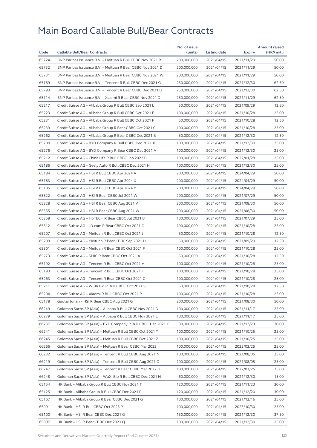|       |                                                              | No. of issue |              |               | <b>Amount raised</b> |
|-------|--------------------------------------------------------------|--------------|--------------|---------------|----------------------|
| Code  | <b>Callable Bull/Bear Contracts</b>                          | (units)      | Listing date | <b>Expiry</b> | (HK\$ mil.)          |
| 65724 | BNP Paribas Issuance B.V. - Meituan R Bull CBBC Nov 2021 R   | 200,000,000  | 2021/04/15   | 2021/11/29    | 50.00                |
| 65732 | BNP Paribas Issuance B.V. - Meituan R Bear CBBC Nov 2021 D   | 200,000,000  | 2021/04/15   | 2021/11/29    | 50.00                |
| 65731 | BNP Paribas Issuance B.V. - Meituan R Bear CBBC Nov 2021 W   | 200,000,000  | 2021/04/15   | 2021/11/29    | 50.00                |
| 65789 | BNP Paribas Issuance B.V. - Tencent R Bull CBBC Dec 2021 G   | 250,000,000  | 2021/04/15   | 2021/12/30    | 62.50                |
| 65793 | BNP Paribas Issuance B.V. – Tencent R Bear CBBC Dec 2021 B   | 250,000,000  | 2021/04/15   | 2021/12/30    | 62.50                |
| 65714 | BNP Paribas Issuance B.V. - Xiaomi R Bear CBBC Nov 2021 D    | 250,000,000  | 2021/04/15   | 2021/11/29    | 62.50                |
| 65217 | Credit Suisse AG - Alibaba Group R Bull CBBC Sep 2021 L      | 50,000,000   | 2021/04/15   | 2021/09/29    | 12.50                |
| 65223 | Credit Suisse AG - Alibaba Group R Bull CBBC Oct 2021 E      | 100,000,000  | 2021/04/15   | 2021/10/28    | 25.00                |
| 65231 | Credit Suisse AG - Alibaba Group R Bull CBBC Oct 2021 F      | 50,000,000   | 2021/04/15   | 2021/10/28    | 12.50                |
| 65239 | Credit Suisse AG - Alibaba Group R Bear CBBC Oct 2021 C      | 100,000,000  | 2021/04/15   | 2021/10/28    | 25.00                |
| 65262 | Credit Suisse AG - Alibaba Group R Bear CBBC Dec 2021 B      | 50,000,000   | 2021/04/15   | 2021/12/30    | 12.50                |
| 65200 | Credit Suisse AG - BYD Company R Bull CBBC Dec 2021 X        | 100,000,000  | 2021/04/15   | 2021/12/30    | 25.00                |
| 65276 | Credit Suisse AG - BYD Company R Bear CBBC Dec 2021 A        | 100,000,000  | 2021/04/15   | 2021/12/30    | 25.00                |
| 65212 | Credit Suisse AG - China Life R Bull CBBC Jan 2022 B         | 100,000,000  | 2021/04/15   | 2022/01/28    | 25.00                |
| 65186 | Credit Suisse AG - Geely Auto R Bull CBBC Dec 2021 H         | 100,000,000  | 2021/04/15   | 2021/12/30    | 25.00                |
| 65184 | Credit Suisse AG - HSI R Bull CBBC Apr 2024 A                | 200,000,000  | 2021/04/15   | 2024/04/29    | 50.00                |
| 65183 | Credit Suisse AG - HSI R Bull CBBC Apr 2024 X                | 200,000,000  | 2021/04/15   | 2024/04/29    | 50.00                |
| 65185 | Credit Suisse AG - HSI R Bull CBBC Apr 2024 Y                | 200,000,000  | 2021/04/15   | 2024/04/29    | 50.00                |
| 65322 | Credit Suisse AG - HSI R Bear CBBC Jul 2021 W                | 200,000,000  | 2021/04/15   | 2021/07/29    | 50.00                |
| 65328 | Credit Suisse AG - HSI R Bear CBBC Aug 2021 V                | 200,000,000  | 2021/04/15   | 2021/08/30    | 50.00                |
| 65355 | Credit Suisse AG - HSI R Bear CBBC Aug 2021 W                | 200,000,000  | 2021/04/15   | 2021/08/30    | 50.00                |
| 65358 | Credit Suisse AG - HSTECH R Bear CBBC Jul 2021 B             | 100,000,000  | 2021/04/15   | 2021/07/29    | 25.00                |
| 65312 | Credit Suisse AG - JD.com R Bear CBBC Oct 2021 C             | 100,000,000  | 2021/04/15   | 2021/10/28    | 25.00                |
| 65207 | Credit Suisse AG - Meituan R Bull CBBC Oct 2021 J            | 50,000,000   | 2021/04/15   |               | 12.50                |
|       |                                                              |              |              | 2021/10/28    |                      |
| 65299 | Credit Suisse AG - Meituan R Bear CBBC Sep 2021 H            | 50,000,000   | 2021/04/15   | 2021/09/29    | 12.50                |
| 65301 | Credit Suisse AG - Meituan R Bear CBBC Oct 2021 F            | 100,000,000  | 2021/04/15   | 2021/10/28    | 25.00                |
| 65273 | Credit Suisse AG - SMIC R Bear CBBC Oct 2021 A               | 50,000,000   | 2021/04/15   | 2021/10/28    | 12.50                |
| 65192 | Credit Suisse AG - Tencent R Bull CBBC Oct 2021 H            | 100,000,000  | 2021/04/15   | 2021/10/28    | 25.00                |
| 65193 | Credit Suisse AG - Tencent R Bull CBBC Oct 2021              | 100,000,000  | 2021/04/15   | 2021/10/28    | 25.00                |
| 65263 | Credit Suisse AG - Tencent R Bear CBBC Oct 2021 C            | 100,000,000  | 2021/04/15   | 2021/10/28    | 25.00                |
| 65211 | Credit Suisse AG – WuXi Bio R Bull CBBC Oct 2021 S           | 50,000,000   | 2021/04/15   | 2021/10/28    | 12.50                |
| 65204 | Credit Suisse AG - Xiaomi R Bull CBBC Oct 2021 P             | 100,000,000  | 2021/04/15   | 2021/10/28    | 25.00                |
| 65178 | Guotai Junan – HSI R Bear CBBC Aug 2021 G                    | 200,000,000  | 2021/04/15   | 2021/08/30    | 50.00                |
| 66249 | Goldman Sachs SP (Asia) - Alibaba R Bull CBBC Nov 2021 D     | 100,000,000  | 2021/04/15   | 2021/11/17    | 25.00                |
| 66279 | Goldman Sachs SP (Asia) - Alibaba R Bull CBBC Nov 2021 E     | 100,000,000  | 2021/04/15   | 2021/11/17    | 25.00                |
| 66237 | Goldman Sachs SP (Asia) - BYD Company R Bull CBBC Dec 2021 C | 80,000,000   | 2021/04/15   | 2021/12/23    | 20.00                |
| 66241 | Goldman Sachs SP (Asia) - Meituan R Bull CBBC Oct 2021 Y     | 100,000,000  | 2021/04/15   | 2021/10/25    | 25.00                |
| 66245 | Goldman Sachs SP (Asia) – Meituan R Bull CBBC Oct 2021 Z     | 100,000,000  | 2021/04/15   | 2021/10/25    | 25.00                |
| 66266 | Goldman Sachs SP (Asia) - Meituan R Bear CBBC Mar 2022 I     | 100,000,000  | 2021/04/15   | 2022/03/25    | 25.00                |
| 66232 | Goldman Sachs SP (Asia) - Tencent R Bull CBBC Aug 2021 N     | 100,000,000  | 2021/04/15   | 2021/08/05    | 25.00                |
| 66219 | Goldman Sachs SP (Asia) - Tencent R Bull CBBC Aug 2021 Q     | 100,000,000  | 2021/04/15   | 2021/08/05    | 25.00                |
| 66247 | Goldman Sachs SP (Asia) - Tencent R Bear CBBC Mar 2022 H     | 100,000,000  | 2021/04/15   | 2022/03/25    | 25.00                |
| 66248 | Goldman Sachs SP (Asia) - WuXi Bio R Bull CBBC Dec 2021 H    | 60,000,000   | 2021/04/15   | 2021/12/30    | 15.00                |
| 65154 | HK Bank - Alibaba Group R Bull CBBC Nov 2021 T               | 120,000,000  | 2021/04/15   | 2021/11/23    | 30.00                |
| 65125 | HK Bank - Alibaba Group R Bull CBBC Dec 2021 P               | 120,000,000  | 2021/04/15   | 2021/12/20    | 30.00                |
| 65167 | HK Bank - Alibaba Group R Bear CBBC Dec 2021 G               | 100,000,000  | 2021/04/15   | 2021/12/16    | 25.00                |
| 65091 | HK Bank - HSI R Bull CBBC Oct 2023 P                         | 100,000,000  | 2021/04/15   | 2023/10/30    | 25.00                |
| 65100 | HK Bank - HSI R Bear CBBC Dec 2021 G                         | 150,000,000  | 2021/04/15   | 2021/12/30    | 37.50                |
| 65097 | HK Bank - HSI R Bear CBBC Dec 2021 Q                         | 100,000,000  | 2021/04/15   | 2021/12/30    | 25.00                |
|       |                                                              |              |              |               |                      |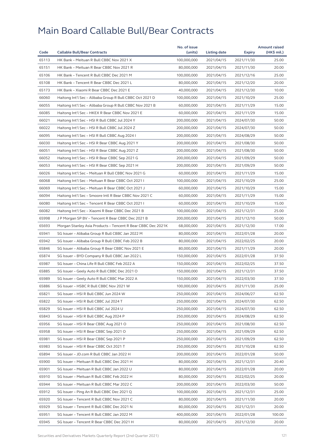|       |                                                              | No. of issue |                     |            | <b>Amount raised</b> |
|-------|--------------------------------------------------------------|--------------|---------------------|------------|----------------------|
| Code  | <b>Callable Bull/Bear Contracts</b>                          | (units)      | <b>Listing date</b> | Expiry     | (HK\$ mil.)          |
| 65113 | HK Bank - Meituan R Bull CBBC Nov 2021 X                     | 100,000,000  | 2021/04/15          | 2021/11/30 | 25.00                |
| 65151 | HK Bank - Meituan R Bear CBBC Nov 2021 R                     | 80,000,000   | 2021/04/15          | 2021/11/30 | 20.00                |
| 65106 | HK Bank - Tencent R Bull CBBC Dec 2021 M                     | 100,000,000  | 2021/04/15          | 2021/12/16 | 25.00                |
| 65108 | HK Bank - Tencent R Bear CBBC Dec 2021 L                     | 80,000,000   | 2021/04/15          | 2021/12/20 | 20.00                |
| 65173 | HK Bank - Xiaomi R Bear CBBC Dec 2021 E                      | 40,000,000   | 2021/04/15          | 2021/12/30 | 10.00                |
| 66060 | Haitong Int'l Sec - Alibaba Group R Bull CBBC Oct 2021 D     | 100,000,000  | 2021/04/15          | 2021/10/29 | 25.00                |
| 66055 | Haitong Int'l Sec - Alibaba Group R Bull CBBC Nov 2021 B     | 60,000,000   | 2021/04/15          | 2021/11/29 | 15.00                |
| 66085 | Haitong Int'l Sec - HKEX R Bear CBBC Nov 2021 E              | 60,000,000   | 2021/04/15          | 2021/11/29 | 15.00                |
| 66021 | Haitong Int'l Sec - HSI R Bull CBBC Jul 2024 Y               | 200,000,000  | 2021/04/15          | 2024/07/30 | 50.00                |
| 66022 | Haitong Int'l Sec - HSI R Bull CBBC Jul 2024 Z               | 200,000,000  | 2021/04/15          | 2024/07/30 | 50.00                |
| 66095 | Haitong Int'l Sec - HSI R Bull CBBC Aug 2024 I               | 200,000,000  | 2021/04/15          | 2024/08/29 | 50.00                |
| 66030 | Haitong Int'l Sec - HSI R Bear CBBC Aug 2021 Y               | 200,000,000  | 2021/04/15          | 2021/08/30 | 50.00                |
| 66051 | Haitong Int'l Sec - HSI R Bear CBBC Aug 2021 Z               | 200,000,000  | 2021/04/15          | 2021/08/30 | 50.00                |
| 66052 | Haitong Int'l Sec - HSI R Bear CBBC Sep 2021 G               | 200,000,000  | 2021/04/15          | 2021/09/29 | 50.00                |
| 66053 | Haitong Int'l Sec – HSI R Bear CBBC Sep 2021 H               | 200,000,000  | 2021/04/15          | 2021/09/29 | 50.00                |
| 66026 | Haitong Int'l Sec - Meituan R Bull CBBC Nov 2021 G           | 60,000,000   | 2021/04/15          | 2021/11/29 | 15.00                |
| 66068 | Haitong Int'l Sec - Meituan R Bear CBBC Oct 2021 I           | 100,000,000  | 2021/04/15          | 2021/10/29 | 25.00                |
| 66069 | Haitong Int'l Sec - Meituan R Bear CBBC Oct 2021 J           | 60,000,000   | 2021/04/15          | 2021/10/29 | 15.00                |
| 66094 | Haitong Int'l Sec - Smoore Intl R Bear CBBC Nov 2021 C       | 60,000,000   | 2021/04/15          | 2021/11/29 | 15.00                |
| 66080 | Haitong Int'l Sec - Tencent R Bear CBBC Oct 2021 I           | 60,000,000   | 2021/04/15          | 2021/10/29 | 15.00                |
| 66082 | Haitong Int'l Sec - Xiaomi R Bear CBBC Dec 2021 B            | 100,000,000  | 2021/04/15          | 2021/12/31 | 25.00                |
| 65998 | J P Morgan SP BV - Tencent R Bear CBBC Dec 2021 B            | 200,000,000  | 2021/04/15          | 2021/12/10 | 50.00                |
| 65693 | Morgan Stanley Asia Products - Tencent R Bear CBBC Dec 2021K | 68,000,000   | 2021/04/15          | 2021/12/30 | 17.00                |
| 65941 | SG Issuer – Alibaba Group R Bull CBBC Jan 2022 M             | 80,000,000   | 2021/04/15          | 2022/01/28 | 20.00                |
| 65942 | SG Issuer - Alibaba Group R Bull CBBC Feb 2022 B             | 80,000,000   | 2021/04/15          | 2022/02/25 | 20.00                |
| 65846 | SG Issuer - Alibaba Group R Bear CBBC Nov 2021 E             | 80,000,000   | 2021/04/15          | 2021/11/29 | 20.00                |
| 65874 | SG Issuer - BYD Company R Bull CBBC Jan 2022 L               | 150,000,000  | 2021/04/15          | 2022/01/28 | 37.50                |
| 65987 | SG Issuer - China Life R Bull CBBC Feb 2022 A                | 150,000,000  | 2021/04/15          | 2022/02/25 | 37.50                |
| 65885 | SG Issuer – Geely Auto R Bull CBBC Dec 2021 O                | 150,000,000  | 2021/04/15          | 2021/12/31 | 37.50                |
| 65989 | SG Issuer - Geely Auto R Bull CBBC Mar 2022 A                | 150,000,000  | 2021/04/15          | 2022/03/30 | 37.50                |
| 65886 | SG Issuer – HSBC R Bull CBBC Nov 2021 W                      | 100,000,000  | 2021/04/15          | 2021/11/30 | 25.00                |
| 65821 | SG Issuer - HSI R Bull CBBC Jun 2024 W                       | 250,000,000  | 2021/04/15          | 2024/06/27 | 62.50                |
| 65822 | SG Issuer – HSI R Bull CBBC Jul 2024 T                       | 250,000,000  | 2021/04/15          | 2024/07/30 | 62.50                |
| 65829 | SG Issuer - HSI R Bull CBBC Jul 2024 U                       | 250,000,000  | 2021/04/15          | 2024/07/30 | 62.50                |
| 65843 | SG Issuer - HSI R Bull CBBC Aug 2024 P                       | 250,000,000  | 2021/04/15          | 2024/08/29 | 62.50                |
| 65956 | SG Issuer - HSI R Bear CBBC Aug 2021 O                       | 250,000,000  | 2021/04/15          | 2021/08/30 | 62.50                |
| 65958 | SG Issuer - HSI R Bear CBBC Sep 2021 O                       | 250,000,000  | 2021/04/15          | 2021/09/29 | 62.50                |
| 65981 | SG Issuer - HSI R Bear CBBC Sep 2021 P                       | 250,000,000  | 2021/04/15          | 2021/09/29 | 62.50                |
| 65983 | SG Issuer - HSI R Bear CBBC Oct 2021 T                       | 250,000,000  | 2021/04/15          | 2021/10/28 | 62.50                |
| 65894 | SG Issuer - JD.com R Bull CBBC Jan 2022 H                    | 200,000,000  | 2021/04/15          | 2022/01/28 | 50.00                |
| 65900 | SG Issuer - Meituan R Bull CBBC Dec 2021 H                   | 80,000,000   | 2021/04/15          | 2021/12/31 | 20.40                |
| 65901 | SG Issuer - Meituan R Bull CBBC Jan 2022 U                   | 80,000,000   | 2021/04/15          | 2022/01/28 | 20.00                |
| 65910 | SG Issuer - Meituan R Bull CBBC Feb 2022 H                   | 80,000,000   | 2021/04/15          | 2022/02/25 | 20.00                |
| 65944 | SG Issuer – Meituan R Bull CBBC Mar 2022 C                   | 200,000,000  | 2021/04/15          | 2022/03/30 | 50.00                |
| 65912 | SG Issuer - Ping An R Bull CBBC Dec 2021 Q                   | 100,000,000  | 2021/04/15          | 2021/12/31 | 25.00                |
| 65920 | SG Issuer - Tencent R Bull CBBC Nov 2021 C                   | 80,000,000   | 2021/04/15          | 2021/11/30 | 20.00                |
| 65929 |                                                              |              |                     |            |                      |
|       | SG Issuer - Tencent R Bull CBBC Dec 2021 N                   | 80,000,000   | 2021/04/15          | 2021/12/31 | 20.00                |
| 65951 | SG Issuer - Tencent R Bull CBBC Jan 2022 M                   | 400,000,000  | 2021/04/15          | 2022/01/28 | 100.00               |
| 65945 | SG Issuer - Tencent R Bear CBBC Dec 2021 H                   | 80,000,000   | 2021/04/15          | 2021/12/30 | 20.00                |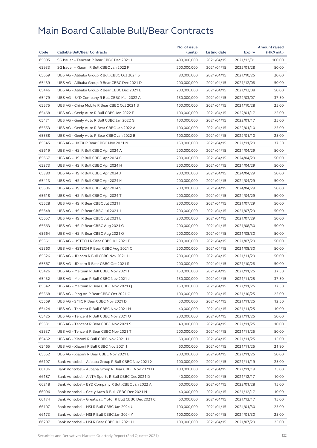|       |                                                        | No. of issue |              |            | <b>Amount raised</b> |
|-------|--------------------------------------------------------|--------------|--------------|------------|----------------------|
| Code  | <b>Callable Bull/Bear Contracts</b>                    | (units)      | Listing date | Expiry     | (HK\$ mil.)          |
| 65995 | SG Issuer - Tencent R Bear CBBC Dec 2021 I             | 400,000,000  | 2021/04/15   | 2021/12/31 | 100.00               |
| 65933 | SG Issuer - Xiaomi R Bull CBBC Jan 2022 F              | 200,000,000  | 2021/04/15   | 2022/01/28 | 50.00                |
| 65669 | UBS AG - Alibaba Group R Bull CBBC Oct 2021 S          | 80,000,000   | 2021/04/15   | 2021/10/25 | 20.00                |
| 65439 | UBS AG - Alibaba Group R Bear CBBC Dec 2021 D          | 200,000,000  | 2021/04/15   | 2021/12/08 | 50.00                |
| 65446 | UBS AG - Alibaba Group R Bear CBBC Dec 2021 E          | 200,000,000  | 2021/04/15   | 2021/12/08 | 50.00                |
| 65479 | UBS AG - BYD Company R Bull CBBC Mar 2022 A            | 150,000,000  | 2021/04/15   | 2022/03/07 | 37.50                |
| 65575 | UBS AG - China Mobile R Bear CBBC Oct 2021 B           | 100,000,000  | 2021/04/15   | 2021/10/28 | 25.00                |
| 65468 | UBS AG - Geely Auto R Bull CBBC Jan 2022 F             | 100,000,000  | 2021/04/15   | 2022/01/17 | 25.00                |
| 65471 | UBS AG - Geely Auto R Bull CBBC Jan 2022 G             | 100,000,000  | 2021/04/15   | 2022/01/17 | 25.00                |
| 65553 | UBS AG - Geely Auto R Bear CBBC Jan 2022 A             | 100,000,000  | 2021/04/15   | 2022/01/10 | 25.00                |
| 65558 | UBS AG – Geely Auto R Bear CBBC Jan 2022 B             | 100,000,000  | 2021/04/15   | 2022/01/10 | 25.00                |
| 65545 | UBS AG - HKEX R Bear CBBC Nov 2021 N                   | 150,000,000  | 2021/04/15   | 2021/11/29 | 37.50                |
| 65619 | UBS AG – HSI R Bull CBBC Apr 2024 A                    | 200,000,000  | 2021/04/15   | 2024/04/29 | 50.00                |
| 65667 | UBS AG - HSI R Bull CBBC Apr 2024 C                    | 200,000,000  | 2021/04/15   | 2024/04/29 | 50.00                |
| 65373 | UBS AG – HSI R Bull CBBC Apr 2024 H                    | 200,000,000  | 2021/04/15   | 2024/04/29 | 50.00                |
| 65380 | UBS AG - HSI R Bull CBBC Apr 2024 J                    | 200,000,000  | 2021/04/15   | 2024/04/29 | 50.00                |
| 65413 | UBS AG - HSI R Bull CBBC Apr 2024 M                    | 200,000,000  | 2021/04/15   | 2024/04/29 | 50.00                |
| 65606 | UBS AG - HSI R Bull CBBC Apr 2024 S                    | 200,000,000  | 2021/04/15   | 2024/04/29 | 50.00                |
| 65618 | UBS AG - HSI R Bull CBBC Apr 2024 T                    | 200,000,000  | 2021/04/15   | 2024/04/29 | 50.00                |
| 65528 | UBS AG - HSI R Bear CBBC Jul 2021 I                    | 200,000,000  | 2021/04/15   | 2021/07/29 | 50.00                |
| 65648 | UBS AG - HSI R Bear CBBC Jul 2021 J                    | 200,000,000  | 2021/04/15   | 2021/07/29 | 50.00                |
| 65657 | UBS AG - HSI R Bear CBBC Jul 2021 L                    | 200,000,000  | 2021/04/15   | 2021/07/29 | 50.00                |
| 65663 | UBS AG - HSI R Bear CBBC Aug 2021 G                    | 200,000,000  | 2021/04/15   | 2021/08/30 | 50.00                |
| 65664 | UBS AG - HSI R Bear CBBC Aug 2021 O                    | 200,000,000  | 2021/04/15   | 2021/08/30 | 50.00                |
| 65561 | UBS AG - HSTECH R Bear CBBC Jul 2021 E                 | 200,000,000  | 2021/04/15   | 2021/07/29 | 50.00                |
| 65560 | UBS AG - HSTECH R Bear CBBC Aug 2021 C                 | 200,000,000  | 2021/04/15   | 2021/08/30 | 50.00                |
| 65526 | UBS AG - JD.com R Bull CBBC Nov 2021 H                 | 200,000,000  | 2021/04/15   | 2021/11/29 | 50.00                |
| 65567 | UBS AG - JD.com R Bear CBBC Oct 2021 R                 | 200,000,000  | 2021/04/15   | 2021/10/28 | 50.00                |
| 65426 | UBS AG - Meituan R Bull CBBC Nov 2021 I                | 150,000,000  | 2021/04/15   | 2021/11/25 | 37.50                |
| 65432 | UBS AG - Meituan R Bull CBBC Nov 2021 J                | 150,000,000  | 2021/04/15   | 2021/11/25 | 37.50                |
| 65542 | UBS AG - Meituan R Bear CBBC Nov 2021 Q                | 150,000,000  | 2021/04/15   | 2021/11/25 | 37.50                |
| 65568 | UBS AG - Ping An R Bear CBBC Oct 2021 C                | 100,000,000  | 2021/04/15   | 2021/10/25 | 25.00                |
| 65569 | UBS AG - SMIC R Bear CBBC Nov 2021 D                   | 50,000,000   | 2021/04/15   | 2021/11/25 | 12.50                |
| 65424 | UBS AG - Tencent R Bull CBBC Nov 2021 N                | 40,000,000   | 2021/04/15   | 2021/11/25 | 10.00                |
| 65425 | UBS AG - Tencent R Bull CBBC Nov 2021 O                | 200,000,000  | 2021/04/15   | 2021/11/25 | 50.00                |
| 65531 | UBS AG - Tencent R Bear CBBC Nov 2021 S                | 40,000,000   | 2021/04/15   | 2021/11/25 | 10.00                |
| 65537 | UBS AG - Tencent R Bear CBBC Nov 2021 T                | 200,000,000  | 2021/04/15   | 2021/11/25 | 50.00                |
| 65462 | UBS AG - Xiaomi R Bull CBBC Nov 2021 H                 | 60,000,000   | 2021/04/15   | 2021/11/25 | 15.00                |
| 65465 | UBS AG - Xiaomi R Bull CBBC Nov 2021 I                 | 60,000,000   | 2021/04/15   | 2021/11/25 | 21.90                |
| 65552 | UBS AG - Xiaomi R Bear CBBC Nov 2021 B                 | 200,000,000  | 2021/04/15   | 2021/11/25 | 50.00                |
| 66197 | Bank Vontobel - Alibaba Group R Bull CBBC Nov 2021 X   | 100,000,000  | 2021/04/15   | 2021/11/19 | 25.00                |
| 66136 | Bank Vontobel - Alibaba Group R Bear CBBC Nov 2021 D   | 100,000,000  | 2021/04/15   | 2021/11/19 | 25.00                |
| 66187 | Bank Vontobel - ANTA Sports R Bull CBBC Dec 2021 D     | 40,000,000   | 2021/04/15   | 2021/12/17 | 10.00                |
| 66218 | Bank Vontobel - BYD Company R Bull CBBC Jan 2022 A     | 60,000,000   | 2021/04/15   | 2022/01/28 | 15.00                |
|       |                                                        |              |              |            |                      |
| 66096 | Bank Vontobel - Geely Auto R Bull CBBC Dec 2021 N      | 40,000,000   | 2021/04/15   | 2021/12/17 | 10.00                |
| 66174 | Bank Vontobel - Greatwall Motor R Bull CBBC Dec 2021 C | 60,000,000   | 2021/04/15   | 2021/12/17 | 15.00                |
| 66107 | Bank Vontobel - HSI R Bull CBBC Jan 2024 U             | 100,000,000  | 2021/04/15   | 2024/01/30 | 25.00                |
| 66173 | Bank Vontobel - HSI R Bull CBBC Jan 2024 Y             | 100,000,000  | 2021/04/15   | 2024/01/30 | 25.00                |
| 66207 | Bank Vontobel - HSI R Bear CBBC Jul 2021 H             | 100,000,000  | 2021/04/15   | 2021/07/29 | 25.00                |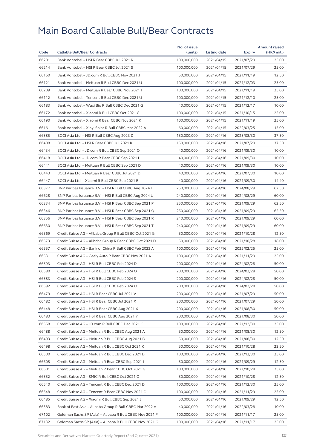|       |                                                          | No. of issue |              |               | <b>Amount raised</b> |
|-------|----------------------------------------------------------|--------------|--------------|---------------|----------------------|
| Code  | <b>Callable Bull/Bear Contracts</b>                      | (units)      | Listing date | <b>Expiry</b> | (HK\$ mil.)          |
| 66201 | Bank Vontobel - HSI R Bear CBBC Jul 2021 R               | 100,000,000  | 2021/04/15   | 2021/07/29    | 25.00                |
| 66214 | Bank Vontobel - HSI R Bear CBBC Jul 2021 S               | 100,000,000  | 2021/04/15   | 2021/07/29    | 25.00                |
| 66160 | Bank Vontobel - JD.com R Bull CBBC Nov 2021 J            | 50,000,000   | 2021/04/15   | 2021/11/19    | 12.50                |
| 66121 | Bank Vontobel - Meituan R Bull CBBC Dec 2021 U           | 100,000,000  | 2021/04/15   | 2021/12/03    | 25.00                |
| 66209 | Bank Vontobel - Meituan R Bear CBBC Nov 2021 I           | 100,000,000  | 2021/04/15   | 2021/11/19    | 25.00                |
| 66112 | Bank Vontobel - Tencent R Bull CBBC Dec 2021 U           | 100,000,000  | 2021/04/15   | 2021/12/10    | 25.00                |
| 66183 | Bank Vontobel - Wuxi Bio R Bull CBBC Dec 2021 G          | 40,000,000   | 2021/04/15   | 2021/12/17    | 10.00                |
| 66172 | Bank Vontobel - Xiaomi R Bull CBBC Oct 2021 G            | 100,000,000  | 2021/04/15   | 2021/10/15    | 25.00                |
| 66190 | Bank Vontobel - Xiaomi R Bear CBBC Nov 2021 K            | 100,000,000  | 2021/04/15   | 2021/11/19    | 25.00                |
| 66161 | Bank Vontobel - Xinyi Solar R Bull CBBC Mar 2022 A       | 60,000,000   | 2021/04/15   | 2022/03/25    | 15.00                |
| 66385 | BOCI Asia Ltd. - HSI R Bull CBBC Aug 2023 D              | 150,000,000  | 2021/04/16   | 2023/08/30    | 37.50                |
| 66408 | BOCI Asia Ltd. - HSI R Bear CBBC Jul 2021 K              | 150,000,000  | 2021/04/16   | 2021/07/29    | 37.50                |
| 66434 | BOCI Asia Ltd. - JD.com R Bull CBBC Sep 2021 O           | 40,000,000   | 2021/04/16   | 2021/09/30    | 10.00                |
| 66418 | BOCI Asia Ltd. - JD.com R Bear CBBC Sep 2021 L           | 40,000,000   | 2021/04/16   | 2021/09/30    | 10.00                |
| 66441 | BOCI Asia Ltd. - Meituan R Bull CBBC Sep 2021 D          | 40,000,000   | 2021/04/16   | 2021/09/30    | 10.00                |
| 66443 | BOCI Asia Ltd. - Meituan R Bear CBBC Jul 2021 D          | 40,000,000   | 2021/04/16   | 2021/07/30    | 10.00                |
| 66447 | BOCI Asia Ltd. - Xiaomi R Bull CBBC Sep 2021 B           | 40,000,000   | 2021/04/16   | 2021/09/30    | 14.40                |
| 66377 | BNP Paribas Issuance B.V. - HSI R Bull CBBC Aug 2024 T   | 250,000,000  | 2021/04/16   | 2024/08/29    | 62.50                |
| 66628 | BNP Paribas Issuance B.V. - HSI R Bull CBBC Aug 2024 U   | 240,000,000  | 2021/04/16   | 2024/08/29    | 60.00                |
| 66334 | BNP Paribas Issuance B.V. - HSI R Bear CBBC Sep 2021 P   | 250,000,000  | 2021/04/16   | 2021/09/29    | 62.50                |
| 66346 | BNP Paribas Issuance B.V. - HSI R Bear CBBC Sep 2021 Q   | 250,000,000  | 2021/04/16   | 2021/09/29    | 62.50                |
| 66356 | BNP Paribas Issuance B.V. - HSI R Bear CBBC Sep 2021 R   | 240,000,000  | 2021/04/16   | 2021/09/29    | 60.00                |
| 66630 | BNP Paribas Issuance B.V. - HSI R Bear CBBC Sep 2021 T   | 240,000,000  | 2021/04/16   | 2021/09/29    | 60.00                |
| 66569 | Credit Suisse AG – Alibaba Group R Bull CBBC Oct 2021 G  | 50,000,000   | 2021/04/16   | 2021/10/28    | 12.50                |
| 66573 | Credit Suisse AG - Alibaba Group R Bear CBBC Oct 2021 D  | 50,000,000   | 2021/04/16   | 2021/10/28    | 18.00                |
| 66557 | Credit Suisse AG - Bank of China R Bull CBBC Feb 2022 A  | 100,000,000  | 2021/04/16   | 2022/02/25    | 25.00                |
| 66531 | Credit Suisse AG - Geely Auto R Bear CBBC Nov 2021 A     | 100,000,000  | 2021/04/16   | 2021/11/29    | 25.00                |
| 66593 | Credit Suisse AG - HSI R Bull CBBC Feb 2024 D            | 200,000,000  | 2021/04/16   | 2024/02/28    | 50.00                |
| 66580 | Credit Suisse AG - HSI R Bull CBBC Feb 2024 O            | 200,000,000  | 2021/04/16   | 2024/02/28    | 50.00                |
| 66583 | Credit Suisse AG - HSI R Bull CBBC Feb 2024 S            | 200,000,000  | 2021/04/16   | 2024/02/28    | 50.00                |
| 66592 | Credit Suisse AG - HSI R Bull CBBC Feb 2024 U            | 200,000,000  | 2021/04/16   | 2024/02/28    | 50.00                |
| 66479 | Credit Suisse AG - HSI R Bear CBBC Jul 2021 V            | 200,000,000  | 2021/04/16   | 2021/07/29    | 50.00                |
| 66482 | Credit Suisse AG - HSI R Bear CBBC Jul 2021 X            | 200,000,000  | 2021/04/16   | 2021/07/29    | 50.00                |
| 66448 | Credit Suisse AG - HSI R Bear CBBC Aug 2021 X            | 200,000,000  | 2021/04/16   | 2021/08/30    | 50.00                |
| 66483 | Credit Suisse AG - HSI R Bear CBBC Aug 2021 Y            | 200,000,000  | 2021/04/16   | 2021/08/30    | 50.00                |
| 66558 | Credit Suisse AG - JD.com R Bull CBBC Dec 2021 C         | 100,000,000  | 2021/04/16   | 2021/12/30    | 25.00                |
| 66488 | Credit Suisse AG - Meituan R Bull CBBC Aug 2021 A        | 50,000,000   | 2021/04/16   | 2021/08/30    | 12.50                |
| 66493 | Credit Suisse AG - Meituan R Bull CBBC Aug 2021 B        | 50,000,000   | 2021/04/16   | 2021/08/30    | 12.50                |
| 66498 | Credit Suisse AG - Meituan R Bull CBBC Oct 2021 K        | 50,000,000   | 2021/04/16   | 2021/10/28    | 23.50                |
| 66500 | Credit Suisse AG - Meituan R Bull CBBC Dec 2021 D        | 100,000,000  | 2021/04/16   | 2021/12/30    | 25.00                |
| 66605 | Credit Suisse AG - Meituan R Bear CBBC Sep 2021 I        | 50,000,000   | 2021/04/16   | 2021/09/29    | 12.50                |
|       |                                                          |              |              |               |                      |
| 66601 | Credit Suisse AG - Meituan R Bear CBBC Oct 2021 G        | 100,000,000  | 2021/04/16   | 2021/10/28    | 25.00                |
| 66552 | Credit Suisse AG - SMIC R Bull CBBC Oct 2021 O           | 50,000,000   | 2021/04/16   | 2021/10/28    | 12.50                |
| 66540 | Credit Suisse AG - Tencent R Bull CBBC Dec 2021 D        | 100,000,000  | 2021/04/16   | 2021/12/30    | 25.00                |
| 66548 | Credit Suisse AG - Tencent R Bear CBBC Nov 2021 C        | 100,000,000  | 2021/04/16   | 2021/11/29    | 25.00                |
| 66485 | Credit Suisse AG - Xiaomi R Bull CBBC Sep 2021 J         | 50,000,000   | 2021/04/16   | 2021/09/29    | 12.50                |
| 66383 | Bank of East Asia - Alibaba Group R Bull CBBC Mar 2022 A | 40,000,000   | 2021/04/16   | 2022/03/28    | 10.00                |
| 67102 | Goldman Sachs SP (Asia) - Alibaba R Bull CBBC Nov 2021 F | 100,000,000  | 2021/04/16   | 2021/11/17    | 25.00                |
| 67132 | Goldman Sachs SP (Asia) - Alibaba R Bull CBBC Nov 2021 G | 100,000,000  | 2021/04/16   | 2021/11/17    | 25.00                |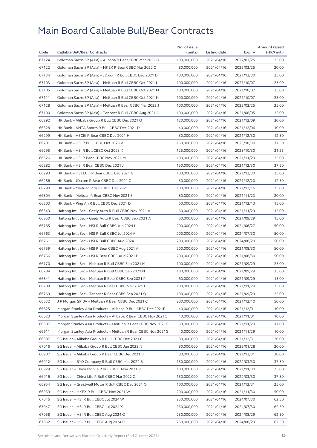|       |                                                              | No. of issue |              |                          | <b>Amount raised</b> |
|-------|--------------------------------------------------------------|--------------|--------------|--------------------------|----------------------|
| Code  | <b>Callable Bull/Bear Contracts</b>                          | (units)      | Listing date | Expiry                   | (HK\$ mil.)          |
| 67124 | Goldman Sachs SP (Asia) - Alibaba R Bear CBBC Mar 2022 B     | 100,000,000  | 2021/04/16   | 2022/03/25               | 25.00                |
| 67122 | Goldman Sachs SP (Asia) - HKEX R Bear CBBC Mar 2022 C        | 80,000,000   | 2021/04/16   | 2022/03/25               | 20.00                |
| 67134 | Goldman Sachs SP (Asia) - JD.com R Bull CBBC Dec 2021 D      | 100,000,000  | 2021/04/16   | 2021/12/30               | 25.00                |
| 67103 | Goldman Sachs SP (Asia) - Meituan R Bull CBBC Oct 2021 L     | 100,000,000  | 2021/04/16   | 2021/10/07               | 25.00                |
| 67105 | Goldman Sachs SP (Asia) - Meituan R Bull CBBC Oct 2021 M     | 100,000,000  | 2021/04/16   | 2021/10/07               | 25.00                |
| 67111 | Goldman Sachs SP (Asia) - Meituan R Bull CBBC Oct 2021 N     | 100,000,000  | 2021/04/16   | 2021/10/07               | 25.00                |
| 67128 | Goldman Sachs SP (Asia) - Meituan R Bear CBBC Mar 2022 J     | 100.000.000  | 2021/04/16   | 2022/03/25               | 25.00                |
| 67100 | Goldman Sachs SP (Asia) - Tencent R Bull CBBC Aug 2021 O     | 100,000,000  | 2021/04/16   | 2021/08/05               | 25.00                |
| 66292 | HK Bank - Alibaba Group R Bull CBBC Dec 2021 Q               | 120,000,000  | 2021/04/16   | 2021/12/09               | 30.00                |
| 66328 | HK Bank - ANTA Sports R Bull CBBC Dec 2021 D                 | 40,000,000   | 2021/04/16   | 2021/12/06               | 10.00                |
| 66299 | HK Bank - HSCEI R Bear CBBC Dec 2021 H                       | 50,000,000   | 2021/04/16   | 2021/12/30               | 12.50                |
| 66291 | HK Bank - HSI R Bull CBBC Oct 2023 V                         | 150,000,000  | 2021/04/16   | 2023/10/30               | 37.50                |
| 66295 | HK Bank - HSI R Bull CBBC Oct 2023 X                         | 125,000,000  | 2021/04/16   | 2023/10/30               | 31.25                |
| 66626 | HK Bank - HSI R Bear CBBC Nov 2021 M                         | 100,000,000  | 2021/04/16   | 2021/11/29               | 25.00                |
| 66282 | HK Bank - HSI R Bear CBBC Dec 2021 J                         | 150,000,000  | 2021/04/16   | 2021/12/30               | 37.50                |
| 66293 | HK Bank - HSTECH R Bear CBBC Dec 2021 G                      | 100,000,000  | 2021/04/16   | 2021/12/30               | 25.00                |
| 66286 | HK Bank - JD.com R Bear CBBC Dec 2021 C                      | 50,000,000   | 2021/04/16   | 2021/12/20               | 12.50                |
| 66290 | HK Bank - Meituan R Bull CBBC Dec 2021 T                     | 100,000,000  | 2021/04/16   | 2021/12/16               | 25.00                |
| 66304 | HK Bank - Meituan R Bear CBBC Nov 2021 S                     | 80,000,000   | 2021/04/16   | 2021/11/23               | 20.00                |
| 66303 | HK Bank - Ping An R Bull CBBC Dec 2021 D                     | 60,000,000   | 2021/04/16   | 2021/12/13               | 15.00                |
| 66843 | Haitong Int'l Sec - Geely Auto R Bull CBBC Nov 2021 A        | 60,000,000   | 2021/04/16   | 2021/11/29               | 15.00                |
| 66850 | Haitong Int'l Sec - Geely Auto R Bear CBBC Sep 2021 A        | 60,000,000   | 2021/04/16   | 2021/09/29               | 15.00                |
| 66765 | Haitong Int'l Sec - HSI R Bull CBBC Jun 2024 L               | 200,000,000  | 2021/04/16   | 2024/06/27               | 50.00                |
| 66763 | Haitong Int'l Sec - HSI R Bull CBBC Jul 2024 A               | 200,000,000  | 2021/04/16   | 2024/07/30               | 50.00                |
| 66761 | Haitong Int'l Sec - HSI R Bull CBBC Aug 2024 J               | 200,000,000  | 2021/04/16   | 2024/08/29               | 50.00                |
| 66759 | Haitong Int'l Sec - HSI R Bear CBBC Aug 2021 A               | 200,000,000  | 2021/04/16   | 2021/08/30               | 50.00                |
| 66756 | Haitong Int'l Sec - HSI R Bear CBBC Aug 2021 B               | 200,000,000  | 2021/04/16   | 2021/08/30               | 50.00                |
| 66770 | Haitong Int'l Sec - Meituan R Bull CBBC Sep 2021 M           | 100,000,000  | 2021/04/16   | 2021/09/29               | 25.00                |
| 66784 | Haitong Int'l Sec - Meituan R Bull CBBC Sep 2021 N           | 100,000,000  | 2021/04/16   | 2021/09/29               | 25.00                |
| 66841 | Haitong Int'l Sec - Meituan R Bear CBBC Sep 2021 P           | 60,000,000   | 2021/04/16   | 2021/09/29               | 15.00                |
| 66788 | Haitong Int'l Sec – Meituan R Bear CBBC Nov 2021 G           | 100,000,000  | 2021/04/16   | 2021/11/29               | 25.00                |
| 66769 | Haitong Int'l Sec - Tencent R Bear CBBC Sep 2021 Q           | 100,000,000  | 2021/04/16   | 2021/09/29               | 25.00                |
| 66632 | J P Morgan SP BV - Meituan R Bear CBBC Dec 2021 C            | 200,000,000  | 2021/04/16   | 2021/12/10               | 50.00                |
| 66625 | Morgan Stanley Asia Products - Alibaba R Bull CBBC Dec 2021F | 40,000,000   | 2021/04/16   | 2021/12/01               | 10.00                |
| 66623 | Morgan Stanley Asia Products - Alibaba R Bear CBBC Nov 2021C | 40,000,000   | 2021/04/16   | 2021/11/01               | 10.00                |
| 66607 | Morgan Stanley Asia Products - Meituan R Bear CBBC Nov 2021F | 68,000,000   | 2021/04/16   | 2021/11/29               | 17.00                |
| 66611 | Morgan Stanley Asia Products - Meituan R Bear CBBC Nov 2021G | 40,000,000   | 2021/04/16   | 2021/11/29               | 10.00                |
| 66887 | SG Issuer - Alibaba Group R Bull CBBC Dec 2021 C             | 80,000,000   |              |                          | 20.00                |
|       |                                                              |              | 2021/04/16   | 2021/12/31<br>2022/01/28 |                      |
| 67016 | SG Issuer - Alibaba Group R Bull CBBC Jan 2022 N             | 80,000,000   | 2021/04/16   |                          | 20.00                |
| 66907 | SG Issuer - Alibaba Group R Bear CBBC Dec 2021 B             | 80,000,000   | 2021/04/16   | 2021/12/31               | 20.00                |
| 66912 | SG Issuer - BYD Company R Bull CBBC Mar 2022 B               | 150,000,000  | 2021/04/16   | 2022/03/30               | 37.50                |
| 66929 | SG Issuer - China Mobile R Bull CBBC Nov 2021 P              | 100,000,000  | 2021/04/16   | 2021/11/30               | 25.00                |
| 66916 | SG Issuer - China Life R Bull CBBC Mar 2022 C                | 150,000,000  | 2021/04/16   | 2022/03/30               | 37.50                |
| 66954 | SG Issuer - Greatwall Motor R Bull CBBC Dec 2021 O           | 100,000,000  | 2021/04/16   | 2021/12/31               | 25.00                |
| 66959 | SG Issuer - HKEX R Bull CBBC Nov 2021 W                      | 200,000,000  | 2021/04/16   | 2021/11/30               | 50.00                |
| 67046 | SG Issuer - HSI R Bull CBBC Jul 2024 W                       | 250,000,000  | 2021/04/16   | 2024/07/30               | 62.50                |
| 67047 | SG Issuer - HSI R Bull CBBC Jul 2024 X                       | 250,000,000  | 2021/04/16   | 2024/07/30               | 62.50                |
| 67058 | SG Issuer - HSI R Bull CBBC Aug 2024 Q                       | 250,000,000  | 2021/04/16   | 2024/08/29               | 62.50                |
| 67062 | SG Issuer - HSI R Bull CBBC Aug 2024 R                       | 250,000,000  | 2021/04/16   | 2024/08/29               | 62.50                |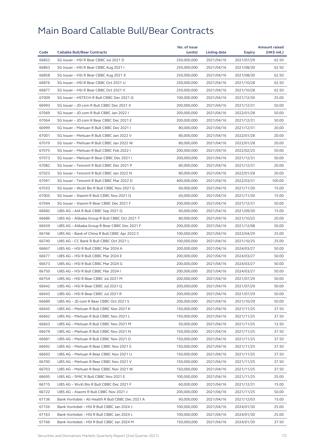|       |                                                   | No. of issue |              |                          | <b>Amount raised</b> |
|-------|---------------------------------------------------|--------------|--------------|--------------------------|----------------------|
| Code  | <b>Callable Bull/Bear Contracts</b>               | (units)      | Listing date | Expiry                   | (HK\$ mil.)          |
| 66852 | SG Issuer - HSI R Bear CBBC Jul 2021 D            | 250,000,000  | 2021/04/16   | 2021/07/29               | 62.50                |
| 66863 | SG Issuer - HSI R Bear CBBC Aug 2021 I            | 250,000,000  | 2021/04/16   | 2021/08/30               | 62.50                |
| 66858 | SG Issuer - HSI R Bear CBBC Aug 2021 X            | 250,000,000  | 2021/04/16   | 2021/08/30               | 62.50                |
| 66876 | SG Issuer - HSI R Bear CBBC Oct 2021 U            | 250,000,000  | 2021/04/16   | 2021/10/28               | 62.50                |
| 66877 | SG Issuer - HSI R Bear CBBC Oct 2021 V            | 250,000,000  | 2021/04/16   | 2021/10/28               | 62.50                |
| 67009 | SG Issuer - HSTECH R Bull CBBC Dec 2021 Q         | 100,000,000  | 2021/04/16   | 2021/12/30               | 25.00                |
| 66993 | SG Issuer - JD.com R Bull CBBC Dec 2021 X         | 200,000,000  | 2021/04/16   | 2021/12/31               | 50.00                |
| 67069 | SG Issuer - JD.com R Bull CBBC Jan 2022 I         | 200,000,000  | 2021/04/16   | 2022/01/28               | 50.00                |
| 67064 | SG Issuer - JD.com R Bear CBBC Dec 2021 E         | 200,000,000  | 2021/04/16   | 2021/12/31               | 50.00                |
| 66999 | SG Issuer - Meituan R Bull CBBC Dec 2021 I        | 80,000,000   | 2021/04/16   | 2021/12/31               | 20.00                |
| 67001 | SG Issuer - Meituan R Bull CBBC Jan 2022 V        | 80,000,000   | 2021/04/16   | 2022/01/28               | 20.00                |
| 67019 | SG Issuer - Meituan R Bull CBBC Jan 2022 W        | 80,000,000   | 2021/04/16   | 2022/01/28               | 20.00                |
| 67075 | SG Issuer - Meituan R Bull CBBC Feb 2022 I        | 200,000,000  | 2021/04/16   | 2022/02/25               | 50.00                |
| 67073 | SG Issuer - Meituan R Bear CBBC Dec 2021 I        | 200,000,000  | 2021/04/16   | 2021/12/31               | 50.00                |
| 67082 | SG Issuer - Tencent R Bull CBBC Dec 2021 P        | 80,000,000   | 2021/04/16   | 2021/12/31               | 20.00                |
| 67023 | SG Issuer - Tencent R Bull CBBC Jan 2022 N        | 80,000,000   | 2021/04/16   | 2022/01/28               | 20.00                |
| 67091 | SG Issuer - Tencent R Bull CBBC Mar 2022 D        | 400,000,000  | 2021/04/16   | 2022/03/31               | 100.00               |
| 67033 | SG Issuer - WuXi Bio R Bull CBBC Nov 2021 G       | 60,000,000   | 2021/04/16   | 2021/11/30               | 15.00                |
| 67005 | SG Issuer - Xiaomi R Bull CBBC Nov 2021 Q         | 60,000,000   | 2021/04/16   | 2021/11/30               | 15.00                |
| 67044 | SG Issuer - Xiaomi R Bear CBBC Dec 2021 F         | 200,000,000  | 2021/04/16   | 2021/12/31               | 50.00                |
| 66682 | UBS AG - AIA R Bull CBBC Sep 2021 Q               | 60,000,000   | 2021/04/16   | 2021/09/30               | 15.00                |
| 66686 | UBS AG - Alibaba Group R Bull CBBC Oct 2021 T     | 80,000,000   | 2021/04/16   | 2021/10/25               | 20.00                |
| 66659 | UBS AG - Alibaba Group R Bear CBBC Dec 2021 F     | 200,000,000  | 2021/04/16   | 2021/12/08               | 50.00                |
| 66746 | UBS AG - Bank of China R Bull CBBC Apr 2022 C     | 100,000,000  | 2021/04/16   | 2022/04/29               | 25.00                |
| 66740 | UBS AG - CC Bank R Bull CBBC Oct 2021 L           | 100,000,000  | 2021/04/16   | 2021/10/25               | 25.00                |
| 66667 | UBS AG - HSI R Bull CBBC Mar 2024 A               | 200,000,000  | 2021/04/16   | 2024/03/27               | 50.00                |
| 66677 | UBS AG - HSI R Bull CBBC Mar 2024 E               | 200,000,000  | 2021/04/16   | 2024/03/27               | 50.00                |
| 66673 | UBS AG - HSI R Bull CBBC Mar 2024 G               | 200,000,000  | 2021/04/16   | 2024/03/27               | 50.00                |
| 66750 | UBS AG - HSI R Bull CBBC Mar 2024 I               | 200,000,000  | 2021/04/16   | 2024/03/27               | 50.00                |
| 66754 | UBS AG - HSI R Bear CBBC Jul 2021 M               | 200,000,000  | 2021/04/16   | 2021/07/29               | 50.00                |
| 66642 | UBS AG – HSI R Bear CBBC Jul 2021 Q               | 200,000,000  | 2021/04/16   | 2021/07/29               | 50.00                |
| 66643 | UBS AG - HSI R Bear CBBC Jul 2021 R               | 200,000,000  | 2021/04/16   |                          | 50.00                |
| 66689 | UBS AG - JD.com R Bear CBBC Oct 2021 S            | 200,000,000  | 2021/04/16   | 2021/07/29<br>2021/10/29 | 50.00                |
|       |                                                   |              |              |                          |                      |
| 66645 | UBS AG - Meituan R Bull CBBC Nov 2021 K           | 150,000,000  | 2021/04/16   | 2021/11/25               | 37.50                |
| 66662 | UBS AG - Meituan R Bull CBBC Nov 2021 L           | 150,000,000  | 2021/04/16   | 2021/11/25               | 37.50                |
| 66663 | UBS AG - Meituan R Bull CBBC Nov 2021 M           | 50,000,000   | 2021/04/16   | 2021/11/25               | 12.50                |
| 66679 | UBS AG - Meituan R Bull CBBC Nov 2021 N           | 150,000,000  | 2021/04/16   | 2021/11/25               | 37.50                |
| 66681 | UBS AG - Meituan R Bull CBBC Nov 2021 O           | 150,000,000  | 2021/04/16   | 2021/11/25               | 37.50                |
| 66692 | UBS AG - Meituan R Bear CBBC Nov 2021 S           | 150,000,000  | 2021/04/16   | 2021/11/25               | 37.50                |
| 66693 | UBS AG - Meituan R Bear CBBC Nov 2021 U           | 150,000,000  | 2021/04/16   | 2021/11/25               | 37.50                |
| 66700 | UBS AG - Meituan R Bear CBBC Nov 2021 V           | 150,000,000  | 2021/04/16   | 2021/11/25               | 37.50                |
| 66703 | UBS AG - Meituan R Bear CBBC Nov 2021 W           | 150,000,000  | 2021/04/16   | 2021/11/25               | 37.50                |
| 66695 | UBS AG - SMIC R Bull CBBC Nov 2021 E              | 100,000,000  | 2021/04/16   | 2021/11/25               | 25.00                |
| 66715 | UBS AG - WuXi Bio R Bull CBBC Dec 2021 F          | 60,000,000   | 2021/04/16   | 2021/12/31               | 15.00                |
| 66722 | UBS AG - Xiaomi R Bull CBBC Nov 2021 J            | 200,000,000  | 2021/04/16   | 2021/11/25               | 50.00                |
| 67136 | Bank Vontobel - Ali Health R Bull CBBC Dec 2021 A | 60,000,000   | 2021/04/16   | 2021/12/03               | 15.00                |
| 67156 | Bank Vontobel - HSI R Bull CBBC Jan 2024 J        | 100,000,000  | 2021/04/16   | 2024/01/30               | 25.00                |
| 67163 | Bank Vontobel - HSI R Bull CBBC Jan 2024 L        | 100,000,000  | 2021/04/16   | 2024/01/30               | 25.00                |
| 67166 | Bank Vontobel - HSI R Bull CBBC Jan 2024 M        | 150,000,000  | 2021/04/16   | 2024/01/30               | 37.50                |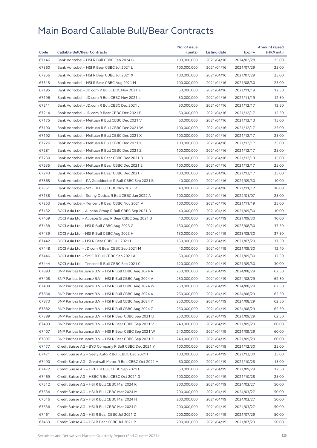| 67146<br>Bank Vontobel - HSI R Bull CBBC Feb 2024 B<br>100,000,000<br>2021/04/16<br>2024/02/28<br>25.00<br>67360<br>Bank Vontobel - HSI R Bear CBBC Jul 2021 L<br>100,000,000<br>2021/04/16<br>2021/07/29<br>25.00<br>67256<br>25.00<br>Bank Vontobel - HSI R Bear CBBC Jul 2021 X<br>100,000,000<br>2021/04/16<br>2021/07/29<br>67315<br>Bank Vontobel - HSI R Bear CBBC Aug 2021 M<br>100,000,000<br>25.00<br>2021/04/16<br>2021/08/30<br>67195<br>Bank Vontobel - JD.com R Bull CBBC Nov 2021 K<br>50,000,000<br>2021/04/16<br>2021/11/19<br>12.50<br>67196<br>12.50<br>Bank Vontobel - JD.com R Bull CBBC Nov 2021 L<br>50,000,000<br>2021/04/16<br>2021/11/19<br>67211<br>Bank Vontobel - JD.com R Bull CBBC Dec 2021 J<br>50,000,000<br>2021/04/16<br>2021/12/17<br>12.50<br>67214<br>Bank Vontobel - JD.com R Bear CBBC Dec 2021 E<br>50,000,000<br>2021/04/16<br>2021/12/17<br>12.50<br>67175<br>Bank Vontobel - Meituan R Bull CBBC Dec 2021 V<br>60,000,000<br>15.00<br>2021/04/16<br>2021/12/13<br>67190<br>Bank Vontobel - Meituan R Bull CBBC Dec 2021 W<br>100,000,000<br>2021/04/16<br>25.00<br>2021/12/17<br>67192<br>Bank Vontobel - Meituan R Bull CBBC Dec 2021 X<br>100,000,000<br>2021/04/16<br>25.00<br>2021/12/17<br>67226<br>25.00<br>Bank Vontobel - Meituan R Bull CBBC Dec 2021 Y<br>100,000,000<br>2021/04/16<br>2021/12/17<br>67281<br>Bank Vontobel - Meituan R Bull CBBC Dec 2021 Z<br>100,000,000<br>2021/12/17<br>25.00<br>2021/04/16<br>67230<br>Bank Vontobel - Meituan R Bear CBBC Dec 2021 D<br>60,000,000<br>2021/04/16<br>2021/12/13<br>15.00<br>67235<br>Bank Vontobel - Meituan R Bear CBBC Dec 2021 E<br>100,000,000<br>25.00<br>2021/04/16<br>2021/12/17<br>67243<br>Bank Vontobel - Meituan R Bear CBBC Dec 2021 F<br>100,000,000<br>2021/04/16<br>2021/12/17<br>25.00<br>67365<br>10.00<br>Bank Vontobel - PA Gooddoctor R Bull CBBC Sep 2021 B<br>40,000,000<br>2021/04/16<br>2021/09/30<br>67361<br>Bank Vontobel - SMIC R Bull CBBC Nov 2021 R<br>40,000,000<br>2021/04/16<br>10.00<br>2021/11/12<br>67138<br>Bank Vontobel - Sunny Optical R Bull CBBC Jan 2022 A<br>100,000,000<br>2021/04/16<br>2022/01/07<br>25.00<br>67253<br>Bank Vontobel - Tencent R Bear CBBC Nov 2021 A<br>100,000,000<br>2021/04/16<br>2021/11/19<br>25.00<br>67452<br>BOCI Asia Ltd. - Alibaba Group R Bull CBBC Sep 2021 D<br>40,000,000<br>2021/04/19<br>2021/09/30<br>10.00<br>67459<br>BOCI Asia Ltd. - Alibaba Group R Bear CBBC Sep 2021 B<br>40,000,000<br>2021/04/19<br>2021/09/30<br>10.00<br>67438<br>BOCI Asia Ltd. - HSI R Bull CBBC Aug 2023 G<br>150,000,000<br>2021/04/19<br>2023/08/30<br>37.50<br>67439<br>BOCI Asia Ltd. - HSI R Bull CBBC Aug 2023 H<br>37.50<br>150,000,000<br>2021/04/19<br>2023/08/30<br>67442<br>BOCI Asia Ltd. - HSI R Bear CBBC Jul 2021 L<br>150,000,000<br>2021/04/19<br>2021/07/29<br>37.50<br>67448<br>BOCI Asia Ltd. - JD.com R Bear CBBC Sep 2021 M<br>40,000,000<br>2021/04/19<br>2021/09/30<br>12.40<br>67446<br>BOCI Asia Ltd. - SMIC R Bull CBBC Sep 2021 A<br>50,000,000<br>2021/04/19<br>2021/09/30<br>12.50<br>67444<br>BOCI Asia Ltd. - Tencent R Bull CBBC Sep 2021 C<br>120,000,000<br>2021/04/19<br>2021/09/30<br>30.00<br>67893<br>BNP Paribas Issuance B.V. - HSI R Bull CBBC Aug 2024 A<br>250,000,000<br>2021/04/19<br>2024/08/29<br>62.50<br>67408<br>62.50<br>BNP Paribas Issuance B.V. - HSI R Bull CBBC Aug 2024 V<br>250,000,000<br>2021/04/19<br>2024/08/29<br>62.50<br>67409<br>BNP Paribas Issuance B.V. - HSI R Bull CBBC Aug 2024 W<br>250,000,000<br>2021/04/19<br>2024/08/29<br>BNP Paribas Issuance B.V. - HSI R Bull CBBC Aug 2024 X<br>67864<br>250,000,000<br>2021/04/19<br>2024/08/29<br>62.50<br>67873<br>250,000,000<br>2024/08/29<br>62.50<br>BNP Paribas Issuance B.V. – HSI R Bull CBBC Aug 2024 Y<br>2021/04/19<br>67882<br>BNP Paribas Issuance B.V. - HSI R Bull CBBC Aug 2024 Z<br>250,000,000<br>2021/04/19<br>2024/08/29<br>62.50<br>67389<br>BNP Paribas Issuance B.V. - HSI R Bear CBBC Sep 2021 U<br>250,000,000<br>2021/04/19<br>2021/09/29<br>62.50<br>67403<br>BNP Paribas Issuance B.V. - HSI R Bear CBBC Sep 2021 V<br>240,000,000<br>2021/04/19<br>2021/09/29<br>60.00<br>67407<br>BNP Paribas Issuance B.V. - HSI R Bear CBBC Sep 2021 W<br>240,000,000<br>2021/04/19<br>2021/09/29<br>60.00<br>67897<br>BNP Paribas Issuance B.V. - HSI R Bear CBBC Sep 2021 X<br>240,000,000<br>2021/04/19<br>2021/09/29<br>60.00<br>67477<br>Credit Suisse AG - BYD Company R Bull CBBC Dec 2021 Y<br>100,000,000<br>2021/04/19<br>2021/12/30<br>25.00<br>67471<br>Credit Suisse AG - Geely Auto R Bull CBBC Dec 2021 I<br>100,000,000<br>2021/04/19<br>25.00<br>2021/12/30<br>67490<br>Credit Suisse AG - Greatwall Motor R Bull CBBC Oct 2021 H<br>60,000,000<br>2021/04/19<br>2021/10/28<br>15.00<br>67472<br>Credit Suisse AG - HKEX R Bull CBBC Sep 2021 C<br>50,000,000<br>2021/04/19<br>2021/09/29<br>12.50 |      |                                     | No. of issue |              |        | <b>Amount raised</b> |
|---------------------------------------------------------------------------------------------------------------------------------------------------------------------------------------------------------------------------------------------------------------------------------------------------------------------------------------------------------------------------------------------------------------------------------------------------------------------------------------------------------------------------------------------------------------------------------------------------------------------------------------------------------------------------------------------------------------------------------------------------------------------------------------------------------------------------------------------------------------------------------------------------------------------------------------------------------------------------------------------------------------------------------------------------------------------------------------------------------------------------------------------------------------------------------------------------------------------------------------------------------------------------------------------------------------------------------------------------------------------------------------------------------------------------------------------------------------------------------------------------------------------------------------------------------------------------------------------------------------------------------------------------------------------------------------------------------------------------------------------------------------------------------------------------------------------------------------------------------------------------------------------------------------------------------------------------------------------------------------------------------------------------------------------------------------------------------------------------------------------------------------------------------------------------------------------------------------------------------------------------------------------------------------------------------------------------------------------------------------------------------------------------------------------------------------------------------------------------------------------------------------------------------------------------------------------------------------------------------------------------------------------------------------------------------------------------------------------------------------------------------------------------------------------------------------------------------------------------------------------------------------------------------------------------------------------------------------------------------------------------------------------------------------------------------------------------------------------------------------------------------------------------------------------------------------------------------------------------------------------------------------------------------------------------------------------------------------------------------------------------------------------------------------------------------------------------------------------------------------------------------------------------------------------------------------------------------------------------------------------------------------------------------------------------------------------------------------------------------------------------------------------------------------------------------------------------------------------------------------------------------------------------------------------------------------------------------------------------------------------------------------------------------------------------------------------------------------------------------------------------------------------------------------------------------------------------------------------------------------------------------------------------------------------------------------------------------------------------------------------------------------------------------------------------------------------------------------------------------------------------------------------------------------------------------------------------------------------------------------------------------------------------------------------------------------------------------------------------------------------------------------------------------------------------------------------------------------------------------------------------------------------------------------------------------------|------|-------------------------------------|--------------|--------------|--------|----------------------|
|                                                                                                                                                                                                                                                                                                                                                                                                                                                                                                                                                                                                                                                                                                                                                                                                                                                                                                                                                                                                                                                                                                                                                                                                                                                                                                                                                                                                                                                                                                                                                                                                                                                                                                                                                                                                                                                                                                                                                                                                                                                                                                                                                                                                                                                                                                                                                                                                                                                                                                                                                                                                                                                                                                                                                                                                                                                                                                                                                                                                                                                                                                                                                                                                                                                                                                                                                                                                                                                                                                                                                                                                                                                                                                                                                                                                                                                                                                                                                                                                                                                                                                                                                                                                                                                                                                                                                                                                                                                                                                                                                                                                                                                                                                                                                                                                                                                                                                                                       | Code | <b>Callable Bull/Bear Contracts</b> | (units)      | Listing date | Expiry | (HK\$ mil.)          |
|                                                                                                                                                                                                                                                                                                                                                                                                                                                                                                                                                                                                                                                                                                                                                                                                                                                                                                                                                                                                                                                                                                                                                                                                                                                                                                                                                                                                                                                                                                                                                                                                                                                                                                                                                                                                                                                                                                                                                                                                                                                                                                                                                                                                                                                                                                                                                                                                                                                                                                                                                                                                                                                                                                                                                                                                                                                                                                                                                                                                                                                                                                                                                                                                                                                                                                                                                                                                                                                                                                                                                                                                                                                                                                                                                                                                                                                                                                                                                                                                                                                                                                                                                                                                                                                                                                                                                                                                                                                                                                                                                                                                                                                                                                                                                                                                                                                                                                                                       |      |                                     |              |              |        |                      |
|                                                                                                                                                                                                                                                                                                                                                                                                                                                                                                                                                                                                                                                                                                                                                                                                                                                                                                                                                                                                                                                                                                                                                                                                                                                                                                                                                                                                                                                                                                                                                                                                                                                                                                                                                                                                                                                                                                                                                                                                                                                                                                                                                                                                                                                                                                                                                                                                                                                                                                                                                                                                                                                                                                                                                                                                                                                                                                                                                                                                                                                                                                                                                                                                                                                                                                                                                                                                                                                                                                                                                                                                                                                                                                                                                                                                                                                                                                                                                                                                                                                                                                                                                                                                                                                                                                                                                                                                                                                                                                                                                                                                                                                                                                                                                                                                                                                                                                                                       |      |                                     |              |              |        |                      |
|                                                                                                                                                                                                                                                                                                                                                                                                                                                                                                                                                                                                                                                                                                                                                                                                                                                                                                                                                                                                                                                                                                                                                                                                                                                                                                                                                                                                                                                                                                                                                                                                                                                                                                                                                                                                                                                                                                                                                                                                                                                                                                                                                                                                                                                                                                                                                                                                                                                                                                                                                                                                                                                                                                                                                                                                                                                                                                                                                                                                                                                                                                                                                                                                                                                                                                                                                                                                                                                                                                                                                                                                                                                                                                                                                                                                                                                                                                                                                                                                                                                                                                                                                                                                                                                                                                                                                                                                                                                                                                                                                                                                                                                                                                                                                                                                                                                                                                                                       |      |                                     |              |              |        |                      |
|                                                                                                                                                                                                                                                                                                                                                                                                                                                                                                                                                                                                                                                                                                                                                                                                                                                                                                                                                                                                                                                                                                                                                                                                                                                                                                                                                                                                                                                                                                                                                                                                                                                                                                                                                                                                                                                                                                                                                                                                                                                                                                                                                                                                                                                                                                                                                                                                                                                                                                                                                                                                                                                                                                                                                                                                                                                                                                                                                                                                                                                                                                                                                                                                                                                                                                                                                                                                                                                                                                                                                                                                                                                                                                                                                                                                                                                                                                                                                                                                                                                                                                                                                                                                                                                                                                                                                                                                                                                                                                                                                                                                                                                                                                                                                                                                                                                                                                                                       |      |                                     |              |              |        |                      |
|                                                                                                                                                                                                                                                                                                                                                                                                                                                                                                                                                                                                                                                                                                                                                                                                                                                                                                                                                                                                                                                                                                                                                                                                                                                                                                                                                                                                                                                                                                                                                                                                                                                                                                                                                                                                                                                                                                                                                                                                                                                                                                                                                                                                                                                                                                                                                                                                                                                                                                                                                                                                                                                                                                                                                                                                                                                                                                                                                                                                                                                                                                                                                                                                                                                                                                                                                                                                                                                                                                                                                                                                                                                                                                                                                                                                                                                                                                                                                                                                                                                                                                                                                                                                                                                                                                                                                                                                                                                                                                                                                                                                                                                                                                                                                                                                                                                                                                                                       |      |                                     |              |              |        |                      |
|                                                                                                                                                                                                                                                                                                                                                                                                                                                                                                                                                                                                                                                                                                                                                                                                                                                                                                                                                                                                                                                                                                                                                                                                                                                                                                                                                                                                                                                                                                                                                                                                                                                                                                                                                                                                                                                                                                                                                                                                                                                                                                                                                                                                                                                                                                                                                                                                                                                                                                                                                                                                                                                                                                                                                                                                                                                                                                                                                                                                                                                                                                                                                                                                                                                                                                                                                                                                                                                                                                                                                                                                                                                                                                                                                                                                                                                                                                                                                                                                                                                                                                                                                                                                                                                                                                                                                                                                                                                                                                                                                                                                                                                                                                                                                                                                                                                                                                                                       |      |                                     |              |              |        |                      |
|                                                                                                                                                                                                                                                                                                                                                                                                                                                                                                                                                                                                                                                                                                                                                                                                                                                                                                                                                                                                                                                                                                                                                                                                                                                                                                                                                                                                                                                                                                                                                                                                                                                                                                                                                                                                                                                                                                                                                                                                                                                                                                                                                                                                                                                                                                                                                                                                                                                                                                                                                                                                                                                                                                                                                                                                                                                                                                                                                                                                                                                                                                                                                                                                                                                                                                                                                                                                                                                                                                                                                                                                                                                                                                                                                                                                                                                                                                                                                                                                                                                                                                                                                                                                                                                                                                                                                                                                                                                                                                                                                                                                                                                                                                                                                                                                                                                                                                                                       |      |                                     |              |              |        |                      |
|                                                                                                                                                                                                                                                                                                                                                                                                                                                                                                                                                                                                                                                                                                                                                                                                                                                                                                                                                                                                                                                                                                                                                                                                                                                                                                                                                                                                                                                                                                                                                                                                                                                                                                                                                                                                                                                                                                                                                                                                                                                                                                                                                                                                                                                                                                                                                                                                                                                                                                                                                                                                                                                                                                                                                                                                                                                                                                                                                                                                                                                                                                                                                                                                                                                                                                                                                                                                                                                                                                                                                                                                                                                                                                                                                                                                                                                                                                                                                                                                                                                                                                                                                                                                                                                                                                                                                                                                                                                                                                                                                                                                                                                                                                                                                                                                                                                                                                                                       |      |                                     |              |              |        |                      |
|                                                                                                                                                                                                                                                                                                                                                                                                                                                                                                                                                                                                                                                                                                                                                                                                                                                                                                                                                                                                                                                                                                                                                                                                                                                                                                                                                                                                                                                                                                                                                                                                                                                                                                                                                                                                                                                                                                                                                                                                                                                                                                                                                                                                                                                                                                                                                                                                                                                                                                                                                                                                                                                                                                                                                                                                                                                                                                                                                                                                                                                                                                                                                                                                                                                                                                                                                                                                                                                                                                                                                                                                                                                                                                                                                                                                                                                                                                                                                                                                                                                                                                                                                                                                                                                                                                                                                                                                                                                                                                                                                                                                                                                                                                                                                                                                                                                                                                                                       |      |                                     |              |              |        |                      |
|                                                                                                                                                                                                                                                                                                                                                                                                                                                                                                                                                                                                                                                                                                                                                                                                                                                                                                                                                                                                                                                                                                                                                                                                                                                                                                                                                                                                                                                                                                                                                                                                                                                                                                                                                                                                                                                                                                                                                                                                                                                                                                                                                                                                                                                                                                                                                                                                                                                                                                                                                                                                                                                                                                                                                                                                                                                                                                                                                                                                                                                                                                                                                                                                                                                                                                                                                                                                                                                                                                                                                                                                                                                                                                                                                                                                                                                                                                                                                                                                                                                                                                                                                                                                                                                                                                                                                                                                                                                                                                                                                                                                                                                                                                                                                                                                                                                                                                                                       |      |                                     |              |              |        |                      |
|                                                                                                                                                                                                                                                                                                                                                                                                                                                                                                                                                                                                                                                                                                                                                                                                                                                                                                                                                                                                                                                                                                                                                                                                                                                                                                                                                                                                                                                                                                                                                                                                                                                                                                                                                                                                                                                                                                                                                                                                                                                                                                                                                                                                                                                                                                                                                                                                                                                                                                                                                                                                                                                                                                                                                                                                                                                                                                                                                                                                                                                                                                                                                                                                                                                                                                                                                                                                                                                                                                                                                                                                                                                                                                                                                                                                                                                                                                                                                                                                                                                                                                                                                                                                                                                                                                                                                                                                                                                                                                                                                                                                                                                                                                                                                                                                                                                                                                                                       |      |                                     |              |              |        |                      |
|                                                                                                                                                                                                                                                                                                                                                                                                                                                                                                                                                                                                                                                                                                                                                                                                                                                                                                                                                                                                                                                                                                                                                                                                                                                                                                                                                                                                                                                                                                                                                                                                                                                                                                                                                                                                                                                                                                                                                                                                                                                                                                                                                                                                                                                                                                                                                                                                                                                                                                                                                                                                                                                                                                                                                                                                                                                                                                                                                                                                                                                                                                                                                                                                                                                                                                                                                                                                                                                                                                                                                                                                                                                                                                                                                                                                                                                                                                                                                                                                                                                                                                                                                                                                                                                                                                                                                                                                                                                                                                                                                                                                                                                                                                                                                                                                                                                                                                                                       |      |                                     |              |              |        |                      |
|                                                                                                                                                                                                                                                                                                                                                                                                                                                                                                                                                                                                                                                                                                                                                                                                                                                                                                                                                                                                                                                                                                                                                                                                                                                                                                                                                                                                                                                                                                                                                                                                                                                                                                                                                                                                                                                                                                                                                                                                                                                                                                                                                                                                                                                                                                                                                                                                                                                                                                                                                                                                                                                                                                                                                                                                                                                                                                                                                                                                                                                                                                                                                                                                                                                                                                                                                                                                                                                                                                                                                                                                                                                                                                                                                                                                                                                                                                                                                                                                                                                                                                                                                                                                                                                                                                                                                                                                                                                                                                                                                                                                                                                                                                                                                                                                                                                                                                                                       |      |                                     |              |              |        |                      |
|                                                                                                                                                                                                                                                                                                                                                                                                                                                                                                                                                                                                                                                                                                                                                                                                                                                                                                                                                                                                                                                                                                                                                                                                                                                                                                                                                                                                                                                                                                                                                                                                                                                                                                                                                                                                                                                                                                                                                                                                                                                                                                                                                                                                                                                                                                                                                                                                                                                                                                                                                                                                                                                                                                                                                                                                                                                                                                                                                                                                                                                                                                                                                                                                                                                                                                                                                                                                                                                                                                                                                                                                                                                                                                                                                                                                                                                                                                                                                                                                                                                                                                                                                                                                                                                                                                                                                                                                                                                                                                                                                                                                                                                                                                                                                                                                                                                                                                                                       |      |                                     |              |              |        |                      |
|                                                                                                                                                                                                                                                                                                                                                                                                                                                                                                                                                                                                                                                                                                                                                                                                                                                                                                                                                                                                                                                                                                                                                                                                                                                                                                                                                                                                                                                                                                                                                                                                                                                                                                                                                                                                                                                                                                                                                                                                                                                                                                                                                                                                                                                                                                                                                                                                                                                                                                                                                                                                                                                                                                                                                                                                                                                                                                                                                                                                                                                                                                                                                                                                                                                                                                                                                                                                                                                                                                                                                                                                                                                                                                                                                                                                                                                                                                                                                                                                                                                                                                                                                                                                                                                                                                                                                                                                                                                                                                                                                                                                                                                                                                                                                                                                                                                                                                                                       |      |                                     |              |              |        |                      |
|                                                                                                                                                                                                                                                                                                                                                                                                                                                                                                                                                                                                                                                                                                                                                                                                                                                                                                                                                                                                                                                                                                                                                                                                                                                                                                                                                                                                                                                                                                                                                                                                                                                                                                                                                                                                                                                                                                                                                                                                                                                                                                                                                                                                                                                                                                                                                                                                                                                                                                                                                                                                                                                                                                                                                                                                                                                                                                                                                                                                                                                                                                                                                                                                                                                                                                                                                                                                                                                                                                                                                                                                                                                                                                                                                                                                                                                                                                                                                                                                                                                                                                                                                                                                                                                                                                                                                                                                                                                                                                                                                                                                                                                                                                                                                                                                                                                                                                                                       |      |                                     |              |              |        |                      |
|                                                                                                                                                                                                                                                                                                                                                                                                                                                                                                                                                                                                                                                                                                                                                                                                                                                                                                                                                                                                                                                                                                                                                                                                                                                                                                                                                                                                                                                                                                                                                                                                                                                                                                                                                                                                                                                                                                                                                                                                                                                                                                                                                                                                                                                                                                                                                                                                                                                                                                                                                                                                                                                                                                                                                                                                                                                                                                                                                                                                                                                                                                                                                                                                                                                                                                                                                                                                                                                                                                                                                                                                                                                                                                                                                                                                                                                                                                                                                                                                                                                                                                                                                                                                                                                                                                                                                                                                                                                                                                                                                                                                                                                                                                                                                                                                                                                                                                                                       |      |                                     |              |              |        |                      |
|                                                                                                                                                                                                                                                                                                                                                                                                                                                                                                                                                                                                                                                                                                                                                                                                                                                                                                                                                                                                                                                                                                                                                                                                                                                                                                                                                                                                                                                                                                                                                                                                                                                                                                                                                                                                                                                                                                                                                                                                                                                                                                                                                                                                                                                                                                                                                                                                                                                                                                                                                                                                                                                                                                                                                                                                                                                                                                                                                                                                                                                                                                                                                                                                                                                                                                                                                                                                                                                                                                                                                                                                                                                                                                                                                                                                                                                                                                                                                                                                                                                                                                                                                                                                                                                                                                                                                                                                                                                                                                                                                                                                                                                                                                                                                                                                                                                                                                                                       |      |                                     |              |              |        |                      |
|                                                                                                                                                                                                                                                                                                                                                                                                                                                                                                                                                                                                                                                                                                                                                                                                                                                                                                                                                                                                                                                                                                                                                                                                                                                                                                                                                                                                                                                                                                                                                                                                                                                                                                                                                                                                                                                                                                                                                                                                                                                                                                                                                                                                                                                                                                                                                                                                                                                                                                                                                                                                                                                                                                                                                                                                                                                                                                                                                                                                                                                                                                                                                                                                                                                                                                                                                                                                                                                                                                                                                                                                                                                                                                                                                                                                                                                                                                                                                                                                                                                                                                                                                                                                                                                                                                                                                                                                                                                                                                                                                                                                                                                                                                                                                                                                                                                                                                                                       |      |                                     |              |              |        |                      |
|                                                                                                                                                                                                                                                                                                                                                                                                                                                                                                                                                                                                                                                                                                                                                                                                                                                                                                                                                                                                                                                                                                                                                                                                                                                                                                                                                                                                                                                                                                                                                                                                                                                                                                                                                                                                                                                                                                                                                                                                                                                                                                                                                                                                                                                                                                                                                                                                                                                                                                                                                                                                                                                                                                                                                                                                                                                                                                                                                                                                                                                                                                                                                                                                                                                                                                                                                                                                                                                                                                                                                                                                                                                                                                                                                                                                                                                                                                                                                                                                                                                                                                                                                                                                                                                                                                                                                                                                                                                                                                                                                                                                                                                                                                                                                                                                                                                                                                                                       |      |                                     |              |              |        |                      |
|                                                                                                                                                                                                                                                                                                                                                                                                                                                                                                                                                                                                                                                                                                                                                                                                                                                                                                                                                                                                                                                                                                                                                                                                                                                                                                                                                                                                                                                                                                                                                                                                                                                                                                                                                                                                                                                                                                                                                                                                                                                                                                                                                                                                                                                                                                                                                                                                                                                                                                                                                                                                                                                                                                                                                                                                                                                                                                                                                                                                                                                                                                                                                                                                                                                                                                                                                                                                                                                                                                                                                                                                                                                                                                                                                                                                                                                                                                                                                                                                                                                                                                                                                                                                                                                                                                                                                                                                                                                                                                                                                                                                                                                                                                                                                                                                                                                                                                                                       |      |                                     |              |              |        |                      |
|                                                                                                                                                                                                                                                                                                                                                                                                                                                                                                                                                                                                                                                                                                                                                                                                                                                                                                                                                                                                                                                                                                                                                                                                                                                                                                                                                                                                                                                                                                                                                                                                                                                                                                                                                                                                                                                                                                                                                                                                                                                                                                                                                                                                                                                                                                                                                                                                                                                                                                                                                                                                                                                                                                                                                                                                                                                                                                                                                                                                                                                                                                                                                                                                                                                                                                                                                                                                                                                                                                                                                                                                                                                                                                                                                                                                                                                                                                                                                                                                                                                                                                                                                                                                                                                                                                                                                                                                                                                                                                                                                                                                                                                                                                                                                                                                                                                                                                                                       |      |                                     |              |              |        |                      |
|                                                                                                                                                                                                                                                                                                                                                                                                                                                                                                                                                                                                                                                                                                                                                                                                                                                                                                                                                                                                                                                                                                                                                                                                                                                                                                                                                                                                                                                                                                                                                                                                                                                                                                                                                                                                                                                                                                                                                                                                                                                                                                                                                                                                                                                                                                                                                                                                                                                                                                                                                                                                                                                                                                                                                                                                                                                                                                                                                                                                                                                                                                                                                                                                                                                                                                                                                                                                                                                                                                                                                                                                                                                                                                                                                                                                                                                                                                                                                                                                                                                                                                                                                                                                                                                                                                                                                                                                                                                                                                                                                                                                                                                                                                                                                                                                                                                                                                                                       |      |                                     |              |              |        |                      |
|                                                                                                                                                                                                                                                                                                                                                                                                                                                                                                                                                                                                                                                                                                                                                                                                                                                                                                                                                                                                                                                                                                                                                                                                                                                                                                                                                                                                                                                                                                                                                                                                                                                                                                                                                                                                                                                                                                                                                                                                                                                                                                                                                                                                                                                                                                                                                                                                                                                                                                                                                                                                                                                                                                                                                                                                                                                                                                                                                                                                                                                                                                                                                                                                                                                                                                                                                                                                                                                                                                                                                                                                                                                                                                                                                                                                                                                                                                                                                                                                                                                                                                                                                                                                                                                                                                                                                                                                                                                                                                                                                                                                                                                                                                                                                                                                                                                                                                                                       |      |                                     |              |              |        |                      |
|                                                                                                                                                                                                                                                                                                                                                                                                                                                                                                                                                                                                                                                                                                                                                                                                                                                                                                                                                                                                                                                                                                                                                                                                                                                                                                                                                                                                                                                                                                                                                                                                                                                                                                                                                                                                                                                                                                                                                                                                                                                                                                                                                                                                                                                                                                                                                                                                                                                                                                                                                                                                                                                                                                                                                                                                                                                                                                                                                                                                                                                                                                                                                                                                                                                                                                                                                                                                                                                                                                                                                                                                                                                                                                                                                                                                                                                                                                                                                                                                                                                                                                                                                                                                                                                                                                                                                                                                                                                                                                                                                                                                                                                                                                                                                                                                                                                                                                                                       |      |                                     |              |              |        |                      |
|                                                                                                                                                                                                                                                                                                                                                                                                                                                                                                                                                                                                                                                                                                                                                                                                                                                                                                                                                                                                                                                                                                                                                                                                                                                                                                                                                                                                                                                                                                                                                                                                                                                                                                                                                                                                                                                                                                                                                                                                                                                                                                                                                                                                                                                                                                                                                                                                                                                                                                                                                                                                                                                                                                                                                                                                                                                                                                                                                                                                                                                                                                                                                                                                                                                                                                                                                                                                                                                                                                                                                                                                                                                                                                                                                                                                                                                                                                                                                                                                                                                                                                                                                                                                                                                                                                                                                                                                                                                                                                                                                                                                                                                                                                                                                                                                                                                                                                                                       |      |                                     |              |              |        |                      |
|                                                                                                                                                                                                                                                                                                                                                                                                                                                                                                                                                                                                                                                                                                                                                                                                                                                                                                                                                                                                                                                                                                                                                                                                                                                                                                                                                                                                                                                                                                                                                                                                                                                                                                                                                                                                                                                                                                                                                                                                                                                                                                                                                                                                                                                                                                                                                                                                                                                                                                                                                                                                                                                                                                                                                                                                                                                                                                                                                                                                                                                                                                                                                                                                                                                                                                                                                                                                                                                                                                                                                                                                                                                                                                                                                                                                                                                                                                                                                                                                                                                                                                                                                                                                                                                                                                                                                                                                                                                                                                                                                                                                                                                                                                                                                                                                                                                                                                                                       |      |                                     |              |              |        |                      |
|                                                                                                                                                                                                                                                                                                                                                                                                                                                                                                                                                                                                                                                                                                                                                                                                                                                                                                                                                                                                                                                                                                                                                                                                                                                                                                                                                                                                                                                                                                                                                                                                                                                                                                                                                                                                                                                                                                                                                                                                                                                                                                                                                                                                                                                                                                                                                                                                                                                                                                                                                                                                                                                                                                                                                                                                                                                                                                                                                                                                                                                                                                                                                                                                                                                                                                                                                                                                                                                                                                                                                                                                                                                                                                                                                                                                                                                                                                                                                                                                                                                                                                                                                                                                                                                                                                                                                                                                                                                                                                                                                                                                                                                                                                                                                                                                                                                                                                                                       |      |                                     |              |              |        |                      |
|                                                                                                                                                                                                                                                                                                                                                                                                                                                                                                                                                                                                                                                                                                                                                                                                                                                                                                                                                                                                                                                                                                                                                                                                                                                                                                                                                                                                                                                                                                                                                                                                                                                                                                                                                                                                                                                                                                                                                                                                                                                                                                                                                                                                                                                                                                                                                                                                                                                                                                                                                                                                                                                                                                                                                                                                                                                                                                                                                                                                                                                                                                                                                                                                                                                                                                                                                                                                                                                                                                                                                                                                                                                                                                                                                                                                                                                                                                                                                                                                                                                                                                                                                                                                                                                                                                                                                                                                                                                                                                                                                                                                                                                                                                                                                                                                                                                                                                                                       |      |                                     |              |              |        |                      |
|                                                                                                                                                                                                                                                                                                                                                                                                                                                                                                                                                                                                                                                                                                                                                                                                                                                                                                                                                                                                                                                                                                                                                                                                                                                                                                                                                                                                                                                                                                                                                                                                                                                                                                                                                                                                                                                                                                                                                                                                                                                                                                                                                                                                                                                                                                                                                                                                                                                                                                                                                                                                                                                                                                                                                                                                                                                                                                                                                                                                                                                                                                                                                                                                                                                                                                                                                                                                                                                                                                                                                                                                                                                                                                                                                                                                                                                                                                                                                                                                                                                                                                                                                                                                                                                                                                                                                                                                                                                                                                                                                                                                                                                                                                                                                                                                                                                                                                                                       |      |                                     |              |              |        |                      |
|                                                                                                                                                                                                                                                                                                                                                                                                                                                                                                                                                                                                                                                                                                                                                                                                                                                                                                                                                                                                                                                                                                                                                                                                                                                                                                                                                                                                                                                                                                                                                                                                                                                                                                                                                                                                                                                                                                                                                                                                                                                                                                                                                                                                                                                                                                                                                                                                                                                                                                                                                                                                                                                                                                                                                                                                                                                                                                                                                                                                                                                                                                                                                                                                                                                                                                                                                                                                                                                                                                                                                                                                                                                                                                                                                                                                                                                                                                                                                                                                                                                                                                                                                                                                                                                                                                                                                                                                                                                                                                                                                                                                                                                                                                                                                                                                                                                                                                                                       |      |                                     |              |              |        |                      |
|                                                                                                                                                                                                                                                                                                                                                                                                                                                                                                                                                                                                                                                                                                                                                                                                                                                                                                                                                                                                                                                                                                                                                                                                                                                                                                                                                                                                                                                                                                                                                                                                                                                                                                                                                                                                                                                                                                                                                                                                                                                                                                                                                                                                                                                                                                                                                                                                                                                                                                                                                                                                                                                                                                                                                                                                                                                                                                                                                                                                                                                                                                                                                                                                                                                                                                                                                                                                                                                                                                                                                                                                                                                                                                                                                                                                                                                                                                                                                                                                                                                                                                                                                                                                                                                                                                                                                                                                                                                                                                                                                                                                                                                                                                                                                                                                                                                                                                                                       |      |                                     |              |              |        |                      |
|                                                                                                                                                                                                                                                                                                                                                                                                                                                                                                                                                                                                                                                                                                                                                                                                                                                                                                                                                                                                                                                                                                                                                                                                                                                                                                                                                                                                                                                                                                                                                                                                                                                                                                                                                                                                                                                                                                                                                                                                                                                                                                                                                                                                                                                                                                                                                                                                                                                                                                                                                                                                                                                                                                                                                                                                                                                                                                                                                                                                                                                                                                                                                                                                                                                                                                                                                                                                                                                                                                                                                                                                                                                                                                                                                                                                                                                                                                                                                                                                                                                                                                                                                                                                                                                                                                                                                                                                                                                                                                                                                                                                                                                                                                                                                                                                                                                                                                                                       |      |                                     |              |              |        |                      |
|                                                                                                                                                                                                                                                                                                                                                                                                                                                                                                                                                                                                                                                                                                                                                                                                                                                                                                                                                                                                                                                                                                                                                                                                                                                                                                                                                                                                                                                                                                                                                                                                                                                                                                                                                                                                                                                                                                                                                                                                                                                                                                                                                                                                                                                                                                                                                                                                                                                                                                                                                                                                                                                                                                                                                                                                                                                                                                                                                                                                                                                                                                                                                                                                                                                                                                                                                                                                                                                                                                                                                                                                                                                                                                                                                                                                                                                                                                                                                                                                                                                                                                                                                                                                                                                                                                                                                                                                                                                                                                                                                                                                                                                                                                                                                                                                                                                                                                                                       |      |                                     |              |              |        |                      |
|                                                                                                                                                                                                                                                                                                                                                                                                                                                                                                                                                                                                                                                                                                                                                                                                                                                                                                                                                                                                                                                                                                                                                                                                                                                                                                                                                                                                                                                                                                                                                                                                                                                                                                                                                                                                                                                                                                                                                                                                                                                                                                                                                                                                                                                                                                                                                                                                                                                                                                                                                                                                                                                                                                                                                                                                                                                                                                                                                                                                                                                                                                                                                                                                                                                                                                                                                                                                                                                                                                                                                                                                                                                                                                                                                                                                                                                                                                                                                                                                                                                                                                                                                                                                                                                                                                                                                                                                                                                                                                                                                                                                                                                                                                                                                                                                                                                                                                                                       |      |                                     |              |              |        |                      |
|                                                                                                                                                                                                                                                                                                                                                                                                                                                                                                                                                                                                                                                                                                                                                                                                                                                                                                                                                                                                                                                                                                                                                                                                                                                                                                                                                                                                                                                                                                                                                                                                                                                                                                                                                                                                                                                                                                                                                                                                                                                                                                                                                                                                                                                                                                                                                                                                                                                                                                                                                                                                                                                                                                                                                                                                                                                                                                                                                                                                                                                                                                                                                                                                                                                                                                                                                                                                                                                                                                                                                                                                                                                                                                                                                                                                                                                                                                                                                                                                                                                                                                                                                                                                                                                                                                                                                                                                                                                                                                                                                                                                                                                                                                                                                                                                                                                                                                                                       |      |                                     |              |              |        |                      |
|                                                                                                                                                                                                                                                                                                                                                                                                                                                                                                                                                                                                                                                                                                                                                                                                                                                                                                                                                                                                                                                                                                                                                                                                                                                                                                                                                                                                                                                                                                                                                                                                                                                                                                                                                                                                                                                                                                                                                                                                                                                                                                                                                                                                                                                                                                                                                                                                                                                                                                                                                                                                                                                                                                                                                                                                                                                                                                                                                                                                                                                                                                                                                                                                                                                                                                                                                                                                                                                                                                                                                                                                                                                                                                                                                                                                                                                                                                                                                                                                                                                                                                                                                                                                                                                                                                                                                                                                                                                                                                                                                                                                                                                                                                                                                                                                                                                                                                                                       |      |                                     |              |              |        |                      |
|                                                                                                                                                                                                                                                                                                                                                                                                                                                                                                                                                                                                                                                                                                                                                                                                                                                                                                                                                                                                                                                                                                                                                                                                                                                                                                                                                                                                                                                                                                                                                                                                                                                                                                                                                                                                                                                                                                                                                                                                                                                                                                                                                                                                                                                                                                                                                                                                                                                                                                                                                                                                                                                                                                                                                                                                                                                                                                                                                                                                                                                                                                                                                                                                                                                                                                                                                                                                                                                                                                                                                                                                                                                                                                                                                                                                                                                                                                                                                                                                                                                                                                                                                                                                                                                                                                                                                                                                                                                                                                                                                                                                                                                                                                                                                                                                                                                                                                                                       |      |                                     |              |              |        |                      |
|                                                                                                                                                                                                                                                                                                                                                                                                                                                                                                                                                                                                                                                                                                                                                                                                                                                                                                                                                                                                                                                                                                                                                                                                                                                                                                                                                                                                                                                                                                                                                                                                                                                                                                                                                                                                                                                                                                                                                                                                                                                                                                                                                                                                                                                                                                                                                                                                                                                                                                                                                                                                                                                                                                                                                                                                                                                                                                                                                                                                                                                                                                                                                                                                                                                                                                                                                                                                                                                                                                                                                                                                                                                                                                                                                                                                                                                                                                                                                                                                                                                                                                                                                                                                                                                                                                                                                                                                                                                                                                                                                                                                                                                                                                                                                                                                                                                                                                                                       |      |                                     |              |              |        |                      |
|                                                                                                                                                                                                                                                                                                                                                                                                                                                                                                                                                                                                                                                                                                                                                                                                                                                                                                                                                                                                                                                                                                                                                                                                                                                                                                                                                                                                                                                                                                                                                                                                                                                                                                                                                                                                                                                                                                                                                                                                                                                                                                                                                                                                                                                                                                                                                                                                                                                                                                                                                                                                                                                                                                                                                                                                                                                                                                                                                                                                                                                                                                                                                                                                                                                                                                                                                                                                                                                                                                                                                                                                                                                                                                                                                                                                                                                                                                                                                                                                                                                                                                                                                                                                                                                                                                                                                                                                                                                                                                                                                                                                                                                                                                                                                                                                                                                                                                                                       |      |                                     |              |              |        |                      |
|                                                                                                                                                                                                                                                                                                                                                                                                                                                                                                                                                                                                                                                                                                                                                                                                                                                                                                                                                                                                                                                                                                                                                                                                                                                                                                                                                                                                                                                                                                                                                                                                                                                                                                                                                                                                                                                                                                                                                                                                                                                                                                                                                                                                                                                                                                                                                                                                                                                                                                                                                                                                                                                                                                                                                                                                                                                                                                                                                                                                                                                                                                                                                                                                                                                                                                                                                                                                                                                                                                                                                                                                                                                                                                                                                                                                                                                                                                                                                                                                                                                                                                                                                                                                                                                                                                                                                                                                                                                                                                                                                                                                                                                                                                                                                                                                                                                                                                                                       |      |                                     |              |              |        |                      |
|                                                                                                                                                                                                                                                                                                                                                                                                                                                                                                                                                                                                                                                                                                                                                                                                                                                                                                                                                                                                                                                                                                                                                                                                                                                                                                                                                                                                                                                                                                                                                                                                                                                                                                                                                                                                                                                                                                                                                                                                                                                                                                                                                                                                                                                                                                                                                                                                                                                                                                                                                                                                                                                                                                                                                                                                                                                                                                                                                                                                                                                                                                                                                                                                                                                                                                                                                                                                                                                                                                                                                                                                                                                                                                                                                                                                                                                                                                                                                                                                                                                                                                                                                                                                                                                                                                                                                                                                                                                                                                                                                                                                                                                                                                                                                                                                                                                                                                                                       |      |                                     |              |              |        |                      |
| 67469<br>Credit Suisse AG - HSBC R Bull CBBC Oct 2021 G<br>100,000,000<br>2021/04/19<br>2021/10/28<br>25.00                                                                                                                                                                                                                                                                                                                                                                                                                                                                                                                                                                                                                                                                                                                                                                                                                                                                                                                                                                                                                                                                                                                                                                                                                                                                                                                                                                                                                                                                                                                                                                                                                                                                                                                                                                                                                                                                                                                                                                                                                                                                                                                                                                                                                                                                                                                                                                                                                                                                                                                                                                                                                                                                                                                                                                                                                                                                                                                                                                                                                                                                                                                                                                                                                                                                                                                                                                                                                                                                                                                                                                                                                                                                                                                                                                                                                                                                                                                                                                                                                                                                                                                                                                                                                                                                                                                                                                                                                                                                                                                                                                                                                                                                                                                                                                                                                           |      |                                     |              |              |        |                      |
| 67512<br>200,000,000<br>2024/03/27<br>50.00<br>Credit Suisse AG - HSI R Bull CBBC Mar 2024 K<br>2021/04/19                                                                                                                                                                                                                                                                                                                                                                                                                                                                                                                                                                                                                                                                                                                                                                                                                                                                                                                                                                                                                                                                                                                                                                                                                                                                                                                                                                                                                                                                                                                                                                                                                                                                                                                                                                                                                                                                                                                                                                                                                                                                                                                                                                                                                                                                                                                                                                                                                                                                                                                                                                                                                                                                                                                                                                                                                                                                                                                                                                                                                                                                                                                                                                                                                                                                                                                                                                                                                                                                                                                                                                                                                                                                                                                                                                                                                                                                                                                                                                                                                                                                                                                                                                                                                                                                                                                                                                                                                                                                                                                                                                                                                                                                                                                                                                                                                            |      |                                     |              |              |        |                      |
| 67534<br>Credit Suisse AG - HSI R Bull CBBC Mar 2024 M<br>200,000,000<br>2021/04/19<br>2024/03/27<br>50.00                                                                                                                                                                                                                                                                                                                                                                                                                                                                                                                                                                                                                                                                                                                                                                                                                                                                                                                                                                                                                                                                                                                                                                                                                                                                                                                                                                                                                                                                                                                                                                                                                                                                                                                                                                                                                                                                                                                                                                                                                                                                                                                                                                                                                                                                                                                                                                                                                                                                                                                                                                                                                                                                                                                                                                                                                                                                                                                                                                                                                                                                                                                                                                                                                                                                                                                                                                                                                                                                                                                                                                                                                                                                                                                                                                                                                                                                                                                                                                                                                                                                                                                                                                                                                                                                                                                                                                                                                                                                                                                                                                                                                                                                                                                                                                                                                            |      |                                     |              |              |        |                      |
| 67516<br>Credit Suisse AG - HSI R Bull CBBC Mar 2024 N<br>200,000,000<br>2021/04/19<br>50.00<br>2024/03/27                                                                                                                                                                                                                                                                                                                                                                                                                                                                                                                                                                                                                                                                                                                                                                                                                                                                                                                                                                                                                                                                                                                                                                                                                                                                                                                                                                                                                                                                                                                                                                                                                                                                                                                                                                                                                                                                                                                                                                                                                                                                                                                                                                                                                                                                                                                                                                                                                                                                                                                                                                                                                                                                                                                                                                                                                                                                                                                                                                                                                                                                                                                                                                                                                                                                                                                                                                                                                                                                                                                                                                                                                                                                                                                                                                                                                                                                                                                                                                                                                                                                                                                                                                                                                                                                                                                                                                                                                                                                                                                                                                                                                                                                                                                                                                                                                            |      |                                     |              |              |        |                      |
| 67536<br>Credit Suisse AG - HSI R Bull CBBC Mar 2024 P<br>200,000,000<br>2021/04/19<br>2024/03/27<br>50.00                                                                                                                                                                                                                                                                                                                                                                                                                                                                                                                                                                                                                                                                                                                                                                                                                                                                                                                                                                                                                                                                                                                                                                                                                                                                                                                                                                                                                                                                                                                                                                                                                                                                                                                                                                                                                                                                                                                                                                                                                                                                                                                                                                                                                                                                                                                                                                                                                                                                                                                                                                                                                                                                                                                                                                                                                                                                                                                                                                                                                                                                                                                                                                                                                                                                                                                                                                                                                                                                                                                                                                                                                                                                                                                                                                                                                                                                                                                                                                                                                                                                                                                                                                                                                                                                                                                                                                                                                                                                                                                                                                                                                                                                                                                                                                                                                            |      |                                     |              |              |        |                      |
| 50.00<br>67461<br>Credit Suisse AG - HSI R Bear CBBC Jul 2021 D<br>200,000,000<br>2021/04/19<br>2021/07/29                                                                                                                                                                                                                                                                                                                                                                                                                                                                                                                                                                                                                                                                                                                                                                                                                                                                                                                                                                                                                                                                                                                                                                                                                                                                                                                                                                                                                                                                                                                                                                                                                                                                                                                                                                                                                                                                                                                                                                                                                                                                                                                                                                                                                                                                                                                                                                                                                                                                                                                                                                                                                                                                                                                                                                                                                                                                                                                                                                                                                                                                                                                                                                                                                                                                                                                                                                                                                                                                                                                                                                                                                                                                                                                                                                                                                                                                                                                                                                                                                                                                                                                                                                                                                                                                                                                                                                                                                                                                                                                                                                                                                                                                                                                                                                                                                            |      |                                     |              |              |        |                      |
| 67463<br>200,000,000<br>2021/07/29<br>50.00<br>Credit Suisse AG – HSI R Bear CBBC Jul 2021 P<br>2021/04/19                                                                                                                                                                                                                                                                                                                                                                                                                                                                                                                                                                                                                                                                                                                                                                                                                                                                                                                                                                                                                                                                                                                                                                                                                                                                                                                                                                                                                                                                                                                                                                                                                                                                                                                                                                                                                                                                                                                                                                                                                                                                                                                                                                                                                                                                                                                                                                                                                                                                                                                                                                                                                                                                                                                                                                                                                                                                                                                                                                                                                                                                                                                                                                                                                                                                                                                                                                                                                                                                                                                                                                                                                                                                                                                                                                                                                                                                                                                                                                                                                                                                                                                                                                                                                                                                                                                                                                                                                                                                                                                                                                                                                                                                                                                                                                                                                            |      |                                     |              |              |        |                      |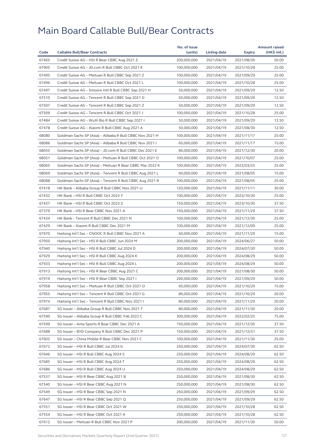|       |                                                          | No. of issue |                     |               | <b>Amount raised</b> |
|-------|----------------------------------------------------------|--------------|---------------------|---------------|----------------------|
| Code  | <b>Callable Bull/Bear Contracts</b>                      | (units)      | <b>Listing date</b> | <b>Expiry</b> | (HK\$ mil.)          |
| 67465 | Credit Suisse AG - HSI R Bear CBBC Aug 2021 Z            | 200,000,000  | 2021/04/19          | 2021/08/30    | 50.00                |
| 67905 | Credit Suisse AG - JD.com R Bull CBBC Oct 2021 K         | 100,000,000  | 2021/04/19          | 2021/10/28    | 25.00                |
| 67495 | Credit Suisse AG - Meituan R Bull CBBC Sep 2021 Z        | 100,000,000  | 2021/04/19          | 2021/09/29    | 25.00                |
| 67496 | Credit Suisse AG - Meituan R Bull CBBC Oct 2021 L        | 100,000,000  | 2021/04/19          | 2021/10/28    | 25.00                |
| 67497 | Credit Suisse AG - Smoore Intl R Bull CBBC Sep 2021 H    | 50,000,000   | 2021/04/19          | 2021/09/29    | 12.50                |
| 67510 | Credit Suisse AG - Tencent R Bull CBBC Sep 2021 D        | 50,000,000   | 2021/04/19          | 2021/09/29    | 12.50                |
| 67507 | Credit Suisse AG - Tencent R Bull CBBC Sep 2021 Z        | 50,000,000   | 2021/04/19          | 2021/09/29    | 12.50                |
| 67509 | Credit Suisse AG - Tencent R Bull CBBC Oct 2021 J        | 100,000,000  | 2021/04/19          | 2021/10/28    | 25.00                |
| 67484 | Credit Suisse AG - WuXi Bio R Bull CBBC Sep 2021 I       | 50,000,000   | 2021/04/19          | 2021/09/29    | 12.50                |
| 67478 | Credit Suisse AG - Xiaomi R Bull CBBC Aug 2021 A         | 50,000,000   | 2021/04/19          | 2021/08/30    | 12.50                |
| 68080 | Goldman Sachs SP (Asia) - Alibaba R Bull CBBC Nov 2021 H | 100,000,000  | 2021/04/19          | 2021/11/17    | 25.00                |
| 68086 | Goldman Sachs SP (Asia) - Alibaba R Bull CBBC Nov 2021 I | 60,000,000   | 2021/04/19          | 2021/11/17    | 15.00                |
| 68055 | Goldman Sachs SP (Asia) - JD.com R Bull CBBC Dec 2021 E  | 80,000,000   | 2021/04/19          | 2021/12/30    | 20.00                |
| 68051 | Goldman Sachs SP (Asia) - Meituan R Bull CBBC Oct 2021 O | 100,000,000  | 2021/04/19          | 2021/10/07    | 25.00                |
| 68065 | Goldman Sachs SP (Asia) - Meituan R Bear CBBC Mar 2022 K | 100,000,000  | 2021/04/19          | 2022/03/25    | 25.00                |
| 68069 | Goldman Sachs SP (Asia) - Tencent R Bull CBBC Aug 2021 L | 60,000,000   | 2021/04/19          | 2021/08/05    | 15.00                |
| 68088 | Goldman Sachs SP (Asia) - Tencent R Bull CBBC Aug 2021 R | 100,000,000  | 2021/04/19          | 2021/08/05    | 25.00                |
| 67418 | HK Bank - Alibaba Group R Bull CBBC Nov 2021 U           | 120,000,000  | 2021/04/19          | 2021/11/11    | 30.00                |
| 67432 | HK Bank - HSI R Bull CBBC Oct 2023 Y                     | 100,000,000  | 2021/04/19          | 2023/10/30    | 25.00                |
| 67437 | HK Bank - HSI R Bull CBBC Oct 2023 Z                     | 150,000,000  | 2021/04/19          | 2023/10/30    | 37.50                |
| 67379 | HK Bank - HSI R Bear CBBC Nov 2021 A                     | 150,000,000  | 2021/04/19          | 2021/11/29    | 37.50                |
| 67434 | HK Bank - Tencent R Bull CBBC Dec 2021 N                 | 100,000,000  | 2021/04/19          | 2021/12/30    | 25.00                |
| 67429 | HK Bank - Xiaomi R Bull CBBC Dec 2021 M                  | 100,000,000  | 2021/04/19          | 2021/12/09    | 25.00                |
| 67970 | Haitong Int'l Sec - CNOOC R Bull CBBC Nov 2021 A         | 60,000,000   | 2021/04/19          | 2021/11/29    | 15.00                |
| 67950 | Haitong Int'l Sec - HSI R Bull CBBC Jun 2024 M           | 200,000,000  | 2021/04/19          | 2024/06/27    | 50.00                |
| 67940 | Haitong Int'l Sec - HSI R Bull CBBC Jul 2024 D           | 200,000,000  | 2021/04/19          | 2024/07/30    | 50.00                |
| 67929 | Haitong Int'l Sec - HSI R Bull CBBC Aug 2024 K           | 200,000,000  | 2021/04/19          | 2024/08/29    | 50.00                |
| 67933 | Haitong Int'l Sec - HSI R Bull CBBC Aug 2024 L           | 200,000,000  | 2021/04/19          | 2024/08/29    | 50.00                |
| 67913 | Haitong Int'l Sec - HSI R Bear CBBC Aug 2021 C           | 200,000,000  | 2021/04/19          | 2021/08/30    | 50.00                |
| 67919 | Haitong Int'l Sec - HSI R Bear CBBC Sep 2021 I           | 200,000,000  | 2021/04/19          | 2021/09/29    | 50.00                |
| 67958 | Haitong Int'l Sec - Meituan R Bull CBBC Oct 2021 O       | 60,000,000   | 2021/04/19          | 2021/10/29    | 15.00                |
| 67955 | Haitong Int'l Sec - Tencent R Bull CBBC Oct 2021 G       | 80,000,000   | 2021/04/19          | 2021/10/29    | 20.00                |
| 67974 | Haitong Int'l Sec - Tencent R Bull CBBC Nov 2021 I       | 80,000,000   | 2021/04/19          | 2021/11/29    | 20.00                |
| 67687 | SG Issuer - Alibaba Group R Bull CBBC Nov 2021 T         | 80,000,000   | 2021/04/19          | 2021/11/30    | 20.00                |
| 67590 | SG Issuer - Alibaba Group R Bull CBBC Feb 2022 C         | 300,000,000  | 2021/04/19          | 2022/02/25    | 75.00                |
| 67599 | SG Issuer - Anta Sports R Bear CBBC Dec 2021 A           | 150,000,000  | 2021/04/19          | 2021/12/30    | 37.50                |
| 67688 | SG Issuer - BYD Company R Bull CBBC Dec 2021 P           | 150,000,000  | 2021/04/19          | 2021/12/31    | 37.50                |
| 67602 | SG Issuer - China Mobile R Bear CBBC Nov 2021 C          | 100,000,000  | 2021/04/19          | 2021/11/30    | 25.00                |
| 67672 | SG Issuer - HSI R Bull CBBC Jul 2024 G                   | 250,000,000  | 2021/04/19          | 2024/07/30    | 62.50                |
| 67646 | SG Issuer - HSI R Bull CBBC Aug 2024 S                   | 250,000,000  | 2021/04/19          | 2024/08/29    | 62.50                |
| 67685 | SG Issuer - HSI R Bull CBBC Aug 2024 T                   | 250,000,000  | 2021/04/19          | 2024/08/29    | 62.50                |
| 67686 | SG Issuer - HSI R Bull CBBC Aug 2024 U                   | 250,000,000  | 2021/04/19          | 2024/08/29    | 62.50                |
| 67537 | SG Issuer - HSI R Bear CBBC Aug 2021 B                   | 250,000,000  | 2021/04/19          | 2021/08/30    | 62.50                |
| 67540 | SG Issuer - HSI R Bear CBBC Aug 2021 N                   | 250,000,000  | 2021/04/19          | 2021/08/30    | 62.50                |
| 67549 | SG Issuer - HSI R Bear CBBC Sep 2021 N                   | 250,000,000  | 2021/04/19          |               | 62.50                |
|       |                                                          |              |                     | 2021/09/29    |                      |
| 67647 | SG Issuer - HSI R Bear CBBC Sep 2021 Q                   | 250,000,000  | 2021/04/19          | 2021/09/29    | 62.50                |
| 67551 | SG Issuer - HSI R Bear CBBC Oct 2021 W                   | 250,000,000  | 2021/04/19          | 2021/10/28    | 62.50                |
| 67554 | SG Issuer - HSI R Bear CBBC Oct 2021 X                   | 250,000,000  | 2021/04/19          | 2021/10/28    | 62.50                |
| 67612 | SG Issuer - Meituan R Bull CBBC Nov 2021 P               | 200,000,000  | 2021/04/19          | 2021/11/30    | 50.00                |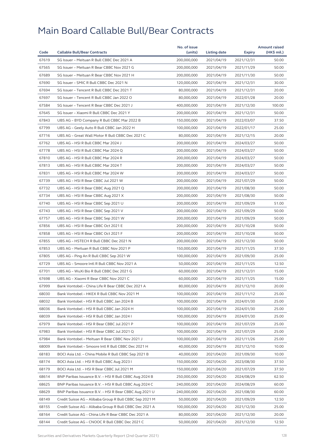|       |                                                         | No. of issue |              |               | <b>Amount raised</b> |
|-------|---------------------------------------------------------|--------------|--------------|---------------|----------------------|
| Code  | <b>Callable Bull/Bear Contracts</b>                     | (units)      | Listing date | <b>Expiry</b> | (HK\$ mil.)          |
| 67619 | SG Issuer - Meituan R Bull CBBC Dec 2021 A              | 200,000,000  | 2021/04/19   | 2021/12/31    | 50.00                |
| 67565 | SG Issuer - Meituan R Bear CBBC Nov 2021 G              | 200,000,000  | 2021/04/19   | 2021/11/29    | 50.00                |
| 67689 | SG Issuer - Meituan R Bear CBBC Nov 2021 H              | 200,000,000  | 2021/04/19   | 2021/11/30    | 50.00                |
| 67690 | SG Issuer - SMIC R Bull CBBC Dec 2021 N                 | 120,000,000  | 2021/04/19   | 2021/12/31    | 30.00                |
| 67694 | SG Issuer - Tencent R Bull CBBC Dec 2021 T              | 80,000,000   | 2021/04/19   | 2021/12/31    | 20.00                |
| 67697 | SG Issuer - Tencent R Bull CBBC Jan 2022 O              | 80,000,000   | 2021/04/19   | 2022/01/28    | 20.00                |
| 67584 | SG Issuer - Tencent R Bear CBBC Dec 2021 J              | 400,000,000  | 2021/04/19   | 2021/12/30    | 100.00               |
| 67645 | SG Issuer - Xiaomi R Bull CBBC Dec 2021 Y               | 200,000,000  | 2021/04/19   | 2021/12/31    | 50.00                |
| 67843 | UBS AG - BYD Company R Bull CBBC Mar 2022 B             | 150,000,000  | 2021/04/19   | 2022/03/07    | 37.50                |
| 67799 | UBS AG - Geely Auto R Bull CBBC Jan 2022 H              | 100,000,000  | 2021/04/19   | 2022/01/17    | 25.00                |
| 67716 | UBS AG - Great Wall Motor R Bull CBBC Dec 2021 C        | 80,000,000   | 2021/04/19   | 2021/12/15    | 20.00                |
| 67762 | UBS AG - HSI R Bull CBBC Mar 2024 J                     | 200,000,000  | 2021/04/19   | 2024/03/27    | 50.00                |
| 67778 | UBS AG - HSI R Bull CBBC Mar 2024 Q                     | 200,000,000  | 2021/04/19   | 2024/03/27    | 50.00                |
| 67810 | UBS AG - HSI R Bull CBBC Mar 2024 R                     | 200,000,000  | 2021/04/19   | 2024/03/27    | 50.00                |
| 67813 | UBS AG - HSI R Bull CBBC Mar 2024 T                     | 200,000,000  | 2021/04/19   | 2024/03/27    | 50.00                |
| 67831 | UBS AG - HSI R Bull CBBC Mar 2024 W                     | 200,000,000  | 2021/04/19   | 2024/03/27    | 50.00                |
| 67739 | UBS AG - HSI R Bear CBBC Jul 2021 W                     | 200,000,000  | 2021/04/19   | 2021/07/29    | 50.00                |
| 67732 | UBS AG - HSI R Bear CBBC Aug 2021 Q                     | 200,000,000  | 2021/04/19   | 2021/08/30    | 50.00                |
| 67734 | UBS AG - HSI R Bear CBBC Aug 2021 X                     | 200,000,000  | 2021/04/19   | 2021/08/30    | 50.00                |
| 67740 | UBS AG - HSI R Bear CBBC Sep 2021 U                     | 200,000,000  | 2021/04/19   | 2021/09/29    | 51.00                |
| 67743 | UBS AG - HSI R Bear CBBC Sep 2021 V                     | 200,000,000  | 2021/04/19   | 2021/09/29    | 50.00                |
| 67757 | UBS AG - HSI R Bear CBBC Sep 2021 W                     | 200,000,000  | 2021/04/19   | 2021/09/29    | 50.00                |
| 67856 | UBS AG - HSI R Bear CBBC Oct 2021 E                     | 200,000,000  | 2021/04/19   | 2021/10/28    | 50.00                |
| 67858 | UBS AG - HSI R Bear CBBC Oct 2021 F                     | 200,000,000  | 2021/04/19   | 2021/10/28    | 50.00                |
| 67855 | UBS AG - HSTECH R Bull CBBC Dec 2021 N                  | 200,000,000  | 2021/04/19   | 2021/12/30    | 50.00                |
| 67853 | UBS AG - Meituan R Bull CBBC Nov 2021 P                 | 150,000,000  | 2021/04/19   | 2021/11/25    | 37.50                |
| 67805 | UBS AG - Ping An R Bull CBBC Sep 2021 W                 | 100,000,000  | 2021/04/19   | 2021/09/30    | 25.00                |
| 67729 | UBS AG - Smoore Intl R Bull CBBC Nov 2021 A             | 50,000,000   | 2021/04/19   | 2021/11/25    | 12.50                |
| 67701 | UBS AG - WuXi Bio R Bull CBBC Dec 2021 G                | 60,000,000   | 2021/04/19   | 2021/12/31    | 15.00                |
| 67698 | UBS AG - Xiaomi R Bear CBBC Nov 2021 C                  | 60,000,000   | 2021/04/19   | 2021/11/25    | 15.00                |
| 67999 | Bank Vontobel - China Life R Bear CBBC Dec 2021 A       | 80,000,000   | 2021/04/19   | 2021/12/10    | 20.00                |
| 68030 | Bank Vontobel - HKEX R Bull CBBC Nov 2021 M             | 100,000,000  | 2021/04/19   | 2021/11/12    | 25.00                |
| 68032 | Bank Vontobel – HSI R Bull CBBC Jan 2024 B              | 100,000,000  | 2021/04/19   | 2024/01/30    | 25.00                |
| 68036 | Bank Vontobel - HSI R Bull CBBC Jan 2024 H              | 100,000,000  | 2021/04/19   | 2024/01/30    | 25.00                |
| 68039 | Bank Vontobel - HSI R Bull CBBC Jan 2024 I              | 100,000,000  | 2021/04/19   | 2024/01/30    | 25.00                |
| 67979 | Bank Vontobel - HSI R Bear CBBC Jul 2021 P              | 100,000,000  | 2021/04/19   | 2021/07/29    | 25.00                |
| 67983 | Bank Vontobel - HSI R Bear CBBC Jul 2021 Q              | 100,000,000  | 2021/04/19   | 2021/07/29    | 25.00                |
| 67984 | Bank Vontobel - Meituan R Bear CBBC Nov 2021 J          | 100,000,000  | 2021/04/19   | 2021/11/26    | 25.00                |
| 68009 | Bank Vontobel - Smoore Intl R Bull CBBC Dec 2021 H      | 40,000,000   | 2021/04/19   | 2021/12/10    | 10.00                |
| 68183 | BOCI Asia Ltd. - China Mobile R Bull CBBC Sep 2021 B    | 40,000,000   | 2021/04/20   | 2021/09/30    | 10.00                |
| 68174 | BOCI Asia Ltd. - HSI R Bull CBBC Aug 2023 I             | 150,000,000  | 2021/04/20   | 2023/08/30    | 37.50                |
| 68179 | BOCI Asia Ltd. - HSI R Bear CBBC Jul 2021 M             | 150,000,000  | 2021/04/20   | 2021/07/29    | 37.50                |
| 68614 | BNP Paribas Issuance B.V. - HSI R Bull CBBC Aug 2024 B  | 250,000,000  | 2021/04/20   | 2024/08/29    | 62.50                |
| 68625 | BNP Paribas Issuance B.V. - HSI R Bull CBBC Aug 2024 C  | 240,000,000  | 2021/04/20   | 2024/08/29    | 60.00                |
| 68629 | BNP Paribas Issuance B.V. - HSI R Bear CBBC Aug 2021 U  | 240,000,000  | 2021/04/20   | 2021/08/30    | 60.00                |
| 68149 | Credit Suisse AG - Alibaba Group R Bull CBBC Sep 2021 M | 50,000,000   | 2021/04/20   | 2021/09/29    | 12.50                |
| 68155 | Credit Suisse AG - Alibaba Group R Bull CBBC Dec 2021 A | 100,000,000  | 2021/04/20   | 2021/12/30    | 25.00                |
| 68164 | Credit Suisse AG - China Life R Bear CBBC Dec 2021 A    | 80,000,000   | 2021/04/20   | 2021/12/30    | 20.00                |
|       |                                                         |              |              |               |                      |
| 68144 | Credit Suisse AG – CNOOC R Bull CBBC Dec 2021 C         | 50,000,000   | 2021/04/20   | 2021/12/30    | 12.50                |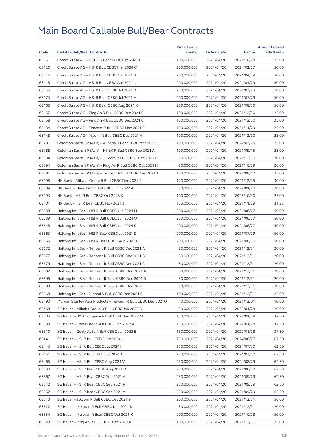|       |                                                              | No. of issue |              |            | <b>Amount raised</b> |
|-------|--------------------------------------------------------------|--------------|--------------|------------|----------------------|
| Code  | <b>Callable Bull/Bear Contracts</b>                          | (units)      | Listing date | Expiry     | (HK\$ mil.)          |
| 68161 | Credit Suisse AG - HKEX R Bear CBBC Oct 2021 F               | 100,000,000  | 2021/04/20   | 2021/10/28 | 25.00                |
| 68120 | Credit Suisse AG - HSI R Bull CBBC Mar 2024 C                | 200,000,000  | 2021/04/20   | 2024/03/27 | 50.00                |
| 68116 | Credit Suisse AG - HSI R Bull CBBC Apr 2024 B                | 200,000,000  | 2021/04/20   | 2024/04/29 | 50.00                |
| 68115 | Credit Suisse AG - HSI R Bull CBBC Apr 2024 N                | 200,000,000  | 2021/04/20   | 2024/04/29 | 50.00                |
| 68165 | Credit Suisse AG - HSI R Bear CBBC Jul 2021 B                | 200,000,000  | 2021/04/20   | 2021/07/29 | 50.00                |
| 68173 | Credit Suisse AG - HSI R Bear CBBC Jul 2021 H                | 200,000,000  | 2021/04/20   | 2021/07/29 | 50.00                |
| 68166 | Credit Suisse AG - HSI R Bear CBBC Aug 2021 K                | 200,000,000  | 2021/04/20   | 2021/08/30 | 50.00                |
| 68157 | Credit Suisse AG - Ping An R Bull CBBC Dec 2021 B            | 100,000,000  | 2021/04/20   | 2021/12/30 | 25.00                |
| 68158 | Credit Suisse AG - Ping An R Bull CBBC Dec 2021 C            | 100,000,000  | 2021/04/20   | 2021/12/30 | 25.00                |
| 68134 | Credit Suisse AG - Tencent R Bull CBBC Nov 2021 E            | 100,000,000  | 2021/04/20   | 2021/11/29 | 25.00                |
| 68148 | Credit Suisse AG - Xiaomi R Bull CBBC Dec 2021 A             | 100,000,000  | 2021/04/20   | 2021/12/30 | 25.00                |
| 68791 | Goldman Sachs SP (Asia) - Alibaba R Bear CBBC Mar 2022 C     | 100,000,000  | 2021/04/20   | 2022/03/25 | 25.00                |
| 68788 | Goldman Sachs SP (Asia) – HKEX R Bull CBBC Sep 2021 A        | 100,000,000  | 2021/04/20   | 2021/09/15 | 25.00                |
| 68804 | Goldman Sachs SP (Asia) - JD.com R Bull CBBC Dec 2021 G      | 80,000,000   | 2021/04/20   | 2021/12/30 | 20.00                |
| 68794 | Goldman Sachs SP (Asia) – Ping An R Bull CBBC Oct 2021 H     | 80,000,000   | 2021/04/20   | 2021/10/29 | 20.00                |
| 68781 | Goldman Sachs SP (Asia) - Tencent R Bull CBBC Aug 2021 J     | 100,000,000  | 2021/04/20   | 2021/08/12 | 25.00                |
| 68095 | HK Bank - Alibaba Group R Bull CBBC Dec 2021 R               | 120,000,000  | 2021/04/20   | 2021/12/15 | 30.00                |
| 68094 | HK Bank - China Life R Bull CBBC Jan 2022 A                  | 80,000,000   | 2021/04/20   | 2022/01/28 | 20.00                |
| 68093 | HK Bank - HSI R Bull CBBC Oct 2023 B                         | 100,000,000  | 2021/04/20   | 2023/10/30 | 25.00                |
| 68101 | HK Bank - HSI R Bear CBBC Nov 2021 J                         | 125,000,000  | 2021/04/20   | 2021/11/29 | 31.25                |
| 68638 | Haitong Int'l Sec - HSI R Bull CBBC Jun 2024 N               | 200,000,000  | 2021/04/20   | 2024/06/27 | 50.00                |
| 68639 | Haitong Int'l Sec - HSI R Bull CBBC Jun 2024 O               | 200,000,000  | 2021/04/20   | 2024/06/27 | 50.00                |
| 68645 | Haitong Int'l Sec - HSI R Bull CBBC Jun 2024 P               | 200,000,000  | 2021/04/20   | 2024/06/27 | 50.00                |
| 68663 | Haitong Int'l Sec - HSI R Bear CBBC Jul 2021 S               | 200,000,000  | 2021/04/20   | 2021/07/29 | 50.00                |
| 68655 | Haitong Int'l Sec - HSI R Bear CBBC Aug 2021 D               | 200,000,000  | 2021/04/20   | 2021/08/30 | 50.00                |
| 68672 | Haitong Int'l Sec - Tencent R Bull CBBC Dec 2021 A           | 80,000,000   | 2021/04/20   | 2021/12/31 | 20.00                |
| 68677 | Haitong Int'l Sec - Tencent R Bull CBBC Dec 2021 B           | 80,000,000   | 2021/04/20   | 2021/12/31 | 20.00                |
| 68679 | Haitong Int'l Sec - Tencent R Bull CBBC Dec 2021 C           | 80,000,000   | 2021/04/20   | 2021/12/31 | 20.00                |
| 68692 | Haitong Int'l Sec - Tencent R Bear CBBC Dec 2021 A           | 80,000,000   | 2021/04/20   | 2021/12/31 | 20.00                |
| 68695 | Haitong Int'l Sec - Tencent R Bear CBBC Dec 2021 B           | 80,000,000   | 2021/04/20   | 2021/12/31 | 20.00                |
| 68699 | Haitong Int'l Sec - Tencent R Bear CBBC Dec 2021 C           | 80,000,000   | 2021/04/20   | 2021/12/31 | 20.00                |
| 68668 | Haitong Int'l Sec - Xiaomi R Bull CBBC Dec 2021 C            | 100,000,000  | 2021/04/20   | 2021/12/31 | 25.00                |
| 68190 | Morgan Stanley Asia Products - Tencent R Bull CBBC Dec 2021Q | 40,000,000   | 2021/04/20   | 2021/12/01 | 10.00                |
| 68468 | SG Issuer - Alibaba Group R Bull CBBC Jan 2022 O             | 80,000,000   | 2021/04/20   | 2022/01/28 | 20.00                |
| 68505 | SG Issuer - BYD Company R Bull CBBC Jan 2022 M               | 150,000,000  | 2021/04/20   | 2022/01/28 | 37.50                |
| 68508 | SG Issuer - China Life R Bull CBBC Jan 2022 A                | 150,000,000  | 2021/04/20   | 2022/01/28 | 37.50                |
| 68510 | SG Issuer - Geely Auto R Bull CBBC Jan 2022 B                | 150,000,000  | 2021/04/20   | 2022/01/28 | 37.50                |
| 68441 | SG Issuer – HSI R Bull CBBC Jun 2024 L                       | 250,000,000  | 2021/04/20   | 2024/06/27 | 62.50                |
| 68443 | SG Issuer - HSI R Bull CBBC Jul 2024 I                       | 250,000,000  | 2021/04/20   | 2024/07/30 | 62.50                |
| 68451 | SG Issuer - HSI R Bull CBBC Jul 2024 J                       | 250,000,000  | 2021/04/20   | 2024/07/30 | 62.50                |
| 68465 | SG Issuer - HSI R Bull CBBC Aug 2024 V                       | 250,000,000  | 2021/04/20   | 2024/08/29 | 62.50                |
| 68538 | SG Issuer - HSI R Bear CBBC Aug 2021 O                       | 250,000,000  | 2021/04/20   | 2021/08/30 | 62.50                |
| 68567 | SG Issuer - HSI R Bear CBBC Sep 2021 A                       | 250,000,000  | 2021/04/20   | 2021/09/29 | 62.50                |
| 68542 | SG Issuer – HSI R Bear CBBC Sep 2021 R                       | 250,000,000  | 2021/04/20   | 2021/09/29 | 62.50                |
| 68552 | SG Issuer - HSI R Bear CBBC Sep 2021 Y                       | 250,000,000  | 2021/04/20   | 2021/09/29 | 62.50                |
| 68513 | SG Issuer - JD.com R Bull CBBC Dec 2021 Y                    | 200,000,000  | 2021/04/20   | 2021/12/31 | 50.00                |
| 68522 | SG Issuer - Meituan R Bull CBBC Dec 2021 D                   | 80,000,000   | 2021/04/20   | 2021/12/31 | 20.00                |
| 68554 | SG Issuer - Meituan R Bear CBBC Oct 2021 K                   | 200,000,000  | 2021/04/20   | 2021/10/28 | 50.00                |
| 68528 | SG Issuer – Ping An R Bull CBBC Dec 2021 R                   | 100,000,000  | 2021/04/20   | 2021/12/31 | 25.00                |
|       |                                                              |              |              |            |                      |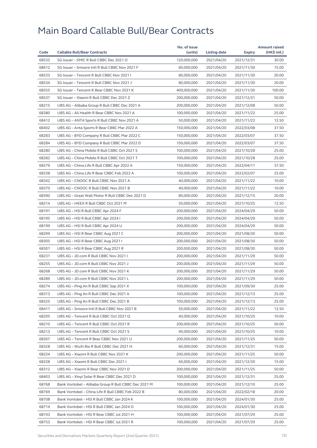| 68532<br>120,000,000<br>2021/12/31<br>30.00<br>SG Issuer - SMIC R Bull CBBC Dec 2021 O<br>2021/04/20<br>68612<br>SG Issuer - Smoore Intl R Bull CBBC Nov 2021 F<br>60,000,000<br>2021/04/20<br>2021/11/30<br>15.00<br>68533<br>SG Issuer - Tencent R Bull CBBC Nov 2021 I<br>80,000,000<br>2021/04/20<br>2021/11/30<br>20.00<br>68534<br>SG Issuer - Tencent R Bull CBBC Nov 2021 J<br>80,000,000<br>20.00<br>2021/04/20<br>2021/11/30<br>68555<br>SG Issuer - Tencent R Bear CBBC Nov 2021 K<br>400,000,000<br>2021/04/20<br>2021/11/30<br>100.00<br>68537<br>50.00<br>SG Issuer - Xiaomi R Bull CBBC Dec 2021 Z<br>200,000,000<br>2021/04/20<br>2021/12/31<br>68215<br>UBS AG - Alibaba Group R Bull CBBC Dec 2021 A<br>200,000,000<br>2021/04/20<br>2021/12/08<br>50.00<br>68380<br>UBS AG - Ali Health R Bear CBBC Nov 2021 A<br>100,000,000<br>2021/04/20<br>2021/11/22<br>25.00<br>68412<br>UBS AG - ANTA Sports R Bull CBBC Nov 2021 A<br>12.50<br>50,000,000<br>2021/04/20<br>2021/11/22<br>68402<br>UBS AG - Anta Sports R Bear CBBC Mar 2022 A<br>150,000,000<br>2021/04/20<br>37.50<br>2022/03/08<br>68283<br>UBS AG - BYD Company R Bull CBBC Mar 2022 C<br>150,000,000<br>2021/04/20<br>37.50<br>2022/03/07<br>68284<br>UBS AG - BYD Company R Bull CBBC Mar 2022 D<br>150,000,000<br>2021/04/20<br>2022/03/07<br>37.50<br>68280<br>25.00<br>UBS AG – China Mobile R Bull CBBC Oct 2021 S<br>100,000,000<br>2021/04/20<br>2021/10/28<br>68282<br>UBS AG - China Mobile R Bull CBBC Oct 2021 T<br>100,000,000<br>2021/04/20<br>2021/10/28<br>25.00<br>68279<br>UBS AG - China Life R Bull CBBC Apr 2022 A<br>150,000,000<br>37.50<br>2021/04/20<br>2022/04/11<br>68338<br>UBS AG - China Life R Bear CBBC Feb 2022 A<br>100,000,000<br>2021/04/20<br>2022/02/07<br>25.00<br>68342<br>10.00<br>UBS AG - CNOOC R Bull CBBC Nov 2021 A<br>40,000,000<br>2021/04/20<br>2021/11/22<br>68370<br>UBS AG - CNOOC R Bull CBBC Nov 2021 B<br>10.00<br>40,000,000<br>2021/04/20<br>2021/11/22<br>68390<br>UBS AG - Great Wall Motor R Bull CBBC Dec 2021 D<br>80,000,000<br>2021/04/20<br>20.00<br>2021/12/15<br>68214<br>UBS AG - HKEX R Bull CBBC Oct 2021 M<br>50,000,000<br>2021/04/20<br>12.50<br>2021/10/25<br>68191<br>UBS AG - HSI R Bull CBBC Apr 2024 F<br>200,000,000<br>2021/04/20<br>2024/04/29<br>50.00<br>68195<br>UBS AG - HSI R Bull CBBC Apr 2024 I<br>200,000,000<br>2021/04/20<br>2024/04/29<br>50.00<br>68199<br>UBS AG - HSI R Bull CBBC Apr 2024 U<br>200,000,000<br>2021/04/20<br>2024/04/29<br>50.00<br>68299<br>UBS AG - HSI R Bear CBBC Aug 2021 C<br>50.00<br>200,000,000<br>2021/04/20<br>2021/08/30<br>68305<br>UBS AG - HSI R Bear CBBC Aug 2021 I<br>200,000,000<br>2021/04/20<br>2021/08/30<br>50.00<br>68301<br>UBS AG - HSI R Bear CBBC Aug 2021 R<br>200,000,000<br>2021/04/20<br>2021/08/30<br>50.00<br>68231<br>UBS AG - JD.com R Bull CBBC Nov 2021 I<br>200,000,000<br>2021/04/20<br>2021/11/29<br>50.00<br>68255<br>UBS AG - JD.com R Bull CBBC Nov 2021 J<br>200,000,000<br>2021/04/20<br>2021/11/29<br>50.00<br>68268<br>UBS AG - JD.com R Bull CBBC Nov 2021 K<br>200,000,000<br>50.00<br>2021/04/20<br>2021/11/29<br>68289<br>UBS AG - JD.com R Bull CBBC Nov 2021 L<br>200,000,000<br>2021/04/20<br>2021/11/29<br>50.00<br>68274<br>UBS AG - Ping An R Bull CBBC Sep 2021 X<br>100,000,000<br>2021/04/20<br>2021/09/30<br>25.00<br>100,000,000<br>68313<br>UBS AG - Ping An R Bull CBBC Dec 2021 A<br>2021/04/20<br>2021/12/13<br>25.00<br>68325<br>25.00<br>100,000,000<br>2021/04/20<br>2021/12/13<br>UBS AG – Ping An R Bull CBBC Dec 2021 B<br>68411<br>UBS AG - Smoore Intl R Bull CBBC Nov 2021 B<br>50,000,000<br>2021/04/20<br>2021/11/22<br>12.50<br>68205<br>UBS AG - Tencent R Bull CBBC Oct 2021 Q<br>40,000,000<br>2021/04/20<br>2021/10/25<br>10.00<br>68210<br>UBS AG - Tencent R Bull CBBC Oct 2021 R<br>200,000,000<br>2021/04/20<br>2021/10/25<br>50.00<br>68213<br>UBS AG - Tencent R Bull CBBC Oct 2021 S<br>40,000,000<br>2021/04/20<br>2021/10/25<br>10.00<br>68307<br>UBS AG - Tencent R Bear CBBC Nov 2021 U<br>200,000,000<br>2021/04/20<br>2021/11/25<br>50.00<br>68328<br>UBS AG - WuXi Bio R Bull CBBC Dec 2021 H<br>60,000,000<br>2021/04/20<br>2021/12/31<br>15.00<br>68224<br>UBS AG - Xiaomi R Bull CBBC Nov 2021 K<br>200,000,000<br>2021/04/20<br>2021/11/25<br>50.00<br>60,000,000<br>68228<br>UBS AG - Xiaomi R Bull CBBC Dec 2021 I<br>2021/04/20<br>2021/12/30<br>15.00<br>68312<br>UBS AG - Xiaomi R Bear CBBC Nov 2021 D<br>200,000,000<br>2021/04/20<br>2021/11/25<br>50.00<br>68403<br>UBS AG - Xinyi Solar R Bear CBBC Dec 2021 D<br>100,000,000<br>2021/04/20<br>2021/12/31<br>25.00<br>68768<br>Bank Vontobel - Alibaba Group R Bull CBBC Dec 2021 M<br>100,000,000<br>2021/04/20<br>2021/12/10<br>25.00<br>68769<br>Bank Vontobel - China Life R Bull CBBC Feb 2022 B<br>80,000,000<br>2021/04/20<br>2022/02/18<br>20.00<br>68708<br>Bank Vontobel - HSI R Bull CBBC Jan 2024 K<br>100,000,000<br>2021/04/20<br>2024/01/30<br>25.00<br>68714<br>Bank Vontobel - HSI R Bull CBBC Jan 2024 O<br>100,000,000<br>2021/04/20<br>2024/01/30<br>25.00<br>68743<br>Bank Vontobel - HSI R Bear CBBC Jul 2021 H<br>100,000,000<br>2021/04/20<br>2021/07/29<br>25.00<br>68753<br>100,000,000<br>2021/04/20<br>2021/07/29<br>25.00<br>Bank Vontobel - HSI R Bear CBBC Jul 2021 R |      |                                     | No. of issue |              |        | <b>Amount raised</b> |
|-------------------------------------------------------------------------------------------------------------------------------------------------------------------------------------------------------------------------------------------------------------------------------------------------------------------------------------------------------------------------------------------------------------------------------------------------------------------------------------------------------------------------------------------------------------------------------------------------------------------------------------------------------------------------------------------------------------------------------------------------------------------------------------------------------------------------------------------------------------------------------------------------------------------------------------------------------------------------------------------------------------------------------------------------------------------------------------------------------------------------------------------------------------------------------------------------------------------------------------------------------------------------------------------------------------------------------------------------------------------------------------------------------------------------------------------------------------------------------------------------------------------------------------------------------------------------------------------------------------------------------------------------------------------------------------------------------------------------------------------------------------------------------------------------------------------------------------------------------------------------------------------------------------------------------------------------------------------------------------------------------------------------------------------------------------------------------------------------------------------------------------------------------------------------------------------------------------------------------------------------------------------------------------------------------------------------------------------------------------------------------------------------------------------------------------------------------------------------------------------------------------------------------------------------------------------------------------------------------------------------------------------------------------------------------------------------------------------------------------------------------------------------------------------------------------------------------------------------------------------------------------------------------------------------------------------------------------------------------------------------------------------------------------------------------------------------------------------------------------------------------------------------------------------------------------------------------------------------------------------------------------------------------------------------------------------------------------------------------------------------------------------------------------------------------------------------------------------------------------------------------------------------------------------------------------------------------------------------------------------------------------------------------------------------------------------------------------------------------------------------------------------------------------------------------------------------------------------------------------------------------------------------------------------------------------------------------------------------------------------------------------------------------------------------------------------------------------------------------------------------------------------------------------------------------------------------------------------------------------------------------------------------------------------------------------------------------------------------------------------------------------------------------------------------------------------------------------------------------------------------------------------------------------------------------------------------------------------------------------------------------------------------------------------------------------------------------------------------------------------------------------------------------------------------------------------------------------------------------------------------------------------------------------------------------------------------------------------------------------------------------------------------------------------------------------------------------------------------------------------------------------------------------------------------------------------------------------------------------------------------------------------------------------------------------------------------------------------------------------------|------|-------------------------------------|--------------|--------------|--------|----------------------|
|                                                                                                                                                                                                                                                                                                                                                                                                                                                                                                                                                                                                                                                                                                                                                                                                                                                                                                                                                                                                                                                                                                                                                                                                                                                                                                                                                                                                                                                                                                                                                                                                                                                                                                                                                                                                                                                                                                                                                                                                                                                                                                                                                                                                                                                                                                                                                                                                                                                                                                                                                                                                                                                                                                                                                                                                                                                                                                                                                                                                                                                                                                                                                                                                                                                                                                                                                                                                                                                                                                                                                                                                                                                                                                                                                                                                                                                                                                                                                                                                                                                                                                                                                                                                                                                                                                                                                                                                                                                                                                                                                                                                                                                                                                                                                                                                                                                                                                                                                                                                                                                                                                                                                                                                                                                                                                                                                                   | Code | <b>Callable Bull/Bear Contracts</b> | (units)      | Listing date | Expiry | (HK\$ mil.)          |
|                                                                                                                                                                                                                                                                                                                                                                                                                                                                                                                                                                                                                                                                                                                                                                                                                                                                                                                                                                                                                                                                                                                                                                                                                                                                                                                                                                                                                                                                                                                                                                                                                                                                                                                                                                                                                                                                                                                                                                                                                                                                                                                                                                                                                                                                                                                                                                                                                                                                                                                                                                                                                                                                                                                                                                                                                                                                                                                                                                                                                                                                                                                                                                                                                                                                                                                                                                                                                                                                                                                                                                                                                                                                                                                                                                                                                                                                                                                                                                                                                                                                                                                                                                                                                                                                                                                                                                                                                                                                                                                                                                                                                                                                                                                                                                                                                                                                                                                                                                                                                                                                                                                                                                                                                                                                                                                                                                   |      |                                     |              |              |        |                      |
|                                                                                                                                                                                                                                                                                                                                                                                                                                                                                                                                                                                                                                                                                                                                                                                                                                                                                                                                                                                                                                                                                                                                                                                                                                                                                                                                                                                                                                                                                                                                                                                                                                                                                                                                                                                                                                                                                                                                                                                                                                                                                                                                                                                                                                                                                                                                                                                                                                                                                                                                                                                                                                                                                                                                                                                                                                                                                                                                                                                                                                                                                                                                                                                                                                                                                                                                                                                                                                                                                                                                                                                                                                                                                                                                                                                                                                                                                                                                                                                                                                                                                                                                                                                                                                                                                                                                                                                                                                                                                                                                                                                                                                                                                                                                                                                                                                                                                                                                                                                                                                                                                                                                                                                                                                                                                                                                                                   |      |                                     |              |              |        |                      |
|                                                                                                                                                                                                                                                                                                                                                                                                                                                                                                                                                                                                                                                                                                                                                                                                                                                                                                                                                                                                                                                                                                                                                                                                                                                                                                                                                                                                                                                                                                                                                                                                                                                                                                                                                                                                                                                                                                                                                                                                                                                                                                                                                                                                                                                                                                                                                                                                                                                                                                                                                                                                                                                                                                                                                                                                                                                                                                                                                                                                                                                                                                                                                                                                                                                                                                                                                                                                                                                                                                                                                                                                                                                                                                                                                                                                                                                                                                                                                                                                                                                                                                                                                                                                                                                                                                                                                                                                                                                                                                                                                                                                                                                                                                                                                                                                                                                                                                                                                                                                                                                                                                                                                                                                                                                                                                                                                                   |      |                                     |              |              |        |                      |
|                                                                                                                                                                                                                                                                                                                                                                                                                                                                                                                                                                                                                                                                                                                                                                                                                                                                                                                                                                                                                                                                                                                                                                                                                                                                                                                                                                                                                                                                                                                                                                                                                                                                                                                                                                                                                                                                                                                                                                                                                                                                                                                                                                                                                                                                                                                                                                                                                                                                                                                                                                                                                                                                                                                                                                                                                                                                                                                                                                                                                                                                                                                                                                                                                                                                                                                                                                                                                                                                                                                                                                                                                                                                                                                                                                                                                                                                                                                                                                                                                                                                                                                                                                                                                                                                                                                                                                                                                                                                                                                                                                                                                                                                                                                                                                                                                                                                                                                                                                                                                                                                                                                                                                                                                                                                                                                                                                   |      |                                     |              |              |        |                      |
|                                                                                                                                                                                                                                                                                                                                                                                                                                                                                                                                                                                                                                                                                                                                                                                                                                                                                                                                                                                                                                                                                                                                                                                                                                                                                                                                                                                                                                                                                                                                                                                                                                                                                                                                                                                                                                                                                                                                                                                                                                                                                                                                                                                                                                                                                                                                                                                                                                                                                                                                                                                                                                                                                                                                                                                                                                                                                                                                                                                                                                                                                                                                                                                                                                                                                                                                                                                                                                                                                                                                                                                                                                                                                                                                                                                                                                                                                                                                                                                                                                                                                                                                                                                                                                                                                                                                                                                                                                                                                                                                                                                                                                                                                                                                                                                                                                                                                                                                                                                                                                                                                                                                                                                                                                                                                                                                                                   |      |                                     |              |              |        |                      |
|                                                                                                                                                                                                                                                                                                                                                                                                                                                                                                                                                                                                                                                                                                                                                                                                                                                                                                                                                                                                                                                                                                                                                                                                                                                                                                                                                                                                                                                                                                                                                                                                                                                                                                                                                                                                                                                                                                                                                                                                                                                                                                                                                                                                                                                                                                                                                                                                                                                                                                                                                                                                                                                                                                                                                                                                                                                                                                                                                                                                                                                                                                                                                                                                                                                                                                                                                                                                                                                                                                                                                                                                                                                                                                                                                                                                                                                                                                                                                                                                                                                                                                                                                                                                                                                                                                                                                                                                                                                                                                                                                                                                                                                                                                                                                                                                                                                                                                                                                                                                                                                                                                                                                                                                                                                                                                                                                                   |      |                                     |              |              |        |                      |
|                                                                                                                                                                                                                                                                                                                                                                                                                                                                                                                                                                                                                                                                                                                                                                                                                                                                                                                                                                                                                                                                                                                                                                                                                                                                                                                                                                                                                                                                                                                                                                                                                                                                                                                                                                                                                                                                                                                                                                                                                                                                                                                                                                                                                                                                                                                                                                                                                                                                                                                                                                                                                                                                                                                                                                                                                                                                                                                                                                                                                                                                                                                                                                                                                                                                                                                                                                                                                                                                                                                                                                                                                                                                                                                                                                                                                                                                                                                                                                                                                                                                                                                                                                                                                                                                                                                                                                                                                                                                                                                                                                                                                                                                                                                                                                                                                                                                                                                                                                                                                                                                                                                                                                                                                                                                                                                                                                   |      |                                     |              |              |        |                      |
|                                                                                                                                                                                                                                                                                                                                                                                                                                                                                                                                                                                                                                                                                                                                                                                                                                                                                                                                                                                                                                                                                                                                                                                                                                                                                                                                                                                                                                                                                                                                                                                                                                                                                                                                                                                                                                                                                                                                                                                                                                                                                                                                                                                                                                                                                                                                                                                                                                                                                                                                                                                                                                                                                                                                                                                                                                                                                                                                                                                                                                                                                                                                                                                                                                                                                                                                                                                                                                                                                                                                                                                                                                                                                                                                                                                                                                                                                                                                                                                                                                                                                                                                                                                                                                                                                                                                                                                                                                                                                                                                                                                                                                                                                                                                                                                                                                                                                                                                                                                                                                                                                                                                                                                                                                                                                                                                                                   |      |                                     |              |              |        |                      |
|                                                                                                                                                                                                                                                                                                                                                                                                                                                                                                                                                                                                                                                                                                                                                                                                                                                                                                                                                                                                                                                                                                                                                                                                                                                                                                                                                                                                                                                                                                                                                                                                                                                                                                                                                                                                                                                                                                                                                                                                                                                                                                                                                                                                                                                                                                                                                                                                                                                                                                                                                                                                                                                                                                                                                                                                                                                                                                                                                                                                                                                                                                                                                                                                                                                                                                                                                                                                                                                                                                                                                                                                                                                                                                                                                                                                                                                                                                                                                                                                                                                                                                                                                                                                                                                                                                                                                                                                                                                                                                                                                                                                                                                                                                                                                                                                                                                                                                                                                                                                                                                                                                                                                                                                                                                                                                                                                                   |      |                                     |              |              |        |                      |
|                                                                                                                                                                                                                                                                                                                                                                                                                                                                                                                                                                                                                                                                                                                                                                                                                                                                                                                                                                                                                                                                                                                                                                                                                                                                                                                                                                                                                                                                                                                                                                                                                                                                                                                                                                                                                                                                                                                                                                                                                                                                                                                                                                                                                                                                                                                                                                                                                                                                                                                                                                                                                                                                                                                                                                                                                                                                                                                                                                                                                                                                                                                                                                                                                                                                                                                                                                                                                                                                                                                                                                                                                                                                                                                                                                                                                                                                                                                                                                                                                                                                                                                                                                                                                                                                                                                                                                                                                                                                                                                                                                                                                                                                                                                                                                                                                                                                                                                                                                                                                                                                                                                                                                                                                                                                                                                                                                   |      |                                     |              |              |        |                      |
|                                                                                                                                                                                                                                                                                                                                                                                                                                                                                                                                                                                                                                                                                                                                                                                                                                                                                                                                                                                                                                                                                                                                                                                                                                                                                                                                                                                                                                                                                                                                                                                                                                                                                                                                                                                                                                                                                                                                                                                                                                                                                                                                                                                                                                                                                                                                                                                                                                                                                                                                                                                                                                                                                                                                                                                                                                                                                                                                                                                                                                                                                                                                                                                                                                                                                                                                                                                                                                                                                                                                                                                                                                                                                                                                                                                                                                                                                                                                                                                                                                                                                                                                                                                                                                                                                                                                                                                                                                                                                                                                                                                                                                                                                                                                                                                                                                                                                                                                                                                                                                                                                                                                                                                                                                                                                                                                                                   |      |                                     |              |              |        |                      |
|                                                                                                                                                                                                                                                                                                                                                                                                                                                                                                                                                                                                                                                                                                                                                                                                                                                                                                                                                                                                                                                                                                                                                                                                                                                                                                                                                                                                                                                                                                                                                                                                                                                                                                                                                                                                                                                                                                                                                                                                                                                                                                                                                                                                                                                                                                                                                                                                                                                                                                                                                                                                                                                                                                                                                                                                                                                                                                                                                                                                                                                                                                                                                                                                                                                                                                                                                                                                                                                                                                                                                                                                                                                                                                                                                                                                                                                                                                                                                                                                                                                                                                                                                                                                                                                                                                                                                                                                                                                                                                                                                                                                                                                                                                                                                                                                                                                                                                                                                                                                                                                                                                                                                                                                                                                                                                                                                                   |      |                                     |              |              |        |                      |
|                                                                                                                                                                                                                                                                                                                                                                                                                                                                                                                                                                                                                                                                                                                                                                                                                                                                                                                                                                                                                                                                                                                                                                                                                                                                                                                                                                                                                                                                                                                                                                                                                                                                                                                                                                                                                                                                                                                                                                                                                                                                                                                                                                                                                                                                                                                                                                                                                                                                                                                                                                                                                                                                                                                                                                                                                                                                                                                                                                                                                                                                                                                                                                                                                                                                                                                                                                                                                                                                                                                                                                                                                                                                                                                                                                                                                                                                                                                                                                                                                                                                                                                                                                                                                                                                                                                                                                                                                                                                                                                                                                                                                                                                                                                                                                                                                                                                                                                                                                                                                                                                                                                                                                                                                                                                                                                                                                   |      |                                     |              |              |        |                      |
|                                                                                                                                                                                                                                                                                                                                                                                                                                                                                                                                                                                                                                                                                                                                                                                                                                                                                                                                                                                                                                                                                                                                                                                                                                                                                                                                                                                                                                                                                                                                                                                                                                                                                                                                                                                                                                                                                                                                                                                                                                                                                                                                                                                                                                                                                                                                                                                                                                                                                                                                                                                                                                                                                                                                                                                                                                                                                                                                                                                                                                                                                                                                                                                                                                                                                                                                                                                                                                                                                                                                                                                                                                                                                                                                                                                                                                                                                                                                                                                                                                                                                                                                                                                                                                                                                                                                                                                                                                                                                                                                                                                                                                                                                                                                                                                                                                                                                                                                                                                                                                                                                                                                                                                                                                                                                                                                                                   |      |                                     |              |              |        |                      |
|                                                                                                                                                                                                                                                                                                                                                                                                                                                                                                                                                                                                                                                                                                                                                                                                                                                                                                                                                                                                                                                                                                                                                                                                                                                                                                                                                                                                                                                                                                                                                                                                                                                                                                                                                                                                                                                                                                                                                                                                                                                                                                                                                                                                                                                                                                                                                                                                                                                                                                                                                                                                                                                                                                                                                                                                                                                                                                                                                                                                                                                                                                                                                                                                                                                                                                                                                                                                                                                                                                                                                                                                                                                                                                                                                                                                                                                                                                                                                                                                                                                                                                                                                                                                                                                                                                                                                                                                                                                                                                                                                                                                                                                                                                                                                                                                                                                                                                                                                                                                                                                                                                                                                                                                                                                                                                                                                                   |      |                                     |              |              |        |                      |
|                                                                                                                                                                                                                                                                                                                                                                                                                                                                                                                                                                                                                                                                                                                                                                                                                                                                                                                                                                                                                                                                                                                                                                                                                                                                                                                                                                                                                                                                                                                                                                                                                                                                                                                                                                                                                                                                                                                                                                                                                                                                                                                                                                                                                                                                                                                                                                                                                                                                                                                                                                                                                                                                                                                                                                                                                                                                                                                                                                                                                                                                                                                                                                                                                                                                                                                                                                                                                                                                                                                                                                                                                                                                                                                                                                                                                                                                                                                                                                                                                                                                                                                                                                                                                                                                                                                                                                                                                                                                                                                                                                                                                                                                                                                                                                                                                                                                                                                                                                                                                                                                                                                                                                                                                                                                                                                                                                   |      |                                     |              |              |        |                      |
|                                                                                                                                                                                                                                                                                                                                                                                                                                                                                                                                                                                                                                                                                                                                                                                                                                                                                                                                                                                                                                                                                                                                                                                                                                                                                                                                                                                                                                                                                                                                                                                                                                                                                                                                                                                                                                                                                                                                                                                                                                                                                                                                                                                                                                                                                                                                                                                                                                                                                                                                                                                                                                                                                                                                                                                                                                                                                                                                                                                                                                                                                                                                                                                                                                                                                                                                                                                                                                                                                                                                                                                                                                                                                                                                                                                                                                                                                                                                                                                                                                                                                                                                                                                                                                                                                                                                                                                                                                                                                                                                                                                                                                                                                                                                                                                                                                                                                                                                                                                                                                                                                                                                                                                                                                                                                                                                                                   |      |                                     |              |              |        |                      |
|                                                                                                                                                                                                                                                                                                                                                                                                                                                                                                                                                                                                                                                                                                                                                                                                                                                                                                                                                                                                                                                                                                                                                                                                                                                                                                                                                                                                                                                                                                                                                                                                                                                                                                                                                                                                                                                                                                                                                                                                                                                                                                                                                                                                                                                                                                                                                                                                                                                                                                                                                                                                                                                                                                                                                                                                                                                                                                                                                                                                                                                                                                                                                                                                                                                                                                                                                                                                                                                                                                                                                                                                                                                                                                                                                                                                                                                                                                                                                                                                                                                                                                                                                                                                                                                                                                                                                                                                                                                                                                                                                                                                                                                                                                                                                                                                                                                                                                                                                                                                                                                                                                                                                                                                                                                                                                                                                                   |      |                                     |              |              |        |                      |
|                                                                                                                                                                                                                                                                                                                                                                                                                                                                                                                                                                                                                                                                                                                                                                                                                                                                                                                                                                                                                                                                                                                                                                                                                                                                                                                                                                                                                                                                                                                                                                                                                                                                                                                                                                                                                                                                                                                                                                                                                                                                                                                                                                                                                                                                                                                                                                                                                                                                                                                                                                                                                                                                                                                                                                                                                                                                                                                                                                                                                                                                                                                                                                                                                                                                                                                                                                                                                                                                                                                                                                                                                                                                                                                                                                                                                                                                                                                                                                                                                                                                                                                                                                                                                                                                                                                                                                                                                                                                                                                                                                                                                                                                                                                                                                                                                                                                                                                                                                                                                                                                                                                                                                                                                                                                                                                                                                   |      |                                     |              |              |        |                      |
|                                                                                                                                                                                                                                                                                                                                                                                                                                                                                                                                                                                                                                                                                                                                                                                                                                                                                                                                                                                                                                                                                                                                                                                                                                                                                                                                                                                                                                                                                                                                                                                                                                                                                                                                                                                                                                                                                                                                                                                                                                                                                                                                                                                                                                                                                                                                                                                                                                                                                                                                                                                                                                                                                                                                                                                                                                                                                                                                                                                                                                                                                                                                                                                                                                                                                                                                                                                                                                                                                                                                                                                                                                                                                                                                                                                                                                                                                                                                                                                                                                                                                                                                                                                                                                                                                                                                                                                                                                                                                                                                                                                                                                                                                                                                                                                                                                                                                                                                                                                                                                                                                                                                                                                                                                                                                                                                                                   |      |                                     |              |              |        |                      |
|                                                                                                                                                                                                                                                                                                                                                                                                                                                                                                                                                                                                                                                                                                                                                                                                                                                                                                                                                                                                                                                                                                                                                                                                                                                                                                                                                                                                                                                                                                                                                                                                                                                                                                                                                                                                                                                                                                                                                                                                                                                                                                                                                                                                                                                                                                                                                                                                                                                                                                                                                                                                                                                                                                                                                                                                                                                                                                                                                                                                                                                                                                                                                                                                                                                                                                                                                                                                                                                                                                                                                                                                                                                                                                                                                                                                                                                                                                                                                                                                                                                                                                                                                                                                                                                                                                                                                                                                                                                                                                                                                                                                                                                                                                                                                                                                                                                                                                                                                                                                                                                                                                                                                                                                                                                                                                                                                                   |      |                                     |              |              |        |                      |
|                                                                                                                                                                                                                                                                                                                                                                                                                                                                                                                                                                                                                                                                                                                                                                                                                                                                                                                                                                                                                                                                                                                                                                                                                                                                                                                                                                                                                                                                                                                                                                                                                                                                                                                                                                                                                                                                                                                                                                                                                                                                                                                                                                                                                                                                                                                                                                                                                                                                                                                                                                                                                                                                                                                                                                                                                                                                                                                                                                                                                                                                                                                                                                                                                                                                                                                                                                                                                                                                                                                                                                                                                                                                                                                                                                                                                                                                                                                                                                                                                                                                                                                                                                                                                                                                                                                                                                                                                                                                                                                                                                                                                                                                                                                                                                                                                                                                                                                                                                                                                                                                                                                                                                                                                                                                                                                                                                   |      |                                     |              |              |        |                      |
|                                                                                                                                                                                                                                                                                                                                                                                                                                                                                                                                                                                                                                                                                                                                                                                                                                                                                                                                                                                                                                                                                                                                                                                                                                                                                                                                                                                                                                                                                                                                                                                                                                                                                                                                                                                                                                                                                                                                                                                                                                                                                                                                                                                                                                                                                                                                                                                                                                                                                                                                                                                                                                                                                                                                                                                                                                                                                                                                                                                                                                                                                                                                                                                                                                                                                                                                                                                                                                                                                                                                                                                                                                                                                                                                                                                                                                                                                                                                                                                                                                                                                                                                                                                                                                                                                                                                                                                                                                                                                                                                                                                                                                                                                                                                                                                                                                                                                                                                                                                                                                                                                                                                                                                                                                                                                                                                                                   |      |                                     |              |              |        |                      |
|                                                                                                                                                                                                                                                                                                                                                                                                                                                                                                                                                                                                                                                                                                                                                                                                                                                                                                                                                                                                                                                                                                                                                                                                                                                                                                                                                                                                                                                                                                                                                                                                                                                                                                                                                                                                                                                                                                                                                                                                                                                                                                                                                                                                                                                                                                                                                                                                                                                                                                                                                                                                                                                                                                                                                                                                                                                                                                                                                                                                                                                                                                                                                                                                                                                                                                                                                                                                                                                                                                                                                                                                                                                                                                                                                                                                                                                                                                                                                                                                                                                                                                                                                                                                                                                                                                                                                                                                                                                                                                                                                                                                                                                                                                                                                                                                                                                                                                                                                                                                                                                                                                                                                                                                                                                                                                                                                                   |      |                                     |              |              |        |                      |
|                                                                                                                                                                                                                                                                                                                                                                                                                                                                                                                                                                                                                                                                                                                                                                                                                                                                                                                                                                                                                                                                                                                                                                                                                                                                                                                                                                                                                                                                                                                                                                                                                                                                                                                                                                                                                                                                                                                                                                                                                                                                                                                                                                                                                                                                                                                                                                                                                                                                                                                                                                                                                                                                                                                                                                                                                                                                                                                                                                                                                                                                                                                                                                                                                                                                                                                                                                                                                                                                                                                                                                                                                                                                                                                                                                                                                                                                                                                                                                                                                                                                                                                                                                                                                                                                                                                                                                                                                                                                                                                                                                                                                                                                                                                                                                                                                                                                                                                                                                                                                                                                                                                                                                                                                                                                                                                                                                   |      |                                     |              |              |        |                      |
|                                                                                                                                                                                                                                                                                                                                                                                                                                                                                                                                                                                                                                                                                                                                                                                                                                                                                                                                                                                                                                                                                                                                                                                                                                                                                                                                                                                                                                                                                                                                                                                                                                                                                                                                                                                                                                                                                                                                                                                                                                                                                                                                                                                                                                                                                                                                                                                                                                                                                                                                                                                                                                                                                                                                                                                                                                                                                                                                                                                                                                                                                                                                                                                                                                                                                                                                                                                                                                                                                                                                                                                                                                                                                                                                                                                                                                                                                                                                                                                                                                                                                                                                                                                                                                                                                                                                                                                                                                                                                                                                                                                                                                                                                                                                                                                                                                                                                                                                                                                                                                                                                                                                                                                                                                                                                                                                                                   |      |                                     |              |              |        |                      |
|                                                                                                                                                                                                                                                                                                                                                                                                                                                                                                                                                                                                                                                                                                                                                                                                                                                                                                                                                                                                                                                                                                                                                                                                                                                                                                                                                                                                                                                                                                                                                                                                                                                                                                                                                                                                                                                                                                                                                                                                                                                                                                                                                                                                                                                                                                                                                                                                                                                                                                                                                                                                                                                                                                                                                                                                                                                                                                                                                                                                                                                                                                                                                                                                                                                                                                                                                                                                                                                                                                                                                                                                                                                                                                                                                                                                                                                                                                                                                                                                                                                                                                                                                                                                                                                                                                                                                                                                                                                                                                                                                                                                                                                                                                                                                                                                                                                                                                                                                                                                                                                                                                                                                                                                                                                                                                                                                                   |      |                                     |              |              |        |                      |
|                                                                                                                                                                                                                                                                                                                                                                                                                                                                                                                                                                                                                                                                                                                                                                                                                                                                                                                                                                                                                                                                                                                                                                                                                                                                                                                                                                                                                                                                                                                                                                                                                                                                                                                                                                                                                                                                                                                                                                                                                                                                                                                                                                                                                                                                                                                                                                                                                                                                                                                                                                                                                                                                                                                                                                                                                                                                                                                                                                                                                                                                                                                                                                                                                                                                                                                                                                                                                                                                                                                                                                                                                                                                                                                                                                                                                                                                                                                                                                                                                                                                                                                                                                                                                                                                                                                                                                                                                                                                                                                                                                                                                                                                                                                                                                                                                                                                                                                                                                                                                                                                                                                                                                                                                                                                                                                                                                   |      |                                     |              |              |        |                      |
|                                                                                                                                                                                                                                                                                                                                                                                                                                                                                                                                                                                                                                                                                                                                                                                                                                                                                                                                                                                                                                                                                                                                                                                                                                                                                                                                                                                                                                                                                                                                                                                                                                                                                                                                                                                                                                                                                                                                                                                                                                                                                                                                                                                                                                                                                                                                                                                                                                                                                                                                                                                                                                                                                                                                                                                                                                                                                                                                                                                                                                                                                                                                                                                                                                                                                                                                                                                                                                                                                                                                                                                                                                                                                                                                                                                                                                                                                                                                                                                                                                                                                                                                                                                                                                                                                                                                                                                                                                                                                                                                                                                                                                                                                                                                                                                                                                                                                                                                                                                                                                                                                                                                                                                                                                                                                                                                                                   |      |                                     |              |              |        |                      |
|                                                                                                                                                                                                                                                                                                                                                                                                                                                                                                                                                                                                                                                                                                                                                                                                                                                                                                                                                                                                                                                                                                                                                                                                                                                                                                                                                                                                                                                                                                                                                                                                                                                                                                                                                                                                                                                                                                                                                                                                                                                                                                                                                                                                                                                                                                                                                                                                                                                                                                                                                                                                                                                                                                                                                                                                                                                                                                                                                                                                                                                                                                                                                                                                                                                                                                                                                                                                                                                                                                                                                                                                                                                                                                                                                                                                                                                                                                                                                                                                                                                                                                                                                                                                                                                                                                                                                                                                                                                                                                                                                                                                                                                                                                                                                                                                                                                                                                                                                                                                                                                                                                                                                                                                                                                                                                                                                                   |      |                                     |              |              |        |                      |
|                                                                                                                                                                                                                                                                                                                                                                                                                                                                                                                                                                                                                                                                                                                                                                                                                                                                                                                                                                                                                                                                                                                                                                                                                                                                                                                                                                                                                                                                                                                                                                                                                                                                                                                                                                                                                                                                                                                                                                                                                                                                                                                                                                                                                                                                                                                                                                                                                                                                                                                                                                                                                                                                                                                                                                                                                                                                                                                                                                                                                                                                                                                                                                                                                                                                                                                                                                                                                                                                                                                                                                                                                                                                                                                                                                                                                                                                                                                                                                                                                                                                                                                                                                                                                                                                                                                                                                                                                                                                                                                                                                                                                                                                                                                                                                                                                                                                                                                                                                                                                                                                                                                                                                                                                                                                                                                                                                   |      |                                     |              |              |        |                      |
|                                                                                                                                                                                                                                                                                                                                                                                                                                                                                                                                                                                                                                                                                                                                                                                                                                                                                                                                                                                                                                                                                                                                                                                                                                                                                                                                                                                                                                                                                                                                                                                                                                                                                                                                                                                                                                                                                                                                                                                                                                                                                                                                                                                                                                                                                                                                                                                                                                                                                                                                                                                                                                                                                                                                                                                                                                                                                                                                                                                                                                                                                                                                                                                                                                                                                                                                                                                                                                                                                                                                                                                                                                                                                                                                                                                                                                                                                                                                                                                                                                                                                                                                                                                                                                                                                                                                                                                                                                                                                                                                                                                                                                                                                                                                                                                                                                                                                                                                                                                                                                                                                                                                                                                                                                                                                                                                                                   |      |                                     |              |              |        |                      |
|                                                                                                                                                                                                                                                                                                                                                                                                                                                                                                                                                                                                                                                                                                                                                                                                                                                                                                                                                                                                                                                                                                                                                                                                                                                                                                                                                                                                                                                                                                                                                                                                                                                                                                                                                                                                                                                                                                                                                                                                                                                                                                                                                                                                                                                                                                                                                                                                                                                                                                                                                                                                                                                                                                                                                                                                                                                                                                                                                                                                                                                                                                                                                                                                                                                                                                                                                                                                                                                                                                                                                                                                                                                                                                                                                                                                                                                                                                                                                                                                                                                                                                                                                                                                                                                                                                                                                                                                                                                                                                                                                                                                                                                                                                                                                                                                                                                                                                                                                                                                                                                                                                                                                                                                                                                                                                                                                                   |      |                                     |              |              |        |                      |
|                                                                                                                                                                                                                                                                                                                                                                                                                                                                                                                                                                                                                                                                                                                                                                                                                                                                                                                                                                                                                                                                                                                                                                                                                                                                                                                                                                                                                                                                                                                                                                                                                                                                                                                                                                                                                                                                                                                                                                                                                                                                                                                                                                                                                                                                                                                                                                                                                                                                                                                                                                                                                                                                                                                                                                                                                                                                                                                                                                                                                                                                                                                                                                                                                                                                                                                                                                                                                                                                                                                                                                                                                                                                                                                                                                                                                                                                                                                                                                                                                                                                                                                                                                                                                                                                                                                                                                                                                                                                                                                                                                                                                                                                                                                                                                                                                                                                                                                                                                                                                                                                                                                                                                                                                                                                                                                                                                   |      |                                     |              |              |        |                      |
|                                                                                                                                                                                                                                                                                                                                                                                                                                                                                                                                                                                                                                                                                                                                                                                                                                                                                                                                                                                                                                                                                                                                                                                                                                                                                                                                                                                                                                                                                                                                                                                                                                                                                                                                                                                                                                                                                                                                                                                                                                                                                                                                                                                                                                                                                                                                                                                                                                                                                                                                                                                                                                                                                                                                                                                                                                                                                                                                                                                                                                                                                                                                                                                                                                                                                                                                                                                                                                                                                                                                                                                                                                                                                                                                                                                                                                                                                                                                                                                                                                                                                                                                                                                                                                                                                                                                                                                                                                                                                                                                                                                                                                                                                                                                                                                                                                                                                                                                                                                                                                                                                                                                                                                                                                                                                                                                                                   |      |                                     |              |              |        |                      |
|                                                                                                                                                                                                                                                                                                                                                                                                                                                                                                                                                                                                                                                                                                                                                                                                                                                                                                                                                                                                                                                                                                                                                                                                                                                                                                                                                                                                                                                                                                                                                                                                                                                                                                                                                                                                                                                                                                                                                                                                                                                                                                                                                                                                                                                                                                                                                                                                                                                                                                                                                                                                                                                                                                                                                                                                                                                                                                                                                                                                                                                                                                                                                                                                                                                                                                                                                                                                                                                                                                                                                                                                                                                                                                                                                                                                                                                                                                                                                                                                                                                                                                                                                                                                                                                                                                                                                                                                                                                                                                                                                                                                                                                                                                                                                                                                                                                                                                                                                                                                                                                                                                                                                                                                                                                                                                                                                                   |      |                                     |              |              |        |                      |
|                                                                                                                                                                                                                                                                                                                                                                                                                                                                                                                                                                                                                                                                                                                                                                                                                                                                                                                                                                                                                                                                                                                                                                                                                                                                                                                                                                                                                                                                                                                                                                                                                                                                                                                                                                                                                                                                                                                                                                                                                                                                                                                                                                                                                                                                                                                                                                                                                                                                                                                                                                                                                                                                                                                                                                                                                                                                                                                                                                                                                                                                                                                                                                                                                                                                                                                                                                                                                                                                                                                                                                                                                                                                                                                                                                                                                                                                                                                                                                                                                                                                                                                                                                                                                                                                                                                                                                                                                                                                                                                                                                                                                                                                                                                                                                                                                                                                                                                                                                                                                                                                                                                                                                                                                                                                                                                                                                   |      |                                     |              |              |        |                      |
|                                                                                                                                                                                                                                                                                                                                                                                                                                                                                                                                                                                                                                                                                                                                                                                                                                                                                                                                                                                                                                                                                                                                                                                                                                                                                                                                                                                                                                                                                                                                                                                                                                                                                                                                                                                                                                                                                                                                                                                                                                                                                                                                                                                                                                                                                                                                                                                                                                                                                                                                                                                                                                                                                                                                                                                                                                                                                                                                                                                                                                                                                                                                                                                                                                                                                                                                                                                                                                                                                                                                                                                                                                                                                                                                                                                                                                                                                                                                                                                                                                                                                                                                                                                                                                                                                                                                                                                                                                                                                                                                                                                                                                                                                                                                                                                                                                                                                                                                                                                                                                                                                                                                                                                                                                                                                                                                                                   |      |                                     |              |              |        |                      |
|                                                                                                                                                                                                                                                                                                                                                                                                                                                                                                                                                                                                                                                                                                                                                                                                                                                                                                                                                                                                                                                                                                                                                                                                                                                                                                                                                                                                                                                                                                                                                                                                                                                                                                                                                                                                                                                                                                                                                                                                                                                                                                                                                                                                                                                                                                                                                                                                                                                                                                                                                                                                                                                                                                                                                                                                                                                                                                                                                                                                                                                                                                                                                                                                                                                                                                                                                                                                                                                                                                                                                                                                                                                                                                                                                                                                                                                                                                                                                                                                                                                                                                                                                                                                                                                                                                                                                                                                                                                                                                                                                                                                                                                                                                                                                                                                                                                                                                                                                                                                                                                                                                                                                                                                                                                                                                                                                                   |      |                                     |              |              |        |                      |
|                                                                                                                                                                                                                                                                                                                                                                                                                                                                                                                                                                                                                                                                                                                                                                                                                                                                                                                                                                                                                                                                                                                                                                                                                                                                                                                                                                                                                                                                                                                                                                                                                                                                                                                                                                                                                                                                                                                                                                                                                                                                                                                                                                                                                                                                                                                                                                                                                                                                                                                                                                                                                                                                                                                                                                                                                                                                                                                                                                                                                                                                                                                                                                                                                                                                                                                                                                                                                                                                                                                                                                                                                                                                                                                                                                                                                                                                                                                                                                                                                                                                                                                                                                                                                                                                                                                                                                                                                                                                                                                                                                                                                                                                                                                                                                                                                                                                                                                                                                                                                                                                                                                                                                                                                                                                                                                                                                   |      |                                     |              |              |        |                      |
|                                                                                                                                                                                                                                                                                                                                                                                                                                                                                                                                                                                                                                                                                                                                                                                                                                                                                                                                                                                                                                                                                                                                                                                                                                                                                                                                                                                                                                                                                                                                                                                                                                                                                                                                                                                                                                                                                                                                                                                                                                                                                                                                                                                                                                                                                                                                                                                                                                                                                                                                                                                                                                                                                                                                                                                                                                                                                                                                                                                                                                                                                                                                                                                                                                                                                                                                                                                                                                                                                                                                                                                                                                                                                                                                                                                                                                                                                                                                                                                                                                                                                                                                                                                                                                                                                                                                                                                                                                                                                                                                                                                                                                                                                                                                                                                                                                                                                                                                                                                                                                                                                                                                                                                                                                                                                                                                                                   |      |                                     |              |              |        |                      |
|                                                                                                                                                                                                                                                                                                                                                                                                                                                                                                                                                                                                                                                                                                                                                                                                                                                                                                                                                                                                                                                                                                                                                                                                                                                                                                                                                                                                                                                                                                                                                                                                                                                                                                                                                                                                                                                                                                                                                                                                                                                                                                                                                                                                                                                                                                                                                                                                                                                                                                                                                                                                                                                                                                                                                                                                                                                                                                                                                                                                                                                                                                                                                                                                                                                                                                                                                                                                                                                                                                                                                                                                                                                                                                                                                                                                                                                                                                                                                                                                                                                                                                                                                                                                                                                                                                                                                                                                                                                                                                                                                                                                                                                                                                                                                                                                                                                                                                                                                                                                                                                                                                                                                                                                                                                                                                                                                                   |      |                                     |              |              |        |                      |
|                                                                                                                                                                                                                                                                                                                                                                                                                                                                                                                                                                                                                                                                                                                                                                                                                                                                                                                                                                                                                                                                                                                                                                                                                                                                                                                                                                                                                                                                                                                                                                                                                                                                                                                                                                                                                                                                                                                                                                                                                                                                                                                                                                                                                                                                                                                                                                                                                                                                                                                                                                                                                                                                                                                                                                                                                                                                                                                                                                                                                                                                                                                                                                                                                                                                                                                                                                                                                                                                                                                                                                                                                                                                                                                                                                                                                                                                                                                                                                                                                                                                                                                                                                                                                                                                                                                                                                                                                                                                                                                                                                                                                                                                                                                                                                                                                                                                                                                                                                                                                                                                                                                                                                                                                                                                                                                                                                   |      |                                     |              |              |        |                      |
|                                                                                                                                                                                                                                                                                                                                                                                                                                                                                                                                                                                                                                                                                                                                                                                                                                                                                                                                                                                                                                                                                                                                                                                                                                                                                                                                                                                                                                                                                                                                                                                                                                                                                                                                                                                                                                                                                                                                                                                                                                                                                                                                                                                                                                                                                                                                                                                                                                                                                                                                                                                                                                                                                                                                                                                                                                                                                                                                                                                                                                                                                                                                                                                                                                                                                                                                                                                                                                                                                                                                                                                                                                                                                                                                                                                                                                                                                                                                                                                                                                                                                                                                                                                                                                                                                                                                                                                                                                                                                                                                                                                                                                                                                                                                                                                                                                                                                                                                                                                                                                                                                                                                                                                                                                                                                                                                                                   |      |                                     |              |              |        |                      |
|                                                                                                                                                                                                                                                                                                                                                                                                                                                                                                                                                                                                                                                                                                                                                                                                                                                                                                                                                                                                                                                                                                                                                                                                                                                                                                                                                                                                                                                                                                                                                                                                                                                                                                                                                                                                                                                                                                                                                                                                                                                                                                                                                                                                                                                                                                                                                                                                                                                                                                                                                                                                                                                                                                                                                                                                                                                                                                                                                                                                                                                                                                                                                                                                                                                                                                                                                                                                                                                                                                                                                                                                                                                                                                                                                                                                                                                                                                                                                                                                                                                                                                                                                                                                                                                                                                                                                                                                                                                                                                                                                                                                                                                                                                                                                                                                                                                                                                                                                                                                                                                                                                                                                                                                                                                                                                                                                                   |      |                                     |              |              |        |                      |
|                                                                                                                                                                                                                                                                                                                                                                                                                                                                                                                                                                                                                                                                                                                                                                                                                                                                                                                                                                                                                                                                                                                                                                                                                                                                                                                                                                                                                                                                                                                                                                                                                                                                                                                                                                                                                                                                                                                                                                                                                                                                                                                                                                                                                                                                                                                                                                                                                                                                                                                                                                                                                                                                                                                                                                                                                                                                                                                                                                                                                                                                                                                                                                                                                                                                                                                                                                                                                                                                                                                                                                                                                                                                                                                                                                                                                                                                                                                                                                                                                                                                                                                                                                                                                                                                                                                                                                                                                                                                                                                                                                                                                                                                                                                                                                                                                                                                                                                                                                                                                                                                                                                                                                                                                                                                                                                                                                   |      |                                     |              |              |        |                      |
|                                                                                                                                                                                                                                                                                                                                                                                                                                                                                                                                                                                                                                                                                                                                                                                                                                                                                                                                                                                                                                                                                                                                                                                                                                                                                                                                                                                                                                                                                                                                                                                                                                                                                                                                                                                                                                                                                                                                                                                                                                                                                                                                                                                                                                                                                                                                                                                                                                                                                                                                                                                                                                                                                                                                                                                                                                                                                                                                                                                                                                                                                                                                                                                                                                                                                                                                                                                                                                                                                                                                                                                                                                                                                                                                                                                                                                                                                                                                                                                                                                                                                                                                                                                                                                                                                                                                                                                                                                                                                                                                                                                                                                                                                                                                                                                                                                                                                                                                                                                                                                                                                                                                                                                                                                                                                                                                                                   |      |                                     |              |              |        |                      |
|                                                                                                                                                                                                                                                                                                                                                                                                                                                                                                                                                                                                                                                                                                                                                                                                                                                                                                                                                                                                                                                                                                                                                                                                                                                                                                                                                                                                                                                                                                                                                                                                                                                                                                                                                                                                                                                                                                                                                                                                                                                                                                                                                                                                                                                                                                                                                                                                                                                                                                                                                                                                                                                                                                                                                                                                                                                                                                                                                                                                                                                                                                                                                                                                                                                                                                                                                                                                                                                                                                                                                                                                                                                                                                                                                                                                                                                                                                                                                                                                                                                                                                                                                                                                                                                                                                                                                                                                                                                                                                                                                                                                                                                                                                                                                                                                                                                                                                                                                                                                                                                                                                                                                                                                                                                                                                                                                                   |      |                                     |              |              |        |                      |
|                                                                                                                                                                                                                                                                                                                                                                                                                                                                                                                                                                                                                                                                                                                                                                                                                                                                                                                                                                                                                                                                                                                                                                                                                                                                                                                                                                                                                                                                                                                                                                                                                                                                                                                                                                                                                                                                                                                                                                                                                                                                                                                                                                                                                                                                                                                                                                                                                                                                                                                                                                                                                                                                                                                                                                                                                                                                                                                                                                                                                                                                                                                                                                                                                                                                                                                                                                                                                                                                                                                                                                                                                                                                                                                                                                                                                                                                                                                                                                                                                                                                                                                                                                                                                                                                                                                                                                                                                                                                                                                                                                                                                                                                                                                                                                                                                                                                                                                                                                                                                                                                                                                                                                                                                                                                                                                                                                   |      |                                     |              |              |        |                      |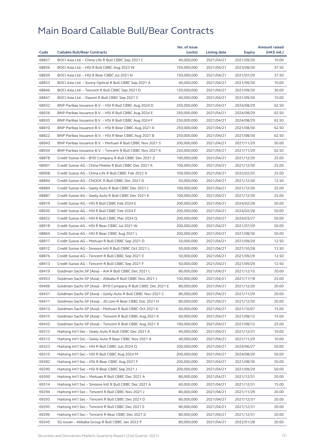|       |                                                                                                              | No. of issue |              |                          | <b>Amount raised</b> |
|-------|--------------------------------------------------------------------------------------------------------------|--------------|--------------|--------------------------|----------------------|
| Code  | <b>Callable Bull/Bear Contracts</b>                                                                          | (units)      | Listing date | Expiry                   | (HK\$ mil.)          |
| 68857 | BOCI Asia Ltd. - China Life R Bull CBBC Sep 2021 C                                                           | 40,000,000   | 2021/04/21   | 2021/09/30               | 10.00                |
| 68836 | BOCI Asia Ltd. - HSI R Bull CBBC Aug 2023 W                                                                  | 150,000,000  | 2021/04/21   | 2023/08/30               | 37.50                |
| 68839 | BOCI Asia Ltd. - HSI R Bear CBBC Jul 2021 N                                                                  | 150,000,000  | 2021/04/21   | 2021/07/29               | 37.50                |
| 68853 | BOCI Asia Ltd. - Sunny Optical R Bull CBBC Sep 2021 A                                                        | 40,000,000   | 2021/04/21   | 2021/09/30               | 10.00                |
| 68846 | BOCI Asia Ltd. - Tencent R Bull CBBC Sep 2021 D                                                              | 120,000,000  | 2021/04/21   | 2021/09/30               | 30.00                |
| 68847 | BOCI Asia Ltd. - Xiaomi R Bull CBBC Sep 2021 C                                                               | 40,000,000   | 2021/04/21   | 2021/09/30               | 10.00                |
| 68932 | BNP Paribas Issuance B.V. - HSI R Bull CBBC Aug 2024 D                                                       | 250,000,000  | 2021/04/21   | 2024/08/29               | 62.50                |
| 68926 | BNP Paribas Issuance B.V. - HSI R Bull CBBC Aug 2024 E                                                       | 250,000,000  | 2021/04/21   | 2024/08/29               | 62.50                |
| 68933 | BNP Paribas Issuance B.V. - HSI R Bull CBBC Aug 2024 F                                                       | 250,000,000  | 2021/04/21   | 2024/08/29               | 62.50                |
| 68810 | BNP Paribas Issuance B.V. - HSI R Bear CBBC Aug 2021 A                                                       | 250,000,000  | 2021/04/21   | 2021/08/30               | 62.50                |
| 68822 | BNP Paribas Issuance B.V. - HSI R Bear CBBC Aug 2021 B                                                       | 250,000,000  | 2021/04/21   | 2021/08/30               | 62.50                |
| 68943 | BNP Paribas Issuance B.V. - Meituan R Bull CBBC Nov 2021 S                                                   | 200,000,000  | 2021/04/21   | 2021/11/29               | 50.00                |
| 68934 | BNP Paribas Issuance B.V. - Tencent R Bull CBBC Nov 2021 K                                                   | 250,000,000  | 2021/04/21   | 2021/11/29               | 62.50                |
| 68878 | Credit Suisse AG - BYD Company R Bull CBBC Dec 2021 Z                                                        | 100,000,000  | 2021/04/21   | 2021/12/30               | 25.00                |
| 68901 | Credit Suisse AG - China Mobile R Bull CBBC Dec 2021 A                                                       | 100,000,000  | 2021/04/21   | 2021/12/30               | 25.00                |
| 68908 | Credit Suisse AG - China Life R Bull CBBC Feb 2022 A                                                         | 100,000,000  | 2021/04/21   | 2022/02/25               | 25.00                |
| 68894 | Credit Suisse AG - CNOOC R Bull CBBC Dec 2021 D                                                              | 50,000,000   | 2021/04/21   | 2021/12/30               | 12.50                |
| 68884 | Credit Suisse AG - Geely Auto R Bull CBBC Dec 2021 J                                                         | 100,000,000  | 2021/04/21   | 2021/12/30               | 25.00                |
| 68887 | Credit Suisse AG - Geely Auto R Bull CBBC Dec 2021 K                                                         | 100,000,000  | 2021/04/21   | 2021/12/30               | 25.00                |
| 68919 | Credit Suisse AG - HSI R Bull CBBC Feb 2024 E                                                                | 200,000,000  | 2021/04/21   | 2024/02/28               | 50.00                |
| 68920 | Credit Suisse AG - HSI R Bull CBBC Feb 2024 F                                                                | 200,000,000  | 2021/04/21   | 2024/02/28               | 50.00                |
| 68922 | Credit Suisse AG - HSI R Bull CBBC Mar 2024 Q                                                                | 200,000,000  | 2021/04/21   | 2024/03/27               | 50.00                |
| 68918 | Credit Suisse AG - HSI R Bear CBBC Jul 2021 W                                                                | 200,000,000  | 2021/04/21   | 2021/07/29               | 50.00                |
| 68864 | Credit Suisse AG - HSI R Bear CBBC Aug 2021 L                                                                | 200,000,000  | 2021/04/21   | 2021/08/30               | 50.00                |
| 68917 | Credit Suisse AG - Meituan R Bull CBBC Sep 2021 D                                                            | 50,000,000   | 2021/04/21   | 2021/09/29               | 12.50                |
| 68912 | Credit Suisse AG - Smoore Intl R Bull CBBC Oct 2021 L                                                        | 50,000,000   | 2021/04/21   | 2021/10/28               | 12.50                |
| 68876 | Credit Suisse AG - Tencent R Bull CBBC Sep 2021 E                                                            | 50,000,000   | 2021/04/21   | 2021/09/29               | 12.50                |
| 68913 | Credit Suisse AG - Tencent R Bull CBBC Sep 2021 F                                                            | 50,000,000   | 2021/04/21   | 2021/09/29               | 12.50                |
| 69419 | Goldman Sachs SP (Asia) - AIA R Bull CBBC Dec 2021 L                                                         | 80,000,000   | 2021/04/21   | 2021/12/15               | 20.00                |
| 69453 | Goldman Sachs SP (Asia) - Alibaba R Bull CBBC Nov 2021 J                                                     | 100,000,000  | 2021/04/21   | 2021/11/18               | 25.00                |
| 69406 | Goldman Sachs SP (Asia) - BYD Company R Bull CBBC Dec 2021 E                                                 | 80,000,000   | 2021/04/21   | 2021/12/30               | 20.00                |
| 69431 | Goldman Sachs SP (Asia) - Geely Auto R Bull CBBC Nov 2021 C                                                  | 80,000,000   | 2021/04/21   | 2021/11/29               | 20.00                |
| 69411 | Goldman Sachs SP (Asia) – JD.com R Bear CBBC Dec 2021 H                                                      | 80,000,000   | 2021/04/21   | 2021/12/30               | 20.00                |
| 69413 | Goldman Sachs SP (Asia) - Meituan R Bull CBBC Oct 2021 K                                                     | 60,000,000   | 2021/04/21   | 2021/10/07               | 15.00                |
| 69415 | Goldman Sachs SP (Asia) - Tencent R Bull CBBC Aug 2021 K                                                     | 60,000,000   | 2021/04/21   | 2021/08/12               | 15.00                |
| 69435 | Goldman Sachs SP (Asia) - Tencent R Bull CBBC Aug 2021 X                                                     | 100,000,000  | 2021/04/21   | 2021/08/12               | 25.00                |
| 69312 | Haitong Int'l Sec - Geely Auto R Bull CBBC Dec 2021 A                                                        | 40,000,000   | 2021/04/21   | 2021/12/31               | 10.00                |
| 69313 | Haitong Int'l Sec – Geely Auto R Bear CBBC Nov 2021 A                                                        | 40,000,000   | 2021/04/21   | 2021/11/29               | 10.00                |
| 69323 | Haitong Int'l Sec - HSI R Bull CBBC Jun 2024 Q                                                               | 200,000,000  | 2021/04/21   | 2024/06/27               | 50.00                |
| 69315 | Haitong Int'l Sec - HSI R Bull CBBC Aug 2024 M                                                               | 200,000,000  | 2021/04/21   | 2024/08/29               | 50.00                |
| 69282 | Haitong Int'l Sec - HSI R Bear CBBC Aug 2021 F                                                               | 200,000,000  | 2021/04/21   | 2021/08/30               | 50.00                |
| 69290 | Haitong Int'l Sec - HSI R Bear CBBC Sep 2021 J                                                               | 200,000,000  | 2021/04/21   | 2021/09/29               | 50.00                |
| 69300 | Haitong Int'l Sec - Meituan R Bull CBBC Dec 2021 A                                                           | 80,000,000   | 2021/04/21   | 2021/12/31               | 20.00                |
| 69314 |                                                                                                              | 60,000,000   | 2021/04/21   |                          | 15.00                |
| 69294 | Haitong Int'l Sec – Smoore Intl R Bull CBBC Dec 2021 A<br>Haitong Int'l Sec - Tencent R Bull CBBC Nov 2021 J | 80,000,000   | 2021/04/21   | 2021/12/31<br>2021/11/29 | 20.00                |
| 69293 | Haitong Int'l Sec - Tencent R Bull CBBC Dec 2021 D                                                           | 80,000,000   | 2021/04/21   |                          |                      |
|       |                                                                                                              |              |              | 2021/12/31               | 20.00                |
| 69295 | Haitong Int'l Sec - Tencent R Bull CBBC Dec 2021 E<br>Haitong Int'l Sec - Tencent R Bear CBBC Dec 2021 D     | 80,000,000   | 2021/04/21   | 2021/12/31               | 20.00                |
| 69296 |                                                                                                              | 80,000,000   | 2021/04/21   | 2021/12/31               | 20.00                |
| 69245 | SG Issuer - Alibaba Group R Bull CBBC Jan 2022 P                                                             | 80,000,000   | 2021/04/21   | 2022/01/28               | 20.00                |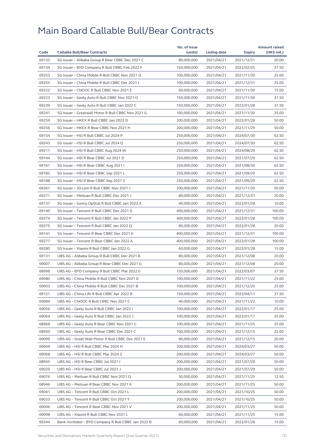| Code  |                                                    | No. of issue |              |            | <b>Amount raised</b> |
|-------|----------------------------------------------------|--------------|--------------|------------|----------------------|
|       | <b>Callable Bull/Bear Contracts</b>                | (units)      | Listing date | Expiry     | (HK\$ mil.)          |
| 69132 | SG Issuer - Alibaba Group R Bear CBBC Dec 2021 C   | 80,000,000   | 2021/04/21   | 2021/12/31 | 20.00                |
| 69134 | SG Issuer - BYD Company R Bull CBBC Feb 2022 F     | 150,000,000  | 2021/04/21   | 2022/02/25 | 37.50                |
| 69253 | SG Issuer - China Mobile R Bull CBBC Nov 2021 Q    | 100,000,000  | 2021/04/21   | 2021/11/30 | 25.00                |
| 69255 | SG Issuer - China Mobile R Bull CBBC Dec 2021 I    | 100,000,000  | 2021/04/21   | 2021/12/31 | 25.00                |
| 69222 | SG Issuer - CNOOC R Bull CBBC Nov 2021 E           | 60,000,000   | 2021/04/21   | 2021/11/30 | 15.00                |
| 69223 | SG Issuer - Geely Auto R Bull CBBC Nov 2021 O      | 150,000,000  | 2021/04/21   | 2021/11/30 | 37.50                |
| 69239 | SG Issuer - Geely Auto R Bull CBBC Jan 2022 C      | 150,000,000  | 2021/04/21   | 2022/01/28 | 37.50                |
| 69241 | SG Issuer - Greatwall Motor R Bull CBBC Nov 2021 G | 100,000,000  | 2021/04/21   | 2021/11/30 | 25.00                |
| 69259 | SG Issuer - HKEX R Bull CBBC Jan 2022 D            | 200,000,000  | 2021/04/21   | 2022/01/28 | 50.00                |
| 69256 | SG Issuer - HKEX R Bear CBBC Nov 2021 H            | 200,000,000  | 2021/04/21   | 2021/11/29 | 50.00                |
| 69154 | SG Issuer - HSI R Bull CBBC Jul 2024 P             | 250,000,000  | 2021/04/21   | 2024/07/30 | 62.50                |
| 69243 | SG Issuer - HSI R Bull CBBC Jul 2024 Q             | 250,000,000  | 2021/04/21   | 2024/07/30 | 62.50                |
| 69211 | SG Issuer - HSI R Bull CBBC Aug 2024 W             | 250,000,000  | 2021/04/21   | 2024/08/29 | 62.50                |
| 69144 | SG Issuer - HSI R Bear CBBC Jul 2021 D             | 250,000,000  | 2021/04/21   | 2021/07/29 | 62.50                |
| 69161 | SG Issuer - HSI R Bear CBBC Aug 2021 I             | 250,000,000  | 2021/04/21   | 2021/08/30 | 62.50                |
| 69182 | SG Issuer - HSI R Bear CBBC Sep 2021 L             | 250,000,000  | 2021/04/21   | 2021/09/29 | 62.50                |
| 69188 | SG Issuer - HSI R Bear CBBC Sep 2021 S             | 250,000,000  | 2021/04/21   | 2021/09/29 | 62.50                |
| 69261 | SG Issuer - JD.com R Bull CBBC Nov 2021 J          | 200,000,000  | 2021/04/21   | 2021/11/30 | 50.00                |
| 69271 | SG Issuer - Meituan R Bull CBBC Dec 2021 J         | 80,000,000   | 2021/04/21   | 2021/12/31 | 20.00                |
| 69137 | SG Issuer - Sunny Optical R Bull CBBC Jan 2022 A   | 40,000,000   | 2021/04/21   | 2022/01/28 | 10.00                |
| 69140 | SG Issuer - Tencent R Bull CBBC Dec 2021 G         | 400,000,000  | 2021/04/21   | 2021/12/31 | 100.00               |
| 69274 | SG Issuer - Tencent R Bull CBBC Jan 2022 P         | 400,000,000  | 2021/04/21   | 2022/01/28 | 100.00               |
| 69275 | SG Issuer - Tencent R Bull CBBC Jan 2022 Q         | 80,000,000   | 2021/04/21   | 2022/01/28 | 20.00                |
| 69141 | SG Issuer - Tencent R Bear CBBC Dec 2021 K         | 400,000,000  | 2021/04/21   | 2021/12/31 | 100.00               |
| 69277 | SG Issuer - Tencent R Bear CBBC Jan 2022 A         | 400,000,000  | 2021/04/21   | 2022/01/28 | 100.00               |
| 69280 | SG Issuer - Xiaomi R Bull CBBC Jan 2022 G          | 60,000,000   | 2021/04/21   | 2022/01/28 | 15.00                |
| 69131 | UBS AG - Alibaba Group R Bull CBBC Dec 2021 B      | 80,000,000   | 2021/04/21   | 2021/12/08 | 20.00                |
| 69007 | UBS AG - Alibaba Group R Bear CBBC Dec 2021 G      | 80,000,000   | 2021/04/21   | 2021/12/08 | 20.00                |
| 68998 | UBS AG - BYD Company R Bull CBBC Mar 2022 E        | 150,000,000  | 2021/04/21   | 2022/03/07 | 37.50                |
| 69080 | UBS AG - China Mobile R Bull CBBC Nov 2021 D       | 100,000,000  | 2021/04/21   | 2021/11/22 | 25.00                |
| 69003 | UBS AG – China Mobile R Bull CBBC Dec 2021 B       | 100,000,000  | 2021/04/21   | 2021/12/20 | 25.00                |
| 69121 | UBS AG - China Life R Bull CBBC Apr 2022 B         | 150,000,000  | 2021/04/21   | 2022/04/11 | 37.50                |
| 69084 | UBS AG - CNOOC R Bull CBBC Nov 2021 C              | 40,000,000   | 2021/04/21   | 2021/11/22 | 10.00                |
| 69056 | UBS AG - Geely Auto R Bull CBBC Jan 2022 I         | 100,000,000  | 2021/04/21   | 2022/01/17 | 25.00                |
| 69064 | UBS AG - Geely Auto R Bull CBBC Jan 2022 J         | 100,000,000  | 2021/04/21   | 2022/01/17 | 25.00                |
| 68968 | UBS AG - Geely Auto R Bear CBBC Nov 2021 C         | 100,000,000  | 2021/04/21   | 2021/11/25 | 25.00                |
| 68950 | UBS AG - Geely Auto R Bear CBBC Dec 2021 C         | 100,000,000  | 2021/04/21   | 2021/12/15 | 25.00                |
| 69099 | UBS AG - Great Wall Motor R Bull CBBC Dec 2021 E   | 80,000,000   | 2021/04/21   | 2021/12/15 | 20.00                |
| 69069 | UBS AG - HSI R Bull CBBC Mar 2024 H                | 200,000,000  | 2021/04/21   | 2024/03/27 | 50.00                |
| 69068 | UBS AG - HSI R Bull CBBC Mar 2024 Z                | 200,000,000  | 2021/04/21   | 2024/03/27 | 50.00                |
| 68945 | UBS AG - HSI R Bear CBBC Jul 2021 I                | 200,000,000  | 2021/04/21   | 2021/07/29 | 50.00                |
| 69029 | UBS AG - HSI R Bear CBBC Jul 2021 J                | 200,000,000  | 2021/04/21   | 2021/07/29 | 50.00                |
| 69076 | UBS AG - Meituan R Bull CBBC Nov 2021 Q            | 50,000,000   | 2021/04/21   | 2021/11/25 | 12.50                |
| 68946 | UBS AG - Meituan R Bear CBBC Nov 2021 X            | 200,000,000  | 2021/04/21   | 2021/11/25 | 50.00                |
| 69041 | UBS AG - Tencent R Bull CBBC Oct 2021 L            | 200,000,000  | 2021/04/21   | 2021/10/25 | 50.00                |
| 69033 | UBS AG - Tencent R Bull CBBC Oct 2021 Y            | 200,000,000  | 2021/04/21   | 2021/10/25 | 50.00                |
| 69006 | UBS AG - Tencent R Bear CBBC Nov 2021 V            | 200,000,000  | 2021/04/21   | 2021/11/25 | 50.00                |
| 69098 | UBS AG - Xiaomi R Bull CBBC Nov 2021 L             | 60,000,000   | 2021/04/21   | 2021/11/25 | 15.00                |
| 69344 | Bank Vontobel - BYD Company R Bull CBBC Jan 2022 B | 60,000,000   | 2021/04/21   | 2022/01/28 | 15.00                |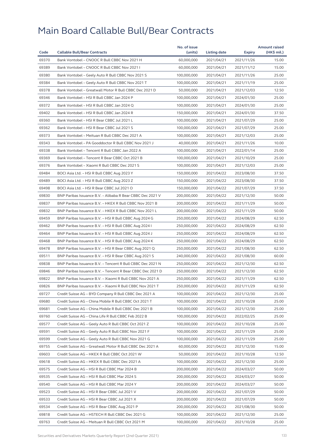|                |                                                            | No. of issue |              |            | <b>Amount raised</b> |
|----------------|------------------------------------------------------------|--------------|--------------|------------|----------------------|
| Code           | <b>Callable Bull/Bear Contracts</b>                        | (units)      | Listing date | Expiry     | (HK\$ mil.)          |
| 69370          | Bank Vontobel - CNOOC R Bull CBBC Nov 2021 H               | 60,000,000   | 2021/04/21   | 2021/11/26 | 15.00                |
| 69389          | Bank Vontobel - CNOOC R Bull CBBC Nov 2021 I               | 60,000,000   | 2021/04/21   | 2021/11/12 | 15.00                |
| 69380          | Bank Vontobel - Geely Auto R Bull CBBC Nov 2021 S          | 100,000,000  | 2021/04/21   | 2021/11/26 | 25.00                |
| 69384          | Bank Vontobel - Geely Auto R Bull CBBC Nov 2021 T          | 100,000,000  | 2021/04/21   | 2021/11/19 | 25.00                |
| 69378          | Bank Vontobel - Greatwall Motor R Bull CBBC Dec 2021 D     | 50,000,000   | 2021/04/21   | 2021/12/03 | 12.50                |
| 69346          | Bank Vontobel - HSI R Bull CBBC Jan 2024 P                 | 100.000.000  | 2021/04/21   | 2024/01/30 | 25.00                |
| 69372          | Bank Vontobel - HSI R Bull CBBC Jan 2024 Q                 | 100,000,000  | 2021/04/21   | 2024/01/30 | 25.00                |
| 69402          | Bank Vontobel - HSI R Bull CBBC Jan 2024 R                 | 150,000,000  | 2021/04/21   | 2024/01/30 | 37.50                |
| 69360          | Bank Vontobel - HSI R Bear CBBC Jul 2021 L                 | 100,000,000  | 2021/04/21   | 2021/07/29 | 25.00                |
| 69362          | Bank Vontobel - HSI R Bear CBBC Jul 2021 S                 | 100,000,000  | 2021/04/21   | 2021/07/29 | 25.00                |
| 69373          | Bank Vontobel - Meituan R Bull CBBC Dec 2021 A             | 100,000,000  | 2021/04/21   | 2021/12/03 | 25.00                |
| 69343          | Bank Vontobel - PA Gooddoctor R Bull CBBC Nov 2021 J       | 40,000,000   | 2021/04/21   | 2021/11/26 | 10.00                |
| 69338          | Bank Vontobel - Tencent R Bull CBBC Jan 2022 A             | 100,000,000  | 2021/04/21   | 2022/01/14 | 25.00                |
| 69369          | Bank Vontobel - Tencent R Bear CBBC Oct 2021 B             | 100,000,000  | 2021/04/21   | 2021/10/29 | 25.00                |
| 69376          | Bank Vontobel - Xiaomi R Bull CBBC Dec 2021 S              | 100,000,000  | 2021/04/21   | 2021/12/03 | 25.00                |
| 69484          | BOCI Asia Ltd. - HSI R Bull CBBC Aug 2023 Y                | 150,000,000  | 2021/04/22   | 2023/08/30 | 37.50                |
| 69489          | BOCI Asia Ltd. - HSI R Bull CBBC Aug 2023 Z                | 150,000,000  | 2021/04/22   | 2023/08/30 | 37.50                |
| 69498          | BOCI Asia Ltd. - HSI R Bear CBBC Jul 2021 O                | 150,000,000  | 2021/04/22   | 2021/07/29 | 37.50                |
| 69830          | BNP Paribas Issuance B.V. - Alibaba R Bear CBBC Dec 2021 V | 200,000,000  | 2021/04/22   | 2021/12/30 | 50.00                |
| 69837          | BNP Paribas Issuance B.V. - HKEX R Bull CBBC Nov 2021 B    | 200,000,000  | 2021/04/22   | 2021/11/29 | 50.00                |
| 69832          | BNP Paribas Issuance B.V. - HKEX R Bull CBBC Nov 2021 L    | 200,000,000  | 2021/04/22   | 2021/11/29 | 50.00                |
| 69459          | BNP Paribas Issuance B.V. - HSI R Bull CBBC Aug 2024 G     | 250,000,000  | 2021/04/22   | 2024/08/29 | 62.50                |
| 69462          | BNP Paribas Issuance B.V. - HSI R Bull CBBC Aug 2024 I     | 250,000,000  | 2021/04/22   | 2024/08/29 | 62.50                |
| 69464          | BNP Paribas Issuance B.V. - HSI R Bull CBBC Aug 2024 J     | 250,000,000  | 2021/04/22   | 2024/08/29 | 62.50                |
| 69468          | BNP Paribas Issuance B.V. - HSI R Bull CBBC Aug 2024 K     | 250,000,000  | 2021/04/22   | 2024/08/29 | 62.50                |
| 69478          | BNP Paribas Issuance B.V. - HSI R Bear CBBC Aug 2021 Q     | 250,000,000  | 2021/04/22   | 2021/08/30 | 62.50                |
| 69511          | BNP Paribas Issuance B.V. - HSI R Bear CBBC Aug 2021 S     | 240,000,000  | 2021/04/22   | 2021/08/30 | 60.00                |
| 69838          | BNP Paribas Issuance B.V. - Tencent R Bull CBBC Dec 2021 N | 250,000,000  | 2021/04/22   | 2021/12/30 | 62.50                |
| 69846          | BNP Paribas Issuance B.V. - Tencent R Bear CBBC Dec 2021 D | 250,000,000  | 2021/04/22   | 2021/12/30 | 62.50                |
| 69822          | BNP Paribas Issuance B.V. - Xiaomi R Bull CBBC Nov 2021 A  | 250,000,000  | 2021/04/22   | 2021/11/29 | 62.50                |
| 69826          | BNP Paribas Issuance B.V. - Xiaomi R Bull CBBC Nov 2021 T  | 250,000,000  | 2021/04/22   | 2021/11/29 | 62.50                |
| 69727          | Credit Suisse AG - BYD Company R Bull CBBC Dec 2021 A      | 100,000,000  | 2021/04/22   | 2021/12/30 | 25.00                |
| 69680          | Credit Suisse AG - China Mobile R Bull CBBC Oct 2021 T     | 100,000,000  | 2021/04/22   | 2021/10/28 | 25.00                |
| 69681          | Credit Suisse AG - China Mobile R Bull CBBC Dec 2021 B     | 100,000,000  | 2021/04/22   | 2021/12/30 | 25.00                |
| 69760          | Credit Suisse AG - China Life R Bull CBBC Feb 2022 B       | 100,000,000  | 2021/04/22   | 2022/02/25 | 25.00                |
| 69577          | Credit Suisse AG - Geely Auto R Bull CBBC Oct 2021 Z       | 100,000,000  | 2021/04/22   | 2021/10/28 | 25.00                |
| 69591          | Credit Suisse AG - Geely Auto R Bull CBBC Nov 2021 F       | 100,000,000  | 2021/04/22   | 2021/11/29 | 25.00                |
| 69599          | Credit Suisse AG - Geely Auto R Bull CBBC Nov 2021 G       | 100,000,000  | 2021/04/22   | 2021/11/29 | 25.00                |
| 69755          | Credit Suisse AG - Greatwall Motor R Bull CBBC Dec 2021 A  | 60,000,000   | 2021/04/22   | 2021/12/30 | 15.00                |
| 69603          | Credit Suisse AG - HKEX R Bull CBBC Oct 2021 W             | 50,000,000   | 2021/04/22   | 2021/10/28 | 12.50                |
| 69618          | Credit Suisse AG - HKEX R Bull CBBC Dec 2021 A             | 100,000,000  | 2021/04/22   | 2021/12/30 | 25.00                |
| 69575          | Credit Suisse AG - HSI R Bull CBBC Mar 2024 B              | 200,000,000  | 2021/04/22   | 2024/03/27 | 50.00                |
|                |                                                            |              |              |            | 50.00                |
| 69535<br>69540 | Credit Suisse AG - HSI R Bull CBBC Mar 2024 S              | 200,000,000  | 2021/04/22   | 2024/03/27 |                      |
|                | Credit Suisse AG - HSI R Bull CBBC Mar 2024 Y              | 200,000,000  | 2021/04/22   | 2024/03/27 | 50.00                |
| 69523          | Credit Suisse AG - HSI R Bear CBBC Jul 2021 V              | 200,000,000  | 2021/04/22   | 2021/07/29 | 50.00                |
| 69533          | Credit Suisse AG - HSI R Bear CBBC Jul 2021 X              | 200,000,000  | 2021/04/22   | 2021/07/29 | 50.00                |
| 69534          | Credit Suisse AG - HSI R Bear CBBC Aug 2021 P              | 200,000,000  | 2021/04/22   | 2021/08/30 | 50.00                |
| 69818          | Credit Suisse AG - HSTECH R Bull CBBC Dec 2021 G           | 100,000,000  | 2021/04/22   | 2021/12/30 | 25.00                |
| 69763          | Credit Suisse AG - Meituan R Bull CBBC Oct 2021 M          | 100,000,000  | 2021/04/22   | 2021/10/28 | 25.00                |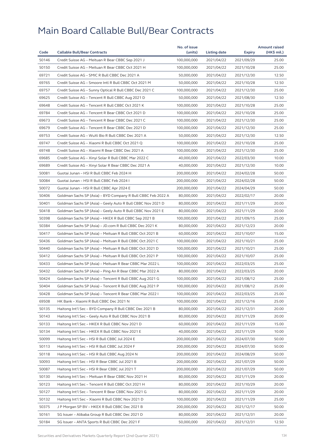|       |                                                              | No. of issue |              |            | <b>Amount raised</b> |
|-------|--------------------------------------------------------------|--------------|--------------|------------|----------------------|
| Code  | <b>Callable Bull/Bear Contracts</b>                          | (units)      | Listing date | Expiry     | (HK\$ mil.)          |
| 50146 | Credit Suisse AG - Meituan R Bear CBBC Sep 2021 J            | 100,000,000  | 2021/04/22   | 2021/09/29 | 25.00                |
| 50150 | Credit Suisse AG - Meituan R Bear CBBC Oct 2021 H            | 100,000,000  | 2021/04/22   | 2021/10/28 | 25.00                |
| 69721 | Credit Suisse AG - SMIC R Bull CBBC Dec 2021 A               | 50,000,000   | 2021/04/22   | 2021/12/30 | 12.50                |
| 69765 | Credit Suisse AG - Smoore Intl R Bull CBBC Oct 2021 M        | 50,000,000   | 2021/04/22   | 2021/10/28 | 12.50                |
| 69757 | Credit Suisse AG - Sunny Optical R Bull CBBC Dec 2021 C      | 100,000,000  | 2021/04/22   | 2021/12/30 | 25.00                |
| 69625 | Credit Suisse AG - Tencent R Bull CBBC Aug 2021 D            | 50,000,000   | 2021/04/22   | 2021/08/30 | 12.50                |
| 69648 | Credit Suisse AG - Tencent R Bull CBBC Oct 2021 K            | 100,000,000  | 2021/04/22   | 2021/10/28 | 25.00                |
| 69784 | Credit Suisse AG - Tencent R Bear CBBC Oct 2021 D            | 100,000,000  | 2021/04/22   | 2021/10/28 | 25.00                |
| 69673 | Credit Suisse AG - Tencent R Bear CBBC Dec 2021 C            | 100,000,000  | 2021/04/22   | 2021/12/30 | 25.00                |
| 69679 | Credit Suisse AG - Tencent R Bear CBBC Dec 2021 D            | 100,000,000  | 2021/04/22   | 2021/12/30 | 25.00                |
| 69753 | Credit Suisse AG - WuXi Bio R Bull CBBC Dec 2021 A           | 50,000,000   | 2021/04/22   | 2021/12/30 | 12.50                |
| 69747 | Credit Suisse AG - Xiaomi R Bull CBBC Oct 2021 Q             | 100,000,000  | 2021/04/22   | 2021/10/28 | 25.00                |
| 69748 | Credit Suisse AG - Xiaomi R Bear CBBC Dec 2021 A             | 100,000,000  | 2021/04/22   | 2021/12/30 | 25.00                |
| 69685 | Credit Suisse AG - Xinyi Solar R Bull CBBC Mar 2022 C        | 40,000,000   | 2021/04/22   | 2022/03/30 | 10.00                |
| 69689 | Credit Suisse AG - Xinyi Solar R Bear CBBC Dec 2021 A        | 40,000,000   | 2021/04/22   | 2021/12/30 | 10.00                |
| 50081 | Guotai Junan - HSI R Bull CBBC Feb 2024 H                    | 200,000,000  | 2021/04/22   | 2024/02/28 | 50.00                |
| 50084 | Guotai Junan - HSI R Bull CBBC Feb 2024 I                    | 200,000,000  | 2021/04/22   | 2024/02/28 | 50.00                |
| 50072 | Guotai Junan - HSI R Bull CBBC Apr 2024 E                    | 200,000,000  | 2021/04/22   | 2024/04/29 | 50.00                |
| 50406 | Goldman Sachs SP (Asia) - BYD Company R Bull CBBC Feb 2022 A | 80,000,000   | 2021/04/22   | 2022/02/17 | 20.00                |
| 50401 | Goldman Sachs SP (Asia) - Geely Auto R Bull CBBC Nov 2021 D  | 80,000,000   | 2021/04/22   | 2021/11/29 | 20.00                |
| 50418 | Goldman Sachs SP (Asia) - Geely Auto R Bull CBBC Nov 2021 E  | 80,000,000   | 2021/04/22   | 2021/11/29 | 20.00                |
| 50398 | Goldman Sachs SP (Asia) - HKEX R Bull CBBC Sep 2021 B        | 100,000,000  | 2021/04/22   | 2021/09/15 | 25.00                |
| 50384 | Goldman Sachs SP (Asia) - JD.com R Bull CBBC Dec 2021 K      | 80,000,000   | 2021/04/22   | 2021/12/23 | 20.00                |
| 50417 | Goldman Sachs SP (Asia) - Meituan R Bull CBBC Oct 2021 B     | 60,000,000   | 2021/04/22   | 2021/10/07 | 15.00                |
| 50436 | Goldman Sachs SP (Asia) - Meituan R Bull CBBC Oct 2021 C     | 100,000,000  | 2021/04/22   | 2021/10/21 | 25.00                |
| 50440 | Goldman Sachs SP (Asia) - Meituan R Bull CBBC Oct 2021 D     | 100,000,000  | 2021/04/22   | 2021/10/21 | 25.00                |
| 50412 | Goldman Sachs SP (Asia) - Meituan R Bull CBBC Oct 2021 P     | 100,000,000  | 2021/04/22   | 2021/10/07 | 25.00                |
| 50433 | Goldman Sachs SP (Asia) - Meituan R Bear CBBC Mar 2022 L     | 100,000,000  | 2021/04/22   | 2022/03/25 | 25.00                |
| 50432 | Goldman Sachs SP (Asia) - Ping An R Bear CBBC Mar 2022 A     | 80,000,000   | 2021/04/22   | 2022/03/25 | 20.00                |
| 50424 | Goldman Sachs SP (Asia) - Tencent R Bull CBBC Aug 2021 G     | 100,000,000  | 2021/04/22   | 2021/08/12 | 25.00                |
| 50404 | Goldman Sachs SP (Asia) – Tencent R Bull CBBC Aug 2021 P     | 100,000,000  | 2021/04/22   | 2021/08/12 | 25.00                |
| 50428 | Goldman Sachs SP (Asia) - Tencent R Bear CBBC Mar 2022 I     | 100,000,000  | 2021/04/22   | 2022/03/25 | 25.00                |
| 69508 | HK Bank - Xiaomi R Bull CBBC Dec 2021 N                      | 100,000,000  | 2021/04/22   | 2021/12/16 | 25.00                |
| 50135 | Haitong Int'l Sec - BYD Company R Bull CBBC Dec 2021 B       | 80,000,000   | 2021/04/22   | 2021/12/31 | 20.00                |
| 50143 | Haitong Int'l Sec - Geely Auto R Bull CBBC Nov 2021 B        | 80,000,000   | 2021/04/22   | 2021/11/29 | 20.00                |
| 50133 | Haitong Int'l Sec - HKEX R Bull CBBC Nov 2021 D              | 60,000,000   | 2021/04/22   | 2021/11/29 | 15.00                |
| 50134 | Haitong Int'l Sec - HKEX R Bull CBBC Nov 2021 E              | 40,000,000   | 2021/04/22   | 2021/11/29 | 10.00                |
| 50099 | Haitong Int'l Sec - HSI R Bull CBBC Jul 2024 E               | 200,000,000  | 2021/04/22   | 2024/07/30 | 50.00                |
| 50113 | Haitong Int'l Sec - HSI R Bull CBBC Jul 2024 F               | 200,000,000  | 2021/04/22   | 2024/07/30 | 50.00                |
| 50118 | Haitong Int'l Sec - HSI R Bull CBBC Aug 2024 N               | 200,000,000  | 2021/04/22   | 2024/08/29 | 50.00                |
| 50093 | Haitong Int'l Sec - HSI R Bear CBBC Jul 2021 B               | 200,000,000  | 2021/04/22   | 2021/07/29 | 50.00                |
| 50087 | Haitong Int'l Sec - HSI R Bear CBBC Jul 2021 T               | 200,000,000  | 2021/04/22   | 2021/07/29 | 50.00                |
| 50130 | Haitong Int'l Sec - Meituan R Bear CBBC Nov 2021 H           | 80,000,000   | 2021/04/22   | 2021/11/29 | 20.00                |
| 50123 | Haitong Int'l Sec – Tencent R Bull CBBC Oct 2021 H           | 80,000,000   | 2021/04/22   | 2021/10/29 | 20.00                |
| 50127 | Haitong Int'l Sec - Tencent R Bear CBBC Nov 2021 G           | 80,000,000   | 2021/04/22   | 2021/11/29 | 20.00                |
| 50132 | Haitong Int'l Sec - Xiaomi R Bull CBBC Nov 2021 D            | 100,000,000  | 2021/04/22   | 2021/11/29 | 25.00                |
| 50375 | J P Morgan SP BV - HKEX R Bull CBBC Dec 2021 B               | 200,000,000  | 2021/04/22   | 2021/12/17 | 50.00                |
| 50161 | SG Issuer - Alibaba Group R Bull CBBC Dec 2021 D             | 80,000,000   | 2021/04/22   | 2021/12/31 | 20.00                |
|       |                                                              |              |              |            |                      |
| 50184 | SG Issuer – ANTA Sports R Bull CBBC Dec 2021 F               | 50,000,000   | 2021/04/22   | 2021/12/31 | 12.50                |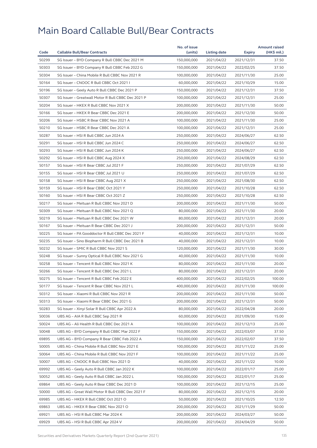|       |                                                    | No. of issue |                     |            | <b>Amount raised</b> |
|-------|----------------------------------------------------|--------------|---------------------|------------|----------------------|
| Code  | <b>Callable Bull/Bear Contracts</b>                | (units)      | <b>Listing date</b> | Expiry     | (HK\$ mil.)          |
| 50299 | SG Issuer - BYD Company R Bull CBBC Dec 2021 M     | 150,000,000  | 2021/04/22          | 2021/12/31 | 37.50                |
| 50303 | SG Issuer - BYD Company R Bull CBBC Feb 2022 G     | 150,000,000  | 2021/04/22          | 2022/02/25 | 37.50                |
| 50304 | SG Issuer - China Mobile R Bull CBBC Nov 2021 R    | 100,000,000  | 2021/04/22          | 2021/11/30 | 25.00                |
| 50164 | SG Issuer - CNOOC R Bull CBBC Oct 2021 I           | 60,000,000   | 2021/04/22          | 2021/10/29 | 15.00                |
| 50196 | SG Issuer - Geely Auto R Bull CBBC Dec 2021 P      | 150,000,000  | 2021/04/22          | 2021/12/31 | 37.50                |
| 50307 | SG Issuer - Greatwall Motor R Bull CBBC Dec 2021 P | 100,000,000  | 2021/04/22          | 2021/12/31 | 25.00                |
| 50204 | SG Issuer - HKEX R Bull CBBC Nov 2021 X            | 200,000,000  | 2021/04/22          | 2021/11/30 | 50.00                |
| 50166 | SG Issuer - HKEX R Bear CBBC Dec 2021 E            | 200,000,000  | 2021/04/22          | 2021/12/30 | 50.00                |
| 50206 | SG Issuer - HSBC R Bear CBBC Nov 2021 A            | 100,000,000  | 2021/04/22          | 2021/11/30 | 25.00                |
| 50210 | SG Issuer - HSBC R Bear CBBC Dec 2021 A            | 100,000,000  | 2021/04/22          | 2021/12/31 | 25.00                |
| 50287 | SG Issuer - HSI R Bull CBBC Jun 2024 A             | 250,000,000  | 2021/04/22          | 2024/06/27 | 62.50                |
| 50291 | SG Issuer - HSI R Bull CBBC Jun 2024 C             | 250,000,000  | 2021/04/22          | 2024/06/27 | 62.50                |
| 50293 | SG Issuer - HSI R Bull CBBC Jun 2024 K             | 250,000,000  | 2021/04/22          | 2024/06/27 | 62.50                |
| 50292 | SG Issuer - HSI R Bull CBBC Aug 2024 X             | 250,000,000  | 2021/04/22          | 2024/08/29 | 62.50                |
| 50157 | SG Issuer - HSI R Bear CBBC Jul 2021 F             | 250,000,000  | 2021/04/22          | 2021/07/29 | 62.50                |
| 50155 | SG Issuer - HSI R Bear CBBC Jul 2021 U             | 250,000,000  | 2021/04/22          | 2021/07/29 | 62.50                |
| 50158 | SG Issuer - HSI R Bear CBBC Aug 2021 X             | 250,000,000  | 2021/04/22          | 2021/08/30 | 62.50                |
| 50159 | SG Issuer - HSI R Bear CBBC Oct 2021 Y             | 250,000,000  | 2021/04/22          | 2021/10/28 | 62.50                |
| 50160 | SG Issuer - HSI R Bear CBBC Oct 2021 Z             | 250,000,000  | 2021/04/22          | 2021/10/28 | 62.50                |
| 50217 | SG Issuer - Meituan R Bull CBBC Nov 2021 D         | 200,000,000  | 2021/04/22          | 2021/11/30 | 50.00                |
| 50309 | SG Issuer - Meituan R Bull CBBC Nov 2021 Q         | 80,000,000   | 2021/04/22          | 2021/11/30 | 20.00                |
| 50219 | SG Issuer - Meituan R Bull CBBC Dec 2021 W         | 80,000,000   | 2021/04/22          | 2021/12/31 | 20.00                |
| 50167 | SG Issuer - Meituan R Bear CBBC Dec 2021 J         | 200,000,000  | 2021/04/22          | 2021/12/31 | 50.00                |
| 50225 | SG Issuer - PA Gooddoctor R Bull CBBC Dec 2021 F   | 40,000,000   | 2021/04/22          | 2021/12/31 | 10.00                |
| 50235 | SG Issuer - Sino Biopharm R Bull CBBC Dec 2021 B   | 40,000,000   | 2021/04/22          | 2021/12/31 | 10.00                |
| 50232 | SG Issuer - SMIC R Bull CBBC Nov 2021 S            | 120,000,000  | 2021/04/22          | 2021/11/30 | 30.00                |
| 50248 | SG Issuer - Sunny Optical R Bull CBBC Nov 2021 G   | 40,000,000   | 2021/04/22          | 2021/11/30 | 10.00                |
| 50258 | SG Issuer - Tencent R Bull CBBC Nov 2021 K         | 80,000,000   | 2021/04/22          | 2021/11/30 | 20.00                |
| 50266 | SG Issuer - Tencent R Bull CBBC Dec 2021 L         | 80,000,000   | 2021/04/22          | 2021/12/31 | 20.00                |
| 50275 | SG Issuer - Tencent R Bull CBBC Feb 2022 E         | 400,000,000  | 2021/04/22          | 2022/02/25 | 100.00               |
| 50177 | SG Issuer - Tencent R Bear CBBC Nov 2021 L         |              |                     |            | 100.00               |
|       |                                                    | 400,000,000  | 2021/04/22          | 2021/11/30 |                      |
| 50312 | SG Issuer - Xiaomi R Bull CBBC Nov 2021 R          | 200,000,000  | 2021/04/22          | 2021/11/30 | 50.00                |
| 50313 | SG Issuer - Xiaomi R Bear CBBC Dec 2021 G          | 200,000,000  | 2021/04/22          | 2021/12/31 | 50.00                |
| 50283 | SG Issuer - Xinyi Solar R Bull CBBC Apr 2022 A     | 80,000,000   | 2021/04/22          | 2022/04/28 | 20.00                |
| 50036 | UBS AG - AIA R Bull CBBC Sep 2021 R                | 60,000,000   | 2021/04/22          | 2021/09/30 | 15.00                |
| 50024 | UBS AG - Ali Health R Bull CBBC Dec 2021 A         | 100,000,000  | 2021/04/22          | 2021/12/13 | 25.00                |
| 50048 | UBS AG - BYD Company R Bull CBBC Mar 2022 F        | 150,000,000  | 2021/04/22          | 2022/03/07 | 37.50                |
| 69895 | UBS AG - BYD Company R Bear CBBC Feb 2022 A        | 150,000,000  | 2021/04/22          | 2022/02/07 | 37.50                |
| 50005 | UBS AG - China Mobile R Bull CBBC Nov 2021 E       | 100,000,000  | 2021/04/22          | 2021/11/22 | 25.00                |
| 50064 | UBS AG - China Mobile R Bull CBBC Nov 2021 F       | 100,000,000  | 2021/04/22          | 2021/11/22 | 25.00                |
| 50007 | UBS AG - CNOOC R Bull CBBC Nov 2021 D              | 40,000,000   | 2021/04/22          | 2021/11/22 | 10.00                |
| 69992 | UBS AG - Geely Auto R Bull CBBC Jan 2022 K         | 100,000,000  | 2021/04/22          | 2022/01/17 | 25.00                |
| 50052 | UBS AG - Geely Auto R Bull CBBC Jan 2022 L         | 100,000,000  | 2021/04/22          | 2022/01/17 | 25.00                |
| 69864 | UBS AG - Geely Auto R Bear CBBC Dec 2021 D         | 100,000,000  | 2021/04/22          | 2021/12/15 | 25.00                |
| 50000 | UBS AG - Great Wall Motor R Bull CBBC Dec 2021 F   | 80,000,000   | 2021/04/22          | 2021/12/15 | 20.00                |
| 69985 | UBS AG - HKEX R Bull CBBC Oct 2021 O               | 50,000,000   | 2021/04/22          | 2021/10/25 | 12.50                |
| 69863 | UBS AG - HKEX R Bear CBBC Nov 2021 O               | 200,000,000  | 2021/04/22          | 2021/11/29 | 50.00                |
| 69921 | UBS AG - HSI R Bull CBBC Mar 2024 K                | 200,000,000  | 2021/04/22          | 2024/03/27 | 50.00                |
| 69929 | UBS AG - HSI R Bull CBBC Apr 2024 V                | 200,000,000  | 2021/04/22          | 2024/04/29 | 50.00                |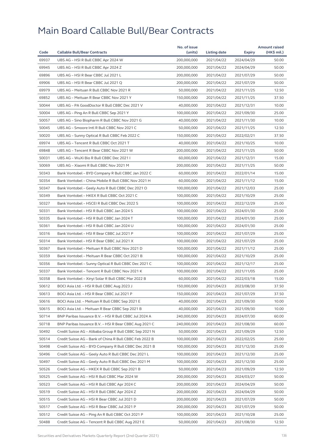|       |                                                         | No. of issue |              |               | <b>Amount raised</b> |
|-------|---------------------------------------------------------|--------------|--------------|---------------|----------------------|
| Code  | <b>Callable Bull/Bear Contracts</b>                     | (units)      | Listing date | <b>Expiry</b> | (HK\$ mil.)          |
| 69937 | UBS AG - HSI R Bull CBBC Apr 2024 W                     | 200,000,000  | 2021/04/22   | 2024/04/29    | 50.00                |
| 69945 | UBS AG - HSI R Bull CBBC Apr 2024 Z                     | 200,000,000  | 2021/04/22   | 2024/04/29    | 50.00                |
| 69896 | UBS AG - HSI R Bear CBBC Jul 2021 L                     | 200,000,000  | 2021/04/22   | 2021/07/29    | 50.00                |
| 69906 | UBS AG - HSI R Bear CBBC Jul 2021 Q                     | 200,000,000  | 2021/04/22   | 2021/07/29    | 50.00                |
| 69979 | UBS AG - Meituan R Bull CBBC Nov 2021 R                 | 50,000,000   | 2021/04/22   | 2021/11/25    | 12.50                |
| 69852 | UBS AG - Meituan R Bear CBBC Nov 2021 Y                 | 150,000,000  | 2021/04/22   | 2021/11/25    | 37.50                |
| 50044 | UBS AG - PA GoodDoctor R Bull CBBC Dec 2021 V           | 40,000,000   | 2021/04/22   | 2021/12/31    | 10.00                |
| 50004 | UBS AG - Ping An R Bull CBBC Sep 2021 Y                 | 100,000,000  | 2021/04/22   | 2021/09/30    | 25.00                |
| 50057 | UBS AG - Sino Biopharm R Bull CBBC Nov 2021 G           | 40,000,000   | 2021/04/22   | 2021/11/30    | 10.00                |
| 50045 | UBS AG - Smoore Intl R Bull CBBC Nov 2021 C             | 50,000,000   | 2021/04/22   | 2021/11/25    | 12.50                |
| 50020 | UBS AG - Sunny Optical R Bull CBBC Feb 2022 C           | 150,000,000  | 2021/04/22   | 2022/02/21    | 37.50                |
| 69974 | UBS AG - Tencent R Bull CBBC Oct 2021 T                 | 40,000,000   | 2021/04/22   | 2021/10/25    | 10.00                |
| 69848 | UBS AG - Tencent R Bear CBBC Nov 2021 W                 | 200,000,000  | 2021/04/22   | 2021/11/25    | 50.00                |
| 50031 | UBS AG - WuXi Bio R Bull CBBC Dec 2021 I                | 60,000,000   | 2021/04/22   | 2021/12/31    | 15.00                |
| 50069 | UBS AG - Xiaomi R Bull CBBC Nov 2021 M                  | 200,000,000  | 2021/04/22   | 2021/11/25    | 50.00                |
| 50343 | Bank Vontobel - BYD Company R Bull CBBC Jan 2022 C      | 60,000,000   | 2021/04/22   | 2022/01/14    | 15.00                |
| 50354 | Bank Vontobel - China Mobile R Bull CBBC Nov 2021 H     | 60,000,000   | 2021/04/22   | 2021/11/12    | 15.00                |
| 50347 | Bank Vontobel - Geely Auto R Bull CBBC Dec 2021 O       | 100,000,000  | 2021/04/22   | 2021/12/03    | 25.00                |
| 50349 | Bank Vontobel - HKEX R Bull CBBC Oct 2021 C             | 100,000,000  | 2021/04/22   | 2021/10/29    | 25.00                |
| 50327 | Bank Vontobel - HSCEI R Bull CBBC Dec 2022 S            | 100,000,000  | 2021/04/22   | 2022/12/29    | 25.00                |
| 50331 | Bank Vontobel - HSI R Bull CBBC Jan 2024 S              | 100,000,000  | 2021/04/22   | 2024/01/30    | 25.00                |
| 50335 | Bank Vontobel - HSI R Bull CBBC Jan 2024 T              | 100,000,000  | 2021/04/22   | 2024/01/30    | 25.00                |
| 50361 | Bank Vontobel - HSI R Bull CBBC Jan 2024 U              | 100,000,000  | 2021/04/22   | 2024/01/30    | 25.00                |
| 50316 | Bank Vontobel - HSI R Bear CBBC Jul 2021 P              | 100,000,000  | 2021/04/22   | 2021/07/29    | 25.00                |
| 50314 | Bank Vontobel - HSI R Bear CBBC Jul 2021 X              | 100,000,000  | 2021/04/22   | 2021/07/29    | 25.00                |
| 50367 | Bank Vontobel - Meituan R Bull CBBC Nov 2021 D          | 100,000,000  | 2021/04/22   | 2021/11/12    | 25.00                |
| 50359 | Bank Vontobel - Meituan R Bear CBBC Oct 2021 B          | 100,000,000  | 2021/04/22   | 2021/10/29    | 25.00                |
| 50356 | Bank Vontobel - Sunny Optical R Bull CBBC Dec 2021 C    | 100,000,000  | 2021/04/22   | 2021/12/17    | 25.00                |
| 50337 | Bank Vontobel - Tencent R Bull CBBC Nov 2021 K          | 100,000,000  | 2021/04/22   | 2021/11/05    | 25.00                |
| 50358 | Bank Vontobel - Xinyi Solar R Bull CBBC Mar 2022 B      | 60,000,000   | 2021/04/22   | 2022/03/18    | 15.00                |
| 50612 | BOCI Asia Ltd. - HSI R Bull CBBC Aug 2023 J             | 150,000,000  | 2021/04/23   | 2023/08/30    | 37.50                |
| 50613 | BOCI Asia Ltd. - HSI R Bear CBBC Jul 2021 P             | 150,000,000  | 2021/04/23   | 2021/07/29    | 37.50                |
| 50616 | BOCI Asia Ltd. – Meituan R Bull CBBC Sep 2021 E         | 40,000,000   | 2021/04/23   | 2021/09/30    | 10.00                |
| 50615 | BOCI Asia Ltd. - Meituan R Bear CBBC Sep 2021 B         | 40,000,000   | 2021/04/23   | 2021/09/30    | 10.00                |
| 50714 | BNP Paribas Issuance B.V. - HSI R Bull CBBC Jul 2024 A  | 240,000,000  | 2021/04/23   | 2024/07/30    | 60.00                |
| 50718 | BNP Paribas Issuance B.V. - HSI R Bear CBBC Aug 2021 C  | 240,000,000  | 2021/04/23   | 2021/08/30    | 60.00                |
| 50492 | Credit Suisse AG - Alibaba Group R Bull CBBC Sep 2021 N | 50,000,000   | 2021/04/23   | 2021/09/29    | 12.50                |
| 50514 | Credit Suisse AG - Bank of China R Bull CBBC Feb 2022 B | 100,000,000  | 2021/04/23   | 2022/02/25    | 25.00                |
| 50498 | Credit Suisse AG - BYD Company R Bull CBBC Dec 2021 B   | 100,000,000  | 2021/04/23   | 2021/12/30    | 25.00                |
| 50496 | Credit Suisse AG - Geely Auto R Bull CBBC Dec 2021 L    | 100,000,000  | 2021/04/23   | 2021/12/30    | 25.00                |
| 50497 | Credit Suisse AG - Geely Auto R Bull CBBC Dec 2021 M    | 100,000,000  | 2021/04/23   | 2021/12/30    | 25.00                |
| 50526 | Credit Suisse AG - HKEX R Bull CBBC Sep 2021 B          | 50,000,000   | 2021/04/23   | 2021/09/29    | 12.50                |
| 50525 | Credit Suisse AG - HSI R Bull CBBC Mar 2024 W           | 200,000,000  | 2021/04/23   | 2024/03/27    | 50.00                |
| 50523 | Credit Suisse AG – HSI R Bull CBBC Apr 2024 C           | 200,000,000  | 2021/04/23   | 2024/04/29    | 50.00                |
| 50519 | Credit Suisse AG - HSI R Bull CBBC Apr 2024 Z           | 200,000,000  | 2021/04/23   | 2024/04/29    | 50.00                |
| 50515 | Credit Suisse AG - HSI R Bear CBBC Jul 2021 D           | 200,000,000  | 2021/04/23   | 2021/07/29    | 50.00                |
| 50517 | Credit Suisse AG - HSI R Bear CBBC Jul 2021 P           | 200,000,000  | 2021/04/23   | 2021/07/29    | 50.00                |
| 50512 | Credit Suisse AG - Ping An R Bull CBBC Oct 2021 P       | 100,000,000  | 2021/04/23   | 2021/10/28    | 25.00                |
| 50488 | Credit Suisse AG - Tencent R Bull CBBC Aug 2021 E       | 50,000,000   | 2021/04/23   | 2021/08/30    | 12.50                |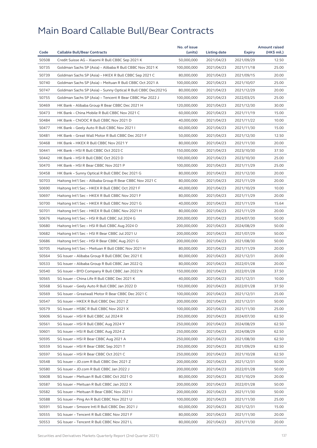| Code  |                                                              | No. of issue | Listing date |               | <b>Amount raised</b> |
|-------|--------------------------------------------------------------|--------------|--------------|---------------|----------------------|
|       | <b>Callable Bull/Bear Contracts</b>                          | (units)      |              | <b>Expiry</b> | (HK\$ mil.)          |
| 50508 | Credit Suisse AG - Xiaomi R Bull CBBC Sep 2021 K             | 50,000,000   | 2021/04/23   | 2021/09/29    | 12.50                |
| 50735 | Goldman Sachs SP (Asia) - Alibaba R Bull CBBC Nov 2021 K     | 100,000,000  | 2021/04/23   | 2021/11/18    | 25.00                |
| 50739 | Goldman Sachs SP (Asia) - HKEX R Bull CBBC Sep 2021 C        | 80,000,000   | 2021/04/23   | 2021/09/15    | 20.00                |
| 50740 | Goldman Sachs SP (Asia) - Meituan R Bull CBBC Oct 2021 A     | 100,000,000  | 2021/04/23   | 2021/10/07    | 25.00                |
| 50747 | Goldman Sachs SP (Asia) - Sunny Optical R Bull CBBC Dec2021G | 80,000,000   | 2021/04/23   | 2021/12/29    | 20.00                |
| 50755 | Goldman Sachs SP (Asia) - Tencent R Bear CBBC Mar 2022 J     | 100,000,000  | 2021/04/23   | 2022/03/25    | 25.00                |
| 50469 | HK Bank - Alibaba Group R Bear CBBC Dec 2021 H               | 120,000,000  | 2021/04/23   | 2021/12/30    | 30.00                |
| 50473 | HK Bank - China Mobile R Bull CBBC Nov 2021 C                | 60,000,000   | 2021/04/23   | 2021/11/19    | 15.00                |
| 50484 | HK Bank - CNOOC R Bull CBBC Nov 2021 D                       | 40,000,000   | 2021/04/23   | 2021/11/22    | 10.00                |
| 50477 | HK Bank - Geely Auto R Bull CBBC Nov 2021 I                  | 60,000,000   | 2021/04/23   | 2021/11/30    | 15.00                |
| 50481 | HK Bank - Great Wall Motor R Bull CBBC Dec 2021 F            | 50,000,000   | 2021/04/23   | 2021/12/30    | 12.50                |
| 50468 | HK Bank - HKEX R Bull CBBC Nov 2021 Y                        | 80,000,000   | 2021/04/23   | 2021/11/30    | 20.00                |
| 50441 | HK Bank - HSI R Bull CBBC Oct 2023 C                         | 150,000,000  | 2021/04/23   | 2023/10/30    | 37.50                |
| 50442 | HK Bank - HSI R Bull CBBC Oct 2023 D                         | 100,000,000  | 2021/04/23   | 2023/10/30    | 25.00                |
| 50470 | HK Bank - HSI R Bear CBBC Nov 2021 P                         | 100,000,000  | 2021/04/23   | 2021/11/29    | 25.00                |
| 50458 | HK Bank - Sunny Optical R Bull CBBC Dec 2021 G               | 80,000,000   | 2021/04/23   | 2021/12/30    | 20.00                |
| 50703 | Haitong Int'l Sec - Alibaba Group R Bear CBBC Nov 2021 C     | 80,000,000   | 2021/04/23   | 2021/11/29    | 20.00                |
| 50690 | Haitong Int'l Sec - HKEX R Bull CBBC Oct 2021 F              | 40,000,000   | 2021/04/23   | 2021/10/29    | 10.00                |
| 50697 | Haitong Int'l Sec - HKEX R Bull CBBC Nov 2021 F              | 80,000,000   | 2021/04/23   | 2021/11/29    | 20.00                |
| 50700 | Haitong Int'l Sec - HKEX R Bull CBBC Nov 2021 G              | 40,000,000   | 2021/04/23   | 2021/11/29    | 15.64                |
| 50701 | Haitong Int'l Sec - HKEX R Bull CBBC Nov 2021 H              | 80,000,000   | 2021/04/23   | 2021/11/29    | 20.00                |
| 50676 | Haitong Int'l Sec - HSI R Bull CBBC Jul 2024 G               | 200,000,000  | 2021/04/23   | 2024/07/30    | 50.00                |
| 50680 | Haitong Int'l Sec - HSI R Bull CBBC Aug 2024 O               | 200,000,000  | 2021/04/23   | 2024/08/29    | 50.00                |
| 50682 | Haitong Int'l Sec - HSI R Bear CBBC Jul 2021 U               | 200,000,000  | 2021/04/23   | 2021/07/29    | 50.00                |
| 50686 | Haitong Int'l Sec - HSI R Bear CBBC Aug 2021 G               | 200,000,000  | 2021/04/23   | 2021/08/30    | 50.00                |
| 50705 | Haitong Int'l Sec - Meituan R Bull CBBC Nov 2021 H           | 80,000,000   | 2021/04/23   | 2021/11/29    | 20.00                |
| 50564 | SG Issuer - Alibaba Group R Bull CBBC Dec 2021 E             | 80,000,000   | 2021/04/23   | 2021/12/31    | 20.00                |
| 50533 | SG Issuer - Alibaba Group R Bull CBBC Jan 2022 Q             | 80,000,000   | 2021/04/23   | 2022/01/28    | 20.00                |
| 50540 | SG Issuer - BYD Company R Bull CBBC Jan 2022 N               | 150,000,000  | 2021/04/23   | 2022/01/28    | 37.50                |
| 50565 | SG Issuer - China Life R Bull CBBC Dec 2021 K                | 40,000,000   | 2021/04/23   | 2021/12/31    | 10.00                |
| 50568 | SG Issuer - Geely Auto R Bull CBBC Jan 2022 D                | 150,000,000  | 2021/04/23   | 2022/01/28    | 37.50                |
| 50569 | SG Issuer - Greatwall Motor R Bear CBBC Dec 2021 C           | 100,000,000  | 2021/04/23   | 2021/12/31    | 25.00                |
| 50547 | SG Issuer – HKEX R Bull CBBC Dec 2021 Z                      | 200,000,000  | 2021/04/23   | 2021/12/31    | 50.00                |
| 50579 | SG Issuer - HSBC R Bull CBBC Nov 2021 X                      | 100,000,000  | 2021/04/23   | 2021/11/30    | 25.00                |
| 50606 | SG Issuer - HSI R Bull CBBC Jul 2024 R                       | 250,000,000  | 2021/04/23   | 2024/07/30    | 62.50                |
| 50561 | SG Issuer - HSI R Bull CBBC Aug 2024 Y                       | 250,000,000  | 2021/04/23   | 2024/08/29    | 62.50                |
| 50601 | SG Issuer - HSI R Bull CBBC Aug 2024 Z                       | 250,000,000  | 2021/04/23   | 2024/08/29    | 62.50                |
| 50595 | SG Issuer - HSI R Bear CBBC Aug 2021 A                       | 250,000,000  | 2021/04/23   | 2021/08/30    | 62.50                |
| 50559 | SG Issuer - HSI R Bear CBBC Sep 2021 T                       | 250,000,000  | 2021/04/23   | 2021/09/29    | 62.50                |
| 50597 | SG Issuer - HSI R Bear CBBC Oct 2021 C                       | 250,000,000  | 2021/04/23   | 2021/10/28    | 62.50                |
| 50548 | SG Issuer - JD.com R Bull CBBC Dec 2021 Z                    | 200,000,000  | 2021/04/23   | 2021/12/31    | 50.00                |
| 50580 | SG Issuer - JD.com R Bull CBBC Jan 2022 J                    | 200,000,000  | 2021/04/23   | 2022/01/28    | 50.00                |
| 50608 | SG Issuer - Meituan R Bull CBBC Oct 2021 O                   | 80,000,000   | 2021/04/23   | 2021/10/29    | 20.00                |
| 50587 | SG Issuer - Meituan R Bull CBBC Jan 2022 X                   | 200,000,000  | 2021/04/23   | 2022/01/28    | 50.00                |
| 50582 | SG Issuer - Meituan R Bear CBBC Nov 2021 I                   | 200,000,000  | 2021/04/23   | 2021/11/30    | 50.00                |
| 50588 | SG Issuer - Ping An R Bull CBBC Nov 2021 U                   | 100,000,000  | 2021/04/23   | 2021/11/30    | 25.00                |
| 50591 | SG Issuer - Smoore Intl R Bull CBBC Dec 2021 J               | 60,000,000   | 2021/04/23   | 2021/12/31    | 15.00                |
| 50555 | SG Issuer - Tencent R Bull CBBC Nov 2021 F                   | 80,000,000   | 2021/04/23   | 2021/11/30    | 20.00                |
| 50553 | SG Issuer - Tencent R Bull CBBC Nov 2021 L                   | 80,000,000   | 2021/04/23   | 2021/11/30    | 20.00                |
|       |                                                              |              |              |               |                      |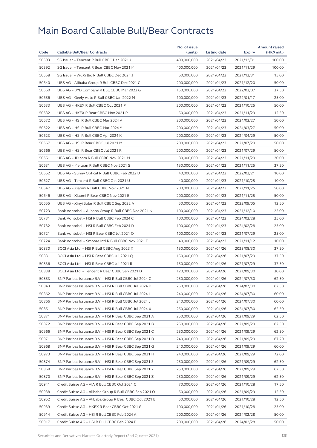| Code  |                                                         | No. of issue |              |               | <b>Amount raised</b> |
|-------|---------------------------------------------------------|--------------|--------------|---------------|----------------------|
|       | <b>Callable Bull/Bear Contracts</b>                     | (units)      | Listing date | <b>Expiry</b> | (HK\$ mil.)          |
| 50593 | SG Issuer - Tencent R Bull CBBC Dec 2021 U              | 400,000,000  | 2021/04/23   | 2021/12/31    | 100.00               |
| 50592 | SG Issuer - Tencent R Bear CBBC Nov 2021 M              | 400,000,000  | 2021/04/23   | 2021/11/29    | 100.00               |
| 50558 | SG Issuer - WuXi Bio R Bull CBBC Dec 2021 J             | 60,000,000   | 2021/04/23   | 2021/12/31    | 15.00                |
| 50640 | UBS AG - Alibaba Group R Bull CBBC Dec 2021 C           | 200,000,000  | 2021/04/23   | 2021/12/20    | 50.00                |
| 50660 | UBS AG - BYD Company R Bull CBBC Mar 2022 G             | 150,000,000  | 2021/04/23   | 2022/03/07    | 37.50                |
| 50656 | UBS AG - Geely Auto R Bull CBBC Jan 2022 M              | 100,000,000  | 2021/04/23   | 2022/01/17    | 25.00                |
| 50633 | UBS AG - HKEX R Bull CBBC Oct 2021 P                    | 200,000,000  | 2021/04/23   | 2021/10/25    | 50.00                |
| 50632 | UBS AG - HKEX R Bear CBBC Nov 2021 P                    | 50,000,000   | 2021/04/23   | 2021/11/29    | 12.50                |
| 50672 | UBS AG - HSI R Bull CBBC Mar 2024 A                     | 200,000,000  | 2021/04/23   | 2024/03/27    | 50.00                |
| 50622 | UBS AG - HSI R Bull CBBC Mar 2024 Y                     | 200,000,000  | 2021/04/23   | 2024/03/27    | 50.00                |
| 50623 | UBS AG - HSI R Bull CBBC Apr 2024 K                     | 200,000,000  | 2021/04/23   | 2024/04/29    | 50.00                |
| 50667 | UBS AG - HSI R Bear CBBC Jul 2021 M                     | 200,000,000  | 2021/04/23   | 2021/07/29    | 50.00                |
| 50666 | UBS AG - HSI R Bear CBBC Jul 2021 R                     | 200,000,000  | 2021/04/23   | 2021/07/29    | 50.00                |
| 50651 | UBS AG - JD.com R Bull CBBC Nov 2021 M                  | 80,000,000   | 2021/04/23   | 2021/11/29    | 20.00                |
| 50631 | UBS AG - Meituan R Bull CBBC Nov 2021 S                 | 150,000,000  | 2021/04/23   | 2021/11/25    | 37.50                |
| 50652 | UBS AG - Sunny Optical R Bull CBBC Feb 2022 D           | 40,000,000   | 2021/04/23   | 2022/02/21    | 10.00                |
| 50627 | UBS AG - Tencent R Bull CBBC Oct 2021 U                 | 40,000,000   | 2021/04/23   | 2021/10/25    | 10.00                |
| 50647 | UBS AG - Xiaomi R Bull CBBC Nov 2021 N                  | 200,000,000  | 2021/04/23   | 2021/11/25    | 50.00                |
| 50646 | UBS AG - Xiaomi R Bear CBBC Nov 2021 E                  | 200,000,000  | 2021/04/23   | 2021/11/25    | 50.00                |
| 50655 | UBS AG - Xinyi Solar R Bull CBBC Sep 2022 A             | 50,000,000   | 2021/04/23   | 2022/09/05    | 12.50                |
| 50723 | Bank Vontobel - Alibaba Group R Bull CBBC Dec 2021 N    | 100,000,000  | 2021/04/23   | 2021/12/10    | 25.00                |
| 50731 | Bank Vontobel - HSI R Bull CBBC Feb 2024 C              | 100,000,000  | 2021/04/23   | 2024/02/28    | 25.00                |
| 50732 | Bank Vontobel - HSI R Bull CBBC Feb 2024 D              | 100,000,000  | 2021/04/23   | 2024/02/28    | 25.00                |
| 50721 | Bank Vontobel - HSI R Bear CBBC Jul 2021 Q              | 100,000,000  | 2021/04/23   | 2021/07/29    | 25.00                |
| 50724 | Bank Vontobel - Smoore Intl R Bull CBBC Nov 2021 F      | 40,000,000   | 2021/04/23   | 2021/11/12    | 10.00                |
| 50830 | BOCI Asia Ltd. - HSI R Bull CBBC Aug 2023 X             | 150,000,000  | 2021/04/26   | 2023/08/30    | 37.50                |
| 50831 | BOCI Asia Ltd. - HSI R Bear CBBC Jul 2021 Q             | 150,000,000  | 2021/04/26   | 2021/07/29    | 37.50                |
| 50836 | BOCI Asia Ltd. - HSI R Bear CBBC Jul 2021 R             | 150,000,000  | 2021/04/26   | 2021/07/29    | 37.50                |
| 50838 | BOCI Asia Ltd. - Tencent R Bear CBBC Sep 2021 D         | 120,000,000  | 2021/04/26   | 2021/09/30    | 30.00                |
| 50853 | BNP Paribas Issuance B.V. - HSI R Bull CBBC Jul 2024 C  | 250,000,000  | 2021/04/26   | 2024/07/30    | 62.50                |
| 50843 | BNP Paribas Issuance B.V. - HSI R Bull CBBC Jul 2024 D  | 250,000,000  | 2021/04/26   | 2024/07/30    | 62.50                |
| 50862 | BNP Paribas Issuance B.V. - HSI R Bull CBBC Jul 2024 I  | 240,000,000  | 2021/04/26   | 2024/07/30    | 60.00                |
| 50866 | BNP Paribas Issuance B.V. – HSI R Bull CBBC Jul 2024 J  | 240,000,000  | 2021/04/26   | 2024/07/30    | 60.00                |
| 50851 | BNP Paribas Issuance B.V. - HSI R Bull CBBC Jul 2024 X  | 250,000,000  | 2021/04/26   | 2024/07/30    | 62.50                |
| 50871 | BNP Paribas Issuance B.V. - HSI R Bear CBBC Sep 2021 A  | 250,000,000  | 2021/04/26   | 2021/09/29    | 62.50                |
| 50872 | BNP Paribas Issuance B.V. - HSI R Bear CBBC Sep 2021 B  | 250,000,000  | 2021/04/26   | 2021/09/29    | 62.50                |
| 50966 | BNP Paribas Issuance B.V. - HSI R Bear CBBC Sep 2021 C  | 250,000,000  | 2021/04/26   | 2021/09/29    | 62.50                |
| 50971 | BNP Paribas Issuance B.V. - HSI R Bear CBBC Sep 2021 D  | 240,000,000  | 2021/04/26   | 2021/09/29    | 67.20                |
| 50968 | BNP Paribas Issuance B.V. - HSI R Bear CBBC Sep 2021 G  | 240,000,000  | 2021/04/26   | 2021/09/29    | 60.00                |
| 50973 | BNP Paribas Issuance B.V. - HSI R Bear CBBC Sep 2021 H  | 240,000,000  | 2021/04/26   | 2021/09/29    | 72.00                |
| 50874 | BNP Paribas Issuance B.V. - HSI R Bear CBBC Sep 2021 S  | 250,000,000  | 2021/04/26   | 2021/09/29    | 62.50                |
| 50868 | BNP Paribas Issuance B.V. - HSI R Bear CBBC Sep 2021 Y  | 250,000,000  | 2021/04/26   | 2021/09/29    | 62.50                |
| 50870 | BNP Paribas Issuance B.V. - HSI R Bear CBBC Sep 2021 Z  | 250,000,000  | 2021/04/26   | 2021/09/29    | 62.50                |
| 50941 | Credit Suisse AG - AIA R Bull CBBC Oct 2021 C           | 70,000,000   | 2021/04/26   | 2021/10/28    | 17.50                |
| 50938 | Credit Suisse AG - Alibaba Group R Bull CBBC Sep 2021 O | 50,000,000   | 2021/04/26   | 2021/09/29    | 12.50                |
| 50952 | Credit Suisse AG - Alibaba Group R Bear CBBC Oct 2021 E | 50,000,000   | 2021/04/26   | 2021/10/28    | 12.50                |
| 50939 | Credit Suisse AG - HKEX R Bear CBBC Oct 2021 G          | 100,000,000  | 2021/04/26   | 2021/10/28    | 25.00                |
| 50914 | Credit Suisse AG - HSI R Bull CBBC Feb 2024 A           | 200,000,000  | 2021/04/26   | 2024/02/28    | 50.00                |
| 50917 | Credit Suisse AG – HSI R Bull CBBC Feb 2024 B           | 200,000,000  | 2021/04/26   | 2024/02/28    | 50.00                |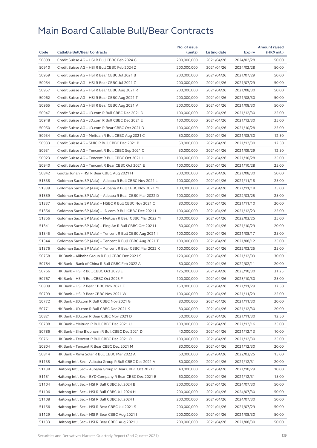|       |                                                          | No. of issue |              |            | <b>Amount raised</b> |
|-------|----------------------------------------------------------|--------------|--------------|------------|----------------------|
| Code  | <b>Callable Bull/Bear Contracts</b>                      | (units)      | Listing date | Expiry     | (HK\$ mil.)          |
| 50899 | Credit Suisse AG - HSI R Bull CBBC Feb 2024 G            | 200,000,000  | 2021/04/26   | 2024/02/28 | 50.00                |
| 50910 | Credit Suisse AG - HSI R Bull CBBC Feb 2024 Z            | 200,000,000  | 2021/04/26   | 2024/02/28 | 50.00                |
| 50959 | Credit Suisse AG - HSI R Bear CBBC Jul 2021 B            | 200,000,000  | 2021/04/26   | 2021/07/29 | 50.00                |
| 50954 | Credit Suisse AG - HSI R Bear CBBC Jul 2021 Z            | 200,000,000  | 2021/04/26   | 2021/07/29 | 50.00                |
| 50957 | Credit Suisse AG - HSI R Bear CBBC Aug 2021 R            | 200,000,000  | 2021/04/26   | 2021/08/30 | 50.00                |
| 50962 | Credit Suisse AG - HSI R Bear CBBC Aug 2021 T            | 200,000,000  | 2021/04/26   | 2021/08/30 | 50.00                |
| 50965 | Credit Suisse AG - HSI R Bear CBBC Aug 2021 V            | 200,000,000  | 2021/04/26   | 2021/08/30 | 50.00                |
| 50947 | Credit Suisse AG - JD.com R Bull CBBC Dec 2021 D         | 100,000,000  | 2021/04/26   | 2021/12/30 | 25.00                |
| 50948 | Credit Suisse AG - JD.com R Bull CBBC Dec 2021 E         | 100,000,000  | 2021/04/26   | 2021/12/30 | 25.00                |
| 50950 | Credit Suisse AG - JD.com R Bear CBBC Oct 2021 D         | 100,000,000  | 2021/04/26   | 2021/10/28 | 25.00                |
| 50934 | Credit Suisse AG - Meituan R Bull CBBC Aug 2021 C        | 50,000,000   | 2021/04/26   | 2021/08/30 | 12.50                |
| 50933 | Credit Suisse AG - SMIC R Bull CBBC Dec 2021 B           | 50,000,000   | 2021/04/26   | 2021/12/30 | 12.50                |
| 50931 | Credit Suisse AG - Tencent R Bull CBBC Sep 2021 C        | 50,000,000   | 2021/04/26   | 2021/09/29 | 12.50                |
| 50923 | Credit Suisse AG - Tencent R Bull CBBC Oct 2021 L        | 100,000,000  | 2021/04/26   | 2021/10/28 | 25.00                |
| 50940 | Credit Suisse AG - Tencent R Bear CBBC Oct 2021 E        | 100,000,000  | 2021/04/26   | 2021/10/28 | 25.00                |
| 50842 | Guotai Junan - HSI R Bear CBBC Aug 2021 H                | 200,000,000  | 2021/04/26   | 2021/08/30 | 50.00                |
| 51338 | Goldman Sachs SP (Asia) - Alibaba R Bull CBBC Nov 2021 L | 100,000,000  | 2021/04/26   | 2021/11/18 | 25.00                |
| 51339 | Goldman Sachs SP (Asia) - Alibaba R Bull CBBC Nov 2021 M | 100,000,000  | 2021/04/26   | 2021/11/18 | 25.00                |
| 51359 | Goldman Sachs SP (Asia) - Alibaba R Bear CBBC Mar 2022 D | 100,000,000  | 2021/04/26   | 2022/03/25 | 25.00                |
| 51337 | Goldman Sachs SP (Asia) - HSBC R Bull CBBC Nov 2021 C    | 80,000,000   | 2021/04/26   | 2021/11/10 | 20.00                |
| 51354 | Goldman Sachs SP (Asia) - JD.com R Bull CBBC Dec 2021 I  | 100,000,000  | 2021/04/26   | 2021/12/23 | 25.00                |
| 51356 | Goldman Sachs SP (Asia) - Meituan R Bear CBBC Mar 2022 M | 100,000,000  | 2021/04/26   | 2022/03/25 | 25.00                |
| 51341 | Goldman Sachs SP (Asia) - Ping An R Bull CBBC Oct 2021 I | 80,000,000   | 2021/04/26   | 2021/10/29 | 20.00                |
| 51345 | Goldman Sachs SP (Asia) - Tencent R Bull CBBC Aug 2021 I | 100,000,000  | 2021/04/26   | 2021/08/17 | 25.00                |
| 51344 | Goldman Sachs SP (Asia) - Tencent R Bull CBBC Aug 2021 T | 100,000,000  | 2021/04/26   | 2021/08/12 | 25.00                |
| 51376 | Goldman Sachs SP (Asia) - Tencent R Bear CBBC Mar 2022 K | 100,000,000  | 2021/04/26   | 2022/03/25 | 25.00                |
| 50758 | HK Bank - Alibaba Group R Bull CBBC Dec 2021 S           | 120,000,000  | 2021/04/26   | 2021/12/09 | 30.00                |
| 50784 | HK Bank - Bank of China R Bull CBBC Feb 2022 A           | 80,000,000   | 2021/04/26   | 2022/02/11 | 20.00                |
| 50766 | HK Bank - HSI R Bull CBBC Oct 2023 E                     | 125,000,000  | 2021/04/26   | 2023/10/30 | 31.25                |
| 50767 | HK Bank - HSI R Bull CBBC Oct 2023 F                     | 100,000,000  | 2021/04/26   | 2023/10/30 | 25.00                |
| 50809 | HK Bank - HSI R Bear CBBC Nov 2021 E                     | 150,000,000  | 2021/04/26   | 2021/11/29 | 37.50                |
| 50799 | HK Bank - HSI R Bear CBBC Nov 2021 W                     | 100,000,000  | 2021/04/26   | 2021/11/29 | 25.00                |
|       |                                                          |              |              |            |                      |
| 50772 | HK Bank - JD.com R Bull CBBC Nov 2021 G                  | 80,000,000   | 2021/04/26   | 2021/11/30 | 20.00                |
| 50771 | HK Bank - JD.com R Bull CBBC Dec 2021 K                  | 80,000,000   | 2021/04/26   | 2021/12/30 | 20.00                |
| 50821 | HK Bank - JD.com R Bear CBBC Nov 2021 D                  | 50,000,000   | 2021/04/26   | 2021/11/30 | 12.50                |
| 50788 | HK Bank - Meituan R Bull CBBC Dec 2021 U                 | 100,000,000  | 2021/04/26   | 2021/12/16 | 25.00                |
| 50786 | HK Bank - Sino Biopharm R Bull CBBC Dec 2021 D           | 40,000,000   | 2021/04/26   | 2021/12/13 | 10.00                |
| 50761 | HK Bank - Tencent R Bull CBBC Dec 2021 O                 | 100,000,000  | 2021/04/26   | 2021/12/30 | 25.00                |
| 50804 | HK Bank - Tencent R Bear CBBC Dec 2021 M                 | 80,000,000   | 2021/04/26   | 2021/12/30 | 20.00                |
| 50814 | HK Bank – Xinyi Solar R Bull CBBC Mar 2022 A             | 60,000,000   | 2021/04/26   | 2022/03/25 | 15.00                |
| 51135 | Haitong Int'l Sec - Alibaba Group R Bull CBBC Dec 2021 A | 80,000,000   | 2021/04/26   | 2021/12/31 | 20.00                |
| 51138 | Haitong Int'l Sec - Alibaba Group R Bear CBBC Oct 2021 C | 40,000,000   | 2021/04/26   | 2021/10/29 | 10.00                |
| 51151 | Haitong Int'l Sec - BYD Company R Bear CBBC Dec 2021 B   | 60,000,000   | 2021/04/26   | 2021/12/31 | 15.00                |
| 51104 | Haitong Int'l Sec - HSI R Bull CBBC Jul 2024 B           | 200,000,000  | 2021/04/26   | 2024/07/30 | 50.00                |
| 51106 | Haitong Int'l Sec - HSI R Bull CBBC Jul 2024 H           | 200,000,000  | 2021/04/26   | 2024/07/30 | 50.00                |
| 51108 | Haitong Int'l Sec - HSI R Bull CBBC Jul 2024 I           | 200,000,000  | 2021/04/26   | 2024/07/30 | 50.00                |
| 51156 | Haitong Int'l Sec - HSI R Bear CBBC Jul 2021 S           | 200,000,000  | 2021/04/26   | 2021/07/29 | 50.00                |
| 51129 | Haitong Int'l Sec - HSI R Bear CBBC Aug 2021 I           | 200,000,000  | 2021/04/26   | 2021/08/30 | 50.00                |
| 51133 | Haitong Int'l Sec - HSI R Bear CBBC Aug 2021 J           | 200,000,000  | 2021/04/26   | 2021/08/30 | 50.00                |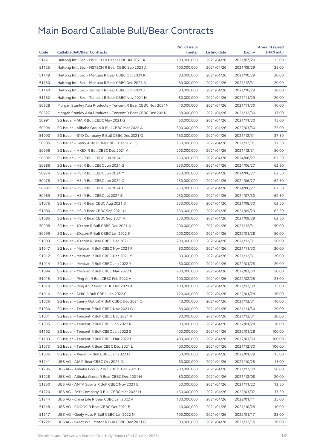|       |                                                              | No. of issue |              |            | <b>Amount raised</b> |
|-------|--------------------------------------------------------------|--------------|--------------|------------|----------------------|
| Code  | <b>Callable Bull/Bear Contracts</b>                          | (units)      | Listing date | Expiry     | (HK\$ mil.)          |
| 51121 | Haitong Int'l Sec - HSTECH R Bear CBBC Jul 2021 A            | 100,000,000  | 2021/04/26   | 2021/07/29 | 25.00                |
| 51125 | Haitong Int'l Sec - HSTECH R Bear CBBC Sep 2021 A            | 100,000,000  | 2021/04/26   | 2021/09/29 | 25.00                |
| 51149 | Haitong Int'l Sec - Meituan R Bear CBBC Oct 2021 K           | 80,000,000   | 2021/04/26   | 2021/10/29 | 20.00                |
| 51150 | Haitong Int'l Sec - Meituan R Bear CBBC Dec 2021 A           | 80,000,000   | 2021/04/26   | 2021/12/31 | 20.00                |
| 51140 | Haitong Int'l Sec - Tencent R Bear CBBC Oct 2021 J           | 80,000,000   | 2021/04/26   | 2021/10/29 | 20.00                |
| 51152 | Haitong Int'l Sec - Tencent R Bear CBBC Nov 2021 H           | 80,000,000   | 2021/04/26   | 2021/11/29 | 20.00                |
| 50828 | Morgan Stanley Asia Products - Tencent R Bear CBBC Nov 2021N | 40,000,000   | 2021/04/26   | 2021/11/30 | 10.00                |
| 50827 | Morgan Stanley Asia Products - Tencent R Bear CBBC Dec 2021L | 68,000,000   | 2021/04/26   | 2021/12/30 | 17.00                |
| 50991 | SG Issuer - AIA R Bull CBBC Nov 2021 G                       | 60,000,000   | 2021/04/26   | 2021/11/30 | 15.00                |
| 50994 | SG Issuer - Alibaba Group R Bull CBBC Mar 2022 A             | 300,000,000  | 2021/04/26   | 2022/03/30 | 75.00                |
| 51090 | SG Issuer - BYD Company R Bull CBBC Dec 2021 Q               | 150,000,000  | 2021/04/26   | 2021/12/31 | 37.50                |
| 50995 | SG Issuer - Geely Auto R Bull CBBC Dec 2021 Q                | 150,000,000  | 2021/04/26   | 2021/12/31 | 37.50                |
| 50996 | SG Issuer - HKEX R Bull CBBC Dec 2021 A                      | 200,000,000  | 2021/04/26   | 2021/12/31 | 50.00                |
| 50982 | SG Issuer - HSI R Bull CBBC Jun 2024 F                       | 250,000,000  | 2021/04/26   | 2024/06/27 | 62.50                |
| 50986 | SG Issuer - HSI R Bull CBBC Jun 2024 G                       | 250,000,000  | 2021/04/26   | 2024/06/27 | 62.50                |
| 50974 | SG Issuer - HSI R Bull CBBC Jun 2024 M                       | 250,000,000  | 2021/04/26   | 2024/06/27 | 62.50                |
| 50978 | SG Issuer - HSI R Bull CBBC Jun 2024 Q                       | 250,000,000  | 2021/04/26   | 2024/06/27 | 62.50                |
| 50987 | SG Issuer - HSI R Bull CBBC Jun 2024 T                       | 250,000,000  | 2021/04/26   | 2024/06/27 | 62.50                |
| 50989 | SG Issuer - HSI R Bull CBBC Jul 2024 Z                       | 250,000,000  | 2021/04/26   | 2024/07/30 | 62.50                |
| 51076 | SG Issuer - HSI R Bear CBBC Aug 2021 B                       | 250,000,000  | 2021/04/26   | 2021/08/30 | 62.50                |
| 51080 | SG Issuer - HSI R Bear CBBC Sep 2021 U                       | 250,000,000  | 2021/04/26   | 2021/09/29 | 62.50                |
| 51085 | SG Issuer - HSI R Bear CBBC Sep 2021 V                       | 250,000,000  | 2021/04/26   | 2021/09/29 | 62.50                |
| 50998 | SG Issuer - JD.com R Bull CBBC Dec 2021 A                    | 200,000,000  | 2021/04/26   | 2021/12/31 | 50.00                |
| 50999 | SG Issuer - JD.com R Bull CBBC Jan 2022 K                    | 200,000,000  | 2021/04/26   | 2022/01/28 | 50.00                |
| 51093 | SG Issuer - JD.com R Bear CBBC Dec 2021 F                    | 200,000,000  | 2021/04/26   | 2021/12/31 | 50.00                |
| 51047 | SG Issuer - Meituan R Bull CBBC Nov 2021 R                   | 80,000,000   | 2021/04/26   | 2021/11/30 | 20.00                |
| 51012 | SG Issuer - Meituan R Bull CBBC Dec 2021 Y                   | 80,000,000   | 2021/04/26   | 2021/12/31 | 20.00                |
| 51014 | SG Issuer - Meituan R Bull CBBC Jan 2022 Y                   | 80,000,000   | 2021/04/26   | 2022/01/28 | 20.00                |
| 51094 | SG Issuer - Meituan R Bull CBBC Mar 2022 D                   | 200,000,000  | 2021/04/26   | 2022/03/30 | 50.00                |
|       |                                                              |              |              |            |                      |
| 51015 | SG Issuer - Ping An R Bull CBBC Feb 2022 A                   | 100,000,000  | 2021/04/26   | 2022/02/25 | 25.00                |
| 51070 | SG Issuer - Ping An R Bear CBBC Dec 2021 A                   | 100,000,000  | 2021/04/26   | 2021/12/30 | 25.00                |
| 51016 | SG Issuer - SMIC R Bull CBBC Jan 2022 C                      | 120,000,000  | 2021/04/26   | 2022/01/28 | 30.00                |
| 51026 | SG Issuer - Sunny Optical R Bull CBBC Dec 2021 O             | 40,000,000   | 2021/04/26   | 2021/12/31 | 10.00                |
| 51030 | SG Issuer - Tencent R Bull CBBC Nov 2021 G                   | 80,000,000   | 2021/04/26   | 2021/11/30 | 20.00                |
| 51031 | SG Issuer - Tencent R Bull CBBC Dec 2021 V                   | 80,000,000   | 2021/04/26   | 2021/12/31 | 20.00                |
| 51035 | SG Issuer - Tencent R Bull CBBC Jan 2022 R                   | 80,000,000   | 2021/04/26   | 2022/01/28 | 20.00                |
| 51102 | SG Issuer - Tencent R Bull CBBC Jan 2022 S                   | 400,000,000  | 2021/04/26   | 2022/01/28 | 100.00               |
| 51103 | SG Issuer - Tencent R Bull CBBC Mar 2022 E                   | 400,000,000  | 2021/04/26   | 2022/03/30 | 100.00               |
| 51073 | SG Issuer - Tencent R Bear CBBC Dec 2021 L                   | 400,000,000  | 2021/04/26   | 2021/12/30 | 100.00               |
| 51036 | SG Issuer - Xiaomi R Bull CBBC Jan 2022 H                    | 60,000,000   | 2021/04/26   | 2022/01/28 | 15.00                |
| 51241 | UBS AG - AIA R Bear CBBC Oct 2021 D                          | 60,000,000   | 2021/04/26   | 2021/10/25 | 15.00                |
| 51205 | UBS AG - Alibaba Group R Bull CBBC Dec 2021 D                | 200,000,000  | 2021/04/26   | 2021/12/30 | 50.00                |
| 51228 | UBS AG - Alibaba Group R Bear CBBC Dec 2021 H                | 80,000,000   | 2021/04/26   | 2021/12/08 | 20.00                |
| 51250 | UBS AG - ANTA Sports R Bull CBBC Nov 2021 B                  | 50,000,000   | 2021/04/26   | 2021/11/22 | 12.50                |
| 51220 | UBS AG - BYD Company R Bull CBBC Mar 2022 H                  | 150,000,000  | 2021/04/26   | 2022/03/07 | 37.50                |
| 51244 | UBS AG - China Life R Bear CBBC Jan 2022 A                   | 100,000,000  | 2021/04/26   | 2022/01/11 | 25.00                |
| 51248 | UBS AG - CNOOC R Bear CBBC Oct 2021 E                        | 40,000,000   | 2021/04/26   | 2021/10/28 | 10.00                |
| 51217 | UBS AG - Geely Auto R Bull CBBC Jan 2022 N                   | 100,000,000  | 2021/04/26   | 2022/01/17 | 25.00                |
| 51222 | UBS AG - Great Wall Motor R Bull CBBC Dec 2021 G             | 80,000,000   | 2021/04/26   | 2021/12/15 | 20.00                |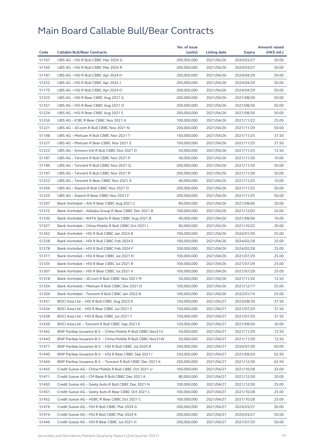|       |                                                             | No. of issue |              |            | <b>Amount raised</b> |
|-------|-------------------------------------------------------------|--------------|--------------|------------|----------------------|
| Code  | <b>Callable Bull/Bear Contracts</b>                         | (units)      | Listing date | Expiry     | (HK\$ mil.)          |
| 51167 | UBS AG - HSI R Bull CBBC Mar 2024 G                         | 200,000,000  | 2021/04/26   | 2024/03/27 | 50.00                |
| 51165 | UBS AG - HSI R Bull CBBC Mar 2024 R                         | 200,000,000  | 2021/04/26   | 2024/03/27 | 50.00                |
| 51181 | UBS AG - HSI R Bull CBBC Apr 2024 H                         | 200,000,000  | 2021/04/26   | 2024/04/29 | 50.00                |
| 51252 | UBS AG - HSI R Bull CBBC Apr 2024 J                         | 200,000,000  | 2021/04/26   | 2024/04/29 | 50.00                |
| 51175 | UBS AG - HSI R Bull CBBC Apr 2024 O                         | 200,000,000  | 2021/04/26   | 2024/04/29 | 50.00                |
| 51225 | UBS AG - HSI R Bear CBBC Aug 2021 G                         | 200,000,000  | 2021/04/26   | 2021/08/30 | 50.00                |
| 51251 | UBS AG - HSI R Bear CBBC Aug 2021 O                         | 200,000,000  | 2021/04/26   | 2021/08/30 | 50.00                |
| 51224 | UBS AG - HSI R Bear CBBC Aug 2021 S                         | 200,000,000  | 2021/04/26   | 2021/08/30 | 50.00                |
| 51256 | UBS AG - ICBC R Bear CBBC Nov 2021 A                        | 100,000,000  | 2021/04/26   | 2021/11/22 | 25.00                |
| 51221 | UBS AG - JD.com R Bull CBBC Nov 2021 N                      | 200,000,000  | 2021/04/26   | 2021/11/29 | 50.00                |
| 51198 | UBS AG - Meituan R Bull CBBC Nov 2021 T                     | 150,000,000  | 2021/04/26   | 2021/11/25 | 37.50                |
| 51227 | UBS AG - Meituan R Bear CBBC Nov 2021 Z                     | 150,000,000  | 2021/04/26   | 2021/11/25 | 37.50                |
| 51223 | UBS AG - Smoore Intl R Bull CBBC Nov 2021 D                 | 50,000,000   | 2021/04/26   | 2021/11/25 | 12.50                |
| 51187 | UBS AG - Tencent R Bull CBBC Nov 2021 P                     | 40,000,000   | 2021/04/26   | 2021/11/30 | 10.00                |
| 51189 | UBS AG - Tencent R Bull CBBC Nov 2021 Q                     | 200,000,000  | 2021/04/26   | 2021/11/30 | 50.00                |
| 51197 | UBS AG - Tencent R Bull CBBC Nov 2021 R                     | 200,000,000  | 2021/04/26   | 2021/11/30 | 50.00                |
| 51253 | UBS AG - Tencent R Bear CBBC Nov 2021 X                     | 40,000,000   | 2021/04/26   | 2021/11/25 | 10.00                |
| 51206 | UBS AG - Xiaomi R Bull CBBC Nov 2021 O                      | 200,000,000  | 2021/04/26   | 2021/11/25 | 50.00                |
| 51229 | UBS AG - Xiaomi R Bear CBBC Nov 2021 F                      | 200,000,000  | 2021/04/26   | 2021/11/25 | 50.00                |
| 51297 | Bank Vontobel - AIA R Bear CBBC Aug 2021 C                  | 80,000,000   | 2021/04/26   | 2021/08/06 | 20.00                |
| 51315 | Bank Vontobel - Alibaba Group R Bear CBBC Dec 2021 B        | 100,000,000  | 2021/04/26   | 2021/12/03 | 25.00                |
| 51330 | Bank Vontobel - ANTA Sports R Bear CBBC Aug 2021 B          | 40,000,000   | 2021/04/26   | 2021/08/06 | 10.00                |
| 51327 | Bank Vontobel - China Mobile R Bull CBBC Oct 2021 I         | 80,000,000   | 2021/04/26   | 2021/10/22 | 20.00                |
| 51262 | Bank Vontobel - HSI R Bull CBBC Jan 2024 B                  | 100,000,000  | 2021/04/26   | 2024/01/30 | 25.00                |
| 51258 | Bank Vontobel - HSI R Bull CBBC Feb 2024 E                  | 100,000,000  | 2021/04/26   | 2024/02/28 | 25.00                |
| 51278 | Bank Vontobel - HSI R Bull CBBC Feb 2024 F                  | 100,000,000  | 2021/04/26   | 2024/02/28 | 25.00                |
| 51311 | Bank Vontobel - HSI R Bear CBBC Jul 2021 H                  | 100,000,000  | 2021/04/26   | 2021/07/29 | 25.00                |
| 51335 | Bank Vontobel - HSI R Bear CBBC Jul 2021 R                  | 100,000,000  | 2021/04/26   | 2021/07/29 | 25.00                |
| 51307 | Bank Vontobel - HSI R Bear CBBC Jul 2021 V                  | 100,000,000  | 2021/04/26   | 2021/07/29 | 25.00                |
| 51318 | Bank Vontobel - JD.com R Bull CBBC Nov 2021 M               | 50,000,000   | 2021/04/26   | 2021/11/26 | 12.50                |
| 51334 | Bank Vontobel – Meituan R Bull CBBC Dec 2021 D              | 100,000,000  | 2021/04/26   | 2021/12/17 | 25.00                |
| 51304 | Bank Vontobel - Tencent R Bull CBBC Jan 2022 B              | 100,000,000  | 2021/04/26   | 2022/01/14 | 25.00                |
| 51431 | BOCI Asia Ltd. - HSI R Bull CBBC Aug 2023 K                 | 150,000,000  | 2021/04/27   | 2023/08/30 | 37.50                |
| 51434 | BOCI Asia Ltd. - HSI R Bear CBBC Jul 2021 S                 | 150,000,000  | 2021/04/27   | 2021/07/29 | 37.50                |
| 51438 | BOCI Asia Ltd. - HSI R Bear CBBC Jul 2021 T                 | 150,000,000  | 2021/04/27   | 2021/07/29 | 37.50                |
| 51439 | BOCI Asia Ltd. - Tencent R Bull CBBC Sep 2021 E             | 120,000,000  | 2021/04/27   | 2021/09/30 | 30.00                |
| 51442 | BNP Paribas Issuance B.V. - China Mobile R Bull CBBC Nov21V | 50,000,000   | 2021/04/27   | 2021/11/29 | 12.50                |
| 51443 | BNP Paribas Issuance B.V. - China Mobile R Bull CBBC Nov21W | 50,000,000   | 2021/04/27   | 2021/11/29 | 12.50                |
| 51477 | BNP Paribas Issuance B.V. - HSI R Bull CBBC Jul 2024 R      | 240,000,000  | 2021/04/27   | 2024/07/30 | 60.00                |
| 51440 | BNP Paribas Issuance B.V. - HSI R Bear CBBC Sep 2021 I      | 250,000,000  | 2021/04/27   | 2021/09/29 | 62.50                |
| 51444 | BNP Paribas Issuance B.V. - Tencent R Bull CBBC Dec 2021 K  | 250,000,000  | 2021/04/27   |            | 62.50                |
|       |                                                             |              |              | 2021/12/30 |                      |
| 51455 | Credit Suisse AG - China Mobile R Bull CBBC Oct 2021 U      | 100,000,000  | 2021/04/27   | 2021/10/28 | 25.00<br>20.00       |
| 51471 | Credit Suisse AG - CM Bank R Bull CBBC Dec 2021 A           | 80,000,000   | 2021/04/27   | 2021/12/30 |                      |
| 51450 | Credit Suisse AG - Geely Auto R Bull CBBC Dec 2021 N        | 100,000,000  | 2021/04/27   | 2021/12/30 | 25.00                |
| 51451 | Credit Suisse AG - Geely Auto R Bear CBBC Oct 2021 C        | 100,000,000  | 2021/04/27   | 2021/10/28 | 25.00                |
| 51452 | Credit Suisse AG - HSBC R Bear CBBC Oct 2021 C              | 100,000,000  | 2021/04/27   | 2021/10/28 | 25.00                |
| 51476 | Credit Suisse AG - HSI R Bull CBBC Mar 2024 G               | 200,000,000  | 2021/04/27   | 2024/03/27 | 50.00                |
| 51474 | Credit Suisse AG - HSI R Bull CBBC Mar 2024 X               | 200,000,000  | 2021/04/27   | 2024/03/27 | 50.00                |
| 51446 | Credit Suisse AG - HSI R Bear CBBC Jul 2021 H               | 200,000,000  | 2021/04/27   | 2021/07/29 | 50.00                |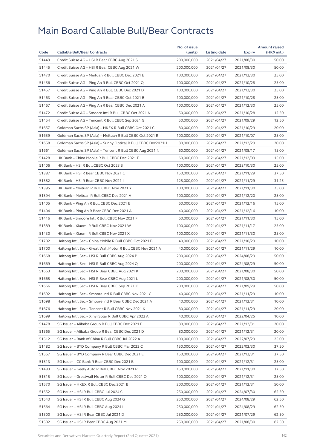| Code  |                                                              | No. of issue |              |               | <b>Amount raised</b> |
|-------|--------------------------------------------------------------|--------------|--------------|---------------|----------------------|
|       | <b>Callable Bull/Bear Contracts</b>                          | (units)      | Listing date | <b>Expiry</b> | (HK\$ mil.)          |
| 51449 | Credit Suisse AG - HSI R Bear CBBC Aug 2021 S                | 200,000,000  | 2021/04/27   | 2021/08/30    | 50.00                |
| 51445 | Credit Suisse AG - HSI R Bear CBBC Aug 2021 W                | 200,000,000  | 2021/04/27   | 2021/08/30    | 50.00                |
| 51470 | Credit Suisse AG - Meituan R Bull CBBC Dec 2021 E            | 100,000,000  | 2021/04/27   | 2021/12/30    | 25.00                |
| 51456 | Credit Suisse AG - Ping An R Bull CBBC Oct 2021 Q            | 100,000,000  | 2021/04/27   | 2021/10/28    | 25.00                |
| 51457 | Credit Suisse AG - Ping An R Bull CBBC Dec 2021 D            | 100,000,000  | 2021/04/27   | 2021/12/30    | 25.00                |
| 51463 | Credit Suisse AG - Ping An R Bear CBBC Oct 2021 B            | 100,000,000  | 2021/04/27   | 2021/10/28    | 25.00                |
| 51467 | Credit Suisse AG - Ping An R Bear CBBC Dec 2021 A            | 100,000,000  | 2021/04/27   | 2021/12/30    | 25.00                |
| 51472 | Credit Suisse AG - Smoore Intl R Bull CBBC Oct 2021 N        | 50,000,000   | 2021/04/27   | 2021/10/28    | 12.50                |
| 51454 | Credit Suisse AG - Tencent R Bull CBBC Sep 2021 G            | 50,000,000   | 2021/04/27   | 2021/09/29    | 12.50                |
| 51657 | Goldman Sachs SP (Asia) - HKEX R Bull CBBC Oct 2021 C        | 80,000,000   | 2021/04/27   | 2021/10/29    | 20.00                |
| 51659 | Goldman Sachs SP (Asia) - Meituan R Bull CBBC Oct 2021 R     | 100,000,000  | 2021/04/27   | 2021/10/07    | 25.00                |
| 51658 | Goldman Sachs SP (Asia) - Sunny Optical R Bull CBBC Dec2021H | 80,000,000   | 2021/04/27   | 2021/12/29    | 20.00                |
| 51661 | Goldman Sachs SP (Asia) - Tencent R Bull CBBC Aug 2021 N     | 60,000,000   | 2021/04/27   | 2021/08/17    | 15.00                |
| 51428 | HK Bank - China Mobile R Bull CBBC Dec 2021 E                | 60,000,000   | 2021/04/27   | 2021/12/09    | 15.00                |
| 51406 | HK Bank - HSI R Bull CBBC Oct 2023 S                         | 100,000,000  | 2021/04/27   | 2023/10/30    | 25.00                |
| 51387 | HK Bank - HSI R Bear CBBC Nov 2021 C                         | 150,000,000  | 2021/04/27   | 2021/11/29    | 37.50                |
| 51382 | HK Bank - HSI R Bear CBBC Nov 2021 I                         | 125,000,000  | 2021/04/27   | 2021/11/29    | 31.25                |
| 51395 | HK Bank - Meituan R Bull CBBC Nov 2021 Y                     | 100,000,000  | 2021/04/27   | 2021/11/30    | 25.00                |
| 51394 | HK Bank - Meituan R Bull CBBC Dec 2021 V                     | 100,000,000  | 2021/04/27   | 2021/12/20    | 25.00                |
| 51405 | HK Bank - Ping An R Bull CBBC Dec 2021 E                     | 60,000,000   | 2021/04/27   | 2021/12/16    | 15.00                |
| 51404 | HK Bank - Ping An R Bear CBBC Dec 2021 A                     | 40,000,000   | 2021/04/27   | 2021/12/16    | 10.00                |
| 51416 | HK Bank - Smoore Intl R Bull CBBC Nov 2021 F                 | 60,000,000   | 2021/04/27   | 2021/11/30    | 15.00                |
| 51389 | HK Bank - Xiaomi R Bull CBBC Nov 2021 W                      | 100,000,000  | 2021/04/27   | 2021/11/17    | 25.00                |
| 51430 | HK Bank - Xiaomi R Bull CBBC Nov 2021 X                      | 100,000,000  | 2021/04/27   | 2021/11/30    | 25.00                |
| 51702 | Haitong Int'l Sec - China Mobile R Bull CBBC Oct 2021 B      | 40,000,000   | 2021/04/27   | 2021/10/29    | 10.00                |
| 51700 | Haitong Int'l Sec - Great Wall Motor R Bull CBBC Nov 2021 A  | 40,000,000   | 2021/04/27   | 2021/11/29    | 10.00                |
| 51668 | Haitong Int'l Sec - HSI R Bull CBBC Aug 2024 P               | 200,000,000  | 2021/04/27   | 2024/08/29    | 50.00                |
| 51669 | Haitong Int'l Sec - HSI R Bull CBBC Aug 2024 Q               | 200,000,000  | 2021/04/27   | 2024/08/29    | 50.00                |
| 51663 | Haitong Int'l Sec - HSI R Bear CBBC Aug 2021 K               | 200,000,000  | 2021/04/27   | 2021/08/30    | 50.00                |
| 51665 | Haitong Int'l Sec - HSI R Bear CBBC Aug 2021 L               | 200,000,000  | 2021/04/27   | 2021/08/30    | 50.00                |
| 51666 | Haitong Int'l Sec - HSI R Bear CBBC Sep 2021 K               | 200,000,000  | 2021/04/27   | 2021/09/29    | 50.00                |
| 51692 | Haitong Int'l Sec - Smoore Intl R Bull CBBC Nov 2021 C       | 40,000,000   | 2021/04/27   | 2021/11/29    | 10.00                |
| 51698 | Haitong Int'l Sec - Smoore Intl R Bear CBBC Dec 2021 A       | 40,000,000   | 2021/04/27   | 2021/12/31    | 10.00                |
| 51676 | Haitong Int'l Sec - Tencent R Bull CBBC Nov 2021 K           | 80,000,000   | 2021/04/27   | 2021/11/29    | 20.00                |
| 51699 | Haitong Int'l Sec - Xinyi Solar R Bull CBBC Apr 2022 A       | 40,000,000   | 2021/04/27   |               | 10.00                |
|       |                                                              |              |              | 2022/04/25    |                      |
| 51478 | SG Issuer - Alibaba Group R Bull CBBC Dec 2021 F             | 80,000,000   | 2021/04/27   | 2021/12/31    | 20.00<br>20.00       |
| 51565 | SG Issuer - Alibaba Group R Bear CBBC Dec 2021 D             | 80,000,000   | 2021/04/27   | 2021/12/31    |                      |
| 51512 | SG Issuer - Bank of China R Bull CBBC Jul 2022 A             | 100,000,000  | 2021/04/27   | 2022/07/29    | 25.00                |
| 51482 | SG Issuer - BYD Company R Bull CBBC Mar 2022 C               | 150,000,000  | 2021/04/27   | 2022/03/30    | 37.50                |
| 51567 | SG Issuer - BYD Company R Bear CBBC Dec 2021 E               | 150,000,000  | 2021/04/27   | 2021/12/31    | 37.50                |
| 51513 | SG Issuer - CC Bank R Bear CBBC Dec 2021 B                   | 100,000,000  | 2021/04/27   | 2021/12/31    | 25.00                |
| 51483 | SG Issuer - Geely Auto R Bull CBBC Nov 2021 P                | 150,000,000  | 2021/04/27   | 2021/11/30    | 37.50                |
| 51515 | SG Issuer - Greatwall Motor R Bull CBBC Dec 2021 Q           | 100,000,000  | 2021/04/27   | 2021/12/31    | 25.00                |
| 51570 | SG Issuer – HKEX R Bull CBBC Dec 2021 B                      | 200,000,000  | 2021/04/27   | 2021/12/31    | 50.00                |
| 51552 | SG Issuer - HSI R Bull CBBC Jul 2024 C                       | 250,000,000  | 2021/04/27   | 2024/07/30    | 62.50                |
| 51543 | SG Issuer - HSI R Bull CBBC Aug 2024 G                       | 250,000,000  | 2021/04/27   | 2024/08/29    | 62.50                |
| 51564 | SG Issuer - HSI R Bull CBBC Aug 2024 I                       | 250,000,000  | 2021/04/27   | 2024/08/29    | 62.50                |
| 51500 | SG Issuer - HSI R Bear CBBC Jul 2021 D                       | 250,000,000  | 2021/04/27   | 2021/07/29    | 62.50                |
| 51502 | SG Issuer – HSI R Bear CBBC Aug 2021 M                       | 250,000,000  | 2021/04/27   | 2021/08/30    | 62.50                |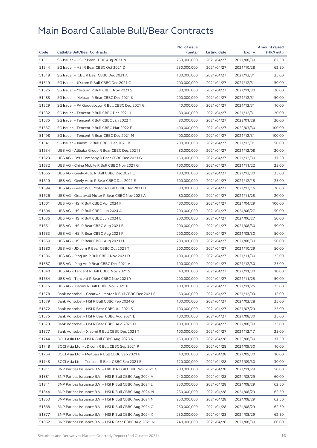|                |                                                         | No. of issue               |              |            | <b>Amount raised</b> |
|----------------|---------------------------------------------------------|----------------------------|--------------|------------|----------------------|
| Code           | <b>Callable Bull/Bear Contracts</b>                     | (units)                    | Listing date | Expiry     | (HK\$ mil.)          |
| 51511          | SG Issuer - HSI R Bear CBBC Aug 2021 N                  | 250,000,000                | 2021/04/27   | 2021/08/30 | 62.50                |
| 51544          | SG Issuer - HSI R Bear CBBC Oct 2021 D                  | 250,000,000                | 2021/04/27   | 2021/10/28 | 62.50                |
| 51518          | SG Issuer - ICBC R Bear CBBC Dec 2021 A                 | 100,000,000                | 2021/04/27   | 2021/12/31 | 25.00                |
| 51519          | SG Issuer - JD.com R Bull CBBC Dec 2021 C               | 200,000,000                | 2021/04/27   | 2021/12/31 | 50.00                |
| 51525          | SG Issuer - Meituan R Bull CBBC Nov 2021 S              | 80,000,000                 | 2021/04/27   | 2021/11/30 | 20.00                |
| 51485          | SG Issuer - Meituan R Bear CBBC Dec 2021 K              | 200.000.000                | 2021/04/27   | 2021/12/31 | 50.00                |
| 51529          | SG Issuer - PA Gooddoctor R Bull CBBC Dec 2021 G        | 40,000,000                 | 2021/04/27   | 2021/12/31 | 10.00                |
| 51532          | SG Issuer - Tencent R Bull CBBC Dec 2021 I              | 80,000,000                 | 2021/04/27   | 2021/12/31 | 20.00                |
| 51535          | SG Issuer - Tencent R Bull CBBC Jan 2022 T              | 80,000,000                 | 2021/04/27   | 2022/01/28 | 20.00                |
| 51537          | SG Issuer - Tencent R Bull CBBC Mar 2022 F              | 400,000,000                | 2021/04/27   | 2022/03/30 | 100.00               |
| 51498          | SG Issuer - Tencent R Bear CBBC Dec 2021 M              | 400,000,000                | 2021/04/27   | 2021/12/31 | 100.00               |
| 51541          | SG Issuer - Xiaomi R Bull CBBC Dec 2021 B               | 200,000,000                | 2021/04/27   | 2021/12/31 | 50.00                |
| 51634          | UBS AG - Alibaba Group R Bear CBBC Dec 2021 I           | 80,000,000                 | 2021/04/27   | 2021/12/08 | 20.00                |
| 51623          | UBS AG - BYD Company R Bear CBBC Dec 2021 G             | 150,000,000                | 2021/04/27   | 2021/12/30 | 37.50                |
| 51632          | UBS AG - China Mobile R Bull CBBC Nov 2021 G            | 100,000,000                | 2021/04/27   | 2021/11/22 | 25.00                |
| 51655          | UBS AG - Geely Auto R Bull CBBC Dec 2021 C              | 100,000,000                | 2021/04/27   | 2021/12/30 | 25.00                |
| 51619          | UBS AG - Geely Auto R Bear CBBC Dec 2021 E              | 100,000,000                | 2021/04/27   | 2021/12/15 | 25.00                |
| 51594          | UBS AG - Great Wall Motor R Bull CBBC Dec 2021 H        | 80,000,000                 | 2021/04/27   | 2021/12/15 | 20.00                |
| 51626          | UBS AG - Greatwall Motor R Bear CBBC Nov 2021 A         | 80,000,000                 | 2021/04/27   | 2021/11/25 | 20.00                |
| 51601          | UBS AG - HSI R Bull CBBC Apr 2024 F                     | 400,000,000                | 2021/04/27   | 2024/04/29 | 100.00               |
| 51604          | UBS AG - HSI R Bull CBBC Jun 2024 A                     | 200,000,000                | 2021/04/27   | 2024/06/27 | 50.00                |
| 51636          | UBS AG - HSI R Bull CBBC Jun 2024 B                     | 200,000,000                | 2021/04/27   | 2024/06/27 | 50.00                |
| 51651          | UBS AG - HSI R Bear CBBC Aug 2021 B                     | 200,000,000                | 2021/04/27   | 2021/08/30 | 50.00                |
| 51653          | UBS AG - HSI R Bear CBBC Aug 2021 F                     | 200,000,000                | 2021/04/27   | 2021/08/30 | 50.00                |
| 51650          | UBS AG - HSI R Bear CBBC Aug 2021 U                     | 200,000,000                | 2021/04/27   | 2021/08/30 | 50.00                |
| 51580          | UBS AG - JD.com R Bear CBBC Oct 2021 T                  | 200,000,000                | 2021/04/27   | 2021/10/29 | 50.00                |
| 51586          | UBS AG - Ping An R Bull CBBC Nov 2021 D                 | 100,000,000                | 2021/04/27   | 2021/11/30 | 25.00                |
| 51587          | UBS AG - Ping An R Bear CBBC Dec 2021 A                 | 100,000,000                | 2021/04/27   | 2021/12/30 | 25.00                |
| 51640          | UBS AG - Tencent R Bull CBBC Nov 2021 S                 | 40,000,000                 | 2021/04/27   | 2021/11/30 | 10.00                |
| 51654          | UBS AG - Tencent R Bear CBBC Nov 2021 Y                 | 200,000,000                | 2021/04/27   | 2021/11/25 | 50.00                |
| 51615          | UBS AG - Xiaomi R Bull CBBC Nov 2021 P                  | 100,000,000                | 2021/04/27   | 2021/11/25 | 25.00                |
| 51578          | Bank Vontobel - Greatwall Motor R Bull CBBC Dec 2021 E  | 60,000,000                 | 2021/04/27   | 2021/12/03 | 15.00                |
| 51579          | Bank Vontobel - HSI R Bull CBBC Feb 2024 G              | 100,000,000                | 2021/04/27   | 2024/02/28 | 25.00                |
| 51572          | Bank Vontobel - HSI R Bear CBBC Jul 2021 S              | 100,000,000                | 2021/04/27   | 2021/07/29 | 25.00                |
| 51575          | Bank Vontobel - HSI R Bear CBBC Aug 2021 E              | 100,000,000                | 2021/04/27   |            | 25.00                |
|                | Bank Vontobel - HSI R Bear CBBC Aug 2021 O              |                            | 2021/04/27   | 2021/08/30 |                      |
| 51573<br>51577 | Bank Vontobel - Xiaomi R Bull CBBC Dec 2021 T           | 100,000,000                | 2021/04/27   | 2021/08/30 | 25.00<br>25.00       |
|                |                                                         | 100,000,000<br>150,000,000 |              | 2021/12/17 |                      |
| 51744          | BOCI Asia Ltd. – HSI R Bull CBBC Aug 2023 N             |                            | 2021/04/28   | 2023/08/30 | 37.50                |
| 51748          | BOCI Asia Ltd. - JD.com R Bull CBBC Sep 2021 P          | 40,000,000                 | 2021/04/28   | 2021/09/30 | 10.00                |
| 51754          | BOCI Asia Ltd. - Meituan R Bull CBBC Sep 2021 F         | 40,000,000                 | 2021/04/28   | 2021/09/30 | 10.00                |
| 51745          | BOCI Asia Ltd. - Tencent R Bear CBBC Sep 2021 E         | 120,000,000                | 2021/04/28   | 2021/09/30 | 30.00                |
| 51911          | BNP Paribas Issuance B.V. - HKEX R Bull CBBC Nov 2021 G | 200,000,000                | 2021/04/28   | 2021/11/29 | 50.00                |
| 51881          | BNP Paribas Issuance B.V. - HSI R Bull CBBC Aug 2024 A  | 240,000,000                | 2021/04/28   | 2024/08/29 | 60.00                |
| 51841          | BNP Paribas Issuance B.V. - HSI R Bull CBBC Aug 2024 L  | 250,000,000                | 2021/04/28   | 2024/08/29 | 62.50                |
| 51844          | BNP Paribas Issuance B.V. - HSI R Bull CBBC Aug 2024 M  | 250,000,000                | 2021/04/28   | 2024/08/29 | 62.50                |
| 51853          | BNP Paribas Issuance B.V. - HSI R Bull CBBC Aug 2024 N  | 250,000,000                | 2021/04/28   | 2024/08/29 | 62.50                |
| 51868          | BNP Paribas Issuance B.V. - HSI R Bull CBBC Aug 2024 O  | 250,000,000                | 2021/04/28   | 2024/08/29 | 62.50                |
| 51877          | BNP Paribas Issuance B.V. - HSI R Bull CBBC Aug 2024 X  | 250,000,000                | 2021/04/28   | 2024/08/29 | 62.50                |
| 51852          | BNP Paribas Issuance B.V. - HSI R Bear CBBC Aug 2021 N  | 240,000,000                | 2021/04/28   | 2021/08/30 | 60.00                |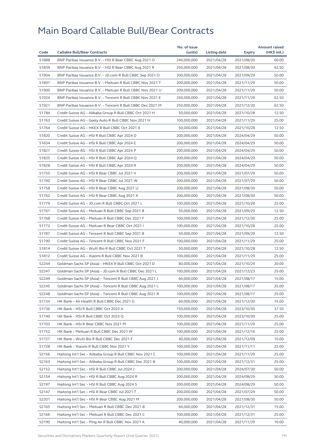|       |                                                            | No. of issue |              |               | <b>Amount raised</b> |
|-------|------------------------------------------------------------|--------------|--------------|---------------|----------------------|
| Code  | <b>Callable Bull/Bear Contracts</b>                        | (units)      | Listing date | <b>Expiry</b> | (HK\$ mil.)          |
| 51888 | BNP Paribas Issuance B.V. - HSI R Bear CBBC Aug 2021 O     | 240,000,000  | 2021/04/28   | 2021/08/30    | 60.00                |
| 51839 | BNP Paribas Issuance B.V. - HSI R Bear CBBC Aug 2021 R     | 250,000,000  | 2021/04/28   | 2021/08/30    | 62.50                |
| 51904 | BNP Paribas Issuance B.V. - JD.com R Bull CBBC Sep 2021 O  | 200,000,000  | 2021/04/28   | 2021/09/29    | 50.00                |
| 51897 | BNP Paribas Issuance B.V. - Meituan R Bull CBBC Nov 2021 T | 200,000,000  | 2021/04/28   | 2021/11/29    | 50.00                |
| 51900 | BNP Paribas Issuance B.V. - Meituan R Bull CBBC Nov 2021 U | 200,000,000  | 2021/04/28   | 2021/11/29    | 50.00                |
| 51924 | BNP Paribas Issuance B.V. - Tencent R Bull CBBC Nov 2021 E | 250,000,000  | 2021/04/28   | 2021/11/29    | 62.50                |
| 51921 | BNP Paribas Issuance B.V. - Tencent R Bull CBBC Dec 2021 M | 250,000,000  | 2021/04/28   | 2021/12/30    | 62.50                |
| 51784 | Credit Suisse AG - Alibaba Group R Bull CBBC Oct 2021 H    | 50,000,000   | 2021/04/28   | 2021/10/28    | 12.50                |
| 51763 | Credit Suisse AG - Geely Auto R Bull CBBC Nov 2021 H       | 100,000,000  | 2021/04/28   | 2021/11/29    | 25.00                |
| 51764 | Credit Suisse AG - HKEX R Bull CBBC Oct 2021 X             | 50,000,000   | 2021/04/28   | 2021/10/28    | 12.50                |
| 51820 | Credit Suisse AG - HSI R Bull CBBC Apr 2024 D              | 200,000,000  | 2021/04/28   | 2024/04/29    | 50.00                |
| 51834 | Credit Suisse AG - HSI R Bull CBBC Apr 2024 E              | 200,000,000  | 2021/04/28   | 2024/04/29    | 50.00                |
| 51827 | Credit Suisse AG - HSI R Bull CBBC Apr 2024 P              | 200,000,000  | 2021/04/28   | 2024/04/29    | 50.00                |
| 51835 | Credit Suisse AG - HSI R Bull CBBC Apr 2024 Q              | 200,000,000  | 2021/04/28   | 2024/04/29    | 50.00                |
| 51828 | Credit Suisse AG - HSI R Bull CBBC Apr 2024 R              | 200,000,000  | 2021/04/28   | 2024/04/29    | 50.00                |
| 51755 | Credit Suisse AG - HSI R Bear CBBC Jul 2021 V              | 200,000,000  | 2021/04/28   | 2021/07/29    | 50.00                |
| 51760 | Credit Suisse AG - HSI R Bear CBBC Jul 2021 W              | 200,000,000  | 2021/04/28   | 2021/07/29    | 50.00                |
| 51758 | Credit Suisse AG - HSI R Bear CBBC Aug 2021 U              | 200,000,000  | 2021/04/28   | 2021/08/30    | 50.00                |
| 51762 | Credit Suisse AG - HSI R Bear CBBC Aug 2021 X              | 200,000,000  | 2021/04/28   | 2021/08/30    | 50.00                |
| 51779 | Credit Suisse AG - JD.com R Bull CBBC Oct 2021 L           | 100,000,000  | 2021/04/28   | 2021/10/28    | 25.00                |
| 51767 | Credit Suisse AG - Meituan R Bull CBBC Sep 2021 B          | 50,000,000   | 2021/04/28   | 2021/09/29    | 12.50                |
| 51768 | Credit Suisse AG - Meituan R Bull CBBC Dec 2021 F          | 100,000,000  | 2021/04/28   | 2021/12/30    | 25.00                |
| 51772 | Credit Suisse AG - Meituan R Bear CBBC Oct 2021 I          | 100,000,000  | 2021/04/28   | 2021/10/28    | 25.00                |
| 51787 | Credit Suisse AG - Tencent R Bull CBBC Sep 2021 B          | 50,000,000   | 2021/04/28   | 2021/09/29    | 12.50                |
| 51790 | Credit Suisse AG - Tencent R Bull CBBC Nov 2021 F          | 100,000,000  | 2021/04/28   | 2021/11/29    | 25.00                |
| 51814 | Credit Suisse AG - WuXi Bio R Bull CBBC Oct 2021 T         | 50,000,000   | 2021/04/28   | 2021/10/28    | 12.50                |
| 51812 | Credit Suisse AG - Xiaomi R Bull CBBC Nov 2021 B           | 100,000,000  | 2021/04/28   | 2021/11/29    | 25.00                |
| 52244 | Goldman Sachs SP (Asia) - HKEX R Bull CBBC Oct 2021 D      | 80,000,000   | 2021/04/28   | 2021/10/29    | 20.00                |
| 52247 | Goldman Sachs SP (Asia) - JD.com R Bull CBBC Dec 2021 L    | 100,000,000  | 2021/04/28   | 2021/12/23    | 25.00                |
| 52249 | Goldman Sachs SP (Asia) - Tencent R Bull CBBC Aug 2021 J   | 60,000,000   | 2021/04/28   | 2021/08/17    | 15.00                |
| 52245 | Goldman Sachs SP (Asia) – Tencent R Bull CBBC Aug 2021 L   | 100,000,000  | 2021/04/28   | 2021/08/17    | 25.00                |
| 52248 | Goldman Sachs SP (Asia) - Tencent R Bull CBBC Aug 2021 R   | 100,000,000  | 2021/04/28   | 2021/08/17    | 25.00                |
| 51734 | HK Bank – Ali Health R Bull CBBC Dec 2021 G                | 60,000,000   | 2021/04/28   | 2021/12/30    | 15.00                |
| 51736 | HK Bank - HSI R Bull CBBC Oct 2023 A                       | 150,000,000  | 2021/04/28   | 2023/10/30    | 37.50                |
| 51740 | HK Bank - HSI R Bull CBBC Oct 2023 Q                       | 100,000,000  | 2021/04/28   | 2023/10/30    | 25.00                |
| 51703 | HK Bank - HSI R Bear CBBC Nov 2021 M                       | 100,000,000  | 2021/04/28   | 2021/11/29    | 25.00                |
| 51752 | HK Bank - Meituan R Bull CBBC Dec 2021 W                   | 100,000,000  | 2021/04/28   | 2021/12/16    | 25.00                |
| 51727 | HK Bank - WuXi Bio R Bull CBBC Dec 2021 F                  | 40,000,000   | 2021/04/28   | 2021/12/09    | 10.00                |
| 51728 | HK Bank - Xiaomi R Bull CBBC Nov 2021 Y                    | 100,000,000  | 2021/04/28   | 2021/11/11    | 25.00                |
| 52156 | Haitong Int'l Sec - Alibaba Group R Bull CBBC Nov 2021 C   | 100,000,000  | 2021/04/28   | 2021/11/29    | 25.00                |
| 52163 | Haitong Int'l Sec - Alibaba Group R Bull CBBC Dec 2021 B   | 100,000,000  | 2021/04/28   | 2021/12/31    | 25.00                |
| 52152 | Haitong Int'l Sec - HSI R Bull CBBC Jul 2024 J             | 200,000,000  | 2021/04/28   | 2024/07/30    | 50.00                |
| 52154 | Haitong Int'l Sec - HSI R Bull CBBC Aug 2024 R             | 200,000,000  | 2021/04/28   | 2024/08/29    | 50.00                |
| 52197 | Haitong Int'l Sec - HSI R Bull CBBC Aug 2024 S             | 200,000,000  | 2021/04/28   | 2024/08/29    | 50.00                |
| 52147 | Haitong Int'l Sec - HSI R Bear CBBC Jul 2021 T             | 200,000,000  | 2021/04/28   | 2021/07/29    | 50.00                |
| 52201 | Haitong Int'l Sec - HSI R Bear CBBC Aug 2021 M             | 200,000,000  | 2021/04/28   | 2021/08/30    | 50.00                |
| 52165 | Haitong Int'l Sec - Meituan R Bull CBBC Dec 2021 B         | 60,000,000   | 2021/04/28   | 2021/12/31    | 15.00                |
| 52166 | Haitong Int'l Sec - Meituan R Bull CBBC Dec 2021 C         | 100,000,000  | 2021/04/28   | 2021/12/31    | 25.00                |
| 52190 | Haitong Int'l Sec – Ping An R Bull CBBC Nov 2021 A         | 40,000,000   | 2021/04/28   | 2021/11/29    | 10.00                |
|       |                                                            |              |              |               |                      |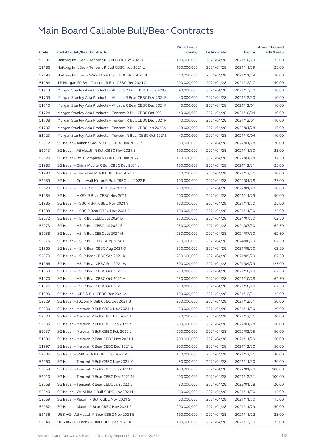|       |                                                              | No. of issue |              |            | <b>Amount raised</b> |
|-------|--------------------------------------------------------------|--------------|--------------|------------|----------------------|
| Code  | <b>Callable Bull/Bear Contracts</b>                          | (units)      | Listing date | Expiry     | (HK\$ mil.)          |
| 52187 | Haitong Int'l Sec - Tencent R Bull CBBC Oct 2021 I           | 100,000,000  | 2021/04/28   | 2021/10/29 | 25.00                |
| 52186 | Haitong Int'l Sec - Tencent R Bull CBBC Nov 2021 L           | 100,000,000  | 2021/04/28   | 2021/11/29 | 25.00                |
| 52194 | Haitong Int'l Sec - WuXi Bio R Bull CBBC Nov 2021 B          | 40,000,000   | 2021/04/28   | 2021/11/29 | 10.00                |
| 51964 | J P Morgan SP BV - Tencent R Bull CBBC Dec 2021 A            | 200,000,000  | 2021/04/28   | 2021/12/17 | 50.00                |
| 51719 | Morgan Stanley Asia Products - Alibaba R Bull CBBC Dec 2021G | 40,000,000   | 2021/04/28   | 2021/12/30 | 10.00                |
| 51709 | Morgan Stanley Asia Products - Alibaba R Bear CBBC Dec 2021E | 40,000,000   | 2021/04/28   | 2021/12/30 | 10.00                |
| 51710 | Morgan Stanley Asia Products - Alibaba R Bear CBBC Dec 2021F | 40,000,000   | 2021/04/28   | 2021/12/01 | 10.00                |
| 51724 | Morgan Stanley Asia Products - Tencent R Bull CBBC Oct 2021J | 40,000,000   | 2021/04/28   | 2021/10/04 | 10.00                |
| 51708 | Morgan Stanley Asia Products - Tencent R Bull CBBC Dec 2021R | 40,000,000   | 2021/04/28   | 2021/12/01 | 10.00                |
| 51707 | Morgan Stanley Asia Products - Tencent R Bull CBBC Jan 2022A | 68,000,000   | 2021/04/28   | 2022/01/28 | 17.00                |
| 51723 | Morgan Stanley Asia Products - Tencent R Bear CBBC Oct 20211 | 40,000,000   | 2021/04/28   | 2021/10/04 | 10.00                |
| 52012 | SG Issuer - Alibaba Group R Bull CBBC Jan 2022 R             | 80,000,000   | 2021/04/28   | 2022/01/28 | 20.00                |
| 52013 | SG Issuer - Ali Health R Bull CBBC Nov 2021 E                | 100,000,000  | 2021/04/28   | 2021/11/30 | 25.00                |
| 52020 | SG Issuer - BYD Company R Bull CBBC Jan 2022 O               | 150,000,000  | 2021/04/28   | 2022/01/28 | 37.50                |
| 51983 | SG Issuer - China Mobile R Bull CBBC Dec 2021 J              | 100,000,000  | 2021/04/28   | 2021/12/31 | 25.00                |
| 51980 | SG Issuer - China Life R Bull CBBC Dec 2021 L                | 40,000,000   | 2021/04/28   | 2021/12/31 | 10.00                |
| 52059 | SG Issuer - Greatwall Motor R Bull CBBC Jan 2022 B           | 100,000,000  | 2021/04/28   | 2022/01/28 | 25.00                |
| 52028 | SG Issuer - HKEX R Bull CBBC Jan 2022 E                      | 200,000,000  | 2021/04/28   | 2022/01/28 | 50.00                |
| 51984 | SG Issuer - HKEX R Bear CBBC Nov 2021 I                      | 200,000,000  | 2021/04/28   | 2021/11/29 | 50.00                |
| 51985 | SG Issuer - HSBC R Bull CBBC Nov 2021 Y                      | 100,000,000  | 2021/04/28   | 2021/11/30 | 25.00                |
| 51988 | SG Issuer - HSBC R Bear CBBC Nov 2021 B                      | 100,000,000  | 2021/04/28   | 2021/11/30 | 25.00                |
| 52072 | SG Issuer - HSI R Bull CBBC Jul 2024 D                       | 250,000,000  | 2021/04/28   | 2024/07/30 | 62.50                |
| 52073 | SG Issuer - HSI R Bull CBBC Jul 2024 E                       | 250,000,000  | 2021/04/28   | 2024/07/30 | 62.50                |
| 52058 | SG Issuer - HSI R Bull CBBC Jul 2024 N                       | 250,000,000  | 2021/04/28   | 2024/07/30 | 62.50                |
| 52075 | SG Issuer - HSI R Bull CBBC Aug 2024 J                       | 250,000,000  | 2021/04/28   | 2024/08/29 | 62.50                |
| 51965 | SG Issuer - HSI R Bear CBBC Aug 2021 O                       | 250,000,000  | 2021/04/28   | 2021/08/30 | 62.50                |
| 52070 | SG Issuer - HSI R Bear CBBC Sep 2021 K                       | 250,000,000  | 2021/04/28   | 2021/09/29 | 62.50                |
| 51966 | SG Issuer - HSI R Bear CBBC Sep 2021 W                       | 500,000,000  | 2021/04/28   | 2021/09/29 | 125.00               |
| 51968 | SG Issuer - HSI R Bear CBBC Oct 2021 F                       | 250,000,000  | 2021/04/28   | 2021/10/28 | 62.50                |
| 51970 | SG Issuer - HSI R Bear CBBC Oct 2021 H                       | 250,000,000  | 2021/04/28   | 2021/10/28 | 62.50                |
| 51976 | SG Issuer - HSI R Bear CBBC Oct 2021 I                       | 250,000,000  | 2021/04/28   | 2021/10/28 | 62.50                |
| 51990 | SG Issuer - ICBC R Bull CBBC Dec 2021 A                      | 100,000,000  | 2021/04/28   | 2021/12/31 | 25.00                |
| 52029 | SG Issuer - JD.com R Bull CBBC Dec 2021 B                    | 200,000,000  | 2021/04/28   | 2021/12/31 | 50.00                |
| 52030 | SG Issuer - Meituan R Bull CBBC Nov 2021 U                   | 80,000,000   | 2021/04/28   | 2021/11/30 | 20.00                |
| 52033 | SG Issuer - Meituan R Bull CBBC Dec 2021 E                   | 80,000,000   | 2021/04/28   | 2021/12/31 | 20.00                |
| 52035 | SG Issuer - Meituan R Bull CBBC Jan 2022 Z                   | 200,000,000  | 2021/04/28   | 2022/01/28 | 50.00                |
| 52037 | SG Issuer - Meituan R Bull CBBC Feb 2022 J                   | 200,000,000  | 2021/04/28   | 2022/02/25 | 50.00                |
| 51996 | SG Issuer - Meituan R Bear CBBC Nov 2021 J                   | 200,000,000  | 2021/04/28   | 2021/11/29 | 50.00                |
| 51997 | SG Issuer - Meituan R Bear CBBC Dec 2021 L                   | 200,000,000  | 2021/04/28   | 2021/12/30 | 50.00                |
| 52006 | SG Issuer - SMIC R Bull CBBC Dec 2021 P                      | 120,000,000  | 2021/04/28   | 2021/12/31 | 30.00                |
| 52060 | SG Issuer - Tencent R Bull CBBC Nov 2021 M                   | 80,000,000   | 2021/04/28   | 2021/11/30 | 20.00                |
| 52063 | SG Issuer - Tencent R Bull CBBC Jan 2022 U                   | 400,000,000  | 2021/04/28   | 2022/01/28 | 100.00               |
| 52010 | SG Issuer - Tencent R Bear CBBC Dec 2021 N                   | 400,000,000  | 2021/04/28   | 2021/12/31 | 100.00               |
| 52068 | SG Issuer - Tencent R Bear CBBC Jan 2022 B                   | 80,000,000   | 2021/04/28   | 2022/01/28 | 20.00                |
|       |                                                              | 60,000,000   |              |            |                      |
| 52040 | SG Issuer - WuXi Bio R Bull CBBC Nov 2021 H                  |              | 2021/04/28   | 2021/11/30 | 15.00                |
| 52069 | SG Issuer - Xiaomi R Bull CBBC Nov 2021 S                    | 60,000,000   | 2021/04/28   | 2021/11/30 | 15.00                |
| 52052 | SG Issuer - Xiaomi R Bear CBBC Nov 2021 F                    | 200,000,000  | 2021/04/28   | 2021/11/29 | 50.00                |
| 52136 | UBS AG - Ali Health R Bear CBBC Nov 2021 B                   | 100,000,000  | 2021/04/28   | 2021/11/22 | 25.00                |
| 52145 | UBS AG - CM Bank R Bull CBBC Dec 2021 A                      | 100,000,000  | 2021/04/28   | 2021/12/30 | 25.00                |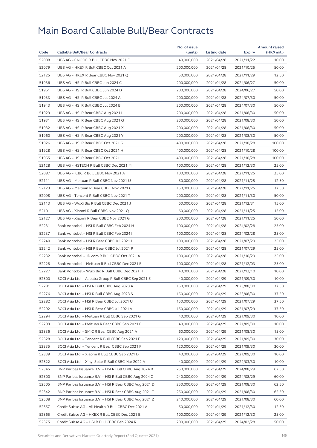|       |                                                        | No. of issue |              |            | <b>Amount raised</b> |
|-------|--------------------------------------------------------|--------------|--------------|------------|----------------------|
| Code  | <b>Callable Bull/Bear Contracts</b>                    | (units)      | Listing date | Expiry     | (HK\$ mil.)          |
| 52088 | UBS AG - CNOOC R Bull CBBC Nov 2021 E                  | 40,000,000   | 2021/04/28   | 2021/11/22 | 10.00                |
| 52079 | UBS AG - HKEX R Bull CBBC Oct 2021 A                   | 200,000,000  | 2021/04/28   | 2021/10/25 | 50.00                |
| 52125 | UBS AG - HKEX R Bear CBBC Nov 2021 Q                   | 50,000,000   | 2021/04/28   | 2021/11/29 | 12.50                |
| 51936 | UBS AG - HSI R Bull CBBC Jun 2024 C                    | 200,000,000  | 2021/04/28   | 2024/06/27 | 50.00                |
| 51961 | UBS AG - HSI R Bull CBBC Jun 2024 D                    | 200,000,000  | 2021/04/28   | 2024/06/27 | 50.00                |
| 51933 | UBS AG - HSI R Bull CBBC Jul 2024 A                    | 200,000,000  | 2021/04/28   | 2024/07/30 | 50.00                |
| 51943 | UBS AG - HSI R Bull CBBC Jul 2024 B                    | 200,000,000  | 2021/04/28   | 2024/07/30 | 50.00                |
| 51929 | UBS AG - HSI R Bear CBBC Aug 2021 L                    | 200,000,000  | 2021/04/28   | 2021/08/30 | 50.00                |
| 51931 | UBS AG - HSI R Bear CBBC Aug 2021 Q                    | 200,000,000  | 2021/04/28   | 2021/08/30 | 50.00                |
| 51932 | UBS AG - HSI R Bear CBBC Aug 2021 X                    | 200,000,000  | 2021/04/28   | 2021/08/30 | 50.00                |
| 51960 | UBS AG - HSI R Bear CBBC Aug 2021 Y                    | 200,000,000  | 2021/04/28   | 2021/08/30 | 50.00                |
| 51926 | UBS AG - HSI R Bear CBBC Oct 2021 G                    | 400,000,000  | 2021/04/28   | 2021/10/28 | 100.00               |
| 51928 | UBS AG - HSI R Bear CBBC Oct 2021 H                    | 400,000,000  | 2021/04/28   | 2021/10/28 | 100.00               |
| 51955 | UBS AG - HSI R Bear CBBC Oct 2021 I                    | 400,000,000  | 2021/04/28   | 2021/10/28 | 100.00               |
| 52128 | UBS AG - HSTECH R Bull CBBC Dec 2021 M                 | 100,000,000  | 2021/04/28   | 2021/12/30 | 25.00                |
| 52087 | UBS AG - ICBC R Bull CBBC Nov 2021 A                   | 100,000,000  | 2021/04/28   | 2021/11/25 | 25.00                |
| 52111 | UBS AG - Meituan R Bull CBBC Nov 2021 U                | 50,000,000   | 2021/04/28   | 2021/11/25 | 12.50                |
| 52123 | UBS AG - Meituan R Bear CBBC Nov 2021 C                | 150,000,000  | 2021/04/28   | 2021/11/25 | 37.50                |
| 52098 | UBS AG - Tencent R Bull CBBC Nov 2021 T                | 200,000,000  | 2021/04/28   | 2021/11/30 | 50.00                |
| 52113 | UBS AG - WuXi Bio R Bull CBBC Dec 2021 J               | 60,000,000   | 2021/04/28   | 2021/12/31 | 15.00                |
| 52101 | UBS AG - Xiaomi R Bull CBBC Nov 2021 Q                 | 60,000,000   | 2021/04/28   | 2021/11/25 | 15.00                |
| 52127 | UBS AG - Xiaomi R Bear CBBC Nov 2021 G                 | 200,000,000  | 2021/04/28   | 2021/11/25 | 50.00                |
| 52231 | Bank Vontobel - HSI R Bull CBBC Feb 2024 H             | 100,000,000  | 2021/04/28   | 2024/02/28 | 25.00                |
| 52237 | Bank Vontobel - HSI R Bull CBBC Feb 2024 I             | 100,000,000  | 2021/04/28   | 2024/02/28 | 25.00                |
| 52240 | Bank Vontobel - HSI R Bear CBBC Jul 2021 L             | 100,000,000  | 2021/04/28   | 2021/07/29 | 25.00                |
| 52242 | Bank Vontobel - HSI R Bear CBBC Jul 2021 P             | 100,000,000  | 2021/04/28   | 2021/07/29 | 25.00                |
| 52232 | Bank Vontobel - JD.com R Bull CBBC Oct 2021 A          | 100,000,000  | 2021/04/28   | 2021/10/29 | 25.00                |
| 52228 | Bank Vontobel - Meituan R Bull CBBC Dec 2021 E         | 100,000,000  | 2021/04/28   | 2021/12/03 | 25.00                |
|       |                                                        |              |              |            |                      |
| 52227 | Bank Vontobel - Wuxi Bio R Bull CBBC Dec 2021 H        | 40,000,000   | 2021/04/28   | 2021/12/10 | 10.00                |
| 52300 | BOCI Asia Ltd. - Alibaba Group R Bull CBBC Sep 2021 E  | 40,000,000   | 2021/04/29   | 2021/09/30 | 10.00                |
| 52281 | BOCI Asia Ltd. - HSI R Bull CBBC Aug 2023 A            | 150,000,000  | 2021/04/29   | 2023/08/30 | 37.50                |
| 52276 | BOCI Asia Ltd. - HSI R Bull CBBC Aug 2023 S            | 150,000,000  | 2021/04/29   | 2023/08/30 | 37.50                |
| 52282 | BOCI Asia Ltd. - HSI R Bear CBBC Jul 2021 U            | 150,000,000  | 2021/04/29   | 2021/07/29 | 37.50                |
| 52292 | BOCI Asia Ltd. - HSI R Bear CBBC Jul 2021 V            | 150,000,000  | 2021/04/29   | 2021/07/29 | 37.50                |
| 52294 | BOCI Asia Ltd. – Meituan R Bull CBBC Sep 2021 G        | 40,000,000   | 2021/04/29   | 2021/09/30 | 10.00                |
| 52299 | BOCI Asia Ltd. - Meituan R Bear CBBC Sep 2021 C        | 40,000,000   | 2021/04/29   | 2021/09/30 | 10.00                |
| 52336 | BOCI Asia Ltd. - SMIC R Bear CBBC Aug 2021 A           | 60,000,000   | 2021/04/29   | 2021/08/30 | 15.00                |
| 52328 | BOCI Asia Ltd. – Tencent R Bull CBBC Sep 2021 F        | 120,000,000  | 2021/04/29   | 2021/09/30 | 30.00                |
| 52335 | BOCI Asia Ltd. - Tencent R Bear CBBC Sep 2021 F        | 120,000,000  | 2021/04/29   | 2021/09/30 | 30.00                |
| 52339 | BOCI Asia Ltd. - Xiaomi R Bull CBBC Sep 2021 D         | 40,000,000   | 2021/04/29   | 2021/09/30 | 10.00                |
| 52322 | BOCI Asia Ltd. - Xinyi Solar R Bull CBBC Mar 2022 A    | 40,000,000   | 2021/04/29   | 2022/03/30 | 10.00                |
| 52345 | BNP Paribas Issuance B.V. - HSI R Bull CBBC Aug 2024 B | 250,000,000  | 2021/04/29   | 2024/08/29 | 62.50                |
| 52500 | BNP Paribas Issuance B.V. - HSI R Bull CBBC Aug 2024 C | 240,000,000  | 2021/04/29   | 2024/08/29 | 60.00                |
| 52505 | BNP Paribas Issuance B.V. – HSI R Bear CBBC Aug 2021 D | 250,000,000  | 2021/04/29   | 2021/08/30 | 62.50                |
| 52342 | BNP Paribas Issuance B.V. - HSI R Bear CBBC Aug 2021 T | 250,000,000  | 2021/04/29   | 2021/08/30 | 62.50                |
| 52508 | BNP Paribas Issuance B.V. - HSI R Bear CBBC Aug 2021 Z | 240,000,000  | 2021/04/29   | 2021/08/30 | 60.00                |
| 52357 | Credit Suisse AG - Ali Health R Bull CBBC Dec 2021 A   | 50,000,000   | 2021/04/29   | 2021/12/30 | 12.50                |
| 52365 | Credit Suisse AG - HKEX R Bull CBBC Dec 2021 B         | 100,000,000  | 2021/04/29   | 2021/12/30 | 25.00                |
| 52375 | Credit Suisse AG – HSI R Bull CBBC Feb 2024 R          | 200,000,000  | 2021/04/29   | 2024/02/28 | 50.00                |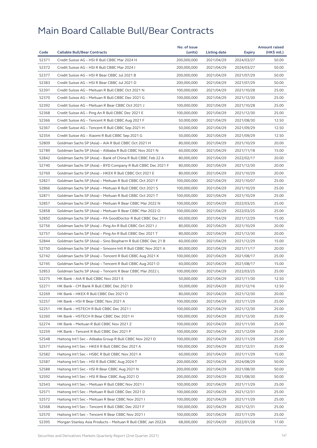|       |                                                              | No. of issue |              |               | <b>Amount raised</b> |
|-------|--------------------------------------------------------------|--------------|--------------|---------------|----------------------|
| Code  | <b>Callable Bull/Bear Contracts</b>                          | (units)      | Listing date | <b>Expiry</b> | (HK\$ mil.)          |
| 52371 | Credit Suisse AG - HSI R Bull CBBC Mar 2024 H                | 200,000,000  | 2021/04/29   | 2024/03/27    | 50.00                |
| 52372 | Credit Suisse AG - HSI R Bull CBBC Mar 2024 I                | 200,000,000  | 2021/04/29   | 2024/03/27    | 50.00                |
| 52377 | Credit Suisse AG - HSI R Bear CBBC Jul 2021 B                | 200,000,000  | 2021/04/29   | 2021/07/29    | 50.00                |
| 52383 | Credit Suisse AG - HSI R Bear CBBC Jul 2021 D                | 200,000,000  | 2021/04/29   | 2021/07/29    | 50.00                |
| 52391 | Credit Suisse AG - Meituan R Bull CBBC Oct 2021 N            | 100,000,000  | 2021/04/29   | 2021/10/28    | 25.00                |
| 52370 | Credit Suisse AG - Meituan R Bull CBBC Dec 2021 G            | 100,000,000  | 2021/04/29   | 2021/12/30    | 25.00                |
| 52392 | Credit Suisse AG - Meituan R Bear CBBC Oct 2021 J            | 100,000,000  | 2021/04/29   | 2021/10/28    | 25.00                |
| 52368 | Credit Suisse AG - Ping An R Bull CBBC Dec 2021 E            | 100,000,000  | 2021/04/29   | 2021/12/30    | 25.00                |
| 52366 | Credit Suisse AG - Tencent R Bull CBBC Aug 2021 F            | 50,000,000   | 2021/04/29   | 2021/08/30    | 12.50                |
| 52367 | Credit Suisse AG - Tencent R Bull CBBC Sep 2021 H            | 50,000,000   | 2021/04/29   | 2021/09/29    | 12.50                |
| 52354 | Credit Suisse AG - Xiaomi R Bull CBBC Sep 2021 G             | 50,000,000   | 2021/04/29   | 2021/09/29    | 12.50                |
| 52809 | Goldman Sachs SP (Asia) - AIA R Bull CBBC Oct 2021 H         | 80,000,000   | 2021/04/29   | 2021/10/29    | 20.00                |
| 52789 | Goldman Sachs SP (Asia) - Alibaba R Bull CBBC Nov 2021 N     | 60,000,000   | 2021/04/29   | 2021/11/18    | 15.00                |
| 52842 | Goldman Sachs SP (Asia) - Bank of China R Bull CBBC Feb 22 A | 80,000,000   | 2021/04/29   | 2022/02/17    | 20.00                |
| 52740 | Goldman Sachs SP (Asia) - BYD Company R Bull CBBC Dec 2021 F | 80,000,000   | 2021/04/29   | 2021/12/30    | 20.00                |
| 52769 | Goldman Sachs SP (Asia) - HKEX R Bull CBBC Oct 2021 E        | 80,000,000   | 2021/04/29   | 2021/10/29    | 20.00                |
| 52821 | Goldman Sachs SP (Asia) - Meituan R Bull CBBC Oct 2021 F     | 100,000,000  | 2021/04/29   | 2021/10/07    | 25.00                |
| 52866 | Goldman Sachs SP (Asia) - Meituan R Bull CBBC Oct 2021 S     | 100,000,000  | 2021/04/29   | 2021/10/29    | 25.00                |
| 52871 | Goldman Sachs SP (Asia) - Meituan R Bull CBBC Oct 2021 T     | 100,000,000  | 2021/04/29   | 2021/10/29    | 25.00                |
| 52857 | Goldman Sachs SP (Asia) - Meituan R Bear CBBC Mar 2022 N     | 100,000,000  | 2021/04/29   | 2022/03/25    | 25.00                |
| 52858 | Goldman Sachs SP (Asia) - Meituan R Bear CBBC Mar 2022 O     | 100,000,000  | 2021/04/29   | 2022/03/25    | 25.00                |
| 52850 | Goldman Sachs SP (Asia) - PA GoodDoctor R Bull CBBC Dec 21 I | 60,000,000   | 2021/04/29   | 2021/12/29    | 15.00                |
| 52756 | Goldman Sachs SP (Asia) - Ping An R Bull CBBC Oct 2021 J     | 80,000,000   | 2021/04/29   | 2021/10/29    | 20.00                |
| 52757 | Goldman Sachs SP (Asia) – Ping An R Bull CBBC Dec 2021 T     | 80,000,000   | 2021/04/29   | 2021/12/30    | 20.00                |
| 52844 | Goldman Sachs SP (Asia) - Sino Biopharm R Bull CBBC Dec 21 B | 60,000,000   | 2021/04/29   | 2021/12/29    | 15.00                |
| 52750 | Goldman Sachs SP (Asia) – Smoore Intl R Bull CBBC Nov 2021 A | 80,000,000   | 2021/04/29   | 2021/11/17    | 20.00                |
| 52742 | Goldman Sachs SP (Asia) - Tencent R Bull CBBC Aug 2021 K     | 100,000,000  | 2021/04/29   | 2021/08/17    | 25.00                |
| 52745 | Goldman Sachs SP (Asia) - Tencent R Bull CBBC Aug 2021 O     | 60,000,000   | 2021/04/29   | 2021/08/17    | 15.00                |
| 52853 | Goldman Sachs SP (Asia) - Tencent R Bear CBBC Mar 2022 L     | 100,000,000  | 2021/04/29   |               | 25.00                |
|       | HK Bank - AIA R Bull CBBC Nov 2021 E                         |              |              | 2022/03/25    |                      |
| 52275 |                                                              | 50,000,000   | 2021/04/29   | 2021/11/30    | 12.50                |
| 52271 | HK Bank - CM Bank R Bull CBBC Dec 2021 D                     | 50,000,000   | 2021/04/29   | 2021/12/16    | 12.50                |
| 52269 | HK Bank - HKEX R Bull CBBC Dec 2021 O                        | 80,000,000   | 2021/04/29   | 2021/12/30    | 20.00                |
| 52257 | HK Bank - HSI R Bear CBBC Nov 2021 A                         | 100,000,000  | 2021/04/29   | 2021/11/29    | 25.00                |
| 52251 | HK Bank - HSTECH R Bull CBBC Dec 2021 I                      | 100,000,000  | 2021/04/29   | 2021/12/30    | 25.00                |
| 52260 | HK Bank – HSTECH R Bear CBBC Dec 2021 H                      | 100,000,000  | 2021/04/29   | 2021/12/30    | 25.00                |
| 52274 | HK Bank - Meituan R Bull CBBC Nov 2021 Z                     | 100,000,000  | 2021/04/29   | 2021/11/30    | 25.00                |
| 52259 | HK Bank - Tencent R Bull CBBC Dec 2021 P                     | 100,000,000  | 2021/04/29   | 2021/12/09    | 25.00                |
| 52548 | Haitong Int'l Sec – Alibaba Group R Bull CBBC Nov 2021 D     | 100,000,000  | 2021/04/29   | 2021/11/29    | 25.00                |
| 52577 | Haitong Int'l Sec - HKEX R Bull CBBC Dec 2021 A              | 100,000,000  | 2021/04/29   | 2021/12/31    | 25.00                |
| 52582 | Haitong Int'l Sec - HSBC R Bull CBBC Nov 2021 A              | 60,000,000   | 2021/04/29   | 2021/11/29    | 15.00                |
| 52587 | Haitong Int'l Sec - HSI R Bull CBBC Aug 2024 T               | 200,000,000  | 2021/04/29   | 2024/08/29    | 50.00                |
| 52588 | Haitong Int'l Sec - HSI R Bear CBBC Aug 2021 N               | 200,000,000  | 2021/04/29   | 2021/08/30    | 50.00                |
| 52592 | Haitong Int'l Sec - HSI R Bear CBBC Aug 2021 O               | 200,000,000  | 2021/04/29   | 2021/08/30    | 50.00                |
| 52543 | Haitong Int'l Sec - Meituan R Bull CBBC Nov 2021 I           | 100,000,000  | 2021/04/29   | 2021/11/29    | 25.00                |
| 52571 | Haitong Int'l Sec - Meituan R Bull CBBC Dec 2021 D           | 100,000,000  | 2021/04/29   | 2021/12/31    | 25.00                |
| 52572 | Haitong Int'l Sec - Meituan R Bear CBBC Nov 2021 I           | 100,000,000  | 2021/04/29   | 2021/11/29    | 25.00                |
| 52568 | Haitong Int'l Sec - Tencent R Bull CBBC Dec 2021 F           | 100,000,000  | 2021/04/29   | 2021/12/31    | 25.00                |
| 52570 | Haitong Int'l Sec - Tencent R Bear CBBC Nov 2021 I           | 100,000,000  | 2021/04/29   | 2021/11/29    | 25.00                |
| 52395 | Morgan Stanley Asia Products – Meituan R Bull CBBC Jan 2022A | 68,000,000   | 2021/04/29   | 2022/01/28    | 17.00                |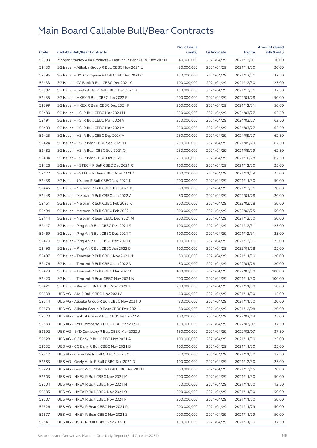|       |                                                              | No. of issue |                     |            | <b>Amount raised</b> |
|-------|--------------------------------------------------------------|--------------|---------------------|------------|----------------------|
| Code  | <b>Callable Bull/Bear Contracts</b>                          | (units)      | <b>Listing date</b> | Expiry     | (HK\$ mil.)          |
| 52393 | Morgan Stanley Asia Products - Meituan R Bear CBBC Dec 2021J | 40,000,000   | 2021/04/29          | 2021/12/01 | 10.00                |
| 52430 | SG Issuer - Alibaba Group R Bull CBBC Nov 2021 U             | 80,000,000   | 2021/04/29          | 2021/11/30 | 20.00                |
| 52396 | SG Issuer - BYD Company R Bull CBBC Dec 2021 O               | 150,000,000  | 2021/04/29          | 2021/12/31 | 37.50                |
| 52433 | SG Issuer - CC Bank R Bull CBBC Dec 2021 C                   | 100,000,000  | 2021/04/29          | 2021/12/30 | 25.00                |
| 52397 | SG Issuer - Geely Auto R Bull CBBC Dec 2021 R                | 150,000,000  | 2021/04/29          | 2021/12/31 | 37.50                |
| 52435 | SG Issuer - HKEX R Bull CBBC Jan 2022 F                      | 200,000,000  | 2021/04/29          | 2022/01/28 | 50.00                |
| 52399 | SG Issuer - HKEX R Bear CBBC Dec 2021 F                      | 200,000,000  | 2021/04/29          | 2021/12/31 | 50.00                |
| 52480 | SG Issuer - HSI R Bull CBBC Mar 2024 N                       | 250,000,000  | 2021/04/29          | 2024/03/27 | 62.50                |
| 52491 | SG Issuer - HSI R Bull CBBC Mar 2024 V                       | 250,000,000  | 2021/04/29          | 2024/03/27 | 62.50                |
| 52489 | SG Issuer - HSI R Bull CBBC Mar 2024 Y                       | 250,000,000  | 2021/04/29          | 2024/03/27 | 62.50                |
| 52425 | SG Issuer - HSI R Bull CBBC Sep 2024 A                       | 250,000,000  | 2021/04/29          | 2024/09/27 | 62.50                |
| 52424 | SG Issuer - HSI R Bear CBBC Sep 2021 M                       | 250,000,000  | 2021/04/29          | 2021/09/29 | 62.50                |
| 52482 | SG Issuer - HSI R Bear CBBC Sep 2021 O                       | 250,000,000  | 2021/04/29          | 2021/09/29 | 62.50                |
| 52484 | SG Issuer - HSI R Bear CBBC Oct 2021 J                       | 250,000,000  | 2021/04/29          | 2021/10/28 | 62.50                |
| 52426 | SG Issuer - HSTECH R Bull CBBC Dec 2021 R                    | 100,000,000  | 2021/04/29          | 2021/12/30 | 25.00                |
| 52422 | SG Issuer - HSTECH R Bear CBBC Nov 2021 A                    | 100,000,000  | 2021/04/29          | 2021/11/29 | 25.00                |
| 52438 | SG Issuer - JD.com R Bull CBBC Nov 2021 K                    | 200,000,000  | 2021/04/29          | 2021/11/30 | 50.00                |
| 52445 | SG Issuer - Meituan R Bull CBBC Dec 2021 K                   | 80,000,000   | 2021/04/29          | 2021/12/31 | 20.00                |
| 52448 | SG Issuer - Meituan R Bull CBBC Jan 2022 A                   | 80,000,000   | 2021/04/29          | 2022/01/28 | 20.00                |
| 52461 | SG Issuer - Meituan R Bull CBBC Feb 2022 K                   | 200,000,000  | 2021/04/29          | 2022/02/28 | 50.00                |
| 52494 | SG Issuer - Meituan R Bull CBBC Feb 2022 L                   | 200,000,000  | 2021/04/29          | 2022/02/25 | 50.00                |
| 52414 | SG Issuer - Meituan R Bear CBBC Dec 2021 M                   | 200,000,000  | 2021/04/29          | 2021/12/30 | 50.00                |
| 52417 | SG Issuer - Ping An R Bull CBBC Dec 2021 S                   | 100,000,000  | 2021/04/29          | 2021/12/31 | 25.00                |
| 52469 | SG Issuer - Ping An R Bull CBBC Dec 2021 T                   | 100,000,000  | 2021/04/29          | 2021/12/31 | 25.00                |
| 52470 | SG Issuer - Ping An R Bull CBBC Dec 2021 U                   | 100,000,000  | 2021/04/29          | 2021/12/31 | 25.00                |
| 52496 | SG Issuer - Ping An R Bull CBBC Jan 2022 B                   | 100,000,000  | 2021/04/29          | 2022/01/28 | 25.00                |
| 52497 | SG Issuer - Tencent R Bull CBBC Nov 2021 N                   | 80,000,000   | 2021/04/29          | 2021/11/30 | 20.00                |
| 52476 | SG Issuer - Tencent R Bull CBBC Jan 2022 V                   | 80,000,000   | 2021/04/29          | 2022/01/28 | 20.00                |
| 52479 | SG Issuer - Tencent R Bull CBBC Mar 2022 G                   | 400,000,000  | 2021/04/29          | 2022/03/30 | 100.00               |
| 52420 | SG Issuer - Tencent R Bear CBBC Nov 2021 N                   | 400,000,000  | 2021/04/29          | 2021/11/30 | 100.00               |
| 52421 | SG Issuer - Xiaomi R Bull CBBC Nov 2021 T                    | 200,000,000  | 2021/04/29          | 2021/11/30 | 50.00                |
| 52638 | UBS AG - AIA R Bull CBBC Nov 2021 A                          | 60,000,000   | 2021/04/29          | 2021/11/30 | 15.00                |
| 52614 | UBS AG - Alibaba Group R Bull CBBC Nov 2021 D                | 80,000,000   | 2021/04/29          | 2021/11/30 | 20.00                |
| 52679 | UBS AG - Alibaba Group R Bear CBBC Dec 2021 J                | 80,000,000   | 2021/04/29          | 2021/12/08 | 20.00                |
| 52623 | UBS AG - Bank of China R Bull CBBC Feb 2022 A                | 100,000,000  | 2021/04/29          | 2022/02/14 | 25.00                |
| 52633 | UBS AG - BYD Company R Bull CBBC Mar 2022 I                  | 150,000,000  | 2021/04/29          | 2022/03/07 | 37.50                |
| 52692 | UBS AG - BYD Company R Bull CBBC Mar 2022 J                  | 150,000,000  | 2021/04/29          | 2022/03/07 | 37.50                |
| 52628 | UBS AG - CC Bank R Bull CBBC Nov 2021 A                      | 100,000,000  | 2021/04/29          | 2021/11/30 | 25.00                |
| 52632 | UBS AG - CC Bank R Bull CBBC Nov 2021 B                      | 100,000,000  | 2021/04/29          | 2021/11/30 | 25.00                |
| 52717 | UBS AG - China Life R Bull CBBC Nov 2021 J                   | 50,000,000   | 2021/04/29          | 2021/11/30 | 12.50                |
| 52683 | UBS AG - Geely Auto R Bull CBBC Dec 2021 D                   | 100,000,000  | 2021/04/29          | 2021/12/30 | 25.00                |
| 52723 | UBS AG - Great Wall Motor R Bull CBBC Dec 2021 I             | 80,000,000   | 2021/04/29          | 2021/12/15 | 20.00                |
| 52603 | UBS AG - HKEX R Bull CBBC Nov 2021 M                         | 200,000,000  | 2021/04/29          | 2021/11/30 | 50.00                |
| 52604 | UBS AG - HKEX R Bull CBBC Nov 2021 N                         | 50,000,000   | 2021/04/29          | 2021/11/30 | 12.50                |
| 52605 | UBS AG - HKEX R Bull CBBC Nov 2021 O                         | 200,000,000  | 2021/04/29          | 2021/11/30 | 50.00                |
| 52607 | UBS AG - HKEX R Bull CBBC Nov 2021 P                         | 200,000,000  | 2021/04/29          | 2021/11/30 | 50.00                |
| 52626 | UBS AG - HKEX R Bear CBBC Nov 2021 R                         | 200,000,000  | 2021/04/29          | 2021/11/29 | 50.00                |
| 52677 | UBS AG - HKEX R Bear CBBC Nov 2021 S                         | 200,000,000  | 2021/04/29          | 2021/11/29 | 50.00                |
| 52641 | UBS AG - HSBC R Bull CBBC Nov 2021 E                         | 150,000,000  | 2021/04/29          | 2021/11/30 | 37.50                |
|       |                                                              |              |                     |            |                      |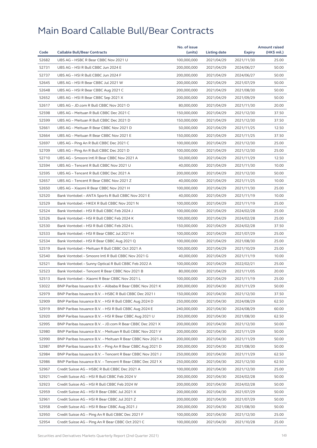|       |                                                                                                | No. of issue |              |                          | <b>Amount raised</b> |
|-------|------------------------------------------------------------------------------------------------|--------------|--------------|--------------------------|----------------------|
| Code  | <b>Callable Bull/Bear Contracts</b>                                                            | (units)      | Listing date | Expiry                   | (HK\$ mil.)          |
| 52682 | UBS AG - HSBC R Bear CBBC Nov 2021 U                                                           | 100,000,000  | 2021/04/29   | 2021/11/30               | 25.00                |
| 52731 | UBS AG - HSI R Bull CBBC Jun 2024 E                                                            | 200,000,000  | 2021/04/29   | 2024/06/27               | 50.00                |
| 52737 | UBS AG - HSI R Bull CBBC Jun 2024 F                                                            | 200,000,000  | 2021/04/29   | 2024/06/27               | 50.00                |
| 52645 | UBS AG - HSI R Bear CBBC Jul 2021 W                                                            | 200,000,000  | 2021/04/29   | 2021/07/29               | 50.00                |
| 52648 | UBS AG - HSI R Bear CBBC Aug 2021 C                                                            | 200,000,000  | 2021/04/29   | 2021/08/30               | 50.00                |
| 52652 | UBS AG - HSI R Bear CBBC Sep 2021 X                                                            | 200,000,000  | 2021/04/29   | 2021/09/29               | 50.00                |
| 52617 | UBS AG - JD.com R Bull CBBC Nov 2021 O                                                         | 80,000,000   | 2021/04/29   | 2021/11/30               | 20.00                |
| 52598 | UBS AG - Meituan R Bull CBBC Dec 2021 C                                                        | 150,000,000  | 2021/04/29   | 2021/12/30               | 37.50                |
| 52599 | UBS AG - Meituan R Bull CBBC Dec 2021 D                                                        | 150,000,000  | 2021/04/29   | 2021/12/30               | 37.50                |
| 52661 | UBS AG - Meituan R Bear CBBC Nov 2021 D                                                        | 50,000,000   | 2021/04/29   | 2021/11/25               | 12.50                |
| 52664 | UBS AG - Meituan R Bear CBBC Nov 2021 E                                                        | 150,000,000  | 2021/04/29   | 2021/11/25               | 37.50                |
| 52697 | UBS AG - Ping An R Bull CBBC Dec 2021 C                                                        | 100,000,000  | 2021/04/29   | 2021/12/30               | 25.00                |
| 52709 | UBS AG - Ping An R Bull CBBC Dec 2021 D                                                        | 100,000,000  | 2021/04/29   | 2021/12/30               | 25.00                |
| 52710 | UBS AG - Smoore Intl R Bear CBBC Nov 2021 A                                                    | 50,000,000   | 2021/04/29   | 2021/11/29               | 12.50                |
| 52594 | UBS AG - Tencent R Bull CBBC Nov 2021 U                                                        | 40,000,000   | 2021/04/29   | 2021/11/30               | 10.00                |
| 52595 | UBS AG - Tencent R Bull CBBC Dec 2021 A                                                        | 200,000,000  | 2021/04/29   | 2021/12/30               | 50.00                |
| 52657 | UBS AG - Tencent R Bear CBBC Nov 2021 Z                                                        | 40,000,000   | 2021/04/29   | 2021/11/25               | 10.00                |
| 52650 | UBS AG - Xiaomi R Bear CBBC Nov 2021 H                                                         | 100,000,000  | 2021/04/29   | 2021/11/30               | 25.00                |
| 52520 | Bank Vontobel - ANTA Sports R Bull CBBC Nov 2021 E                                             | 40,000,000   | 2021/04/29   | 2021/11/19               | 10.00                |
| 52529 | Bank Vontobel - HKEX R Bull CBBC Nov 2021 N                                                    | 100,000,000  | 2021/04/29   | 2021/11/19               | 25.00                |
| 52524 | Bank Vontobel - HSI R Bull CBBC Feb 2024 J                                                     | 100,000,000  | 2021/04/29   | 2024/02/28               | 25.00                |
| 52526 | Bank Vontobel - HSI R Bull CBBC Feb 2024 K                                                     | 100,000,000  | 2021/04/29   | 2024/02/28               | 25.00                |
| 52530 | Bank Vontobel - HSI R Bull CBBC Feb 2024 L                                                     | 150,000,000  | 2021/04/29   | 2024/02/28               | 37.50                |
| 52533 | Bank Vontobel - HSI R Bear CBBC Jul 2021 H                                                     | 100,000,000  | 2021/04/29   | 2021/07/29               | 25.00                |
| 52534 | Bank Vontobel - HSI R Bear CBBC Aug 2021 Q                                                     | 100,000,000  | 2021/04/29   | 2021/08/30               | 25.00                |
| 52519 | Bank Vontobel - Meituan R Bull CBBC Oct 2021 A                                                 | 100,000,000  | 2021/04/29   | 2021/10/29               | 25.00                |
| 52540 | Bank Vontobel - Smoore Intl R Bull CBBC Nov 2021 G                                             | 40,000,000   | 2021/04/29   | 2021/11/19               | 10.00                |
| 52521 | Bank Vontobel - Sunny Optical R Bull CBBC Feb 2022 A                                           | 100,000,000  | 2021/04/29   | 2022/02/21               | 25.00                |
| 52523 | Bank Vontobel - Tencent R Bear CBBC Nov 2021 B                                                 | 80,000,000   | 2021/04/29   | 2021/11/05               | 20.00                |
| 52513 | Bank Vontobel - Xiaomi R Bear CBBC Nov 2021 L                                                  | 100,000,000  | 2021/04/29   | 2021/11/19               | 25.00                |
| 53022 | BNP Paribas Issuance B.V. - Alibaba R Bear CBBC Nov 2021 K                                     | 200,000,000  | 2021/04/30   | 2021/11/29               | 50.00                |
| 52979 | BNP Paribas Issuance B.V. - HSBC R Bull CBBC Dec 2021 I                                        | 150,000,000  | 2021/04/30   | 2021/12/30               | 37.50                |
| 52909 | BNP Paribas Issuance B.V. – HSI R Bull CBBC Aug 2024 D                                         | 250,000,000  | 2021/04/30   | 2024/08/29               | 62.50                |
| 52919 | BNP Paribas Issuance B.V. - HSI R Bull CBBC Aug 2024 E                                         | 240,000,000  | 2021/04/30   | 2024/08/29               | 60.00                |
| 52920 | BNP Paribas Issuance B.V. - HSI R Bear CBBC Aug 2021 U                                         | 250,000,000  | 2021/04/30   | 2021/08/30               | 62.50                |
| 52995 | BNP Paribas Issuance B.V. - JD.com R Bear CBBC Dec 2021 X                                      | 200,000,000  | 2021/04/30   | 2021/12/30               | 50.00                |
| 52980 | BNP Paribas Issuance B.V. - Meituan R Bull CBBC Nov 2021 V                                     | 200,000,000  | 2021/04/30   | 2021/11/29               | 50.00                |
| 52990 | BNP Paribas Issuance B.V. – Meituan R Bear CBBC Nov 2021 A                                     | 200,000,000  | 2021/04/30   | 2021/11/29               | 50.00                |
| 52987 | BNP Paribas Issuance B.V. - Ping An R Bear CBBC Aug 2021 D                                     | 200,000,000  | 2021/04/30   | 2021/08/30               | 50.00                |
| 52984 | BNP Paribas Issuance B.V. - Tencent R Bear CBBC Nov 2021 J                                     | 250,000,000  | 2021/04/30   | 2021/11/29               | 62.50                |
| 52986 | BNP Paribas Issuance B.V. - Tencent R Bear CBBC Dec 2021 X                                     | 250,000,000  | 2021/04/30   | 2021/12/30               | 62.50                |
| 52967 | Credit Suisse AG - HSBC R Bull CBBC Dec 2021 A                                                 | 100,000,000  | 2021/04/30   | 2021/12/30               | 25.00                |
| 52921 | Credit Suisse AG - HSI R Bull CBBC Feb 2024 V                                                  | 200,000,000  | 2021/04/30   | 2024/02/28               | 50.00                |
| 52923 |                                                                                                | 200,000,000  | 2021/04/30   | 2024/02/28               | 50.00                |
| 52959 | Credit Suisse AG – HSI R Bull CBBC Feb 2024 W<br>Credit Suisse AG - HSI R Bear CBBC Jul 2021 X | 200,000,000  | 2021/04/30   | 2021/07/29               | 50.00                |
| 52961 | Credit Suisse AG - HSI R Bear CBBC Jul 2021 Z                                                  | 200,000,000  | 2021/04/30   |                          | 50.00                |
| 52958 | Credit Suisse AG - HSI R Bear CBBC Aug 2021 J                                                  | 200,000,000  | 2021/04/30   | 2021/07/29<br>2021/08/30 | 50.00                |
| 52950 | Credit Suisse AG - Ping An R Bull CBBC Dec 2021 F                                              | 100,000,000  | 2021/04/30   | 2021/12/30               | 25.00                |
|       |                                                                                                |              |              |                          |                      |
| 52954 | Credit Suisse AG – Ping An R Bear CBBC Oct 2021 C                                              | 100,000,000  | 2021/04/30   | 2021/10/28               | 25.00                |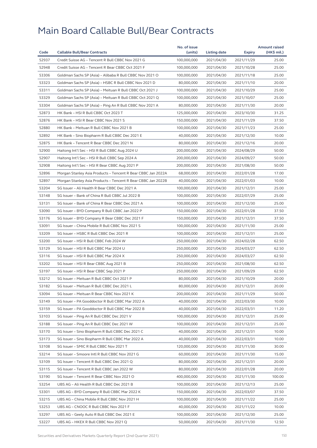| Code  |                                                              | No. of issue |              |               | <b>Amount raised</b> |
|-------|--------------------------------------------------------------|--------------|--------------|---------------|----------------------|
|       | <b>Callable Bull/Bear Contracts</b>                          | (units)      | Listing date | <b>Expiry</b> | (HK\$ mil.)          |
| 52937 | Credit Suisse AG - Tencent R Bull CBBC Nov 2021 G            | 100,000,000  | 2021/04/30   | 2021/11/29    | 25.00                |
| 52948 | Credit Suisse AG - Tencent R Bear CBBC Oct 2021 F            | 100,000,000  | 2021/04/30   | 2021/10/28    | 25.00                |
| 53306 | Goldman Sachs SP (Asia) - Alibaba R Bull CBBC Nov 2021 O     | 100,000,000  | 2021/04/30   | 2021/11/18    | 25.00                |
| 53323 | Goldman Sachs SP (Asia) - HSBC R Bull CBBC Nov 2021 D        | 80,000,000   | 2021/04/30   | 2021/11/10    | 20.00                |
| 53311 | Goldman Sachs SP (Asia) - Meituan R Bull CBBC Oct 2021 J     | 100,000,000  | 2021/04/30   | 2021/10/29    | 25.00                |
| 53329 | Goldman Sachs SP (Asia) - Meituan R Bull CBBC Oct 2021 Q     | 100,000,000  | 2021/04/30   | 2021/10/07    | 25.00                |
| 53304 | Goldman Sachs SP (Asia) - Ping An R Bull CBBC Nov 2021 A     | 80,000,000   | 2021/04/30   | 2021/11/30    | 20.00                |
| 52873 | HK Bank - HSI R Bull CBBC Oct 2023 T                         | 125,000,000  | 2021/04/30   | 2023/10/30    | 31.25                |
| 52876 | HK Bank - HSI R Bear CBBC Nov 2021 S                         | 150,000,000  | 2021/04/30   | 2021/11/29    | 37.50                |
| 52880 | HK Bank - Meituan R Bull CBBC Nov 2021 B                     | 100,000,000  | 2021/04/30   | 2021/11/23    | 25.00                |
| 52892 | HK Bank - Sino Biopharm R Bull CBBC Dec 2021 E               | 40,000,000   | 2021/04/30   | 2021/12/30    | 10.00                |
| 52875 | HK Bank - Tencent R Bear CBBC Dec 2021 N                     | 80,000,000   | 2021/04/30   | 2021/12/16    | 20.00                |
| 52900 | Haitong Int'l Sec - HSI R Bull CBBC Aug 2024 U               | 200,000,000  | 2021/04/30   | 2024/08/29    | 50.00                |
| 52907 | Haitong Int'l Sec - HSI R Bull CBBC Sep 2024 A               | 200,000,000  | 2021/04/30   | 2024/09/27    | 50.00                |
| 52908 | Haitong Int'l Sec - HSI R Bear CBBC Aug 2021 P               | 200,000,000  | 2021/04/30   | 2021/08/30    | 50.00                |
| 52896 | Morgan Stanley Asia Products - Tencent R Bear CBBC Jan 2022A | 68,000,000   | 2021/04/30   | 2022/01/28    | 17.00                |
| 52897 | Morgan Stanley Asia Products - Tencent R Bear CBBC Jan 2022B | 40,000,000   | 2021/04/30   | 2022/01/03    | 10.00                |
| 53204 | SG Issuer - Ali Health R Bear CBBC Dec 2021 A                | 100,000,000  | 2021/04/30   | 2021/12/31    | 25.00                |
| 53148 | SG Issuer - Bank of China R Bull CBBC Jul 2022 B             | 100,000,000  | 2021/04/30   | 2022/07/29    | 25.00                |
| 53131 | SG Issuer - Bank of China R Bear CBBC Dec 2021 A             | 100,000,000  | 2021/04/30   | 2021/12/30    | 25.00                |
| 53090 | SG Issuer - BYD Company R Bull CBBC Jan 2022 P               | 150,000,000  | 2021/04/30   | 2022/01/28    | 37.50                |
| 53176 | SG Issuer - BYD Company R Bear CBBC Dec 2021 F               | 150,000,000  | 2021/04/30   | 2021/12/31    | 37.50                |
| 53091 | SG Issuer - China Mobile R Bull CBBC Nov 2021 S              | 100,000,000  | 2021/04/30   | 2021/11/30    | 25.00                |
| 53209 | SG Issuer - HSBC R Bull CBBC Dec 2021 R                      | 100,000,000  | 2021/04/30   | 2021/12/31    | 25.00                |
| 53200 | SG Issuer - HSI R Bull CBBC Feb 2024 W                       | 250,000,000  | 2021/04/30   | 2024/02/28    | 62.50                |
| 53129 | SG Issuer - HSI R Bull CBBC Mar 2024 U                       | 250,000,000  | 2021/04/30   | 2024/03/27    | 62.50                |
| 53116 | SG Issuer - HSI R Bull CBBC Mar 2024 X                       | 250,000,000  | 2021/04/30   | 2024/03/27    | 62.50                |
| 53202 | SG Issuer - HSI R Bear CBBC Aug 2021 B                       | 250,000,000  | 2021/04/30   | 2021/08/30    | 62.50                |
| 53197 | SG Issuer - HSI R Bear CBBC Sep 2021 P                       | 250,000,000  | 2021/04/30   | 2021/09/29    | 62.50                |
| 53212 | SG Issuer - Meituan R Bull CBBC Oct 2021 P                   | 80,000,000   | 2021/04/30   | 2021/10/29    | 20.00                |
| 53182 | SG Issuer - Meituan R Bull CBBC Dec 2021 L                   | 80,000,000   | 2021/04/30   | 2021/12/31    | 20.00                |
| 53094 | SG Issuer - Meituan R Bear CBBC Nov 2021 K                   | 200,000,000  | 2021/04/30   | 2021/11/29    | 50.00                |
| 53149 | SG Issuer - PA Gooddoctor R Bull CBBC Mar 2022 A             | 40,000,000   | 2021/04/30   | 2022/03/30    | 10.00                |
| 53159 | SG Issuer - PA Gooddoctor R Bull CBBC Mar 2022 B             | 40,000,000   | 2021/04/30   | 2022/03/31    | 11.20                |
| 53103 | SG Issuer - Ping An R Bull CBBC Dec 2021 V                   | 100,000,000  | 2021/04/30   | 2021/12/31    | 25.00                |
| 53188 | SG Issuer - Ping An R Bull CBBC Dec 2021 W                   | 100,000,000  | 2021/04/30   | 2021/12/31    | 25.00                |
| 53170 | SG Issuer - Sino Biopharm R Bull CBBC Dec 2021 C             | 40,000,000   | 2021/04/30   | 2021/12/31    | 10.00                |
| 53173 | SG Issuer - Sino Biopharm R Bull CBBC Mar 2022 A             | 40,000,000   | 2021/04/30   | 2022/03/31    | 10.00                |
| 53108 | SG Issuer - SMIC R Bull CBBC Nov 2021 T                      | 120,000,000  | 2021/04/30   | 2021/11/30    | 30.00                |
| 53214 | SG Issuer - Smoore Intl R Bull CBBC Nov 2021 G               | 60,000,000   | 2021/04/30   | 2021/11/30    | 15.00                |
| 53109 | SG Issuer - Tencent R Bull CBBC Dec 2021 Q                   | 80,000,000   | 2021/04/30   | 2021/12/31    | 20.00                |
| 53115 | SG Issuer - Tencent R Bull CBBC Jan 2022 W                   | 80,000,000   | 2021/04/30   | 2022/01/28    | 20.00                |
| 53190 | SG Issuer - Tencent R Bear CBBC Nov 2021 O                   | 400,000,000  | 2021/04/30   | 2021/11/30    | 100.00               |
| 53254 | UBS AG - Ali Health R Bull CBBC Dec 2021 B                   | 100,000,000  | 2021/04/30   | 2021/12/13    | 25.00                |
| 53301 | UBS AG - BYD Company R Bull CBBC Mar 2022 K                  | 150,000,000  | 2021/04/30   | 2022/03/07    | 37.50                |
| 53215 | UBS AG - China Mobile R Bull CBBC Nov 2021 H                 | 100,000,000  | 2021/04/30   | 2021/11/22    | 25.00                |
| 53253 | UBS AG - CNOOC R Bull CBBC Nov 2021 F                        | 40,000,000   | 2021/04/30   | 2021/11/22    | 10.00                |
| 53297 | UBS AG - Geely Auto R Bull CBBC Dec 2021 E                   | 100,000,000  | 2021/04/30   | 2021/12/30    | 25.00                |
| 53227 | UBS AG – HKEX R Bull CBBC Nov 2021 Q                         | 50,000,000   | 2021/04/30   | 2021/11/30    | 12.50                |
|       |                                                              |              |              |               |                      |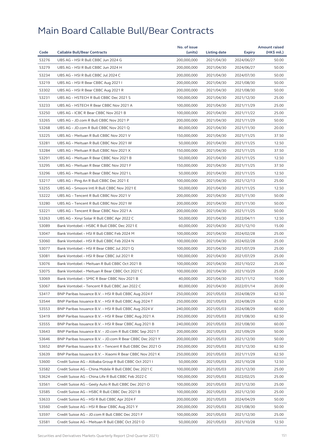|       |                                                            | No. of issue |              |            | <b>Amount raised</b> |
|-------|------------------------------------------------------------|--------------|--------------|------------|----------------------|
| Code  | <b>Callable Bull/Bear Contracts</b>                        | (units)      | Listing date | Expiry     | (HK\$ mil.)          |
| 53276 | UBS AG - HSI R Bull CBBC Jun 2024 G                        | 200,000,000  | 2021/04/30   | 2024/06/27 | 50.00                |
| 53279 | UBS AG - HSI R Bull CBBC Jun 2024 H                        | 200,000,000  | 2021/04/30   | 2024/06/27 | 50.00                |
| 53234 | UBS AG - HSI R Bull CBBC Jul 2024 C                        | 200,000,000  | 2021/04/30   | 2024/07/30 | 50.00                |
| 53219 | UBS AG - HSI R Bear CBBC Aug 2021 I                        | 200,000,000  | 2021/04/30   | 2021/08/30 | 50.00                |
| 53302 | UBS AG - HSI R Bear CBBC Aug 2021 R                        | 200,000,000  | 2021/04/30   | 2021/08/30 | 50.00                |
| 53231 | UBS AG - HSTECH R Bull CBBC Dec 2021 S                     | 100,000,000  | 2021/04/30   | 2021/12/30 | 25.00                |
| 53233 | UBS AG - HSTECH R Bear CBBC Nov 2021 A                     | 100,000,000  | 2021/04/30   | 2021/11/29 | 25.00                |
| 53250 | UBS AG - ICBC R Bear CBBC Nov 2021 B                       | 100,000,000  | 2021/04/30   | 2021/11/22 | 25.00                |
| 53265 | UBS AG - JD.com R Bull CBBC Nov 2021 P                     | 200,000,000  | 2021/04/30   | 2021/11/29 | 50.00                |
| 53268 | UBS AG - JD.com R Bull CBBC Nov 2021 Q                     | 80,000,000   | 2021/04/30   | 2021/11/30 | 20.00                |
| 53225 | UBS AG - Meituan R Bull CBBC Nov 2021 V                    | 150,000,000  | 2021/04/30   | 2021/11/25 | 37.50                |
| 53281 | UBS AG - Meituan R Bull CBBC Nov 2021 W                    | 50,000,000   | 2021/04/30   | 2021/11/25 | 12.50                |
| 53284 | UBS AG - Meituan R Bull CBBC Nov 2021 X                    | 150,000,000  | 2021/04/30   | 2021/11/25 | 37.50                |
| 53291 | UBS AG - Meituan R Bear CBBC Nov 2021 B                    | 50,000,000   | 2021/04/30   | 2021/11/25 | 12.50                |
| 53295 | UBS AG - Meituan R Bear CBBC Nov 2021 F                    | 150,000,000  | 2021/04/30   | 2021/11/25 | 37.50                |
| 53296 | UBS AG - Meituan R Bear CBBC Nov 2021 L                    | 50,000,000   | 2021/04/30   | 2021/11/25 | 12.50                |
| 53217 | UBS AG - Ping An R Bull CBBC Dec 2021 E                    | 100,000,000  | 2021/04/30   | 2021/12/13 | 25.00                |
| 53255 | UBS AG - Smoore Intl R Bull CBBC Nov 2021 E                | 50,000,000   | 2021/04/30   | 2021/11/25 | 12.50                |
| 53222 | UBS AG - Tencent R Bull CBBC Nov 2021 V                    | 200,000,000  | 2021/04/30   | 2021/11/30 | 50.00                |
| 53280 | UBS AG - Tencent R Bull CBBC Nov 2021 W                    | 200,000,000  | 2021/04/30   | 2021/11/30 | 50.00                |
| 53221 | UBS AG - Tencent R Bear CBBC Nov 2021 A                    | 200,000,000  | 2021/04/30   | 2021/11/25 | 50.00                |
| 53263 | UBS AG - Xinyi Solar R Bull CBBC Apr 2022 C                | 50,000,000   | 2021/04/30   | 2022/04/11 | 12.50                |
| 53089 | Bank Vontobel - HSBC R Bull CBBC Dec 2021 E                | 60,000,000   | 2021/04/30   | 2021/12/10 | 15.00                |
| 53047 | Bank Vontobel - HSI R Bull CBBC Feb 2024 M                 | 100,000,000  | 2021/04/30   | 2024/02/28 | 25.00                |
| 53060 | Bank Vontobel - HSI R Bull CBBC Feb 2024 N                 | 100,000,000  | 2021/04/30   | 2024/02/28 | 25.00                |
| 53077 | Bank Vontobel - HSI R Bear CBBC Jul 2021 Q                 | 100,000,000  | 2021/04/30   | 2021/07/29 | 25.00                |
| 53081 | Bank Vontobel - HSI R Bear CBBC Jul 2021 R                 | 100,000,000  | 2021/04/30   | 2021/07/29 | 25.00                |
| 53076 | Bank Vontobel - Meituan R Bull CBBC Oct 2021 B             | 100,000,000  | 2021/04/30   | 2021/10/22 | 25.00                |
| 53075 | Bank Vontobel - Meituan R Bear CBBC Oct 2021 C             | 100,000,000  | 2021/04/30   | 2021/10/29 | 25.00                |
| 53069 | Bank Vontobel - SMIC R Bear CBBC Nov 2021 B                | 40,000,000   | 2021/04/30   | 2021/11/12 | 10.00                |
| 53067 | Bank Vontobel - Tencent R Bull CBBC Jan 2022 C             | 80,000,000   | 2021/04/30   | 2022/01/14 | 20.00                |
| 53417 | BNP Paribas Issuance B.V. - HSI R Bull CBBC Aug 2024 F     | 250,000,000  | 2021/05/03   | 2024/08/29 | 62.50                |
| 53544 | BNP Paribas Issuance B.V. - HSI R Bull CBBC Aug 2024 T     | 250,000,000  | 2021/05/03   | 2024/08/29 | 62.50                |
| 53553 | BNP Paribas Issuance B.V. - HSI R Bull CBBC Aug 2024 V     | 240,000,000  | 2021/05/03   | 2024/08/29 | 60.00                |
| 53419 | BNP Paribas Issuance B.V. - HSI R Bear CBBC Aug 2021 A     | 250,000,000  | 2021/05/03   | 2021/08/30 | 62.50                |
| 53555 | BNP Paribas Issuance B.V. - HSI R Bear CBBC Aug 2021 B     | 240,000,000  | 2021/05/03   | 2021/08/30 | 60.00                |
| 53643 | BNP Paribas Issuance B.V. - JD.com R Bull CBBC Sep 2021 T  | 200,000,000  | 2021/05/03   | 2021/09/29 | 50.00                |
| 53646 | BNP Paribas Issuance B.V. - JD.com R Bear CBBC Dec 2021 Y  | 200,000,000  | 2021/05/03   | 2021/12/30 | 50.00                |
| 53652 | BNP Paribas Issuance B.V. - Tencent R Bull CBBC Dec 2021 O | 250,000,000  | 2021/05/03   | 2021/12/30 | 62.50                |
| 53639 | BNP Paribas Issuance B.V. - Xiaomi R Bear CBBC Nov 2021 K  | 250,000,000  | 2021/05/03   | 2021/11/29 | 62.50                |
| 53600 | Credit Suisse AG - Alibaba Group R Bull CBBC Oct 2021 I    | 50,000,000   | 2021/05/03   | 2021/10/28 | 12.50                |
| 53582 | Credit Suisse AG - China Mobile R Bull CBBC Dec 2021 C     | 100,000,000  | 2021/05/03   | 2021/12/30 | 25.00                |
| 53624 | Credit Suisse AG - China Life R Bull CBBC Feb 2022 C       | 100,000,000  | 2021/05/03   | 2022/02/25 | 25.00                |
| 53561 | Credit Suisse AG – Geely Auto R Bull CBBC Dec 2021 O       | 100,000,000  | 2021/05/03   | 2021/12/30 | 25.00                |
| 53585 | Credit Suisse AG - HSBC R Bull CBBC Dec 2021 B             | 100,000,000  | 2021/05/03   | 2021/12/30 | 25.00                |
| 53633 | Credit Suisse AG - HSI R Bull CBBC Apr 2024 F              | 200,000,000  | 2021/05/03   | 2024/04/29 | 50.00                |
| 53560 | Credit Suisse AG - HSI R Bear CBBC Aug 2021 Y              | 200,000,000  | 2021/05/03   | 2021/08/30 | 50.00                |
| 53597 | Credit Suisse AG - JD.com R Bull CBBC Dec 2021 F           | 100,000,000  | 2021/05/03   | 2021/12/30 | 25.00                |
| 53581 | Credit Suisse AG – Meituan R Bull CBBC Oct 2021 O          | 50,000,000   | 2021/05/03   | 2021/10/28 | 12.50                |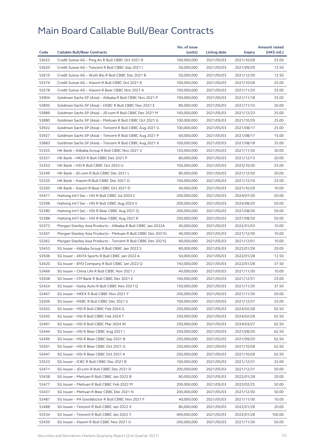|       |                                                              | No. of issue |              |            | <b>Amount raised</b> |
|-------|--------------------------------------------------------------|--------------|--------------|------------|----------------------|
| Code  | <b>Callable Bull/Bear Contracts</b>                          | (units)      | Listing date | Expiry     | (HK\$ mil.)          |
| 53622 | Credit Suisse AG - Ping An R Bull CBBC Oct 2021 R            | 100,000,000  | 2021/05/03   | 2021/10/28 | 25.00                |
| 53620 | Credit Suisse AG - Tencent R Bull CBBC Sep 2021 I            | 50,000,000   | 2021/05/03   | 2021/09/29 | 12.50                |
| 53619 | Credit Suisse AG - WuXi Bio R Bull CBBC Dec 2021 B           | 50,000,000   | 2021/05/03   | 2021/12/30 | 12.50                |
| 53574 | Credit Suisse AG - Xiaomi R Bull CBBC Oct 2021 R             | 100,000,000  | 2021/05/03   | 2021/10/28 | 25.00                |
| 53578 | Credit Suisse AG - Xiaomi R Bear CBBC Nov 2021 A             | 100,000,000  | 2021/05/03   | 2021/11/29 | 25.00                |
| 53904 | Goldman Sachs SP (Asia) - Alibaba R Bull CBBC Nov 2021 P     | 100.000.000  | 2021/05/03   | 2021/11/18 | 25.00                |
| 53895 | Goldman Sachs SP (Asia) - HSBC R Bull CBBC Nov 2021 E        | 80,000,000   | 2021/05/03   | 2021/11/10 | 20.00                |
| 53889 | Goldman Sachs SP (Asia) - JD.com R Bull CBBC Dec 2021 M      | 100,000,000  | 2021/05/03   | 2021/12/23 | 25.00                |
| 53880 | Goldman Sachs SP (Asia) - Meituan R Bull CBBC Oct 2021 G     | 100,000,000  | 2021/05/03   | 2021/10/29 | 25.00                |
| 53922 | Goldman Sachs SP (Asia) - Tencent R Bull CBBC Aug 2021 G     | 100,000,000  | 2021/05/03   | 2021/08/17 | 25.00                |
| 53927 | Goldman Sachs SP (Asia) - Tencent R Bull CBBC Aug 2021 P     | 60,000,000   | 2021/05/03   | 2021/08/17 | 15.00                |
| 53883 | Goldman Sachs SP (Asia) - Tencent R Bull CBBC Aug 2021 X     | 100,000,000  | 2021/05/03   | 2021/08/18 | 25.00                |
| 53355 | HK Bank – Alibaba Group R Bull CBBC Nov 2021 V               | 120,000,000  | 2021/05/03   | 2021/11/30 | 30.00                |
| 53351 | HK Bank - HKEX R Bull CBBC Dec 2021 P                        | 80,000,000   | 2021/05/03   | 2021/12/13 | 20.00                |
| 53353 | HK Bank - HSI R Bull CBBC Oct 2023 U                         | 100,000,000  | 2021/05/03   | 2023/10/30 | 25.00                |
| 53349 | HK Bank - JD.com R Bull CBBC Dec 2021 L                      | 80,000,000   | 2021/05/03   | 2021/12/30 | 20.00                |
| 53335 | HK Bank - Xiaomi R Bull CBBC Dec 2021 O                      | 100.000.000  | 2021/05/03   | 2021/12/16 | 25.00                |
| 53350 | HK Bank - Xiaomi R Bear CBBC Oct 2021 D                      | 40,000,000   | 2021/05/03   | 2021/10/29 | 10.00                |
| 53411 | Haitong Int'l Sec - HSI R Bull CBBC Jul 2024 C               | 200,000,000  | 2021/05/03   | 2024/07/30 | 50.00                |
| 53398 | Haitong Int'l Sec - HSI R Bull CBBC Aug 2024 V               | 200,000,000  | 2021/05/03   | 2024/08/29 | 50.00                |
| 53380 | Haitong Int'l Sec - HSI R Bear CBBC Aug 2021 Q               | 200,000,000  | 2021/05/03   | 2021/08/30 | 50.00                |
| 53388 | Haitong Int'l Sec - HSI R Bear CBBC Aug 2021 R               | 200,000,000  | 2021/05/03   | 2021/08/30 | 50.00                |
| 53373 | Morgan Stanley Asia Products - Alibaba R Bull CBBC Jan 2022A | 40,000,000   | 2021/05/03   | 2022/01/03 | 10.00                |
| 53367 | Morgan Stanley Asia Products – Meituan R Bull CBBC Dec 2021G | 40,000,000   | 2021/05/03   | 2021/12/30 | 10.00                |
| 53362 | Morgan Stanley Asia Products - Tencent R Bull CBBC Dec 2021S | 40,000,000   | 2021/05/03   | 2021/12/01 | 10.00                |
| 53453 | SG Issuer - Alibaba Group R Bull CBBC Jan 2022 S             | 80,000,000   | 2021/05/03   | 2022/01/28 | 20.00                |
| 53506 | SG Issuer - ANTA Sports R Bull CBBC Jan 2022 A               | 50,000,000   | 2021/05/03   | 2022/01/28 | 12.50                |
| 53420 | SG Issuer - BYD Company R Bull CBBC Jan 2022 Q               | 150,000,000  | 2021/05/03   | 2022/01/28 | 37.50                |
| 53466 | SG Issuer - China Life R Bull CBBC Nov 2021 J                | 40,000,000   | 2021/05/03   | 2021/11/30 | 10.00                |
| 53508 | SG Issuer - CM Bank R Bull CBBC Dec 2021 E                   | 100,000,000  | 2021/05/03   | 2021/12/31 | 25.00                |
| 53424 | SG Issuer - Geely Auto R Bull CBBC Nov 2021 Q                | 150,000,000  | 2021/05/03   | 2021/11/30 | 37.50                |
| 53467 | SG Issuer - HKEX R Bull CBBC Nov 2021 Y                      | 200,000,000  | 2021/05/03   | 2021/11/30 | 50.00                |
| 53509 | SG Issuer – HSBC R Bull CBBC Dec 2021 S                      | 100,000,000  | 2021/05/03   | 2021/12/31 | 25.00                |
| 53503 | SG Issuer - HSI R Bull CBBC Feb 2024 G                       | 250,000,000  | 2021/05/03   | 2024/02/28 | 62.50                |
| 53505 | SG Issuer - HSI R Bull CBBC Feb 2024 T                       | 250,000,000  | 2021/05/03   | 2024/02/28 | 62.50                |
| 53491 |                                                              |              |              |            |                      |
|       | SG Issuer - HSI R Bull CBBC Mar 2024 W                       | 250,000,000  | 2021/05/03   | 2024/03/27 | 62.50                |
| 53444 | SG Issuer - HSI R Bear CBBC Aug 2021 I                       | 250,000,000  | 2021/05/03   | 2021/08/30 | 62.50                |
| 53499 | SG Issuer - HSI R Bear CBBC Sep 2021 B                       | 250,000,000  | 2021/05/03   | 2021/09/29 | 62.50                |
| 53501 | SG Issuer - HSI R Bear CBBC Oct 2021 G                       | 250,000,000  | 2021/05/03   | 2021/10/28 | 62.50                |
| 53447 | SG Issuer - HSI R Bear CBBC Oct 2021 K                       | 250,000,000  | 2021/05/03   | 2021/10/28 | 62.50                |
| 53523 | SG Issuer - ICBC R Bull CBBC Dec 2021 B                      | 100,000,000  | 2021/05/03   | 2021/12/31 | 25.00                |
| 53471 | SG Issuer - JD.com R Bull CBBC Dec 2021 D                    | 200,000,000  | 2021/05/03   | 2021/12/31 | 50.00                |
| 53438 | SG Issuer - Meituan R Bull CBBC Jan 2022 B                   | 80,000,000   | 2021/05/03   | 2022/01/28 | 20.00                |
| 53477 | SG Issuer - Meituan R Bull CBBC Feb 2022 M                   | 200,000,000  | 2021/05/03   | 2022/02/25 | 50.00                |
| 53437 | SG Issuer - Meituan R Bear CBBC Dec 2021 N                   | 200,000,000  | 2021/05/03   | 2021/12/30 | 50.00                |
| 53487 | SG Issuer - PA Gooddoctor R Bull CBBC Nov 2021 F             | 40,000,000   | 2021/05/03   | 2021/11/30 | 10.00                |
| 53488 | SG Issuer - Tencent R Bull CBBC Jan 2022 X                   | 80,000,000   | 2021/05/03   | 2022/01/28 | 20.00                |
| 53534 | SG Issuer - Tencent R Bull CBBC Jan 2022 Y                   | 400,000,000  | 2021/05/03   | 2022/01/28 | 100.00               |
| 53439 | SG Issuer - Xiaomi R Bull CBBC Nov 2021 U                    | 200,000,000  | 2021/05/03   | 2021/11/30 | 50.00                |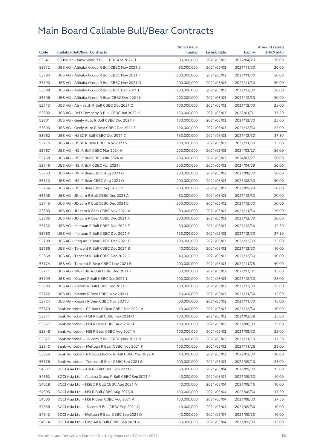|       |                                                       | No. of issue |                     |            | <b>Amount raised</b> |
|-------|-------------------------------------------------------|--------------|---------------------|------------|----------------------|
| Code  | <b>Callable Bull/Bear Contracts</b>                   | (units)      | <b>Listing date</b> | Expiry     | (HK\$ mil.)          |
| 53541 | SG Issuer - Xinyi Solar R Bull CBBC Apr 2022 B        | 80,000,000   | 2021/05/03          | 2022/04/29 | 20.00                |
| 53672 | UBS AG - Alibaba Group R Bull CBBC Nov 2021 E         | 80,000,000   | 2021/05/03          | 2021/11/30 | 20.00                |
| 53784 | UBS AG - Alibaba Group R Bull CBBC Nov 2021 F         | 200,000,000  | 2021/05/03          | 2021/11/30 | 50.00                |
| 53790 | UBS AG - Alibaba Group R Bull CBBC Nov 2021 G         | 200,000,000  | 2021/05/03          | 2021/11/30 | 50.00                |
| 53689 | UBS AG - Alibaba Group R Bull CBBC Dec 2021 E         | 200,000,000  | 2021/05/03          | 2021/12/30 | 50.00                |
| 53796 | UBS AG - Alibaba Group R Bear CBBC Dec 2021 K         | 200,000,000  | 2021/05/03          | 2021/12/30 | 50.00                |
| 53713 | UBS AG - Ali Health R Bull CBBC Dec 2021 C            | 100,000,000  | 2021/05/03          | 2021/12/30 | 25.00                |
| 53802 | UBS AG - BYD Company R Bull CBBC Jan 2022 K           | 150,000,000  | 2021/05/03          | 2022/01/31 | 37.50                |
| 53801 | UBS AG - Geely Auto R Bull CBBC Dec 2021 F            | 100,000,000  | 2021/05/03          | 2021/12/30 | 25.00                |
| 53693 | UBS AG - Geely Auto R Bear CBBC Dec 2021 F            | 100,000,000  | 2021/05/03          | 2021/12/30 | 25.00                |
| 53762 | UBS AG - HSBC R Bull CBBC Dec 2021 C                  | 150,000,000  | 2021/05/03          | 2021/12/30 | 37.50                |
| 53715 | UBS AG - HSBC R Bear CBBC Nov 2021 V                  | 100,000,000  | 2021/05/03          | 2021/11/30 | 25.00                |
| 53767 | UBS AG - HSI R Bull CBBC Mar 2024 H                   | 200,000,000  | 2021/05/03          | 2024/03/27 | 50.00                |
| 53768 | UBS AG - HSI R Bull CBBC Mar 2024 W                   | 200,000,000  | 2021/05/03          | 2024/03/27 | 50.00                |
| 53746 | UBS AG - HSI R Bull CBBC Apr 2024 I                   | 200,000,000  | 2021/05/03          | 2024/04/29 | 50.00                |
| 53763 | UBS AG - HSI R Bear CBBC Aug 2021 G                   | 200,000,000  | 2021/05/03          | 2021/08/30 | 50.00                |
| 53823 | UBS AG - HSI R Bear CBBC Aug 2021 O                   | 200,000,000  | 2021/05/03          | 2021/08/30 | 50.00                |
| 53764 | UBS AG - HSI R Bear CBBC Sep 2021 Y                   | 200,000,000  | 2021/05/03          | 2021/09/29 | 50.00                |
| 53698 | UBS AG - JD.com R Bull CBBC Dec 2021 A                | 80,000,000   | 2021/05/03          | 2021/12/30 | 20.00                |
| 53745 | UBS AG - JD.com R Bull CBBC Dec 2021 B                | 200,000,000  | 2021/05/03          | 2021/12/30 | 50.00                |
| 53803 | UBS AG - JD.com R Bear CBBC Nov 2021 A                | 80,000,000   | 2021/05/03          | 2021/11/30 | 20.00                |
| 53806 | UBS AG - JD.com R Bear CBBC Dec 2021 A                | 200,000,000  | 2021/05/03          | 2021/12/30 | 50.00                |
| 53732 | UBS AG - Meituan R Bull CBBC Dec 2021 E               | 50,000,000   | 2021/05/03          | 2021/12/30 | 12.50                |
| 53780 | UBS AG - Meituan R Bull CBBC Dec 2021 F               | 150,000,000  | 2021/05/03          | 2021/12/30 | 37.50                |
| 53708 | UBS AG - Ping An R Bear CBBC Dec 2021 B               | 100,000,000  | 2021/05/03          | 2021/12/30 | 25.00                |
| 53666 | UBS AG - Tencent R Bull CBBC Dec 2021 B               | 40,000,000   | 2021/05/03          | 2021/12/30 | 10.00                |
| 53668 | UBS AG - Tencent R Bull CBBC Dec 2021 C               | 40,000,000   | 2021/05/03          | 2021/12/30 | 10.00                |
| 53774 | UBS AG - Tencent R Bear CBBC Nov 2021 B               | 200,000,000  | 2021/05/03          | 2021/11/25 | 50.00                |
| 53711 | UBS AG - WuXi Bio R Bull CBBC Dec 2021 K              | 60,000,000   | 2021/05/03          | 2021/12/31 | 15.00                |
| 53799 | UBS AG - Xiaomi R Bull CBBC Dec 2021 J                | 100,000,000  | 2021/05/03          | 2021/12/30 | 25.00                |
| 53800 | UBS AG - Xiaomi R Bull CBBC Dec 2021 K                | 100,000,000  | 2021/05/03          | 2021/12/30 | 25.00                |
| 53722 | UBS AG - Xiaomi R Bear CBBC Nov 2021 I                | 60,000,000   | 2021/05/03          | 2021/11/30 | 15.00                |
| 53724 | UBS AG - Xiaomi R Bear CBBC Nov 2021 J                | 60,000,000   | 2021/05/03          | 2021/11/30 | 15.00                |
| 53879 | Bank Vontobel - CC Bank R Bear CBBC Dec 2021 A        | 40,000,000   | 2021/05/03          | 2021/12/30 | 10.00                |
| 53871 | Bank Vontobel - HSI R Bull CBBC Feb 2024 O            | 100,000,000  | 2021/05/03          | 2024/02/28 | 25.00                |
| 53867 | Bank Vontobel - HSI R Bear CBBC Aug 2021 F            | 100,000,000  | 2021/05/03          | 2021/08/30 | 25.00                |
| 53848 | Bank Vontobel - HSI R Bear CBBC Aug 2021 V            | 100,000,000  | 2021/05/03          | 2021/08/30 | 25.00                |
| 53877 | Bank Vontobel - JD.com R Bull CBBC Nov 2021 N         | 50,000,000   | 2021/05/03          | 2021/11/19 | 12.50                |
| 53840 | Bank Vontobel - Meituan R Bear CBBC Nov 2021 K        | 100,000,000  | 2021/05/03          | 2021/11/26 | 25.00                |
| 53864 | Bank Vontobel - PA Gooddoctor R Bull CBBC Mar 2022 A  | 40,000,000   | 2021/05/03          | 2022/03/30 | 10.00                |
| 53876 | Bank Vontobel - Tencent R Bear CBBC Sep 2021 B        | 100,000,000  | 2021/05/03          | 2021/09/10 | 25.00                |
| 54637 | BOCI Asia Ltd. - AIA R Bull CBBC Sep 2021 B           | 60,000,000   | 2021/05/04          | 2021/09/30 | 15.00                |
| 54663 | BOCI Asia Ltd. - Alibaba Group R Bull CBBC Sep 2021 F | 40,000,000   | 2021/05/04          | 2021/09/30 | 10.00                |
| 54628 | BOCI Asia Ltd. - HSBC R Bull CBBC Aug 2021 A          | 40,000,000   | 2021/05/04          | 2021/08/16 | 10.00                |
| 54593 | BOCI Asia Ltd. - HSI R Bull CBBC Aug 2023 R           | 150,000,000  | 2021/05/04          | 2023/08/30 | 37.50                |
| 54606 | BOCI Asia Ltd. - HSI R Bear CBBC Aug 2021 A           | 150,000,000  | 2021/05/04          | 2021/08/30 | 37.50                |
| 54658 | BOCI Asia Ltd. - JD.com R Bull CBBC Sep 2021 Q        | 40,000,000   | 2021/05/04          | 2021/09/30 | 10.00                |
| 54643 | BOCI Asia Ltd. - Meituan R Bear CBBC Sep 2021 D       | 40,000,000   | 2021/05/04          | 2021/09/30 | 10.00                |
| 54614 | BOCI Asia Ltd. - Ping An R Bull CBBC Sep 2021 A       | 60,000,000   | 2021/05/04          | 2021/09/30 | 15.00                |
|       |                                                       |              |                     |            |                      |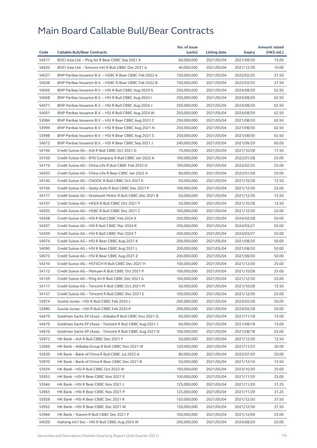| Code  | <b>Callable Bull/Bear Contracts</b>                       | No. of issue<br>(units) | Listing date             | <b>Expiry</b>            | <b>Amount raised</b><br>(HK\$ mil.) |
|-------|-----------------------------------------------------------|-------------------------|--------------------------|--------------------------|-------------------------------------|
| 54617 | BOCI Asia Ltd. - Ping An R Bear CBBC Sep 2021 A           | 60,000,000              | 2021/05/04               | 2021/09/30               | 15.00                               |
| 54620 | BOCI Asia Ltd. - Smoore Intl R Bull CBBC Dec 2021 A       | 40,000,000              | 2021/05/04               | 2021/12/30               | 10.00                               |
| 54037 | BNP Paribas Issuance B.V. - HSBC R Bear CBBC Feb 2022 A   | 150,000,000             | 2021/05/04               | 2022/02/25               | 37.50                               |
| 54038 | BNP Paribas Issuance B.V. - HSBC R Bear CBBC Feb 2022 B   | 150,000,000             | 2021/05/04               | 2022/02/25               | 37.50                               |
| 54006 | BNP Paribas Issuance B.V. - HSI R Bull CBBC Aug 2024 G    | 250,000,000             | 2021/05/04               | 2024/08/29               | 62.50                               |
| 54068 | BNP Paribas Issuance B.V. - HSI R Bull CBBC Aug 2024 I    | 250,000,000             | 2021/05/04               | 2024/08/29               | 62.50                               |
| 54071 | BNP Paribas Issuance B.V. - HSI R Bull CBBC Aug 2024 J    | 250,000,000             | 2021/05/04               | 2024/08/29               | 62.50                               |
| 54001 | BNP Paribas Issuance B.V. - HSI R Bull CBBC Aug 2024 W    | 250,000,000             | 2021/05/04               | 2024/08/29               | 62.50                               |
| 53984 | BNP Paribas Issuance B.V. - HSI R Bear CBBC Aug 2021 C    | 250,000,000             | 2021/05/04               | 2021/08/30               | 62.50                               |
| 53999 | BNP Paribas Issuance B.V. - HSI R Bear CBBC Aug 2021 N    | 250,000,000             | 2021/05/04               | 2021/08/30               | 62.50                               |
| 53998 | BNP Paribas Issuance B.V. - HSI R Bear CBBC Aug 2021 S    | 250,000,000             | 2021/05/04               | 2021/08/30               | 62.50                               |
| 54072 | BNP Paribas Issuance B.V. - HSI R Bear CBBC Sep 2021 J    | 240,000,000             | 2021/05/04               | 2021/09/29               | 60.00                               |
| 54196 | Credit Suisse AG - AIA R Bull CBBC Oct 2021 D             | 70,000,000              | 2021/05/04               | 2021/10/28               | 17.50                               |
| 54109 | Credit Suisse AG - BYD Company R Bull CBBC Jan 2022 A     | 100,000,000             | 2021/05/04               | 2022/01/28               | 25.00                               |
| 54179 | Credit Suisse AG - China Life R Bull CBBC Feb 2022 D      |                         |                          |                          | 25.00                               |
|       | Credit Suisse AG - China Life R Bear CBBC Jan 2022 A      | 100,000,000             | 2021/05/04               | 2022/02/25<br>2022/01/28 |                                     |
| 54203 |                                                           | 80,000,000              | 2021/05/04               |                          | 20.00                               |
| 54140 | Credit Suisse AG - CNOOC R Bull CBBC Oct 2021 K           | 50,000,000              | 2021/05/04<br>2021/05/04 | 2021/10/28               | 12.50<br>25.00                      |
| 54106 | Credit Suisse AG - Geely Auto R Bull CBBC Dec 2021 P      | 100,000,000             |                          | 2021/12/30               |                                     |
| 54171 | Credit Suisse AG - Greatwall Motor R Bull CBBC Dec 2021 B | 50,000,000              | 2021/05/04               | 2021/12/30               | 12.50                               |
| 54107 | Credit Suisse AG - HKEX R Bull CBBC Oct 2021 Y            | 50,000,000              | 2021/05/04               | 2021/10/28               | 12.50                               |
| 54205 | Credit Suisse AG - HSBC R Bull CBBC Dec 2021 C            | 100,000,000             | 2021/05/04               | 2021/12/30               | 25.00                               |
| 54208 | Credit Suisse AG - HSI R Bull CBBC Feb 2024 X             | 200,000,000             | 2021/05/04               | 2024/02/28               | 50.00                               |
| 54207 | Credit Suisse AG - HSI R Bull CBBC Mar 2024 R             | 200,000,000             | 2021/05/04               | 2024/03/27               | 50.00                               |
| 54209 | Credit Suisse AG - HSI R Bull CBBC Mar 2024 T             | 200,000,000             | 2021/05/04               | 2024/03/27               | 50.00                               |
| 54074 | Credit Suisse AG - HSI R Bear CBBC Aug 2021 K             | 200,000,000             | 2021/05/04               | 2021/08/30               | 50.00                               |
| 54090 | Credit Suisse AG - HSI R Bear CBBC Aug 2021 L             | 200,000,000             | 2021/05/04               | 2021/08/30               | 50.00                               |
| 54073 | Credit Suisse AG - HSI R Bear CBBC Aug 2021 Z             | 200,000,000             | 2021/05/04               | 2021/08/30               | 50.00                               |
| 54210 | Credit Suisse AG - HSTECH R Bull CBBC Dec 2021 H          | 100,000,000             | 2021/05/04               | 2021/12/30               | 25.00                               |
| 54112 | Credit Suisse AG - Meituan R Bull CBBC Oct 2021 P         | 100,000,000             | 2021/05/04               | 2021/10/28               | 25.00                               |
| 54159 | Credit Suisse AG - Ping An R Bull CBBC Dec 2021 G         | 100,000,000             | 2021/05/04               | 2021/12/30               | 25.00                               |
| 54117 | Credit Suisse AG - Tencent R Bull CBBC Oct 2021 M         | 50,000,000              | 2021/05/04               | 2021/10/28               | 12.50                               |
| 54137 | Credit Suisse AG - Tencent R Bull CBBC Dec 2021 E         | 100,000,000             | 2021/05/04               | 2021/12/30               | 25.00                               |
| 53974 | Guotai Junan - HSI R Bull CBBC Feb 2024 J                 | 200,000,000             | 2021/05/04               | 2024/02/28               | 50.00                               |
| 53980 | Guotai Junan - HSI R Bull CBBC Feb 2024 K                 | 200,000,000             | 2021/05/04               | 2024/02/28               | 50.00                               |
| 54679 | Goldman Sachs SP (Asia) - Alibaba R Bull CBBC Nov 2021 Q  | 60,000,000              | 2021/05/04               | 2021/11/18               | 15.00                               |
| 54675 | Goldman Sachs SP (Asia) - Tencent R Bull CBBC Aug 2021 J  | 60,000,000              | 2021/05/04               | 2021/08/18               | 15.00                               |
| 54670 | Goldman Sachs SP (Asia) - Tencent R Bull CBBC Aug 2021 N  | 100,000,000             | 2021/05/04               | 2021/08/18               | 25.00                               |
| 53972 | HK Bank - AIA R Bull CBBC Dec 2021 F                      | 50,000,000              | 2021/05/04               | 2021/12/30               | 12.50                               |
| 53969 | HK Bank - Alibaba Group R Bull CBBC Nov 2021 W            | 120,000,000             | 2021/05/04               | 2021/11/23               | 30.00                               |
| 53939 | HK Bank - Bank of China R Bull CBBC Jul 2022 A            | 80,000,000              | 2021/05/04               | 2022/07/29               | 20.00                               |
| 53970 | HK Bank - Bank of China R Bear CBBC Dec 2021 B            | 50,000,000              | 2021/05/04               | 2021/12/16               | 12.50                               |
| 53929 | HK Bank - HSI R Bull CBBC Oct 2023 W                      | 100,000,000             | 2021/05/04               | 2023/10/30               | 25.00                               |
| 53953 | HK Bank - HSI R Bear CBBC Nov 2021 E                      | 100,000,000             | 2021/05/04               | 2021/11/29               | 25.00                               |
| 53946 | HK Bank - HSI R Bear CBBC Nov 2021 J                      | 125,000,000             | 2021/05/04               | 2021/11/29               | 31.25                               |
| 53965 | HK Bank - HSI R Bear CBBC Nov 2021 P                      | 125,000,000             | 2021/05/04               | 2021/11/29               | 31.25                               |
| 53928 | HK Bank - HSI R Bear CBBC Dec 2021 R                      | 150,000,000             | 2021/05/04               | 2021/12/30               | 37.50                               |
| 53952 | HK Bank - HSI R Bear CBBC Dec 2021 W                      | 150,000,000             | 2021/05/04               | 2021/12/30               | 37.50                               |
| 53966 | HK Bank - Xiaomi R Bull CBBC Dec 2021 P                   | 100,000,000             | 2021/05/04               | 2021/12/09               | 25.00                               |
| 54029 | Haitong Int'l Sec - HSI R Bull CBBC Aug 2024 W            | 200,000,000             | 2021/05/04               | 2024/08/29               | 50.00                               |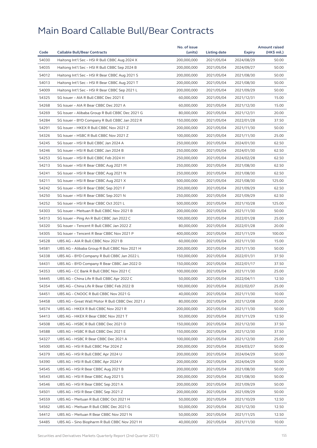| 54030<br>Haitong Int'l Sec - HSI R Bull CBBC Aug 2024 X<br>200,000,000<br>2021/05/04<br>2024/08/29<br>50.00<br>54035<br>Haitong Int'l Sec - HSI R Bull CBBC Sep 2024 B<br>200,000,000<br>2021/05/04<br>2024/09/27<br>50.00<br>54012<br>Haitong Int'l Sec - HSI R Bear CBBC Aug 2021 S<br>200,000,000<br>2021/05/04<br>2021/08/30<br>50.00<br>54013<br>Haitong Int'l Sec - HSI R Bear CBBC Aug 2021 T<br>200,000,000<br>2021/05/04<br>2021/08/30<br>50.00<br>54009<br>Haitong Int'l Sec - HSI R Bear CBBC Sep 2021 L<br>200,000,000<br>2021/05/04<br>2021/09/29<br>50.00<br>54325<br>15.00<br>SG Issuer - AIA R Bull CBBC Dec 2021 E<br>60,000,000<br>2021/05/04<br>2021/12/31<br>54268<br>SG Issuer - AIA R Bear CBBC Dec 2021 A<br>60.000.000<br>2021/05/04<br>2021/12/30<br>15.00<br>54269<br>SG Issuer - Alibaba Group R Bull CBBC Dec 2021 G<br>80,000,000<br>2021/05/04<br>2021/12/31<br>20.00<br>54284<br>SG Issuer - BYD Company R Bull CBBC Jan 2022 R<br>150,000,000<br>2022/01/28<br>37.50<br>2021/05/04<br>54291<br>SG Issuer - HKEX R Bull CBBC Nov 2021 Z<br>200,000,000<br>2021/05/04<br>2021/11/30<br>50.00<br>54326<br>SG Issuer - HSBC R Bull CBBC Nov 2021 Z<br>100,000,000<br>2021/05/04<br>2021/11/30<br>25.00<br>54245<br>SG Issuer - HSI R Bull CBBC Jan 2024 A<br>250,000,000<br>2021/05/04<br>2024/01/30<br>62.50<br>54246<br>SG Issuer - HSI R Bull CBBC Jan 2024 B<br>250,000,000<br>2021/05/04<br>62.50<br>2024/01/30<br>54253<br>SG Issuer - HSI R Bull CBBC Feb 2024 H<br>62.50<br>250,000,000<br>2021/05/04<br>2024/02/28<br>54213<br>SG Issuer - HSI R Bear CBBC Aug 2021 M<br>250,000,000<br>2021/05/04<br>2021/08/30<br>62.50<br>54241<br>SG Issuer - HSI R Bear CBBC Aug 2021 N<br>250,000,000<br>2021/05/04<br>2021/08/30<br>62.50<br>54211<br>125.00<br>SG Issuer - HSI R Bear CBBC Aug 2021 X<br>500,000,000<br>2021/05/04<br>2021/08/30<br>54242<br>SG Issuer - HSI R Bear CBBC Sep 2021 F<br>250,000,000<br>62.50<br>2021/05/04<br>2021/09/29<br>54250<br>SG Issuer - HSI R Bear CBBC Sep 2021 N<br>250,000,000<br>2021/09/29<br>62.50<br>2021/05/04<br>54252<br>125.00<br>SG Issuer - HSI R Bear CBBC Oct 2021 L<br>500,000,000<br>2021/05/04<br>2021/10/28<br>54303<br>SG Issuer - Meituan R Bull CBBC Nov 2021 B<br>200,000,000<br>2021/05/04<br>2021/11/30<br>50.00<br>54313<br>SG Issuer - Ping An R Bull CBBC Jan 2022 C<br>100,000,000<br>2021/05/04<br>2022/01/28<br>25.00<br>54320<br>SG Issuer - Tencent R Bull CBBC Jan 2022 Z<br>20.00<br>80,000,000<br>2021/05/04<br>2022/01/28<br>54305<br>SG Issuer - Tencent R Bear CBBC Nov 2021 P<br>400,000,000<br>100.00<br>2021/05/04<br>2021/11/29<br>54528<br>UBS AG - AIA R Bull CBBC Nov 2021 B<br>60,000,000<br>2021/05/04<br>15.00<br>2021/11/30<br>54581<br>200,000,000<br>50.00<br>UBS AG - Alibaba Group R Bull CBBC Nov 2021 H<br>2021/05/04<br>2021/11/30<br>54338<br>UBS AG - BYD Company R Bull CBBC Jan 2022 L<br>150,000,000<br>2021/05/04<br>37.50<br>2022/01/31<br>54431<br>UBS AG - BYD Company R Bear CBBC Jan 2022 D<br>150,000,000<br>2021/05/04<br>2022/01/17<br>37.50<br>25.00<br>54353<br>UBS AG - CC Bank R Bull CBBC Nov 2021 C<br>100,000,000<br>2021/05/04<br>2021/11/30<br>54445<br>UBS AG - China Life R Bull CBBC Apr 2022 C<br>50,000,000<br>2021/05/04<br>2022/04/11<br>12.50<br>54354<br>100,000,000<br>25.00<br>UBS AG – China Life R Bear CBBC Feb 2022 B<br>2021/05/04<br>2022/02/07<br>54451<br>UBS AG - CNOOC R Bull CBBC Nov 2021 G<br>40,000,000<br>2021/05/04<br>2021/11/30<br>10.00<br>54458<br>UBS AG - Great Wall Motor R Bull CBBC Dec 2021 J<br>80,000,000<br>2021/05/04<br>2021/12/08<br>20.00<br>54574<br>200,000,000<br>50.00<br>UBS AG – HKEX R Bull CBBC Nov 2021 R<br>2021/05/04<br>2021/11/30<br>54413<br>UBS AG - HKEX R Bear CBBC Nov 2021 T<br>50,000,000<br>2021/05/04<br>2021/11/29<br>12.50<br>54508<br>UBS AG - HSBC R Bull CBBC Dec 2021 D<br>150,000,000<br>2021/05/04<br>2021/12/30<br>37.50<br>54588<br>150,000,000<br>37.50<br>UBS AG - HSBC R Bull CBBC Dec 2021 E<br>2021/05/04<br>2021/12/30<br>54327<br>100,000,000<br>2021/05/04<br>2021/12/30<br>25.00<br>UBS AG – HSBC R Bear CBBC Dec 2021 A<br>54500<br>UBS AG - HSI R Bull CBBC Mar 2024 Z<br>200,000,000<br>2021/05/04<br>2024/03/27<br>50.00<br>54379<br>UBS AG - HSI R Bull CBBC Apr 2024 U<br>200,000,000<br>2021/05/04<br>2024/04/29<br>50.00<br>54390<br>UBS AG - HSI R Bull CBBC Apr 2024 V<br>200,000,000<br>2021/05/04<br>2024/04/29<br>50.00<br>54545<br>UBS AG - HSI R Bear CBBC Aug 2021 B<br>200,000,000<br>2021/05/04<br>2021/08/30<br>50.00<br>54543<br>UBS AG - HSI R Bear CBBC Aug 2021 S<br>200,000,000<br>2021/05/04<br>2021/08/30<br>50.00<br>54546<br>UBS AG - HSI R Bear CBBC Sep 2021 A<br>200,000,000<br>2021/05/04<br>2021/09/29<br>50.00<br>54501<br>UBS AG - HSI R Bear CBBC Sep 2021 Z<br>200,000,000<br>2021/05/04<br>50.00<br>2021/09/29<br>54559<br>UBS AG - Meituan R Bull CBBC Oct 2021 H<br>50,000,000<br>2021/05/04<br>2021/10/29<br>12.50<br>54562<br>UBS AG - Meituan R Bull CBBC Dec 2021 G<br>50,000,000<br>2021/05/04<br>2021/12/30<br>12.50<br>54412<br>UBS AG - Meituan R Bear CBBC Nov 2021 N<br>50,000,000<br>2021/05/04<br>2021/11/25<br>12.50<br>54485<br>UBS AG - Sino Biopharm R Bull CBBC Nov 2021 H<br>40,000,000<br>2021/05/04<br>2021/11/30<br>10.00 |      |                                     | No. of issue |                     |        | <b>Amount raised</b> |
|----------------------------------------------------------------------------------------------------------------------------------------------------------------------------------------------------------------------------------------------------------------------------------------------------------------------------------------------------------------------------------------------------------------------------------------------------------------------------------------------------------------------------------------------------------------------------------------------------------------------------------------------------------------------------------------------------------------------------------------------------------------------------------------------------------------------------------------------------------------------------------------------------------------------------------------------------------------------------------------------------------------------------------------------------------------------------------------------------------------------------------------------------------------------------------------------------------------------------------------------------------------------------------------------------------------------------------------------------------------------------------------------------------------------------------------------------------------------------------------------------------------------------------------------------------------------------------------------------------------------------------------------------------------------------------------------------------------------------------------------------------------------------------------------------------------------------------------------------------------------------------------------------------------------------------------------------------------------------------------------------------------------------------------------------------------------------------------------------------------------------------------------------------------------------------------------------------------------------------------------------------------------------------------------------------------------------------------------------------------------------------------------------------------------------------------------------------------------------------------------------------------------------------------------------------------------------------------------------------------------------------------------------------------------------------------------------------------------------------------------------------------------------------------------------------------------------------------------------------------------------------------------------------------------------------------------------------------------------------------------------------------------------------------------------------------------------------------------------------------------------------------------------------------------------------------------------------------------------------------------------------------------------------------------------------------------------------------------------------------------------------------------------------------------------------------------------------------------------------------------------------------------------------------------------------------------------------------------------------------------------------------------------------------------------------------------------------------------------------------------------------------------------------------------------------------------------------------------------------------------------------------------------------------------------------------------------------------------------------------------------------------------------------------------------------------------------------------------------------------------------------------------------------------------------------------------------------------------------------------------------------------------------------------------------------------------------------------------------------------------------------------------------------------------------------------------------------------------------------------------------------------------------------------------------------------------------------------------------------------------------------------------------------------------------------------------------------------------------------------------------------------------------------------------------------------------------------------------------------------------------------------------------------------------------------------------------------------------------------------------------------------------------------------------------------------------------------------------------------------------------------------------------------------------------------------------------------------------------------------------------------------------------------------------------------------------------------|------|-------------------------------------|--------------|---------------------|--------|----------------------|
|                                                                                                                                                                                                                                                                                                                                                                                                                                                                                                                                                                                                                                                                                                                                                                                                                                                                                                                                                                                                                                                                                                                                                                                                                                                                                                                                                                                                                                                                                                                                                                                                                                                                                                                                                                                                                                                                                                                                                                                                                                                                                                                                                                                                                                                                                                                                                                                                                                                                                                                                                                                                                                                                                                                                                                                                                                                                                                                                                                                                                                                                                                                                                                                                                                                                                                                                                                                                                                                                                                                                                                                                                                                                                                                                                                                                                                                                                                                                                                                                                                                                                                                                                                                                                                                                                                                                                                                                                                                                                                                                                                                                                                                                                                                                                                                                                                                                                                                                                                                                                                                                                                                                                                                                                                                                                                                                  | Code | <b>Callable Bull/Bear Contracts</b> | (units)      | <b>Listing date</b> | Expiry | (HK\$ mil.)          |
|                                                                                                                                                                                                                                                                                                                                                                                                                                                                                                                                                                                                                                                                                                                                                                                                                                                                                                                                                                                                                                                                                                                                                                                                                                                                                                                                                                                                                                                                                                                                                                                                                                                                                                                                                                                                                                                                                                                                                                                                                                                                                                                                                                                                                                                                                                                                                                                                                                                                                                                                                                                                                                                                                                                                                                                                                                                                                                                                                                                                                                                                                                                                                                                                                                                                                                                                                                                                                                                                                                                                                                                                                                                                                                                                                                                                                                                                                                                                                                                                                                                                                                                                                                                                                                                                                                                                                                                                                                                                                                                                                                                                                                                                                                                                                                                                                                                                                                                                                                                                                                                                                                                                                                                                                                                                                                                                  |      |                                     |              |                     |        |                      |
|                                                                                                                                                                                                                                                                                                                                                                                                                                                                                                                                                                                                                                                                                                                                                                                                                                                                                                                                                                                                                                                                                                                                                                                                                                                                                                                                                                                                                                                                                                                                                                                                                                                                                                                                                                                                                                                                                                                                                                                                                                                                                                                                                                                                                                                                                                                                                                                                                                                                                                                                                                                                                                                                                                                                                                                                                                                                                                                                                                                                                                                                                                                                                                                                                                                                                                                                                                                                                                                                                                                                                                                                                                                                                                                                                                                                                                                                                                                                                                                                                                                                                                                                                                                                                                                                                                                                                                                                                                                                                                                                                                                                                                                                                                                                                                                                                                                                                                                                                                                                                                                                                                                                                                                                                                                                                                                                  |      |                                     |              |                     |        |                      |
|                                                                                                                                                                                                                                                                                                                                                                                                                                                                                                                                                                                                                                                                                                                                                                                                                                                                                                                                                                                                                                                                                                                                                                                                                                                                                                                                                                                                                                                                                                                                                                                                                                                                                                                                                                                                                                                                                                                                                                                                                                                                                                                                                                                                                                                                                                                                                                                                                                                                                                                                                                                                                                                                                                                                                                                                                                                                                                                                                                                                                                                                                                                                                                                                                                                                                                                                                                                                                                                                                                                                                                                                                                                                                                                                                                                                                                                                                                                                                                                                                                                                                                                                                                                                                                                                                                                                                                                                                                                                                                                                                                                                                                                                                                                                                                                                                                                                                                                                                                                                                                                                                                                                                                                                                                                                                                                                  |      |                                     |              |                     |        |                      |
|                                                                                                                                                                                                                                                                                                                                                                                                                                                                                                                                                                                                                                                                                                                                                                                                                                                                                                                                                                                                                                                                                                                                                                                                                                                                                                                                                                                                                                                                                                                                                                                                                                                                                                                                                                                                                                                                                                                                                                                                                                                                                                                                                                                                                                                                                                                                                                                                                                                                                                                                                                                                                                                                                                                                                                                                                                                                                                                                                                                                                                                                                                                                                                                                                                                                                                                                                                                                                                                                                                                                                                                                                                                                                                                                                                                                                                                                                                                                                                                                                                                                                                                                                                                                                                                                                                                                                                                                                                                                                                                                                                                                                                                                                                                                                                                                                                                                                                                                                                                                                                                                                                                                                                                                                                                                                                                                  |      |                                     |              |                     |        |                      |
|                                                                                                                                                                                                                                                                                                                                                                                                                                                                                                                                                                                                                                                                                                                                                                                                                                                                                                                                                                                                                                                                                                                                                                                                                                                                                                                                                                                                                                                                                                                                                                                                                                                                                                                                                                                                                                                                                                                                                                                                                                                                                                                                                                                                                                                                                                                                                                                                                                                                                                                                                                                                                                                                                                                                                                                                                                                                                                                                                                                                                                                                                                                                                                                                                                                                                                                                                                                                                                                                                                                                                                                                                                                                                                                                                                                                                                                                                                                                                                                                                                                                                                                                                                                                                                                                                                                                                                                                                                                                                                                                                                                                                                                                                                                                                                                                                                                                                                                                                                                                                                                                                                                                                                                                                                                                                                                                  |      |                                     |              |                     |        |                      |
|                                                                                                                                                                                                                                                                                                                                                                                                                                                                                                                                                                                                                                                                                                                                                                                                                                                                                                                                                                                                                                                                                                                                                                                                                                                                                                                                                                                                                                                                                                                                                                                                                                                                                                                                                                                                                                                                                                                                                                                                                                                                                                                                                                                                                                                                                                                                                                                                                                                                                                                                                                                                                                                                                                                                                                                                                                                                                                                                                                                                                                                                                                                                                                                                                                                                                                                                                                                                                                                                                                                                                                                                                                                                                                                                                                                                                                                                                                                                                                                                                                                                                                                                                                                                                                                                                                                                                                                                                                                                                                                                                                                                                                                                                                                                                                                                                                                                                                                                                                                                                                                                                                                                                                                                                                                                                                                                  |      |                                     |              |                     |        |                      |
|                                                                                                                                                                                                                                                                                                                                                                                                                                                                                                                                                                                                                                                                                                                                                                                                                                                                                                                                                                                                                                                                                                                                                                                                                                                                                                                                                                                                                                                                                                                                                                                                                                                                                                                                                                                                                                                                                                                                                                                                                                                                                                                                                                                                                                                                                                                                                                                                                                                                                                                                                                                                                                                                                                                                                                                                                                                                                                                                                                                                                                                                                                                                                                                                                                                                                                                                                                                                                                                                                                                                                                                                                                                                                                                                                                                                                                                                                                                                                                                                                                                                                                                                                                                                                                                                                                                                                                                                                                                                                                                                                                                                                                                                                                                                                                                                                                                                                                                                                                                                                                                                                                                                                                                                                                                                                                                                  |      |                                     |              |                     |        |                      |
|                                                                                                                                                                                                                                                                                                                                                                                                                                                                                                                                                                                                                                                                                                                                                                                                                                                                                                                                                                                                                                                                                                                                                                                                                                                                                                                                                                                                                                                                                                                                                                                                                                                                                                                                                                                                                                                                                                                                                                                                                                                                                                                                                                                                                                                                                                                                                                                                                                                                                                                                                                                                                                                                                                                                                                                                                                                                                                                                                                                                                                                                                                                                                                                                                                                                                                                                                                                                                                                                                                                                                                                                                                                                                                                                                                                                                                                                                                                                                                                                                                                                                                                                                                                                                                                                                                                                                                                                                                                                                                                                                                                                                                                                                                                                                                                                                                                                                                                                                                                                                                                                                                                                                                                                                                                                                                                                  |      |                                     |              |                     |        |                      |
|                                                                                                                                                                                                                                                                                                                                                                                                                                                                                                                                                                                                                                                                                                                                                                                                                                                                                                                                                                                                                                                                                                                                                                                                                                                                                                                                                                                                                                                                                                                                                                                                                                                                                                                                                                                                                                                                                                                                                                                                                                                                                                                                                                                                                                                                                                                                                                                                                                                                                                                                                                                                                                                                                                                                                                                                                                                                                                                                                                                                                                                                                                                                                                                                                                                                                                                                                                                                                                                                                                                                                                                                                                                                                                                                                                                                                                                                                                                                                                                                                                                                                                                                                                                                                                                                                                                                                                                                                                                                                                                                                                                                                                                                                                                                                                                                                                                                                                                                                                                                                                                                                                                                                                                                                                                                                                                                  |      |                                     |              |                     |        |                      |
|                                                                                                                                                                                                                                                                                                                                                                                                                                                                                                                                                                                                                                                                                                                                                                                                                                                                                                                                                                                                                                                                                                                                                                                                                                                                                                                                                                                                                                                                                                                                                                                                                                                                                                                                                                                                                                                                                                                                                                                                                                                                                                                                                                                                                                                                                                                                                                                                                                                                                                                                                                                                                                                                                                                                                                                                                                                                                                                                                                                                                                                                                                                                                                                                                                                                                                                                                                                                                                                                                                                                                                                                                                                                                                                                                                                                                                                                                                                                                                                                                                                                                                                                                                                                                                                                                                                                                                                                                                                                                                                                                                                                                                                                                                                                                                                                                                                                                                                                                                                                                                                                                                                                                                                                                                                                                                                                  |      |                                     |              |                     |        |                      |
|                                                                                                                                                                                                                                                                                                                                                                                                                                                                                                                                                                                                                                                                                                                                                                                                                                                                                                                                                                                                                                                                                                                                                                                                                                                                                                                                                                                                                                                                                                                                                                                                                                                                                                                                                                                                                                                                                                                                                                                                                                                                                                                                                                                                                                                                                                                                                                                                                                                                                                                                                                                                                                                                                                                                                                                                                                                                                                                                                                                                                                                                                                                                                                                                                                                                                                                                                                                                                                                                                                                                                                                                                                                                                                                                                                                                                                                                                                                                                                                                                                                                                                                                                                                                                                                                                                                                                                                                                                                                                                                                                                                                                                                                                                                                                                                                                                                                                                                                                                                                                                                                                                                                                                                                                                                                                                                                  |      |                                     |              |                     |        |                      |
|                                                                                                                                                                                                                                                                                                                                                                                                                                                                                                                                                                                                                                                                                                                                                                                                                                                                                                                                                                                                                                                                                                                                                                                                                                                                                                                                                                                                                                                                                                                                                                                                                                                                                                                                                                                                                                                                                                                                                                                                                                                                                                                                                                                                                                                                                                                                                                                                                                                                                                                                                                                                                                                                                                                                                                                                                                                                                                                                                                                                                                                                                                                                                                                                                                                                                                                                                                                                                                                                                                                                                                                                                                                                                                                                                                                                                                                                                                                                                                                                                                                                                                                                                                                                                                                                                                                                                                                                                                                                                                                                                                                                                                                                                                                                                                                                                                                                                                                                                                                                                                                                                                                                                                                                                                                                                                                                  |      |                                     |              |                     |        |                      |
|                                                                                                                                                                                                                                                                                                                                                                                                                                                                                                                                                                                                                                                                                                                                                                                                                                                                                                                                                                                                                                                                                                                                                                                                                                                                                                                                                                                                                                                                                                                                                                                                                                                                                                                                                                                                                                                                                                                                                                                                                                                                                                                                                                                                                                                                                                                                                                                                                                                                                                                                                                                                                                                                                                                                                                                                                                                                                                                                                                                                                                                                                                                                                                                                                                                                                                                                                                                                                                                                                                                                                                                                                                                                                                                                                                                                                                                                                                                                                                                                                                                                                                                                                                                                                                                                                                                                                                                                                                                                                                                                                                                                                                                                                                                                                                                                                                                                                                                                                                                                                                                                                                                                                                                                                                                                                                                                  |      |                                     |              |                     |        |                      |
|                                                                                                                                                                                                                                                                                                                                                                                                                                                                                                                                                                                                                                                                                                                                                                                                                                                                                                                                                                                                                                                                                                                                                                                                                                                                                                                                                                                                                                                                                                                                                                                                                                                                                                                                                                                                                                                                                                                                                                                                                                                                                                                                                                                                                                                                                                                                                                                                                                                                                                                                                                                                                                                                                                                                                                                                                                                                                                                                                                                                                                                                                                                                                                                                                                                                                                                                                                                                                                                                                                                                                                                                                                                                                                                                                                                                                                                                                                                                                                                                                                                                                                                                                                                                                                                                                                                                                                                                                                                                                                                                                                                                                                                                                                                                                                                                                                                                                                                                                                                                                                                                                                                                                                                                                                                                                                                                  |      |                                     |              |                     |        |                      |
|                                                                                                                                                                                                                                                                                                                                                                                                                                                                                                                                                                                                                                                                                                                                                                                                                                                                                                                                                                                                                                                                                                                                                                                                                                                                                                                                                                                                                                                                                                                                                                                                                                                                                                                                                                                                                                                                                                                                                                                                                                                                                                                                                                                                                                                                                                                                                                                                                                                                                                                                                                                                                                                                                                                                                                                                                                                                                                                                                                                                                                                                                                                                                                                                                                                                                                                                                                                                                                                                                                                                                                                                                                                                                                                                                                                                                                                                                                                                                                                                                                                                                                                                                                                                                                                                                                                                                                                                                                                                                                                                                                                                                                                                                                                                                                                                                                                                                                                                                                                                                                                                                                                                                                                                                                                                                                                                  |      |                                     |              |                     |        |                      |
|                                                                                                                                                                                                                                                                                                                                                                                                                                                                                                                                                                                                                                                                                                                                                                                                                                                                                                                                                                                                                                                                                                                                                                                                                                                                                                                                                                                                                                                                                                                                                                                                                                                                                                                                                                                                                                                                                                                                                                                                                                                                                                                                                                                                                                                                                                                                                                                                                                                                                                                                                                                                                                                                                                                                                                                                                                                                                                                                                                                                                                                                                                                                                                                                                                                                                                                                                                                                                                                                                                                                                                                                                                                                                                                                                                                                                                                                                                                                                                                                                                                                                                                                                                                                                                                                                                                                                                                                                                                                                                                                                                                                                                                                                                                                                                                                                                                                                                                                                                                                                                                                                                                                                                                                                                                                                                                                  |      |                                     |              |                     |        |                      |
|                                                                                                                                                                                                                                                                                                                                                                                                                                                                                                                                                                                                                                                                                                                                                                                                                                                                                                                                                                                                                                                                                                                                                                                                                                                                                                                                                                                                                                                                                                                                                                                                                                                                                                                                                                                                                                                                                                                                                                                                                                                                                                                                                                                                                                                                                                                                                                                                                                                                                                                                                                                                                                                                                                                                                                                                                                                                                                                                                                                                                                                                                                                                                                                                                                                                                                                                                                                                                                                                                                                                                                                                                                                                                                                                                                                                                                                                                                                                                                                                                                                                                                                                                                                                                                                                                                                                                                                                                                                                                                                                                                                                                                                                                                                                                                                                                                                                                                                                                                                                                                                                                                                                                                                                                                                                                                                                  |      |                                     |              |                     |        |                      |
|                                                                                                                                                                                                                                                                                                                                                                                                                                                                                                                                                                                                                                                                                                                                                                                                                                                                                                                                                                                                                                                                                                                                                                                                                                                                                                                                                                                                                                                                                                                                                                                                                                                                                                                                                                                                                                                                                                                                                                                                                                                                                                                                                                                                                                                                                                                                                                                                                                                                                                                                                                                                                                                                                                                                                                                                                                                                                                                                                                                                                                                                                                                                                                                                                                                                                                                                                                                                                                                                                                                                                                                                                                                                                                                                                                                                                                                                                                                                                                                                                                                                                                                                                                                                                                                                                                                                                                                                                                                                                                                                                                                                                                                                                                                                                                                                                                                                                                                                                                                                                                                                                                                                                                                                                                                                                                                                  |      |                                     |              |                     |        |                      |
|                                                                                                                                                                                                                                                                                                                                                                                                                                                                                                                                                                                                                                                                                                                                                                                                                                                                                                                                                                                                                                                                                                                                                                                                                                                                                                                                                                                                                                                                                                                                                                                                                                                                                                                                                                                                                                                                                                                                                                                                                                                                                                                                                                                                                                                                                                                                                                                                                                                                                                                                                                                                                                                                                                                                                                                                                                                                                                                                                                                                                                                                                                                                                                                                                                                                                                                                                                                                                                                                                                                                                                                                                                                                                                                                                                                                                                                                                                                                                                                                                                                                                                                                                                                                                                                                                                                                                                                                                                                                                                                                                                                                                                                                                                                                                                                                                                                                                                                                                                                                                                                                                                                                                                                                                                                                                                                                  |      |                                     |              |                     |        |                      |
|                                                                                                                                                                                                                                                                                                                                                                                                                                                                                                                                                                                                                                                                                                                                                                                                                                                                                                                                                                                                                                                                                                                                                                                                                                                                                                                                                                                                                                                                                                                                                                                                                                                                                                                                                                                                                                                                                                                                                                                                                                                                                                                                                                                                                                                                                                                                                                                                                                                                                                                                                                                                                                                                                                                                                                                                                                                                                                                                                                                                                                                                                                                                                                                                                                                                                                                                                                                                                                                                                                                                                                                                                                                                                                                                                                                                                                                                                                                                                                                                                                                                                                                                                                                                                                                                                                                                                                                                                                                                                                                                                                                                                                                                                                                                                                                                                                                                                                                                                                                                                                                                                                                                                                                                                                                                                                                                  |      |                                     |              |                     |        |                      |
|                                                                                                                                                                                                                                                                                                                                                                                                                                                                                                                                                                                                                                                                                                                                                                                                                                                                                                                                                                                                                                                                                                                                                                                                                                                                                                                                                                                                                                                                                                                                                                                                                                                                                                                                                                                                                                                                                                                                                                                                                                                                                                                                                                                                                                                                                                                                                                                                                                                                                                                                                                                                                                                                                                                                                                                                                                                                                                                                                                                                                                                                                                                                                                                                                                                                                                                                                                                                                                                                                                                                                                                                                                                                                                                                                                                                                                                                                                                                                                                                                                                                                                                                                                                                                                                                                                                                                                                                                                                                                                                                                                                                                                                                                                                                                                                                                                                                                                                                                                                                                                                                                                                                                                                                                                                                                                                                  |      |                                     |              |                     |        |                      |
|                                                                                                                                                                                                                                                                                                                                                                                                                                                                                                                                                                                                                                                                                                                                                                                                                                                                                                                                                                                                                                                                                                                                                                                                                                                                                                                                                                                                                                                                                                                                                                                                                                                                                                                                                                                                                                                                                                                                                                                                                                                                                                                                                                                                                                                                                                                                                                                                                                                                                                                                                                                                                                                                                                                                                                                                                                                                                                                                                                                                                                                                                                                                                                                                                                                                                                                                                                                                                                                                                                                                                                                                                                                                                                                                                                                                                                                                                                                                                                                                                                                                                                                                                                                                                                                                                                                                                                                                                                                                                                                                                                                                                                                                                                                                                                                                                                                                                                                                                                                                                                                                                                                                                                                                                                                                                                                                  |      |                                     |              |                     |        |                      |
|                                                                                                                                                                                                                                                                                                                                                                                                                                                                                                                                                                                                                                                                                                                                                                                                                                                                                                                                                                                                                                                                                                                                                                                                                                                                                                                                                                                                                                                                                                                                                                                                                                                                                                                                                                                                                                                                                                                                                                                                                                                                                                                                                                                                                                                                                                                                                                                                                                                                                                                                                                                                                                                                                                                                                                                                                                                                                                                                                                                                                                                                                                                                                                                                                                                                                                                                                                                                                                                                                                                                                                                                                                                                                                                                                                                                                                                                                                                                                                                                                                                                                                                                                                                                                                                                                                                                                                                                                                                                                                                                                                                                                                                                                                                                                                                                                                                                                                                                                                                                                                                                                                                                                                                                                                                                                                                                  |      |                                     |              |                     |        |                      |
|                                                                                                                                                                                                                                                                                                                                                                                                                                                                                                                                                                                                                                                                                                                                                                                                                                                                                                                                                                                                                                                                                                                                                                                                                                                                                                                                                                                                                                                                                                                                                                                                                                                                                                                                                                                                                                                                                                                                                                                                                                                                                                                                                                                                                                                                                                                                                                                                                                                                                                                                                                                                                                                                                                                                                                                                                                                                                                                                                                                                                                                                                                                                                                                                                                                                                                                                                                                                                                                                                                                                                                                                                                                                                                                                                                                                                                                                                                                                                                                                                                                                                                                                                                                                                                                                                                                                                                                                                                                                                                                                                                                                                                                                                                                                                                                                                                                                                                                                                                                                                                                                                                                                                                                                                                                                                                                                  |      |                                     |              |                     |        |                      |
|                                                                                                                                                                                                                                                                                                                                                                                                                                                                                                                                                                                                                                                                                                                                                                                                                                                                                                                                                                                                                                                                                                                                                                                                                                                                                                                                                                                                                                                                                                                                                                                                                                                                                                                                                                                                                                                                                                                                                                                                                                                                                                                                                                                                                                                                                                                                                                                                                                                                                                                                                                                                                                                                                                                                                                                                                                                                                                                                                                                                                                                                                                                                                                                                                                                                                                                                                                                                                                                                                                                                                                                                                                                                                                                                                                                                                                                                                                                                                                                                                                                                                                                                                                                                                                                                                                                                                                                                                                                                                                                                                                                                                                                                                                                                                                                                                                                                                                                                                                                                                                                                                                                                                                                                                                                                                                                                  |      |                                     |              |                     |        |                      |
|                                                                                                                                                                                                                                                                                                                                                                                                                                                                                                                                                                                                                                                                                                                                                                                                                                                                                                                                                                                                                                                                                                                                                                                                                                                                                                                                                                                                                                                                                                                                                                                                                                                                                                                                                                                                                                                                                                                                                                                                                                                                                                                                                                                                                                                                                                                                                                                                                                                                                                                                                                                                                                                                                                                                                                                                                                                                                                                                                                                                                                                                                                                                                                                                                                                                                                                                                                                                                                                                                                                                                                                                                                                                                                                                                                                                                                                                                                                                                                                                                                                                                                                                                                                                                                                                                                                                                                                                                                                                                                                                                                                                                                                                                                                                                                                                                                                                                                                                                                                                                                                                                                                                                                                                                                                                                                                                  |      |                                     |              |                     |        |                      |
|                                                                                                                                                                                                                                                                                                                                                                                                                                                                                                                                                                                                                                                                                                                                                                                                                                                                                                                                                                                                                                                                                                                                                                                                                                                                                                                                                                                                                                                                                                                                                                                                                                                                                                                                                                                                                                                                                                                                                                                                                                                                                                                                                                                                                                                                                                                                                                                                                                                                                                                                                                                                                                                                                                                                                                                                                                                                                                                                                                                                                                                                                                                                                                                                                                                                                                                                                                                                                                                                                                                                                                                                                                                                                                                                                                                                                                                                                                                                                                                                                                                                                                                                                                                                                                                                                                                                                                                                                                                                                                                                                                                                                                                                                                                                                                                                                                                                                                                                                                                                                                                                                                                                                                                                                                                                                                                                  |      |                                     |              |                     |        |                      |
|                                                                                                                                                                                                                                                                                                                                                                                                                                                                                                                                                                                                                                                                                                                                                                                                                                                                                                                                                                                                                                                                                                                                                                                                                                                                                                                                                                                                                                                                                                                                                                                                                                                                                                                                                                                                                                                                                                                                                                                                                                                                                                                                                                                                                                                                                                                                                                                                                                                                                                                                                                                                                                                                                                                                                                                                                                                                                                                                                                                                                                                                                                                                                                                                                                                                                                                                                                                                                                                                                                                                                                                                                                                                                                                                                                                                                                                                                                                                                                                                                                                                                                                                                                                                                                                                                                                                                                                                                                                                                                                                                                                                                                                                                                                                                                                                                                                                                                                                                                                                                                                                                                                                                                                                                                                                                                                                  |      |                                     |              |                     |        |                      |
|                                                                                                                                                                                                                                                                                                                                                                                                                                                                                                                                                                                                                                                                                                                                                                                                                                                                                                                                                                                                                                                                                                                                                                                                                                                                                                                                                                                                                                                                                                                                                                                                                                                                                                                                                                                                                                                                                                                                                                                                                                                                                                                                                                                                                                                                                                                                                                                                                                                                                                                                                                                                                                                                                                                                                                                                                                                                                                                                                                                                                                                                                                                                                                                                                                                                                                                                                                                                                                                                                                                                                                                                                                                                                                                                                                                                                                                                                                                                                                                                                                                                                                                                                                                                                                                                                                                                                                                                                                                                                                                                                                                                                                                                                                                                                                                                                                                                                                                                                                                                                                                                                                                                                                                                                                                                                                                                  |      |                                     |              |                     |        |                      |
|                                                                                                                                                                                                                                                                                                                                                                                                                                                                                                                                                                                                                                                                                                                                                                                                                                                                                                                                                                                                                                                                                                                                                                                                                                                                                                                                                                                                                                                                                                                                                                                                                                                                                                                                                                                                                                                                                                                                                                                                                                                                                                                                                                                                                                                                                                                                                                                                                                                                                                                                                                                                                                                                                                                                                                                                                                                                                                                                                                                                                                                                                                                                                                                                                                                                                                                                                                                                                                                                                                                                                                                                                                                                                                                                                                                                                                                                                                                                                                                                                                                                                                                                                                                                                                                                                                                                                                                                                                                                                                                                                                                                                                                                                                                                                                                                                                                                                                                                                                                                                                                                                                                                                                                                                                                                                                                                  |      |                                     |              |                     |        |                      |
|                                                                                                                                                                                                                                                                                                                                                                                                                                                                                                                                                                                                                                                                                                                                                                                                                                                                                                                                                                                                                                                                                                                                                                                                                                                                                                                                                                                                                                                                                                                                                                                                                                                                                                                                                                                                                                                                                                                                                                                                                                                                                                                                                                                                                                                                                                                                                                                                                                                                                                                                                                                                                                                                                                                                                                                                                                                                                                                                                                                                                                                                                                                                                                                                                                                                                                                                                                                                                                                                                                                                                                                                                                                                                                                                                                                                                                                                                                                                                                                                                                                                                                                                                                                                                                                                                                                                                                                                                                                                                                                                                                                                                                                                                                                                                                                                                                                                                                                                                                                                                                                                                                                                                                                                                                                                                                                                  |      |                                     |              |                     |        |                      |
|                                                                                                                                                                                                                                                                                                                                                                                                                                                                                                                                                                                                                                                                                                                                                                                                                                                                                                                                                                                                                                                                                                                                                                                                                                                                                                                                                                                                                                                                                                                                                                                                                                                                                                                                                                                                                                                                                                                                                                                                                                                                                                                                                                                                                                                                                                                                                                                                                                                                                                                                                                                                                                                                                                                                                                                                                                                                                                                                                                                                                                                                                                                                                                                                                                                                                                                                                                                                                                                                                                                                                                                                                                                                                                                                                                                                                                                                                                                                                                                                                                                                                                                                                                                                                                                                                                                                                                                                                                                                                                                                                                                                                                                                                                                                                                                                                                                                                                                                                                                                                                                                                                                                                                                                                                                                                                                                  |      |                                     |              |                     |        |                      |
|                                                                                                                                                                                                                                                                                                                                                                                                                                                                                                                                                                                                                                                                                                                                                                                                                                                                                                                                                                                                                                                                                                                                                                                                                                                                                                                                                                                                                                                                                                                                                                                                                                                                                                                                                                                                                                                                                                                                                                                                                                                                                                                                                                                                                                                                                                                                                                                                                                                                                                                                                                                                                                                                                                                                                                                                                                                                                                                                                                                                                                                                                                                                                                                                                                                                                                                                                                                                                                                                                                                                                                                                                                                                                                                                                                                                                                                                                                                                                                                                                                                                                                                                                                                                                                                                                                                                                                                                                                                                                                                                                                                                                                                                                                                                                                                                                                                                                                                                                                                                                                                                                                                                                                                                                                                                                                                                  |      |                                     |              |                     |        |                      |
|                                                                                                                                                                                                                                                                                                                                                                                                                                                                                                                                                                                                                                                                                                                                                                                                                                                                                                                                                                                                                                                                                                                                                                                                                                                                                                                                                                                                                                                                                                                                                                                                                                                                                                                                                                                                                                                                                                                                                                                                                                                                                                                                                                                                                                                                                                                                                                                                                                                                                                                                                                                                                                                                                                                                                                                                                                                                                                                                                                                                                                                                                                                                                                                                                                                                                                                                                                                                                                                                                                                                                                                                                                                                                                                                                                                                                                                                                                                                                                                                                                                                                                                                                                                                                                                                                                                                                                                                                                                                                                                                                                                                                                                                                                                                                                                                                                                                                                                                                                                                                                                                                                                                                                                                                                                                                                                                  |      |                                     |              |                     |        |                      |
|                                                                                                                                                                                                                                                                                                                                                                                                                                                                                                                                                                                                                                                                                                                                                                                                                                                                                                                                                                                                                                                                                                                                                                                                                                                                                                                                                                                                                                                                                                                                                                                                                                                                                                                                                                                                                                                                                                                                                                                                                                                                                                                                                                                                                                                                                                                                                                                                                                                                                                                                                                                                                                                                                                                                                                                                                                                                                                                                                                                                                                                                                                                                                                                                                                                                                                                                                                                                                                                                                                                                                                                                                                                                                                                                                                                                                                                                                                                                                                                                                                                                                                                                                                                                                                                                                                                                                                                                                                                                                                                                                                                                                                                                                                                                                                                                                                                                                                                                                                                                                                                                                                                                                                                                                                                                                                                                  |      |                                     |              |                     |        |                      |
|                                                                                                                                                                                                                                                                                                                                                                                                                                                                                                                                                                                                                                                                                                                                                                                                                                                                                                                                                                                                                                                                                                                                                                                                                                                                                                                                                                                                                                                                                                                                                                                                                                                                                                                                                                                                                                                                                                                                                                                                                                                                                                                                                                                                                                                                                                                                                                                                                                                                                                                                                                                                                                                                                                                                                                                                                                                                                                                                                                                                                                                                                                                                                                                                                                                                                                                                                                                                                                                                                                                                                                                                                                                                                                                                                                                                                                                                                                                                                                                                                                                                                                                                                                                                                                                                                                                                                                                                                                                                                                                                                                                                                                                                                                                                                                                                                                                                                                                                                                                                                                                                                                                                                                                                                                                                                                                                  |      |                                     |              |                     |        |                      |
|                                                                                                                                                                                                                                                                                                                                                                                                                                                                                                                                                                                                                                                                                                                                                                                                                                                                                                                                                                                                                                                                                                                                                                                                                                                                                                                                                                                                                                                                                                                                                                                                                                                                                                                                                                                                                                                                                                                                                                                                                                                                                                                                                                                                                                                                                                                                                                                                                                                                                                                                                                                                                                                                                                                                                                                                                                                                                                                                                                                                                                                                                                                                                                                                                                                                                                                                                                                                                                                                                                                                                                                                                                                                                                                                                                                                                                                                                                                                                                                                                                                                                                                                                                                                                                                                                                                                                                                                                                                                                                                                                                                                                                                                                                                                                                                                                                                                                                                                                                                                                                                                                                                                                                                                                                                                                                                                  |      |                                     |              |                     |        |                      |
|                                                                                                                                                                                                                                                                                                                                                                                                                                                                                                                                                                                                                                                                                                                                                                                                                                                                                                                                                                                                                                                                                                                                                                                                                                                                                                                                                                                                                                                                                                                                                                                                                                                                                                                                                                                                                                                                                                                                                                                                                                                                                                                                                                                                                                                                                                                                                                                                                                                                                                                                                                                                                                                                                                                                                                                                                                                                                                                                                                                                                                                                                                                                                                                                                                                                                                                                                                                                                                                                                                                                                                                                                                                                                                                                                                                                                                                                                                                                                                                                                                                                                                                                                                                                                                                                                                                                                                                                                                                                                                                                                                                                                                                                                                                                                                                                                                                                                                                                                                                                                                                                                                                                                                                                                                                                                                                                  |      |                                     |              |                     |        |                      |
|                                                                                                                                                                                                                                                                                                                                                                                                                                                                                                                                                                                                                                                                                                                                                                                                                                                                                                                                                                                                                                                                                                                                                                                                                                                                                                                                                                                                                                                                                                                                                                                                                                                                                                                                                                                                                                                                                                                                                                                                                                                                                                                                                                                                                                                                                                                                                                                                                                                                                                                                                                                                                                                                                                                                                                                                                                                                                                                                                                                                                                                                                                                                                                                                                                                                                                                                                                                                                                                                                                                                                                                                                                                                                                                                                                                                                                                                                                                                                                                                                                                                                                                                                                                                                                                                                                                                                                                                                                                                                                                                                                                                                                                                                                                                                                                                                                                                                                                                                                                                                                                                                                                                                                                                                                                                                                                                  |      |                                     |              |                     |        |                      |
|                                                                                                                                                                                                                                                                                                                                                                                                                                                                                                                                                                                                                                                                                                                                                                                                                                                                                                                                                                                                                                                                                                                                                                                                                                                                                                                                                                                                                                                                                                                                                                                                                                                                                                                                                                                                                                                                                                                                                                                                                                                                                                                                                                                                                                                                                                                                                                                                                                                                                                                                                                                                                                                                                                                                                                                                                                                                                                                                                                                                                                                                                                                                                                                                                                                                                                                                                                                                                                                                                                                                                                                                                                                                                                                                                                                                                                                                                                                                                                                                                                                                                                                                                                                                                                                                                                                                                                                                                                                                                                                                                                                                                                                                                                                                                                                                                                                                                                                                                                                                                                                                                                                                                                                                                                                                                                                                  |      |                                     |              |                     |        |                      |
|                                                                                                                                                                                                                                                                                                                                                                                                                                                                                                                                                                                                                                                                                                                                                                                                                                                                                                                                                                                                                                                                                                                                                                                                                                                                                                                                                                                                                                                                                                                                                                                                                                                                                                                                                                                                                                                                                                                                                                                                                                                                                                                                                                                                                                                                                                                                                                                                                                                                                                                                                                                                                                                                                                                                                                                                                                                                                                                                                                                                                                                                                                                                                                                                                                                                                                                                                                                                                                                                                                                                                                                                                                                                                                                                                                                                                                                                                                                                                                                                                                                                                                                                                                                                                                                                                                                                                                                                                                                                                                                                                                                                                                                                                                                                                                                                                                                                                                                                                                                                                                                                                                                                                                                                                                                                                                                                  |      |                                     |              |                     |        |                      |
|                                                                                                                                                                                                                                                                                                                                                                                                                                                                                                                                                                                                                                                                                                                                                                                                                                                                                                                                                                                                                                                                                                                                                                                                                                                                                                                                                                                                                                                                                                                                                                                                                                                                                                                                                                                                                                                                                                                                                                                                                                                                                                                                                                                                                                                                                                                                                                                                                                                                                                                                                                                                                                                                                                                                                                                                                                                                                                                                                                                                                                                                                                                                                                                                                                                                                                                                                                                                                                                                                                                                                                                                                                                                                                                                                                                                                                                                                                                                                                                                                                                                                                                                                                                                                                                                                                                                                                                                                                                                                                                                                                                                                                                                                                                                                                                                                                                                                                                                                                                                                                                                                                                                                                                                                                                                                                                                  |      |                                     |              |                     |        |                      |
|                                                                                                                                                                                                                                                                                                                                                                                                                                                                                                                                                                                                                                                                                                                                                                                                                                                                                                                                                                                                                                                                                                                                                                                                                                                                                                                                                                                                                                                                                                                                                                                                                                                                                                                                                                                                                                                                                                                                                                                                                                                                                                                                                                                                                                                                                                                                                                                                                                                                                                                                                                                                                                                                                                                                                                                                                                                                                                                                                                                                                                                                                                                                                                                                                                                                                                                                                                                                                                                                                                                                                                                                                                                                                                                                                                                                                                                                                                                                                                                                                                                                                                                                                                                                                                                                                                                                                                                                                                                                                                                                                                                                                                                                                                                                                                                                                                                                                                                                                                                                                                                                                                                                                                                                                                                                                                                                  |      |                                     |              |                     |        |                      |
|                                                                                                                                                                                                                                                                                                                                                                                                                                                                                                                                                                                                                                                                                                                                                                                                                                                                                                                                                                                                                                                                                                                                                                                                                                                                                                                                                                                                                                                                                                                                                                                                                                                                                                                                                                                                                                                                                                                                                                                                                                                                                                                                                                                                                                                                                                                                                                                                                                                                                                                                                                                                                                                                                                                                                                                                                                                                                                                                                                                                                                                                                                                                                                                                                                                                                                                                                                                                                                                                                                                                                                                                                                                                                                                                                                                                                                                                                                                                                                                                                                                                                                                                                                                                                                                                                                                                                                                                                                                                                                                                                                                                                                                                                                                                                                                                                                                                                                                                                                                                                                                                                                                                                                                                                                                                                                                                  |      |                                     |              |                     |        |                      |
|                                                                                                                                                                                                                                                                                                                                                                                                                                                                                                                                                                                                                                                                                                                                                                                                                                                                                                                                                                                                                                                                                                                                                                                                                                                                                                                                                                                                                                                                                                                                                                                                                                                                                                                                                                                                                                                                                                                                                                                                                                                                                                                                                                                                                                                                                                                                                                                                                                                                                                                                                                                                                                                                                                                                                                                                                                                                                                                                                                                                                                                                                                                                                                                                                                                                                                                                                                                                                                                                                                                                                                                                                                                                                                                                                                                                                                                                                                                                                                                                                                                                                                                                                                                                                                                                                                                                                                                                                                                                                                                                                                                                                                                                                                                                                                                                                                                                                                                                                                                                                                                                                                                                                                                                                                                                                                                                  |      |                                     |              |                     |        |                      |
|                                                                                                                                                                                                                                                                                                                                                                                                                                                                                                                                                                                                                                                                                                                                                                                                                                                                                                                                                                                                                                                                                                                                                                                                                                                                                                                                                                                                                                                                                                                                                                                                                                                                                                                                                                                                                                                                                                                                                                                                                                                                                                                                                                                                                                                                                                                                                                                                                                                                                                                                                                                                                                                                                                                                                                                                                                                                                                                                                                                                                                                                                                                                                                                                                                                                                                                                                                                                                                                                                                                                                                                                                                                                                                                                                                                                                                                                                                                                                                                                                                                                                                                                                                                                                                                                                                                                                                                                                                                                                                                                                                                                                                                                                                                                                                                                                                                                                                                                                                                                                                                                                                                                                                                                                                                                                                                                  |      |                                     |              |                     |        |                      |
|                                                                                                                                                                                                                                                                                                                                                                                                                                                                                                                                                                                                                                                                                                                                                                                                                                                                                                                                                                                                                                                                                                                                                                                                                                                                                                                                                                                                                                                                                                                                                                                                                                                                                                                                                                                                                                                                                                                                                                                                                                                                                                                                                                                                                                                                                                                                                                                                                                                                                                                                                                                                                                                                                                                                                                                                                                                                                                                                                                                                                                                                                                                                                                                                                                                                                                                                                                                                                                                                                                                                                                                                                                                                                                                                                                                                                                                                                                                                                                                                                                                                                                                                                                                                                                                                                                                                                                                                                                                                                                                                                                                                                                                                                                                                                                                                                                                                                                                                                                                                                                                                                                                                                                                                                                                                                                                                  |      |                                     |              |                     |        |                      |
|                                                                                                                                                                                                                                                                                                                                                                                                                                                                                                                                                                                                                                                                                                                                                                                                                                                                                                                                                                                                                                                                                                                                                                                                                                                                                                                                                                                                                                                                                                                                                                                                                                                                                                                                                                                                                                                                                                                                                                                                                                                                                                                                                                                                                                                                                                                                                                                                                                                                                                                                                                                                                                                                                                                                                                                                                                                                                                                                                                                                                                                                                                                                                                                                                                                                                                                                                                                                                                                                                                                                                                                                                                                                                                                                                                                                                                                                                                                                                                                                                                                                                                                                                                                                                                                                                                                                                                                                                                                                                                                                                                                                                                                                                                                                                                                                                                                                                                                                                                                                                                                                                                                                                                                                                                                                                                                                  |      |                                     |              |                     |        |                      |
|                                                                                                                                                                                                                                                                                                                                                                                                                                                                                                                                                                                                                                                                                                                                                                                                                                                                                                                                                                                                                                                                                                                                                                                                                                                                                                                                                                                                                                                                                                                                                                                                                                                                                                                                                                                                                                                                                                                                                                                                                                                                                                                                                                                                                                                                                                                                                                                                                                                                                                                                                                                                                                                                                                                                                                                                                                                                                                                                                                                                                                                                                                                                                                                                                                                                                                                                                                                                                                                                                                                                                                                                                                                                                                                                                                                                                                                                                                                                                                                                                                                                                                                                                                                                                                                                                                                                                                                                                                                                                                                                                                                                                                                                                                                                                                                                                                                                                                                                                                                                                                                                                                                                                                                                                                                                                                                                  |      |                                     |              |                     |        |                      |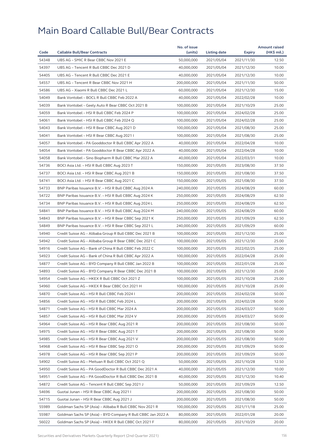|       |                                                              | No. of issue |              |               | <b>Amount raised</b> |
|-------|--------------------------------------------------------------|--------------|--------------|---------------|----------------------|
| Code  | <b>Callable Bull/Bear Contracts</b>                          | (units)      | Listing date | <b>Expiry</b> | (HK\$ mil.)          |
| 54348 | UBS AG - SMIC R Bear CBBC Nov 2021 E                         | 50,000,000   | 2021/05/04   | 2021/11/30    | 12.50                |
| 54397 | UBS AG - Tencent R Bull CBBC Dec 2021 D                      | 40,000,000   | 2021/05/04   | 2021/12/30    | 10.00                |
| 54405 | UBS AG - Tencent R Bull CBBC Dec 2021 E                      | 40,000,000   | 2021/05/04   | 2021/12/30    | 10.00                |
| 54557 | UBS AG - Tencent R Bear CBBC Nov 2021 H                      | 200,000,000  | 2021/05/04   | 2021/11/30    | 50.00                |
| 54586 | UBS AG - Xiaomi R Bull CBBC Dec 2021 L                       | 60,000,000   | 2021/05/04   | 2021/12/30    | 15.00                |
| 54049 | Bank Vontobel - BOCL R Bull CBBC Feb 2022 A                  | 40,000,000   | 2021/05/04   | 2022/02/28    | 10.00                |
| 54039 | Bank Vontobel - Geely Auto R Bear CBBC Oct 2021 B            | 100,000,000  | 2021/05/04   | 2021/10/29    | 25.00                |
| 54059 | Bank Vontobel - HSI R Bull CBBC Feb 2024 P                   | 100,000,000  | 2021/05/04   | 2024/02/28    | 25.00                |
| 54061 | Bank Vontobel - HSI R Bull CBBC Feb 2024 Q                   | 100,000,000  | 2021/05/04   | 2024/02/28    | 25.00                |
| 54043 | Bank Vontobel - HSI R Bear CBBC Aug 2021 D                   | 100,000,000  | 2021/05/04   | 2021/08/30    | 25.00                |
| 54041 | Bank Vontobel - HSI R Bear CBBC Aug 2021 I                   | 100,000,000  | 2021/05/04   | 2021/08/30    | 25.00                |
| 54057 | Bank Vontobel - PA Gooddoctor R Bull CBBC Apr 2022 A         | 40,000,000   | 2021/05/04   | 2022/04/28    | 10.00                |
| 54054 | Bank Vontobel – PA Gooddoctor R Bear CBBC Apr 2022 A         | 40,000,000   | 2021/05/04   | 2022/04/28    | 10.00                |
| 54058 | Bank Vontobel - Sino Biopharm R Bull CBBC Mar 2022 A         | 40,000,000   | 2021/05/04   | 2022/03/31    | 10.00                |
| 54736 | BOCI Asia Ltd. - HSI R Bull CBBC Aug 2023 T                  | 150,000,000  | 2021/05/05   | 2023/08/30    | 37.50                |
| 54737 | BOCI Asia Ltd. - HSI R Bear CBBC Aug 2021 B                  | 150,000,000  | 2021/05/05   | 2021/08/30    | 37.50                |
| 54741 | BOCI Asia Ltd. - HSI R Bear CBBC Aug 2021 C                  | 150,000,000  | 2021/05/05   | 2021/08/30    | 37.50                |
| 54733 | BNP Paribas Issuance B.V. - HSI R Bull CBBC Aug 2024 A       | 240,000,000  | 2021/05/05   | 2024/08/29    | 60.00                |
| 54722 | BNP Paribas Issuance B.V. - HSI R Bull CBBC Aug 2024 K       | 250,000,000  | 2021/05/05   | 2024/08/29    | 62.50                |
| 54734 | BNP Paribas Issuance B.V. - HSI R Bull CBBC Aug 2024 L       | 250,000,000  | 2021/05/05   | 2024/08/29    | 62.50                |
| 54841 | BNP Paribas Issuance B.V. - HSI R Bull CBBC Aug 2024 M       | 240,000,000  | 2021/05/05   | 2024/08/29    | 60.00                |
| 54843 | BNP Paribas Issuance B.V. - HSI R Bear CBBC Sep 2021 K       | 250,000,000  | 2021/05/05   | 2021/09/29    | 62.50                |
| 54849 | BNP Paribas Issuance B.V. - HSI R Bear CBBC Sep 2021 L       | 240,000,000  | 2021/05/05   | 2021/09/29    | 60.00                |
| 54940 | Credit Suisse AG – Alibaba Group R Bull CBBC Dec 2021 B      | 100,000,000  | 2021/05/05   | 2021/12/30    | 25.00                |
| 54942 | Credit Suisse AG - Alibaba Group R Bear CBBC Dec 2021 C      | 100,000,000  | 2021/05/05   | 2021/12/30    | 25.00                |
| 54916 | Credit Suisse AG - Bank of China R Bull CBBC Feb 2022 C      | 100,000,000  | 2021/05/05   | 2022/02/25    | 25.00                |
| 54923 | Credit Suisse AG - Bank of China R Bull CBBC Apr 2022 A      | 100,000,000  | 2021/05/05   | 2022/04/28    | 25.00                |
| 54877 | Credit Suisse AG - BYD Company R Bull CBBC Jan 2022 B        | 100,000,000  | 2021/05/05   | 2022/01/28    | 25.00                |
| 54893 | Credit Suisse AG - BYD Company R Bear CBBC Dec 2021 B        | 100,000,000  | 2021/05/05   | 2021/12/30    | 25.00                |
| 54954 | Credit Suisse AG - HKEX R Bull CBBC Oct 2021 Z               | 100,000,000  | 2021/05/05   | 2021/10/28    | 25.00                |
| 54960 | Credit Suisse AG - HKEX R Bear CBBC Oct 2021 H               | 100,000,000  | 2021/05/05   | 2021/10/28    | 25.00                |
| 54870 | Credit Suisse AG - HSI R Bull CBBC Feb 2024 I                | 200,000,000  | 2021/05/05   | 2024/02/28    | 50.00                |
| 54856 | Credit Suisse AG - HSI R Bull CBBC Feb 2024 L                | 200,000,000  | 2021/05/05   | 2024/02/28    | 50.00                |
| 54871 | Credit Suisse AG - HSI R Bull CBBC Mar 2024 A                | 200,000,000  | 2021/05/05   | 2024/03/27    | 50.00                |
| 54857 | Credit Suisse AG - HSI R Bull CBBC Mar 2024 V                | 200,000,000  | 2021/05/05   | 2024/03/27    | 50.00                |
| 54964 | Credit Suisse AG - HSI R Bear CBBC Aug 2021 R                | 200,000,000  | 2021/05/05   | 2021/08/30    | 50.00                |
| 54975 | Credit Suisse AG - HSI R Bear CBBC Aug 2021 T                | 200,000,000  | 2021/05/05   | 2021/08/30    | 50.00                |
| 54985 | Credit Suisse AG - HSI R Bear CBBC Aug 2021 V                | 200,000,000  | 2021/05/05   | 2021/08/30    | 50.00                |
| 54968 | Credit Suisse AG - HSI R Bear CBBC Sep 2021 O                | 200,000,000  | 2021/05/05   | 2021/09/29    | 50.00                |
| 54978 | Credit Suisse AG - HSI R Bear CBBC Sep 2021 P                | 200,000,000  | 2021/05/05   | 2021/09/29    | 50.00                |
| 54902 | Credit Suisse AG - Meituan R Bull CBBC Oct 2021 Q            | 50,000,000   | 2021/05/05   | 2021/10/28    | 12.50                |
| 54950 | Credit Suisse AG - PA GoodDoctor R Bull CBBC Dec 2021 A      | 40,000,000   | 2021/05/05   | 2021/12/30    | 10.00                |
| 54951 | Credit Suisse AG - PA GoodDoctor R Bull CBBC Dec 2021 B      | 40,000,000   | 2021/05/05   | 2021/12/30    | 10.40                |
| 54872 | Credit Suisse AG – Tencent R Bull CBBC Sep 2021 J            | 50,000,000   | 2021/05/05   | 2021/09/29    | 12.50                |
| 54696 | Guotai Junan - HSI R Bear CBBC Aug 2021 I                    | 200,000,000  | 2021/05/05   | 2021/08/30    | 50.00                |
| 54715 | Guotai Junan - HSI R Bear CBBC Aug 2021 J                    | 200,000,000  | 2021/05/05   | 2021/08/30    | 50.00                |
| 55989 | Goldman Sachs SP (Asia) - Alibaba R Bull CBBC Nov 2021 R     | 100,000,000  | 2021/05/05   | 2021/11/18    | 25.00                |
| 55987 | Goldman Sachs SP (Asia) - BYD Company R Bull CBBC Jan 2022 A | 80,000,000   | 2021/05/05   | 2022/01/28    | 20.00                |
| 56022 | Goldman Sachs SP (Asia) - HKEX R Bull CBBC Oct 2021 F        | 80,000,000   | 2021/05/05   | 2021/10/29    | 20.00                |
|       |                                                              |              |              |               |                      |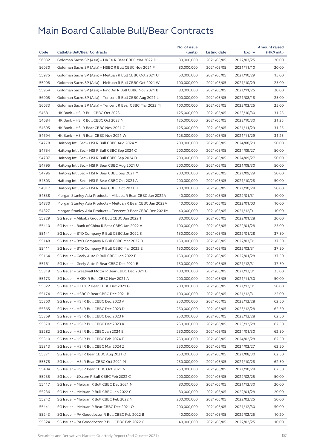| 56032<br>80,000,000<br>20.00<br>Goldman Sachs SP (Asia) - HKEX R Bear CBBC Mar 2022 D<br>2021/05/05<br>2022/03/25<br>56030<br>Goldman Sachs SP (Asia) - HSBC R Bull CBBC Nov 2021 F<br>80,000,000<br>2021/05/05<br>20.00<br>2021/11/10<br>55975<br>Goldman Sachs SP (Asia) - Meituan R Bull CBBC Oct 2021 U<br>60,000,000<br>2021/05/05<br>2021/10/29<br>15.00<br>55998<br>Goldman Sachs SP (Asia) - Meituan R Bull CBBC Oct 2021 W<br>25.00<br>100,000,000<br>2021/05/05<br>2021/10/29<br>55964<br>Goldman Sachs SP (Asia) - Ping An R Bull CBBC Nov 2021 B<br>80,000,000<br>2021/05/05<br>2021/11/25<br>20.00<br>56005<br>25.00<br>Goldman Sachs SP (Asia) - Tencent R Bull CBBC Aug 2021 L<br>100,000,000<br>2021/05/05<br>2021/08/18<br>56033<br>Goldman Sachs SP (Asia) - Tencent R Bear CBBC Mar 2022 M<br>100,000,000<br>2021/05/05<br>2022/03/25<br>25.00<br>54681<br>HK Bank - HSI R Bull CBBC Oct 2023 L<br>125,000,000<br>2021/05/05<br>2023/10/30<br>31.25<br>54684<br>HK Bank - HSI R Bull CBBC Oct 2023 N<br>31.25<br>125,000,000<br>2021/05/05<br>2023/10/30<br>54695<br>HK Bank - HSI R Bear CBBC Nov 2021 C<br>125,000,000<br>2021/05/05<br>31.25<br>2021/11/29<br>54694<br>HK Bank - HSI R Bear CBBC Nov 2021 W<br>125,000,000<br>2021/05/05<br>31.25<br>2021/11/29<br>54778<br>50.00<br>Haitong Int'l Sec - HSI R Bull CBBC Aug 2024 Y<br>200,000,000<br>2021/05/05<br>2024/08/29<br>54754<br>Haitong Int'l Sec - HSI R Bull CBBC Sep 2024 C<br>50.00<br>200,000,000<br>2021/05/05<br>2024/09/27<br>54787<br>Haitong Int'l Sec - HSI R Bull CBBC Sep 2024 D<br>200,000,000<br>2021/05/05<br>2024/09/27<br>50.00<br>54795<br>Haitong Int'l Sec - HSI R Bear CBBC Aug 2021 U<br>200,000,000<br>50.00<br>2021/05/05<br>2021/08/30<br>54796<br>Haitong Int'l Sec - HSI R Bear CBBC Sep 2021 M<br>200,000,000<br>2021/05/05<br>2021/09/29<br>50.00<br>54803<br>50.00<br>Haitong Int'l Sec - HSI R Bear CBBC Oct 2021 A<br>200,000,000<br>2021/05/05<br>2021/10/28<br>54817<br>Haitong Int'l Sec - HSI R Bear CBBC Oct 2021 B<br>200,000,000<br>50.00<br>2021/05/05<br>2021/10/28<br>54838<br>Morgan Stanley Asia Products - Alibaba R Bear CBBC Jan 2022A<br>40,000,000<br>10.00<br>2021/05/05<br>2022/01/31<br>54830<br>Morgan Stanley Asia Products - Meituan R Bear CBBC Jan 2022A<br>40,000,000<br>2021/05/05<br>2022/01/03<br>10.00<br>54827<br>Morgan Stanley Asia Products - Tencent R Bear CBBC Dec 2021M<br>40,000,000<br>2021/05/05<br>2021/12/01<br>10.00<br>55229<br>SG Issuer - Alibaba Group R Bull CBBC Jan 2022 T<br>80,000,000<br>2021/05/05<br>2022/01/28<br>20.00<br>55410<br>SG Issuer - Bank of China R Bear CBBC Jan 2022 A<br>100,000,000<br>2021/05/05<br>2022/01/28<br>25.00<br>55141<br>SG Issuer - BYD Company R Bull CBBC Jan 2022 S<br>37.50<br>150,000,000<br>2021/05/05<br>2022/01/28<br>55148<br>SG Issuer - BYD Company R Bull CBBC Mar 2022 D<br>150,000,000<br>2021/05/05<br>2022/03/31<br>37.50<br>55411<br>SG Issuer - BYD Company R Bull CBBC Mar 2022 E<br>150,000,000<br>2021/05/05<br>37.50<br>2022/03/31<br>55164<br>SG Issuer - Geely Auto R Bull CBBC Jan 2022 E<br>150,000,000<br>2021/05/05<br>2022/01/28<br>37.50<br>55161<br>SG Issuer - Geely Auto R Bear CBBC Dec 2021 B<br>150,000,000<br>2021/05/05<br>2021/12/31<br>37.50<br>55319<br>SG Issuer - Greatwall Motor R Bear CBBC Dec 2021 D<br>100,000,000<br>25.00<br>2021/05/05<br>2021/12/31<br>55173<br>SG Issuer - HKEX R Bull CBBC Nov 2021 A<br>200,000,000<br>2021/05/05<br>2021/11/30<br>50.00<br>55322<br>SG Issuer - HKEX R Bear CBBC Dec 2021 G<br>200,000,000<br>2021/05/05<br>2021/12/31<br>50.00<br>55174<br>SG Issuer - HSBC R Bear CBBC Dec 2021 B<br>100,000,000<br>2021/05/05<br>2021/12/31<br>25.00<br>62.50<br>55360<br>250,000,000<br>2021/05/05<br>2023/12/28<br>SG Issuer – HSI R Bull CBBC Dec 2023 A<br>55365<br>SG Issuer - HSI R Bull CBBC Dec 2023 D<br>250,000,000<br>2021/05/05<br>2023/12/28<br>62.50<br>55369<br>SG Issuer - HSI R Bull CBBC Dec 2023 F<br>250,000,000<br>2021/05/05<br>62.50<br>2023/12/28<br>55370<br>SG Issuer - HSI R Bull CBBC Dec 2023 K<br>250,000,000<br>2021/05/05<br>2023/12/28<br>62.50<br>55282<br>62.50<br>SG Issuer - HSI R Bull CBBC Jan 2024 E<br>250,000,000<br>2021/05/05<br>2024/01/30<br>55310<br>SG Issuer - HSI R Bull CBBC Feb 2024 E<br>250,000,000<br>2021/05/05<br>2024/02/28<br>62.50<br>55313<br>SG Issuer - HSI R Bull CBBC Mar 2024 Z<br>250,000,000<br>2021/05/05<br>2024/03/27<br>62.50<br>55371<br>SG Issuer - HSI R Bear CBBC Aug 2021 O<br>250,000,000<br>2021/05/05<br>62.50<br>2021/08/30<br>55378<br>SG Issuer - HSI R Bear CBBC Oct 2021 M<br>250,000,000<br>2021/05/05<br>2021/10/28<br>62.50<br>55404<br>SG Issuer - HSI R Bear CBBC Oct 2021 N<br>250,000,000<br>2021/05/05<br>2021/10/28<br>62.50<br>55235<br>SG Issuer - JD.com R Bull CBBC Feb 2022 C<br>200,000,000<br>2021/05/05<br>2022/02/25<br>50.00<br>55417<br>SG Issuer - Meituan R Bull CBBC Dec 2021 N<br>80,000,000<br>2021/05/05<br>2021/12/30<br>20.00<br>55236<br>SG Issuer - Meituan R Bull CBBC Jan 2022 C<br>80,000,000<br>2021/05/05<br>2022/01/28<br>20.00<br>55242<br>SG Issuer - Meituan R Bull CBBC Feb 2022 N<br>200,000,000<br>2021/05/05<br>50.00<br>2022/02/25<br>55441<br>SG Issuer - Meituan R Bear CBBC Dec 2021 O<br>200,000,000<br>2021/05/05<br>2021/12/30<br>50.00<br>SG Issuer - PA Gooddoctor R Bull CBBC Feb 2022 B<br>55243<br>40,000,000<br>2021/05/05<br>2022/02/25<br>10.20<br>55324<br>SG Issuer - PA Gooddoctor R Bull CBBC Feb 2022 C<br>40,000,000<br>10.00 | Code |                                     | No. of issue | Listing date |               | <b>Amount raised</b> |
|-----------------------------------------------------------------------------------------------------------------------------------------------------------------------------------------------------------------------------------------------------------------------------------------------------------------------------------------------------------------------------------------------------------------------------------------------------------------------------------------------------------------------------------------------------------------------------------------------------------------------------------------------------------------------------------------------------------------------------------------------------------------------------------------------------------------------------------------------------------------------------------------------------------------------------------------------------------------------------------------------------------------------------------------------------------------------------------------------------------------------------------------------------------------------------------------------------------------------------------------------------------------------------------------------------------------------------------------------------------------------------------------------------------------------------------------------------------------------------------------------------------------------------------------------------------------------------------------------------------------------------------------------------------------------------------------------------------------------------------------------------------------------------------------------------------------------------------------------------------------------------------------------------------------------------------------------------------------------------------------------------------------------------------------------------------------------------------------------------------------------------------------------------------------------------------------------------------------------------------------------------------------------------------------------------------------------------------------------------------------------------------------------------------------------------------------------------------------------------------------------------------------------------------------------------------------------------------------------------------------------------------------------------------------------------------------------------------------------------------------------------------------------------------------------------------------------------------------------------------------------------------------------------------------------------------------------------------------------------------------------------------------------------------------------------------------------------------------------------------------------------------------------------------------------------------------------------------------------------------------------------------------------------------------------------------------------------------------------------------------------------------------------------------------------------------------------------------------------------------------------------------------------------------------------------------------------------------------------------------------------------------------------------------------------------------------------------------------------------------------------------------------------------------------------------------------------------------------------------------------------------------------------------------------------------------------------------------------------------------------------------------------------------------------------------------------------------------------------------------------------------------------------------------------------------------------------------------------------------------------------------------------------------------------------------------------------------------------------------------------------------------------------------------------------------------------------------------------------------------------------------------------------------------------------------------------------------------------------------------------------------------------------------------------------------------------------------------------------------------------------------------------------------------------------------------------------------------------------------------------------------------------------------------------------------------------------------------------------------------------------------------------------------------------------------------------------------------------------------------------------------------------------------------------------------------------------------------------------------------------------------------------------------------------------------------------------------------------------------------------------------------------------------------------------------------------------------------------------------------------------------------------------------------------------------------------------|------|-------------------------------------|--------------|--------------|---------------|----------------------|
|                                                                                                                                                                                                                                                                                                                                                                                                                                                                                                                                                                                                                                                                                                                                                                                                                                                                                                                                                                                                                                                                                                                                                                                                                                                                                                                                                                                                                                                                                                                                                                                                                                                                                                                                                                                                                                                                                                                                                                                                                                                                                                                                                                                                                                                                                                                                                                                                                                                                                                                                                                                                                                                                                                                                                                                                                                                                                                                                                                                                                                                                                                                                                                                                                                                                                                                                                                                                                                                                                                                                                                                                                                                                                                                                                                                                                                                                                                                                                                                                                                                                                                                                                                                                                                                                                                                                                                                                                                                                                                                                                                                                                                                                                                                                                                                                                                                                                                                                                                                                                                                                                                                                                                                                                                                                                                                                                                                                                                                                                                                                                                       |      | <b>Callable Bull/Bear Contracts</b> | (units)      |              | <b>Expiry</b> | (HK\$ mil.)          |
|                                                                                                                                                                                                                                                                                                                                                                                                                                                                                                                                                                                                                                                                                                                                                                                                                                                                                                                                                                                                                                                                                                                                                                                                                                                                                                                                                                                                                                                                                                                                                                                                                                                                                                                                                                                                                                                                                                                                                                                                                                                                                                                                                                                                                                                                                                                                                                                                                                                                                                                                                                                                                                                                                                                                                                                                                                                                                                                                                                                                                                                                                                                                                                                                                                                                                                                                                                                                                                                                                                                                                                                                                                                                                                                                                                                                                                                                                                                                                                                                                                                                                                                                                                                                                                                                                                                                                                                                                                                                                                                                                                                                                                                                                                                                                                                                                                                                                                                                                                                                                                                                                                                                                                                                                                                                                                                                                                                                                                                                                                                                                                       |      |                                     |              |              |               |                      |
|                                                                                                                                                                                                                                                                                                                                                                                                                                                                                                                                                                                                                                                                                                                                                                                                                                                                                                                                                                                                                                                                                                                                                                                                                                                                                                                                                                                                                                                                                                                                                                                                                                                                                                                                                                                                                                                                                                                                                                                                                                                                                                                                                                                                                                                                                                                                                                                                                                                                                                                                                                                                                                                                                                                                                                                                                                                                                                                                                                                                                                                                                                                                                                                                                                                                                                                                                                                                                                                                                                                                                                                                                                                                                                                                                                                                                                                                                                                                                                                                                                                                                                                                                                                                                                                                                                                                                                                                                                                                                                                                                                                                                                                                                                                                                                                                                                                                                                                                                                                                                                                                                                                                                                                                                                                                                                                                                                                                                                                                                                                                                                       |      |                                     |              |              |               |                      |
|                                                                                                                                                                                                                                                                                                                                                                                                                                                                                                                                                                                                                                                                                                                                                                                                                                                                                                                                                                                                                                                                                                                                                                                                                                                                                                                                                                                                                                                                                                                                                                                                                                                                                                                                                                                                                                                                                                                                                                                                                                                                                                                                                                                                                                                                                                                                                                                                                                                                                                                                                                                                                                                                                                                                                                                                                                                                                                                                                                                                                                                                                                                                                                                                                                                                                                                                                                                                                                                                                                                                                                                                                                                                                                                                                                                                                                                                                                                                                                                                                                                                                                                                                                                                                                                                                                                                                                                                                                                                                                                                                                                                                                                                                                                                                                                                                                                                                                                                                                                                                                                                                                                                                                                                                                                                                                                                                                                                                                                                                                                                                                       |      |                                     |              |              |               |                      |
|                                                                                                                                                                                                                                                                                                                                                                                                                                                                                                                                                                                                                                                                                                                                                                                                                                                                                                                                                                                                                                                                                                                                                                                                                                                                                                                                                                                                                                                                                                                                                                                                                                                                                                                                                                                                                                                                                                                                                                                                                                                                                                                                                                                                                                                                                                                                                                                                                                                                                                                                                                                                                                                                                                                                                                                                                                                                                                                                                                                                                                                                                                                                                                                                                                                                                                                                                                                                                                                                                                                                                                                                                                                                                                                                                                                                                                                                                                                                                                                                                                                                                                                                                                                                                                                                                                                                                                                                                                                                                                                                                                                                                                                                                                                                                                                                                                                                                                                                                                                                                                                                                                                                                                                                                                                                                                                                                                                                                                                                                                                                                                       |      |                                     |              |              |               |                      |
|                                                                                                                                                                                                                                                                                                                                                                                                                                                                                                                                                                                                                                                                                                                                                                                                                                                                                                                                                                                                                                                                                                                                                                                                                                                                                                                                                                                                                                                                                                                                                                                                                                                                                                                                                                                                                                                                                                                                                                                                                                                                                                                                                                                                                                                                                                                                                                                                                                                                                                                                                                                                                                                                                                                                                                                                                                                                                                                                                                                                                                                                                                                                                                                                                                                                                                                                                                                                                                                                                                                                                                                                                                                                                                                                                                                                                                                                                                                                                                                                                                                                                                                                                                                                                                                                                                                                                                                                                                                                                                                                                                                                                                                                                                                                                                                                                                                                                                                                                                                                                                                                                                                                                                                                                                                                                                                                                                                                                                                                                                                                                                       |      |                                     |              |              |               |                      |
|                                                                                                                                                                                                                                                                                                                                                                                                                                                                                                                                                                                                                                                                                                                                                                                                                                                                                                                                                                                                                                                                                                                                                                                                                                                                                                                                                                                                                                                                                                                                                                                                                                                                                                                                                                                                                                                                                                                                                                                                                                                                                                                                                                                                                                                                                                                                                                                                                                                                                                                                                                                                                                                                                                                                                                                                                                                                                                                                                                                                                                                                                                                                                                                                                                                                                                                                                                                                                                                                                                                                                                                                                                                                                                                                                                                                                                                                                                                                                                                                                                                                                                                                                                                                                                                                                                                                                                                                                                                                                                                                                                                                                                                                                                                                                                                                                                                                                                                                                                                                                                                                                                                                                                                                                                                                                                                                                                                                                                                                                                                                                                       |      |                                     |              |              |               |                      |
|                                                                                                                                                                                                                                                                                                                                                                                                                                                                                                                                                                                                                                                                                                                                                                                                                                                                                                                                                                                                                                                                                                                                                                                                                                                                                                                                                                                                                                                                                                                                                                                                                                                                                                                                                                                                                                                                                                                                                                                                                                                                                                                                                                                                                                                                                                                                                                                                                                                                                                                                                                                                                                                                                                                                                                                                                                                                                                                                                                                                                                                                                                                                                                                                                                                                                                                                                                                                                                                                                                                                                                                                                                                                                                                                                                                                                                                                                                                                                                                                                                                                                                                                                                                                                                                                                                                                                                                                                                                                                                                                                                                                                                                                                                                                                                                                                                                                                                                                                                                                                                                                                                                                                                                                                                                                                                                                                                                                                                                                                                                                                                       |      |                                     |              |              |               |                      |
|                                                                                                                                                                                                                                                                                                                                                                                                                                                                                                                                                                                                                                                                                                                                                                                                                                                                                                                                                                                                                                                                                                                                                                                                                                                                                                                                                                                                                                                                                                                                                                                                                                                                                                                                                                                                                                                                                                                                                                                                                                                                                                                                                                                                                                                                                                                                                                                                                                                                                                                                                                                                                                                                                                                                                                                                                                                                                                                                                                                                                                                                                                                                                                                                                                                                                                                                                                                                                                                                                                                                                                                                                                                                                                                                                                                                                                                                                                                                                                                                                                                                                                                                                                                                                                                                                                                                                                                                                                                                                                                                                                                                                                                                                                                                                                                                                                                                                                                                                                                                                                                                                                                                                                                                                                                                                                                                                                                                                                                                                                                                                                       |      |                                     |              |              |               |                      |
|                                                                                                                                                                                                                                                                                                                                                                                                                                                                                                                                                                                                                                                                                                                                                                                                                                                                                                                                                                                                                                                                                                                                                                                                                                                                                                                                                                                                                                                                                                                                                                                                                                                                                                                                                                                                                                                                                                                                                                                                                                                                                                                                                                                                                                                                                                                                                                                                                                                                                                                                                                                                                                                                                                                                                                                                                                                                                                                                                                                                                                                                                                                                                                                                                                                                                                                                                                                                                                                                                                                                                                                                                                                                                                                                                                                                                                                                                                                                                                                                                                                                                                                                                                                                                                                                                                                                                                                                                                                                                                                                                                                                                                                                                                                                                                                                                                                                                                                                                                                                                                                                                                                                                                                                                                                                                                                                                                                                                                                                                                                                                                       |      |                                     |              |              |               |                      |
|                                                                                                                                                                                                                                                                                                                                                                                                                                                                                                                                                                                                                                                                                                                                                                                                                                                                                                                                                                                                                                                                                                                                                                                                                                                                                                                                                                                                                                                                                                                                                                                                                                                                                                                                                                                                                                                                                                                                                                                                                                                                                                                                                                                                                                                                                                                                                                                                                                                                                                                                                                                                                                                                                                                                                                                                                                                                                                                                                                                                                                                                                                                                                                                                                                                                                                                                                                                                                                                                                                                                                                                                                                                                                                                                                                                                                                                                                                                                                                                                                                                                                                                                                                                                                                                                                                                                                                                                                                                                                                                                                                                                                                                                                                                                                                                                                                                                                                                                                                                                                                                                                                                                                                                                                                                                                                                                                                                                                                                                                                                                                                       |      |                                     |              |              |               |                      |
|                                                                                                                                                                                                                                                                                                                                                                                                                                                                                                                                                                                                                                                                                                                                                                                                                                                                                                                                                                                                                                                                                                                                                                                                                                                                                                                                                                                                                                                                                                                                                                                                                                                                                                                                                                                                                                                                                                                                                                                                                                                                                                                                                                                                                                                                                                                                                                                                                                                                                                                                                                                                                                                                                                                                                                                                                                                                                                                                                                                                                                                                                                                                                                                                                                                                                                                                                                                                                                                                                                                                                                                                                                                                                                                                                                                                                                                                                                                                                                                                                                                                                                                                                                                                                                                                                                                                                                                                                                                                                                                                                                                                                                                                                                                                                                                                                                                                                                                                                                                                                                                                                                                                                                                                                                                                                                                                                                                                                                                                                                                                                                       |      |                                     |              |              |               |                      |
|                                                                                                                                                                                                                                                                                                                                                                                                                                                                                                                                                                                                                                                                                                                                                                                                                                                                                                                                                                                                                                                                                                                                                                                                                                                                                                                                                                                                                                                                                                                                                                                                                                                                                                                                                                                                                                                                                                                                                                                                                                                                                                                                                                                                                                                                                                                                                                                                                                                                                                                                                                                                                                                                                                                                                                                                                                                                                                                                                                                                                                                                                                                                                                                                                                                                                                                                                                                                                                                                                                                                                                                                                                                                                                                                                                                                                                                                                                                                                                                                                                                                                                                                                                                                                                                                                                                                                                                                                                                                                                                                                                                                                                                                                                                                                                                                                                                                                                                                                                                                                                                                                                                                                                                                                                                                                                                                                                                                                                                                                                                                                                       |      |                                     |              |              |               |                      |
|                                                                                                                                                                                                                                                                                                                                                                                                                                                                                                                                                                                                                                                                                                                                                                                                                                                                                                                                                                                                                                                                                                                                                                                                                                                                                                                                                                                                                                                                                                                                                                                                                                                                                                                                                                                                                                                                                                                                                                                                                                                                                                                                                                                                                                                                                                                                                                                                                                                                                                                                                                                                                                                                                                                                                                                                                                                                                                                                                                                                                                                                                                                                                                                                                                                                                                                                                                                                                                                                                                                                                                                                                                                                                                                                                                                                                                                                                                                                                                                                                                                                                                                                                                                                                                                                                                                                                                                                                                                                                                                                                                                                                                                                                                                                                                                                                                                                                                                                                                                                                                                                                                                                                                                                                                                                                                                                                                                                                                                                                                                                                                       |      |                                     |              |              |               |                      |
|                                                                                                                                                                                                                                                                                                                                                                                                                                                                                                                                                                                                                                                                                                                                                                                                                                                                                                                                                                                                                                                                                                                                                                                                                                                                                                                                                                                                                                                                                                                                                                                                                                                                                                                                                                                                                                                                                                                                                                                                                                                                                                                                                                                                                                                                                                                                                                                                                                                                                                                                                                                                                                                                                                                                                                                                                                                                                                                                                                                                                                                                                                                                                                                                                                                                                                                                                                                                                                                                                                                                                                                                                                                                                                                                                                                                                                                                                                                                                                                                                                                                                                                                                                                                                                                                                                                                                                                                                                                                                                                                                                                                                                                                                                                                                                                                                                                                                                                                                                                                                                                                                                                                                                                                                                                                                                                                                                                                                                                                                                                                                                       |      |                                     |              |              |               |                      |
|                                                                                                                                                                                                                                                                                                                                                                                                                                                                                                                                                                                                                                                                                                                                                                                                                                                                                                                                                                                                                                                                                                                                                                                                                                                                                                                                                                                                                                                                                                                                                                                                                                                                                                                                                                                                                                                                                                                                                                                                                                                                                                                                                                                                                                                                                                                                                                                                                                                                                                                                                                                                                                                                                                                                                                                                                                                                                                                                                                                                                                                                                                                                                                                                                                                                                                                                                                                                                                                                                                                                                                                                                                                                                                                                                                                                                                                                                                                                                                                                                                                                                                                                                                                                                                                                                                                                                                                                                                                                                                                                                                                                                                                                                                                                                                                                                                                                                                                                                                                                                                                                                                                                                                                                                                                                                                                                                                                                                                                                                                                                                                       |      |                                     |              |              |               |                      |
|                                                                                                                                                                                                                                                                                                                                                                                                                                                                                                                                                                                                                                                                                                                                                                                                                                                                                                                                                                                                                                                                                                                                                                                                                                                                                                                                                                                                                                                                                                                                                                                                                                                                                                                                                                                                                                                                                                                                                                                                                                                                                                                                                                                                                                                                                                                                                                                                                                                                                                                                                                                                                                                                                                                                                                                                                                                                                                                                                                                                                                                                                                                                                                                                                                                                                                                                                                                                                                                                                                                                                                                                                                                                                                                                                                                                                                                                                                                                                                                                                                                                                                                                                                                                                                                                                                                                                                                                                                                                                                                                                                                                                                                                                                                                                                                                                                                                                                                                                                                                                                                                                                                                                                                                                                                                                                                                                                                                                                                                                                                                                                       |      |                                     |              |              |               |                      |
|                                                                                                                                                                                                                                                                                                                                                                                                                                                                                                                                                                                                                                                                                                                                                                                                                                                                                                                                                                                                                                                                                                                                                                                                                                                                                                                                                                                                                                                                                                                                                                                                                                                                                                                                                                                                                                                                                                                                                                                                                                                                                                                                                                                                                                                                                                                                                                                                                                                                                                                                                                                                                                                                                                                                                                                                                                                                                                                                                                                                                                                                                                                                                                                                                                                                                                                                                                                                                                                                                                                                                                                                                                                                                                                                                                                                                                                                                                                                                                                                                                                                                                                                                                                                                                                                                                                                                                                                                                                                                                                                                                                                                                                                                                                                                                                                                                                                                                                                                                                                                                                                                                                                                                                                                                                                                                                                                                                                                                                                                                                                                                       |      |                                     |              |              |               |                      |
|                                                                                                                                                                                                                                                                                                                                                                                                                                                                                                                                                                                                                                                                                                                                                                                                                                                                                                                                                                                                                                                                                                                                                                                                                                                                                                                                                                                                                                                                                                                                                                                                                                                                                                                                                                                                                                                                                                                                                                                                                                                                                                                                                                                                                                                                                                                                                                                                                                                                                                                                                                                                                                                                                                                                                                                                                                                                                                                                                                                                                                                                                                                                                                                                                                                                                                                                                                                                                                                                                                                                                                                                                                                                                                                                                                                                                                                                                                                                                                                                                                                                                                                                                                                                                                                                                                                                                                                                                                                                                                                                                                                                                                                                                                                                                                                                                                                                                                                                                                                                                                                                                                                                                                                                                                                                                                                                                                                                                                                                                                                                                                       |      |                                     |              |              |               |                      |
|                                                                                                                                                                                                                                                                                                                                                                                                                                                                                                                                                                                                                                                                                                                                                                                                                                                                                                                                                                                                                                                                                                                                                                                                                                                                                                                                                                                                                                                                                                                                                                                                                                                                                                                                                                                                                                                                                                                                                                                                                                                                                                                                                                                                                                                                                                                                                                                                                                                                                                                                                                                                                                                                                                                                                                                                                                                                                                                                                                                                                                                                                                                                                                                                                                                                                                                                                                                                                                                                                                                                                                                                                                                                                                                                                                                                                                                                                                                                                                                                                                                                                                                                                                                                                                                                                                                                                                                                                                                                                                                                                                                                                                                                                                                                                                                                                                                                                                                                                                                                                                                                                                                                                                                                                                                                                                                                                                                                                                                                                                                                                                       |      |                                     |              |              |               |                      |
|                                                                                                                                                                                                                                                                                                                                                                                                                                                                                                                                                                                                                                                                                                                                                                                                                                                                                                                                                                                                                                                                                                                                                                                                                                                                                                                                                                                                                                                                                                                                                                                                                                                                                                                                                                                                                                                                                                                                                                                                                                                                                                                                                                                                                                                                                                                                                                                                                                                                                                                                                                                                                                                                                                                                                                                                                                                                                                                                                                                                                                                                                                                                                                                                                                                                                                                                                                                                                                                                                                                                                                                                                                                                                                                                                                                                                                                                                                                                                                                                                                                                                                                                                                                                                                                                                                                                                                                                                                                                                                                                                                                                                                                                                                                                                                                                                                                                                                                                                                                                                                                                                                                                                                                                                                                                                                                                                                                                                                                                                                                                                                       |      |                                     |              |              |               |                      |
|                                                                                                                                                                                                                                                                                                                                                                                                                                                                                                                                                                                                                                                                                                                                                                                                                                                                                                                                                                                                                                                                                                                                                                                                                                                                                                                                                                                                                                                                                                                                                                                                                                                                                                                                                                                                                                                                                                                                                                                                                                                                                                                                                                                                                                                                                                                                                                                                                                                                                                                                                                                                                                                                                                                                                                                                                                                                                                                                                                                                                                                                                                                                                                                                                                                                                                                                                                                                                                                                                                                                                                                                                                                                                                                                                                                                                                                                                                                                                                                                                                                                                                                                                                                                                                                                                                                                                                                                                                                                                                                                                                                                                                                                                                                                                                                                                                                                                                                                                                                                                                                                                                                                                                                                                                                                                                                                                                                                                                                                                                                                                                       |      |                                     |              |              |               |                      |
|                                                                                                                                                                                                                                                                                                                                                                                                                                                                                                                                                                                                                                                                                                                                                                                                                                                                                                                                                                                                                                                                                                                                                                                                                                                                                                                                                                                                                                                                                                                                                                                                                                                                                                                                                                                                                                                                                                                                                                                                                                                                                                                                                                                                                                                                                                                                                                                                                                                                                                                                                                                                                                                                                                                                                                                                                                                                                                                                                                                                                                                                                                                                                                                                                                                                                                                                                                                                                                                                                                                                                                                                                                                                                                                                                                                                                                                                                                                                                                                                                                                                                                                                                                                                                                                                                                                                                                                                                                                                                                                                                                                                                                                                                                                                                                                                                                                                                                                                                                                                                                                                                                                                                                                                                                                                                                                                                                                                                                                                                                                                                                       |      |                                     |              |              |               |                      |
|                                                                                                                                                                                                                                                                                                                                                                                                                                                                                                                                                                                                                                                                                                                                                                                                                                                                                                                                                                                                                                                                                                                                                                                                                                                                                                                                                                                                                                                                                                                                                                                                                                                                                                                                                                                                                                                                                                                                                                                                                                                                                                                                                                                                                                                                                                                                                                                                                                                                                                                                                                                                                                                                                                                                                                                                                                                                                                                                                                                                                                                                                                                                                                                                                                                                                                                                                                                                                                                                                                                                                                                                                                                                                                                                                                                                                                                                                                                                                                                                                                                                                                                                                                                                                                                                                                                                                                                                                                                                                                                                                                                                                                                                                                                                                                                                                                                                                                                                                                                                                                                                                                                                                                                                                                                                                                                                                                                                                                                                                                                                                                       |      |                                     |              |              |               |                      |
|                                                                                                                                                                                                                                                                                                                                                                                                                                                                                                                                                                                                                                                                                                                                                                                                                                                                                                                                                                                                                                                                                                                                                                                                                                                                                                                                                                                                                                                                                                                                                                                                                                                                                                                                                                                                                                                                                                                                                                                                                                                                                                                                                                                                                                                                                                                                                                                                                                                                                                                                                                                                                                                                                                                                                                                                                                                                                                                                                                                                                                                                                                                                                                                                                                                                                                                                                                                                                                                                                                                                                                                                                                                                                                                                                                                                                                                                                                                                                                                                                                                                                                                                                                                                                                                                                                                                                                                                                                                                                                                                                                                                                                                                                                                                                                                                                                                                                                                                                                                                                                                                                                                                                                                                                                                                                                                                                                                                                                                                                                                                                                       |      |                                     |              |              |               |                      |
|                                                                                                                                                                                                                                                                                                                                                                                                                                                                                                                                                                                                                                                                                                                                                                                                                                                                                                                                                                                                                                                                                                                                                                                                                                                                                                                                                                                                                                                                                                                                                                                                                                                                                                                                                                                                                                                                                                                                                                                                                                                                                                                                                                                                                                                                                                                                                                                                                                                                                                                                                                                                                                                                                                                                                                                                                                                                                                                                                                                                                                                                                                                                                                                                                                                                                                                                                                                                                                                                                                                                                                                                                                                                                                                                                                                                                                                                                                                                                                                                                                                                                                                                                                                                                                                                                                                                                                                                                                                                                                                                                                                                                                                                                                                                                                                                                                                                                                                                                                                                                                                                                                                                                                                                                                                                                                                                                                                                                                                                                                                                                                       |      |                                     |              |              |               |                      |
|                                                                                                                                                                                                                                                                                                                                                                                                                                                                                                                                                                                                                                                                                                                                                                                                                                                                                                                                                                                                                                                                                                                                                                                                                                                                                                                                                                                                                                                                                                                                                                                                                                                                                                                                                                                                                                                                                                                                                                                                                                                                                                                                                                                                                                                                                                                                                                                                                                                                                                                                                                                                                                                                                                                                                                                                                                                                                                                                                                                                                                                                                                                                                                                                                                                                                                                                                                                                                                                                                                                                                                                                                                                                                                                                                                                                                                                                                                                                                                                                                                                                                                                                                                                                                                                                                                                                                                                                                                                                                                                                                                                                                                                                                                                                                                                                                                                                                                                                                                                                                                                                                                                                                                                                                                                                                                                                                                                                                                                                                                                                                                       |      |                                     |              |              |               |                      |
|                                                                                                                                                                                                                                                                                                                                                                                                                                                                                                                                                                                                                                                                                                                                                                                                                                                                                                                                                                                                                                                                                                                                                                                                                                                                                                                                                                                                                                                                                                                                                                                                                                                                                                                                                                                                                                                                                                                                                                                                                                                                                                                                                                                                                                                                                                                                                                                                                                                                                                                                                                                                                                                                                                                                                                                                                                                                                                                                                                                                                                                                                                                                                                                                                                                                                                                                                                                                                                                                                                                                                                                                                                                                                                                                                                                                                                                                                                                                                                                                                                                                                                                                                                                                                                                                                                                                                                                                                                                                                                                                                                                                                                                                                                                                                                                                                                                                                                                                                                                                                                                                                                                                                                                                                                                                                                                                                                                                                                                                                                                                                                       |      |                                     |              |              |               |                      |
|                                                                                                                                                                                                                                                                                                                                                                                                                                                                                                                                                                                                                                                                                                                                                                                                                                                                                                                                                                                                                                                                                                                                                                                                                                                                                                                                                                                                                                                                                                                                                                                                                                                                                                                                                                                                                                                                                                                                                                                                                                                                                                                                                                                                                                                                                                                                                                                                                                                                                                                                                                                                                                                                                                                                                                                                                                                                                                                                                                                                                                                                                                                                                                                                                                                                                                                                                                                                                                                                                                                                                                                                                                                                                                                                                                                                                                                                                                                                                                                                                                                                                                                                                                                                                                                                                                                                                                                                                                                                                                                                                                                                                                                                                                                                                                                                                                                                                                                                                                                                                                                                                                                                                                                                                                                                                                                                                                                                                                                                                                                                                                       |      |                                     |              |              |               |                      |
|                                                                                                                                                                                                                                                                                                                                                                                                                                                                                                                                                                                                                                                                                                                                                                                                                                                                                                                                                                                                                                                                                                                                                                                                                                                                                                                                                                                                                                                                                                                                                                                                                                                                                                                                                                                                                                                                                                                                                                                                                                                                                                                                                                                                                                                                                                                                                                                                                                                                                                                                                                                                                                                                                                                                                                                                                                                                                                                                                                                                                                                                                                                                                                                                                                                                                                                                                                                                                                                                                                                                                                                                                                                                                                                                                                                                                                                                                                                                                                                                                                                                                                                                                                                                                                                                                                                                                                                                                                                                                                                                                                                                                                                                                                                                                                                                                                                                                                                                                                                                                                                                                                                                                                                                                                                                                                                                                                                                                                                                                                                                                                       |      |                                     |              |              |               |                      |
|                                                                                                                                                                                                                                                                                                                                                                                                                                                                                                                                                                                                                                                                                                                                                                                                                                                                                                                                                                                                                                                                                                                                                                                                                                                                                                                                                                                                                                                                                                                                                                                                                                                                                                                                                                                                                                                                                                                                                                                                                                                                                                                                                                                                                                                                                                                                                                                                                                                                                                                                                                                                                                                                                                                                                                                                                                                                                                                                                                                                                                                                                                                                                                                                                                                                                                                                                                                                                                                                                                                                                                                                                                                                                                                                                                                                                                                                                                                                                                                                                                                                                                                                                                                                                                                                                                                                                                                                                                                                                                                                                                                                                                                                                                                                                                                                                                                                                                                                                                                                                                                                                                                                                                                                                                                                                                                                                                                                                                                                                                                                                                       |      |                                     |              |              |               |                      |
|                                                                                                                                                                                                                                                                                                                                                                                                                                                                                                                                                                                                                                                                                                                                                                                                                                                                                                                                                                                                                                                                                                                                                                                                                                                                                                                                                                                                                                                                                                                                                                                                                                                                                                                                                                                                                                                                                                                                                                                                                                                                                                                                                                                                                                                                                                                                                                                                                                                                                                                                                                                                                                                                                                                                                                                                                                                                                                                                                                                                                                                                                                                                                                                                                                                                                                                                                                                                                                                                                                                                                                                                                                                                                                                                                                                                                                                                                                                                                                                                                                                                                                                                                                                                                                                                                                                                                                                                                                                                                                                                                                                                                                                                                                                                                                                                                                                                                                                                                                                                                                                                                                                                                                                                                                                                                                                                                                                                                                                                                                                                                                       |      |                                     |              |              |               |                      |
|                                                                                                                                                                                                                                                                                                                                                                                                                                                                                                                                                                                                                                                                                                                                                                                                                                                                                                                                                                                                                                                                                                                                                                                                                                                                                                                                                                                                                                                                                                                                                                                                                                                                                                                                                                                                                                                                                                                                                                                                                                                                                                                                                                                                                                                                                                                                                                                                                                                                                                                                                                                                                                                                                                                                                                                                                                                                                                                                                                                                                                                                                                                                                                                                                                                                                                                                                                                                                                                                                                                                                                                                                                                                                                                                                                                                                                                                                                                                                                                                                                                                                                                                                                                                                                                                                                                                                                                                                                                                                                                                                                                                                                                                                                                                                                                                                                                                                                                                                                                                                                                                                                                                                                                                                                                                                                                                                                                                                                                                                                                                                                       |      |                                     |              |              |               |                      |
|                                                                                                                                                                                                                                                                                                                                                                                                                                                                                                                                                                                                                                                                                                                                                                                                                                                                                                                                                                                                                                                                                                                                                                                                                                                                                                                                                                                                                                                                                                                                                                                                                                                                                                                                                                                                                                                                                                                                                                                                                                                                                                                                                                                                                                                                                                                                                                                                                                                                                                                                                                                                                                                                                                                                                                                                                                                                                                                                                                                                                                                                                                                                                                                                                                                                                                                                                                                                                                                                                                                                                                                                                                                                                                                                                                                                                                                                                                                                                                                                                                                                                                                                                                                                                                                                                                                                                                                                                                                                                                                                                                                                                                                                                                                                                                                                                                                                                                                                                                                                                                                                                                                                                                                                                                                                                                                                                                                                                                                                                                                                                                       |      |                                     |              |              |               |                      |
|                                                                                                                                                                                                                                                                                                                                                                                                                                                                                                                                                                                                                                                                                                                                                                                                                                                                                                                                                                                                                                                                                                                                                                                                                                                                                                                                                                                                                                                                                                                                                                                                                                                                                                                                                                                                                                                                                                                                                                                                                                                                                                                                                                                                                                                                                                                                                                                                                                                                                                                                                                                                                                                                                                                                                                                                                                                                                                                                                                                                                                                                                                                                                                                                                                                                                                                                                                                                                                                                                                                                                                                                                                                                                                                                                                                                                                                                                                                                                                                                                                                                                                                                                                                                                                                                                                                                                                                                                                                                                                                                                                                                                                                                                                                                                                                                                                                                                                                                                                                                                                                                                                                                                                                                                                                                                                                                                                                                                                                                                                                                                                       |      |                                     |              |              |               |                      |
|                                                                                                                                                                                                                                                                                                                                                                                                                                                                                                                                                                                                                                                                                                                                                                                                                                                                                                                                                                                                                                                                                                                                                                                                                                                                                                                                                                                                                                                                                                                                                                                                                                                                                                                                                                                                                                                                                                                                                                                                                                                                                                                                                                                                                                                                                                                                                                                                                                                                                                                                                                                                                                                                                                                                                                                                                                                                                                                                                                                                                                                                                                                                                                                                                                                                                                                                                                                                                                                                                                                                                                                                                                                                                                                                                                                                                                                                                                                                                                                                                                                                                                                                                                                                                                                                                                                                                                                                                                                                                                                                                                                                                                                                                                                                                                                                                                                                                                                                                                                                                                                                                                                                                                                                                                                                                                                                                                                                                                                                                                                                                                       |      |                                     |              |              |               |                      |
|                                                                                                                                                                                                                                                                                                                                                                                                                                                                                                                                                                                                                                                                                                                                                                                                                                                                                                                                                                                                                                                                                                                                                                                                                                                                                                                                                                                                                                                                                                                                                                                                                                                                                                                                                                                                                                                                                                                                                                                                                                                                                                                                                                                                                                                                                                                                                                                                                                                                                                                                                                                                                                                                                                                                                                                                                                                                                                                                                                                                                                                                                                                                                                                                                                                                                                                                                                                                                                                                                                                                                                                                                                                                                                                                                                                                                                                                                                                                                                                                                                                                                                                                                                                                                                                                                                                                                                                                                                                                                                                                                                                                                                                                                                                                                                                                                                                                                                                                                                                                                                                                                                                                                                                                                                                                                                                                                                                                                                                                                                                                                                       |      |                                     |              |              |               |                      |
|                                                                                                                                                                                                                                                                                                                                                                                                                                                                                                                                                                                                                                                                                                                                                                                                                                                                                                                                                                                                                                                                                                                                                                                                                                                                                                                                                                                                                                                                                                                                                                                                                                                                                                                                                                                                                                                                                                                                                                                                                                                                                                                                                                                                                                                                                                                                                                                                                                                                                                                                                                                                                                                                                                                                                                                                                                                                                                                                                                                                                                                                                                                                                                                                                                                                                                                                                                                                                                                                                                                                                                                                                                                                                                                                                                                                                                                                                                                                                                                                                                                                                                                                                                                                                                                                                                                                                                                                                                                                                                                                                                                                                                                                                                                                                                                                                                                                                                                                                                                                                                                                                                                                                                                                                                                                                                                                                                                                                                                                                                                                                                       |      |                                     |              |              |               |                      |
|                                                                                                                                                                                                                                                                                                                                                                                                                                                                                                                                                                                                                                                                                                                                                                                                                                                                                                                                                                                                                                                                                                                                                                                                                                                                                                                                                                                                                                                                                                                                                                                                                                                                                                                                                                                                                                                                                                                                                                                                                                                                                                                                                                                                                                                                                                                                                                                                                                                                                                                                                                                                                                                                                                                                                                                                                                                                                                                                                                                                                                                                                                                                                                                                                                                                                                                                                                                                                                                                                                                                                                                                                                                                                                                                                                                                                                                                                                                                                                                                                                                                                                                                                                                                                                                                                                                                                                                                                                                                                                                                                                                                                                                                                                                                                                                                                                                                                                                                                                                                                                                                                                                                                                                                                                                                                                                                                                                                                                                                                                                                                                       |      |                                     |              |              |               |                      |
|                                                                                                                                                                                                                                                                                                                                                                                                                                                                                                                                                                                                                                                                                                                                                                                                                                                                                                                                                                                                                                                                                                                                                                                                                                                                                                                                                                                                                                                                                                                                                                                                                                                                                                                                                                                                                                                                                                                                                                                                                                                                                                                                                                                                                                                                                                                                                                                                                                                                                                                                                                                                                                                                                                                                                                                                                                                                                                                                                                                                                                                                                                                                                                                                                                                                                                                                                                                                                                                                                                                                                                                                                                                                                                                                                                                                                                                                                                                                                                                                                                                                                                                                                                                                                                                                                                                                                                                                                                                                                                                                                                                                                                                                                                                                                                                                                                                                                                                                                                                                                                                                                                                                                                                                                                                                                                                                                                                                                                                                                                                                                                       |      |                                     |              |              |               |                      |
|                                                                                                                                                                                                                                                                                                                                                                                                                                                                                                                                                                                                                                                                                                                                                                                                                                                                                                                                                                                                                                                                                                                                                                                                                                                                                                                                                                                                                                                                                                                                                                                                                                                                                                                                                                                                                                                                                                                                                                                                                                                                                                                                                                                                                                                                                                                                                                                                                                                                                                                                                                                                                                                                                                                                                                                                                                                                                                                                                                                                                                                                                                                                                                                                                                                                                                                                                                                                                                                                                                                                                                                                                                                                                                                                                                                                                                                                                                                                                                                                                                                                                                                                                                                                                                                                                                                                                                                                                                                                                                                                                                                                                                                                                                                                                                                                                                                                                                                                                                                                                                                                                                                                                                                                                                                                                                                                                                                                                                                                                                                                                                       |      |                                     |              |              |               |                      |
|                                                                                                                                                                                                                                                                                                                                                                                                                                                                                                                                                                                                                                                                                                                                                                                                                                                                                                                                                                                                                                                                                                                                                                                                                                                                                                                                                                                                                                                                                                                                                                                                                                                                                                                                                                                                                                                                                                                                                                                                                                                                                                                                                                                                                                                                                                                                                                                                                                                                                                                                                                                                                                                                                                                                                                                                                                                                                                                                                                                                                                                                                                                                                                                                                                                                                                                                                                                                                                                                                                                                                                                                                                                                                                                                                                                                                                                                                                                                                                                                                                                                                                                                                                                                                                                                                                                                                                                                                                                                                                                                                                                                                                                                                                                                                                                                                                                                                                                                                                                                                                                                                                                                                                                                                                                                                                                                                                                                                                                                                                                                                                       |      |                                     |              |              |               |                      |
|                                                                                                                                                                                                                                                                                                                                                                                                                                                                                                                                                                                                                                                                                                                                                                                                                                                                                                                                                                                                                                                                                                                                                                                                                                                                                                                                                                                                                                                                                                                                                                                                                                                                                                                                                                                                                                                                                                                                                                                                                                                                                                                                                                                                                                                                                                                                                                                                                                                                                                                                                                                                                                                                                                                                                                                                                                                                                                                                                                                                                                                                                                                                                                                                                                                                                                                                                                                                                                                                                                                                                                                                                                                                                                                                                                                                                                                                                                                                                                                                                                                                                                                                                                                                                                                                                                                                                                                                                                                                                                                                                                                                                                                                                                                                                                                                                                                                                                                                                                                                                                                                                                                                                                                                                                                                                                                                                                                                                                                                                                                                                                       |      |                                     |              |              |               |                      |
|                                                                                                                                                                                                                                                                                                                                                                                                                                                                                                                                                                                                                                                                                                                                                                                                                                                                                                                                                                                                                                                                                                                                                                                                                                                                                                                                                                                                                                                                                                                                                                                                                                                                                                                                                                                                                                                                                                                                                                                                                                                                                                                                                                                                                                                                                                                                                                                                                                                                                                                                                                                                                                                                                                                                                                                                                                                                                                                                                                                                                                                                                                                                                                                                                                                                                                                                                                                                                                                                                                                                                                                                                                                                                                                                                                                                                                                                                                                                                                                                                                                                                                                                                                                                                                                                                                                                                                                                                                                                                                                                                                                                                                                                                                                                                                                                                                                                                                                                                                                                                                                                                                                                                                                                                                                                                                                                                                                                                                                                                                                                                                       |      |                                     |              |              |               |                      |
|                                                                                                                                                                                                                                                                                                                                                                                                                                                                                                                                                                                                                                                                                                                                                                                                                                                                                                                                                                                                                                                                                                                                                                                                                                                                                                                                                                                                                                                                                                                                                                                                                                                                                                                                                                                                                                                                                                                                                                                                                                                                                                                                                                                                                                                                                                                                                                                                                                                                                                                                                                                                                                                                                                                                                                                                                                                                                                                                                                                                                                                                                                                                                                                                                                                                                                                                                                                                                                                                                                                                                                                                                                                                                                                                                                                                                                                                                                                                                                                                                                                                                                                                                                                                                                                                                                                                                                                                                                                                                                                                                                                                                                                                                                                                                                                                                                                                                                                                                                                                                                                                                                                                                                                                                                                                                                                                                                                                                                                                                                                                                                       |      |                                     |              |              |               |                      |
|                                                                                                                                                                                                                                                                                                                                                                                                                                                                                                                                                                                                                                                                                                                                                                                                                                                                                                                                                                                                                                                                                                                                                                                                                                                                                                                                                                                                                                                                                                                                                                                                                                                                                                                                                                                                                                                                                                                                                                                                                                                                                                                                                                                                                                                                                                                                                                                                                                                                                                                                                                                                                                                                                                                                                                                                                                                                                                                                                                                                                                                                                                                                                                                                                                                                                                                                                                                                                                                                                                                                                                                                                                                                                                                                                                                                                                                                                                                                                                                                                                                                                                                                                                                                                                                                                                                                                                                                                                                                                                                                                                                                                                                                                                                                                                                                                                                                                                                                                                                                                                                                                                                                                                                                                                                                                                                                                                                                                                                                                                                                                                       |      |                                     |              |              |               |                      |
|                                                                                                                                                                                                                                                                                                                                                                                                                                                                                                                                                                                                                                                                                                                                                                                                                                                                                                                                                                                                                                                                                                                                                                                                                                                                                                                                                                                                                                                                                                                                                                                                                                                                                                                                                                                                                                                                                                                                                                                                                                                                                                                                                                                                                                                                                                                                                                                                                                                                                                                                                                                                                                                                                                                                                                                                                                                                                                                                                                                                                                                                                                                                                                                                                                                                                                                                                                                                                                                                                                                                                                                                                                                                                                                                                                                                                                                                                                                                                                                                                                                                                                                                                                                                                                                                                                                                                                                                                                                                                                                                                                                                                                                                                                                                                                                                                                                                                                                                                                                                                                                                                                                                                                                                                                                                                                                                                                                                                                                                                                                                                                       |      |                                     |              |              |               |                      |
|                                                                                                                                                                                                                                                                                                                                                                                                                                                                                                                                                                                                                                                                                                                                                                                                                                                                                                                                                                                                                                                                                                                                                                                                                                                                                                                                                                                                                                                                                                                                                                                                                                                                                                                                                                                                                                                                                                                                                                                                                                                                                                                                                                                                                                                                                                                                                                                                                                                                                                                                                                                                                                                                                                                                                                                                                                                                                                                                                                                                                                                                                                                                                                                                                                                                                                                                                                                                                                                                                                                                                                                                                                                                                                                                                                                                                                                                                                                                                                                                                                                                                                                                                                                                                                                                                                                                                                                                                                                                                                                                                                                                                                                                                                                                                                                                                                                                                                                                                                                                                                                                                                                                                                                                                                                                                                                                                                                                                                                                                                                                                                       |      |                                     |              |              |               |                      |
|                                                                                                                                                                                                                                                                                                                                                                                                                                                                                                                                                                                                                                                                                                                                                                                                                                                                                                                                                                                                                                                                                                                                                                                                                                                                                                                                                                                                                                                                                                                                                                                                                                                                                                                                                                                                                                                                                                                                                                                                                                                                                                                                                                                                                                                                                                                                                                                                                                                                                                                                                                                                                                                                                                                                                                                                                                                                                                                                                                                                                                                                                                                                                                                                                                                                                                                                                                                                                                                                                                                                                                                                                                                                                                                                                                                                                                                                                                                                                                                                                                                                                                                                                                                                                                                                                                                                                                                                                                                                                                                                                                                                                                                                                                                                                                                                                                                                                                                                                                                                                                                                                                                                                                                                                                                                                                                                                                                                                                                                                                                                                                       |      |                                     |              |              |               |                      |
|                                                                                                                                                                                                                                                                                                                                                                                                                                                                                                                                                                                                                                                                                                                                                                                                                                                                                                                                                                                                                                                                                                                                                                                                                                                                                                                                                                                                                                                                                                                                                                                                                                                                                                                                                                                                                                                                                                                                                                                                                                                                                                                                                                                                                                                                                                                                                                                                                                                                                                                                                                                                                                                                                                                                                                                                                                                                                                                                                                                                                                                                                                                                                                                                                                                                                                                                                                                                                                                                                                                                                                                                                                                                                                                                                                                                                                                                                                                                                                                                                                                                                                                                                                                                                                                                                                                                                                                                                                                                                                                                                                                                                                                                                                                                                                                                                                                                                                                                                                                                                                                                                                                                                                                                                                                                                                                                                                                                                                                                                                                                                                       |      |                                     |              | 2021/05/05   | 2022/02/25    |                      |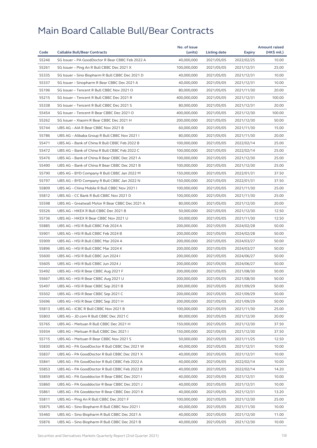| Code           | <b>Callable Bull/Bear Contracts</b>                                                         | No. of issue<br>(units)    | Listing date             |                             | <b>Amount raised</b><br>(HK\$ mil.) |
|----------------|---------------------------------------------------------------------------------------------|----------------------------|--------------------------|-----------------------------|-------------------------------------|
| 55246          | SG Issuer - PA GoodDoctor R Bear CBBC Feb 2022 A                                            | 40,000,000                 | 2021/05/05               | <b>Expiry</b><br>2022/02/25 | 10.00                               |
| 55261          | SG Issuer - Ping An R Bull CBBC Dec 2021 X                                                  | 100,000,000                | 2021/05/05               | 2021/12/31                  | 25.00                               |
| 55335          | SG Issuer - Sino Biopharm R Bull CBBC Dec 2021 D                                            | 40,000,000                 | 2021/05/05               | 2021/12/31                  | 10.00                               |
| 55337          | SG Issuer - Sinopharm R Bear CBBC Dec 2021 A                                                | 40,000,000                 | 2021/05/05               | 2021/12/31                  | 10.00                               |
| 55196          | SG Issuer - Tencent R Bull CBBC Nov 2021 O                                                  | 80,000,000                 | 2021/05/05               | 2021/11/30                  | 20.00                               |
| 55215          | SG Issuer - Tencent R Bull CBBC Dec 2021 R                                                  | 400,000,000                | 2021/05/05               | 2021/12/31                  | 100.00                              |
| 55338          | SG Issuer - Tencent R Bull CBBC Dec 2021 S                                                  | 80,000,000                 | 2021/05/05               | 2021/12/31                  | 20.00                               |
| 55454          | SG Issuer - Tencent R Bear CBBC Dec 2021 O                                                  | 400,000,000                | 2021/05/05               | 2021/12/30                  | 100.00                              |
| 55262          | SG Issuer - Xiaomi R Bear CBBC Dec 2021 H                                                   | 200,000,000                | 2021/05/05               | 2021/12/30                  | 50.00                               |
| 55744          | UBS AG - AIA R Bear CBBC Nov 2021 B                                                         | 60,000,000                 | 2021/05/05               | 2021/11/30                  | 15.00                               |
| 55786          | UBS AG - Alibaba Group R Bull CBBC Nov 2021 I                                               | 80,000,000                 | 2021/05/05               | 2021/11/30                  | 20.00                               |
| 55471          | UBS AG - Bank of China R Bull CBBC Feb 2022 B                                               | 100,000,000                | 2021/05/05               | 2022/02/14                  | 25.00                               |
| 55472          | UBS AG - Bank of China R Bull CBBC Feb 2022 C                                               | 100,000,000                | 2021/05/05               | 2022/02/14                  | 25.00                               |
| 55476          | UBS AG - Bank of China R Bear CBBC Dec 2021 A                                               | 100,000,000                | 2021/05/05               | 2021/12/30                  | 25.00                               |
| 55490          | UBS AG - Bank of China R Bear CBBC Dec 2021 B                                               | 100,000,000                | 2021/05/05               | 2021/12/30                  | 25.00                               |
| 55790          | UBS AG - BYD Company R Bull CBBC Jan 2022 M                                                 | 150,000,000                | 2021/05/05               |                             | 37.50                               |
| 55797          |                                                                                             |                            |                          | 2022/01/31                  | 37.50                               |
| 55809          | UBS AG - BYD Company R Bull CBBC Jan 2022 N<br>UBS AG - China Mobile R Bull CBBC Nov 2021 I | 150,000,000<br>100,000,000 | 2021/05/05<br>2021/05/05 | 2022/01/31                  | 25.00                               |
|                |                                                                                             |                            |                          | 2021/11/30                  |                                     |
| 55812<br>55598 | UBS AG - CC Bank R Bull CBBC Nov 2021 D<br>UBS AG - Greatwall Motor R Bear CBBC Dec 2021 A  | 100,000,000                | 2021/05/05               | 2021/11/30                  | 25.00<br>20.00                      |
|                |                                                                                             | 80,000,000                 | 2021/05/05               | 2021/12/30                  |                                     |
| 55526          | UBS AG - HKEX R Bull CBBC Dec 2021 B                                                        | 50,000,000                 | 2021/05/05               | 2021/12/30                  | 12.50                               |
| 55736          | UBS AG - HKEX R Bear CBBC Nov 2021 U                                                        | 50,000,000                 | 2021/05/05               | 2021/11/30                  | 12.50<br>50.00                      |
| 55885          | UBS AG - HSI R Bull CBBC Feb 2024 A                                                         | 200,000,000                | 2021/05/05               | 2024/02/28                  |                                     |
| 55901          | UBS AG - HSI R Bull CBBC Feb 2024 B                                                         | 200,000,000                | 2021/05/05               | 2024/02/28                  | 50.00                               |
| 55909          | UBS AG - HSI R Bull CBBC Mar 2024 A                                                         | 200,000,000                | 2021/05/05               | 2024/03/27                  | 50.00                               |
| 55896          | UBS AG - HSI R Bull CBBC Mar 2024 K                                                         | 200,000,000                | 2021/05/05               | 2024/03/27                  | 50.00                               |
| 55600          | UBS AG - HSI R Bull CBBC Jun 2024 I                                                         | 200,000,000                | 2021/05/05               | 2024/06/27                  | 50.00                               |
| 55605          | UBS AG - HSI R Bull CBBC Jun 2024 J                                                         | 200,000,000                | 2021/05/05               | 2024/06/27                  | 50.00                               |
| 55492          | UBS AG - HSI R Bear CBBC Aug 2021 F                                                         | 200,000,000                | 2021/05/05               | 2021/08/30                  | 50.00                               |
| 55667          | UBS AG - HSI R Bear CBBC Aug 2021 U                                                         | 200,000,000                | 2021/05/05               | 2021/08/30                  | 50.00                               |
| 55497          | UBS AG - HSI R Bear CBBC Sep 2021 B                                                         | 200,000,000                | 2021/05/05               | 2021/09/29                  | 50.00                               |
| 55502          | UBS AG - HSI R Bear CBBC Sep 2021 C                                                         | 200,000,000                | 2021/05/05               | 2021/09/29                  | 50.00                               |
| 55696          | UBS AG - HSI R Bear CBBC Sep 2021 H                                                         | 200,000,000                | 2021/05/05               | 2021/09/29                  | 50.00                               |
| 55813          | UBS AG - ICBC R Bull CBBC Nov 2021 B                                                        | 100,000,000                | 2021/05/05               | 2021/11/30                  | 25.00                               |
| 55803          | UBS AG - JD.com R Bull CBBC Dec 2021 C                                                      | 80,000,000                 | 2021/05/05               | 2021/12/30                  | 20.00                               |
| 55765          | UBS AG - Meituan R Bull CBBC Dec 2021 H                                                     | 150,000,000                | 2021/05/05               | 2021/12/30                  | 37.50                               |
| 55934          | UBS AG - Meituan R Bull CBBC Dec 2021 I                                                     | 150,000,000                | 2021/05/05               | 2021/12/30                  | 37.50                               |
| 55715          | UBS AG - Meituan R Bear CBBC Nov 2021 S                                                     | 50,000,000                 | 2021/05/05               | 2021/11/25                  | 12.50                               |
| 55830          | UBS AG - PA GoodDoctor R Bull CBBC Dec 2021 W                                               | 40,000,000                 | 2021/05/05               | 2021/12/31                  | 10.00                               |
| 55837          | UBS AG - PA GoodDoctor R Bull CBBC Dec 2021 X                                               | 40,000,000                 | 2021/05/05               | 2021/12/31                  | 10.00                               |
| 55841          | UBS AG - PA GoodDoctor R Bull CBBC Feb 2022 A                                               | 40,000,000                 | 2021/05/05               | 2022/02/14                  | 10.00                               |
| 55853          | UBS AG - PA GoodDoctor R Bull CBBC Feb 2022 B                                               | 40,000,000                 | 2021/05/05               | 2022/02/14                  | 14.20                               |
| 55859          | UBS AG - PA Gooddoctor R Bear CBBC Dec 2021 I                                               | 40,000,000                 | 2021/05/05               | 2021/12/31                  | 10.00                               |
| 55860          | UBS AG - PA Gooddoctor R Bear CBBC Dec 2021 J                                               | 40,000,000                 | 2021/05/05               | 2021/12/31                  | 10.00                               |
| 55861          | UBS AG - PA Gooddoctor R Bear CBBC Dec 2021 K                                               | 40,000,000                 | 2021/05/05               | 2021/12/31                  | 13.20                               |
| 55811          | UBS AG - Ping An R Bull CBBC Dec 2021 F                                                     | 100,000,000                | 2021/05/05               | 2021/12/30                  | 25.00                               |
| 55875          | UBS AG - Sino Biopharm R Bull CBBC Nov 2021 I                                               | 40,000,000                 | 2021/05/05               | 2021/11/30                  | 10.00                               |
| 55460          | UBS AG - Sino Biopharm R Bull CBBC Dec 2021 A                                               | 40,000,000                 | 2021/05/05               | 2021/12/30                  | 11.00                               |
| 55876          | UBS AG – Sino Biopharm R Bull CBBC Dec 2021 B                                               | 40,000,000                 | 2021/05/05               | 2021/12/30                  | 10.00                               |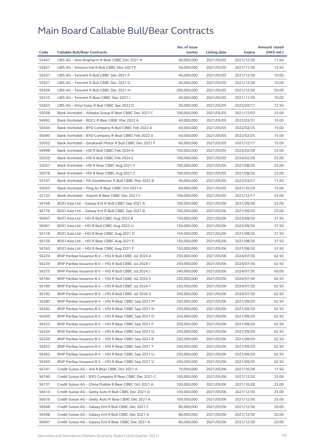|       |                                                        | No. of issue |              |            | <b>Amount raised</b> |
|-------|--------------------------------------------------------|--------------|--------------|------------|----------------------|
| Code  | <b>Callable Bull/Bear Contracts</b>                    | (units)      | Listing date | Expiry     | (HK\$ mil.)          |
| 55467 | UBS AG - Sino Biopharm R Bear CBBC Dec 2021 A          | 40,000,000   | 2021/05/05   | 2021/12/30 | 11.60                |
| 55821 | UBS AG - Smoore Intl R Bull CBBC Nov 2021 F            | 50,000,000   | 2021/05/05   | 2021/11/30 | 12.50                |
| 55631 | UBS AG - Tencent R Bull CBBC Dec 2021 F                | 40,000,000   | 2021/05/05   | 2021/12/30 | 10.00                |
| 55921 | UBS AG - Tencent R Bull CBBC Dec 2021 G                | 40,000,000   | 2021/05/05   | 2021/12/30 | 10.00                |
| 55926 | UBS AG - Tencent R Bull CBBC Dec 2021 H                | 200,000,000  | 2021/05/05   | 2021/12/30 | 50.00                |
| 55515 | UBS AG - Tencent R Bear CBBC Nov 2021 I                | 40,000,000   | 2021/05/05   | 2021/11/30 | 10.00                |
| 55823 | UBS AG - Xinyi Solar R Bull CBBC Apr 2022 D            | 50,000,000   | 2021/05/05   | 2022/04/11 | 12.50                |
| 55038 | Bank Vontobel - Alibaba Group R Bear CBBC Dec 2021 C   | 100,000,000  | 2021/05/05   | 2021/12/03 | 25.00                |
| 54992 | Bank Vontobel - BOCL R Bear CBBC Mar 2022 A            | 40,000,000   | 2021/05/05   | 2022/03/31 | 10.00                |
| 55044 | Bank Vontobel - BYD Company R Bull CBBC Feb 2022 A     | 60,000,000   | 2021/05/05   | 2022/02/25 | 15.00                |
| 55040 | Bank Vontobel - BYD Company R Bear CBBC Feb 2022 A     | 60,000,000   | 2021/05/05   | 2022/02/25 | 15.00                |
| 55052 | Bank Vontobel - Greatwall Motor R Bull CBBC Dec 2021 F | 60,000,000   | 2021/05/05   | 2021/12/17 | 15.00                |
| 54998 | Bank Vontobel - HSI R Bull CBBC Feb 2024 R             | 100,000,000  | 2021/05/05   | 2024/02/28 | 25.00                |
| 55029 | Bank Vontobel - HSI R Bull CBBC Feb 2024 S             | 100,000,000  | 2021/05/05   | 2024/02/28 | 25.00                |
| 55057 | Bank Vontobel - HSI R Bear CBBC Aug 2021 Y             | 100,000,000  | 2021/05/05   | 2021/08/30 | 25.00                |
| 55078 | Bank Vontobel - HSI R Bear CBBC Aug 2021 Z             | 100,000,000  | 2021/05/05   | 2021/08/30 | 25.00                |
| 55747 | Bank Vontobel - PA Gooddoctor R Bull CBBC Mar 2022 B   | 40,000,000   | 2021/05/05   | 2022/03/31 | 11.60                |
| 55053 | Bank Vontobel - Ping An R Bear CBBC Oct 2021 A         | 60,000,000   | 2021/05/05   | 2021/10/29 | 15.00                |
| 55133 | Bank Vontobel - Xiaomi R Bear CBBC Dec 2021 C          | 100,000,000  | 2021/05/05   | 2021/12/17 | 25.00                |
| 56168 | BOCI Asia Ltd. - Galaxy Ent R Bull CBBC Sep 2021 A     | 100,000,000  | 2021/05/06   | 2021/09/30 | 25.00                |
| 56176 | BOCI Asia Ltd. - Galaxy Ent R Bull CBBC Sep 2021 B     | 100,000,000  | 2021/05/06   | 2021/09/30 | 25.00                |
| 56067 | BOCI Asia Ltd. - HSI R Bull CBBC Aug 2023 B            | 150,000,000  | 2021/05/06   | 2023/08/30 | 37.50                |
| 56061 | BOCI Asia Ltd. - HSI R Bull CBBC Aug 2023 U            | 150,000,000  | 2021/05/06   | 2023/08/30 | 37.50                |
| 56118 | BOCI Asia Ltd. - HSI R Bear CBBC Aug 2021 D            | 150,000,000  | 2021/05/06   | 2021/08/30 | 37.50                |
| 56156 | BOCI Asia Ltd. - HSI R Bear CBBC Aug 2021 E            | 150,000,000  | 2021/05/06   | 2021/08/30 | 37.50                |
| 56163 | BOCI Asia Ltd. - HSI R Bear CBBC Aug 2021 F            | 150,000,000  | 2021/05/06   | 2021/08/30 | 37.50                |
| 56224 | BNP Paribas Issuance B.V. - HSI R Bull CBBC Jul 2024 A | 250,000,000  | 2021/05/06   | 2024/07/30 | 62.50                |
| 56239 | BNP Paribas Issuance B.V. - HSI R Bull CBBC Jul 2024 I | 250,000,000  | 2021/05/06   | 2024/07/30 | 62.50                |
| 56275 | BNP Paribas Issuance B.V. - HSI R Bull CBBC Jul 2024 J | 240,000,000  | 2021/05/06   | 2024/07/30 | 60.00                |
| 56184 | BNP Paribas Issuance B.V. - HSI R Bull CBBC Jul 2024 S | 250,000,000  | 2021/05/06   | 2024/07/30 | 62.50                |
| 56189 | BNP Paribas Issuance B.V. - HSI R Bull CBBC Jul 2024 T | 250,000,000  | 2021/05/06   | 2024/07/30 | 62.50                |
| 56192 | BNP Paribas Issuance B.V. - HSI R Bull CBBC Jul 2024 Z | 250,000,000  | 2021/05/06   | 2024/07/30 | 62.50                |
| 56280 | BNP Paribas Issuance B.V. - HSI R Bear CBBC Sep 2021 M | 250,000,000  | 2021/05/06   | 2021/09/29 | 62.50                |
| 56282 | BNP Paribas Issuance B.V. - HSI R Bear CBBC Sep 2021 N | 250,000,000  | 2021/05/06   | 2021/09/29 | 62.50                |
| 56309 | BNP Paribas Issuance B.V. - HSI R Bear CBBC Sep 2021 O | 250,000,000  | 2021/05/06   | 2021/09/29 | 62.50                |
| 56322 | BNP Paribas Issuance B.V. - HSI R Bear CBBC Sep 2021 P | 250,000,000  | 2021/05/06   | 2021/09/29 | 62.50                |
| 56334 | BNP Paribas Issuance B.V. - HSI R Bear CBBC Sep 2021 Q | 250,000,000  | 2021/05/06   | 2021/09/29 | 62.50                |
| 56339 | BNP Paribas Issuance B.V. - HSI R Bear CBBC Sep 2021 R | 250,000,000  | 2021/05/06   | 2021/09/29 | 62.50                |
| 56353 | BNP Paribas Issuance B.V. - HSI R Bear CBBC Sep 2021 T | 250,000,000  | 2021/05/06   | 2021/09/29 | 62.50                |
| 56362 | BNP Paribas Issuance B.V. - HSI R Bear CBBC Sep 2021 U | 250,000,000  | 2021/05/06   | 2021/09/29 | 62.50                |
| 56369 | BNP Paribas Issuance B.V. - HSI R Bear CBBC Sep 2021 V | 250,000,000  | 2021/05/06   | 2021/09/29 | 62.50                |
| 56741 | Credit Suisse AG - AIA R Bear CBBC Oct 2021 A          | 70,000,000   | 2021/05/06   | 2021/10/28 | 17.50                |
| 56740 | Credit Suisse AG - BYD Company R Bear CBBC Dec 2021 C  | 100,000,000  | 2021/05/06   | 2021/12/30 | 25.00                |
| 56737 | Credit Suisse AG - China Mobile R Bear CBBC Oct 2021 A | 100,000,000  | 2021/05/06   | 2021/10/28 | 25.00                |
| 56614 | Credit Suisse AG - Geely Auto R Bull CBBC Dec 2021 Q   | 100,000,000  | 2021/05/06   | 2021/12/30 | 25.00                |
| 56616 | Credit Suisse AG - Geely Auto R Bear CBBC Dec 2021 A   | 100,000,000  | 2021/05/06   | 2021/12/30 | 25.00                |
| 56568 | Credit Suisse AG - Galaxy Ent R Bull CBBC Dec 2021 C   | 80,000,000   | 2021/05/06   | 2021/12/30 | 20.00                |
| 56598 | Credit Suisse AG - Galaxy Ent R Bull CBBC Dec 2021 D   | 80,000,000   | 2021/05/06   | 2021/12/30 | 20.00                |
| 56607 | Credit Suisse AG - Galaxy Ent R Bear CBBC Dec 2021 A   | 80,000,000   | 2021/05/06   | 2021/12/30 | 20.00                |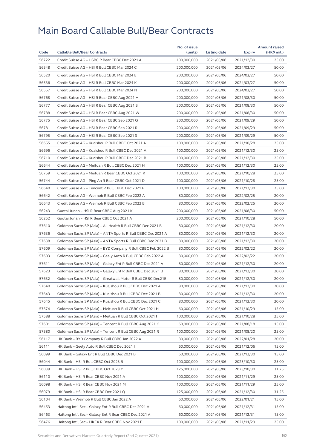|       |                                                              | No. of issue |              |            | <b>Amount raised</b> |
|-------|--------------------------------------------------------------|--------------|--------------|------------|----------------------|
| Code  | <b>Callable Bull/Bear Contracts</b>                          | (units)      | Listing date | Expiry     | (HK\$ mil.)          |
| 56722 | Credit Suisse AG - HSBC R Bear CBBC Dec 2021 A               | 100,000,000  | 2021/05/06   | 2021/12/30 | 25.00                |
| 56548 | Credit Suisse AG - HSI R Bull CBBC Mar 2024 C                | 200,000,000  | 2021/05/06   | 2024/03/27 | 50.00                |
| 56520 | Credit Suisse AG - HSI R Bull CBBC Mar 2024 E                | 200,000,000  | 2021/05/06   | 2024/03/27 | 50.00                |
| 56536 | Credit Suisse AG - HSI R Bull CBBC Mar 2024 K                | 200,000,000  | 2021/05/06   | 2024/03/27 | 50.00                |
| 56557 | Credit Suisse AG - HSI R Bull CBBC Mar 2024 N                | 200,000,000  | 2021/05/06   | 2024/03/27 | 50.00                |
| 56768 | Credit Suisse AG - HSI R Bear CBBC Aug 2021 H                | 200,000,000  | 2021/05/06   | 2021/08/30 | 50.00                |
| 56777 | Credit Suisse AG - HSI R Bear CBBC Aug 2021 S                | 200,000,000  | 2021/05/06   | 2021/08/30 | 50.00                |
| 56788 | Credit Suisse AG - HSI R Bear CBBC Aug 2021 W                | 200,000,000  | 2021/05/06   | 2021/08/30 | 50.00                |
| 56775 | Credit Suisse AG - HSI R Bear CBBC Sep 2021 Q                | 200,000,000  | 2021/05/06   | 2021/09/29 | 50.00                |
| 56781 | Credit Suisse AG - HSI R Bear CBBC Sep 2021 R                | 200,000,000  | 2021/05/06   | 2021/09/29 | 50.00                |
| 56795 | Credit Suisse AG - HSI R Bear CBBC Sep 2021 S                | 200,000,000  | 2021/05/06   | 2021/09/29 | 50.00                |
| 56655 | Credit Suisse AG - Kuaishou R Bull CBBC Oct 2021 A           | 100,000,000  | 2021/05/06   | 2021/10/28 | 25.00                |
| 56696 | Credit Suisse AG - Kuaishou R Bull CBBC Dec 2021 A           | 100,000,000  | 2021/05/06   | 2021/12/30 | 25.00                |
| 56710 | Credit Suisse AG - Kuaishou R Bull CBBC Dec 2021 B           | 100,000,000  | 2021/05/06   | 2021/12/30 | 25.00                |
| 56644 | Credit Suisse AG - Meituan R Bull CBBC Dec 2021 H            | 100,000,000  | 2021/05/06   | 2021/12/30 | 25.00                |
| 56759 | Credit Suisse AG - Meituan R Bear CBBC Oct 2021 K            | 100,000,000  | 2021/05/06   | 2021/10/28 | 25.00                |
| 56744 | Credit Suisse AG - Ping An R Bear CBBC Oct 2021 D            | 100,000,000  | 2021/05/06   | 2021/10/28 | 25.00                |
| 56640 | Credit Suisse AG - Tencent R Bull CBBC Dec 2021 F            | 100,000,000  | 2021/05/06   | 2021/12/30 | 25.00                |
| 56642 | Credit Suisse AG - Weimob R Bull CBBC Feb 2022 A             | 80,000,000   | 2021/05/06   | 2022/02/25 | 20.00                |
| 56643 | Credit Suisse AG - Weimob R Bull CBBC Feb 2022 B             | 80,000,000   | 2021/05/06   | 2022/02/25 | 20.00                |
| 56243 | Guotai Junan - HSI R Bear CBBC Aug 2021 K                    | 200,000,000  | 2021/05/06   | 2021/08/30 | 50.00                |
| 56252 | Guotai Junan - HSI R Bear CBBC Oct 2021 A                    | 200,000,000  | 2021/05/06   | 2021/10/28 | 50.00                |
| 57610 | Goldman Sachs SP (Asia) - Ali Health R Bull CBBC Dec 2021 B  | 80,000,000   | 2021/05/06   | 2021/12/30 | 20.00                |
| 57636 | Goldman Sachs SP (Asia) – ANTA Sports R Bull CBBC Dec 2021 A | 80,000,000   | 2021/05/06   | 2021/12/30 | 20.00                |
| 57638 | Goldman Sachs SP (Asia) - ANTA Sports R Bull CBBC Dec 2021 B | 80,000,000   | 2021/05/06   | 2021/12/30 | 20.00                |
| 57609 | Goldman Sachs SP (Asia) - BYD Company R Bull CBBC Feb 2022 B | 80,000,000   | 2021/05/06   | 2022/02/22 | 20.00                |
| 57603 | Goldman Sachs SP (Asia) - Geely Auto R Bull CBBC Feb 2022 A  | 80,000,000   | 2021/05/06   | 2022/02/22 | 20.00                |
| 57611 | Goldman Sachs SP (Asia) - Galaxy Ent R Bull CBBC Dec 2021 A  | 80,000,000   | 2021/05/06   | 2021/12/30 | 20.00                |
| 57623 | Goldman Sachs SP (Asia) - Galaxy Ent R Bull CBBC Dec 2021 B  | 80,000,000   | 2021/05/06   | 2021/12/30 | 20.00                |
| 57632 | Goldman Sachs SP (Asia) - Greatwall Motor R Bull CBBC Dec21E | 80,000,000   | 2021/05/06   | 2021/12/30 | 20.00                |
| 57640 | Goldman Sachs SP (Asia) - Kuaishou R Bull CBBC Dec 2021 A    | 80,000,000   | 2021/05/06   | 2021/12/30 | 20.00                |
| 57643 | Goldman Sachs SP (Asia) - Kuaishou R Bull CBBC Dec 2021 B    | 80,000,000   | 2021/05/06   | 2021/12/30 | 20.00                |
| 57645 | Goldman Sachs SP (Asia) - Kuaishou R Bull CBBC Dec 2021 C    | 80,000,000   | 2021/05/06   | 2021/12/30 | 20.00                |
| 57574 | Goldman Sachs SP (Asia) - Meituan R Bull CBBC Oct 2021 H     | 60,000,000   | 2021/05/06   | 2021/10/29 | 15.00                |
| 57588 | Goldman Sachs SP (Asia) - Meituan R Bull CBBC Oct 2021 I     | 100,000,000  | 2021/05/06   | 2021/10/28 | 25.00                |
| 57601 | Goldman Sachs SP (Asia) - Tencent R Bull CBBC Aug 2021 K     | 60,000,000   | 2021/05/06   | 2021/08/18 | 15.00                |
| 57580 | Goldman Sachs SP (Asia) - Tencent R Bull CBBC Aug 2021 R     | 100,000,000  | 2021/05/06   | 2021/08/20 | 25.00                |
| 56117 | HK Bank - BYD Company R Bull CBBC Jan 2022 A                 | 80,000,000   | 2021/05/06   | 2022/01/28 | 20.00                |
| 56111 | HK Bank - Geely Auto R Bull CBBC Dec 2021 I                  | 60,000,000   | 2021/05/06   | 2021/12/06 | 15.00                |
| 56099 | HK Bank - Galaxy Ent R Bull CBBC Dec 2021 B                  | 60,000,000   | 2021/05/06   | 2021/12/30 | 15.00                |
| 56044 | HK Bank - HSI R Bull CBBC Oct 2023 B                         | 100,000,000  | 2021/05/06   | 2023/10/30 | 25.00                |
| 56039 | HK Bank - HSI R Bull CBBC Oct 2023 Y                         | 125,000,000  | 2021/05/06   | 2023/10/30 | 31.25                |
| 56110 | HK Bank - HSI R Bear CBBC Nov 2021 A                         | 100,000,000  | 2021/05/06   | 2021/11/29 | 25.00                |
| 56098 | HK Bank - HSI R Bear CBBC Nov 2021 M                         | 100,000,000  | 2021/05/06   | 2021/11/29 | 25.00                |
| 56079 | HK Bank - HSI R Bear CBBC Dec 2021 Q                         | 125,000,000  | 2021/05/06   | 2021/12/30 | 31.25                |
| 56104 | HK Bank - Weimob R Bull CBBC Jan 2022 A                      | 60,000,000   | 2021/05/06   | 2022/01/21 | 15.00                |
| 56453 | Haitong Int'l Sec - Galaxy Ent R Bull CBBC Dec 2021 A        | 60,000,000   | 2021/05/06   | 2021/12/31 | 15.00                |
| 56463 | Haitong Int'l Sec - Galaxy Ent R Bear CBBC Dec 2021 A        | 60,000,000   | 2021/05/06   | 2021/12/31 | 15.00                |
| 56476 | Haitong Int'l Sec – HKEX R Bear CBBC Nov 2021 F              | 100,000,000  | 2021/05/06   | 2021/11/29 | 25.00                |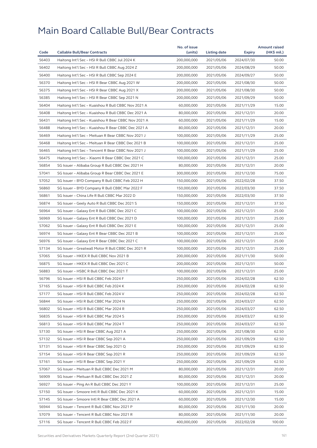|       |                                                     | No. of issue |              |               | <b>Amount raised</b> |
|-------|-----------------------------------------------------|--------------|--------------|---------------|----------------------|
| Code  | <b>Callable Bull/Bear Contracts</b>                 | (units)      | Listing date | <b>Expiry</b> | (HK\$ mil.)          |
| 56403 | Haitong Int'l Sec - HSI R Bull CBBC Jul 2024 K      | 200,000,000  | 2021/05/06   | 2024/07/30    | 50.00                |
| 56402 | Haitong Int'l Sec - HSI R Bull CBBC Aug 2024 Z      | 200,000,000  | 2021/05/06   | 2024/08/29    | 50.00                |
| 56400 | Haitong Int'l Sec - HSI R Bull CBBC Sep 2024 E      | 200,000,000  | 2021/05/06   | 2024/09/27    | 50.00                |
| 56370 | Haitong Int'l Sec - HSI R Bear CBBC Aug 2021 W      | 200,000,000  | 2021/05/06   | 2021/08/30    | 50.00                |
| 56375 | Haitong Int'l Sec - HSI R Bear CBBC Aug 2021 X      | 200,000,000  | 2021/05/06   | 2021/08/30    | 50.00                |
| 56385 | Haitong Int'l Sec - HSI R Bear CBBC Sep 2021 N      | 200,000,000  | 2021/05/06   | 2021/09/29    | 50.00                |
| 56404 | Haitong Int'l Sec - Kuaishou R Bull CBBC Nov 2021 A | 60,000,000   | 2021/05/06   | 2021/11/29    | 15.00                |
| 56408 | Haitong Int'l Sec - Kuaishou R Bull CBBC Dec 2021 A | 80,000,000   | 2021/05/06   | 2021/12/31    | 20.00                |
| 56431 | Haitong Int'l Sec - Kuaishou R Bear CBBC Nov 2021 A | 60,000,000   | 2021/05/06   | 2021/11/29    | 15.00                |
| 56488 | Haitong Int'l Sec - Kuaishou R Bear CBBC Dec 2021 A | 80,000,000   | 2021/05/06   | 2021/12/31    | 20.00                |
| 56469 | Haitong Int'l Sec – Meituan R Bear CBBC Nov 2021 J  | 100,000,000  | 2021/05/06   | 2021/11/29    | 25.00                |
| 56468 | Haitong Int'l Sec - Meituan R Bear CBBC Dec 2021 B  | 100,000,000  | 2021/05/06   | 2021/12/31    | 25.00                |
| 56465 | Haitong Int'l Sec - Tencent R Bear CBBC Nov 2021 J  | 100,000,000  | 2021/05/06   | 2021/11/29    | 25.00                |
| 56475 | Haitong Int'l Sec - Xiaomi R Bear CBBC Dec 2021 C   | 100,000,000  | 2021/05/06   | 2021/12/31    | 25.00                |
| 56854 | SG Issuer - Alibaba Group R Bull CBBC Dec 2021 H    | 80,000,000   | 2021/05/06   | 2021/12/31    | 20.00                |
| 57041 | SG Issuer - Alibaba Group R Bear CBBC Dec 2021 E    | 300,000,000  | 2021/05/06   | 2021/12/30    | 75.00                |
| 57052 | SG Issuer - BYD Company R Bull CBBC Feb 2022 H      | 150,000,000  | 2021/05/06   | 2022/02/28    | 37.50                |
| 56860 | SG Issuer - BYD Company R Bull CBBC Mar 2022 F      | 150,000,000  | 2021/05/06   | 2022/03/30    | 37.50                |
| 56861 | SG Issuer - China Life R Bull CBBC Mar 2022 D       | 150,000,000  | 2021/05/06   | 2022/03/30    | 37.50                |
| 56874 | SG Issuer - Geely Auto R Bull CBBC Dec 2021 S       | 150,000,000  | 2021/05/06   | 2021/12/31    | 37.50                |
| 56964 | SG Issuer - Galaxy Ent R Bull CBBC Dec 2021 C       | 100,000,000  | 2021/05/06   | 2021/12/31    | 25.00                |
| 56969 | SG Issuer - Galaxy Ent R Bull CBBC Dec 2021 D       | 100,000,000  | 2021/05/06   | 2021/12/31    | 25.00                |
| 57062 | SG Issuer - Galaxy Ent R Bull CBBC Dec 2021 E       | 100,000,000  | 2021/05/06   | 2021/12/31    | 25.00                |
| 56974 | SG Issuer - Galaxy Ent R Bear CBBC Dec 2021 B       | 100,000,000  | 2021/05/06   | 2021/12/31    | 25.00                |
| 56976 | SG Issuer - Galaxy Ent R Bear CBBC Dec 2021 C       | 100,000,000  | 2021/05/06   | 2021/12/31    | 25.00                |
| 57134 | SG Issuer - Greatwall Motor R Bull CBBC Dec 2021 R  | 100,000,000  | 2021/05/06   | 2021/12/31    | 25.00                |
| 57065 | SG Issuer - HKEX R Bull CBBC Nov 2021 B             | 200,000,000  | 2021/05/06   | 2021/11/30    | 50.00                |
| 56875 | SG Issuer - HKEX R Bull CBBC Dec 2021 C             | 200,000,000  | 2021/05/06   | 2021/12/31    | 50.00                |
| 56883 | SG Issuer - HSBC R Bull CBBC Dec 2021 T             | 100,000,000  | 2021/05/06   | 2021/12/31    | 25.00                |
| 56796 | SG Issuer - HSI R Bull CBBC Feb 2024 F              | 250,000,000  | 2021/05/06   | 2024/02/28    | 62.50                |
| 57165 | SG Issuer - HSI R Bull CBBC Feb 2024 K              | 250,000,000  | 2021/05/06   | 2024/02/28    | 62.50                |
| 57177 | SG Issuer - HSI R Bull CBBC Feb 2024 V              | 250,000,000  | 2021/05/06   | 2024/02/28    | 62.50                |
| 56844 | SG Issuer - HSI R Bull CBBC Mar 2024 N              | 250,000,000  | 2021/05/06   | 2024/03/27    | 62.50                |
| 56802 | SG Issuer - HSI R Bull CBBC Mar 2024 R              | 250,000,000  | 2021/05/06   | 2024/03/27    | 62.50                |
| 56835 | SG Issuer - HSI R Bull CBBC Mar 2024 S              | 250,000,000  | 2021/05/06   | 2024/03/27    | 62.50                |
| 56813 | SG Issuer - HSI R Bull CBBC Mar 2024 T              | 250,000,000  | 2021/05/06   | 2024/03/27    | 62.50                |
| 57130 | SG Issuer - HSI R Bear CBBC Aug 2021 A              | 250,000,000  | 2021/05/06   | 2021/08/30    | 62.50                |
| 57132 | SG Issuer - HSI R Bear CBBC Sep 2021 A              | 250,000,000  | 2021/05/06   | 2021/09/29    | 62.50                |
| 57131 | SG Issuer - HSI R Bear CBBC Sep 2021 Q              | 250,000,000  | 2021/05/06   | 2021/09/29    | 62.50                |
| 57154 | SG Issuer - HSI R Bear CBBC Sep 2021 R              | 250,000,000  | 2021/05/06   | 2021/09/29    | 62.50                |
| 57161 | SG Issuer - HSI R Bear CBBC Sep 2021 Y              | 250,000,000  | 2021/05/06   | 2021/09/29    | 62.50                |
| 57067 | SG Issuer - Meituan R Bull CBBC Dec 2021 M          | 80,000,000   | 2021/05/06   | 2021/12/31    | 20.00                |
| 56909 | SG Issuer - Meituan R Bull CBBC Dec 2021 Z          | 80,000,000   | 2021/05/06   | 2021/12/31    | 20.00                |
| 56927 | SG Issuer - Ping An R Bull CBBC Dec 2021 Y          | 100,000,000  | 2021/05/06   | 2021/12/31    | 25.00                |
| 57150 | SG Issuer - Smoore Intl R Bull CBBC Dec 2021 K      | 60,000,000   | 2021/05/06   | 2021/12/31    | 15.00                |
| 57145 | SG Issuer - Smoore Intl R Bear CBBC Dec 2021 A      | 60,000,000   | 2021/05/06   | 2021/12/30    | 15.00                |
| 56944 | SG Issuer - Tencent R Bull CBBC Nov 2021 P          | 80,000,000   | 2021/05/06   | 2021/11/30    | 20.00                |
| 57079 | SG Issuer - Tencent R Bull CBBC Nov 2021 R          | 80,000,000   | 2021/05/06   | 2021/11/30    | 20.00                |
| 57116 | SG Issuer – Tencent R Bull CBBC Feb 2022 F          | 400,000,000  | 2021/05/06   | 2022/02/28    | 100.00               |
|       |                                                     |              |              |               |                      |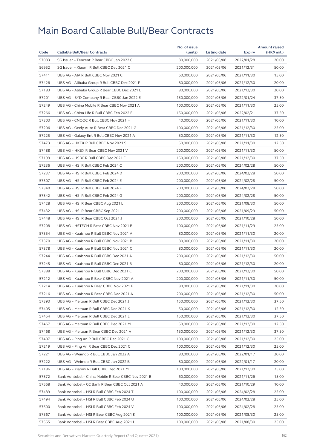|       |                                                     | No. of issue |              |            | <b>Amount raised</b> |
|-------|-----------------------------------------------------|--------------|--------------|------------|----------------------|
| Code  | <b>Callable Bull/Bear Contracts</b>                 | (units)      | Listing date | Expiry     | (HK\$ mil.)          |
| 57083 | SG Issuer - Tencent R Bear CBBC Jan 2022 C          | 80,000,000   | 2021/05/06   | 2022/01/28 | 20.00                |
| 56952 | SG Issuer - Xiaomi R Bull CBBC Dec 2021 C           | 200,000,000  | 2021/05/06   | 2021/12/31 | 50.00                |
| 57411 | UBS AG - AIA R Bull CBBC Nov 2021 C                 | 60,000,000   | 2021/05/06   | 2021/11/30 | 15.00                |
| 57426 | UBS AG - Alibaba Group R Bull CBBC Dec 2021 F       | 80,000,000   | 2021/05/06   | 2021/12/30 | 20.00                |
| 57183 | UBS AG - Alibaba Group R Bear CBBC Dec 2021 L       | 80,000,000   | 2021/05/06   | 2021/12/30 | 20.00                |
| 57201 | UBS AG - BYD Company R Bear CBBC Jan 2022 E         | 150,000,000  | 2021/05/06   | 2022/01/24 | 37.50                |
| 57249 | UBS AG - China Mobile R Bear CBBC Nov 2021 A        | 100,000,000  | 2021/05/06   | 2021/11/30 | 25.00                |
| 57266 | UBS AG - China Life R Bull CBBC Feb 2022 E          | 150,000,000  | 2021/05/06   | 2022/02/21 | 37.50                |
| 57303 | UBS AG - CNOOC R Bull CBBC Nov 2021 H               | 40,000,000   | 2021/05/06   | 2021/11/30 | 10.00                |
| 57206 | UBS AG - Geely Auto R Bear CBBC Dec 2021 G          | 100,000,000  | 2021/05/06   | 2021/12/30 | 25.00                |
| 57225 | UBS AG - Galaxy Ent R Bull CBBC Nov 2021 A          | 50,000,000   | 2021/05/06   | 2021/11/30 | 12.50                |
| 57473 | UBS AG - HKEX R Bull CBBC Nov 2021 S                | 50,000,000   | 2021/05/06   | 2021/11/30 | 12.50                |
| 57488 | UBS AG - HKEX R Bear CBBC Nov 2021 V                | 200,000,000  | 2021/05/06   | 2021/11/30 | 50.00                |
| 57199 | UBS AG - HSBC R Bull CBBC Dec 2021 F                | 150,000,000  | 2021/05/06   | 2021/12/30 | 37.50                |
| 57236 | UBS AG - HSI R Bull CBBC Feb 2024 C                 | 200,000,000  | 2021/05/06   | 2024/02/28 | 50.00                |
| 57237 | UBS AG - HSI R Bull CBBC Feb 2024 D                 | 200,000,000  | 2021/05/06   | 2024/02/28 | 50.00                |
| 57307 | UBS AG - HSI R Bull CBBC Feb 2024 E                 | 200,000,000  | 2021/05/06   | 2024/02/28 | 50.00                |
| 57340 | UBS AG - HSI R Bull CBBC Feb 2024 F                 | 200,000,000  | 2021/05/06   | 2024/02/28 | 50.00                |
| 57342 | UBS AG - HSI R Bull CBBC Feb 2024 G                 | 200,000,000  | 2021/05/06   | 2024/02/28 | 50.00                |
| 57428 | UBS AG - HSI R Bear CBBC Aug 2021 L                 | 200,000,000  | 2021/05/06   | 2021/08/30 | 50.00                |
| 57432 | UBS AG - HSI R Bear CBBC Sep 2021 I                 | 200,000,000  | 2021/05/06   | 2021/09/29 | 50.00                |
| 57448 | UBS AG - HSI R Bear CBBC Oct 2021 J                 | 200,000,000  | 2021/05/06   | 2021/10/28 | 50.00                |
| 57208 | UBS AG - HSTECH R Bear CBBC Nov 2021 B              | 100,000,000  | 2021/05/06   | 2021/11/29 | 25.00                |
| 57354 | UBS AG - Kuaishou R Bull CBBC Nov 2021 A            | 80,000,000   | 2021/05/06   | 2021/11/30 | 20.00                |
| 57370 | UBS AG - Kuaishou R Bull CBBC Nov 2021 B            | 80,000,000   | 2021/05/06   | 2021/11/30 | 20.00                |
| 57378 | UBS AG - Kuaishou R Bull CBBC Nov 2021 C            | 80,000,000   | 2021/05/06   | 2021/11/30 | 20.00                |
| 57244 | UBS AG - Kuaishou R Bull CBBC Dec 2021 A            | 200,000,000  | 2021/05/06   | 2021/12/30 | 50.00                |
| 57245 | UBS AG - Kuaishou R Bull CBBC Dec 2021 B            | 80,000,000   | 2021/05/06   | 2021/12/30 | 20.00                |
| 57388 | UBS AG - Kuaishou R Bull CBBC Dec 2021 C            | 200,000,000  | 2021/05/06   | 2021/12/30 | 50.00                |
| 57212 | UBS AG - Kuaishou R Bear CBBC Nov 2021 A            | 200,000,000  | 2021/05/06   | 2021/11/30 | 50.00                |
| 57214 | UBS AG - Kuaishou R Bear CBBC Nov 2021 B            | 80,000,000   | 2021/05/06   | 2021/11/30 | 20.00                |
| 57216 | UBS AG - Kuaishou R Bear CBBC Dec 2021 A            | 200,000,000  | 2021/05/06   | 2021/12/30 | 50.00                |
| 57393 | UBS AG – Meituan R Bull CBBC Dec 2021 J             | 150,000,000  | 2021/05/06   | 2021/12/30 | 37.50                |
| 57405 | UBS AG - Meituan R Bull CBBC Dec 2021 K             | 50,000,000   | 2021/05/06   | 2021/12/30 | 12.50                |
| 57454 | UBS AG - Meituan R Bull CBBC Dec 2021 L             | 150,000,000  | 2021/05/06   | 2021/12/30 | 37.50                |
| 57467 | UBS AG - Meituan R Bull CBBC Dec 2021 M             | 50,000,000   | 2021/05/06   | 2021/12/30 | 12.50                |
| 57468 | UBS AG - Meituan R Bear CBBC Dec 2021 A             | 150,000,000  | 2021/05/06   | 2021/12/30 | 37.50                |
| 57407 | UBS AG - Ping An R Bull CBBC Dec 2021 G             | 100,000,000  | 2021/05/06   | 2021/12/30 | 25.00                |
| 57219 | UBS AG - Ping An R Bear CBBC Dec 2021 C             | 100,000,000  | 2021/05/06   | 2021/12/30 | 25.00                |
| 57221 | UBS AG - Weimob R Bull CBBC Jan 2022 A              | 80,000,000   | 2021/05/06   | 2022/01/17 | 20.00                |
| 57222 | UBS AG - Weimob R Bull CBBC Jan 2022 B              | 80,000,000   | 2021/05/06   | 2022/01/17 | 20.00                |
| 57186 | UBS AG - Xiaomi R Bull CBBC Dec 2021 M              | 100,000,000  | 2021/05/06   | 2021/12/30 | 25.00                |
| 57572 | Bank Vontobel - China Mobile R Bear CBBC Nov 2021 B | 60,000,000   | 2021/05/06   | 2021/11/26 | 15.00                |
| 57568 | Bank Vontobel - CC Bank R Bear CBBC Oct 2021 A      | 40,000,000   | 2021/05/06   | 2021/10/29 | 10.00                |
| 57489 | Bank Vontobel - HSI R Bull CBBC Feb 2024 T          | 100,000,000  | 2021/05/06   | 2024/02/28 | 25.00                |
| 57494 | Bank Vontobel - HSI R Bull CBBC Feb 2024 U          | 100,000,000  | 2021/05/06   | 2024/02/28 | 25.00                |
| 57500 | Bank Vontobel - HSI R Bull CBBC Feb 2024 V          | 100,000,000  | 2021/05/06   | 2024/02/28 | 25.00                |
| 57567 | Bank Vontobel - HSI R Bear CBBC Aug 2021 K          | 100,000,000  | 2021/05/06   | 2021/08/30 | 25.00                |
| 57555 | Bank Vontobel - HSI R Bear CBBC Aug 2021 L          | 100,000,000  | 2021/05/06   | 2021/08/30 | 25.00                |
|       |                                                     |              |              |            |                      |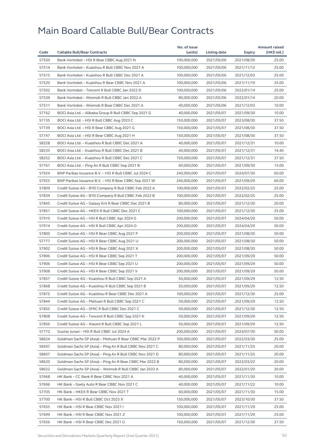|       |                                                          | No. of issue |              |            | <b>Amount raised</b> |
|-------|----------------------------------------------------------|--------------|--------------|------------|----------------------|
| Code  | <b>Callable Bull/Bear Contracts</b>                      | (units)      | Listing date | Expiry     | (HK\$ mil.)          |
| 57550 | Bank Vontobel - HSI R Bear CBBC Aug 2021 N               | 100,000,000  | 2021/05/06   | 2021/08/30 | 25.00                |
| 57514 | Bank Vontobel - Kuaishou R Bull CBBC Nov 2021 A          | 100,000,000  | 2021/05/06   | 2021/11/12 | 25.00                |
| 57515 | Bank Vontobel - Kuaishou R Bull CBBC Dec 2021 A          | 100,000,000  | 2021/05/06   | 2021/12/03 | 25.00                |
| 57520 | Bank Vontobel - Kuaishou R Bear CBBC Nov 2021 A          | 100,000,000  | 2021/05/06   | 2021/11/19 | 25.00                |
| 57502 | Bank Vontobel - Tencent R Bull CBBC Jan 2022 D           | 100,000,000  | 2021/05/06   | 2022/01/14 | 25.00                |
| 57539 | Bank Vontobel - Weimob R Bull CBBC Jan 2022 A            | 80,000,000   | 2021/05/06   | 2022/01/14 | 20.00                |
| 57511 | Bank Vontobel - Weimob R Bear CBBC Dec 2021 A            | 40,000,000   | 2021/05/06   | 2021/12/03 | 10.00                |
| 57762 | BOCI Asia Ltd. - Alibaba Group R Bull CBBC Sep 2021 G    | 40,000,000   | 2021/05/07   | 2021/09/30 | 10.00                |
| 57735 | BOCI Asia Ltd. - HSI R Bull CBBC Aug 2023 C              | 150,000,000  | 2021/05/07   | 2023/08/30 | 37.50                |
| 57739 | BOCI Asia Ltd. - HSI R Bear CBBC Aug 2021 G              | 150,000,000  | 2021/05/07   | 2021/08/30 | 37.50                |
| 57747 | BOCI Asia Ltd. - HSI R Bear CBBC Aug 2021 H              | 150,000,000  | 2021/05/07   | 2021/08/30 | 37.50                |
| 58228 | BOCI Asia Ltd. - Kuaishou R Bull CBBC Dec 2021 A         | 40,000,000   | 2021/05/07   | 2021/12/31 | 10.00                |
| 58235 | BOCI Asia Ltd. - Kuaishou R Bull CBBC Dec 2021 B         | 40,000,000   | 2021/05/07   | 2021/12/31 | 14.40                |
| 58252 | BOCI Asia Ltd. - Kuaishou R Bull CBBC Dec 2021 C         | 150,000,000  | 2021/05/07   | 2021/12/31 | 37.50                |
| 57761 | BOCI Asia Ltd. - Ping An R Bull CBBC Sep 2021 B          | 60,000,000   | 2021/05/07   | 2021/09/30 | 15.00                |
| 57924 | BNP Paribas Issuance B.V. - HSI R Bull CBBC Jul 2024 C   | 240,000,000  | 2021/05/07   | 2024/07/30 | 60.00                |
| 57925 | BNP Paribas Issuance B.V. - HSI R Bear CBBC Sep 2021 W   | 240,000,000  | 2021/05/07   | 2021/09/29 | 60.00                |
| 57809 | Credit Suisse AG - BYD Company R Bull CBBC Feb 2022 A    | 100,000,000  | 2021/05/07   | 2022/02/25 | 25.00                |
| 57839 | Credit Suisse AG - BYD Company R Bull CBBC Feb 2022 B    | 100,000,000  | 2021/05/07   | 2022/02/25 | 25.00                |
| 57845 | Credit Suisse AG - Galaxy Ent R Bear CBBC Dec 2021 B     | 80,000,000   | 2021/05/07   | 2021/12/30 | 20.00                |
| 57851 | Credit Suisse AG - HKEX R Bull CBBC Dec 2021 C           | 100,000,000  | 2021/05/07   | 2021/12/30 | 25.00                |
| 57910 | Credit Suisse AG - HSI R Bull CBBC Apr 2024 G            | 200,000,000  | 2021/05/07   | 2024/04/29 | 50.00                |
| 57914 | Credit Suisse AG - HSI R Bull CBBC Apr 2024 O            | 200,000,000  | 2021/05/07   | 2024/04/29 | 50.00                |
| 57800 | Credit Suisse AG - HSI R Bear CBBC Aug 2021 P            | 200,000,000  | 2021/05/07   | 2021/08/30 | 50.00                |
| 57777 | Credit Suisse AG - HSI R Bear CBBC Aug 2021 U            | 200,000,000  | 2021/05/07   | 2021/08/30 | 50.00                |
| 57902 | Credit Suisse AG - HSI R Bear CBBC Aug 2021 X            | 200,000,000  | 2021/05/07   | 2021/08/30 | 50.00                |
| 57896 | Credit Suisse AG - HSI R Bear CBBC Sep 2021 T            | 200,000,000  | 2021/05/07   | 2021/09/29 | 50.00                |
| 57906 | Credit Suisse AG - HSI R Bear CBBC Sep 2021 U            | 200,000,000  | 2021/05/07   | 2021/09/29 | 50.00                |
| 57908 | Credit Suisse AG - HSI R Bear CBBC Sep 2021 V            | 200,000,000  | 2021/05/07   | 2021/09/29 | 50.00                |
| 57857 | Credit Suisse AG - Kuaishou R Bull CBBC Sep 2021 A       | 50,000,000   | 2021/05/07   | 2021/09/29 | 12.50                |
| 57868 | Credit Suisse AG - Kuaishou R Bull CBBC Sep 2021 B       | 50,000,000   | 2021/05/07   | 2021/09/29 | 12.50                |
| 57875 | Credit Suisse AG - Kuaishou R Bear CBBC Dec 2021 A       | 100,000,000  | 2021/05/07   | 2021/12/30 | 25.00                |
| 57844 | Credit Suisse AG – Meituan R Bull CBBC Sep 2021 C        | 50,000,000   | 2021/05/07   | 2021/09/29 | 12.50                |
| 57855 | Credit Suisse AG - SMIC R Bull CBBC Dec 2021 C           | 50,000,000   | 2021/05/07   | 2021/12/30 | 12.50                |
| 57808 | Credit Suisse AG - Tencent R Bull CBBC Sep 2021 K        | 50,000,000   | 2021/05/07   | 2021/09/29 | 12.50                |
| 57856 | Credit Suisse AG - Xiaomi R Bull CBBC Sep 2021 L         | 50,000,000   | 2021/05/07   | 2021/09/29 | 12.50                |
| 57772 | Guotai Junan - HSI R Bull CBBC Jul 2024 A                | 200,000,000  | 2021/05/07   | 2024/07/30 | 50.00                |
| 58624 | Goldman Sachs SP (Asia) - Meituan R Bear CBBC Mar 2022 P | 100,000,000  | 2021/05/07   | 2022/03/30 | 25.00                |
| 58597 | Goldman Sachs SP (Asia) - Ping An R Bull CBBC Nov 2021 C | 80,000,000   | 2021/05/07   | 2021/11/25 | 20.00                |
| 58607 | Goldman Sachs SP (Asia) - Ping An R Bull CBBC Nov 2021 D | 80,000,000   | 2021/05/07   | 2021/11/25 | 20.00                |
| 58620 | Goldman Sachs SP (Asia) - Ping An R Bear CBBC Mar 2022 B | 80,000,000   | 2021/05/07   | 2022/03/22 | 20.00                |
| 58622 | Goldman Sachs SP (Asia) - Weimob R Bull CBBC Jan 2022 A  | 80,000,000   | 2021/05/07   | 2022/01/20 | 20.00                |
| 57668 | HK Bank - CC Bank R Bear CBBC Nov 2021 A                 | 40,000,000   | 2021/05/07   | 2021/11/30 | 10.00                |
| 57696 |                                                          | 40,000,000   |              | 2021/11/22 | 10.00                |
|       | HK Bank – Geely Auto R Bear CBBC Nov 2021 C              |              | 2021/05/07   |            |                      |
| 57705 | HK Bank - HKEX R Bear CBBC Nov 2021 T                    | 60,000,000   | 2021/05/07   | 2021/11/30 | 15.00                |
| 57700 | HK Bank - HSI R Bull CBBC Oct 2023 X                     | 150,000,000  | 2021/05/07   | 2023/10/30 | 37.50                |
| 57655 | HK Bank - HSI R Bear CBBC Nov 2021 I                     | 100,000,000  | 2021/05/07   | 2021/11/29 | 25.00                |
| 57699 | HK Bank - HSI R Bear CBBC Nov 2021 Z                     | 100,000,000  | 2021/05/07   | 2021/11/29 | 25.00                |
| 57656 | HK Bank – HSI R Bear CBBC Dec 2021 G                     | 150,000,000  | 2021/05/07   | 2021/12/30 | 37.50                |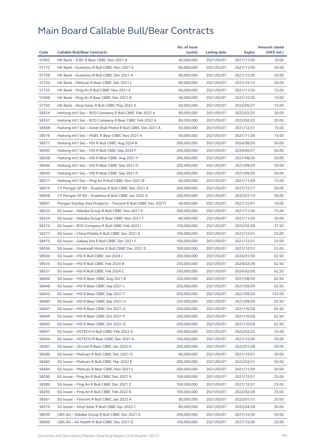|       |                                                              | No. of issue |              |            | <b>Amount raised</b> |
|-------|--------------------------------------------------------------|--------------|--------------|------------|----------------------|
| Code  | <b>Callable Bull/Bear Contracts</b>                          | (units)      | Listing date | Expiry     | (HK\$ mil.)          |
| 57662 | HK Bank - ICBC R Bear CBBC Nov 2021 A                        | 40,000,000   | 2021/05/07   | 2021/11/30 | 10.00                |
| 57712 | HK Bank - Kuaishou R Bull CBBC Nov 2021 A                    | 80,000,000   | 2021/05/07   | 2021/11/30 | 20.00                |
| 57708 | HK Bank - Kuaishou R Bull CBBC Dec 2021 A                    | 80,000,000   | 2021/05/07   | 2021/12/30 | 20.00                |
| 57704 | HK Bank - Meituan R Bear CBBC Dec 2021 L                     | 80,000,000   | 2021/05/07   | 2021/12/13 | 20.00                |
| 57725 | HK Bank – Ping An R Bull CBBC Nov 2021 E                     | 60,000,000   | 2021/05/07   | 2021/11/30 | 15.00                |
| 57698 | HK Bank - Ping An R Bear CBBC Dec 2021 B                     | 40,000,000   | 2021/05/07   | 2021/12/30 | 10.00                |
| 57703 | HK Bank - Xinyi Solar R Bull CBBC May 2022 A                 | 60,000,000   | 2021/05/07   | 2022/05/27 | 15.00                |
| 58554 | Haitong Int'l Sec - BYD Company R Bull CBBC Feb 2022 A       | 80,000,000   | 2021/05/07   | 2022/02/25 | 20.00                |
| 58557 | Haitong Int'l Sec - BYD Company R Bear CBBC Feb 2022 A       | 80,000,000   | 2021/05/07   | 2022/02/25 | 20.00                |
| 58568 | Haitong Int'l Sec - Great Wall Motor R Bull CBBC Dec 2021 A  | 60,000,000   | 2021/05/07   | 2021/12/31 | 15.00                |
| 58576 | Haitong Int'l Sec – HSBC R Bear CBBC Nov 2021 A              | 60,000,000   | 2021/05/07   | 2021/11/29 | 15.00                |
| 58577 | Haitong Int'l Sec - HSI R Bull CBBC Aug 2024 B               | 200,000,000  | 2021/05/07   | 2024/08/29 | 50.00                |
| 58595 | Haitong Int'l Sec - HSI R Bull CBBC Sep 2024 F               | 200,000,000  | 2021/05/07   | 2024/09/27 | 50.00                |
| 58538 | Haitong Int'l Sec - HSI R Bear CBBC Aug 2021 Y               | 200,000,000  | 2021/05/07   | 2021/08/30 | 50.00                |
| 58546 | Haitong Int'l Sec - HSI R Bear CBBC Sep 2021 O               | 200,000,000  | 2021/05/07   | 2021/09/29 | 50.00                |
| 58549 | Haitong Int'l Sec - HSI R Bear CBBC Sep 2021 P               | 200,000,000  | 2021/05/07   | 2021/09/29 | 50.00                |
| 58571 | Haitong Int'l Sec - Ping An R Bull CBBC Nov 2021 B           | 60,000,000   | 2021/05/07   | 2021/11/29 | 15.00                |
| 58014 | J P Morgan SP BV - Kuaishou R Bull CBBC Dec 2021 A           | 200,000,000  | 2021/05/07   | 2021/12/17 | 50.00                |
| 58008 | J P Morgan SP BV - Kuaishou R Bull CBBC Jan 2022 A           | 200,000,000  | 2021/05/07   | 2022/01/14 | 50.00                |
| 58007 | Morgan Stanley Asia Products - Tencent R Bull CBBC Dec 2021T | 40,000,000   | 2021/05/07   | 2021/12/01 | 10.00                |
| 58534 | SG Issuer - Alibaba Group R Bull CBBC Nov 2021 V             | 300,000,000  | 2021/05/07   | 2021/11/30 | 75.00                |
| 58254 | SG Issuer - Alibaba Group R Bear CBBC Nov 2021 F             | 80,000,000   | 2021/05/07   | 2021/11/29 | 20.00                |
| 58274 | SG Issuer – BYD Company R Bull CBBC Feb 2022 I               | 150,000,000  | 2021/05/07   | 2022/02/28 | 37.50                |
| 58277 | SG Issuer - China Mobile R Bull CBBC Dec 2021 K              | 100,000,000  | 2021/05/07   | 2021/12/31 | 25.00                |
| 58475 | SG Issuer - Galaxy Ent R Bull CBBC Dec 2021 F                | 100,000,000  | 2021/05/07   | 2021/12/31 | 25.00                |
| 58536 | SG Issuer - Greatwall Motor R Bull CBBC Dec 2021 S           | 100,000,000  | 2021/05/07   | 2021/12/31 | 25.00                |
| 58504 | SG Issuer - HSI R Bull CBBC Jan 2024 I                       | 250,000,000  | 2021/05/07   | 2024/01/30 | 62.50                |
| 58525 | SG Issuer - HSI R Bull CBBC Feb 2024 B                       | 250,000,000  | 2021/05/07   | 2024/02/28 | 62.50                |
| 58531 | SG Issuer - HSI R Bull CBBC Feb 2024 C                       | 250,000,000  | 2021/05/07   | 2024/02/28 | 62.50                |
| 58406 | SG Issuer - HSI R Bear CBBC Aug 2021 B                       | 250,000,000  | 2021/05/07   | 2021/08/30 | 62.50                |
|       |                                                              |              |              |            |                      |
| 58448 | SG Issuer - HSI R Bear CBBC Sep 2021 L                       | 250,000,000  | 2021/05/07   | 2021/09/29 | 62.50                |
| 58453 | SG Issuer - HSI R Bear CBBC Sep 2021 T                       | 500,000,000  | 2021/05/07   | 2021/09/29 | 125.00               |
| 58489 | SG Issuer - HSI R Bear CBBC Sep 2021 U                       | 250,000,000  | 2021/05/07   | 2021/09/29 | 62.50                |
| 58467 | SG Issuer - HSI R Bear CBBC Oct 2021 O                       | 250,000,000  | 2021/05/07   | 2021/10/28 | 62.50                |
| 58469 | SG Issuer - HSI R Bear CBBC Oct 2021 P                       | 250,000,000  | 2021/05/07   | 2021/10/28 | 62.50                |
| 58493 | SG Issuer - HSI R Bear CBBC Oct 2021 Q                       | 250,000,000  | 2021/05/07   | 2021/10/28 | 62.50                |
| 58401 | SG Issuer - HSTECH R Bull CBBC Feb 2022 A                    | 100,000,000  | 2021/05/07   | 2022/02/25 | 25.00                |
| 58404 | SG Issuer – HSTECH R Bear CBBC Dec 2021 A                    | 100,000,000  | 2021/05/07   | 2021/12/30 | 25.00                |
| 58281 | SG Issuer - JD.com R Bear CBBC Jan 2022 A                    | 200,000,000  | 2021/05/07   | 2022/01/28 | 50.00                |
| 58286 | SG Issuer - Meituan R Bull CBBC Dec 2021 O                   | 80,000,000   | 2021/05/07   | 2021/12/31 | 20.00                |
| 58485 | SG Issuer - Meituan R Bull CBBC Mar 2022 E                   | 200,000,000  | 2021/05/07   | 2022/03/31 | 50.00                |
| 58484 | SG Issuer - Meituan R Bear CBBC Nov 2021 L                   | 200,000,000  | 2021/05/07   | 2021/11/29 | 50.00                |
| 58290 | SG Issuer - Ping An R Bull CBBC Dec 2021 A                   | 100,000,000  | 2021/05/07   | 2021/12/31 | 25.00                |
| 58289 | SG Issuer - Ping An R Bull CBBC Dec 2021 Z                   | 100,000,000  | 2021/05/07   | 2021/12/31 | 25.00                |
| 58295 | SG Issuer - Ping An R Bull CBBC Feb 2022 B                   | 100,000,000  | 2021/05/07   | 2022/02/28 | 25.00                |
| 58361 | SG Issuer - Tencent R Bull CBBC Jan 2022 A                   | 80,000,000   | 2021/05/07   | 2022/01/31 | 20.00                |
| 58379 | SG Issuer - Xinyi Solar R Bull CBBC Apr 2022 C               | 80,000,000   | 2021/05/07   | 2022/04/28 | 20.00                |
| 58039 | UBS AG - Alibaba Group R Bull CBBC Dec 2021 G                | 200,000,000  | 2021/05/07   | 2021/12/30 | 50.00                |
| 58066 | UBS AG - Ali Health R Bull CBBC Dec 2021 D                   | 100,000,000  | 2021/05/07   | 2021/12/30 | 25.00                |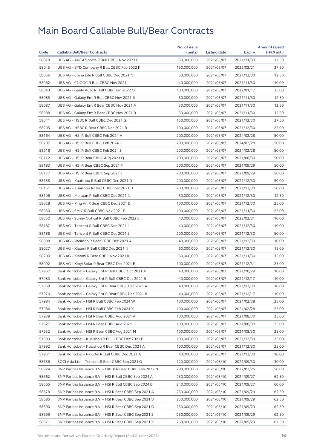|       |                                                         | No. of issue |              |               | <b>Amount raised</b> |
|-------|---------------------------------------------------------|--------------|--------------|---------------|----------------------|
| Code  | <b>Callable Bull/Bear Contracts</b>                     | (units)      | Listing date | <b>Expiry</b> | $(HK$$ mil.)         |
| 58078 | UBS AG - ANTA Sports R Bull CBBC Nov 2021 C             | 50,000,000   | 2021/05/07   | 2021/11/30    | 12.50                |
| 58045 | UBS AG - BYD Company R Bull CBBC Feb 2022 K             | 150,000,000  | 2021/05/07   | 2022/02/21    | 37.50                |
| 58056 | UBS AG - China Life R Bull CBBC Dec 2021 N              | 50,000,000   | 2021/05/07   | 2021/12/30    | 12.50                |
| 58062 | UBS AG - CNOOC R Bull CBBC Nov 2021 I                   | 40,000,000   | 2021/05/07   | 2021/11/30    | 10.00                |
| 58043 | UBS AG - Geely Auto R Bull CBBC Jan 2022 O              | 100,000,000  | 2021/05/07   | 2022/01/17    | 25.00                |
| 58085 | UBS AG - Galaxy Ent R Bull CBBC Nov 2021 B              | 50,000,000   | 2021/05/07   | 2021/11/30    | 12.50                |
| 58087 | UBS AG - Galaxy Ent R Bear CBBC Nov 2021 A              | 50,000,000   | 2021/05/07   | 2021/11/30    | 12.50                |
| 58088 | UBS AG - Galaxy Ent R Bear CBBC Nov 2021 B              | 50,000,000   | 2021/05/07   | 2021/11/30    | 12.50                |
| 58041 | UBS AG - HSBC R Bull CBBC Dec 2021 G                    | 150,000,000  | 2021/05/07   | 2021/12/30    | 37.50                |
| 58205 | UBS AG - HSBC R Bear CBBC Dec 2021 B                    | 100,000,000  | 2021/05/07   | 2021/12/30    | 25.00                |
| 58164 | UBS AG - HSI R Bull CBBC Feb 2024 H                     | 200,000,000  | 2021/05/07   | 2024/02/28    | 50.00                |
| 58207 | UBS AG - HSI R Bull CBBC Feb 2024 I                     | 200,000,000  | 2021/05/07   | 2024/02/28    | 50.00                |
| 58216 | UBS AG - HSI R Bull CBBC Feb 2024 J                     | 200,000,000  | 2021/05/07   | 2024/02/28    | 50.00                |
| 58172 | UBS AG - HSI R Bear CBBC Aug 2021 Q                     | 200,000,000  | 2021/05/07   | 2021/08/30    | 50.00                |
| 58183 | UBS AG - HSI R Bear CBBC Sep 2021 F                     | 200,000,000  | 2021/05/07   | 2021/09/29    | 50.00                |
| 58177 | UBS AG - HSI R Bear CBBC Sep 2021 J                     | 200,000,000  | 2021/05/07   | 2021/09/29    | 50.00                |
| 58158 | UBS AG - Kuaishou R Bull CBBC Dec 2021 D                | 200,000,000  | 2021/05/07   | 2021/12/30    | 50.00                |
| 58161 | UBS AG - Kuaishou R Bear CBBC Dec 2021 B                | 200,000,000  | 2021/05/07   | 2021/12/30    | 50.00                |
| 58196 | UBS AG - Meituan R Bull CBBC Dec 2021 N                 | 50,000,000   | 2021/05/07   | 2021/12/30    | 12.50                |
| 58028 | UBS AG - Ping An R Bear CBBC Dec 2021 D                 | 100,000,000  | 2021/05/07   | 2021/12/30    | 25.00                |
| 58050 | UBS AG - SMIC R Bull CBBC Nov 2021 F                    | 100,000,000  | 2021/05/07   | 2021/11/30    | 25.00                |
| 58052 | UBS AG - Sunny Optical R Bull CBBC Feb 2022 E           | 40,000,000   | 2021/05/07   | 2022/02/21    | 10.00                |
| 58187 | UBS AG - Tencent R Bull CBBC Dec 2021 I                 | 40,000,000   | 2021/05/07   | 2021/12/30    | 10.00                |
| 58188 | UBS AG - Tencent R Bull CBBC Dec 2021 J                 | 200,000,000  | 2021/05/07   | 2021/12/30    | 50.00                |
| 58098 | UBS AG - Weimob R Bear CBBC Dec 2021 A                  | 40,000,000   | 2021/05/07   | 2021/12/30    | 10.00                |
| 58027 | UBS AG - Xiaomi R Bull CBBC Dec 2021 N                  | 60,000,000   | 2021/05/07   | 2021/12/30    | 15.00                |
| 58200 | UBS AG - Xiaomi R Bear CBBC Nov 2021 K                  | 60,000,000   | 2021/05/07   | 2021/11/30    | 15.00                |
| 58092 | UBS AG - Xinyi Solar R Bear CBBC Dec 2021 E             | 100,000,000  | 2021/05/07   | 2021/12/31    | 25.00                |
| 57967 | Bank Vontobel - Galaxy Ent R Bull CBBC Oct 2021 A       | 40,000,000   | 2021/05/07   | 2021/10/29    | 10.00                |
| 57983 | Bank Vontobel – Galaxy Ent R Bull CBBC Dec 2021 B       | 40,000,000   | 2021/05/07   | 2021/12/17    | 10.00                |
| 57968 | Bank Vontobel - Galaxy Ent R Bear CBBC Dec 2021 A       | 40,000,000   | 2021/05/07   | 2021/12/30    | 10.00                |
| 57970 | Bank Vontobel - Galaxy Ent R Bear CBBC Dec 2021 B       | 40,000,000   | 2021/05/07   | 2021/12/17    | 10.00                |
| 57984 | Bank Vontobel - HSI R Bull CBBC Feb 2024 W              | 100,000,000  | 2021/05/07   | 2024/02/28    | 25.00                |
| 57986 | Bank Vontobel - HSI R Bull CBBC Feb 2024 X              | 100,000,000  | 2021/05/07   | 2024/02/28    | 25.00                |
| 57939 | Bank Vontobel - HSI R Bear CBBC Aug 2021 A              | 100,000,000  | 2021/05/07   | 2021/08/30    | 25.00                |
| 57927 | Bank Vontobel - HSI R Bear CBBC Aug 2021 J              | 100,000,000  | 2021/05/07   | 2021/08/30    | 25.00                |
| 57932 | Bank Vontobel - HSI R Bear CBBC Aug 2021 M              | 100,000,000  | 2021/05/07   | 2021/08/30    | 25.00                |
| 57993 | Bank Vontobel - Kuaishou R Bull CBBC Dec 2021 B         | 100,000,000  | 2021/05/07   | 2021/12/30    | 25.00                |
| 57992 | Bank Vontobel - Kuaishou R Bear CBBC Dec 2021 A         | 100,000,000  | 2021/05/07   | 2021/12/30    | 25.00                |
| 57951 | Bank Vontobel - Ping An R Bull CBBC Dec 2021 A          | 40,000,000   | 2021/05/07   | 2021/12/30    | 10.00                |
| 58656 | BOCI Asia Ltd. - Tencent R Bear CBBC Sep 2021 G         | 120,000,000  | 2021/05/10   | 2021/09/30    | 30.00                |
| 58924 | BNP Paribas Issuance B.V. - HKEX R Bear CBBC Feb 2022 N | 200,000,000  | 2021/05/10   | 2022/02/25    | 50.00                |
| 58662 | BNP Paribas Issuance B.V. - HSI R Bull CBBC Sep 2024 A  | 250,000,000  | 2021/05/10   | 2024/09/27    | 62.50                |
| 58665 | BNP Paribas Issuance B.V. - HSI R Bull CBBC Sep 2024 B  | 240,000,000  | 2021/05/10   | 2024/09/27    | 60.00                |
| 58678 | BNP Paribas Issuance B.V. - HSI R Bear CBBC Sep 2021 A  | 250,000,000  | 2021/05/10   | 2021/09/29    | 62.50                |
| 58685 | BNP Paribas Issuance B.V. - HSI R Bear CBBC Sep 2021 B  | 250,000,000  | 2021/05/10   | 2021/09/29    | 62.50                |
| 58690 | BNP Paribas Issuance B.V. - HSI R Bear CBBC Sep 2021 G  | 250,000,000  | 2021/05/10   | 2021/09/29    | 62.50                |
| 58699 | BNP Paribas Issuance B.V. - HSI R Bear CBBC Sep 2021 S  | 250,000,000  | 2021/05/10   | 2021/09/29    | 62.50                |
| 58671 | BNP Paribas Issuance B.V. - HSI R Bear CBBC Sep 2021 X  | 250,000,000  | 2021/05/10   | 2021/09/29    | 62.50                |
|       |                                                         |              |              |               |                      |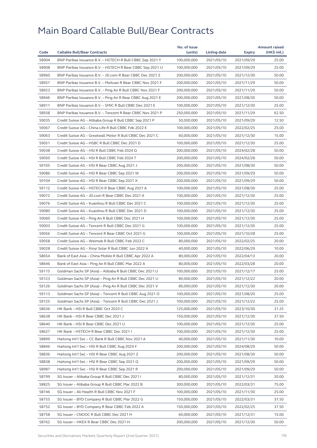|       |                                                            | No. of issue |              |            | <b>Amount raised</b> |
|-------|------------------------------------------------------------|--------------|--------------|------------|----------------------|
| Code  | <b>Callable Bull/Bear Contracts</b>                        | (units)      | Listing date | Expiry     | (HK\$ mil.)          |
| 58904 | BNP Paribas Issuance B.V. - HSTECH R Bull CBBC Sep 2021 Y  | 100,000,000  | 2021/05/10   | 2021/09/29 | 25.00                |
| 58908 | BNP Paribas Issuance B.V. - HSTECH R Bear CBBC Sep 2021 U  | 100,000,000  | 2021/05/10   | 2021/09/29 | 25.00                |
| 58960 | BNP Paribas Issuance B.V. - JD.com R Bear CBBC Dec 2021 Z  | 200,000,000  | 2021/05/10   | 2021/12/30 | 50.00                |
| 58957 | BNP Paribas Issuance B.V. - Meituan R Bear CBBC Nov 2021 F | 200,000,000  | 2021/05/10   | 2021/11/29 | 50.00                |
| 58923 | BNP Paribas Issuance B.V. - Ping An R Bull CBBC Nov 2021 F | 200,000,000  | 2021/05/10   | 2021/11/29 | 50.00                |
| 58946 | BNP Paribas Issuance B.V. - Ping An R Bear CBBC Aug 2021 E | 200,000,000  | 2021/05/10   | 2021/08/30 | 50.00                |
| 58911 | BNP Paribas Issuance B.V. - SMIC R Bull CBBC Dec 2021 E    | 100,000,000  | 2021/05/10   | 2021/12/30 | 25.00                |
| 58938 | BNP Paribas Issuance B.V. - Tencent R Bear CBBC Nov 2021 P | 250,000,000  | 2021/05/10   | 2021/11/29 | 62.50                |
| 59035 | Credit Suisse AG - Alibaba Group R Bull CBBC Sep 2021 P    | 50,000,000   | 2021/05/10   | 2021/09/29 | 12.50                |
| 59067 | Credit Suisse AG - China Life R Bull CBBC Feb 2022 E       | 100,000,000  | 2021/05/10   | 2022/02/25 | 25.00                |
| 59063 | Credit Suisse AG - Greatwall Motor R Bull CBBC Dec 2021 C  | 60,000,000   | 2021/05/10   | 2021/12/30 | 15.00                |
| 59051 | Credit Suisse AG - HSBC R Bull CBBC Dec 2021 D             | 100,000,000  | 2021/05/10   | 2021/12/30 | 25.00                |
| 59038 | Credit Suisse AG – HSI R Bull CBBC Feb 2024 Q              | 200,000,000  | 2021/05/10   | 2024/02/28 | 50.00                |
| 59050 | Credit Suisse AG - HSI R Bull CBBC Feb 2024 T              | 200,000,000  | 2021/05/10   | 2024/02/28 | 50.00                |
| 59105 | Credit Suisse AG - HSI R Bear CBBC Aug 2021 J              | 200,000,000  | 2021/05/10   | 2021/08/30 | 50.00                |
| 59086 | Credit Suisse AG - HSI R Bear CBBC Sep 2021 W              | 200,000,000  | 2021/05/10   | 2021/09/29 | 50.00                |
| 59104 | Credit Suisse AG - HSI R Bear CBBC Sep 2021 X              | 200,000,000  | 2021/05/10   | 2021/09/29 | 50.00                |
| 59112 | Credit Suisse AG – HSTECH R Bear CBBC Aug 2021 A           | 100,000,000  | 2021/05/10   | 2021/08/30 | 25.00                |
| 59072 | Credit Suisse AG - JD.com R Bear CBBC Dec 2021 A           | 100,000,000  | 2021/05/10   | 2021/12/30 | 25.00                |
| 59076 | Credit Suisse AG - Kuaishou R Bull CBBC Dec 2021 C         | 100,000,000  | 2021/05/10   | 2021/12/30 | 25.00                |
| 59080 | Credit Suisse AG - Kuaishou R Bull CBBC Dec 2021 D         | 100,000,000  | 2021/05/10   | 2021/12/30 | 25.00                |
| 59060 | Credit Suisse AG - Ping An R Bull CBBC Dec 2021 H          | 100,000,000  | 2021/05/10   | 2021/12/30 | 25.00                |
| 59003 | Credit Suisse AG - Tencent R Bull CBBC Dec 2021 G          | 100,000,000  | 2021/05/10   | 2021/12/30 | 25.00                |
| 59056 | Credit Suisse AG - Tencent R Bear CBBC Oct 2021 G          | 100,000,000  | 2021/05/10   | 2021/10/28 | 25.00                |
| 59058 | Credit Suisse AG - Weimob R Bull CBBC Feb 2022 C           | 80,000,000   | 2021/05/10   | 2022/02/25 | 20.00                |
| 59028 | Credit Suisse AG - Xinyi Solar R Bull CBBC Jun 2022 A      | 40,000,000   | 2021/05/10   | 2022/06/29 | 10.00                |
| 58654 | Bank of East Asia - China Mobile R Bull CBBC Apr 2022 A    | 80,000,000   | 2021/05/10   | 2022/04/13 | 20.00                |
| 58646 | Bank of East Asia - Ping An R Bull CBBC Mar 2022 A         | 80,000,000   | 2021/05/10   | 2022/03/28 | 20.00                |
| 59115 | Goldman Sachs SP (Asia) - Alibaba R Bull CBBC Dec 2021 U   | 100,000,000  | 2021/05/10   | 2021/12/17 | 25.00                |
| 59123 | Goldman Sachs SP (Asia) - Ping An R Bull CBBC Dec 2021 U   | 80,000,000   | 2021/05/10   | 2021/12/22 | 20.00                |
| 59126 | Goldman Sachs SP (Asia) - Ping An R Bull CBBC Dec 2021 V   | 80,000,000   | 2021/05/10   | 2021/12/30 | 20.00                |
| 59113 | Goldman Sachs SP (Asia) - Tencent R Bull CBBC Aug 2021 O   | 100,000,000  | 2021/05/10   | 2021/08/20 | 25.00                |
| 59125 | Goldman Sachs SP (Asia) - Tencent R Bull CBBC Dec 2021 J   | 100,000,000  | 2021/05/10   | 2021/12/22 | 25.00                |
| 58636 | HK Bank - HSI R Bull CBBC Oct 2023 C                       | 125,000,000  | 2021/05/10   | 2023/10/30 | 31.25                |
| 58638 | HK Bank - HSI R Bear CBBC Dec 2021 J                       | 150,000,000  | 2021/05/10   | 2021/12/30 | 37.50                |
| 58640 | HK Bank - HSI R Bear CBBC Dec 2021 U                       | 100,000,000  | 2021/05/10   | 2021/12/30 | 25.00                |
| 58627 | HK Bank - HSTECH R Bear CBBC Dec 2021 I                    | 100,000,000  | 2021/05/10   | 2021/12/30 | 25.00                |
| 58899 | Haitong Int'l Sec - CC Bank R Bull CBBC Nov 2021 A         | 40,000,000   | 2021/05/10   | 2021/11/30 | 10.00                |
| 58846 | Haitong Int'l Sec - HSI R Bull CBBC Aug 2024 F             | 200,000,000  | 2021/05/10   | 2024/08/29 | 50.00                |
| 58836 | Haitong Int'l Sec - HSI R Bear CBBC Aug 2021 Z             | 200,000,000  | 2021/05/10   | 2021/08/30 | 50.00                |
| 58838 | Haitong Int'l Sec - HSI R Bear CBBC Sep 2021 Q             | 200,000,000  | 2021/05/10   | 2021/09/29 | 50.00                |
| 58987 | Haitong Int'l Sec - HSI R Bear CBBC Sep 2021 R             | 200,000,000  | 2021/05/10   | 2021/09/29 | 50.00                |
| 58799 | SG Issuer - Alibaba Group R Bull CBBC Dec 2021 I           | 80,000,000   | 2021/05/10   | 2021/12/31 | 20.00                |
| 58825 | SG Issuer - Alibaba Group R Bull CBBC Mar 2022 B           | 300,000,000  | 2021/05/10   | 2022/03/31 | 75.00                |
| 58746 | SG Issuer - Ali Health R Bull CBBC Nov 2021 F              | 100,000,000  | 2021/05/10   | 2021/11/30 | 25.00                |
| 58755 | SG Issuer - BYD Company R Bull CBBC Mar 2022 G             | 150,000,000  | 2021/05/10   | 2022/03/31 | 37.50                |
| 58752 | SG Issuer - BYD Company R Bear CBBC Feb 2022 A             | 150,000,000  | 2021/05/10   | 2022/02/25 | 37.50                |
| 58758 | SG Issuer - CNOOC R Bull CBBC Dec 2021 H                   | 60,000,000   | 2021/05/10   | 2021/12/31 | 15.00                |
| 58762 | SG Issuer – HKEX R Bear CBBC Dec 2021 H                    | 200,000,000  | 2021/05/10   | 2021/12/30 | 50.00                |
|       |                                                            |              |              |            |                      |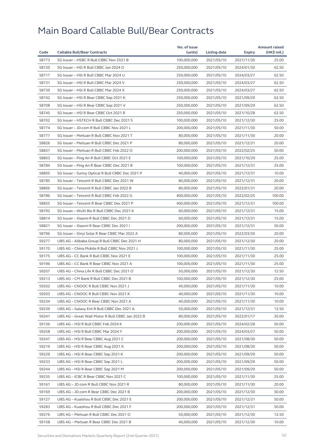|       |                                                  | No. of issue |              |            | <b>Amount raised</b> |
|-------|--------------------------------------------------|--------------|--------------|------------|----------------------|
| Code  | <b>Callable Bull/Bear Contracts</b>              | (units)      | Listing date | Expiry     | (HK\$ mil.)          |
| 58773 | SG Issuer - HSBC R Bull CBBC Nov 2021 B          | 100,000,000  | 2021/05/10   | 2021/11/30 | 25.00                |
| 58720 | SG Issuer - HSI R Bull CBBC Jan 2024 O           | 250,000,000  | 2021/05/10   | 2024/01/30 | 62.50                |
| 58717 | SG Issuer - HSI R Bull CBBC Mar 2024 U           | 250,000,000  | 2021/05/10   | 2024/03/27 | 62.50                |
| 58731 | SG Issuer - HSI R Bull CBBC Mar 2024 V           | 250,000,000  | 2021/05/10   | 2024/03/27 | 62.50                |
| 58739 | SG Issuer - HSI R Bull CBBC Mar 2024 X           | 250,000,000  | 2021/05/10   | 2024/03/27 | 62.50                |
| 58742 | SG Issuer - HSI R Bear CBBC Sep 2021 K           | 250,000,000  | 2021/05/10   | 2021/09/29 | 62.50                |
| 58708 | SG Issuer - HSI R Bear CBBC Sep 2021 V           | 250,000,000  | 2021/05/10   | 2021/09/29 | 62.50                |
| 58745 | SG Issuer - HSI R Bear CBBC Oct 2021 R           | 250,000,000  | 2021/05/10   | 2021/10/28 | 62.50                |
| 58702 | SG Issuer - HSTECH R Bull CBBC Dec 2021 S        | 100,000,000  | 2021/05/10   | 2021/12/30 | 25.00                |
| 58774 | SG Issuer - JD.com R Bull CBBC Nov 2021 L        | 200,000,000  | 2021/05/10   | 2021/11/30 | 50.00                |
| 58777 | SG Issuer - Meituan R Bull CBBC Nov 2021 T       | 80,000,000   | 2021/05/10   | 2021/11/30 | 20.00                |
| 58826 | SG Issuer - Meituan R Bull CBBC Dec 2021 P       | 80,000,000   | 2021/05/10   | 2021/12/31 | 20.00                |
| 58831 | SG Issuer - Meituan R Bull CBBC Feb 2022 O       | 200,000,000  | 2021/05/10   | 2022/02/25 | 50.00                |
| 58803 | SG Issuer - Ping An R Bull CBBC Oct 2021 E       | 100,000,000  | 2021/05/10   | 2021/10/29 | 25.00                |
| 58784 | SG Issuer - Ping An R Bear CBBC Dec 2021 B       | 100,000,000  | 2021/05/10   | 2021/12/31 | 25.00                |
| 58805 | SG Issuer - Sunny Optical R Bull CBBC Dec 2021 P | 40,000,000   | 2021/05/10   | 2021/12/31 | 10.00                |
| 58785 | SG Issuer - Tencent R Bull CBBC Dec 2021 W       | 80,000,000   | 2021/05/10   | 2021/12/31 | 20.00                |
| 58806 | SG Issuer - Tencent R Bull CBBC Jan 2022 B       | 80,000,000   | 2021/05/10   | 2022/01/31 | 20.00                |
| 58786 | SG Issuer - Tencent R Bull CBBC Feb 2022 G       | 400,000,000  | 2021/05/10   | 2022/02/25 | 100.00               |
| 58835 | SG Issuer - Tencent R Bear CBBC Dec 2021 P       | 400,000,000  | 2021/05/10   | 2021/12/31 | 100.00               |
| 58792 | SG Issuer - WuXi Bio R Bull CBBC Dec 2021 K      | 60,000,000   | 2021/05/10   | 2021/12/31 | 15.00                |
| 58814 | SG Issuer - Xiaomi R Bull CBBC Dec 2021 D        | 60,000,000   | 2021/05/10   | 2021/12/31 | 15.00                |
| 58821 | SG Issuer - Xiaomi R Bear CBBC Dec 2021 I        | 200,000,000  | 2021/05/10   | 2021/12/31 | 50.00                |
| 58796 | SG Issuer - Xinyi Solar R Bear CBBC Mar 2022 A   | 80,000,000   | 2021/05/10   | 2022/03/30 | 20.00                |
| 59277 | UBS AG - Alibaba Group R Bull CBBC Dec 2021 H    | 80,000,000   | 2021/05/10   | 2021/12/30 | 20.00                |
| 59170 | UBS AG - China Mobile R Bull CBBC Nov 2021 J     | 100,000,000  | 2021/05/10   | 2021/11/30 | 25.00                |
| 59175 | UBS AG - CC Bank R Bull CBBC Nov 2021 E          | 100,000,000  | 2021/05/10   | 2021/11/30 | 25.00                |
| 59196 | UBS AG - CC Bank R Bear CBBC Nov 2021 A          | 100,000,000  | 2021/05/10   | 2021/11/30 | 25.00                |
| 59207 | UBS AG - China Life R Bull CBBC Dec 2021 O       | 50,000,000   | 2021/05/10   |            | 12.50                |
|       |                                                  |              | 2021/05/10   | 2021/12/30 |                      |
| 59213 | UBS AG - CM Bank R Bull CBBC Dec 2021 B          | 100,000,000  |              | 2021/12/30 | 25.00                |
| 59202 | UBS AG - CNOOC R Bull CBBC Nov 2021 J            | 40,000,000   | 2021/05/10   | 2021/11/30 | 10.00                |
| 59203 | UBS AG - CNOOC R Bull CBBC Nov 2021 K            | 40,000,000   | 2021/05/10   | 2021/11/30 | 10.00                |
| 59234 | UBS AG – CNOOC R Bear CBBC Nov 2021 A            | 40,000,000   | 2021/05/10   | 2021/11/30 | 10.00                |
| 59239 | UBS AG - Galaxy Ent R Bull CBBC Dec 2021 A       | 50,000,000   | 2021/05/10   | 2021/12/31 | 12.50                |
| 59241 | UBS AG – Great Wall Motor R Bull CBBC Jan 2022 B | 80,000,000   | 2021/05/10   | 2022/01/17 | 20.00                |
| 59136 | UBS AG - HSI R Bull CBBC Feb 2024 K              | 200,000,000  | 2021/05/10   | 2024/02/28 | 50.00                |
| 59258 | UBS AG - HSI R Bull CBBC Mar 2024 Y              | 200,000,000  | 2021/05/10   | 2024/03/27 | 50.00                |
| 59247 | UBS AG - HSI R Bear CBBC Aug 2021 C              | 200,000,000  | 2021/05/10   | 2021/08/30 | 50.00                |
| 59219 | UBS AG - HSI R Bear CBBC Aug 2021 X              | 200,000,000  | 2021/05/10   | 2021/08/30 | 50.00                |
| 59229 | UBS AG - HSI R Bear CBBC Sep 2021 K              | 200,000,000  | 2021/05/10   | 2021/09/29 | 50.00                |
| 59233 | UBS AG - HSI R Bear CBBC Sep 2021 L              | 200,000,000  | 2021/05/10   | 2021/09/29 | 50.00                |
| 59244 | UBS AG - HSI R Bear CBBC Sep 2021 M              | 200,000,000  | 2021/05/10   | 2021/09/29 | 50.00                |
| 59235 | UBS AG - ICBC R Bear CBBC Nov 2021 C             | 100,000,000  | 2021/05/10   | 2021/11/30 | 25.00                |
| 59161 | UBS AG - JD.com R Bull CBBC Nov 2021 R           | 80,000,000   | 2021/05/10   | 2021/11/30 | 20.00                |
| 59169 | UBS AG - JD.com R Bear CBBC Dec 2021 B           | 200,000,000  | 2021/05/10   | 2021/12/30 | 50.00                |
| 59127 | UBS AG - Kuaishou R Bull CBBC Dec 2021 E         | 200,000,000  | 2021/05/10   | 2021/12/31 | 50.00                |
| 59283 | UBS AG - Kuaishou R Bull CBBC Dec 2021 F         | 200,000,000  | 2021/05/10   | 2021/12/31 | 50.00                |
| 59276 | UBS AG - Meituan R Bull CBBC Dec 2021 O          | 50,000,000   | 2021/05/10   | 2021/12/30 | 12.50                |
| 59158 | UBS AG - Meituan R Bear CBBC Dec 2021 B          | 40,000,000   | 2021/05/10   | 2021/12/30 | 10.00                |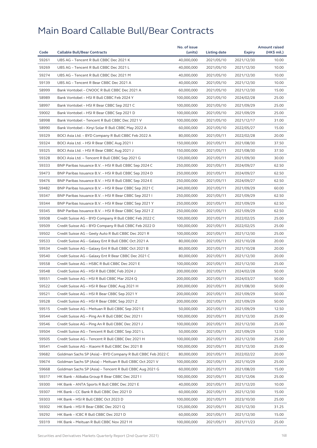|       |                                                              | No. of issue |              |            | <b>Amount raised</b> |
|-------|--------------------------------------------------------------|--------------|--------------|------------|----------------------|
| Code  | <b>Callable Bull/Bear Contracts</b>                          | (units)      | Listing date | Expiry     | (HK\$ mil.)          |
| 59261 | UBS AG - Tencent R Bull CBBC Dec 2021 K                      | 40,000,000   | 2021/05/10   | 2021/12/30 | 10.00                |
| 59269 | UBS AG - Tencent R Bull CBBC Dec 2021 L                      | 40,000,000   | 2021/05/10   | 2021/12/30 | 10.00                |
| 59274 | UBS AG - Tencent R Bull CBBC Dec 2021 M                      | 40,000,000   | 2021/05/10   | 2021/12/30 | 10.00                |
| 59139 | UBS AG - Tencent R Bear CBBC Dec 2021 A                      | 40,000,000   | 2021/05/10   | 2021/12/30 | 10.00                |
| 58999 | Bank Vontobel - CNOOC R Bull CBBC Dec 2021 A                 | 60,000,000   | 2021/05/10   | 2021/12/30 | 15.00                |
| 58989 | Bank Vontobel - HSI R Bull CBBC Feb 2024 Y                   | 100.000.000  | 2021/05/10   | 2024/02/28 | 25.00                |
| 58997 | Bank Vontobel - HSI R Bear CBBC Sep 2021 C                   | 100,000,000  | 2021/05/10   | 2021/09/29 | 25.00                |
| 59002 | Bank Vontobel - HSI R Bear CBBC Sep 2021 D                   | 100,000,000  | 2021/05/10   | 2021/09/29 | 25.00                |
| 58998 | Bank Vontobel - Tencent R Bull CBBC Dec 2021 V               | 100,000,000  | 2021/05/10   | 2021/12/17 | 31.00                |
| 58990 | Bank Vontobel - Xinyi Solar R Bull CBBC May 2022 A           | 60,000,000   | 2021/05/10   | 2022/05/27 | 15.00                |
| 59329 | BOCI Asia Ltd. - BYD Company R Bull CBBC Feb 2022 A          | 80,000,000   | 2021/05/11   | 2022/02/28 | 20.00                |
| 59324 | BOCI Asia Ltd. - HSI R Bear CBBC Aug 2021 I                  | 150,000,000  | 2021/05/11   | 2021/08/30 | 37.50                |
| 59325 | BOCI Asia Ltd. – HSI R Bear CBBC Aug 2021 J                  | 150,000,000  | 2021/05/11   | 2021/08/30 | 37.50                |
| 59328 | BOCI Asia Ltd. - Tencent R Bull CBBC Sep 2021 G              | 120,000,000  | 2021/05/11   | 2021/09/30 | 30.00                |
| 59333 | BNP Paribas Issuance B.V. - HSI R Bull CBBC Sep 2024 C       | 250,000,000  | 2021/05/11   | 2024/09/27 | 62.50                |
| 59473 | BNP Paribas Issuance B.V. - HSI R Bull CBBC Sep 2024 D       | 250,000,000  | 2021/05/11   | 2024/09/27 | 62.50                |
| 59476 | BNP Paribas Issuance B.V. - HSI R Bull CBBC Sep 2024 E       | 250,000,000  | 2021/05/11   | 2024/09/27 | 62.50                |
| 59482 | BNP Paribas Issuance B.V. - HSI R Bear CBBC Sep 2021 C       | 240,000,000  | 2021/05/11   | 2021/09/29 | 60.00                |
| 59347 | BNP Paribas Issuance B.V. - HSI R Bear CBBC Sep 2021 I       | 250,000,000  | 2021/05/11   | 2021/09/29 | 62.50                |
| 59344 | BNP Paribas Issuance B.V. - HSI R Bear CBBC Sep 2021 Y       | 250,000,000  | 2021/05/11   | 2021/09/29 | 62.50                |
| 59345 | BNP Paribas Issuance B.V. - HSI R Bear CBBC Sep 2021 Z       | 250,000,000  | 2021/05/11   | 2021/09/29 | 62.50                |
| 59508 | Credit Suisse AG - BYD Company R Bull CBBC Feb 2022 C        | 100,000,000  | 2021/05/11   | 2022/02/25 | 25.00                |
| 59509 | Credit Suisse AG - BYD Company R Bull CBBC Feb 2022 D        | 100,000,000  | 2021/05/11   | 2022/02/25 | 25.00                |
| 59502 | Credit Suisse AG – Geely Auto R Bull CBBC Dec 2021 R         | 100,000,000  | 2021/05/11   | 2021/12/30 | 25.00                |
| 59533 | Credit Suisse AG - Galaxy Ent R Bull CBBC Oct 2021 A         | 80,000,000   | 2021/05/11   | 2021/10/28 | 20.00                |
| 59534 | Credit Suisse AG - Galaxy Ent R Bull CBBC Oct 2021 B         | 80,000,000   | 2021/05/11   | 2021/10/28 | 20.00                |
| 59540 | Credit Suisse AG - Galaxy Ent R Bear CBBC Dec 2021 C         | 80,000,000   | 2021/05/11   | 2021/12/30 | 20.00                |
| 59558 | Credit Suisse AG - HSBC R Bull CBBC Dec 2021 E               | 100,000,000  | 2021/05/11   | 2021/12/30 | 25.00                |
| 59548 | Credit Suisse AG - HSI R Bull CBBC Feb 2024 J                | 200,000,000  | 2021/05/11   | 2024/02/28 | 50.00                |
| 59551 | Credit Suisse AG - HSI R Bull CBBC Mar 2024 Q                | 200,000,000  | 2021/05/11   | 2024/03/27 | 50.00                |
| 59522 | Credit Suisse AG – HSI R Bear CBBC Aug 2021 H                | 200,000,000  | 2021/05/11   | 2021/08/30 | 50.00                |
| 59521 | Credit Suisse AG - HSI R Bear CBBC Sep 2021 Y                | 200,000,000  | 2021/05/11   | 2021/09/29 | 50.00                |
| 59528 | Credit Suisse AG - HSI R Bear CBBC Sep 2021 Z                | 200,000,000  | 2021/05/11   | 2021/09/29 | 50.00                |
| 59515 | Credit Suisse AG - Meituan R Bull CBBC Sep 2021 E            | 50,000,000   | 2021/05/11   | 2021/09/29 | 12.50                |
| 59544 | Credit Suisse AG - Ping An R Bull CBBC Dec 2021 I            | 100,000,000  | 2021/05/11   | 2021/12/30 | 25.00                |
| 59546 | Credit Suisse AG - Ping An R Bull CBBC Dec 2021 J            | 100,000,000  | 2021/05/11   | 2021/12/30 | 25.00                |
| 59504 | Credit Suisse AG - Tencent R Bull CBBC Sep 2021 L            | 50,000,000   | 2021/05/11   | 2021/09/29 | 12.50                |
|       |                                                              |              |              |            |                      |
| 59505 | Credit Suisse AG - Tencent R Bull CBBC Dec 2021 H            | 100,000,000  | 2021/05/11   | 2021/12/30 | 25.00                |
| 59541 | Credit Suisse AG - Xiaomi R Bull CBBC Dec 2021 B             | 100,000,000  | 2021/05/11   | 2021/12/30 | 25.00                |
| 59682 | Goldman Sachs SP (Asia) - BYD Company R Bull CBBC Feb 2022 C | 80,000,000   | 2021/05/11   | 2022/02/22 | 20.00                |
| 59674 | Goldman Sachs SP (Asia) - Meituan R Bull CBBC Oct 2021 V     | 100,000,000  | 2021/05/11   | 2021/10/29 | 25.00                |
| 59668 | Goldman Sachs SP (Asia) - Tencent R Bull CBBC Aug 2021 G     | 60,000,000   | 2021/05/11   | 2021/08/20 | 15.00                |
| 59317 | HK Bank - Alibaba Group R Bear CBBC Dec 2021 I               | 100,000,000  | 2021/05/11   | 2021/12/06 | 25.00                |
| 59300 | HK Bank – ANTA Sports R Bull CBBC Dec 2021 E                 | 40,000,000   | 2021/05/11   | 2021/12/20 | 10.00                |
| 59307 | HK Bank - CC Bank R Bull CBBC Dec 2021 D                     | 60,000,000   | 2021/05/11   | 2021/12/30 | 15.00                |
| 59303 | HK Bank - HSI R Bull CBBC Oct 2023 D                         | 100,000,000  | 2021/05/11   | 2023/10/30 | 25.00                |
| 59302 | HK Bank - HSI R Bear CBBC Dec 2021 Q                         | 125,000,000  | 2021/05/11   | 2021/12/30 | 31.25                |
| 59292 | HK Bank - ICBC R Bull CBBC Dec 2021 D                        | 60,000,000   | 2021/05/11   | 2021/12/30 | 15.00                |
| 59319 | HK Bank - Meituan R Bull CBBC Nov 2021 H                     | 100,000,000  | 2021/05/11   | 2021/11/23 | 25.00                |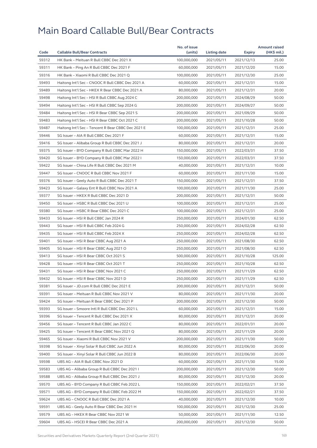| 59312<br>100,000,000<br>25.00<br>HK Bank - Meituan R Bull CBBC Dec 2021 X<br>2021/05/11<br>2021/12/13<br>59311<br>HK Bank - Ping An R Bull CBBC Dec 2021 F<br>60,000,000<br>2021/05/11<br>2021/12/20<br>15.00<br>59316<br>25.00<br>HK Bank - Xiaomi R Bull CBBC Dec 2021 Q<br>100,000,000<br>2021/05/11<br>2021/12/30<br>59493<br>Haitong Int'l Sec - CNOOC R Bull CBBC Dec 2021 A<br>60,000,000<br>15.00<br>2021/05/11<br>2021/12/31<br>59489<br>Haitong Int'l Sec - HKEX R Bear CBBC Dec 2021 A<br>80,000,000<br>2021/05/11<br>2021/12/31<br>20.00<br>59498<br>50.00<br>Haitong Int'l Sec - HSI R Bull CBBC Aug 2024 C<br>200,000,000<br>2021/05/11<br>2024/08/29<br>59494<br>Haitong Int'l Sec - HSI R Bull CBBC Sep 2024 G<br>200,000,000<br>2021/05/11<br>2024/09/27<br>50.00<br>59484<br>Haitong Int'l Sec - HSI R Bear CBBC Sep 2021 S<br>200,000,000<br>2021/09/29<br>50.00<br>2021/05/11<br>59483<br>Haitong Int'l Sec - HSI R Bear CBBC Oct 2021 C<br>200,000,000<br>50.00<br>2021/05/11<br>2021/10/28<br>59487<br>Haitong Int'l Sec - Tencent R Bear CBBC Dec 2021 E<br>100,000,000<br>2021/05/11<br>25.00<br>2021/12/31<br>59446<br>SG Issuer - AIA R Bull CBBC Dec 2021 F<br>60,000,000<br>2021/05/11<br>15.00<br>2021/12/31<br>59416<br>SG Issuer - Alibaba Group R Bull CBBC Dec 2021 J<br>80,000,000<br>2021/05/11<br>2021/12/31<br>20.00<br>59375<br>37.50<br>SG Issuer - BYD Company R Bull CBBC Mar 2022 H<br>150,000,000<br>2021/05/11<br>2022/03/31<br>59420<br>SG Issuer - BYD Company R Bull CBBC Mar 2022 I<br>150,000,000<br>2022/03/31<br>37.50<br>2021/05/11<br>59422<br>SG Issuer - China Life R Bull CBBC Dec 2021 M<br>10.00<br>40,000,000<br>2021/05/11<br>2021/12/31<br>59447<br>SG Issuer - CNOOC R Bull CBBC Nov 2021 F<br>60,000,000<br>2021/05/11<br>2021/11/30<br>15.00<br>59376<br>37.50<br>SG Issuer - Geely Auto R Bull CBBC Dec 2021 T<br>150,000,000<br>2021/05/11<br>2021/12/31<br>59423<br>SG Issuer - Galaxy Ent R Bull CBBC Nov 2021 A<br>100,000,000<br>25.00<br>2021/05/11<br>2021/11/30<br>59377<br>SG Issuer - HKEX R Bull CBBC Dec 2021 D<br>200,000,000<br>2021/12/31<br>50.00<br>2021/05/11<br>59450<br>SG Issuer - HSBC R Bull CBBC Dec 2021 U<br>100,000,000<br>25.00<br>2021/05/11<br>2021/12/31<br>59380<br>SG Issuer - HSBC R Bear CBBC Dec 2021 C<br>100,000,000<br>2021/05/11<br>2021/12/31<br>25.00<br>59433<br>SG Issuer - HSI R Bull CBBC Jan 2024 R<br>250,000,000<br>2021/05/11<br>2024/01/30<br>62.50<br>59443<br>SG Issuer - HSI R Bull CBBC Feb 2024 G<br>250,000,000<br>2021/05/11<br>2024/02/28<br>62.50<br>59435<br>SG Issuer - HSI R Bull CBBC Feb 2024 X<br>62.50<br>250,000,000<br>2021/05/11<br>2024/02/28<br>59401<br>SG Issuer - HSI R Bear CBBC Aug 2021 A<br>250,000,000<br>2021/05/11<br>2021/08/30<br>62.50<br>59405<br>SG Issuer - HSI R Bear CBBC Aug 2021 O<br>250,000,000<br>2021/08/30<br>62.50<br>2021/05/11<br>59413<br>SG Issuer - HSI R Bear CBBC Oct 2021 S<br>500,000,000<br>2021/05/11<br>2021/10/28<br>125.00<br>59428<br>SG Issuer - HSI R Bear CBBC Oct 2021 T<br>250,000,000<br>2021/05/11<br>2021/10/28<br>62.50<br>59431<br>SG Issuer - HSI R Bear CBBC Nov 2021 C<br>250,000,000<br>62.50<br>2021/05/11<br>2021/11/29<br>62.50<br>59432<br>SG Issuer - HSI R Bear CBBC Nov 2021 D<br>250,000,000<br>2021/05/11<br>2021/11/29<br>59381<br>SG Issuer - JD.com R Bull CBBC Dec 2021 E<br>200,000,000<br>2021/12/31<br>50.00<br>2021/05/11<br>59391<br>SG Issuer - Meituan R Bull CBBC Nov 2021 V<br>80,000,000<br>2021/05/11<br>2021/11/30<br>20.00<br>59424<br>200,000,000<br>2021/12/30<br>50.00<br>SG Issuer - Meituan R Bear CBBC Dec 2021 P<br>2021/05/11<br>59393<br>SG Issuer - Smoore Intl R Bull CBBC Dec 2021 L<br>60,000,000<br>2021/05/11<br>2021/12/31<br>15.00<br>59396<br>SG Issuer - Tencent R Bull CBBC Dec 2021 X<br>80,000,000<br>2021/05/11<br>2021/12/31<br>20.00<br>59456<br>SG Issuer - Tencent R Bull CBBC Jan 2022 C<br>80,000,000<br>2021/05/11<br>2022/01/31<br>20.00<br>59425<br>SG Issuer - Tencent R Bear CBBC Nov 2021 Q<br>80,000,000<br>2021/05/11<br>2021/11/29<br>20.00<br>59465<br>SG Issuer - Xiaomi R Bull CBBC Nov 2021 V<br>200,000,000<br>2021/11/30<br>2021/05/11<br>50.00<br>59398<br>SG Issuer - Xinyi Solar R Bull CBBC Jun 2022 A<br>80,000,000<br>2021/05/11<br>2022/06/30<br>20.00<br>59400<br>SG Issuer - Xinyi Solar R Bull CBBC Jun 2022 B<br>80,000,000<br>2021/05/11<br>20.00<br>2022/06/30<br>60,000,000<br>59598<br>UBS AG - AIA R Bull CBBC Nov 2021 D<br>2021/05/11<br>2021/11/30<br>15.00<br>59583<br>UBS AG - Alibaba Group R Bull CBBC Dec 2021 I<br>200,000,000<br>2021/05/11<br>2021/12/30<br>50.00<br>59588<br>UBS AG - Alibaba Group R Bull CBBC Dec 2021 J<br>80,000,000<br>2021/05/11<br>2021/12/30<br>20.00<br>59570<br>UBS AG - BYD Company R Bull CBBC Feb 2022 L<br>150,000,000<br>2022/02/21<br>37.50<br>2021/05/11<br>59571<br>UBS AG - BYD Company R Bull CBBC Feb 2022 M<br>150,000,000<br>2021/05/11<br>2022/02/21<br>37.50<br>59624<br>UBS AG - CNOOC R Bull CBBC Dec 2021 A<br>40,000,000<br>10.00<br>2021/05/11<br>2021/12/30<br>59591<br>UBS AG - Geely Auto R Bear CBBC Dec 2021 H<br>100,000,000<br>2021/05/11<br>2021/12/30<br>25.00<br>59579<br>UBS AG - HKEX R Bear CBBC Nov 2021 W<br>50,000,000<br>2021/05/11<br>2021/11/30<br>12.50<br>59604<br>200,000,000<br>50.00<br>UBS AG – HSCEI R Bear CBBC Dec 2021 A<br>2021/05/11<br>2021/12/30 |      |                                     | No. of issue |              |        | <b>Amount raised</b> |
|-----------------------------------------------------------------------------------------------------------------------------------------------------------------------------------------------------------------------------------------------------------------------------------------------------------------------------------------------------------------------------------------------------------------------------------------------------------------------------------------------------------------------------------------------------------------------------------------------------------------------------------------------------------------------------------------------------------------------------------------------------------------------------------------------------------------------------------------------------------------------------------------------------------------------------------------------------------------------------------------------------------------------------------------------------------------------------------------------------------------------------------------------------------------------------------------------------------------------------------------------------------------------------------------------------------------------------------------------------------------------------------------------------------------------------------------------------------------------------------------------------------------------------------------------------------------------------------------------------------------------------------------------------------------------------------------------------------------------------------------------------------------------------------------------------------------------------------------------------------------------------------------------------------------------------------------------------------------------------------------------------------------------------------------------------------------------------------------------------------------------------------------------------------------------------------------------------------------------------------------------------------------------------------------------------------------------------------------------------------------------------------------------------------------------------------------------------------------------------------------------------------------------------------------------------------------------------------------------------------------------------------------------------------------------------------------------------------------------------------------------------------------------------------------------------------------------------------------------------------------------------------------------------------------------------------------------------------------------------------------------------------------------------------------------------------------------------------------------------------------------------------------------------------------------------------------------------------------------------------------------------------------------------------------------------------------------------------------------------------------------------------------------------------------------------------------------------------------------------------------------------------------------------------------------------------------------------------------------------------------------------------------------------------------------------------------------------------------------------------------------------------------------------------------------------------------------------------------------------------------------------------------------------------------------------------------------------------------------------------------------------------------------------------------------------------------------------------------------------------------------------------------------------------------------------------------------------------------------------------------------------------------------------------------------------------------------------------------------------------------------------------------------------------------------------------------------------------------------------------------------------------------------------------------------------------------------------------------------------------------------------------------------------------------------------------------------------------------------------------------------------------------------------------------------------------------------------------------------------------------------------------------------------------------------------------------------------------------------------------------------------------------------------------------------------------------------------------------------------------------------------------------------------------------------------------------------------------------------------------------------------------------------------------------------------------------------------------------------------------------------------------------------------------------------------------|------|-------------------------------------|--------------|--------------|--------|----------------------|
|                                                                                                                                                                                                                                                                                                                                                                                                                                                                                                                                                                                                                                                                                                                                                                                                                                                                                                                                                                                                                                                                                                                                                                                                                                                                                                                                                                                                                                                                                                                                                                                                                                                                                                                                                                                                                                                                                                                                                                                                                                                                                                                                                                                                                                                                                                                                                                                                                                                                                                                                                                                                                                                                                                                                                                                                                                                                                                                                                                                                                                                                                                                                                                                                                                                                                                                                                                                                                                                                                                                                                                                                                                                                                                                                                                                                                                                                                                                                                                                                                                                                                                                                                                                                                                                                                                                                                                                                                                                                                                                                                                                                                                                                                                                                                                                                                                                                                                                                                                                                                                                                                                                                                                                                                                                                                                                                                                                                                                   | Code | <b>Callable Bull/Bear Contracts</b> | (units)      | Listing date | Expiry | (HK\$ mil.)          |
|                                                                                                                                                                                                                                                                                                                                                                                                                                                                                                                                                                                                                                                                                                                                                                                                                                                                                                                                                                                                                                                                                                                                                                                                                                                                                                                                                                                                                                                                                                                                                                                                                                                                                                                                                                                                                                                                                                                                                                                                                                                                                                                                                                                                                                                                                                                                                                                                                                                                                                                                                                                                                                                                                                                                                                                                                                                                                                                                                                                                                                                                                                                                                                                                                                                                                                                                                                                                                                                                                                                                                                                                                                                                                                                                                                                                                                                                                                                                                                                                                                                                                                                                                                                                                                                                                                                                                                                                                                                                                                                                                                                                                                                                                                                                                                                                                                                                                                                                                                                                                                                                                                                                                                                                                                                                                                                                                                                                                                   |      |                                     |              |              |        |                      |
|                                                                                                                                                                                                                                                                                                                                                                                                                                                                                                                                                                                                                                                                                                                                                                                                                                                                                                                                                                                                                                                                                                                                                                                                                                                                                                                                                                                                                                                                                                                                                                                                                                                                                                                                                                                                                                                                                                                                                                                                                                                                                                                                                                                                                                                                                                                                                                                                                                                                                                                                                                                                                                                                                                                                                                                                                                                                                                                                                                                                                                                                                                                                                                                                                                                                                                                                                                                                                                                                                                                                                                                                                                                                                                                                                                                                                                                                                                                                                                                                                                                                                                                                                                                                                                                                                                                                                                                                                                                                                                                                                                                                                                                                                                                                                                                                                                                                                                                                                                                                                                                                                                                                                                                                                                                                                                                                                                                                                                   |      |                                     |              |              |        |                      |
|                                                                                                                                                                                                                                                                                                                                                                                                                                                                                                                                                                                                                                                                                                                                                                                                                                                                                                                                                                                                                                                                                                                                                                                                                                                                                                                                                                                                                                                                                                                                                                                                                                                                                                                                                                                                                                                                                                                                                                                                                                                                                                                                                                                                                                                                                                                                                                                                                                                                                                                                                                                                                                                                                                                                                                                                                                                                                                                                                                                                                                                                                                                                                                                                                                                                                                                                                                                                                                                                                                                                                                                                                                                                                                                                                                                                                                                                                                                                                                                                                                                                                                                                                                                                                                                                                                                                                                                                                                                                                                                                                                                                                                                                                                                                                                                                                                                                                                                                                                                                                                                                                                                                                                                                                                                                                                                                                                                                                                   |      |                                     |              |              |        |                      |
|                                                                                                                                                                                                                                                                                                                                                                                                                                                                                                                                                                                                                                                                                                                                                                                                                                                                                                                                                                                                                                                                                                                                                                                                                                                                                                                                                                                                                                                                                                                                                                                                                                                                                                                                                                                                                                                                                                                                                                                                                                                                                                                                                                                                                                                                                                                                                                                                                                                                                                                                                                                                                                                                                                                                                                                                                                                                                                                                                                                                                                                                                                                                                                                                                                                                                                                                                                                                                                                                                                                                                                                                                                                                                                                                                                                                                                                                                                                                                                                                                                                                                                                                                                                                                                                                                                                                                                                                                                                                                                                                                                                                                                                                                                                                                                                                                                                                                                                                                                                                                                                                                                                                                                                                                                                                                                                                                                                                                                   |      |                                     |              |              |        |                      |
|                                                                                                                                                                                                                                                                                                                                                                                                                                                                                                                                                                                                                                                                                                                                                                                                                                                                                                                                                                                                                                                                                                                                                                                                                                                                                                                                                                                                                                                                                                                                                                                                                                                                                                                                                                                                                                                                                                                                                                                                                                                                                                                                                                                                                                                                                                                                                                                                                                                                                                                                                                                                                                                                                                                                                                                                                                                                                                                                                                                                                                                                                                                                                                                                                                                                                                                                                                                                                                                                                                                                                                                                                                                                                                                                                                                                                                                                                                                                                                                                                                                                                                                                                                                                                                                                                                                                                                                                                                                                                                                                                                                                                                                                                                                                                                                                                                                                                                                                                                                                                                                                                                                                                                                                                                                                                                                                                                                                                                   |      |                                     |              |              |        |                      |
|                                                                                                                                                                                                                                                                                                                                                                                                                                                                                                                                                                                                                                                                                                                                                                                                                                                                                                                                                                                                                                                                                                                                                                                                                                                                                                                                                                                                                                                                                                                                                                                                                                                                                                                                                                                                                                                                                                                                                                                                                                                                                                                                                                                                                                                                                                                                                                                                                                                                                                                                                                                                                                                                                                                                                                                                                                                                                                                                                                                                                                                                                                                                                                                                                                                                                                                                                                                                                                                                                                                                                                                                                                                                                                                                                                                                                                                                                                                                                                                                                                                                                                                                                                                                                                                                                                                                                                                                                                                                                                                                                                                                                                                                                                                                                                                                                                                                                                                                                                                                                                                                                                                                                                                                                                                                                                                                                                                                                                   |      |                                     |              |              |        |                      |
|                                                                                                                                                                                                                                                                                                                                                                                                                                                                                                                                                                                                                                                                                                                                                                                                                                                                                                                                                                                                                                                                                                                                                                                                                                                                                                                                                                                                                                                                                                                                                                                                                                                                                                                                                                                                                                                                                                                                                                                                                                                                                                                                                                                                                                                                                                                                                                                                                                                                                                                                                                                                                                                                                                                                                                                                                                                                                                                                                                                                                                                                                                                                                                                                                                                                                                                                                                                                                                                                                                                                                                                                                                                                                                                                                                                                                                                                                                                                                                                                                                                                                                                                                                                                                                                                                                                                                                                                                                                                                                                                                                                                                                                                                                                                                                                                                                                                                                                                                                                                                                                                                                                                                                                                                                                                                                                                                                                                                                   |      |                                     |              |              |        |                      |
|                                                                                                                                                                                                                                                                                                                                                                                                                                                                                                                                                                                                                                                                                                                                                                                                                                                                                                                                                                                                                                                                                                                                                                                                                                                                                                                                                                                                                                                                                                                                                                                                                                                                                                                                                                                                                                                                                                                                                                                                                                                                                                                                                                                                                                                                                                                                                                                                                                                                                                                                                                                                                                                                                                                                                                                                                                                                                                                                                                                                                                                                                                                                                                                                                                                                                                                                                                                                                                                                                                                                                                                                                                                                                                                                                                                                                                                                                                                                                                                                                                                                                                                                                                                                                                                                                                                                                                                                                                                                                                                                                                                                                                                                                                                                                                                                                                                                                                                                                                                                                                                                                                                                                                                                                                                                                                                                                                                                                                   |      |                                     |              |              |        |                      |
|                                                                                                                                                                                                                                                                                                                                                                                                                                                                                                                                                                                                                                                                                                                                                                                                                                                                                                                                                                                                                                                                                                                                                                                                                                                                                                                                                                                                                                                                                                                                                                                                                                                                                                                                                                                                                                                                                                                                                                                                                                                                                                                                                                                                                                                                                                                                                                                                                                                                                                                                                                                                                                                                                                                                                                                                                                                                                                                                                                                                                                                                                                                                                                                                                                                                                                                                                                                                                                                                                                                                                                                                                                                                                                                                                                                                                                                                                                                                                                                                                                                                                                                                                                                                                                                                                                                                                                                                                                                                                                                                                                                                                                                                                                                                                                                                                                                                                                                                                                                                                                                                                                                                                                                                                                                                                                                                                                                                                                   |      |                                     |              |              |        |                      |
|                                                                                                                                                                                                                                                                                                                                                                                                                                                                                                                                                                                                                                                                                                                                                                                                                                                                                                                                                                                                                                                                                                                                                                                                                                                                                                                                                                                                                                                                                                                                                                                                                                                                                                                                                                                                                                                                                                                                                                                                                                                                                                                                                                                                                                                                                                                                                                                                                                                                                                                                                                                                                                                                                                                                                                                                                                                                                                                                                                                                                                                                                                                                                                                                                                                                                                                                                                                                                                                                                                                                                                                                                                                                                                                                                                                                                                                                                                                                                                                                                                                                                                                                                                                                                                                                                                                                                                                                                                                                                                                                                                                                                                                                                                                                                                                                                                                                                                                                                                                                                                                                                                                                                                                                                                                                                                                                                                                                                                   |      |                                     |              |              |        |                      |
|                                                                                                                                                                                                                                                                                                                                                                                                                                                                                                                                                                                                                                                                                                                                                                                                                                                                                                                                                                                                                                                                                                                                                                                                                                                                                                                                                                                                                                                                                                                                                                                                                                                                                                                                                                                                                                                                                                                                                                                                                                                                                                                                                                                                                                                                                                                                                                                                                                                                                                                                                                                                                                                                                                                                                                                                                                                                                                                                                                                                                                                                                                                                                                                                                                                                                                                                                                                                                                                                                                                                                                                                                                                                                                                                                                                                                                                                                                                                                                                                                                                                                                                                                                                                                                                                                                                                                                                                                                                                                                                                                                                                                                                                                                                                                                                                                                                                                                                                                                                                                                                                                                                                                                                                                                                                                                                                                                                                                                   |      |                                     |              |              |        |                      |
|                                                                                                                                                                                                                                                                                                                                                                                                                                                                                                                                                                                                                                                                                                                                                                                                                                                                                                                                                                                                                                                                                                                                                                                                                                                                                                                                                                                                                                                                                                                                                                                                                                                                                                                                                                                                                                                                                                                                                                                                                                                                                                                                                                                                                                                                                                                                                                                                                                                                                                                                                                                                                                                                                                                                                                                                                                                                                                                                                                                                                                                                                                                                                                                                                                                                                                                                                                                                                                                                                                                                                                                                                                                                                                                                                                                                                                                                                                                                                                                                                                                                                                                                                                                                                                                                                                                                                                                                                                                                                                                                                                                                                                                                                                                                                                                                                                                                                                                                                                                                                                                                                                                                                                                                                                                                                                                                                                                                                                   |      |                                     |              |              |        |                      |
|                                                                                                                                                                                                                                                                                                                                                                                                                                                                                                                                                                                                                                                                                                                                                                                                                                                                                                                                                                                                                                                                                                                                                                                                                                                                                                                                                                                                                                                                                                                                                                                                                                                                                                                                                                                                                                                                                                                                                                                                                                                                                                                                                                                                                                                                                                                                                                                                                                                                                                                                                                                                                                                                                                                                                                                                                                                                                                                                                                                                                                                                                                                                                                                                                                                                                                                                                                                                                                                                                                                                                                                                                                                                                                                                                                                                                                                                                                                                                                                                                                                                                                                                                                                                                                                                                                                                                                                                                                                                                                                                                                                                                                                                                                                                                                                                                                                                                                                                                                                                                                                                                                                                                                                                                                                                                                                                                                                                                                   |      |                                     |              |              |        |                      |
|                                                                                                                                                                                                                                                                                                                                                                                                                                                                                                                                                                                                                                                                                                                                                                                                                                                                                                                                                                                                                                                                                                                                                                                                                                                                                                                                                                                                                                                                                                                                                                                                                                                                                                                                                                                                                                                                                                                                                                                                                                                                                                                                                                                                                                                                                                                                                                                                                                                                                                                                                                                                                                                                                                                                                                                                                                                                                                                                                                                                                                                                                                                                                                                                                                                                                                                                                                                                                                                                                                                                                                                                                                                                                                                                                                                                                                                                                                                                                                                                                                                                                                                                                                                                                                                                                                                                                                                                                                                                                                                                                                                                                                                                                                                                                                                                                                                                                                                                                                                                                                                                                                                                                                                                                                                                                                                                                                                                                                   |      |                                     |              |              |        |                      |
|                                                                                                                                                                                                                                                                                                                                                                                                                                                                                                                                                                                                                                                                                                                                                                                                                                                                                                                                                                                                                                                                                                                                                                                                                                                                                                                                                                                                                                                                                                                                                                                                                                                                                                                                                                                                                                                                                                                                                                                                                                                                                                                                                                                                                                                                                                                                                                                                                                                                                                                                                                                                                                                                                                                                                                                                                                                                                                                                                                                                                                                                                                                                                                                                                                                                                                                                                                                                                                                                                                                                                                                                                                                                                                                                                                                                                                                                                                                                                                                                                                                                                                                                                                                                                                                                                                                                                                                                                                                                                                                                                                                                                                                                                                                                                                                                                                                                                                                                                                                                                                                                                                                                                                                                                                                                                                                                                                                                                                   |      |                                     |              |              |        |                      |
|                                                                                                                                                                                                                                                                                                                                                                                                                                                                                                                                                                                                                                                                                                                                                                                                                                                                                                                                                                                                                                                                                                                                                                                                                                                                                                                                                                                                                                                                                                                                                                                                                                                                                                                                                                                                                                                                                                                                                                                                                                                                                                                                                                                                                                                                                                                                                                                                                                                                                                                                                                                                                                                                                                                                                                                                                                                                                                                                                                                                                                                                                                                                                                                                                                                                                                                                                                                                                                                                                                                                                                                                                                                                                                                                                                                                                                                                                                                                                                                                                                                                                                                                                                                                                                                                                                                                                                                                                                                                                                                                                                                                                                                                                                                                                                                                                                                                                                                                                                                                                                                                                                                                                                                                                                                                                                                                                                                                                                   |      |                                     |              |              |        |                      |
|                                                                                                                                                                                                                                                                                                                                                                                                                                                                                                                                                                                                                                                                                                                                                                                                                                                                                                                                                                                                                                                                                                                                                                                                                                                                                                                                                                                                                                                                                                                                                                                                                                                                                                                                                                                                                                                                                                                                                                                                                                                                                                                                                                                                                                                                                                                                                                                                                                                                                                                                                                                                                                                                                                                                                                                                                                                                                                                                                                                                                                                                                                                                                                                                                                                                                                                                                                                                                                                                                                                                                                                                                                                                                                                                                                                                                                                                                                                                                                                                                                                                                                                                                                                                                                                                                                                                                                                                                                                                                                                                                                                                                                                                                                                                                                                                                                                                                                                                                                                                                                                                                                                                                                                                                                                                                                                                                                                                                                   |      |                                     |              |              |        |                      |
|                                                                                                                                                                                                                                                                                                                                                                                                                                                                                                                                                                                                                                                                                                                                                                                                                                                                                                                                                                                                                                                                                                                                                                                                                                                                                                                                                                                                                                                                                                                                                                                                                                                                                                                                                                                                                                                                                                                                                                                                                                                                                                                                                                                                                                                                                                                                                                                                                                                                                                                                                                                                                                                                                                                                                                                                                                                                                                                                                                                                                                                                                                                                                                                                                                                                                                                                                                                                                                                                                                                                                                                                                                                                                                                                                                                                                                                                                                                                                                                                                                                                                                                                                                                                                                                                                                                                                                                                                                                                                                                                                                                                                                                                                                                                                                                                                                                                                                                                                                                                                                                                                                                                                                                                                                                                                                                                                                                                                                   |      |                                     |              |              |        |                      |
|                                                                                                                                                                                                                                                                                                                                                                                                                                                                                                                                                                                                                                                                                                                                                                                                                                                                                                                                                                                                                                                                                                                                                                                                                                                                                                                                                                                                                                                                                                                                                                                                                                                                                                                                                                                                                                                                                                                                                                                                                                                                                                                                                                                                                                                                                                                                                                                                                                                                                                                                                                                                                                                                                                                                                                                                                                                                                                                                                                                                                                                                                                                                                                                                                                                                                                                                                                                                                                                                                                                                                                                                                                                                                                                                                                                                                                                                                                                                                                                                                                                                                                                                                                                                                                                                                                                                                                                                                                                                                                                                                                                                                                                                                                                                                                                                                                                                                                                                                                                                                                                                                                                                                                                                                                                                                                                                                                                                                                   |      |                                     |              |              |        |                      |
|                                                                                                                                                                                                                                                                                                                                                                                                                                                                                                                                                                                                                                                                                                                                                                                                                                                                                                                                                                                                                                                                                                                                                                                                                                                                                                                                                                                                                                                                                                                                                                                                                                                                                                                                                                                                                                                                                                                                                                                                                                                                                                                                                                                                                                                                                                                                                                                                                                                                                                                                                                                                                                                                                                                                                                                                                                                                                                                                                                                                                                                                                                                                                                                                                                                                                                                                                                                                                                                                                                                                                                                                                                                                                                                                                                                                                                                                                                                                                                                                                                                                                                                                                                                                                                                                                                                                                                                                                                                                                                                                                                                                                                                                                                                                                                                                                                                                                                                                                                                                                                                                                                                                                                                                                                                                                                                                                                                                                                   |      |                                     |              |              |        |                      |
|                                                                                                                                                                                                                                                                                                                                                                                                                                                                                                                                                                                                                                                                                                                                                                                                                                                                                                                                                                                                                                                                                                                                                                                                                                                                                                                                                                                                                                                                                                                                                                                                                                                                                                                                                                                                                                                                                                                                                                                                                                                                                                                                                                                                                                                                                                                                                                                                                                                                                                                                                                                                                                                                                                                                                                                                                                                                                                                                                                                                                                                                                                                                                                                                                                                                                                                                                                                                                                                                                                                                                                                                                                                                                                                                                                                                                                                                                                                                                                                                                                                                                                                                                                                                                                                                                                                                                                                                                                                                                                                                                                                                                                                                                                                                                                                                                                                                                                                                                                                                                                                                                                                                                                                                                                                                                                                                                                                                                                   |      |                                     |              |              |        |                      |
|                                                                                                                                                                                                                                                                                                                                                                                                                                                                                                                                                                                                                                                                                                                                                                                                                                                                                                                                                                                                                                                                                                                                                                                                                                                                                                                                                                                                                                                                                                                                                                                                                                                                                                                                                                                                                                                                                                                                                                                                                                                                                                                                                                                                                                                                                                                                                                                                                                                                                                                                                                                                                                                                                                                                                                                                                                                                                                                                                                                                                                                                                                                                                                                                                                                                                                                                                                                                                                                                                                                                                                                                                                                                                                                                                                                                                                                                                                                                                                                                                                                                                                                                                                                                                                                                                                                                                                                                                                                                                                                                                                                                                                                                                                                                                                                                                                                                                                                                                                                                                                                                                                                                                                                                                                                                                                                                                                                                                                   |      |                                     |              |              |        |                      |
|                                                                                                                                                                                                                                                                                                                                                                                                                                                                                                                                                                                                                                                                                                                                                                                                                                                                                                                                                                                                                                                                                                                                                                                                                                                                                                                                                                                                                                                                                                                                                                                                                                                                                                                                                                                                                                                                                                                                                                                                                                                                                                                                                                                                                                                                                                                                                                                                                                                                                                                                                                                                                                                                                                                                                                                                                                                                                                                                                                                                                                                                                                                                                                                                                                                                                                                                                                                                                                                                                                                                                                                                                                                                                                                                                                                                                                                                                                                                                                                                                                                                                                                                                                                                                                                                                                                                                                                                                                                                                                                                                                                                                                                                                                                                                                                                                                                                                                                                                                                                                                                                                                                                                                                                                                                                                                                                                                                                                                   |      |                                     |              |              |        |                      |
|                                                                                                                                                                                                                                                                                                                                                                                                                                                                                                                                                                                                                                                                                                                                                                                                                                                                                                                                                                                                                                                                                                                                                                                                                                                                                                                                                                                                                                                                                                                                                                                                                                                                                                                                                                                                                                                                                                                                                                                                                                                                                                                                                                                                                                                                                                                                                                                                                                                                                                                                                                                                                                                                                                                                                                                                                                                                                                                                                                                                                                                                                                                                                                                                                                                                                                                                                                                                                                                                                                                                                                                                                                                                                                                                                                                                                                                                                                                                                                                                                                                                                                                                                                                                                                                                                                                                                                                                                                                                                                                                                                                                                                                                                                                                                                                                                                                                                                                                                                                                                                                                                                                                                                                                                                                                                                                                                                                                                                   |      |                                     |              |              |        |                      |
|                                                                                                                                                                                                                                                                                                                                                                                                                                                                                                                                                                                                                                                                                                                                                                                                                                                                                                                                                                                                                                                                                                                                                                                                                                                                                                                                                                                                                                                                                                                                                                                                                                                                                                                                                                                                                                                                                                                                                                                                                                                                                                                                                                                                                                                                                                                                                                                                                                                                                                                                                                                                                                                                                                                                                                                                                                                                                                                                                                                                                                                                                                                                                                                                                                                                                                                                                                                                                                                                                                                                                                                                                                                                                                                                                                                                                                                                                                                                                                                                                                                                                                                                                                                                                                                                                                                                                                                                                                                                                                                                                                                                                                                                                                                                                                                                                                                                                                                                                                                                                                                                                                                                                                                                                                                                                                                                                                                                                                   |      |                                     |              |              |        |                      |
|                                                                                                                                                                                                                                                                                                                                                                                                                                                                                                                                                                                                                                                                                                                                                                                                                                                                                                                                                                                                                                                                                                                                                                                                                                                                                                                                                                                                                                                                                                                                                                                                                                                                                                                                                                                                                                                                                                                                                                                                                                                                                                                                                                                                                                                                                                                                                                                                                                                                                                                                                                                                                                                                                                                                                                                                                                                                                                                                                                                                                                                                                                                                                                                                                                                                                                                                                                                                                                                                                                                                                                                                                                                                                                                                                                                                                                                                                                                                                                                                                                                                                                                                                                                                                                                                                                                                                                                                                                                                                                                                                                                                                                                                                                                                                                                                                                                                                                                                                                                                                                                                                                                                                                                                                                                                                                                                                                                                                                   |      |                                     |              |              |        |                      |
|                                                                                                                                                                                                                                                                                                                                                                                                                                                                                                                                                                                                                                                                                                                                                                                                                                                                                                                                                                                                                                                                                                                                                                                                                                                                                                                                                                                                                                                                                                                                                                                                                                                                                                                                                                                                                                                                                                                                                                                                                                                                                                                                                                                                                                                                                                                                                                                                                                                                                                                                                                                                                                                                                                                                                                                                                                                                                                                                                                                                                                                                                                                                                                                                                                                                                                                                                                                                                                                                                                                                                                                                                                                                                                                                                                                                                                                                                                                                                                                                                                                                                                                                                                                                                                                                                                                                                                                                                                                                                                                                                                                                                                                                                                                                                                                                                                                                                                                                                                                                                                                                                                                                                                                                                                                                                                                                                                                                                                   |      |                                     |              |              |        |                      |
|                                                                                                                                                                                                                                                                                                                                                                                                                                                                                                                                                                                                                                                                                                                                                                                                                                                                                                                                                                                                                                                                                                                                                                                                                                                                                                                                                                                                                                                                                                                                                                                                                                                                                                                                                                                                                                                                                                                                                                                                                                                                                                                                                                                                                                                                                                                                                                                                                                                                                                                                                                                                                                                                                                                                                                                                                                                                                                                                                                                                                                                                                                                                                                                                                                                                                                                                                                                                                                                                                                                                                                                                                                                                                                                                                                                                                                                                                                                                                                                                                                                                                                                                                                                                                                                                                                                                                                                                                                                                                                                                                                                                                                                                                                                                                                                                                                                                                                                                                                                                                                                                                                                                                                                                                                                                                                                                                                                                                                   |      |                                     |              |              |        |                      |
|                                                                                                                                                                                                                                                                                                                                                                                                                                                                                                                                                                                                                                                                                                                                                                                                                                                                                                                                                                                                                                                                                                                                                                                                                                                                                                                                                                                                                                                                                                                                                                                                                                                                                                                                                                                                                                                                                                                                                                                                                                                                                                                                                                                                                                                                                                                                                                                                                                                                                                                                                                                                                                                                                                                                                                                                                                                                                                                                                                                                                                                                                                                                                                                                                                                                                                                                                                                                                                                                                                                                                                                                                                                                                                                                                                                                                                                                                                                                                                                                                                                                                                                                                                                                                                                                                                                                                                                                                                                                                                                                                                                                                                                                                                                                                                                                                                                                                                                                                                                                                                                                                                                                                                                                                                                                                                                                                                                                                                   |      |                                     |              |              |        |                      |
|                                                                                                                                                                                                                                                                                                                                                                                                                                                                                                                                                                                                                                                                                                                                                                                                                                                                                                                                                                                                                                                                                                                                                                                                                                                                                                                                                                                                                                                                                                                                                                                                                                                                                                                                                                                                                                                                                                                                                                                                                                                                                                                                                                                                                                                                                                                                                                                                                                                                                                                                                                                                                                                                                                                                                                                                                                                                                                                                                                                                                                                                                                                                                                                                                                                                                                                                                                                                                                                                                                                                                                                                                                                                                                                                                                                                                                                                                                                                                                                                                                                                                                                                                                                                                                                                                                                                                                                                                                                                                                                                                                                                                                                                                                                                                                                                                                                                                                                                                                                                                                                                                                                                                                                                                                                                                                                                                                                                                                   |      |                                     |              |              |        |                      |
|                                                                                                                                                                                                                                                                                                                                                                                                                                                                                                                                                                                                                                                                                                                                                                                                                                                                                                                                                                                                                                                                                                                                                                                                                                                                                                                                                                                                                                                                                                                                                                                                                                                                                                                                                                                                                                                                                                                                                                                                                                                                                                                                                                                                                                                                                                                                                                                                                                                                                                                                                                                                                                                                                                                                                                                                                                                                                                                                                                                                                                                                                                                                                                                                                                                                                                                                                                                                                                                                                                                                                                                                                                                                                                                                                                                                                                                                                                                                                                                                                                                                                                                                                                                                                                                                                                                                                                                                                                                                                                                                                                                                                                                                                                                                                                                                                                                                                                                                                                                                                                                                                                                                                                                                                                                                                                                                                                                                                                   |      |                                     |              |              |        |                      |
|                                                                                                                                                                                                                                                                                                                                                                                                                                                                                                                                                                                                                                                                                                                                                                                                                                                                                                                                                                                                                                                                                                                                                                                                                                                                                                                                                                                                                                                                                                                                                                                                                                                                                                                                                                                                                                                                                                                                                                                                                                                                                                                                                                                                                                                                                                                                                                                                                                                                                                                                                                                                                                                                                                                                                                                                                                                                                                                                                                                                                                                                                                                                                                                                                                                                                                                                                                                                                                                                                                                                                                                                                                                                                                                                                                                                                                                                                                                                                                                                                                                                                                                                                                                                                                                                                                                                                                                                                                                                                                                                                                                                                                                                                                                                                                                                                                                                                                                                                                                                                                                                                                                                                                                                                                                                                                                                                                                                                                   |      |                                     |              |              |        |                      |
|                                                                                                                                                                                                                                                                                                                                                                                                                                                                                                                                                                                                                                                                                                                                                                                                                                                                                                                                                                                                                                                                                                                                                                                                                                                                                                                                                                                                                                                                                                                                                                                                                                                                                                                                                                                                                                                                                                                                                                                                                                                                                                                                                                                                                                                                                                                                                                                                                                                                                                                                                                                                                                                                                                                                                                                                                                                                                                                                                                                                                                                                                                                                                                                                                                                                                                                                                                                                                                                                                                                                                                                                                                                                                                                                                                                                                                                                                                                                                                                                                                                                                                                                                                                                                                                                                                                                                                                                                                                                                                                                                                                                                                                                                                                                                                                                                                                                                                                                                                                                                                                                                                                                                                                                                                                                                                                                                                                                                                   |      |                                     |              |              |        |                      |
|                                                                                                                                                                                                                                                                                                                                                                                                                                                                                                                                                                                                                                                                                                                                                                                                                                                                                                                                                                                                                                                                                                                                                                                                                                                                                                                                                                                                                                                                                                                                                                                                                                                                                                                                                                                                                                                                                                                                                                                                                                                                                                                                                                                                                                                                                                                                                                                                                                                                                                                                                                                                                                                                                                                                                                                                                                                                                                                                                                                                                                                                                                                                                                                                                                                                                                                                                                                                                                                                                                                                                                                                                                                                                                                                                                                                                                                                                                                                                                                                                                                                                                                                                                                                                                                                                                                                                                                                                                                                                                                                                                                                                                                                                                                                                                                                                                                                                                                                                                                                                                                                                                                                                                                                                                                                                                                                                                                                                                   |      |                                     |              |              |        |                      |
|                                                                                                                                                                                                                                                                                                                                                                                                                                                                                                                                                                                                                                                                                                                                                                                                                                                                                                                                                                                                                                                                                                                                                                                                                                                                                                                                                                                                                                                                                                                                                                                                                                                                                                                                                                                                                                                                                                                                                                                                                                                                                                                                                                                                                                                                                                                                                                                                                                                                                                                                                                                                                                                                                                                                                                                                                                                                                                                                                                                                                                                                                                                                                                                                                                                                                                                                                                                                                                                                                                                                                                                                                                                                                                                                                                                                                                                                                                                                                                                                                                                                                                                                                                                                                                                                                                                                                                                                                                                                                                                                                                                                                                                                                                                                                                                                                                                                                                                                                                                                                                                                                                                                                                                                                                                                                                                                                                                                                                   |      |                                     |              |              |        |                      |
|                                                                                                                                                                                                                                                                                                                                                                                                                                                                                                                                                                                                                                                                                                                                                                                                                                                                                                                                                                                                                                                                                                                                                                                                                                                                                                                                                                                                                                                                                                                                                                                                                                                                                                                                                                                                                                                                                                                                                                                                                                                                                                                                                                                                                                                                                                                                                                                                                                                                                                                                                                                                                                                                                                                                                                                                                                                                                                                                                                                                                                                                                                                                                                                                                                                                                                                                                                                                                                                                                                                                                                                                                                                                                                                                                                                                                                                                                                                                                                                                                                                                                                                                                                                                                                                                                                                                                                                                                                                                                                                                                                                                                                                                                                                                                                                                                                                                                                                                                                                                                                                                                                                                                                                                                                                                                                                                                                                                                                   |      |                                     |              |              |        |                      |
|                                                                                                                                                                                                                                                                                                                                                                                                                                                                                                                                                                                                                                                                                                                                                                                                                                                                                                                                                                                                                                                                                                                                                                                                                                                                                                                                                                                                                                                                                                                                                                                                                                                                                                                                                                                                                                                                                                                                                                                                                                                                                                                                                                                                                                                                                                                                                                                                                                                                                                                                                                                                                                                                                                                                                                                                                                                                                                                                                                                                                                                                                                                                                                                                                                                                                                                                                                                                                                                                                                                                                                                                                                                                                                                                                                                                                                                                                                                                                                                                                                                                                                                                                                                                                                                                                                                                                                                                                                                                                                                                                                                                                                                                                                                                                                                                                                                                                                                                                                                                                                                                                                                                                                                                                                                                                                                                                                                                                                   |      |                                     |              |              |        |                      |
|                                                                                                                                                                                                                                                                                                                                                                                                                                                                                                                                                                                                                                                                                                                                                                                                                                                                                                                                                                                                                                                                                                                                                                                                                                                                                                                                                                                                                                                                                                                                                                                                                                                                                                                                                                                                                                                                                                                                                                                                                                                                                                                                                                                                                                                                                                                                                                                                                                                                                                                                                                                                                                                                                                                                                                                                                                                                                                                                                                                                                                                                                                                                                                                                                                                                                                                                                                                                                                                                                                                                                                                                                                                                                                                                                                                                                                                                                                                                                                                                                                                                                                                                                                                                                                                                                                                                                                                                                                                                                                                                                                                                                                                                                                                                                                                                                                                                                                                                                                                                                                                                                                                                                                                                                                                                                                                                                                                                                                   |      |                                     |              |              |        |                      |
|                                                                                                                                                                                                                                                                                                                                                                                                                                                                                                                                                                                                                                                                                                                                                                                                                                                                                                                                                                                                                                                                                                                                                                                                                                                                                                                                                                                                                                                                                                                                                                                                                                                                                                                                                                                                                                                                                                                                                                                                                                                                                                                                                                                                                                                                                                                                                                                                                                                                                                                                                                                                                                                                                                                                                                                                                                                                                                                                                                                                                                                                                                                                                                                                                                                                                                                                                                                                                                                                                                                                                                                                                                                                                                                                                                                                                                                                                                                                                                                                                                                                                                                                                                                                                                                                                                                                                                                                                                                                                                                                                                                                                                                                                                                                                                                                                                                                                                                                                                                                                                                                                                                                                                                                                                                                                                                                                                                                                                   |      |                                     |              |              |        |                      |
|                                                                                                                                                                                                                                                                                                                                                                                                                                                                                                                                                                                                                                                                                                                                                                                                                                                                                                                                                                                                                                                                                                                                                                                                                                                                                                                                                                                                                                                                                                                                                                                                                                                                                                                                                                                                                                                                                                                                                                                                                                                                                                                                                                                                                                                                                                                                                                                                                                                                                                                                                                                                                                                                                                                                                                                                                                                                                                                                                                                                                                                                                                                                                                                                                                                                                                                                                                                                                                                                                                                                                                                                                                                                                                                                                                                                                                                                                                                                                                                                                                                                                                                                                                                                                                                                                                                                                                                                                                                                                                                                                                                                                                                                                                                                                                                                                                                                                                                                                                                                                                                                                                                                                                                                                                                                                                                                                                                                                                   |      |                                     |              |              |        |                      |
|                                                                                                                                                                                                                                                                                                                                                                                                                                                                                                                                                                                                                                                                                                                                                                                                                                                                                                                                                                                                                                                                                                                                                                                                                                                                                                                                                                                                                                                                                                                                                                                                                                                                                                                                                                                                                                                                                                                                                                                                                                                                                                                                                                                                                                                                                                                                                                                                                                                                                                                                                                                                                                                                                                                                                                                                                                                                                                                                                                                                                                                                                                                                                                                                                                                                                                                                                                                                                                                                                                                                                                                                                                                                                                                                                                                                                                                                                                                                                                                                                                                                                                                                                                                                                                                                                                                                                                                                                                                                                                                                                                                                                                                                                                                                                                                                                                                                                                                                                                                                                                                                                                                                                                                                                                                                                                                                                                                                                                   |      |                                     |              |              |        |                      |
|                                                                                                                                                                                                                                                                                                                                                                                                                                                                                                                                                                                                                                                                                                                                                                                                                                                                                                                                                                                                                                                                                                                                                                                                                                                                                                                                                                                                                                                                                                                                                                                                                                                                                                                                                                                                                                                                                                                                                                                                                                                                                                                                                                                                                                                                                                                                                                                                                                                                                                                                                                                                                                                                                                                                                                                                                                                                                                                                                                                                                                                                                                                                                                                                                                                                                                                                                                                                                                                                                                                                                                                                                                                                                                                                                                                                                                                                                                                                                                                                                                                                                                                                                                                                                                                                                                                                                                                                                                                                                                                                                                                                                                                                                                                                                                                                                                                                                                                                                                                                                                                                                                                                                                                                                                                                                                                                                                                                                                   |      |                                     |              |              |        |                      |
|                                                                                                                                                                                                                                                                                                                                                                                                                                                                                                                                                                                                                                                                                                                                                                                                                                                                                                                                                                                                                                                                                                                                                                                                                                                                                                                                                                                                                                                                                                                                                                                                                                                                                                                                                                                                                                                                                                                                                                                                                                                                                                                                                                                                                                                                                                                                                                                                                                                                                                                                                                                                                                                                                                                                                                                                                                                                                                                                                                                                                                                                                                                                                                                                                                                                                                                                                                                                                                                                                                                                                                                                                                                                                                                                                                                                                                                                                                                                                                                                                                                                                                                                                                                                                                                                                                                                                                                                                                                                                                                                                                                                                                                                                                                                                                                                                                                                                                                                                                                                                                                                                                                                                                                                                                                                                                                                                                                                                                   |      |                                     |              |              |        |                      |
|                                                                                                                                                                                                                                                                                                                                                                                                                                                                                                                                                                                                                                                                                                                                                                                                                                                                                                                                                                                                                                                                                                                                                                                                                                                                                                                                                                                                                                                                                                                                                                                                                                                                                                                                                                                                                                                                                                                                                                                                                                                                                                                                                                                                                                                                                                                                                                                                                                                                                                                                                                                                                                                                                                                                                                                                                                                                                                                                                                                                                                                                                                                                                                                                                                                                                                                                                                                                                                                                                                                                                                                                                                                                                                                                                                                                                                                                                                                                                                                                                                                                                                                                                                                                                                                                                                                                                                                                                                                                                                                                                                                                                                                                                                                                                                                                                                                                                                                                                                                                                                                                                                                                                                                                                                                                                                                                                                                                                                   |      |                                     |              |              |        |                      |
|                                                                                                                                                                                                                                                                                                                                                                                                                                                                                                                                                                                                                                                                                                                                                                                                                                                                                                                                                                                                                                                                                                                                                                                                                                                                                                                                                                                                                                                                                                                                                                                                                                                                                                                                                                                                                                                                                                                                                                                                                                                                                                                                                                                                                                                                                                                                                                                                                                                                                                                                                                                                                                                                                                                                                                                                                                                                                                                                                                                                                                                                                                                                                                                                                                                                                                                                                                                                                                                                                                                                                                                                                                                                                                                                                                                                                                                                                                                                                                                                                                                                                                                                                                                                                                                                                                                                                                                                                                                                                                                                                                                                                                                                                                                                                                                                                                                                                                                                                                                                                                                                                                                                                                                                                                                                                                                                                                                                                                   |      |                                     |              |              |        |                      |
|                                                                                                                                                                                                                                                                                                                                                                                                                                                                                                                                                                                                                                                                                                                                                                                                                                                                                                                                                                                                                                                                                                                                                                                                                                                                                                                                                                                                                                                                                                                                                                                                                                                                                                                                                                                                                                                                                                                                                                                                                                                                                                                                                                                                                                                                                                                                                                                                                                                                                                                                                                                                                                                                                                                                                                                                                                                                                                                                                                                                                                                                                                                                                                                                                                                                                                                                                                                                                                                                                                                                                                                                                                                                                                                                                                                                                                                                                                                                                                                                                                                                                                                                                                                                                                                                                                                                                                                                                                                                                                                                                                                                                                                                                                                                                                                                                                                                                                                                                                                                                                                                                                                                                                                                                                                                                                                                                                                                                                   |      |                                     |              |              |        |                      |
|                                                                                                                                                                                                                                                                                                                                                                                                                                                                                                                                                                                                                                                                                                                                                                                                                                                                                                                                                                                                                                                                                                                                                                                                                                                                                                                                                                                                                                                                                                                                                                                                                                                                                                                                                                                                                                                                                                                                                                                                                                                                                                                                                                                                                                                                                                                                                                                                                                                                                                                                                                                                                                                                                                                                                                                                                                                                                                                                                                                                                                                                                                                                                                                                                                                                                                                                                                                                                                                                                                                                                                                                                                                                                                                                                                                                                                                                                                                                                                                                                                                                                                                                                                                                                                                                                                                                                                                                                                                                                                                                                                                                                                                                                                                                                                                                                                                                                                                                                                                                                                                                                                                                                                                                                                                                                                                                                                                                                                   |      |                                     |              |              |        |                      |
|                                                                                                                                                                                                                                                                                                                                                                                                                                                                                                                                                                                                                                                                                                                                                                                                                                                                                                                                                                                                                                                                                                                                                                                                                                                                                                                                                                                                                                                                                                                                                                                                                                                                                                                                                                                                                                                                                                                                                                                                                                                                                                                                                                                                                                                                                                                                                                                                                                                                                                                                                                                                                                                                                                                                                                                                                                                                                                                                                                                                                                                                                                                                                                                                                                                                                                                                                                                                                                                                                                                                                                                                                                                                                                                                                                                                                                                                                                                                                                                                                                                                                                                                                                                                                                                                                                                                                                                                                                                                                                                                                                                                                                                                                                                                                                                                                                                                                                                                                                                                                                                                                                                                                                                                                                                                                                                                                                                                                                   |      |                                     |              |              |        |                      |
|                                                                                                                                                                                                                                                                                                                                                                                                                                                                                                                                                                                                                                                                                                                                                                                                                                                                                                                                                                                                                                                                                                                                                                                                                                                                                                                                                                                                                                                                                                                                                                                                                                                                                                                                                                                                                                                                                                                                                                                                                                                                                                                                                                                                                                                                                                                                                                                                                                                                                                                                                                                                                                                                                                                                                                                                                                                                                                                                                                                                                                                                                                                                                                                                                                                                                                                                                                                                                                                                                                                                                                                                                                                                                                                                                                                                                                                                                                                                                                                                                                                                                                                                                                                                                                                                                                                                                                                                                                                                                                                                                                                                                                                                                                                                                                                                                                                                                                                                                                                                                                                                                                                                                                                                                                                                                                                                                                                                                                   |      |                                     |              |              |        |                      |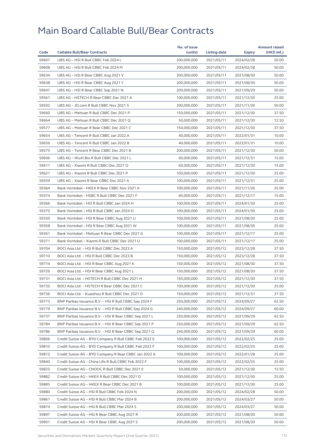|       |                                                        | No. of issue |              |            | <b>Amount raised</b> |
|-------|--------------------------------------------------------|--------------|--------------|------------|----------------------|
| Code  | <b>Callable Bull/Bear Contracts</b>                    | (units)      | Listing date | Expiry     | $(HK\$ mil.)         |
| 59607 | UBS AG - HSI R Bull CBBC Feb 2024 L                    | 200,000,000  | 2021/05/11   | 2024/02/28 | 50.00                |
| 59608 | UBS AG - HSI R Bull CBBC Feb 2024 M                    | 200,000,000  | 2021/05/11   | 2024/02/28 | 50.00                |
| 59634 | UBS AG - HSI R Bear CBBC Aug 2021 V                    | 200,000,000  | 2021/05/11   | 2021/08/30 | 50.00                |
| 59638 | UBS AG - HSI R Bear CBBC Aug 2021 Y                    | 200,000,000  | 2021/05/11   | 2021/08/30 | 50.00                |
| 59647 | UBS AG - HSI R Bear CBBC Sep 2021 N                    | 200,000,000  | 2021/05/11   | 2021/09/29 | 50.00                |
| 59561 | UBS AG - HSTECH R Bear CBBC Dec 2021 A                 | 100,000,000  | 2021/05/11   | 2021/12/30 | 25.00                |
| 59592 | UBS AG - JD.com R Bull CBBC Nov 2021 S                 | 200,000,000  | 2021/05/11   | 2021/11/30 | 50.00                |
| 59660 | UBS AG - Meituan R Bull CBBC Dec 2021 P                | 150,000,000  | 2021/05/11   | 2021/12/30 | 37.50                |
| 59664 | UBS AG - Meituan R Bull CBBC Dec 2021 Q                | 50,000,000   | 2021/05/11   | 2021/12/30 | 12.50                |
| 59577 | UBS AG - Meituan R Bear CBBC Dec 2021 C                | 150,000,000  | 2021/05/11   | 2021/12/30 | 37.50                |
| 59654 | UBS AG - Tencent R Bull CBBC Jan 2022 A                | 40,000,000   | 2021/05/11   | 2022/01/31 | 10.00                |
| 59656 | UBS AG - Tencent R Bull CBBC Jan 2022 B                | 40,000,000   | 2021/05/11   | 2022/01/31 | 10.00                |
| 59575 | UBS AG - Tencent R Bear CBBC Dec 2021 B                | 200,000,000  | 2021/05/11   | 2021/12/30 | 50.00                |
| 59606 | UBS AG - WuXi Bio R Bull CBBC Dec 2021 L               | 60,000,000   | 2021/05/11   | 2021/12/31 | 15.00                |
| 59611 | UBS AG - Xiaomi R Bull CBBC Dec 2021 O                 | 60,000,000   | 2021/05/11   | 2021/12/30 | 15.00                |
| 59621 | UBS AG - Xiaomi R Bull CBBC Dec 2021 P                 | 100,000,000  | 2021/05/11   | 2021/12/30 | 25.00                |
| 59559 | UBS AG - Xiaomi R Bear CBBC Dec 2021 A                 | 100,000,000  | 2021/05/11   | 2021/12/31 | 25.00                |
| 59364 | Bank Vontobel - HKEX R Bear CBBC Nov 2021 A            | 100,000,000  | 2021/05/11   | 2021/11/26 | 25.00                |
| 59374 | Bank Vontobel - HSBC R Bull CBBC Dec 2021 F            | 60,000,000   | 2021/05/11   | 2021/12/17 | 15.00                |
| 59366 | Bank Vontobel - HSI R Bull CBBC Jan 2024 H             | 100,000,000  | 2021/05/11   | 2024/01/30 | 25.00                |
| 59370 | Bank Vontobel - HSI R Bull CBBC Jan 2024 O             | 100,000,000  | 2021/05/11   | 2024/01/30 | 25.00                |
| 59350 | Bank Vontobel - HSI R Bear CBBC Aug 2021 U             | 100,000,000  | 2021/05/11   | 2021/08/30 | 25.00                |
| 59358 | Bank Vontobel - HSI R Bear CBBC Aug 2021 W             | 100,000,000  | 2021/05/11   | 2021/08/30 | 25.00                |
| 59361 | Bank Vontobel - Meituan R Bear CBBC Dec 2021 G         | 100,000,000  | 2021/05/11   | 2021/12/17 | 25.00                |
| 59371 | Bank Vontobel - Xiaomi R Bull CBBC Dec 2021 U          | 100,000,000  | 2021/05/11   | 2021/12/17 | 25.00                |
| 59704 | BOCI Asia Ltd. - HSI R Bull CBBC Dec 2023 A            | 150,000,000  | 2021/05/12   | 2023/12/28 | 37.50                |
| 59710 | BOCI Asia Ltd. - HSI R Bull CBBC Dec 2023 B            | 150,000,000  | 2021/05/12   | 2023/12/28 | 37.50                |
| 59714 | BOCI Asia Ltd. - HSI R Bear CBBC Aug 2021 K            | 150,000,000  | 2021/05/12   | 2021/08/30 | 37.50                |
| 59726 | BOCI Asia Ltd. - HSI R Bear CBBC Aug 2021 L            | 150,000,000  | 2021/05/12   | 2021/08/30 | 37.50                |
| 59731 | BOCI Asia Ltd. - HSTECH R Bull CBBC Dec 2021 H         | 150,000,000  | 2021/05/12   | 2021/12/30 | 37.50                |
| 59735 | BOCI Asia Ltd. – HSTECH R Bear CBBC Dec 2021 C         | 100,000,000  | 2021/05/12   | 2021/12/30 | 25.00                |
| 59736 | BOCI Asia Ltd. - Kuaishou R Bull CBBC Dec 2021 D       | 150,000,000  | 2021/05/12   | 2021/12/31 | 37.50                |
| 59773 | BNP Paribas Issuance B.V. - HSI R Bull CBBC Sep 2024 F | 250,000,000  | 2021/05/12   | 2024/09/27 | 62.50                |
| 59779 | BNP Paribas Issuance B.V. - HSI R Bull CBBC Sep 2024 G | 240,000,000  | 2021/05/12   | 2024/09/27 | 60.00                |
| 59737 | BNP Paribas Issuance B.V. - HSI R Bear CBBC Sep 2021 L | 250,000,000  | 2021/05/12   | 2021/09/29 | 62.50                |
| 59784 | BNP Paribas Issuance B.V. - HSI R Bear CBBC Sep 2021 P | 250,000,000  | 2021/05/12   | 2021/09/29 | 62.50                |
| 59786 | BNP Paribas Issuance B.V. - HSI R Bear CBBC Sep 2021 Q | 240,000,000  | 2021/05/12   | 2021/09/29 | 60.00                |
| 59806 | Credit Suisse AG - BYD Company R Bull CBBC Feb 2022 E  | 100,000,000  | 2021/05/12   | 2022/02/25 | 25.00                |
| 59810 | Credit Suisse AG - BYD Company R Bull CBBC Feb 2022 F  | 100,000,000  | 2021/05/12   | 2022/02/25 | 25.00                |
| 59812 | Credit Suisse AG - BYD Company R Bear CBBC Jan 2022 A  | 100,000,000  | 2021/05/12   | 2022/01/28 | 25.00                |
| 59840 | Credit Suisse AG - China Life R Bull CBBC Feb 2022 F   | 100,000,000  | 2021/05/12   | 2022/02/25 | 25.00                |
| 59825 | Credit Suisse AG - CNOOC R Bull CBBC Dec 2021 E        | 50,000,000   | 2021/05/12   | 2021/12/30 | 12.50                |
| 59882 | Credit Suisse AG - HKEX R Bull CBBC Dec 2021 D         | 100,000,000  | 2021/05/12   | 2021/12/30 | 25.00                |
| 59885 | Credit Suisse AG – HKEX R Bear CBBC Dec 2021 B         | 100,000,000  | 2021/05/12   | 2021/12/30 | 25.00                |
| 59880 | Credit Suisse AG - HSI R Bull CBBC Feb 2024 N          | 200,000,000  | 2021/05/12   | 2024/02/28 | 50.00                |
| 59861 | Credit Suisse AG - HSI R Bull CBBC Mar 2024 B          | 200,000,000  | 2021/05/12   | 2024/03/27 | 50.00                |
| 59874 | Credit Suisse AG - HSI R Bull CBBC Mar 2024 S          | 200,000,000  | 2021/05/12   | 2024/03/27 | 50.00                |
| 59897 | Credit Suisse AG - HSI R Bear CBBC Aug 2021 R          | 200,000,000  | 2021/05/12   | 2021/08/30 | 50.00                |
| 59901 | Credit Suisse AG - HSI R Bear CBBC Aug 2021 S          | 200,000,000  | 2021/05/12   | 2021/08/30 | 50.00                |
|       |                                                        |              |              |            |                      |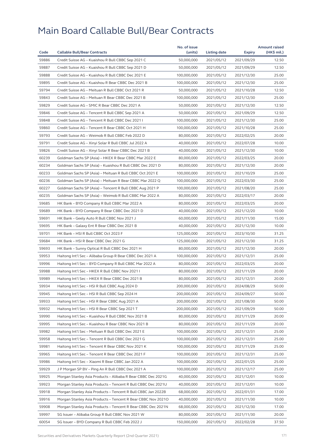|       |                                                              | No. of issue |              |               | <b>Amount raised</b> |
|-------|--------------------------------------------------------------|--------------|--------------|---------------|----------------------|
| Code  | <b>Callable Bull/Bear Contracts</b>                          | (units)      | Listing date | <b>Expiry</b> | (HK\$ mil.)          |
| 59886 | Credit Suisse AG - Kuaishou R Bull CBBC Sep 2021 C           | 50,000,000   | 2021/05/12   | 2021/09/29    | 12.50                |
| 59887 | Credit Suisse AG - Kuaishou R Bull CBBC Sep 2021 D           | 50,000,000   | 2021/05/12   | 2021/09/29    | 12.50                |
| 59888 | Credit Suisse AG - Kuaishou R Bull CBBC Dec 2021 E           | 100,000,000  | 2021/05/12   | 2021/12/30    | 25.00                |
| 59895 | Credit Suisse AG - Kuaishou R Bear CBBC Dec 2021 B           | 100,000,000  | 2021/05/12   | 2021/12/30    | 25.00                |
| 59794 | Credit Suisse AG - Meituan R Bull CBBC Oct 2021 R            | 50,000,000   | 2021/05/12   | 2021/10/28    | 12.50                |
| 59843 | Credit Suisse AG - Meituan R Bear CBBC Dec 2021 B            | 100,000,000  | 2021/05/12   | 2021/12/30    | 25.00                |
| 59829 | Credit Suisse AG - SMIC R Bear CBBC Dec 2021 A               | 50,000,000   | 2021/05/12   | 2021/12/30    | 12.50                |
| 59846 | Credit Suisse AG - Tencent R Bull CBBC Sep 2021 A            | 50,000,000   | 2021/05/12   | 2021/09/29    | 12.50                |
| 59848 | Credit Suisse AG - Tencent R Bull CBBC Dec 2021              | 100,000,000  | 2021/05/12   | 2021/12/30    | 25.00                |
| 59860 | Credit Suisse AG - Tencent R Bear CBBC Oct 2021 H            | 100,000,000  | 2021/05/12   | 2021/10/28    | 25.00                |
| 59793 | Credit Suisse AG - Weimob R Bull CBBC Feb 2022 D             | 80,000,000   | 2021/05/12   | 2022/02/25    | 20.00                |
| 59791 | Credit Suisse AG - Xinyi Solar R Bull CBBC Jul 2022 A        | 40,000,000   | 2021/05/12   | 2022/07/28    | 10.00                |
| 59826 | Credit Suisse AG - Xinyi Solar R Bear CBBC Dec 2021 B        | 40,000,000   | 2021/05/12   | 2021/12/30    | 10.00                |
| 60239 | Goldman Sachs SP (Asia) - HKEX R Bear CBBC Mar 2022 E        | 80,000,000   | 2021/05/12   | 2022/03/25    | 20.00                |
| 60234 | Goldman Sachs SP (Asia) – Kuaishou R Bull CBBC Dec 2021 D    | 80,000,000   | 2021/05/12   | 2021/12/30    | 20.00                |
| 60233 | Goldman Sachs SP (Asia) - Meituan R Bull CBBC Oct 2021 E     | 100,000,000  | 2021/05/12   | 2021/10/29    | 25.00                |
| 60236 | Goldman Sachs SP (Asia) - Meituan R Bear CBBC Mar 2022 Q     | 100,000,000  | 2021/05/12   | 2022/03/30    | 25.00                |
| 60227 | Goldman Sachs SP (Asia) - Tencent R Bull CBBC Aug 2021 P     | 100,000,000  | 2021/05/12   | 2021/08/20    | 25.00                |
| 60235 | Goldman Sachs SP (Asia) - Weimob R Bull CBBC Mar 2022 A      | 80,000,000   | 2021/05/12   | 2022/03/17    | 20.00                |
| 59685 | HK Bank - BYD Company R Bull CBBC Mar 2022 A                 | 80,000,000   | 2021/05/12   | 2022/03/25    | 20.00                |
| 59689 | HK Bank - BYD Company R Bear CBBC Dec 2021 D                 | 40,000,000   | 2021/05/12   | 2021/12/20    | 10.00                |
| 59691 | HK Bank - Geely Auto R Bull CBBC Nov 2021 J                  | 60,000,000   | 2021/05/12   | 2021/11/30    | 15.00                |
| 59695 | HK Bank - Galaxy Ent R Bear CBBC Dec 2021 B                  | 40,000,000   | 2021/05/12   | 2021/12/30    | 10.00                |
| 59701 | HK Bank - HSI R Bull CBBC Oct 2023 F                         | 125,000,000  | 2021/05/12   | 2023/10/30    | 31.25                |
| 59684 | HK Bank - HSI R Bear CBBC Dec 2021 G                         | 125,000,000  | 2021/05/12   | 2021/12/30    | 31.25                |
| 59693 | HK Bank - Sunny Optical R Bull CBBC Dec 2021 H               | 80,000,000   | 2021/05/12   | 2021/12/30    | 20.00                |
| 59953 | Haitong Int'l Sec - Alibaba Group R Bear CBBC Dec 2021 A     | 100,000,000  | 2021/05/12   | 2021/12/31    | 25.00                |
| 59996 | Haitong Int'l Sec - BYD Company R Bull CBBC Mar 2022 A       | 80,000,000   | 2021/05/12   | 2022/03/25    | 20.00                |
| 59988 | Haitong Int'l Sec - HKEX R Bull CBBC Nov 2021 I              | 80,000,000   | 2021/05/12   | 2021/11/29    | 20.00                |
| 59989 | Haitong Int'l Sec - HKEX R Bear CBBC Dec 2021 B              | 80,000,000   | 2021/05/12   | 2021/12/31    | 20.00                |
| 59934 | Haitong Int'l Sec - HSI R Bull CBBC Aug 2024 D               | 200,000,000  | 2021/05/12   | 2024/08/29    | 50.00                |
| 59945 | Haitong Int'l Sec - HSI R Bull CBBC Sep 2024 H               | 200,000,000  | 2021/05/12   | 2024/09/27    | 50.00                |
| 59933 | Haitong Int'l Sec - HSI R Bear CBBC Aug 2021 A               | 200,000,000  | 2021/05/12   | 2021/08/30    | 50.00                |
| 59932 | Haitong Int'l Sec - HSI R Bear CBBC Sep 2021 T               | 200,000,000  | 2021/05/12   | 2021/09/29    | 50.00                |
| 59990 | Haitong Int'l Sec - Kuaishou R Bull CBBC Nov 2021 B          | 80,000,000   | 2021/05/12   | 2021/11/29    | 20.00                |
| 59995 | Haitong Int'l Sec - Kuaishou R Bear CBBC Nov 2021 B          | 80,000,000   | 2021/05/12   | 2021/11/29    | 20.00                |
| 59982 | Haitong Int'l Sec – Meituan R Bull CBBC Dec 2021 E           | 100,000,000  | 2021/05/12   | 2021/12/31    | 25.00                |
| 59958 | Haitong Int'l Sec - Tencent R Bull CBBC Dec 2021 G           | 100,000,000  | 2021/05/12   | 2021/12/31    | 25.00                |
| 59981 | Haitong Int'l Sec – Tencent R Bear CBBC Nov 2021 K           | 100,000,000  | 2021/05/12   | 2021/11/29    | 25.00                |
| 59965 | Haitong Int'l Sec – Tencent R Bear CBBC Dec 2021 F           | 100,000,000  | 2021/05/12   | 2021/12/31    | 25.00                |
| 59986 | Haitong Int'l Sec - Xiaomi R Bear CBBC Jan 2022 A            | 100,000,000  | 2021/05/12   | 2022/01/25    | 25.00                |
| 59929 | J P Morgan SP BV - Ping An R Bull CBBC Dec 2021 A            | 100,000,000  | 2021/05/12   | 2021/12/17    | 25.00                |
| 59925 | Morgan Stanley Asia Products - Alibaba R Bear CBBC Dec 2021G | 40,000,000   | 2021/05/12   | 2021/12/01    | 10.00                |
| 59923 | Morgan Stanley Asia Products – Tencent R Bull CBBC Dec 2021U | 40,000,000   | 2021/05/12   | 2021/12/01    | 10.00                |
| 59918 | Morgan Stanley Asia Products - Tencent R Bull CBBC Jan 2022B | 68,000,000   | 2021/05/12   | 2022/01/31    | 17.00                |
| 59916 | Morgan Stanley Asia Products – Tencent R Bear CBBC Nov 20210 | 40,000,000   | 2021/05/12   | 2021/11/30    | 10.00                |
| 59908 | Morgan Stanley Asia Products - Tencent R Bear CBBC Dec 2021N | 68,000,000   | 2021/05/12   | 2021/12/30    | 17.00                |
| 59997 | SG Issuer - Alibaba Group R Bull CBBC Nov 2021 W             | 80,000,000   | 2021/05/12   | 2021/11/30    | 20.00                |
| 60054 | SG Issuer – BYD Company R Bull CBBC Feb 2022 J               | 150,000,000  | 2021/05/12   | 2022/02/28    | 37.50                |
|       |                                                              |              |              |               |                      |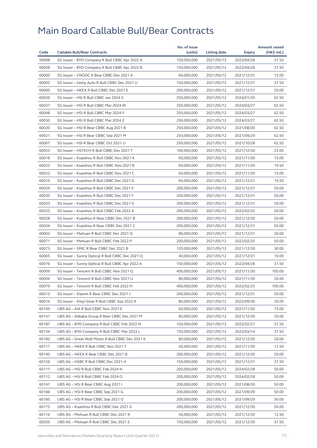| 59998<br>2022/04/28<br>37.50<br>SG Issuer - BYD Company R Bull CBBC Apr 2022 A<br>150,000,000<br>2021/05/12<br>60058<br>SG Issuer - BYD Company R Bull CBBC Apr 2022 B<br>150,000,000<br>2021/05/12<br>2022/04/28<br>37.50<br>60000<br>15.00<br>SG Issuer - CNOOC R Bear CBBC Dec 2021 A<br>60,000,000<br>2021/05/12<br>2021/12/31<br>60002<br>SG Issuer - Geely Auto R Bull CBBC Dec 2021 U<br>150,000,000<br>37.50<br>2021/05/12<br>2021/12/31<br>60060<br>SG Issuer - HKEX R Bull CBBC Dec 2021 E<br>200,000,000<br>2021/05/12<br>2021/12/31<br>50.00<br>60036<br>62.50<br>SG Issuer - HSI R Bull CBBC Jan 2024 S<br>250,000,000<br>2021/05/12<br>2024/01/30<br>60037<br>SG Issuer - HSI R Bull CBBC Mar 2024 W<br>250,000,000<br>2021/05/12<br>2024/03/27<br>62.50<br>60048<br>SG Issuer - HSI R Bull CBBC Mar 2024 Y<br>250,000,000<br>2024/03/27<br>62.50<br>2021/05/12<br>60050<br>SG Issuer - HSI R Bull CBBC Mar 2024 Z<br>250,000,000<br>2021/05/12<br>2024/03/27<br>62.50<br>60020<br>SG Issuer - HSI R Bear CBBC Aug 2021 B<br>250,000,000<br>62.50<br>2021/05/12<br>2021/08/30<br>60021<br>SG Issuer - HSI R Bear CBBC Sep 2021 M<br>250,000,000<br>2021/05/12<br>2021/09/29<br>62.50<br>60067<br>SG Issuer - HSI R Bear CBBC Oct 2021 U<br>250,000,000<br>2021/05/12<br>2021/10/28<br>62.50<br>60053<br>SG Issuer - HSTECH R Bull CBBC Dec 2021 T<br>100,000,000<br>25.00<br>2021/05/12<br>2021/12/30<br>60018<br>15.00<br>SG Issuer - Kuaishou R Bull CBBC Nov 2021 A<br>60,000,000<br>2021/05/12<br>2021/11/30<br>60022<br>SG Issuer - Kuaishou R Bull CBBC Nov 2021 B<br>60,000,000<br>2021/05/12<br>19.50<br>2021/11/30<br>60023<br>SG Issuer - Kuaishou R Bull CBBC Nov 2021 C<br>60,000,000<br>2021/05/12<br>2021/11/30<br>15.00<br>60019<br>19.50<br>SG Issuer - Kuaishou R Bull CBBC Dec 2021 D<br>60,000,000<br>2021/05/12<br>2021/12/31<br>60029<br>SG Issuer - Kuaishou R Bull CBBC Dec 2021 E<br>200,000,000<br>2021/05/12<br>2021/12/31<br>50.00<br>60030<br>SG Issuer - Kuaishou R Bull CBBC Dec 2021 F<br>200,000,000<br>2021/12/31<br>50.00<br>2021/05/12<br>60033<br>SG Issuer - Kuaishou R Bull CBBC Dec 2021 G<br>200,000,000<br>2021/05/12<br>2021/12/31<br>50.00<br>60035<br>SG Issuer - Kuaishou R Bull CBBC Feb 2022 A<br>200,000,000<br>50.00<br>2021/05/12<br>2022/02/25<br>60028<br>SG Issuer - Kuaishou R Bear CBBC Dec 2021 B<br>200,000,000<br>2021/05/12<br>2021/12/30<br>50.00<br>60034<br>50.00<br>SG Issuer - Kuaishou R Bear CBBC Dec 2021 C<br>200,000,000<br>2021/05/12<br>2021/12/31<br>60003<br>SG Issuer - Meituan R Bull CBBC Dec 2021 Q<br>20.00<br>80,000,000<br>2021/05/12<br>2021/12/31<br>60071<br>SG Issuer - Meituan R Bull CBBC Feb 2022 P<br>200,000,000<br>2021/05/12<br>2022/02/25<br>50.00<br>60073<br>SG Issuer - SMIC R Bear CBBC Dec 2021 B<br>120,000,000<br>2021/05/12<br>2021/12/30<br>30.00<br>60065<br>SG Issuer - Sunny Optical R Bull CBBC Dec 2021 Q<br>40,000,000<br>2021/05/12<br>2021/12/31<br>10.00<br>60076<br>SG Issuer - Sunny Optical R Bull CBBC Apr 2022 A<br>150,000,000<br>2021/05/12<br>2022/04/28<br>37.50<br>60009<br>SG Issuer - Tencent R Bull CBBC Nov 2021 Q<br>400,000,000<br>2021/05/12<br>2021/11/30<br>100.00<br>60006<br>20.00<br>SG Issuer - Tencent R Bull CBBC Nov 2021 U<br>80,000,000<br>2021/05/12<br>2021/11/30<br>60079<br>SG Issuer - Tencent R Bull CBBC Feb 2022 H<br>400,000,000<br>2021/05/12<br>2022/02/25<br>100.00<br>200,000,000<br>60013<br>SG Issuer - Xiaomi R Bear CBBC Dec 2021 J<br>2021/05/12<br>2021/12/31<br>50.00<br>60016<br>80,000,000<br>2021/05/12<br>2022/09/30<br>20.00<br>SG Issuer - Xinyi Solar R Bull CBBC Sep 2022 A<br>60149<br>UBS AG - AIA R Bull CBBC Nov 2021 E<br>60,000,000<br>2021/05/12<br>2021/11/30<br>15.00<br>60141<br>UBS AG - Alibaba Group R Bear CBBC Dec 2021 M<br>80,000,000<br>2021/05/12<br>2021/12/30<br>20.00<br>60187<br>150,000,000<br>37.50<br>UBS AG - BYD Company R Bull CBBC Feb 2022 N<br>2021/05/12<br>2022/02/21<br>60134<br>UBS AG - BYD Company R Bull CBBC Mar 2022 L<br>150,000,000<br>2021/05/12<br>2022/03/14<br>37.50<br>60182<br>UBS AG - Great Wall Motor R Bull CBBC Dec 2021 K<br>80,000,000<br>2021/05/12<br>2021/12/30<br>20.00<br>60117<br>50,000,000<br>2021/05/12<br>2021/11/30<br>12.50<br>UBS AG – HKEX R Bull CBBC Nov 2021 T<br>60140<br>UBS AG - HKEX R Bear CBBC Dec 2021 B<br>200,000,000<br>2021/05/12<br>2021/12/30<br>50.00<br>60126<br>UBS AG - HSBC R Bull CBBC Dec 2021 H<br>150,000,000<br>2021/05/12<br>2021/12/31<br>37.50<br>60111<br>UBS AG - HSI R Bull CBBC Feb 2024 N<br>200,000,000<br>2021/05/12<br>2024/02/28<br>50.00<br>60112<br>UBS AG - HSI R Bull CBBC Feb 2024 O<br>200,000,000<br>2021/05/12<br>2024/02/28<br>50.00<br>60147<br>200,000,000<br>2021/05/12<br>2021/08/30<br>50.00<br>UBS AG – HSI R Bear CBBC Aug 2021 I<br>60186<br>UBS AG - HSI R Bear CBBC Sep 2021 G<br>200,000,000<br>2021/05/12<br>2021/09/29<br>50.00<br>60185<br>UBS AG - HSI R Bear CBBC Sep 2021 O<br>200,000,000<br>2021/05/12<br>2021/09/29<br>50.00<br>60175<br>UBS AG - Kuaishou R Bull CBBC Dec 2021 G<br>200,000,000<br>50.00<br>2021/05/12<br>2021/12/30<br>60116<br>UBS AG - Meituan R Bull CBBC Dec 2021 R<br>50,000,000<br>2021/05/12<br>2021/12/30<br>12.50<br>60205<br>UBS AG - Meituan R Bull CBBC Dec 2021 S<br>150,000,000<br>2021/05/12<br>2021/12/30<br>37.50 |      |                                     | No. of issue |              |               | <b>Amount raised</b> |
|-----------------------------------------------------------------------------------------------------------------------------------------------------------------------------------------------------------------------------------------------------------------------------------------------------------------------------------------------------------------------------------------------------------------------------------------------------------------------------------------------------------------------------------------------------------------------------------------------------------------------------------------------------------------------------------------------------------------------------------------------------------------------------------------------------------------------------------------------------------------------------------------------------------------------------------------------------------------------------------------------------------------------------------------------------------------------------------------------------------------------------------------------------------------------------------------------------------------------------------------------------------------------------------------------------------------------------------------------------------------------------------------------------------------------------------------------------------------------------------------------------------------------------------------------------------------------------------------------------------------------------------------------------------------------------------------------------------------------------------------------------------------------------------------------------------------------------------------------------------------------------------------------------------------------------------------------------------------------------------------------------------------------------------------------------------------------------------------------------------------------------------------------------------------------------------------------------------------------------------------------------------------------------------------------------------------------------------------------------------------------------------------------------------------------------------------------------------------------------------------------------------------------------------------------------------------------------------------------------------------------------------------------------------------------------------------------------------------------------------------------------------------------------------------------------------------------------------------------------------------------------------------------------------------------------------------------------------------------------------------------------------------------------------------------------------------------------------------------------------------------------------------------------------------------------------------------------------------------------------------------------------------------------------------------------------------------------------------------------------------------------------------------------------------------------------------------------------------------------------------------------------------------------------------------------------------------------------------------------------------------------------------------------------------------------------------------------------------------------------------------------------------------------------------------------------------------------------------------------------------------------------------------------------------------------------------------------------------------------------------------------------------------------------------------------------------------------------------------------------------------------------------------------------------------------------------------------------------------------------------------------------------------------------------------------------------------------------------------------------------------------------------------------------------------------------------------------------------------------------------------------------------------------------------------------------------------------------------------------------------------------------------------------------------------------------------------------------------------------------------------------------------------------------------------------------------------------------------------------------------------------------------------------------------------------------------------------------------------------------------------------------------------------------------------------------------------------------------------------------------------------------------------------------------------------------------------------------------------------------------------------------------------------------------------------------------------------------------------------------------------------------|------|-------------------------------------|--------------|--------------|---------------|----------------------|
|                                                                                                                                                                                                                                                                                                                                                                                                                                                                                                                                                                                                                                                                                                                                                                                                                                                                                                                                                                                                                                                                                                                                                                                                                                                                                                                                                                                                                                                                                                                                                                                                                                                                                                                                                                                                                                                                                                                                                                                                                                                                                                                                                                                                                                                                                                                                                                                                                                                                                                                                                                                                                                                                                                                                                                                                                                                                                                                                                                                                                                                                                                                                                                                                                                                                                                                                                                                                                                                                                                                                                                                                                                                                                                                                                                                                                                                                                                                                                                                                                                                                                                                                                                                                                                                                                                                                                                                                                                                                                                                                                                                                                                                                                                                                                                                                                                                                                                                                                                                                                                                                                                                                                                                                                                                                                                                                                                                   | Code | <b>Callable Bull/Bear Contracts</b> | (units)      | Listing date | <b>Expiry</b> | $(HK$$ mil.)         |
|                                                                                                                                                                                                                                                                                                                                                                                                                                                                                                                                                                                                                                                                                                                                                                                                                                                                                                                                                                                                                                                                                                                                                                                                                                                                                                                                                                                                                                                                                                                                                                                                                                                                                                                                                                                                                                                                                                                                                                                                                                                                                                                                                                                                                                                                                                                                                                                                                                                                                                                                                                                                                                                                                                                                                                                                                                                                                                                                                                                                                                                                                                                                                                                                                                                                                                                                                                                                                                                                                                                                                                                                                                                                                                                                                                                                                                                                                                                                                                                                                                                                                                                                                                                                                                                                                                                                                                                                                                                                                                                                                                                                                                                                                                                                                                                                                                                                                                                                                                                                                                                                                                                                                                                                                                                                                                                                                                                   |      |                                     |              |              |               |                      |
|                                                                                                                                                                                                                                                                                                                                                                                                                                                                                                                                                                                                                                                                                                                                                                                                                                                                                                                                                                                                                                                                                                                                                                                                                                                                                                                                                                                                                                                                                                                                                                                                                                                                                                                                                                                                                                                                                                                                                                                                                                                                                                                                                                                                                                                                                                                                                                                                                                                                                                                                                                                                                                                                                                                                                                                                                                                                                                                                                                                                                                                                                                                                                                                                                                                                                                                                                                                                                                                                                                                                                                                                                                                                                                                                                                                                                                                                                                                                                                                                                                                                                                                                                                                                                                                                                                                                                                                                                                                                                                                                                                                                                                                                                                                                                                                                                                                                                                                                                                                                                                                                                                                                                                                                                                                                                                                                                                                   |      |                                     |              |              |               |                      |
|                                                                                                                                                                                                                                                                                                                                                                                                                                                                                                                                                                                                                                                                                                                                                                                                                                                                                                                                                                                                                                                                                                                                                                                                                                                                                                                                                                                                                                                                                                                                                                                                                                                                                                                                                                                                                                                                                                                                                                                                                                                                                                                                                                                                                                                                                                                                                                                                                                                                                                                                                                                                                                                                                                                                                                                                                                                                                                                                                                                                                                                                                                                                                                                                                                                                                                                                                                                                                                                                                                                                                                                                                                                                                                                                                                                                                                                                                                                                                                                                                                                                                                                                                                                                                                                                                                                                                                                                                                                                                                                                                                                                                                                                                                                                                                                                                                                                                                                                                                                                                                                                                                                                                                                                                                                                                                                                                                                   |      |                                     |              |              |               |                      |
|                                                                                                                                                                                                                                                                                                                                                                                                                                                                                                                                                                                                                                                                                                                                                                                                                                                                                                                                                                                                                                                                                                                                                                                                                                                                                                                                                                                                                                                                                                                                                                                                                                                                                                                                                                                                                                                                                                                                                                                                                                                                                                                                                                                                                                                                                                                                                                                                                                                                                                                                                                                                                                                                                                                                                                                                                                                                                                                                                                                                                                                                                                                                                                                                                                                                                                                                                                                                                                                                                                                                                                                                                                                                                                                                                                                                                                                                                                                                                                                                                                                                                                                                                                                                                                                                                                                                                                                                                                                                                                                                                                                                                                                                                                                                                                                                                                                                                                                                                                                                                                                                                                                                                                                                                                                                                                                                                                                   |      |                                     |              |              |               |                      |
|                                                                                                                                                                                                                                                                                                                                                                                                                                                                                                                                                                                                                                                                                                                                                                                                                                                                                                                                                                                                                                                                                                                                                                                                                                                                                                                                                                                                                                                                                                                                                                                                                                                                                                                                                                                                                                                                                                                                                                                                                                                                                                                                                                                                                                                                                                                                                                                                                                                                                                                                                                                                                                                                                                                                                                                                                                                                                                                                                                                                                                                                                                                                                                                                                                                                                                                                                                                                                                                                                                                                                                                                                                                                                                                                                                                                                                                                                                                                                                                                                                                                                                                                                                                                                                                                                                                                                                                                                                                                                                                                                                                                                                                                                                                                                                                                                                                                                                                                                                                                                                                                                                                                                                                                                                                                                                                                                                                   |      |                                     |              |              |               |                      |
|                                                                                                                                                                                                                                                                                                                                                                                                                                                                                                                                                                                                                                                                                                                                                                                                                                                                                                                                                                                                                                                                                                                                                                                                                                                                                                                                                                                                                                                                                                                                                                                                                                                                                                                                                                                                                                                                                                                                                                                                                                                                                                                                                                                                                                                                                                                                                                                                                                                                                                                                                                                                                                                                                                                                                                                                                                                                                                                                                                                                                                                                                                                                                                                                                                                                                                                                                                                                                                                                                                                                                                                                                                                                                                                                                                                                                                                                                                                                                                                                                                                                                                                                                                                                                                                                                                                                                                                                                                                                                                                                                                                                                                                                                                                                                                                                                                                                                                                                                                                                                                                                                                                                                                                                                                                                                                                                                                                   |      |                                     |              |              |               |                      |
|                                                                                                                                                                                                                                                                                                                                                                                                                                                                                                                                                                                                                                                                                                                                                                                                                                                                                                                                                                                                                                                                                                                                                                                                                                                                                                                                                                                                                                                                                                                                                                                                                                                                                                                                                                                                                                                                                                                                                                                                                                                                                                                                                                                                                                                                                                                                                                                                                                                                                                                                                                                                                                                                                                                                                                                                                                                                                                                                                                                                                                                                                                                                                                                                                                                                                                                                                                                                                                                                                                                                                                                                                                                                                                                                                                                                                                                                                                                                                                                                                                                                                                                                                                                                                                                                                                                                                                                                                                                                                                                                                                                                                                                                                                                                                                                                                                                                                                                                                                                                                                                                                                                                                                                                                                                                                                                                                                                   |      |                                     |              |              |               |                      |
|                                                                                                                                                                                                                                                                                                                                                                                                                                                                                                                                                                                                                                                                                                                                                                                                                                                                                                                                                                                                                                                                                                                                                                                                                                                                                                                                                                                                                                                                                                                                                                                                                                                                                                                                                                                                                                                                                                                                                                                                                                                                                                                                                                                                                                                                                                                                                                                                                                                                                                                                                                                                                                                                                                                                                                                                                                                                                                                                                                                                                                                                                                                                                                                                                                                                                                                                                                                                                                                                                                                                                                                                                                                                                                                                                                                                                                                                                                                                                                                                                                                                                                                                                                                                                                                                                                                                                                                                                                                                                                                                                                                                                                                                                                                                                                                                                                                                                                                                                                                                                                                                                                                                                                                                                                                                                                                                                                                   |      |                                     |              |              |               |                      |
|                                                                                                                                                                                                                                                                                                                                                                                                                                                                                                                                                                                                                                                                                                                                                                                                                                                                                                                                                                                                                                                                                                                                                                                                                                                                                                                                                                                                                                                                                                                                                                                                                                                                                                                                                                                                                                                                                                                                                                                                                                                                                                                                                                                                                                                                                                                                                                                                                                                                                                                                                                                                                                                                                                                                                                                                                                                                                                                                                                                                                                                                                                                                                                                                                                                                                                                                                                                                                                                                                                                                                                                                                                                                                                                                                                                                                                                                                                                                                                                                                                                                                                                                                                                                                                                                                                                                                                                                                                                                                                                                                                                                                                                                                                                                                                                                                                                                                                                                                                                                                                                                                                                                                                                                                                                                                                                                                                                   |      |                                     |              |              |               |                      |
|                                                                                                                                                                                                                                                                                                                                                                                                                                                                                                                                                                                                                                                                                                                                                                                                                                                                                                                                                                                                                                                                                                                                                                                                                                                                                                                                                                                                                                                                                                                                                                                                                                                                                                                                                                                                                                                                                                                                                                                                                                                                                                                                                                                                                                                                                                                                                                                                                                                                                                                                                                                                                                                                                                                                                                                                                                                                                                                                                                                                                                                                                                                                                                                                                                                                                                                                                                                                                                                                                                                                                                                                                                                                                                                                                                                                                                                                                                                                                                                                                                                                                                                                                                                                                                                                                                                                                                                                                                                                                                                                                                                                                                                                                                                                                                                                                                                                                                                                                                                                                                                                                                                                                                                                                                                                                                                                                                                   |      |                                     |              |              |               |                      |
|                                                                                                                                                                                                                                                                                                                                                                                                                                                                                                                                                                                                                                                                                                                                                                                                                                                                                                                                                                                                                                                                                                                                                                                                                                                                                                                                                                                                                                                                                                                                                                                                                                                                                                                                                                                                                                                                                                                                                                                                                                                                                                                                                                                                                                                                                                                                                                                                                                                                                                                                                                                                                                                                                                                                                                                                                                                                                                                                                                                                                                                                                                                                                                                                                                                                                                                                                                                                                                                                                                                                                                                                                                                                                                                                                                                                                                                                                                                                                                                                                                                                                                                                                                                                                                                                                                                                                                                                                                                                                                                                                                                                                                                                                                                                                                                                                                                                                                                                                                                                                                                                                                                                                                                                                                                                                                                                                                                   |      |                                     |              |              |               |                      |
|                                                                                                                                                                                                                                                                                                                                                                                                                                                                                                                                                                                                                                                                                                                                                                                                                                                                                                                                                                                                                                                                                                                                                                                                                                                                                                                                                                                                                                                                                                                                                                                                                                                                                                                                                                                                                                                                                                                                                                                                                                                                                                                                                                                                                                                                                                                                                                                                                                                                                                                                                                                                                                                                                                                                                                                                                                                                                                                                                                                                                                                                                                                                                                                                                                                                                                                                                                                                                                                                                                                                                                                                                                                                                                                                                                                                                                                                                                                                                                                                                                                                                                                                                                                                                                                                                                                                                                                                                                                                                                                                                                                                                                                                                                                                                                                                                                                                                                                                                                                                                                                                                                                                                                                                                                                                                                                                                                                   |      |                                     |              |              |               |                      |
|                                                                                                                                                                                                                                                                                                                                                                                                                                                                                                                                                                                                                                                                                                                                                                                                                                                                                                                                                                                                                                                                                                                                                                                                                                                                                                                                                                                                                                                                                                                                                                                                                                                                                                                                                                                                                                                                                                                                                                                                                                                                                                                                                                                                                                                                                                                                                                                                                                                                                                                                                                                                                                                                                                                                                                                                                                                                                                                                                                                                                                                                                                                                                                                                                                                                                                                                                                                                                                                                                                                                                                                                                                                                                                                                                                                                                                                                                                                                                                                                                                                                                                                                                                                                                                                                                                                                                                                                                                                                                                                                                                                                                                                                                                                                                                                                                                                                                                                                                                                                                                                                                                                                                                                                                                                                                                                                                                                   |      |                                     |              |              |               |                      |
|                                                                                                                                                                                                                                                                                                                                                                                                                                                                                                                                                                                                                                                                                                                                                                                                                                                                                                                                                                                                                                                                                                                                                                                                                                                                                                                                                                                                                                                                                                                                                                                                                                                                                                                                                                                                                                                                                                                                                                                                                                                                                                                                                                                                                                                                                                                                                                                                                                                                                                                                                                                                                                                                                                                                                                                                                                                                                                                                                                                                                                                                                                                                                                                                                                                                                                                                                                                                                                                                                                                                                                                                                                                                                                                                                                                                                                                                                                                                                                                                                                                                                                                                                                                                                                                                                                                                                                                                                                                                                                                                                                                                                                                                                                                                                                                                                                                                                                                                                                                                                                                                                                                                                                                                                                                                                                                                                                                   |      |                                     |              |              |               |                      |
|                                                                                                                                                                                                                                                                                                                                                                                                                                                                                                                                                                                                                                                                                                                                                                                                                                                                                                                                                                                                                                                                                                                                                                                                                                                                                                                                                                                                                                                                                                                                                                                                                                                                                                                                                                                                                                                                                                                                                                                                                                                                                                                                                                                                                                                                                                                                                                                                                                                                                                                                                                                                                                                                                                                                                                                                                                                                                                                                                                                                                                                                                                                                                                                                                                                                                                                                                                                                                                                                                                                                                                                                                                                                                                                                                                                                                                                                                                                                                                                                                                                                                                                                                                                                                                                                                                                                                                                                                                                                                                                                                                                                                                                                                                                                                                                                                                                                                                                                                                                                                                                                                                                                                                                                                                                                                                                                                                                   |      |                                     |              |              |               |                      |
|                                                                                                                                                                                                                                                                                                                                                                                                                                                                                                                                                                                                                                                                                                                                                                                                                                                                                                                                                                                                                                                                                                                                                                                                                                                                                                                                                                                                                                                                                                                                                                                                                                                                                                                                                                                                                                                                                                                                                                                                                                                                                                                                                                                                                                                                                                                                                                                                                                                                                                                                                                                                                                                                                                                                                                                                                                                                                                                                                                                                                                                                                                                                                                                                                                                                                                                                                                                                                                                                                                                                                                                                                                                                                                                                                                                                                                                                                                                                                                                                                                                                                                                                                                                                                                                                                                                                                                                                                                                                                                                                                                                                                                                                                                                                                                                                                                                                                                                                                                                                                                                                                                                                                                                                                                                                                                                                                                                   |      |                                     |              |              |               |                      |
|                                                                                                                                                                                                                                                                                                                                                                                                                                                                                                                                                                                                                                                                                                                                                                                                                                                                                                                                                                                                                                                                                                                                                                                                                                                                                                                                                                                                                                                                                                                                                                                                                                                                                                                                                                                                                                                                                                                                                                                                                                                                                                                                                                                                                                                                                                                                                                                                                                                                                                                                                                                                                                                                                                                                                                                                                                                                                                                                                                                                                                                                                                                                                                                                                                                                                                                                                                                                                                                                                                                                                                                                                                                                                                                                                                                                                                                                                                                                                                                                                                                                                                                                                                                                                                                                                                                                                                                                                                                                                                                                                                                                                                                                                                                                                                                                                                                                                                                                                                                                                                                                                                                                                                                                                                                                                                                                                                                   |      |                                     |              |              |               |                      |
|                                                                                                                                                                                                                                                                                                                                                                                                                                                                                                                                                                                                                                                                                                                                                                                                                                                                                                                                                                                                                                                                                                                                                                                                                                                                                                                                                                                                                                                                                                                                                                                                                                                                                                                                                                                                                                                                                                                                                                                                                                                                                                                                                                                                                                                                                                                                                                                                                                                                                                                                                                                                                                                                                                                                                                                                                                                                                                                                                                                                                                                                                                                                                                                                                                                                                                                                                                                                                                                                                                                                                                                                                                                                                                                                                                                                                                                                                                                                                                                                                                                                                                                                                                                                                                                                                                                                                                                                                                                                                                                                                                                                                                                                                                                                                                                                                                                                                                                                                                                                                                                                                                                                                                                                                                                                                                                                                                                   |      |                                     |              |              |               |                      |
|                                                                                                                                                                                                                                                                                                                                                                                                                                                                                                                                                                                                                                                                                                                                                                                                                                                                                                                                                                                                                                                                                                                                                                                                                                                                                                                                                                                                                                                                                                                                                                                                                                                                                                                                                                                                                                                                                                                                                                                                                                                                                                                                                                                                                                                                                                                                                                                                                                                                                                                                                                                                                                                                                                                                                                                                                                                                                                                                                                                                                                                                                                                                                                                                                                                                                                                                                                                                                                                                                                                                                                                                                                                                                                                                                                                                                                                                                                                                                                                                                                                                                                                                                                                                                                                                                                                                                                                                                                                                                                                                                                                                                                                                                                                                                                                                                                                                                                                                                                                                                                                                                                                                                                                                                                                                                                                                                                                   |      |                                     |              |              |               |                      |
|                                                                                                                                                                                                                                                                                                                                                                                                                                                                                                                                                                                                                                                                                                                                                                                                                                                                                                                                                                                                                                                                                                                                                                                                                                                                                                                                                                                                                                                                                                                                                                                                                                                                                                                                                                                                                                                                                                                                                                                                                                                                                                                                                                                                                                                                                                                                                                                                                                                                                                                                                                                                                                                                                                                                                                                                                                                                                                                                                                                                                                                                                                                                                                                                                                                                                                                                                                                                                                                                                                                                                                                                                                                                                                                                                                                                                                                                                                                                                                                                                                                                                                                                                                                                                                                                                                                                                                                                                                                                                                                                                                                                                                                                                                                                                                                                                                                                                                                                                                                                                                                                                                                                                                                                                                                                                                                                                                                   |      |                                     |              |              |               |                      |
|                                                                                                                                                                                                                                                                                                                                                                                                                                                                                                                                                                                                                                                                                                                                                                                                                                                                                                                                                                                                                                                                                                                                                                                                                                                                                                                                                                                                                                                                                                                                                                                                                                                                                                                                                                                                                                                                                                                                                                                                                                                                                                                                                                                                                                                                                                                                                                                                                                                                                                                                                                                                                                                                                                                                                                                                                                                                                                                                                                                                                                                                                                                                                                                                                                                                                                                                                                                                                                                                                                                                                                                                                                                                                                                                                                                                                                                                                                                                                                                                                                                                                                                                                                                                                                                                                                                                                                                                                                                                                                                                                                                                                                                                                                                                                                                                                                                                                                                                                                                                                                                                                                                                                                                                                                                                                                                                                                                   |      |                                     |              |              |               |                      |
|                                                                                                                                                                                                                                                                                                                                                                                                                                                                                                                                                                                                                                                                                                                                                                                                                                                                                                                                                                                                                                                                                                                                                                                                                                                                                                                                                                                                                                                                                                                                                                                                                                                                                                                                                                                                                                                                                                                                                                                                                                                                                                                                                                                                                                                                                                                                                                                                                                                                                                                                                                                                                                                                                                                                                                                                                                                                                                                                                                                                                                                                                                                                                                                                                                                                                                                                                                                                                                                                                                                                                                                                                                                                                                                                                                                                                                                                                                                                                                                                                                                                                                                                                                                                                                                                                                                                                                                                                                                                                                                                                                                                                                                                                                                                                                                                                                                                                                                                                                                                                                                                                                                                                                                                                                                                                                                                                                                   |      |                                     |              |              |               |                      |
|                                                                                                                                                                                                                                                                                                                                                                                                                                                                                                                                                                                                                                                                                                                                                                                                                                                                                                                                                                                                                                                                                                                                                                                                                                                                                                                                                                                                                                                                                                                                                                                                                                                                                                                                                                                                                                                                                                                                                                                                                                                                                                                                                                                                                                                                                                                                                                                                                                                                                                                                                                                                                                                                                                                                                                                                                                                                                                                                                                                                                                                                                                                                                                                                                                                                                                                                                                                                                                                                                                                                                                                                                                                                                                                                                                                                                                                                                                                                                                                                                                                                                                                                                                                                                                                                                                                                                                                                                                                                                                                                                                                                                                                                                                                                                                                                                                                                                                                                                                                                                                                                                                                                                                                                                                                                                                                                                                                   |      |                                     |              |              |               |                      |
|                                                                                                                                                                                                                                                                                                                                                                                                                                                                                                                                                                                                                                                                                                                                                                                                                                                                                                                                                                                                                                                                                                                                                                                                                                                                                                                                                                                                                                                                                                                                                                                                                                                                                                                                                                                                                                                                                                                                                                                                                                                                                                                                                                                                                                                                                                                                                                                                                                                                                                                                                                                                                                                                                                                                                                                                                                                                                                                                                                                                                                                                                                                                                                                                                                                                                                                                                                                                                                                                                                                                                                                                                                                                                                                                                                                                                                                                                                                                                                                                                                                                                                                                                                                                                                                                                                                                                                                                                                                                                                                                                                                                                                                                                                                                                                                                                                                                                                                                                                                                                                                                                                                                                                                                                                                                                                                                                                                   |      |                                     |              |              |               |                      |
|                                                                                                                                                                                                                                                                                                                                                                                                                                                                                                                                                                                                                                                                                                                                                                                                                                                                                                                                                                                                                                                                                                                                                                                                                                                                                                                                                                                                                                                                                                                                                                                                                                                                                                                                                                                                                                                                                                                                                                                                                                                                                                                                                                                                                                                                                                                                                                                                                                                                                                                                                                                                                                                                                                                                                                                                                                                                                                                                                                                                                                                                                                                                                                                                                                                                                                                                                                                                                                                                                                                                                                                                                                                                                                                                                                                                                                                                                                                                                                                                                                                                                                                                                                                                                                                                                                                                                                                                                                                                                                                                                                                                                                                                                                                                                                                                                                                                                                                                                                                                                                                                                                                                                                                                                                                                                                                                                                                   |      |                                     |              |              |               |                      |
|                                                                                                                                                                                                                                                                                                                                                                                                                                                                                                                                                                                                                                                                                                                                                                                                                                                                                                                                                                                                                                                                                                                                                                                                                                                                                                                                                                                                                                                                                                                                                                                                                                                                                                                                                                                                                                                                                                                                                                                                                                                                                                                                                                                                                                                                                                                                                                                                                                                                                                                                                                                                                                                                                                                                                                                                                                                                                                                                                                                                                                                                                                                                                                                                                                                                                                                                                                                                                                                                                                                                                                                                                                                                                                                                                                                                                                                                                                                                                                                                                                                                                                                                                                                                                                                                                                                                                                                                                                                                                                                                                                                                                                                                                                                                                                                                                                                                                                                                                                                                                                                                                                                                                                                                                                                                                                                                                                                   |      |                                     |              |              |               |                      |
|                                                                                                                                                                                                                                                                                                                                                                                                                                                                                                                                                                                                                                                                                                                                                                                                                                                                                                                                                                                                                                                                                                                                                                                                                                                                                                                                                                                                                                                                                                                                                                                                                                                                                                                                                                                                                                                                                                                                                                                                                                                                                                                                                                                                                                                                                                                                                                                                                                                                                                                                                                                                                                                                                                                                                                                                                                                                                                                                                                                                                                                                                                                                                                                                                                                                                                                                                                                                                                                                                                                                                                                                                                                                                                                                                                                                                                                                                                                                                                                                                                                                                                                                                                                                                                                                                                                                                                                                                                                                                                                                                                                                                                                                                                                                                                                                                                                                                                                                                                                                                                                                                                                                                                                                                                                                                                                                                                                   |      |                                     |              |              |               |                      |
|                                                                                                                                                                                                                                                                                                                                                                                                                                                                                                                                                                                                                                                                                                                                                                                                                                                                                                                                                                                                                                                                                                                                                                                                                                                                                                                                                                                                                                                                                                                                                                                                                                                                                                                                                                                                                                                                                                                                                                                                                                                                                                                                                                                                                                                                                                                                                                                                                                                                                                                                                                                                                                                                                                                                                                                                                                                                                                                                                                                                                                                                                                                                                                                                                                                                                                                                                                                                                                                                                                                                                                                                                                                                                                                                                                                                                                                                                                                                                                                                                                                                                                                                                                                                                                                                                                                                                                                                                                                                                                                                                                                                                                                                                                                                                                                                                                                                                                                                                                                                                                                                                                                                                                                                                                                                                                                                                                                   |      |                                     |              |              |               |                      |
|                                                                                                                                                                                                                                                                                                                                                                                                                                                                                                                                                                                                                                                                                                                                                                                                                                                                                                                                                                                                                                                                                                                                                                                                                                                                                                                                                                                                                                                                                                                                                                                                                                                                                                                                                                                                                                                                                                                                                                                                                                                                                                                                                                                                                                                                                                                                                                                                                                                                                                                                                                                                                                                                                                                                                                                                                                                                                                                                                                                                                                                                                                                                                                                                                                                                                                                                                                                                                                                                                                                                                                                                                                                                                                                                                                                                                                                                                                                                                                                                                                                                                                                                                                                                                                                                                                                                                                                                                                                                                                                                                                                                                                                                                                                                                                                                                                                                                                                                                                                                                                                                                                                                                                                                                                                                                                                                                                                   |      |                                     |              |              |               |                      |
|                                                                                                                                                                                                                                                                                                                                                                                                                                                                                                                                                                                                                                                                                                                                                                                                                                                                                                                                                                                                                                                                                                                                                                                                                                                                                                                                                                                                                                                                                                                                                                                                                                                                                                                                                                                                                                                                                                                                                                                                                                                                                                                                                                                                                                                                                                                                                                                                                                                                                                                                                                                                                                                                                                                                                                                                                                                                                                                                                                                                                                                                                                                                                                                                                                                                                                                                                                                                                                                                                                                                                                                                                                                                                                                                                                                                                                                                                                                                                                                                                                                                                                                                                                                                                                                                                                                                                                                                                                                                                                                                                                                                                                                                                                                                                                                                                                                                                                                                                                                                                                                                                                                                                                                                                                                                                                                                                                                   |      |                                     |              |              |               |                      |
|                                                                                                                                                                                                                                                                                                                                                                                                                                                                                                                                                                                                                                                                                                                                                                                                                                                                                                                                                                                                                                                                                                                                                                                                                                                                                                                                                                                                                                                                                                                                                                                                                                                                                                                                                                                                                                                                                                                                                                                                                                                                                                                                                                                                                                                                                                                                                                                                                                                                                                                                                                                                                                                                                                                                                                                                                                                                                                                                                                                                                                                                                                                                                                                                                                                                                                                                                                                                                                                                                                                                                                                                                                                                                                                                                                                                                                                                                                                                                                                                                                                                                                                                                                                                                                                                                                                                                                                                                                                                                                                                                                                                                                                                                                                                                                                                                                                                                                                                                                                                                                                                                                                                                                                                                                                                                                                                                                                   |      |                                     |              |              |               |                      |
|                                                                                                                                                                                                                                                                                                                                                                                                                                                                                                                                                                                                                                                                                                                                                                                                                                                                                                                                                                                                                                                                                                                                                                                                                                                                                                                                                                                                                                                                                                                                                                                                                                                                                                                                                                                                                                                                                                                                                                                                                                                                                                                                                                                                                                                                                                                                                                                                                                                                                                                                                                                                                                                                                                                                                                                                                                                                                                                                                                                                                                                                                                                                                                                                                                                                                                                                                                                                                                                                                                                                                                                                                                                                                                                                                                                                                                                                                                                                                                                                                                                                                                                                                                                                                                                                                                                                                                                                                                                                                                                                                                                                                                                                                                                                                                                                                                                                                                                                                                                                                                                                                                                                                                                                                                                                                                                                                                                   |      |                                     |              |              |               |                      |
|                                                                                                                                                                                                                                                                                                                                                                                                                                                                                                                                                                                                                                                                                                                                                                                                                                                                                                                                                                                                                                                                                                                                                                                                                                                                                                                                                                                                                                                                                                                                                                                                                                                                                                                                                                                                                                                                                                                                                                                                                                                                                                                                                                                                                                                                                                                                                                                                                                                                                                                                                                                                                                                                                                                                                                                                                                                                                                                                                                                                                                                                                                                                                                                                                                                                                                                                                                                                                                                                                                                                                                                                                                                                                                                                                                                                                                                                                                                                                                                                                                                                                                                                                                                                                                                                                                                                                                                                                                                                                                                                                                                                                                                                                                                                                                                                                                                                                                                                                                                                                                                                                                                                                                                                                                                                                                                                                                                   |      |                                     |              |              |               |                      |
|                                                                                                                                                                                                                                                                                                                                                                                                                                                                                                                                                                                                                                                                                                                                                                                                                                                                                                                                                                                                                                                                                                                                                                                                                                                                                                                                                                                                                                                                                                                                                                                                                                                                                                                                                                                                                                                                                                                                                                                                                                                                                                                                                                                                                                                                                                                                                                                                                                                                                                                                                                                                                                                                                                                                                                                                                                                                                                                                                                                                                                                                                                                                                                                                                                                                                                                                                                                                                                                                                                                                                                                                                                                                                                                                                                                                                                                                                                                                                                                                                                                                                                                                                                                                                                                                                                                                                                                                                                                                                                                                                                                                                                                                                                                                                                                                                                                                                                                                                                                                                                                                                                                                                                                                                                                                                                                                                                                   |      |                                     |              |              |               |                      |
|                                                                                                                                                                                                                                                                                                                                                                                                                                                                                                                                                                                                                                                                                                                                                                                                                                                                                                                                                                                                                                                                                                                                                                                                                                                                                                                                                                                                                                                                                                                                                                                                                                                                                                                                                                                                                                                                                                                                                                                                                                                                                                                                                                                                                                                                                                                                                                                                                                                                                                                                                                                                                                                                                                                                                                                                                                                                                                                                                                                                                                                                                                                                                                                                                                                                                                                                                                                                                                                                                                                                                                                                                                                                                                                                                                                                                                                                                                                                                                                                                                                                                                                                                                                                                                                                                                                                                                                                                                                                                                                                                                                                                                                                                                                                                                                                                                                                                                                                                                                                                                                                                                                                                                                                                                                                                                                                                                                   |      |                                     |              |              |               |                      |
|                                                                                                                                                                                                                                                                                                                                                                                                                                                                                                                                                                                                                                                                                                                                                                                                                                                                                                                                                                                                                                                                                                                                                                                                                                                                                                                                                                                                                                                                                                                                                                                                                                                                                                                                                                                                                                                                                                                                                                                                                                                                                                                                                                                                                                                                                                                                                                                                                                                                                                                                                                                                                                                                                                                                                                                                                                                                                                                                                                                                                                                                                                                                                                                                                                                                                                                                                                                                                                                                                                                                                                                                                                                                                                                                                                                                                                                                                                                                                                                                                                                                                                                                                                                                                                                                                                                                                                                                                                                                                                                                                                                                                                                                                                                                                                                                                                                                                                                                                                                                                                                                                                                                                                                                                                                                                                                                                                                   |      |                                     |              |              |               |                      |
|                                                                                                                                                                                                                                                                                                                                                                                                                                                                                                                                                                                                                                                                                                                                                                                                                                                                                                                                                                                                                                                                                                                                                                                                                                                                                                                                                                                                                                                                                                                                                                                                                                                                                                                                                                                                                                                                                                                                                                                                                                                                                                                                                                                                                                                                                                                                                                                                                                                                                                                                                                                                                                                                                                                                                                                                                                                                                                                                                                                                                                                                                                                                                                                                                                                                                                                                                                                                                                                                                                                                                                                                                                                                                                                                                                                                                                                                                                                                                                                                                                                                                                                                                                                                                                                                                                                                                                                                                                                                                                                                                                                                                                                                                                                                                                                                                                                                                                                                                                                                                                                                                                                                                                                                                                                                                                                                                                                   |      |                                     |              |              |               |                      |
|                                                                                                                                                                                                                                                                                                                                                                                                                                                                                                                                                                                                                                                                                                                                                                                                                                                                                                                                                                                                                                                                                                                                                                                                                                                                                                                                                                                                                                                                                                                                                                                                                                                                                                                                                                                                                                                                                                                                                                                                                                                                                                                                                                                                                                                                                                                                                                                                                                                                                                                                                                                                                                                                                                                                                                                                                                                                                                                                                                                                                                                                                                                                                                                                                                                                                                                                                                                                                                                                                                                                                                                                                                                                                                                                                                                                                                                                                                                                                                                                                                                                                                                                                                                                                                                                                                                                                                                                                                                                                                                                                                                                                                                                                                                                                                                                                                                                                                                                                                                                                                                                                                                                                                                                                                                                                                                                                                                   |      |                                     |              |              |               |                      |
|                                                                                                                                                                                                                                                                                                                                                                                                                                                                                                                                                                                                                                                                                                                                                                                                                                                                                                                                                                                                                                                                                                                                                                                                                                                                                                                                                                                                                                                                                                                                                                                                                                                                                                                                                                                                                                                                                                                                                                                                                                                                                                                                                                                                                                                                                                                                                                                                                                                                                                                                                                                                                                                                                                                                                                                                                                                                                                                                                                                                                                                                                                                                                                                                                                                                                                                                                                                                                                                                                                                                                                                                                                                                                                                                                                                                                                                                                                                                                                                                                                                                                                                                                                                                                                                                                                                                                                                                                                                                                                                                                                                                                                                                                                                                                                                                                                                                                                                                                                                                                                                                                                                                                                                                                                                                                                                                                                                   |      |                                     |              |              |               |                      |
|                                                                                                                                                                                                                                                                                                                                                                                                                                                                                                                                                                                                                                                                                                                                                                                                                                                                                                                                                                                                                                                                                                                                                                                                                                                                                                                                                                                                                                                                                                                                                                                                                                                                                                                                                                                                                                                                                                                                                                                                                                                                                                                                                                                                                                                                                                                                                                                                                                                                                                                                                                                                                                                                                                                                                                                                                                                                                                                                                                                                                                                                                                                                                                                                                                                                                                                                                                                                                                                                                                                                                                                                                                                                                                                                                                                                                                                                                                                                                                                                                                                                                                                                                                                                                                                                                                                                                                                                                                                                                                                                                                                                                                                                                                                                                                                                                                                                                                                                                                                                                                                                                                                                                                                                                                                                                                                                                                                   |      |                                     |              |              |               |                      |
|                                                                                                                                                                                                                                                                                                                                                                                                                                                                                                                                                                                                                                                                                                                                                                                                                                                                                                                                                                                                                                                                                                                                                                                                                                                                                                                                                                                                                                                                                                                                                                                                                                                                                                                                                                                                                                                                                                                                                                                                                                                                                                                                                                                                                                                                                                                                                                                                                                                                                                                                                                                                                                                                                                                                                                                                                                                                                                                                                                                                                                                                                                                                                                                                                                                                                                                                                                                                                                                                                                                                                                                                                                                                                                                                                                                                                                                                                                                                                                                                                                                                                                                                                                                                                                                                                                                                                                                                                                                                                                                                                                                                                                                                                                                                                                                                                                                                                                                                                                                                                                                                                                                                                                                                                                                                                                                                                                                   |      |                                     |              |              |               |                      |
|                                                                                                                                                                                                                                                                                                                                                                                                                                                                                                                                                                                                                                                                                                                                                                                                                                                                                                                                                                                                                                                                                                                                                                                                                                                                                                                                                                                                                                                                                                                                                                                                                                                                                                                                                                                                                                                                                                                                                                                                                                                                                                                                                                                                                                                                                                                                                                                                                                                                                                                                                                                                                                                                                                                                                                                                                                                                                                                                                                                                                                                                                                                                                                                                                                                                                                                                                                                                                                                                                                                                                                                                                                                                                                                                                                                                                                                                                                                                                                                                                                                                                                                                                                                                                                                                                                                                                                                                                                                                                                                                                                                                                                                                                                                                                                                                                                                                                                                                                                                                                                                                                                                                                                                                                                                                                                                                                                                   |      |                                     |              |              |               |                      |
|                                                                                                                                                                                                                                                                                                                                                                                                                                                                                                                                                                                                                                                                                                                                                                                                                                                                                                                                                                                                                                                                                                                                                                                                                                                                                                                                                                                                                                                                                                                                                                                                                                                                                                                                                                                                                                                                                                                                                                                                                                                                                                                                                                                                                                                                                                                                                                                                                                                                                                                                                                                                                                                                                                                                                                                                                                                                                                                                                                                                                                                                                                                                                                                                                                                                                                                                                                                                                                                                                                                                                                                                                                                                                                                                                                                                                                                                                                                                                                                                                                                                                                                                                                                                                                                                                                                                                                                                                                                                                                                                                                                                                                                                                                                                                                                                                                                                                                                                                                                                                                                                                                                                                                                                                                                                                                                                                                                   |      |                                     |              |              |               |                      |
|                                                                                                                                                                                                                                                                                                                                                                                                                                                                                                                                                                                                                                                                                                                                                                                                                                                                                                                                                                                                                                                                                                                                                                                                                                                                                                                                                                                                                                                                                                                                                                                                                                                                                                                                                                                                                                                                                                                                                                                                                                                                                                                                                                                                                                                                                                                                                                                                                                                                                                                                                                                                                                                                                                                                                                                                                                                                                                                                                                                                                                                                                                                                                                                                                                                                                                                                                                                                                                                                                                                                                                                                                                                                                                                                                                                                                                                                                                                                                                                                                                                                                                                                                                                                                                                                                                                                                                                                                                                                                                                                                                                                                                                                                                                                                                                                                                                                                                                                                                                                                                                                                                                                                                                                                                                                                                                                                                                   |      |                                     |              |              |               |                      |
|                                                                                                                                                                                                                                                                                                                                                                                                                                                                                                                                                                                                                                                                                                                                                                                                                                                                                                                                                                                                                                                                                                                                                                                                                                                                                                                                                                                                                                                                                                                                                                                                                                                                                                                                                                                                                                                                                                                                                                                                                                                                                                                                                                                                                                                                                                                                                                                                                                                                                                                                                                                                                                                                                                                                                                                                                                                                                                                                                                                                                                                                                                                                                                                                                                                                                                                                                                                                                                                                                                                                                                                                                                                                                                                                                                                                                                                                                                                                                                                                                                                                                                                                                                                                                                                                                                                                                                                                                                                                                                                                                                                                                                                                                                                                                                                                                                                                                                                                                                                                                                                                                                                                                                                                                                                                                                                                                                                   |      |                                     |              |              |               |                      |
|                                                                                                                                                                                                                                                                                                                                                                                                                                                                                                                                                                                                                                                                                                                                                                                                                                                                                                                                                                                                                                                                                                                                                                                                                                                                                                                                                                                                                                                                                                                                                                                                                                                                                                                                                                                                                                                                                                                                                                                                                                                                                                                                                                                                                                                                                                                                                                                                                                                                                                                                                                                                                                                                                                                                                                                                                                                                                                                                                                                                                                                                                                                                                                                                                                                                                                                                                                                                                                                                                                                                                                                                                                                                                                                                                                                                                                                                                                                                                                                                                                                                                                                                                                                                                                                                                                                                                                                                                                                                                                                                                                                                                                                                                                                                                                                                                                                                                                                                                                                                                                                                                                                                                                                                                                                                                                                                                                                   |      |                                     |              |              |               |                      |
|                                                                                                                                                                                                                                                                                                                                                                                                                                                                                                                                                                                                                                                                                                                                                                                                                                                                                                                                                                                                                                                                                                                                                                                                                                                                                                                                                                                                                                                                                                                                                                                                                                                                                                                                                                                                                                                                                                                                                                                                                                                                                                                                                                                                                                                                                                                                                                                                                                                                                                                                                                                                                                                                                                                                                                                                                                                                                                                                                                                                                                                                                                                                                                                                                                                                                                                                                                                                                                                                                                                                                                                                                                                                                                                                                                                                                                                                                                                                                                                                                                                                                                                                                                                                                                                                                                                                                                                                                                                                                                                                                                                                                                                                                                                                                                                                                                                                                                                                                                                                                                                                                                                                                                                                                                                                                                                                                                                   |      |                                     |              |              |               |                      |
|                                                                                                                                                                                                                                                                                                                                                                                                                                                                                                                                                                                                                                                                                                                                                                                                                                                                                                                                                                                                                                                                                                                                                                                                                                                                                                                                                                                                                                                                                                                                                                                                                                                                                                                                                                                                                                                                                                                                                                                                                                                                                                                                                                                                                                                                                                                                                                                                                                                                                                                                                                                                                                                                                                                                                                                                                                                                                                                                                                                                                                                                                                                                                                                                                                                                                                                                                                                                                                                                                                                                                                                                                                                                                                                                                                                                                                                                                                                                                                                                                                                                                                                                                                                                                                                                                                                                                                                                                                                                                                                                                                                                                                                                                                                                                                                                                                                                                                                                                                                                                                                                                                                                                                                                                                                                                                                                                                                   |      |                                     |              |              |               |                      |
|                                                                                                                                                                                                                                                                                                                                                                                                                                                                                                                                                                                                                                                                                                                                                                                                                                                                                                                                                                                                                                                                                                                                                                                                                                                                                                                                                                                                                                                                                                                                                                                                                                                                                                                                                                                                                                                                                                                                                                                                                                                                                                                                                                                                                                                                                                                                                                                                                                                                                                                                                                                                                                                                                                                                                                                                                                                                                                                                                                                                                                                                                                                                                                                                                                                                                                                                                                                                                                                                                                                                                                                                                                                                                                                                                                                                                                                                                                                                                                                                                                                                                                                                                                                                                                                                                                                                                                                                                                                                                                                                                                                                                                                                                                                                                                                                                                                                                                                                                                                                                                                                                                                                                                                                                                                                                                                                                                                   |      |                                     |              |              |               |                      |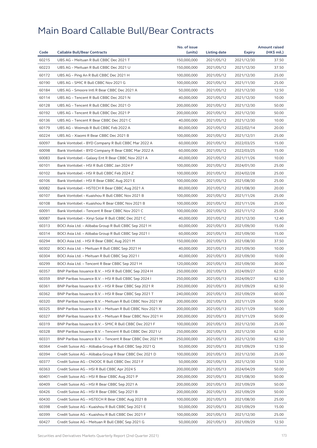|       |                                                            | No. of issue |              |            | <b>Amount raised</b> |
|-------|------------------------------------------------------------|--------------|--------------|------------|----------------------|
| Code  | <b>Callable Bull/Bear Contracts</b>                        | (units)      | Listing date | Expiry     | (HK\$ mil.)          |
| 60215 | UBS AG - Meituan R Bull CBBC Dec 2021 T                    | 150,000,000  | 2021/05/12   | 2021/12/30 | 37.50                |
| 60223 | UBS AG - Meituan R Bull CBBC Dec 2021 U                    | 150,000,000  | 2021/05/12   | 2021/12/30 | 37.50                |
| 60172 | UBS AG - Ping An R Bull CBBC Dec 2021 H                    | 100,000,000  | 2021/05/12   | 2021/12/30 | 25.00                |
| 60190 | UBS AG - SMIC R Bull CBBC Nov 2021 G                       | 100,000,000  | 2021/05/12   | 2021/11/30 | 25.00                |
| 60184 | UBS AG - Smoore Intl R Bear CBBC Dec 2021 A                | 50,000,000   | 2021/05/12   | 2021/12/30 | 12.50                |
| 60114 | UBS AG - Tencent R Bull CBBC Dec 2021 N                    | 40,000,000   | 2021/05/12   | 2021/12/30 | 10.00                |
| 60128 | UBS AG - Tencent R Bull CBBC Dec 2021 O                    | 200,000,000  | 2021/05/12   | 2021/12/30 | 50.00                |
| 60192 | UBS AG - Tencent R Bull CBBC Dec 2021 P                    | 200,000,000  | 2021/05/12   | 2021/12/30 | 50.00                |
| 60136 | UBS AG - Tencent R Bear CBBC Dec 2021 C                    | 40,000,000   | 2021/05/12   | 2021/12/30 | 10.00                |
| 60179 | UBS AG - Weimob R Bull CBBC Feb 2022 A                     | 80,000,000   | 2021/05/12   | 2022/02/14 | 20.00                |
| 60224 | UBS AG - Xiaomi R Bear CBBC Dec 2021 B                     | 100,000,000  | 2021/05/12   | 2021/12/31 | 25.00                |
| 60097 | Bank Vontobel - BYD Company R Bull CBBC Mar 2022 A         | 60,000,000   | 2021/05/12   | 2022/03/25 | 15.00                |
| 60098 | Bank Vontobel – BYD Company R Bear CBBC Mar 2022 A         | 60,000,000   | 2021/05/12   | 2022/03/25 | 15.00                |
| 60083 | Bank Vontobel - Galaxy Ent R Bear CBBC Nov 2021 A          | 40,000,000   | 2021/05/12   | 2021/11/26 | 10.00                |
| 60101 | Bank Vontobel - HSI R Bull CBBC Jan 2024 P                 | 100,000,000  | 2021/05/12   | 2024/01/30 | 25.00                |
| 60102 | Bank Vontobel - HSI R Bull CBBC Feb 2024 Z                 | 100,000,000  | 2021/05/12   | 2024/02/28 | 25.00                |
| 60106 | Bank Vontobel - HSI R Bear CBBC Aug 2021 E                 | 100,000,000  | 2021/05/12   | 2021/08/30 | 25.00                |
| 60082 | Bank Vontobel - HSTECH R Bear CBBC Aug 2021 A              | 80,000,000   | 2021/05/12   | 2021/08/30 | 20.00                |
| 60107 | Bank Vontobel - Kuaishou R Bull CBBC Nov 2021 B            | 100,000,000  | 2021/05/12   | 2021/11/26 | 25.00                |
| 60108 | Bank Vontobel - Kuaishou R Bear CBBC Nov 2021 B            | 100,000,000  | 2021/05/12   | 2021/11/26 | 25.00                |
| 60091 | Bank Vontobel - Tencent R Bear CBBC Nov 2021 C             | 100,000,000  | 2021/05/12   | 2021/11/12 | 25.00                |
| 60087 | Bank Vontobel - Xinyi Solar R Bull CBBC Dec 2021 C         | 40,000,000   | 2021/05/12   | 2021/12/30 | 12.40                |
| 60313 | BOCI Asia Ltd. - Alibaba Group R Bull CBBC Sep 2021 H      | 60,000,000   | 2021/05/13   | 2021/09/30 | 15.00                |
| 60314 | BOCI Asia Ltd. – Alibaba Group R Bull CBBC Sep 2021 I      | 60,000,000   | 2021/05/13   | 2021/09/30 | 15.00                |
| 60294 | BOCI Asia Ltd. - HSI R Bear CBBC Aug 2021 M                | 150,000,000  | 2021/05/13   | 2021/08/30 | 37.50                |
| 60302 | BOCI Asia Ltd. - Meituan R Bull CBBC Sep 2021 H            | 40,000,000   | 2021/05/13   | 2021/09/30 | 10.00                |
| 60304 | BOCI Asia Ltd. - Meituan R Bull CBBC Sep 2021 I            | 40,000,000   | 2021/05/13   | 2021/09/30 | 10.00                |
| 60299 | BOCI Asia Ltd. - Tencent R Bear CBBC Sep 2021 H            | 120,000,000  | 2021/05/13   | 2021/09/30 | 30.00                |
| 60357 | BNP Paribas Issuance B.V. - HSI R Bull CBBC Sep 2024 H     | 250,000,000  | 2021/05/13   | 2024/09/27 | 62.50                |
| 60359 | BNP Paribas Issuance B.V. - HSI R Bull CBBC Sep 2024 I     | 250,000,000  | 2021/05/13   | 2024/09/27 | 62.50                |
| 60361 | BNP Paribas Issuance B.V. - HSI R Bear CBBC Sep 2021 R     | 250,000,000  | 2021/05/13   | 2021/09/29 | 62.50                |
| 60362 | BNP Paribas Issuance B.V. - HSI R Bear CBBC Sep 2021 T     | 240,000,000  | 2021/05/13   | 2021/09/29 | 60.00                |
| 60320 | BNP Paribas Issuance B.V. – Meituan R Bull CBBC Nov 2021 W | 200,000,000  | 2021/05/13   | 2021/11/29 | 50.00                |
| 60325 | BNP Paribas Issuance B.V. - Meituan R Bull CBBC Nov 2021 X | 200,000,000  | 2021/05/13   | 2021/11/29 | 50.00                |
| 60327 | BNP Paribas Issuance B.V. - Meituan R Bear CBBC Nov 2021 H | 200,000,000  | 2021/05/13   | 2021/11/29 | 50.00                |
| 60319 | BNP Paribas Issuance B.V. - SMIC R Bull CBBC Dec 2021 F    | 100,000,000  | 2021/05/13   | 2021/12/30 | 25.00                |
| 60328 | BNP Paribas Issuance B.V. - Tencent R Bull CBBC Dec 2021 U | 250,000,000  | 2021/05/13   | 2021/12/30 | 62.50                |
| 60331 | BNP Paribas Issuance B.V. - Tencent R Bear CBBC Dec 2021 M | 250,000,000  | 2021/05/13   | 2021/12/30 | 62.50                |
| 60364 | Credit Suisse AG - Alibaba Group R Bull CBBC Sep 2021 Q    | 50,000,000   | 2021/05/13   | 2021/09/29 | 12.50                |
| 60394 | Credit Suisse AG - Alibaba Group R Bear CBBC Dec 2021 D    | 100,000,000  | 2021/05/13   | 2021/12/30 | 25.00                |
| 60377 | Credit Suisse AG - CNOOC R Bull CBBC Dec 2021 F            | 50,000,000   | 2021/05/13   | 2021/12/30 | 12.50                |
| 60363 | Credit Suisse AG - HSI R Bull CBBC Apr 2024 S              | 200,000,000  | 2021/05/13   | 2024/04/29 | 50.00                |
| 60401 | Credit Suisse AG - HSI R Bear CBBC Aug 2021 P              | 200,000,000  | 2021/05/13   | 2021/08/30 | 50.00                |
| 60409 | Credit Suisse AG - HSI R Bear CBBC Sep 2021 A              | 200,000,000  | 2021/05/13   | 2021/09/29 | 50.00                |
| 60426 | Credit Suisse AG - HSI R Bear CBBC Sep 2021 B              | 200,000,000  | 2021/05/13   | 2021/09/29 | 50.00                |
| 60430 | Credit Suisse AG - HSTECH R Bear CBBC Aug 2021 B           | 100,000,000  | 2021/05/13   | 2021/08/30 | 25.00                |
| 60398 | Credit Suisse AG - Kuaishou R Bull CBBC Sep 2021 E         | 50,000,000   | 2021/05/13   | 2021/09/29 | 15.00                |
| 60399 | Credit Suisse AG - Kuaishou R Bull CBBC Dec 2021 F         | 100,000,000  | 2021/05/13   | 2021/12/30 | 25.00                |
| 60427 | Credit Suisse AG - Meituan R Bull CBBC Sep 2021 G          | 50,000,000   | 2021/05/13   | 2021/09/29 | 12.50                |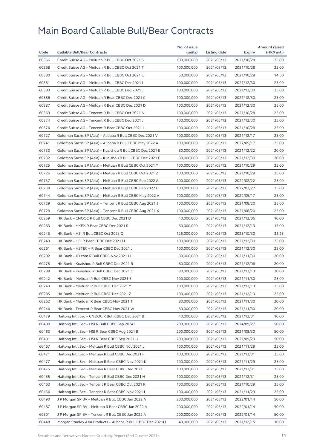|       |                                                                                                  | No. of issue |              |               | <b>Amount raised</b> |
|-------|--------------------------------------------------------------------------------------------------|--------------|--------------|---------------|----------------------|
| Code  | <b>Callable Bull/Bear Contracts</b>                                                              | (units)      | Listing date | <b>Expiry</b> | (HK\$ mil.)          |
| 60366 | Credit Suisse AG - Meituan R Bull CBBC Oct 2021 S                                                | 100,000,000  | 2021/05/13   | 2021/10/28    | 25.00                |
| 60368 | Credit Suisse AG - Meituan R Bull CBBC Oct 2021 T                                                | 100,000,000  | 2021/05/13   | 2021/10/28    | 25.00                |
| 60380 | Credit Suisse AG - Meituan R Bull CBBC Oct 2021 U                                                | 50,000,000   | 2021/05/13   | 2021/10/28    | 14.50                |
| 60381 | Credit Suisse AG - Meituan R Bull CBBC Dec 2021 I                                                | 100,000,000  | 2021/05/13   | 2021/12/30    | 25.00                |
| 60383 | Credit Suisse AG - Meituan R Bull CBBC Dec 2021 J                                                | 100,000,000  | 2021/05/13   | 2021/12/30    | 25.00                |
| 60386 | Credit Suisse AG - Meituan R Bear CBBC Dec 2021 C                                                | 100,000,000  | 2021/05/13   | 2021/12/30    | 25.00                |
| 60387 | Credit Suisse AG - Meituan R Bear CBBC Dec 2021 D                                                | 100,000,000  | 2021/05/13   | 2021/12/30    | 25.00                |
| 60369 | Credit Suisse AG - Tencent R Bull CBBC Oct 2021 N                                                | 100,000,000  | 2021/05/13   | 2021/10/28    | 25.00                |
| 60374 | Credit Suisse AG - Tencent R Bull CBBC Dec 2021 J                                                | 100,000,000  | 2021/05/13   | 2021/12/30    | 25.00                |
| 60376 | Credit Suisse AG - Tencent R Bear CBBC Oct 2021 I                                                | 100,000,000  | 2021/05/13   | 2021/10/28    | 25.00                |
| 60727 | Goldman Sachs SP (Asia) - Alibaba R Bull CBBC Dec 2021 V                                         | 100,000,000  | 2021/05/13   | 2021/12/17    | 25.00                |
| 60741 | Goldman Sachs SP (Asia) - Alibaba R Bull CBBC May 2022 A                                         | 100,000,000  | 2021/05/13   | 2022/05/17    | 25.00                |
| 60730 | Goldman Sachs SP (Asia) - Kuaishou R Bull CBBC Dec 2021 E                                        | 80,000,000   | 2021/05/13   | 2021/12/22    | 20.00                |
| 60732 | Goldman Sachs SP (Asia) - Kuaishou R Bull CBBC Dec 2021 F                                        | 80,000,000   | 2021/05/13   | 2021/12/30    | 20.00                |
| 60725 | Goldman Sachs SP (Asia) - Meituan R Bull CBBC Oct 2021 Y                                         | 100,000,000  | 2021/05/13   | 2021/10/29    | 25.00                |
| 60726 | Goldman Sachs SP (Asia) - Meituan R Bull CBBC Oct 2021 Z                                         | 100,000,000  | 2021/05/13   | 2021/10/28    | 25.00                |
| 60737 | Goldman Sachs SP (Asia) - Meituan R Bull CBBC Feb 2022 A                                         | 100,000,000  | 2021/05/13   | 2022/02/22    | 25.00                |
| 60738 | Goldman Sachs SP (Asia) - Meituan R Bull CBBC Feb 2022 B                                         | 100,000,000  | 2021/05/13   | 2022/02/22    | 25.00                |
| 60744 | Goldman Sachs SP (Asia) - Meituan R Bull CBBC May 2022 A                                         | 100,000,000  | 2021/05/13   | 2022/05/17    | 25.00                |
| 60729 | Goldman Sachs SP (Asia) - Tencent R Bull CBBC Aug 2021 J                                         | 100,000,000  | 2021/05/13   | 2021/08/20    | 25.00                |
| 60728 | Goldman Sachs SP (Asia) - Tencent R Bull CBBC Aug 2021 X                                         | 100,000,000  | 2021/05/13   | 2021/08/20    | 25.00                |
| 60259 | HK Bank - CNOOC R Bull CBBC Dec 2021 D                                                           | 40,000,000   | 2021/05/13   | 2021/12/06    | 10.00                |
| 60263 | HK Bank - HKEX R Bear CBBC Dec 2021 R                                                            | 60,000,000   | 2021/05/13   | 2021/12/13    | 15.00                |
| 60245 | HK Bank - HSI R Bull CBBC Oct 2023 Q                                                             | 125,000,000  | 2021/05/13   | 2023/10/30    | 31.25                |
| 60249 | HK Bank - HSI R Bear CBBC Dec 2021 U                                                             | 100,000,000  | 2021/05/13   | 2021/12/30    | 25.00                |
| 60261 | HK Bank - HSTECH R Bear CBBC Dec 2021 J                                                          | 100,000,000  | 2021/05/13   | 2021/12/30    | 25.00                |
| 60292 | HK Bank - JD.com R Bull CBBC Nov 2021 H                                                          | 80,000,000   | 2021/05/13   | 2021/11/30    | 20.00                |
| 60278 | HK Bank - Kuaishou R Bull CBBC Dec 2021 B                                                        | 80,000,000   | 2021/05/13   | 2021/12/06    | 20.00                |
| 60288 | HK Bank - Kuaishou R Bull CBBC Dec 2021 C                                                        | 80,000,000   | 2021/05/13   | 2021/12/13    | 20.00                |
| 60242 | HK Bank - Meituan R Bull CBBC Nov 2021 E                                                         | 100,000,000  | 2021/05/13   | 2021/11/30    | 25.00                |
| 60243 | HK Bank - Meituan R Bull CBBC Dec 2021 Y                                                         | 100,000,000  | 2021/05/13   | 2021/12/13    | 25.00                |
| 60285 | HK Bank - Meituan R Bull CBBC Dec 2021 Z                                                         | 100,000,000  | 2021/05/13   | 2021/12/13    | 25.00                |
| 60262 | HK Bank – Meituan R Bear CBBC Nov 2021 T                                                         | 80,000,000   | 2021/05/13   | 2021/11/30    | 20.00                |
| 60246 | HK Bank - Tencent R Bear CBBC Nov 2021 W                                                         | 80,000,000   | 2021/05/13   | 2021/11/30    | 20.00                |
| 60479 | Haitong Int'l Sec – CNOOC R Bull CBBC Dec 2021 B                                                 | 40,000,000   | 2021/05/13   | 2021/12/31    | 10.00                |
| 60480 | Haitong Int'l Sec - HSI R Bull CBBC Sep 2024 I                                                   | 200,000,000  | 2021/05/13   | 2024/09/27    | 50.00                |
| 60483 |                                                                                                  | 200,000,000  | 2021/05/13   | 2021/08/30    | 50.00                |
| 60481 | Haitong Int'l Sec - HSI R Bear CBBC Aug 2021 B<br>Haitong Int'l Sec - HSI R Bear CBBC Sep 2021 U | 200,000,000  | 2021/05/13   | 2021/09/29    | 50.00                |
| 60467 | Haitong Int'l Sec - Meituan R Bull CBBC Nov 2021 J                                               | 100,000,000  | 2021/05/13   | 2021/11/29    | 25.00                |
|       |                                                                                                  |              |              |               |                      |
| 60471 | Haitong Int'l Sec - Meituan R Bull CBBC Dec 2021 F                                               | 100,000,000  | 2021/05/13   | 2021/12/31    | 25.00                |
| 60477 | Haitong Int'l Sec - Meituan R Bear CBBC Nov 2021 K                                               | 100,000,000  | 2021/05/13   | 2021/11/29    | 25.00                |
| 60475 | Haitong Int'l Sec - Meituan R Bear CBBC Dec 2021 C                                               | 100,000,000  | 2021/05/13   | 2021/12/31    | 25.00                |
| 60455 | Haitong Int'l Sec - Tencent R Bull CBBC Dec 2021 H                                               | 100,000,000  | 2021/05/13   | 2021/12/31    | 25.00                |
| 60463 | Haitong Int'l Sec – Tencent R Bear CBBC Oct 2021 K                                               | 100,000,000  | 2021/05/13   | 2021/10/29    | 25.00                |
| 60456 | Haitong Int'l Sec - Tencent R Bear CBBC Nov 2021 L                                               | 100,000,000  | 2021/05/13   | 2021/11/29    | 25.00                |
| 60490 | J P Morgan SP BV – Meituan R Bull CBBC Jan 2022 A                                                | 200,000,000  | 2021/05/13   | 2022/01/14    | 50.00                |
| 60487 | J P Morgan SP BV - Meituan R Bear CBBC Jan 2022 A                                                | 200,000,000  | 2021/05/13   | 2022/01/14    | 50.00                |
| 60501 | J P Morgan SP BV - Tencent R Bull CBBC Jan 2022 A                                                | 200,000,000  | 2021/05/13   | 2022/01/14    | 50.00                |
| 60448 | Morgan Stanley Asia Products – Alibaba R Bull CBBC Dec 2021H                                     | 40,000,000   | 2021/05/13   | 2021/12/15    | 10.00                |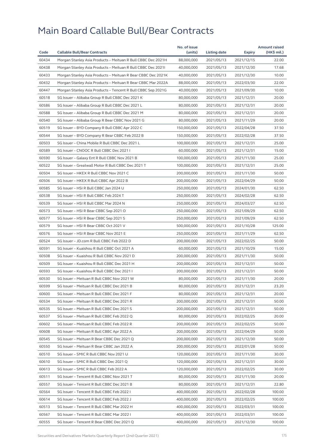|       |                                                              | No. of issue |              |            | <b>Amount raised</b> |
|-------|--------------------------------------------------------------|--------------|--------------|------------|----------------------|
| Code  | <b>Callable Bull/Bear Contracts</b>                          | (units)      | Listing date | Expiry     | (HK\$ mil.)          |
| 60434 | Morgan Stanley Asia Products - Meituan R Bull CBBC Dec 2021H | 88,000,000   | 2021/05/13   | 2021/12/15 | 22.00                |
| 60438 | Morgan Stanley Asia Products - Meituan R Bull CBBC Dec 20211 | 40,000,000   | 2021/05/13   | 2021/12/30 | 17.68                |
| 60433 | Morgan Stanley Asia Products - Meituan R Bear CBBC Dec 2021K | 40,000,000   | 2021/05/13   | 2021/12/30 | 10.00                |
| 60432 | Morgan Stanley Asia Products - Meituan R Bear CBBC Mar 2022A | 88,000,000   | 2021/05/13   | 2022/03/30 | 22.00                |
| 60447 | Morgan Stanley Asia Products - Tencent R Bull CBBC Sep 2021G | 40,000,000   | 2021/05/13   | 2021/09/30 | 10.00                |
| 60518 | SG Issuer - Alibaba Group R Bull CBBC Dec 2021 K             | 80,000,000   | 2021/05/13   | 2021/12/31 | 20.00                |
| 60586 | SG Issuer - Alibaba Group R Bull CBBC Dec 2021 L             | 80,000,000   | 2021/05/13   | 2021/12/31 | 20.00                |
| 60588 | SG Issuer - Alibaba Group R Bull CBBC Dec 2021 M             | 80,000,000   | 2021/05/13   | 2021/12/31 | 20.00                |
| 60540 | SG Issuer - Alibaba Group R Bear CBBC Nov 2021 G             | 80,000,000   | 2021/05/13   | 2021/11/29 | 20.00                |
| 60519 | SG Issuer - BYD Company R Bull CBBC Apr 2022 C               | 150,000,000  | 2021/05/13   | 2022/04/28 | 37.50                |
| 60544 | SG Issuer - BYD Company R Bear CBBC Feb 2022 B               | 150,000,000  | 2021/05/13   | 2022/02/28 | 37.50                |
| 60503 | SG Issuer - China Mobile R Bull CBBC Dec 2021 L              | 100,000,000  | 2021/05/13   | 2021/12/31 | 25.00                |
| 60589 | SG Issuer - CNOOC R Bull CBBC Dec 2021 I                     | 60,000,000   | 2021/05/13   | 2021/12/31 | 15.00                |
| 60590 | SG Issuer - Galaxy Ent R Bull CBBC Nov 2021 B                | 100,000,000  | 2021/05/13   | 2021/11/30 | 25.00                |
| 60522 | SG Issuer - Greatwall Motor R Bull CBBC Dec 2021 T           | 100,000,000  | 2021/05/13   | 2021/12/31 | 25.00                |
| 60504 | SG Issuer - HKEX R Bull CBBC Nov 2021 C                      | 200,000,000  | 2021/05/13   | 2021/11/30 | 50.00                |
| 60506 | SG Issuer - HKEX R Bull CBBC Apr 2022 B                      | 200,000,000  | 2021/05/13   | 2022/04/29 | 50.00                |
| 60585 | SG Issuer - HSI R Bull CBBC Jan 2024 U                       | 250,000,000  | 2021/05/13   | 2024/01/30 | 62.50                |
| 60538 | SG Issuer - HSI R Bull CBBC Feb 2024 T                       | 250,000,000  | 2021/05/13   | 2024/02/28 | 62.50                |
| 60539 | SG Issuer - HSI R Bull CBBC Mar 2024 N                       | 250,000,000  | 2021/05/13   | 2024/03/27 | 62.50                |
| 60573 | SG Issuer - HSI R Bear CBBC Sep 2021 O                       | 250,000,000  | 2021/05/13   | 2021/09/29 | 62.50                |
| 60577 | SG Issuer - HSI R Bear CBBC Sep 2021 S                       | 250,000,000  | 2021/05/13   | 2021/09/29 | 62.50                |
| 60579 | SG Issuer - HSI R Bear CBBC Oct 2021 V                       | 500,000,000  | 2021/05/13   | 2021/10/28 | 125.00               |
| 60576 | SG Issuer - HSI R Bear CBBC Nov 2021 E                       | 250,000,000  | 2021/05/13   | 2021/11/29 | 62.50                |
| 60524 | SG Issuer - JD.com R Bull CBBC Feb 2022 D                    | 200,000,000  | 2021/05/13   | 2022/02/25 | 50.00                |
| 60591 | SG Issuer - Kuaishou R Bull CBBC Oct 2021 A                  | 60,000,000   | 2021/05/13   | 2021/10/29 | 15.00                |
| 60508 | SG Issuer - Kuaishou R Bull CBBC Nov 2021 D                  | 200,000,000  | 2021/05/13   | 2021/11/30 | 50.00                |
| 60509 | SG Issuer - Kuaishou R Bull CBBC Dec 2021 H                  | 200,000,000  | 2021/05/13   | 2021/12/31 | 50.00                |
| 60593 | SG Issuer - Kuaishou R Bull CBBC Dec 2021 I                  | 200,000,000  | 2021/05/13   | 2021/12/31 | 50.00                |
| 60530 | SG Issuer - Meituan R Bull CBBC Nov 2021 W                   | 80,000,000   | 2021/05/13   | 2021/11/30 | 20.00                |
| 60599 | SG Issuer - Meituan R Bull CBBC Dec 2021 B                   | 80,000,000   | 2021/05/13   | 2021/12/31 | 23.20                |
| 60600 | SG Issuer - Meituan R Bull CBBC Dec 2021 F                   | 80,000,000   | 2021/05/13   | 2021/12/31 | 20.00                |
| 60534 | SG Issuer - Meituan R Bull CBBC Dec 2021 R                   | 200,000,000  | 2021/05/13   | 2021/12/31 | 50.00                |
| 60535 | SG Issuer - Meituan R Bull CBBC Dec 2021 S                   | 200,000,000  | 2021/05/13   | 2021/12/31 | 50.00                |
| 60537 | SG Issuer - Meituan R Bull CBBC Feb 2022 Q                   | 80,000,000   | 2021/05/13   | 2022/02/25 | 20.00                |
| 60602 | SG Issuer - Meituan R Bull CBBC Feb 2022 R                   | 200,000,000  | 2021/05/13   | 2022/02/25 | 50.00                |
| 60608 | SG Issuer - Meituan R Bull CBBC Apr 2022 A                   | 200,000,000  | 2021/05/13   | 2022/04/29 | 50.00                |
| 60545 | SG Issuer - Meituan R Bear CBBC Dec 2021 Q                   | 200,000,000  | 2021/05/13   | 2021/12/30 | 50.00                |
| 60550 | SG Issuer - Meituan R Bear CBBC Jan 2022 A                   | 200,000,000  | 2021/05/13   | 2022/01/28 | 50.00                |
| 60510 | SG Issuer - SMIC R Bull CBBC Nov 2021 U                      | 120,000,000  | 2021/05/13   | 2021/11/30 | 30.00                |
| 60610 | SG Issuer - SMIC R Bull CBBC Dec 2021 Q                      | 120,000,000  | 2021/05/13   | 2021/12/31 | 30.00                |
| 60613 | SG Issuer - SMIC R Bull CBBC Feb 2022 A                      | 120,000,000  | 2021/05/13   | 2022/02/25 | 30.00                |
| 60511 | SG Issuer - Tencent R Bull CBBC Nov 2021 T                   | 80,000,000   | 2021/05/13   | 2021/11/30 | 20.00                |
| 60557 | SG Issuer - Tencent R Bull CBBC Dec 2021 B                   | 80,000,000   | 2021/05/13   | 2021/12/31 | 22.80                |
| 60564 | SG Issuer - Tencent R Bull CBBC Feb 2022 I                   | 400,000,000  | 2021/05/13   | 2022/02/28 | 100.00               |
| 60614 | SG Issuer - Tencent R Bull CBBC Feb 2022 J                   | 400,000,000  | 2021/05/13   | 2022/02/25 | 100.00               |
| 60513 | SG Issuer - Tencent R Bull CBBC Mar 2022 H                   | 400,000,000  | 2021/05/13   | 2022/03/31 | 100.00               |
| 60567 | SG Issuer - Tencent R Bull CBBC Mar 2022 I                   | 400,000,000  | 2021/05/13   | 2022/03/31 | 100.00               |
| 60555 | SG Issuer - Tencent R Bear CBBC Dec 2021 Q                   | 400,000,000  | 2021/05/13   | 2021/12/30 | 100.00               |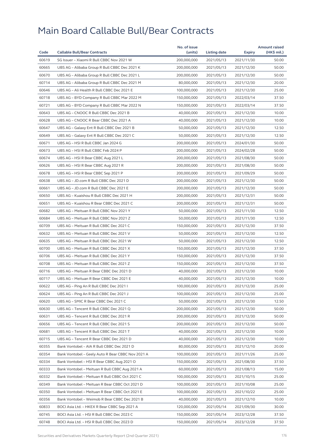| Code  |                                                   | No. of issue |              |            | <b>Amount raised</b><br>$(HK\$ mil.) |
|-------|---------------------------------------------------|--------------|--------------|------------|--------------------------------------|
|       | <b>Callable Bull/Bear Contracts</b>               | (units)      | Listing date | Expiry     |                                      |
| 60619 | SG Issuer - Xiaomi R Bull CBBC Nov 2021 W         | 200,000,000  | 2021/05/13   | 2021/11/30 | 50.00                                |
| 60665 | UBS AG - Alibaba Group R Bull CBBC Dec 2021 K     | 200,000,000  | 2021/05/13   | 2021/12/30 | 50.00                                |
| 60670 | UBS AG - Alibaba Group R Bull CBBC Dec 2021 L     | 200,000,000  | 2021/05/13   | 2021/12/30 | 50.00                                |
| 60714 | UBS AG - Alibaba Group R Bull CBBC Dec 2021 M     | 80,000,000   | 2021/05/13   | 2021/12/30 | 20.00                                |
| 60646 | UBS AG - Ali Health R Bull CBBC Dec 2021 E        | 100,000,000  | 2021/05/13   | 2021/12/30 | 25.00                                |
| 60718 | UBS AG - BYD Company R Bull CBBC Mar 2022 M       | 150,000,000  | 2021/05/13   | 2022/03/14 | 37.50                                |
| 60721 | UBS AG - BYD Company R Bull CBBC Mar 2022 N       | 150,000,000  | 2021/05/13   | 2022/03/14 | 37.50                                |
| 60643 | UBS AG - CNOOC R Bull CBBC Dec 2021 B             | 40,000,000   | 2021/05/13   | 2021/12/30 | 10.00                                |
| 60628 | UBS AG - CNOOC R Bear CBBC Dec 2021 A             | 40,000,000   | 2021/05/13   | 2021/12/30 | 10.00                                |
| 60647 | UBS AG - Galaxy Ent R Bull CBBC Dec 2021 B        | 50,000,000   | 2021/05/13   | 2021/12/30 | 12.50                                |
| 60649 | UBS AG - Galaxy Ent R Bull CBBC Dec 2021 C        | 50,000,000   | 2021/05/13   | 2021/12/30 | 12.50                                |
| 60671 | UBS AG - HSI R Bull CBBC Jan 2024 G               | 200,000,000  | 2021/05/13   | 2024/01/30 | 50.00                                |
| 60673 | UBS AG - HSI R Bull CBBC Feb 2024 P               | 200,000,000  | 2021/05/13   | 2024/02/28 | 50.00                                |
| 60674 | UBS AG - HSI R Bear CBBC Aug 2021 L               | 200,000,000  | 2021/05/13   | 2021/08/30 | 50.00                                |
| 60626 | UBS AG - HSI R Bear CBBC Aug 2021 R               | 200,000,000  | 2021/05/13   | 2021/08/30 | 50.00                                |
| 60678 | UBS AG - HSI R Bear CBBC Sep 2021 P               | 200,000,000  | 2021/05/13   | 2021/09/29 | 50.00                                |
| 60638 | UBS AG - JD.com R Bull CBBC Dec 2021 D            | 200,000,000  | 2021/05/13   | 2021/12/30 | 50.00                                |
| 60661 | UBS AG - JD.com R Bull CBBC Dec 2021 E            | 200,000,000  | 2021/05/13   | 2021/12/30 | 50.00                                |
| 60650 | UBS AG - Kuaishou R Bull CBBC Dec 2021 H          | 200,000,000  | 2021/05/13   | 2021/12/31 | 50.00                                |
| 60651 | UBS AG - Kuaishou R Bear CBBC Dec 2021 C          | 200,000,000  | 2021/05/13   | 2021/12/31 | 50.00                                |
| 60682 | UBS AG - Meituan R Bull CBBC Nov 2021 Y           | 50,000,000   | 2021/05/13   | 2021/11/30 | 12.50                                |
| 60684 | UBS AG - Meituan R Bull CBBC Nov 2021 Z           | 50,000,000   | 2021/05/13   | 2021/11/30 | 12.50                                |
| 60709 | UBS AG - Meituan R Bull CBBC Dec 2021 C           | 150,000,000  | 2021/05/13   | 2021/12/30 | 37.50                                |
| 60632 | UBS AG - Meituan R Bull CBBC Dec 2021 V           | 50,000,000   | 2021/05/13   | 2021/12/30 | 12.50                                |
| 60635 | UBS AG - Meituan R Bull CBBC Dec 2021 W           | 50,000,000   | 2021/05/13   | 2021/12/30 | 12.50                                |
| 60700 | UBS AG - Meituan R Bull CBBC Dec 2021 X           | 150,000,000  | 2021/05/13   | 2021/12/30 | 37.50                                |
| 60706 | UBS AG - Meituan R Bull CBBC Dec 2021 Y           | 150,000,000  | 2021/05/13   | 2021/12/30 | 37.50                                |
| 60708 | UBS AG - Meituan R Bull CBBC Dec 2021 Z           | 150,000,000  | 2021/05/13   | 2021/12/30 | 37.50                                |
| 60716 | UBS AG - Meituan R Bear CBBC Dec 2021 D           | 40,000,000   | 2021/05/13   | 2021/12/30 | 10.00                                |
| 60717 | UBS AG - Meituan R Bear CBBC Dec 2021 E           | 40,000,000   | 2021/05/13   | 2021/12/30 | 10.00                                |
| 60622 | UBS AG - Ping An R Bull CBBC Dec 2021 I           | 100,000,000  | 2021/05/13   | 2021/12/30 | 25.00                                |
| 60624 | UBS AG - Ping An R Bull CBBC Dec 2021 J           | 100,000,000  | 2021/05/13   | 2021/12/30 | 25.00                                |
| 60620 | UBS AG - SMIC R Bear CBBC Dec 2021 C              | 50,000,000   | 2021/05/13   | 2021/12/30 | 12.50                                |
| 60630 | UBS AG - Tencent R Bull CBBC Dec 2021 Q           | 200,000,000  | 2021/05/13   | 2021/12/30 | 50.00                                |
| 60631 | UBS AG - Tencent R Bull CBBC Dec 2021 R           | 200,000,000  | 2021/05/13   | 2021/12/30 | 50.00                                |
| 60656 | UBS AG - Tencent R Bull CBBC Dec 2021 S           | 200,000,000  | 2021/05/13   | 2021/12/30 | 50.00                                |
| 60681 | UBS AG - Tencent R Bull CBBC Dec 2021 T           | 40,000,000   | 2021/05/13   | 2021/12/30 | 10.00                                |
| 60715 | UBS AG - Tencent R Bear CBBC Dec 2021 D           | 40,000,000   | 2021/05/13   | 2021/12/30 | 10.00                                |
| 60355 | Bank Vontobel - AIA R Bull CBBC Dec 2021 D        | 80,000,000   | 2021/05/13   | 2021/12/10 | 20.00                                |
| 60354 | Bank Vontobel - Geely Auto R Bear CBBC Nov 2021 A | 100,000,000  | 2021/05/13   | 2021/11/26 | 25.00                                |
| 60334 | Bank Vontobel - HSI R Bear CBBC Aug 2021 O        | 150,000,000  | 2021/05/13   | 2021/08/30 | 37.50                                |
| 60333 | Bank Vontobel - Meituan R Bull CBBC Aug 2021 A    | 60,000,000   | 2021/05/13   | 2021/08/13 | 15.00                                |
| 60332 | Bank Vontobel - Meituan R Bull CBBC Oct 2021 C    | 100,000,000  | 2021/05/13   | 2021/10/15 | 25.00                                |
| 60349 | Bank Vontobel - Meituan R Bear CBBC Oct 2021 D    | 100,000,000  | 2021/05/13   | 2021/10/08 | 25.00                                |
| 60350 | Bank Vontobel - Meituan R Bear CBBC Oct 2021 E    | 100,000,000  | 2021/05/13   | 2021/10/22 | 25.00                                |
| 60356 | Bank Vontobel - Weimob R Bear CBBC Dec 2021 B     | 40,000,000   | 2021/05/13   | 2021/12/10 | 10.00                                |
| 60833 | BOCI Asia Ltd. - HKEX R Bear CBBC Sep 2021 A      | 120,000,000  | 2021/05/14   | 2021/09/30 | 30.00                                |
| 60745 | BOCI Asia Ltd. - HSI R Bull CBBC Dec 2023 C       | 150,000,000  | 2021/05/14   | 2023/12/28 | 37.50                                |
| 60748 | BOCI Asia Ltd. – HSI R Bull CBBC Dec 2023 D       | 150,000,000  | 2021/05/14   | 2023/12/28 | 37.50                                |
|       |                                                   |              |              |            |                                      |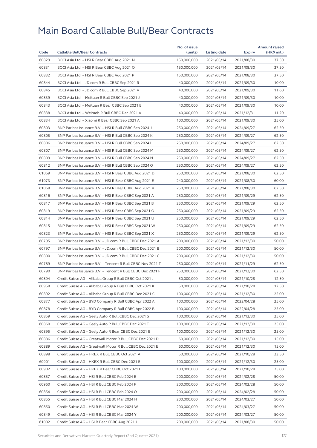|       |                                                            | No. of issue |              |                          | <b>Amount raised</b> |
|-------|------------------------------------------------------------|--------------|--------------|--------------------------|----------------------|
| Code  | <b>Callable Bull/Bear Contracts</b>                        | (units)      | Listing date | Expiry                   | (HK\$ mil.)          |
| 60829 | BOCI Asia Ltd. - HSI R Bear CBBC Aug 2021 N                | 150,000,000  | 2021/05/14   | 2021/08/30               | 37.50                |
| 60831 | BOCI Asia Ltd. - HSI R Bear CBBC Aug 2021 O                | 150,000,000  | 2021/05/14   | 2021/08/30               | 37.50                |
| 60832 | BOCI Asia Ltd. - HSI R Bear CBBC Aug 2021 P                | 150,000,000  | 2021/05/14   | 2021/08/30               | 37.50                |
| 60844 | BOCI Asia Ltd. - JD.com R Bull CBBC Sep 2021 R             | 40,000,000   | 2021/05/14   | 2021/09/30               | 10.00                |
| 60845 | BOCI Asia Ltd. - JD.com R Bull CBBC Sep 2021 V             | 40,000,000   | 2021/05/14   | 2021/09/30               | 11.60                |
| 60839 | BOCI Asia Ltd. - Meituan R Bull CBBC Sep 2021 J            | 40,000,000   | 2021/05/14   | 2021/09/30               | 10.00                |
| 60843 | BOCI Asia Ltd. - Meituan R Bear CBBC Sep 2021 E            | 40,000,000   | 2021/05/14   | 2021/09/30               | 10.00                |
| 60838 | BOCI Asia Ltd. - Weimob R Bull CBBC Dec 2021 A             | 40,000,000   | 2021/05/14   | 2021/12/31               | 11.20                |
| 60834 | BOCI Asia Ltd. - Xiaomi R Bear CBBC Sep 2021 A             | 100,000,000  | 2021/05/14   | 2021/09/30               | 25.00                |
| 60803 | BNP Paribas Issuance B.V. - HSI R Bull CBBC Sep 2024 J     | 250,000,000  | 2021/05/14   | 2024/09/27               | 62.50                |
| 60805 | BNP Paribas Issuance B.V. - HSI R Bull CBBC Sep 2024 K     | 250,000,000  | 2021/05/14   | 2024/09/27               | 62.50                |
| 60806 | BNP Paribas Issuance B.V. - HSI R Bull CBBC Sep 2024 L     | 250,000,000  | 2021/05/14   | 2024/09/27               | 62.50                |
| 60807 | BNP Paribas Issuance B.V. - HSI R Bull CBBC Sep 2024 M     | 250,000,000  | 2021/05/14   | 2024/09/27               | 62.50                |
| 60809 | BNP Paribas Issuance B.V. - HSI R Bull CBBC Sep 2024 N     | 250,000,000  | 2021/05/14   | 2024/09/27               | 62.50                |
| 60812 | BNP Paribas Issuance B.V. - HSI R Bull CBBC Sep 2024 O     | 250,000,000  | 2021/05/14   | 2024/09/27               | 62.50                |
| 61069 | BNP Paribas Issuance B.V. - HSI R Bear CBBC Aug 2021 D     | 250,000,000  | 2021/05/14   | 2021/08/30               | 62.50                |
| 61073 | BNP Paribas Issuance B.V. - HSI R Bear CBBC Aug 2021 E     | 240,000,000  | 2021/05/14   | 2021/08/30               | 60.00                |
| 61068 | BNP Paribas Issuance B.V. - HSI R Bear CBBC Aug 2021 R     | 250,000,000  | 2021/05/14   | 2021/08/30               | 62.50                |
| 60816 | BNP Paribas Issuance B.V. - HSI R Bear CBBC Sep 2021 A     | 250,000,000  | 2021/05/14   | 2021/09/29               | 62.50                |
| 60817 | BNP Paribas Issuance B.V. - HSI R Bear CBBC Sep 2021 B     | 250,000,000  | 2021/05/14   | 2021/09/29               | 62.50                |
| 60819 | BNP Paribas Issuance B.V. - HSI R Bear CBBC Sep 2021 G     | 250,000,000  | 2021/05/14   | 2021/09/29               | 62.50                |
| 60814 | BNP Paribas Issuance B.V. - HSI R Bear CBBC Sep 2021 U     | 250,000,000  | 2021/05/14   | 2021/09/29               | 62.50                |
| 60815 | BNP Paribas Issuance B.V. - HSI R Bear CBBC Sep 2021 W     | 250,000,000  | 2021/05/14   | 2021/09/29               | 62.50                |
| 60823 | BNP Paribas Issuance B.V. - HSI R Bear CBBC Sep 2021 X     | 250,000,000  | 2021/05/14   | 2021/09/29               | 62.50                |
| 60795 | BNP Paribas Issuance B.V. - JD.com R Bull CBBC Dec 2021 A  | 200,000,000  | 2021/05/14   | 2021/12/30               | 50.00                |
| 60797 | BNP Paribas Issuance B.V. - JD.com R Bull CBBC Dec 2021 B  | 200,000,000  | 2021/05/14   | 2021/12/30               | 50.00                |
| 60800 | BNP Paribas Issuance B.V. - JD.com R Bull CBBC Dec 2021 C  | 200,000,000  | 2021/05/14   | 2021/12/30               | 50.00                |
| 60789 | BNP Paribas Issuance B.V. - Tencent R Bull CBBC Nov 2021 T | 250,000,000  | 2021/05/14   | 2021/11/29               | 62.50                |
| 60790 | BNP Paribas Issuance B.V. - Tencent R Bull CBBC Dec 2021 F | 250,000,000  | 2021/05/14   | 2021/12/30               | 62.50                |
| 60894 | Credit Suisse AG - Alibaba Group R Bull CBBC Oct 2021 J    | 50,000,000   | 2021/05/14   | 2021/10/28               | 12.50                |
| 60958 | Credit Suisse AG – Alibaba Group R Bull CBBC Oct 2021 K    | 50,000,000   | 2021/05/14   | 2021/10/28               | 12.50                |
| 60892 | Credit Suisse AG - Alibaba Group R Bull CBBC Dec 2021 C    | 100,000,000  | 2021/05/14   | 2021/12/30               | 25.00                |
| 60877 | Credit Suisse AG - BYD Company R Bull CBBC Apr 2022 A      | 100,000,000  | 2021/05/14   | 2022/04/28               | 25.00                |
| 60878 | Credit Suisse AG - BYD Company R Bull CBBC Apr 2022 B      | 100,000,000  | 2021/05/14   | 2022/04/28               | 25.00                |
| 60859 | Credit Suisse AG - Geely Auto R Bull CBBC Dec 2021 S       | 100,000,000  | 2021/05/14   | 2021/12/30               | 25.00                |
| 60860 | Credit Suisse AG - Geely Auto R Bull CBBC Dec 2021 T       | 100,000,000  | 2021/05/14   | 2021/12/30               | 25.00                |
| 60895 | Credit Suisse AG - Geely Auto R Bear CBBC Dec 2021 B       | 100,000,000  | 2021/05/14   | 2021/12/30               | 25.00                |
| 60886 | Credit Suisse AG - Greatwall Motor R Bull CBBC Dec 2021 D  | 60,000,000   | 2021/05/14   | 2021/12/30               | 15.00                |
| 60889 | Credit Suisse AG - Greatwall Motor R Bull CBBC Dec 2021 E  | 60,000,000   | 2021/05/14   | 2021/12/30               | 15.00                |
| 60898 | Credit Suisse AG - HKEX R Bull CBBC Oct 2021 A             | 50,000,000   | 2021/05/14   | 2021/10/28               | 23.50                |
| 60901 | Credit Suisse AG - HKEX R Bull CBBC Dec 2021 E             | 100,000,000  | 2021/05/14   | 2021/12/30               | 25.00                |
| 60902 |                                                            | 100,000,000  |              |                          | 25.00                |
|       | Credit Suisse AG - HKEX R Bear CBBC Oct 2021 I             |              | 2021/05/14   | 2021/10/28<br>2024/02/28 | 50.00                |
| 60857 | Credit Suisse AG - HSI R Bull CBBC Feb 2024 E              | 200,000,000  | 2021/05/14   |                          |                      |
| 60960 | Credit Suisse AG - HSI R Bull CBBC Feb 2024 F              | 200,000,000  | 2021/05/14   | 2024/02/28               | 50.00                |
| 60854 | Credit Suisse AG - HSI R Bull CBBC Feb 2024 O              | 200,000,000  | 2021/05/14   | 2024/02/28               | 50.00                |
| 60855 | Credit Suisse AG - HSI R Bull CBBC Mar 2024 H              | 200,000,000  | 2021/05/14   | 2024/03/27               | 50.00                |
| 60850 | Credit Suisse AG - HSI R Bull CBBC Mar 2024 W              | 200,000,000  | 2021/05/14   | 2024/03/27               | 50.00                |
| 60849 | Credit Suisse AG - HSI R Bull CBBC Mar 2024 Y              | 200,000,000  | 2021/05/14   | 2024/03/27               | 50.00                |
| 61002 | Credit Suisse AG - HSI R Bear CBBC Aug 2021 J              | 200,000,000  | 2021/05/14   | 2021/08/30               | 50.00                |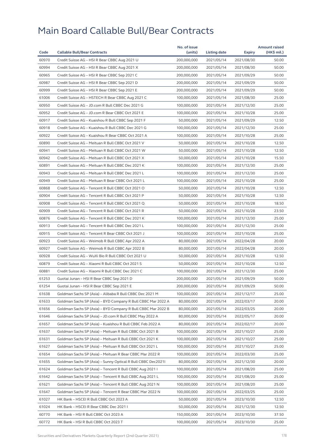|       |                                                              | No. of issue |                     |               | <b>Amount raised</b> |
|-------|--------------------------------------------------------------|--------------|---------------------|---------------|----------------------|
| Code  | <b>Callable Bull/Bear Contracts</b>                          | (units)      | <b>Listing date</b> | <b>Expiry</b> | (HK\$ mil.)          |
| 60970 | Credit Suisse AG - HSI R Bear CBBC Aug 2021 U                | 200,000,000  | 2021/05/14          | 2021/08/30    | 50.00                |
| 60994 | Credit Suisse AG - HSI R Bear CBBC Aug 2021 X                | 200,000,000  | 2021/05/14          | 2021/08/30    | 50.00                |
| 60965 | Credit Suisse AG - HSI R Bear CBBC Sep 2021 C                | 200,000,000  | 2021/05/14          | 2021/09/29    | 50.00                |
| 60987 | Credit Suisse AG - HSI R Bear CBBC Sep 2021 D                | 200,000,000  | 2021/05/14          | 2021/09/29    | 50.00                |
| 60999 | Credit Suisse AG - HSI R Bear CBBC Sep 2021 E                | 200,000,000  | 2021/05/14          | 2021/09/29    | 50.00                |
| 61006 | Credit Suisse AG - HSTECH R Bear CBBC Aug 2021 C             | 100,000,000  | 2021/05/14          | 2021/08/30    | 25.00                |
| 60950 | Credit Suisse AG - JD.com R Bull CBBC Dec 2021 G             | 100,000,000  | 2021/05/14          | 2021/12/30    | 25.00                |
| 60952 | Credit Suisse AG - JD.com R Bear CBBC Oct 2021 E             | 100,000,000  | 2021/05/14          | 2021/10/28    | 25.00                |
| 60917 | Credit Suisse AG - Kuaishou R Bull CBBC Sep 2021 F           | 50,000,000   | 2021/05/14          | 2021/09/29    | 12.50                |
| 60918 | Credit Suisse AG - Kuaishou R Bull CBBC Dec 2021 G           | 100,000,000  | 2021/05/14          | 2021/12/30    | 25.00                |
| 60922 | Credit Suisse AG - Kuaishou R Bear CBBC Oct 2021 A           | 100,000,000  | 2021/05/14          | 2021/10/28    | 25.00                |
| 60890 | Credit Suisse AG - Meituan R Bull CBBC Oct 2021 V            | 50,000,000   | 2021/05/14          | 2021/10/28    | 12.50                |
| 60941 | Credit Suisse AG - Meituan R Bull CBBC Oct 2021 W            | 50,000,000   | 2021/05/14          | 2021/10/28    | 12.50                |
| 60942 | Credit Suisse AG - Meituan R Bull CBBC Oct 2021 X            | 50,000,000   | 2021/05/14          | 2021/10/28    | 15.50                |
| 60891 | Credit Suisse AG - Meituan R Bull CBBC Dec 2021 K            | 100,000,000  | 2021/05/14          | 2021/12/30    | 25.00                |
| 60943 | Credit Suisse AG - Meituan R Bull CBBC Dec 2021 L            | 100,000,000  | 2021/05/14          | 2021/12/30    | 25.00                |
| 60949 | Credit Suisse AG - Meituan R Bear CBBC Oct 2021 L            | 100,000,000  | 2021/05/14          | 2021/10/28    | 25.00                |
| 60868 | Credit Suisse AG - Tencent R Bull CBBC Oct 2021 O            | 50,000,000   | 2021/05/14          | 2021/10/28    | 12.50                |
| 60904 | Credit Suisse AG - Tencent R Bull CBBC Oct 2021 P            | 50,000,000   | 2021/05/14          | 2021/10/28    | 12.50                |
| 60908 | Credit Suisse AG - Tencent R Bull CBBC Oct 2021 Q            | 50,000,000   | 2021/05/14          | 2021/10/28    | 18.50                |
| 60909 | Credit Suisse AG - Tencent R Bull CBBC Oct 2021 R            | 50,000,000   | 2021/05/14          | 2021/10/28    | 23.50                |
| 60876 | Credit Suisse AG - Tencent R Bull CBBC Dec 2021 K            | 100,000,000  | 2021/05/14          | 2021/12/30    | 25.00                |
| 60913 | Credit Suisse AG - Tencent R Bull CBBC Dec 2021 L            | 100,000,000  | 2021/05/14          | 2021/12/30    | 25.00                |
|       |                                                              |              |                     |               |                      |
| 60915 | Credit Suisse AG - Tencent R Bear CBBC Oct 2021 J            | 100,000,000  | 2021/05/14          | 2021/10/28    | 25.00                |
| 60923 | Credit Suisse AG - Weimob R Bull CBBC Apr 2022 A             | 80,000,000   | 2021/05/14          | 2022/04/28    | 20.00                |
| 60927 | Credit Suisse AG - Weimob R Bull CBBC Apr 2022 B             | 80,000,000   | 2021/05/14          | 2022/04/28    | 20.00                |
| 60928 | Credit Suisse AG - WuXi Bio R Bull CBBC Oct 2021 U           | 50,000,000   | 2021/05/14          | 2021/10/28    | 12.50                |
| 60879 | Credit Suisse AG - Xiaomi R Bull CBBC Oct 2021 S             | 50,000,000   | 2021/05/14          | 2021/10/28    | 12.50                |
| 60881 | Credit Suisse AG - Xiaomi R Bull CBBC Dec 2021 C             | 100,000,000  | 2021/05/14          | 2021/12/30    | 25.00                |
| 61253 | Guotai Junan - HSI R Bear CBBC Sep 2021 D                    | 200,000,000  | 2021/05/14          | 2021/09/29    | 50.00                |
| 61254 | Guotai Junan – HSI R Bear CBBC Sep 2021 E                    | 200,000,000  | 2021/05/14          | 2021/09/29    | 50.00                |
| 61638 | Goldman Sachs SP (Asia) - Alibaba R Bull CBBC Dec 2021 M     | 100,000,000  | 2021/05/14          | 2021/12/17    | 25.00                |
| 61633 | Goldman Sachs SP (Asia) - BYD Company R Bull CBBC Mar 2022 A | 80,000,000   | 2021/05/14          | 2022/03/17    | 20.00                |
| 61656 | Goldman Sachs SP (Asia) - BYD Company R Bull CBBC Mar 2022 B | 80,000,000   | 2021/05/14          | 2022/03/25    | 20.00                |
| 61646 | Goldman Sachs SP (Asia) - JD.com R Bull CBBC May 2022 A      | 80,000,000   | 2021/05/14          | 2022/05/17    | 20.00                |
| 61657 | Goldman Sachs SP (Asia) - Kuaishou R Bull CBBC Feb 2022 A    | 80,000,000   | 2021/05/14          | 2022/02/17    | 20.00                |
| 61637 | Goldman Sachs SP (Asia) - Meituan R Bull CBBC Oct 2021 B     | 100,000,000  | 2021/05/14          | 2021/10/27    | 25.00                |
| 61631 | Goldman Sachs SP (Asia) - Meituan R Bull CBBC Oct 2021 K     | 100,000,000  | 2021/05/14          | 2021/10/27    | 25.00                |
| 61627 | Goldman Sachs SP (Asia) - Meituan R Bull CBBC Oct 2021 L     | 100,000,000  | 2021/05/14          | 2021/10/27    | 25.00                |
| 61654 | Goldman Sachs SP (Asia) - Meituan R Bear CBBC Mar 2022 R     | 100,000,000  | 2021/05/14          | 2022/03/30    | 25.00                |
| 61655 | Goldman Sachs SP (Asia) - Sunny Optical R Bull CBBC Dec20211 | 80,000,000   | 2021/05/14          | 2021/12/30    | 20.00                |
| 61624 | Goldman Sachs SP (Asia) - Tencent R Bull CBBC Aug 2021 I     | 100,000,000  | 2021/05/14          | 2021/08/20    | 25.00                |
| 61642 | Goldman Sachs SP (Asia) - Tencent R Bull CBBC Aug 2021 L     | 100,000,000  | 2021/05/14          | 2021/08/20    | 25.00                |
| 61621 | Goldman Sachs SP (Asia) - Tencent R Bull CBBC Aug 2021 N     | 100,000,000  | 2021/05/14          | 2021/08/20    | 25.00                |
| 61647 | Goldman Sachs SP (Asia) - Tencent R Bear CBBC Mar 2022 N     | 100,000,000  | 2021/05/14          | 2022/03/25    | 25.00                |
| 61027 | HK Bank - HSCEI R Bull CBBC Oct 2023 A                       | 50,000,000   | 2021/05/14          | 2023/10/30    | 12.50                |
| 61024 | HK Bank - HSCEI R Bear CBBC Dec 2021 I                       | 50,000,000   | 2021/05/14          | 2021/12/30    | 12.50                |
| 60770 | HK Bank - HSI R Bull CBBC Oct 2023 A                         | 150,000,000  | 2021/05/14          | 2023/10/30    | 37.50                |
| 60772 | HK Bank - HSI R Bull CBBC Oct 2023 T                         | 100,000,000  | 2021/05/14          | 2023/10/30    | 25.00                |
|       |                                                              |              |                     |               |                      |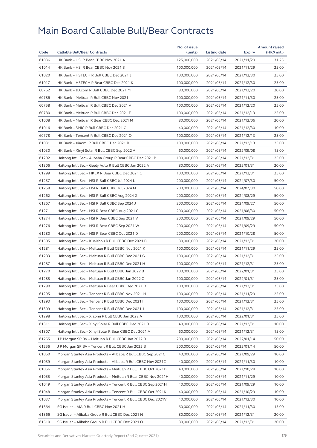|       |                                                              | No. of issue |              |            | <b>Amount raised</b> |
|-------|--------------------------------------------------------------|--------------|--------------|------------|----------------------|
| Code  | <b>Callable Bull/Bear Contracts</b>                          | (units)      | Listing date | Expiry     | $(HK$$ mil.)         |
| 61036 | HK Bank - HSI R Bear CBBC Nov 2021 A                         | 125,000,000  | 2021/05/14   | 2021/11/29 | 31.25                |
| 61014 | HK Bank - HSI R Bear CBBC Nov 2021 S                         | 100,000,000  | 2021/05/14   | 2021/11/29 | 25.00                |
| 61020 | HK Bank - HSTECH R Bull CBBC Dec 2021 J                      | 100,000,000  | 2021/05/14   | 2021/12/30 | 25.00                |
| 61017 | HK Bank - HSTECH R Bear CBBC Dec 2021 K                      | 100,000,000  | 2021/05/14   | 2021/12/30 | 25.00                |
| 60762 | HK Bank - JD.com R Bull CBBC Dec 2021 M                      | 80,000,000   | 2021/05/14   | 2021/12/20 | 20.00                |
| 60786 | HK Bank - Meituan R Bull CBBC Nov 2021 I                     | 100.000.000  | 2021/05/14   | 2021/11/30 | 25.00                |
| 60758 | HK Bank - Meituan R Bull CBBC Dec 2021 A                     | 100,000,000  | 2021/05/14   | 2021/12/20 | 25.00                |
| 60780 | HK Bank - Meituan R Bull CBBC Dec 2021 F                     | 100,000,000  | 2021/05/14   | 2021/12/13 | 25.00                |
| 61008 | HK Bank - Meituan R Bear CBBC Dec 2021 M                     | 80,000,000   | 2021/05/14   | 2021/12/06 | 20.00                |
| 61016 | HK Bank - SMIC R Bull CBBC Dec 2021 C                        | 40,000,000   | 2021/05/14   | 2021/12/30 | 10.00                |
| 60778 | HK Bank - Tencent R Bull CBBC Dec 2021 Q                     | 100,000,000  | 2021/05/14   | 2021/12/13 | 25.00                |
| 61031 | HK Bank - Xiaomi R Bull CBBC Dec 2021 R                      | 100,000,000  | 2021/05/14   | 2021/12/13 | 25.00                |
| 61030 | HK Bank – Xinyi Solar R Bull CBBC Sep 2022 A                 | 60,000,000   | 2021/05/14   | 2022/09/08 | 15.00                |
| 61292 | Haitong Int'l Sec - Alibaba Group R Bear CBBC Dec 2021 B     | 100,000,000  | 2021/05/14   | 2021/12/31 | 25.00                |
| 61306 | Haitong Int'l Sec - Geely Auto R Bull CBBC Jan 2022 A        | 80,000,000   | 2021/05/14   | 2022/01/31 | 20.00                |
| 61299 | Haitong Int'l Sec - HKEX R Bear CBBC Dec 2021 C              | 100,000,000  | 2021/05/14   | 2021/12/31 | 25.00                |
| 61257 | Haitong Int'l Sec - HSI R Bull CBBC Jul 2024 L               | 200,000,000  | 2021/05/14   | 2024/07/30 | 50.00                |
| 61258 | Haitong Int'l Sec - HSI R Bull CBBC Jul 2024 M               | 200,000,000  | 2021/05/14   | 2024/07/30 | 50.00                |
| 61262 | Haitong Int'l Sec - HSI R Bull CBBC Aug 2024 G               | 200,000,000  | 2021/05/14   | 2024/08/29 | 50.00                |
| 61267 | Haitong Int'l Sec - HSI R Bull CBBC Sep 2024 J               | 200,000,000  | 2021/05/14   | 2024/09/27 | 50.00                |
| 61271 | Haitong Int'l Sec - HSI R Bear CBBC Aug 2021 C               | 200,000,000  | 2021/05/14   | 2021/08/30 | 50.00                |
| 61274 | Haitong Int'l Sec - HSI R Bear CBBC Sep 2021 V               | 200,000,000  | 2021/05/14   | 2021/09/29 | 50.00                |
| 61276 | Haitong Int'l Sec - HSI R Bear CBBC Sep 2021 W               | 200,000,000  | 2021/05/14   | 2021/09/29 | 50.00                |
| 61280 | Haitong Int'l Sec - HSI R Bear CBBC Oct 2021 D               | 200,000,000  | 2021/05/14   | 2021/10/28 | 50.00                |
| 61305 | Haitong Int'l Sec - Kuaishou R Bull CBBC Dec 2021 B          | 80,000,000   | 2021/05/14   | 2021/12/31 | 20.00                |
| 61281 | Haitong Int'l Sec - Meituan R Bull CBBC Nov 2021 K           | 100,000,000  | 2021/05/14   | 2021/11/29 | 25.00                |
| 61283 | Haitong Int'l Sec - Meituan R Bull CBBC Dec 2021 G           | 100,000,000  | 2021/05/14   | 2021/12/31 | 25.00                |
| 61287 | Haitong Int'l Sec - Meituan R Bull CBBC Dec 2021 H           | 100,000,000  | 2021/05/14   | 2021/12/31 | 25.00                |
| 61270 | Haitong Int'l Sec - Meituan R Bull CBBC Jan 2022 B           | 100,000,000  | 2021/05/14   | 2022/01/31 | 25.00                |
| 61285 | Haitong Int'l Sec – Meituan R Bull CBBC Jan 2022 C           | 100,000,000  | 2021/05/14   | 2022/01/31 | 25.00                |
| 61290 | Haitong Int'l Sec - Meituan R Bear CBBC Dec 2021 D           | 100,000,000  | 2021/05/14   | 2021/12/31 | 25.00                |
| 61295 | Haitong Int'l Sec - Tencent R Bull CBBC Nov 2021 M           | 100,000,000  | 2021/05/14   | 2021/11/29 | 25.00                |
| 61293 | Haitong Int'l Sec – Tencent R Bull CBBC Dec 2021 I           | 100,000,000  | 2021/05/14   | 2021/12/31 | 25.00                |
| 61309 | Haitong Int'l Sec - Tencent R Bull CBBC Dec 2021 J           | 100,000,000  | 2021/05/14   | 2021/12/31 | 25.00                |
| 61298 | Haitong Int'l Sec - Xiaomi R Bull CBBC Jan 2022 A            | 100,000,000  | 2021/05/14   | 2022/01/31 | 25.00                |
| 61311 | Haitong Int'l Sec - Xinyi Solar R Bull CBBC Dec 2021 B       | 40,000,000   | 2021/05/14   | 2021/12/31 | 10.00                |
| 61307 | Haitong Int'l Sec - Xinyi Solar R Bear CBBC Dec 2021 A       | 60.000.000   | 2021/05/14   | 2021/12/31 | 15.00                |
| 61255 | J P Morgan SP BV - Meituan R Bull CBBC Jan 2022 B            | 200,000,000  | 2021/05/14   | 2022/01/14 | 50.00                |
| 61256 | J P Morgan SP BV - Tencent R Bull CBBC Jan 2022 B            | 200,000,000  | 2021/05/14   | 2022/01/14 | 50.00                |
| 61060 | Morgan Stanley Asia Products - Alibaba R Bull CBBC Sep 2021C | 40,000,000   | 2021/05/14   | 2021/09/29 | 10.00                |
| 61059 | Morgan Stanley Asia Products - Alibaba R Bull CBBC Nov 2021C | 40,000,000   | 2021/05/14   | 2021/11/30 | 10.00                |
| 61056 | Morgan Stanley Asia Products - Meituan R Bull CBBC Oct 2021D | 40,000,000   | 2021/05/14   | 2021/10/28 | 10.00                |
| 61055 | Morgan Stanley Asia Products - Meituan R Bear CBBC Nov 2021H | 40,000,000   | 2021/05/14   | 2021/11/29 | 10.00                |
|       |                                                              |              |              |            |                      |
| 61049 | Morgan Stanley Asia Products – Tencent R Bull CBBC Sep 2021H | 40,000,000   | 2021/05/14   | 2021/09/29 | 10.00                |
| 61048 | Morgan Stanley Asia Products - Tencent R Bull CBBC Oct 2021K | 40,000,000   | 2021/05/14   | 2021/10/29 | 10.00                |
| 61037 | Morgan Stanley Asia Products - Tencent R Bull CBBC Dec 2021V | 40,000,000   | 2021/05/14   | 2021/12/30 | 10.00                |
| 61364 | SG Issuer - AIA R Bull CBBC Nov 2021 H                       | 60,000,000   | 2021/05/14   | 2021/11/30 | 15.00                |
| 61366 | SG Issuer - Alibaba Group R Bull CBBC Dec 2021 N             | 80,000,000   | 2021/05/14   | 2021/12/31 | 20.00                |
| 61510 | SG Issuer - Alibaba Group R Bull CBBC Dec 2021 O             | 80,000,000   | 2021/05/14   | 2021/12/31 | 20.00                |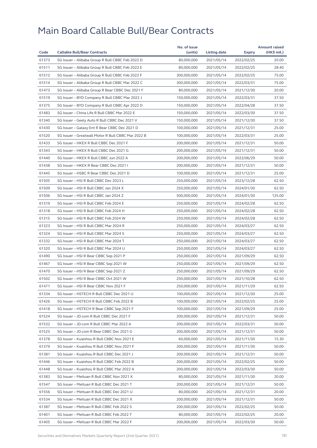|       |                                                    | No. of issue |              |            | <b>Amount raised</b> |
|-------|----------------------------------------------------|--------------|--------------|------------|----------------------|
| Code  | <b>Callable Bull/Bear Contracts</b>                | (units)      | Listing date | Expiry     | (HK\$ mil.)          |
| 61373 | SG Issuer - Alibaba Group R Bull CBBC Feb 2022 D   | 80,000,000   | 2021/05/14   | 2022/02/25 | 20.00                |
| 61511 | SG Issuer - Alibaba Group R Bull CBBC Feb 2022 E   | 80,000,000   | 2021/05/14   | 2022/02/25 | 28.40                |
| 61512 | SG Issuer - Alibaba Group R Bull CBBC Feb 2022 F   | 300,000,000  | 2021/05/14   | 2022/02/25 | 75.00                |
| 61514 | SG Issuer - Alibaba Group R Bull CBBC Mar 2022 C   | 300,000,000  | 2021/05/14   | 2022/03/31 | 75.00                |
| 61473 | SG Issuer - Alibaba Group R Bear CBBC Dec 2021 F   | 80,000,000   | 2021/05/14   | 2021/12/30 | 20.00                |
| 61519 | SG Issuer - BYD Company R Bull CBBC Mar 2022 J     | 150,000,000  | 2021/05/14   | 2022/03/31 | 37.50                |
| 61375 | SG Issuer - BYD Company R Bull CBBC Apr 2022 D     | 150,000,000  | 2021/05/14   | 2022/04/28 | 37.50                |
| 61483 | SG Issuer - China Life R Bull CBBC Mar 2022 E      | 150,000,000  | 2021/05/14   | 2022/03/30 | 37.50                |
| 61340 | SG Issuer - Geely Auto R Bull CBBC Dec 2021 V      | 150,000,000  | 2021/05/14   | 2021/12/30 | 37.50                |
| 61430 | SG Issuer - Galaxy Ent R Bear CBBC Dec 2021 D      | 100,000,000  | 2021/05/14   | 2021/12/31 | 25.00                |
| 61520 | SG Issuer - Greatwall Motor R Bull CBBC Mar 2022 B | 100,000,000  | 2021/05/14   | 2022/03/31 | 25.00                |
| 61433 | SG Issuer - HKEX R Bull CBBC Dec 2021 F            | 200,000,000  | 2021/05/14   | 2021/12/31 | 50.00                |
| 61343 | SG Issuer - HKEX R Bull CBBC Dec 2021 G            | 200,000,000  | 2021/05/14   | 2021/12/31 | 50.00                |
| 61440 | SG Issuer - HKEX R Bull CBBC Jun 2022 A            | 200,000,000  | 2021/05/14   | 2022/06/29 | 50.00                |
| 61438 | SG Issuer - HKEX R Bear CBBC Dec 2021 I            | 200,000,000  | 2021/05/14   | 2021/12/31 | 50.00                |
| 61445 | SG Issuer - HSBC R Bear CBBC Dec 2021 D            | 100,000,000  | 2021/05/14   | 2021/12/31 | 25.00                |
| 61505 | SG Issuer - HSI R Bull CBBC Dec 2023 L             | 250,000,000  | 2021/05/14   | 2023/12/28 | 62.50                |
| 61509 | SG Issuer - HSI R Bull CBBC Jan 2024 X             | 250,000,000  | 2021/05/14   | 2024/01/30 | 62.50                |
| 61506 | SG Issuer - HSI R Bull CBBC Jan 2024 Z             | 500,000,000  | 2021/05/14   | 2024/01/30 | 125.00               |
| 61319 | SG Issuer - HSI R Bull CBBC Feb 2024 E             | 250,000,000  | 2021/05/14   | 2024/02/28 | 62.50                |
| 61318 | SG Issuer - HSI R Bull CBBC Feb 2024 H             | 250,000,000  | 2021/05/14   | 2024/02/28 | 62.50                |
| 61315 | SG Issuer - HSI R Bull CBBC Feb 2024 W             | 250,000,000  | 2021/05/14   | 2024/02/28 | 62.50                |
| 61323 | SG Issuer - HSI R Bull CBBC Mar 2024 R             | 250,000,000  | 2021/05/14   | 2024/03/27 | 62.50                |
| 61324 | SG Issuer - HSI R Bull CBBC Mar 2024 S             | 250,000,000  | 2021/05/14   | 2024/03/27 | 62.50                |
| 61332 | SG Issuer - HSI R Bull CBBC Mar 2024 T             | 250,000,000  | 2021/05/14   | 2024/03/27 | 62.50                |
| 61320 | SG Issuer - HSI R Bull CBBC Mar 2024 U             | 250,000,000  | 2021/05/14   | 2024/03/27 | 62.50                |
| 61490 | SG Issuer - HSI R Bear CBBC Sep 2021 P             | 250,000,000  | 2021/05/14   | 2021/09/29 | 62.50                |
| 61467 | SG Issuer - HSI R Bear CBBC Sep 2021 W             | 250,000,000  | 2021/05/14   | 2021/09/29 | 62.50                |
| 61470 | SG Issuer - HSI R Bear CBBC Sep 2021 Z             | 250,000,000  | 2021/05/14   | 2021/09/29 | 62.50                |
| 61502 | SG Issuer - HSI R Bear CBBC Oct 2021 W             | 250,000,000  | 2021/05/14   | 2021/10/28 | 62.50                |
| 61471 | SG Issuer - HSI R Bear CBBC Nov 2021 F             | 250,000,000  | 2021/05/14   | 2021/11/29 | 62.50                |
| 61334 | SG Issuer - HSTECH R Bull CBBC Dec 2021 U          | 100,000,000  | 2021/05/14   | 2021/12/30 | 25.00                |
| 61426 | SG Issuer - HSTECH R Bull CBBC Feb 2022 B          | 100,000,000  | 2021/05/14   | 2022/02/25 | 25.00                |
| 61418 | SG Issuer - HSTECH R Bear CBBC Sep 2021 F          | 100,000,000  | 2021/05/14   | 2021/09/29 | 25.00                |
| 61524 | SG Issuer - JD.com R Bull CBBC Dec 2021 F          | 200,000,000  | 2021/05/14   | 2021/12/31 | 50.00                |
| 61532 | SG Issuer - JD.com R Bull CBBC Mar 2022 A          | 200,000,000  | 2021/05/14   | 2022/03/31 | 50.00                |
| 61525 | SG Issuer - JD.com R Bear CBBC Dec 2021 G          | 200,000,000  | 2021/05/14   | 2021/12/31 | 50.00                |
| 61378 | SG Issuer - Kuaishou R Bull CBBC Nov 2021 E        | 60,000,000   | 2021/05/14   | 2021/11/30 | 15.30                |
| 61379 | SG Issuer - Kuaishou R Bull CBBC Nov 2021 F        | 200,000,000  | 2021/05/14   | 2021/11/30 | 50.00                |
| 61381 | SG Issuer - Kuaishou R Bull CBBC Dec 2021 J        | 200,000,000  | 2021/05/14   | 2021/12/31 | 50.00                |
| 61446 | SG Issuer - Kuaishou R Bull CBBC Feb 2022 B        | 200,000,000  | 2021/05/14   | 2022/02/25 | 50.00                |
| 61448 | SG Issuer - Kuaishou R Bull CBBC Mar 2022 A        | 200,000,000  | 2021/05/14   | 2022/03/30 | 50.00                |
| 61383 | SG Issuer - Meituan R Bull CBBC Nov 2021 X         | 80,000,000   | 2021/05/14   | 2021/11/30 | 20.00                |
| 61547 | SG Issuer - Meituan R Bull CBBC Dec 2021 T         | 200,000,000  | 2021/05/14   | 2021/12/31 | 50.00                |
| 61556 | SG Issuer - Meituan R Bull CBBC Dec 2021 U         | 80,000,000   | 2021/05/14   | 2021/12/31 | 20.00                |
| 61534 | SG Issuer - Meituan R Bull CBBC Dec 2021 X         | 200,000,000  | 2021/05/14   | 2021/12/31 | 50.00                |
| 61387 | SG Issuer - Meituan R Bull CBBC Feb 2022 S         | 200,000,000  | 2021/05/14   | 2022/02/25 | 50.00                |
| 61401 | SG Issuer - Meituan R Bull CBBC Feb 2022 T         | 80,000,000   | 2021/05/14   | 2022/02/25 | 20.00                |
| 61405 | SG Issuer - Meituan R Bull CBBC Mar 2022 F         | 200,000,000  | 2021/05/14   | 2022/03/30 | 50.00                |
|       |                                                    |              |              |            |                      |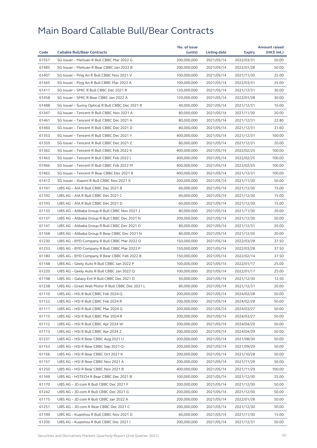|       |                                                  | No. of issue |              |            | <b>Amount raised</b> |
|-------|--------------------------------------------------|--------------|--------------|------------|----------------------|
| Code  | <b>Callable Bull/Bear Contracts</b>              | (units)      | Listing date | Expiry     | (HK\$ mil.)          |
| 61557 | SG Issuer - Meituan R Bull CBBC Mar 2022 G       | 200,000,000  | 2021/05/14   | 2022/03/31 | 50.00                |
| 61485 | SG Issuer - Meituan R Bear CBBC Jan 2022 B       | 200,000,000  | 2021/05/14   | 2022/01/28 | 50.00                |
| 61407 | SG Issuer - Ping An R Bull CBBC Nov 2021 V       | 100,000,000  | 2021/05/14   | 2021/11/30 | 25.00                |
| 61565 | SG Issuer - Ping An R Bull CBBC Mar 2022 A       | 100,000,000  | 2021/05/14   | 2022/03/31 | 25.00                |
| 61411 | SG Issuer - SMIC R Bull CBBC Dec 2021 R          | 120,000,000  | 2021/05/14   | 2021/12/31 | 30.00                |
| 61458 | SG Issuer - SMIC R Bear CBBC Jan 2022 A          | 120,000,000  | 2021/05/14   | 2022/01/28 | 30.00                |
| 61488 | SG Issuer - Sunny Optical R Bull CBBC Dec 2021 R | 40,000,000   | 2021/05/14   | 2021/12/31 | 10.00                |
| 61347 | SG Issuer - Tencent R Bull CBBC Nov 2021 A       | 80,000,000   | 2021/05/14   | 2021/11/30 | 20.00                |
| 61461 | SG Issuer - Tencent R Bull CBBC Dec 2021 A       | 80,000,000   | 2021/05/14   | 2021/12/31 | 22.80                |
| 61460 | SG Issuer - Tencent R Bull CBBC Dec 2021 D       | 80,000,000   | 2021/05/14   | 2021/12/31 | 31.60                |
| 61353 | SG Issuer - Tencent R Bull CBBC Dec 2021 Y       | 400,000,000  | 2021/05/14   | 2021/12/31 | 100.00               |
| 61359 | SG Issuer - Tencent R Bull CBBC Dec 2021 Z       | 80,000,000   | 2021/05/14   | 2021/12/31 | 20.00                |
| 61362 | SG Issuer - Tencent R Bull CBBC Feb 2022 K       | 400,000,000  | 2021/05/14   | 2022/02/25 | 100.00               |
| 61463 | SG Issuer - Tencent R Bull CBBC Feb 2022 L       | 400,000,000  | 2021/05/14   | 2022/02/25 | 100.00               |
| 61466 | SG Issuer - Tencent R Bull CBBC Feb 2022 M       | 400,000,000  | 2021/05/14   | 2022/02/25 | 100.00               |
| 61462 | SG Issuer - Tencent R Bear CBBC Dec 2021 R       | 400,000,000  | 2021/05/14   | 2021/12/31 | 100.00               |
| 61412 | SG Issuer - Xiaomi R Bull CBBC Nov 2021 X        | 200,000,000  | 2021/05/14   | 2021/11/30 | 50.00                |
| 61191 | UBS AG - AIA R Bull CBBC Dec 2021 B              | 60,000,000   | 2021/05/14   | 2021/12/30 | 15.00                |
| 61192 | UBS AG - AIA R Bull CBBC Dec 2021 C              | 60,000,000   | 2021/05/14   | 2021/12/30 | 15.00                |
| 61193 | UBS AG - AIA R Bull CBBC Dec 2021 D              | 60,000,000   | 2021/05/14   | 2021/12/30 | 15.00                |
| 61133 | UBS AG - Alibaba Group R Bull CBBC Nov 2021 J    | 80,000,000   | 2021/05/14   | 2021/11/30 | 20.00                |
| 61137 | UBS AG - Alibaba Group R Bull CBBC Dec 2021 N    | 200,000,000  | 2021/05/14   | 2021/12/30 | 50.00                |
| 61147 | UBS AG - Alibaba Group R Bull CBBC Dec 2021 O    | 80,000,000   | 2021/05/14   | 2021/12/31 | 20.00                |
| 61168 | UBS AG - Alibaba Group R Bear CBBC Dec 2021 N    | 80,000,000   | 2021/05/14   | 2021/12/30 | 20.00                |
| 61230 | UBS AG - BYD Company R Bull CBBC Mar 2022 O      | 150,000,000  | 2021/05/14   | 2022/03/28 | 37.50                |
| 61233 | UBS AG - BYD Company R Bull CBBC Mar 2022 P      | 150,000,000  | 2021/05/14   | 2022/03/28 | 37.50                |
| 61180 | UBS AG - BYD Company R Bear CBBC Feb 2022 B      | 150,000,000  | 2021/05/14   | 2022/02/14 | 37.50                |
| 61148 | UBS AG - Geely Auto R Bull CBBC Jan 2022 P       | 100,000,000  | 2021/05/14   | 2022/01/17 | 25.00                |
| 61220 | UBS AG - Geely Auto R Bull CBBC Jan 2022 Q       | 100,000,000  | 2021/05/14   | 2022/01/17 | 25.00                |
| 61198 | UBS AG - Galaxy Ent R Bull CBBC Dec 2021 D       | 50,000,000   | 2021/05/14   | 2021/12/30 | 12.50                |
| 61238 | UBS AG – Great Wall Motor R Bull CBBC Dec 2021 L | 80,000,000   | 2021/05/14   | 2021/12/31 | 20.00                |
| 61110 | UBS AG - HSI R Bull CBBC Feb 2024 Q              | 200,000,000  | 2021/05/14   | 2024/02/28 | 50.00                |
| 61122 | UBS AG – HSI R Bull CBBC Feb 2024 R              | 200,000,000  | 2021/05/14   | 2024/02/28 | 50.00                |
| 61111 | UBS AG - HSI R Bull CBBC Mar 2024 G              | 200,000,000  | 2021/05/14   | 2024/03/27 | 50.00                |
| 61115 | UBS AG - HSI R Bull CBBC Mar 2024 R              | 200,000,000  | 2021/05/14   | 2024/03/27 | 50.00                |
| 61112 | UBS AG - HSI R Bull CBBC Apr 2024 W              | 200,000,000  | 2021/05/14   | 2024/04/29 | 50.00                |
| 61113 | UBS AG - HSI R Bull CBBC Apr 2024 Z              | 200,000,000  | 2021/05/14   | 2024/04/29 | 50.00                |
| 61237 | UBS AG - HSI R Bear CBBC Aug 2021 U              | 200,000,000  | 2021/05/14   | 2021/08/30 | 50.00                |
| 61153 | UBS AG - HSI R Bear CBBC Sep 2021 Q              | 200,000,000  | 2021/05/14   | 2021/09/29 | 50.00                |
| 61156 | UBS AG - HSI R Bear CBBC Oct 2021 K              | 200,000,000  | 2021/05/14   | 2021/10/28 | 50.00                |
| 61157 | UBS AG - HSI R Bear CBBC Nov 2021 A              | 200,000,000  | 2021/05/14   | 2021/11/29 | 50.00                |
| 61250 | UBS AG - HSI R Bear CBBC Nov 2021 B              | 400,000,000  | 2021/05/14   | 2021/11/29 | 100.00               |
| 61169 | UBS AG - HSTECH R Bear CBBC Dec 2021 B           | 100,000,000  | 2021/05/14   | 2021/12/30 | 25.00                |
| 61170 | UBS AG - JD.com R Bull CBBC Dec 2021 F           | 200,000,000  | 2021/05/14   | 2021/12/30 | 50.00                |
| 61242 | UBS AG - JD.com R Bull CBBC Dec 2021 G           | 200,000,000  | 2021/05/14   | 2021/12/30 | 50.00                |
| 61175 | UBS AG - JD.com R Bull CBBC Jan 2022 A           | 200,000,000  | 2021/05/14   | 2022/01/28 | 50.00                |
| 61251 | UBS AG - JD.com R Bear CBBC Dec 2021 C           | 200,000,000  | 2021/05/14   | 2021/12/30 | 50.00                |
| 61199 | UBS AG - Kuaishou R Bull CBBC Nov 2021 D         | 60,000,000   | 2021/05/14   | 2021/11/30 | 15.00                |
| 61205 | UBS AG - Kuaishou R Bull CBBC Dec 2021 I         | 200,000,000  | 2021/05/14   | 2021/12/31 | 50.00                |
|       |                                                  |              |              |            |                      |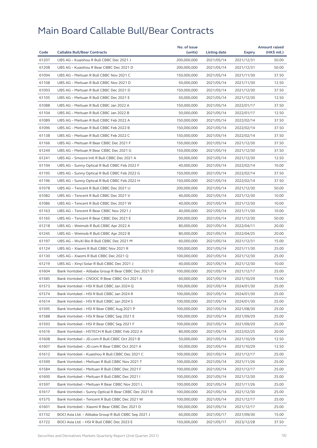| Code  |                                                       | No. of issue | Listing date |               | <b>Amount raised</b> |
|-------|-------------------------------------------------------|--------------|--------------|---------------|----------------------|
|       | <b>Callable Bull/Bear Contracts</b>                   | (units)      |              | <b>Expiry</b> | (HK\$ mil.)          |
| 61207 | UBS AG - Kuaishou R Bull CBBC Dec 2021 J              | 200,000,000  | 2021/05/14   | 2021/12/31    | 50.00                |
| 61208 | UBS AG - Kuaishou R Bear CBBC Dec 2021 D              | 200,000,000  | 2021/05/14   | 2021/12/31    | 50.00                |
| 61094 | UBS AG - Meituan R Bull CBBC Nov 2021 C               | 150,000,000  | 2021/05/14   | 2021/11/30    | 37.50                |
| 61108 | UBS AG - Meituan R Bull CBBC Nov 2021 D               | 50,000,000   | 2021/05/14   | 2021/11/30    | 12.50                |
| 61093 | UBS AG - Meituan R Bull CBBC Dec 2021 D               | 150,000,000  | 2021/05/14   | 2021/12/30    | 37.50                |
| 61105 | UBS AG - Meituan R Bull CBBC Dec 2021 E               | 50,000,000   | 2021/05/14   | 2021/12/30    | 12.50                |
| 61088 | UBS AG - Meituan R Bull CBBC Jan 2022 A               | 150,000,000  | 2021/05/14   | 2022/01/17    | 37.50                |
| 61104 | UBS AG - Meituan R Bull CBBC Jan 2022 B               | 50,000,000   | 2021/05/14   | 2022/01/17    | 12.50                |
| 61089 | UBS AG - Meituan R Bull CBBC Feb 2022 A               | 150,000,000  | 2021/05/14   | 2022/02/14    | 37.50                |
| 61096 | UBS AG - Meituan R Bull CBBC Feb 2022 B               | 150,000,000  | 2021/05/14   | 2022/02/14    | 37.50                |
| 61138 | UBS AG - Meituan R Bull CBBC Feb 2022 C               | 150,000,000  | 2021/05/14   | 2022/02/14    | 37.50                |
| 61166 | UBS AG - Meituan R Bear CBBC Dec 2021 F               | 150,000,000  | 2021/05/14   | 2021/12/30    | 37.50                |
| 61249 | UBS AG - Meituan R Bear CBBC Dec 2021 G               | 150,000,000  | 2021/05/14   | 2021/12/30    | 37.50                |
| 61241 | UBS AG - Smoore Intl R Bull CBBC Dec 2021 A           | 50,000,000   | 2021/05/14   | 2021/12/30    | 12.50                |
| 61194 | UBS AG - Sunny Optical R Bull CBBC Feb 2022 F         | 40,000,000   | 2021/05/14   | 2022/02/14    | 10.00                |
| 61195 | UBS AG - Sunny Optical R Bull CBBC Feb 2022 G         | 150,000,000  | 2021/05/14   | 2022/02/14    | 37.50                |
| 61196 | UBS AG - Sunny Optical R Bull CBBC Feb 2022 H         | 150,000,000  | 2021/05/14   | 2022/02/14    | 37.50                |
| 61078 | UBS AG - Tencent R Bull CBBC Dec 2021 U               | 200,000,000  | 2021/05/14   | 2021/12/30    | 50.00                |
| 61082 | UBS AG - Tencent R Bull CBBC Dec 2021 V               | 40,000,000   | 2021/05/14   | 2021/12/30    | 10.00                |
| 61086 | UBS AG - Tencent R Bull CBBC Dec 2021 W               | 40,000,000   | 2021/05/14   | 2021/12/30    | 10.00                |
| 61163 | UBS AG - Tencent R Bear CBBC Nov 2021 J               | 40,000,000   | 2021/05/14   | 2021/11/30    | 10.00                |
| 61165 | UBS AG - Tencent R Bear CBBC Dec 2021 E               | 200,000,000  | 2021/05/14   | 2021/12/30    | 50.00                |
| 61218 | UBS AG - Weimob R Bull CBBC Apr 2022 A                | 80,000,000   | 2021/05/14   | 2022/04/11    | 20.00                |
| 61245 | UBS AG - Weimob R Bull CBBC Apr 2022 B                | 80,000,000   | 2021/05/14   | 2022/04/25    | 20.00                |
| 61197 | UBS AG - WuXi Bio R Bull CBBC Dec 2021 M              | 60,000,000   | 2021/05/14   | 2021/12/31    | 15.00                |
| 61124 | UBS AG - Xiaomi R Bull CBBC Nov 2021 R                | 100,000,000  | 2021/05/14   | 2021/11/30    | 25.00                |
| 61130 | UBS AG - Xiaomi R Bull CBBC Dec 2021 Q                | 100,000,000  | 2021/05/14   | 2021/12/30    | 25.00                |
| 61219 | UBS AG - Xinyi Solar R Bull CBBC Dec 2021 J           | 40,000,000   | 2021/05/14   | 2021/12/30    | 10.00                |
| 61604 | Bank Vontobel - Alibaba Group R Bear CBBC Dec 2021 D  | 100,000,000  | 2021/05/14   | 2021/12/17    | 25.00                |
| 61585 | Bank Vontobel - CNOOC R Bear CBBC Oct 2021 A          | 60,000,000   | 2021/05/14   | 2021/10/29    | 15.00                |
| 61573 | Bank Vontobel - HSI R Bull CBBC Jan 2024 Q            | 100,000,000  | 2021/05/14   | 2024/01/30    | 25.00                |
| 61574 | Bank Vontobel - HSI R Bull CBBC Jan 2024 R            | 100,000,000  | 2021/05/14   | 2024/01/30    | 25.00                |
| 61614 | Bank Vontobel - HSI R Bull CBBC Jan 2024 S            | 100,000,000  | 2021/05/14   | 2024/01/30    | 25.00                |
| 61595 | Bank Vontobel - HSI R Bear CBBC Aug 2021 P            | 100,000,000  | 2021/05/14   | 2021/08/30    | 25.00                |
| 61588 | Bank Vontobel - HSI R Bear CBBC Sep 2021 E            | 100,000,000  | 2021/05/14   | 2021/09/29    | 25.00                |
| 61593 | Bank Vontobel - HSI R Bear CBBC Sep 2021 F            | 100,000,000  | 2021/05/14   | 2021/09/29    | 25.00                |
| 61616 | Bank Vontobel - HSTECH R Bull CBBC Feb 2022 A         | 80,000,000   | 2021/05/14   | 2022/02/25    | 20.00                |
| 61608 | Bank Vontobel - JD.com R Bull CBBC Oct 2021 B         | 50,000,000   | 2021/05/14   | 2021/10/29    | 12.50                |
| 61607 | Bank Vontobel - JD.com R Bear CBBC Oct 2021 A         | 50,000,000   | 2021/05/14   | 2021/10/29    | 12.50                |
|       |                                                       | 100,000,000  |              |               |                      |
| 61612 | Bank Vontobel - Kuaishou R Bull CBBC Dec 2021 C       |              | 2021/05/14   | 2021/12/17    | 25.00                |
| 61599 | Bank Vontobel - Meituan R Bull CBBC Nov 2021 T        | 100,000,000  | 2021/05/14   | 2021/11/26    | 25.00                |
| 61584 | Bank Vontobel - Meituan R Bull CBBC Dec 2021 F        | 100,000,000  | 2021/05/14   | 2021/12/17    | 25.00                |
| 61600 | Bank Vontobel - Meituan R Bull CBBC Dec 2021 I        | 100,000,000  | 2021/05/14   | 2021/12/30    | 25.00                |
| 61597 | Bank Vontobel - Meituan R Bear CBBC Nov 2021 L        | 100,000,000  | 2021/05/14   | 2021/11/26    | 25.00                |
| 61617 | Bank Vontobel - Sunny Optical R Bear CBBC Dec 2021 B  | 100,000,000  | 2021/05/14   | 2021/12/30    | 25.00                |
| 61575 | Bank Vontobel - Tencent R Bull CBBC Dec 2021 W        | 100,000,000  | 2021/05/14   | 2021/12/17    | 25.00                |
| 61601 | Bank Vontobel - Xiaomi R Bear CBBC Dec 2021 D         | 100,000,000  | 2021/05/14   | 2021/12/17    | 25.00                |
| 61732 | BOCI Asia Ltd. - Alibaba Group R Bull CBBC Sep 2021 J | 60,000,000   | 2021/05/17   | 2021/09/30    | 15.00                |
| 61722 | BOCI Asia Ltd. - HSI R Bull CBBC Dec 2023 E           | 150,000,000  | 2021/05/17   | 2023/12/28    | 37.50                |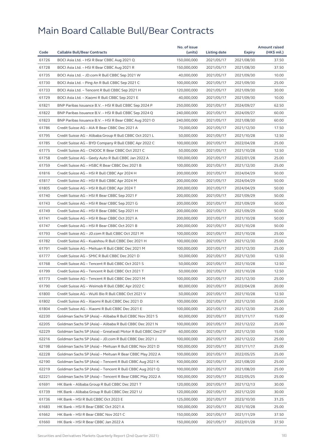|       |                                                                                                                         | No. of issue |                     |               | <b>Amount raised</b> |
|-------|-------------------------------------------------------------------------------------------------------------------------|--------------|---------------------|---------------|----------------------|
| Code  | <b>Callable Bull/Bear Contracts</b>                                                                                     | (units)      | <b>Listing date</b> | <b>Expiry</b> | (HK\$ mil.)          |
| 61726 | BOCI Asia Ltd. - HSI R Bear CBBC Aug 2021 Q                                                                             | 150,000,000  | 2021/05/17          | 2021/08/30    | 37.50                |
| 61728 | BOCI Asia Ltd. - HSI R Bear CBBC Aug 2021 R                                                                             | 150,000,000  | 2021/05/17          | 2021/08/30    | 37.50                |
| 61735 | BOCI Asia Ltd. - JD.com R Bull CBBC Sep 2021 W                                                                          | 40,000,000   | 2021/05/17          | 2021/09/30    | 10.00                |
| 61730 | BOCI Asia Ltd. - Ping An R Bull CBBC Sep 2021 C                                                                         | 100,000,000  | 2021/05/17          | 2021/09/30    | 25.00                |
| 61733 | BOCI Asia Ltd. - Tencent R Bull CBBC Sep 2021 H                                                                         | 120,000,000  | 2021/05/17          | 2021/09/30    | 30.00                |
| 61729 | BOCI Asia Ltd. - Xiaomi R Bull CBBC Sep 2021 E                                                                          | 40,000,000   | 2021/05/17          | 2021/09/30    | 10.00                |
| 61821 | BNP Paribas Issuance B.V. - HSI R Bull CBBC Sep 2024 P                                                                  | 250,000,000  | 2021/05/17          | 2024/09/27    | 62.50                |
| 61822 | BNP Paribas Issuance B.V. - HSI R Bull CBBC Sep 2024 Q                                                                  | 240,000,000  | 2021/05/17          | 2024/09/27    | 60.00                |
| 61823 | BNP Paribas Issuance B.V. - HSI R Bear CBBC Aug 2021 O                                                                  | 240,000,000  | 2021/05/17          | 2021/08/30    | 60.00                |
| 61786 | Credit Suisse AG - AIA R Bear CBBC Dec 2021 A                                                                           | 70,000,000   | 2021/05/17          | 2021/12/30    | 17.50                |
| 61795 | Credit Suisse AG - Alibaba Group R Bull CBBC Oct 2021 L                                                                 | 50,000,000   | 2021/05/17          | 2021/10/28    | 12.50                |
| 61785 | Credit Suisse AG - BYD Company R Bull CBBC Apr 2022 C                                                                   | 100,000,000  | 2021/05/17          | 2022/04/28    | 25.00                |
| 61775 | Credit Suisse AG - CNOOC R Bear CBBC Oct 2021 C                                                                         | 50,000,000   | 2021/05/17          | 2021/10/28    | 12.50                |
| 61758 | Credit Suisse AG - Geely Auto R Bull CBBC Jan 2022 A                                                                    | 100,000,000  | 2021/05/17          | 2022/01/28    | 25.00                |
| 61759 | Credit Suisse AG - HSBC R Bear CBBC Dec 2021 B                                                                          | 100,000,000  | 2021/05/17          | 2021/12/30    | 25.00                |
| 61816 | Credit Suisse AG - HSI R Bull CBBC Apr 2024 H                                                                           | 200,000,000  | 2021/05/17          | 2024/04/29    | 50.00                |
| 61817 | Credit Suisse AG - HSI R Bull CBBC Apr 2024 M                                                                           | 200,000,000  | 2021/05/17          | 2024/04/29    | 50.00                |
| 61805 | Credit Suisse AG - HSI R Bull CBBC Apr 2024 T                                                                           | 200,000,000  | 2021/05/17          | 2024/04/29    | 50.00                |
| 61740 | Credit Suisse AG - HSI R Bear CBBC Sep 2021 F                                                                           | 200,000,000  | 2021/05/17          | 2021/09/29    | 50.00                |
| 61743 | Credit Suisse AG - HSI R Bear CBBC Sep 2021 G                                                                           | 200,000,000  | 2021/05/17          | 2021/09/29    | 50.00                |
| 61749 | Credit Suisse AG - HSI R Bear CBBC Sep 2021 H                                                                           | 200,000,000  | 2021/05/17          | 2021/09/29    | 50.00                |
| 61741 | Credit Suisse AG - HSI R Bear CBBC Oct 2021 A                                                                           | 200,000,000  | 2021/05/17          | 2021/10/28    | 50.00                |
| 61747 | Credit Suisse AG - HSI R Bear CBBC Oct 2021 B                                                                           | 200,000,000  | 2021/05/17          | 2021/10/28    | 50.00                |
| 61793 | Credit Suisse AG - JD.com R Bull CBBC Oct 2021 M                                                                        | 100,000,000  | 2021/05/17          | 2021/10/28    | 25.00                |
| 61782 | Credit Suisse AG - Kuaishou R Bull CBBC Dec 2021 H                                                                      | 100,000,000  | 2021/05/17          | 2021/12/30    | 25.00                |
| 61791 | Credit Suisse AG - Meituan R Bull CBBC Dec 2021 M                                                                       | 100,000,000  | 2021/05/17          | 2021/12/30    | 25.00                |
| 61777 | Credit Suisse AG - SMIC R Bull CBBC Dec 2021 D                                                                          | 50,000,000   | 2021/05/17          | 2021/12/30    | 12.50                |
| 61768 | Credit Suisse AG - Tencent R Bull CBBC Oct 2021 S                                                                       | 50,000,000   | 2021/05/17          | 2021/10/28    | 12.50                |
| 61799 | Credit Suisse AG - Tencent R Bull CBBC Oct 2021 T                                                                       | 50,000,000   | 2021/05/17          | 2021/10/28    | 12.50                |
| 61773 | Credit Suisse AG - Tencent R Bull CBBC Dec 2021 M                                                                       | 100,000,000  | 2021/05/17          | 2021/12/30    | 25.00                |
| 61790 | Credit Suisse AG – Weimob R Bull CBBC Apr 2022 C                                                                        | 80,000,000   | 2021/05/17          | 2022/04/28    | 20.00                |
| 61800 | Credit Suisse AG - WuXi Bio R Bull CBBC Oct 2021 V                                                                      | 50,000,000   | 2021/05/17          | 2021/10/28    | 12.50                |
| 61802 | Credit Suisse AG - Xiaomi R Bull CBBC Dec 2021 D                                                                        | 100,000,000  | 2021/05/17          | 2021/12/30    | 25.00                |
| 61804 | Credit Suisse AG - Xiaomi R Bull CBBC Dec 2021 E                                                                        | 100,000,000  | 2021/05/17          | 2021/12/30    | 25.00                |
| 62230 | Goldman Sachs SP (Asia) - Alibaba R Bull CBBC Nov 2021 S                                                                | 60,000,000   | 2021/05/17          |               | 15.00                |
| 62205 |                                                                                                                         | 100,000,000  |                     | 2021/11/17    |                      |
|       | Goldman Sachs SP (Asia) - Alibaba R Bull CBBC Dec 2021 N                                                                |              | 2021/05/17          | 2021/12/22    | 25.00                |
| 62229 | Goldman Sachs SP (Asia) - Greatwall Motor R Bull CBBC Dec21F<br>Goldman Sachs SP (Asia) - JD.com R Bull CBBC Dec 2021 J | 60,000,000   | 2021/05/17          | 2021/12/30    | 15.00                |
| 62216 |                                                                                                                         | 100,000,000  | 2021/05/17          | 2021/12/22    | 25.00                |
| 62198 | Goldman Sachs SP (Asia) - Meituan R Bull CBBC Nov 2021 D                                                                | 100,000,000  | 2021/05/17          | 2021/11/17    | 25.00                |
| 62228 | Goldman Sachs SP (Asia) - Meituan R Bear CBBC May 2022 A                                                                | 100,000,000  | 2021/05/17          | 2022/05/25    | 25.00                |
| 62190 | Goldman Sachs SP (Asia) - Tencent R Bull CBBC Aug 2021 K                                                                | 100,000,000  | 2021/05/17          | 2021/08/20    | 25.00                |
| 62219 | Goldman Sachs SP (Asia) - Tencent R Bull CBBC Aug 2021 Q                                                                | 100,000,000  | 2021/05/17          | 2021/08/20    | 25.00                |
| 62221 | Goldman Sachs SP (Asia) - Tencent R Bear CBBC May 2022 A                                                                | 100,000,000  | 2021/05/17          | 2022/05/25    | 25.00                |
| 61691 | HK Bank - Alibaba Group R Bull CBBC Dec 2021 T                                                                          | 120,000,000  | 2021/05/17          | 2021/12/13    | 30.00                |
| 61739 | HK Bank - Alibaba Group R Bull CBBC Dec 2021 U                                                                          | 120,000,000  | 2021/05/17          | 2021/12/20    | 30.00                |
| 61736 | HK Bank - HSI R Bull CBBC Oct 2023 E                                                                                    | 125,000,000  | 2021/05/17          | 2023/10/30    | 31.25                |
| 61683 | HK Bank - HSI R Bear CBBC Oct 2021 A                                                                                    | 100,000,000  | 2021/05/17          | 2021/10/28    | 25.00                |
| 61662 | HK Bank - HSI R Bear CBBC Nov 2021 C                                                                                    | 150,000,000  | 2021/05/17          | 2021/11/29    | 37.50                |
| 61660 | HK Bank - HSI R Bear CBBC Jan 2022 A                                                                                    | 150,000,000  | 2021/05/17          | 2022/01/28    | 37.50                |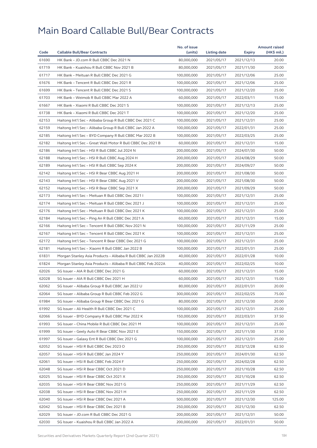|       |                                                              | No. of issue |              |               | <b>Amount raised</b> |
|-------|--------------------------------------------------------------|--------------|--------------|---------------|----------------------|
| Code  | <b>Callable Bull/Bear Contracts</b>                          | (units)      | Listing date | <b>Expiry</b> | (HK\$ mil.)          |
| 61690 | HK Bank - JD.com R Bull CBBC Dec 2021 N                      | 80,000,000   | 2021/05/17   | 2021/12/13    | 20.00                |
| 61719 | HK Bank - Kuaishou R Bull CBBC Nov 2021 B                    | 80,000,000   | 2021/05/17   | 2021/11/30    | 20.00                |
| 61717 | HK Bank - Meituan R Bull CBBC Dec 2021 G                     | 100,000,000  | 2021/05/17   | 2021/12/06    | 25.00                |
| 61676 | HK Bank - Tencent R Bull CBBC Dec 2021 R                     | 100,000,000  | 2021/05/17   | 2021/12/06    | 25.00                |
| 61699 | HK Bank - Tencent R Bull CBBC Dec 2021 S                     | 100,000,000  | 2021/05/17   | 2021/12/20    | 25.00                |
| 61703 | HK Bank - Weimob R Bull CBBC Mar 2022 A                      | 60,000,000   | 2021/05/17   | 2022/03/11    | 15.00                |
| 61667 | HK Bank - Xiaomi R Bull CBBC Dec 2021 S                      | 100,000,000  | 2021/05/17   | 2021/12/13    | 25.00                |
| 61738 | HK Bank - Xiaomi R Bull CBBC Dec 2021 T                      | 100,000,000  | 2021/05/17   | 2021/12/20    | 25.00                |
| 62153 | Haitong Int'l Sec - Alibaba Group R Bull CBBC Dec 2021 C     | 100,000,000  | 2021/05/17   | 2021/12/31    | 25.00                |
| 62159 | Haitong Int'l Sec – Alibaba Group R Bull CBBC Jan 2022 A     | 100,000,000  | 2021/05/17   | 2022/01/31    | 25.00                |
| 62185 | Haitong Int'l Sec - BYD Company R Bull CBBC Mar 2022 B       | 100,000,000  | 2021/05/17   | 2022/03/25    | 25.00                |
| 62182 | Haitong Int'l Sec - Great Wall Motor R Bull CBBC Dec 2021 B  | 60,000,000   | 2021/05/17   | 2021/12/31    | 15.00                |
| 62186 | Haitong Int'l Sec - HSI R Bull CBBC Jul 2024 N               | 200,000,000  | 2021/05/17   | 2024/07/30    | 50.00                |
| 62188 | Haitong Int'l Sec - HSI R Bull CBBC Aug 2024 H               | 200,000,000  | 2021/05/17   | 2024/08/29    | 50.00                |
| 62189 | Haitong Int'l Sec - HSI R Bull CBBC Sep 2024 K               | 200,000,000  | 2021/05/17   | 2024/09/27    | 50.00                |
| 62142 | Haitong Int'l Sec - HSI R Bear CBBC Aug 2021 H               | 200,000,000  | 2021/05/17   | 2021/08/30    | 50.00                |
| 62143 | Haitong Int'l Sec - HSI R Bear CBBC Aug 2021 V               | 200,000,000  | 2021/05/17   | 2021/08/30    | 50.00                |
| 62152 | Haitong Int'l Sec - HSI R Bear CBBC Sep 2021 X               | 200,000,000  | 2021/05/17   | 2021/09/29    | 50.00                |
| 62173 | Haitong Int'l Sec - Meituan R Bull CBBC Dec 2021 I           | 100,000,000  | 2021/05/17   | 2021/12/31    | 25.00                |
| 62174 | Haitong Int'l Sec - Meituan R Bull CBBC Dec 2021 J           | 100,000,000  | 2021/05/17   | 2021/12/31    | 25.00                |
| 62176 | Haitong Int'l Sec – Meituan R Bull CBBC Dec 2021 K           | 100,000,000  | 2021/05/17   | 2021/12/31    | 25.00                |
| 62184 | Haitong Int'l Sec - Ping An R Bull CBBC Dec 2021 A           | 60,000,000   | 2021/05/17   | 2021/12/31    | 15.00                |
| 62166 | Haitong Int'l Sec - Tencent R Bull CBBC Nov 2021 N           | 100,000,000  | 2021/05/17   | 2021/11/29    | 25.00                |
| 62167 | Haitong Int'l Sec - Tencent R Bull CBBC Dec 2021 K           | 100,000,000  | 2021/05/17   | 2021/12/31    | 25.00                |
| 62172 | Haitong Int'l Sec - Tencent R Bear CBBC Dec 2021 G           | 100,000,000  | 2021/05/17   | 2021/12/31    | 25.00                |
| 62181 | Haitong Int'l Sec - Xiaomi R Bull CBBC Jan 2022 B            | 100,000,000  | 2021/05/17   | 2022/01/31    | 25.00                |
| 61831 | Morgan Stanley Asia Products - Alibaba R Bull CBBC Jan 2022B | 40,000,000   | 2021/05/17   | 2022/01/28    | 10.00                |
| 61824 | Morgan Stanley Asia Products - Alibaba R Bull CBBC Feb 2022A | 40,000,000   | 2021/05/17   | 2022/02/25    | 10.00                |
| 62026 | SG Issuer - AIA R Bull CBBC Dec 2021 G                       | 60,000,000   | 2021/05/17   | 2021/12/31    | 15.00                |
| 62028 | SG Issuer - AIA R Bull CBBC Dec 2021 H                       | 60,000,000   | 2021/05/17   | 2021/12/31    | 15.00                |
| 62062 | SG Issuer - Alibaba Group R Bull CBBC Jan 2022 U             | 80,000,000   | 2021/05/17   | 2022/01/31    | 20.00                |
| 62064 | SG Issuer - Alibaba Group R Bull CBBC Feb 2022 G             | 300,000,000  | 2021/05/17   | 2022/02/25    | 75.00                |
| 61984 | SG Issuer - Alibaba Group R Bear CBBC Dec 2021 G             | 80,000,000   | 2021/05/17   | 2021/12/30    | 20.00                |
| 61992 | SG Issuer - Ali Health R Bull CBBC Dec 2021 C                | 100,000,000  | 2021/05/17   | 2021/12/31    | 25.00                |
| 62066 | SG Issuer - BYD Company R Bull CBBC Mar 2022 K               | 150,000,000  | 2021/05/17   | 2022/03/31    | 37.50                |
| 61993 | SG Issuer - China Mobile R Bull CBBC Dec 2021 M              | 100,000,000  | 2021/05/17   | 2021/12/31    | 25.00                |
| 61999 | SG Issuer - Geely Auto R Bear CBBC Nov 2021 E                | 150,000,000  | 2021/05/17   | 2021/11/30    | 37.50                |
| 61997 | SG Issuer - Galaxy Ent R Bull CBBC Dec 2021 G                | 100,000,000  | 2021/05/17   | 2021/12/31    | 25.00                |
| 62052 | SG Issuer - HSI R Bull CBBC Dec 2023 O                       | 250,000,000  | 2021/05/17   | 2023/12/28    | 62.50                |
| 62057 | SG Issuer - HSI R Bull CBBC Jan 2024 Y                       | 250,000,000  | 2021/05/17   | 2024/01/30    | 62.50                |
| 62061 | SG Issuer - HSI R Bull CBBC Feb 2024 F                       | 250,000,000  | 2021/05/17   | 2024/02/28    | 62.50                |
| 62048 | SG Issuer - HSI R Bear CBBC Oct 2021 D                       | 250,000,000  | 2021/05/17   | 2021/10/28    | 62.50                |
| 62025 | SG Issuer - HSI R Bear CBBC Oct 2021 X                       | 250,000,000  | 2021/05/17   | 2021/10/28    | 62.50                |
| 62035 | SG Issuer - HSI R Bear CBBC Nov 2021 G                       | 250,000,000  | 2021/05/17   | 2021/11/29    | 62.50                |
| 62038 | SG Issuer - HSI R Bear CBBC Nov 2021 H                       | 250,000,000  | 2021/05/17   | 2021/11/29    | 62.50                |
| 62040 | SG Issuer - HSI R Bear CBBC Dec 2021 A                       | 500,000,000  | 2021/05/17   | 2021/12/30    | 125.00               |
| 62042 | SG Issuer - HSI R Bear CBBC Dec 2021 B                       | 250,000,000  | 2021/05/17   | 2021/12/30    | 62.50                |
| 62029 | SG Issuer - JD.com R Bull CBBC Dec 2021 G                    | 200,000,000  | 2021/05/17   | 2021/12/31    | 50.00                |
| 62030 | SG Issuer - Kuaishou R Bull CBBC Jan 2022 A                  | 200,000,000  | 2021/05/17   | 2022/01/31    | 50.00                |
|       |                                                              |              |              |               |                      |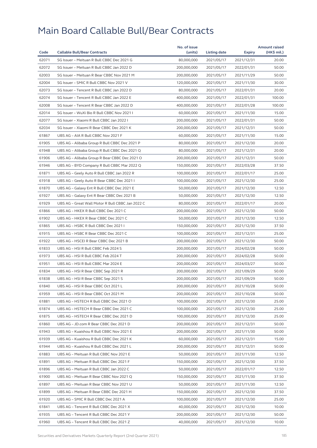|       |                                                  | No. of issue |                     |            | <b>Amount raised</b> |
|-------|--------------------------------------------------|--------------|---------------------|------------|----------------------|
| Code  | <b>Callable Bull/Bear Contracts</b>              | (units)      | <b>Listing date</b> | Expiry     | (HK\$ mil.)          |
| 62071 | SG Issuer - Meituan R Bull CBBC Dec 2021 G       | 80,000,000   | 2021/05/17          | 2021/12/31 | 20.00                |
| 62072 | SG Issuer - Meituan R Bull CBBC Jan 2022 D       | 200,000,000  | 2021/05/17          | 2022/01/31 | 50.00                |
| 62003 | SG Issuer - Meituan R Bear CBBC Nov 2021 M       | 200,000,000  | 2021/05/17          | 2021/11/29 | 50.00                |
| 62004 | SG Issuer - SMIC R Bull CBBC Nov 2021 V          | 120,000,000  | 2021/05/17          | 2021/11/30 | 30.00                |
| 62073 | SG Issuer - Tencent R Bull CBBC Jan 2022 D       | 80,000,000   | 2021/05/17          | 2022/01/31 | 20.00                |
| 62074 | SG Issuer - Tencent R Bull CBBC Jan 2022 E       | 400,000,000  | 2021/05/17          | 2022/01/31 | 100.00               |
| 62008 | SG Issuer - Tencent R Bear CBBC Jan 2022 D       | 400,000,000  | 2021/05/17          | 2022/01/28 | 100.00               |
| 62014 | SG Issuer - WuXi Bio R Bull CBBC Nov 2021 I      | 60,000,000   | 2021/05/17          | 2021/11/30 | 15.00                |
| 62077 | SG Issuer - Xiaomi R Bull CBBC Jan 2022 I        | 200,000,000  | 2021/05/17          | 2022/01/31 | 50.00                |
| 62034 | SG Issuer - Xiaomi R Bear CBBC Dec 2021 K        | 200,000,000  | 2021/05/17          | 2021/12/31 | 50.00                |
| 61867 | UBS AG - AIA R Bull CBBC Nov 2021 F              | 60,000,000   | 2021/05/17          | 2021/11/30 | 15.00                |
| 61905 | UBS AG - Alibaba Group R Bull CBBC Dec 2021 P    | 80,000,000   | 2021/05/17          | 2021/12/30 | 20.00                |
| 61948 | UBS AG - Alibaba Group R Bull CBBC Dec 2021 Q    | 80,000,000   | 2021/05/17          | 2021/12/31 | 20.00                |
| 61906 | UBS AG - Alibaba Group R Bear CBBC Dec 2021 O    | 200,000,000  | 2021/05/17          | 2021/12/31 | 50.00                |
| 61946 | UBS AG - BYD Company R Bull CBBC Mar 2022 Q      | 150,000,000  | 2021/05/17          | 2022/03/28 | 37.50                |
| 61871 | UBS AG - Geely Auto R Bull CBBC Jan 2022 R       | 100,000,000  | 2021/05/17          | 2022/01/17 | 25.00                |
| 61918 | UBS AG - Geely Auto R Bear CBBC Dec 2021 I       | 100,000,000  | 2021/05/17          | 2021/12/30 | 25.00                |
| 61870 | UBS AG - Galaxy Ent R Bull CBBC Dec 2021 E       | 50,000,000   | 2021/05/17          | 2021/12/30 | 12.50                |
| 61927 | UBS AG - Galaxy Ent R Bear CBBC Dec 2021 B       | 50,000,000   | 2021/05/17          | 2021/12/30 | 12.50                |
| 61929 | UBS AG - Great Wall Motor R Bull CBBC Jan 2022 C | 80,000,000   | 2021/05/17          | 2022/01/17 | 20.00                |
| 61866 | UBS AG - HKEX R Bull CBBC Dec 2021 C             | 200,000,000  | 2021/05/17          | 2021/12/30 | 50.00                |
| 61902 | UBS AG - HKEX R Bear CBBC Dec 2021 C             | 50,000,000   | 2021/05/17          | 2021/12/30 | 12.50                |
| 61865 | UBS AG - HSBC R Bull CBBC Dec 2021 I             | 150,000,000  | 2021/05/17          | 2021/12/30 | 37.50                |
| 61915 | UBS AG - HSBC R Bear CBBC Dec 2021 C             | 100,000,000  | 2021/05/17          | 2021/12/31 | 25.00                |
| 61922 | UBS AG - HSCEI R Bear CBBC Dec 2021 B            | 200,000,000  | 2021/05/17          | 2021/12/30 | 50.00                |
| 61833 | UBS AG - HSI R Bull CBBC Feb 2024 S              | 200,000,000  | 2021/05/17          | 2024/02/28 | 50.00                |
| 61973 | UBS AG - HSI R Bull CBBC Feb 2024 T              | 200,000,000  | 2021/05/17          | 2024/02/28 | 50.00                |
| 61951 | UBS AG - HSI R Bull CBBC Mar 2024 E              | 200,000,000  | 2021/05/17          | 2024/03/27 | 50.00                |
| 61834 | UBS AG - HSI R Bear CBBC Sep 2021 R              | 200,000,000  | 2021/05/17          | 2021/09/29 | 50.00                |
| 61838 | UBS AG - HSI R Bear CBBC Sep 2021 S              | 200,000,000  | 2021/05/17          | 2021/09/29 | 50.00                |
| 61840 | UBS AG - HSI R Bear CBBC Oct 2021 L              | 200,000,000  | 2021/05/17          | 2021/10/28 | 50.00                |
| 61959 | UBS AG - HSI R Bear CBBC Oct 2021 M              | 200,000,000  | 2021/05/17          | 2021/10/28 | 50.00                |
| 61881 | UBS AG - HSTECH R Bull CBBC Dec 2021 O           | 100,000,000  | 2021/05/17          | 2021/12/30 | 25.00                |
| 61874 | UBS AG - HSTECH R Bear CBBC Dec 2021 C           | 100,000,000  | 2021/05/17          | 2021/12/30 | 25.00                |
| 61875 | UBS AG - HSTECH R Bear CBBC Dec 2021 D           | 100,000,000  | 2021/05/17          | 2021/12/30 | 25.00                |
| 61860 | UBS AG - JD.com R Bear CBBC Dec 2021 D           | 200,000,000  | 2021/05/17          | 2021/12/31 | 50.00                |
| 61943 | UBS AG - Kuaishou R Bull CBBC Nov 2021 E         | 200,000,000  | 2021/05/17          | 2021/11/30 | 50.00                |
| 61939 | UBS AG - Kuaishou R Bull CBBC Dec 2021 K         | 60,000,000   | 2021/05/17          | 2021/12/31 | 15.00                |
| 61944 | UBS AG - Kuaishou R Bull CBBC Dec 2021 L         | 200,000,000  | 2021/05/17          | 2021/12/31 | 50.00                |
| 61883 | UBS AG - Meituan R Bull CBBC Nov 2021 E          | 50,000,000   | 2021/05/17          | 2021/11/30 | 12.50                |
| 61891 | UBS AG - Meituan R Bull CBBC Dec 2021 F          | 150,000,000  | 2021/05/17          | 2021/12/30 | 37.50                |
| 61896 | UBS AG - Meituan R Bull CBBC Jan 2022 C          | 50,000,000   | 2021/05/17          | 2022/01/17 | 12.50                |
| 61900 | UBS AG - Meituan R Bear CBBC Nov 2021 Q          | 150,000,000  | 2021/05/17          | 2021/11/30 | 37.50                |
| 61897 | UBS AG - Meituan R Bear CBBC Nov 2021 U          | 50,000,000   | 2021/05/17          | 2021/11/30 | 12.50                |
| 61899 | UBS AG - Meituan R Bear CBBC Dec 2021 H          | 150,000,000  | 2021/05/17          | 2021/12/30 | 37.50                |
| 61920 | UBS AG - SMIC R Bull CBBC Dec 2021 A             | 100,000,000  | 2021/05/17          | 2021/12/30 | 25.00                |
| 61841 | UBS AG - Tencent R Bull CBBC Dec 2021 X          | 40,000,000   | 2021/05/17          | 2021/12/30 | 10.00                |
| 61935 | UBS AG - Tencent R Bull CBBC Dec 2021 Y          | 200,000,000  | 2021/05/17          | 2021/12/30 | 50.00                |
| 61960 | UBS AG - Tencent R Bull CBBC Dec 2021 Z          | 40,000,000   | 2021/05/17          | 2021/12/30 | 10.00                |
|       |                                                  |              |                     |            |                      |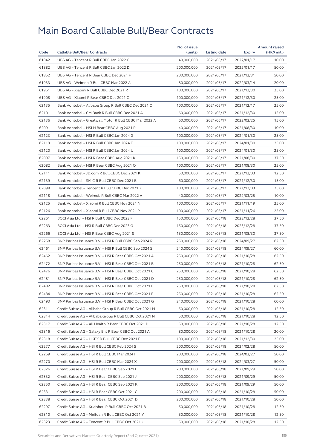|       |                                                         | No. of issue |              |            | <b>Amount raised</b> |
|-------|---------------------------------------------------------|--------------|--------------|------------|----------------------|
| Code  | <b>Callable Bull/Bear Contracts</b>                     | (units)      | Listing date | Expiry     | (HK\$ mil.)          |
| 61842 | UBS AG - Tencent R Bull CBBC Jan 2022 C                 | 40,000,000   | 2021/05/17   | 2022/01/17 | 10.00                |
| 61882 | UBS AG - Tencent R Bull CBBC Jan 2022 D                 | 200,000,000  | 2021/05/17   | 2022/01/17 | 50.00                |
| 61852 | UBS AG - Tencent R Bear CBBC Dec 2021 F                 | 200,000,000  | 2021/05/17   | 2021/12/31 | 50.00                |
| 61933 | UBS AG - Weimob R Bull CBBC Mar 2022 A                  | 80,000,000   | 2021/05/17   | 2022/03/14 | 20.00                |
| 61961 | UBS AG - Xiaomi R Bull CBBC Dec 2021 R                  | 100,000,000  | 2021/05/17   | 2021/12/30 | 25.00                |
| 61908 | UBS AG - Xiaomi R Bear CBBC Dec 2021 C                  | 100.000.000  | 2021/05/17   | 2021/12/30 | 25.00                |
| 62135 | Bank Vontobel - Alibaba Group R Bull CBBC Dec 2021 O    | 100,000,000  | 2021/05/17   | 2021/12/17 | 25.00                |
| 62101 | Bank Vontobel - CM Bank R Bull CBBC Dec 2021 A          | 60,000,000   | 2021/05/17   | 2021/12/30 | 15.00                |
| 62136 | Bank Vontobel - Greatwall Motor R Bull CBBC Mar 2022 A  | 60,000,000   | 2021/05/17   | 2022/03/25 | 15.00                |
| 62091 | Bank Vontobel - HSI N Bear CBBC Aug 2021 R              | 40,000,000   | 2021/05/17   | 2021/08/30 | 10.00                |
| 62123 | Bank Vontobel - HSI R Bull CBBC Jan 2024 G              | 100,000,000  | 2021/05/17   | 2024/01/30 | 25.00                |
| 62119 | Bank Vontobel - HSI R Bull CBBC Jan 2024 T              | 100,000,000  | 2021/05/17   | 2024/01/30 | 25.00                |
| 62120 | Bank Vontobel - HSI R Bull CBBC Jan 2024 U              | 100,000,000  | 2021/05/17   | 2024/01/30 | 25.00                |
| 62097 | Bank Vontobel - HSI R Bear CBBC Aug 2021 K              | 150,000,000  | 2021/05/17   | 2021/08/30 | 37.50                |
| 62082 | Bank Vontobel - HSI R Bear CBBC Aug 2021 Q              | 100,000,000  | 2021/05/17   | 2021/08/30 | 25.00                |
| 62111 | Bank Vontobel - JD.com R Bull CBBC Dec 2021 K           | 50,000,000   | 2021/05/17   | 2021/12/03 | 12.50                |
| 62139 | Bank Vontobel - SMIC R Bull CBBC Dec 2021 B             | 60,000,000   | 2021/05/17   | 2021/12/30 | 15.00                |
| 62098 | Bank Vontobel - Tencent R Bull CBBC Dec 2021 X          | 100,000,000  | 2021/05/17   | 2021/12/03 | 25.00                |
| 62118 | Bank Vontobel - Weimob R Bull CBBC Mar 2022 A           | 40,000,000   | 2021/05/17   | 2022/03/25 | 10.00                |
| 62125 | Bank Vontobel - Xiaomi R Bull CBBC Nov 2021 N           | 100,000,000  | 2021/05/17   | 2021/11/19 | 25.00                |
| 62126 | Bank Vontobel - Xiaomi R Bull CBBC Nov 2021 P           | 100,000,000  | 2021/05/17   | 2021/11/26 | 25.00                |
| 62261 | BOCI Asia Ltd. - HSI R Bull CBBC Dec 2023 F             | 150,000,000  | 2021/05/18   | 2023/12/28 | 37.50                |
| 62263 | BOCI Asia Ltd. - HSI R Bull CBBC Dec 2023 G             | 150,000,000  | 2021/05/18   | 2023/12/28 | 37.50                |
| 62266 | BOCI Asia Ltd. - HSI R Bear CBBC Aug 2021 S             | 150,000,000  | 2021/05/18   | 2021/08/30 | 37.50                |
| 62258 | BNP Paribas Issuance B.V. - HSI R Bull CBBC Sep 2024 R  | 250,000,000  | 2021/05/18   | 2024/09/27 | 62.50                |
| 62461 | BNP Paribas Issuance B.V. - HSI R Bull CBBC Sep 2024 S  | 240,000,000  | 2021/05/18   | 2024/09/27 | 60.00                |
| 62462 | BNP Paribas Issuance B.V. - HSI R Bear CBBC Oct 2021 A  | 250,000,000  | 2021/05/18   | 2021/10/28 | 62.50                |
| 62472 | BNP Paribas Issuance B.V. - HSI R Bear CBBC Oct 2021 B  | 250,000,000  | 2021/05/18   | 2021/10/28 | 62.50                |
| 62476 | BNP Paribas Issuance B.V. - HSI R Bear CBBC Oct 2021 C  | 250,000,000  | 2021/05/18   | 2021/10/28 | 62.50                |
| 62481 | BNP Paribas Issuance B.V. - HSI R Bear CBBC Oct 2021 D  | 250,000,000  | 2021/05/18   | 2021/10/28 | 62.50                |
| 62482 | BNP Paribas Issuance B.V. - HSI R Bear CBBC Oct 2021 E  | 250,000,000  | 2021/05/18   | 2021/10/28 | 62.50                |
| 62484 | BNP Paribas Issuance B.V. - HSI R Bear CBBC Oct 2021 F  | 250,000,000  | 2021/05/18   | 2021/10/28 | 62.50                |
| 62493 | BNP Paribas Issuance B.V. - HSI R Bear CBBC Oct 2021 G  | 240,000,000  | 2021/05/18   | 2021/10/28 | 60.00                |
| 62311 | Credit Suisse AG - Alibaba Group R Bull CBBC Oct 2021 M | 50,000,000   | 2021/05/18   | 2021/10/28 | 12.50                |
| 62314 | Credit Suisse AG - Alibaba Group R Bull CBBC Oct 2021 N | 50,000,000   | 2021/05/18   | 2021/10/28 | 12.50                |
| 62317 | Credit Suisse AG - Ali Health R Bear CBBC Oct 2021 D    | 50,000,000   | 2021/05/18   | 2021/10/28 | 12.50                |
| 62316 | Credit Suisse AG - Galaxy Ent R Bear CBBC Oct 2021 A    | 80,000,000   | 2021/05/18   | 2021/10/28 | 20.00                |
| 62318 | Credit Suisse AG - HKEX R Bull CBBC Dec 2021 F          | 100,000,000  | 2021/05/18   | 2021/12/30 | 25.00                |
| 62277 | Credit Suisse AG - HSI R Bull CBBC Feb 2024 S           | 200,000,000  | 2021/05/18   | 2024/02/28 | 50.00                |
| 62269 | Credit Suisse AG - HSI R Bull CBBC Mar 2024 I           | 200,000,000  | 2021/05/18   | 2024/03/27 | 50.00                |
| 62270 | Credit Suisse AG - HSI R Bull CBBC Mar 2024 X           | 200,000,000  | 2021/05/18   | 2024/03/27 | 50.00                |
| 62326 | Credit Suisse AG - HSI R Bear CBBC Sep 2021 I           | 200,000,000  | 2021/05/18   | 2021/09/29 | 50.00                |
| 62332 | Credit Suisse AG - HSI R Bear CBBC Sep 2021 J           | 200,000,000  | 2021/05/18   | 2021/09/29 | 50.00                |
| 62350 | Credit Suisse AG - HSI R Bear CBBC Sep 2021 K           | 200,000,000  |              | 2021/09/29 | 50.00                |
|       |                                                         |              | 2021/05/18   |            |                      |
| 62331 | Credit Suisse AG - HSI R Bear CBBC Oct 2021 C           | 200,000,000  | 2021/05/18   | 2021/10/28 | 50.00                |
| 62338 | Credit Suisse AG - HSI R Bear CBBC Oct 2021 D           | 200,000,000  | 2021/05/18   | 2021/10/28 | 50.00                |
| 62297 | Credit Suisse AG - Kuaishou R Bull CBBC Oct 2021 B      | 50,000,000   | 2021/05/18   | 2021/10/28 | 12.50                |
| 62310 | Credit Suisse AG - Meituan R Bull CBBC Oct 2021 Y       | 50,000,000   | 2021/05/18   | 2021/10/28 | 12.50                |
| 62323 | Credit Suisse AG - Tencent R Bull CBBC Oct 2021 U       | 50,000,000   | 2021/05/18   | 2021/10/28 | 12.50                |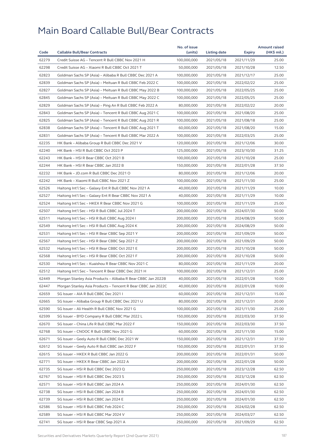|       |                                                              | No. of issue |              |            | <b>Amount raised</b> |
|-------|--------------------------------------------------------------|--------------|--------------|------------|----------------------|
| Code  | <b>Callable Bull/Bear Contracts</b>                          | (units)      | Listing date | Expiry     | (HK\$ mil.)          |
| 62279 | Credit Suisse AG - Tencent R Bull CBBC Nov 2021 H            | 100,000,000  | 2021/05/18   | 2021/11/29 | 25.00                |
| 62298 | Credit Suisse AG - Xiaomi R Bull CBBC Oct 2021 T             | 50,000,000   | 2021/05/18   | 2021/10/28 | 12.50                |
| 62823 | Goldman Sachs SP (Asia) - Alibaba R Bull CBBC Dec 2021 A     | 100,000,000  | 2021/05/18   | 2021/12/17 | 25.00                |
| 62839 | Goldman Sachs SP (Asia) – Meituan R Bull CBBC Feb 2022 C     | 100,000,000  | 2021/05/18   | 2022/02/22 | 25.00                |
| 62827 | Goldman Sachs SP (Asia) - Meituan R Bull CBBC May 2022 B     | 100,000,000  | 2021/05/18   | 2022/05/25 | 25.00                |
| 62845 | Goldman Sachs SP (Asia) - Meituan R Bull CBBC May 2022 C     | 100,000,000  | 2021/05/18   | 2022/05/25 | 25.00                |
| 62829 | Goldman Sachs SP (Asia) - Ping An R Bull CBBC Feb 2022 A     | 80,000,000   | 2021/05/18   | 2022/02/22 | 20.00                |
| 62843 | Goldman Sachs SP (Asia) - Tencent R Bull CBBC Aug 2021 C     | 100,000,000  | 2021/05/18   | 2021/08/20 | 25.00                |
| 62825 | Goldman Sachs SP (Asia) - Tencent R Bull CBBC Aug 2021 R     | 100,000,000  | 2021/05/18   | 2021/08/18 | 25.00                |
| 62838 | Goldman Sachs SP (Asia) - Tencent R Bull CBBC Aug 2021 T     | 60,000,000   | 2021/05/18   | 2021/08/20 | 15.00                |
| 62831 | Goldman Sachs SP (Asia) - Tencent R Bull CBBC Mar 2022 A     | 100,000,000  | 2021/05/18   | 2022/03/25 | 25.00                |
| 62235 | HK Bank - Alibaba Group R Bull CBBC Dec 2021 V               | 120,000,000  | 2021/05/18   | 2021/12/06 | 30.00                |
| 62240 | HK Bank - HSI R Bull CBBC Oct 2023 P                         | 125,000,000  | 2021/05/18   | 2023/10/30 | 31.25                |
| 62243 | HK Bank - HSI R Bear CBBC Oct 2021 B                         | 100,000,000  | 2021/05/18   | 2021/10/28 | 25.00                |
| 62244 | HK Bank - HSI R Bear CBBC Jan 2022 B                         | 150,000,000  | 2021/05/18   | 2022/01/28 | 37.50                |
| 62232 | HK Bank - JD.com R Bull CBBC Dec 2021 O                      | 80,000,000   | 2021/05/18   | 2021/12/06 | 20.00                |
| 62242 | HK Bank - Xiaomi R Bull CBBC Nov 2021 Z                      | 100,000,000  | 2021/05/18   | 2021/11/30 | 25.00                |
| 62526 | Haitong Int'l Sec - Galaxy Ent R Bull CBBC Nov 2021 A        | 40,000,000   | 2021/05/18   | 2021/11/29 | 10.00                |
| 62527 | Haitong Int'l Sec – Galaxy Ent R Bear CBBC Nov 2021 A        | 40,000,000   | 2021/05/18   | 2021/11/29 | 10.00                |
| 62524 | Haitong Int'l Sec - HKEX R Bear CBBC Nov 2021 G              | 100,000,000  | 2021/05/18   | 2021/11/29 | 25.00                |
| 62507 | Haitong Int'l Sec - HSI R Bull CBBC Jul 2024 T               | 200,000,000  | 2021/05/18   | 2024/07/30 | 50.00                |
| 62511 | Haitong Int'l Sec - HSI R Bull CBBC Aug 2024 I               | 200,000,000  | 2021/05/18   | 2024/08/29 | 50.00                |
| 62549 | Haitong Int'l Sec - HSI R Bull CBBC Aug 2024 K               | 200,000,000  | 2021/05/18   | 2024/08/29 | 50.00                |
| 62531 | Haitong Int'l Sec - HSI R Bear CBBC Sep 2021 Y               | 200,000,000  | 2021/05/18   | 2021/09/29 | 50.00                |
| 62567 | Haitong Int'l Sec - HSI R Bear CBBC Sep 2021 Z               | 200,000,000  | 2021/05/18   | 2021/09/29 | 50.00                |
| 62532 | Haitong Int'l Sec - HSI R Bear CBBC Oct 2021 E               | 200,000,000  | 2021/05/18   | 2021/10/28 | 50.00                |
| 62568 | Haitong Int'l Sec - HSI R Bear CBBC Oct 2021 F               | 200,000,000  | 2021/05/18   | 2021/10/28 | 50.00                |
| 62530 | Haitong Int'l Sec - Kuaishou R Bear CBBC Nov 2021 C          | 80,000,000   | 2021/05/18   | 2021/11/29 | 20.00                |
| 62512 | Haitong Int'l Sec - Tencent R Bear CBBC Dec 2021 H           | 100,000,000  | 2021/05/18   | 2021/12/31 | 25.00                |
| 62449 | Morgan Stanley Asia Products – Alibaba R Bear CBBC Jan 2022B | 40,000,000   | 2021/05/18   | 2022/01/28 | 10.00                |
| 62447 | Morgan Stanley Asia Products - Tencent R Bear CBBC Jan 2022C | 40,000,000   | 2021/05/18   | 2022/01/28 | 10.00                |
| 62659 | SG Issuer - AIA R Bull CBBC Dec 2021 I                       | 60,000,000   | 2021/05/18   | 2021/12/31 | 15.00                |
| 62665 | SG Issuer - Alibaba Group R Bull CBBC Dec 2021 U             | 80,000,000   | 2021/05/18   | 2021/12/31 | 20.00                |
| 62590 | SG Issuer - Ali Health R Bull CBBC Nov 2021 G                | 100,000,000  | 2021/05/18   | 2021/11/30 | 25.00                |
| 62599 | SG Issuer - BYD Company R Bull CBBC Mar 2022 L               | 150,000,000  | 2021/05/18   | 2022/03/30 | 37.50                |
| 62670 | SG Issuer - China Life R Bull CBBC Mar 2022 F                | 150,000,000  | 2021/05/18   | 2022/03/30 | 37.50                |
| 62768 | SG Issuer - CNOOC R Bull CBBC Nov 2021 G                     | 60.000.000   | 2021/05/18   | 2021/11/30 | 15.00                |
| 62671 | SG Issuer - Geely Auto R Bull CBBC Dec 2021 W                | 150,000,000  | 2021/05/18   | 2021/12/31 | 37.50                |
| 62612 | SG Issuer - Geely Auto R Bull CBBC Jan 2022 F                | 150,000,000  | 2021/05/18   | 2022/01/31 | 37.50                |
| 62615 | SG Issuer - HKEX R Bull CBBC Jan 2022 G                      | 200,000,000  | 2021/05/18   | 2022/01/31 | 50.00                |
| 62771 | SG Issuer - HKEX R Bear CBBC Jan 2022 A                      | 200,000,000  | 2021/05/18   | 2022/01/28 | 50.00                |
| 62735 | SG Issuer - HSI R Bull CBBC Dec 2023 Q                       | 250,000,000  | 2021/05/18   | 2023/12/28 | 62.50                |
| 62767 | SG Issuer - HSI R Bull CBBC Dec 2023 S                       | 250,000,000  | 2021/05/18   | 2023/12/28 | 62.50                |
| 62571 | SG Issuer - HSI R Bull CBBC Jan 2024 A                       | 250,000,000  | 2021/05/18   | 2024/01/30 | 62.50                |
| 62738 | SG Issuer - HSI R Bull CBBC Jan 2024 B                       | 250,000,000  | 2021/05/18   | 2024/01/30 | 62.50                |
| 62739 | SG Issuer - HSI R Bull CBBC Jan 2024 E                       | 250,000,000  | 2021/05/18   | 2024/01/30 | 62.50                |
| 62586 | SG Issuer - HSI R Bull CBBC Feb 2024 C                       | 250,000,000  | 2021/05/18   | 2024/02/28 | 62.50                |
| 62589 | SG Issuer - HSI R Bull CBBC Mar 2024 V                       | 250,000,000  | 2021/05/18   | 2024/03/27 | 62.50                |
| 62741 | SG Issuer - HSI R Bear CBBC Sep 2021 A                       | 250,000,000  | 2021/05/18   | 2021/09/29 | 62.50                |
|       |                                                              |              |              |            |                      |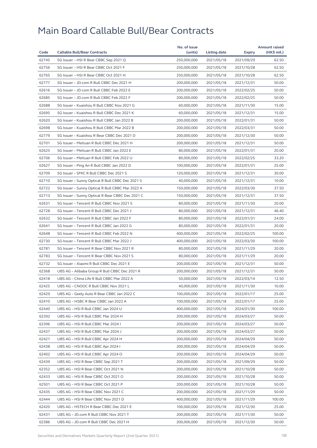|       |                                                  | No. of issue |              |            | <b>Amount raised</b> |
|-------|--------------------------------------------------|--------------|--------------|------------|----------------------|
| Code  | <b>Callable Bull/Bear Contracts</b>              | (units)      | Listing date | Expiry     | (HK\$ mil.)          |
| 62745 | SG Issuer - HSI R Bear CBBC Sep 2021 Q           | 250,000,000  | 2021/05/18   | 2021/09/29 | 62.50                |
| 62756 | SG Issuer - HSI R Bear CBBC Oct 2021 F           | 250,000,000  | 2021/05/18   | 2021/10/28 | 62.50                |
| 62765 | SG Issuer - HSI R Bear CBBC Oct 2021 H           | 250,000,000  | 2021/05/18   | 2021/10/28 | 62.50                |
| 62777 | SG Issuer - JD.com R Bull CBBC Dec 2021 H        | 200,000,000  | 2021/05/18   | 2021/12/31 | 50.00                |
| 62616 | SG Issuer - JD.com R Bull CBBC Feb 2022 E        | 200,000,000  | 2021/05/18   | 2022/02/25 | 50.00                |
| 62685 | SG Issuer - JD.com R Bull CBBC Feb 2022 F        | 200,000,000  | 2021/05/18   | 2022/02/25 | 50.00                |
| 62688 | SG Issuer - Kuaishou R Bull CBBC Nov 2021 G      | 60,000,000   | 2021/05/18   | 2021/11/30 | 15.00                |
| 62695 | SG Issuer - Kuaishou R Bull CBBC Dec 2021 K      | 60,000,000   | 2021/05/18   | 2021/12/31 | 15.00                |
| 62620 | SG Issuer - Kuaishou R Bull CBBC Jan 2022 B      | 200,000,000  | 2021/05/18   | 2022/01/31 | 50.00                |
| 62698 | SG Issuer - Kuaishou R Bull CBBC Mar 2022 B      | 200,000,000  | 2021/05/18   | 2022/03/31 | 50.00                |
| 62779 | SG Issuer - Kuaishou R Bear CBBC Dec 2021 D      | 200,000,000  | 2021/05/18   | 2021/12/30 | 50.00                |
| 62701 | SG Issuer - Meituan R Bull CBBC Dec 2021 H       | 200,000,000  | 2021/05/18   | 2021/12/31 | 50.00                |
| 62625 | SG Issuer - Meituan R Bull CBBC Jan 2022 E       | 80,000,000   | 2021/05/18   | 2022/01/31 | 20.00                |
| 62706 | SG Issuer - Meituan R Bull CBBC Feb 2022 U       | 80,000,000   | 2021/05/18   | 2022/02/25 | 33.20                |
| 62627 | SG Issuer - Ping An R Bull CBBC Jan 2022 D       | 100,000,000  | 2021/05/18   | 2022/01/31 | 25.00                |
| 62709 | SG Issuer - SMIC R Bull CBBC Dec 2021 S          | 120,000,000  | 2021/05/18   | 2021/12/31 | 30.00                |
| 62710 | SG Issuer - Sunny Optical R Bull CBBC Dec 2021 S | 40,000,000   | 2021/05/18   | 2021/12/31 | 10.00                |
| 62722 | SG Issuer - Sunny Optical R Bull CBBC Mar 2022 A | 150,000,000  | 2021/05/18   | 2022/03/30 | 37.50                |
| 62713 | SG Issuer - Sunny Optical R Bear CBBC Dec 2021 C | 150,000,000  | 2021/05/18   | 2021/12/31 | 37.50                |
| 62631 | SG Issuer - Tencent R Bull CBBC Nov 2021 S       | 80,000,000   | 2021/05/18   | 2021/11/30 | 20.00                |
| 62728 | SG Issuer - Tencent R Bull CBBC Dec 2021 J       | 80,000,000   | 2021/05/18   | 2021/12/31 | 46.40                |
| 62632 | SG Issuer - Tencent R Bull CBBC Jan 2022 F       | 80,000,000   | 2021/05/18   | 2022/01/31 | 24.00                |
| 62641 | SG Issuer - Tencent R Bull CBBC Jan 2022 G       | 80,000,000   | 2021/05/18   | 2022/01/31 | 20.00                |
| 62648 | SG Issuer - Tencent R Bull CBBC Feb 2022 N       | 400,000,000  | 2021/05/18   | 2022/02/25 | 100.00               |
| 62730 | SG Issuer - Tencent R Bull CBBC Mar 2022 J       | 400,000,000  | 2021/05/18   | 2022/03/30 | 100.00               |
| 62781 | SG Issuer - Tencent R Bear CBBC Nov 2021 R       | 80,000,000   | 2021/05/18   | 2021/11/29 | 20.00                |
| 62783 | SG Issuer - Tencent R Bear CBBC Nov 2021 S       | 80,000,000   | 2021/05/18   | 2021/11/29 | 20.00                |
| 62732 | SG Issuer - Xiaomi R Bull CBBC Dec 2021 E        | 200,000,000  | 2021/05/18   | 2021/12/31 | 50.00                |
|       |                                                  |              |              |            |                      |
| 62368 | UBS AG - Alibaba Group R Bull CBBC Dec 2021 R    | 200,000,000  | 2021/05/18   | 2021/12/31 | 50.00                |
| 62418 | UBS AG - China Life R Bull CBBC Mar 2022 A       | 50,000,000   | 2021/05/18   | 2022/03/14 | 12.50                |
| 62425 | UBS AG - CNOOC R Bull CBBC Nov 2021 L            | 40,000,000   | 2021/05/18   | 2021/11/30 | 10.00                |
| 62429 | UBS AG - Geely Auto R Bear CBBC Jan 2022 C       | 100,000,000  | 2021/05/18   | 2022/01/17 | 25.00                |
| 62410 | UBS AG - HSBC R Bear CBBC Jan 2022 A             | 100,000,000  | 2021/05/18   | 2022/01/17 | 25.00                |
| 62440 | UBS AG - HSI R Bull CBBC Jan 2024 U              | 400,000,000  | 2021/05/18   | 2024/01/30 | 100.00               |
| 62392 | UBS AG - HSI R Bull CBBC Mar 2024 H              | 200,000,000  | 2021/05/18   | 2024/03/27 | 50.00                |
| 62396 | UBS AG - HSI R Bull CBBC Mar 2024 I              | 200,000,000  | 2021/05/18   | 2024/03/27 | 50.00                |
| 62437 | UBS AG - HSI R Bull CBBC Mar 2024 J              | 200,000,000  | 2021/05/18   | 2024/03/27 | 50.00                |
| 62421 | UBS AG – HSI R Bull CBBC Apr 2024 H              | 200,000,000  | 2021/05/18   | 2024/04/29 | 50.00                |
| 62438 | UBS AG - HSI R Bull CBBC Apr 2024 I              | 200,000,000  | 2021/05/18   | 2024/04/29 | 50.00                |
| 62402 | UBS AG - HSI R Bull CBBC Apr 2024 O              | 200,000,000  | 2021/05/18   | 2024/04/29 | 50.00                |
| 62439 | UBS AG - HSI R Bear CBBC Sep 2021 T              | 200,000,000  | 2021/05/18   | 2021/09/29 | 50.00                |
| 62352 | UBS AG - HSI R Bear CBBC Oct 2021 N              | 200,000,000  | 2021/05/18   | 2021/10/28 | 50.00                |
| 62433 | UBS AG - HSI R Bear CBBC Oct 2021 O              | 200,000,000  | 2021/05/18   | 2021/10/28 | 50.00                |
| 62501 | UBS AG - HSI R Bear CBBC Oct 2021 P              | 200,000,000  | 2021/05/18   | 2021/10/28 | 50.00                |
| 62435 | UBS AG - HSI R Bear CBBC Nov 2021 C              | 200,000,000  | 2021/05/18   | 2021/11/29 | 50.00                |
| 62444 | UBS AG - HSI R Bear CBBC Nov 2021 D              | 400,000,000  | 2021/05/18   | 2021/11/29 | 100.00               |
| 62420 | UBS AG - HSTECH R Bear CBBC Dec 2021 E           | 100,000,000  | 2021/05/18   | 2021/12/30 | 25.00                |
| 62431 | UBS AG - JD.com R Bull CBBC Nov 2021 T           | 200,000,000  | 2021/05/18   | 2021/11/30 | 50.00                |
| 62386 | UBS AG - JD.com R Bull CBBC Dec 2021 H           | 200,000,000  | 2021/05/18   | 2021/12/30 | 50.00                |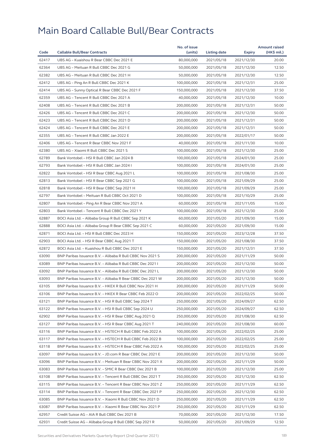|       |                                                            | No. of issue               |              |            | <b>Amount raised</b> |
|-------|------------------------------------------------------------|----------------------------|--------------|------------|----------------------|
| Code  | <b>Callable Bull/Bear Contracts</b>                        | (units)                    | Listing date | Expiry     | (HK\$ mil.)          |
| 62417 | UBS AG - Kuaishou R Bear CBBC Dec 2021 E                   | 80,000,000                 | 2021/05/18   | 2021/12/30 | 20.00                |
| 62364 | UBS AG - Meituan R Bull CBBC Dec 2021 G                    | 50,000,000                 | 2021/05/18   | 2021/12/30 | 12.50                |
| 62382 | UBS AG - Meituan R Bull CBBC Dec 2021 H                    | 50,000,000                 | 2021/05/18   | 2021/12/30 | 12.50                |
| 62412 | UBS AG - Ping An R Bull CBBC Dec 2021 K                    | 100,000,000                | 2021/05/18   | 2021/12/31 | 25.00                |
| 62414 | UBS AG - Sunny Optical R Bear CBBC Dec 2021 F              | 150,000,000                | 2021/05/18   | 2021/12/30 | 37.50                |
| 62359 | UBS AG - Tencent R Bull CBBC Dec 2021 A                    | 40,000,000                 | 2021/05/18   | 2021/12/30 | 10.00                |
| 62408 | UBS AG - Tencent R Bull CBBC Dec 2021 B                    | 200,000,000                | 2021/05/18   | 2021/12/31 | 50.00                |
| 62426 | UBS AG - Tencent R Bull CBBC Dec 2021 C                    | 200,000,000                | 2021/05/18   | 2021/12/30 | 50.00                |
| 62423 | UBS AG - Tencent R Bull CBBC Dec 2021 D                    | 200,000,000                | 2021/05/18   | 2021/12/31 | 50.00                |
| 62424 | UBS AG - Tencent R Bull CBBC Dec 2021 E                    | 200,000,000                | 2021/05/18   | 2021/12/31 | 50.00                |
| 62355 | UBS AG - Tencent R Bull CBBC Jan 2022 E                    | 200,000,000                | 2021/05/18   | 2022/01/17 | 50.00                |
| 62406 | UBS AG - Tencent R Bear CBBC Nov 2021 F                    | 40,000,000                 | 2021/05/18   | 2021/11/30 | 10.00                |
| 62380 | UBS AG - Xiaomi R Bull CBBC Dec 2021 S                     | 100,000,000                | 2021/05/18   | 2021/12/30 | 25.00                |
| 62789 | Bank Vontobel - HSI R Bull CBBC Jan 2024 B                 | 100,000,000                | 2021/05/18   | 2024/01/30 | 25.00                |
| 62793 | Bank Vontobel - HSI R Bull CBBC Jan 2024 I                 | 100,000,000                | 2021/05/18   | 2024/01/30 | 25.00                |
| 62822 | Bank Vontobel - HSI R Bear CBBC Aug 2021 L                 | 100,000,000                | 2021/05/18   | 2021/08/30 | 25.00                |
| 62813 | Bank Vontobel - HSI R Bear CBBC Sep 2021 G                 | 100,000,000                | 2021/05/18   | 2021/09/29 | 25.00                |
| 62818 | Bank Vontobel - HSI R Bear CBBC Sep 2021 H                 | 100,000,000                | 2021/05/18   | 2021/09/29 | 25.00                |
| 62797 | Bank Vontobel - Meituan R Bull CBBC Oct 2021 D             | 100,000,000                | 2021/05/18   | 2021/10/29 | 25.00                |
| 62807 | Bank Vontobel - Ping An R Bear CBBC Nov 2021 A             | 60,000,000                 | 2021/05/18   | 2021/11/05 | 15.00                |
| 62803 | Bank Vontobel - Tencent R Bull CBBC Dec 2021 Y             | 100,000,000                | 2021/05/18   | 2021/12/30 | 25.00                |
| 62887 | BOCI Asia Ltd. - Alibaba Group R Bull CBBC Sep 2021 K      | 60,000,000                 | 2021/05/20   | 2021/09/30 | 15.00                |
| 62888 | BOCI Asia Ltd. - Alibaba Group R Bear CBBC Sep 2021 C      | 60,000,000                 | 2021/05/20   | 2021/09/30 | 15.00                |
| 62871 | BOCI Asia Ltd. - HSI R Bull CBBC Dec 2023 H                | 150,000,000                | 2021/05/20   | 2023/12/28 | 37.50                |
| 62903 | BOCI Asia Ltd. - HSI R Bear CBBC Aug 2021 T                | 150,000,000                | 2021/05/20   | 2021/08/30 | 37.50                |
| 62872 | BOCI Asia Ltd. - Kuaishou R Bull CBBC Dec 2021 E           | 150,000,000                | 2021/05/20   | 2021/12/31 | 37.50                |
| 63090 | BNP Paribas Issuance B.V. - Alibaba R Bull CBBC Nov 2021 S | 200,000,000                | 2021/05/20   | 2021/11/29 | 50.00                |
| 63089 | BNP Paribas Issuance B.V. - Alibaba R Bull CBBC Dec 2021 I | 200,000,000                | 2021/05/20   | 2021/12/30 | 50.00                |
| 63092 | BNP Paribas Issuance B.V. - Alibaba R Bull CBBC Dec 2021 L | 200,000,000                | 2021/05/20   | 2021/12/30 | 50.00                |
| 63093 | BNP Paribas Issuance B.V. - Alibaba R Bear CBBC Dec 2021 W | 200,000,000                | 2021/05/20   | 2021/12/30 | 50.00                |
| 63105 | BNP Paribas Issuance B.V. - HKEX R Bull CBBC Nov 2021 H    | 200,000,000                | 2021/05/20   | 2021/11/29 | 50.00                |
| 63106 | BNP Paribas Issuance B.V. - HKEX R Bear CBBC Feb 2022 O    | 200,000,000                | 2021/05/20   | 2022/02/25 | 50.00                |
| 63121 | BNP Paribas Issuance B.V. - HSI R Bull CBBC Sep 2024 T     | 250,000,000                | 2021/05/20   | 2024/09/27 | 62.50                |
| 63122 | BNP Paribas Issuance B.V. - HSI R Bull CBBC Sep 2024 U     | 250,000,000                | 2021/05/20   | 2024/09/27 | 62.50                |
| 62902 | BNP Paribas Issuance B.V. - HSI R Bear CBBC Aug 2021 Q     | 250,000,000                | 2021/05/20   | 2021/08/30 | 62.50                |
| 63127 | BNP Paribas Issuance B.V. - HSI R Bear CBBC Aug 2021 T     | 240,000,000                | 2021/05/20   | 2021/08/30 | 60.00                |
| 63116 | BNP Paribas Issuance B.V. - HSTECH R Bull CBBC Feb 2022 A  | 100,000,000                | 2021/05/20   | 2022/02/25 | 25.00                |
| 63117 | BNP Paribas Issuance B.V. - HSTECH R Bull CBBC Feb 2022 B  | 100,000,000                | 2021/05/20   | 2022/02/25 | 25.00                |
| 63118 | BNP Paribas Issuance B.V. - HSTECH R Bear CBBC Feb 2022 A  | 100,000,000                | 2021/05/20   | 2022/02/25 | 25.00                |
| 63097 | BNP Paribas Issuance B.V. - JD.com R Bear CBBC Dec 2021 E  | 200,000,000                | 2021/05/20   | 2021/12/30 | 50.00                |
| 63096 | BNP Paribas Issuance B.V. - Meituan R Bear CBBC Nov 2021 X | 200,000,000                | 2021/05/20   | 2021/11/29 | 50.00                |
| 63083 | BNP Paribas Issuance B.V. - SMIC R Bear CBBC Dec 2021 B    | 100,000,000                | 2021/05/20   | 2021/12/30 | 25.00                |
| 63108 | BNP Paribas Issuance B.V. - Tencent R Bull CBBC Dec 2021 T | 250,000,000                | 2021/05/20   | 2021/12/30 | 62.50                |
| 63115 | BNP Paribas Issuance B.V. - Tencent R Bear CBBC Nov 2021 Z | 250,000,000                | 2021/05/20   | 2021/11/29 | 62.50                |
| 63114 | BNP Paribas Issuance B.V. - Tencent R Bear CBBC Dec 2021 P | 250,000,000                |              |            | 62.50                |
|       |                                                            |                            | 2021/05/20   | 2021/12/30 |                      |
| 63085 | BNP Paribas Issuance B.V. - Xiaomi R Bull CBBC Nov 2021 D  | 250,000,000<br>250,000,000 | 2021/05/20   | 2021/11/29 | 62.50                |
| 63087 | BNP Paribas Issuance B.V. - Xiaomi R Bear CBBC Nov 2021 P  |                            | 2021/05/20   | 2021/11/29 | 62.50                |
| 62957 | Credit Suisse AG - AIA R Bull CBBC Dec 2021 B              | 70,000,000                 | 2021/05/20   | 2021/12/30 | 17.50                |
| 62931 | Credit Suisse AG - Alibaba Group R Bull CBBC Sep 2021 R    | 50,000,000                 | 2021/05/20   | 2021/09/29 | 12.50                |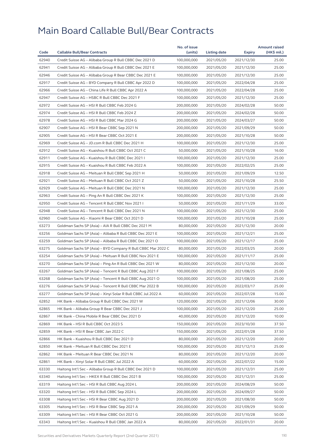| Code  |                                                              | No. of issue |              |               | <b>Amount raised</b> |
|-------|--------------------------------------------------------------|--------------|--------------|---------------|----------------------|
|       | <b>Callable Bull/Bear Contracts</b>                          | (units)      | Listing date | <b>Expiry</b> | (HK\$ mil.)          |
| 62940 | Credit Suisse AG - Alibaba Group R Bull CBBC Dec 2021 D      | 100,000,000  | 2021/05/20   | 2021/12/30    | 25.00                |
| 62941 | Credit Suisse AG - Alibaba Group R Bull CBBC Dec 2021 E      | 100,000,000  | 2021/05/20   | 2021/12/30    | 25.00                |
| 62946 | Credit Suisse AG - Alibaba Group R Bear CBBC Dec 2021 E      | 100,000,000  | 2021/05/20   | 2021/12/30    | 25.00                |
| 62917 | Credit Suisse AG - BYD Company R Bull CBBC Apr 2022 D        | 100,000,000  | 2021/05/20   | 2022/04/28    | 25.00                |
| 62966 | Credit Suisse AG - China Life R Bull CBBC Apr 2022 A         | 100,000,000  | 2021/05/20   | 2022/04/28    | 25.00                |
| 62947 | Credit Suisse AG - HSBC R Bull CBBC Dec 2021 F               | 100,000,000  | 2021/05/20   | 2021/12/30    | 25.00                |
| 62972 | Credit Suisse AG - HSI R Bull CBBC Feb 2024 G                | 200,000,000  | 2021/05/20   | 2024/02/28    | 50.00                |
| 62974 | Credit Suisse AG - HSI R Bull CBBC Feb 2024 Z                | 200,000,000  | 2021/05/20   | 2024/02/28    | 50.00                |
| 62978 | Credit Suisse AG - HSI R Bull CBBC Mar 2024 G                | 200,000,000  | 2021/05/20   | 2024/03/27    | 50.00                |
| 62907 | Credit Suisse AG - HSI R Bear CBBC Sep 2021 N                | 200,000,000  | 2021/05/20   | 2021/09/29    | 50.00                |
| 62905 | Credit Suisse AG - HSI R Bear CBBC Oct 2021 E                | 200,000,000  | 2021/05/20   | 2021/10/28    | 50.00                |
| 62969 | Credit Suisse AG - JD.com R Bull CBBC Dec 2021 H             | 100,000,000  | 2021/05/20   | 2021/12/30    | 25.00                |
| 62912 | Credit Suisse AG - Kuaishou R Bull CBBC Oct 2021 C           | 50,000,000   | 2021/05/20   | 2021/10/28    | 16.00                |
| 62911 | Credit Suisse AG - Kuaishou R Bull CBBC Dec 2021 I           | 100,000,000  | 2021/05/20   | 2021/12/30    | 25.00                |
| 62915 | Credit Suisse AG - Kuaishou R Bull CBBC Feb 2022 A           | 100,000,000  | 2021/05/20   | 2022/02/25    | 25.00                |
| 62918 | Credit Suisse AG - Meituan R Bull CBBC Sep 2021 H            | 50,000,000   | 2021/05/20   | 2021/09/29    | 12.50                |
| 62921 | Credit Suisse AG - Meituan R Bull CBBC Oct 2021 Z            | 50,000,000   | 2021/05/20   | 2021/10/28    | 25.50                |
| 62929 | Credit Suisse AG - Meituan R Bull CBBC Dec 2021 N            | 100,000,000  | 2021/05/20   | 2021/12/30    | 25.00                |
| 62963 | Credit Suisse AG - Ping An R Bull CBBC Dec 2021 K            | 100,000,000  | 2021/05/20   | 2021/12/30    | 25.00                |
| 62950 | Credit Suisse AG - Tencent R Bull CBBC Nov 2021              | 50,000,000   | 2021/05/20   | 2021/11/29    | 33.00                |
| 62948 | Credit Suisse AG - Tencent R Bull CBBC Dec 2021 N            | 100,000,000  | 2021/05/20   | 2021/12/30    | 25.00                |
| 62960 | Credit Suisse AG - Xiaomi R Bear CBBC Oct 2021 D             | 100,000,000  | 2021/05/20   | 2021/10/28    | 25.00                |
| 63273 | Goldman Sachs SP (Asia) - AIA R Bull CBBC Dec 2021 M         | 80,000,000   | 2021/05/20   | 2021/12/30    | 20.00                |
| 63256 | Goldman Sachs SP (Asia) - Alibaba R Bull CBBC Dec 2021 E     | 100,000,000  | 2021/05/20   | 2021/12/21    | 25.00                |
| 63259 | Goldman Sachs SP (Asia) - Alibaba R Bull CBBC Dec 2021 O     | 100,000,000  | 2021/05/20   | 2021/12/17    | 25.00                |
| 63275 | Goldman Sachs SP (Asia) - BYD Company R Bull CBBC Mar 2022 C | 80,000,000   | 2021/05/20   | 2022/03/25    | 20.00                |
| 63254 | Goldman Sachs SP (Asia) - Meituan R Bull CBBC Nov 2021 E     | 100,000,000  | 2021/05/20   | 2021/11/17    | 25.00                |
| 63270 | Goldman Sachs SP (Asia) - Ping An R Bull CBBC Dec 2021 W     | 80,000,000   | 2021/05/20   | 2021/12/30    | 20.00                |
| 63267 | Goldman Sachs SP (Asia) - Tencent R Bull CBBC Aug 2021 F     | 100,000,000  | 2021/05/20   | 2021/08/25    | 25.00                |
| 63268 | Goldman Sachs SP (Asia) - Tencent R Bull CBBC Aug 2021 O     | 100,000,000  | 2021/05/20   | 2021/08/20    | 25.00                |
| 63276 | Goldman Sachs SP (Asia) - Tencent R Bull CBBC Mar 2022 B     | 100,000,000  | 2021/05/20   | 2022/03/17    | 25.00                |
| 63277 | Goldman Sachs SP (Asia) - Xinyi Solar R Bull CBBC Jul 2022 A | 60,000,000   | 2021/05/20   | 2022/07/28    | 15.00                |
| 62852 | HK Bank - Alibaba Group R Bull CBBC Dec 2021 W               | 120,000,000  | 2021/05/20   | 2021/12/06    | 30.00                |
| 62865 | HK Bank - Alibaba Group R Bear CBBC Dec 2021 J               | 100,000,000  | 2021/05/20   | 2021/12/20    | 25.00                |
| 62867 | HK Bank – China Mobile R Bear CBBC Dec 2021 D                | 40,000,000   | 2021/05/20   | 2021/12/20    | 10.00                |
| 62869 | HK Bank - HSI R Bull CBBC Oct 2023 S                         | 150,000,000  | 2021/05/20   | 2023/10/30    | 37.50                |
| 62859 | HK Bank – HSI R Bear CBBC Jan 2022 C                         | 150,000,000  | 2021/05/20   | 2022/01/28    | 37.50                |
| 62866 | HK Bank - Kuaishou R Bull CBBC Dec 2021 D                    | 80,000,000   | 2021/05/20   | 2021/12/20    | 20.00                |
| 62850 | HK Bank – Meituan R Bull CBBC Dec 2021 E                     | 100,000,000  | 2021/05/20   | 2021/12/13    | 25.00                |
| 62862 | HK Bank – Meituan R Bear CBBC Dec 2021 N                     | 80,000,000   | 2021/05/20   | 2021/12/20    | 20.00                |
| 62861 | HK Bank - Xinyi Solar R Bull CBBC Jul 2022 A                 | 60,000,000   | 2021/05/20   | 2022/07/22    | 15.00                |
| 63330 | Haitong Int'l Sec - Alibaba Group R Bull CBBC Dec 2021 D     | 100,000,000  | 2021/05/20   | 2021/12/31    | 25.00                |
| 63340 | Haitong Int'l Sec - HKEX R Bull CBBC Dec 2021 B              | 100,000,000  | 2021/05/20   | 2021/12/31    | 25.00                |
| 63319 | Haitong Int'l Sec – HSI R Bull CBBC Aug 2024 L               | 200,000,000  | 2021/05/20   | 2024/08/29    | 50.00                |
| 63320 | Haitong Int'l Sec - HSI R Bull CBBC Sep 2024 L               | 200,000,000  | 2021/05/20   | 2024/09/27    | 50.00                |
| 63308 | Haitong Int'l Sec - HSI R Bear CBBC Aug 2021 D               | 200,000,000  | 2021/05/20   | 2021/08/30    | 50.00                |
| 63305 | Haitong Int'l Sec - HSI R Bear CBBC Sep 2021 A               | 200,000,000  | 2021/05/20   | 2021/09/29    | 50.00                |
| 63309 | Haitong Int'l Sec - HSI R Bear CBBC Oct 2021 G               | 200,000,000  | 2021/05/20   | 2021/10/28    | 50.00                |
| 63343 | Haitong Int'l Sec – Kuaishou R Bull CBBC Jan 2022 A          | 80,000,000   | 2021/05/20   | 2022/01/31    | 20.00                |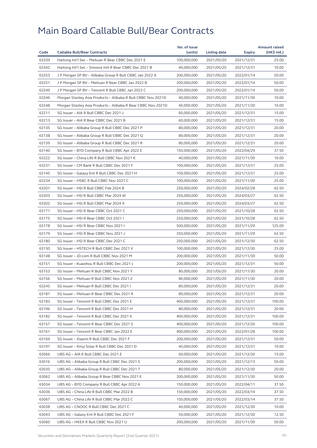| Code           | <b>Callable Bull/Bear Contracts</b>                                                    | No. of issue<br>(units)    | <b>Listing date</b>      | Expiry                   | <b>Amount raised</b><br>(HK\$ mil.) |
|----------------|----------------------------------------------------------------------------------------|----------------------------|--------------------------|--------------------------|-------------------------------------|
| 63339          | Haitong Int'l Sec - Meituan R Bear CBBC Dec 2021 E                                     | 100,000,000                | 2021/05/20               | 2021/12/31               | 25.00                               |
| 63342          | Haitong Int'l Sec - Smoore Intl R Bear CBBC Dec 2021 B                                 | 40,000,000                 | 2021/05/20               | 2021/12/31               | 10.00                               |
| 63253          | J P Morgan SP BV - Alibaba Group R Bull CBBC Jan 2022 A                                | 200,000,000                | 2021/05/20               | 2022/01/14               | 50.00                               |
| 63251          | J P Morgan SP BV - Meituan R Bear CBBC Jan 2022 B                                      | 200,000,000                | 2021/05/20               | 2022/01/14               | 50.00                               |
| 63249          | J P Morgan SP BV - Tencent R Bull CBBC Jan 2022 C                                      | 200,000,000                | 2021/05/20               | 2022/01/14               | 50.00                               |
| 63246          | Morgan Stanley Asia Products - Alibaba R Bull CBBC Nov 2021D                           | 40,000,000                 | 2021/05/20               | 2021/11/30               | 10.00                               |
| 63248          | Morgan Stanley Asia Products - Alibaba R Bear CBBC Nov 2021D                           | 40,000,000                 | 2021/05/20               | 2021/11/30               | 10.00                               |
| 63211          | SG Issuer - AIA R Bull CBBC Dec 2021 J                                                 | 60,000,000                 | 2021/05/20               | 2021/12/31               | 15.00                               |
| 63213          | SG Issuer - AIA R Bear CBBC Dec 2021 B                                                 | 60,000,000                 | 2021/05/20               | 2021/12/31               | 15.00                               |
| 63135          | SG Issuer - Alibaba Group R Bull CBBC Dec 2021 P                                       | 80,000,000                 | 2021/05/20               | 2021/12/31               | 20.00                               |
| 63138          | SG Issuer - Alibaba Group R Bull CBBC Dec 2021 Q                                       | 80,000,000                 | 2021/05/20               | 2021/12/31               | 20.00                               |
| 63139          | SG Issuer - Alibaba Group R Bull CBBC Dec 2021 R                                       | 80,000,000                 | 2021/05/20               | 2021/12/31               | 20.00                               |
| 63140          | SG Issuer - BYD Company R Bull CBBC Apr 2022 E                                         | 150,000,000                | 2021/05/20               | 2022/04/29               | 37.50                               |
| 63222          | SG Issuer - China Life R Bull CBBC Nov 2021 K                                          | 40,000,000                 | 2021/05/20               | 2021/11/30               | 10.00                               |
| 63231          | SG Issuer - CM Bank R Bull CBBC Dec 2021 F                                             | 100,000,000                | 2021/05/20               | 2021/12/31               | 25.00                               |
| 63145          | SG Issuer - Galaxy Ent R Bull CBBC Dec 2021 H                                          | 100,000,000                | 2021/05/20               | 2021/12/31               | 25.00                               |
| 63234          | SG Issuer - HSBC R Bull CBBC Nov 2021 C                                                | 100,000,000                | 2021/05/20               | 2021/11/30               | 25.00                               |
| 63201          | SG Issuer - HSI R Bull CBBC Feb 2024 B                                                 | 250,000,000                | 2021/05/20               | 2024/02/28               | 62.50                               |
| 63203          | SG Issuer - HSI R Bull CBBC Mar 2024 W                                                 | 250,000,000                |                          | 2024/03/27               | 62.50                               |
| 63202          | SG Issuer - HSI R Bull CBBC Mar 2024 X                                                 | 250,000,000                | 2021/05/20<br>2021/05/20 | 2024/03/27               | 62.50                               |
| 63171          | SG Issuer - HSI R Bear CBBC Oct 2021 C                                                 | 250,000,000                |                          |                          | 62.50                               |
|                |                                                                                        |                            | 2021/05/20               | 2021/10/28               |                                     |
| 63175<br>63178 | SG Issuer - HSI R Bear CBBC Oct 2021 I                                                 | 250,000,000                | 2021/05/20               | 2021/10/28               | 62.50<br>125.00                     |
| 63179          | SG Issuer - HSI R Bear CBBC Nov 2021 I<br>SG Issuer - HSI R Bear CBBC Nov 2021 J       | 500,000,000<br>250,000,000 | 2021/05/20<br>2021/05/20 | 2021/11/29<br>2021/11/29 | 62.50                               |
|                |                                                                                        |                            |                          |                          | 62.50                               |
| 63180          | SG Issuer - HSI R Bear CBBC Dec 2021 C                                                 | 250,000,000                | 2021/05/20               | 2021/12/30               | 25.00                               |
| 63130          | SG Issuer - HSTECH R Bull CBBC Dec 2021 V<br>SG Issuer - JD.com R Bull CBBC Nov 2021 M | 100,000,000                | 2021/05/20               | 2021/12/30               |                                     |
| 63148          |                                                                                        | 200,000,000                | 2021/05/20               | 2021/11/30               | 50.00<br>50.00                      |
| 63151          | SG Issuer - Kuaishou R Bull CBBC Dec 2021 L                                            | 200,000,000                | 2021/05/20<br>2021/05/20 | 2021/12/31               |                                     |
| 63153          | SG Issuer - Meituan R Bull CBBC Nov 2021 Y                                             | 80,000,000                 |                          | 2021/11/30               | 20.00                               |
| 63156          | SG Issuer - Meituan R Bull CBBC Nov 2021 Z                                             | 80,000,000                 | 2021/05/20               | 2021/11/30               | 20.00                               |
| 63245          | SG Issuer - Meituan R Bull CBBC Dec 2021 I                                             | 80,000,000                 | 2021/05/20               | 2021/12/31               | 20.00                               |
| 63181          | SG Issuer - Meituan R Bear CBBC Dec 2021 R                                             | 80,000,000                 | 2021/05/20               | 2021/12/31               | 20.00                               |
| 63183          | SG Issuer - Tencent R Bull CBBC Dec 2021 E                                             | 400,000,000                | 2021/05/20               | 2021/12/31               | 100.00                              |
| 63196          | SG Issuer - Tencent R Bull CBBC Dec 2021 H                                             | 80,000,000                 | 2021/05/20               | 2021/12/31               | 20.00                               |
| 63182          | SG Issuer - Tencent R Bull CBBC Dec 2021 K                                             | 400,000,000                | 2021/05/20               | 2021/12/31               | 100.00                              |
| 63157          | SG Issuer - Tencent R Bear CBBC Dec 2021 S                                             | 400,000,000                | 2021/05/20               | 2021/12/30               | 100.00                              |
| 63161          | SG Issuer - Tencent R Bear CBBC Jan 2022 E                                             | 400,000,000                | 2021/05/20               | 2022/01/28               | 100.00                              |
| 63169          | SG Issuer - Xiaomi R Bull CBBC Dec 2021 F                                              | 200,000,000                | 2021/05/20               | 2021/12/31               | 50.00                               |
| 63197          | SG Issuer - Xinyi Solar R Bull CBBC Dec 2021 D                                         | 40,000,000                 | 2021/05/20               | 2021/12/31               | 10.00                               |
| 63066          | UBS AG - AIA R Bull CBBC Dec 2021 E                                                    | 60,000,000                 | 2021/05/20               | 2021/12/30               | 15.00                               |
| 63016          | UBS AG - Alibaba Group R Bull CBBC Dec 2021 S                                          | 200,000,000                | 2021/05/20               | 2021/12/13               | 50.00                               |
| 63035          | UBS AG - Alibaba Group R Bull CBBC Dec 2021 T                                          | 80,000,000                 | 2021/05/20               | 2021/12/30               | 20.00                               |
| 63062          | UBS AG - Alibaba Group R Bear CBBC Nov 2021 E                                          | 200,000,000                | 2021/05/20               | 2021/11/30               | 50.00                               |
| 63034          | UBS AG - BYD Company R Bull CBBC Apr 2022 A                                            | 150,000,000                | 2021/05/20               | 2022/04/11               | 37.50                               |
| 63036          | UBS AG - China Life R Bull CBBC Mar 2022 B                                             | 150,000,000                | 2021/05/20               | 2022/03/14               | 37.50                               |
| 63067          | UBS AG - China Life R Bull CBBC Mar 2022 C                                             | 150,000,000                | 2021/05/20               | 2022/03/14               | 37.50                               |
| 63038          | UBS AG - CNOOC R Bull CBBC Dec 2021 C                                                  | 40,000,000                 | 2021/05/20               | 2021/12/30               | 10.00                               |
| 63043          | UBS AG - Galaxy Ent R Bull CBBC Dec 2021 F                                             | 50,000,000                 | 2021/05/20               | 2021/12/30               | 12.50                               |
| 63060          | UBS AG - HKEX R Bull CBBC Nov 2021 U                                                   | 200,000,000                | 2021/05/20               | 2021/11/30               | 50.00                               |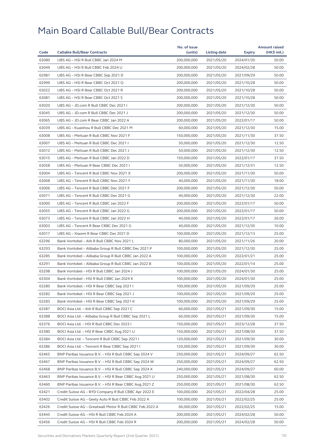|       |                                                           | No. of issue |              |            | <b>Amount raised</b> |
|-------|-----------------------------------------------------------|--------------|--------------|------------|----------------------|
| Code  | <b>Callable Bull/Bear Contracts</b>                       | (units)      | Listing date | Expiry     | (HK\$ mil.)          |
| 63080 | UBS AG - HSI R Bull CBBC Jan 2024 M                       | 200,000,000  | 2021/05/20   | 2024/01/30 | 50.00                |
| 63049 | UBS AG - HSI R Bull CBBC Feb 2024 U                       | 200,000,000  | 2021/05/20   | 2024/02/28 | 50.00                |
| 62981 | UBS AG - HSI R Bear CBBC Sep 2021 D                       | 200,000,000  | 2021/05/20   | 2021/09/29 | 50.00                |
| 62999 | UBS AG - HSI R Bear CBBC Oct 2021 Q                       | 200,000,000  | 2021/05/20   | 2021/10/28 | 50.00                |
| 63022 | UBS AG - HSI R Bear CBBC Oct 2021 R                       | 200,000,000  | 2021/05/20   | 2021/10/28 | 50.00                |
| 63081 | UBS AG - HSI R Bear CBBC Oct 2021 S                       | 200,000,000  | 2021/05/20   | 2021/10/28 | 50.00                |
| 63020 | UBS AG - JD.com R Bull CBBC Dec 2021 I                    | 200,000,000  | 2021/05/20   | 2021/12/30 | 50.00                |
| 63045 | UBS AG - JD.com R Bull CBBC Dec 2021 J                    | 200,000,000  | 2021/05/20   | 2021/12/30 | 50.00                |
| 63065 | UBS AG - JD.com R Bear CBBC Jan 2022 A                    | 200,000,000  | 2021/05/20   | 2022/01/17 | 50.00                |
| 63039 | UBS AG - Kuaishou R Bull CBBC Dec 2021 M                  | 60,000,000   | 2021/05/20   | 2021/12/30 | 15.00                |
| 63008 | UBS AG - Meituan R Bull CBBC Nov 2021 F                   | 150,000,000  | 2021/05/20   | 2021/11/30 | 37.50                |
| 63007 | UBS AG - Meituan R Bull CBBC Dec 2021 I                   | 50,000,000   | 2021/05/20   | 2021/12/30 | 12.50                |
| 63012 | UBS AG - Meituan R Bull CBBC Dec 2021 J                   | 50,000,000   | 2021/05/20   | 2021/12/30 | 12.50                |
| 63015 | UBS AG - Meituan R Bull CBBC Jan 2022 D                   | 150,000,000  | 2021/05/20   | 2022/01/17 | 37.50                |
| 63058 | UBS AG - Meituan R Bear CBBC Dec 2021 I                   | 50,000,000   | 2021/05/20   | 2021/12/31 | 12.50                |
| 63004 | UBS AG - Tencent R Bull CBBC Nov 2021 X                   | 200,000,000  | 2021/05/20   | 2021/11/30 | 50.00                |
| 63068 | UBS AG - Tencent R Bull CBBC Nov 2021 Y                   | 40,000,000   | 2021/05/20   | 2021/11/30 | 18.00                |
| 63006 | UBS AG - Tencent R Bull CBBC Dec 2021 F                   | 200,000,000  | 2021/05/20   | 2021/12/30 | 50.00                |
| 63071 | UBS AG - Tencent R Bull CBBC Dec 2021 G                   | 40,000,000   | 2021/05/20   | 2021/12/30 | 22.00                |
| 63000 | UBS AG - Tencent R Bull CBBC Jan 2022 F                   | 200,000,000  | 2021/05/20   | 2022/01/17 | 50.00                |
| 63055 | UBS AG - Tencent R Bull CBBC Jan 2022 G                   | 200,000,000  | 2021/05/20   | 2022/01/17 | 50.00                |
| 63073 | UBS AG - Tencent R Bull CBBC Jan 2022 H                   | 40,000,000   | 2021/05/20   | 2022/01/17 | 26.00                |
| 63003 | UBS AG - Tencent R Bear CBBC Dec 2021 G                   | 40,000,000   | 2021/05/20   | 2021/12/30 | 10.00                |
| 63017 | UBS AG - Xiaomi R Bear CBBC Dec 2021 D                    | 100,000,000  | 2021/05/20   | 2021/12/13 | 25.00                |
| 63296 | Bank Vontobel - AIA R Bull CBBC Nov 2021 L                | 80,000,000   | 2021/05/20   | 2021/11/26 | 20.00                |
| 63293 | Bank Vontobel - Alibaba Group R Bull CBBC Dec 2021 P      | 100,000,000  | 2021/05/20   | 2021/12/30 | 25.00                |
| 63285 | Bank Vontobel - Alibaba Group R Bull CBBC Jan 2022 A      | 100,000,000  | 2021/05/20   | 2022/01/21 | 25.00                |
| 63291 | Bank Vontobel - Alibaba Group R Bull CBBC Jan 2022 B      | 100,000,000  | 2021/05/20   | 2022/01/14 | 25.00                |
| 63298 | Bank Vontobel - HSI R Bull CBBC Jan 2024 J                | 100,000,000  | 2021/05/20   | 2024/01/30 | 25.00                |
| 63304 | Bank Vontobel - HSI R Bull CBBC Jan 2024 K                | 100,000,000  | 2021/05/20   | 2024/01/30 | 25.00                |
| 63280 | Bank Vontobel – HSI R Bear CBBC Sep 2021 I                | 100,000,000  | 2021/05/20   | 2021/09/29 | 25.00                |
| 63282 | Bank Vontobel - HSI R Bear CBBC Sep 2021 J                | 100,000,000  | 2021/05/20   | 2021/09/29 | 25.00                |
| 63283 | Bank Vontobel - HSI R Bear CBBC Sep 2021 K                | 100,000,000  | 2021/05/20   | 2021/09/29 | 25.00                |
| 63387 | BOCI Asia Ltd. – AIA R Bull CBBC Sep 2021 C               | 60,000,000   | 2021/05/21   | 2021/09/30 | 15.00                |
| 63388 | BOCI Asia Ltd. - Alibaba Group R Bull CBBC Sep 2021 L     | 60,000,000   | 2021/05/21   | 2021/09/30 | 15.00                |
| 63376 | BOCI Asia Ltd. - HSI R Bull CBBC Dec 2023 I               | 150,000,000  | 2021/05/21   | 2023/12/28 | 37.50                |
| 63380 | BOCI Asia Ltd. - HSI R Bear CBBC Aug 2021 U               | 150,000,000  | 2021/05/21   | 2021/08/30 | 37.50                |
| 63384 | BOCI Asia Ltd. - Tencent R Bull CBBC Sep 2021 I           | 120,000,000  | 2021/05/21   | 2021/09/30 | 30.00                |
| 63386 | BOCI Asia Ltd. - Tencent R Bear CBBC Sep 2021 I           | 120,000,000  | 2021/05/21   | 2021/09/30 | 30.00                |
| 63465 | BNP Paribas Issuance B.V. - HSI R Bull CBBC Sep 2024 V    | 250,000,000  | 2021/05/21   | 2024/09/27 | 62.50                |
| 63467 | BNP Paribas Issuance B.V. - HSI R Bull CBBC Sep 2024 W    | 250,000,000  | 2021/05/21   | 2024/09/27 | 62.50                |
| 63468 | BNP Paribas Issuance B.V. - HSI R Bull CBBC Sep 2024 X    | 240,000,000  | 2021/05/21   | 2024/09/27 | 60.00                |
| 63463 | BNP Paribas Issuance B.V. - HSI R Bear CBBC Aug 2021 U    | 250,000,000  | 2021/05/21   | 2021/08/30 | 62.50                |
| 63460 | BNP Paribas Issuance B.V. - HSI R Bear CBBC Aug 2021 Z    | 250,000,000  | 2021/05/21   | 2021/08/30 | 62.50                |
| 63421 | Credit Suisse AG - BYD Company R Bull CBBC Apr 2022 E     | 100,000,000  | 2021/05/21   | 2022/04/28 | 25.00                |
| 63402 | Credit Suisse AG - Geely Auto R Bull CBBC Feb 2022 A      | 100,000,000  | 2021/05/21   | 2022/02/25 | 25.00                |
| 63426 | Credit Suisse AG - Greatwall Motor R Bull CBBC Feb 2022 A | 60,000,000   | 2021/05/21   | 2022/02/25 | 15.00                |
| 63445 | Credit Suisse AG - HSI R Bull CBBC Feb 2024 A             | 200,000,000  | 2021/05/21   | 2024/02/28 | 50.00                |
| 63456 | Credit Suisse AG - HSI R Bull CBBC Feb 2024 R             | 200,000,000  | 2021/05/21   | 2024/02/28 | 50.00                |
|       |                                                           |              |              |            |                      |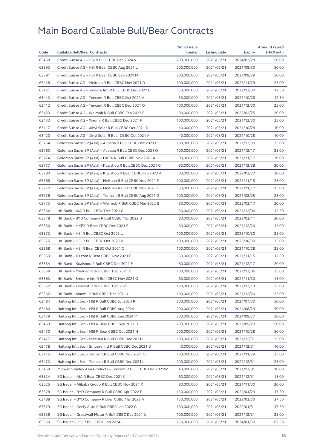|       |                                                                                                              | No. of issue |                     |               | <b>Amount raised</b> |
|-------|--------------------------------------------------------------------------------------------------------------|--------------|---------------------|---------------|----------------------|
| Code  | <b>Callable Bull/Bear Contracts</b>                                                                          | (units)      | <b>Listing date</b> | <b>Expiry</b> | (HK\$ mil.)          |
| 63458 | Credit Suisse AG - HSI R Bull CBBC Feb 2024 V                                                                | 200,000,000  | 2021/05/21          | 2024/02/28    | 50.00                |
| 63393 | Credit Suisse AG - HSI R Bear CBBC Aug 2021 U                                                                | 200,000,000  | 2021/05/21          | 2021/08/30    | 50.00                |
| 63391 | Credit Suisse AG - HSI R Bear CBBC Sep 2021 M                                                                | 200,000,000  | 2021/05/21          | 2021/09/29    | 50.00                |
| 63428 | Credit Suisse AG - Meituan R Bull CBBC Nov 2021 D                                                            | 100,000,000  | 2021/05/21          | 2021/11/29    | 25.00                |
| 63431 | Credit Suisse AG - Smoore Intl R Bull CBBC Dec 2021 C                                                        | 50,000,000   | 2021/05/21          | 2021/12/30    | 12.50                |
| 63443 | Credit Suisse AG - Tencent R Bull CBBC Oct 2021 V                                                            | 50,000,000   | 2021/05/21          | 2021/10/28    | 12.50                |
| 63412 | Credit Suisse AG - Tencent R Bull CBBC Dec 2021 O                                                            | 100,000,000  | 2021/05/21          | 2021/12/30    | 25.00                |
| 63423 | Credit Suisse AG - Weimob R Bull CBBC Feb 2022 E                                                             | 80,000,000   | 2021/05/21          | 2022/02/25    | 20.00                |
| 63433 | Credit Suisse AG - Xiaomi R Bull CBBC Dec 2021 F                                                             | 100,000,000  | 2021/05/21          | 2021/12/30    | 25.00                |
| 63417 | Credit Suisse AG - Xinyi Solar R Bull CBBC Oct 2021 D                                                        | 40,000,000   | 2021/05/21          | 2021/10/28    | 10.00                |
| 63420 | Credit Suisse AG - Xinyi Solar R Bear CBBC Oct 2021 A                                                        | 40,000,000   | 2021/05/21          | 2021/10/28    | 10.00                |
| 63754 | Goldman Sachs SP (Asia) - Alibaba R Bull CBBC Dec 2021 P                                                     | 100,000,000  | 2021/05/21          | 2021/12/30    | 25.00                |
| 63760 | Goldman Sachs SP (Asia) - Alibaba R Bull CBBC Dec 2021 Q                                                     | 100,000,000  | 2021/05/21          | 2021/12/17    | 25.00                |
| 63774 | Goldman Sachs SP (Asia) - HKEX R Bull CBBC Nov 2021 A                                                        | 80,000,000   | 2021/05/21          | 2021/11/17    | 20.00                |
| 63777 | Goldman Sachs SP (Asia) - Kuaishou R Bull CBBC Dec 2021 G                                                    | 80,000,000   | 2021/05/21          | 2021/12/28    | 20.00                |
| 63780 | Goldman Sachs SP (Asia) - Kuaishou R Bear CBBC Feb 2022 A                                                    | 80,000,000   | 2021/05/21          | 2022/02/22    | 20.00                |
| 63768 | Goldman Sachs SP (Asia) - Meituan R Bull CBBC Nov 2021 F                                                     | 100,000,000  | 2021/05/21          | 2021/11/18    | 25.00                |
| 63772 | Goldman Sachs SP (Asia) - Meituan R Bull CBBC Nov 2021 G                                                     | 60,000,000   | 2021/05/21          | 2021/11/17    | 15.00                |
| 63776 | Goldman Sachs SP (Asia) - Tencent R Bull CBBC Aug 2021 G                                                     | 100,000,000  | 2021/05/21          | 2021/08/25    | 25.00                |
| 63773 | Goldman Sachs SP (Asia) - Weimob R Bull CBBC Mar 2022 B                                                      | 80,000,000   | 2021/05/21          | 2022/03/17    | 20.00                |
| 63364 | HK Bank - AIA R Bull CBBC Dec 2021 G                                                                         | 50,000,000   | 2021/05/21          | 2021/12/06    | 12.50                |
| 63348 | HK Bank - BYD Company R Bull CBBC Mar 2022 B                                                                 | 80,000,000   | 2021/05/21          | 2022/03/11    | 20.00                |
| 63350 | HK Bank - HKEX R Bear CBBC Dec 2021 S                                                                        | 60,000,000   | 2021/05/21          | 2021/12/20    | 15.00                |
| 63373 | HK Bank - HSI R Bull CBBC Oct 2023 U                                                                         | 100,000,000  | 2021/05/21          | 2023/10/30    | 25.00                |
| 63375 | HK Bank - HSI R Bull CBBC Oct 2023 V                                                                         | 100,000,000  | 2021/05/21          | 2023/10/30    | 25.00                |
| 63368 | HK Bank - HSI R Bear CBBC Oct 2021 C                                                                         | 100,000,000  | 2021/05/21          | 2021/10/28    | 25.00                |
| 63353 | HK Bank - JD.com R Bear CBBC Nov 2021 E                                                                      | 50,000,000   | 2021/05/21          | 2021/11/15    | 12.50                |
| 63354 | HK Bank - Kuaishou R Bull CBBC Dec 2021 E                                                                    | 80,000,000   | 2021/05/21          | 2021/12/17    | 20.00                |
| 63358 | HK Bank - Meituan R Bull CBBC Dec 2021 D                                                                     | 100,000,000  | 2021/05/21          | 2021/12/06    | 25.00                |
| 63363 | HK Bank - Smoore Intl R Bull CBBC Nov 2021 G                                                                 | 60,000,000   | 2021/05/21          | 2021/11/30    | 15.00                |
| 63352 | HK Bank - Tencent R Bull CBBC Dec 2021 T                                                                     | 100,000,000  | 2021/05/21          | 2021/12/13    | 25.00                |
| 63362 | HK Bank - Xiaomi R Bull CBBC Dec 2021 U                                                                      | 100,000,000  | 2021/05/21          | 2021/12/20    | 25.00                |
| 63484 | Haitong Int'l Sec - HSI R Bull CBBC Jul 2024 P                                                               | 200,000,000  | 2021/05/21          | 2024/07/30    | 50.00                |
| 63480 | Haitong Int'l Sec - HSI R Bull CBBC Aug 2024 J                                                               | 200,000,000  | 2021/05/21          | 2024/08/29    | 50.00                |
| 63479 | Haitong Int'l Sec - HSI R Bull CBBC Sep 2024 M                                                               | 200,000,000  | 2021/05/21          | 2024/09/27    | 50.00                |
| 63469 | Haitong Int'l Sec - HSI R Bear CBBC Sep 2021 B                                                               | 200,000,000  | 2021/05/21          | 2021/09/29    | 50.00                |
| 63470 | Haitong Int'l Sec - HSI R Bear CBBC Oct 2021 H                                                               | 200,000,000  | 2021/05/21          | 2021/10/28    | 50.00                |
| 63477 |                                                                                                              | 100,000,000  |                     |               | 25.00                |
|       | Haitong Int'l Sec – Meituan R Bull CBBC Dec 2021 L<br>Haitong Int'l Sec - Smoore Intl R Bull CBBC Dec 2021 B |              | 2021/05/21          | 2021/12/31    |                      |
| 63478 |                                                                                                              | 40,000,000   | 2021/05/21          | 2021/12/31    | 10.00                |
| 63476 | Haitong Int'l Sec - Tencent R Bull CBBC Nov 2021 O                                                           | 100,000,000  | 2021/05/21          | 2021/11/29    | 25.00                |
| 63473 | Haitong Int'l Sec - Tencent R Bull CBBC Dec 2021 L                                                           | 100,000,000  | 2021/05/21          | 2021/12/31    | 25.00                |
| 63459 | Morgan Stanley Asia Products - Tencent R Bull CBBC Dec 2021W                                                 | 40,000,000   | 2021/05/21          | 2021/12/01    | 10.00                |
| 63524 | SG Issuer – AIA R Bear CBBC Dec 2021 C                                                                       | 60,000,000   | 2021/05/21          | 2021/12/31    | 15.00                |
| 63525 | SG Issuer - Alibaba Group R Bull CBBC Nov 2021 X                                                             | 80,000,000   | 2021/05/21          | 2021/11/30    | 20.00                |
| 63528 | SG Issuer - BYD Company R Bull CBBC Apr 2022 F                                                               | 150,000,000  | 2021/05/21          | 2022/04/29    | 37.50                |
| 63488 | SG Issuer - BYD Company R Bear CBBC Mar 2022 A                                                               | 150,000,000  | 2021/05/21          | 2022/03/30    | 37.50                |
| 63529 | SG Issuer - Geely Auto R Bull CBBC Jan 2022 G                                                                | 150,000,000  | 2021/05/21          | 2022/01/31    | 37.50                |
| 63536 | SG Issuer - Greatwall Motor R Bull CBBC Dec 2021 U                                                           | 100,000,000  | 2021/05/21          | 2021/12/31    | 25.00                |
| 63560 | SG Issuer - HSI R Bull CBBC Jan 2024 I                                                                       | 250,000,000  | 2021/05/21          | 2024/01/30    | 62.50                |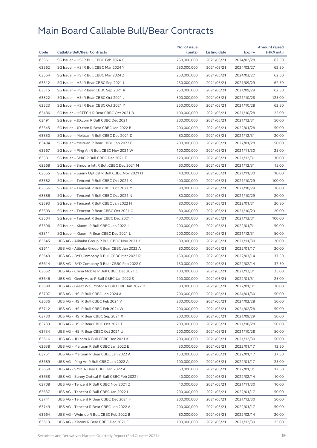| 63561<br>SG Issuer - HSI R Bull CBBC Feb 2024 G<br>250,000,000<br>62.50<br>2021/05/21<br>2024/02/28<br>63562<br>SG Issuer - HSI R Bull CBBC Mar 2024 Y<br>250,000,000<br>2021/05/21<br>62.50<br>2024/03/27<br>63564<br>SG Issuer - HSI R Bull CBBC Mar 2024 Z<br>250,000,000<br>2021/05/21<br>2024/03/27<br>62.50<br>63512<br>SG Issuer - HSI R Bear CBBC Sep 2021 L<br>250,000,000<br>62.50<br>2021/05/21<br>2021/09/29<br>63515<br>SG Issuer - HSI R Bear CBBC Sep 2021 R<br>250,000,000<br>2021/05/21<br>2021/09/29<br>62.50<br>63522<br>125.00<br>SG Issuer - HSI R Bear CBBC Oct 2021 J<br>500,000,000<br>2021/05/21<br>2021/10/28<br>63523<br>SG Issuer - HSI R Bear CBBC Oct 2021 Y<br>250,000,000<br>2021/05/21<br>2021/10/28<br>62.50<br>63486<br>SG Issuer - HSTECH R Bear CBBC Oct 2021 B<br>100,000,000<br>2021/10/28<br>25.00<br>2021/05/21<br>63491<br>SG Issuer - JD.com R Bull CBBC Dec 2021 I<br>200,000,000<br>50.00<br>2021/05/21<br>2021/12/31<br>63545<br>SG Issuer - JD.com R Bear CBBC Jan 2022 B<br>200,000,000<br>2021/05/21<br>50.00<br>2022/01/28<br>63550<br>SG Issuer - Meituan R Bull CBBC Dec 2021 D<br>80,000,000<br>2021/05/21<br>20.00<br>2021/12/31<br>63494<br>50.00<br>SG Issuer - Meituan R Bear CBBC Jan 2022 C<br>200,000,000<br>2021/05/21<br>2022/01/28<br>63567<br>SG Issuer - Ping An R Bull CBBC Nov 2021 W<br>100,000,000<br>25.00<br>2021/05/21<br>2021/11/30<br>63501<br>SG Issuer - SMIC R Bull CBBC Dec 2021 T<br>120,000,000<br>2021/05/21<br>2021/12/31<br>30.00<br>63568<br>SG Issuer - Smoore Intl R Bull CBBC Dec 2021 M<br>60,000,000<br>15.00<br>2021/05/21<br>2021/12/31<br>63555<br>SG Issuer - Sunny Optical R Bull CBBC Nov 2021 H<br>40,000,000<br>2021/05/21<br>2021/11/30<br>10.00<br>63582<br>100.00<br>SG Issuer - Tencent R Bull CBBC Oct 2021 K<br>400.000.000<br>2021/05/21<br>2021/10/29<br>63556<br>SG Issuer - Tencent R Bull CBBC Oct 2021 M<br>20.00<br>80,000,000<br>2021/05/21<br>2021/10/29<br>63586<br>SG Issuer - Tencent R Bull CBBC Oct 2021 N<br>80,000,000<br>2021/10/29<br>20.00<br>2021/05/21<br>63593<br>SG Issuer - Tencent R Bull CBBC Jan 2022 H<br>80,000,000<br>20.80<br>2021/05/21<br>2022/01/31<br>63503<br>SG Issuer - Tencent R Bear CBBC Oct 2021 Q<br>80,000,000<br>2021/05/21<br>2021/10/29<br>20.00<br>63504<br>SG Issuer - Tencent R Bear CBBC Dec 2021 T<br>400,000,000<br>2021/05/21<br>2021/12/31<br>100.00<br>63596<br>SG Issuer - Xiaomi R Bull CBBC Jan 2022 J<br>200,000,000<br>2021/05/21<br>2022/01/31<br>50.00<br>63511<br>SG Issuer - Xiaomi R Bear CBBC Dec 2021 L<br>50.00<br>200,000,000<br>2021/05/21<br>2021/12/31<br>63645<br>UBS AG - Alibaba Group R Bull CBBC Nov 2021 K<br>80,000,000<br>2021/05/21<br>2021/11/30<br>20.00<br>63611<br>UBS AG - Alibaba Group R Bear CBBC Jan 2022 A<br>80,000,000<br>2022/01/17<br>20.00<br>2021/05/21<br>63649<br>UBS AG - BYD Company R Bull CBBC Mar 2022 R<br>150,000,000<br>2021/05/21<br>2022/03/14<br>37.50<br>63614<br>UBS AG - BYD Company R Bear CBBC Feb 2022 C<br>150,000,000<br>2021/05/21<br>2022/02/14<br>37.50<br>63652<br>UBS AG - China Mobile R Bull CBBC Dec 2021 C<br>100,000,000<br>2021/12/31<br>25.00<br>2021/05/21<br>25.00<br>63646<br>UBS AG - Geely Auto R Bull CBBC Jan 2022 S<br>100,000,000<br>2021/05/21<br>2022/01/31<br>63680<br>80,000,000<br>2021/05/21<br>2022/01/31<br>20.00<br>UBS AG – Great Wall Motor R Bull CBBC Jan 2022 D<br>63707<br>UBS AG - HSI R Bull CBBC Jan 2024 A<br>200,000,000<br>2021/05/21<br>2024/01/30<br>50.00<br>63636<br>200,000,000<br>2024/02/28<br>50.00<br>UBS AG - HSI R Bull CBBC Feb 2024 V<br>2021/05/21<br>63712<br>UBS AG - HSI R Bull CBBC Feb 2024 W<br>200,000,000<br>2021/05/21<br>2024/02/28<br>50.00<br>63730<br>UBS AG - HSI R Bear CBBC Sep 2021 X<br>200,000,000<br>2021/05/21<br>50.00<br>2021/09/29<br>63733<br>UBS AG - HSI R Bear CBBC Oct 2021 T<br>200,000,000<br>2021/05/21<br>2021/10/28<br>50.00<br>50.00<br>63734<br>UBS AG - HSI R Bear CBBC Oct 2021 U<br>200,000,000<br>2021/05/21<br>2021/10/28<br>63616<br>UBS AG - JD.com R Bull CBBC Dec 2021 K<br>200,000,000<br>2021/05/21<br>2021/12/30<br>50.00<br>63638<br>UBS AG - Meituan R Bull CBBC Jan 2022 E<br>50,000,000<br>2021/05/21<br>2022/01/17<br>12.50<br>63751<br>UBS AG - Meituan R Bear CBBC Jan 2022 A<br>150,000,000<br>2021/05/21<br>37.50<br>2022/01/17<br>100,000,000<br>63689<br>UBS AG - Ping An R Bull CBBC Jan 2022 A<br>2021/05/21<br>2022/01/17<br>25.00<br>63650<br>UBS AG - SMIC R Bear CBBC Jan 2022 A<br>50,000,000<br>2021/05/21<br>2022/01/31<br>12.50<br>63658<br>UBS AG - Sunny Optical R Bull CBBC Feb 2022 I<br>40,000,000<br>2021/05/21<br>2022/02/14<br>10.00<br>63708<br>UBS AG - Tencent R Bull CBBC Nov 2021 Z<br>40,000,000<br>2021/11/30<br>10.00<br>2021/05/21<br>63637<br>UBS AG - Tencent R Bull CBBC Jan 2022 I<br>200,000,000<br>2021/05/21<br>2022/01/17<br>50.00<br>63741<br>UBS AG - Tencent R Bear CBBC Dec 2021 H<br>200,000,000<br>2021/05/21<br>50.00<br>2021/12/30<br>63749<br>UBS AG - Tencent R Bear CBBC Jan 2022 A<br>200,000,000<br>2021/05/21<br>2022/01/17<br>50.00<br>63664<br>UBS AG - Weimob R Bull CBBC Feb 2022 B<br>80,000,000<br>2021/05/21<br>2022/02/14<br>20.00<br>63613<br>100,000,000<br>25.00<br>UBS AG - Xiaomi R Bear CBBC Dec 2021 E<br>2021/05/21<br>2021/12/30 |      |                                     | No. of issue |              |        | <b>Amount raised</b> |
|-----------------------------------------------------------------------------------------------------------------------------------------------------------------------------------------------------------------------------------------------------------------------------------------------------------------------------------------------------------------------------------------------------------------------------------------------------------------------------------------------------------------------------------------------------------------------------------------------------------------------------------------------------------------------------------------------------------------------------------------------------------------------------------------------------------------------------------------------------------------------------------------------------------------------------------------------------------------------------------------------------------------------------------------------------------------------------------------------------------------------------------------------------------------------------------------------------------------------------------------------------------------------------------------------------------------------------------------------------------------------------------------------------------------------------------------------------------------------------------------------------------------------------------------------------------------------------------------------------------------------------------------------------------------------------------------------------------------------------------------------------------------------------------------------------------------------------------------------------------------------------------------------------------------------------------------------------------------------------------------------------------------------------------------------------------------------------------------------------------------------------------------------------------------------------------------------------------------------------------------------------------------------------------------------------------------------------------------------------------------------------------------------------------------------------------------------------------------------------------------------------------------------------------------------------------------------------------------------------------------------------------------------------------------------------------------------------------------------------------------------------------------------------------------------------------------------------------------------------------------------------------------------------------------------------------------------------------------------------------------------------------------------------------------------------------------------------------------------------------------------------------------------------------------------------------------------------------------------------------------------------------------------------------------------------------------------------------------------------------------------------------------------------------------------------------------------------------------------------------------------------------------------------------------------------------------------------------------------------------------------------------------------------------------------------------------------------------------------------------------------------------------------------------------------------------------------------------------------------------------------------------------------------------------------------------------------------------------------------------------------------------------------------------------------------------------------------------------------------------------------------------------------------------------------------------------------------------------------------------------------------------------------------------------------------------------------------------------------------------------------------------------------------------------------------------------------------------------------------------------------------------------------------------------------------------------------------------------------------------------------------------------------------------------------------------------------------------------------------------------------------------------------------------------------------------------------------------------------------------------------------------------------------------------------------------------------------------------------------------------------------------------------------------------------------------------------------------------------------------------------------------------------------------------------------------------------------------------------------------------------------------------------------------------------------------------------------------------------------|------|-------------------------------------|--------------|--------------|--------|----------------------|
|                                                                                                                                                                                                                                                                                                                                                                                                                                                                                                                                                                                                                                                                                                                                                                                                                                                                                                                                                                                                                                                                                                                                                                                                                                                                                                                                                                                                                                                                                                                                                                                                                                                                                                                                                                                                                                                                                                                                                                                                                                                                                                                                                                                                                                                                                                                                                                                                                                                                                                                                                                                                                                                                                                                                                                                                                                                                                                                                                                                                                                                                                                                                                                                                                                                                                                                                                                                                                                                                                                                                                                                                                                                                                                                                                                                                                                                                                                                                                                                                                                                                                                                                                                                                                                                                                                                                                                                                                                                                                                                                                                                                                                                                                                                                                                                                                                                                                                                                                                                                                                                                                                                                                                                                                                                                                                                                                     | Code | <b>Callable Bull/Bear Contracts</b> | (units)      | Listing date | Expiry | (HK\$ mil.)          |
|                                                                                                                                                                                                                                                                                                                                                                                                                                                                                                                                                                                                                                                                                                                                                                                                                                                                                                                                                                                                                                                                                                                                                                                                                                                                                                                                                                                                                                                                                                                                                                                                                                                                                                                                                                                                                                                                                                                                                                                                                                                                                                                                                                                                                                                                                                                                                                                                                                                                                                                                                                                                                                                                                                                                                                                                                                                                                                                                                                                                                                                                                                                                                                                                                                                                                                                                                                                                                                                                                                                                                                                                                                                                                                                                                                                                                                                                                                                                                                                                                                                                                                                                                                                                                                                                                                                                                                                                                                                                                                                                                                                                                                                                                                                                                                                                                                                                                                                                                                                                                                                                                                                                                                                                                                                                                                                                                     |      |                                     |              |              |        |                      |
|                                                                                                                                                                                                                                                                                                                                                                                                                                                                                                                                                                                                                                                                                                                                                                                                                                                                                                                                                                                                                                                                                                                                                                                                                                                                                                                                                                                                                                                                                                                                                                                                                                                                                                                                                                                                                                                                                                                                                                                                                                                                                                                                                                                                                                                                                                                                                                                                                                                                                                                                                                                                                                                                                                                                                                                                                                                                                                                                                                                                                                                                                                                                                                                                                                                                                                                                                                                                                                                                                                                                                                                                                                                                                                                                                                                                                                                                                                                                                                                                                                                                                                                                                                                                                                                                                                                                                                                                                                                                                                                                                                                                                                                                                                                                                                                                                                                                                                                                                                                                                                                                                                                                                                                                                                                                                                                                                     |      |                                     |              |              |        |                      |
|                                                                                                                                                                                                                                                                                                                                                                                                                                                                                                                                                                                                                                                                                                                                                                                                                                                                                                                                                                                                                                                                                                                                                                                                                                                                                                                                                                                                                                                                                                                                                                                                                                                                                                                                                                                                                                                                                                                                                                                                                                                                                                                                                                                                                                                                                                                                                                                                                                                                                                                                                                                                                                                                                                                                                                                                                                                                                                                                                                                                                                                                                                                                                                                                                                                                                                                                                                                                                                                                                                                                                                                                                                                                                                                                                                                                                                                                                                                                                                                                                                                                                                                                                                                                                                                                                                                                                                                                                                                                                                                                                                                                                                                                                                                                                                                                                                                                                                                                                                                                                                                                                                                                                                                                                                                                                                                                                     |      |                                     |              |              |        |                      |
|                                                                                                                                                                                                                                                                                                                                                                                                                                                                                                                                                                                                                                                                                                                                                                                                                                                                                                                                                                                                                                                                                                                                                                                                                                                                                                                                                                                                                                                                                                                                                                                                                                                                                                                                                                                                                                                                                                                                                                                                                                                                                                                                                                                                                                                                                                                                                                                                                                                                                                                                                                                                                                                                                                                                                                                                                                                                                                                                                                                                                                                                                                                                                                                                                                                                                                                                                                                                                                                                                                                                                                                                                                                                                                                                                                                                                                                                                                                                                                                                                                                                                                                                                                                                                                                                                                                                                                                                                                                                                                                                                                                                                                                                                                                                                                                                                                                                                                                                                                                                                                                                                                                                                                                                                                                                                                                                                     |      |                                     |              |              |        |                      |
|                                                                                                                                                                                                                                                                                                                                                                                                                                                                                                                                                                                                                                                                                                                                                                                                                                                                                                                                                                                                                                                                                                                                                                                                                                                                                                                                                                                                                                                                                                                                                                                                                                                                                                                                                                                                                                                                                                                                                                                                                                                                                                                                                                                                                                                                                                                                                                                                                                                                                                                                                                                                                                                                                                                                                                                                                                                                                                                                                                                                                                                                                                                                                                                                                                                                                                                                                                                                                                                                                                                                                                                                                                                                                                                                                                                                                                                                                                                                                                                                                                                                                                                                                                                                                                                                                                                                                                                                                                                                                                                                                                                                                                                                                                                                                                                                                                                                                                                                                                                                                                                                                                                                                                                                                                                                                                                                                     |      |                                     |              |              |        |                      |
|                                                                                                                                                                                                                                                                                                                                                                                                                                                                                                                                                                                                                                                                                                                                                                                                                                                                                                                                                                                                                                                                                                                                                                                                                                                                                                                                                                                                                                                                                                                                                                                                                                                                                                                                                                                                                                                                                                                                                                                                                                                                                                                                                                                                                                                                                                                                                                                                                                                                                                                                                                                                                                                                                                                                                                                                                                                                                                                                                                                                                                                                                                                                                                                                                                                                                                                                                                                                                                                                                                                                                                                                                                                                                                                                                                                                                                                                                                                                                                                                                                                                                                                                                                                                                                                                                                                                                                                                                                                                                                                                                                                                                                                                                                                                                                                                                                                                                                                                                                                                                                                                                                                                                                                                                                                                                                                                                     |      |                                     |              |              |        |                      |
|                                                                                                                                                                                                                                                                                                                                                                                                                                                                                                                                                                                                                                                                                                                                                                                                                                                                                                                                                                                                                                                                                                                                                                                                                                                                                                                                                                                                                                                                                                                                                                                                                                                                                                                                                                                                                                                                                                                                                                                                                                                                                                                                                                                                                                                                                                                                                                                                                                                                                                                                                                                                                                                                                                                                                                                                                                                                                                                                                                                                                                                                                                                                                                                                                                                                                                                                                                                                                                                                                                                                                                                                                                                                                                                                                                                                                                                                                                                                                                                                                                                                                                                                                                                                                                                                                                                                                                                                                                                                                                                                                                                                                                                                                                                                                                                                                                                                                                                                                                                                                                                                                                                                                                                                                                                                                                                                                     |      |                                     |              |              |        |                      |
|                                                                                                                                                                                                                                                                                                                                                                                                                                                                                                                                                                                                                                                                                                                                                                                                                                                                                                                                                                                                                                                                                                                                                                                                                                                                                                                                                                                                                                                                                                                                                                                                                                                                                                                                                                                                                                                                                                                                                                                                                                                                                                                                                                                                                                                                                                                                                                                                                                                                                                                                                                                                                                                                                                                                                                                                                                                                                                                                                                                                                                                                                                                                                                                                                                                                                                                                                                                                                                                                                                                                                                                                                                                                                                                                                                                                                                                                                                                                                                                                                                                                                                                                                                                                                                                                                                                                                                                                                                                                                                                                                                                                                                                                                                                                                                                                                                                                                                                                                                                                                                                                                                                                                                                                                                                                                                                                                     |      |                                     |              |              |        |                      |
|                                                                                                                                                                                                                                                                                                                                                                                                                                                                                                                                                                                                                                                                                                                                                                                                                                                                                                                                                                                                                                                                                                                                                                                                                                                                                                                                                                                                                                                                                                                                                                                                                                                                                                                                                                                                                                                                                                                                                                                                                                                                                                                                                                                                                                                                                                                                                                                                                                                                                                                                                                                                                                                                                                                                                                                                                                                                                                                                                                                                                                                                                                                                                                                                                                                                                                                                                                                                                                                                                                                                                                                                                                                                                                                                                                                                                                                                                                                                                                                                                                                                                                                                                                                                                                                                                                                                                                                                                                                                                                                                                                                                                                                                                                                                                                                                                                                                                                                                                                                                                                                                                                                                                                                                                                                                                                                                                     |      |                                     |              |              |        |                      |
|                                                                                                                                                                                                                                                                                                                                                                                                                                                                                                                                                                                                                                                                                                                                                                                                                                                                                                                                                                                                                                                                                                                                                                                                                                                                                                                                                                                                                                                                                                                                                                                                                                                                                                                                                                                                                                                                                                                                                                                                                                                                                                                                                                                                                                                                                                                                                                                                                                                                                                                                                                                                                                                                                                                                                                                                                                                                                                                                                                                                                                                                                                                                                                                                                                                                                                                                                                                                                                                                                                                                                                                                                                                                                                                                                                                                                                                                                                                                                                                                                                                                                                                                                                                                                                                                                                                                                                                                                                                                                                                                                                                                                                                                                                                                                                                                                                                                                                                                                                                                                                                                                                                                                                                                                                                                                                                                                     |      |                                     |              |              |        |                      |
|                                                                                                                                                                                                                                                                                                                                                                                                                                                                                                                                                                                                                                                                                                                                                                                                                                                                                                                                                                                                                                                                                                                                                                                                                                                                                                                                                                                                                                                                                                                                                                                                                                                                                                                                                                                                                                                                                                                                                                                                                                                                                                                                                                                                                                                                                                                                                                                                                                                                                                                                                                                                                                                                                                                                                                                                                                                                                                                                                                                                                                                                                                                                                                                                                                                                                                                                                                                                                                                                                                                                                                                                                                                                                                                                                                                                                                                                                                                                                                                                                                                                                                                                                                                                                                                                                                                                                                                                                                                                                                                                                                                                                                                                                                                                                                                                                                                                                                                                                                                                                                                                                                                                                                                                                                                                                                                                                     |      |                                     |              |              |        |                      |
|                                                                                                                                                                                                                                                                                                                                                                                                                                                                                                                                                                                                                                                                                                                                                                                                                                                                                                                                                                                                                                                                                                                                                                                                                                                                                                                                                                                                                                                                                                                                                                                                                                                                                                                                                                                                                                                                                                                                                                                                                                                                                                                                                                                                                                                                                                                                                                                                                                                                                                                                                                                                                                                                                                                                                                                                                                                                                                                                                                                                                                                                                                                                                                                                                                                                                                                                                                                                                                                                                                                                                                                                                                                                                                                                                                                                                                                                                                                                                                                                                                                                                                                                                                                                                                                                                                                                                                                                                                                                                                                                                                                                                                                                                                                                                                                                                                                                                                                                                                                                                                                                                                                                                                                                                                                                                                                                                     |      |                                     |              |              |        |                      |
|                                                                                                                                                                                                                                                                                                                                                                                                                                                                                                                                                                                                                                                                                                                                                                                                                                                                                                                                                                                                                                                                                                                                                                                                                                                                                                                                                                                                                                                                                                                                                                                                                                                                                                                                                                                                                                                                                                                                                                                                                                                                                                                                                                                                                                                                                                                                                                                                                                                                                                                                                                                                                                                                                                                                                                                                                                                                                                                                                                                                                                                                                                                                                                                                                                                                                                                                                                                                                                                                                                                                                                                                                                                                                                                                                                                                                                                                                                                                                                                                                                                                                                                                                                                                                                                                                                                                                                                                                                                                                                                                                                                                                                                                                                                                                                                                                                                                                                                                                                                                                                                                                                                                                                                                                                                                                                                                                     |      |                                     |              |              |        |                      |
|                                                                                                                                                                                                                                                                                                                                                                                                                                                                                                                                                                                                                                                                                                                                                                                                                                                                                                                                                                                                                                                                                                                                                                                                                                                                                                                                                                                                                                                                                                                                                                                                                                                                                                                                                                                                                                                                                                                                                                                                                                                                                                                                                                                                                                                                                                                                                                                                                                                                                                                                                                                                                                                                                                                                                                                                                                                                                                                                                                                                                                                                                                                                                                                                                                                                                                                                                                                                                                                                                                                                                                                                                                                                                                                                                                                                                                                                                                                                                                                                                                                                                                                                                                                                                                                                                                                                                                                                                                                                                                                                                                                                                                                                                                                                                                                                                                                                                                                                                                                                                                                                                                                                                                                                                                                                                                                                                     |      |                                     |              |              |        |                      |
|                                                                                                                                                                                                                                                                                                                                                                                                                                                                                                                                                                                                                                                                                                                                                                                                                                                                                                                                                                                                                                                                                                                                                                                                                                                                                                                                                                                                                                                                                                                                                                                                                                                                                                                                                                                                                                                                                                                                                                                                                                                                                                                                                                                                                                                                                                                                                                                                                                                                                                                                                                                                                                                                                                                                                                                                                                                                                                                                                                                                                                                                                                                                                                                                                                                                                                                                                                                                                                                                                                                                                                                                                                                                                                                                                                                                                                                                                                                                                                                                                                                                                                                                                                                                                                                                                                                                                                                                                                                                                                                                                                                                                                                                                                                                                                                                                                                                                                                                                                                                                                                                                                                                                                                                                                                                                                                                                     |      |                                     |              |              |        |                      |
|                                                                                                                                                                                                                                                                                                                                                                                                                                                                                                                                                                                                                                                                                                                                                                                                                                                                                                                                                                                                                                                                                                                                                                                                                                                                                                                                                                                                                                                                                                                                                                                                                                                                                                                                                                                                                                                                                                                                                                                                                                                                                                                                                                                                                                                                                                                                                                                                                                                                                                                                                                                                                                                                                                                                                                                                                                                                                                                                                                                                                                                                                                                                                                                                                                                                                                                                                                                                                                                                                                                                                                                                                                                                                                                                                                                                                                                                                                                                                                                                                                                                                                                                                                                                                                                                                                                                                                                                                                                                                                                                                                                                                                                                                                                                                                                                                                                                                                                                                                                                                                                                                                                                                                                                                                                                                                                                                     |      |                                     |              |              |        |                      |
|                                                                                                                                                                                                                                                                                                                                                                                                                                                                                                                                                                                                                                                                                                                                                                                                                                                                                                                                                                                                                                                                                                                                                                                                                                                                                                                                                                                                                                                                                                                                                                                                                                                                                                                                                                                                                                                                                                                                                                                                                                                                                                                                                                                                                                                                                                                                                                                                                                                                                                                                                                                                                                                                                                                                                                                                                                                                                                                                                                                                                                                                                                                                                                                                                                                                                                                                                                                                                                                                                                                                                                                                                                                                                                                                                                                                                                                                                                                                                                                                                                                                                                                                                                                                                                                                                                                                                                                                                                                                                                                                                                                                                                                                                                                                                                                                                                                                                                                                                                                                                                                                                                                                                                                                                                                                                                                                                     |      |                                     |              |              |        |                      |
|                                                                                                                                                                                                                                                                                                                                                                                                                                                                                                                                                                                                                                                                                                                                                                                                                                                                                                                                                                                                                                                                                                                                                                                                                                                                                                                                                                                                                                                                                                                                                                                                                                                                                                                                                                                                                                                                                                                                                                                                                                                                                                                                                                                                                                                                                                                                                                                                                                                                                                                                                                                                                                                                                                                                                                                                                                                                                                                                                                                                                                                                                                                                                                                                                                                                                                                                                                                                                                                                                                                                                                                                                                                                                                                                                                                                                                                                                                                                                                                                                                                                                                                                                                                                                                                                                                                                                                                                                                                                                                                                                                                                                                                                                                                                                                                                                                                                                                                                                                                                                                                                                                                                                                                                                                                                                                                                                     |      |                                     |              |              |        |                      |
|                                                                                                                                                                                                                                                                                                                                                                                                                                                                                                                                                                                                                                                                                                                                                                                                                                                                                                                                                                                                                                                                                                                                                                                                                                                                                                                                                                                                                                                                                                                                                                                                                                                                                                                                                                                                                                                                                                                                                                                                                                                                                                                                                                                                                                                                                                                                                                                                                                                                                                                                                                                                                                                                                                                                                                                                                                                                                                                                                                                                                                                                                                                                                                                                                                                                                                                                                                                                                                                                                                                                                                                                                                                                                                                                                                                                                                                                                                                                                                                                                                                                                                                                                                                                                                                                                                                                                                                                                                                                                                                                                                                                                                                                                                                                                                                                                                                                                                                                                                                                                                                                                                                                                                                                                                                                                                                                                     |      |                                     |              |              |        |                      |
|                                                                                                                                                                                                                                                                                                                                                                                                                                                                                                                                                                                                                                                                                                                                                                                                                                                                                                                                                                                                                                                                                                                                                                                                                                                                                                                                                                                                                                                                                                                                                                                                                                                                                                                                                                                                                                                                                                                                                                                                                                                                                                                                                                                                                                                                                                                                                                                                                                                                                                                                                                                                                                                                                                                                                                                                                                                                                                                                                                                                                                                                                                                                                                                                                                                                                                                                                                                                                                                                                                                                                                                                                                                                                                                                                                                                                                                                                                                                                                                                                                                                                                                                                                                                                                                                                                                                                                                                                                                                                                                                                                                                                                                                                                                                                                                                                                                                                                                                                                                                                                                                                                                                                                                                                                                                                                                                                     |      |                                     |              |              |        |                      |
|                                                                                                                                                                                                                                                                                                                                                                                                                                                                                                                                                                                                                                                                                                                                                                                                                                                                                                                                                                                                                                                                                                                                                                                                                                                                                                                                                                                                                                                                                                                                                                                                                                                                                                                                                                                                                                                                                                                                                                                                                                                                                                                                                                                                                                                                                                                                                                                                                                                                                                                                                                                                                                                                                                                                                                                                                                                                                                                                                                                                                                                                                                                                                                                                                                                                                                                                                                                                                                                                                                                                                                                                                                                                                                                                                                                                                                                                                                                                                                                                                                                                                                                                                                                                                                                                                                                                                                                                                                                                                                                                                                                                                                                                                                                                                                                                                                                                                                                                                                                                                                                                                                                                                                                                                                                                                                                                                     |      |                                     |              |              |        |                      |
|                                                                                                                                                                                                                                                                                                                                                                                                                                                                                                                                                                                                                                                                                                                                                                                                                                                                                                                                                                                                                                                                                                                                                                                                                                                                                                                                                                                                                                                                                                                                                                                                                                                                                                                                                                                                                                                                                                                                                                                                                                                                                                                                                                                                                                                                                                                                                                                                                                                                                                                                                                                                                                                                                                                                                                                                                                                                                                                                                                                                                                                                                                                                                                                                                                                                                                                                                                                                                                                                                                                                                                                                                                                                                                                                                                                                                                                                                                                                                                                                                                                                                                                                                                                                                                                                                                                                                                                                                                                                                                                                                                                                                                                                                                                                                                                                                                                                                                                                                                                                                                                                                                                                                                                                                                                                                                                                                     |      |                                     |              |              |        |                      |
|                                                                                                                                                                                                                                                                                                                                                                                                                                                                                                                                                                                                                                                                                                                                                                                                                                                                                                                                                                                                                                                                                                                                                                                                                                                                                                                                                                                                                                                                                                                                                                                                                                                                                                                                                                                                                                                                                                                                                                                                                                                                                                                                                                                                                                                                                                                                                                                                                                                                                                                                                                                                                                                                                                                                                                                                                                                                                                                                                                                                                                                                                                                                                                                                                                                                                                                                                                                                                                                                                                                                                                                                                                                                                                                                                                                                                                                                                                                                                                                                                                                                                                                                                                                                                                                                                                                                                                                                                                                                                                                                                                                                                                                                                                                                                                                                                                                                                                                                                                                                                                                                                                                                                                                                                                                                                                                                                     |      |                                     |              |              |        |                      |
|                                                                                                                                                                                                                                                                                                                                                                                                                                                                                                                                                                                                                                                                                                                                                                                                                                                                                                                                                                                                                                                                                                                                                                                                                                                                                                                                                                                                                                                                                                                                                                                                                                                                                                                                                                                                                                                                                                                                                                                                                                                                                                                                                                                                                                                                                                                                                                                                                                                                                                                                                                                                                                                                                                                                                                                                                                                                                                                                                                                                                                                                                                                                                                                                                                                                                                                                                                                                                                                                                                                                                                                                                                                                                                                                                                                                                                                                                                                                                                                                                                                                                                                                                                                                                                                                                                                                                                                                                                                                                                                                                                                                                                                                                                                                                                                                                                                                                                                                                                                                                                                                                                                                                                                                                                                                                                                                                     |      |                                     |              |              |        |                      |
|                                                                                                                                                                                                                                                                                                                                                                                                                                                                                                                                                                                                                                                                                                                                                                                                                                                                                                                                                                                                                                                                                                                                                                                                                                                                                                                                                                                                                                                                                                                                                                                                                                                                                                                                                                                                                                                                                                                                                                                                                                                                                                                                                                                                                                                                                                                                                                                                                                                                                                                                                                                                                                                                                                                                                                                                                                                                                                                                                                                                                                                                                                                                                                                                                                                                                                                                                                                                                                                                                                                                                                                                                                                                                                                                                                                                                                                                                                                                                                                                                                                                                                                                                                                                                                                                                                                                                                                                                                                                                                                                                                                                                                                                                                                                                                                                                                                                                                                                                                                                                                                                                                                                                                                                                                                                                                                                                     |      |                                     |              |              |        |                      |
|                                                                                                                                                                                                                                                                                                                                                                                                                                                                                                                                                                                                                                                                                                                                                                                                                                                                                                                                                                                                                                                                                                                                                                                                                                                                                                                                                                                                                                                                                                                                                                                                                                                                                                                                                                                                                                                                                                                                                                                                                                                                                                                                                                                                                                                                                                                                                                                                                                                                                                                                                                                                                                                                                                                                                                                                                                                                                                                                                                                                                                                                                                                                                                                                                                                                                                                                                                                                                                                                                                                                                                                                                                                                                                                                                                                                                                                                                                                                                                                                                                                                                                                                                                                                                                                                                                                                                                                                                                                                                                                                                                                                                                                                                                                                                                                                                                                                                                                                                                                                                                                                                                                                                                                                                                                                                                                                                     |      |                                     |              |              |        |                      |
|                                                                                                                                                                                                                                                                                                                                                                                                                                                                                                                                                                                                                                                                                                                                                                                                                                                                                                                                                                                                                                                                                                                                                                                                                                                                                                                                                                                                                                                                                                                                                                                                                                                                                                                                                                                                                                                                                                                                                                                                                                                                                                                                                                                                                                                                                                                                                                                                                                                                                                                                                                                                                                                                                                                                                                                                                                                                                                                                                                                                                                                                                                                                                                                                                                                                                                                                                                                                                                                                                                                                                                                                                                                                                                                                                                                                                                                                                                                                                                                                                                                                                                                                                                                                                                                                                                                                                                                                                                                                                                                                                                                                                                                                                                                                                                                                                                                                                                                                                                                                                                                                                                                                                                                                                                                                                                                                                     |      |                                     |              |              |        |                      |
|                                                                                                                                                                                                                                                                                                                                                                                                                                                                                                                                                                                                                                                                                                                                                                                                                                                                                                                                                                                                                                                                                                                                                                                                                                                                                                                                                                                                                                                                                                                                                                                                                                                                                                                                                                                                                                                                                                                                                                                                                                                                                                                                                                                                                                                                                                                                                                                                                                                                                                                                                                                                                                                                                                                                                                                                                                                                                                                                                                                                                                                                                                                                                                                                                                                                                                                                                                                                                                                                                                                                                                                                                                                                                                                                                                                                                                                                                                                                                                                                                                                                                                                                                                                                                                                                                                                                                                                                                                                                                                                                                                                                                                                                                                                                                                                                                                                                                                                                                                                                                                                                                                                                                                                                                                                                                                                                                     |      |                                     |              |              |        |                      |
|                                                                                                                                                                                                                                                                                                                                                                                                                                                                                                                                                                                                                                                                                                                                                                                                                                                                                                                                                                                                                                                                                                                                                                                                                                                                                                                                                                                                                                                                                                                                                                                                                                                                                                                                                                                                                                                                                                                                                                                                                                                                                                                                                                                                                                                                                                                                                                                                                                                                                                                                                                                                                                                                                                                                                                                                                                                                                                                                                                                                                                                                                                                                                                                                                                                                                                                                                                                                                                                                                                                                                                                                                                                                                                                                                                                                                                                                                                                                                                                                                                                                                                                                                                                                                                                                                                                                                                                                                                                                                                                                                                                                                                                                                                                                                                                                                                                                                                                                                                                                                                                                                                                                                                                                                                                                                                                                                     |      |                                     |              |              |        |                      |
|                                                                                                                                                                                                                                                                                                                                                                                                                                                                                                                                                                                                                                                                                                                                                                                                                                                                                                                                                                                                                                                                                                                                                                                                                                                                                                                                                                                                                                                                                                                                                                                                                                                                                                                                                                                                                                                                                                                                                                                                                                                                                                                                                                                                                                                                                                                                                                                                                                                                                                                                                                                                                                                                                                                                                                                                                                                                                                                                                                                                                                                                                                                                                                                                                                                                                                                                                                                                                                                                                                                                                                                                                                                                                                                                                                                                                                                                                                                                                                                                                                                                                                                                                                                                                                                                                                                                                                                                                                                                                                                                                                                                                                                                                                                                                                                                                                                                                                                                                                                                                                                                                                                                                                                                                                                                                                                                                     |      |                                     |              |              |        |                      |
|                                                                                                                                                                                                                                                                                                                                                                                                                                                                                                                                                                                                                                                                                                                                                                                                                                                                                                                                                                                                                                                                                                                                                                                                                                                                                                                                                                                                                                                                                                                                                                                                                                                                                                                                                                                                                                                                                                                                                                                                                                                                                                                                                                                                                                                                                                                                                                                                                                                                                                                                                                                                                                                                                                                                                                                                                                                                                                                                                                                                                                                                                                                                                                                                                                                                                                                                                                                                                                                                                                                                                                                                                                                                                                                                                                                                                                                                                                                                                                                                                                                                                                                                                                                                                                                                                                                                                                                                                                                                                                                                                                                                                                                                                                                                                                                                                                                                                                                                                                                                                                                                                                                                                                                                                                                                                                                                                     |      |                                     |              |              |        |                      |
|                                                                                                                                                                                                                                                                                                                                                                                                                                                                                                                                                                                                                                                                                                                                                                                                                                                                                                                                                                                                                                                                                                                                                                                                                                                                                                                                                                                                                                                                                                                                                                                                                                                                                                                                                                                                                                                                                                                                                                                                                                                                                                                                                                                                                                                                                                                                                                                                                                                                                                                                                                                                                                                                                                                                                                                                                                                                                                                                                                                                                                                                                                                                                                                                                                                                                                                                                                                                                                                                                                                                                                                                                                                                                                                                                                                                                                                                                                                                                                                                                                                                                                                                                                                                                                                                                                                                                                                                                                                                                                                                                                                                                                                                                                                                                                                                                                                                                                                                                                                                                                                                                                                                                                                                                                                                                                                                                     |      |                                     |              |              |        |                      |
|                                                                                                                                                                                                                                                                                                                                                                                                                                                                                                                                                                                                                                                                                                                                                                                                                                                                                                                                                                                                                                                                                                                                                                                                                                                                                                                                                                                                                                                                                                                                                                                                                                                                                                                                                                                                                                                                                                                                                                                                                                                                                                                                                                                                                                                                                                                                                                                                                                                                                                                                                                                                                                                                                                                                                                                                                                                                                                                                                                                                                                                                                                                                                                                                                                                                                                                                                                                                                                                                                                                                                                                                                                                                                                                                                                                                                                                                                                                                                                                                                                                                                                                                                                                                                                                                                                                                                                                                                                                                                                                                                                                                                                                                                                                                                                                                                                                                                                                                                                                                                                                                                                                                                                                                                                                                                                                                                     |      |                                     |              |              |        |                      |
|                                                                                                                                                                                                                                                                                                                                                                                                                                                                                                                                                                                                                                                                                                                                                                                                                                                                                                                                                                                                                                                                                                                                                                                                                                                                                                                                                                                                                                                                                                                                                                                                                                                                                                                                                                                                                                                                                                                                                                                                                                                                                                                                                                                                                                                                                                                                                                                                                                                                                                                                                                                                                                                                                                                                                                                                                                                                                                                                                                                                                                                                                                                                                                                                                                                                                                                                                                                                                                                                                                                                                                                                                                                                                                                                                                                                                                                                                                                                                                                                                                                                                                                                                                                                                                                                                                                                                                                                                                                                                                                                                                                                                                                                                                                                                                                                                                                                                                                                                                                                                                                                                                                                                                                                                                                                                                                                                     |      |                                     |              |              |        |                      |
|                                                                                                                                                                                                                                                                                                                                                                                                                                                                                                                                                                                                                                                                                                                                                                                                                                                                                                                                                                                                                                                                                                                                                                                                                                                                                                                                                                                                                                                                                                                                                                                                                                                                                                                                                                                                                                                                                                                                                                                                                                                                                                                                                                                                                                                                                                                                                                                                                                                                                                                                                                                                                                                                                                                                                                                                                                                                                                                                                                                                                                                                                                                                                                                                                                                                                                                                                                                                                                                                                                                                                                                                                                                                                                                                                                                                                                                                                                                                                                                                                                                                                                                                                                                                                                                                                                                                                                                                                                                                                                                                                                                                                                                                                                                                                                                                                                                                                                                                                                                                                                                                                                                                                                                                                                                                                                                                                     |      |                                     |              |              |        |                      |
|                                                                                                                                                                                                                                                                                                                                                                                                                                                                                                                                                                                                                                                                                                                                                                                                                                                                                                                                                                                                                                                                                                                                                                                                                                                                                                                                                                                                                                                                                                                                                                                                                                                                                                                                                                                                                                                                                                                                                                                                                                                                                                                                                                                                                                                                                                                                                                                                                                                                                                                                                                                                                                                                                                                                                                                                                                                                                                                                                                                                                                                                                                                                                                                                                                                                                                                                                                                                                                                                                                                                                                                                                                                                                                                                                                                                                                                                                                                                                                                                                                                                                                                                                                                                                                                                                                                                                                                                                                                                                                                                                                                                                                                                                                                                                                                                                                                                                                                                                                                                                                                                                                                                                                                                                                                                                                                                                     |      |                                     |              |              |        |                      |
|                                                                                                                                                                                                                                                                                                                                                                                                                                                                                                                                                                                                                                                                                                                                                                                                                                                                                                                                                                                                                                                                                                                                                                                                                                                                                                                                                                                                                                                                                                                                                                                                                                                                                                                                                                                                                                                                                                                                                                                                                                                                                                                                                                                                                                                                                                                                                                                                                                                                                                                                                                                                                                                                                                                                                                                                                                                                                                                                                                                                                                                                                                                                                                                                                                                                                                                                                                                                                                                                                                                                                                                                                                                                                                                                                                                                                                                                                                                                                                                                                                                                                                                                                                                                                                                                                                                                                                                                                                                                                                                                                                                                                                                                                                                                                                                                                                                                                                                                                                                                                                                                                                                                                                                                                                                                                                                                                     |      |                                     |              |              |        |                      |
|                                                                                                                                                                                                                                                                                                                                                                                                                                                                                                                                                                                                                                                                                                                                                                                                                                                                                                                                                                                                                                                                                                                                                                                                                                                                                                                                                                                                                                                                                                                                                                                                                                                                                                                                                                                                                                                                                                                                                                                                                                                                                                                                                                                                                                                                                                                                                                                                                                                                                                                                                                                                                                                                                                                                                                                                                                                                                                                                                                                                                                                                                                                                                                                                                                                                                                                                                                                                                                                                                                                                                                                                                                                                                                                                                                                                                                                                                                                                                                                                                                                                                                                                                                                                                                                                                                                                                                                                                                                                                                                                                                                                                                                                                                                                                                                                                                                                                                                                                                                                                                                                                                                                                                                                                                                                                                                                                     |      |                                     |              |              |        |                      |
|                                                                                                                                                                                                                                                                                                                                                                                                                                                                                                                                                                                                                                                                                                                                                                                                                                                                                                                                                                                                                                                                                                                                                                                                                                                                                                                                                                                                                                                                                                                                                                                                                                                                                                                                                                                                                                                                                                                                                                                                                                                                                                                                                                                                                                                                                                                                                                                                                                                                                                                                                                                                                                                                                                                                                                                                                                                                                                                                                                                                                                                                                                                                                                                                                                                                                                                                                                                                                                                                                                                                                                                                                                                                                                                                                                                                                                                                                                                                                                                                                                                                                                                                                                                                                                                                                                                                                                                                                                                                                                                                                                                                                                                                                                                                                                                                                                                                                                                                                                                                                                                                                                                                                                                                                                                                                                                                                     |      |                                     |              |              |        |                      |
|                                                                                                                                                                                                                                                                                                                                                                                                                                                                                                                                                                                                                                                                                                                                                                                                                                                                                                                                                                                                                                                                                                                                                                                                                                                                                                                                                                                                                                                                                                                                                                                                                                                                                                                                                                                                                                                                                                                                                                                                                                                                                                                                                                                                                                                                                                                                                                                                                                                                                                                                                                                                                                                                                                                                                                                                                                                                                                                                                                                                                                                                                                                                                                                                                                                                                                                                                                                                                                                                                                                                                                                                                                                                                                                                                                                                                                                                                                                                                                                                                                                                                                                                                                                                                                                                                                                                                                                                                                                                                                                                                                                                                                                                                                                                                                                                                                                                                                                                                                                                                                                                                                                                                                                                                                                                                                                                                     |      |                                     |              |              |        |                      |
|                                                                                                                                                                                                                                                                                                                                                                                                                                                                                                                                                                                                                                                                                                                                                                                                                                                                                                                                                                                                                                                                                                                                                                                                                                                                                                                                                                                                                                                                                                                                                                                                                                                                                                                                                                                                                                                                                                                                                                                                                                                                                                                                                                                                                                                                                                                                                                                                                                                                                                                                                                                                                                                                                                                                                                                                                                                                                                                                                                                                                                                                                                                                                                                                                                                                                                                                                                                                                                                                                                                                                                                                                                                                                                                                                                                                                                                                                                                                                                                                                                                                                                                                                                                                                                                                                                                                                                                                                                                                                                                                                                                                                                                                                                                                                                                                                                                                                                                                                                                                                                                                                                                                                                                                                                                                                                                                                     |      |                                     |              |              |        |                      |
|                                                                                                                                                                                                                                                                                                                                                                                                                                                                                                                                                                                                                                                                                                                                                                                                                                                                                                                                                                                                                                                                                                                                                                                                                                                                                                                                                                                                                                                                                                                                                                                                                                                                                                                                                                                                                                                                                                                                                                                                                                                                                                                                                                                                                                                                                                                                                                                                                                                                                                                                                                                                                                                                                                                                                                                                                                                                                                                                                                                                                                                                                                                                                                                                                                                                                                                                                                                                                                                                                                                                                                                                                                                                                                                                                                                                                                                                                                                                                                                                                                                                                                                                                                                                                                                                                                                                                                                                                                                                                                                                                                                                                                                                                                                                                                                                                                                                                                                                                                                                                                                                                                                                                                                                                                                                                                                                                     |      |                                     |              |              |        |                      |
|                                                                                                                                                                                                                                                                                                                                                                                                                                                                                                                                                                                                                                                                                                                                                                                                                                                                                                                                                                                                                                                                                                                                                                                                                                                                                                                                                                                                                                                                                                                                                                                                                                                                                                                                                                                                                                                                                                                                                                                                                                                                                                                                                                                                                                                                                                                                                                                                                                                                                                                                                                                                                                                                                                                                                                                                                                                                                                                                                                                                                                                                                                                                                                                                                                                                                                                                                                                                                                                                                                                                                                                                                                                                                                                                                                                                                                                                                                                                                                                                                                                                                                                                                                                                                                                                                                                                                                                                                                                                                                                                                                                                                                                                                                                                                                                                                                                                                                                                                                                                                                                                                                                                                                                                                                                                                                                                                     |      |                                     |              |              |        |                      |
|                                                                                                                                                                                                                                                                                                                                                                                                                                                                                                                                                                                                                                                                                                                                                                                                                                                                                                                                                                                                                                                                                                                                                                                                                                                                                                                                                                                                                                                                                                                                                                                                                                                                                                                                                                                                                                                                                                                                                                                                                                                                                                                                                                                                                                                                                                                                                                                                                                                                                                                                                                                                                                                                                                                                                                                                                                                                                                                                                                                                                                                                                                                                                                                                                                                                                                                                                                                                                                                                                                                                                                                                                                                                                                                                                                                                                                                                                                                                                                                                                                                                                                                                                                                                                                                                                                                                                                                                                                                                                                                                                                                                                                                                                                                                                                                                                                                                                                                                                                                                                                                                                                                                                                                                                                                                                                                                                     |      |                                     |              |              |        |                      |
|                                                                                                                                                                                                                                                                                                                                                                                                                                                                                                                                                                                                                                                                                                                                                                                                                                                                                                                                                                                                                                                                                                                                                                                                                                                                                                                                                                                                                                                                                                                                                                                                                                                                                                                                                                                                                                                                                                                                                                                                                                                                                                                                                                                                                                                                                                                                                                                                                                                                                                                                                                                                                                                                                                                                                                                                                                                                                                                                                                                                                                                                                                                                                                                                                                                                                                                                                                                                                                                                                                                                                                                                                                                                                                                                                                                                                                                                                                                                                                                                                                                                                                                                                                                                                                                                                                                                                                                                                                                                                                                                                                                                                                                                                                                                                                                                                                                                                                                                                                                                                                                                                                                                                                                                                                                                                                                                                     |      |                                     |              |              |        |                      |
|                                                                                                                                                                                                                                                                                                                                                                                                                                                                                                                                                                                                                                                                                                                                                                                                                                                                                                                                                                                                                                                                                                                                                                                                                                                                                                                                                                                                                                                                                                                                                                                                                                                                                                                                                                                                                                                                                                                                                                                                                                                                                                                                                                                                                                                                                                                                                                                                                                                                                                                                                                                                                                                                                                                                                                                                                                                                                                                                                                                                                                                                                                                                                                                                                                                                                                                                                                                                                                                                                                                                                                                                                                                                                                                                                                                                                                                                                                                                                                                                                                                                                                                                                                                                                                                                                                                                                                                                                                                                                                                                                                                                                                                                                                                                                                                                                                                                                                                                                                                                                                                                                                                                                                                                                                                                                                                                                     |      |                                     |              |              |        |                      |
|                                                                                                                                                                                                                                                                                                                                                                                                                                                                                                                                                                                                                                                                                                                                                                                                                                                                                                                                                                                                                                                                                                                                                                                                                                                                                                                                                                                                                                                                                                                                                                                                                                                                                                                                                                                                                                                                                                                                                                                                                                                                                                                                                                                                                                                                                                                                                                                                                                                                                                                                                                                                                                                                                                                                                                                                                                                                                                                                                                                                                                                                                                                                                                                                                                                                                                                                                                                                                                                                                                                                                                                                                                                                                                                                                                                                                                                                                                                                                                                                                                                                                                                                                                                                                                                                                                                                                                                                                                                                                                                                                                                                                                                                                                                                                                                                                                                                                                                                                                                                                                                                                                                                                                                                                                                                                                                                                     |      |                                     |              |              |        |                      |
|                                                                                                                                                                                                                                                                                                                                                                                                                                                                                                                                                                                                                                                                                                                                                                                                                                                                                                                                                                                                                                                                                                                                                                                                                                                                                                                                                                                                                                                                                                                                                                                                                                                                                                                                                                                                                                                                                                                                                                                                                                                                                                                                                                                                                                                                                                                                                                                                                                                                                                                                                                                                                                                                                                                                                                                                                                                                                                                                                                                                                                                                                                                                                                                                                                                                                                                                                                                                                                                                                                                                                                                                                                                                                                                                                                                                                                                                                                                                                                                                                                                                                                                                                                                                                                                                                                                                                                                                                                                                                                                                                                                                                                                                                                                                                                                                                                                                                                                                                                                                                                                                                                                                                                                                                                                                                                                                                     |      |                                     |              |              |        |                      |
|                                                                                                                                                                                                                                                                                                                                                                                                                                                                                                                                                                                                                                                                                                                                                                                                                                                                                                                                                                                                                                                                                                                                                                                                                                                                                                                                                                                                                                                                                                                                                                                                                                                                                                                                                                                                                                                                                                                                                                                                                                                                                                                                                                                                                                                                                                                                                                                                                                                                                                                                                                                                                                                                                                                                                                                                                                                                                                                                                                                                                                                                                                                                                                                                                                                                                                                                                                                                                                                                                                                                                                                                                                                                                                                                                                                                                                                                                                                                                                                                                                                                                                                                                                                                                                                                                                                                                                                                                                                                                                                                                                                                                                                                                                                                                                                                                                                                                                                                                                                                                                                                                                                                                                                                                                                                                                                                                     |      |                                     |              |              |        |                      |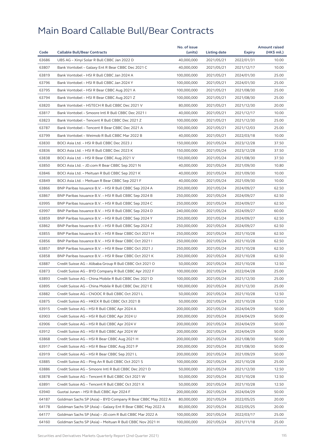|       |                                                              | No. of issue |              |                          | <b>Amount raised</b> |
|-------|--------------------------------------------------------------|--------------|--------------|--------------------------|----------------------|
| Code  | <b>Callable Bull/Bear Contracts</b>                          | (units)      | Listing date | Expiry                   | (HK\$ mil.)          |
| 63686 | UBS AG - Xinyi Solar R Bull CBBC Jan 2022 D                  | 40,000,000   | 2021/05/21   | 2022/01/31               | 10.00                |
| 63807 | Bank Vontobel - Galaxy Ent R Bear CBBC Dec 2021 C            | 40,000,000   | 2021/05/21   | 2021/12/17               | 10.00                |
| 63819 | Bank Vontobel - HSI R Bull CBBC Jan 2024 A                   | 100,000,000  | 2021/05/21   | 2024/01/30               | 25.00                |
| 63796 | Bank Vontobel - HSI R Bull CBBC Jan 2024 Y                   | 100,000,000  | 2021/05/21   | 2024/01/30               | 25.00                |
| 63795 | Bank Vontobel - HSI R Bear CBBC Aug 2021 A                   | 100,000,000  | 2021/05/21   | 2021/08/30               | 25.00                |
| 63794 | Bank Vontobel - HSI R Bear CBBC Aug 2021 Z                   | 100,000,000  | 2021/05/21   | 2021/08/30               | 25.00                |
| 63820 | Bank Vontobel - HSTECH R Bull CBBC Dec 2021 V                | 80,000,000   | 2021/05/21   | 2021/12/30               | 20.00                |
| 63817 | Bank Vontobel - Smoore Intl R Bull CBBC Dec 2021 I           | 40,000,000   | 2021/05/21   | 2021/12/17               | 10.00                |
| 63823 | Bank Vontobel - Tencent R Bull CBBC Dec 2021 Z               | 100,000,000  | 2021/05/21   | 2021/12/30               | 25.00                |
| 63787 | Bank Vontobel - Tencent R Bear CBBC Dec 2021 A               | 100,000,000  | 2021/05/21   | 2021/12/03               | 25.00                |
| 63799 | Bank Vontobel - Weimob R Bull CBBC Mar 2022 B                | 40,000,000   | 2021/05/21   | 2022/03/18               | 10.00                |
| 63830 | BOCI Asia Ltd. - HSI R Bull CBBC Dec 2023 J                  | 150,000,000  | 2021/05/24   | 2023/12/28               | 37.50                |
| 63836 | BOCI Asia Ltd. - HSI R Bull CBBC Dec 2023 K                  | 150,000,000  | 2021/05/24   | 2023/12/28               | 37.50                |
| 63838 | BOCI Asia Ltd. - HSI R Bear CBBC Aug 2021 V                  | 150,000,000  | 2021/05/24   | 2021/08/30               | 37.50                |
| 63850 | BOCI Asia Ltd. - JD.com R Bear CBBC Sep 2021 N               | 40,000,000   | 2021/05/24   | 2021/09/30               | 10.80                |
| 63846 | BOCI Asia Ltd. - Meituan R Bull CBBC Sep 2021 K              | 40,000,000   | 2021/05/24   | 2021/09/30               | 10.00                |
| 63849 | BOCI Asia Ltd. - Meituan R Bear CBBC Sep 2021 F              | 40,000,000   | 2021/05/24   | 2021/09/30               | 10.00                |
| 63866 | BNP Paribas Issuance B.V. - HSI R Bull CBBC Sep 2024 A       | 250,000,000  | 2021/05/24   | 2024/09/27               | 62.50                |
| 63867 | BNP Paribas Issuance B.V. - HSI R Bull CBBC Sep 2024 B       | 250,000,000  | 2021/05/24   | 2024/09/27               | 62.50                |
| 63995 | BNP Paribas Issuance B.V. - HSI R Bull CBBC Sep 2024 C       | 250,000,000  | 2021/05/24   | 2024/09/27               | 62.50                |
| 63997 | BNP Paribas Issuance B.V. - HSI R Bull CBBC Sep 2024 D       | 240,000,000  | 2021/05/24   | 2024/09/27               | 60.00                |
| 63859 | BNP Paribas Issuance B.V. - HSI R Bull CBBC Sep 2024 Y       | 250,000,000  | 2021/05/24   | 2024/09/27               | 62.50                |
| 63862 | BNP Paribas Issuance B.V. - HSI R Bull CBBC Sep 2024 Z       | 250,000,000  | 2021/05/24   | 2024/09/27               | 62.50                |
| 63855 | BNP Paribas Issuance B.V. - HSI R Bear CBBC Oct 2021 H       | 250,000,000  | 2021/05/24   | 2021/10/28               | 62.50                |
| 63856 | BNP Paribas Issuance B.V. - HSI R Bear CBBC Oct 2021         | 250,000,000  | 2021/05/24   | 2021/10/28               | 62.50                |
| 63857 | BNP Paribas Issuance B.V. - HSI R Bear CBBC Oct 2021 J       | 250,000,000  | 2021/05/24   | 2021/10/28               | 62.50                |
| 63858 | BNP Paribas Issuance B.V. - HSI R Bear CBBC Oct 2021 K       | 250,000,000  | 2021/05/24   | 2021/10/28               | 62.50                |
| 63887 | Credit Suisse AG - Alibaba Group R Bull CBBC Oct 2021 O      | 50,000,000   | 2021/05/24   | 2021/10/28               | 12.50                |
| 63873 | Credit Suisse AG - BYD Company R Bull CBBC Apr 2022 F        | 100,000,000  | 2021/05/24   | 2022/04/28               | 25.00                |
| 63893 | Credit Suisse AG - China Mobile R Bull CBBC Dec 2021 D       | 100,000,000  | 2021/05/24   | 2021/12/30               | 25.00                |
| 63895 | Credit Suisse AG – China Mobile R Bull CBBC Dec 2021 E       | 100,000,000  | 2021/05/24   | 2021/12/30               | 25.00                |
| 63882 | Credit Suisse AG - CNOOC R Bull CBBC Oct 2021 L              | 50,000,000   | 2021/05/24   | 2021/10/28               | 12.50                |
| 63875 | Credit Suisse AG – HKEX R Bull CBBC Oct 2021 B               | 50,000,000   | 2021/05/24   | 2021/10/28               | 12.50                |
| 63915 | Credit Suisse AG - HSI R Bull CBBC Apr 2024 A                | 200,000,000  | 2021/05/24   | 2024/04/29               | 50.00                |
| 63903 | Credit Suisse AG - HSI R Bull CBBC Apr 2024 U                | 200,000,000  | 2021/05/24   | 2024/04/29               | 50.00                |
| 63906 | Credit Suisse AG - HSI R Bull CBBC Apr 2024 V                | 200,000,000  | 2021/05/24   | 2024/04/29               | 50.00                |
| 63912 | Credit Suisse AG - HSI R Bull CBBC Apr 2024 W                | 200,000,000  | 2021/05/24   | 2024/04/29               | 50.00                |
| 63868 | Credit Suisse AG - HSI R Bear CBBC Aug 2021 H                | 200,000,000  | 2021/05/24   | 2021/08/30               | 50.00                |
| 63917 | Credit Suisse AG - HSI R Bear CBBC Aug 2021 P                | 200,000,000  | 2021/05/24   | 2021/08/30               | 50.00                |
| 63919 | Credit Suisse AG - HSI R Bear CBBC Sep 2021 L                | 200,000,000  | 2021/05/24   | 2021/09/29               | 50.00                |
| 63885 | Credit Suisse AG - Ping An R Bull CBBC Oct 2021 S            | 100,000,000  | 2021/05/24   | 2021/10/28               | 25.00                |
| 63886 | Credit Suisse AG - Smoore Intl R Bull CBBC Dec 2021 D        | 50,000,000   | 2021/05/24   | 2021/12/30               | 12.50                |
| 63878 | Credit Suisse AG - Tencent R Bull CBBC Oct 2021 W            | 50,000,000   | 2021/05/24   | 2021/10/28               | 12.50                |
| 63891 | Credit Suisse AG – Tencent R Bull CBBC Oct 2021 X            | 50,000,000   | 2021/05/24   | 2021/10/28               | 12.50                |
| 63940 | Guotai Junan - HSI R Bull CBBC Apr 2024 F                    | 200,000,000  | 2021/05/24   | 2024/04/29               | 50.00                |
| 64187 | Goldman Sachs SP (Asia) - BYD Company R Bear CBBC May 2022 A | 80,000,000   | 2021/05/24   |                          | 20.00                |
| 64178 | Goldman Sachs SP (Asia) - Galaxy Ent R Bear CBBC May 2022 A  | 80,000,000   | 2021/05/24   | 2022/05/25<br>2022/05/25 | 20.00                |
| 64177 | Goldman Sachs SP (Asia) - JD.com R Bull CBBC Mar 2022 A      | 100,000,000  | 2021/05/24   | 2022/03/17               | 25.00                |
|       |                                                              |              |              |                          |                      |
| 64160 | Goldman Sachs SP (Asia) - Meituan R Bull CBBC Nov 2021 H     | 100,000,000  | 2021/05/24   | 2021/11/18               | 25.00                |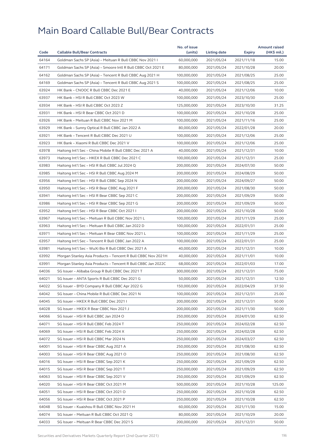| 64164<br>Goldman Sachs SP (Asia) - Meituan R Bull CBBC Nov 2021 I<br>60,000,000<br>2021/05/24<br>2021/11/18<br>15.00<br>64171<br>Goldman Sachs SP (Asia) - Smoore Intl R Bull CBBC Oct 2021 E<br>80,000,000<br>2021/05/24<br>2021/10/28<br>20.00<br>64162<br>25.00<br>Goldman Sachs SP (Asia) – Tencent R Bull CBBC Aug 2021 H<br>100,000,000<br>2021/05/24<br>2021/08/25<br>64169<br>Goldman Sachs SP (Asia) - Tencent R Bull CBBC Aug 2021 S<br>100,000,000<br>2021/05/24<br>2021/08/25<br>25.00<br>63924<br>HK Bank - CNOOC R Bull CBBC Dec 2021 E<br>40,000,000<br>2021/05/24<br>2021/12/06<br>10.00<br>63937<br>25.00<br>HK Bank - HSI R Bull CBBC Oct 2023 W<br>100,000,000<br>2021/05/24<br>2023/10/30<br>31.25<br>63934<br>HK Bank - HSI R Bull CBBC Oct 2023 Z<br>125,000,000<br>2021/05/24<br>2023/10/30<br>63931<br>HK Bank - HSI R Bear CBBC Oct 2021 D<br>100,000,000<br>2021/10/28<br>25.00<br>2021/05/24<br>63926<br>HK Bank - Meituan R Bull CBBC Nov 2021 M<br>100,000,000<br>2021/11/16<br>25.00<br>2021/05/24<br>63929<br>HK Bank - Sunny Optical R Bull CBBC Jan 2022 A<br>80,000,000<br>2022/01/28<br>20.00<br>2021/05/24<br>63921<br>HK Bank - Tencent R Bull CBBC Dec 2021 U<br>100,000,000<br>2021/05/24<br>25.00<br>2021/12/06<br>63923<br>HK Bank - Xiaomi R Bull CBBC Dec 2021 V<br>100,000,000<br>2021/05/24<br>2021/12/06<br>25.00<br>63978<br>Haitong Int'l Sec - China Mobile R Bull CBBC Dec 2021 A<br>40,000,000<br>2021/05/24<br>10.00<br>2021/12/31<br>63973<br>25.00<br>Haitong Int'l Sec - HKEX R Bull CBBC Dec 2021 C<br>100,000,000<br>2021/05/24<br>2021/12/31<br>63983<br>Haitong Int'l Sec - HSI R Bull CBBC Jul 2024 Q<br>200,000,000<br>2021/05/24<br>2024/07/30<br>50.00<br>63985<br>Haitong Int'l Sec - HSI R Bull CBBC Aug 2024 M<br>200,000,000<br>50.00<br>2021/05/24<br>2024/08/29<br>63956<br>50.00<br>Haitong Int'l Sec - HSI R Bull CBBC Sep 2024 N<br>200,000,000<br>2021/05/24<br>2024/09/27<br>63950<br>Haitong Int'l Sec - HSI R Bear CBBC Aug 2021 F<br>200,000,000<br>50.00<br>2021/05/24<br>2021/08/30<br>63941<br>Haitong Int'l Sec - HSI R Bear CBBC Sep 2021 C<br>200,000,000<br>2021/09/29<br>50.00<br>2021/05/24<br>63986<br>Haitong Int'l Sec - HSI R Bear CBBC Sep 2021 G<br>200,000,000<br>2021/09/29<br>50.00<br>2021/05/24<br>63952<br>Haitong Int'l Sec - HSI R Bear CBBC Oct 2021 I<br>200,000,000<br>2021/05/24<br>50.00<br>2021/10/28<br>63967<br>Haitong Int'l Sec - Meituan R Bull CBBC Nov 2021 L<br>100,000,000<br>2021/05/24<br>25.00<br>2021/11/29<br>63963<br>25.00<br>Haitong Int'l Sec – Meituan R Bull CBBC Jan 2022 D<br>100,000,000<br>2021/05/24<br>2022/01/31<br>63971<br>Haitong Int'l Sec - Meituan R Bear CBBC Nov 2021 L<br>100,000,000<br>25.00<br>2021/05/24<br>2021/11/29<br>63957<br>Haitong Int'l Sec - Tencent R Bull CBBC Jan 2022 A<br>100,000,000<br>2021/05/24<br>25.00<br>2022/01/31<br>63981<br>Haitong Int'l Sec - WuXi Bio R Bull CBBC Dec 2021 A<br>40,000,000<br>2021/05/24<br>2021/12/31<br>10.00<br>63992<br>Morgan Stanley Asia Products - Tencent R Bull CBBC Nov 2021H<br>40,000,000<br>2021/05/24<br>10.00<br>2021/11/01<br>63991<br>Morgan Stanley Asia Products - Tencent R Bull CBBC Jan 2022C<br>68,000,000<br>2021/05/24<br>2022/01/03<br>17.00<br>64036<br>SG Issuer - Alibaba Group R Bull CBBC Dec 2021 T<br>300,000,000<br>2021/12/31<br>75.00<br>2021/05/24<br>64021<br>SG Issuer - ANTA Sports R Bull CBBC Dec 2021 G<br>50,000,000<br>2021/05/24<br>2021/12/31<br>12.50<br>64022<br>SG Issuer - BYD Company R Bull CBBC Apr 2022 G<br>150,000,000<br>37.50<br>2021/05/24<br>2022/04/29<br>64042<br>SG Issuer - China Mobile R Bull CBBC Dec 2021 N<br>100,000,000<br>2021/05/24<br>2021/12/31<br>25.00<br>64045<br>SG Issuer - HKEX R Bull CBBC Dec 2021 I<br>200,000,000<br>2021/05/24<br>2021/12/31<br>50.00<br>64028<br>SG Issuer - HKEX R Bear CBBC Nov 2021 J<br>200,000,000<br>50.00<br>2021/05/24<br>2021/11/30<br>64066<br>SG Issuer - HSI R Bull CBBC Jan 2024 O<br>250,000,000<br>2021/05/24<br>2024/01/30<br>62.50<br>64071<br>SG Issuer - HSI R Bull CBBC Feb 2024 T<br>250,000,000<br>2021/05/24<br>2024/02/28<br>62.50<br>64069<br>250,000,000<br>62.50<br>SG Issuer - HSI R Bull CBBC Feb 2024 X<br>2021/05/24<br>2024/02/28<br>64072<br>SG Issuer - HSI R Bull CBBC Mar 2024 N<br>250,000,000<br>2021/05/24<br>2024/03/27<br>62.50<br>64001<br>SG Issuer - HSI R Bear CBBC Aug 2021 A<br>250,000,000<br>2021/05/24<br>2021/08/30<br>62.50<br>64003<br>SG Issuer - HSI R Bear CBBC Aug 2021 O<br>250,000,000<br>2021/05/24<br>2021/08/30<br>62.50<br>64016<br>SG Issuer - HSI R Bear CBBC Sep 2021 K<br>250,000,000<br>2021/05/24<br>2021/09/29<br>62.50<br>64015<br>SG Issuer - HSI R Bear CBBC Sep 2021 T<br>250,000,000<br>2021/05/24<br>2021/09/29<br>62.50<br>64063<br>SG Issuer - HSI R Bear CBBC Sep 2021 V<br>250,000,000<br>2021/05/24<br>2021/09/29<br>62.50<br>64020<br>SG Issuer - HSI R Bear CBBC Oct 2021 M<br>500,000,000<br>2021/05/24<br>2021/10/28<br>125.00<br>64051<br>SG Issuer - HSI R Bear CBBC Oct 2021 O<br>250,000,000<br>2021/05/24<br>62.50<br>2021/10/28<br>64056<br>SG Issuer - HSI R Bear CBBC Oct 2021 P<br>250,000,000<br>2021/05/24<br>2021/10/28<br>62.50<br>64048<br>SG Issuer - Kuaishou R Bull CBBC Nov 2021 H<br>60,000,000<br>2021/05/24<br>2021/11/30<br>15.00<br>64074<br>SG Issuer - Meituan R Bull CBBC Oct 2021 Q<br>80,000,000<br>2021/05/24<br>2021/10/29<br>20.00<br>64033<br>SG Issuer - Meituan R Bear CBBC Dec 2021 S<br>200,000,000<br>2021/05/24<br>2021/12/31<br>50.00 |      |                                     | No. of issue |              |        | <b>Amount raised</b> |
|---------------------------------------------------------------------------------------------------------------------------------------------------------------------------------------------------------------------------------------------------------------------------------------------------------------------------------------------------------------------------------------------------------------------------------------------------------------------------------------------------------------------------------------------------------------------------------------------------------------------------------------------------------------------------------------------------------------------------------------------------------------------------------------------------------------------------------------------------------------------------------------------------------------------------------------------------------------------------------------------------------------------------------------------------------------------------------------------------------------------------------------------------------------------------------------------------------------------------------------------------------------------------------------------------------------------------------------------------------------------------------------------------------------------------------------------------------------------------------------------------------------------------------------------------------------------------------------------------------------------------------------------------------------------------------------------------------------------------------------------------------------------------------------------------------------------------------------------------------------------------------------------------------------------------------------------------------------------------------------------------------------------------------------------------------------------------------------------------------------------------------------------------------------------------------------------------------------------------------------------------------------------------------------------------------------------------------------------------------------------------------------------------------------------------------------------------------------------------------------------------------------------------------------------------------------------------------------------------------------------------------------------------------------------------------------------------------------------------------------------------------------------------------------------------------------------------------------------------------------------------------------------------------------------------------------------------------------------------------------------------------------------------------------------------------------------------------------------------------------------------------------------------------------------------------------------------------------------------------------------------------------------------------------------------------------------------------------------------------------------------------------------------------------------------------------------------------------------------------------------------------------------------------------------------------------------------------------------------------------------------------------------------------------------------------------------------------------------------------------------------------------------------------------------------------------------------------------------------------------------------------------------------------------------------------------------------------------------------------------------------------------------------------------------------------------------------------------------------------------------------------------------------------------------------------------------------------------------------------------------------------------------------------------------------------------------------------------------------------------------------------------------------------------------------------------------------------------------------------------------------------------------------------------------------------------------------------------------------------------------------------------------------------------------------------------------------------------------------------------------------------------------------------------------------------------------------------------------------------------------------------------------------------------------------------------------------------------------------------------------------------------------------------------------------------------------------------------------------------------------------------------------------------------------------------------------------------------------------------------------------------------------------------------------------------------------------------------------------------------------------------------------------------------------------------------------------------------------------------------------------------------------------------------------------------------------------|------|-------------------------------------|--------------|--------------|--------|----------------------|
|                                                                                                                                                                                                                                                                                                                                                                                                                                                                                                                                                                                                                                                                                                                                                                                                                                                                                                                                                                                                                                                                                                                                                                                                                                                                                                                                                                                                                                                                                                                                                                                                                                                                                                                                                                                                                                                                                                                                                                                                                                                                                                                                                                                                                                                                                                                                                                                                                                                                                                                                                                                                                                                                                                                                                                                                                                                                                                                                                                                                                                                                                                                                                                                                                                                                                                                                                                                                                                                                                                                                                                                                                                                                                                                                                                                                                                                                                                                                                                                                                                                                                                                                                                                                                                                                                                                                                                                                                                                                                                                                                                                                                                                                                                                                                                                                                                                                                                                                                                                                                                                                                                                                                                                                                                                                                                                                                                                                                                                                                                                                                                           | Code | <b>Callable Bull/Bear Contracts</b> | (units)      | Listing date | Expiry | (HK\$ mil.)          |
|                                                                                                                                                                                                                                                                                                                                                                                                                                                                                                                                                                                                                                                                                                                                                                                                                                                                                                                                                                                                                                                                                                                                                                                                                                                                                                                                                                                                                                                                                                                                                                                                                                                                                                                                                                                                                                                                                                                                                                                                                                                                                                                                                                                                                                                                                                                                                                                                                                                                                                                                                                                                                                                                                                                                                                                                                                                                                                                                                                                                                                                                                                                                                                                                                                                                                                                                                                                                                                                                                                                                                                                                                                                                                                                                                                                                                                                                                                                                                                                                                                                                                                                                                                                                                                                                                                                                                                                                                                                                                                                                                                                                                                                                                                                                                                                                                                                                                                                                                                                                                                                                                                                                                                                                                                                                                                                                                                                                                                                                                                                                                                           |      |                                     |              |              |        |                      |
|                                                                                                                                                                                                                                                                                                                                                                                                                                                                                                                                                                                                                                                                                                                                                                                                                                                                                                                                                                                                                                                                                                                                                                                                                                                                                                                                                                                                                                                                                                                                                                                                                                                                                                                                                                                                                                                                                                                                                                                                                                                                                                                                                                                                                                                                                                                                                                                                                                                                                                                                                                                                                                                                                                                                                                                                                                                                                                                                                                                                                                                                                                                                                                                                                                                                                                                                                                                                                                                                                                                                                                                                                                                                                                                                                                                                                                                                                                                                                                                                                                                                                                                                                                                                                                                                                                                                                                                                                                                                                                                                                                                                                                                                                                                                                                                                                                                                                                                                                                                                                                                                                                                                                                                                                                                                                                                                                                                                                                                                                                                                                                           |      |                                     |              |              |        |                      |
|                                                                                                                                                                                                                                                                                                                                                                                                                                                                                                                                                                                                                                                                                                                                                                                                                                                                                                                                                                                                                                                                                                                                                                                                                                                                                                                                                                                                                                                                                                                                                                                                                                                                                                                                                                                                                                                                                                                                                                                                                                                                                                                                                                                                                                                                                                                                                                                                                                                                                                                                                                                                                                                                                                                                                                                                                                                                                                                                                                                                                                                                                                                                                                                                                                                                                                                                                                                                                                                                                                                                                                                                                                                                                                                                                                                                                                                                                                                                                                                                                                                                                                                                                                                                                                                                                                                                                                                                                                                                                                                                                                                                                                                                                                                                                                                                                                                                                                                                                                                                                                                                                                                                                                                                                                                                                                                                                                                                                                                                                                                                                                           |      |                                     |              |              |        |                      |
|                                                                                                                                                                                                                                                                                                                                                                                                                                                                                                                                                                                                                                                                                                                                                                                                                                                                                                                                                                                                                                                                                                                                                                                                                                                                                                                                                                                                                                                                                                                                                                                                                                                                                                                                                                                                                                                                                                                                                                                                                                                                                                                                                                                                                                                                                                                                                                                                                                                                                                                                                                                                                                                                                                                                                                                                                                                                                                                                                                                                                                                                                                                                                                                                                                                                                                                                                                                                                                                                                                                                                                                                                                                                                                                                                                                                                                                                                                                                                                                                                                                                                                                                                                                                                                                                                                                                                                                                                                                                                                                                                                                                                                                                                                                                                                                                                                                                                                                                                                                                                                                                                                                                                                                                                                                                                                                                                                                                                                                                                                                                                                           |      |                                     |              |              |        |                      |
|                                                                                                                                                                                                                                                                                                                                                                                                                                                                                                                                                                                                                                                                                                                                                                                                                                                                                                                                                                                                                                                                                                                                                                                                                                                                                                                                                                                                                                                                                                                                                                                                                                                                                                                                                                                                                                                                                                                                                                                                                                                                                                                                                                                                                                                                                                                                                                                                                                                                                                                                                                                                                                                                                                                                                                                                                                                                                                                                                                                                                                                                                                                                                                                                                                                                                                                                                                                                                                                                                                                                                                                                                                                                                                                                                                                                                                                                                                                                                                                                                                                                                                                                                                                                                                                                                                                                                                                                                                                                                                                                                                                                                                                                                                                                                                                                                                                                                                                                                                                                                                                                                                                                                                                                                                                                                                                                                                                                                                                                                                                                                                           |      |                                     |              |              |        |                      |
|                                                                                                                                                                                                                                                                                                                                                                                                                                                                                                                                                                                                                                                                                                                                                                                                                                                                                                                                                                                                                                                                                                                                                                                                                                                                                                                                                                                                                                                                                                                                                                                                                                                                                                                                                                                                                                                                                                                                                                                                                                                                                                                                                                                                                                                                                                                                                                                                                                                                                                                                                                                                                                                                                                                                                                                                                                                                                                                                                                                                                                                                                                                                                                                                                                                                                                                                                                                                                                                                                                                                                                                                                                                                                                                                                                                                                                                                                                                                                                                                                                                                                                                                                                                                                                                                                                                                                                                                                                                                                                                                                                                                                                                                                                                                                                                                                                                                                                                                                                                                                                                                                                                                                                                                                                                                                                                                                                                                                                                                                                                                                                           |      |                                     |              |              |        |                      |
|                                                                                                                                                                                                                                                                                                                                                                                                                                                                                                                                                                                                                                                                                                                                                                                                                                                                                                                                                                                                                                                                                                                                                                                                                                                                                                                                                                                                                                                                                                                                                                                                                                                                                                                                                                                                                                                                                                                                                                                                                                                                                                                                                                                                                                                                                                                                                                                                                                                                                                                                                                                                                                                                                                                                                                                                                                                                                                                                                                                                                                                                                                                                                                                                                                                                                                                                                                                                                                                                                                                                                                                                                                                                                                                                                                                                                                                                                                                                                                                                                                                                                                                                                                                                                                                                                                                                                                                                                                                                                                                                                                                                                                                                                                                                                                                                                                                                                                                                                                                                                                                                                                                                                                                                                                                                                                                                                                                                                                                                                                                                                                           |      |                                     |              |              |        |                      |
|                                                                                                                                                                                                                                                                                                                                                                                                                                                                                                                                                                                                                                                                                                                                                                                                                                                                                                                                                                                                                                                                                                                                                                                                                                                                                                                                                                                                                                                                                                                                                                                                                                                                                                                                                                                                                                                                                                                                                                                                                                                                                                                                                                                                                                                                                                                                                                                                                                                                                                                                                                                                                                                                                                                                                                                                                                                                                                                                                                                                                                                                                                                                                                                                                                                                                                                                                                                                                                                                                                                                                                                                                                                                                                                                                                                                                                                                                                                                                                                                                                                                                                                                                                                                                                                                                                                                                                                                                                                                                                                                                                                                                                                                                                                                                                                                                                                                                                                                                                                                                                                                                                                                                                                                                                                                                                                                                                                                                                                                                                                                                                           |      |                                     |              |              |        |                      |
|                                                                                                                                                                                                                                                                                                                                                                                                                                                                                                                                                                                                                                                                                                                                                                                                                                                                                                                                                                                                                                                                                                                                                                                                                                                                                                                                                                                                                                                                                                                                                                                                                                                                                                                                                                                                                                                                                                                                                                                                                                                                                                                                                                                                                                                                                                                                                                                                                                                                                                                                                                                                                                                                                                                                                                                                                                                                                                                                                                                                                                                                                                                                                                                                                                                                                                                                                                                                                                                                                                                                                                                                                                                                                                                                                                                                                                                                                                                                                                                                                                                                                                                                                                                                                                                                                                                                                                                                                                                                                                                                                                                                                                                                                                                                                                                                                                                                                                                                                                                                                                                                                                                                                                                                                                                                                                                                                                                                                                                                                                                                                                           |      |                                     |              |              |        |                      |
|                                                                                                                                                                                                                                                                                                                                                                                                                                                                                                                                                                                                                                                                                                                                                                                                                                                                                                                                                                                                                                                                                                                                                                                                                                                                                                                                                                                                                                                                                                                                                                                                                                                                                                                                                                                                                                                                                                                                                                                                                                                                                                                                                                                                                                                                                                                                                                                                                                                                                                                                                                                                                                                                                                                                                                                                                                                                                                                                                                                                                                                                                                                                                                                                                                                                                                                                                                                                                                                                                                                                                                                                                                                                                                                                                                                                                                                                                                                                                                                                                                                                                                                                                                                                                                                                                                                                                                                                                                                                                                                                                                                                                                                                                                                                                                                                                                                                                                                                                                                                                                                                                                                                                                                                                                                                                                                                                                                                                                                                                                                                                                           |      |                                     |              |              |        |                      |
|                                                                                                                                                                                                                                                                                                                                                                                                                                                                                                                                                                                                                                                                                                                                                                                                                                                                                                                                                                                                                                                                                                                                                                                                                                                                                                                                                                                                                                                                                                                                                                                                                                                                                                                                                                                                                                                                                                                                                                                                                                                                                                                                                                                                                                                                                                                                                                                                                                                                                                                                                                                                                                                                                                                                                                                                                                                                                                                                                                                                                                                                                                                                                                                                                                                                                                                                                                                                                                                                                                                                                                                                                                                                                                                                                                                                                                                                                                                                                                                                                                                                                                                                                                                                                                                                                                                                                                                                                                                                                                                                                                                                                                                                                                                                                                                                                                                                                                                                                                                                                                                                                                                                                                                                                                                                                                                                                                                                                                                                                                                                                                           |      |                                     |              |              |        |                      |
|                                                                                                                                                                                                                                                                                                                                                                                                                                                                                                                                                                                                                                                                                                                                                                                                                                                                                                                                                                                                                                                                                                                                                                                                                                                                                                                                                                                                                                                                                                                                                                                                                                                                                                                                                                                                                                                                                                                                                                                                                                                                                                                                                                                                                                                                                                                                                                                                                                                                                                                                                                                                                                                                                                                                                                                                                                                                                                                                                                                                                                                                                                                                                                                                                                                                                                                                                                                                                                                                                                                                                                                                                                                                                                                                                                                                                                                                                                                                                                                                                                                                                                                                                                                                                                                                                                                                                                                                                                                                                                                                                                                                                                                                                                                                                                                                                                                                                                                                                                                                                                                                                                                                                                                                                                                                                                                                                                                                                                                                                                                                                                           |      |                                     |              |              |        |                      |
|                                                                                                                                                                                                                                                                                                                                                                                                                                                                                                                                                                                                                                                                                                                                                                                                                                                                                                                                                                                                                                                                                                                                                                                                                                                                                                                                                                                                                                                                                                                                                                                                                                                                                                                                                                                                                                                                                                                                                                                                                                                                                                                                                                                                                                                                                                                                                                                                                                                                                                                                                                                                                                                                                                                                                                                                                                                                                                                                                                                                                                                                                                                                                                                                                                                                                                                                                                                                                                                                                                                                                                                                                                                                                                                                                                                                                                                                                                                                                                                                                                                                                                                                                                                                                                                                                                                                                                                                                                                                                                                                                                                                                                                                                                                                                                                                                                                                                                                                                                                                                                                                                                                                                                                                                                                                                                                                                                                                                                                                                                                                                                           |      |                                     |              |              |        |                      |
|                                                                                                                                                                                                                                                                                                                                                                                                                                                                                                                                                                                                                                                                                                                                                                                                                                                                                                                                                                                                                                                                                                                                                                                                                                                                                                                                                                                                                                                                                                                                                                                                                                                                                                                                                                                                                                                                                                                                                                                                                                                                                                                                                                                                                                                                                                                                                                                                                                                                                                                                                                                                                                                                                                                                                                                                                                                                                                                                                                                                                                                                                                                                                                                                                                                                                                                                                                                                                                                                                                                                                                                                                                                                                                                                                                                                                                                                                                                                                                                                                                                                                                                                                                                                                                                                                                                                                                                                                                                                                                                                                                                                                                                                                                                                                                                                                                                                                                                                                                                                                                                                                                                                                                                                                                                                                                                                                                                                                                                                                                                                                                           |      |                                     |              |              |        |                      |
|                                                                                                                                                                                                                                                                                                                                                                                                                                                                                                                                                                                                                                                                                                                                                                                                                                                                                                                                                                                                                                                                                                                                                                                                                                                                                                                                                                                                                                                                                                                                                                                                                                                                                                                                                                                                                                                                                                                                                                                                                                                                                                                                                                                                                                                                                                                                                                                                                                                                                                                                                                                                                                                                                                                                                                                                                                                                                                                                                                                                                                                                                                                                                                                                                                                                                                                                                                                                                                                                                                                                                                                                                                                                                                                                                                                                                                                                                                                                                                                                                                                                                                                                                                                                                                                                                                                                                                                                                                                                                                                                                                                                                                                                                                                                                                                                                                                                                                                                                                                                                                                                                                                                                                                                                                                                                                                                                                                                                                                                                                                                                                           |      |                                     |              |              |        |                      |
|                                                                                                                                                                                                                                                                                                                                                                                                                                                                                                                                                                                                                                                                                                                                                                                                                                                                                                                                                                                                                                                                                                                                                                                                                                                                                                                                                                                                                                                                                                                                                                                                                                                                                                                                                                                                                                                                                                                                                                                                                                                                                                                                                                                                                                                                                                                                                                                                                                                                                                                                                                                                                                                                                                                                                                                                                                                                                                                                                                                                                                                                                                                                                                                                                                                                                                                                                                                                                                                                                                                                                                                                                                                                                                                                                                                                                                                                                                                                                                                                                                                                                                                                                                                                                                                                                                                                                                                                                                                                                                                                                                                                                                                                                                                                                                                                                                                                                                                                                                                                                                                                                                                                                                                                                                                                                                                                                                                                                                                                                                                                                                           |      |                                     |              |              |        |                      |
|                                                                                                                                                                                                                                                                                                                                                                                                                                                                                                                                                                                                                                                                                                                                                                                                                                                                                                                                                                                                                                                                                                                                                                                                                                                                                                                                                                                                                                                                                                                                                                                                                                                                                                                                                                                                                                                                                                                                                                                                                                                                                                                                                                                                                                                                                                                                                                                                                                                                                                                                                                                                                                                                                                                                                                                                                                                                                                                                                                                                                                                                                                                                                                                                                                                                                                                                                                                                                                                                                                                                                                                                                                                                                                                                                                                                                                                                                                                                                                                                                                                                                                                                                                                                                                                                                                                                                                                                                                                                                                                                                                                                                                                                                                                                                                                                                                                                                                                                                                                                                                                                                                                                                                                                                                                                                                                                                                                                                                                                                                                                                                           |      |                                     |              |              |        |                      |
|                                                                                                                                                                                                                                                                                                                                                                                                                                                                                                                                                                                                                                                                                                                                                                                                                                                                                                                                                                                                                                                                                                                                                                                                                                                                                                                                                                                                                                                                                                                                                                                                                                                                                                                                                                                                                                                                                                                                                                                                                                                                                                                                                                                                                                                                                                                                                                                                                                                                                                                                                                                                                                                                                                                                                                                                                                                                                                                                                                                                                                                                                                                                                                                                                                                                                                                                                                                                                                                                                                                                                                                                                                                                                                                                                                                                                                                                                                                                                                                                                                                                                                                                                                                                                                                                                                                                                                                                                                                                                                                                                                                                                                                                                                                                                                                                                                                                                                                                                                                                                                                                                                                                                                                                                                                                                                                                                                                                                                                                                                                                                                           |      |                                     |              |              |        |                      |
|                                                                                                                                                                                                                                                                                                                                                                                                                                                                                                                                                                                                                                                                                                                                                                                                                                                                                                                                                                                                                                                                                                                                                                                                                                                                                                                                                                                                                                                                                                                                                                                                                                                                                                                                                                                                                                                                                                                                                                                                                                                                                                                                                                                                                                                                                                                                                                                                                                                                                                                                                                                                                                                                                                                                                                                                                                                                                                                                                                                                                                                                                                                                                                                                                                                                                                                                                                                                                                                                                                                                                                                                                                                                                                                                                                                                                                                                                                                                                                                                                                                                                                                                                                                                                                                                                                                                                                                                                                                                                                                                                                                                                                                                                                                                                                                                                                                                                                                                                                                                                                                                                                                                                                                                                                                                                                                                                                                                                                                                                                                                                                           |      |                                     |              |              |        |                      |
|                                                                                                                                                                                                                                                                                                                                                                                                                                                                                                                                                                                                                                                                                                                                                                                                                                                                                                                                                                                                                                                                                                                                                                                                                                                                                                                                                                                                                                                                                                                                                                                                                                                                                                                                                                                                                                                                                                                                                                                                                                                                                                                                                                                                                                                                                                                                                                                                                                                                                                                                                                                                                                                                                                                                                                                                                                                                                                                                                                                                                                                                                                                                                                                                                                                                                                                                                                                                                                                                                                                                                                                                                                                                                                                                                                                                                                                                                                                                                                                                                                                                                                                                                                                                                                                                                                                                                                                                                                                                                                                                                                                                                                                                                                                                                                                                                                                                                                                                                                                                                                                                                                                                                                                                                                                                                                                                                                                                                                                                                                                                                                           |      |                                     |              |              |        |                      |
|                                                                                                                                                                                                                                                                                                                                                                                                                                                                                                                                                                                                                                                                                                                                                                                                                                                                                                                                                                                                                                                                                                                                                                                                                                                                                                                                                                                                                                                                                                                                                                                                                                                                                                                                                                                                                                                                                                                                                                                                                                                                                                                                                                                                                                                                                                                                                                                                                                                                                                                                                                                                                                                                                                                                                                                                                                                                                                                                                                                                                                                                                                                                                                                                                                                                                                                                                                                                                                                                                                                                                                                                                                                                                                                                                                                                                                                                                                                                                                                                                                                                                                                                                                                                                                                                                                                                                                                                                                                                                                                                                                                                                                                                                                                                                                                                                                                                                                                                                                                                                                                                                                                                                                                                                                                                                                                                                                                                                                                                                                                                                                           |      |                                     |              |              |        |                      |
|                                                                                                                                                                                                                                                                                                                                                                                                                                                                                                                                                                                                                                                                                                                                                                                                                                                                                                                                                                                                                                                                                                                                                                                                                                                                                                                                                                                                                                                                                                                                                                                                                                                                                                                                                                                                                                                                                                                                                                                                                                                                                                                                                                                                                                                                                                                                                                                                                                                                                                                                                                                                                                                                                                                                                                                                                                                                                                                                                                                                                                                                                                                                                                                                                                                                                                                                                                                                                                                                                                                                                                                                                                                                                                                                                                                                                                                                                                                                                                                                                                                                                                                                                                                                                                                                                                                                                                                                                                                                                                                                                                                                                                                                                                                                                                                                                                                                                                                                                                                                                                                                                                                                                                                                                                                                                                                                                                                                                                                                                                                                                                           |      |                                     |              |              |        |                      |
|                                                                                                                                                                                                                                                                                                                                                                                                                                                                                                                                                                                                                                                                                                                                                                                                                                                                                                                                                                                                                                                                                                                                                                                                                                                                                                                                                                                                                                                                                                                                                                                                                                                                                                                                                                                                                                                                                                                                                                                                                                                                                                                                                                                                                                                                                                                                                                                                                                                                                                                                                                                                                                                                                                                                                                                                                                                                                                                                                                                                                                                                                                                                                                                                                                                                                                                                                                                                                                                                                                                                                                                                                                                                                                                                                                                                                                                                                                                                                                                                                                                                                                                                                                                                                                                                                                                                                                                                                                                                                                                                                                                                                                                                                                                                                                                                                                                                                                                                                                                                                                                                                                                                                                                                                                                                                                                                                                                                                                                                                                                                                                           |      |                                     |              |              |        |                      |
|                                                                                                                                                                                                                                                                                                                                                                                                                                                                                                                                                                                                                                                                                                                                                                                                                                                                                                                                                                                                                                                                                                                                                                                                                                                                                                                                                                                                                                                                                                                                                                                                                                                                                                                                                                                                                                                                                                                                                                                                                                                                                                                                                                                                                                                                                                                                                                                                                                                                                                                                                                                                                                                                                                                                                                                                                                                                                                                                                                                                                                                                                                                                                                                                                                                                                                                                                                                                                                                                                                                                                                                                                                                                                                                                                                                                                                                                                                                                                                                                                                                                                                                                                                                                                                                                                                                                                                                                                                                                                                                                                                                                                                                                                                                                                                                                                                                                                                                                                                                                                                                                                                                                                                                                                                                                                                                                                                                                                                                                                                                                                                           |      |                                     |              |              |        |                      |
|                                                                                                                                                                                                                                                                                                                                                                                                                                                                                                                                                                                                                                                                                                                                                                                                                                                                                                                                                                                                                                                                                                                                                                                                                                                                                                                                                                                                                                                                                                                                                                                                                                                                                                                                                                                                                                                                                                                                                                                                                                                                                                                                                                                                                                                                                                                                                                                                                                                                                                                                                                                                                                                                                                                                                                                                                                                                                                                                                                                                                                                                                                                                                                                                                                                                                                                                                                                                                                                                                                                                                                                                                                                                                                                                                                                                                                                                                                                                                                                                                                                                                                                                                                                                                                                                                                                                                                                                                                                                                                                                                                                                                                                                                                                                                                                                                                                                                                                                                                                                                                                                                                                                                                                                                                                                                                                                                                                                                                                                                                                                                                           |      |                                     |              |              |        |                      |
|                                                                                                                                                                                                                                                                                                                                                                                                                                                                                                                                                                                                                                                                                                                                                                                                                                                                                                                                                                                                                                                                                                                                                                                                                                                                                                                                                                                                                                                                                                                                                                                                                                                                                                                                                                                                                                                                                                                                                                                                                                                                                                                                                                                                                                                                                                                                                                                                                                                                                                                                                                                                                                                                                                                                                                                                                                                                                                                                                                                                                                                                                                                                                                                                                                                                                                                                                                                                                                                                                                                                                                                                                                                                                                                                                                                                                                                                                                                                                                                                                                                                                                                                                                                                                                                                                                                                                                                                                                                                                                                                                                                                                                                                                                                                                                                                                                                                                                                                                                                                                                                                                                                                                                                                                                                                                                                                                                                                                                                                                                                                                                           |      |                                     |              |              |        |                      |
|                                                                                                                                                                                                                                                                                                                                                                                                                                                                                                                                                                                                                                                                                                                                                                                                                                                                                                                                                                                                                                                                                                                                                                                                                                                                                                                                                                                                                                                                                                                                                                                                                                                                                                                                                                                                                                                                                                                                                                                                                                                                                                                                                                                                                                                                                                                                                                                                                                                                                                                                                                                                                                                                                                                                                                                                                                                                                                                                                                                                                                                                                                                                                                                                                                                                                                                                                                                                                                                                                                                                                                                                                                                                                                                                                                                                                                                                                                                                                                                                                                                                                                                                                                                                                                                                                                                                                                                                                                                                                                                                                                                                                                                                                                                                                                                                                                                                                                                                                                                                                                                                                                                                                                                                                                                                                                                                                                                                                                                                                                                                                                           |      |                                     |              |              |        |                      |
|                                                                                                                                                                                                                                                                                                                                                                                                                                                                                                                                                                                                                                                                                                                                                                                                                                                                                                                                                                                                                                                                                                                                                                                                                                                                                                                                                                                                                                                                                                                                                                                                                                                                                                                                                                                                                                                                                                                                                                                                                                                                                                                                                                                                                                                                                                                                                                                                                                                                                                                                                                                                                                                                                                                                                                                                                                                                                                                                                                                                                                                                                                                                                                                                                                                                                                                                                                                                                                                                                                                                                                                                                                                                                                                                                                                                                                                                                                                                                                                                                                                                                                                                                                                                                                                                                                                                                                                                                                                                                                                                                                                                                                                                                                                                                                                                                                                                                                                                                                                                                                                                                                                                                                                                                                                                                                                                                                                                                                                                                                                                                                           |      |                                     |              |              |        |                      |
|                                                                                                                                                                                                                                                                                                                                                                                                                                                                                                                                                                                                                                                                                                                                                                                                                                                                                                                                                                                                                                                                                                                                                                                                                                                                                                                                                                                                                                                                                                                                                                                                                                                                                                                                                                                                                                                                                                                                                                                                                                                                                                                                                                                                                                                                                                                                                                                                                                                                                                                                                                                                                                                                                                                                                                                                                                                                                                                                                                                                                                                                                                                                                                                                                                                                                                                                                                                                                                                                                                                                                                                                                                                                                                                                                                                                                                                                                                                                                                                                                                                                                                                                                                                                                                                                                                                                                                                                                                                                                                                                                                                                                                                                                                                                                                                                                                                                                                                                                                                                                                                                                                                                                                                                                                                                                                                                                                                                                                                                                                                                                                           |      |                                     |              |              |        |                      |
|                                                                                                                                                                                                                                                                                                                                                                                                                                                                                                                                                                                                                                                                                                                                                                                                                                                                                                                                                                                                                                                                                                                                                                                                                                                                                                                                                                                                                                                                                                                                                                                                                                                                                                                                                                                                                                                                                                                                                                                                                                                                                                                                                                                                                                                                                                                                                                                                                                                                                                                                                                                                                                                                                                                                                                                                                                                                                                                                                                                                                                                                                                                                                                                                                                                                                                                                                                                                                                                                                                                                                                                                                                                                                                                                                                                                                                                                                                                                                                                                                                                                                                                                                                                                                                                                                                                                                                                                                                                                                                                                                                                                                                                                                                                                                                                                                                                                                                                                                                                                                                                                                                                                                                                                                                                                                                                                                                                                                                                                                                                                                                           |      |                                     |              |              |        |                      |
|                                                                                                                                                                                                                                                                                                                                                                                                                                                                                                                                                                                                                                                                                                                                                                                                                                                                                                                                                                                                                                                                                                                                                                                                                                                                                                                                                                                                                                                                                                                                                                                                                                                                                                                                                                                                                                                                                                                                                                                                                                                                                                                                                                                                                                                                                                                                                                                                                                                                                                                                                                                                                                                                                                                                                                                                                                                                                                                                                                                                                                                                                                                                                                                                                                                                                                                                                                                                                                                                                                                                                                                                                                                                                                                                                                                                                                                                                                                                                                                                                                                                                                                                                                                                                                                                                                                                                                                                                                                                                                                                                                                                                                                                                                                                                                                                                                                                                                                                                                                                                                                                                                                                                                                                                                                                                                                                                                                                                                                                                                                                                                           |      |                                     |              |              |        |                      |
|                                                                                                                                                                                                                                                                                                                                                                                                                                                                                                                                                                                                                                                                                                                                                                                                                                                                                                                                                                                                                                                                                                                                                                                                                                                                                                                                                                                                                                                                                                                                                                                                                                                                                                                                                                                                                                                                                                                                                                                                                                                                                                                                                                                                                                                                                                                                                                                                                                                                                                                                                                                                                                                                                                                                                                                                                                                                                                                                                                                                                                                                                                                                                                                                                                                                                                                                                                                                                                                                                                                                                                                                                                                                                                                                                                                                                                                                                                                                                                                                                                                                                                                                                                                                                                                                                                                                                                                                                                                                                                                                                                                                                                                                                                                                                                                                                                                                                                                                                                                                                                                                                                                                                                                                                                                                                                                                                                                                                                                                                                                                                                           |      |                                     |              |              |        |                      |
|                                                                                                                                                                                                                                                                                                                                                                                                                                                                                                                                                                                                                                                                                                                                                                                                                                                                                                                                                                                                                                                                                                                                                                                                                                                                                                                                                                                                                                                                                                                                                                                                                                                                                                                                                                                                                                                                                                                                                                                                                                                                                                                                                                                                                                                                                                                                                                                                                                                                                                                                                                                                                                                                                                                                                                                                                                                                                                                                                                                                                                                                                                                                                                                                                                                                                                                                                                                                                                                                                                                                                                                                                                                                                                                                                                                                                                                                                                                                                                                                                                                                                                                                                                                                                                                                                                                                                                                                                                                                                                                                                                                                                                                                                                                                                                                                                                                                                                                                                                                                                                                                                                                                                                                                                                                                                                                                                                                                                                                                                                                                                                           |      |                                     |              |              |        |                      |
|                                                                                                                                                                                                                                                                                                                                                                                                                                                                                                                                                                                                                                                                                                                                                                                                                                                                                                                                                                                                                                                                                                                                                                                                                                                                                                                                                                                                                                                                                                                                                                                                                                                                                                                                                                                                                                                                                                                                                                                                                                                                                                                                                                                                                                                                                                                                                                                                                                                                                                                                                                                                                                                                                                                                                                                                                                                                                                                                                                                                                                                                                                                                                                                                                                                                                                                                                                                                                                                                                                                                                                                                                                                                                                                                                                                                                                                                                                                                                                                                                                                                                                                                                                                                                                                                                                                                                                                                                                                                                                                                                                                                                                                                                                                                                                                                                                                                                                                                                                                                                                                                                                                                                                                                                                                                                                                                                                                                                                                                                                                                                                           |      |                                     |              |              |        |                      |
|                                                                                                                                                                                                                                                                                                                                                                                                                                                                                                                                                                                                                                                                                                                                                                                                                                                                                                                                                                                                                                                                                                                                                                                                                                                                                                                                                                                                                                                                                                                                                                                                                                                                                                                                                                                                                                                                                                                                                                                                                                                                                                                                                                                                                                                                                                                                                                                                                                                                                                                                                                                                                                                                                                                                                                                                                                                                                                                                                                                                                                                                                                                                                                                                                                                                                                                                                                                                                                                                                                                                                                                                                                                                                                                                                                                                                                                                                                                                                                                                                                                                                                                                                                                                                                                                                                                                                                                                                                                                                                                                                                                                                                                                                                                                                                                                                                                                                                                                                                                                                                                                                                                                                                                                                                                                                                                                                                                                                                                                                                                                                                           |      |                                     |              |              |        |                      |
|                                                                                                                                                                                                                                                                                                                                                                                                                                                                                                                                                                                                                                                                                                                                                                                                                                                                                                                                                                                                                                                                                                                                                                                                                                                                                                                                                                                                                                                                                                                                                                                                                                                                                                                                                                                                                                                                                                                                                                                                                                                                                                                                                                                                                                                                                                                                                                                                                                                                                                                                                                                                                                                                                                                                                                                                                                                                                                                                                                                                                                                                                                                                                                                                                                                                                                                                                                                                                                                                                                                                                                                                                                                                                                                                                                                                                                                                                                                                                                                                                                                                                                                                                                                                                                                                                                                                                                                                                                                                                                                                                                                                                                                                                                                                                                                                                                                                                                                                                                                                                                                                                                                                                                                                                                                                                                                                                                                                                                                                                                                                                                           |      |                                     |              |              |        |                      |
|                                                                                                                                                                                                                                                                                                                                                                                                                                                                                                                                                                                                                                                                                                                                                                                                                                                                                                                                                                                                                                                                                                                                                                                                                                                                                                                                                                                                                                                                                                                                                                                                                                                                                                                                                                                                                                                                                                                                                                                                                                                                                                                                                                                                                                                                                                                                                                                                                                                                                                                                                                                                                                                                                                                                                                                                                                                                                                                                                                                                                                                                                                                                                                                                                                                                                                                                                                                                                                                                                                                                                                                                                                                                                                                                                                                                                                                                                                                                                                                                                                                                                                                                                                                                                                                                                                                                                                                                                                                                                                                                                                                                                                                                                                                                                                                                                                                                                                                                                                                                                                                                                                                                                                                                                                                                                                                                                                                                                                                                                                                                                                           |      |                                     |              |              |        |                      |
|                                                                                                                                                                                                                                                                                                                                                                                                                                                                                                                                                                                                                                                                                                                                                                                                                                                                                                                                                                                                                                                                                                                                                                                                                                                                                                                                                                                                                                                                                                                                                                                                                                                                                                                                                                                                                                                                                                                                                                                                                                                                                                                                                                                                                                                                                                                                                                                                                                                                                                                                                                                                                                                                                                                                                                                                                                                                                                                                                                                                                                                                                                                                                                                                                                                                                                                                                                                                                                                                                                                                                                                                                                                                                                                                                                                                                                                                                                                                                                                                                                                                                                                                                                                                                                                                                                                                                                                                                                                                                                                                                                                                                                                                                                                                                                                                                                                                                                                                                                                                                                                                                                                                                                                                                                                                                                                                                                                                                                                                                                                                                                           |      |                                     |              |              |        |                      |
|                                                                                                                                                                                                                                                                                                                                                                                                                                                                                                                                                                                                                                                                                                                                                                                                                                                                                                                                                                                                                                                                                                                                                                                                                                                                                                                                                                                                                                                                                                                                                                                                                                                                                                                                                                                                                                                                                                                                                                                                                                                                                                                                                                                                                                                                                                                                                                                                                                                                                                                                                                                                                                                                                                                                                                                                                                                                                                                                                                                                                                                                                                                                                                                                                                                                                                                                                                                                                                                                                                                                                                                                                                                                                                                                                                                                                                                                                                                                                                                                                                                                                                                                                                                                                                                                                                                                                                                                                                                                                                                                                                                                                                                                                                                                                                                                                                                                                                                                                                                                                                                                                                                                                                                                                                                                                                                                                                                                                                                                                                                                                                           |      |                                     |              |              |        |                      |
|                                                                                                                                                                                                                                                                                                                                                                                                                                                                                                                                                                                                                                                                                                                                                                                                                                                                                                                                                                                                                                                                                                                                                                                                                                                                                                                                                                                                                                                                                                                                                                                                                                                                                                                                                                                                                                                                                                                                                                                                                                                                                                                                                                                                                                                                                                                                                                                                                                                                                                                                                                                                                                                                                                                                                                                                                                                                                                                                                                                                                                                                                                                                                                                                                                                                                                                                                                                                                                                                                                                                                                                                                                                                                                                                                                                                                                                                                                                                                                                                                                                                                                                                                                                                                                                                                                                                                                                                                                                                                                                                                                                                                                                                                                                                                                                                                                                                                                                                                                                                                                                                                                                                                                                                                                                                                                                                                                                                                                                                                                                                                                           |      |                                     |              |              |        |                      |
|                                                                                                                                                                                                                                                                                                                                                                                                                                                                                                                                                                                                                                                                                                                                                                                                                                                                                                                                                                                                                                                                                                                                                                                                                                                                                                                                                                                                                                                                                                                                                                                                                                                                                                                                                                                                                                                                                                                                                                                                                                                                                                                                                                                                                                                                                                                                                                                                                                                                                                                                                                                                                                                                                                                                                                                                                                                                                                                                                                                                                                                                                                                                                                                                                                                                                                                                                                                                                                                                                                                                                                                                                                                                                                                                                                                                                                                                                                                                                                                                                                                                                                                                                                                                                                                                                                                                                                                                                                                                                                                                                                                                                                                                                                                                                                                                                                                                                                                                                                                                                                                                                                                                                                                                                                                                                                                                                                                                                                                                                                                                                                           |      |                                     |              |              |        |                      |
|                                                                                                                                                                                                                                                                                                                                                                                                                                                                                                                                                                                                                                                                                                                                                                                                                                                                                                                                                                                                                                                                                                                                                                                                                                                                                                                                                                                                                                                                                                                                                                                                                                                                                                                                                                                                                                                                                                                                                                                                                                                                                                                                                                                                                                                                                                                                                                                                                                                                                                                                                                                                                                                                                                                                                                                                                                                                                                                                                                                                                                                                                                                                                                                                                                                                                                                                                                                                                                                                                                                                                                                                                                                                                                                                                                                                                                                                                                                                                                                                                                                                                                                                                                                                                                                                                                                                                                                                                                                                                                                                                                                                                                                                                                                                                                                                                                                                                                                                                                                                                                                                                                                                                                                                                                                                                                                                                                                                                                                                                                                                                                           |      |                                     |              |              |        |                      |
|                                                                                                                                                                                                                                                                                                                                                                                                                                                                                                                                                                                                                                                                                                                                                                                                                                                                                                                                                                                                                                                                                                                                                                                                                                                                                                                                                                                                                                                                                                                                                                                                                                                                                                                                                                                                                                                                                                                                                                                                                                                                                                                                                                                                                                                                                                                                                                                                                                                                                                                                                                                                                                                                                                                                                                                                                                                                                                                                                                                                                                                                                                                                                                                                                                                                                                                                                                                                                                                                                                                                                                                                                                                                                                                                                                                                                                                                                                                                                                                                                                                                                                                                                                                                                                                                                                                                                                                                                                                                                                                                                                                                                                                                                                                                                                                                                                                                                                                                                                                                                                                                                                                                                                                                                                                                                                                                                                                                                                                                                                                                                                           |      |                                     |              |              |        |                      |
|                                                                                                                                                                                                                                                                                                                                                                                                                                                                                                                                                                                                                                                                                                                                                                                                                                                                                                                                                                                                                                                                                                                                                                                                                                                                                                                                                                                                                                                                                                                                                                                                                                                                                                                                                                                                                                                                                                                                                                                                                                                                                                                                                                                                                                                                                                                                                                                                                                                                                                                                                                                                                                                                                                                                                                                                                                                                                                                                                                                                                                                                                                                                                                                                                                                                                                                                                                                                                                                                                                                                                                                                                                                                                                                                                                                                                                                                                                                                                                                                                                                                                                                                                                                                                                                                                                                                                                                                                                                                                                                                                                                                                                                                                                                                                                                                                                                                                                                                                                                                                                                                                                                                                                                                                                                                                                                                                                                                                                                                                                                                                                           |      |                                     |              |              |        |                      |
|                                                                                                                                                                                                                                                                                                                                                                                                                                                                                                                                                                                                                                                                                                                                                                                                                                                                                                                                                                                                                                                                                                                                                                                                                                                                                                                                                                                                                                                                                                                                                                                                                                                                                                                                                                                                                                                                                                                                                                                                                                                                                                                                                                                                                                                                                                                                                                                                                                                                                                                                                                                                                                                                                                                                                                                                                                                                                                                                                                                                                                                                                                                                                                                                                                                                                                                                                                                                                                                                                                                                                                                                                                                                                                                                                                                                                                                                                                                                                                                                                                                                                                                                                                                                                                                                                                                                                                                                                                                                                                                                                                                                                                                                                                                                                                                                                                                                                                                                                                                                                                                                                                                                                                                                                                                                                                                                                                                                                                                                                                                                                                           |      |                                     |              |              |        |                      |
|                                                                                                                                                                                                                                                                                                                                                                                                                                                                                                                                                                                                                                                                                                                                                                                                                                                                                                                                                                                                                                                                                                                                                                                                                                                                                                                                                                                                                                                                                                                                                                                                                                                                                                                                                                                                                                                                                                                                                                                                                                                                                                                                                                                                                                                                                                                                                                                                                                                                                                                                                                                                                                                                                                                                                                                                                                                                                                                                                                                                                                                                                                                                                                                                                                                                                                                                                                                                                                                                                                                                                                                                                                                                                                                                                                                                                                                                                                                                                                                                                                                                                                                                                                                                                                                                                                                                                                                                                                                                                                                                                                                                                                                                                                                                                                                                                                                                                                                                                                                                                                                                                                                                                                                                                                                                                                                                                                                                                                                                                                                                                                           |      |                                     |              |              |        |                      |
|                                                                                                                                                                                                                                                                                                                                                                                                                                                                                                                                                                                                                                                                                                                                                                                                                                                                                                                                                                                                                                                                                                                                                                                                                                                                                                                                                                                                                                                                                                                                                                                                                                                                                                                                                                                                                                                                                                                                                                                                                                                                                                                                                                                                                                                                                                                                                                                                                                                                                                                                                                                                                                                                                                                                                                                                                                                                                                                                                                                                                                                                                                                                                                                                                                                                                                                                                                                                                                                                                                                                                                                                                                                                                                                                                                                                                                                                                                                                                                                                                                                                                                                                                                                                                                                                                                                                                                                                                                                                                                                                                                                                                                                                                                                                                                                                                                                                                                                                                                                                                                                                                                                                                                                                                                                                                                                                                                                                                                                                                                                                                                           |      |                                     |              |              |        |                      |
|                                                                                                                                                                                                                                                                                                                                                                                                                                                                                                                                                                                                                                                                                                                                                                                                                                                                                                                                                                                                                                                                                                                                                                                                                                                                                                                                                                                                                                                                                                                                                                                                                                                                                                                                                                                                                                                                                                                                                                                                                                                                                                                                                                                                                                                                                                                                                                                                                                                                                                                                                                                                                                                                                                                                                                                                                                                                                                                                                                                                                                                                                                                                                                                                                                                                                                                                                                                                                                                                                                                                                                                                                                                                                                                                                                                                                                                                                                                                                                                                                                                                                                                                                                                                                                                                                                                                                                                                                                                                                                                                                                                                                                                                                                                                                                                                                                                                                                                                                                                                                                                                                                                                                                                                                                                                                                                                                                                                                                                                                                                                                                           |      |                                     |              |              |        |                      |
|                                                                                                                                                                                                                                                                                                                                                                                                                                                                                                                                                                                                                                                                                                                                                                                                                                                                                                                                                                                                                                                                                                                                                                                                                                                                                                                                                                                                                                                                                                                                                                                                                                                                                                                                                                                                                                                                                                                                                                                                                                                                                                                                                                                                                                                                                                                                                                                                                                                                                                                                                                                                                                                                                                                                                                                                                                                                                                                                                                                                                                                                                                                                                                                                                                                                                                                                                                                                                                                                                                                                                                                                                                                                                                                                                                                                                                                                                                                                                                                                                                                                                                                                                                                                                                                                                                                                                                                                                                                                                                                                                                                                                                                                                                                                                                                                                                                                                                                                                                                                                                                                                                                                                                                                                                                                                                                                                                                                                                                                                                                                                                           |      |                                     |              |              |        |                      |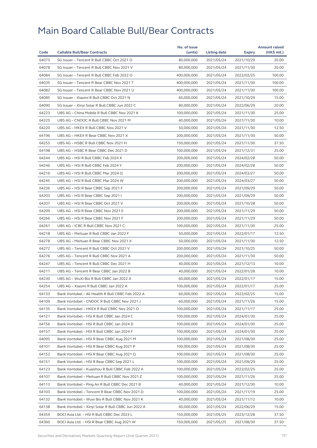| Code           | <b>Callable Bull/Bear Contracts</b>                                        | No. of issue<br>(units)    | <b>Listing date</b> | <b>Expiry</b> | <b>Amount raised</b><br>(HK\$ mil.) |
|----------------|----------------------------------------------------------------------------|----------------------------|---------------------|---------------|-------------------------------------|
| 64075          | SG Issuer - Tencent R Bull CBBC Oct 2021 O                                 | 80,000,000                 | 2021/05/24          | 2021/10/29    | 20.00                               |
| 64078          | SG Issuer - Tencent R Bull CBBC Nov 2021 V                                 | 80,000,000                 | 2021/05/24          | 2021/11/30    | 20.00                               |
| 64084          | SG Issuer - Tencent R Bull CBBC Feb 2022 O                                 | 400,000,000                | 2021/05/24          | 2022/02/25    | 100.00                              |
| 64035          | SG Issuer - Tencent R Bear CBBC Nov 2021 T                                 | 400,000,000                | 2021/05/24          | 2021/11/30    | 100.00                              |
| 64082          | SG Issuer - Tencent R Bear CBBC Nov 2021 U                                 | 400,000,000                | 2021/05/24          | 2021/11/30    | 100.00                              |
| 64085          | SG Issuer - Xiaomi R Bull CBBC Oct 2021 N                                  | 60,000,000                 | 2021/05/24          | 2021/10/29    | 15.00                               |
| 64090          | SG Issuer - Xinyi Solar R Bull CBBC Jun 2022 C                             | 80,000,000                 | 2021/05/24          | 2022/06/29    | 20.00                               |
| 64223          | UBS AG - China Mobile R Bull CBBC Nov 2021 K                               | 100,000,000                | 2021/05/24          | 2021/11/30    | 25.00                               |
| 64225          | UBS AG - CNOOC R Bull CBBC Nov 2021 M                                      | 40,000,000                 | 2021/05/24          | 2021/11/30    | 10.00                               |
| 64220          | UBS AG - HKEX R Bull CBBC Nov 2021 V                                       | 50,000,000                 | 2021/05/24          | 2021/11/30    | 12.50                               |
| 64196          | UBS AG - HKEX R Bear CBBC Nov 2021 X                                       | 200,000,000                | 2021/05/24          | 2021/11/30    | 50.00                               |
| 64255          | UBS AG - HSBC R Bull CBBC Nov 2021 H                                       | 150,000,000                | 2021/05/24          | 2021/11/30    | 37.50                               |
| 64198          | UBS AG - HSBC R Bear CBBC Dec 2021 D                                       | 100,000,000                | 2021/05/24          | 2021/12/31    | 25.00                               |
| 64244          | UBS AG - HSI R Bull CBBC Feb 2024 X                                        | 200,000,000                | 2021/05/24          | 2024/02/28    | 50.00                               |
| 64246          | UBS AG - HSI R Bull CBBC Feb 2024 Y                                        | 200,000,000                | 2021/05/24          | 2024/02/28    | 50.00                               |
| 64216          | UBS AG - HSI R Bull CBBC Mar 2024 Q                                        | 200,000,000                | 2021/05/24          | 2024/03/27    | 50.00                               |
| 64245          | UBS AG - HSI R Bull CBBC Mar 2024 W                                        |                            |                     |               | 50.00                               |
| 64236          | UBS AG - HSI R Bear CBBC Sep 2021 F                                        | 200,000,000<br>200,000,000 | 2021/05/24          | 2024/03/27    | 50.00                               |
|                |                                                                            |                            | 2021/05/24          | 2021/09/29    |                                     |
| 64203<br>64207 | UBS AG - HSI R Bear CBBC Sep 2021 I<br>UBS AG - HSI R Bear CBBC Oct 2021 V | 200,000,000                | 2021/05/24          | 2021/09/29    | 50.00<br>50.00                      |
|                |                                                                            | 200,000,000                | 2021/05/24          | 2021/10/28    |                                     |
| 64209          | UBS AG - HSI R Bear CBBC Nov 2021 E                                        | 200,000,000                | 2021/05/24          | 2021/11/29    | 50.00                               |
| 64266          | UBS AG - HSI R Bear CBBC Nov 2021 F                                        | 200,000,000                | 2021/05/24          | 2021/11/29    | 50.00<br>25.00                      |
| 64261          | UBS AG - ICBC R Bull CBBC Nov 2021 C                                       | 100,000,000                | 2021/05/24          | 2021/11/30    |                                     |
| 64218          | UBS AG - Meituan R Bull CBBC Jan 2022 F                                    | 50,000,000                 | 2021/05/24          | 2022/01/17    | 12.50                               |
| 64278          | UBS AG - Meituan R Bear CBBC Nov 2021 X                                    | 50,000,000                 | 2021/05/24          | 2021/11/30    | 12.50                               |
| 64272          | UBS AG - Tencent R Bull CBBC Oct 2021 V                                    | 200,000,000                | 2021/05/24          | 2021/10/25    | 50.00                               |
| 64276          | UBS AG - Tencent R Bull CBBC Nov 2021 A                                    | 200,000,000                | 2021/05/24          | 2021/11/30    | 50.00                               |
| 64247          | UBS AG - Tencent R Bull CBBC Dec 2021 H                                    | 40,000,000                 | 2021/05/24          | 2021/12/13    | 10.00                               |
| 64211          | UBS AG - Tencent R Bear CBBC Jan 2022 B                                    | 40,000,000                 | 2021/05/24          | 2022/01/28    | 10.00                               |
| 64230          | UBS AG - WuXi Bio R Bull CBBC Jan 2022 A                                   | 60,000,000                 | 2021/05/24          | 2022/01/17    | 15.00                               |
| 64254          | UBS AG - Xiaomi R Bull CBBC Jan 2022 A                                     | 100,000,000                | 2021/05/24          | 2022/01/17    | 25.00                               |
| 64133          | Bank Vontobel - Ali Health R Bull CBBC Feb 2022 A                          | 60,000,000                 | 2021/05/24          | 2022/02/25    | 15.00                               |
| 64109          | Bank Vontobel – CNOOC R Bull CBBC Nov 2021 J                               | 60,000,000                 | 2021/05/24          | 2021/11/26    | 15.00                               |
| 64135          | Bank Vontobel - HKEX R Bull CBBC Nov 2021 O                                | 100,000,000                | 2021/05/24          | 2021/11/17    | 25.00                               |
| 64121          | Bank Vontobel - HSI R Bull CBBC Jan 2024 C                                 | 100,000,000                | 2021/05/24          | 2024/01/30    | 25.00                               |
| 64156          | Bank Vontobel - HSI R Bull CBBC Jan 2024 D                                 | 100,000,000                | 2021/05/24          | 2024/01/30    | 25.00                               |
| 64157          | Bank Vontobel - HSI R Bull CBBC Jan 2024 F                                 | 100,000,000                | 2021/05/24          | 2024/01/30    | 25.00                               |
| 64095          | Bank Vontobel – HSI R Bear CBBC Aug 2021 M                                 | 100,000,000                | 2021/05/24          | 2021/08/30    | 25.00                               |
| 64101          | Bank Vontobel - HSI R Bear CBBC Aug 2021 P                                 | 100,000,000                | 2021/05/24          | 2021/08/30    | 25.00                               |
| 64152          | Bank Vontobel - HSI R Bear CBBC Aug 2021 Q                                 | 100,000,000                | 2021/05/24          | 2021/08/30    | 25.00                               |
| 64151          | Bank Vontobel - HSI R Bear CBBC Sep 2021 L                                 | 100,000,000                | 2021/05/24          | 2021/09/29    | 25.00                               |
| 64123          | Bank Vontobel - Kuaishou R Bull CBBC Feb 2022 A                            | 100,000,000                | 2021/05/24          | 2022/02/25    | 25.00                               |
| 64107          | Bank Vontobel - Meituan R Bull CBBC Nov 2021 Z                             | 100,000,000                | 2021/05/24          | 2021/11/26    | 25.00                               |
| 64113          | Bank Vontobel – Ping An R Bull CBBC Dec 2021 B                             | 40,000,000                 | 2021/05/24          | 2021/12/30    | 10.00                               |
| 64103          | Bank Vontobel - Tencent R Bear CBBC Nov 2021 D                             | 100,000,000                | 2021/05/24          | 2021/11/19    | 25.00                               |
| 64132          | Bank Vontobel - Wuxi Bio R Bull CBBC Nov 2021 K                            | 40,000,000                 | 2021/05/24          | 2021/11/12    | 10.00                               |
| 64138          | Bank Vontobel - Xinyi Solar R Bull CBBC Jun 2022 A                         | 60,000,000                 | 2021/05/24          | 2022/06/29    | 15.00                               |
| 64359          | BOCI Asia Ltd. - HSI R Bull CBBC Dec 2023 L                                | 150,000,000                | 2021/05/25          | 2023/12/28    | 37.50                               |
| 64360          | BOCI Asia Ltd. – HSI R Bear CBBC Aug 2021 W                                | 150,000,000                | 2021/05/25          | 2021/08/30    | 37.50                               |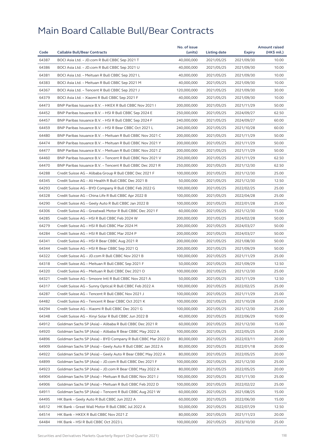|       |                                                              | No. of issue |              |               | <b>Amount raised</b> |
|-------|--------------------------------------------------------------|--------------|--------------|---------------|----------------------|
| Code  | <b>Callable Bull/Bear Contracts</b>                          | (units)      | Listing date | <b>Expiry</b> | (HK\$ mil.)          |
| 64387 | BOCI Asia Ltd. - JD.com R Bull CBBC Sep 2021 T               | 40,000,000   | 2021/05/25   | 2021/09/30    | 10.00                |
| 64386 | BOCI Asia Ltd. - JD.com R Bull CBBC Sep 2021 U               | 40,000,000   | 2021/05/25   | 2021/09/30    | 10.00                |
| 64381 | BOCI Asia Ltd. - Meituan R Bull CBBC Sep 2021 L              | 40,000,000   | 2021/05/25   | 2021/09/30    | 10.00                |
| 64383 | BOCI Asia Ltd. - Meituan R Bull CBBC Sep 2021 M              | 40,000,000   | 2021/05/25   | 2021/09/30    | 10.00                |
| 64367 | BOCI Asia Ltd. - Tencent R Bull CBBC Sep 2021 J              | 120,000,000  | 2021/05/25   | 2021/09/30    | 30.00                |
| 64379 | BOCI Asia Ltd. - Xiaomi R Bull CBBC Sep 2021 F               | 40,000,000   | 2021/05/25   | 2021/09/30    | 10.00                |
| 64473 | BNP Paribas Issuance B.V. - HKEX R Bull CBBC Nov 2021 I      | 200,000,000  | 2021/05/25   | 2021/11/29    | 50.00                |
| 64452 | BNP Paribas Issuance B.V. - HSI R Bull CBBC Sep 2024 E       | 250,000,000  | 2021/05/25   | 2024/09/27    | 62.50                |
| 64457 | BNP Paribas Issuance B.V. - HSI R Bull CBBC Sep 2024 F       | 240,000,000  | 2021/05/25   | 2024/09/27    | 60.00                |
| 64459 | BNP Paribas Issuance B.V. - HSI R Bear CBBC Oct 2021 L       | 240,000,000  | 2021/05/25   | 2021/10/28    | 60.00                |
| 64480 | BNP Paribas Issuance B.V. - Meituan R Bull CBBC Nov 2021 C   | 200,000,000  | 2021/05/25   | 2021/11/29    | 50.00                |
| 64474 | BNP Paribas Issuance B.V. - Meituan R Bull CBBC Nov 2021 Y   | 200,000,000  | 2021/05/25   | 2021/11/29    | 50.00                |
| 64477 | BNP Paribas Issuance B.V. - Meituan R Bull CBBC Nov 2021 Z   | 200,000,000  | 2021/05/25   | 2021/11/29    | 50.00                |
| 64460 | BNP Paribas Issuance B.V. - Tencent R Bull CBBC Nov 2021 V   | 250,000,000  | 2021/05/25   | 2021/11/29    | 62.50                |
| 64470 | BNP Paribas Issuance B.V. - Tencent R Bull CBBC Dec 2021 R   | 250,000,000  | 2021/05/25   | 2021/12/30    | 62.50                |
| 64288 | Credit Suisse AG - Alibaba Group R Bull CBBC Dec 2021 F      | 100,000,000  | 2021/05/25   | 2021/12/30    | 25.00                |
| 64345 | Credit Suisse AG - Ali Health R Bull CBBC Dec 2021 B         | 50,000,000   | 2021/05/25   | 2021/12/30    | 12.50                |
| 64293 | Credit Suisse AG - BYD Company R Bull CBBC Feb 2022 G        | 100,000,000  | 2021/05/25   | 2022/02/25    | 25.00                |
| 64328 | Credit Suisse AG - China Life R Bull CBBC Apr 2022 B         | 100,000,000  | 2021/05/25   | 2022/04/28    | 25.00                |
| 64290 | Credit Suisse AG - Geely Auto R Bull CBBC Jan 2022 B         | 100,000,000  | 2021/05/25   | 2022/01/28    | 25.00                |
| 64306 | Credit Suisse AG - Greatwall Motor R Bull CBBC Dec 2021 F    | 60,000,000   | 2021/05/25   | 2021/12/30    | 15.00                |
| 64285 | Credit Suisse AG - HSI R Bull CBBC Feb 2024 W                | 200,000,000  | 2021/05/25   | 2024/02/28    | 50.00                |
| 64279 | Credit Suisse AG - HSI R Bull CBBC Mar 2024 M                | 200,000,000  | 2021/05/25   | 2024/03/27    | 50.00                |
| 64284 | Credit Suisse AG - HSI R Bull CBBC Mar 2024 P                | 200,000,000  | 2021/05/25   | 2024/03/27    | 50.00                |
| 64341 | Credit Suisse AG - HSI R Bear CBBC Aug 2021 R                | 200,000,000  | 2021/05/25   | 2021/08/30    | 50.00                |
| 64344 | Credit Suisse AG - HSI R Bear CBBC Sep 2021 Q                | 200,000,000  | 2021/05/25   | 2021/09/29    | 50.00                |
| 64322 | Credit Suisse AG - JD.com R Bull CBBC Nov 2021 B             | 100,000,000  | 2021/05/25   | 2021/11/29    | 25.00                |
| 64318 | Credit Suisse AG - Meituan R Bull CBBC Sep 2021 F            | 50,000,000   | 2021/05/25   | 2021/09/29    | 12.50                |
| 64320 | Credit Suisse AG - Meituan R Bull CBBC Dec 2021 O            | 100,000,000  | 2021/05/25   | 2021/12/30    | 25.00                |
| 64321 | Credit Suisse AG - Smoore Intl R Bull CBBC Nov 2021 A        | 50,000,000   | 2021/05/25   | 2021/11/29    | 12.50                |
| 64317 | Credit Suisse AG - Sunny Optical R Bull CBBC Feb 2022 A      | 100,000,000  | 2021/05/25   | 2022/02/25    | 25.00                |
| 64287 | Credit Suisse AG - Tencent R Bull CBBC Nov 2021 J            | 100,000,000  | 2021/05/25   | 2021/11/29    | 25.00                |
| 64482 | Credit Suisse AG – Tencent R Bear CBBC Oct 2021 K            | 100,000,000  | 2021/05/25   | 2021/10/28    | 25.00                |
|       |                                                              |              |              |               |                      |
| 64294 | Credit Suisse AG - Xiaomi R Bull CBBC Dec 2021 G             | 100,000,000  | 2021/05/25   | 2021/12/30    | 25.00                |
| 64348 | Credit Suisse AG - Xinyi Solar R Bull CBBC Jun 2022 B        | 40,000,000   | 2021/05/25   | 2022/06/29    | 10.00                |
| 64912 | Goldman Sachs SP (Asia) - Alibaba R Bull CBBC Dec 2021 R     | 60,000,000   | 2021/05/25   | 2021/12/30    | 15.00                |
| 64920 | Goldman Sachs SP (Asia) - Alibaba R Bear CBBC May 2022 A     | 100,000,000  | 2021/05/25   | 2022/05/25    | 25.00                |
| 64896 | Goldman Sachs SP (Asia) - BYD Company R Bull CBBC Mar 2022 D | 80,000,000   | 2021/05/25   | 2022/03/11    | 20.00                |
| 64909 | Goldman Sachs SP (Asia) - Geely Auto R Bull CBBC Jan 2022 A  | 80,000,000   | 2021/05/25   | 2022/01/18    | 20.00                |
| 64922 | Goldman Sachs SP (Asia) - Geely Auto R Bear CBBC May 2022 A  | 80,000,000   | 2021/05/25   | 2022/05/25    | 20.00                |
| 64899 | Goldman Sachs SP (Asia) - JD.com R Bull CBBC Dec 2021 F      | 100,000,000  | 2021/05/25   | 2021/12/30    | 25.00                |
| 64923 | Goldman Sachs SP (Asia) - JD.com R Bear CBBC May 2022 A      | 80,000,000   | 2021/05/25   | 2022/05/25    | 20.00                |
| 64904 | Goldman Sachs SP (Asia) - Meituan R Bull CBBC Nov 2021 J     | 100,000,000  | 2021/05/25   | 2021/11/30    | 25.00                |
| 64906 | Goldman Sachs SP (Asia) – Meituan R Bull CBBC Feb 2022 D     | 100,000,000  | 2021/05/25   | 2022/02/22    | 25.00                |
| 64911 | Goldman Sachs SP (Asia) - Tencent R Bull CBBC Aug 2021 W     | 60,000,000   | 2021/05/25   | 2021/08/25    | 15.00                |
| 64495 | HK Bank - Geely Auto R Bull CBBC Jun 2022 A                  | 60,000,000   | 2021/05/25   | 2022/06/30    | 15.00                |
| 64512 | HK Bank - Great Wall Motor R Bull CBBC Jul 2022 A            | 50,000,000   | 2021/05/25   | 2022/07/29    | 12.50                |
| 64514 | HK Bank - HKEX R Bull CBBC Nov 2021 Z                        | 80,000,000   | 2021/05/25   | 2021/11/23    | 20.00                |
| 64484 | HK Bank – HSI R Bull CBBC Oct 2023 L                         | 100,000,000  | 2021/05/25   | 2023/10/30    | 25.00                |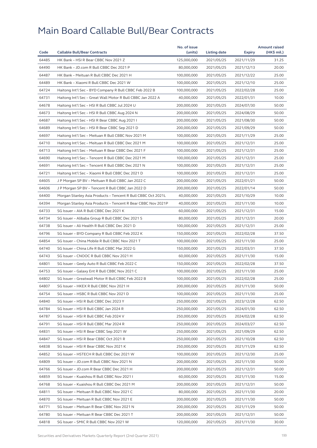| 64485<br>125,000,000<br>2021/11/29<br>31.25<br>HK Bank - HSI R Bear CBBC Nov 2021 Z<br>2021/05/25<br>64490<br>HK Bank - JD.com R Bull CBBC Dec 2021 P<br>80,000,000<br>2021/05/25<br>20.00<br>2021/12/13<br>64487<br>25.00<br>HK Bank - Meituan R Bull CBBC Dec 2021 H<br>100,000,000<br>2021/05/25<br>2021/12/22<br>64489<br>HK Bank - Xiaomi R Bull CBBC Dec 2021 W<br>100,000,000<br>25.00<br>2021/05/25<br>2021/12/10<br>64724<br>Haitong Int'l Sec - BYD Company R Bull CBBC Feb 2022 B<br>100,000,000<br>2021/05/25<br>25.00<br>2022/02/28<br>64731<br>Haitong Int'l Sec - Great Wall Motor R Bull CBBC Jan 2022 A<br>40,000,000<br>2021/05/25<br>2022/01/31<br>10.00<br>64678<br>Haitong Int'l Sec - HSI R Bull CBBC Jul 2024 U<br>200,000,000<br>2021/05/25<br>2024/07/30<br>50.00<br>64673<br>Haitong Int'l Sec - HSI R Bull CBBC Aug 2024 N<br>200,000,000<br>2024/08/29<br>50.00<br>2021/05/25<br>64687<br>Haitong Int'l Sec - HSI R Bear CBBC Aug 2021 I<br>200,000,000<br>50.00<br>2021/05/25<br>2021/08/30<br>64689<br>Haitong Int'l Sec - HSI R Bear CBBC Sep 2021 D<br>200,000,000<br>2021/05/25<br>50.00<br>2021/09/29<br>64697<br>Haitong Int'l Sec - Meituan R Bull CBBC Nov 2021 M<br>100,000,000<br>2021/05/25<br>25.00<br>2021/11/29<br>64710<br>Haitong Int'l Sec - Meituan R Bull CBBC Dec 2021 M<br>100,000,000<br>2021/05/25<br>2021/12/31<br>25.00<br>64713<br>25.00<br>Haitong Int'l Sec – Meituan R Bear CBBC Dec 2021 F<br>100,000,000<br>2021/05/25<br>2021/12/31<br>64690<br>Haitong Int'l Sec - Tencent R Bull CBBC Dec 2021 M<br>100,000,000<br>2021/05/25<br>2021/12/31<br>25.00<br>64691<br>100,000,000<br>25.00<br>Haitong Int'l Sec - Tencent R Bull CBBC Dec 2021 N<br>2021/05/25<br>2021/12/31<br>64721<br>Haitong Int'l Sec - Xiaomi R Bull CBBC Dec 2021 D<br>100,000,000<br>2021/05/25<br>2021/12/31<br>25.00<br>64605<br>50.00<br>J P Morgan SP BV - Meituan R Bull CBBC Jan 2022 C<br>200,000,000<br>2021/05/25<br>2022/01/21<br>64606<br>J P Morgan SP BV - Tencent R Bull CBBC Jan 2022 D<br>200,000,000<br>50.00<br>2021/05/25<br>2022/01/14<br>64400<br>Morgan Stanley Asia Products - Tencent R Bull CBBC Oct 2021L<br>40,000,000<br>2021/10/29<br>10.00<br>2021/05/25<br>64394<br>40,000,000<br>2021/11/30<br>10.00<br>Morgan Stanley Asia Products - Tencent R Bear CBBC Nov 2021P<br>2021/05/25<br>64733<br>SG Issuer - AIA R Bull CBBC Dec 2021 K<br>60,000,000<br>2021/05/25<br>15.00<br>2021/12/31<br>64734<br>SG Issuer - Alibaba Group R Bull CBBC Dec 2021 S<br>80,000,000<br>2021/05/25<br>20.00<br>2021/12/31<br>64738<br>SG Issuer - Ali Health R Bull CBBC Dec 2021 D<br>100,000,000<br>2021/05/25<br>2021/12/31<br>25.00<br>64796<br>37.50<br>SG Issuer – BYD Company R Bull CBBC Feb 2022 K<br>150,000,000<br>2021/05/25<br>2022/02/28<br>64854<br>SG Issuer - China Mobile R Bull CBBC Nov 2021 T<br>100,000,000<br>2021/05/25<br>2021/11/30<br>25.00<br>64740<br>SG Issuer - China Life R Bull CBBC Mar 2022 G<br>150,000,000<br>37.50<br>2021/05/25<br>2022/03/31<br>64743<br>SG Issuer - CNOOC R Bull CBBC Nov 2021 H<br>60,000,000<br>2021/05/25<br>2021/11/30<br>15.00<br>64801<br>SG Issuer - Geely Auto R Bull CBBC Feb 2022 C<br>150,000,000<br>2021/05/25<br>37.50<br>2022/02/28<br>64753<br>SG Issuer - Galaxy Ent R Bull CBBC Nov 2021 C<br>100,000,000<br>25.00<br>2021/05/25<br>2021/11/30<br>25.00<br>64802<br>SG Issuer - Greatwall Motor R Bull CBBC Feb 2022 B<br>100,000,000<br>2021/05/25<br>2022/02/28<br>64807<br>SG Issuer - HKEX R Bull CBBC Nov 2021 H<br>200,000,000<br>2021/05/25<br>2021/11/30<br>50.00<br>SG Issuer - HSBC R Bull CBBC Nov 2021 D<br>100,000,000<br>64754<br>2021/05/25<br>2021/11/30<br>25.00<br>64840<br>62.50<br>250,000,000<br>2021/05/25<br>2023/12/28<br>SG Issuer – HSI R Bull CBBC Dec 2023 Y<br>64784<br>SG Issuer - HSI R Bull CBBC Jan 2024 R<br>250,000,000<br>2021/05/25<br>2024/01/30<br>62.50<br>64787<br>SG Issuer - HSI R Bull CBBC Feb 2024 V<br>250,000,000<br>2021/05/25<br>62.50<br>2024/02/28<br>64791<br>SG Issuer - HSI R Bull CBBC Mar 2024 R<br>250,000,000<br>2021/05/25<br>2024/03/27<br>62.50<br>62.50<br>64831<br>SG Issuer - HSI R Bear CBBC Sep 2021 W<br>250,000,000<br>2021/05/25<br>2021/09/29<br>64847<br>SG Issuer - HSI R Bear CBBC Oct 2021 R<br>250,000,000<br>2021/05/25<br>2021/10/28<br>62.50<br>64838<br>SG Issuer - HSI R Bear CBBC Nov 2021 K<br>250,000,000<br>2021/05/25<br>2021/11/29<br>62.50<br>64852<br>SG Issuer - HSTECH R Bull CBBC Dec 2021 W<br>100,000,000<br>2021/05/25<br>25.00<br>2021/12/30<br>200,000,000<br>64809<br>SG Issuer - JD.com R Bull CBBC Nov 2021 N<br>2021/05/25<br>2021/11/30<br>50.00<br>64766<br>SG Issuer - JD.com R Bear CBBC Dec 2021 H<br>200,000,000<br>2021/05/25<br>2021/12/31<br>50.00<br>64859<br>SG Issuer - Kuaishou R Bull CBBC Nov 2021 I<br>60,000,000<br>2021/05/25<br>2021/11/30<br>15.00<br>64768<br>SG Issuer - Kuaishou R Bull CBBC Dec 2021 M<br>200,000,000<br>2021/05/25<br>2021/12/31<br>50.00<br>64811<br>SG Issuer - Meituan R Bull CBBC Nov 2021 C<br>80,000,000<br>2021/05/25<br>2021/11/30<br>20.00<br>64870<br>SG Issuer - Meituan R Bull CBBC Nov 2021 E<br>200,000,000<br>2021/05/25<br>2021/11/30<br>50.00<br>64771<br>SG Issuer - Meituan R Bear CBBC Nov 2021 N<br>200,000,000<br>2021/05/25<br>2021/11/29<br>50.00<br>50.00<br>64780<br>SG Issuer - Meituan R Bear CBBC Dec 2021 T<br>200,000,000<br>2021/05/25<br>2021/12/31<br>64818<br>SG Issuer - SMIC R Bull CBBC Nov 2021 W<br>120,000,000<br>2021/05/25<br>2021/11/30<br>30.00 |      |                                     | No. of issue |              |        | <b>Amount raised</b> |
|-----------------------------------------------------------------------------------------------------------------------------------------------------------------------------------------------------------------------------------------------------------------------------------------------------------------------------------------------------------------------------------------------------------------------------------------------------------------------------------------------------------------------------------------------------------------------------------------------------------------------------------------------------------------------------------------------------------------------------------------------------------------------------------------------------------------------------------------------------------------------------------------------------------------------------------------------------------------------------------------------------------------------------------------------------------------------------------------------------------------------------------------------------------------------------------------------------------------------------------------------------------------------------------------------------------------------------------------------------------------------------------------------------------------------------------------------------------------------------------------------------------------------------------------------------------------------------------------------------------------------------------------------------------------------------------------------------------------------------------------------------------------------------------------------------------------------------------------------------------------------------------------------------------------------------------------------------------------------------------------------------------------------------------------------------------------------------------------------------------------------------------------------------------------------------------------------------------------------------------------------------------------------------------------------------------------------------------------------------------------------------------------------------------------------------------------------------------------------------------------------------------------------------------------------------------------------------------------------------------------------------------------------------------------------------------------------------------------------------------------------------------------------------------------------------------------------------------------------------------------------------------------------------------------------------------------------------------------------------------------------------------------------------------------------------------------------------------------------------------------------------------------------------------------------------------------------------------------------------------------------------------------------------------------------------------------------------------------------------------------------------------------------------------------------------------------------------------------------------------------------------------------------------------------------------------------------------------------------------------------------------------------------------------------------------------------------------------------------------------------------------------------------------------------------------------------------------------------------------------------------------------------------------------------------------------------------------------------------------------------------------------------------------------------------------------------------------------------------------------------------------------------------------------------------------------------------------------------------------------------------------------------------------------------------------------------------------------------------------------------------------------------------------------------------------------------------------------------------------------------------------------------------------------------------------------------------------------------------------------------------------------------------------------------------------------------------------------------------------------------------------------------------------------------------------------------------------------------------------------------------------------------------------------------------------------------------------------------------------------------------------------------------------------------------------------------------------------------------------------------------------------------------------------------------------------------------------------------------------------------------------------------------------------------------------------------------------------------------------------------------------------------------------------------------------------------------------------------------------------------------------------------------------------------------------------------------|------|-------------------------------------|--------------|--------------|--------|----------------------|
|                                                                                                                                                                                                                                                                                                                                                                                                                                                                                                                                                                                                                                                                                                                                                                                                                                                                                                                                                                                                                                                                                                                                                                                                                                                                                                                                                                                                                                                                                                                                                                                                                                                                                                                                                                                                                                                                                                                                                                                                                                                                                                                                                                                                                                                                                                                                                                                                                                                                                                                                                                                                                                                                                                                                                                                                                                                                                                                                                                                                                                                                                                                                                                                                                                                                                                                                                                                                                                                                                                                                                                                                                                                                                                                                                                                                                                                                                                                                                                                                                                                                                                                                                                                                                                                                                                                                                                                                                                                                                                                                                                                                                                                                                                                                                                                                                                                                                                                                                                                                                                                                                                                                                                                                                                                                                                                                                                                                                                                                                                                                                                       | Code | <b>Callable Bull/Bear Contracts</b> | (units)      | Listing date | Expiry | (HK\$ mil.)          |
|                                                                                                                                                                                                                                                                                                                                                                                                                                                                                                                                                                                                                                                                                                                                                                                                                                                                                                                                                                                                                                                                                                                                                                                                                                                                                                                                                                                                                                                                                                                                                                                                                                                                                                                                                                                                                                                                                                                                                                                                                                                                                                                                                                                                                                                                                                                                                                                                                                                                                                                                                                                                                                                                                                                                                                                                                                                                                                                                                                                                                                                                                                                                                                                                                                                                                                                                                                                                                                                                                                                                                                                                                                                                                                                                                                                                                                                                                                                                                                                                                                                                                                                                                                                                                                                                                                                                                                                                                                                                                                                                                                                                                                                                                                                                                                                                                                                                                                                                                                                                                                                                                                                                                                                                                                                                                                                                                                                                                                                                                                                                                                       |      |                                     |              |              |        |                      |
|                                                                                                                                                                                                                                                                                                                                                                                                                                                                                                                                                                                                                                                                                                                                                                                                                                                                                                                                                                                                                                                                                                                                                                                                                                                                                                                                                                                                                                                                                                                                                                                                                                                                                                                                                                                                                                                                                                                                                                                                                                                                                                                                                                                                                                                                                                                                                                                                                                                                                                                                                                                                                                                                                                                                                                                                                                                                                                                                                                                                                                                                                                                                                                                                                                                                                                                                                                                                                                                                                                                                                                                                                                                                                                                                                                                                                                                                                                                                                                                                                                                                                                                                                                                                                                                                                                                                                                                                                                                                                                                                                                                                                                                                                                                                                                                                                                                                                                                                                                                                                                                                                                                                                                                                                                                                                                                                                                                                                                                                                                                                                                       |      |                                     |              |              |        |                      |
|                                                                                                                                                                                                                                                                                                                                                                                                                                                                                                                                                                                                                                                                                                                                                                                                                                                                                                                                                                                                                                                                                                                                                                                                                                                                                                                                                                                                                                                                                                                                                                                                                                                                                                                                                                                                                                                                                                                                                                                                                                                                                                                                                                                                                                                                                                                                                                                                                                                                                                                                                                                                                                                                                                                                                                                                                                                                                                                                                                                                                                                                                                                                                                                                                                                                                                                                                                                                                                                                                                                                                                                                                                                                                                                                                                                                                                                                                                                                                                                                                                                                                                                                                                                                                                                                                                                                                                                                                                                                                                                                                                                                                                                                                                                                                                                                                                                                                                                                                                                                                                                                                                                                                                                                                                                                                                                                                                                                                                                                                                                                                                       |      |                                     |              |              |        |                      |
|                                                                                                                                                                                                                                                                                                                                                                                                                                                                                                                                                                                                                                                                                                                                                                                                                                                                                                                                                                                                                                                                                                                                                                                                                                                                                                                                                                                                                                                                                                                                                                                                                                                                                                                                                                                                                                                                                                                                                                                                                                                                                                                                                                                                                                                                                                                                                                                                                                                                                                                                                                                                                                                                                                                                                                                                                                                                                                                                                                                                                                                                                                                                                                                                                                                                                                                                                                                                                                                                                                                                                                                                                                                                                                                                                                                                                                                                                                                                                                                                                                                                                                                                                                                                                                                                                                                                                                                                                                                                                                                                                                                                                                                                                                                                                                                                                                                                                                                                                                                                                                                                                                                                                                                                                                                                                                                                                                                                                                                                                                                                                                       |      |                                     |              |              |        |                      |
|                                                                                                                                                                                                                                                                                                                                                                                                                                                                                                                                                                                                                                                                                                                                                                                                                                                                                                                                                                                                                                                                                                                                                                                                                                                                                                                                                                                                                                                                                                                                                                                                                                                                                                                                                                                                                                                                                                                                                                                                                                                                                                                                                                                                                                                                                                                                                                                                                                                                                                                                                                                                                                                                                                                                                                                                                                                                                                                                                                                                                                                                                                                                                                                                                                                                                                                                                                                                                                                                                                                                                                                                                                                                                                                                                                                                                                                                                                                                                                                                                                                                                                                                                                                                                                                                                                                                                                                                                                                                                                                                                                                                                                                                                                                                                                                                                                                                                                                                                                                                                                                                                                                                                                                                                                                                                                                                                                                                                                                                                                                                                                       |      |                                     |              |              |        |                      |
|                                                                                                                                                                                                                                                                                                                                                                                                                                                                                                                                                                                                                                                                                                                                                                                                                                                                                                                                                                                                                                                                                                                                                                                                                                                                                                                                                                                                                                                                                                                                                                                                                                                                                                                                                                                                                                                                                                                                                                                                                                                                                                                                                                                                                                                                                                                                                                                                                                                                                                                                                                                                                                                                                                                                                                                                                                                                                                                                                                                                                                                                                                                                                                                                                                                                                                                                                                                                                                                                                                                                                                                                                                                                                                                                                                                                                                                                                                                                                                                                                                                                                                                                                                                                                                                                                                                                                                                                                                                                                                                                                                                                                                                                                                                                                                                                                                                                                                                                                                                                                                                                                                                                                                                                                                                                                                                                                                                                                                                                                                                                                                       |      |                                     |              |              |        |                      |
|                                                                                                                                                                                                                                                                                                                                                                                                                                                                                                                                                                                                                                                                                                                                                                                                                                                                                                                                                                                                                                                                                                                                                                                                                                                                                                                                                                                                                                                                                                                                                                                                                                                                                                                                                                                                                                                                                                                                                                                                                                                                                                                                                                                                                                                                                                                                                                                                                                                                                                                                                                                                                                                                                                                                                                                                                                                                                                                                                                                                                                                                                                                                                                                                                                                                                                                                                                                                                                                                                                                                                                                                                                                                                                                                                                                                                                                                                                                                                                                                                                                                                                                                                                                                                                                                                                                                                                                                                                                                                                                                                                                                                                                                                                                                                                                                                                                                                                                                                                                                                                                                                                                                                                                                                                                                                                                                                                                                                                                                                                                                                                       |      |                                     |              |              |        |                      |
|                                                                                                                                                                                                                                                                                                                                                                                                                                                                                                                                                                                                                                                                                                                                                                                                                                                                                                                                                                                                                                                                                                                                                                                                                                                                                                                                                                                                                                                                                                                                                                                                                                                                                                                                                                                                                                                                                                                                                                                                                                                                                                                                                                                                                                                                                                                                                                                                                                                                                                                                                                                                                                                                                                                                                                                                                                                                                                                                                                                                                                                                                                                                                                                                                                                                                                                                                                                                                                                                                                                                                                                                                                                                                                                                                                                                                                                                                                                                                                                                                                                                                                                                                                                                                                                                                                                                                                                                                                                                                                                                                                                                                                                                                                                                                                                                                                                                                                                                                                                                                                                                                                                                                                                                                                                                                                                                                                                                                                                                                                                                                                       |      |                                     |              |              |        |                      |
|                                                                                                                                                                                                                                                                                                                                                                                                                                                                                                                                                                                                                                                                                                                                                                                                                                                                                                                                                                                                                                                                                                                                                                                                                                                                                                                                                                                                                                                                                                                                                                                                                                                                                                                                                                                                                                                                                                                                                                                                                                                                                                                                                                                                                                                                                                                                                                                                                                                                                                                                                                                                                                                                                                                                                                                                                                                                                                                                                                                                                                                                                                                                                                                                                                                                                                                                                                                                                                                                                                                                                                                                                                                                                                                                                                                                                                                                                                                                                                                                                                                                                                                                                                                                                                                                                                                                                                                                                                                                                                                                                                                                                                                                                                                                                                                                                                                                                                                                                                                                                                                                                                                                                                                                                                                                                                                                                                                                                                                                                                                                                                       |      |                                     |              |              |        |                      |
|                                                                                                                                                                                                                                                                                                                                                                                                                                                                                                                                                                                                                                                                                                                                                                                                                                                                                                                                                                                                                                                                                                                                                                                                                                                                                                                                                                                                                                                                                                                                                                                                                                                                                                                                                                                                                                                                                                                                                                                                                                                                                                                                                                                                                                                                                                                                                                                                                                                                                                                                                                                                                                                                                                                                                                                                                                                                                                                                                                                                                                                                                                                                                                                                                                                                                                                                                                                                                                                                                                                                                                                                                                                                                                                                                                                                                                                                                                                                                                                                                                                                                                                                                                                                                                                                                                                                                                                                                                                                                                                                                                                                                                                                                                                                                                                                                                                                                                                                                                                                                                                                                                                                                                                                                                                                                                                                                                                                                                                                                                                                                                       |      |                                     |              |              |        |                      |
|                                                                                                                                                                                                                                                                                                                                                                                                                                                                                                                                                                                                                                                                                                                                                                                                                                                                                                                                                                                                                                                                                                                                                                                                                                                                                                                                                                                                                                                                                                                                                                                                                                                                                                                                                                                                                                                                                                                                                                                                                                                                                                                                                                                                                                                                                                                                                                                                                                                                                                                                                                                                                                                                                                                                                                                                                                                                                                                                                                                                                                                                                                                                                                                                                                                                                                                                                                                                                                                                                                                                                                                                                                                                                                                                                                                                                                                                                                                                                                                                                                                                                                                                                                                                                                                                                                                                                                                                                                                                                                                                                                                                                                                                                                                                                                                                                                                                                                                                                                                                                                                                                                                                                                                                                                                                                                                                                                                                                                                                                                                                                                       |      |                                     |              |              |        |                      |
|                                                                                                                                                                                                                                                                                                                                                                                                                                                                                                                                                                                                                                                                                                                                                                                                                                                                                                                                                                                                                                                                                                                                                                                                                                                                                                                                                                                                                                                                                                                                                                                                                                                                                                                                                                                                                                                                                                                                                                                                                                                                                                                                                                                                                                                                                                                                                                                                                                                                                                                                                                                                                                                                                                                                                                                                                                                                                                                                                                                                                                                                                                                                                                                                                                                                                                                                                                                                                                                                                                                                                                                                                                                                                                                                                                                                                                                                                                                                                                                                                                                                                                                                                                                                                                                                                                                                                                                                                                                                                                                                                                                                                                                                                                                                                                                                                                                                                                                                                                                                                                                                                                                                                                                                                                                                                                                                                                                                                                                                                                                                                                       |      |                                     |              |              |        |                      |
|                                                                                                                                                                                                                                                                                                                                                                                                                                                                                                                                                                                                                                                                                                                                                                                                                                                                                                                                                                                                                                                                                                                                                                                                                                                                                                                                                                                                                                                                                                                                                                                                                                                                                                                                                                                                                                                                                                                                                                                                                                                                                                                                                                                                                                                                                                                                                                                                                                                                                                                                                                                                                                                                                                                                                                                                                                                                                                                                                                                                                                                                                                                                                                                                                                                                                                                                                                                                                                                                                                                                                                                                                                                                                                                                                                                                                                                                                                                                                                                                                                                                                                                                                                                                                                                                                                                                                                                                                                                                                                                                                                                                                                                                                                                                                                                                                                                                                                                                                                                                                                                                                                                                                                                                                                                                                                                                                                                                                                                                                                                                                                       |      |                                     |              |              |        |                      |
|                                                                                                                                                                                                                                                                                                                                                                                                                                                                                                                                                                                                                                                                                                                                                                                                                                                                                                                                                                                                                                                                                                                                                                                                                                                                                                                                                                                                                                                                                                                                                                                                                                                                                                                                                                                                                                                                                                                                                                                                                                                                                                                                                                                                                                                                                                                                                                                                                                                                                                                                                                                                                                                                                                                                                                                                                                                                                                                                                                                                                                                                                                                                                                                                                                                                                                                                                                                                                                                                                                                                                                                                                                                                                                                                                                                                                                                                                                                                                                                                                                                                                                                                                                                                                                                                                                                                                                                                                                                                                                                                                                                                                                                                                                                                                                                                                                                                                                                                                                                                                                                                                                                                                                                                                                                                                                                                                                                                                                                                                                                                                                       |      |                                     |              |              |        |                      |
|                                                                                                                                                                                                                                                                                                                                                                                                                                                                                                                                                                                                                                                                                                                                                                                                                                                                                                                                                                                                                                                                                                                                                                                                                                                                                                                                                                                                                                                                                                                                                                                                                                                                                                                                                                                                                                                                                                                                                                                                                                                                                                                                                                                                                                                                                                                                                                                                                                                                                                                                                                                                                                                                                                                                                                                                                                                                                                                                                                                                                                                                                                                                                                                                                                                                                                                                                                                                                                                                                                                                                                                                                                                                                                                                                                                                                                                                                                                                                                                                                                                                                                                                                                                                                                                                                                                                                                                                                                                                                                                                                                                                                                                                                                                                                                                                                                                                                                                                                                                                                                                                                                                                                                                                                                                                                                                                                                                                                                                                                                                                                                       |      |                                     |              |              |        |                      |
|                                                                                                                                                                                                                                                                                                                                                                                                                                                                                                                                                                                                                                                                                                                                                                                                                                                                                                                                                                                                                                                                                                                                                                                                                                                                                                                                                                                                                                                                                                                                                                                                                                                                                                                                                                                                                                                                                                                                                                                                                                                                                                                                                                                                                                                                                                                                                                                                                                                                                                                                                                                                                                                                                                                                                                                                                                                                                                                                                                                                                                                                                                                                                                                                                                                                                                                                                                                                                                                                                                                                                                                                                                                                                                                                                                                                                                                                                                                                                                                                                                                                                                                                                                                                                                                                                                                                                                                                                                                                                                                                                                                                                                                                                                                                                                                                                                                                                                                                                                                                                                                                                                                                                                                                                                                                                                                                                                                                                                                                                                                                                                       |      |                                     |              |              |        |                      |
|                                                                                                                                                                                                                                                                                                                                                                                                                                                                                                                                                                                                                                                                                                                                                                                                                                                                                                                                                                                                                                                                                                                                                                                                                                                                                                                                                                                                                                                                                                                                                                                                                                                                                                                                                                                                                                                                                                                                                                                                                                                                                                                                                                                                                                                                                                                                                                                                                                                                                                                                                                                                                                                                                                                                                                                                                                                                                                                                                                                                                                                                                                                                                                                                                                                                                                                                                                                                                                                                                                                                                                                                                                                                                                                                                                                                                                                                                                                                                                                                                                                                                                                                                                                                                                                                                                                                                                                                                                                                                                                                                                                                                                                                                                                                                                                                                                                                                                                                                                                                                                                                                                                                                                                                                                                                                                                                                                                                                                                                                                                                                                       |      |                                     |              |              |        |                      |
|                                                                                                                                                                                                                                                                                                                                                                                                                                                                                                                                                                                                                                                                                                                                                                                                                                                                                                                                                                                                                                                                                                                                                                                                                                                                                                                                                                                                                                                                                                                                                                                                                                                                                                                                                                                                                                                                                                                                                                                                                                                                                                                                                                                                                                                                                                                                                                                                                                                                                                                                                                                                                                                                                                                                                                                                                                                                                                                                                                                                                                                                                                                                                                                                                                                                                                                                                                                                                                                                                                                                                                                                                                                                                                                                                                                                                                                                                                                                                                                                                                                                                                                                                                                                                                                                                                                                                                                                                                                                                                                                                                                                                                                                                                                                                                                                                                                                                                                                                                                                                                                                                                                                                                                                                                                                                                                                                                                                                                                                                                                                                                       |      |                                     |              |              |        |                      |
|                                                                                                                                                                                                                                                                                                                                                                                                                                                                                                                                                                                                                                                                                                                                                                                                                                                                                                                                                                                                                                                                                                                                                                                                                                                                                                                                                                                                                                                                                                                                                                                                                                                                                                                                                                                                                                                                                                                                                                                                                                                                                                                                                                                                                                                                                                                                                                                                                                                                                                                                                                                                                                                                                                                                                                                                                                                                                                                                                                                                                                                                                                                                                                                                                                                                                                                                                                                                                                                                                                                                                                                                                                                                                                                                                                                                                                                                                                                                                                                                                                                                                                                                                                                                                                                                                                                                                                                                                                                                                                                                                                                                                                                                                                                                                                                                                                                                                                                                                                                                                                                                                                                                                                                                                                                                                                                                                                                                                                                                                                                                                                       |      |                                     |              |              |        |                      |
|                                                                                                                                                                                                                                                                                                                                                                                                                                                                                                                                                                                                                                                                                                                                                                                                                                                                                                                                                                                                                                                                                                                                                                                                                                                                                                                                                                                                                                                                                                                                                                                                                                                                                                                                                                                                                                                                                                                                                                                                                                                                                                                                                                                                                                                                                                                                                                                                                                                                                                                                                                                                                                                                                                                                                                                                                                                                                                                                                                                                                                                                                                                                                                                                                                                                                                                                                                                                                                                                                                                                                                                                                                                                                                                                                                                                                                                                                                                                                                                                                                                                                                                                                                                                                                                                                                                                                                                                                                                                                                                                                                                                                                                                                                                                                                                                                                                                                                                                                                                                                                                                                                                                                                                                                                                                                                                                                                                                                                                                                                                                                                       |      |                                     |              |              |        |                      |
|                                                                                                                                                                                                                                                                                                                                                                                                                                                                                                                                                                                                                                                                                                                                                                                                                                                                                                                                                                                                                                                                                                                                                                                                                                                                                                                                                                                                                                                                                                                                                                                                                                                                                                                                                                                                                                                                                                                                                                                                                                                                                                                                                                                                                                                                                                                                                                                                                                                                                                                                                                                                                                                                                                                                                                                                                                                                                                                                                                                                                                                                                                                                                                                                                                                                                                                                                                                                                                                                                                                                                                                                                                                                                                                                                                                                                                                                                                                                                                                                                                                                                                                                                                                                                                                                                                                                                                                                                                                                                                                                                                                                                                                                                                                                                                                                                                                                                                                                                                                                                                                                                                                                                                                                                                                                                                                                                                                                                                                                                                                                                                       |      |                                     |              |              |        |                      |
|                                                                                                                                                                                                                                                                                                                                                                                                                                                                                                                                                                                                                                                                                                                                                                                                                                                                                                                                                                                                                                                                                                                                                                                                                                                                                                                                                                                                                                                                                                                                                                                                                                                                                                                                                                                                                                                                                                                                                                                                                                                                                                                                                                                                                                                                                                                                                                                                                                                                                                                                                                                                                                                                                                                                                                                                                                                                                                                                                                                                                                                                                                                                                                                                                                                                                                                                                                                                                                                                                                                                                                                                                                                                                                                                                                                                                                                                                                                                                                                                                                                                                                                                                                                                                                                                                                                                                                                                                                                                                                                                                                                                                                                                                                                                                                                                                                                                                                                                                                                                                                                                                                                                                                                                                                                                                                                                                                                                                                                                                                                                                                       |      |                                     |              |              |        |                      |
|                                                                                                                                                                                                                                                                                                                                                                                                                                                                                                                                                                                                                                                                                                                                                                                                                                                                                                                                                                                                                                                                                                                                                                                                                                                                                                                                                                                                                                                                                                                                                                                                                                                                                                                                                                                                                                                                                                                                                                                                                                                                                                                                                                                                                                                                                                                                                                                                                                                                                                                                                                                                                                                                                                                                                                                                                                                                                                                                                                                                                                                                                                                                                                                                                                                                                                                                                                                                                                                                                                                                                                                                                                                                                                                                                                                                                                                                                                                                                                                                                                                                                                                                                                                                                                                                                                                                                                                                                                                                                                                                                                                                                                                                                                                                                                                                                                                                                                                                                                                                                                                                                                                                                                                                                                                                                                                                                                                                                                                                                                                                                                       |      |                                     |              |              |        |                      |
|                                                                                                                                                                                                                                                                                                                                                                                                                                                                                                                                                                                                                                                                                                                                                                                                                                                                                                                                                                                                                                                                                                                                                                                                                                                                                                                                                                                                                                                                                                                                                                                                                                                                                                                                                                                                                                                                                                                                                                                                                                                                                                                                                                                                                                                                                                                                                                                                                                                                                                                                                                                                                                                                                                                                                                                                                                                                                                                                                                                                                                                                                                                                                                                                                                                                                                                                                                                                                                                                                                                                                                                                                                                                                                                                                                                                                                                                                                                                                                                                                                                                                                                                                                                                                                                                                                                                                                                                                                                                                                                                                                                                                                                                                                                                                                                                                                                                                                                                                                                                                                                                                                                                                                                                                                                                                                                                                                                                                                                                                                                                                                       |      |                                     |              |              |        |                      |
|                                                                                                                                                                                                                                                                                                                                                                                                                                                                                                                                                                                                                                                                                                                                                                                                                                                                                                                                                                                                                                                                                                                                                                                                                                                                                                                                                                                                                                                                                                                                                                                                                                                                                                                                                                                                                                                                                                                                                                                                                                                                                                                                                                                                                                                                                                                                                                                                                                                                                                                                                                                                                                                                                                                                                                                                                                                                                                                                                                                                                                                                                                                                                                                                                                                                                                                                                                                                                                                                                                                                                                                                                                                                                                                                                                                                                                                                                                                                                                                                                                                                                                                                                                                                                                                                                                                                                                                                                                                                                                                                                                                                                                                                                                                                                                                                                                                                                                                                                                                                                                                                                                                                                                                                                                                                                                                                                                                                                                                                                                                                                                       |      |                                     |              |              |        |                      |
|                                                                                                                                                                                                                                                                                                                                                                                                                                                                                                                                                                                                                                                                                                                                                                                                                                                                                                                                                                                                                                                                                                                                                                                                                                                                                                                                                                                                                                                                                                                                                                                                                                                                                                                                                                                                                                                                                                                                                                                                                                                                                                                                                                                                                                                                                                                                                                                                                                                                                                                                                                                                                                                                                                                                                                                                                                                                                                                                                                                                                                                                                                                                                                                                                                                                                                                                                                                                                                                                                                                                                                                                                                                                                                                                                                                                                                                                                                                                                                                                                                                                                                                                                                                                                                                                                                                                                                                                                                                                                                                                                                                                                                                                                                                                                                                                                                                                                                                                                                                                                                                                                                                                                                                                                                                                                                                                                                                                                                                                                                                                                                       |      |                                     |              |              |        |                      |
|                                                                                                                                                                                                                                                                                                                                                                                                                                                                                                                                                                                                                                                                                                                                                                                                                                                                                                                                                                                                                                                                                                                                                                                                                                                                                                                                                                                                                                                                                                                                                                                                                                                                                                                                                                                                                                                                                                                                                                                                                                                                                                                                                                                                                                                                                                                                                                                                                                                                                                                                                                                                                                                                                                                                                                                                                                                                                                                                                                                                                                                                                                                                                                                                                                                                                                                                                                                                                                                                                                                                                                                                                                                                                                                                                                                                                                                                                                                                                                                                                                                                                                                                                                                                                                                                                                                                                                                                                                                                                                                                                                                                                                                                                                                                                                                                                                                                                                                                                                                                                                                                                                                                                                                                                                                                                                                                                                                                                                                                                                                                                                       |      |                                     |              |              |        |                      |
|                                                                                                                                                                                                                                                                                                                                                                                                                                                                                                                                                                                                                                                                                                                                                                                                                                                                                                                                                                                                                                                                                                                                                                                                                                                                                                                                                                                                                                                                                                                                                                                                                                                                                                                                                                                                                                                                                                                                                                                                                                                                                                                                                                                                                                                                                                                                                                                                                                                                                                                                                                                                                                                                                                                                                                                                                                                                                                                                                                                                                                                                                                                                                                                                                                                                                                                                                                                                                                                                                                                                                                                                                                                                                                                                                                                                                                                                                                                                                                                                                                                                                                                                                                                                                                                                                                                                                                                                                                                                                                                                                                                                                                                                                                                                                                                                                                                                                                                                                                                                                                                                                                                                                                                                                                                                                                                                                                                                                                                                                                                                                                       |      |                                     |              |              |        |                      |
|                                                                                                                                                                                                                                                                                                                                                                                                                                                                                                                                                                                                                                                                                                                                                                                                                                                                                                                                                                                                                                                                                                                                                                                                                                                                                                                                                                                                                                                                                                                                                                                                                                                                                                                                                                                                                                                                                                                                                                                                                                                                                                                                                                                                                                                                                                                                                                                                                                                                                                                                                                                                                                                                                                                                                                                                                                                                                                                                                                                                                                                                                                                                                                                                                                                                                                                                                                                                                                                                                                                                                                                                                                                                                                                                                                                                                                                                                                                                                                                                                                                                                                                                                                                                                                                                                                                                                                                                                                                                                                                                                                                                                                                                                                                                                                                                                                                                                                                                                                                                                                                                                                                                                                                                                                                                                                                                                                                                                                                                                                                                                                       |      |                                     |              |              |        |                      |
|                                                                                                                                                                                                                                                                                                                                                                                                                                                                                                                                                                                                                                                                                                                                                                                                                                                                                                                                                                                                                                                                                                                                                                                                                                                                                                                                                                                                                                                                                                                                                                                                                                                                                                                                                                                                                                                                                                                                                                                                                                                                                                                                                                                                                                                                                                                                                                                                                                                                                                                                                                                                                                                                                                                                                                                                                                                                                                                                                                                                                                                                                                                                                                                                                                                                                                                                                                                                                                                                                                                                                                                                                                                                                                                                                                                                                                                                                                                                                                                                                                                                                                                                                                                                                                                                                                                                                                                                                                                                                                                                                                                                                                                                                                                                                                                                                                                                                                                                                                                                                                                                                                                                                                                                                                                                                                                                                                                                                                                                                                                                                                       |      |                                     |              |              |        |                      |
|                                                                                                                                                                                                                                                                                                                                                                                                                                                                                                                                                                                                                                                                                                                                                                                                                                                                                                                                                                                                                                                                                                                                                                                                                                                                                                                                                                                                                                                                                                                                                                                                                                                                                                                                                                                                                                                                                                                                                                                                                                                                                                                                                                                                                                                                                                                                                                                                                                                                                                                                                                                                                                                                                                                                                                                                                                                                                                                                                                                                                                                                                                                                                                                                                                                                                                                                                                                                                                                                                                                                                                                                                                                                                                                                                                                                                                                                                                                                                                                                                                                                                                                                                                                                                                                                                                                                                                                                                                                                                                                                                                                                                                                                                                                                                                                                                                                                                                                                                                                                                                                                                                                                                                                                                                                                                                                                                                                                                                                                                                                                                                       |      |                                     |              |              |        |                      |
|                                                                                                                                                                                                                                                                                                                                                                                                                                                                                                                                                                                                                                                                                                                                                                                                                                                                                                                                                                                                                                                                                                                                                                                                                                                                                                                                                                                                                                                                                                                                                                                                                                                                                                                                                                                                                                                                                                                                                                                                                                                                                                                                                                                                                                                                                                                                                                                                                                                                                                                                                                                                                                                                                                                                                                                                                                                                                                                                                                                                                                                                                                                                                                                                                                                                                                                                                                                                                                                                                                                                                                                                                                                                                                                                                                                                                                                                                                                                                                                                                                                                                                                                                                                                                                                                                                                                                                                                                                                                                                                                                                                                                                                                                                                                                                                                                                                                                                                                                                                                                                                                                                                                                                                                                                                                                                                                                                                                                                                                                                                                                                       |      |                                     |              |              |        |                      |
|                                                                                                                                                                                                                                                                                                                                                                                                                                                                                                                                                                                                                                                                                                                                                                                                                                                                                                                                                                                                                                                                                                                                                                                                                                                                                                                                                                                                                                                                                                                                                                                                                                                                                                                                                                                                                                                                                                                                                                                                                                                                                                                                                                                                                                                                                                                                                                                                                                                                                                                                                                                                                                                                                                                                                                                                                                                                                                                                                                                                                                                                                                                                                                                                                                                                                                                                                                                                                                                                                                                                                                                                                                                                                                                                                                                                                                                                                                                                                                                                                                                                                                                                                                                                                                                                                                                                                                                                                                                                                                                                                                                                                                                                                                                                                                                                                                                                                                                                                                                                                                                                                                                                                                                                                                                                                                                                                                                                                                                                                                                                                                       |      |                                     |              |              |        |                      |
|                                                                                                                                                                                                                                                                                                                                                                                                                                                                                                                                                                                                                                                                                                                                                                                                                                                                                                                                                                                                                                                                                                                                                                                                                                                                                                                                                                                                                                                                                                                                                                                                                                                                                                                                                                                                                                                                                                                                                                                                                                                                                                                                                                                                                                                                                                                                                                                                                                                                                                                                                                                                                                                                                                                                                                                                                                                                                                                                                                                                                                                                                                                                                                                                                                                                                                                                                                                                                                                                                                                                                                                                                                                                                                                                                                                                                                                                                                                                                                                                                                                                                                                                                                                                                                                                                                                                                                                                                                                                                                                                                                                                                                                                                                                                                                                                                                                                                                                                                                                                                                                                                                                                                                                                                                                                                                                                                                                                                                                                                                                                                                       |      |                                     |              |              |        |                      |
|                                                                                                                                                                                                                                                                                                                                                                                                                                                                                                                                                                                                                                                                                                                                                                                                                                                                                                                                                                                                                                                                                                                                                                                                                                                                                                                                                                                                                                                                                                                                                                                                                                                                                                                                                                                                                                                                                                                                                                                                                                                                                                                                                                                                                                                                                                                                                                                                                                                                                                                                                                                                                                                                                                                                                                                                                                                                                                                                                                                                                                                                                                                                                                                                                                                                                                                                                                                                                                                                                                                                                                                                                                                                                                                                                                                                                                                                                                                                                                                                                                                                                                                                                                                                                                                                                                                                                                                                                                                                                                                                                                                                                                                                                                                                                                                                                                                                                                                                                                                                                                                                                                                                                                                                                                                                                                                                                                                                                                                                                                                                                                       |      |                                     |              |              |        |                      |
|                                                                                                                                                                                                                                                                                                                                                                                                                                                                                                                                                                                                                                                                                                                                                                                                                                                                                                                                                                                                                                                                                                                                                                                                                                                                                                                                                                                                                                                                                                                                                                                                                                                                                                                                                                                                                                                                                                                                                                                                                                                                                                                                                                                                                                                                                                                                                                                                                                                                                                                                                                                                                                                                                                                                                                                                                                                                                                                                                                                                                                                                                                                                                                                                                                                                                                                                                                                                                                                                                                                                                                                                                                                                                                                                                                                                                                                                                                                                                                                                                                                                                                                                                                                                                                                                                                                                                                                                                                                                                                                                                                                                                                                                                                                                                                                                                                                                                                                                                                                                                                                                                                                                                                                                                                                                                                                                                                                                                                                                                                                                                                       |      |                                     |              |              |        |                      |
|                                                                                                                                                                                                                                                                                                                                                                                                                                                                                                                                                                                                                                                                                                                                                                                                                                                                                                                                                                                                                                                                                                                                                                                                                                                                                                                                                                                                                                                                                                                                                                                                                                                                                                                                                                                                                                                                                                                                                                                                                                                                                                                                                                                                                                                                                                                                                                                                                                                                                                                                                                                                                                                                                                                                                                                                                                                                                                                                                                                                                                                                                                                                                                                                                                                                                                                                                                                                                                                                                                                                                                                                                                                                                                                                                                                                                                                                                                                                                                                                                                                                                                                                                                                                                                                                                                                                                                                                                                                                                                                                                                                                                                                                                                                                                                                                                                                                                                                                                                                                                                                                                                                                                                                                                                                                                                                                                                                                                                                                                                                                                                       |      |                                     |              |              |        |                      |
|                                                                                                                                                                                                                                                                                                                                                                                                                                                                                                                                                                                                                                                                                                                                                                                                                                                                                                                                                                                                                                                                                                                                                                                                                                                                                                                                                                                                                                                                                                                                                                                                                                                                                                                                                                                                                                                                                                                                                                                                                                                                                                                                                                                                                                                                                                                                                                                                                                                                                                                                                                                                                                                                                                                                                                                                                                                                                                                                                                                                                                                                                                                                                                                                                                                                                                                                                                                                                                                                                                                                                                                                                                                                                                                                                                                                                                                                                                                                                                                                                                                                                                                                                                                                                                                                                                                                                                                                                                                                                                                                                                                                                                                                                                                                                                                                                                                                                                                                                                                                                                                                                                                                                                                                                                                                                                                                                                                                                                                                                                                                                                       |      |                                     |              |              |        |                      |
|                                                                                                                                                                                                                                                                                                                                                                                                                                                                                                                                                                                                                                                                                                                                                                                                                                                                                                                                                                                                                                                                                                                                                                                                                                                                                                                                                                                                                                                                                                                                                                                                                                                                                                                                                                                                                                                                                                                                                                                                                                                                                                                                                                                                                                                                                                                                                                                                                                                                                                                                                                                                                                                                                                                                                                                                                                                                                                                                                                                                                                                                                                                                                                                                                                                                                                                                                                                                                                                                                                                                                                                                                                                                                                                                                                                                                                                                                                                                                                                                                                                                                                                                                                                                                                                                                                                                                                                                                                                                                                                                                                                                                                                                                                                                                                                                                                                                                                                                                                                                                                                                                                                                                                                                                                                                                                                                                                                                                                                                                                                                                                       |      |                                     |              |              |        |                      |
|                                                                                                                                                                                                                                                                                                                                                                                                                                                                                                                                                                                                                                                                                                                                                                                                                                                                                                                                                                                                                                                                                                                                                                                                                                                                                                                                                                                                                                                                                                                                                                                                                                                                                                                                                                                                                                                                                                                                                                                                                                                                                                                                                                                                                                                                                                                                                                                                                                                                                                                                                                                                                                                                                                                                                                                                                                                                                                                                                                                                                                                                                                                                                                                                                                                                                                                                                                                                                                                                                                                                                                                                                                                                                                                                                                                                                                                                                                                                                                                                                                                                                                                                                                                                                                                                                                                                                                                                                                                                                                                                                                                                                                                                                                                                                                                                                                                                                                                                                                                                                                                                                                                                                                                                                                                                                                                                                                                                                                                                                                                                                                       |      |                                     |              |              |        |                      |
|                                                                                                                                                                                                                                                                                                                                                                                                                                                                                                                                                                                                                                                                                                                                                                                                                                                                                                                                                                                                                                                                                                                                                                                                                                                                                                                                                                                                                                                                                                                                                                                                                                                                                                                                                                                                                                                                                                                                                                                                                                                                                                                                                                                                                                                                                                                                                                                                                                                                                                                                                                                                                                                                                                                                                                                                                                                                                                                                                                                                                                                                                                                                                                                                                                                                                                                                                                                                                                                                                                                                                                                                                                                                                                                                                                                                                                                                                                                                                                                                                                                                                                                                                                                                                                                                                                                                                                                                                                                                                                                                                                                                                                                                                                                                                                                                                                                                                                                                                                                                                                                                                                                                                                                                                                                                                                                                                                                                                                                                                                                                                                       |      |                                     |              |              |        |                      |
|                                                                                                                                                                                                                                                                                                                                                                                                                                                                                                                                                                                                                                                                                                                                                                                                                                                                                                                                                                                                                                                                                                                                                                                                                                                                                                                                                                                                                                                                                                                                                                                                                                                                                                                                                                                                                                                                                                                                                                                                                                                                                                                                                                                                                                                                                                                                                                                                                                                                                                                                                                                                                                                                                                                                                                                                                                                                                                                                                                                                                                                                                                                                                                                                                                                                                                                                                                                                                                                                                                                                                                                                                                                                                                                                                                                                                                                                                                                                                                                                                                                                                                                                                                                                                                                                                                                                                                                                                                                                                                                                                                                                                                                                                                                                                                                                                                                                                                                                                                                                                                                                                                                                                                                                                                                                                                                                                                                                                                                                                                                                                                       |      |                                     |              |              |        |                      |
|                                                                                                                                                                                                                                                                                                                                                                                                                                                                                                                                                                                                                                                                                                                                                                                                                                                                                                                                                                                                                                                                                                                                                                                                                                                                                                                                                                                                                                                                                                                                                                                                                                                                                                                                                                                                                                                                                                                                                                                                                                                                                                                                                                                                                                                                                                                                                                                                                                                                                                                                                                                                                                                                                                                                                                                                                                                                                                                                                                                                                                                                                                                                                                                                                                                                                                                                                                                                                                                                                                                                                                                                                                                                                                                                                                                                                                                                                                                                                                                                                                                                                                                                                                                                                                                                                                                                                                                                                                                                                                                                                                                                                                                                                                                                                                                                                                                                                                                                                                                                                                                                                                                                                                                                                                                                                                                                                                                                                                                                                                                                                                       |      |                                     |              |              |        |                      |
|                                                                                                                                                                                                                                                                                                                                                                                                                                                                                                                                                                                                                                                                                                                                                                                                                                                                                                                                                                                                                                                                                                                                                                                                                                                                                                                                                                                                                                                                                                                                                                                                                                                                                                                                                                                                                                                                                                                                                                                                                                                                                                                                                                                                                                                                                                                                                                                                                                                                                                                                                                                                                                                                                                                                                                                                                                                                                                                                                                                                                                                                                                                                                                                                                                                                                                                                                                                                                                                                                                                                                                                                                                                                                                                                                                                                                                                                                                                                                                                                                                                                                                                                                                                                                                                                                                                                                                                                                                                                                                                                                                                                                                                                                                                                                                                                                                                                                                                                                                                                                                                                                                                                                                                                                                                                                                                                                                                                                                                                                                                                                                       |      |                                     |              |              |        |                      |
|                                                                                                                                                                                                                                                                                                                                                                                                                                                                                                                                                                                                                                                                                                                                                                                                                                                                                                                                                                                                                                                                                                                                                                                                                                                                                                                                                                                                                                                                                                                                                                                                                                                                                                                                                                                                                                                                                                                                                                                                                                                                                                                                                                                                                                                                                                                                                                                                                                                                                                                                                                                                                                                                                                                                                                                                                                                                                                                                                                                                                                                                                                                                                                                                                                                                                                                                                                                                                                                                                                                                                                                                                                                                                                                                                                                                                                                                                                                                                                                                                                                                                                                                                                                                                                                                                                                                                                                                                                                                                                                                                                                                                                                                                                                                                                                                                                                                                                                                                                                                                                                                                                                                                                                                                                                                                                                                                                                                                                                                                                                                                                       |      |                                     |              |              |        |                      |
|                                                                                                                                                                                                                                                                                                                                                                                                                                                                                                                                                                                                                                                                                                                                                                                                                                                                                                                                                                                                                                                                                                                                                                                                                                                                                                                                                                                                                                                                                                                                                                                                                                                                                                                                                                                                                                                                                                                                                                                                                                                                                                                                                                                                                                                                                                                                                                                                                                                                                                                                                                                                                                                                                                                                                                                                                                                                                                                                                                                                                                                                                                                                                                                                                                                                                                                                                                                                                                                                                                                                                                                                                                                                                                                                                                                                                                                                                                                                                                                                                                                                                                                                                                                                                                                                                                                                                                                                                                                                                                                                                                                                                                                                                                                                                                                                                                                                                                                                                                                                                                                                                                                                                                                                                                                                                                                                                                                                                                                                                                                                                                       |      |                                     |              |              |        |                      |
|                                                                                                                                                                                                                                                                                                                                                                                                                                                                                                                                                                                                                                                                                                                                                                                                                                                                                                                                                                                                                                                                                                                                                                                                                                                                                                                                                                                                                                                                                                                                                                                                                                                                                                                                                                                                                                                                                                                                                                                                                                                                                                                                                                                                                                                                                                                                                                                                                                                                                                                                                                                                                                                                                                                                                                                                                                                                                                                                                                                                                                                                                                                                                                                                                                                                                                                                                                                                                                                                                                                                                                                                                                                                                                                                                                                                                                                                                                                                                                                                                                                                                                                                                                                                                                                                                                                                                                                                                                                                                                                                                                                                                                                                                                                                                                                                                                                                                                                                                                                                                                                                                                                                                                                                                                                                                                                                                                                                                                                                                                                                                                       |      |                                     |              |              |        |                      |
|                                                                                                                                                                                                                                                                                                                                                                                                                                                                                                                                                                                                                                                                                                                                                                                                                                                                                                                                                                                                                                                                                                                                                                                                                                                                                                                                                                                                                                                                                                                                                                                                                                                                                                                                                                                                                                                                                                                                                                                                                                                                                                                                                                                                                                                                                                                                                                                                                                                                                                                                                                                                                                                                                                                                                                                                                                                                                                                                                                                                                                                                                                                                                                                                                                                                                                                                                                                                                                                                                                                                                                                                                                                                                                                                                                                                                                                                                                                                                                                                                                                                                                                                                                                                                                                                                                                                                                                                                                                                                                                                                                                                                                                                                                                                                                                                                                                                                                                                                                                                                                                                                                                                                                                                                                                                                                                                                                                                                                                                                                                                                                       |      |                                     |              |              |        |                      |
|                                                                                                                                                                                                                                                                                                                                                                                                                                                                                                                                                                                                                                                                                                                                                                                                                                                                                                                                                                                                                                                                                                                                                                                                                                                                                                                                                                                                                                                                                                                                                                                                                                                                                                                                                                                                                                                                                                                                                                                                                                                                                                                                                                                                                                                                                                                                                                                                                                                                                                                                                                                                                                                                                                                                                                                                                                                                                                                                                                                                                                                                                                                                                                                                                                                                                                                                                                                                                                                                                                                                                                                                                                                                                                                                                                                                                                                                                                                                                                                                                                                                                                                                                                                                                                                                                                                                                                                                                                                                                                                                                                                                                                                                                                                                                                                                                                                                                                                                                                                                                                                                                                                                                                                                                                                                                                                                                                                                                                                                                                                                                                       |      |                                     |              |              |        |                      |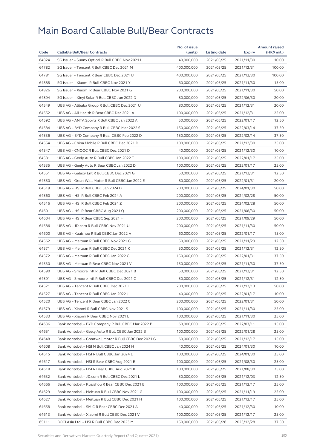| Code  |                                                        | No. of issue |              |            | <b>Amount raised</b> |
|-------|--------------------------------------------------------|--------------|--------------|------------|----------------------|
|       | <b>Callable Bull/Bear Contracts</b>                    | (units)      | Listing date | Expiry     | (HK\$ mil.)          |
| 64824 | SG Issuer - Sunny Optical R Bull CBBC Nov 2021 I       | 40,000,000   | 2021/05/25   | 2021/11/30 | 10.00                |
| 64782 | SG Issuer - Tencent R Bull CBBC Dec 2021 M             | 400,000,000  | 2021/05/25   | 2021/12/31 | 100.00               |
| 64781 | SG Issuer - Tencent R Bear CBBC Dec 2021 U             | 400,000,000  | 2021/05/25   | 2021/12/30 | 100.00               |
| 64888 | SG Issuer - Xiaomi R Bull CBBC Nov 2021 Y              | 60,000,000   | 2021/05/25   | 2021/11/30 | 15.00                |
| 64826 | SG Issuer - Xiaomi R Bear CBBC Nov 2021 G              | 200,000,000  | 2021/05/25   | 2021/11/30 | 50.00                |
| 64894 | SG Issuer - Xinyi Solar R Bull CBBC Jun 2022 D         | 80,000,000   | 2021/05/25   | 2022/06/30 | 20.00                |
| 64549 | UBS AG - Alibaba Group R Bull CBBC Dec 2021 U          | 80,000,000   | 2021/05/25   | 2021/12/31 | 20.00                |
| 64552 | UBS AG - Ali Health R Bear CBBC Dec 2021 A             | 100,000,000  | 2021/05/25   | 2021/12/31 | 25.00                |
| 64592 | UBS AG - ANTA Sports R Bull CBBC Jan 2022 A            | 50,000,000   | 2021/05/25   | 2022/01/17 | 12.50                |
| 64584 | UBS AG - BYD Company R Bull CBBC Mar 2022 S            | 150,000,000  | 2021/05/25   | 2022/03/14 | 37.50                |
| 64536 | UBS AG - BYD Company R Bear CBBC Feb 2022 D            | 150,000,000  | 2021/05/25   | 2022/02/14 | 37.50                |
| 64554 | UBS AG - China Mobile R Bull CBBC Dec 2021 D           | 100,000,000  | 2021/05/25   | 2021/12/30 | 25.00                |
| 64547 | UBS AG - CNOOC R Bull CBBC Dec 2021 D                  | 40,000,000   | 2021/05/25   | 2021/12/30 | 10.00                |
| 64581 | UBS AG - Geely Auto R Bull CBBC Jan 2022 T             | 100,000,000  | 2021/05/25   | 2022/01/17 | 25.00                |
| 64535 | UBS AG - Geely Auto R Bear CBBC Jan 2022 D             | 100,000,000  | 2021/05/25   | 2022/01/17 | 25.00                |
| 64551 | UBS AG - Galaxy Ent R Bull CBBC Dec 2021 G             | 50,000,000   | 2021/05/25   | 2021/12/31 | 12.50                |
| 64550 | UBS AG - Great Wall Motor R Bull CBBC Jan 2022 E       | 80,000,000   | 2021/05/25   | 2022/01/31 | 20.00                |
| 64519 | UBS AG - HSI R Bull CBBC Jan 2024 D                    | 200,000,000  | 2021/05/25   | 2024/01/30 | 50.00                |
| 64560 | UBS AG - HSI R Bull CBBC Feb 2024 A                    | 200,000,000  | 2021/05/25   | 2024/02/28 | 50.00                |
| 64516 | UBS AG - HSI R Bull CBBC Feb 2024 Z                    | 200,000,000  | 2021/05/25   | 2024/02/28 | 50.00                |
| 64601 | UBS AG - HSI R Bear CBBC Aug 2021 Q                    | 200,000,000  | 2021/05/25   | 2021/08/30 | 50.00                |
| 64604 | UBS AG - HSI R Bear CBBC Sep 2021 H                    | 200,000,000  | 2021/05/25   | 2021/09/29 | 50.00                |
| 64586 | UBS AG - JD.com R Bull CBBC Nov 2021 U                 | 200,000,000  | 2021/05/25   | 2021/11/30 | 50.00                |
| 64600 | UBS AG - Kuaishou R Bull CBBC Jan 2022 A               | 60,000,000   | 2021/05/25   | 2022/01/17 | 15.00                |
| 64562 | UBS AG - Meituan R Bull CBBC Nov 2021 G                | 50,000,000   | 2021/05/25   | 2021/11/29 | 12.50                |
| 64571 | UBS AG - Meituan R Bull CBBC Dec 2021 K                | 50,000,000   | 2021/05/25   | 2021/12/31 | 12.50                |
| 64572 | UBS AG - Meituan R Bull CBBC Jan 2022 G                | 150,000,000  | 2021/05/25   | 2022/01/31 | 37.50                |
| 64530 | UBS AG - Meituan R Bear CBBC Nov 2021 V                | 150,000,000  | 2021/05/25   | 2021/11/30 | 37.50                |
| 64590 | UBS AG - Smoore Intl R Bull CBBC Dec 2021 B            | 50,000,000   | 2021/05/25   | 2021/12/31 | 12.50                |
| 64591 | UBS AG - Smoore Intl R Bull CBBC Dec 2021 C            | 50,000,000   | 2021/05/25   | 2021/12/31 | 12.50                |
| 64521 | UBS AG - Tencent R Bull CBBC Dec 2021 I                | 200,000,000  | 2021/05/25   | 2021/12/13 | 50.00                |
| 64527 | UBS AG - Tencent R Bull CBBC Jan 2022 J                | 40,000,000   | 2021/05/25   | 2022/01/17 | 10.00                |
| 64520 | UBS AG – Tencent R Bear CBBC Jan 2022 C                | 200,000,000  | 2021/05/25   | 2022/01/31 | 50.00                |
| 64579 | UBS AG - Xiaomi R Bull CBBC Nov 2021 S                 | 100,000,000  | 2021/05/25   | 2021/11/30 | 25.00                |
| 64533 | UBS AG - Xiaomi R Bear CBBC Nov 2021 L                 | 100,000,000  | 2021/05/25   | 2021/11/30 | 25.00                |
| 64636 | Bank Vontobel - BYD Company R Bull CBBC Mar 2022 B     | 60,000,000   | 2021/05/25   | 2022/03/11 | 15.00                |
| 64651 | Bank Vontobel - Geely Auto R Bull CBBC Jan 2022 B      | 100,000,000  | 2021/05/25   | 2022/01/28 | 25.00                |
| 64648 | Bank Vontobel - Greatwall Motor R Bull CBBC Dec 2021 G | 60,000,000   | 2021/05/25   | 2021/12/17 | 15.00                |
| 64608 | Bank Vontobel - HSI N Bull CBBC Jan 2024 H             | 40,000,000   | 2021/05/25   | 2024/01/30 | 10.00                |
| 64615 | Bank Vontobel - HSI R Bull CBBC Jan 2024 L             | 100,000,000  | 2021/05/25   | 2024/01/30 | 25.00                |
| 64617 | Bank Vontobel - HSI R Bear CBBC Aug 2021 E             | 100,000,000  | 2021/05/25   | 2021/08/30 | 25.00                |
| 64618 | Bank Vontobel - HSI R Bear CBBC Aug 2021 K             | 100,000,000  | 2021/05/25   | 2021/08/30 | 25.00                |
| 64632 | Bank Vontobel - JD.com R Bull CBBC Dec 2021 L          | 50,000,000   | 2021/05/25   | 2021/12/03 | 12.50                |
| 64666 | Bank Vontobel - Kuaishou R Bear CBBC Dec 2021 B        | 100,000,000  | 2021/05/25   | 2021/12/17 | 25.00                |
| 64629 | Bank Vontobel - Meituan R Bull CBBC Nov 2021 G         | 100,000,000  | 2021/05/25   | 2021/11/19 | 25.00                |
| 64627 | Bank Vontobel - Meituan R Bull CBBC Dec 2021 H         | 100,000,000  | 2021/05/25   | 2021/12/17 | 25.00                |
| 64658 | Bank Vontobel - SMIC R Bear CBBC Dec 2021 A            | 40,000,000   | 2021/05/25   | 2021/12/30 | 10.00                |
| 64613 | Bank Vontobel - Xiaomi R Bull CBBC Dec 2021 V          | 100,000,000  | 2021/05/25   | 2021/12/17 | 25.00                |
| 65111 | BOCI Asia Ltd. – HSI R Bull CBBC Dec 2023 M            | 150,000,000  | 2021/05/26   | 2023/12/28 | 37.50                |
|       |                                                        |              |              |            |                      |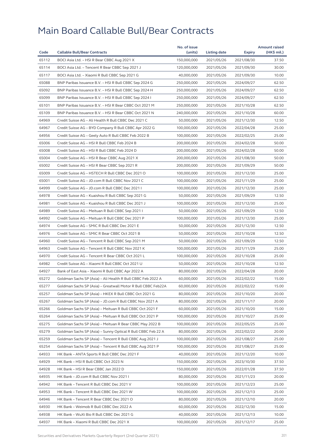| Code  |                                                              | No. of issue | Listing date |               | <b>Amount raised</b> |
|-------|--------------------------------------------------------------|--------------|--------------|---------------|----------------------|
|       | <b>Callable Bull/Bear Contracts</b>                          | (units)      |              | <b>Expiry</b> | (HK\$ mil.)          |
| 65112 | BOCI Asia Ltd. - HSI R Bear CBBC Aug 2021 X                  | 150,000,000  | 2021/05/26   | 2021/08/30    | 37.50                |
| 65114 | BOCI Asia Ltd. - Tencent R Bear CBBC Sep 2021 J              | 120,000,000  | 2021/05/26   | 2021/09/30    | 30.00                |
| 65117 | BOCI Asia Ltd. - Xiaomi R Bull CBBC Sep 2021 G               | 40,000,000   | 2021/05/26   | 2021/09/30    | 10.00                |
| 65088 | BNP Paribas Issuance B.V. - HSI R Bull CBBC Sep 2024 G       | 250,000,000  | 2021/05/26   | 2024/09/27    | 62.50                |
| 65092 | BNP Paribas Issuance B.V. - HSI R Bull CBBC Sep 2024 H       | 250,000,000  | 2021/05/26   | 2024/09/27    | 62.50                |
| 65099 | BNP Paribas Issuance B.V. - HSI R Bull CBBC Sep 2024 I       | 250,000,000  | 2021/05/26   | 2024/09/27    | 62.50                |
| 65101 | BNP Paribas Issuance B.V. - HSI R Bear CBBC Oct 2021 M       | 250,000,000  | 2021/05/26   | 2021/10/28    | 62.50                |
| 65109 | BNP Paribas Issuance B.V. - HSI R Bear CBBC Oct 2021 N       | 240,000,000  | 2021/05/26   | 2021/10/28    | 60.00                |
| 64969 | Credit Suisse AG - Ali Health R Bull CBBC Dec 2021 C         | 50,000,000   | 2021/05/26   | 2021/12/30    | 12.50                |
| 64967 | Credit Suisse AG - BYD Company R Bull CBBC Apr 2022 G        | 100,000,000  | 2021/05/26   | 2022/04/28    | 25.00                |
| 64956 | Credit Suisse AG - Geely Auto R Bull CBBC Feb 2022 B         | 100,000,000  | 2021/05/26   | 2022/02/25    | 25.00                |
| 65006 | Credit Suisse AG - HSI R Bull CBBC Feb 2024 B                | 200,000,000  | 2021/05/26   | 2024/02/28    | 50.00                |
| 65008 | Credit Suisse AG - HSI R Bull CBBC Feb 2024 D                | 200,000,000  | 2021/05/26   | 2024/02/28    | 50.00                |
| 65004 | Credit Suisse AG - HSI R Bear CBBC Aug 2021 X                | 200,000,000  | 2021/05/26   | 2021/08/30    | 50.00                |
| 65002 | Credit Suisse AG - HSI R Bear CBBC Sep 2021 R                | 200,000,000  | 2021/05/26   | 2021/09/29    | 50.00                |
| 65009 | Credit Suisse AG - HSTECH R Bull CBBC Dec 2021 O             | 100,000,000  | 2021/05/26   | 2021/12/30    | 25.00                |
| 65001 | Credit Suisse AG - JD.com R Bull CBBC Nov 2021 C             | 100,000,000  | 2021/05/26   | 2021/11/29    | 25.00                |
| 64999 | Credit Suisse AG - JD.com R Bull CBBC Dec 2021 I             | 100,000,000  | 2021/05/26   | 2021/12/30    | 25.00                |
| 64978 | Credit Suisse AG - Kuaishou R Bull CBBC Sep 2021 G           | 50,000,000   | 2021/05/26   | 2021/09/29    | 12.50                |
| 64981 | Credit Suisse AG - Kuaishou R Bull CBBC Dec 2021 J           | 100,000,000  | 2021/05/26   | 2021/12/30    | 25.00                |
| 64989 | Credit Suisse AG - Meituan R Bull CBBC Sep 2021 I            | 50,000,000   | 2021/05/26   | 2021/09/29    | 12.50                |
| 64992 | Credit Suisse AG - Meituan R Bull CBBC Dec 2021 P            | 100,000,000  | 2021/05/26   | 2021/12/30    | 25.00                |
| 64974 | Credit Suisse AG - SMIC R Bull CBBC Dec 2021 E               | 50,000,000   | 2021/05/26   | 2021/12/30    | 12.50                |
| 64976 | Credit Suisse AG - SMIC R Bear CBBC Oct 2021 B               | 50,000,000   | 2021/05/26   | 2021/10/28    | 12.50                |
| 64960 | Credit Suisse AG - Tencent R Bull CBBC Sep 2021 M            | 50,000,000   | 2021/05/26   | 2021/09/29    | 12.50                |
| 64963 | Credit Suisse AG - Tencent R Bull CBBC Nov 2021 K            | 100,000,000  | 2021/05/26   | 2021/11/29    | 25.00                |
| 64970 | Credit Suisse AG - Tencent R Bear CBBC Oct 2021 L            | 100,000,000  | 2021/05/26   | 2021/10/28    | 25.00                |
| 64982 | Credit Suisse AG - Xiaomi R Bull CBBC Oct 2021 U             | 50,000,000   | 2021/05/26   | 2021/10/28    | 12.50                |
| 64927 | Bank of East Asia - Xiaomi R Bull CBBC Apr 2022 A            | 80,000,000   | 2021/05/26   | 2022/04/28    | 20.00                |
| 65272 | Goldman Sachs SP (Asia) - Ali Health R Bull CBBC Feb 2022 A  | 60,000,000   | 2021/05/26   | 2022/02/22    | 15.00                |
| 65277 | Goldman Sachs SP (Asia) - Greatwall Motor R Bull CBBC Feb22A | 60,000,000   | 2021/05/26   | 2022/02/22    | 15.00                |
| 65257 | Goldman Sachs SP (Asia) - HKEX R Bull CBBC Oct 2021 G        | 80,000,000   | 2021/05/26   | 2021/10/20    | 20.00                |
| 65267 | Goldman Sachs SP (Asia) – JD.com R Bull CBBC Nov 2021 A      | 80,000,000   | 2021/05/26   | 2021/11/17    | 20.00                |
| 65266 | Goldman Sachs SP (Asia) - Meituan R Bull CBBC Oct 2021 F     | 60,000,000   | 2021/05/26   | 2021/10/20    | 15.00                |
| 65264 | Goldman Sachs SP (Asia) - Meituan R Bull CBBC Oct 2021 P     | 100,000,000  | 2021/05/26   | 2021/10/27    | 25.00                |
| 65275 | Goldman Sachs SP (Asia) - Meituan R Bear CBBC May 2022 B     | 100,000,000  | 2021/05/26   | 2022/05/25    | 25.00                |
| 65279 | Goldman Sachs SP (Asia) - Sunny Optical R Bull CBBC Feb 22 A | 80,000,000   | 2021/05/26   | 2022/02/22    | 20.00                |
| 65259 | Goldman Sachs SP (Asia) - Tencent R Bull CBBC Aug 2021 J     | 100,000,000  | 2021/05/26   | 2021/08/27    | 25.00                |
| 65254 | Goldman Sachs SP (Asia) - Tencent R Bull CBBC Aug 2021 P     | 100,000,000  | 2021/05/26   | 2021/08/27    | 25.00                |
| 64933 | HK Bank - ANTA Sports R Bull CBBC Dec 2021 F                 | 40,000,000   | 2021/05/26   | 2021/12/20    | 10.00                |
| 64929 | HK Bank - HSI R Bull CBBC Oct 2023 N                         | 150,000,000  | 2021/05/26   | 2023/10/30    | 37.50                |
| 64928 | HK Bank - HSI R Bear CBBC Jan 2022 D                         | 150,000,000  | 2021/05/26   | 2022/01/28    | 37.50                |
| 64935 | HK Bank - JD.com R Bull CBBC Nov 2021 I                      | 80,000,000   | 2021/05/26   | 2021/11/23    | 20.00                |
| 64942 | HK Bank - Tencent R Bull CBBC Dec 2021 V                     | 100,000,000  | 2021/05/26   | 2021/12/23    | 25.00                |
| 64953 | HK Bank - Tencent R Bull CBBC Dec 2021 W                     | 100,000,000  | 2021/05/26   | 2021/12/13    | 25.00                |
| 64946 | HK Bank - Tencent R Bear CBBC Dec 2021 O                     | 80,000,000   | 2021/05/26   | 2021/12/10    | 20.00                |
| 64930 | HK Bank - Weimob R Bull CBBC Dec 2022 A                      | 60,000,000   | 2021/05/26   | 2022/12/30    | 15.00                |
| 64938 | HK Bank - WuXi Bio R Bull CBBC Dec 2021 G                    | 40,000,000   | 2021/05/26   | 2021/12/13    | 10.00                |
| 64937 | HK Bank - Xiaomi R Bull CBBC Dec 2021 X                      | 100,000,000  | 2021/05/26   | 2021/12/17    | 25.00                |
|       |                                                              |              |              |               |                      |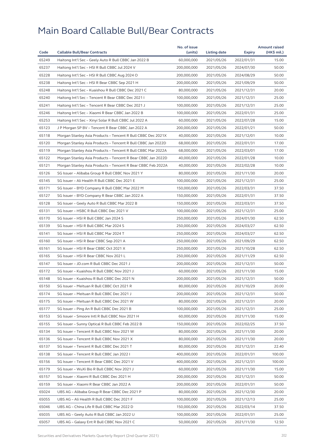| Code  |                                                              | No. of issue |              |            | <b>Amount raised</b> |
|-------|--------------------------------------------------------------|--------------|--------------|------------|----------------------|
|       | <b>Callable Bull/Bear Contracts</b>                          | (units)      | Listing date | Expiry     | (HK\$ mil.)          |
| 65249 | Haitong Int'l Sec - Geely Auto R Bull CBBC Jan 2022 B        | 60,000,000   | 2021/05/26   | 2022/01/31 | 15.00                |
| 65237 | Haitong Int'l Sec - HSI R Bull CBBC Jul 2024 V               | 200,000,000  | 2021/05/26   | 2024/07/30 | 50.00                |
| 65228 | Haitong Int'l Sec - HSI R Bull CBBC Aug 2024 O               | 200,000,000  | 2021/05/26   | 2024/08/29 | 50.00                |
| 65238 | Haitong Int'l Sec - HSI R Bear CBBC Sep 2021 H               | 200,000,000  | 2021/05/26   | 2021/09/29 | 50.00                |
| 65248 | Haitong Int'l Sec - Kuaishou R Bull CBBC Dec 2021 C          | 80,000,000   | 2021/05/26   | 2021/12/31 | 20.00                |
| 65240 | Haitong Int'l Sec - Tencent R Bear CBBC Dec 2021 I           | 100.000.000  | 2021/05/26   | 2021/12/31 | 25.00                |
| 65241 | Haitong Int'l Sec - Tencent R Bear CBBC Dec 2021 J           | 100,000,000  | 2021/05/26   | 2021/12/31 | 25.00                |
| 65246 | Haitong Int'l Sec - Xiaomi R Bear CBBC Jan 2022 B            | 100,000,000  | 2021/05/26   | 2022/01/31 | 25.00                |
| 65253 | Haitong Int'l Sec - Xinyi Solar R Bull CBBC Jul 2022 A       | 60,000,000   | 2021/05/26   | 2022/07/28 | 15.00                |
| 65123 | J P Morgan SP BV - Tencent R Bear CBBC Jan 2022 A            | 200,000,000  | 2021/05/26   | 2022/01/21 | 50.00                |
| 65118 | Morgan Stanley Asia Products - Tencent R Bull CBBC Dec 2021X | 40,000,000   | 2021/05/26   | 2021/12/01 | 10.00                |
| 65120 | Morgan Stanley Asia Products - Tencent R Bull CBBC Jan 2022D | 68,000,000   | 2021/05/26   | 2022/01/31 | 17.00                |
| 65119 | Morgan Stanley Asia Products – Tencent R Bull CBBC Mar 2022A | 68,000,000   | 2021/05/26   | 2022/03/01 | 17.00                |
| 65122 | Morgan Stanley Asia Products - Tencent R Bear CBBC Jan 2022D | 40,000,000   | 2021/05/26   | 2022/01/28 | 10.00                |
| 65121 | Morgan Stanley Asia Products – Tencent R Bear CBBC Feb 2022A | 40,000,000   | 2021/05/26   | 2022/02/28 | 10.00                |
| 65126 | SG Issuer - Alibaba Group R Bull CBBC Nov 2021 Y             | 80,000,000   | 2021/05/26   | 2021/11/30 | 20.00                |
| 65145 | SG Issuer - Ali Health R Bull CBBC Dec 2021 E                | 100,000,000  | 2021/05/26   | 2021/12/31 | 25.00                |
| 65171 | SG Issuer – BYD Company R Bull CBBC Mar 2022 M               | 150,000,000  | 2021/05/26   | 2022/03/31 | 37.50                |
| 65127 | SG Issuer - BYD Company R Bear CBBC Jan 2022 A               | 150,000,000  | 2021/05/26   | 2022/01/31 | 37.50                |
| 65128 | SG Issuer - Geely Auto R Bull CBBC Mar 2022 B                | 150,000,000  | 2021/05/26   | 2022/03/31 | 37.50                |
| 65131 | SG Issuer - HSBC R Bull CBBC Dec 2021 V                      | 100,000,000  | 2021/05/26   | 2021/12/31 | 25.00                |
| 65170 | SG Issuer - HSI R Bull CBBC Jan 2024 S                       | 250,000,000  | 2021/05/26   | 2024/01/30 | 62.50                |
| 65139 | SG Issuer - HSI R Bull CBBC Mar 2024 S                       | 250,000,000  | 2021/05/26   | 2024/03/27 | 62.50                |
| 65141 | SG Issuer - HSI R Bull CBBC Mar 2024 T                       | 250,000,000  | 2021/05/26   | 2024/03/27 | 62.50                |
| 65160 | SG Issuer - HSI R Bear CBBC Sep 2021 A                       | 250,000,000  | 2021/05/26   | 2021/09/29 | 62.50                |
| 65161 | SG Issuer - HSI R Bear CBBC Oct 2021 X                       | 250,000,000  | 2021/05/26   | 2021/10/28 | 62.50                |
| 65165 | SG Issuer - HSI R Bear CBBC Nov 2021 L                       | 250,000,000  | 2021/05/26   | 2021/11/29 | 62.50                |
| 65147 | SG Issuer - JD.com R Bull CBBC Dec 2021 J                    | 200,000,000  | 2021/05/26   | 2021/12/31 | 50.00                |
| 65172 | SG Issuer - Kuaishou R Bull CBBC Nov 2021 J                  | 60,000,000   | 2021/05/26   | 2021/11/30 | 15.00                |
| 65148 | SG Issuer - Kuaishou R Bull CBBC Dec 2021 N                  | 200,000,000  | 2021/05/26   | 2021/12/31 | 50.00                |
| 65150 | SG Issuer - Meituan R Bull CBBC Oct 2021 R                   | 80,000,000   | 2021/05/26   | 2021/10/29 | 20.00                |
| 65174 | SG Issuer - Meituan R Bull CBBC Dec 2021 J                   | 200,000,000  | 2021/05/26   | 2021/12/31 | 50.00                |
| 65175 | SG Issuer – Meituan R Bull CBBC Dec 2021 W                   | 80,000,000   | 2021/05/26   | 2021/12/31 | 20.00                |
| 65177 | SG Issuer - Ping An R Bull CBBC Dec 2021 B                   | 100,000,000  | 2021/05/26   | 2021/12/31 | 25.00                |
| 65153 | SG Issuer - Smoore Intl R Bull CBBC Nov 2021 H               | 60,000,000   | 2021/05/26   | 2021/11/30 | 15.00                |
| 65155 | SG Issuer - Sunny Optical R Bull CBBC Feb 2022 B             | 150,000,000  | 2021/05/26   | 2022/02/25 | 37.50                |
| 65134 | SG Issuer - Tencent R Bull CBBC Nov 2021 W                   | 80,000,000   | 2021/05/26   | 2021/11/30 | 20.00                |
| 65136 | SG Issuer - Tencent R Bull CBBC Nov 2021 X                   | 80,000,000   | 2021/05/26   | 2021/11/30 | 20.00                |
| 65137 | SG Issuer - Tencent R Bull CBBC Dec 2021 T                   | 80,000,000   | 2021/05/26   | 2021/12/31 | 22.40                |
| 65138 | SG Issuer - Tencent R Bull CBBC Jan 2022 I                   | 400,000,000  | 2021/05/26   | 2022/01/31 | 100.00               |
| 65156 | SG Issuer - Tencent R Bear CBBC Dec 2021 V                   | 400,000,000  | 2021/05/26   | 2021/12/31 | 100.00               |
| 65179 | SG Issuer - WuXi Bio R Bull CBBC Nov 2021 J                  | 60,000,000   | 2021/05/26   | 2021/11/30 | 15.00                |
| 65157 | SG Issuer - Xiaomi R Bull CBBC Dec 2021 H                    | 200,000,000  | 2021/05/26   | 2021/12/31 | 50.00                |
| 65159 | SG Issuer – Xiaomi R Bear CBBC Jan 2022 A                    | 200,000,000  | 2021/05/26   | 2022/01/31 | 50.00                |
| 65024 | UBS AG - Alibaba Group R Bear CBBC Dec 2021 P                | 80,000,000   | 2021/05/26   | 2021/12/30 | 20.00                |
| 65055 | UBS AG - Ali Health R Bull CBBC Dec 2021 F                   | 100,000,000  | 2021/05/26   | 2021/12/13 | 25.00                |
| 65046 | UBS AG - China Life R Bull CBBC Mar 2022 D                   | 150,000,000  | 2021/05/26   | 2022/03/14 | 37.50                |
| 65035 | UBS AG - Geely Auto R Bull CBBC Jan 2022 U                   | 100,000,000  | 2021/05/26   | 2022/01/31 | 25.00                |
|       |                                                              |              |              |            |                      |
| 65057 | UBS AG - Galaxy Ent R Bull CBBC Nov 2021 C                   | 50,000,000   | 2021/05/26   | 2021/11/30 | 12.50                |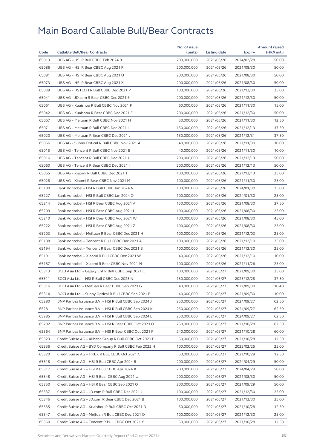|       |                                                         | No. of issue |              |            | <b>Amount raised</b> |
|-------|---------------------------------------------------------|--------------|--------------|------------|----------------------|
| Code  | <b>Callable Bull/Bear Contracts</b>                     | (units)      | Listing date | Expiry     | (HK\$ mil.)          |
| 65013 | UBS AG - HSI R Bull CBBC Feb 2024 B                     | 200,000,000  | 2021/05/26   | 2024/02/28 | 50.00                |
| 65086 | UBS AG - HSI R Bear CBBC Aug 2021 R                     | 200,000,000  | 2021/05/26   | 2021/08/30 | 50.00                |
| 65081 | UBS AG - HSI R Bear CBBC Aug 2021 U                     | 200,000,000  | 2021/05/26   | 2021/08/30 | 50.00                |
| 65073 | UBS AG - HSI R Bear CBBC Aug 2021 X                     | 200,000,000  | 2021/05/26   | 2021/08/30 | 50.00                |
| 65039 | UBS AG - HSTECH R Bull CBBC Dec 2021 P                  | 100,000,000  | 2021/05/26   | 2021/12/30 | 25.00                |
| 65041 | UBS AG - JD.com R Bear CBBC Dec 2021 E                  | 200.000.000  | 2021/05/26   | 2021/12/30 | 50.00                |
| 65061 | UBS AG - Kuaishou R Bull CBBC Nov 2021 F                | 60,000,000   | 2021/05/26   | 2021/11/30 | 15.00                |
| 65042 | UBS AG - Kuaishou R Bear CBBC Dec 2021 F                | 200,000,000  | 2021/05/26   | 2021/12/30 | 50.00                |
| 65067 | UBS AG - Meituan R Bull CBBC Nov 2021 H                 | 50,000,000   | 2021/05/26   | 2021/11/30 | 12.50                |
| 65071 | UBS AG - Meituan R Bull CBBC Dec 2021 L                 | 150,000,000  | 2021/05/26   | 2021/12/13 | 37.50                |
| 65020 | UBS AG - Meituan R Bear CBBC Dec 2021 J                 | 150,000,000  | 2021/05/26   | 2021/12/31 | 37.50                |
| 65066 | UBS AG - Sunny Optical R Bull CBBC Nov 2021 A           | 40,000,000   | 2021/05/26   | 2021/11/30 | 10.00                |
| 65015 | UBS AG - Tencent R Bull CBBC Nov 2021 B                 | 40,000,000   | 2021/05/26   | 2021/11/30 | 10.00                |
| 65016 | UBS AG - Tencent R Bull CBBC Dec 2021 J                 | 200,000,000  | 2021/05/26   | 2021/12/13 | 50.00                |
| 65060 | UBS AG - Tencent R Bear CBBC Dec 2021 I                 | 200,000,000  | 2021/05/26   | 2021/12/13 | 50.00                |
| 65065 | UBS AG - Xiaomi R Bull CBBC Dec 2021 T                  | 100,000,000  | 2021/05/26   | 2021/12/13 | 25.00                |
| 65028 | UBS AG - Xiaomi R Bear CBBC Nov 2021 M                  | 100,000,000  | 2021/05/26   | 2021/11/30 | 25.00                |
| 65180 | Bank Vontobel - HSI R Bull CBBC Jan 2024 N              | 100,000,000  | 2021/05/26   | 2024/01/30 | 25.00                |
| 65227 | Bank Vontobel - HSI R Bull CBBC Jan 2024 O              | 100,000,000  | 2021/05/26   | 2024/01/30 | 25.00                |
| 65214 | Bank Vontobel - HSI R Bear CBBC Aug 2021 A              | 150,000,000  | 2021/05/26   | 2021/08/30 | 37.50                |
| 65209 | Bank Vontobel - HSI R Bear CBBC Aug 2021 L              | 100,000,000  | 2021/05/26   | 2021/08/30 | 25.00                |
| 65210 | Bank Vontobel - HSI R Bear CBBC Aug 2021 W              | 100,000,000  | 2021/05/26   | 2021/08/30 | 45.00                |
| 65222 | Bank Vontobel - HSI R Bear CBBC Aug 2021 Z              | 100,000,000  | 2021/05/26   | 2021/08/30 | 25.00                |
| 65203 | Bank Vontobel - Meituan R Bear CBBC Dec 2021 H          | 100,000,000  | 2021/05/26   | 2021/12/03 | 25.00                |
| 65188 | Bank Vontobel - Tencent R Bull CBBC Dec 2021 A          | 100,000,000  | 2021/05/26   | 2021/12/10 | 25.00                |
| 65194 | Bank Vontobel - Tencent R Bear CBBC Dec 2021 B          | 100,000,000  | 2021/05/26   | 2021/12/30 | 25.00                |
| 65191 | Bank Vontobel - Xiaomi R Bull CBBC Dec 2021 W           | 40,000,000   | 2021/05/26   | 2021/12/10 | 10.00                |
| 65187 | Bank Vontobel - Xiaomi R Bear CBBC Nov 2021 M           | 100,000,000  | 2021/05/26   | 2021/11/26 | 25.00                |
| 65313 | BOCI Asia Ltd. - Galaxy Ent R Bull CBBC Sep 2021 C      | 100,000,000  | 2021/05/27   | 2021/09/30 | 25.00                |
| 65311 | BOCI Asia Ltd. - HSI R Bull CBBC Dec 2023 N             | 150,000,000  | 2021/05/27   | 2023/12/28 | 37.50                |
| 65316 | BOCI Asia Ltd. - Meituan R Bear CBBC Sep 2021 G         | 40,000,000   | 2021/05/27   | 2021/09/30 | 10.40                |
| 65314 | BOCI Asia Ltd. - Sunny Optical R Bull CBBC Sep 2021 B   | 40,000,000   | 2021/05/27   | 2021/09/30 | 10.00                |
| 65280 | BNP Paribas Issuance B.V. - HSI R Bull CBBC Sep 2024 J  | 250,000,000  | 2021/05/27   | 2024/09/27 | 62.50                |
| 65281 | BNP Paribas Issuance B.V. - HSI R Bull CBBC Sep 2024 K  | 250,000,000  | 2021/05/27   | 2024/09/27 | 62.50                |
| 65285 | BNP Paribas Issuance B.V. - HSI R Bull CBBC Sep 2024 L  | 250,000,000  | 2021/05/27   | 2024/09/27 | 62.50                |
| 65292 | BNP Paribas Issuance B.V. - HSI R Bear CBBC Oct 2021 O  | 250,000,000  | 2021/05/27   | 2021/10/28 | 62.50                |
| 65364 | BNP Paribas Issuance B.V. - HSI R Bear CBBC Oct 2021 P  | 240,000,000  | 2021/05/27   | 2021/10/28 | 60.00                |
| 65323 | Credit Suisse AG – Alibaba Group R Bull CBBC Oct 2021 P | 50,000,000   | 2021/05/27   | 2021/10/28 | 12.50                |
| 65356 | Credit Suisse AG - BYD Company R Bull CBBC Feb 2022 H   | 100,000,000  | 2021/05/27   | 2022/02/25 | 25.00                |
| 65320 | Credit Suisse AG - HKEX R Bull CBBC Oct 2021 C          | 50,000,000   | 2021/05/27   | 2021/10/28 | 12.50                |
| 65318 | Credit Suisse AG - HSI R Bull CBBC Apr 2024 B           | 200,000,000  | 2021/05/27   | 2024/04/29 | 50.00                |
| 65317 | Credit Suisse AG - HSI R Bull CBBC Apr 2024 X           | 200,000,000  | 2021/05/27   | 2024/04/29 | 50.00                |
| 65348 | Credit Suisse AG - HSI R Bear CBBC Aug 2021 U           | 200,000,000  | 2021/05/27   | 2021/08/30 | 50.00                |
| 65350 | Credit Suisse AG - HSI R Bear CBBC Sep 2021 O           | 200,000,000  | 2021/05/27   | 2021/09/29 | 50.00                |
| 65337 | Credit Suisse AG - JD.com R Bull CBBC Dec 2021 J        | 100,000,000  | 2021/05/27   | 2021/12/30 | 25.00                |
| 65346 | Credit Suisse AG - JD.com R Bear CBBC Dec 2021 B        | 100,000,000  | 2021/05/27   | 2021/12/30 | 25.00                |
| 65335 | Credit Suisse AG - Kuaishou R Bull CBBC Oct 2021 D      | 50,000,000   | 2021/05/27   | 2021/10/28 | 12.50                |
| 65347 | Credit Suisse AG - Meituan R Bull CBBC Dec 2021 Q       | 100,000,000  | 2021/05/27   | 2021/12/30 | 25.00                |
| 65360 | Credit Suisse AG - Tencent R Bull CBBC Oct 2021 Y       | 50,000,000   | 2021/05/27   | 2021/10/28 | 12.50                |
|       |                                                         |              |              |            |                      |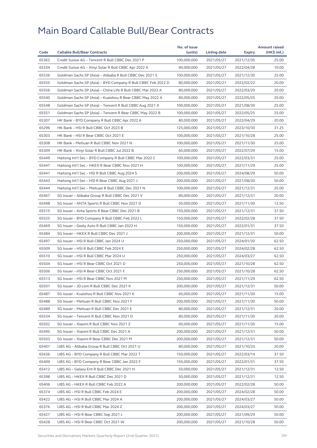|       |                                                                                        | No. of issue |              |            | <b>Amount raised</b> |
|-------|----------------------------------------------------------------------------------------|--------------|--------------|------------|----------------------|
| Code  | <b>Callable Bull/Bear Contracts</b>                                                    | (units)      | Listing date | Expiry     | (HK\$ mil.)          |
| 65362 | Credit Suisse AG - Tencent R Bull CBBC Dec 2021 P                                      | 100,000,000  | 2021/05/27   | 2021/12/30 | 25.00                |
| 65334 | Credit Suisse AG - Xinyi Solar R Bull CBBC Apr 2022 A                                  | 40,000,000   | 2021/05/27   | 2022/04/28 | 10.00                |
| 65536 | Goldman Sachs SP (Asia) - Alibaba R Bull CBBC Dec 2021 S                               | 100,000,000  | 2021/05/27   | 2021/12/30 | 25.00                |
| 65555 | Goldman Sachs SP (Asia) - BYD Company R Bull CBBC Feb 2022 D                           | 80,000,000   | 2021/05/27   | 2022/02/22 | 20.00                |
| 65556 | Goldman Sachs SP (Asia) - China Life R Bull CBBC Mar 2022 A                            | 80,000,000   | 2021/05/27   | 2022/03/29 | 20.00                |
| 65540 | Goldman Sachs SP (Asia) - Kuaishou R Bear CBBC May 2022 A                              | 80,000,000   | 2021/05/27   | 2022/05/25 | 20.00                |
| 65548 | Goldman Sachs SP (Asia) - Tencent R Bull CBBC Aug 2021 X                               | 100,000,000  | 2021/05/27   | 2021/08/30 | 25.00                |
| 65551 | Goldman Sachs SP (Asia) - Tencent R Bear CBBC May 2022 B                               | 100,000,000  | 2021/05/27   | 2022/05/25 | 25.00                |
| 65307 | HK Bank - BYD Company R Bull CBBC Apr 2022 A                                           | 80,000,000   | 2021/05/27   | 2022/04/29 | 20.00                |
| 65296 | HK Bank - HSI R Bull CBBC Oct 2023 B                                                   | 125,000,000  | 2021/05/27   | 2023/10/30 | 31.25                |
| 65303 | HK Bank - HSI R Bear CBBC Oct 2021 E                                                   | 100,000,000  | 2021/05/27   | 2021/10/28 | 25.00                |
| 65308 | HK Bank - Meituan R Bull CBBC Nov 2021 N                                               | 100,000,000  | 2021/05/27   | 2021/11/30 | 25.00                |
| 65309 | HK Bank - Xinyi Solar R Bull CBBC Jul 2022 B                                           | 60,000,000   | 2021/05/27   | 2022/07/29 | 15.00                |
| 65449 | Haitong Int'l Sec - BYD Company R Bull CBBC Mar 2022 C                                 | 100,000,000  | 2021/05/27   | 2022/03/31 | 25.00                |
| 65447 | Haitong Int'l Sec - HKEX R Bear CBBC Nov 2021 H                                        | 100,000,000  | 2021/05/27   | 2021/11/29 | 25.00                |
| 65441 | Haitong Int'l Sec - HSI R Bull CBBC Aug 2024 S                                         | 200,000,000  | 2021/05/27   | 2024/08/29 | 50.00                |
| 65443 | Haitong Int'l Sec - HSI R Bear CBBC Aug 2021 J                                         | 200,000,000  | 2021/05/27   | 2021/08/30 | 50.00                |
| 65444 | Haitong Int'l Sec - Meituan R Bull CBBC Dec 2021 N                                     | 100,000,000  | 2021/05/27   | 2021/12/31 | 25.00                |
| 65467 | SG Issuer - Alibaba Group R Bull CBBC Dec 2021 V                                       | 80,000,000   | 2021/05/27   | 2021/12/31 | 20.00                |
| 65498 | SG Issuer - ANTA Sports R Bull CBBC Nov 2021 D                                         | 50,000,000   | 2021/05/27   | 2021/11/30 | 12.50                |
| 65515 | SG Issuer - Anta Sports R Bear CBBC Dec 2021 B                                         | 150,000,000  | 2021/05/27   | 2021/12/31 | 37.50                |
| 65525 | SG Issuer - BYD Company R Bull CBBC Feb 2022 L                                         | 150,000,000  | 2021/05/27   | 2022/02/28 | 37.50                |
| 65469 | SG Issuer - Geely Auto R Bull CBBC Jan 2022 H                                          | 150,000,000  | 2021/05/27   | 2022/01/31 | 37.50                |
| 65484 | SG Issuer – HKEX R Bull CBBC Dec 2021 J                                                | 200,000,000  | 2021/05/27   | 2021/12/31 | 50.00                |
| 65497 | SG Issuer - HSI R Bull CBBC Jan 2024 U                                                 | 250,000,000  | 2021/05/27   | 2024/01/30 | 62.50                |
| 65509 | SG Issuer - HSI R Bull CBBC Feb 2024 E                                                 | 250,000,000  | 2021/05/27   | 2024/02/28 | 62.50                |
| 65510 | SG Issuer - HSI R Bull CBBC Mar 2024 U                                                 | 250,000,000  | 2021/05/27   | 2024/03/27 | 62.50                |
| 65504 | SG Issuer - HSI R Bear CBBC Oct 2021 D                                                 | 250,000,000  | 2021/05/27   | 2021/10/28 | 62.50                |
| 65506 | SG Issuer - HSI R Bear CBBC Oct 2021 F                                                 | 250,000,000  | 2021/05/27   | 2021/10/28 | 62.50                |
| 65513 | SG Issuer - HSI R Bear CBBC Nov 2021 M                                                 | 250,000,000  | 2021/05/27   | 2021/11/29 | 62.50                |
| 65501 | SG Issuer - JD.com R Bull CBBC Dec 2021 K                                              | 200,000,000  | 2021/05/27   | 2021/12/31 | 50.00                |
| 65487 | SG Issuer - Kuaishou R Bull CBBC Nov 2021 K                                            | 60,000,000   | 2021/05/27   | 2021/11/30 | 15.00                |
| 65488 | SG Issuer - Meituan R Bull CBBC Nov 2021 F                                             | 200,000,000  | 2021/05/27   | 2021/11/30 | 50.00                |
| 65489 | SG Issuer - Meituan R Bull CBBC Dec 2021 E                                             | 80,000,000   | 2021/05/27   | 2021/12/31 | 20.00                |
| 65534 | SG Issuer - Tencent R Bull CBBC Nov 2021 D                                             | 80,000,000   | 2021/05/27   |            | 20.00                |
| 65502 |                                                                                        |              |              | 2021/11/30 |                      |
|       | SG Issuer - Xiaomi R Bull CBBC Nov 2021 Z<br>SG Issuer - Xiaomi R Bull CBBC Dec 2021 A | 60,000,000   | 2021/05/27   | 2021/11/30 | 15.00<br>50.00       |
| 65495 |                                                                                        | 200,000,000  | 2021/05/27   | 2021/12/31 |                      |
| 65503 | SG Issuer - Xiaomi R Bear CBBC Dec 2021 M                                              | 200,000,000  | 2021/05/27   | 2021/12/31 | 50.00                |
| 65407 | UBS AG - Alibaba Group R Bull CBBC Oct 2021 U                                          | 80,000,000   | 2021/05/27   | 2021/10/25 | 20.00                |
| 65436 | UBS AG - BYD Company R Bull CBBC Mar 2022 T                                            | 150,000,000  | 2021/05/27   | 2022/03/14 | 37.50                |
| 65409 | UBS AG - BYD Company R Bear CBBC Jan 2022 F                                            | 150,000,000  | 2021/05/27   | 2022/01/31 | 37.50                |
| 65412 | UBS AG - Galaxy Ent R Bull CBBC Dec 2021 H                                             | 50,000,000   | 2021/05/27   | 2021/12/31 | 12.50                |
| 65398 | UBS AG - HKEX R Bull CBBC Dec 2021 D                                                   | 50,000,000   | 2021/05/27   | 2021/12/31 | 12.50                |
| 65406 | UBS AG – HKEX R Bull CBBC Feb 2022 A                                                   | 200,000,000  | 2021/05/27   | 2022/02/28 | 50.00                |
| 65374 | UBS AG - HSI R Bull CBBC Feb 2024 E                                                    | 200,000,000  | 2021/05/27   | 2024/02/28 | 50.00                |
| 65422 | UBS AG - HSI R Bull CBBC Mar 2024 A                                                    | 200,000,000  | 2021/05/27   | 2024/03/27 | 50.00                |
| 65376 | UBS AG - HSI R Bull CBBC Mar 2024 Z                                                    | 200,000,000  | 2021/05/27   | 2024/03/27 | 50.00                |
| 65427 | UBS AG - HSI R Bear CBBC Sep 2021 J                                                    | 200,000,000  | 2021/05/27   | 2021/09/29 | 50.00                |
| 65428 | UBS AG - HSI R Bear CBBC Oct 2021 W                                                    | 200,000,000  | 2021/05/27   | 2021/10/28 | 50.00                |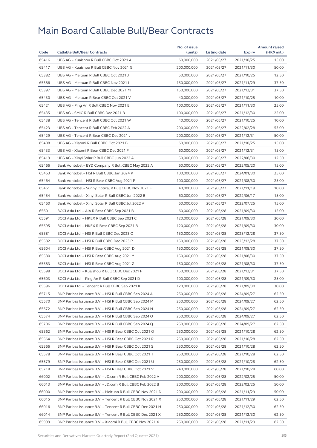|       |                                                            | No. of issue |              |            | <b>Amount raised</b> |
|-------|------------------------------------------------------------|--------------|--------------|------------|----------------------|
| Code  | <b>Callable Bull/Bear Contracts</b>                        | (units)      | Listing date | Expiry     | (HK\$ mil.)          |
| 65416 | UBS AG - Kuaishou R Bull CBBC Oct 2021 A                   | 60,000,000   | 2021/05/27   | 2021/10/25 | 15.00                |
| 65417 | UBS AG - Kuaishou R Bull CBBC Nov 2021 G                   | 200,000,000  | 2021/05/27   | 2021/11/30 | 50.00                |
| 65382 | UBS AG - Meituan R Bull CBBC Oct 2021 J                    | 50,000,000   | 2021/05/27   | 2021/10/25 | 12.50                |
| 65386 | UBS AG - Meituan R Bull CBBC Nov 2021 I                    | 150,000,000  | 2021/05/27   | 2021/11/29 | 37.50                |
| 65397 | UBS AG - Meituan R Bull CBBC Dec 2021 M                    | 150,000,000  | 2021/05/27   | 2021/12/31 | 37.50                |
| 65430 | UBS AG - Meituan R Bear CBBC Oct 2021 V                    | 40,000,000   | 2021/05/27   | 2021/10/25 | 10.00                |
| 65421 | UBS AG - Ping An R Bull CBBC Nov 2021 E                    | 100,000,000  | 2021/05/27   | 2021/11/30 | 25.00                |
| 65435 | UBS AG - SMIC R Bull CBBC Dec 2021 B                       | 100,000,000  | 2021/05/27   | 2021/12/30 | 25.00                |
| 65438 | UBS AG - Tencent R Bull CBBC Oct 2021 W                    | 40,000,000   | 2021/05/27   | 2021/10/25 | 10.00                |
| 65423 | UBS AG - Tencent R Bull CBBC Feb 2022 A                    | 200,000,000  | 2021/05/27   | 2022/02/28 | 53.00                |
| 65429 | UBS AG - Tencent R Bear CBBC Dec 2021 J                    | 200,000,000  | 2021/05/27   | 2021/12/31 | 50.00                |
| 65408 | UBS AG - Xiaomi R Bull CBBC Oct 2021 B                     | 60,000,000   | 2021/05/27   | 2021/10/25 | 15.00                |
| 65433 | UBS AG - Xiaomi R Bear CBBC Dec 2021 F                     | 60,000,000   | 2021/05/27   | 2021/12/31 | 15.00                |
| 65419 | UBS AG - Xinyi Solar R Bull CBBC Jun 2022 A                | 50,000,000   | 2021/05/27   | 2022/06/30 | 12.50                |
| 65466 | Bank Vontobel - BYD Company R Bull CBBC May 2022 A         | 60,000,000   | 2021/05/27   | 2022/05/20 | 15.00                |
| 65463 | Bank Vontobel - HSI R Bull CBBC Jan 2024 P                 | 100,000,000  | 2021/05/27   | 2024/01/30 | 25.00                |
| 65464 | Bank Vontobel - HSI R Bear CBBC Aug 2021 P                 | 100,000,000  | 2021/05/27   | 2021/08/30 | 25.00                |
| 65461 | Bank Vontobel - Sunny Optical R Bull CBBC Nov 2021 H       | 40,000,000   | 2021/05/27   | 2021/11/19 | 10.00                |
| 65454 | Bank Vontobel - Xinyi Solar R Bull CBBC Jun 2022 B         | 60,000,000   | 2021/05/27   | 2022/06/17 | 15.00                |
| 65460 | Bank Vontobel - Xinyi Solar R Bull CBBC Jul 2022 A         | 60,000,000   | 2021/05/27   | 2022/07/25 | 15.00                |
| 65601 | BOCI Asia Ltd. - AIA R Bear CBBC Sep 2021 B                | 60,000,000   | 2021/05/28   | 2021/09/30 | 15.00                |
| 65591 | BOCI Asia Ltd. - HKEX R Bull CBBC Sep 2021 C               | 120,000,000  | 2021/05/28   | 2021/09/30 | 30.00                |
| 65595 | BOCI Asia Ltd. - HKEX R Bear CBBC Sep 2021 B               | 120,000,000  | 2021/05/28   | 2021/09/30 | 30.00                |
| 65581 | BOCI Asia Ltd. - HSI R Bull CBBC Dec 2023 O                | 150,000,000  | 2021/05/28   | 2023/12/28 | 37.50                |
| 65582 | BOCI Asia Ltd. - HSI R Bull CBBC Dec 2023 P                | 150,000,000  | 2021/05/28   | 2023/12/28 | 37.50                |
| 65604 | BOCI Asia Ltd. - HSI R Bear CBBC Aug 2021 D                | 150,000,000  | 2021/05/28   | 2021/08/30 | 37.50                |
| 65580 | BOCI Asia Ltd. - HSI R Bear CBBC Aug 2021 Y                | 150,000,000  | 2021/05/28   | 2021/08/30 | 37.50                |
| 65583 | BOCI Asia Ltd. - HSI R Bear CBBC Aug 2021 Z                | 150,000,000  | 2021/05/28   | 2021/08/30 | 37.50                |
| 65598 | BOCI Asia Ltd. - Kuaishou R Bull CBBC Dec 2021 F           | 150,000,000  | 2021/05/28   | 2021/12/31 | 37.50                |
| 65603 | BOCI Asia Ltd. - Ping An R Bull CBBC Sep 2021 D            | 100,000,000  | 2021/05/28   | 2021/09/30 | 25.00                |
| 65596 | BOCI Asia Ltd. - Tencent R Bull CBBC Sep 2021 K            | 120,000,000  | 2021/05/28   | 2021/09/30 | 30.00                |
| 65715 | BNP Paribas Issuance B.V. - HSI R Bull CBBC Sep 2024 A     | 250,000,000  | 2021/05/28   | 2024/09/27 | 62.50                |
| 65570 | BNP Paribas Issuance B.V. - HSI R Bull CBBC Sep 2024 M     | 250,000,000  | 2021/05/28   | 2024/09/27 | 62.50                |
| 65572 | BNP Paribas Issuance B.V. - HSI R Bull CBBC Sep 2024 N     | 250,000,000  | 2021/05/28   | 2024/09/27 | 62.50                |
| 65574 | BNP Paribas Issuance B.V. - HSI R Bull CBBC Sep 2024 O     | 250,000,000  | 2021/05/28   | 2024/09/27 | 62.50                |
| 65706 | BNP Paribas Issuance B.V. - HSI R Bull CBBC Sep 2024 Q     | 250,000,000  | 2021/05/28   | 2024/09/27 | 62.50                |
| 65562 | BNP Paribas Issuance B.V. - HSI R Bear CBBC Oct 2021 Q     | 250,000,000  | 2021/05/28   | 2021/10/28 | 62.50                |
| 65564 | BNP Paribas Issuance B.V. - HSI R Bear CBBC Oct 2021 R     | 250,000,000  | 2021/05/28   | 2021/10/28 | 62.50                |
| 65566 | BNP Paribas Issuance B.V. - HSI R Bear CBBC Oct 2021 S     | 250,000,000  | 2021/05/28   | 2021/10/28 | 62.50                |
| 65578 | BNP Paribas Issuance B.V. - HSI R Bear CBBC Oct 2021 T     | 250,000,000  | 2021/05/28   | 2021/10/28 | 62.50                |
| 65579 | BNP Paribas Issuance B.V. - HSI R Bear CBBC Oct 2021 U     | 250,000,000  | 2021/05/28   | 2021/10/28 | 62.50                |
| 65718 | BNP Paribas Issuance B.V. - HSI R Bear CBBC Oct 2021 V     | 240,000,000  | 2021/05/28   | 2021/10/28 | 60.00                |
| 66002 | BNP Paribas Issuance B.V. - JD.com R Bull CBBC Feb 2022 A  | 200,000,000  | 2021/05/28   | 2022/02/25 | 50.00                |
| 66013 | BNP Paribas Issuance B.V. - JD.com R Bull CBBC Feb 2022 B  | 200,000,000  | 2021/05/28   | 2022/02/25 | 50.00                |
| 66000 | BNP Paribas Issuance B.V. - Meituan R Bull CBBC Nov 2021 D | 200,000,000  | 2021/05/28   | 2021/11/29 | 50.00                |
| 66015 | BNP Paribas Issuance B.V. - Tencent R Bull CBBC Nov 2021 X | 250,000,000  | 2021/05/28   | 2021/11/29 | 62.50                |
| 66016 | BNP Paribas Issuance B.V. - Tencent R Bull CBBC Dec 2021 H | 250,000,000  | 2021/05/28   | 2021/12/30 | 62.50                |
| 66014 | BNP Paribas Issuance B.V. - Tencent R Bull CBBC Dec 2021 X | 250,000,000  | 2021/05/28   | 2021/12/30 | 62.50                |
| 65999 | BNP Paribas Issuance B.V. - Xiaomi R Bull CBBC Nov 2021 X  | 250,000,000  | 2021/05/28   | 2021/11/29 | 62.50                |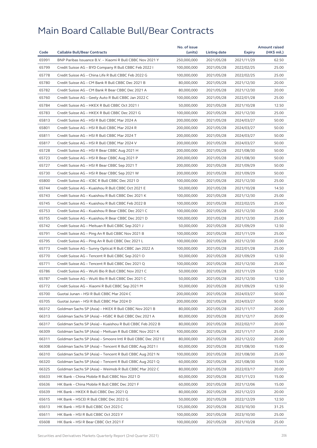|       |                                                              | No. of issue |                     |               | <b>Amount raised</b> |
|-------|--------------------------------------------------------------|--------------|---------------------|---------------|----------------------|
| Code  | <b>Callable Bull/Bear Contracts</b>                          | (units)      | <b>Listing date</b> | <b>Expiry</b> | (HK\$ mil.)          |
| 65991 | BNP Paribas Issuance B.V. - Xiaomi R Bull CBBC Nov 2021 Y    | 250,000,000  | 2021/05/28          | 2021/11/29    | 62.50                |
| 65799 | Credit Suisse AG - BYD Company R Bull CBBC Feb 2022 I        | 100,000,000  | 2021/05/28          | 2022/02/25    | 25.00                |
| 65778 | Credit Suisse AG - China Life R Bull CBBC Feb 2022 G         | 100,000,000  | 2021/05/28          | 2022/02/25    | 25.00                |
| 65780 | Credit Suisse AG - CM Bank R Bull CBBC Dec 2021 B            | 80,000,000   | 2021/05/28          | 2021/12/30    | 20.00                |
| 65782 | Credit Suisse AG - CM Bank R Bear CBBC Dec 2021 A            | 80,000,000   | 2021/05/28          | 2021/12/30    | 20.00                |
| 65760 | Credit Suisse AG - Geely Auto R Bull CBBC Jan 2022 C         | 100,000,000  | 2021/05/28          | 2022/01/28    | 25.00                |
| 65784 | Credit Suisse AG - HKEX R Bull CBBC Oct 2021 I               | 50,000,000   | 2021/05/28          | 2021/10/28    | 12.50                |
| 65783 | Credit Suisse AG - HKEX R Bull CBBC Dec 2021 G               | 100,000,000  | 2021/05/28          | 2021/12/30    | 25.00                |
| 65813 | Credit Suisse AG - HSI R Bull CBBC Mar 2024 A                | 200,000,000  | 2021/05/28          | 2024/03/27    | 50.00                |
| 65801 | Credit Suisse AG - HSI R Bull CBBC Mar 2024 R                | 200,000,000  | 2021/05/28          | 2024/03/27    | 50.00                |
| 65811 | Credit Suisse AG - HSI R Bull CBBC Mar 2024 T                | 200,000,000  | 2021/05/28          | 2024/03/27    | 50.00                |
| 65817 | Credit Suisse AG - HSI R Bull CBBC Mar 2024 V                | 200,000,000  | 2021/05/28          | 2024/03/27    | 50.00                |
| 65728 | Credit Suisse AG - HSI R Bear CBBC Aug 2021 H                | 200,000,000  | 2021/05/28          | 2021/08/30    | 50.00                |
| 65723 | Credit Suisse AG - HSI R Bear CBBC Aug 2021 P                | 200,000,000  | 2021/05/28          | 2021/08/30    | 50.00                |
| 65727 | Credit Suisse AG - HSI R Bear CBBC Sep 2021 T                | 200,000,000  | 2021/05/28          | 2021/09/29    | 50.00                |
| 65730 | Credit Suisse AG - HSI R Bear CBBC Sep 2021 W                | 200,000,000  | 2021/05/28          | 2021/09/29    | 50.00                |
| 65800 | Credit Suisse AG - ICBC R Bull CBBC Dec 2021 D               | 100,000,000  | 2021/05/28          | 2021/12/30    | 25.00                |
| 65744 | Credit Suisse AG - Kuaishou R Bull CBBC Oct 2021 E           | 50,000,000   | 2021/05/28          | 2021/10/28    | 14.50                |
| 65743 | Credit Suisse AG - Kuaishou R Bull CBBC Dec 2021 K           | 100,000,000  | 2021/05/28          | 2021/12/30    | 25.00                |
| 65745 | Credit Suisse AG - Kuaishou R Bull CBBC Feb 2022 B           | 100,000,000  | 2021/05/28          | 2022/02/25    | 25.00                |
| 65753 | Credit Suisse AG - Kuaishou R Bear CBBC Dec 2021 C           | 100,000,000  | 2021/05/28          | 2021/12/30    | 25.00                |
| 65755 | Credit Suisse AG - Kuaishou R Bear CBBC Dec 2021 D           | 100,000,000  | 2021/05/28          | 2021/12/30    | 25.00                |
| 65742 | Credit Suisse AG - Meituan R Bull CBBC Sep 2021 J            | 50,000,000   | 2021/05/28          | 2021/09/29    | 12.50                |
| 65791 | Credit Suisse AG - Ping An R Bull CBBC Nov 2021 B            | 100,000,000  | 2021/05/28          | 2021/11/29    | 25.00                |
| 65795 | Credit Suisse AG - Ping An R Bull CBBC Dec 2021 L            | 100,000,000  | 2021/05/28          | 2021/12/30    | 25.00                |
| 65773 | Credit Suisse AG - Sunny Optical R Bull CBBC Jan 2022 A      | 100,000,000  | 2021/05/28          | 2022/01/28    | 25.00                |
| 65770 | Credit Suisse AG - Tencent R Bull CBBC Sep 2021 O            | 50,000,000   | 2021/05/28          | 2021/09/29    | 12.50                |
| 65771 | Credit Suisse AG - Tencent R Bull CBBC Dec 2021 Q            | 100,000,000  | 2021/05/28          | 2021/12/30    | 25.00                |
|       |                                                              |              |                     |               | 12.50                |
| 65786 | Credit Suisse AG - WuXi Bio R Bull CBBC Nov 2021 C           | 50,000,000   | 2021/05/28          | 2021/11/29    |                      |
| 65787 | Credit Suisse AG - WuXi Bio R Bull CBBC Dec 2021 C           | 50,000,000   | 2021/05/28          | 2021/12/30    | 12.50                |
| 65772 | Credit Suisse AG - Xiaomi R Bull CBBC Sep 2021 M             | 50,000,000   | 2021/05/28          | 2021/09/29    | 12.50                |
| 65700 | Guotai Junan - HSI R Bull CBBC Mar 2024 C                    | 200,000,000  | 2021/05/28          | 2024/03/27    | 50.00                |
| 65705 | Guotai Junan – HSI R Bull CBBC Mar 2024 D                    | 200,000,000  | 2021/05/28          | 2024/03/27    | 50.00                |
| 66312 | Goldman Sachs SP (Asia) - HKEX R Bull CBBC Nov 2021 B        | 80,000,000   | 2021/05/28          | 2021/11/17    | 20.00                |
| 66313 | Goldman Sachs SP (Asia) - HSBC R Bull CBBC Dec 2021 A        | 80,000,000   | 2021/05/28          | 2021/12/17    | 20.00                |
| 66317 | Goldman Sachs SP (Asia) - Kuaishou R Bull CBBC Feb 2022 B    | 80,000,000   | 2021/05/28          | 2022/02/17    | 20.00                |
| 66309 | Goldman Sachs SP (Asia) - Meituan R Bull CBBC Nov 2021 K     | 100,000,000  | 2021/05/28          | 2021/11/17    | 25.00                |
| 66311 | Goldman Sachs SP (Asia) - Smoore Intl R Bull CBBC Dec 2021 E | 80,000,000   | 2021/05/28          | 2021/12/22    | 20.00                |
| 66308 | Goldman Sachs SP (Asia) - Tencent R Bull CBBC Aug 2021 I     | 60,000,000   | 2021/05/28          | 2021/08/30    | 15.00                |
| 66310 | Goldman Sachs SP (Asia) - Tencent R Bull CBBC Aug 2021 N     | 100,000,000  | 2021/05/28          | 2021/08/30    | 25.00                |
| 66320 | Goldman Sachs SP (Asia) - Tencent R Bull CBBC Aug 2021 Q     | 60,000,000   | 2021/05/28          | 2021/08/30    | 15.00                |
| 66325 | Goldman Sachs SP (Asia) - Weimob R Bull CBBC Mar 2022 C      | 80,000,000   | 2021/05/28          | 2022/03/17    | 20.00                |
| 65633 | HK Bank - China Mobile R Bull CBBC Nov 2021 D                | 60,000,000   | 2021/05/28          | 2021/11/23    | 15.00                |
| 65636 | HK Bank - China Mobile R Bull CBBC Dec 2021 F                | 60,000,000   | 2021/05/28          | 2021/12/06    | 15.00                |
| 65639 | HK Bank - HKEX R Bull CBBC Dec 2021 Q                        | 80,000,000   | 2021/05/28          | 2021/12/23    | 20.00                |
| 65615 | HK Bank - HSCEI R Bull CBBC Dec 2022 G                       | 50,000,000   | 2021/05/28          | 2022/12/29    | 12.50                |
| 65613 | HK Bank - HSI R Bull CBBC Oct 2023 C                         | 125,000,000  | 2021/05/28          | 2023/10/30    | 31.25                |
| 65611 | HK Bank - HSI R Bull CBBC Oct 2023 Y                         | 100,000,000  | 2021/05/28          | 2023/10/30    | 25.00                |
| 65608 | HK Bank - HSI R Bear CBBC Oct 2021 F                         | 100,000,000  | 2021/05/28          | 2021/10/28    | 25.00                |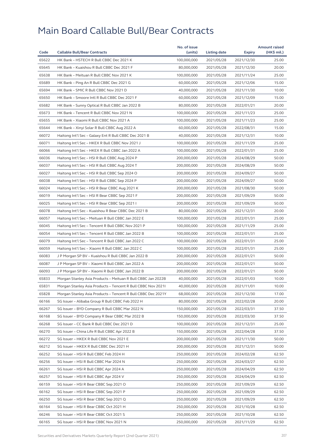|       |                                                              | No. of issue |              |               | <b>Amount raised</b> |
|-------|--------------------------------------------------------------|--------------|--------------|---------------|----------------------|
| Code  | <b>Callable Bull/Bear Contracts</b>                          | (units)      | Listing date | <b>Expiry</b> | (HK\$ mil.)          |
| 65622 | HK Bank - HSTECH R Bull CBBC Dec 2021 K                      | 100,000,000  | 2021/05/28   | 2021/12/30    | 25.00                |
| 65645 | HK Bank - Kuaishou R Bull CBBC Dec 2021 F                    | 80,000,000   | 2021/05/28   | 2021/12/30    | 20.00                |
| 65638 | HK Bank - Meituan R Bull CBBC Nov 2021 K                     | 100,000,000  | 2021/05/28   | 2021/11/24    | 25.00                |
| 65689 | HK Bank - Ping An R Bull CBBC Dec 2021 G                     | 60,000,000   | 2021/05/28   | 2021/12/06    | 15.00                |
| 65694 | HK Bank - SMIC R Bull CBBC Nov 2021 D                        | 40,000,000   | 2021/05/28   | 2021/11/30    | 10.00                |
| 65650 | HK Bank - Smoore Intl R Bull CBBC Dec 2021 F                 | 60,000,000   | 2021/05/28   | 2021/12/09    | 15.00                |
| 65682 | HK Bank - Sunny Optical R Bull CBBC Jan 2022 B               | 80,000,000   | 2021/05/28   | 2022/01/21    | 20.00                |
| 65673 | HK Bank - Tencent R Bull CBBC Nov 2021 N                     | 100,000,000  | 2021/05/28   | 2021/11/23    | 25.00                |
| 65655 | HK Bank - Xiaomi R Bull CBBC Nov 2021 A                      | 100,000,000  | 2021/05/28   | 2021/11/23    | 25.00                |
| 65644 | HK Bank - Xinyi Solar R Bull CBBC Aug 2022 A                 | 60,000,000   | 2021/05/28   | 2022/08/31    | 15.00                |
| 66072 | Haitong Int'l Sec - Galaxy Ent R Bull CBBC Dec 2021 B        | 40,000,000   | 2021/05/28   | 2021/12/31    | 10.00                |
| 66071 | Haitong Int'l Sec - HKEX R Bull CBBC Nov 2021 J              | 100,000,000  | 2021/05/28   | 2021/11/29    | 25.00                |
| 66066 | Haitong Int'l Sec - HKEX R Bull CBBC Jan 2022 A              | 100,000,000  | 2021/05/28   | 2022/01/31    | 25.00                |
| 66036 | Haitong Int'l Sec - HSI R Bull CBBC Aug 2024 P               | 200,000,000  | 2021/05/28   | 2024/08/29    | 50.00                |
| 66037 | Haitong Int'l Sec - HSI R Bull CBBC Aug 2024 T               | 200,000,000  | 2021/05/28   | 2024/08/29    | 50.00                |
| 66027 | Haitong Int'l Sec - HSI R Bull CBBC Sep 2024 O               | 200,000,000  | 2021/05/28   | 2024/09/27    | 50.00                |
| 66038 | Haitong Int'l Sec - HSI R Bull CBBC Sep 2024 P               | 200,000,000  | 2021/05/28   | 2024/09/27    | 50.00                |
| 66024 | Haitong Int'l Sec - HSI R Bear CBBC Aug 2021 K               | 200,000,000  | 2021/05/28   | 2021/08/30    | 50.00                |
| 66019 | Haitong Int'l Sec - HSI R Bear CBBC Sep 2021 F               | 200,000,000  | 2021/05/28   | 2021/09/29    | 50.00                |
| 66025 | Haitong Int'l Sec - HSI R Bear CBBC Sep 2021 I               | 200,000,000  | 2021/05/28   | 2021/09/29    | 50.00                |
| 66078 | Haitong Int'l Sec - Kuaishou R Bear CBBC Dec 2021 B          | 80,000,000   | 2021/05/28   | 2021/12/31    | 20.00                |
| 66057 | Haitong Int'l Sec - Meituan R Bull CBBC Jan 2022 E           | 100,000,000  | 2021/05/28   | 2022/01/31    | 25.00                |
| 66045 | Haitong Int'l Sec - Tencent R Bull CBBC Nov 2021 P           | 100,000,000  | 2021/05/28   | 2021/11/29    | 25.00                |
| 66054 | Haitong Int'l Sec – Tencent R Bull CBBC Jan 2022 B           | 100,000,000  | 2021/05/28   | 2022/01/31    | 25.00                |
| 66079 | Haitong Int'l Sec - Tencent R Bull CBBC Jan 2022 C           | 100,000,000  | 2021/05/28   | 2022/01/31    | 25.00                |
| 66059 | Haitong Int'l Sec – Xiaomi R Bull CBBC Jan 2022 C            | 100,000,000  | 2021/05/28   | 2022/01/31    | 25.00                |
| 66083 | J P Morgan SP BV - Kuaishou R Bull CBBC Jan 2022 B           | 200,000,000  | 2021/05/28   | 2022/01/21    | 50.00                |
| 66087 | J P Morgan SP BV - Xiaomi R Bull CBBC Jan 2022 A             | 200,000,000  | 2021/05/28   | 2022/01/21    | 50.00                |
| 66093 | J P Morgan SP BV – Xiaomi R Bull CBBC Jan 2022 B             | 200,000,000  | 2021/05/28   | 2022/01/21    | 50.00                |
| 65833 | Morgan Stanley Asia Products – Meituan R Bull CBBC Jan 2022B | 40,000,000   | 2021/05/28   | 2022/01/03    | 10.00                |
| 65831 | Morgan Stanley Asia Products - Tencent R Bull CBBC Nov 20211 | 40,000,000   | 2021/05/28   | 2021/11/01    | 10.00                |
| 65828 | Morgan Stanley Asia Products - Tencent R Bull CBBC Dec 2021Y | 68,000,000   | 2021/05/28   | 2021/12/30    | 17.00                |
| 66166 | SG Issuer - Alibaba Group R Bull CBBC Feb 2022 H             | 80,000,000   | 2021/05/28   | 2022/02/28    | 20.00                |
| 66267 | SG Issuer - BYD Company R Bull CBBC Mar 2022 N               | 150,000,000  | 2021/05/28   | 2022/03/31    | 37.50                |
| 66168 | SG Issuer - BYD Company R Bear CBBC Mar 2022 B               | 150,000,000  | 2021/05/28   |               | 37.50                |
|       |                                                              |              |              | 2022/03/30    |                      |
| 66268 | SG Issuer - CC Bank R Bull CBBC Dec 2021 D                   | 100,000,000  | 2021/05/28   | 2021/12/31    | 25.00                |
| 66270 | SG Issuer - China Life R Bull CBBC Apr 2022 B                | 150,000,000  | 2021/05/28   | 2022/04/28    | 37.50                |
| 66272 | SG Issuer - HKEX R Bull CBBC Nov 2021 E                      | 200,000,000  | 2021/05/28   | 2021/11/30    | 50.00                |
| 66212 | SG Issuer - HKEX R Bull CBBC Dec 2021 H                      | 200,000,000  | 2021/05/28   | 2021/12/31    | 50.00                |
| 66252 | SG Issuer - HSI R Bull CBBC Feb 2024 H                       | 250,000,000  | 2021/05/28   | 2024/02/28    | 62.50                |
| 66256 | SG Issuer - HSI R Bull CBBC Mar 2024 N                       | 250,000,000  | 2021/05/28   | 2024/03/27    | 62.50                |
| 66261 | SG Issuer - HSI R Bull CBBC Apr 2024 A                       | 250,000,000  | 2021/05/28   | 2024/04/29    | 62.50                |
| 66257 | SG Issuer - HSI R Bull CBBC Apr 2024 V                       | 250,000,000  | 2021/05/28   | 2024/04/29    | 62.50                |
| 66159 | SG Issuer - HSI R Bear CBBC Sep 2021 O                       | 250,000,000  | 2021/05/28   | 2021/09/29    | 62.50                |
| 66162 | SG Issuer - HSI R Bear CBBC Sep 2021 P                       | 250,000,000  | 2021/05/28   | 2021/09/29    | 62.50                |
| 66250 | SG Issuer - HSI R Bear CBBC Sep 2021 Q                       | 250,000,000  | 2021/05/28   | 2021/09/29    | 62.50                |
| 66164 | SG Issuer - HSI R Bear CBBC Oct 2021 H                       | 250,000,000  | 2021/05/28   | 2021/10/28    | 62.50                |
| 66246 | SG Issuer - HSI R Bear CBBC Oct 2021 S                       | 250,000,000  | 2021/05/28   | 2021/10/28    | 62.50                |
| 66165 | SG Issuer - HSI R Bear CBBC Nov 2021 N                       | 250,000,000  | 2021/05/28   | 2021/11/29    | 62.50                |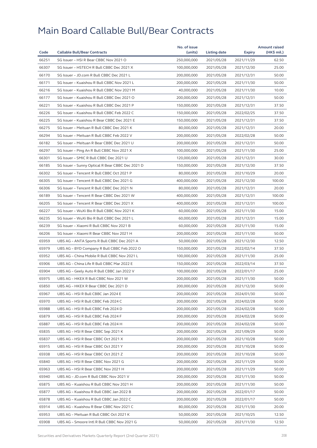|       |                                                  | No. of issue |              |            | <b>Amount raised</b> |
|-------|--------------------------------------------------|--------------|--------------|------------|----------------------|
| Code  | <b>Callable Bull/Bear Contracts</b>              | (units)      | Listing date | Expiry     | (HK\$ mil.)          |
| 66251 | SG Issuer - HSI R Bear CBBC Nov 2021 O           | 250,000,000  | 2021/05/28   | 2021/11/29 | 62.50                |
| 66307 | SG Issuer - HSTECH R Bull CBBC Dec 2021 X        | 100,000,000  | 2021/05/28   | 2021/12/30 | 25.00                |
| 66170 | SG Issuer - JD.com R Bull CBBC Dec 2021 L        | 200,000,000  | 2021/05/28   | 2021/12/31 | 50.00                |
| 66171 | SG Issuer - Kuaishou R Bull CBBC Nov 2021 L      | 200,000,000  | 2021/05/28   | 2021/11/30 | 50.00                |
| 66216 | SG Issuer - Kuaishou R Bull CBBC Nov 2021 M      | 40,000,000   | 2021/05/28   | 2021/11/30 | 10.00                |
| 66177 | SG Issuer - Kuaishou R Bull CBBC Dec 2021 O      | 200,000,000  | 2021/05/28   | 2021/12/31 | 50.00                |
| 66221 | SG Issuer - Kuaishou R Bull CBBC Dec 2021 P      | 150,000,000  | 2021/05/28   | 2021/12/31 | 37.50                |
| 66226 | SG Issuer - Kuaishou R Bull CBBC Feb 2022 C      | 150,000,000  | 2021/05/28   | 2022/02/25 | 37.50                |
| 66225 | SG Issuer - Kuaishou R Bear CBBC Dec 2021 E      | 150,000,000  | 2021/05/28   | 2021/12/31 | 37.50                |
| 66275 | SG Issuer - Meituan R Bull CBBC Dec 2021 K       | 80,000,000   | 2021/05/28   | 2021/12/31 | 20.00                |
| 66294 | SG Issuer - Meituan R Bull CBBC Feb 2022 V       | 200,000,000  | 2021/05/28   | 2022/02/28 | 50.00                |
| 66182 | SG Issuer - Meituan R Bear CBBC Dec 2021 U       | 200,000,000  | 2021/05/28   | 2021/12/31 | 50.00                |
| 66297 | SG Issuer - Ping An R Bull CBBC Nov 2021 X       | 100,000,000  | 2021/05/28   | 2021/11/30 | 25.00                |
| 66301 | SG Issuer - SMIC R Bull CBBC Dec 2021 U          | 120,000,000  | 2021/05/28   | 2021/12/31 | 30.00                |
| 66185 | SG Issuer - Sunny Optical R Bear CBBC Dec 2021 D | 150,000,000  | 2021/05/28   | 2021/12/30 | 37.50                |
| 66302 | SG Issuer - Tencent R Bull CBBC Oct 2021 P       | 80,000,000   | 2021/05/28   | 2021/10/29 | 20.00                |
| 66305 | SG Issuer - Tencent R Bull CBBC Dec 2021 G       | 400.000.000  | 2021/05/28   | 2021/12/30 | 100.00               |
| 66306 | SG Issuer - Tencent R Bull CBBC Dec 2021 N       | 80,000,000   | 2021/05/28   | 2021/12/31 | 20.00                |
| 66189 | SG Issuer - Tencent R Bear CBBC Dec 2021 W       | 400,000,000  | 2021/05/28   | 2021/12/31 | 100.00               |
| 66205 | SG Issuer - Tencent R Bear CBBC Dec 2021 X       | 400,000,000  | 2021/05/28   | 2021/12/31 | 100.00               |
| 66227 | SG Issuer - WuXi Bio R Bull CBBC Nov 2021 K      | 60,000,000   | 2021/05/28   | 2021/11/30 | 15.00                |
| 66235 | SG Issuer - WuXi Bio R Bull CBBC Dec 2021 L      | 60,000,000   | 2021/05/28   | 2021/12/31 | 15.00                |
| 66239 | SG Issuer - Xiaomi R Bull CBBC Nov 2021 B        | 60,000,000   | 2021/05/28   | 2021/11/30 | 15.00                |
| 66206 | SG Issuer - Xiaomi R Bear CBBC Nov 2021 H        | 200,000,000  | 2021/05/28   | 2021/11/30 | 50.00                |
| 65959 | UBS AG - ANTA Sports R Bull CBBC Dec 2021 A      | 50,000,000   | 2021/05/28   | 2021/12/30 | 12.50                |
| 65979 | UBS AG - BYD Company R Bull CBBC Feb 2022 O      | 150,000,000  | 2021/05/28   | 2022/02/14 | 37.50                |
| 65952 | UBS AG - China Mobile R Bull CBBC Nov 2021 L     | 100,000,000  | 2021/05/28   | 2021/11/30 | 25.00                |
| 65906 | UBS AG - China Life R Bull CBBC Mar 2022 E       | 150,000,000  | 2021/05/28   | 2022/03/14 | 37.50                |
| 65904 | UBS AG - Geely Auto R Bull CBBC Jan 2022 V       | 100,000,000  | 2021/05/28   | 2022/01/17 | 25.00                |
| 65975 | UBS AG - HKEX R Bull CBBC Nov 2021 W             | 200,000,000  | 2021/05/28   | 2021/11/30 | 50.00                |
| 65850 | UBS AG - HKEX R Bear CBBC Dec 2021 D             | 200,000,000  | 2021/05/28   | 2021/12/30 | 50.00                |
| 65967 | UBS AG - HSI R Bull CBBC Jan 2024 E              | 200,000,000  | 2021/05/28   | 2024/01/30 | 50.00                |
| 65970 | UBS AG – HSI R Bull CBBC Feb 2024 C              | 200,000,000  | 2021/05/28   | 2024/02/28 | 50.00                |
| 65988 | UBS AG - HSI R Bull CBBC Feb 2024 D              | 200,000,000  | 2021/05/28   | 2024/02/28 | 50.00                |
| 65879 | UBS AG - HSI R Bull CBBC Feb 2024 F              | 200,000,000  | 2021/05/28   | 2024/02/28 | 50.00                |
| 65887 | UBS AG - HSI R Bull CBBC Feb 2024 H              | 200,000,000  | 2021/05/28   | 2024/02/28 | 50.00                |
| 65835 | UBS AG - HSI R Bear CBBC Sep 2021 K              | 200,000,000  | 2021/05/28   | 2021/09/29 | 50.00                |
| 65837 | UBS AG - HSI R Bear CBBC Oct 2021 X              | 200,000,000  | 2021/05/28   | 2021/10/28 | 50.00                |
| 65915 | UBS AG - HSI R Bear CBBC Oct 2021 Y              | 200,000,000  | 2021/05/28   | 2021/10/28 | 50.00                |
|       |                                                  |              |              |            | 50.00                |
| 65938 | UBS AG - HSI R Bear CBBC Oct 2021 Z              | 200,000,000  | 2021/05/28   | 2021/10/28 |                      |
| 65840 | UBS AG - HSI R Bear CBBC Nov 2021 G              | 200,000,000  | 2021/05/28   | 2021/11/29 | 50.00                |
| 65963 | UBS AG - HSI R Bear CBBC Nov 2021 H              | 200,000,000  | 2021/05/28   | 2021/11/29 | 50.00                |
| 65940 | UBS AG - JD.com R Bull CBBC Nov 2021 V           | 200,000,000  | 2021/05/28   | 2021/11/30 | 50.00                |
| 65875 | UBS AG - Kuaishou R Bull CBBC Nov 2021 H         | 200,000,000  | 2021/05/28   | 2021/11/30 | 50.00                |
| 65877 | UBS AG - Kuaishou R Bull CBBC Jan 2022 B         | 200,000,000  | 2021/05/28   | 2022/01/17 | 50.00                |
| 65878 | UBS AG - Kuaishou R Bull CBBC Jan 2022 C         | 200,000,000  | 2021/05/28   | 2022/01/17 | 50.00                |
| 65914 | UBS AG - Kuaishou R Bear CBBC Nov 2021 C         | 80,000,000   | 2021/05/28   | 2021/11/30 | 20.00                |
| 65953 | UBS AG - Meituan R Bull CBBC Oct 2021 K          | 50,000,000   | 2021/05/28   | 2021/10/25 | 12.50                |
| 65908 | UBS AG - Smoore Intl R Bull CBBC Nov 2021 G      | 50,000,000   | 2021/05/28   | 2021/11/30 | 12.50                |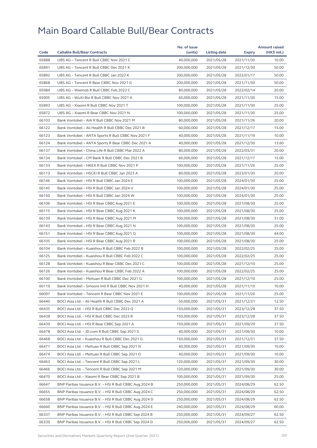|       |                                                        | No. of issue |              |            | <b>Amount raised</b> |
|-------|--------------------------------------------------------|--------------|--------------|------------|----------------------|
| Code  | <b>Callable Bull/Bear Contracts</b>                    | (units)      | Listing date | Expiry     | (HK\$ mil.)          |
| 65888 | UBS AG - Tencent R Bull CBBC Nov 2021 C                | 40,000,000   | 2021/05/28   | 2021/11/30 | 10.00                |
| 65891 | UBS AG - Tencent R Bull CBBC Dec 2021 K                | 200,000,000  | 2021/05/28   | 2021/12/30 | 50.00                |
| 65892 | UBS AG - Tencent R Bull CBBC Jan 2022 K                | 200,000,000  | 2021/05/28   | 2022/01/17 | 50.00                |
| 65868 | UBS AG - Tencent R Bear CBBC Nov 2021 G                | 200,000,000  | 2021/05/28   | 2021/11/30 | 50.00                |
| 65984 | UBS AG - Weimob R Bull CBBC Feb 2022 C                 | 80,000,000   | 2021/05/28   | 2022/02/14 | 20.00                |
| 65905 | UBS AG - WuXi Bio R Bull CBBC Nov 2021 A               | 60.000.000   | 2021/05/28   | 2021/11/30 | 15.00                |
| 65893 | UBS AG - Xiaomi R Bull CBBC Nov 2021 T                 | 100,000,000  | 2021/05/28   | 2021/11/30 | 25.00                |
| 65872 | UBS AG - Xiaomi R Bear CBBC Nov 2021 N                 | 100,000,000  | 2021/05/28   | 2021/11/30 | 25.00                |
| 66103 | Bank Vontobel - AIA R Bull CBBC Nov 2021 M             | 80,000,000   | 2021/05/28   | 2021/11/26 | 20.00                |
| 66122 | Bank Vontobel - Ali Health R Bull CBBC Dec 2021 B      | 60,000,000   | 2021/05/28   | 2021/12/17 | 15.00                |
| 66123 | Bank Vontobel - ANTA Sports R Bull CBBC Nov 2021 F     | 40,000,000   | 2021/05/28   | 2021/11/19 | 10.00                |
| 66124 | Bank Vontobel - ANTA Sports R Bear CBBC Dec 2021 A     | 40,000,000   | 2021/05/28   | 2021/12/30 | 13.60                |
| 66137 | Bank Vontobel - China Life R Bull CBBC Mar 2022 A      | 80,000,000   | 2021/05/28   | 2022/03/31 | 20.00                |
| 66134 | Bank Vontobel - CM Bank R Bull CBBC Dec 2021 B         | 60,000,000   | 2021/05/28   | 2021/12/17 | 15.00                |
| 66133 | Bank Vontobel - HKEX R Bull CBBC Nov 2021 P            | 100,000,000  | 2021/05/28   | 2021/11/26 | 25.00                |
| 66113 | Bank Vontobel - HSCEI R Bull CBBC Jan 2023 A           | 80,000,000   | 2021/05/28   | 2023/01/30 | 20.00                |
| 66146 | Bank Vontobel - HSI R Bull CBBC Jan 2024 E             | 100.000.000  | 2021/05/28   | 2024/01/30 | 25.00                |
| 66145 | Bank Vontobel - HSI R Bull CBBC Jan 2024 V             | 100,000,000  | 2021/05/28   | 2024/01/30 | 25.00                |
| 66150 | Bank Vontobel - HSI R Bull CBBC Jan 2024 W             | 100,000,000  | 2021/05/28   | 2024/01/30 | 25.00                |
| 66106 | Bank Vontobel - HSI R Bear CBBC Aug 2021 E             | 100,000,000  | 2021/05/28   | 2021/08/30 | 25.00                |
| 66115 | Bank Vontobel - HSI R Bear CBBC Aug 2021 K             | 100,000,000  | 2021/05/28   | 2021/08/30 | 25.00                |
| 66139 | Bank Vontobel - HSI R Bear CBBC Aug 2021 M             | 100,000,000  | 2021/05/28   | 2021/08/30 | 31.00                |
| 66143 | Bank Vontobel - HSI R Bear CBBC Aug 2021 N             | 100,000,000  | 2021/05/28   | 2021/08/30 | 25.00                |
| 66151 | Bank Vontobel - HSI R Bear CBBC Aug 2021 Q             | 100,000,000  | 2021/05/28   | 2021/08/30 | 44.00                |
| 66105 | Bank Vontobel - HSI R Bear CBBC Aug 2021 R             | 100,000,000  | 2021/05/28   | 2021/08/30 | 25.00                |
| 66104 | Bank Vontobel - Kuaishou R Bull CBBC Feb 2022 B        | 100,000,000  | 2021/05/28   | 2022/02/25 | 25.00                |
| 66125 | Bank Vontobel - Kuaishou R Bull CBBC Feb 2022 C        | 100,000,000  | 2021/05/28   | 2022/02/25 | 25.00                |
| 66128 | Bank Vontobel - Kuaishou R Bear CBBC Dec 2021 C        | 100,000,000  | 2021/05/28   | 2021/12/10 | 25.00                |
| 66126 | Bank Vontobel - Kuaishou R Bear CBBC Feb 2022 A        | 100,000,000  | 2021/05/28   | 2022/02/25 | 25.00                |
| 66100 | Bank Vontobel - Meituan R Bull CBBC Dec 2021 G         | 100,000,000  | 2021/05/28   | 2021/12/10 | 25.00                |
| 66119 | Bank Vontobel - Smoore Intl R Bull CBBC Nov 2021 H     | 40,000,000   | 2021/05/28   | 2021/11/19 | 10.00                |
| 66097 | Bank Vontobel - Tencent R Bear CBBC Nov 2021 E         | 100,000,000  | 2021/05/28   | 2021/11/26 | 25.00                |
| 66440 | BOCI Asia Ltd. - Ali Health R Bull CBBC Dec 2021 A     | 50,000,000   | 2021/05/31   | 2021/12/31 | 12.50                |
| 66435 | BOCI Asia Ltd. - HSI R Bull CBBC Dec 2023 Q            | 150,000,000  | 2021/05/31   | 2023/12/28 | 37.50                |
| 66438 | BOCI Asia Ltd. – HSI R Bull CBBC Dec 2023 R            | 150,000,000  | 2021/05/31   | 2023/12/28 | 37.50                |
| 66439 | BOCI Asia Ltd. - HSI R Bear CBBC Sep 2021 A            | 150,000,000  | 2021/05/31   | 2021/09/29 | 37.50                |
| 66478 | BOCI Asia Ltd. - JD.com R Bull CBBC Sep 2021 S         | 40,000,000   | 2021/05/31   | 2021/09/30 | 10.00                |
| 66468 | BOCI Asia Ltd. - Kuaishou R Bull CBBC Dec 2021 G       | 150,000,000  | 2021/05/31   | 2021/12/31 | 37.50                |
| 66471 | BOCI Asia Ltd. - Meituan R Bull CBBC Sep 2021 N        | 40,000,000   | 2021/05/31   | 2021/09/30 | 10.00                |
| 66474 | BOCI Asia Ltd. - Meituan R Bull CBBC Sep 2021 O        | 40,000,000   | 2021/05/31   | 2021/09/30 | 10.00                |
| 66463 | BOCI Asia Ltd. - Tencent R Bull CBBC Sep 2021 L        | 120,000,000  | 2021/05/31   | 2021/09/30 | 30.00                |
| 66466 | BOCI Asia Ltd. - Tencent R Bull CBBC Sep 2021 M        | 120,000,000  | 2021/05/31   | 2021/09/30 | 30.00                |
| 66470 | BOCI Asia Ltd. - Xiaomi R Bear CBBC Sep 2021 B         | 100,000,000  | 2021/05/31   | 2021/09/30 | 25.00                |
|       |                                                        |              |              |            |                      |
| 66647 | BNP Paribas Issuance B.V. - HSI R Bull CBBC Aug 2024 B | 250,000,000  | 2021/05/31   | 2024/08/29 | 62.50                |
| 66655 | BNP Paribas Issuance B.V. - HSI R Bull CBBC Aug 2024 C | 250,000,000  | 2021/05/31   | 2024/08/29 | 62.50                |
| 66658 | BNP Paribas Issuance B.V. - HSI R Bull CBBC Aug 2024 D | 250,000,000  | 2021/05/31   | 2024/08/29 | 62.50                |
| 66660 | BNP Paribas Issuance B.V. - HSI R Bull CBBC Aug 2024 E | 240,000,000  | 2021/05/31   | 2024/08/29 | 60.00                |
| 66337 | BNP Paribas Issuance B.V. - HSI R Bull CBBC Sep 2024 B | 250,000,000  | 2021/05/31   | 2024/09/27 | 62.50                |
| 66339 | BNP Paribas Issuance B.V. – HSI R Bull CBBC Sep 2024 D | 250,000,000  | 2021/05/31   | 2024/09/27 | 62.50                |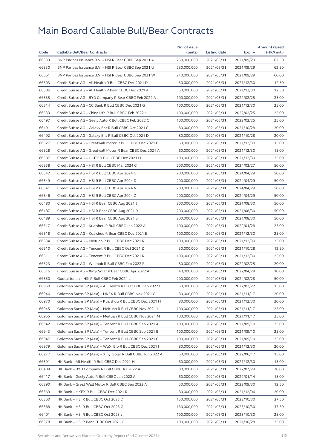|       |                                                              | No. of issue |                     |               | <b>Amount raised</b> |
|-------|--------------------------------------------------------------|--------------|---------------------|---------------|----------------------|
| Code  | <b>Callable Bull/Bear Contracts</b>                          | (units)      | <b>Listing date</b> | <b>Expiry</b> | (HK\$ mil.)          |
| 66333 | BNP Paribas Issuance B.V. - HSI R Bear CBBC Sep 2021 A       | 250,000,000  | 2021/05/31          | 2021/09/29    | 62.50                |
| 66330 | BNP Paribas Issuance B.V. - HSI R Bear CBBC Sep 2021 U       | 250,000,000  | 2021/05/31          | 2021/09/29    | 62.50                |
| 66661 | BNP Paribas Issuance B.V. - HSI R Bear CBBC Sep 2021 W       | 240,000,000  | 2021/05/31          | 2021/09/29    | 60.00                |
| 66503 | Credit Suisse AG - Ali Health R Bull CBBC Dec 2021 D         | 50,000,000   | 2021/05/31          | 2021/12/30    | 12.50                |
| 66506 | Credit Suisse AG - Ali Health R Bear CBBC Dec 2021 A         | 50,000,000   | 2021/05/31          | 2021/12/30    | 12.50                |
| 66535 | Credit Suisse AG - BYD Company R Bear CBBC Feb 2022 A        | 100,000,000  | 2021/05/31          | 2022/02/25    | 25.00                |
| 66514 | Credit Suisse AG - CC Bank R Bull CBBC Dec 2021 G            | 100,000,000  | 2021/05/31          | 2021/12/30    | 25.00                |
| 66533 | Credit Suisse AG - China Life R Bull CBBC Feb 2022 H         | 100,000,000  | 2021/05/31          | 2022/02/25    | 25.00                |
| 66497 | Credit Suisse AG - Geely Auto R Bull CBBC Feb 2022 C         | 100,000,000  | 2021/05/31          | 2022/02/25    | 25.00                |
| 66491 | Credit Suisse AG - Galaxy Ent R Bull CBBC Oct 2021 C         | 80,000,000   | 2021/05/31          | 2021/10/28    | 20.00                |
| 66492 | Credit Suisse AG - Galaxy Ent R Bull CBBC Oct 2021 D         | 80,000,000   | 2021/05/31          | 2021/10/28    | 20.00                |
| 66527 | Credit Suisse AG - Greatwall Motor R Bull CBBC Dec 2021 G    | 60,000,000   | 2021/05/31          | 2021/12/30    | 15.00                |
| 66528 | Credit Suisse AG - Greatwall Motor R Bear CBBC Dec 2021 A    | 60,000,000   | 2021/05/31          | 2021/12/30    | 15.00                |
| 66507 | Credit Suisse AG - HKEX R Bull CBBC Dec 2021 H               | 100,000,000  | 2021/05/31          | 2021/12/30    | 25.00                |
| 66538 | Credit Suisse AG - HSI R Bull CBBC Mar 2024 C                | 200,000,000  | 2021/05/31          | 2024/03/27    | 50.00                |
| 66542 | Credit Suisse AG - HSI R Bull CBBC Apr 2024 C                | 200,000,000  | 2021/05/31          | 2024/04/29    | 50.00                |
| 66549 | Credit Suisse AG - HSI R Bull CBBC Apr 2024 D                | 200,000,000  | 2021/05/31          | 2024/04/29    | 50.00                |
| 66541 | Credit Suisse AG - HSI R Bull CBBC Apr 2024 N                | 200,000,000  | 2021/05/31          | 2024/04/29    | 50.00                |
| 66546 | Credit Suisse AG - HSI R Bull CBBC Apr 2024 Z                | 200,000,000  | 2021/05/31          | 2024/04/29    | 50.00                |
| 66480 | Credit Suisse AG - HSI R Bear CBBC Aug 2021 J                | 200,000,000  | 2021/05/31          | 2021/08/30    | 50.00                |
| 66487 | Credit Suisse AG - HSI R Bear CBBC Aug 2021 R                | 200,000,000  | 2021/05/31          | 2021/08/30    | 50.00                |
| 66489 | Credit Suisse AG - HSI R Bear CBBC Aug 2021 S                | 200,000,000  | 2021/05/31          | 2021/08/30    | 50.00                |
| 66517 | Credit Suisse AG - Kuaishou R Bull CBBC Jan 2022 A           | 100,000,000  | 2021/05/31          | 2022/01/28    | 25.00                |
| 66518 | Credit Suisse AG - Kuaishou R Bear CBBC Dec 2021 E           | 100,000,000  | 2021/05/31          | 2021/12/30    | 25.00                |
| 66534 | Credit Suisse AG - Meituan R Bull CBBC Dec 2021 R            | 100,000,000  | 2021/05/31          | 2021/12/30    | 25.00                |
| 66510 | Credit Suisse AG - Tencent R Bull CBBC Oct 2021 Z            | 50,000,000   | 2021/05/31          | 2021/10/28    | 12.50                |
| 66511 | Credit Suisse AG - Tencent R Bull CBBC Dec 2021 R            | 100,000,000  | 2021/05/31          | 2021/12/30    | 25.00                |
| 66523 | Credit Suisse AG - Weimob R Bull CBBC Feb 2022 F             | 80,000,000   | 2021/05/31          | 2022/02/25    | 20.00                |
| 66516 | Credit Suisse AG - Xinyi Solar R Bear CBBC Apr 2022 A        | 40,000,000   | 2021/05/31          | 2022/04/28    | 10.00                |
| 66550 | Guotai Junan - HSI R Bull CBBC Feb 2024 L                    | 200,000,000  |                     |               |                      |
|       |                                                              |              | 2021/05/31          | 2024/02/28    | 50.00                |
| 66960 | Goldman Sachs SP (Asia) – Ali Health R Bull CBBC Feb 2022 B  | 60,000,000   | 2021/05/31          | 2022/02/22    | 15.00                |
| 66946 | Goldman Sachs SP (Asia) - HKEX R Bull CBBC Nov 2021 C        | 80,000,000   | 2021/05/31          | 2021/11/17    | 20.00                |
| 66970 | Goldman Sachs SP (Asia) - Kuaishou R Bull CBBC Dec 2021 H    | 80,000,000   | 2021/05/31          | 2021/12/30    | 20.00                |
| 66945 | Goldman Sachs SP (Asia) - Meituan R Bull CBBC Nov 2021 L     | 100,000,000  | 2021/05/31          | 2021/11/17    | 25.00                |
| 66955 | Goldman Sachs SP (Asia) - Meituan R Bull CBBC Nov 2021 M     | 100,000,000  | 2021/05/31          | 2021/11/17    | 25.00                |
| 66942 | Goldman Sachs SP (Asia) - Tencent R Bull CBBC Sep 2021 A     | 100,000,000  | 2021/05/31          | 2021/09/10    | 25.00                |
| 66943 | Goldman Sachs SP (Asia) - Tencent R Bull CBBC Sep 2021 B     | 100,000,000  | 2021/05/31          | 2021/09/10    | 25.00                |
| 66947 | Goldman Sachs SP (Asia) - Tencent R Bull CBBC Sep 2021 C     | 100,000,000  | 2021/05/31          | 2021/09/10    | 25.00                |
| 66979 | Goldman Sachs SP (Asia) - WuXi Bio R Bull CBBC Dec 2021 I    | 80,000,000   | 2021/05/31          | 2021/12/30    | 20.00                |
| 66977 | Goldman Sachs SP (Asia) - Xinyi Solar R Bull CBBC Jun 2022 A | 60,000,000   | 2021/05/31          | 2022/06/17    | 15.00                |
| 66391 | HK Bank - Ali Health R Bull CBBC Dec 2021 H                  | 60,000,000   | 2021/05/31          | 2021/12/30    | 15.00                |
| 66409 | HK Bank - BYD Company R Bull CBBC Jul 2022 A                 | 80,000,000   | 2021/05/31          | 2022/07/29    | 20.00                |
| 66417 | HK Bank - Geely Auto R Bull CBBC Jan 2022 A                  | 60,000,000   | 2021/05/31          | 2022/01/14    | 15.00                |
| 66390 | HK Bank - Great Wall Motor R Bull CBBC Sep 2022 A            | 50,000,000   | 2021/05/31          | 2022/09/30    | 12.50                |
| 66369 | HK Bank - HKEX R Bull CBBC Dec 2021 R                        | 80,000,000   | 2021/05/31          | 2021/12/06    | 20.00                |
| 66360 | HK Bank - HSI R Bull CBBC Oct 2023 D                         | 150,000,000  | 2021/05/31          | 2023/10/30    | 37.50                |
| 66388 | HK Bank - HSI R Bull CBBC Oct 2023 G                         | 150,000,000  | 2021/05/31          | 2023/10/30    | 37.50                |
| 66401 | HK Bank - HSI R Bull CBBC Oct 2023 J                         | 100,000,000  | 2021/05/31          | 2023/10/30    | 25.00                |
| 66378 | HK Bank - HSI R Bear CBBC Oct 2021 G                         | 100,000,000  | 2021/05/31          | 2021/10/28    | 25.00                |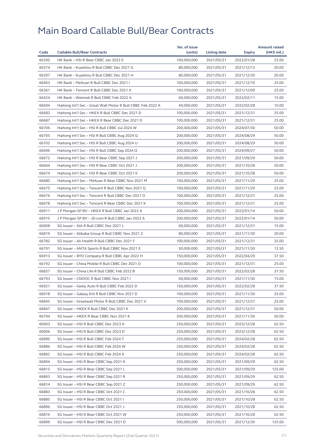| Code  |                                                             | No. of issue |              |            | <b>Amount raised</b> |
|-------|-------------------------------------------------------------|--------------|--------------|------------|----------------------|
|       | <b>Callable Bull/Bear Contracts</b>                         | (units)      | Listing date | Expiry     | (HK\$ mil.)          |
| 66395 | HK Bank - HSI R Bear CBBC Jan 2022 E                        | 100,000,000  | 2021/05/31   | 2022/01/28 | 25.00                |
| 66374 | HK Bank - Kuaishou R Bull CBBC Dec 2021 G                   | 80,000,000   | 2021/05/31   | 2021/12/13 | 20.00                |
| 66397 | HK Bank - Kuaishou R Bull CBBC Dec 2021 H                   | 80,000,000   | 2021/05/31   | 2021/12/30 | 20.00                |
| 66403 | HK Bank - Meituan R Bull CBBC Dec 2021 I                    | 100,000,000  | 2021/05/31   | 2021/12/10 | 25.00                |
| 66361 | HK Bank - Tencent R Bull CBBC Dec 2021 X                    | 100,000,000  | 2021/05/31   | 2021/12/09 | 25.00                |
| 66424 | HK Bank - Weimob R Bull CBBC Feb 2022 A                     | 60,000,000   | 2021/05/31   | 2022/02/11 | 15.00                |
| 66694 | Haitong Int'l Sec - Great Wall Motor R Bull CBBC Feb 2022 A | 40,000,000   | 2021/05/31   | 2022/02/28 | 10.00                |
| 66683 | Haitong Int'l Sec - HKEX R Bull CBBC Dec 2021 D             | 100,000,000  | 2021/05/31   | 2021/12/31 | 25.00                |
| 66687 | Haitong Int'l Sec - HKEX R Bear CBBC Dec 2021 D             | 100,000,000  | 2021/05/31   | 2021/12/31 | 25.00                |
| 66706 | Haitong Int'l Sec - HSI R Bull CBBC Jul 2024 W              | 200,000,000  | 2021/05/31   | 2024/07/30 | 50.00                |
| 66705 | Haitong Int'l Sec - HSI R Bull CBBC Aug 2024 Q              | 200,000,000  | 2021/05/31   | 2024/08/29 | 50.00                |
| 66702 | Haitong Int'l Sec - HSI R Bull CBBC Aug 2024 U              | 200,000,000  | 2021/05/31   | 2024/08/29 | 50.00                |
| 66696 | Haitong Int'l Sec - HSI R Bull CBBC Sep 2024 Q              | 200,000,000  | 2021/05/31   | 2024/09/27 | 50.00                |
| 66672 | Haitong Int'l Sec - HSI R Bear CBBC Sep 2021 J              | 200,000,000  | 2021/05/31   | 2021/09/29 | 50.00                |
| 66664 | Haitong Int'l Sec - HSI R Bear CBBC Oct 2021 J              | 200,000,000  | 2021/05/31   | 2021/10/28 | 50.00                |
| 66674 | Haitong Int'l Sec - HSI R Bear CBBC Oct 2021 K              | 200,000,000  | 2021/05/31   | 2021/10/28 | 50.00                |
| 66680 | Haitong Int'l Sec - Meituan R Bear CBBC Nov 2021 M          | 100,000,000  | 2021/05/31   | 2021/11/29 | 25.00                |
| 66675 | Haitong Int'l Sec - Tencent R Bull CBBC Nov 2021 Q          | 100,000,000  | 2021/05/31   | 2021/11/29 | 25.00                |
| 66676 | Haitong Int'l Sec - Tencent R Bull CBBC Dec 2021 O          | 100,000,000  | 2021/05/31   | 2021/12/31 | 25.00                |
| 66678 | Haitong Int'l Sec - Tencent R Bear CBBC Dec 2021 K          | 100,000,000  | 2021/05/31   | 2021/12/31 | 25.00                |
| 66911 | J P Morgan SP BV - HKEX R Bull CBBC Jan 2022 A              | 200,000,000  | 2021/05/31   | 2022/01/14 | 50.00                |
| 66915 | J P Morgan SP BV - JD.com R Bull CBBC Jan 2022 A            | 200,000,000  | 2021/05/31   | 2022/01/14 | 50.00                |
| 66908 | SG Issuer - AIA R Bull CBBC Dec 2021 L                      | 60,000,000   | 2021/05/31   | 2021/12/31 | 15.00                |
| 66819 | SG Issuer - Alibaba Group R Bull CBBC Nov 2021 Z            | 80,000,000   | 2021/05/31   | 2021/11/30 | 20.00                |
| 66782 | SG Issuer - Ali Health R Bull CBBC Dec 2021 F               | 100,000,000  | 2021/05/31   | 2021/12/31 | 25.00                |
| 66791 | SG Issuer - ANTA Sports R Bull CBBC Nov 2021 E              | 50,000,000   | 2021/05/31   | 2021/11/30 | 12.50                |
| 66913 | SG Issuer - BYD Company R Bull CBBC Apr 2022 H              | 150,000,000  | 2021/05/31   | 2022/04/29 | 37.50                |
| 66792 | SG Issuer - China Mobile R Bull CBBC Dec 2021 O             | 100,000,000  | 2021/05/31   | 2021/12/31 | 25.00                |
| 66837 | SG Issuer - China Life R Bull CBBC Feb 2022 B               | 150,000,000  | 2021/05/31   | 2022/02/28 | 37.50                |
| 66793 | SG Issuer - CNOOC R Bull CBBC Nov 2021 I                    | 60,000,000   | 2021/05/31   | 2021/11/30 | 15.00                |
| 66921 | SG Issuer - Geely Auto R Bull CBBC Feb 2022 D               | 150,000,000  | 2021/05/31   | 2022/02/28 | 37.50                |
| 66918 | SG Issuer - Galaxy Ent R Bull CBBC Nov 2021 D               | 100,000,000  | 2021/05/31   | 2021/11/30 | 25.00                |
| 66845 | SG Issuer - Greatwall Motor R Bull CBBC Dec 2021 V          | 100,000,000  | 2021/05/31   | 2021/12/31 | 25.00                |
| 66847 | SG Issuer - HKEX R Bull CBBC Dec 2021 K                     | 200,000,000  | 2021/05/31   | 2021/12/31 | 50.00                |
| 66794 | SG Issuer - HKEX R Bear CBBC Nov 2021 K                     | 200,000,000  | 2021/05/31   | 2021/11/30 | 50.00                |
| 66903 | SG Issuer - HSI R Bull CBBC Dec 2023 A                      | 250,000,000  | 2021/05/31   | 2023/12/28 | 62.50                |
| 66906 | SG Issuer - HSI R Bull CBBC Dec 2023 D                      | 250,000,000  | 2021/05/31   | 2023/12/28 | 62.50                |
| 66890 | SG Issuer - HSI R Bull CBBC Feb 2024 T                      | 250,000,000  | 2021/05/31   | 2024/02/28 | 62.50                |
| 66886 | SG Issuer - HSI R Bull CBBC Feb 2024 W                      | 250,000,000  | 2021/05/31   | 2024/02/28 | 62.50                |
| 66892 | SG Issuer - HSI R Bull CBBC Feb 2024 X                      | 250,000,000  | 2021/05/31   | 2024/02/28 | 62.50                |
| 66894 | SG Issuer - HSI R Bear CBBC Sep 2021 K                      | 250,000,000  | 2021/05/31   | 2021/09/29 | 62.50                |
| 66815 | SG Issuer - HSI R Bear CBBC Sep 2021 L                      | 500,000,000  | 2021/05/31   | 2021/09/29 | 125.00               |
| 66893 | SG Issuer - HSI R Bear CBBC Sep 2021 R                      | 250,000,000  | 2021/05/31   | 2021/09/29 | 62.50                |
| 66814 | SG Issuer - HSI R Bear CBBC Sep 2021 Z                      | 250,000,000  | 2021/05/31   | 2021/09/29 | 62.50                |
|       |                                                             |              |              |            |                      |
| 66883 | SG Issuer - HSI R Bear CBBC Oct 2021 C                      | 250,000,000  | 2021/05/31   | 2021/10/28 | 62.50                |
| 66885 | SG Issuer - HSI R Bear CBBC Oct 2021 I                      | 250,000,000  | 2021/05/31   | 2021/10/28 | 62.50                |
| 66896 | SG Issuer - HSI R Bear CBBC Oct 2021 J                      | 250,000,000  | 2021/05/31   | 2021/10/28 | 62.50                |
| 66816 | SG Issuer - HSI R Bear CBBC Oct 2021 W                      | 250,000,000  | 2021/05/31   | 2021/10/28 | 62.50                |
| 66899 | SG Issuer – HSI R Bear CBBC Dec 2021 D                      | 500,000,000  | 2021/05/31   | 2021/12/30 | 125.00               |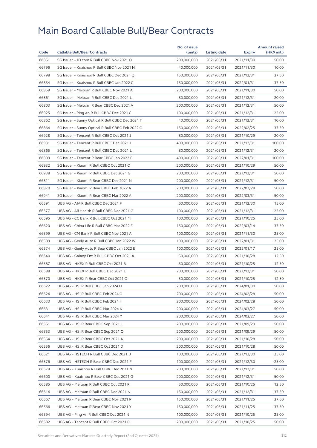| $(HK\$ mil.)<br>Code<br><b>Callable Bull/Bear Contracts</b><br>(units)<br>Listing date<br>Expiry<br>66851<br>SG Issuer - JD.com R Bull CBBC Nov 2021 O<br>200,000,000<br>2021/11/30<br>50.00<br>2021/05/31<br>66796<br>SG Issuer - Kuaishou R Bull CBBC Nov 2021 N<br>40,000,000<br>2021/05/31<br>2021/11/30<br>10.00<br>66798<br>37.50<br>SG Issuer - Kuaishou R Bull CBBC Dec 2021 Q<br>150,000,000<br>2021/05/31<br>2021/12/31<br>66854<br>SG Issuer - Kuaishou R Bull CBBC Jan 2022 C<br>150,000,000<br>37.50<br>2021/05/31<br>2022/01/31<br>66859<br>SG Issuer - Meituan R Bull CBBC Nov 2021 A<br>200,000,000<br>2021/05/31<br>2021/11/30<br>50.00<br>66861<br>20.00<br>SG Issuer - Meituan R Bull CBBC Dec 2021 L<br>80,000,000<br>2021/05/31<br>2021/12/31<br>66803<br>SG Issuer - Meituan R Bear CBBC Dec 2021 V<br>200,000,000<br>2021/05/31<br>2021/12/31<br>50.00<br>66925<br>SG Issuer - Ping An R Bull CBBC Dec 2021 C<br>100,000,000<br>2021/05/31<br>2021/12/31<br>25.00<br>66862<br>SG Issuer - Sunny Optical R Bull CBBC Dec 2021 T<br>40,000,000<br>10.00<br>2021/05/31<br>2021/12/31<br>66864<br>SG Issuer - Sunny Optical R Bull CBBC Feb 2022 C<br>150,000,000<br>2021/05/31<br>37.50<br>2022/02/25<br>66928<br>SG Issuer - Tencent R Bull CBBC Oct 2021 J<br>80,000,000<br>2021/05/31<br>2021/10/29<br>20.00<br>66931<br>SG Issuer - Tencent R Bull CBBC Dec 2021 I<br>400,000,000<br>2021/05/31<br>2021/12/31<br>100.00<br>66865<br>SG Issuer - Tencent R Bull CBBC Dec 2021 L<br>80,000,000<br>20.00<br>2021/05/31<br>2021/12/31<br>66809<br>100.00<br>SG Issuer - Tencent R Bear CBBC Jan 2022 F<br>400,000,000<br>2021/05/31<br>2022/01/31<br>66932<br>SG Issuer - Xiaomi R Bull CBBC Oct 2021 O<br>200,000,000<br>50.00<br>2021/05/31<br>2021/10/29<br>66938<br>SG Issuer - Xiaomi R Bull CBBC Dec 2021 G<br>200,000,000<br>2021/05/31<br>2021/12/31<br>50.00<br>66811<br>SG Issuer - Xiaomi R Bear CBBC Dec 2021 N<br>50.00<br>200,000,000<br>2021/05/31<br>2021/12/31<br>66870<br>SG Issuer - Xiaomi R Bear CBBC Feb 2022 A<br>200,000,000<br>50.00<br>2021/05/31<br>2022/02/28<br>66941<br>SG Issuer - Xiaomi R Bear CBBC Mar 2022 A<br>200,000,000<br>2022/03/31<br>50.00<br>2021/05/31<br>66591<br>UBS AG - AIA R Bull CBBC Dec 2021 F<br>60,000,000<br>2021/05/31<br>15.00<br>2021/12/30<br>66577<br>UBS AG - Ali Health R Bull CBBC Dec 2021 G<br>100,000,000<br>2021/05/31<br>2021/12/31<br>25.00<br>66595<br>UBS AG - CC Bank R Bull CBBC Oct 2021 M<br>100,000,000<br>2021/05/31<br>2021/10/25<br>25.00<br>66620<br>UBS AG - China Life R Bull CBBC Mar 2022 F<br>150,000,000<br>2021/05/31<br>2022/03/14<br>37.50<br>66599<br>UBS AG - CM Bank R Bull CBBC Nov 2021 A<br>100,000,000<br>25.00<br>2021/05/31<br>2021/11/30<br>66589<br>UBS AG - Geely Auto R Bull CBBC Jan 2022 W<br>100,000,000<br>2021/05/31<br>2022/01/31<br>25.00<br>66574<br>UBS AG - Geely Auto R Bear CBBC Jan 2022 E<br>100,000,000<br>2021/05/31<br>2022/01/17<br>25.00<br>66640<br>UBS AG - Galaxy Ent R Bull CBBC Oct 2021 A<br>50,000,000<br>2021/05/31<br>2021/10/28<br>12.50<br>66587<br>UBS AG - HKEX R Bull CBBC Oct 2021 B<br>50,000,000<br>2021/05/31<br>2021/10/25<br>12.50<br>66588<br>UBS AG - HKEX R Bull CBBC Dec 2021 E<br>200,000,000<br>50.00<br>2021/05/31<br>2021/12/31<br>66570<br>12.50<br>UBS AG - HKEX R Bear CBBC Oct 2021 O<br>50,000,000<br>2021/05/31<br>2021/10/25<br>66622<br>UBS AG - HSI R Bull CBBC Jan 2024 H<br>200,000,000<br>2021/05/31<br>2024/01/30<br>50.00<br>66624<br>UBS AG - HSI R Bull CBBC Feb 2024 G<br>200,000,000<br>2021/05/31<br>2024/02/28<br>50.00<br>66633<br>200,000,000<br>2024/02/28<br>50.00<br>UBS AG – HSI R Bull CBBC Feb 2024 I<br>2021/05/31<br>66631<br>UBS AG - HSI R Bull CBBC Mar 2024 K<br>200,000,000<br>2021/05/31<br>2024/03/27<br>50.00<br>66641<br>UBS AG - HSI R Bull CBBC Mar 2024 Y<br>200,000,000<br>2021/05/31<br>50.00<br>2024/03/27<br>66551<br>UBS AG - HSI R Bear CBBC Sep 2021 L<br>200,000,000<br>2021/05/31<br>2021/09/29<br>50.00 |
|---------------------------------------------------------------------------------------------------------------------------------------------------------------------------------------------------------------------------------------------------------------------------------------------------------------------------------------------------------------------------------------------------------------------------------------------------------------------------------------------------------------------------------------------------------------------------------------------------------------------------------------------------------------------------------------------------------------------------------------------------------------------------------------------------------------------------------------------------------------------------------------------------------------------------------------------------------------------------------------------------------------------------------------------------------------------------------------------------------------------------------------------------------------------------------------------------------------------------------------------------------------------------------------------------------------------------------------------------------------------------------------------------------------------------------------------------------------------------------------------------------------------------------------------------------------------------------------------------------------------------------------------------------------------------------------------------------------------------------------------------------------------------------------------------------------------------------------------------------------------------------------------------------------------------------------------------------------------------------------------------------------------------------------------------------------------------------------------------------------------------------------------------------------------------------------------------------------------------------------------------------------------------------------------------------------------------------------------------------------------------------------------------------------------------------------------------------------------------------------------------------------------------------------------------------------------------------------------------------------------------------------------------------------------------------------------------------------------------------------------------------------------------------------------------------------------------------------------------------------------------------------------------------------------------------------------------------------------------------------------------------------------------------------------------------------------------------------------------------------------------------------------------------------------------------------------------------------------------------------------------------------------------------------------------------------------------------------------------------------------------------------------------------------------------------------------------------------------------------------------------------------------------------------------------------------------------------------------------------------------------------------------------------------------------------------------------------------------------------------------------------------------------------------------------------------------------------------------------------------------------------------------------------------------------------------------------------------------------------------------------------------------------------------|
|                                                                                                                                                                                                                                                                                                                                                                                                                                                                                                                                                                                                                                                                                                                                                                                                                                                                                                                                                                                                                                                                                                                                                                                                                                                                                                                                                                                                                                                                                                                                                                                                                                                                                                                                                                                                                                                                                                                                                                                                                                                                                                                                                                                                                                                                                                                                                                                                                                                                                                                                                                                                                                                                                                                                                                                                                                                                                                                                                                                                                                                                                                                                                                                                                                                                                                                                                                                                                                                                                                                                                                                                                                                                                                                                                                                                                                                                                                                                                                                                                                       |
|                                                                                                                                                                                                                                                                                                                                                                                                                                                                                                                                                                                                                                                                                                                                                                                                                                                                                                                                                                                                                                                                                                                                                                                                                                                                                                                                                                                                                                                                                                                                                                                                                                                                                                                                                                                                                                                                                                                                                                                                                                                                                                                                                                                                                                                                                                                                                                                                                                                                                                                                                                                                                                                                                                                                                                                                                                                                                                                                                                                                                                                                                                                                                                                                                                                                                                                                                                                                                                                                                                                                                                                                                                                                                                                                                                                                                                                                                                                                                                                                                                       |
|                                                                                                                                                                                                                                                                                                                                                                                                                                                                                                                                                                                                                                                                                                                                                                                                                                                                                                                                                                                                                                                                                                                                                                                                                                                                                                                                                                                                                                                                                                                                                                                                                                                                                                                                                                                                                                                                                                                                                                                                                                                                                                                                                                                                                                                                                                                                                                                                                                                                                                                                                                                                                                                                                                                                                                                                                                                                                                                                                                                                                                                                                                                                                                                                                                                                                                                                                                                                                                                                                                                                                                                                                                                                                                                                                                                                                                                                                                                                                                                                                                       |
|                                                                                                                                                                                                                                                                                                                                                                                                                                                                                                                                                                                                                                                                                                                                                                                                                                                                                                                                                                                                                                                                                                                                                                                                                                                                                                                                                                                                                                                                                                                                                                                                                                                                                                                                                                                                                                                                                                                                                                                                                                                                                                                                                                                                                                                                                                                                                                                                                                                                                                                                                                                                                                                                                                                                                                                                                                                                                                                                                                                                                                                                                                                                                                                                                                                                                                                                                                                                                                                                                                                                                                                                                                                                                                                                                                                                                                                                                                                                                                                                                                       |
|                                                                                                                                                                                                                                                                                                                                                                                                                                                                                                                                                                                                                                                                                                                                                                                                                                                                                                                                                                                                                                                                                                                                                                                                                                                                                                                                                                                                                                                                                                                                                                                                                                                                                                                                                                                                                                                                                                                                                                                                                                                                                                                                                                                                                                                                                                                                                                                                                                                                                                                                                                                                                                                                                                                                                                                                                                                                                                                                                                                                                                                                                                                                                                                                                                                                                                                                                                                                                                                                                                                                                                                                                                                                                                                                                                                                                                                                                                                                                                                                                                       |
|                                                                                                                                                                                                                                                                                                                                                                                                                                                                                                                                                                                                                                                                                                                                                                                                                                                                                                                                                                                                                                                                                                                                                                                                                                                                                                                                                                                                                                                                                                                                                                                                                                                                                                                                                                                                                                                                                                                                                                                                                                                                                                                                                                                                                                                                                                                                                                                                                                                                                                                                                                                                                                                                                                                                                                                                                                                                                                                                                                                                                                                                                                                                                                                                                                                                                                                                                                                                                                                                                                                                                                                                                                                                                                                                                                                                                                                                                                                                                                                                                                       |
|                                                                                                                                                                                                                                                                                                                                                                                                                                                                                                                                                                                                                                                                                                                                                                                                                                                                                                                                                                                                                                                                                                                                                                                                                                                                                                                                                                                                                                                                                                                                                                                                                                                                                                                                                                                                                                                                                                                                                                                                                                                                                                                                                                                                                                                                                                                                                                                                                                                                                                                                                                                                                                                                                                                                                                                                                                                                                                                                                                                                                                                                                                                                                                                                                                                                                                                                                                                                                                                                                                                                                                                                                                                                                                                                                                                                                                                                                                                                                                                                                                       |
|                                                                                                                                                                                                                                                                                                                                                                                                                                                                                                                                                                                                                                                                                                                                                                                                                                                                                                                                                                                                                                                                                                                                                                                                                                                                                                                                                                                                                                                                                                                                                                                                                                                                                                                                                                                                                                                                                                                                                                                                                                                                                                                                                                                                                                                                                                                                                                                                                                                                                                                                                                                                                                                                                                                                                                                                                                                                                                                                                                                                                                                                                                                                                                                                                                                                                                                                                                                                                                                                                                                                                                                                                                                                                                                                                                                                                                                                                                                                                                                                                                       |
|                                                                                                                                                                                                                                                                                                                                                                                                                                                                                                                                                                                                                                                                                                                                                                                                                                                                                                                                                                                                                                                                                                                                                                                                                                                                                                                                                                                                                                                                                                                                                                                                                                                                                                                                                                                                                                                                                                                                                                                                                                                                                                                                                                                                                                                                                                                                                                                                                                                                                                                                                                                                                                                                                                                                                                                                                                                                                                                                                                                                                                                                                                                                                                                                                                                                                                                                                                                                                                                                                                                                                                                                                                                                                                                                                                                                                                                                                                                                                                                                                                       |
|                                                                                                                                                                                                                                                                                                                                                                                                                                                                                                                                                                                                                                                                                                                                                                                                                                                                                                                                                                                                                                                                                                                                                                                                                                                                                                                                                                                                                                                                                                                                                                                                                                                                                                                                                                                                                                                                                                                                                                                                                                                                                                                                                                                                                                                                                                                                                                                                                                                                                                                                                                                                                                                                                                                                                                                                                                                                                                                                                                                                                                                                                                                                                                                                                                                                                                                                                                                                                                                                                                                                                                                                                                                                                                                                                                                                                                                                                                                                                                                                                                       |
|                                                                                                                                                                                                                                                                                                                                                                                                                                                                                                                                                                                                                                                                                                                                                                                                                                                                                                                                                                                                                                                                                                                                                                                                                                                                                                                                                                                                                                                                                                                                                                                                                                                                                                                                                                                                                                                                                                                                                                                                                                                                                                                                                                                                                                                                                                                                                                                                                                                                                                                                                                                                                                                                                                                                                                                                                                                                                                                                                                                                                                                                                                                                                                                                                                                                                                                                                                                                                                                                                                                                                                                                                                                                                                                                                                                                                                                                                                                                                                                                                                       |
|                                                                                                                                                                                                                                                                                                                                                                                                                                                                                                                                                                                                                                                                                                                                                                                                                                                                                                                                                                                                                                                                                                                                                                                                                                                                                                                                                                                                                                                                                                                                                                                                                                                                                                                                                                                                                                                                                                                                                                                                                                                                                                                                                                                                                                                                                                                                                                                                                                                                                                                                                                                                                                                                                                                                                                                                                                                                                                                                                                                                                                                                                                                                                                                                                                                                                                                                                                                                                                                                                                                                                                                                                                                                                                                                                                                                                                                                                                                                                                                                                                       |
|                                                                                                                                                                                                                                                                                                                                                                                                                                                                                                                                                                                                                                                                                                                                                                                                                                                                                                                                                                                                                                                                                                                                                                                                                                                                                                                                                                                                                                                                                                                                                                                                                                                                                                                                                                                                                                                                                                                                                                                                                                                                                                                                                                                                                                                                                                                                                                                                                                                                                                                                                                                                                                                                                                                                                                                                                                                                                                                                                                                                                                                                                                                                                                                                                                                                                                                                                                                                                                                                                                                                                                                                                                                                                                                                                                                                                                                                                                                                                                                                                                       |
|                                                                                                                                                                                                                                                                                                                                                                                                                                                                                                                                                                                                                                                                                                                                                                                                                                                                                                                                                                                                                                                                                                                                                                                                                                                                                                                                                                                                                                                                                                                                                                                                                                                                                                                                                                                                                                                                                                                                                                                                                                                                                                                                                                                                                                                                                                                                                                                                                                                                                                                                                                                                                                                                                                                                                                                                                                                                                                                                                                                                                                                                                                                                                                                                                                                                                                                                                                                                                                                                                                                                                                                                                                                                                                                                                                                                                                                                                                                                                                                                                                       |
|                                                                                                                                                                                                                                                                                                                                                                                                                                                                                                                                                                                                                                                                                                                                                                                                                                                                                                                                                                                                                                                                                                                                                                                                                                                                                                                                                                                                                                                                                                                                                                                                                                                                                                                                                                                                                                                                                                                                                                                                                                                                                                                                                                                                                                                                                                                                                                                                                                                                                                                                                                                                                                                                                                                                                                                                                                                                                                                                                                                                                                                                                                                                                                                                                                                                                                                                                                                                                                                                                                                                                                                                                                                                                                                                                                                                                                                                                                                                                                                                                                       |
|                                                                                                                                                                                                                                                                                                                                                                                                                                                                                                                                                                                                                                                                                                                                                                                                                                                                                                                                                                                                                                                                                                                                                                                                                                                                                                                                                                                                                                                                                                                                                                                                                                                                                                                                                                                                                                                                                                                                                                                                                                                                                                                                                                                                                                                                                                                                                                                                                                                                                                                                                                                                                                                                                                                                                                                                                                                                                                                                                                                                                                                                                                                                                                                                                                                                                                                                                                                                                                                                                                                                                                                                                                                                                                                                                                                                                                                                                                                                                                                                                                       |
|                                                                                                                                                                                                                                                                                                                                                                                                                                                                                                                                                                                                                                                                                                                                                                                                                                                                                                                                                                                                                                                                                                                                                                                                                                                                                                                                                                                                                                                                                                                                                                                                                                                                                                                                                                                                                                                                                                                                                                                                                                                                                                                                                                                                                                                                                                                                                                                                                                                                                                                                                                                                                                                                                                                                                                                                                                                                                                                                                                                                                                                                                                                                                                                                                                                                                                                                                                                                                                                                                                                                                                                                                                                                                                                                                                                                                                                                                                                                                                                                                                       |
|                                                                                                                                                                                                                                                                                                                                                                                                                                                                                                                                                                                                                                                                                                                                                                                                                                                                                                                                                                                                                                                                                                                                                                                                                                                                                                                                                                                                                                                                                                                                                                                                                                                                                                                                                                                                                                                                                                                                                                                                                                                                                                                                                                                                                                                                                                                                                                                                                                                                                                                                                                                                                                                                                                                                                                                                                                                                                                                                                                                                                                                                                                                                                                                                                                                                                                                                                                                                                                                                                                                                                                                                                                                                                                                                                                                                                                                                                                                                                                                                                                       |
|                                                                                                                                                                                                                                                                                                                                                                                                                                                                                                                                                                                                                                                                                                                                                                                                                                                                                                                                                                                                                                                                                                                                                                                                                                                                                                                                                                                                                                                                                                                                                                                                                                                                                                                                                                                                                                                                                                                                                                                                                                                                                                                                                                                                                                                                                                                                                                                                                                                                                                                                                                                                                                                                                                                                                                                                                                                                                                                                                                                                                                                                                                                                                                                                                                                                                                                                                                                                                                                                                                                                                                                                                                                                                                                                                                                                                                                                                                                                                                                                                                       |
|                                                                                                                                                                                                                                                                                                                                                                                                                                                                                                                                                                                                                                                                                                                                                                                                                                                                                                                                                                                                                                                                                                                                                                                                                                                                                                                                                                                                                                                                                                                                                                                                                                                                                                                                                                                                                                                                                                                                                                                                                                                                                                                                                                                                                                                                                                                                                                                                                                                                                                                                                                                                                                                                                                                                                                                                                                                                                                                                                                                                                                                                                                                                                                                                                                                                                                                                                                                                                                                                                                                                                                                                                                                                                                                                                                                                                                                                                                                                                                                                                                       |
|                                                                                                                                                                                                                                                                                                                                                                                                                                                                                                                                                                                                                                                                                                                                                                                                                                                                                                                                                                                                                                                                                                                                                                                                                                                                                                                                                                                                                                                                                                                                                                                                                                                                                                                                                                                                                                                                                                                                                                                                                                                                                                                                                                                                                                                                                                                                                                                                                                                                                                                                                                                                                                                                                                                                                                                                                                                                                                                                                                                                                                                                                                                                                                                                                                                                                                                                                                                                                                                                                                                                                                                                                                                                                                                                                                                                                                                                                                                                                                                                                                       |
|                                                                                                                                                                                                                                                                                                                                                                                                                                                                                                                                                                                                                                                                                                                                                                                                                                                                                                                                                                                                                                                                                                                                                                                                                                                                                                                                                                                                                                                                                                                                                                                                                                                                                                                                                                                                                                                                                                                                                                                                                                                                                                                                                                                                                                                                                                                                                                                                                                                                                                                                                                                                                                                                                                                                                                                                                                                                                                                                                                                                                                                                                                                                                                                                                                                                                                                                                                                                                                                                                                                                                                                                                                                                                                                                                                                                                                                                                                                                                                                                                                       |
|                                                                                                                                                                                                                                                                                                                                                                                                                                                                                                                                                                                                                                                                                                                                                                                                                                                                                                                                                                                                                                                                                                                                                                                                                                                                                                                                                                                                                                                                                                                                                                                                                                                                                                                                                                                                                                                                                                                                                                                                                                                                                                                                                                                                                                                                                                                                                                                                                                                                                                                                                                                                                                                                                                                                                                                                                                                                                                                                                                                                                                                                                                                                                                                                                                                                                                                                                                                                                                                                                                                                                                                                                                                                                                                                                                                                                                                                                                                                                                                                                                       |
|                                                                                                                                                                                                                                                                                                                                                                                                                                                                                                                                                                                                                                                                                                                                                                                                                                                                                                                                                                                                                                                                                                                                                                                                                                                                                                                                                                                                                                                                                                                                                                                                                                                                                                                                                                                                                                                                                                                                                                                                                                                                                                                                                                                                                                                                                                                                                                                                                                                                                                                                                                                                                                                                                                                                                                                                                                                                                                                                                                                                                                                                                                                                                                                                                                                                                                                                                                                                                                                                                                                                                                                                                                                                                                                                                                                                                                                                                                                                                                                                                                       |
|                                                                                                                                                                                                                                                                                                                                                                                                                                                                                                                                                                                                                                                                                                                                                                                                                                                                                                                                                                                                                                                                                                                                                                                                                                                                                                                                                                                                                                                                                                                                                                                                                                                                                                                                                                                                                                                                                                                                                                                                                                                                                                                                                                                                                                                                                                                                                                                                                                                                                                                                                                                                                                                                                                                                                                                                                                                                                                                                                                                                                                                                                                                                                                                                                                                                                                                                                                                                                                                                                                                                                                                                                                                                                                                                                                                                                                                                                                                                                                                                                                       |
|                                                                                                                                                                                                                                                                                                                                                                                                                                                                                                                                                                                                                                                                                                                                                                                                                                                                                                                                                                                                                                                                                                                                                                                                                                                                                                                                                                                                                                                                                                                                                                                                                                                                                                                                                                                                                                                                                                                                                                                                                                                                                                                                                                                                                                                                                                                                                                                                                                                                                                                                                                                                                                                                                                                                                                                                                                                                                                                                                                                                                                                                                                                                                                                                                                                                                                                                                                                                                                                                                                                                                                                                                                                                                                                                                                                                                                                                                                                                                                                                                                       |
|                                                                                                                                                                                                                                                                                                                                                                                                                                                                                                                                                                                                                                                                                                                                                                                                                                                                                                                                                                                                                                                                                                                                                                                                                                                                                                                                                                                                                                                                                                                                                                                                                                                                                                                                                                                                                                                                                                                                                                                                                                                                                                                                                                                                                                                                                                                                                                                                                                                                                                                                                                                                                                                                                                                                                                                                                                                                                                                                                                                                                                                                                                                                                                                                                                                                                                                                                                                                                                                                                                                                                                                                                                                                                                                                                                                                                                                                                                                                                                                                                                       |
|                                                                                                                                                                                                                                                                                                                                                                                                                                                                                                                                                                                                                                                                                                                                                                                                                                                                                                                                                                                                                                                                                                                                                                                                                                                                                                                                                                                                                                                                                                                                                                                                                                                                                                                                                                                                                                                                                                                                                                                                                                                                                                                                                                                                                                                                                                                                                                                                                                                                                                                                                                                                                                                                                                                                                                                                                                                                                                                                                                                                                                                                                                                                                                                                                                                                                                                                                                                                                                                                                                                                                                                                                                                                                                                                                                                                                                                                                                                                                                                                                                       |
|                                                                                                                                                                                                                                                                                                                                                                                                                                                                                                                                                                                                                                                                                                                                                                                                                                                                                                                                                                                                                                                                                                                                                                                                                                                                                                                                                                                                                                                                                                                                                                                                                                                                                                                                                                                                                                                                                                                                                                                                                                                                                                                                                                                                                                                                                                                                                                                                                                                                                                                                                                                                                                                                                                                                                                                                                                                                                                                                                                                                                                                                                                                                                                                                                                                                                                                                                                                                                                                                                                                                                                                                                                                                                                                                                                                                                                                                                                                                                                                                                                       |
|                                                                                                                                                                                                                                                                                                                                                                                                                                                                                                                                                                                                                                                                                                                                                                                                                                                                                                                                                                                                                                                                                                                                                                                                                                                                                                                                                                                                                                                                                                                                                                                                                                                                                                                                                                                                                                                                                                                                                                                                                                                                                                                                                                                                                                                                                                                                                                                                                                                                                                                                                                                                                                                                                                                                                                                                                                                                                                                                                                                                                                                                                                                                                                                                                                                                                                                                                                                                                                                                                                                                                                                                                                                                                                                                                                                                                                                                                                                                                                                                                                       |
|                                                                                                                                                                                                                                                                                                                                                                                                                                                                                                                                                                                                                                                                                                                                                                                                                                                                                                                                                                                                                                                                                                                                                                                                                                                                                                                                                                                                                                                                                                                                                                                                                                                                                                                                                                                                                                                                                                                                                                                                                                                                                                                                                                                                                                                                                                                                                                                                                                                                                                                                                                                                                                                                                                                                                                                                                                                                                                                                                                                                                                                                                                                                                                                                                                                                                                                                                                                                                                                                                                                                                                                                                                                                                                                                                                                                                                                                                                                                                                                                                                       |
|                                                                                                                                                                                                                                                                                                                                                                                                                                                                                                                                                                                                                                                                                                                                                                                                                                                                                                                                                                                                                                                                                                                                                                                                                                                                                                                                                                                                                                                                                                                                                                                                                                                                                                                                                                                                                                                                                                                                                                                                                                                                                                                                                                                                                                                                                                                                                                                                                                                                                                                                                                                                                                                                                                                                                                                                                                                                                                                                                                                                                                                                                                                                                                                                                                                                                                                                                                                                                                                                                                                                                                                                                                                                                                                                                                                                                                                                                                                                                                                                                                       |
|                                                                                                                                                                                                                                                                                                                                                                                                                                                                                                                                                                                                                                                                                                                                                                                                                                                                                                                                                                                                                                                                                                                                                                                                                                                                                                                                                                                                                                                                                                                                                                                                                                                                                                                                                                                                                                                                                                                                                                                                                                                                                                                                                                                                                                                                                                                                                                                                                                                                                                                                                                                                                                                                                                                                                                                                                                                                                                                                                                                                                                                                                                                                                                                                                                                                                                                                                                                                                                                                                                                                                                                                                                                                                                                                                                                                                                                                                                                                                                                                                                       |
|                                                                                                                                                                                                                                                                                                                                                                                                                                                                                                                                                                                                                                                                                                                                                                                                                                                                                                                                                                                                                                                                                                                                                                                                                                                                                                                                                                                                                                                                                                                                                                                                                                                                                                                                                                                                                                                                                                                                                                                                                                                                                                                                                                                                                                                                                                                                                                                                                                                                                                                                                                                                                                                                                                                                                                                                                                                                                                                                                                                                                                                                                                                                                                                                                                                                                                                                                                                                                                                                                                                                                                                                                                                                                                                                                                                                                                                                                                                                                                                                                                       |
|                                                                                                                                                                                                                                                                                                                                                                                                                                                                                                                                                                                                                                                                                                                                                                                                                                                                                                                                                                                                                                                                                                                                                                                                                                                                                                                                                                                                                                                                                                                                                                                                                                                                                                                                                                                                                                                                                                                                                                                                                                                                                                                                                                                                                                                                                                                                                                                                                                                                                                                                                                                                                                                                                                                                                                                                                                                                                                                                                                                                                                                                                                                                                                                                                                                                                                                                                                                                                                                                                                                                                                                                                                                                                                                                                                                                                                                                                                                                                                                                                                       |
|                                                                                                                                                                                                                                                                                                                                                                                                                                                                                                                                                                                                                                                                                                                                                                                                                                                                                                                                                                                                                                                                                                                                                                                                                                                                                                                                                                                                                                                                                                                                                                                                                                                                                                                                                                                                                                                                                                                                                                                                                                                                                                                                                                                                                                                                                                                                                                                                                                                                                                                                                                                                                                                                                                                                                                                                                                                                                                                                                                                                                                                                                                                                                                                                                                                                                                                                                                                                                                                                                                                                                                                                                                                                                                                                                                                                                                                                                                                                                                                                                                       |
|                                                                                                                                                                                                                                                                                                                                                                                                                                                                                                                                                                                                                                                                                                                                                                                                                                                                                                                                                                                                                                                                                                                                                                                                                                                                                                                                                                                                                                                                                                                                                                                                                                                                                                                                                                                                                                                                                                                                                                                                                                                                                                                                                                                                                                                                                                                                                                                                                                                                                                                                                                                                                                                                                                                                                                                                                                                                                                                                                                                                                                                                                                                                                                                                                                                                                                                                                                                                                                                                                                                                                                                                                                                                                                                                                                                                                                                                                                                                                                                                                                       |
| 50.00<br>66553<br>UBS AG - HSI R Bear CBBC Sep 2021 Q<br>200,000,000<br>2021/05/31<br>2021/09/29                                                                                                                                                                                                                                                                                                                                                                                                                                                                                                                                                                                                                                                                                                                                                                                                                                                                                                                                                                                                                                                                                                                                                                                                                                                                                                                                                                                                                                                                                                                                                                                                                                                                                                                                                                                                                                                                                                                                                                                                                                                                                                                                                                                                                                                                                                                                                                                                                                                                                                                                                                                                                                                                                                                                                                                                                                                                                                                                                                                                                                                                                                                                                                                                                                                                                                                                                                                                                                                                                                                                                                                                                                                                                                                                                                                                                                                                                                                                      |
| 66554<br>UBS AG - HSI R Bear CBBC Oct 2021 A<br>200,000,000<br>2021/05/31<br>2021/10/28<br>50.00                                                                                                                                                                                                                                                                                                                                                                                                                                                                                                                                                                                                                                                                                                                                                                                                                                                                                                                                                                                                                                                                                                                                                                                                                                                                                                                                                                                                                                                                                                                                                                                                                                                                                                                                                                                                                                                                                                                                                                                                                                                                                                                                                                                                                                                                                                                                                                                                                                                                                                                                                                                                                                                                                                                                                                                                                                                                                                                                                                                                                                                                                                                                                                                                                                                                                                                                                                                                                                                                                                                                                                                                                                                                                                                                                                                                                                                                                                                                      |
| 66556<br>UBS AG - HSI R Bear CBBC Oct 2021 D<br>200,000,000<br>2021/05/31<br>2021/10/28<br>50.00                                                                                                                                                                                                                                                                                                                                                                                                                                                                                                                                                                                                                                                                                                                                                                                                                                                                                                                                                                                                                                                                                                                                                                                                                                                                                                                                                                                                                                                                                                                                                                                                                                                                                                                                                                                                                                                                                                                                                                                                                                                                                                                                                                                                                                                                                                                                                                                                                                                                                                                                                                                                                                                                                                                                                                                                                                                                                                                                                                                                                                                                                                                                                                                                                                                                                                                                                                                                                                                                                                                                                                                                                                                                                                                                                                                                                                                                                                                                      |
| 66621<br>UBS AG - HSTECH R Bull CBBC Dec 2021 B<br>100,000,000<br>2021/05/31<br>25.00<br>2021/12/30                                                                                                                                                                                                                                                                                                                                                                                                                                                                                                                                                                                                                                                                                                                                                                                                                                                                                                                                                                                                                                                                                                                                                                                                                                                                                                                                                                                                                                                                                                                                                                                                                                                                                                                                                                                                                                                                                                                                                                                                                                                                                                                                                                                                                                                                                                                                                                                                                                                                                                                                                                                                                                                                                                                                                                                                                                                                                                                                                                                                                                                                                                                                                                                                                                                                                                                                                                                                                                                                                                                                                                                                                                                                                                                                                                                                                                                                                                                                   |
| 100,000,000<br>66576<br>UBS AG - HSTECH R Bear CBBC Dec 2021 F<br>2021/05/31<br>2021/12/30<br>25.00                                                                                                                                                                                                                                                                                                                                                                                                                                                                                                                                                                                                                                                                                                                                                                                                                                                                                                                                                                                                                                                                                                                                                                                                                                                                                                                                                                                                                                                                                                                                                                                                                                                                                                                                                                                                                                                                                                                                                                                                                                                                                                                                                                                                                                                                                                                                                                                                                                                                                                                                                                                                                                                                                                                                                                                                                                                                                                                                                                                                                                                                                                                                                                                                                                                                                                                                                                                                                                                                                                                                                                                                                                                                                                                                                                                                                                                                                                                                   |
| 66579<br>UBS AG - Kuaishou R Bull CBBC Dec 2021 N<br>200,000,000<br>2021/05/31<br>2021/12/31<br>50.00                                                                                                                                                                                                                                                                                                                                                                                                                                                                                                                                                                                                                                                                                                                                                                                                                                                                                                                                                                                                                                                                                                                                                                                                                                                                                                                                                                                                                                                                                                                                                                                                                                                                                                                                                                                                                                                                                                                                                                                                                                                                                                                                                                                                                                                                                                                                                                                                                                                                                                                                                                                                                                                                                                                                                                                                                                                                                                                                                                                                                                                                                                                                                                                                                                                                                                                                                                                                                                                                                                                                                                                                                                                                                                                                                                                                                                                                                                                                 |
| 66600<br>UBS AG - Kuaishou R Bear CBBC Dec 2021 G<br>200,000,000<br>2021/05/31<br>2021/12/31<br>50.00                                                                                                                                                                                                                                                                                                                                                                                                                                                                                                                                                                                                                                                                                                                                                                                                                                                                                                                                                                                                                                                                                                                                                                                                                                                                                                                                                                                                                                                                                                                                                                                                                                                                                                                                                                                                                                                                                                                                                                                                                                                                                                                                                                                                                                                                                                                                                                                                                                                                                                                                                                                                                                                                                                                                                                                                                                                                                                                                                                                                                                                                                                                                                                                                                                                                                                                                                                                                                                                                                                                                                                                                                                                                                                                                                                                                                                                                                                                                 |
| 66585<br>UBS AG - Meituan R Bull CBBC Oct 2021 R<br>50,000,000<br>2021/10/25<br>12.50<br>2021/05/31                                                                                                                                                                                                                                                                                                                                                                                                                                                                                                                                                                                                                                                                                                                                                                                                                                                                                                                                                                                                                                                                                                                                                                                                                                                                                                                                                                                                                                                                                                                                                                                                                                                                                                                                                                                                                                                                                                                                                                                                                                                                                                                                                                                                                                                                                                                                                                                                                                                                                                                                                                                                                                                                                                                                                                                                                                                                                                                                                                                                                                                                                                                                                                                                                                                                                                                                                                                                                                                                                                                                                                                                                                                                                                                                                                                                                                                                                                                                   |
| 66614<br>UBS AG - Meituan R Bull CBBC Dec 2021 N<br>150,000,000<br>2021/05/31<br>2021/12/31<br>37.50                                                                                                                                                                                                                                                                                                                                                                                                                                                                                                                                                                                                                                                                                                                                                                                                                                                                                                                                                                                                                                                                                                                                                                                                                                                                                                                                                                                                                                                                                                                                                                                                                                                                                                                                                                                                                                                                                                                                                                                                                                                                                                                                                                                                                                                                                                                                                                                                                                                                                                                                                                                                                                                                                                                                                                                                                                                                                                                                                                                                                                                                                                                                                                                                                                                                                                                                                                                                                                                                                                                                                                                                                                                                                                                                                                                                                                                                                                                                  |
| 66567<br>UBS AG - Meituan R Bear CBBC Nov 2021 P<br>150,000,000<br>2021/05/31<br>37.50<br>2021/11/25                                                                                                                                                                                                                                                                                                                                                                                                                                                                                                                                                                                                                                                                                                                                                                                                                                                                                                                                                                                                                                                                                                                                                                                                                                                                                                                                                                                                                                                                                                                                                                                                                                                                                                                                                                                                                                                                                                                                                                                                                                                                                                                                                                                                                                                                                                                                                                                                                                                                                                                                                                                                                                                                                                                                                                                                                                                                                                                                                                                                                                                                                                                                                                                                                                                                                                                                                                                                                                                                                                                                                                                                                                                                                                                                                                                                                                                                                                                                  |
| 66566<br>UBS AG - Meituan R Bear CBBC Nov 2021 Y<br>150,000,000<br>2021/05/31<br>2021/11/25<br>37.50                                                                                                                                                                                                                                                                                                                                                                                                                                                                                                                                                                                                                                                                                                                                                                                                                                                                                                                                                                                                                                                                                                                                                                                                                                                                                                                                                                                                                                                                                                                                                                                                                                                                                                                                                                                                                                                                                                                                                                                                                                                                                                                                                                                                                                                                                                                                                                                                                                                                                                                                                                                                                                                                                                                                                                                                                                                                                                                                                                                                                                                                                                                                                                                                                                                                                                                                                                                                                                                                                                                                                                                                                                                                                                                                                                                                                                                                                                                                  |
| 66594<br>UBS AG - Ping An R Bull CBBC Oct 2021 N<br>100,000,000<br>2021/05/31<br>2021/10/25<br>25.00                                                                                                                                                                                                                                                                                                                                                                                                                                                                                                                                                                                                                                                                                                                                                                                                                                                                                                                                                                                                                                                                                                                                                                                                                                                                                                                                                                                                                                                                                                                                                                                                                                                                                                                                                                                                                                                                                                                                                                                                                                                                                                                                                                                                                                                                                                                                                                                                                                                                                                                                                                                                                                                                                                                                                                                                                                                                                                                                                                                                                                                                                                                                                                                                                                                                                                                                                                                                                                                                                                                                                                                                                                                                                                                                                                                                                                                                                                                                  |
| 66582<br>UBS AG - Tencent R Bull CBBC Oct 2021 B<br>200,000,000<br>2021/10/25<br>50.00<br>2021/05/31                                                                                                                                                                                                                                                                                                                                                                                                                                                                                                                                                                                                                                                                                                                                                                                                                                                                                                                                                                                                                                                                                                                                                                                                                                                                                                                                                                                                                                                                                                                                                                                                                                                                                                                                                                                                                                                                                                                                                                                                                                                                                                                                                                                                                                                                                                                                                                                                                                                                                                                                                                                                                                                                                                                                                                                                                                                                                                                                                                                                                                                                                                                                                                                                                                                                                                                                                                                                                                                                                                                                                                                                                                                                                                                                                                                                                                                                                                                                  |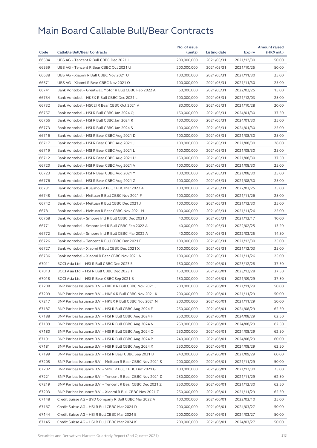|       |                                                            | No. of issue |                     |            | <b>Amount raised</b> |
|-------|------------------------------------------------------------|--------------|---------------------|------------|----------------------|
| Code  | <b>Callable Bull/Bear Contracts</b>                        | (units)      | <b>Listing date</b> | Expiry     | (HK\$ mil.)          |
| 66584 | UBS AG - Tencent R Bull CBBC Dec 2021 L                    | 200,000,000  | 2021/05/31          | 2021/12/30 | 50.00                |
| 66559 | UBS AG - Tencent R Bear CBBC Oct 2021 U                    | 200,000,000  | 2021/05/31          | 2021/10/25 | 50.00                |
| 66638 | UBS AG - Xiaomi R Bull CBBC Nov 2021 U                     | 100,000,000  | 2021/05/31          | 2021/11/30 | 25.00                |
| 66571 | UBS AG - Xiaomi R Bear CBBC Nov 2021 O                     | 100,000,000  | 2021/05/31          | 2021/11/30 | 25.00                |
| 66741 | Bank Vontobel - Greatwall Motor R Bull CBBC Feb 2022 A     | 60,000,000   | 2021/05/31          | 2022/02/25 | 15.00                |
| 66734 | Bank Vontobel - HKEX R Bull CBBC Dec 2021 L                | 100,000,000  | 2021/05/31          | 2021/12/03 | 25.00                |
| 66732 | Bank Vontobel - HSCEI R Bear CBBC Oct 2021 A               | 80,000,000   | 2021/05/31          | 2021/10/28 | 20.00                |
| 66757 | Bank Vontobel - HSI R Bull CBBC Jan 2024 Q                 | 150,000,000  | 2021/05/31          | 2024/01/30 | 37.50                |
| 66766 | Bank Vontobel - HSI R Bull CBBC Jan 2024 R                 | 100,000,000  | 2021/05/31          | 2024/01/30 | 25.00                |
| 66773 | Bank Vontobel - HSI R Bull CBBC Jan 2024 S                 | 100,000,000  | 2021/05/31          | 2024/01/30 | 25.00                |
| 66716 | Bank Vontobel - HSI R Bear CBBC Aug 2021 D                 | 100,000,000  | 2021/05/31          | 2021/08/30 | 25.00                |
| 66717 | Bank Vontobel - HSI R Bear CBBC Aug 2021 J                 | 100,000,000  | 2021/05/31          | 2021/08/30 | 28.00                |
| 66719 | Bank Vontobel - HSI R Bear CBBC Aug 2021 L                 | 100,000,000  | 2021/05/31          | 2021/08/30 | 25.00                |
| 66712 | Bank Vontobel - HSI R Bear CBBC Aug 2021 U                 | 150,000,000  | 2021/05/31          | 2021/08/30 | 37.50                |
| 66720 | Bank Vontobel - HSI R Bear CBBC Aug 2021 V                 | 100,000,000  | 2021/05/31          | 2021/08/30 | 25.00                |
| 66723 | Bank Vontobel - HSI R Bear CBBC Aug 2021 Y                 | 100,000,000  | 2021/05/31          | 2021/08/30 | 25.00                |
| 66776 | Bank Vontobel - HSI R Bear CBBC Aug 2021 Z                 | 100,000,000  | 2021/05/31          | 2021/08/30 | 25.00                |
| 66731 | Bank Vontobel - Kuaishou R Bull CBBC Mar 2022 A            | 100,000,000  | 2021/05/31          | 2022/03/25 | 25.00                |
| 66748 | Bank Vontobel - Meituan R Bull CBBC Nov 2021 F             | 100,000,000  | 2021/05/31          | 2021/11/26 | 25.00                |
| 66742 | Bank Vontobel - Meituan R Bull CBBC Dec 2021 J             | 100,000,000  | 2021/05/31          | 2021/12/30 | 25.00                |
| 66781 | Bank Vontobel - Meituan R Bear CBBC Nov 2021 M             | 100,000,000  | 2021/05/31          | 2021/11/26 | 25.00                |
| 66768 | Bank Vontobel - Smoore Intl R Bull CBBC Dec 2021 J         | 40,000,000   | 2021/05/31          | 2021/12/17 | 10.00                |
| 66771 | Bank Vontobel - Smoore Intl R Bull CBBC Feb 2022 A         | 40,000,000   | 2021/05/31          | 2022/02/25 | 13.20                |
| 66772 | Bank Vontobel - Smoore Intl R Bull CBBC Mar 2022 A         | 40,000,000   | 2021/05/31          | 2022/03/25 | 14.80                |
| 66726 | Bank Vontobel - Tencent R Bull CBBC Dec 2021 E             | 100,000,000  | 2021/05/31          | 2021/12/30 | 25.00                |
| 66727 | Bank Vontobel - Xiaomi R Bull CBBC Dec 2021 X              | 100,000,000  | 2021/05/31          | 2021/12/03 | 25.00                |
| 66736 | Bank Vontobel - Xiaomi R Bear CBBC Nov 2021 N              | 100,000,000  | 2021/05/31          | 2021/11/26 | 25.00                |
| 67011 | BOCI Asia Ltd. - HSI R Bull CBBC Dec 2023 S                | 150,000,000  | 2021/06/01          | 2023/12/28 | 37.50                |
| 67013 | BOCI Asia Ltd. - HSI R Bull CBBC Dec 2023 T                | 150,000,000  | 2021/06/01          | 2023/12/28 | 37.50                |
| 67018 | BOCI Asia Ltd. - HSI R Bear CBBC Sep 2021 B                | 150,000,000  | 2021/06/01          | 2021/09/29 | 37.50                |
| 67208 | BNP Paribas Issuance B.V. - HKEX R Bull CBBC Nov 2021 J    | 200,000,000  | 2021/06/01          | 2021/11/29 | 50.00                |
| 67209 | BNP Paribas Issuance B.V. - HKEX R Bull CBBC Nov 2021 K    | 200,000,000  | 2021/06/01          | 2021/11/29 | 50.00                |
| 67217 | BNP Paribas Issuance B.V. - HKEX R Bull CBBC Nov 2021 N    | 200,000,000  | 2021/06/01          | 2021/11/29 | 50.00                |
| 67187 | BNP Paribas Issuance B.V. - HSI R Bull CBBC Aug 2024 F     | 250,000,000  | 2021/06/01          | 2024/08/29 | 62.50                |
| 67188 | BNP Paribas Issuance B.V. - HSI R Bull CBBC Aug 2024 H     | 250,000,000  | 2021/06/01          | 2024/08/29 | 62.50                |
| 67189 | BNP Paribas Issuance B.V. - HSI R Bull CBBC Aug 2024 N     | 250,000,000  | 2021/06/01          | 2024/08/29 | 62.50                |
| 67180 | BNP Paribas Issuance B.V. - HSI R Bull CBBC Aug 2024 O     | 250,000,000  | 2021/06/01          | 2024/08/29 | 62.50                |
| 67191 | BNP Paribas Issuance B.V. - HSI R Bull CBBC Aug 2024 P     | 240,000,000  | 2021/06/01          | 2024/08/29 | 60.00                |
| 67181 | BNP Paribas Issuance B.V. - HSI R Bull CBBC Aug 2024 X     | 250,000,000  | 2021/06/01          | 2024/08/29 | 62.50                |
| 67199 | BNP Paribas Issuance B.V. - HSI R Bear CBBC Sep 2021 B     | 240,000,000  | 2021/06/01          | 2021/09/29 | 60.00                |
| 67205 | BNP Paribas Issuance B.V. - Meituan R Bear CBBC Nov 2021 S | 200,000,000  | 2021/06/01          | 2021/11/29 | 50.00                |
| 67202 | BNP Paribas Issuance B.V. - SMIC R Bull CBBC Dec 2021 G    | 100,000,000  | 2021/06/01          | 2021/12/30 | 25.00                |
| 67221 | BNP Paribas Issuance B.V. - Tencent R Bear CBBC Nov 2021 D | 250,000,000  | 2021/06/01          | 2021/11/29 | 62.50                |
| 67219 | BNP Paribas Issuance B.V. - Tencent R Bear CBBC Dec 2021 Z | 250,000,000  | 2021/06/01          | 2021/12/30 | 62.50                |
| 67203 | BNP Paribas Issuance B.V. - Xiaomi R Bull CBBC Nov 2021 Z  | 250,000,000  | 2021/06/01          | 2021/11/29 | 62.50                |
| 67148 | Credit Suisse AG - BYD Company R Bull CBBC Mar 2022 A      | 100,000,000  | 2021/06/01          |            | 25.00                |
|       |                                                            | 200,000,000  |                     | 2022/03/10 | 50.00                |
| 67167 | Credit Suisse AG - HSI R Bull CBBC Mar 2024 D              |              | 2021/06/01          | 2024/03/27 | 50.00                |
| 67144 | Credit Suisse AG - HSI R Bull CBBC Mar 2024 E              | 200,000,000  | 2021/06/01          | 2024/03/27 |                      |
| 67145 | Credit Suisse AG - HSI R Bull CBBC Mar 2024 K              | 200,000,000  | 2021/06/01          | 2024/03/27 | 50.00                |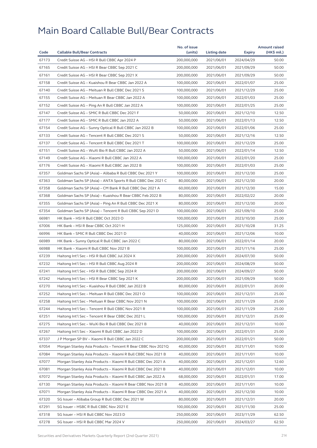|                |                                                              | No. of issue             |              |               | <b>Amount raised</b> |
|----------------|--------------------------------------------------------------|--------------------------|--------------|---------------|----------------------|
| Code           | <b>Callable Bull/Bear Contracts</b>                          | (units)                  | Listing date | <b>Expiry</b> | (HK\$ mil.)          |
| 67173          | Credit Suisse AG - HSI R Bull CBBC Apr 2024 P                | 200,000,000              | 2021/06/01   | 2024/04/29    | 50.00                |
| 67165          | Credit Suisse AG - HSI R Bear CBBC Sep 2021 C                | 200,000,000              | 2021/06/01   | 2021/09/29    | 50.00                |
| 67161          | Credit Suisse AG - HSI R Bear CBBC Sep 2021 X                | 200,000,000              | 2021/06/01   | 2021/09/29    | 50.00                |
| 67158          | Credit Suisse AG - Kuaishou R Bear CBBC Jan 2022 A           | 100,000,000              | 2021/06/01   | 2022/01/07    | 25.00                |
| 67140          | Credit Suisse AG - Meituan R Bull CBBC Dec 2021 S            | 100,000,000              | 2021/06/01   | 2021/12/29    | 25.00                |
| 67155          | Credit Suisse AG - Meituan R Bear CBBC Jan 2022 A            | 100,000,000              | 2021/06/01   | 2022/01/03    | 25.00                |
| 67152          | Credit Suisse AG - Ping An R Bull CBBC Jan 2022 A            | 100,000,000              | 2021/06/01   | 2022/01/25    | 25.00                |
| 67147          | Credit Suisse AG - SMIC R Bull CBBC Dec 2021 F               | 50,000,000               | 2021/06/01   | 2021/12/10    | 12.50                |
| 67177          | Credit Suisse AG - SMIC R Bull CBBC Jan 2022 A               | 50,000,000               | 2021/06/01   | 2022/01/13    | 12.50                |
| 67154          | Credit Suisse AG - Sunny Optical R Bull CBBC Jan 2022 B      | 100,000,000              | 2021/06/01   | 2022/01/06    | 25.00                |
| 67133          | Credit Suisse AG - Tencent R Bull CBBC Dec 2021 S            | 50,000,000               | 2021/06/01   | 2021/12/16    | 12.50                |
| 67137          | Credit Suisse AG - Tencent R Bull CBBC Dec 2021 T            | 100,000,000              | 2021/06/01   | 2021/12/29    | 25.00                |
| 67151          | Credit Suisse AG - WuXi Bio R Bull CBBC Jan 2022 A           | 50,000,000               | 2021/06/01   | 2022/01/14    | 12.50                |
| 67149          | Credit Suisse AG - Xiaomi R Bull CBBC Jan 2022 A             | 100,000,000              | 2021/06/01   | 2022/01/20    | 25.00                |
| 67176          | Credit Suisse AG - Xiaomi R Bull CBBC Jan 2022 B             | 100,000,000              | 2021/06/01   | 2022/01/03    | 25.00                |
| 67357          | Goldman Sachs SP (Asia) – Alibaba R Bull CBBC Dec 2021 Y     | 100,000,000              | 2021/06/01   | 2021/12/30    | 25.00                |
| 67363          | Goldman Sachs SP (Asia) - ANTA Sports R Bull CBBC Dec 2021 C | 80,000,000               | 2021/06/01   | 2021/12/30    | 20.00                |
| 67358          | Goldman Sachs SP (Asia) - CM Bank R Bull CBBC Dec 2021 A     | 60,000,000               | 2021/06/01   | 2021/12/30    | 15.00                |
| 67368          | Goldman Sachs SP (Asia) - Kuaishou R Bear CBBC Feb 2022 B    | 80,000,000               | 2021/06/01   | 2022/02/22    | 20.00                |
| 67355          | Goldman Sachs SP (Asia) - Ping An R Bull CBBC Dec 2021 X     | 80,000,000               | 2021/06/01   | 2021/12/30    | 20.00                |
| 67354          | Goldman Sachs SP (Asia) - Tencent R Bull CBBC Sep 2021 D     | 100,000,000              | 2021/06/01   | 2021/09/10    | 25.00                |
| 66981          | HK Bank - HSI R Bull CBBC Oct 2023 O                         | 100,000,000              | 2021/06/01   | 2023/10/30    | 25.00                |
| 67006          | HK Bank - HSI R Bear CBBC Oct 2021 H                         | 125,000,000              | 2021/06/01   | 2021/10/28    | 31.25                |
| 66996          | HK Bank - SMIC R Bull CBBC Dec 2021 D                        | 40,000,000               | 2021/06/01   | 2021/12/06    | 10.00                |
| 66989          | HK Bank - Sunny Optical R Bull CBBC Jan 2022 C               | 80,000,000               | 2021/06/01   | 2022/01/14    | 20.00                |
| 66988          | HK Bank - Xiaomi R Bull CBBC Nov 2021 B                      | 100,000,000              | 2021/06/01   | 2021/11/16    | 25.00                |
| 67239          | Haitong Int'l Sec - HSI R Bull CBBC Jul 2024 X               | 200,000,000              | 2021/06/01   | 2024/07/30    | 50.00                |
| 67232          | Haitong Int'l Sec - HSI R Bull CBBC Aug 2024 R               | 200,000,000              | 2021/06/01   | 2024/08/29    | 50.00                |
| 67241          | Haitong Int'l Sec - HSI R Bull CBBC Sep 2024 R               | 200,000,000              | 2021/06/01   | 2024/09/27    | 50.00                |
| 67242          | Haitong Int'l Sec - HSI R Bear CBBC Sep 2021 K               | 200,000,000              | 2021/06/01   | 2021/09/29    | 50.00                |
| 67270          | Haitong Int'l Sec – Kuaishou R Bull CBBC Jan 2022 B          | 80,000,000               | 2021/06/01   | 2022/01/31    | 20.00                |
| 67252          | Haitong Int'l Sec - Meituan R Bull CBBC Dec 2021 O           | 100,000,000              | 2021/06/01   | 2021/12/31    | 25.00                |
| 67258          | Haitong Int'l Sec - Meituan R Bear CBBC Nov 2021 N           | 100,000,000              | 2021/06/01   | 2021/11/29    | 25.00                |
| 67244          | Haitong Int'l Sec - Tencent R Bull CBBC Nov 2021 R           | 100,000,000              | 2021/06/01   | 2021/11/29    | 25.00                |
| 67251          | Haitong Int'l Sec - Tencent R Bear CBBC Dec 2021 L           | 100,000,000              | 2021/06/01   | 2021/12/31    | 25.00                |
| 67275          | Haitong Int'l Sec - WuXi Bio R Bull CBBC Dec 2021 B          | 40,000,000               | 2021/06/01   | 2021/12/31    | 10.00                |
| 67267          | Haitong Int'l Sec - Xiaomi R Bull CBBC Jan 2022 D            | 100,000,000              | 2021/06/01   | 2022/01/31    | 25.00                |
| 67337          | J P Morgan SP BV - Xiaomi R Bull CBBC Jan 2022 C             | 200,000,000              | 2021/06/01   | 2022/01/21    | 50.00                |
| 67054          | Morgan Stanley Asia Products - Tencent R Bear CBBC Nov 2021Q | 40,000,000               | 2021/06/01   | 2021/11/01    | 10.00                |
| 67084          | Morgan Stanley Asia Products - Xiaomi R Bull CBBC Nov 2021 B | 40,000,000               | 2021/06/01   | 2021/11/01    | 10.00                |
| 67077          | Morgan Stanley Asia Products - Xiaomi R Bull CBBC Dec 2021 A | 40,000,000               | 2021/06/01   | 2021/12/01    | 12.60                |
| 67081          | Morgan Stanley Asia Products - Xiaomi R Bull CBBC Dec 2021 B | 40,000,000               | 2021/06/01   | 2021/12/01    | 10.00                |
|                |                                                              |                          |              |               | 17.00                |
| 67072<br>67130 | Morgan Stanley Asia Products - Xiaomi R Bull CBBC Jan 2022 A | 68,000,000<br>40,000,000 | 2021/06/01   | 2022/01/31    | 10.00                |
|                | Morgan Stanley Asia Products - Xiaomi R Bear CBBC Nov 2021 B |                          | 2021/06/01   | 2021/11/01    |                      |
| 67071          | Morgan Stanley Asia Products - Xiaomi R Bear CBBC Dec 2021 A | 40,000,000               | 2021/06/01   | 2021/12/30    | 10.00                |
| 67320          | SG Issuer - Alibaba Group R Bull CBBC Dec 2021 W             | 80,000,000               | 2021/06/01   | 2021/12/31    | 20.00                |
| 67291          | SG Issuer - HSBC R Bull CBBC Nov 2021 E                      | 100,000,000              | 2021/06/01   | 2021/11/30    | 25.00                |
| 67318          | SG Issuer - HSI R Bull CBBC Nov 2023 D                       | 250,000,000              | 2021/06/01   | 2023/11/29    | 62.50                |
| 67278          | SG Issuer - HSI R Bull CBBC Mar 2024 V                       | 250,000,000              | 2021/06/01   | 2024/03/27    | 62.50                |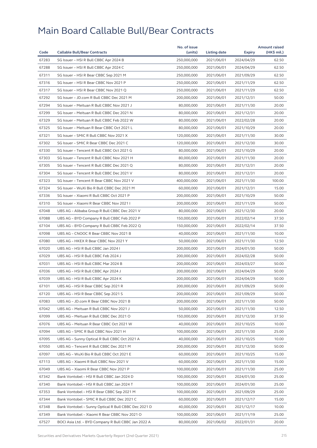| 67283<br>SG Issuer - HSI R Bull CBBC Apr 2024 B<br>250,000,000<br>2021/06/01<br>2024/04/29<br>62.50<br>67288<br>SG Issuer - HSI R Bull CBBC Apr 2024 C<br>250,000,000<br>2021/06/01<br>2024/04/29<br>62.50<br>67311<br>SG Issuer - HSI R Bear CBBC Sep 2021 M<br>250,000,000<br>2021/06/01<br>2021/09/29<br>62.50<br>67316<br>SG Issuer - HSI R Bear CBBC Nov 2021 P<br>250,000,000<br>2021/11/29<br>62.50<br>2021/06/01<br>67317<br>SG Issuer - HSI R Bear CBBC Nov 2021 Q<br>250,000,000<br>2021/06/01<br>2021/11/29<br>62.50<br>67292<br>50.00<br>SG Issuer - JD.com R Bull CBBC Dec 2021 M<br>200,000,000<br>2021/06/01<br>2021/12/31<br>67294<br>SG Issuer - Meituan R Bull CBBC Nov 2021 J<br>80,000,000<br>2021/06/01<br>2021/11/30<br>20.00<br>67299<br>SG Issuer - Meituan R Bull CBBC Dec 2021 N<br>80,000,000<br>2021/06/01<br>2021/12/31<br>20.00<br>67329<br>SG Issuer - Meituan R Bull CBBC Feb 2022 W<br>80,000,000<br>2021/06/01<br>20.00<br>2022/02/28<br>67325<br>SG Issuer - Meituan R Bear CBBC Oct 2021 L<br>80,000,000<br>2021/06/01<br>2021/10/29<br>20.00<br>67321<br>SG Issuer - SMIC R Bull CBBC Nov 2021 X<br>120,000,000<br>2021/06/01<br>2021/11/30<br>30.00<br>67302<br>30.00<br>SG Issuer - SMIC R Bear CBBC Dec 2021 C<br>120,000,000<br>2021/06/01<br>2021/12/30<br>67330<br>SG Issuer - Tencent R Bull CBBC Oct 2021 G<br>80,000,000<br>2021/10/29<br>20.00<br>2021/06/01<br>67303<br>SG Issuer - Tencent R Bull CBBC Nov 2021 H<br>80,000,000<br>2021/06/01<br>2021/11/30<br>20.00<br>67305<br>SG Issuer - Tencent R Bull CBBC Dec 2021 Q<br>80,000,000<br>20.00<br>2021/06/01<br>2021/12/31<br>67304<br>SG Issuer - Tencent R Bull CBBC Dec 2021 V<br>80,000,000<br>2021/06/01<br>2021/12/31<br>20.00<br>67323<br>SG Issuer - Tencent R Bear CBBC Nov 2021 V<br>100.00<br>400,000,000<br>2021/06/01<br>2021/11/30<br>67324<br>SG Issuer - WuXi Bio R Bull CBBC Dec 2021 M<br>60,000,000<br>2021/06/01<br>15.00<br>2021/12/31<br>67336<br>SG Issuer - Xiaomi R Bull CBBC Oct 2021 P<br>200,000,000<br>2021/06/01<br>2021/10/29<br>50.00<br>67310<br>SG Issuer - Xiaomi R Bear CBBC Nov 2021 I<br>200,000,000<br>2021/06/01<br>2021/11/29<br>50.00<br>67048<br>UBS AG - Alibaba Group R Bull CBBC Dec 2021 V<br>80,000,000<br>2021/06/01<br>2021/12/30<br>20.00<br>67088<br>UBS AG - BYD Company R Bull CBBC Feb 2022 P<br>150,000,000<br>2021/06/01<br>2022/02/14<br>37.50<br>67104<br>UBS AG - BYD Company R Bull CBBC Feb 2022 Q<br>150,000,000<br>2021/06/01<br>2022/02/14<br>37.50<br>67098<br>UBS AG - CNOOC R Bear CBBC Nov 2021 B<br>40,000,000<br>10.00<br>2021/06/01<br>2021/11/30<br>67080<br>UBS AG - HKEX R Bear CBBC Nov 2021 Y<br>50,000,000<br>2021/06/01<br>2021/11/30<br>12.50<br>67020<br>UBS AG - HSI R Bull CBBC Jan 2024 I<br>200,000,000<br>2021/06/01<br>2024/01/30<br>50.00<br>67029<br>UBS AG - HSI R Bull CBBC Feb 2024 J<br>200,000,000<br>2021/06/01<br>2024/02/28<br>50.00<br>67031<br>UBS AG - HSI R Bull CBBC Mar 2024 B<br>200,000,000<br>2021/06/01<br>2024/03/27<br>50.00<br>67036<br>UBS AG - HSI R Bull CBBC Apr 2024 J<br>200,000,000<br>2021/06/01<br>2024/04/29<br>50.00<br>50.00<br>67039<br>UBS AG - HSI R Bull CBBC Apr 2024 K<br>200,000,000<br>2021/06/01<br>2024/04/29<br>67101<br>UBS AG - HSI R Bear CBBC Sep 2021 R<br>200,000,000<br>2021/06/01<br>50.00<br>2021/09/29<br>UBS AG - HSI R Bear CBBC Sep 2021 S<br>67120<br>200,000,000<br>2021/06/01<br>2021/09/29<br>50.00<br>67083<br>UBS AG - JD.com R Bear CBBC Nov 2021 B<br>200,000,000<br>2021/06/01<br>2021/11/30<br>50.00<br>67042<br>UBS AG - Meituan R Bull CBBC Nov 2021 J<br>50,000,000<br>2021/06/01<br>2021/11/30<br>12.50<br>67099<br>UBS AG - Meituan R Bull CBBC Dec 2021 O<br>150,000,000<br>2021/06/01<br>2021/12/30<br>37.50<br>67076<br>UBS AG - Meituan R Bear CBBC Oct 2021 W<br>40,000,000<br>2021/06/01<br>2021/10/25<br>10.00<br>67094<br>25.00<br>UBS AG - SMIC R Bull CBBC Nov 2021 H<br>100,000,000<br>2021/06/01<br>2021/11/30<br>67095<br>UBS AG - Sunny Optical R Bull CBBC Oct 2021 A<br>40,000,000<br>2021/06/01<br>2021/10/25<br>10.00<br>67050<br>UBS AG - Tencent R Bull CBBC Dec 2021 M<br>200,000,000<br>2021/06/01<br>2021/12/30<br>50.00<br>67097<br>UBS AG - WuXi Bio R Bull CBBC Oct 2021 E<br>60,000,000<br>2021/06/01<br>2021/10/25<br>15.00<br>60,000,000<br>67113<br>UBS AG - Xiaomi R Bull CBBC Nov 2021 V<br>2021/06/01<br>2021/11/30<br>15.00<br>67049<br>UBS AG - Xiaomi R Bear CBBC Nov 2021 P<br>100,000,000<br>2021/06/01<br>2021/11/30<br>25.00<br>67342<br>Bank Vontobel - HSI R Bull CBBC Jan 2024 D<br>100,000,000<br>2021/06/01<br>2024/01/30<br>25.00<br>67340<br>100,000,000<br>2021/06/01<br>2024/01/30<br>25.00<br>Bank Vontobel - HSI R Bull CBBC Jan 2024 T<br>67353<br>Bank Vontobel - HSI R Bear CBBC Sep 2021 M<br>100,000,000<br>2021/06/01<br>2021/09/29<br>25.00<br>67344<br>Bank Vontobel - SMIC R Bull CBBC Dec 2021 C<br>60,000,000<br>2021/06/01<br>2021/12/17<br>15.00<br>67348<br>Bank Vontobel - Sunny Optical R Bull CBBC Dec 2021 D<br>40,000,000<br>2021/06/01<br>2021/12/17<br>10.00<br>100,000,000<br>67349<br>Bank Vontobel - Xiaomi R Bear CBBC Nov 2021 O<br>2021/06/01<br>2021/11/19<br>25.00<br>67527<br>BOCI Asia Ltd. - BYD Company R Bull CBBC Jan 2022 A<br>80,000,000<br>2021/06/02<br>2022/01/31<br>20.00 |      |                                     | No. of issue |              |               | <b>Amount raised</b> |
|---------------------------------------------------------------------------------------------------------------------------------------------------------------------------------------------------------------------------------------------------------------------------------------------------------------------------------------------------------------------------------------------------------------------------------------------------------------------------------------------------------------------------------------------------------------------------------------------------------------------------------------------------------------------------------------------------------------------------------------------------------------------------------------------------------------------------------------------------------------------------------------------------------------------------------------------------------------------------------------------------------------------------------------------------------------------------------------------------------------------------------------------------------------------------------------------------------------------------------------------------------------------------------------------------------------------------------------------------------------------------------------------------------------------------------------------------------------------------------------------------------------------------------------------------------------------------------------------------------------------------------------------------------------------------------------------------------------------------------------------------------------------------------------------------------------------------------------------------------------------------------------------------------------------------------------------------------------------------------------------------------------------------------------------------------------------------------------------------------------------------------------------------------------------------------------------------------------------------------------------------------------------------------------------------------------------------------------------------------------------------------------------------------------------------------------------------------------------------------------------------------------------------------------------------------------------------------------------------------------------------------------------------------------------------------------------------------------------------------------------------------------------------------------------------------------------------------------------------------------------------------------------------------------------------------------------------------------------------------------------------------------------------------------------------------------------------------------------------------------------------------------------------------------------------------------------------------------------------------------------------------------------------------------------------------------------------------------------------------------------------------------------------------------------------------------------------------------------------------------------------------------------------------------------------------------------------------------------------------------------------------------------------------------------------------------------------------------------------------------------------------------------------------------------------------------------------------------------------------------------------------------------------------------------------------------------------------------------------------------------------------------------------------------------------------------------------------------------------------------------------------------------------------------------------------------------------------------------------------------------------------------------------------------------------------------------------------------------------------------------------------------------------------------------------------------------------------------------------------------------------------------------------------------------------------------------------------------------------------------------------------------------------------------------------------------------------------------------------------------------------------------------------------------------------------------------------------------------------------------------------------------------------------------------------------------------------------------------------------------------------------------------------------------------------------------------------------------------------------------------------------------------------------------------------------------------------------------------------------------------------------------------------------------------------------------------------------------------|------|-------------------------------------|--------------|--------------|---------------|----------------------|
|                                                                                                                                                                                                                                                                                                                                                                                                                                                                                                                                                                                                                                                                                                                                                                                                                                                                                                                                                                                                                                                                                                                                                                                                                                                                                                                                                                                                                                                                                                                                                                                                                                                                                                                                                                                                                                                                                                                                                                                                                                                                                                                                                                                                                                                                                                                                                                                                                                                                                                                                                                                                                                                                                                                                                                                                                                                                                                                                                                                                                                                                                                                                                                                                                                                                                                                                                                                                                                                                                                                                                                                                                                                                                                                                                                                                                                                                                                                                                                                                                                                                                                                                                                                                                                                                                                                                                                                                                                                                                                                                                                                                                                                                                                                                                                                                                                                                                                                                                                                                                                                                                                                                                                                                                                                                                                                                             | Code | <b>Callable Bull/Bear Contracts</b> | (units)      | Listing date | <b>Expiry</b> | (HK\$ mil.)          |
|                                                                                                                                                                                                                                                                                                                                                                                                                                                                                                                                                                                                                                                                                                                                                                                                                                                                                                                                                                                                                                                                                                                                                                                                                                                                                                                                                                                                                                                                                                                                                                                                                                                                                                                                                                                                                                                                                                                                                                                                                                                                                                                                                                                                                                                                                                                                                                                                                                                                                                                                                                                                                                                                                                                                                                                                                                                                                                                                                                                                                                                                                                                                                                                                                                                                                                                                                                                                                                                                                                                                                                                                                                                                                                                                                                                                                                                                                                                                                                                                                                                                                                                                                                                                                                                                                                                                                                                                                                                                                                                                                                                                                                                                                                                                                                                                                                                                                                                                                                                                                                                                                                                                                                                                                                                                                                                                             |      |                                     |              |              |               |                      |
|                                                                                                                                                                                                                                                                                                                                                                                                                                                                                                                                                                                                                                                                                                                                                                                                                                                                                                                                                                                                                                                                                                                                                                                                                                                                                                                                                                                                                                                                                                                                                                                                                                                                                                                                                                                                                                                                                                                                                                                                                                                                                                                                                                                                                                                                                                                                                                                                                                                                                                                                                                                                                                                                                                                                                                                                                                                                                                                                                                                                                                                                                                                                                                                                                                                                                                                                                                                                                                                                                                                                                                                                                                                                                                                                                                                                                                                                                                                                                                                                                                                                                                                                                                                                                                                                                                                                                                                                                                                                                                                                                                                                                                                                                                                                                                                                                                                                                                                                                                                                                                                                                                                                                                                                                                                                                                                                             |      |                                     |              |              |               |                      |
|                                                                                                                                                                                                                                                                                                                                                                                                                                                                                                                                                                                                                                                                                                                                                                                                                                                                                                                                                                                                                                                                                                                                                                                                                                                                                                                                                                                                                                                                                                                                                                                                                                                                                                                                                                                                                                                                                                                                                                                                                                                                                                                                                                                                                                                                                                                                                                                                                                                                                                                                                                                                                                                                                                                                                                                                                                                                                                                                                                                                                                                                                                                                                                                                                                                                                                                                                                                                                                                                                                                                                                                                                                                                                                                                                                                                                                                                                                                                                                                                                                                                                                                                                                                                                                                                                                                                                                                                                                                                                                                                                                                                                                                                                                                                                                                                                                                                                                                                                                                                                                                                                                                                                                                                                                                                                                                                             |      |                                     |              |              |               |                      |
|                                                                                                                                                                                                                                                                                                                                                                                                                                                                                                                                                                                                                                                                                                                                                                                                                                                                                                                                                                                                                                                                                                                                                                                                                                                                                                                                                                                                                                                                                                                                                                                                                                                                                                                                                                                                                                                                                                                                                                                                                                                                                                                                                                                                                                                                                                                                                                                                                                                                                                                                                                                                                                                                                                                                                                                                                                                                                                                                                                                                                                                                                                                                                                                                                                                                                                                                                                                                                                                                                                                                                                                                                                                                                                                                                                                                                                                                                                                                                                                                                                                                                                                                                                                                                                                                                                                                                                                                                                                                                                                                                                                                                                                                                                                                                                                                                                                                                                                                                                                                                                                                                                                                                                                                                                                                                                                                             |      |                                     |              |              |               |                      |
|                                                                                                                                                                                                                                                                                                                                                                                                                                                                                                                                                                                                                                                                                                                                                                                                                                                                                                                                                                                                                                                                                                                                                                                                                                                                                                                                                                                                                                                                                                                                                                                                                                                                                                                                                                                                                                                                                                                                                                                                                                                                                                                                                                                                                                                                                                                                                                                                                                                                                                                                                                                                                                                                                                                                                                                                                                                                                                                                                                                                                                                                                                                                                                                                                                                                                                                                                                                                                                                                                                                                                                                                                                                                                                                                                                                                                                                                                                                                                                                                                                                                                                                                                                                                                                                                                                                                                                                                                                                                                                                                                                                                                                                                                                                                                                                                                                                                                                                                                                                                                                                                                                                                                                                                                                                                                                                                             |      |                                     |              |              |               |                      |
|                                                                                                                                                                                                                                                                                                                                                                                                                                                                                                                                                                                                                                                                                                                                                                                                                                                                                                                                                                                                                                                                                                                                                                                                                                                                                                                                                                                                                                                                                                                                                                                                                                                                                                                                                                                                                                                                                                                                                                                                                                                                                                                                                                                                                                                                                                                                                                                                                                                                                                                                                                                                                                                                                                                                                                                                                                                                                                                                                                                                                                                                                                                                                                                                                                                                                                                                                                                                                                                                                                                                                                                                                                                                                                                                                                                                                                                                                                                                                                                                                                                                                                                                                                                                                                                                                                                                                                                                                                                                                                                                                                                                                                                                                                                                                                                                                                                                                                                                                                                                                                                                                                                                                                                                                                                                                                                                             |      |                                     |              |              |               |                      |
|                                                                                                                                                                                                                                                                                                                                                                                                                                                                                                                                                                                                                                                                                                                                                                                                                                                                                                                                                                                                                                                                                                                                                                                                                                                                                                                                                                                                                                                                                                                                                                                                                                                                                                                                                                                                                                                                                                                                                                                                                                                                                                                                                                                                                                                                                                                                                                                                                                                                                                                                                                                                                                                                                                                                                                                                                                                                                                                                                                                                                                                                                                                                                                                                                                                                                                                                                                                                                                                                                                                                                                                                                                                                                                                                                                                                                                                                                                                                                                                                                                                                                                                                                                                                                                                                                                                                                                                                                                                                                                                                                                                                                                                                                                                                                                                                                                                                                                                                                                                                                                                                                                                                                                                                                                                                                                                                             |      |                                     |              |              |               |                      |
|                                                                                                                                                                                                                                                                                                                                                                                                                                                                                                                                                                                                                                                                                                                                                                                                                                                                                                                                                                                                                                                                                                                                                                                                                                                                                                                                                                                                                                                                                                                                                                                                                                                                                                                                                                                                                                                                                                                                                                                                                                                                                                                                                                                                                                                                                                                                                                                                                                                                                                                                                                                                                                                                                                                                                                                                                                                                                                                                                                                                                                                                                                                                                                                                                                                                                                                                                                                                                                                                                                                                                                                                                                                                                                                                                                                                                                                                                                                                                                                                                                                                                                                                                                                                                                                                                                                                                                                                                                                                                                                                                                                                                                                                                                                                                                                                                                                                                                                                                                                                                                                                                                                                                                                                                                                                                                                                             |      |                                     |              |              |               |                      |
|                                                                                                                                                                                                                                                                                                                                                                                                                                                                                                                                                                                                                                                                                                                                                                                                                                                                                                                                                                                                                                                                                                                                                                                                                                                                                                                                                                                                                                                                                                                                                                                                                                                                                                                                                                                                                                                                                                                                                                                                                                                                                                                                                                                                                                                                                                                                                                                                                                                                                                                                                                                                                                                                                                                                                                                                                                                                                                                                                                                                                                                                                                                                                                                                                                                                                                                                                                                                                                                                                                                                                                                                                                                                                                                                                                                                                                                                                                                                                                                                                                                                                                                                                                                                                                                                                                                                                                                                                                                                                                                                                                                                                                                                                                                                                                                                                                                                                                                                                                                                                                                                                                                                                                                                                                                                                                                                             |      |                                     |              |              |               |                      |
|                                                                                                                                                                                                                                                                                                                                                                                                                                                                                                                                                                                                                                                                                                                                                                                                                                                                                                                                                                                                                                                                                                                                                                                                                                                                                                                                                                                                                                                                                                                                                                                                                                                                                                                                                                                                                                                                                                                                                                                                                                                                                                                                                                                                                                                                                                                                                                                                                                                                                                                                                                                                                                                                                                                                                                                                                                                                                                                                                                                                                                                                                                                                                                                                                                                                                                                                                                                                                                                                                                                                                                                                                                                                                                                                                                                                                                                                                                                                                                                                                                                                                                                                                                                                                                                                                                                                                                                                                                                                                                                                                                                                                                                                                                                                                                                                                                                                                                                                                                                                                                                                                                                                                                                                                                                                                                                                             |      |                                     |              |              |               |                      |
|                                                                                                                                                                                                                                                                                                                                                                                                                                                                                                                                                                                                                                                                                                                                                                                                                                                                                                                                                                                                                                                                                                                                                                                                                                                                                                                                                                                                                                                                                                                                                                                                                                                                                                                                                                                                                                                                                                                                                                                                                                                                                                                                                                                                                                                                                                                                                                                                                                                                                                                                                                                                                                                                                                                                                                                                                                                                                                                                                                                                                                                                                                                                                                                                                                                                                                                                                                                                                                                                                                                                                                                                                                                                                                                                                                                                                                                                                                                                                                                                                                                                                                                                                                                                                                                                                                                                                                                                                                                                                                                                                                                                                                                                                                                                                                                                                                                                                                                                                                                                                                                                                                                                                                                                                                                                                                                                             |      |                                     |              |              |               |                      |
|                                                                                                                                                                                                                                                                                                                                                                                                                                                                                                                                                                                                                                                                                                                                                                                                                                                                                                                                                                                                                                                                                                                                                                                                                                                                                                                                                                                                                                                                                                                                                                                                                                                                                                                                                                                                                                                                                                                                                                                                                                                                                                                                                                                                                                                                                                                                                                                                                                                                                                                                                                                                                                                                                                                                                                                                                                                                                                                                                                                                                                                                                                                                                                                                                                                                                                                                                                                                                                                                                                                                                                                                                                                                                                                                                                                                                                                                                                                                                                                                                                                                                                                                                                                                                                                                                                                                                                                                                                                                                                                                                                                                                                                                                                                                                                                                                                                                                                                                                                                                                                                                                                                                                                                                                                                                                                                                             |      |                                     |              |              |               |                      |
|                                                                                                                                                                                                                                                                                                                                                                                                                                                                                                                                                                                                                                                                                                                                                                                                                                                                                                                                                                                                                                                                                                                                                                                                                                                                                                                                                                                                                                                                                                                                                                                                                                                                                                                                                                                                                                                                                                                                                                                                                                                                                                                                                                                                                                                                                                                                                                                                                                                                                                                                                                                                                                                                                                                                                                                                                                                                                                                                                                                                                                                                                                                                                                                                                                                                                                                                                                                                                                                                                                                                                                                                                                                                                                                                                                                                                                                                                                                                                                                                                                                                                                                                                                                                                                                                                                                                                                                                                                                                                                                                                                                                                                                                                                                                                                                                                                                                                                                                                                                                                                                                                                                                                                                                                                                                                                                                             |      |                                     |              |              |               |                      |
|                                                                                                                                                                                                                                                                                                                                                                                                                                                                                                                                                                                                                                                                                                                                                                                                                                                                                                                                                                                                                                                                                                                                                                                                                                                                                                                                                                                                                                                                                                                                                                                                                                                                                                                                                                                                                                                                                                                                                                                                                                                                                                                                                                                                                                                                                                                                                                                                                                                                                                                                                                                                                                                                                                                                                                                                                                                                                                                                                                                                                                                                                                                                                                                                                                                                                                                                                                                                                                                                                                                                                                                                                                                                                                                                                                                                                                                                                                                                                                                                                                                                                                                                                                                                                                                                                                                                                                                                                                                                                                                                                                                                                                                                                                                                                                                                                                                                                                                                                                                                                                                                                                                                                                                                                                                                                                                                             |      |                                     |              |              |               |                      |
|                                                                                                                                                                                                                                                                                                                                                                                                                                                                                                                                                                                                                                                                                                                                                                                                                                                                                                                                                                                                                                                                                                                                                                                                                                                                                                                                                                                                                                                                                                                                                                                                                                                                                                                                                                                                                                                                                                                                                                                                                                                                                                                                                                                                                                                                                                                                                                                                                                                                                                                                                                                                                                                                                                                                                                                                                                                                                                                                                                                                                                                                                                                                                                                                                                                                                                                                                                                                                                                                                                                                                                                                                                                                                                                                                                                                                                                                                                                                                                                                                                                                                                                                                                                                                                                                                                                                                                                                                                                                                                                                                                                                                                                                                                                                                                                                                                                                                                                                                                                                                                                                                                                                                                                                                                                                                                                                             |      |                                     |              |              |               |                      |
|                                                                                                                                                                                                                                                                                                                                                                                                                                                                                                                                                                                                                                                                                                                                                                                                                                                                                                                                                                                                                                                                                                                                                                                                                                                                                                                                                                                                                                                                                                                                                                                                                                                                                                                                                                                                                                                                                                                                                                                                                                                                                                                                                                                                                                                                                                                                                                                                                                                                                                                                                                                                                                                                                                                                                                                                                                                                                                                                                                                                                                                                                                                                                                                                                                                                                                                                                                                                                                                                                                                                                                                                                                                                                                                                                                                                                                                                                                                                                                                                                                                                                                                                                                                                                                                                                                                                                                                                                                                                                                                                                                                                                                                                                                                                                                                                                                                                                                                                                                                                                                                                                                                                                                                                                                                                                                                                             |      |                                     |              |              |               |                      |
|                                                                                                                                                                                                                                                                                                                                                                                                                                                                                                                                                                                                                                                                                                                                                                                                                                                                                                                                                                                                                                                                                                                                                                                                                                                                                                                                                                                                                                                                                                                                                                                                                                                                                                                                                                                                                                                                                                                                                                                                                                                                                                                                                                                                                                                                                                                                                                                                                                                                                                                                                                                                                                                                                                                                                                                                                                                                                                                                                                                                                                                                                                                                                                                                                                                                                                                                                                                                                                                                                                                                                                                                                                                                                                                                                                                                                                                                                                                                                                                                                                                                                                                                                                                                                                                                                                                                                                                                                                                                                                                                                                                                                                                                                                                                                                                                                                                                                                                                                                                                                                                                                                                                                                                                                                                                                                                                             |      |                                     |              |              |               |                      |
|                                                                                                                                                                                                                                                                                                                                                                                                                                                                                                                                                                                                                                                                                                                                                                                                                                                                                                                                                                                                                                                                                                                                                                                                                                                                                                                                                                                                                                                                                                                                                                                                                                                                                                                                                                                                                                                                                                                                                                                                                                                                                                                                                                                                                                                                                                                                                                                                                                                                                                                                                                                                                                                                                                                                                                                                                                                                                                                                                                                                                                                                                                                                                                                                                                                                                                                                                                                                                                                                                                                                                                                                                                                                                                                                                                                                                                                                                                                                                                                                                                                                                                                                                                                                                                                                                                                                                                                                                                                                                                                                                                                                                                                                                                                                                                                                                                                                                                                                                                                                                                                                                                                                                                                                                                                                                                                                             |      |                                     |              |              |               |                      |
|                                                                                                                                                                                                                                                                                                                                                                                                                                                                                                                                                                                                                                                                                                                                                                                                                                                                                                                                                                                                                                                                                                                                                                                                                                                                                                                                                                                                                                                                                                                                                                                                                                                                                                                                                                                                                                                                                                                                                                                                                                                                                                                                                                                                                                                                                                                                                                                                                                                                                                                                                                                                                                                                                                                                                                                                                                                                                                                                                                                                                                                                                                                                                                                                                                                                                                                                                                                                                                                                                                                                                                                                                                                                                                                                                                                                                                                                                                                                                                                                                                                                                                                                                                                                                                                                                                                                                                                                                                                                                                                                                                                                                                                                                                                                                                                                                                                                                                                                                                                                                                                                                                                                                                                                                                                                                                                                             |      |                                     |              |              |               |                      |
|                                                                                                                                                                                                                                                                                                                                                                                                                                                                                                                                                                                                                                                                                                                                                                                                                                                                                                                                                                                                                                                                                                                                                                                                                                                                                                                                                                                                                                                                                                                                                                                                                                                                                                                                                                                                                                                                                                                                                                                                                                                                                                                                                                                                                                                                                                                                                                                                                                                                                                                                                                                                                                                                                                                                                                                                                                                                                                                                                                                                                                                                                                                                                                                                                                                                                                                                                                                                                                                                                                                                                                                                                                                                                                                                                                                                                                                                                                                                                                                                                                                                                                                                                                                                                                                                                                                                                                                                                                                                                                                                                                                                                                                                                                                                                                                                                                                                                                                                                                                                                                                                                                                                                                                                                                                                                                                                             |      |                                     |              |              |               |                      |
|                                                                                                                                                                                                                                                                                                                                                                                                                                                                                                                                                                                                                                                                                                                                                                                                                                                                                                                                                                                                                                                                                                                                                                                                                                                                                                                                                                                                                                                                                                                                                                                                                                                                                                                                                                                                                                                                                                                                                                                                                                                                                                                                                                                                                                                                                                                                                                                                                                                                                                                                                                                                                                                                                                                                                                                                                                                                                                                                                                                                                                                                                                                                                                                                                                                                                                                                                                                                                                                                                                                                                                                                                                                                                                                                                                                                                                                                                                                                                                                                                                                                                                                                                                                                                                                                                                                                                                                                                                                                                                                                                                                                                                                                                                                                                                                                                                                                                                                                                                                                                                                                                                                                                                                                                                                                                                                                             |      |                                     |              |              |               |                      |
|                                                                                                                                                                                                                                                                                                                                                                                                                                                                                                                                                                                                                                                                                                                                                                                                                                                                                                                                                                                                                                                                                                                                                                                                                                                                                                                                                                                                                                                                                                                                                                                                                                                                                                                                                                                                                                                                                                                                                                                                                                                                                                                                                                                                                                                                                                                                                                                                                                                                                                                                                                                                                                                                                                                                                                                                                                                                                                                                                                                                                                                                                                                                                                                                                                                                                                                                                                                                                                                                                                                                                                                                                                                                                                                                                                                                                                                                                                                                                                                                                                                                                                                                                                                                                                                                                                                                                                                                                                                                                                                                                                                                                                                                                                                                                                                                                                                                                                                                                                                                                                                                                                                                                                                                                                                                                                                                             |      |                                     |              |              |               |                      |
|                                                                                                                                                                                                                                                                                                                                                                                                                                                                                                                                                                                                                                                                                                                                                                                                                                                                                                                                                                                                                                                                                                                                                                                                                                                                                                                                                                                                                                                                                                                                                                                                                                                                                                                                                                                                                                                                                                                                                                                                                                                                                                                                                                                                                                                                                                                                                                                                                                                                                                                                                                                                                                                                                                                                                                                                                                                                                                                                                                                                                                                                                                                                                                                                                                                                                                                                                                                                                                                                                                                                                                                                                                                                                                                                                                                                                                                                                                                                                                                                                                                                                                                                                                                                                                                                                                                                                                                                                                                                                                                                                                                                                                                                                                                                                                                                                                                                                                                                                                                                                                                                                                                                                                                                                                                                                                                                             |      |                                     |              |              |               |                      |
|                                                                                                                                                                                                                                                                                                                                                                                                                                                                                                                                                                                                                                                                                                                                                                                                                                                                                                                                                                                                                                                                                                                                                                                                                                                                                                                                                                                                                                                                                                                                                                                                                                                                                                                                                                                                                                                                                                                                                                                                                                                                                                                                                                                                                                                                                                                                                                                                                                                                                                                                                                                                                                                                                                                                                                                                                                                                                                                                                                                                                                                                                                                                                                                                                                                                                                                                                                                                                                                                                                                                                                                                                                                                                                                                                                                                                                                                                                                                                                                                                                                                                                                                                                                                                                                                                                                                                                                                                                                                                                                                                                                                                                                                                                                                                                                                                                                                                                                                                                                                                                                                                                                                                                                                                                                                                                                                             |      |                                     |              |              |               |                      |
|                                                                                                                                                                                                                                                                                                                                                                                                                                                                                                                                                                                                                                                                                                                                                                                                                                                                                                                                                                                                                                                                                                                                                                                                                                                                                                                                                                                                                                                                                                                                                                                                                                                                                                                                                                                                                                                                                                                                                                                                                                                                                                                                                                                                                                                                                                                                                                                                                                                                                                                                                                                                                                                                                                                                                                                                                                                                                                                                                                                                                                                                                                                                                                                                                                                                                                                                                                                                                                                                                                                                                                                                                                                                                                                                                                                                                                                                                                                                                                                                                                                                                                                                                                                                                                                                                                                                                                                                                                                                                                                                                                                                                                                                                                                                                                                                                                                                                                                                                                                                                                                                                                                                                                                                                                                                                                                                             |      |                                     |              |              |               |                      |
|                                                                                                                                                                                                                                                                                                                                                                                                                                                                                                                                                                                                                                                                                                                                                                                                                                                                                                                                                                                                                                                                                                                                                                                                                                                                                                                                                                                                                                                                                                                                                                                                                                                                                                                                                                                                                                                                                                                                                                                                                                                                                                                                                                                                                                                                                                                                                                                                                                                                                                                                                                                                                                                                                                                                                                                                                                                                                                                                                                                                                                                                                                                                                                                                                                                                                                                                                                                                                                                                                                                                                                                                                                                                                                                                                                                                                                                                                                                                                                                                                                                                                                                                                                                                                                                                                                                                                                                                                                                                                                                                                                                                                                                                                                                                                                                                                                                                                                                                                                                                                                                                                                                                                                                                                                                                                                                                             |      |                                     |              |              |               |                      |
|                                                                                                                                                                                                                                                                                                                                                                                                                                                                                                                                                                                                                                                                                                                                                                                                                                                                                                                                                                                                                                                                                                                                                                                                                                                                                                                                                                                                                                                                                                                                                                                                                                                                                                                                                                                                                                                                                                                                                                                                                                                                                                                                                                                                                                                                                                                                                                                                                                                                                                                                                                                                                                                                                                                                                                                                                                                                                                                                                                                                                                                                                                                                                                                                                                                                                                                                                                                                                                                                                                                                                                                                                                                                                                                                                                                                                                                                                                                                                                                                                                                                                                                                                                                                                                                                                                                                                                                                                                                                                                                                                                                                                                                                                                                                                                                                                                                                                                                                                                                                                                                                                                                                                                                                                                                                                                                                             |      |                                     |              |              |               |                      |
|                                                                                                                                                                                                                                                                                                                                                                                                                                                                                                                                                                                                                                                                                                                                                                                                                                                                                                                                                                                                                                                                                                                                                                                                                                                                                                                                                                                                                                                                                                                                                                                                                                                                                                                                                                                                                                                                                                                                                                                                                                                                                                                                                                                                                                                                                                                                                                                                                                                                                                                                                                                                                                                                                                                                                                                                                                                                                                                                                                                                                                                                                                                                                                                                                                                                                                                                                                                                                                                                                                                                                                                                                                                                                                                                                                                                                                                                                                                                                                                                                                                                                                                                                                                                                                                                                                                                                                                                                                                                                                                                                                                                                                                                                                                                                                                                                                                                                                                                                                                                                                                                                                                                                                                                                                                                                                                                             |      |                                     |              |              |               |                      |
|                                                                                                                                                                                                                                                                                                                                                                                                                                                                                                                                                                                                                                                                                                                                                                                                                                                                                                                                                                                                                                                                                                                                                                                                                                                                                                                                                                                                                                                                                                                                                                                                                                                                                                                                                                                                                                                                                                                                                                                                                                                                                                                                                                                                                                                                                                                                                                                                                                                                                                                                                                                                                                                                                                                                                                                                                                                                                                                                                                                                                                                                                                                                                                                                                                                                                                                                                                                                                                                                                                                                                                                                                                                                                                                                                                                                                                                                                                                                                                                                                                                                                                                                                                                                                                                                                                                                                                                                                                                                                                                                                                                                                                                                                                                                                                                                                                                                                                                                                                                                                                                                                                                                                                                                                                                                                                                                             |      |                                     |              |              |               |                      |
|                                                                                                                                                                                                                                                                                                                                                                                                                                                                                                                                                                                                                                                                                                                                                                                                                                                                                                                                                                                                                                                                                                                                                                                                                                                                                                                                                                                                                                                                                                                                                                                                                                                                                                                                                                                                                                                                                                                                                                                                                                                                                                                                                                                                                                                                                                                                                                                                                                                                                                                                                                                                                                                                                                                                                                                                                                                                                                                                                                                                                                                                                                                                                                                                                                                                                                                                                                                                                                                                                                                                                                                                                                                                                                                                                                                                                                                                                                                                                                                                                                                                                                                                                                                                                                                                                                                                                                                                                                                                                                                                                                                                                                                                                                                                                                                                                                                                                                                                                                                                                                                                                                                                                                                                                                                                                                                                             |      |                                     |              |              |               |                      |
|                                                                                                                                                                                                                                                                                                                                                                                                                                                                                                                                                                                                                                                                                                                                                                                                                                                                                                                                                                                                                                                                                                                                                                                                                                                                                                                                                                                                                                                                                                                                                                                                                                                                                                                                                                                                                                                                                                                                                                                                                                                                                                                                                                                                                                                                                                                                                                                                                                                                                                                                                                                                                                                                                                                                                                                                                                                                                                                                                                                                                                                                                                                                                                                                                                                                                                                                                                                                                                                                                                                                                                                                                                                                                                                                                                                                                                                                                                                                                                                                                                                                                                                                                                                                                                                                                                                                                                                                                                                                                                                                                                                                                                                                                                                                                                                                                                                                                                                                                                                                                                                                                                                                                                                                                                                                                                                                             |      |                                     |              |              |               |                      |
|                                                                                                                                                                                                                                                                                                                                                                                                                                                                                                                                                                                                                                                                                                                                                                                                                                                                                                                                                                                                                                                                                                                                                                                                                                                                                                                                                                                                                                                                                                                                                                                                                                                                                                                                                                                                                                                                                                                                                                                                                                                                                                                                                                                                                                                                                                                                                                                                                                                                                                                                                                                                                                                                                                                                                                                                                                                                                                                                                                                                                                                                                                                                                                                                                                                                                                                                                                                                                                                                                                                                                                                                                                                                                                                                                                                                                                                                                                                                                                                                                                                                                                                                                                                                                                                                                                                                                                                                                                                                                                                                                                                                                                                                                                                                                                                                                                                                                                                                                                                                                                                                                                                                                                                                                                                                                                                                             |      |                                     |              |              |               |                      |
|                                                                                                                                                                                                                                                                                                                                                                                                                                                                                                                                                                                                                                                                                                                                                                                                                                                                                                                                                                                                                                                                                                                                                                                                                                                                                                                                                                                                                                                                                                                                                                                                                                                                                                                                                                                                                                                                                                                                                                                                                                                                                                                                                                                                                                                                                                                                                                                                                                                                                                                                                                                                                                                                                                                                                                                                                                                                                                                                                                                                                                                                                                                                                                                                                                                                                                                                                                                                                                                                                                                                                                                                                                                                                                                                                                                                                                                                                                                                                                                                                                                                                                                                                                                                                                                                                                                                                                                                                                                                                                                                                                                                                                                                                                                                                                                                                                                                                                                                                                                                                                                                                                                                                                                                                                                                                                                                             |      |                                     |              |              |               |                      |
|                                                                                                                                                                                                                                                                                                                                                                                                                                                                                                                                                                                                                                                                                                                                                                                                                                                                                                                                                                                                                                                                                                                                                                                                                                                                                                                                                                                                                                                                                                                                                                                                                                                                                                                                                                                                                                                                                                                                                                                                                                                                                                                                                                                                                                                                                                                                                                                                                                                                                                                                                                                                                                                                                                                                                                                                                                                                                                                                                                                                                                                                                                                                                                                                                                                                                                                                                                                                                                                                                                                                                                                                                                                                                                                                                                                                                                                                                                                                                                                                                                                                                                                                                                                                                                                                                                                                                                                                                                                                                                                                                                                                                                                                                                                                                                                                                                                                                                                                                                                                                                                                                                                                                                                                                                                                                                                                             |      |                                     |              |              |               |                      |
|                                                                                                                                                                                                                                                                                                                                                                                                                                                                                                                                                                                                                                                                                                                                                                                                                                                                                                                                                                                                                                                                                                                                                                                                                                                                                                                                                                                                                                                                                                                                                                                                                                                                                                                                                                                                                                                                                                                                                                                                                                                                                                                                                                                                                                                                                                                                                                                                                                                                                                                                                                                                                                                                                                                                                                                                                                                                                                                                                                                                                                                                                                                                                                                                                                                                                                                                                                                                                                                                                                                                                                                                                                                                                                                                                                                                                                                                                                                                                                                                                                                                                                                                                                                                                                                                                                                                                                                                                                                                                                                                                                                                                                                                                                                                                                                                                                                                                                                                                                                                                                                                                                                                                                                                                                                                                                                                             |      |                                     |              |              |               |                      |
|                                                                                                                                                                                                                                                                                                                                                                                                                                                                                                                                                                                                                                                                                                                                                                                                                                                                                                                                                                                                                                                                                                                                                                                                                                                                                                                                                                                                                                                                                                                                                                                                                                                                                                                                                                                                                                                                                                                                                                                                                                                                                                                                                                                                                                                                                                                                                                                                                                                                                                                                                                                                                                                                                                                                                                                                                                                                                                                                                                                                                                                                                                                                                                                                                                                                                                                                                                                                                                                                                                                                                                                                                                                                                                                                                                                                                                                                                                                                                                                                                                                                                                                                                                                                                                                                                                                                                                                                                                                                                                                                                                                                                                                                                                                                                                                                                                                                                                                                                                                                                                                                                                                                                                                                                                                                                                                                             |      |                                     |              |              |               |                      |
|                                                                                                                                                                                                                                                                                                                                                                                                                                                                                                                                                                                                                                                                                                                                                                                                                                                                                                                                                                                                                                                                                                                                                                                                                                                                                                                                                                                                                                                                                                                                                                                                                                                                                                                                                                                                                                                                                                                                                                                                                                                                                                                                                                                                                                                                                                                                                                                                                                                                                                                                                                                                                                                                                                                                                                                                                                                                                                                                                                                                                                                                                                                                                                                                                                                                                                                                                                                                                                                                                                                                                                                                                                                                                                                                                                                                                                                                                                                                                                                                                                                                                                                                                                                                                                                                                                                                                                                                                                                                                                                                                                                                                                                                                                                                                                                                                                                                                                                                                                                                                                                                                                                                                                                                                                                                                                                                             |      |                                     |              |              |               |                      |
|                                                                                                                                                                                                                                                                                                                                                                                                                                                                                                                                                                                                                                                                                                                                                                                                                                                                                                                                                                                                                                                                                                                                                                                                                                                                                                                                                                                                                                                                                                                                                                                                                                                                                                                                                                                                                                                                                                                                                                                                                                                                                                                                                                                                                                                                                                                                                                                                                                                                                                                                                                                                                                                                                                                                                                                                                                                                                                                                                                                                                                                                                                                                                                                                                                                                                                                                                                                                                                                                                                                                                                                                                                                                                                                                                                                                                                                                                                                                                                                                                                                                                                                                                                                                                                                                                                                                                                                                                                                                                                                                                                                                                                                                                                                                                                                                                                                                                                                                                                                                                                                                                                                                                                                                                                                                                                                                             |      |                                     |              |              |               |                      |
|                                                                                                                                                                                                                                                                                                                                                                                                                                                                                                                                                                                                                                                                                                                                                                                                                                                                                                                                                                                                                                                                                                                                                                                                                                                                                                                                                                                                                                                                                                                                                                                                                                                                                                                                                                                                                                                                                                                                                                                                                                                                                                                                                                                                                                                                                                                                                                                                                                                                                                                                                                                                                                                                                                                                                                                                                                                                                                                                                                                                                                                                                                                                                                                                                                                                                                                                                                                                                                                                                                                                                                                                                                                                                                                                                                                                                                                                                                                                                                                                                                                                                                                                                                                                                                                                                                                                                                                                                                                                                                                                                                                                                                                                                                                                                                                                                                                                                                                                                                                                                                                                                                                                                                                                                                                                                                                                             |      |                                     |              |              |               |                      |
|                                                                                                                                                                                                                                                                                                                                                                                                                                                                                                                                                                                                                                                                                                                                                                                                                                                                                                                                                                                                                                                                                                                                                                                                                                                                                                                                                                                                                                                                                                                                                                                                                                                                                                                                                                                                                                                                                                                                                                                                                                                                                                                                                                                                                                                                                                                                                                                                                                                                                                                                                                                                                                                                                                                                                                                                                                                                                                                                                                                                                                                                                                                                                                                                                                                                                                                                                                                                                                                                                                                                                                                                                                                                                                                                                                                                                                                                                                                                                                                                                                                                                                                                                                                                                                                                                                                                                                                                                                                                                                                                                                                                                                                                                                                                                                                                                                                                                                                                                                                                                                                                                                                                                                                                                                                                                                                                             |      |                                     |              |              |               |                      |
|                                                                                                                                                                                                                                                                                                                                                                                                                                                                                                                                                                                                                                                                                                                                                                                                                                                                                                                                                                                                                                                                                                                                                                                                                                                                                                                                                                                                                                                                                                                                                                                                                                                                                                                                                                                                                                                                                                                                                                                                                                                                                                                                                                                                                                                                                                                                                                                                                                                                                                                                                                                                                                                                                                                                                                                                                                                                                                                                                                                                                                                                                                                                                                                                                                                                                                                                                                                                                                                                                                                                                                                                                                                                                                                                                                                                                                                                                                                                                                                                                                                                                                                                                                                                                                                                                                                                                                                                                                                                                                                                                                                                                                                                                                                                                                                                                                                                                                                                                                                                                                                                                                                                                                                                                                                                                                                                             |      |                                     |              |              |               |                      |
|                                                                                                                                                                                                                                                                                                                                                                                                                                                                                                                                                                                                                                                                                                                                                                                                                                                                                                                                                                                                                                                                                                                                                                                                                                                                                                                                                                                                                                                                                                                                                                                                                                                                                                                                                                                                                                                                                                                                                                                                                                                                                                                                                                                                                                                                                                                                                                                                                                                                                                                                                                                                                                                                                                                                                                                                                                                                                                                                                                                                                                                                                                                                                                                                                                                                                                                                                                                                                                                                                                                                                                                                                                                                                                                                                                                                                                                                                                                                                                                                                                                                                                                                                                                                                                                                                                                                                                                                                                                                                                                                                                                                                                                                                                                                                                                                                                                                                                                                                                                                                                                                                                                                                                                                                                                                                                                                             |      |                                     |              |              |               |                      |
|                                                                                                                                                                                                                                                                                                                                                                                                                                                                                                                                                                                                                                                                                                                                                                                                                                                                                                                                                                                                                                                                                                                                                                                                                                                                                                                                                                                                                                                                                                                                                                                                                                                                                                                                                                                                                                                                                                                                                                                                                                                                                                                                                                                                                                                                                                                                                                                                                                                                                                                                                                                                                                                                                                                                                                                                                                                                                                                                                                                                                                                                                                                                                                                                                                                                                                                                                                                                                                                                                                                                                                                                                                                                                                                                                                                                                                                                                                                                                                                                                                                                                                                                                                                                                                                                                                                                                                                                                                                                                                                                                                                                                                                                                                                                                                                                                                                                                                                                                                                                                                                                                                                                                                                                                                                                                                                                             |      |                                     |              |              |               |                      |
|                                                                                                                                                                                                                                                                                                                                                                                                                                                                                                                                                                                                                                                                                                                                                                                                                                                                                                                                                                                                                                                                                                                                                                                                                                                                                                                                                                                                                                                                                                                                                                                                                                                                                                                                                                                                                                                                                                                                                                                                                                                                                                                                                                                                                                                                                                                                                                                                                                                                                                                                                                                                                                                                                                                                                                                                                                                                                                                                                                                                                                                                                                                                                                                                                                                                                                                                                                                                                                                                                                                                                                                                                                                                                                                                                                                                                                                                                                                                                                                                                                                                                                                                                                                                                                                                                                                                                                                                                                                                                                                                                                                                                                                                                                                                                                                                                                                                                                                                                                                                                                                                                                                                                                                                                                                                                                                                             |      |                                     |              |              |               |                      |
|                                                                                                                                                                                                                                                                                                                                                                                                                                                                                                                                                                                                                                                                                                                                                                                                                                                                                                                                                                                                                                                                                                                                                                                                                                                                                                                                                                                                                                                                                                                                                                                                                                                                                                                                                                                                                                                                                                                                                                                                                                                                                                                                                                                                                                                                                                                                                                                                                                                                                                                                                                                                                                                                                                                                                                                                                                                                                                                                                                                                                                                                                                                                                                                                                                                                                                                                                                                                                                                                                                                                                                                                                                                                                                                                                                                                                                                                                                                                                                                                                                                                                                                                                                                                                                                                                                                                                                                                                                                                                                                                                                                                                                                                                                                                                                                                                                                                                                                                                                                                                                                                                                                                                                                                                                                                                                                                             |      |                                     |              |              |               |                      |
|                                                                                                                                                                                                                                                                                                                                                                                                                                                                                                                                                                                                                                                                                                                                                                                                                                                                                                                                                                                                                                                                                                                                                                                                                                                                                                                                                                                                                                                                                                                                                                                                                                                                                                                                                                                                                                                                                                                                                                                                                                                                                                                                                                                                                                                                                                                                                                                                                                                                                                                                                                                                                                                                                                                                                                                                                                                                                                                                                                                                                                                                                                                                                                                                                                                                                                                                                                                                                                                                                                                                                                                                                                                                                                                                                                                                                                                                                                                                                                                                                                                                                                                                                                                                                                                                                                                                                                                                                                                                                                                                                                                                                                                                                                                                                                                                                                                                                                                                                                                                                                                                                                                                                                                                                                                                                                                                             |      |                                     |              |              |               |                      |
|                                                                                                                                                                                                                                                                                                                                                                                                                                                                                                                                                                                                                                                                                                                                                                                                                                                                                                                                                                                                                                                                                                                                                                                                                                                                                                                                                                                                                                                                                                                                                                                                                                                                                                                                                                                                                                                                                                                                                                                                                                                                                                                                                                                                                                                                                                                                                                                                                                                                                                                                                                                                                                                                                                                                                                                                                                                                                                                                                                                                                                                                                                                                                                                                                                                                                                                                                                                                                                                                                                                                                                                                                                                                                                                                                                                                                                                                                                                                                                                                                                                                                                                                                                                                                                                                                                                                                                                                                                                                                                                                                                                                                                                                                                                                                                                                                                                                                                                                                                                                                                                                                                                                                                                                                                                                                                                                             |      |                                     |              |              |               |                      |
|                                                                                                                                                                                                                                                                                                                                                                                                                                                                                                                                                                                                                                                                                                                                                                                                                                                                                                                                                                                                                                                                                                                                                                                                                                                                                                                                                                                                                                                                                                                                                                                                                                                                                                                                                                                                                                                                                                                                                                                                                                                                                                                                                                                                                                                                                                                                                                                                                                                                                                                                                                                                                                                                                                                                                                                                                                                                                                                                                                                                                                                                                                                                                                                                                                                                                                                                                                                                                                                                                                                                                                                                                                                                                                                                                                                                                                                                                                                                                                                                                                                                                                                                                                                                                                                                                                                                                                                                                                                                                                                                                                                                                                                                                                                                                                                                                                                                                                                                                                                                                                                                                                                                                                                                                                                                                                                                             |      |                                     |              |              |               |                      |
|                                                                                                                                                                                                                                                                                                                                                                                                                                                                                                                                                                                                                                                                                                                                                                                                                                                                                                                                                                                                                                                                                                                                                                                                                                                                                                                                                                                                                                                                                                                                                                                                                                                                                                                                                                                                                                                                                                                                                                                                                                                                                                                                                                                                                                                                                                                                                                                                                                                                                                                                                                                                                                                                                                                                                                                                                                                                                                                                                                                                                                                                                                                                                                                                                                                                                                                                                                                                                                                                                                                                                                                                                                                                                                                                                                                                                                                                                                                                                                                                                                                                                                                                                                                                                                                                                                                                                                                                                                                                                                                                                                                                                                                                                                                                                                                                                                                                                                                                                                                                                                                                                                                                                                                                                                                                                                                                             |      |                                     |              |              |               |                      |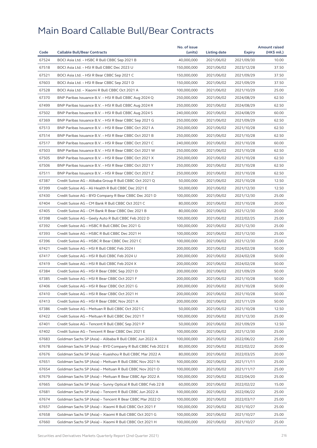|       |                                                              | No. of issue |              |               | <b>Amount raised</b> |
|-------|--------------------------------------------------------------|--------------|--------------|---------------|----------------------|
| Code  | <b>Callable Bull/Bear Contracts</b>                          | (units)      | Listing date | <b>Expiry</b> | (HK\$ mil.)          |
| 67524 | BOCI Asia Ltd. - HSBC R Bull CBBC Sep 2021 B                 | 40,000,000   | 2021/06/02   | 2021/09/30    | 10.00                |
| 67518 | BOCI Asia Ltd. - HSI R Bull CBBC Dec 2023 U                  | 150,000,000  | 2021/06/02   | 2023/12/28    | 37.50                |
| 67521 | BOCI Asia Ltd. - HSI R Bear CBBC Sep 2021 C                  | 150,000,000  | 2021/06/02   | 2021/09/29    | 37.50                |
| 67603 | BOCI Asia Ltd. - HSI R Bear CBBC Sep 2021 D                  | 150,000,000  | 2021/06/02   | 2021/09/29    | 37.50                |
| 67528 | BOCI Asia Ltd. - Xiaomi R Bull CBBC Oct 2021 A               | 100,000,000  | 2021/06/02   | 2021/10/29    | 25.00                |
| 67370 | BNP Paribas Issuance B.V. - HSI R Bull CBBC Aug 2024 Q       | 250,000,000  | 2021/06/02   | 2024/08/29    | 62.50                |
| 67499 | BNP Paribas Issuance B.V. - HSI R Bull CBBC Aug 2024 R       | 250,000,000  | 2021/06/02   | 2024/08/29    | 62.50                |
| 67502 | BNP Paribas Issuance B.V. - HSI R Bull CBBC Aug 2024 S       | 240,000,000  | 2021/06/02   | 2024/08/29    | 60.00                |
| 67369 | BNP Paribas Issuance B.V. - HSI R Bear CBBC Sep 2021 G       | 250,000,000  | 2021/06/02   | 2021/09/29    | 62.50                |
| 67513 | BNP Paribas Issuance B.V. - HSI R Bear CBBC Oct 2021 A       | 250,000,000  | 2021/06/02   | 2021/10/28    | 62.50                |
| 67514 | BNP Paribas Issuance B.V. - HSI R Bear CBBC Oct 2021 B       | 250,000,000  | 2021/06/02   | 2021/10/28    | 62.50                |
| 67517 | BNP Paribas Issuance B.V. - HSI R Bear CBBC Oct 2021 C       | 240,000,000  | 2021/06/02   | 2021/10/28    | 60.00                |
| 67503 | BNP Paribas Issuance B.V. - HSI R Bear CBBC Oct 2021 W       | 250,000,000  | 2021/06/02   | 2021/10/28    | 62.50                |
| 67505 | BNP Paribas Issuance B.V. - HSI R Bear CBBC Oct 2021 X       | 250,000,000  | 2021/06/02   | 2021/10/28    | 62.50                |
| 67506 | BNP Paribas Issuance B.V. - HSI R Bear CBBC Oct 2021 Y       | 250,000,000  | 2021/06/02   | 2021/10/28    | 62.50                |
| 67511 | BNP Paribas Issuance B.V. - HSI R Bear CBBC Oct 2021 Z       | 250,000,000  | 2021/06/02   | 2021/10/28    | 62.50                |
| 67387 | Credit Suisse AG - Alibaba Group R Bull CBBC Oct 2021 Q      | 50,000,000   | 2021/06/02   | 2021/10/28    | 12.50                |
| 67399 | Credit Suisse AG - Ali Health R Bull CBBC Dec 2021 E         | 50,000,000   | 2021/06/02   | 2021/12/30    | 12.50                |
| 67430 | Credit Suisse AG - BYD Company R Bear CBBC Dec 2021 D        | 100,000,000  | 2021/06/02   | 2021/12/30    | 25.00                |
| 67404 | Credit Suisse AG - CM Bank R Bull CBBC Oct 2021 C            | 80,000,000   | 2021/06/02   | 2021/10/28    | 20.00                |
| 67405 | Credit Suisse AG - CM Bank R Bear CBBC Dec 2021 B            | 80,000,000   | 2021/06/02   | 2021/12/30    | 20.00                |
| 67398 | Credit Suisse AG - Geely Auto R Bull CBBC Feb 2022 D         | 100,000,000  | 2021/06/02   | 2022/02/25    | 25.00                |
| 67392 | Credit Suisse AG - HSBC R Bull CBBC Dec 2021 G               | 100,000,000  | 2021/06/02   | 2021/12/30    | 25.00                |
| 67393 | Credit Suisse AG - HSBC R Bull CBBC Dec 2021 H               | 100,000,000  | 2021/06/02   | 2021/12/30    | 25.00                |
| 67396 | Credit Suisse AG - HSBC R Bear CBBC Dec 2021 C               | 100,000,000  | 2021/06/02   | 2021/12/30    | 25.00                |
| 67421 | Credit Suisse AG - HSI R Bull CBBC Feb 2024 I                | 200,000,000  | 2021/06/02   | 2024/02/28    | 50.00                |
| 67417 | Credit Suisse AG - HSI R Bull CBBC Feb 2024 U                | 200,000,000  | 2021/06/02   | 2024/02/28    | 50.00                |
| 67419 | Credit Suisse AG - HSI R Bull CBBC Feb 2024 X                | 200,000,000  | 2021/06/02   | 2024/02/28    | 50.00                |
| 67384 | Credit Suisse AG - HSI R Bear CBBC Sep 2021 D                | 200,000,000  | 2021/06/02   | 2021/09/29    | 50.00                |
| 67385 | Credit Suisse AG - HSI R Bear CBBC Oct 2021 F                | 200,000,000  | 2021/06/02   | 2021/10/28    | 50.00                |
| 67406 | Credit Suisse AG - HSI R Bear CBBC Oct 2021 G                | 200,000,000  | 2021/06/02   |               | 50.00                |
|       |                                                              |              |              | 2021/10/28    |                      |
| 67410 | Credit Suisse AG - HSI R Bear CBBC Oct 2021 H                | 200,000,000  | 2021/06/02   | 2021/10/28    | 50.00                |
| 67413 | Credit Suisse AG - HSI R Bear CBBC Nov 2021 A                | 200,000,000  | 2021/06/02   | 2021/11/29    | 50.00                |
| 67386 | Credit Suisse AG - Meituan R Bull CBBC Oct 2021 C            | 50,000,000   | 2021/06/02   | 2021/10/28    | 12.50                |
| 67422 | Credit Suisse AG - Meituan R Bull CBBC Dec 2021 T            | 100,000,000  | 2021/06/02   | 2021/12/30    | 25.00                |
| 67401 | Credit Suisse AG - Tencent R Bull CBBC Sep 2021 P            | 50,000,000   | 2021/06/02   | 2021/09/29    | 12.50                |
| 67402 | Credit Suisse AG - Tencent R Bear CBBC Dec 2021 E            | 100.000.000  | 2021/06/02   | 2021/12/30    | 25.00                |
| 67683 | Goldman Sachs SP (Asia) - Alibaba R Bull CBBC Jun 2022 A     | 100,000,000  | 2021/06/02   | 2022/06/22    | 25.00                |
| 67678 | Goldman Sachs SP (Asia) - BYD Company R Bull CBBC Feb 2022 E | 80,000,000   | 2021/06/02   | 2022/02/22    | 20.00                |
| 67676 | Goldman Sachs SP (Asia) - Kuaishou R Bull CBBC Mar 2022 A    | 80,000,000   | 2021/06/02   | 2022/03/25    | 20.00                |
| 67651 | Goldman Sachs SP (Asia) - Meituan R Bull CBBC Nov 2021 N     | 100,000,000  | 2021/06/02   | 2021/11/11    | 25.00                |
| 67654 | Goldman Sachs SP (Asia) - Meituan R Bull CBBC Nov 2021 O     | 100,000,000  | 2021/06/02   | 2021/11/17    | 25.00                |
| 67679 | Goldman Sachs SP (Asia) - Meituan R Bear CBBC Apr 2022 A     | 100,000,000  | 2021/06/02   | 2022/04/20    | 25.00                |
| 67665 | Goldman Sachs SP (Asia) - Sunny Optical R Bull CBBC Feb 22 B | 60,000,000   | 2021/06/02   | 2022/02/22    | 15.00                |
| 67681 | Goldman Sachs SP (Asia) - Tencent R Bull CBBC Jun 2022 A     | 100,000,000  | 2021/06/02   | 2022/06/22    | 25.00                |
| 67674 | Goldman Sachs SP (Asia) - Tencent R Bear CBBC Mar 2022 O     | 100,000,000  | 2021/06/02   | 2022/03/17    | 25.00                |
| 67657 | Goldman Sachs SP (Asia) - Xiaomi R Bull CBBC Oct 2021 F      | 100,000,000  | 2021/06/02   | 2021/10/27    | 25.00                |
| 67658 | Goldman Sachs SP (Asia) - Xiaomi R Bull CBBC Oct 2021 G      | 100,000,000  | 2021/06/02   | 2021/10/27    | 25.00                |
| 67660 | Goldman Sachs SP (Asia) - Xiaomi R Bull CBBC Oct 2021 H      | 100,000,000  | 2021/06/02   | 2021/10/27    | 25.00                |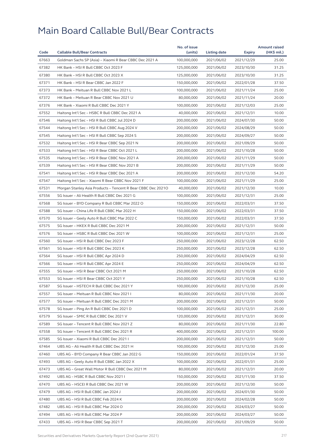|       |                                                              | No. of issue |                     |            | <b>Amount raised</b> |
|-------|--------------------------------------------------------------|--------------|---------------------|------------|----------------------|
| Code  | <b>Callable Bull/Bear Contracts</b>                          | (units)      | <b>Listing date</b> | Expiry     | (HK\$ mil.)          |
| 67663 | Goldman Sachs SP (Asia) - Xiaomi R Bear CBBC Dec 2021 A      | 100,000,000  | 2021/06/02          | 2021/12/29 | 25.00                |
| 67382 | HK Bank - HSI R Bull CBBC Oct 2023 F                         | 125,000,000  | 2021/06/02          | 2023/10/30 | 31.25                |
| 67380 | HK Bank - HSI R Bull CBBC Oct 2023 X                         | 125,000,000  | 2021/06/02          | 2023/10/30 | 31.25                |
| 67371 | HK Bank - HSI R Bear CBBC Jan 2022 F                         | 150,000,000  | 2021/06/02          | 2022/01/28 | 37.50                |
| 67373 | HK Bank - Meituan R Bull CBBC Nov 2021 L                     | 100,000,000  | 2021/06/02          | 2021/11/24 | 25.00                |
| 67372 | HK Bank - Meituan R Bear CBBC Nov 2021 U                     | 80,000,000   | 2021/06/02          | 2021/11/24 | 20.00                |
| 67376 | HK Bank - Xiaomi R Bull CBBC Dec 2021 Y                      | 100,000,000  | 2021/06/02          | 2021/12/03 | 25.00                |
| 67552 | Haitong Int'l Sec - HSBC R Bull CBBC Dec 2021 A              | 40,000,000   | 2021/06/02          | 2021/12/31 | 10.00                |
| 67546 | Haitong Int'l Sec - HSI R Bull CBBC Jul 2024 D               | 200,000,000  | 2021/06/02          | 2024/07/30 | 50.00                |
| 67544 | Haitong Int'l Sec - HSI R Bull CBBC Aug 2024 V               | 200,000,000  | 2021/06/02          | 2024/08/29 | 50.00                |
| 67545 | Haitong Int'l Sec - HSI R Bull CBBC Sep 2024 S               | 200,000,000  | 2021/06/02          | 2024/09/27 | 50.00                |
| 67532 | Haitong Int'l Sec - HSI R Bear CBBC Sep 2021 N               | 200,000,000  | 2021/06/02          | 2021/09/29 | 50.00                |
| 67533 | Haitong Int'l Sec - HSI R Bear CBBC Oct 2021 L               | 200,000,000  | 2021/06/02          | 2021/10/28 | 50.00                |
| 67535 | Haitong Int'l Sec - HSI R Bear CBBC Nov 2021 A               | 200,000,000  | 2021/06/02          | 2021/11/29 | 50.00                |
| 67539 | Haitong Int'l Sec - HSI R Bear CBBC Nov 2021 B               | 200,000,000  | 2021/06/02          | 2021/11/29 | 50.00                |
| 67541 | Haitong Int'l Sec - HSI R Bear CBBC Dec 2021 A               | 200,000,000  | 2021/06/02          | 2021/12/30 | 54.20                |
| 67547 | Haitong Int'l Sec - Xiaomi R Bear CBBC Nov 2021 F            | 100,000,000  | 2021/06/02          | 2021/11/29 | 25.00                |
| 67531 | Morgan Stanley Asia Products - Tencent R Bear CBBC Dec 20210 | 40,000,000   | 2021/06/02          | 2021/12/30 | 10.00                |
| 67556 | SG Issuer - Ali Health R Bull CBBC Dec 2021 G                | 100,000,000  | 2021/06/02          | 2021/12/31 | 25.00                |
| 67568 | SG Issuer - BYD Company R Bull CBBC Mar 2022 O               | 150,000,000  | 2021/06/02          | 2022/03/31 | 37.50                |
| 67588 | SG Issuer - China Life R Bull CBBC Mar 2022 H                | 150,000,000  | 2021/06/02          | 2022/03/31 | 37.50                |
| 67570 | SG Issuer - Geely Auto R Bull CBBC Mar 2022 C                | 150,000,000  | 2021/06/02          | 2022/03/31 | 37.50                |
| 67575 | SG Issuer - HKEX R Bull CBBC Dec 2021 M                      | 200,000,000  | 2021/06/02          | 2021/12/31 | 50.00                |
| 67576 | SG Issuer - HSBC R Bull CBBC Dec 2021 W                      | 100,000,000  | 2021/06/02          | 2021/12/31 | 25.00                |
| 67560 | SG Issuer - HSI R Bull CBBC Dec 2023 F                       | 250,000,000  | 2021/06/02          | 2023/12/28 | 62.50                |
| 67561 | SG Issuer - HSI R Bull CBBC Dec 2023 K                       | 250,000,000  | 2021/06/02          | 2023/12/28 | 62.50                |
| 67564 | SG Issuer - HSI R Bull CBBC Apr 2024 D                       | 250,000,000  | 2021/06/02          | 2024/04/29 | 62.50                |
| 67566 | SG Issuer - HSI R Bull CBBC Apr 2024 E                       | 250,000,000  | 2021/06/02          | 2024/04/29 | 62.50                |
| 67555 | SG Issuer - HSI R Bear CBBC Oct 2021 M                       | 250,000,000  | 2021/06/02          | 2021/10/28 | 62.50                |
| 67553 | SG Issuer - HSI R Bear CBBC Oct 2021 Y                       | 250,000,000  | 2021/06/02          | 2021/10/28 | 62.50                |
| 67587 | SG Issuer - HSTECH R Bull CBBC Dec 2021 Y                    | 100,000,000  | 2021/06/02          | 2021/12/30 | 25.00                |
| 67557 | SG Issuer - Meituan R Bull CBBC Nov 2021 I                   | 80,000,000   | 2021/06/02          | 2021/11/30 | 20.00                |
| 67577 | SG Issuer - Meituan R Bull CBBC Dec 2021 M                   | 200,000,000  | 2021/06/02          | 2021/12/31 | 50.00                |
| 67578 | SG Issuer - Ping An R Bull CBBC Dec 2021 D                   | 100,000,000  | 2021/06/02          |            | 25.00                |
| 67579 | SG Issuer - SMIC R Bull CBBC Dec 2021 V                      | 120,000,000  | 2021/06/02          | 2021/12/31 | 30.00                |
|       |                                                              |              |                     | 2021/12/31 |                      |
| 67589 | SG Issuer - Tencent R Bull CBBC Nov 2021 Z                   | 80,000,000   | 2021/06/02          | 2021/11/30 | 22.80                |
| 67558 | SG Issuer - Tencent R Bull CBBC Dec 2021 R                   | 400,000,000  | 2021/06/02          | 2021/12/31 | 100.00               |
| 67585 | SG Issuer - Xiaomi R Bull CBBC Dec 2021 I                    | 200,000,000  | 2021/06/02          | 2021/12/31 | 50.00                |
| 67464 | UBS AG - Ali Health R Bull CBBC Dec 2021 H                   | 100,000,000  | 2021/06/02          | 2021/12/30 | 25.00                |
| 67460 | UBS AG - BYD Company R Bear CBBC Jan 2022 G                  | 150,000,000  | 2021/06/02          | 2022/01/24 | 37.50                |
| 67493 | UBS AG - Geely Auto R Bull CBBC Jan 2022 X                   | 100,000,000  | 2021/06/02          | 2022/01/31 | 25.00                |
| 67473 | UBS AG - Great Wall Motor R Bull CBBC Dec 2021 M             | 80,000,000   | 2021/06/02          | 2021/12/31 | 20.00                |
| 67492 | UBS AG - HSBC R Bull CBBC Nov 2021 I                         | 150,000,000  | 2021/06/02          | 2021/11/30 | 37.50                |
| 67470 | UBS AG - HSCEI R Bull CBBC Dec 2021 W                        | 200,000,000  | 2021/06/02          | 2021/12/30 | 50.00                |
| 67479 | UBS AG - HSI R Bull CBBC Jan 2024 J                          | 200,000,000  | 2021/06/02          | 2024/01/30 | 50.00                |
| 67480 | UBS AG - HSI R Bull CBBC Feb 2024 K                          | 200,000,000  | 2021/06/02          | 2024/02/28 | 50.00                |
| 67482 | UBS AG - HSI R Bull CBBC Mar 2024 O                          | 200,000,000  | 2021/06/02          | 2024/03/27 | 50.00                |
| 67494 | UBS AG - HSI R Bull CBBC Mar 2024 P                          | 200,000,000  | 2021/06/02          | 2024/03/27 | 50.00                |
| 67433 | UBS AG - HSI R Bear CBBC Sep 2021 T                          | 200,000,000  | 2021/06/02          | 2021/09/29 | 50.00                |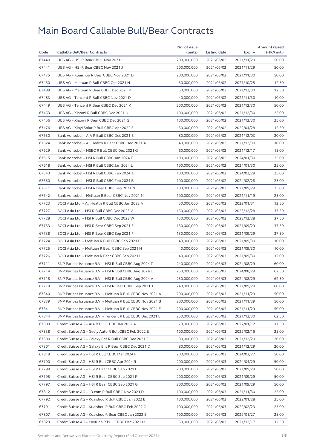|       |                                                            | No. of issue |              |            | <b>Amount raised</b> |
|-------|------------------------------------------------------------|--------------|--------------|------------|----------------------|
| Code  | <b>Callable Bull/Bear Contracts</b>                        | (units)      | Listing date | Expiry     | (HK\$ mil.)          |
| 67440 | UBS AG - HSI R Bear CBBC Nov 2021 I                        | 200,000,000  | 2021/06/02   | 2021/11/29 | 50.00                |
| 67441 | UBS AG - HSI R Bear CBBC Nov 2021 J                        | 200,000,000  | 2021/06/02   | 2021/11/29 | 50.00                |
| 67475 | UBS AG - Kuaishou R Bear CBBC Nov 2021 D                   | 200,000,000  | 2021/06/02   | 2021/11/30 | 50.00                |
| 67450 | UBS AG - Meituan R Bull CBBC Oct 2021 N                    | 50,000,000   | 2021/06/02   | 2021/10/25 | 12.50                |
| 67488 | UBS AG - Meituan R Bear CBBC Dec 2021 K                    | 50,000,000   | 2021/06/02   | 2021/12/30 | 12.50                |
| 67483 | UBS AG - Tencent R Bull CBBC Nov 2021 D                    | 40,000,000   | 2021/06/02   | 2021/11/30 | 10.00                |
| 67449 | UBS AG - Tencent R Bear CBBC Dec 2021 K                    | 200,000,000  | 2021/06/02   | 2021/12/30 | 50.00                |
| 67453 | UBS AG - Xiaomi R Bull CBBC Dec 2021 U                     | 100,000,000  | 2021/06/02   | 2021/12/30 | 25.00                |
| 67456 | UBS AG - Xiaomi R Bear CBBC Dec 2021 G                     | 100,000,000  | 2021/06/02   | 2021/12/30 | 25.00                |
| 67476 | UBS AG - Xinyi Solar R Bull CBBC Apr 2022 E                | 50,000,000   | 2021/06/02   | 2022/04/28 | 12.50                |
| 67630 | Bank Vontobel - AIA R Bull CBBC Dec 2021 E                 | 80,000,000   | 2021/06/02   | 2021/12/03 | 20.00                |
| 67624 | Bank Vontobel - Ali Health R Bear CBBC Dec 2021 A          | 40,000,000   | 2021/06/02   | 2021/12/30 | 10.00                |
| 67629 | Bank Vontobel - HSBC R Bull CBBC Dec 2021 G                | 60,000,000   | 2021/06/02   | 2021/12/17 | 15.00                |
| 67615 | Bank Vontobel - HSI R Bull CBBC Jan 2024 F                 | 100,000,000  | 2021/06/02   | 2024/01/30 | 25.00                |
| 67618 | Bank Vontobel - HSI R Bull CBBC Jan 2024 L                 | 100,000,000  | 2021/06/02   | 2024/01/30 | 25.00                |
| 67643 | Bank Vontobel - HSI R Bull CBBC Feb 2024 A                 | 100,000,000  | 2021/06/02   | 2024/02/28 | 25.00                |
| 67650 | Bank Vontobel - HSI R Bull CBBC Feb 2024 B                 | 100,000,000  | 2021/06/02   | 2024/02/28 | 25.00                |
| 67611 | Bank Vontobel - HSI R Bear CBBC Sep 2021 N                 | 100,000,000  | 2021/06/02   | 2021/09/29 | 25.00                |
| 67642 | Bank Vontobel - Meituan R Bear CBBC Nov 2021 N             | 100,000,000  | 2021/06/02   | 2021/11/19 | 25.00                |
| 67723 | BOCI Asia Ltd. - Ali Health R Bull CBBC Jan 2022 A         | 50,000,000   | 2021/06/03   | 2022/01/31 | 12.50                |
| 67727 | BOCI Asia Ltd. - HSI R Bull CBBC Dec 2023 V                | 150,000,000  | 2021/06/03   | 2023/12/28 | 37.50                |
| 67728 | BOCI Asia Ltd. - HSI R Bull CBBC Dec 2023 W                | 150,000,000  | 2021/06/03   | 2023/12/28 | 37.50                |
| 67733 | BOCI Asia Ltd. - HSI R Bear CBBC Sep 2021 E                | 150,000,000  | 2021/06/03   | 2021/09/29 | 37.50                |
| 67738 | BOCI Asia Ltd. - HSI R Bear CBBC Sep 2021 F                | 150,000,000  | 2021/06/03   | 2021/09/29 | 37.50                |
| 67724 | BOCI Asia Ltd. - Meituan R Bull CBBC Sep 2021 P            | 40,000,000   | 2021/06/03   | 2021/09/30 | 10.00                |
| 67725 | BOCI Asia Ltd. - Meituan R Bear CBBC Sep 2021 H            | 40,000,000   | 2021/06/03   | 2021/09/30 | 10.00                |
| 67726 | BOCI Asia Ltd. - Meituan R Bear CBBC Sep 2021 I            | 40,000,000   | 2021/06/03   | 2021/09/30 | 12.00                |
| 67711 | BNP Paribas Issuance B.V. - HSI R Bull CBBC Aug 2024 T     | 240,000,000  | 2021/06/03   | 2024/08/29 | 60.00                |
| 67714 | BNP Paribas Issuance B.V. - HSI R Bull CBBC Aug 2024 U     | 250,000,000  | 2021/06/03   | 2024/08/29 | 62.50                |
| 67718 | BNP Paribas Issuance B.V. - HSI R Bull CBBC Aug 2024 V     | 250,000,000  | 2021/06/03   | 2024/08/29 | 62.50                |
| 67719 | BNP Paribas Issuance B.V. - HSI R Bear CBBC Sep 2021 T     | 240,000,000  | 2021/06/03   | 2021/09/29 | 60.00                |
| 67840 | BNP Paribas Issuance B.V. - Meituan R Bull CBBC Nov 2021 A | 200,000,000  | 2021/06/03   | 2021/11/29 | 50.00                |
| 67839 | BNP Paribas Issuance B.V. – Meituan R Bull CBBC Nov 2021 B | 200,000,000  | 2021/06/03   | 2021/11/29 | 50.00                |
| 67841 | BNP Paribas Issuance B.V. - Meituan R Bull CBBC Nov 2021 E | 200,000,000  | 2021/06/03   | 2021/11/29 | 50.00                |
| 67844 | BNP Paribas Issuance B.V. - Tencent R Bull CBBC Dec 2021 L | 250,000,000  | 2021/06/03   | 2021/12/30 | 62.50                |
| 67809 | Credit Suisse AG - AIA R Bull CBBC Jan 2022 A              | 70,000,000   | 2021/06/03   | 2022/01/12 | 17.50                |
| 67838 | Credit Suisse AG - Geely Auto R Bull CBBC Feb 2022 E       | 100,000,000  | 2021/06/03   | 2022/02/16 | 25.00                |
| 67800 | Credit Suisse AG - Galaxy Ent R Bull CBBC Dec 2021 E       | 80,000,000   | 2021/06/03   | 2021/12/20 | 20.00                |
| 67801 | Credit Suisse AG - Galaxy Ent R Bear CBBC Dec 2021 D       | 80,000,000   | 2021/06/03   | 2021/12/29 | 20.00                |
| 67818 | Credit Suisse AG - HSI R Bull CBBC Mar 2024 F              | 200,000,000  | 2021/06/03   | 2024/03/27 | 50.00                |
| 67790 | Credit Suisse AG - HSI R Bull CBBC Apr 2024 R              | 200,000,000  | 2021/06/03   | 2024/04/29 | 50.00                |
| 67798 | Credit Suisse AG - HSI R Bear CBBC Sep 2021 E              | 200,000,000  | 2021/06/03   | 2021/09/29 | 50.00                |
| 67795 | Credit Suisse AG - HSI R Bear CBBC Sep 2021 F              | 200,000,000  | 2021/06/03   | 2021/09/29 | 50.00                |
| 67797 | Credit Suisse AG - HSI R Bear CBBC Sep 2021 G              | 200,000,000  | 2021/06/03   | 2021/09/29 | 50.00                |
| 67812 | Credit Suisse AG - JD.com R Bull CBBC Nov 2021 D           | 100,000,000  | 2021/06/03   | 2021/11/30 | 25.00                |
| 67792 | Credit Suisse AG - Kuaishou R Bull CBBC Jan 2022 B         | 100,000,000  | 2021/06/03   | 2022/01/28 | 25.00                |
| 67791 | Credit Suisse AG - Kuaishou R Bull CBBC Feb 2022 C         | 100,000,000  | 2021/06/03   |            | 25.00                |
|       |                                                            |              |              | 2022/02/23 |                      |
| 67807 | Credit Suisse AG - Kuaishou R Bear CBBC Jan 2022 B         | 100,000,000  | 2021/06/03   | 2022/01/27 | 25.00                |
| 67829 | Credit Suisse AG - Meituan R Bull CBBC Dec 2021 U          | 50,000,000   | 2021/06/03   | 2021/12/17 | 12.50                |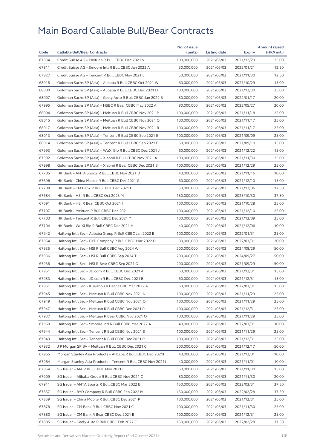|       |                                                              | No. of issue |              |            | <b>Amount raised</b> |
|-------|--------------------------------------------------------------|--------------|--------------|------------|----------------------|
| Code  | <b>Callable Bull/Bear Contracts</b>                          | (units)      | Listing date | Expiry     | (HK\$ mil.)          |
| 67834 | Credit Suisse AG - Meituan R Bull CBBC Dec 2021 V            | 100,000,000  | 2021/06/03   | 2021/12/29 | 25.00                |
| 67811 | Credit Suisse AG - Smoore Intl R Bull CBBC Jan 2022 A        | 50,000,000   | 2021/06/03   | 2022/01/21 | 12.50                |
| 67827 | Credit Suisse AG - Tencent R Bull CBBC Nov 2021 L            | 50,000,000   | 2021/06/03   | 2021/11/30 | 12.50                |
| 68018 | Goldman Sachs SP (Asia) - Alibaba R Bull CBBC Oct 2021 W     | 60,000,000   | 2021/06/03   | 2021/10/29 | 15.00                |
| 68000 | Goldman Sachs SP (Asia) - Alibaba R Bull CBBC Dec 2021 D     | 100,000,000  | 2021/06/03   | 2021/12/30 | 25.00                |
| 68007 | Goldman Sachs SP (Asia) - Geely Auto R Bull CBBC Jan 2022 B  | 80,000,000   | 2021/06/03   | 2022/01/17 | 20.00                |
| 67995 | Goldman Sachs SP (Asia) - HSBC R Bear CBBC May 2022 A        | 80,000,000   | 2021/06/03   | 2022/05/27 | 20.00                |
| 68004 | Goldman Sachs SP (Asia) - Meituan R Bull CBBC Nov 2021 P     | 100,000,000  | 2021/06/03   | 2021/11/18 | 25.00                |
| 68015 | Goldman Sachs SP (Asia) - Meituan R Bull CBBC Nov 2021 Q     | 100,000,000  | 2021/06/03   | 2021/11/17 | 25.00                |
| 68017 | Goldman Sachs SP (Asia) - Meituan R Bull CBBC Nov 2021 R     | 100,000,000  | 2021/06/03   | 2021/11/17 | 25.00                |
| 68013 | Goldman Sachs SP (Asia) - Tencent R Bull CBBC Sep 2021 E     | 100,000,000  | 2021/06/03   | 2021/09/09 | 25.00                |
| 68014 | Goldman Sachs SP (Asia) - Tencent R Bull CBBC Sep 2021 F     | 60,000,000   | 2021/06/03   | 2021/09/10 | 15.00                |
| 67993 | Goldman Sachs SP (Asia) - WuXi Bio R Bull CBBC Dec 2021 J    | 60,000,000   | 2021/06/03   | 2021/12/22 | 15.00                |
| 67992 | Goldman Sachs SP (Asia) - Xiaomi R Bull CBBC Nov 2021 A      | 100,000,000  | 2021/06/03   | 2021/11/30 | 25.00                |
| 67998 | Goldman Sachs SP (Asia) - Xiaomi R Bear CBBC Dec 2021 B      | 100,000,000  | 2021/06/03   | 2021/12/29 | 25.00                |
| 67705 | HK Bank - ANTA Sports R Bull CBBC Nov 2021 D                 | 40,000,000   | 2021/06/03   | 2021/11/16 | 10.00                |
| 67696 | HK Bank - China Mobile R Bull CBBC Dec 2021 G                | 60,000,000   | 2021/06/03   | 2021/12/10 | 15.00                |
| 67708 | HK Bank - CM Bank R Bull CBBC Dec 2021 E                     | 50,000,000   | 2021/06/03   | 2021/12/06 | 12.50                |
| 67684 | HK Bank - HSI R Bull CBBC Oct 2023 M                         | 150,000,000  | 2021/06/03   | 2023/10/30 | 37.50                |
| 67691 | HK Bank - HSI R Bear CBBC Oct 2021 I                         | 100,000,000  | 2021/06/03   | 2021/10/28 | 25.00                |
| 67707 | HK Bank - Meituan R Bull CBBC Dec 2021 J                     | 100,000,000  | 2021/06/03   | 2021/12/10 | 25.00                |
| 67703 | HK Bank - Tencent R Bull CBBC Dec 2021 Y                     | 100,000,000  | 2021/06/03   | 2021/12/09 | 25.00                |
| 67704 | HK Bank - WuXi Bio R Bull CBBC Dec 2021 H                    | 40,000,000   | 2021/06/03   | 2021/12/06 | 10.00                |
| 67942 | Haitong Int'l Sec - Alibaba Group R Bull CBBC Jan 2022 B     | 100,000,000  | 2021/06/03   | 2022/01/31 | 25.00                |
| 67954 | Haitong Int'l Sec - BYD Company R Bull CBBC Mar 2022 D       | 80,000,000   | 2021/06/03   | 2022/03/31 | 20.00                |
| 67935 | Haitong Int'l Sec - HSI R Bull CBBC Aug 2024 W               | 200,000,000  | 2021/06/03   | 2024/08/29 | 50.00                |
| 67936 | Haitong Int'l Sec - HSI R Bull CBBC Sep 2024 T               | 200,000,000  | 2021/06/03   | 2024/09/27 | 50.00                |
| 67938 | Haitong Int'l Sec - HSI R Bear CBBC Sep 2021 O               | 200,000,000  | 2021/06/03   | 2021/09/29 | 50.00                |
| 67951 | Haitong Int'l Sec - JD.com R Bull CBBC Dec 2021 A            | 60,000,000   | 2021/06/03   | 2021/12/31 | 15.00                |
| 67953 | Haitong Int'l Sec - JD.com R Bull CBBC Dec 2021 B            | 60,000,000   | 2021/06/03   | 2021/12/31 | 15.00                |
| 67961 | Haitong Int'l Sec - Kuaishou R Bear CBBC Mar 2022 A          | 60,000,000   | 2021/06/03   | 2022/03/31 | 15.00                |
| 67945 | Haitong Int'l Sec - Meituan R Bull CBBC Nov 2021 N           | 100,000,000  | 2021/06/03   | 2021/11/29 | 25.00                |
| 67949 | Haitong Int'l Sec - Meituan R Bull CBBC Nov 2021 O           | 100,000,000  | 2021/06/03   | 2021/11/29 | 25.00                |
| 67947 | Haitong Int'l Sec - Meituan R Bull CBBC Dec 2021 P           | 100,000,000  | 2021/06/03   | 2021/12/31 | 25.00                |
| 67937 | Haitong Int'l Sec – Meituan R Bear CBBC Nov 2021 O           | 100,000,000  | 2021/06/03   | 2021/11/29 | 25.00                |
| 67959 | Haitong Int'l Sec - Smoore Intl R Bull CBBC Mar 2022 A       | 40,000,000   | 2021/06/03   | 2022/03/31 | 10.00                |
| 67944 | Haitong Int'l Sec - Tencent R Bull CBBC Nov 2021 S           | 100,000,000  | 2021/06/03   | 2021/11/29 | 25.00                |
| 67943 | Haitong Int'l Sec - Tencent R Bull CBBC Dec 2021 P           | 100,000,000  | 2021/06/03   | 2021/12/31 | 25.00                |
| 67932 | J P Morgan SP BV - Meituan R Bull CBBC Dec 2021 C            | 200,000,000  | 2021/06/03   | 2021/12/17 | 50.00                |
| 67965 | Morgan Stanley Asia Products - Alibaba R Bull CBBC Dec 20211 | 40,000,000   | 2021/06/03   | 2021/12/01 | 10.00                |
| 67964 | Morgan Stanley Asia Products - Tencent R Bull CBBC Nov 2021J | 40,000,000   | 2021/06/03   | 2021/11/01 | 10.00                |
| 67854 | SG Issuer - AIA R Bull CBBC Nov 2021 I                       | 60,000,000   | 2021/06/03   | 2021/11/30 | 15.00                |
| 67909 | SG Issuer - Alibaba Group R Bull CBBC Nov 2021 C             | 80,000,000   | 2021/06/03   | 2021/11/30 | 20.00                |
| 67911 | SG Issuer – ANTA Sports R Bull CBBC Mar 2022 B               | 150,000,000  | 2021/06/03   | 2022/03/31 | 37.50                |
| 67857 | SG Issuer - BYD Company R Bull CBBC Feb 2022 M               | 150,000,000  | 2021/06/03   | 2022/02/28 | 37.50                |
| 67859 | SG Issuer - China Mobile R Bull CBBC Dec 2021 P              | 100,000,000  | 2021/06/03   | 2021/12/31 | 25.00                |
| 67878 | SG Issuer - CM Bank R Bull CBBC Nov 2021 C                   | 100,000,000  | 2021/06/03   | 2021/11/30 | 25.00                |
| 67880 | SG Issuer - CM Bank R Bear CBBC Dec 2021 B                   | 100,000,000  | 2021/06/03   | 2021/12/31 | 25.00                |
| 67885 | SG Issuer – Geely Auto R Bull CBBC Feb 2022 E                | 150,000,000  | 2021/06/03   | 2022/02/28 | 37.50                |
|       |                                                              |              |              |            |                      |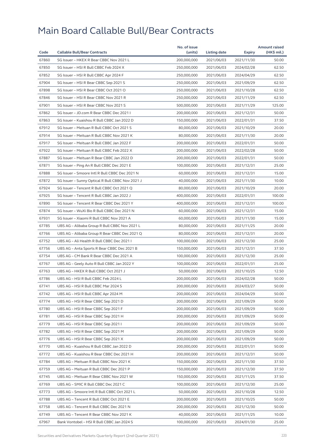|       |                                                  | No. of issue |              |            | <b>Amount raised</b> |
|-------|--------------------------------------------------|--------------|--------------|------------|----------------------|
| Code  | <b>Callable Bull/Bear Contracts</b>              | (units)      | Listing date | Expiry     | (HK\$ mil.)          |
| 67860 | SG Issuer - HKEX R Bear CBBC Nov 2021 L          | 200,000,000  | 2021/06/03   | 2021/11/30 | 50.00                |
| 67850 | SG Issuer - HSI R Bull CBBC Feb 2024 X           | 250,000,000  | 2021/06/03   | 2024/02/28 | 62.50                |
| 67852 | SG Issuer - HSI R Bull CBBC Apr 2024 F           | 250,000,000  | 2021/06/03   | 2024/04/29 | 62.50                |
| 67904 | SG Issuer - HSI R Bear CBBC Sep 2021 S           | 250,000,000  | 2021/06/03   | 2021/09/29 | 62.50                |
| 67898 | SG Issuer - HSI R Bear CBBC Oct 2021 O           | 250,000,000  | 2021/06/03   | 2021/10/28 | 62.50                |
| 67846 | SG Issuer - HSI R Bear CBBC Nov 2021 R           | 250,000,000  | 2021/06/03   | 2021/11/29 | 62.50                |
| 67901 | SG Issuer - HSI R Bear CBBC Nov 2021 S           | 500,000,000  | 2021/06/03   | 2021/11/29 | 125.00               |
| 67862 | SG Issuer - JD.com R Bear CBBC Dec 2021 I        | 200,000,000  | 2021/06/03   | 2021/12/31 | 50.00                |
| 67863 | SG Issuer - Kuaishou R Bull CBBC Jan 2022 D      | 150,000,000  | 2021/06/03   | 2022/01/31 | 37.50                |
| 67912 | SG Issuer - Meituan R Bull CBBC Oct 2021 S       | 80,000,000   | 2021/06/03   | 2021/10/29 | 20.00                |
| 67914 | SG Issuer - Meituan R Bull CBBC Nov 2021 K       | 80,000,000   | 2021/06/03   | 2021/11/30 | 20.00                |
| 67917 | SG Issuer - Meituan R Bull CBBC Jan 2022 F       | 200,000,000  | 2021/06/03   | 2022/01/31 | 50.00                |
| 67922 | SG Issuer - Meituan R Bull CBBC Feb 2022 X       | 200,000,000  | 2021/06/03   | 2022/02/28 | 50.00                |
| 67887 | SG Issuer - Meituan R Bear CBBC Jan 2022 D       | 200,000,000  | 2021/06/03   | 2022/01/31 | 50.00                |
| 67871 | SG Issuer - Ping An R Bull CBBC Dec 2021 E       | 100,000,000  | 2021/06/03   | 2021/12/31 | 25.00                |
| 67888 | SG Issuer - Smoore Intl R Bull CBBC Dec 2021 N   | 60,000,000   | 2021/06/03   | 2021/12/31 | 15.00                |
| 67872 | SG Issuer - Sunny Optical R Bull CBBC Nov 2021 J | 40,000,000   | 2021/06/03   | 2021/11/30 | 10.00                |
| 67924 | SG Issuer - Tencent R Bull CBBC Oct 2021 Q       | 80,000,000   | 2021/06/03   | 2021/10/29 | 20.00                |
| 67925 | SG Issuer - Tencent R Bull CBBC Jan 2022 J       | 400,000,000  | 2021/06/03   | 2022/01/31 | 100.00               |
| 67890 | SG Issuer - Tencent R Bear CBBC Dec 2021 Y       | 400,000,000  | 2021/06/03   | 2021/12/31 | 100.00               |
| 67874 | SG Issuer - WuXi Bio R Bull CBBC Dec 2021 N      | 60,000,000   | 2021/06/03   | 2021/12/31 | 15.00                |
| 67931 | SG Issuer - Xiaomi R Bull CBBC Nov 2021 A        | 60,000,000   | 2021/06/03   | 2021/11/30 | 15.00                |
| 67785 | UBS AG - Alibaba Group R Bull CBBC Nov 2021 L    | 80,000,000   | 2021/06/03   | 2021/11/25 | 20.00                |
| 67766 | UBS AG – Alibaba Group R Bear CBBC Dec 2021 Q    | 80,000,000   | 2021/06/03   | 2021/12/31 | 20.00                |
| 67752 | UBS AG - Ali Health R Bull CBBC Dec 2021 I       | 100,000,000  | 2021/06/03   | 2021/12/30 | 25.00                |
| 67756 | UBS AG - Anta Sports R Bear CBBC Dec 2021 B      | 150,000,000  | 2021/06/03   | 2021/12/31 | 37.50                |
| 67754 | UBS AG - CM Bank R Bear CBBC Dec 2021 A          | 100,000,000  | 2021/06/03   | 2021/12/30 | 25.00                |
| 67767 | UBS AG - Geely Auto R Bull CBBC Jan 2022 Y       | 100,000,000  | 2021/06/03   | 2022/01/31 | 25.00                |
| 67763 | UBS AG - HKEX R Bull CBBC Oct 2021 J             | 50,000,000   | 2021/06/03   | 2021/10/25 | 12.50                |
| 67786 | UBS AG - HSI R Bull CBBC Feb 2024 L              | 200,000,000  | 2021/06/03   | 2024/02/28 | 50.00                |
| 67741 | UBS AG - HSI R Bull CBBC Mar 2024 S              | 200,000,000  | 2021/06/03   | 2024/03/27 | 50.00                |
| 67742 | UBS AG - HSI R Bull CBBC Apr 2024 M              | 200,000,000  | 2021/06/03   | 2024/04/29 | 50.00                |
| 67774 | UBS AG – HSI R Bear CBBC Sep 2021 D              | 200,000,000  | 2021/06/03   | 2021/09/29 | 50.00                |
| 67780 | UBS AG - HSI R Bear CBBC Sep 2021 F              | 200,000,000  | 2021/06/03   | 2021/09/29 | 50.00                |
| 67781 | UBS AG - HSI R Bear CBBC Sep 2021 H              | 200,000,000  | 2021/06/03   | 2021/09/29 | 50.00                |
| 67779 | UBS AG - HSI R Bear CBBC Sep 2021 I              | 200,000,000  | 2021/06/03   | 2021/09/29 | 50.00                |
| 67782 | UBS AG - HSI R Bear CBBC Sep 2021 M              | 200,000,000  | 2021/06/03   | 2021/09/29 | 50.00                |
| 67776 | UBS AG - HSI R Bear CBBC Sep 2021 X              | 200,000,000  | 2021/06/03   | 2021/09/29 | 50.00                |
| 67770 | UBS AG - Kuaishou R Bull CBBC Jan 2022 D         | 200,000,000  | 2021/06/03   | 2022/01/31 | 50.00                |
| 67772 | UBS AG - Kuaishou R Bear CBBC Dec 2021 H         | 200,000,000  | 2021/06/03   | 2021/12/31 | 50.00                |
| 67784 | UBS AG - Meituan R Bull CBBC Nov 2021 K          | 150,000,000  | 2021/06/03   | 2021/11/30 | 37.50                |
| 67759 | UBS AG - Meituan R Bull CBBC Dec 2021 P          | 150,000,000  | 2021/06/03   | 2021/12/30 | 37.50                |
| 67745 | UBS AG - Meituan R Bear CBBC Nov 2021 W          | 150,000,000  | 2021/06/03   | 2021/11/25 | 37.50                |
| 67769 | UBS AG – SMIC R Bull CBBC Dec 2021 C             | 100,000,000  | 2021/06/03   | 2021/12/30 | 25.00                |
| 67773 | UBS AG - Smoore Intl R Bull CBBC Oct 2021 L      | 50,000,000   | 2021/06/03   | 2021/10/28 | 12.50                |
| 67788 | UBS AG - Tencent R Bull CBBC Oct 2021 E          | 200,000,000  | 2021/06/03   | 2021/10/25 | 50.00                |
| 67758 | UBS AG - Tencent R Bull CBBC Dec 2021 N          | 200,000,000  | 2021/06/03   | 2021/12/30 | 50.00                |
| 67749 | UBS AG - Tencent R Bear CBBC Nov 2021 K          | 40,000,000   | 2021/06/03   | 2021/11/25 | 10.00                |
| 67967 | Bank Vontobel - HSI R Bull CBBC Jan 2024 S       | 100,000,000  | 2021/06/03   | 2024/01/30 | 25.00                |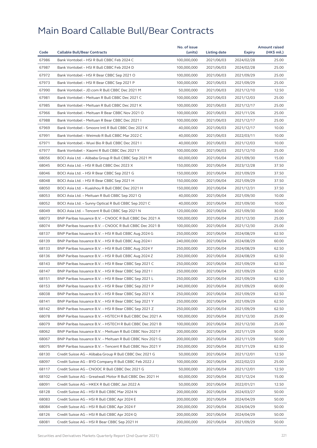| 67986<br>100,000,000<br>2021/06/03<br>2024/02/28<br>25.00<br>Bank Vontobel - HSI R Bull CBBC Feb 2024 C<br>67987<br>Bank Vontobel - HSI R Bull CBBC Feb 2024 D<br>100,000,000<br>2021/06/03<br>25.00<br>2024/02/28<br>67972<br>25.00<br>Bank Vontobel - HSI R Bear CBBC Sep 2021 O<br>100,000,000<br>2021/06/03<br>2021/09/29<br>67973<br>Bank Vontobel - HSI R Bear CBBC Sep 2021 P<br>100,000,000<br>25.00<br>2021/06/03<br>2021/09/29<br>67990<br>Bank Vontobel - JD.com R Bull CBBC Dec 2021 M<br>50,000,000<br>2021/06/03<br>2021/12/10<br>12.50<br>67981<br>25.00<br>Bank Vontobel - Meituan R Bull CBBC Dec 2021 C<br>100.000.000<br>2021/06/03<br>2021/12/03<br>67985<br>Bank Vontobel - Meituan R Bull CBBC Dec 2021 K<br>100,000,000<br>2021/06/03<br>2021/12/17<br>25.00<br>67966<br>Bank Vontobel - Meituan R Bear CBBC Nov 2021 O<br>100,000,000<br>2021/06/03<br>2021/11/26<br>25.00<br>67988<br>Bank Vontobel - Meituan R Bear CBBC Dec 2021 I<br>100,000,000<br>2021/06/03<br>25.00<br>2021/12/17<br>67969<br>Bank Vontobel - Smoore Intl R Bull CBBC Dec 2021 K<br>40,000,000<br>2021/06/03<br>10.00<br>2021/12/17<br>67991<br>Bank Vontobel - Weimob R Bull CBBC Mar 2022 C<br>40,000,000<br>2021/06/03<br>10.00<br>2022/03/11<br>67971<br>Bank Vontobel - Wuxi Bio R Bull CBBC Dec 2021 I<br>40,000,000<br>2021/06/03<br>2021/12/03<br>10.00<br>67977<br>Bank Vontobel - Xiaomi R Bull CBBC Dec 2021 Y<br>100,000,000<br>2021/06/03<br>25.00<br>2021/12/10<br>68056<br>BOCI Asia Ltd. - Alibaba Group R Bull CBBC Sep 2021 M<br>60,000,000<br>2021/06/04<br>2021/09/30<br>15.00<br>68045<br>BOCI Asia Ltd. - HSI R Bull CBBC Dec 2023 X<br>150,000,000<br>2021/06/04<br>37.50<br>2023/12/28<br>68046<br>BOCI Asia Ltd. - HSI R Bear CBBC Sep 2021 G<br>150,000,000<br>2021/06/04<br>2021/09/29<br>37.50<br>68048<br>37.50<br>BOCI Asia Ltd. - HSI R Bear CBBC Sep 2021 H<br>150,000,000<br>2021/06/04<br>2021/09/29<br>68050<br>BOCI Asia Ltd. - Kuaishou R Bull CBBC Dec 2021 H<br>150,000,000<br>2021/06/04<br>37.50<br>2021/12/31<br>68053<br>BOCI Asia Ltd. - Meituan R Bull CBBC Sep 2021 Q<br>40,000,000<br>2021/06/04<br>2021/09/30<br>10.00<br>68052<br>BOCI Asia Ltd. - Sunny Optical R Bull CBBC Sep 2021 C<br>40,000,000<br>2021/06/04<br>2021/09/30<br>10.00<br>68049<br>BOCI Asia Ltd. - Tencent R Bull CBBC Sep 2021 N<br>120,000,000<br>2021/06/04<br>2021/09/30<br>30.00<br>68073<br>BNP Paribas Issuance B.V. - CNOOC R Bull CBBC Dec 2021 A<br>100,000,000<br>2021/06/04<br>2021/12/30<br>25.00<br>68074<br>BNP Paribas Issuance B.V. - CNOOC R Bull CBBC Dec 2021 B<br>100,000,000<br>2021/06/04<br>2021/12/30<br>25.00<br>68137<br>BNP Paribas Issuance B.V. - HSI R Bull CBBC Aug 2024 G<br>62.50<br>250,000,000<br>2021/06/04<br>2024/08/29<br>68139<br>BNP Paribas Issuance B.V. - HSI R Bull CBBC Aug 2024 I<br>240,000,000<br>2021/06/04<br>2024/08/29<br>60.00<br>68133<br>BNP Paribas Issuance B.V. - HSI R Bull CBBC Aug 2024 Y<br>250,000,000<br>2021/06/04<br>2024/08/29<br>62.50<br>68136<br>BNP Paribas Issuance B.V. - HSI R Bull CBBC Aug 2024 Z<br>250,000,000<br>2021/06/04<br>2024/08/29<br>62.50<br>68143<br>BNP Paribas Issuance B.V. - HSI R Bear CBBC Sep 2021 C<br>250,000,000<br>2021/06/04<br>2021/09/29<br>62.50<br>68147<br>BNP Paribas Issuance B.V. - HSI R Bear CBBC Sep 2021 I<br>250,000,000<br>2021/06/04<br>2021/09/29<br>62.50<br>62.50<br>68151<br>BNP Paribas Issuance B.V. - HSI R Bear CBBC Sep 2021 L<br>250,000,000<br>2021/06/04<br>2021/09/29<br>68153<br>BNP Paribas Issuance B.V. - HSI R Bear CBBC Sep 2021 P<br>240,000,000<br>2021/06/04<br>60.00<br>2021/09/29<br>68038<br>BNP Paribas Issuance B.V. - HSI R Bear CBBC Sep 2021 X<br>250,000,000<br>2021/06/04<br>2021/09/29<br>62.50<br>68141<br>BNP Paribas Issuance B.V. - HSI R Bear CBBC Sep 2021 Y<br>250,000,000<br>2021/06/04<br>2021/09/29<br>62.50<br>68142<br>BNP Paribas Issuance B.V. - HSI R Bear CBBC Sep 2021 Z<br>250,000,000<br>2021/06/04<br>2021/09/29<br>62.50<br>68078<br>BNP Paribas Issuance B.V. - HSTECH R Bull CBBC Dec 2021 A<br>100,000,000<br>2021/06/04<br>25.00<br>2021/12/30<br>68079<br>BNP Paribas Issuance B.V. - HSTECH R Bull CBBC Dec 2021 B<br>100,000,000<br>2021/06/04<br>2021/12/30<br>25.00<br>50.00<br>68062<br>BNP Paribas Issuance B.V. - Meituan R Bull CBBC Nov 2021 F<br>200,000,000<br>2021/06/04<br>2021/11/29<br>68067<br>BNP Paribas Issuance B.V. - Meituan R Bull CBBC Nov 2021 G<br>200,000,000<br>2021/06/04<br>2021/11/29<br>50.00<br>68075<br>BNP Paribas Issuance B.V. - Tencent R Bull CBBC Nov 2021 Y<br>250,000,000<br>2021/06/04<br>2021/11/29<br>62.50<br>68130<br>Credit Suisse AG - Alibaba Group R Bull CBBC Dec 2021 G<br>50,000,000<br>2021/06/04<br>12.50<br>2021/12/01<br>100,000,000<br>68097<br>Credit Suisse AG - BYD Company R Bull CBBC Feb 2022 J<br>2021/06/04<br>2022/02/23<br>25.00<br>68117<br>Credit Suisse AG - CNOOC R Bull CBBC Dec 2021 G<br>50,000,000<br>2021/06/04<br>2021/12/01<br>12.50<br>68102<br>Credit Suisse AG - Greatwall Motor R Bull CBBC Dec 2021 H<br>60,000,000<br>2021/06/04<br>2021/12/24<br>15.00<br>68091<br>50,000,000<br>2021/06/04<br>2022/01/21<br>12.50<br>Credit Suisse AG – HKEX R Bull CBBC Jan 2022 A<br>68128<br>Credit Suisse AG - HSI R Bull CBBC Mar 2024 N<br>200,000,000<br>2021/06/04<br>2024/03/27<br>50.00<br>68083<br>Credit Suisse AG - HSI R Bull CBBC Apr 2024 E<br>200,000,000<br>2021/06/04<br>50.00<br>2024/04/29<br>68084<br>Credit Suisse AG - HSI R Bull CBBC Apr 2024 F<br>200,000,000<br>2021/06/04<br>2024/04/29<br>50.00<br>50.00<br>68126<br>Credit Suisse AG - HSI R Bull CBBC Apr 2024 Q<br>200,000,000<br>2021/06/04<br>2024/04/29<br>68081<br>Credit Suisse AG - HSI R Bear CBBC Sep 2021 H<br>200,000,000<br>2021/06/04<br>2021/09/29<br>50.00 |      |                                     | No. of issue |              |        | <b>Amount raised</b> |
|------------------------------------------------------------------------------------------------------------------------------------------------------------------------------------------------------------------------------------------------------------------------------------------------------------------------------------------------------------------------------------------------------------------------------------------------------------------------------------------------------------------------------------------------------------------------------------------------------------------------------------------------------------------------------------------------------------------------------------------------------------------------------------------------------------------------------------------------------------------------------------------------------------------------------------------------------------------------------------------------------------------------------------------------------------------------------------------------------------------------------------------------------------------------------------------------------------------------------------------------------------------------------------------------------------------------------------------------------------------------------------------------------------------------------------------------------------------------------------------------------------------------------------------------------------------------------------------------------------------------------------------------------------------------------------------------------------------------------------------------------------------------------------------------------------------------------------------------------------------------------------------------------------------------------------------------------------------------------------------------------------------------------------------------------------------------------------------------------------------------------------------------------------------------------------------------------------------------------------------------------------------------------------------------------------------------------------------------------------------------------------------------------------------------------------------------------------------------------------------------------------------------------------------------------------------------------------------------------------------------------------------------------------------------------------------------------------------------------------------------------------------------------------------------------------------------------------------------------------------------------------------------------------------------------------------------------------------------------------------------------------------------------------------------------------------------------------------------------------------------------------------------------------------------------------------------------------------------------------------------------------------------------------------------------------------------------------------------------------------------------------------------------------------------------------------------------------------------------------------------------------------------------------------------------------------------------------------------------------------------------------------------------------------------------------------------------------------------------------------------------------------------------------------------------------------------------------------------------------------------------------------------------------------------------------------------------------------------------------------------------------------------------------------------------------------------------------------------------------------------------------------------------------------------------------------------------------------------------------------------------------------------------------------------------------------------------------------------------------------------------------------------------------------------------------------------------------------------------------------------------------------------------------------------------------------------------------------------------------------------------------------------------------------------------------------------------------------------------------------------------------------------------------------------------------------------------------------------------------------------------------------------------------------------------------------------------------------------------------------------------------------------------------------------------------------------------------------------------------------------------------------------------------------------------------------------------------------------------------------------------------------------------------------------------------------------------------------------------------------------------------------------------------------------------------------------------------------------------------------------------------------------------------------------------------------------------------------------------------------------------------------------------------------------------------------------------------------------------------------------------------------------------------------------------------------------------------------|------|-------------------------------------|--------------|--------------|--------|----------------------|
|                                                                                                                                                                                                                                                                                                                                                                                                                                                                                                                                                                                                                                                                                                                                                                                                                                                                                                                                                                                                                                                                                                                                                                                                                                                                                                                                                                                                                                                                                                                                                                                                                                                                                                                                                                                                                                                                                                                                                                                                                                                                                                                                                                                                                                                                                                                                                                                                                                                                                                                                                                                                                                                                                                                                                                                                                                                                                                                                                                                                                                                                                                                                                                                                                                                                                                                                                                                                                                                                                                                                                                                                                                                                                                                                                                                                                                                                                                                                                                                                                                                                                                                                                                                                                                                                                                                                                                                                                                                                                                                                                                                                                                                                                                                                                                                                                                                                                                                                                                                                                                                                                                                                                                                                                                                                                                                                                                                                                                                                                                                                                                                                                                                                                                                                                                                                                                          | Code | <b>Callable Bull/Bear Contracts</b> | (units)      | Listing date | Expiry | (HK\$ mil.)          |
|                                                                                                                                                                                                                                                                                                                                                                                                                                                                                                                                                                                                                                                                                                                                                                                                                                                                                                                                                                                                                                                                                                                                                                                                                                                                                                                                                                                                                                                                                                                                                                                                                                                                                                                                                                                                                                                                                                                                                                                                                                                                                                                                                                                                                                                                                                                                                                                                                                                                                                                                                                                                                                                                                                                                                                                                                                                                                                                                                                                                                                                                                                                                                                                                                                                                                                                                                                                                                                                                                                                                                                                                                                                                                                                                                                                                                                                                                                                                                                                                                                                                                                                                                                                                                                                                                                                                                                                                                                                                                                                                                                                                                                                                                                                                                                                                                                                                                                                                                                                                                                                                                                                                                                                                                                                                                                                                                                                                                                                                                                                                                                                                                                                                                                                                                                                                                                          |      |                                     |              |              |        |                      |
|                                                                                                                                                                                                                                                                                                                                                                                                                                                                                                                                                                                                                                                                                                                                                                                                                                                                                                                                                                                                                                                                                                                                                                                                                                                                                                                                                                                                                                                                                                                                                                                                                                                                                                                                                                                                                                                                                                                                                                                                                                                                                                                                                                                                                                                                                                                                                                                                                                                                                                                                                                                                                                                                                                                                                                                                                                                                                                                                                                                                                                                                                                                                                                                                                                                                                                                                                                                                                                                                                                                                                                                                                                                                                                                                                                                                                                                                                                                                                                                                                                                                                                                                                                                                                                                                                                                                                                                                                                                                                                                                                                                                                                                                                                                                                                                                                                                                                                                                                                                                                                                                                                                                                                                                                                                                                                                                                                                                                                                                                                                                                                                                                                                                                                                                                                                                                                          |      |                                     |              |              |        |                      |
|                                                                                                                                                                                                                                                                                                                                                                                                                                                                                                                                                                                                                                                                                                                                                                                                                                                                                                                                                                                                                                                                                                                                                                                                                                                                                                                                                                                                                                                                                                                                                                                                                                                                                                                                                                                                                                                                                                                                                                                                                                                                                                                                                                                                                                                                                                                                                                                                                                                                                                                                                                                                                                                                                                                                                                                                                                                                                                                                                                                                                                                                                                                                                                                                                                                                                                                                                                                                                                                                                                                                                                                                                                                                                                                                                                                                                                                                                                                                                                                                                                                                                                                                                                                                                                                                                                                                                                                                                                                                                                                                                                                                                                                                                                                                                                                                                                                                                                                                                                                                                                                                                                                                                                                                                                                                                                                                                                                                                                                                                                                                                                                                                                                                                                                                                                                                                                          |      |                                     |              |              |        |                      |
|                                                                                                                                                                                                                                                                                                                                                                                                                                                                                                                                                                                                                                                                                                                                                                                                                                                                                                                                                                                                                                                                                                                                                                                                                                                                                                                                                                                                                                                                                                                                                                                                                                                                                                                                                                                                                                                                                                                                                                                                                                                                                                                                                                                                                                                                                                                                                                                                                                                                                                                                                                                                                                                                                                                                                                                                                                                                                                                                                                                                                                                                                                                                                                                                                                                                                                                                                                                                                                                                                                                                                                                                                                                                                                                                                                                                                                                                                                                                                                                                                                                                                                                                                                                                                                                                                                                                                                                                                                                                                                                                                                                                                                                                                                                                                                                                                                                                                                                                                                                                                                                                                                                                                                                                                                                                                                                                                                                                                                                                                                                                                                                                                                                                                                                                                                                                                                          |      |                                     |              |              |        |                      |
|                                                                                                                                                                                                                                                                                                                                                                                                                                                                                                                                                                                                                                                                                                                                                                                                                                                                                                                                                                                                                                                                                                                                                                                                                                                                                                                                                                                                                                                                                                                                                                                                                                                                                                                                                                                                                                                                                                                                                                                                                                                                                                                                                                                                                                                                                                                                                                                                                                                                                                                                                                                                                                                                                                                                                                                                                                                                                                                                                                                                                                                                                                                                                                                                                                                                                                                                                                                                                                                                                                                                                                                                                                                                                                                                                                                                                                                                                                                                                                                                                                                                                                                                                                                                                                                                                                                                                                                                                                                                                                                                                                                                                                                                                                                                                                                                                                                                                                                                                                                                                                                                                                                                                                                                                                                                                                                                                                                                                                                                                                                                                                                                                                                                                                                                                                                                                                          |      |                                     |              |              |        |                      |
|                                                                                                                                                                                                                                                                                                                                                                                                                                                                                                                                                                                                                                                                                                                                                                                                                                                                                                                                                                                                                                                                                                                                                                                                                                                                                                                                                                                                                                                                                                                                                                                                                                                                                                                                                                                                                                                                                                                                                                                                                                                                                                                                                                                                                                                                                                                                                                                                                                                                                                                                                                                                                                                                                                                                                                                                                                                                                                                                                                                                                                                                                                                                                                                                                                                                                                                                                                                                                                                                                                                                                                                                                                                                                                                                                                                                                                                                                                                                                                                                                                                                                                                                                                                                                                                                                                                                                                                                                                                                                                                                                                                                                                                                                                                                                                                                                                                                                                                                                                                                                                                                                                                                                                                                                                                                                                                                                                                                                                                                                                                                                                                                                                                                                                                                                                                                                                          |      |                                     |              |              |        |                      |
|                                                                                                                                                                                                                                                                                                                                                                                                                                                                                                                                                                                                                                                                                                                                                                                                                                                                                                                                                                                                                                                                                                                                                                                                                                                                                                                                                                                                                                                                                                                                                                                                                                                                                                                                                                                                                                                                                                                                                                                                                                                                                                                                                                                                                                                                                                                                                                                                                                                                                                                                                                                                                                                                                                                                                                                                                                                                                                                                                                                                                                                                                                                                                                                                                                                                                                                                                                                                                                                                                                                                                                                                                                                                                                                                                                                                                                                                                                                                                                                                                                                                                                                                                                                                                                                                                                                                                                                                                                                                                                                                                                                                                                                                                                                                                                                                                                                                                                                                                                                                                                                                                                                                                                                                                                                                                                                                                                                                                                                                                                                                                                                                                                                                                                                                                                                                                                          |      |                                     |              |              |        |                      |
|                                                                                                                                                                                                                                                                                                                                                                                                                                                                                                                                                                                                                                                                                                                                                                                                                                                                                                                                                                                                                                                                                                                                                                                                                                                                                                                                                                                                                                                                                                                                                                                                                                                                                                                                                                                                                                                                                                                                                                                                                                                                                                                                                                                                                                                                                                                                                                                                                                                                                                                                                                                                                                                                                                                                                                                                                                                                                                                                                                                                                                                                                                                                                                                                                                                                                                                                                                                                                                                                                                                                                                                                                                                                                                                                                                                                                                                                                                                                                                                                                                                                                                                                                                                                                                                                                                                                                                                                                                                                                                                                                                                                                                                                                                                                                                                                                                                                                                                                                                                                                                                                                                                                                                                                                                                                                                                                                                                                                                                                                                                                                                                                                                                                                                                                                                                                                                          |      |                                     |              |              |        |                      |
|                                                                                                                                                                                                                                                                                                                                                                                                                                                                                                                                                                                                                                                                                                                                                                                                                                                                                                                                                                                                                                                                                                                                                                                                                                                                                                                                                                                                                                                                                                                                                                                                                                                                                                                                                                                                                                                                                                                                                                                                                                                                                                                                                                                                                                                                                                                                                                                                                                                                                                                                                                                                                                                                                                                                                                                                                                                                                                                                                                                                                                                                                                                                                                                                                                                                                                                                                                                                                                                                                                                                                                                                                                                                                                                                                                                                                                                                                                                                                                                                                                                                                                                                                                                                                                                                                                                                                                                                                                                                                                                                                                                                                                                                                                                                                                                                                                                                                                                                                                                                                                                                                                                                                                                                                                                                                                                                                                                                                                                                                                                                                                                                                                                                                                                                                                                                                                          |      |                                     |              |              |        |                      |
|                                                                                                                                                                                                                                                                                                                                                                                                                                                                                                                                                                                                                                                                                                                                                                                                                                                                                                                                                                                                                                                                                                                                                                                                                                                                                                                                                                                                                                                                                                                                                                                                                                                                                                                                                                                                                                                                                                                                                                                                                                                                                                                                                                                                                                                                                                                                                                                                                                                                                                                                                                                                                                                                                                                                                                                                                                                                                                                                                                                                                                                                                                                                                                                                                                                                                                                                                                                                                                                                                                                                                                                                                                                                                                                                                                                                                                                                                                                                                                                                                                                                                                                                                                                                                                                                                                                                                                                                                                                                                                                                                                                                                                                                                                                                                                                                                                                                                                                                                                                                                                                                                                                                                                                                                                                                                                                                                                                                                                                                                                                                                                                                                                                                                                                                                                                                                                          |      |                                     |              |              |        |                      |
|                                                                                                                                                                                                                                                                                                                                                                                                                                                                                                                                                                                                                                                                                                                                                                                                                                                                                                                                                                                                                                                                                                                                                                                                                                                                                                                                                                                                                                                                                                                                                                                                                                                                                                                                                                                                                                                                                                                                                                                                                                                                                                                                                                                                                                                                                                                                                                                                                                                                                                                                                                                                                                                                                                                                                                                                                                                                                                                                                                                                                                                                                                                                                                                                                                                                                                                                                                                                                                                                                                                                                                                                                                                                                                                                                                                                                                                                                                                                                                                                                                                                                                                                                                                                                                                                                                                                                                                                                                                                                                                                                                                                                                                                                                                                                                                                                                                                                                                                                                                                                                                                                                                                                                                                                                                                                                                                                                                                                                                                                                                                                                                                                                                                                                                                                                                                                                          |      |                                     |              |              |        |                      |
|                                                                                                                                                                                                                                                                                                                                                                                                                                                                                                                                                                                                                                                                                                                                                                                                                                                                                                                                                                                                                                                                                                                                                                                                                                                                                                                                                                                                                                                                                                                                                                                                                                                                                                                                                                                                                                                                                                                                                                                                                                                                                                                                                                                                                                                                                                                                                                                                                                                                                                                                                                                                                                                                                                                                                                                                                                                                                                                                                                                                                                                                                                                                                                                                                                                                                                                                                                                                                                                                                                                                                                                                                                                                                                                                                                                                                                                                                                                                                                                                                                                                                                                                                                                                                                                                                                                                                                                                                                                                                                                                                                                                                                                                                                                                                                                                                                                                                                                                                                                                                                                                                                                                                                                                                                                                                                                                                                                                                                                                                                                                                                                                                                                                                                                                                                                                                                          |      |                                     |              |              |        |                      |
|                                                                                                                                                                                                                                                                                                                                                                                                                                                                                                                                                                                                                                                                                                                                                                                                                                                                                                                                                                                                                                                                                                                                                                                                                                                                                                                                                                                                                                                                                                                                                                                                                                                                                                                                                                                                                                                                                                                                                                                                                                                                                                                                                                                                                                                                                                                                                                                                                                                                                                                                                                                                                                                                                                                                                                                                                                                                                                                                                                                                                                                                                                                                                                                                                                                                                                                                                                                                                                                                                                                                                                                                                                                                                                                                                                                                                                                                                                                                                                                                                                                                                                                                                                                                                                                                                                                                                                                                                                                                                                                                                                                                                                                                                                                                                                                                                                                                                                                                                                                                                                                                                                                                                                                                                                                                                                                                                                                                                                                                                                                                                                                                                                                                                                                                                                                                                                          |      |                                     |              |              |        |                      |
|                                                                                                                                                                                                                                                                                                                                                                                                                                                                                                                                                                                                                                                                                                                                                                                                                                                                                                                                                                                                                                                                                                                                                                                                                                                                                                                                                                                                                                                                                                                                                                                                                                                                                                                                                                                                                                                                                                                                                                                                                                                                                                                                                                                                                                                                                                                                                                                                                                                                                                                                                                                                                                                                                                                                                                                                                                                                                                                                                                                                                                                                                                                                                                                                                                                                                                                                                                                                                                                                                                                                                                                                                                                                                                                                                                                                                                                                                                                                                                                                                                                                                                                                                                                                                                                                                                                                                                                                                                                                                                                                                                                                                                                                                                                                                                                                                                                                                                                                                                                                                                                                                                                                                                                                                                                                                                                                                                                                                                                                                                                                                                                                                                                                                                                                                                                                                                          |      |                                     |              |              |        |                      |
|                                                                                                                                                                                                                                                                                                                                                                                                                                                                                                                                                                                                                                                                                                                                                                                                                                                                                                                                                                                                                                                                                                                                                                                                                                                                                                                                                                                                                                                                                                                                                                                                                                                                                                                                                                                                                                                                                                                                                                                                                                                                                                                                                                                                                                                                                                                                                                                                                                                                                                                                                                                                                                                                                                                                                                                                                                                                                                                                                                                                                                                                                                                                                                                                                                                                                                                                                                                                                                                                                                                                                                                                                                                                                                                                                                                                                                                                                                                                                                                                                                                                                                                                                                                                                                                                                                                                                                                                                                                                                                                                                                                                                                                                                                                                                                                                                                                                                                                                                                                                                                                                                                                                                                                                                                                                                                                                                                                                                                                                                                                                                                                                                                                                                                                                                                                                                                          |      |                                     |              |              |        |                      |
|                                                                                                                                                                                                                                                                                                                                                                                                                                                                                                                                                                                                                                                                                                                                                                                                                                                                                                                                                                                                                                                                                                                                                                                                                                                                                                                                                                                                                                                                                                                                                                                                                                                                                                                                                                                                                                                                                                                                                                                                                                                                                                                                                                                                                                                                                                                                                                                                                                                                                                                                                                                                                                                                                                                                                                                                                                                                                                                                                                                                                                                                                                                                                                                                                                                                                                                                                                                                                                                                                                                                                                                                                                                                                                                                                                                                                                                                                                                                                                                                                                                                                                                                                                                                                                                                                                                                                                                                                                                                                                                                                                                                                                                                                                                                                                                                                                                                                                                                                                                                                                                                                                                                                                                                                                                                                                                                                                                                                                                                                                                                                                                                                                                                                                                                                                                                                                          |      |                                     |              |              |        |                      |
|                                                                                                                                                                                                                                                                                                                                                                                                                                                                                                                                                                                                                                                                                                                                                                                                                                                                                                                                                                                                                                                                                                                                                                                                                                                                                                                                                                                                                                                                                                                                                                                                                                                                                                                                                                                                                                                                                                                                                                                                                                                                                                                                                                                                                                                                                                                                                                                                                                                                                                                                                                                                                                                                                                                                                                                                                                                                                                                                                                                                                                                                                                                                                                                                                                                                                                                                                                                                                                                                                                                                                                                                                                                                                                                                                                                                                                                                                                                                                                                                                                                                                                                                                                                                                                                                                                                                                                                                                                                                                                                                                                                                                                                                                                                                                                                                                                                                                                                                                                                                                                                                                                                                                                                                                                                                                                                                                                                                                                                                                                                                                                                                                                                                                                                                                                                                                                          |      |                                     |              |              |        |                      |
|                                                                                                                                                                                                                                                                                                                                                                                                                                                                                                                                                                                                                                                                                                                                                                                                                                                                                                                                                                                                                                                                                                                                                                                                                                                                                                                                                                                                                                                                                                                                                                                                                                                                                                                                                                                                                                                                                                                                                                                                                                                                                                                                                                                                                                                                                                                                                                                                                                                                                                                                                                                                                                                                                                                                                                                                                                                                                                                                                                                                                                                                                                                                                                                                                                                                                                                                                                                                                                                                                                                                                                                                                                                                                                                                                                                                                                                                                                                                                                                                                                                                                                                                                                                                                                                                                                                                                                                                                                                                                                                                                                                                                                                                                                                                                                                                                                                                                                                                                                                                                                                                                                                                                                                                                                                                                                                                                                                                                                                                                                                                                                                                                                                                                                                                                                                                                                          |      |                                     |              |              |        |                      |
|                                                                                                                                                                                                                                                                                                                                                                                                                                                                                                                                                                                                                                                                                                                                                                                                                                                                                                                                                                                                                                                                                                                                                                                                                                                                                                                                                                                                                                                                                                                                                                                                                                                                                                                                                                                                                                                                                                                                                                                                                                                                                                                                                                                                                                                                                                                                                                                                                                                                                                                                                                                                                                                                                                                                                                                                                                                                                                                                                                                                                                                                                                                                                                                                                                                                                                                                                                                                                                                                                                                                                                                                                                                                                                                                                                                                                                                                                                                                                                                                                                                                                                                                                                                                                                                                                                                                                                                                                                                                                                                                                                                                                                                                                                                                                                                                                                                                                                                                                                                                                                                                                                                                                                                                                                                                                                                                                                                                                                                                                                                                                                                                                                                                                                                                                                                                                                          |      |                                     |              |              |        |                      |
|                                                                                                                                                                                                                                                                                                                                                                                                                                                                                                                                                                                                                                                                                                                                                                                                                                                                                                                                                                                                                                                                                                                                                                                                                                                                                                                                                                                                                                                                                                                                                                                                                                                                                                                                                                                                                                                                                                                                                                                                                                                                                                                                                                                                                                                                                                                                                                                                                                                                                                                                                                                                                                                                                                                                                                                                                                                                                                                                                                                                                                                                                                                                                                                                                                                                                                                                                                                                                                                                                                                                                                                                                                                                                                                                                                                                                                                                                                                                                                                                                                                                                                                                                                                                                                                                                                                                                                                                                                                                                                                                                                                                                                                                                                                                                                                                                                                                                                                                                                                                                                                                                                                                                                                                                                                                                                                                                                                                                                                                                                                                                                                                                                                                                                                                                                                                                                          |      |                                     |              |              |        |                      |
|                                                                                                                                                                                                                                                                                                                                                                                                                                                                                                                                                                                                                                                                                                                                                                                                                                                                                                                                                                                                                                                                                                                                                                                                                                                                                                                                                                                                                                                                                                                                                                                                                                                                                                                                                                                                                                                                                                                                                                                                                                                                                                                                                                                                                                                                                                                                                                                                                                                                                                                                                                                                                                                                                                                                                                                                                                                                                                                                                                                                                                                                                                                                                                                                                                                                                                                                                                                                                                                                                                                                                                                                                                                                                                                                                                                                                                                                                                                                                                                                                                                                                                                                                                                                                                                                                                                                                                                                                                                                                                                                                                                                                                                                                                                                                                                                                                                                                                                                                                                                                                                                                                                                                                                                                                                                                                                                                                                                                                                                                                                                                                                                                                                                                                                                                                                                                                          |      |                                     |              |              |        |                      |
|                                                                                                                                                                                                                                                                                                                                                                                                                                                                                                                                                                                                                                                                                                                                                                                                                                                                                                                                                                                                                                                                                                                                                                                                                                                                                                                                                                                                                                                                                                                                                                                                                                                                                                                                                                                                                                                                                                                                                                                                                                                                                                                                                                                                                                                                                                                                                                                                                                                                                                                                                                                                                                                                                                                                                                                                                                                                                                                                                                                                                                                                                                                                                                                                                                                                                                                                                                                                                                                                                                                                                                                                                                                                                                                                                                                                                                                                                                                                                                                                                                                                                                                                                                                                                                                                                                                                                                                                                                                                                                                                                                                                                                                                                                                                                                                                                                                                                                                                                                                                                                                                                                                                                                                                                                                                                                                                                                                                                                                                                                                                                                                                                                                                                                                                                                                                                                          |      |                                     |              |              |        |                      |
|                                                                                                                                                                                                                                                                                                                                                                                                                                                                                                                                                                                                                                                                                                                                                                                                                                                                                                                                                                                                                                                                                                                                                                                                                                                                                                                                                                                                                                                                                                                                                                                                                                                                                                                                                                                                                                                                                                                                                                                                                                                                                                                                                                                                                                                                                                                                                                                                                                                                                                                                                                                                                                                                                                                                                                                                                                                                                                                                                                                                                                                                                                                                                                                                                                                                                                                                                                                                                                                                                                                                                                                                                                                                                                                                                                                                                                                                                                                                                                                                                                                                                                                                                                                                                                                                                                                                                                                                                                                                                                                                                                                                                                                                                                                                                                                                                                                                                                                                                                                                                                                                                                                                                                                                                                                                                                                                                                                                                                                                                                                                                                                                                                                                                                                                                                                                                                          |      |                                     |              |              |        |                      |
|                                                                                                                                                                                                                                                                                                                                                                                                                                                                                                                                                                                                                                                                                                                                                                                                                                                                                                                                                                                                                                                                                                                                                                                                                                                                                                                                                                                                                                                                                                                                                                                                                                                                                                                                                                                                                                                                                                                                                                                                                                                                                                                                                                                                                                                                                                                                                                                                                                                                                                                                                                                                                                                                                                                                                                                                                                                                                                                                                                                                                                                                                                                                                                                                                                                                                                                                                                                                                                                                                                                                                                                                                                                                                                                                                                                                                                                                                                                                                                                                                                                                                                                                                                                                                                                                                                                                                                                                                                                                                                                                                                                                                                                                                                                                                                                                                                                                                                                                                                                                                                                                                                                                                                                                                                                                                                                                                                                                                                                                                                                                                                                                                                                                                                                                                                                                                                          |      |                                     |              |              |        |                      |
|                                                                                                                                                                                                                                                                                                                                                                                                                                                                                                                                                                                                                                                                                                                                                                                                                                                                                                                                                                                                                                                                                                                                                                                                                                                                                                                                                                                                                                                                                                                                                                                                                                                                                                                                                                                                                                                                                                                                                                                                                                                                                                                                                                                                                                                                                                                                                                                                                                                                                                                                                                                                                                                                                                                                                                                                                                                                                                                                                                                                                                                                                                                                                                                                                                                                                                                                                                                                                                                                                                                                                                                                                                                                                                                                                                                                                                                                                                                                                                                                                                                                                                                                                                                                                                                                                                                                                                                                                                                                                                                                                                                                                                                                                                                                                                                                                                                                                                                                                                                                                                                                                                                                                                                                                                                                                                                                                                                                                                                                                                                                                                                                                                                                                                                                                                                                                                          |      |                                     |              |              |        |                      |
|                                                                                                                                                                                                                                                                                                                                                                                                                                                                                                                                                                                                                                                                                                                                                                                                                                                                                                                                                                                                                                                                                                                                                                                                                                                                                                                                                                                                                                                                                                                                                                                                                                                                                                                                                                                                                                                                                                                                                                                                                                                                                                                                                                                                                                                                                                                                                                                                                                                                                                                                                                                                                                                                                                                                                                                                                                                                                                                                                                                                                                                                                                                                                                                                                                                                                                                                                                                                                                                                                                                                                                                                                                                                                                                                                                                                                                                                                                                                                                                                                                                                                                                                                                                                                                                                                                                                                                                                                                                                                                                                                                                                                                                                                                                                                                                                                                                                                                                                                                                                                                                                                                                                                                                                                                                                                                                                                                                                                                                                                                                                                                                                                                                                                                                                                                                                                                          |      |                                     |              |              |        |                      |
|                                                                                                                                                                                                                                                                                                                                                                                                                                                                                                                                                                                                                                                                                                                                                                                                                                                                                                                                                                                                                                                                                                                                                                                                                                                                                                                                                                                                                                                                                                                                                                                                                                                                                                                                                                                                                                                                                                                                                                                                                                                                                                                                                                                                                                                                                                                                                                                                                                                                                                                                                                                                                                                                                                                                                                                                                                                                                                                                                                                                                                                                                                                                                                                                                                                                                                                                                                                                                                                                                                                                                                                                                                                                                                                                                                                                                                                                                                                                                                                                                                                                                                                                                                                                                                                                                                                                                                                                                                                                                                                                                                                                                                                                                                                                                                                                                                                                                                                                                                                                                                                                                                                                                                                                                                                                                                                                                                                                                                                                                                                                                                                                                                                                                                                                                                                                                                          |      |                                     |              |              |        |                      |
|                                                                                                                                                                                                                                                                                                                                                                                                                                                                                                                                                                                                                                                                                                                                                                                                                                                                                                                                                                                                                                                                                                                                                                                                                                                                                                                                                                                                                                                                                                                                                                                                                                                                                                                                                                                                                                                                                                                                                                                                                                                                                                                                                                                                                                                                                                                                                                                                                                                                                                                                                                                                                                                                                                                                                                                                                                                                                                                                                                                                                                                                                                                                                                                                                                                                                                                                                                                                                                                                                                                                                                                                                                                                                                                                                                                                                                                                                                                                                                                                                                                                                                                                                                                                                                                                                                                                                                                                                                                                                                                                                                                                                                                                                                                                                                                                                                                                                                                                                                                                                                                                                                                                                                                                                                                                                                                                                                                                                                                                                                                                                                                                                                                                                                                                                                                                                                          |      |                                     |              |              |        |                      |
|                                                                                                                                                                                                                                                                                                                                                                                                                                                                                                                                                                                                                                                                                                                                                                                                                                                                                                                                                                                                                                                                                                                                                                                                                                                                                                                                                                                                                                                                                                                                                                                                                                                                                                                                                                                                                                                                                                                                                                                                                                                                                                                                                                                                                                                                                                                                                                                                                                                                                                                                                                                                                                                                                                                                                                                                                                                                                                                                                                                                                                                                                                                                                                                                                                                                                                                                                                                                                                                                                                                                                                                                                                                                                                                                                                                                                                                                                                                                                                                                                                                                                                                                                                                                                                                                                                                                                                                                                                                                                                                                                                                                                                                                                                                                                                                                                                                                                                                                                                                                                                                                                                                                                                                                                                                                                                                                                                                                                                                                                                                                                                                                                                                                                                                                                                                                                                          |      |                                     |              |              |        |                      |
|                                                                                                                                                                                                                                                                                                                                                                                                                                                                                                                                                                                                                                                                                                                                                                                                                                                                                                                                                                                                                                                                                                                                                                                                                                                                                                                                                                                                                                                                                                                                                                                                                                                                                                                                                                                                                                                                                                                                                                                                                                                                                                                                                                                                                                                                                                                                                                                                                                                                                                                                                                                                                                                                                                                                                                                                                                                                                                                                                                                                                                                                                                                                                                                                                                                                                                                                                                                                                                                                                                                                                                                                                                                                                                                                                                                                                                                                                                                                                                                                                                                                                                                                                                                                                                                                                                                                                                                                                                                                                                                                                                                                                                                                                                                                                                                                                                                                                                                                                                                                                                                                                                                                                                                                                                                                                                                                                                                                                                                                                                                                                                                                                                                                                                                                                                                                                                          |      |                                     |              |              |        |                      |
|                                                                                                                                                                                                                                                                                                                                                                                                                                                                                                                                                                                                                                                                                                                                                                                                                                                                                                                                                                                                                                                                                                                                                                                                                                                                                                                                                                                                                                                                                                                                                                                                                                                                                                                                                                                                                                                                                                                                                                                                                                                                                                                                                                                                                                                                                                                                                                                                                                                                                                                                                                                                                                                                                                                                                                                                                                                                                                                                                                                                                                                                                                                                                                                                                                                                                                                                                                                                                                                                                                                                                                                                                                                                                                                                                                                                                                                                                                                                                                                                                                                                                                                                                                                                                                                                                                                                                                                                                                                                                                                                                                                                                                                                                                                                                                                                                                                                                                                                                                                                                                                                                                                                                                                                                                                                                                                                                                                                                                                                                                                                                                                                                                                                                                                                                                                                                                          |      |                                     |              |              |        |                      |
|                                                                                                                                                                                                                                                                                                                                                                                                                                                                                                                                                                                                                                                                                                                                                                                                                                                                                                                                                                                                                                                                                                                                                                                                                                                                                                                                                                                                                                                                                                                                                                                                                                                                                                                                                                                                                                                                                                                                                                                                                                                                                                                                                                                                                                                                                                                                                                                                                                                                                                                                                                                                                                                                                                                                                                                                                                                                                                                                                                                                                                                                                                                                                                                                                                                                                                                                                                                                                                                                                                                                                                                                                                                                                                                                                                                                                                                                                                                                                                                                                                                                                                                                                                                                                                                                                                                                                                                                                                                                                                                                                                                                                                                                                                                                                                                                                                                                                                                                                                                                                                                                                                                                                                                                                                                                                                                                                                                                                                                                                                                                                                                                                                                                                                                                                                                                                                          |      |                                     |              |              |        |                      |
|                                                                                                                                                                                                                                                                                                                                                                                                                                                                                                                                                                                                                                                                                                                                                                                                                                                                                                                                                                                                                                                                                                                                                                                                                                                                                                                                                                                                                                                                                                                                                                                                                                                                                                                                                                                                                                                                                                                                                                                                                                                                                                                                                                                                                                                                                                                                                                                                                                                                                                                                                                                                                                                                                                                                                                                                                                                                                                                                                                                                                                                                                                                                                                                                                                                                                                                                                                                                                                                                                                                                                                                                                                                                                                                                                                                                                                                                                                                                                                                                                                                                                                                                                                                                                                                                                                                                                                                                                                                                                                                                                                                                                                                                                                                                                                                                                                                                                                                                                                                                                                                                                                                                                                                                                                                                                                                                                                                                                                                                                                                                                                                                                                                                                                                                                                                                                                          |      |                                     |              |              |        |                      |
|                                                                                                                                                                                                                                                                                                                                                                                                                                                                                                                                                                                                                                                                                                                                                                                                                                                                                                                                                                                                                                                                                                                                                                                                                                                                                                                                                                                                                                                                                                                                                                                                                                                                                                                                                                                                                                                                                                                                                                                                                                                                                                                                                                                                                                                                                                                                                                                                                                                                                                                                                                                                                                                                                                                                                                                                                                                                                                                                                                                                                                                                                                                                                                                                                                                                                                                                                                                                                                                                                                                                                                                                                                                                                                                                                                                                                                                                                                                                                                                                                                                                                                                                                                                                                                                                                                                                                                                                                                                                                                                                                                                                                                                                                                                                                                                                                                                                                                                                                                                                                                                                                                                                                                                                                                                                                                                                                                                                                                                                                                                                                                                                                                                                                                                                                                                                                                          |      |                                     |              |              |        |                      |
|                                                                                                                                                                                                                                                                                                                                                                                                                                                                                                                                                                                                                                                                                                                                                                                                                                                                                                                                                                                                                                                                                                                                                                                                                                                                                                                                                                                                                                                                                                                                                                                                                                                                                                                                                                                                                                                                                                                                                                                                                                                                                                                                                                                                                                                                                                                                                                                                                                                                                                                                                                                                                                                                                                                                                                                                                                                                                                                                                                                                                                                                                                                                                                                                                                                                                                                                                                                                                                                                                                                                                                                                                                                                                                                                                                                                                                                                                                                                                                                                                                                                                                                                                                                                                                                                                                                                                                                                                                                                                                                                                                                                                                                                                                                                                                                                                                                                                                                                                                                                                                                                                                                                                                                                                                                                                                                                                                                                                                                                                                                                                                                                                                                                                                                                                                                                                                          |      |                                     |              |              |        |                      |
|                                                                                                                                                                                                                                                                                                                                                                                                                                                                                                                                                                                                                                                                                                                                                                                                                                                                                                                                                                                                                                                                                                                                                                                                                                                                                                                                                                                                                                                                                                                                                                                                                                                                                                                                                                                                                                                                                                                                                                                                                                                                                                                                                                                                                                                                                                                                                                                                                                                                                                                                                                                                                                                                                                                                                                                                                                                                                                                                                                                                                                                                                                                                                                                                                                                                                                                                                                                                                                                                                                                                                                                                                                                                                                                                                                                                                                                                                                                                                                                                                                                                                                                                                                                                                                                                                                                                                                                                                                                                                                                                                                                                                                                                                                                                                                                                                                                                                                                                                                                                                                                                                                                                                                                                                                                                                                                                                                                                                                                                                                                                                                                                                                                                                                                                                                                                                                          |      |                                     |              |              |        |                      |
|                                                                                                                                                                                                                                                                                                                                                                                                                                                                                                                                                                                                                                                                                                                                                                                                                                                                                                                                                                                                                                                                                                                                                                                                                                                                                                                                                                                                                                                                                                                                                                                                                                                                                                                                                                                                                                                                                                                                                                                                                                                                                                                                                                                                                                                                                                                                                                                                                                                                                                                                                                                                                                                                                                                                                                                                                                                                                                                                                                                                                                                                                                                                                                                                                                                                                                                                                                                                                                                                                                                                                                                                                                                                                                                                                                                                                                                                                                                                                                                                                                                                                                                                                                                                                                                                                                                                                                                                                                                                                                                                                                                                                                                                                                                                                                                                                                                                                                                                                                                                                                                                                                                                                                                                                                                                                                                                                                                                                                                                                                                                                                                                                                                                                                                                                                                                                                          |      |                                     |              |              |        |                      |
|                                                                                                                                                                                                                                                                                                                                                                                                                                                                                                                                                                                                                                                                                                                                                                                                                                                                                                                                                                                                                                                                                                                                                                                                                                                                                                                                                                                                                                                                                                                                                                                                                                                                                                                                                                                                                                                                                                                                                                                                                                                                                                                                                                                                                                                                                                                                                                                                                                                                                                                                                                                                                                                                                                                                                                                                                                                                                                                                                                                                                                                                                                                                                                                                                                                                                                                                                                                                                                                                                                                                                                                                                                                                                                                                                                                                                                                                                                                                                                                                                                                                                                                                                                                                                                                                                                                                                                                                                                                                                                                                                                                                                                                                                                                                                                                                                                                                                                                                                                                                                                                                                                                                                                                                                                                                                                                                                                                                                                                                                                                                                                                                                                                                                                                                                                                                                                          |      |                                     |              |              |        |                      |
|                                                                                                                                                                                                                                                                                                                                                                                                                                                                                                                                                                                                                                                                                                                                                                                                                                                                                                                                                                                                                                                                                                                                                                                                                                                                                                                                                                                                                                                                                                                                                                                                                                                                                                                                                                                                                                                                                                                                                                                                                                                                                                                                                                                                                                                                                                                                                                                                                                                                                                                                                                                                                                                                                                                                                                                                                                                                                                                                                                                                                                                                                                                                                                                                                                                                                                                                                                                                                                                                                                                                                                                                                                                                                                                                                                                                                                                                                                                                                                                                                                                                                                                                                                                                                                                                                                                                                                                                                                                                                                                                                                                                                                                                                                                                                                                                                                                                                                                                                                                                                                                                                                                                                                                                                                                                                                                                                                                                                                                                                                                                                                                                                                                                                                                                                                                                                                          |      |                                     |              |              |        |                      |
|                                                                                                                                                                                                                                                                                                                                                                                                                                                                                                                                                                                                                                                                                                                                                                                                                                                                                                                                                                                                                                                                                                                                                                                                                                                                                                                                                                                                                                                                                                                                                                                                                                                                                                                                                                                                                                                                                                                                                                                                                                                                                                                                                                                                                                                                                                                                                                                                                                                                                                                                                                                                                                                                                                                                                                                                                                                                                                                                                                                                                                                                                                                                                                                                                                                                                                                                                                                                                                                                                                                                                                                                                                                                                                                                                                                                                                                                                                                                                                                                                                                                                                                                                                                                                                                                                                                                                                                                                                                                                                                                                                                                                                                                                                                                                                                                                                                                                                                                                                                                                                                                                                                                                                                                                                                                                                                                                                                                                                                                                                                                                                                                                                                                                                                                                                                                                                          |      |                                     |              |              |        |                      |
|                                                                                                                                                                                                                                                                                                                                                                                                                                                                                                                                                                                                                                                                                                                                                                                                                                                                                                                                                                                                                                                                                                                                                                                                                                                                                                                                                                                                                                                                                                                                                                                                                                                                                                                                                                                                                                                                                                                                                                                                                                                                                                                                                                                                                                                                                                                                                                                                                                                                                                                                                                                                                                                                                                                                                                                                                                                                                                                                                                                                                                                                                                                                                                                                                                                                                                                                                                                                                                                                                                                                                                                                                                                                                                                                                                                                                                                                                                                                                                                                                                                                                                                                                                                                                                                                                                                                                                                                                                                                                                                                                                                                                                                                                                                                                                                                                                                                                                                                                                                                                                                                                                                                                                                                                                                                                                                                                                                                                                                                                                                                                                                                                                                                                                                                                                                                                                          |      |                                     |              |              |        |                      |
|                                                                                                                                                                                                                                                                                                                                                                                                                                                                                                                                                                                                                                                                                                                                                                                                                                                                                                                                                                                                                                                                                                                                                                                                                                                                                                                                                                                                                                                                                                                                                                                                                                                                                                                                                                                                                                                                                                                                                                                                                                                                                                                                                                                                                                                                                                                                                                                                                                                                                                                                                                                                                                                                                                                                                                                                                                                                                                                                                                                                                                                                                                                                                                                                                                                                                                                                                                                                                                                                                                                                                                                                                                                                                                                                                                                                                                                                                                                                                                                                                                                                                                                                                                                                                                                                                                                                                                                                                                                                                                                                                                                                                                                                                                                                                                                                                                                                                                                                                                                                                                                                                                                                                                                                                                                                                                                                                                                                                                                                                                                                                                                                                                                                                                                                                                                                                                          |      |                                     |              |              |        |                      |
|                                                                                                                                                                                                                                                                                                                                                                                                                                                                                                                                                                                                                                                                                                                                                                                                                                                                                                                                                                                                                                                                                                                                                                                                                                                                                                                                                                                                                                                                                                                                                                                                                                                                                                                                                                                                                                                                                                                                                                                                                                                                                                                                                                                                                                                                                                                                                                                                                                                                                                                                                                                                                                                                                                                                                                                                                                                                                                                                                                                                                                                                                                                                                                                                                                                                                                                                                                                                                                                                                                                                                                                                                                                                                                                                                                                                                                                                                                                                                                                                                                                                                                                                                                                                                                                                                                                                                                                                                                                                                                                                                                                                                                                                                                                                                                                                                                                                                                                                                                                                                                                                                                                                                                                                                                                                                                                                                                                                                                                                                                                                                                                                                                                                                                                                                                                                                                          |      |                                     |              |              |        |                      |
|                                                                                                                                                                                                                                                                                                                                                                                                                                                                                                                                                                                                                                                                                                                                                                                                                                                                                                                                                                                                                                                                                                                                                                                                                                                                                                                                                                                                                                                                                                                                                                                                                                                                                                                                                                                                                                                                                                                                                                                                                                                                                                                                                                                                                                                                                                                                                                                                                                                                                                                                                                                                                                                                                                                                                                                                                                                                                                                                                                                                                                                                                                                                                                                                                                                                                                                                                                                                                                                                                                                                                                                                                                                                                                                                                                                                                                                                                                                                                                                                                                                                                                                                                                                                                                                                                                                                                                                                                                                                                                                                                                                                                                                                                                                                                                                                                                                                                                                                                                                                                                                                                                                                                                                                                                                                                                                                                                                                                                                                                                                                                                                                                                                                                                                                                                                                                                          |      |                                     |              |              |        |                      |
|                                                                                                                                                                                                                                                                                                                                                                                                                                                                                                                                                                                                                                                                                                                                                                                                                                                                                                                                                                                                                                                                                                                                                                                                                                                                                                                                                                                                                                                                                                                                                                                                                                                                                                                                                                                                                                                                                                                                                                                                                                                                                                                                                                                                                                                                                                                                                                                                                                                                                                                                                                                                                                                                                                                                                                                                                                                                                                                                                                                                                                                                                                                                                                                                                                                                                                                                                                                                                                                                                                                                                                                                                                                                                                                                                                                                                                                                                                                                                                                                                                                                                                                                                                                                                                                                                                                                                                                                                                                                                                                                                                                                                                                                                                                                                                                                                                                                                                                                                                                                                                                                                                                                                                                                                                                                                                                                                                                                                                                                                                                                                                                                                                                                                                                                                                                                                                          |      |                                     |              |              |        |                      |
|                                                                                                                                                                                                                                                                                                                                                                                                                                                                                                                                                                                                                                                                                                                                                                                                                                                                                                                                                                                                                                                                                                                                                                                                                                                                                                                                                                                                                                                                                                                                                                                                                                                                                                                                                                                                                                                                                                                                                                                                                                                                                                                                                                                                                                                                                                                                                                                                                                                                                                                                                                                                                                                                                                                                                                                                                                                                                                                                                                                                                                                                                                                                                                                                                                                                                                                                                                                                                                                                                                                                                                                                                                                                                                                                                                                                                                                                                                                                                                                                                                                                                                                                                                                                                                                                                                                                                                                                                                                                                                                                                                                                                                                                                                                                                                                                                                                                                                                                                                                                                                                                                                                                                                                                                                                                                                                                                                                                                                                                                                                                                                                                                                                                                                                                                                                                                                          |      |                                     |              |              |        |                      |
|                                                                                                                                                                                                                                                                                                                                                                                                                                                                                                                                                                                                                                                                                                                                                                                                                                                                                                                                                                                                                                                                                                                                                                                                                                                                                                                                                                                                                                                                                                                                                                                                                                                                                                                                                                                                                                                                                                                                                                                                                                                                                                                                                                                                                                                                                                                                                                                                                                                                                                                                                                                                                                                                                                                                                                                                                                                                                                                                                                                                                                                                                                                                                                                                                                                                                                                                                                                                                                                                                                                                                                                                                                                                                                                                                                                                                                                                                                                                                                                                                                                                                                                                                                                                                                                                                                                                                                                                                                                                                                                                                                                                                                                                                                                                                                                                                                                                                                                                                                                                                                                                                                                                                                                                                                                                                                                                                                                                                                                                                                                                                                                                                                                                                                                                                                                                                                          |      |                                     |              |              |        |                      |
|                                                                                                                                                                                                                                                                                                                                                                                                                                                                                                                                                                                                                                                                                                                                                                                                                                                                                                                                                                                                                                                                                                                                                                                                                                                                                                                                                                                                                                                                                                                                                                                                                                                                                                                                                                                                                                                                                                                                                                                                                                                                                                                                                                                                                                                                                                                                                                                                                                                                                                                                                                                                                                                                                                                                                                                                                                                                                                                                                                                                                                                                                                                                                                                                                                                                                                                                                                                                                                                                                                                                                                                                                                                                                                                                                                                                                                                                                                                                                                                                                                                                                                                                                                                                                                                                                                                                                                                                                                                                                                                                                                                                                                                                                                                                                                                                                                                                                                                                                                                                                                                                                                                                                                                                                                                                                                                                                                                                                                                                                                                                                                                                                                                                                                                                                                                                                                          |      |                                     |              |              |        |                      |
|                                                                                                                                                                                                                                                                                                                                                                                                                                                                                                                                                                                                                                                                                                                                                                                                                                                                                                                                                                                                                                                                                                                                                                                                                                                                                                                                                                                                                                                                                                                                                                                                                                                                                                                                                                                                                                                                                                                                                                                                                                                                                                                                                                                                                                                                                                                                                                                                                                                                                                                                                                                                                                                                                                                                                                                                                                                                                                                                                                                                                                                                                                                                                                                                                                                                                                                                                                                                                                                                                                                                                                                                                                                                                                                                                                                                                                                                                                                                                                                                                                                                                                                                                                                                                                                                                                                                                                                                                                                                                                                                                                                                                                                                                                                                                                                                                                                                                                                                                                                                                                                                                                                                                                                                                                                                                                                                                                                                                                                                                                                                                                                                                                                                                                                                                                                                                                          |      |                                     |              |              |        |                      |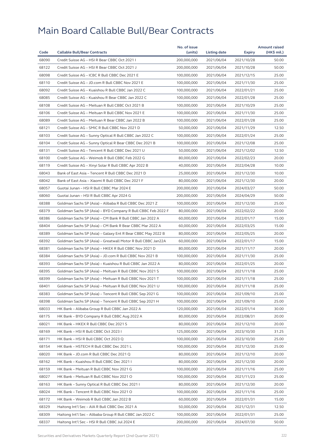| Code  |                                                              | No. of issue | Listing date |            | <b>Amount raised</b> |
|-------|--------------------------------------------------------------|--------------|--------------|------------|----------------------|
|       | <b>Callable Bull/Bear Contracts</b>                          | (units)      |              | Expiry     | (HK\$ mil.)          |
| 68090 | Credit Suisse AG - HSI R Bear CBBC Oct 2021 I                | 200,000,000  | 2021/06/04   | 2021/10/28 | 50.00                |
| 68122 | Credit Suisse AG - HSI R Bear CBBC Oct 2021 J                | 200,000,000  | 2021/06/04   | 2021/10/28 | 50.00                |
| 68098 | Credit Suisse AG - ICBC R Bull CBBC Dec 2021 E               | 100,000,000  | 2021/06/04   | 2021/12/15 | 25.00                |
| 68110 | Credit Suisse AG - JD.com R Bull CBBC Nov 2021 E             | 100,000,000  | 2021/06/04   | 2021/11/30 | 25.00                |
| 68092 | Credit Suisse AG - Kuaishou R Bull CBBC Jan 2022 C           | 100,000,000  | 2021/06/04   | 2022/01/21 | 25.00                |
| 68085 | Credit Suisse AG - Kuaishou R Bear CBBC Jan 2022 C           | 100,000,000  | 2021/06/04   | 2022/01/28 | 25.00                |
| 68108 | Credit Suisse AG - Meituan R Bull CBBC Oct 2021 B            | 100,000,000  | 2021/06/04   | 2021/10/29 | 25.00                |
| 68106 | Credit Suisse AG - Meituan R Bull CBBC Nov 2021 E            | 100,000,000  | 2021/06/04   | 2021/11/30 | 25.00                |
| 68089 | Credit Suisse AG - Meituan R Bear CBBC Jan 2022 B            | 100,000,000  | 2021/06/04   | 2022/01/28 | 25.00                |
| 68121 | Credit Suisse AG - SMIC R Bull CBBC Nov 2021 D               | 50,000,000   | 2021/06/04   | 2021/11/29 | 12.50                |
| 68103 | Credit Suisse AG - Sunny Optical R Bull CBBC Jan 2022 C      | 100,000,000  | 2021/06/04   | 2022/01/24 | 25.00                |
| 68104 | Credit Suisse AG - Sunny Optical R Bear CBBC Dec 2021 B      | 100,000,000  | 2021/06/04   | 2021/12/08 | 25.00                |
| 68131 | Credit Suisse AG - Tencent R Bull CBBC Dec 2021 U            | 50,000,000   | 2021/06/04   | 2021/12/02 | 12.50                |
| 68100 | Credit Suisse AG - Weimob R Bull CBBC Feb 2022 G             | 80,000,000   | 2021/06/04   | 2022/02/23 | 20.00                |
| 68119 | Credit Suisse AG - Xinyi Solar R Bull CBBC Apr 2022 B        | 40,000,000   | 2021/06/04   | 2022/04/28 | 10.00                |
| 68043 | Bank of East Asia - Tencent R Bull CBBC Dec 2021 D           | 25,000,000   | 2021/06/04   | 2021/12/30 | 10.00                |
| 68042 | Bank of East Asia - Xiaomi R Bull CBBC Dec 2021 F            | 80,000,000   | 2021/06/04   | 2021/12/30 | 20.00                |
| 68057 | Guotai Junan - HSI R Bull CBBC Mar 2024 E                    | 200,000,000  | 2021/06/04   | 2024/03/27 | 50.00                |
| 68060 | Guotai Junan - HSI R Bull CBBC Apr 2024 G                    | 200,000,000  | 2021/06/04   | 2024/04/29 | 50.00                |
| 68388 | Goldman Sachs SP (Asia) - Alibaba R Bull CBBC Dec 2021 Z     | 100,000,000  | 2021/06/04   | 2021/12/30 | 25.00                |
| 68379 | Goldman Sachs SP (Asia) - BYD Company R Bull CBBC Feb 2022 F | 80,000,000   | 2021/06/04   | 2022/02/22 | 20.00                |
| 68386 | Goldman Sachs SP (Asia) - CM Bank R Bull CBBC Jan 2022 A     | 60,000,000   | 2021/06/04   | 2022/01/17 | 15.00                |
| 68404 | Goldman Sachs SP (Asia) - CM Bank R Bear CBBC Mar 2022 A     | 60,000,000   | 2021/06/04   | 2022/03/25 | 15.00                |
| 68389 | Goldman Sachs SP (Asia) – Galaxy Ent R Bear CBBC May 2022 B  | 80,000,000   | 2021/06/04   | 2022/05/25 | 20.00                |
| 68392 | Goldman Sachs SP (Asia) - Greatwall Motor R Bull CBBC Jan22A | 60,000,000   | 2021/06/04   | 2022/01/17 | 15.00                |
| 68381 | Goldman Sachs SP (Asia) - HKEX R Bull CBBC Nov 2021 D        | 80,000,000   | 2021/06/04   | 2021/11/17 | 20.00                |
| 68384 | Goldman Sachs SP (Asia) - JD.com R Bull CBBC Nov 2021 B      | 100,000,000  | 2021/06/04   | 2021/11/30 | 25.00                |
| 68393 | Goldman Sachs SP (Asia) - Kuaishou R Bull CBBC Jan 2022 A    | 80,000,000   | 2021/06/04   | 2022/01/25 | 20.00                |
| 68395 | Goldman Sachs SP (Asia) - Meituan R Bull CBBC Nov 2021 S     | 100,000,000  | 2021/06/04   | 2021/11/18 | 25.00                |
| 68399 | Goldman Sachs SP (Asia) - Meituan R Bull CBBC Nov 2021 T     | 100,000,000  | 2021/06/04   | 2021/11/18 | 25.00                |
| 68401 | Goldman Sachs SP (Asia) - Meituan R Bull CBBC Nov 2021 U     | 100,000,000  | 2021/06/04   | 2021/11/18 | 25.00                |
| 68383 | Goldman Sachs SP (Asia) - Tencent R Bull CBBC Sep 2021 G     | 100,000,000  | 2021/06/04   | 2021/09/10 | 25.00                |
| 68398 | Goldman Sachs SP (Asia) - Tencent R Bull CBBC Sep 2021 H     | 100,000,000  | 2021/06/04   | 2021/09/10 | 25.00                |
| 68033 | HK Bank - Alibaba Group R Bull CBBC Jan 2022 A               | 120,000,000  | 2021/06/04   | 2022/01/14 | 30.00                |
| 68175 | HK Bank - BYD Company R Bull CBBC Aug 2022 A                 | 80,000,000   | 2021/06/04   |            | 20.00                |
|       | HK Bank - HKEX R Bull CBBC Dec 2021 S                        | 80,000,000   |              | 2022/08/31 |                      |
| 68021 |                                                              |              | 2021/06/04   | 2021/12/10 | 20.00                |
| 68169 | HK Bank - HSI R Bull CBBC Oct 2023 I                         | 125,000,000  | 2021/06/04   | 2023/10/30 | 31.25                |
| 68171 | HK Bank – HSI R Bull CBBC Oct 2023 Q                         | 100,000,000  | 2021/06/04   | 2023/10/30 | 25.00                |
| 68154 | HK Bank - HSTECH R Bull CBBC Dec 2021 L                      | 100,000,000  | 2021/06/04   | 2021/12/30 | 25.00                |
| 68020 | HK Bank - JD.com R Bull CBBC Dec 2021 Q                      | 80,000,000   | 2021/06/04   | 2021/12/10 | 20.00                |
| 68162 | HK Bank - Kuaishou R Bull CBBC Dec 2021 I                    | 80,000,000   | 2021/06/04   | 2021/12/30 | 20.00                |
| 68159 | HK Bank - Meituan R Bull CBBC Nov 2021 G                     | 100,000,000  | 2021/06/04   | 2021/11/16 | 25.00                |
| 68027 | HK Bank - Meituan R Bull CBBC Nov 2021 O                     | 100,000,000  | 2021/06/04   | 2021/11/23 | 25.00                |
| 68163 | HK Bank – Sunny Optical R Bull CBBC Dec 2021 I               | 80,000,000   | 2021/06/04   | 2021/12/30 | 20.00                |
| 68024 | HK Bank - Tencent R Bull CBBC Nov 2021 O                     | 100,000,000  | 2021/06/04   | 2021/11/16 | 25.00                |
| 68172 | HK Bank - Weimob R Bull CBBC Jan 2022 B                      | 60,000,000   | 2021/06/04   | 2022/01/31 | 15.00                |
| 68329 | Haitong Int'l Sec - AIA R Bull CBBC Dec 2021 A               | 50,000,000   | 2021/06/04   | 2021/12/31 | 12.50                |
| 68309 | Haitong Int'l Sec - Alibaba Group R Bull CBBC Jan 2022 C     | 100,000,000  | 2021/06/04   | 2022/01/31 | 25.00                |
| 68337 | Haitong Int'l Sec - HSI R Bull CBBC Jul 2024 E               | 200,000,000  | 2021/06/04   | 2024/07/30 | 50.00                |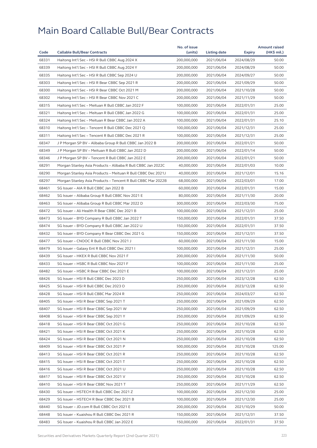|       |                                                              | No. of issue |              |               | <b>Amount raised</b> |
|-------|--------------------------------------------------------------|--------------|--------------|---------------|----------------------|
| Code  | <b>Callable Bull/Bear Contracts</b>                          | (units)      | Listing date | <b>Expiry</b> | (HK\$ mil.)          |
| 68331 | Haitong Int'l Sec - HSI R Bull CBBC Aug 2024 X               | 200,000,000  | 2021/06/04   | 2024/08/29    | 50.00                |
| 68339 | Haitong Int'l Sec - HSI R Bull CBBC Aug 2024 Y               | 200,000,000  | 2021/06/04   | 2024/08/29    | 50.00                |
| 68335 | Haitong Int'l Sec - HSI R Bull CBBC Sep 2024 U               | 200,000,000  | 2021/06/04   | 2024/09/27    | 50.00                |
| 68303 | Haitong Int'l Sec - HSI R Bear CBBC Sep 2021 R               | 200,000,000  | 2021/06/04   | 2021/09/29    | 50.00                |
| 68300 | Haitong Int'l Sec - HSI R Bear CBBC Oct 2021 M               | 200,000,000  | 2021/06/04   | 2021/10/28    | 50.00                |
| 68302 | Haitong Int'l Sec - HSI R Bear CBBC Nov 2021 C               | 200,000,000  | 2021/06/04   | 2021/11/29    | 50.00                |
| 68315 | Haitong Int'l Sec - Meituan R Bull CBBC Jan 2022 F           | 100.000.000  | 2021/06/04   | 2022/01/31    | 25.00                |
| 68321 | Haitong Int'l Sec - Meituan R Bull CBBC Jan 2022 G           | 100,000,000  | 2021/06/04   | 2022/01/31    | 25.00                |
| 68324 | Haitong Int'l Sec - Meituan R Bear CBBC Jan 2022 A           | 100,000,000  | 2021/06/04   | 2022/01/31    | 25.10                |
| 68310 | Haitong Int'l Sec - Tencent R Bull CBBC Dec 2021 Q           | 100,000,000  | 2021/06/04   | 2021/12/31    | 25.00                |
| 68311 | Haitong Int'l Sec – Tencent R Bull CBBC Dec 2021 R           | 100,000,000  | 2021/06/04   | 2021/12/31    | 25.00                |
| 68347 | J P Morgan SP BV - Alibaba Group R Bull CBBC Jan 2022 B      | 200,000,000  | 2021/06/04   | 2022/01/21    | 50.00                |
| 68349 | J P Morgan SP BV - Meituan R Bull CBBC Jan 2022 D            | 200,000,000  | 2021/06/04   | 2022/01/14    | 50.00                |
| 68346 | J P Morgan SP BV – Tencent R Bull CBBC Jan 2022 E            | 200,000,000  | 2021/06/04   | 2022/01/21    | 50.00                |
| 68291 | Morgan Stanley Asia Products – Alibaba R Bull CBBC Jan 2022C | 40,000,000   | 2021/06/04   | 2022/01/03    | 10.00                |
| 68290 | Morgan Stanley Asia Products - Meituan R Bull CBBC Dec 2021J | 40,000,000   | 2021/06/04   | 2021/12/01    | 15.16                |
| 68297 | Morgan Stanley Asia Products - Tencent R Bull CBBC Mar 2022B | 68,000,000   | 2021/06/04   | 2022/03/01    | 17.00                |
| 68461 | SG Issuer - AIA R Bull CBBC Jan 2022 B                       | 60,000,000   | 2021/06/04   | 2022/01/31    | 15.00                |
| 68462 | SG Issuer - Alibaba Group R Bull CBBC Nov 2021 E             | 80,000,000   | 2021/06/04   | 2021/11/30    | 20.00                |
| 68463 | SG Issuer - Alibaba Group R Bull CBBC Mar 2022 D             | 300,000,000  | 2021/06/04   | 2022/03/30    | 75.00                |
| 68472 | SG Issuer - Ali Health R Bear CBBC Dec 2021 B                | 100,000,000  | 2021/06/04   | 2021/12/31    | 25.00                |
| 68473 | SG Issuer - BYD Company R Bull CBBC Jan 2022 T               | 150,000,000  | 2021/06/04   | 2022/01/31    | 37.50                |
| 68474 | SG Issuer - BYD Company R Bull CBBC Jan 2022 U               | 150,000,000  | 2021/06/04   | 2022/01/31    | 37.50                |
| 68432 | SG Issuer - BYD Company R Bear CBBC Dec 2021 G               | 150,000,000  | 2021/06/04   | 2021/12/31    | 37.50                |
| 68477 | SG Issuer - CNOOC R Bull CBBC Nov 2021 J                     | 60,000,000   | 2021/06/04   | 2021/11/30    | 15.00                |
| 68479 | SG Issuer - Galaxy Ent R Bull CBBC Dec 2021 I                | 100,000,000  | 2021/06/04   | 2021/12/31    | 25.00                |
| 68439 | SG Issuer - HKEX R Bull CBBC Nov 2021 F                      | 200,000,000  | 2021/06/04   | 2021/11/30    | 50.00                |
| 68433 | SG Issuer - HSBC R Bull CBBC Nov 2021 F                      | 100,000,000  | 2021/06/04   | 2021/11/30    | 25.00                |
| 68482 | SG Issuer - HSBC R Bear CBBC Dec 2021 E                      | 100,000,000  | 2021/06/04   | 2021/12/31    | 25.00                |
| 68426 | SG Issuer - HSI R Bull CBBC Dec 2023 D                       | 250,000,000  | 2021/06/04   | 2023/12/28    | 62.50                |
| 68425 | SG Issuer – HSI R Bull CBBC Dec 2023 O                       | 250,000,000  | 2021/06/04   | 2023/12/28    | 62.50                |
| 68428 | SG Issuer - HSI R Bull CBBC Mar 2024 R                       | 250,000,000  | 2021/06/04   | 2024/03/27    | 62.50                |
| 68405 | SG Issuer - HSI R Bear CBBC Sep 2021 T                       | 250,000,000  | 2021/06/04   | 2021/09/29    | 62.50                |
| 68407 | SG Issuer - HSI R Bear CBBC Sep 2021 W                       | 250,000,000  | 2021/06/04   | 2021/09/29    | 62.50                |
| 68408 | SG Issuer - HSI R Bear CBBC Sep 2021 Y                       | 250,000,000  | 2021/06/04   | 2021/09/29    | 62.50                |
| 68418 | SG Issuer - HSI R Bear CBBC Oct 2021 G                       | 250,000,000  | 2021/06/04   | 2021/10/28    | 62.50                |
| 68421 | SG Issuer - HSI R Bear CBBC Oct 2021 K                       | 250,000,000  | 2021/06/04   | 2021/10/28    | 62.50                |
| 68424 | SG Issuer - HSI R Bear CBBC Oct 2021 N                       | 250,000,000  | 2021/06/04   | 2021/10/28    | 62.50                |
| 68409 | SG Issuer - HSI R Bear CBBC Oct 2021 P                       | 500,000,000  | 2021/06/04   | 2021/10/28    | 125.00               |
| 68413 | SG Issuer - HSI R Bear CBBC Oct 2021 R                       | 250,000,000  | 2021/06/04   | 2021/10/28    | 62.50                |
| 68415 | SG Issuer - HSI R Bear CBBC Oct 2021 T                       | 250,000,000  | 2021/06/04   | 2021/10/28    | 62.50                |
|       |                                                              |              |              |               |                      |
| 68416 | SG Issuer - HSI R Bear CBBC Oct 2021 U                       | 250,000,000  | 2021/06/04   | 2021/10/28    | 62.50                |
| 68417 | SG Issuer - HSI R Bear CBBC Oct 2021 V                       | 250,000,000  | 2021/06/04   | 2021/10/28    | 62.50                |
| 68410 | SG Issuer - HSI R Bear CBBC Nov 2021 T                       | 250,000,000  | 2021/06/04   | 2021/11/29    | 62.50                |
| 68430 | SG Issuer - HSTECH R Bull CBBC Dec 2021 Z                    | 100,000,000  | 2021/06/04   | 2021/12/30    | 25.00                |
| 68429 | SG Issuer - HSTECH R Bear CBBC Dec 2021 B                    | 100,000,000  | 2021/06/04   | 2021/12/30    | 25.00                |
| 68440 | SG Issuer - JD.com R Bull CBBC Oct 2021 E                    | 200,000,000  | 2021/06/04   | 2021/10/29    | 50.00                |
| 68448 | SG Issuer - Kuaishou R Bull CBBC Dec 2021 R                  | 150,000,000  | 2021/06/04   | 2021/12/31    | 37.50                |
| 68483 | SG Issuer - Kuaishou R Bull CBBC Jan 2022 E                  | 150,000,000  | 2021/06/04   | 2022/01/31    | 37.50                |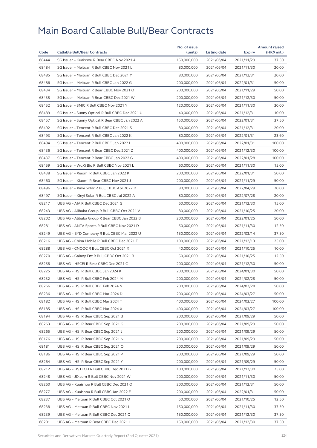|       |                                                  | No. of issue |              |                          | <b>Amount raised</b> |
|-------|--------------------------------------------------|--------------|--------------|--------------------------|----------------------|
| Code  | <b>Callable Bull/Bear Contracts</b>              | (units)      | Listing date | Expiry                   | (HK\$ mil.)          |
| 68444 | SG Issuer - Kuaishou R Bear CBBC Nov 2021 A      | 150,000,000  | 2021/06/04   | 2021/11/29               | 37.50                |
| 68484 | SG Issuer - Meituan R Bull CBBC Nov 2021 L       | 80,000,000   | 2021/06/04   | 2021/11/30               | 20.00                |
| 68485 | SG Issuer - Meituan R Bull CBBC Dec 2021 Y       | 80,000,000   | 2021/06/04   | 2021/12/31               | 20.00                |
| 68486 | SG Issuer - Meituan R Bull CBBC Jan 2022 G       | 200,000,000  | 2021/06/04   | 2022/01/31               | 50.00                |
| 68434 | SG Issuer - Meituan R Bear CBBC Nov 2021 O       | 200,000,000  | 2021/06/04   | 2021/11/29               | 50.00                |
| 68435 | SG Issuer - Meituan R Bear CBBC Dec 2021 W       | 200,000,000  | 2021/06/04   | 2021/12/30               | 50.00                |
| 68452 | SG Issuer - SMIC R Bull CBBC Nov 2021 Y          | 120,000,000  | 2021/06/04   | 2021/11/30               | 30.00                |
| 68489 | SG Issuer - Sunny Optical R Bull CBBC Dec 2021 U | 40,000,000   | 2021/06/04   | 2021/12/31               | 10.00                |
| 68457 | SG Issuer - Sunny Optical R Bear CBBC Jan 2022 A | 150,000,000  | 2021/06/04   | 2022/01/31               | 37.50                |
| 68492 | SG Issuer - Tencent R Bull CBBC Dec 2021 S       | 80,000,000   | 2021/06/04   | 2021/12/31               | 20.00                |
| 68493 | SG Issuer - Tencent R Bull CBBC Jan 2022 K       | 80,000,000   | 2021/06/04   | 2022/01/31               | 23.60                |
| 68494 | SG Issuer - Tencent R Bull CBBC Jan 2022 L       | 400,000,000  | 2021/06/04   | 2022/01/31               | 100.00               |
| 68436 | SG Issuer - Tencent R Bear CBBC Dec 2021 Z       | 400,000,000  | 2021/06/04   | 2021/12/30               | 100.00               |
| 68437 | SG Issuer - Tencent R Bear CBBC Jan 2022 G       | 400,000,000  | 2021/06/04   | 2022/01/28               | 100.00               |
| 68459 | SG Issuer - WuXi Bio R Bull CBBC Nov 2021 L      | 60,000,000   | 2021/06/04   | 2021/11/30               | 15.00                |
| 68438 | SG Issuer - Xiaomi R Bull CBBC Jan 2022 K        | 200,000,000  | 2021/06/04   | 2022/01/31               | 50.00                |
| 68460 | SG Issuer - Xiaomi R Bear CBBC Nov 2021 J        | 200,000,000  | 2021/06/04   | 2021/11/29               | 50.00                |
| 68496 | SG Issuer - Xinyi Solar R Bull CBBC Apr 2022 D   | 80,000,000   | 2021/06/04   | 2022/04/29               | 20.00                |
| 68497 | SG Issuer - Xinyi Solar R Bull CBBC Jul 2022 A   | 80,000,000   | 2021/06/04   | 2022/07/28               | 20.00                |
| 68217 | UBS AG - AIA R Bull CBBC Dec 2021 G              | 60,000,000   | 2021/06/04   | 2021/12/30               | 15.00                |
| 68243 | UBS AG - Alibaba Group R Bull CBBC Oct 2021 V    | 80,000,000   | 2021/06/04   | 2021/10/25               | 20.00                |
| 68202 | UBS AG - Alibaba Group R Bear CBBC Jan 2022 B    | 200,000,000  | 2021/06/04   | 2022/01/25               | 50.00                |
| 68281 | UBS AG - ANTA Sports R Bull CBBC Nov 2021 D      | 50,000,000   | 2021/06/04   | 2021/11/30               | 12.50                |
| 68249 | UBS AG - BYD Company R Bull CBBC Mar 2022 U      | 150,000,000  | 2021/06/04   | 2022/03/14               | 37.50                |
| 68216 | UBS AG - China Mobile R Bull CBBC Dec 2021 E     | 100,000,000  | 2021/06/04   | 2021/12/13               | 25.00                |
| 68288 | UBS AG - CNOOC R Bull CBBC Oct 2021 X            | 40,000,000   | 2021/06/04   | 2021/10/25               | 10.00                |
| 68270 | UBS AG - Galaxy Ent R Bull CBBC Oct 2021 B       | 50,000,000   | 2021/06/04   | 2021/10/25               | 12.50                |
| 68258 | UBS AG - HSCEI R Bear CBBC Dec 2021 C            | 200,000,000  | 2021/06/04   | 2021/12/30               | 50.00                |
| 68225 | UBS AG - HSI R Bull CBBC Jan 2024 K              | 200,000,000  | 2021/06/04   | 2024/01/30               | 50.00                |
| 68232 | UBS AG - HSI R Bull CBBC Feb 2024 M              | 200,000,000  | 2021/06/04   | 2024/02/28               | 50.00                |
| 68266 | UBS AG – HSI R Bull CBBC Feb 2024 N              | 200,000,000  | 2021/06/04   | 2024/02/28               | 50.00                |
| 68236 | UBS AG - HSI R Bull CBBC Mar 2024 D              | 200,000,000  | 2021/06/04   | 2024/03/27               | 50.00                |
| 68182 | UBS AG - HSI R Bull CBBC Mar 2024 T              | 400,000,000  | 2021/06/04   | 2024/03/27               | 100.00               |
| 68185 | UBS AG - HSI R Bull CBBC Mar 2024 X              | 400.000.000  | 2021/06/04   | 2024/03/27               | 100.00               |
| 68194 | UBS AG - HSI R Bear CBBC Sep 2021 B              | 200,000,000  | 2021/06/04   | 2021/09/29               | 50.00                |
| 68263 | UBS AG - HSI R Bear CBBC Sep 2021 G              | 200,000,000  | 2021/06/04   | 2021/09/29               | 50.00                |
| 68265 | UBS AG - HSI R Bear CBBC Sep 2021 J              | 200,000,000  | 2021/06/04   | 2021/09/29               | 50.00                |
| 68176 | UBS AG - HSI R Bear CBBC Sep 2021 N              | 200,000,000  | 2021/06/04   | 2021/09/29               | 50.00                |
| 68181 | UBS AG - HSI R Bear CBBC Sep 2021 O              | 200,000,000  | 2021/06/04   | 2021/09/29               | 50.00                |
| 68186 | UBS AG - HSI R Bear CBBC Sep 2021 P              | 200,000,000  | 2021/06/04   | 2021/09/29               | 50.00                |
| 68264 | UBS AG - HSI R Bear CBBC Sep 2021 Y              | 200,000,000  | 2021/06/04   | 2021/09/29               | 50.00                |
| 68212 | UBS AG - HSTECH R Bull CBBC Dec 2021 G           | 100,000,000  | 2021/06/04   | 2021/12/30               | 25.00                |
| 68248 | UBS AG - JD.com R Bull CBBC Nov 2021 W           | 200,000,000  | 2021/06/04   | 2021/11/30               | 50.00                |
| 68260 | UBS AG - Kuaishou R Bull CBBC Dec 2021 O         | 200,000,000  | 2021/06/04   | 2021/12/31               | 50.00                |
| 68277 | UBS AG - Kuaishou R Bull CBBC Jan 2022 E         | 200,000,000  | 2021/06/04   |                          | 50.00                |
| 68237 | UBS AG - Meituan R Bull CBBC Oct 2021 O          | 50,000,000   | 2021/06/04   | 2022/01/31<br>2021/10/25 | 12.50                |
|       |                                                  |              |              |                          |                      |
| 68238 | UBS AG - Meituan R Bull CBBC Nov 2021 L          | 150,000,000  | 2021/06/04   | 2021/11/30               | 37.50                |
| 68239 | UBS AG - Meituan R Bull CBBC Dec 2021 Q          | 150,000,000  | 2021/06/04   | 2021/12/30               | 37.50                |
| 68201 | UBS AG - Meituan R Bear CBBC Dec 2021 L          | 150,000,000  | 2021/06/04   | 2021/12/30               | 37.50                |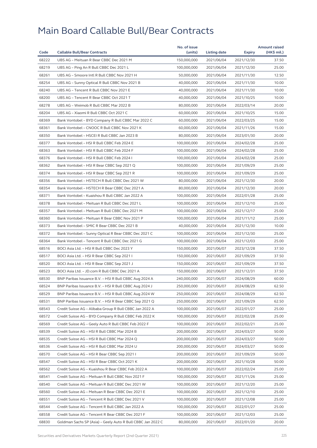|       |                                                             | No. of issue |              |               | <b>Amount raised</b> |
|-------|-------------------------------------------------------------|--------------|--------------|---------------|----------------------|
| Code  | <b>Callable Bull/Bear Contracts</b>                         | (units)      | Listing date | <b>Expiry</b> | (HK\$ mil.)          |
| 68222 | UBS AG - Meituan R Bear CBBC Dec 2021 M                     | 150,000,000  | 2021/06/04   | 2021/12/30    | 37.50                |
| 68219 | UBS AG - Ping An R Bull CBBC Dec 2021 L                     | 100,000,000  | 2021/06/04   | 2021/12/30    | 25.00                |
| 68261 | UBS AG - Smoore Intl R Bull CBBC Nov 2021 H                 | 50,000,000   | 2021/06/04   | 2021/11/30    | 12.50                |
| 68254 | UBS AG - Sunny Optical R Bull CBBC Nov 2021 B               | 40,000,000   | 2021/06/04   | 2021/11/30    | 10.00                |
| 68240 | UBS AG - Tencent R Bull CBBC Nov 2021 E                     | 40,000,000   | 2021/06/04   | 2021/11/30    | 10.00                |
| 68200 | UBS AG - Tencent R Bear CBBC Oct 2021 T                     | 40.000.000   | 2021/06/04   | 2021/10/25    | 10.00                |
| 68278 | UBS AG - Weimob R Bull CBBC Mar 2022 B                      | 80,000,000   | 2021/06/04   | 2022/03/14    | 20.00                |
| 68204 | UBS AG - Xiaomi R Bull CBBC Oct 2021 C                      | 60,000,000   | 2021/06/04   | 2021/10/25    | 15.00                |
| 68369 | Bank Vontobel - BYD Company R Bull CBBC Mar 2022 C          | 60,000,000   | 2021/06/04   | 2022/03/25    | 15.00                |
| 68361 | Bank Vontobel - CNOOC R Bull CBBC Nov 2021 K                | 60,000,000   | 2021/06/04   | 2021/11/26    | 15.00                |
| 68350 | Bank Vontobel - HSCEI R Bull CBBC Jan 2023 B                | 80,000,000   | 2021/06/04   | 2023/01/30    | 20.00                |
| 68377 | Bank Vontobel - HSI R Bull CBBC Feb 2024 E                  | 100,000,000  | 2021/06/04   | 2024/02/28    | 25.00                |
| 68363 | Bank Vontobel - HSI R Bull CBBC Feb 2024 F                  | 100,000,000  | 2021/06/04   | 2024/02/28    | 25.00                |
| 68376 | Bank Vontobel - HSI R Bull CBBC Feb 2024 I                  | 100,000,000  | 2021/06/04   | 2024/02/28    | 25.00                |
| 68362 | Bank Vontobel - HSI R Bear CBBC Sep 2021 Q                  | 100,000,000  | 2021/06/04   | 2021/09/29    | 25.00                |
| 68374 | Bank Vontobel - HSI R Bear CBBC Sep 2021 R                  | 100,000,000  | 2021/06/04   | 2021/09/29    | 25.00                |
| 68356 | Bank Vontobel - HSTECH R Bull CBBC Dec 2021 W               | 80,000,000   | 2021/06/04   | 2021/12/30    | 20.00                |
| 68354 | Bank Vontobel - HSTECH R Bear CBBC Dec 2021 A               | 80,000,000   | 2021/06/04   | 2021/12/30    | 20.00                |
| 68371 | Bank Vontobel - Kuaishou R Bull CBBC Jan 2022 A             | 100,000,000  | 2021/06/04   | 2022/01/28    | 25.00                |
| 68378 | Bank Vontobel - Meituan R Bull CBBC Dec 2021 L              | 100,000,000  | 2021/06/04   | 2021/12/10    | 25.00                |
| 68357 | Bank Vontobel - Meituan R Bull CBBC Dec 2021 M              | 100,000,000  | 2021/06/04   | 2021/12/17    | 25.00                |
| 68360 | Bank Vontobel - Meituan R Bear CBBC Nov 2021 P              | 100,000,000  | 2021/06/04   | 2021/11/12    | 25.00                |
| 68373 | Bank Vontobel - SMIC R Bear CBBC Dec 2021 B                 | 40,000,000   | 2021/06/04   | 2021/12/30    | 10.00                |
| 68372 | Bank Vontobel - Sunny Optical R Bear CBBC Dec 2021 C        | 100,000,000  | 2021/06/04   | 2021/12/30    | 25.00                |
| 68364 | Bank Vontobel - Tencent R Bull CBBC Dec 2021 G              | 100,000,000  | 2021/06/04   | 2021/12/03    | 25.00                |
| 68516 | BOCI Asia Ltd. - HSI R Bull CBBC Dec 2023 Y                 | 150,000,000  | 2021/06/07   | 2023/12/28    | 37.50                |
| 68517 | BOCI Asia Ltd. - HSI R Bear CBBC Sep 2021 I                 | 150,000,000  | 2021/06/07   | 2021/09/29    | 37.50                |
| 68520 | BOCI Asia Ltd. - HSI R Bear CBBC Sep 2021 J                 | 150,000,000  | 2021/06/07   | 2021/09/29    | 37.50                |
| 68523 | BOCI Asia Ltd. - JD.com R Bull CBBC Dec 2021 A              | 150,000,000  | 2021/06/07   | 2021/12/31    | 37.50                |
| 68530 | BNP Paribas Issuance B.V. – HSI R Bull CBBC Aug 2024 A      | 240,000,000  | 2021/06/07   | 2024/08/29    | 60.00                |
| 68524 | BNP Paribas Issuance B.V. - HSI R Bull CBBC Aug 2024 J      | 250,000,000  | 2021/06/07   | 2024/08/29    | 62.50                |
| 68529 | BNP Paribas Issuance B.V. - HSI R Bull CBBC Aug 2024 W      | 250,000,000  | 2021/06/07   | 2024/08/29    | 62.50                |
| 68531 | BNP Paribas Issuance B.V. - HSI R Bear CBBC Sep 2021 Q      | 250,000,000  | 2021/06/07   | 2021/09/29    | 62.50                |
| 68543 | Credit Suisse AG - Alibaba Group R Bull CBBC Jan 2022 A     | 100,000,000  | 2021/06/07   | 2022/01/27    | 25.00                |
| 68572 | Credit Suisse AG - BYD Company R Bull CBBC Feb 2022 K       | 100,000,000  | 2021/06/07   | 2022/02/28    | 25.00                |
| 68569 | Credit Suisse AG - Geely Auto R Bull CBBC Feb 2022 F        | 100,000,000  | 2021/06/07   | 2022/02/21    | 25.00                |
| 68539 | Credit Suisse AG - HSI R Bull CBBC Mar 2024 B               | 200,000,000  | 2021/06/07   | 2024/03/27    | 50.00                |
| 68535 | Credit Suisse AG - HSI R Bull CBBC Mar 2024 Q               | 200,000,000  | 2021/06/07   | 2024/03/27    | 50.00                |
| 68536 | Credit Suisse AG - HSI R Bull CBBC Mar 2024 U               | 200,000,000  | 2021/06/07   | 2024/03/27    | 50.00                |
| 68570 | Credit Suisse AG - HSI R Bear CBBC Sep 2021 I               | 200,000,000  | 2021/06/07   | 2021/09/29    | 50.00                |
| 68547 | Credit Suisse AG - HSI R Bear CBBC Oct 2021 K               | 200,000,000  | 2021/06/07   | 2021/10/28    | 50.00                |
| 68562 | Credit Suisse AG - Kuaishou R Bear CBBC Feb 2022 A          | 100,000,000  | 2021/06/07   | 2022/02/24    | 25.00                |
| 68541 | Credit Suisse AG - Meituan R Bull CBBC Nov 2021 F           | 100,000,000  | 2021/06/07   | 2021/11/26    | 25.00                |
| 68540 | Credit Suisse AG - Meituan R Bull CBBC Dec 2021 W           | 100,000,000  | 2021/06/07   | 2021/12/20    | 25.00                |
| 68560 | Credit Suisse AG - Meituan R Bear CBBC Dec 2021 E           | 100,000,000  | 2021/06/07   | 2021/12/10    | 25.00                |
| 68551 | Credit Suisse AG - Tencent R Bull CBBC Dec 2021 V           | 100,000,000  | 2021/06/07   | 2021/12/08    | 25.00                |
| 68544 | Credit Suisse AG - Tencent R Bull CBBC Jan 2022 A           | 100,000,000  | 2021/06/07   | 2022/01/27    | 25.00                |
| 68558 | Credit Suisse AG - Tencent R Bear CBBC Dec 2021 F           | 100,000,000  | 2021/06/07   | 2021/12/03    | 25.00                |
| 68830 | Goldman Sachs SP (Asia) - Geely Auto R Bull CBBC Jan 2022 C | 80,000,000   | 2021/06/07   | 2022/01/20    | 20.00                |
|       |                                                             |              |              |               |                      |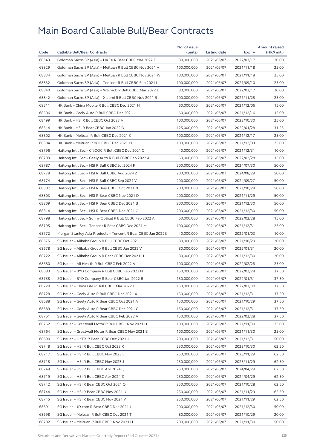| Code  |                                                              | No. of issue |              |            | <b>Amount raised</b> |
|-------|--------------------------------------------------------------|--------------|--------------|------------|----------------------|
|       | <b>Callable Bull/Bear Contracts</b>                          | (units)      | Listing date | Expiry     | (HK\$ mil.)          |
| 68843 | Goldman Sachs SP (Asia) - HKEX R Bear CBBC Mar 2022 F        | 80,000,000   | 2021/06/07   | 2022/03/17 | 20.00                |
| 68829 | Goldman Sachs SP (Asia) - Meituan R Bull CBBC Nov 2021 V     | 100,000,000  | 2021/06/07   | 2021/11/18 | 25.00                |
| 68834 | Goldman Sachs SP (Asia) - Meituan R Bull CBBC Nov 2021 W     | 100,000,000  | 2021/06/07   | 2021/11/18 | 25.00                |
| 68832 | Goldman Sachs SP (Asia) - Tencent R Bull CBBC Sep 2021 I     | 100,000,000  | 2021/06/07   | 2021/09/10 | 25.00                |
| 68840 | Goldman Sachs SP (Asia) - Weimob R Bull CBBC Mar 2022 D      | 80,000,000   | 2021/06/07   | 2022/03/17 | 20.00                |
| 68842 | Goldman Sachs SP (Asia) - Xiaomi R Bull CBBC Nov 2021 B      | 100,000,000  | 2021/06/07   | 2021/11/25 | 25.00                |
| 68511 | HK Bank - China Mobile R Bull CBBC Dec 2021 H                | 60,000,000   | 2021/06/07   | 2021/12/06 | 15.00                |
| 68506 | HK Bank - Geely Auto R Bull CBBC Dec 2021 J                  | 60,000,000   | 2021/06/07   | 2021/12/16 | 15.00                |
| 68499 | HK Bank - HSI R Bull CBBC Oct 2023 A                         | 100,000,000  | 2021/06/07   | 2023/10/30 | 25.00                |
| 68514 | HK Bank - HSI R Bear CBBC Jan 2022 G                         | 125,000,000  | 2021/06/07   | 2022/01/28 | 31.25                |
| 68502 | HK Bank - Meituan R Bull CBBC Dec 2021 K                     | 100,000,000  | 2021/06/07   | 2021/12/17 | 25.00                |
| 68504 | HK Bank - Meituan R Bull CBBC Dec 2021 M                     | 100,000,000  | 2021/06/07   | 2021/12/03 | 25.00                |
| 68796 | Haitong Int'l Sec - CNOOC R Bull CBBC Dec 2021 C             | 40,000,000   | 2021/06/07   | 2021/12/31 | 10.00                |
| 68799 | Haitong Int'l Sec - Geely Auto R Bull CBBC Feb 2022 A        | 60,000,000   | 2021/06/07   | 2022/02/28 | 15.00                |
| 68787 | Haitong Int'l Sec - HSI R Bull CBBC Jul 2024 F               | 200,000,000  | 2021/06/07   | 2024/07/30 | 50.00                |
| 68778 | Haitong Int'l Sec - HSI R Bull CBBC Aug 2024 Z               | 200,000,000  | 2021/06/07   | 2024/08/29 | 50.00                |
| 68774 | Haitong Int'l Sec - HSI R Bull CBBC Sep 2024 V               | 200,000,000  | 2021/06/07   | 2024/09/27 | 50.00                |
| 68807 | Haitong Int'l Sec - HSI R Bear CBBC Oct 2021 N               | 200,000,000  | 2021/06/07   | 2021/10/28 | 50.00                |
| 68803 | Haitong Int'l Sec - HSI R Bear CBBC Nov 2021 D               | 200,000,000  | 2021/06/07   | 2021/11/29 | 50.00                |
| 68809 | Haitong Int'l Sec - HSI R Bear CBBC Dec 2021 B               | 200,000,000  | 2021/06/07   | 2021/12/30 | 50.00                |
| 68814 | Haitong Int'l Sec - HSI R Bear CBBC Dec 2021 C               | 200,000,000  | 2021/06/07   | 2021/12/30 | 50.00                |
| 68798 | Haitong Int'l Sec - Sunny Optical R Bull CBBC Feb 2022 A     | 60,000,000   | 2021/06/07   | 2022/02/28 | 15.00                |
| 68795 | Haitong Int'l Sec - Tencent R Bear CBBC Dec 2021 M           | 100,000,000  | 2021/06/07   | 2021/12/31 | 25.00                |
| 68772 | Morgan Stanley Asia Products – Tencent R Bear CBBC Jan 2022E | 40,000,000   | 2021/06/07   | 2022/01/03 | 10.00                |
| 68675 | SG Issuer - Alibaba Group R Bull CBBC Oct 2021 J             | 80,000,000   | 2021/06/07   | 2021/10/29 | 20.00                |
| 68678 | SG Issuer - Alibaba Group R Bull CBBC Jan 2022 V             | 80,000,000   | 2021/06/07   | 2022/01/31 | 20.00                |
| 68722 | SG Issuer - Alibaba Group R Bear CBBC Dec 2021 H             | 80,000,000   | 2021/06/07   | 2021/12/30 | 20.00                |
| 68680 | SG Issuer - Ali Health R Bull CBBC Feb 2022 A                | 100,000,000  | 2021/06/07   | 2022/02/28 | 25.00                |
| 68683 | SG Issuer - BYD Company R Bull CBBC Feb 2022 N               | 150,000,000  | 2021/06/07   | 2022/02/28 | 37.50                |
| 68758 | SG Issuer - BYD Company R Bear CBBC Jan 2022 B               | 150,000,000  | 2021/06/07   | 2022/01/31 | 37.50                |
| 68720 | SG Issuer - China Life R Bull CBBC Mar 2022 I                | 150,000,000  | 2021/06/07   | 2022/03/30 | 37.50                |
| 68728 | SG Issuer - Geely Auto R Bull CBBC Dec 2021 X                | 150,000,000  | 2021/06/07   | 2021/12/31 | 37.50                |
| 68688 | SG Issuer - Geely Auto R Bear CBBC Oct 2021 A                | 150,000,000  | 2021/06/07   | 2021/10/29 | 37.50                |
| 68689 | SG Issuer - Geely Auto R Bear CBBC Dec 2021 C                | 150,000,000  | 2021/06/07   | 2021/12/31 | 37.50                |
| 68761 | SG Issuer - Geely Auto R Bear CBBC Feb 2022 A                | 150,000,000  | 2021/06/07   | 2022/02/28 | 37.50                |
| 68762 | SG Issuer - Greatwall Motor R Bull CBBC Nov 2021 H           | 100,000,000  | 2021/06/07   | 2021/11/30 | 25.00                |
| 68764 | SG Issuer - Greatwall Motor R Bear CBBC Nov 2021 B           | 100,000,000  | 2021/06/07   | 2021/11/30 | 25.00                |
| 68690 | SG Issuer – HKEX R Bear CBBC Dec 2021 J                      | 200,000,000  | 2021/06/07   | 2021/12/31 | 50.00                |
| 68748 | SG Issuer - HSI R Bull CBBC Oct 2023 K                       | 250,000,000  | 2021/06/07   | 2023/10/30 | 62.50                |
| 68717 | SG Issuer - HSI R Bull CBBC Nov 2023 E                       | 250,000,000  | 2021/06/07   | 2023/11/29 | 62.50                |
| 68718 | SG Issuer - HSI R Bull CBBC Nov 2023 J                       | 250,000,000  | 2021/06/07   | 2023/11/29 | 62.50                |
| 68749 | SG Issuer - HSI R Bull CBBC Apr 2024 Q                       | 250,000,000  | 2021/06/07   | 2024/04/29 | 62.50                |
| 68719 | SG Issuer - HSI R Bull CBBC Apr 2024 Z                       | 250,000,000  | 2021/06/07   | 2024/04/29 | 62.50                |
| 68742 | SG Issuer - HSI R Bear CBBC Oct 2021 Q                       | 250,000,000  | 2021/06/07   | 2021/10/28 | 62.50                |
| 68744 | SG Issuer - HSI R Bear CBBC Nov 2021 U                       | 250,000,000  | 2021/06/07   | 2021/11/29 | 62.50                |
| 68745 | SG Issuer - HSI R Bear CBBC Nov 2021 V                       | 250,000,000  | 2021/06/07   | 2021/11/29 | 62.50                |
| 68691 | SG Issuer - JD.com R Bear CBBC Dec 2021 J                    | 200,000,000  | 2021/06/07   | 2021/12/30 | 50.00                |
| 68698 | SG Issuer - Meituan R Bull CBBC Oct 2021 T                   | 80,000,000   | 2021/06/07   | 2021/10/29 | 20.00                |
| 68702 | SG Issuer – Meituan R Bull CBBC Nov 2021 H                   | 200,000,000  | 2021/06/07   | 2021/11/30 | 50.00                |
|       |                                                              |              |              |            |                      |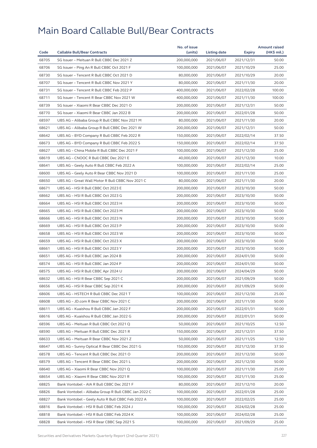|       |                                                      | No. of issue |                     |            | <b>Amount raised</b> |
|-------|------------------------------------------------------|--------------|---------------------|------------|----------------------|
| Code  | <b>Callable Bull/Bear Contracts</b>                  | (units)      | <b>Listing date</b> | Expiry     | (HK\$ mil.)          |
| 68705 | SG Issuer - Meituan R Bull CBBC Dec 2021 Z           | 200,000,000  | 2021/06/07          | 2021/12/31 | 50.00                |
| 68706 | SG Issuer - Ping An R Bull CBBC Oct 2021 F           | 100,000,000  | 2021/06/07          | 2021/10/29 | 25.00                |
| 68730 | SG Issuer - Tencent R Bull CBBC Oct 2021 D           | 80,000,000   | 2021/06/07          | 2021/10/29 | 20.00                |
| 68707 | SG Issuer - Tencent R Bull CBBC Nov 2021 Y           | 80,000,000   | 2021/06/07          | 2021/11/30 | 20.00                |
| 68731 | SG Issuer - Tencent R Bull CBBC Feb 2022 P           | 400,000,000  | 2021/06/07          | 2022/02/28 | 100.00               |
| 68711 | SG Issuer - Tencent R Bear CBBC Nov 2021 W           | 400,000,000  | 2021/06/07          | 2021/11/30 | 100.00               |
| 68739 | SG Issuer - Xiaomi R Bear CBBC Dec 2021 O            | 200,000,000  | 2021/06/07          | 2021/12/31 | 50.00                |
| 68770 | SG Issuer - Xiaomi R Bear CBBC Jan 2022 B            | 200,000,000  | 2021/06/07          | 2022/01/28 | 50.00                |
| 68597 | UBS AG - Alibaba Group R Bull CBBC Nov 2021 M        | 80,000,000   | 2021/06/07          | 2021/11/30 | 20.00                |
| 68621 | UBS AG - Alibaba Group R Bull CBBC Dec 2021 W        | 200,000,000  | 2021/06/07          | 2021/12/31 | 50.00                |
| 68642 | UBS AG - BYD Company R Bull CBBC Feb 2022 R          | 150,000,000  | 2021/06/07          | 2022/02/14 | 37.50                |
| 68673 | UBS AG - BYD Company R Bull CBBC Feb 2022 S          | 150,000,000  | 2021/06/07          | 2022/02/14 | 37.50                |
| 68627 | UBS AG - China Mobile R Bull CBBC Dec 2021 F         | 100,000,000  | 2021/06/07          | 2021/12/30 | 25.00                |
| 68619 | UBS AG - CNOOC R Bull CBBC Dec 2021 E                | 40,000,000   | 2021/06/07          | 2021/12/30 | 10.00                |
| 68641 | UBS AG - Geely Auto R Bull CBBC Feb 2022 A           | 100,000,000  | 2021/06/07          | 2022/02/14 | 25.00                |
| 68600 | UBS AG - Geely Auto R Bear CBBC Nov 2021 D           | 100,000,000  | 2021/06/07          | 2021/11/30 | 25.00                |
| 68650 | UBS AG - Great Wall Motor R Bull CBBC Nov 2021 C     | 80,000,000   | 2021/06/07          | 2021/11/30 | 20.00                |
| 68671 | UBS AG - HSI R Bull CBBC Oct 2023 E                  | 200,000,000  | 2021/06/07          | 2023/10/30 | 50.00                |
| 68662 | UBS AG - HSI R Bull CBBC Oct 2023 G                  | 200,000,000  | 2021/06/07          | 2023/10/30 | 50.00                |
| 68664 | UBS AG - HSI R Bull CBBC Oct 2023 H                  | 200,000,000  | 2021/06/07          | 2023/10/30 | 50.00                |
| 68665 | UBS AG - HSI R Bull CBBC Oct 2023 M                  | 200,000,000  | 2021/06/07          | 2023/10/30 | 50.00                |
| 68666 | UBS AG - HSI R Bull CBBC Oct 2023 N                  | 200,000,000  | 2021/06/07          | 2023/10/30 | 50.00                |
| 68669 | UBS AG - HSI R Bull CBBC Oct 2023 P                  | 200,000,000  | 2021/06/07          | 2023/10/30 | 50.00                |
| 68658 | UBS AG - HSI R Bull CBBC Oct 2023 W                  | 200,000,000  | 2021/06/07          | 2023/10/30 | 50.00                |
| 68659 | UBS AG - HSI R Bull CBBC Oct 2023 X                  | 200,000,000  | 2021/06/07          | 2023/10/30 | 50.00                |
| 68661 | UBS AG - HSI R Bull CBBC Oct 2023 Y                  | 200,000,000  | 2021/06/07          | 2023/10/30 | 50.00                |
| 68651 | UBS AG - HSI R Bull CBBC Jan 2024 B                  | 200,000,000  | 2021/06/07          | 2024/01/30 | 50.00                |
| 68574 | UBS AG - HSI R Bull CBBC Jan 2024 P                  | 200,000,000  | 2021/06/07          | 2024/01/30 | 50.00                |
| 68575 | UBS AG - HSI R Bull CBBC Apr 2024 U                  | 200,000,000  | 2021/06/07          | 2024/04/29 | 50.00                |
| 68632 | UBS AG - HSI R Bear CBBC Sep 2021 C                  | 200,000,000  | 2021/06/07          | 2021/09/29 | 50.00                |
| 68656 | UBS AG – HSI R Bear CBBC Sep 2021 K                  | 200,000,000  | 2021/06/07          | 2021/09/29 | 50.00                |
| 68606 | UBS AG - HSTECH R Bull CBBC Dec 2021 T               | 100,000,000  | 2021/06/07          | 2021/12/30 | 25.00                |
| 68608 | UBS AG - JD.com R Bear CBBC Nov 2021 C               | 200,000,000  | 2021/06/07          | 2021/11/30 | 50.00                |
| 68611 | UBS AG - Kuaishou R Bull CBBC Jan 2022 F             | 200,000,000  | 2021/06/07          | 2022/01/31 | 50.00                |
| 68616 | UBS AG - Kuaishou R Bull CBBC Jan 2022 G             | 200,000,000  | 2021/06/07          | 2022/01/31 | 50.00                |
| 68596 | UBS AG - Meituan R Bull CBBC Oct 2021 Q              | 50,000,000   | 2021/06/07          | 2021/10/25 | 12.50                |
| 68590 | UBS AG - Meituan R Bull CBBC Dec 2021 R              | 150,000,000  | 2021/06/07          | 2021/12/31 | 37.50                |
| 68633 | UBS AG - Meituan R Bear CBBC Nov 2021 Z              | 50,000,000   | 2021/06/07          | 2021/11/25 | 12.50                |
| 68647 | UBS AG - Sunny Optical R Bear CBBC Dec 2021 G        | 150,000,000  | 2021/06/07          | 2021/12/30 | 37.50                |
| 68578 | UBS AG - Tencent R Bull CBBC Dec 2021 O              | 200,000,000  | 2021/06/07          | 2021/12/30 | 50.00                |
| 68579 | UBS AG - Tencent R Bear CBBC Dec 2021 L              | 200,000,000  | 2021/06/07          | 2021/12/30 | 50.00                |
| 68640 | UBS AG - Xiaomi R Bear CBBC Nov 2021 Q               | 100,000,000  | 2021/06/07          | 2021/11/30 | 25.00                |
| 68654 | UBS AG - Xiaomi R Bear CBBC Nov 2021 R               | 100,000,000  | 2021/06/07          | 2021/11/30 | 25.00                |
| 68825 | Bank Vontobel - AIA R Bull CBBC Dec 2021 F           | 80,000,000   | 2021/06/07          | 2021/12/10 | 20.00                |
| 68826 | Bank Vontobel - Alibaba Group R Bull CBBC Jan 2022 C | 100,000,000  | 2021/06/07          | 2022/01/28 | 25.00                |
| 68827 | Bank Vontobel - Geely Auto R Bull CBBC Feb 2022 A    | 100,000,000  | 2021/06/07          | 2022/02/25 | 25.00                |
| 68816 | Bank Vontobel - HSI R Bull CBBC Feb 2024 J           | 100,000,000  | 2021/06/07          | 2024/02/28 | 25.00                |
| 68818 | Bank Vontobel - HSI R Bull CBBC Feb 2024 K           | 100,000,000  | 2021/06/07          | 2024/02/28 | 25.00                |
| 68828 | Bank Vontobel - HSI R Bear CBBC Sep 2021 S           | 100,000,000  | 2021/06/07          | 2021/09/29 | 25.00                |
|       |                                                      |              |                     |            |                      |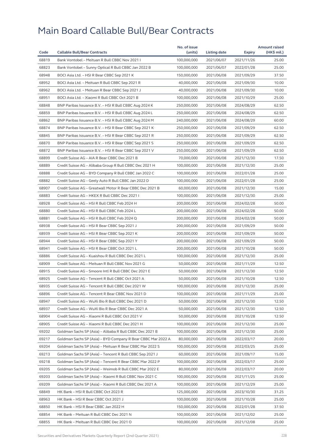|       |                                                              | No. of issue |              |            | <b>Amount raised</b> |
|-------|--------------------------------------------------------------|--------------|--------------|------------|----------------------|
| Code  | <b>Callable Bull/Bear Contracts</b>                          | (units)      | Listing date | Expiry     | (HK\$ mil.)          |
| 68819 | Bank Vontobel - Meituan R Bull CBBC Nov 2021 I               | 100,000,000  | 2021/06/07   | 2021/11/26 | 25.00                |
| 68823 | Bank Vontobel - Sunny Optical R Bull CBBC Jan 2022 B         | 100,000,000  | 2021/06/07   | 2022/01/28 | 25.00                |
| 68948 | BOCI Asia Ltd. – HSI R Bear CBBC Sep 2021 K                  | 150,000,000  | 2021/06/08   | 2021/09/29 | 37.50                |
| 68952 | BOCI Asia Ltd. - Meituan R Bull CBBC Sep 2021 R              | 40,000,000   | 2021/06/08   | 2021/09/30 | 10.00                |
| 68962 | BOCI Asia Ltd. - Meituan R Bear CBBC Sep 2021 J              | 40,000,000   | 2021/06/08   | 2021/09/30 | 10.00                |
| 68951 | BOCI Asia Ltd. - Xiaomi R Bull CBBC Oct 2021 B               | 100,000,000  | 2021/06/08   | 2021/10/29 | 25.00                |
| 68848 | BNP Paribas Issuance B.V. - HSI R Bull CBBC Aug 2024 K       | 250,000,000  | 2021/06/08   | 2024/08/29 | 62.50                |
| 68859 | BNP Paribas Issuance B.V. - HSI R Bull CBBC Aug 2024 L       | 250,000,000  | 2021/06/08   | 2024/08/29 | 62.50                |
| 68862 | BNP Paribas Issuance B.V. - HSI R Bull CBBC Aug 2024 M       | 240,000,000  | 2021/06/08   | 2024/08/29 | 60.00                |
| 68874 | BNP Paribas Issuance B.V. - HSI R Bear CBBC Sep 2021 K       | 250,000,000  | 2021/06/08   | 2021/09/29 | 62.50                |
| 68845 | BNP Paribas Issuance B.V. - HSI R Bear CBBC Sep 2021 R       | 250,000,000  | 2021/06/08   | 2021/09/29 | 62.50                |
| 68870 | BNP Paribas Issuance B.V. - HSI R Bear CBBC Sep 2021 S       | 250,000,000  | 2021/06/08   | 2021/09/29 | 62.50                |
| 68872 | BNP Paribas Issuance B.V. - HSI R Bear CBBC Sep 2021 V       | 250,000,000  | 2021/06/08   | 2021/09/29 | 62.50                |
| 68899 | Credit Suisse AG - AIA R Bear CBBC Dec 2021 B                | 70,000,000   | 2021/06/08   | 2021/12/30 | 17.50                |
| 68889 | Credit Suisse AG - Alibaba Group R Bull CBBC Dec 2021 H      | 100,000,000  | 2021/06/08   | 2021/12/30 | 25.00                |
| 68888 | Credit Suisse AG - BYD Company R Bull CBBC Jan 2022 C        | 100,000,000  | 2021/06/08   | 2022/01/28 | 25.00                |
| 68882 | Credit Suisse AG - Geely Auto R Bull CBBC Jan 2022 D         | 100,000,000  | 2021/06/08   | 2022/01/28 | 25.00                |
| 68907 | Credit Suisse AG - Greatwall Motor R Bear CBBC Dec 2021 B    | 60,000,000   | 2021/06/08   | 2021/12/30 | 15.00                |
| 68883 | Credit Suisse AG - HKEX R Bull CBBC Dec 2021 I               | 100,000,000  | 2021/06/08   | 2021/12/30 | 25.00                |
| 68928 | Credit Suisse AG - HSI R Bull CBBC Feb 2024 H                | 200,000,000  | 2021/06/08   | 2024/02/28 | 50.00                |
| 68880 | Credit Suisse AG - HSI R Bull CBBC Feb 2024 L                | 200,000,000  | 2021/06/08   | 2024/02/28 | 50.00                |
| 68881 | Credit Suisse AG - HSI R Bull CBBC Feb 2024 Q                | 200,000,000  | 2021/06/08   | 2024/02/28 | 50.00                |
| 68938 | Credit Suisse AG - HSI R Bear CBBC Sep 2021 J                | 200,000,000  | 2021/06/08   | 2021/09/29 | 50.00                |
| 68939 | Credit Suisse AG - HSI R Bear CBBC Sep 2021 K                | 200,000,000  | 2021/06/08   | 2021/09/29 | 50.00                |
| 68944 | Credit Suisse AG - HSI R Bear CBBC Sep 2021 Y                | 200,000,000  | 2021/06/08   | 2021/09/29 | 50.00                |
| 68941 | Credit Suisse AG - HSI R Bear CBBC Oct 2021 L                | 200,000,000  | 2021/06/08   | 2021/10/28 | 50.00                |
| 68886 | Credit Suisse AG - Kuaishou R Bull CBBC Dec 2021 L           | 100,000,000  | 2021/06/08   | 2021/12/30 | 25.00                |
| 68909 | Credit Suisse AG - Meituan R Bull CBBC Nov 2021 G            | 50,000,000   | 2021/06/08   | 2021/11/29 | 12.50                |
| 68915 | Credit Suisse AG - Smoore Intl R Bull CBBC Dec 2021 E        | 50,000,000   | 2021/06/08   | 2021/12/30 | 12.50                |
| 68925 | Credit Suisse AG - Tencent R Bull CBBC Oct 2021 A            | 50,000,000   | 2021/06/08   | 2021/10/28 | 12.50                |
| 68935 | Credit Suisse AG – Tencent R Bull CBBC Dec 2021 W            | 100,000,000  | 2021/06/08   | 2021/12/30 | 25.00                |
| 68896 | Credit Suisse AG - Tencent R Bear CBBC Nov 2021 D            | 100,000,000  | 2021/06/08   | 2021/11/29 | 25.00                |
| 68947 | Credit Suisse AG - WuXi Bio R Bull CBBC Dec 2021 D           | 50,000,000   | 2021/06/08   | 2021/12/30 | 12.50                |
| 68937 | Credit Suisse AG - WuXi Bio R Bear CBBC Dec 2021 A           | 50.000.000   | 2021/06/08   | 2021/12/30 | 12.50                |
| 68904 | Credit Suisse AG - Xiaomi R Bull CBBC Oct 2021 V             | 50,000,000   | 2021/06/08   | 2021/10/28 | 12.50                |
| 68905 | Credit Suisse AG - Xiaomi R Bull CBBC Dec 2021 H             | 100,000,000  | 2021/06/08   | 2021/12/30 | 25.00                |
| 69202 | Goldman Sachs SP (Asia) - Alibaba R Bull CBBC Dec 2021 B     | 100,000,000  | 2021/06/08   | 2021/12/30 | 25.00                |
| 69217 | Goldman Sachs SP (Asia) - BYD Company R Bear CBBC Mar 2022 A | 80,000,000   | 2021/06/08   | 2022/03/17 | 20.00                |
| 69204 | Goldman Sachs SP (Asia) - Meituan R Bear CBBC Mar 2022 S     | 100,000,000  | 2021/06/08   | 2022/03/25 | 25.00                |
| 69213 | Goldman Sachs SP (Asia) - Tencent R Bull CBBC Sep 2021 J     | 60,000,000   | 2021/06/08   | 2021/09/17 | 15.00                |
| 69218 | Goldman Sachs SP (Asia) - Tencent R Bear CBBC Mar 2022 P     | 100,000,000  | 2021/06/08   | 2022/03/17 | 25.00                |
| 69205 | Goldman Sachs SP (Asia) - Weimob R Bull CBBC Mar 2022 E      | 80,000,000   | 2021/06/08   | 2022/03/17 | 20.00                |
| 69203 | Goldman Sachs SP (Asia) - Xiaomi R Bull CBBC Nov 2021 C      | 100,000,000  | 2021/06/08   | 2021/11/25 | 25.00                |
| 69209 | Goldman Sachs SP (Asia) - Xiaomi R Bull CBBC Dec 2021 A      | 100,000,000  | 2021/06/08   | 2021/12/29 | 25.00                |
| 68849 | HK Bank - HSI R Bull CBBC Oct 2023 R                         | 125,000,000  | 2021/06/08   | 2023/10/30 | 31.25                |
| 68963 | HK Bank - HSI R Bear CBBC Oct 2021 J                         | 100,000,000  | 2021/06/08   | 2021/10/28 | 25.00                |
| 68850 | HK Bank - HSI R Bear CBBC Jan 2022 H                         | 150,000,000  | 2021/06/08   | 2022/01/28 | 37.50                |
| 68854 | HK Bank - Meituan R Bull CBBC Dec 2021 N                     | 100,000,000  | 2021/06/08   | 2021/12/02 | 25.00                |
| 68855 | HK Bank - Meituan R Bull CBBC Dec 2021 O                     | 100,000,000  | 2021/06/08   | 2021/12/08 | 25.00                |
|       |                                                              |              |              |            |                      |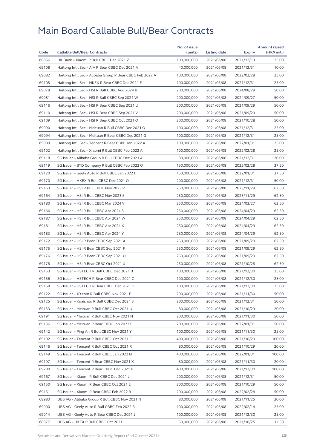|       |                                                          | No. of issue |              |            | <b>Amount raised</b> |
|-------|----------------------------------------------------------|--------------|--------------|------------|----------------------|
| Code  | <b>Callable Bull/Bear Contracts</b>                      | (units)      | Listing date | Expiry     | (HK\$ mil.)          |
| 68856 | HK Bank - Xiaomi R Bull CBBC Dec 2021 Z                  | 100,000,000  | 2021/06/08   | 2021/12/13 | 25.00                |
| 69108 | Haitong Int'l Sec - AIA R Bear CBBC Dec 2021 A           | 40,000,000   | 2021/06/08   | 2021/12/31 | 10.00                |
| 69082 | Haitong Int'l Sec - Alibaba Group R Bear CBBC Feb 2022 A | 100,000,000  | 2021/06/08   | 2022/02/28 | 25.00                |
| 69105 | Haitong Int'l Sec - HKEX R Bear CBBC Dec 2021 E          | 100,000,000  | 2021/06/08   | 2021/12/31 | 25.00                |
| 69078 | Haitong Int'l Sec - HSI R Bull CBBC Aug 2024 B           | 200,000,000  | 2021/06/08   | 2024/08/29 | 50.00                |
| 69081 | Haitong Int'l Sec - HSI R Bull CBBC Sep 2024 W           | 200,000,000  | 2021/06/08   | 2024/09/27 | 50.00                |
| 69116 | Haitong Int'l Sec - HSI R Bear CBBC Sep 2021 U           | 200,000,000  | 2021/06/08   | 2021/09/29 | 50.00                |
| 69110 | Haitong Int'l Sec - HSI R Bear CBBC Sep 2021 V           | 200,000,000  | 2021/06/08   | 2021/09/29 | 50.00                |
| 69109 | Haitong Int'l Sec - HSI R Bear CBBC Oct 2021 O           | 200,000,000  | 2021/06/08   | 2021/10/28 | 50.00                |
| 69090 | Haitong Int'l Sec - Meituan R Bull CBBC Dec 2021 Q       | 100,000,000  | 2021/06/08   | 2021/12/31 | 25.00                |
| 69094 | Haitong Int'l Sec - Meituan R Bear CBBC Dec 2021 G       | 100,000,000  | 2021/06/08   | 2021/12/31 | 25.00                |
| 69089 | Haitong Int'l Sec - Tencent R Bear CBBC Jan 2022 A       | 100,000,000  | 2021/06/08   | 2022/01/31 | 25.00                |
| 69102 | Haitong Int'l Sec - Xiaomi R Bull CBBC Feb 2022 A        | 100,000,000  | 2021/06/08   | 2022/02/28 | 25.00                |
| 69118 | SG Issuer - Alibaba Group R Bull CBBC Dec 2021 A         | 80,000,000   | 2021/06/08   | 2021/12/31 | 20.00                |
| 69119 | SG Issuer - BYD Company R Bull CBBC Feb 2022 O           | 150,000,000  | 2021/06/08   | 2022/02/28 | 37.50                |
| 69120 | SG Issuer - Geely Auto R Bull CBBC Jan 2022 I            | 150,000,000  | 2021/06/08   | 2022/01/31 | 37.50                |
| 69170 | SG Issuer - HKEX R Bull CBBC Dec 2021 O                  | 200,000,000  | 2021/06/08   | 2021/12/31 | 50.00                |
| 69163 | SG Issuer - HSI R Bull CBBC Nov 2023 P                   | 250,000,000  | 2021/06/08   | 2023/11/29 | 62.50                |
| 69164 | SG Issuer - HSI R Bull CBBC Nov 2023 S                   | 250,000,000  | 2021/06/08   | 2023/11/29 | 62.50                |
| 69180 | SG Issuer - HSI R Bull CBBC Mar 2024 V                   | 250,000,000  | 2021/06/08   | 2024/03/27 | 62.50                |
| 69166 | SG Issuer - HSI R Bull CBBC Apr 2024 S                   | 250,000,000  | 2021/06/08   | 2024/04/29 | 62.50                |
| 69187 | SG Issuer - HSI R Bull CBBC Apr 2024 W                   | 250,000,000  | 2021/06/08   | 2024/04/29 | 62.50                |
| 69181 | SG Issuer - HSI R Bull CBBC Apr 2024 X                   | 250,000,000  | 2021/06/08   | 2024/04/29 | 62.50                |
| 69183 | SG Issuer – HSI R Bull CBBC Apr 2024 Y                   | 250,000,000  | 2021/06/08   | 2024/04/29 | 62.50                |
| 69172 | SG Issuer - HSI R Bear CBBC Sep 2021 A                   | 250,000,000  | 2021/06/08   | 2021/09/29 | 62.50                |
| 69175 | SG Issuer - HSI R Bear CBBC Sep 2021 F                   | 250,000,000  | 2021/06/08   | 2021/09/29 | 62.50                |
| 69176 | SG Issuer - HSI R Bear CBBC Sep 2021 U                   | 250,000,000  | 2021/06/08   | 2021/09/29 | 62.50                |
| 69178 | SG Issuer - HSI R Bear CBBC Oct 2021 X                   | 250,000,000  | 2021/06/08   | 2021/10/28 | 62.50                |
| 69153 | SG Issuer - HSTECH R Bull CBBC Dec 2021 B                | 100,000,000  | 2021/06/08   | 2021/12/30 | 25.00                |
| 69156 | SG Issuer - HSTECH R Bear CBBC Dec 2021 C                | 100,000,000  | 2021/06/08   | 2021/12/30 | 25.00                |
| 69158 | SG Issuer - HSTECH R Bear CBBC Dec 2021 D                | 100,000,000  | 2021/06/08   | 2021/12/30 | 25.00                |
| 69122 | SG Issuer - JD.com R Bull CBBC Nov 2021 P                | 200,000,000  | 2021/06/08   | 2021/11/30 | 50.00                |
| 69125 | SG Issuer - Kuaishou R Bull CBBC Dec 2021 S              | 200,000,000  | 2021/06/08   | 2021/12/31 | 50.00                |
| 69133 | SG Issuer - Meituan R Bull CBBC Oct 2021 U               | 80,000,000   | 2021/06/08   | 2021/10/29 | 20.00                |
| 69191 | SG Issuer - Meituan R Bull CBBC Nov 2021 N               | 200,000,000  | 2021/06/08   | 2021/11/30 | 50.00                |
| 69136 | SG Issuer - Meituan R Bear CBBC Jan 2022 E               | 200,000,000  | 2021/06/08   | 2022/01/31 | 50.00                |
| 69142 | SG Issuer - Ping An R Bull CBBC Nov 2021 Y               | 100,000,000  | 2021/06/08   | 2021/11/30 | 25.00                |
| 69192 | SG Issuer - Tencent R Bull CBBC Oct 2021 C               | 400,000,000  | 2021/06/08   | 2021/10/29 | 100.00               |
| 69146 | SG Issuer - Tencent R Bull CBBC Oct 2021 R               | 80,000,000   | 2021/06/08   | 2021/10/29 | 20.00                |
| 69149 | SG Issuer - Tencent R Bull CBBC Jan 2022 N               | 400,000,000  | 2021/06/08   | 2022/01/31 | 100.00               |
| 69197 | SG Issuer - Tencent R Bear CBBC Nov 2021 X               | 80,000,000   | 2021/06/08   | 2021/11/30 | 20.00                |
| 69200 | SG Issuer - Tencent R Bear CBBC Dec 2021 B               | 400,000,000  | 2021/06/08   | 2021/12/30 | 100.00               |
| 69167 | SG Issuer - Xiaomi R Bull CBBC Dec 2021 J                | 200,000,000  | 2021/06/08   | 2021/12/31 | 50.00                |
| 69150 | SG Issuer - Xiaomi R Bear CBBC Oct 2021 E                | 200,000,000  | 2021/06/08   | 2021/10/29 | 50.00                |
| 69151 | SG Issuer - Xiaomi R Bear CBBC Feb 2022 B                | 200,000,000  | 2021/06/08   | 2022/02/28 | 50.00                |
| 68983 | UBS AG - Alibaba Group R Bull CBBC Nov 2021 N            | 80,000,000   | 2021/06/08   | 2021/11/25 | 20.00                |
| 69000 | UBS AG - Geely Auto R Bull CBBC Feb 2022 B               | 100,000,000  | 2021/06/08   | 2022/02/14 | 25.00                |
| 69014 | UBS AG - Geely Auto R Bear CBBC Dec 2021 J               | 100,000,000  | 2021/06/08   | 2021/12/30 | 25.00                |
| 68977 | UBS AG - HKEX R Bull CBBC Oct 2021 I                     | 50,000,000   | 2021/06/08   | 2021/10/25 | 12.50                |
|       |                                                          |              |              |            |                      |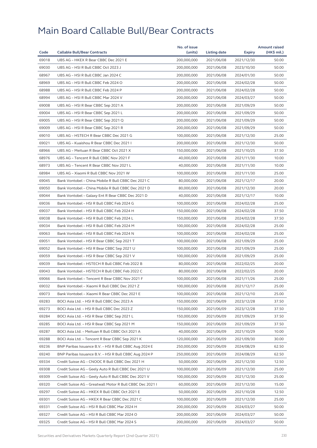|       |                                                           | No. of issue |              |            | <b>Amount raised</b> |
|-------|-----------------------------------------------------------|--------------|--------------|------------|----------------------|
| Code  | <b>Callable Bull/Bear Contracts</b>                       | (units)      | Listing date | Expiry     | (HK\$ mil.)          |
| 69018 | UBS AG - HKEX R Bear CBBC Dec 2021 E                      | 200,000,000  | 2021/06/08   | 2021/12/30 | 50.00                |
| 69030 | UBS AG - HSI R Bull CBBC Oct 2023 J                       | 200,000,000  | 2021/06/08   | 2023/10/30 | 50.00                |
| 68967 | UBS AG - HSI R Bull CBBC Jan 2024 C                       | 200,000,000  | 2021/06/08   | 2024/01/30 | 50.00                |
| 68969 | UBS AG - HSI R Bull CBBC Feb 2024 O                       | 200,000,000  | 2021/06/08   | 2024/02/28 | 50.00                |
| 68988 | UBS AG - HSI R Bull CBBC Feb 2024 P                       | 200,000,000  | 2021/06/08   | 2024/02/28 | 50.00                |
| 68994 | UBS AG - HSI R Bull CBBC Mar 2024 V                       | 200,000,000  | 2021/06/08   | 2024/03/27 | 50.00                |
| 69008 | UBS AG - HSI R Bear CBBC Sep 2021 A                       | 200,000,000  | 2021/06/08   | 2021/09/29 | 50.00                |
| 69004 | UBS AG - HSI R Bear CBBC Sep 2021 L                       | 200,000,000  | 2021/06/08   | 2021/09/29 | 50.00                |
| 69005 | UBS AG - HSI R Bear CBBC Sep 2021 Q                       | 200,000,000  | 2021/06/08   | 2021/09/29 | 50.00                |
| 69009 | UBS AG - HSI R Bear CBBC Sep 2021 R                       | 200,000,000  | 2021/06/08   | 2021/09/29 | 50.00                |
| 69010 | UBS AG - HSTECH R Bear CBBC Dec 2021 G                    | 100,000,000  | 2021/06/08   | 2021/12/30 | 25.00                |
| 69021 | UBS AG - Kuaishou R Bear CBBC Dec 2021 I                  | 200,000,000  | 2021/06/08   | 2021/12/30 | 50.00                |
| 68966 | UBS AG - Meituan R Bear CBBC Oct 2021 X                   | 150,000,000  | 2021/06/08   | 2021/10/25 | 37.50                |
| 68976 | UBS AG - Tencent R Bull CBBC Nov 2021 F                   | 40,000,000   | 2021/06/08   | 2021/11/30 | 10.00                |
| 68973 | UBS AG - Tencent R Bear CBBC Nov 2021 L                   | 40,000,000   | 2021/06/08   | 2021/11/30 | 10.00                |
| 68984 | UBS AG - Xiaomi R Bull CBBC Nov 2021 W                    | 100,000,000  | 2021/06/08   | 2021/11/30 | 25.00                |
| 69045 | Bank Vontobel - China Mobile R Bull CBBC Dec 2021 C       | 80,000,000   | 2021/06/08   | 2021/12/17 | 20.00                |
| 69050 | Bank Vontobel - China Mobile R Bull CBBC Dec 2021 D       | 80,000,000   | 2021/06/08   | 2021/12/30 | 20.00                |
| 69044 | Bank Vontobel - Galaxy Ent R Bear CBBC Dec 2021 D         | 40,000,000   | 2021/06/08   | 2021/12/17 | 10.00                |
| 69036 | Bank Vontobel - HSI R Bull CBBC Feb 2024 G                | 100,000,000  | 2021/06/08   | 2024/02/28 | 25.00                |
| 69037 | Bank Vontobel - HSI R Bull CBBC Feb 2024 H                | 150,000,000  | 2021/06/08   | 2024/02/28 | 37.50                |
| 69038 | Bank Vontobel - HSI R Bull CBBC Feb 2024 L                | 150,000,000  | 2021/06/08   | 2024/02/28 | 37.50                |
| 69034 | Bank Vontobel - HSI R Bull CBBC Feb 2024 M                | 100,000,000  | 2021/06/08   | 2024/02/28 | 25.00                |
| 69063 | Bank Vontobel - HSI R Bull CBBC Feb 2024 N                | 100,000,000  | 2021/06/08   | 2024/02/28 | 25.00                |
| 69051 | Bank Vontobel - HSI R Bear CBBC Sep 2021 T                | 100,000,000  | 2021/06/08   | 2021/09/29 | 25.00                |
| 69052 | Bank Vontobel - HSI R Bear CBBC Sep 2021 U                | 100,000,000  | 2021/06/08   | 2021/09/29 | 25.00                |
| 69059 | Bank Vontobel - HSI R Bear CBBC Sep 2021 V                | 100,000,000  | 2021/06/08   | 2021/09/29 | 25.00                |
| 69039 | Bank Vontobel - HSTECH R Bull CBBC Feb 2022 B             | 80,000,000   | 2021/06/08   | 2022/02/25 | 20.00                |
| 69043 | Bank Vontobel - HSTECH R Bull CBBC Feb 2022 C             | 80,000,000   | 2021/06/08   | 2022/02/25 | 20.00                |
| 69066 | Bank Vontobel - Tencent R Bear CBBC Nov 2021 F            | 100,000,000  | 2021/06/08   | 2021/11/26 | 25.00                |
| 69032 | Bank Vontobel - Xiaomi R Bull CBBC Dec 2021 Z             | 100,000,000  | 2021/06/08   | 2021/12/17 | 25.00                |
| 69073 | Bank Vontobel - Xiaomi R Bear CBBC Dec 2021 E             | 100,000,000  | 2021/06/08   | 2021/12/10 | 25.00                |
| 69283 | BOCI Asia Ltd. – HSI R Bull CBBC Dec 2023 A               | 150,000,000  | 2021/06/09   | 2023/12/28 | 37.50                |
| 69273 | BOCI Asia Ltd. – HSI R Bull CBBC Dec 2023 Z               | 150,000,000  | 2021/06/09   | 2023/12/28 | 37.50                |
| 69284 | BOCI Asia Ltd. - HSI R Bear CBBC Sep 2021 L               | 150,000,000  | 2021/06/09   | 2021/09/29 | 37.50                |
| 69285 | BOCI Asia Ltd. - HSI R Bear CBBC Sep 2021 M               | 150,000,000  | 2021/06/09   | 2021/09/29 | 37.50                |
| 69287 | BOCI Asia Ltd. - Meituan R Bull CBBC Oct 2021 A           | 40,000,000   | 2021/06/09   | 2021/10/29 | 10.00                |
| 69288 | BOCI Asia Ltd. – Tencent R Bear CBBC Sep 2021 K           | 120,000,000  | 2021/06/09   | 2021/09/30 | 30.00                |
| 69236 | BNP Paribas Issuance B.V. - HSI R Bull CBBC Aug 2024 E    | 250,000,000  | 2021/06/09   | 2024/08/29 | 62.50                |
| 69240 | BNP Paribas Issuance B.V. - HSI R Bull CBBC Aug 2024 P    | 250,000,000  | 2021/06/09   | 2024/08/29 | 62.50                |
| 69334 | Credit Suisse AG - CNOOC R Bull CBBC Dec 2021 H           | 50,000,000   | 2021/06/09   |            | 12.50                |
|       |                                                           |              |              | 2021/12/30 |                      |
| 69308 | Credit Suisse AG - Geely Auto R Bull CBBC Dec 2021 U      | 100,000,000  | 2021/06/09   | 2021/12/30 | 25.00                |
| 69309 | Credit Suisse AG - Geely Auto R Bull CBBC Dec 2021 V      | 100,000,000  | 2021/06/09   | 2021/12/30 | 25.00                |
| 69320 | Credit Suisse AG - Greatwall Motor R Bull CBBC Dec 2021 I | 60,000,000   | 2021/06/09   | 2021/12/30 | 15.00                |
| 69297 | Credit Suisse AG - HKEX R Bull CBBC Oct 2021 E            | 50,000,000   | 2021/06/09   | 2021/10/28 | 12.50                |
| 69301 | Credit Suisse AG - HKEX R Bear CBBC Dec 2021 C            | 100,000,000  | 2021/06/09   | 2021/12/30 | 25.00                |
| 69331 | Credit Suisse AG - HSI R Bull CBBC Mar 2024 H             | 200,000,000  | 2021/06/09   | 2024/03/27 | 50.00                |
| 69327 | Credit Suisse AG - HSI R Bull CBBC Mar 2024 O             | 200,000,000  | 2021/06/09   | 2024/03/27 | 50.00                |
| 69325 | Credit Suisse AG - HSI R Bull CBBC Mar 2024 S             | 200,000,000  | 2021/06/09   | 2024/03/27 | 50.00                |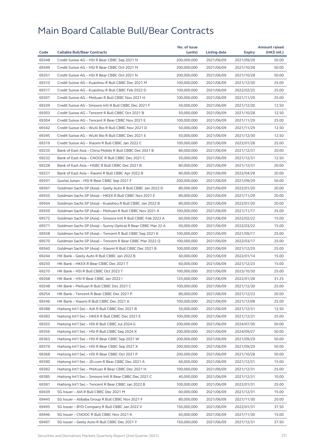|       |                                                              | No. of issue |              |               | <b>Amount raised</b> |
|-------|--------------------------------------------------------------|--------------|--------------|---------------|----------------------|
| Code  | <b>Callable Bull/Bear Contracts</b>                          | (units)      | Listing date | <b>Expiry</b> | (HK\$ mil.)          |
| 69348 | Credit Suisse AG - HSI R Bear CBBC Sep 2021 N                | 200,000,000  | 2021/06/09   | 2021/09/29    | 50.00                |
| 69349 | Credit Suisse AG - HSI R Bear CBBC Oct 2021 M                | 200,000,000  | 2021/06/09   | 2021/10/28    | 50.00                |
| 69351 | Credit Suisse AG - HSI R Bear CBBC Oct 2021 N                | 200,000,000  | 2021/06/09   | 2021/10/28    | 50.00                |
| 69310 | Credit Suisse AG - Kuaishou R Bull CBBC Dec 2021 M           | 100,000,000  | 2021/06/09   | 2021/12/30    | 25.00                |
| 69317 | Credit Suisse AG - Kuaishou R Bull CBBC Feb 2022 D           | 100,000,000  | 2021/06/09   | 2022/02/25    | 25.00                |
| 69307 | Credit Suisse AG - Meituan R Bull CBBC Nov 2021 H            | 100,000,000  | 2021/06/09   | 2021/11/29    | 25.00                |
| 69339 | Credit Suisse AG - Smoore Intl R Bull CBBC Dec 2021 F        | 50,000,000   | 2021/06/09   | 2021/12/30    | 12.50                |
| 69303 | Credit Suisse AG - Tencent R Bull CBBC Oct 2021 B            | 50,000,000   | 2021/06/09   | 2021/10/28    | 12.50                |
| 69304 | Credit Suisse AG - Tencent R Bear CBBC Nov 2021 E            | 100,000,000  | 2021/06/09   | 2021/11/29    | 25.00                |
| 69342 | Credit Suisse AG - WuXi Bio R Bull CBBC Nov 2021 D           | 50,000,000   | 2021/06/09   | 2021/11/29    | 12.50                |
| 69345 | Credit Suisse AG - WuXi Bio R Bull CBBC Dec 2021 E           | 50,000,000   | 2021/06/09   | 2021/12/30    | 12.50                |
| 69319 | Credit Suisse AG - Xiaomi R Bull CBBC Jan 2022 C             | 100,000,000  | 2021/06/09   | 2022/01/28    | 25.00                |
| 69235 | Bank of East Asia - China Mobile R Bull CBBC Dec 2021 B      | 80,000,000   | 2021/06/09   | 2021/12/31    | 20.00                |
| 69232 | Bank of East Asia - CNOOC R Bull CBBC Dec 2021 C             | 50,000,000   | 2021/06/09   | 2021/12/31    | 12.50                |
| 69228 | Bank of East Asia - HSBC R Bull CBBC Dec 2021 B              | 80,000,000   | 2021/06/09   | 2021/12/31    | 20.00                |
| 69221 | Bank of East Asia - Xiaomi R Bull CBBC Apr 2022 B            | 80,000,000   | 2021/06/09   | 2022/04/28    | 20.00                |
| 69291 | Guotai Junan - HSI R Bear CBBC Sep 2021 F                    | 200,000,000  | 2021/06/09   | 2021/09/29    | 50.00                |
| 69567 | Goldman Sachs SP (Asia) - Geely Auto R Bull CBBC Jan 2022 D  | 80,000,000   | 2021/06/09   | 2022/01/20    | 20.00                |
| 69555 | Goldman Sachs SP (Asia) - HKEX R Bull CBBC Nov 2021 E        | 80,000,000   | 2021/06/09   | 2021/11/29    | 20.00                |
| 69564 | Goldman Sachs SP (Asia) - Kuaishou R Bull CBBC Jan 2022 B    | 80,000,000   | 2021/06/09   | 2022/01/20    | 20.00                |
| 69559 | Goldman Sachs SP (Asia) - Meituan R Bull CBBC Nov 2021 X     | 100,000,000  | 2021/06/09   | 2021/11/17    | 25.00                |
| 69572 | Goldman Sachs SP (Asia) - Smoore Intl R Bull CBBC Feb 2022 A | 60,000,000   | 2021/06/09   | 2022/02/22    | 15.00                |
| 69571 | Goldman Sachs SP (Asia) - Sunny Optical R Bear CBBC Mar 22 A | 60,000,000   | 2021/06/09   | 2022/03/22    | 15.00                |
| 69558 | Goldman Sachs SP (Asia) – Tencent R Bull CBBC Sep 2021 K     | 100,000,000  | 2021/06/09   | 2021/09/17    | 25.00                |
| 69570 | Goldman Sachs SP (Asia) - Tencent R Bear CBBC Mar 2022 Q     | 100,000,000  | 2021/06/09   | 2022/03/17    | 25.00                |
| 69560 | Goldman Sachs SP (Asia) - Xiaomi R Bull CBBC Dec 2021 B      | 100,000,000  | 2021/06/09   | 2021/12/29    | 25.00                |
| 69244 | HK Bank - Geely Auto R Bull CBBC Jan 2022 B                  | 60,000,000   | 2021/06/09   | 2022/01/14    | 15.00                |
| 69250 | HK Bank - HKEX R Bear CBBC Dec 2021 T                        | 60,000,000   | 2021/06/09   | 2021/12/23    | 15.00                |
| 69270 | HK Bank - HSI R Bull CBBC Oct 2023 T                         | 100,000,000  | 2021/06/09   | 2023/10/30    | 25.00                |
| 69268 | HK Bank - HSI R Bear CBBC Jan 2022 I                         | 125,000,000  | 2021/06/09   | 2022/01/28    | 31.25                |
| 69248 | HK Bank – Meituan R Bull CBBC Dec 2021 C                     | 100,000,000  | 2021/06/09   | 2021/12/30    | 25.00                |
| 69254 | HK Bank - Tencent R Bear CBBC Dec 2021 P                     | 80,000,000   | 2021/06/09   | 2021/12/23    | 20.00                |
| 69246 | HK Bank – Xiaomi R Bull CBBC Dec 2021 A                      | 100,000,000  | 2021/06/09   | 2021/12/08    | 25.00                |
| 69388 | Haitong Int'l Sec - AIA R Bull CBBC Dec 2021 B               | 50,000,000   | 2021/06/09   | 2021/12/31    | 12.50                |
| 69383 | Haitong Int'l Sec - HKEX R Bull CBBC Dec 2021 E              | 100,000,000  | 2021/06/09   | 2021/12/31    | 25.00                |
| 69355 | Haitong Int'l Sec - HSI R Bull CBBC Jul 2024 G               | 200,000,000  | 2021/06/09   | 2024/07/30    | 50.00                |
| 69356 | Haitong Int'l Sec - HSI R Bull CBBC Sep 2024 X               | 200,000,000  | 2021/06/09   | 2024/09/27    | 50.00                |
| 69363 | Haitong Int'l Sec - HSI R Bear CBBC Sep 2021 W               | 200,000,000  | 2021/06/09   | 2021/09/29    | 50.00                |
| 69379 | Haitong Int'l Sec - HSI R Bear CBBC Sep 2021 X               | 200,000,000  | 2021/06/09   | 2021/09/29    | 50.00                |
| 69368 | Haitong Int'l Sec - HSI R Bear CBBC Oct 2021 P               | 200,000,000  | 2021/06/09   | 2021/10/28    | 50.00                |
| 69390 | Haitong Int'l Sec - JD.com R Bear CBBC Dec 2021 A            | 60,000,000   | 2021/06/09   | 2021/12/31    | 15.00                |
| 69382 | Haitong Int'l Sec - Meituan R Bear CBBC Dec 2021 H           | 100,000,000  | 2021/06/09   | 2021/12/31    | 25.00                |
| 69385 | Haitong Int'l Sec - Smoore Intl R Bear CBBC Dec 2021 C       | 40,000,000   | 2021/06/09   | 2021/12/31    | 10.00                |
|       |                                                              |              |              |               |                      |
| 69381 | Haitong Int'l Sec – Tencent R Bear CBBC Jan 2022 B           | 100,000,000  | 2021/06/09   | 2022/01/31    | 25.00                |
| 69439 | SG Issuer - AIA R Bull CBBC Dec 2021 M                       | 60,000,000   | 2021/06/09   | 2021/12/31    | 15.00                |
| 69445 | SG Issuer - Alibaba Group R Bull CBBC Nov 2021 F             | 80,000,000   | 2021/06/09   | 2021/11/30    | 20.00                |
| 69495 | SG Issuer - BYD Company R Bull CBBC Jan 2022 V               | 150,000,000  | 2021/06/09   | 2022/01/31    | 37.50                |
| 69446 | SG Issuer - CNOOC R Bull CBBC Nov 2021 K                     | 60,000,000   | 2021/06/09   | 2021/11/30    | 15.00                |
| 69497 | SG Issuer – Geely Auto R Bull CBBC Dec 2021 Y                | 150,000,000  | 2021/06/09   | 2021/12/31    | 37.50                |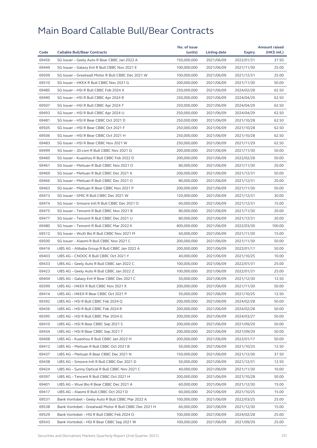| Code           | <b>Callable Bull/Bear Contracts</b>                                                                 | No. of issue<br>(units)    | <b>Listing date</b>      | <b>Expiry</b>            | <b>Amount raised</b><br>$(HK$$ mil.) |
|----------------|-----------------------------------------------------------------------------------------------------|----------------------------|--------------------------|--------------------------|--------------------------------------|
|                |                                                                                                     |                            | 2021/06/09               |                          |                                      |
| 69456          | SG Issuer - Geely Auto R Bear CBBC Jan 2022 A                                                       | 150,000,000                |                          | 2022/01/31               | 37.50                                |
| 69449<br>69509 | SG Issuer - Galaxy Ent R Bull CBBC Nov 2021 E<br>SG Issuer - Greatwall Motor R Bull CBBC Dec 2021 W | 100,000,000<br>100,000,000 | 2021/06/09<br>2021/06/09 | 2021/11/30<br>2021/12/31 | 25.00<br>25.00                       |
| 69510          |                                                                                                     |                            |                          |                          | 50.00                                |
|                | SG Issuer - HKEX R Bull CBBC Nov 2021 G                                                             | 200,000,000                | 2021/06/09               | 2021/11/30               |                                      |
| 69485          | SG Issuer - HSI R Bull CBBC Feb 2024 X                                                              | 250,000,000                | 2021/06/09               | 2024/02/28               | 62.50                                |
| 69490          | SG Issuer - HSI R Bull CBBC Apr 2024 R                                                              | 250,000,000                | 2021/06/09               | 2024/04/29               | 62.50                                |
| 69507          | SG Issuer - HSI R Bull CBBC Apr 2024 T                                                              | 250,000,000                | 2021/06/09               | 2024/04/29               | 62.50                                |
| 69493          | SG Issuer - HSI R Bull CBBC Apr 2024 U                                                              | 250,000,000                | 2021/06/09               | 2024/04/29               | 62.50                                |
| 69481          | SG Issuer - HSI R Bear CBBC Oct 2021 D                                                              | 250,000,000                | 2021/06/09               | 2021/10/28               | 62.50                                |
| 69505          | SG Issuer - HSI R Bear CBBC Oct 2021 F                                                              | 250,000,000                | 2021/06/09               | 2021/10/28               | 62.50                                |
| 69506          | SG Issuer - HSI R Bear CBBC Oct 2021 H                                                              | 250,000,000                | 2021/06/09               | 2021/10/28               | 62.50                                |
| 69483          | SG Issuer - HSI R Bear CBBC Nov 2021 W                                                              | 250,000,000                | 2021/06/09               | 2021/11/29               | 62.50                                |
| 69499          | SG Issuer - JD.com R Bull CBBC Nov 2021 Q                                                           | 200,000,000                | 2021/06/09               | 2021/11/30               | 50.00                                |
| 69460          | SG Issuer - Kuaishou R Bull CBBC Feb 2022 D                                                         | 200,000,000                | 2021/06/09               | 2022/02/28               | 50.00                                |
| 69461          | SG Issuer - Meituan R Bull CBBC Nov 2021 O                                                          | 80,000,000                 | 2021/06/09               | 2021/11/30               | 20.00                                |
| 69469          | SG Issuer - Meituan R Bull CBBC Dec 2021 A                                                          | 200,000,000                | 2021/06/09               | 2021/12/31               | 50.00                                |
| 69466          | SG Issuer - Meituan R Bull CBBC Dec 2021 O                                                          | 80,000,000                 | 2021/06/09               | 2021/12/31               | 20.00                                |
| 69463          | SG Issuer - Meituan R Bear CBBC Nov 2021 P                                                          | 200,000,000                | 2021/06/09               | 2021/11/30               | 50.00                                |
| 69473          | SG Issuer - SMIC R Bull CBBC Dec 2021 W                                                             | 120,000,000                | 2021/06/09               | 2021/12/31               | 30.00                                |
| 69474          | SG Issuer - Smoore Intl R Bull CBBC Dec 2021 O                                                      | 60,000,000                 | 2021/06/09               | 2021/12/31               | 15.00                                |
| 69475          | SG Issuer - Tencent R Bull CBBC Nov 2021 B                                                          | 80,000,000                 | 2021/06/09               | 2021/11/30               | 20.00                                |
| 69477          | SG Issuer - Tencent R Bull CBBC Dec 2021 U                                                          | 80,000,000                 | 2021/06/09               | 2021/12/31               | 20.00                                |
| 69480          | SG Issuer - Tencent R Bull CBBC Mar 2022 K                                                          | 400,000,000                | 2021/06/09               | 2022/03/30               | 100.00                               |
| 69512          | SG Issuer - WuXi Bio R Bull CBBC Nov 2021 M                                                         | 60,000,000                 | 2021/06/09               | 2021/11/30               | 15.00                                |
| 69500          | SG Issuer - Xiaomi R Bull CBBC Nov 2021 C                                                           | 200,000,000                | 2021/06/09               | 2021/11/30               | 50.00                                |
| 69416          | UBS AG - Alibaba Group R Bull CBBC Jan 2022 A                                                       | 200,000,000                | 2021/06/09               | 2022/01/17               | 50.00                                |
| 69403          | UBS AG - CNOOC R Bull CBBC Oct 2021 Y                                                               | 40,000,000                 | 2021/06/09               | 2021/10/25               | 10.00                                |
| 69433          | UBS AG - Geely Auto R Bull CBBC Jan 2022 C                                                          | 100,000,000                | 2021/06/09               | 2022/01/31               | 25.00                                |
| 69423          | UBS AG - Geely Auto R Bull CBBC Jan 2022 Z                                                          | 100,000,000                | 2021/06/09               | 2022/01/31               | 25.00                                |
| 69404          | UBS AG - Galaxy Ent R Bear CBBC Dec 2021 C                                                          | 50,000,000                 | 2021/06/09               | 2021/12/30               | 12.50                                |
| 69399          | UBS AG - HKEX R Bull CBBC Nov 2021 X                                                                | 200,000,000                | 2021/06/09               | 2021/11/30               | 50.00                                |
| 69414          | UBS AG - HKEX R Bear CBBC Oct 2021 P                                                                | 50,000,000                 | 2021/06/09               | 2021/10/25               | 12.50                                |
| 69392          | UBS AG – HSI R Bull CBBC Feb 2024 Q                                                                 | 200,000,000                | 2021/06/09               | 2024/02/28               | 50.00                                |
| 69436          | UBS AG - HSI R Bull CBBC Feb 2024 R                                                                 | 200,000,000                | 2021/06/09               | 2024/02/28               | 50.00                                |
| 69395          | UBS AG - HSI R Bull CBBC Mar 2024 G                                                                 | 200,000,000                | 2021/06/09               | 2024/03/27               | 50.00                                |
| 69410          | UBS AG - HSI R Bear CBBC Sep 2021 S                                                                 | 200,000,000                | 2021/06/09               | 2021/09/29               | 50.00                                |
| 69434          | UBS AG - HSI R Bear CBBC Sep 2021 T                                                                 | 200,000,000                | 2021/06/09               | 2021/09/29               | 50.00                                |
| 69408          | UBS AG - Kuaishou R Bull CBBC Jan 2022 H                                                            | 200,000,000                | 2021/06/09               | 2022/01/17               | 50.00                                |
| 69412          | UBS AG - Meituan R Bull CBBC Oct 2021 B                                                             | 50,000,000                 | 2021/06/09               | 2021/10/25               | 12.50                                |
| 69437          | UBS AG - Meituan R Bear CBBC Dec 2021 N                                                             | 150,000,000                | 2021/06/09               | 2021/12/30               | 37.50                                |
| 69438          | UBS AG - Smoore Intl R Bull CBBC Dec 2021 D                                                         | 50,000,000                 | 2021/06/09               | 2021/12/31               | 12.50                                |
| 69424          | UBS AG - Sunny Optical R Bull CBBC Nov 2021 C                                                       | 40,000,000                 | 2021/06/09               | 2021/11/30               | 10.00                                |
| 69397          | UBS AG - Tencent R Bull CBBC Oct 2021 H                                                             | 200,000,000                | 2021/06/09               | 2021/10/28               | 50.00                                |
| 69401          | UBS AG - Wuxi Bio R Bear CBBC Dec 2021 A                                                            | 60,000,000                 | 2021/06/09               | 2021/12/30               | 15.00                                |
| 69417          | UBS AG - Xiaomi R Bull CBBC Oct 2021 D                                                              | 60,000,000                 | 2021/06/09               | 2021/10/25               | 15.00                                |
| 69531          | Bank Vontobel - Geely Auto R Bull CBBC Mar 2022 A                                                   | 100,000,000                | 2021/06/09               | 2022/03/25               | 25.00                                |
| 69538          | Bank Vontobel - Greatwall Motor R Bull CBBC Dec 2021 H                                              | 60,000,000                 | 2021/06/09               | 2021/12/30               | 15.00                                |
| 69529          | Bank Vontobel - HSI R Bull CBBC Feb 2024 O                                                          | 100,000,000                | 2021/06/09               | 2024/02/28               | 25.00                                |
| 69543          | Bank Vontobel - HSI R Bear CBBC Sep 2021 W                                                          | 100,000,000                | 2021/06/09               | 2021/09/29               | 25.00                                |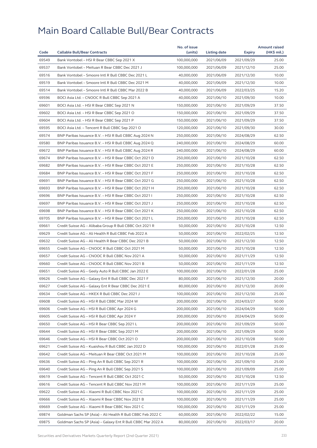|       |                                                             | No. of issue |              |            | <b>Amount raised</b> |
|-------|-------------------------------------------------------------|--------------|--------------|------------|----------------------|
| Code  | <b>Callable Bull/Bear Contracts</b>                         | (units)      | Listing date | Expiry     | (HK\$ mil.)          |
| 69549 | Bank Vontobel - HSI R Bear CBBC Sep 2021 X                  | 100,000,000  | 2021/06/09   | 2021/09/29 | 25.00                |
| 69537 | Bank Vontobel - Meituan R Bear CBBC Dec 2021 J              | 100,000,000  | 2021/06/09   | 2021/12/10 | 25.00                |
| 69516 | Bank Vontobel - Smoore Intl R Bull CBBC Dec 2021 L          | 40,000,000   | 2021/06/09   | 2021/12/30 | 10.00                |
| 69519 | Bank Vontobel - Smoore Intl R Bull CBBC Dec 2021 M          | 40,000,000   | 2021/06/09   | 2021/12/30 | 10.00                |
| 69514 | Bank Vontobel - Smoore Intl R Bull CBBC Mar 2022 B          | 40,000,000   | 2021/06/09   | 2022/03/25 | 15.20                |
| 69596 | BOCI Asia Ltd. - CNOOC R Bull CBBC Sep 2021 A               | 40,000,000   | 2021/06/10   | 2021/09/30 | 10.00                |
| 69601 | BOCI Asia Ltd. - HSI R Bear CBBC Sep 2021 N                 | 150,000,000  | 2021/06/10   | 2021/09/29 | 37.50                |
| 69602 | BOCI Asia Ltd. - HSI R Bear CBBC Sep 2021 O                 | 150,000,000  | 2021/06/10   | 2021/09/29 | 37.50                |
| 69604 | BOCI Asia Ltd. - HSI R Bear CBBC Sep 2021 P                 | 150,000,000  | 2021/06/10   | 2021/09/29 | 37.50                |
| 69595 | BOCI Asia Ltd. - Tencent R Bull CBBC Sep 2021 O             | 120,000,000  | 2021/06/10   | 2021/09/30 | 30.00                |
| 69574 | BNP Paribas Issuance B.V. - HSI R Bull CBBC Aug 2024 N      | 250,000,000  | 2021/06/10   | 2024/08/29 | 62.50                |
| 69580 | BNP Paribas Issuance B.V. - HSI R Bull CBBC Aug 2024 Q      | 240,000,000  | 2021/06/10   | 2024/08/29 | 60.00                |
| 69672 | BNP Paribas Issuance B.V. - HSI R Bull CBBC Aug 2024 R      | 240,000,000  | 2021/06/10   | 2024/08/29 | 60.00                |
| 69674 | BNP Paribas Issuance B.V. - HSI R Bear CBBC Oct 2021 D      | 250,000,000  | 2021/06/10   | 2021/10/28 | 62.50                |
| 69682 | BNP Paribas Issuance B.V. - HSI R Bear CBBC Oct 2021 E      | 250,000,000  | 2021/06/10   | 2021/10/28 | 62.50                |
| 69684 | BNP Paribas Issuance B.V. - HSI R Bear CBBC Oct 2021 F      | 250,000,000  | 2021/06/10   | 2021/10/28 | 62.50                |
| 69691 | BNP Paribas Issuance B.V. - HSI R Bear CBBC Oct 2021 G      | 250,000,000  | 2021/06/10   | 2021/10/28 | 62.50                |
| 69693 | BNP Paribas Issuance B.V. - HSI R Bear CBBC Oct 2021 H      | 250,000,000  | 2021/06/10   | 2021/10/28 | 62.50                |
| 69696 | BNP Paribas Issuance B.V. - HSI R Bear CBBC Oct 2021 I      | 250,000,000  | 2021/06/10   | 2021/10/28 | 62.50                |
| 69697 | BNP Paribas Issuance B.V. - HSI R Bear CBBC Oct 2021 J      | 250,000,000  | 2021/06/10   | 2021/10/28 | 62.50                |
| 69698 | BNP Paribas Issuance B.V. - HSI R Bear CBBC Oct 2021 K      | 250,000,000  | 2021/06/10   | 2021/10/28 | 62.50                |
| 69705 | BNP Paribas Issuance B.V. - HSI R Bear CBBC Oct 2021 L      | 250,000,000  | 2021/06/10   | 2021/10/28 | 62.50                |
| 69661 | Credit Suisse AG - Alibaba Group R Bull CBBC Oct 2021 R     | 50,000,000   | 2021/06/10   | 2021/10/28 | 12.50                |
| 69629 | Credit Suisse AG - Ali Health R Bull CBBC Feb 2022 A        | 50,000,000   | 2021/06/10   | 2022/02/25 | 12.50                |
| 69632 | Credit Suisse AG - Ali Health R Bear CBBC Dec 2021 B        | 50,000,000   | 2021/06/10   | 2021/12/30 | 12.50                |
| 69655 | Credit Suisse AG - CNOOC R Bull CBBC Oct 2021 M             | 50,000,000   | 2021/06/10   | 2021/10/28 | 12.50                |
| 69657 | Credit Suisse AG - CNOOC R Bull CBBC Nov 2021 A             | 50,000,000   | 2021/06/10   | 2021/11/29 | 12.50                |
| 69660 | Credit Suisse AG - CNOOC R Bull CBBC Nov 2021 B             | 50,000,000   | 2021/06/10   | 2021/11/29 | 12.50                |
| 69651 | Credit Suisse AG - Geely Auto R Bull CBBC Jan 2022 E        | 100,000,000  | 2021/06/10   | 2022/01/28 | 25.00                |
| 69626 | Credit Suisse AG - Galaxy Ent R Bull CBBC Dec 2021 F        | 80,000,000   | 2021/06/10   | 2021/12/30 | 20.00                |
| 69627 | Credit Suisse AG - Galaxy Ent R Bear CBBC Dec 2021 E        | 80,000,000   | 2021/06/10   | 2021/12/30 | 20.00                |
| 69634 | Credit Suisse AG - HKEX R Bull CBBC Dec 2021 J              | 100,000,000  | 2021/06/10   | 2021/12/30 | 25.00                |
| 69608 | Credit Suisse AG - HSI R Bull CBBC Mar 2024 W               | 200,000,000  | 2021/06/10   | 2024/03/27 | 50.00                |
| 69606 | Credit Suisse AG - HSI R Bull CBBC Apr 2024 G               | 200,000,000  | 2021/06/10   | 2024/04/29 | 50.00                |
| 69605 | Credit Suisse AG - HSI R Bull CBBC Apr 2024 Y               | 200,000,000  | 2021/06/10   | 2024/04/29 | 50.00                |
| 69650 | Credit Suisse AG - HSI R Bear CBBC Sep 2021 L               | 200,000,000  | 2021/06/10   | 2021/09/29 | 50.00                |
| 69644 | Credit Suisse AG - HSI R Bear CBBC Sep 2021 M               | 200,000,000  | 2021/06/10   | 2021/09/29 | 50.00                |
| 69646 | Credit Suisse AG - HSI R Bear CBBC Oct 2021 O               | 200,000,000  | 2021/06/10   | 2021/10/28 | 50.00                |
| 69621 | Credit Suisse AG - Kuaishou R Bull CBBC Jan 2022 D          | 100,000,000  | 2021/06/10   | 2022/01/28 | 25.00                |
| 69642 | Credit Suisse AG - Meituan R Bear CBBC Oct 2021 M           | 100,000,000  | 2021/06/10   | 2021/10/28 | 25.00                |
| 69636 | Credit Suisse AG - Ping An R Bull CBBC Sep 2021 R           | 100,000,000  | 2021/06/10   | 2021/09/10 | 25.00                |
| 69640 | Credit Suisse AG - Ping An R Bull CBBC Sep 2021 S           | 100,000,000  | 2021/06/10   | 2021/09/09 | 25.00                |
| 69619 | Credit Suisse AG - Tencent R Bull CBBC Oct 2021 C           | 50,000,000   | 2021/06/10   | 2021/10/28 | 12.50                |
| 69616 | Credit Suisse AG - Tencent R Bull CBBC Nov 2021 M           | 100,000,000  | 2021/06/10   | 2021/11/29 | 25.00                |
| 69622 | Credit Suisse AG - Xiaomi R Bull CBBC Nov 2021 C            | 100,000,000  | 2021/06/10   | 2021/11/29 | 25.00                |
| 69666 | Credit Suisse AG - Xiaomi R Bear CBBC Nov 2021 B            | 100,000,000  | 2021/06/10   | 2021/11/29 | 25.00                |
| 69669 | Credit Suisse AG - Xiaomi R Bear CBBC Nov 2021 C            | 100,000,000  | 2021/06/10   | 2021/11/29 | 25.00                |
| 69874 | Goldman Sachs SP (Asia) - Ali Health R Bull CBBC Feb 2022 C | 60,000,000   | 2021/06/10   | 2022/02/22 | 15.00                |
| 69875 | Goldman Sachs SP (Asia) - Galaxy Ent R Bull CBBC Mar 2022 A | 80,000,000   | 2021/06/10   | 2022/03/17 | 20.00                |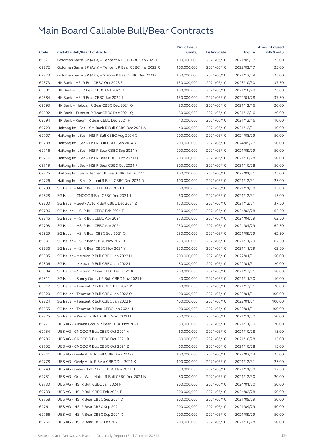|       |                                                          | No. of issue |              |            | <b>Amount raised</b> |
|-------|----------------------------------------------------------|--------------|--------------|------------|----------------------|
| Code  | <b>Callable Bull/Bear Contracts</b>                      | (units)      | Listing date | Expiry     | (HK\$ mil.)          |
| 69871 | Goldman Sachs SP (Asia) - Tencent R Bull CBBC Sep 2021 L | 100,000,000  | 2021/06/10   | 2021/09/17 | 25.00                |
| 69872 | Goldman Sachs SP (Asia) - Tencent R Bear CBBC Mar 2022 R | 100,000,000  | 2021/06/10   | 2022/03/17 | 25.00                |
| 69873 | Goldman Sachs SP (Asia) - Xiaomi R Bear CBBC Dec 2021 C  | 100,000,000  | 2021/06/10   | 2021/12/29 | 25.00                |
| 69573 | HK Bank - HSI R Bull CBBC Oct 2023 E                     | 150,000,000  | 2021/06/10   | 2023/10/30 | 37.50                |
| 69581 | HK Bank - HSI R Bear CBBC Oct 2021 K                     | 100,000,000  | 2021/06/10   | 2021/10/28 | 25.00                |
| 69584 | HK Bank - HSI R Bear CBBC Jan 2022 J                     | 150,000,000  | 2021/06/10   | 2022/01/28 | 37.50                |
| 69593 | HK Bank - Meituan R Bear CBBC Dec 2021 O                 | 80,000,000   | 2021/06/10   | 2021/12/16 | 20.00                |
| 69592 | HK Bank - Tencent R Bear CBBC Dec 2021 Q                 | 80,000,000   | 2021/06/10   | 2021/12/16 | 20.00                |
| 69594 | HK Bank - Xiaomi R Bear CBBC Dec 2021 F                  | 40,000,000   | 2021/06/10   | 2021/12/16 | 10.00                |
| 69729 | Haitong Int'l Sec - CM Bank R Bull CBBC Dec 2021 A       | 40,000,000   | 2021/06/10   | 2021/12/31 | 10.00                |
| 69707 | Haitong Int'l Sec - HSI R Bull CBBC Aug 2024 C           | 200,000,000  | 2021/06/10   | 2024/08/29 | 50.00                |
| 69708 | Haitong Int'l Sec - HSI R Bull CBBC Sep 2024 Y           | 200,000,000  | 2021/06/10   | 2024/09/27 | 50.00                |
| 69716 | Haitong Int'l Sec - HSI R Bear CBBC Sep 2021 Y           | 200,000,000  | 2021/06/10   | 2021/09/29 | 50.00                |
| 69717 | Haitong Int'l Sec - HSI R Bear CBBC Oct 2021 Q           | 200,000,000  | 2021/06/10   | 2021/10/28 | 50.00                |
| 69719 | Haitong Int'l Sec - HSI R Bear CBBC Oct 2021 R           | 200,000,000  | 2021/06/10   | 2021/10/28 | 50.00                |
| 69725 | Haitong Int'l Sec - Tencent R Bear CBBC Jan 2022 C       | 100,000,000  | 2021/06/10   | 2022/01/31 | 25.00                |
| 69726 | Haitong Int'l Sec - Xiaomi R Bear CBBC Dec 2021 D        | 100,000,000  | 2021/06/10   | 2021/12/31 | 25.00                |
| 69799 | SG Issuer - AIA R Bull CBBC Nov 2021 J                   | 60,000,000   | 2021/06/10   | 2021/11/30 | 15.00                |
| 69828 | SG Issuer - CNOOC R Bull CBBC Dec 2021 J                 | 60,000,000   | 2021/06/10   | 2021/12/31 | 15.00                |
| 69800 | SG Issuer - Geely Auto R Bull CBBC Dec 2021 Z            | 150,000,000  | 2021/06/10   | 2021/12/31 | 37.50                |
| 69796 | SG Issuer - HSI R Bull CBBC Feb 2024 T                   | 250,000,000  | 2021/06/10   | 2024/02/28 | 62.50                |
| 69845 | SG Issuer - HSI R Bull CBBC Apr 2024 I                   | 250,000,000  | 2021/06/10   | 2024/04/29 | 62.50                |
| 69798 | SG Issuer - HSI R Bull CBBC Apr 2024 L                   | 250,000,000  | 2021/06/10   | 2024/04/29 | 62.50                |
| 69829 | SG Issuer - HSI R Bear CBBC Sep 2021 O                   | 250,000,000  | 2021/06/10   | 2021/09/29 | 62.50                |
| 69831 | SG Issuer - HSI R Bear CBBC Nov 2021 X                   | 250,000,000  | 2021/06/10   | 2021/11/29 | 62.50                |
| 69836 | SG Issuer - HSI R Bear CBBC Nov 2021 Y                   | 250,000,000  | 2021/06/10   | 2021/11/29 | 62.50                |
| 69805 | SG Issuer - Meituan R Bull CBBC Jan 2022 H               | 200,000,000  | 2021/06/10   | 2022/01/31 | 50.00                |
| 69806 | SG Issuer - Meituan R Bull CBBC Jan 2022 I               | 80,000,000   | 2021/06/10   | 2022/01/31 | 20.00                |
| 69804 | SG Issuer - Meituan R Bear CBBC Dec 2021 X               | 200,000,000  | 2021/06/10   | 2021/12/31 | 50.00                |
| 69811 | SG Issuer - Sunny Optical R Bull CBBC Nov 2021 K         | 40,000,000   | 2021/06/10   | 2021/11/30 | 10.00                |
| 69817 | SG Issuer - Tencent R Bull CBBC Dec 2021 P               | 80,000,000   | 2021/06/10   | 2021/12/31 | 20.00                |
| 69820 | SG Issuer - Tencent R Bull CBBC Jan 2022 O               | 400,000,000  | 2021/06/10   | 2022/01/31 | 100.00               |
| 69824 | SG Issuer - Tencent R Bull CBBC Jan 2022 P               | 400,000,000  | 2021/06/10   | 2022/01/31 | 100.00               |
| 69855 | SG Issuer - Tencent R Bear CBBC Jan 2022 H               | 400.000.000  | 2021/06/10   | 2022/01/31 | 100.00               |
| 69825 | SG Issuer - Xiaomi R Bull CBBC Nov 2021 D                | 200,000,000  | 2021/06/10   | 2021/11/30 | 50.00                |
| 69771 | UBS AG - Alibaba Group R Bear CBBC Nov 2021 F            | 80,000,000   | 2021/06/10   | 2021/11/30 | 20.00                |
| 69754 | UBS AG - CNOOC R Bull CBBC Oct 2021 A                    | 60,000,000   | 2021/06/10   | 2021/10/28 | 15.00                |
| 69786 | UBS AG - CNOOC R Bull CBBC Oct 2021 B                    | 60,000,000   | 2021/06/10   | 2021/10/28 | 15.00                |
| 69752 | UBS AG - CNOOC R Bull CBBC Oct 2021 Z                    | 60,000,000   | 2021/06/10   | 2021/10/28 | 15.00                |
| 69741 | UBS AG - Geely Auto R Bull CBBC Feb 2022 C               | 100,000,000  | 2021/06/10   | 2022/02/14 | 25.00                |
| 69778 | UBS AG - Geely Auto R Bear CBBC Dec 2021 K               | 100,000,000  | 2021/06/10   | 2021/12/31 | 25.00                |
| 69749 | UBS AG - Galaxy Ent R Bull CBBC Nov 2021 D               | 50,000,000   | 2021/06/10   | 2021/11/30 | 12.50                |
| 69751 | UBS AG - Great Wall Motor R Bull CBBC Dec 2021 N         | 80,000,000   | 2021/06/10   | 2021/12/30 | 20.00                |
| 69730 | UBS AG - HSI R Bull CBBC Jan 2024 F                      | 200,000,000  | 2021/06/10   | 2024/01/30 | 50.00                |
| 69733 | UBS AG - HSI R Bull CBBC Feb 2024 T                      | 200,000,000  | 2021/06/10   | 2024/02/28 | 50.00                |
| 69758 | UBS AG - HSI R Bear CBBC Sep 2021 D                      | 200,000,000  | 2021/06/10   | 2021/09/29 | 50.00                |
| 69761 | UBS AG - HSI R Bear CBBC Sep 2021 I                      | 200,000,000  | 2021/06/10   | 2021/09/29 | 50.00                |
| 69766 | UBS AG - HSI R Bear CBBC Sep 2021 X                      | 200,000,000  | 2021/06/10   | 2021/09/29 | 50.00                |
| 69767 | UBS AG - HSI R Bear CBBC Oct 2021 C                      | 200,000,000  | 2021/06/10   | 2021/10/28 | 50.00                |
|       |                                                          |              |              |            |                      |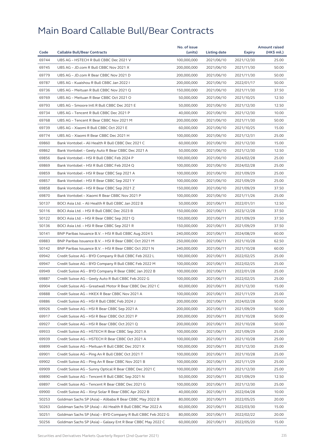|       |                                                              | No. of issue |              |            | <b>Amount raised</b> |
|-------|--------------------------------------------------------------|--------------|--------------|------------|----------------------|
| Code  | <b>Callable Bull/Bear Contracts</b>                          | (units)      | Listing date | Expiry     | (HK\$ mil.)          |
| 69744 | UBS AG - HSTECH R Bull CBBC Dec 2021 V                       | 100,000,000  | 2021/06/10   | 2021/12/30 | 25.00                |
| 69745 | UBS AG - JD.com R Bull CBBC Nov 2021 X                       | 200,000,000  | 2021/06/10   | 2021/11/30 | 50.00                |
| 69779 | UBS AG - JD.com R Bear CBBC Nov 2021 D                       | 200,000,000  | 2021/06/10   | 2021/11/30 | 50.00                |
| 69787 | UBS AG - Kuaishou R Bull CBBC Jan 2022 I                     | 200,000,000  | 2021/06/10   | 2022/01/17 | 50.00                |
| 69736 | UBS AG - Meituan R Bull CBBC Nov 2021 Q                      | 150,000,000  | 2021/06/10   | 2021/11/30 | 37.50                |
| 69769 | UBS AG - Meituan R Bear CBBC Oct 2021 O                      | 50,000,000   | 2021/06/10   | 2021/10/25 | 12.50                |
| 69793 | UBS AG - Smoore Intl R Bull CBBC Dec 2021 E                  | 50,000,000   | 2021/06/10   | 2021/12/30 | 12.50                |
| 69734 | UBS AG - Tencent R Bull CBBC Dec 2021 P                      | 40,000,000   | 2021/06/10   | 2021/12/30 | 10.00                |
| 69768 | UBS AG - Tencent R Bear CBBC Nov 2021 M                      | 200,000,000  | 2021/06/10   | 2021/11/30 | 50.00                |
| 69739 | UBS AG - Xiaomi R Bull CBBC Oct 2021 E                       | 60,000,000   | 2021/06/10   | 2021/10/25 | 15.00                |
| 69774 | UBS AG - Xiaomi R Bear CBBC Dec 2021 H                       | 100,000,000  | 2021/06/10   | 2021/12/31 | 25.00                |
| 69860 | Bank Vontobel - Ali Health R Bull CBBC Dec 2021 C            | 60,000,000   | 2021/06/10   | 2021/12/30 | 15.00                |
| 69862 | Bank Vontobel - Geely Auto R Bear CBBC Dec 2021 A            | 50,000,000   | 2021/06/10   | 2021/12/30 | 12.50                |
| 69856 | Bank Vontobel - HSI R Bull CBBC Feb 2024 P                   | 100,000,000  | 2021/06/10   | 2024/02/28 | 25.00                |
| 69869 | Bank Vontobel - HSI R Bull CBBC Feb 2024 Q                   | 100,000,000  | 2021/06/10   | 2024/02/28 | 25.00                |
| 69859 | Bank Vontobel - HSI R Bear CBBC Sep 2021 A                   | 100,000,000  | 2021/06/10   | 2021/09/29 | 25.00                |
| 69857 | Bank Vontobel - HSI R Bear CBBC Sep 2021 Y                   | 100,000,000  | 2021/06/10   | 2021/09/29 | 25.00                |
| 69858 | Bank Vontobel - HSI R Bear CBBC Sep 2021 Z                   | 150,000,000  | 2021/06/10   | 2021/09/29 | 37.50                |
| 69870 | Bank Vontobel - Xiaomi R Bear CBBC Nov 2021 P                | 100,000,000  | 2021/06/10   | 2021/11/26 | 25.00                |
| 50137 | BOCI Asia Ltd. - Ali Health R Bull CBBC Jan 2022 B           | 50,000,000   | 2021/06/11   | 2022/01/31 | 12.50                |
| 50116 | BOCI Asia Ltd. - HSI R Bull CBBC Dec 2023 B                  | 150,000,000  | 2021/06/11   | 2023/12/28 | 37.50                |
| 50122 | BOCI Asia Ltd. - HSI R Bear CBBC Sep 2021 Q                  | 150,000,000  | 2021/06/11   | 2021/09/29 | 37.50                |
| 50136 | BOCI Asia Ltd. - HSI R Bear CBBC Sep 2021 R                  | 150,000,000  | 2021/06/11   | 2021/09/29 | 37.50                |
| 50141 | BNP Paribas Issuance B.V. - HSI R Bull CBBC Aug 2024 S       | 240,000,000  | 2021/06/11   | 2024/08/29 | 60.00                |
| 69883 | BNP Paribas Issuance B.V. - HSI R Bear CBBC Oct 2021 M       | 250,000,000  | 2021/06/11   | 2021/10/28 | 62.50                |
| 50142 | BNP Paribas Issuance B.V. - HSI R Bear CBBC Oct 2021 N       | 240,000,000  | 2021/06/11   | 2021/10/28 | 60.00                |
| 69942 | Credit Suisse AG - BYD Company R Bull CBBC Feb 2022 L        | 100,000,000  | 2021/06/11   | 2022/02/25 | 25.00                |
| 69947 | Credit Suisse AG - BYD Company R Bull CBBC Feb 2022 M        | 100,000,000  | 2021/06/11   | 2022/02/25 | 25.00                |
| 69949 | Credit Suisse AG - BYD Company R Bear CBBC Jan 2022 B        | 100,000,000  | 2021/06/11   | 2022/01/28 | 25.00                |
| 69887 | Credit Suisse AG - Geely Auto R Bull CBBC Feb 2022 G         | 100,000,000  | 2021/06/11   | 2022/02/25 | 25.00                |
| 69904 | Credit Suisse AG – Greatwall Motor R Bear CBBC Dec 2021 C    | 60,000,000   | 2021/06/11   | 2021/12/30 | 15.00                |
| 69888 | Credit Suisse AG - HKEX R Bear CBBC Nov 2021 A               | 100,000,000  | 2021/06/11   | 2021/11/29 | 25.00                |
| 69886 | Credit Suisse AG - HSI R Bull CBBC Feb 2024 J                | 200,000,000  | 2021/06/11   | 2024/02/28 | 50.00                |
| 69926 | Credit Suisse AG - HSI R Bear CBBC Sep 2021 A                | 200,000,000  | 2021/06/11   | 2021/09/29 | 50.00                |
| 69917 | Credit Suisse AG - HSI R Bear CBBC Oct 2021 P                | 200,000,000  | 2021/06/11   | 2021/10/28 | 50.00                |
| 69927 | Credit Suisse AG - HSI R Bear CBBC Oct 2021 Q                | 200,000,000  | 2021/06/11   | 2021/10/28 | 50.00                |
| 69933 | Credit Suisse AG - HSTECH R Bear CBBC Sep 2021 A             | 100,000,000  | 2021/06/11   | 2021/09/29 | 25.00                |
| 69939 | Credit Suisse AG - HSTECH R Bear CBBC Oct 2021 A             | 100,000,000  | 2021/06/11   | 2021/10/28 | 25.00                |
| 69899 | Credit Suisse AG - Meituan R Bull CBBC Dec 2021 X            | 100,000,000  | 2021/06/11   | 2021/12/30 | 25.00                |
| 69901 | Credit Suisse AG - Ping An R Bull CBBC Oct 2021 T            | 100,000,000  | 2021/06/11   | 2021/10/28 | 25.00                |
| 69902 | Credit Suisse AG - Ping An R Bear CBBC Nov 2021 B            | 100,000,000  | 2021/06/11   | 2021/11/29 | 25.00                |
| 69909 | Credit Suisse AG - Sunny Optical R Bear CBBC Dec 2021 C      | 100,000,000  | 2021/06/11   | 2021/12/30 | 25.00                |
| 69890 | Credit Suisse AG - Tencent R Bull CBBC Sep 2021 N            | 50,000,000   | 2021/06/11   | 2021/09/29 | 12.50                |
| 69897 | Credit Suisse AG - Tencent R Bear CBBC Dec 2021 G            | 100,000,000  | 2021/06/11   | 2021/12/30 | 25.00                |
| 69900 | Credit Suisse AG - Xinyi Solar R Bear CBBC Apr 2022 B        | 40,000,000   | 2021/06/11   | 2022/04/28 | 10.00                |
| 50253 | Goldman Sachs SP (Asia) - Alibaba R Bear CBBC May 2022 B     | 80,000,000   | 2021/06/11   | 2022/05/25 | 20.00                |
| 50263 | Goldman Sachs SP (Asia) - Ali Health R Bull CBBC Mar 2022 A  | 60,000,000   | 2021/06/11   | 2022/03/30 | 15.00                |
| 50251 | Goldman Sachs SP (Asia) - BYD Company R Bull CBBC Feb 2022 G | 80,000,000   | 2021/06/11   | 2022/02/22 | 20.00                |
| 50256 | Goldman Sachs SP (Asia) - Galaxy Ent R Bear CBBC May 2022 C  | 60,000,000   | 2021/06/11   | 2022/05/20 | 15.00                |
|       |                                                              |              |              |            |                      |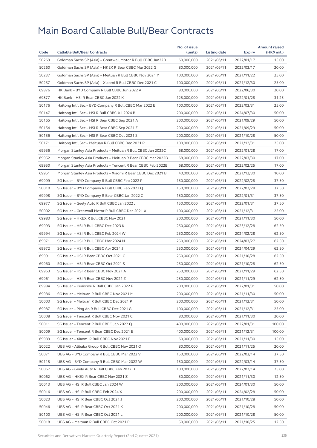|       |                                                              | No. of issue |              |            | <b>Amount raised</b> |
|-------|--------------------------------------------------------------|--------------|--------------|------------|----------------------|
| Code  | <b>Callable Bull/Bear Contracts</b>                          | (units)      | Listing date | Expiry     | (HK\$ mil.)          |
| 50269 | Goldman Sachs SP (Asia) - Greatwall Motor R Bull CBBC Jan22B | 60,000,000   | 2021/06/11   | 2022/01/17 | 15.00                |
| 50260 | Goldman Sachs SP (Asia) - HKEX R Bear CBBC Mar 2022 G        | 80,000,000   | 2021/06/11   | 2022/03/17 | 20.00                |
| 50237 | Goldman Sachs SP (Asia) - Meituan R Bull CBBC Nov 2021 Y     | 100,000,000  | 2021/06/11   | 2021/11/22 | 25.00                |
| 50257 | Goldman Sachs SP (Asia) - Xiaomi R Bull CBBC Dec 2021 C      | 100,000,000  | 2021/06/11   | 2021/12/30 | 25.00                |
| 69876 | HK Bank - BYD Company R Bull CBBC Jun 2022 A                 | 80,000,000   | 2021/06/11   | 2022/06/30 | 20.00                |
| 69877 | HK Bank - HSI R Bear CBBC Jan 2022 K                         | 125,000,000  | 2021/06/11   | 2022/01/28 | 31.25                |
| 50176 | Haitong Int'l Sec - BYD Company R Bull CBBC Mar 2022 E       | 100.000.000  | 2021/06/11   | 2022/03/31 | 25.00                |
| 50147 | Haitong Int'l Sec - HSI R Bull CBBC Jul 2024 B               | 200,000,000  | 2021/06/11   | 2024/07/30 | 50.00                |
| 50165 | Haitong Int'l Sec - HSI R Bear CBBC Sep 2021 A               | 200,000,000  | 2021/06/11   | 2021/09/29 | 50.00                |
| 50154 | Haitong Int'l Sec - HSI R Bear CBBC Sep 2021 Z               | 200,000,000  | 2021/06/11   | 2021/09/29 | 50.00                |
| 50156 | Haitong Int'l Sec - HSI R Bear CBBC Oct 2021 S               | 200,000,000  | 2021/06/11   | 2021/10/28 | 50.00                |
| 50171 | Haitong Int'l Sec - Meituan R Bull CBBC Dec 2021 R           | 100,000,000  | 2021/06/11   | 2021/12/31 | 25.00                |
| 69956 | Morgan Stanley Asia Products - Meituan R Bull CBBC Jan 2022C | 68,000,000   | 2021/06/11   | 2022/01/28 | 17.00                |
| 69952 | Morgan Stanley Asia Products - Meituan R Bear CBBC Mar 2022B | 68,000,000   | 2021/06/11   | 2022/03/30 | 17.00                |
| 69950 | Morgan Stanley Asia Products - Tencent R Bear CBBC Feb 2022B | 68,000,000   | 2021/06/11   | 2022/02/25 | 17.00                |
| 69951 | Morgan Stanley Asia Products - Xiaomi R Bear CBBC Dec 2021 B | 40,000,000   | 2021/06/11   | 2021/12/30 | 10.00                |
| 69999 | SG Issuer - BYD Company R Bull CBBC Feb 2022 P               | 150,000,000  | 2021/06/11   | 2022/02/28 | 37.50                |
| 50010 | SG Issuer - BYD Company R Bull CBBC Feb 2022 Q               | 150,000,000  | 2021/06/11   | 2022/02/28 | 37.50                |
| 69998 | SG Issuer - BYD Company R Bear CBBC Jan 2022 C               | 150,000,000  | 2021/06/11   | 2022/01/31 | 37.50                |
| 69977 | SG Issuer - Geely Auto R Bull CBBC Jan 2022 J                | 150,000,000  | 2021/06/11   | 2022/01/31 | 37.50                |
| 50002 | SG Issuer - Greatwall Motor R Bull CBBC Dec 2021 X           | 100,000,000  | 2021/06/11   | 2021/12/31 | 25.00                |
| 69983 | SG Issuer - HKEX R Bull CBBC Nov 2021 I                      | 200,000,000  | 2021/06/11   | 2021/11/30 | 50.00                |
| 69993 | SG Issuer - HSI R Bull CBBC Dec 2023 K                       | 250,000,000  | 2021/06/11   | 2023/12/28 | 62.50                |
| 69994 | SG Issuer - HSI R Bull CBBC Feb 2024 W                       | 250,000,000  | 2021/06/11   | 2024/02/28 | 62.50                |
| 69971 | SG Issuer - HSI R Bull CBBC Mar 2024 N                       | 250,000,000  | 2021/06/11   | 2024/03/27 | 62.50                |
| 69972 | SG Issuer - HSI R Bull CBBC Apr 2024 J                       | 250,000,000  | 2021/06/11   | 2024/04/29 | 62.50                |
| 69991 | SG Issuer - HSI R Bear CBBC Oct 2021 C                       | 250,000,000  | 2021/06/11   | 2021/10/28 | 62.50                |
| 69960 | SG Issuer - HSI R Bear CBBC Oct 2021 S                       | 250,000,000  | 2021/06/11   | 2021/10/28 | 62.50                |
| 69963 | SG Issuer - HSI R Bear CBBC Nov 2021 A                       | 250,000,000  | 2021/06/11   | 2021/11/29 | 62.50                |
| 69961 | SG Issuer - HSI R Bear CBBC Nov 2021 Z                       | 250,000,000  | 2021/06/11   | 2021/11/29 | 62.50                |
| 69984 | SG Issuer - Kuaishou R Bull CBBC Jan 2022 F                  | 200,000,000  | 2021/06/11   | 2022/01/31 | 50.00                |
| 69986 | SG Issuer - Meituan R Bull CBBC Nov 2021 M                   | 200,000,000  | 2021/06/11   | 2021/11/30 | 50.00                |
| 50003 | SG Issuer - Meituan R Bull CBBC Dec 2021 P                   | 200,000,000  | 2021/06/11   | 2021/12/31 | 50.00                |
| 69987 | SG Issuer - Ping An R Bull CBBC Dec 2021 G                   | 100,000,000  | 2021/06/11   | 2021/12/31 | 25.00                |
| 50008 | SG Issuer - Tencent R Bull CBBC Nov 2021 C                   | 80,000,000   | 2021/06/11   | 2021/11/30 | 20.00                |
| 50011 | SG Issuer - Tencent R Bull CBBC Jan 2022 Q                   | 400,000,000  | 2021/06/11   | 2022/01/31 | 100.00               |
| 50009 | SG Issuer - Tencent R Bear CBBC Dec 2021 E                   | 400.000.000  | 2021/06/11   | 2021/12/31 | 100.00               |
| 69989 | SG Issuer - Xiaomi R Bull CBBC Nov 2021 E                    | 60,000,000   | 2021/06/11   | 2021/11/30 | 15.00                |
| 50022 | UBS AG - Alibaba Group R Bull CBBC Nov 2021 O                | 80,000,000   | 2021/06/11   | 2021/11/25 | 20.00                |
| 50071 | UBS AG - BYD Company R Bull CBBC Mar 2022 V                  | 150,000,000  | 2021/06/11   | 2022/03/14 | 37.50                |
| 50115 | UBS AG - BYD Company R Bull CBBC Mar 2022 W                  | 150,000,000  | 2021/06/11   | 2022/03/14 | 37.50                |
| 50067 | UBS AG - Geely Auto R Bull CBBC Feb 2022 D                   | 100,000,000  | 2021/06/11   | 2022/02/14 | 25.00                |
| 50062 | UBS AG - HKEX R Bear CBBC Nov 2021 Z                         | 50,000,000   | 2021/06/11   | 2021/11/30 | 12.50                |
| 50013 | UBS AG - HSI R Bull CBBC Jan 2024 W                          | 200,000,000  | 2021/06/11   | 2024/01/30 | 50.00                |
| 50016 | UBS AG - HSI R Bull CBBC Feb 2024 X                          | 200,000,000  | 2021/06/11   | 2024/02/28 | 50.00                |
| 50023 | UBS AG - HSI R Bear CBBC Oct 2021 J                          | 200,000,000  | 2021/06/11   | 2021/10/28 | 50.00                |
| 50046 | UBS AG - HSI R Bear CBBC Oct 2021 K                          | 200,000,000  | 2021/06/11   | 2021/10/28 | 50.00                |
| 50100 | UBS AG - HSI R Bear CBBC Oct 2021 L                          | 200,000,000  | 2021/06/11   | 2021/10/28 | 50.00                |
| 50018 | UBS AG - Meituan R Bull CBBC Oct 2021 P                      | 50,000,000   | 2021/06/11   | 2021/10/25 | 12.50                |
|       |                                                              |              |              |            |                      |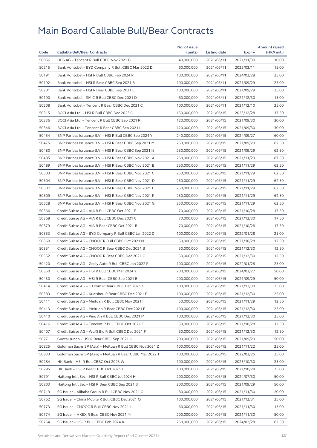|       |                                                          | No. of issue |              |            | <b>Amount raised</b> |
|-------|----------------------------------------------------------|--------------|--------------|------------|----------------------|
| Code  | <b>Callable Bull/Bear Contracts</b>                      | (units)      | Listing date | Expiry     | (HK\$ mil.)          |
| 50056 | UBS AG - Tencent R Bull CBBC Nov 2021 G                  | 40,000,000   | 2021/06/11   | 2021/11/30 | 10.00                |
| 50215 | Bank Vontobel - BYD Company R Bull CBBC Mar 2022 D       | 60,000,000   | 2021/06/11   | 2022/03/11 | 15.00                |
| 50191 | Bank Vontobel - HSI R Bull CBBC Feb 2024 R               | 100,000,000  | 2021/06/11   | 2024/02/28 | 25.00                |
| 50192 | Bank Vontobel - HSI R Bear CBBC Sep 2021 B               | 100,000,000  | 2021/06/11   | 2021/09/29 | 25.00                |
| 50201 | Bank Vontobel - HSI R Bear CBBC Sep 2021 C               | 100,000,000  | 2021/06/11   | 2021/09/29 | 25.00                |
| 50190 | Bank Vontobel - SMIC R Bull CBBC Dec 2021 D              | 60,000,000   | 2021/06/11   | 2021/12/30 | 15.00                |
| 50208 | Bank Vontobel - Tencent R Bear CBBC Dec 2021 C           | 100,000,000  | 2021/06/11   | 2021/12/10 | 25.00                |
| 50315 | BOCI Asia Ltd. - HSI R Bull CBBC Dec 2023 C              | 150,000,000  | 2021/06/15   | 2023/12/28 | 37.50                |
| 50336 | BOCI Asia Ltd. - Tencent R Bull CBBC Sep 2021 P          | 120,000,000  | 2021/06/15   | 2021/09/30 | 30.00                |
| 50346 | BOCI Asia Ltd. - Tencent R Bear CBBC Sep 2021 L          | 120,000,000  | 2021/06/15   | 2021/09/30 | 30.00                |
| 50454 | BNP Paribas Issuance B.V. - HSI R Bull CBBC Sep 2024 Y   | 240,000,000  | 2021/06/15   | 2024/09/27 | 60.00                |
| 50475 | BNP Paribas Issuance B.V. - HSI R Bear CBBC Sep 2021 M   | 250,000,000  | 2021/06/15   | 2021/09/29 | 62.50                |
| 50480 | BNP Paribas Issuance B.V. - HSI R Bear CBBC Sep 2021 N   | 250,000,000  | 2021/06/15   | 2021/09/29 | 62.50                |
| 50485 | BNP Paribas Issuance B.V. - HSI R Bear CBBC Nov 2021 A   | 250,000,000  | 2021/06/15   | 2021/11/29 | 87.50                |
| 50489 | BNP Paribas Issuance B.V. - HSI R Bear CBBC Nov 2021 B   | 250,000,000  | 2021/06/15   | 2021/11/29 | 62.50                |
| 50503 | BNP Paribas Issuance B.V. - HSI R Bear CBBC Nov 2021 C   | 250,000,000  | 2021/06/15   | 2021/11/29 | 62.50                |
| 50504 | BNP Paribas Issuance B.V. - HSI R Bear CBBC Nov 2021 D   | 250,000,000  | 2021/06/15   | 2021/11/29 | 62.50                |
| 50507 | BNP Paribas Issuance B.V. - HSI R Bear CBBC Nov 2021 E   | 250,000,000  | 2021/06/15   | 2021/11/29 | 62.50                |
| 50509 | BNP Paribas Issuance B.V. - HSI R Bear CBBC Nov 2021 F   | 250,000,000  | 2021/06/15   | 2021/11/29 | 62.50                |
| 50528 | BNP Paribas Issuance B.V. - HSI R Bear CBBC Nov 2021 G   | 250,000,000  | 2021/06/15   | 2021/11/29 | 62.50                |
| 50366 | Credit Suisse AG - AIA R Bull CBBC Oct 2021 E            | 70,000,000   | 2021/06/15   | 2021/10/28 | 17.50                |
| 50368 | Credit Suisse AG - AIA R Bull CBBC Dec 2021 C            | 70,000,000   | 2021/06/15   | 2021/12/30 | 17.50                |
| 50379 | Credit Suisse AG - AIA R Bear CBBC Oct 2021 B            | 70,000,000   | 2021/06/15   | 2021/10/28 | 17.50                |
| 50353 | Credit Suisse AG - BYD Company R Bull CBBC Jan 2022 D    | 100,000,000  | 2021/06/15   | 2022/01/28 | 25.00                |
| 50360 | Credit Suisse AG - CNOOC R Bull CBBC Oct 2021 N          | 50,000,000   | 2021/06/15   | 2021/10/28 | 12.50                |
| 50351 | Credit Suisse AG - CNOOC R Bear CBBC Dec 2021 B          | 50,000,000   | 2021/06/15   | 2021/12/30 | 12.50                |
| 50352 | Credit Suisse AG - CNOOC R Bear CBBC Dec 2021 C          | 50,000,000   | 2021/06/15   | 2021/12/30 | 12.50                |
| 50420 | Credit Suisse AG - Geely Auto R Bull CBBC Jan 2022 F     | 100,000,000  | 2021/06/15   | 2022/01/28 | 25.00                |
| 50350 | Credit Suisse AG - HSI R Bull CBBC Mar 2024 Y            | 200,000,000  | 2021/06/15   | 2024/03/27 | 50.00                |
| 50430 | Credit Suisse AG - HSI R Bear CBBC Sep 2021 B            | 200,000,000  | 2021/06/15   | 2021/09/29 | 50.00                |
| 50414 | Credit Suisse AG - JD.com R Bear CBBC Dec 2021 C         | 100,000,000  | 2021/06/15   | 2021/12/30 | 25.00                |
| 50383 | Credit Suisse AG - Kuaishou R Bear CBBC Dec 2021 F       | 100,000,000  | 2021/06/15   | 2021/12/30 | 25.00                |
| 50411 | Credit Suisse AG – Meituan R Bull CBBC Nov 2021 I        | 50,000,000   | 2021/06/15   | 2021/11/29 | 12.50                |
| 50413 | Credit Suisse AG - Meituan R Bear CBBC Dec 2021 F        | 100,000,000  | 2021/06/15   | 2021/12/30 | 25.00                |
| 50410 | Credit Suisse AG - Ping An R Bull CBBC Dec 2021 M        | 100,000,000  | 2021/06/15   | 2021/12/30 | 25.00                |
| 50416 | Credit Suisse AG - Tencent R Bull CBBC Oct 2021 F        | 50,000,000   | 2021/06/15   | 2021/10/28 | 12.50                |
| 50407 | Credit Suisse AG - WuXi Bio R Bull CBBC Dec 2021 F       | 50,000,000   | 2021/06/15   | 2021/12/30 | 12.50                |
| 50271 | Guotai Junan – HSI R Bear CBBC Sep 2021 G                | 200,000,000  | 2021/06/15   | 2021/09/29 | 50.00                |
| 50825 | Goldman Sachs SP (Asia) - Meituan R Bull CBBC Nov 2021 Z | 100,000,000  | 2021/06/15   | 2021/11/22 | 25.00                |
| 50833 | Goldman Sachs SP (Asia) - Meituan R Bear CBBC Mar 2022 T | 100,000,000  | 2021/06/15   | 2022/03/25 | 25.00                |
| 50284 | HK Bank - HSI R Bull CBBC Oct 2023 W                     | 100,000,000  | 2021/06/15   | 2023/10/30 | 25.00                |
| 50295 | HK Bank - HSI R Bear CBBC Oct 2021 L                     | 100,000,000  | 2021/06/15   | 2021/10/28 | 25.00                |
| 50791 | Haitong Int'l Sec - HSI R Bull CBBC Jul 2024 H           | 200,000,000  | 2021/06/15   | 2024/07/30 | 50.00                |
| 50803 | Haitong Int'l Sec - HSI R Bear CBBC Sep 2021 B           |              |              |            |                      |
|       |                                                          | 200,000,000  | 2021/06/15   | 2021/09/29 | 50.00                |
| 50719 | SG Issuer - Alibaba Group R Bull CBBC Nov 2021 G         | 80,000,000   | 2021/06/15   | 2021/11/30 | 20.00                |
| 50762 | SG Issuer - China Mobile R Bull CBBC Dec 2021 Q          | 100,000,000  | 2021/06/15   | 2021/12/31 | 25.00                |
| 50773 | SG Issuer - CNOOC R Bull CBBC Nov 2021 L                 | 60,000,000   | 2021/06/15   | 2021/11/30 | 15.00                |
| 50774 | SG Issuer - HKEX R Bear CBBC Nov 2021 M                  | 200,000,000  | 2021/06/15   | 2021/11/30 | 50.00                |
| 50754 | SG Issuer - HSI R Bull CBBC Feb 2024 X                   | 250,000,000  | 2021/06/15   | 2024/02/28 | 62.50                |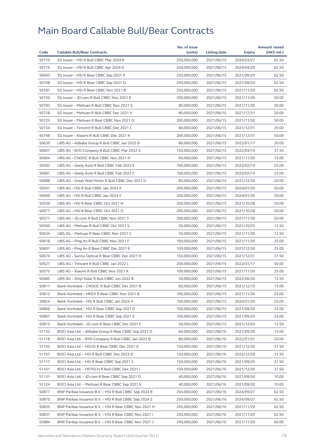|       |                                                        | No. of issue |              |               | <b>Amount raised</b> |
|-------|--------------------------------------------------------|--------------|--------------|---------------|----------------------|
| Code  | <b>Callable Bull/Bear Contracts</b>                    | (units)      | Listing date | <b>Expiry</b> | (HK\$ mil.)          |
| 50710 | SG Issuer - HSI R Bull CBBC Mar 2024 R                 | 250,000,000  | 2021/06/15   | 2024/03/27    | 62.50                |
| 50716 | SG Issuer - HSI R Bull CBBC Apr 2024 K                 | 250,000,000  | 2021/06/15   | 2024/04/29    | 62.50                |
| 50693 | SG Issuer - HSI R Bear CBBC Sep 2021 P                 | 250,000,000  | 2021/06/15   | 2021/09/29    | 62.50                |
| 50708 | SG Issuer - HSI R Bear CBBC Sep 2021 Q                 | 250,000,000  | 2021/06/15   | 2021/09/29    | 62.50                |
| 50781 | SG Issuer - HSI R Bear CBBC Nov 2021 B                 | 250,000,000  | 2021/06/15   | 2021/11/29    | 62.50                |
| 50720 | SG Issuer - JD.com R Bull CBBC Nov 2021 R              | 200,000,000  | 2021/06/15   | 2021/11/30    | 50.00                |
| 50783 | SG Issuer - Meituan R Bull CBBC Nov 2021 G             | 80,000,000   | 2021/06/15   | 2021/11/30    | 20.00                |
| 50728 | SG Issuer - Meituan R Bull CBBC Dec 2021 V             | 80,000,000   | 2021/06/15   | 2021/12/31    | 20.00                |
| 50725 | SG Issuer - Meituan R Bear CBBC Nov 2021 Q             | 200,000,000  | 2021/06/15   | 2021/11/30    | 50.00                |
| 50734 | SG Issuer - Tencent R Bull CBBC Dec 2021 C             | 80,000,000   | 2021/06/15   | 2021/12/31    | 20.00                |
| 50748 | SG Issuer - Xiaomi R Bull CBBC Dec 2021 K              | 200,000,000  | 2021/06/15   | 2021/12/31    | 50.00                |
| 50639 | UBS AG - Alibaba Group R Bull CBBC Jan 2022 B          | 80,000,000   | 2021/06/15   | 2022/01/17    | 20.00                |
| 50607 | UBS AG – BYD Company R Bull CBBC Mar 2022 X            | 150,000,000  | 2021/06/15   | 2022/03/14    | 37.50                |
| 50664 | UBS AG - CNOOC R Bull CBBC Nov 2021 N                  | 60,000,000   | 2021/06/15   | 2021/11/30    | 15.00                |
| 50583 | UBS AG - Geely Auto R Bull CBBC Feb 2022 E             | 100,000,000  | 2021/06/15   | 2022/02/14    | 25.00                |
| 50681 | UBS AG - Geely Auto R Bull CBBC Feb 2022 F             | 100,000,000  | 2021/06/15   | 2022/02/14    | 25.00                |
| 50688 | UBS AG - Great Wall Motor R Bull CBBC Dec 2021 O       | 80,000,000   | 2021/06/15   | 2021/12/30    | 20.00                |
| 50541 | UBS AG - HSI R Bull CBBC Jan 2024 X                    | 200,000,000  | 2021/06/15   | 2024/01/30    | 50.00                |
| 50669 | UBS AG - HSI R Bull CBBC Jan 2024 Y                    | 200,000,000  | 2021/06/15   | 2024/01/30    | 50.00                |
| 50539 | UBS AG - HSI R Bear CBBC Oct 2021 N                    | 200,000,000  | 2021/06/15   | 2021/10/28    | 50.00                |
| 50677 | UBS AG - HSI R Bear CBBC Oct 2021 O                    | 200,000,000  | 2021/06/15   | 2021/10/28    | 50.00                |
| 50571 | UBS AG - JD.com R Bull CBBC Nov 2021 Y                 | 200,000,000  | 2021/06/15   | 2021/11/30    | 50.00                |
| 50560 | UBS AG - Meituan R Bull CBBC Oct 2021 S                | 50,000,000   | 2021/06/15   | 2021/10/25    | 12.50                |
| 50634 | UBS AG - Meituan R Bear CBBC Nov 2021 C                | 50,000,000   | 2021/06/15   | 2021/11/30    | 12.50                |
| 50618 | UBS AG - Ping An R Bull CBBC Nov 2021 F                | 100,000,000  | 2021/06/15   | 2021/11/30    | 25.00                |
| 50691 | UBS AG - Ping An R Bear CBBC Dec 2021 E                | 100,000,000  | 2021/06/15   | 2021/12/30    | 25.00                |
| 50674 | UBS AG - Sunny Optical R Bear CBBC Dec 2021 H          | 150,000,000  | 2021/06/15   | 2021/12/31    | 37.50                |
| 50621 | UBS AG - Tencent R Bull CBBC Jan 2022 L                | 200,000,000  | 2021/06/15   | 2022/01/17    | 50.00                |
| 50575 | UBS AG - Xiaomi R Bull CBBC Nov 2021 X                 | 100,000,000  | 2021/06/15   | 2021/11/30    | 25.00                |
| 50685 | UBS AG - Xinyi Solar R Bull CBBC Jun 2022 B            | 50,000,000   | 2021/06/15   | 2022/06/30    | 12.50                |
| 50811 | Bank Vontobel - CNOOC R Bull CBBC Dec 2021 B           | 60,000,000   | 2021/06/15   | 2021/12/10    | 15.00                |
| 50812 | Bank Vontobel - HKEX R Bear CBBC Nov 2021 B            | 100,000,000  | 2021/06/15   | 2021/11/26    | 25.00                |
| 50824 | Bank Vontobel – HSI R Bull CBBC Jan 2024 V             | 100,000,000  | 2021/06/15   | 2024/01/30    | 25.00                |
| 50806 | Bank Vontobel - HSI R Bear CBBC Sep 2021 D             | 100,000,000  | 2021/06/15   | 2021/09/29    | 25.00                |
| 50807 | Bank Vontobel - HSI R Bear CBBC Sep 2021 E             | 100,000,000  | 2021/06/15   | 2021/09/29    | 25.00                |
| 50813 | Bank Vontobel - JD.com R Bear CBBC Dec 2021 F          | 50,000,000   | 2021/06/15   | 2021/12/03    | 12.50                |
| 51132 | BOCI Asia Ltd. - Alibaba Group R Bear CBBC Sep 2021 D  | 60,000,000   | 2021/06/16   | 2021/09/30    | 15.00                |
| 51118 | BOCI Asia Ltd. - BYD Company R Bull CBBC Jan 2022 B    | 80,000,000   | 2021/06/16   | 2022/01/31    | 20.00                |
| 51105 | BOCI Asia Ltd. - HSCEI R Bear CBBC Dec 2021 A          | 150,000,000  | 2021/06/16   | 2021/12/30    | 37.50                |
| 51107 | BOCI Asia Ltd. - HSI R Bull CBBC Dec 2023 D            | 150,000,000  | 2021/06/16   | 2023/12/28    | 37.50                |
| 51117 | BOCI Asia Ltd. - HSI R Bear CBBC Sep 2021 S            | 150,000,000  | 2021/06/16   | 2021/09/29    | 37.50                |
| 51101 | BOCI Asia Ltd. - HSTECH R Bull CBBC Dec 2021 I         | 150,000,000  | 2021/06/16   | 2021/12/30    | 37.50                |
| 51131 | BOCI Asia Ltd. - JD.com R Bear CBBC Sep 2021 O         | 40,000,000   | 2021/06/16   | 2021/09/30    | 10.00                |
| 51124 | BOCI Asia Ltd. - Meituan R Bear CBBC Sep 2021 K        | 40,000,000   | 2021/06/16   | 2021/09/30    | 10.00                |
| 50877 | BNP Paribas Issuance B.V. - HSI R Bull CBBC Sep 2024 B | 250,000,000  | 2021/06/16   | 2024/09/27    | 62.50                |
| 50875 | BNP Paribas Issuance B.V. - HSI R Bull CBBC Sep 2024 Z | 250,000,000  | 2021/06/16   | 2024/09/27    | 62.50                |
| 50835 | BNP Paribas Issuance B.V. - HSI R Bear CBBC Nov 2021 H | 250,000,000  | 2021/06/16   | 2021/11/29    | 62.50                |
| 50837 | BNP Paribas Issuance B.V. - HSI R Bear CBBC Nov 2021 I | 250,000,000  | 2021/06/16   | 2021/11/29    | 62.50                |
| 50984 | BNP Paribas Issuance B.V. – HSI R Bear CBBC Nov 2021 J | 240,000,000  | 2021/06/16   | 2021/11/29    | 60.00                |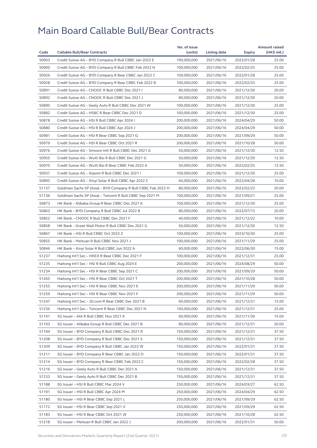|       |                                                              | No. of issue |              |            | <b>Amount raised</b> |
|-------|--------------------------------------------------------------|--------------|--------------|------------|----------------------|
| Code  | <b>Callable Bull/Bear Contracts</b>                          | (units)      | Listing date | Expiry     | (HK\$ mil.)          |
| 50903 | Credit Suisse AG - BYD Company R Bull CBBC Jan 2022 E        | 100,000,000  | 2021/06/16   | 2022/01/28 | 25.00                |
| 50900 | Credit Suisse AG - BYD Company R Bull CBBC Feb 2022 N        | 100,000,000  | 2021/06/16   | 2022/02/25 | 25.00                |
| 50926 | Credit Suisse AG – BYD Company R Bear CBBC Jan 2022 C        | 100,000,000  | 2021/06/16   | 2022/01/28 | 25.00                |
| 50928 | Credit Suisse AG - BYD Company R Bear CBBC Feb 2022 B        | 100,000,000  | 2021/06/16   | 2022/02/25 | 25.00                |
| 50891 | Credit Suisse AG - CNOOC R Bull CBBC Dec 2021 I              | 80,000,000   | 2021/06/16   | 2021/12/30 | 20.00                |
| 50892 | Credit Suisse AG - CNOOC R Bull CBBC Dec 2021 J              | 80,000,000   | 2021/06/16   | 2021/12/30 | 20.00                |
| 50890 | Credit Suisse AG - Geely Auto R Bull CBBC Dec 2021 W         | 100,000,000  | 2021/06/16   | 2021/12/30 | 25.00                |
| 50882 | Credit Suisse AG - HSBC R Bear CBBC Dec 2021 D               | 100,000,000  | 2021/06/16   | 2021/12/30 | 25.00                |
| 50878 | Credit Suisse AG - HSI R Bull CBBC Apr 2024 I                | 200,000,000  | 2021/06/16   | 2024/04/29 | 50.00                |
| 50880 | Credit Suisse AG - HSI R Bull CBBC Apr 2024 J                | 200,000,000  | 2021/06/16   | 2024/04/29 | 50.00                |
| 50981 | Credit Suisse AG - HSI R Bear CBBC Sep 2021 Q                | 200,000,000  | 2021/06/16   | 2021/09/29 | 50.00                |
| 50979 | Credit Suisse AG - HSI R Bear CBBC Oct 2021 R                | 200,000,000  | 2021/06/16   | 2021/10/28 | 50.00                |
| 50976 | Credit Suisse AG - Smoore Intl R Bull CBBC Dec 2021 G        | 50,000,000   | 2021/06/16   | 2021/12/30 | 12.50                |
| 50955 | Credit Suisse AG - WuXi Bio R Bull CBBC Dec 2021 G           | 50,000,000   | 2021/06/16   | 2021/12/30 | 12.50                |
| 50970 | Credit Suisse AG - WuXi Bio R Bear CBBC Feb 2022 A           | 50,000,000   | 2021/06/16   | 2022/02/25 | 12.50                |
| 50937 | Credit Suisse AG - Xiaomi R Bull CBBC Dec 2021 I             | 100,000,000  | 2021/06/16   | 2021/12/30 | 25.00                |
| 50895 | Credit Suisse AG - Xinyi Solar R Bull CBBC Apr 2022 C        | 40,000,000   | 2021/06/16   | 2022/04/28 | 10.00                |
| 51137 | Goldman Sachs SP (Asia) - BYD Company R Bull CBBC Feb 2022 H | 80,000,000   | 2021/06/16   | 2022/02/22 | 20.00                |
| 51136 | Goldman Sachs SP (Asia) - Tencent R Bull CBBC Sep 2021 M     | 100,000,000  | 2021/06/16   | 2021/09/21 | 25.00                |
| 50873 | HK Bank - Alibaba Group R Bear CBBC Dec 2021 K               | 100,000,000  | 2021/06/16   | 2021/12/30 | 25.00                |
| 50863 | HK Bank - BYD Company R Bull CBBC Jul 2022 B                 | 80,000,000   | 2021/06/16   | 2022/07/15 | 20.00                |
| 50852 | HK Bank - CNOOC R Bull CBBC Dec 2021 F                       | 40,000,000   | 2021/06/16   | 2021/12/22 | 10.00                |
| 50858 | HK Bank - Great Wall Motor R Bull CBBC Dec 2021 G            | 50,000,000   | 2021/06/16   | 2021/12/30 | 12.50                |
| 50867 | HK Bank - HSI R Bull CBBC Oct 2023 Z                         | 100,000,000  | 2021/06/16   | 2023/10/30 | 25.00                |
| 50855 | HK Bank - Meituan R Bull CBBC Nov 2021 J                     | 100,000,000  | 2021/06/16   | 2021/11/29 | 25.00                |
| 50846 | HK Bank - Xinyi Solar R Bull CBBC Jun 2022 A                 | 60,000,000   | 2021/06/16   | 2022/06/30 | 15.00                |
| 51237 | Haitong Int'l Sec - HKEX R Bear CBBC Dec 2021 F              | 100,000,000  | 2021/06/16   | 2021/12/31 | 25.00                |
| 51235 | Haitong Int'l Sec - HSI R Bull CBBC Aug 2024 E               | 200,000,000  | 2021/06/16   | 2024/08/29 | 50.00                |
| 51234 | Haitong Int'l Sec - HSI R Bear CBBC Sep 2021 C               | 200,000,000  | 2021/06/16   | 2021/09/29 | 50.00                |
| 51265 | Haitong Int'l Sec - HSI R Bear CBBC Oct 2021 T               | 200,000,000  | 2021/06/16   | 2021/10/28 | 50.00                |
| 51255 | Haitong Int'l Sec - HSI R Bear CBBC Nov 2021 E               | 200,000,000  | 2021/06/16   | 2021/11/29 | 50.00                |
| 51259 | Haitong Int'l Sec - HSI R Bear CBBC Nov 2021 F               | 200,000,000  | 2021/06/16   | 2021/11/29 | 50.00                |
| 51247 | Haitong Int'l Sec - JD.com R Bear CBBC Dec 2021 B            | 60,000,000   | 2021/06/16   | 2021/12/31 | 15.00                |
| 51236 | Haitong Int'l Sec - Tencent R Bear CBBC Dec 2021 N           | 100,000,000  | 2021/06/16   | 2021/12/31 | 25.00                |
| 51141 | SG Issuer - AIA R Bull CBBC Nov 2021 K                       | 60,000,000   | 2021/06/16   | 2021/11/30 | 15.00                |
| 51193 | SG Issuer - Alibaba Group R Bull CBBC Dec 2021 B             | 80,000,000   | 2021/06/16   | 2021/12/31 | 20.00                |
| 51194 | SG Issuer - BYD Company R Bull CBBC Dec 2021 R               | 150,000,000  | 2021/06/16   | 2021/12/31 | 37.50                |
| 51208 | SG Issuer - BYD Company R Bull CBBC Dec 2021 S               | 150,000,000  | 2021/06/16   | 2021/12/31 | 37.50                |
| 51209 | SG Issuer - BYD Company R Bull CBBC Jan 2022 W               | 150,000,000  | 2021/06/16   | 2022/01/31 | 37.50                |
| 51211 | SG Issuer - BYD Company R Bear CBBC Jan 2022 D               | 150,000,000  | 2021/06/16   | 2022/01/31 | 37.50                |
| 51214 | SG Issuer - BYD Company R Bear CBBC Feb 2022 C               | 150,000,000  | 2021/06/16   | 2022/02/28 | 37.50                |
| 51216 | SG Issuer - Geely Auto R Bull CBBC Dec 2021 A                | 150,000,000  | 2021/06/16   | 2021/12/31 | 37.50                |
| 51233 | SG Issuer - Geely Auto R Bull CBBC Dec 2021 B                | 150,000,000  | 2021/06/16   | 2021/12/31 | 37.50                |
| 51188 | SG Issuer - HSI R Bull CBBC Mar 2024 V                       | 250,000,000  | 2021/06/16   | 2024/03/27 | 62.50                |
| 51191 | SG Issuer - HSI R Bull CBBC Apr 2024 M                       | 250,000,000  | 2021/06/16   | 2024/04/29 | 62.50                |
| 51180 | SG Issuer - HSI R Bear CBBC Sep 2021 L                       | 250,000,000  | 2021/06/16   | 2021/09/29 | 62.50                |
| 51172 | SG Issuer - HSI R Bear CBBC Sep 2021 V                       | 250,000,000  | 2021/06/16   | 2021/09/29 | 62.50                |
| 51183 | SG Issuer - HSI R Bear CBBC Oct 2021 W                       | 250,000,000  | 2021/06/16   | 2021/10/28 | 62.50                |
| 51218 | SG Issuer - Meituan R Bull CBBC Jan 2022 J                   | 200,000,000  | 2021/06/16   | 2022/01/31 | 50.00                |
|       |                                                              |              |              |            |                      |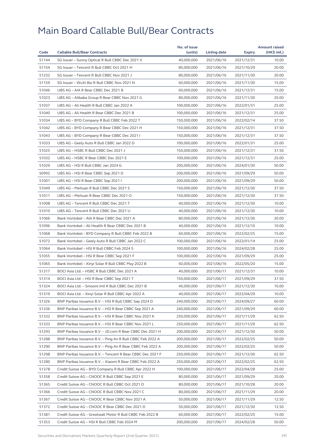|       |                                                            | No. of issue |              |            | <b>Amount raised</b> |
|-------|------------------------------------------------------------|--------------|--------------|------------|----------------------|
| Code  | <b>Callable Bull/Bear Contracts</b>                        | (units)      | Listing date | Expiry     | (HK\$ mil.)          |
| 51144 | SG Issuer - Sunny Optical R Bull CBBC Dec 2021 V           | 40,000,000   | 2021/06/16   | 2021/12/31 | 10.00                |
| 51154 | SG Issuer - Tencent R Bull CBBC Oct 2021 H                 | 80,000,000   | 2021/06/16   | 2021/10/29 | 20.00                |
| 51232 | SG Issuer - Tencent R Bull CBBC Nov 2021 J                 | 80,000,000   | 2021/06/16   | 2021/11/30 | 20.00                |
| 51159 | SG Issuer - WuXi Bio R Bull CBBC Nov 2021 N                | 60,000,000   | 2021/06/16   | 2021/11/30 | 15.00                |
| 51046 | UBS AG - AIA R Bear CBBC Dec 2021 B                        | 60,000,000   | 2021/06/16   | 2021/12/31 | 15.00                |
| 51023 | UBS AG - Alibaba Group R Bear CBBC Nov 2021 G              | 80,000,000   | 2021/06/16   | 2021/11/30 | 20.00                |
| 51037 | UBS AG - Ali Health R Bull CBBC Jan 2022 A                 | 100,000,000  | 2021/06/16   | 2022/01/31 | 25.00                |
| 51040 | UBS AG - Ali Health R Bear CBBC Dec 2021 B                 | 100,000,000  | 2021/06/16   | 2021/12/31 | 25.00                |
| 51034 | UBS AG - BYD Company R Bull CBBC Feb 2022 T                | 150,000,000  | 2021/06/16   | 2022/02/14 | 37.50                |
| 51042 | UBS AG - BYD Company R Bear CBBC Dec 2021 H                | 150,000,000  | 2021/06/16   | 2021/12/31 | 37.50                |
| 51043 | UBS AG - BYD Company R Bear CBBC Dec 2021 I                | 150,000,000  | 2021/06/16   | 2021/12/31 | 37.50                |
| 51033 | UBS AG - Geely Auto R Bull CBBC Jan 2022 D                 | 100,000,000  | 2021/06/16   | 2022/01/31 | 25.00                |
| 51025 | UBS AG - HSBC R Bull CBBC Dec 2021 J                       | 150,000,000  | 2021/06/16   | 2021/12/31 | 37.50                |
| 51032 | UBS AG - HSBC R Bear CBBC Dec 2021 E                       | 100,000,000  | 2021/06/16   | 2021/12/31 | 25.00                |
| 51029 | UBS AG - HSI R Bull CBBC Jan 2024 G                        | 200,000,000  | 2021/06/16   | 2024/01/30 | 50.00                |
| 50992 | UBS AG - HSI R Bear CBBC Sep 2021 D                        | 200,000,000  | 2021/06/16   | 2021/09/29 | 50.00                |
| 51001 | UBS AG - HSI R Bear CBBC Sep 2021 I                        | 200,000,000  | 2021/06/16   | 2021/09/29 | 50.00                |
| 51049 | UBS AG - Meituan R Bull CBBC Dec 2021 S                    | 150,000,000  | 2021/06/16   | 2021/12/30 | 37.50                |
| 51011 | UBS AG - Meituan R Bear CBBC Dec 2021 O                    | 150,000,000  | 2021/06/16   | 2021/12/30 | 37.50                |
| 51008 | UBS AG - Tencent R Bull CBBC Dec 2021 T                    | 40,000,000   | 2021/06/16   | 2021/12/30 | 10.00                |
| 51010 | UBS AG - Tencent R Bull CBBC Dec 2021 U                    | 40,000,000   | 2021/06/16   | 2021/12/30 | 10.00                |
| 51066 | Bank Vontobel - AIA R Bear CBBC Dec 2021 A                 | 80,000,000   | 2021/06/16   | 2021/12/30 | 20.00                |
| 51096 | Bank Vontobel - Ali Health R Bear CBBC Dec 2021 B          | 40,000,000   | 2021/06/16   | 2021/12/10 | 10.00                |
| 51068 | Bank Vontobel - BYD Company R Bull CBBC Feb 2022 B         | 60,000,000   | 2021/06/16   | 2022/02/25 | 15.00                |
| 51072 | Bank Vontobel - Geely Auto R Bull CBBC Jan 2022 C          | 100,000,000  | 2021/06/16   | 2022/01/14 | 25.00                |
| 51064 | Bank Vontobel - HSI R Bull CBBC Feb 2024 S                 | 100,000,000  | 2021/06/16   | 2024/02/28 | 25.00                |
| 51055 | Bank Vontobel - HSI R Bear CBBC Sep 2021 F                 | 100,000,000  | 2021/06/16   | 2021/09/29 | 25.00                |
| 51065 | Bank Vontobel - Xinyi Solar R Bull CBBC May 2022 B         | 60,000,000   | 2021/06/16   | 2022/05/20 | 15.00                |
| 51317 | BOCI Asia Ltd. - HSBC R Bull CBBC Dec 2021 A               | 40,000,000   | 2021/06/17   | 2021/12/31 | 10.00                |
| 51314 | BOCI Asia Ltd. - HSI R Bear CBBC Sep 2021 T                | 150,000,000  | 2021/06/17   | 2021/09/29 | 37.50                |
| 51324 | BOCI Asia Ltd. - Smoore Intl R Bull CBBC Dec 2021 B        | 40,000,000   | 2021/06/17   | 2021/12/30 | 10.00                |
| 51319 | BOCI Asia Ltd. - Xinyi Solar R Bull CBBC Apr 2022 A        | 40,000,000   | 2021/06/17   | 2022/04/29 | 10.00                |
| 51326 | BNP Paribas Issuance B.V. - HSI R Bull CBBC Sep 2024 D     | 240,000,000  | 2021/06/17   | 2024/09/27 | 60.00                |
| 51336 | BNP Paribas Issuance B.V. - HSI R Bear CBBC Sep 2021 A     | 240,000,000  | 2021/06/17   | 2021/09/29 | 60.00                |
| 51332 | BNP Paribas Issuance B.V. - HSI R Bear CBBC Nov 2021 K     | 250,000,000  | 2021/06/17   | 2021/11/29 | 62.50                |
| 51333 | BNP Paribas Issuance B.V. - HSI R Bear CBBC Nov 2021 L     | 250,000,000  | 2021/06/17   | 2021/11/29 | 62.50                |
| 51293 | BNP Paribas Issuance B.V. - JD.com R Bear CBBC Dec 2021 H  | 200,000,000  | 2021/06/17   | 2021/12/30 | 50.00                |
| 51288 | BNP Paribas Issuance B.V. - Ping An R Bull CBBC Feb 2022 A | 200,000,000  | 2021/06/17   | 2022/02/25 | 50.00                |
| 51290 | BNP Paribas Issuance B.V. - Ping An R Bear CBBC Feb 2022 A | 200,000,000  | 2021/06/17   | 2022/02/25 | 50.00                |
| 51298 | BNP Paribas Issuance B.V. - Tencent R Bear CBBC Dec 2021 F | 250,000,000  | 2021/06/17   | 2021/12/30 | 62.50                |
| 51280 | BNP Paribas Issuance B.V. - Xiaomi R Bear CBBC Feb 2022 A  | 250,000,000  | 2021/06/17   | 2022/02/25 | 62.50                |
| 51378 | Credit Suisse AG - BYD Company R Bull CBBC Apr 2022 H      | 100,000,000  | 2021/06/17   | 2022/04/28 | 25.00                |
| 51358 | Credit Suisse AG - CNOOC R Bull CBBC Sep 2021 E            | 80,000,000   | 2021/06/17   | 2021/09/29 | 20.00                |
| 51365 | Credit Suisse AG - CNOOC R Bull CBBC Oct 2021 O            | 80,000,000   | 2021/06/17   | 2021/10/28 | 20.00                |
| 51366 | Credit Suisse AG - CNOOC R Bull CBBC Nov 2021 C            | 80,000,000   | 2021/06/17   | 2021/11/29 | 20.00                |
| 51367 | Credit Suisse AG - CNOOC R Bear CBBC Nov 2021 A            | 50,000,000   | 2021/06/17   | 2021/11/29 | 12.50                |
| 51372 | Credit Suisse AG - CNOOC R Bear CBBC Dec 2021 D            | 50,000,000   | 2021/06/17   | 2021/12/30 | 12.50                |
| 51381 | Credit Suisse AG - Greatwall Motor R Bull CBBC Feb 2022 B  | 60,000,000   | 2021/06/17   | 2022/02/25 | 15.00                |
| 51353 | Credit Suisse AG – HSI R Bull CBBC Feb 2024 M              | 200,000,000  | 2021/06/17   | 2024/02/28 | 50.00                |
|       |                                                            |              |              |            |                      |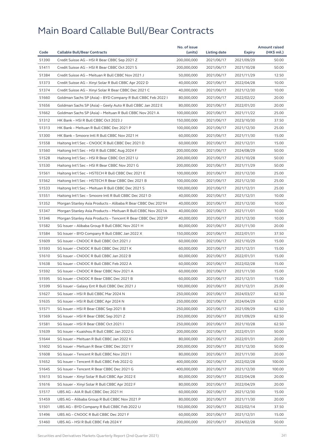|       |                                                              | No. of issue |              |            | <b>Amount raised</b> |
|-------|--------------------------------------------------------------|--------------|--------------|------------|----------------------|
| Code  | <b>Callable Bull/Bear Contracts</b>                          | (units)      | Listing date | Expiry     | (HK\$ mil.)          |
| 51390 | Credit Suisse AG - HSI R Bear CBBC Sep 2021 Z                | 200,000,000  | 2021/06/17   | 2021/09/29 | 50.00                |
| 51411 | Credit Suisse AG - HSI R Bear CBBC Oct 2021 S                | 200,000,000  | 2021/06/17   | 2021/10/28 | 50.00                |
| 51384 | Credit Suisse AG - Meituan R Bull CBBC Nov 2021 J            | 50,000,000   | 2021/06/17   | 2021/11/29 | 12.50                |
| 51373 | Credit Suisse AG - Xinyi Solar R Bull CBBC Apr 2022 D        | 40,000,000   | 2021/06/17   | 2022/04/28 | 10.00                |
| 51374 | Credit Suisse AG - Xinyi Solar R Bear CBBC Dec 2021 C        | 40,000,000   | 2021/06/17   | 2021/12/30 | 10.00                |
| 51660 | Goldman Sachs SP (Asia) - BYD Company R Bull CBBC Feb 2022 I | 80,000,000   | 2021/06/17   | 2022/02/22 | 20.00                |
| 51656 | Goldman Sachs SP (Asia) - Geely Auto R Bull CBBC Jan 2022 E  | 80,000,000   | 2021/06/17   | 2022/01/20 | 20.00                |
| 51662 | Goldman Sachs SP (Asia) - Meituan R Bull CBBC Nov 2021 A     | 100,000,000  | 2021/06/17   | 2021/11/22 | 25.00                |
| 51312 | HK Bank - HSI R Bull CBBC Oct 2023 J                         | 150,000,000  | 2021/06/17   | 2023/10/30 | 37.50                |
| 51313 | HK Bank - Meituan R Bull CBBC Dec 2021 P                     | 100,000,000  | 2021/06/17   | 2021/12/30 | 25.00                |
| 51300 | HK Bank - Smoore Intl R Bull CBBC Nov 2021 H                 | 60,000,000   | 2021/06/17   | 2021/11/30 | 15.00                |
| 51558 | Haitong Int'l Sec - CNOOC R Bull CBBC Dec 2021 D             | 60,000,000   | 2021/06/17   | 2021/12/31 | 15.00                |
| 51560 | Haitong Int'l Sec - HSI R Bull CBBC Aug 2024 F               | 200,000,000  | 2021/06/17   | 2024/08/29 | 50.00                |
| 51528 | Haitong Int'l Sec - HSI R Bear CBBC Oct 2021 U               | 200,000,000  | 2021/06/17   | 2021/10/28 | 50.00                |
| 51530 | Haitong Int'l Sec - HSI R Bear CBBC Nov 2021 G               | 200,000,000  | 2021/06/17   | 2021/11/29 | 50.00                |
| 51561 | Haitong Int'l Sec - HSTECH R Bull CBBC Dec 2021 E            | 100,000,000  | 2021/06/17   | 2021/12/30 | 25.00                |
| 51562 | Haitong Int'l Sec - HSTECH R Bear CBBC Dec 2021 B            | 100,000,000  | 2021/06/17   | 2021/12/30 | 25.00                |
| 51533 | Haitong Int'l Sec - Meituan R Bull CBBC Dec 2021 S           | 100,000,000  | 2021/06/17   | 2021/12/31 | 25.00                |
| 51551 | Haitong Int'l Sec - Smoore Intl R Bull CBBC Dec 2021 D       | 40,000,000   | 2021/06/17   | 2021/12/31 | 10.00                |
| 51352 | Morgan Stanley Asia Products - Alibaba R Bear CBBC Dec 2021H | 40,000,000   | 2021/06/17   | 2021/12/30 | 10.00                |
| 51347 | Morgan Stanley Asia Products - Meituan R Bull CBBC Nov 2021A | 40,000,000   | 2021/06/17   | 2021/11/01 | 10.00                |
| 51346 | Morgan Stanley Asia Products - Tencent R Bear CBBC Dec 2021P | 40,000,000   | 2021/06/17   | 2021/12/30 | 10.00                |
| 51582 | SG Issuer - Alibaba Group R Bull CBBC Nov 2021 H             | 80,000,000   | 2021/06/17   | 2021/11/30 | 20.00                |
| 51584 | SG Issuer - BYD Company R Bull CBBC Jan 2022 X               | 150,000,000  | 2021/06/17   | 2022/01/31 | 37.50                |
| 51609 | SG Issuer - CNOOC R Bull CBBC Oct 2021 J                     | 60,000,000   | 2021/06/17   | 2021/10/29 | 15.00                |
| 51593 | SG Issuer - CNOOC R Bull CBBC Dec 2021 K                     | 60,000,000   | 2021/06/17   | 2021/12/31 | 15.00                |
| 51610 | SG Issuer - CNOOC R Bull CBBC Jan 2022 B                     | 60,000,000   | 2021/06/17   | 2022/01/31 | 15.00                |
| 51638 | SG Issuer - CNOOC R Bull CBBC Feb 2022 A                     | 60,000,000   | 2021/06/17   | 2022/02/28 | 15.00                |
| 51592 | SG Issuer - CNOOC R Bear CBBC Nov 2021 A                     | 60,000,000   | 2021/06/17   | 2021/11/30 | 15.00                |
| 51595 | SG Issuer - CNOOC R Bear CBBC Dec 2021 B                     | 60,000,000   | 2021/06/17   | 2021/12/31 | 15.00                |
| 51599 | SG Issuer - Galaxy Ent R Bull CBBC Dec 2021 J                | 100,000,000  | 2021/06/17   | 2021/12/31 | 25.00                |
| 51627 | SG Issuer - HSI R Bull CBBC Mar 2024 N                       | 250,000,000  | 2021/06/17   | 2024/03/27 | 62.50                |
| 51635 | SG Issuer - HSI R Bull CBBC Apr 2024 N                       | 250,000,000  | 2021/06/17   | 2024/04/29 | 62.50                |
| 51571 | SG Issuer - HSI R Bear CBBC Sep 2021 B                       | 250,000,000  | 2021/06/17   | 2021/09/29 | 62.50                |
| 51569 | SG Issuer - HSI R Bear CBBC Sep 2021 Z                       | 250,000,000  | 2021/06/17   |            | 62.50                |
|       |                                                              | 250,000,000  |              | 2021/09/29 |                      |
| 51581 | SG Issuer - HSI R Bear CBBC Oct 2021 I                       |              | 2021/06/17   | 2021/10/28 | 62.50                |
| 51639 | SG Issuer - Kuaishou R Bull CBBC Jan 2022 G                  | 200,000,000  | 2021/06/17   | 2022/01/31 | 50.00                |
| 51644 | SG Issuer - Meituan R Bull CBBC Jan 2022 K                   | 80,000,000   | 2021/06/17   | 2022/01/31 | 20.00                |
| 51602 | SG Issuer - Meituan R Bear CBBC Dec 2021 Y                   | 200,000,000  | 2021/06/17   | 2021/12/30 | 50.00                |
| 51608 | SG Issuer - Tencent R Bull CBBC Nov 2021 I                   | 80,000,000   | 2021/06/17   | 2021/11/30 | 20.00                |
| 51652 | SG Issuer - Tencent R Bull CBBC Feb 2022 Q                   | 400,000,000  | 2021/06/17   | 2022/02/28 | 100.00               |
| 51645 | SG Issuer - Tencent R Bear CBBC Dec 2021 G                   | 400,000,000  | 2021/06/17   | 2021/12/30 | 100.00               |
| 51613 | SG Issuer - Xinyi Solar R Bull CBBC Apr 2022 E               | 80,000,000   | 2021/06/17   | 2022/04/28 | 20.00                |
| 51616 | SG Issuer - Xinyi Solar R Bull CBBC Apr 2022 F               | 80,000,000   | 2021/06/17   | 2022/04/29 | 20.00                |
| 51517 | UBS AG - AIA R Bull CBBC Dec 2021 H                          | 60,000,000   | 2021/06/17   | 2021/12/30 | 15.00                |
| 51459 | UBS AG - Alibaba Group R Bull CBBC Nov 2021 P                | 80,000,000   | 2021/06/17   | 2021/11/30 | 20.00                |
| 51501 | UBS AG - BYD Company R Bull CBBC Feb 2022 U                  | 150,000,000  | 2021/06/17   | 2022/02/14 | 37.50                |
| 51496 | UBS AG - CNOOC R Bull CBBC Dec 2021 F                        | 60,000,000   | 2021/06/17   | 2021/12/31 | 15.00                |
| 51460 | UBS AG - HSI R Bull CBBC Feb 2024 Y                          | 200,000,000  | 2021/06/17   | 2024/02/28 | 50.00                |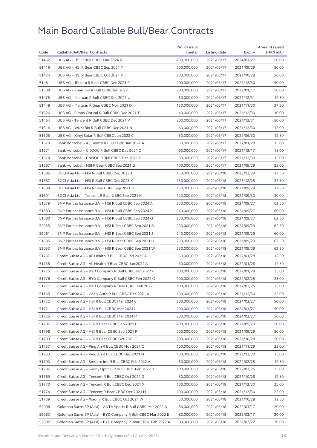|       |                                                              | No. of issue |              |            | <b>Amount raised</b> |
|-------|--------------------------------------------------------------|--------------|--------------|------------|----------------------|
| Code  | <b>Callable Bull/Bear Contracts</b>                          | (units)      | Listing date | Expiry     | (HK\$ mil.)          |
| 51462 | UBS AG - HSI R Bull CBBC Mar 2024 R                          | 200,000,000  | 2021/06/17   | 2024/03/27 | 50.00                |
| 51419 | UBS AG - HSI R Bear CBBC Sep 2021 T                          | 200,000,000  | 2021/06/17   | 2021/09/29 | 50.00                |
| 51424 | UBS AG - HSI R Bear CBBC Oct 2021 P                          | 200,000,000  | 2021/06/17   | 2021/10/28 | 50.00                |
| 51481 | UBS AG - JD.com R Bear CBBC Dec 2021 F                       | 200,000,000  | 2021/06/17   | 2021/12/30 | 50.00                |
| 51508 | UBS AG - Kuaishou R Bull CBBC Jan 2022 J                     | 200,000,000  | 2021/06/17   | 2022/01/17 | 50.00                |
| 51475 | UBS AG - Meituan R Bull CBBC Dec 2021 U                      | 50,000,000   | 2021/06/17   | 2021/12/31 | 12.50                |
| 51448 | UBS AG - Meituan R Bear CBBC Nov 2021 D                      | 150,000,000  | 2021/06/17   | 2021/11/30 | 37.50                |
| 51526 | UBS AG - Sunny Optical R Bull CBBC Dec 2021 T                | 40,000,000   | 2021/06/17   | 2021/12/30 | 10.00                |
| 51464 | UBS AG - Tencent R Bull CBBC Dec 2021 V                      | 200,000,000  | 2021/06/17   | 2021/12/31 | 50.00                |
| 51514 | UBS AG - WuXi Bio R Bull CBBC Dec 2021 N                     | 60,000,000   | 2021/06/17   | 2021/12/30 | 15.00                |
| 51505 | UBS AG - Xinyi Solar R Bull CBBC Jun 2022 C                  | 50,000,000   | 2021/06/17   | 2022/06/30 | 12.50                |
| 51670 | Bank Vontobel - Ali Health R Bull CBBC Jan 2022 A            | 60,000,000   | 2021/06/17   | 2022/01/28 | 15.00                |
| 51671 | Bank Vontobel - CNOOC R Bull CBBC Dec 2021 C                 | 60,000,000   | 2021/06/17   | 2021/12/17 | 15.00                |
| 51678 | Bank Vontobel - CNOOC R Bull CBBC Dec 2021 D                 | 60,000,000   | 2021/06/17   | 2021/12/30 | 15.00                |
| 51667 | Bank Vontobel - HSI R Bear CBBC Sep 2021 G                   | 100,000,000  | 2021/06/17   | 2021/09/29 | 25.00                |
| 51686 | BOCI Asia Ltd. - HSI R Bull CBBC Dec 2023 J                  | 150,000,000  | 2021/06/18   | 2023/12/28 | 37.50                |
| 51687 | BOCI Asia Ltd. - HSI R Bull CBBC Dec 2023 K                  | 150,000,000  | 2021/06/18   | 2023/12/28 | 37.50                |
| 51689 | BOCI Asia Ltd. - HSI R Bear CBBC Sep 2021 U                  | 150,000,000  | 2021/06/18   | 2021/09/29 | 37.50                |
| 51691 | BOCI Asia Ltd. - Tencent R Bear CBBC Sep 2021 M              | 120,000,000  | 2021/06/18   | 2021/09/30 | 30.00                |
| 51679 | BNP Paribas Issuance B.V. - HSI R Bull CBBC Sep 2024 A       | 250,000,000  | 2021/06/18   | 2024/09/27 | 62.50                |
| 51683 | BNP Paribas Issuance B.V. - HSI R Bull CBBC Sep 2024 M       | 240,000,000  | 2021/06/18   | 2024/09/27 | 60.00                |
| 51680 | BNP Paribas Issuance B.V. - HSI R Bull CBBC Sep 2024 Q       | 250,000,000  | 2021/06/18   | 2024/09/27 | 62.50                |
| 52055 | BNP Paribas Issuance B.V. - HSI R Bear CBBC Sep 2021 B       | 250,000,000  | 2021/06/18   | 2021/09/29 | 62.50                |
| 52061 | BNP Paribas Issuance B.V. - HSI R Bear CBBC Sep 2021 J       | 240,000,000  | 2021/06/18   | 2021/09/29 | 60.00                |
| 51685 | BNP Paribas Issuance B.V. - HSI R Bear CBBC Sep 2021 U       | 250,000,000  | 2021/06/18   | 2021/09/29 | 62.50                |
| 52053 | BNP Paribas Issuance B.V. - HSI R Bear CBBC Sep 2021 W       | 250,000,000  | 2021/06/18   | 2021/09/29 | 62.50                |
| 51737 | Credit Suisse AG - Ali Health R Bull CBBC Jan 2022 A         | 50,000,000   | 2021/06/18   | 2022/01/28 | 12.50                |
| 51738 | Credit Suisse AG - Ali Health R Bear CBBC Jan 2022 A         | 50,000,000   | 2021/06/18   | 2022/01/28 | 12.50                |
| 51775 | Credit Suisse AG - BYD Company R Bull CBBC Jan 2022 F        | 100,000,000  | 2021/06/18   | 2022/01/28 | 25.00                |
| 51776 | Credit Suisse AG - BYD Company R Bull CBBC Feb 2022 O        | 100,000,000  | 2021/06/18   | 2022/02/25 | 25.00                |
| 51777 | Credit Suisse AG - BYD Company R Bear CBBC Feb 2022 C        | 100,000,000  | 2021/06/18   | 2022/02/25 | 25.00                |
| 51765 | Credit Suisse AG - Geely Auto R Bull CBBC Dec 2021 X         | 100,000,000  | 2021/06/18   | 2021/12/30 | 25.00                |
| 51732 | Credit Suisse AG - HSI R Bull CBBC Mar 2024 C                | 200,000,000  | 2021/06/18   | 2024/03/27 | 50.00                |
| 51721 | Credit Suisse AG - HSI R Bull CBBC Mar 2024 I                | 200,000,000  | 2021/06/18   | 2024/03/27 | 50.00                |
| 51725 | Credit Suisse AG - HSI R Bull CBBC Mar 2024 M                | 200,000,000  | 2021/06/18   | 2024/03/27 | 50.00                |
| 51796 | Credit Suisse AG - HSI R Bear CBBC Sep 2021 P                | 200,000,000  | 2021/06/18   | 2021/09/29 | 50.00                |
| 51798 | Credit Suisse AG - HSI R Bear CBBC Sep 2021 R                | 200,000,000  | 2021/06/18   | 2021/09/29 | 50.00                |
| 51799 | Credit Suisse AG - HSI R Bear CBBC Oct 2021 T                | 200,000,000  | 2021/06/18   | 2021/10/28 | 50.00                |
| 51757 | Credit Suisse AG - Ping An R Bull CBBC Nov 2021 C            | 100,000,000  | 2021/06/18   | 2021/11/29 | 25.00                |
| 51753 | Credit Suisse AG - Ping An R Bull CBBC Dec 2021 N            | 100,000,000  | 2021/06/18   | 2021/12/30 | 25.00                |
| 51793 | Credit Suisse AG - Smoore Intl R Bull CBBC Feb 2022 A        | 50,000,000   | 2021/06/18   | 2022/02/25 | 12.50                |
|       |                                                              |              |              |            |                      |
| 51786 | Credit Suisse AG - Sunny Optical R Bull CBBC Feb 2022 B      | 100,000,000  | 2021/06/18   | 2022/02/25 | 25.00                |
| 51769 | Credit Suisse AG - Tencent R Bull CBBC Oct 2021 G            | 50,000,000   | 2021/06/18   | 2021/10/28 | 12.50                |
| 51770 | Credit Suisse AG – Tencent R Bull CBBC Dec 2021 X            | 100,000,000  | 2021/06/18   | 2021/12/30 | 25.00                |
| 51774 | Credit Suisse AG - Tencent R Bear CBBC Dec 2021 H            | 100,000,000  | 2021/06/18   | 2021/12/30 | 25.00                |
| 51739 | Credit Suisse AG - Xiaomi R Bull CBBC Oct 2021 W             | 50,000,000   | 2021/06/18   | 2021/10/28 | 12.50                |
| 52096 | Goldman Sachs SP (Asia) - ANTA Sports R Bull CBBC Mar 2022 A | 80,000,000   | 2021/06/18   | 2022/03/17 | 20.00                |
| 52083 | Goldman Sachs SP (Asia) - BYD Company R Bull CBBC Mar 2022 E | 80,000,000   | 2021/06/18   | 2022/03/17 | 20.00                |
| 52092 | Goldman Sachs SP (Asia) - BYD Company R Bear CBBC Feb 2022 A | 80,000,000   | 2021/06/18   | 2022/02/22 | 20.00                |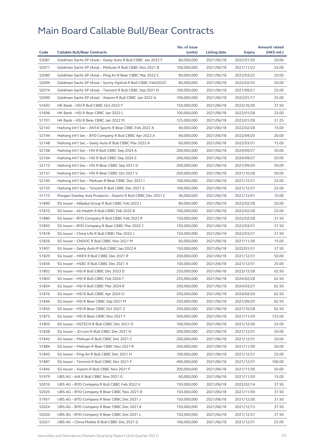| Code<br><b>Callable Bull/Bear Contracts</b><br>(units)<br>Listing date<br>52081<br>80,000,000<br>Goldman Sachs SP (Asia) - Geely Auto R Bull CBBC Jan 2022 F<br>2021/06/18<br>2022/01/20<br>52071<br>Goldman Sachs SP (Asia) - Meituan R Bull CBBC Nov 2021 B<br>100,000,000<br>2021/06/18<br>2021/11/22 | (HK\$ mil.)<br>Expiry<br>20.00<br>25.00 |
|----------------------------------------------------------------------------------------------------------------------------------------------------------------------------------------------------------------------------------------------------------------------------------------------------------|-----------------------------------------|
|                                                                                                                                                                                                                                                                                                          |                                         |
|                                                                                                                                                                                                                                                                                                          |                                         |
|                                                                                                                                                                                                                                                                                                          |                                         |
| 52089<br>Goldman Sachs SP (Asia) - Ping An R Bear CBBC Mar 2022 C<br>80,000,000<br>2021/06/18<br>2022/03/22                                                                                                                                                                                              | 20.00                                   |
| 52094<br>Goldman Sachs SP (Asia) – Sunny Optical R Bull CBBC Feb2022C<br>80,000,000<br>2021/06/18<br>2022/02/25                                                                                                                                                                                          | 20.00                                   |
| 52074<br>Goldman Sachs SP (Asia) - Tencent R Bull CBBC Sep 2021 N<br>100,000,000<br>2021/06/18<br>2021/09/21                                                                                                                                                                                             | 25.00                                   |
| 52090<br>Goldman Sachs SP (Asia) - Xiaomi R Bull CBBC Jan 2022 A<br>100,000,000<br>2021/06/18<br>2022/01/17                                                                                                                                                                                              | 25.00                                   |
| 51693<br>HK Bank - HSI R Bull CBBC Oct 2023 Y<br>150,000,000<br>2021/06/18<br>2023/10/30                                                                                                                                                                                                                 | 37.50                                   |
| 51696<br>HK Bank - HSI R Bear CBBC Jan 2022 L<br>100,000,000<br>2021/06/18<br>2022/01/28                                                                                                                                                                                                                 | 25.00                                   |
| 51701<br>HK Bank - HSI R Bear CBBC Jan 2022 M<br>125,000,000<br>2021/06/18<br>2022/01/28                                                                                                                                                                                                                 | 31.25                                   |
| 52143<br>Haitong Int'l Sec - ANTA Sports R Bear CBBC Feb 2022 A<br>60,000,000<br>2021/06/18<br>2022/02/28                                                                                                                                                                                                | 15.00                                   |
| 52144<br>Haitong Int'l Sec - BYD Company R Bull CBBC Apr 2022 A<br>80,000,000<br>2021/06/18<br>2022/04/25                                                                                                                                                                                                | 20.00                                   |
| 52148<br>Haitong Int'l Sec - Geely Auto R Bull CBBC Mar 2022 A<br>60,000,000<br>2021/06/18<br>2022/03/31                                                                                                                                                                                                 | 15.00                                   |
| 52108<br>Haitong Int'l Sec - HSI R Bull CBBC Sep 2024 A<br>200,000,000<br>2021/06/18<br>2024/09/27                                                                                                                                                                                                       | 50.00                                   |
| 52104<br>Haitong Int'l Sec - HSI R Bull CBBC Sep 2024 Z<br>200,000,000<br>2021/06/18<br>2024/09/27                                                                                                                                                                                                       | 50.00                                   |
| 52112<br>Haitong Int'l Sec - HSI R Bear CBBC Sep 2021 D<br>200,000,000<br>2021/06/18<br>2021/09/29                                                                                                                                                                                                       | 50.00                                   |
| 52131<br>Haitong Int'l Sec - HSI R Bear CBBC Oct 2021 V<br>200,000,000<br>2021/06/18<br>2021/10/28                                                                                                                                                                                                       | 50.00                                   |
| 52140<br>Haitong Int'l Sec - Meituan R Bear CBBC Dec 2021 I<br>100,000,000<br>2021/06/18<br>2021/12/31                                                                                                                                                                                                   | 25.00                                   |
| 52135<br>Haitong Int'l Sec - Tencent R Bull CBBC Dec 2021 S<br>100,000,000<br>2021/06/18<br>2021/12/31                                                                                                                                                                                                   | 25.00                                   |
| 51715<br>Morgan Stanley Asia Products - Xiaomi R Bull CBBC Dec 2021 C<br>40,000,000<br>2021/12/01<br>2021/06/18                                                                                                                                                                                          | 10.00                                   |
| 51890<br>SG Issuer - Alibaba Group R Bull CBBC Feb 2022 I<br>80,000,000<br>2021/06/18<br>2022/02/28                                                                                                                                                                                                      | 20.00                                   |
| 51810<br>SG Issuer - Ali Health R Bull CBBC Feb 2022 B<br>100,000,000<br>2021/06/18<br>2022/02/28                                                                                                                                                                                                        | 25.00                                   |
| 51880<br>SG Issuer - BYD Company R Bull CBBC Feb 2022 R<br>150,000,000<br>2021/06/18<br>2022/02/28                                                                                                                                                                                                       | 37.50                                   |
| 51893<br>SG Issuer - BYD Company R Bear CBBC Mar 2022 C<br>150,000,000<br>2021/06/18<br>2022/03/31                                                                                                                                                                                                       | 37.50                                   |
| 51818<br>SG Issuer - China Life R Bull CBBC Mar 2022 J<br>150,000,000<br>2021/06/18<br>2022/03/31                                                                                                                                                                                                        | 37.50                                   |
| 51826<br>SG Issuer - CNOOC R Bull CBBC Nov 2021 M<br>60,000,000<br>2021/06/18<br>2021/11/30                                                                                                                                                                                                              | 15.00                                   |
| 51901<br>SG Issuer - Geely Auto R Bull CBBC Jan 2022 K<br>150,000,000<br>2021/06/18<br>2022/01/31                                                                                                                                                                                                        | 37.50                                   |
| 51829<br>SG Issuer - HKEX R Bull CBBC Dec 2021 R<br>200,000,000<br>2021/06/18<br>2021/12/31                                                                                                                                                                                                              | 50.00                                   |
| 51836<br>SG Issuer - HSBC R Bull CBBC Dec 2021 X<br>100,000,000<br>2021/06/18<br>2021/12/31                                                                                                                                                                                                              | 25.00                                   |
| 51802<br>SG Issuer - HSI R Bull CBBC Dec 2023 D<br>250,000,000<br>2021/06/18<br>2023/12/28                                                                                                                                                                                                               | 62.50                                   |
| 51803<br>SG Issuer - HSI R Bull CBBC Feb 2024 T<br>250,000,000<br>2021/06/18<br>2024/02/28                                                                                                                                                                                                               | 62.50                                   |
| 51804<br>250,000,000<br>SG Issuer - HSI R Bull CBBC Mar 2024 R<br>2021/06/18<br>2024/03/27                                                                                                                                                                                                               | 62.50                                   |
| 51876<br>SG Issuer - HSI R Bull CBBC Apr 2024 O<br>250,000,000<br>2021/06/18<br>2024/04/29                                                                                                                                                                                                               | 62.50                                   |
| 51846<br>250,000,000<br>SG Issuer - HSI R Bear CBBC Sep 2021 M<br>2021/06/18<br>2021/09/29                                                                                                                                                                                                               | 62.50                                   |
| 51850<br>SG Issuer - HSI R Bear CBBC Oct 2021 Z<br>250,000,000<br>2021/06/18<br>2021/10/28                                                                                                                                                                                                               | 62.50                                   |
| 51875<br>500,000,000<br>2021/06/18<br>SG Issuer - HSI R Bear CBBC Nov 2021 F<br>2021/11/29                                                                                                                                                                                                               | 125.00                                  |
| 51805<br>SG Issuer - HSTECH R Bull CBBC Dec 2021 D<br>100,000,000<br>2021/06/18<br>2021/12/30                                                                                                                                                                                                            | 25.00                                   |
| 51838<br>SG Issuer - JD.com R Bull CBBC Dec 2021 N<br>200,000,000<br>2021/06/18<br>2021/12/31                                                                                                                                                                                                            | 50.00                                   |
| 51842<br>200,000,000<br>SG Issuer – Meituan R Bull CBBC Dec 2021 C<br>2021/06/18<br>2021/12/31                                                                                                                                                                                                           | 50.00                                   |
| 51884<br>SG Issuer - Meituan R Bear CBBC Nov 2021 R<br>200,000,000<br>2021/06/18<br>2021/11/30                                                                                                                                                                                                           | 50.00                                   |
| 51843<br>SG Issuer - Ping An R Bull CBBC Dec 2021 H<br>100,000,000<br>2021/06/18<br>2021/12/31                                                                                                                                                                                                           | 25.00                                   |
| 400,000,000<br>51887<br>SG Issuer - Tencent R Bull CBBC Dec 2021 F<br>2021/06/18<br>2021/12/31                                                                                                                                                                                                           | 100.00                                  |
| 51845<br>SG Issuer - Xiaomi R Bull CBBC Nov 2021 F<br>200,000,000<br>2021/06/18<br>2021/11/30                                                                                                                                                                                                            | 50.00                                   |
| 51979<br>UBS AG - AIA R Bull CBBC Nov 2021 G<br>60,000,000<br>2021/06/18<br>2021/11/30                                                                                                                                                                                                                   | 15.00                                   |
| 52016<br>150,000,000<br>UBS AG – BYD Company R Bull CBBC Feb 2022 V<br>2021/06/18<br>2022/02/14                                                                                                                                                                                                          | 37.50                                   |
| 52025<br>UBS AG - BYD Company R Bear CBBC Nov 2021 D<br>150,000,000<br>2021/06/18<br>2021/11/30                                                                                                                                                                                                          | 37.50                                   |
| 51957<br>UBS AG - BYD Company R Bear CBBC Dec 2021 J<br>150,000,000<br>2021/06/18<br>2021/12/30                                                                                                                                                                                                          | 37.50                                   |
| 52024<br>UBS AG - BYD Company R Bear CBBC Dec 2021 K<br>150,000,000<br>2021/06/18<br>2021/12/13                                                                                                                                                                                                          | 37.50                                   |
| 52036<br>UBS AG - BYD Company R Bear CBBC Dec 2021 L<br>150,000,000<br>2021/06/18<br>2021/12/31                                                                                                                                                                                                          | 37.50                                   |
| 52021<br>100,000,000<br>UBS AG – China Mobile R Bull CBBC Dec 2021 G<br>2021/06/18<br>2021/12/31                                                                                                                                                                                                         | 25.00                                   |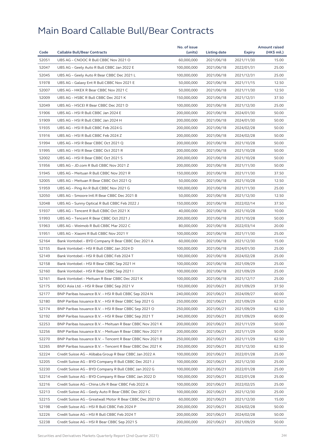|       |                                                            | No. of issue |              |            | <b>Amount raised</b> |
|-------|------------------------------------------------------------|--------------|--------------|------------|----------------------|
| Code  | <b>Callable Bull/Bear Contracts</b>                        | (units)      | Listing date | Expiry     | (HK\$ mil.)          |
| 52051 | UBS AG - CNOOC R Bull CBBC Nov 2021 O                      | 60,000,000   | 2021/06/18   | 2021/11/30 | 15.00                |
| 52047 | UBS AG - Geely Auto R Bull CBBC Jan 2022 E                 | 100,000,000  | 2021/06/18   | 2022/01/31 | 25.00                |
| 52045 | UBS AG - Geely Auto R Bear CBBC Dec 2021 L                 | 100,000,000  | 2021/06/18   | 2021/12/31 | 25.00                |
| 51978 | UBS AG - Galaxy Ent R Bull CBBC Nov 2021 E                 | 50,000,000   | 2021/06/18   | 2021/11/15 | 12.50                |
| 52007 | UBS AG - HKEX R Bear CBBC Nov 2021 C                       | 50,000,000   | 2021/06/18   | 2021/11/30 | 12.50                |
| 52009 | UBS AG - HSBC R Bull CBBC Dec 2021 K                       | 150,000,000  | 2021/06/18   | 2021/12/31 | 37.50                |
| 52049 | UBS AG - HSCEI R Bear CBBC Dec 2021 D                      | 100,000,000  | 2021/06/18   | 2021/12/30 | 25.00                |
| 51906 | UBS AG - HSI R Bull CBBC Jan 2024 E                        | 200,000,000  | 2021/06/18   | 2024/01/30 | 50.00                |
| 51909 | UBS AG - HSI R Bull CBBC Jan 2024 H                        | 200,000,000  | 2021/06/18   | 2024/01/30 | 50.00                |
| 51935 | UBS AG - HSI R Bull CBBC Feb 2024 G                        | 200,000,000  | 2021/06/18   | 2024/02/28 | 50.00                |
| 51916 | UBS AG - HSI R Bull CBBC Feb 2024 Z                        | 200,000,000  | 2021/06/18   | 2024/02/28 | 50.00                |
| 51994 | UBS AG - HSI R Bear CBBC Oct 2021 Q                        | 200,000,000  | 2021/06/18   | 2021/10/28 | 50.00                |
| 51995 | UBS AG - HSI R Bear CBBC Oct 2021 R                        | 200,000,000  | 2021/06/18   | 2021/10/28 | 50.00                |
| 52002 | UBS AG - HSI R Bear CBBC Oct 2021 S                        | 200,000,000  | 2021/06/18   | 2021/10/28 | 50.00                |
| 51956 | UBS AG - JD.com R Bull CBBC Nov 2021 Z                     | 200,000,000  | 2021/06/18   | 2021/11/30 | 50.00                |
| 51945 | UBS AG - Meituan R Bull CBBC Nov 2021 R                    | 150,000,000  | 2021/06/18   | 2021/11/30 | 37.50                |
| 52005 | UBS AG - Meituan R Bear CBBC Oct 2021 Q                    | 50,000,000   | 2021/06/18   | 2021/10/28 | 12.50                |
| 51959 | UBS AG - Ping An R Bull CBBC Nov 2021 G                    | 100,000,000  | 2021/06/18   | 2021/11/30 | 25.00                |
| 52050 | UBS AG - Smoore Intl R Bear CBBC Dec 2021 B                | 50,000,000   | 2021/06/18   | 2021/12/30 | 12.50                |
| 52048 | UBS AG - Sunny Optical R Bull CBBC Feb 2022 J              | 150,000,000  | 2021/06/18   | 2022/02/14 | 37.50                |
| 51937 | UBS AG - Tencent R Bull CBBC Oct 2021 X                    | 40,000,000   | 2021/06/18   | 2021/10/28 | 10.00                |
| 51993 | UBS AG - Tencent R Bear CBBC Oct 2021 J                    | 200,000,000  | 2021/06/18   | 2021/10/28 | 50.00                |
| 51963 | UBS AG - Weimob R Bull CBBC Mar 2022 C                     | 80,000,000   | 2021/06/18   | 2022/03/14 | 20.00                |
| 51951 | UBS AG - Xiaomi R Bull CBBC Nov 2021 Y                     | 100,000,000  | 2021/06/18   | 2021/11/30 | 25.00                |
| 52164 | Bank Vontobel - BYD Company R Bear CBBC Dec 2021 A         | 60,000,000   | 2021/06/18   | 2021/12/30 | 15.00                |
| 52155 | Bank Vontobel - HSI R Bull CBBC Jan 2024 D                 | 100,000,000  | 2021/06/18   | 2024/01/30 | 25.00                |
| 52149 | Bank Vontobel - HSI R Bull CBBC Feb 2024 T                 | 100,000,000  | 2021/06/18   | 2024/02/28 | 25.00                |
| 52158 | Bank Vontobel - HSI R Bear CBBC Sep 2021 H                 | 100,000,000  | 2021/06/18   | 2021/09/29 | 25.00                |
| 52160 | Bank Vontobel - HSI R Bear CBBC Sep 2021 I                 | 100,000,000  | 2021/06/18   | 2021/09/29 | 25.00                |
| 52161 | Bank Vontobel - Meituan R Bear CBBC Dec 2021 K             | 100,000,000  | 2021/06/18   | 2021/12/17 | 25.00                |
| 52175 | BOCI Asia Ltd. - HSI R Bear CBBC Sep 2021 V                | 150,000,000  | 2021/06/21   | 2021/09/29 | 37.50                |
| 52177 | BNP Paribas Issuance B.V. - HSI R Bull CBBC Sep 2024 N     | 240,000,000  | 2021/06/21   | 2024/09/27 | 60.00                |
| 52180 | BNP Paribas Issuance B.V. - HSI R Bear CBBC Sep 2021 G     | 250,000,000  | 2021/06/21   | 2021/09/29 | 62.50                |
| 52174 | BNP Paribas Issuance B.V. - HSI R Bear CBBC Sep 2021 O     | 250,000,000  | 2021/06/21   | 2021/09/29 | 62.50                |
| 52192 | BNP Paribas Issuance B.V. - HSI R Bear CBBC Sep 2021 T     | 240,000,000  | 2021/06/21   | 2021/09/29 | 60.00                |
| 52253 | BNP Paribas Issuance B.V. - Meituan R Bear CBBC Nov 2021 K | 200,000,000  | 2021/06/21   | 2021/11/29 | 50.00                |
| 52256 | BNP Paribas Issuance B.V. - Meituan R Bear CBBC Nov 2021 Y | 200,000,000  | 2021/06/21   | 2021/11/29 | 50.00                |
| 52270 | BNP Paribas Issuance B.V. - Tencent R Bear CBBC Nov 2021 B | 250,000,000  | 2021/06/21   | 2021/11/29 | 62.50                |
| 52265 | BNP Paribas Issuance B.V. - Tencent R Bear CBBC Dec 2021 K | 250,000,000  | 2021/06/21   | 2021/12/30 | 62.50                |
| 52224 | Credit Suisse AG - Alibaba Group R Bear CBBC Jan 2022 A    | 100,000,000  | 2021/06/21   | 2022/01/28 | 25.00                |
| 52205 | Credit Suisse AG - BYD Company R Bull CBBC Dec 2021 J      | 100,000,000  | 2021/06/21   | 2021/12/30 | 25.00                |
| 52230 | Credit Suisse AG - BYD Company R Bull CBBC Jan 2022 G      | 100,000,000  | 2021/06/21   | 2022/01/28 | 25.00                |
| 52214 | Credit Suisse AG - BYD Company R Bear CBBC Jan 2022 D      | 100,000,000  | 2021/06/21   | 2022/01/28 | 25.00                |
|       |                                                            |              |              |            |                      |
| 52216 | Credit Suisse AG - China Life R Bear CBBC Feb 2022 A       | 100,000,000  | 2021/06/21   | 2022/02/25 | 25.00                |
| 52213 | Credit Suisse AG - Geely Auto R Bear CBBC Dec 2021 C       | 100,000,000  | 2021/06/21   | 2021/12/30 | 25.00                |
| 52215 | Credit Suisse AG - Greatwall Motor R Bear CBBC Dec 2021 D  | 60,000,000   | 2021/06/21   | 2021/12/30 | 15.00                |
| 52198 | Credit Suisse AG - HSI R Bull CBBC Feb 2024 P              | 200,000,000  | 2021/06/21   | 2024/02/28 | 50.00                |
| 52226 | Credit Suisse AG - HSI R Bull CBBC Feb 2024 T              | 200,000,000  | 2021/06/21   | 2024/02/28 | 50.00                |
| 52238 | Credit Suisse AG - HSI R Bear CBBC Sep 2021 S              | 200,000,000  | 2021/06/21   | 2021/09/29 | 50.00                |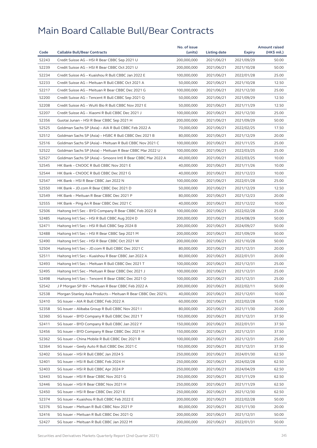|       |                                                              | No. of issue |              |               | <b>Amount raised</b> |
|-------|--------------------------------------------------------------|--------------|--------------|---------------|----------------------|
| Code  | <b>Callable Bull/Bear Contracts</b>                          | (units)      | Listing date | <b>Expiry</b> | (HK\$ mil.)          |
| 52243 | Credit Suisse AG - HSI R Bear CBBC Sep 2021 U                | 200,000,000  | 2021/06/21   | 2021/09/29    | 50.00                |
| 52239 | Credit Suisse AG - HSI R Bear CBBC Oct 2021 U                | 200,000,000  | 2021/06/21   | 2021/10/28    | 50.00                |
| 52234 | Credit Suisse AG - Kuaishou R Bull CBBC Jan 2022 E           | 100,000,000  | 2021/06/21   | 2022/01/28    | 25.00                |
| 52233 | Credit Suisse AG - Meituan R Bull CBBC Oct 2021 A            | 50,000,000   | 2021/06/21   | 2021/10/28    | 12.50                |
| 52217 | Credit Suisse AG - Meituan R Bear CBBC Dec 2021 G            | 100,000,000  | 2021/06/21   | 2021/12/30    | 25.00                |
| 52200 | Credit Suisse AG - Tencent R Bull CBBC Sep 2021 Q            | 50,000,000   | 2021/06/21   | 2021/09/29    | 12.50                |
| 52208 | Credit Suisse AG - WuXi Bio R Bull CBBC Nov 2021 E           | 50,000,000   | 2021/06/21   | 2021/11/29    | 12.50                |
| 52207 | Credit Suisse AG - Xiaomi R Bull CBBC Dec 2021 J             | 100,000,000  | 2021/06/21   | 2021/12/30    | 25.00                |
| 52356 | Guotai Junan - HSI R Bear CBBC Sep 2021 H                    | 200,000,000  | 2021/06/21   | 2021/09/29    | 50.00                |
| 52525 | Goldman Sachs SP (Asia) - AIA R Bull CBBC Feb 2022 A         | 70,000,000   | 2021/06/21   | 2022/02/25    | 17.50                |
| 52512 | Goldman Sachs SP (Asia) - HSBC R Bull CBBC Dec 2021 B        | 80,000,000   | 2021/06/21   | 2021/12/29    | 20.00                |
| 52516 | Goldman Sachs SP (Asia) - Meituan R Bull CBBC Nov 2021 C     | 100,000,000  | 2021/06/21   | 2021/11/25    | 25.00                |
| 52522 | Goldman Sachs SP (Asia) – Meituan R Bear CBBC Mar 2022 U     | 100,000,000  | 2021/06/21   | 2022/03/25    | 25.00                |
| 52527 | Goldman Sachs SP (Asia) - Smoore Intl R Bear CBBC Mar 2022 A | 40,000,000   | 2021/06/21   | 2022/03/25    | 10.00                |
| 52545 | HK Bank - CNOOC R Bull CBBC Nov 2021 E                       | 40,000,000   | 2021/06/21   | 2021/11/26    | 10.00                |
| 52544 | HK Bank - CNOOC R Bull CBBC Dec 2021 G                       | 40,000,000   | 2021/06/21   | 2021/12/23    | 10.00                |
| 52547 | HK Bank - HSI R Bear CBBC Jan 2022 N                         | 100,000,000  | 2021/06/21   | 2022/01/28    | 25.00                |
| 52550 | HK Bank - JD.com R Bear CBBC Dec 2021 D                      | 50,000,000   | 2021/06/21   | 2021/12/29    | 12.50                |
| 52549 | HK Bank - Meituan R Bear CBBC Dec 2021 P                     | 80,000,000   | 2021/06/21   | 2021/12/23    | 20.00                |
| 52555 | HK Bank - Ping An R Bear CBBC Dec 2021 C                     | 40,000,000   | 2021/06/21   | 2021/12/22    | 10.00                |
| 52506 | Haitong Int'l Sec – BYD Company R Bear CBBC Feb 2022 B       | 100,000,000  | 2021/06/21   | 2022/02/28    | 25.00                |
| 52485 | Haitong Int'l Sec - HSI R Bull CBBC Aug 2024 D               | 200,000,000  | 2021/06/21   | 2024/08/29    | 50.00                |
| 52471 | Haitong Int'l Sec - HSI R Bull CBBC Sep 2024 B               | 200,000,000  | 2021/06/21   | 2024/09/27    | 50.00                |
| 52488 | Haitong Int'l Sec - HSI R Bear CBBC Sep 2021 M               | 200,000,000  | 2021/06/21   | 2021/09/29    | 50.00                |
| 52490 | Haitong Int'l Sec - HSI R Bear CBBC Oct 2021 W               | 200,000,000  | 2021/06/21   | 2021/10/28    | 50.00                |
| 52504 | Haitong Int'l Sec - JD.com R Bull CBBC Dec 2021 C            | 80,000,000   | 2021/06/21   | 2021/12/31    | 20.00                |
| 52511 | Haitong Int'l Sec - Kuaishou R Bear CBBC Jan 2022 A          | 80,000,000   | 2021/06/21   | 2022/01/31    | 20.00                |
| 52493 | Haitong Int'l Sec - Meituan R Bull CBBC Dec 2021 T           | 100,000,000  | 2021/06/21   | 2021/12/31    | 25.00                |
| 52495 | Haitong Int'l Sec - Meituan R Bear CBBC Dec 2021 J           | 100,000,000  | 2021/06/21   | 2021/12/31    | 25.00                |
| 52498 | Haitong Int'l Sec – Tencent R Bear CBBC Dec 2021 O           | 100,000,000  | 2021/06/21   | 2021/12/31    | 25.00                |
| 52542 | J P Morgan SP BV - Meituan R Bear CBBC Feb 2022 A            | 200,000,000  | 2021/06/21   | 2022/02/11    | 50.00                |
| 52538 | Morgan Stanley Asia Products - Meituan R Bear CBBC Dec 2021L | 40,000,000   | 2021/06/21   | 2021/12/01    | 10.00                |
| 52410 | SG Issuer - AIA R Bull CBBC Feb 2022 A                       | 60,000,000   | 2021/06/21   | 2022/02/28    | 15.00                |
| 52358 | SG Issuer - Alibaba Group R Bull CBBC Nov 2021 I             | 80,000,000   | 2021/06/21   | 2021/11/30    | 20.00                |
| 52360 | SG Issuer - BYD Company R Bull CBBC Dec 2021 T               | 150,000,000  | 2021/06/21   | 2021/12/31    | 37.50                |
| 52411 | SG Issuer - BYD Company R Bull CBBC Jan 2022 Y               | 150,000,000  | 2021/06/21   | 2022/01/31    | 37.50                |
| 52456 | SG Issuer - BYD Company R Bear CBBC Dec 2021 H               | 150,000,000  | 2021/06/21   | 2021/12/31    | 37.50                |
| 52362 | SG Issuer - China Mobile R Bull CBBC Dec 2021 R              | 100,000,000  | 2021/06/21   | 2021/12/31    | 25.00                |
| 52364 | SG Issuer - Geely Auto R Bull CBBC Dec 2021 C                | 150,000,000  | 2021/06/21   | 2021/12/31    | 37.50                |
| 52402 | SG Issuer - HSI R Bull CBBC Jan 2024 S                       | 250,000,000  | 2021/06/21   | 2024/01/30    | 62.50                |
| 52401 | SG Issuer - HSI R Bull CBBC Feb 2024 H                       | 250,000,000  | 2021/06/21   | 2024/02/28    | 62.50                |
| 52403 | SG Issuer - HSI R Bull CBBC Apr 2024 P                       | 250,000,000  | 2021/06/21   | 2024/04/29    | 62.50                |
| 52443 | SG Issuer - HSI R Bear CBBC Nov 2021 G                       | 250,000,000  | 2021/06/21   | 2021/11/29    | 62.50                |
| 52446 | SG Issuer - HSI R Bear CBBC Nov 2021 H                       | 250,000,000  | 2021/06/21   | 2021/11/29    | 62.50                |
| 52450 | SG Issuer - HSI R Bear CBBC Dec 2021 E                       | 250,000,000  | 2021/06/21   | 2021/12/30    | 62.50                |
| 52374 | SG Issuer - Kuaishou R Bull CBBC Feb 2022 E                  | 200,000,000  | 2021/06/21   | 2022/02/28    | 50.00                |
| 52376 | SG Issuer - Meituan R Bull CBBC Nov 2021 P                   | 80,000,000   | 2021/06/21   | 2021/11/30    | 20.00                |
| 52416 | SG Issuer - Meituan R Bull CBBC Dec 2021 Q                   | 200,000,000  | 2021/06/21   | 2021/12/31    | 50.00                |
| 52427 | SG Issuer - Meituan R Bull CBBC Jan 2022 M                   | 200,000,000  | 2021/06/21   | 2022/01/31    | 50.00                |
|       |                                                              |              |              |               |                      |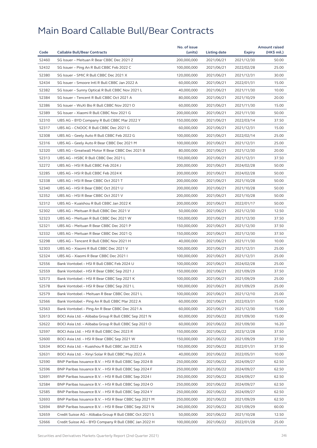|       |                                                         | No. of issue |              |            | <b>Amount raised</b> |
|-------|---------------------------------------------------------|--------------|--------------|------------|----------------------|
| Code  | <b>Callable Bull/Bear Contracts</b>                     | (units)      | Listing date | Expiry     | (HK\$ mil.)          |
| 52460 | SG Issuer - Meituan R Bear CBBC Dec 2021 Z              | 200,000,000  | 2021/06/21   | 2021/12/30 | 50.00                |
| 52432 | SG Issuer - Ping An R Bull CBBC Feb 2022 C              | 100,000,000  | 2021/06/21   | 2022/02/28 | 25.00                |
| 52380 | SG Issuer - SMIC R Bull CBBC Dec 2021 X                 | 120,000,000  | 2021/06/21   | 2021/12/31 | 30.00                |
| 52434 | SG Issuer - Smoore Intl R Bull CBBC Jan 2022 A          | 60,000,000   | 2021/06/21   | 2022/01/31 | 15.00                |
| 52382 | SG Issuer - Sunny Optical R Bull CBBC Nov 2021 L        | 40,000,000   | 2021/06/21   | 2021/11/30 | 10.00                |
| 52384 | SG Issuer - Tencent R Bull CBBC Oct 2021 A              | 80,000,000   | 2021/06/21   | 2021/10/29 | 20.00                |
| 52386 | SG Issuer - WuXi Bio R Bull CBBC Nov 2021 O             | 60,000,000   | 2021/06/21   | 2021/11/30 | 15.00                |
| 52389 | SG Issuer - Xiaomi R Bull CBBC Nov 2021 G               | 200,000,000  | 2021/06/21   | 2021/11/30 | 50.00                |
| 52310 | UBS AG - BYD Company R Bull CBBC Mar 2022 Y             | 150,000,000  | 2021/06/21   | 2022/03/14 | 37.50                |
| 52317 | UBS AG - CNOOC R Bull CBBC Dec 2021 G                   | 60,000,000   | 2021/06/21   | 2021/12/31 | 15.00                |
| 52308 | UBS AG - Geely Auto R Bull CBBC Feb 2022 G              | 100,000,000  | 2021/06/21   | 2022/02/14 | 25.00                |
| 52316 | UBS AG - Geely Auto R Bear CBBC Dec 2021 M              | 100,000,000  | 2021/06/21   | 2021/12/31 | 25.00                |
| 52320 | UBS AG - Greatwall Motor R Bear CBBC Dec 2021 B         | 80,000,000   | 2021/06/21   | 2021/12/30 | 20.00                |
| 52313 | UBS AG - HSBC R Bull CBBC Dec 2021 L                    | 150,000,000  | 2021/06/21   | 2021/12/31 | 37.50                |
| 52272 | UBS AG - HSI R Bull CBBC Feb 2024 J                     | 200,000,000  | 2021/06/21   | 2024/02/28 | 50.00                |
| 52285 | UBS AG - HSI R Bull CBBC Feb 2024 K                     | 200,000,000  | 2021/06/21   | 2024/02/28 | 50.00                |
| 52338 | UBS AG - HSI R Bear CBBC Oct 2021 T                     | 200,000,000  | 2021/06/21   | 2021/10/28 | 50.00                |
| 52340 | UBS AG - HSI R Bear CBBC Oct 2021 U                     | 200,000,000  | 2021/06/21   | 2021/10/28 | 50.00                |
| 52352 | UBS AG - HSI R Bear CBBC Oct 2021 V                     | 200,000,000  | 2021/06/21   | 2021/10/28 | 50.00                |
| 52312 | UBS AG - Kuaishou R Bull CBBC Jan 2022 K                | 200,000,000  | 2021/06/21   | 2022/01/17 | 50.00                |
| 52302 | UBS AG - Meituan R Bull CBBC Dec 2021 V                 | 50,000,000   | 2021/06/21   | 2021/12/30 | 12.50                |
| 52323 | UBS AG - Meituan R Bull CBBC Dec 2021 W                 | 150,000,000  | 2021/06/21   | 2021/12/30 | 37.50                |
| 52321 | UBS AG - Meituan R Bear CBBC Dec 2021 P                 | 150,000,000  | 2021/06/21   | 2021/12/30 | 37.50                |
| 52332 | UBS AG - Meituan R Bear CBBC Dec 2021 Q                 | 150,000,000  | 2021/06/21   | 2021/12/30 | 37.50                |
| 52298 | UBS AG - Tencent R Bull CBBC Nov 2021 H                 | 40,000,000   | 2021/06/21   | 2021/11/30 | 10.00                |
| 52303 | UBS AG - Xiaomi R Bull CBBC Dec 2021 V                  | 100,000,000  | 2021/06/21   | 2021/12/31 | 25.00                |
| 52324 | UBS AG - Xiaomi R Bear CBBC Dec 2021 I                  | 100,000,000  | 2021/06/21   | 2021/12/31 | 25.00                |
| 52556 | Bank Vontobel - HSI R Bull CBBC Feb 2024 U              | 100,000,000  | 2021/06/21   | 2024/02/28 | 25.00                |
| 52559 | Bank Vontobel - HSI R Bear CBBC Sep 2021 J              | 150,000,000  | 2021/06/21   | 2021/09/29 | 37.50                |
| 52573 | Bank Vontobel - HSI R Bear CBBC Sep 2021 K              | 100,000,000  | 2021/06/21   | 2021/09/29 | 25.00                |
| 52578 | Bank Vontobel - HSI R Bear CBBC Sep 2021 L              | 100,000,000  | 2021/06/21   | 2021/09/29 | 25.00                |
| 52579 | Bank Vontobel - Meituan R Bear CBBC Dec 2021 L          | 100,000,000  | 2021/06/21   | 2021/12/10 | 25.00                |
| 52566 | Bank Vontobel – Ping An R Bull CBBC Mar 2022 A          | 60,000,000   | 2021/06/21   | 2022/03/31 | 15.00                |
| 52563 | Bank Vontobel - Ping An R Bear CBBC Dec 2021 A          | 60,000,000   | 2021/06/21   | 2021/12/30 | 15.00                |
| 52613 | BOCI Asia Ltd. – Alibaba Group R Bull CBBC Sep 2021 N   | 60,000,000   | 2021/06/22   | 2021/09/30 | 15.00                |
| 52622 | BOCI Asia Ltd. - Alibaba Group R Bull CBBC Sep 2021 O   | 60,000,000   | 2021/06/22   | 2021/09/30 | 16.20                |
| 52597 | BOCI Asia Ltd. - HSI R Bull CBBC Dec 2023 R             | 150,000,000  | 2021/06/22   | 2023/12/28 | 37.50                |
| 52600 | BOCI Asia Ltd. - HSI R Bear CBBC Sep 2021 W             | 150,000,000  | 2021/06/22   | 2021/09/29 | 37.50                |
| 52634 | BOCI Asia Ltd. - Kuaishou R Bull CBBC Jan 2022 A        | 150,000,000  | 2021/06/22   | 2022/01/31 | 37.50                |
| 52631 | BOCI Asia Ltd. - Xinyi Solar R Bull CBBC May 2022 A     | 40,000,000   | 2021/06/22   | 2022/05/31 | 10.00                |
| 52590 | BNP Paribas Issuance B.V. - HSI R Bull CBBC Sep 2024 B  | 250,000,000  | 2021/06/22   | 2024/09/27 | 62.50                |
| 52596 | BNP Paribas Issuance B.V. - HSI R Bull CBBC Sep 2024 F  | 250,000,000  | 2021/06/22   | 2024/09/27 | 62.50                |
| 52691 | BNP Paribas Issuance B.V. - HSI R Bull CBBC Sep 2024 I  | 250,000,000  | 2021/06/22   | 2024/09/27 | 62.50                |
| 52584 | BNP Paribas Issuance B.V. - HSI R Bull CBBC Sep 2024 O  | 250,000,000  | 2021/06/22   | 2024/09/27 | 62.50                |
| 52585 | BNP Paribas Issuance B.V. - HSI R Bull CBBC Sep 2024 Y  | 250,000,000  | 2021/06/22   | 2024/09/27 | 62.50                |
| 52693 | BNP Paribas Issuance B.V. - HSI R Bear CBBC Sep 2021 M  | 250,000,000  | 2021/06/22   | 2021/09/29 | 62.50                |
| 52694 | BNP Paribas Issuance B.V. - HSI R Bear CBBC Sep 2021 N  | 240,000,000  | 2021/06/22   | 2021/09/29 | 60.00                |
| 52659 | Credit Suisse AG - Alibaba Group R Bull CBBC Oct 2021 S | 50,000,000   | 2021/06/22   | 2021/10/28 | 12.50                |
| 52666 | Credit Suisse AG – BYD Company R Bull CBBC Jan 2022 H   | 100,000,000  | 2021/06/22   | 2022/01/28 | 25.00                |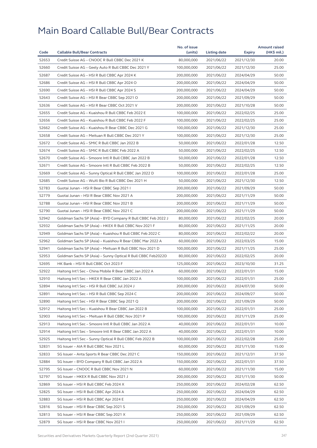|       |                                                              | No. of issue |              |            | <b>Amount raised</b> |
|-------|--------------------------------------------------------------|--------------|--------------|------------|----------------------|
| Code  | <b>Callable Bull/Bear Contracts</b>                          | (units)      | Listing date | Expiry     | (HK\$ mil.)          |
| 52653 | Credit Suisse AG - CNOOC R Bull CBBC Dec 2021 K              | 80,000,000   | 2021/06/22   | 2021/12/30 | 20.00                |
| 52660 | Credit Suisse AG - Geely Auto R Bull CBBC Dec 2021 Y         | 100,000,000  | 2021/06/22   | 2021/12/30 | 25.00                |
| 52687 | Credit Suisse AG - HSI R Bull CBBC Apr 2024 K                | 200,000,000  | 2021/06/22   | 2024/04/29 | 50.00                |
| 52686 | Credit Suisse AG - HSI R Bull CBBC Apr 2024 O                | 200,000,000  | 2021/06/22   | 2024/04/29 | 50.00                |
| 52690 | Credit Suisse AG - HSI R Bull CBBC Apr 2024 S                | 200,000,000  | 2021/06/22   | 2024/04/29 | 50.00                |
| 52643 | Credit Suisse AG - HSI R Bear CBBC Sep 2021 O                | 200,000,000  | 2021/06/22   | 2021/09/29 | 50.00                |
| 52636 | Credit Suisse AG - HSI R Bear CBBC Oct 2021 V                | 200.000.000  | 2021/06/22   | 2021/10/28 | 50.00                |
| 52655 | Credit Suisse AG - Kuaishou R Bull CBBC Feb 2022 E           | 100,000,000  | 2021/06/22   | 2022/02/25 | 25.00                |
| 52656 | Credit Suisse AG - Kuaishou R Bull CBBC Feb 2022 F           | 100,000,000  | 2021/06/22   | 2022/02/25 | 25.00                |
| 52662 | Credit Suisse AG - Kuaishou R Bear CBBC Dec 2021 G           | 100,000,000  | 2021/06/22   | 2021/12/30 | 25.00                |
| 52658 | Credit Suisse AG - Meituan R Bull CBBC Dec 2021 Y            | 100,000,000  | 2021/06/22   | 2021/12/30 | 25.00                |
| 52672 | Credit Suisse AG - SMIC R Bull CBBC Jan 2022 B               | 50,000,000   | 2021/06/22   | 2022/01/28 | 12.50                |
| 52674 | Credit Suisse AG - SMIC R Bull CBBC Feb 2022 A               | 50,000,000   | 2021/06/22   | 2022/02/25 | 12.50                |
| 52670 | Credit Suisse AG - Smoore Intl R Bull CBBC Jan 2022 B        | 50,000,000   | 2021/06/22   | 2022/01/28 | 12.50                |
| 52671 | Credit Suisse AG - Smoore Intl R Bull CBBC Feb 2022 B        | 50,000,000   | 2021/06/22   | 2022/02/25 | 12.50                |
| 52669 | Credit Suisse AG - Sunny Optical R Bull CBBC Jan 2022 D      | 100,000,000  | 2021/06/22   | 2022/01/28 | 25.00                |
| 52685 | Credit Suisse AG - WuXi Bio R Bull CBBC Dec 2021 H           | 50,000,000   | 2021/06/22   | 2021/12/30 | 12.50                |
| 52783 | Guotai Junan - HSI R Bear CBBC Sep 2021 I                    | 200,000,000  | 2021/06/22   | 2021/09/29 | 50.00                |
| 52779 | Guotai Junan - HSI R Bear CBBC Nov 2021 A                    | 200,000,000  | 2021/06/22   | 2021/11/29 | 50.00                |
| 52788 | Guotai Junan - HSI R Bear CBBC Nov 2021 B                    | 200,000,000  | 2021/06/22   | 2021/11/29 | 50.00                |
| 52790 | Guotai Junan - HSI R Bear CBBC Nov 2021 C                    | 200,000,000  | 2021/06/22   | 2021/11/29 | 50.00                |
| 52942 | Goldman Sachs SP (Asia) - BYD Company R Bull CBBC Feb 2022 J | 80,000,000   | 2021/06/22   | 2022/02/25 | 20.00                |
| 52932 | Goldman Sachs SP (Asia) - HKEX R Bull CBBC Nov 2021 F        | 80,000,000   | 2021/06/22   | 2021/11/25 | 20.00                |
| 52949 | Goldman Sachs SP (Asia) - Kuaishou R Bull CBBC Feb 2022 C    | 80,000,000   | 2021/06/22   | 2022/02/22 | 20.00                |
| 52962 | Goldman Sachs SP (Asia) - Kuaishou R Bear CBBC Mar 2022 A    | 60,000,000   | 2021/06/22   | 2022/03/25 | 15.00                |
| 52941 | Goldman Sachs SP (Asia) - Meituan R Bull CBBC Nov 2021 D     | 100,000,000  | 2021/06/22   | 2021/11/25 | 25.00                |
| 52953 | Goldman Sachs SP (Asia) - Sunny Optical R Bull CBBC Feb2022D | 80,000,000   | 2021/06/22   | 2022/02/25 | 20.00                |
| 52695 | HK Bank - HSI R Bull CBBC Oct 2023 F                         | 125,000,000  | 2021/06/22   | 2023/10/30 | 31.25                |
| 52922 | Haitong Int'l Sec - China Mobile R Bear CBBC Jan 2022 A      | 60,000,000   | 2021/06/22   | 2022/01/31 | 15.00                |
| 52910 | Haitong Int'l Sec - HKEX R Bear CBBC Jan 2022 A              | 100,000,000  | 2021/06/22   | 2022/01/31 | 25.00                |
| 52894 | Haitong Int'l Sec - HSI R Bull CBBC Jul 2024 J               | 200,000,000  | 2021/06/22   | 2024/07/30 | 50.00                |
| 52891 | Haitong Int'l Sec - HSI R Bull CBBC Sep 2024 C               | 200,000,000  | 2021/06/22   | 2024/09/27 | 50.00                |
| 52890 | Haitong Int'l Sec - HSI R Bear CBBC Sep 2021 Q               | 200,000,000  | 2021/06/22   |            | 50.00                |
|       |                                                              |              |              | 2021/09/29 |                      |
| 52912 | Haitong Int'l Sec - Kuaishou R Bear CBBC Jan 2022 B          | 100,000,000  | 2021/06/22   | 2022/01/31 | 25.00                |
| 52903 | Haitong Int'l Sec - Meituan R Bull CBBC Nov 2021 P           | 100,000,000  | 2021/06/22   | 2021/11/29 | 25.00                |
| 52913 | Haitong Int'l Sec - Smoore Intl R Bull CBBC Jan 2022 A       | 40,000,000   | 2021/06/22   | 2022/01/31 | 10.00                |
| 52914 | Haitong Int'l Sec - Smoore Intl R Bear CBBC Jan 2022 A       | 40,000,000   | 2021/06/22   | 2022/01/31 | 10.00                |
| 52925 | Haitong Int'l Sec - Sunny Optical R Bull CBBC Feb 2022 B     | 100,000,000  | 2021/06/22   | 2022/02/28 | 25.00                |
| 52831 | SG Issuer - AIA R Bull CBBC Nov 2021 L                       | 60,000,000   | 2021/06/22   | 2021/11/30 | 15.00                |
| 52833 | SG Issuer - Anta Sports R Bear CBBC Dec 2021 C               | 150,000,000  | 2021/06/22   | 2021/12/31 | 37.50                |
| 52884 | SG Issuer - BYD Company R Bull CBBC Jan 2022 A               | 150,000,000  | 2021/06/22   | 2022/01/31 | 37.50                |
| 52795 | SG Issuer - CNOOC R Bull CBBC Nov 2021 N                     | 60,000,000   | 2021/06/22   | 2021/11/30 | 15.00                |
| 52797 | SG Issuer - HKEX R Bull CBBC Nov 2021 J                      | 200,000,000  | 2021/06/22   | 2021/11/30 | 50.00                |
| 52869 | SG Issuer – HSI R Bull CBBC Feb 2024 X                       | 250,000,000  | 2021/06/22   | 2024/02/28 | 62.50                |
| 52825 | SG Issuer – HSI R Bull CBBC Apr 2024 A                       | 250,000,000  | 2021/06/22   | 2024/04/29 | 62.50                |
| 52883 | SG Issuer - HSI R Bull CBBC Apr 2024 E                       | 250,000,000  | 2021/06/22   | 2024/04/29 | 62.50                |
| 52816 | SG Issuer - HSI R Bear CBBC Sep 2021 S                       | 250,000,000  | 2021/06/22   | 2021/09/29 | 62.50                |
| 52813 | SG Issuer - HSI R Bear CBBC Sep 2021 X                       | 250,000,000  | 2021/06/22   | 2021/09/29 | 62.50                |
| 52879 | SG Issuer – HSI R Bear CBBC Nov 2021 I                       | 250,000,000  | 2021/06/22   | 2021/11/29 | 62.50                |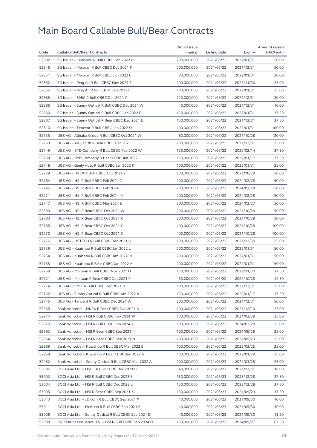|       |                                                                                            | No. of issue |              |                          | <b>Amount raised</b> |
|-------|--------------------------------------------------------------------------------------------|--------------|--------------|--------------------------|----------------------|
| Code  | <b>Callable Bull/Bear Contracts</b>                                                        | (units)      | Listing date | Expiry                   | (HK\$ mil.)          |
| 52802 | SG Issuer - Kuaishou R Bull CBBC Jan 2022 H                                                | 200,000,000  | 2021/06/22   | 2022/01/31               | 50.00                |
| 52846 | SG Issuer - Meituan R Bull CBBC Dec 2021 F                                                 | 200,000,000  | 2021/06/22   | 2021/12/31               | 50.00                |
| 52851 | SG Issuer - Meituan R Bull CBBC Jan 2022 L                                                 | 80,000,000   | 2021/06/22   | 2022/01/31               | 20.00                |
| 52852 | SG Issuer - Ping An R Bull CBBC Nov 2021 Z                                                 | 100,000,000  | 2021/06/22   | 2021/11/30               | 25.00                |
| 52856 | SG Issuer - Ping An R Bull CBBC Jan 2022 E                                                 | 100,000,000  | 2021/06/22   | 2022/01/31               | 25.00                |
| 52885 | SG Issuer - SMIC R Bull CBBC Dec 2021 Y                                                    | 120,000,000  | 2021/06/22   | 2021/12/31               | 30.00                |
| 52886 | SG Issuer - Sunny Optical R Bull CBBC Dec 2021 W                                           | 40,000,000   | 2021/06/22   | 2021/12/31               | 10.00                |
| 52860 | SG Issuer - Sunny Optical R Bull CBBC Jan 2022 B                                           | 150,000,000  | 2021/06/22   | 2022/01/31               | 37.50                |
| 52807 | SG Issuer - Sunny Optical R Bear CBBC Dec 2021 E                                           | 150,000,000  | 2021/06/22   | 2021/12/31               | 37.50                |
| 52810 | SG Issuer - Tencent R Bull CBBC Jan 2022 U                                                 | 400,000,000  | 2021/06/22   | 2022/01/31               | 100.00               |
| 52735 | UBS AG - Alibaba Group R Bull CBBC Oct 2021 W                                              | 80,000,000   | 2021/06/22   | 2021/10/28               | 20.00                |
| 52753 | UBS AG - Ali Health R Bear CBBC Dec 2021 C                                                 | 100,000,000  | 2021/06/22   | 2021/12/31               | 25.00                |
| 52749 | UBS AG - BYD Company R Bull CBBC Feb 2022 W                                                | 150,000,000  | 2021/06/22   | 2022/02/14               | 37.50                |
| 52738 | UBS AG - BYD Company R Bear CBBC Jan 2022 H                                                | 150,000,000  | 2021/06/22   | 2022/01/17               | 37.50                |
| 52748 | UBS AG - Geely Auto R Bull CBBC Jan 2022 F                                                 | 100,000,000  | 2021/06/22   | 2022/01/31               | 25.00                |
| 52729 | UBS AG - HKEX R Bull CBBC Oct 2021 Y                                                       | 200,000,000  | 2021/06/22   | 2021/10/28               | 50.00                |
| 52764 | UBS AG - HSI R Bull CBBC Feb 2024 C                                                        | 200,000,000  | 2021/06/22   | 2024/02/28               | 50.00                |
| 52746 | UBS AG - HSI R Bull CBBC Feb 2024 L                                                        | 200,000,000  | 2021/06/22   | 2024/02/28               | 50.00                |
| 52771 | UBS AG - HSI R Bull CBBC Feb 2024 M                                                        | 200,000,000  | 2021/06/22   | 2024/02/28               | 50.00                |
| 52747 | UBS AG - HSI R Bull CBBC Mar 2024 E                                                        | 200,000,000  | 2021/06/22   | 2024/03/27               | 50.00                |
| 52699 | UBS AG - HSI R Bear CBBC Oct 2021 W                                                        | 200,000,000  | 2021/06/22   | 2021/10/28               | 50.00                |
| 52703 | UBS AG - HSI R Bear CBBC Oct 2021 X                                                        | 200,000,000  | 2021/06/22   | 2021/10/28               | 50.00                |
| 52765 | UBS AG - HSI R Bear CBBC Oct 2021 Y                                                        | 400,000,000  | 2021/06/22   | 2021/10/28               | 100.00               |
| 52770 | UBS AG - HSI R Bear CBBC Oct 2021 Z                                                        | 400,000,000  | 2021/06/22   | 2021/10/28               | 100.00               |
| 52776 | UBS AG - HSTECH R Bull CBBC Dec 2021 Q                                                     | 100,000,000  | 2021/06/22   | 2021/12/30               | 25.00                |
| 52739 | UBS AG - Kuaishou R Bull CBBC Jan 2022 L                                                   | 200,000,000  | 2021/06/22   | 2022/01/31               | 50.00                |
| 52754 | UBS AG - Kuaishou R Bull CBBC Jan 2022 M                                                   | 200,000,000  | 2021/06/22   | 2022/01/31               | 50.00                |
| 52755 | UBS AG - Kuaishou R Bear CBBC Jan 2022 A                                                   | 200,000,000  | 2021/06/22   | 2022/01/31               | 50.00                |
| 52758 | UBS AG - Meituan R Bull CBBC Nov 2021 U                                                    | 150,000,000  | 2021/06/22   | 2021/11/30               | 37.50                |
| 52721 | UBS AG - Meituan R Bear CBBC Oct 2021 P                                                    | 50,000,000   | 2021/06/22   | 2021/10/28               | 12.50                |
| 52774 | UBS AG - SMIC R Bull CBBC Dec 2021 D                                                       | 100,000,000  | 2021/06/22   | 2021/12/31               | 25.00                |
| 52762 | UBS AG - Sunny Optical R Bull CBBC Jan 2022 A                                              | 150,000,000  | 2021/06/22   | 2022/01/17               | 37.50                |
| 52715 | UBS AG - Tencent R Bull CBBC Dec 2021 W                                                    | 200,000,000  | 2021/06/22   | 2021/12/31               | 50.00                |
| 52965 | Bank Vontobel - HKEX R Bear CBBC Dec 2021 A                                                | 100,000,000  | 2021/06/22   | 2021/12/10               | 25.00                |
| 52974 | Bank Vontobel - HSI R Bull CBBC Feb 2024 W                                                 | 100,000,000  | 2021/06/22   | 2024/02/28               | 25.00                |
| 52975 | Bank Vontobel - HSI R Bull CBBC Feb 2024 Y                                                 | 100,000,000  | 2021/06/22   | 2024/02/28               | 25.00                |
| 52963 | Bank Vontobel - HSI R Bear CBBC Sep 2021 M                                                 | 100,000,000  | 2021/06/22   | 2021/09/29               | 25.00                |
| 52964 | Bank Vontobel - HSI R Bear CBBC Sep 2021 N                                                 | 100,000,000  | 2021/06/22   | 2021/09/29               | 25.00                |
| 52969 | Bank Vontobel - Kuaishou R Bull CBBC Mar 2022 B                                            | 100,000,000  | 2021/06/22   | 2022/03/25               | 25.00                |
| 52968 | Bank Vontobel - Kuaishou R Bear CBBC Jan 2022 A                                            | 100,000,000  | 2021/06/22   | 2022/01/28               | 25.00                |
| 52982 | Bank Vontobel - Sunny Optical R Bull CBBC Mar 2022 A                                       | 100,000,000  | 2021/06/22   | 2022/03/25               | 25.00                |
| 53006 | BOCI Asia Ltd. - HSBC R Bull CBBC Dec 2021 B                                               | 40,000,000   | 2021/06/23   | 2021/12/31               | 10.00                |
| 53003 | BOCI Asia Ltd. - HSI R Bull CBBC Dec 2023 S                                                | 150,000,000  | 2021/06/23   | 2023/12/28               | 37.50                |
| 53004 |                                                                                            | 150,000,000  | 2021/06/23   |                          | 37.50                |
| 53005 | BOCI Asia Ltd. – HSI R Bull CBBC Dec 2023 U<br>BOCI Asia Ltd. - HSI R Bear CBBC Sep 2021 X | 150,000,000  | 2021/06/23   | 2023/12/28<br>2021/09/29 | 37.50                |
|       |                                                                                            |              |              |                          |                      |
| 53013 | BOCI Asia Ltd. - JD.com R Bull CBBC Sep 2021 X                                             | 40,000,000   | 2021/06/23   | 2021/09/30               | 10.00                |
| 53011 | BOCI Asia Ltd. - Meituan R Bull CBBC Sep 2021 S                                            | 40,000,000   | 2021/06/23   | 2021/09/30               | 10.00                |
| 53008 | BOCI Asia Ltd. - Sunny Optical R Bull CBBC Sep 2021 D                                      | 40,000,000   | 2021/06/23   | 2021/09/30               | 13.20                |
| 52998 | BNP Paribas Issuance B.V. - HSI R Bull CBBC Sep 2024 D                                     | 250,000,000  | 2021/06/23   | 2024/09/27               | 62.50                |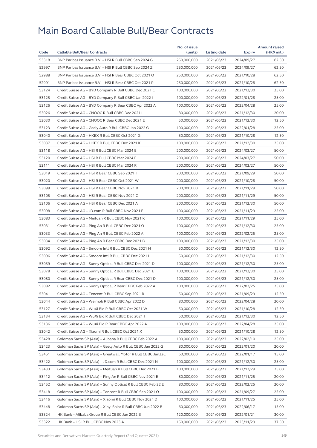|       |                                                                                                                          | No. of issue              |              |            | <b>Amount raised</b> |
|-------|--------------------------------------------------------------------------------------------------------------------------|---------------------------|--------------|------------|----------------------|
| Code  | <b>Callable Bull/Bear Contracts</b>                                                                                      | (units)                   | Listing date | Expiry     | (HK\$ mil.)          |
| 53318 | BNP Paribas Issuance B.V. - HSI R Bull CBBC Sep 2024 G                                                                   | 250,000,000               | 2021/06/23   | 2024/09/27 | 62.50                |
| 52997 | BNP Paribas Issuance B.V. - HSI R Bull CBBC Sep 2024 Z                                                                   | 250,000,000               | 2021/06/23   | 2024/09/27 | 62.50                |
| 52988 | BNP Paribas Issuance B.V. - HSI R Bear CBBC Oct 2021 O                                                                   | 250,000,000               | 2021/06/23   | 2021/10/28 | 62.50                |
| 52991 | BNP Paribas Issuance B.V. - HSI R Bear CBBC Oct 2021 P                                                                   | 250,000,000               | 2021/06/23   | 2021/10/28 | 62.50                |
| 53124 | Credit Suisse AG - BYD Company R Bull CBBC Dec 2021 C                                                                    | 100,000,000               | 2021/06/23   | 2021/12/30 | 25.00                |
| 53125 | Credit Suisse AG - BYD Company R Bull CBBC Jan 2022 I                                                                    | 100,000,000               | 2021/06/23   | 2022/01/28 | 25.00                |
| 53126 | Credit Suisse AG - BYD Company R Bear CBBC Apr 2022 A                                                                    | 100,000,000               | 2021/06/23   | 2022/04/28 | 25.00                |
| 53026 | Credit Suisse AG - CNOOC R Bull CBBC Dec 2021 L                                                                          | 80,000,000                | 2021/06/23   | 2021/12/30 | 20.00                |
| 53030 | Credit Suisse AG - CNOOC R Bear CBBC Dec 2021 E                                                                          | 50,000,000                | 2021/06/23   | 2021/12/30 | 12.50                |
| 53123 | Credit Suisse AG - Geely Auto R Bull CBBC Jan 2022 G                                                                     | 100,000,000               | 2021/06/23   | 2022/01/28 | 25.00                |
| 53040 | Credit Suisse AG - HKEX R Bull CBBC Oct 2021 G                                                                           | 50,000,000                | 2021/06/23   | 2021/10/28 | 12.50                |
| 53037 | Credit Suisse AG - HKEX R Bull CBBC Dec 2021 K                                                                           | 100,000,000               | 2021/06/23   | 2021/12/30 | 25.00                |
| 53118 | Credit Suisse AG - HSI R Bull CBBC Mar 2024 E                                                                            | 200,000,000               | 2021/06/23   | 2024/03/27 | 50.00                |
| 53120 | Credit Suisse AG - HSI R Bull CBBC Mar 2024 F                                                                            | 200,000,000               | 2021/06/23   | 2024/03/27 | 50.00                |
| 53111 | Credit Suisse AG - HSI R Bull CBBC Mar 2024 R                                                                            | 200,000,000               | 2021/06/23   | 2024/03/27 | 50.00                |
| 53019 | Credit Suisse AG - HSI R Bear CBBC Sep 2021 T                                                                            | 200,000,000               | 2021/06/23   | 2021/09/29 | 50.00                |
| 53020 | Credit Suisse AG - HSI R Bear CBBC Oct 2021 W                                                                            | 200,000,000               | 2021/06/23   | 2021/10/28 | 50.00                |
| 53099 | Credit Suisse AG - HSI R Bear CBBC Nov 2021 B                                                                            | 200,000,000               | 2021/06/23   | 2021/11/29 | 50.00                |
| 53105 | Credit Suisse AG - HSI R Bear CBBC Nov 2021 C                                                                            | 200,000,000               | 2021/06/23   | 2021/11/29 | 50.00                |
| 53106 | Credit Suisse AG - HSI R Bear CBBC Dec 2021 A                                                                            | 200,000,000               | 2021/06/23   | 2021/12/30 | 50.00                |
| 53098 | Credit Suisse AG - JD.com R Bull CBBC Nov 2021 F                                                                         | 100,000,000               | 2021/06/23   | 2021/11/29 | 25.00                |
| 53083 | Credit Suisse AG - Meituan R Bull CBBC Nov 2021 K                                                                        | 100,000,000               | 2021/06/23   | 2021/11/29 | 25.00                |
| 53031 | Credit Suisse AG - Ping An R Bull CBBC Dec 2021 O                                                                        | 100,000,000               | 2021/06/23   | 2021/12/30 | 25.00                |
| 53033 | Credit Suisse AG - Ping An R Bull CBBC Feb 2022 A                                                                        | 100,000,000               | 2021/06/23   | 2022/02/25 | 25.00                |
| 53034 | Credit Suisse AG - Ping An R Bear CBBC Dec 2021 B                                                                        | 100,000,000               | 2021/06/23   | 2021/12/30 | 25.00                |
| 53092 | Credit Suisse AG - Smoore Intl R Bull CBBC Dec 2021 H                                                                    | 50,000,000                | 2021/06/23   | 2021/12/30 | 12.50                |
| 53096 | Credit Suisse AG - Smoore Intl R Bull CBBC Dec 2021 I                                                                    | 50,000,000                | 2021/06/23   | 2021/12/30 | 12.50                |
| 53059 | Credit Suisse AG - Sunny Optical R Bull CBBC Dec 2021 D                                                                  | 100,000,000               | 2021/06/23   | 2021/12/30 | 25.00                |
| 53078 | Credit Suisse AG - Sunny Optical R Bull CBBC Dec 2021 E                                                                  | 100,000,000               | 2021/06/23   | 2021/12/30 | 25.00                |
| 53080 | Credit Suisse AG - Sunny Optical R Bear CBBC Dec 2021 D                                                                  | 100,000,000               | 2021/06/23   | 2021/12/30 | 25.00                |
| 53082 | Credit Suisse AG – Sunny Optical R Bear CBBC Feb 2022 A                                                                  | 100,000,000               | 2021/06/23   | 2022/02/25 | 25.00                |
| 53041 | Credit Suisse AG - Tencent R Bull CBBC Sep 2021 R                                                                        | 50,000,000                | 2021/06/23   | 2021/09/29 | 12.50                |
| 53044 | Credit Suisse AG - Weimob R Bull CBBC Apr 2022 D                                                                         | 80,000,000                | 2021/06/23   | 2022/04/28 | 20.00                |
| 53127 | Credit Suisse AG – WuXi Bio R Bull CBBC Oct 2021 W                                                                       | 50,000,000                | 2021/06/23   | 2021/10/28 | 12.50                |
| 53134 | Credit Suisse AG - WuXi Bio R Bull CBBC Dec 2021 I                                                                       | 50,000,000                | 2021/06/23   | 2021/12/30 | 12.50                |
| 53136 | Credit Suisse AG - WuXi Bio R Bear CBBC Apr 2022 A                                                                       | 100,000,000               | 2021/06/23   | 2022/04/28 | 25.00                |
| 53042 | Credit Suisse AG - Xiaomi R Bull CBBC Oct 2021 X                                                                         | 50,000,000                | 2021/06/23   | 2021/10/28 | 12.50                |
| 53428 | Goldman Sachs SP (Asia) – Alibaba R Bull CBBC Feb 2022 A                                                                 | 100,000,000               | 2021/06/23   | 2022/02/10 | 25.00                |
| 53423 | Goldman Sachs SP (Asia) - Geely Auto R Bull CBBC Jan 2022 G                                                              | 80,000,000                | 2021/06/23   | 2022/01/20 | 20.00                |
| 53451 | Goldman Sachs SP (Asia) - Greatwall Motor R Bull CBBC Jan22C                                                             | 60,000,000                | 2021/06/23   | 2022/01/17 | 15.00                |
| 53422 | Goldman Sachs SP (Asia) - JD.com R Bull CBBC Dec 2021 N                                                                  | 100,000,000               | 2021/06/23   | 2021/12/30 | 25.00                |
| 53433 | Goldman Sachs SP (Asia) - Meituan R Bull CBBC Dec 2021 B                                                                 | 100,000,000               | 2021/06/23   | 2021/12/29 | 25.00                |
| 53412 | Goldman Sachs SP (Asia) - Ping An R Bull CBBC Nov 2021 E                                                                 | 80,000,000                | 2021/06/23   | 2021/11/25 | 20.00                |
| 53452 |                                                                                                                          | 80,000,000                | 2021/06/23   |            | 20.00                |
| 53418 | Goldman Sachs SP (Asia) - Sunny Optical R Bull CBBC Feb 22 E<br>Goldman Sachs SP (Asia) - Tencent R Bull CBBC Sep 2021 O | 100,000,000               | 2021/06/23   | 2022/02/25 | 25.00                |
|       |                                                                                                                          |                           |              | 2021/09/27 |                      |
| 53416 | Goldman Sachs SP (Asia) - Xiaomi R Bull CBBC Nov 2021 D                                                                  | 100,000,000<br>60,000,000 | 2021/06/23   | 2021/11/25 | 25.00                |
| 53448 | Goldman Sachs SP (Asia) - Xinyi Solar R Bull CBBC Jun 2022 B                                                             |                           | 2021/06/23   | 2022/06/17 | 15.00                |
| 53324 | HK Bank - Alibaba Group R Bull CBBC Jan 2022 B                                                                           | 120,000,000               | 2021/06/23   | 2022/01/21 | 30.00                |
| 53322 | HK Bank - HSI R Bull CBBC Nov 2023 A                                                                                     | 150,000,000               | 2021/06/23   | 2023/11/29 | 37.50                |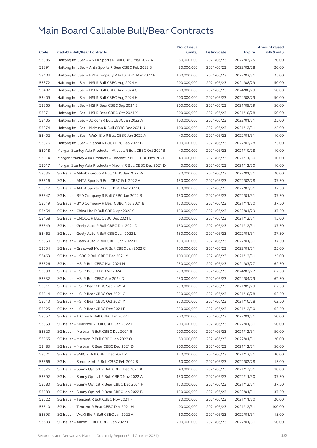|       |                                                              | No. of issue |              |            | <b>Amount raised</b> |
|-------|--------------------------------------------------------------|--------------|--------------|------------|----------------------|
| Code  | <b>Callable Bull/Bear Contracts</b>                          | (units)      | Listing date | Expiry     | (HK\$ mil.)          |
| 53385 | Haitong Int'l Sec - ANTA Sports R Bull CBBC Mar 2022 A       | 80,000,000   | 2021/06/23   | 2022/03/25 | 20.00                |
| 53391 | Haitong Int'l Sec - Anta Sports R Bear CBBC Feb 2022 B       | 80,000,000   | 2021/06/23   | 2022/02/28 | 20.00                |
| 53404 | Haitong Int'l Sec - BYD Company R Bull CBBC Mar 2022 F       | 100,000,000  | 2021/06/23   | 2022/03/31 | 25.00                |
| 53372 | Haitong Int'l Sec - HSI R Bull CBBC Aug 2024 A               | 200,000,000  | 2021/06/23   | 2024/08/29 | 50.00                |
| 53407 | Haitong Int'l Sec - HSI R Bull CBBC Aug 2024 G               | 200,000,000  | 2021/06/23   | 2024/08/29 | 50.00                |
| 53409 | Haitong Int'l Sec - HSI R Bull CBBC Aug 2024 H               | 200,000,000  | 2021/06/23   | 2024/08/29 | 50.00                |
| 53365 | Haitong Int'l Sec - HSI R Bear CBBC Sep 2021 S               | 200,000,000  | 2021/06/23   | 2021/09/29 | 50.00                |
| 53371 | Haitong Int'l Sec - HSI R Bear CBBC Oct 2021 X               | 200,000,000  | 2021/06/23   | 2021/10/28 | 50.00                |
| 53405 | Haitong Int'l Sec - JD.com R Bull CBBC Jan 2022 A            | 100,000,000  | 2021/06/23   | 2022/01/31 | 25.00                |
| 53374 | Haitong Int'l Sec - Meituan R Bull CBBC Dec 2021 U           | 100,000,000  | 2021/06/23   | 2021/12/31 | 25.00                |
| 53402 | Haitong Int'l Sec – WuXi Bio R Bull CBBC Jan 2022 A          | 40,000,000   | 2021/06/23   | 2022/01/31 | 10.00                |
| 53376 | Haitong Int'l Sec - Xiaomi R Bull CBBC Feb 2022 B            | 100,000,000  | 2021/06/23   | 2022/02/28 | 25.00                |
| 53018 | Morgan Stanley Asia Products – Alibaba R Bull CBBC Oct 2021B | 40,000,000   | 2021/06/23   | 2021/10/28 | 10.00                |
| 53014 | Morgan Stanley Asia Products - Tencent R Bull CBBC Nov 2021K | 40,000,000   | 2021/06/23   | 2021/11/30 | 10.00                |
| 53017 | Morgan Stanley Asia Products - Xiaomi R Bull CBBC Dec 2021 D | 40,000,000   | 2021/06/23   | 2021/12/30 | 10.00                |
| 53536 | SG Issuer - Alibaba Group R Bull CBBC Jan 2022 W             | 80,000,000   | 2021/06/23   | 2022/01/31 | 20.00                |
| 53516 | SG Issuer - ANTA Sports R Bull CBBC Feb 2022 A               | 150,000,000  | 2021/06/23   | 2022/02/28 | 37.50                |
| 53517 | SG Issuer – ANTA Sports R Bull CBBC Mar 2022 C               | 150,000,000  | 2021/06/23   | 2022/03/31 | 37.50                |
| 53547 | SG Issuer - BYD Company R Bull CBBC Jan 2022 B               | 150,000,000  | 2021/06/23   | 2022/01/31 | 37.50                |
| 53519 | SG Issuer - BYD Company R Bear CBBC Nov 2021 B               | 150,000,000  | 2021/06/23   | 2021/11/30 | 37.50                |
| 53454 | SG Issuer - China Life R Bull CBBC Apr 2022 C                | 150,000,000  | 2021/06/23   | 2022/04/29 | 37.50                |
| 53458 | SG Issuer - CNOOC R Bull CBBC Dec 2021 L                     | 60,000,000   | 2021/06/23   | 2021/12/31 | 15.00                |
| 53549 | SG Issuer - Geely Auto R Bull CBBC Dec 2021 D                | 150,000,000  | 2021/06/23   | 2021/12/31 | 37.50                |
| 53462 | SG Issuer – Geely Auto R Bull CBBC Jan 2022 L                | 150,000,000  | 2021/06/23   | 2022/01/31 | 37.50                |
| 53550 | SG Issuer - Geely Auto R Bull CBBC Jan 2022 M                | 150,000,000  | 2021/06/23   | 2022/01/31 | 37.50                |
| 53554 | SG Issuer - Greatwall Motor R Bull CBBC Jan 2022 C           | 100,000,000  | 2021/06/23   | 2022/01/31 | 25.00                |
| 53463 | SG Issuer - HSBC R Bull CBBC Dec 2021 Y                      | 100,000,000  | 2021/06/23   | 2021/12/31 | 25.00                |
| 53526 | SG Issuer - HSI R Bull CBBC Mar 2024 N                       | 250,000,000  | 2021/06/23   | 2024/03/27 | 62.50                |
| 53530 | SG Issuer - HSI R Bull CBBC Mar 2024 T                       | 250,000,000  | 2021/06/23   | 2024/03/27 | 62.50                |
| 53532 | SG Issuer - HSI R Bull CBBC Apr 2024 D                       | 250,000,000  | 2021/06/23   | 2024/04/29 | 62.50                |
| 53511 | SG Issuer - HSI R Bear CBBC Sep 2021 A                       | 250,000,000  | 2021/06/23   | 2021/09/29 | 62.50                |
| 53514 | SG Issuer - HSI R Bear CBBC Oct 2021 O                       | 250,000,000  | 2021/06/23   | 2021/10/28 | 62.50                |
| 53513 | SG Issuer – HSI R Bear CBBC Oct 2021 Y                       | 250,000,000  | 2021/06/23   | 2021/10/28 | 62.50                |
| 53525 | SG Issuer - HSI R Bear CBBC Dec 2021 F                       | 250,000,000  | 2021/06/23   | 2021/12/30 | 62.50                |
| 53557 | SG Issuer - JD.com R Bull CBBC Jan 2022 L                    | 200,000,000  | 2021/06/23   | 2022/01/31 | 50.00                |
| 53559 | SG Issuer - Kuaishou R Bull CBBC Jan 2022 I                  | 200,000,000  | 2021/06/23   | 2022/01/31 | 50.00                |
| 53520 | SG Issuer - Meituan R Bull CBBC Dec 2021 R                   | 200,000,000  | 2021/06/23   | 2021/12/31 | 50.00                |
| 53565 | SG Issuer - Meituan R Bull CBBC Jan 2022 O                   | 80,000,000   | 2021/06/23   | 2022/01/31 | 20.00                |
| 53483 | SG Issuer - Meituan R Bear CBBC Dec 2021 D                   | 200,000,000  | 2021/06/23   | 2021/12/31 | 50.00                |
| 53521 | SG Issuer - SMIC R Bull CBBC Dec 2021 Z                      | 120,000,000  | 2021/06/23   | 2021/12/31 | 30.00                |
| 53566 | SG Issuer - Smoore Intl R Bull CBBC Feb 2022 B               | 60,000,000   | 2021/06/23   | 2022/02/28 | 15.00                |
| 53576 | SG Issuer - Sunny Optical R Bull CBBC Dec 2021 X             | 40,000,000   | 2021/06/23   | 2021/12/31 | 10.00                |
| 53592 | SG Issuer - Sunny Optical R Bull CBBC Nov 2022 A             | 150,000,000  | 2021/06/23   | 2022/11/30 | 37.50                |
| 53580 | SG Issuer - Sunny Optical R Bear CBBC Dec 2021 F             | 150,000,000  | 2021/06/23   | 2021/12/31 | 37.50                |
| 53589 | SG Issuer - Sunny Optical R Bear CBBC Jan 2022 B             | 150,000,000  | 2021/06/23   | 2022/01/31 | 37.50                |
| 53522 | SG Issuer - Tencent R Bull CBBC Nov 2021 F                   | 80,000,000   | 2021/06/23   | 2021/11/30 | 20.00                |
| 53510 | SG Issuer - Tencent R Bear CBBC Dec 2021 H                   | 400,000,000  | 2021/06/23   | 2021/12/31 | 100.00               |
| 53593 | SG Issuer - WuXi Bio R Bull CBBC Jan 2022 A                  | 60,000,000   | 2021/06/23   | 2022/01/31 | 15.00                |
|       |                                                              |              |              |            |                      |
| 53603 | SG Issuer - Xiaomi R Bull CBBC Jan 2022 L                    | 200,000,000  | 2021/06/23   | 2022/01/31 | 50.00                |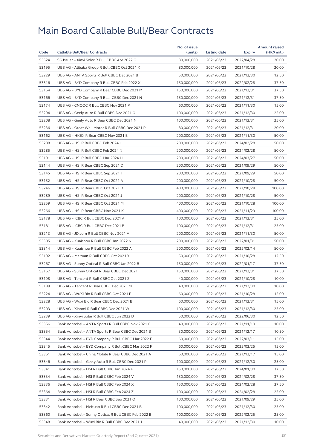|       |                                                      | No. of issue |              |            | <b>Amount raised</b> |
|-------|------------------------------------------------------|--------------|--------------|------------|----------------------|
| Code  | <b>Callable Bull/Bear Contracts</b>                  | (units)      | Listing date | Expiry     | (HK\$ mil.)          |
| 53524 | SG Issuer - Xinyi Solar R Bull CBBC Apr 2022 G       | 80,000,000   | 2021/06/23   | 2022/04/28 | 20.00                |
| 53195 | UBS AG - Alibaba Group R Bull CBBC Oct 2021 X        | 80,000,000   | 2021/06/23   | 2021/10/28 | 20.00                |
| 53229 | UBS AG - ANTA Sports R Bull CBBC Dec 2021 B          | 50,000,000   | 2021/06/23   | 2021/12/30 | 12.50                |
| 53316 | UBS AG - BYD Company R Bull CBBC Feb 2022 X          | 150,000,000  | 2021/06/23   | 2022/02/28 | 37.50                |
| 53164 | UBS AG - BYD Company R Bear CBBC Dec 2021 M          | 150,000,000  | 2021/06/23   | 2021/12/31 | 37.50                |
| 53166 | UBS AG - BYD Company R Bear CBBC Dec 2021 N          | 150,000,000  | 2021/06/23   | 2021/12/31 | 37.50                |
| 53174 | UBS AG - CNOOC R Bull CBBC Nov 2021 P                | 60,000,000   | 2021/06/23   | 2021/11/30 | 15.00                |
| 53294 | UBS AG - Geely Auto R Bull CBBC Dec 2021 G           | 100,000,000  | 2021/06/23   | 2021/12/30 | 25.00                |
| 53208 | UBS AG - Geely Auto R Bear CBBC Dec 2021 N           | 100,000,000  | 2021/06/23   | 2021/12/31 | 25.00                |
| 53236 | UBS AG - Great Wall Motor R Bull CBBC Dec 2021 P     | 80,000,000   | 2021/06/23   | 2021/12/31 | 20.00                |
| 53162 | UBS AG - HKEX R Bear CBBC Nov 2021 E                 | 200,000,000  | 2021/06/23   | 2021/11/30 | 50.00                |
| 53288 | UBS AG - HSI R Bull CBBC Feb 2024 I                  | 200,000,000  | 2021/06/23   | 2024/02/28 | 50.00                |
| 53285 | UBS AG - HSI R Bull CBBC Feb 2024 N                  | 200,000,000  | 2021/06/23   | 2024/02/28 | 50.00                |
| 53191 | UBS AG - HSI R Bull CBBC Mar 2024 H                  | 200,000,000  | 2021/06/23   | 2024/03/27 | 50.00                |
| 53144 | UBS AG - HSI R Bear CBBC Sep 2021 D                  | 200,000,000  | 2021/06/23   | 2021/09/29 | 50.00                |
| 53145 | UBS AG - HSI R Bear CBBC Sep 2021 T                  | 200,000,000  | 2021/06/23   | 2021/09/29 | 50.00                |
| 53152 | UBS AG - HSI R Bear CBBC Oct 2021 A                  | 200,000,000  | 2021/06/23   | 2021/10/28 | 50.00                |
| 53246 | UBS AG - HSI R Bear CBBC Oct 2021 D                  | 400,000,000  | 2021/06/23   | 2021/10/28 | 100.00               |
| 53289 | UBS AG - HSI R Bear CBBC Oct 2021 J                  | 200,000,000  | 2021/06/23   | 2021/10/28 | 50.00                |
| 53259 | UBS AG - HSI R Bear CBBC Oct 2021 M                  | 400,000,000  | 2021/06/23   | 2021/10/28 | 100.00               |
| 53266 | UBS AG - HSI R Bear CBBC Nov 2021 K                  | 400,000,000  | 2021/06/23   | 2021/11/29 | 100.00               |
| 53178 | UBS AG - ICBC R Bull CBBC Dec 2021 A                 | 100,000,000  | 2021/06/23   | 2021/12/31 | 25.00                |
| 53181 | UBS AG - ICBC R Bull CBBC Dec 2021 B                 | 100,000,000  | 2021/06/23   | 2021/12/31 | 25.00                |
| 53213 | UBS AG - JD.com R Bull CBBC Nov 2021 A               | 200,000,000  | 2021/06/23   | 2021/11/30 | 50.00                |
| 53305 | UBS AG - Kuaishou R Bull CBBC Jan 2022 N             | 200,000,000  | 2021/06/23   | 2022/01/31 | 50.00                |
| 53314 | UBS AG - Kuaishou R Bull CBBC Feb 2022 A             | 200,000,000  | 2021/06/23   | 2022/02/14 | 50.00                |
| 53192 | UBS AG - Meituan R Bull CBBC Oct 2021 Y              | 50,000,000   | 2021/06/23   | 2021/10/28 | 12.50                |
| 53267 | UBS AG - Sunny Optical R Bull CBBC Jan 2022 B        | 150,000,000  | 2021/06/23   | 2022/01/17 | 37.50                |
| 53167 | UBS AG - Sunny Optical R Bear CBBC Dec 2021 I        | 150,000,000  | 2021/06/23   | 2021/12/31 | 37.50                |
| 53198 | UBS AG - Tencent R Bull CBBC Oct 2021 Z              | 40,000,000   | 2021/06/23   | 2021/10/28 | 10.00                |
| 53189 | UBS AG - Tencent R Bear CBBC Dec 2021 M              | 40,000,000   | 2021/06/23   | 2021/12/30 | 10.00                |
| 53224 | UBS AG - WuXi Bio R Bull CBBC Oct 2021 F             | 60,000,000   | 2021/06/23   | 2021/10/28 | 15.00                |
| 53228 | UBS AG – Wuxi Bio R Bear CBBC Dec 2021 B             | 60,000,000   | 2021/06/23   | 2021/12/31 | 15.00                |
| 53203 | UBS AG - Xiaomi R Bull CBBC Dec 2021 W               | 100,000,000  | 2021/06/23   | 2021/12/30 | 25.00                |
| 53239 | UBS AG - Xinyi Solar R Bull CBBC Jun 2022 D          | 50,000,000   | 2021/06/23   | 2022/06/30 | 12.50                |
| 53356 | Bank Vontobel - ANTA Sports R Bull CBBC Nov 2021 G   | 40,000,000   | 2021/06/23   | 2021/11/19 | 10.00                |
| 53354 | Bank Vontobel - ANTA Sports R Bear CBBC Dec 2021 B   | 30,000,000   | 2021/06/23   | 2021/12/17 | 10.50                |
| 53344 | Bank Vontobel - BYD Company R Bull CBBC Mar 2022 E   | 60,000,000   | 2021/06/23   | 2022/03/11 | 15.00                |
| 53345 | Bank Vontobel - BYD Company R Bull CBBC Mar 2022 F   | 60,000,000   | 2021/06/23   | 2022/03/25 | 15.00                |
| 53361 | Bank Vontobel - China Mobile R Bear CBBC Dec 2021 A  | 60,000,000   | 2021/06/23   | 2021/12/17 | 15.00                |
| 53346 | Bank Vontobel - Geely Auto R Bull CBBC Dec 2021 P    | 100,000,000  | 2021/06/23   | 2021/12/30 | 25.00                |
| 53341 | Bank Vontobel - HSI R Bull CBBC Jan 2024 F           | 150,000,000  | 2021/06/23   | 2024/01/30 | 37.50                |
| 53334 | Bank Vontobel - HSI R Bull CBBC Feb 2024 V           | 150,000,000  | 2021/06/23   | 2024/02/28 | 37.50                |
| 53336 | Bank Vontobel - HSI R Bull CBBC Feb 2024 X           | 150,000,000  | 2021/06/23   | 2024/02/28 | 37.50                |
| 53364 | Bank Vontobel - HSI R Bull CBBC Feb 2024 Z           | 100,000,000  | 2021/06/23   | 2024/02/28 | 25.00                |
| 53331 | Bank Vontobel - HSI R Bear CBBC Sep 2021 O           | 100,000,000  | 2021/06/23   | 2021/09/29 | 25.00                |
| 53342 | Bank Vontobel - Meituan R Bull CBBC Dec 2021 B       | 100,000,000  | 2021/06/23   | 2021/12/30 | 25.00                |
| 53360 | Bank Vontobel - Sunny Optical R Bull CBBC Feb 2022 B | 100,000,000  | 2021/06/23   | 2022/02/25 | 25.00                |
| 53348 | Bank Vontobel - Wuxi Bio R Bull CBBC Dec 2021 J      | 40,000,000   | 2021/06/23   | 2021/12/30 | 10.00                |
|       |                                                      |              |              |            |                      |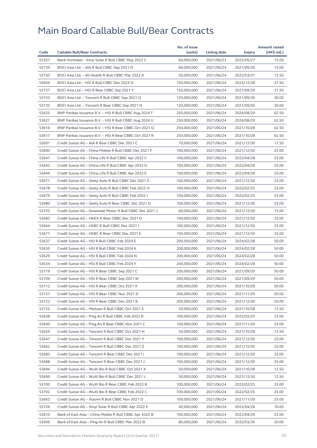|       |                                                           | No. of issue |              |            | <b>Amount raised</b> |
|-------|-----------------------------------------------------------|--------------|--------------|------------|----------------------|
| Code  | <b>Callable Bull/Bear Contracts</b>                       | (units)      | Listing date | Expiry     | (HK\$ mil.)          |
| 53357 | Bank Vontobel - Xinyi Solar R Bull CBBC May 2022 C        | 60,000,000   | 2021/06/23   | 2022/05/27 | 15.00                |
| 53739 | BOCI Asia Ltd. - AIA R Bull CBBC Sep 2021 D               | 60,000,000   | 2021/06/24   | 2021/09/30 | 15.00                |
| 53730 | BOCI Asia Ltd. - Ali Health R Bull CBBC Mar 2022 A        | 50,000,000   | 2021/06/24   | 2022/03/31 | 12.50                |
| 53604 | BOCI Asia Ltd. - HSI R Bull CBBC Dec 2023 Q               | 150,000,000  | 2021/06/24   | 2023/12/28 | 37.50                |
| 53737 | BOCI Asia Ltd. - HSI R Bear CBBC Sep 2021 Y               | 150,000,000  | 2021/06/24   | 2021/09/29 | 37.50                |
| 53733 | BOCI Asia Ltd. - Tencent R Bull CBBC Sep 2021 Q           | 120,000,000  | 2021/06/24   | 2021/09/30 | 30.00                |
| 53735 | BOCI Asia Ltd. - Tencent R Bear CBBC Sep 2021 N           | 120,000,000  | 2021/06/24   | 2021/09/30 | 30.00                |
| 53625 | BNP Paribas Issuance B.V. - HSI R Bull CBBC Aug 2024 T    | 250,000,000  | 2021/06/24   | 2024/08/29 | 62.50                |
| 53627 | BNP Paribas Issuance B.V. - HSI R Bull CBBC Aug 2024 U    | 250,000,000  | 2021/06/24   | 2024/08/29 | 62.50                |
| 53616 | BNP Paribas Issuance B.V. - HSI R Bear CBBC Oct 2021 Q    | 250,000,000  | 2021/06/24   | 2021/10/28 | 62.50                |
| 53617 | BNP Paribas Issuance B.V. - HSI R Bear CBBC Oct 2021 R    | 250,000,000  | 2021/06/24   | 2021/10/28 | 62.50                |
| 53691 | Credit Suisse AG - AIA R Bear CBBC Dec 2021 C             | 70,000,000   | 2021/06/24   | 2021/12/30 | 17.50                |
| 53690 | Credit Suisse AG - China Mobile R Bull CBBC Dec 2021 F    | 100,000,000  | 2021/06/24   | 2021/12/30 | 25.00                |
| 53641 | Credit Suisse AG - China Life R Bull CBBC Apr 2022 C      | 100,000,000  | 2021/06/24   | 2022/04/28 | 25.00                |
| 53642 | Credit Suisse AG – China Life R Bull CBBC Apr 2022 D      | 100,000,000  | 2021/06/24   | 2022/04/28 | 25.00                |
| 53644 | Credit Suisse AG - China Life R Bull CBBC Apr 2022 E      | 100,000,000  | 2021/06/24   | 2022/04/28 | 25.00                |
| 53677 | Credit Suisse AG - Geely Auto R Bull CBBC Dec 2021 Z      | 100,000,000  | 2021/06/24   | 2021/12/30 | 25.00                |
| 53678 | Credit Suisse AG - Geely Auto R Bull CBBC Feb 2022 H      | 100,000,000  | 2021/06/24   | 2022/02/25 | 25.00                |
| 53679 | Credit Suisse AG - Geely Auto R Bull CBBC Feb 2022 I      | 100,000,000  | 2021/06/24   | 2022/02/25 | 25.00                |
| 53680 | Credit Suisse AG - Geely Auto R Bear CBBC Dec 2021 D      | 100,000,000  | 2021/06/24   | 2021/12/30 | 25.00                |
| 53703 | Credit Suisse AG - Greatwall Motor R Bull CBBC Dec 2021 J | 60,000,000   | 2021/06/24   | 2021/12/30 | 15.00                |
| 53682 | Credit Suisse AG - HKEX R Bear CBBC Dec 2021 D            | 100,000,000  | 2021/06/24   | 2021/12/30 | 25.00                |
| 53664 | Credit Suisse AG - HSBC R Bull CBBC Dec 2021 I            | 100,000,000  | 2021/06/24   | 2021/12/30 | 25.00                |
| 53671 | Credit Suisse AG - HSBC R Bear CBBC Dec 2021 E            | 100,000,000  | 2021/06/24   | 2021/12/30 | 25.00                |
| 53637 | Credit Suisse AG - HSI R Bull CBBC Feb 2024 E             | 200,000,000  | 2021/06/24   | 2024/02/28 | 50.00                |
| 53635 | Credit Suisse AG - HSI R Bull CBBC Feb 2024 K             | 200,000,000  | 2021/06/24   | 2024/02/28 | 50.00                |
| 53629 | Credit Suisse AG - HSI R Bull CBBC Feb 2024 N             | 200,000,000  | 2021/06/24   | 2024/02/28 | 50.00                |
| 53634 | Credit Suisse AG - HSI R Bull CBBC Feb 2024 Y             | 200,000,000  | 2021/06/24   | 2024/02/28 | 50.00                |
| 53719 | Credit Suisse AG - HSI R Bear CBBC Sep 2021 C             | 200,000,000  | 2021/06/24   | 2021/09/29 | 50.00                |
| 53709 | Credit Suisse AG - HSI R Bear CBBC Sep 2021 W             | 200,000,000  | 2021/06/24   | 2021/09/29 | 50.00                |
| 53712 | Credit Suisse AG – HSI R Bear CBBC Oct 2021 X             | 200,000,000  | 2021/06/24   | 2021/10/28 | 50.00                |
| 53721 | Credit Suisse AG - HSI R Bear CBBC Nov 2021 D             | 200,000,000  | 2021/06/24   | 2021/11/29 | 50.00                |
| 53723 | Credit Suisse AG – HSI R Bear CBBC Dec 2021 B             | 200,000,000  | 2021/06/24   | 2021/12/30 | 50.00                |
| 53725 | Credit Suisse AG - Meituan R Bull CBBC Oct 2021 E         | 50,000,000   | 2021/06/24   | 2021/10/28 | 12.50                |
| 53638 | Credit Suisse AG - Ping An R Bull CBBC Feb 2022 B         | 100,000,000  | 2021/06/24   | 2022/02/25 | 25.00                |
| 53640 | Credit Suisse AG - Ping An R Bear CBBC Nov 2021 C         | 100,000,000  | 2021/06/24   | 2021/11/29 | 25.00                |
| 53659 | Credit Suisse AG - Tencent R Bull CBBC Oct 2021 H         | 50,000,000   | 2021/06/24   | 2021/10/28 | 12.50                |
| 53647 | Credit Suisse AG - Tencent R Bull CBBC Dec 2021 Y         | 100,000,000  | 2021/06/24   | 2021/12/30 | 25.00                |
| 53662 | Credit Suisse AG - Tencent R Bull CBBC Dec 2021 Z         | 100,000,000  | 2021/06/24   | 2021/12/30 | 25.00                |
| 53683 | Credit Suisse AG - Tencent R Bear CBBC Dec 2021 I         | 100,000,000  | 2021/06/24   | 2021/12/30 | 25.00                |
| 53688 | Credit Suisse AG - Tencent R Bear CBBC Dec 2021 J         | 100,000,000  | 2021/06/24   | 2021/12/30 | 25.00                |
| 53694 | Credit Suisse AG - WuXi Bio R Bull CBBC Oct 2021 X        | 50,000,000   | 2021/06/24   | 2021/10/28 | 12.50                |
| 53699 | Credit Suisse AG - WuXi Bio R Bull CBBC Dec 2021 J        | 50,000,000   | 2021/06/24   | 2021/12/30 | 12.50                |
| 53700 | Credit Suisse AG – WuXi Bio R Bear CBBC Feb 2022 B        | 100,000,000  | 2021/06/24   | 2022/02/25 | 25.00                |
| 53702 | Credit Suisse AG - WuXi Bio R Bear CBBC Feb 2022 C        | 100,000,000  | 2021/06/24   | 2022/02/25 | 25.00                |
| 53663 | Credit Suisse AG - Xiaomi R Bull CBBC Nov 2021 D          | 100,000,000  | 2021/06/24   | 2021/11/29 | 25.00                |
| 53726 | Credit Suisse AG - Xinyi Solar R Bull CBBC Apr 2022 E     | 40,000,000   | 2021/06/24   | 2022/04/28 | 10.00                |
| 53610 | Bank of East Asia - China Mobile R Bull CBBC Apr 2022 B   | 100,000,000  | 2021/06/24   | 2022/04/29 | 25.00                |
| 53606 | Bank of East Asia - Ping An R Bull CBBC Mar 2022 B        | 80,000,000   | 2021/06/24   | 2022/03/30 | 20.00                |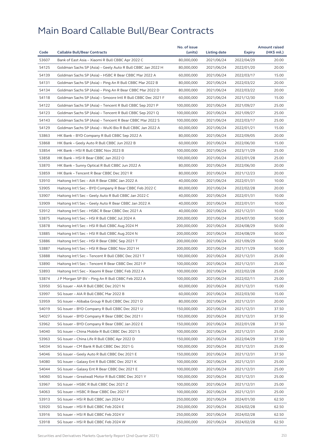|       |                                                              | No. of issue |              |               | <b>Amount raised</b> |
|-------|--------------------------------------------------------------|--------------|--------------|---------------|----------------------|
| Code  | <b>Callable Bull/Bear Contracts</b>                          | (units)      | Listing date | <b>Expiry</b> | (HK\$ mil.)          |
| 53607 | Bank of East Asia - Xiaomi R Bull CBBC Apr 2022 C            | 80,000,000   | 2021/06/24   | 2022/04/29    | 20.00                |
| 54125 | Goldman Sachs SP (Asia) - Geely Auto R Bull CBBC Jan 2022 H  | 80,000,000   | 2021/06/24   | 2022/01/20    | 20.00                |
| 54139 | Goldman Sachs SP (Asia) - HSBC R Bear CBBC Mar 2022 A        | 60,000,000   | 2021/06/24   | 2022/03/17    | 15.00                |
| 54131 | Goldman Sachs SP (Asia) - Ping An R Bull CBBC Mar 2022 B     | 80,000,000   | 2021/06/24   | 2022/03/22    | 20.00                |
| 54134 | Goldman Sachs SP (Asia) – Ping An R Bear CBBC Mar 2022 D     | 80,000,000   | 2021/06/24   | 2022/03/22    | 20.00                |
| 54118 | Goldman Sachs SP (Asia) - Smoore Intl R Bull CBBC Dec 2021 F | 60,000,000   | 2021/06/24   | 2021/12/30    | 15.00                |
| 54122 | Goldman Sachs SP (Asia) - Tencent R Bull CBBC Sep 2021 P     | 100,000,000  | 2021/06/24   | 2021/09/27    | 25.00                |
| 54123 | Goldman Sachs SP (Asia) - Tencent R Bull CBBC Sep 2021 Q     | 100,000,000  | 2021/06/24   | 2021/09/27    | 25.00                |
| 54143 | Goldman Sachs SP (Asia) – Tencent R Bear CBBC Mar 2022 S     | 100,000,000  | 2021/06/24   | 2022/03/17    | 25.00                |
| 54129 | Goldman Sachs SP (Asia) - WuXi Bio R Bull CBBC Jan 2022 A    | 60,000,000   | 2021/06/24   | 2022/01/21    | 15.00                |
| 53863 | HK Bank – BYD Company R Bull CBBC Sep 2022 A                 | 80,000,000   | 2021/06/24   | 2022/09/05    | 20.00                |
| 53868 | HK Bank - Geely Auto R Bull CBBC Jun 2022 B                  | 60,000,000   | 2021/06/24   | 2022/06/30    | 15.00                |
| 53854 | HK Bank - HSI R Bull CBBC Nov 2023 B                         | 100,000,000  | 2021/06/24   | 2023/11/29    | 25.00                |
| 53858 | HK Bank - HSI R Bear CBBC Jan 2022 O                         | 100,000,000  | 2021/06/24   | 2022/01/28    | 25.00                |
| 53870 | HK Bank - Sunny Optical R Bull CBBC Jun 2022 A               | 80,000,000   | 2021/06/24   | 2022/06/30    | 20.00                |
| 53859 | HK Bank - Tencent R Bear CBBC Dec 2021 R                     | 80,000,000   | 2021/06/24   | 2021/12/23    | 20.00                |
| 53910 | Haitong Int'l Sec - AIA R Bear CBBC Jan 2022 A               | 40,000,000   | 2021/06/24   | 2022/01/31    | 10.00                |
| 53905 | Haitong Int'l Sec - BYD Company R Bear CBBC Feb 2022 C       | 80,000,000   | 2021/06/24   | 2022/02/28    | 20.00                |
| 53907 | Haitong Int'l Sec - Geely Auto R Bull CBBC Jan 2022 C        | 40,000,000   | 2021/06/24   | 2022/01/31    | 10.00                |
| 53909 | Haitong Int'l Sec - Geely Auto R Bear CBBC Jan 2022 A        | 40,000,000   | 2021/06/24   | 2022/01/31    | 10.00                |
| 53912 | Haitong Int'l Sec - HSBC R Bear CBBC Dec 2021 A              | 40,000,000   | 2021/06/24   | 2021/12/31    | 10.00                |
| 53875 | Haitong Int'l Sec - HSI R Bull CBBC Jul 2024 A               | 200,000,000  | 2021/06/24   | 2024/07/30    | 50.00                |
| 53878 | Haitong Int'l Sec - HSI R Bull CBBC Aug 2024 M               | 200,000,000  | 2021/06/24   | 2024/08/29    | 50.00                |
| 53885 | Haitong Int'l Sec - HSI R Bull CBBC Aug 2024 N               | 200,000,000  | 2021/06/24   | 2024/08/29    | 50.00                |
| 53886 | Haitong Int'l Sec - HSI R Bear CBBC Sep 2021 T               | 200,000,000  | 2021/06/24   | 2021/09/29    | 50.00                |
| 53887 | Haitong Int'l Sec - HSI R Bear CBBC Nov 2021 H               | 200,000,000  | 2021/06/24   | 2021/11/29    | 50.00                |
| 53888 | Haitong Int'l Sec - Tencent R Bull CBBC Dec 2021 T           | 100,000,000  | 2021/06/24   | 2021/12/31    | 25.00                |
| 53890 | Haitong Int'l Sec - Tencent R Bear CBBC Dec 2021 P           | 100,000,000  | 2021/06/24   | 2021/12/31    | 25.00                |
| 53893 | Haitong Int'l Sec - Xiaomi R Bear CBBC Feb 2022 A            | 100,000,000  | 2021/06/24   | 2022/02/28    | 25.00                |
| 53874 | J P Morgan SP BV – Ping An R Bull CBBC Feb 2022 A            | 100,000,000  | 2021/06/24   | 2022/02/11    | 25.00                |
| 53950 | SG Issuer - AIA R Bull CBBC Dec 2021 N                       | 60,000,000   | 2021/06/24   | 2021/12/31    | 15.00                |
| 53997 | SG Issuer - AIA R Bull CBBC Mar 2022 B                       | 60,000,000   | 2021/06/24   | 2022/03/30    | 15.00                |
| 53959 | SG Issuer - Alibaba Group R Bull CBBC Dec 2021 D             | 80,000,000   | 2021/06/24   | 2021/12/31    | 20.00                |
| 54019 | SG Issuer - BYD Company R Bull CBBC Dec 2021 U               | 150,000,000  | 2021/06/24   | 2021/12/31    | 37.50                |
| 54027 | SG Issuer - BYD Company R Bear CBBC Dec 2021 I               | 150,000,000  | 2021/06/24   | 2021/12/31    | 37.50                |
| 53962 | SG Issuer - BYD Company R Bear CBBC Jan 2022 E               | 150,000,000  | 2021/06/24   | 2022/01/28    | 37.50                |
| 54040 | SG Issuer - China Mobile R Bull CBBC Dec 2021 S              | 100,000,000  | 2021/06/24   | 2021/12/31    | 25.00                |
| 53963 | SG Issuer - China Life R Bull CBBC Apr 2022 D                | 150,000,000  | 2021/06/24   | 2022/04/29    | 37.50                |
| 54034 | SG Issuer - CM Bank R Bull CBBC Dec 2021 G                   | 100,000,000  | 2021/06/24   | 2021/12/31    | 25.00                |
| 54046 | SG Issuer - Geely Auto R Bull CBBC Dec 2021 E                | 150,000,000  | 2021/06/24   | 2021/12/31    | 37.50                |
| 54080 | SG Issuer - Galaxy Ent R Bull CBBC Dec 2021 K                | 100,000,000  | 2021/06/24   | 2021/12/31    | 25.00                |
| 54044 | SG Issuer - Galaxy Ent R Bear CBBC Dec 2021 E                | 100,000,000  | 2021/06/24   | 2021/12/31    | 25.00                |
| 54060 | SG Issuer - Greatwall Motor R Bull CBBC Dec 2021 Y           | 100,000,000  | 2021/06/24   | 2021/12/31    | 25.00                |
| 53967 | SG Issuer – HSBC R Bull CBBC Dec 2021 Z                      | 100,000,000  | 2021/06/24   | 2021/12/31    | 25.00                |
| 54063 | SG Issuer - HSBC R Bear CBBC Dec 2021 F                      | 100,000,000  | 2021/06/24   | 2021/12/31    | 25.00                |
| 53913 | SG Issuer - HSI R Bull CBBC Jan 2024 U                       | 250,000,000  | 2021/06/24   | 2024/01/30    | 62.50                |
| 53920 | SG Issuer - HSI R Bull CBBC Feb 2024 E                       | 250,000,000  | 2021/06/24   | 2024/02/28    | 62.50                |
| 53916 | SG Issuer - HSI R Bull CBBC Feb 2024 V                       | 250,000,000  | 2021/06/24   | 2024/02/28    | 62.50                |
| 53918 | SG Issuer - HSI R Bull CBBC Feb 2024 W                       | 250,000,000  | 2021/06/24   | 2024/02/28    | 62.50                |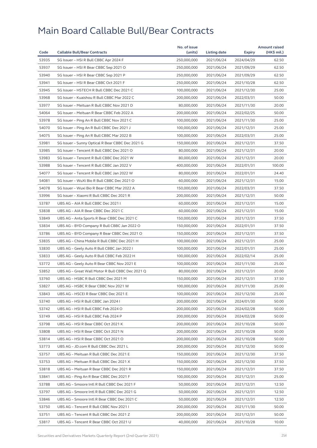|       |                                                  | No. of issue |              |            | <b>Amount raised</b> |
|-------|--------------------------------------------------|--------------|--------------|------------|----------------------|
| Code  | <b>Callable Bull/Bear Contracts</b>              | (units)      | Listing date | Expiry     | (HK\$ mil.)          |
| 53935 | SG Issuer - HSI R Bull CBBC Apr 2024 F           | 250,000,000  | 2021/06/24   | 2024/04/29 | 62.50                |
| 53937 | SG Issuer - HSI R Bear CBBC Sep 2021 O           | 250,000,000  | 2021/06/24   | 2021/09/29 | 62.50                |
| 53940 | SG Issuer - HSI R Bear CBBC Sep 2021 P           | 250,000,000  | 2021/06/24   | 2021/09/29 | 62.50                |
| 53941 | SG Issuer - HSI R Bear CBBC Oct 2021 F           | 250,000,000  | 2021/06/24   | 2021/10/28 | 62.50                |
| 53945 | SG Issuer - HSTECH R Bull CBBC Dec 2021 C        | 100,000,000  | 2021/06/24   | 2021/12/30 | 25.00                |
| 53968 | SG Issuer - Kuaishou R Bull CBBC Mar 2022 C      | 200.000.000  | 2021/06/24   | 2022/03/31 | 50.00                |
| 53977 | SG Issuer - Meituan R Bull CBBC Nov 2021 D       | 80,000,000   | 2021/06/24   | 2021/11/30 | 20.00                |
| 54064 | SG Issuer - Meituan R Bear CBBC Feb 2022 A       | 200,000,000  | 2021/06/24   | 2022/02/25 | 50.00                |
| 53978 | SG Issuer - Ping An R Bull CBBC Nov 2021 C       | 100,000,000  | 2021/06/24   | 2021/11/30 | 25.00                |
| 54070 | SG Issuer - Ping An R Bull CBBC Dec 2021 J       | 100,000,000  | 2021/06/24   | 2021/12/31 | 25.00                |
| 54075 | SG Issuer - Ping An R Bull CBBC Mar 2022 B       | 100,000,000  | 2021/06/24   | 2022/03/31 | 25.00                |
| 53981 | SG Issuer - Sunny Optical R Bear CBBC Dec 2021 G | 150,000,000  | 2021/06/24   | 2021/12/31 | 37.50                |
| 53985 | SG Issuer - Tencent R Bull CBBC Dec 2021 O       | 80,000,000   | 2021/06/24   | 2021/12/31 | 20.00                |
| 53983 | SG Issuer - Tencent R Bull CBBC Dec 2021 W       | 80,000,000   | 2021/06/24   | 2021/12/31 | 20.00                |
| 53988 | SG Issuer - Tencent R Bull CBBC Jan 2022 V       | 400,000,000  | 2021/06/24   | 2022/01/31 | 100.00               |
| 54077 | SG Issuer - Tencent R Bull CBBC Jan 2022 W       | 80,000,000   | 2021/06/24   | 2022/01/31 | 24.40                |
| 54081 | SG Issuer - WuXi Bio R Bull CBBC Dec 2021 O      | 60,000,000   | 2021/06/24   | 2021/12/31 | 15.00                |
| 54078 | SG Issuer - Wuxi Bio R Bear CBBC Mar 2022 A      | 150,000,000  | 2021/06/24   | 2022/03/31 | 37.50                |
| 53996 | SG Issuer - Xiaomi R Bull CBBC Dec 2021 R        | 200,000,000  | 2021/06/24   | 2021/12/31 | 50.00                |
| 53787 | UBS AG - AIA R Bull CBBC Dec 2021 I              | 60,000,000   | 2021/06/24   | 2021/12/31 | 15.00                |
| 53838 | UBS AG - AIA R Bear CBBC Dec 2021 C              | 60,000,000   | 2021/06/24   | 2021/12/31 | 15.00                |
| 53849 | UBS AG - Anta Sports R Bear CBBC Dec 2021 C      | 150,000,000  | 2021/06/24   | 2021/12/31 | 37.50                |
| 53834 | UBS AG - BYD Company R Bull CBBC Jan 2022 O      | 150,000,000  | 2021/06/24   | 2022/01/31 | 37.50                |
| 53786 | UBS AG – BYD Company R Bear CBBC Dec 2021 O      | 150,000,000  | 2021/06/24   | 2021/12/31 | 37.50                |
| 53835 | UBS AG - China Mobile R Bull CBBC Dec 2021 H     | 100,000,000  | 2021/06/24   | 2021/12/31 | 25.00                |
| 53830 | UBS AG - Geely Auto R Bull CBBC Jan 2022 I       | 100,000,000  | 2021/06/24   | 2022/01/31 | 25.00                |
| 53833 | UBS AG - Geely Auto R Bull CBBC Feb 2022 H       | 100,000,000  | 2021/06/24   | 2022/02/14 | 25.00                |
| 53772 | UBS AG - Geely Auto R Bear CBBC Nov 2021 E       | 100,000,000  | 2021/06/24   | 2021/11/30 | 25.00                |
| 53852 | UBS AG - Great Wall Motor R Bull CBBC Dec 2021 Q | 80,000,000   | 2021/06/24   | 2021/12/31 | 20.00                |
| 53760 | UBS AG - HSBC R Bull CBBC Dec 2021 M             | 150,000,000  | 2021/06/24   | 2021/12/31 | 37.50                |
| 53827 | UBS AG - HSBC R Bear CBBC Nov 2021 W             | 100,000,000  | 2021/06/24   | 2021/11/30 | 25.00                |
| 53843 | UBS AG - HSCEI R Bear CBBC Dec 2021 E            | 100,000,000  | 2021/06/24   | 2021/12/30 | 25.00                |
| 53740 | UBS AG - HSI R Bull CBBC Jan 2024 I              | 200,000,000  | 2021/06/24   | 2024/01/30 | 50.00                |
| 53742 | UBS AG - HSI R Bull CBBC Feb 2024 O              | 200,000,000  | 2021/06/24   | 2024/02/28 | 50.00                |
| 53749 | UBS AG - HSI R Bull CBBC Feb 2024 P              | 200,000,000  | 2021/06/24   | 2024/02/28 | 50.00                |
| 53798 | UBS AG - HSI R Bear CBBC Oct 2021 K              | 200,000,000  | 2021/06/24   | 2021/10/28 | 50.00                |
| 53808 | UBS AG - HSI R Bear CBBC Oct 2021 N              | 200,000,000  | 2021/06/24   | 2021/10/28 | 50.00                |
| 53814 | UBS AG - HSI R Bear CBBC Oct 2021 O              | 200,000,000  | 2021/06/24   | 2021/10/28 | 50.00                |
| 53773 | UBS AG - JD.com R Bull CBBC Dec 2021 L           | 200,000,000  | 2021/06/24   | 2021/12/30 | 50.00                |
| 53757 | UBS AG - Meituan R Bull CBBC Dec 2021 E          | 150,000,000  | 2021/06/24   | 2021/12/30 | 37.50                |
| 53753 | UBS AG - Meituan R Bull CBBC Dec 2021 X          | 150,000,000  | 2021/06/24   | 2021/12/30 | 37.50                |
| 53818 | UBS AG - Meituan R Bear CBBC Dec 2021 R          | 150,000,000  | 2021/06/24   | 2021/12/31 | 37.50                |
| 53841 | UBS AG - Ping An R Bear CBBC Dec 2021 F          | 100,000,000  | 2021/06/24   | 2021/12/31 | 25.00                |
| 53788 | UBS AG - Smoore Intl R Bull CBBC Dec 2021 F      | 50,000,000   | 2021/06/24   | 2021/12/31 | 12.50                |
| 53797 | UBS AG - Smoore Intl R Bull CBBC Dec 2021 G      | 50,000,000   | 2021/06/24   | 2021/12/31 | 12.50                |
| 53846 | UBS AG - Smoore Intl R Bear CBBC Dec 2021 C      | 50,000,000   | 2021/06/24   | 2021/12/31 | 12.50                |
| 53750 | UBS AG - Tencent R Bull CBBC Nov 2021 I          | 200,000,000  | 2021/06/24   | 2021/11/30 | 50.00                |
| 53751 | UBS AG - Tencent R Bull CBBC Dec 2021 Z          | 200,000,000  | 2021/06/24   | 2021/12/31 | 50.00                |
| 53817 | UBS AG - Tencent R Bear CBBC Oct 2021 U          | 40,000,000   | 2021/06/24   | 2021/10/28 | 10.00                |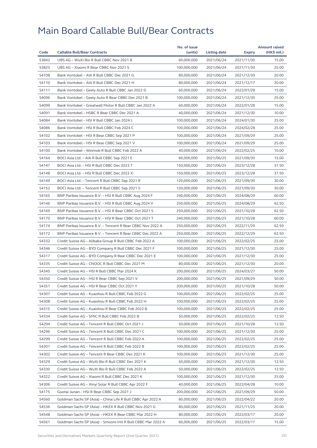|       |                                                              | No. of issue |              |               | <b>Amount raised</b> |
|-------|--------------------------------------------------------------|--------------|--------------|---------------|----------------------|
| Code  | <b>Callable Bull/Bear Contracts</b>                          | (units)      | Listing date | <b>Expiry</b> | (HK\$ mil.)          |
| 53842 | UBS AG - WuXi Bio R Bull CBBC Nov 2021 B                     | 60,000,000   | 2021/06/24   | 2021/11/30    | 15.00                |
| 53825 | UBS AG - Xiaomi R Bear CBBC Nov 2021 S                       | 100,000,000  | 2021/06/24   | 2021/11/30    | 25.00                |
| 54108 | Bank Vontobel - AIA R Bull CBBC Dec 2021 G                   | 80,000,000   | 2021/06/24   | 2021/12/30    | 20.00                |
| 54110 | Bank Vontobel - AIA R Bull CBBC Dec 2021 H                   | 80,000,000   | 2021/06/24   | 2021/12/17    | 20.00                |
| 54111 | Bank Vontobel - Geely Auto R Bull CBBC Jan 2022 D            | 60,000,000   | 2021/06/24   | 2022/01/28    | 15.00                |
| 54096 | Bank Vontobel - Geely Auto R Bear CBBC Dec 2021 B            | 100,000,000  | 2021/06/24   | 2021/12/30    | 25.00                |
| 54099 | Bank Vontobel - Greatwall Motor R Bull CBBC Jan 2022 A       | 60,000,000   | 2021/06/24   | 2022/01/28    | 15.00                |
| 54091 | Bank Vontobel - HSBC R Bear CBBC Dec 2021 A                  | 40,000,000   | 2021/06/24   | 2021/12/30    | 10.00                |
| 54084 | Bank Vontobel - HSI R Bull CBBC Jan 2024 L                   | 100,000,000  | 2021/06/24   | 2024/01/30    | 25.00                |
| 54086 | Bank Vontobel - HSI R Bull CBBC Feb 2024 C                   | 100,000,000  | 2021/06/24   | 2024/02/28    | 25.00                |
| 54102 | Bank Vontobel - HSI R Bear CBBC Sep 2021 P                   | 100,000,000  | 2021/06/24   | 2021/09/29    | 25.00                |
| 54103 | Bank Vontobel - HSI R Bear CBBC Sep 2021 V                   | 100,000,000  | 2021/06/24   | 2021/09/29    | 25.00                |
| 54100 | Bank Vontobel - Weimob R Bull CBBC Feb 2022 A                | 40,000,000   | 2021/06/24   | 2022/02/25    | 10.00                |
| 54164 | BOCI Asia Ltd. - AIA R Bull CBBC Sep 2021 E                  | 60,000,000   | 2021/06/25   | 2021/09/30    | 15.00                |
| 54147 | BOCI Asia Ltd. - HSI R Bull CBBC Dec 2023 T                  | 150,000,000  | 2021/06/25   | 2023/12/28    | 37.50                |
| 54148 | BOCI Asia Ltd. - HSI R Bull CBBC Dec 2023 X                  | 150,000,000  | 2021/06/25   | 2023/12/28    | 37.50                |
| 54149 | BOCI Asia Ltd. - Tencent R Bull CBBC Sep 2021 R              | 120,000,000  | 2021/06/25   | 2021/09/30    | 30.00                |
| 54152 | BOCI Asia Ltd. - Tencent R Bull CBBC Sep 2021 S              | 120,000,000  | 2021/06/25   | 2021/09/30    | 30.00                |
| 54165 | BNP Paribas Issuance B.V. - HSI R Bull CBBC Aug 2024 F       | 240,000,000  | 2021/06/25   | 2024/08/29    | 60.00                |
| 54146 | BNP Paribas Issuance B.V. - HSI R Bull CBBC Aug 2024 V       | 250,000,000  | 2021/06/25   | 2024/08/29    | 62.50                |
| 54169 | BNP Paribas Issuance B.V. - HSI R Bear CBBC Oct 2021 S       | 250,000,000  | 2021/06/25   | 2021/10/28    | 62.50                |
| 54170 | BNP Paribas Issuance B.V. - HSI R Bear CBBC Oct 2021 T       | 240,000,000  | 2021/06/25   | 2021/10/28    | 60.00                |
| 54174 | BNP Paribas Issuance B.V. - Tencent R Bear CBBC Nov 2022 A   | 250,000,000  | 2021/06/25   | 2022/11/29    | 62.50                |
| 54172 | BNP Paribas Issuance B.V. – Tencent R Bear CBBC Dec 2022 A   | 250,000,000  | 2021/06/25   | 2022/12/29    | 62.50                |
| 54332 | Credit Suisse AG - Alibaba Group R Bull CBBC Feb 2022 A      | 100,000,000  | 2021/06/25   | 2022/02/25    | 25.00                |
| 54346 | Credit Suisse AG - BYD Company R Bull CBBC Dec 2021 F        | 100,000,000  | 2021/06/25   | 2021/12/30    | 25.00                |
| 54317 | Credit Suisse AG - BYD Company R Bear CBBC Dec 2021 E        | 100,000,000  | 2021/06/25   | 2021/12/30    | 25.00                |
| 54335 | Credit Suisse AG - CNOOC R Bull CBBC Dec 2021 M              | 80,000,000   | 2021/06/25   | 2021/12/30    | 20.00                |
| 54345 | Credit Suisse AG - HSI R Bull CBBC Mar 2024 K                | 200,000,000  | 2021/06/25   | 2024/03/27    | 50.00                |
| 54350 | Credit Suisse AG - HSI R Bear CBBC Sep 2021 V                | 200,000,000  | 2021/06/25   | 2021/09/29    | 50.00                |
| 54351 | Credit Suisse AG - HSI R Bear CBBC Oct 2021 Y                | 200,000,000  | 2021/06/25   | 2021/10/28    | 50.00                |
| 54307 | Credit Suisse AG - Kuaishou R Bull CBBC Feb 2022 G           | 100,000,000  | 2021/06/25   | 2022/02/25    | 25.00                |
| 54308 | Credit Suisse AG - Kuaishou R Bull CBBC Feb 2022 H           | 100,000,000  | 2021/06/25   | 2022/02/25    | 25.00                |
| 54315 | Credit Suisse AG - Kuaishou R Bear CBBC Feb 2022 B           | 100,000,000  | 2021/06/25   | 2022/02/25    | 25.00                |
| 54334 | Credit Suisse AG - SMIC R Bull CBBC Feb 2022 B               | 50,000,000   | 2021/06/25   | 2022/02/25    | 12.50                |
| 54294 | Credit Suisse AG - Tencent R Bull CBBC Oct 2021 J            | 50,000,000   | 2021/06/25   | 2021/10/28    | 12.50                |
| 54296 | Credit Suisse AG - Tencent R Bull CBBC Dec 2021 C            | 100,000,000  | 2021/06/25   | 2021/12/30    | 25.00                |
| 54299 | Credit Suisse AG - Tencent R Bull CBBC Feb 2022 A            | 100,000,000  | 2021/06/25   | 2022/02/25    | 25.00                |
| 54301 | Credit Suisse AG - Tencent R Bull CBBC Feb 2022 B            | 100,000,000  | 2021/06/25   | 2022/02/25    | 25.00                |
| 54302 | Credit Suisse AG - Tencent R Bear CBBC Dec 2021 K            | 100,000,000  | 2021/06/25   | 2021/12/30    | 25.00                |
| 54329 | Credit Suisse AG - WuXi Bio R Bull CBBC Dec 2021 K           | 50,000,000   | 2021/06/25   | 2021/12/30    | 12.50                |
| 54330 | Credit Suisse AG - WuXi Bio R Bull CBBC Feb 2022 A           | 50,000,000   | 2021/06/25   | 2022/02/25    | 12.50                |
| 54322 | Credit Suisse AG - Xiaomi R Bull CBBC Dec 2021 K             | 100,000,000  | 2021/06/25   | 2021/12/30    | 25.00                |
| 54306 | Credit Suisse AG - Xinyi Solar R Bull CBBC Apr 2022 F        | 40,000,000   | 2021/06/25   | 2022/04/28    | 10.00                |
| 54175 | Guotai Junan - HSI R Bear CBBC Sep 2021 J                    | 200,000,000  | 2021/06/25   | 2021/09/29    | 50.00                |
| 54560 | Goldman Sachs SP (Asia) - China Life R Bull CBBC Apr 2022 A  | 80,000,000   | 2021/06/25   | 2022/04/22    | 20.00                |
| 54536 | Goldman Sachs SP (Asia) - HKEX R Bull CBBC Nov 2021 G        | 80,000,000   | 2021/06/25   | 2021/11/25    | 20.00                |
| 54548 | Goldman Sachs SP (Asia) - HKEX R Bear CBBC Mar 2022 H        | 80,000,000   | 2021/06/25   | 2022/03/17    | 20.00                |
| 54561 | Goldman Sachs SP (Asia) - Smoore Intl R Bull CBBC Mar 2022 A | 60,000,000   | 2021/06/25   | 2022/03/17    | 15.00                |
|       |                                                              |              |              |               |                      |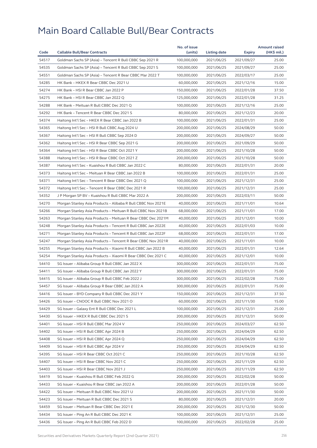|       |                                                              | No. of issue |              |            | <b>Amount raised</b> |
|-------|--------------------------------------------------------------|--------------|--------------|------------|----------------------|
| Code  | <b>Callable Bull/Bear Contracts</b>                          | (units)      | Listing date | Expiry     | (HK\$ mil.)          |
| 54517 | Goldman Sachs SP (Asia) - Tencent R Bull CBBC Sep 2021 R     | 100,000,000  | 2021/06/25   | 2021/09/27 | 25.00                |
| 54535 | Goldman Sachs SP (Asia) - Tencent R Bull CBBC Sep 2021 S     | 100,000,000  | 2021/06/25   | 2021/09/27 | 25.00                |
| 54551 | Goldman Sachs SP (Asia) - Tencent R Bear CBBC Mar 2022 T     | 100,000,000  | 2021/06/25   | 2022/03/17 | 25.00                |
| 54285 | HK Bank - HKEX R Bear CBBC Dec 2021 U                        | 60,000,000   | 2021/06/25   | 2021/12/16 | 15.00                |
| 54274 | HK Bank - HSI R Bear CBBC Jan 2022 P                         | 150,000,000  | 2021/06/25   | 2022/01/28 | 37.50                |
| 54275 | HK Bank - HSI R Bear CBBC Jan 2022 Q                         | 125,000,000  | 2021/06/25   | 2022/01/28 | 31.25                |
| 54288 | HK Bank - Meituan R Bull CBBC Dec 2021 Q                     | 100,000,000  | 2021/06/25   | 2021/12/16 | 25.00                |
| 54292 | HK Bank - Tencent R Bear CBBC Dec 2021 S                     | 80,000,000   | 2021/06/25   | 2021/12/23 | 20.00                |
| 54374 | Haitong Int'l Sec - HKEX R Bear CBBC Jan 2022 B              | 100,000,000  | 2021/06/25   | 2022/01/31 | 25.00                |
| 54365 | Haitong Int'l Sec - HSI R Bull CBBC Aug 2024 U               | 200,000,000  | 2021/06/25   | 2024/08/29 | 50.00                |
| 54367 | Haitong Int'l Sec - HSI R Bull CBBC Sep 2024 D               | 200,000,000  | 2021/06/25   | 2024/09/27 | 50.00                |
| 54362 | Haitong Int'l Sec - HSI R Bear CBBC Sep 2021 G               | 200,000,000  | 2021/06/25   | 2021/09/29 | 50.00                |
| 54364 | Haitong Int'l Sec - HSI R Bear CBBC Oct 2021 Y               | 200,000,000  | 2021/06/25   | 2021/10/28 | 50.00                |
| 54388 | Haitong Int'l Sec - HSI R Bear CBBC Oct 2021 Z               | 200,000,000  | 2021/06/25   | 2021/10/28 | 50.00                |
| 54387 | Haitong Int'l Sec - Kuaishou R Bull CBBC Jan 2022 C          | 80,000,000   | 2021/06/25   | 2022/01/31 | 20.00                |
| 54373 | Haitong Int'l Sec – Meituan R Bear CBBC Jan 2022 B           | 100,000,000  | 2021/06/25   | 2022/01/31 | 25.00                |
| 54371 | Haitong Int'l Sec - Tencent R Bear CBBC Dec 2021 Q           | 100,000,000  | 2021/06/25   | 2021/12/31 | 25.00                |
| 54372 | Haitong Int'l Sec – Tencent R Bear CBBC Dec 2021 R           | 100,000,000  | 2021/06/25   | 2021/12/31 | 25.00                |
| 54352 | J P Morgan SP BV - Kuaishou R Bull CBBC Mar 2022 A           | 200,000,000  | 2021/06/25   | 2022/03/11 | 50.00                |
| 54270 | Morgan Stanley Asia Products – Alibaba R Bull CBBC Nov 2021E | 40,000,000   | 2021/06/25   | 2021/11/01 | 10.64                |
| 54266 | Morgan Stanley Asia Products - Meituan R Bull CBBC Nov 2021B | 68,000,000   | 2021/06/25   | 2021/11/01 | 17.00                |
| 54263 | Morgan Stanley Asia Products - Meituan R Bear CBBC Dec 2021M | 40,000,000   | 2021/06/25   | 2021/12/01 | 10.00                |
| 54248 | Morgan Stanley Asia Products – Tencent R Bull CBBC Jan 2022E | 40,000,000   | 2021/06/25   | 2022/01/03 | 10.00                |
| 54271 | Morgan Stanley Asia Products - Tencent R Bull CBBC Jan 2022F | 68,000,000   | 2021/06/25   | 2022/01/31 | 17.00                |
| 54247 | Morgan Stanley Asia Products - Tencent R Bear CBBC Nov 2021R | 40,000,000   | 2021/06/25   | 2021/11/01 | 10.00                |
| 54255 | Morgan Stanley Asia Products - Xiaomi R Bull CBBC Jan 2022 B | 40,000,000   | 2021/06/25   | 2022/01/31 | 12.64                |
| 54254 | Morgan Stanley Asia Products - Xiaomi R Bear CBBC Dec 2021 C | 40,000,000   | 2021/06/25   | 2021/12/01 | 10.00                |
| 54410 | SG Issuer - Alibaba Group R Bull CBBC Jan 2022 X             | 300,000,000  | 2021/06/25   | 2022/01/31 | 75.00                |
| 54411 | SG Issuer - Alibaba Group R Bull CBBC Jan 2022 Y             | 300,000,000  | 2021/06/25   | 2022/01/31 | 75.00                |
| 54415 | SG Issuer - Alibaba Group R Bull CBBC Feb 2022 J             | 300,000,000  | 2021/06/25   | 2022/02/28 | 75.00                |
| 54457 | SG Issuer - Alibaba Group R Bear CBBC Jan 2022 A             | 300,000,000  | 2021/06/25   | 2022/01/31 | 75.00                |
| 54416 | SG Issuer - BYD Company R Bull CBBC Dec 2021 Y               | 150,000,000  | 2021/06/25   | 2021/12/31 | 37.50                |
| 54426 | SG Issuer - CNOOC R Bull CBBC Nov 2021 O                     | 60,000,000   | 2021/06/25   | 2021/11/30 | 15.00                |
| 54429 | SG Issuer - Galaxy Ent R Bull CBBC Dec 2021 L                | 100,000,000  | 2021/06/25   | 2021/12/31 | 25.00                |
| 54430 | SG Issuer - HKEX R Bull CBBC Dec 2021 S                      | 200,000,000  | 2021/06/25   | 2021/12/31 | 50.00                |
| 54401 | SG Issuer - HSI R Bull CBBC Mar 2024 V                       | 250,000,000  | 2021/06/25   | 2024/03/27 | 62.50                |
| 54402 | SG Issuer - HSI R Bull CBBC Apr 2024 B                       | 250,000,000  | 2021/06/25   | 2024/04/29 | 62.50                |
| 54408 | SG Issuer – HSI R Bull CBBC Apr 2024 Q                       | 250,000,000  | 2021/06/25   | 2024/04/29 | 62.50                |
| 54409 | SG Issuer - HSI R Bull CBBC Apr 2024 V                       | 250,000,000  | 2021/06/25   | 2024/04/29 | 62.50                |
| 54395 | SG Issuer - HSI R Bear CBBC Oct 2021 C                       | 250,000,000  | 2021/06/25   | 2021/10/28 | 62.50                |
| 54407 | SG Issuer - HSI R Bear CBBC Nov 2021 C                       | 250,000,000  | 2021/06/25   | 2021/11/29 | 62.50                |
| 54403 | SG Issuer - HSI R Bear CBBC Nov 2021 J                       | 250,000,000  | 2021/06/25   | 2021/11/29 | 62.50                |
| 54419 | SG Issuer - Kuaishou R Bull CBBC Feb 2022 G                  | 200,000,000  | 2021/06/25   | 2022/02/28 | 50.00                |
| 54433 | SG Issuer - Kuaishou R Bear CBBC Jan 2022 A                  | 200,000,000  | 2021/06/25   | 2022/01/28 | 50.00                |
| 54422 | SG Issuer - Meituan R Bull CBBC Nov 2021 U                   | 200,000,000  | 2021/06/25   | 2021/11/30 | 50.00                |
| 54423 | SG Issuer - Meituan R Bull CBBC Dec 2021 S                   | 80,000,000   | 2021/06/25   | 2021/12/31 | 20.00                |
| 54459 | SG Issuer - Meituan R Bear CBBC Dec 2021 E                   | 200,000,000  | 2021/06/25   | 2021/12/30 | 50.00                |
| 54434 | SG Issuer - Ping An R Bull CBBC Dec 2021 K                   | 100,000,000  | 2021/06/25   | 2021/12/31 | 25.00                |
| 54436 | SG Issuer – Ping An R Bull CBBC Feb 2022 D                   | 100,000,000  | 2021/06/25   | 2022/02/28 | 25.00                |
|       |                                                              |              |              |            |                      |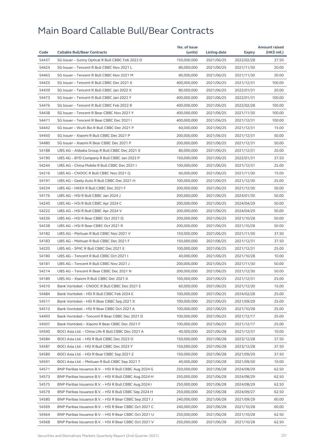| 54437<br>150,000,000<br>2021/06/25<br>2022/02/28<br>37.50<br>SG Issuer - Sunny Optical R Bull CBBC Feb 2022 D<br>54424<br>SG Issuer - Tencent R Bull CBBC Nov 2021 L<br>80,000,000<br>2021/06/25<br>2021/11/30<br>20.00<br>54463<br>SG Issuer - Tencent R Bull CBBC Nov 2021 M<br>80,000,000<br>2021/06/25<br>2021/11/30<br>20.00<br>54425<br>SG Issuer - Tencent R Bull CBBC Dec 2021 X<br>400,000,000<br>100.00<br>2021/06/25<br>2021/12/31<br>54439<br>SG Issuer - Tencent R Bull CBBC Jan 2022 X<br>80,000,000<br>2021/06/25<br>2022/01/31<br>20.00<br>54473<br>100.00<br>SG Issuer - Tencent R Bull CBBC Jan 2022 Y<br>400,000,000<br>2021/06/25<br>2022/01/31<br>54476<br>SG Issuer - Tencent R Bull CBBC Feb 2022 R<br>400,000,000<br>2021/06/25<br>2022/02/28<br>100.00<br>54438<br>SG Issuer - Tencent R Bear CBBC Nov 2021 Y<br>400,000,000<br>2021/06/25<br>2021/11/30<br>100.00<br>54471<br>SG Issuer - Tencent R Bear CBBC Dec 2021 I<br>400,000,000<br>100.00<br>2021/06/25<br>2021/12/31<br>54442<br>SG Issuer - WuXi Bio R Bull CBBC Dec 2021 P<br>60,000,000<br>2021/06/25<br>2021/12/31<br>15.00<br>54450<br>SG Issuer - Xiaomi R Bull CBBC Dec 2021 P<br>200,000,000<br>2021/06/25<br>50.00<br>2021/12/31<br>54480<br>50.00<br>SG Issuer - Xiaomi R Bear CBBC Dec 2021 P<br>200,000,000<br>2021/06/25<br>2021/12/31<br>54188<br>UBS AG - Alibaba Group R Bull CBBC Dec 2021 X<br>80,000,000<br>2021/12/31<br>20.00<br>2021/06/25<br>54190<br>UBS AG - BYD Company R Bull CBBC Jan 2022 P<br>150,000,000<br>2021/06/25<br>2022/01/31<br>37.50<br>54244<br>UBS AG - China Mobile R Bull CBBC Dec 2021 I<br>100,000,000<br>25.00<br>2021/06/25<br>2021/12/31<br>54216<br>UBS AG - CNOOC R Bull CBBC Nov 2021 Q<br>60,000,000<br>2021/06/25<br>2021/11/30<br>15.00<br>54191<br>25.00<br>UBS AG - Geely Auto R Bull CBBC Dec 2021 H<br>100,000,000<br>2021/06/25<br>2021/12/30<br>54234<br>UBS AG - HKEX R Bull CBBC Dec 2021 F<br>200,000,000<br>2021/06/25<br>50.00<br>2021/12/30<br>54176<br>UBS AG - HSI R Bull CBBC Jan 2024 J<br>200,000,000<br>2021/06/25<br>2024/01/30<br>50.00<br>54240<br>UBS AG - HSI R Bull CBBC Apr 2024 C<br>200,000,000<br>2021/06/25<br>2024/04/29<br>50.00<br>54222<br>UBS AG - HSI R Bull CBBC Apr 2024 V<br>200,000,000<br>2021/06/25<br>2024/04/29<br>50.00<br>54236<br>UBS AG - HSI R Bear CBBC Oct 2021 Q<br>200,000,000<br>2021/06/25<br>2021/10/28<br>50.00<br>54238<br>UBS AG - HSI R Bear CBBC Oct 2021 R<br>200,000,000<br>2021/06/25<br>2021/10/28<br>50.00<br>54182<br>UBS AG - Meituan R Bull CBBC Nov 2021 V<br>37.50<br>150,000,000<br>2021/06/25<br>2021/11/30<br>54183<br>UBS AG - Meituan R Bull CBBC Dec 2021 F<br>150,000,000<br>2021/06/25<br>2021/12/31<br>37.50<br>54220<br>UBS AG - SMIC R Bull CBBC Dec 2021 E<br>100,000,000<br>2021/06/25<br>2021/12/31<br>25.00<br>54180<br>UBS AG - Tencent R Bull CBBC Oct 2021 I<br>40,000,000<br>2021/06/25<br>2021/10/28<br>10.00<br>54181<br>UBS AG - Tencent R Bull CBBC Nov 2021 J<br>200,000,000<br>2021/06/25<br>2021/11/30<br>50.00<br>54214<br>UBS AG - Tencent R Bear CBBC Dec 2021 N<br>200,000,000<br>2021/06/25<br>50.00<br>2021/12/30<br>25.00<br>54189<br>UBS AG - Xiaomi R Bull CBBC Dec 2021 X<br>100,000,000<br>2021/06/25<br>2021/12/31<br>54510<br>Bank Vontobel - CNOOC R Bull CBBC Dec 2021 E<br>60,000,000<br>2021/06/25<br>2021/12/30<br>15.00<br>54484<br>Bank Vontobel - HSI R Bull CBBC Feb 2024 E<br>100,000,000<br>2021/06/25<br>2024/02/28<br>25.00<br>54511<br>100,000,000<br>25.00<br>Bank Vontobel - HSI R Bear CBBC Sep 2021 X<br>2021/06/25<br>2021/09/29<br>54512<br>Bank Vontobel - HSI R Bear CBBC Oct 2021 A<br>100,000,000<br>2021/06/25<br>2021/10/28<br>25.00<br>54493<br>Bank Vontobel - Tencent R Bear CBBC Dec 2021 D<br>100,000,000<br>2021/06/25<br>25.00<br>2021/12/17<br>54507<br>Bank Vontobel - Xiaomi R Bear CBBC Dec 2021 F<br>100,000,000<br>2021/06/25<br>2021/12/17<br>25.00<br>54590<br>BOCI Asia Ltd. - China Life R Bull CBBC Dec 2021 A<br>40,000,000<br>2021/06/28<br>2021/12/31<br>10.00<br>54584<br>150,000,000<br>2021/06/28<br>37.50<br>BOCI Asia Ltd. – HSI R Bull CBBC Dec 2023 O<br>2023/12/28<br>54587<br>150,000,000<br>2021/06/28<br>2023/12/28<br>37.50<br>BOCI Asia Ltd. – HSI R Bull CBBC Dec 2023 Y<br>54589<br>BOCI Asia Ltd. - HSI R Bear CBBC Sep 2021 Z<br>150,000,000<br>2021/06/28<br>2021/09/29<br>37.50<br>54591<br>BOCI Asia Ltd. - Meituan R Bull CBBC Sep 2021 T<br>40,000,000<br>2021/06/28<br>2021/09/30<br>10.00<br>54571<br>BNP Paribas Issuance B.V. - HSI R Bull CBBC Aug 2024 G<br>250,000,000<br>2021/06/28<br>2024/08/29<br>62.50<br>54573<br>BNP Paribas Issuance B.V. - HSI R Bull CBBC Aug 2024 H<br>250,000,000<br>2021/06/28<br>2024/08/29<br>62.50<br>54575<br>BNP Paribas Issuance B.V. - HSI R Bull CBBC Aug 2024 I<br>250,000,000<br>62.50<br>2021/06/28<br>2024/08/29<br>54579<br>BNP Paribas Issuance B.V. - HSI R Bull CBBC Sep 2024 H<br>250,000,000<br>2021/06/28<br>2024/09/27<br>62.50<br>54580<br>BNP Paribas Issuance B.V. - HSI R Bear CBBC Sep 2021 J<br>240,000,000<br>2021/06/28<br>60.00<br>2021/09/29<br>54569<br>BNP Paribas Issuance B.V. - HSI R Bear CBBC Oct 2021 C<br>240,000,000<br>2021/06/28<br>2021/10/28<br>60.00<br>54564<br>BNP Paribas Issuance B.V. - HSI R Bear CBBC Oct 2021 U<br>250,000,000<br>2021/06/28<br>2021/10/28<br>62.50<br>54568<br>250,000,000<br>62.50<br>BNP Paribas Issuance B.V. – HSI R Bear CBBC Oct 2021 V<br>2021/06/28<br>2021/10/28 |      |                                     | No. of issue |              |               | <b>Amount raised</b> |
|-----------------------------------------------------------------------------------------------------------------------------------------------------------------------------------------------------------------------------------------------------------------------------------------------------------------------------------------------------------------------------------------------------------------------------------------------------------------------------------------------------------------------------------------------------------------------------------------------------------------------------------------------------------------------------------------------------------------------------------------------------------------------------------------------------------------------------------------------------------------------------------------------------------------------------------------------------------------------------------------------------------------------------------------------------------------------------------------------------------------------------------------------------------------------------------------------------------------------------------------------------------------------------------------------------------------------------------------------------------------------------------------------------------------------------------------------------------------------------------------------------------------------------------------------------------------------------------------------------------------------------------------------------------------------------------------------------------------------------------------------------------------------------------------------------------------------------------------------------------------------------------------------------------------------------------------------------------------------------------------------------------------------------------------------------------------------------------------------------------------------------------------------------------------------------------------------------------------------------------------------------------------------------------------------------------------------------------------------------------------------------------------------------------------------------------------------------------------------------------------------------------------------------------------------------------------------------------------------------------------------------------------------------------------------------------------------------------------------------------------------------------------------------------------------------------------------------------------------------------------------------------------------------------------------------------------------------------------------------------------------------------------------------------------------------------------------------------------------------------------------------------------------------------------------------------------------------------------------------------------------------------------------------------------------------------------------------------------------------------------------------------------------------------------------------------------------------------------------------------------------------------------------------------------------------------------------------------------------------------------------------------------------------------------------------------------------------------------------------------------------------------------------------------------------------------------------------------------------------------------------------------------------------------------------------------------------------------------------------------------------------------------------------------------------------------------------------------------------------------------------------------------------------------------------------------------------------------------------------------------------------------------------------------------------------------------------------------------------------------------------------------------------------------------------------------------------------------------------------------------------------------------------------------------------------------------------------------------------------------------------------------------------------------------------------------------------------------------------------------------------------------------------------------------------------------------------------------------------------------------------------------------------------------------------------------------------------------------------------------------------------------------------------------------------------------------------------------------------------------------------------------------------------------------------------------------------------------------------------------------------------------------------------------------------------------------------------------------------------------------------------------------------------------------------------------------------------------------------------------------------------------------|------|-------------------------------------|--------------|--------------|---------------|----------------------|
|                                                                                                                                                                                                                                                                                                                                                                                                                                                                                                                                                                                                                                                                                                                                                                                                                                                                                                                                                                                                                                                                                                                                                                                                                                                                                                                                                                                                                                                                                                                                                                                                                                                                                                                                                                                                                                                                                                                                                                                                                                                                                                                                                                                                                                                                                                                                                                                                                                                                                                                                                                                                                                                                                                                                                                                                                                                                                                                                                                                                                                                                                                                                                                                                                                                                                                                                                                                                                                                                                                                                                                                                                                                                                                                                                                                                                                                                                                                                                                                                                                                                                                                                                                                                                                                                                                                                                                                                                                                                                                                                                                                                                                                                                                                                                                                                                                                                                                                                                                                                                                                                                                                                                                                                                                                                                                                                                                                                                                                                                                                 | Code | <b>Callable Bull/Bear Contracts</b> | (units)      | Listing date | <b>Expiry</b> | (HK\$ mil.)          |
|                                                                                                                                                                                                                                                                                                                                                                                                                                                                                                                                                                                                                                                                                                                                                                                                                                                                                                                                                                                                                                                                                                                                                                                                                                                                                                                                                                                                                                                                                                                                                                                                                                                                                                                                                                                                                                                                                                                                                                                                                                                                                                                                                                                                                                                                                                                                                                                                                                                                                                                                                                                                                                                                                                                                                                                                                                                                                                                                                                                                                                                                                                                                                                                                                                                                                                                                                                                                                                                                                                                                                                                                                                                                                                                                                                                                                                                                                                                                                                                                                                                                                                                                                                                                                                                                                                                                                                                                                                                                                                                                                                                                                                                                                                                                                                                                                                                                                                                                                                                                                                                                                                                                                                                                                                                                                                                                                                                                                                                                                                                 |      |                                     |              |              |               |                      |
|                                                                                                                                                                                                                                                                                                                                                                                                                                                                                                                                                                                                                                                                                                                                                                                                                                                                                                                                                                                                                                                                                                                                                                                                                                                                                                                                                                                                                                                                                                                                                                                                                                                                                                                                                                                                                                                                                                                                                                                                                                                                                                                                                                                                                                                                                                                                                                                                                                                                                                                                                                                                                                                                                                                                                                                                                                                                                                                                                                                                                                                                                                                                                                                                                                                                                                                                                                                                                                                                                                                                                                                                                                                                                                                                                                                                                                                                                                                                                                                                                                                                                                                                                                                                                                                                                                                                                                                                                                                                                                                                                                                                                                                                                                                                                                                                                                                                                                                                                                                                                                                                                                                                                                                                                                                                                                                                                                                                                                                                                                                 |      |                                     |              |              |               |                      |
|                                                                                                                                                                                                                                                                                                                                                                                                                                                                                                                                                                                                                                                                                                                                                                                                                                                                                                                                                                                                                                                                                                                                                                                                                                                                                                                                                                                                                                                                                                                                                                                                                                                                                                                                                                                                                                                                                                                                                                                                                                                                                                                                                                                                                                                                                                                                                                                                                                                                                                                                                                                                                                                                                                                                                                                                                                                                                                                                                                                                                                                                                                                                                                                                                                                                                                                                                                                                                                                                                                                                                                                                                                                                                                                                                                                                                                                                                                                                                                                                                                                                                                                                                                                                                                                                                                                                                                                                                                                                                                                                                                                                                                                                                                                                                                                                                                                                                                                                                                                                                                                                                                                                                                                                                                                                                                                                                                                                                                                                                                                 |      |                                     |              |              |               |                      |
|                                                                                                                                                                                                                                                                                                                                                                                                                                                                                                                                                                                                                                                                                                                                                                                                                                                                                                                                                                                                                                                                                                                                                                                                                                                                                                                                                                                                                                                                                                                                                                                                                                                                                                                                                                                                                                                                                                                                                                                                                                                                                                                                                                                                                                                                                                                                                                                                                                                                                                                                                                                                                                                                                                                                                                                                                                                                                                                                                                                                                                                                                                                                                                                                                                                                                                                                                                                                                                                                                                                                                                                                                                                                                                                                                                                                                                                                                                                                                                                                                                                                                                                                                                                                                                                                                                                                                                                                                                                                                                                                                                                                                                                                                                                                                                                                                                                                                                                                                                                                                                                                                                                                                                                                                                                                                                                                                                                                                                                                                                                 |      |                                     |              |              |               |                      |
|                                                                                                                                                                                                                                                                                                                                                                                                                                                                                                                                                                                                                                                                                                                                                                                                                                                                                                                                                                                                                                                                                                                                                                                                                                                                                                                                                                                                                                                                                                                                                                                                                                                                                                                                                                                                                                                                                                                                                                                                                                                                                                                                                                                                                                                                                                                                                                                                                                                                                                                                                                                                                                                                                                                                                                                                                                                                                                                                                                                                                                                                                                                                                                                                                                                                                                                                                                                                                                                                                                                                                                                                                                                                                                                                                                                                                                                                                                                                                                                                                                                                                                                                                                                                                                                                                                                                                                                                                                                                                                                                                                                                                                                                                                                                                                                                                                                                                                                                                                                                                                                                                                                                                                                                                                                                                                                                                                                                                                                                                                                 |      |                                     |              |              |               |                      |
|                                                                                                                                                                                                                                                                                                                                                                                                                                                                                                                                                                                                                                                                                                                                                                                                                                                                                                                                                                                                                                                                                                                                                                                                                                                                                                                                                                                                                                                                                                                                                                                                                                                                                                                                                                                                                                                                                                                                                                                                                                                                                                                                                                                                                                                                                                                                                                                                                                                                                                                                                                                                                                                                                                                                                                                                                                                                                                                                                                                                                                                                                                                                                                                                                                                                                                                                                                                                                                                                                                                                                                                                                                                                                                                                                                                                                                                                                                                                                                                                                                                                                                                                                                                                                                                                                                                                                                                                                                                                                                                                                                                                                                                                                                                                                                                                                                                                                                                                                                                                                                                                                                                                                                                                                                                                                                                                                                                                                                                                                                                 |      |                                     |              |              |               |                      |
|                                                                                                                                                                                                                                                                                                                                                                                                                                                                                                                                                                                                                                                                                                                                                                                                                                                                                                                                                                                                                                                                                                                                                                                                                                                                                                                                                                                                                                                                                                                                                                                                                                                                                                                                                                                                                                                                                                                                                                                                                                                                                                                                                                                                                                                                                                                                                                                                                                                                                                                                                                                                                                                                                                                                                                                                                                                                                                                                                                                                                                                                                                                                                                                                                                                                                                                                                                                                                                                                                                                                                                                                                                                                                                                                                                                                                                                                                                                                                                                                                                                                                                                                                                                                                                                                                                                                                                                                                                                                                                                                                                                                                                                                                                                                                                                                                                                                                                                                                                                                                                                                                                                                                                                                                                                                                                                                                                                                                                                                                                                 |      |                                     |              |              |               |                      |
|                                                                                                                                                                                                                                                                                                                                                                                                                                                                                                                                                                                                                                                                                                                                                                                                                                                                                                                                                                                                                                                                                                                                                                                                                                                                                                                                                                                                                                                                                                                                                                                                                                                                                                                                                                                                                                                                                                                                                                                                                                                                                                                                                                                                                                                                                                                                                                                                                                                                                                                                                                                                                                                                                                                                                                                                                                                                                                                                                                                                                                                                                                                                                                                                                                                                                                                                                                                                                                                                                                                                                                                                                                                                                                                                                                                                                                                                                                                                                                                                                                                                                                                                                                                                                                                                                                                                                                                                                                                                                                                                                                                                                                                                                                                                                                                                                                                                                                                                                                                                                                                                                                                                                                                                                                                                                                                                                                                                                                                                                                                 |      |                                     |              |              |               |                      |
|                                                                                                                                                                                                                                                                                                                                                                                                                                                                                                                                                                                                                                                                                                                                                                                                                                                                                                                                                                                                                                                                                                                                                                                                                                                                                                                                                                                                                                                                                                                                                                                                                                                                                                                                                                                                                                                                                                                                                                                                                                                                                                                                                                                                                                                                                                                                                                                                                                                                                                                                                                                                                                                                                                                                                                                                                                                                                                                                                                                                                                                                                                                                                                                                                                                                                                                                                                                                                                                                                                                                                                                                                                                                                                                                                                                                                                                                                                                                                                                                                                                                                                                                                                                                                                                                                                                                                                                                                                                                                                                                                                                                                                                                                                                                                                                                                                                                                                                                                                                                                                                                                                                                                                                                                                                                                                                                                                                                                                                                                                                 |      |                                     |              |              |               |                      |
|                                                                                                                                                                                                                                                                                                                                                                                                                                                                                                                                                                                                                                                                                                                                                                                                                                                                                                                                                                                                                                                                                                                                                                                                                                                                                                                                                                                                                                                                                                                                                                                                                                                                                                                                                                                                                                                                                                                                                                                                                                                                                                                                                                                                                                                                                                                                                                                                                                                                                                                                                                                                                                                                                                                                                                                                                                                                                                                                                                                                                                                                                                                                                                                                                                                                                                                                                                                                                                                                                                                                                                                                                                                                                                                                                                                                                                                                                                                                                                                                                                                                                                                                                                                                                                                                                                                                                                                                                                                                                                                                                                                                                                                                                                                                                                                                                                                                                                                                                                                                                                                                                                                                                                                                                                                                                                                                                                                                                                                                                                                 |      |                                     |              |              |               |                      |
|                                                                                                                                                                                                                                                                                                                                                                                                                                                                                                                                                                                                                                                                                                                                                                                                                                                                                                                                                                                                                                                                                                                                                                                                                                                                                                                                                                                                                                                                                                                                                                                                                                                                                                                                                                                                                                                                                                                                                                                                                                                                                                                                                                                                                                                                                                                                                                                                                                                                                                                                                                                                                                                                                                                                                                                                                                                                                                                                                                                                                                                                                                                                                                                                                                                                                                                                                                                                                                                                                                                                                                                                                                                                                                                                                                                                                                                                                                                                                                                                                                                                                                                                                                                                                                                                                                                                                                                                                                                                                                                                                                                                                                                                                                                                                                                                                                                                                                                                                                                                                                                                                                                                                                                                                                                                                                                                                                                                                                                                                                                 |      |                                     |              |              |               |                      |
|                                                                                                                                                                                                                                                                                                                                                                                                                                                                                                                                                                                                                                                                                                                                                                                                                                                                                                                                                                                                                                                                                                                                                                                                                                                                                                                                                                                                                                                                                                                                                                                                                                                                                                                                                                                                                                                                                                                                                                                                                                                                                                                                                                                                                                                                                                                                                                                                                                                                                                                                                                                                                                                                                                                                                                                                                                                                                                                                                                                                                                                                                                                                                                                                                                                                                                                                                                                                                                                                                                                                                                                                                                                                                                                                                                                                                                                                                                                                                                                                                                                                                                                                                                                                                                                                                                                                                                                                                                                                                                                                                                                                                                                                                                                                                                                                                                                                                                                                                                                                                                                                                                                                                                                                                                                                                                                                                                                                                                                                                                                 |      |                                     |              |              |               |                      |
|                                                                                                                                                                                                                                                                                                                                                                                                                                                                                                                                                                                                                                                                                                                                                                                                                                                                                                                                                                                                                                                                                                                                                                                                                                                                                                                                                                                                                                                                                                                                                                                                                                                                                                                                                                                                                                                                                                                                                                                                                                                                                                                                                                                                                                                                                                                                                                                                                                                                                                                                                                                                                                                                                                                                                                                                                                                                                                                                                                                                                                                                                                                                                                                                                                                                                                                                                                                                                                                                                                                                                                                                                                                                                                                                                                                                                                                                                                                                                                                                                                                                                                                                                                                                                                                                                                                                                                                                                                                                                                                                                                                                                                                                                                                                                                                                                                                                                                                                                                                                                                                                                                                                                                                                                                                                                                                                                                                                                                                                                                                 |      |                                     |              |              |               |                      |
|                                                                                                                                                                                                                                                                                                                                                                                                                                                                                                                                                                                                                                                                                                                                                                                                                                                                                                                                                                                                                                                                                                                                                                                                                                                                                                                                                                                                                                                                                                                                                                                                                                                                                                                                                                                                                                                                                                                                                                                                                                                                                                                                                                                                                                                                                                                                                                                                                                                                                                                                                                                                                                                                                                                                                                                                                                                                                                                                                                                                                                                                                                                                                                                                                                                                                                                                                                                                                                                                                                                                                                                                                                                                                                                                                                                                                                                                                                                                                                                                                                                                                                                                                                                                                                                                                                                                                                                                                                                                                                                                                                                                                                                                                                                                                                                                                                                                                                                                                                                                                                                                                                                                                                                                                                                                                                                                                                                                                                                                                                                 |      |                                     |              |              |               |                      |
|                                                                                                                                                                                                                                                                                                                                                                                                                                                                                                                                                                                                                                                                                                                                                                                                                                                                                                                                                                                                                                                                                                                                                                                                                                                                                                                                                                                                                                                                                                                                                                                                                                                                                                                                                                                                                                                                                                                                                                                                                                                                                                                                                                                                                                                                                                                                                                                                                                                                                                                                                                                                                                                                                                                                                                                                                                                                                                                                                                                                                                                                                                                                                                                                                                                                                                                                                                                                                                                                                                                                                                                                                                                                                                                                                                                                                                                                                                                                                                                                                                                                                                                                                                                                                                                                                                                                                                                                                                                                                                                                                                                                                                                                                                                                                                                                                                                                                                                                                                                                                                                                                                                                                                                                                                                                                                                                                                                                                                                                                                                 |      |                                     |              |              |               |                      |
|                                                                                                                                                                                                                                                                                                                                                                                                                                                                                                                                                                                                                                                                                                                                                                                                                                                                                                                                                                                                                                                                                                                                                                                                                                                                                                                                                                                                                                                                                                                                                                                                                                                                                                                                                                                                                                                                                                                                                                                                                                                                                                                                                                                                                                                                                                                                                                                                                                                                                                                                                                                                                                                                                                                                                                                                                                                                                                                                                                                                                                                                                                                                                                                                                                                                                                                                                                                                                                                                                                                                                                                                                                                                                                                                                                                                                                                                                                                                                                                                                                                                                                                                                                                                                                                                                                                                                                                                                                                                                                                                                                                                                                                                                                                                                                                                                                                                                                                                                                                                                                                                                                                                                                                                                                                                                                                                                                                                                                                                                                                 |      |                                     |              |              |               |                      |
|                                                                                                                                                                                                                                                                                                                                                                                                                                                                                                                                                                                                                                                                                                                                                                                                                                                                                                                                                                                                                                                                                                                                                                                                                                                                                                                                                                                                                                                                                                                                                                                                                                                                                                                                                                                                                                                                                                                                                                                                                                                                                                                                                                                                                                                                                                                                                                                                                                                                                                                                                                                                                                                                                                                                                                                                                                                                                                                                                                                                                                                                                                                                                                                                                                                                                                                                                                                                                                                                                                                                                                                                                                                                                                                                                                                                                                                                                                                                                                                                                                                                                                                                                                                                                                                                                                                                                                                                                                                                                                                                                                                                                                                                                                                                                                                                                                                                                                                                                                                                                                                                                                                                                                                                                                                                                                                                                                                                                                                                                                                 |      |                                     |              |              |               |                      |
|                                                                                                                                                                                                                                                                                                                                                                                                                                                                                                                                                                                                                                                                                                                                                                                                                                                                                                                                                                                                                                                                                                                                                                                                                                                                                                                                                                                                                                                                                                                                                                                                                                                                                                                                                                                                                                                                                                                                                                                                                                                                                                                                                                                                                                                                                                                                                                                                                                                                                                                                                                                                                                                                                                                                                                                                                                                                                                                                                                                                                                                                                                                                                                                                                                                                                                                                                                                                                                                                                                                                                                                                                                                                                                                                                                                                                                                                                                                                                                                                                                                                                                                                                                                                                                                                                                                                                                                                                                                                                                                                                                                                                                                                                                                                                                                                                                                                                                                                                                                                                                                                                                                                                                                                                                                                                                                                                                                                                                                                                                                 |      |                                     |              |              |               |                      |
|                                                                                                                                                                                                                                                                                                                                                                                                                                                                                                                                                                                                                                                                                                                                                                                                                                                                                                                                                                                                                                                                                                                                                                                                                                                                                                                                                                                                                                                                                                                                                                                                                                                                                                                                                                                                                                                                                                                                                                                                                                                                                                                                                                                                                                                                                                                                                                                                                                                                                                                                                                                                                                                                                                                                                                                                                                                                                                                                                                                                                                                                                                                                                                                                                                                                                                                                                                                                                                                                                                                                                                                                                                                                                                                                                                                                                                                                                                                                                                                                                                                                                                                                                                                                                                                                                                                                                                                                                                                                                                                                                                                                                                                                                                                                                                                                                                                                                                                                                                                                                                                                                                                                                                                                                                                                                                                                                                                                                                                                                                                 |      |                                     |              |              |               |                      |
|                                                                                                                                                                                                                                                                                                                                                                                                                                                                                                                                                                                                                                                                                                                                                                                                                                                                                                                                                                                                                                                                                                                                                                                                                                                                                                                                                                                                                                                                                                                                                                                                                                                                                                                                                                                                                                                                                                                                                                                                                                                                                                                                                                                                                                                                                                                                                                                                                                                                                                                                                                                                                                                                                                                                                                                                                                                                                                                                                                                                                                                                                                                                                                                                                                                                                                                                                                                                                                                                                                                                                                                                                                                                                                                                                                                                                                                                                                                                                                                                                                                                                                                                                                                                                                                                                                                                                                                                                                                                                                                                                                                                                                                                                                                                                                                                                                                                                                                                                                                                                                                                                                                                                                                                                                                                                                                                                                                                                                                                                                                 |      |                                     |              |              |               |                      |
|                                                                                                                                                                                                                                                                                                                                                                                                                                                                                                                                                                                                                                                                                                                                                                                                                                                                                                                                                                                                                                                                                                                                                                                                                                                                                                                                                                                                                                                                                                                                                                                                                                                                                                                                                                                                                                                                                                                                                                                                                                                                                                                                                                                                                                                                                                                                                                                                                                                                                                                                                                                                                                                                                                                                                                                                                                                                                                                                                                                                                                                                                                                                                                                                                                                                                                                                                                                                                                                                                                                                                                                                                                                                                                                                                                                                                                                                                                                                                                                                                                                                                                                                                                                                                                                                                                                                                                                                                                                                                                                                                                                                                                                                                                                                                                                                                                                                                                                                                                                                                                                                                                                                                                                                                                                                                                                                                                                                                                                                                                                 |      |                                     |              |              |               |                      |
|                                                                                                                                                                                                                                                                                                                                                                                                                                                                                                                                                                                                                                                                                                                                                                                                                                                                                                                                                                                                                                                                                                                                                                                                                                                                                                                                                                                                                                                                                                                                                                                                                                                                                                                                                                                                                                                                                                                                                                                                                                                                                                                                                                                                                                                                                                                                                                                                                                                                                                                                                                                                                                                                                                                                                                                                                                                                                                                                                                                                                                                                                                                                                                                                                                                                                                                                                                                                                                                                                                                                                                                                                                                                                                                                                                                                                                                                                                                                                                                                                                                                                                                                                                                                                                                                                                                                                                                                                                                                                                                                                                                                                                                                                                                                                                                                                                                                                                                                                                                                                                                                                                                                                                                                                                                                                                                                                                                                                                                                                                                 |      |                                     |              |              |               |                      |
|                                                                                                                                                                                                                                                                                                                                                                                                                                                                                                                                                                                                                                                                                                                                                                                                                                                                                                                                                                                                                                                                                                                                                                                                                                                                                                                                                                                                                                                                                                                                                                                                                                                                                                                                                                                                                                                                                                                                                                                                                                                                                                                                                                                                                                                                                                                                                                                                                                                                                                                                                                                                                                                                                                                                                                                                                                                                                                                                                                                                                                                                                                                                                                                                                                                                                                                                                                                                                                                                                                                                                                                                                                                                                                                                                                                                                                                                                                                                                                                                                                                                                                                                                                                                                                                                                                                                                                                                                                                                                                                                                                                                                                                                                                                                                                                                                                                                                                                                                                                                                                                                                                                                                                                                                                                                                                                                                                                                                                                                                                                 |      |                                     |              |              |               |                      |
|                                                                                                                                                                                                                                                                                                                                                                                                                                                                                                                                                                                                                                                                                                                                                                                                                                                                                                                                                                                                                                                                                                                                                                                                                                                                                                                                                                                                                                                                                                                                                                                                                                                                                                                                                                                                                                                                                                                                                                                                                                                                                                                                                                                                                                                                                                                                                                                                                                                                                                                                                                                                                                                                                                                                                                                                                                                                                                                                                                                                                                                                                                                                                                                                                                                                                                                                                                                                                                                                                                                                                                                                                                                                                                                                                                                                                                                                                                                                                                                                                                                                                                                                                                                                                                                                                                                                                                                                                                                                                                                                                                                                                                                                                                                                                                                                                                                                                                                                                                                                                                                                                                                                                                                                                                                                                                                                                                                                                                                                                                                 |      |                                     |              |              |               |                      |
|                                                                                                                                                                                                                                                                                                                                                                                                                                                                                                                                                                                                                                                                                                                                                                                                                                                                                                                                                                                                                                                                                                                                                                                                                                                                                                                                                                                                                                                                                                                                                                                                                                                                                                                                                                                                                                                                                                                                                                                                                                                                                                                                                                                                                                                                                                                                                                                                                                                                                                                                                                                                                                                                                                                                                                                                                                                                                                                                                                                                                                                                                                                                                                                                                                                                                                                                                                                                                                                                                                                                                                                                                                                                                                                                                                                                                                                                                                                                                                                                                                                                                                                                                                                                                                                                                                                                                                                                                                                                                                                                                                                                                                                                                                                                                                                                                                                                                                                                                                                                                                                                                                                                                                                                                                                                                                                                                                                                                                                                                                                 |      |                                     |              |              |               |                      |
|                                                                                                                                                                                                                                                                                                                                                                                                                                                                                                                                                                                                                                                                                                                                                                                                                                                                                                                                                                                                                                                                                                                                                                                                                                                                                                                                                                                                                                                                                                                                                                                                                                                                                                                                                                                                                                                                                                                                                                                                                                                                                                                                                                                                                                                                                                                                                                                                                                                                                                                                                                                                                                                                                                                                                                                                                                                                                                                                                                                                                                                                                                                                                                                                                                                                                                                                                                                                                                                                                                                                                                                                                                                                                                                                                                                                                                                                                                                                                                                                                                                                                                                                                                                                                                                                                                                                                                                                                                                                                                                                                                                                                                                                                                                                                                                                                                                                                                                                                                                                                                                                                                                                                                                                                                                                                                                                                                                                                                                                                                                 |      |                                     |              |              |               |                      |
|                                                                                                                                                                                                                                                                                                                                                                                                                                                                                                                                                                                                                                                                                                                                                                                                                                                                                                                                                                                                                                                                                                                                                                                                                                                                                                                                                                                                                                                                                                                                                                                                                                                                                                                                                                                                                                                                                                                                                                                                                                                                                                                                                                                                                                                                                                                                                                                                                                                                                                                                                                                                                                                                                                                                                                                                                                                                                                                                                                                                                                                                                                                                                                                                                                                                                                                                                                                                                                                                                                                                                                                                                                                                                                                                                                                                                                                                                                                                                                                                                                                                                                                                                                                                                                                                                                                                                                                                                                                                                                                                                                                                                                                                                                                                                                                                                                                                                                                                                                                                                                                                                                                                                                                                                                                                                                                                                                                                                                                                                                                 |      |                                     |              |              |               |                      |
|                                                                                                                                                                                                                                                                                                                                                                                                                                                                                                                                                                                                                                                                                                                                                                                                                                                                                                                                                                                                                                                                                                                                                                                                                                                                                                                                                                                                                                                                                                                                                                                                                                                                                                                                                                                                                                                                                                                                                                                                                                                                                                                                                                                                                                                                                                                                                                                                                                                                                                                                                                                                                                                                                                                                                                                                                                                                                                                                                                                                                                                                                                                                                                                                                                                                                                                                                                                                                                                                                                                                                                                                                                                                                                                                                                                                                                                                                                                                                                                                                                                                                                                                                                                                                                                                                                                                                                                                                                                                                                                                                                                                                                                                                                                                                                                                                                                                                                                                                                                                                                                                                                                                                                                                                                                                                                                                                                                                                                                                                                                 |      |                                     |              |              |               |                      |
|                                                                                                                                                                                                                                                                                                                                                                                                                                                                                                                                                                                                                                                                                                                                                                                                                                                                                                                                                                                                                                                                                                                                                                                                                                                                                                                                                                                                                                                                                                                                                                                                                                                                                                                                                                                                                                                                                                                                                                                                                                                                                                                                                                                                                                                                                                                                                                                                                                                                                                                                                                                                                                                                                                                                                                                                                                                                                                                                                                                                                                                                                                                                                                                                                                                                                                                                                                                                                                                                                                                                                                                                                                                                                                                                                                                                                                                                                                                                                                                                                                                                                                                                                                                                                                                                                                                                                                                                                                                                                                                                                                                                                                                                                                                                                                                                                                                                                                                                                                                                                                                                                                                                                                                                                                                                                                                                                                                                                                                                                                                 |      |                                     |              |              |               |                      |
|                                                                                                                                                                                                                                                                                                                                                                                                                                                                                                                                                                                                                                                                                                                                                                                                                                                                                                                                                                                                                                                                                                                                                                                                                                                                                                                                                                                                                                                                                                                                                                                                                                                                                                                                                                                                                                                                                                                                                                                                                                                                                                                                                                                                                                                                                                                                                                                                                                                                                                                                                                                                                                                                                                                                                                                                                                                                                                                                                                                                                                                                                                                                                                                                                                                                                                                                                                                                                                                                                                                                                                                                                                                                                                                                                                                                                                                                                                                                                                                                                                                                                                                                                                                                                                                                                                                                                                                                                                                                                                                                                                                                                                                                                                                                                                                                                                                                                                                                                                                                                                                                                                                                                                                                                                                                                                                                                                                                                                                                                                                 |      |                                     |              |              |               |                      |
|                                                                                                                                                                                                                                                                                                                                                                                                                                                                                                                                                                                                                                                                                                                                                                                                                                                                                                                                                                                                                                                                                                                                                                                                                                                                                                                                                                                                                                                                                                                                                                                                                                                                                                                                                                                                                                                                                                                                                                                                                                                                                                                                                                                                                                                                                                                                                                                                                                                                                                                                                                                                                                                                                                                                                                                                                                                                                                                                                                                                                                                                                                                                                                                                                                                                                                                                                                                                                                                                                                                                                                                                                                                                                                                                                                                                                                                                                                                                                                                                                                                                                                                                                                                                                                                                                                                                                                                                                                                                                                                                                                                                                                                                                                                                                                                                                                                                                                                                                                                                                                                                                                                                                                                                                                                                                                                                                                                                                                                                                                                 |      |                                     |              |              |               |                      |
|                                                                                                                                                                                                                                                                                                                                                                                                                                                                                                                                                                                                                                                                                                                                                                                                                                                                                                                                                                                                                                                                                                                                                                                                                                                                                                                                                                                                                                                                                                                                                                                                                                                                                                                                                                                                                                                                                                                                                                                                                                                                                                                                                                                                                                                                                                                                                                                                                                                                                                                                                                                                                                                                                                                                                                                                                                                                                                                                                                                                                                                                                                                                                                                                                                                                                                                                                                                                                                                                                                                                                                                                                                                                                                                                                                                                                                                                                                                                                                                                                                                                                                                                                                                                                                                                                                                                                                                                                                                                                                                                                                                                                                                                                                                                                                                                                                                                                                                                                                                                                                                                                                                                                                                                                                                                                                                                                                                                                                                                                                                 |      |                                     |              |              |               |                      |
|                                                                                                                                                                                                                                                                                                                                                                                                                                                                                                                                                                                                                                                                                                                                                                                                                                                                                                                                                                                                                                                                                                                                                                                                                                                                                                                                                                                                                                                                                                                                                                                                                                                                                                                                                                                                                                                                                                                                                                                                                                                                                                                                                                                                                                                                                                                                                                                                                                                                                                                                                                                                                                                                                                                                                                                                                                                                                                                                                                                                                                                                                                                                                                                                                                                                                                                                                                                                                                                                                                                                                                                                                                                                                                                                                                                                                                                                                                                                                                                                                                                                                                                                                                                                                                                                                                                                                                                                                                                                                                                                                                                                                                                                                                                                                                                                                                                                                                                                                                                                                                                                                                                                                                                                                                                                                                                                                                                                                                                                                                                 |      |                                     |              |              |               |                      |
|                                                                                                                                                                                                                                                                                                                                                                                                                                                                                                                                                                                                                                                                                                                                                                                                                                                                                                                                                                                                                                                                                                                                                                                                                                                                                                                                                                                                                                                                                                                                                                                                                                                                                                                                                                                                                                                                                                                                                                                                                                                                                                                                                                                                                                                                                                                                                                                                                                                                                                                                                                                                                                                                                                                                                                                                                                                                                                                                                                                                                                                                                                                                                                                                                                                                                                                                                                                                                                                                                                                                                                                                                                                                                                                                                                                                                                                                                                                                                                                                                                                                                                                                                                                                                                                                                                                                                                                                                                                                                                                                                                                                                                                                                                                                                                                                                                                                                                                                                                                                                                                                                                                                                                                                                                                                                                                                                                                                                                                                                                                 |      |                                     |              |              |               |                      |
|                                                                                                                                                                                                                                                                                                                                                                                                                                                                                                                                                                                                                                                                                                                                                                                                                                                                                                                                                                                                                                                                                                                                                                                                                                                                                                                                                                                                                                                                                                                                                                                                                                                                                                                                                                                                                                                                                                                                                                                                                                                                                                                                                                                                                                                                                                                                                                                                                                                                                                                                                                                                                                                                                                                                                                                                                                                                                                                                                                                                                                                                                                                                                                                                                                                                                                                                                                                                                                                                                                                                                                                                                                                                                                                                                                                                                                                                                                                                                                                                                                                                                                                                                                                                                                                                                                                                                                                                                                                                                                                                                                                                                                                                                                                                                                                                                                                                                                                                                                                                                                                                                                                                                                                                                                                                                                                                                                                                                                                                                                                 |      |                                     |              |              |               |                      |
|                                                                                                                                                                                                                                                                                                                                                                                                                                                                                                                                                                                                                                                                                                                                                                                                                                                                                                                                                                                                                                                                                                                                                                                                                                                                                                                                                                                                                                                                                                                                                                                                                                                                                                                                                                                                                                                                                                                                                                                                                                                                                                                                                                                                                                                                                                                                                                                                                                                                                                                                                                                                                                                                                                                                                                                                                                                                                                                                                                                                                                                                                                                                                                                                                                                                                                                                                                                                                                                                                                                                                                                                                                                                                                                                                                                                                                                                                                                                                                                                                                                                                                                                                                                                                                                                                                                                                                                                                                                                                                                                                                                                                                                                                                                                                                                                                                                                                                                                                                                                                                                                                                                                                                                                                                                                                                                                                                                                                                                                                                                 |      |                                     |              |              |               |                      |
|                                                                                                                                                                                                                                                                                                                                                                                                                                                                                                                                                                                                                                                                                                                                                                                                                                                                                                                                                                                                                                                                                                                                                                                                                                                                                                                                                                                                                                                                                                                                                                                                                                                                                                                                                                                                                                                                                                                                                                                                                                                                                                                                                                                                                                                                                                                                                                                                                                                                                                                                                                                                                                                                                                                                                                                                                                                                                                                                                                                                                                                                                                                                                                                                                                                                                                                                                                                                                                                                                                                                                                                                                                                                                                                                                                                                                                                                                                                                                                                                                                                                                                                                                                                                                                                                                                                                                                                                                                                                                                                                                                                                                                                                                                                                                                                                                                                                                                                                                                                                                                                                                                                                                                                                                                                                                                                                                                                                                                                                                                                 |      |                                     |              |              |               |                      |
|                                                                                                                                                                                                                                                                                                                                                                                                                                                                                                                                                                                                                                                                                                                                                                                                                                                                                                                                                                                                                                                                                                                                                                                                                                                                                                                                                                                                                                                                                                                                                                                                                                                                                                                                                                                                                                                                                                                                                                                                                                                                                                                                                                                                                                                                                                                                                                                                                                                                                                                                                                                                                                                                                                                                                                                                                                                                                                                                                                                                                                                                                                                                                                                                                                                                                                                                                                                                                                                                                                                                                                                                                                                                                                                                                                                                                                                                                                                                                                                                                                                                                                                                                                                                                                                                                                                                                                                                                                                                                                                                                                                                                                                                                                                                                                                                                                                                                                                                                                                                                                                                                                                                                                                                                                                                                                                                                                                                                                                                                                                 |      |                                     |              |              |               |                      |
|                                                                                                                                                                                                                                                                                                                                                                                                                                                                                                                                                                                                                                                                                                                                                                                                                                                                                                                                                                                                                                                                                                                                                                                                                                                                                                                                                                                                                                                                                                                                                                                                                                                                                                                                                                                                                                                                                                                                                                                                                                                                                                                                                                                                                                                                                                                                                                                                                                                                                                                                                                                                                                                                                                                                                                                                                                                                                                                                                                                                                                                                                                                                                                                                                                                                                                                                                                                                                                                                                                                                                                                                                                                                                                                                                                                                                                                                                                                                                                                                                                                                                                                                                                                                                                                                                                                                                                                                                                                                                                                                                                                                                                                                                                                                                                                                                                                                                                                                                                                                                                                                                                                                                                                                                                                                                                                                                                                                                                                                                                                 |      |                                     |              |              |               |                      |
|                                                                                                                                                                                                                                                                                                                                                                                                                                                                                                                                                                                                                                                                                                                                                                                                                                                                                                                                                                                                                                                                                                                                                                                                                                                                                                                                                                                                                                                                                                                                                                                                                                                                                                                                                                                                                                                                                                                                                                                                                                                                                                                                                                                                                                                                                                                                                                                                                                                                                                                                                                                                                                                                                                                                                                                                                                                                                                                                                                                                                                                                                                                                                                                                                                                                                                                                                                                                                                                                                                                                                                                                                                                                                                                                                                                                                                                                                                                                                                                                                                                                                                                                                                                                                                                                                                                                                                                                                                                                                                                                                                                                                                                                                                                                                                                                                                                                                                                                                                                                                                                                                                                                                                                                                                                                                                                                                                                                                                                                                                                 |      |                                     |              |              |               |                      |
|                                                                                                                                                                                                                                                                                                                                                                                                                                                                                                                                                                                                                                                                                                                                                                                                                                                                                                                                                                                                                                                                                                                                                                                                                                                                                                                                                                                                                                                                                                                                                                                                                                                                                                                                                                                                                                                                                                                                                                                                                                                                                                                                                                                                                                                                                                                                                                                                                                                                                                                                                                                                                                                                                                                                                                                                                                                                                                                                                                                                                                                                                                                                                                                                                                                                                                                                                                                                                                                                                                                                                                                                                                                                                                                                                                                                                                                                                                                                                                                                                                                                                                                                                                                                                                                                                                                                                                                                                                                                                                                                                                                                                                                                                                                                                                                                                                                                                                                                                                                                                                                                                                                                                                                                                                                                                                                                                                                                                                                                                                                 |      |                                     |              |              |               |                      |
|                                                                                                                                                                                                                                                                                                                                                                                                                                                                                                                                                                                                                                                                                                                                                                                                                                                                                                                                                                                                                                                                                                                                                                                                                                                                                                                                                                                                                                                                                                                                                                                                                                                                                                                                                                                                                                                                                                                                                                                                                                                                                                                                                                                                                                                                                                                                                                                                                                                                                                                                                                                                                                                                                                                                                                                                                                                                                                                                                                                                                                                                                                                                                                                                                                                                                                                                                                                                                                                                                                                                                                                                                                                                                                                                                                                                                                                                                                                                                                                                                                                                                                                                                                                                                                                                                                                                                                                                                                                                                                                                                                                                                                                                                                                                                                                                                                                                                                                                                                                                                                                                                                                                                                                                                                                                                                                                                                                                                                                                                                                 |      |                                     |              |              |               |                      |
|                                                                                                                                                                                                                                                                                                                                                                                                                                                                                                                                                                                                                                                                                                                                                                                                                                                                                                                                                                                                                                                                                                                                                                                                                                                                                                                                                                                                                                                                                                                                                                                                                                                                                                                                                                                                                                                                                                                                                                                                                                                                                                                                                                                                                                                                                                                                                                                                                                                                                                                                                                                                                                                                                                                                                                                                                                                                                                                                                                                                                                                                                                                                                                                                                                                                                                                                                                                                                                                                                                                                                                                                                                                                                                                                                                                                                                                                                                                                                                                                                                                                                                                                                                                                                                                                                                                                                                                                                                                                                                                                                                                                                                                                                                                                                                                                                                                                                                                                                                                                                                                                                                                                                                                                                                                                                                                                                                                                                                                                                                                 |      |                                     |              |              |               |                      |
|                                                                                                                                                                                                                                                                                                                                                                                                                                                                                                                                                                                                                                                                                                                                                                                                                                                                                                                                                                                                                                                                                                                                                                                                                                                                                                                                                                                                                                                                                                                                                                                                                                                                                                                                                                                                                                                                                                                                                                                                                                                                                                                                                                                                                                                                                                                                                                                                                                                                                                                                                                                                                                                                                                                                                                                                                                                                                                                                                                                                                                                                                                                                                                                                                                                                                                                                                                                                                                                                                                                                                                                                                                                                                                                                                                                                                                                                                                                                                                                                                                                                                                                                                                                                                                                                                                                                                                                                                                                                                                                                                                                                                                                                                                                                                                                                                                                                                                                                                                                                                                                                                                                                                                                                                                                                                                                                                                                                                                                                                                                 |      |                                     |              |              |               |                      |
|                                                                                                                                                                                                                                                                                                                                                                                                                                                                                                                                                                                                                                                                                                                                                                                                                                                                                                                                                                                                                                                                                                                                                                                                                                                                                                                                                                                                                                                                                                                                                                                                                                                                                                                                                                                                                                                                                                                                                                                                                                                                                                                                                                                                                                                                                                                                                                                                                                                                                                                                                                                                                                                                                                                                                                                                                                                                                                                                                                                                                                                                                                                                                                                                                                                                                                                                                                                                                                                                                                                                                                                                                                                                                                                                                                                                                                                                                                                                                                                                                                                                                                                                                                                                                                                                                                                                                                                                                                                                                                                                                                                                                                                                                                                                                                                                                                                                                                                                                                                                                                                                                                                                                                                                                                                                                                                                                                                                                                                                                                                 |      |                                     |              |              |               |                      |
|                                                                                                                                                                                                                                                                                                                                                                                                                                                                                                                                                                                                                                                                                                                                                                                                                                                                                                                                                                                                                                                                                                                                                                                                                                                                                                                                                                                                                                                                                                                                                                                                                                                                                                                                                                                                                                                                                                                                                                                                                                                                                                                                                                                                                                                                                                                                                                                                                                                                                                                                                                                                                                                                                                                                                                                                                                                                                                                                                                                                                                                                                                                                                                                                                                                                                                                                                                                                                                                                                                                                                                                                                                                                                                                                                                                                                                                                                                                                                                                                                                                                                                                                                                                                                                                                                                                                                                                                                                                                                                                                                                                                                                                                                                                                                                                                                                                                                                                                                                                                                                                                                                                                                                                                                                                                                                                                                                                                                                                                                                                 |      |                                     |              |              |               |                      |
|                                                                                                                                                                                                                                                                                                                                                                                                                                                                                                                                                                                                                                                                                                                                                                                                                                                                                                                                                                                                                                                                                                                                                                                                                                                                                                                                                                                                                                                                                                                                                                                                                                                                                                                                                                                                                                                                                                                                                                                                                                                                                                                                                                                                                                                                                                                                                                                                                                                                                                                                                                                                                                                                                                                                                                                                                                                                                                                                                                                                                                                                                                                                                                                                                                                                                                                                                                                                                                                                                                                                                                                                                                                                                                                                                                                                                                                                                                                                                                                                                                                                                                                                                                                                                                                                                                                                                                                                                                                                                                                                                                                                                                                                                                                                                                                                                                                                                                                                                                                                                                                                                                                                                                                                                                                                                                                                                                                                                                                                                                                 |      |                                     |              |              |               |                      |
|                                                                                                                                                                                                                                                                                                                                                                                                                                                                                                                                                                                                                                                                                                                                                                                                                                                                                                                                                                                                                                                                                                                                                                                                                                                                                                                                                                                                                                                                                                                                                                                                                                                                                                                                                                                                                                                                                                                                                                                                                                                                                                                                                                                                                                                                                                                                                                                                                                                                                                                                                                                                                                                                                                                                                                                                                                                                                                                                                                                                                                                                                                                                                                                                                                                                                                                                                                                                                                                                                                                                                                                                                                                                                                                                                                                                                                                                                                                                                                                                                                                                                                                                                                                                                                                                                                                                                                                                                                                                                                                                                                                                                                                                                                                                                                                                                                                                                                                                                                                                                                                                                                                                                                                                                                                                                                                                                                                                                                                                                                                 |      |                                     |              |              |               |                      |
|                                                                                                                                                                                                                                                                                                                                                                                                                                                                                                                                                                                                                                                                                                                                                                                                                                                                                                                                                                                                                                                                                                                                                                                                                                                                                                                                                                                                                                                                                                                                                                                                                                                                                                                                                                                                                                                                                                                                                                                                                                                                                                                                                                                                                                                                                                                                                                                                                                                                                                                                                                                                                                                                                                                                                                                                                                                                                                                                                                                                                                                                                                                                                                                                                                                                                                                                                                                                                                                                                                                                                                                                                                                                                                                                                                                                                                                                                                                                                                                                                                                                                                                                                                                                                                                                                                                                                                                                                                                                                                                                                                                                                                                                                                                                                                                                                                                                                                                                                                                                                                                                                                                                                                                                                                                                                                                                                                                                                                                                                                                 |      |                                     |              |              |               |                      |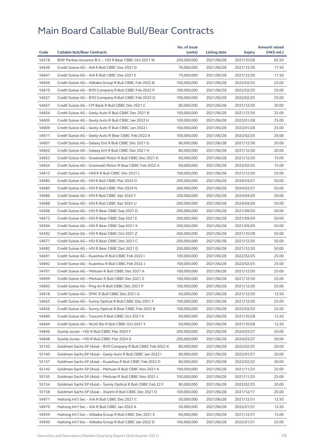|       |                                                              | No. of issue |              |               | <b>Amount raised</b> |
|-------|--------------------------------------------------------------|--------------|--------------|---------------|----------------------|
| Code  | <b>Callable Bull/Bear Contracts</b>                          | (units)      | Listing date | <b>Expiry</b> | (HK\$ mil.)          |
| 54578 | BNP Paribas Issuance B.V. - HSI R Bear CBBC Oct 2021 W       | 250,000,000  | 2021/06/28   | 2021/10/28    | 62.50                |
| 54636 | Credit Suisse AG - AIA R Bull CBBC Dec 2021 D                | 70,000,000   | 2021/06/28   | 2021/12/30    | 17.50                |
| 54641 | Credit Suisse AG - AIA R Bull CBBC Dec 2021 E                | 70,000,000   | 2021/06/28   | 2021/12/30    | 17.50                |
| 54659 | Credit Suisse AG - Alibaba Group R Bull CBBC Feb 2022 B      | 100,000,000  | 2021/06/28   | 2022/02/25    | 25.00                |
| 54619 | Credit Suisse AG - BYD Company R Bull CBBC Feb 2022 P        | 100,000,000  | 2021/06/28   | 2022/02/25    | 25.00                |
| 54627 | Credit Suisse AG - BYD Company R Bull CBBC Feb 2022 Q        | 100.000.000  | 2021/06/28   | 2022/02/25    | 25.00                |
| 54657 | Credit Suisse AG - CM Bank R Bull CBBC Dec 2021 C            | 80,000,000   | 2021/06/28   | 2021/12/30    | 20.00                |
| 54604 | Credit Suisse AG - Geely Auto R Bull CBBC Dec 2021 B         | 100,000,000  | 2021/06/28   | 2021/12/30    | 25.00                |
| 54605 | Credit Suisse AG – Geely Auto R Bull CBBC Jan 2022 H         | 100,000,000  | 2021/06/28   | 2022/01/28    | 25.00                |
| 54609 | Credit Suisse AG - Geely Auto R Bull CBBC Jan 2022 I         | 100,000,000  | 2021/06/28   | 2022/01/28    | 25.00                |
| 54611 | Credit Suisse AG – Geely Auto R Bear CBBC Feb 2022 A         | 100,000,000  | 2021/06/28   | 2022/02/25    | 25.00                |
| 54601 | Credit Suisse AG - Galaxy Ent R Bull CBBC Dec 2021 G         | 80,000,000   | 2021/06/28   | 2021/12/30    | 20.00                |
| 54602 | Credit Suisse AG - Galaxy Ent R Bull CBBC Dec 2021 H         | 80,000,000   | 2021/06/28   | 2021/12/30    | 20.00                |
| 54653 | Credit Suisse AG - Greatwall Motor R Bull CBBC Dec 2021 K    | 60,000,000   | 2021/06/28   | 2021/12/30    | 15.00                |
| 54654 | Credit Suisse AG - Greatwall Motor R Bear CBBC Feb 2022 A    | 60,000,000   | 2021/06/28   | 2022/02/25    | 15.00                |
| 54613 | Credit Suisse AG - HKEX R Bull CBBC Dec 2021 L               | 100,000,000  | 2021/06/28   | 2021/12/30    | 25.00                |
| 54683 | Credit Suisse AG - HSI R Bull CBBC Mar 2024 D                | 200,000,000  | 2021/06/28   | 2024/03/27    | 50.00                |
| 54685 | Credit Suisse AG - HSI R Bull CBBC Mar 2024 N                | 200,000,000  | 2021/06/28   | 2024/03/27    | 50.00                |
| 54686 | Credit Suisse AG - HSI R Bull CBBC Apr 2024 T                | 200,000,000  | 2021/06/28   | 2024/04/29    | 50.00                |
| 54688 | Credit Suisse AG - HSI R Bull CBBC Apr 2024 U                | 200,000,000  | 2021/06/28   | 2024/04/29    | 50.00                |
| 54596 | Credit Suisse AG - HSI R Bear CBBC Sep 2021 D                | 200,000,000  | 2021/06/28   | 2021/09/29    | 50.00                |
| 54672 | Credit Suisse AG - HSI R Bear CBBC Sep 2021 E                | 200,000,000  | 2021/06/28   | 2021/09/29    | 50.00                |
| 54594 | Credit Suisse AG - HSI R Bear CBBC Sep 2021 X                | 200,000,000  | 2021/06/28   | 2021/09/29    | 50.00                |
| 54592 | Credit Suisse AG - HSI R Bear CBBC Oct 2021 Z                | 200,000,000  | 2021/06/28   | 2021/10/28    | 50.00                |
| 54677 | Credit Suisse AG - HSI R Bear CBBC Dec 2021 C                | 200,000,000  | 2021/06/28   | 2021/12/30    | 50.00                |
| 54682 | Credit Suisse AG - HSI R Bear CBBC Dec 2021 D                | 200,000,000  | 2021/06/28   | 2021/12/30    | 50.00                |
| 54691 | Credit Suisse AG - Kuaishou R Bull CBBC Feb 2022 I           | 100,000,000  | 2021/06/28   | 2022/02/25    | 25.00                |
| 54692 | Credit Suisse AG - Kuaishou R Bull CBBC Feb 2022 J           | 100,000,000  | 2021/06/28   | 2022/02/25    | 25.00                |
| 54701 | Credit Suisse AG - Meituan R Bull CBBC Dec 2021 A            | 100,000,000  | 2021/06/28   | 2021/12/30    | 25.00                |
| 54699 | Credit Suisse AG - Meituan R Bull CBBC Dec 2021 Z            | 100,000,000  | 2021/06/28   | 2021/12/30    | 25.00                |
| 54693 | Credit Suisse AG - Ping An R Bull CBBC Dec 2021 P            | 100,000,000  | 2021/06/28   | 2021/12/30    | 25.00                |
| 54618 | Credit Suisse AG - SMIC R Bull CBBC Dec 2021 G               | 50,000,000   | 2021/06/28   | 2021/12/30    | 12.50                |
| 54655 | Credit Suisse AG – Sunny Optical R Bull CBBC Dec 2021 F      | 100,000,000  | 2021/06/28   | 2021/12/30    | 25.00                |
| 54656 | Credit Suisse AG - Sunny Optical R Bear CBBC Feb 2022 B      | 100,000,000  | 2021/06/28   | 2022/02/25    | 25.00                |
| 54690 | Credit Suisse AG - Tencent R Bull CBBC Oct 2021 K            | 50,000,000   | 2021/06/28   | 2021/10/28    | 12.50                |
| 54644 | Credit Suisse AG - WuXi Bio R Bull CBBC Oct 2021 Y           | 50,000,000   | 2021/06/28   | 2021/10/28    | 12.50                |
| 54846 | Guotai Junan - HSI R Bull CBBC Mar 2024 F                    | 200,000,000  | 2021/06/28   | 2024/03/27    | 50.00                |
| 54848 | Guotai Junan – HSI R Bull CBBC Mar 2024 G                    | 200,000,000  | 2021/06/28   | 2024/03/27    | 50.00                |
| 55143 | Goldman Sachs SP (Asia) - BYD Company R Bull CBBC Feb 2022 K | 80,000,000   | 2021/06/28   | 2022/02/25    | 20.00                |
|       |                                                              |              |              |               |                      |
| 55140 | Goldman Sachs SP (Asia) - Geely Auto R Bull CBBC Jan 2022 I  | 80,000,000   | 2021/06/28   | 2022/01/21    | 20.00                |
| 55157 | Goldman Sachs SP (Asia) - Kuaishou R Bull CBBC Feb 2022 D    | 80,000,000   | 2021/06/28   | 2022/02/22    | 20.00                |
| 55142 | Goldman Sachs SP (Asia) - Meituan R Bull CBBC Nov 2021 K     | 100,000,000  | 2021/06/28   | 2021/11/25    | 25.00                |
| 55155 | Goldman Sachs SP (Asia) - Meituan R Bull CBBC Nov 2021 L     | 100,000,000  | 2021/06/28   | 2021/11/25    | 25.00                |
| 55154 | Goldman Sachs SP (Asia) – Sunny Optical R Bull CBBC Feb 22 F | 80,000,000   | 2021/06/28   | 2022/02/25    | 20.00                |
| 55158 | Goldman Sachs SP (Asia) - Xiaomi R Bull CBBC Dec 2021 D      | 100,000,000  | 2021/06/28   | 2021/12/17    | 25.00                |
| 54971 | Haitong Int'l Sec - AIA R Bull CBBC Dec 2021 C               | 50,000,000   | 2021/06/28   | 2021/12/31    | 12.50                |
| 54970 | Haitong Int'l Sec - AIA R Bull CBBC Jan 2022 A               | 50,000,000   | 2021/06/28   | 2022/01/31    | 12.50                |
| 54929 | Haitong Int'l Sec - Alibaba Group R Bull CBBC Dec 2021 E     | 60,000,000   | 2021/06/28   | 2021/12/31    | 15.00                |
| 54930 | Haitong Int'l Sec - Alibaba Group R Bull CBBC Jan 2022 D     | 100,000,000  | 2021/06/28   | 2022/01/31    | 25.00                |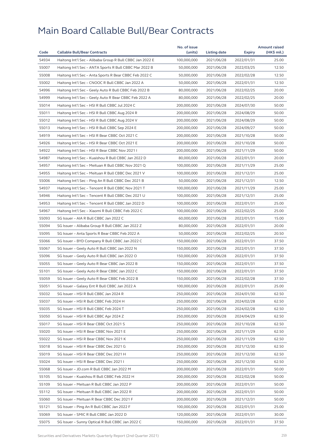| 54934<br>Haitong Int'l Sec - Alibaba Group R Bull CBBC Jan 2022 E<br>100,000,000<br>2021/06/28<br>2022/01/31<br>25.00<br>55007<br>Haitong Int'l Sec - ANTA Sports R Bull CBBC Mar 2022 B<br>2021/06/28<br>12.50<br>50,000,000<br>2022/03/25<br>55008<br>12.50<br>Haitong Int'l Sec – Anta Sports R Bear CBBC Feb 2022 C<br>50,000,000<br>2021/06/28<br>2022/02/28<br>55002<br>Haitong Int'l Sec - CNOOC R Bull CBBC Jan 2022 A<br>50,000,000<br>2021/06/28<br>2022/01/31<br>12.50<br>54996<br>80,000,000<br>Haitong Int'l Sec - Geely Auto R Bull CBBC Feb 2022 B<br>2021/06/28<br>2022/02/25<br>20.00<br>54999<br>Haitong Int'l Sec - Geely Auto R Bear CBBC Feb 2022 A<br>80,000,000<br>2021/06/28<br>2022/02/25<br>20.00<br>55014<br>Haitong Int'l Sec - HSI R Bull CBBC Jul 2024 C<br>200,000,000<br>2021/06/28<br>2024/07/30<br>50.00<br>55011<br>Haitong Int'l Sec - HSI R Bull CBBC Aug 2024 R<br>200,000,000<br>2021/06/28<br>50.00<br>2024/08/29<br>55012<br>200,000,000<br>50.00<br>Haitong Int'l Sec - HSI R Bull CBBC Aug 2024 V<br>2021/06/28<br>2024/08/29<br>55013<br>Haitong Int'l Sec - HSI R Bull CBBC Sep 2024 E<br>200,000,000<br>50.00<br>2021/06/28<br>2024/09/27<br>54919<br>Haitong Int'l Sec - HSI R Bear CBBC Oct 2021 C<br>200,000,000<br>2021/06/28<br>50.00<br>2021/10/28<br>54926<br>Haitong Int'l Sec - HSI R Bear CBBC Oct 2021 E<br>200,000,000<br>2021/06/28<br>2021/10/28<br>50.00<br>54922<br>Haitong Int'l Sec - HSI R Bear CBBC Nov 2021 I<br>200,000,000<br>50.00<br>2021/06/28<br>2021/11/29<br>54987<br>Haitong Int'l Sec - Kuaishou R Bull CBBC Jan 2022 D<br>20.00<br>80,000,000<br>2021/06/28<br>2022/01/31<br>54957<br>Haitong Int'l Sec - Meituan R Bull CBBC Nov 2021 Q<br>100,000,000<br>2021/06/28<br>2021/11/29<br>25.00<br>54955<br>100,000,000<br>25.00<br>Haitong Int'l Sec – Meituan R Bull CBBC Dec 2021 V<br>2021/06/28<br>2021/12/31<br>55006<br>12.50<br>Haitong Int'l Sec - Ping An R Bull CBBC Dec 2021 B<br>50,000,000<br>2021/06/28<br>2021/12/31<br>54937<br>100,000,000<br>25.00<br>Haitong Int'l Sec - Tencent R Bull CBBC Nov 2021 T<br>2021/06/28<br>2021/11/29<br>54946<br>Haitong Int'l Sec - Tencent R Bull CBBC Dec 2021 U<br>100,000,000<br>25.00<br>2021/06/28<br>2021/12/31<br>54953<br>Haitong Int'l Sec - Tencent R Bull CBBC Jan 2022 D<br>100,000,000<br>25.00<br>2021/06/28<br>2022/01/31<br>54967<br>Haitong Int'l Sec - Xiaomi R Bull CBBC Feb 2022 C<br>100,000,000<br>2021/06/28<br>25.00<br>2022/02/25<br>55093<br>SG Issuer - AIA R Bull CBBC Jan 2022 C<br>60,000,000<br>2021/06/28<br>15.00<br>2022/01/31<br>55094<br>SG Issuer - Alibaba Group R Bull CBBC Jan 2022 Z<br>20.00<br>80,000,000<br>2021/06/28<br>2022/01/31<br>55095<br>20.50<br>SG Issuer – Anta Sports R Bear CBBC Feb 2022 A<br>50,000,000<br>2021/06/28<br>2022/02/25<br>55066<br>SG Issuer - BYD Company R Bull CBBC Jan 2022 C<br>2021/06/28<br>37.50<br>150,000,000<br>2022/01/31<br>55067<br>SG Issuer - Geely Auto R Bull CBBC Jan 2022 N<br>150,000,000<br>2021/06/28<br>2022/01/31<br>37.50<br>55096<br>SG Issuer - Geely Auto R Bull CBBC Jan 2022 O<br>150,000,000<br>2021/06/28<br>37.50<br>2022/01/31<br>55055<br>SG Issuer - Geely Auto R Bear CBBC Jan 2022 B<br>150,000,000<br>2021/06/28<br>2022/01/31<br>37.50<br>55101<br>150,000,000<br>37.50<br>SG Issuer – Geely Auto R Bear CBBC Jan 2022 C<br>2021/06/28<br>2022/01/31<br>55059<br>150,000,000<br>2021/06/28<br>2022/02/28<br>37.50<br>SG Issuer – Geely Auto R Bear CBBC Feb 2022 B<br>55051<br>SG Issuer - Galaxy Ent R Bull CBBC Jan 2022 A<br>100,000,000<br>2022/01/31<br>25.00<br>2021/06/28<br>55032<br>SG Issuer - HSI R Bull CBBC Jan 2024 R<br>250,000,000<br>2021/06/28<br>2024/01/30<br>62.50<br>55037<br>SG Issuer - HSI R Bull CBBC Feb 2024 H<br>250,000,000<br>2021/06/28<br>2024/02/28<br>62.50<br>55035<br>SG Issuer - HSI R Bull CBBC Feb 2024 T<br>250,000,000<br>62.50<br>2021/06/28<br>2024/02/28<br>55050<br>SG Issuer - HSI R Bull CBBC Apr 2024 Z<br>250,000,000<br>2021/06/28<br>2024/04/29<br>62.50<br>55017<br>SG Issuer - HSI R Bear CBBC Oct 2021 S<br>250,000,000<br>2021/06/28<br>2021/10/28<br>62.50<br>55020<br>SG Issuer - HSI R Bear CBBC Nov 2021 E<br>250,000,000<br>62.50<br>2021/06/28<br>2021/11/29<br>55022<br>SG Issuer - HSI R Bear CBBC Nov 2021 K<br>250,000,000<br>2021/06/28<br>2021/11/29<br>62.50<br>55018<br>SG Issuer - HSI R Bear CBBC Dec 2021 G<br>250,000,000<br>2021/06/28<br>2021/12/30<br>62.50<br>55019<br>SG Issuer - HSI R Bear CBBC Dec 2021 H<br>250,000,000<br>2021/06/28<br>2021/12/30<br>62.50<br>55024<br>SG Issuer - HSI R Bear CBBC Dec 2021 I<br>250,000,000<br>2021/06/28<br>2021/12/30<br>62.50<br>55068<br>50.00<br>SG Issuer - JD.com R Bull CBBC Jan 2022 M<br>200,000,000<br>2021/06/28<br>2022/01/31<br>55105<br>SG Issuer - Kuaishou R Bull CBBC Feb 2022 H<br>200,000,000<br>2021/06/28<br>2022/02/28<br>50.00<br>55109<br>SG Issuer - Meituan R Bull CBBC Jan 2022 P<br>200,000,000<br>2021/06/28<br>2022/01/31<br>50.00<br>55112<br>SG Issuer - Meituan R Bull CBBC Jan 2022 R<br>200,000,000<br>2021/06/28<br>50.00<br>2022/01/31<br>55060<br>SG Issuer - Meituan R Bear CBBC Dec 2021 F<br>200,000,000<br>2021/06/28<br>2021/12/31<br>50.00<br>25.00<br>55121<br>SG Issuer - Ping An R Bull CBBC Jan 2022 F<br>100,000,000<br>2021/06/28<br>2022/01/31<br>55069<br>SG Issuer - SMIC R Bull CBBC Jan 2022 D<br>120,000,000<br>2021/06/28<br>2022/01/31<br>30.00<br>55075<br>SG Issuer - Sunny Optical R Bull CBBC Jan 2022 C<br>150,000,000<br>2021/06/28<br>2022/01/31<br>37.50 |      |                                     | No. of issue |              |               | <b>Amount raised</b> |
|----------------------------------------------------------------------------------------------------------------------------------------------------------------------------------------------------------------------------------------------------------------------------------------------------------------------------------------------------------------------------------------------------------------------------------------------------------------------------------------------------------------------------------------------------------------------------------------------------------------------------------------------------------------------------------------------------------------------------------------------------------------------------------------------------------------------------------------------------------------------------------------------------------------------------------------------------------------------------------------------------------------------------------------------------------------------------------------------------------------------------------------------------------------------------------------------------------------------------------------------------------------------------------------------------------------------------------------------------------------------------------------------------------------------------------------------------------------------------------------------------------------------------------------------------------------------------------------------------------------------------------------------------------------------------------------------------------------------------------------------------------------------------------------------------------------------------------------------------------------------------------------------------------------------------------------------------------------------------------------------------------------------------------------------------------------------------------------------------------------------------------------------------------------------------------------------------------------------------------------------------------------------------------------------------------------------------------------------------------------------------------------------------------------------------------------------------------------------------------------------------------------------------------------------------------------------------------------------------------------------------------------------------------------------------------------------------------------------------------------------------------------------------------------------------------------------------------------------------------------------------------------------------------------------------------------------------------------------------------------------------------------------------------------------------------------------------------------------------------------------------------------------------------------------------------------------------------------------------------------------------------------------------------------------------------------------------------------------------------------------------------------------------------------------------------------------------------------------------------------------------------------------------------------------------------------------------------------------------------------------------------------------------------------------------------------------------------------------------------------------------------------------------------------------------------------------------------------------------------------------------------------------------------------------------------------------------------------------------------------------------------------------------------------------------------------------------------------------------------------------------------------------------------------------------------------------------------------------------------------------------------------------------------------------------------------------------------------------------------------------------------------------------------------------------------------------------------------------------------------------------------------------------------------------------------------------------------------------------------------------------------------------------------------------------------------------------------------------------------------------------------------------------------------------------------------------------------------------------------------------------------------------------------------------------------------------------------------------------------------------------------------------------------------------------------------------------------------------------------------------------------------------------------------------------------------------------------------------------------------------------------------------------------------------------------------------------------------------------------------------------------------------------------------------------------------------------------------------------------------------------------------------------------------------------------------------------------------------------|------|-------------------------------------|--------------|--------------|---------------|----------------------|
|                                                                                                                                                                                                                                                                                                                                                                                                                                                                                                                                                                                                                                                                                                                                                                                                                                                                                                                                                                                                                                                                                                                                                                                                                                                                                                                                                                                                                                                                                                                                                                                                                                                                                                                                                                                                                                                                                                                                                                                                                                                                                                                                                                                                                                                                                                                                                                                                                                                                                                                                                                                                                                                                                                                                                                                                                                                                                                                                                                                                                                                                                                                                                                                                                                                                                                                                                                                                                                                                                                                                                                                                                                                                                                                                                                                                                                                                                                                                                                                                                                                                                                                                                                                                                                                                                                                                                                                                                                                                                                                                                                                                                                                                                                                                                                                                                                                                                                                                                                                                                                                                                                                                                                                                                                                                                                                                                                                                                                                                                                                                                                                                    | Code | <b>Callable Bull/Bear Contracts</b> | (units)      | Listing date | <b>Expiry</b> | (HK\$ mil.)          |
|                                                                                                                                                                                                                                                                                                                                                                                                                                                                                                                                                                                                                                                                                                                                                                                                                                                                                                                                                                                                                                                                                                                                                                                                                                                                                                                                                                                                                                                                                                                                                                                                                                                                                                                                                                                                                                                                                                                                                                                                                                                                                                                                                                                                                                                                                                                                                                                                                                                                                                                                                                                                                                                                                                                                                                                                                                                                                                                                                                                                                                                                                                                                                                                                                                                                                                                                                                                                                                                                                                                                                                                                                                                                                                                                                                                                                                                                                                                                                                                                                                                                                                                                                                                                                                                                                                                                                                                                                                                                                                                                                                                                                                                                                                                                                                                                                                                                                                                                                                                                                                                                                                                                                                                                                                                                                                                                                                                                                                                                                                                                                                                                    |      |                                     |              |              |               |                      |
|                                                                                                                                                                                                                                                                                                                                                                                                                                                                                                                                                                                                                                                                                                                                                                                                                                                                                                                                                                                                                                                                                                                                                                                                                                                                                                                                                                                                                                                                                                                                                                                                                                                                                                                                                                                                                                                                                                                                                                                                                                                                                                                                                                                                                                                                                                                                                                                                                                                                                                                                                                                                                                                                                                                                                                                                                                                                                                                                                                                                                                                                                                                                                                                                                                                                                                                                                                                                                                                                                                                                                                                                                                                                                                                                                                                                                                                                                                                                                                                                                                                                                                                                                                                                                                                                                                                                                                                                                                                                                                                                                                                                                                                                                                                                                                                                                                                                                                                                                                                                                                                                                                                                                                                                                                                                                                                                                                                                                                                                                                                                                                                                    |      |                                     |              |              |               |                      |
|                                                                                                                                                                                                                                                                                                                                                                                                                                                                                                                                                                                                                                                                                                                                                                                                                                                                                                                                                                                                                                                                                                                                                                                                                                                                                                                                                                                                                                                                                                                                                                                                                                                                                                                                                                                                                                                                                                                                                                                                                                                                                                                                                                                                                                                                                                                                                                                                                                                                                                                                                                                                                                                                                                                                                                                                                                                                                                                                                                                                                                                                                                                                                                                                                                                                                                                                                                                                                                                                                                                                                                                                                                                                                                                                                                                                                                                                                                                                                                                                                                                                                                                                                                                                                                                                                                                                                                                                                                                                                                                                                                                                                                                                                                                                                                                                                                                                                                                                                                                                                                                                                                                                                                                                                                                                                                                                                                                                                                                                                                                                                                                                    |      |                                     |              |              |               |                      |
|                                                                                                                                                                                                                                                                                                                                                                                                                                                                                                                                                                                                                                                                                                                                                                                                                                                                                                                                                                                                                                                                                                                                                                                                                                                                                                                                                                                                                                                                                                                                                                                                                                                                                                                                                                                                                                                                                                                                                                                                                                                                                                                                                                                                                                                                                                                                                                                                                                                                                                                                                                                                                                                                                                                                                                                                                                                                                                                                                                                                                                                                                                                                                                                                                                                                                                                                                                                                                                                                                                                                                                                                                                                                                                                                                                                                                                                                                                                                                                                                                                                                                                                                                                                                                                                                                                                                                                                                                                                                                                                                                                                                                                                                                                                                                                                                                                                                                                                                                                                                                                                                                                                                                                                                                                                                                                                                                                                                                                                                                                                                                                                                    |      |                                     |              |              |               |                      |
|                                                                                                                                                                                                                                                                                                                                                                                                                                                                                                                                                                                                                                                                                                                                                                                                                                                                                                                                                                                                                                                                                                                                                                                                                                                                                                                                                                                                                                                                                                                                                                                                                                                                                                                                                                                                                                                                                                                                                                                                                                                                                                                                                                                                                                                                                                                                                                                                                                                                                                                                                                                                                                                                                                                                                                                                                                                                                                                                                                                                                                                                                                                                                                                                                                                                                                                                                                                                                                                                                                                                                                                                                                                                                                                                                                                                                                                                                                                                                                                                                                                                                                                                                                                                                                                                                                                                                                                                                                                                                                                                                                                                                                                                                                                                                                                                                                                                                                                                                                                                                                                                                                                                                                                                                                                                                                                                                                                                                                                                                                                                                                                                    |      |                                     |              |              |               |                      |
|                                                                                                                                                                                                                                                                                                                                                                                                                                                                                                                                                                                                                                                                                                                                                                                                                                                                                                                                                                                                                                                                                                                                                                                                                                                                                                                                                                                                                                                                                                                                                                                                                                                                                                                                                                                                                                                                                                                                                                                                                                                                                                                                                                                                                                                                                                                                                                                                                                                                                                                                                                                                                                                                                                                                                                                                                                                                                                                                                                                                                                                                                                                                                                                                                                                                                                                                                                                                                                                                                                                                                                                                                                                                                                                                                                                                                                                                                                                                                                                                                                                                                                                                                                                                                                                                                                                                                                                                                                                                                                                                                                                                                                                                                                                                                                                                                                                                                                                                                                                                                                                                                                                                                                                                                                                                                                                                                                                                                                                                                                                                                                                                    |      |                                     |              |              |               |                      |
|                                                                                                                                                                                                                                                                                                                                                                                                                                                                                                                                                                                                                                                                                                                                                                                                                                                                                                                                                                                                                                                                                                                                                                                                                                                                                                                                                                                                                                                                                                                                                                                                                                                                                                                                                                                                                                                                                                                                                                                                                                                                                                                                                                                                                                                                                                                                                                                                                                                                                                                                                                                                                                                                                                                                                                                                                                                                                                                                                                                                                                                                                                                                                                                                                                                                                                                                                                                                                                                                                                                                                                                                                                                                                                                                                                                                                                                                                                                                                                                                                                                                                                                                                                                                                                                                                                                                                                                                                                                                                                                                                                                                                                                                                                                                                                                                                                                                                                                                                                                                                                                                                                                                                                                                                                                                                                                                                                                                                                                                                                                                                                                                    |      |                                     |              |              |               |                      |
|                                                                                                                                                                                                                                                                                                                                                                                                                                                                                                                                                                                                                                                                                                                                                                                                                                                                                                                                                                                                                                                                                                                                                                                                                                                                                                                                                                                                                                                                                                                                                                                                                                                                                                                                                                                                                                                                                                                                                                                                                                                                                                                                                                                                                                                                                                                                                                                                                                                                                                                                                                                                                                                                                                                                                                                                                                                                                                                                                                                                                                                                                                                                                                                                                                                                                                                                                                                                                                                                                                                                                                                                                                                                                                                                                                                                                                                                                                                                                                                                                                                                                                                                                                                                                                                                                                                                                                                                                                                                                                                                                                                                                                                                                                                                                                                                                                                                                                                                                                                                                                                                                                                                                                                                                                                                                                                                                                                                                                                                                                                                                                                                    |      |                                     |              |              |               |                      |
|                                                                                                                                                                                                                                                                                                                                                                                                                                                                                                                                                                                                                                                                                                                                                                                                                                                                                                                                                                                                                                                                                                                                                                                                                                                                                                                                                                                                                                                                                                                                                                                                                                                                                                                                                                                                                                                                                                                                                                                                                                                                                                                                                                                                                                                                                                                                                                                                                                                                                                                                                                                                                                                                                                                                                                                                                                                                                                                                                                                                                                                                                                                                                                                                                                                                                                                                                                                                                                                                                                                                                                                                                                                                                                                                                                                                                                                                                                                                                                                                                                                                                                                                                                                                                                                                                                                                                                                                                                                                                                                                                                                                                                                                                                                                                                                                                                                                                                                                                                                                                                                                                                                                                                                                                                                                                                                                                                                                                                                                                                                                                                                                    |      |                                     |              |              |               |                      |
|                                                                                                                                                                                                                                                                                                                                                                                                                                                                                                                                                                                                                                                                                                                                                                                                                                                                                                                                                                                                                                                                                                                                                                                                                                                                                                                                                                                                                                                                                                                                                                                                                                                                                                                                                                                                                                                                                                                                                                                                                                                                                                                                                                                                                                                                                                                                                                                                                                                                                                                                                                                                                                                                                                                                                                                                                                                                                                                                                                                                                                                                                                                                                                                                                                                                                                                                                                                                                                                                                                                                                                                                                                                                                                                                                                                                                                                                                                                                                                                                                                                                                                                                                                                                                                                                                                                                                                                                                                                                                                                                                                                                                                                                                                                                                                                                                                                                                                                                                                                                                                                                                                                                                                                                                                                                                                                                                                                                                                                                                                                                                                                                    |      |                                     |              |              |               |                      |
|                                                                                                                                                                                                                                                                                                                                                                                                                                                                                                                                                                                                                                                                                                                                                                                                                                                                                                                                                                                                                                                                                                                                                                                                                                                                                                                                                                                                                                                                                                                                                                                                                                                                                                                                                                                                                                                                                                                                                                                                                                                                                                                                                                                                                                                                                                                                                                                                                                                                                                                                                                                                                                                                                                                                                                                                                                                                                                                                                                                                                                                                                                                                                                                                                                                                                                                                                                                                                                                                                                                                                                                                                                                                                                                                                                                                                                                                                                                                                                                                                                                                                                                                                                                                                                                                                                                                                                                                                                                                                                                                                                                                                                                                                                                                                                                                                                                                                                                                                                                                                                                                                                                                                                                                                                                                                                                                                                                                                                                                                                                                                                                                    |      |                                     |              |              |               |                      |
|                                                                                                                                                                                                                                                                                                                                                                                                                                                                                                                                                                                                                                                                                                                                                                                                                                                                                                                                                                                                                                                                                                                                                                                                                                                                                                                                                                                                                                                                                                                                                                                                                                                                                                                                                                                                                                                                                                                                                                                                                                                                                                                                                                                                                                                                                                                                                                                                                                                                                                                                                                                                                                                                                                                                                                                                                                                                                                                                                                                                                                                                                                                                                                                                                                                                                                                                                                                                                                                                                                                                                                                                                                                                                                                                                                                                                                                                                                                                                                                                                                                                                                                                                                                                                                                                                                                                                                                                                                                                                                                                                                                                                                                                                                                                                                                                                                                                                                                                                                                                                                                                                                                                                                                                                                                                                                                                                                                                                                                                                                                                                                                                    |      |                                     |              |              |               |                      |
|                                                                                                                                                                                                                                                                                                                                                                                                                                                                                                                                                                                                                                                                                                                                                                                                                                                                                                                                                                                                                                                                                                                                                                                                                                                                                                                                                                                                                                                                                                                                                                                                                                                                                                                                                                                                                                                                                                                                                                                                                                                                                                                                                                                                                                                                                                                                                                                                                                                                                                                                                                                                                                                                                                                                                                                                                                                                                                                                                                                                                                                                                                                                                                                                                                                                                                                                                                                                                                                                                                                                                                                                                                                                                                                                                                                                                                                                                                                                                                                                                                                                                                                                                                                                                                                                                                                                                                                                                                                                                                                                                                                                                                                                                                                                                                                                                                                                                                                                                                                                                                                                                                                                                                                                                                                                                                                                                                                                                                                                                                                                                                                                    |      |                                     |              |              |               |                      |
|                                                                                                                                                                                                                                                                                                                                                                                                                                                                                                                                                                                                                                                                                                                                                                                                                                                                                                                                                                                                                                                                                                                                                                                                                                                                                                                                                                                                                                                                                                                                                                                                                                                                                                                                                                                                                                                                                                                                                                                                                                                                                                                                                                                                                                                                                                                                                                                                                                                                                                                                                                                                                                                                                                                                                                                                                                                                                                                                                                                                                                                                                                                                                                                                                                                                                                                                                                                                                                                                                                                                                                                                                                                                                                                                                                                                                                                                                                                                                                                                                                                                                                                                                                                                                                                                                                                                                                                                                                                                                                                                                                                                                                                                                                                                                                                                                                                                                                                                                                                                                                                                                                                                                                                                                                                                                                                                                                                                                                                                                                                                                                                                    |      |                                     |              |              |               |                      |
|                                                                                                                                                                                                                                                                                                                                                                                                                                                                                                                                                                                                                                                                                                                                                                                                                                                                                                                                                                                                                                                                                                                                                                                                                                                                                                                                                                                                                                                                                                                                                                                                                                                                                                                                                                                                                                                                                                                                                                                                                                                                                                                                                                                                                                                                                                                                                                                                                                                                                                                                                                                                                                                                                                                                                                                                                                                                                                                                                                                                                                                                                                                                                                                                                                                                                                                                                                                                                                                                                                                                                                                                                                                                                                                                                                                                                                                                                                                                                                                                                                                                                                                                                                                                                                                                                                                                                                                                                                                                                                                                                                                                                                                                                                                                                                                                                                                                                                                                                                                                                                                                                                                                                                                                                                                                                                                                                                                                                                                                                                                                                                                                    |      |                                     |              |              |               |                      |
|                                                                                                                                                                                                                                                                                                                                                                                                                                                                                                                                                                                                                                                                                                                                                                                                                                                                                                                                                                                                                                                                                                                                                                                                                                                                                                                                                                                                                                                                                                                                                                                                                                                                                                                                                                                                                                                                                                                                                                                                                                                                                                                                                                                                                                                                                                                                                                                                                                                                                                                                                                                                                                                                                                                                                                                                                                                                                                                                                                                                                                                                                                                                                                                                                                                                                                                                                                                                                                                                                                                                                                                                                                                                                                                                                                                                                                                                                                                                                                                                                                                                                                                                                                                                                                                                                                                                                                                                                                                                                                                                                                                                                                                                                                                                                                                                                                                                                                                                                                                                                                                                                                                                                                                                                                                                                                                                                                                                                                                                                                                                                                                                    |      |                                     |              |              |               |                      |
|                                                                                                                                                                                                                                                                                                                                                                                                                                                                                                                                                                                                                                                                                                                                                                                                                                                                                                                                                                                                                                                                                                                                                                                                                                                                                                                                                                                                                                                                                                                                                                                                                                                                                                                                                                                                                                                                                                                                                                                                                                                                                                                                                                                                                                                                                                                                                                                                                                                                                                                                                                                                                                                                                                                                                                                                                                                                                                                                                                                                                                                                                                                                                                                                                                                                                                                                                                                                                                                                                                                                                                                                                                                                                                                                                                                                                                                                                                                                                                                                                                                                                                                                                                                                                                                                                                                                                                                                                                                                                                                                                                                                                                                                                                                                                                                                                                                                                                                                                                                                                                                                                                                                                                                                                                                                                                                                                                                                                                                                                                                                                                                                    |      |                                     |              |              |               |                      |
|                                                                                                                                                                                                                                                                                                                                                                                                                                                                                                                                                                                                                                                                                                                                                                                                                                                                                                                                                                                                                                                                                                                                                                                                                                                                                                                                                                                                                                                                                                                                                                                                                                                                                                                                                                                                                                                                                                                                                                                                                                                                                                                                                                                                                                                                                                                                                                                                                                                                                                                                                                                                                                                                                                                                                                                                                                                                                                                                                                                                                                                                                                                                                                                                                                                                                                                                                                                                                                                                                                                                                                                                                                                                                                                                                                                                                                                                                                                                                                                                                                                                                                                                                                                                                                                                                                                                                                                                                                                                                                                                                                                                                                                                                                                                                                                                                                                                                                                                                                                                                                                                                                                                                                                                                                                                                                                                                                                                                                                                                                                                                                                                    |      |                                     |              |              |               |                      |
|                                                                                                                                                                                                                                                                                                                                                                                                                                                                                                                                                                                                                                                                                                                                                                                                                                                                                                                                                                                                                                                                                                                                                                                                                                                                                                                                                                                                                                                                                                                                                                                                                                                                                                                                                                                                                                                                                                                                                                                                                                                                                                                                                                                                                                                                                                                                                                                                                                                                                                                                                                                                                                                                                                                                                                                                                                                                                                                                                                                                                                                                                                                                                                                                                                                                                                                                                                                                                                                                                                                                                                                                                                                                                                                                                                                                                                                                                                                                                                                                                                                                                                                                                                                                                                                                                                                                                                                                                                                                                                                                                                                                                                                                                                                                                                                                                                                                                                                                                                                                                                                                                                                                                                                                                                                                                                                                                                                                                                                                                                                                                                                                    |      |                                     |              |              |               |                      |
|                                                                                                                                                                                                                                                                                                                                                                                                                                                                                                                                                                                                                                                                                                                                                                                                                                                                                                                                                                                                                                                                                                                                                                                                                                                                                                                                                                                                                                                                                                                                                                                                                                                                                                                                                                                                                                                                                                                                                                                                                                                                                                                                                                                                                                                                                                                                                                                                                                                                                                                                                                                                                                                                                                                                                                                                                                                                                                                                                                                                                                                                                                                                                                                                                                                                                                                                                                                                                                                                                                                                                                                                                                                                                                                                                                                                                                                                                                                                                                                                                                                                                                                                                                                                                                                                                                                                                                                                                                                                                                                                                                                                                                                                                                                                                                                                                                                                                                                                                                                                                                                                                                                                                                                                                                                                                                                                                                                                                                                                                                                                                                                                    |      |                                     |              |              |               |                      |
|                                                                                                                                                                                                                                                                                                                                                                                                                                                                                                                                                                                                                                                                                                                                                                                                                                                                                                                                                                                                                                                                                                                                                                                                                                                                                                                                                                                                                                                                                                                                                                                                                                                                                                                                                                                                                                                                                                                                                                                                                                                                                                                                                                                                                                                                                                                                                                                                                                                                                                                                                                                                                                                                                                                                                                                                                                                                                                                                                                                                                                                                                                                                                                                                                                                                                                                                                                                                                                                                                                                                                                                                                                                                                                                                                                                                                                                                                                                                                                                                                                                                                                                                                                                                                                                                                                                                                                                                                                                                                                                                                                                                                                                                                                                                                                                                                                                                                                                                                                                                                                                                                                                                                                                                                                                                                                                                                                                                                                                                                                                                                                                                    |      |                                     |              |              |               |                      |
|                                                                                                                                                                                                                                                                                                                                                                                                                                                                                                                                                                                                                                                                                                                                                                                                                                                                                                                                                                                                                                                                                                                                                                                                                                                                                                                                                                                                                                                                                                                                                                                                                                                                                                                                                                                                                                                                                                                                                                                                                                                                                                                                                                                                                                                                                                                                                                                                                                                                                                                                                                                                                                                                                                                                                                                                                                                                                                                                                                                                                                                                                                                                                                                                                                                                                                                                                                                                                                                                                                                                                                                                                                                                                                                                                                                                                                                                                                                                                                                                                                                                                                                                                                                                                                                                                                                                                                                                                                                                                                                                                                                                                                                                                                                                                                                                                                                                                                                                                                                                                                                                                                                                                                                                                                                                                                                                                                                                                                                                                                                                                                                                    |      |                                     |              |              |               |                      |
|                                                                                                                                                                                                                                                                                                                                                                                                                                                                                                                                                                                                                                                                                                                                                                                                                                                                                                                                                                                                                                                                                                                                                                                                                                                                                                                                                                                                                                                                                                                                                                                                                                                                                                                                                                                                                                                                                                                                                                                                                                                                                                                                                                                                                                                                                                                                                                                                                                                                                                                                                                                                                                                                                                                                                                                                                                                                                                                                                                                                                                                                                                                                                                                                                                                                                                                                                                                                                                                                                                                                                                                                                                                                                                                                                                                                                                                                                                                                                                                                                                                                                                                                                                                                                                                                                                                                                                                                                                                                                                                                                                                                                                                                                                                                                                                                                                                                                                                                                                                                                                                                                                                                                                                                                                                                                                                                                                                                                                                                                                                                                                                                    |      |                                     |              |              |               |                      |
|                                                                                                                                                                                                                                                                                                                                                                                                                                                                                                                                                                                                                                                                                                                                                                                                                                                                                                                                                                                                                                                                                                                                                                                                                                                                                                                                                                                                                                                                                                                                                                                                                                                                                                                                                                                                                                                                                                                                                                                                                                                                                                                                                                                                                                                                                                                                                                                                                                                                                                                                                                                                                                                                                                                                                                                                                                                                                                                                                                                                                                                                                                                                                                                                                                                                                                                                                                                                                                                                                                                                                                                                                                                                                                                                                                                                                                                                                                                                                                                                                                                                                                                                                                                                                                                                                                                                                                                                                                                                                                                                                                                                                                                                                                                                                                                                                                                                                                                                                                                                                                                                                                                                                                                                                                                                                                                                                                                                                                                                                                                                                                                                    |      |                                     |              |              |               |                      |
|                                                                                                                                                                                                                                                                                                                                                                                                                                                                                                                                                                                                                                                                                                                                                                                                                                                                                                                                                                                                                                                                                                                                                                                                                                                                                                                                                                                                                                                                                                                                                                                                                                                                                                                                                                                                                                                                                                                                                                                                                                                                                                                                                                                                                                                                                                                                                                                                                                                                                                                                                                                                                                                                                                                                                                                                                                                                                                                                                                                                                                                                                                                                                                                                                                                                                                                                                                                                                                                                                                                                                                                                                                                                                                                                                                                                                                                                                                                                                                                                                                                                                                                                                                                                                                                                                                                                                                                                                                                                                                                                                                                                                                                                                                                                                                                                                                                                                                                                                                                                                                                                                                                                                                                                                                                                                                                                                                                                                                                                                                                                                                                                    |      |                                     |              |              |               |                      |
|                                                                                                                                                                                                                                                                                                                                                                                                                                                                                                                                                                                                                                                                                                                                                                                                                                                                                                                                                                                                                                                                                                                                                                                                                                                                                                                                                                                                                                                                                                                                                                                                                                                                                                                                                                                                                                                                                                                                                                                                                                                                                                                                                                                                                                                                                                                                                                                                                                                                                                                                                                                                                                                                                                                                                                                                                                                                                                                                                                                                                                                                                                                                                                                                                                                                                                                                                                                                                                                                                                                                                                                                                                                                                                                                                                                                                                                                                                                                                                                                                                                                                                                                                                                                                                                                                                                                                                                                                                                                                                                                                                                                                                                                                                                                                                                                                                                                                                                                                                                                                                                                                                                                                                                                                                                                                                                                                                                                                                                                                                                                                                                                    |      |                                     |              |              |               |                      |
|                                                                                                                                                                                                                                                                                                                                                                                                                                                                                                                                                                                                                                                                                                                                                                                                                                                                                                                                                                                                                                                                                                                                                                                                                                                                                                                                                                                                                                                                                                                                                                                                                                                                                                                                                                                                                                                                                                                                                                                                                                                                                                                                                                                                                                                                                                                                                                                                                                                                                                                                                                                                                                                                                                                                                                                                                                                                                                                                                                                                                                                                                                                                                                                                                                                                                                                                                                                                                                                                                                                                                                                                                                                                                                                                                                                                                                                                                                                                                                                                                                                                                                                                                                                                                                                                                                                                                                                                                                                                                                                                                                                                                                                                                                                                                                                                                                                                                                                                                                                                                                                                                                                                                                                                                                                                                                                                                                                                                                                                                                                                                                                                    |      |                                     |              |              |               |                      |
|                                                                                                                                                                                                                                                                                                                                                                                                                                                                                                                                                                                                                                                                                                                                                                                                                                                                                                                                                                                                                                                                                                                                                                                                                                                                                                                                                                                                                                                                                                                                                                                                                                                                                                                                                                                                                                                                                                                                                                                                                                                                                                                                                                                                                                                                                                                                                                                                                                                                                                                                                                                                                                                                                                                                                                                                                                                                                                                                                                                                                                                                                                                                                                                                                                                                                                                                                                                                                                                                                                                                                                                                                                                                                                                                                                                                                                                                                                                                                                                                                                                                                                                                                                                                                                                                                                                                                                                                                                                                                                                                                                                                                                                                                                                                                                                                                                                                                                                                                                                                                                                                                                                                                                                                                                                                                                                                                                                                                                                                                                                                                                                                    |      |                                     |              |              |               |                      |
|                                                                                                                                                                                                                                                                                                                                                                                                                                                                                                                                                                                                                                                                                                                                                                                                                                                                                                                                                                                                                                                                                                                                                                                                                                                                                                                                                                                                                                                                                                                                                                                                                                                                                                                                                                                                                                                                                                                                                                                                                                                                                                                                                                                                                                                                                                                                                                                                                                                                                                                                                                                                                                                                                                                                                                                                                                                                                                                                                                                                                                                                                                                                                                                                                                                                                                                                                                                                                                                                                                                                                                                                                                                                                                                                                                                                                                                                                                                                                                                                                                                                                                                                                                                                                                                                                                                                                                                                                                                                                                                                                                                                                                                                                                                                                                                                                                                                                                                                                                                                                                                                                                                                                                                                                                                                                                                                                                                                                                                                                                                                                                                                    |      |                                     |              |              |               |                      |
|                                                                                                                                                                                                                                                                                                                                                                                                                                                                                                                                                                                                                                                                                                                                                                                                                                                                                                                                                                                                                                                                                                                                                                                                                                                                                                                                                                                                                                                                                                                                                                                                                                                                                                                                                                                                                                                                                                                                                                                                                                                                                                                                                                                                                                                                                                                                                                                                                                                                                                                                                                                                                                                                                                                                                                                                                                                                                                                                                                                                                                                                                                                                                                                                                                                                                                                                                                                                                                                                                                                                                                                                                                                                                                                                                                                                                                                                                                                                                                                                                                                                                                                                                                                                                                                                                                                                                                                                                                                                                                                                                                                                                                                                                                                                                                                                                                                                                                                                                                                                                                                                                                                                                                                                                                                                                                                                                                                                                                                                                                                                                                                                    |      |                                     |              |              |               |                      |
|                                                                                                                                                                                                                                                                                                                                                                                                                                                                                                                                                                                                                                                                                                                                                                                                                                                                                                                                                                                                                                                                                                                                                                                                                                                                                                                                                                                                                                                                                                                                                                                                                                                                                                                                                                                                                                                                                                                                                                                                                                                                                                                                                                                                                                                                                                                                                                                                                                                                                                                                                                                                                                                                                                                                                                                                                                                                                                                                                                                                                                                                                                                                                                                                                                                                                                                                                                                                                                                                                                                                                                                                                                                                                                                                                                                                                                                                                                                                                                                                                                                                                                                                                                                                                                                                                                                                                                                                                                                                                                                                                                                                                                                                                                                                                                                                                                                                                                                                                                                                                                                                                                                                                                                                                                                                                                                                                                                                                                                                                                                                                                                                    |      |                                     |              |              |               |                      |
|                                                                                                                                                                                                                                                                                                                                                                                                                                                                                                                                                                                                                                                                                                                                                                                                                                                                                                                                                                                                                                                                                                                                                                                                                                                                                                                                                                                                                                                                                                                                                                                                                                                                                                                                                                                                                                                                                                                                                                                                                                                                                                                                                                                                                                                                                                                                                                                                                                                                                                                                                                                                                                                                                                                                                                                                                                                                                                                                                                                                                                                                                                                                                                                                                                                                                                                                                                                                                                                                                                                                                                                                                                                                                                                                                                                                                                                                                                                                                                                                                                                                                                                                                                                                                                                                                                                                                                                                                                                                                                                                                                                                                                                                                                                                                                                                                                                                                                                                                                                                                                                                                                                                                                                                                                                                                                                                                                                                                                                                                                                                                                                                    |      |                                     |              |              |               |                      |
|                                                                                                                                                                                                                                                                                                                                                                                                                                                                                                                                                                                                                                                                                                                                                                                                                                                                                                                                                                                                                                                                                                                                                                                                                                                                                                                                                                                                                                                                                                                                                                                                                                                                                                                                                                                                                                                                                                                                                                                                                                                                                                                                                                                                                                                                                                                                                                                                                                                                                                                                                                                                                                                                                                                                                                                                                                                                                                                                                                                                                                                                                                                                                                                                                                                                                                                                                                                                                                                                                                                                                                                                                                                                                                                                                                                                                                                                                                                                                                                                                                                                                                                                                                                                                                                                                                                                                                                                                                                                                                                                                                                                                                                                                                                                                                                                                                                                                                                                                                                                                                                                                                                                                                                                                                                                                                                                                                                                                                                                                                                                                                                                    |      |                                     |              |              |               |                      |
|                                                                                                                                                                                                                                                                                                                                                                                                                                                                                                                                                                                                                                                                                                                                                                                                                                                                                                                                                                                                                                                                                                                                                                                                                                                                                                                                                                                                                                                                                                                                                                                                                                                                                                                                                                                                                                                                                                                                                                                                                                                                                                                                                                                                                                                                                                                                                                                                                                                                                                                                                                                                                                                                                                                                                                                                                                                                                                                                                                                                                                                                                                                                                                                                                                                                                                                                                                                                                                                                                                                                                                                                                                                                                                                                                                                                                                                                                                                                                                                                                                                                                                                                                                                                                                                                                                                                                                                                                                                                                                                                                                                                                                                                                                                                                                                                                                                                                                                                                                                                                                                                                                                                                                                                                                                                                                                                                                                                                                                                                                                                                                                                    |      |                                     |              |              |               |                      |
|                                                                                                                                                                                                                                                                                                                                                                                                                                                                                                                                                                                                                                                                                                                                                                                                                                                                                                                                                                                                                                                                                                                                                                                                                                                                                                                                                                                                                                                                                                                                                                                                                                                                                                                                                                                                                                                                                                                                                                                                                                                                                                                                                                                                                                                                                                                                                                                                                                                                                                                                                                                                                                                                                                                                                                                                                                                                                                                                                                                                                                                                                                                                                                                                                                                                                                                                                                                                                                                                                                                                                                                                                                                                                                                                                                                                                                                                                                                                                                                                                                                                                                                                                                                                                                                                                                                                                                                                                                                                                                                                                                                                                                                                                                                                                                                                                                                                                                                                                                                                                                                                                                                                                                                                                                                                                                                                                                                                                                                                                                                                                                                                    |      |                                     |              |              |               |                      |
|                                                                                                                                                                                                                                                                                                                                                                                                                                                                                                                                                                                                                                                                                                                                                                                                                                                                                                                                                                                                                                                                                                                                                                                                                                                                                                                                                                                                                                                                                                                                                                                                                                                                                                                                                                                                                                                                                                                                                                                                                                                                                                                                                                                                                                                                                                                                                                                                                                                                                                                                                                                                                                                                                                                                                                                                                                                                                                                                                                                                                                                                                                                                                                                                                                                                                                                                                                                                                                                                                                                                                                                                                                                                                                                                                                                                                                                                                                                                                                                                                                                                                                                                                                                                                                                                                                                                                                                                                                                                                                                                                                                                                                                                                                                                                                                                                                                                                                                                                                                                                                                                                                                                                                                                                                                                                                                                                                                                                                                                                                                                                                                                    |      |                                     |              |              |               |                      |
|                                                                                                                                                                                                                                                                                                                                                                                                                                                                                                                                                                                                                                                                                                                                                                                                                                                                                                                                                                                                                                                                                                                                                                                                                                                                                                                                                                                                                                                                                                                                                                                                                                                                                                                                                                                                                                                                                                                                                                                                                                                                                                                                                                                                                                                                                                                                                                                                                                                                                                                                                                                                                                                                                                                                                                                                                                                                                                                                                                                                                                                                                                                                                                                                                                                                                                                                                                                                                                                                                                                                                                                                                                                                                                                                                                                                                                                                                                                                                                                                                                                                                                                                                                                                                                                                                                                                                                                                                                                                                                                                                                                                                                                                                                                                                                                                                                                                                                                                                                                                                                                                                                                                                                                                                                                                                                                                                                                                                                                                                                                                                                                                    |      |                                     |              |              |               |                      |
|                                                                                                                                                                                                                                                                                                                                                                                                                                                                                                                                                                                                                                                                                                                                                                                                                                                                                                                                                                                                                                                                                                                                                                                                                                                                                                                                                                                                                                                                                                                                                                                                                                                                                                                                                                                                                                                                                                                                                                                                                                                                                                                                                                                                                                                                                                                                                                                                                                                                                                                                                                                                                                                                                                                                                                                                                                                                                                                                                                                                                                                                                                                                                                                                                                                                                                                                                                                                                                                                                                                                                                                                                                                                                                                                                                                                                                                                                                                                                                                                                                                                                                                                                                                                                                                                                                                                                                                                                                                                                                                                                                                                                                                                                                                                                                                                                                                                                                                                                                                                                                                                                                                                                                                                                                                                                                                                                                                                                                                                                                                                                                                                    |      |                                     |              |              |               |                      |
|                                                                                                                                                                                                                                                                                                                                                                                                                                                                                                                                                                                                                                                                                                                                                                                                                                                                                                                                                                                                                                                                                                                                                                                                                                                                                                                                                                                                                                                                                                                                                                                                                                                                                                                                                                                                                                                                                                                                                                                                                                                                                                                                                                                                                                                                                                                                                                                                                                                                                                                                                                                                                                                                                                                                                                                                                                                                                                                                                                                                                                                                                                                                                                                                                                                                                                                                                                                                                                                                                                                                                                                                                                                                                                                                                                                                                                                                                                                                                                                                                                                                                                                                                                                                                                                                                                                                                                                                                                                                                                                                                                                                                                                                                                                                                                                                                                                                                                                                                                                                                                                                                                                                                                                                                                                                                                                                                                                                                                                                                                                                                                                                    |      |                                     |              |              |               |                      |
|                                                                                                                                                                                                                                                                                                                                                                                                                                                                                                                                                                                                                                                                                                                                                                                                                                                                                                                                                                                                                                                                                                                                                                                                                                                                                                                                                                                                                                                                                                                                                                                                                                                                                                                                                                                                                                                                                                                                                                                                                                                                                                                                                                                                                                                                                                                                                                                                                                                                                                                                                                                                                                                                                                                                                                                                                                                                                                                                                                                                                                                                                                                                                                                                                                                                                                                                                                                                                                                                                                                                                                                                                                                                                                                                                                                                                                                                                                                                                                                                                                                                                                                                                                                                                                                                                                                                                                                                                                                                                                                                                                                                                                                                                                                                                                                                                                                                                                                                                                                                                                                                                                                                                                                                                                                                                                                                                                                                                                                                                                                                                                                                    |      |                                     |              |              |               |                      |
|                                                                                                                                                                                                                                                                                                                                                                                                                                                                                                                                                                                                                                                                                                                                                                                                                                                                                                                                                                                                                                                                                                                                                                                                                                                                                                                                                                                                                                                                                                                                                                                                                                                                                                                                                                                                                                                                                                                                                                                                                                                                                                                                                                                                                                                                                                                                                                                                                                                                                                                                                                                                                                                                                                                                                                                                                                                                                                                                                                                                                                                                                                                                                                                                                                                                                                                                                                                                                                                                                                                                                                                                                                                                                                                                                                                                                                                                                                                                                                                                                                                                                                                                                                                                                                                                                                                                                                                                                                                                                                                                                                                                                                                                                                                                                                                                                                                                                                                                                                                                                                                                                                                                                                                                                                                                                                                                                                                                                                                                                                                                                                                                    |      |                                     |              |              |               |                      |
|                                                                                                                                                                                                                                                                                                                                                                                                                                                                                                                                                                                                                                                                                                                                                                                                                                                                                                                                                                                                                                                                                                                                                                                                                                                                                                                                                                                                                                                                                                                                                                                                                                                                                                                                                                                                                                                                                                                                                                                                                                                                                                                                                                                                                                                                                                                                                                                                                                                                                                                                                                                                                                                                                                                                                                                                                                                                                                                                                                                                                                                                                                                                                                                                                                                                                                                                                                                                                                                                                                                                                                                                                                                                                                                                                                                                                                                                                                                                                                                                                                                                                                                                                                                                                                                                                                                                                                                                                                                                                                                                                                                                                                                                                                                                                                                                                                                                                                                                                                                                                                                                                                                                                                                                                                                                                                                                                                                                                                                                                                                                                                                                    |      |                                     |              |              |               |                      |
|                                                                                                                                                                                                                                                                                                                                                                                                                                                                                                                                                                                                                                                                                                                                                                                                                                                                                                                                                                                                                                                                                                                                                                                                                                                                                                                                                                                                                                                                                                                                                                                                                                                                                                                                                                                                                                                                                                                                                                                                                                                                                                                                                                                                                                                                                                                                                                                                                                                                                                                                                                                                                                                                                                                                                                                                                                                                                                                                                                                                                                                                                                                                                                                                                                                                                                                                                                                                                                                                                                                                                                                                                                                                                                                                                                                                                                                                                                                                                                                                                                                                                                                                                                                                                                                                                                                                                                                                                                                                                                                                                                                                                                                                                                                                                                                                                                                                                                                                                                                                                                                                                                                                                                                                                                                                                                                                                                                                                                                                                                                                                                                                    |      |                                     |              |              |               |                      |
|                                                                                                                                                                                                                                                                                                                                                                                                                                                                                                                                                                                                                                                                                                                                                                                                                                                                                                                                                                                                                                                                                                                                                                                                                                                                                                                                                                                                                                                                                                                                                                                                                                                                                                                                                                                                                                                                                                                                                                                                                                                                                                                                                                                                                                                                                                                                                                                                                                                                                                                                                                                                                                                                                                                                                                                                                                                                                                                                                                                                                                                                                                                                                                                                                                                                                                                                                                                                                                                                                                                                                                                                                                                                                                                                                                                                                                                                                                                                                                                                                                                                                                                                                                                                                                                                                                                                                                                                                                                                                                                                                                                                                                                                                                                                                                                                                                                                                                                                                                                                                                                                                                                                                                                                                                                                                                                                                                                                                                                                                                                                                                                                    |      |                                     |              |              |               |                      |
|                                                                                                                                                                                                                                                                                                                                                                                                                                                                                                                                                                                                                                                                                                                                                                                                                                                                                                                                                                                                                                                                                                                                                                                                                                                                                                                                                                                                                                                                                                                                                                                                                                                                                                                                                                                                                                                                                                                                                                                                                                                                                                                                                                                                                                                                                                                                                                                                                                                                                                                                                                                                                                                                                                                                                                                                                                                                                                                                                                                                                                                                                                                                                                                                                                                                                                                                                                                                                                                                                                                                                                                                                                                                                                                                                                                                                                                                                                                                                                                                                                                                                                                                                                                                                                                                                                                                                                                                                                                                                                                                                                                                                                                                                                                                                                                                                                                                                                                                                                                                                                                                                                                                                                                                                                                                                                                                                                                                                                                                                                                                                                                                    |      |                                     |              |              |               |                      |
|                                                                                                                                                                                                                                                                                                                                                                                                                                                                                                                                                                                                                                                                                                                                                                                                                                                                                                                                                                                                                                                                                                                                                                                                                                                                                                                                                                                                                                                                                                                                                                                                                                                                                                                                                                                                                                                                                                                                                                                                                                                                                                                                                                                                                                                                                                                                                                                                                                                                                                                                                                                                                                                                                                                                                                                                                                                                                                                                                                                                                                                                                                                                                                                                                                                                                                                                                                                                                                                                                                                                                                                                                                                                                                                                                                                                                                                                                                                                                                                                                                                                                                                                                                                                                                                                                                                                                                                                                                                                                                                                                                                                                                                                                                                                                                                                                                                                                                                                                                                                                                                                                                                                                                                                                                                                                                                                                                                                                                                                                                                                                                                                    |      |                                     |              |              |               |                      |
|                                                                                                                                                                                                                                                                                                                                                                                                                                                                                                                                                                                                                                                                                                                                                                                                                                                                                                                                                                                                                                                                                                                                                                                                                                                                                                                                                                                                                                                                                                                                                                                                                                                                                                                                                                                                                                                                                                                                                                                                                                                                                                                                                                                                                                                                                                                                                                                                                                                                                                                                                                                                                                                                                                                                                                                                                                                                                                                                                                                                                                                                                                                                                                                                                                                                                                                                                                                                                                                                                                                                                                                                                                                                                                                                                                                                                                                                                                                                                                                                                                                                                                                                                                                                                                                                                                                                                                                                                                                                                                                                                                                                                                                                                                                                                                                                                                                                                                                                                                                                                                                                                                                                                                                                                                                                                                                                                                                                                                                                                                                                                                                                    |      |                                     |              |              |               |                      |
|                                                                                                                                                                                                                                                                                                                                                                                                                                                                                                                                                                                                                                                                                                                                                                                                                                                                                                                                                                                                                                                                                                                                                                                                                                                                                                                                                                                                                                                                                                                                                                                                                                                                                                                                                                                                                                                                                                                                                                                                                                                                                                                                                                                                                                                                                                                                                                                                                                                                                                                                                                                                                                                                                                                                                                                                                                                                                                                                                                                                                                                                                                                                                                                                                                                                                                                                                                                                                                                                                                                                                                                                                                                                                                                                                                                                                                                                                                                                                                                                                                                                                                                                                                                                                                                                                                                                                                                                                                                                                                                                                                                                                                                                                                                                                                                                                                                                                                                                                                                                                                                                                                                                                                                                                                                                                                                                                                                                                                                                                                                                                                                                    |      |                                     |              |              |               |                      |
|                                                                                                                                                                                                                                                                                                                                                                                                                                                                                                                                                                                                                                                                                                                                                                                                                                                                                                                                                                                                                                                                                                                                                                                                                                                                                                                                                                                                                                                                                                                                                                                                                                                                                                                                                                                                                                                                                                                                                                                                                                                                                                                                                                                                                                                                                                                                                                                                                                                                                                                                                                                                                                                                                                                                                                                                                                                                                                                                                                                                                                                                                                                                                                                                                                                                                                                                                                                                                                                                                                                                                                                                                                                                                                                                                                                                                                                                                                                                                                                                                                                                                                                                                                                                                                                                                                                                                                                                                                                                                                                                                                                                                                                                                                                                                                                                                                                                                                                                                                                                                                                                                                                                                                                                                                                                                                                                                                                                                                                                                                                                                                                                    |      |                                     |              |              |               |                      |
|                                                                                                                                                                                                                                                                                                                                                                                                                                                                                                                                                                                                                                                                                                                                                                                                                                                                                                                                                                                                                                                                                                                                                                                                                                                                                                                                                                                                                                                                                                                                                                                                                                                                                                                                                                                                                                                                                                                                                                                                                                                                                                                                                                                                                                                                                                                                                                                                                                                                                                                                                                                                                                                                                                                                                                                                                                                                                                                                                                                                                                                                                                                                                                                                                                                                                                                                                                                                                                                                                                                                                                                                                                                                                                                                                                                                                                                                                                                                                                                                                                                                                                                                                                                                                                                                                                                                                                                                                                                                                                                                                                                                                                                                                                                                                                                                                                                                                                                                                                                                                                                                                                                                                                                                                                                                                                                                                                                                                                                                                                                                                                                                    |      |                                     |              |              |               |                      |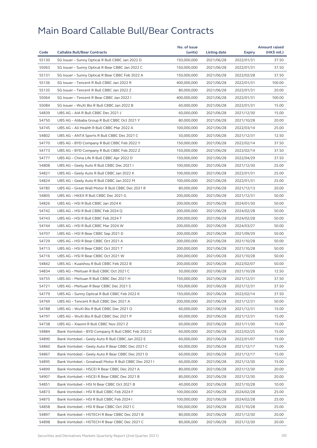|       |                                                        | No. of issue |              |            | <b>Amount raised</b> |
|-------|--------------------------------------------------------|--------------|--------------|------------|----------------------|
| Code  | <b>Callable Bull/Bear Contracts</b>                    | (units)      | Listing date | Expiry     | (HK\$ mil.)          |
| 55130 | SG Issuer - Sunny Optical R Bull CBBC Jan 2022 D       | 150,000,000  | 2021/06/28   | 2022/01/31 | 37.50                |
| 55063 | SG Issuer - Sunny Optical R Bear CBBC Jan 2022 C       | 150,000,000  | 2021/06/28   | 2022/01/31 | 37.50                |
| 55131 | SG Issuer - Sunny Optical R Bear CBBC Feb 2022 A       | 150,000,000  | 2021/06/28   | 2022/02/28 | 37.50                |
| 55136 | SG Issuer - Tencent R Bull CBBC Jan 2022 R             | 400,000,000  | 2021/06/28   | 2022/01/31 | 100.00               |
| 55135 | SG Issuer - Tencent R Bull CBBC Jan 2022 Z             | 80,000,000   | 2021/06/28   | 2022/01/31 | 20.00                |
| 55064 | SG Issuer - Tencent R Bear CBBC Jan 2022 I             | 400,000,000  | 2021/06/28   | 2022/01/31 | 100.00               |
| 55084 | SG Issuer - WuXi Bio R Bull CBBC Jan 2022 B            | 60,000,000   | 2021/06/28   | 2022/01/31 | 15.00                |
| 54839 | UBS AG - AIA R Bull CBBC Dec 2021 J                    | 60,000,000   | 2021/06/28   | 2021/12/30 | 15.00                |
| 54750 | UBS AG - Alibaba Group R Bull CBBC Oct 2021 Y          | 80,000,000   | 2021/06/28   | 2021/10/28 | 20.00                |
| 54745 | UBS AG - Ali Health R Bull CBBC Mar 2022 A             | 100,000,000  | 2021/06/28   | 2022/03/14 | 25.00                |
| 54802 | UBS AG - ANTA Sports R Bull CBBC Dec 2021 C            | 50,000,000   | 2021/06/28   | 2021/12/31 | 12.50                |
| 54770 | UBS AG - BYD Company R Bull CBBC Feb 2022 Y            | 150,000,000  | 2021/06/28   | 2022/02/14 | 37.50                |
| 54773 | UBS AG – BYD Company R Bull CBBC Feb 2022 Z            | 150,000,000  | 2021/06/28   | 2022/02/14 | 37.50                |
| 54777 | UBS AG - China Life R Bull CBBC Apr 2022 D             | 150,000,000  | 2021/06/28   | 2022/04/29 | 37.50                |
| 54808 | UBS AG – Geely Auto R Bull CBBC Dec 2021 I             | 100,000,000  | 2021/06/28   | 2021/12/30 | 25.00                |
| 54821 | UBS AG - Geely Auto R Bull CBBC Jan 2022 K             | 100,000,000  | 2021/06/28   | 2022/01/31 | 25.00                |
| 54824 | UBS AG - Geely Auto R Bull CBBC Jan 2022 M             | 100,000,000  | 2021/06/28   | 2022/01/31 | 25.00                |
| 54785 | UBS AG - Great Wall Motor R Bull CBBC Dec 2021 R       | 80,000,000   | 2021/06/28   | 2021/12/13 | 20.00                |
| 54805 | UBS AG - HKEX R Bull CBBC Dec 2021 G                   | 200,000,000  | 2021/06/28   | 2021/12/31 | 50.00                |
| 54826 | UBS AG - HSI R Bull CBBC Jan 2024 K                    | 200,000,000  | 2021/06/28   | 2024/01/30 | 50.00                |
| 54742 | UBS AG - HSI R Bull CBBC Feb 2024 Q                    | 200,000,000  | 2021/06/28   | 2024/02/28 | 50.00                |
| 54743 | UBS AG - HSI R Bull CBBC Feb 2024 T                    | 200,000,000  | 2021/06/28   | 2024/02/28 | 50.00                |
| 54744 | UBS AG - HSI R Bull CBBC Mar 2024 W                    | 200,000,000  | 2021/06/28   | 2024/03/27 | 50.00                |
| 54707 | UBS AG – HSI R Bear CBBC Sep 2021 D                    | 200,000,000  | 2021/06/28   | 2021/09/29 | 50.00                |
| 54729 | UBS AG - HSI R Bear CBBC Oct 2021 A                    | 200,000,000  | 2021/06/28   | 2021/10/28 | 50.00                |
| 54713 | UBS AG - HSI R Bear CBBC Oct 2021 T                    | 200,000,000  | 2021/06/28   | 2021/10/28 | 50.00                |
| 54716 | UBS AG - HSI R Bear CBBC Oct 2021 W                    | 200,000,000  | 2021/06/28   | 2021/10/28 | 50.00                |
| 54842 | UBS AG - Kuaishou R Bull CBBC Feb 2022 B               | 200,000,000  | 2021/06/28   | 2022/02/07 | 50.00                |
| 54834 | UBS AG - Meituan R Bull CBBC Oct 2021 C                | 50,000,000   | 2021/06/28   | 2021/10/28 | 12.50                |
| 54755 | UBS AG - Meituan R Bull CBBC Dec 2021 H                | 150,000,000  | 2021/06/28   | 2021/12/31 | 37.50                |
| 54721 | UBS AG - Meituan R Bear CBBC Dec 2021 S                | 150,000,000  | 2021/06/28   | 2021/12/31 | 37.50                |
| 54779 | UBS AG - Sunny Optical R Bull CBBC Feb 2022 K          | 150,000,000  | 2021/06/28   | 2022/02/14 | 37.50                |
| 54769 | UBS AG - Tencent R Bull CBBC Dec 2021 A                | 200,000,000  | 2021/06/28   | 2021/12/31 | 50.00                |
| 54788 | UBS AG - WuXi Bio R Bull CBBC Dec 2021 O               | 60,000,000   | 2021/06/28   | 2021/12/31 | 15.00                |
| 54797 | UBS AG - WuXi Bio R Bull CBBC Dec 2021 P               | 60,000,000   | 2021/06/28   | 2021/12/31 | 15.00                |
| 54738 | UBS AG - Xiaomi R Bull CBBC Nov 2021 Z                 | 60,000,000   | 2021/06/28   | 2021/11/30 | 15.00                |
| 54884 | Bank Vontobel - BYD Company R Bull CBBC Feb 2022 C     | 60,000,000   | 2021/06/28   | 2022/02/25 | 15.00                |
| 54890 | Bank Vontobel - Geely Auto R Bull CBBC Jan 2022 E      | 60,000,000   | 2021/06/28   | 2022/01/07 | 15.00                |
| 54860 | Bank Vontobel - Geely Auto R Bear CBBC Dec 2021 C      | 60,000,000   | 2021/06/28   | 2021/12/17 | 15.00                |
| 54867 | Bank Vontobel - Geely Auto R Bear CBBC Dec 2021 D      | 60,000,000   | 2021/06/28   | 2021/12/17 | 15.00                |
| 54895 | Bank Vontobel - Greatwall Motor R Bull CBBC Dec 2021 I | 60,000,000   | 2021/06/28   | 2021/12/30 | 15.00                |
| 54899 | Bank Vontobel - HSCEI R Bear CBBC Dec 2021 A           | 80,000,000   | 2021/06/28   | 2021/12/30 | 20.00                |
| 54907 | Bank Vontobel - HSCEI R Bear CBBC Dec 2021 B           | 80,000,000   | 2021/06/28   | 2021/12/30 | 20.00                |
| 54851 | Bank Vontobel - HSI N Bear CBBC Oct 2021 B             | 40,000,000   | 2021/06/28   | 2021/10/28 | 10.00                |
| 54873 | Bank Vontobel - HSI R Bull CBBC Feb 2024 F             | 100,000,000  | 2021/06/28   | 2024/02/28 | 25.00                |
| 54875 | Bank Vontobel - HSI R Bull CBBC Feb 2024 I             | 100,000,000  | 2021/06/28   | 2024/02/28 | 25.00                |
| 54858 | Bank Vontobel - HSI R Bear CBBC Oct 2021 C             | 100,000,000  | 2021/06/28   | 2021/10/28 | 25.00                |
| 54897 | Bank Vontobel - HSTECH R Bear CBBC Dec 2021 B          | 80,000,000   | 2021/06/28   | 2021/12/30 | 20.00                |
| 54898 | Bank Vontobel - HSTECH R Bear CBBC Dec 2021 C          | 80,000,000   | 2021/06/28   | 2021/12/30 | 20.00                |
|       |                                                        |              |              |            |                      |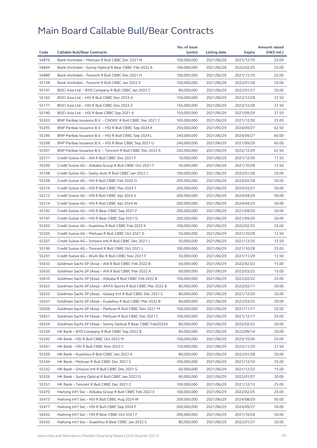| 54876<br>Bank Vontobel - Meituan R Bull CBBC Dec 2021 N<br>100,000,000<br>25.00<br>2021/06/28<br>2021/12/10<br>54894<br>Bank Vontobel - Sunny Optical R Bear CBBC Feb 2022 A<br>100,000,000<br>2021/06/28<br>25.00<br>2022/02/25<br>54889<br>25.00<br>Bank Vontobel - Tencent R Bull CBBC Dec 2021 H<br>100,000,000<br>2021/06/28<br>2021/12/10<br>55138<br>Bank Vontobel - Tencent R Bull CBBC Jan 2022 E<br>100,000,000<br>25.00<br>2021/06/28<br>2022/01/28<br>55191<br>BOCI Asia Ltd. - BYD Company R Bull CBBC Jan 2022 C<br>80,000,000<br>2021/06/29<br>2022/01/31<br>20.00<br>55162<br>37.50<br>BOCI Asia Ltd. - HSI R Bull CBBC Dec 2023 A<br>150,000,000<br>2021/06/29<br>2023/12/28<br>55171<br>BOCI Asia Ltd. - HSI R Bull CBBC Dec 2023 Z<br>150,000,000<br>2021/06/29<br>2023/12/28<br>37.50<br>55190<br>BOCI Asia Ltd. - HSI R Bear CBBC Sep 2021 A<br>150,000,000<br>2021/06/29<br>2021/09/29<br>37.50<br>55303<br>BNP Paribas Issuance B.V. - CNOOC R Bull CBBC Dec 2021 C<br>25.00<br>100,000,000<br>2021/06/29<br>2021/12/30<br>55295<br>BNP Paribas Issuance B.V. - HSI R Bull CBBC Sep 2024 K<br>250,000,000<br>2021/06/29<br>62.50<br>2024/09/27<br>55296<br>BNP Paribas Issuance B.V. - HSI R Bull CBBC Sep 2024 L<br>240,000,000<br>2021/06/29<br>2024/09/27<br>60.00<br>55298<br>BNP Paribas Issuance B.V. - HSI R Bear CBBC Sep 2021 U<br>240,000,000<br>2021/06/29<br>2021/09/29<br>60.00<br>55307<br>BNP Paribas Issuance B.V. - Tencent R Bull CBBC Dec 2022 A<br>62.50<br>250,000,000<br>2021/06/29<br>2022/12/29<br>55211<br>Credit Suisse AG - AIA R Bull CBBC Dec 2021 F<br>70,000,000<br>2021/06/29<br>2021/12/30<br>17.50<br>55209<br>Credit Suisse AG - Alibaba Group R Bull CBBC Oct 2021 T<br>12.50<br>50,000,000<br>2021/06/29<br>2021/10/28<br>55198<br>Credit Suisse AG - Geely Auto R Bull CBBC Jan 2022 J<br>100,000,000<br>2021/06/29<br>2022/01/28<br>25.00<br>55238<br>50.00<br>Credit Suisse AG - HSI R Bull CBBC Feb 2024 O<br>200,000,000<br>2021/06/29<br>2024/02/28<br>55216<br>Credit Suisse AG - HSI R Bull CBBC Mar 2024 T<br>200,000,000<br>50.00<br>2021/06/29<br>2024/03/27<br>55212<br>Credit Suisse AG - HSI R Bull CBBC Apr 2024 V<br>200,000,000<br>2021/06/29<br>2024/04/29<br>50.00<br>55214<br>Credit Suisse AG - HSI R Bull CBBC Apr 2024 W<br>200,000,000<br>2021/06/29<br>2024/04/29<br>50.00<br>55192<br>Credit Suisse AG - HSI R Bear CBBC Sep 2021 F<br>200,000,000<br>2021/06/29<br>2021/09/29<br>50.00<br>55197<br>Credit Suisse AG - HSI R Bear CBBC Sep 2021 G<br>200,000,000<br>2021/06/29<br>2021/09/29<br>50.00<br>55202<br>Credit Suisse AG - Kuaishou R Bull CBBC Feb 2022 K<br>100,000,000<br>2021/06/29<br>2022/02/25<br>25.00<br>55205<br>Credit Suisse AG - Meituan R Bull CBBC Oct 2021 D<br>12.50<br>50,000,000<br>2021/06/29<br>2021/10/28<br>55207<br>Credit Suisse AG - Smoore Intl R Bull CBBC Dec 2021 J<br>50,000,000<br>2021/06/29<br>2021/12/30<br>12.50<br>55199<br>Credit Suisse AG - Tencent R Bull CBBC Oct 2021 L<br>100,000,000<br>2021/06/29<br>2021/10/28<br>25.00<br>55201<br>Credit Suisse AG - WuXi Bio R Bull CBBC Nov 2021 F<br>50,000,000<br>2021/06/29<br>2021/11/29<br>12.50<br>55633<br>Goldman Sachs SP (Asia) - AIA R Bull CBBC Feb 2022 B<br>60,000,000<br>2021/06/29<br>2022/02/22<br>15.00<br>55635<br>Goldman Sachs SP (Asia) - AIA R Bull CBBC Mar 2022 A<br>60,000,000<br>15.00<br>2021/06/29<br>2022/03/25<br>25.00<br>55610<br>Goldman Sachs SP (Asia) - Alibaba R Bull CBBC Feb 2022 B<br>100,000,000<br>2021/06/29<br>2022/02/22<br>55623<br>Goldman Sachs SP (Asia) - ANTA Sports R Bull CBBC Mar 2022 B<br>80,000,000<br>2022/03/17<br>20.00<br>2021/06/29<br>55625<br>Goldman Sachs SP (Asia) - Galaxy Ent R Bull CBBC Dec 2021 C<br>80,000,000<br>2021/06/29<br>2021/12/29<br>20.00<br>55637<br>80,000,000<br>2021/06/29<br>20.00<br>Goldman Sachs SP (Asia) – Kuaishou R Bull CBBC Mar 2022 B<br>2022/03/25<br>55609<br>Goldman Sachs SP (Asia) - Meituan R Bull CBBC Nov 2021 M<br>100,000,000<br>2021/06/29<br>2021/11/17<br>25.00<br>55621<br>Goldman Sachs SP (Asia) - Meituan R Bull CBBC Dec 2021 C<br>100,000,000<br>2021/06/29<br>25.00<br>2021/12/17<br>55624<br>Goldman Sachs SP (Asia) - Sunny Optical R Bear CBBC Feb2022A<br>80,000,000<br>2021/06/29<br>2022/02/22<br>20.00<br>55339<br>HK Bank - BYD Company R Bull CBBC Sep 2022 B<br>80,000,000<br>2021/06/29<br>2022/09/14<br>20.00<br>55342<br>HK Bank - HSI R Bull CBBC Oct 2023 M<br>100,000,000<br>2021/06/29<br>25.00<br>2023/10/30<br>55341<br>HK Bank - HSI R Bull CBBC Nov 2023 C<br>150,000,000<br>2021/06/29<br>2023/11/29<br>37.50<br>55309<br>HK Bank - Kuaishou R Bull CBBC Jan 2022 A<br>80,000,000<br>2021/06/29<br>20.00<br>2022/01/28<br>100,000,000<br>55344<br>HK Bank - Meituan R Bull CBBC Dec 2021 S<br>2021/06/29<br>2021/12/10<br>25.00<br>55332<br>HK Bank - Smoore Intl R Bull CBBC Dec 2021 G<br>60,000,000<br>2021/06/29<br>15.00<br>2021/12/23<br>55326<br>HK Bank - Sunny Optical R Bull CBBC Jan 2022 D<br>80,000,000<br>2021/06/29<br>2022/01/07<br>20.00<br>55351<br>HK Bank - Tencent R Bull CBBC Dec 2021 Z<br>100,000,000<br>25.00<br>2021/06/29<br>2021/12/13<br>55470<br>Haitong Int'l Sec - Alibaba Group R Bull CBBC Feb 2022 E<br>100,000,000<br>2021/06/29<br>2022/02/25<br>25.00<br>55473<br>Haitong Int'l Sec - HSI R Bull CBBC Aug 2024 W<br>200,000,000<br>2021/06/29<br>50.00<br>2024/08/29<br>55477<br>Haitong Int'l Sec - HSI R Bull CBBC Sep 2024 F<br>200,000,000<br>2021/06/29<br>2024/09/27<br>50.00<br>50.00<br>55432<br>Haitong Int'l Sec - HSI R Bear CBBC Oct 2021 F<br>200,000,000<br>2021/06/29<br>2021/10/28<br>55433<br>80,000,000<br>20.00<br>2021/06/29<br>2022/01/31 |      |                                                     | No. of issue |              |        | <b>Amount raised</b> |
|--------------------------------------------------------------------------------------------------------------------------------------------------------------------------------------------------------------------------------------------------------------------------------------------------------------------------------------------------------------------------------------------------------------------------------------------------------------------------------------------------------------------------------------------------------------------------------------------------------------------------------------------------------------------------------------------------------------------------------------------------------------------------------------------------------------------------------------------------------------------------------------------------------------------------------------------------------------------------------------------------------------------------------------------------------------------------------------------------------------------------------------------------------------------------------------------------------------------------------------------------------------------------------------------------------------------------------------------------------------------------------------------------------------------------------------------------------------------------------------------------------------------------------------------------------------------------------------------------------------------------------------------------------------------------------------------------------------------------------------------------------------------------------------------------------------------------------------------------------------------------------------------------------------------------------------------------------------------------------------------------------------------------------------------------------------------------------------------------------------------------------------------------------------------------------------------------------------------------------------------------------------------------------------------------------------------------------------------------------------------------------------------------------------------------------------------------------------------------------------------------------------------------------------------------------------------------------------------------------------------------------------------------------------------------------------------------------------------------------------------------------------------------------------------------------------------------------------------------------------------------------------------------------------------------------------------------------------------------------------------------------------------------------------------------------------------------------------------------------------------------------------------------------------------------------------------------------------------------------------------------------------------------------------------------------------------------------------------------------------------------------------------------------------------------------------------------------------------------------------------------------------------------------------------------------------------------------------------------------------------------------------------------------------------------------------------------------------------------------------------------------------------------------------------------------------------------------------------------------------------------------------------------------------------------------------------------------------------------------------------------------------------------------------------------------------------------------------------------------------------------------------------------------------------------------------------------------------------------------------------------------------------------------------------------------------------------------------------------------------------------------------------------------------------------------------------------------------------------------------------------------------------------------------------------------------------------------------------------------------------------------------------------------------------------------------------------------------------------------------------------------------------------------------------------------------------------------------------------------------------------------------------------------------------------------------------------------------------------------------------------------------------------------------------------------------------------------------------------------------------------------------------------------------------------------------------------------------------------------------------------------------------------------------------------------------------------------------------------------------------------------------------------------------------------------------------------------------------------------------------------------------------------------------------------------------------------------------------------------------------------------------------------------------------------------------------------------------------------------------|------|-----------------------------------------------------|--------------|--------------|--------|----------------------|
|                                                                                                                                                                                                                                                                                                                                                                                                                                                                                                                                                                                                                                                                                                                                                                                                                                                                                                                                                                                                                                                                                                                                                                                                                                                                                                                                                                                                                                                                                                                                                                                                                                                                                                                                                                                                                                                                                                                                                                                                                                                                                                                                                                                                                                                                                                                                                                                                                                                                                                                                                                                                                                                                                                                                                                                                                                                                                                                                                                                                                                                                                                                                                                                                                                                                                                                                                                                                                                                                                                                                                                                                                                                                                                                                                                                                                                                                                                                                                                                                                                                                                                                                                                                                                                                                                                                                                                                                                                                                                                                                                                                                                                                                                                                                                                                                                                                                                                                                                                                                                                                                                                                                                                                                                                                                                                                                                                                                                                                                                                                                                                                                                                                                                                                                      | Code | <b>Callable Bull/Bear Contracts</b>                 | (units)      | Listing date | Expiry | (HK\$ mil.)          |
|                                                                                                                                                                                                                                                                                                                                                                                                                                                                                                                                                                                                                                                                                                                                                                                                                                                                                                                                                                                                                                                                                                                                                                                                                                                                                                                                                                                                                                                                                                                                                                                                                                                                                                                                                                                                                                                                                                                                                                                                                                                                                                                                                                                                                                                                                                                                                                                                                                                                                                                                                                                                                                                                                                                                                                                                                                                                                                                                                                                                                                                                                                                                                                                                                                                                                                                                                                                                                                                                                                                                                                                                                                                                                                                                                                                                                                                                                                                                                                                                                                                                                                                                                                                                                                                                                                                                                                                                                                                                                                                                                                                                                                                                                                                                                                                                                                                                                                                                                                                                                                                                                                                                                                                                                                                                                                                                                                                                                                                                                                                                                                                                                                                                                                                                      |      |                                                     |              |              |        |                      |
|                                                                                                                                                                                                                                                                                                                                                                                                                                                                                                                                                                                                                                                                                                                                                                                                                                                                                                                                                                                                                                                                                                                                                                                                                                                                                                                                                                                                                                                                                                                                                                                                                                                                                                                                                                                                                                                                                                                                                                                                                                                                                                                                                                                                                                                                                                                                                                                                                                                                                                                                                                                                                                                                                                                                                                                                                                                                                                                                                                                                                                                                                                                                                                                                                                                                                                                                                                                                                                                                                                                                                                                                                                                                                                                                                                                                                                                                                                                                                                                                                                                                                                                                                                                                                                                                                                                                                                                                                                                                                                                                                                                                                                                                                                                                                                                                                                                                                                                                                                                                                                                                                                                                                                                                                                                                                                                                                                                                                                                                                                                                                                                                                                                                                                                                      |      |                                                     |              |              |        |                      |
|                                                                                                                                                                                                                                                                                                                                                                                                                                                                                                                                                                                                                                                                                                                                                                                                                                                                                                                                                                                                                                                                                                                                                                                                                                                                                                                                                                                                                                                                                                                                                                                                                                                                                                                                                                                                                                                                                                                                                                                                                                                                                                                                                                                                                                                                                                                                                                                                                                                                                                                                                                                                                                                                                                                                                                                                                                                                                                                                                                                                                                                                                                                                                                                                                                                                                                                                                                                                                                                                                                                                                                                                                                                                                                                                                                                                                                                                                                                                                                                                                                                                                                                                                                                                                                                                                                                                                                                                                                                                                                                                                                                                                                                                                                                                                                                                                                                                                                                                                                                                                                                                                                                                                                                                                                                                                                                                                                                                                                                                                                                                                                                                                                                                                                                                      |      |                                                     |              |              |        |                      |
|                                                                                                                                                                                                                                                                                                                                                                                                                                                                                                                                                                                                                                                                                                                                                                                                                                                                                                                                                                                                                                                                                                                                                                                                                                                                                                                                                                                                                                                                                                                                                                                                                                                                                                                                                                                                                                                                                                                                                                                                                                                                                                                                                                                                                                                                                                                                                                                                                                                                                                                                                                                                                                                                                                                                                                                                                                                                                                                                                                                                                                                                                                                                                                                                                                                                                                                                                                                                                                                                                                                                                                                                                                                                                                                                                                                                                                                                                                                                                                                                                                                                                                                                                                                                                                                                                                                                                                                                                                                                                                                                                                                                                                                                                                                                                                                                                                                                                                                                                                                                                                                                                                                                                                                                                                                                                                                                                                                                                                                                                                                                                                                                                                                                                                                                      |      |                                                     |              |              |        |                      |
|                                                                                                                                                                                                                                                                                                                                                                                                                                                                                                                                                                                                                                                                                                                                                                                                                                                                                                                                                                                                                                                                                                                                                                                                                                                                                                                                                                                                                                                                                                                                                                                                                                                                                                                                                                                                                                                                                                                                                                                                                                                                                                                                                                                                                                                                                                                                                                                                                                                                                                                                                                                                                                                                                                                                                                                                                                                                                                                                                                                                                                                                                                                                                                                                                                                                                                                                                                                                                                                                                                                                                                                                                                                                                                                                                                                                                                                                                                                                                                                                                                                                                                                                                                                                                                                                                                                                                                                                                                                                                                                                                                                                                                                                                                                                                                                                                                                                                                                                                                                                                                                                                                                                                                                                                                                                                                                                                                                                                                                                                                                                                                                                                                                                                                                                      |      |                                                     |              |              |        |                      |
|                                                                                                                                                                                                                                                                                                                                                                                                                                                                                                                                                                                                                                                                                                                                                                                                                                                                                                                                                                                                                                                                                                                                                                                                                                                                                                                                                                                                                                                                                                                                                                                                                                                                                                                                                                                                                                                                                                                                                                                                                                                                                                                                                                                                                                                                                                                                                                                                                                                                                                                                                                                                                                                                                                                                                                                                                                                                                                                                                                                                                                                                                                                                                                                                                                                                                                                                                                                                                                                                                                                                                                                                                                                                                                                                                                                                                                                                                                                                                                                                                                                                                                                                                                                                                                                                                                                                                                                                                                                                                                                                                                                                                                                                                                                                                                                                                                                                                                                                                                                                                                                                                                                                                                                                                                                                                                                                                                                                                                                                                                                                                                                                                                                                                                                                      |      |                                                     |              |              |        |                      |
|                                                                                                                                                                                                                                                                                                                                                                                                                                                                                                                                                                                                                                                                                                                                                                                                                                                                                                                                                                                                                                                                                                                                                                                                                                                                                                                                                                                                                                                                                                                                                                                                                                                                                                                                                                                                                                                                                                                                                                                                                                                                                                                                                                                                                                                                                                                                                                                                                                                                                                                                                                                                                                                                                                                                                                                                                                                                                                                                                                                                                                                                                                                                                                                                                                                                                                                                                                                                                                                                                                                                                                                                                                                                                                                                                                                                                                                                                                                                                                                                                                                                                                                                                                                                                                                                                                                                                                                                                                                                                                                                                                                                                                                                                                                                                                                                                                                                                                                                                                                                                                                                                                                                                                                                                                                                                                                                                                                                                                                                                                                                                                                                                                                                                                                                      |      |                                                     |              |              |        |                      |
|                                                                                                                                                                                                                                                                                                                                                                                                                                                                                                                                                                                                                                                                                                                                                                                                                                                                                                                                                                                                                                                                                                                                                                                                                                                                                                                                                                                                                                                                                                                                                                                                                                                                                                                                                                                                                                                                                                                                                                                                                                                                                                                                                                                                                                                                                                                                                                                                                                                                                                                                                                                                                                                                                                                                                                                                                                                                                                                                                                                                                                                                                                                                                                                                                                                                                                                                                                                                                                                                                                                                                                                                                                                                                                                                                                                                                                                                                                                                                                                                                                                                                                                                                                                                                                                                                                                                                                                                                                                                                                                                                                                                                                                                                                                                                                                                                                                                                                                                                                                                                                                                                                                                                                                                                                                                                                                                                                                                                                                                                                                                                                                                                                                                                                                                      |      |                                                     |              |              |        |                      |
|                                                                                                                                                                                                                                                                                                                                                                                                                                                                                                                                                                                                                                                                                                                                                                                                                                                                                                                                                                                                                                                                                                                                                                                                                                                                                                                                                                                                                                                                                                                                                                                                                                                                                                                                                                                                                                                                                                                                                                                                                                                                                                                                                                                                                                                                                                                                                                                                                                                                                                                                                                                                                                                                                                                                                                                                                                                                                                                                                                                                                                                                                                                                                                                                                                                                                                                                                                                                                                                                                                                                                                                                                                                                                                                                                                                                                                                                                                                                                                                                                                                                                                                                                                                                                                                                                                                                                                                                                                                                                                                                                                                                                                                                                                                                                                                                                                                                                                                                                                                                                                                                                                                                                                                                                                                                                                                                                                                                                                                                                                                                                                                                                                                                                                                                      |      |                                                     |              |              |        |                      |
|                                                                                                                                                                                                                                                                                                                                                                                                                                                                                                                                                                                                                                                                                                                                                                                                                                                                                                                                                                                                                                                                                                                                                                                                                                                                                                                                                                                                                                                                                                                                                                                                                                                                                                                                                                                                                                                                                                                                                                                                                                                                                                                                                                                                                                                                                                                                                                                                                                                                                                                                                                                                                                                                                                                                                                                                                                                                                                                                                                                                                                                                                                                                                                                                                                                                                                                                                                                                                                                                                                                                                                                                                                                                                                                                                                                                                                                                                                                                                                                                                                                                                                                                                                                                                                                                                                                                                                                                                                                                                                                                                                                                                                                                                                                                                                                                                                                                                                                                                                                                                                                                                                                                                                                                                                                                                                                                                                                                                                                                                                                                                                                                                                                                                                                                      |      |                                                     |              |              |        |                      |
|                                                                                                                                                                                                                                                                                                                                                                                                                                                                                                                                                                                                                                                                                                                                                                                                                                                                                                                                                                                                                                                                                                                                                                                                                                                                                                                                                                                                                                                                                                                                                                                                                                                                                                                                                                                                                                                                                                                                                                                                                                                                                                                                                                                                                                                                                                                                                                                                                                                                                                                                                                                                                                                                                                                                                                                                                                                                                                                                                                                                                                                                                                                                                                                                                                                                                                                                                                                                                                                                                                                                                                                                                                                                                                                                                                                                                                                                                                                                                                                                                                                                                                                                                                                                                                                                                                                                                                                                                                                                                                                                                                                                                                                                                                                                                                                                                                                                                                                                                                                                                                                                                                                                                                                                                                                                                                                                                                                                                                                                                                                                                                                                                                                                                                                                      |      |                                                     |              |              |        |                      |
|                                                                                                                                                                                                                                                                                                                                                                                                                                                                                                                                                                                                                                                                                                                                                                                                                                                                                                                                                                                                                                                                                                                                                                                                                                                                                                                                                                                                                                                                                                                                                                                                                                                                                                                                                                                                                                                                                                                                                                                                                                                                                                                                                                                                                                                                                                                                                                                                                                                                                                                                                                                                                                                                                                                                                                                                                                                                                                                                                                                                                                                                                                                                                                                                                                                                                                                                                                                                                                                                                                                                                                                                                                                                                                                                                                                                                                                                                                                                                                                                                                                                                                                                                                                                                                                                                                                                                                                                                                                                                                                                                                                                                                                                                                                                                                                                                                                                                                                                                                                                                                                                                                                                                                                                                                                                                                                                                                                                                                                                                                                                                                                                                                                                                                                                      |      |                                                     |              |              |        |                      |
|                                                                                                                                                                                                                                                                                                                                                                                                                                                                                                                                                                                                                                                                                                                                                                                                                                                                                                                                                                                                                                                                                                                                                                                                                                                                                                                                                                                                                                                                                                                                                                                                                                                                                                                                                                                                                                                                                                                                                                                                                                                                                                                                                                                                                                                                                                                                                                                                                                                                                                                                                                                                                                                                                                                                                                                                                                                                                                                                                                                                                                                                                                                                                                                                                                                                                                                                                                                                                                                                                                                                                                                                                                                                                                                                                                                                                                                                                                                                                                                                                                                                                                                                                                                                                                                                                                                                                                                                                                                                                                                                                                                                                                                                                                                                                                                                                                                                                                                                                                                                                                                                                                                                                                                                                                                                                                                                                                                                                                                                                                                                                                                                                                                                                                                                      |      |                                                     |              |              |        |                      |
|                                                                                                                                                                                                                                                                                                                                                                                                                                                                                                                                                                                                                                                                                                                                                                                                                                                                                                                                                                                                                                                                                                                                                                                                                                                                                                                                                                                                                                                                                                                                                                                                                                                                                                                                                                                                                                                                                                                                                                                                                                                                                                                                                                                                                                                                                                                                                                                                                                                                                                                                                                                                                                                                                                                                                                                                                                                                                                                                                                                                                                                                                                                                                                                                                                                                                                                                                                                                                                                                                                                                                                                                                                                                                                                                                                                                                                                                                                                                                                                                                                                                                                                                                                                                                                                                                                                                                                                                                                                                                                                                                                                                                                                                                                                                                                                                                                                                                                                                                                                                                                                                                                                                                                                                                                                                                                                                                                                                                                                                                                                                                                                                                                                                                                                                      |      |                                                     |              |              |        |                      |
|                                                                                                                                                                                                                                                                                                                                                                                                                                                                                                                                                                                                                                                                                                                                                                                                                                                                                                                                                                                                                                                                                                                                                                                                                                                                                                                                                                                                                                                                                                                                                                                                                                                                                                                                                                                                                                                                                                                                                                                                                                                                                                                                                                                                                                                                                                                                                                                                                                                                                                                                                                                                                                                                                                                                                                                                                                                                                                                                                                                                                                                                                                                                                                                                                                                                                                                                                                                                                                                                                                                                                                                                                                                                                                                                                                                                                                                                                                                                                                                                                                                                                                                                                                                                                                                                                                                                                                                                                                                                                                                                                                                                                                                                                                                                                                                                                                                                                                                                                                                                                                                                                                                                                                                                                                                                                                                                                                                                                                                                                                                                                                                                                                                                                                                                      |      |                                                     |              |              |        |                      |
|                                                                                                                                                                                                                                                                                                                                                                                                                                                                                                                                                                                                                                                                                                                                                                                                                                                                                                                                                                                                                                                                                                                                                                                                                                                                                                                                                                                                                                                                                                                                                                                                                                                                                                                                                                                                                                                                                                                                                                                                                                                                                                                                                                                                                                                                                                                                                                                                                                                                                                                                                                                                                                                                                                                                                                                                                                                                                                                                                                                                                                                                                                                                                                                                                                                                                                                                                                                                                                                                                                                                                                                                                                                                                                                                                                                                                                                                                                                                                                                                                                                                                                                                                                                                                                                                                                                                                                                                                                                                                                                                                                                                                                                                                                                                                                                                                                                                                                                                                                                                                                                                                                                                                                                                                                                                                                                                                                                                                                                                                                                                                                                                                                                                                                                                      |      |                                                     |              |              |        |                      |
|                                                                                                                                                                                                                                                                                                                                                                                                                                                                                                                                                                                                                                                                                                                                                                                                                                                                                                                                                                                                                                                                                                                                                                                                                                                                                                                                                                                                                                                                                                                                                                                                                                                                                                                                                                                                                                                                                                                                                                                                                                                                                                                                                                                                                                                                                                                                                                                                                                                                                                                                                                                                                                                                                                                                                                                                                                                                                                                                                                                                                                                                                                                                                                                                                                                                                                                                                                                                                                                                                                                                                                                                                                                                                                                                                                                                                                                                                                                                                                                                                                                                                                                                                                                                                                                                                                                                                                                                                                                                                                                                                                                                                                                                                                                                                                                                                                                                                                                                                                                                                                                                                                                                                                                                                                                                                                                                                                                                                                                                                                                                                                                                                                                                                                                                      |      |                                                     |              |              |        |                      |
|                                                                                                                                                                                                                                                                                                                                                                                                                                                                                                                                                                                                                                                                                                                                                                                                                                                                                                                                                                                                                                                                                                                                                                                                                                                                                                                                                                                                                                                                                                                                                                                                                                                                                                                                                                                                                                                                                                                                                                                                                                                                                                                                                                                                                                                                                                                                                                                                                                                                                                                                                                                                                                                                                                                                                                                                                                                                                                                                                                                                                                                                                                                                                                                                                                                                                                                                                                                                                                                                                                                                                                                                                                                                                                                                                                                                                                                                                                                                                                                                                                                                                                                                                                                                                                                                                                                                                                                                                                                                                                                                                                                                                                                                                                                                                                                                                                                                                                                                                                                                                                                                                                                                                                                                                                                                                                                                                                                                                                                                                                                                                                                                                                                                                                                                      |      |                                                     |              |              |        |                      |
|                                                                                                                                                                                                                                                                                                                                                                                                                                                                                                                                                                                                                                                                                                                                                                                                                                                                                                                                                                                                                                                                                                                                                                                                                                                                                                                                                                                                                                                                                                                                                                                                                                                                                                                                                                                                                                                                                                                                                                                                                                                                                                                                                                                                                                                                                                                                                                                                                                                                                                                                                                                                                                                                                                                                                                                                                                                                                                                                                                                                                                                                                                                                                                                                                                                                                                                                                                                                                                                                                                                                                                                                                                                                                                                                                                                                                                                                                                                                                                                                                                                                                                                                                                                                                                                                                                                                                                                                                                                                                                                                                                                                                                                                                                                                                                                                                                                                                                                                                                                                                                                                                                                                                                                                                                                                                                                                                                                                                                                                                                                                                                                                                                                                                                                                      |      |                                                     |              |              |        |                      |
|                                                                                                                                                                                                                                                                                                                                                                                                                                                                                                                                                                                                                                                                                                                                                                                                                                                                                                                                                                                                                                                                                                                                                                                                                                                                                                                                                                                                                                                                                                                                                                                                                                                                                                                                                                                                                                                                                                                                                                                                                                                                                                                                                                                                                                                                                                                                                                                                                                                                                                                                                                                                                                                                                                                                                                                                                                                                                                                                                                                                                                                                                                                                                                                                                                                                                                                                                                                                                                                                                                                                                                                                                                                                                                                                                                                                                                                                                                                                                                                                                                                                                                                                                                                                                                                                                                                                                                                                                                                                                                                                                                                                                                                                                                                                                                                                                                                                                                                                                                                                                                                                                                                                                                                                                                                                                                                                                                                                                                                                                                                                                                                                                                                                                                                                      |      |                                                     |              |              |        |                      |
|                                                                                                                                                                                                                                                                                                                                                                                                                                                                                                                                                                                                                                                                                                                                                                                                                                                                                                                                                                                                                                                                                                                                                                                                                                                                                                                                                                                                                                                                                                                                                                                                                                                                                                                                                                                                                                                                                                                                                                                                                                                                                                                                                                                                                                                                                                                                                                                                                                                                                                                                                                                                                                                                                                                                                                                                                                                                                                                                                                                                                                                                                                                                                                                                                                                                                                                                                                                                                                                                                                                                                                                                                                                                                                                                                                                                                                                                                                                                                                                                                                                                                                                                                                                                                                                                                                                                                                                                                                                                                                                                                                                                                                                                                                                                                                                                                                                                                                                                                                                                                                                                                                                                                                                                                                                                                                                                                                                                                                                                                                                                                                                                                                                                                                                                      |      |                                                     |              |              |        |                      |
|                                                                                                                                                                                                                                                                                                                                                                                                                                                                                                                                                                                                                                                                                                                                                                                                                                                                                                                                                                                                                                                                                                                                                                                                                                                                                                                                                                                                                                                                                                                                                                                                                                                                                                                                                                                                                                                                                                                                                                                                                                                                                                                                                                                                                                                                                                                                                                                                                                                                                                                                                                                                                                                                                                                                                                                                                                                                                                                                                                                                                                                                                                                                                                                                                                                                                                                                                                                                                                                                                                                                                                                                                                                                                                                                                                                                                                                                                                                                                                                                                                                                                                                                                                                                                                                                                                                                                                                                                                                                                                                                                                                                                                                                                                                                                                                                                                                                                                                                                                                                                                                                                                                                                                                                                                                                                                                                                                                                                                                                                                                                                                                                                                                                                                                                      |      |                                                     |              |              |        |                      |
|                                                                                                                                                                                                                                                                                                                                                                                                                                                                                                                                                                                                                                                                                                                                                                                                                                                                                                                                                                                                                                                                                                                                                                                                                                                                                                                                                                                                                                                                                                                                                                                                                                                                                                                                                                                                                                                                                                                                                                                                                                                                                                                                                                                                                                                                                                                                                                                                                                                                                                                                                                                                                                                                                                                                                                                                                                                                                                                                                                                                                                                                                                                                                                                                                                                                                                                                                                                                                                                                                                                                                                                                                                                                                                                                                                                                                                                                                                                                                                                                                                                                                                                                                                                                                                                                                                                                                                                                                                                                                                                                                                                                                                                                                                                                                                                                                                                                                                                                                                                                                                                                                                                                                                                                                                                                                                                                                                                                                                                                                                                                                                                                                                                                                                                                      |      |                                                     |              |              |        |                      |
|                                                                                                                                                                                                                                                                                                                                                                                                                                                                                                                                                                                                                                                                                                                                                                                                                                                                                                                                                                                                                                                                                                                                                                                                                                                                                                                                                                                                                                                                                                                                                                                                                                                                                                                                                                                                                                                                                                                                                                                                                                                                                                                                                                                                                                                                                                                                                                                                                                                                                                                                                                                                                                                                                                                                                                                                                                                                                                                                                                                                                                                                                                                                                                                                                                                                                                                                                                                                                                                                                                                                                                                                                                                                                                                                                                                                                                                                                                                                                                                                                                                                                                                                                                                                                                                                                                                                                                                                                                                                                                                                                                                                                                                                                                                                                                                                                                                                                                                                                                                                                                                                                                                                                                                                                                                                                                                                                                                                                                                                                                                                                                                                                                                                                                                                      |      |                                                     |              |              |        |                      |
|                                                                                                                                                                                                                                                                                                                                                                                                                                                                                                                                                                                                                                                                                                                                                                                                                                                                                                                                                                                                                                                                                                                                                                                                                                                                                                                                                                                                                                                                                                                                                                                                                                                                                                                                                                                                                                                                                                                                                                                                                                                                                                                                                                                                                                                                                                                                                                                                                                                                                                                                                                                                                                                                                                                                                                                                                                                                                                                                                                                                                                                                                                                                                                                                                                                                                                                                                                                                                                                                                                                                                                                                                                                                                                                                                                                                                                                                                                                                                                                                                                                                                                                                                                                                                                                                                                                                                                                                                                                                                                                                                                                                                                                                                                                                                                                                                                                                                                                                                                                                                                                                                                                                                                                                                                                                                                                                                                                                                                                                                                                                                                                                                                                                                                                                      |      |                                                     |              |              |        |                      |
|                                                                                                                                                                                                                                                                                                                                                                                                                                                                                                                                                                                                                                                                                                                                                                                                                                                                                                                                                                                                                                                                                                                                                                                                                                                                                                                                                                                                                                                                                                                                                                                                                                                                                                                                                                                                                                                                                                                                                                                                                                                                                                                                                                                                                                                                                                                                                                                                                                                                                                                                                                                                                                                                                                                                                                                                                                                                                                                                                                                                                                                                                                                                                                                                                                                                                                                                                                                                                                                                                                                                                                                                                                                                                                                                                                                                                                                                                                                                                                                                                                                                                                                                                                                                                                                                                                                                                                                                                                                                                                                                                                                                                                                                                                                                                                                                                                                                                                                                                                                                                                                                                                                                                                                                                                                                                                                                                                                                                                                                                                                                                                                                                                                                                                                                      |      |                                                     |              |              |        |                      |
|                                                                                                                                                                                                                                                                                                                                                                                                                                                                                                                                                                                                                                                                                                                                                                                                                                                                                                                                                                                                                                                                                                                                                                                                                                                                                                                                                                                                                                                                                                                                                                                                                                                                                                                                                                                                                                                                                                                                                                                                                                                                                                                                                                                                                                                                                                                                                                                                                                                                                                                                                                                                                                                                                                                                                                                                                                                                                                                                                                                                                                                                                                                                                                                                                                                                                                                                                                                                                                                                                                                                                                                                                                                                                                                                                                                                                                                                                                                                                                                                                                                                                                                                                                                                                                                                                                                                                                                                                                                                                                                                                                                                                                                                                                                                                                                                                                                                                                                                                                                                                                                                                                                                                                                                                                                                                                                                                                                                                                                                                                                                                                                                                                                                                                                                      |      |                                                     |              |              |        |                      |
|                                                                                                                                                                                                                                                                                                                                                                                                                                                                                                                                                                                                                                                                                                                                                                                                                                                                                                                                                                                                                                                                                                                                                                                                                                                                                                                                                                                                                                                                                                                                                                                                                                                                                                                                                                                                                                                                                                                                                                                                                                                                                                                                                                                                                                                                                                                                                                                                                                                                                                                                                                                                                                                                                                                                                                                                                                                                                                                                                                                                                                                                                                                                                                                                                                                                                                                                                                                                                                                                                                                                                                                                                                                                                                                                                                                                                                                                                                                                                                                                                                                                                                                                                                                                                                                                                                                                                                                                                                                                                                                                                                                                                                                                                                                                                                                                                                                                                                                                                                                                                                                                                                                                                                                                                                                                                                                                                                                                                                                                                                                                                                                                                                                                                                                                      |      |                                                     |              |              |        |                      |
|                                                                                                                                                                                                                                                                                                                                                                                                                                                                                                                                                                                                                                                                                                                                                                                                                                                                                                                                                                                                                                                                                                                                                                                                                                                                                                                                                                                                                                                                                                                                                                                                                                                                                                                                                                                                                                                                                                                                                                                                                                                                                                                                                                                                                                                                                                                                                                                                                                                                                                                                                                                                                                                                                                                                                                                                                                                                                                                                                                                                                                                                                                                                                                                                                                                                                                                                                                                                                                                                                                                                                                                                                                                                                                                                                                                                                                                                                                                                                                                                                                                                                                                                                                                                                                                                                                                                                                                                                                                                                                                                                                                                                                                                                                                                                                                                                                                                                                                                                                                                                                                                                                                                                                                                                                                                                                                                                                                                                                                                                                                                                                                                                                                                                                                                      |      |                                                     |              |              |        |                      |
|                                                                                                                                                                                                                                                                                                                                                                                                                                                                                                                                                                                                                                                                                                                                                                                                                                                                                                                                                                                                                                                                                                                                                                                                                                                                                                                                                                                                                                                                                                                                                                                                                                                                                                                                                                                                                                                                                                                                                                                                                                                                                                                                                                                                                                                                                                                                                                                                                                                                                                                                                                                                                                                                                                                                                                                                                                                                                                                                                                                                                                                                                                                                                                                                                                                                                                                                                                                                                                                                                                                                                                                                                                                                                                                                                                                                                                                                                                                                                                                                                                                                                                                                                                                                                                                                                                                                                                                                                                                                                                                                                                                                                                                                                                                                                                                                                                                                                                                                                                                                                                                                                                                                                                                                                                                                                                                                                                                                                                                                                                                                                                                                                                                                                                                                      |      |                                                     |              |              |        |                      |
|                                                                                                                                                                                                                                                                                                                                                                                                                                                                                                                                                                                                                                                                                                                                                                                                                                                                                                                                                                                                                                                                                                                                                                                                                                                                                                                                                                                                                                                                                                                                                                                                                                                                                                                                                                                                                                                                                                                                                                                                                                                                                                                                                                                                                                                                                                                                                                                                                                                                                                                                                                                                                                                                                                                                                                                                                                                                                                                                                                                                                                                                                                                                                                                                                                                                                                                                                                                                                                                                                                                                                                                                                                                                                                                                                                                                                                                                                                                                                                                                                                                                                                                                                                                                                                                                                                                                                                                                                                                                                                                                                                                                                                                                                                                                                                                                                                                                                                                                                                                                                                                                                                                                                                                                                                                                                                                                                                                                                                                                                                                                                                                                                                                                                                                                      |      |                                                     |              |              |        |                      |
|                                                                                                                                                                                                                                                                                                                                                                                                                                                                                                                                                                                                                                                                                                                                                                                                                                                                                                                                                                                                                                                                                                                                                                                                                                                                                                                                                                                                                                                                                                                                                                                                                                                                                                                                                                                                                                                                                                                                                                                                                                                                                                                                                                                                                                                                                                                                                                                                                                                                                                                                                                                                                                                                                                                                                                                                                                                                                                                                                                                                                                                                                                                                                                                                                                                                                                                                                                                                                                                                                                                                                                                                                                                                                                                                                                                                                                                                                                                                                                                                                                                                                                                                                                                                                                                                                                                                                                                                                                                                                                                                                                                                                                                                                                                                                                                                                                                                                                                                                                                                                                                                                                                                                                                                                                                                                                                                                                                                                                                                                                                                                                                                                                                                                                                                      |      |                                                     |              |              |        |                      |
|                                                                                                                                                                                                                                                                                                                                                                                                                                                                                                                                                                                                                                                                                                                                                                                                                                                                                                                                                                                                                                                                                                                                                                                                                                                                                                                                                                                                                                                                                                                                                                                                                                                                                                                                                                                                                                                                                                                                                                                                                                                                                                                                                                                                                                                                                                                                                                                                                                                                                                                                                                                                                                                                                                                                                                                                                                                                                                                                                                                                                                                                                                                                                                                                                                                                                                                                                                                                                                                                                                                                                                                                                                                                                                                                                                                                                                                                                                                                                                                                                                                                                                                                                                                                                                                                                                                                                                                                                                                                                                                                                                                                                                                                                                                                                                                                                                                                                                                                                                                                                                                                                                                                                                                                                                                                                                                                                                                                                                                                                                                                                                                                                                                                                                                                      |      |                                                     |              |              |        |                      |
|                                                                                                                                                                                                                                                                                                                                                                                                                                                                                                                                                                                                                                                                                                                                                                                                                                                                                                                                                                                                                                                                                                                                                                                                                                                                                                                                                                                                                                                                                                                                                                                                                                                                                                                                                                                                                                                                                                                                                                                                                                                                                                                                                                                                                                                                                                                                                                                                                                                                                                                                                                                                                                                                                                                                                                                                                                                                                                                                                                                                                                                                                                                                                                                                                                                                                                                                                                                                                                                                                                                                                                                                                                                                                                                                                                                                                                                                                                                                                                                                                                                                                                                                                                                                                                                                                                                                                                                                                                                                                                                                                                                                                                                                                                                                                                                                                                                                                                                                                                                                                                                                                                                                                                                                                                                                                                                                                                                                                                                                                                                                                                                                                                                                                                                                      |      |                                                     |              |              |        |                      |
|                                                                                                                                                                                                                                                                                                                                                                                                                                                                                                                                                                                                                                                                                                                                                                                                                                                                                                                                                                                                                                                                                                                                                                                                                                                                                                                                                                                                                                                                                                                                                                                                                                                                                                                                                                                                                                                                                                                                                                                                                                                                                                                                                                                                                                                                                                                                                                                                                                                                                                                                                                                                                                                                                                                                                                                                                                                                                                                                                                                                                                                                                                                                                                                                                                                                                                                                                                                                                                                                                                                                                                                                                                                                                                                                                                                                                                                                                                                                                                                                                                                                                                                                                                                                                                                                                                                                                                                                                                                                                                                                                                                                                                                                                                                                                                                                                                                                                                                                                                                                                                                                                                                                                                                                                                                                                                                                                                                                                                                                                                                                                                                                                                                                                                                                      |      |                                                     |              |              |        |                      |
|                                                                                                                                                                                                                                                                                                                                                                                                                                                                                                                                                                                                                                                                                                                                                                                                                                                                                                                                                                                                                                                                                                                                                                                                                                                                                                                                                                                                                                                                                                                                                                                                                                                                                                                                                                                                                                                                                                                                                                                                                                                                                                                                                                                                                                                                                                                                                                                                                                                                                                                                                                                                                                                                                                                                                                                                                                                                                                                                                                                                                                                                                                                                                                                                                                                                                                                                                                                                                                                                                                                                                                                                                                                                                                                                                                                                                                                                                                                                                                                                                                                                                                                                                                                                                                                                                                                                                                                                                                                                                                                                                                                                                                                                                                                                                                                                                                                                                                                                                                                                                                                                                                                                                                                                                                                                                                                                                                                                                                                                                                                                                                                                                                                                                                                                      |      |                                                     |              |              |        |                      |
|                                                                                                                                                                                                                                                                                                                                                                                                                                                                                                                                                                                                                                                                                                                                                                                                                                                                                                                                                                                                                                                                                                                                                                                                                                                                                                                                                                                                                                                                                                                                                                                                                                                                                                                                                                                                                                                                                                                                                                                                                                                                                                                                                                                                                                                                                                                                                                                                                                                                                                                                                                                                                                                                                                                                                                                                                                                                                                                                                                                                                                                                                                                                                                                                                                                                                                                                                                                                                                                                                                                                                                                                                                                                                                                                                                                                                                                                                                                                                                                                                                                                                                                                                                                                                                                                                                                                                                                                                                                                                                                                                                                                                                                                                                                                                                                                                                                                                                                                                                                                                                                                                                                                                                                                                                                                                                                                                                                                                                                                                                                                                                                                                                                                                                                                      |      |                                                     |              |              |        |                      |
|                                                                                                                                                                                                                                                                                                                                                                                                                                                                                                                                                                                                                                                                                                                                                                                                                                                                                                                                                                                                                                                                                                                                                                                                                                                                                                                                                                                                                                                                                                                                                                                                                                                                                                                                                                                                                                                                                                                                                                                                                                                                                                                                                                                                                                                                                                                                                                                                                                                                                                                                                                                                                                                                                                                                                                                                                                                                                                                                                                                                                                                                                                                                                                                                                                                                                                                                                                                                                                                                                                                                                                                                                                                                                                                                                                                                                                                                                                                                                                                                                                                                                                                                                                                                                                                                                                                                                                                                                                                                                                                                                                                                                                                                                                                                                                                                                                                                                                                                                                                                                                                                                                                                                                                                                                                                                                                                                                                                                                                                                                                                                                                                                                                                                                                                      |      |                                                     |              |              |        |                      |
|                                                                                                                                                                                                                                                                                                                                                                                                                                                                                                                                                                                                                                                                                                                                                                                                                                                                                                                                                                                                                                                                                                                                                                                                                                                                                                                                                                                                                                                                                                                                                                                                                                                                                                                                                                                                                                                                                                                                                                                                                                                                                                                                                                                                                                                                                                                                                                                                                                                                                                                                                                                                                                                                                                                                                                                                                                                                                                                                                                                                                                                                                                                                                                                                                                                                                                                                                                                                                                                                                                                                                                                                                                                                                                                                                                                                                                                                                                                                                                                                                                                                                                                                                                                                                                                                                                                                                                                                                                                                                                                                                                                                                                                                                                                                                                                                                                                                                                                                                                                                                                                                                                                                                                                                                                                                                                                                                                                                                                                                                                                                                                                                                                                                                                                                      |      |                                                     |              |              |        |                      |
|                                                                                                                                                                                                                                                                                                                                                                                                                                                                                                                                                                                                                                                                                                                                                                                                                                                                                                                                                                                                                                                                                                                                                                                                                                                                                                                                                                                                                                                                                                                                                                                                                                                                                                                                                                                                                                                                                                                                                                                                                                                                                                                                                                                                                                                                                                                                                                                                                                                                                                                                                                                                                                                                                                                                                                                                                                                                                                                                                                                                                                                                                                                                                                                                                                                                                                                                                                                                                                                                                                                                                                                                                                                                                                                                                                                                                                                                                                                                                                                                                                                                                                                                                                                                                                                                                                                                                                                                                                                                                                                                                                                                                                                                                                                                                                                                                                                                                                                                                                                                                                                                                                                                                                                                                                                                                                                                                                                                                                                                                                                                                                                                                                                                                                                                      |      |                                                     |              |              |        |                      |
|                                                                                                                                                                                                                                                                                                                                                                                                                                                                                                                                                                                                                                                                                                                                                                                                                                                                                                                                                                                                                                                                                                                                                                                                                                                                                                                                                                                                                                                                                                                                                                                                                                                                                                                                                                                                                                                                                                                                                                                                                                                                                                                                                                                                                                                                                                                                                                                                                                                                                                                                                                                                                                                                                                                                                                                                                                                                                                                                                                                                                                                                                                                                                                                                                                                                                                                                                                                                                                                                                                                                                                                                                                                                                                                                                                                                                                                                                                                                                                                                                                                                                                                                                                                                                                                                                                                                                                                                                                                                                                                                                                                                                                                                                                                                                                                                                                                                                                                                                                                                                                                                                                                                                                                                                                                                                                                                                                                                                                                                                                                                                                                                                                                                                                                                      |      |                                                     |              |              |        |                      |
|                                                                                                                                                                                                                                                                                                                                                                                                                                                                                                                                                                                                                                                                                                                                                                                                                                                                                                                                                                                                                                                                                                                                                                                                                                                                                                                                                                                                                                                                                                                                                                                                                                                                                                                                                                                                                                                                                                                                                                                                                                                                                                                                                                                                                                                                                                                                                                                                                                                                                                                                                                                                                                                                                                                                                                                                                                                                                                                                                                                                                                                                                                                                                                                                                                                                                                                                                                                                                                                                                                                                                                                                                                                                                                                                                                                                                                                                                                                                                                                                                                                                                                                                                                                                                                                                                                                                                                                                                                                                                                                                                                                                                                                                                                                                                                                                                                                                                                                                                                                                                                                                                                                                                                                                                                                                                                                                                                                                                                                                                                                                                                                                                                                                                                                                      |      |                                                     |              |              |        |                      |
|                                                                                                                                                                                                                                                                                                                                                                                                                                                                                                                                                                                                                                                                                                                                                                                                                                                                                                                                                                                                                                                                                                                                                                                                                                                                                                                                                                                                                                                                                                                                                                                                                                                                                                                                                                                                                                                                                                                                                                                                                                                                                                                                                                                                                                                                                                                                                                                                                                                                                                                                                                                                                                                                                                                                                                                                                                                                                                                                                                                                                                                                                                                                                                                                                                                                                                                                                                                                                                                                                                                                                                                                                                                                                                                                                                                                                                                                                                                                                                                                                                                                                                                                                                                                                                                                                                                                                                                                                                                                                                                                                                                                                                                                                                                                                                                                                                                                                                                                                                                                                                                                                                                                                                                                                                                                                                                                                                                                                                                                                                                                                                                                                                                                                                                                      |      |                                                     |              |              |        |                      |
|                                                                                                                                                                                                                                                                                                                                                                                                                                                                                                                                                                                                                                                                                                                                                                                                                                                                                                                                                                                                                                                                                                                                                                                                                                                                                                                                                                                                                                                                                                                                                                                                                                                                                                                                                                                                                                                                                                                                                                                                                                                                                                                                                                                                                                                                                                                                                                                                                                                                                                                                                                                                                                                                                                                                                                                                                                                                                                                                                                                                                                                                                                                                                                                                                                                                                                                                                                                                                                                                                                                                                                                                                                                                                                                                                                                                                                                                                                                                                                                                                                                                                                                                                                                                                                                                                                                                                                                                                                                                                                                                                                                                                                                                                                                                                                                                                                                                                                                                                                                                                                                                                                                                                                                                                                                                                                                                                                                                                                                                                                                                                                                                                                                                                                                                      |      |                                                     |              |              |        |                      |
|                                                                                                                                                                                                                                                                                                                                                                                                                                                                                                                                                                                                                                                                                                                                                                                                                                                                                                                                                                                                                                                                                                                                                                                                                                                                                                                                                                                                                                                                                                                                                                                                                                                                                                                                                                                                                                                                                                                                                                                                                                                                                                                                                                                                                                                                                                                                                                                                                                                                                                                                                                                                                                                                                                                                                                                                                                                                                                                                                                                                                                                                                                                                                                                                                                                                                                                                                                                                                                                                                                                                                                                                                                                                                                                                                                                                                                                                                                                                                                                                                                                                                                                                                                                                                                                                                                                                                                                                                                                                                                                                                                                                                                                                                                                                                                                                                                                                                                                                                                                                                                                                                                                                                                                                                                                                                                                                                                                                                                                                                                                                                                                                                                                                                                                                      |      |                                                     |              |              |        |                      |
|                                                                                                                                                                                                                                                                                                                                                                                                                                                                                                                                                                                                                                                                                                                                                                                                                                                                                                                                                                                                                                                                                                                                                                                                                                                                                                                                                                                                                                                                                                                                                                                                                                                                                                                                                                                                                                                                                                                                                                                                                                                                                                                                                                                                                                                                                                                                                                                                                                                                                                                                                                                                                                                                                                                                                                                                                                                                                                                                                                                                                                                                                                                                                                                                                                                                                                                                                                                                                                                                                                                                                                                                                                                                                                                                                                                                                                                                                                                                                                                                                                                                                                                                                                                                                                                                                                                                                                                                                                                                                                                                                                                                                                                                                                                                                                                                                                                                                                                                                                                                                                                                                                                                                                                                                                                                                                                                                                                                                                                                                                                                                                                                                                                                                                                                      |      |                                                     |              |              |        |                      |
|                                                                                                                                                                                                                                                                                                                                                                                                                                                                                                                                                                                                                                                                                                                                                                                                                                                                                                                                                                                                                                                                                                                                                                                                                                                                                                                                                                                                                                                                                                                                                                                                                                                                                                                                                                                                                                                                                                                                                                                                                                                                                                                                                                                                                                                                                                                                                                                                                                                                                                                                                                                                                                                                                                                                                                                                                                                                                                                                                                                                                                                                                                                                                                                                                                                                                                                                                                                                                                                                                                                                                                                                                                                                                                                                                                                                                                                                                                                                                                                                                                                                                                                                                                                                                                                                                                                                                                                                                                                                                                                                                                                                                                                                                                                                                                                                                                                                                                                                                                                                                                                                                                                                                                                                                                                                                                                                                                                                                                                                                                                                                                                                                                                                                                                                      |      |                                                     |              |              |        |                      |
|                                                                                                                                                                                                                                                                                                                                                                                                                                                                                                                                                                                                                                                                                                                                                                                                                                                                                                                                                                                                                                                                                                                                                                                                                                                                                                                                                                                                                                                                                                                                                                                                                                                                                                                                                                                                                                                                                                                                                                                                                                                                                                                                                                                                                                                                                                                                                                                                                                                                                                                                                                                                                                                                                                                                                                                                                                                                                                                                                                                                                                                                                                                                                                                                                                                                                                                                                                                                                                                                                                                                                                                                                                                                                                                                                                                                                                                                                                                                                                                                                                                                                                                                                                                                                                                                                                                                                                                                                                                                                                                                                                                                                                                                                                                                                                                                                                                                                                                                                                                                                                                                                                                                                                                                                                                                                                                                                                                                                                                                                                                                                                                                                                                                                                                                      |      |                                                     |              |              |        |                      |
|                                                                                                                                                                                                                                                                                                                                                                                                                                                                                                                                                                                                                                                                                                                                                                                                                                                                                                                                                                                                                                                                                                                                                                                                                                                                                                                                                                                                                                                                                                                                                                                                                                                                                                                                                                                                                                                                                                                                                                                                                                                                                                                                                                                                                                                                                                                                                                                                                                                                                                                                                                                                                                                                                                                                                                                                                                                                                                                                                                                                                                                                                                                                                                                                                                                                                                                                                                                                                                                                                                                                                                                                                                                                                                                                                                                                                                                                                                                                                                                                                                                                                                                                                                                                                                                                                                                                                                                                                                                                                                                                                                                                                                                                                                                                                                                                                                                                                                                                                                                                                                                                                                                                                                                                                                                                                                                                                                                                                                                                                                                                                                                                                                                                                                                                      |      | Haitong Int'l Sec - Kuaishou R Bear CBBC Jan 2022 C |              |              |        |                      |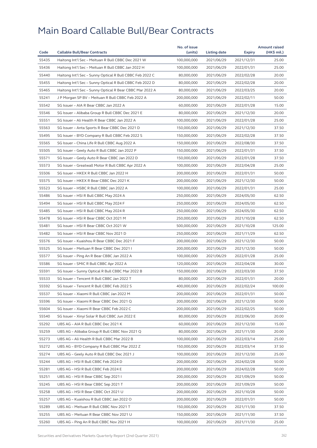|       |                                                          | No. of issue |              |               | <b>Amount raised</b> |
|-------|----------------------------------------------------------|--------------|--------------|---------------|----------------------|
| Code  | <b>Callable Bull/Bear Contracts</b>                      | (units)      | Listing date | <b>Expiry</b> | (HK\$ mil.)          |
| 55435 | Haitong Int'l Sec - Meituan R Bull CBBC Dec 2021 W       | 100,000,000  | 2021/06/29   | 2021/12/31    | 25.00                |
| 55436 | Haitong Int'l Sec - Meituan R Bull CBBC Jan 2022 H       | 100,000,000  | 2021/06/29   | 2022/01/31    | 25.00                |
| 55440 | Haitong Int'l Sec - Sunny Optical R Bull CBBC Feb 2022 C | 80,000,000   | 2021/06/29   | 2022/02/28    | 20.00                |
| 55455 | Haitong Int'l Sec - Sunny Optical R Bull CBBC Feb 2022 D | 80,000,000   | 2021/06/29   | 2022/02/28    | 20.00                |
| 55465 | Haitong Int'l Sec - Sunny Optical R Bear CBBC Mar 2022 A | 80,000,000   | 2021/06/29   | 2022/03/25    | 20.00                |
| 55241 | J P Morgan SP BV - Meituan R Bull CBBC Feb 2022 A        | 200,000,000  | 2021/06/29   | 2022/02/11    | 50.00                |
| 55542 | SG Issuer - AIA R Bear CBBC Jan 2022 A                   | 60,000,000   | 2021/06/29   | 2022/01/28    | 15.00                |
| 55546 | SG Issuer - Alibaba Group R Bull CBBC Dec 2021 E         | 80,000,000   | 2021/06/29   | 2021/12/30    | 20.00                |
| 55551 | SG Issuer - Ali Health R Bear CBBC Jan 2022 A            | 100,000,000  | 2021/06/29   | 2022/01/28    | 25.00                |
| 55563 | SG Issuer – Anta Sports R Bear CBBC Dec 2021 D           | 150,000,000  | 2021/06/29   | 2021/12/30    | 37.50                |
| 55495 | SG Issuer - BYD Company R Bull CBBC Feb 2022 S           | 150,000,000  | 2021/06/29   | 2022/02/28    | 37.50                |
| 55565 | SG Issuer - China Life R Bull CBBC Aug 2022 A            | 150,000,000  | 2021/06/29   | 2022/08/30    | 37.50                |
| 55505 | SG Issuer - Geely Auto R Bull CBBC Jan 2022 P            | 150,000,000  | 2021/06/29   | 2022/01/31    | 37.50                |
| 55571 | SG Issuer - Geely Auto R Bear CBBC Jan 2022 D            | 150,000,000  | 2021/06/29   | 2022/01/28    | 37.50                |
| 55573 | SG Issuer - Greatwall Motor R Bull CBBC Apr 2022 A       | 100,000,000  | 2021/06/29   | 2022/04/28    | 25.00                |
| 55506 | SG Issuer - HKEX R Bull CBBC Jan 2022 H                  | 200,000,000  | 2021/06/29   | 2022/01/31    | 50.00                |
| 55575 | SG Issuer - HKEX R Bear CBBC Dec 2021 K                  | 200,000,000  | 2021/06/29   | 2021/12/30    | 50.00                |
| 55523 | SG Issuer - HSBC R Bull CBBC Jan 2022 A                  | 100,000,000  | 2021/06/29   | 2022/01/31    | 25.00                |
| 55486 | SG Issuer - HSI R Bull CBBC May 2024 A                   | 250,000,000  | 2021/06/29   | 2024/05/30    | 62.50                |
| 55494 | SG Issuer - HSI R Bull CBBC May 2024 F                   | 250,000,000  | 2021/06/29   | 2024/05/30    | 62.50                |
| 55485 | SG Issuer - HSI R Bull CBBC May 2024 R                   | 250,000,000  | 2021/06/29   | 2024/05/30    | 62.50                |
| 55478 | SG Issuer - HSI R Bear CBBC Oct 2021 M                   | 250,000,000  | 2021/06/29   | 2021/10/28    | 62.50                |
| 55481 | SG Issuer - HSI R Bear CBBC Oct 2021 W                   | 500,000,000  | 2021/06/29   | 2021/10/28    | 125.00               |
| 55482 | SG Issuer - HSI R Bear CBBC Nov 2021 D                   | 250,000,000  | 2021/06/29   | 2021/11/29    | 62.50                |
| 55576 | SG Issuer - Kuaishou R Bear CBBC Dec 2021 F              | 200,000,000  | 2021/06/29   | 2021/12/30    | 50.00                |
| 55525 | SG Issuer - Meituan R Bear CBBC Dec 2021 I               | 200,000,000  | 2021/06/29   | 2021/12/30    | 50.00                |
| 55577 | SG Issuer - Ping An R Bear CBBC Jan 2022 A               | 100,000,000  | 2021/06/29   | 2022/01/28    | 25.00                |
| 55586 | SG Issuer – SMIC R Bull CBBC Apr 2022 A                  | 120,000,000  | 2021/06/29   | 2022/04/28    | 30.00                |
| 55591 | SG Issuer - Sunny Optical R Bull CBBC Mar 2022 B         | 150,000,000  | 2021/06/29   | 2022/03/30    | 37.50                |
| 55533 | SG Issuer - Tencent R Bull CBBC Jan 2022 T               | 80,000,000   | 2021/06/29   | 2022/01/31    | 20.00                |
| 55592 | SG Issuer - Tencent R Bull CBBC Feb 2022 S               | 400,000,000  | 2021/06/29   | 2022/02/24    | 100.00               |
| 55537 | SG Issuer - Xiaomi R Bull CBBC Jan 2022 M                | 200,000,000  | 2021/06/29   | 2022/01/31    | 50.00                |
| 55596 | SG Issuer - Xiaomi R Bear CBBC Dec 2021 Q                | 200,000,000  | 2021/06/29   | 2021/12/30    | 50.00                |
| 55604 | SG Issuer - Xiaomi R Bear CBBC Feb 2022 C                | 200,000,000  | 2021/06/29   | 2022/02/25    | 50.00                |
| 55540 | SG Issuer - Xinyi Solar R Bull CBBC Jun 2022 E           | 80,000,000   | 2021/06/29   | 2022/06/30    | 20.00                |
| 55292 | UBS AG - AIA R Bull CBBC Dec 2021 K                      | 60,000,000   | 2021/06/29   | 2021/12/30    | 15.00                |
| 55259 | UBS AG - Alibaba Group R Bull CBBC Nov 2021 Q            | 80,000,000   | 2021/06/29   | 2021/11/30    | 20.00                |
| 55273 | UBS AG - Ali Health R Bull CBBC Mar 2022 B               | 100,000,000  | 2021/06/29   | 2022/03/14    | 25.00                |
| 55272 | UBS AG - BYD Company R Bull CBBC Mar 2022 Z              | 150,000,000  | 2021/06/29   | 2022/03/14    | 37.50                |
| 55274 | UBS AG - Geely Auto R Bull CBBC Dec 2021 J               | 100,000,000  | 2021/06/29   | 2021/12/30    | 25.00                |
| 55244 | UBS AG – HSI R Bull CBBC Feb 2024 D                      | 200,000,000  | 2021/06/29   | 2024/02/28    | 50.00                |
| 55281 | UBS AG - HSI R Bull CBBC Feb 2024 E                      | 200,000,000  | 2021/06/29   | 2024/02/28    | 50.00                |
| 55251 | UBS AG – HSI R Bear CBBC Sep 2021 I                      | 200,000,000  | 2021/06/29   | 2021/09/29    | 50.00                |
| 55245 | UBS AG - HSI R Bear CBBC Sep 2021 T                      | 200,000,000  | 2021/06/29   | 2021/09/29    | 50.00                |
| 55258 | UBS AG - HSI R Bear CBBC Oct 2021 U                      | 200,000,000  | 2021/06/29   | 2021/10/28    | 50.00                |
| 55257 | UBS AG - Kuaishou R Bull CBBC Jan 2022 O                 | 200,000,000  | 2021/06/29   | 2022/01/31    | 50.00                |
| 55289 | UBS AG - Meituan R Bull CBBC Nov 2021 T                  | 150,000,000  | 2021/06/29   | 2021/11/30    | 37.50                |
| 55255 | UBS AG - Meituan R Bear CBBC Nov 2021 U                  | 150,000,000  | 2021/06/29   | 2021/11/30    | 37.50                |
| 55260 | UBS AG - Ping An R Bull CBBC Nov 2021 H                  | 100,000,000  | 2021/06/29   | 2021/11/30    | 25.00                |
|       |                                                          |              |              |               |                      |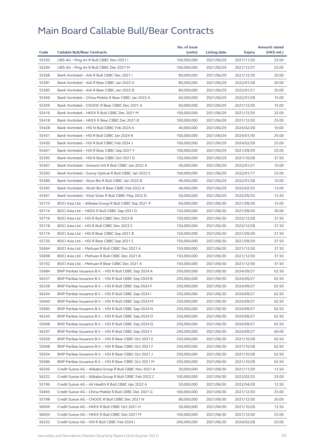| Code<br><b>Callable Bull/Bear Contracts</b><br>(units)<br>(HK\$ mil.)<br>Listing date<br>Expiry<br>55293<br>100,000,000<br>2021/06/29<br>2021/11/30<br>25.00<br>UBS AG - Ping An R Bull CBBC Nov 2021 I<br>55294<br>UBS AG - Ping An R Bull CBBC Dec 2021 M<br>100,000,000<br>2021/06/29<br>2021/12/31<br>25.00<br>55368<br>Bank Vontobel - AIA R Bull CBBC Dec 2021 I<br>80,000,000<br>2021/06/29<br>2021/12/30<br>20.00<br>55381<br>Bank Vontobel - AIA R Bear CBBC Jan 2022 A<br>80,000,000<br>20.00<br>2021/06/29<br>2022/01/28<br>55385<br>Bank Vontobel - AIA R Bear CBBC Jan 2022 B<br>80,000,000<br>2021/06/29<br>2022/01/21<br>20.00<br>55366<br>15.00<br>Bank Vontobel - China Mobile R Bear CBBC Jan 2022 A<br>60,000,000<br>2021/06/29<br>2022/01/28<br>55359<br>Bank Vontobel - CNOOC R Bear CBBC Dec 2021 A<br>60,000,000<br>2021/06/29<br>2021/12/30<br>15.00<br>55416<br>Bank Vontobel - HKEX R Bull CBBC Dec 2021 M<br>100,000,000<br>2021/06/29<br>2021/12/30<br>25.00<br>55418<br>Bank Vontobel - HKEX R Bear CBBC Dec 2021 B<br>100,000,000<br>25.00<br>2021/06/29<br>2021/12/30<br>55428<br>Bank Vontobel - HSI N Bull CBBC Feb 2024 A<br>40,000,000<br>2021/06/29<br>10.00<br>2024/02/28<br>55431<br>Bank Vontobel - HSI R Bull CBBC Jan 2024 R<br>100,000,000<br>2021/06/29<br>2024/01/30<br>25.00<br>55430<br>Bank Vontobel - HSI R Bull CBBC Feb 2024 J<br>100,000,000<br>2021/06/29<br>2024/02/28<br>25.00<br>55401<br>Bank Vontobel - HSI R Bear CBBC Sep 2021 Y<br>100,000,000<br>25.00<br>2021/06/29<br>2021/09/29<br>55395<br>Bank Vontobel - HSI R Bear CBBC Oct 2021 D<br>150,000,000<br>2021/06/29<br>2021/10/28<br>37.50<br>55367<br>Bank Vontobel - Smoore Intl R Bull CBBC Jan 2022 A<br>10.00<br>40,000,000<br>2021/06/29<br>2022/01/21<br>55393<br>Bank Vontobel - Sunny Optical R Bull CBBC Jan 2022 C<br>100,000,000<br>2021/06/29<br>2022/01/17<br>25.00<br>55389<br>10.00<br>Bank Vontobel - Wuxi Bio R Bull CBBC Jan 2022 B<br>40,000,000<br>2021/06/29<br>2022/01/28<br>55392<br>Bank Vontobel - WuXi Bio R Bear CBBC Feb 2022 A<br>40,000,000<br>2021/06/29<br>12.00<br>2022/02/25<br>55361<br>Bank Vontobel - Xinyi Solar R Bull CBBC May 2022 D<br>50,000,000<br>2021/06/29<br>2022/05/20<br>12.50<br>55710<br>BOCI Asia Ltd. - Alibaba Group R Bull CBBC Sep 2021 P<br>60,000,000<br>2021/06/30<br>2021/09/30<br>15.00<br>55714<br>BOCI Asia Ltd. - HKEX R Bull CBBC Sep 2021 D<br>120,000,000<br>2021/06/30<br>2021/09/30<br>30.00<br>55716<br>BOCI Asia Ltd. - HSI R Bull CBBC Dec 2023 B<br>150,000,000<br>2021/06/30<br>2023/12/28<br>37.50<br>55718<br>BOCI Asia Ltd. - HSI R Bull CBBC Dec 2023 C<br>150,000,000<br>2021/06/30<br>2023/12/28<br>37.50<br>55719<br>BOCI Asia Ltd. - HSI R Bear CBBC Sep 2021 B<br>37.50<br>150,000,000<br>2021/06/30<br>2021/09/29<br>55720<br>BOCI Asia Ltd. - HSI R Bear CBBC Sep 2021 C<br>150,000,000<br>2021/06/30<br>2021/09/29<br>37.50<br>55694<br>BOCI Asia Ltd. - Meituan R Bull CBBC Dec 2021 A<br>150,000,000<br>2021/06/30<br>2021/12/30<br>37.50<br>55698<br>BOCI Asia Ltd. - Meituan R Bull CBBC Dec 2021 B<br>150,000,000<br>2021/06/30<br>2021/12/30<br>37.50<br>55702<br>BOCI Asia Ltd. - Meituan R Bear CBBC Dec 2021 A<br>150,000,000<br>2021/06/30<br>2021/12/30<br>37.50<br>55684<br>BNP Paribas Issuance B.V. - HSI R Bull CBBC Sep 2024 A<br>250,000,000<br>62.50<br>2021/06/30<br>2024/09/27<br>62.50<br>56237<br>BNP Paribas Issuance B.V. - HSI R Bull CBBC Sep 2024 B<br>250,000,000<br>2021/06/30<br>2024/09/27<br>62.50<br>56238<br>BNP Paribas Issuance B.V. - HSI R Bull CBBC Sep 2024 F<br>250,000,000<br>2021/06/30<br>2024/09/27<br>BNP Paribas Issuance B.V. - HSI R Bull CBBC Sep 2024 I<br>56244<br>250,000,000<br>2021/06/30<br>2024/09/27<br>62.50<br>55660<br>250,000,000<br>62.50<br>BNP Paribas Issuance B.V. – HSI R Bull CBBC Sep 2024 M<br>2021/06/30<br>2024/09/27<br>55685<br>BNP Paribas Issuance B.V. - HSI R Bull CBBC Sep 2024 N<br>250,000,000<br>2021/06/30<br>2024/09/27<br>62.50<br>56245<br>BNP Paribas Issuance B.V. - HSI R Bull CBBC Sep 2024 O<br>250,000,000<br>2021/06/30<br>2024/09/27<br>62.50<br>55668<br>BNP Paribas Issuance B.V. - HSI R Bull CBBC Sep 2024 Q<br>250,000,000<br>2021/06/30<br>2024/09/27<br>62.50<br>56297<br>BNP Paribas Issuance B.V. - HSI R Bull CBBC Sep 2024 Y<br>240,000,000<br>2021/06/30<br>2024/09/27<br>60.00<br>55639<br>BNP Paribas Issuance B.V. - HSI R Bear CBBC Oct 2021 E<br>250,000,000<br>2021/06/30<br>2021/10/28<br>62.50<br>55648<br>BNP Paribas Issuance B.V. - HSI R Bear CBBC Oct 2021 F<br>250,000,000<br>2021/06/30<br>2021/10/28<br>62.50<br>55654<br>BNP Paribas Issuance B.V. - HSI R Bear CBBC Oct 2021 J<br>250,000,000<br>2021/06/30<br>62.50<br>2021/10/28<br>55686<br>BNP Paribas Issuance B.V. - HSI R Bear CBBC Oct 2021 M<br>250,000,000<br>2021/06/30<br>2021/10/28<br>62.50<br>56205<br>Credit Suisse AG - Alibaba Group R Bull CBBC Nov 2021 A<br>50,000,000<br>2021/06/30<br>2021/11/29<br>12.50<br>56222<br>Credit Suisse AG - Alibaba Group R Bull CBBC Feb 2022 C<br>100,000,000<br>2021/06/30<br>2022/02/25<br>25.00<br>55796<br>50,000,000<br>12.50<br>Credit Suisse AG – Ali Health R Bull CBBC Apr 2022 A<br>2021/06/30<br>2022/04/28<br>55845<br>Credit Suisse AG - China Mobile R Bull CBBC Dec 2021 G<br>100,000,000<br>2021/06/30<br>2021/12/30<br>25.00<br>55798<br>Credit Suisse AG - CNOOC R Bull CBBC Dec 2021 N<br>80,000,000<br>2021/06/30<br>2021/12/30<br>20.00<br>56069<br>Credit Suisse AG - HKEX R Bull CBBC Oct 2021 H<br>50,000,000<br>2021/06/30<br>2021/10/28<br>12.50<br>56054<br>Credit Suisse AG - HKEX R Bull CBBC Dec 2021 M<br>100,000,000<br>2021/06/30<br>2021/12/30<br>25.00<br>56232<br>200,000,000<br>2021/06/30<br>2024/02/28<br>50.00<br>Credit Suisse AG – HSI R Bull CBBC Feb 2024 I |  | No. of issue |  | <b>Amount raised</b> |
|----------------------------------------------------------------------------------------------------------------------------------------------------------------------------------------------------------------------------------------------------------------------------------------------------------------------------------------------------------------------------------------------------------------------------------------------------------------------------------------------------------------------------------------------------------------------------------------------------------------------------------------------------------------------------------------------------------------------------------------------------------------------------------------------------------------------------------------------------------------------------------------------------------------------------------------------------------------------------------------------------------------------------------------------------------------------------------------------------------------------------------------------------------------------------------------------------------------------------------------------------------------------------------------------------------------------------------------------------------------------------------------------------------------------------------------------------------------------------------------------------------------------------------------------------------------------------------------------------------------------------------------------------------------------------------------------------------------------------------------------------------------------------------------------------------------------------------------------------------------------------------------------------------------------------------------------------------------------------------------------------------------------------------------------------------------------------------------------------------------------------------------------------------------------------------------------------------------------------------------------------------------------------------------------------------------------------------------------------------------------------------------------------------------------------------------------------------------------------------------------------------------------------------------------------------------------------------------------------------------------------------------------------------------------------------------------------------------------------------------------------------------------------------------------------------------------------------------------------------------------------------------------------------------------------------------------------------------------------------------------------------------------------------------------------------------------------------------------------------------------------------------------------------------------------------------------------------------------------------------------------------------------------------------------------------------------------------------------------------------------------------------------------------------------------------------------------------------------------------------------------------------------------------------------------------------------------------------------------------------------------------------------------------------------------------------------------------------------------------------------------------------------------------------------------------------------------------------------------------------------------------------------------------------------------------------------------------------------------------------------------------------------------------------------------------------------------------------------------------------------------------------------------------------------------------------------------------------------------------------------------------------------------------------------------------------------------------------------------------------------------------------------------------------------------------------------------------------------------------------------------------------------------------------------------------------------------------------------------------------------------------------------------------------------------------------------------------------------------------------------------------------------------------------------------------------------------------------------------------------------------------------------------------------------------------------------------------------------------------------------------------------------------------------------------------------------------------------------------------------------------------------------------------------------------------------------------------------------------------------------------------------------------------------------------------------------------------------------------------------------------------------------------------------------------------------------------------------------------------------------------------------------------------------------------------------------------------------------------------------------------------------------------------------------------------------------------------------------------------------------------------------------------------------------------------------------------------------------------|--|--------------|--|----------------------|
|                                                                                                                                                                                                                                                                                                                                                                                                                                                                                                                                                                                                                                                                                                                                                                                                                                                                                                                                                                                                                                                                                                                                                                                                                                                                                                                                                                                                                                                                                                                                                                                                                                                                                                                                                                                                                                                                                                                                                                                                                                                                                                                                                                                                                                                                                                                                                                                                                                                                                                                                                                                                                                                                                                                                                                                                                                                                                                                                                                                                                                                                                                                                                                                                                                                                                                                                                                                                                                                                                                                                                                                                                                                                                                                                                                                                                                                                                                                                                                                                                                                                                                                                                                                                                                                                                                                                                                                                                                                                                                                                                                                                                                                                                                                                                                                                                                                                                                                                                                                                                                                                                                                                                                                                                                                                                                                                                                                                                                                                                                                                                                                                                                                                                                                                                                                                                                                    |  |              |  |                      |
|                                                                                                                                                                                                                                                                                                                                                                                                                                                                                                                                                                                                                                                                                                                                                                                                                                                                                                                                                                                                                                                                                                                                                                                                                                                                                                                                                                                                                                                                                                                                                                                                                                                                                                                                                                                                                                                                                                                                                                                                                                                                                                                                                                                                                                                                                                                                                                                                                                                                                                                                                                                                                                                                                                                                                                                                                                                                                                                                                                                                                                                                                                                                                                                                                                                                                                                                                                                                                                                                                                                                                                                                                                                                                                                                                                                                                                                                                                                                                                                                                                                                                                                                                                                                                                                                                                                                                                                                                                                                                                                                                                                                                                                                                                                                                                                                                                                                                                                                                                                                                                                                                                                                                                                                                                                                                                                                                                                                                                                                                                                                                                                                                                                                                                                                                                                                                                                    |  |              |  |                      |
|                                                                                                                                                                                                                                                                                                                                                                                                                                                                                                                                                                                                                                                                                                                                                                                                                                                                                                                                                                                                                                                                                                                                                                                                                                                                                                                                                                                                                                                                                                                                                                                                                                                                                                                                                                                                                                                                                                                                                                                                                                                                                                                                                                                                                                                                                                                                                                                                                                                                                                                                                                                                                                                                                                                                                                                                                                                                                                                                                                                                                                                                                                                                                                                                                                                                                                                                                                                                                                                                                                                                                                                                                                                                                                                                                                                                                                                                                                                                                                                                                                                                                                                                                                                                                                                                                                                                                                                                                                                                                                                                                                                                                                                                                                                                                                                                                                                                                                                                                                                                                                                                                                                                                                                                                                                                                                                                                                                                                                                                                                                                                                                                                                                                                                                                                                                                                                                    |  |              |  |                      |
|                                                                                                                                                                                                                                                                                                                                                                                                                                                                                                                                                                                                                                                                                                                                                                                                                                                                                                                                                                                                                                                                                                                                                                                                                                                                                                                                                                                                                                                                                                                                                                                                                                                                                                                                                                                                                                                                                                                                                                                                                                                                                                                                                                                                                                                                                                                                                                                                                                                                                                                                                                                                                                                                                                                                                                                                                                                                                                                                                                                                                                                                                                                                                                                                                                                                                                                                                                                                                                                                                                                                                                                                                                                                                                                                                                                                                                                                                                                                                                                                                                                                                                                                                                                                                                                                                                                                                                                                                                                                                                                                                                                                                                                                                                                                                                                                                                                                                                                                                                                                                                                                                                                                                                                                                                                                                                                                                                                                                                                                                                                                                                                                                                                                                                                                                                                                                                                    |  |              |  |                      |
|                                                                                                                                                                                                                                                                                                                                                                                                                                                                                                                                                                                                                                                                                                                                                                                                                                                                                                                                                                                                                                                                                                                                                                                                                                                                                                                                                                                                                                                                                                                                                                                                                                                                                                                                                                                                                                                                                                                                                                                                                                                                                                                                                                                                                                                                                                                                                                                                                                                                                                                                                                                                                                                                                                                                                                                                                                                                                                                                                                                                                                                                                                                                                                                                                                                                                                                                                                                                                                                                                                                                                                                                                                                                                                                                                                                                                                                                                                                                                                                                                                                                                                                                                                                                                                                                                                                                                                                                                                                                                                                                                                                                                                                                                                                                                                                                                                                                                                                                                                                                                                                                                                                                                                                                                                                                                                                                                                                                                                                                                                                                                                                                                                                                                                                                                                                                                                                    |  |              |  |                      |
|                                                                                                                                                                                                                                                                                                                                                                                                                                                                                                                                                                                                                                                                                                                                                                                                                                                                                                                                                                                                                                                                                                                                                                                                                                                                                                                                                                                                                                                                                                                                                                                                                                                                                                                                                                                                                                                                                                                                                                                                                                                                                                                                                                                                                                                                                                                                                                                                                                                                                                                                                                                                                                                                                                                                                                                                                                                                                                                                                                                                                                                                                                                                                                                                                                                                                                                                                                                                                                                                                                                                                                                                                                                                                                                                                                                                                                                                                                                                                                                                                                                                                                                                                                                                                                                                                                                                                                                                                                                                                                                                                                                                                                                                                                                                                                                                                                                                                                                                                                                                                                                                                                                                                                                                                                                                                                                                                                                                                                                                                                                                                                                                                                                                                                                                                                                                                                                    |  |              |  |                      |
|                                                                                                                                                                                                                                                                                                                                                                                                                                                                                                                                                                                                                                                                                                                                                                                                                                                                                                                                                                                                                                                                                                                                                                                                                                                                                                                                                                                                                                                                                                                                                                                                                                                                                                                                                                                                                                                                                                                                                                                                                                                                                                                                                                                                                                                                                                                                                                                                                                                                                                                                                                                                                                                                                                                                                                                                                                                                                                                                                                                                                                                                                                                                                                                                                                                                                                                                                                                                                                                                                                                                                                                                                                                                                                                                                                                                                                                                                                                                                                                                                                                                                                                                                                                                                                                                                                                                                                                                                                                                                                                                                                                                                                                                                                                                                                                                                                                                                                                                                                                                                                                                                                                                                                                                                                                                                                                                                                                                                                                                                                                                                                                                                                                                                                                                                                                                                                                    |  |              |  |                      |
|                                                                                                                                                                                                                                                                                                                                                                                                                                                                                                                                                                                                                                                                                                                                                                                                                                                                                                                                                                                                                                                                                                                                                                                                                                                                                                                                                                                                                                                                                                                                                                                                                                                                                                                                                                                                                                                                                                                                                                                                                                                                                                                                                                                                                                                                                                                                                                                                                                                                                                                                                                                                                                                                                                                                                                                                                                                                                                                                                                                                                                                                                                                                                                                                                                                                                                                                                                                                                                                                                                                                                                                                                                                                                                                                                                                                                                                                                                                                                                                                                                                                                                                                                                                                                                                                                                                                                                                                                                                                                                                                                                                                                                                                                                                                                                                                                                                                                                                                                                                                                                                                                                                                                                                                                                                                                                                                                                                                                                                                                                                                                                                                                                                                                                                                                                                                                                                    |  |              |  |                      |
|                                                                                                                                                                                                                                                                                                                                                                                                                                                                                                                                                                                                                                                                                                                                                                                                                                                                                                                                                                                                                                                                                                                                                                                                                                                                                                                                                                                                                                                                                                                                                                                                                                                                                                                                                                                                                                                                                                                                                                                                                                                                                                                                                                                                                                                                                                                                                                                                                                                                                                                                                                                                                                                                                                                                                                                                                                                                                                                                                                                                                                                                                                                                                                                                                                                                                                                                                                                                                                                                                                                                                                                                                                                                                                                                                                                                                                                                                                                                                                                                                                                                                                                                                                                                                                                                                                                                                                                                                                                                                                                                                                                                                                                                                                                                                                                                                                                                                                                                                                                                                                                                                                                                                                                                                                                                                                                                                                                                                                                                                                                                                                                                                                                                                                                                                                                                                                                    |  |              |  |                      |
|                                                                                                                                                                                                                                                                                                                                                                                                                                                                                                                                                                                                                                                                                                                                                                                                                                                                                                                                                                                                                                                                                                                                                                                                                                                                                                                                                                                                                                                                                                                                                                                                                                                                                                                                                                                                                                                                                                                                                                                                                                                                                                                                                                                                                                                                                                                                                                                                                                                                                                                                                                                                                                                                                                                                                                                                                                                                                                                                                                                                                                                                                                                                                                                                                                                                                                                                                                                                                                                                                                                                                                                                                                                                                                                                                                                                                                                                                                                                                                                                                                                                                                                                                                                                                                                                                                                                                                                                                                                                                                                                                                                                                                                                                                                                                                                                                                                                                                                                                                                                                                                                                                                                                                                                                                                                                                                                                                                                                                                                                                                                                                                                                                                                                                                                                                                                                                                    |  |              |  |                      |
|                                                                                                                                                                                                                                                                                                                                                                                                                                                                                                                                                                                                                                                                                                                                                                                                                                                                                                                                                                                                                                                                                                                                                                                                                                                                                                                                                                                                                                                                                                                                                                                                                                                                                                                                                                                                                                                                                                                                                                                                                                                                                                                                                                                                                                                                                                                                                                                                                                                                                                                                                                                                                                                                                                                                                                                                                                                                                                                                                                                                                                                                                                                                                                                                                                                                                                                                                                                                                                                                                                                                                                                                                                                                                                                                                                                                                                                                                                                                                                                                                                                                                                                                                                                                                                                                                                                                                                                                                                                                                                                                                                                                                                                                                                                                                                                                                                                                                                                                                                                                                                                                                                                                                                                                                                                                                                                                                                                                                                                                                                                                                                                                                                                                                                                                                                                                                                                    |  |              |  |                      |
|                                                                                                                                                                                                                                                                                                                                                                                                                                                                                                                                                                                                                                                                                                                                                                                                                                                                                                                                                                                                                                                                                                                                                                                                                                                                                                                                                                                                                                                                                                                                                                                                                                                                                                                                                                                                                                                                                                                                                                                                                                                                                                                                                                                                                                                                                                                                                                                                                                                                                                                                                                                                                                                                                                                                                                                                                                                                                                                                                                                                                                                                                                                                                                                                                                                                                                                                                                                                                                                                                                                                                                                                                                                                                                                                                                                                                                                                                                                                                                                                                                                                                                                                                                                                                                                                                                                                                                                                                                                                                                                                                                                                                                                                                                                                                                                                                                                                                                                                                                                                                                                                                                                                                                                                                                                                                                                                                                                                                                                                                                                                                                                                                                                                                                                                                                                                                                                    |  |              |  |                      |
|                                                                                                                                                                                                                                                                                                                                                                                                                                                                                                                                                                                                                                                                                                                                                                                                                                                                                                                                                                                                                                                                                                                                                                                                                                                                                                                                                                                                                                                                                                                                                                                                                                                                                                                                                                                                                                                                                                                                                                                                                                                                                                                                                                                                                                                                                                                                                                                                                                                                                                                                                                                                                                                                                                                                                                                                                                                                                                                                                                                                                                                                                                                                                                                                                                                                                                                                                                                                                                                                                                                                                                                                                                                                                                                                                                                                                                                                                                                                                                                                                                                                                                                                                                                                                                                                                                                                                                                                                                                                                                                                                                                                                                                                                                                                                                                                                                                                                                                                                                                                                                                                                                                                                                                                                                                                                                                                                                                                                                                                                                                                                                                                                                                                                                                                                                                                                                                    |  |              |  |                      |
|                                                                                                                                                                                                                                                                                                                                                                                                                                                                                                                                                                                                                                                                                                                                                                                                                                                                                                                                                                                                                                                                                                                                                                                                                                                                                                                                                                                                                                                                                                                                                                                                                                                                                                                                                                                                                                                                                                                                                                                                                                                                                                                                                                                                                                                                                                                                                                                                                                                                                                                                                                                                                                                                                                                                                                                                                                                                                                                                                                                                                                                                                                                                                                                                                                                                                                                                                                                                                                                                                                                                                                                                                                                                                                                                                                                                                                                                                                                                                                                                                                                                                                                                                                                                                                                                                                                                                                                                                                                                                                                                                                                                                                                                                                                                                                                                                                                                                                                                                                                                                                                                                                                                                                                                                                                                                                                                                                                                                                                                                                                                                                                                                                                                                                                                                                                                                                                    |  |              |  |                      |
|                                                                                                                                                                                                                                                                                                                                                                                                                                                                                                                                                                                                                                                                                                                                                                                                                                                                                                                                                                                                                                                                                                                                                                                                                                                                                                                                                                                                                                                                                                                                                                                                                                                                                                                                                                                                                                                                                                                                                                                                                                                                                                                                                                                                                                                                                                                                                                                                                                                                                                                                                                                                                                                                                                                                                                                                                                                                                                                                                                                                                                                                                                                                                                                                                                                                                                                                                                                                                                                                                                                                                                                                                                                                                                                                                                                                                                                                                                                                                                                                                                                                                                                                                                                                                                                                                                                                                                                                                                                                                                                                                                                                                                                                                                                                                                                                                                                                                                                                                                                                                                                                                                                                                                                                                                                                                                                                                                                                                                                                                                                                                                                                                                                                                                                                                                                                                                                    |  |              |  |                      |
|                                                                                                                                                                                                                                                                                                                                                                                                                                                                                                                                                                                                                                                                                                                                                                                                                                                                                                                                                                                                                                                                                                                                                                                                                                                                                                                                                                                                                                                                                                                                                                                                                                                                                                                                                                                                                                                                                                                                                                                                                                                                                                                                                                                                                                                                                                                                                                                                                                                                                                                                                                                                                                                                                                                                                                                                                                                                                                                                                                                                                                                                                                                                                                                                                                                                                                                                                                                                                                                                                                                                                                                                                                                                                                                                                                                                                                                                                                                                                                                                                                                                                                                                                                                                                                                                                                                                                                                                                                                                                                                                                                                                                                                                                                                                                                                                                                                                                                                                                                                                                                                                                                                                                                                                                                                                                                                                                                                                                                                                                                                                                                                                                                                                                                                                                                                                                                                    |  |              |  |                      |
|                                                                                                                                                                                                                                                                                                                                                                                                                                                                                                                                                                                                                                                                                                                                                                                                                                                                                                                                                                                                                                                                                                                                                                                                                                                                                                                                                                                                                                                                                                                                                                                                                                                                                                                                                                                                                                                                                                                                                                                                                                                                                                                                                                                                                                                                                                                                                                                                                                                                                                                                                                                                                                                                                                                                                                                                                                                                                                                                                                                                                                                                                                                                                                                                                                                                                                                                                                                                                                                                                                                                                                                                                                                                                                                                                                                                                                                                                                                                                                                                                                                                                                                                                                                                                                                                                                                                                                                                                                                                                                                                                                                                                                                                                                                                                                                                                                                                                                                                                                                                                                                                                                                                                                                                                                                                                                                                                                                                                                                                                                                                                                                                                                                                                                                                                                                                                                                    |  |              |  |                      |
|                                                                                                                                                                                                                                                                                                                                                                                                                                                                                                                                                                                                                                                                                                                                                                                                                                                                                                                                                                                                                                                                                                                                                                                                                                                                                                                                                                                                                                                                                                                                                                                                                                                                                                                                                                                                                                                                                                                                                                                                                                                                                                                                                                                                                                                                                                                                                                                                                                                                                                                                                                                                                                                                                                                                                                                                                                                                                                                                                                                                                                                                                                                                                                                                                                                                                                                                                                                                                                                                                                                                                                                                                                                                                                                                                                                                                                                                                                                                                                                                                                                                                                                                                                                                                                                                                                                                                                                                                                                                                                                                                                                                                                                                                                                                                                                                                                                                                                                                                                                                                                                                                                                                                                                                                                                                                                                                                                                                                                                                                                                                                                                                                                                                                                                                                                                                                                                    |  |              |  |                      |
|                                                                                                                                                                                                                                                                                                                                                                                                                                                                                                                                                                                                                                                                                                                                                                                                                                                                                                                                                                                                                                                                                                                                                                                                                                                                                                                                                                                                                                                                                                                                                                                                                                                                                                                                                                                                                                                                                                                                                                                                                                                                                                                                                                                                                                                                                                                                                                                                                                                                                                                                                                                                                                                                                                                                                                                                                                                                                                                                                                                                                                                                                                                                                                                                                                                                                                                                                                                                                                                                                                                                                                                                                                                                                                                                                                                                                                                                                                                                                                                                                                                                                                                                                                                                                                                                                                                                                                                                                                                                                                                                                                                                                                                                                                                                                                                                                                                                                                                                                                                                                                                                                                                                                                                                                                                                                                                                                                                                                                                                                                                                                                                                                                                                                                                                                                                                                                                    |  |              |  |                      |
|                                                                                                                                                                                                                                                                                                                                                                                                                                                                                                                                                                                                                                                                                                                                                                                                                                                                                                                                                                                                                                                                                                                                                                                                                                                                                                                                                                                                                                                                                                                                                                                                                                                                                                                                                                                                                                                                                                                                                                                                                                                                                                                                                                                                                                                                                                                                                                                                                                                                                                                                                                                                                                                                                                                                                                                                                                                                                                                                                                                                                                                                                                                                                                                                                                                                                                                                                                                                                                                                                                                                                                                                                                                                                                                                                                                                                                                                                                                                                                                                                                                                                                                                                                                                                                                                                                                                                                                                                                                                                                                                                                                                                                                                                                                                                                                                                                                                                                                                                                                                                                                                                                                                                                                                                                                                                                                                                                                                                                                                                                                                                                                                                                                                                                                                                                                                                                                    |  |              |  |                      |
|                                                                                                                                                                                                                                                                                                                                                                                                                                                                                                                                                                                                                                                                                                                                                                                                                                                                                                                                                                                                                                                                                                                                                                                                                                                                                                                                                                                                                                                                                                                                                                                                                                                                                                                                                                                                                                                                                                                                                                                                                                                                                                                                                                                                                                                                                                                                                                                                                                                                                                                                                                                                                                                                                                                                                                                                                                                                                                                                                                                                                                                                                                                                                                                                                                                                                                                                                                                                                                                                                                                                                                                                                                                                                                                                                                                                                                                                                                                                                                                                                                                                                                                                                                                                                                                                                                                                                                                                                                                                                                                                                                                                                                                                                                                                                                                                                                                                                                                                                                                                                                                                                                                                                                                                                                                                                                                                                                                                                                                                                                                                                                                                                                                                                                                                                                                                                                                    |  |              |  |                      |
|                                                                                                                                                                                                                                                                                                                                                                                                                                                                                                                                                                                                                                                                                                                                                                                                                                                                                                                                                                                                                                                                                                                                                                                                                                                                                                                                                                                                                                                                                                                                                                                                                                                                                                                                                                                                                                                                                                                                                                                                                                                                                                                                                                                                                                                                                                                                                                                                                                                                                                                                                                                                                                                                                                                                                                                                                                                                                                                                                                                                                                                                                                                                                                                                                                                                                                                                                                                                                                                                                                                                                                                                                                                                                                                                                                                                                                                                                                                                                                                                                                                                                                                                                                                                                                                                                                                                                                                                                                                                                                                                                                                                                                                                                                                                                                                                                                                                                                                                                                                                                                                                                                                                                                                                                                                                                                                                                                                                                                                                                                                                                                                                                                                                                                                                                                                                                                                    |  |              |  |                      |
|                                                                                                                                                                                                                                                                                                                                                                                                                                                                                                                                                                                                                                                                                                                                                                                                                                                                                                                                                                                                                                                                                                                                                                                                                                                                                                                                                                                                                                                                                                                                                                                                                                                                                                                                                                                                                                                                                                                                                                                                                                                                                                                                                                                                                                                                                                                                                                                                                                                                                                                                                                                                                                                                                                                                                                                                                                                                                                                                                                                                                                                                                                                                                                                                                                                                                                                                                                                                                                                                                                                                                                                                                                                                                                                                                                                                                                                                                                                                                                                                                                                                                                                                                                                                                                                                                                                                                                                                                                                                                                                                                                                                                                                                                                                                                                                                                                                                                                                                                                                                                                                                                                                                                                                                                                                                                                                                                                                                                                                                                                                                                                                                                                                                                                                                                                                                                                                    |  |              |  |                      |
|                                                                                                                                                                                                                                                                                                                                                                                                                                                                                                                                                                                                                                                                                                                                                                                                                                                                                                                                                                                                                                                                                                                                                                                                                                                                                                                                                                                                                                                                                                                                                                                                                                                                                                                                                                                                                                                                                                                                                                                                                                                                                                                                                                                                                                                                                                                                                                                                                                                                                                                                                                                                                                                                                                                                                                                                                                                                                                                                                                                                                                                                                                                                                                                                                                                                                                                                                                                                                                                                                                                                                                                                                                                                                                                                                                                                                                                                                                                                                                                                                                                                                                                                                                                                                                                                                                                                                                                                                                                                                                                                                                                                                                                                                                                                                                                                                                                                                                                                                                                                                                                                                                                                                                                                                                                                                                                                                                                                                                                                                                                                                                                                                                                                                                                                                                                                                                                    |  |              |  |                      |
|                                                                                                                                                                                                                                                                                                                                                                                                                                                                                                                                                                                                                                                                                                                                                                                                                                                                                                                                                                                                                                                                                                                                                                                                                                                                                                                                                                                                                                                                                                                                                                                                                                                                                                                                                                                                                                                                                                                                                                                                                                                                                                                                                                                                                                                                                                                                                                                                                                                                                                                                                                                                                                                                                                                                                                                                                                                                                                                                                                                                                                                                                                                                                                                                                                                                                                                                                                                                                                                                                                                                                                                                                                                                                                                                                                                                                                                                                                                                                                                                                                                                                                                                                                                                                                                                                                                                                                                                                                                                                                                                                                                                                                                                                                                                                                                                                                                                                                                                                                                                                                                                                                                                                                                                                                                                                                                                                                                                                                                                                                                                                                                                                                                                                                                                                                                                                                                    |  |              |  |                      |
|                                                                                                                                                                                                                                                                                                                                                                                                                                                                                                                                                                                                                                                                                                                                                                                                                                                                                                                                                                                                                                                                                                                                                                                                                                                                                                                                                                                                                                                                                                                                                                                                                                                                                                                                                                                                                                                                                                                                                                                                                                                                                                                                                                                                                                                                                                                                                                                                                                                                                                                                                                                                                                                                                                                                                                                                                                                                                                                                                                                                                                                                                                                                                                                                                                                                                                                                                                                                                                                                                                                                                                                                                                                                                                                                                                                                                                                                                                                                                                                                                                                                                                                                                                                                                                                                                                                                                                                                                                                                                                                                                                                                                                                                                                                                                                                                                                                                                                                                                                                                                                                                                                                                                                                                                                                                                                                                                                                                                                                                                                                                                                                                                                                                                                                                                                                                                                                    |  |              |  |                      |
|                                                                                                                                                                                                                                                                                                                                                                                                                                                                                                                                                                                                                                                                                                                                                                                                                                                                                                                                                                                                                                                                                                                                                                                                                                                                                                                                                                                                                                                                                                                                                                                                                                                                                                                                                                                                                                                                                                                                                                                                                                                                                                                                                                                                                                                                                                                                                                                                                                                                                                                                                                                                                                                                                                                                                                                                                                                                                                                                                                                                                                                                                                                                                                                                                                                                                                                                                                                                                                                                                                                                                                                                                                                                                                                                                                                                                                                                                                                                                                                                                                                                                                                                                                                                                                                                                                                                                                                                                                                                                                                                                                                                                                                                                                                                                                                                                                                                                                                                                                                                                                                                                                                                                                                                                                                                                                                                                                                                                                                                                                                                                                                                                                                                                                                                                                                                                                                    |  |              |  |                      |
|                                                                                                                                                                                                                                                                                                                                                                                                                                                                                                                                                                                                                                                                                                                                                                                                                                                                                                                                                                                                                                                                                                                                                                                                                                                                                                                                                                                                                                                                                                                                                                                                                                                                                                                                                                                                                                                                                                                                                                                                                                                                                                                                                                                                                                                                                                                                                                                                                                                                                                                                                                                                                                                                                                                                                                                                                                                                                                                                                                                                                                                                                                                                                                                                                                                                                                                                                                                                                                                                                                                                                                                                                                                                                                                                                                                                                                                                                                                                                                                                                                                                                                                                                                                                                                                                                                                                                                                                                                                                                                                                                                                                                                                                                                                                                                                                                                                                                                                                                                                                                                                                                                                                                                                                                                                                                                                                                                                                                                                                                                                                                                                                                                                                                                                                                                                                                                                    |  |              |  |                      |
|                                                                                                                                                                                                                                                                                                                                                                                                                                                                                                                                                                                                                                                                                                                                                                                                                                                                                                                                                                                                                                                                                                                                                                                                                                                                                                                                                                                                                                                                                                                                                                                                                                                                                                                                                                                                                                                                                                                                                                                                                                                                                                                                                                                                                                                                                                                                                                                                                                                                                                                                                                                                                                                                                                                                                                                                                                                                                                                                                                                                                                                                                                                                                                                                                                                                                                                                                                                                                                                                                                                                                                                                                                                                                                                                                                                                                                                                                                                                                                                                                                                                                                                                                                                                                                                                                                                                                                                                                                                                                                                                                                                                                                                                                                                                                                                                                                                                                                                                                                                                                                                                                                                                                                                                                                                                                                                                                                                                                                                                                                                                                                                                                                                                                                                                                                                                                                                    |  |              |  |                      |
|                                                                                                                                                                                                                                                                                                                                                                                                                                                                                                                                                                                                                                                                                                                                                                                                                                                                                                                                                                                                                                                                                                                                                                                                                                                                                                                                                                                                                                                                                                                                                                                                                                                                                                                                                                                                                                                                                                                                                                                                                                                                                                                                                                                                                                                                                                                                                                                                                                                                                                                                                                                                                                                                                                                                                                                                                                                                                                                                                                                                                                                                                                                                                                                                                                                                                                                                                                                                                                                                                                                                                                                                                                                                                                                                                                                                                                                                                                                                                                                                                                                                                                                                                                                                                                                                                                                                                                                                                                                                                                                                                                                                                                                                                                                                                                                                                                                                                                                                                                                                                                                                                                                                                                                                                                                                                                                                                                                                                                                                                                                                                                                                                                                                                                                                                                                                                                                    |  |              |  |                      |
|                                                                                                                                                                                                                                                                                                                                                                                                                                                                                                                                                                                                                                                                                                                                                                                                                                                                                                                                                                                                                                                                                                                                                                                                                                                                                                                                                                                                                                                                                                                                                                                                                                                                                                                                                                                                                                                                                                                                                                                                                                                                                                                                                                                                                                                                                                                                                                                                                                                                                                                                                                                                                                                                                                                                                                                                                                                                                                                                                                                                                                                                                                                                                                                                                                                                                                                                                                                                                                                                                                                                                                                                                                                                                                                                                                                                                                                                                                                                                                                                                                                                                                                                                                                                                                                                                                                                                                                                                                                                                                                                                                                                                                                                                                                                                                                                                                                                                                                                                                                                                                                                                                                                                                                                                                                                                                                                                                                                                                                                                                                                                                                                                                                                                                                                                                                                                                                    |  |              |  |                      |
|                                                                                                                                                                                                                                                                                                                                                                                                                                                                                                                                                                                                                                                                                                                                                                                                                                                                                                                                                                                                                                                                                                                                                                                                                                                                                                                                                                                                                                                                                                                                                                                                                                                                                                                                                                                                                                                                                                                                                                                                                                                                                                                                                                                                                                                                                                                                                                                                                                                                                                                                                                                                                                                                                                                                                                                                                                                                                                                                                                                                                                                                                                                                                                                                                                                                                                                                                                                                                                                                                                                                                                                                                                                                                                                                                                                                                                                                                                                                                                                                                                                                                                                                                                                                                                                                                                                                                                                                                                                                                                                                                                                                                                                                                                                                                                                                                                                                                                                                                                                                                                                                                                                                                                                                                                                                                                                                                                                                                                                                                                                                                                                                                                                                                                                                                                                                                                                    |  |              |  |                      |
|                                                                                                                                                                                                                                                                                                                                                                                                                                                                                                                                                                                                                                                                                                                                                                                                                                                                                                                                                                                                                                                                                                                                                                                                                                                                                                                                                                                                                                                                                                                                                                                                                                                                                                                                                                                                                                                                                                                                                                                                                                                                                                                                                                                                                                                                                                                                                                                                                                                                                                                                                                                                                                                                                                                                                                                                                                                                                                                                                                                                                                                                                                                                                                                                                                                                                                                                                                                                                                                                                                                                                                                                                                                                                                                                                                                                                                                                                                                                                                                                                                                                                                                                                                                                                                                                                                                                                                                                                                                                                                                                                                                                                                                                                                                                                                                                                                                                                                                                                                                                                                                                                                                                                                                                                                                                                                                                                                                                                                                                                                                                                                                                                                                                                                                                                                                                                                                    |  |              |  |                      |
|                                                                                                                                                                                                                                                                                                                                                                                                                                                                                                                                                                                                                                                                                                                                                                                                                                                                                                                                                                                                                                                                                                                                                                                                                                                                                                                                                                                                                                                                                                                                                                                                                                                                                                                                                                                                                                                                                                                                                                                                                                                                                                                                                                                                                                                                                                                                                                                                                                                                                                                                                                                                                                                                                                                                                                                                                                                                                                                                                                                                                                                                                                                                                                                                                                                                                                                                                                                                                                                                                                                                                                                                                                                                                                                                                                                                                                                                                                                                                                                                                                                                                                                                                                                                                                                                                                                                                                                                                                                                                                                                                                                                                                                                                                                                                                                                                                                                                                                                                                                                                                                                                                                                                                                                                                                                                                                                                                                                                                                                                                                                                                                                                                                                                                                                                                                                                                                    |  |              |  |                      |
|                                                                                                                                                                                                                                                                                                                                                                                                                                                                                                                                                                                                                                                                                                                                                                                                                                                                                                                                                                                                                                                                                                                                                                                                                                                                                                                                                                                                                                                                                                                                                                                                                                                                                                                                                                                                                                                                                                                                                                                                                                                                                                                                                                                                                                                                                                                                                                                                                                                                                                                                                                                                                                                                                                                                                                                                                                                                                                                                                                                                                                                                                                                                                                                                                                                                                                                                                                                                                                                                                                                                                                                                                                                                                                                                                                                                                                                                                                                                                                                                                                                                                                                                                                                                                                                                                                                                                                                                                                                                                                                                                                                                                                                                                                                                                                                                                                                                                                                                                                                                                                                                                                                                                                                                                                                                                                                                                                                                                                                                                                                                                                                                                                                                                                                                                                                                                                                    |  |              |  |                      |
|                                                                                                                                                                                                                                                                                                                                                                                                                                                                                                                                                                                                                                                                                                                                                                                                                                                                                                                                                                                                                                                                                                                                                                                                                                                                                                                                                                                                                                                                                                                                                                                                                                                                                                                                                                                                                                                                                                                                                                                                                                                                                                                                                                                                                                                                                                                                                                                                                                                                                                                                                                                                                                                                                                                                                                                                                                                                                                                                                                                                                                                                                                                                                                                                                                                                                                                                                                                                                                                                                                                                                                                                                                                                                                                                                                                                                                                                                                                                                                                                                                                                                                                                                                                                                                                                                                                                                                                                                                                                                                                                                                                                                                                                                                                                                                                                                                                                                                                                                                                                                                                                                                                                                                                                                                                                                                                                                                                                                                                                                                                                                                                                                                                                                                                                                                                                                                                    |  |              |  |                      |
|                                                                                                                                                                                                                                                                                                                                                                                                                                                                                                                                                                                                                                                                                                                                                                                                                                                                                                                                                                                                                                                                                                                                                                                                                                                                                                                                                                                                                                                                                                                                                                                                                                                                                                                                                                                                                                                                                                                                                                                                                                                                                                                                                                                                                                                                                                                                                                                                                                                                                                                                                                                                                                                                                                                                                                                                                                                                                                                                                                                                                                                                                                                                                                                                                                                                                                                                                                                                                                                                                                                                                                                                                                                                                                                                                                                                                                                                                                                                                                                                                                                                                                                                                                                                                                                                                                                                                                                                                                                                                                                                                                                                                                                                                                                                                                                                                                                                                                                                                                                                                                                                                                                                                                                                                                                                                                                                                                                                                                                                                                                                                                                                                                                                                                                                                                                                                                                    |  |              |  |                      |
|                                                                                                                                                                                                                                                                                                                                                                                                                                                                                                                                                                                                                                                                                                                                                                                                                                                                                                                                                                                                                                                                                                                                                                                                                                                                                                                                                                                                                                                                                                                                                                                                                                                                                                                                                                                                                                                                                                                                                                                                                                                                                                                                                                                                                                                                                                                                                                                                                                                                                                                                                                                                                                                                                                                                                                                                                                                                                                                                                                                                                                                                                                                                                                                                                                                                                                                                                                                                                                                                                                                                                                                                                                                                                                                                                                                                                                                                                                                                                                                                                                                                                                                                                                                                                                                                                                                                                                                                                                                                                                                                                                                                                                                                                                                                                                                                                                                                                                                                                                                                                                                                                                                                                                                                                                                                                                                                                                                                                                                                                                                                                                                                                                                                                                                                                                                                                                                    |  |              |  |                      |
|                                                                                                                                                                                                                                                                                                                                                                                                                                                                                                                                                                                                                                                                                                                                                                                                                                                                                                                                                                                                                                                                                                                                                                                                                                                                                                                                                                                                                                                                                                                                                                                                                                                                                                                                                                                                                                                                                                                                                                                                                                                                                                                                                                                                                                                                                                                                                                                                                                                                                                                                                                                                                                                                                                                                                                                                                                                                                                                                                                                                                                                                                                                                                                                                                                                                                                                                                                                                                                                                                                                                                                                                                                                                                                                                                                                                                                                                                                                                                                                                                                                                                                                                                                                                                                                                                                                                                                                                                                                                                                                                                                                                                                                                                                                                                                                                                                                                                                                                                                                                                                                                                                                                                                                                                                                                                                                                                                                                                                                                                                                                                                                                                                                                                                                                                                                                                                                    |  |              |  |                      |
|                                                                                                                                                                                                                                                                                                                                                                                                                                                                                                                                                                                                                                                                                                                                                                                                                                                                                                                                                                                                                                                                                                                                                                                                                                                                                                                                                                                                                                                                                                                                                                                                                                                                                                                                                                                                                                                                                                                                                                                                                                                                                                                                                                                                                                                                                                                                                                                                                                                                                                                                                                                                                                                                                                                                                                                                                                                                                                                                                                                                                                                                                                                                                                                                                                                                                                                                                                                                                                                                                                                                                                                                                                                                                                                                                                                                                                                                                                                                                                                                                                                                                                                                                                                                                                                                                                                                                                                                                                                                                                                                                                                                                                                                                                                                                                                                                                                                                                                                                                                                                                                                                                                                                                                                                                                                                                                                                                                                                                                                                                                                                                                                                                                                                                                                                                                                                                                    |  |              |  |                      |
|                                                                                                                                                                                                                                                                                                                                                                                                                                                                                                                                                                                                                                                                                                                                                                                                                                                                                                                                                                                                                                                                                                                                                                                                                                                                                                                                                                                                                                                                                                                                                                                                                                                                                                                                                                                                                                                                                                                                                                                                                                                                                                                                                                                                                                                                                                                                                                                                                                                                                                                                                                                                                                                                                                                                                                                                                                                                                                                                                                                                                                                                                                                                                                                                                                                                                                                                                                                                                                                                                                                                                                                                                                                                                                                                                                                                                                                                                                                                                                                                                                                                                                                                                                                                                                                                                                                                                                                                                                                                                                                                                                                                                                                                                                                                                                                                                                                                                                                                                                                                                                                                                                                                                                                                                                                                                                                                                                                                                                                                                                                                                                                                                                                                                                                                                                                                                                                    |  |              |  |                      |
|                                                                                                                                                                                                                                                                                                                                                                                                                                                                                                                                                                                                                                                                                                                                                                                                                                                                                                                                                                                                                                                                                                                                                                                                                                                                                                                                                                                                                                                                                                                                                                                                                                                                                                                                                                                                                                                                                                                                                                                                                                                                                                                                                                                                                                                                                                                                                                                                                                                                                                                                                                                                                                                                                                                                                                                                                                                                                                                                                                                                                                                                                                                                                                                                                                                                                                                                                                                                                                                                                                                                                                                                                                                                                                                                                                                                                                                                                                                                                                                                                                                                                                                                                                                                                                                                                                                                                                                                                                                                                                                                                                                                                                                                                                                                                                                                                                                                                                                                                                                                                                                                                                                                                                                                                                                                                                                                                                                                                                                                                                                                                                                                                                                                                                                                                                                                                                                    |  |              |  |                      |
|                                                                                                                                                                                                                                                                                                                                                                                                                                                                                                                                                                                                                                                                                                                                                                                                                                                                                                                                                                                                                                                                                                                                                                                                                                                                                                                                                                                                                                                                                                                                                                                                                                                                                                                                                                                                                                                                                                                                                                                                                                                                                                                                                                                                                                                                                                                                                                                                                                                                                                                                                                                                                                                                                                                                                                                                                                                                                                                                                                                                                                                                                                                                                                                                                                                                                                                                                                                                                                                                                                                                                                                                                                                                                                                                                                                                                                                                                                                                                                                                                                                                                                                                                                                                                                                                                                                                                                                                                                                                                                                                                                                                                                                                                                                                                                                                                                                                                                                                                                                                                                                                                                                                                                                                                                                                                                                                                                                                                                                                                                                                                                                                                                                                                                                                                                                                                                                    |  |              |  |                      |
|                                                                                                                                                                                                                                                                                                                                                                                                                                                                                                                                                                                                                                                                                                                                                                                                                                                                                                                                                                                                                                                                                                                                                                                                                                                                                                                                                                                                                                                                                                                                                                                                                                                                                                                                                                                                                                                                                                                                                                                                                                                                                                                                                                                                                                                                                                                                                                                                                                                                                                                                                                                                                                                                                                                                                                                                                                                                                                                                                                                                                                                                                                                                                                                                                                                                                                                                                                                                                                                                                                                                                                                                                                                                                                                                                                                                                                                                                                                                                                                                                                                                                                                                                                                                                                                                                                                                                                                                                                                                                                                                                                                                                                                                                                                                                                                                                                                                                                                                                                                                                                                                                                                                                                                                                                                                                                                                                                                                                                                                                                                                                                                                                                                                                                                                                                                                                                                    |  |              |  |                      |
|                                                                                                                                                                                                                                                                                                                                                                                                                                                                                                                                                                                                                                                                                                                                                                                                                                                                                                                                                                                                                                                                                                                                                                                                                                                                                                                                                                                                                                                                                                                                                                                                                                                                                                                                                                                                                                                                                                                                                                                                                                                                                                                                                                                                                                                                                                                                                                                                                                                                                                                                                                                                                                                                                                                                                                                                                                                                                                                                                                                                                                                                                                                                                                                                                                                                                                                                                                                                                                                                                                                                                                                                                                                                                                                                                                                                                                                                                                                                                                                                                                                                                                                                                                                                                                                                                                                                                                                                                                                                                                                                                                                                                                                                                                                                                                                                                                                                                                                                                                                                                                                                                                                                                                                                                                                                                                                                                                                                                                                                                                                                                                                                                                                                                                                                                                                                                                                    |  |              |  |                      |
|                                                                                                                                                                                                                                                                                                                                                                                                                                                                                                                                                                                                                                                                                                                                                                                                                                                                                                                                                                                                                                                                                                                                                                                                                                                                                                                                                                                                                                                                                                                                                                                                                                                                                                                                                                                                                                                                                                                                                                                                                                                                                                                                                                                                                                                                                                                                                                                                                                                                                                                                                                                                                                                                                                                                                                                                                                                                                                                                                                                                                                                                                                                                                                                                                                                                                                                                                                                                                                                                                                                                                                                                                                                                                                                                                                                                                                                                                                                                                                                                                                                                                                                                                                                                                                                                                                                                                                                                                                                                                                                                                                                                                                                                                                                                                                                                                                                                                                                                                                                                                                                                                                                                                                                                                                                                                                                                                                                                                                                                                                                                                                                                                                                                                                                                                                                                                                                    |  |              |  |                      |
|                                                                                                                                                                                                                                                                                                                                                                                                                                                                                                                                                                                                                                                                                                                                                                                                                                                                                                                                                                                                                                                                                                                                                                                                                                                                                                                                                                                                                                                                                                                                                                                                                                                                                                                                                                                                                                                                                                                                                                                                                                                                                                                                                                                                                                                                                                                                                                                                                                                                                                                                                                                                                                                                                                                                                                                                                                                                                                                                                                                                                                                                                                                                                                                                                                                                                                                                                                                                                                                                                                                                                                                                                                                                                                                                                                                                                                                                                                                                                                                                                                                                                                                                                                                                                                                                                                                                                                                                                                                                                                                                                                                                                                                                                                                                                                                                                                                                                                                                                                                                                                                                                                                                                                                                                                                                                                                                                                                                                                                                                                                                                                                                                                                                                                                                                                                                                                                    |  |              |  |                      |
|                                                                                                                                                                                                                                                                                                                                                                                                                                                                                                                                                                                                                                                                                                                                                                                                                                                                                                                                                                                                                                                                                                                                                                                                                                                                                                                                                                                                                                                                                                                                                                                                                                                                                                                                                                                                                                                                                                                                                                                                                                                                                                                                                                                                                                                                                                                                                                                                                                                                                                                                                                                                                                                                                                                                                                                                                                                                                                                                                                                                                                                                                                                                                                                                                                                                                                                                                                                                                                                                                                                                                                                                                                                                                                                                                                                                                                                                                                                                                                                                                                                                                                                                                                                                                                                                                                                                                                                                                                                                                                                                                                                                                                                                                                                                                                                                                                                                                                                                                                                                                                                                                                                                                                                                                                                                                                                                                                                                                                                                                                                                                                                                                                                                                                                                                                                                                                                    |  |              |  |                      |
|                                                                                                                                                                                                                                                                                                                                                                                                                                                                                                                                                                                                                                                                                                                                                                                                                                                                                                                                                                                                                                                                                                                                                                                                                                                                                                                                                                                                                                                                                                                                                                                                                                                                                                                                                                                                                                                                                                                                                                                                                                                                                                                                                                                                                                                                                                                                                                                                                                                                                                                                                                                                                                                                                                                                                                                                                                                                                                                                                                                                                                                                                                                                                                                                                                                                                                                                                                                                                                                                                                                                                                                                                                                                                                                                                                                                                                                                                                                                                                                                                                                                                                                                                                                                                                                                                                                                                                                                                                                                                                                                                                                                                                                                                                                                                                                                                                                                                                                                                                                                                                                                                                                                                                                                                                                                                                                                                                                                                                                                                                                                                                                                                                                                                                                                                                                                                                                    |  |              |  |                      |
|                                                                                                                                                                                                                                                                                                                                                                                                                                                                                                                                                                                                                                                                                                                                                                                                                                                                                                                                                                                                                                                                                                                                                                                                                                                                                                                                                                                                                                                                                                                                                                                                                                                                                                                                                                                                                                                                                                                                                                                                                                                                                                                                                                                                                                                                                                                                                                                                                                                                                                                                                                                                                                                                                                                                                                                                                                                                                                                                                                                                                                                                                                                                                                                                                                                                                                                                                                                                                                                                                                                                                                                                                                                                                                                                                                                                                                                                                                                                                                                                                                                                                                                                                                                                                                                                                                                                                                                                                                                                                                                                                                                                                                                                                                                                                                                                                                                                                                                                                                                                                                                                                                                                                                                                                                                                                                                                                                                                                                                                                                                                                                                                                                                                                                                                                                                                                                                    |  |              |  |                      |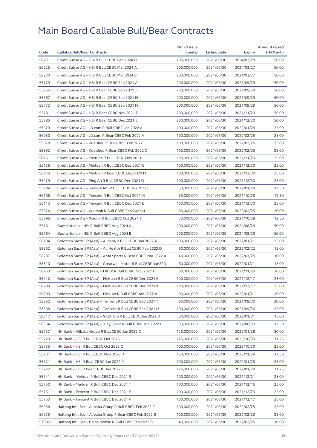|                                                                                     |                         |            | <b>Amount raised</b> |
|-------------------------------------------------------------------------------------|-------------------------|------------|----------------------|
| Code<br><b>Callable Bull/Bear Contracts</b>                                         | (units)<br>Listing date | Expiry     | (HK\$ mil.)          |
| 56231<br>Credit Suisse AG - HSI R Bull CBBC Feb 2024 U<br>200,000,000               | 2021/06/30              | 2024/02/28 | 50.00                |
| 56225<br>Credit Suisse AG - HSI R Bull CBBC Mar 2024 A<br>200,000,000               | 2021/06/30              | 2024/03/27 | 50.00                |
| 56230<br>Credit Suisse AG - HSI R Bull CBBC Mar 2024 B<br>200,000,000               | 2021/06/30              | 2024/03/27 | 50.00                |
| 55779<br>Credit Suisse AG - HSI R Bear CBBC Sep 2021 A<br>200,000,000               | 2021/06/30              | 2021/09/29 | 50.00                |
| 55766<br>Credit Suisse AG - HSI R Bear CBBC Sep 2021 J<br>200,000,000               | 2021/06/30              | 2021/09/29 | 50.00                |
| 55767<br>Credit Suisse AG - HSI R Bear CBBC Sep 2021 M<br>200,000,000               | 2021/06/30              | 2021/09/29 | 50.00                |
| 55772<br>Credit Suisse AG - HSI R Bear CBBC Sep 2021 N<br>200,000,000               | 2021/06/30              | 2021/09/29 | 50.00                |
| 55781<br>Credit Suisse AG - HSI R Bear CBBC Nov 2021 E<br>200,000,000               | 2021/06/30              | 2021/11/29 | 50.00                |
| 55785<br>Credit Suisse AG - HSI R Bear CBBC Dec 2021 E<br>200,000,000               | 2021/06/30              | 2021/12/30 | 50.00                |
| 56029<br>Credit Suisse AG - JD.com R Bull CBBC Jan 2022 A<br>100,000,000            | 2021/06/30              | 2022/01/28 | 25.00                |
| 56050<br>Credit Suisse AG - JD.com R Bear CBBC Feb 2022 A<br>100,000,000            | 2021/06/30              | 2022/02/25 | 25.00                |
| 55878<br>Credit Suisse AG - Kuaishou R Bull CBBC Feb 2022 L<br>100,000,000          | 2021/06/30              | 2022/02/25 | 25.00                |
| 55892<br>Credit Suisse AG - Kuaishou R Bear CBBC Feb 2022 C<br>100,000,000          | 2021/06/30              | 2022/02/25 | 25.00                |
| 56161<br>Credit Suisse AG - Meituan R Bull CBBC Nov 2021 L<br>100,000,000           | 2021/06/30              | 2021/11/29 | 25.00                |
| 56136<br>Credit Suisse AG - Meituan R Bull CBBC Dec 2021 G<br>100,000,000           | 2021/06/30              | 2021/12/30 | 25.00                |
| 56175<br>Credit Suisse AG - Meituan R Bear CBBC Dec 2021 H<br>100,000,000           | 2021/06/30              | 2021/12/30 | 25.00                |
| 55979<br>Credit Suisse AG - Ping An R Bull CBBC Dec 2021 Q<br>100,000,000           | 2021/06/30              | 2021/12/30 | 25.00                |
| 55984<br>Credit Suisse AG - Smoore Intl R Bull CBBC Jan 2022 C<br>50,000,000        | 2021/06/30              | 2022/01/28 | 12.50                |
| 56108<br>Credit Suisse AG - Tencent R Bull CBBC Oct 2021 M<br>50,000,000            | 2021/06/30              | 2021/10/28 | 12.50                |
| 56113<br>Credit Suisse AG - Tencent R Bull CBBC Dec 2021 E<br>100,000,000           | 2021/06/30              | 2021/12/30 | 25.00                |
| 55974<br>Credit Suisse AG - Weimob R Bull CBBC Feb 2022 H<br>80,000,000             | 2021/06/30              | 2022/02/25 | 20.00                |
| 55895<br>Credit Suisse AG - Xiaomi R Bull CBBC Oct 2021 Y<br>50,000,000             | 2021/06/30              | 2021/10/28 | 12.50                |
| 55761<br>Guotai Junan - HSI R Bull CBBC Aug 2024 A<br>200,000,000                   | 2021/06/30              | 2024/08/29 | 50.00                |
| 55764<br>Guotai Junan - HSI R Bull CBBC Aug 2024 B<br>200,000,000                   | 2021/06/30              | 2024/08/29 | 50.00                |
| 58184<br>Goldman Sachs SP (Asia) - Alibaba R Bull CBBC Jan 2022 A<br>100,000,000    | 2021/06/30              | 2022/01/21 | 25.00                |
| 58302<br>60,000,000<br>Goldman Sachs SP (Asia) – Ali Health R Bull CBBC Feb 2022 D  | 2021/06/30              | 2022/02/22 | 15.00                |
| 58287<br>Goldman Sachs SP (Asia) - Anta Sports R Bear CBBC Mar 2022 A<br>40,000,000 | 2021/06/30              | 2022/03/25 | 10.00                |
| 58310<br>Goldman Sachs SP (Asia) - Greatwall Motor R Bull CBBC Jan22D<br>60,000,000 | 2021/06/30              | 2022/01/21 | 15.00                |
| 58253<br>Goldman Sachs SP (Asia) - HKEX R Bull CBBC Nov 2021 H<br>80,000,000        | 2021/06/30              | 2021/11/25 | 20.00                |
| 58242<br>Goldman Sachs SP (Asia) - Meituan R Bull CBBC Dec 2021 E<br>100,000,000    | 2021/06/30              | 2021/12/17 | 25.00                |
| 58299<br>Goldman Sachs SP (Asia) - Meituan R Bull CBBC Dec 2021 K<br>100,000,000    | 2021/06/30              | 2021/12/17 | 25.00                |
| 58203<br>Goldman Sachs SP (Asia) - Ping An R Bull CBBC Jan 2022 A<br>80,000,000     | 2021/06/30              | 2022/01/21 | 20.00                |
| 58262<br>80,000,000<br>Goldman Sachs SP (Asia) – Tencent R Bull CBBC Sep 2021 T     | 2021/06/30              | 2021/09/30 | 20.00                |
| 58308<br>Goldman Sachs SP (Asia) - Tencent R Bull CBBC Sep 2021 U<br>100,000,000    | 2021/06/30              | 2021/09/30 | 25.00                |
| 58317<br>Goldman Sachs SP (Asia) - WuXi Bio R Bull CBBC Jan 2022 B<br>60,000,000    | 2021/06/30              | 2022/01/21 | 15.00                |
| 58354<br>Goldman Sachs SP (Asia) - Xinyi Solar R Bull CBBC Jun 2022 C<br>50,000,000 | 2021/06/30              | 2022/06/30 | 12.50                |
| 55737<br>HK Bank - Alibaba Group R Bull CBBC Jan 2022 C<br>120,000,000              | 2021/06/30              | 2022/01/28 | 30.00                |
| 55723<br>125,000,000<br>HK Bank - HSI R Bull CBBC Oct 2023 I                        | 2021/06/30              | 2023/10/30 | 31.25                |
| 55735<br>100,000,000<br>HK Bank – HSI R Bull CBBC Oct 2023 Q                        | 2021/06/30              | 2023/10/30 | 25.00                |
| 55731<br>HK Bank - HSI R Bull CBBC Nov 2023 D<br>150,000,000                        | 2021/06/30              | 2023/11/29 | 37.50                |
| 100,000,000<br>55721<br>HK Bank - HSI R Bear CBBC Jan 2022 R                        | 2021/06/30              | 2022/01/28 | 25.00                |
| 55722<br>HK Bank - HSI R Bear CBBC Jan 2022 S<br>125,000,000                        | 2021/06/30              | 2022/01/28 | 31.25                |
| 55741<br>HK Bank - Meituan R Bull CBBC Dec 2021 R<br>100,000,000                    | 2021/06/30              | 2021/12/21 | 25.00                |
| 55750<br>100,000,000<br>HK Bank - Meituan R Bull CBBC Dec 2021 T                    | 2021/06/30              | 2021/12/16 | 25.00                |
| 55751<br>HK Bank - Tencent R Bull CBBC Dec 2021 E<br>100,000,000                    | 2021/06/30              | 2021/12/23 | 25.00                |
| 55753<br>HK Bank - Tencent R Bull CBBC Dec 2021 F<br>100,000,000                    | 2021/06/30              | 2021/12/17 | 25.00                |
| 56956<br>Haitong Int'l Sec - Alibaba Group R Bull CBBC Feb 2022 F<br>100,000,000    | 2021/06/30              | 2022/02/25 | 25.00                |
| 56975<br>Haitong Int'l Sec - Alibaba Group R Bear CBBC Feb 2022 B<br>100,000,000    | 2021/06/30              | 2022/02/25 | 25.00                |
| 57086<br>Haitong Int'l Sec - China Mobile R Bull CBBC Feb 2022 B<br>40,000,000      | 2021/06/30              | 2022/02/25 | 10.00                |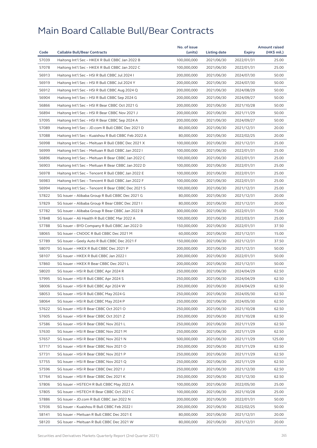|       |                                                     | No. of issue               |              |            | <b>Amount raised</b> |
|-------|-----------------------------------------------------|----------------------------|--------------|------------|----------------------|
| Code  | <b>Callable Bull/Bear Contracts</b>                 | (units)                    | Listing date | Expiry     | (HK\$ mil.)          |
| 57039 | Haitong Int'l Sec - HKEX R Bull CBBC Jan 2022 B     | 100,000,000                | 2021/06/30   | 2022/01/31 | 25.00                |
| 57078 | Haitong Int'l Sec - HKEX R Bull CBBC Jan 2022 C     | 100,000,000                | 2021/06/30   | 2022/01/31 | 25.00                |
| 56913 | Haitong Int'l Sec - HSI R Bull CBBC Jul 2024 I      | 200,000,000                | 2021/06/30   | 2024/07/30 | 50.00                |
| 56919 | Haitong Int'l Sec - HSI R Bull CBBC Jul 2024 Y      | 200,000,000                | 2021/06/30   | 2024/07/30 | 50.00                |
| 56912 | Haitong Int'l Sec - HSI R Bull CBBC Aug 2024 Q      | 200,000,000                | 2021/06/30   | 2024/08/29 | 50.00                |
| 56904 | Haitong Int'l Sec - HSI R Bull CBBC Sep 2024 G      | 200,000,000                | 2021/06/30   | 2024/09/27 | 50.00                |
| 56866 | Haitong Int'l Sec - HSI R Bear CBBC Oct 2021 G      | 200,000,000                | 2021/06/30   | 2021/10/28 | 50.00                |
| 56894 | Haitong Int'l Sec - HSI R Bear CBBC Nov 2021 J      | 200,000,000                | 2021/06/30   | 2021/11/29 | 50.00                |
| 57095 | Haitong Int'l Sec - HSI R Bear CBBC Sep 2024 A      | 200,000,000                | 2021/06/30   | 2024/09/27 | 50.00                |
| 57089 | Haitong Int'l Sec - JD.com R Bull CBBC Dec 2021 D   | 80,000,000                 | 2021/06/30   | 2021/12/31 | 20.00                |
| 57088 | Haitong Int'l Sec - Kuaishou R Bull CBBC Feb 2022 A | 80,000,000                 | 2021/06/30   | 2022/02/25 | 20.00                |
| 56998 | Haitong Int'l Sec - Meituan R Bull CBBC Dec 2021 X  | 100,000,000                | 2021/06/30   | 2021/12/31 | 25.00                |
| 56999 | Haitong Int'l Sec - Meituan R Bull CBBC Jan 2022 I  | 100,000,000                | 2021/06/30   | 2022/01/31 | 25.00                |
| 56896 | Haitong Int'l Sec – Meituan R Bear CBBC Jan 2022 C  | 100,000,000                | 2021/06/30   | 2022/01/31 | 25.00                |
| 56903 | Haitong Int'l Sec - Meituan R Bear CBBC Jan 2022 D  | 100,000,000                | 2021/06/30   | 2022/01/31 | 25.00                |
| 56978 | Haitong Int'l Sec - Tencent R Bull CBBC Jan 2022 E  | 100,000,000                | 2021/06/30   | 2022/01/31 | 25.00                |
| 56983 | Haitong Int'l Sec - Tencent R Bull CBBC Jan 2022 F  | 100,000,000                | 2021/06/30   | 2022/01/31 | 25.00                |
| 56994 | Haitong Int'l Sec - Tencent R Bear CBBC Dec 2021 S  | 100,000,000                | 2021/06/30   | 2021/12/31 | 25.00                |
| 57822 | SG Issuer - Alibaba Group R Bull CBBC Dec 2021 G    | 80,000,000                 | 2021/06/30   | 2021/12/31 | 20.00                |
| 57829 | SG Issuer - Alibaba Group R Bear CBBC Dec 2021 I    | 80,000,000                 | 2021/06/30   | 2021/12/31 | 20.00                |
| 57782 | SG Issuer - Alibaba Group R Bear CBBC Jan 2022 B    | 300,000,000                | 2021/06/30   | 2022/01/31 | 75.00                |
| 57848 | SG Issuer - Ali Health R Bull CBBC Mar 2022 A       | 100,000,000                | 2021/06/30   | 2022/03/31 | 25.00                |
| 57788 | SG Issuer – BYD Company R Bull CBBC Jan 2022 D      | 150,000,000                | 2021/06/30   | 2022/01/31 | 37.50                |
| 58065 | SG Issuer - CNOOC R Bull CBBC Dec 2021 M            | 60,000,000                 | 2021/06/30   | 2021/12/31 | 15.00                |
| 57789 | SG Issuer - Geely Auto R Bull CBBC Dec 2021 F       | 150,000,000                | 2021/06/30   | 2021/12/31 | 37.50                |
| 58070 | SG Issuer - HKEX R Bull CBBC Dec 2021 P             | 200,000,000                | 2021/06/30   | 2021/12/31 | 50.00                |
| 58107 | SG Issuer - HKEX R Bull CBBC Jan 2022 I             | 200,000,000                | 2021/06/30   | 2022/01/31 | 50.00                |
| 57860 | SG Issuer - HKEX R Bear CBBC Dec 2021 L             | 200,000,000                | 2021/06/30   | 2021/12/31 | 50.00                |
| 58020 | SG Issuer - HSI R Bull CBBC Apr 2024 R              | 250,000,000                | 2021/06/30   | 2024/04/29 | 62.50                |
| 57995 | SG Issuer - HSI R Bull CBBC Apr 2024 S              | 250,000,000                | 2021/06/30   | 2024/04/29 | 62.50                |
| 58006 | SG Issuer – HSI R Bull CBBC Apr 2024 W              | 250,000,000                | 2021/06/30   | 2024/04/29 | 62.50                |
| 58053 | SG Issuer - HSI R Bull CBBC May 2024 G              | 250,000,000                | 2021/06/30   | 2024/05/30 | 62.50                |
| 58064 | SG Issuer - HSI R Bull CBBC May 2024 P              | 250,000,000                | 2021/06/30   | 2024/05/30 | 62.50                |
| 57622 | SG Issuer - HSI R Bear CBBC Oct 2021 O              | 250,000,000                | 2021/06/30   | 2021/10/28 | 62.50                |
| 57605 | SG Issuer - HSI R Bear CBBC Oct 2021 Z              | 250,000,000                | 2021/06/30   | 2021/10/28 | 62.50                |
| 57586 | SG Issuer - HSI R Bear CBBC Nov 2021 L              | 250,000,000                | 2021/06/30   | 2021/11/29 | 62.50                |
| 57630 | SG Issuer - HSI R Bear CBBC Nov 2021 M              | 250,000,000                | 2021/06/30   | 2021/11/29 | 62.50                |
| 57657 | SG Issuer - HSI R Bear CBBC Nov 2021 N              | 500,000,000                | 2021/06/30   | 2021/11/29 | 125.00               |
| 57717 | SG Issuer - HSI R Bear CBBC Nov 2021 O              | 250,000,000                | 2021/06/30   | 2021/11/29 | 62.50                |
| 57731 | SG Issuer - HSI R Bear CBBC Nov 2021 P              | 250,000,000                | 2021/06/30   | 2021/11/29 | 62.50                |
| 57755 | SG Issuer - HSI R Bear CBBC Nov 2021 Q              | 250,000,000                | 2021/06/30   | 2021/11/29 | 62.50                |
| 57596 | SG Issuer - HSI R Bear CBBC Dec 2021 J              | 250,000,000                | 2021/06/30   | 2021/12/30 | 62.50                |
| 57764 | SG Issuer - HSI R Bear CBBC Dec 2021 K              | 250,000,000                | 2021/06/30   | 2021/12/30 | 62.50                |
| 57806 | SG Issuer - HSTECH R Bull CBBC May 2022 A           | 100,000,000                | 2021/06/30   | 2022/05/30 | 25.00                |
| 57805 | SG Issuer - HSTECH R Bear CBBC Oct 2021 C           | 100,000,000                | 2021/06/30   |            | 25.00                |
|       |                                                     |                            |              | 2021/10/28 |                      |
| 57886 | SG Issuer - JD.com R Bull CBBC Jan 2022 N           | 200,000,000<br>200,000,000 | 2021/06/30   | 2022/01/31 | 50.00<br>50.00       |
| 57936 | SG Issuer - Kuaishou R Bull CBBC Feb 2022 I         |                            | 2021/06/30   | 2022/02/25 |                      |
| 58141 | SG Issuer - Meituan R Bull CBBC Dec 2021 E          | 80,000,000                 | 2021/06/30   | 2021/12/31 | 20.00                |
| 58120 | SG Issuer - Meituan R Bull CBBC Dec 2021 W          | 80,000,000                 | 2021/06/30   | 2021/12/31 | 20.00                |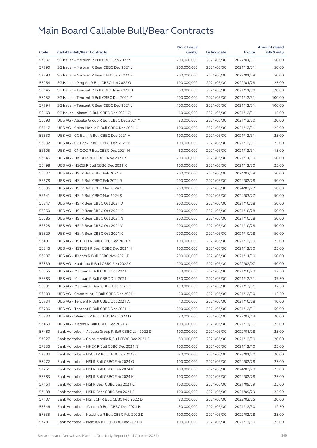|       |                                                      | No. of issue |              |            | <b>Amount raised</b> |
|-------|------------------------------------------------------|--------------|--------------|------------|----------------------|
| Code  | <b>Callable Bull/Bear Contracts</b>                  | (units)      | Listing date | Expiry     | (HK\$ mil.)          |
| 57937 | SG Issuer - Meituan R Bull CBBC Jan 2022 S           | 200,000,000  | 2021/06/30   | 2022/01/31 | 50.00                |
| 57790 | SG Issuer - Meituan R Bear CBBC Dec 2021 J           | 200,000,000  | 2021/06/30   | 2021/12/31 | 50.00                |
| 57793 | SG Issuer - Meituan R Bear CBBC Jan 2022 F           | 200,000,000  | 2021/06/30   | 2022/01/28 | 50.00                |
| 57954 | SG Issuer - Ping An R Bull CBBC Jan 2022 G           | 100,000,000  | 2021/06/30   | 2022/01/28 | 25.00                |
| 58145 | SG Issuer - Tencent R Bull CBBC Nov 2021 N           | 80,000,000   | 2021/06/30   | 2021/11/30 | 20.00                |
| 58152 | SG Issuer - Tencent R Bull CBBC Dec 2021 Y           | 400,000,000  | 2021/06/30   | 2021/12/31 | 100.00               |
| 57794 | SG Issuer - Tencent R Bear CBBC Dec 2021 J           | 400,000,000  | 2021/06/30   | 2021/12/31 | 100.00               |
| 58163 | SG Issuer - Xiaomi R Bull CBBC Dec 2021 Q            | 60,000,000   | 2021/06/30   | 2021/12/31 | 15.00                |
| 56693 | UBS AG - Alibaba Group R Bull CBBC Dec 2021 Y        | 80,000,000   | 2021/06/30   | 2021/12/30 | 20.00                |
| 56617 | UBS AG - China Mobile R Bull CBBC Dec 2021 J         | 100,000,000  | 2021/06/30   | 2021/12/31 | 25.00                |
| 56530 | UBS AG - CC Bank R Bull CBBC Dec 2021 A              | 100,000,000  | 2021/06/30   | 2021/12/31 | 25.00                |
| 56532 | UBS AG - CC Bank R Bull CBBC Dec 2021 B              | 100,000,000  | 2021/06/30   | 2021/12/31 | 25.00                |
| 56605 | UBS AG - CNOOC R Bull CBBC Dec 2021 H                | 60,000,000   | 2021/06/30   | 2021/12/31 | 15.00                |
| 56846 | UBS AG - HKEX R Bull CBBC Nov 2021 Y                 | 200,000,000  | 2021/06/30   | 2021/11/30 | 50.00                |
| 56498 | UBS AG - HSCEI R Bull CBBC Dec 2021 X                | 100,000,000  | 2021/06/30   | 2021/12/30 | 25.00                |
| 56637 | UBS AG - HSI R Bull CBBC Feb 2024 F                  | 200,000,000  | 2021/06/30   | 2024/02/28 | 50.00                |
| 56678 | UBS AG - HSI R Bull CBBC Feb 2024 R                  | 200,000,000  | 2021/06/30   | 2024/02/28 | 50.00                |
| 56636 | UBS AG - HSI R Bull CBBC Mar 2024 O                  | 200,000,000  | 2021/06/30   | 2024/03/27 | 50.00                |
| 56641 | UBS AG - HSI R Bull CBBC Mar 2024 S                  | 200,000,000  | 2021/06/30   | 2024/03/27 | 50.00                |
| 56347 | UBS AG - HSI R Bear CBBC Oct 2021 D                  | 200,000,000  | 2021/06/30   | 2021/10/28 | 50.00                |
| 56350 | UBS AG - HSI R Bear CBBC Oct 2021 K                  | 200,000,000  | 2021/06/30   | 2021/10/28 | 50.00                |
| 56685 | UBS AG - HSI R Bear CBBC Oct 2021 N                  | 200,000,000  | 2021/06/30   | 2021/10/28 | 50.00                |
| 56328 | UBS AG - HSI R Bear CBBC Oct 2021 V                  | 200,000,000  | 2021/06/30   | 2021/10/28 | 50.00                |
| 56329 | UBS AG - HSI R Bear CBBC Oct 2021 X                  | 200,000,000  | 2021/06/30   | 2021/10/28 | 50.00                |
| 56491 | UBS AG - HSTECH R Bull CBBC Dec 2021 X               | 100,000,000  | 2021/06/30   | 2021/12/30 | 25.00                |
| 56346 | UBS AG - HSTECH R Bear CBBC Dec 2021 H               | 100,000,000  | 2021/06/30   | 2021/12/30 | 25.00                |
| 56507 | UBS AG - JD.com R Bull CBBC Nov 2021 E               | 200,000,000  | 2021/06/30   | 2021/11/30 | 50.00                |
| 56839 | UBS AG - Kuaishou R Bull CBBC Feb 2022 C             | 200,000,000  | 2021/06/30   | 2022/02/07 | 50.00                |
| 56355 | UBS AG - Meituan R Bull CBBC Oct 2021 T              | 50,000,000   | 2021/06/30   | 2021/10/28 | 12.50                |
| 56383 | UBS AG - Meituan R Bull CBBC Dec 2021 L              | 150,000,000  | 2021/06/30   | 2021/12/31 | 37.50                |
| 56331 | UBS AG - Meituan R Bear CBBC Dec 2021 T              | 150,000,000  | 2021/06/30   | 2021/12/31 | 37.50                |
| 56509 | UBS AG - Smoore Intl R Bull CBBC Dec 2021 H          | 50,000,000   | 2021/06/30   | 2021/12/30 | 12.50                |
| 56734 | UBS AG - Tencent R Bull CBBC Oct 2021 A              | 40,000,000   | 2021/06/30   | 2021/10/28 | 10.00                |
| 56736 | UBS AG - Tencent R Bull CBBC Dec 2021 H              | 200,000,000  | 2021/06/30   | 2021/12/31 | 50.00                |
| 56830 | UBS AG - Weimob R Bull CBBC Mar 2022 D               | 80,000,000   | 2021/06/30   | 2022/03/14 | 20.00                |
| 56450 | UBS AG - Xiaomi R Bull CBBC Dec 2021 Y               | 100,000,000  | 2021/06/30   | 2021/12/31 | 25.00                |
| 57480 | Bank Vontobel - Alibaba Group R Bull CBBC Jan 2022 D | 100,000,000  | 2021/06/30   | 2022/01/28 | 25.00                |
| 57327 | Bank Vontobel - China Mobile R Bull CBBC Dec 2021 E  | 80,000,000   | 2021/06/30   | 2021/12/30 | 20.00                |
| 57336 | Bank Vontobel - HKEX R Bull CBBC Dec 2021 N          | 100,000,000  | 2021/06/30   | 2021/12/10 | 25.00                |
| 57304 | Bank Vontobel - HSCEI R Bull CBBC Jan 2023 C         | 80,000,000   | 2021/06/30   | 2023/01/30 | 20.00                |
| 57272 | Bank Vontobel - HSI R Bull CBBC Feb 2024 G           | 100,000,000  | 2021/06/30   | 2024/02/28 | 25.00                |
| 57251 | Bank Vontobel - HSI R Bull CBBC Feb 2024 K           | 100,000,000  | 2021/06/30   | 2024/02/28 | 25.00                |
| 57583 | Bank Vontobel - HSI R Bull CBBC Feb 2024 M           | 100,000,000  | 2021/06/30   | 2024/02/28 | 25.00                |
| 57164 | Bank Vontobel - HSI R Bear CBBC Sep 2021 C           | 100,000,000  | 2021/06/30   | 2021/09/29 | 25.00                |
| 57188 | Bank Vontobel - HSI R Bear CBBC Sep 2021 E           | 100,000,000  | 2021/06/30   | 2021/09/29 | 25.00                |
| 57107 | Bank Vontobel - HSTECH R Bull CBBC Feb 2022 D        | 80,000,000   | 2021/06/30   | 2022/02/25 | 20.00                |
| 57346 | Bank Vontobel - JD.com R Bull CBBC Dec 2021 N        | 50,000,000   | 2021/06/30   | 2021/12/30 | 12.50                |
| 57335 | Bank Vontobel - Kuaishou R Bull CBBC Feb 2022 D      | 100,000,000  | 2021/06/30   | 2022/02/28 | 25.00                |
| 57281 | Bank Vontobel - Meituan R Bull CBBC Dec 2021 O       | 100,000,000  | 2021/06/30   | 2021/12/30 | 25.00                |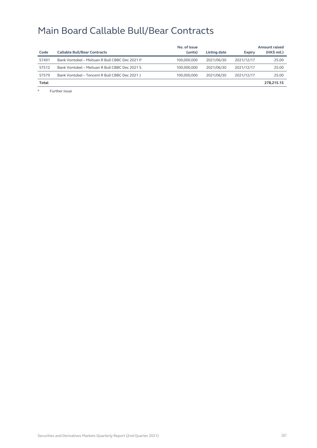|       |                                                | No. of issue |              |               | Amount raised |
|-------|------------------------------------------------|--------------|--------------|---------------|---------------|
| Code  | <b>Callable Bull/Bear Contracts</b>            | (units)      | Listing date | <b>Expiry</b> | $(HK$$ mil.)  |
| 57491 | Bank Vontobel - Meituan R Bull CBBC Dec 2021 P | 100,000,000  | 2021/06/30   | 2021/12/17    | 25.00         |
| 57512 | Bank Vontobel - Meituan R Bull CBBC Dec 2021 S | 100.000.000  | 2021/06/30   | 2021/12/17    | 25.00         |
| 57579 | Bank Vontobel - Tencent R Bull CBBC Dec 2021 J | 100.000.000  | 2021/06/30   | 2021/12/17    | 25.00         |
| Total |                                                |              |              |               | 278.215.15    |

# Further issue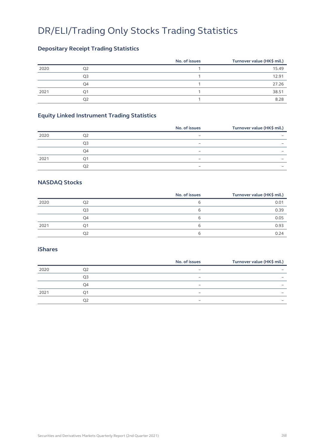### DR/ELI/Trading Only Stocks Trading Statistics

### **Depositary Receipt Trading Statistics**

|      |                | No. of issues | Turnover value (HK\$ mil.) |
|------|----------------|---------------|----------------------------|
| 2020 | O2             |               | 15.49                      |
|      | Q <sub>3</sub> |               | 12.91                      |
|      | Q4             |               | 27.26                      |
| 2021 | Q1             |               | 38.51                      |
|      | Q2             |               | 8.28                       |

### **Equity Linked Instrument Trading Statistics**

|      |    | No. of issues                | Turnover value (HK\$ mil.) |
|------|----|------------------------------|----------------------------|
| 2020 |    | $\overline{\phantom{0}}$     |                            |
|      | O3 | $\qquad \qquad -$            | -                          |
|      | O4 | $\qquad \qquad \blacksquare$ | -                          |
| 2021 |    | $\overline{\phantom{0}}$     | $\overline{\phantom{0}}$   |
|      | ΩŹ | -                            |                            |

#### **NASDAQ Stocks**

|      |    | No. of issues | Turnover value (HK\$ mil.) |
|------|----|---------------|----------------------------|
| 2020 | Q2 | ь             | 0.01                       |
|      | Q3 | ь             | 0.39                       |
|      | Q4 | b             | 0.05                       |
| 2021 | Ο1 | b             | 0.93                       |
|      | Q2 | ь             | 0.24                       |

#### **iShares**

|    | No. of issues                | Turnover value (HK\$ mil.) |
|----|------------------------------|----------------------------|
|    | $\qquad \qquad \blacksquare$ | -                          |
| O3 | $\overline{\phantom{0}}$     | $\overline{\phantom{0}}$   |
| O4 | $\overline{\phantom{0}}$     | $\overline{\phantom{0}}$   |
|    | -                            | $\overline{\phantom{0}}$   |
|    | $\overline{\phantom{0}}$     | $\overline{\phantom{0}}$   |
|    |                              |                            |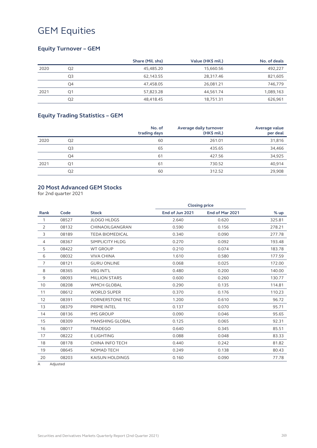### **Equity Turnover – GEM**

|      |                | Share (Mil. shs) | Value (HK\$ mil.) | No. of deals |
|------|----------------|------------------|-------------------|--------------|
| 2020 | Q <sub>2</sub> | 45.485.20        | 15.660.56         | 492,227      |
|      | Q3             | 62.143.55        | 28,317.46         | 821,605      |
|      | Q4             | 47.458.05        | 26.081.21         | 746,779      |
| 2021 | Q1             | 57,823.28        | 44,561.74         | 1,089,163    |
|      | Q <sub>2</sub> | 48.418.45        | 18,751.31         | 626,961      |

### **Equity Trading Statistics – GEM**

|      |                | No. of<br>trading days | Average daily turnover<br>$(HK$$ mil.) | Average value<br>per deal |
|------|----------------|------------------------|----------------------------------------|---------------------------|
| 2020 | Q <sub>2</sub> | 60                     | 261.01                                 | 31,816                    |
|      | Q3             | 65                     | 435.65                                 | 34,466                    |
|      | Q4             | 61                     | 427.56                                 | 34,925                    |
| 2021 | Q1             | 61                     | 730.52                                 | 40,914                    |
|      | Q <sub>2</sub> | 60                     | 312.52                                 | 29,908                    |

#### **20 Most Advanced GEM Stocks**

for 2nd quarter 2021

| Code  | <b>Stock</b>           | End of Jun 2021 | End of Mar 2021 | % up                 |
|-------|------------------------|-----------------|-----------------|----------------------|
| 08527 | <b>JLOGO HLDGS</b>     | 2.640           | 0.620           | 325.81               |
| 08132 | CHINAOILGANGRAN        | 0.590           | 0.156           | 278.21               |
| 08189 | <b>TEDA BIOMEDICAL</b> | 0.340           | 0.090           | 277.78               |
| 08367 | SIMPLICITY HLDG        | 0.270           | 0.092           | 193.48               |
| 08422 | <b>WT GROUP</b>        | 0.210           | 0.074           | 183.78               |
| 08032 | <b>VIVA CHINA</b>      | 1.610           | 0.580           | 177.59               |
| 08121 | <b>GURU ONLINE</b>     | 0.068           | 0.025           | 172.00               |
| 08365 | <b>VBG INT'L</b>       | 0.480           | 0.200           | 140.00               |
| 08093 | <b>MILLION STARS</b>   | 0.600           | 0.260           | 130.77               |
| 08208 | <b>WMCH GLOBAL</b>     | 0.290           | 0.135           | 114.81               |
| 08612 | <b>WORLD SUPER</b>     | 0.370           | 0.176           | 110.23               |
| 08391 | <b>CORNERSTONE TEC</b> | 1.200           | 0.610           | 96.72                |
| 08379 | PRIME INTEL            | 0.137           | 0.070           | 95.71                |
| 08136 | <b>IMS GROUP</b>       | 0.090           | 0.046           | 95.65                |
| 08309 | <b>MANSHING GLOBAL</b> | 0.125           | 0.065           | 92.31                |
| 08017 | <b>TRADEGO</b>         | 0.640           | 0.345           | 85.51                |
| 08222 | <b>ELIGHTING</b>       | 0.088           | 0.048           | 83.33                |
| 08178 | <b>CHINA INFO TECH</b> | 0.440           | 0.242           | 81.82                |
| 08645 | <b>NOMAD TECH</b>      | 0.249           | 0.138           | 80.43                |
| 08203 | <b>KAISUN HOLDINGS</b> | 0.160           | 0.090           | 77.78                |
|       |                        |                 |                 | <b>Closing price</b> |

A Adjusted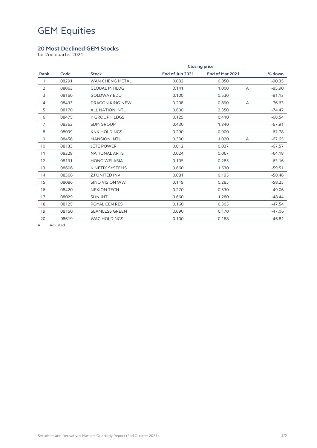### **20 Most Declined GEM Stocks**

for 2nd quarter 2021

|                |       |                        | <b>Closing price</b> |                 |   |          |  |
|----------------|-------|------------------------|----------------------|-----------------|---|----------|--|
| Rank           | Code  | <b>Stock</b>           | End of Jun 2021      | End of Mar 2021 |   | % down   |  |
| 1              | 08291 | <b>WAN CHENG METAL</b> | 0.082                | 0.850           |   | $-90.35$ |  |
| 2              | 08063 | <b>GLOBAL M HLDG</b>   | 0.141                | 1.000           | A | $-85.90$ |  |
| 3              | 08160 | <b>GOLDWAY EDU</b>     | 0.100                | 0.530           |   | $-81.13$ |  |
| $\overline{4}$ | 08493 | <b>DRAGON KING-NEW</b> | 0.208                | 0.890           | Α | $-76.63$ |  |
| 5              | 08170 | <b>ALL NATION INTL</b> | 0.600                | 2.350           |   | $-74.47$ |  |
| 6              | 08475 | <b>K GROUP HLDGS</b>   | 0.129                | 0.410           |   | $-68.54$ |  |
| $\overline{7}$ | 08363 | <b>SDM GROUP</b>       | 0.430                | 1.340           |   | $-67.91$ |  |
| 8              | 08039 | <b>KNK HOLDINGS</b>    | 0.290                | 0.900           |   | $-67.78$ |  |
| $\mathsf 9$    | 08456 | <b>MANSION INTL</b>    | 0.330                | 1.020           | A | $-67.65$ |  |
| 10             | 08133 | <b>JETE POWER</b>      | 0.012                | 0.037           |   | $-67.57$ |  |
| 11             | 08228 | <b>NATIONAL ARTS</b>   | 0.024                | 0.067           |   | $-64.18$ |  |
| 12             | 08191 | <b>HONG WEI ASIA</b>   | 0.105                | 0.285           |   | $-63.16$ |  |
| 13             | 08606 | KINETIX SYSTEMS        | 0.660                | 1.630           |   | $-59.51$ |  |
| 14             | 08366 | ZJ UNITED INV          | 0.081                | 0.195           |   | $-58.46$ |  |
| 15             | 08086 | <b>SINO VISION WW</b>  | 0.119                | 0.285           |   | $-58.25$ |  |
| 16             | 08420 | <b>NEXION TECH</b>     | 0.270                | 0.530           |   | $-49.06$ |  |
| 17             | 08029 | <b>SUN INT'L</b>       | 0.660                | 1.280           |   | $-48.44$ |  |
| 18             | 08125 | ROYAL CEN RES          | 0.160                | 0.305           |   | $-47.54$ |  |
| 19             | 08150 | <b>SEAMLESS GREEN</b>  | 0.090                | 0.170           |   | $-47.06$ |  |
| 20             | 08619 | <b>WAC HOLDINGS</b>    | 0.100                | 0.188           |   | $-46.81$ |  |
|                |       |                        |                      |                 |   |          |  |

A Adjusted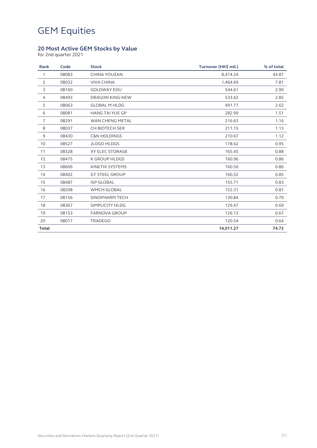#### **20 Most Active GEM Stocks by Value**

for 2nd quarter 2021

| Rank           | Code  | <b>Stock</b>            | Turnover (HK\$ mil.) | % of total |
|----------------|-------|-------------------------|----------------------|------------|
| $\mathbf{1}$   | 08083 | CHINA YOUZAN            | 8,414.24             | 44.87      |
| 2              | 08032 | <b>VIVA CHINA</b>       | 1,464.69             | 7.81       |
| 3              | 08160 | <b>GOLDWAY EDU</b>      | 544.61               | 2.90       |
| $\overline{4}$ | 08493 | DRAGON KING-NEW         | 533.62               | 2.85       |
| 5              | 08063 | <b>GLOBAL M HLDG</b>    | 491.77               | 2.62       |
| 6              | 08081 | <b>HANG TAI YUE GP</b>  | 282.99               | 1.51       |
| $\overline{7}$ | 08291 | WAN CHENG METAL         | 216.63               | 1.16       |
| 8              | 08037 | CH BIOTECH SER          | 211.15               | 1.13       |
| 9              | 08430 | <b>C&amp;N HOLDINGS</b> | 210.67               | 1.12       |
| 10             | 08527 | <b>JLOGO HLDGS</b>      | 178.62               | 0.95       |
| 11             | 08328 | XY ELEC STORAGE         | 165.45               | 0.88       |
| 12             | 08475 | <b>K GROUP HLDGS</b>    | 160.96               | 0.86       |
| 13             | 08606 | KINETIX SYSTEMS         | 160.56               | 0.86       |
| 14             | 08402 | <b>GT STEEL GROUP</b>   | 160.32               | 0.85       |
| 15             | 08487 | <b>ISP GLOBAL</b>       | 155.71               | 0.83       |
| 16             | 08208 | <b>WMCH GLOBAL</b>      | 152.31               | 0.81       |
| 17             | 08156 | SINOPHARM TECH          | 130.84               | 0.70       |
| 18             | 08367 | SIMPLICITY HLDG         | 129.47               | 0.69       |
| 19             | 08153 | <b>FARNOVA GROUP</b>    | 126.13               | 0.67       |
| 20             | 08017 | <b>TRADEGO</b>          | 120.54               | 0.64       |
| <b>Total</b>   |       |                         | 14,011.27            | 74.72      |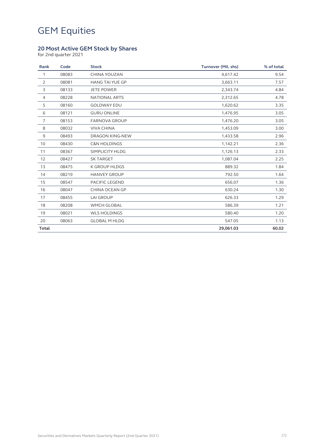#### **20 Most Active GEM Stock by Shares**

for 2nd quarter 2021

| Rank           | Code  | <b>Stock</b>            | <b>Turnover (Mil. shs)</b> | % of total |
|----------------|-------|-------------------------|----------------------------|------------|
| $\mathbf{1}$   | 08083 | CHINA YOUZAN            | 4,617.42                   | 9.54       |
| 2              | 08081 | <b>HANG TAI YUE GP</b>  | 3,663.11                   | 7.57       |
| 3              | 08133 | <b>JETE POWER</b>       | 2,343.74                   | 4.84       |
| $\overline{4}$ | 08228 | <b>NATIONAL ARTS</b>    | 2,312.65                   | 4.78       |
| 5              | 08160 | <b>GOLDWAY EDU</b>      | 1,620.62                   | 3.35       |
| 6              | 08121 | <b>GURU ONLINE</b>      | 1,476.95                   | 3.05       |
| $\overline{7}$ | 08153 | <b>FARNOVA GROUP</b>    | 1,476.20                   | 3.05       |
| 8              | 08032 | <b>VIVA CHINA</b>       | 1,453.09                   | 3.00       |
| 9              | 08493 | DRAGON KING-NEW         | 1,433.58                   | 2.96       |
| 10             | 08430 | <b>C&amp;N HOLDINGS</b> | 1,142.21                   | 2.36       |
| 11             | 08367 | SIMPLICITY HLDG         | 1,126.13                   | 2.33       |
| 12             | 08427 | <b>SK TARGET</b>        | 1,087.04                   | 2.25       |
| 13             | 08475 | <b>K GROUP HLDGS</b>    | 889.32                     | 1.84       |
| 14             | 08219 | <b>HANVEY GROUP</b>     | 792.50                     | 1.64       |
| 15             | 08547 | PACIFIC LEGEND          | 656.07                     | 1.36       |
| 16             | 08047 | CHINA OCEAN GP          | 630.24                     | 1.30       |
| 17             | 08455 | <b>LAI GROUP</b>        | 626.33                     | 1.29       |
| 18             | 08208 | WMCH GLOBAL             | 586.39                     | 1.21       |
| 19             | 08021 | <b>WLS HOLDINGS</b>     | 580.40                     | 1.20       |
| 20             | 08063 | <b>GLOBAL M HLDG</b>    | 547.05                     | 1.13       |
| <b>Total</b>   |       |                         | 29,061.03                  | 60.02      |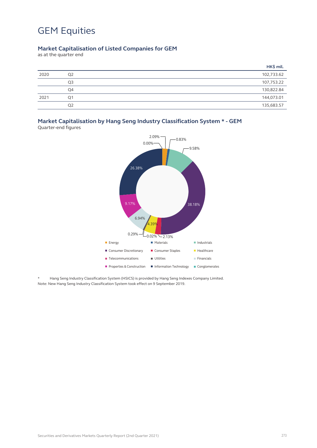#### **Market Capitalisation of Listed Companies for GEM**

as at the quarter end

|      |                | HK\$ mil.  |
|------|----------------|------------|
| 2020 | Q <sub>2</sub> | 102,733.62 |
|      | Q3             | 107,753.22 |
|      | Q4             | 130,822.84 |
| 2021 | O <sub>1</sub> | 144,073.01 |
|      | Q <sub>2</sub> | 135,683.57 |

### **Market Capitalisation by Hang Seng Industry Classification System \* - GEM**

Quarter-end figures



\* Hang Seng Industry Classification System (HSICS) is provided by Hang Seng Indexes Company Limited. Note: New Hang Seng Industry Classification System took effect on 9 September 2019.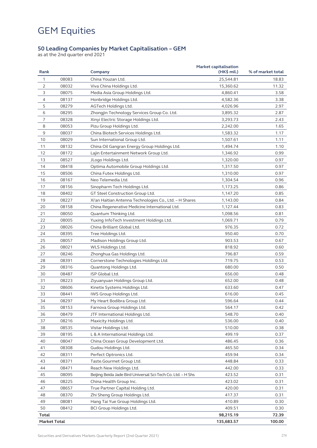#### **50 Leading Companies by Market Capitalisation – GEM**

as at the 2nd quarter end 2021

| Rank                |       | Company                                                     | <b>Market capitalisation</b><br>$(HK\$ mil.) | % of market total |
|---------------------|-------|-------------------------------------------------------------|----------------------------------------------|-------------------|
| 1                   | 08083 | China Youzan Ltd.                                           | 25,544.81                                    | 18.83             |
| $\overline{2}$      | 08032 | Viva China Holdings Ltd.                                    | 15,360.62                                    | 11.32             |
| 3                   | 08075 | Media Asia Group Holdings Ltd.                              | 4,860.41                                     | 3.58              |
| 4                   | 08137 | Honbridge Holdings Ltd.                                     | 4,582.36                                     | 3.38              |
| 5                   | 08279 | AGTech Holdings Ltd.                                        | 4,026.96                                     | 2.97              |
| 6                   | 08295 | Zhongjin Technology Services Group Co. Ltd.                 | 3,895.32                                     | 2.87              |
| $\overline{7}$      | 08328 | Xinyi Electric Storage Holdings Ltd.                        | 3,293.73                                     | 2.43              |
| 8                   | 08053 | Pizu Group Holdings Ltd.                                    | 2,242.00                                     | 1.65              |
| 9                   | 08037 | China Biotech Services Holdings Ltd.                        | 1,583.32                                     | 1.17              |
| 10                  | 08029 | Sun International Group Ltd.                                | 1,507.61                                     | 1.11              |
| 11                  | 08132 | China Oil Gangran Energy Group Holdings Ltd.                | 1,494.74                                     | 1.10              |
| 12                  | 08172 | Lajin Entertainment Network Group Ltd.                      | 1,346.92                                     | 0.99              |
| 13                  | 08527 | JLogo Holdings Ltd.                                         | 1,320.00                                     | 0.97              |
| 14                  | 08418 | Optima Automobile Group Holdings Ltd.                       | 1,317.50                                     | 0.97              |
| 15                  | 08506 | China Futex Holdings Ltd.                                   | 1,310.00                                     | 0.97              |
| 16                  | 08167 | Neo Telemedia Ltd.                                          | 1,304.54                                     | 0.96              |
| 17                  | 08156 | Sinopharm Tech Holdings Ltd.                                | 1,173.25                                     | 0.86              |
| 18                  | 08402 | GT Steel Construction Group Ltd.                            | 1,147.20                                     | 0.85              |
| 19                  | 08227 | Xi'an Haitian Antenna Technologies Co., Ltd. - H Shares     | 1,143.00                                     | 0.84              |
| 20                  | 08158 | China Regenerative Medicine International Ltd.              | 1,127.44                                     | 0.83              |
| 21                  | 08050 | Quantum Thinking Ltd.                                       | 1,098.56                                     | 0.81              |
| 22                  | 08005 | Yuxing InfoTech Investment Holdings Ltd.                    | 1,069.71                                     | 0.79              |
| 23                  | 08026 | China Brilliant Global Ltd.                                 | 976.35                                       | 0.72              |
| 24                  | 08395 | Tree Holdings Ltd.                                          | 950.40                                       | 0.70              |
| 25                  | 08057 | Madison Holdings Group Ltd.                                 | 903.53                                       | 0.67              |
| 26                  | 08021 | WLS Holdings Ltd.                                           | 818.92                                       | 0.60              |
| 27                  | 08246 | Zhonghua Gas Holdings Ltd.                                  | 796.87                                       | 0.59              |
| 28                  | 08391 | Cornerstone Technologies Holdings Ltd.                      | 719.75                                       | 0.53              |
| 29                  | 08316 | Quantong Holdings Ltd.                                      | 680.00                                       | 0.50              |
| 30                  | 08487 | ISP Global Ltd.                                             | 656.00                                       | 0.48              |
| 31                  | 08223 | Ziyuanyuan Holdings Group Ltd.                              | 652.00                                       | 0.48              |
| 32                  | 08606 | Kinetix Systems Holdings Ltd.                               | 633.60                                       | 0.47              |
| 33                  | 08441 | IWS Group Holdings Ltd.                                     | 616.00                                       | 0.45              |
| 34                  | 08297 | My Heart Bodibra Group Ltd.                                 | 596.64                                       | 0.44              |
| 35                  | 08153 | Farnova Group Holdings Ltd.                                 | 564.17                                       | 0.42              |
| 36                  | 08479 | JTF International Holdings Ltd.                             | 548.70                                       | 0.40              |
| 37                  | 08216 | Maxicity Holdings Ltd.                                      | 536.00                                       | 0.40              |
| 38                  | 08535 | Vistar Holdings Ltd.                                        | 510.00                                       | 0.38              |
| 39                  | 08195 | L & A International Holdings Ltd.                           | 499.19                                       | 0.37              |
| 40                  | 08047 | China Ocean Group Development Ltd.                          | 486.45                                       | 0.36              |
| 41                  | 08308 | Gudou Holdings Ltd.                                         | 465.50                                       | 0.34              |
| 42                  | 08311 | Perfect Optronics Ltd.                                      | 459.94                                       | 0.34              |
| 43                  | 08371 | Taste.Gourmet Group Ltd.                                    | 448.84                                       | 0.33              |
| 44                  | 08471 | Reach New Holdings Ltd.                                     | 442.00                                       | 0.33              |
| 45                  | 08095 | Beijing Beida Jade Bird Universal Sci-Tech Co. Ltd. - H Shs | 423.52                                       | 0.31              |
| 46                  | 08225 | China Health Group Inc.                                     | 423.02                                       | 0.31              |
| 47                  | 08657 | True Partner Capital Holding Ltd.                           | 420.00                                       | 0.31              |
| 48                  | 08370 | Zhi Sheng Group Holdings Ltd.                               | 417.37                                       | 0.31              |
| 49                  | 08081 | Hang Tai Yue Group Holdings Ltd.                            | 410.89                                       | 0.30              |
| 50                  | 08412 | BCI Group Holdings Ltd.                                     | 409.51                                       | 0.30              |
| Total               |       |                                                             | 98,215.19                                    | 72.39             |
| <b>Market Total</b> |       |                                                             | 135,683.57                                   | 100.00            |
|                     |       |                                                             |                                              |                   |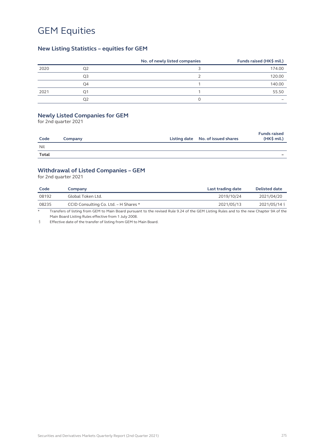#### **New Listing Statistics – equities for GEM**

|      |    | No. of newly listed companies | Funds raised (HK\$ mil.) |
|------|----|-------------------------------|--------------------------|
| 2020 | Q2 |                               | 174.00                   |
|      | Q3 |                               | 120.00                   |
|      | O4 |                               | 140.00                   |
| 2021 | Ο1 |                               | 55.50                    |
|      | O2 |                               |                          |

#### **Newly Listed Companies for GEM**

for 2nd quarter 2021

| Code         | Company | Listing date No. of issued shares | <b>Funds raised</b><br>$(HK$$ mil.) |
|--------------|---------|-----------------------------------|-------------------------------------|
| Nil          |         |                                   |                                     |
| <b>Total</b> |         |                                   |                                     |

#### **Withdrawal of Listed Companies – GEM**

for 2nd quarter 2021

| Code  | Company                               | Last trading date | <b>Delisted date</b> |
|-------|---------------------------------------|-------------------|----------------------|
| 08192 | Global Token Ltd.                     | 2019/10/24        | 2021/04/20           |
| 08235 | CCID Consulting Co. Ltd. - H Shares * | 2021/05/13        | 2021/05/14 §         |

\* Transfers of listing from GEM to Main Board pursuant to the revised Rule 9.24 of the GEM Listing Rules and to the new Chapter 9A of the Main Board Listing Rules effective from 1 July 2008.

§ Effective date of the transfer of listing from GEM to Main Board.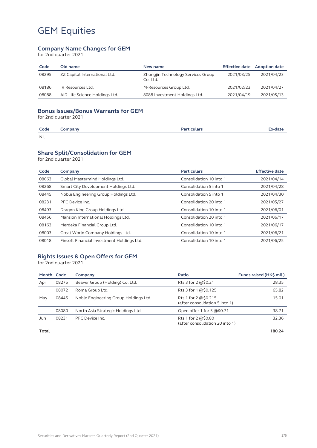#### **Company Name Changes for GEM**

for 2nd quarter 2021

| Code  | Old name                       | New name                                       | <b>Effective date</b> | <b>Adoption date</b> |
|-------|--------------------------------|------------------------------------------------|-----------------------|----------------------|
| 08295 | ZZ Capital International Ltd.  | Zhongjin Technology Services Group<br>Co. Ltd. | 2021/03/25            | 2021/04/23           |
| 08186 | IR Resources Ltd.              | M-Resources Group Ltd.                         | 2021/02/23            | 2021/04/27           |
| 08088 | AID Life Science Holdings Ltd. | 8088 Investment Holdings Ltd.                  | 2021/04/19            | 2021/05/13           |

#### **Bonus Issues/Bonus Warrants for GEM**

for 2nd quarter 2021

| Code | company | <u>Porticulars</u> | c-date |
|------|---------|--------------------|--------|
| Nil  |         |                    |        |

#### **Share Split/Consolidation for GEM**

for 2nd quarter 2021

| Code  | Company                                    | <b>Particulars</b>      | <b>Effective date</b> |
|-------|--------------------------------------------|-------------------------|-----------------------|
| 08063 | Global Mastermind Holdings Ltd.            | Consolidation 10 into 1 | 2021/04/14            |
| 08268 | Smart City Development Holdings Ltd.       | Consolidation 5 into 1  | 2021/04/28            |
| 08445 | Noble Engineering Group Holdings Ltd.      | Consolidation 5 into 1  | 2021/04/30            |
| 08231 | PFC Device Inc.                            | Consolidation 20 into 1 | 2021/05/27            |
| 08493 | Dragon King Group Holdings Ltd.            | Consolidation 10 into 1 | 2021/06/01            |
| 08456 | Mansion International Holdings Ltd.        | Consolidation 20 into 1 | 2021/06/17            |
| 08163 | Merdeka Financial Group Ltd.               | Consolidation 10 into 1 | 2021/06/17            |
| 08003 | Great World Company Holdings Ltd.          | Consolidation 10 into 1 | 2021/06/21            |
| 08018 | Finsoft Financial Investment Holdings Ltd. | Consolidation 10 into 1 | 2021/06/25            |
|       |                                            |                         |                       |

#### **Rights Issues & Open Offers for GEM**

for 2nd quarter 2021

| Month Code |       | Company                               | Ratio                                                   | Funds raised (HK\$ mil.) |
|------------|-------|---------------------------------------|---------------------------------------------------------|--------------------------|
| Apr        | 08275 | Beaver Group (Holding) Co. Ltd.       | Rts 3 for 2 @\$0.21                                     | 28.35                    |
|            | 08072 | Roma Group Ltd.                       | Rts 3 for 1 @\$0.125                                    | 65.82                    |
| May        | 08445 | Noble Engineering Group Holdings Ltd. | Rts 1 for 2 $@50.215$<br>(after consolidation 5 into 1) | 15.01                    |
|            | 08080 | North Asia Strategic Holdings Ltd.    | Open offer 1 for 5 @\$0.71                              | 38.71                    |
| Jun        | 08231 | PFC Device Inc.                       | Rts 1 for 2 $@50.80$<br>(after consolidation 20 into 1) | 32.36                    |
| Total      |       |                                       |                                                         | 180.24                   |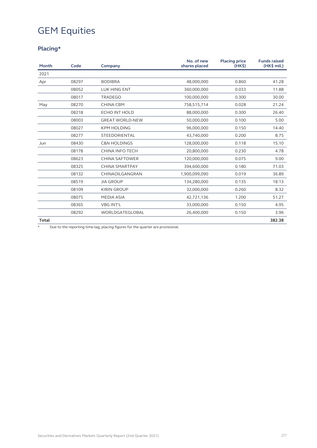### **Placing\***

| Month        | Code  | Company                 | No. of new<br>shares placed | <b>Placing price</b><br>(HK <sub>5</sub> ) | <b>Funds raised</b><br>$(HK$$ mil.) |
|--------------|-------|-------------------------|-----------------------------|--------------------------------------------|-------------------------------------|
| 2021         |       |                         |                             |                                            |                                     |
| Apr          | 08297 | <b>BODIBRA</b>          | 48,000,000                  | 0.860                                      | 41.28                               |
|              | 08052 | <b>LUK HING ENT</b>     | 360,000,000                 | 0.033                                      | 11.88                               |
|              | 08017 | <b>TRADEGO</b>          | 100,000,000                 | 0.300                                      | 30.00                               |
| May          | 08270 | <b>CHINA CBM</b>        | 758,515,714                 | 0.028                                      | 21.24                               |
|              | 08218 | <b>ECHO INT HOLD</b>    | 88,000,000                  | 0.300                                      | 26.40                               |
|              | 08003 | <b>GREAT WORLD-NEW</b>  | 50,000,000                  | 0.100                                      | 5.00                                |
|              | 08027 | <b>KPM HOLDING</b>      | 96,000,000                  | 0.150                                      | 14.40                               |
|              | 08277 | <b>STEEDORIENTAL</b>    | 43,740,000                  | 0.200                                      | 8.75                                |
| Jun          | 08430 | <b>C&amp;N HOLDINGS</b> | 128,000,000                 | 0.118                                      | 15.10                               |
|              | 08178 | <b>CHINA INFO TECH</b>  | 20,800,000                  | 0.230                                      | 4.78                                |
|              | 08623 | <b>CHINA SAFTOWER</b>   | 120,000,000                 | 0.075                                      | 9.00                                |
|              | 08325 | <b>CHINA SMARTPAY</b>   | 394,600,000                 | 0.180                                      | 71.03                               |
|              | 08132 | CHINAOILGANGRAN         | 1,900,099,090               | 0.019                                      | 36.89                               |
|              | 08519 | <b>JIA GROUP</b>        | 134,280,000                 | 0.135                                      | 18.13                               |
|              | 08109 | <b>KIRIN GROUP</b>      | 32,000,000                  | 0.260                                      | 8.32                                |
|              | 08075 | <b>MEDIA ASIA</b>       | 42,721,136                  | 1.200                                      | 51.27                               |
|              | 08365 | <b>VBG INT'L</b>        | 33,000,000                  | 0.150                                      | 4.95                                |
|              | 08292 | WORLDGATEGLOBAL         | 26,400,000                  | 0.150                                      | 3.96                                |
| <b>Total</b> |       |                         |                             |                                            | 382.38                              |

\* Due to the reporting time-lag, placing figures for the quarter are provisional.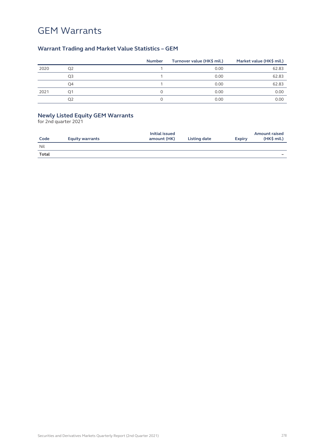### GEM Warrants

### **Warrant Trading and Market Value Statistics – GEM**

|      |                | <b>Number</b> | Turnover value (HK\$ mil.) | Market value (HK\$ mil.) |
|------|----------------|---------------|----------------------------|--------------------------|
| 2020 | Q <sub>2</sub> |               | 0.00                       | 62.83                    |
|      | Q3             |               | 0.00                       | 62.83                    |
|      | O4             |               | 0.00                       | 62.83                    |
| 2021 | Ο1             |               | 0.00                       | 0.00                     |
|      | O2             |               | 0.00                       | 0.00                     |

#### **Newly Listed Equity GEM Warrants**

for 2nd quarter 2021

| Code  | <b>Equity warrants</b> | Initial issued<br>amount (HK) | Listing date | <b>Expiry</b> | <b>Amount raised</b><br>$(HK$$ mil.) |
|-------|------------------------|-------------------------------|--------------|---------------|--------------------------------------|
| Nil   |                        |                               |              |               |                                      |
| Total |                        |                               |              |               |                                      |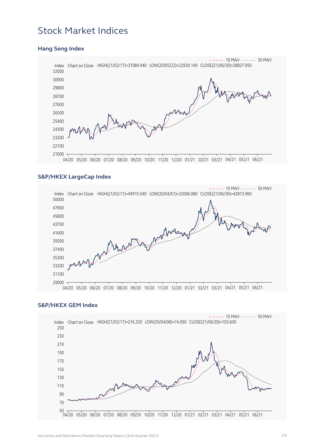### Stock Market Indices

### Index Chart on Close HIGH(21/02/17)=31084.940 LOW(20/05/22)=22930.140 CLOSE(21/06/30)=28827.950  $21000 --- - 10$  MAV  $--- - 50$  MAV 04/20 05/20 06/20 07/20 08/20 09/20 10/20 11/20 12/20 01/21 02/21 03/21 04/21 05/21 06/21

#### **Hang Seng Index**

#### **S&P/HKEX LargeCap Index**



#### **S&P/HKEX GEM Index**

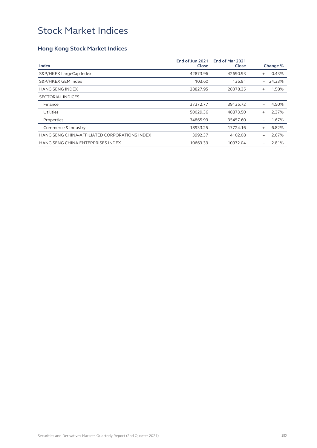### Stock Market Indices

### **Hong Kong Stock Market Indices**

| Index                                         | End of Jun 2021<br>Close | End of Mar 2021<br>Close |           | Change %   |
|-----------------------------------------------|--------------------------|--------------------------|-----------|------------|
|                                               |                          |                          |           |            |
| S&P/HKEX LargeCap Index                       | 42873.96                 | 42690.93                 | $+$       | 0.43%      |
| S&P/HKEX GEM Index                            | 103.60                   | 136.91                   |           | $-24.33\%$ |
| <b>HANG SENG INDEX</b>                        | 28827.95                 | 28378.35                 | $\ddot{}$ | 1.58%      |
| <b>SECTORIAL INDICES</b>                      |                          |                          |           |            |
| Finance                                       | 37372.77                 | 39135.72                 |           | 4.50%      |
| Utilities                                     | 50029.36                 | 48873.50                 | $+$       | 2.37%      |
| Properties                                    | 34865.93                 | 35457.60                 |           | 1.67%      |
| Commerce & Industry                           | 18933.25                 | 17724.16                 | $^{+}$    | 6.82%      |
| HANG SENG CHINA-AFFILIATED CORPORATIONS INDEX | 3992.37                  | 4102.08                  |           | 2.67%      |
| HANG SENG CHINA ENTERPRISES INDEX             | 10663.39                 | 10972.04                 |           | 2.81%      |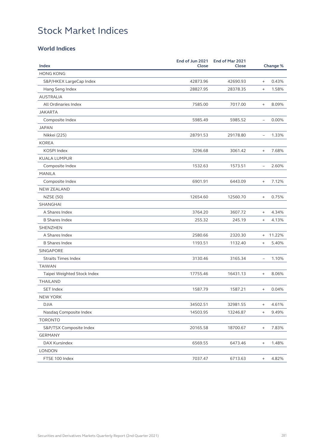### Stock Market Indices

### **World Indices**

| Index                       | End of Jun 2021<br>Close | End of Mar 2021<br>Close |                                  | Change % |
|-----------------------------|--------------------------|--------------------------|----------------------------------|----------|
| <b>HONG KONG</b>            |                          |                          |                                  |          |
| S&P/HKEX LargeCap Index     | 42873.96                 | 42690.93                 | $\qquad \qquad +$                | 0.43%    |
| Hang Seng Index             | 28827.95                 | 28378.35                 | $\ddot{}$                        | 1.58%    |
| <b>AUSTRALIA</b>            |                          |                          |                                  |          |
| All Ordinaries Index        | 7585.00                  | 7017.00                  | $\qquad \qquad +$                | 8.09%    |
| <b>JAKARTA</b>              |                          |                          |                                  |          |
| Composite Index             | 5985.49                  | 5985.52                  | $\overline{\phantom{m}}$         | 0.00%    |
| <b>JAPAN</b>                |                          |                          |                                  |          |
| Nikkei (225)                | 28791.53                 | 29178.80                 | $\overline{\phantom{a}}$         | 1.33%    |
| <b>KOREA</b>                |                          |                          |                                  |          |
| KOSPI Index                 | 3296.68                  | 3061.42                  | $\ddot{}$                        | 7.68%    |
| <b>KUALA LUMPUR</b>         |                          |                          |                                  |          |
| Composite Index             | 1532.63                  | 1573.51                  | $\equiv$                         | 2.60%    |
| <b>MANILA</b>               |                          |                          |                                  |          |
| Composite Index             | 6901.91                  | 6443.09                  | $\ddot{}$                        | 7.12%    |
| <b>NEW ZEALAND</b>          |                          |                          |                                  |          |
| <b>NZSE (50)</b>            | 12654.60                 | 12560.70                 | $\ddot{}$                        | 0.75%    |
| <b>SHANGHAI</b>             |                          |                          |                                  |          |
| A Shares Index              | 3764.20                  | 3607.72                  | $\ddot{}$                        | 4.34%    |
| <b>B Shares Index</b>       | 255.32                   | 245.19                   | $\ddot{}$                        | 4.13%    |
| SHENZHEN                    |                          |                          |                                  |          |
| A Shares Index              | 2580.66                  | 2320.30                  | $\ddot{}$                        | 11.22%   |
| <b>B Shares Index</b>       | 1193.51                  | 1132.40                  | $^{+}$                           | 5.40%    |
| SINGAPORE                   |                          |                          |                                  |          |
| <b>Straits Times Index</b>  | 3130.46                  | 3165.34                  | $\overline{\phantom{0}}$         | 1.10%    |
| <b>TAIWAN</b>               |                          |                          |                                  |          |
| Taipei Weighted Stock Index | 17755.46                 | 16431.13                 | $\ddot{}$                        | 8.06%    |
| <b>THAILAND</b>             |                          |                          |                                  |          |
| <b>SET Index</b>            | 1587.79                  | 1587.21                  | $\begin{array}{c} + \end{array}$ | 0.04%    |
| NEW YORK                    |                          |                          |                                  |          |
| <b>DJIA</b>                 | 34502.51                 | 32981.55                 | $\ddot{}$                        | 4.61%    |
| Nasdaq Composite Index      | 14503.95                 | 13246.87                 | $\ddot{}$                        | 9.49%    |
| <b>TORONTO</b>              |                          |                          |                                  |          |
| S&P/TSX Composite Index     | 20165.58                 | 18700.67                 | $\qquad \qquad +$                | 7.83%    |
| <b>GERMANY</b>              |                          |                          |                                  |          |
| DAX Kursindex               | 6569.55                  | 6473.46                  | $\begin{array}{c} + \end{array}$ | 1.48%    |
| <b>LONDON</b>               |                          |                          |                                  |          |
| FTSE 100 Index              | 7037.47                  | 6713.63                  | $^{+}$                           | 4.82%    |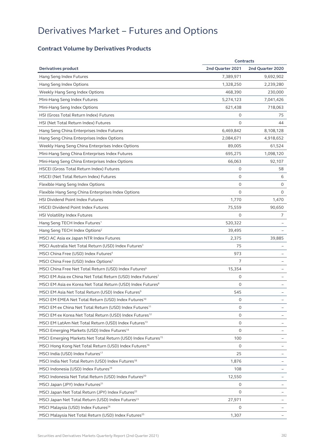### **Contract Volume by Derivatives Products**

| <b>Contracts</b>                                                         |                  |                  |
|--------------------------------------------------------------------------|------------------|------------------|
| <b>Derivatives product</b>                                               | 2nd Quarter 2021 | 2nd Quarter 2020 |
| Hang Seng Index Futures                                                  | 7,389,971        | 9,692,902        |
| Hang Seng Index Options                                                  | 1,328,250        | 2,239,280        |
| Weekly Hang Seng Index Options                                           | 468,390          | 230,000          |
| Mini-Hang Seng Index Futures                                             | 5,274,123        | 7,041,426        |
| Mini-Hang Seng Index Options                                             | 621,438          | 718,063          |
| HSI (Gross Total Return Index) Futures                                   | 0                | 75               |
| HSI (Net Total Return Index) Futures                                     | $\circ$          | 44               |
| Hang Seng China Enterprises Index Futures                                | 6,469,842        | 8,108,128        |
| Hang Seng China Enterprises Index Options                                | 2,084,671        | 4,918,652        |
| Weekly Hang Seng China Enterprises Index Options                         | 89,005           | 61,524           |
| Mini-Hang Seng China Enterprises Index Futures                           | 695,275          | 1,098,120        |
| Mini-Hang Seng China Enterprises Index Options                           | 66,063           | 92,107           |
| <b>HSCEI (Gross Total Return Index) Futures</b>                          | 0                | 58               |
| HSCEI (Net Total Return Index) Futures                                   | $\circ$          | 6                |
| Flexible Hang Seng Index Options                                         | 0                | 0                |
| Flexible Hang Seng China Enterprises Index Options                       | $\Omega$         | 0                |
| <b>HSI Dividend Point Index Futures</b>                                  | 1,770            | 1,470            |
| <b>HSCEI Dividend Point Index Futures</b>                                | 75,559           | 90,650           |
| HSI Volatility Index Futures                                             | $\Omega$         | 7                |
| Hang Seng TECH Index Futures <sup>1</sup>                                | 520,322          |                  |
| Hang Seng TECH Index Options <sup>2</sup>                                | 39,495           |                  |
| MSCI AC Asia ex Japan NTR Index Futures                                  | 2,375            | 39,885           |
| MSCI Australia Net Total Return (USD) Index Futures <sup>3</sup>         | 75               |                  |
| MSCI China Free (USD) Index Futures <sup>4</sup>                         | 973              |                  |
| MSCI China Free (USD) Index Options <sup>5</sup>                         | 7                |                  |
| MSCI China Free Net Total Return (USD) Index Futures <sup>6</sup>        | 15,354           |                  |
| MSCI EM Asia ex China Net Total Return (USD) Index Futures <sup>7</sup>  | 0                |                  |
| MSCI EM Asia ex Korea Net Total Return (USD) Index Futures <sup>8</sup>  | $\circ$          |                  |
| MSCI EM Asia Net Total Return (USD) Index Futures <sup>9</sup>           | 545              |                  |
| MSCI EM EMEA Net Total Return (USD) Index Futures <sup>10</sup>          | 0                |                  |
| MSCI EM ex China Net Total Return (USD) Index Futures <sup>11</sup>      | $\circ$          |                  |
| MSCI EM ex Korea Net Total Return (USD) Index Futures <sup>12</sup>      | 0                |                  |
| MSCI EM LatAm Net Total Return (USD) Index Futures <sup>13</sup>         | $\circ$          |                  |
| MSCI Emerging Markets (USD) Index Futures <sup>14</sup>                  | $\circ$          |                  |
| MSCI Emerging Markets Net Total Return (USD) Index Futures <sup>15</sup> | 100              |                  |
| MSCI Hong Kong Net Total Return (USD) Index Futures <sup>16</sup>        | $\circ$          |                  |
| MSCI India (USD) Index Futures <sup>17</sup>                             | 25               |                  |
| MSCI India Net Total Return (USD) Index Futures <sup>18</sup>            | 1,876            |                  |
| MSCI Indonesia (USD) Index Futures <sup>19</sup>                         | 108              |                  |
| MSCI Indonesia Net Total Return (USD) Index Futures <sup>20</sup>        | 12,550           |                  |
| MSCI Japan (JPY) Index Futures <sup>21</sup>                             | $\circ$          |                  |
| MSCI Japan Net Total Return (JPY) Index Futures <sup>22</sup>            | 0                |                  |
| MSCI Japan Net Total Return (USD) Index Futures <sup>23</sup>            | 27,971           |                  |
| MSCI Malaysia (USD) Index Futures <sup>24</sup>                          | 0                |                  |
| MSCI Malaysia Net Total Return (USD) Index Futures <sup>25</sup>         | 1,307            |                  |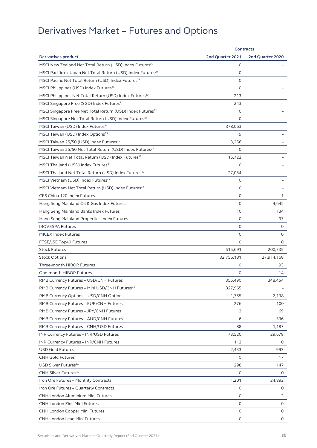|                                                                          | <b>Contracts</b> |                  |
|--------------------------------------------------------------------------|------------------|------------------|
| <b>Derivatives product</b>                                               | 2nd Quarter 2021 | 2nd Quarter 2020 |
| MSCI New Zealand Net Total Return (USD) Index Futures <sup>26</sup>      | 0                |                  |
| MSCI Pacific ex Japan Net Total Return (USD) Index Futures <sup>27</sup> | $\circ$          |                  |
| MSCI Pacific Net Total Return (USD) Index Futures <sup>28</sup>          | $\circ$          |                  |
| MSCI Philippines (USD) Index Futures <sup>29</sup>                       | $\circ$          |                  |
| MSCI Philippines Net Total Return (USD) Index Futures <sup>30</sup>      | 213              |                  |
| MSCI Singapore Free (SGD) Index Futures <sup>31</sup>                    | 243              |                  |
| MSCI Singapore Free Net Total Return (USD) Index Futures <sup>32</sup>   | 0                |                  |
| MSCI Singapore Net Total Return (USD) Index Futures <sup>33</sup>        | $\mathbf 0$      |                  |
| MSCI Taiwan (USD) Index Futures <sup>34</sup>                            | 378,063          |                  |
| MSCI Taiwan (USD) Index Options <sup>35</sup>                            | 19               |                  |
| MSCI Taiwan 25/50 (USD) Index Futures <sup>36</sup>                      | 3,256            |                  |
| MSCI Taiwan 25/50 Net Total Return (USD) Index Futures <sup>37</sup>     | 0                |                  |
| MSCI Taiwan Net Total Return (USD) Index Futures <sup>38</sup>           | 15,722           |                  |
| MSCI Thailand (USD) Index Futures <sup>39</sup>                          | $\mathbf 0$      |                  |
| MSCI Thailand Net Total Return (USD) Index Futures <sup>40</sup>         | 27,054           |                  |
| MSCI Vietnam (USD) Index Futures <sup>41</sup>                           | 0                |                  |
| MSCI Vietnam Net Total Return (USD) Index Futures <sup>42</sup>          | $\circ$          |                  |
| CES China 120 Index Futures                                              | $\circ$          | 1                |
| Hang Seng Mainland Oil & Gas Index Futures                               | 0                | 4,642            |
| Hang Seng Mainland Banks Index Futures                                   | 10               | 134              |
| Hang Seng Mainland Properties Index Futures                              | $\mathbf 0$      | 97               |
| <b>IBOVESPA Futures</b>                                                  | 0                | 0                |
| <b>MICEX Index Futures</b>                                               | $\circ$          | 0                |
| FTSE/JSE Top40 Futures                                                   | 0                | 0                |
| <b>Stock Futures</b>                                                     | 515,691          | 200,735          |
| <b>Stock Options</b>                                                     | 32,756,181       | 27,914,168       |
| Three-month HIBOR Futures                                                | 0                | 93               |
| One-month HIBOR Futures                                                  | $\mathbf 0$      | 14               |
| RMB Currency Futures - USD/CNH Futures                                   | 355,490          | 348,454          |
| RMB Currency Futures - Mini USD/CNH Futures <sup>43</sup>                | 327,965          |                  |
| RMB Currency Options - USD/CNH Options                                   | 1,755            | 2,138            |
| RMB Currency Futures - EUR/CNH Futures                                   | 276              | 100              |
| RMB Currency Futures - JPY/CNH Futures                                   | 2                | 69               |
| RMB Currency Futures - AUD/CNH Futures                                   | 6                | 336              |
| RMB Currency Futures - CNH/USD Futures                                   | 88               | 1,187            |
| INR Currency Futures - INR/USD Futures                                   | 73,520           | 29,678           |
| INR Currency Futures - INR/CNH Futures                                   | 112              | 0                |
| <b>USD Gold Futures</b>                                                  | 2,433            | 993              |
| <b>CNH Gold Futures</b>                                                  | 0                | 17               |
| USD Silver Futures <sup>44</sup>                                         | 298              | 147              |
| CNH Silver Futures <sup>45</sup>                                         | $\circ$          | 0                |
| Iron Ore Futures - Monthly Contracts                                     | 1,201            | 24,892           |
| Iron Ore Futures - Quarterly Contracts                                   | 0                | 0                |
| <b>CNH London Aluminium Mini Futures</b>                                 | $\circ$          | $\overline{2}$   |
| CNH London Zinc Mini Futures                                             | $\circ$          | 0                |
| CNH London Copper Mini Futures                                           | $\circ$          | 0                |
| CNH London Lead Mini Futures                                             | 0                | 0                |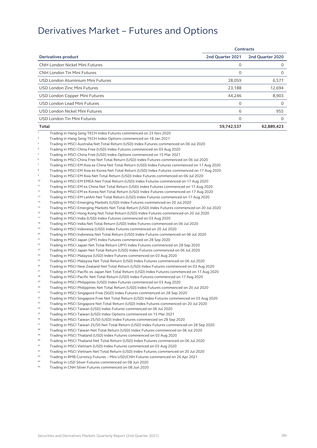|                                                                                                                  |                  | Contracts        |
|------------------------------------------------------------------------------------------------------------------|------------------|------------------|
| Derivatives product                                                                                              | 2nd Quarter 2021 | 2nd Quarter 2020 |
| <b>CNH London Nickel Mini Futures</b>                                                                            | 0                | 0                |
| <b>CNH London Tin Mini Futures</b>                                                                               | $\Omega$         | 0                |
| USD London Aluminium Mini Futures                                                                                | 28,059           | 6,577            |
| USD London Zinc Mini Futures                                                                                     | 23,188           | 12,694           |
| USD London Copper Mini Futures                                                                                   | 44,246           | 8,903            |
| <b>USD London Lead Mini Futures</b>                                                                              | 0                | 0                |
| USD London Nickel Mini Futures                                                                                   | 6                | 955              |
|                                                                                                                  |                  |                  |
| USD London Tin Mini Futures                                                                                      | 0                | 0                |
| Total                                                                                                            | 59,742,537       | 62,889,423       |
| $\,1\,$<br>Trading in Hang Seng TECH Index Futures commenced on 23 Nov 2020                                      |                  |                  |
| $\sqrt{2}$<br>Trading in Hang Seng TECH Index Options commenced on 18 Jan 2021                                   |                  |                  |
| 3<br>Trading in MSCI Australia Net Total Return (USD) Index Futures commenced on 06 Jul 2020                     |                  |                  |
| $\sqrt{4}$<br>Trading in MSCI China Free (USD) Index Futures commenced on 03 Aug 2020                            |                  |                  |
| 5<br>Trading in MSCI China Free (USD) Index Options commenced on 15 Mar 2021                                     |                  |                  |
| 6<br>Trading in MSCI China Free Net Total Return (USD) Index Futures commenced on 06 Jul 2020                    |                  |                  |
| $\overline{7}$<br>Trading in MSCI EM Asia ex China Net Total Return (USD) Index Futures commenced on 17 Aug 2020 |                  |                  |
| $^{\rm 8}$<br>Trading in MSCI EM Asia ex Korea Net Total Return (USD) Index Futures commenced on 17 Aug 2020     |                  |                  |
| $\,9$<br>Trading in MSCI EM Asia Net Total Return (USD) Index Futures commenced on 06 Jul 2020                   |                  |                  |
| 10<br>Trading in MSCI EM EMEA Net Total Return (USD) Index Futures commenced on 17 Aug 2020                      |                  |                  |
| 11<br>Trading in MSCI EM ex China Net Total Return (USD) Index Futures commenced on 17 Aug 2020                  |                  |                  |
| 12<br>Trading in MSCI EM ex Korea Net Total Return (USD) Index Futures commenced on 17 Aug 2020                  |                  |                  |
| 13<br>Trading in MSCI EM LatAm Net Total Return (USD) Index Futures commenced on 17 Aug 2020                     |                  |                  |
| 14<br>Trading in MSCI Emerging Markets (USD) Index Futures commenced on 20 Jul 2020                              |                  |                  |
| 15<br>Trading in MSCI Emerging Markets Net Total Return (USD) Index Futures commenced on 20 Jul 2020             |                  |                  |
| 16<br>Trading in MSCI Hong Kong Net Total Return (USD) Index Futures commenced on 20 Jul 2020                    |                  |                  |
| 17<br>Trading in MSCI India (USD) Index Futures commenced on 03 Aug 2020                                         |                  |                  |
| 18<br>Trading in MSCI India Net Total Return (USD) Index Futures commenced on 06 Jul 2020                        |                  |                  |
| 19<br>Trading in MSCI Indonesia (USD) Index Futures commenced on 20 Jul 2020                                     |                  |                  |
| 20<br>Trading in MSCI Indonesia Net Total Return (USD) Index Futures commenced on 06 Jul 2020                    |                  |                  |
| 21<br>Trading in MSCI Japan (JPY) Index Futures commenced on 28 Sep 2020                                         |                  |                  |
| 22<br>Trading in MSCI Japan Net Total Return (JPY) Index Futures commenced on 28 Sep 2020                        |                  |                  |
| 23<br>Trading in MSCI Japan Net Total Return (USD) Index Futures commenced on 06 Jul 2020                        |                  |                  |
| 24<br>Trading in MSCI Malaysia (USD) Index Futures commenced on 03 Aug 2020                                      |                  |                  |
| 25<br>Trading in MSCI Malaysia Net Total Return (USD) Index Futures commenced on 06 Jul 2020                     |                  |                  |
| 26<br>Trading in MSCI New Zealand Net Total Return (USD) Index Futures commenced on 03 Aug 2020                  |                  |                  |
| 27<br>Trading in MSCI Pacific ex Japan Net Total Return (USD) Index Futures commenced on 17 Aug 2020             |                  |                  |
| 28<br>Trading in MSCI Pacific Net Total Return (USD) Index Futures commenced on 17 Aug 2020                      |                  |                  |
| 29<br>Trading in MSCI Philippines (USD) Index Futures commenced on 03 Aug 2020                                   |                  |                  |
| 30<br>Trading in MSCI Philippines Net Total Return (USD) Index Futures commenced on 20 Jul 2020                  |                  |                  |
| 31<br>Trading in MSCI Singapore Free (SGD) Index Futures commenced on 28 Sep 2020                                |                  |                  |
| 32<br>Trading in MSCI Singapore Free Net Total Return (USD) Index Futures commenced on 03 Aug 2020               |                  |                  |
| 33<br>Trading in MSCI Singapore Net Total Return (USD) Index Futures commenced on 20 Jul 2020                    |                  |                  |
| 34<br>Trading in MSCI Taiwan (USD) Index Futures commenced on 06 Jul 2020                                        |                  |                  |
| 35<br>Trading in MSCI Taiwan (USD) Index Options commenced on 15 Mar 2021                                        |                  |                  |
| 36<br>Trading in MSCI Taiwan 25/50 (USD) Index Futures commenced on 28 Sep 2020                                  |                  |                  |
| 37<br>Trading in MSCI Taiwan 25/50 Net Total Return (USD) Index Futures commenced on 28 Sep 2020                 |                  |                  |
| 38<br>Trading in MSCI Taiwan Net Total Return (USD) Index Futures commenced on 06 Jul 2020                       |                  |                  |
| 39<br>Trading in MSCI Thailand (USD) Index Futures commenced on 03 Aug 2020                                      |                  |                  |
| $40\,$<br>Trading in MSCI Thailand Net Total Return (USD) Index Futures commenced on 06 Jul 2020                 |                  |                  |
| 41<br>Trading in MSCI Vietnam (USD) Index Futures commenced on 03 Aug 2020                                       |                  |                  |
| 42<br>Trading in MSCI Vietnam Net Total Return (USD) Index Futures commenced on 20 Jul 2020                      |                  |                  |
| 43<br>Trading in RMB Currency Futures - Mini USD/CNH Futures commenced on 26 Apr 2021                            |                  |                  |

- 44 Trading in USD Silver Futures commenced on 08 Jun 2020<br>45 Trading in CNU Cilver Futures commenced on 09 Jun 2020
- 45 Trading in CNH Silver Futures commenced on 08 Jun 2020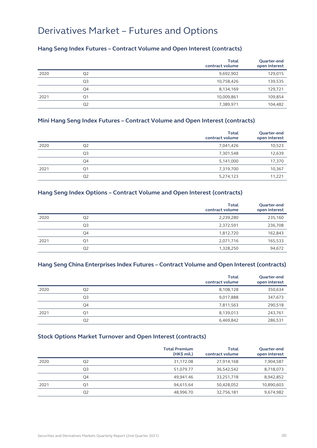#### **Hang Seng Index Futures – Contract Volume and Open Interest (contracts)**

|      |                | <b>Total</b><br>contract volume | Quarter-end<br>open interest |
|------|----------------|---------------------------------|------------------------------|
| 2020 | Q2             | 9,692,902                       | 129,015                      |
|      | Q3             | 10,758,426                      | 139,535                      |
|      | Q4             | 8,134,169                       | 129,721                      |
| 2021 | Q <sub>1</sub> | 10,009,861                      | 109,854                      |
|      | Q <sub>2</sub> | 7,389,971                       | 104,482                      |

#### **Mini Hang Seng Index Futures – Contract Volume and Open Interest (contracts)**

|      |                | <b>Total</b><br>contract volume | Quarter-end<br>open interest |
|------|----------------|---------------------------------|------------------------------|
| 2020 | Q2             | 7,041,426                       | 10,523                       |
|      | Q <sub>3</sub> | 7,301,548                       | 12,639                       |
|      | Q4             | 5,141,000                       | 17,370                       |
| 2021 | Q <sub>1</sub> | 7,319,700                       | 10,367                       |
|      | Q2             | 5,274,123                       | 11,221                       |

#### **Hang Seng Index Options – Contract Volume and Open Interest (contracts)**

|      |                | <b>Total</b><br>contract volume | Quarter-end<br>open interest |
|------|----------------|---------------------------------|------------------------------|
| 2020 | Q2             | 2,239,280                       | 235,160                      |
|      | Q3             | 2,372,591                       | 236,708                      |
|      | Q4             | 1,812,720                       | 162,843                      |
| 2021 | Q <sub>1</sub> | 2,071,716                       | 165,533                      |
|      | Q2             | 1,328,250                       | 94,672                       |

#### **Hang Seng China Enterprises Index Futures – Contract Volume and Open Interest (contracts)**

|      |                | <b>Total</b><br>contract volume | Quarter-end<br>open interest |
|------|----------------|---------------------------------|------------------------------|
| 2020 | Q <sub>2</sub> | 8,108,128                       | 350,634                      |
|      | Q <sub>3</sub> | 9,017,888                       | 347,673                      |
|      | Q4             | 7,811,563                       | 290,518                      |
| 2021 | Q <sub>1</sub> | 8,139,013                       | 243,761                      |
|      | Q <sub>2</sub> | 6,469,842                       | 286,531                      |

#### **Stock Options Market Turnover and Open Interest (contracts)**

|      |                | <b>Total Premium</b><br>$(HK\$ mil.) | Total<br>contract volume | Quarter-end<br>open interest |
|------|----------------|--------------------------------------|--------------------------|------------------------------|
| 2020 | Q <sub>2</sub> | 31,172.08                            | 27,914,168               | 7,904,587                    |
|      | Q3             | 51,079.77                            | 36,542,542               | 8,718,073                    |
|      | Q4             | 49.941.46                            | 33,251,718               | 8,942,852                    |
| 2021 | Q <sub>1</sub> | 94,615.64                            | 50,428,052               | 10,890,603                   |
|      | Q <sub>2</sub> | 48,996.70                            | 32,756,181               | 9,674,982                    |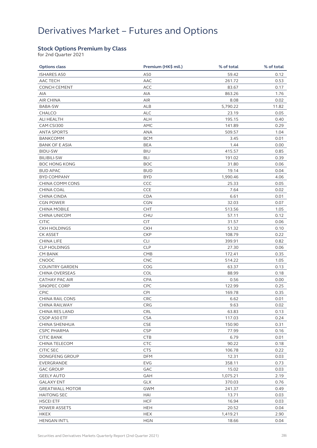#### **Stock Options Premium by Class**

for 2nd Quarter 2021

| <b>Options class</b>   | Premium (HK\$ mil.) | % of total | % of total |
|------------------------|---------------------|------------|------------|
| <b>ISHARES A50</b>     | A50                 | 59.42      | 0.12       |
| AAC TECH               | AAC                 | 261.72     | 0.53       |
| <b>CONCH CEMENT</b>    | ACC                 | 83.67      | 0.17       |
| AIA                    | AIA                 | 863.26     | 1.76       |
| AIR CHINA              | <b>AIR</b>          | 8.08       | 0.02       |
| BABA-SW                | ALB                 | 5,790.22   | 11.82      |
| <b>CHALCO</b>          | <b>ALC</b>          | 23.19      | 0.05       |
| ALI HEALTH             | ALH                 | 195.15     | 0.40       |
| CAM CSI300             | AMC                 | 141.89     | 0.29       |
| <b>ANTA SPORTS</b>     | ANA                 | 509.57     | 1.04       |
| <b>BANKCOMM</b>        | <b>BCM</b>          | 3.45       | 0.01       |
| <b>BANK OF E ASIA</b>  | <b>BEA</b>          | 1.44       | 0.00       |
| <b>BIDU-SW</b>         | <b>BIU</b>          | 415.57     | 0.85       |
| <b>BILIBILI-SW</b>     | BLI                 | 191.02     | 0.39       |
| <b>BOC HONG KONG</b>   | <b>BOC</b>          | 31.80      | 0.06       |
| <b>BUD APAC</b>        | <b>BUD</b>          | 19.14      | 0.04       |
| <b>BYD COMPANY</b>     | <b>BYD</b>          | 1,990.46   | 4.06       |
| CHINA COMM CONS        | CCC                 | 25.33      | 0.05       |
| CHINA COAL             | <b>CCE</b>          | 7.64       | 0.02       |
| CHINA CINDA            | <b>CDA</b>          | 6.61       | 0.01       |
| <b>CGN POWER</b>       | <b>CGN</b>          | 32.03      | 0.07       |
| <b>CHINA MOBILE</b>    | <b>CHT</b>          | 513.56     | 1.05       |
| <b>CHINA UNICOM</b>    | CHU                 | 57.11      | 0.12       |
| <b>CITIC</b>           | <b>CIT</b>          | 31.57      | 0.06       |
| <b>CKH HOLDINGS</b>    | <b>CKH</b>          | 51.32      | 0.10       |
| <b>CK ASSET</b>        | <b>CKP</b>          | 108.79     | 0.22       |
| <b>CHINA LIFE</b>      | CLI                 | 399.91     | 0.82       |
| <b>CLP HOLDINGS</b>    | <b>CLP</b>          | 27.30      | 0.06       |
| <b>CM BANK</b>         | <b>CMB</b>          | 172.41     | 0.35       |
| CNOOC                  | <b>CNC</b>          | 514.22     | 1.05       |
| <b>COUNTRY GARDEN</b>  | COG                 | 63.37      | 0.13       |
| CHINA OVERSEAS         | <b>COL</b>          | 88.99      | 0.18       |
| <b>CATHAY PAC AIR</b>  | CPA                 | 0.56       | 0.00       |
| SINOPEC CORP           | <b>CPC</b>          | 122.99     | 0.25       |
| CPIC                   | <b>CPI</b>          | 169.78     | 0.35       |
| <b>CHINA RAIL CONS</b> | CRC                 | 6.62       | 0.01       |
| CHINA RAILWAY          | <b>CRG</b>          | 9.63       | 0.02       |
| CHINA RES LAND         | CRL                 | 63.83      | 0.13       |
| CSOP A50 ETF           | <b>CSA</b>          | 117.03     | 0.24       |
| CHINA SHENHUA          | <b>CSE</b>          | 150.90     | 0.31       |
| <b>CSPC PHARMA</b>     | <b>CSP</b>          | 77.99      | 0.16       |
| <b>CITIC BANK</b>      | <b>CTB</b>          | 6.79       | 0.01       |
| CHINA TELECOM          | <b>CTC</b>          | 90.22      | 0.18       |
| <b>CITIC SEC</b>       | <b>CTS</b>          | 106.78     | 0.22       |
| DONGFENG GROUP         | <b>DFM</b>          | 12.31      | 0.03       |
| EVERGRANDE             | EVG                 | 358.11     | 0.73       |
| <b>GAC GROUP</b>       | GAC                 | 15.02      | 0.03       |
| <b>GEELY AUTO</b>      | GAH                 | 1,075.21   | 2.19       |
| <b>GALAXY ENT</b>      | <b>GLX</b>          | 370.03     | 0.76       |
| <b>GREATWALL MOTOR</b> | <b>GWM</b>          | 241.37     | 0.49       |
| <b>HAITONG SEC</b>     | HAI                 | 13.71      | 0.03       |
| <b>HSCEI ETF</b>       | <b>HCF</b>          | 16.94      | 0.03       |
| POWER ASSETS           | HEH                 | 20.52      | 0.04       |
| <b>HKEX</b>            | <b>HEX</b>          | 1,419.21   | 2.90       |
| HENGAN INT'L           | <b>HGN</b>          | 18.66      | 0.04       |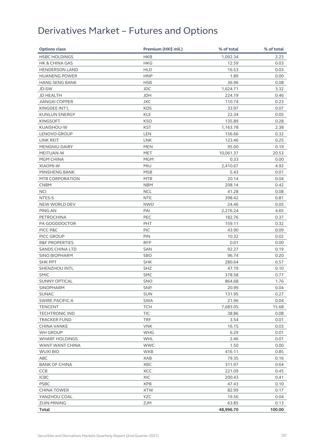| <b>Options class</b>      | Premium (HK\$ mil.) | % of total | % of total |
|---------------------------|---------------------|------------|------------|
| <b>HSBC HOLDINGS</b>      | <b>HKB</b>          | 1,092.34   | 2.23       |
| <b>HK &amp; CHINA GAS</b> | <b>HKG</b>          | 12.59      | 0.03       |
| <b>HENDERSON LAND</b>     | <b>HLD</b>          | 16.53      | 0.03       |
| <b>HUANENG POWER</b>      | <b>HNP</b>          | 1.89       | 0.00       |
| <b>HANG SENG BANK</b>     | <b>HSB</b>          | 36.96      | 0.08       |
| JD-SW                     | <b>JDC</b>          | 1,624.71   | 3.32       |
| JD HEALTH                 | <b>JDH</b>          | 224.19     | 0.46       |
| <b>JIANGXI COPPER</b>     | <b>JXC</b>          | 110.74     | 0.23       |
| KINGDEE INT'L             | <b>KDS</b>          | 33.97      | 0.07       |
| KUNLUN ENERGY             | <b>KLE</b>          | 22.34      | 0.05       |
| <b>KINGSOFT</b>           | <b>KSO</b>          | 135.89     | 0.28       |
| KUAISHOU-W                | <b>KST</b>          | 1,163.78   | 2.38       |
| LENOVO GROUP              | LEN                 | 156.66     | 0.32       |
| LINK REIT                 | <b>LNK</b>          | 123.46     | 0.25       |
| MENGNIU DAIRY             | MEN                 | 95.00      | 0.19       |
| MEITUAN-W                 | <b>MET</b>          | 10,061.37  | 20.53      |
| MGM CHINA                 | <b>MGM</b>          | 0.33       | 0.00       |
| XIAOMI-W                  | MIU                 | 2,410.67   | 4.92       |
| MINSHENG BANK             | <b>MSB</b>          | 5.43       | 0.01       |
| MTR CORPORATION           | <b>MTR</b>          | 20.14      | 0.04       |
| <b>CNBM</b>               | <b>NBM</b>          | 208.14     | 0.42       |
| <b>NCI</b>                | <b>NCL</b>          | 41.28      | 0.08       |
| NTES-S                    | <b>NTE</b>          | 398.42     | 0.81       |
| NEW WORLD DEV             | <b>NWD</b>          | 24.46      | 0.05       |
| PING AN                   | PAI                 | 2,276.24   | 4.65       |
| <b>PETROCHINA</b>         | PEC                 | 182.76     | 0.37       |
| PA GOODDOCTOR             | PHT                 | 159.11     | 0.32       |
| PICC P&C                  | <b>PIC</b>          | 43.90      | 0.09       |
| PICC GROUP                | PIN                 | 10.32      | 0.02       |
| <b>R&amp;F PROPERTIES</b> | <b>RFP</b>          | 0.01       | 0.00       |
| <b>SANDS CHINA LTD</b>    | SAN                 | 92.27      | 0.19       |
| <b>SINO BIOPHARM</b>      | SBO                 | 96.74      | 0.20       |
| <b>SHK PPT</b>            | <b>SHK</b>          | 280.64     | 0.57       |
| SHENZHOU INTL             | <b>SHZ</b>          | 47.19      | 0.10       |
| <b>SMIC</b>               | <b>SMC</b>          | 378.58     | 0.77       |
| <b>SUNNY OPTICAL</b>      | <b>SNO</b>          | 864.68     | 1.76       |
| <b>SINOPHARM</b>          | SNP                 | 20.99      | 0.04       |
| <b>SUNAC</b>              | <b>SUN</b>          | 131.95     | 0.27       |
| SWIRE PACIFIC A           | <b>SWA</b>          | 21.96      | 0.04       |
| <b>TENCENT</b>            | <b>TCH</b>          | 7,683.05   | 15.68      |
| <b>TECHTRONIC IND</b>     | TIC                 | 38.86      | 0.08       |
| <b>TRACKER FUND</b>       | <b>TRF</b>          | 3.54       | 0.01       |
| CHINA VANKE               | <b>VNK</b>          | 16.15      | 0.03       |
| WH GROUP                  | WHG                 | 6.29       | 0.01       |
| <b>WHARF HOLDINGS</b>     | WHL                 | 2.46       | 0.01       |
| WANT WANT CHINA           | <b>WWC</b>          | 1.50       | 0.00       |
| <b>WUXI BIO</b>           | <b>WXB</b>          | 416.11     | 0.85       |
| ABC                       | XAB                 | 79.35      | 0.16       |
| <b>BANK OF CHINA</b>      | XBC                 | 311.97     | 0.64       |
| <b>CCB</b>                | XCC                 | 221.09     | 0.45       |
| <b>ICBC</b>               | <b>XIC</b>          | 200.43     | 0.41       |
| <b>PSBC</b>               | <b>XPB</b>          | 47.43      | 0.10       |
| <b>CHINA TOWER</b>        | <b>XTW</b>          | 82.99      | 0.17       |
| YANZHOU COAL              | <b>YZC</b>          | 19.56      | 0.04       |
| <b>ZIJIN MINING</b>       | ZJM                 | 63.85      | 0.13       |
| Total                     |                     | 48,996.70  | 100.00     |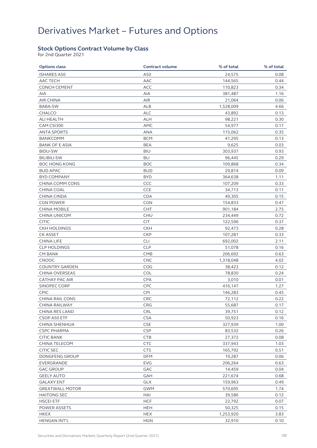## Derivatives Market – Futures and Options

#### **Stock Options Contract Volume by Class**

for 2nd Quarter 2021

| <b>Options class</b>   | <b>Contract volume</b> | % of total | % of total |
|------------------------|------------------------|------------|------------|
| <b>ISHARES A50</b>     | A50                    | 24,575     | 0.08       |
| AAC TECH               | AAC                    | 144,565    | 0.44       |
| <b>CONCH CEMENT</b>    | <b>ACC</b>             | 110,823    | 0.34       |
| AIA                    | AIA                    | 381,487    | 1.16       |
| <b>AIR CHINA</b>       | <b>AIR</b>             | 21,064     | 0.06       |
| BABA-SW                | ALB                    | 1,528,009  | 4.66       |
| <b>CHALCO</b>          | <b>ALC</b>             | 43,892     | 0.13       |
| ALI HEALTH             | <b>ALH</b>             | 98,221     | 0.30       |
| CAM CSI300             | AMC                    | 54,977     | 0.17       |
| <b>ANTA SPORTS</b>     | ANA                    | 115,062    | 0.35       |
| <b>BANKCOMM</b>        | <b>BCM</b>             | 41,295     | 0.13       |
| <b>BANK OF E ASIA</b>  | <b>BEA</b>             | 9,625      | 0.03       |
| <b>BIDU-SW</b>         | <b>BIU</b>             | 303,937    | 0.93       |
| <b>BILIBILI-SW</b>     | BLI                    | 96,445     | 0.29       |
| <b>BOC HONG KONG</b>   | <b>BOC</b>             | 109,868    | 0.34       |
| <b>BUD APAC</b>        | <b>BUD</b>             | 29,814     | 0.09       |
| <b>BYD COMPANY</b>     | <b>BYD</b>             | 364,638    | 1.11       |
| CHINA COMM CONS        | CCC                    | 107,209    | 0.33       |
| CHINA COAL             | CCE                    | 34,713     | 0.11       |
| <b>CHINA CINDA</b>     | <b>CDA</b>             | 49,305     | 0.15       |
| <b>CGN POWER</b>       | <b>CGN</b>             | 154,833    | 0.47       |
| <b>CHINA MOBILE</b>    | <b>CHT</b>             | 901,184    | 2.75       |
| CHINA UNICOM           | CHU                    | 234,449    | 0.72       |
| <b>CITIC</b>           | <b>CIT</b>             | 122,596    | 0.37       |
| <b>CKH HOLDINGS</b>    | <b>CKH</b>             | 92,473     | 0.28       |
| CK ASSET               | <b>CKP</b>             | 107,281    | 0.33       |
| <b>CHINA LIFE</b>      | CLI                    | 692,002    | 2.11       |
| <b>CLP HOLDINGS</b>    | <b>CLP</b>             | 51,078     | 0.16       |
| <b>CM BANK</b>         | <b>CMB</b>             | 206,692    | 0.63       |
| CNOOC                  | <b>CNC</b>             | 1,318,048  | 4.02       |
| <b>COUNTRY GARDEN</b>  | COG                    | 38,423     | 0.12       |
| CHINA OVERSEAS         | COL                    | 78,830     | 0.24       |
| <b>CATHAY PAC AIR</b>  | <b>CPA</b>             | 3,010      | 0.01       |
| SINOPEC CORP           | <b>CPC</b>             | 416,147    | 1.27       |
| CPIC                   | <b>CPI</b>             | 146,283    | 0.45       |
| <b>CHINA RAIL CONS</b> | <b>CRC</b>             | 72,112     | 0.22       |
| CHINA RAILWAY          | CRG                    | 55,687     | 0.17       |
| CHINA RES LAND         | CRL                    | 39,751     | 0.12       |
| CSOP A50 ETF           | <b>CSA</b>             | 50,923     | 0.16       |
| CHINA SHENHUA          | <b>CSE</b>             | 327,939    | 1.00       |
| <b>CSPC PHARMA</b>     | <b>CSP</b>             | 83,532     | 0.26       |
| <b>CITIC BANK</b>      | <b>CTB</b>             | 27,372     | 0.08       |
| CHINA TELECOM          | <b>CTC</b>             | 337,943    | 1.03       |
| <b>CITIC SEC</b>       | <b>CTS</b>             | 165,792    | 0.51       |
| DONGFENG GROUP         | <b>DFM</b>             | 19,287     | 0.06       |
| EVERGRANDE             | EVG                    | 206,264    | 0.63       |
| <b>GAC GROUP</b>       | GAC                    | 14,459     | 0.04       |
| <b>GEELY AUTO</b>      | GAH                    | 221,674    | 0.68       |
| <b>GALAXY ENT</b>      | GLX                    | 159,963    | 0.49       |
| <b>GREATWALL MOTOR</b> | <b>GWM</b>             | 570,695    | 1.74       |
| <b>HAITONG SEC</b>     | HAI                    | 39,586     | 0.12       |
| <b>HSCEI ETF</b>       | <b>HCF</b>             | 22,792     | 0.07       |
| POWER ASSETS           | <b>HEH</b>             | 50,325     | 0.15       |
| <b>HKEX</b>            | <b>HEX</b>             | 1,253,920  | 3.83       |
| <b>HENGAN INT'L</b>    | <b>HGN</b>             | 32,910     | 0.10       |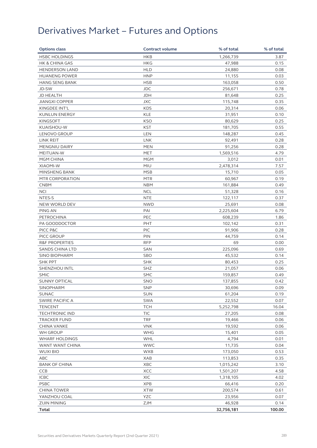# Derivatives Market – Futures and Options

| <b>Options class</b>      | <b>Contract volume</b> | % of total | % of total |
|---------------------------|------------------------|------------|------------|
| <b>HSBC HOLDINGS</b>      | <b>HKB</b>             | 1,266,739  | 3.87       |
| <b>HK &amp; CHINA GAS</b> | <b>HKG</b>             | 47,988     | 0.15       |
| <b>HENDERSON LAND</b>     | <b>HLD</b>             | 24,880     | 0.08       |
| <b>HUANENG POWER</b>      | <b>HNP</b>             | 11,155     | 0.03       |
| <b>HANG SENG BANK</b>     | <b>HSB</b>             | 163,058    | 0.50       |
| JD-SW                     | <b>JDC</b>             | 256,671    | 0.78       |
| JD HEALTH                 | <b>JDH</b>             | 81,648     | 0.25       |
| <b>JIANGXI COPPER</b>     | <b>JXC</b>             | 115,748    | 0.35       |
| KINGDEE INT'L             | <b>KDS</b>             | 20,314     | 0.06       |
| <b>KUNLUN ENERGY</b>      | <b>KLE</b>             | 31,951     | 0.10       |
| <b>KINGSOFT</b>           | <b>KSO</b>             | 80,629     | 0.25       |
| KUAISHOU-W                | <b>KST</b>             | 181,705    | 0.55       |
| LENOVO GROUP              | LEN                    | 148,287    | 0.45       |
| LINK REIT                 | <b>LNK</b>             | 92,491     | 0.28       |
| <b>MENGNIU DAIRY</b>      | <b>MEN</b>             | 91,256     | 0.28       |
| MEITUAN-W                 | <b>MET</b>             | 1,569,516  | 4.79       |
| MGM CHINA                 | <b>MGM</b>             | 3,012      | 0.01       |
| XIAOMI-W                  | <b>MIU</b>             | 2,478,314  | 7.57       |
| MINSHENG BANK             | <b>MSB</b>             | 15,710     | 0.05       |
| MTR CORPORATION           | <b>MTR</b>             | 60,967     | 0.19       |
| <b>CNBM</b>               | <b>NBM</b>             | 161,884    | 0.49       |
| <b>NCI</b>                | <b>NCL</b>             | 51,328     | 0.16       |
| NTES-S                    | <b>NTE</b>             | 122,117    | 0.37       |
| NEW WORLD DEV             | <b>NWD</b>             | 25,691     | 0.08       |
| PING AN                   | PAI                    | 2,225,604  | 6.79       |
| <b>PETROCHINA</b>         | PEC                    | 608,239    | 1.86       |
| PA GOODDOCTOR             | <b>PHT</b>             | 102,142    | 0.31       |
| PICC P&C                  | PIC                    | 91,906     | 0.28       |
| PICC GROUP                | PIN                    | 44,759     | 0.14       |
| <b>R&amp;F PROPERTIES</b> | <b>RFP</b>             | 69         | 0.00       |
| <b>SANDS CHINA LTD</b>    | SAN                    | 225,096    | 0.69       |
| <b>SINO BIOPHARM</b>      | <b>SBO</b>             | 45,532     | 0.14       |
| <b>SHK PPT</b>            | <b>SHK</b>             | 80,453     | 0.25       |
| SHENZHOU INTL             | SHZ                    | 21,057     | 0.06       |
| <b>SMIC</b>               | <b>SMC</b>             | 159,857    | 0.49       |
| <b>SUNNY OPTICAL</b>      | <b>SNO</b>             | 137,855    | 0.42       |
| <b>SINOPHARM</b>          | SNP                    | 30,696     | 0.09       |
| <b>SUNAC</b>              | <b>SUN</b>             | 61,204     | 0.19       |
| SWIRE PACIFIC A           | <b>SWA</b>             | 22,552     | 0.07       |
| <b>TENCENT</b>            | <b>TCH</b>             | 5,252,798  | 16.04      |
| <b>TECHTRONIC IND</b>     | TIC                    | 27,205     | 0.08       |
| <b>TRACKER FUND</b>       | <b>TRF</b>             | 19,466     | 0.06       |
| CHINA VANKE               | <b>VNK</b>             | 19,592     | 0.06       |
| WH GROUP                  | <b>WHG</b>             | 15,401     | 0.05       |
| <b>WHARF HOLDINGS</b>     | WHL                    | 4,794      | 0.01       |
| WANT WANT CHINA           | <b>WWC</b>             | 11,735     | 0.04       |
| <b>WUXI BIO</b>           | <b>WXB</b>             | 173,050    | 0.53       |
| ABC                       | XAB                    | 113,853    | 0.35       |
| <b>BANK OF CHINA</b>      | XBC                    | 1,015,242  | 3.10       |
| <b>CCB</b>                | XCC                    | 1,501,207  | 4.58       |
| <b>ICBC</b>               | XIC                    | 1,318,105  | 4.02       |
| <b>PSBC</b>               | <b>XPB</b>             | 66,416     | 0.20       |
| <b>CHINA TOWER</b>        | <b>XTW</b>             | 200,574    | 0.61       |
| YANZHOU COAL              | <b>YZC</b>             | 23,956     | 0.07       |
| <b>ZIJIN MINING</b>       | ZJM                    | 46,928     | 0.14       |
| Total                     |                        | 32,756,181 | 100.00     |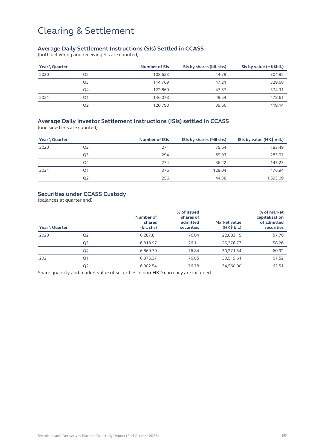#### **Average Daily Settlement Instructions (SIs) Settled in CCASS**

(both delivering and receiving SIs are counted)

| Year \ Quarter |                | <b>Number of SIs</b> | SIs by shares (bil. shs) | SIs by value (HK\$bil.) |
|----------------|----------------|----------------------|--------------------------|-------------------------|
| 2020           | Q <sub>2</sub> | 108.623              | 44.79                    | 304.92                  |
|                | Q3             | 114.769              | 47.21                    | 329.68                  |
|                | Q4             | 122.869              | 47.57                    | 374.31                  |
| 2021           | O <sub>1</sub> | 146.073              | 49.54                    | 478.61                  |
|                | Q <sub>2</sub> | 120.790              | 39.66                    | 419.14                  |

### **Average Daily Investor Settlement Instructions (ISIs) settled in CCASS**

(one sided ISIs are counted)

| Year \ Quarter |                | <b>Number of ISIs</b> | ISIs by shares (Mil shs) | ISIs by value (HK\$ mil.) |
|----------------|----------------|-----------------------|--------------------------|---------------------------|
| 2020           | Q2             | 271                   | 75.64                    | 183.49                    |
|                | Q <sub>3</sub> | 294                   | 69.93                    | 283.07                    |
|                | Q4             | 274                   | 36.22                    | 143.23                    |
| 2021           | Ο1             | 375                   | 128.04                   | 476.94                    |
|                | Q <sub>2</sub> | 256                   | 44.38                    | 1,693.09                  |

#### **Securities under CCASS Custody**

(balances at quarter end)

| Year \ Quarter |                | Number of<br>shares<br>(bil. shs) | % of issued<br>shares of<br>admitted<br>securities | Market value<br>$(HK\$ bil.) | % of market<br>capitalisation<br>of admitted<br>securities |
|----------------|----------------|-----------------------------------|----------------------------------------------------|------------------------------|------------------------------------------------------------|
| 2020           | Q <sub>2</sub> | 6.287.81                          | 76.04                                              | 22,883.15                    | 57.78                                                      |
|                | Q3             | 6,818.97                          | 76.11                                              | 25,376.77                    | 58.26                                                      |
|                | Q4             | 6.869.79                          | 76.84                                              | 30,271.54                    | 60.92                                                      |
| 2021           | Q <sub>1</sub> | 6,876.37                          | 76.85                                              | 33,519.61                    | 61.52                                                      |
|                | Q <sub>2</sub> | 6.902.54                          | 76.78                                              | 34,560.00                    | 62.51                                                      |

Share quantity and market value of securities in non-HKD currency are included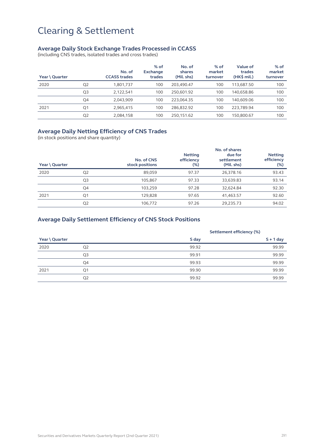#### **Average Daily Stock Exchange Trades Processed in CCASS**

(including CNS trades, isolated trades and cross trades)

| Year \ Quarter |                | No. of<br><b>CCASS trades</b> | $%$ of<br>Exchange<br>trades | No. of<br>shares<br>(Mil. shs) | $%$ of<br>market<br>turnover | <b>Value of</b><br>trades<br>$(HK\$ mil.) | $%$ of<br>market<br>turnover |
|----------------|----------------|-------------------------------|------------------------------|--------------------------------|------------------------------|-------------------------------------------|------------------------------|
| 2020           | Q <sub>2</sub> | 1,801,737                     | 100                          | 203.490.47                     | 100                          | 113.687.50                                | 100                          |
|                | Q <sub>3</sub> | 2.122.541                     | 100                          | 250,601.92                     | 100                          | 140.658.86                                | 100                          |
|                | Q4             | 2.043.909                     | 100                          | 223.064.35                     | 100                          | 140.609.06                                | 100                          |
| 2021           | Q <sub>1</sub> | 2,965,415                     | 100                          | 286.832.92                     | 100                          | 223.789.94                                | 100                          |
|                | Q <sub>2</sub> | 2,084,158                     | 100                          | 250.151.62                     | 100                          | 150.800.67                                | 100                          |

#### **Average Daily Netting Efficiency of CNS Trades**

(in stock positions and share quantity)

| Year \ Quarter |                | No. of CNS<br>stock positions | <b>Netting</b><br>efficiency<br>$(\%)$ | No. of shares<br>due for<br>settlement<br>(Mil. shs) | <b>Netting</b><br>efficiency<br>(%) |
|----------------|----------------|-------------------------------|----------------------------------------|------------------------------------------------------|-------------------------------------|
| 2020           | Q <sub>2</sub> | 89,059                        | 97.37                                  | 26,378.16                                            | 93.43                               |
|                | Q <sub>3</sub> | 105,867                       | 97.33                                  | 33,639.83                                            | 93.14                               |
|                | Q4             | 103,259                       | 97.28                                  | 32,624.84                                            | 92.30                               |
| 2021           | Q1             | 129,828                       | 97.65                                  | 41,463.57                                            | 92.60                               |
|                | Q <sub>2</sub> | 106,772                       | 97.26                                  | 29,235.73                                            | 94.02                               |

### **Average Daily Settlement Efficiency of CNS Stock Positions**

|                |                | Settlement efficiency (%) |             |  |
|----------------|----------------|---------------------------|-------------|--|
| Year \ Quarter |                | S day                     | $S + 1$ day |  |
| 2020           | Q2             | 99.92                     | 99.99       |  |
|                | Q3             | 99.91                     | 99.99       |  |
|                | Q4             | 99.93                     | 99.99       |  |
| 2021           | Q <sub>1</sub> | 99.90                     | 99.99       |  |
|                | Q2             | 99.92                     | 99.99       |  |
|                |                |                           |             |  |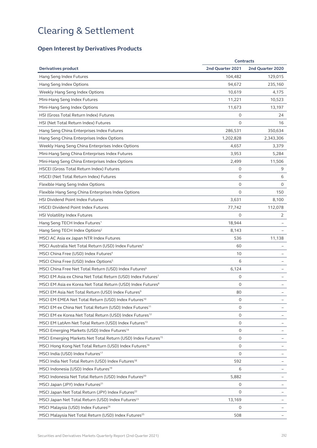### **Open Interest by Derivatives Products**

|                                                                          | <b>Contracts</b> |                  |
|--------------------------------------------------------------------------|------------------|------------------|
| <b>Derivatives product</b>                                               | 2nd Quarter 2021 | 2nd Quarter 2020 |
| Hang Seng Index Futures                                                  | 104,482          | 129,015          |
| Hang Seng Index Options                                                  | 94,672           | 235,160          |
| Weekly Hang Seng Index Options                                           | 10,619           | 4,175            |
| Mini-Hang Seng Index Futures                                             | 11,221           | 10,523           |
| Mini-Hang Seng Index Options                                             | 11,673           | 13,197           |
| HSI (Gross Total Return Index) Futures                                   | 0                | 24               |
| HSI (Net Total Return Index) Futures                                     | $\circ$          | 16               |
| Hang Seng China Enterprises Index Futures                                | 286,531          | 350,634          |
| Hang Seng China Enterprises Index Options                                | 1,202,828        | 2,343,306        |
| Weekly Hang Seng China Enterprises Index Options                         | 4,657            | 3,379            |
| Mini-Hang Seng China Enterprises Index Futures                           | 3,953            | 5,284            |
| Mini-Hang Seng China Enterprises Index Options                           | 2,499            | 11,506           |
| <b>HSCEI (Gross Total Return Index) Futures</b>                          | $\mathbf 0$      | 9                |
| <b>HSCEI</b> (Net Total Return Index) Futures                            | $\mathbf 0$      | 6                |
| Flexible Hang Seng Index Options                                         | 0                | 0                |
| Flexible Hang Seng China Enterprises Index Options                       | $\Omega$         | 150              |
| <b>HSI Dividend Point Index Futures</b>                                  | 3,631            | 8,100            |
| <b>HSCEI Dividend Point Index Futures</b>                                | 77,742           | 112,078          |
| HSI Volatility Index Futures                                             | 0                | 2                |
| Hang Seng TECH Index Futures <sup>1</sup>                                | 18,944           |                  |
| Hang Seng TECH Index Options <sup>2</sup>                                | 8,143            |                  |
| MSCI AC Asia ex Japan NTR Index Futures                                  | 536              | 11,138           |
| MSCI Australia Net Total Return (USD) Index Futures <sup>3</sup>         | 60               |                  |
| MSCI China Free (USD) Index Futures <sup>4</sup>                         | 10               |                  |
| MSCI China Free (USD) Index Options <sup>5</sup>                         | 6                |                  |
| MSCI China Free Net Total Return (USD) Index Futures <sup>6</sup>        | 6,124            |                  |
| MSCI EM Asia ex China Net Total Return (USD) Index Futures <sup>7</sup>  | $\circ$          |                  |
| MSCI EM Asia ex Korea Net Total Return (USD) Index Futures <sup>8</sup>  | 0                |                  |
| MSCI EM Asia Net Total Return (USD) Index Futures <sup>9</sup>           | 80               |                  |
| MSCI EM EMEA Net Total Return (USD) Index Futures <sup>10</sup>          | 0                |                  |
| MSCI EM ex China Net Total Return (USD) Index Futures <sup>11</sup>      | $\circ$          |                  |
| MSCI EM ex Korea Net Total Return (USD) Index Futures <sup>12</sup>      | 0                |                  |
| MSCI EM LatAm Net Total Return (USD) Index Futures <sup>13</sup>         | 0                |                  |
| MSCI Emerging Markets (USD) Index Futures <sup>14</sup>                  | 0                |                  |
| MSCI Emerging Markets Net Total Return (USD) Index Futures <sup>15</sup> | $\circ$          |                  |
| MSCI Hong Kong Net Total Return (USD) Index Futures <sup>16</sup>        | $\circ$          |                  |
| MSCI India (USD) Index Futures <sup>17</sup>                             | 0                |                  |
| MSCI India Net Total Return (USD) Index Futures <sup>18</sup>            | 592              |                  |
| MSCI Indonesia (USD) Index Futures <sup>19</sup>                         | 6                |                  |
| MSCI Indonesia Net Total Return (USD) Index Futures <sup>20</sup>        | 5,882            |                  |
| MSCI Japan (JPY) Index Futures <sup>21</sup>                             | 0                |                  |
| MSCI Japan Net Total Return (JPY) Index Futures <sup>22</sup>            | 0                |                  |
| MSCI Japan Net Total Return (USD) Index Futures <sup>23</sup>            | 13,169           |                  |
| MSCI Malaysia (USD) Index Futures <sup>24</sup>                          | 0                |                  |
| MSCI Malaysia Net Total Return (USD) Index Futures <sup>25</sup>         | 508              |                  |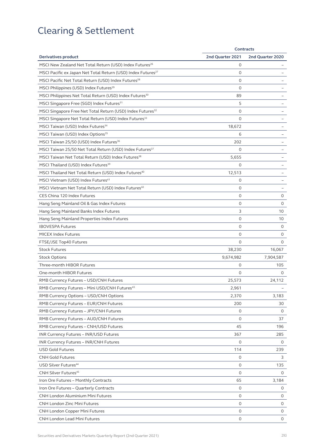|                                                                          | <b>Contracts</b> |                  |
|--------------------------------------------------------------------------|------------------|------------------|
| <b>Derivatives product</b>                                               | 2nd Quarter 2021 | 2nd Quarter 2020 |
| MSCI New Zealand Net Total Return (USD) Index Futures <sup>26</sup>      | 0                |                  |
| MSCI Pacific ex Japan Net Total Return (USD) Index Futures <sup>27</sup> | $\circ$          |                  |
| MSCI Pacific Net Total Return (USD) Index Futures <sup>28</sup>          | 0                |                  |
| MSCI Philippines (USD) Index Futures <sup>29</sup>                       | $\mathbf 0$      |                  |
| MSCI Philippines Net Total Return (USD) Index Futures <sup>30</sup>      | 89               |                  |
| MSCI Singapore Free (SGD) Index Futures <sup>31</sup>                    | 5                |                  |
| MSCI Singapore Free Net Total Return (USD) Index Futures <sup>32</sup>   | $\circ$          |                  |
| MSCI Singapore Net Total Return (USD) Index Futures <sup>33</sup>        | $\mathbf 0$      |                  |
| MSCI Taiwan (USD) Index Futures <sup>34</sup>                            | 18,672           |                  |
| MSCI Taiwan (USD) Index Options <sup>35</sup>                            | 6                |                  |
| MSCI Taiwan 25/50 (USD) Index Futures <sup>36</sup>                      | 202              |                  |
| MSCI Taiwan 25/50 Net Total Return (USD) Index Futures <sup>37</sup>     | 0                |                  |
| MSCI Taiwan Net Total Return (USD) Index Futures <sup>38</sup>           | 5,655            |                  |
| MSCI Thailand (USD) Index Futures <sup>39</sup>                          | $\Omega$         |                  |
| MSCI Thailand Net Total Return (USD) Index Futures <sup>40</sup>         | 12,513           |                  |
| MSCI Vietnam (USD) Index Futures <sup>41</sup>                           | 0                |                  |
| MSCI Vietnam Net Total Return (USD) Index Futures <sup>42</sup>          | $\circ$          |                  |
| CES China 120 Index Futures                                              | $\circ$          | 0                |
| Hang Seng Mainland Oil & Gas Index Futures                               | $\circ$          | 0                |
| Hang Seng Mainland Banks Index Futures                                   | 3                | 10               |
| Hang Seng Mainland Properties Index Futures                              | $\Omega$         | 10               |
| <b>IBOVESPA Futures</b>                                                  | $\circ$          | 0                |
| <b>MICEX Index Futures</b>                                               | $\circ$          | 0                |
| FTSE/JSE Top40 Futures                                                   | $\Omega$         | 0                |
| <b>Stock Futures</b>                                                     | 38,230           | 16,067           |
| <b>Stock Options</b>                                                     | 9,674,982        | 7,904,587        |
| Three-month HIBOR Futures                                                | 0                | 105              |
| One-month HIBOR Futures                                                  | $\Omega$         | 0                |
| RMB Currency Futures - USD/CNH Futures                                   | 25,573           | 24,112           |
| RMB Currency Futures - Mini USD/CNH Futures <sup>43</sup>                | 2,961            |                  |
| RMB Currency Options - USD/CNH Options                                   | 2,370            | 3,183            |
| RMB Currency Futures - EUR/CNH Futures                                   | 200              | 30               |
| RMB Currency Futures - JPY/CNH Futures                                   | $\circ$          | 0                |
| RMB Currency Futures - AUD/CNH Futures                                   | $\circ$          | 37               |
| RMB Currency Futures - CNH/USD Futures                                   | 45               | 196              |
| INR Currency Futures - INR/USD Futures                                   | 367              | 285              |
| INR Currency Futures - INR/CNH Futures                                   | 0                | 0                |
| <b>USD Gold Futures</b>                                                  | 114              | 239              |
| CNH Gold Futures                                                         | 0                | 3                |
| USD Silver Futures <sup>44</sup>                                         | 0                | 135              |
| CNH Silver Futures <sup>45</sup>                                         | $\circ$          | 0                |
| Iron Ore Futures - Monthly Contracts                                     | 65               | 3,184            |
| Iron Ore Futures - Quarterly Contracts                                   | $\circ$          | 0                |
| <b>CNH London Aluminium Mini Futures</b>                                 | 0                | 0                |
| CNH London Zinc Mini Futures                                             | $\circ$          | 0                |
| CNH London Copper Mini Futures                                           | 0                | 0                |
| CNH London Lead Mini Futures                                             | 0                | 0                |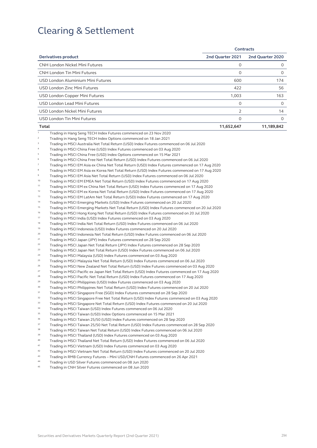|                                                                                                                                                                                                                                                                                                                                                                                                                                                                                                                                                                                                                                                                                                                                                                                                                                                                                                                                                                                                                                                                                                                                                                                                                                                                                                                                                                                                                                                                                                                       |                  | <b>Contracts</b> |
|-----------------------------------------------------------------------------------------------------------------------------------------------------------------------------------------------------------------------------------------------------------------------------------------------------------------------------------------------------------------------------------------------------------------------------------------------------------------------------------------------------------------------------------------------------------------------------------------------------------------------------------------------------------------------------------------------------------------------------------------------------------------------------------------------------------------------------------------------------------------------------------------------------------------------------------------------------------------------------------------------------------------------------------------------------------------------------------------------------------------------------------------------------------------------------------------------------------------------------------------------------------------------------------------------------------------------------------------------------------------------------------------------------------------------------------------------------------------------------------------------------------------------|------------------|------------------|
| <b>Derivatives product</b>                                                                                                                                                                                                                                                                                                                                                                                                                                                                                                                                                                                                                                                                                                                                                                                                                                                                                                                                                                                                                                                                                                                                                                                                                                                                                                                                                                                                                                                                                            | 2nd Quarter 2021 | 2nd Quarter 2020 |
| <b>CNH London Nickel Mini Futures</b>                                                                                                                                                                                                                                                                                                                                                                                                                                                                                                                                                                                                                                                                                                                                                                                                                                                                                                                                                                                                                                                                                                                                                                                                                                                                                                                                                                                                                                                                                 | 0                | 0                |
| <b>CNH London Tin Mini Futures</b>                                                                                                                                                                                                                                                                                                                                                                                                                                                                                                                                                                                                                                                                                                                                                                                                                                                                                                                                                                                                                                                                                                                                                                                                                                                                                                                                                                                                                                                                                    | 0                | 0                |
| USD London Aluminium Mini Futures                                                                                                                                                                                                                                                                                                                                                                                                                                                                                                                                                                                                                                                                                                                                                                                                                                                                                                                                                                                                                                                                                                                                                                                                                                                                                                                                                                                                                                                                                     | 600              | 174              |
| USD London Zinc Mini Futures                                                                                                                                                                                                                                                                                                                                                                                                                                                                                                                                                                                                                                                                                                                                                                                                                                                                                                                                                                                                                                                                                                                                                                                                                                                                                                                                                                                                                                                                                          | 422              | 56               |
| USD London Copper Mini Futures                                                                                                                                                                                                                                                                                                                                                                                                                                                                                                                                                                                                                                                                                                                                                                                                                                                                                                                                                                                                                                                                                                                                                                                                                                                                                                                                                                                                                                                                                        | 1,003            | 163              |
| USD London Lead Mini Futures                                                                                                                                                                                                                                                                                                                                                                                                                                                                                                                                                                                                                                                                                                                                                                                                                                                                                                                                                                                                                                                                                                                                                                                                                                                                                                                                                                                                                                                                                          | 0                | 0                |
|                                                                                                                                                                                                                                                                                                                                                                                                                                                                                                                                                                                                                                                                                                                                                                                                                                                                                                                                                                                                                                                                                                                                                                                                                                                                                                                                                                                                                                                                                                                       |                  |                  |
| USD London Nickel Mini Futures                                                                                                                                                                                                                                                                                                                                                                                                                                                                                                                                                                                                                                                                                                                                                                                                                                                                                                                                                                                                                                                                                                                                                                                                                                                                                                                                                                                                                                                                                        | 2                | 14               |
| USD London Tin Mini Futures                                                                                                                                                                                                                                                                                                                                                                                                                                                                                                                                                                                                                                                                                                                                                                                                                                                                                                                                                                                                                                                                                                                                                                                                                                                                                                                                                                                                                                                                                           | 0                | 0                |
| Total                                                                                                                                                                                                                                                                                                                                                                                                                                                                                                                                                                                                                                                                                                                                                                                                                                                                                                                                                                                                                                                                                                                                                                                                                                                                                                                                                                                                                                                                                                                 | 11,652,647       | 11,189,842       |
| 3<br>Trading in MSCI Australia Net Total Return (USD) Index Futures commenced on 06 Jul 2020<br>$\sqrt{4}$<br>Trading in MSCI China Free (USD) Index Futures commenced on 03 Aug 2020<br>5<br>Trading in MSCI China Free (USD) Index Options commenced on 15 Mar 2021<br>6<br>Trading in MSCI China Free Net Total Return (USD) Index Futures commenced on 06 Jul 2020<br>$\scriptstyle\rm 7$<br>Trading in MSCI EM Asia ex China Net Total Return (USD) Index Futures commenced on 17 Aug 2020<br>8<br>Trading in MSCI EM Asia ex Korea Net Total Return (USD) Index Futures commenced on 17 Aug 2020<br>$\,9$<br>Trading in MSCI EM Asia Net Total Return (USD) Index Futures commenced on 06 Jul 2020                                                                                                                                                                                                                                                                                                                                                                                                                                                                                                                                                                                                                                                                                                                                                                                                              |                  |                  |
| 10<br>Trading in MSCI EM EMEA Net Total Return (USD) Index Futures commenced on 17 Aug 2020<br>11<br>Trading in MSCI EM ex China Net Total Return (USD) Index Futures commenced on 17 Aug 2020<br>12<br>Trading in MSCI EM ex Korea Net Total Return (USD) Index Futures commenced on 17 Aug 2020<br>13<br>Trading in MSCI EM LatAm Net Total Return (USD) Index Futures commenced on 17 Aug 2020<br>14<br>Trading in MSCI Emerging Markets (USD) Index Futures commenced on 20 Jul 2020<br>15<br>Trading in MSCI Emerging Markets Net Total Return (USD) Index Futures commenced on 20 Jul 2020<br>16<br>Trading in MSCI Hong Kong Net Total Return (USD) Index Futures commenced on 20 Jul 2020<br>17                                                                                                                                                                                                                                                                                                                                                                                                                                                                                                                                                                                                                                                                                                                                                                                                               |                  |                  |
| Trading in MSCI India (USD) Index Futures commenced on 03 Aug 2020<br>18<br>Trading in MSCI India Net Total Return (USD) Index Futures commenced on 06 Jul 2020<br>19<br>Trading in MSCI Indonesia (USD) Index Futures commenced on 20 Jul 2020<br>20<br>Trading in MSCI Indonesia Net Total Return (USD) Index Futures commenced on 06 Jul 2020<br>21<br>Trading in MSCI Japan (JPY) Index Futures commenced on 28 Sep 2020<br>22<br>Trading in MSCI Japan Net Total Return (JPY) Index Futures commenced on 28 Sep 2020<br>23<br>Trading in MSCI Japan Net Total Return (USD) Index Futures commenced on 06 Jul 2020<br>24<br>Trading in MSCI Malaysia (USD) Index Futures commenced on 03 Aug 2020                                                                                                                                                                                                                                                                                                                                                                                                                                                                                                                                                                                                                                                                                                                                                                                                                 |                  |                  |
| 25<br>Trading in MSCI Malaysia Net Total Return (USD) Index Futures commenced on 06 Jul 2020<br>26<br>Trading in MSCI New Zealand Net Total Return (USD) Index Futures commenced on 03 Aug 2020<br>27<br>Trading in MSCI Pacific ex Japan Net Total Return (USD) Index Futures commenced on 17 Aug 2020<br>28<br>Trading in MSCI Pacific Net Total Return (USD) Index Futures commenced on 17 Aug 2020<br>29<br>Trading in MSCI Philippines (USD) Index Futures commenced on 03 Aug 2020<br>30<br>Trading in MSCI Philippines Net Total Return (USD) Index Futures commenced on 20 Jul 2020<br>31<br>Trading in MSCI Singapore Free (SGD) Index Futures commenced on 28 Sep 2020<br>32<br>Trading in MSCI Singapore Free Net Total Return (USD) Index Futures commenced on 03 Aug 2020<br>33<br>Trading in MSCI Singapore Net Total Return (USD) Index Futures commenced on 20 Jul 2020<br>34<br>Trading in MSCI Taiwan (USD) Index Futures commenced on 06 Jul 2020<br>35<br>Trading in MSCI Taiwan (USD) Index Options commenced on 15 Mar 2021<br>36<br>Trading in MSCI Taiwan 25/50 (USD) Index Futures commenced on 28 Sep 2020<br>37<br>Trading in MSCI Taiwan 25/50 Net Total Return (USD) Index Futures commenced on 28 Sep 2020<br>38<br>Trading in MSCI Taiwan Net Total Return (USD) Index Futures commenced on 06 Jul 2020<br>39<br>Trading in MSCI Thailand (USD) Index Futures commenced on 03 Aug 2020<br>40<br>Trading in MSCI Thailand Net Total Return (USD) Index Futures commenced on 06 Jul 2020 |                  |                  |
| 41<br>Trading in MSCI Vietnam (USD) Index Futures commenced on 03 Aug 2020<br>42<br>Trading in MSCI Vietnam Net Total Return (USD) Index Futures commenced on 20 Jul 2020<br>43<br>Trading in RMB Currency Futures - Mini USD/CNH Futures commenced on 26 Apr 2021                                                                                                                                                                                                                                                                                                                                                                                                                                                                                                                                                                                                                                                                                                                                                                                                                                                                                                                                                                                                                                                                                                                                                                                                                                                    |                  |                  |

- <sup>44</sup> Trading in USD Silver Futures commenced on 08 Jun 2020<br><sup>45</sup> Trading in CNH Silver Futures commenced on 08 Jun 2020
- 45 Trading in CNH Silver Futures commenced on 08 Jun 2020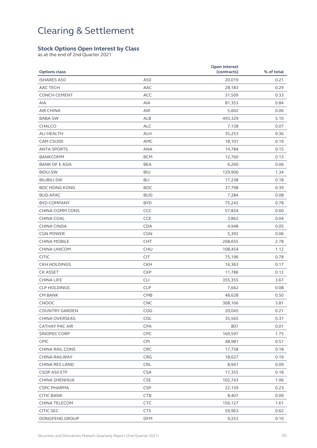#### **Stock Options Open Interest by Class**

as at the end of 2nd Quarter 2021

| <b>Options class</b>             |            | Open interest<br>(contracts) | % of total   |
|----------------------------------|------------|------------------------------|--------------|
| <b>ISHARES A50</b>               | A50        | 20,019                       | 0.21         |
| <b>AAC TECH</b>                  | AAC        | 28,183                       | 0.29         |
| <b>CONCH CEMENT</b>              | ACC        | 31,509                       | 0.33         |
| <b>AIA</b>                       | AIA        | 81,353                       | 0.84         |
| <b>AIR CHINA</b>                 | AIR        | 5,602                        | 0.06         |
| BABA-SW                          | <b>ALB</b> |                              | 5.10         |
| <b>CHALCO</b>                    | <b>ALC</b> | 493,329                      | 0.07         |
| ALI HEALTH                       | <b>ALH</b> | 7,138<br>35,253              | 0.36         |
|                                  | AMC        |                              |              |
| CAM CSI300<br><b>ANTA SPORTS</b> | ANA        | 18,101<br>14,784             | 0.19<br>0.15 |
|                                  |            |                              |              |
| BANKCOMM                         | <b>BCM</b> | 12,760                       | 0.13         |
| <b>BANK OF E ASIA</b>            | <b>BEA</b> | 6,260                        | 0.06         |
| <b>BIDU-SW</b>                   | <b>BIU</b> | 129,906                      | 1.34         |
| <b>BILIBILI-SW</b>               | <b>BLI</b> | 17,238                       | 0.18         |
| <b>BOC HONG KONG</b>             | <b>BOC</b> | 37,798                       | 0.39         |
| <b>BUD APAC</b>                  | <b>BUD</b> | 7,284                        | 0.08         |
| <b>BYD COMPANY</b>               | <b>BYD</b> | 75,242                       | 0.78         |
| CHINA COMM CONS                  | CCC        | 57,834                       | 0.60         |
| CHINA COAL                       | <b>CCE</b> | 3,862                        | 0.04         |
| CHINA CINDA                      | <b>CDA</b> | 4,948                        | 0.05         |
| <b>CGN POWER</b>                 | <b>CGN</b> | 5,392                        | 0.06         |
| <b>CHINA MOBILE</b>              | <b>CHT</b> | 268,655                      | 2.78         |
| CHINA UNICOM                     | <b>CHU</b> | 108,454                      | 1.12         |
| <b>CITIC</b>                     | <b>CIT</b> | 75,196                       | 0.78         |
| <b>CKH HOLDINGS</b>              | <b>CKH</b> | 16,363                       | 0.17         |
| <b>CK ASSET</b>                  | <b>CKP</b> | 11,786                       | 0.12         |
| <b>CHINA LIFE</b>                | <b>CLI</b> | 355,355                      | 3.67         |
| <b>CLP HOLDINGS</b>              | <b>CLP</b> | 7,662                        | 0.08         |
| <b>CM BANK</b>                   | <b>CMB</b> | 48,628                       | 0.50         |
| CNOOC                            | CNC        | 368,166                      | 3.81         |
| COUNTRY GARDEN                   | COG        | 20,045                       | 0.21         |
| CHINA OVERSEAS                   | <b>COL</b> | 35,565                       | 0.37         |
| <b>CATHAY PAC AIR</b>            | CPA        | 807                          | 0.01         |
| SINOPEC CORP                     | CPC        | 169,597                      | 1.75         |
| CPIC                             | <b>CPI</b> | 48,981                       | 0.51         |
| <b>CHINA RAIL CONS</b>           | <b>CRC</b> | 17,758                       | 0.18         |
| CHINA RAILWAY                    | CRG        | 18,627                       | 0.19         |
| CHINA RES LAND                   | CRL        | 8,941                        | 0.09         |
| CSOP A50 ETF                     | <b>CSA</b> | 17,355                       | 0.18         |
| CHINA SHENHUA                    | <b>CSE</b> | 102,743                      | 1.06         |
| <b>CSPC PHARMA</b>               | <b>CSP</b> | 22,159                       | 0.23         |
| <b>CITIC BANK</b>                | CTB        | 8,407                        | 0.09         |
| CHINA TELECOM                    | <b>CTC</b> | 156,127                      | 1.61         |
| <b>CITIC SEC</b>                 | <b>CTS</b> | 59,963                       | 0.62         |
| DONGFENG GROUP                   | <b>DFM</b> | 9,253                        | 0.10         |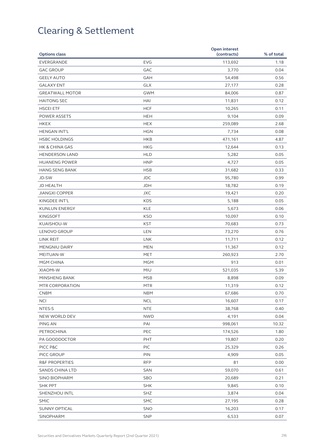| <b>Options class</b>      |            | Open interest<br>(contracts) | % of total |
|---------------------------|------------|------------------------------|------------|
| EVERGRANDE                | <b>EVG</b> | 113,692                      | 1.18       |
| <b>GAC GROUP</b>          | GAC        | 3,770                        | 0.04       |
| <b>GEELY AUTO</b>         | GAH        | 54,498                       | 0.56       |
| <b>GALAXY ENT</b>         | <b>GLX</b> | 27,177                       | 0.28       |
| <b>GREATWALL MOTOR</b>    | <b>GWM</b> | 84,006                       | 0.87       |
| <b>HAITONG SEC</b>        | HAI        | 11,831                       | 0.12       |
| <b>HSCEI ETF</b>          | <b>HCF</b> | 10,265                       | 0.11       |
| <b>POWER ASSETS</b>       | <b>HEH</b> | 9,104                        | 0.09       |
| <b>HKEX</b>               | <b>HEX</b> | 259,089                      | 2.68       |
| <b>HENGAN INT'L</b>       | <b>HGN</b> | 7,734                        | 0.08       |
| <b>HSBC HOLDINGS</b>      | <b>HKB</b> | 471,161                      | 4.87       |
| <b>HK &amp; CHINA GAS</b> | <b>HKG</b> | 12,644                       | 0.13       |
| <b>HENDERSON LAND</b>     | <b>HLD</b> | 5,282                        | 0.05       |
| <b>HUANENG POWER</b>      | <b>HNP</b> | 4,727                        | 0.05       |
| <b>HANG SENG BANK</b>     | <b>HSB</b> | 31,682                       | 0.33       |
| JD-SW                     | <b>JDC</b> | 95,780                       | 0.99       |
| <b>JD HEALTH</b>          | <b>JDH</b> | 18,782                       | 0.19       |
| <b>JIANGXI COPPER</b>     | <b>JXC</b> | 19,421                       | 0.20       |
| KINGDEE INT'L             | <b>KDS</b> | 5,188                        | 0.05       |
| <b>KUNLUN ENERGY</b>      | <b>KLE</b> | 5,673                        | 0.06       |
| <b>KINGSOFT</b>           | <b>KSO</b> | 10,097                       | 0.10       |
| KUAISHOU-W                | <b>KST</b> | 70,683                       | 0.73       |
| LENOVO GROUP              | <b>LEN</b> | 73,270                       | 0.76       |
| LINK REIT                 | <b>LNK</b> | 11,711                       | 0.12       |
| MENGNIU DAIRY             | <b>MEN</b> | 11,367                       | 0.12       |
| MEITUAN-W                 | <b>MET</b> | 260,923                      | 2.70       |
| MGM CHINA                 | <b>MGM</b> | 913                          | 0.01       |
| <b>XIAOMI-W</b>           | MIU        | 521,035                      | 5.39       |
| MINSHENG BANK             | <b>MSB</b> | 8,898                        | 0.09       |
| MTR CORPORATION           | <b>MTR</b> | 11,319                       | 0.12       |
| <b>CNBM</b>               | <b>NBM</b> | 67,686                       | 0.70       |
| <b>NCI</b>                | <b>NCL</b> | 16,607                       | 0.17       |
| NTES-S                    | <b>NTE</b> | 38,768                       | 0.40       |
| NEW WORLD DEV             | <b>NWD</b> | 4,191                        | 0.04       |
| PING AN                   | PAI        | 998,061                      | 10.32      |
| PETROCHINA                | PEC        | 174,526                      | 1.80       |
| PA GOODDOCTOR             | PHT        | 19,807                       | 0.20       |
| PICC P&C                  | <b>PIC</b> | 25,329                       | 0.26       |
| PICC GROUP                | PIN        | 4,909                        | 0.05       |
| <b>R&amp;F PROPERTIES</b> | <b>RFP</b> | 81                           | 0.00       |
| SANDS CHINA LTD           | SAN        | 59,070                       | 0.61       |
| SINO BIOPHARM             | SBO        | 20,689                       | 0.21       |
| <b>SHK PPT</b>            | <b>SHK</b> | 9,845                        | 0.10       |
| SHENZHOU INTL             | SHZ        | 3,874                        | 0.04       |
| SMIC                      | <b>SMC</b> | 27,195                       | 0.28       |
| <b>SUNNY OPTICAL</b>      | SNO        | 16,203                       | 0.17       |
| SINOPHARM                 | SNP        | 6,533                        | 0.07       |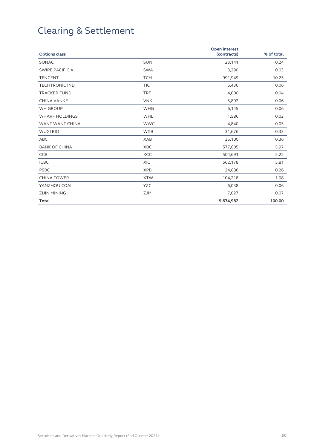| <b>Options class</b>   |            | <b>Open interest</b><br>(contracts) | % of total |
|------------------------|------------|-------------------------------------|------------|
| <b>SUNAC</b>           | <b>SUN</b> | 23,141                              | 0.24       |
| <b>SWIRE PACIFIC A</b> | <b>SWA</b> | 3,290                               | 0.03       |
| <b>TENCENT</b>         | <b>TCH</b> | 991,949                             | 10.25      |
| <b>TECHTRONIC IND</b>  | <b>TIC</b> | 5,436                               | 0.06       |
| <b>TRACKER FUND</b>    | <b>TRF</b> | 4,000                               | 0.04       |
| <b>CHINA VANKE</b>     | <b>VNK</b> | 5,892                               | 0.06       |
| <b>WH GROUP</b>        | <b>WHG</b> | 6,145                               | 0.06       |
| <b>WHARF HOLDINGS</b>  | <b>WHL</b> | 1,586                               | 0.02       |
| WANT WANT CHINA        | <b>WWC</b> | 4,840                               | 0.05       |
| <b>WUXI BIO</b>        | <b>WXB</b> | 31,676                              | 0.33       |
| ABC                    | <b>XAB</b> | 35,100                              | 0.36       |
| <b>BANK OF CHINA</b>   | <b>XBC</b> | 577,605                             | 5.97       |
| <b>CCB</b>             | <b>XCC</b> | 504,691                             | 5.22       |
| <b>ICBC</b>            | <b>XIC</b> | 562,178                             | 5.81       |
| <b>PSBC</b>            | <b>XPB</b> | 24,686                              | 0.26       |
| <b>CHINA TOWER</b>     | <b>XTW</b> | 104,218                             | 1.08       |
| YANZHOU COAL           | <b>YZC</b> | 6,038                               | 0.06       |
| <b>ZIJIN MINING</b>    | <b>ZJM</b> | 7,027                               | 0.07       |
| <b>Total</b>           |            | 9,674,982                           | 100.00     |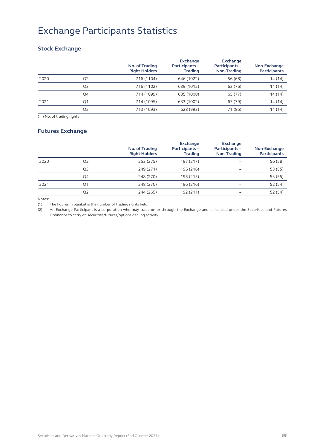## Exchange Participants Statistics

### **Stock Exchange**

|      |                | No. of Trading<br><b>Right Holders</b> | <b>Exchange</b><br>Participants -<br><b>Trading</b> | <b>Exchange</b><br>Participants -<br>Non-Trading | Non-Exchange<br>Participants |
|------|----------------|----------------------------------------|-----------------------------------------------------|--------------------------------------------------|------------------------------|
| 2020 | Q <sub>2</sub> | 716 (1104)                             | 646 (1022)                                          | 56 (68)                                          | 14 (14)                      |
|      | Q3             | 716 (1102)                             | 639 (1012)                                          | 63 (76)                                          | 14 (14)                      |
|      | Q4             | 714 (1099)                             | 635 (1008)                                          | 65 (77)                                          | 14 (14)                      |
| 2021 | Q <sub>1</sub> | 714 (1095)                             | 633 (1002)                                          | 67 (79)                                          | 14(14)                       |
|      | Q <sub>2</sub> | 713 (1093)                             | 628 (993)                                           | 71 (86)                                          | 14 (14)                      |

( ) No. of trading rights

#### **Futures Exchange**

|      |                | No. of Trading<br><b>Right Holders</b> | <b>Exchange</b><br>Participants -<br><b>Trading</b> | <b>Exchange</b><br>Participants -<br>Non-Trading | Non-Exchange<br>Participants |
|------|----------------|----------------------------------------|-----------------------------------------------------|--------------------------------------------------|------------------------------|
| 2020 | Q <sub>2</sub> | 253 (275)                              | 197 (217)                                           |                                                  | 56 (58)                      |
|      | Q3             | 249 (271)                              | 196 (216)                                           |                                                  | 53 (55)                      |
|      | Q4             | 248 (270)                              | 195 (215)                                           |                                                  | 53 (55)                      |
| 2021 | Q1             | 248 (270)                              | 196 (216)                                           |                                                  | 52 (54)                      |
|      | Q <sub>2</sub> | 244 (265)                              | 192 (211)                                           |                                                  | 52 (54)                      |

Notes:

(1) The figures in blanket is the number of trading rights held.

(2) An Exchange Participant is a corporation who may trade on or through the Exchange and is licensed under the Securities and Futures Ordinance to carry on securities/futures/options dealing activity.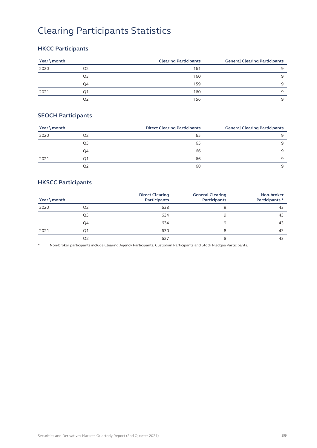# Clearing Participants Statistics

### **HKCC Participants**

| Year \ month |    | <b>Clearing Participants</b> | <b>General Clearing Participants</b> |
|--------------|----|------------------------------|--------------------------------------|
| 2020         | O2 | 161                          |                                      |
|              | Q3 | 160                          |                                      |
|              | O4 | 159                          |                                      |
| 2021         | Ο1 | 160                          |                                      |
|              | O2 | 156                          |                                      |

#### **SEOCH Participants**

| Year \ month |    | <b>Direct Clearing Participants</b> | <b>General Clearing Participants</b> |
|--------------|----|-------------------------------------|--------------------------------------|
| 2020         | Q2 | 65                                  |                                      |
|              | O3 | 65                                  |                                      |
|              | Q4 | 66                                  |                                      |
| 2021         | 01 | 66                                  |                                      |
|              | O2 | 68                                  |                                      |

### **HKSCC Participants**

| Year \ month |    | <b>Direct Clearing</b><br><b>Participants</b> | <b>General Clearing</b><br><b>Participants</b> | Non-broker<br>Participants * |
|--------------|----|-----------------------------------------------|------------------------------------------------|------------------------------|
| 2020         | Q2 | 638                                           | 9                                              | 43                           |
|              | Q3 | 634                                           | 9                                              | 43                           |
|              | Q4 | 634                                           | 9                                              | 43                           |
| 2021         | Q1 | 630                                           | 8                                              | 43                           |
|              | Q2 | 627                                           | 8                                              | 43                           |

\* Non-broker participants include Clearing Agency Participants, Custodian Participants and Stock Pledgee Participants.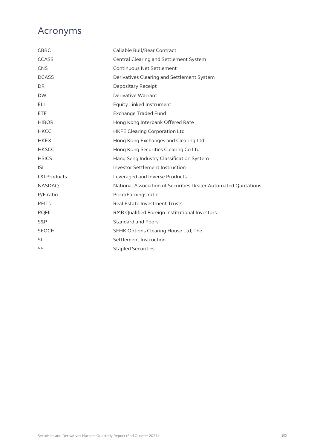### Acronyms

| CBBC                    | Callable Bull/Bear Contract                                    |
|-------------------------|----------------------------------------------------------------|
| <b>CCASS</b>            | Central Clearing and Settlement System                         |
| <b>CNS</b>              | <b>Continuous Net Settlement</b>                               |
| <b>DCASS</b>            | Derivatives Clearing and Settlement System                     |
| DR.                     | Depositary Receipt                                             |
| <b>DW</b>               | Derivative Warrant                                             |
| ELI                     | Equity Linked Instrument                                       |
| <b>ETF</b>              | Exchange Traded Fund                                           |
| <b>HIBOR</b>            | Hong Kong Interbank Offered Rate                               |
| <b>HKCC</b>             | <b>HKFE Clearing Corporation Ltd</b>                           |
| <b>HKEX</b>             | Hong Kong Exchanges and Clearing Ltd                           |
| <b>HKSCC</b>            | Hong Kong Securities Clearing Co Ltd                           |
| <b>HSICS</b>            | Hang Seng Industry Classification System                       |
| ISI                     | Investor Settlement Instruction                                |
| <b>L&amp;I Products</b> | Leveraged and Inverse Products                                 |
| <b>NASDAQ</b>           | National Association of Securities Dealer Automated Quotations |
| P/E ratio               | Price/Earnings ratio                                           |
| <b>REITS</b>            | <b>Real Estate Investment Trusts</b>                           |
| <b>RQFII</b>            | RMB Qualified Foreign Institutional Investors                  |
| S&P                     | <b>Standard and Poors</b>                                      |
| <b>SEOCH</b>            | SEHK Options Clearing House Ltd, The                           |
| SI.                     | Settlement Instruction                                         |
| SS                      | <b>Stapled Securities</b>                                      |